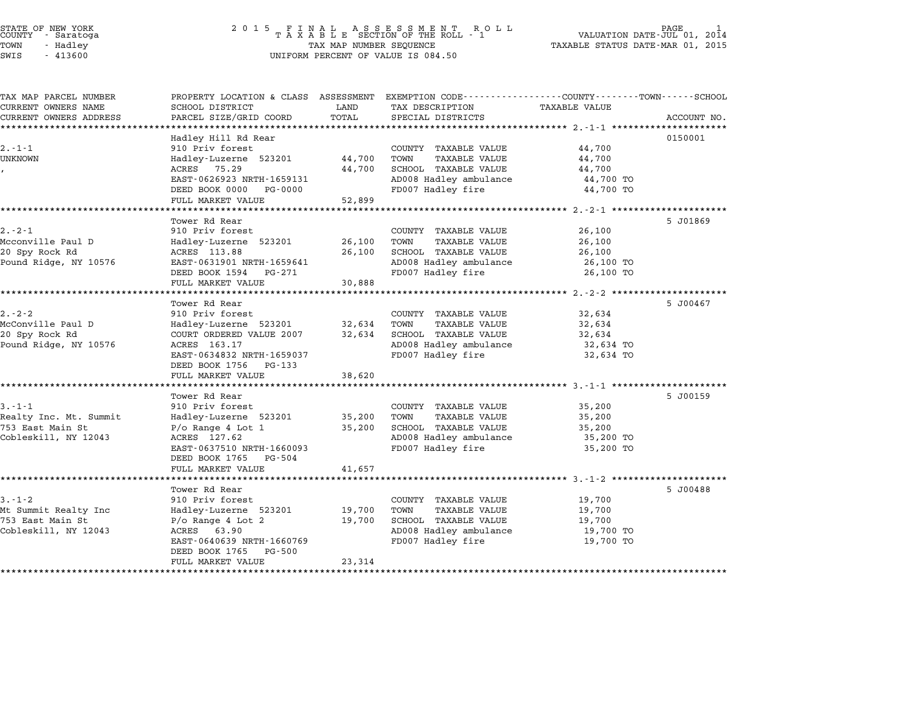| STATE OF NEW YORK |  |            |  |
|-------------------|--|------------|--|
| COUNTY            |  | - Saratoga |  |
| TOWN              |  | - Hadley   |  |
|                   |  | .          |  |

# end the NEW YORK (STATE OF NEW YORK)<br>2 0 1 5 F I N A L A S S E S S M E N T R O L L (PALUATION DATE-JUL 01, 2014)<br>COUNTY - Saratoga (2014) 2014 STATE OF NEW YORK IS A REALL AS SEGS ON EXECUTIVE OF NEW YORK THE ROLL PAGE OF NEW TOOD IN THE PAGE OF TAXABLE<br>COUNTY - Saratoga International State Taxable Status Date-Mar of The ROLL - 1 International Date-Mar 01, 2015<br>T SWIS - <sup>413600</sup> UNIFORM PERCENT OF VALUE IS 084.50

| TAX MAP PARCEL NUMBER  |                                                     |        | PROPERTY LOCATION & CLASS ASSESSMENT EXEMPTION CODE---------------COUNTY-------TOWN-----SCHOOL<br>TAX DESCRIPTION |                        |             |
|------------------------|-----------------------------------------------------|--------|-------------------------------------------------------------------------------------------------------------------|------------------------|-------------|
| CURRENT OWNERS NAME    | SCHOOL DISTRICT                                     | LAND   |                                                                                                                   | <b>TAXABLE VALUE</b>   |             |
| CURRENT OWNERS ADDRESS | PARCEL SIZE/GRID COORD                              | TOTAL  | SPECIAL DISTRICTS                                                                                                 |                        | ACCOUNT NO. |
|                        |                                                     |        |                                                                                                                   |                        |             |
| $2. - 1 - 1$           | Hadley Hill Rd Rear                                 |        |                                                                                                                   |                        | 0150001     |
|                        | 910 Priv forest                                     |        | COUNTY TAXABLE VALUE                                                                                              | 44,700                 |             |
| UNKNOWN                | Hadley-Luzerne 523201                               | 44,700 | TOWN<br><b>TAXABLE VALUE</b>                                                                                      | 44,700                 |             |
|                        | ACRES 75.29                                         | 44,700 | SCHOOL TAXABLE VALUE                                                                                              | 44,700                 |             |
|                        | EAST-0626923 NRTH-1659131<br>DEED BOOK 0000 PG-0000 |        | AD008 Hadley ambulance<br>FD007 Hadley fire                                                                       | 44,700 TO<br>44,700 TO |             |
|                        |                                                     |        |                                                                                                                   |                        |             |
|                        | FULL MARKET VALUE                                   | 52,899 |                                                                                                                   |                        |             |
|                        |                                                     |        |                                                                                                                   |                        |             |
|                        | Tower Rd Rear                                       |        |                                                                                                                   |                        | 5 J01869    |
| $2. - 2 - 1$           | 910 Priv forest                                     |        | COUNTY TAXABLE VALUE                                                                                              | 26,100                 |             |
| Mcconville Paul D      | Hadley-Luzerne 523201                               | 26,100 | TAXABLE VALUE<br>TOWN                                                                                             | 26,100                 |             |
| 20 Spy Rock Rd         | ACRES 113.88                                        | 26,100 | SCHOOL TAXABLE VALUE                                                                                              | 26,100                 |             |
| Pound Ridge, NY 10576  | EAST-0631901 NRTH-1659641                           |        | AD008 Hadley ambulance                                                                                            | 26,100 TO              |             |
|                        | DEED BOOK 1594 PG-271                               |        | FD007 Hadley fire                                                                                                 | 26,100 TO              |             |
|                        | FULL MARKET VALUE                                   | 30,888 |                                                                                                                   |                        |             |
|                        |                                                     |        |                                                                                                                   |                        |             |
|                        | Tower Rd Rear                                       |        |                                                                                                                   |                        | 5 J00467    |
| $2. - 2 - 2$           | 910 Priv forest                                     |        | COUNTY TAXABLE VALUE                                                                                              | 32,634                 |             |
| McConville Paul D      | Hadley-Luzerne 523201                               | 32,634 | TOWN<br>TAXABLE VALUE                                                                                             | 32,634                 |             |
| 20 Spy Rock Rd         | COURT ORDERED VALUE 2007                            | 32,634 | SCHOOL TAXABLE VALUE                                                                                              | 32,634                 |             |
| Pound Ridge, NY 10576  | ACRES 163.17                                        |        | AD008 Hadley ambulance                                                                                            | 32,634 TO              |             |
|                        | EAST-0634832 NRTH-1659037                           |        | FD007 Hadley fire                                                                                                 | 32,634 TO              |             |
|                        | DEED BOOK 1756<br>PG-133                            |        |                                                                                                                   |                        |             |
|                        | FULL MARKET VALUE                                   | 38,620 |                                                                                                                   |                        |             |
|                        |                                                     |        |                                                                                                                   |                        |             |
|                        | Tower Rd Rear                                       |        |                                                                                                                   |                        | 5 J00159    |
| $3 - 1 - 1$            | 910 Priv forest                                     |        | COUNTY TAXABLE VALUE                                                                                              | 35,200                 |             |
| Realty Inc. Mt. Summit | Hadley-Luzerne 523201                               | 35,200 | TOWN<br>TAXABLE VALUE                                                                                             | 35,200                 |             |
| 753 East Main St       | $P$ /o Range 4 Lot 1                                | 35,200 | SCHOOL TAXABLE VALUE                                                                                              | 35,200                 |             |
| Cobleskill, NY 12043   | ACRES 127.62                                        |        | AD008 Hadley ambulance                                                                                            | 35,200 TO              |             |
|                        | EAST-0637510 NRTH-1660093                           |        | FD007 Hadley fire                                                                                                 | 35,200 TO              |             |
|                        | DEED BOOK 1765<br>PG-504                            |        |                                                                                                                   |                        |             |
|                        | FULL MARKET VALUE                                   | 41,657 |                                                                                                                   |                        |             |
|                        |                                                     |        |                                                                                                                   |                        |             |
|                        | Tower Rd Rear                                       |        |                                                                                                                   |                        | 5 J00488    |
| $3 - 1 - 2$            | 910 Priv forest                                     |        | COUNTY TAXABLE VALUE                                                                                              | 19,700                 |             |
| Mt Summit Realty Inc   | Hadley-Luzerne 523201                               | 19,700 | TOWN<br>TAXABLE VALUE                                                                                             | 19,700                 |             |
| 753 East Main St       | $P/O$ Range 4 Lot 2                                 | 19,700 | SCHOOL TAXABLE VALUE                                                                                              | 19,700                 |             |
| Cobleskill, NY 12043   | 63.90<br>ACRES                                      |        | AD008 Hadley ambulance                                                                                            | 19,700 TO              |             |
|                        | EAST-0640639 NRTH-1660769                           |        | FD007 Hadley fire                                                                                                 | 19,700 TO              |             |
|                        | DEED BOOK 1765<br>PG-500                            |        |                                                                                                                   |                        |             |
|                        |                                                     |        |                                                                                                                   |                        |             |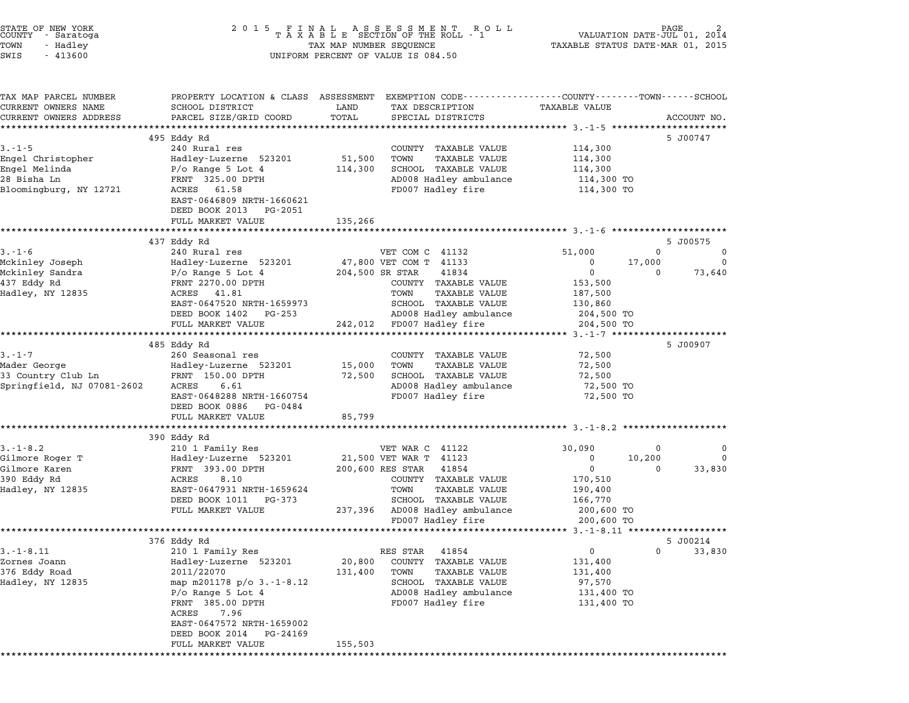|        | STATE OF NEW YORK |  |
|--------|-------------------|--|
| COUNTY | - Saratoga        |  |
| TOWN   | - Hadley          |  |
|        |                   |  |

TAX MAP PARCEL NUMBER PROPERTY LOCATION & CLASS ASSESSMENT EXEMPTION CODE------------------COUNTY--------TOWN------SCHOOL CURRENT OWNERS NAME SCHOOL DISTRICT LAND TAX DESCRIPTION TAXABLE VALUE CURRENT OWNERS ADDRESS FOR SCHOOL DISTRICTS ASSESSEENT EXERT ON TAX MIT TO COORD TOTAL THAT THE COORD TOTAL THAT THE SCRIPTION TAXABLE VALUE<br>CURRENT OWNERS ADDRESS PARCEL SIZE/GRID COORD TOTAL SPECIAL DISTRICTS ACCOUNT NO. 495 Eddy Rd 5 J00747 3.-1-5 <sup>240</sup> Rural res COUNTY TAXABLE VALUE 114,300 engel Christopher (114,300 Eddy Ru)<br>240 Rural res (2000) 114,300 COUNTY TAXABLE VALUE 114,300<br>200 Hadley-Luzerne 523201 51,500 TOWN TAXABLE VALUE 114,300 Engel Christopher er and the matrices of the countrinance which the countrinance of the countrinance of the set of the set of th<br>Engel Melinda 114,300 SCHOOL TAXABLE VALUE 114,300<br>Engel Melinda 114,300 SCHOOL TAXABLE VALUE 114,300 <sup>28</sup> Bisha Ln FRNT 325.00 DPTH AD008 Hadley ambulance 114,300 TO Blooming and the state of the control of the control of the control of the control of the control of the control of the control of the control of the control of the control of the control of the control of the control of t FRNI 323.00 DPIH<br>ACRES 61.58<br>EAST-0646809 NRTH-1660621 EAST-0646809 NRTH-166062<br>DEED BOOK 2013 PG-2051 EAST-0646809 NRTH-1660621<br>DEED BOOK 2013 PG-2051<br>FULL MARKET VALUE 135,266 \*\*\*\*\*\*\*\*\*\*\*\*\*\*\*\*\*\*\*\*\*\*\*\*\*\*\*\*\*\*\*\*\*\*\*\*\*\*\*\*\*\*\*\*\*\*\*\*\*\*\*\*\*\*\*\*\*\*\*\*\*\*\*\*\*\*\*\*\*\*\*\*\*\*\*\*\*\*\*\*\*\*\*\*\*\*\*\*\*\*\*\*\*\*\*\*\*\*\*\*\*\*\* 3.-1-6 \*\*\*\*\*\*\*\*\*\*\*\*\*\*\*\*\*\*\*\*\* 437 Eddy Rd 5 J00575 3.-1-6 <sup>240</sup> Rural res VET COM <sup>C</sup> <sup>41132</sup> 51,000 <sup>0</sup> <sup>0</sup> ال 157 Eddy Ru و 157 Eddy Ru) و 157 Eddy Ru) و 157 Eddy Ru) و 1-6 و 1-6 240 Rural res<br>Mckinley Joseph و Hadley-Luzerne 523201 47,800 VET COM T 41133 و Mckinley Joseph و Hadley-Luzerne 523201 و Mc Mckinley Sandra P/o Range 5 Lot <sup>4</sup> 204,500 SR STAR <sup>41834</sup> <sup>0</sup> <sup>0</sup> 73,640 <sup>437</sup> Eddy Rd FRNT 2270.00 DPTH COUNTY TAXABLE VALUE 153,500 HAD HADRO HAD HADRO HAD HADRO HAD HAD HAD HAD HADRO HAD HADRO HAD HADRO HAD HADRO HAD HADRO HAD HADRO HADRO HA<br>HADRO HADRO HADRO HADRO HADRO HADRO HADRO HADRO HADRO HADRO HADRO HADRO HADRO HADRO HADRO HADRO HADRO HADRO H<br>H ENNI 2270.00 DETH<br>ACRES 41.81 - TOMM TAXABLE VALUE 130,500<br>EAST-0647520 NRTH-1659973 - SCHOOL TAXABLE VALUE 130,860 DEED BOOK <sup>1402</sup> PG-253 AD008 Hadley ambulance 204,500 TO 50008 EASI- DOOK 14 NA SERIP BOOK 14 NA SERIP BOOK 14 NA SERIP BOOK 14 NA SERIP BOOK 14 NA SERIP BOOK 14 NA SE<br>BED BOOK 14 O2 - PEC 204,500 TO 242,012 PD008 Hadley fine 204,500 TO 204,500 TO 204,500 TO 204,500 TO 204,500 485 Eddy Rd 5 J00907 3.-1-7 <sup>260</sup> Seasonal res COUNTY TAXABLE VALUE 72,500 Mader George Hadley-Luzerne <sup>523201</sup> 15,000 TOWN TAXABLE VALUE 72,500 3.1 /<br>Madley-Luzerne S23201 15,000 TOWN HAADDE VADDE 72,500<br>33 Country Club Ln FRNT 150.00 DPTH 72,500 SCHOOL TAXABLE VALUE 72,500 Springfield, NJ 07081-2602 ACRES 6.61 AD008 Hadley ambulance 72,500 TO EARL ISOTO DETITY OF THE CONSIDERATION AND HANDLE VALUE IS THE CALL INTEREST OF THE CALL INTEREST OF THE RESER<br>ADOB Hadley fire 72,500 TO ROOM Hadley fire 72,500 TO RESERT 72,500 TO EAST-0648288 NRTH-166075<br>DEED BOOK 0886 PG-0484 DEED BOOK 0886 PG-0484<br>FULL MARKET VALUE 85,799 \*\*\*\*\*\*\*\*\*\*\*\*\*\*\*\*\*\*\*\*\*\*\*\*\*\*\*\*\*\*\*\*\*\*\*\*\*\*\*\*\*\*\*\*\*\*\*\*\*\*\*\*\*\*\*\*\*\*\*\*\*\*\*\*\*\*\*\*\*\*\*\*\*\*\*\*\*\*\*\*\*\*\*\*\*\*\*\*\*\*\*\*\*\*\*\*\*\*\*\*\*\*\* 3.-1-8.2 \*\*\*\*\*\*\*\*\*\*\*\*\*\*\*\*\*\*\* منز سدی<br>\*\*\*\*\*\*\*\*\*\*\*\*\*\*<br>390 Eddy Rd 3.-1-8.2 <sup>210</sup> <sup>1</sup> Family Res VET WAR C <sup>41122</sup> 30,090 <sup>0</sup> <sup>0</sup> Gilmore Roger T Hadley-Luzerne <sup>523201</sup> 21,500 VET WAR T <sup>41123</sup> <sup>0</sup> 10,200 <sup>0</sup> ون المسلم التي المسلم المسلم المسلم المسلم المسلم المسلم المسلم المسلم المسلم المسلم المسلم المسلم المسلم المس<br>Gilmore Roger Thuserne Basile (1997-1022001 10,200 0 21,500 VET WAR T 41123 0 0 10,200 0 33,830<br>Gilmore Karen 390 Eddy Rd Acres 11 – 1992 Eddy Roman (1993)<br>390 Eddy Raren (1993) Renn Harry 1931,000 PTH 200,600 RES STAR 41854<br>390 Eddy Rd 170,510 Hadley, NY <sup>12835</sup> EAST-0647931 NRTH-1659624 TOWN TAXABLE VALUE 190,400 POST 1920 1920 CONTRESS (NOTED 1920)<br>
EXES DOOK 1011 PG-373 SCHOOL TAXABLE VALUE 166,770<br>
DEED BOOK 1011 PG-373 SCHOOL TAXABLE VALUE 166,770 EASI-0047931 NKIH-1039024<br>DEED BOOK 1011 PG-373 SCHOOL TAXABLE VALUE 166,770<br>FULL MARKET VALUE 237,396 AD008 Hadley ambulance 200,600 TO ستمعة المستمعة المستمعة المستمعة المستمعة 200,600 TO<br>200,600 To 200,600 To 200,600 To 200,600 TO \*\*\*\*\*\*\*\*\*\*\*\*\*\*\*\*\*\*\*\*\*\*\*\*\*\*\*\*\*\*\*\*\*\*\*\*\*\*\*\*\*\*\*\*\*\*\*\*\*\*\*\*\*\*\*\*\*\*\*\*\*\*\*\*\*\*\*\*\*\*\*\*\*\*\*\*\*\*\*\*\*\*\*\*\*\*\*\*\*\*\*\*\*\*\*\*\*\*\*\*\*\*\* 3.-1-8.11 \*\*\*\*\*\*\*\*\*\*\*\*\*\*\*\*\*\* 376 Eddy Rd 5 J00214 3.1-1-8.11 5 100214<br>3.1.1 210 1 Family Res Res STAR 41854 0 0 33,830<br>33,830 RES STAR 41854 0 0 33,830 Zornes Joann Hadley-Luzerne <sup>523201</sup> 20,800 COUNTY TAXABLE VALUE 131,400 <sup>376</sup> Eddy Road 2011/22070 131,400 TOWN TAXABLE VALUE 131,400 ADLEY MORE COMIT MANDE VALUE TRANSFORM MANUS (AND 1999) MANUS AND 1999 MANUS (1999) MANUS (1999) MANUS (1999)<br>131,400 TOWN RAXABLE VALUE 131,400 MANUS (1999) MANUS (1999) MANUS (1999) MANUS (1999) MANUS (1999) MANUS (19<br>Ha P/o Range 5 Lot 4 AD008 Hadley ambulance 131,400 TORA AD008 Hadley ambulance 131,400 TO<br>P/o Range 5 Lot 4 AD008 Hadley ambulance 131,400 TO FRNT 385.00 DPTH FD007 Hadley fire 131,400 TO P/O Range 5 L<br>FRNT 385.00<br>ACRES 7.96 EAST-0647572 NRTH-1659002 EAST-0647572 NRTH-1659002<br>DEED BOOK 2014 PG-24169 FULL MARKET VALUE 155,503 \*\*\*\*\*\*\*\*\*\*\*\*\*\*\*\*\*\*\*\*\*\*\*\*\*\*\*\*\*\*\*\*\*\*\*\*\*\*\*\*\*\*\*\*\*\*\*\*\*\*\*\*\*\*\*\*\*\*\*\*\*\*\*\*\*\*\*\*\*\*\*\*\*\*\*\*\*\*\*\*\*\*\*\*\*\*\*\*\*\*\*\*\*\*\*\*\*\*\*\*\*\*\*\*\*\*\*\*\*\*\*\*\*\*\*\*\*\*\*\*\*\*\*\*\*\*\*\*\*\*\*\*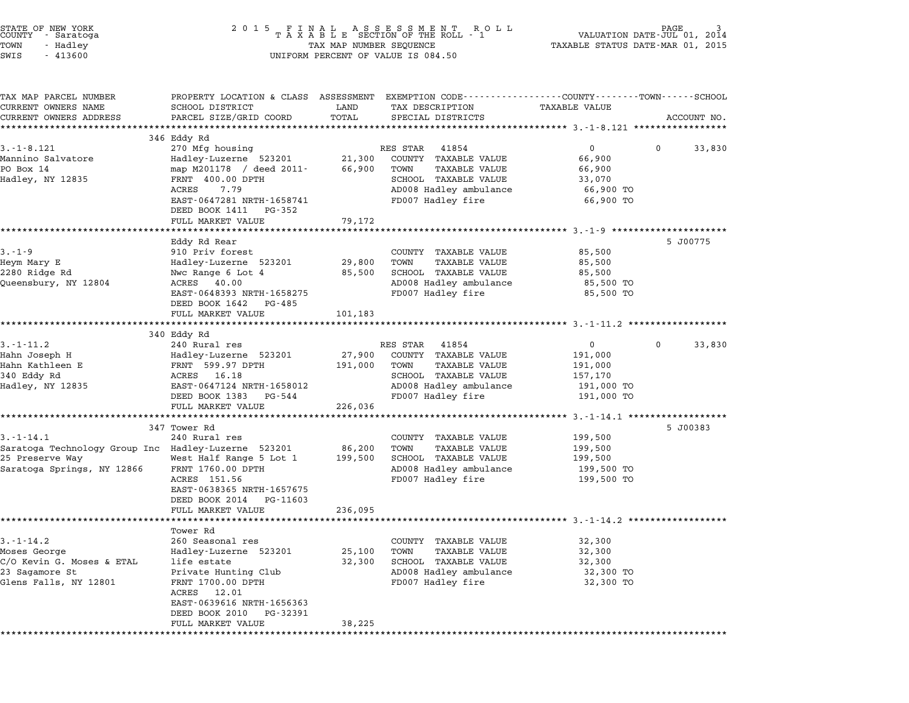| STATE OF NEW YORK<br>COUNTY - Saratoga<br>TOWN<br>- Hadlev<br>SWIS<br>- 413600 | 2015 FINAL ASSESSMENT ROLL<br>TAXABLE SECTION OF THE ROLL - 1<br>TAX MAP NUMBER SEQUENCE<br>UNIFORM PERCENT OF VALUE IS 084.50 | PAGE<br>VALUATION DATE-JUL 01, 2014<br>TAXABLE STATUS DATE-MAR 01, 2015 |
|--------------------------------------------------------------------------------|--------------------------------------------------------------------------------------------------------------------------------|-------------------------------------------------------------------------|
|                                                                                |                                                                                                                                |                                                                         |

| TAX MAP PARCEL NUMBER                               | PROPERTY LOCATION & CLASS ASSESSMENT EXEMPTION CODE---------------COUNTY-------TOWN-----SCHOOL |                           |                |                                              |                                          |             |             |
|-----------------------------------------------------|------------------------------------------------------------------------------------------------|---------------------------|----------------|----------------------------------------------|------------------------------------------|-------------|-------------|
| CURRENT OWNERS NAME                                 | SCHOOL DISTRICT                                                                                | LAND                      |                | TAX DESCRIPTION                              | TAXABLE VALUE                            |             |             |
| CURRENT OWNERS ADDRESS                              | PARCEL SIZE/GRID COORD                                                                         | TOTAL                     |                | SPECIAL DISTRICTS                            |                                          |             | ACCOUNT NO. |
|                                                     |                                                                                                | ************************* |                |                                              | ***************** 3.-1-8.121 *********** |             |             |
| $3. - 1 - 8.121$                                    | 346 Eddy Rd<br>270 Mfg housing                                                                 |                           | RES STAR       | 41854                                        | $\mathbf{0}$                             | $\Omega$    | 33,830      |
| Mannino Salvatore                                   | Hadley-Luzerne 523201                                                                          | 21,300                    |                |                                              |                                          |             |             |
| PO Box 14                                           | map M201178 / deed 2011-                                                                       | 66,900                    | TOWN           | COUNTY TAXABLE VALUE<br><b>TAXABLE VALUE</b> | 66,900<br>66,900                         |             |             |
| Hadley, NY 12835                                    | FRNT 400.00 DPTH                                                                               |                           |                | SCHOOL TAXABLE VALUE                         | 33,070                                   |             |             |
|                                                     | ACRES<br>7.79                                                                                  |                           |                | AD008 Hadley ambulance                       | 66,900 TO                                |             |             |
|                                                     | EAST-0647281 NRTH-1658741<br>DEED BOOK 1411 PG-352                                             |                           |                | FD007 Hadley fire                            | 66,900 TO                                |             |             |
|                                                     | FULL MARKET VALUE                                                                              | 79,172                    |                |                                              |                                          |             |             |
|                                                     | *******************                                                                            |                           |                |                                              |                                          |             |             |
|                                                     | Eddy Rd Rear                                                                                   |                           |                |                                              |                                          |             | 5 J00775    |
| $3 - 1 - 9$                                         | 910 Priv forest                                                                                |                           |                | COUNTY TAXABLE VALUE                         | 85,500                                   |             |             |
| Heym Mary E                                         | Hadley-Luzerne 523201                                                                          | 29,800                    | TOWN           | <b>TAXABLE VALUE</b>                         | 85,500                                   |             |             |
| 2280 Ridge Rd                                       | Nwc Range 6 Lot 4                                                                              | 85,500                    |                | SCHOOL TAXABLE VALUE                         | 85,500                                   |             |             |
| Queensbury, NY 12804                                | ACRES<br>40.00                                                                                 |                           |                | AD008 Hadley ambulance                       | 85,500 TO                                |             |             |
|                                                     | EAST-0648393 NRTH-1658275                                                                      |                           |                | FD007 Hadley fire                            | 85,500 TO                                |             |             |
|                                                     | DEED BOOK 1642<br>PG-485                                                                       |                           |                |                                              |                                          |             |             |
|                                                     | FULL MARKET VALUE                                                                              | 101,183                   |                |                                              |                                          |             |             |
|                                                     |                                                                                                |                           |                |                                              |                                          |             |             |
|                                                     | 340 Eddy Rd                                                                                    |                           |                |                                              |                                          |             |             |
| $3. - 1 - 11.2$                                     | 240 Rural res                                                                                  |                           | RES STAR 41854 |                                              | $\mathsf{O}$                             | $\mathbf 0$ | 33,830      |
| Hahn Joseph H                                       | Hadley-Luzerne 523201                                                                          | 27,900                    |                | COUNTY TAXABLE VALUE                         | 191,000                                  |             |             |
| Hahn Kathleen E                                     | FRNT 599.97 DPTH                                                                               | 191,000                   | TOWN           | <b>TAXABLE VALUE</b>                         | 191,000                                  |             |             |
| 340 Eddy Rd                                         | ACRES 16.18                                                                                    |                           |                | SCHOOL TAXABLE VALUE                         | 157,170                                  |             |             |
| Hadley, NY 12835                                    | EAST-0647124 NRTH-1658012                                                                      |                           |                | AD008 Hadley ambulance                       | 191,000 TO                               |             |             |
|                                                     | DEED BOOK 1383<br>PG-544                                                                       |                           |                | FD007 Hadley fire                            | 191,000 TO                               |             |             |
|                                                     | FULL MARKET VALUE                                                                              | 226,036                   |                |                                              |                                          |             |             |
|                                                     | **************************                                                                     |                           |                |                                              |                                          |             |             |
|                                                     | 347 Tower Rd                                                                                   |                           |                |                                              |                                          |             | 5 J00383    |
| $3. - 1 - 14.1$                                     | 240 Rural res                                                                                  |                           |                | COUNTY TAXABLE VALUE                         | 199,500                                  |             |             |
| Saratoga Technology Group Inc Hadley-Luzerne 523201 |                                                                                                | 86,200                    | TOWN           | <b>TAXABLE VALUE</b>                         | 199,500                                  |             |             |
| 25 Preserve Way                                     | West Half Range 5 Lot 1                                                                        | 199,500                   |                | SCHOOL TAXABLE VALUE                         | 199,500                                  |             |             |
| Saratoga Springs, NY 12866                          | FRNT 1760.00 DPTH                                                                              |                           |                | AD008 Hadley ambulance                       | 199,500 TO                               |             |             |
|                                                     | ACRES 151.56                                                                                   |                           |                | FD007 Hadley fire                            | 199,500 TO                               |             |             |
|                                                     | EAST-0638365 NRTH-1657675                                                                      |                           |                |                                              |                                          |             |             |
|                                                     | DEED BOOK 2014<br>PG-11603                                                                     |                           |                |                                              |                                          |             |             |
|                                                     | FULL MARKET VALUE                                                                              | 236,095                   |                |                                              |                                          |             |             |
|                                                     | Tower Rd                                                                                       |                           |                |                                              |                                          |             |             |
| $3. - 1 - 14.2$                                     | 260 Seasonal res                                                                               |                           |                | COUNTY TAXABLE VALUE                         | 32,300                                   |             |             |
| Moses George                                        | Hadley-Luzerne 523201                                                                          | 25,100                    | TOWN           | TAXABLE VALUE                                | 32,300                                   |             |             |
| C/O Kevin G. Moses & ETAL                           | life estate                                                                                    | 32,300                    |                | SCHOOL TAXABLE VALUE                         | 32,300                                   |             |             |
| 23 Sagamore St                                      | Private Hunting Club                                                                           |                           |                | AD008 Hadley ambulance                       | 32,300 TO                                |             |             |
| Glens Falls, NY 12801                               | FRNT 1700.00 DPTH                                                                              |                           |                | FD007 Hadley fire                            | 32,300 TO                                |             |             |
|                                                     | ACRES 12.01                                                                                    |                           |                |                                              |                                          |             |             |
|                                                     | EAST-0639616 NRTH-1656363                                                                      |                           |                |                                              |                                          |             |             |
|                                                     | DEED BOOK 2010<br>PG-32391                                                                     |                           |                |                                              |                                          |             |             |
|                                                     | FULL MARKET VALUE                                                                              | 38,225                    |                |                                              |                                          |             |             |
|                                                     |                                                                                                |                           |                |                                              |                                          |             |             |
|                                                     |                                                                                                |                           |                |                                              |                                          |             |             |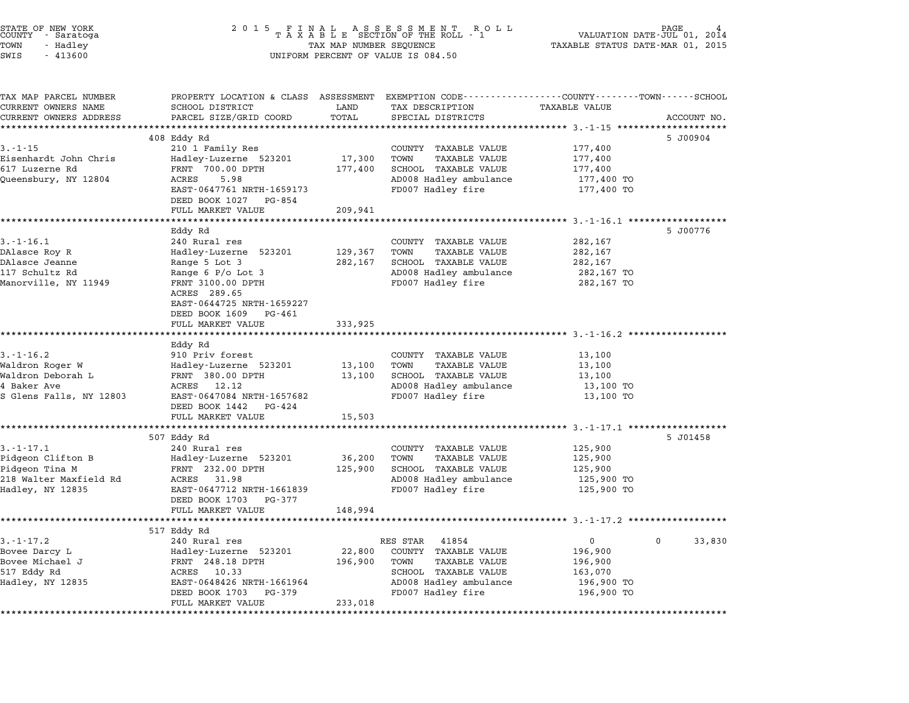| STATE OF NEW YORK<br>COUNTY - Saratoga<br>TOWN<br>- Hadley<br>SWIS<br>$-413600$                      | 2 0 1 5<br>TAX MAP NUMBER SEQUENCE<br>UNIFORM PERCENT OF VALUE IS 084.50                                                                                                                                  | PAGE<br>VALUATION DATE-JUL 01,<br>2014<br>TAXABLE STATUS DATE-MAR 01, 2015 |                                                                                                                                              |                                                                |             |
|------------------------------------------------------------------------------------------------------|-----------------------------------------------------------------------------------------------------------------------------------------------------------------------------------------------------------|----------------------------------------------------------------------------|----------------------------------------------------------------------------------------------------------------------------------------------|----------------------------------------------------------------|-------------|
| TAX MAP PARCEL NUMBER<br>CURRENT OWNERS NAME<br>CURRENT OWNERS ADDRESS                               | PROPERTY LOCATION & CLASS ASSESSMENT EXEMPTION CODE---------------COUNTY-------TOWN------SCHOOL<br>SCHOOL DISTRICT<br>PARCEL SIZE/GRID COORD                                                              | LAND<br>TOTAL                                                              | TAX DESCRIPTION<br>SPECIAL DISTRICTS                                                                                                         | TAXABLE VALUE                                                  | ACCOUNT NO. |
| **********************                                                                               | ***************************                                                                                                                                                                               |                                                                            |                                                                                                                                              |                                                                |             |
| $3. - 1 - 15$<br>Eisenhardt John Chris<br>617 Luzerne Rd<br>Queensbury, NY 12804                     | 408 Eddy Rd<br>210 1 Family Res<br>Hadley-Luzerne 523201<br>FRNT 700.00 DPTH<br>ACRES<br>5.98<br>EAST-0647761 NRTH-1659173<br>DEED BOOK 1027 PG-854                                                       | 17,300<br>177,400                                                          | COUNTY TAXABLE VALUE<br>TOWN<br>TAXABLE VALUE<br>SCHOOL TAXABLE VALUE<br>AD008 Hadley ambulance<br>FD007 Hadley fire                         | 177,400<br>177,400<br>177,400<br>177,400 TO<br>177,400 TO      | 5 J00904    |
|                                                                                                      | FULL MARKET VALUE                                                                                                                                                                                         | 209,941                                                                    |                                                                                                                                              |                                                                |             |
| $3.-1-16.1$<br>DAlasce Roy R<br>DAlasce Jeanne<br>117 Schultz Rd<br>Manorville, NY 11949             | Eddy Rd<br>240 Rural res<br>Hadley-Luzerne 523201<br>Range 5 Lot 3<br>Range $6$ P/o Lot 3<br>FRNT 3100.00 DPTH<br>ACRES 289.65<br>EAST-0644725 NRTH-1659227<br>DEED BOOK 1609 PG-461<br>FULL MARKET VALUE | 129,367<br>282,167<br>333,925                                              | COUNTY TAXABLE VALUE<br>TOWN<br><b>TAXABLE VALUE</b><br>SCHOOL TAXABLE VALUE<br>AD008 Hadley ambulance<br>FD007 Hadley fire                  | 282,167<br>282,167<br>282,167<br>282,167 TO<br>282,167 TO      | 5 J00776    |
|                                                                                                      |                                                                                                                                                                                                           |                                                                            |                                                                                                                                              | ***************************** 3.-1-16.2 *********              |             |
| $3.-1-16.2$<br>Waldron Roger W<br>Waldron Deborah L<br>4 Baker Ave<br>S Glens Falls, NY 12803        | Eddy Rd<br>910 Priv forest<br>Hadley-Luzerne 523201<br>FRNT 380.00 DPTH<br>ACRES 12.12<br>EAST-0647084 NRTH-1657682<br>DEED BOOK 1442 PG-424<br>FULL MARKET VALUE                                         | 13,100<br>13,100<br>15,503                                                 | COUNTY TAXABLE VALUE<br>TOWN<br>TAXABLE VALUE<br>SCHOOL TAXABLE VALUE<br>AD008 Hadley ambulance<br>FD007 Hadley fire                         | 13,100<br>13,100<br>13,100<br>13,100 TO<br>13,100 TO           |             |
|                                                                                                      |                                                                                                                                                                                                           |                                                                            |                                                                                                                                              |                                                                |             |
| $3. - 1 - 17.1$<br>Pidgeon Clifton B<br>Pidgeon Tina M<br>218 Walter Maxfield Rd<br>Hadley, NY 12835 | 507 Eddy Rd<br>240 Rural res<br>Hadley-Luzerne 523201<br>FRNT 232.00 DPTH<br>ACRES 31.98<br>EAST-0647712 NRTH-1661839<br>DEED BOOK 1703<br>PG-377                                                         | 36,200<br>125,900                                                          | COUNTY TAXABLE VALUE<br>TOWN<br>TAXABLE VALUE<br>SCHOOL TAXABLE VALUE<br>AD008 Hadley ambulance<br>FD007 Hadley fire                         | 125,900<br>125,900<br>125,900<br>125,900 TO<br>125,900 TO      | 5 J01458    |
|                                                                                                      | FULL MARKET VALUE                                                                                                                                                                                         | 148,994                                                                    |                                                                                                                                              |                                                                |             |
|                                                                                                      |                                                                                                                                                                                                           |                                                                            |                                                                                                                                              | ************************** 3.-1-17.2 *********                 |             |
| $3. - 1 - 17.2$<br>Bovee Darcy L<br>Bovee Michael J<br>517 Eddy Rd<br>Hadley, NY 12835               | 517 Eddy Rd<br>240 Rural res<br>Hadley-Luzerne 523201<br>FRNT 248.18 DPTH<br>ACRES<br>10.33<br>EAST-0648426 NRTH-1661964<br>DEED BOOK 1703<br>PG-379<br>FULL MARKET VALUE                                 | 22,800<br>196,900<br>233,018                                               | RES STAR<br>41854<br>COUNTY<br>TAXABLE VALUE<br>TOWN<br>TAXABLE VALUE<br>SCHOOL TAXABLE VALUE<br>AD008 Hadley ambulance<br>FD007 Hadley fire | 0<br>196,900<br>196,900<br>163,070<br>196,900 TO<br>196,900 TO | 33,830<br>0 |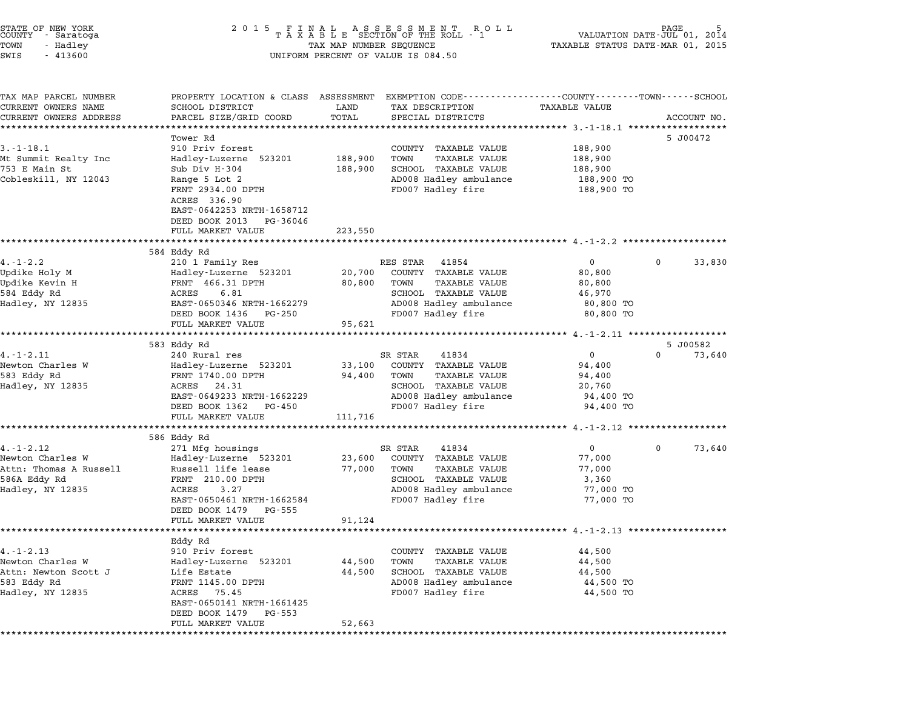| STATE OF NEW YORK<br>COUNTY - Saratoga |  |          |  |
|----------------------------------------|--|----------|--|
| TOWN                                   |  | - Hadley |  |
| $\alpha$                               |  | 11200    |  |

# end the New York (STATE OF NEW YORK)<br>2 0 1 5 F I N A L A S S E S S M E N T R O L L (PALUATION DATE-JUL 01, 2014)<br>COUNTY - Saratoga (2014) 2014 T A X A B L E SECTION OF THE ROLL - 1 TOWN - Hadley TAX MAP NUMBER SEQUENCE TAXABLE STATUS DATE-MAR 01, <sup>2015</sup> SWIS - <sup>413600</sup> UNIFORM PERCENT OF VALUE IS 084.50

| TAX MAP PARCEL NUMBER  | PROPERTY LOCATION & CLASS ASSESSMENT EXEMPTION CODE----------------COUNTY-------TOWN-----SCHOOL |                      |                              |                                          |                                |
|------------------------|-------------------------------------------------------------------------------------------------|----------------------|------------------------------|------------------------------------------|--------------------------------|
| CURRENT OWNERS NAME    | SCHOOL DISTRICT                                                                                 | LAND                 | TAX DESCRIPTION              | TAXABLE VALUE                            |                                |
| CURRENT OWNERS ADDRESS | PARCEL SIZE/GRID COORD                                                                          | TOTAL                | SPECIAL DISTRICTS            |                                          | ACCOUNT NO.                    |
|                        |                                                                                                 | ******************** |                              | ***************** 3.-1-18.1 ************ |                                |
|                        | Tower Rd                                                                                        |                      |                              |                                          | 5 J00472                       |
| $3. - 1 - 18.1$        | 910 Priv forest                                                                                 |                      | COUNTY TAXABLE VALUE         | 188,900                                  |                                |
| Mt Summit Realty Inc   | Hadley-Luzerne 523201                                                                           | 188,900              | TOWN<br>TAXABLE VALUE        | 188,900                                  |                                |
| 753 E Main St          | Sub Div H-304                                                                                   | 188,900              | SCHOOL TAXABLE VALUE         | 188,900                                  |                                |
| Cobleskill, NY 12043   | Range 5 Lot 2                                                                                   |                      | AD008 Hadley ambulance       | 188,900 TO                               |                                |
|                        | FRNT 2934.00 DPTH                                                                               |                      | FD007 Hadley fire            | 188,900 TO                               |                                |
|                        | ACRES 336.90                                                                                    |                      |                              |                                          |                                |
|                        | EAST-0642253 NRTH-1658712                                                                       |                      |                              |                                          |                                |
|                        | DEED BOOK 2013 PG-36046                                                                         |                      |                              |                                          |                                |
|                        | FULL MARKET VALUE                                                                               | 223,550              |                              |                                          |                                |
|                        |                                                                                                 |                      |                              |                                          |                                |
|                        | 584 Eddy Rd                                                                                     |                      |                              |                                          |                                |
| $4. - 1 - 2.2$         | 210 1 Family Res                                                                                |                      | RES STAR 41854               | $\overline{0}$                           | 33,830<br>$\Omega$             |
| Updike Holy M          | Hadley-Luzerne 523201                                                                           |                      | 20,700 COUNTY TAXABLE VALUE  | 80,800                                   |                                |
| Updike Kevin H         | FRNT 466.31 DPTH                                                                                | 80,800 TOWN          | TAXABLE VALUE                | 80,800                                   |                                |
| 584 Eddy Rd            | ACRES<br>6.81                                                                                   |                      | SCHOOL TAXABLE VALUE         | 46,970                                   |                                |
| Hadley, NY 12835       | EAST-0650346 NRTH-1662279                                                                       |                      | AD008 Hadley ambulance       | 80,800 TO                                |                                |
|                        | DEED BOOK 1436 PG-250                                                                           |                      | FD007 Hadley fire            | 80,800 TO                                |                                |
|                        | FULL MARKET VALUE                                                                               | 95,621               |                              |                                          |                                |
|                        |                                                                                                 |                      |                              |                                          |                                |
| $4. -1 - 2.11$         | 583 Eddy Rd<br>240 Rural res                                                                    |                      | SR STAR<br>41834             | $\overline{0}$                           | 5 J00582<br>73,640<br>$\Omega$ |
| Newton Charles W       | Hadley-Luzerne 523201                                                                           |                      | 33,100 COUNTY TAXABLE VALUE  | 94,400                                   |                                |
| 583 Eddy Rd            | FRNT 1740.00 DPTH                                                                               | 94,400 TOWN          | TAXABLE VALUE                | 94,400                                   |                                |
| Hadley, NY 12835       | ACRES 24.31                                                                                     |                      | SCHOOL TAXABLE VALUE         | 20,760                                   |                                |
|                        | EAST-0649233 NRTH-1662229                                                                       |                      | AD008 Hadley ambulance       | 94,400 TO                                |                                |
|                        | DEED BOOK 1362 PG-450                                                                           |                      | FD007 Hadley fire            | 94,400 TO                                |                                |
|                        | FULL MARKET VALUE                                                                               | 111,716              |                              |                                          |                                |
|                        |                                                                                                 |                      |                              |                                          |                                |
|                        | 586 Eddy Rd                                                                                     |                      |                              |                                          |                                |
| $4. -1 - 2.12$         | 271 Mfg housings                                                                                |                      | SR STAR<br>41834             | $\overline{0}$                           | $\Omega$<br>73,640             |
| Newton Charles W       | Hadley-Luzerne 523201                                                                           | 23,600               | COUNTY TAXABLE VALUE         | 77,000                                   |                                |
| Attn: Thomas A Russell | Russell life lease                                                                              | 77,000               | TOWN<br>TAXABLE VALUE        | 77,000                                   |                                |
| 586A Eddy Rd           | FRNT 210.00 DPTH                                                                                |                      | SCHOOL TAXABLE VALUE         | 3,360                                    |                                |
| Hadley, NY 12835       | ACRES<br>3.27                                                                                   |                      | AD008 Hadley ambulance       | 77,000 TO                                |                                |
|                        | EAST-0650461 NRTH-1662584                                                                       |                      | FD007 Hadley fire            | 77,000 TO                                |                                |
|                        | DEED BOOK 1479 PG-555                                                                           |                      |                              |                                          |                                |
|                        | FULL MARKET VALUE                                                                               | 91,124               |                              |                                          |                                |
|                        |                                                                                                 |                      |                              |                                          |                                |
|                        | Eddy Rd                                                                                         |                      |                              |                                          |                                |
| $4. -1 - 2.13$         | 910 Priv forest                                                                                 |                      | COUNTY TAXABLE VALUE         | 44,500                                   |                                |
| Newton Charles W       | Hadley-Luzerne 523201                                                                           | 44,500               | TOWN<br><b>TAXABLE VALUE</b> | 44,500                                   |                                |
| Attn: Newton Scott J   | Life Estate                                                                                     | 44,500               | SCHOOL TAXABLE VALUE         | 44,500                                   |                                |
| 583 Eddy Rd            | FRNT 1145.00 DPTH                                                                               |                      | AD008 Hadley ambulance       | 44,500 TO                                |                                |
| Hadley, NY 12835       | ACRES 75.45                                                                                     |                      | FD007 Hadley fire            | 44,500 TO                                |                                |
|                        | EAST-0650141 NRTH-1661425                                                                       |                      |                              |                                          |                                |
|                        | DEED BOOK 1479<br>PG-553                                                                        |                      |                              |                                          |                                |
|                        | FULL MARKET VALUE                                                                               | 52,663               |                              |                                          |                                |
|                        |                                                                                                 |                      |                              |                                          |                                |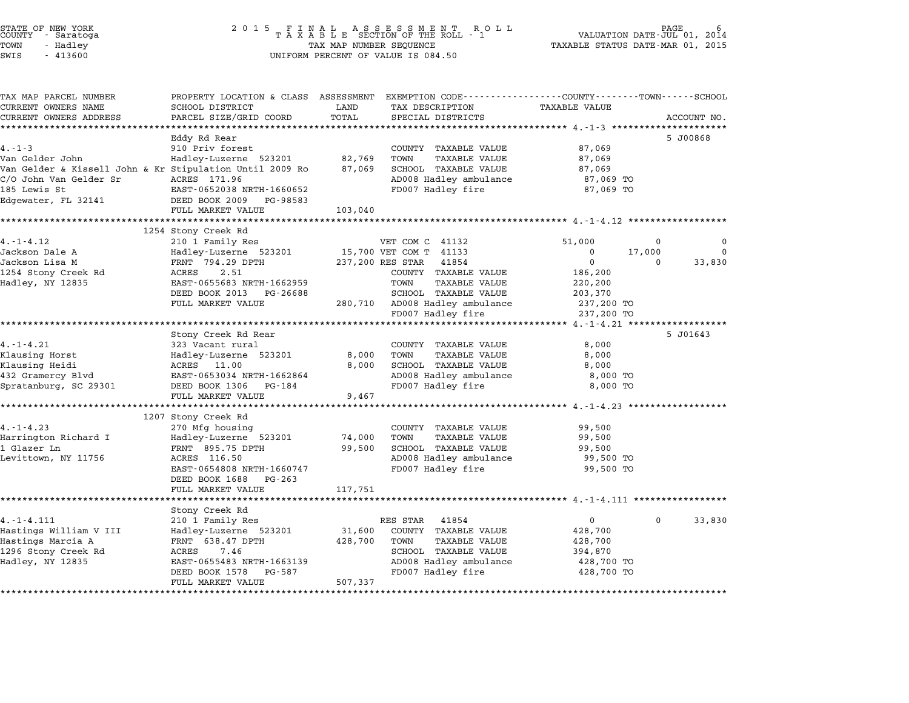| STATE OF NEW YORK |  |            |  |
|-------------------|--|------------|--|
| COUNTY            |  | - Saratoga |  |
| TOWN              |  | - Hadley   |  |

| PARCEL SIZE/GRID COORD                                | TOTAL                                                                                                                                                                                                                                                                                                                                                                                                                                                 | SPECIAL DISTRICTS                           |                                                                                                                                                                                                                                                                                                                                     | ACCOUNT NO.                                                                                                                                                                                                                                                 |
|-------------------------------------------------------|-------------------------------------------------------------------------------------------------------------------------------------------------------------------------------------------------------------------------------------------------------------------------------------------------------------------------------------------------------------------------------------------------------------------------------------------------------|---------------------------------------------|-------------------------------------------------------------------------------------------------------------------------------------------------------------------------------------------------------------------------------------------------------------------------------------------------------------------------------------|-------------------------------------------------------------------------------------------------------------------------------------------------------------------------------------------------------------------------------------------------------------|
| *********************                                 |                                                                                                                                                                                                                                                                                                                                                                                                                                                       |                                             |                                                                                                                                                                                                                                                                                                                                     |                                                                                                                                                                                                                                                             |
| Eddy Rd Rear                                          |                                                                                                                                                                                                                                                                                                                                                                                                                                                       |                                             |                                                                                                                                                                                                                                                                                                                                     | 5 J00868                                                                                                                                                                                                                                                    |
| 910 Priv forest                                       |                                                                                                                                                                                                                                                                                                                                                                                                                                                       | COUNTY TAXABLE VALUE                        | 87,069                                                                                                                                                                                                                                                                                                                              |                                                                                                                                                                                                                                                             |
| Hadley-Luzerne 523201                                 | 82,769                                                                                                                                                                                                                                                                                                                                                                                                                                                | TOWN<br><b>TAXABLE VALUE</b>                | 87,069                                                                                                                                                                                                                                                                                                                              |                                                                                                                                                                                                                                                             |
|                                                       | 87,069                                                                                                                                                                                                                                                                                                                                                                                                                                                | SCHOOL TAXABLE VALUE                        | 87,069                                                                                                                                                                                                                                                                                                                              |                                                                                                                                                                                                                                                             |
|                                                       |                                                                                                                                                                                                                                                                                                                                                                                                                                                       | AD008 Hadley ambulance                      | 87,069 TO                                                                                                                                                                                                                                                                                                                           |                                                                                                                                                                                                                                                             |
|                                                       |                                                                                                                                                                                                                                                                                                                                                                                                                                                       |                                             |                                                                                                                                                                                                                                                                                                                                     |                                                                                                                                                                                                                                                             |
| DEED BOOK 2009 PG-98583                               |                                                                                                                                                                                                                                                                                                                                                                                                                                                       |                                             |                                                                                                                                                                                                                                                                                                                                     |                                                                                                                                                                                                                                                             |
|                                                       |                                                                                                                                                                                                                                                                                                                                                                                                                                                       |                                             |                                                                                                                                                                                                                                                                                                                                     |                                                                                                                                                                                                                                                             |
|                                                       |                                                                                                                                                                                                                                                                                                                                                                                                                                                       |                                             |                                                                                                                                                                                                                                                                                                                                     |                                                                                                                                                                                                                                                             |
|                                                       |                                                                                                                                                                                                                                                                                                                                                                                                                                                       |                                             |                                                                                                                                                                                                                                                                                                                                     |                                                                                                                                                                                                                                                             |
|                                                       |                                                                                                                                                                                                                                                                                                                                                                                                                                                       |                                             |                                                                                                                                                                                                                                                                                                                                     | $\Omega$<br>$\Omega$<br>$\mathbf 0$                                                                                                                                                                                                                         |
|                                                       |                                                                                                                                                                                                                                                                                                                                                                                                                                                       |                                             |                                                                                                                                                                                                                                                                                                                                     |                                                                                                                                                                                                                                                             |
|                                                       |                                                                                                                                                                                                                                                                                                                                                                                                                                                       |                                             |                                                                                                                                                                                                                                                                                                                                     | 33,830<br>$\Omega$                                                                                                                                                                                                                                          |
|                                                       |                                                                                                                                                                                                                                                                                                                                                                                                                                                       |                                             |                                                                                                                                                                                                                                                                                                                                     |                                                                                                                                                                                                                                                             |
|                                                       |                                                                                                                                                                                                                                                                                                                                                                                                                                                       |                                             |                                                                                                                                                                                                                                                                                                                                     |                                                                                                                                                                                                                                                             |
|                                                       |                                                                                                                                                                                                                                                                                                                                                                                                                                                       |                                             |                                                                                                                                                                                                                                                                                                                                     |                                                                                                                                                                                                                                                             |
|                                                       |                                                                                                                                                                                                                                                                                                                                                                                                                                                       |                                             |                                                                                                                                                                                                                                                                                                                                     |                                                                                                                                                                                                                                                             |
|                                                       |                                                                                                                                                                                                                                                                                                                                                                                                                                                       |                                             |                                                                                                                                                                                                                                                                                                                                     |                                                                                                                                                                                                                                                             |
|                                                       |                                                                                                                                                                                                                                                                                                                                                                                                                                                       |                                             |                                                                                                                                                                                                                                                                                                                                     | 5 J01643                                                                                                                                                                                                                                                    |
|                                                       |                                                                                                                                                                                                                                                                                                                                                                                                                                                       |                                             |                                                                                                                                                                                                                                                                                                                                     |                                                                                                                                                                                                                                                             |
|                                                       |                                                                                                                                                                                                                                                                                                                                                                                                                                                       | TOWN<br>TAXABLE VALUE                       |                                                                                                                                                                                                                                                                                                                                     |                                                                                                                                                                                                                                                             |
| ACRES 11.00                                           | 8,000                                                                                                                                                                                                                                                                                                                                                                                                                                                 |                                             | 8,000                                                                                                                                                                                                                                                                                                                               |                                                                                                                                                                                                                                                             |
| EAST-0653034 NRTH-1662864                             |                                                                                                                                                                                                                                                                                                                                                                                                                                                       | AD008 Hadley ambulance                      | 8,000 TO                                                                                                                                                                                                                                                                                                                            |                                                                                                                                                                                                                                                             |
| DEED BOOK 1306 PG-184                                 |                                                                                                                                                                                                                                                                                                                                                                                                                                                       | FD007 Hadley fire                           | 8,000 TO                                                                                                                                                                                                                                                                                                                            |                                                                                                                                                                                                                                                             |
| FULL MARKET VALUE                                     | 9,467                                                                                                                                                                                                                                                                                                                                                                                                                                                 |                                             |                                                                                                                                                                                                                                                                                                                                     |                                                                                                                                                                                                                                                             |
|                                                       |                                                                                                                                                                                                                                                                                                                                                                                                                                                       |                                             |                                                                                                                                                                                                                                                                                                                                     |                                                                                                                                                                                                                                                             |
| 1207 Stony Creek Rd                                   |                                                                                                                                                                                                                                                                                                                                                                                                                                                       |                                             |                                                                                                                                                                                                                                                                                                                                     |                                                                                                                                                                                                                                                             |
| 270 Mfg housing                                       |                                                                                                                                                                                                                                                                                                                                                                                                                                                       | COUNTY TAXABLE VALUE                        | 99,500                                                                                                                                                                                                                                                                                                                              |                                                                                                                                                                                                                                                             |
| Hadley-Luzerne 523201                                 |                                                                                                                                                                                                                                                                                                                                                                                                                                                       | TOWN<br>TAXABLE VALUE                       | 99,500                                                                                                                                                                                                                                                                                                                              |                                                                                                                                                                                                                                                             |
| FRNT 895.75 DPTH                                      | 99,500                                                                                                                                                                                                                                                                                                                                                                                                                                                | SCHOOL TAXABLE VALUE                        | 99,500                                                                                                                                                                                                                                                                                                                              |                                                                                                                                                                                                                                                             |
| ACRES 116.50                                          |                                                                                                                                                                                                                                                                                                                                                                                                                                                       | AD008 Hadley ambulance                      | 99,500 TO                                                                                                                                                                                                                                                                                                                           |                                                                                                                                                                                                                                                             |
| EAST-0654808 NRTH-1660747                             |                                                                                                                                                                                                                                                                                                                                                                                                                                                       |                                             | 99,500 TO                                                                                                                                                                                                                                                                                                                           |                                                                                                                                                                                                                                                             |
|                                                       |                                                                                                                                                                                                                                                                                                                                                                                                                                                       |                                             |                                                                                                                                                                                                                                                                                                                                     |                                                                                                                                                                                                                                                             |
|                                                       |                                                                                                                                                                                                                                                                                                                                                                                                                                                       |                                             |                                                                                                                                                                                                                                                                                                                                     |                                                                                                                                                                                                                                                             |
|                                                       |                                                                                                                                                                                                                                                                                                                                                                                                                                                       |                                             |                                                                                                                                                                                                                                                                                                                                     |                                                                                                                                                                                                                                                             |
| Stony Creek Rd                                        |                                                                                                                                                                                                                                                                                                                                                                                                                                                       |                                             | $\overline{0}$                                                                                                                                                                                                                                                                                                                      | $\Omega$                                                                                                                                                                                                                                                    |
|                                                       |                                                                                                                                                                                                                                                                                                                                                                                                                                                       | RES STAR<br>41854                           |                                                                                                                                                                                                                                                                                                                                     | 33,830                                                                                                                                                                                                                                                      |
| 210 1 Family Res                                      |                                                                                                                                                                                                                                                                                                                                                                                                                                                       |                                             |                                                                                                                                                                                                                                                                                                                                     |                                                                                                                                                                                                                                                             |
| Hadley-Luzerne 523201                                 | 31,600                                                                                                                                                                                                                                                                                                                                                                                                                                                | COUNTY TAXABLE VALUE                        | 428,700                                                                                                                                                                                                                                                                                                                             |                                                                                                                                                                                                                                                             |
| FRNT 638.47 DPTH                                      | 428,700                                                                                                                                                                                                                                                                                                                                                                                                                                               | TOWN<br>TAXABLE VALUE                       | 428,700                                                                                                                                                                                                                                                                                                                             |                                                                                                                                                                                                                                                             |
| 7.46<br>ACRES                                         |                                                                                                                                                                                                                                                                                                                                                                                                                                                       | SCHOOL TAXABLE VALUE                        | 394,870                                                                                                                                                                                                                                                                                                                             |                                                                                                                                                                                                                                                             |
| EAST-0655483 NRTH-1663139<br>DEED BOOK 1578<br>PG-587 |                                                                                                                                                                                                                                                                                                                                                                                                                                                       | AD008 Hadley ambulance<br>FD007 Hadley fire | 428,700 TO<br>428,700 TO                                                                                                                                                                                                                                                                                                            |                                                                                                                                                                                                                                                             |
|                                                       | SCHOOL DISTRICT<br>Van Gelder & Kissell John & Kr Stipulation Until 2009 Ro<br>ACRES 171.96<br>EAST-0652038 NRTH-1660652<br>FULL MARKET VALUE<br>1254 Stony Creek Rd<br>210 1 Family Res<br>Hadley-Luzerne 523201<br>FRNT 794.29 DPTH<br>ACRES<br>2.51<br>EAST-0655683 NRTH-1662959<br>DEED BOOK 2013 PG-26688<br>FULL MARKET VALUE<br>Stony Creek Rd Rear<br>323 Vacant rural<br>Hadley-Luzerne 523201<br>DEED BOOK 1688 PG-263<br>FULL MARKET VALUE | LAND<br>103,040<br>117,751                  | TAX DESCRIPTION<br>FD007 Hadley fire<br>VET COM C 41132<br>15,700 VET COM T 41133<br>237,200 RES STAR 41854<br>COUNTY TAXABLE VALUE<br>TOWN<br>TAXABLE VALUE<br>SCHOOL TAXABLE VALUE<br>280,710 AD008 Hadley ambulance<br>FD007 Hadley fire<br>COUNTY TAXABLE VALUE<br>8,000<br>SCHOOL TAXABLE VALUE<br>74,000<br>FD007 Hadley fire | PROPERTY LOCATION & CLASS ASSESSMENT EXEMPTION CODE---------------COUNTY-------TOWN-----SCHOOL<br><b>TAXABLE VALUE</b><br>87,069 TO<br>51,000<br>0<br>17,000<br>$\mathsf{O}$<br>186,200<br>220,200<br>203,370<br>237,200 TO<br>237,200 TO<br>8,000<br>8,000 |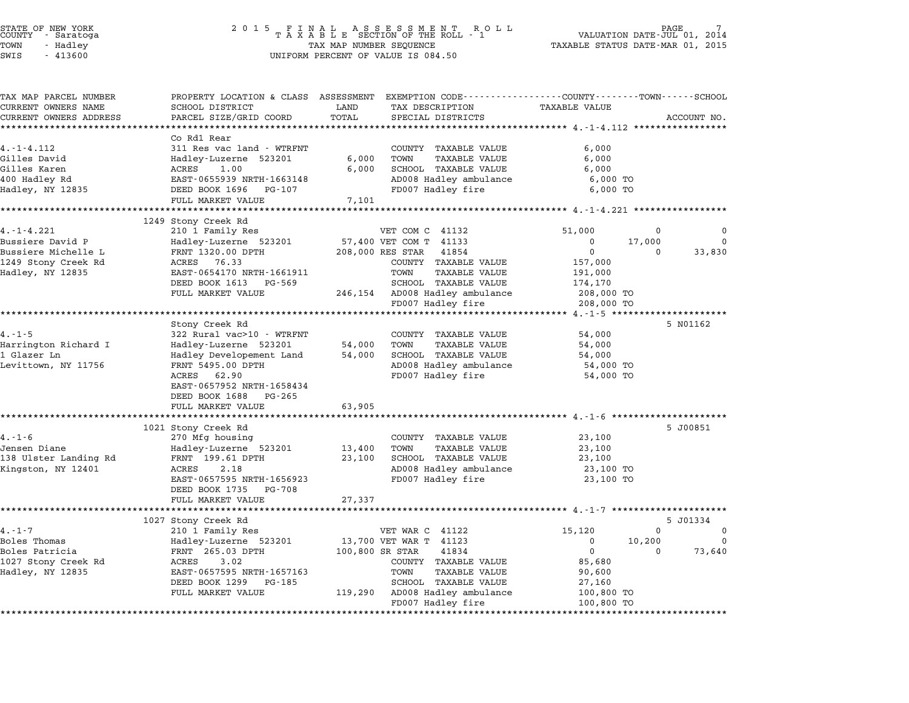|             |             |                      |                                                                  |                  | PROPERTY LOCATION & CLASS ASSESSMENT EXEMPTION CODE---------------COUNTY-------TOWN-----SCHOOL | TAX MAP PARCEL NUMBER           |
|-------------|-------------|----------------------|------------------------------------------------------------------|------------------|------------------------------------------------------------------------------------------------|---------------------------------|
|             |             | <b>TAXABLE VALUE</b> | TAX DESCRIPTION                                                  | LAND             | SCHOOL DISTRICT                                                                                | CURRENT OWNERS NAME             |
| ACCOUNT NO. |             |                      | SPECIAL DISTRICTS                                                | TOTAL            | PARCEL SIZE/GRID COORD                                                                         | CURRENT OWNERS ADDRESS          |
|             |             |                      |                                                                  |                  |                                                                                                | ******************************  |
|             |             |                      |                                                                  |                  | Co Rd1 Rear                                                                                    |                                 |
|             |             | 6,000                | COUNTY TAXABLE VALUE<br>TOWN                                     |                  | 311 Res vac land - WTRFNT                                                                      | $4. -1 - 4.112$<br>Gilles David |
|             |             | 6,000<br>6,000       | TAXABLE VALUE<br>SCHOOL TAXABLE VALUE                            | 6,000<br>6,000   | Hadley-Luzerne 523201<br>ACRES<br>1.00                                                         | Gilles Karen                    |
|             |             | 6,000 TO             | AD008 Hadley ambulance                                           |                  | EAST-0655939 NRTH-1663148                                                                      | 400 Hadley Rd                   |
|             |             | 6,000 TO             | FD007 Hadley fire                                                |                  | DEED BOOK 1696 PG-107                                                                          | Hadley, NY 12835                |
|             |             |                      |                                                                  | 7,101            | FULL MARKET VALUE                                                                              |                                 |
|             |             |                      |                                                                  |                  |                                                                                                |                                 |
|             |             |                      |                                                                  |                  | 1249 Stony Creek Rd                                                                            |                                 |
| 0           | 0           | 51,000               | VET COM C 41132                                                  |                  | 210 1 Family Res                                                                               | $4. -1 - 4.221$                 |
| $\mathbf 0$ | 17,000      | 0                    | 57,400 VET COM T 41133                                           |                  | Hadley-Luzerne 523201                                                                          | Bussiere David P                |
| 33,830      | 0           | 0                    | 41854                                                            | 208,000 RES STAR | FRNT 1320.00 DPTH                                                                              | Bussiere Michelle L             |
|             |             | 157,000              | COUNTY TAXABLE VALUE                                             |                  | ACRES 76.33                                                                                    | 1249 Stony Creek Rd             |
|             |             | 191,000              | TOWN<br>TAXABLE VALUE                                            |                  | EAST-0654170 NRTH-1661911                                                                      | Hadley, NY 12835                |
|             |             | 174,170              | SCHOOL TAXABLE VALUE                                             |                  | DEED BOOK 1613 PG-569                                                                          |                                 |
|             |             | 208,000 TO           | 246,154 AD008 Hadley ambulance                                   |                  | FULL MARKET VALUE                                                                              |                                 |
|             |             | 208,000 TO           | FD007 Hadley fire                                                |                  |                                                                                                |                                 |
|             |             |                      |                                                                  |                  |                                                                                                |                                 |
| 5 N01162    |             |                      |                                                                  |                  | Stony Creek Rd                                                                                 |                                 |
|             |             | 54,000               | COUNTY TAXABLE VALUE                                             |                  | 322 Rural vac>10 - WTRFNT                                                                      | $4. - 1 - 5$                    |
|             |             | 54,000               | TOWN<br>TAXABLE VALUE                                            | 54,000           | Hadley-Luzerne 523201                                                                          | Harrington Richard I            |
|             |             | 54,000               | SCHOOL TAXABLE VALUE                                             | 54,000           | Hadley Developement Land                                                                       | 1 Glazer Ln                     |
|             |             | 54,000 TO            | AD008 Hadley ambulance                                           |                  | FRNT 5495.00 DPTH                                                                              | Levittown, NY 11756             |
|             |             | 54,000 TO            | FD007 Hadley fire                                                |                  | ACRES 62.90                                                                                    |                                 |
|             |             |                      |                                                                  |                  | EAST-0657952 NRTH-1658434                                                                      |                                 |
|             |             |                      |                                                                  |                  | DEED BOOK 1688 PG-265                                                                          |                                 |
|             |             |                      | *********************************** 4.-1-6 ********************* | 63,905           | FULL MARKET VALUE                                                                              |                                 |
|             |             |                      |                                                                  |                  |                                                                                                |                                 |
| 5 J00851    |             | 23,100               | COUNTY TAXABLE VALUE                                             |                  | 1021 Stony Creek Rd<br>270 Mfg housing                                                         | $4. - 1 - 6$                    |
|             |             | 23,100               | TOWN<br>TAXABLE VALUE                                            | 13,400           | Hadley-Luzerne 523201                                                                          | Jensen Diane                    |
|             |             | 23,100               | SCHOOL TAXABLE VALUE                                             | 23,100           | FRNT 199.61 DPTH                                                                               | 138 Ulster Landing Rd           |
|             |             | 23,100 TO            | AD008 Hadley ambulance                                           |                  | 2.18<br>ACRES                                                                                  | Kingston, NY 12401              |
|             |             | 23,100 TO            | FD007 Hadley fire                                                |                  | EAST-0657595 NRTH-1656923                                                                      |                                 |
|             |             |                      |                                                                  |                  | DEED BOOK 1735 PG-708                                                                          |                                 |
|             |             |                      |                                                                  | 27,337           | FULL MARKET VALUE                                                                              |                                 |
|             |             |                      |                                                                  |                  |                                                                                                |                                 |
| 5 J01334    |             |                      |                                                                  |                  | 1027 Stony Creek Rd                                                                            |                                 |
| $\mathbf 0$ | $\mathbf 0$ | 15,120               | VET WAR C 41122                                                  |                  | 210 1 Family Res                                                                               | $4. - 1 - 7$                    |
| $\mathbf 0$ | 10,200      | $\mathbf 0$          | 13,700 VET WAR T 41123                                           |                  | Hadley-Luzerne 523201                                                                          | Boles Thomas                    |
| 73,640      | $\Omega$    | $\mathbf 0$          | 41834                                                            | 100,800 SR STAR  | FRNT 265.03 DPTH                                                                               | Boles Patricia                  |
|             |             | 85,680               | COUNTY TAXABLE VALUE                                             |                  | 3.02<br>ACRES                                                                                  | 1027 Stony Creek Rd             |
|             |             | 90,600               | TOWN<br>TAXABLE VALUE                                            |                  | EAST-0657595 NRTH-1657163                                                                      | Hadley, NY 12835                |
|             |             | 27,160               | SCHOOL TAXABLE VALUE                                             |                  | DEED BOOK 1299 PG-185                                                                          |                                 |
|             |             | 100,800 TO           | 119,290 AD008 Hadley ambulance                                   |                  | FULL MARKET VALUE                                                                              |                                 |
|             |             | 100,800 TO           | FD007 Hadley fire                                                |                  |                                                                                                |                                 |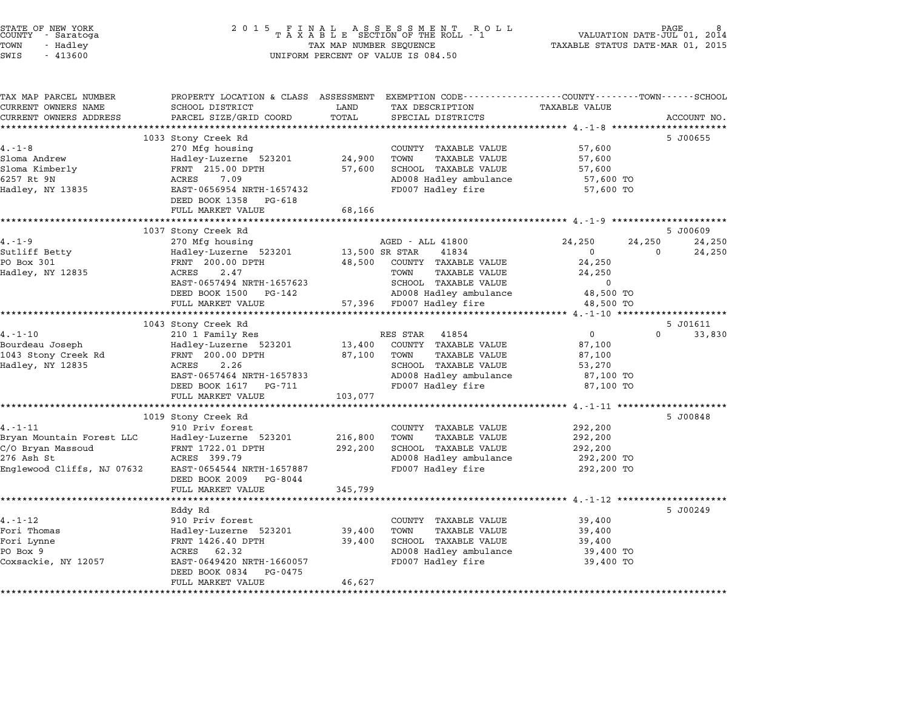| STATE OF NEW YORK<br>COUNTY - Saratoga<br>TOWN<br>- Hadley<br>SWIS<br>$-413600$                             |                                                                                                                                                                                                                | TAX MAP NUMBER SEQUENCE       | $\begin{array}{cccccccccccccccccc} 2&0&1&5& &\texttt{F} &\texttt{I} &\texttt{N} &\texttt{A} &\texttt{L} & &\texttt{A} &\texttt{S} &\texttt{E} &\texttt{S} &\texttt{S} &\texttt{M} &\texttt{E} &\texttt{N} &\texttt{T} & &\texttt{R} &\texttt{O} &\texttt{L} &\texttt{L} \\ & & & & & & & \texttt{T} &\texttt{A} &\texttt{X} &\texttt{A} &\texttt{B} &\texttt{L} &\texttt{E} & & & & & & & & & & & & & & & & & &$<br>UNIFORM PERCENT OF VALUE IS 084.50 | TAXABLE STATUS DATE-MAR 01, 2015                                                | PAGE<br>VALUATION DATE-JUL 01, 2014                |
|-------------------------------------------------------------------------------------------------------------|----------------------------------------------------------------------------------------------------------------------------------------------------------------------------------------------------------------|-------------------------------|--------------------------------------------------------------------------------------------------------------------------------------------------------------------------------------------------------------------------------------------------------------------------------------------------------------------------------------------------------------------------------------------------------------------------------------------------------|---------------------------------------------------------------------------------|----------------------------------------------------|
| TAX MAP PARCEL NUMBER<br>CURRENT OWNERS NAME<br>CURRENT OWNERS ADDRESS                                      | SCHOOL DISTRICT<br>PARCEL SIZE/GRID COORD                                                                                                                                                                      | LAND<br>TOTAL                 | PROPERTY LOCATION & CLASS ASSESSMENT EXEMPTION CODE---------------COUNTY------TOWN-----SCHOOL<br>TAX DESCRIPTION<br>SPECIAL DISTRICTS                                                                                                                                                                                                                                                                                                                  | <b>TAXABLE VALUE</b>                                                            | ACCOUNT NO.                                        |
| $4. - 1 - 8$<br>Sloma Andrew<br>Sloma Kimberly<br>6257 Rt 9N<br>Hadley, NY 13835                            | 1033 Stony Creek Rd<br>270 Mfg housing<br>Hadley-Luzerne 523201<br>FRNT 215.00 DPTH<br>ACRES<br>7.09<br>EAST-0656954 NRTH-1657432<br>DEED BOOK 1358<br>PG-618<br>FULL MARKET VALUE                             | 24,900<br>57,600<br>68,166    | COUNTY TAXABLE VALUE<br>TOWN<br><b>TAXABLE VALUE</b><br>SCHOOL TAXABLE VALUE<br>AD008 Hadley ambulance<br>FD007 Hadley fire                                                                                                                                                                                                                                                                                                                            | 57,600<br>57,600<br>57,600<br>57,600 TO<br>57,600 TO                            | 5 J00655                                           |
| $4. - 1 - 9$<br>Sutliff Betty<br>PO Box 301<br>Hadley, NY 12835                                             | 1037 Stony Creek Rd<br>270 Mfg housing<br>Hadley-Luzerne 523201<br>FRNT 200.00 DPTH<br>ACRES<br>2.47<br>EAST-0657494 NRTH-1657623<br>DEED BOOK 1500<br>PG-142<br>FULL MARKET VALUE                             | 48,500                        | AGED - ALL 41800<br>13,500 SR STAR<br>41834<br>COUNTY TAXABLE VALUE<br><b>TAXABLE VALUE</b><br>TOWN<br>SCHOOL TAXABLE VALUE<br>AD008 Hadley ambulance<br>57,396 FD007 Hadley fire                                                                                                                                                                                                                                                                      | 24,250<br>$\mathbf 0$<br>24,250<br>24,250<br>$\Omega$<br>48,500 TO<br>48,500 TO | 5 J00609<br>24,250<br>24,250<br>24,250<br>$\Omega$ |
| $4. - 1 - 10$<br>Bourdeau Joseph<br>1043 Stony Creek Rd<br>Hadley, NY 12835                                 | **************************<br>1043 Stony Creek Rd<br>210 1 Family Res<br>Hadley-Luzerne 523201<br>FRNT 200.00 DPTH<br>2.26<br>ACRES<br>EAST-0657464 NRTH-1657833<br>DEED BOOK 1617 PG-711<br>FULL MARKET VALUE | 13,400<br>87,100<br>103,077   | RES STAR<br>41854<br>COUNTY TAXABLE VALUE<br>TOWN<br>TAXABLE VALUE<br><b>SCHOOL TAXABLE VALUE</b><br>AD008 Hadley ambulance<br>FD007 Hadley fire                                                                                                                                                                                                                                                                                                       | $\mathsf{O}$<br>87,100<br>87,100<br>53,270<br>87,100 TO<br>87,100 TO            | 5 J01611<br>33,830<br>0                            |
| $4. - 1 - 11$<br>Bryan Mountain Forest LLC<br>C/O Bryan Massoud<br>276 Ash St<br>Englewood Cliffs, NJ 07632 | 1019 Stony Creek Rd<br>910 Priv forest<br>Hadley-Luzerne 523201<br>FRNT 1722.01 DPTH<br>ACRES 399.79<br>EAST-0654544 NRTH-1657887<br>DEED BOOK 2009 PG-8044<br>FULL MARKET VALUE                               | 216,800<br>292,200<br>345,799 | COUNTY TAXABLE VALUE<br>TOWN<br><b>TAXABLE VALUE</b><br>SCHOOL TAXABLE VALUE<br>AD008 Hadley ambulance<br>FD007 Hadley fire                                                                                                                                                                                                                                                                                                                            | 292,200<br>292,200<br>292,200<br>292,200 TO<br>292,200 TO                       | 5 J00848                                           |
|                                                                                                             | Eddy Rd                                                                                                                                                                                                        |                               |                                                                                                                                                                                                                                                                                                                                                                                                                                                        |                                                                                 | 5 J00249                                           |

\*\*\*\*\*\*\*\*\*\*\*\*\*\*\*\*\*\*\*\*\*\*\*\*\*\*\*\*\*\*\*\*\*\*\*\*\*\*\*\*\*\*\*\*\*\*\*\*\*\*\*\*\*\*\*\*\*\*\*\*\*\*\*\*\*\*\*\*\*\*\*\*\*\*\*\*\*\*\*\*\*\*\*\*\*\*\*\*\*\*\*\*\*\*\*\*\*\*\*\*\*\*\*\*\*\*\*\*\*\*\*\*\*\*\*\*\*\*\*\*\*\*\*\*\*\*\*\*\*\*\*\*

|                     | Eddy Rd                   |        |                         |           |
|---------------------|---------------------------|--------|-------------------------|-----------|
| $4. - 1 - 12$       | 910 Priv forest           |        | TAXABLE VALUE<br>COUNTY | 39,400    |
| Fori Thomas         | Hadley-Luzerne 523201     | 39,400 | TAXABLE VALUE<br>TOWN   | 39,400    |
| Fori Lynne          | FRNT 1426.40 DPTH         | 39,400 | TAXABLE VALUE<br>SCHOOL | 39,400    |
| PO Box 9            | 62.32<br>ACRES            |        | AD008 Hadley ambulance  | 39,400 TC |
| Coxsackie, NY 12057 | EAST-0649420 NRTH-1660057 |        | FD007 Hadley fire       | 39,400 TC |
|                     | DEED BOOK 0834<br>PG-0475 |        |                         |           |
|                     | FULL MARKET VALUE         | 46,627 |                         |           |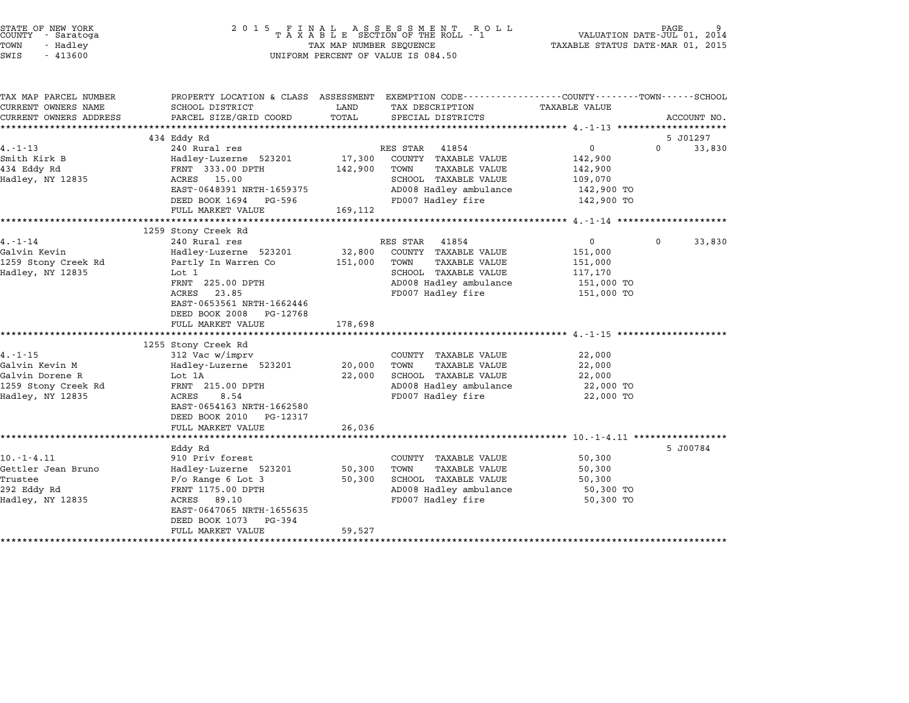| STATE OF NEW YORK<br>COUNTY - Saratoga<br>TOWN<br>- Hadley<br>SWIS<br>$-413600$           |                                                                                                                                                                                                                                     | 2015 FINAL<br>$\begin{array}{cccccccccc} & F & I & N & A & L & A & S & S & E & S & S & M & E & N & T & R & O & L \\ T & A & X & A & B & L & E & SECTION OF THE ROLL & - & 1 \end{array}$<br>PAGE<br>VALUATION DATE-JUL 01, 2014<br>TAXABLE STATUS DATE-MAR 01, 2015<br>TAX MAP NUMBER SEQUENCE<br>UNIFORM PERCENT OF VALUE IS 084.50 |                                                                                                                                                                       |                                                                                       |          |             |
|-------------------------------------------------------------------------------------------|-------------------------------------------------------------------------------------------------------------------------------------------------------------------------------------------------------------------------------------|--------------------------------------------------------------------------------------------------------------------------------------------------------------------------------------------------------------------------------------------------------------------------------------------------------------------------------------|-----------------------------------------------------------------------------------------------------------------------------------------------------------------------|---------------------------------------------------------------------------------------|----------|-------------|
| TAX MAP PARCEL NUMBER<br>CURRENT OWNERS NAME<br>CURRENT OWNERS ADDRESS                    | SCHOOL DISTRICT<br>PARCEL SIZE/GRID COORD<br>******************                                                                                                                                                                     | LAND<br>TOTAL                                                                                                                                                                                                                                                                                                                        | PROPERTY LOCATION & CLASS ASSESSMENT EXEMPTION CODE---------------COUNTY-------TOWN------SCHOOL<br>TAX DESCRIPTION<br>SPECIAL DISTRICTS                               | TAXABLE VALUE                                                                         |          | ACCOUNT NO. |
|                                                                                           | 434 Eddy Rd                                                                                                                                                                                                                         |                                                                                                                                                                                                                                                                                                                                      |                                                                                                                                                                       |                                                                                       |          | 5 J01297    |
| $4. - 1 - 13$                                                                             | 240 Rural res                                                                                                                                                                                                                       |                                                                                                                                                                                                                                                                                                                                      | RES STAR 41854                                                                                                                                                        | 0                                                                                     | $\Omega$ | 33,830      |
| Smith Kirk B<br>434 Eddy Rd<br>Hadley, NY 12835                                           | Hadley-Luzerne 523201<br>FRNT 333.00 DPTH<br>ACRES 15.00<br>EAST-0648391 NRTH-1659375<br>DEED BOOK 1694 PG-596<br>FULL MARKET VALUE                                                                                                 | 17,300<br>142,900<br>169,112                                                                                                                                                                                                                                                                                                         | COUNTY TAXABLE VALUE<br>TOWN<br><b>TAXABLE VALUE</b><br>SCHOOL TAXABLE VALUE<br>AD008 Hadley ambulance<br>FD007 Hadley fire                                           | 142,900<br>142,900<br>109,070<br>142,900 TO<br>142,900 TO                             |          |             |
|                                                                                           |                                                                                                                                                                                                                                     |                                                                                                                                                                                                                                                                                                                                      |                                                                                                                                                                       |                                                                                       |          |             |
|                                                                                           | 1259 Stony Creek Rd                                                                                                                                                                                                                 |                                                                                                                                                                                                                                                                                                                                      |                                                                                                                                                                       |                                                                                       |          |             |
| $4. - 1 - 14$<br>Galvin Kevin<br>1259 Stony Creek Rd<br>Hadley, NY 12835<br>$4. - 1 - 15$ | 240 Rural res<br>Hadley-Luzerne 523201<br>Partly In Warren Co<br>Lot 1<br>FRNT 225.00 DPTH<br>ACRES<br>23.85<br>EAST-0653561 NRTH-1662446<br>DEED BOOK 2008 PG-12768<br>FULL MARKET VALUE<br>1255 Stony Creek Rd<br>312 Vac w/imprv | 32,800<br>151,000<br>178,698                                                                                                                                                                                                                                                                                                         | RES STAR 41854<br>COUNTY TAXABLE VALUE<br><b>TAXABLE VALUE</b><br>TOWN<br>SCHOOL TAXABLE VALUE<br>AD008 Hadley ambulance<br>FD007 Hadley fire<br>COUNTY TAXABLE VALUE | $\overline{0}$<br>151,000<br>151,000<br>117,170<br>151,000 TO<br>151,000 TO<br>22,000 | $\Omega$ | 33,830      |
| Galvin Kevin M<br>Galvin Dorene R<br>1259 Stony Creek Rd<br>Hadley, NY 12835              | Hadley-Luzerne 523201<br>Lot 1A<br>FRNT 215.00 DPTH<br>ACRES<br>8.54<br>EAST-0654163 NRTH-1662580<br>DEED BOOK 2010 PG-12317                                                                                                        | 20,000<br>22,000                                                                                                                                                                                                                                                                                                                     | TOWN<br>TAXABLE VALUE<br>SCHOOL TAXABLE VALUE<br>AD008 Hadley ambulance<br>FD007 Hadley fire                                                                          | 22,000<br>22,000<br>22,000 TO<br>22,000 TO                                            |          |             |
|                                                                                           | FULL MARKET VALUE                                                                                                                                                                                                                   | 26,036                                                                                                                                                                                                                                                                                                                               |                                                                                                                                                                       |                                                                                       |          |             |
|                                                                                           |                                                                                                                                                                                                                                     |                                                                                                                                                                                                                                                                                                                                      |                                                                                                                                                                       |                                                                                       |          |             |
| $10. -1 - 4.11$<br>Gettler Jean Bruno<br>Trustee<br>292 Eddy Rd<br>Hadley, NY 12835       | Eddy Rd<br>910 Priv forest<br>Hadley-Luzerne 523201<br>$P/O$ Range 6 Lot 3<br>FRNT 1175.00 DPTH<br>ACRES 89.10<br>EAST-0647065 NRTH-1655635<br>DEED BOOK 1073 PG-394<br>FULL MARKET VALUE                                           | 50,300<br>50,300<br>59,527                                                                                                                                                                                                                                                                                                           | COUNTY TAXABLE VALUE<br><b>TAXABLE VALUE</b><br>TOWN<br>SCHOOL TAXABLE VALUE<br>AD008 Hadley ambulance<br>FD007 Hadley fire                                           | 50,300<br>50,300<br>50,300<br>50,300 TO<br>50,300 TO                                  |          | 5 J00784    |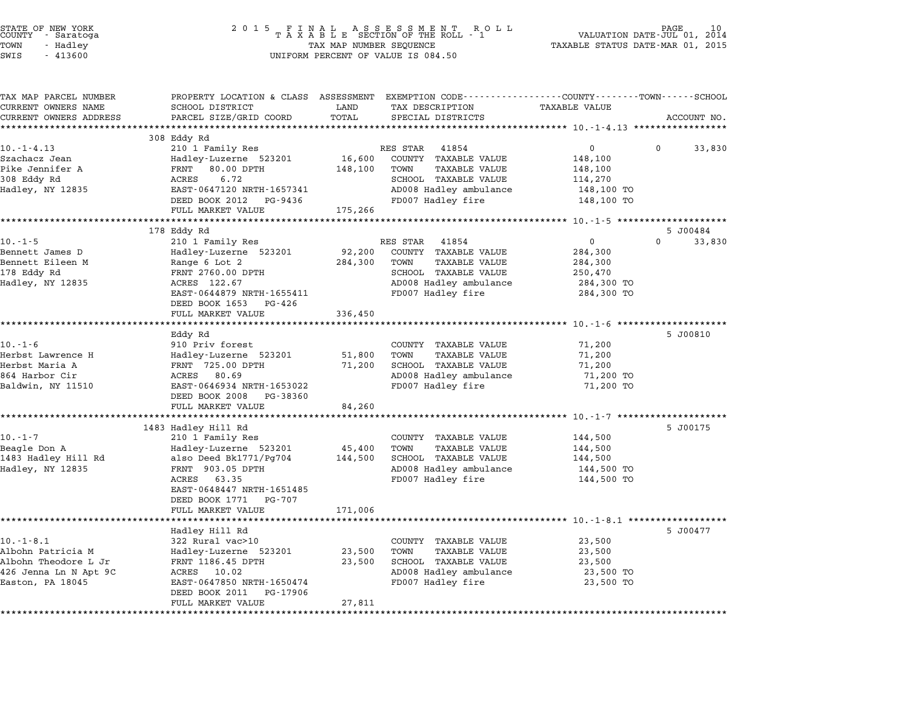| STATE OF NEW YORK<br>COUNTY - Saratoga<br>TOWN<br>- Hadley<br>SWIS<br>$-413600$                           | 2 0 1 5                                                                                                                                                                                            | TAX MAP NUMBER SEQUENCE      | FINAL ASSESSMENT ROTAXABLE SECTION OF THE ROLL - 1<br>R O L L<br>UNIFORM PERCENT OF VALUE IS 084.50                                                                                                       | TAXABLE STATUS DATE-MAR 01, 2015                                      | PAGE<br>VALUATION DATE-JUL 01, 2014 |
|-----------------------------------------------------------------------------------------------------------|----------------------------------------------------------------------------------------------------------------------------------------------------------------------------------------------------|------------------------------|-----------------------------------------------------------------------------------------------------------------------------------------------------------------------------------------------------------|-----------------------------------------------------------------------|-------------------------------------|
| TAX MAP PARCEL NUMBER<br>CURRENT OWNERS NAME<br>CURRENT OWNERS ADDRESS                                    | SCHOOL DISTRICT<br>PARCEL SIZE/GRID COORD                                                                                                                                                          | LAND<br>TOTAL                | PROPERTY LOCATION & CLASS ASSESSMENT EXEMPTION CODE----------------COUNTY-------TOWN-----SCHOOL<br>TAX DESCRIPTION<br>SPECIAL DISTRICTS                                                                   | <b>TAXABLE VALUE</b>                                                  | ACCOUNT NO.                         |
| $10. - 1 - 4.13$<br>Szachacz Jean<br>Pike Jennifer A<br>308 Eddy Rd<br>Hadley, NY 12835                   | 308 Eddy Rd<br>210 1 Family Res<br>Hadley-Luzerne 523201<br>80.00 DPTH<br>FRNT<br>6.72<br>ACRES<br>EAST-0647120 NRTH-1657341<br>DEED BOOK 2012 PG-9436<br>FULL MARKET VALUE                        | 16,600<br>148,100<br>175,266 | RES STAR<br>41854<br>COUNTY TAXABLE VALUE<br>TOWN<br><b>TAXABLE VALUE</b><br>SCHOOL TAXABLE VALUE<br>AD008 Hadley ambulance<br>FD007 Hadley fire                                                          | 0<br>148,100<br>148,100<br>114,270<br>148,100 TO<br>148,100 TO        | 0<br>33,830                         |
|                                                                                                           |                                                                                                                                                                                                    |                              |                                                                                                                                                                                                           |                                                                       |                                     |
| $10. - 1 - 5$<br>Bennett James D<br>Bennett Eileen M<br>178 Eddy Rd<br>Hadley, NY 12835                   | 178 Eddy Rd<br>210 1 Family Res<br>Hadley-Luzerne 523201<br>Range 6 Lot 2<br>FRNT 2760.00 DPTH<br>ACRES 122.67<br>EAST-0644879 NRTH-1655411<br>DEED BOOK 1653 PG-426                               | 92,200<br>284,300            | RES STAR<br>41854<br>COUNTY TAXABLE VALUE<br>TOWN<br>TAXABLE VALUE<br>SCHOOL TAXABLE VALUE<br>AD008 Hadley ambulance<br>FD007 Hadley fire                                                                 | $\Omega$<br>284,300<br>284,300<br>250,470<br>284,300 TO<br>284,300 TO | 5 J00484<br>$\Omega$<br>33,830      |
| $10. - 1 - 6$                                                                                             | FULL MARKET VALUE<br>Eddy Rd<br>910 Priv forest                                                                                                                                                    | 336,450                      | COUNTY TAXABLE VALUE                                                                                                                                                                                      | 71,200                                                                | 5 J00810                            |
| Herbst Lawrence H<br>Herbst Maria A<br>864 Harbor Cir<br>Baldwin, NY 11510                                | Hadley-Luzerne 523201<br>FRNT 725.00 DPTH<br>ACRES 80.69<br>EAST-0646934 NRTH-1653022<br>DEED BOOK 2008 PG-38360                                                                                   | 51,800<br>71,200             | TOWN<br><b>TAXABLE VALUE</b><br>SCHOOL TAXABLE VALUE<br>AD008 Hadley ambulance<br>FD007 Hadley fire                                                                                                       | 71,200<br>71,200<br>71,200 TO<br>71,200 TO                            |                                     |
|                                                                                                           | FULL MARKET VALUE<br>*********************************                                                                                                                                             | 84,260                       |                                                                                                                                                                                                           |                                                                       |                                     |
| $10. - 1 - 7$<br>Beagle Don A<br>1483 Hadley Hill Rd<br>Hadley, NY 12835                                  | 1483 Hadley Hill Rd<br>210 1 Family Res<br>Hadley-Luzerne 523201<br>also Deed Bk1771/Pg704<br>FRNT 903.05 DPTH<br>ACRES 63.35<br>EAST-0648447 NRTH-1651485<br>DEED BOOK 1771 PG-707                | 45,400<br>144,500            | ******************************** 10 <sub>.</sub> -1-7 ********************<br>COUNTY TAXABLE VALUE<br>TOWN<br><b>TAXABLE VALUE</b><br>SCHOOL TAXABLE VALUE<br>AD008 Hadley ambulance<br>FD007 Hadley fire | 144,500<br>144,500<br>144,500<br>144,500 TO<br>144,500 TO             | 5 J00175                            |
|                                                                                                           | FULL MARKET VALUE                                                                                                                                                                                  | 171,006                      |                                                                                                                                                                                                           |                                                                       |                                     |
| $10. - 1 - 8.1$<br>Albohn Patricia M<br>Albohn Theodore L Jr<br>426 Jenna Ln N Apt 9C<br>Easton, PA 18045 | ******************<br>Hadley Hill Rd<br>322 Rural vac>10<br>Hadley-Luzerne 523201<br>FRNT 1186.45 DPTH<br>ACRES 10.02<br>EAST-0647850 NRTH-1650474<br>DEED BOOK 2011 PG-17906<br>FULL MARKET VALUE | 23,500<br>23,500<br>27,811   | COUNTY TAXABLE VALUE<br>TOWN<br><b>TAXABLE VALUE</b><br>SCHOOL TAXABLE VALUE<br>AD008 Hadley ambulance<br>FD007 Hadley fire                                                                               | 23,500<br>23,500<br>23,500<br>23,500 TO<br>23,500 TO                  | 5 J00477                            |

STATE OF NEW YORK <sup>2</sup> <sup>0</sup> <sup>1</sup> 5 F I N A L A S S E S S M E N T R O L L PAGE <sup>10</sup> COUNTY - Saratoga <sup>T</sup> <sup>A</sup> <sup>X</sup> <sup>A</sup> <sup>B</sup> <sup>L</sup> <sup>E</sup> SECTION OF THE ROLL - <sup>1</sup> VALUATION DATE-JUL 01, <sup>2014</sup>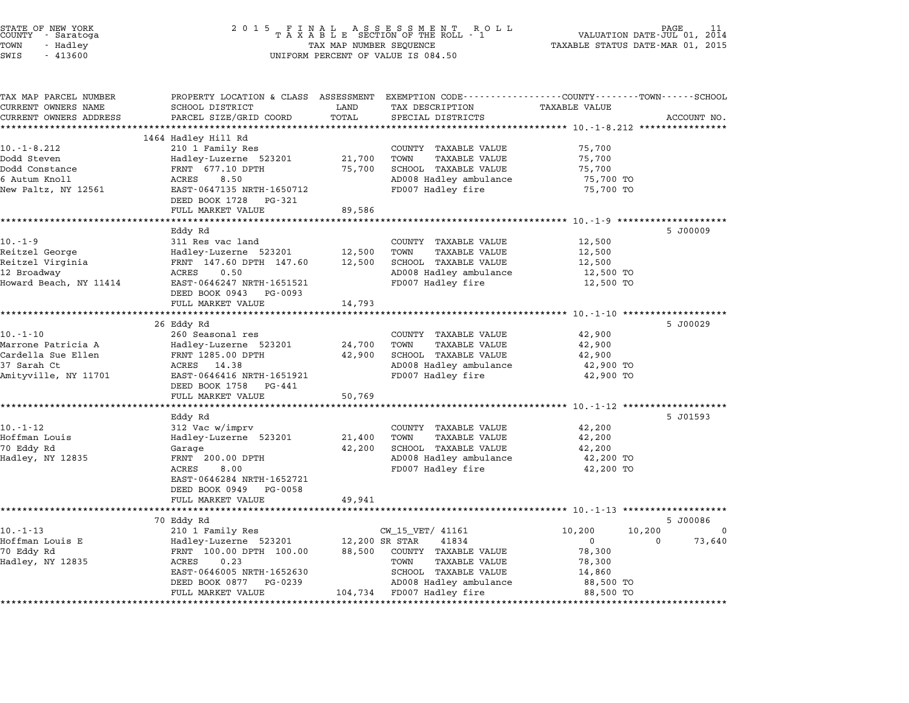| STATE OF NEW YORK<br>COUNTY<br>- Saratoga<br>TOWN<br>- Hadley<br>SWIS<br>$-413600$ | 2 0 1 5                                                                                        | TAX MAP NUMBER SEQUENCE | FINAL ASSESSMENT ROTAXABLE SECTION OF THE ROLL - 1<br>R O L L<br>UNIFORM PERCENT OF VALUE IS 084.50 |                                               | PAGE<br>VALUATION DATE-JUL 01, 2014<br>TAXABLE STATUS DATE-MAR 01, 2015 |
|------------------------------------------------------------------------------------|------------------------------------------------------------------------------------------------|-------------------------|-----------------------------------------------------------------------------------------------------|-----------------------------------------------|-------------------------------------------------------------------------|
|                                                                                    |                                                                                                |                         |                                                                                                     |                                               |                                                                         |
| TAX MAP PARCEL NUMBER                                                              | PROPERTY LOCATION & CLASS ASSESSMENT EXEMPTION CODE--------------COUNTY-------TOWN------SCHOOL |                         |                                                                                                     |                                               |                                                                         |
| CURRENT OWNERS NAME                                                                | SCHOOL DISTRICT                                                                                | LAND                    | TAX DESCRIPTION                                                                                     | <b>TAXABLE VALUE</b>                          |                                                                         |
| CURRENT OWNERS ADDRESS                                                             | PARCEL SIZE/GRID COORD<br>***************************                                          | TOTAL                   | SPECIAL DISTRICTS                                                                                   |                                               | ACCOUNT NO.                                                             |
|                                                                                    | 1464 Hadley Hill Rd                                                                            |                         |                                                                                                     |                                               |                                                                         |
| $10. -1 - 8.212$                                                                   | 210 1 Family Res                                                                               |                         | COUNTY TAXABLE VALUE                                                                                | 75,700                                        |                                                                         |
| Dodd Steven                                                                        | Hadley-Luzerne 523201                                                                          | 21,700                  | TOWN<br><b>TAXABLE VALUE</b>                                                                        | 75,700                                        |                                                                         |
| Dodd Constance                                                                     | FRNT 677.10 DPTH                                                                               | 75,700                  | SCHOOL TAXABLE VALUE                                                                                | 75,700                                        |                                                                         |
| 6 Autum Knoll                                                                      | ACRES<br>8.50                                                                                  |                         | AD008 Hadley ambulance                                                                              | 75,700 TO                                     |                                                                         |
| New Paltz, NY 12561                                                                | EAST-0647135 NRTH-1650712                                                                      |                         | FD007 Hadley fire                                                                                   | 75,700 TO                                     |                                                                         |
|                                                                                    | DEED BOOK 1728 PG-321                                                                          |                         |                                                                                                     |                                               |                                                                         |
|                                                                                    | FULL MARKET VALUE                                                                              | 89,586                  |                                                                                                     |                                               |                                                                         |
|                                                                                    |                                                                                                | ********                |                                                                                                     | ************* 10.-1-9 *********************   |                                                                         |
|                                                                                    | Eddy Rd                                                                                        |                         |                                                                                                     |                                               | 5 J00009                                                                |
| $10. - 1 - 9$                                                                      | 311 Res vac land                                                                               |                         | COUNTY TAXABLE VALUE                                                                                | 12,500                                        |                                                                         |
| Reitzel George                                                                     | Hadley-Luzerne 523201                                                                          | 12,500                  | TOWN<br>TAXABLE VALUE                                                                               | 12,500                                        |                                                                         |
| Reitzel Virginia                                                                   | FRNT 147.60 DPTH 147.60<br>ACRES<br>0.50                                                       | 12,500                  | SCHOOL TAXABLE VALUE                                                                                | 12,500                                        |                                                                         |
| 12 Broadway<br>Howard Beach, NY 11414                                              | EAST-0646247 NRTH-1651521                                                                      |                         | AD008 Hadley ambulance<br>FD007 Hadley fire                                                         | 12,500 TO<br>12,500 TO                        |                                                                         |
|                                                                                    | DEED BOOK 0943 PG-0093                                                                         |                         |                                                                                                     |                                               |                                                                         |
|                                                                                    | FULL MARKET VALUE                                                                              | 14,793                  |                                                                                                     |                                               |                                                                         |
|                                                                                    | *********************************                                                              |                         |                                                                                                     |                                               |                                                                         |
|                                                                                    | 26 Eddy Rd                                                                                     |                         |                                                                                                     |                                               | 5 J00029                                                                |
| $10. - 1 - 10$                                                                     | 260 Seasonal res                                                                               |                         | COUNTY TAXABLE VALUE                                                                                | 42,900                                        |                                                                         |
| Marrone Patricia A                                                                 | Hadley-Luzerne 523201                                                                          | 24,700                  | TOWN<br>TAXABLE VALUE                                                                               | 42,900                                        |                                                                         |
| Cardella Sue Ellen                                                                 | FRNT 1285.00 DPTH                                                                              | 42,900                  | SCHOOL TAXABLE VALUE                                                                                | 42,900                                        |                                                                         |
| 37 Sarah Ct                                                                        | ACRES 14.38                                                                                    |                         | AD008 Hadley ambulance                                                                              | 42,900 TO                                     |                                                                         |
| Amityville, NY 11701                                                               | EAST-0646416 NRTH-1651921                                                                      |                         | FD007 Hadley fire                                                                                   | 42,900 TO                                     |                                                                         |
|                                                                                    | DEED BOOK 1758 PG-441                                                                          |                         |                                                                                                     |                                               |                                                                         |
|                                                                                    | FULL MARKET VALUE<br>*******************                                                       | 50,769<br>**********    |                                                                                                     | *************** 10.-1-12 ******************** |                                                                         |
|                                                                                    | Eddy Rd                                                                                        |                         |                                                                                                     |                                               | 5 J01593                                                                |
| $10. - 1 - 12$                                                                     | 312 Vac w/imprv                                                                                |                         | COUNTY TAXABLE VALUE                                                                                | 42,200                                        |                                                                         |
| Hoffman Louis                                                                      | Hadley-Luzerne 523201                                                                          | 21,400                  | TOWN<br>TAXABLE VALUE                                                                               | 42,200                                        |                                                                         |
| 70 Eddy Rd                                                                         | Garage                                                                                         | 42,200                  | SCHOOL TAXABLE VALUE                                                                                | 42,200                                        |                                                                         |
| Hadley, NY 12835                                                                   | FRNT 200.00 DPTH                                                                               |                         | AD008 Hadley ambulance                                                                              | 42,200 TO                                     |                                                                         |
|                                                                                    | ACRES<br>8.00                                                                                  |                         | FD007 Hadley fire                                                                                   | 42,200 TO                                     |                                                                         |
|                                                                                    | EAST-0646284 NRTH-1652721                                                                      |                         |                                                                                                     |                                               |                                                                         |
|                                                                                    | DEED BOOK 0949 PG-0058                                                                         |                         |                                                                                                     |                                               |                                                                         |
|                                                                                    | FULL MARKET VALUE                                                                              | 49,941                  |                                                                                                     |                                               |                                                                         |
|                                                                                    |                                                                                                |                         |                                                                                                     |                                               |                                                                         |
|                                                                                    | 70 Eddy Rd                                                                                     |                         |                                                                                                     |                                               | 5 J00086                                                                |
| $10. - 1 - 13$                                                                     | 210 1 Family Res                                                                               |                         | CW_15_VET/ 41161                                                                                    | 10,200                                        | 10,200<br>$\Omega$                                                      |
| Hoffman Louis E                                                                    | Hadley-Luzerne 523201                                                                          | 12,200 SR STAR          | 41834                                                                                               | $\mathbf{0}$                                  | 73,640<br>0                                                             |
| 70 Eddy Rd                                                                         | FRNT 100.00 DPTH 100.00<br>ACRES<br>0.23                                                       | 88,500                  | COUNTY TAXABLE VALUE<br>TOWN                                                                        | 78,300                                        |                                                                         |
| Hadley, NY 12835                                                                   | EAST-0646005 NRTH-1652630                                                                      |                         | TAXABLE VALUE<br>SCHOOL TAXABLE VALUE                                                               | 78,300<br>14,860                              |                                                                         |
|                                                                                    | DEED BOOK 0877 PG-0239                                                                         |                         | AD008 Hadley ambulance                                                                              | 88,500 TO                                     |                                                                         |
|                                                                                    | FULL MARKET VALUE                                                                              | 104,734                 | FD007 Hadley fire                                                                                   | 88,500 TO                                     |                                                                         |
|                                                                                    |                                                                                                |                         | *************                                                                                       |                                               |                                                                         |

STATE OF NEW YORK <sup>2</sup> <sup>0</sup> <sup>1</sup> 5 F I N A L A S S E S S M E N T R O L L PAGE <sup>11</sup> COUNTY - Saratoga <sup>T</sup> <sup>A</sup> <sup>X</sup> <sup>A</sup> <sup>B</sup> <sup>L</sup> <sup>E</sup> SECTION OF THE ROLL - <sup>1</sup> VALUATION DATE-JUL 01, <sup>2014</sup>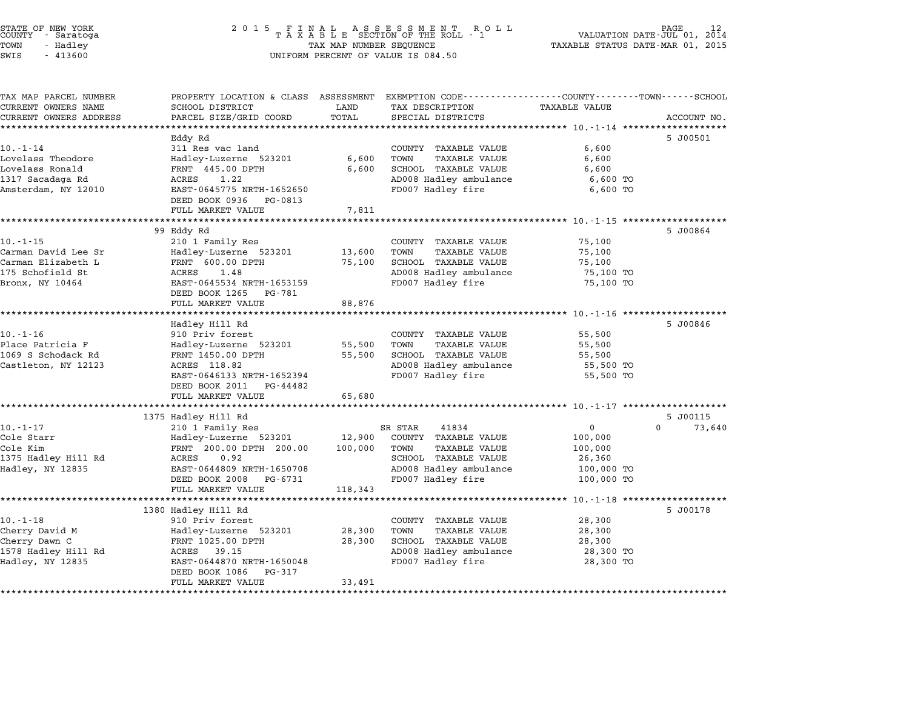| COUNTY          | STATE OF NEW YORK<br>- Saratoga |  |
|-----------------|---------------------------------|--|
| TOWN            | - Hadlev                        |  |
| $\sim - - \sim$ | 1.1000                          |  |

| TAX MAP PARCEL NUMBER<br>CURRENT OWNERS NAME | PROPERTY LOCATION & CLASS ASSESSMENT<br>SCHOOL DISTRICT | LAND    | EXEMPTION CODE-----------------COUNTY-------TOWN-----SCHOOL<br>TAX DESCRIPTION | <b>TAXABLE VALUE</b> |                    |
|----------------------------------------------|---------------------------------------------------------|---------|--------------------------------------------------------------------------------|----------------------|--------------------|
| CURRENT OWNERS ADDRESS                       | PARCEL SIZE/GRID COORD                                  | TOTAL   | SPECIAL DISTRICTS                                                              |                      | ACCOUNT NO.        |
|                                              |                                                         |         |                                                                                |                      |                    |
|                                              | Eddy Rd                                                 |         |                                                                                |                      | 5 J00501           |
| $10. - 1 - 14$                               | 311 Res vac land                                        |         | COUNTY TAXABLE VALUE                                                           | 6,600                |                    |
| Lovelass Theodore                            | Hadley-Luzerne 523201                                   | 6,600   | TOWN<br>TAXABLE VALUE                                                          | 6,600                |                    |
| Lovelass Ronald                              | FRNT 445.00 DPTH                                        | 6,600   | SCHOOL TAXABLE VALUE                                                           | 6,600                |                    |
| 1317 Sacadaga Rd                             | ACRES<br>1.22                                           |         | AD008 Hadley ambulance                                                         | 6,600 TO             |                    |
| Amsterdam, NY 12010                          | EAST-0645775 NRTH-1652650<br>DEED BOOK 0936 PG-0813     |         | FD007 Hadley fire                                                              | 6,600 TO             |                    |
|                                              | FULL MARKET VALUE                                       | 7,811   |                                                                                |                      |                    |
|                                              |                                                         |         |                                                                                |                      |                    |
|                                              | 99 Eddy Rd                                              |         |                                                                                |                      | 5 J00864           |
| $10. - 1 - 15$                               | 210 1 Family Res                                        |         | COUNTY TAXABLE VALUE                                                           | 75,100               |                    |
| Carman David Lee Sr                          | Hadley-Luzerne 523201                                   | 13,600  | TOWN<br>TAXABLE VALUE                                                          | 75,100               |                    |
| Carman Elizabeth L                           | FRNT 600.00 DPTH                                        | 75,100  | SCHOOL TAXABLE VALUE                                                           | 75,100               |                    |
| 175 Schofield St                             | ACRES<br>1.48                                           |         | AD008 Hadley ambulance                                                         | 75,100 TO            |                    |
| Bronx, NY 10464                              | EAST-0645534 NRTH-1653159                               |         | FD007 Hadley fire                                                              | 75,100 TO            |                    |
|                                              | DEED BOOK 1265 PG-781                                   |         |                                                                                |                      |                    |
|                                              | FULL MARKET VALUE                                       | 88,876  |                                                                                |                      |                    |
|                                              |                                                         |         |                                                                                |                      |                    |
|                                              | Hadley Hill Rd                                          |         |                                                                                |                      | 5 J00846           |
| $10. - 1 - 16$                               | 910 Priv forest                                         |         | COUNTY TAXABLE VALUE                                                           | 55,500               |                    |
| Place Patricia F                             | Hadley-Luzerne 523201                                   | 55,500  | TAXABLE VALUE<br>TOWN                                                          | 55,500               |                    |
| 1069 S Schodack Rd                           | FRNT 1450.00 DPTH                                       | 55,500  | SCHOOL TAXABLE VALUE                                                           | 55,500               |                    |
| Castleton, NY 12123                          | ACRES 118.82                                            |         | AD008 Hadley ambulance                                                         | 55,500 TO            |                    |
|                                              | EAST-0646133 NRTH-1652394                               |         | FD007 Hadley fire                                                              | 55,500 TO            |                    |
|                                              | DEED BOOK 2011 PG-44482                                 |         |                                                                                |                      |                    |
|                                              | FULL MARKET VALUE                                       | 65,680  |                                                                                |                      |                    |
|                                              | 1375 Hadley Hill Rd                                     |         |                                                                                |                      | 5 J00115           |
| $10. - 1 - 17$                               | 210 1 Family Res                                        |         | SR STAR<br>41834                                                               | $\overline{0}$       | $\Omega$<br>73,640 |
| Cole Starr                                   | Hadley-Luzerne 523201                                   |         | 12,900 COUNTY TAXABLE VALUE                                                    | 100,000              |                    |
| Cole Kim                                     | FRNT 200.00 DPTH 200.00                                 | 100,000 | TAXABLE VALUE<br>TOWN                                                          | 100,000              |                    |
| 1375 Hadley Hill Rd                          | ACRES<br>0.92                                           |         | SCHOOL TAXABLE VALUE                                                           | 26,360               |                    |
| Hadley, NY 12835                             | EAST-0644809 NRTH-1650708                               |         | AD008 Hadley ambulance                                                         | 100,000 TO           |                    |
|                                              | DEED BOOK 2008 PG-6731                                  |         | FD007 Hadley fire                                                              | 100,000 TO           |                    |
|                                              | FULL MARKET VALUE                                       | 118,343 |                                                                                |                      |                    |
|                                              |                                                         |         |                                                                                |                      |                    |
|                                              | 1380 Hadley Hill Rd                                     |         |                                                                                |                      | 5 J00178           |
| $10. - 1 - 18$                               | 910 Priv forest                                         |         | COUNTY TAXABLE VALUE                                                           | 28,300               |                    |
| Cherry David M                               | Hadley-Luzerne 523201                                   | 28,300  | TOWN<br>TAXABLE VALUE                                                          | 28,300               |                    |
| Cherry Dawn C                                | FRNT 1025.00 DPTH                                       | 28,300  | SCHOOL TAXABLE VALUE                                                           | 28,300               |                    |
| 1578 Hadley Hill Rd                          | ACRES 39.15                                             |         | AD008 Hadley ambulance                                                         | 28,300 TO            |                    |
| Hadley, NY 12835                             | EAST-0644870 NRTH-1650048                               |         | FD007 Hadley fire                                                              | 28,300 TO            |                    |
|                                              | DEED BOOK 1086<br>PG-317                                |         |                                                                                |                      |                    |
|                                              |                                                         |         |                                                                                |                      |                    |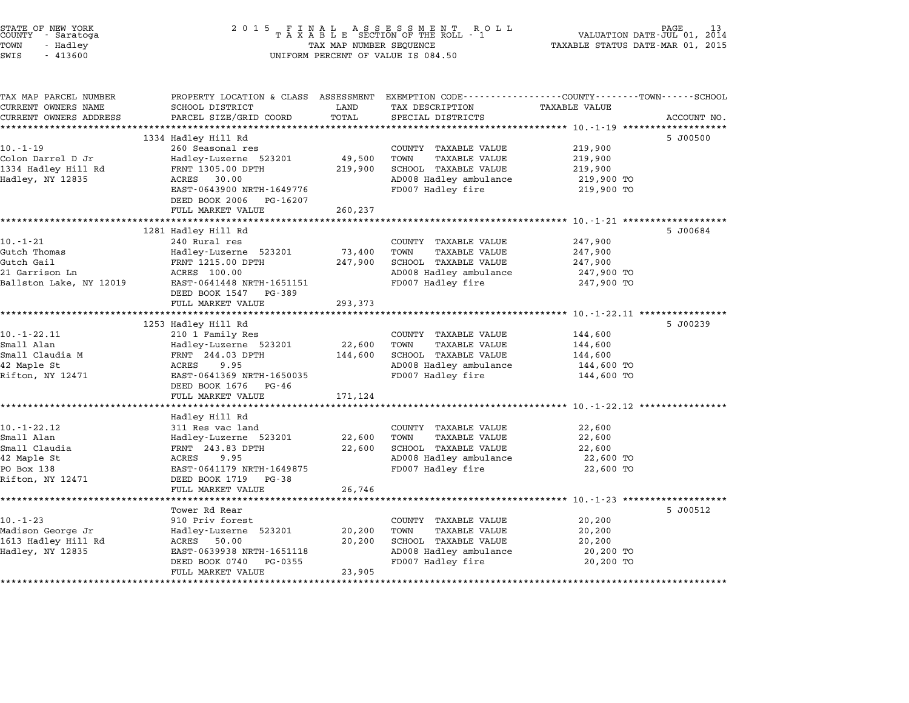| STATE OF NEW YORK<br>COUNTY - Saratoga<br>TOWN<br>- Hadley<br>SWIS<br>$-413600$ | 2 0 1 5<br>FINAL ASSESSMENT RO<br>TAXABLE SECTION OF THE ROLL - 1<br>TAX MAP NUMBER SEQUENCE<br>UNIFORM PERCENT OF VALUE IS 084.50 | PAGE<br>VALUATION DATE-JUL 01, 2014<br>TAXABLE STATUS DATE-MAR 01, 2015 |                                                                                                                                        |                                                      |             |
|---------------------------------------------------------------------------------|------------------------------------------------------------------------------------------------------------------------------------|-------------------------------------------------------------------------|----------------------------------------------------------------------------------------------------------------------------------------|------------------------------------------------------|-------------|
| TAX MAP PARCEL NUMBER<br>CURRENT OWNERS NAME<br>CURRENT OWNERS ADDRESS          | SCHOOL DISTRICT<br>PARCEL SIZE/GRID COORD                                                                                          | LAND<br>TOTAL                                                           | PROPERTY LOCATION & CLASS ASSESSMENT EXEMPTION CODE---------------COUNTY-------TOWN-----SCHOOL<br>TAX DESCRIPTION<br>SPECIAL DISTRICTS | TAXABLE VALUE                                        | ACCOUNT NO. |
|                                                                                 |                                                                                                                                    |                                                                         |                                                                                                                                        |                                                      |             |
| $10. - 1 - 19$                                                                  | 1334 Hadley Hill Rd<br>260 Seasonal res                                                                                            |                                                                         | COUNTY TAXABLE VALUE                                                                                                                   | 219,900                                              | 5 J00500    |
| Colon Darrel D Jr                                                               | Hadley-Luzerne 523201                                                                                                              | 49,500                                                                  | TOWN<br>TAXABLE VALUE                                                                                                                  | 219,900                                              |             |
| 1334 Hadley Hill Rd                                                             | FRNT 1305.00 DPTH                                                                                                                  | 219,900                                                                 | SCHOOL TAXABLE VALUE                                                                                                                   | 219,900                                              |             |
| Hadley, NY 12835                                                                | ACRES 30.00                                                                                                                        |                                                                         | AD008 Hadley ambulance                                                                                                                 | 219,900 TO                                           |             |
|                                                                                 | EAST-0643900 NRTH-1649776                                                                                                          |                                                                         | FD007 Hadley fire                                                                                                                      | 219,900 TO                                           |             |
|                                                                                 | DEED BOOK 2006<br>PG-16207                                                                                                         |                                                                         |                                                                                                                                        |                                                      |             |
|                                                                                 | FULL MARKET VALUE                                                                                                                  | 260,237                                                                 |                                                                                                                                        |                                                      |             |
|                                                                                 | 1281 Hadley Hill Rd                                                                                                                |                                                                         |                                                                                                                                        |                                                      | 5 J00684    |
| $10. - 1 - 21$                                                                  | 240 Rural res                                                                                                                      |                                                                         | COUNTY TAXABLE VALUE                                                                                                                   | 247,900                                              |             |
| Gutch Thomas                                                                    | Hadley-Luzerne 523201                                                                                                              | 73,400                                                                  | TOWN<br>TAXABLE VALUE                                                                                                                  | 247,900                                              |             |
| Gutch Gail                                                                      | FRNT 1215.00 DPTH                                                                                                                  | 247,900                                                                 | SCHOOL TAXABLE VALUE                                                                                                                   | 247,900                                              |             |
| 21 Garrison Ln                                                                  | ACRES 100.00                                                                                                                       |                                                                         | AD008 Hadley ambulance                                                                                                                 | 247,900 TO                                           |             |
| Ballston Lake, NY 12019                                                         | EAST-0641448 NRTH-1651151                                                                                                          |                                                                         | FD007 Hadley fire                                                                                                                      | 247,900 TO                                           |             |
|                                                                                 | DEED BOOK 1547<br>PG-389                                                                                                           |                                                                         |                                                                                                                                        |                                                      |             |
|                                                                                 | FULL MARKET VALUE                                                                                                                  | 293,373                                                                 |                                                                                                                                        | *********** 10.-1-22.11 *****                        |             |
|                                                                                 | 1253 Hadley Hill Rd                                                                                                                |                                                                         |                                                                                                                                        |                                                      | 5 J00239    |
| 10. - 1 - 22.11                                                                 | 210 1 Family Res                                                                                                                   |                                                                         | COUNTY TAXABLE VALUE                                                                                                                   | 144,600                                              |             |
| Small Alan                                                                      | Hadley-Luzerne 523201                                                                                                              | 22,600                                                                  | TAXABLE VALUE<br>TOWN                                                                                                                  | 144,600                                              |             |
| Small Claudia M                                                                 | FRNT 244.03 DPTH                                                                                                                   | 144,600                                                                 | SCHOOL TAXABLE VALUE                                                                                                                   | 144,600                                              |             |
| 42 Maple St                                                                     | ACRES<br>9.95                                                                                                                      |                                                                         | AD008 Hadley ambulance                                                                                                                 | 144,600 TO                                           |             |
| Rifton, NY 12471                                                                | EAST-0641369 NRTH-1650035                                                                                                          |                                                                         | FD007 Hadley fire                                                                                                                      | 144,600 TO                                           |             |
|                                                                                 | DEED BOOK 1676<br>PG-46<br>FULL MARKET VALUE                                                                                       |                                                                         |                                                                                                                                        |                                                      |             |
|                                                                                 |                                                                                                                                    | 171,124                                                                 |                                                                                                                                        | ********* 10.-1-22.12 ******                         |             |
|                                                                                 | Hadley Hill Rd                                                                                                                     |                                                                         |                                                                                                                                        |                                                      |             |
| $10. -1 - 22.12$                                                                | 311 Res vac land                                                                                                                   |                                                                         | COUNTY TAXABLE VALUE                                                                                                                   | 22,600                                               |             |
| Small Alan                                                                      | Hadley-Luzerne 523201                                                                                                              | 22,600                                                                  | TOWN<br>TAXABLE VALUE                                                                                                                  | 22,600                                               |             |
| Small Claudia                                                                   | FRNT 243.83 DPTH                                                                                                                   | 22,600                                                                  | SCHOOL TAXABLE VALUE                                                                                                                   | 22,600                                               |             |
| 42 Maple St                                                                     | ACRES<br>9.95                                                                                                                      |                                                                         | AD008 Hadley ambulance                                                                                                                 | 22,600 TO                                            |             |
| PO Box 138                                                                      | EAST-0641179 NRTH-1649875                                                                                                          |                                                                         | FD007 Hadley fire                                                                                                                      | 22,600 TO                                            |             |
| Rifton, NY 12471                                                                | DEED BOOK 1719<br>PG-38                                                                                                            |                                                                         |                                                                                                                                        |                                                      |             |
|                                                                                 | FULL MARKET VALUE<br>************                                                                                                  | 26,746                                                                  |                                                                                                                                        | ********************** 10.-1-23 ******************** |             |
|                                                                                 | Tower Rd Rear                                                                                                                      |                                                                         |                                                                                                                                        |                                                      | 5 J00512    |
| $10. - 1 - 23$                                                                  | 910 Priv forest                                                                                                                    |                                                                         | COUNTY TAXABLE VALUE                                                                                                                   | 20,200                                               |             |
| Madison George Jr                                                               | Hadley-Luzerne 523201                                                                                                              | 20,200                                                                  | TOWN<br><b>TAXABLE VALUE</b>                                                                                                           | 20,200                                               |             |
| 1613 Hadley Hill Rd                                                             | ACRES<br>50.00                                                                                                                     | 20,200                                                                  | SCHOOL TAXABLE VALUE                                                                                                                   | 20,200                                               |             |
| Hadley, NY 12835                                                                | EAST-0639938 NRTH-1651118                                                                                                          |                                                                         | AD008 Hadley ambulance                                                                                                                 | 20,200 TO                                            |             |
|                                                                                 | DEED BOOK 0740<br>PG-0355                                                                                                          |                                                                         | FD007 Hadley fire                                                                                                                      | 20,200 TO                                            |             |
|                                                                                 | FULL MARKET VALUE<br>*********************************                                                                             | 23,905<br>*************                                                 |                                                                                                                                        |                                                      |             |

STATE OF NEW YORK <sup>2</sup> <sup>0</sup> <sup>1</sup> 5 F I N A L A S S E S S M E N T R O L L PAGE <sup>13</sup> COUNTY - Saratoga <sup>T</sup> <sup>A</sup> <sup>X</sup> <sup>A</sup> <sup>B</sup> <sup>L</sup> <sup>E</sup> SECTION OF THE ROLL - <sup>1</sup> VALUATION DATE-JUL 01, <sup>2014</sup>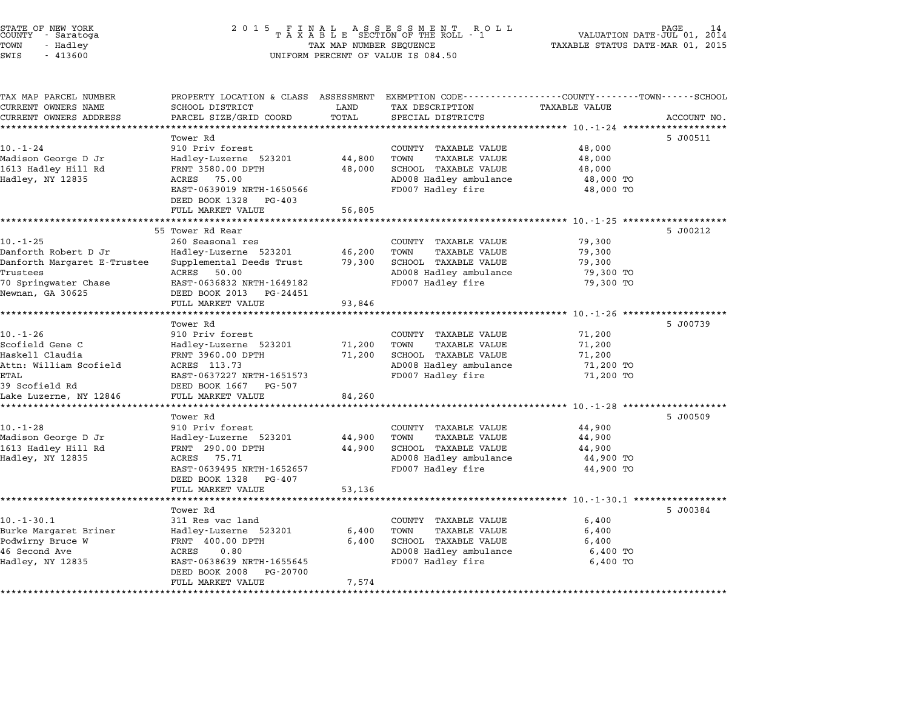| TAX MAP PARCEL NUMBER<br>CURRENT OWNERS NAME | PROPERTY LOCATION & CLASS ASSESSMENT<br>SCHOOL DISTRICT | LAND   | EXEMPTION CODE-----------------COUNTY-------TOWN------SCHOOL<br>TAX DESCRIPTION | <b>TAXABLE VALUE</b> |             |
|----------------------------------------------|---------------------------------------------------------|--------|---------------------------------------------------------------------------------|----------------------|-------------|
| CURRENT OWNERS ADDRESS                       | PARCEL SIZE/GRID COORD                                  | TOTAL  | SPECIAL DISTRICTS                                                               |                      | ACCOUNT NO. |
|                                              |                                                         |        |                                                                                 |                      |             |
|                                              | Tower Rd                                                |        |                                                                                 |                      | 5 J00511    |
| $10. - 1 - 24$                               | 910 Priv forest                                         |        | COUNTY TAXABLE VALUE                                                            | 48,000               |             |
| Madison George D Jr                          | Hadley-Luzerne 523201                                   | 44,800 | TAXABLE VALUE<br>TOWN                                                           | 48,000               |             |
| 1613 Hadley Hill Rd                          | FRNT 3580.00 DPTH                                       | 48,000 | SCHOOL TAXABLE VALUE                                                            | 48,000               |             |
| Hadley, NY 12835                             | ACRES 75.00                                             |        | AD008 Hadley ambulance                                                          | 48,000 TO            |             |
|                                              | EAST-0639019 NRTH-1650566<br>DEED BOOK 1328<br>PG-403   |        | FD007 Hadley fire                                                               | 48,000 TO            |             |
|                                              | FULL MARKET VALUE                                       | 56,805 |                                                                                 |                      |             |
|                                              |                                                         |        |                                                                                 |                      |             |
|                                              | 55 Tower Rd Rear                                        |        |                                                                                 |                      | 5 J00212    |
| $10. - 1 - 25$<br>Danforth Robert D Jr       | 260 Seasonal res<br>Hadley-Luzerne 523201               | 46,200 | COUNTY TAXABLE VALUE<br>TOWN<br>TAXABLE VALUE                                   | 79,300<br>79,300     |             |
| Danforth Margaret E-Trustee                  | Supplemental Deeds Trust                                | 79,300 | SCHOOL TAXABLE VALUE                                                            | 79,300               |             |
| Trustees                                     | ACRES 50.00                                             |        | AD008 Hadley ambulance                                                          | 79,300 TO            |             |
| 70 Springwater Chase                         | EAST-0636832 NRTH-1649182                               |        | FD007 Hadley fire                                                               | 79,300 TO            |             |
| Newnan, GA 30625                             | DEED BOOK 2013 PG-24451<br>FULL MARKET VALUE            | 93,846 |                                                                                 |                      |             |
|                                              | **********************                                  |        |                                                                                 |                      |             |
|                                              | Tower Rd                                                |        |                                                                                 |                      | 5 J00739    |
| $10. - 1 - 26$                               | 910 Priv forest                                         |        | COUNTY TAXABLE VALUE                                                            | 71,200               |             |
| Scofield Gene C                              | Hadley-Luzerne 523201                                   | 71,200 | TOWN<br><b>TAXABLE VALUE</b>                                                    | 71,200               |             |
| Haskell Claudia                              | FRNT 3960.00 DPTH                                       | 71,200 | SCHOOL TAXABLE VALUE                                                            | 71,200               |             |
| Attn: William Scofield                       | ACRES 113.73                                            |        | AD008 Hadley ambulance                                                          | 71,200 TO            |             |
| ETAL                                         | EAST-0637227 NRTH-1651573                               |        | FD007 Hadley fire                                                               | 71,200 TO            |             |
| 39 Scofield Rd                               | DEED BOOK 1667 PG-507                                   |        |                                                                                 |                      |             |
| Lake Luzerne, NY 12846                       | FULL MARKET VALUE                                       | 84,260 |                                                                                 |                      |             |
|                                              | **************************                              |        |                                                                                 |                      |             |
|                                              | Tower Rd                                                |        |                                                                                 |                      | 5 J00509    |
| $10. - 1 - 28$                               | 910 Priv forest                                         |        | COUNTY TAXABLE VALUE                                                            | 44,900               |             |
| Madison George D Jr                          | Hadley-Luzerne 523201                                   | 44,900 | TOWN<br><b>TAXABLE VALUE</b>                                                    | 44,900               |             |
| 1613 Hadley Hill Rd                          | FRNT 290.00 DPTH                                        | 44,900 | SCHOOL TAXABLE VALUE                                                            | 44,900               |             |
| Hadley, NY 12835                             | ACRES 75.71                                             |        | AD008 Hadley ambulance                                                          | 44,900 TO            |             |
|                                              | EAST-0639495 NRTH-1652657<br>DEED BOOK 1328<br>PG-407   |        | FD007 Hadley fire                                                               | 44,900 TO            |             |
|                                              | FULL MARKET VALUE                                       | 53,136 |                                                                                 |                      |             |
|                                              | Tower Rd                                                |        |                                                                                 |                      | 5 J00384    |
| $10. -1 - 30.1$                              | 311 Res vac land                                        |        | COUNTY TAXABLE VALUE                                                            | 6,400                |             |
| Burke Margaret Briner                        | Hadley-Luzerne 523201                                   | 6,400  | TAXABLE VALUE<br>TOWN                                                           | 6,400                |             |
| Podwirny Bruce W                             | FRNT 400.00 DPTH                                        | 6,400  | SCHOOL TAXABLE VALUE                                                            | 6,400                |             |
| 46 Second Ave                                | 0.80<br>ACRES                                           |        | AD008 Hadley ambulance                                                          | 6,400 TO             |             |
| Hadley, NY 12835                             | EAST-0638639 NRTH-1655645                               |        | FD007 Hadley fire                                                               | 6,400 TO             |             |
|                                              | PG-20700<br>DEED BOOK 2008<br>FULL MARKET VALUE         | 7,574  |                                                                                 |                      |             |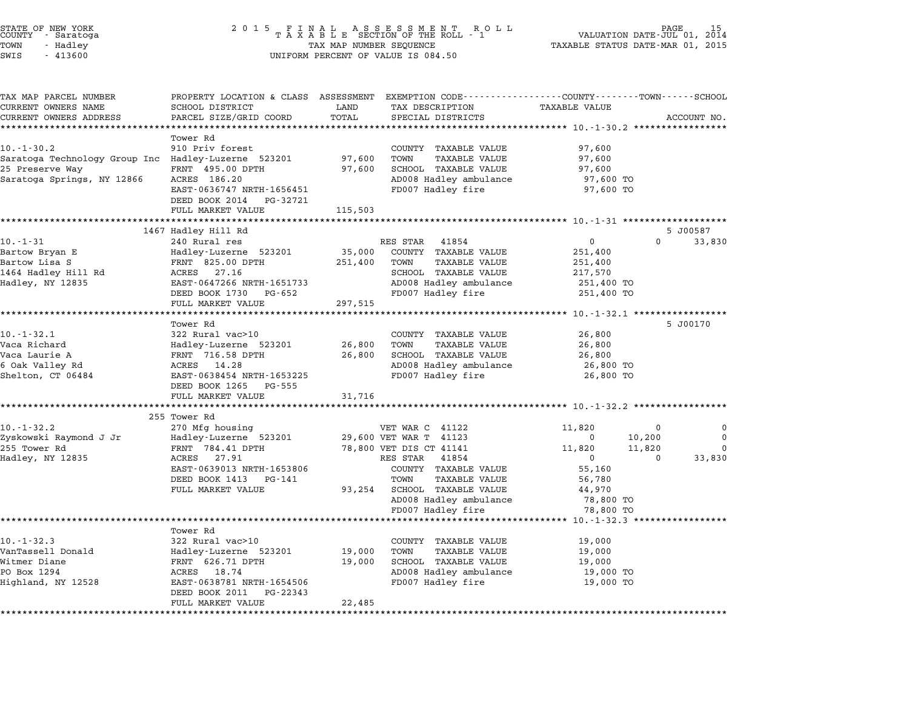| STATE OF NEW YORK<br>COUNTY - Saratoga<br>TOWN<br>- Hadley | 2 0 1 5<br>FINAL ASSESSMENT ROLL<br>TAXABLE SECTION OF THE ROLL - 1<br>TAX MAP NUMBER SEQUENCE | PAGE<br>VALUATION DATE-JUL 01, 2014<br>TAXABLE STATUS DATE-MAR 01, 2015 |                                                                                                 |                      |          |             |
|------------------------------------------------------------|------------------------------------------------------------------------------------------------|-------------------------------------------------------------------------|-------------------------------------------------------------------------------------------------|----------------------|----------|-------------|
| SWIS<br>$-413600$                                          |                                                                                                |                                                                         | UNIFORM PERCENT OF VALUE IS 084.50                                                              |                      |          |             |
| TAX MAP PARCEL NUMBER                                      |                                                                                                |                                                                         | PROPERTY LOCATION & CLASS ASSESSMENT EXEMPTION CODE----------------COUNTY-------TOWN-----SCHOOL |                      |          |             |
| CURRENT OWNERS NAME                                        | SCHOOL DISTRICT                                                                                | LAND<br>TOTAL                                                           | TAX DESCRIPTION<br>SPECIAL DISTRICTS                                                            | <b>TAXABLE VALUE</b> |          | ACCOUNT NO. |
| CURRENT OWNERS ADDRESS<br>***********************          | PARCEL SIZE/GRID COORD                                                                         |                                                                         |                                                                                                 |                      |          |             |
|                                                            | Tower Rd                                                                                       |                                                                         |                                                                                                 |                      |          |             |
| $10. - 1 - 30.2$                                           | 910 Priv forest                                                                                |                                                                         | COUNTY TAXABLE VALUE                                                                            | 97,600               |          |             |
| Saratoga Technology Group Inc Hadley-Luzerne 523201        |                                                                                                | 97,600                                                                  | TOWN<br><b>TAXABLE VALUE</b>                                                                    | 97,600               |          |             |
| 25 Preserve Way                                            | FRNT 495.00 DPTH                                                                               | 97,600                                                                  | SCHOOL TAXABLE VALUE                                                                            | 97,600               |          |             |
| Saratoga Springs, NY 12866                                 | ACRES 186.20                                                                                   |                                                                         | AD008 Hadley ambulance                                                                          | 97,600 TO            |          |             |
|                                                            | EAST-0636747 NRTH-1656451                                                                      |                                                                         | FD007 Hadley fire                                                                               | 97,600 TO            |          |             |
|                                                            | DEED BOOK 2014 PG-32721                                                                        |                                                                         |                                                                                                 |                      |          |             |
|                                                            | FULL MARKET VALUE                                                                              | 115,503                                                                 |                                                                                                 |                      |          |             |
|                                                            |                                                                                                |                                                                         |                                                                                                 |                      |          |             |
|                                                            | 1467 Hadley Hill Rd                                                                            |                                                                         |                                                                                                 |                      |          | 5 J00587    |
| $10. - 1 - 31$                                             | 240 Rural res                                                                                  |                                                                         | RES STAR<br>41854                                                                               | $\mathbf 0$          | $\Omega$ | 33,830      |
| Bartow Bryan E                                             | Hadley-Luzerne 523201                                                                          | 35,000                                                                  | COUNTY TAXABLE VALUE                                                                            | 251,400              |          |             |
| Bartow Lisa S<br>1464 Hadley Hill Rd                       | FRNT 825.00 DPTH<br>ACRES 27.16                                                                | 251,400                                                                 | TOWN<br>TAXABLE VALUE<br>SCHOOL TAXABLE VALUE                                                   | 251,400<br>217,570   |          |             |
| Hadley, NY 12835                                           | EAST-0647266 NRTH-1651733                                                                      |                                                                         | AD008 Hadley ambulance                                                                          | 251,400 TO           |          |             |
|                                                            | DEED BOOK 1730 PG-652                                                                          |                                                                         | FD007 Hadley fire                                                                               | 251,400 TO           |          |             |
|                                                            | FULL MARKET VALUE                                                                              | 297,515                                                                 |                                                                                                 |                      |          |             |
|                                                            |                                                                                                |                                                                         |                                                                                                 |                      |          |             |
|                                                            | Tower Rd                                                                                       |                                                                         |                                                                                                 |                      |          | 5 J00170    |
| $10. -1 - 32.1$                                            | 322 Rural vac>10                                                                               |                                                                         | COUNTY TAXABLE VALUE                                                                            | 26,800               |          |             |
| Vaca Richard                                               | Hadley-Luzerne 523201                                                                          | 26,800                                                                  | TOWN<br><b>TAXABLE VALUE</b>                                                                    | 26,800               |          |             |
| Vaca Laurie A                                              | FRNT 716.58 DPTH                                                                               | 26,800                                                                  | SCHOOL TAXABLE VALUE                                                                            | 26,800               |          |             |
| 6 Oak Valley Rd                                            | ACRES 14.28                                                                                    |                                                                         | AD008 Hadley ambulance                                                                          | 26,800 TO            |          |             |
| Shelton, CT 06484                                          | EAST-0638454 NRTH-1653225                                                                      |                                                                         | FD007 Hadley fire                                                                               | 26,800 TO            |          |             |
|                                                            | DEED BOOK 1265 PG-555                                                                          |                                                                         |                                                                                                 |                      |          |             |
|                                                            | FULL MARKET VALUE                                                                              | 31,716                                                                  |                                                                                                 |                      |          |             |
|                                                            | 255 Tower Rd                                                                                   |                                                                         |                                                                                                 |                      |          |             |
| 10.-1-32.2                                                 | 270 Mfg housing                                                                                |                                                                         | VET WAR C 41122                                                                                 | 11,820               | $\Omega$ | 0           |
| Zyskowski Raymond J Jr                                     | Hadley-Luzerne 523201                                                                          |                                                                         | 29,600 VET WAR T 41123                                                                          | $\mathbf 0$          | 10,200   | $\mathbf 0$ |
| 255 Tower Rd                                               | FRNT 784.41 DPTH                                                                               |                                                                         | 78,800 VET DIS CT 41141                                                                         | 11,820               | 11,820   | $\Omega$    |
| Hadley, NY 12835                                           | ACRES 27.91                                                                                    |                                                                         | RES STAR<br>41854                                                                               | $\mathbf{0}$         | $\Omega$ | 33,830      |
|                                                            | EAST-0639013 NRTH-1653806                                                                      |                                                                         | COUNTY TAXABLE VALUE                                                                            | 55,160               |          |             |
|                                                            | DEED BOOK 1413 PG-141                                                                          |                                                                         | TOWN<br>TAXABLE VALUE                                                                           | 56,780               |          |             |
|                                                            | FULL MARKET VALUE                                                                              | 93,254                                                                  | SCHOOL TAXABLE VALUE                                                                            | 44,970               |          |             |
|                                                            |                                                                                                |                                                                         | AD008 Hadley ambulance                                                                          | 78,800 TO            |          |             |
|                                                            |                                                                                                |                                                                         | FD007 Hadley fire                                                                               | 78,800 TO            |          |             |
|                                                            |                                                                                                |                                                                         |                                                                                                 |                      |          |             |
| $10.-1-32.3$                                               | Tower Rd                                                                                       |                                                                         |                                                                                                 |                      |          |             |
| VanTassell Donald                                          | 322 Rural vac>10<br>Hadley-Luzerne 523201                                                      | 19,000                                                                  | COUNTY TAXABLE VALUE<br>TOWN<br><b>TAXABLE VALUE</b>                                            | 19,000<br>19,000     |          |             |
| Witmer Diane                                               | FRNT 626.71 DPTH                                                                               | 19,000                                                                  | SCHOOL TAXABLE VALUE                                                                            | 19,000               |          |             |
| PO Box 1294                                                | ACRES 18.74                                                                                    |                                                                         | AD008 Hadley ambulance                                                                          | 19,000 TO            |          |             |
| Highland, NY 12528                                         | EAST-0638781 NRTH-1654506                                                                      |                                                                         | FD007 Hadley fire                                                                               | 19,000 TO            |          |             |
|                                                            | DEED BOOK 2011<br>PG-22343                                                                     |                                                                         |                                                                                                 |                      |          |             |
|                                                            | FULL MARKET VALUE                                                                              | 22,485                                                                  |                                                                                                 |                      |          |             |
|                                                            |                                                                                                |                                                                         |                                                                                                 |                      |          |             |

STATE OF NEW YORK <sup>2</sup> <sup>0</sup> <sup>1</sup> 5 F I N A L A S S E S S M E N T R O L L PAGE <sup>15</sup> COUNTY - Saratoga <sup>T</sup> <sup>A</sup> <sup>X</sup> <sup>A</sup> <sup>B</sup> <sup>L</sup> <sup>E</sup> SECTION OF THE ROLL - <sup>1</sup> VALUATION DATE-JUL 01, <sup>2014</sup> TOWN - Hadley TAX MAP NUMBER SEQUENCE TAXABLE STATUS DATE-MAR 01, <sup>2015</sup>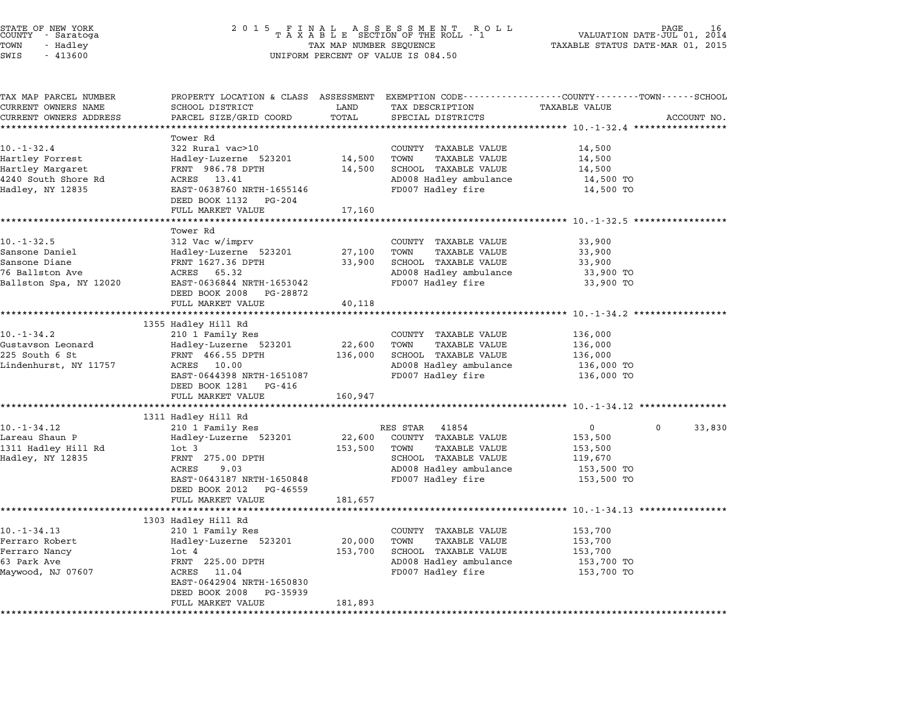| COUNTY | STATE OF NEW YORK<br>- Saratoga |  |
|--------|---------------------------------|--|
| TOWN   | - Hadley                        |  |
|        |                                 |  |

| TAX MAP PARCEL NUMBER           |                                                         |         |                                               | PROPERTY LOCATION & CLASS ASSESSMENT EXEMPTION CODE---------------COUNTY-------TOWN-----SCHOOL |        |
|---------------------------------|---------------------------------------------------------|---------|-----------------------------------------------|------------------------------------------------------------------------------------------------|--------|
| CURRENT OWNERS NAME             | SCHOOL DISTRICT                                         | LAND    | TAX DESCRIPTION                               | <b>TAXABLE VALUE</b>                                                                           |        |
| CURRENT OWNERS ADDRESS          | PARCEL SIZE/GRID COORD                                  | TOTAL   | SPECIAL DISTRICTS                             | ACCOUNT NO.                                                                                    |        |
| *****************               | ***********************                                 |         |                                               |                                                                                                |        |
|                                 | Tower Rd                                                |         |                                               |                                                                                                |        |
| $10. - 1 - 32.4$                | 322 Rural vac>10                                        |         | COUNTY TAXABLE VALUE                          | 14,500                                                                                         |        |
| Hartley Forrest                 | Hadley-Luzerne 523201                                   | 14,500  | TOWN<br>TAXABLE VALUE                         | 14,500                                                                                         |        |
| Hartley Margaret                | FRNT 986.78 DPTH                                        | 14,500  | SCHOOL TAXABLE VALUE                          | 14,500                                                                                         |        |
| 4240 South Shore Rd             | ACRES 13.41                                             |         | AD008 Hadley ambulance                        | 14,500 TO                                                                                      |        |
| Hadley, NY 12835                | EAST-0638760 NRTH-1655146                               |         | FD007 Hadley fire                             | 14,500 TO                                                                                      |        |
|                                 | DEED BOOK 1132 PG-204                                   |         |                                               |                                                                                                |        |
|                                 | FULL MARKET VALUE                                       | 17,160  |                                               |                                                                                                |        |
|                                 |                                                         |         |                                               |                                                                                                |        |
|                                 | Tower Rd                                                |         |                                               |                                                                                                |        |
| $10. -1 - 32.5$                 | 312 Vac w/imprv                                         |         | COUNTY TAXABLE VALUE                          | 33,900                                                                                         |        |
| Sansone Daniel<br>Sansone Diane | Hadley-Luzerne 523201<br>FRNT 1627.36 DPTH              | 27,100  | TOWN<br>TAXABLE VALUE<br>SCHOOL TAXABLE VALUE | 33,900                                                                                         |        |
|                                 | ACRES 65.32                                             | 33,900  |                                               | 33,900                                                                                         |        |
| 76 Ballston Ave                 |                                                         |         | AD008 Hadley ambulance                        | 33,900 TO                                                                                      |        |
| Ballston Spa, NY 12020          | EAST-0636844 NRTH-1653042<br>DEED BOOK 2008<br>PG-28872 |         | FD007 Hadley fire                             | 33,900 TO                                                                                      |        |
|                                 | FULL MARKET VALUE                                       |         |                                               |                                                                                                |        |
|                                 |                                                         | 40,118  |                                               |                                                                                                |        |
|                                 | 1355 Hadley Hill Rd                                     |         |                                               |                                                                                                |        |
| $10. - 1 - 34.2$                | 210 1 Family Res                                        |         | COUNTY TAXABLE VALUE                          | 136,000                                                                                        |        |
| Gustavson Leonard               | Hadley-Luzerne 523201                                   | 22,600  | TOWN<br><b>TAXABLE VALUE</b>                  | 136,000                                                                                        |        |
| 225 South 6 St                  | FRNT 466.55 DPTH                                        | 136,000 | SCHOOL TAXABLE VALUE                          | 136,000                                                                                        |        |
| Lindenhurst, NY 11757           | ACRES<br>10.00                                          |         | AD008 Hadley ambulance                        | 136,000 TO                                                                                     |        |
|                                 | EAST-0644398 NRTH-1651087                               |         | FD007 Hadley fire                             | 136,000 TO                                                                                     |        |
|                                 | DEED BOOK 1281 PG-416                                   |         |                                               |                                                                                                |        |
|                                 | FULL MARKET VALUE                                       | 160,947 |                                               |                                                                                                |        |
|                                 |                                                         |         |                                               |                                                                                                |        |
|                                 | 1311 Hadley Hill Rd                                     |         |                                               |                                                                                                |        |
| 10. - 1 - 34.12                 | 210 1 Family Res                                        |         | 41854<br>RES STAR                             | $\mathbf{0}$<br>$\mathbf{0}$                                                                   | 33,830 |
| Lareau Shaun P                  | Hadley-Luzerne 523201                                   | 22,600  | COUNTY TAXABLE VALUE                          | 153,500                                                                                        |        |
| 1311 Hadley Hill Rd             | $1$ ot $3$                                              | 153,500 | TAXABLE VALUE<br>TOWN                         | 153,500                                                                                        |        |
| Hadley, NY 12835                | FRNT 275.00 DPTH                                        |         | SCHOOL TAXABLE VALUE                          | 119,670                                                                                        |        |
|                                 | ACRES<br>9.03                                           |         | AD008 Hadley ambulance                        | 153,500 TO                                                                                     |        |
|                                 | EAST-0643187 NRTH-1650848                               |         | FD007 Hadley fire                             | 153,500 TO                                                                                     |        |
|                                 | DEED BOOK 2012<br>PG-46559                              |         |                                               |                                                                                                |        |
|                                 | FULL MARKET VALUE                                       | 181,657 |                                               |                                                                                                |        |
|                                 |                                                         |         |                                               |                                                                                                |        |
|                                 | 1303 Hadley Hill Rd                                     |         |                                               |                                                                                                |        |
| $10. -1 - 34.13$                | 210 1 Family Res                                        |         | COUNTY TAXABLE VALUE                          | 153,700                                                                                        |        |
| Ferraro Robert                  | Hadley-Luzerne 523201                                   | 20,000  | TOWN<br>TAXABLE VALUE                         | 153,700                                                                                        |        |
| Ferraro Nancy                   | lot 4                                                   | 153,700 | SCHOOL TAXABLE VALUE                          | 153,700                                                                                        |        |
| 63 Park Ave                     | FRNT 225.00 DPTH                                        |         | AD008 Hadley ambulance                        | 153,700 TO                                                                                     |        |
| Maywood, NJ 07607               | 11.04<br>ACRES                                          |         | FD007 Hadley fire                             | 153,700 TO                                                                                     |        |
|                                 | EAST-0642904 NRTH-1650830                               |         |                                               |                                                                                                |        |
|                                 | DEED BOOK 2008<br>PG-35939                              |         |                                               |                                                                                                |        |
|                                 | FULL MARKET VALUE                                       | 181,893 |                                               |                                                                                                |        |
|                                 |                                                         |         |                                               |                                                                                                |        |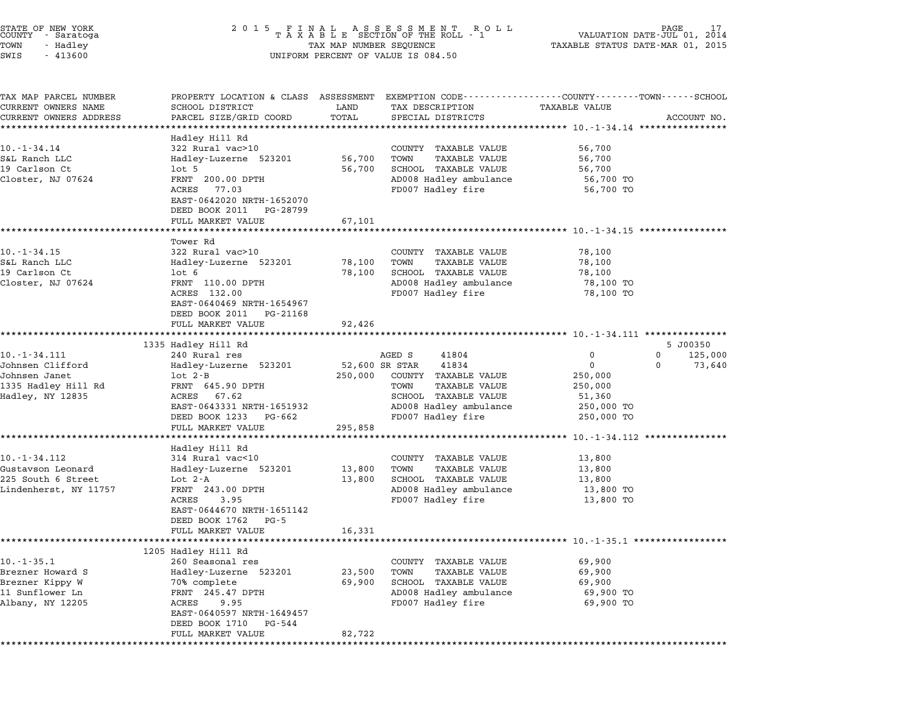| STATE OF NEW YORK<br>COUNTY - Saratoga<br>TOWN<br>- Hadley<br>SWIS<br>$-413600$               | 2 0 1 5<br>FINAL ASSESSMENT ROLL<br>TAXABLE SECTION OF THE ROLL - 1<br>TAX MAP NUMBER SEQUENCE<br>UNIFORM PERCENT OF VALUE IS 084.50                                                                | 17<br>VALUATION DATE-JUL 01,<br>2014<br>TAXABLE STATUS DATE-MAR 01, 2015 |                                                                                                                                                        |                                                                                                                 |                     |
|-----------------------------------------------------------------------------------------------|-----------------------------------------------------------------------------------------------------------------------------------------------------------------------------------------------------|--------------------------------------------------------------------------|--------------------------------------------------------------------------------------------------------------------------------------------------------|-----------------------------------------------------------------------------------------------------------------|---------------------|
| TAX MAP PARCEL NUMBER<br>CURRENT OWNERS NAME<br>CURRENT OWNERS ADDRESS                        | SCHOOL DISTRICT<br>PARCEL SIZE/GRID COORD<br>**************                                                                                                                                         | LAND<br>TOTAL                                                            | TAX DESCRIPTION<br>SPECIAL DISTRICTS                                                                                                                   | PROPERTY LOCATION & CLASS ASSESSMENT EXEMPTION CODE---------------COUNTY-------TOWN-----SCHOOL<br>TAXABLE VALUE | ACCOUNT NO.         |
| 10. - 1 - 34.14<br>S&L Ranch LLC<br>19 Carlson Ct<br>Closter, NJ 07624                        | Hadley Hill Rd<br>322 Rural vac>10<br>Hadley-Luzerne 523201<br>$1$ ot 5<br>FRNT 200.00 DPTH<br>ACRES<br>77.03<br>EAST-0642020 NRTH-1652070<br>DEED BOOK 2011 PG-28799<br>FULL MARKET VALUE          | ************<br>56,700<br>56,700<br>67,101                               | COUNTY TAXABLE VALUE<br><b>TAXABLE VALUE</b><br>TOWN<br>SCHOOL TAXABLE VALUE<br>AD008 Hadley ambulance<br>FD007 Hadley fire                            | 56,700<br>56,700<br>56,700<br>56,700 TO<br>56,700 TO                                                            |                     |
|                                                                                               | Tower Rd                                                                                                                                                                                            |                                                                          |                                                                                                                                                        | ********************* 10.-1-34.15 **********                                                                    |                     |
| 10. - 1 - 34.15<br>S&L Ranch LLC<br>19 Carlson Ct<br>Closter, NJ 07624                        | 322 Rural vac>10<br>Hadley-Luzerne 523201<br>$1$ ot $6$<br>FRNT 110.00 DPTH<br>ACRES 132.00<br>EAST-0640469 NRTH-1654967<br>DEED BOOK 2011<br>PG-21168                                              | 78,100<br>78,100                                                         | COUNTY TAXABLE VALUE<br><b>TAXABLE VALUE</b><br>TOWN<br>SCHOOL TAXABLE VALUE<br>AD008 Hadley ambulance<br>FD007 Hadley fire                            | 78,100<br>78,100<br>78,100<br>78,100 TO<br>78,100 TO                                                            |                     |
|                                                                                               | FULL MARKET VALUE                                                                                                                                                                                   | 92,426                                                                   |                                                                                                                                                        | ****************************** 10.-1-34.111 ***************                                                     |                     |
| 10. -1 - 34.111                                                                               | 1335 Hadley Hill Rd<br>240 Rural res                                                                                                                                                                |                                                                          | AGED S<br>41804                                                                                                                                        | 0<br>0                                                                                                          | 5 J00350<br>125,000 |
| Johnsen Clifford<br>Johnsen Janet<br>1335 Hadley Hill Rd<br>Hadley, NY 12835                  | Hadley-Luzerne 523201<br>$1$ ot $2 - B$<br>FRNT 645.90 DPTH<br>ACRES 67.62<br>EAST-0643331 NRTH-1651932<br>DEED BOOK 1233<br>PG-662<br>FULL MARKET VALUE                                            | 250,000<br>295,858                                                       | 41834<br>52,600 SR STAR<br>COUNTY TAXABLE VALUE<br><b>TAXABLE VALUE</b><br>TOWN<br>SCHOOL TAXABLE VALUE<br>AD008 Hadley ambulance<br>FD007 Hadley fire | 0<br>0<br>250,000<br>250,000<br>51,360<br>250,000 TO<br>250,000 TO                                              | 73,640              |
|                                                                                               |                                                                                                                                                                                                     |                                                                          |                                                                                                                                                        | ********* 10.-1-34.112 *********                                                                                |                     |
| 10. -1 - 34.112<br>Gustavson Leonard<br>225 South 6 Street<br>Lindenherst, NY 11757           | Hadley Hill Rd<br>314 Rural vac<10<br>Hadley-Luzerne 523201<br>Lot $2-A$<br>FRNT 243.00 DPTH<br>ACRES<br>3.95<br>EAST-0644670 NRTH-1651142<br>DEED BOOK 1762<br>$PG - 5$                            | 13,800<br>13,800                                                         | COUNTY TAXABLE VALUE<br><b>TAXABLE VALUE</b><br>TOWN<br>SCHOOL TAXABLE VALUE<br>AD008 Hadley ambulance<br>FD007 Hadley fire                            | 13,800<br>13,800<br>13,800<br>13,800 TO<br>13,800 TO                                                            |                     |
|                                                                                               | FULL MARKET VALUE                                                                                                                                                                                   | 16,331                                                                   |                                                                                                                                                        | ****************** 10.-1-35.1 *****************                                                                 |                     |
| $10. -1 - 35.1$<br>Brezner Howard S<br>Brezner Kippy W<br>11 Sunflower Ln<br>Albany, NY 12205 | 1205 Hadley Hill Rd<br>260 Seasonal res<br>Hadley-Luzerne 523201<br>70% complete<br>FRNT 245.47 DPTH<br>ACRES<br>9.95<br>EAST-0640597 NRTH-1649457<br>DEED BOOK 1710<br>PG-544<br>FULL MARKET VALUE | 23,500<br>69,900<br>82,722                                               | COUNTY<br>TAXABLE VALUE<br><b>TAXABLE VALUE</b><br>TOWN<br>SCHOOL TAXABLE VALUE<br>AD008 Hadley ambulance<br>FD007 Hadley fire                         | 69,900<br>69,900<br>69,900<br>69,900 TO<br>69,900 TO                                                            |                     |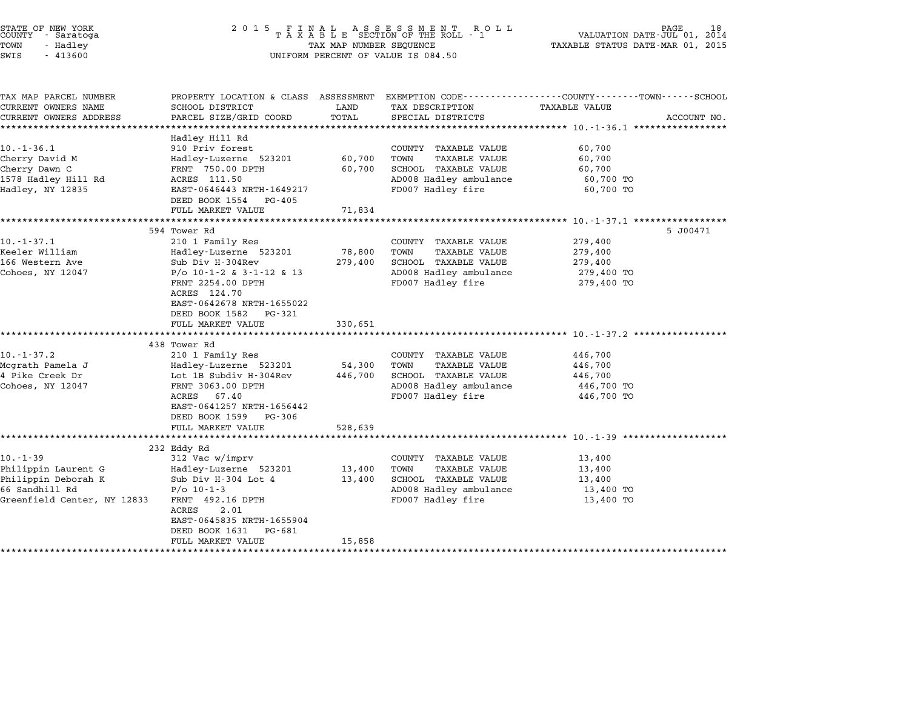| 2 0 1 5<br>FINAL ASSESSMENT ROLL<br>TAXABLE SECTION OF THE ROLL - 1<br>PAGE<br>18<br>VALUATION DATE-JUL 01, 2014<br>TAXABLE STATUS DATE-MAR 01, 2015<br>TAX MAP NUMBER SEQUENCE<br>UNIFORM PERCENT OF VALUE IS 084.50 |                                                                                                                                                 |                                                                                                                             |                                                           |                                                                                                                                                                                                     |
|-----------------------------------------------------------------------------------------------------------------------------------------------------------------------------------------------------------------------|-------------------------------------------------------------------------------------------------------------------------------------------------|-----------------------------------------------------------------------------------------------------------------------------|-----------------------------------------------------------|-----------------------------------------------------------------------------------------------------------------------------------------------------------------------------------------------------|
| SCHOOL DISTRICT                                                                                                                                                                                                       | LAND                                                                                                                                            | TAX DESCRIPTION                                                                                                             | <b>TAXABLE VALUE</b>                                      | ACCOUNT NO.                                                                                                                                                                                         |
|                                                                                                                                                                                                                       |                                                                                                                                                 |                                                                                                                             |                                                           |                                                                                                                                                                                                     |
| Hadley Hill Rd<br>910 Priv forest<br>Hadley-Luzerne 523201<br>FRNT 750.00 DPTH<br>ACRES 111.50<br>EAST-0646443 NRTH-1649217                                                                                           | 60,700<br>60,700                                                                                                                                | COUNTY TAXABLE VALUE<br>TOWN<br><b>TAXABLE VALUE</b><br>SCHOOL TAXABLE VALUE<br>AD008 Hadley ambulance<br>FD007 Hadley fire | 60,700<br>60,700<br>60,700<br>60,700 TO<br>60,700 TO      |                                                                                                                                                                                                     |
| FULL MARKET VALUE                                                                                                                                                                                                     | 71,834                                                                                                                                          |                                                                                                                             |                                                           |                                                                                                                                                                                                     |
| 594 Tower Rd<br>210 1 Family Res<br>Hadley-Luzerne 523201<br>Sub Div H-304Rev<br>$P/O$ 10-1-2 & 3-1-12 & 13<br>FRNT 2254.00 DPTH<br>ACRES 124.70                                                                      | 78,800<br>279,400                                                                                                                               | COUNTY TAXABLE VALUE<br>TOWN<br>TAXABLE VALUE<br>SCHOOL TAXABLE VALUE<br>AD008 Hadley ambulance<br>FD007 Hadley fire        | 279,400<br>279,400<br>279,400<br>279,400 TO<br>279,400 TO | 5 J00471                                                                                                                                                                                            |
| DEED BOOK 1582 PG-321<br>FULL MARKET VALUE                                                                                                                                                                            | 330,651                                                                                                                                         |                                                                                                                             |                                                           |                                                                                                                                                                                                     |
| 438 Tower Rd<br>210 1 Family Res<br>Hadley-Luzerne 523201<br>Lot 1B Subdiv H-304Rev<br>FRNT 3063.00 DPTH<br>ACRES 67.40<br>EAST-0641257 NRTH-1656442<br>DEED BOOK 1599 PG-306                                         | 54,300<br>446,700                                                                                                                               | COUNTY TAXABLE VALUE<br>TOWN<br><b>TAXABLE VALUE</b><br>SCHOOL TAXABLE VALUE<br>AD008 Hadley ambulance<br>FD007 Hadley fire | 446,700<br>446,700<br>446,700<br>446,700 TO<br>446,700 TO |                                                                                                                                                                                                     |
|                                                                                                                                                                                                                       |                                                                                                                                                 |                                                                                                                             |                                                           |                                                                                                                                                                                                     |
|                                                                                                                                                                                                                       |                                                                                                                                                 |                                                                                                                             |                                                           |                                                                                                                                                                                                     |
| 312 Vac w/imprv<br>Hadley-Luzerne 523201<br>Sub Div H-304 Lot 4<br>$P/O$ 10-1-3<br>FRNT 492.16 DPTH<br>2.01<br>ACRES<br>EAST-0645835 NRTH-1655904<br>DEED BOOK 1631<br>PG-681                                         | 13,400<br>13,400                                                                                                                                | COUNTY TAXABLE VALUE<br>TOWN<br>TAXABLE VALUE<br>SCHOOL TAXABLE VALUE<br>AD008 Hadley ambulance<br>FD007 Hadley fire        | 13,400<br>13,400<br>13,400<br>13,400 TO<br>13,400 TO      |                                                                                                                                                                                                     |
|                                                                                                                                                                                                                       | PARCEL SIZE/GRID COORD<br>DEED BOOK 1554 PG-405<br>EAST-0642678 NRTH-1655022<br>FULL MARKET VALUE<br>***************************<br>232 Eddy Rd | TOTAL<br>*********<br>528,639                                                                                               | SPECIAL DISTRICTS                                         | PROPERTY LOCATION & CLASS ASSESSMENT EXEMPTION CODE---------------COUNTY-------TOWN------SCHOOL<br>********** 10. -1-37.1 **************<br>************************* 10.-1-37.2 ****************** |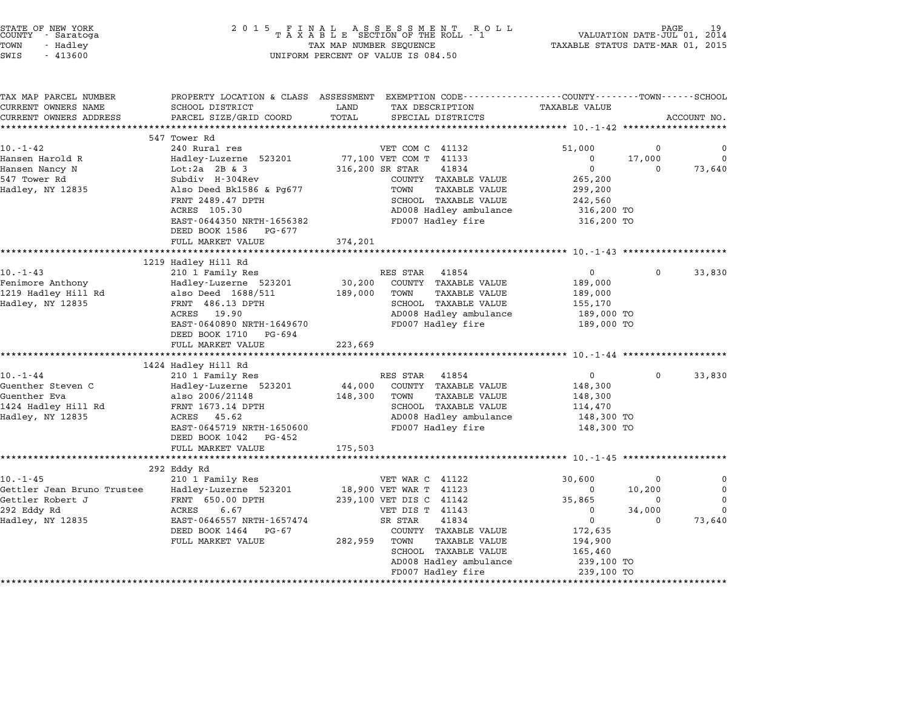| STATE OF NEW YORK |  |            |  |
|-------------------|--|------------|--|
| COUNTY            |  | - Saratoga |  |
| TOWN              |  | - Hadley   |  |

### STATE OF NEW YORK <sup>2</sup> <sup>0</sup> <sup>1</sup> 5 F I N A L A S S E S S M E N T R O L L PAGE <sup>19</sup> COUNTY - Saratoga <sup>T</sup> <sup>A</sup> <sup>X</sup> <sup>A</sup> <sup>B</sup> <sup>L</sup> <sup>E</sup> SECTION OF THE ROLL - <sup>1</sup> VALUATION DATE-JUL 01, <sup>2014</sup> TOWN - Hadley TAX MAP NUMBER SEQUENCE TAXABLE STATUS DATE-MAR 01, <sup>2015</sup> SWIS - <sup>413600</sup> UNIFORM PERCENT OF VALUE IS 084.50

| CURRENT OWNERS NAME        | PROPERTY LOCATION & CLASS ASSESSMENT EXEMPTION CODE----------------COUNTY-------TOWN------SCHOOL<br>SCHOOL DISTRICT | LAND            | TAX DESCRIPTION                                      | <b>TAXABLE VALUE</b>  |             |             |
|----------------------------|---------------------------------------------------------------------------------------------------------------------|-----------------|------------------------------------------------------|-----------------------|-------------|-------------|
| CURRENT OWNERS ADDRESS     | PARCEL SIZE/GRID COORD                                                                                              | TOTAL           | SPECIAL DISTRICTS                                    |                       |             | ACCOUNT NO. |
|                            |                                                                                                                     |                 |                                                      |                       |             |             |
|                            | 547 Tower Rd                                                                                                        |                 |                                                      |                       |             |             |
| $10. - 1 - 42$             | 240 Rural res                                                                                                       |                 | VET COM C 41132                                      | 51,000                | 0           | 0           |
| Hansen Harold R            | Hadley-Luzerne 523201                                                                                               |                 | 77,100 VET COM T 41133                               | 0                     | 17,000      | $\Omega$    |
| Hansen Nancy N             | Lot: $2a$ 2B $\&$ 3                                                                                                 | 316,200 SR STAR | 41834                                                | $\mathbf 0$           | $\Omega$    | 73,640      |
| 547 Tower Rd               | Subdiv H-304Rev                                                                                                     |                 | COUNTY TAXABLE VALUE                                 | 265,200               |             |             |
| Hadley, NY 12835           | Also Deed Bk1586 & Pg677                                                                                            |                 | TAXABLE VALUE<br>TOWN                                | 299,200               |             |             |
|                            | FRNT 2489.47 DPTH                                                                                                   |                 | SCHOOL TAXABLE VALUE                                 | 242,560               |             |             |
|                            | ACRES 105.30                                                                                                        |                 | AD008 Hadley ambulance                               | 316,200 TO            |             |             |
|                            | EAST-0644350 NRTH-1656382                                                                                           |                 | FD007 Hadley fire                                    | 316,200 TO            |             |             |
|                            | DEED BOOK 1586 PG-677                                                                                               |                 |                                                      |                       |             |             |
|                            | FULL MARKET VALUE<br>************************                                                                       | 374,201         |                                                      |                       |             |             |
|                            | 1219 Hadley Hill Rd                                                                                                 |                 |                                                      |                       |             |             |
| $10. - 1 - 43$             | 210 1 Family Res                                                                                                    |                 | RES STAR 41854                                       | 0                     | $\Omega$    | 33,830      |
| Fenimore Anthony           | Hadley-Luzerne 523201                                                                                               | 30,200          | COUNTY TAXABLE VALUE                                 | 189,000               |             |             |
| 1219 Hadley Hill Rd        | also Deed 1688/511                                                                                                  | 189,000         | TOWN<br>TAXABLE VALUE                                | 189,000               |             |             |
| Hadley, NY 12835           | FRNT 486.13 DPTH                                                                                                    |                 | SCHOOL TAXABLE VALUE                                 | 155,170               |             |             |
|                            | ACRES 19.90                                                                                                         |                 | AD008 Hadley ambulance                               | 189,000 TO            |             |             |
|                            | EAST-0640890 NRTH-1649670                                                                                           |                 | FD007 Hadley fire                                    | 189,000 TO            |             |             |
|                            | DEED BOOK 1710 PG-694                                                                                               |                 |                                                      |                       |             |             |
|                            | FULL MARKET VALUE                                                                                                   | 223,669         |                                                      |                       |             |             |
|                            |                                                                                                                     |                 |                                                      |                       |             |             |
|                            | 1424 Hadley Hill Rd                                                                                                 |                 |                                                      |                       |             |             |
| $10. - 1 - 44$             | 210 1 Family Res                                                                                                    |                 | RES STAR 41854                                       | $\mathbf 0$           | $\mathbf 0$ | 33,830      |
| Guenther Steven C          | Hadley-Luzerne 523201                                                                                               | 44,000          | COUNTY TAXABLE VALUE                                 | 148,300               |             |             |
| Guenther Eva               | also 2006/21148                                                                                                     | 148,300         | TOWN<br><b>TAXABLE VALUE</b>                         | 148,300               |             |             |
| 1424 Hadley Hill Rd        | FRNT 1673.14 DPTH                                                                                                   |                 | SCHOOL TAXABLE VALUE                                 | 114,470               |             |             |
| Hadley, NY 12835           | ACRES 45.62                                                                                                         |                 | AD008 Hadley ambulance                               | 148,300 TO            |             |             |
|                            | EAST-0645719 NRTH-1650600                                                                                           |                 | FD007 Hadley fire                                    | 148,300 TO            |             |             |
|                            |                                                                                                                     |                 |                                                      |                       |             |             |
|                            | DEED BOOK 1042 PG-452                                                                                               |                 |                                                      |                       |             |             |
|                            | FULL MARKET VALUE                                                                                                   | 175,503         |                                                      |                       |             |             |
|                            |                                                                                                                     |                 |                                                      |                       |             |             |
|                            | 292 Eddy Rd                                                                                                         |                 |                                                      |                       |             |             |
| $10. - 1 - 45$             | 210 1 Family Res                                                                                                    |                 | VET WAR C 41122                                      | 30,600                | 0           | 0           |
| Gettler Jean Bruno Trustee | Hadley-Luzerne 523201                                                                                               |                 | 18,900 VET WAR T 41123                               | 0                     | 10,200      | 0           |
| Gettler Robert J           | FRNT 650.00 DPTH                                                                                                    |                 | 239,100 VET DIS C 41142                              | 35,865                | 0           | $\Omega$    |
| 292 Eddy Rd                | ACRES<br>6.67                                                                                                       |                 | VET DIS T 41143                                      | $\mathbf 0$           | 34,000<br>0 | $\Omega$    |
| Hadley, NY 12835           | EAST-0646557 NRTH-1657474                                                                                           |                 | SR STAR<br>41834                                     | $\mathbf 0$           |             | 73,640      |
|                            | DEED BOOK 1464 PG-67<br>FULL MARKET VALUE                                                                           | 282,959         | COUNTY TAXABLE VALUE<br>TOWN<br><b>TAXABLE VALUE</b> | 172,635<br>194,900    |             |             |
|                            |                                                                                                                     |                 | SCHOOL TAXABLE VALUE                                 |                       |             |             |
|                            |                                                                                                                     |                 | AD008 Hadley ambulance                               | 165,460<br>239,100 TO |             |             |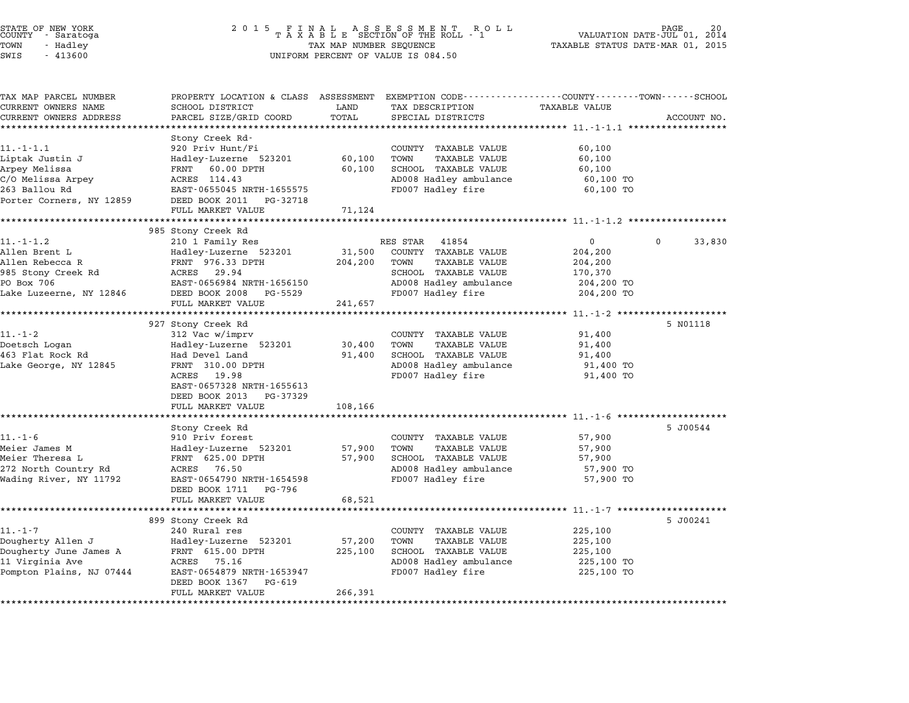| STATE OF NEW YORK<br>COUNTY - Saratoga | 2015 FINAL ASSESSMENT ROLL<br>TAXABLE SECTION OF THE ROLL - 1 | 20<br>PAGE<br>VALUATION DATE-JUL 01, 2014 |
|----------------------------------------|---------------------------------------------------------------|-------------------------------------------|
| TOWN<br>- Hadlev                       | TAX MAP NUMBER SEQUENCE                                       | TAXABLE STATUS DATE-MAR 01, 2015          |
| $\alpha$<br>11220                      | $\frac{1}{2}$                                                 |                                           |

# TOWN - Hadley TAX MAP NUMBER SEQUENCE TAXABLE STATUS DATE-MAR 01, <sup>2015</sup> STATE OF NEW YORK STATE OF NEW YORK A SOUNTY - SATATOGRAPH MARK COUNTY - SATATOGRAPH MARK A SOUNTY - SATATOGRA<br>
TOWN - Hadley TAX A B L E SECTION OF THE ROLL<br>
SWIS - 413600 SWIS - 413600 UNIFORM PERCENT OF VALUE IS 084.50

| TAX MAP PARCEL NUMBER    | PROPERTY LOCATION & CLASS ASSESSMENT EXEMPTION CODE----------------COUNTY-------TOWN-----SCHOOL |         |                                                        |               |                    |
|--------------------------|-------------------------------------------------------------------------------------------------|---------|--------------------------------------------------------|---------------|--------------------|
| CURRENT OWNERS NAME      | SCHOOL DISTRICT                                                                                 | LAND    | TAX DESCRIPTION                                        | TAXABLE VALUE |                    |
| CURRENT OWNERS ADDRESS   | PARCEL SIZE/GRID COORD                                                                          | TOTAL   | SPECIAL DISTRICTS                                      |               | ACCOUNT NO.        |
| *********************    |                                                                                                 |         |                                                        |               |                    |
| $11.-1.-1.1$             | Stony Creek Rd-<br>920 Priv Hunt/Fi                                                             |         | COUNTY TAXABLE VALUE                                   | 60,100        |                    |
| Liptak Justin J          | Hadley-Luzerne 523201                                                                           | 60,100  | <b>TAXABLE VALUE</b><br>TOWN                           | 60,100        |                    |
| Arpey Melissa            | FRNT 60.00 DPTH                                                                                 | 60,100  | SCHOOL TAXABLE VALUE                                   | 60,100        |                    |
| C/O Melissa Arpey        | ACRES 114.43                                                                                    |         | AD008 Hadley ambulance                                 | 60,100 TO     |                    |
| 263 Ballou Rd            | EAST-0655045 NRTH-1655575                                                                       |         | FD007 Hadley fire                                      | 60,100 TO     |                    |
| Porter Corners, NY 12859 | DEED BOOK 2011<br>PG-32718                                                                      |         |                                                        |               |                    |
|                          | FULL MARKET VALUE                                                                               | 71,124  |                                                        |               |                    |
|                          |                                                                                                 |         |                                                        |               |                    |
|                          | 985 Stony Creek Rd                                                                              |         |                                                        |               |                    |
| $11. - 1 - 1.2$          | 210 1 Family Res                                                                                |         | RES STAR<br>41854                                      | $\mathbf{0}$  | $\Omega$<br>33,830 |
| Allen Brent L            | Hadley-Luzerne 523201                                                                           | 31,500  | COUNTY TAXABLE VALUE                                   | 204,200       |                    |
| Allen Rebecca R          | FRNT 976.33 DPTH                                                                                | 204,200 | TAXABLE VALUE<br>TOWN                                  | 204,200       |                    |
| 985 Stony Creek Rd       | ACRES<br>29.94                                                                                  |         | SCHOOL TAXABLE VALUE                                   | 170,370       |                    |
| PO Box 706               | EAST-0656984 NRTH-1656150                                                                       |         | AD008 Hadley ambulance                                 | 204,200 TO    |                    |
| Lake Luzeerne, NY 12846  | DEED BOOK 2008<br>PG-5529                                                                       |         | FD007 Hadley fire                                      | 204,200 TO    |                    |
|                          | FULL MARKET VALUE                                                                               | 241,657 |                                                        |               |                    |
|                          |                                                                                                 |         |                                                        |               |                    |
|                          | 927 Stony Creek Rd                                                                              |         |                                                        |               | 5 N01118           |
| $11. - 1 - 2$            | 312 Vac w/imprv                                                                                 |         | COUNTY TAXABLE VALUE                                   | 91,400        |                    |
| Doetsch Logan            | Hadley-Luzerne 523201                                                                           | 30,400  | TOWN<br><b>TAXABLE VALUE</b>                           | 91,400        |                    |
| 463 Flat Rock Rd         | Had Devel Land                                                                                  | 91,400  | SCHOOL TAXABLE VALUE                                   | 91,400        |                    |
| Lake George, NY 12845    | FRNT 310.00 DPTH                                                                                |         | AD008 Hadley ambulance                                 | 91,400 TO     |                    |
|                          | 19.98<br>ACRES                                                                                  |         | FD007 Hadley fire                                      | 91,400 TO     |                    |
|                          | EAST-0657328 NRTH-1655613<br>DEED BOOK 2013<br>PG-37329                                         |         |                                                        |               |                    |
|                          | FULL MARKET VALUE                                                                               | 108,166 |                                                        |               |                    |
|                          | *********************                                                                           |         | ******************************* 11.-1-6 ************** |               |                    |
|                          | Stony Creek Rd                                                                                  |         |                                                        |               | 5 J00544           |
| $11. - 1 - 6$            | 910 Priv forest                                                                                 |         | COUNTY TAXABLE VALUE                                   | 57,900        |                    |
| Meier James M            | Hadley-Luzerne 523201                                                                           | 57,900  | TOWN<br><b>TAXABLE VALUE</b>                           | 57,900        |                    |
| Meier Theresa L          | FRNT 625.00 DPTH                                                                                | 57,900  | SCHOOL TAXABLE VALUE                                   | 57,900        |                    |
| 272 North Country Rd     | 76.50<br>ACRES                                                                                  |         | AD008 Hadley ambulance                                 | 57,900 TO     |                    |
| Wading River, NY 11792   | EAST-0654790 NRTH-1654598                                                                       |         | FD007 Hadley fire                                      | 57,900 TO     |                    |
|                          | DEED BOOK 1711<br>PG-796                                                                        |         |                                                        |               |                    |
|                          | FULL MARKET VALUE                                                                               | 68,521  |                                                        |               |                    |
|                          |                                                                                                 |         |                                                        |               |                    |
|                          | 899 Stony Creek Rd                                                                              |         |                                                        |               | 5 J00241           |
| $11. - 1 - 7$            | 240 Rural res                                                                                   |         | COUNTY TAXABLE VALUE                                   | 225,100       |                    |
| Dougherty Allen J        | Hadley-Luzerne 523201                                                                           | 57,200  | TOWN<br><b>TAXABLE VALUE</b>                           | 225,100       |                    |
| Dougherty June James A   | FRNT 615.00 DPTH                                                                                | 225,100 | SCHOOL TAXABLE VALUE                                   | 225,100       |                    |
| 11 Virginia Ave          | 75.16<br>ACRES                                                                                  |         | AD008 Hadley ambulance                                 | 225,100 TO    |                    |
| Pompton Plains, NJ 07444 | EAST-0654879 NRTH-1653947                                                                       |         | FD007 Hadley fire                                      | 225,100 TO    |                    |
|                          | PG-619<br>DEED BOOK 1367                                                                        |         |                                                        |               |                    |
|                          | FULL MARKET VALUE<br>***********************************                                        | 266,391 |                                                        |               |                    |
|                          |                                                                                                 |         |                                                        |               |                    |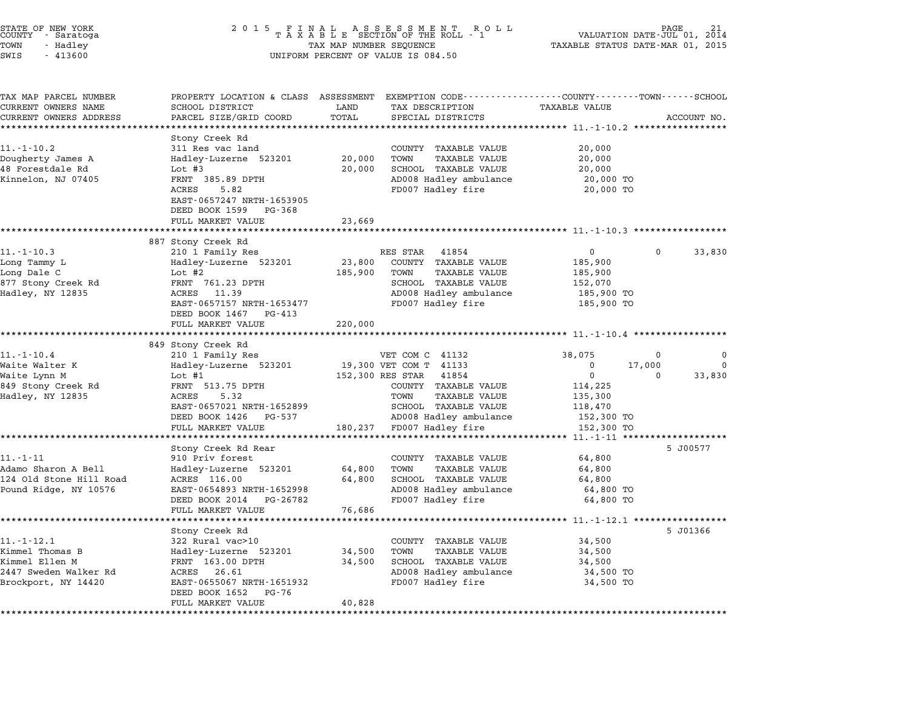| STATE OF NEW YORK<br>COUNTY - Saratoga<br>TOWN<br>- Hadley<br>SWIS<br>$-413600$ | 2 0 1 5                                                                                                                                                               | FINAL ASSESSMENT ROLL<br>TAXABLE SECTION OF THE ROLL - 1<br>TAX MAP NUMBER SEQUENCE<br>UNIFORM PERCENT OF VALUE IS 084.50 | VALUATION DATE-JUL 01,<br>2014<br>TAXABLE STATUS DATE-MAR 01, 2015                                                          |                                                      |          |             |
|---------------------------------------------------------------------------------|-----------------------------------------------------------------------------------------------------------------------------------------------------------------------|---------------------------------------------------------------------------------------------------------------------------|-----------------------------------------------------------------------------------------------------------------------------|------------------------------------------------------|----------|-------------|
| TAX MAP PARCEL NUMBER<br>CURRENT OWNERS NAME                                    | PROPERTY LOCATION & CLASS ASSESSMENT<br>SCHOOL DISTRICT                                                                                                               | LAND                                                                                                                      | EXEMPTION CODE-----------------COUNTY-------TOWN-----SCHOOL<br>TAX DESCRIPTION                                              | TAXABLE VALUE                                        |          |             |
| CURRENT OWNERS ADDRESS                                                          | PARCEL SIZE/GRID COORD                                                                                                                                                | TOTAL                                                                                                                     | SPECIAL DISTRICTS                                                                                                           |                                                      |          | ACCOUNT NO. |
|                                                                                 |                                                                                                                                                                       | ********                                                                                                                  | **************************** 11.-10.2 ******************                                                                    |                                                      |          |             |
| $11.-1-10.2$<br>Dougherty James A<br>48 Forestdale Rd<br>Kinnelon, NJ 07405     | Stony Creek Rd<br>311 Res vac land<br>Hadley-Luzerne 523201<br>Lot $#3$<br>FRNT 385.89 DPTH<br>ACRES<br>5.82<br>EAST-0657247 NRTH-1653905<br>DEED BOOK 1599<br>PG-368 | 20,000<br>20,000                                                                                                          | COUNTY TAXABLE VALUE<br><b>TAXABLE VALUE</b><br>TOWN<br>SCHOOL TAXABLE VALUE<br>AD008 Hadley ambulance<br>FD007 Hadley fire | 20,000<br>20,000<br>20,000<br>20,000 TO<br>20,000 TO |          |             |
|                                                                                 | FULL MARKET VALUE                                                                                                                                                     | 23,669                                                                                                                    |                                                                                                                             |                                                      |          |             |
|                                                                                 |                                                                                                                                                                       |                                                                                                                           | ******************************* 11.-1-10.3 ******************                                                               |                                                      |          |             |
| 11.-1-10.3                                                                      | 887 Stony Creek Rd<br>210 1 Family Res                                                                                                                                |                                                                                                                           | RES STAR<br>41854                                                                                                           | $\mathbf{0}$                                         | 0        | 33,830      |
| Long Tammy L<br>Long Dale C<br>877 Stony Creek Rd                               | Hadley-Luzerne 523201<br>Lot #2<br>FRNT 761.23 DPTH                                                                                                                   | 23,800<br>185,900                                                                                                         | COUNTY TAXABLE VALUE<br>TOWN<br><b>TAXABLE VALUE</b><br>SCHOOL TAXABLE VALUE                                                | 185,900<br>185,900<br>152,070                        |          |             |
| Hadley, NY 12835                                                                | ACRES<br>11.39<br>EAST-0657157 NRTH-1653477<br>DEED BOOK 1467<br>PG-413                                                                                               |                                                                                                                           | AD008 Hadley ambulance<br>FD007 Hadley fire                                                                                 | 185,900 TO<br>185,900 TO                             |          |             |
|                                                                                 | FULL MARKET VALUE                                                                                                                                                     | 220,000                                                                                                                   |                                                                                                                             |                                                      |          |             |
|                                                                                 | 849 Stony Creek Rd                                                                                                                                                    |                                                                                                                           |                                                                                                                             | ************ 11.-1-10.4 ***********                  |          |             |
| 11.-1-10.4                                                                      | 210 1 Family Res                                                                                                                                                      |                                                                                                                           | VET COM C 41132                                                                                                             | 38,075                                               | 0        | 0           |
| Waite Walter K                                                                  | Hadley-Luzerne 523201                                                                                                                                                 |                                                                                                                           | 19,300 VET COM T 41133                                                                                                      | 0                                                    | 17,000   | 0           |
| Waite Lynn M                                                                    | Lot $#1$                                                                                                                                                              | 152,300 RES STAR                                                                                                          | 41854                                                                                                                       | 0                                                    | $\Omega$ | 33,830      |
| 849 Stony Creek Rd<br>Hadley, NY 12835                                          | FRNT 513.75 DPTH                                                                                                                                                      |                                                                                                                           | COUNTY TAXABLE VALUE                                                                                                        | 114,225                                              |          |             |
|                                                                                 | ACRES<br>5.32<br>EAST-0657021 NRTH-1652899                                                                                                                            |                                                                                                                           | TOWN<br>TAXABLE VALUE<br>SCHOOL TAXABLE VALUE                                                                               | 135,300<br>118,470                                   |          |             |
|                                                                                 | DEED BOOK 1426<br>PG-537                                                                                                                                              |                                                                                                                           | AD008 Hadley ambulance                                                                                                      | 152,300 TO                                           |          |             |
|                                                                                 | FULL MARKET VALUE                                                                                                                                                     | 180,237                                                                                                                   | FD007 Hadley fire                                                                                                           | 152,300 TO                                           |          |             |
|                                                                                 |                                                                                                                                                                       |                                                                                                                           |                                                                                                                             | *** 11.-1-11 ***                                     |          |             |
| $11. - 1 - 11$                                                                  | Stony Creek Rd Rear                                                                                                                                                   |                                                                                                                           |                                                                                                                             |                                                      |          | 5 J00577    |
| Adamo Sharon A Bell                                                             | 910 Priv forest<br>Hadley-Luzerne 523201                                                                                                                              | 64,800                                                                                                                    | COUNTY TAXABLE VALUE<br><b>TAXABLE VALUE</b><br>TOWN                                                                        | 64,800<br>64,800                                     |          |             |
| 124 Old Stone Hill Road                                                         | ACRES 116.00                                                                                                                                                          | 64,800                                                                                                                    | SCHOOL TAXABLE VALUE                                                                                                        | 64,800                                               |          |             |
| Pound Ridge, NY 10576                                                           | EAST-0654893 NRTH-1652998                                                                                                                                             |                                                                                                                           | AD008 Hadley ambulance                                                                                                      | 64,800 TO                                            |          |             |
|                                                                                 | DEED BOOK 2014<br>PG-26782                                                                                                                                            |                                                                                                                           | FD007 Hadley fire                                                                                                           | 64,800 TO                                            |          |             |
|                                                                                 | FULL MARKET VALUE                                                                                                                                                     | 76,686                                                                                                                    |                                                                                                                             | ******************* 11.-1-12.1 **                    |          |             |
|                                                                                 | Stony Creek Rd                                                                                                                                                        |                                                                                                                           |                                                                                                                             |                                                      |          | 5 J01366    |
| $11. - 1 - 12.1$                                                                | 322 Rural vac>10                                                                                                                                                      |                                                                                                                           | TAXABLE VALUE<br>COUNTY                                                                                                     | 34,500                                               |          |             |
| Kimmel Thomas B                                                                 | Hadley-Luzerne 523201                                                                                                                                                 | 34,500                                                                                                                    | TAXABLE VALUE<br>TOWN                                                                                                       | 34,500                                               |          |             |
| Kimmel Ellen M                                                                  | FRNT 163.00 DPTH                                                                                                                                                      | 34,500                                                                                                                    | SCHOOL TAXABLE VALUE                                                                                                        | 34,500                                               |          |             |
| 2447 Sweden Walker Rd<br>Brockport, NY 14420                                    | ACRES<br>26.61<br>EAST-0655067 NRTH-1651932<br>DEED BOOK 1652<br>PG-76                                                                                                |                                                                                                                           | AD008 Hadley ambulance<br>FD007 Hadley fire                                                                                 | 34,500 TO<br>34,500 TO                               |          |             |
|                                                                                 | FULL MARKET VALUE                                                                                                                                                     | 40,828                                                                                                                    |                                                                                                                             |                                                      |          |             |
|                                                                                 |                                                                                                                                                                       |                                                                                                                           |                                                                                                                             |                                                      |          |             |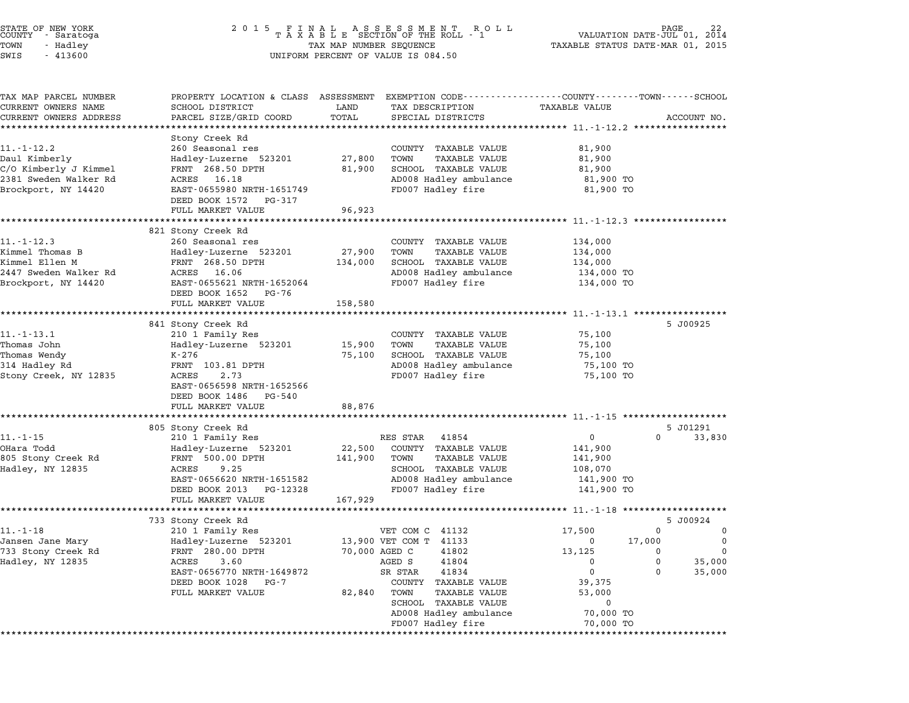| STATE OF NEW YORK<br>COUNTY - Saratoga<br>TOWN<br>- Hadley<br>$-413600$<br>SWIS                            | 2 0 1 5<br>FINAL ASSESSMENT ROLL<br>TAXABLE SECTION OF THE ROLL - 1<br>VALUATION DATE-JUL 01,<br>TAX MAP NUMBER SEQUENCE<br>TAXABLE STATUS DATE-MAR 01, 2015<br>UNIFORM PERCENT OF VALUE IS 084.50                 |                                           |                                                                                                                                                                                                                                      |                                                                                                                              | 22<br>2014                                                                |
|------------------------------------------------------------------------------------------------------------|--------------------------------------------------------------------------------------------------------------------------------------------------------------------------------------------------------------------|-------------------------------------------|--------------------------------------------------------------------------------------------------------------------------------------------------------------------------------------------------------------------------------------|------------------------------------------------------------------------------------------------------------------------------|---------------------------------------------------------------------------|
| TAX MAP PARCEL NUMBER<br>CURRENT OWNERS NAME<br>CURRENT OWNERS ADDRESS                                     | PROPERTY LOCATION & CLASS ASSESSMENT<br>SCHOOL DISTRICT<br>PARCEL SIZE/GRID COORD                                                                                                                                  | LAND<br>TOTAL<br>************             | EXEMPTION CODE-----------------COUNTY-------TOWN-----SCHOOL<br>TAX DESCRIPTION<br>SPECIAL DISTRICTS<br>********************************* 11-1-12.2 *****************                                                                 | TAXABLE VALUE                                                                                                                | ACCOUNT NO.                                                               |
| $11. - 1 - 12.2$<br>Daul Kimberly<br>C/O Kimberly J Kimmel<br>2381 Sweden Walker Rd<br>Brockport, NY 14420 | Stony Creek Rd<br>260 Seasonal res<br>Hadley-Luzerne 523201<br>FRNT 268.50 DPTH<br>ACRES<br>16.18<br>EAST-0655980 NRTH-1651749<br>DEED BOOK 1572<br>PG-317<br>FULL MARKET VALUE                                    | 27,800<br>81,900<br>96,923                | COUNTY TAXABLE VALUE<br><b>TAXABLE VALUE</b><br>TOWN<br>SCHOOL TAXABLE VALUE<br>AD008 Hadley ambulance<br>FD007 Hadley fire                                                                                                          | 81,900<br>81,900<br>81,900<br>81,900 TO<br>81,900 TO                                                                         |                                                                           |
| $11. - 1 - 12.3$<br>Kimmel Thomas B<br>Kimmel Ellen M<br>2447 Sweden Walker Rd<br>Brockport, NY 14420      | 821 Stony Creek Rd<br>260 Seasonal res<br>Hadley-Luzerne 523201<br>FRNT 268.50 DPTH<br>ACRES 16.06<br>EAST-0655621 NRTH-1652064<br>DEED BOOK 1652<br>PG-76<br>FULL MARKET VALUE                                    | 27,900<br>134,000<br>158,580              | COUNTY TAXABLE VALUE<br>TOWN<br>TAXABLE VALUE<br>SCHOOL TAXABLE VALUE<br>AD008 Hadley ambulance<br>FD007 Hadley fire                                                                                                                 | 134,000<br>134,000<br>134,000<br>134,000 TO<br>134,000 TO                                                                    |                                                                           |
| $11.-1-13.1$<br>Thomas John<br>Thomas Wendy<br>314 Hadley Rd<br>Stony Creek, NY 12835                      | *******************<br>841 Stony Creek Rd<br>210 1 Family Res<br>Hadley-Luzerne 523201<br>K-276<br>FRNT 103.81 DPTH<br>ACRES<br>2.73<br>EAST-0656598 NRTH-1652566<br>DEED BOOK 1486<br>PG-540<br>FULL MARKET VALUE | 15,900<br>75,100<br>88,876                | COUNTY TAXABLE VALUE<br><b>TAXABLE VALUE</b><br>TOWN<br>SCHOOL TAXABLE VALUE<br>AD008 Hadley ambulance<br>FD007 Hadley fire                                                                                                          | ************************** 11.-1-13.1 ************<br>75,100<br>75,100<br>75,100<br>75,100 TO<br>75,100 TO                   | 5 J00925                                                                  |
| $11. - 1 - 15$<br>OHara Todd<br>805 Stony Creek Rd<br>Hadley, NY 12835                                     | 805 Stony Creek Rd<br>210 1 Family Res<br>Hadley-Luzerne 523201<br>FRNT 500.00 DPTH<br>ACRES<br>9.25<br>EAST-0656620 NRTH-1651582<br>DEED BOOK 2013 PG-12328<br>FULL MARKET VALUE                                  | *********<br>22,500<br>141,900<br>167,929 | RES STAR<br>41854<br>COUNTY TAXABLE VALUE<br>TOWN<br>TAXABLE VALUE<br>SCHOOL TAXABLE VALUE<br>AD008 Hadley ambulance<br>FD007 Hadley fire                                                                                            | ***************************** 11.-1-15 *******************<br>0<br>141,900<br>141,900<br>108,070<br>141,900 TO<br>141,900 TO | 5 J01291<br>0<br>33,830                                                   |
| $11. - 1 - 18$<br>Jansen Jane Mary<br>733 Stony Creek Rd<br>Hadley, NY 12835                               | 733 Stony Creek Rd<br>210 1 Family Res<br>Hadley-Luzerne 523201<br>280.00 DPTH<br>FRNT<br>3.60<br>ACRES<br>EAST-0656770 NRTH-1649872<br>DEED BOOK 1028<br>PG-7<br>FULL MARKET VALUE                                | 70,000 AGED C<br>82,840                   | VET COM C<br>41132<br>13,900 VET COM T<br>41133<br>41802<br>AGED S<br>41804<br>41834<br>SR STAR<br>COUNTY<br>TAXABLE VALUE<br><b>TAXABLE VALUE</b><br>TOWN<br>SCHOOL<br>TAXABLE VALUE<br>AD008 Hadley ambulance<br>FD007 Hadley fire | 17,500<br>0<br>13,125<br>0<br>0<br>39,375<br>53,000<br>0<br>70,000 TO<br>70,000 TO                                           | 5 J00924<br>0<br>0<br>17,000<br>0<br>0<br>0<br>0<br>35,000<br>35,000<br>0 |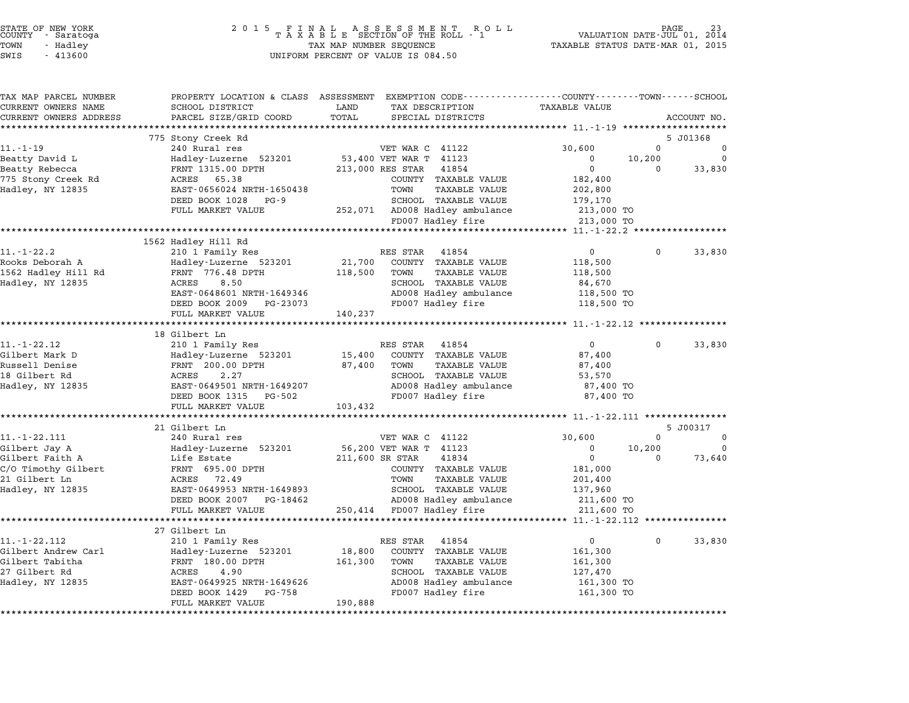| STATE OF NEW YORK<br>COUNTY – Saratoga<br>TOWN<br>- Hadley | 2 0 1 5                                              | FINAL ASSESSMENT ROLL<br>TAXABLE SECTION OF THE ROLL - 1<br>TAX MAP NUMBER SEQUENCE             | TAXABLE STATUS DATE-MAR 01, 2015                     | PAGE<br>VALUATION DATE-JUL 01, 2014 |
|------------------------------------------------------------|------------------------------------------------------|-------------------------------------------------------------------------------------------------|------------------------------------------------------|-------------------------------------|
| SWIS<br>$-413600$                                          |                                                      | UNIFORM PERCENT OF VALUE IS 084.50                                                              |                                                      |                                     |
| TAX MAP PARCEL NUMBER                                      |                                                      | PROPERTY LOCATION & CLASS ASSESSMENT EXEMPTION CODE----------------COUNTY-------TOWN-----SCHOOL |                                                      |                                     |
| CURRENT OWNERS NAME                                        | SCHOOL DISTRICT                                      | LAND<br>TAX DESCRIPTION                                                                         | <b>TAXABLE VALUE</b>                                 |                                     |
| CURRENT OWNERS ADDRESS                                     | PARCEL SIZE/GRID COORD                               | TOTAL<br>SPECIAL DISTRICTS                                                                      |                                                      | ACCOUNT NO.                         |
| ***********************                                    | ****************************                         |                                                                                                 |                                                      |                                     |
|                                                            | 775 Stony Creek Rd                                   |                                                                                                 |                                                      | 5 J01368                            |
| $11. - 1 - 19$                                             | 240 Rural res                                        | VET WAR C 41122                                                                                 | 30,600                                               | $\Omega$<br>0                       |
| Beatty David L<br>Beatty Rebecca                           | Hadley-Luzerne 523201<br>FRNT 1315.00 DPTH           | 53,400 VET WAR T 41123<br>213,000 RES STAR<br>41854                                             | $\mathbf 0$<br>10,200<br>$\Omega$                    | 0<br>33,830<br>$\Omega$             |
| 775 Stony Creek Rd                                         | 65.38<br>ACRES                                       | COUNTY TAXABLE VALUE                                                                            | 182,400                                              |                                     |
| Hadley, NY 12835                                           | EAST-0656024 NRTH-1650438                            | TOWN<br>TAXABLE VALUE                                                                           | 202,800                                              |                                     |
|                                                            | DEED BOOK 1028<br>$PG-9$                             | SCHOOL TAXABLE VALUE                                                                            | 179,170                                              |                                     |
|                                                            | FULL MARKET VALUE                                    | 252,071 AD008 Hadley ambulance<br>FD007 Hadley fire                                             | 213,000 TO<br>213,000 TO                             |                                     |
|                                                            |                                                      |                                                                                                 | **** 11.-1-22.2 **                                   |                                     |
|                                                            | 1562 Hadley Hill Rd                                  |                                                                                                 |                                                      |                                     |
| $11.-1-22.2$                                               | 210 1 Family Res                                     | RES STAR<br>41854                                                                               | $\mathbf 0$                                          | 0<br>33,830                         |
| Rooks Deborah A                                            | Hadley-Luzerne 523201                                | 21,700<br>COUNTY TAXABLE VALUE                                                                  | 118,500                                              |                                     |
| 1562 Hadley Hill Rd                                        | FRNT 776.48 DPTH                                     | 118,500<br>TOWN<br>TAXABLE VALUE                                                                | 118,500                                              |                                     |
| Hadley, NY 12835                                           | ACRES<br>8.50                                        | SCHOOL TAXABLE VALUE                                                                            | 84,670                                               |                                     |
|                                                            | EAST-0648601 NRTH-1649346                            | AD008 Hadley ambulance                                                                          | 118,500 TO                                           |                                     |
|                                                            | DEED BOOK 2009 PG-23073                              | FD007 Hadley fire                                                                               | 118,500 TO                                           |                                     |
|                                                            | FULL MARKET VALUE<br>**********************          | 140,237<br>*********                                                                            | ***************** 11.-1-22.12 **************         |                                     |
|                                                            | 18 Gilbert Ln                                        |                                                                                                 |                                                      |                                     |
| 11. - 1 - 22.12                                            | 210 1 Family Res                                     | RES STAR<br>41854                                                                               | $\mathbf 0$                                          | $\Omega$<br>33,830                  |
| Gilbert Mark D                                             | Hadley-Luzerne 523201                                | 15,400<br>COUNTY TAXABLE VALUE                                                                  | 87,400                                               |                                     |
| Russell Denise                                             | FRNT 200.00 DPTH                                     | 87,400<br>TOWN<br>TAXABLE VALUE                                                                 | 87,400                                               |                                     |
| 18 Gilbert Rd                                              | ACRES<br>2.27                                        | SCHOOL TAXABLE VALUE                                                                            | 53,570                                               |                                     |
| Hadley, NY 12835                                           | EAST-0649501 NRTH-1649207                            | AD008 Hadley ambulance                                                                          | 87,400 TO                                            |                                     |
|                                                            | DEED BOOK 1315<br>PG-502                             | FD007 Hadley fire                                                                               | 87,400 TO                                            |                                     |
|                                                            | FULL MARKET VALUE<br>************************        | 103,432<br>**********************                                                               | ********************** 11.-1-22.111 **************** |                                     |
|                                                            | 21 Gilbert Ln                                        |                                                                                                 |                                                      | 5 J00317                            |
| $11. - 1 - 22.111$                                         | 240 Rural res                                        | VET WAR C 41122                                                                                 | 30,600                                               | 0<br>0                              |
| Gilbert Jay A                                              | Hadley-Luzerne 523201                                | 56,200 VET WAR T 41123                                                                          | $\Omega$<br>10,200                                   | $\Omega$                            |
| Gilbert Faith A                                            | Life Estate                                          | 211,600 SR STAR<br>41834                                                                        | $\mathbf 0$                                          | $\Omega$<br>73,640                  |
| C/O Timothy Gilbert                                        | FRNT 695.00 DPTH                                     | COUNTY TAXABLE VALUE                                                                            | 181,000                                              |                                     |
| 21 Gilbert Ln                                              | ACRES<br>72.49                                       | TOWN<br>TAXABLE VALUE                                                                           | 201,400                                              |                                     |
| Hadley, NY 12835                                           | EAST-0649953 NRTH-1649893<br>DEED BOOK 2007 PG-18462 | SCHOOL TAXABLE VALUE<br>AD008 Hadley ambulance                                                  | 137,960<br>211,600 TO                                |                                     |
|                                                            | FULL MARKET VALUE                                    | 250,414 FD007 Hadley fire                                                                       | 211,600 TO                                           |                                     |
|                                                            | *************                                        |                                                                                                 | *** 11.-1-22.112                                     |                                     |
|                                                            | 27 Gilbert Ln                                        |                                                                                                 |                                                      |                                     |
| 11. -1-22.112                                              | 210 1 Family Res                                     | 41854<br>RES STAR                                                                               | $\mathbf 0$                                          | $\Omega$<br>33,830                  |
| Gilbert Andrew Carl                                        | Hadley-Luzerne 523201                                | 18,800<br>COUNTY TAXABLE VALUE                                                                  | 161,300                                              |                                     |
| Gilbert Tabitha                                            | FRNT 180.00 DPTH                                     | 161,300<br>TOWN<br>TAXABLE VALUE                                                                | 161,300                                              |                                     |
| 27 Gilbert Rd                                              | 4.90<br>ACRES                                        | SCHOOL TAXABLE VALUE                                                                            | 127,470                                              |                                     |
| Hadley, NY 12835                                           | EAST-0649925 NRTH-1649626                            | AD008 Hadley ambulance                                                                          | 161,300 TO                                           |                                     |
|                                                            | DEED BOOK 1429<br>PG-758<br>FULL MARKET VALUE        | FD007 Hadley fire<br>190,888                                                                    | 161,300 TO                                           |                                     |

\*\*\*\*\*\*\*\*\*\*\*\*\*\*\*\*\*\*\*\*\*\*\*\*\*\*\*\*\*\*\*\*\*\*\*\*\*\*\*\*\*\*\*\*\*\*\*\*\*\*\*\*\*\*\*\*\*\*\*\*\*\*\*\*\*\*\*\*\*\*\*\*\*\*\*\*\*\*\*\*\*\*\*\*\*\*\*\*\*\*\*\*\*\*\*\*\*\*\*\*\*\*\*\*\*\*\*\*\*\*\*\*\*\*\*\*\*\*\*\*\*\*\*\*\*\*\*\*\*\*\*\*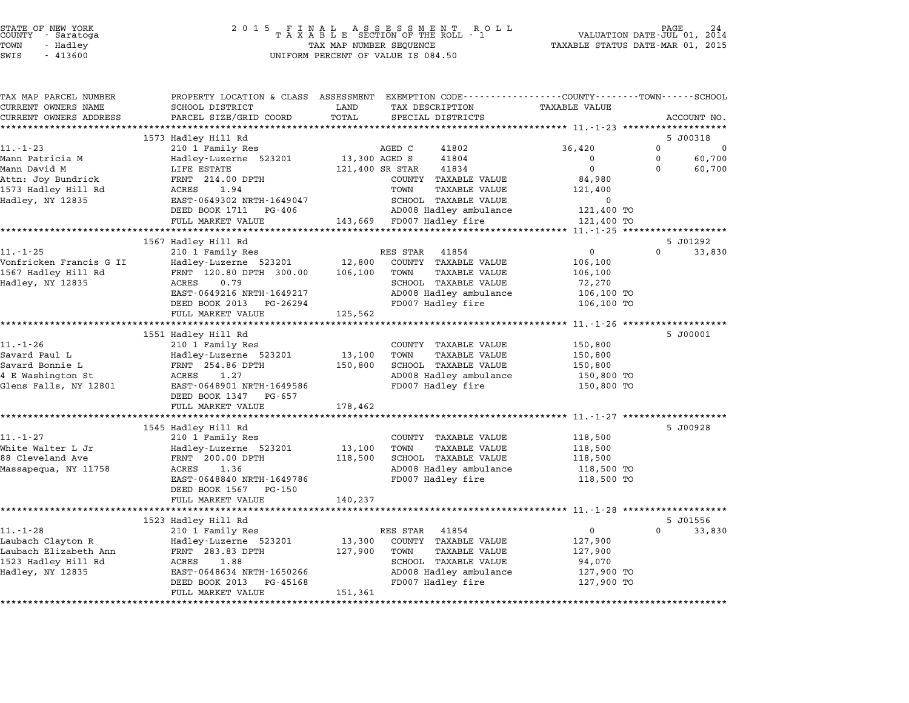# STATE OF NEW YORK <sup>2</sup> <sup>0</sup> <sup>1</sup> 5 F I N A L A S S E S S M E N T R O L L PAGE <sup>24</sup> COUNTY - Saratoga <sup>T</sup> <sup>A</sup> <sup>X</sup> <sup>A</sup> <sup>B</sup> <sup>L</sup> <sup>E</sup> SECTION OF THE ROLL - <sup>1</sup> VALUATION DATE-JUL 01, <sup>2014</sup> TOWN - Hadley TAX MAP NUMBER SEQUENCE TAXABLE STATUS DATE-MAR 01, <sup>2015</sup> STATE OF NEW YORK STATE OF NEW YORK A SOLUME TO A SOLUME TO A SOLUME TO A SOLUME TO A SOLUME TO A SOLUME TO A SOLUME TO A SOLUME TO A SOLUME TO A SOLUME TO A SOLUME TO A SOLUME TO A SOLUME TO A SOLUME TO A SOLUME TO A SOLU

| TAX MAP PARCEL NUMBER<br>CURRENT OWNERS NAME | SCHOOL DISTRICT                            | PROPERTY LOCATION & CLASS ASSESSMENT EXEMPTION CODE----------------COUNTY-------TOWN-----SCHOOL<br>TAX DESCRIPTION<br>LAND | <b>TAXABLE VALUE</b> |                         |
|----------------------------------------------|--------------------------------------------|----------------------------------------------------------------------------------------------------------------------------|----------------------|-------------------------|
| CURRENT OWNERS ADDRESS                       | PARCEL SIZE/GRID COORD                     | TOTAL<br>SPECIAL DISTRICTS                                                                                                 |                      | ACCOUNT NO.             |
|                                              |                                            |                                                                                                                            |                      |                         |
|                                              | 1573 Hadley Hill Rd                        |                                                                                                                            |                      | 5 J00318                |
| $11. - 1 - 23$                               | 210 1 Family Res                           | AGED C<br>41802                                                                                                            | 36,420               | $\Omega$<br>$\mathbf 0$ |
| Mann Patricia M                              | Hadley-Luzerne 523201                      | 13,300 AGED S<br>41804                                                                                                     | $\Omega$             | 60,700<br>$\mathbf{0}$  |
| Mann David M                                 | LIFE ESTATE                                | 121,400 SR STAR<br>41834                                                                                                   | $\Omega$             | $\Omega$<br>60,700      |
| Attn: Joy Bundrick                           | FRNT 214.00 DPTH                           | COUNTY TAXABLE VALUE                                                                                                       | 84,980               |                         |
| 1573 Hadley Hill Rd                          | ACRES<br>1.94                              | TOWN<br>TAXABLE VALUE                                                                                                      | 121,400              |                         |
| Hadley, NY 12835                             | EAST-0649302 NRTH-1649047                  | SCHOOL TAXABLE VALUE                                                                                                       | $\Omega$             |                         |
|                                              | DEED BOOK 1711 PG-406                      | AD008 Hadley ambulance                                                                                                     | 121,400 TO           |                         |
|                                              | FULL MARKET VALUE                          | 143,669 FD007 Hadley fire                                                                                                  | 121,400 TO           |                         |
|                                              |                                            |                                                                                                                            |                      |                         |
|                                              | 1567 Hadley Hill Rd                        |                                                                                                                            |                      | 5 J01292                |
| $11. - 1 - 25$                               | 210 1 Family Res                           | RES STAR 41854                                                                                                             | $\overline{0}$       | $\mathbf{0}$<br>33,830  |
| Vonfricken Francis G II                      | Hadley-Luzerne 523201 12,800               | COUNTY TAXABLE VALUE                                                                                                       | 106,100              |                         |
| 1567 Hadley Hill Rd                          | FRNT 120.80 DPTH 300.00                    | 106,100<br>TOWN<br><b>TAXABLE VALUE</b>                                                                                    | 106,100              |                         |
| Hadley, NY 12835                             | ACRES<br>0.79                              | SCHOOL TAXABLE VALUE                                                                                                       | 72,270               |                         |
|                                              | EAST-0649216 NRTH-1649217<br>PG-26294      | AD008 Hadley ambulance<br>FD007 Hadley fire                                                                                | 106,100 TO           |                         |
|                                              | DEED BOOK 2013<br>FULL MARKET VALUE        | 125,562                                                                                                                    | 106,100 TO           |                         |
|                                              |                                            |                                                                                                                            |                      |                         |
|                                              | 1551 Hadley Hill Rd                        |                                                                                                                            |                      | 5 J00001                |
| $11. - 1 - 26$                               | 210 1 Family Res                           | COUNTY TAXABLE VALUE                                                                                                       | 150,800              |                         |
| Savard Paul L                                | Hadley-Luzerne 523201                      | 13,100<br>TOWN<br>TAXABLE VALUE                                                                                            | 150,800              |                         |
| Savard Bonnie L                              | FRNT 254.86 DPTH                           | SCHOOL TAXABLE VALUE<br>150,800                                                                                            | 150,800              |                         |
| 4 E Washington St                            | 1.27<br>ACRES                              | AD008 Hadley ambulance                                                                                                     | 150,800 TO           |                         |
| Glens Falls, NY 12801                        | EAST-0648901 NRTH-1649586                  | FD007 Hadley fire                                                                                                          | 150,800 TO           |                         |
|                                              | DEED BOOK 1347 PG-657                      |                                                                                                                            |                      |                         |
|                                              | FULL MARKET VALUE                          | 178,462                                                                                                                    |                      |                         |
|                                              |                                            |                                                                                                                            |                      |                         |
|                                              | 1545 Hadley Hill Rd                        |                                                                                                                            |                      | 5 J00928                |
| $11. - 1 - 27$                               | 210 1 Family Res                           | COUNTY TAXABLE VALUE                                                                                                       | 118,500              |                         |
| White Walter L Jr                            | Hadley-Luzerne 523201                      | TOWN<br><b>TAXABLE VALUE</b><br>13,100                                                                                     | 118,500              |                         |
| 88 Cleveland Ave                             | FRNT 200.00 DPTH                           | 118,500<br>SCHOOL TAXABLE VALUE                                                                                            | 118,500              |                         |
| Massapequa, NY 11758                         | 1.36<br>ACRES                              | AD008 Hadley ambulance                                                                                                     | 118,500 TO           |                         |
|                                              | EAST-0648840 NRTH-1649786                  | FD007 Hadley fire                                                                                                          | 118,500 TO           |                         |
|                                              | DEED BOOK 1567 PG-150<br>FULL MARKET VALUE | 140,237                                                                                                                    |                      |                         |
|                                              |                                            |                                                                                                                            |                      |                         |
|                                              | 1523 Hadley Hill Rd                        |                                                                                                                            |                      | 5 J01556                |
| $11. - 1 - 28$                               | 210 1 Family Res                           | RES STAR<br>41854                                                                                                          | $\mathbf{0}$         | $\Omega$<br>33,830      |
| Laubach Clayton R                            | Hadley-Luzerne 523201                      | 13,300<br>COUNTY TAXABLE VALUE                                                                                             | 127,900              |                         |
| Laubach Elizabeth Ann                        | FRNT 283.83 DPTH                           | 127,900<br>TOWN<br><b>TAXABLE VALUE</b>                                                                                    | 127,900              |                         |
| 1523 Hadley Hill Rd                          | ACRES<br>1.88                              | SCHOOL TAXABLE VALUE                                                                                                       | 94,070               |                         |
| Hadley, NY 12835                             | EAST-0648634 NRTH-1650266                  | AD008 Hadley ambulance                                                                                                     | 127,900 TO           |                         |
|                                              | DEED BOOK 2013<br>PG-45168                 | FD007 Hadley fire                                                                                                          | 127,900 TO           |                         |
|                                              | FULL MARKET VALUE                          | 151,361                                                                                                                    |                      |                         |
|                                              |                                            |                                                                                                                            |                      |                         |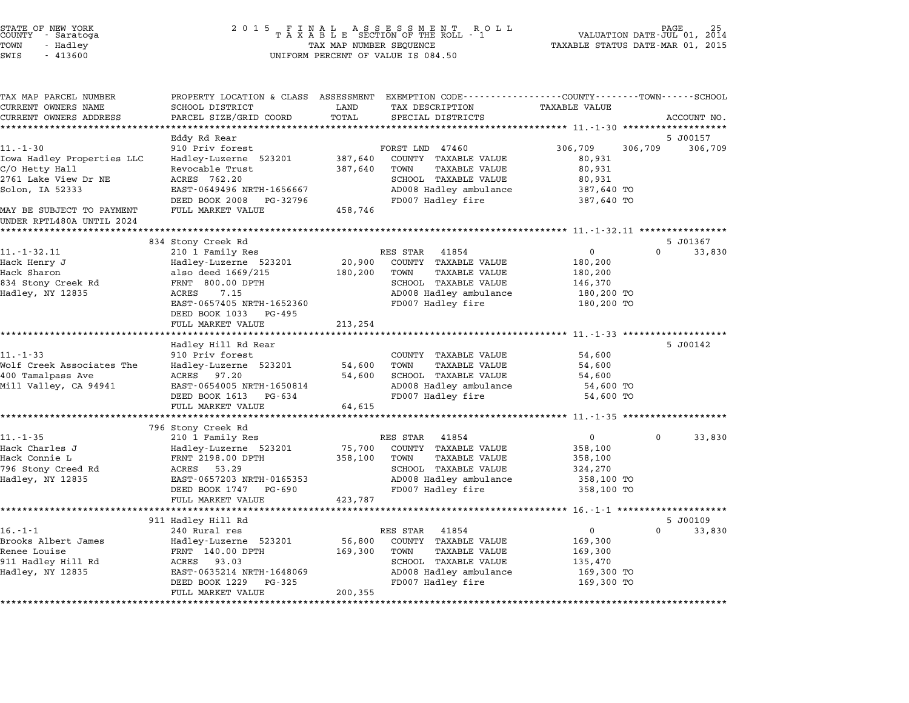| STATE OF NEW YORK                            |                                                    |                                                         |                                                                                                                          |
|----------------------------------------------|----------------------------------------------------|---------------------------------------------------------|--------------------------------------------------------------------------------------------------------------------------|
| COUNTY - Saratoga                            |                                                    |                                                         | 25 PAGE<br>VALUATION DATE-JUL 01, 2014                                                                                   |
| TOWN<br>- Hadley                             |                                                    | TAX MAP NUMBER SEQUENCE                                 | TAXABLE STATUS DATE-MAR 01, 2015                                                                                         |
| SWIS<br>$-413600$                            |                                                    | UNIFORM PERCENT OF VALUE IS 084.50                      |                                                                                                                          |
| TAX MAP PARCEL NUMBER<br>CURRENT OWNERS NAME | SCHOOL DISTRICT                                    | LAND<br>TAX DESCRIPTION                                 | PROPERTY LOCATION & CLASS ASSESSMENT EXEMPTION CODE----------------COUNTY-------TOWN------SCHOOL<br><b>TAXABLE VALUE</b> |
| CURRENT OWNERS ADDRESS                       | PARCEL SIZE/GRID COORD                             | TOTAL<br>SPECIAL DISTRICTS                              | ACCOUNT NO.                                                                                                              |
|                                              |                                                    |                                                         |                                                                                                                          |
|                                              | Eddy Rd Rear                                       |                                                         | 5 J00157                                                                                                                 |
| $11. - 1 - 30$                               | 910 Priv forest                                    | FORST LND 47460                                         | 306,709<br>306,709<br>306,709                                                                                            |
| Iowa Hadley Properties LLC                   | Hadley-Luzerne 523201                              | 387,640<br>COUNTY TAXABLE VALUE                         | 80,931                                                                                                                   |
| C/O Hetty Hall                               | Revocable Trust                                    | 387,640<br>TOWN<br>TAXABLE VALUE                        | 80,931                                                                                                                   |
| 2761 Lake View Dr NE                         | ACRES 762.20                                       | SCHOOL TAXABLE VALUE                                    | 80,931                                                                                                                   |
| Solon, IA 52333                              | EAST-0649496 NRTH-1656667                          | AD008 Hadley ambulance                                  | 387,640 TO                                                                                                               |
| MAY BE SUBJECT TO PAYMENT                    | DEED BOOK 2008<br>PG-32796<br>FULL MARKET VALUE    | FD007 Hadley fire<br>458,746                            | 387,640 TO                                                                                                               |
| UNDER RPTL480A UNTIL 2024                    |                                                    |                                                         |                                                                                                                          |
|                                              | 834 Stony Creek Rd                                 |                                                         | 5 J01367                                                                                                                 |
| $11. - 1 - 32.11$                            | 210 1 Family Res                                   | RES STAR<br>41854                                       | 0<br>$\Omega$<br>33,830                                                                                                  |
| Hack Henry J                                 | Hadley-Luzerne 523201                              | 20,900<br>COUNTY TAXABLE VALUE                          | 180,200                                                                                                                  |
| Hack Sharon                                  | also deed 1669/215                                 | 180,200<br>TOWN<br>TAXABLE VALUE                        | 180,200                                                                                                                  |
| 834 Stony Creek Rd                           | FRNT 800.00 DPTH                                   | SCHOOL TAXABLE VALUE                                    | 146,370                                                                                                                  |
| Hadley, NY 12835                             | ACRES<br>7.15                                      | AD008 Hadley ambulance                                  | 180,200 TO                                                                                                               |
|                                              | EAST-0657405 NRTH-1652360<br>DEED BOOK 1033 PG-495 | FD007 Hadley fire                                       | 180,200 TO                                                                                                               |
|                                              | FULL MARKET VALUE                                  | 213,254                                                 |                                                                                                                          |
|                                              |                                                    |                                                         |                                                                                                                          |
|                                              | Hadley Hill Rd Rear                                |                                                         | 5 J00142                                                                                                                 |
| $11. - 1 - 33$<br>Wolf Creek Associates The  | 910 Priv forest                                    | COUNTY TAXABLE VALUE<br>54,600<br>TOWN<br>TAXABLE VALUE | 54,600                                                                                                                   |
| 400 Tamalpass Ave                            | Hadley-Luzerne 523201<br>ACRES 97.20               | 54,600<br>SCHOOL TAXABLE VALUE                          | 54,600<br>54,600                                                                                                         |
| Mill Valley, CA 94941                        | EAST-0654005 NRTH-1650814                          | AD008 Hadley ambulance                                  | 54,600 TO                                                                                                                |
|                                              | DEED BOOK 1613 PG-634                              | FD007 Hadley fire                                       | 54,600 TO                                                                                                                |
|                                              | FULL MARKET VALUE                                  | 64,615                                                  |                                                                                                                          |
|                                              |                                                    |                                                         |                                                                                                                          |
|                                              | 796 Stony Creek Rd                                 |                                                         |                                                                                                                          |
| $11. - 1 - 35$                               | 210 1 Family Res                                   | RES STAR<br>41854                                       | 33,830<br>$\mathbf{0}$<br>$\Omega$                                                                                       |
| Hack Charles J                               | Hadley-Luzerne 523201                              | 75,700<br>COUNTY TAXABLE VALUE                          | 358,100                                                                                                                  |
| Hack Connie L                                | FRNT 2198.00 DPTH                                  | 358,100<br>TOWN<br>TAXABLE VALUE                        | 358,100                                                                                                                  |
| 796 Stony Creed Rd                           | ACRES<br>53.29                                     | SCHOOL TAXABLE VALUE                                    | 324,270                                                                                                                  |
| Hadley, NY 12835                             | EAST-0657203 NRTH-0165353                          | AD008 Hadley ambulance                                  | 358,100 TO                                                                                                               |
|                                              | DEED BOOK 1747<br>PG-690                           | FD007 Hadley fire                                       | 358,100 TO                                                                                                               |

FULL MARKET VALUE 423,787 \*\*\*\*\*\*\*\*\*\*\*\*\*\*\*\*\*\*\*\*\*\*\*\*\*\*\*\*\*\*\*\*\*\*\*\*\*\*\*\*\*\*\*\*\*\*\*\*\*\*\*\*\*\*\*\*\*\*\*\*\*\*\*\*\*\*\*\*\*\*\*\*\*\*\*\*\*\*\*\*\*\*\*\*\*\*\*\*\*\*\*\*\*\*\*\*\*\*\*\*\*\*\* 16.-1-1 \*\*\*\*\*\*\*\*\*\*\*\*\*\*\*\*\*\*\*\* 911 Hadley Hill Rd 5 J00109 16.-1-1 <sup>240</sup> Rural res RES STAR <sup>41854</sup> <sup>0</sup> <sup>0</sup> 33,830 Brooks Albert James Hadley-Luzerne <sup>523201</sup> 56,800 COUNTY TAXABLE VALUE 169,300 Renee Louise FRNT 140.00 DPTH 169,300 TOWN TAXABLE VALUE 169,300 erooks Arbeit James – Hadriey Idzelie 929201 – 90,000 Cookit IAAAbbu VADOL – 109,000 – 109,000<br>Renee Louise VALUE – 100,000 DPTH – 169,300 – 100M – TAXABLE VALUE – 169,300 – 109,000 – 109,000 – 109,000 – 1 Hadley, NY <sup>12835</sup> EAST-0635214 NRTH-1648069 AD008 Hadley ambulance 169,300 TO PORT 1997 - 1997 PG-325 FORD BOOK 1229 PG-325 FD007 Hadley fire 169,300 TO<br>
BEED BOOK 1229 PG-325 FD008 Hadley fire 169,300 TO EAST-0635214 NRTH-1648069<br>DEED BOOK 1229 PG-325<br>FULL MARKET VALUE 200,355

\*\*\*\*\*\*\*\*\*\*\*\*\*\*\*\*\*\*\*\*\*\*\*\*\*\*\*\*\*\*\*\*\*\*\*\*\*\*\*\*\*\*\*\*\*\*\*\*\*\*\*\*\*\*\*\*\*\*\*\*\*\*\*\*\*\*\*\*\*\*\*\*\*\*\*\*\*\*\*\*\*\*\*\*\*\*\*\*\*\*\*\*\*\*\*\*\*\*\*\*\*\*\*\*\*\*\*\*\*\*\*\*\*\*\*\*\*\*\*\*\*\*\*\*\*\*\*\*\*\*\*\*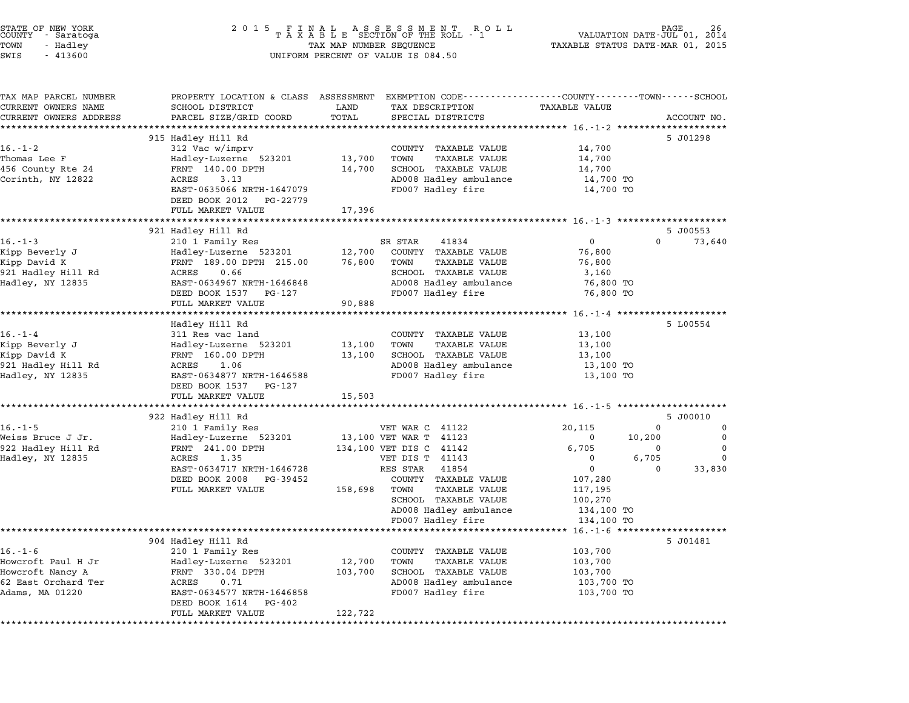| STATE OF NEW YORK<br>COUNTY<br>- Saratoga<br>TOWN<br>- Hadley<br>SWIS<br>$-413600$ | 2 0 1 5<br>FINAL ASSESSMENT ROTAXABLE SECTION OF THE ROLL - 1<br>TAX MAP NUMBER SEQUENCE<br>UNIFORM PERCENT OF VALUE IS 084.50 | PAGE<br>R O L L<br>VALUATION DATE-JUL 01, 2014<br>TAXABLE STATUS DATE-MAR 01, 2015 |                                                             |                          |                  |                              |
|------------------------------------------------------------------------------------|--------------------------------------------------------------------------------------------------------------------------------|------------------------------------------------------------------------------------|-------------------------------------------------------------|--------------------------|------------------|------------------------------|
| TAX MAP PARCEL NUMBER                                                              | PROPERTY LOCATION & CLASS ASSESSMENT EXEMPTION CODE---------------COUNTY-------TOWN------SCHOOL                                |                                                                                    |                                                             |                          |                  |                              |
| CURRENT OWNERS NAME                                                                | SCHOOL DISTRICT                                                                                                                | LAND                                                                               | TAX DESCRIPTION                                             | <b>TAXABLE VALUE</b>     |                  |                              |
| CURRENT OWNERS ADDRESS                                                             | PARCEL SIZE/GRID COORD                                                                                                         | TOTAL<br>**************                                                            | SPECIAL DISTRICTS<br>*************************** 16.-1-2 ** |                          |                  | ACCOUNT NO.<br>************* |
|                                                                                    | 915 Hadley Hill Rd                                                                                                             |                                                                                    |                                                             |                          |                  | 5 J01298                     |
| $16. - 1 - 2$                                                                      | 312 Vac w/imprv                                                                                                                |                                                                                    | COUNTY TAXABLE VALUE                                        | 14,700                   |                  |                              |
| Thomas Lee F                                                                       | Hadley-Luzerne 523201                                                                                                          | 13,700                                                                             | TOWN<br><b>TAXABLE VALUE</b>                                | 14,700                   |                  |                              |
| 456 County Rte 24                                                                  | FRNT 140.00 DPTH                                                                                                               | 14,700                                                                             | SCHOOL TAXABLE VALUE                                        | 14,700                   |                  |                              |
| Corinth, NY 12822                                                                  | ACRES<br>3.13                                                                                                                  |                                                                                    | AD008 Hadley ambulance                                      | 14,700 TO                |                  |                              |
|                                                                                    | EAST-0635066 NRTH-1647079                                                                                                      |                                                                                    | FD007 Hadley fire                                           | 14,700 TO                |                  |                              |
|                                                                                    | DEED BOOK 2012<br>PG-22779                                                                                                     |                                                                                    |                                                             |                          |                  |                              |
|                                                                                    | FULL MARKET VALUE                                                                                                              | 17,396                                                                             |                                                             |                          |                  |                              |
|                                                                                    | 921 Hadley Hill Rd                                                                                                             |                                                                                    |                                                             |                          |                  | 5 J00553                     |
| $16. - 1 - 3$                                                                      | 210 1 Family Res                                                                                                               |                                                                                    | SR STAR<br>41834                                            | $\mathbf 0$              | $\Omega$         | 73,640                       |
| Kipp Beverly J                                                                     | Hadley-Luzerne 523201                                                                                                          | 12,700                                                                             | COUNTY TAXABLE VALUE                                        | 76,800                   |                  |                              |
| Kipp David K                                                                       | FRNT 189.00 DPTH 215.00                                                                                                        | 76,800                                                                             | <b>TAXABLE VALUE</b><br>TOWN                                | 76,800                   |                  |                              |
| 921 Hadley Hill Rd                                                                 | ACRES<br>0.66                                                                                                                  |                                                                                    | SCHOOL TAXABLE VALUE                                        | 3,160                    |                  |                              |
| Hadley, NY 12835                                                                   | EAST-0634967 NRTH-1646848                                                                                                      |                                                                                    | AD008 Hadley ambulance                                      | 76,800 TO                |                  |                              |
|                                                                                    | DEED BOOK 1537<br>PG-127                                                                                                       |                                                                                    | FD007 Hadley fire                                           | 76,800 TO                |                  |                              |
|                                                                                    | FULL MARKET VALUE                                                                                                              | 90,888                                                                             |                                                             |                          |                  |                              |
|                                                                                    | Hadley Hill Rd                                                                                                                 |                                                                                    |                                                             |                          |                  | 5 L00554                     |
| $16. - 1 - 4$                                                                      | 311 Res vac land                                                                                                               |                                                                                    | COUNTY TAXABLE VALUE                                        | 13,100                   |                  |                              |
| Kipp Beverly J                                                                     | Hadley-Luzerne 523201                                                                                                          | 13,100                                                                             | TOWN<br><b>TAXABLE VALUE</b>                                | 13,100                   |                  |                              |
| Kipp David K                                                                       | FRNT 160.00 DPTH                                                                                                               | 13,100                                                                             | SCHOOL TAXABLE VALUE                                        | 13,100                   |                  |                              |
| 921 Hadley Hill Rd                                                                 | ACRES<br>1.06                                                                                                                  |                                                                                    | AD008 Hadley ambulance                                      | 13,100 TO                |                  |                              |
| Hadley, NY 12835                                                                   | EAST-0634877 NRTH-1646588                                                                                                      |                                                                                    | FD007 Hadley fire                                           | 13,100 TO                |                  |                              |
|                                                                                    | DEED BOOK 1537<br>PG-127                                                                                                       |                                                                                    |                                                             |                          |                  |                              |
|                                                                                    | FULL MARKET VALUE<br>********************                                                                                      | 15,503                                                                             |                                                             | ********** 16.-1-5 **    | **************** |                              |
|                                                                                    | 922 Hadley Hill Rd                                                                                                             |                                                                                    |                                                             |                          |                  | 5 J00010                     |
| $16. - 1 - 5$                                                                      | 210 1 Family Res                                                                                                               |                                                                                    | VET WAR C 41122                                             | 20,115                   | 0                | 0                            |
| Weiss Bruce J Jr.                                                                  | Hadley-Luzerne 523201                                                                                                          |                                                                                    | 13,100 VET WAR T 41123                                      | $\overline{0}$           | 10,200           | $\Omega$                     |
| 922 Hadley Hill Rd                                                                 | FRNT 241.00 DPTH                                                                                                               |                                                                                    | 134,100 VET DIS C 41142                                     | 6,705                    | 0                | 0                            |
| Hadley, NY 12835                                                                   | ACRES<br>1.35                                                                                                                  |                                                                                    | VET DIS T 41143                                             | $\mathbf 0$              | 6,705            | 0                            |
|                                                                                    | EAST-0634717 NRTH-1646728                                                                                                      |                                                                                    | RES STAR 41854                                              | $\Omega$                 | $\Omega$         | 33,830                       |
|                                                                                    | DEED BOOK 2008 PG-39452                                                                                                        |                                                                                    | COUNTY TAXABLE VALUE                                        | 107,280                  |                  |                              |
|                                                                                    | FULL MARKET VALUE                                                                                                              | 158,698 TOWN                                                                       | <b>TAXABLE VALUE</b><br>SCHOOL TAXABLE VALUE                | 117,195<br>100,270       |                  |                              |
|                                                                                    |                                                                                                                                |                                                                                    | AD008 Hadley ambulance                                      | 134,100 TO               |                  |                              |
|                                                                                    |                                                                                                                                |                                                                                    | FD007 Hadley fire                                           | 134,100 TO               |                  |                              |
|                                                                                    |                                                                                                                                |                                                                                    |                                                             | $16. - 1 - 6$ **         |                  |                              |
|                                                                                    | 904 Hadley Hill Rd                                                                                                             |                                                                                    |                                                             |                          |                  | 5 J01481                     |
| $16. - 1 - 6$                                                                      | 210 1 Family Res                                                                                                               |                                                                                    | COUNTY TAXABLE VALUE                                        | 103,700                  |                  |                              |
| Howcroft Paul H Jr                                                                 | Hadley-Luzerne 523201                                                                                                          | 12,700                                                                             | TOWN<br><b>TAXABLE VALUE</b>                                | 103,700                  |                  |                              |
| Howcroft Nancy A<br>62 East Orchard Ter                                            | FRNT 330.04 DPTH<br>0.71<br>ACRES                                                                                              | 103,700                                                                            | SCHOOL TAXABLE VALUE<br>AD008 Hadley ambulance              | 103,700                  |                  |                              |
| Adams, MA 01220                                                                    | EAST-0634577 NRTH-1646858                                                                                                      |                                                                                    | FD007 Hadley fire                                           | 103,700 TO<br>103,700 TO |                  |                              |
|                                                                                    | DEED BOOK 1614<br>PG-402<br>FULL MARKET VALUE                                                                                  | 122,722                                                                            |                                                             |                          |                  |                              |
|                                                                                    | **************************                                                                                                     |                                                                                    |                                                             |                          |                  |                              |

STATE OF NEW YORK <sup>2</sup> <sup>0</sup> <sup>1</sup> 5 F I N A L A S S E S S M E N T R O L L PAGE <sup>26</sup> COUNTY - Saratoga <sup>T</sup> <sup>A</sup> <sup>X</sup> <sup>A</sup> <sup>B</sup> <sup>L</sup> <sup>E</sup> SECTION OF THE ROLL - <sup>1</sup> VALUATION DATE-JUL 01, <sup>2014</sup>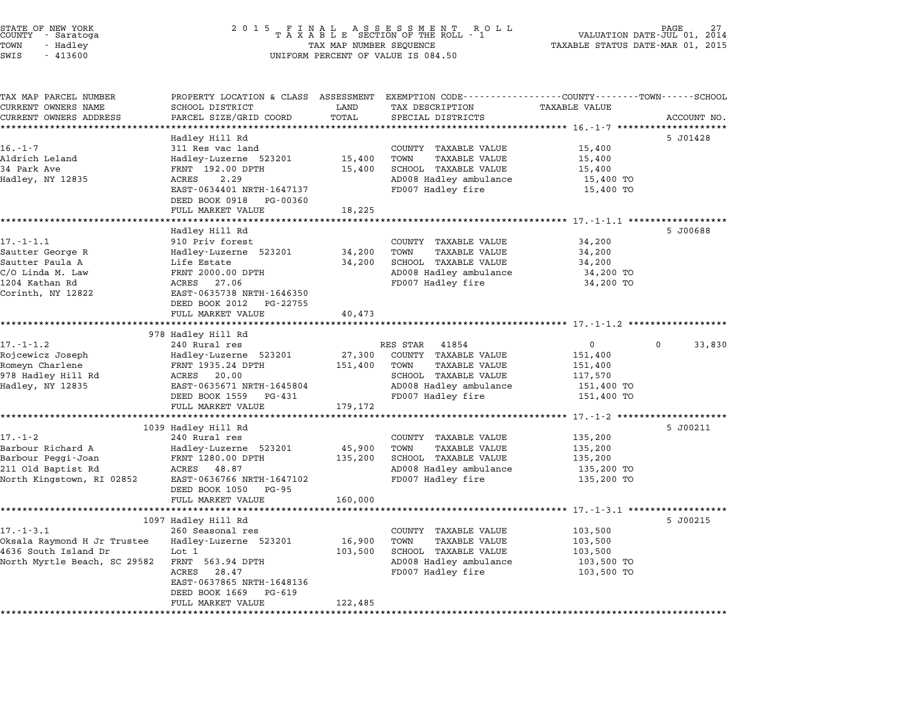| STATE OF NEW YORK<br>COUNTY - Saratoga<br>TOWN<br>- Hadley<br>SWIS<br>$-413600$                                   | 2 0 1 5<br>FINAL ASSESSMENT ROL<br>TAXABLE SECTION OF THE ROLL - 1<br>R O L L<br>TAX MAP NUMBER SEQUENCE<br>UNIFORM PERCENT OF VALUE IS 084.50                                                |                              |                                                                                                                                                  | VALUATION DATE-JUL 01,<br>2014<br>TAXABLE STATUS DATE-MAR 01, 2015                                 |                        |
|-------------------------------------------------------------------------------------------------------------------|-----------------------------------------------------------------------------------------------------------------------------------------------------------------------------------------------|------------------------------|--------------------------------------------------------------------------------------------------------------------------------------------------|----------------------------------------------------------------------------------------------------|------------------------|
| TAX MAP PARCEL NUMBER<br>CURRENT OWNERS NAME<br>CURRENT OWNERS ADDRESS                                            | PROPERTY LOCATION & CLASS ASSESSMENT EXEMPTION CODE----------------COUNTY-------TOWN------SCHOOL<br>SCHOOL DISTRICT<br>PARCEL SIZE/GRID COORD                                                 | LAND<br>TOTAL                | TAX DESCRIPTION<br>SPECIAL DISTRICTS                                                                                                             | <b>TAXABLE VALUE</b>                                                                               | ACCOUNT NO.            |
|                                                                                                                   |                                                                                                                                                                                               | ********                     | ********************************** 16.-1-7 **********                                                                                            |                                                                                                    |                        |
| $16. - 1 - 7$<br>Aldrich Leland<br>34 Park Ave<br>Hadley, NY 12835                                                | Hadley Hill Rd<br>311 Res vac land<br>Hadley-Luzerne 523201<br>FRNT 192.00 DPTH<br>ACRES<br>2.29<br>EAST-0634401 NRTH-1647137<br>DEED BOOK 0918<br>PG-00360<br>FULL MARKET VALUE              | 15,400<br>15,400<br>18,225   | COUNTY TAXABLE VALUE<br>TOWN<br><b>TAXABLE VALUE</b><br>SCHOOL TAXABLE VALUE<br>AD008 Hadley ambulance<br>FD007 Hadley fire                      | 15,400<br>15,400<br>15,400<br>15,400 TO<br>15,400 TO                                               | 5 J01428               |
|                                                                                                                   |                                                                                                                                                                                               |                              |                                                                                                                                                  |                                                                                                    |                        |
| $17. - 1 - 1.1$<br>Sautter George R<br>Sautter Paula A<br>C/O Linda M. Law<br>1204 Kathan Rd<br>Corinth, NY 12822 | Hadley Hill Rd<br>910 Priv forest<br>Hadley-Luzerne 523201<br>Life Estate<br>FRNT 2000.00 DPTH<br>ACRES<br>27.06<br>EAST-0635738 NRTH-1646350<br>DEED BOOK 2012<br>PG-22755                   | 34,200<br>34,200             | COUNTY TAXABLE VALUE<br>TOWN<br>TAXABLE VALUE<br>SCHOOL TAXABLE VALUE<br>AD008 Hadley ambulance<br>FD007 Hadley fire                             | 34,200<br>34,200<br>34,200<br>34,200 TO<br>34,200 TO                                               | 5 J00688               |
|                                                                                                                   | FULL MARKET VALUE                                                                                                                                                                             | 40,473                       |                                                                                                                                                  |                                                                                                    |                        |
|                                                                                                                   |                                                                                                                                                                                               |                              |                                                                                                                                                  |                                                                                                    |                        |
| $17. - 1 - 1.2$<br>Rojcewicz Joseph<br>Romeyn Charlene<br>978 Hadley Hill Rd<br>Hadley, NY 12835                  | 978 Hadley Hill Rd<br>240 Rural res<br>Hadley-Luzerne 523201<br>FRNT 1935.24 DPTH<br>ACRES<br>20.00<br>EAST-0635671 NRTH-1645804<br>DEED BOOK 1559<br>PG-431                                  | 27,300<br>151,400            | RES STAR<br>41854<br>COUNTY TAXABLE VALUE<br>TOWN<br><b>TAXABLE VALUE</b><br>SCHOOL TAXABLE VALUE<br>AD008 Hadley ambulance<br>FD007 Hadley fire | 0<br>151,400<br>151,400<br>117,570<br>151,400 TO<br>151,400 TO                                     | $\mathbf{0}$<br>33,830 |
|                                                                                                                   | FULL MARKET VALUE                                                                                                                                                                             | 179,172                      |                                                                                                                                                  |                                                                                                    |                        |
| 17.-1-2<br>Barbour Richard A<br>Barbour Peggi-Joan<br>211 Old Baptist Rd<br>North Kingstown, RI 02852             | 1039 Hadley Hill Rd<br>240 Rural res<br>Hadley-Luzerne 523201<br>FRNT 1280.00 DPTH<br>ACRES<br>48.87<br>EAST-0636766 NRTH-1647102<br>DEED BOOK 1050<br>PG-95<br>FULL MARKET VALUE             | 45,900<br>135,200<br>160,000 | COUNTY TAXABLE VALUE<br>TOWN<br><b>TAXABLE VALUE</b><br>SCHOOL TAXABLE VALUE<br>AD008 Hadley ambulance<br>FD007 Hadley fire                      | ******* 17.-1-2 *********************<br>135,200<br>135,200<br>135,200<br>135,200 TO<br>135,200 TO | 5 J00211               |
|                                                                                                                   |                                                                                                                                                                                               |                              |                                                                                                                                                  |                                                                                                    |                        |
| $17. - 1 - 3.1$<br>Oksala Raymond H Jr Trustee<br>4636 South Island Dr<br>North Myrtle Beach, SC 29582            | 1097 Hadley Hill Rd<br>260 Seasonal res<br>Hadley-Luzerne 523201<br>Lot 1<br>FRNT 563.94 DPTH<br>ACRES<br>28.47<br>EAST-0637865 NRTH-1648136<br>DEED BOOK 1669<br>PG-619<br>FULL MARKET VALUE | 16,900<br>103,500<br>122,485 | COUNTY TAXABLE VALUE<br>TOWN<br>TAXABLE VALUE<br>SCHOOL TAXABLE VALUE<br>AD008 Hadley ambulance<br>FD007 Hadley fire                             | 103,500<br>103,500<br>103,500<br>103,500 TO<br>103,500 TO                                          | 5 J00215               |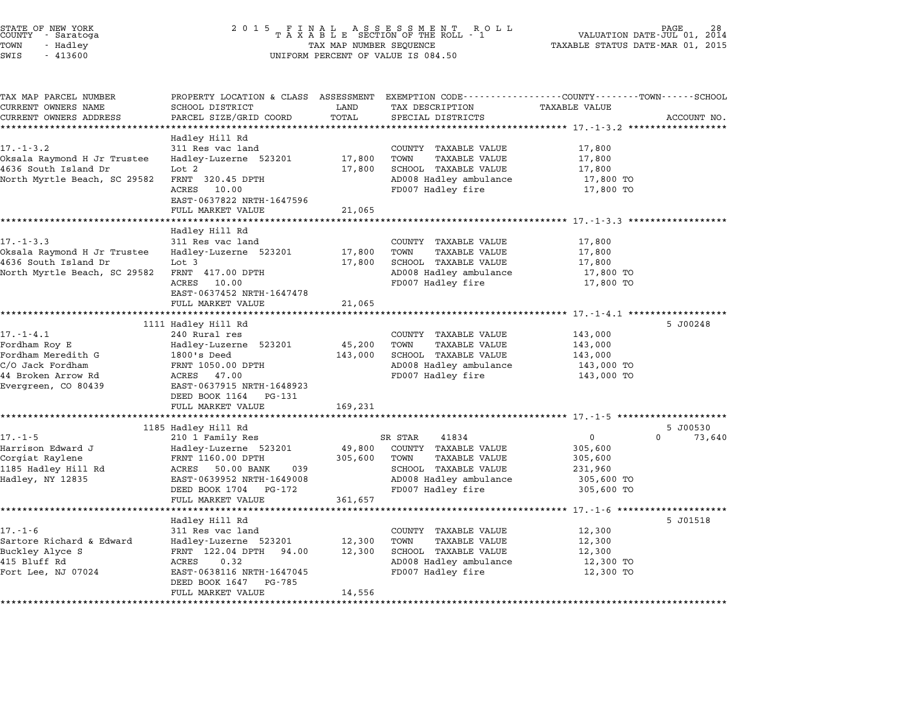| STATE OF NEW YORK<br>COUNTY<br>- Saratoga<br>TOWN<br>- Hadley<br>SWIS<br>$-413600$ | 2 0 1 5<br>TAXABLE SECTION OF THE ROLL - 1<br>TAX MAP NUMBER SEQUENCE<br>UNIFORM PERCENT OF VALUE IS 084.50 | R O L L<br>PAGE<br>VALUATION DATE-JUL 01, 2014<br>TAXABLE STATUS DATE-MAR 01, 2015 |                                                                               |                               |                    |
|------------------------------------------------------------------------------------|-------------------------------------------------------------------------------------------------------------|------------------------------------------------------------------------------------|-------------------------------------------------------------------------------|-------------------------------|--------------------|
| TAX MAP PARCEL NUMBER<br>CURRENT OWNERS NAME                                       | PROPERTY LOCATION & CLASS ASSESSMENT<br>SCHOOL DISTRICT                                                     | LAND                                                                               | EXEMPTION CODE----------------COUNTY-------TOWN-----SCHOOL<br>TAX DESCRIPTION | <b>TAXABLE VALUE</b>          |                    |
| CURRENT OWNERS ADDRESS                                                             | PARCEL SIZE/GRID COORD                                                                                      | TOTAL                                                                              | SPECIAL DISTRICTS                                                             |                               | ACCOUNT NO.        |
|                                                                                    | *********************                                                                                       | *********                                                                          | ********************************* 17-1-3.2 ******************                 |                               |                    |
|                                                                                    | Hadley Hill Rd                                                                                              |                                                                                    |                                                                               |                               |                    |
| $17. - 1 - 3.2$                                                                    | 311 Res vac land                                                                                            |                                                                                    | COUNTY TAXABLE VALUE                                                          | 17,800                        |                    |
| Oksala Raymond H Jr Trustee                                                        | Hadley-Luzerne 523201                                                                                       | 17,800                                                                             | TOWN<br><b>TAXABLE VALUE</b>                                                  | 17,800                        |                    |
| 4636 South Island Dr                                                               | Lot 2                                                                                                       | 17,800                                                                             | SCHOOL TAXABLE VALUE                                                          | 17,800                        |                    |
| North Myrtle Beach, SC 29582                                                       | FRNT 320.45 DPTH<br>ACRES<br>10.00                                                                          |                                                                                    | AD008 Hadley ambulance<br>FD007 Hadley fire                                   | 17,800 TO                     |                    |
|                                                                                    | EAST-0637822 NRTH-1647596                                                                                   |                                                                                    |                                                                               | 17,800 TO                     |                    |
|                                                                                    | FULL MARKET VALUE                                                                                           | 21,065                                                                             |                                                                               |                               |                    |
|                                                                                    |                                                                                                             | *******:                                                                           |                                                                               | *********** 17.-1-3.3 ******* |                    |
|                                                                                    | Hadley Hill Rd                                                                                              |                                                                                    |                                                                               |                               |                    |
| $17. - 1 - 3.3$                                                                    | 311 Res vac land                                                                                            |                                                                                    | COUNTY TAXABLE VALUE                                                          | 17,800                        |                    |
| Oksala Raymond H Jr Trustee                                                        | Hadley-Luzerne 523201                                                                                       | 17,800                                                                             | TOWN<br>TAXABLE VALUE                                                         | 17,800                        |                    |
| 4636 South Island Dr                                                               | Lot 3                                                                                                       | 17,800                                                                             | SCHOOL TAXABLE VALUE                                                          | 17,800                        |                    |
| North Myrtle Beach, SC 29582                                                       | FRNT 417.00 DPTH                                                                                            |                                                                                    | AD008 Hadley ambulance                                                        | 17,800 TO                     |                    |
|                                                                                    | ACRES<br>10.00<br>EAST-0637452 NRTH-1647478                                                                 |                                                                                    | FD007 Hadley fire                                                             | 17,800 TO                     |                    |
|                                                                                    | FULL MARKET VALUE                                                                                           | 21,065                                                                             |                                                                               |                               |                    |
|                                                                                    | ************************                                                                                    |                                                                                    |                                                                               |                               |                    |
|                                                                                    | 1111 Hadley Hill Rd                                                                                         |                                                                                    |                                                                               |                               | 5 J00248           |
| $17. - 1 - 4.1$                                                                    | 240 Rural res                                                                                               |                                                                                    | COUNTY TAXABLE VALUE                                                          | 143,000                       |                    |
| Fordham Roy E                                                                      | Hadley-Luzerne 523201                                                                                       | 45,200                                                                             | TOWN<br><b>TAXABLE VALUE</b>                                                  | 143,000                       |                    |
| Fordham Meredith G                                                                 | 1800's Deed                                                                                                 | 143,000                                                                            | SCHOOL TAXABLE VALUE                                                          | 143,000                       |                    |
| C/O Jack Fordham                                                                   | FRNT 1050.00 DPTH                                                                                           |                                                                                    | AD008 Hadley ambulance                                                        | 143,000 TO                    |                    |
| 44 Broken Arrow Rd<br>Evergreen, CO 80439                                          | ACRES 47.00<br>EAST-0637915 NRTH-1648923                                                                    |                                                                                    | FD007 Hadley fire                                                             | 143,000 TO                    |                    |
|                                                                                    | DEED BOOK 1164<br>PG-131                                                                                    |                                                                                    |                                                                               |                               |                    |
|                                                                                    | FULL MARKET VALUE                                                                                           | 169,231                                                                            |                                                                               |                               |                    |
|                                                                                    |                                                                                                             |                                                                                    | ******************************** 17. -1-5 **************                      |                               |                    |
|                                                                                    | 1185 Hadley Hill Rd                                                                                         |                                                                                    |                                                                               |                               | 5 J00530           |
| $17. - 1 - 5$                                                                      | 210 1 Family Res                                                                                            |                                                                                    | SR STAR<br>41834                                                              | $\mathbf{0}$                  | $\Omega$<br>73,640 |
| Harrison Edward J                                                                  | Hadley-Luzerne 523201                                                                                       | 49,800                                                                             | COUNTY TAXABLE VALUE                                                          | 305,600                       |                    |
| Corgiat Raylene                                                                    | FRNT 1160.00 DPTH                                                                                           | 305,600                                                                            | <b>TAXABLE VALUE</b><br>TOWN                                                  | 305,600                       |                    |
| 1185 Hadley Hill Rd                                                                | ACRES<br>50.00 BANK<br>039                                                                                  |                                                                                    | SCHOOL TAXABLE VALUE                                                          | 231,960                       |                    |
| Hadley, NY 12835                                                                   | EAST-0639952 NRTH-1649008<br>DEED BOOK 1704<br>PG-172                                                       |                                                                                    | AD008 Hadley ambulance<br>FD007 Hadley fire                                   | 305,600 TO<br>305,600 TO      |                    |
|                                                                                    | FULL MARKET VALUE                                                                                           | 361,657                                                                            |                                                                               |                               |                    |
|                                                                                    |                                                                                                             |                                                                                    |                                                                               | ********** 17.-1-6 *          |                    |
|                                                                                    | Hadley Hill Rd                                                                                              |                                                                                    |                                                                               |                               | 5 J01518           |
| $17. - 1 - 6$                                                                      | 311 Res vac land                                                                                            |                                                                                    | COUNTY TAXABLE VALUE                                                          | 12,300                        |                    |
| Sartore Richard & Edward                                                           | Hadley-Luzerne 523201                                                                                       | 12,300                                                                             | TOWN<br><b>TAXABLE VALUE</b>                                                  | 12,300                        |                    |
| Buckley Alyce S                                                                    | FRNT 122.04 DPTH 94.00                                                                                      | 12,300                                                                             | SCHOOL TAXABLE VALUE                                                          | 12,300                        |                    |
| 415 Bluff Rd                                                                       | ACRES<br>0.32                                                                                               |                                                                                    | AD008 Hadley ambulance                                                        | 12,300 TO                     |                    |
| Fort Lee, NJ 07024                                                                 | EAST-0638116 NRTH-1647045                                                                                   |                                                                                    | FD007 Hadley fire                                                             | 12,300 TO                     |                    |
|                                                                                    | DEED BOOK 1647<br>PG-785<br>FULL MARKET VALUE                                                               | 14,556                                                                             |                                                                               |                               |                    |
|                                                                                    |                                                                                                             |                                                                                    |                                                                               |                               |                    |

STATE OF NEW YORK <sup>2</sup> <sup>0</sup> <sup>1</sup> 5 F I N A L A S S E S S M E N T R O L L PAGE <sup>28</sup> COUNTY - Saratoga <sup>T</sup> <sup>A</sup> <sup>X</sup> <sup>A</sup> <sup>B</sup> <sup>L</sup> <sup>E</sup> SECTION OF THE ROLL - <sup>1</sup> VALUATION DATE-JUL 01, <sup>2014</sup>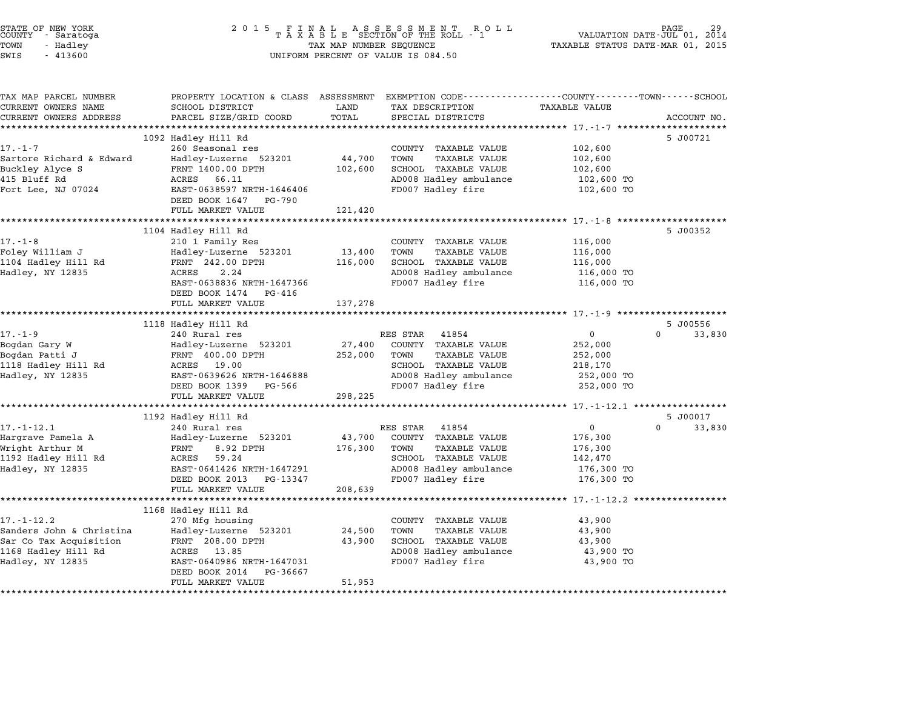| 2 0 1 5<br>FINAL ASSESSMENT ROTAXABLE SECTION OF THE ROLL - 1<br>R O L L<br>TAX MAP NUMBER SEQUENCE<br>UNIFORM PERCENT OF VALUE IS 084.50 |                                                                                                                                                                                                                                                                                                                                                                                                                                                                                                               |                                                                         | VALUATION DATE-JUL 01, 2014<br>TAXABLE STATUS DATE-MAR 01, 2015                                                                                                                                                                                                                                                                                                                                     | PAGE                                                                                                                                                                                                                                                                                                                             |
|-------------------------------------------------------------------------------------------------------------------------------------------|---------------------------------------------------------------------------------------------------------------------------------------------------------------------------------------------------------------------------------------------------------------------------------------------------------------------------------------------------------------------------------------------------------------------------------------------------------------------------------------------------------------|-------------------------------------------------------------------------|-----------------------------------------------------------------------------------------------------------------------------------------------------------------------------------------------------------------------------------------------------------------------------------------------------------------------------------------------------------------------------------------------------|----------------------------------------------------------------------------------------------------------------------------------------------------------------------------------------------------------------------------------------------------------------------------------------------------------------------------------|
| SCHOOL DISTRICT                                                                                                                           | LAND                                                                                                                                                                                                                                                                                                                                                                                                                                                                                                          | TAX DESCRIPTION                                                         | <b>TAXABLE VALUE</b>                                                                                                                                                                                                                                                                                                                                                                                |                                                                                                                                                                                                                                                                                                                                  |
|                                                                                                                                           |                                                                                                                                                                                                                                                                                                                                                                                                                                                                                                               |                                                                         |                                                                                                                                                                                                                                                                                                                                                                                                     | ACCOUNT NO.                                                                                                                                                                                                                                                                                                                      |
|                                                                                                                                           |                                                                                                                                                                                                                                                                                                                                                                                                                                                                                                               |                                                                         |                                                                                                                                                                                                                                                                                                                                                                                                     | 5 J00721                                                                                                                                                                                                                                                                                                                         |
| 260 Seasonal res                                                                                                                          |                                                                                                                                                                                                                                                                                                                                                                                                                                                                                                               | COUNTY TAXABLE VALUE                                                    | 102,600                                                                                                                                                                                                                                                                                                                                                                                             |                                                                                                                                                                                                                                                                                                                                  |
| Hadley-Luzerne 523201                                                                                                                     | 44,700                                                                                                                                                                                                                                                                                                                                                                                                                                                                                                        | TOWN<br><b>TAXABLE VALUE</b>                                            | 102,600                                                                                                                                                                                                                                                                                                                                                                                             |                                                                                                                                                                                                                                                                                                                                  |
| FRNT 1400.00 DPTH                                                                                                                         |                                                                                                                                                                                                                                                                                                                                                                                                                                                                                                               |                                                                         | 102,600                                                                                                                                                                                                                                                                                                                                                                                             |                                                                                                                                                                                                                                                                                                                                  |
|                                                                                                                                           |                                                                                                                                                                                                                                                                                                                                                                                                                                                                                                               |                                                                         |                                                                                                                                                                                                                                                                                                                                                                                                     |                                                                                                                                                                                                                                                                                                                                  |
|                                                                                                                                           |                                                                                                                                                                                                                                                                                                                                                                                                                                                                                                               |                                                                         |                                                                                                                                                                                                                                                                                                                                                                                                     |                                                                                                                                                                                                                                                                                                                                  |
|                                                                                                                                           |                                                                                                                                                                                                                                                                                                                                                                                                                                                                                                               |                                                                         |                                                                                                                                                                                                                                                                                                                                                                                                     |                                                                                                                                                                                                                                                                                                                                  |
| ****************************                                                                                                              |                                                                                                                                                                                                                                                                                                                                                                                                                                                                                                               |                                                                         |                                                                                                                                                                                                                                                                                                                                                                                                     |                                                                                                                                                                                                                                                                                                                                  |
| 1104 Hadley Hill Rd                                                                                                                       |                                                                                                                                                                                                                                                                                                                                                                                                                                                                                                               |                                                                         |                                                                                                                                                                                                                                                                                                                                                                                                     | 5 J00352                                                                                                                                                                                                                                                                                                                         |
| 210 1 Family Res                                                                                                                          |                                                                                                                                                                                                                                                                                                                                                                                                                                                                                                               | COUNTY TAXABLE VALUE                                                    | 116,000                                                                                                                                                                                                                                                                                                                                                                                             |                                                                                                                                                                                                                                                                                                                                  |
| Hadley-Luzerne 523201                                                                                                                     | 13,400                                                                                                                                                                                                                                                                                                                                                                                                                                                                                                        | TOWN<br>TAXABLE VALUE                                                   | 116,000                                                                                                                                                                                                                                                                                                                                                                                             |                                                                                                                                                                                                                                                                                                                                  |
|                                                                                                                                           |                                                                                                                                                                                                                                                                                                                                                                                                                                                                                                               |                                                                         |                                                                                                                                                                                                                                                                                                                                                                                                     |                                                                                                                                                                                                                                                                                                                                  |
|                                                                                                                                           |                                                                                                                                                                                                                                                                                                                                                                                                                                                                                                               |                                                                         |                                                                                                                                                                                                                                                                                                                                                                                                     |                                                                                                                                                                                                                                                                                                                                  |
|                                                                                                                                           |                                                                                                                                                                                                                                                                                                                                                                                                                                                                                                               |                                                                         |                                                                                                                                                                                                                                                                                                                                                                                                     |                                                                                                                                                                                                                                                                                                                                  |
|                                                                                                                                           |                                                                                                                                                                                                                                                                                                                                                                                                                                                                                                               |                                                                         |                                                                                                                                                                                                                                                                                                                                                                                                     |                                                                                                                                                                                                                                                                                                                                  |
| ******************************                                                                                                            |                                                                                                                                                                                                                                                                                                                                                                                                                                                                                                               |                                                                         |                                                                                                                                                                                                                                                                                                                                                                                                     |                                                                                                                                                                                                                                                                                                                                  |
| 1118 Hadley Hill Rd                                                                                                                       |                                                                                                                                                                                                                                                                                                                                                                                                                                                                                                               |                                                                         |                                                                                                                                                                                                                                                                                                                                                                                                     | 5 J00556                                                                                                                                                                                                                                                                                                                         |
|                                                                                                                                           |                                                                                                                                                                                                                                                                                                                                                                                                                                                                                                               |                                                                         |                                                                                                                                                                                                                                                                                                                                                                                                     | $\Omega$<br>33,830                                                                                                                                                                                                                                                                                                               |
|                                                                                                                                           |                                                                                                                                                                                                                                                                                                                                                                                                                                                                                                               |                                                                         |                                                                                                                                                                                                                                                                                                                                                                                                     |                                                                                                                                                                                                                                                                                                                                  |
|                                                                                                                                           |                                                                                                                                                                                                                                                                                                                                                                                                                                                                                                               |                                                                         |                                                                                                                                                                                                                                                                                                                                                                                                     |                                                                                                                                                                                                                                                                                                                                  |
|                                                                                                                                           |                                                                                                                                                                                                                                                                                                                                                                                                                                                                                                               |                                                                         |                                                                                                                                                                                                                                                                                                                                                                                                     |                                                                                                                                                                                                                                                                                                                                  |
| DEED BOOK 1399 PG-566                                                                                                                     |                                                                                                                                                                                                                                                                                                                                                                                                                                                                                                               | FD007 Hadley fire                                                       | 252,000 TO                                                                                                                                                                                                                                                                                                                                                                                          |                                                                                                                                                                                                                                                                                                                                  |
| FULL MARKET VALUE                                                                                                                         | 298,225                                                                                                                                                                                                                                                                                                                                                                                                                                                                                                       |                                                                         |                                                                                                                                                                                                                                                                                                                                                                                                     |                                                                                                                                                                                                                                                                                                                                  |
|                                                                                                                                           |                                                                                                                                                                                                                                                                                                                                                                                                                                                                                                               |                                                                         |                                                                                                                                                                                                                                                                                                                                                                                                     |                                                                                                                                                                                                                                                                                                                                  |
|                                                                                                                                           |                                                                                                                                                                                                                                                                                                                                                                                                                                                                                                               |                                                                         |                                                                                                                                                                                                                                                                                                                                                                                                     | 5 J00017                                                                                                                                                                                                                                                                                                                         |
|                                                                                                                                           |                                                                                                                                                                                                                                                                                                                                                                                                                                                                                                               |                                                                         |                                                                                                                                                                                                                                                                                                                                                                                                     | 33,830                                                                                                                                                                                                                                                                                                                           |
|                                                                                                                                           |                                                                                                                                                                                                                                                                                                                                                                                                                                                                                                               |                                                                         |                                                                                                                                                                                                                                                                                                                                                                                                     |                                                                                                                                                                                                                                                                                                                                  |
| ACRES<br>59.24                                                                                                                            |                                                                                                                                                                                                                                                                                                                                                                                                                                                                                                               | SCHOOL TAXABLE VALUE                                                    | 142,470                                                                                                                                                                                                                                                                                                                                                                                             |                                                                                                                                                                                                                                                                                                                                  |
| EAST-0641426 NRTH-1647291                                                                                                                 |                                                                                                                                                                                                                                                                                                                                                                                                                                                                                                               | AD008 Hadley ambulance                                                  | 176,300 TO                                                                                                                                                                                                                                                                                                                                                                                          |                                                                                                                                                                                                                                                                                                                                  |
| DEED BOOK 2013 PG-13347                                                                                                                   |                                                                                                                                                                                                                                                                                                                                                                                                                                                                                                               | FD007 Hadley fire                                                       | 176,300 TO                                                                                                                                                                                                                                                                                                                                                                                          |                                                                                                                                                                                                                                                                                                                                  |
|                                                                                                                                           |                                                                                                                                                                                                                                                                                                                                                                                                                                                                                                               |                                                                         |                                                                                                                                                                                                                                                                                                                                                                                                     |                                                                                                                                                                                                                                                                                                                                  |
| FULL MARKET VALUE                                                                                                                         | 208,639                                                                                                                                                                                                                                                                                                                                                                                                                                                                                                       |                                                                         |                                                                                                                                                                                                                                                                                                                                                                                                     |                                                                                                                                                                                                                                                                                                                                  |
|                                                                                                                                           | ****************                                                                                                                                                                                                                                                                                                                                                                                                                                                                                              |                                                                         |                                                                                                                                                                                                                                                                                                                                                                                                     |                                                                                                                                                                                                                                                                                                                                  |
| 1168 Hadley Hill Rd                                                                                                                       |                                                                                                                                                                                                                                                                                                                                                                                                                                                                                                               |                                                                         |                                                                                                                                                                                                                                                                                                                                                                                                     |                                                                                                                                                                                                                                                                                                                                  |
| 270 Mfg housing                                                                                                                           |                                                                                                                                                                                                                                                                                                                                                                                                                                                                                                               | COUNTY TAXABLE VALUE                                                    | 43,900                                                                                                                                                                                                                                                                                                                                                                                              |                                                                                                                                                                                                                                                                                                                                  |
| Hadley-Luzerne 523201<br>FRNT 208.00 DPTH                                                                                                 | 24,500<br>43,900                                                                                                                                                                                                                                                                                                                                                                                                                                                                                              | TOWN<br>TAXABLE VALUE<br>SCHOOL TAXABLE VALUE                           | 43,900<br>43,900                                                                                                                                                                                                                                                                                                                                                                                    |                                                                                                                                                                                                                                                                                                                                  |
| ACRES 13.85                                                                                                                               |                                                                                                                                                                                                                                                                                                                                                                                                                                                                                                               | AD008 Hadley ambulance                                                  | 43,900 TO                                                                                                                                                                                                                                                                                                                                                                                           |                                                                                                                                                                                                                                                                                                                                  |
| EAST-0640986 NRTH-1647031                                                                                                                 |                                                                                                                                                                                                                                                                                                                                                                                                                                                                                                               | FD007 Hadley fire                                                       | 43,900 TO                                                                                                                                                                                                                                                                                                                                                                                           |                                                                                                                                                                                                                                                                                                                                  |
| DEED BOOK 2014<br>PG-36667<br>FULL MARKET VALUE                                                                                           | 51,953                                                                                                                                                                                                                                                                                                                                                                                                                                                                                                        |                                                                         |                                                                                                                                                                                                                                                                                                                                                                                                     |                                                                                                                                                                                                                                                                                                                                  |
|                                                                                                                                           | PARCEL SIZE/GRID COORD<br>****************************<br>1092 Hadley Hill Rd<br>ACRES 66.11<br>EAST-0638597 NRTH-1646406<br>DEED BOOK 1647 PG-790<br>FULL MARKET VALUE<br>FRNT 242.00 DPTH<br>ACRES<br>2.24<br>EAST-0638836 NRTH-1647366<br>DEED BOOK 1474 PG-416<br>FULL MARKET VALUE<br>240 Rural res<br>Hadley-Luzerne 523201<br>FRNT 400.00 DPTH<br>ACRES 19.00<br>EAST-0639626 NRTH-1646888<br>******************<br>1192 Hadley Hill Rd<br>240 Rural res<br>Hadley-Luzerne 523201<br>8.92 DPTH<br>FRNT | TOTAL<br>102,600<br>121,420<br>116,000<br>137,278<br>252,000<br>176,300 | SPECIAL DISTRICTS<br>SCHOOL TAXABLE VALUE<br>AD008 Hadley ambulance<br>FD007 Hadley fire<br>*************<br>SCHOOL TAXABLE VALUE<br>AD008 Hadley ambulance<br>FD007 Hadley fire<br>RES STAR 41854<br>27,400<br>COUNTY TAXABLE VALUE<br>TOWN<br>TAXABLE VALUE<br>SCHOOL TAXABLE VALUE<br>AD008 Hadley ambulance<br>RES STAR 41854<br>43,700<br>COUNTY TAXABLE VALUE<br><b>TAXABLE VALUE</b><br>TOWN | PROPERTY LOCATION & CLASS ASSESSMENT EXEMPTION CODE--------------COUNTY------TOWN-----SCHOOL<br>102,600 TO<br>102,600 TO<br>116,000<br>116,000 TO<br>116,000 TO<br>$\overline{0}$<br>252,000<br>252,000<br>218,170<br>252,000 TO<br>********************* 17.-1-12.1 *******<br>$\overline{0}$<br>$\Omega$<br>176,300<br>176,300 |

STATE OF NEW YORK <sup>2</sup> <sup>0</sup> <sup>1</sup> 5 F I N A L A S S E S S M E N T R O L L PAGE <sup>29</sup> COUNTY - Saratoga <sup>T</sup> <sup>A</sup> <sup>X</sup> <sup>A</sup> <sup>B</sup> <sup>L</sup> <sup>E</sup> SECTION OF THE ROLL - <sup>1</sup> VALUATION DATE-JUL 01, <sup>2014</sup>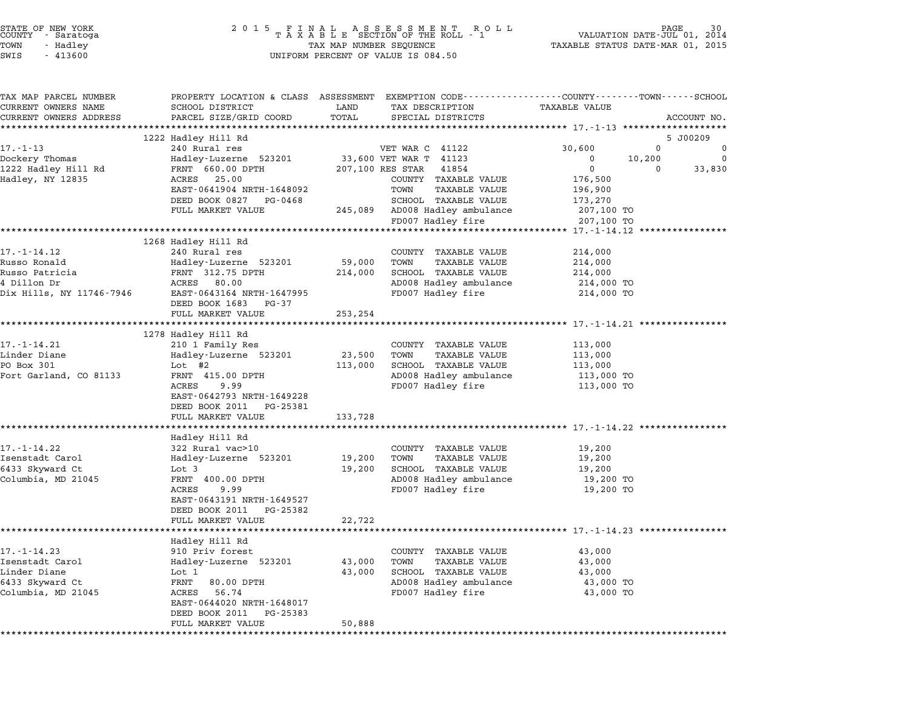| STATE OF NEW YORK<br>COUNTY<br>- Saratoga<br>TOWN<br>- Hadley<br>SWIS<br>$-413600$ | 2 0 1 5<br>FINAL ASSESSMENT RO<br>TAXABLE SECTION OF THE ROLL - 1<br>ROLL<br>TAX MAP NUMBER SEQUENCE<br>UNIFORM PERCENT OF VALUE IS 084.50 |               |                                               | VALUATION DATE-JUL 01, 2014<br>TAXABLE STATUS DATE-MAR 01, 2015                                                  | PAGE        |
|------------------------------------------------------------------------------------|--------------------------------------------------------------------------------------------------------------------------------------------|---------------|-----------------------------------------------|------------------------------------------------------------------------------------------------------------------|-------------|
| TAX MAP PARCEL NUMBER<br>CURRENT OWNERS NAME<br>CURRENT OWNERS ADDRESS             | SCHOOL DISTRICT<br>PARCEL SIZE/GRID COORD                                                                                                  | LAND<br>TOTAL | TAX DESCRIPTION<br>SPECIAL DISTRICTS          | PROPERTY LOCATION & CLASS ASSESSMENT EXEMPTION CODE---------------COUNTY-------TOWN------SCHOOL<br>TAXABLE VALUE | ACCOUNT NO. |
|                                                                                    | 1222 Hadley Hill Rd                                                                                                                        |               |                                               |                                                                                                                  | 5 J00209    |
| $17. - 1 - 13$                                                                     | 240 Rural res                                                                                                                              |               | VET WAR C 41122                               | 30,600<br>$\mathbf 0$                                                                                            | 0           |
| Dockery Thomas                                                                     | Hadley-Luzerne 523201                                                                                                                      |               | 33,600 VET WAR T 41123                        | 10,200<br>0                                                                                                      | $\Omega$    |
| 1222 Hadley Hill Rd                                                                | FRNT 660.00 DPTH                                                                                                                           |               | 207,100 RES STAR 41854                        | $\mathbf 0$<br>$\mathbf 0$                                                                                       | 33,830      |
| Hadley, NY 12835                                                                   | 25.00<br>ACRES<br>EAST-0641904 NRTH-1648092                                                                                                |               | COUNTY TAXABLE VALUE<br>TOWN<br>TAXABLE VALUE | 176,500<br>196,900                                                                                               |             |
|                                                                                    | DEED BOOK 0827 PG-0468                                                                                                                     |               | SCHOOL TAXABLE VALUE                          | 173,270                                                                                                          |             |
|                                                                                    | FULL MARKET VALUE                                                                                                                          |               | 245,089 AD008 Hadley ambulance                | 207,100 TO                                                                                                       |             |
|                                                                                    |                                                                                                                                            |               | FD007 Hadley fire                             | 207,100 TO                                                                                                       |             |
|                                                                                    |                                                                                                                                            |               |                                               |                                                                                                                  |             |
|                                                                                    | 1268 Hadley Hill Rd                                                                                                                        |               |                                               |                                                                                                                  |             |
| 17. - 1 - 14.12                                                                    | 240 Rural res                                                                                                                              |               | COUNTY TAXABLE VALUE                          | 214,000                                                                                                          |             |
| Russo Ronald                                                                       | Hadley-Luzerne 523201                                                                                                                      | 59,000        | TOWN<br>TAXABLE VALUE                         | 214,000                                                                                                          |             |
| Russo Patricia                                                                     | FRNT 312.75 DPTH                                                                                                                           | 214,000       | SCHOOL TAXABLE VALUE                          | 214,000                                                                                                          |             |
| 4 Dillon Dr<br>Dix Hills, NY 11746-7946                                            | ACRES 80.00<br>EAST-0643164 NRTH-1647995                                                                                                   |               | AD008 Hadley ambulance<br>FD007 Hadley fire   | 214,000 TO<br>214,000 TO                                                                                         |             |
|                                                                                    | DEED BOOK 1683<br>PG-37                                                                                                                    |               |                                               |                                                                                                                  |             |
|                                                                                    | FULL MARKET VALUE                                                                                                                          | 253,254       |                                               |                                                                                                                  |             |
|                                                                                    |                                                                                                                                            |               |                                               |                                                                                                                  |             |
|                                                                                    | 1278 Hadley Hill Rd                                                                                                                        |               |                                               |                                                                                                                  |             |
| $17. - 1 - 14.21$                                                                  | 210 1 Family Res                                                                                                                           |               | COUNTY TAXABLE VALUE                          | 113,000                                                                                                          |             |
| Linder Diane                                                                       | Hadley-Luzerne 523201                                                                                                                      | 23,500        | TOWN<br>TAXABLE VALUE                         | 113,000                                                                                                          |             |
| PO Box 301                                                                         | Lot $#2$                                                                                                                                   | 113,000       | SCHOOL TAXABLE VALUE                          | 113,000                                                                                                          |             |
| Fort Garland, CO 81133                                                             | FRNT 415.00 DPTH                                                                                                                           |               | AD008 Hadley ambulance                        | 113,000 TO                                                                                                       |             |
|                                                                                    | ACRES<br>9.99<br>EAST-0642793 NRTH-1649228                                                                                                 |               | FD007 Hadley fire                             | 113,000 TO                                                                                                       |             |
|                                                                                    | DEED BOOK 2011 PG-25381                                                                                                                    |               |                                               |                                                                                                                  |             |
|                                                                                    | FULL MARKET VALUE                                                                                                                          | 133,728       |                                               |                                                                                                                  |             |
|                                                                                    |                                                                                                                                            |               |                                               | *********************************** 17.-1-14.22 *****************                                                |             |
|                                                                                    | Hadley Hill Rd                                                                                                                             |               |                                               |                                                                                                                  |             |
| $17. - 1 - 14.22$                                                                  | 322 Rural vac>10                                                                                                                           |               | COUNTY TAXABLE VALUE                          | 19,200                                                                                                           |             |
| Isenstadt Carol                                                                    | Hadley-Luzerne 523201                                                                                                                      | 19,200        | <b>TAXABLE VALUE</b><br>TOWN                  | 19,200                                                                                                           |             |
| 6433 Skyward Ct                                                                    | Lot 3                                                                                                                                      | 19,200        | SCHOOL TAXABLE VALUE                          | 19,200                                                                                                           |             |
| Columbia, MD 21045                                                                 | FRNT 400.00 DPTH                                                                                                                           |               | AD008 Hadley ambulance                        | 19,200 TO                                                                                                        |             |
|                                                                                    | ACRES<br>9.99<br>EAST-0643191 NRTH-1649527                                                                                                 |               | FD007 Hadley fire                             | 19,200 TO                                                                                                        |             |
|                                                                                    | DEED BOOK 2011 PG-25382                                                                                                                    |               |                                               |                                                                                                                  |             |
|                                                                                    | FULL MARKET VALUE                                                                                                                          | 22,722        |                                               |                                                                                                                  |             |
|                                                                                    |                                                                                                                                            |               |                                               |                                                                                                                  |             |
|                                                                                    | Hadley Hill Rd                                                                                                                             |               |                                               |                                                                                                                  |             |
| 17.-1-14.23                                                                        | 910 Priv forest                                                                                                                            |               | TAXABLE VALUE<br>COUNTY                       | 43,000                                                                                                           |             |
| Isenstadt Carol                                                                    | Hadley-Luzerne 523201                                                                                                                      | 43,000        | TOWN<br>TAXABLE VALUE                         | 43,000                                                                                                           |             |
| Linder Diane                                                                       | Lot 1                                                                                                                                      | 43,000        | SCHOOL TAXABLE VALUE                          | 43,000                                                                                                           |             |
| 6433 Skyward Ct                                                                    | FRNT<br>80.00 DPTH                                                                                                                         |               | AD008 Hadley ambulance                        | 43,000 TO                                                                                                        |             |
| Columbia, MD 21045                                                                 | 56.74<br>ACRES<br>EAST-0644020 NRTH-1648017                                                                                                |               | FD007 Hadley fire                             | 43,000 TO                                                                                                        |             |
|                                                                                    | DEED BOOK 2011<br>PG-25383                                                                                                                 |               |                                               |                                                                                                                  |             |
|                                                                                    | FULL MARKET VALUE                                                                                                                          | 50,888        |                                               |                                                                                                                  |             |
|                                                                                    | **********************                                                                                                                     |               |                                               |                                                                                                                  |             |

STATE OF NEW YORK <sup>2</sup> <sup>0</sup> <sup>1</sup> 5 F I N A L A S S E S S M E N T R O L L PAGE <sup>30</sup> COUNTY - Saratoga <sup>T</sup> <sup>A</sup> <sup>X</sup> <sup>A</sup> <sup>B</sup> <sup>L</sup> <sup>E</sup> SECTION OF THE ROLL - <sup>1</sup> VALUATION DATE-JUL 01, <sup>2014</sup>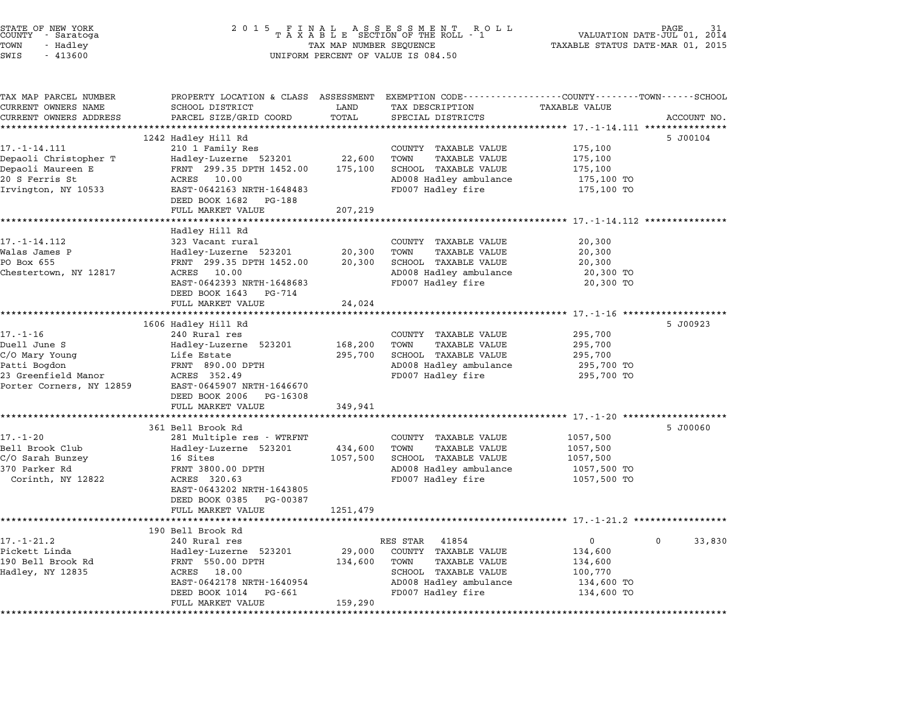| STATE OF NEW YORK<br>COUNTY<br>- Saratoga<br>TOWN<br>- Hadley<br>SWIS<br>$-413600$                                  | 2 0 1 5<br>FINAL ASSESSMENT ROTAXABLE SECTION OF THE ROLL - 1<br>PAGE<br>R O L L<br>VALUATION DATE-JUL 01, 2014<br>TAXABLE STATUS DATE-MAR 01, 2015<br>TAX MAP NUMBER SEQUENCE<br>UNIFORM PERCENT OF VALUE IS 084.50              |                                                                                                                                                                                  |                                                                                                                                       |  |  |
|---------------------------------------------------------------------------------------------------------------------|-----------------------------------------------------------------------------------------------------------------------------------------------------------------------------------------------------------------------------------|----------------------------------------------------------------------------------------------------------------------------------------------------------------------------------|---------------------------------------------------------------------------------------------------------------------------------------|--|--|
| TAX MAP PARCEL NUMBER<br>CURRENT OWNERS NAME<br>CURRENT OWNERS ADDRESS                                              | SCHOOL DISTRICT<br>PARCEL SIZE/GRID COORD                                                                                                                                                                                         | TAX DESCRIPTION<br>LAND<br>TOTAL<br>SPECIAL DISTRICTS                                                                                                                            | PROPERTY LOCATION & CLASS ASSESSMENT EXEMPTION CODE---------------COUNTY-------TOWN-----SCHOOL<br><b>TAXABLE VALUE</b><br>ACCOUNT NO. |  |  |
| $17. - 1 - 14.111$<br>Depaoli Christopher T<br>Depaoli Maureen E<br>20 S Ferris St<br>Irvington, NY 10533           | 1242 Hadley Hill Rd<br>210 1 Family Res<br>Hadley-Luzerne 523201<br>FRNT 299.35 DPTH 1452.00<br>ACRES 10.00<br>EAST-0642163 NRTH-1648483<br>DEED BOOK 1682<br>PG-188<br>FULL MARKET VALUE                                         | COUNTY TAXABLE VALUE<br>22,600<br>TOWN<br><b>TAXABLE VALUE</b><br>175,100<br>SCHOOL TAXABLE VALUE<br>AD008 Hadley ambulance<br>FD007 Hadley fire<br>207,219                      | 5 J00104<br>175,100<br>175,100<br>175,100<br>175,100 TO<br>175,100 TO                                                                 |  |  |
| 17. - 1 - 14.112<br>Walas James P<br>PO Box 655<br>Chestertown, NY 12817                                            | Hadley Hill Rd<br>323 Vacant rural<br>Hadley-Luzerne 523201<br>FRNT 299.35 DPTH 1452.00<br>ACRES 10.00<br>EAST-0642393 NRTH-1648683<br>DEED BOOK 1643<br>PG-714<br>FULL MARKET VALUE                                              | COUNTY TAXABLE VALUE<br>20,300<br>TOWN<br>TAXABLE VALUE<br>20,300<br>SCHOOL TAXABLE VALUE<br>AD008 Hadley ambulance<br>FD007 Hadley fire<br>24,024                               | 20,300<br>20,300<br>20,300<br>20,300 TO<br>20,300 TO                                                                                  |  |  |
| $17. - 1 - 16$<br>Duell June S<br>C/O Mary Young<br>Patti Bogdon<br>23 Greenfield Manor<br>Porter Corners, NY 12859 | 1606 Hadley Hill Rd<br>240 Rural res<br>Hadley-Luzerne 523201<br>Life Estate<br>FRNT 890.00 DPTH<br>ACRES 352.49<br>EAST-0645907 NRTH-1646670<br>DEED BOOK 2006<br>PG-16308<br>FULL MARKET VALUE                                  | COUNTY TAXABLE VALUE<br>168,200<br><b>TAXABLE VALUE</b><br>TOWN<br>295,700<br>SCHOOL TAXABLE VALUE<br>AD008 Hadley ambulance<br>FD007 Hadley fire<br>349,941                     | 5 J00923<br>295,700<br>295,700<br>295,700<br>295,700 TO<br>295,700 TO                                                                 |  |  |
| $17. - 1 - 20$<br>Bell Brook Club<br>C/O Sarah Bunzey<br>370 Parker Rd<br>Corinth, NY 12822                         | ************************<br>361 Bell Brook Rd<br>281 Multiple res - WTRFNT<br>Hadley-Luzerne 523201<br>16 Sites<br>FRNT 3800.00 DPTH<br>ACRES 320.63<br>EAST-0643202 NRTH-1643805<br>DEED BOOK 0385 PG-00387<br>FULL MARKET VALUE | COUNTY TAXABLE VALUE<br>434,600<br>TOWN<br><b>TAXABLE VALUE</b><br>1057,500<br>SCHOOL TAXABLE VALUE<br>AD008 Hadley ambulance<br>FD007 Hadley fire<br>1251,479                   | ********************* 17.-1-20 *******************<br>5 J00060<br>1057,500<br>1057,500<br>1057,500<br>1057,500 TO<br>1057,500 TO      |  |  |
| 17.-1-21.2<br>Pickett Linda<br>190 Bell Brook Rd<br>Hadley, NY 12835                                                | 190 Bell Brook Rd<br>240 Rural res<br>Hadley-Luzerne 523201<br>FRNT 550.00 DPTH<br>ACRES<br>18.00<br>EAST-0642178 NRTH-1640954<br>DEED BOOK 1014<br>PG-661<br>FULL MARKET VALUE<br>***********************                        | RES STAR<br>41854<br>29,000<br>COUNTY TAXABLE VALUE<br>TOWN<br><b>TAXABLE VALUE</b><br>134,600<br>SCHOOL TAXABLE VALUE<br>AD008 Hadley ambulance<br>FD007 Hadley fire<br>159,290 | 0<br>33,830<br>134,600<br>134,600<br>100,770<br>134,600 TO<br>134,600 TO                                                              |  |  |

STATE OF NEW YORK <sup>2</sup> <sup>0</sup> <sup>1</sup> 5 F I N A L A S S E S S M E N T R O L L PAGE <sup>31</sup> COUNTY - Saratoga <sup>T</sup> <sup>A</sup> <sup>X</sup> <sup>A</sup> <sup>B</sup> <sup>L</sup> <sup>E</sup> SECTION OF THE ROLL - <sup>1</sup> VALUATION DATE-JUL 01, <sup>2014</sup>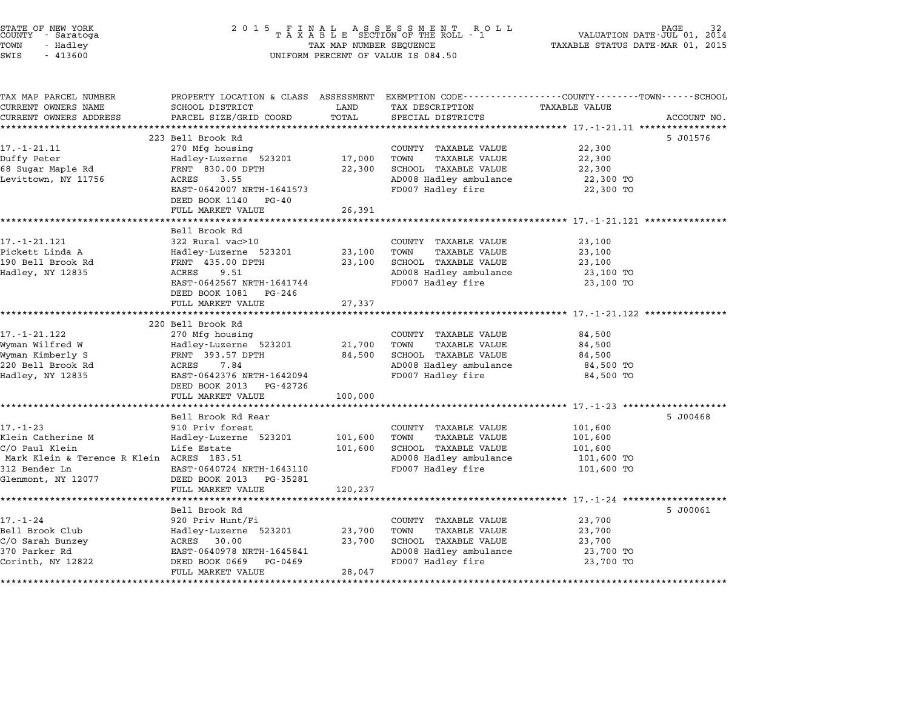| STATE OF NEW YORK<br>COUNTY - Saratoga<br>TOWN<br>- Hadley<br>SWIS<br>$-413600$ | 2 0 1 5<br>TAX MAP NUMBER SEQUENCE<br>UNIFORM PERCENT OF VALUE IS 084.50 | PAGE<br>VALUATION DATE-JUL 01, 2014<br>TAXABLE STATUS DATE-MAR 01, 2015 |                                                      |                                                                                                                  |             |
|---------------------------------------------------------------------------------|--------------------------------------------------------------------------|-------------------------------------------------------------------------|------------------------------------------------------|------------------------------------------------------------------------------------------------------------------|-------------|
| TAX MAP PARCEL NUMBER<br>CURRENT OWNERS NAME                                    | SCHOOL DISTRICT                                                          | LAND                                                                    | TAX DESCRIPTION                                      | PROPERTY LOCATION & CLASS ASSESSMENT EXEMPTION CODE---------------COUNTY-------TOWN------SCHOOL<br>TAXABLE VALUE |             |
| CURRENT OWNERS ADDRESS                                                          | PARCEL SIZE/GRID COORD                                                   | TOTAL                                                                   | SPECIAL DISTRICTS                                    |                                                                                                                  | ACCOUNT NO. |
|                                                                                 | ***********************                                                  | **********                                                              |                                                      | ********************************* 17.-1-21.11 *****************                                                  |             |
|                                                                                 | 223 Bell Brook Rd                                                        |                                                                         |                                                      |                                                                                                                  | 5 J01576    |
| $17. - 1 - 21.11$                                                               | 270 Mfg housing                                                          |                                                                         | COUNTY TAXABLE VALUE                                 | 22,300                                                                                                           |             |
| Duffy Peter                                                                     | Hadley-Luzerne 523201                                                    | 17,000                                                                  | TOWN<br>TAXABLE VALUE                                | 22,300                                                                                                           |             |
| 68 Sugar Maple Rd                                                               | FRNT 830.00 DPTH                                                         | 22,300                                                                  | SCHOOL TAXABLE VALUE                                 | 22,300                                                                                                           |             |
| Levittown, NY 11756                                                             | ACRES<br>3.55                                                            |                                                                         | AD008 Hadley ambulance                               | 22,300 TO                                                                                                        |             |
|                                                                                 | EAST-0642007 NRTH-1641573                                                |                                                                         | FD007 Hadley fire                                    | 22,300 TO                                                                                                        |             |
|                                                                                 | DEED BOOK 1140<br>PG-40                                                  |                                                                         |                                                      |                                                                                                                  |             |
|                                                                                 | FULL MARKET VALUE<br>******************                                  | 26,391                                                                  |                                                      |                                                                                                                  |             |
|                                                                                 | Bell Brook Rd                                                            |                                                                         |                                                      | ****** 17.-1-21.121                                                                                              |             |
| 17.-1-21.121                                                                    | 322 Rural vac>10                                                         |                                                                         |                                                      |                                                                                                                  |             |
| Pickett Linda A                                                                 | Hadley-Luzerne 523201                                                    | 23,100                                                                  | COUNTY TAXABLE VALUE<br>TOWN<br><b>TAXABLE VALUE</b> | 23,100<br>23,100                                                                                                 |             |
| 190 Bell Brook Rd                                                               | FRNT 435.00 DPTH                                                         | 23,100                                                                  | SCHOOL TAXABLE VALUE                                 | 23,100                                                                                                           |             |
| Hadley, NY 12835                                                                | 9.51<br>ACRES                                                            |                                                                         | AD008 Hadley ambulance                               | 23,100 TO                                                                                                        |             |
|                                                                                 | EAST-0642567 NRTH-1641744                                                |                                                                         | FD007 Hadley fire                                    | 23,100 TO                                                                                                        |             |
|                                                                                 | DEED BOOK 1081<br>PG-246                                                 |                                                                         |                                                      |                                                                                                                  |             |
|                                                                                 | FULL MARKET VALUE                                                        | 27,337                                                                  |                                                      |                                                                                                                  |             |
|                                                                                 |                                                                          |                                                                         |                                                      | ******** 17.-1-21.122 ******                                                                                     |             |
|                                                                                 | 220 Bell Brook Rd                                                        |                                                                         |                                                      |                                                                                                                  |             |
| 17. - 1 - 21.122                                                                | 270 Mfg housing                                                          |                                                                         | COUNTY TAXABLE VALUE                                 | 84,500                                                                                                           |             |
| Wyman Wilfred W                                                                 | Hadley-Luzerne 523201                                                    | 21,700                                                                  | TAXABLE VALUE<br>TOWN                                | 84,500                                                                                                           |             |
| Wyman Kimberly S                                                                | FRNT 393.57 DPTH                                                         | 84,500                                                                  | SCHOOL TAXABLE VALUE                                 | 84,500                                                                                                           |             |
| 220 Bell Brook Rd                                                               | 7.84<br>ACRES                                                            |                                                                         | AD008 Hadley ambulance                               | 84,500 TO                                                                                                        |             |
| Hadley, NY 12835                                                                | EAST-0642376 NRTH-1642094                                                |                                                                         | FD007 Hadley fire                                    | 84,500 TO                                                                                                        |             |
|                                                                                 | DEED BOOK 2013<br>PG-42726<br>FULL MARKET VALUE                          | 100,000                                                                 |                                                      |                                                                                                                  |             |
|                                                                                 |                                                                          |                                                                         |                                                      | ************************* 17. -1-23 *******************                                                          |             |
|                                                                                 | Bell Brook Rd Rear                                                       |                                                                         |                                                      |                                                                                                                  | 5 J00468    |
| $17. - 1 - 23$                                                                  | 910 Priv forest                                                          |                                                                         | COUNTY TAXABLE VALUE                                 | 101,600                                                                                                          |             |
| Klein Catherine M                                                               | Hadley-Luzerne 523201                                                    | 101,600                                                                 | TOWN<br><b>TAXABLE VALUE</b>                         | 101,600                                                                                                          |             |
| C/O Paul Klein                                                                  | Life Estate                                                              | 101,600                                                                 | SCHOOL TAXABLE VALUE                                 | 101,600                                                                                                          |             |
| Mark Klein & Terence R Klein ACRES 183.51                                       |                                                                          |                                                                         | AD008 Hadley ambulance                               | 101,600 TO                                                                                                       |             |
| 312 Bender Ln                                                                   | EAST-0640724 NRTH-1643110                                                |                                                                         | FD007 Hadley fire                                    | 101,600 TO                                                                                                       |             |
| Glenmont, NY 12077                                                              | DEED BOOK 2013<br>PG-35281                                               |                                                                         |                                                      |                                                                                                                  |             |
|                                                                                 | FULL MARKET VALUE                                                        | 120,237                                                                 |                                                      |                                                                                                                  |             |
|                                                                                 | **************                                                           |                                                                         |                                                      | ******* 17.-1-24 *******                                                                                         |             |
|                                                                                 | Bell Brook Rd                                                            |                                                                         |                                                      |                                                                                                                  | 5 J00061    |
| $17. - 1 - 24$                                                                  | 920 Priv Hunt/Fi                                                         |                                                                         | COUNTY TAXABLE VALUE                                 | 23,700                                                                                                           |             |
| Bell Brook Club<br>C/O Sarah Bunzey                                             | Hadley-Luzerne 523201<br>ACRES<br>30.00                                  | 23,700<br>23,700                                                        | TOWN<br><b>TAXABLE VALUE</b><br>SCHOOL TAXABLE VALUE | 23,700<br>23,700                                                                                                 |             |
| 370 Parker Rd                                                                   | EAST-0640978 NRTH-1645841                                                |                                                                         | AD008 Hadley ambulance                               | 23,700 TO                                                                                                        |             |
| Corinth, NY 12822                                                               | DEED BOOK 0669<br>PG-0469                                                |                                                                         | FD007 Hadley fire                                    | 23,700 TO                                                                                                        |             |
|                                                                                 | FULL MARKET VALUE                                                        | 28,047                                                                  |                                                      |                                                                                                                  |             |
|                                                                                 | *********************                                                    |                                                                         |                                                      |                                                                                                                  |             |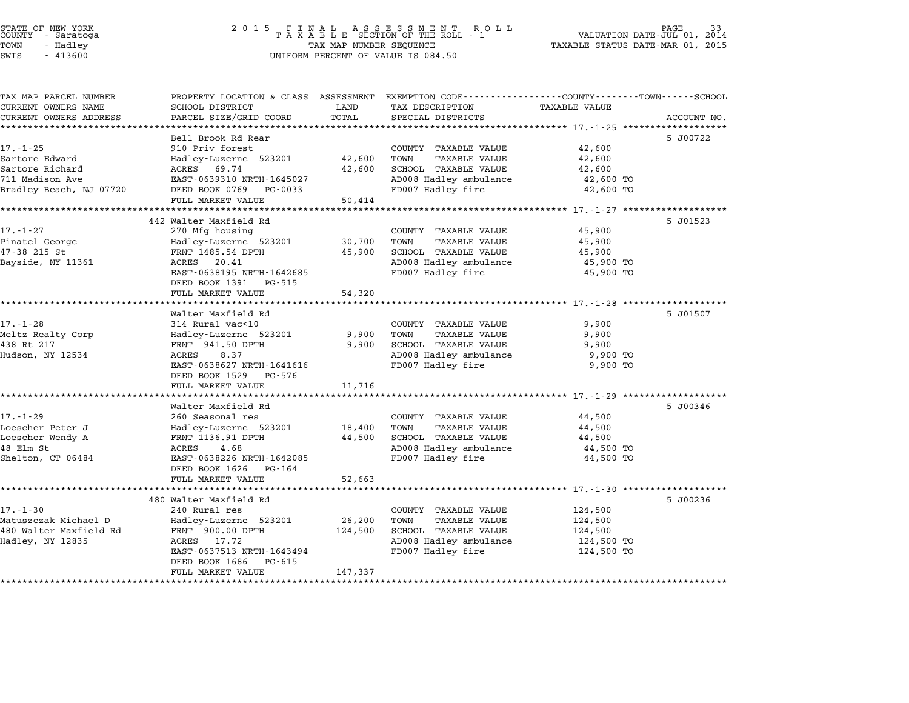| TAX MAP PARCEL NUMBER<br>CURRENT OWNERS NAME | SCHOOL DISTRICT                               | LAND    | PROPERTY LOCATION & CLASS ASSESSMENT EXEMPTION CODE---------------COUNTY-------TOWN------SCHOOL<br>TAX DESCRIPTION | <b>TAXABLE VALUE</b> |             |
|----------------------------------------------|-----------------------------------------------|---------|--------------------------------------------------------------------------------------------------------------------|----------------------|-------------|
| CURRENT OWNERS ADDRESS                       | PARCEL SIZE/GRID COORD                        | TOTAL   | SPECIAL DISTRICTS                                                                                                  |                      | ACCOUNT NO. |
| *************************                    |                                               |         |                                                                                                                    |                      |             |
|                                              | Bell Brook Rd Rear                            |         |                                                                                                                    |                      | 5 J00722    |
| $17. - 1 - 25$                               | 910 Priv forest                               |         | COUNTY TAXABLE VALUE                                                                                               | 42,600               |             |
| Sartore Edward                               | Hadley-Luzerne 523201                         | 42,600  | TOWN<br><b>TAXABLE VALUE</b>                                                                                       | 42,600               |             |
| Sartore Richard                              | ACRES<br>69.74                                | 42,600  | SCHOOL TAXABLE VALUE                                                                                               | 42,600               |             |
| 711 Madison Ave                              | EAST-0639310 NRTH-1645027                     |         | AD008 Hadley ambulance                                                                                             | 42,600 TO            |             |
| Bradley Beach, NJ 07720                      | DEED BOOK 0769<br>PG-0033                     |         | FD007 Hadley fire                                                                                                  | 42,600 TO            |             |
|                                              | FULL MARKET VALUE                             | 50,414  |                                                                                                                    |                      |             |
|                                              |                                               |         |                                                                                                                    |                      |             |
|                                              | 442 Walter Maxfield Rd                        |         |                                                                                                                    |                      | 5 J01523    |
| 17.-1-27                                     | 270 Mfg housing                               |         | COUNTY TAXABLE VALUE                                                                                               | 45,900               |             |
| Pinatel George                               | Hadley-Luzerne 523201                         | 30,700  | TOWN<br><b>TAXABLE VALUE</b>                                                                                       | 45,900               |             |
| 47-38 215 St                                 | FRNT 1485.54 DPTH                             | 45,900  | SCHOOL TAXABLE VALUE                                                                                               | 45,900               |             |
| Bayside, NY 11361                            | ACRES<br>20.41<br>EAST-0638195 NRTH-1642685   |         | AD008 Hadley ambulance                                                                                             | 45,900 TO            |             |
|                                              | DEED BOOK 1391 PG-515                         |         | FD007 Hadley fire                                                                                                  | 45,900 TO            |             |
|                                              | FULL MARKET VALUE                             | 54,320  |                                                                                                                    |                      |             |
|                                              |                                               |         |                                                                                                                    |                      |             |
|                                              | Walter Maxfield Rd                            |         |                                                                                                                    |                      | 5 J01507    |
| $17. - 1 - 28$                               | 314 Rural vac<10                              |         | COUNTY TAXABLE VALUE                                                                                               | 9,900                |             |
| Meltz Realty Corp                            | Hadley-Luzerne 523201                         | 9,900   | TAXABLE VALUE<br>TOWN                                                                                              | 9,900                |             |
| 438 Rt 217                                   | FRNT 941.50 DPTH                              | 9,900   | SCHOOL TAXABLE VALUE                                                                                               | 9,900                |             |
| Hudson, NY 12534                             | ACRES<br>8.37                                 |         | AD008 Hadley ambulance                                                                                             | 9,900 TO             |             |
|                                              | EAST-0638627 NRTH-1641616                     |         | FD007 Hadley fire                                                                                                  | 9,900 TO             |             |
|                                              | DEED BOOK 1529<br>PG-576                      |         |                                                                                                                    |                      |             |
|                                              | FULL MARKET VALUE                             | 11,716  |                                                                                                                    |                      |             |
|                                              |                                               |         |                                                                                                                    |                      |             |
|                                              | Walter Maxfield Rd                            |         |                                                                                                                    |                      | 5 J00346    |
| $17. - 1 - 29$                               | 260 Seasonal res                              |         | COUNTY TAXABLE VALUE                                                                                               | 44,500               |             |
| Loescher Peter J                             | Hadley-Luzerne 523201                         | 18,400  | TOWN<br><b>TAXABLE VALUE</b>                                                                                       | 44,500               |             |
| Loescher Wendy A                             | FRNT 1136.91 DPTH                             | 44,500  | SCHOOL TAXABLE VALUE                                                                                               | 44,500               |             |
| 48 Elm St                                    | 4.68<br>ACRES                                 |         | AD008 Hadley ambulance                                                                                             | 44,500 TO            |             |
| Shelton, CT 06484                            | EAST-0638226 NRTH-1642085                     |         | FD007 Hadley fire                                                                                                  | 44,500 TO            |             |
|                                              | DEED BOOK 1626<br>PG-164                      |         |                                                                                                                    |                      |             |
|                                              | FULL MARKET VALUE                             | 52,663  |                                                                                                                    |                      |             |
|                                              |                                               |         |                                                                                                                    |                      |             |
|                                              | 480 Walter Maxfield Rd                        |         |                                                                                                                    |                      | 5 J00236    |
| $17. - 1 - 30$                               | 240 Rural res                                 |         | COUNTY TAXABLE VALUE                                                                                               | 124,500              |             |
|                                              |                                               |         |                                                                                                                    |                      |             |
| Matuszczak Michael D                         | Hadley-Luzerne 523201                         | 26,200  | TOWN<br><b>TAXABLE VALUE</b>                                                                                       | 124,500              |             |
|                                              | FRNT 900.00 DPTH                              | 124,500 | SCHOOL TAXABLE VALUE                                                                                               | 124,500              |             |
| 480 Walter Maxfield Rd<br>Hadley, NY 12835   | ACRES<br>17.72                                |         | AD008 Hadley ambulance                                                                                             | 124,500 TO           |             |
|                                              | EAST-0637513 NRTH-1643494                     |         | FD007 Hadley fire                                                                                                  | 124,500 TO           |             |
|                                              | DEED BOOK 1686<br>PG-615<br>FULL MARKET VALUE | 147,337 |                                                                                                                    |                      |             |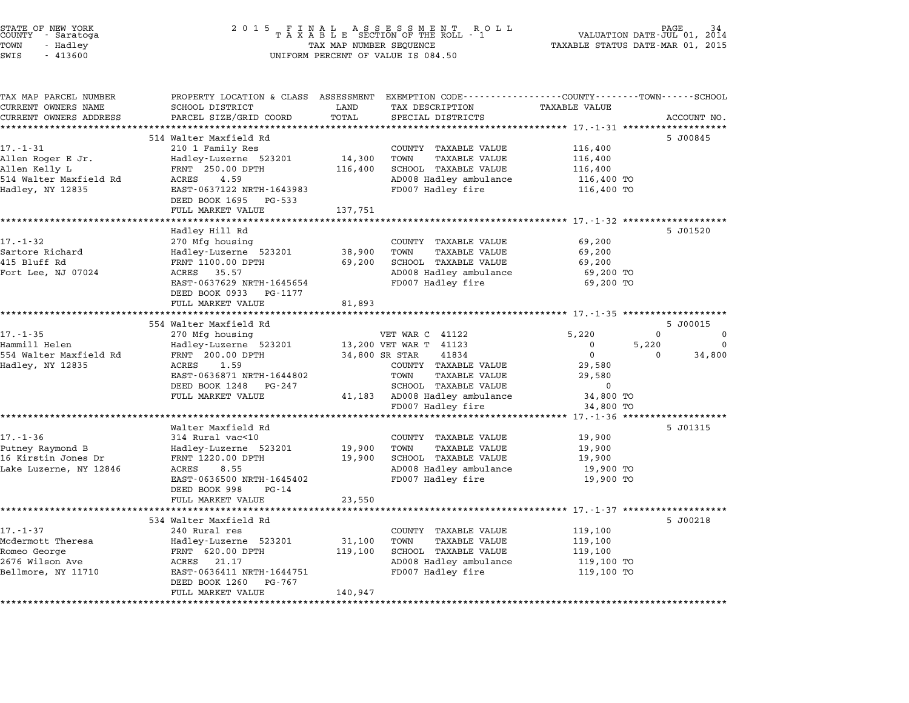| STATE OF NEW YORK<br>COUNTY – Saratoga<br>TOWN<br>- Hadley<br>SWIS<br>$-413600$ | 2 0 1 5                                                                                                            | TAX MAP NUMBER SEQUENCE | FINAL ASSESSMENT RO<br>TAXABLE SECTION OF THE ROLL - 1<br>R O L L<br>UNIFORM PERCENT OF VALUE IS 084.50 | TAXABLE STATUS DATE-MAR 01, 2015 | PAGE<br>VALUATION DATE-JUL 01, 2014 |
|---------------------------------------------------------------------------------|--------------------------------------------------------------------------------------------------------------------|-------------------------|---------------------------------------------------------------------------------------------------------|----------------------------------|-------------------------------------|
| TAX MAP PARCEL NUMBER<br>CURRENT OWNERS NAME                                    | PROPERTY LOCATION & CLASS ASSESSMENT EXEMPTION CODE---------------COUNTY-------TOWN------SCHOOL<br>SCHOOL DISTRICT | LAND                    | TAX DESCRIPTION                                                                                         | <b>TAXABLE VALUE</b>             |                                     |
| CURRENT OWNERS ADDRESS                                                          | PARCEL SIZE/GRID COORD                                                                                             | TOTAL                   | SPECIAL DISTRICTS                                                                                       |                                  | ACCOUNT NO.                         |
|                                                                                 |                                                                                                                    |                         |                                                                                                         |                                  |                                     |
|                                                                                 | 514 Walter Maxfield Rd                                                                                             |                         |                                                                                                         |                                  | 5 J00845                            |
| $17. - 1 - 31$                                                                  | 210 1 Family Res                                                                                                   |                         | COUNTY TAXABLE VALUE                                                                                    | 116,400                          |                                     |
| Allen Roger E Jr.                                                               | Hadley-Luzerne 523201                                                                                              | 14,300                  | TOWN<br><b>TAXABLE VALUE</b>                                                                            | 116,400                          |                                     |
| Allen Kelly L<br>514 Walter Maxfield Rd                                         | FRNT 250.00 DPTH<br>4.59<br>ACRES                                                                                  | 116,400                 | SCHOOL TAXABLE VALUE<br>AD008 Hadley ambulance                                                          | 116,400<br>116,400 TO            |                                     |
| Hadley, NY 12835                                                                | EAST-0637122 NRTH-1643983<br>DEED BOOK 1695 PG-533                                                                 |                         | FD007 Hadley fire                                                                                       | 116,400 TO                       |                                     |
|                                                                                 | FULL MARKET VALUE                                                                                                  | 137,751                 |                                                                                                         |                                  |                                     |
|                                                                                 | ******************                                                                                                 |                         |                                                                                                         |                                  |                                     |
| $17. - 1 - 32$                                                                  | Hadley Hill Rd                                                                                                     |                         |                                                                                                         |                                  | 5 J01520                            |
| Sartore Richard                                                                 | 270 Mfg housing<br>Hadley-Luzerne 523201                                                                           | 38,900                  | COUNTY TAXABLE VALUE<br>TOWN<br>TAXABLE VALUE                                                           | 69,200<br>69,200                 |                                     |
| 415 Bluff Rd                                                                    | FRNT 1100.00 DPTH                                                                                                  | 69,200                  | SCHOOL TAXABLE VALUE                                                                                    | 69,200                           |                                     |
| Fort Lee, NJ 07024                                                              | ACRES 35.57                                                                                                        |                         | AD008 Hadley ambulance                                                                                  | 69,200 TO                        |                                     |
|                                                                                 | EAST-0637629 NRTH-1645654                                                                                          |                         | FD007 Hadley fire                                                                                       | 69,200 TO                        |                                     |
|                                                                                 | DEED BOOK 0933<br>PG-1177                                                                                          |                         |                                                                                                         |                                  |                                     |
|                                                                                 | FULL MARKET VALUE                                                                                                  | 81,893                  |                                                                                                         |                                  |                                     |
|                                                                                 |                                                                                                                    |                         |                                                                                                         |                                  |                                     |
| $17. - 1 - 35$                                                                  | 554 Walter Maxfield Rd<br>270 Mfg housing                                                                          |                         | VET WAR C 41122                                                                                         | 5,220                            | 5 J00015<br>$\Omega$<br>0           |
| Hammill Helen                                                                   | Hadley-Luzerne 523201                                                                                              |                         | 13,200 VET WAR T 41123                                                                                  | 0<br>5,220                       | $\Omega$                            |
| 554 Walter Maxfield Rd                                                          | FRNT 200.00 DPTH                                                                                                   |                         | 34,800 SR STAR<br>41834                                                                                 | $\mathbf 0$                      | $\Omega$<br>34,800                  |
| Hadley, NY 12835                                                                | 1.59<br>ACRES                                                                                                      |                         | COUNTY TAXABLE VALUE                                                                                    | 29,580                           |                                     |
|                                                                                 | EAST-0636871 NRTH-1644802                                                                                          |                         | TOWN<br>TAXABLE VALUE                                                                                   | 29,580                           |                                     |
|                                                                                 | DEED BOOK 1248<br>PG-247                                                                                           |                         | SCHOOL TAXABLE VALUE                                                                                    | 0                                |                                     |
|                                                                                 | FULL MARKET VALUE                                                                                                  |                         | 41,183 AD008 Hadley ambulance                                                                           | 34,800 TO                        |                                     |
|                                                                                 |                                                                                                                    |                         | FD007 Hadley fire                                                                                       | 34,800 TO                        |                                     |
|                                                                                 | **********************                                                                                             |                         | ************************************** 17.-1-36 *******************                                     |                                  |                                     |
| $17. - 1 - 36$                                                                  | Walter Maxfield Rd                                                                                                 |                         | COUNTY TAXABLE VALUE                                                                                    |                                  | 5 J01315                            |
| Putney Raymond B                                                                | 314 Rural vac<10<br>Hadley-Luzerne 523201                                                                          | 19,900                  | <b>TAXABLE VALUE</b><br>TOWN                                                                            | 19,900<br>19,900                 |                                     |
| 16 Kirstin Jones Dr                                                             | FRNT 1220.00 DPTH                                                                                                  | 19,900                  | SCHOOL TAXABLE VALUE                                                                                    | 19,900                           |                                     |
| Lake Luzerne, NY 12846                                                          | ACRES<br>8.55                                                                                                      |                         | AD008 Hadley ambulance                                                                                  | 19,900 TO                        |                                     |
|                                                                                 | EAST-0636500 NRTH-1645402                                                                                          |                         | FD007 Hadley fire                                                                                       | 19,900 TO                        |                                     |
|                                                                                 | DEED BOOK 998<br>PG-14<br>FULL MARKET VALUE                                                                        | 23,550                  |                                                                                                         |                                  |                                     |
|                                                                                 |                                                                                                                    |                         |                                                                                                         |                                  |                                     |
|                                                                                 | 534 Walter Maxfield Rd                                                                                             |                         |                                                                                                         |                                  | 5 J00218                            |
| $17. - 1 - 37$                                                                  | 240 Rural res                                                                                                      |                         | COUNTY TAXABLE VALUE                                                                                    | 119,100                          |                                     |
| Mcdermott Theresa                                                               | Hadley-Luzerne 523201                                                                                              | 31,100                  | TAXABLE VALUE<br>TOWN                                                                                   | 119,100                          |                                     |
| Romeo George                                                                    | FRNT 620.00 DPTH                                                                                                   | 119,100                 | SCHOOL TAXABLE VALUE                                                                                    | 119,100                          |                                     |
| 2676 Wilson Ave                                                                 | ACRES 21.17                                                                                                        |                         | AD008 Hadley ambulance                                                                                  | 119,100 TO                       |                                     |
| Bellmore, NY 11710                                                              | EAST-0636411 NRTH-1644751<br>DEED BOOK 1260<br>PG-767<br>FULL MARKET VALUE                                         | 140,947                 | FD007 Hadley fire                                                                                       | 119,100 TO                       |                                     |
|                                                                                 |                                                                                                                    |                         |                                                                                                         |                                  |                                     |
|                                                                                 |                                                                                                                    |                         |                                                                                                         |                                  |                                     |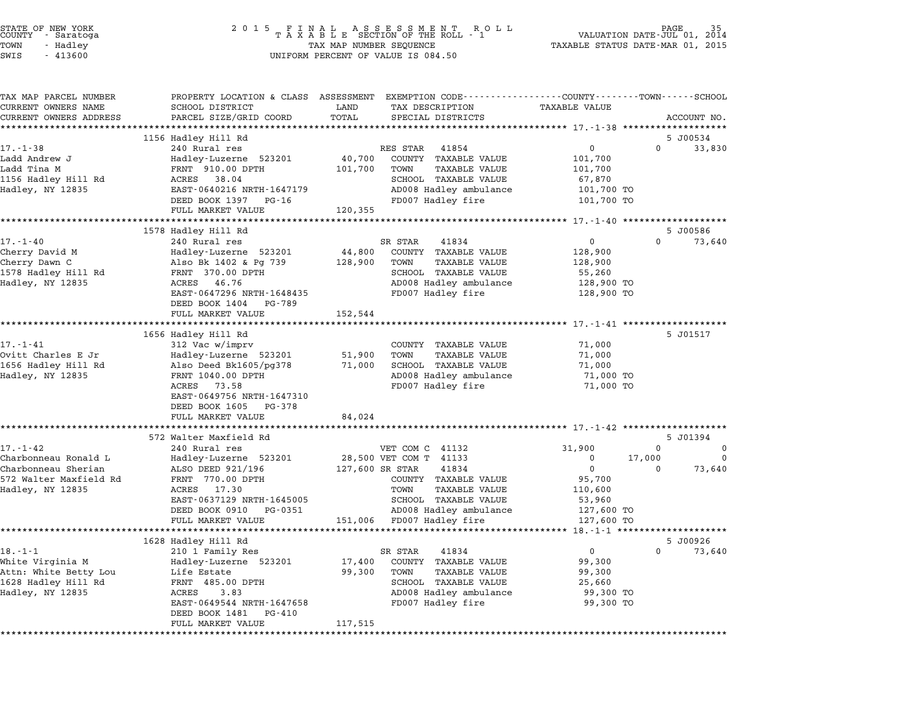| STATE OF NEW YORK<br>COUNTY - Saratoga<br>TOWN<br>- Hadley<br>SWIS<br>$-413600$ | 2 0 1 5<br>$\begin{array}{cccccccccccccc} & F & I & N & A & L & & A & S & S & E & S & S & M & E & N & T & R & O & L \\ T & A & X & A & B & L & E & SECTION OF THE ROLL & - & 1 \end{array}$<br>TAX MAP NUMBER SEQUENCE<br>UNIFORM PERCENT OF VALUE IS 084.50 |               | PAGE<br>VALUATION DATE-JUL 01,<br>2014<br>TAXABLE STATUS DATE-MAR 01, 2015                                                              |                                                       |                                |
|---------------------------------------------------------------------------------|--------------------------------------------------------------------------------------------------------------------------------------------------------------------------------------------------------------------------------------------------------------|---------------|-----------------------------------------------------------------------------------------------------------------------------------------|-------------------------------------------------------|--------------------------------|
| TAX MAP PARCEL NUMBER<br>CURRENT OWNERS NAME<br>CURRENT OWNERS ADDRESS          | SCHOOL DISTRICT<br>PARCEL SIZE/GRID COORD                                                                                                                                                                                                                    | LAND<br>TOTAL | PROPERTY LOCATION & CLASS ASSESSMENT EXEMPTION CODE---------------COUNTY-------TOWN------SCHOOL<br>TAX DESCRIPTION<br>SPECIAL DISTRICTS | <b>TAXABLE VALUE</b>                                  | ACCOUNT NO.                    |
|                                                                                 |                                                                                                                                                                                                                                                              |               |                                                                                                                                         |                                                       |                                |
| 17.-1-38                                                                        | 1156 Hadley Hill Rd<br>240 Rural res                                                                                                                                                                                                                         |               | RES STAR<br>41854                                                                                                                       | 0                                                     | 5 J00534<br>$\Omega$<br>33,830 |
| Ladd Andrew J                                                                   | Hadley-Luzerne 523201                                                                                                                                                                                                                                        | 40,700        | COUNTY TAXABLE VALUE                                                                                                                    | 101,700                                               |                                |
| Ladd Tina M                                                                     | FRNT 910.00 DPTH                                                                                                                                                                                                                                             | 101,700       | TAXABLE VALUE<br>TOWN                                                                                                                   | 101,700                                               |                                |
| 1156 Hadley Hill Rd                                                             | ACRES 38.04                                                                                                                                                                                                                                                  |               | SCHOOL TAXABLE VALUE                                                                                                                    | 67,870                                                |                                |
| Hadley, NY 12835                                                                | EAST-0640216 NRTH-1647179                                                                                                                                                                                                                                    |               | AD008 Hadley ambulance                                                                                                                  | 101,700 TO                                            |                                |
|                                                                                 | DEED BOOK 1397 PG-16                                                                                                                                                                                                                                         |               | FD007 Hadley fire                                                                                                                       | 101,700 TO                                            |                                |
|                                                                                 | FULL MARKET VALUE                                                                                                                                                                                                                                            | 120,355       |                                                                                                                                         |                                                       |                                |
|                                                                                 |                                                                                                                                                                                                                                                              |               |                                                                                                                                         |                                                       |                                |
|                                                                                 | 1578 Hadley Hill Rd                                                                                                                                                                                                                                          |               |                                                                                                                                         | 0                                                     | 5 J00586<br>$\Omega$           |
| $17. - 1 - 40$<br>Cherry David M                                                | 240 Rural res<br>Hadley-Luzerne 523201                                                                                                                                                                                                                       | 44,800        | 41834<br>SR STAR<br>COUNTY TAXABLE VALUE                                                                                                | 128,900                                               | 73,640                         |
| Cherry Dawn C                                                                   | Also Bk 1402 & Pg 739                                                                                                                                                                                                                                        | 128,900       | TOWN<br><b>TAXABLE VALUE</b>                                                                                                            | 128,900                                               |                                |
| 1578 Hadley Hill Rd                                                             | FRNT 370.00 DPTH                                                                                                                                                                                                                                             |               | SCHOOL TAXABLE VALUE                                                                                                                    | 55,260                                                |                                |
| Hadley, NY 12835                                                                | 46.76<br>ACRES                                                                                                                                                                                                                                               |               | AD008 Hadley ambulance                                                                                                                  | 128,900 TO                                            |                                |
|                                                                                 | EAST-0647296 NRTH-1648435                                                                                                                                                                                                                                    |               | FD007 Hadley fire                                                                                                                       | 128,900 TO                                            |                                |
|                                                                                 | DEED BOOK 1404 PG-789                                                                                                                                                                                                                                        |               |                                                                                                                                         |                                                       |                                |
|                                                                                 | FULL MARKET VALUE                                                                                                                                                                                                                                            | 152,544       |                                                                                                                                         |                                                       |                                |
|                                                                                 |                                                                                                                                                                                                                                                              |               |                                                                                                                                         |                                                       | 5 J01517                       |
| $17. - 1 - 41$                                                                  | 1656 Hadley Hill Rd<br>312 Vac w/imprv                                                                                                                                                                                                                       |               | COUNTY TAXABLE VALUE                                                                                                                    | 71,000                                                |                                |
| Ovitt Charles E Jr                                                              | Hadley-Luzerne 523201                                                                                                                                                                                                                                        | 51,900        | TAXABLE VALUE<br>TOWN                                                                                                                   | 71,000                                                |                                |
| 1656 Hadley Hill Rd                                                             | Also Deed Bk1605/pg378                                                                                                                                                                                                                                       | 71,000        | SCHOOL TAXABLE VALUE                                                                                                                    | 71,000                                                |                                |
| Hadley, NY 12835                                                                | FRNT 1040.00 DPTH                                                                                                                                                                                                                                            |               | AD008 Hadley ambulance                                                                                                                  | 71,000 TO                                             |                                |
|                                                                                 | ACRES<br>73.58                                                                                                                                                                                                                                               |               | FD007 Hadley fire                                                                                                                       | 71,000 TO                                             |                                |
|                                                                                 | EAST-0649756 NRTH-1647310                                                                                                                                                                                                                                    |               |                                                                                                                                         |                                                       |                                |
|                                                                                 | DEED BOOK 1605 PG-378                                                                                                                                                                                                                                        |               |                                                                                                                                         |                                                       |                                |
|                                                                                 | FULL MARKET VALUE                                                                                                                                                                                                                                            | 84,024        |                                                                                                                                         |                                                       |                                |
|                                                                                 | 572 Walter Maxfield Rd                                                                                                                                                                                                                                       |               |                                                                                                                                         |                                                       | 5 J01394                       |
| $17. - 1 - 42$                                                                  | 240 Rural res                                                                                                                                                                                                                                                |               | VET COM C 41132                                                                                                                         | 31,900                                                | 0<br>0                         |
| Charbonneau Ronald L                                                            | Hadley-Luzerne 523201                                                                                                                                                                                                                                        |               | 28,500 VET COM T 41133                                                                                                                  | 0                                                     | 17,000                         |
| Charbonneau Sherian                                                             | ALSO DEED 921/196                                                                                                                                                                                                                                            |               | 127,600 SR STAR<br>41834                                                                                                                | $\mathbf 0$                                           | 73,640<br>$\Omega$             |
| 572 Walter Maxfield Rd                                                          | FRNT 770.00 DPTH                                                                                                                                                                                                                                             |               | COUNTY TAXABLE VALUE                                                                                                                    | 95,700                                                |                                |
| Hadley, NY 12835                                                                | 17.30<br>ACRES                                                                                                                                                                                                                                               |               | <b>TAXABLE VALUE</b><br>TOWN                                                                                                            | 110,600                                               |                                |
|                                                                                 | EAST-0637129 NRTH-1645005                                                                                                                                                                                                                                    |               | SCHOOL TAXABLE VALUE                                                                                                                    | 53,960                                                |                                |
|                                                                                 | DEED BOOK 0910 PG-0351                                                                                                                                                                                                                                       |               | AD008 Hadley ambulance                                                                                                                  | 127,600 TO                                            |                                |
|                                                                                 | FULL MARKET VALUE                                                                                                                                                                                                                                            |               | 151,006 FD007 Hadley fire<br>************************************                                                                       | 127,600 TO<br>********* 18.-1-1 ********************* |                                |
|                                                                                 | 1628 Hadley Hill Rd                                                                                                                                                                                                                                          |               |                                                                                                                                         |                                                       | 5 J00926                       |
| $18. - 1 - 1$                                                                   | 210 1 Family Res                                                                                                                                                                                                                                             |               | 41834<br>SR STAR                                                                                                                        | 0                                                     | 0<br>73,640                    |
| White Virginia M                                                                | Hadley-Luzerne 523201                                                                                                                                                                                                                                        | 17,400        | COUNTY<br><b>TAXABLE VALUE</b>                                                                                                          | 99,300                                                |                                |
| Attn: White Betty Lou                                                           | Life Estate                                                                                                                                                                                                                                                  | 99,300        | TOWN<br><b>TAXABLE VALUE</b>                                                                                                            | 99,300                                                |                                |
| 1628 Hadley Hill Rd                                                             | FRNT 485.00 DPTH                                                                                                                                                                                                                                             |               | SCHOOL TAXABLE VALUE                                                                                                                    | 25,660                                                |                                |
| Hadley, NY 12835                                                                | ACRES<br>3.83                                                                                                                                                                                                                                                |               | AD008 Hadley ambulance                                                                                                                  | 99,300 TO                                             |                                |
|                                                                                 | EAST-0649544 NRTH-1647658                                                                                                                                                                                                                                    |               | FD007 Hadley fire                                                                                                                       | 99,300 TO                                             |                                |
|                                                                                 | DEED BOOK 1481<br>PG-410                                                                                                                                                                                                                                     | 117,515       |                                                                                                                                         |                                                       |                                |
| ***********                                                                     | FULL MARKET VALUE                                                                                                                                                                                                                                            |               |                                                                                                                                         |                                                       |                                |

STATE OF NEW YORK <sup>2</sup> <sup>0</sup> <sup>1</sup> 5 F I N A L A S S E S S M E N T R O L L PAGE <sup>35</sup> COUNTY - Saratoga <sup>T</sup> <sup>A</sup> <sup>X</sup> <sup>A</sup> <sup>B</sup> <sup>L</sup> <sup>E</sup> SECTION OF THE ROLL - <sup>1</sup> VALUATION DATE-JUL 01, <sup>2014</sup>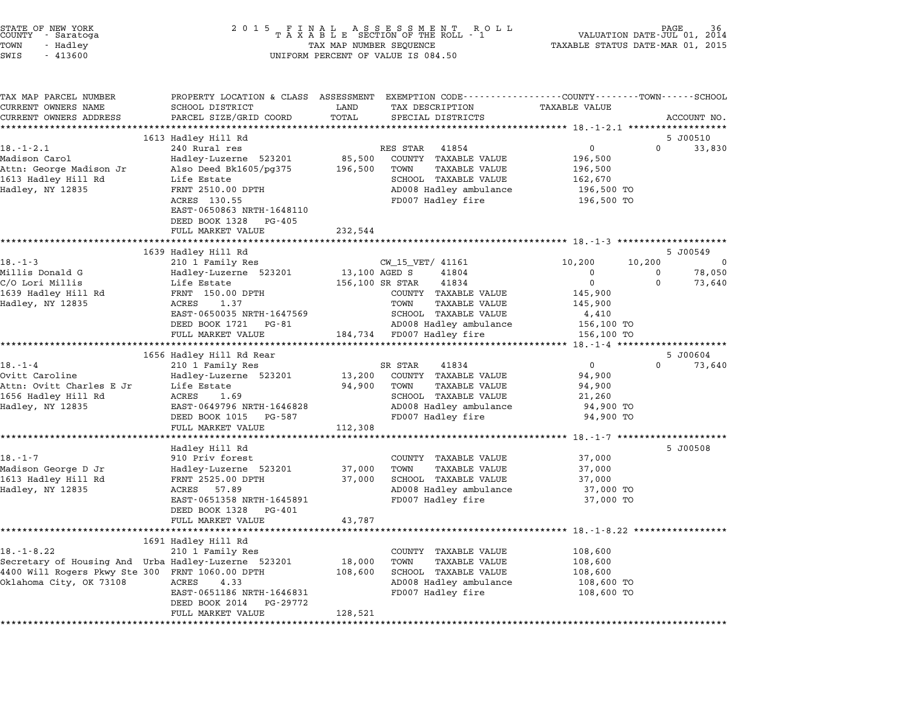| STATE OF NEW YORK<br>COUNTY - Saratoga<br>TOWN<br>- Hadley<br>SWIS<br>$-413600$ | 2 0 1 5<br>FINAL ASSESSMENT ROTAXABLE SECTION OF THE ROLL - 1<br>TAX MAP NUMBER SEQUENCE<br>UNIFORM PERCENT OF VALUE IS 084.50 | PAGE<br>VALUATION DATE-JUL 01, 2014<br>TAXABLE STATUS DATE-MAR 01, 2015                         |                                         |
|---------------------------------------------------------------------------------|--------------------------------------------------------------------------------------------------------------------------------|-------------------------------------------------------------------------------------------------|-----------------------------------------|
| TAX MAP PARCEL NUMBER                                                           |                                                                                                                                | PROPERTY LOCATION & CLASS ASSESSMENT EXEMPTION CODE----------------COUNTY-------TOWN-----SCHOOL |                                         |
| CURRENT OWNERS NAME<br>CURRENT OWNERS ADDRESS                                   | SCHOOL DISTRICT<br>PARCEL SIZE/GRID COORD                                                                                      | LAND<br>TAX DESCRIPTION<br>TOTAL<br>SPECIAL DISTRICTS                                           | <b>TAXABLE VALUE</b><br>ACCOUNT NO.     |
|                                                                                 |                                                                                                                                |                                                                                                 |                                         |
|                                                                                 | 1613 Hadley Hill Rd                                                                                                            |                                                                                                 | 5 J00510                                |
| $18. - 1 - 2.1$                                                                 | 240 Rural res                                                                                                                  | RES STAR<br>41854                                                                               | $\mathbf 0$<br>$\overline{0}$<br>33,830 |
| Madison Carol                                                                   | Hadley-Luzerne 523201                                                                                                          | 85,500<br>COUNTY TAXABLE VALUE                                                                  | 196,500                                 |
| Attn: George Madison Jr                                                         | Also Deed Bk1605/pg375                                                                                                         | 196,500<br><b>TAXABLE VALUE</b><br>TOWN                                                         | 196,500                                 |
| 1613 Hadley Hill Rd                                                             | Life Estate                                                                                                                    | SCHOOL TAXABLE VALUE                                                                            | 162,670                                 |
| Hadley, NY 12835                                                                | FRNT 2510.00 DPTH                                                                                                              | AD008 Hadley ambulance                                                                          | 196,500 TO                              |
|                                                                                 | ACRES 130.55<br>EAST-0650863 NRTH-1648110                                                                                      | FD007 Hadley fire                                                                               | 196,500 TO                              |
|                                                                                 | DEED BOOK 1328 PG-405                                                                                                          |                                                                                                 |                                         |
|                                                                                 | FULL MARKET VALUE                                                                                                              | 232,544                                                                                         |                                         |
|                                                                                 |                                                                                                                                |                                                                                                 |                                         |
|                                                                                 | 1639 Hadley Hill Rd                                                                                                            |                                                                                                 | 5 J00549                                |
| $18. - 1 - 3$                                                                   | 210 1 Family Res                                                                                                               | CW_15_VET/ 41161                                                                                | 10,200<br>10,200<br>$\Omega$            |
| Millis Donald G                                                                 | Hadley-Luzerne 523201                                                                                                          | 13,100 AGED S<br>41804                                                                          | 78,050<br>0<br>0                        |
| C/O Lori Millis                                                                 | Life Estate                                                                                                                    | 156,100 SR STAR<br>41834                                                                        | $\mathbf 0$<br>$\Omega$<br>73,640       |
| 1639 Hadley Hill Rd                                                             | FRNT 150.00 DPTH                                                                                                               | COUNTY TAXABLE VALUE                                                                            | 145,900                                 |
| Hadley, NY 12835                                                                | ACRES<br>1.37                                                                                                                  | TOWN<br><b>TAXABLE VALUE</b>                                                                    | 145,900                                 |
|                                                                                 | EAST-0650035 NRTH-1647569                                                                                                      | SCHOOL TAXABLE VALUE                                                                            | 4,410                                   |
|                                                                                 | DEED BOOK 1721 PG-81<br>FULL MARKET VALUE                                                                                      | AD008 Hadley ambulance<br>184,734 FD007 Hadley fire                                             | 156,100 TO<br>156,100 TO                |
|                                                                                 |                                                                                                                                |                                                                                                 |                                         |
|                                                                                 | 1656 Hadley Hill Rd Rear                                                                                                       |                                                                                                 | 5 J00604                                |
| $18. - 1 - 4$                                                                   | 210 1 Family Res                                                                                                               | SR STAR<br>41834                                                                                | $\mathbf 0$<br>$\mathbf 0$<br>73,640    |
| Ovitt Caroline                                                                  | Hadley-Luzerne 523201                                                                                                          | 13,200<br>COUNTY TAXABLE VALUE                                                                  | 94,900                                  |
| Attn: Ovitt Charles E Jr                                                        | Life Estate                                                                                                                    | 94,900<br>TOWN<br>TAXABLE VALUE                                                                 | 94,900                                  |
| 1656 Hadley Hill Rd                                                             | ACRES<br>1.69                                                                                                                  | SCHOOL TAXABLE VALUE                                                                            | 21,260                                  |
| Hadley, NY 12835                                                                | EAST-0649796 NRTH-1646828                                                                                                      | AD008 Hadley ambulance                                                                          | 94,900 TO                               |
|                                                                                 | DEED BOOK 1015 PG-587                                                                                                          | FD007 Hadley fire                                                                               | 94,900 TO                               |
|                                                                                 | FULL MARKET VALUE                                                                                                              | 112,308                                                                                         |                                         |
|                                                                                 | Hadley Hill Rd                                                                                                                 |                                                                                                 | 5 J00508                                |
| $18. - 1 - 7$                                                                   | 910 Priv forest                                                                                                                | COUNTY TAXABLE VALUE                                                                            | 37,000                                  |
| Madison George D Jr                                                             | Hadley-Luzerne 523201                                                                                                          | 37,000<br>TOWN<br><b>TAXABLE VALUE</b>                                                          | 37,000                                  |
| 1613 Hadley Hill Rd                                                             | FRNT 2525.00 DPTH                                                                                                              | SCHOOL TAXABLE VALUE<br>37,000                                                                  | 37,000                                  |
| Hadley, NY 12835                                                                | ACRES<br>57.89                                                                                                                 | AD008 Hadley ambulance                                                                          | 37,000 TO                               |
|                                                                                 | EAST-0651358 NRTH-1645891                                                                                                      | FD007 Hadley fire                                                                               | 37,000 TO                               |
|                                                                                 | DEED BOOK 1328 PG-401                                                                                                          |                                                                                                 |                                         |
|                                                                                 | FULL MARKET VALUE                                                                                                              | 43,787                                                                                          |                                         |
|                                                                                 |                                                                                                                                |                                                                                                 |                                         |
|                                                                                 | 1691 Hadley Hill Rd                                                                                                            |                                                                                                 |                                         |
| $18. - 1 - 8.22$                                                                | 210 1 Family Res                                                                                                               | COUNTY TAXABLE VALUE<br>18,000<br>TOWN<br><b>TAXABLE VALUE</b>                                  | 108,600                                 |
| 4400 Will Rogers Pkwy Ste 300 FRNT 1060.00 DPTH                                 | Secretary of Housing And Urba Hadley-Luzerne 523201                                                                            | SCHOOL TAXABLE VALUE<br>108,600                                                                 | 108,600<br>108,600                      |
| Oklahoma City, OK 73108                                                         | ACRES<br>4.33                                                                                                                  | AD008 Hadley ambulance                                                                          | 108,600 TO                              |
|                                                                                 | EAST-0651186 NRTH-1646831<br>DEED BOOK 2014<br>PG-29772                                                                        | FD007 Hadley fire                                                                               | 108,600 TO                              |

\*\*\*\*\*\*\*\*\*\*\*\*\*\*\*\*\*\*\*\*\*\*\*\*\*\*\*\*\*\*\*\*\*\*\*\*\*\*\*\*\*\*\*\*\*\*\*\*\*\*\*\*\*\*\*\*\*\*\*\*\*\*\*\*\*\*\*\*\*\*\*\*\*\*\*\*\*\*\*\*\*\*\*\*\*\*\*\*\*\*\*\*\*\*\*\*\*\*\*\*\*\*\*\*\*\*\*\*\*\*\*\*\*\*\*\*\*\*\*\*\*\*\*\*\*\*\*\*\*\*\*\*

FULL MARKET VALUE 128,521

STATE OF NEW YORK <sup>2</sup> <sup>0</sup> <sup>1</sup> 5 F I N A L A S S E S S M E N T R O L L PAGE <sup>36</sup> COUNTY - Saratoga <sup>T</sup> <sup>A</sup> <sup>X</sup> <sup>A</sup> <sup>B</sup> <sup>L</sup> <sup>E</sup> SECTION OF THE ROLL - <sup>1</sup> VALUATION DATE-JUL 01, <sup>2014</sup>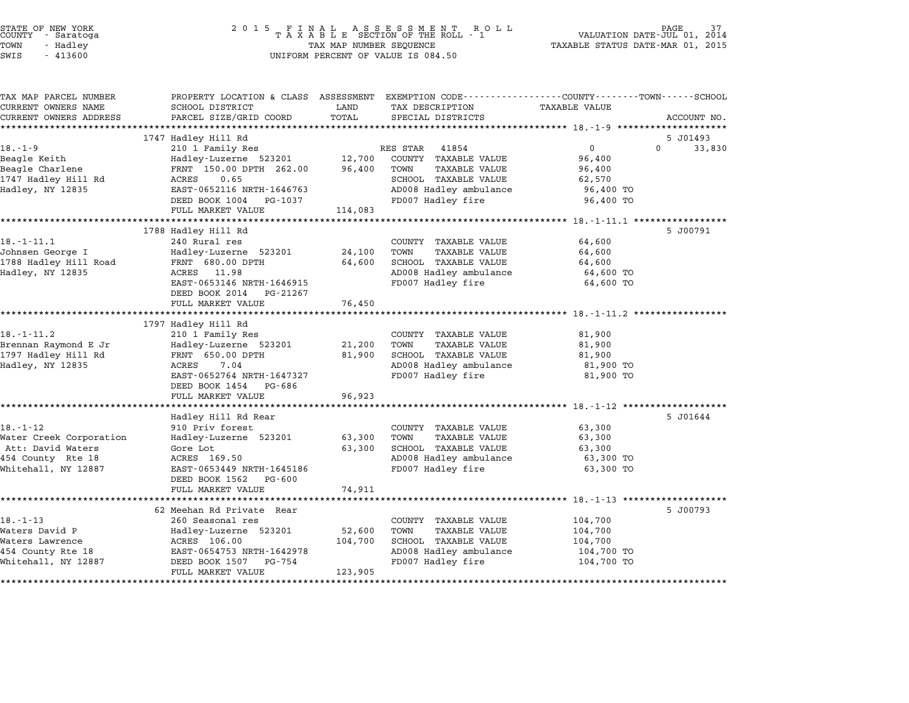| STATE OF NEW YORK<br>COUNTY      Saratoga<br>TOWN<br>- Hadley<br>SWIS<br>$-413600$ | 2 0 1 5<br>FINAL ASSESSMENT RO<br>TAXABLE SECTION OF THE ROLL - 1<br>R O L L<br>TAX MAP NUMBER SEQUENCE<br>UNIFORM PERCENT OF VALUE IS 084.50 |         |                                                      | PAGE<br>VALUATION DATE-JUL 01, 2014<br>TAXABLE STATUS DATE-MAR 01, 2015 |                    |  |
|------------------------------------------------------------------------------------|-----------------------------------------------------------------------------------------------------------------------------------------------|---------|------------------------------------------------------|-------------------------------------------------------------------------|--------------------|--|
|                                                                                    |                                                                                                                                               |         |                                                      |                                                                         |                    |  |
| TAX MAP PARCEL NUMBER<br>CURRENT OWNERS NAME                                       | PROPERTY LOCATION & CLASS ASSESSMENT EXEMPTION CODE----------------COUNTY-------TOWN-----SCHOOL<br>SCHOOL DISTRICT                            | LAND    | TAX DESCRIPTION                                      | <b>TAXABLE VALUE</b>                                                    |                    |  |
| CURRENT OWNERS ADDRESS                                                             | PARCEL SIZE/GRID COORD                                                                                                                        | TOTAL   | SPECIAL DISTRICTS                                    |                                                                         | ACCOUNT NO.        |  |
|                                                                                    |                                                                                                                                               |         |                                                      |                                                                         |                    |  |
|                                                                                    | 1747 Hadley Hill Rd                                                                                                                           |         |                                                      |                                                                         | 5 J01493           |  |
| $18. - 1 - 9$                                                                      | 210 1 Family Res                                                                                                                              |         | RES STAR 41854                                       | $\overline{0}$                                                          | $\Omega$<br>33,830 |  |
| Beagle Keith                                                                       | Hadley-Luzerne 523201                                                                                                                         | 12,700  | COUNTY TAXABLE VALUE                                 | 96,400                                                                  |                    |  |
| Beagle Charlene                                                                    | FRNT 150.00 DPTH 262.00                                                                                                                       | 96,400  | TOWN<br>TAXABLE VALUE                                | 96,400                                                                  |                    |  |
| 1747 Hadley Hill Rd                                                                | ACRES<br>0.65                                                                                                                                 |         | SCHOOL TAXABLE VALUE                                 | 62,570                                                                  |                    |  |
| Hadley, NY 12835                                                                   | EAST-0652116 NRTH-1646763                                                                                                                     |         | AD008 Hadley ambulance                               | 96,400 TO                                                               |                    |  |
|                                                                                    | DEED BOOK 1004 PG-1037                                                                                                                        |         | FD007 Hadley fire                                    | 96,400 TO                                                               |                    |  |
|                                                                                    | FULL MARKET VALUE                                                                                                                             | 114,083 |                                                      |                                                                         |                    |  |
|                                                                                    |                                                                                                                                               |         |                                                      |                                                                         |                    |  |
|                                                                                    | 1788 Hadley Hill Rd                                                                                                                           |         |                                                      |                                                                         | 5 J00791           |  |
| $18. - 1 - 11.1$                                                                   | 240 Rural res                                                                                                                                 |         | COUNTY TAXABLE VALUE                                 | 64,600                                                                  |                    |  |
| Johnsen George I                                                                   | Hadley-Luzerne 523201                                                                                                                         | 24,100  | TOWN<br>TAXABLE VALUE                                | 64,600                                                                  |                    |  |
| 1788 Hadley Hill Road                                                              | FRNT 680.00 DPTH                                                                                                                              | 64,600  | SCHOOL TAXABLE VALUE                                 | 64,600                                                                  |                    |  |
| Hadley, NY 12835                                                                   | ACRES 11.98                                                                                                                                   |         | AD008 Hadley ambulance                               | 64,600 TO                                                               |                    |  |
|                                                                                    | EAST-0653146 NRTH-1646915                                                                                                                     |         | FD007 Hadley fire                                    | 64,600 TO                                                               |                    |  |
|                                                                                    | DEED BOOK 2014 PG-21267                                                                                                                       |         |                                                      |                                                                         |                    |  |
|                                                                                    | FULL MARKET VALUE                                                                                                                             | 76,450  |                                                      |                                                                         |                    |  |
|                                                                                    | ************************                                                                                                                      |         |                                                      |                                                                         |                    |  |
|                                                                                    | 1797 Hadley Hill Rd                                                                                                                           |         |                                                      |                                                                         |                    |  |
| $18. - 1 - 11.2$                                                                   | 210 1 Family Res                                                                                                                              |         | COUNTY TAXABLE VALUE                                 | 81,900                                                                  |                    |  |
| Brennan Raymond E Jr                                                               | Hadley-Luzerne 523201                                                                                                                         | 21,200  | <b>TAXABLE VALUE</b><br>TOWN                         | 81,900                                                                  |                    |  |
| 1797 Hadley Hill Rd                                                                | FRNT 650.00 DPTH                                                                                                                              | 81,900  | SCHOOL TAXABLE VALUE                                 | 81,900                                                                  |                    |  |
| Hadley, NY 12835                                                                   | 7.04<br>ACRES                                                                                                                                 |         | AD008 Hadley ambulance                               | 81,900 TO                                                               |                    |  |
|                                                                                    | EAST-0652764 NRTH-1647327                                                                                                                     |         | FD007 Hadley fire                                    | 81,900 TO                                                               |                    |  |
|                                                                                    | DEED BOOK 1454 PG-686                                                                                                                         |         |                                                      |                                                                         |                    |  |
|                                                                                    | FULL MARKET VALUE                                                                                                                             | 96,923  |                                                      |                                                                         |                    |  |
|                                                                                    | Hadley Hill Rd Rear                                                                                                                           |         |                                                      |                                                                         | 5 J01644           |  |
| $18. - 1 - 12$                                                                     | 910 Priv forest                                                                                                                               |         |                                                      |                                                                         |                    |  |
| Water Creek Corporation                                                            | Hadley-Luzerne 523201                                                                                                                         | 63,300  | COUNTY TAXABLE VALUE<br>TOWN<br><b>TAXABLE VALUE</b> | 63,300<br>63,300                                                        |                    |  |
| Att: David Waters                                                                  | Gore Lot                                                                                                                                      | 63,300  | SCHOOL TAXABLE VALUE                                 | 63,300                                                                  |                    |  |
| 454 County Rte 18                                                                  | ACRES 169.50                                                                                                                                  |         | AD008 Hadley ambulance                               | 63,300 TO                                                               |                    |  |
| Whitehall, NY 12887                                                                | EAST-0653449 NRTH-1645186                                                                                                                     |         | FD007 Hadley fire                                    | 63,300 TO                                                               |                    |  |
|                                                                                    | DEED BOOK 1562 PG-600                                                                                                                         |         |                                                      |                                                                         |                    |  |
|                                                                                    | FULL MARKET VALUE                                                                                                                             | 74,911  |                                                      |                                                                         |                    |  |
|                                                                                    |                                                                                                                                               |         |                                                      |                                                                         |                    |  |
|                                                                                    | 62 Meehan Rd Private Rear                                                                                                                     |         |                                                      |                                                                         | 5 J00793           |  |
| $18. - 1 - 13$                                                                     | 260 Seasonal res                                                                                                                              |         | COUNTY TAXABLE VALUE                                 | 104,700                                                                 |                    |  |
| Waters David P                                                                     | Hadley-Luzerne 523201                                                                                                                         | 52,600  | TOWN<br><b>TAXABLE VALUE</b>                         | 104,700                                                                 |                    |  |
| Waters Lawrence                                                                    | ACRES 106.00                                                                                                                                  | 104,700 | SCHOOL TAXABLE VALUE                                 | 104,700                                                                 |                    |  |
| 454 County Rte 18                                                                  | EAST-0654753 NRTH-1642978                                                                                                                     |         | AD008 Hadley ambulance                               | 104,700 TO                                                              |                    |  |
| Whitehall, NY 12887                                                                | DEED BOOK 1507 PG-754                                                                                                                         |         | FD007 Hadley fire                                    | 104,700 TO                                                              |                    |  |
|                                                                                    | FULL MARKET VALUE                                                                                                                             | 123,905 |                                                      |                                                                         |                    |  |

STATE OF NEW YORK <sup>2</sup> <sup>0</sup> <sup>1</sup> 5 F I N A L A S S E S S M E N T R O L L PAGE <sup>37</sup> COUNTY - Saratoga <sup>T</sup> <sup>A</sup> <sup>X</sup> <sup>A</sup> <sup>B</sup> <sup>L</sup> <sup>E</sup> SECTION OF THE ROLL - <sup>1</sup> VALUATION DATE-JUL 01, <sup>2014</sup>

\*\*\*\*\*\*\*\*\*\*\*\*\*\*\*\*\*\*\*\*\*\*\*\*\*\*\*\*\*\*\*\*\*\*\*\*\*\*\*\*\*\*\*\*\*\*\*\*\*\*\*\*\*\*\*\*\*\*\*\*\*\*\*\*\*\*\*\*\*\*\*\*\*\*\*\*\*\*\*\*\*\*\*\*\*\*\*\*\*\*\*\*\*\*\*\*\*\*\*\*\*\*\*\*\*\*\*\*\*\*\*\*\*\*\*\*\*\*\*\*\*\*\*\*\*\*\*\*\*\*\*\*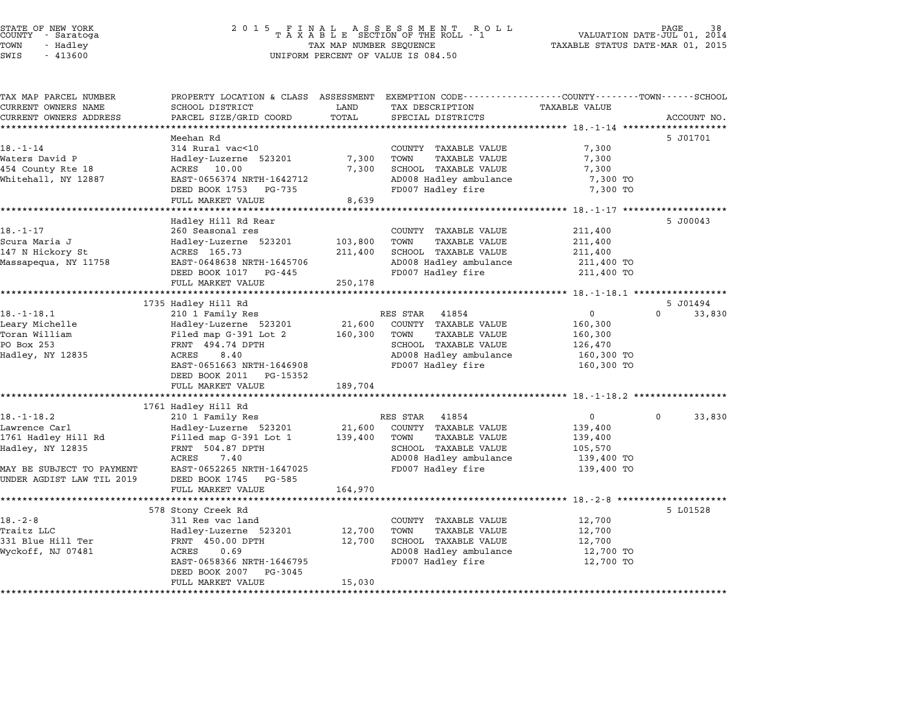| TAX MAP PARCEL NUMBER<br>CURRENT OWNERS NAME | PROPERTY LOCATION & CLASS ASSESSMENT EXEMPTION CODE----------------COUNTY-------TOWN------SCHOOL<br>SCHOOL DISTRICT | LAND             | TAX DESCRIPTION                               | TAXABLE VALUE                                       |                    |
|----------------------------------------------|---------------------------------------------------------------------------------------------------------------------|------------------|-----------------------------------------------|-----------------------------------------------------|--------------------|
| CURRENT OWNERS ADDRESS                       | PARCEL SIZE/GRID COORD                                                                                              | TOTAL            | SPECIAL DISTRICTS                             |                                                     | ACCOUNT NO.        |
|                                              | *********************                                                                                               |                  |                                               |                                                     |                    |
|                                              | Meehan Rd                                                                                                           |                  |                                               |                                                     | 5 J01701           |
| $18. - 1 - 14$                               | 314 Rural vac<10                                                                                                    |                  | COUNTY TAXABLE VALUE                          | 7,300                                               |                    |
| Waters David P                               | Hadley-Luzerne 523201                                                                                               | 7,300            | TOWN<br>TAXABLE VALUE                         | 7,300                                               |                    |
| 454 County Rte 18                            | ACRES 10.00                                                                                                         | 7,300            | SCHOOL TAXABLE VALUE                          | 7,300                                               |                    |
| Whitehall, NY 12887                          | EAST-0656374 NRTH-1642712                                                                                           |                  | AD008 Hadley ambulance                        | 7,300 TO                                            |                    |
|                                              | DEED BOOK 1753<br>PG-735<br>FULL MARKET VALUE                                                                       | 8,639            | FD007 Hadley fire                             | 7,300 TO                                            |                    |
|                                              |                                                                                                                     |                  |                                               | ********************* 18.-1-17 ******************** |                    |
|                                              | Hadley Hill Rd Rear                                                                                                 |                  |                                               |                                                     | 5 J00043           |
| $18. - 1 - 17$                               | 260 Seasonal res                                                                                                    |                  | COUNTY TAXABLE VALUE                          | 211,400                                             |                    |
| Scura Maria J                                | Hadley-Luzerne 523201                                                                                               | 103,800          | <b>TAXABLE VALUE</b><br>TOWN                  | 211,400                                             |                    |
| 147 N Hickory St                             | ACRES 165.73                                                                                                        | 211,400          | SCHOOL TAXABLE VALUE                          | 211,400                                             |                    |
| Massapequa, NY 11758                         | EAST-0648638 NRTH-1645706                                                                                           |                  | AD008 Hadley ambulance                        | 211,400 TO                                          |                    |
|                                              | DEED BOOK 1017 PG-445                                                                                               |                  | FD007 Hadley fire                             | 211,400 TO                                          |                    |
|                                              | FULL MARKET VALUE                                                                                                   | 250,178          |                                               |                                                     |                    |
|                                              |                                                                                                                     |                  |                                               | ****************** 18. -1-18.1 ******************   |                    |
|                                              | 1735 Hadley Hill Rd                                                                                                 |                  |                                               |                                                     | 5 J01494           |
| $18. - 1 - 18.1$                             | 210 1 Family Res                                                                                                    |                  | RES STAR<br>41854                             | $\mathbf 0$                                         | $\Omega$<br>33,830 |
| Leary Michelle                               | Hadley-Luzerne 523201                                                                                               | 21,600           | COUNTY TAXABLE VALUE                          | 160,300                                             |                    |
| Toran William                                | Filed map G-391 Lot 2                                                                                               | 160,300          | TOWN<br>TAXABLE VALUE                         | 160,300                                             |                    |
| PO Box 253                                   | FRNT 494.74 DPTH                                                                                                    |                  | SCHOOL TAXABLE VALUE                          | 126,470                                             |                    |
| Hadley, NY 12835                             | ACRES<br>8.40                                                                                                       |                  | AD008 Hadley ambulance                        | 160,300 TO                                          |                    |
|                                              | EAST-0651663 NRTH-1646908                                                                                           |                  | FD007 Hadley fire                             | 160,300 TO                                          |                    |
|                                              | DEED BOOK 2011<br>PG-15352                                                                                          |                  |                                               |                                                     |                    |
|                                              | FULL MARKET VALUE                                                                                                   | 189,704          |                                               | ******************************* 18.-1-18.2 ******   |                    |
|                                              | 1761 Hadley Hill Rd                                                                                                 |                  |                                               |                                                     |                    |
| $18. - 1 - 18.2$                             | 210 1 Family Res                                                                                                    |                  | RES STAR<br>41854                             | $\mathbf{0}$                                        | 33,830<br>0        |
| Lawrence Carl                                | Hadley-Luzerne 523201                                                                                               | 21,600           | COUNTY TAXABLE VALUE                          | 139,400                                             |                    |
| 1761 Hadley Hill Rd                          | Filled map G-391 Lot 1                                                                                              | 139,400          | TOWN<br>TAXABLE VALUE                         | 139,400                                             |                    |
| Hadley, NY 12835                             | FRNT 504.87 DPTH                                                                                                    |                  | SCHOOL TAXABLE VALUE                          | 105,570                                             |                    |
|                                              | ACRES<br>7.40                                                                                                       |                  | AD008 Hadley ambulance                        | 139,400 TO                                          |                    |
| MAY BE SUBJECT TO PAYMENT                    | EAST-0652265 NRTH-1647025                                                                                           |                  | FD007 Hadley fire                             | 139,400 TO                                          |                    |
| UNDER AGDIST LAW TIL 2019                    | DEED BOOK 1745<br>PG-585                                                                                            |                  |                                               |                                                     |                    |
|                                              | FULL MARKET VALUE                                                                                                   | 164,970          |                                               |                                                     |                    |
|                                              |                                                                                                                     | ***********      |                                               | ********************* 18.-2-8 ********************  |                    |
|                                              | 578 Stony Creek Rd                                                                                                  |                  |                                               |                                                     | 5 L01528           |
| $18. - 2 - 8$                                | 311 Res vac land                                                                                                    |                  | COUNTY TAXABLE VALUE                          | 12,700                                              |                    |
| Traitz LLC<br>331 Blue Hill Ter              | Hadley-Luzerne 523201                                                                                               | 12,700<br>12,700 | TAXABLE VALUE<br>TOWN<br>SCHOOL TAXABLE VALUE | 12,700<br>12,700                                    |                    |
| Wyckoff, NJ 07481                            | FRNT 450.00 DPTH<br>0.69<br>ACRES                                                                                   |                  | AD008 Hadley ambulance                        | 12,700 TO                                           |                    |
|                                              | EAST-0658366 NRTH-1646795                                                                                           |                  | FD007 Hadley fire                             | 12,700 TO                                           |                    |
|                                              | DEED BOOK 2007<br>PG-3045                                                                                           |                  |                                               |                                                     |                    |
|                                              | FULL MARKET VALUE                                                                                                   | 15,030           |                                               |                                                     |                    |
|                                              | *********************<br>*******************                                                                        |                  |                                               |                                                     |                    |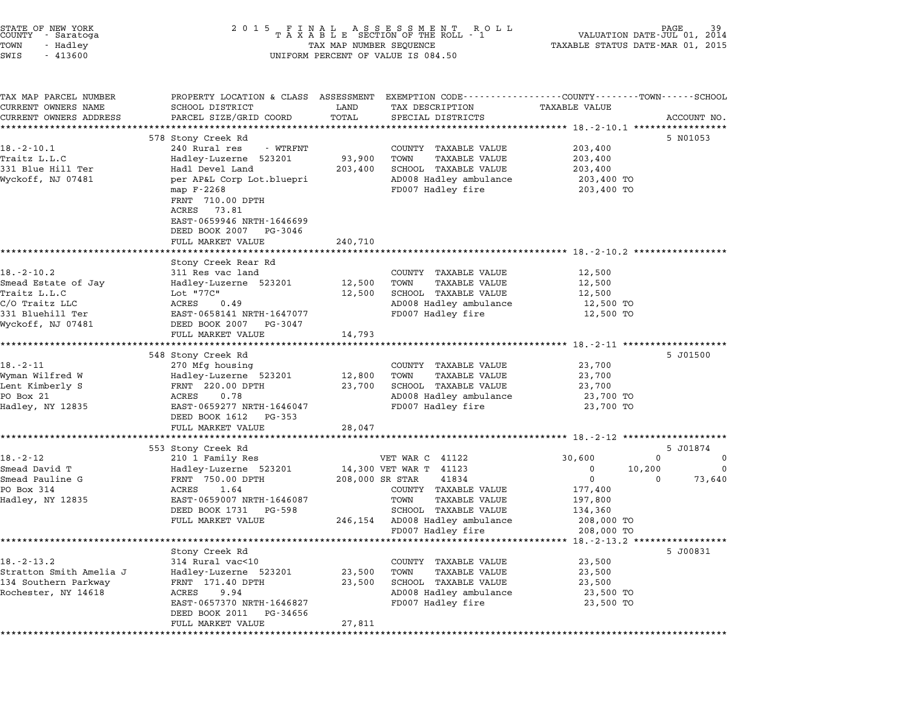| STATE OF NEW YORK<br>COUNTY<br>- Saratoga | 2 0 1 5                                                                                         |                                  | FINAL ASSESSMENT ROTAXABLE SECTION OF THE ROLL - 1<br>R O L L | VALUATION DATE-JUL 01, 2014         | PAGE        |
|-------------------------------------------|-------------------------------------------------------------------------------------------------|----------------------------------|---------------------------------------------------------------|-------------------------------------|-------------|
| TOWN<br>- Hadley                          | TAX MAP NUMBER SEQUENCE                                                                         | TAXABLE STATUS DATE-MAR 01, 2015 |                                                               |                                     |             |
| SWIS<br>$-413600$                         |                                                                                                 |                                  | UNIFORM PERCENT OF VALUE IS 084.50                            |                                     |             |
| TAX MAP PARCEL NUMBER                     | PROPERTY LOCATION & CLASS ASSESSMENT EXEMPTION CODE----------------COUNTY-------TOWN-----SCHOOL |                                  |                                                               |                                     |             |
| CURRENT OWNERS NAME                       | SCHOOL DISTRICT                                                                                 | LAND                             | TAX DESCRIPTION                                               | <b>TAXABLE VALUE</b>                |             |
| CURRENT OWNERS ADDRESS                    | PARCEL SIZE/GRID COORD                                                                          | TOTAL                            | SPECIAL DISTRICTS                                             |                                     | ACCOUNT NO. |
|                                           |                                                                                                 |                                  |                                                               |                                     |             |
|                                           | 578 Stony Creek Rd                                                                              |                                  |                                                               |                                     | 5 N01053    |
| $18. - 2 - 10.1$                          | 240 Rural res<br>- WTRFNT                                                                       |                                  | COUNTY TAXABLE VALUE                                          | 203,400                             |             |
| Traitz L.L.C                              | Hadley-Luzerne 523201                                                                           | 93,900                           | TOWN<br>TAXABLE VALUE                                         | 203,400                             |             |
| 331 Blue Hill Ter                         | Hadl Devel Land                                                                                 | 203,400                          | SCHOOL TAXABLE VALUE                                          | 203,400                             |             |
| Wyckoff, NJ 07481                         | per AP&L Corp Lot.bluepri                                                                       |                                  | AD008 Hadley ambulance                                        | 203,400 TO                          |             |
|                                           | map F-2268                                                                                      |                                  | FD007 Hadley fire                                             | 203,400 TO                          |             |
|                                           | FRNT 710.00 DPTH                                                                                |                                  |                                                               |                                     |             |
|                                           | ACRES<br>73.81                                                                                  |                                  |                                                               |                                     |             |
|                                           | EAST-0659946 NRTH-1646699                                                                       |                                  |                                                               |                                     |             |
|                                           | DEED BOOK 2007<br>PG-3046                                                                       |                                  |                                                               |                                     |             |
|                                           | FULL MARKET VALUE                                                                               | 240,710                          |                                                               |                                     |             |
|                                           |                                                                                                 |                                  |                                                               |                                     |             |
|                                           | Stony Creek Rear Rd                                                                             |                                  |                                                               |                                     |             |
| $18.-2-10.2$                              | 311 Res vac land                                                                                |                                  | COUNTY TAXABLE VALUE                                          | 12,500                              |             |
| Smead Estate of Jay                       | Hadley-Luzerne 523201                                                                           | 12,500                           | TOWN<br><b>TAXABLE VALUE</b>                                  | 12,500                              |             |
| Traitz L.L.C                              | Lot "77C"                                                                                       | 12,500                           | SCHOOL TAXABLE VALUE                                          | 12,500                              |             |
| C/O Traitz LLC                            | ACRES<br>0.49                                                                                   |                                  | AD008 Hadley ambulance                                        | 12,500 TO                           |             |
| 331 Bluehill Ter                          | EAST-0658141 NRTH-1647077                                                                       |                                  | FD007 Hadley fire                                             | 12,500 TO                           |             |
| Wyckoff, NJ 07481                         | DEED BOOK 2007<br>PG-3047                                                                       |                                  |                                                               |                                     |             |
|                                           | FULL MARKET VALUE                                                                               | 14,793                           |                                                               |                                     |             |
|                                           | 548 Stony Creek Rd                                                                              |                                  |                                                               |                                     | 5 J01500    |
| $18. - 2 - 11$                            | 270 Mfg housing                                                                                 |                                  | COUNTY TAXABLE VALUE                                          | 23,700                              |             |
| Wyman Wilfred W                           | Hadley-Luzerne 523201                                                                           | 12,800                           | <b>TAXABLE VALUE</b><br>TOWN                                  | 23,700                              |             |
| Lent Kimberly S                           | FRNT 220.00 DPTH                                                                                | 23,700                           | SCHOOL TAXABLE VALUE                                          | 23,700                              |             |
| PO Box 21                                 | ACRES<br>0.78                                                                                   |                                  | AD008 Hadley ambulance                                        | 23,700 TO                           |             |
| Hadley, NY 12835                          | EAST-0659277 NRTH-1646047                                                                       |                                  | FD007 Hadley fire                                             | 23,700 TO                           |             |
|                                           | DEED BOOK 1612<br>PG-353                                                                        |                                  |                                                               |                                     |             |
|                                           | FULL MARKET VALUE                                                                               | 28,047                           |                                                               |                                     |             |
|                                           |                                                                                                 |                                  |                                                               |                                     |             |
|                                           | 553 Stony Creek Rd                                                                              |                                  |                                                               |                                     | 5 J01874    |
| $18. - 2 - 12$                            | 210 1 Family Res                                                                                |                                  | VET WAR C 41122                                               | 30,600                              | 0<br>0      |
| Smead David T                             | Hadley-Luzerne 523201                                                                           |                                  | 14,300 VET WAR T 41123                                        | 0<br>10,200                         | 0           |
| Smead Pauline G                           | FRNT 750.00 DPTH                                                                                | 208,000 SR STAR                  | 41834                                                         | 0                                   | 0<br>73,640 |
| PO Box 314                                | 1.64<br>ACRES                                                                                   |                                  | COUNTY TAXABLE VALUE                                          | 177,400                             |             |
| Hadley, NY 12835                          | EAST-0659007 NRTH-1646087                                                                       |                                  | TOWN<br>TAXABLE VALUE                                         | 197,800                             |             |
|                                           | DEED BOOK 1731<br>PG-598                                                                        |                                  | SCHOOL TAXABLE VALUE                                          | 134,360                             |             |
|                                           | FULL MARKET VALUE                                                                               | 246,154                          | AD008 Hadley ambulance                                        | 208,000 TO                          |             |
|                                           |                                                                                                 |                                  | FD007 Hadley fire                                             | 208,000 TO                          |             |
|                                           |                                                                                                 |                                  | ***************************                                   | ******* 18.-2-13.2 **************** |             |
|                                           | Stony Creek Rd                                                                                  |                                  |                                                               |                                     | 5 J00831    |
| $18. - 2 - 13.2$                          | 314 Rural vac<10                                                                                |                                  | COUNTY<br>TAXABLE VALUE                                       | 23,500                              |             |
| Stratton Smith Amelia J                   | Hadley-Luzerne 523201                                                                           | 23,500                           | TOWN<br><b>TAXABLE VALUE</b>                                  | 23,500                              |             |
| 134 Southern Parkway                      | FRNT 171.40 DPTH                                                                                | 23,500                           | SCHOOL TAXABLE VALUE                                          | 23,500                              |             |
| Rochester, NY 14618                       | 9.94<br>ACRES<br>EAST-0657370 NRTH-1646827                                                      |                                  | AD008 Hadley ambulance                                        | 23,500 TO                           |             |
|                                           | DEED BOOK 2011<br>PG-34656                                                                      |                                  | FD007 Hadley fire                                             | 23,500 TO                           |             |
|                                           | FULL MARKET VALUE                                                                               | 27,811                           |                                                               |                                     |             |
| **************                            |                                                                                                 |                                  |                                                               |                                     |             |
|                                           |                                                                                                 |                                  |                                                               |                                     |             |

STATE OF NEW YORK <sup>2</sup> <sup>0</sup> <sup>1</sup> 5 F I N A L A S S E S S M E N T R O L L PAGE <sup>39</sup> COUNTY - Saratoga <sup>T</sup> <sup>A</sup> <sup>X</sup> <sup>A</sup> <sup>B</sup> <sup>L</sup> <sup>E</sup> SECTION OF THE ROLL - <sup>1</sup> VALUATION DATE-JUL 01, <sup>2014</sup>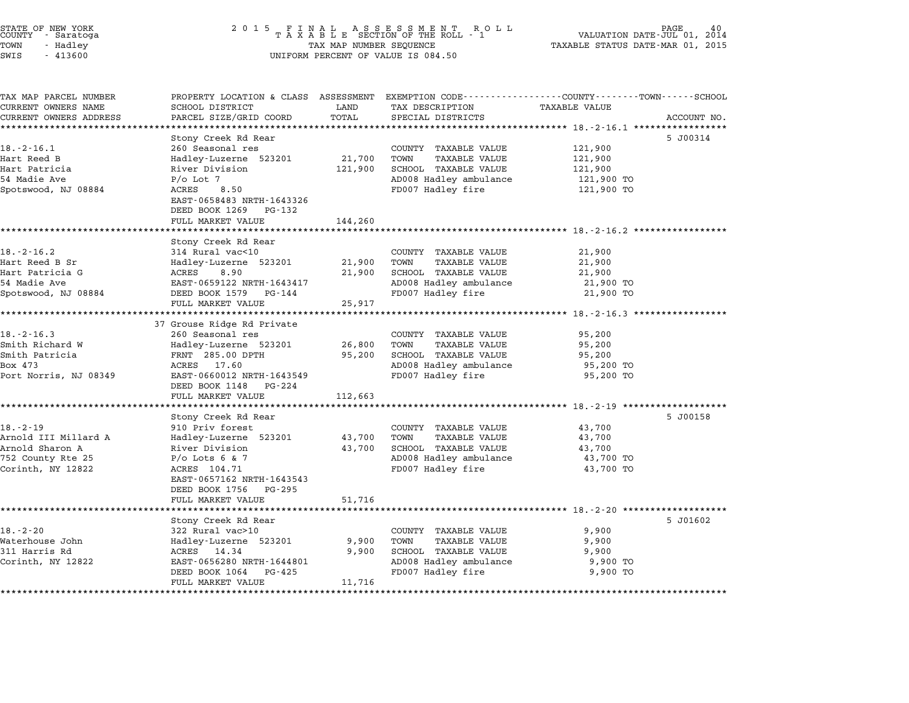| STATE OF NEW YORK |          |            |  |
|-------------------|----------|------------|--|
| COUNTY            |          | - Saratoga |  |
| TOWN              | - Hadley |            |  |

TAX MAP PARCEL NUMBER PROPERTY LOCATION & CLASS ASSESSMENT EXEMPTION CODE------------------COUNTY--------TOWN------SCHOOL ...<br>-- COUNTY:- TAX MAP PARCEL NUMBER THE OCHOTRY AND THE CURRENT EXEMPTION CODE<br>CURRENT OWNERS NAME SCHOOL DISTRICT LAND TAX DESCRIPTION TAXABLE VALUE CURRENT OWNERS ADDRESS PARCEL SIZE/GRID COORD TOTAL SPECIAL DISTRICTS ACCOUNT NO. \*\*\*\*\*\*\*\*\*\*\*\*\*\*\*\*\*\*\*\*\*\*\*\*\*\*\*\*\*\*\*\*\*\*\*\*\*\*\*\*\*\*\*\*\*\*\*\*\*\*\*\*\*\*\*\*\*\*\*\*\*\*\*\*\*\*\*\*\*\*\*\*\*\*\*\*\*\*\*\*\*\*\*\*\*\*\*\*\*\*\*\*\*\*\*\*\*\*\*\*\*\*\* 18.-2-16.1 \*\*\*\*\*\*\*\*\*\*\*\*\*\*\*\*\* Stony Creek Rd Rear 5 J00314 18.-2-16.1 <sup>260</sup> Seasonal res COUNTY TAXABLE VALUE 121,900 Hart Reed B Hadley-Luzerne <sup>523201</sup> 21,700 TOWN TAXABLE VALUE 121,900 Hart Patricia River Division 121,900 SCHOOL TAXABLE VALUE 121,900 <sup>54</sup> Madie Ave P/o Lot 7 AD008 Hadley ambulance 121,900 TO nart raticia and the model of the control of the control of the control of the control of the control of the c<br>Spotswood, NJ 08884 P/O Lot 7 ACRES 8.50 ACRES 8.50 PD008 Hadley fire 121,900 TO P/O LOC /<br>ACRES 8.50<br>EAST-0658483 NRTH-1643326 EAST-0658483 NRTH-1643326<br>DEED BOOK 1269 PG-132 FULL MARKET VALUE 144,260 \*\*\*\*\*\*\*\*\*\*\*\*\*\*\*\*\*\*\*\*\*\*\*\*\*\*\*\*\*\*\*\*\*\*\*\*\*\*\*\*\*\*\*\*\*\*\*\*\*\*\*\*\*\*\*\*\*\*\*\*\*\*\*\*\*\*\*\*\*\*\*\*\*\*\*\*\*\*\*\*\*\*\*\*\*\*\*\*\*\*\*\*\*\*\*\*\*\*\*\*\*\*\* 18.-2-16.2 \*\*\*\*\*\*\*\*\*\*\*\*\*\*\*\*\* Stony Creek Rd Rear 18.-2-16.2 <sup>314</sup> Rural vac<10 COUNTY TAXABLE VALUE 21,900 Hart Reed B Sr Hadley-Luzerne <sup>523201</sup> 21,900 TOWN TAXABLE VALUE 21,900 Hart Patricia G ACRES 8.90 21,900 SCHOOL TAXABLE VALUE 21,900 <sup>54</sup> Madie Ave EAST-0659122 NRTH-1643417 AD008 Hadley ambulance 21,900 TO nart ratricia G. A. R. R. R. R. S. Song and the control of the control of the control of the control of the co<br>Spotswood, NJ 08884 BAST-0659122 NRTH-1643417 AD008 Hadley ambulance 21,900 TO<br>Spotswood, NJ 08884 DEED BOOK 15 EASI-0059122 NAIH-1045417<br>
DEED BOOK 1579 PG-144<br>
FULL MARKET VALUE 25,917 \*\*\*\*\*\*\*\*\*\*\*\*\*\*\*\*\*\*\*\*\*\*\*\*\*\*\*\*\*\*\*\*\*\*\*\*\*\*\*\*\*\*\*\*\*\*\*\*\*\*\*\*\*\*\*\*\*\*\*\*\*\*\*\*\*\*\*\*\*\*\*\*\*\*\*\*\*\*\*\*\*\*\*\*\*\*\*\*\*\*\*\*\*\*\*\*\*\*\*\*\*\*\* 18.-2-16.3 \*\*\*\*\*\*\*\*\*\*\*\*\*\*\*\*\* EULE MARKET VALUE<br>\*\*\*\*\*\*\*\*\*\*\*\*\*\*\*\*\*\*\*\*\*\*\*\*\*\*\*\*\*\*\*\*\*<br>37 Grouse Ridge Rd Private 18.-2-16.3 <sup>260</sup> Seasonal res COUNTY TAXABLE VALUE 95,200 Smith Richard W Hadley-Luzerne <sup>523201</sup> 26,800 TOWN TAXABLE VALUE 95,200 المحادث المسلم المسلم المسلم المسلم المسلم المسلم المسلم المسلم المسلم المسلم المسلم المسلم المسلم المسلم المس<br>Smith Patricia 195,200 PM 95,200 PTH 95,200 SCHOOL TAXABLE VALUE 95,200 Smith Alchard W (Bandley-Luzerne 525201 - 20,000 TOWN TAXABLE VALUE - 95,200<br>Smith Patricia - FRNT 285.00 DPTH 95,200 SCHOOL TAXABLE VALUE 95,200<br>Box 473 - ACRES 17.60 - AD008 Hadley ambulance 95,200 TO 9 PORT MATE 2011-01 PART 2011-01 PART 2011-01 PART 2011-01 PART 2011-01 PART 2011-01 PART 2011-01 PART 2011-01<br>Box 473 ACRES 17.60 ACRES 17.60 AD08 Hadley ambulance 95,200 TO<br>Port Norris, NJ 08349 BAST-0660012 NRTH-164354 EAST-0660012 NRTH-16435<br>DEED BOOK 1148 PG-224 EAST 0000012 MAIN 1045545<br>
DEED BOOK 1148 PG-224<br>
FULL MARKET VALUE 112,663 \*\*\*\*\*\*\*\*\*\*\*\*\*\*\*\*\*\*\*\*\*\*\*\*\*\*\*\*\*\*\*\*\*\*\*\*\*\*\*\*\*\*\*\*\*\*\*\*\*\*\*\*\*\*\*\*\*\*\*\*\*\*\*\*\*\*\*\*\*\*\*\*\*\*\*\*\*\*\*\*\*\*\*\*\*\*\*\*\*\*\*\*\*\*\*\*\*\*\*\*\*\*\* 18.-2-19 \*\*\*\*\*\*\*\*\*\*\*\*\*\*\*\*\*\*\* Stony Creek Rd Rear 5 J00158 18.-2-19 <sup>910</sup> Priv forest COUNTY TAXABLE VALUE 43,700 Arnold III Millard A Hadley-Luzerne <sup>523201</sup> 43,700 TOWN TAXABLE VALUE 43,700 16.-2-13 (1991) - 10.-2.-19 (1991) - 10.-2.-19 (1991) - 10.-2.-19 (1991) - 10.-2.-19 (1991) - 10.-2.<br>Arnold Sharon A River Division 13,700 TOWN TAXABLE VALUE 43,700 (1991) - 43,700 (1991) - 43,700 (1991) - 43,70 ALINOLA ILI MILITARU A MARIE MERINDE AND TAKADLE VALUE AND TAXABLE VALUE AND TAXABLE VALUE AND TRANSILE VALUE<br>Arnold Sharon A River Division 43,700 SCHOOL TAXABLE VALUE 43,700 43,700<br>752 County Rte 25 P/o Lots 6 & 7 Corinth, NY <sup>12822</sup> ACRES 104.71 FD007 Hadley fire 43,700 TO EAST-0657162 NRTH-1643543 EAST-0657162 NRTH-1643543<br>DEED BOOK 1756 PG-295 FULL MARKET VALUE 51,716 \*\*\*\*\*\*\*\*\*\*\*\*\*\*\*\*\*\*\*\*\*\*\*\*\*\*\*\*\*\*\*\*\*\*\*\*\*\*\*\*\*\*\*\*\*\*\*\*\*\*\*\*\*\*\*\*\*\*\*\*\*\*\*\*\*\*\*\*\*\*\*\*\*\*\*\*\*\*\*\*\*\*\*\*\*\*\*\*\*\*\*\*\*\*\*\*\*\*\*\*\*\*\* 18.-2-20 \*\*\*\*\*\*\*\*\*\*\*\*\*\*\*\*\*\*\* Stony Creek Rd Rear 5 J01602 18.-2-20 <sup>322</sup> Rural vac>10 COUNTY TAXABLE VALUE 9,900 Waterhouse John Hadley-Luzerne <sup>523201</sup> 9,900 TOWN TAXABLE VALUE 9,900 <sup>311</sup> Harris Rd ACRES 14.34 9,900 SCHOOL TAXABLE VALUE 9,900 MACEINOUSE UCHNICLE SUN MACEINOUS AND HANDLE VALUE ON THE SANDON MACEINOUS SUNTABLE VALUE ON SANDLE VALUE SUNT<br>2011 Harris Rd Alexander Macked Additional Additional Macked Strange (1989) 9,900 Macked Strange (1990 Macked<br>2 EAST-0656280 NRTH-1644801 FAABLE VALUE 9,900 SCHOOL TAAABLE VALUE 9,900 FORST-0656280 NRTH-1644801 AD008 Hadley ambulance 9,900 TO EAST 0050200 MAIN 1044001<br>
DEED BOOK 1064 PG-425<br>
FULL MARKET VALUE 11,716 \*\*\*\*\*\*\*\*\*\*\*\*\*\*\*\*\*\*\*\*\*\*\*\*\*\*\*\*\*\*\*\*\*\*\*\*\*\*\*\*\*\*\*\*\*\*\*\*\*\*\*\*\*\*\*\*\*\*\*\*\*\*\*\*\*\*\*\*\*\*\*\*\*\*\*\*\*\*\*\*\*\*\*\*\*\*\*\*\*\*\*\*\*\*\*\*\*\*\*\*\*\*\*\*\*\*\*\*\*\*\*\*\*\*\*\*\*\*\*\*\*\*\*\*\*\*\*\*\*\*\*\*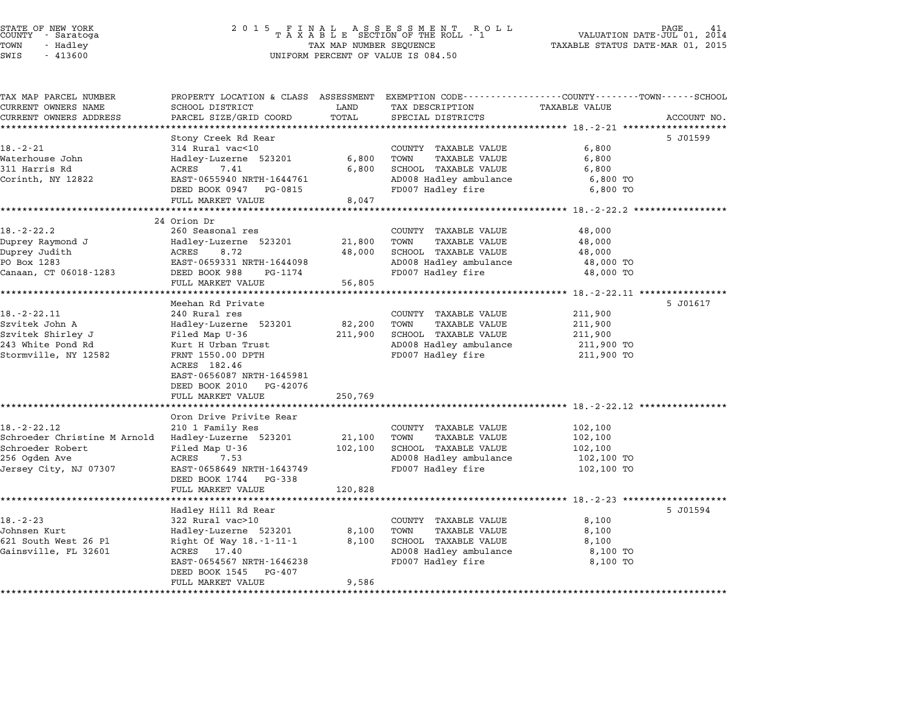# STATE OF NEW YORK <sup>2</sup> <sup>0</sup> <sup>1</sup> 5 F I N A L A S S E S S M E N T R O L L PAGE <sup>41</sup> COUNTY - Saratoga <sup>T</sup> <sup>A</sup> <sup>X</sup> <sup>A</sup> <sup>B</sup> <sup>L</sup> <sup>E</sup> SECTION OF THE ROLL - <sup>1</sup> VALUATION DATE-JUL 01, <sup>2014</sup> TOWN - Hadley TAX MAP NUMBER SEQUENCE TAXABLE STATUS DATE-MAR 01, <sup>2015</sup> STATE OF NEW YORK STATE OF NEW YORK A SOLUME TO A SOLUME TO A SOLUME TO A SOLUME TO A SOLUME TO A SOLUME TO A SOLUME TO A SOLUME TO A SOLUME TO A SOLUME TO A SOLUME TO A SOLUME TO A SOLUME TO A SOLUME TO A SOLUME TO A SOLU

| TAX MAP PARCEL NUMBER          |                                                     |                          |                                               | PROPERTY LOCATION & CLASS ASSESSMENT EXEMPTION CODE---------------COUNTY-------TOWN------SCHOOL |             |
|--------------------------------|-----------------------------------------------------|--------------------------|-----------------------------------------------|-------------------------------------------------------------------------------------------------|-------------|
| CURRENT OWNERS NAME            | SCHOOL DISTRICT                                     | LAND                     | TAX DESCRIPTION                               | <b>TAXABLE VALUE</b>                                                                            |             |
| CURRENT OWNERS ADDRESS         | PARCEL SIZE/GRID COORD                              | TOTAL                    | SPECIAL DISTRICTS                             |                                                                                                 | ACCOUNT NO. |
|                                |                                                     |                          |                                               |                                                                                                 |             |
|                                | Stony Creek Rd Rear                                 |                          |                                               |                                                                                                 | 5 J01599    |
| 18.-2-21                       | 314 Rural vac<10                                    |                          | COUNTY TAXABLE VALUE                          | 6,800                                                                                           |             |
| Waterhouse John                | Hadley-Luzerne 523201                               | 6,800                    | TOWN<br>TAXABLE VALUE                         | 6,800                                                                                           |             |
| 311 Harris Rd                  | 7.41<br>ACRES                                       | 6,800                    | SCHOOL TAXABLE VALUE                          | 6,800                                                                                           |             |
| Corinth, NY 12822              | EAST-0655940 NRTH-1644761<br>DEED BOOK 0947 PG-0815 |                          | AD008 Hadley ambulance<br>FD007 Hadley fire   | 6,800 TO<br>6,800 TO                                                                            |             |
|                                | FULL MARKET VALUE                                   | 8,047                    |                                               |                                                                                                 |             |
|                                | **********************                              |                          |                                               | ********************** 18.-2-22.2 *****************                                             |             |
|                                | 24 Orion Dr                                         |                          |                                               |                                                                                                 |             |
| $18. - 2 - 22.2$               | 260 Seasonal res                                    |                          | COUNTY TAXABLE VALUE                          | 48,000                                                                                          |             |
| Duprey Raymond J               | Hadley-Luzerne 523201                               | 21,800                   | TOWN<br>TAXABLE VALUE                         | 48,000                                                                                          |             |
| Duprey Judith                  | ACRES<br>8.72                                       | 48,000                   | SCHOOL TAXABLE VALUE                          | 48,000                                                                                          |             |
| PO Box 1283                    | EAST-0659331 NRTH-1644098                           |                          | AD008 Hadley ambulance                        | 48,000 TO                                                                                       |             |
| Canaan, CT 06018-1283          | DEED BOOK 988<br>PG-1174                            |                          | FD007 Hadley fire                             | 48,000 TO                                                                                       |             |
|                                | FULL MARKET VALUE                                   | 56,805                   |                                               |                                                                                                 |             |
|                                | ******************                                  |                          |                                               | :******************** 18.-2-22.11 *****************                                             |             |
|                                | Meehan Rd Private                                   |                          |                                               |                                                                                                 | 5 J01617    |
| $18. - 2 - 22.11$              | 240 Rural res                                       |                          | COUNTY TAXABLE VALUE                          | 211,900                                                                                         |             |
| Szvitek John A                 | Hadley-Luzerne 523201                               | 82,200                   | <b>TAXABLE VALUE</b><br>TOWN                  | 211,900                                                                                         |             |
| Szvitek Shirley J              | Filed Map U-36                                      | 211,900                  | SCHOOL TAXABLE VALUE                          | 211,900                                                                                         |             |
| 243 White Pond Rd              | Kurt H Urban Trust                                  |                          | AD008 Hadley ambulance                        | 211,900 TO                                                                                      |             |
| Stormville, NY 12582           | FRNT 1550.00 DPTH                                   |                          | FD007 Hadley fire                             | 211,900 TO                                                                                      |             |
|                                | ACRES 182.46                                        |                          |                                               |                                                                                                 |             |
|                                | EAST-0656087 NRTH-1645981                           |                          |                                               |                                                                                                 |             |
|                                | DEED BOOK 2010<br>PG-42076                          |                          |                                               |                                                                                                 |             |
|                                | FULL MARKET VALUE                                   | 250,769                  |                                               |                                                                                                 |             |
|                                |                                                     |                          |                                               |                                                                                                 |             |
|                                | Oron Drive Privite Rear                             |                          |                                               |                                                                                                 |             |
| $18. - 2 - 22.12$              | 210 1 Family Res                                    |                          | COUNTY TAXABLE VALUE                          | 102,100                                                                                         |             |
| Schroeder Christine M Arnold   | Hadley-Luzerne 523201                               | 21,100                   | TAXABLE VALUE<br>TOWN                         | 102,100                                                                                         |             |
| Schroeder Robert               | Filed Map U-36                                      | 102,100                  | SCHOOL TAXABLE VALUE                          | 102,100                                                                                         |             |
| 256 Ogden Ave                  | ACRES<br>7.53                                       |                          | AD008 Hadley ambulance                        | 102,100 TO                                                                                      |             |
| Jersey City, NJ 07307          | EAST-0658649 NRTH-1643749                           |                          | FD007 Hadley fire                             | 102,100 TO                                                                                      |             |
|                                | DEED BOOK 1744 PG-338                               |                          |                                               |                                                                                                 |             |
|                                | FULL MARKET VALUE<br>*************************      | 120,828<br>************* |                                               |                                                                                                 |             |
|                                |                                                     |                          |                                               | ********************** 18.-2-23 **************                                                  |             |
|                                | Hadley Hill Rd Rear                                 |                          |                                               |                                                                                                 | 5 J01594    |
| $18. - 2 - 23$<br>Johnsen Kurt | 322 Rural vac>10                                    |                          | COUNTY TAXABLE VALUE                          | 8,100                                                                                           |             |
| 621 South West 26 Pl           | Hadley-Luzerne 523201<br>Right Of Way 18.-1-11-1    | 8,100<br>8,100           | TOWN<br>TAXABLE VALUE<br>SCHOOL TAXABLE VALUE | 8,100<br>8,100                                                                                  |             |
| Gainsville, FL 32601           | ACRES 17.40                                         |                          | AD008 Hadley ambulance                        | 8,100 TO                                                                                        |             |
|                                | EAST-0654567 NRTH-1646238                           |                          | FD007 Hadley fire                             | 8,100 TO                                                                                        |             |
|                                | DEED BOOK 1545<br>PG-407                            |                          |                                               |                                                                                                 |             |
|                                | FULL MARKET VALUE                                   | 9,586                    |                                               |                                                                                                 |             |
| *******************            | **************************************              |                          |                                               |                                                                                                 |             |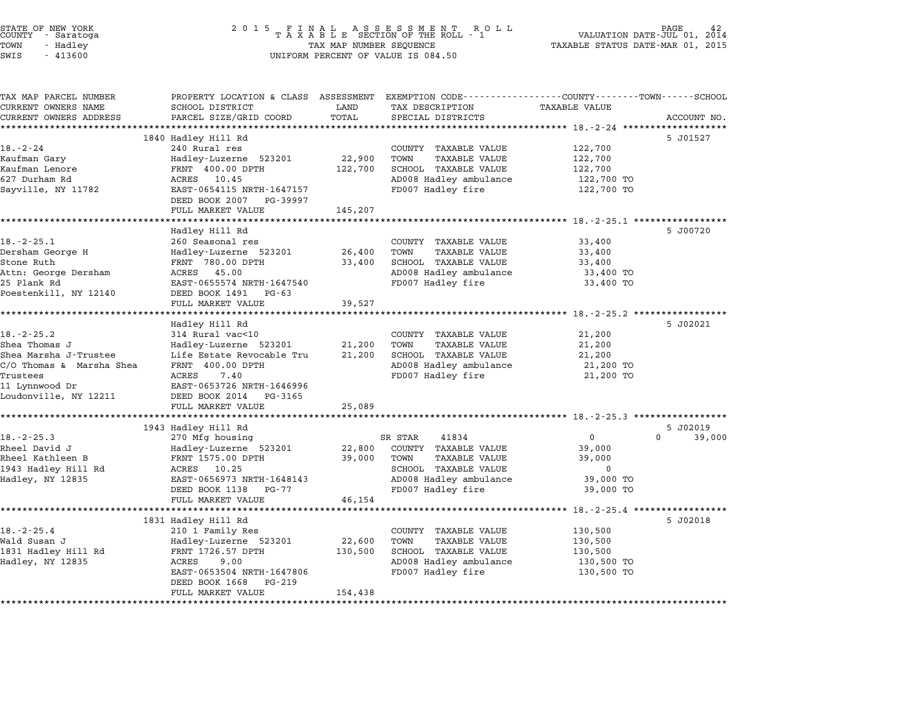| STATE OF NEW YORK<br>COUNTY<br>- Saratoga<br>TOWN<br>- Hadley<br>SWIS<br>$-413600$ | 2 0 1 5<br>TAXABLE SECTION OF THE ROLL - 1<br>TAX MAP NUMBER SEQUENCE<br>UNIFORM PERCENT OF VALUE IS 084.50 | PAGE<br>VALUATION DATE-JUL 01,<br>2014<br>TAXABLE STATUS DATE-MAR 01, 2015 |                                                              |                              |             |
|------------------------------------------------------------------------------------|-------------------------------------------------------------------------------------------------------------|----------------------------------------------------------------------------|--------------------------------------------------------------|------------------------------|-------------|
| TAX MAP PARCEL NUMBER                                                              | PROPERTY LOCATION & CLASS ASSESSMENT                                                                        |                                                                            | EXEMPTION CODE-----------------COUNTY-------TOWN------SCHOOL |                              |             |
| CURRENT OWNERS NAME                                                                | SCHOOL DISTRICT                                                                                             | LAND                                                                       | TAX DESCRIPTION                                              | TAXABLE VALUE                |             |
| CURRENT OWNERS ADDRESS                                                             | PARCEL SIZE/GRID COORD                                                                                      | TOTAL<br>********                                                          | SPECIAL DISTRICTS<br>******************                      | *********** 18.-2-24 ******* | ACCOUNT NO. |
|                                                                                    | 1840 Hadley Hill Rd                                                                                         |                                                                            |                                                              |                              | 5 J01527    |
| 18.-2-24                                                                           | 240 Rural res                                                                                               |                                                                            | COUNTY TAXABLE VALUE                                         | 122,700                      |             |
| Kaufman Gary                                                                       | Hadley-Luzerne 523201                                                                                       | 22,900                                                                     | TOWN<br><b>TAXABLE VALUE</b>                                 | 122,700                      |             |
| Kaufman Lenore                                                                     | FRNT 400.00 DPTH                                                                                            | 122,700                                                                    | SCHOOL TAXABLE VALUE                                         | 122,700                      |             |
| 627 Durham Rd                                                                      | ACRES<br>10.45                                                                                              |                                                                            | AD008 Hadley ambulance                                       | 122,700 TO                   |             |
| Sayville, NY 11782                                                                 | EAST-0654115 NRTH-1647157                                                                                   |                                                                            | FD007 Hadley fire                                            | 122,700 TO                   |             |
|                                                                                    | DEED BOOK 2007<br>PG-39997                                                                                  |                                                                            |                                                              |                              |             |
|                                                                                    | FULL MARKET VALUE                                                                                           | 145,207                                                                    |                                                              |                              |             |
|                                                                                    |                                                                                                             | *******                                                                    |                                                              | $18. -2 - 25.1$ *****        |             |
| 18. - 2 - 25.1                                                                     | Hadley Hill Rd                                                                                              |                                                                            |                                                              |                              | 5 J00720    |
| Dersham George H                                                                   | 260 Seasonal res<br>Hadley-Luzerne 523201                                                                   | 26,400                                                                     | COUNTY TAXABLE VALUE<br>TOWN<br><b>TAXABLE VALUE</b>         | 33,400<br>33,400             |             |
| Stone Ruth                                                                         | FRNT 780.00 DPTH                                                                                            | 33,400                                                                     | SCHOOL TAXABLE VALUE                                         | 33,400                       |             |
| Attn: George Dersham                                                               | ACRES<br>45.00                                                                                              |                                                                            | AD008 Hadley ambulance                                       | 33,400 TO                    |             |
| 25 Plank Rd                                                                        | EAST-0655574 NRTH-1647540                                                                                   |                                                                            | FD007 Hadley fire                                            | 33,400 TO                    |             |
| Poestenkill, NY 12140                                                              | DEED BOOK 1491<br>PG-63                                                                                     |                                                                            |                                                              |                              |             |
|                                                                                    | FULL MARKET VALUE                                                                                           | 39,527                                                                     |                                                              |                              |             |
|                                                                                    | <b>++++++++++++++++</b>                                                                                     |                                                                            |                                                              | ********* 18.-2-25.2 ******  |             |
|                                                                                    | Hadley Hill Rd                                                                                              |                                                                            |                                                              |                              | 5 J02021    |
| $18. - 2 - 25.2$                                                                   | 314 Rural vac<10                                                                                            |                                                                            | COUNTY TAXABLE VALUE                                         | 21,200                       |             |
| Shea Thomas J                                                                      | Hadley-Luzerne 523201                                                                                       | 21,200                                                                     | TOWN<br><b>TAXABLE VALUE</b>                                 | 21,200                       |             |
| Shea Marsha J-Trustee                                                              | Life Estate Revocable Tru                                                                                   | 21,200                                                                     | SCHOOL TAXABLE VALUE                                         | 21,200                       |             |
| C/O Thomas & Marsha Shea                                                           | FRNT 400.00 DPTH<br>ACRES<br>7.40                                                                           |                                                                            | AD008 Hadley ambulance                                       | 21,200 TO                    |             |
| Trustees                                                                           | EAST-0653726 NRTH-1646996                                                                                   |                                                                            | FD007 Hadley fire                                            | 21,200 TO                    |             |
| 11 Lynnwood Dr<br>Loudonville, NY 12211                                            | DEED BOOK 2014<br>PG-3165                                                                                   |                                                                            |                                                              |                              |             |
|                                                                                    | FULL MARKET VALUE                                                                                           | 25,089                                                                     |                                                              |                              |             |
|                                                                                    |                                                                                                             |                                                                            |                                                              |                              |             |
|                                                                                    | 1943 Hadley Hill Rd                                                                                         |                                                                            |                                                              |                              | 5 J02019    |
| $18. - 2 - 25.3$                                                                   | 270 Mfg housing                                                                                             |                                                                            | SR STAR<br>41834                                             | 0                            | 0<br>39,000 |
| Rheel David J                                                                      | Hadley-Luzerne 523201                                                                                       | 22,800                                                                     | COUNTY TAXABLE VALUE                                         | 39,000                       |             |
| Rheel Kathleen B                                                                   | FRNT 1575.00 DPTH                                                                                           | 39,000                                                                     | TOWN<br>TAXABLE VALUE                                        | 39,000                       |             |
| 1943 Hadley Hill Rd                                                                | ACRES 10.25                                                                                                 |                                                                            | SCHOOL TAXABLE VALUE                                         | 0                            |             |
| Hadley, NY 12835                                                                   | EAST-0656973 NRTH-1648143                                                                                   |                                                                            | AD008 Hadley ambulance                                       | 39,000 TO                    |             |
|                                                                                    | DEED BOOK 1138<br>PG-77                                                                                     |                                                                            | FD007 Hadley fire                                            | 39,000 TO                    |             |
|                                                                                    | FULL MARKET VALUE<br>*****************                                                                      | 46,154<br>*************************                                        |                                                              |                              |             |
|                                                                                    | 1831 Hadley Hill Rd                                                                                         |                                                                            |                                                              |                              | 5 J02018    |
| $18. - 2 - 25.4$                                                                   | 210 1 Family Res                                                                                            |                                                                            | COUNTY TAXABLE VALUE                                         | 130,500                      |             |
| Wald Susan J                                                                       | Hadley-Luzerne 523201                                                                                       | 22,600                                                                     | TOWN<br><b>TAXABLE VALUE</b>                                 | 130,500                      |             |
| 1831 Hadley Hill Rd                                                                | FRNT 1726.57 DPTH                                                                                           | 130,500                                                                    | SCHOOL TAXABLE VALUE                                         | 130,500                      |             |
| Hadley, NY 12835                                                                   | ACRES<br>9.00                                                                                               |                                                                            | AD008 Hadley ambulance                                       | 130,500 TO                   |             |
|                                                                                    | EAST-0653504 NRTH-1647806                                                                                   |                                                                            | FD007 Hadley fire                                            | 130,500 TO                   |             |
|                                                                                    | DEED BOOK 1668<br>PG-219                                                                                    |                                                                            |                                                              |                              |             |
|                                                                                    | FULL MARKET VALUE                                                                                           | 154,438                                                                    |                                                              |                              |             |
|                                                                                    |                                                                                                             |                                                                            |                                                              |                              |             |

STATE OF NEW YORK <sup>2</sup> <sup>0</sup> <sup>1</sup> 5 F I N A L A S S E S S M E N T R O L L PAGE <sup>42</sup> COUNTY - Saratoga <sup>T</sup> <sup>A</sup> <sup>X</sup> <sup>A</sup> <sup>B</sup> <sup>L</sup> <sup>E</sup> SECTION OF THE ROLL - <sup>1</sup> VALUATION DATE-JUL 01, <sup>2014</sup>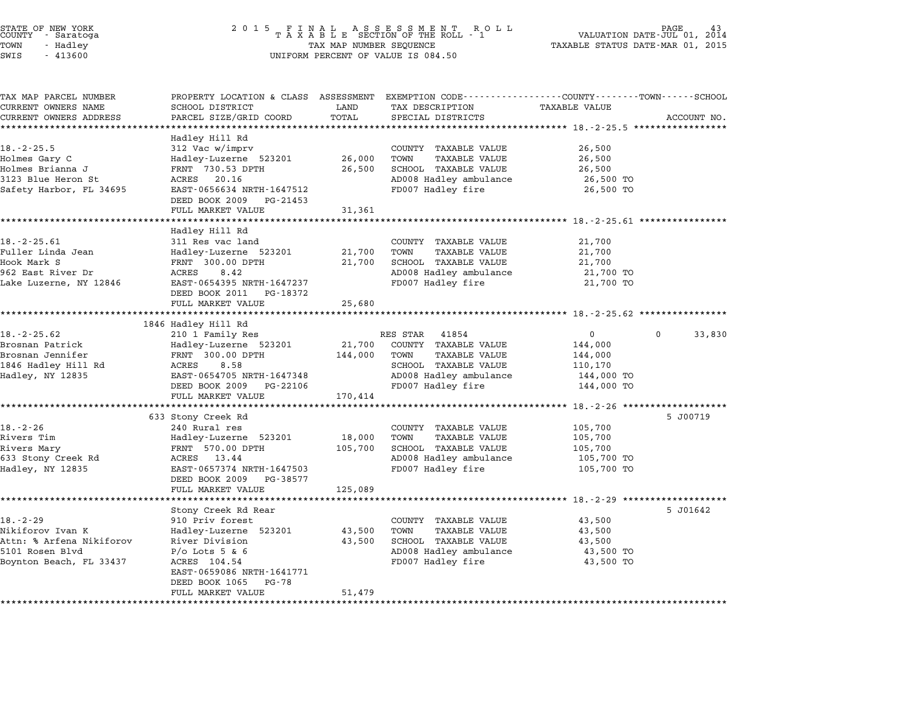|                 | STATE OF NEW YORK |  |
|-----------------|-------------------|--|
|                 | COUNTY - Saratoga |  |
| TOWN            | - Hadley          |  |
| $ATJT$ $\alpha$ | 11200             |  |

# STATE OF NEW YORK <sup>2</sup> <sup>0</sup> <sup>1</sup> 5 F I N A L A S S E S S M E N T R O L L PAGE <sup>43</sup> COUNTY - Saratoga <sup>T</sup> <sup>A</sup> <sup>X</sup> <sup>A</sup> <sup>B</sup> <sup>L</sup> <sup>E</sup> SECTION OF THE ROLL - <sup>1</sup> VALUATION DATE-JUL 01, <sup>2014</sup> TOWN - Hadley TAX MAP NUMBER SEQUENCE TAXABLE STATUS DATE-MAR 01, <sup>2015</sup> SWIS - <sup>413600</sup> UNIFORM PERCENT OF VALUE IS 084.50

| TAX MAP PARCEL NUMBER    | PROPERTY LOCATION & CLASS ASSESSMENT |         | EXEMPTION CODE-----------------COUNTY-------TOWN-----SCHOOL |                      |             |
|--------------------------|--------------------------------------|---------|-------------------------------------------------------------|----------------------|-------------|
| CURRENT OWNERS NAME      | SCHOOL DISTRICT                      | LAND    | TAX DESCRIPTION                                             | <b>TAXABLE VALUE</b> |             |
| CURRENT OWNERS ADDRESS   | PARCEL SIZE/GRID COORD               | TOTAL   | SPECIAL DISTRICTS                                           |                      | ACCOUNT NO. |
|                          |                                      |         |                                                             |                      |             |
| $18. - 2 - 25.5$         | Hadley Hill Rd<br>312 Vac w/imprv    |         | COUNTY TAXABLE VALUE                                        | 26,500               |             |
| Holmes Gary C            | Hadley-Luzerne 523201                | 26,000  | <b>TAXABLE VALUE</b><br>TOWN                                | 26,500               |             |
| Holmes Brianna J         | FRNT 730.53 DPTH                     | 26,500  | SCHOOL TAXABLE VALUE                                        | 26,500               |             |
| 3123 Blue Heron St       | ACRES<br>20.16                       |         | AD008 Hadley ambulance                                      | 26,500 TO            |             |
| Safety Harbor, FL 34695  | EAST-0656634 NRTH-1647512            |         | FD007 Hadley fire                                           | 26,500 TO            |             |
|                          | DEED BOOK 2009<br>PG-21453           |         |                                                             |                      |             |
|                          | FULL MARKET VALUE                    | 31,361  |                                                             |                      |             |
|                          |                                      |         |                                                             |                      |             |
|                          | Hadley Hill Rd                       |         |                                                             |                      |             |
| $18. - 2 - 25.61$        | 311 Res vac land                     |         | COUNTY TAXABLE VALUE                                        | 21,700               |             |
| Fuller Linda Jean        | Hadley-Luzerne 523201                | 21,700  | TAXABLE VALUE<br>TOWN                                       | 21,700               |             |
| Hook Mark S              | FRNT 300.00 DPTH                     | 21,700  | SCHOOL TAXABLE VALUE                                        | 21,700               |             |
| 962 East River Dr        | ACRES<br>8.42                        |         | AD008 Hadley ambulance                                      | 21,700 TO            |             |
| Lake Luzerne, NY 12846   | EAST-0654395 NRTH-1647237            |         | FD007 Hadley fire                                           | 21,700 TO            |             |
|                          | DEED BOOK 2011 PG-18372              |         |                                                             |                      |             |
|                          | FULL MARKET VALUE                    | 25,680  |                                                             |                      |             |
|                          | 1846 Hadley Hill Rd                  |         |                                                             |                      |             |
| $18. - 2 - 25.62$        | 210 1 Family Res                     |         | RES STAR<br>41854                                           | $\overline{0}$       | 0<br>33,830 |
| Brosnan Patrick          | Hadley-Luzerne 523201                | 21,700  | COUNTY TAXABLE VALUE                                        | 144,000              |             |
| Brosnan Jennifer         | FRNT 300.00 DPTH                     | 144,000 | <b>TAXABLE VALUE</b><br>TOWN                                | 144,000              |             |
| 1846 Hadley Hill Rd      | ACRES<br>8.58                        |         | SCHOOL TAXABLE VALUE                                        | 110,170              |             |
| Hadley, NY 12835         | EAST-0654705 NRTH-1647348            |         | AD008 Hadley ambulance                                      | 144,000 TO           |             |
|                          | DEED BOOK 2009 PG-22106              |         | FD007 Hadley fire                                           | 144,000 TO           |             |
|                          | FULL MARKET VALUE                    | 170,414 |                                                             |                      |             |
|                          |                                      |         |                                                             |                      |             |
|                          | 633 Stony Creek Rd                   |         |                                                             |                      | 5 J00719    |
| $18. - 2 - 26$           | 240 Rural res                        |         | COUNTY TAXABLE VALUE                                        | 105,700              |             |
| Rivers Tim               | Hadley-Luzerne 523201                | 18,000  | TOWN<br><b>TAXABLE VALUE</b>                                | 105,700              |             |
| Rivers Mary              | FRNT 570.00 DPTH                     | 105,700 | SCHOOL TAXABLE VALUE                                        | 105,700              |             |
| 633 Stony Creek Rd       | ACRES 13.44                          |         | AD008 Hadley ambulance                                      | 105,700 TO           |             |
| Hadley, NY 12835         | EAST-0657374 NRTH-1647503            |         | FD007 Hadley fire                                           | 105,700 TO           |             |
|                          | DEED BOOK 2009<br>PG-38577           |         |                                                             |                      |             |
|                          | FULL MARKET VALUE                    | 125,089 |                                                             |                      |             |
|                          | Stony Creek Rd Rear                  |         |                                                             |                      | 5 J01642    |
| $18. - 2 - 29$           | 910 Priv forest                      |         | COUNTY TAXABLE VALUE                                        | 43,500               |             |
| Nikiforov Ivan K         | Hadley-Luzerne 523201                | 43,500  | <b>TAXABLE VALUE</b><br>TOWN                                | 43,500               |             |
| Attn: % Arfena Nikiforov | River Division                       | 43,500  | SCHOOL TAXABLE VALUE                                        | 43,500               |             |
| 5101 Rosen Blvd          | $P/O$ Lots 5 & 6                     |         | AD008 Hadley ambulance                                      | 43,500 TO            |             |
| Boynton Beach, FL 33437  | ACRES 104.54                         |         | FD007 Hadley fire                                           | 43,500 TO            |             |
|                          | EAST-0659086 NRTH-1641771            |         |                                                             |                      |             |
|                          | DEED BOOK 1065<br>PG-78              |         |                                                             |                      |             |
|                          | FULL MARKET VALUE                    | 51,479  |                                                             |                      |             |
|                          |                                      |         |                                                             |                      |             |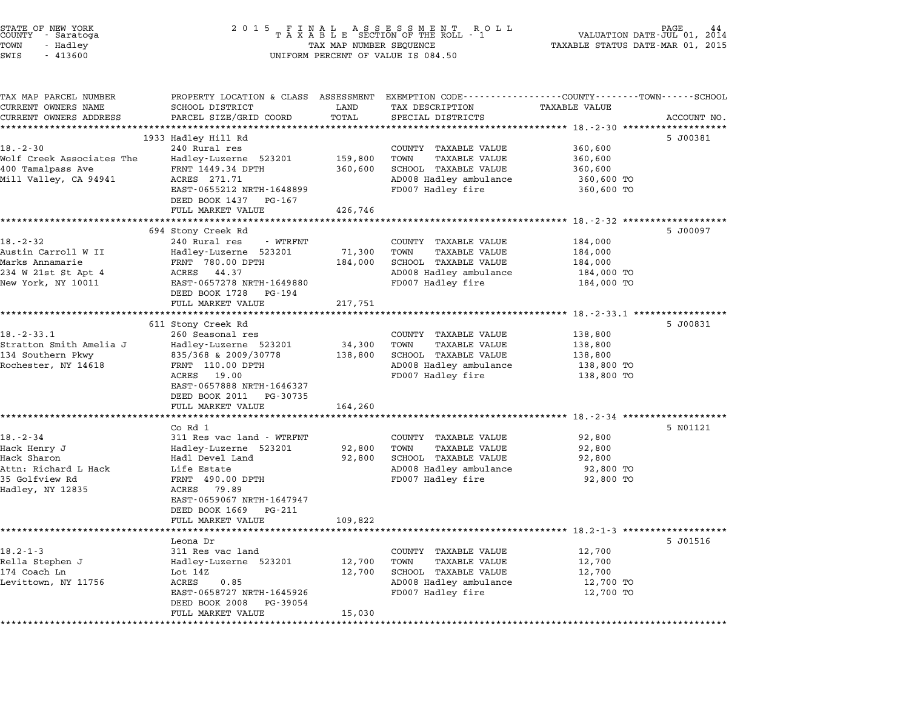| STATE OF NEW YORK<br>COUNTY - Saratoga<br>TOWN<br>- Hadley<br>SWIS<br>$-413600$                             | 2 0 1 5                                                                                                                                                                                                             | FINAL ASSESSMENT ROLL<br>TAXABLE SECTION OF THE ROLL - 1<br>PAGE<br>VALUATION DATE-JUL 01,<br>2014<br>TAX MAP NUMBER SEQUENCE<br>TAXABLE STATUS DATE-MAR 01, 2015<br>UNIFORM PERCENT OF VALUE IS 084.50 |                                                                                                                                        |                                                                                                               |             |
|-------------------------------------------------------------------------------------------------------------|---------------------------------------------------------------------------------------------------------------------------------------------------------------------------------------------------------------------|---------------------------------------------------------------------------------------------------------------------------------------------------------------------------------------------------------|----------------------------------------------------------------------------------------------------------------------------------------|---------------------------------------------------------------------------------------------------------------|-------------|
| TAX MAP PARCEL NUMBER<br>CURRENT OWNERS NAME<br>CURRENT OWNERS ADDRESS                                      | SCHOOL DISTRICT<br>PARCEL SIZE/GRID COORD<br>************************                                                                                                                                               | LAND<br>TOTAL                                                                                                                                                                                           | PROPERTY LOCATION & CLASS ASSESSMENT EXEMPTION CODE---------------COUNTY-------TOWN-----SCHOOL<br>TAX DESCRIPTION<br>SPECIAL DISTRICTS | <b>TAXABLE VALUE</b>                                                                                          | ACCOUNT NO. |
| $18. - 2 - 30$<br>Wolf Creek Associates The<br>400 Tamalpass Ave<br>Mill Valley, CA 94941                   | 1933 Hadley Hill Rd<br>240 Rural res<br>Hadley-Luzerne 523201<br>FRNT 1449.34 DPTH<br>ACRES 271.71<br>EAST-0655212 NRTH-1648899<br>DEED BOOK 1437<br>PG-167<br>FULL MARKET VALUE                                    | 159,800<br>360,600<br>426,746                                                                                                                                                                           | COUNTY TAXABLE VALUE<br>TOWN<br><b>TAXABLE VALUE</b><br>SCHOOL TAXABLE VALUE<br>AD008 Hadley ambulance<br>FD007 Hadley fire            | 360,600<br>360,600<br>360,600<br>360,600 TO<br>360,600 TO                                                     | 5 J00381    |
| $18. - 2 - 32$<br>Austin Carroll W II<br>Marks Annamarie<br>234 W 21st St Apt 4<br>New York, NY 10011       | 694 Stony Creek Rd<br>240 Rural res<br>- WTRFNT<br>Hadley-Luzerne 523201<br>FRNT 780.00 DPTH<br>ACRES<br>44.37<br>EAST-0657278 NRTH-1649880<br>DEED BOOK 1728<br>PG-194<br>FULL MARKET VALUE                        | 71,300<br>184,000<br>217,751                                                                                                                                                                            | COUNTY TAXABLE VALUE<br>TOWN<br>TAXABLE VALUE<br>SCHOOL TAXABLE VALUE<br>AD008 Hadley ambulance<br>FD007 Hadley fire                   | 184,000<br>184,000<br>184,000<br>184,000 TO<br>184,000 TO                                                     | 5 J00097    |
| $18. - 2 - 33.1$<br>Stratton Smith Amelia J<br>134 Southern Pkwy<br>Rochester, NY 14618                     | 611 Stony Creek Rd<br>260 Seasonal res<br>Hadley-Luzerne 523201<br>835/368 & 2009/30778<br>FRNT 110.00 DPTH<br>ACRES<br>19.00<br>EAST-0657888 NRTH-1646327<br>DEED BOOK 2011 PG-30735                               | 34,300<br>138,800                                                                                                                                                                                       | COUNTY TAXABLE VALUE<br><b>TAXABLE VALUE</b><br>TOWN<br>SCHOOL TAXABLE VALUE<br>AD008 Hadley ambulance<br>FD007 Hadley fire            | ************************* 18.-2-33.1 ***********<br>138,800<br>138,800<br>138,800<br>138,800 TO<br>138,800 TO | 5 J00831    |
| $18. - 2 - 34$<br>Hack Henry J<br>Hack Sharon<br>Attn: Richard L Hack<br>35 Golfview Rd<br>Hadley, NY 12835 | FULL MARKET VALUE<br>Co Rd 1<br>311 Res vac land - WTRFNT<br>Hadley-Luzerne 523201<br>Hadl Devel Land<br>Life Estate<br>FRNT 490.00 DPTH<br>79.89<br>ACRES<br>EAST-0659067 NRTH-1647947<br>DEED BOOK 1669<br>PG-211 | 164,260<br>92,800<br>92,800                                                                                                                                                                             | COUNTY TAXABLE VALUE<br>TOWN<br><b>TAXABLE VALUE</b><br>SCHOOL TAXABLE VALUE<br>AD008 Hadley ambulance<br>FD007 Hadley fire            | 92,800<br>92,800<br>92,800<br>92,800 TO<br>92,800 TO                                                          | 5 N01121    |
| $18.2 - 1 - 3$<br>Rella Stephen J<br>174 Coach Ln<br>Levittown, NY 11756                                    | FULL MARKET VALUE<br>Leona Dr<br>311 Res vac land<br>Hadley-Luzerne 523201<br>Lot 14Z<br>0.85<br>ACRES<br>EAST-0658727 NRTH-1645926<br>DEED BOOK 2008<br>PG-39054<br>FULL MARKET VALUE                              | 109,822<br>12,700<br>12,700<br>15,030                                                                                                                                                                   | COUNTY TAXABLE VALUE<br>TOWN<br><b>TAXABLE VALUE</b><br>SCHOOL TAXABLE VALUE<br>AD008 Hadley ambulance<br>FD007 Hadley fire            | 12,700<br>12,700<br>12,700<br>12,700 TO<br>12,700 TO                                                          | 5 J01516    |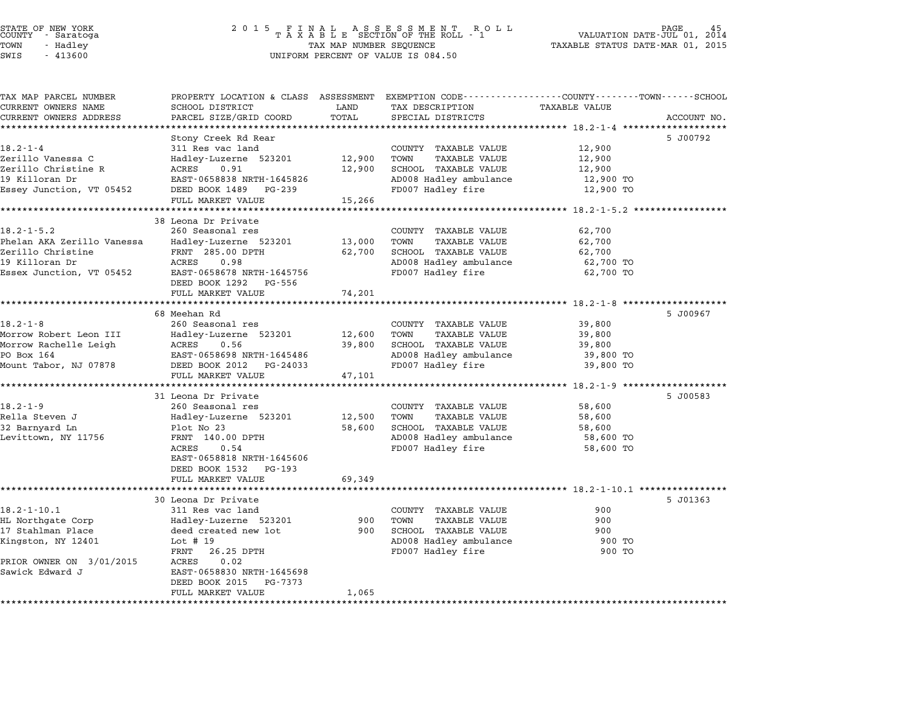### STATE OF NEW YORK <sup>2</sup> <sup>0</sup> <sup>1</sup> 5 F I N A L A S S E S S M E N T R O L L PAGE <sup>45</sup> COUNTY - Saratoga <sup>T</sup> <sup>A</sup> <sup>X</sup> <sup>A</sup> <sup>B</sup> <sup>L</sup> <sup>E</sup> SECTION OF THE ROLL - <sup>1</sup> VALUATION DATE-JUL 01, <sup>2014</sup> TOWN - Hadley TAX MAP NUMBER SEQUENCE TAXABLE STATUS DATE-MAR 01, <sup>2015</sup> SUCRIT - SATATUGA<br>TOWN - Hadley - Alley - All Hadley - TAX MAP NUMBER SEQUENCE<br>SWIS - 413600 - WILFORM PERCENT OF VALUE IS 084.50

TAX MAP PARCEL NUMBER PROPERTY LOCATION & CLASS ASSESSMENT EXEMPTION CODE------------------COUNTY--------TOWN------SCHOOL ...<br>-- COUNTY:- TAX MAP PARCEL NUMBER THE OCHOTRY AND THE CURRENT EXEMPTION CODE<br>CURRENT OWNERS NAME SCHOOL DISTRICT LAND TAX DESCRIPTION TAXABLE VALUE CURRENT OWNERS ADDRESS FOR SCHOOL DISTRICTS ASSESSEENT EXERT ON TAX MIT PRODUCT SURPORT SURPORT ON TRANSFORM T<br>CURRENT OWNERS ADDRESS PARCEL SIZE/GRID COORD TOTAL SPECIAL DISTRICTS ACCOUNT NO.<br>\*\*\*\*\*\*\*\*\*\*\*\*\*\*\*\*\*\*\*\*\*\*\*\*\*\*\*\*\* Stony Creek Rd Rear 5 J00792 18.2-1-4 Stony Creek Rd Rear COUNTY TAXABLE VALUE 12,900 Zerillo Vanessa C Hadley-Luzerne <sup>523201</sup> 12,900 TOWN TAXABLE VALUE 12,900 Zerillo Christine R ACRES 0.91 12,900 SCHOOL TAXABLE VALUE 12,900 201110 Vanessa Christine Roman Maddey-Luzeine 323201 12,900 TOWN TAXABLE VALUE 12,900<br>201110 Christine R ACRES 0.91 12,900 SCHOOL TAXABLE VALUE 12,900<br>19 Killoran Dr EAST-0658838 NRTH-1645826 Essey Junction, VT <sup>05452</sup> DEED BOOK <sup>1489</sup> PG-239 FD007 Hadley fire 12,900 TO EASI-0056656 NAIH-1045626<br>
DEED BOOK 1489 PG-239<br>
FULL MARKET VALUE 15,266 \*\*\*\*\*\*\*\*\*\*\*\*\*\*\*\*\*\*\*\*\*\*\*\*\*\*\*\*\*\*\*\*\*\*\*\*\*\*\*\*\*\*\*\*\*\*\*\*\*\*\*\*\*\*\*\*\*\*\*\*\*\*\*\*\*\*\*\*\*\*\*\*\*\*\*\*\*\*\*\*\*\*\*\*\*\*\*\*\*\*\*\*\*\*\*\*\*\*\*\*\*\*\* 18.2-1-5.2 \*\*\*\*\*\*\*\*\*\*\*\*\*\*\*\*\* 38 Leona Dr Private (1500) 1987 (1892)<br>38 Leona Dr Private (15,266 (1893)<br>38 Leona Dr Private (260 Seasonal res country TAXABLE VALUE 62,700 18.2-1-5.2 38 Leona Dr Private<br>260 Seasonal res COUNTY TAXABLE VALUE 62,700 Phelan AKA Zerillo Vanessa Hadley-Luzerne <sup>523201</sup> 13,000 TOWN TAXABLE VALUE 62,700 Zerillo Christine FRNT 285.00 DPTH 62,700 SCHOOL TAXABLE VALUE 62,700 <sup>19</sup> Killoran Dr ACRES 0.98 AD008 Hadley ambulance 62,700 TO Essex Junction, VT <sup>05452</sup> EAST-0658678 NRTH-1645756 FD007 Hadley fire 62,700 TO EAST-0658678 NRTH-16457<br>DEED BOOK 1292 PG-556 EASI 0050070 MAIN 1045750<br>
DEED BOOK 1292 PG-556<br>
FULL MARKET VALUE 74,201 \*\*\*\*\*\*\*\*\*\*\*\*\*\*\*\*\*\*\*\*\*\*\*\*\*\*\*\*\*\*\*\*\*\*\*\*\*\*\*\*\*\*\*\*\*\*\*\*\*\*\*\*\*\*\*\*\*\*\*\*\*\*\*\*\*\*\*\*\*\*\*\*\*\*\*\*\*\*\*\*\*\*\*\*\*\*\*\*\*\*\*\*\*\*\*\*\*\*\*\*\*\*\* 18.2-1-8 \*\*\*\*\*\*\*\*\*\*\*\*\*\*\*\*\*\*\* 68 Meehan Rd 5 J00967 18.2-1-8 260 Seasonal res COUNTY TAXABLE VALUE 39,800<br>18.2-1-8 260 Seasonal res COUNTY TAXABLE VALUE 39,800 Morrow Robert Leon III Hadley-Luzerne <sup>523201</sup> 12,600 TOWN TAXABLE VALUE 39,800 Morrow Rachelle Leigh ACRES 0.56 39,800 SCHOOL TAXABLE VALUE 39,800 NOTIOW NODELL LEON III ANGLES IN TRANSPORT AND TRANSPORT ON A TRANSPORT ON TRANSPORT ON TRANSPORT OUTLINE AND<br>MOTYOW Rachelle Leigh ACRES 0.56 ARTH-1645486 39,800 SCHOOL TAXABLE VALUE 39,800 SON 1999,800 TO Mount Tabor, NJ <sup>07878</sup> DEED BOOK <sup>2012</sup> PG-24033 FD007 Hadley fire 39,800 TO EASI 0050050 MAIN 1045400<br>DEED BOOK 2012 PG-24033<br>FULL MARKET VALUE 47,101 \*\*\*\*\*\*\*\*\*\*\*\*\*\*\*\*\*\*\*\*\*\*\*\*\*\*\*\*\*\*\*\*\*\*\*\*\*\*\*\*\*\*\*\*\*\*\*\*\*\*\*\*\*\*\*\*\*\*\*\*\*\*\*\*\*\*\*\*\*\*\*\*\*\*\*\*\*\*\*\*\*\*\*\*\*\*\*\*\*\*\*\*\*\*\*\*\*\*\*\*\*\*\* 18.2-1-9 \*\*\*\*\*\*\*\*\*\*\*\*\*\*\*\*\*\*\* <sup>31</sup> Leona Dr Private 5 J00583 18.2-1-9 260 Seasonal res COUNTY TAXABLE VALUE 58,600 اد المستطيع التي تصدر المستطيع التي ين المستطيع التي ين التي ين التي ين التي ين التي ين التي ين التي ين التي ي<br>Rella Steven Jack Hadley-Luzerne 523201 12,500 TOWN TAXABLE VALUE 58,600 <sup>32</sup> Barnyard Ln Plot No <sup>23</sup> 58,600 SCHOOL TAXABLE VALUE 58,600 Neila Sceven of the Haddel Halley Buelle (1992)<br>19 Design Discovery Plot No 23 (1992) 58,600 SCHOOL TAXABLE VALUE (1986)<br>2008 Hadley ambulance 58,600 TO 58,600 TO 10008 Hadley ambulance 58,600 TO PIOL NO 23<br>
FRNT 140.00 DPTH AD008 Hadley ambulance 58,600 TO<br>
ACRES 0.54 FD007 Hadley fire 58,600 TO<br>
EAST-0658818 NRTH-1645606 FD007 Hadley fire 58,600 TO EAST-0658818 NRTH-16456<br>DEED BOOK 1532 PG-193 EAST-0658818 NRTH-1645606<br>DEED BOOK 1532 PG-193<br>FULL MARKET VALUE 69,349 \*\*\*\*\*\*\*\*\*\*\*\*\*\*\*\*\*\*\*\*\*\*\*\*\*\*\*\*\*\*\*\*\*\*\*\*\*\*\*\*\*\*\*\*\*\*\*\*\*\*\*\*\*\*\*\*\*\*\*\*\*\*\*\*\*\*\*\*\*\*\*\*\*\*\*\*\*\*\*\*\*\*\*\*\*\*\*\*\*\*\*\*\*\*\*\*\*\*\*\*\*\*\* 18.2-1-10.1 \*\*\*\*\*\*\*\*\*\*\*\*\*\*\*\* <sup>30</sup> Leona Dr Private 5 J01363 18.2-1-10.1 2012.1-10.1 30 Leona Dr Private<br>30 30 30 30 30 30 30 30 30 311 Res vac land COUNTY TAXABLE VALUE 900 الساب المستشر المستشرعين المستشرعين المستشرعين المستشرعين المستشرعين المستشرعين المستشرعين المستشرعين المستشرع<br>HL Northgate Corp Hadley-Luzerne 523201 900 TOWN TAXABLE VALUE 900 <sup>17</sup> Stahlman Place deed created new lot <sup>900</sup> SCHOOL TAXABLE VALUE <sup>900</sup> nd in the correction of the matter of the correction of the matter of the matter of the matter of the state of<br>17 Stahlman Place and deed created new lot state of SCHOOL TAXABLE VALUE 900<br>Kingston, NY 12401 1900 TO deed created hew rot the control of the school ratability which the problem of the problem of the problem of th<br>
FRNT 26.25 DPTH FD007 Hadley fire 900 TO 198001, NI 12401<br>FRIOR OWNER ON 3/01/2015 ACRES 0.02 Sawick Edward J EAST-0658830 NRTH-1645698 EAST-0658830 NRTH-1645698<br>DEED BOOK 2015 PG-7373 FULL MARKET VALUE 1,065 \*\*\*\*\*\*\*\*\*\*\*\*\*\*\*\*\*\*\*\*\*\*\*\*\*\*\*\*\*\*\*\*\*\*\*\*\*\*\*\*\*\*\*\*\*\*\*\*\*\*\*\*\*\*\*\*\*\*\*\*\*\*\*\*\*\*\*\*\*\*\*\*\*\*\*\*\*\*\*\*\*\*\*\*\*\*\*\*\*\*\*\*\*\*\*\*\*\*\*\*\*\*\*\*\*\*\*\*\*\*\*\*\*\*\*\*\*\*\*\*\*\*\*\*\*\*\*\*\*\*\*\*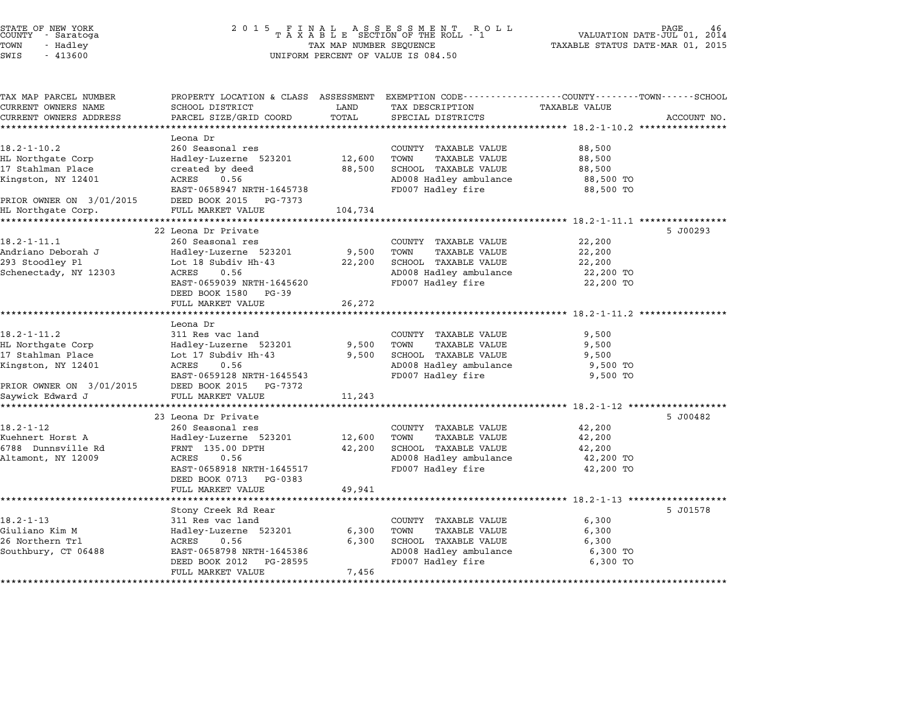| STATE OF NEW YORK |  |            |  |
|-------------------|--|------------|--|
| COUNTY            |  | - Saratoga |  |
| TOWN              |  | - Hadley   |  |
|                   |  | .          |  |

| TAX MAP PARCEL NUMBER<br>CURRENT OWNERS NAME<br>CURRENT OWNERS ADDRESS | PROPERTY LOCATION & CLASS ASSESSMENT<br>SCHOOL DISTRICT<br>PARCEL SIZE/GRID COORD | LAND<br>TOTAL          | EXEMPTION CODE-----------------COUNTY-------TOWN-----SCHOOL<br>TAX DESCRIPTION<br>SPECIAL DISTRICTS | <b>TAXABLE VALUE</b>                          | ACCOUNT NO. |
|------------------------------------------------------------------------|-----------------------------------------------------------------------------------|------------------------|-----------------------------------------------------------------------------------------------------|-----------------------------------------------|-------------|
|                                                                        | Leona Dr                                                                          |                        |                                                                                                     |                                               |             |
| $18.2 - 1 - 10.2$                                                      | 260 Seasonal res                                                                  |                        | COUNTY TAXABLE VALUE                                                                                | 88,500                                        |             |
| HL Northgate Corp                                                      | Hadley-Luzerne 523201                                                             | 12,600                 | TOWN<br><b>TAXABLE VALUE</b>                                                                        | 88,500                                        |             |
| 17 Stahlman Place                                                      | created by deed                                                                   | 88,500                 | SCHOOL TAXABLE VALUE                                                                                | 88,500                                        |             |
| Kingston, NY 12401                                                     | 0.56<br>ACRES                                                                     |                        | AD008 Hadley ambulance                                                                              | 88,500 TO                                     |             |
|                                                                        | EAST-0658947 NRTH-1645738                                                         |                        | FD007 Hadley fire                                                                                   | 88,500 TO                                     |             |
| PRIOR OWNER ON 3/01/2015                                               | DEED BOOK 2015<br>PG-7373                                                         |                        |                                                                                                     |                                               |             |
| HL Northgate Corp.<br>******************                               | FULL MARKET VALUE<br>**********************                                       | 104,734<br>*********** |                                                                                                     | ******************** 18.2-1-11.1 ************ |             |
|                                                                        | 22 Leona Dr Private                                                               |                        |                                                                                                     |                                               | 5 J00293    |
| $18.2 - 1 - 11.1$                                                      | 260 Seasonal res                                                                  |                        | COUNTY TAXABLE VALUE                                                                                | 22,200                                        |             |
| Andriano Deborah J                                                     | Hadley-Luzerne 523201                                                             | 9,500                  | TAXABLE VALUE<br>TOWN                                                                               | 22,200                                        |             |
| 293 Stoodley Pl                                                        | Lot 18 Subdiv Hh-43                                                               | 22,200                 | SCHOOL TAXABLE VALUE                                                                                | 22,200                                        |             |
| Schenectady, NY 12303                                                  | ACRES<br>0.56                                                                     |                        | AD008 Hadley ambulance                                                                              | 22,200 TO                                     |             |
|                                                                        | EAST-0659039 NRTH-1645620                                                         |                        | FD007 Hadley fire                                                                                   | 22,200 TO                                     |             |
|                                                                        | DEED BOOK 1580<br>PG-39                                                           |                        |                                                                                                     |                                               |             |
|                                                                        | FULL MARKET VALUE                                                                 | 26,272                 |                                                                                                     |                                               |             |
|                                                                        | Leona Dr                                                                          |                        |                                                                                                     |                                               |             |
| $18.2 - 1 - 11.2$                                                      | 311 Res vac land                                                                  |                        | COUNTY TAXABLE VALUE                                                                                | 9,500                                         |             |
| HL Northgate Corp                                                      | Hadley-Luzerne 523201                                                             | 9,500                  | TAXABLE VALUE<br>TOWN                                                                               | 9,500                                         |             |
| 17 Stahlman Place                                                      | Lot 17 Subdiv Hh-43                                                               | 9,500                  | SCHOOL TAXABLE VALUE                                                                                | 9,500                                         |             |
| Kingston, NY 12401                                                     | 0.56<br>ACRES                                                                     |                        | AD008 Hadley ambulance                                                                              | 9,500 TO                                      |             |
|                                                                        | EAST-0659128 NRTH-1645543                                                         |                        | FD007 Hadley fire                                                                                   | 9,500 TO                                      |             |
| PRIOR OWNER ON 3/01/2015                                               | DEED BOOK 2015<br>PG-7372                                                         |                        |                                                                                                     |                                               |             |
| Saywick Edward J<br>************                                       | FULL MARKET VALUE                                                                 | 11,243                 |                                                                                                     |                                               |             |
|                                                                        | 23 Leona Dr Private                                                               |                        |                                                                                                     |                                               | 5 J00482    |
| $18.2 - 1 - 12$                                                        | 260 Seasonal res                                                                  |                        | COUNTY TAXABLE VALUE                                                                                | 42,200                                        |             |
| Kuehnert Horst A                                                       | Hadley-Luzerne 523201                                                             | 12,600                 | TOWN<br><b>TAXABLE VALUE</b>                                                                        | 42,200                                        |             |
| 6788 Dunnsville Rd                                                     | FRNT 135.00 DPTH                                                                  | 42,200                 | SCHOOL TAXABLE VALUE                                                                                | 42,200                                        |             |
| Altamont, NY 12009                                                     | ACRES<br>0.56                                                                     |                        | AD008 Hadley ambulance                                                                              | 42,200 TO                                     |             |
|                                                                        | EAST-0658918 NRTH-1645517                                                         |                        | FD007 Hadley fire                                                                                   | 42,200 TO                                     |             |
|                                                                        | DEED BOOK 0713<br>PG-0383                                                         |                        |                                                                                                     |                                               |             |
|                                                                        | FULL MARKET VALUE                                                                 | 49,941                 |                                                                                                     |                                               |             |
|                                                                        |                                                                                   |                        |                                                                                                     |                                               |             |
| $18.2 - 1 - 13$                                                        | Stony Creek Rd Rear<br>311 Res vac land                                           |                        | COUNTY TAXABLE VALUE                                                                                | 6,300                                         | 5 J01578    |
| Giuliano Kim M                                                         | Hadley-Luzerne 523201                                                             | 6,300                  | TAXABLE VALUE<br>TOWN                                                                               | 6,300                                         |             |
| 26 Northern Trl                                                        | ACRES<br>0.56                                                                     | 6,300                  | SCHOOL TAXABLE VALUE                                                                                | 6,300                                         |             |
| Southbury, CT 06488                                                    | EAST-0658798 NRTH-1645386                                                         |                        | AD008 Hadley ambulance                                                                              | 6,300 TO                                      |             |
|                                                                        | DEED BOOK 2012<br>PG-28595                                                        |                        | FD007 Hadley fire                                                                                   | 6,300 TO                                      |             |
|                                                                        | FULL MARKET VALUE                                                                 | 7,456                  |                                                                                                     |                                               |             |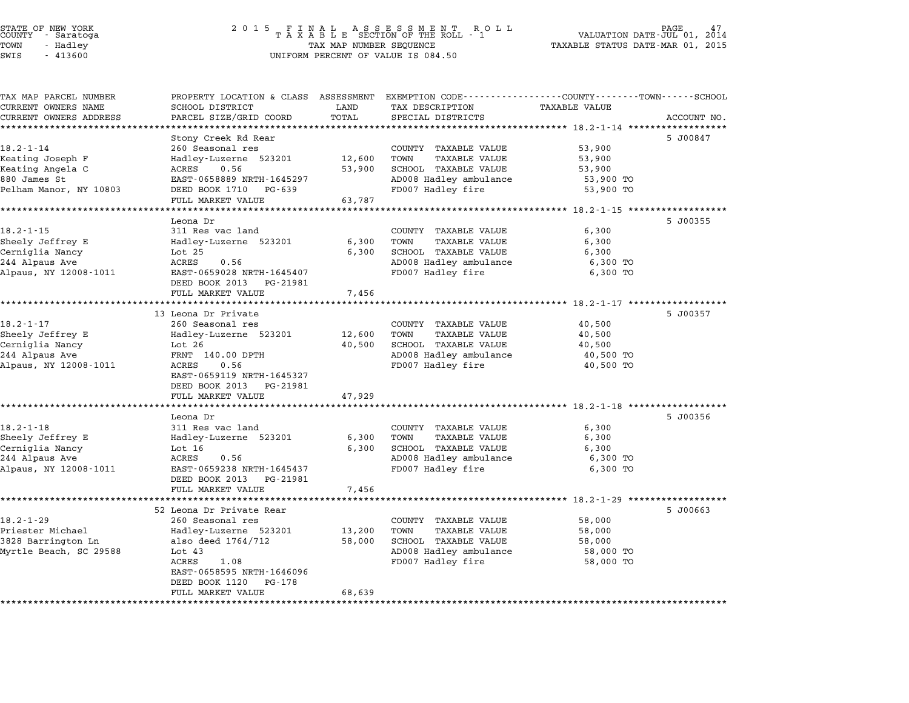| STATE OF NEW YORK |        |            |  |
|-------------------|--------|------------|--|
| COUNTY            |        | - Saratoga |  |
| TOWN              | $\sim$ | Hadley     |  |
|                   |        |            |  |

|                           |                                                                                                                                                                                                                                                                                                                                                                                                                                                                                                                                                                                                                                                                                                                                |                                                                                                                 |                                                                                                                                                                                                                                                                                                                                                                                                                                          | ACCOUNT NO.                                                                                                                                                                                                                                                                                                 |
|---------------------------|--------------------------------------------------------------------------------------------------------------------------------------------------------------------------------------------------------------------------------------------------------------------------------------------------------------------------------------------------------------------------------------------------------------------------------------------------------------------------------------------------------------------------------------------------------------------------------------------------------------------------------------------------------------------------------------------------------------------------------|-----------------------------------------------------------------------------------------------------------------|------------------------------------------------------------------------------------------------------------------------------------------------------------------------------------------------------------------------------------------------------------------------------------------------------------------------------------------------------------------------------------------------------------------------------------------|-------------------------------------------------------------------------------------------------------------------------------------------------------------------------------------------------------------------------------------------------------------------------------------------------------------|
|                           |                                                                                                                                                                                                                                                                                                                                                                                                                                                                                                                                                                                                                                                                                                                                |                                                                                                                 |                                                                                                                                                                                                                                                                                                                                                                                                                                          |                                                                                                                                                                                                                                                                                                             |
|                           |                                                                                                                                                                                                                                                                                                                                                                                                                                                                                                                                                                                                                                                                                                                                |                                                                                                                 |                                                                                                                                                                                                                                                                                                                                                                                                                                          | 5 J00847                                                                                                                                                                                                                                                                                                    |
|                           |                                                                                                                                                                                                                                                                                                                                                                                                                                                                                                                                                                                                                                                                                                                                |                                                                                                                 |                                                                                                                                                                                                                                                                                                                                                                                                                                          |                                                                                                                                                                                                                                                                                                             |
|                           |                                                                                                                                                                                                                                                                                                                                                                                                                                                                                                                                                                                                                                                                                                                                |                                                                                                                 |                                                                                                                                                                                                                                                                                                                                                                                                                                          |                                                                                                                                                                                                                                                                                                             |
|                           |                                                                                                                                                                                                                                                                                                                                                                                                                                                                                                                                                                                                                                                                                                                                |                                                                                                                 |                                                                                                                                                                                                                                                                                                                                                                                                                                          |                                                                                                                                                                                                                                                                                                             |
|                           |                                                                                                                                                                                                                                                                                                                                                                                                                                                                                                                                                                                                                                                                                                                                |                                                                                                                 |                                                                                                                                                                                                                                                                                                                                                                                                                                          |                                                                                                                                                                                                                                                                                                             |
|                           |                                                                                                                                                                                                                                                                                                                                                                                                                                                                                                                                                                                                                                                                                                                                |                                                                                                                 |                                                                                                                                                                                                                                                                                                                                                                                                                                          |                                                                                                                                                                                                                                                                                                             |
|                           |                                                                                                                                                                                                                                                                                                                                                                                                                                                                                                                                                                                                                                                                                                                                |                                                                                                                 |                                                                                                                                                                                                                                                                                                                                                                                                                                          |                                                                                                                                                                                                                                                                                                             |
| Leona Dr                  |                                                                                                                                                                                                                                                                                                                                                                                                                                                                                                                                                                                                                                                                                                                                |                                                                                                                 |                                                                                                                                                                                                                                                                                                                                                                                                                                          | 5 J00355                                                                                                                                                                                                                                                                                                    |
| 311 Res vac land          |                                                                                                                                                                                                                                                                                                                                                                                                                                                                                                                                                                                                                                                                                                                                | COUNTY TAXABLE VALUE                                                                                            | 6,300                                                                                                                                                                                                                                                                                                                                                                                                                                    |                                                                                                                                                                                                                                                                                                             |
| Hadley-Luzerne 523201     | 6,300                                                                                                                                                                                                                                                                                                                                                                                                                                                                                                                                                                                                                                                                                                                          | <b>TAXABLE VALUE</b><br>TOWN                                                                                    | 6,300                                                                                                                                                                                                                                                                                                                                                                                                                                    |                                                                                                                                                                                                                                                                                                             |
| Lot <sub>25</sub>         | 6,300                                                                                                                                                                                                                                                                                                                                                                                                                                                                                                                                                                                                                                                                                                                          | SCHOOL TAXABLE VALUE                                                                                            | 6,300                                                                                                                                                                                                                                                                                                                                                                                                                                    |                                                                                                                                                                                                                                                                                                             |
| ACRES<br>0.56             |                                                                                                                                                                                                                                                                                                                                                                                                                                                                                                                                                                                                                                                                                                                                | AD008 Hadley ambulance                                                                                          | 6,300 TO                                                                                                                                                                                                                                                                                                                                                                                                                                 |                                                                                                                                                                                                                                                                                                             |
|                           |                                                                                                                                                                                                                                                                                                                                                                                                                                                                                                                                                                                                                                                                                                                                |                                                                                                                 |                                                                                                                                                                                                                                                                                                                                                                                                                                          |                                                                                                                                                                                                                                                                                                             |
| PG-21981                  |                                                                                                                                                                                                                                                                                                                                                                                                                                                                                                                                                                                                                                                                                                                                |                                                                                                                 |                                                                                                                                                                                                                                                                                                                                                                                                                                          |                                                                                                                                                                                                                                                                                                             |
|                           |                                                                                                                                                                                                                                                                                                                                                                                                                                                                                                                                                                                                                                                                                                                                |                                                                                                                 |                                                                                                                                                                                                                                                                                                                                                                                                                                          |                                                                                                                                                                                                                                                                                                             |
|                           |                                                                                                                                                                                                                                                                                                                                                                                                                                                                                                                                                                                                                                                                                                                                |                                                                                                                 |                                                                                                                                                                                                                                                                                                                                                                                                                                          |                                                                                                                                                                                                                                                                                                             |
|                           |                                                                                                                                                                                                                                                                                                                                                                                                                                                                                                                                                                                                                                                                                                                                |                                                                                                                 |                                                                                                                                                                                                                                                                                                                                                                                                                                          | 5 J00357                                                                                                                                                                                                                                                                                                    |
|                           |                                                                                                                                                                                                                                                                                                                                                                                                                                                                                                                                                                                                                                                                                                                                |                                                                                                                 |                                                                                                                                                                                                                                                                                                                                                                                                                                          |                                                                                                                                                                                                                                                                                                             |
|                           |                                                                                                                                                                                                                                                                                                                                                                                                                                                                                                                                                                                                                                                                                                                                |                                                                                                                 |                                                                                                                                                                                                                                                                                                                                                                                                                                          |                                                                                                                                                                                                                                                                                                             |
|                           |                                                                                                                                                                                                                                                                                                                                                                                                                                                                                                                                                                                                                                                                                                                                |                                                                                                                 |                                                                                                                                                                                                                                                                                                                                                                                                                                          |                                                                                                                                                                                                                                                                                                             |
|                           |                                                                                                                                                                                                                                                                                                                                                                                                                                                                                                                                                                                                                                                                                                                                |                                                                                                                 |                                                                                                                                                                                                                                                                                                                                                                                                                                          |                                                                                                                                                                                                                                                                                                             |
|                           |                                                                                                                                                                                                                                                                                                                                                                                                                                                                                                                                                                                                                                                                                                                                |                                                                                                                 |                                                                                                                                                                                                                                                                                                                                                                                                                                          |                                                                                                                                                                                                                                                                                                             |
|                           |                                                                                                                                                                                                                                                                                                                                                                                                                                                                                                                                                                                                                                                                                                                                |                                                                                                                 |                                                                                                                                                                                                                                                                                                                                                                                                                                          |                                                                                                                                                                                                                                                                                                             |
| FULL MARKET VALUE         |                                                                                                                                                                                                                                                                                                                                                                                                                                                                                                                                                                                                                                                                                                                                |                                                                                                                 |                                                                                                                                                                                                                                                                                                                                                                                                                                          |                                                                                                                                                                                                                                                                                                             |
|                           |                                                                                                                                                                                                                                                                                                                                                                                                                                                                                                                                                                                                                                                                                                                                |                                                                                                                 |                                                                                                                                                                                                                                                                                                                                                                                                                                          |                                                                                                                                                                                                                                                                                                             |
| Leona Dr                  |                                                                                                                                                                                                                                                                                                                                                                                                                                                                                                                                                                                                                                                                                                                                |                                                                                                                 |                                                                                                                                                                                                                                                                                                                                                                                                                                          | 5 J00356                                                                                                                                                                                                                                                                                                    |
| 311 Res vac land          |                                                                                                                                                                                                                                                                                                                                                                                                                                                                                                                                                                                                                                                                                                                                | COUNTY TAXABLE VALUE                                                                                            | 6,300                                                                                                                                                                                                                                                                                                                                                                                                                                    |                                                                                                                                                                                                                                                                                                             |
| Hadley-Luzerne 523201     | 6,300                                                                                                                                                                                                                                                                                                                                                                                                                                                                                                                                                                                                                                                                                                                          | TAXABLE VALUE<br>TOWN                                                                                           | 6,300                                                                                                                                                                                                                                                                                                                                                                                                                                    |                                                                                                                                                                                                                                                                                                             |
| Lot $16$                  | 6,300                                                                                                                                                                                                                                                                                                                                                                                                                                                                                                                                                                                                                                                                                                                          | SCHOOL TAXABLE VALUE                                                                                            | 6,300                                                                                                                                                                                                                                                                                                                                                                                                                                    |                                                                                                                                                                                                                                                                                                             |
| ACRES<br>0.56             |                                                                                                                                                                                                                                                                                                                                                                                                                                                                                                                                                                                                                                                                                                                                | AD008 Hadley ambulance                                                                                          | 6,300 TO                                                                                                                                                                                                                                                                                                                                                                                                                                 |                                                                                                                                                                                                                                                                                                             |
| EAST-0659238 NRTH-1645437 |                                                                                                                                                                                                                                                                                                                                                                                                                                                                                                                                                                                                                                                                                                                                | FD007 Hadley fire                                                                                               | 6,300 TO                                                                                                                                                                                                                                                                                                                                                                                                                                 |                                                                                                                                                                                                                                                                                                             |
|                           |                                                                                                                                                                                                                                                                                                                                                                                                                                                                                                                                                                                                                                                                                                                                |                                                                                                                 |                                                                                                                                                                                                                                                                                                                                                                                                                                          |                                                                                                                                                                                                                                                                                                             |
|                           |                                                                                                                                                                                                                                                                                                                                                                                                                                                                                                                                                                                                                                                                                                                                |                                                                                                                 |                                                                                                                                                                                                                                                                                                                                                                                                                                          |                                                                                                                                                                                                                                                                                                             |
|                           |                                                                                                                                                                                                                                                                                                                                                                                                                                                                                                                                                                                                                                                                                                                                |                                                                                                                 |                                                                                                                                                                                                                                                                                                                                                                                                                                          |                                                                                                                                                                                                                                                                                                             |
|                           |                                                                                                                                                                                                                                                                                                                                                                                                                                                                                                                                                                                                                                                                                                                                |                                                                                                                 |                                                                                                                                                                                                                                                                                                                                                                                                                                          | 5 J00663                                                                                                                                                                                                                                                                                                    |
|                           |                                                                                                                                                                                                                                                                                                                                                                                                                                                                                                                                                                                                                                                                                                                                |                                                                                                                 |                                                                                                                                                                                                                                                                                                                                                                                                                                          |                                                                                                                                                                                                                                                                                                             |
|                           |                                                                                                                                                                                                                                                                                                                                                                                                                                                                                                                                                                                                                                                                                                                                |                                                                                                                 |                                                                                                                                                                                                                                                                                                                                                                                                                                          |                                                                                                                                                                                                                                                                                                             |
|                           |                                                                                                                                                                                                                                                                                                                                                                                                                                                                                                                                                                                                                                                                                                                                |                                                                                                                 |                                                                                                                                                                                                                                                                                                                                                                                                                                          |                                                                                                                                                                                                                                                                                                             |
|                           |                                                                                                                                                                                                                                                                                                                                                                                                                                                                                                                                                                                                                                                                                                                                |                                                                                                                 |                                                                                                                                                                                                                                                                                                                                                                                                                                          |                                                                                                                                                                                                                                                                                                             |
|                           |                                                                                                                                                                                                                                                                                                                                                                                                                                                                                                                                                                                                                                                                                                                                |                                                                                                                 |                                                                                                                                                                                                                                                                                                                                                                                                                                          |                                                                                                                                                                                                                                                                                                             |
| PG-178                    |                                                                                                                                                                                                                                                                                                                                                                                                                                                                                                                                                                                                                                                                                                                                |                                                                                                                 |                                                                                                                                                                                                                                                                                                                                                                                                                                          |                                                                                                                                                                                                                                                                                                             |
| FULL MARKET VALUE         | 68,639                                                                                                                                                                                                                                                                                                                                                                                                                                                                                                                                                                                                                                                                                                                         |                                                                                                                 |                                                                                                                                                                                                                                                                                                                                                                                                                                          |                                                                                                                                                                                                                                                                                                             |
|                           |                                                                                                                                                                                                                                                                                                                                                                                                                                                                                                                                                                                                                                                                                                                                |                                                                                                                 |                                                                                                                                                                                                                                                                                                                                                                                                                                          |                                                                                                                                                                                                                                                                                                             |
|                           | <b>SCHOOL DISTRICT</b><br>PARCEL SIZE/GRID COORD<br>******************************<br>Stony Creek Rd Rear<br>260 Seasonal res<br>Hadley-Luzerne 523201<br>ACRES<br>0.56<br>EAST-0658889 NRTH-1645297<br>DEED BOOK 1710 PG-639<br>FULL MARKET VALUE<br>EAST-0659028 NRTH-1645407<br>DEED BOOK 2013<br>FULL MARKET VALUE<br>13 Leona Dr Private<br>260 Seasonal res<br>Hadley-Luzerne 523201<br>Lot $26$<br>FRNT 140.00 DPTH<br>ACRES<br>0.56<br>EAST-0659119 NRTH-1645327<br>DEED BOOK 2013 PG-21981<br>DEED BOOK 2013 PG-21981<br>FULL MARKET VALUE<br>52 Leona Dr Private Rear<br>260 Seasonal res<br>Hadley-Luzerne 523201<br>also deed 1764/712<br>Lot $43$<br>ACRES<br>1.08<br>EAST-0658595 NRTH-1646096<br>DEED BOOK 1120 | LAND<br>TOTAL<br>12,600<br>53,900<br>63,787<br>7,456<br>12,600<br>40,500<br>47,929<br>7,456<br>13,200<br>58,000 | TAX DESCRIPTION<br>SPECIAL DISTRICTS<br>COUNTY TAXABLE VALUE<br><b>TAXABLE VALUE</b><br>TOWN<br>SCHOOL TAXABLE VALUE<br>AD008 Hadley ambulance<br>FD007 Hadley fire<br>FD007 Hadley fire<br>COUNTY TAXABLE VALUE<br>TAXABLE VALUE<br>TOWN<br>SCHOOL TAXABLE VALUE<br>AD008 Hadley ambulance<br>FD007 Hadley fire<br>COUNTY TAXABLE VALUE<br>TAXABLE VALUE<br>TOWN<br>SCHOOL TAXABLE VALUE<br>AD008 Hadley ambulance<br>FD007 Hadley fire | PROPERTY LOCATION & CLASS ASSESSMENT EXEMPTION CODE----------------COUNTY-------TOWN-----SCHOOL<br><b>TAXABLE VALUE</b><br>53,900<br>53,900<br>53,900<br>53,900 TO<br>53,900 TO<br>6,300 TO<br>40,500<br>40,500<br>40,500<br>40,500 TO<br>40,500 TO<br>58,000<br>58,000<br>58,000<br>58,000 TO<br>58,000 TO |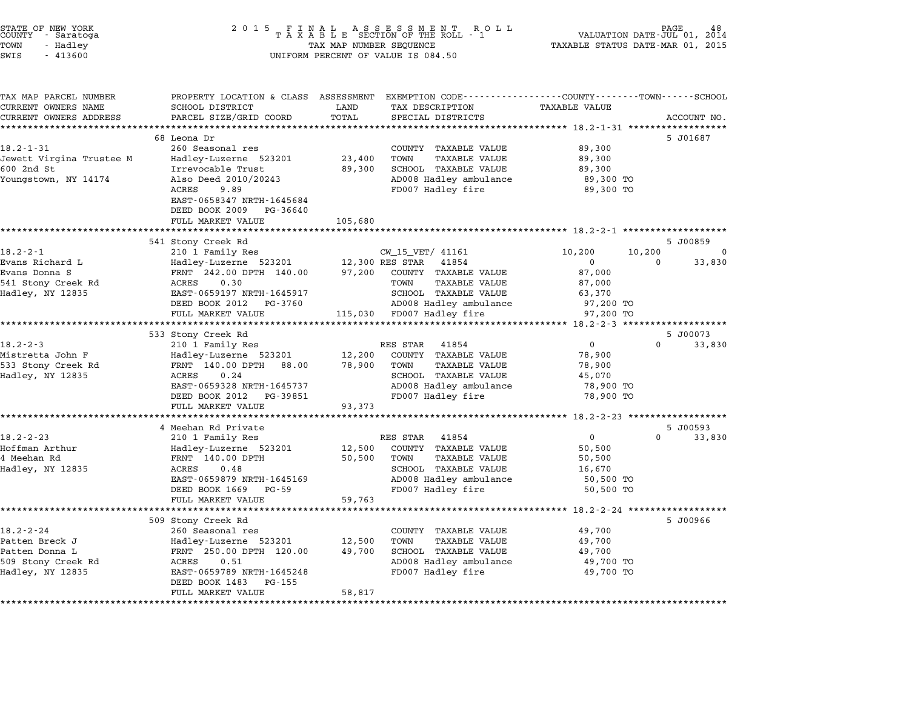| STATE OF NEW YORK |  |            |  |  |  |
|-------------------|--|------------|--|--|--|
| COUNTY            |  | - Saratoga |  |  |  |
| TOWN              |  | - Hadley   |  |  |  |

| TAX MAP PARCEL NUMBER<br>CURRENT OWNERS NAME | PROPERTY LOCATION & CLASS<br>SCHOOL DISTRICT  | LAND    | ASSESSMENT EXEMPTION CODE----------------COUNTY-------TOWN-----SCHOOL<br>TAX DESCRIPTION | <b>TAXABLE VALUE</b>                     |                      |
|----------------------------------------------|-----------------------------------------------|---------|------------------------------------------------------------------------------------------|------------------------------------------|----------------------|
| CURRENT OWNERS ADDRESS                       | PARCEL SIZE/GRID COORD                        | TOTAL   | SPECIAL DISTRICTS                                                                        |                                          | ACCOUNT NO.          |
| ********************                         | *************************                     |         |                                                                                          |                                          |                      |
|                                              | 68 Leona Dr                                   |         |                                                                                          |                                          | 5 J01687             |
| $18.2 - 1 - 31$                              | 260 Seasonal res                              |         | COUNTY TAXABLE VALUE                                                                     | 89,300                                   |                      |
| Jewett Virgina Trustee M                     | Hadley-Luzerne 523201                         | 23,400  | TOWN<br><b>TAXABLE VALUE</b>                                                             | 89,300                                   |                      |
| 600 2nd St                                   | Irrevocable Trust                             | 89,300  | SCHOOL TAXABLE VALUE                                                                     | 89,300                                   |                      |
| Youngstown, NY 14174                         | Also Deed 2010/20243                          |         | AD008 Hadley ambulance                                                                   | 89,300 TO                                |                      |
|                                              | ACRES<br>9.89                                 |         | FD007 Hadley fire                                                                        | 89,300 TO                                |                      |
|                                              | EAST-0658347 NRTH-1645684                     |         |                                                                                          |                                          |                      |
|                                              | DEED BOOK 2009<br>PG-36640                    |         |                                                                                          |                                          |                      |
|                                              | FULL MARKET VALUE                             | 105,680 |                                                                                          |                                          |                      |
|                                              |                                               |         |                                                                                          |                                          |                      |
| $18.2 - 2 - 1$                               | 541 Stony Creek Rd<br>210 1 Family Res        |         | CW_15_VET/ 41161                                                                         | 10,200<br>10,200                         | 5 J00859<br>$\Omega$ |
| Evans Richard L                              | Hadley-Luzerne 523201                         |         | 12,300 RES STAR<br>41854                                                                 | $\mathbf 0$                              | $\Omega$<br>33,830   |
| Evans Donna S                                | FRNT 242.00 DPTH 140.00                       | 97,200  | COUNTY TAXABLE VALUE                                                                     | 87,000                                   |                      |
| 541 Stony Creek Rd                           | ACRES<br>0.30                                 |         | TOWN<br><b>TAXABLE VALUE</b>                                                             | 87,000                                   |                      |
| Hadley, NY 12835                             | EAST-0659197 NRTH-1645917                     |         | SCHOOL TAXABLE VALUE                                                                     | 63,370                                   |                      |
|                                              | DEED BOOK 2012<br>PG-3760                     |         | AD008 Hadley ambulance                                                                   | 97,200 TO                                |                      |
|                                              | FULL MARKET VALUE                             |         | 115,030 FD007 Hadley fire                                                                | 97,200 TO                                |                      |
|                                              |                                               |         |                                                                                          |                                          |                      |
|                                              | 533 Stony Creek Rd                            |         |                                                                                          |                                          | 5 J00073             |
| $18.2 - 2 - 3$                               | 210 1 Family Res                              |         | 41854<br>RES STAR                                                                        | $\Omega$                                 | $\Omega$<br>33,830   |
| Mistretta John F                             | Hadley-Luzerne 523201                         | 12,200  | COUNTY TAXABLE VALUE                                                                     | 78,900                                   |                      |
| 533 Stony Creek Rd                           | FRNT 140.00 DPTH 88.00                        | 78,900  | TOWN<br><b>TAXABLE VALUE</b>                                                             | 78,900                                   |                      |
| Hadley, NY 12835                             | 0.24<br>ACRES                                 |         | SCHOOL TAXABLE VALUE                                                                     | 45,070                                   |                      |
|                                              | EAST-0659328 NRTH-1645737                     |         | AD008 Hadley ambulance                                                                   | 78,900 TO                                |                      |
|                                              | DEED BOOK 2012 PG-39851                       |         | FD007 Hadley fire                                                                        | 78,900 TO                                |                      |
|                                              | FULL MARKET VALUE                             | 93,373  |                                                                                          |                                          |                      |
|                                              |                                               |         |                                                                                          |                                          |                      |
|                                              | 4 Meehan Rd Private                           |         |                                                                                          |                                          | 5 J00593             |
| $18.2 - 2 - 23$                              | 210 1 Family Res                              |         | RES STAR<br>41854                                                                        | $\mathbf{0}$                             | $\Omega$<br>33,830   |
| Hoffman Arthur                               | Hadley-Luzerne 523201                         | 12,500  | COUNTY TAXABLE VALUE                                                                     | 50,500                                   |                      |
| 4 Meehan Rd                                  | FRNT 140.00 DPTH<br>0.48                      | 50,500  | TAXABLE VALUE<br>TOWN<br>SCHOOL TAXABLE VALUE                                            | 50,500                                   |                      |
| Hadley, NY 12835                             | ACRES<br>EAST-0659879 NRTH-1645169            |         | AD008 Hadley ambulance                                                                   | 16,670<br>50,500 TO                      |                      |
|                                              | DEED BOOK 1669<br>PG-59                       |         | FD007 Hadley fire                                                                        | 50,500 TO                                |                      |
|                                              | FULL MARKET VALUE                             | 59,763  |                                                                                          |                                          |                      |
|                                              |                                               |         |                                                                                          | ************ 18.2-2-24 ***************** |                      |
|                                              | 509 Stony Creek Rd                            |         |                                                                                          |                                          | 5 J00966             |
| $18.2 - 2 - 24$                              | 260 Seasonal res                              |         | COUNTY TAXABLE VALUE                                                                     | 49,700                                   |                      |
| Patten Breck J                               | Hadley-Luzerne 523201                         | 12,500  | TOWN<br><b>TAXABLE VALUE</b>                                                             | 49,700                                   |                      |
| Patten Donna L                               | FRNT 250.00 DPTH 120.00                       | 49,700  | SCHOOL TAXABLE VALUE                                                                     | 49,700                                   |                      |
| 509 Stony Creek Rd                           | ACRES<br>0.51                                 |         | AD008 Hadley ambulance                                                                   | 49,700 TO                                |                      |
|                                              |                                               |         |                                                                                          |                                          |                      |
| Hadley, NY 12835                             | EAST-0659789 NRTH-1645248                     |         | FD007 Hadley fire                                                                        | 49,700 TO                                |                      |
|                                              | DEED BOOK 1483<br>PG-155<br>FULL MARKET VALUE | 58,817  |                                                                                          |                                          |                      |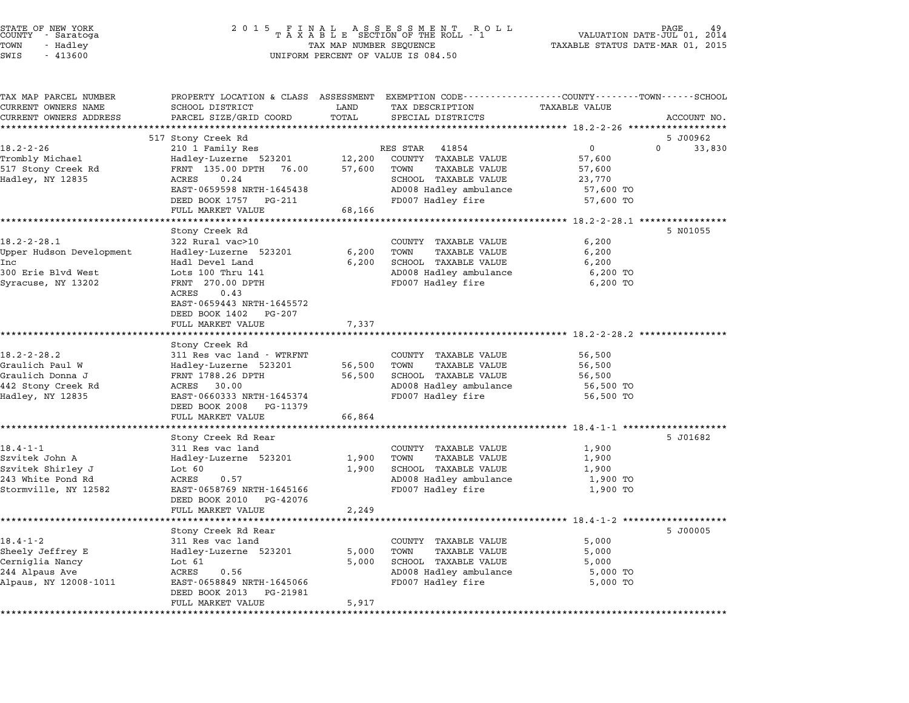| STATE OF NEW YORK<br>COUNTY   - Saratoga<br>TOWN<br>- Hadley<br>$-413600$<br>SWIS                  | $\begin{array}{cccccccccccccc} 2& 0& 1& 5 & & F & I & N & A & L & & A & S & S & E & S & M & E & N & T & & R & O & L \\ & & T & A & X & A & B & L & E & SECTION & OF & THE & ROLL & - & 1 \end{array}$<br>TAX MAP NUMBER SEQUENCE<br>UNIFORM PERCENT OF VALUE IS 084.50 |                            |                                                                                                                                           | 49<br>VALUATION DATE-JUL 01,<br>2014<br>TAXABLE STATUS DATE-MAR 01, 2015                       |                    |
|----------------------------------------------------------------------------------------------------|------------------------------------------------------------------------------------------------------------------------------------------------------------------------------------------------------------------------------------------------------------------------|----------------------------|-------------------------------------------------------------------------------------------------------------------------------------------|------------------------------------------------------------------------------------------------|--------------------|
| TAX MAP PARCEL NUMBER<br>CURRENT OWNERS NAME<br>CURRENT OWNERS ADDRESS                             | PROPERTY LOCATION & CLASS ASSESSMENT EXEMPTION CODE---------------COUNTY-------TOWN------SCHOOL<br>SCHOOL DISTRICT<br>PARCEL SIZE/GRID COORD                                                                                                                           | LAND<br>TOTAL              | TAX DESCRIPTION<br>SPECIAL DISTRICTS                                                                                                      | <b>TAXABLE VALUE</b>                                                                           | ACCOUNT NO.        |
|                                                                                                    |                                                                                                                                                                                                                                                                        |                            |                                                                                                                                           |                                                                                                |                    |
| $18.2 - 2 - 26$<br>Trombly Michael<br>517 Stony Creek Rd<br>Hadley, NY 12835                       | 517 Stony Creek Rd<br>210 1 Family Res<br>Hadley-Luzerne 523201<br>FRNT 135.00 DPTH 76.00<br>ACRES<br>0.24<br>EAST-0659598 NRTH-1645438<br>DEED BOOK 1757 PG-211<br>FULL MARKET VALUE                                                                                  | 12,200<br>57,600<br>68,166 | RES STAR<br>41854<br>COUNTY TAXABLE VALUE<br>TOWN<br>TAXABLE VALUE<br>SCHOOL TAXABLE VALUE<br>AD008 Hadley ambulance<br>FD007 Hadley fire | $\mathbf 0$<br>0<br>57,600<br>57,600<br>23,770<br>57,600 TO<br>57,600 TO                       | 5 J00962<br>33,830 |
|                                                                                                    |                                                                                                                                                                                                                                                                        |                            |                                                                                                                                           |                                                                                                |                    |
| $18.2 - 2 - 28.1$<br>Upper Hudson Development<br>Inc<br>300 Erie Blvd West<br>Syracuse, NY 13202   | Stony Creek Rd<br>322 Rural vac>10<br>Hadley-Luzerne 523201<br>Hadl Devel Land<br>Lots 100 Thru 141<br>FRNT 270.00 DPTH<br>ACRES<br>0.43<br>EAST-0659443 NRTH-1645572<br>DEED BOOK 1402 PG-207<br>FULL MARKET VALUE                                                    | 6,200<br>6,200<br>7,337    | COUNTY TAXABLE VALUE<br>TAXABLE VALUE<br>TOWN<br>SCHOOL TAXABLE VALUE<br>AD008 Hadley ambulance<br>FD007 Hadley fire                      | 6,200<br>6,200<br>6,200<br>6,200 TO<br>6,200 TO                                                | 5 N01055           |
|                                                                                                    | *********************                                                                                                                                                                                                                                                  |                            |                                                                                                                                           | ************************* 18.2-2-28.2 ************                                             |                    |
| $18.2 - 2 - 28.2$<br>Graulich Paul W<br>Graulich Donna J<br>442 Stony Creek Rd<br>Hadley, NY 12835 | Stony Creek Rd<br>311 Res vac land - WTRFNT<br>Hadley-Luzerne 523201<br>FRNT 1788.26 DPTH<br>ACRES 30.00<br>EAST-0660333 NRTH-1645374<br>DEED BOOK 2008 PG-11379<br>FULL MARKET VALUE                                                                                  | 56,500<br>56,500<br>66,864 | COUNTY TAXABLE VALUE<br>TAXABLE VALUE<br>TOWN<br>SCHOOL TAXABLE VALUE<br>AD008 Hadley ambulance<br>FD007 Hadley fire                      | 56,500<br>56,500<br>56,500<br>56,500 TO<br>56,500 TO                                           |                    |
|                                                                                                    |                                                                                                                                                                                                                                                                        |                            |                                                                                                                                           |                                                                                                | 5 J01682           |
| $18.4 - 1 - 1$<br>Szvitek John A<br>Szvitek Shirley J<br>243 White Pond Rd<br>Stormville, NY 12582 | Stony Creek Rd Rear<br>311 Res vac land<br>Hadley-Luzerne 523201<br>Lot $60$<br>ACRES<br>0.57<br>EAST-0658769 NRTH-1645166<br>DEED BOOK 2010<br>PG-42076                                                                                                               | 1,900<br>1,900             | COUNTY TAXABLE VALUE<br>TAXABLE VALUE<br>TOWN<br>SCHOOL TAXABLE VALUE<br>AD008 Hadley ambulance<br>FD007 Hadley fire                      | 1,900<br>1,900<br>1,900<br>1,900 TO<br>1,900 TO                                                |                    |
|                                                                                                    | FULL MARKET VALUE                                                                                                                                                                                                                                                      | 2,249                      |                                                                                                                                           |                                                                                                |                    |
| $18.4 - 1 - 2$<br>Sheely Jeffrey E<br>Cerniglia Nancy<br>244 Alpaus Ave<br>Alpaus, NY 12008-1011   | Stony Creek Rd Rear<br>311 Res vac land<br>Hadley-Luzerne 523201<br>Lot $61$<br>ACRES<br>0.56<br>EAST-0658849 NRTH-1645066<br>DEED BOOK 2013<br>PG-21981<br>FULL MARKET VALUE                                                                                          | 5,000<br>5,000<br>5,917    | COUNTY TAXABLE VALUE<br>TOWN<br><b>TAXABLE VALUE</b><br>SCHOOL TAXABLE VALUE<br>AD008 Hadley ambulance<br>FD007 Hadley fire               | ************************ 18.4-1-2 *********<br>5,000<br>5,000<br>5,000<br>5,000 TO<br>5,000 TO | 5 J00005           |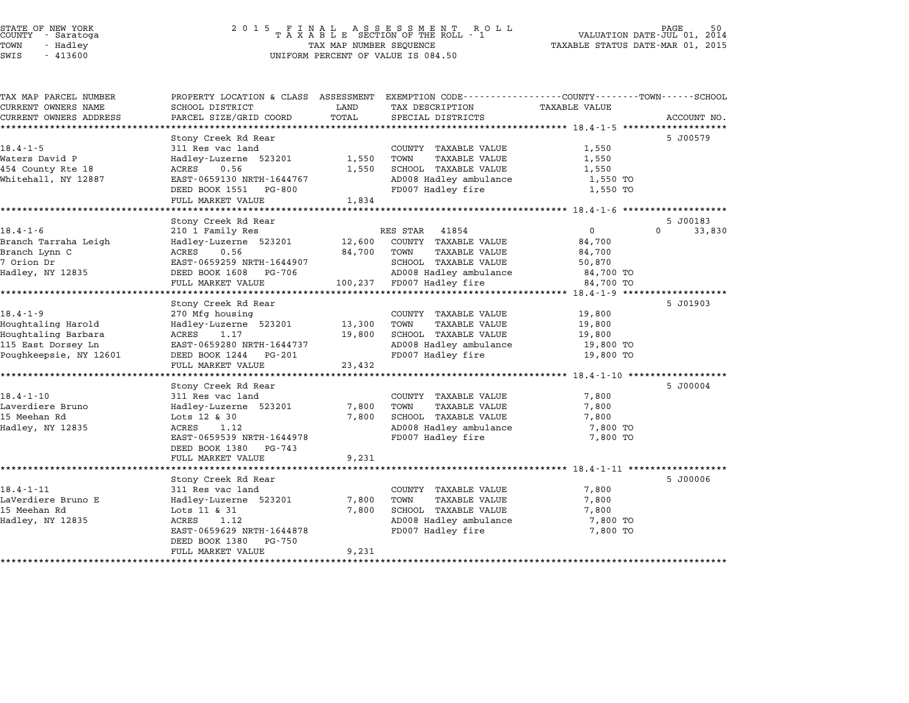| TAX MAP PARCEL NUMBER  | PROPERTY LOCATION & CLASS ASSESSMENT |         | EXEMPTION CODE-----------------COUNTY-------TOWN------SCHOOL |                      |                    |
|------------------------|--------------------------------------|---------|--------------------------------------------------------------|----------------------|--------------------|
| CURRENT OWNERS NAME    | SCHOOL DISTRICT                      | LAND    | TAX DESCRIPTION                                              | <b>TAXABLE VALUE</b> |                    |
| CURRENT OWNERS ADDRESS | PARCEL SIZE/GRID COORD               | TOTAL   | SPECIAL DISTRICTS                                            |                      | ACCOUNT NO.        |
|                        |                                      |         |                                                              |                      |                    |
|                        | Stony Creek Rd Rear                  |         |                                                              |                      | 5 J00579           |
| $18.4 - 1 - 5$         | 311 Res vac land                     |         | COUNTY TAXABLE VALUE                                         | 1,550                |                    |
| Waters David P         | Hadley-Luzerne 523201                | 1,550   | TOWN<br>TAXABLE VALUE                                        | 1,550                |                    |
| 454 County Rte 18      | ACRES<br>0.56                        | 1,550   | SCHOOL TAXABLE VALUE                                         | 1,550                |                    |
| Whitehall, NY 12887    | EAST-0659130 NRTH-1644767            |         | AD008 Hadley ambulance                                       | 1,550 TO             |                    |
|                        | DEED BOOK 1551 PG-800                |         | FD007 Hadley fire                                            | 1,550 TO             |                    |
|                        | FULL MARKET VALUE                    | 1,834   |                                                              |                      |                    |
|                        |                                      |         |                                                              |                      |                    |
|                        | Stony Creek Rd Rear                  |         |                                                              |                      | 5 J00183           |
| $18.4 - 1 - 6$         | 210 1 Family Res                     |         | RES STAR<br>41854                                            | $\Omega$             | $\Omega$<br>33,830 |
| Branch Tarraha Leigh   | Hadley-Luzerne 523201                | 12,600  | COUNTY TAXABLE VALUE                                         | 84,700               |                    |
| Branch Lynn C          | ACRES<br>0.56                        | 84,700  | TOWN<br>TAXABLE VALUE                                        | 84,700               |                    |
| 7 Orion Dr             | EAST-0659259 NRTH-1644907            |         | SCHOOL TAXABLE VALUE                                         | 50,870               |                    |
| Hadley, NY 12835       | DEED BOOK 1608 PG-706                |         | AD008 Hadley ambulance                                       | 84,700 TO            |                    |
|                        | FULL MARKET VALUE                    | 100,237 | FD007 Hadley fire                                            | 84,700 TO            |                    |
|                        |                                      |         |                                                              |                      |                    |
|                        | Stony Creek Rd Rear                  |         |                                                              |                      | 5 J01903           |
| $18.4 - 1 - 9$         | 270 Mfg housing                      |         | COUNTY TAXABLE VALUE                                         | 19,800               |                    |
| Houghtaling Harold     | Hadley-Luzerne 523201                | 13,300  | TOWN<br>TAXABLE VALUE                                        | 19,800               |                    |
| Houghtaling Barbara    | ACRES<br>1.17                        | 19,800  | SCHOOL TAXABLE VALUE                                         | 19,800               |                    |
| 115 East Dorsey Ln     | EAST-0659280 NRTH-1644737            |         | AD008 Hadley ambulance                                       | 19,800 TO            |                    |
| Poughkeepsie, NY 12601 | DEED BOOK 1244 PG-201                |         | FD007 Hadley fire                                            | 19,800 TO            |                    |
|                        | FULL MARKET VALUE                    | 23,432  |                                                              |                      |                    |
|                        |                                      |         |                                                              |                      |                    |
|                        | Stony Creek Rd Rear                  |         |                                                              |                      | 5 J00004           |
| $18.4 - 1 - 10$        | 311 Res vac land                     |         | COUNTY TAXABLE VALUE                                         | 7,800                |                    |
| Laverdiere Bruno       | Hadley-Luzerne 523201                | 7,800   | TOWN<br><b>TAXABLE VALUE</b>                                 | 7,800                |                    |
| 15 Meehan Rd           | Lots 12 & 30                         | 7,800   | SCHOOL TAXABLE VALUE                                         | 7,800                |                    |
| Hadley, NY 12835       | ACRES<br>1.12                        |         | AD008 Hadley ambulance                                       | 7,800 TO             |                    |
|                        | EAST-0659539 NRTH-1644978            |         | FD007 Hadley fire                                            | 7,800 TO             |                    |
|                        | DEED BOOK 1380 PG-743                |         |                                                              |                      |                    |
|                        | FULL MARKET VALUE                    | 9,231   |                                                              |                      |                    |
|                        |                                      |         |                                                              |                      |                    |
|                        | Stony Creek Rd Rear                  |         |                                                              |                      | 5 J00006           |
| $18.4 - 1 - 11$        | 311 Res vac land                     |         | COUNTY TAXABLE VALUE                                         |                      |                    |
| LaVerdiere Bruno E     | Hadley-Luzerne 523201                | 7,800   | TOWN<br>TAXABLE VALUE                                        | 7,800<br>7,800       |                    |
| 15 Meehan Rd           | Lots 11 & 31                         | 7,800   | SCHOOL TAXABLE VALUE                                         | 7,800                |                    |
|                        | ACRES<br>1.12                        |         | AD008 Hadley ambulance                                       |                      |                    |
| Hadley, NY 12835       |                                      |         |                                                              | 7,800 TO             |                    |
|                        | EAST-0659629 NRTH-1644878            |         | FD007 Hadley fire                                            | 7,800 TO             |                    |
|                        | DEED BOOK 1380<br>PG-750             |         |                                                              |                      |                    |
|                        | FULL MARKET VALUE                    | 9,231   |                                                              |                      |                    |
|                        |                                      |         |                                                              |                      |                    |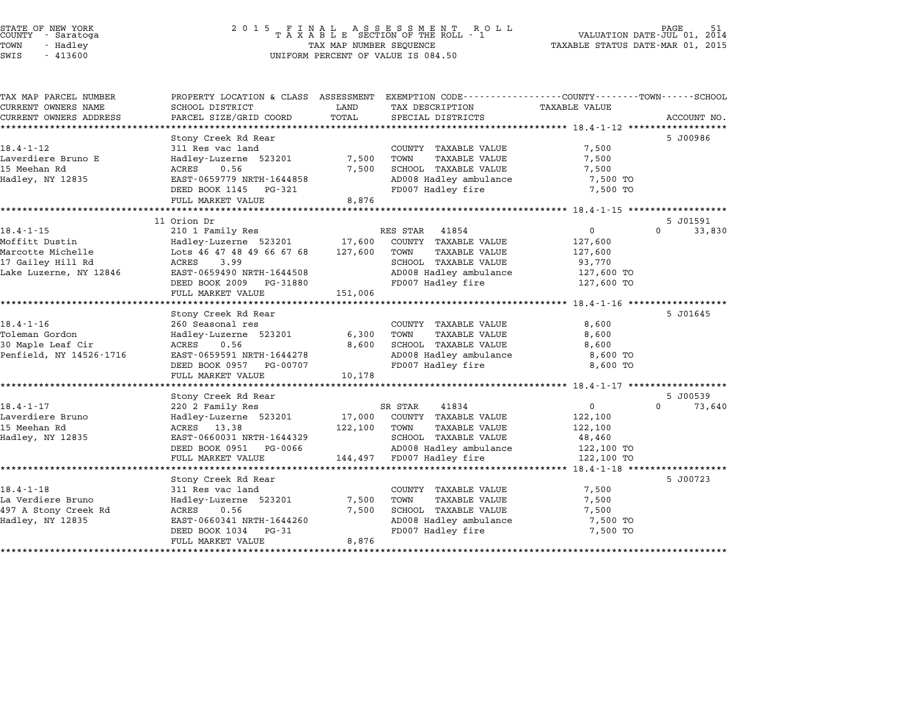### STATE OF NEW YORK <sup>2</sup> <sup>0</sup> <sup>1</sup> 5 F I N A L A S S E S S M E N T R O L L PAGE <sup>51</sup> COUNTY - Saratoga <sup>T</sup> <sup>A</sup> <sup>X</sup> <sup>A</sup> <sup>B</sup> <sup>L</sup> <sup>E</sup> SECTION OF THE ROLL - <sup>1</sup> VALUATION DATE-JUL 01, <sup>2014</sup> TOWN - Hadley TAX MAP NUMBER SEQUENCE TAXABLE STATUS DATE-MAR 01, <sup>2015</sup> STATE OF NEW YORK  $\begin{array}{cccccccccccccccccccccc} \texttt{STATE OF NEW YORK} \end{array} \begin{array}{cccccccccccccc} \texttt{STATE OF NEW YORK} \end{array} \begin{array}{cccccccccccccc} \texttt{SNE N T} \end{array} \begin{array}{cccccccccccccc} \texttt{SNE N T} \end{array} \begin{array}{cccccccccccccc} \texttt{SNE N T} \end{array} \begin{array}{cccccccccccccc} \texttt{COUNTY} \end{array} \begin{array}{cccccccccccccc} \texttt{SNE N T} \end{array} \begin{array}{cccccccccccccc} \texttt{COUNTY} \end{array} \begin{array}{cccccccccccccc$

| TAX MAP PARCEL NUMBER   | PROPERTY LOCATION & CLASS ASSESSMENT      |         | EXEMPTION CODE-----------------COUNTY-------TOWN-----SCHOOL |                      |                    |
|-------------------------|-------------------------------------------|---------|-------------------------------------------------------------|----------------------|--------------------|
| CURRENT OWNERS NAME     | SCHOOL DISTRICT                           | LAND    | TAX DESCRIPTION                                             | <b>TAXABLE VALUE</b> |                    |
| CURRENT OWNERS ADDRESS  | PARCEL SIZE/GRID COORD                    | TOTAL   | SPECIAL DISTRICTS                                           |                      | ACCOUNT NO.        |
|                         | Stony Creek Rd Rear                       |         |                                                             |                      | 5 J00986           |
| $18.4 - 1 - 12$         | 311 Res vac land                          |         | COUNTY TAXABLE VALUE                                        | 7,500                |                    |
| Laverdiere Bruno E      | Hadley-Luzerne 523201                     | 7,500   | TOWN<br><b>TAXABLE VALUE</b>                                | 7,500                |                    |
| 15 Meehan Rd            | 0.56<br>ACRES                             | 7,500   | SCHOOL TAXABLE VALUE                                        | 7,500                |                    |
| Hadley, NY 12835        | EAST-0659779 NRTH-1644858                 |         | AD008 Hadley ambulance                                      | 7,500 TO             |                    |
|                         | DEED BOOK 1145<br>PG-321                  |         | FD007 Hadley fire                                           | 7,500 TO             |                    |
|                         | FULL MARKET VALUE                         | 8,876   |                                                             |                      |                    |
|                         |                                           |         |                                                             |                      |                    |
|                         | 11 Orion Dr                               |         |                                                             |                      | 5 J01591           |
| $18.4 - 1 - 15$         | 210 1 Family Res                          |         | RES STAR<br>41854                                           | $\mathbf{0}$         | $\Omega$<br>33,830 |
| Moffitt Dustin          | Hadley-Luzerne 523201                     | 17,600  | COUNTY TAXABLE VALUE                                        | 127,600              |                    |
| Marcotte Michelle       | Lots 46 47 48 49 66 67 68                 | 127,600 | TOWN<br>TAXABLE VALUE                                       | 127,600              |                    |
| 17 Gailey Hill Rd       | <b>ACRES</b><br>3.99                      |         | SCHOOL TAXABLE VALUE                                        | 93,770               |                    |
| Lake Luzerne, NY 12846  | EAST-0659490 NRTH-1644508                 |         | AD008 Hadley ambulance                                      | 127,600 TO           |                    |
|                         | DEED BOOK 2009<br>PG-31880                |         | FD007 Hadley fire                                           | 127,600 TO           |                    |
|                         | FULL MARKET VALUE                         | 151,006 |                                                             |                      |                    |
|                         | Stony Creek Rd Rear                       |         |                                                             |                      | 5 J01645           |
| $18.4 - 1 - 16$         | 260 Seasonal res                          |         | COUNTY TAXABLE VALUE                                        | 8,600                |                    |
| Toleman Gordon          | Hadley-Luzerne 523201                     | 6,300   | TOWN<br>TAXABLE VALUE                                       | 8,600                |                    |
| 30 Maple Leaf Cir       | 0.56<br>ACRES                             | 8,600   | SCHOOL TAXABLE VALUE                                        | 8,600                |                    |
| Penfield, NY 14526-1716 | EAST-0659591 NRTH-1644278                 |         | AD008 Hadley ambulance                                      | 8,600 TO             |                    |
|                         | DEED BOOK 0957<br>PG-00707                |         | FD007 Hadley fire                                           | 8,600 TO             |                    |
|                         | FULL MARKET VALUE                         | 10,178  |                                                             |                      |                    |
|                         |                                           |         |                                                             |                      |                    |
|                         | Stony Creek Rd Rear                       |         |                                                             |                      | 5 J00539           |
| $18.4 - 1 - 17$         | 220 2 Family Res                          |         | SR STAR<br>41834                                            | $\mathbf 0$          | $\Omega$<br>73,640 |
| Laverdiere Bruno        | Hadley-Luzerne 523201                     | 17,000  | COUNTY TAXABLE VALUE                                        | 122,100              |                    |
| 15 Meehan Rd            | ACRES 13.38                               | 122,100 | TOWN<br>TAXABLE VALUE                                       | 122,100              |                    |
| Hadley, NY 12835        | EAST-0660031 NRTH-1644329                 |         | SCHOOL TAXABLE VALUE                                        | 48,460               |                    |
|                         | DEED BOOK 0951<br>PG-0066                 |         | AD008 Hadley ambulance                                      | 122,100 TO           |                    |
|                         | FULL MARKET VALUE                         | 144,497 | FD007 Hadley fire                                           | 122,100 TO           |                    |
|                         |                                           |         |                                                             |                      | 5 J00723           |
| $18.4 - 1 - 18$         | Stony Creek Rd Rear                       |         |                                                             |                      |                    |
| La Verdiere Bruno       | 311 Res vac land<br>Hadley-Luzerne 523201 | 7,500   | COUNTY TAXABLE VALUE<br>TOWN<br>TAXABLE VALUE               | 7,500<br>7,500       |                    |
| 497 A Stony Creek Rd    | <b>ACRES</b><br>0.56                      | 7,500   | <b>SCHOOL TAXABLE VALUE</b>                                 | 7,500                |                    |
| Hadley, NY 12835        | EAST-0660341 NRTH-1644260                 |         | AD008 Hadley ambulance                                      | 7,500 TO             |                    |
|                         | DEED BOOK 1034<br>$PG-31$                 |         | FD007 Hadley fire                                           | 7,500 TO             |                    |
|                         | FULL MARKET VALUE                         | 8,876   |                                                             |                      |                    |
|                         |                                           |         |                                                             |                      |                    |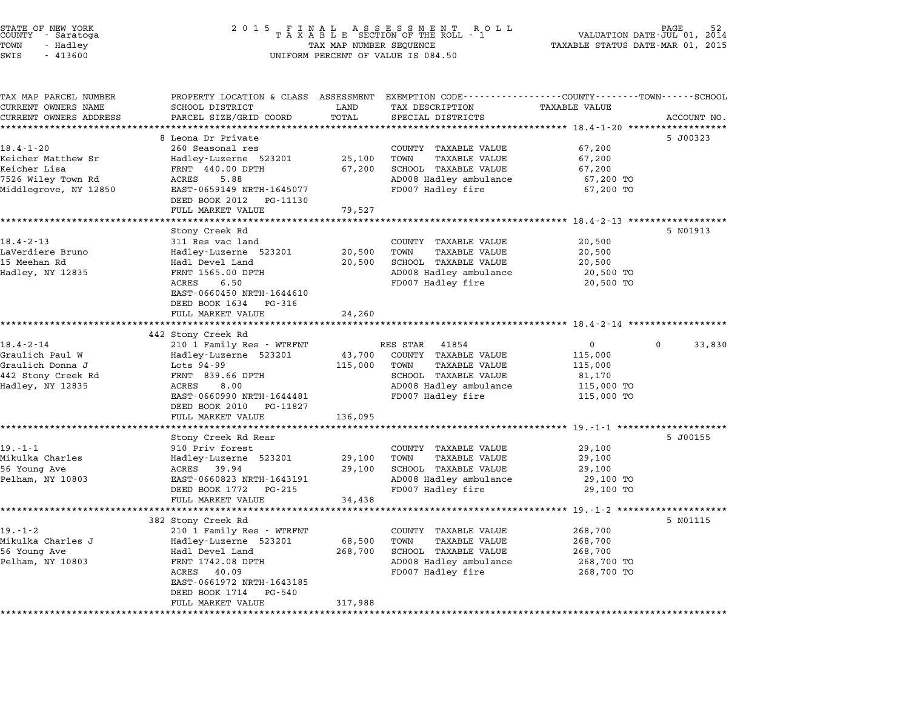| 2 0 1 5                                                                                                                                                                                            | 2014<br>VALUATION DATE-JUL 01,<br>TAXABLE STATUS DATE-MAR 01, 2015 |                                                                                                                               |                                                                                                                                                  |                                                                                                  |
|----------------------------------------------------------------------------------------------------------------------------------------------------------------------------------------------------|--------------------------------------------------------------------|-------------------------------------------------------------------------------------------------------------------------------|--------------------------------------------------------------------------------------------------------------------------------------------------|--------------------------------------------------------------------------------------------------|
| SCHOOL DISTRICT<br>PARCEL SIZE/GRID COORD                                                                                                                                                          | LAND<br>TOTAL                                                      | TAX DESCRIPTION<br>SPECIAL DISTRICTS                                                                                          | <b>TAXABLE VALUE</b>                                                                                                                             | ACCOUNT NO.                                                                                      |
| 8 Leona Dr Private<br>260 Seasonal res<br>Hadley-Luzerne 523201<br>FRNT 440.00 DPTH<br>ACRES<br>5.88<br>EAST-0659149 NRTH-1645077<br>DEED BOOK 2012<br>PG-11130<br>FULL MARKET VALUE               | 25,100<br>67,200<br>79,527                                         | COUNTY TAXABLE VALUE<br>TOWN<br><b>TAXABLE VALUE</b><br>SCHOOL TAXABLE VALUE<br>AD008 Hadley ambulance<br>FD007 Hadley fire   | 67,200<br>67,200<br>67,200<br>67,200 TO<br>67,200 TO                                                                                             | 5 J00323                                                                                         |
|                                                                                                                                                                                                    |                                                                    |                                                                                                                               |                                                                                                                                                  |                                                                                                  |
| Stony Creek Rd<br>311 Res vac land<br>Hadley-Luzerne 523201<br>Hadl Devel Land<br>FRNT 1565.00 DPTH<br>6.50<br>ACRES<br>EAST-0660450 NRTH-1644610<br>DEED BOOK 1634<br>PG-316<br>FULL MARKET VALUE | 20,500<br>20,500<br>24,260                                         | COUNTY TAXABLE VALUE<br>TOWN<br>TAXABLE VALUE<br>SCHOOL TAXABLE VALUE<br>AD008 Hadley ambulance<br>FD007 Hadley fire          | 20,500<br>20,500<br>20,500<br>20,500 TO<br>20,500 TO                                                                                             | 5 N01913                                                                                         |
|                                                                                                                                                                                                    |                                                                    |                                                                                                                               |                                                                                                                                                  |                                                                                                  |
| 210 1 Family Res - WTRFNT<br>Hadley-Luzerne 523201<br>Lots 94-99<br>FRNT 839.66 DPTH<br>ACRES<br>8.00<br>EAST-0660990 NRTH-1644481<br>DEED BOOK 2010<br>PG-11827<br>FULL MARKET VALUE              | 43,700<br>115,000<br>136,095                                       | 41854<br>COUNTY TAXABLE VALUE<br>TOWN<br>TAXABLE VALUE<br>SCHOOL TAXABLE VALUE<br>AD008 Hadley ambulance<br>FD007 Hadley fire | 0<br>115,000<br>115,000<br>81,170<br>115,000 TO<br>115,000 TO                                                                                    | $\mathbf{0}$<br>33,830                                                                           |
|                                                                                                                                                                                                    |                                                                    |                                                                                                                               |                                                                                                                                                  |                                                                                                  |
| Stony Creek Rd Rear<br>910 Priv forest<br>Hadley-Luzerne 523201<br>39.94<br>ACRES<br>EAST-0660823 NRTH-1643191<br>DEED BOOK 1772<br>PG-215<br>FULL MARKET VALUE                                    | 29,100<br>29,100<br>34,438                                         | COUNTY TAXABLE VALUE<br>TOWN<br>TAXABLE VALUE<br>SCHOOL TAXABLE VALUE<br>AD008 Hadley ambulance<br>FD007 Hadley fire          | 29,100<br>29,100<br>29,100<br>29,100 TO<br>29,100 TO                                                                                             | 5 J00155                                                                                         |
|                                                                                                                                                                                                    |                                                                    |                                                                                                                               |                                                                                                                                                  |                                                                                                  |
| 210 1 Family Res - WTRFNT<br>Hadley-Luzerne 523201<br>Hadl Devel Land<br>FRNT 1742.08 DPTH                                                                                                         | 68,500<br>268,700                                                  | COUNTY TAXABLE VALUE<br>TOWN<br>TAXABLE VALUE<br>SCHOOL TAXABLE VALUE<br>AD008 Hadley ambulance<br>FD007 Hadley fire          | 268,700<br>268,700<br>268,700<br>268,700 TO<br>268,700 TO                                                                                        | 5 N01115                                                                                         |
|                                                                                                                                                                                                    | 442 Stony Creek Rd<br>382 Stony Creek Rd                           |                                                                                                                               | FINAL ASSESSMENT ROLL<br>TAXABLE SECTION OF THE ROLL - 1<br>R O L L<br>TAX MAP NUMBER SEQUENCE<br>UNIFORM PERCENT OF VALUE IS 084.50<br>RES STAR | PROPERTY LOCATION & CLASS ASSESSMENT EXEMPTION CODE----------------COUNTY-------TOWN------SCHOOL |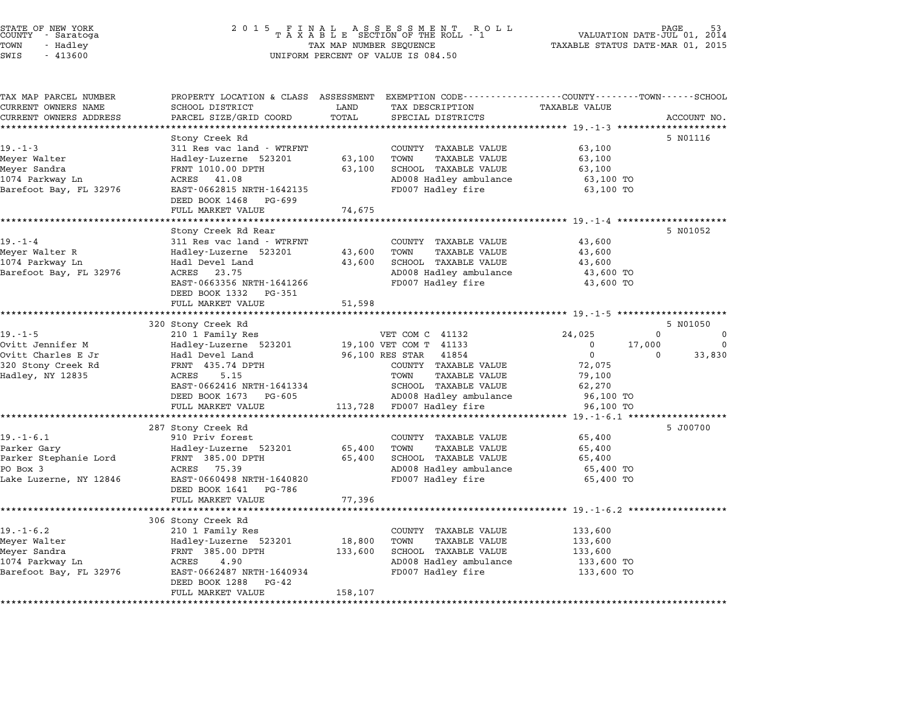| STATE OF NEW YORK<br>COUNTY<br>- Saratoga<br>- Hadley<br>TOWN<br>SWIS<br>$-413600$                                                                                     |                                                                                                                         | TAX MAP NUMBER SEQUENCE TAXABLE STATUS DATE-MAR 01, 2015<br>UNIFORM PERCENT OF VALUE IS 084.50                              |                                                      |             |
|------------------------------------------------------------------------------------------------------------------------------------------------------------------------|-------------------------------------------------------------------------------------------------------------------------|-----------------------------------------------------------------------------------------------------------------------------|------------------------------------------------------|-------------|
| TAX MAP PARCEL NUMBER TROPERTY LOCATION & CLASS ASSESSMENT<br>CURRENT OWNERS NAME<br>CURRENT OWNERS ADDRESS     PARCEL SIZE/GRID COORD     TOTAL     SPECIAL DISTRICTS | SCHOOL DISTRICT                      LAND         TAX DESCRIPTION                   TAXABLE VALUE                       | EXEMPTION CODE----------------COUNTY-------TOWN-----SCHOOL                                                                  |                                                      | ACCOUNT NO. |
| $19. - 1 - 3$<br>Meyer Walter New Merchands<br>1074 Parkway Ln<br>Barefoot Bay, FL 32976                                                                               | Stony Creek Rd<br>311 Res vac land – WTRFNT<br>Hadley-Luzerne 523201 63,100<br>ACRES 41.08<br>EAST-0662815 NRTH-1642135 | COUNTY TAXABLE VALUE<br>TAXABLE VALUE<br>TOWN<br>63,100 SCHOOL TAXABLE VALUE<br>AD008 Hadley ambulance<br>FD007 Hadley fire | 63,100<br>63,100<br>63,100<br>63,100 TO<br>63,100 TO | 5 N01116    |

| 1074 Parkway Ln<br>Barefoot Bay, FL 32976 | ACRES 41.08<br>EAST-0662815 NRTH-1642135<br>DEED BOOK 1468 PG-699<br>FULL MARKET VALUE | AD008 Hadley ambulance<br>FD007 Hadley fire<br>74,675 | 63,100 TO<br>63,100 TO                             |
|-------------------------------------------|----------------------------------------------------------------------------------------|-------------------------------------------------------|----------------------------------------------------|
|                                           |                                                                                        |                                                       |                                                    |
|                                           | Stony Creek Rd Rear                                                                    |                                                       | 5 N01052                                           |
| $19. - 1 - 4$                             | 311 Res vac land - WTRFNT                                                              | COUNTY TAXABLE VALUE                                  | 43,600                                             |
| Meyer Walter R                            | Hadley-Luzerne 523201                                                                  | 43,600<br>TAXABLE VALUE<br>TOWN                       | 43,600                                             |
| 1074 Parkway Ln                           | Hadl Devel Land                                                                        | 43,600<br>SCHOOL TAXABLE VALUE                        | 43,600                                             |
| Barefoot Bay, FL 32976                    | ACRES 23.75                                                                            | AD008 Hadley ambulance                                | 43,600 TO                                          |
|                                           | EAST-0663356 NRTH-1641266<br>DEED BOOK 1332 PG-351                                     | FD007 Hadley fire                                     | 43,600 TO                                          |
|                                           | FULL MARKET VALUE                                                                      | 51,598                                                |                                                    |
|                                           |                                                                                        |                                                       |                                                    |
|                                           | 320 Stony Creek Rd                                                                     |                                                       | 5 N01050                                           |
| $19. - 1 - 5$                             | 210 1 Family Res                                                                       | VET COM C 41132                                       | 24,025<br>0<br>$\overline{0}$                      |
| Ovitt Jennifer M                          | Hadley-Luzerne 523201 19,100 VET COM T 41133                                           |                                                       | 17,000<br>$\mathbf{0}$<br>$\overline{\phantom{0}}$ |
| Ovitt Charles E Jr                        | Hadl Devel Land                                                                        | 96,100 RES STAR<br>41854                              | 33,830<br>$\overline{0}$<br>$\Omega$               |
| 320 Stony Creek Rd                        | FRNT 435.74 DPTH                                                                       | COUNTY TAXABLE VALUE                                  | 72,075                                             |
| Hadley, NY 12835                          | ACRES<br>5.15                                                                          | TOWN<br>TAXABLE VALUE                                 | 79,100                                             |
|                                           | EAST-0662416 NRTH-1641334                                                              | SCHOOL TAXABLE VALUE                                  | 62,270                                             |
|                                           | DEED BOOK 1673 PG-605                                                                  | AD008 Hadley ambulance                                | 96,100 TO                                          |
|                                           | FULL MARKET VALUE                                                                      | 113,728 FD007 Hadley fire                             | 96,100 TO                                          |
|                                           |                                                                                        |                                                       | 5 J00700                                           |
| $19. - 1 - 6.1$                           | 287 Stony Creek Rd<br>910 Priv forest                                                  | COUNTY TAXABLE VALUE                                  | 65,400                                             |
| Parker Gary                               | Hadley-Luzerne 523201                                                                  | <b>TAXABLE VALUE</b><br>65,400<br>TOWN                | 65,400                                             |
| Parker Stephanie Lord                     | FRNT 385.00 DPTH                                                                       | 65,400<br>SCHOOL TAXABLE VALUE                        | 65,400                                             |
| PO Box 3                                  | ACRES 75.39                                                                            | AD008 Hadley ambulance                                | 65,400 TO                                          |
| Lake Luzerne, NY 12846                    | EAST-0660498 NRTH-1640820                                                              | FD007 Hadley fire                                     | 65,400 TO                                          |
|                                           | DEED BOOK 1641<br>PG-786                                                               |                                                       |                                                    |
|                                           | FULL MARKET VALUE                                                                      | 77,396                                                |                                                    |
|                                           |                                                                                        |                                                       |                                                    |
|                                           | 306 Stony Creek Rd                                                                     |                                                       |                                                    |
| $19. - 1 - 6.2$                           | 210 1 Family Res                                                                       | COUNTY TAXABLE VALUE                                  | 133,600                                            |
| Meyer Walter                              | Hadley-Luzerne 523201                                                                  | 18,800<br>TOWN<br><b>TAXABLE VALUE</b>                | 133,600                                            |
| Meyer Sandra                              | FRNT 385.00 DPTH                                                                       | 133,600<br>SCHOOL TAXABLE VALUE                       | 133,600                                            |
| 1074 Parkway Ln                           | 4.90<br>ACRES                                                                          | AD008 Hadley ambulance                                | 133,600 TO                                         |
| Barefoot Bay, FL 32976                    | EAST-0662487 NRTH-1640934<br>DEED BOOK 1288<br>PG-42                                   | FD007 Hadley fire                                     | 133,600 TO                                         |
|                                           | FULL MARKET VALUE                                                                      | 158,107                                               |                                                    |

\*\*\*\*\*\*\*\*\*\*\*\*\*\*\*\*\*\*\*\*\*\*\*\*\*\*\*\*\*\*\*\*\*\*\*\*\*\*\*\*\*\*\*\*\*\*\*\*\*\*\*\*\*\*\*\*\*\*\*\*\*\*\*\*\*\*\*\*\*\*\*\*\*\*\*\*\*\*\*\*\*\*\*\*\*\*\*\*\*\*\*\*\*\*\*\*\*\*\*\*\*\*\*\*\*\*\*\*\*\*\*\*\*\*\*\*\*\*\*\*\*\*\*\*\*\*\*\*\*\*\*\*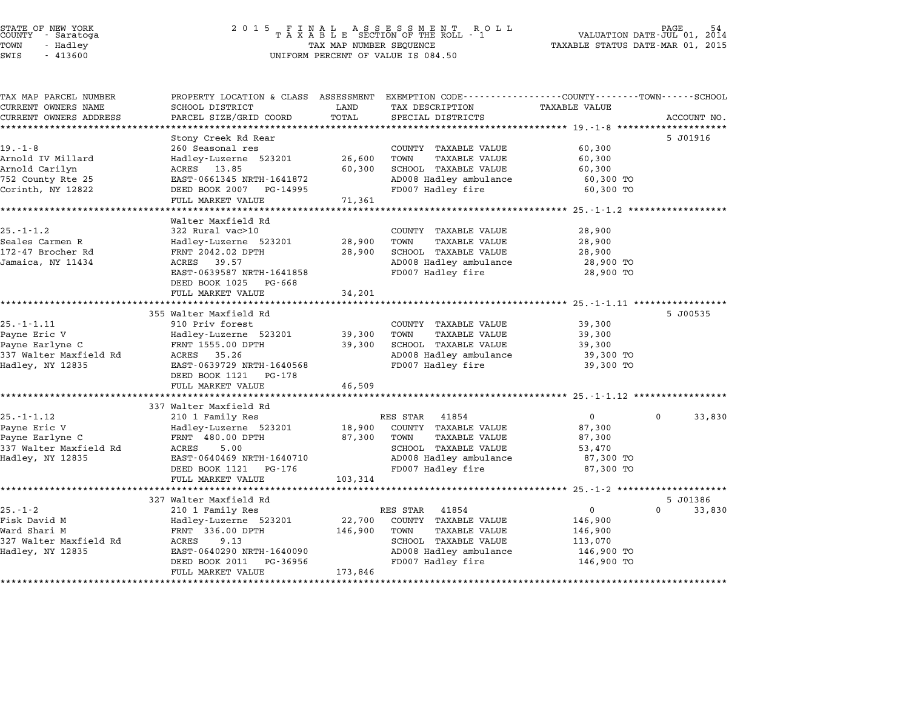| STATE OF NEW YORK |  |            |  |
|-------------------|--|------------|--|
| COUNTY            |  | - Saratoga |  |
| TOWN              |  | - Hadley   |  |

| TAX MAP PARCEL NUMBER<br>CURRENT OWNERS NAME | SCHOOL DISTRICT                                           | LAND    | PROPERTY LOCATION & CLASS ASSESSMENT EXEMPTION CODE----------------COUNTY-------TOWN-----SCHOOL<br>TAX DESCRIPTION | <b>TAXABLE VALUE</b> |                    |
|----------------------------------------------|-----------------------------------------------------------|---------|--------------------------------------------------------------------------------------------------------------------|----------------------|--------------------|
| CURRENT OWNERS ADDRESS                       | PARCEL SIZE/GRID COORD                                    | TOTAL   | SPECIAL DISTRICTS                                                                                                  |                      | ACCOUNT NO.        |
|                                              |                                                           |         |                                                                                                                    |                      |                    |
|                                              | Stony Creek Rd Rear                                       |         |                                                                                                                    |                      | 5 J01916           |
| $19. - 1 - 8$                                | 260 Seasonal res                                          |         | COUNTY TAXABLE VALUE                                                                                               | 60,300               |                    |
| Arnold IV Millard                            | Hadley-Luzerne 523201                                     | 26,600  | TOWN<br><b>TAXABLE VALUE</b>                                                                                       | 60,300               |                    |
| Arnold Carilyn                               | ACRES 13.85                                               | 60,300  | SCHOOL TAXABLE VALUE                                                                                               | 60,300               |                    |
| 752 County Rte 25                            | EAST-0661345 NRTH-1641872                                 |         | AD008 Hadley ambulance                                                                                             | 60,300 TO            |                    |
| Corinth, NY 12822                            | DEED BOOK 2007 PG-14995                                   |         | FD007 Hadley fire                                                                                                  | 60,300 TO            |                    |
|                                              | FULL MARKET VALUE                                         | 71,361  |                                                                                                                    |                      |                    |
|                                              | Walter Maxfield Rd                                        |         |                                                                                                                    |                      |                    |
| $25. - 1 - 1.2$                              | 322 Rural vac>10                                          |         | COUNTY TAXABLE VALUE                                                                                               | 28,900               |                    |
| Seales Carmen R                              | Hadley-Luzerne 523201                                     | 28,900  | TOWN<br><b>TAXABLE VALUE</b>                                                                                       | 28,900               |                    |
| 172-47 Brocher Rd                            | FRNT 2042.02 DPTH                                         | 28,900  | SCHOOL TAXABLE VALUE                                                                                               | 28,900               |                    |
| Jamaica, NY 11434                            | ACRES 39.57                                               |         | AD008 Hadley ambulance                                                                                             | 28,900 TO            |                    |
|                                              | EAST-0639587 NRTH-1641858                                 |         | FD007 Hadley fire                                                                                                  | 28,900 TO            |                    |
|                                              | DEED BOOK 1025 PG-668                                     |         |                                                                                                                    |                      |                    |
|                                              | FULL MARKET VALUE                                         | 34,201  |                                                                                                                    |                      |                    |
|                                              |                                                           |         |                                                                                                                    |                      |                    |
|                                              | 355 Walter Maxfield Rd                                    |         |                                                                                                                    |                      | 5 J00535           |
| $25. - 1 - 1.11$                             | 910 Priv forest                                           |         | COUNTY TAXABLE VALUE                                                                                               | 39,300               |                    |
| Payne Eric V                                 | Hadley-Luzerne 523201                                     | 39,300  | <b>TAXABLE VALUE</b><br>TOWN                                                                                       | 39,300               |                    |
| Payne Earlyne C                              | FRNT 1555.00 DPTH                                         | 39,300  | <b>SCHOOL TAXABLE VALUE</b>                                                                                        | 39,300               |                    |
| 337 Walter Maxfield Rd                       | ACRES 35.26                                               |         | AD008 Hadley ambulance                                                                                             | 39,300 TO            |                    |
| Hadley, NY 12835                             | EAST-0639729 NRTH-1640568                                 |         | FD007 Hadley fire                                                                                                  | 39,300 TO            |                    |
|                                              | DEED BOOK 1121 PG-178                                     |         |                                                                                                                    |                      |                    |
|                                              | FULL MARKET VALUE<br>************************************ | 46,509  |                                                                                                                    |                      |                    |
|                                              | 337 Walter Maxfield Rd                                    |         |                                                                                                                    |                      |                    |
| $25. - 1 - 1.12$                             | 210 1 Family Res                                          |         | RES STAR<br>41854                                                                                                  | $\overline{0}$       | 0<br>33,830        |
| Payne Eric V                                 | Hadley-Luzerne 523201                                     | 18,900  | COUNTY TAXABLE VALUE                                                                                               | 87,300               |                    |
| Payne Earlyne C                              | FRNT 480.00 DPTH                                          | 87,300  | TOWN<br><b>TAXABLE VALUE</b>                                                                                       | 87,300               |                    |
| 337 Walter Maxfield Rd                       | ACRES<br>5.00                                             |         | SCHOOL TAXABLE VALUE                                                                                               | 53,470               |                    |
| Hadley, NY 12835                             | EAST-0640469 NRTH-1640710                                 |         | AD008 Hadley ambulance                                                                                             | 87,300 TO            |                    |
|                                              | DEED BOOK 1121 PG-176                                     |         | FD007 Hadley fire                                                                                                  | 87,300 TO            |                    |
|                                              | FULL MARKET VALUE                                         | 103,314 |                                                                                                                    |                      |                    |
|                                              |                                                           |         |                                                                                                                    |                      |                    |
|                                              | 327 Walter Maxfield Rd                                    |         |                                                                                                                    |                      | 5 J01386           |
| 25.-1-2                                      | 210 1 Family Res                                          | 22,700  | 41854<br>RES STAR                                                                                                  | $\mathbf{0}$         | $\Omega$<br>33,830 |
| Fisk David M<br>Ward Shari M                 | Hadley-Luzerne 523201<br>FRNT 336.00 DPTH                 |         | COUNTY TAXABLE VALUE<br>TOWN                                                                                       | 146,900              |                    |
| 327 Walter Maxfield Rd                       | ACRES<br>9.13                                             | 146,900 | <b>TAXABLE VALUE</b><br>SCHOOL TAXABLE VALUE                                                                       | 146,900<br>113,070   |                    |
| Hadley, NY 12835                             | EAST-0640290 NRTH-1640090                                 |         | AD008 Hadley ambulance                                                                                             | 146,900 TO           |                    |
|                                              | DEED BOOK 2011 PG-36956                                   |         | FD007 Hadley fire                                                                                                  | 146,900 TO           |                    |
|                                              | FULL MARKET VALUE                                         | 173,846 |                                                                                                                    |                      |                    |
|                                              |                                                           |         |                                                                                                                    |                      |                    |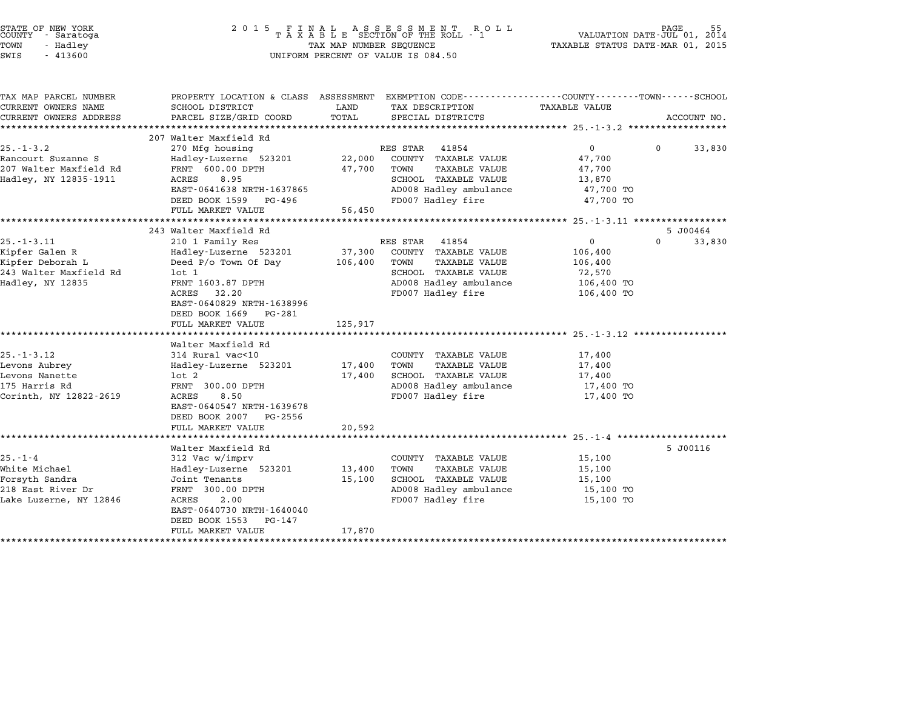| STATE OF NEW YORK<br>COUNTY - Saratoga<br>TOWN<br>- Hadley<br>SWIS<br>$-413600$                                                                             | 2015 FINAL                                                                                                                                                                                                                                                                                                                                     | TAX MAP NUMBER SEQUENCE                          | FINAL ASSESSMENT ROLL<br>TAXABLE SECTION OF THE ROLL - 1<br>UNIFORM PERCENT OF VALUE IS 084.50                                                                                                                                   |                                                                                                                                                        | <b>PAGE</b><br>55<br>VALUATION DATE-JUL 01, 2014<br>TAXABLE STATUS DATE-MAR 01, 2015 |
|-------------------------------------------------------------------------------------------------------------------------------------------------------------|------------------------------------------------------------------------------------------------------------------------------------------------------------------------------------------------------------------------------------------------------------------------------------------------------------------------------------------------|--------------------------------------------------|----------------------------------------------------------------------------------------------------------------------------------------------------------------------------------------------------------------------------------|--------------------------------------------------------------------------------------------------------------------------------------------------------|--------------------------------------------------------------------------------------|
| TAX MAP PARCEL NUMBER<br>CURRENT OWNERS NAME<br>CURRENT OWNERS ADDRESS                                                                                      | PROPERTY LOCATION & CLASS ASSESSMENT<br>SCHOOL DISTRICT<br>PARCEL SIZE/GRID COORD                                                                                                                                                                                                                                                              | LAND<br>TOTAL                                    | EXEMPTION CODE-----------------COUNTY-------TOWN-----SCHOOL<br>TAX DESCRIPTION<br>SPECIAL DISTRICTS                                                                                                                              | TAXABLE VALUE                                                                                                                                          | ACCOUNT NO.                                                                          |
|                                                                                                                                                             | 207 Walter Maxfield Rd                                                                                                                                                                                                                                                                                                                         |                                                  |                                                                                                                                                                                                                                  |                                                                                                                                                        |                                                                                      |
| $25. - 1 - 3.2$<br>Rancourt Suzanne S<br>207 Walter Maxfield Rd<br>Hadley, NY 12835-1911                                                                    | 270 Mfg housing<br>Hadley-Luzerne 523201<br>FRNT 600.00 DPTH<br>8.95<br>ACRES<br>EAST-0641638 NRTH-1637865<br>DEED BOOK 1599 PG-496<br>FULL MARKET VALUE                                                                                                                                                                                       | 22,000<br>47,700<br>56,450                       | RES STAR<br>41854<br>COUNTY TAXABLE VALUE<br><b>TAXABLE VALUE</b><br>TOWN<br>SCHOOL TAXABLE VALUE<br>AD008 Hadley ambulance<br>FD007 Hadley fire                                                                                 | 0<br>47,700<br>47,700<br>13,870<br>47,700 TO<br>47,700 TO                                                                                              | 0<br>33,830                                                                          |
|                                                                                                                                                             |                                                                                                                                                                                                                                                                                                                                                |                                                  |                                                                                                                                                                                                                                  |                                                                                                                                                        |                                                                                      |
| $25. - 1 - 3.11$<br>Kipfer Galen R<br>Kipfer Deborah L<br>243 Walter Maxfield Rd<br>Hadley, NY 12835<br>$25. - 1 - 3.12$<br>Levons Aubrey<br>Levons Nanette | 243 Walter Maxfield Rd<br>210 1 Family Res<br>Hadley-Luzerne 523201<br>Deed $P/O$ Town Of Day<br>$1$ ot $1$<br>FRNT 1603.87 DPTH<br>ACRES<br>32.20<br>EAST-0640829 NRTH-1638996<br>DEED BOOK 1669<br>PG-281<br>FULL MARKET VALUE<br>*************************<br>Walter Maxfield Rd<br>314 Rural vac<10<br>Hadley-Luzerne 523201<br>$1$ ot $2$ | 37,300<br>106,400<br>125,917<br>17,400<br>17,400 | RES STAR<br>41854<br>COUNTY TAXABLE VALUE<br><b>TAXABLE VALUE</b><br>TOWN<br>SCHOOL TAXABLE VALUE<br>AD008 Hadley ambulance<br>FD007 Hadley fire<br>COUNTY TAXABLE VALUE<br>TOWN<br><b>TAXABLE VALUE</b><br>SCHOOL TAXABLE VALUE | 0<br>106,400<br>106,400<br>72,570<br>106,400 TO<br>106,400 TO<br>************************* 25.-1-3.12 ******************<br>17,400<br>17,400<br>17,400 | 5 J00464<br>0<br>33,830                                                              |
| 175 Harris Rd<br>Corinth, NY 12822-2619                                                                                                                     | FRNT 300.00 DPTH<br>ACRES<br>8.50<br>EAST-0640547 NRTH-1639678<br>DEED BOOK 2007<br>PG-2556<br>FULL MARKET VALUE<br>*************************                                                                                                                                                                                                  | 20,592                                           | AD008 Hadley ambulance<br>FD007 Hadley fire                                                                                                                                                                                      | 17,400 TO<br>17,400 TO                                                                                                                                 |                                                                                      |
| $25. - 1 - 4$<br>White Michael<br>Forsyth Sandra<br>218 East River Dr<br>Lake Luzerne, NY 12846                                                             | Walter Maxfield Rd<br>312 Vac w/imprv<br>Hadley-Luzerne 523201<br>Joint Tenants<br>FRNT 300.00 DPTH<br>ACRES<br>2.00<br>EAST-0640730 NRTH-1640040<br>DEED BOOK 1553<br>PG-147<br>FULL MARKET VALUE                                                                                                                                             | 13,400<br>15,100<br>17,870                       | COUNTY TAXABLE VALUE<br>TAXABLE VALUE<br>TOWN<br>SCHOOL TAXABLE VALUE<br>AD008 Hadley ambulance<br>FD007 Hadley fire                                                                                                             | 15,100<br>15,100<br>15,100<br>15,100 TO<br>15,100 TO                                                                                                   | 5 J00116                                                                             |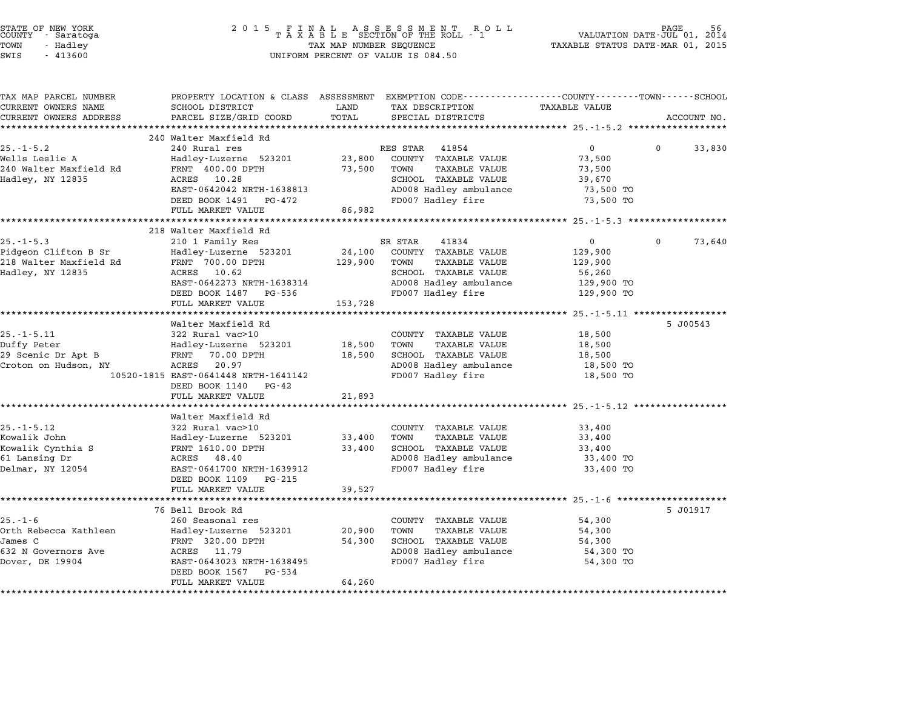| STATE OF NEW YORK<br>COUNTY - Saratoga<br>TOWN<br>- Hadley<br>SWIS<br>$-413600$ | 2 0 1 5<br>$\begin{array}{cccccccccccccc} & F & I & N & A & L & A & S & S & E & S & S & M & E & N & T & R & O & L \\ T & A & X & A & B & L & E & SECTION OF THE ROLL & - & 1 \end{array}$<br>TAX MAP NUMBER SEQUENCE<br>UNIFORM PERCENT OF VALUE IS 084.50 |               | PAGE<br>VALUATION DATE-JUL 01, 2014<br>TAXABLE STATUS DATE-MAR 01, 2015 |                                               |          |             |
|---------------------------------------------------------------------------------|------------------------------------------------------------------------------------------------------------------------------------------------------------------------------------------------------------------------------------------------------------|---------------|-------------------------------------------------------------------------|-----------------------------------------------|----------|-------------|
| TAX MAP PARCEL NUMBER<br>CURRENT OWNERS NAME<br>CURRENT OWNERS ADDRESS          | PROPERTY LOCATION & CLASS ASSESSMENT EXEMPTION CODE---------------COUNTY-------TOWN-----SCHOOL<br>SCHOOL DISTRICT<br>PARCEL SIZE/GRID COORD                                                                                                                | LAND<br>TOTAL | TAX DESCRIPTION<br>SPECIAL DISTRICTS                                    | TAXABLE VALUE                                 |          | ACCOUNT NO. |
|                                                                                 | 240 Walter Maxfield Rd                                                                                                                                                                                                                                     |               |                                                                         |                                               |          |             |
| $25. - 1 - 5.2$                                                                 | 240 Rural res                                                                                                                                                                                                                                              |               | RES STAR<br>41854                                                       | $\overline{0}$                                | 0        | 33,830      |
| Wells Leslie A                                                                  | Hadley-Luzerne 523201                                                                                                                                                                                                                                      | 23,800        | COUNTY TAXABLE VALUE                                                    | 73,500                                        |          |             |
| 240 Walter Maxfield Rd<br>Hadley, NY 12835                                      | FRNT 400.00 DPTH<br>10.28<br>ACRES                                                                                                                                                                                                                         | 73,500        | <b>TAXABLE VALUE</b><br>TOWN<br>SCHOOL TAXABLE VALUE                    | 73,500<br>39,670                              |          |             |
|                                                                                 | EAST-0642042 NRTH-1638813                                                                                                                                                                                                                                  |               | AD008 Hadley ambulance                                                  | 73,500 TO                                     |          |             |
|                                                                                 | DEED BOOK 1491<br>PG-472                                                                                                                                                                                                                                   |               | FD007 Hadley fire                                                       | 73,500 TO                                     |          |             |
|                                                                                 | FULL MARKET VALUE                                                                                                                                                                                                                                          | 86,982        |                                                                         |                                               |          |             |
|                                                                                 |                                                                                                                                                                                                                                                            |               |                                                                         |                                               |          |             |
| $25. - 1 - 5.3$                                                                 | 218 Walter Maxfield Rd<br>210 1 Family Res                                                                                                                                                                                                                 |               | SR STAR<br>41834                                                        | $\mathbf{0}$                                  | $\Omega$ | 73,640      |
| Pidgeon Clifton B Sr                                                            | Hadley-Luzerne 523201                                                                                                                                                                                                                                      | 24,100        | COUNTY TAXABLE VALUE                                                    | 129,900                                       |          |             |
| 218 Walter Maxfield Rd                                                          | FRNT 700.00 DPTH                                                                                                                                                                                                                                           | 129,900       | TOWN<br>TAXABLE VALUE                                                   | 129,900                                       |          |             |
| Hadley, NY 12835                                                                | 10.62<br>ACRES                                                                                                                                                                                                                                             |               | SCHOOL TAXABLE VALUE                                                    | 56,260                                        |          |             |
|                                                                                 | EAST-0642273 NRTH-1638314                                                                                                                                                                                                                                  |               | AD008 Hadley ambulance                                                  | 129,900 TO                                    |          |             |
|                                                                                 | DEED BOOK 1487 PG-536                                                                                                                                                                                                                                      |               | FD007 Hadley fire                                                       | 129,900 TO                                    |          |             |
|                                                                                 | FULL MARKET VALUE<br>******************                                                                                                                                                                                                                    | 153,728       |                                                                         |                                               |          |             |
|                                                                                 | Walter Maxfield Rd                                                                                                                                                                                                                                         |               |                                                                         | ********** 25.-1-5.11 *****************       |          | 5 J00543    |
| $25. - 1 - 5.11$                                                                | 322 Rural vac>10                                                                                                                                                                                                                                           |               | COUNTY TAXABLE VALUE                                                    | 18,500                                        |          |             |
| Duffy Peter                                                                     | Hadley-Luzerne 523201                                                                                                                                                                                                                                      | 18,500        | TOWN<br><b>TAXABLE VALUE</b>                                            | 18,500                                        |          |             |
| 29 Scenic Dr Apt B                                                              | FRNT<br>70.00 DPTH                                                                                                                                                                                                                                         | 18,500        | SCHOOL TAXABLE VALUE                                                    | 18,500                                        |          |             |
| Croton on Hudson, NY                                                            | 20.97<br>ACRES                                                                                                                                                                                                                                             |               | AD008 Hadley ambulance                                                  | 18,500 TO                                     |          |             |
|                                                                                 | 10520-1815 EAST-0641448 NRTH-1641142                                                                                                                                                                                                                       |               | FD007 Hadley fire                                                       | 18,500 TO                                     |          |             |
|                                                                                 | DEED BOOK 1140<br>PG-42<br>FULL MARKET VALUE                                                                                                                                                                                                               |               |                                                                         |                                               |          |             |
|                                                                                 | ******************                                                                                                                                                                                                                                         | 21,893        |                                                                         | ********************** 25.-1-5.12 *********** |          |             |
|                                                                                 | Walter Maxfield Rd                                                                                                                                                                                                                                         |               |                                                                         |                                               |          |             |
| $25. - 1 - 5.12$                                                                | 322 Rural vac>10                                                                                                                                                                                                                                           |               | COUNTY TAXABLE VALUE                                                    | 33,400                                        |          |             |
| Kowalik John                                                                    | Hadley-Luzerne 523201                                                                                                                                                                                                                                      | 33,400        | TOWN<br>TAXABLE VALUE                                                   | 33,400                                        |          |             |
| Kowalik Cynthia S                                                               | FRNT 1610.00 DPTH                                                                                                                                                                                                                                          | 33,400        | SCHOOL TAXABLE VALUE                                                    | 33,400                                        |          |             |
| 61 Lansing Dr                                                                   | ACRES 48.40                                                                                                                                                                                                                                                |               | AD008 Hadley ambulance                                                  | 33,400 TO                                     |          |             |
| Delmar, NY 12054                                                                | EAST-0641700 NRTH-1639912<br>DEED BOOK 1109<br>PG-215                                                                                                                                                                                                      |               | FD007 Hadley fire                                                       | 33,400 TO                                     |          |             |
|                                                                                 | FULL MARKET VALUE                                                                                                                                                                                                                                          | 39,527        |                                                                         |                                               |          |             |
|                                                                                 |                                                                                                                                                                                                                                                            |               |                                                                         | *********** 25.-1-6 ******                    |          |             |
|                                                                                 | 76 Bell Brook Rd                                                                                                                                                                                                                                           |               |                                                                         |                                               |          | 5 J01917    |
| $25. - 1 - 6$                                                                   | 260 Seasonal res                                                                                                                                                                                                                                           |               | COUNTY TAXABLE VALUE                                                    | 54,300                                        |          |             |
| Orth Rebecca Kathleen                                                           | Hadley-Luzerne 523201                                                                                                                                                                                                                                      | 20,900        | TAXABLE VALUE<br>TOWN                                                   | 54,300                                        |          |             |
| James C                                                                         | FRNT 320.00 DPTH                                                                                                                                                                                                                                           | 54,300        | SCHOOL TAXABLE VALUE                                                    | 54,300                                        |          |             |
| 632 N Governors Ave<br>Dover, DE 19904                                          | ACRES<br>11.79<br>EAST-0643023 NRTH-1638495                                                                                                                                                                                                                |               | AD008 Hadley ambulance<br>FD007 Hadley fire                             | 54,300 TO<br>54,300 TO                        |          |             |
|                                                                                 | DEED BOOK 1567<br>PG-534                                                                                                                                                                                                                                   |               |                                                                         |                                               |          |             |
|                                                                                 | FULL MARKET VALUE                                                                                                                                                                                                                                          | 64,260        |                                                                         |                                               |          |             |
|                                                                                 |                                                                                                                                                                                                                                                            |               |                                                                         |                                               |          |             |

STATE OF NEW YORK <sup>2</sup> <sup>0</sup> <sup>1</sup> 5 F I N A L A S S E S S M E N T R O L L PAGE <sup>56</sup> COUNTY - Saratoga <sup>T</sup> <sup>A</sup> <sup>X</sup> <sup>A</sup> <sup>B</sup> <sup>L</sup> <sup>E</sup> SECTION OF THE ROLL - <sup>1</sup> VALUATION DATE-JUL 01, <sup>2014</sup>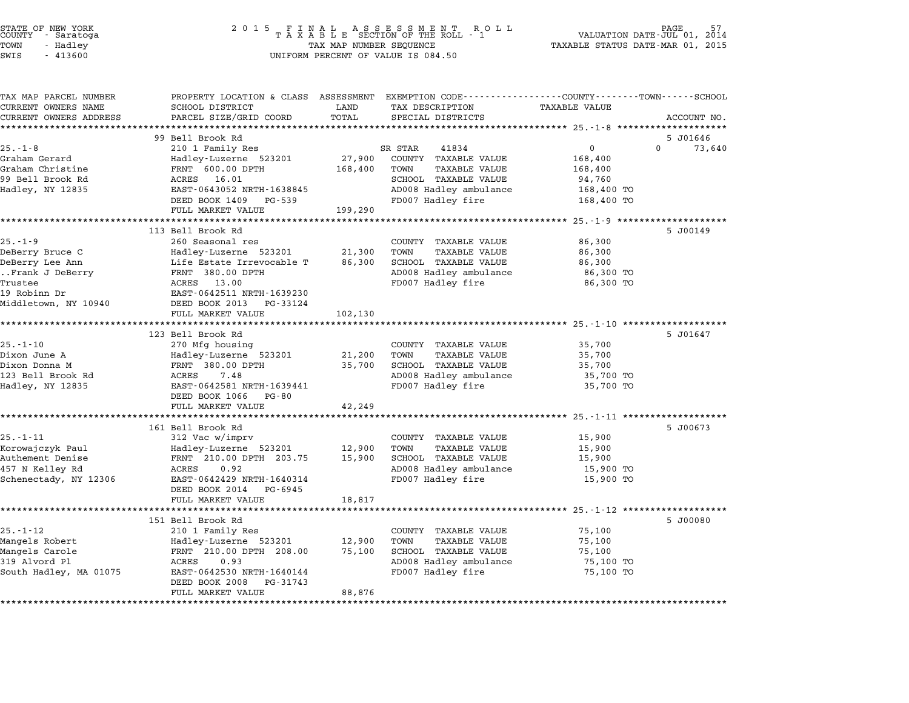| PROPERTY LOCATION & CLASS ASSESSMENT EXEMPTION CODE---------------COUNTY-------TOWN------SCHOOL<br>SCHOOL DISTRICT<br>PARCEL SIZE/GRID COORD<br>99 Bell Brook Rd<br>210 1 Family Res<br>Hadley-Luzerne 523201<br>FRNT 600.00 DPTH<br>ACRES 16.01<br>EAST-0643052 NRTH-1638845<br>DEED BOOK 1409<br>PG-539<br>FULL MARKET VALUE<br>113 Bell Brook Rd<br>260 Seasonal res<br>Hadley-Luzerne 523201<br>Life Estate Irrevocable T<br>FRNT 380.00 DPTH<br>ACRES 13.00<br>EAST-0642511 NRTH-1639230<br>DEED BOOK 2013<br>PG-33124 | LAND<br>TOTAL<br>27,900<br>168,400<br>199,290<br>21,300<br>86,300    | TAX DESCRIPTION<br>SPECIAL DISTRICTS<br>SR STAR<br>41834<br>COUNTY TAXABLE VALUE<br>TOWN<br><b>TAXABLE VALUE</b><br>SCHOOL TAXABLE VALUE<br>AD008 Hadley ambulance<br>FD007 Hadley fire<br>COUNTY TAXABLE VALUE<br>TOWN<br><b>TAXABLE VALUE</b><br>SCHOOL TAXABLE VALUE<br>AD008 Hadley ambulance | <b>TAXABLE VALUE</b><br>$\mathbf 0$<br>168,400<br>168,400<br>94,760<br>168,400 TO<br>168,400 TO<br>******* 25.-1-9<br>86,300<br>86,300<br>86,300<br>86,300 TO | ACCOUNT NO.<br>5 J01646<br>$\Omega$<br>73,640<br>5 J00149 |
|-----------------------------------------------------------------------------------------------------------------------------------------------------------------------------------------------------------------------------------------------------------------------------------------------------------------------------------------------------------------------------------------------------------------------------------------------------------------------------------------------------------------------------|----------------------------------------------------------------------|---------------------------------------------------------------------------------------------------------------------------------------------------------------------------------------------------------------------------------------------------------------------------------------------------|---------------------------------------------------------------------------------------------------------------------------------------------------------------|-----------------------------------------------------------|
|                                                                                                                                                                                                                                                                                                                                                                                                                                                                                                                             |                                                                      |                                                                                                                                                                                                                                                                                                   |                                                                                                                                                               |                                                           |
|                                                                                                                                                                                                                                                                                                                                                                                                                                                                                                                             |                                                                      |                                                                                                                                                                                                                                                                                                   |                                                                                                                                                               |                                                           |
|                                                                                                                                                                                                                                                                                                                                                                                                                                                                                                                             |                                                                      |                                                                                                                                                                                                                                                                                                   |                                                                                                                                                               |                                                           |
|                                                                                                                                                                                                                                                                                                                                                                                                                                                                                                                             |                                                                      |                                                                                                                                                                                                                                                                                                   |                                                                                                                                                               |                                                           |
|                                                                                                                                                                                                                                                                                                                                                                                                                                                                                                                             |                                                                      |                                                                                                                                                                                                                                                                                                   |                                                                                                                                                               |                                                           |
|                                                                                                                                                                                                                                                                                                                                                                                                                                                                                                                             |                                                                      |                                                                                                                                                                                                                                                                                                   |                                                                                                                                                               |                                                           |
|                                                                                                                                                                                                                                                                                                                                                                                                                                                                                                                             |                                                                      |                                                                                                                                                                                                                                                                                                   |                                                                                                                                                               |                                                           |
|                                                                                                                                                                                                                                                                                                                                                                                                                                                                                                                             |                                                                      |                                                                                                                                                                                                                                                                                                   |                                                                                                                                                               |                                                           |
|                                                                                                                                                                                                                                                                                                                                                                                                                                                                                                                             |                                                                      |                                                                                                                                                                                                                                                                                                   | 86,300 TO                                                                                                                                                     |                                                           |
| FULL MARKET VALUE<br>******************************                                                                                                                                                                                                                                                                                                                                                                                                                                                                         | 102,130<br>**************                                            | FD007 Hadley fire                                                                                                                                                                                                                                                                                 | ******************************** 25.-1-10 ********************                                                                                                |                                                           |
| 123 Bell Brook Rd                                                                                                                                                                                                                                                                                                                                                                                                                                                                                                           |                                                                      |                                                                                                                                                                                                                                                                                                   |                                                                                                                                                               | 5 J01647                                                  |
| 270 Mfg housing<br>Hadley-Luzerne 523201<br>FRNT 380.00 DPTH<br>ACRES<br>7.48<br>EAST-0642581 NRTH-1639441<br>DEED BOOK 1066<br>PG-80<br>FULL MARKET VALUE                                                                                                                                                                                                                                                                                                                                                                  | 21,200<br>35,700<br>42,249                                           | COUNTY TAXABLE VALUE<br>TOWN<br><b>TAXABLE VALUE</b><br>SCHOOL TAXABLE VALUE<br>AD008 Hadley ambulance<br>FD007 Hadley fire                                                                                                                                                                       | 35,700<br>35,700<br>35,700<br>35,700 TO<br>35,700 TO                                                                                                          |                                                           |
|                                                                                                                                                                                                                                                                                                                                                                                                                                                                                                                             |                                                                      |                                                                                                                                                                                                                                                                                                   | ******** 25.-1-11 *******************                                                                                                                         |                                                           |
| 161 Bell Brook Rd<br>312 Vac w/imprv<br>Hadley-Luzerne 523201<br>FRNT 210.00 DPTH 203.75<br>ACRES<br>0.92<br>EAST-0642429 NRTH-1640314<br>DEED BOOK 2014<br>PG-6945<br>FULL MARKET VALUE                                                                                                                                                                                                                                                                                                                                    | 12,900<br>15,900<br>18,817                                           | COUNTY TAXABLE VALUE<br><b>TAXABLE VALUE</b><br>TOWN<br>SCHOOL TAXABLE VALUE<br>AD008 Hadley ambulance<br>FD007 Hadley fire                                                                                                                                                                       | 15,900<br>15,900<br>15,900<br>15,900 TO<br>15,900 TO                                                                                                          | 5 J00673                                                  |
| *********************                                                                                                                                                                                                                                                                                                                                                                                                                                                                                                       |                                                                      |                                                                                                                                                                                                                                                                                                   |                                                                                                                                                               |                                                           |
| 151 Bell Brook Rd                                                                                                                                                                                                                                                                                                                                                                                                                                                                                                           | 12,900<br>75,100                                                     | COUNTY TAXABLE VALUE<br>TAXABLE VALUE<br>TOWN<br>SCHOOL TAXABLE VALUE<br>AD008 Hadley ambulance                                                                                                                                                                                                   | 75,100<br>75,100<br>75,100<br>75,100 TO<br>75,100 TO                                                                                                          | 5 J00080                                                  |
|                                                                                                                                                                                                                                                                                                                                                                                                                                                                                                                             | 210 1 Family Res<br>Hadley-Luzerne 523201<br>FRNT 210.00 DPTH 208.00 | 0.93<br>ACRES                                                                                                                                                                                                                                                                                     | FD007 Hadley fire<br>EAST-0642530 NRTH-1640144                                                                                                                | DEED BOOK 2008<br>PG-31743                                |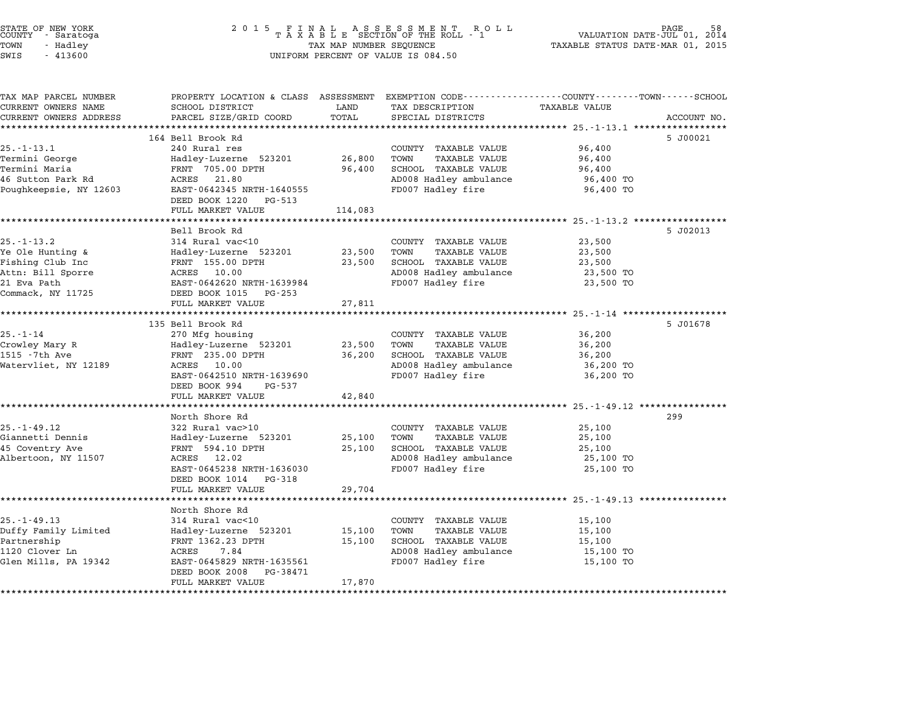| STATE OF NEW YORK<br>COUNTY<br>- Saratoga<br>TOWN<br>- Hadley<br>SWIS<br>$-413600$ | 2 0 1 5                                               | TAX MAP NUMBER SEQUENCE | FINAL ASSESSMENT ROTAXABLE SECTION OF THE ROLL - 1<br>R O L L<br>UNIFORM PERCENT OF VALUE IS 084.50                | VALUATION DATE-JUL 01, 2014<br>TAXABLE STATUS DATE-MAR 01, 2015  | PAGE        |
|------------------------------------------------------------------------------------|-------------------------------------------------------|-------------------------|--------------------------------------------------------------------------------------------------------------------|------------------------------------------------------------------|-------------|
| TAX MAP PARCEL NUMBER<br>CURRENT OWNERS NAME<br>CURRENT OWNERS ADDRESS             | SCHOOL DISTRICT<br>PARCEL SIZE/GRID COORD             | LAND<br>TOTAL           | PROPERTY LOCATION & CLASS ASSESSMENT EXEMPTION CODE---------------COUNTY-------TOWN------SCHOOL<br>TAX DESCRIPTION | <b>TAXABLE VALUE</b>                                             | ACCOUNT NO. |
|                                                                                    |                                                       | **********              | SPECIAL DISTRICTS                                                                                                  |                                                                  |             |
|                                                                                    | 164 Bell Brook Rd                                     |                         |                                                                                                                    |                                                                  | 5 J00021    |
| $25. - 1 - 13.1$                                                                   | 240 Rural res                                         |                         | COUNTY TAXABLE VALUE                                                                                               | 96,400                                                           |             |
| Termini George                                                                     | Hadley-Luzerne 523201                                 | 26,800                  | TOWN<br><b>TAXABLE VALUE</b>                                                                                       | 96,400                                                           |             |
| Termini Maria<br>46 Sutton Park Rd                                                 | FRNT 705.00 DPTH<br>ACRES<br>21.80                    | 96,400                  | SCHOOL TAXABLE VALUE<br>AD008 Hadley ambulance                                                                     | 96,400<br>96,400 TO                                              |             |
| Poughkeepsie, NY 12603                                                             | EAST-0642345 NRTH-1640555                             |                         | FD007 Hadley fire                                                                                                  | 96,400 TO                                                        |             |
|                                                                                    | DEED BOOK 1220<br>PG-513                              |                         |                                                                                                                    |                                                                  |             |
|                                                                                    | FULL MARKET VALUE                                     | 114,083                 |                                                                                                                    |                                                                  |             |
|                                                                                    | ******************                                    |                         |                                                                                                                    | ******** 25.-1-13.2 ****************                             |             |
|                                                                                    | Bell Brook Rd                                         |                         |                                                                                                                    |                                                                  | 5 J02013    |
| $25. - 1 - 13.2$<br>Ye Ole Hunting &                                               | 314 Rural vac<10<br>Hadley-Luzerne 523201             | 23,500                  | COUNTY TAXABLE VALUE<br>TOWN<br><b>TAXABLE VALUE</b>                                                               | 23,500<br>23,500                                                 |             |
| Fishing Club Inc                                                                   | FRNT 155.00 DPTH                                      | 23,500                  | SCHOOL TAXABLE VALUE                                                                                               | 23,500                                                           |             |
| Attn: Bill Sporre                                                                  | 10.00<br>ACRES                                        |                         | AD008 Hadley ambulance                                                                                             | 23,500 TO                                                        |             |
| 21 Eva Path                                                                        | EAST-0642620 NRTH-1639984                             |                         | FD007 Hadley fire                                                                                                  | 23,500 TO                                                        |             |
| Commack, NY 11725                                                                  | DEED BOOK 1015<br>PG-253                              |                         |                                                                                                                    |                                                                  |             |
|                                                                                    | FULL MARKET VALUE                                     | 27,811                  |                                                                                                                    |                                                                  |             |
|                                                                                    | *********************                                 | ************            |                                                                                                                    |                                                                  |             |
| $25. - 1 - 14$                                                                     | 135 Bell Brook Rd<br>270 Mfg housing                  |                         | COUNTY TAXABLE VALUE                                                                                               | 36,200                                                           | 5 J01678    |
| Crowley Mary R                                                                     | Hadley-Luzerne 523201                                 | 23,500                  | TOWN<br><b>TAXABLE VALUE</b>                                                                                       | 36,200                                                           |             |
| 1515 - 7th Ave                                                                     | FRNT 235.00 DPTH                                      | 36,200                  | SCHOOL TAXABLE VALUE                                                                                               | 36,200                                                           |             |
| Watervliet, NY 12189                                                               | 10.00<br>ACRES                                        |                         | AD008 Hadley ambulance                                                                                             | 36,200 TO                                                        |             |
|                                                                                    | EAST-0642510 NRTH-1639690                             |                         | FD007 Hadley fire                                                                                                  | 36,200 TO                                                        |             |
|                                                                                    | DEED BOOK 994<br>PG-537<br>FULL MARKET VALUE          | 42,840                  |                                                                                                                    |                                                                  |             |
|                                                                                    | *****************                                     |                         |                                                                                                                    | ***************** 25.-1-49.12 **************                     |             |
|                                                                                    | North Shore Rd                                        |                         |                                                                                                                    |                                                                  | 299         |
| $25. - 1 - 49.12$                                                                  | 322 Rural vac>10                                      |                         | COUNTY TAXABLE VALUE                                                                                               | 25,100                                                           |             |
| Giannetti Dennis                                                                   | Hadley-Luzerne 523201                                 | 25,100                  | TOWN<br><b>TAXABLE VALUE</b>                                                                                       | 25,100                                                           |             |
| 45 Coventry Ave                                                                    | FRNT 594.10 DPTH                                      | 25,100                  | SCHOOL TAXABLE VALUE                                                                                               | 25,100                                                           |             |
| Albertoon, NY 11507                                                                | ACRES 12.02                                           |                         | AD008 Hadley ambulance                                                                                             | 25,100 TO                                                        |             |
|                                                                                    | EAST-0645238 NRTH-1636030<br>DEED BOOK 1014<br>PG-318 |                         | FD007 Hadley fire                                                                                                  | 25,100 TO                                                        |             |
|                                                                                    | FULL MARKET VALUE                                     | 29,704                  |                                                                                                                    |                                                                  |             |
|                                                                                    |                                                       |                         |                                                                                                                    | ********************************** 25.-1-49.13 ***************** |             |
|                                                                                    | North Shore Rd                                        |                         |                                                                                                                    |                                                                  |             |
| $25. - 1 - 49.13$                                                                  | 314 Rural vac<10                                      |                         | COUNTY TAXABLE VALUE                                                                                               | 15,100                                                           |             |
| Duffy Family Limited                                                               | Hadley-Luzerne 523201                                 | 15,100                  | TOWN<br><b>TAXABLE VALUE</b>                                                                                       | 15,100                                                           |             |
| Partnership<br>1120 Clover Ln                                                      | FRNT 1362.23 DPTH<br>ACRES<br>7.84                    | 15,100                  | SCHOOL TAXABLE VALUE<br>AD008 Hadley ambulance                                                                     | 15,100<br>15,100 TO                                              |             |
| Glen Mills, PA 19342                                                               | EAST-0645829 NRTH-1635561                             |                         | FD007 Hadley fire                                                                                                  | 15,100 TO                                                        |             |
|                                                                                    | DEED BOOK 2008<br>PG-38471<br>FULL MARKET VALUE       | 17,870                  |                                                                                                                    |                                                                  |             |
| ************************                                                           |                                                       |                         |                                                                                                                    |                                                                  |             |

STATE OF NEW YORK <sup>2</sup> <sup>0</sup> <sup>1</sup> 5 F I N A L A S S E S S M E N T R O L L PAGE <sup>58</sup> COUNTY - Saratoga <sup>T</sup> <sup>A</sup> <sup>X</sup> <sup>A</sup> <sup>B</sup> <sup>L</sup> <sup>E</sup> SECTION OF THE ROLL - <sup>1</sup> VALUATION DATE-JUL 01, <sup>2014</sup>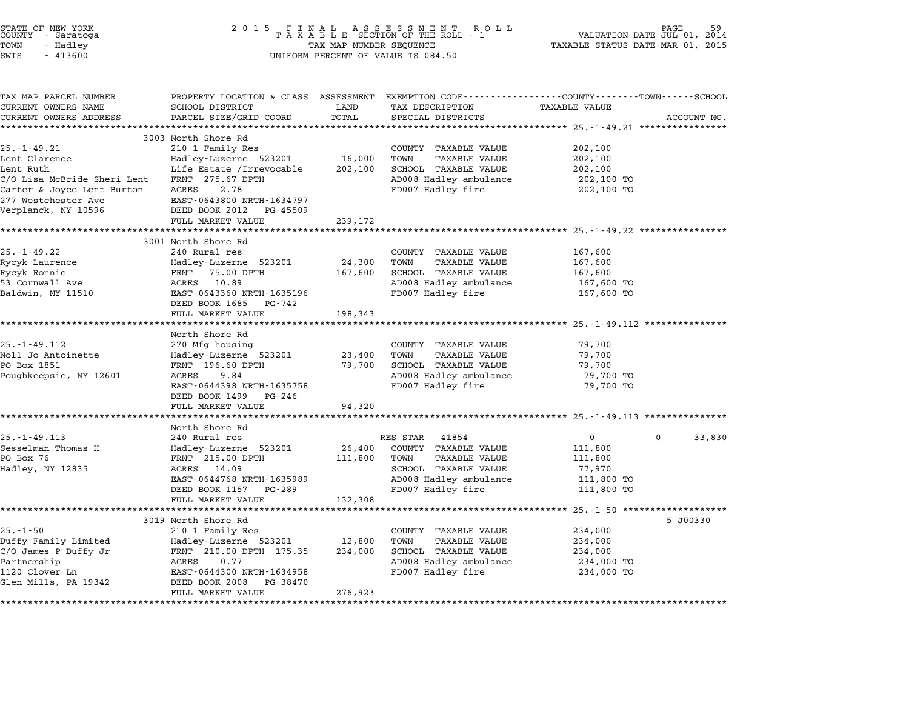|          | STATE OF NEW YORK |  |
|----------|-------------------|--|
| COUNTY   | - Saratoga        |  |
| TOWN     | - Hadley          |  |
| $\alpha$ | 11200             |  |

# STATE OF NEW YORK <sup>2</sup> <sup>0</sup> <sup>1</sup> 5 F I N A L A S S E S S M E N T R O L L PAGE <sup>59</sup> COUNTY - Saratoga <sup>T</sup> <sup>A</sup> <sup>X</sup> <sup>A</sup> <sup>B</sup> <sup>L</sup> <sup>E</sup> SECTION OF THE ROLL - <sup>1</sup> VALUATION DATE-JUL 01, <sup>2014</sup> TOWN - Hadley TAX MAP NUMBER SEQUENCE TAXABLE STATUS DATE-MAR 01, <sup>2015</sup> SWIS - <sup>413600</sup> UNIFORM PERCENT OF VALUE IS 084.50

| TAX MAP PARCEL NUMBER       | PROPERTY LOCATION & CLASS ASSESSMENT            |         | EXEMPTION CODE-----------------COUNTY-------TOWN------SCHOOL |                                                     |                    |
|-----------------------------|-------------------------------------------------|---------|--------------------------------------------------------------|-----------------------------------------------------|--------------------|
| CURRENT OWNERS NAME         | SCHOOL DISTRICT                                 | LAND    | TAX DESCRIPTION                                              | <b>TAXABLE VALUE</b>                                |                    |
| CURRENT OWNERS ADDRESS      | PARCEL SIZE/GRID COORD                          | TOTAL   | SPECIAL DISTRICTS                                            |                                                     | ACCOUNT NO.        |
|                             | 3003 North Shore Rd                             |         |                                                              |                                                     |                    |
| $25. - 1 - 49.21$           | 210 1 Family Res                                |         | COUNTY TAXABLE VALUE                                         | 202,100                                             |                    |
| Lent Clarence               | Hadley-Luzerne 523201                           | 16,000  | TOWN<br><b>TAXABLE VALUE</b>                                 | 202,100                                             |                    |
| Lent Ruth                   | Life Estate /Irrevocable                        | 202,100 | SCHOOL TAXABLE VALUE                                         | 202,100                                             |                    |
| C/O Lisa McBride Sheri Lent | FRNT 275.67 DPTH                                |         | AD008 Hadley ambulance                                       | 202,100 TO                                          |                    |
| Carter & Joyce Lent Burton  | 2.78<br>ACRES                                   |         | FD007 Hadley fire                                            | 202,100 TO                                          |                    |
| 277 Westchester Ave         | EAST-0643800 NRTH-1634797                       |         |                                                              |                                                     |                    |
| Verplanck, NY 10596         | DEED BOOK 2012<br>PG-45509                      |         |                                                              |                                                     |                    |
|                             | FULL MARKET VALUE                               | 239,172 |                                                              |                                                     |                    |
|                             | ***********************                         |         |                                                              | ********************************** 25.-1-49.22 **** |                    |
|                             | 3001 North Shore Rd                             |         |                                                              |                                                     |                    |
| $25. - 1 - 49.22$           | 240 Rural res                                   |         | COUNTY TAXABLE VALUE                                         | 167,600                                             |                    |
| Rycyk Laurence              | Hadley-Luzerne 523201                           | 24,300  | TOWN<br>TAXABLE VALUE                                        | 167,600                                             |                    |
| Rycyk Ronnie                | FRNT 75.00 DPTH                                 | 167,600 | SCHOOL TAXABLE VALUE                                         | 167,600                                             |                    |
| 53 Cornwall Ave             | ACRES 10.89                                     |         | AD008 Hadley ambulance                                       | 167,600 TO                                          |                    |
| Baldwin, NY 11510           | EAST-0643360 NRTH-1635196                       |         | FD007 Hadley fire                                            | 167,600 TO                                          |                    |
|                             | DEED BOOK 1685<br>PG-742<br>FULL MARKET VALUE   | 198,343 |                                                              |                                                     |                    |
|                             | *********************                           |         |                                                              |                                                     |                    |
|                             | North Shore Rd                                  |         |                                                              |                                                     |                    |
| $25. - 1 - 49.112$          | 270 Mfg housing                                 |         | COUNTY TAXABLE VALUE                                         | 79,700                                              |                    |
| Noll Jo Antoinette          | Hadley-Luzerne 523201                           | 23,400  | TOWN<br><b>TAXABLE VALUE</b>                                 | 79,700                                              |                    |
| PO Box 1851                 | FRNT 196.60 DPTH                                | 79,700  | SCHOOL TAXABLE VALUE                                         | 79,700                                              |                    |
| Poughkeepsie, NY 12601      | ACRES<br>9.84                                   |         | AD008 Hadley ambulance                                       | 79,700 TO                                           |                    |
|                             | EAST-0644398 NRTH-1635758                       |         | FD007 Hadley fire                                            | 79,700 TO                                           |                    |
|                             | DEED BOOK 1499 PG-246                           |         |                                                              |                                                     |                    |
|                             | FULL MARKET VALUE                               | 94,320  |                                                              |                                                     |                    |
|                             |                                                 |         |                                                              |                                                     |                    |
| $25. - 1 - 49.113$          | North Shore Rd<br>240 Rural res                 |         | RES STAR 41854                                               | $\overline{0}$                                      | $\Omega$<br>33,830 |
| Sesselman Thomas H          | Hadley-Luzerne 523201                           | 26,400  | COUNTY TAXABLE VALUE                                         | 111,800                                             |                    |
| PO Box 76                   | FRNT 215.00 DPTH                                | 111,800 | TAXABLE VALUE<br>TOWN                                        | 111,800                                             |                    |
| Hadley, NY 12835            | ACRES 14.09                                     |         | SCHOOL TAXABLE VALUE                                         | 77,970                                              |                    |
|                             | EAST-0644768 NRTH-1635989                       |         | AD008 Hadley ambulance                                       | 111,800 TO                                          |                    |
|                             | DEED BOOK 1157 PG-289                           |         | FD007 Hadley fire                                            | 111,800 TO                                          |                    |
|                             | FULL MARKET VALUE                               | 132,308 |                                                              |                                                     |                    |
|                             | ******************                              |         |                                                              | ******** 25.-1-50 ******************                |                    |
|                             | 3019 North Shore Rd                             |         |                                                              |                                                     | 5 J00330           |
| $25. - 1 - 50$              | 210 1 Family Res                                |         | COUNTY TAXABLE VALUE                                         | 234,000                                             |                    |
| Duffy Family Limited        | Hadley-Luzerne 523201 12,800                    |         | TOWN<br>TAXABLE VALUE                                        | 234,000                                             |                    |
| C/O James P Duffy Jr        | FRNT 210.00 DPTH 175.35                         | 234,000 | SCHOOL TAXABLE VALUE                                         | 234,000                                             |                    |
| Partnership                 | 0.77<br>ACRES                                   |         | AD008 Hadley ambulance                                       | 234,000 TO                                          |                    |
| 1120 Clover Ln              | EAST-0644300 NRTH-1634958                       |         | FD007 Hadley fire                                            | 234,000 TO                                          |                    |
| Glen Mills, PA 19342        | DEED BOOK 2008<br>PG-38470<br>FULL MARKET VALUE |         |                                                              |                                                     |                    |
|                             |                                                 | 276,923 |                                                              |                                                     |                    |
|                             |                                                 |         |                                                              |                                                     |                    |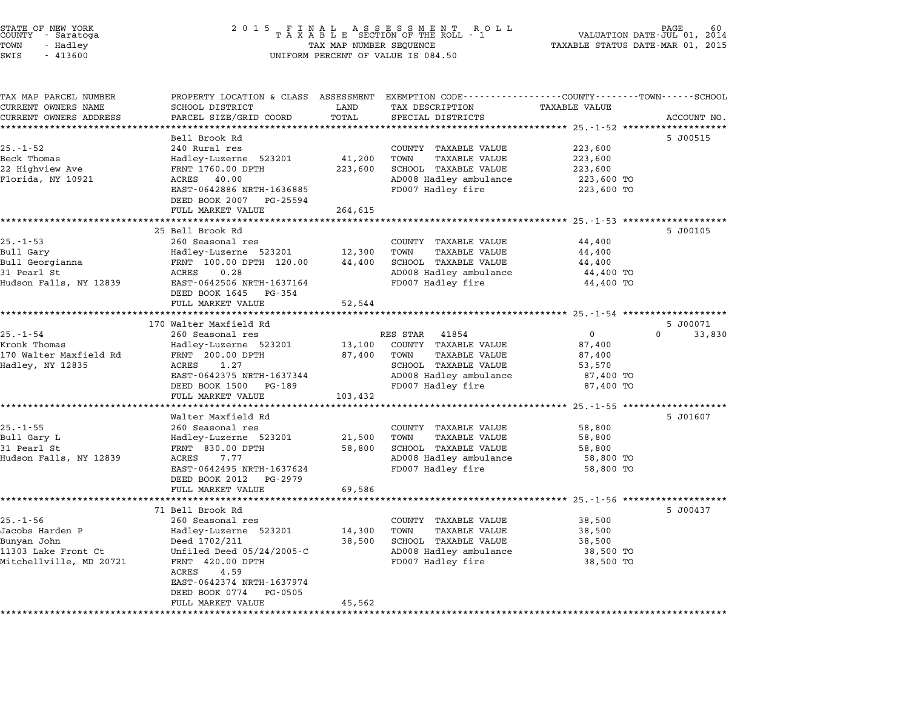| SWIS<br>$-413600$                                                                                  |                                                                                                                                                                                                                                   |                                   | UNIFORM PERCENT OF VALUE IS 084.50                                                                                                            |                                                                        |                    |
|----------------------------------------------------------------------------------------------------|-----------------------------------------------------------------------------------------------------------------------------------------------------------------------------------------------------------------------------------|-----------------------------------|-----------------------------------------------------------------------------------------------------------------------------------------------|------------------------------------------------------------------------|--------------------|
| TAX MAP PARCEL NUMBER<br>CURRENT OWNERS NAME<br>CURRENT OWNERS ADDRESS                             | SCHOOL DISTRICT<br>PARCEL SIZE/GRID COORD                                                                                                                                                                                         | LAND<br>TOTAL                     | PROPERTY LOCATION & CLASS ASSESSMENT EXEMPTION CODE---------------COUNTY-------TOWN-----SCHOOL<br>TAX DESCRIPTION<br>SPECIAL DISTRICTS        | TAXABLE VALUE<br>********************* 25.-1-52 *************          | ACCOUNT NO.        |
| $25. - 1 - 52$<br>Beck Thomas<br>22 Highview Ave<br>Florida, NY 10921                              | Bell Brook Rd<br>240 Rural res<br>Hadley-Luzerne 523201<br>FRNT 1760.00 DPTH<br>ACRES 40.00<br>EAST-0642886 NRTH-1636885<br>DEED BOOK 2007 PG-25594<br>FULL MARKET VALUE                                                          | 41,200 TOWN<br>223,600<br>264,615 | COUNTY TAXABLE VALUE<br>TAXABLE VALUE<br>SCHOOL TAXABLE VALUE<br>AD008 Hadley ambulance<br>FD007 Hadley fire                                  | 223,600<br>223,600<br>223,600<br>223,600 TO<br>223,600 TO              | 5 J00515           |
|                                                                                                    | **********************<br>25 Bell Brook Rd                                                                                                                                                                                        | *************                     |                                                                                                                                               | ********************* 25.-1-53 ********************                    | 5 J00105           |
| $25. - 1 - 53$<br>Bull Gary<br>Bull Georgianna<br>31 Pearl St<br>Hudson Falls, NY 12839            | 260 Seasonal res<br>Hadley-Luzerne 523201<br>FRNT 100.00 DPTH 120.00<br>ACRES<br>0.28<br>EAST-0642506 NRTH-1637164<br>DEED BOOK 1645 PG-354<br>FULL MARKET VALUE                                                                  | 12,300<br>44,400<br>52,544        | COUNTY TAXABLE VALUE<br>TOWN<br>TAXABLE VALUE<br>SCHOOL TAXABLE VALUE<br>AD008 Hadley ambulance<br>FD007 Hadley fire                          | 44,400<br>44,400<br>44,400<br>44,400 TO<br>44,400 TO                   |                    |
|                                                                                                    | 170 Walter Maxfield Rd                                                                                                                                                                                                            |                                   |                                                                                                                                               |                                                                        | 5 J00071           |
| $25. - 1 - 54$<br>Kronk Thomas<br>170 Walter Maxfield Rd<br>Hadley, NY 12835                       | 260 Seasonal res<br>Hadley-Luzerne 523201<br>FRNT 200.00 DPTH<br>1.27<br>ACRES<br>EAST-0642375 NRTH-1637344<br>DEED BOOK 1500 PG-189<br>FULL MARKET VALUE                                                                         | 87,400<br>103,432                 | RES STAR 41854<br>13,100 COUNTY TAXABLE VALUE<br>TOWN<br>TAXABLE VALUE<br>SCHOOL TAXABLE VALUE<br>AD008 Hadley ambulance<br>FD007 Hadley fire | $\overline{0}$<br>87,400<br>87,400<br>53,570<br>87,400 TO<br>87,400 TO | 33,830<br>$\Omega$ |
|                                                                                                    | Walter Maxfield Rd                                                                                                                                                                                                                |                                   |                                                                                                                                               |                                                                        | 5 J01607           |
| $25. - 1 - 55$<br>Bull Gary L<br>31 Pearl St<br>Hudson Falls, NY 12839                             | 260 Seasonal res<br>Hadley-Luzerne 523201<br>FRNT 830.00 DPTH<br>ACRES 7.77<br>EAST-0642495 NRTH-1637624<br>DEED BOOK 2012 PG-2979                                                                                                | 58,800                            | COUNTY TAXABLE VALUE<br>21,500 TOWN<br>TAXABLE VALUE<br>SCHOOL TAXABLE VALUE<br>AD008 Hadley ambulance<br>FD007 Hadley fire                   | 58,800<br>58,800<br>58,800<br>58,800 TO<br>58,800 TO                   |                    |
|                                                                                                    | FULL MARKET VALUE                                                                                                                                                                                                                 | 69,586                            |                                                                                                                                               |                                                                        |                    |
| $25. - 1 - 56$<br>Jacobs Harden P<br>Bunyan John<br>11303 Lake Front Ct<br>Mitchellville, MD 20721 | 71 Bell Brook Rd<br>260 Seasonal res<br>Hadley-Luzerne 523201<br>Deed 1702/211<br>Unfiled Deed $05/24/2005-C$<br>FRNT 420.00 DPTH<br>ACRES<br>4.59<br>EAST-0642374 NRTH-1637974<br>DEED BOOK 0774<br>PG-0505<br>FULL MARKET VALUE | 14,300<br>38,500<br>45,562        | COUNTY TAXABLE VALUE<br>TOWN<br>TAXABLE VALUE<br>SCHOOL TAXABLE VALUE<br>AD008 Hadley ambulance<br>FD007 Hadley fire                          | 38,500<br>38,500<br>38,500<br>38,500 TO<br>38,500 TO                   | 5 J00437           |

### STATE OF NEW YORK <sup>2</sup> <sup>0</sup> <sup>1</sup> 5 F I N A L A S S E S S M E N T R O L L PAGE <sup>60</sup> COUNTY - Saratoga <sup>T</sup> <sup>A</sup> <sup>X</sup> <sup>A</sup> <sup>B</sup> <sup>L</sup> <sup>E</sup> SECTION OF THE ROLL - <sup>1</sup> VALUATION DATE-JUL 01, <sup>2014</sup> TOWN - Hadley TAX MAP NUMBER SEQUENCE TAXABLE STATUS DATE-MAR 01, <sup>2015</sup> STATE OF NEW YORK<br>
COUNTY - Saratoga<br>
TOWN - Hadley TAXABLE SECTION OF THE<br>
TAX MAP NUMBER SEQUENCE<br>
SWIS - 413600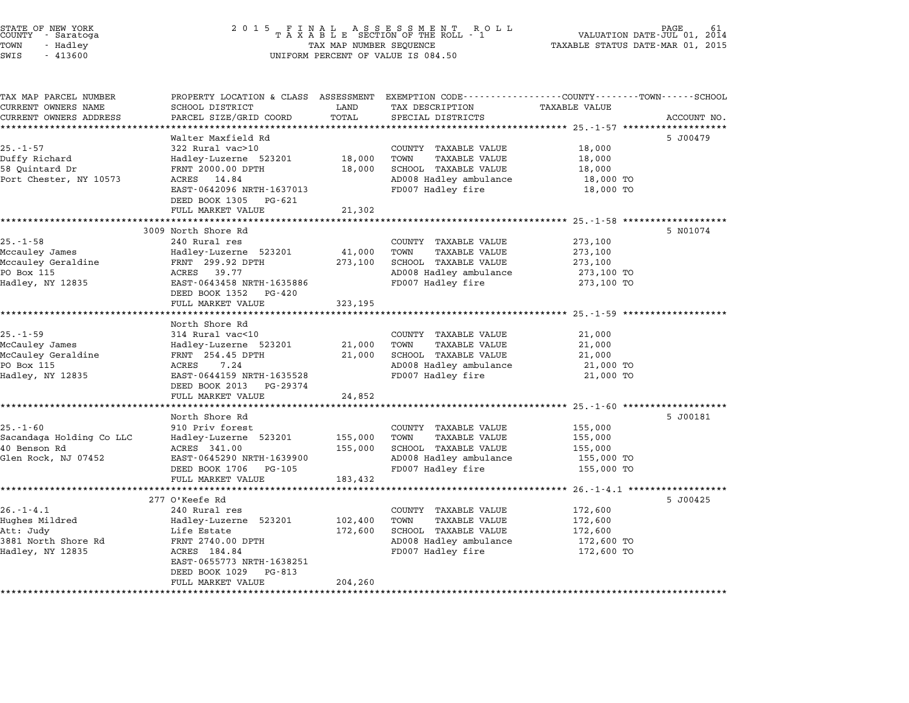| STATE OF NEW YORK<br>COUNTY - Saratoga<br>TOWN<br>- Hadley<br>SWIS<br>$-413600$ | 2 0 1 5<br>FINAL ASSESSMENT ROTAXABLE SECTION OF THE ROLL - 1<br>R O L L<br>TAX MAP NUMBER SEQUENCE<br>UNIFORM PERCENT OF VALUE IS 084.50 |               |                                                                                                                                        | PAGE<br>VALUATION DATE-JUL 01, 2014<br>TAXABLE STATUS DATE-MAR 01, 2015 |             |  |
|---------------------------------------------------------------------------------|-------------------------------------------------------------------------------------------------------------------------------------------|---------------|----------------------------------------------------------------------------------------------------------------------------------------|-------------------------------------------------------------------------|-------------|--|
| TAX MAP PARCEL NUMBER<br>CURRENT OWNERS NAME<br>CURRENT OWNERS ADDRESS          | SCHOOL DISTRICT<br>PARCEL SIZE/GRID COORD                                                                                                 | LAND<br>TOTAL | PROPERTY LOCATION & CLASS ASSESSMENT EXEMPTION CODE---------------COUNTY-------TOWN-----SCHOOL<br>TAX DESCRIPTION<br>SPECIAL DISTRICTS | <b>TAXABLE VALUE</b>                                                    | ACCOUNT NO. |  |
|                                                                                 | Walter Maxfield Rd                                                                                                                        |               |                                                                                                                                        |                                                                         | 5 J00479    |  |
| $25. - 1 - 57$                                                                  | 322 Rural vac>10                                                                                                                          |               | COUNTY TAXABLE VALUE                                                                                                                   | 18,000                                                                  |             |  |
| Duffy Richard<br>58 Ouintard Dr                                                 | Hadley-Luzerne 523201<br>FRNT 2000.00 DPTH                                                                                                | 18,000        | TOWN<br><b>TAXABLE VALUE</b><br>SCHOOL TAXABLE VALUE                                                                                   | 18,000                                                                  |             |  |
| Port Chester, NY 10573                                                          | 14.84<br>ACRES                                                                                                                            | 18,000        | AD008 Hadley ambulance                                                                                                                 | 18,000<br>18,000 TO                                                     |             |  |
|                                                                                 | EAST-0642096 NRTH-1637013                                                                                                                 |               | FD007 Hadley fire                                                                                                                      | 18,000 TO                                                               |             |  |
|                                                                                 | DEED BOOK 1305 PG-621<br>FULL MARKET VALUE                                                                                                | 21,302        |                                                                                                                                        |                                                                         |             |  |
|                                                                                 |                                                                                                                                           |               |                                                                                                                                        |                                                                         |             |  |
|                                                                                 | 3009 North Shore Rd                                                                                                                       |               |                                                                                                                                        |                                                                         | 5 N01074    |  |
| $25. - 1 - 58$<br>Mccauley James                                                | 240 Rural res<br>Hadley-Luzerne 523201                                                                                                    | 41,000        | COUNTY TAXABLE VALUE<br>TOWN<br>TAXABLE VALUE                                                                                          | 273,100<br>273,100                                                      |             |  |
| Mccauley Geraldine                                                              | FRNT 299.92 DPTH                                                                                                                          | 273,100       | SCHOOL TAXABLE VALUE                                                                                                                   | 273,100                                                                 |             |  |
| PO Box 115                                                                      | ACRES 39.77                                                                                                                               |               | AD008 Hadley ambulance                                                                                                                 | 273,100 TO                                                              |             |  |
| Hadley, NY 12835                                                                | EAST-0643458 NRTH-1635886<br>DEED BOOK 1352<br>PG-420                                                                                     |               | FD007 Hadley fire                                                                                                                      | 273,100 TO                                                              |             |  |
|                                                                                 | FULL MARKET VALUE                                                                                                                         | 323,195       |                                                                                                                                        |                                                                         |             |  |
|                                                                                 | North Shore Rd                                                                                                                            |               |                                                                                                                                        |                                                                         |             |  |
| $25. - 1 - 59$                                                                  | 314 Rural vac<10                                                                                                                          |               | COUNTY TAXABLE VALUE                                                                                                                   | 21,000                                                                  |             |  |
| McCauley James                                                                  | Hadley-Luzerne 523201                                                                                                                     | 21,000        | TOWN<br><b>TAXABLE VALUE</b>                                                                                                           | 21,000                                                                  |             |  |
| McCauley Geraldine                                                              | FRNT 254.45 DPTH                                                                                                                          | 21,000        | SCHOOL TAXABLE VALUE                                                                                                                   | 21,000                                                                  |             |  |
| PO Box 115                                                                      | 7.24<br>ACRES                                                                                                                             |               | AD008 Hadley ambulance                                                                                                                 | 21,000 TO                                                               |             |  |
| Hadley, NY 12835                                                                | EAST-0644159 NRTH-1635528<br>DEED BOOK 2013<br>PG-29374                                                                                   |               | FD007 Hadley fire                                                                                                                      | 21,000 TO                                                               |             |  |
|                                                                                 | FULL MARKET VALUE                                                                                                                         | 24,852        |                                                                                                                                        |                                                                         |             |  |
|                                                                                 |                                                                                                                                           | ************* |                                                                                                                                        | *************** 25.-1-60 *******************                            |             |  |
|                                                                                 | North Shore Rd                                                                                                                            |               |                                                                                                                                        |                                                                         | 5 J00181    |  |
| $25. - 1 - 60$<br>Sacandaga Holding Co LLC                                      | 910 Priv forest<br>Hadley-Luzerne 523201                                                                                                  | 155,000       | COUNTY TAXABLE VALUE<br>TAXABLE VALUE<br>TOWN                                                                                          | 155,000<br>155,000                                                      |             |  |
| 40 Benson Rd                                                                    | ACRES 341.00                                                                                                                              | 155,000       | SCHOOL TAXABLE VALUE                                                                                                                   | 155,000                                                                 |             |  |
| Glen Rock, NJ 07452                                                             | EAST-0645290 NRTH-1639900                                                                                                                 |               | AD008 Hadley ambulance                                                                                                                 | 155,000 TO                                                              |             |  |
|                                                                                 | DEED BOOK 1706<br>PG-105                                                                                                                  |               | FD007 Hadley fire                                                                                                                      | 155,000 TO                                                              |             |  |
|                                                                                 | FULL MARKET VALUE                                                                                                                         | 183,432       |                                                                                                                                        |                                                                         |             |  |
|                                                                                 | 277 O'Keefe Rd                                                                                                                            |               |                                                                                                                                        | $26. -1 - 4.1$ *******************                                      | 5 J00425    |  |
| $26. - 1 - 4.1$                                                                 | 240 Rural res                                                                                                                             |               | COUNTY TAXABLE VALUE                                                                                                                   | 172,600                                                                 |             |  |
| Hughes Mildred                                                                  | Hadley-Luzerne 523201                                                                                                                     | 102,400       | TOWN<br>TAXABLE VALUE                                                                                                                  | 172,600                                                                 |             |  |
| Att: Judy                                                                       | Life Estate                                                                                                                               | 172,600       | SCHOOL TAXABLE VALUE                                                                                                                   | 172,600                                                                 |             |  |
| 3881 North Shore Rd                                                             | FRNT 2740.00 DPTH                                                                                                                         |               | AD008 Hadley ambulance                                                                                                                 | 172,600 TO                                                              |             |  |
| Hadley, NY 12835                                                                | ACRES 184.84<br>EAST-0655773 NRTH-1638251                                                                                                 |               | FD007 Hadley fire                                                                                                                      | 172,600 TO                                                              |             |  |
|                                                                                 | DEED BOOK 1029<br>PG-813                                                                                                                  |               |                                                                                                                                        |                                                                         |             |  |
|                                                                                 | FULL MARKET VALUE                                                                                                                         | 204,260       |                                                                                                                                        |                                                                         |             |  |

\*\*\*\*\*\*\*\*\*\*\*\*\*\*\*\*\*\*\*\*\*\*\*\*\*\*\*\*\*\*\*\*\*\*\*\*\*\*\*\*\*\*\*\*\*\*\*\*\*\*\*\*\*\*\*\*\*\*\*\*\*\*\*\*\*\*\*\*\*\*\*\*\*\*\*\*\*\*\*\*\*\*\*\*\*\*\*\*\*\*\*\*\*\*\*\*\*\*\*\*\*\*\*\*\*\*\*\*\*\*\*\*\*\*\*\*\*\*\*\*\*\*\*\*\*\*\*\*\*\*\*\*

# STATE OF NEW YORK <sup>2</sup> <sup>0</sup> <sup>1</sup> 5 F I N A L A S S E S S M E N T R O L L PAGE <sup>61</sup> COUNTY - Saratoga <sup>T</sup> <sup>A</sup> <sup>X</sup> <sup>A</sup> <sup>B</sup> <sup>L</sup> <sup>E</sup> SECTION OF THE ROLL - <sup>1</sup> VALUATION DATE-JUL 01, <sup>2014</sup>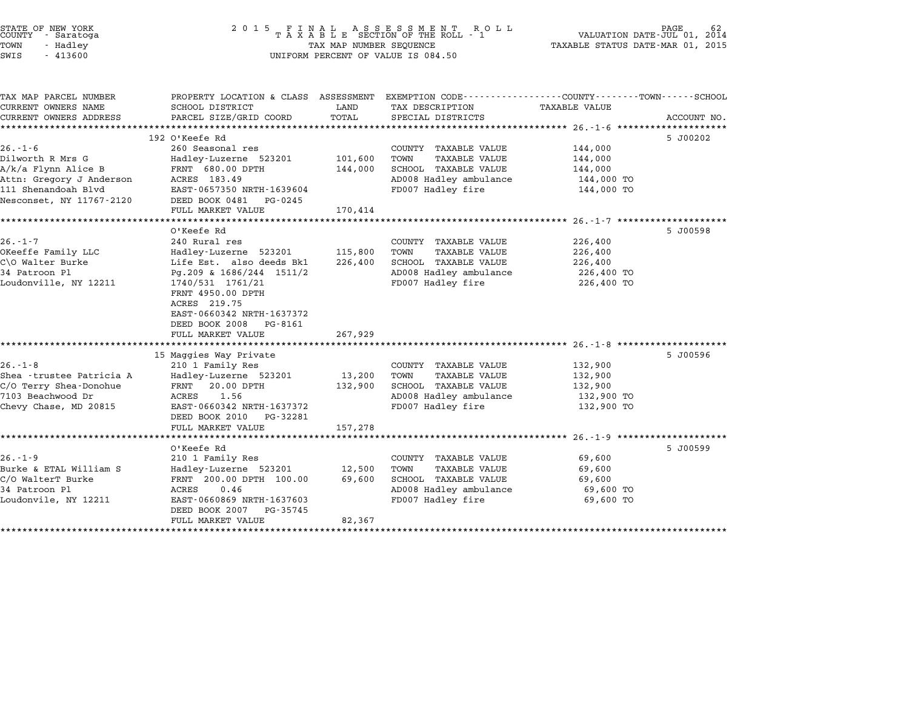| STATE OF NEW YORK<br>COUNTY - Saratoga<br>TOWN<br>- Hadley<br>SWIS<br>$-413600$                                                         | 2 0 1 5                                                                                                                                                                                                                                              | TAX MAP NUMBER SEQUENCE                     | FINAL ASSESSMENT ROLL<br>TAXABLE SECTION OF THE ROLL - 1<br>UNIFORM PERCENT OF VALUE IS 084.50                              | VALUATION DATE-JUL 01,<br>TAXABLE STATUS DATE-MAR 01, 2015                                                 | 2014                        |
|-----------------------------------------------------------------------------------------------------------------------------------------|------------------------------------------------------------------------------------------------------------------------------------------------------------------------------------------------------------------------------------------------------|---------------------------------------------|-----------------------------------------------------------------------------------------------------------------------------|------------------------------------------------------------------------------------------------------------|-----------------------------|
| TAX MAP PARCEL NUMBER<br>CURRENT OWNERS NAME<br>CURRENT OWNERS ADDRESS                                                                  | PROPERTY LOCATION & CLASS ASSESSMENT EXEMPTION CODE---------------COUNTY-------TOWN-----SCHOOL<br>SCHOOL DISTRICT<br>PARCEL SIZE/GRID COORD                                                                                                          | LAND<br>TOTAL                               | TAX DESCRIPTION<br>SPECIAL DISTRICTS                                                                                        | <b>TAXABLE VALUE</b>                                                                                       | ACCOUNT NO.<br>************ |
| $26. - 1 - 6$<br>Dilworth R Mrs G<br>A/k/a Flynn Alice B<br>Attn: Gregory J Anderson<br>111 Shenandoah Blvd<br>Nesconset, NY 11767-2120 | 192 O'Keefe Rd<br>260 Seasonal res<br>Hadley-Luzerne 523201<br>FRNT 680.00 DPTH<br>ACRES 183.49<br>EAST-0657350 NRTH-1639604<br>DEED BOOK 0481<br>PG-0245<br>FULL MARKET VALUE                                                                       | 101,600<br>144,000<br>170,414               | COUNTY TAXABLE VALUE<br><b>TAXABLE VALUE</b><br>TOWN<br>SCHOOL TAXABLE VALUE<br>AD008 Hadley ambulance<br>FD007 Hadley fire | 144,000<br>144,000<br>144,000<br>144,000 TO<br>144,000 TO                                                  | 5 J00202                    |
| $26. - 1 - 7$<br>OKeeffe Family LLC<br>C\O Walter Burke<br>34 Patroon Pl<br>Loudonville, NY 12211                                       | O'Keefe Rd<br>240 Rural res<br>Hadley-Luzerne 523201<br>Life Est. also deeds Bk1<br>Pg.209 & 1686/244 1511/2<br>1740/531 1761/21<br>FRNT 4950.00 DPTH<br>ACRES 219.75<br>EAST-0660342 NRTH-1637372<br>DEED BOOK 2008<br>PG-8161<br>FULL MARKET VALUE | 115,800<br>226,400<br>267,929               | COUNTY TAXABLE VALUE<br>TOWN<br><b>TAXABLE VALUE</b><br>SCHOOL TAXABLE VALUE<br>AD008 Hadley ambulance<br>FD007 Hadley fire | ************************** 26.-1-7 **********<br>226,400<br>226,400<br>226,400<br>226,400 TO<br>226,400 TO | 5 J00598                    |
| $26. - 1 - 8$<br>Shea - trustee Patricia A<br>C/O Terry Shea-Donohue<br>7103 Beachwood Dr<br>Chevy Chase, MD 20815                      | 15 Maggies Way Private<br>210 1 Family Res<br>Hadley-Luzerne 523201<br>FRNT<br>20.00 DPTH<br>1.56<br>ACRES<br>EAST-0660342 NRTH-1637372<br>DEED BOOK 2010<br>PG-32281<br>FULL MARKET VALUE                                                           | 13,200<br>132,900<br>157,278                | COUNTY TAXABLE VALUE<br><b>TAXABLE VALUE</b><br>TOWN<br>SCHOOL TAXABLE VALUE<br>AD008 Hadley ambulance<br>FD007 Hadley fire | 132,900<br>132,900<br>132,900<br>132,900 TO<br>132,900 TO                                                  | 5 J00596                    |
| $26. - 1 - 9$<br>Burke & ETAL William S<br>C/O WalterT Burke<br>34 Patroon Pl<br>Loudonvile, NY 12211                                   | *********************<br>O'Keefe Rd<br>210 1 Family Res<br>Hadley-Luzerne 523201<br>FRNT 200.00 DPTH 100.00<br>ACRES<br>0.46<br>EAST-0660869 NRTH-1637603<br>DEED BOOK 2007<br>PG-35745<br>FULL MARKET VALUE<br>***********************              | *************<br>12,500<br>69,600<br>82,367 | COUNTY TAXABLE VALUE<br>TOWN<br><b>TAXABLE VALUE</b><br>SCHOOL TAXABLE VALUE<br>AD008 Hadley ambulance<br>FD007 Hadley fire | 69,600<br>69,600<br>69,600<br>69,600 TO<br>69,600 TO                                                       | 5 J00599                    |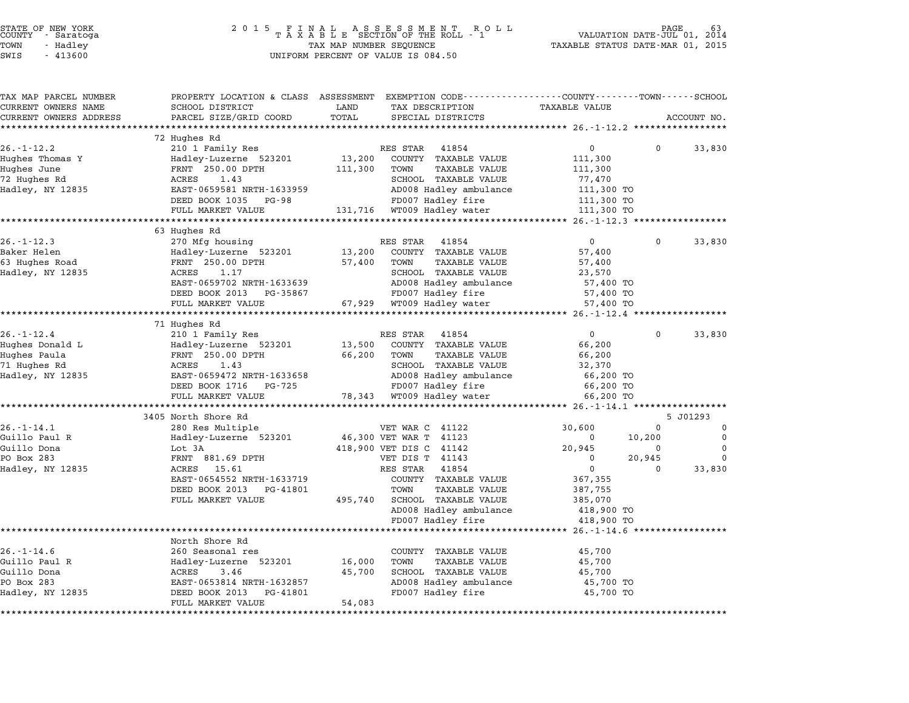| STATE OF NEW YORK |  |            |  |
|-------------------|--|------------|--|
| COUNTY            |  | - Saratoga |  |
| TOWN              |  | - Hadley   |  |

| TAX MAP PARCEL NUMBER       | PROPERTY LOCATION & CLASS ASSESSMENT EXEMPTION CODE---------------COUNTY-------TOWN-----SCHOOL |         |                                                      |                      |             |             |
|-----------------------------|------------------------------------------------------------------------------------------------|---------|------------------------------------------------------|----------------------|-------------|-------------|
| CURRENT OWNERS NAME         | SCHOOL DISTRICT                                                                                | LAND    | TAX DESCRIPTION                                      | <b>TAXABLE VALUE</b> |             |             |
| CURRENT OWNERS ADDRESS      | PARCEL SIZE/GRID COORD                                                                         | TOTAL   | SPECIAL DISTRICTS                                    |                      |             | ACCOUNT NO. |
| ***********************     |                                                                                                |         |                                                      |                      |             |             |
|                             | 72 Hughes Rd                                                                                   |         |                                                      | $\mathbf 0$          | $\Omega$    |             |
| $26. - 1 - 12.2$            | 210 1 Family Res                                                                               |         | RES STAR 41854                                       |                      |             | 33,830      |
| Hughes Thomas Y             | Hadley-Luzerne 523201                                                                          | 13,200  | COUNTY TAXABLE VALUE                                 | 111,300              |             |             |
| Hughes June<br>72 Hughes Rd | FRNT 250.00 DPTH<br>ACRES                                                                      | 111,300 | TOWN<br><b>TAXABLE VALUE</b><br>SCHOOL TAXABLE VALUE | 111,300              |             |             |
| Hadley, NY 12835            | 1.43<br>EAST-0659581 NRTH-1633959                                                              |         | AD008 Hadley ambulance                               | 77,470               |             |             |
|                             |                                                                                                |         |                                                      | 111,300 TO           |             |             |
|                             | DEED BOOK 1035<br>PG-98                                                                        |         | FD007 Hadley fire                                    | 111,300 TO           |             |             |
|                             | FULL MARKET VALUE<br>**************************                                                |         | 131,716 WT009 Hadley water                           | 111,300 TO           |             |             |
|                             | 63 Hughes Rd                                                                                   |         |                                                      |                      |             |             |
| $26. - 1 - 12.3$            | 270 Mfg housing                                                                                |         | RES STAR<br>41854                                    | $\overline{0}$       | $\Omega$    | 33,830      |
| Baker Helen                 | Hadley-Luzerne 523201                                                                          | 13,200  | COUNTY TAXABLE VALUE                                 | 57,400               |             |             |
| 63 Hughes Road              | FRNT 250.00 DPTH                                                                               | 57,400  | TOWN<br>TAXABLE VALUE                                | 57,400               |             |             |
| Hadley, NY 12835            | ACRES<br>1.17                                                                                  |         | SCHOOL TAXABLE VALUE                                 | 23,570               |             |             |
|                             | EAST-0659702 NRTH-1633639                                                                      |         | AD008 Hadley ambulance                               | 57,400 TO            |             |             |
|                             | DEED BOOK 2013<br>PG-35867                                                                     |         | FD007 Hadley fire                                    | 57,400 TO            |             |             |
|                             | FULL MARKET VALUE                                                                              |         | 67,929 WT009 Hadley water                            | 57,400 TO            |             |             |
|                             |                                                                                                |         |                                                      |                      |             |             |
|                             | 71 Hughes Rd                                                                                   |         |                                                      |                      |             |             |
| $26. - 1 - 12.4$            | 210 1 Family Res                                                                               |         | 41854<br>RES STAR                                    | $\mathbf 0$          | 0           | 33,830      |
| Hughes Donald L             | Hadley-Luzerne 523201                                                                          | 13,500  | COUNTY TAXABLE VALUE                                 | 66,200               |             |             |
| Hughes Paula                | FRNT 250.00 DPTH                                                                               | 66,200  | TOWN<br>TAXABLE VALUE                                | 66,200               |             |             |
| 71 Hughes Rd                | ACRES<br>1.43                                                                                  |         | SCHOOL TAXABLE VALUE                                 | 32,370               |             |             |
| Hadley, NY 12835            | EAST-0659472 NRTH-1633658                                                                      |         | AD008 Hadley ambulance                               | 66,200 TO            |             |             |
|                             | DEED BOOK 1716<br>PG-725                                                                       |         | FD007 Hadley fire                                    | 66,200 TO            |             |             |
|                             | FULL MARKET VALUE                                                                              |         | 78,343 WT009 Hadley water                            | 66,200 TO            |             |             |
|                             |                                                                                                |         |                                                      |                      |             |             |
|                             | 3405 North Shore Rd                                                                            |         |                                                      |                      |             | 5 J01293    |
| $26. - 1 - 14.1$            | 280 Res Multiple                                                                               |         | VET WAR C 41122                                      | 30,600               | $\mathbf 0$ | $\mathbf 0$ |
| Guillo Paul R               | Hadley-Luzerne 523201                                                                          |         | 46,300 VET WAR T 41123                               | 0                    | 10,200      | $\mathbf 0$ |
| Guillo Dona                 | Lot 3A                                                                                         |         | 418,900 VET DIS C 41142                              | 20,945               | $\mathbf 0$ | 0           |
| PO Box 283                  | FRNT 881.69 DPTH                                                                               |         | VET DIS T 41143                                      | $\mathbf 0$          | 20,945      | $\Omega$    |
| Hadley, NY 12835            | 15.61<br>ACRES                                                                                 |         | 41854<br>RES STAR                                    | $\Omega$             | $\Omega$    | 33,830      |
|                             | EAST-0654552 NRTH-1633719                                                                      |         | COUNTY TAXABLE VALUE                                 | 367,355              |             |             |
|                             | DEED BOOK 2013<br>PG-41801                                                                     |         | TOWN<br><b>TAXABLE VALUE</b>                         | 387,755              |             |             |
|                             | FULL MARKET VALUE                                                                              | 495,740 | SCHOOL TAXABLE VALUE                                 | 385,070              |             |             |
|                             |                                                                                                |         | AD008 Hadley ambulance                               | 418,900 TO           |             |             |
|                             |                                                                                                |         | FD007 Hadley fire                                    | 418,900 TO           |             |             |
|                             |                                                                                                |         |                                                      |                      |             |             |
|                             | North Shore Rd                                                                                 |         |                                                      |                      |             |             |
| $26. - 1 - 14.6$            | 260 Seasonal res                                                                               |         | COUNTY TAXABLE VALUE                                 | 45,700               |             |             |
| Guillo Paul R               | Hadley-Luzerne 523201                                                                          | 16,000  | TOWN<br>TAXABLE VALUE                                | 45,700               |             |             |
| Guillo Dona                 | ACRES<br>3.46                                                                                  | 45,700  | SCHOOL TAXABLE VALUE                                 | 45,700               |             |             |
| PO Box 283                  | EAST-0653814 NRTH-1632857                                                                      |         | AD008 Hadley ambulance                               | 45,700 TO            |             |             |
| Hadley, NY 12835            | DEED BOOK 2013<br>PG-41801                                                                     | 54,083  | FD007 Hadley fire                                    | 45,700 TO            |             |             |
|                             | FULL MARKET VALUE                                                                              |         |                                                      |                      |             |             |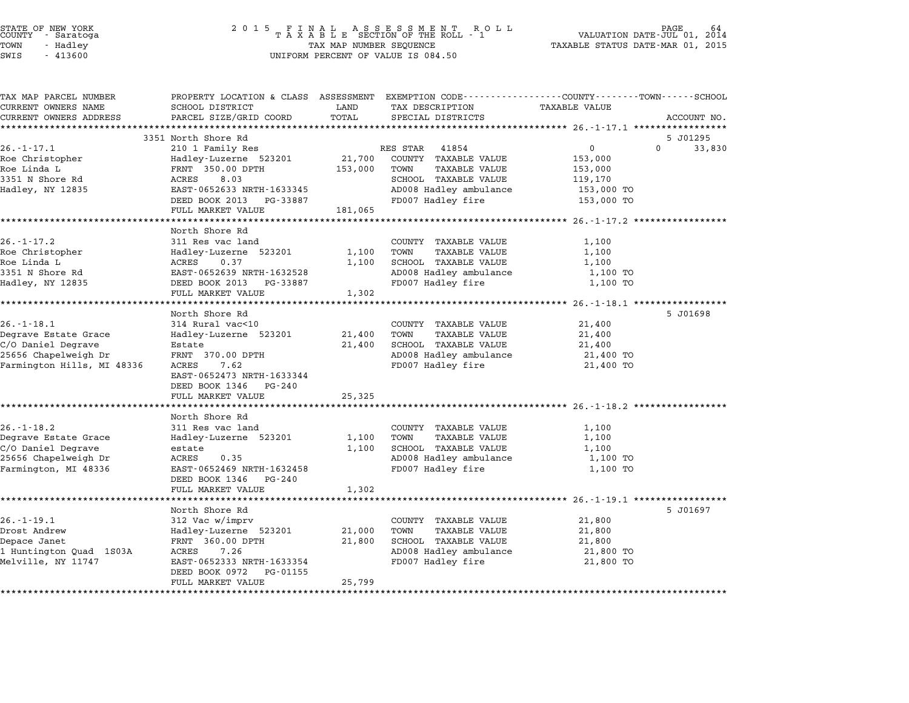| STATE OF NEW YORK<br>COUNTY<br>- Saratoga<br>TOWN<br>- Hadley<br>SWIS<br>$-413600$                                   | 2 0 1 5<br>FINAL ASSESSMENT ROTAXABLE SECTION OF THE ROLL - 1<br>R O L L<br>TAX MAP NUMBER SEQUENCE<br>UNIFORM PERCENT OF VALUE IS 084.50                                             |                              | PAGE<br>VALUATION DATE-JUL 01,<br>2014<br>TAXABLE STATUS DATE-MAR 01, 2015                                                              |                                                      |                    |
|----------------------------------------------------------------------------------------------------------------------|---------------------------------------------------------------------------------------------------------------------------------------------------------------------------------------|------------------------------|-----------------------------------------------------------------------------------------------------------------------------------------|------------------------------------------------------|--------------------|
| TAX MAP PARCEL NUMBER<br>CURRENT OWNERS NAME<br>CURRENT OWNERS ADDRESS                                               | SCHOOL DISTRICT<br>PARCEL SIZE/GRID COORD                                                                                                                                             | LAND<br>TOTAL<br>*********** | PROPERTY LOCATION & CLASS ASSESSMENT EXEMPTION CODE---------------COUNTY-------TOWN------SCHOOL<br>TAX DESCRIPTION<br>SPECIAL DISTRICTS | TAXABLE VALUE<br>********** 26. -1-17.1 ***********  | ACCOUNT NO.        |
|                                                                                                                      | 3351 North Shore Rd                                                                                                                                                                   |                              |                                                                                                                                         |                                                      | 5 J01295           |
| $26. - 1 - 17.1$                                                                                                     | 210 1 Family Res                                                                                                                                                                      |                              | RES STAR<br>41854                                                                                                                       | $\Omega$                                             | $\Omega$<br>33,830 |
| Roe Christopher<br>Roe Linda L<br>3351 N Shore Rd                                                                    | Hadley-Luzerne 523201<br>FRNT 350.00 DPTH<br>ACRES<br>8.03<br>EAST-0652633 NRTH-1633345                                                                                               | 21,700<br>153,000            | COUNTY TAXABLE VALUE<br>TOWN<br><b>TAXABLE VALUE</b><br>SCHOOL TAXABLE VALUE                                                            | 153,000<br>153,000<br>119,170                        |                    |
| Hadley, NY 12835                                                                                                     | DEED BOOK 2013 PG-33887<br>FULL MARKET VALUE                                                                                                                                          | 181,065                      | AD008 Hadley ambulance<br>FD007 Hadley fire                                                                                             | 153,000 TO<br>153,000 TO                             |                    |
|                                                                                                                      | ********************                                                                                                                                                                  |                              |                                                                                                                                         | **** 26.-1-17.2                                      |                    |
| $26. - 1 - 17.2$<br>Roe Christopher<br>Roe Linda L<br>3351 N Shore Rd<br>Hadley, NY 12835                            | North Shore Rd<br>311 Res vac land<br>Hadley-Luzerne 523201<br>ACRES<br>0.37<br>EAST-0652639 NRTH-1632528<br>DEED BOOK 2013 PG-33887<br>FULL MARKET VALUE                             | 1,100<br>1,100<br>1,302      | COUNTY TAXABLE VALUE<br>TOWN<br><b>TAXABLE VALUE</b><br>SCHOOL TAXABLE VALUE<br>AD008 Hadley ambulance<br>FD007 Hadley fire             | 1,100<br>1,100<br>1,100<br>1,100 TO<br>1,100 TO      |                    |
|                                                                                                                      |                                                                                                                                                                                       |                              |                                                                                                                                         | ************ 26.-1-18.1 ******************           |                    |
| $26. - 1 - 18.1$<br>Degrave Estate Grace<br>C/O Daniel Degrave<br>25656 Chapelweigh Dr<br>Farmington Hills, MI 48336 | North Shore Rd<br>314 Rural vac<10<br>Hadley-Luzerne 523201<br>Estate<br>FRNT 370.00 DPTH<br>ACRES<br>7.62<br>EAST-0652473 NRTH-1633344<br>DEED BOOK 1346 PG-240<br>FULL MARKET VALUE | 21,400<br>21,400<br>25,325   | COUNTY TAXABLE VALUE<br>TOWN<br>TAXABLE VALUE<br>SCHOOL TAXABLE VALUE<br>AD008 Hadley ambulance<br>FD007 Hadley fire                    | 21,400<br>21,400<br>21,400<br>21,400 TO<br>21,400 TO | 5 J01698           |
|                                                                                                                      | ******************************                                                                                                                                                        | *********                    |                                                                                                                                         |                                                      |                    |
| $26. - 1 - 18.2$<br>Degrave Estate Grace<br>C/O Daniel Degrave<br>25656 Chapelweigh Dr<br>Farmington, MI 48336       | North Shore Rd<br>311 Res vac land<br>Hadley-Luzerne 523201<br>estate<br>ACRES<br>0.35<br>EAST-0652469 NRTH-1632458<br>DEED BOOK 1346<br>PG-240<br>FULL MARKET VALUE                  | 1,100<br>1,100<br>1,302      | COUNTY TAXABLE VALUE<br>TOWN<br>TAXABLE VALUE<br>SCHOOL TAXABLE VALUE<br>AD008 Hadley ambulance<br>FD007 Hadley fire                    | 1,100<br>1,100<br>1,100<br>1,100 TO<br>1,100 TO      |                    |
|                                                                                                                      |                                                                                                                                                                                       |                              |                                                                                                                                         | ******* 26.-1-19.1 ******                            |                    |
| $26. - 1 - 19.1$<br>Drost Andrew<br>Depace Janet<br>1 Huntington Quad 1S03A<br>Melville, NY 11747                    | North Shore Rd<br>312 Vac w/imprv<br>Hadley-Luzerne 523201<br>FRNT 360.00 DPTH<br>ACRES<br>7.26<br>EAST-0652333 NRTH-1633354<br>DEED BOOK 0972<br>PG-01155<br>FULL MARKET VALUE       | 21,000<br>21,800<br>25,799   | COUNTY TAXABLE VALUE<br>TOWN<br><b>TAXABLE VALUE</b><br>SCHOOL TAXABLE VALUE<br>AD008 Hadley ambulance<br>FD007 Hadley fire             | 21,800<br>21,800<br>21,800<br>21,800 TO<br>21,800 TO | 5 J01697           |

STATE OF NEW YORK <sup>2</sup> <sup>0</sup> <sup>1</sup> 5 F I N A L A S S E S S M E N T R O L L PAGE <sup>64</sup> COUNTY - Saratoga <sup>T</sup> <sup>A</sup> <sup>X</sup> <sup>A</sup> <sup>B</sup> <sup>L</sup> <sup>E</sup> SECTION OF THE ROLL - <sup>1</sup> VALUATION DATE-JUL 01, <sup>2014</sup>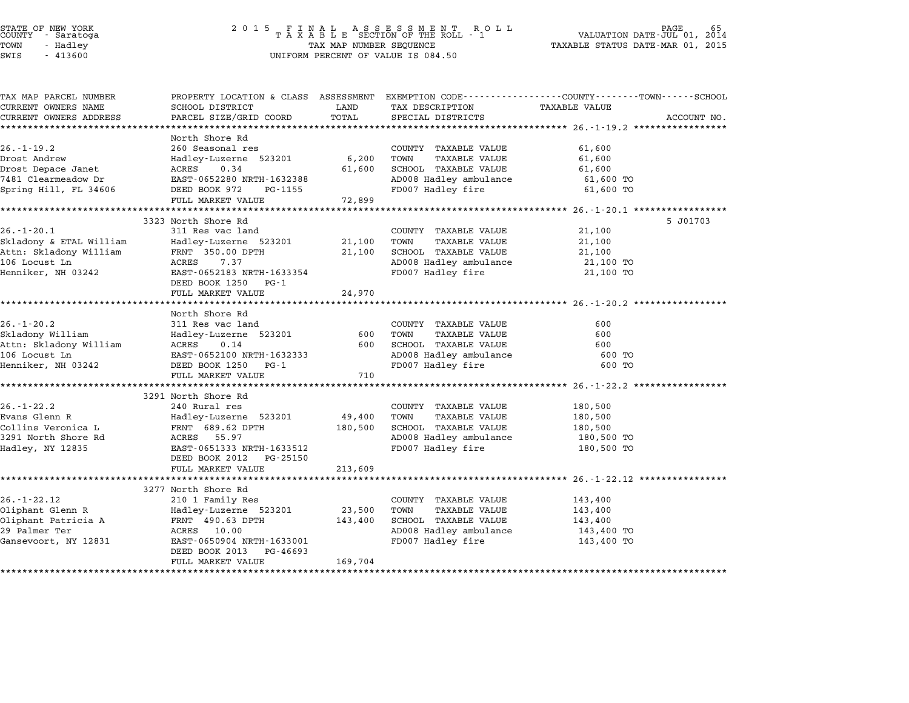### STATE OF NEW YORK <sup>2</sup> <sup>0</sup> <sup>1</sup> 5 F I N A L A S S E S S M E N T R O L L PAGE <sup>65</sup> COUNTY - Saratoga <sup>T</sup> <sup>A</sup> <sup>X</sup> <sup>A</sup> <sup>B</sup> <sup>L</sup> <sup>E</sup> SECTION OF THE ROLL - <sup>1</sup> VALUATION DATE-JUL 01, <sup>2014</sup> TOWN - Hadley TAX MAP NUMBER SEQUENCE TAXABLE STATUS DATE-MAR 01, <sup>2015</sup> STATE OF NEW YORK<br>
COUNTY - Saratoga<br>
TOWN - Hadley TAXABLE SECTION OF THE ROLL<br>
SWIS - 413600 UNIFORM PERCENT OF VALUE IS 084.50

| TAX MAP PARCEL NUMBER   | PROPERTY LOCATION & CLASS ASSESSMENT EXEMPTION CODE----------------COUNTY-------TOWN------SCHOOL |         |                                             |                      |             |
|-------------------------|--------------------------------------------------------------------------------------------------|---------|---------------------------------------------|----------------------|-------------|
| CURRENT OWNERS NAME     | SCHOOL DISTRICT                                                                                  | LAND    | TAX DESCRIPTION                             | <b>TAXABLE VALUE</b> |             |
| CURRENT OWNERS ADDRESS  | PARCEL SIZE/GRID COORD                                                                           | TOTAL   | SPECIAL DISTRICTS                           |                      | ACCOUNT NO. |
|                         |                                                                                                  |         |                                             |                      |             |
|                         | North Shore Rd                                                                                   |         |                                             |                      |             |
| $26. - 1 - 19.2$        | 260 Seasonal res                                                                                 |         | COUNTY TAXABLE VALUE                        | 61,600               |             |
| Drost Andrew            | Hadley-Luzerne 523201                                                                            | 6,200   | TOWN<br>TAXABLE VALUE                       | 61,600               |             |
| Drost Depace Janet      | ACRES<br>0.34                                                                                    | 61,600  | SCHOOL TAXABLE VALUE                        | 61,600               |             |
| 7481 Clearmeadow Dr     | EAST-0652280 NRTH-1632388                                                                        |         | AD008 Hadley ambulance                      | 61,600 TO            |             |
| Spring Hill, FL 34606   | DEED BOOK 972<br>PG-1155                                                                         |         | FD007 Hadley fire                           | 61,600 TO            |             |
|                         | FULL MARKET VALUE                                                                                | 72,899  |                                             |                      |             |
|                         |                                                                                                  |         |                                             |                      |             |
|                         | 3323 North Shore Rd                                                                              |         |                                             |                      | 5 J01703    |
| $26. - 1 - 20.1$        | 311 Res vac land                                                                                 |         | COUNTY TAXABLE VALUE                        | 21,100               |             |
| Skladony & ETAL William | Hadley-Luzerne 523201                                                                            | 21,100  | TAXABLE VALUE<br>TOWN                       | 21,100               |             |
| Attn: Skladony William  | FRNT 350.00 DPTH                                                                                 | 21,100  | SCHOOL TAXABLE VALUE                        | 21,100               |             |
| 106 Locust Ln           | ACRES<br>7.37                                                                                    |         | AD008 Hadley ambulance                      | 21,100 TO            |             |
| Henniker, NH 03242      | EAST-0652183 NRTH-1633354                                                                        |         | FD007 Hadley fire                           | 21,100 TO            |             |
|                         | DEED BOOK 1250 PG-1                                                                              |         |                                             |                      |             |
|                         | FULL MARKET VALUE                                                                                | 24,970  |                                             |                      |             |
|                         |                                                                                                  |         |                                             |                      |             |
|                         | North Shore Rd                                                                                   |         |                                             |                      |             |
| $26. - 1 - 20.2$        | 311 Res vac land                                                                                 |         | COUNTY TAXABLE VALUE                        | 600                  |             |
| Skladony William        | Hadley-Luzerne 523201                                                                            | 600     | TOWN<br>TAXABLE VALUE                       | 600                  |             |
| Attn: Skladony William  | ACRES<br>0.14                                                                                    | 600     | SCHOOL TAXABLE VALUE                        | 600                  |             |
| 106 Locust Ln           | EAST-0652100 NRTH-1632333                                                                        |         | AD008 Hadley ambulance<br>ED007 Hadley fire | 600 TO               |             |
| Henniker, NH 03242      | DEED BOOK 1250 PG-1                                                                              |         | FD007 Hadley fire                           | 600 TO               |             |
|                         | FULL MARKET VALUE                                                                                | 710     |                                             |                      |             |
|                         |                                                                                                  |         |                                             |                      |             |
|                         | 3291 North Shore Rd                                                                              |         |                                             |                      |             |
| $26. - 1 - 22.2$        | 240 Rural res                                                                                    |         | COUNTY TAXABLE VALUE                        | 180,500              |             |
| Evans Glenn R           | Hadley-Luzerne 523201                                                                            | 49,400  | TOWN<br>TAXABLE VALUE                       | 180,500              |             |
| Collins Veronica L      | FRNT 689.62 DPTH                                                                                 | 180,500 | SCHOOL TAXABLE VALUE                        | 180,500              |             |
| 3291 North Shore Rd     | ACRES<br>55.97                                                                                   |         | AD008 Hadley ambulance                      | 180,500 TO           |             |
| Hadley, NY 12835        | EAST-0651333 NRTH-1633512                                                                        |         | FD007 Hadley fire                           | 180,500 TO           |             |
|                         | DEED BOOK 2012<br>PG-25150                                                                       |         |                                             |                      |             |
|                         | FULL MARKET VALUE                                                                                | 213,609 |                                             |                      |             |
|                         |                                                                                                  |         |                                             |                      |             |
|                         | 3277 North Shore Rd                                                                              |         |                                             |                      |             |
| $26. - 1 - 22.12$       | 210 1 Family Res                                                                                 |         | COUNTY TAXABLE VALUE                        | 143,400              |             |
| Oliphant Glenn R        | Hadley-Luzerne 523201                                                                            | 23,500  | TAXABLE VALUE<br>TOWN                       | 143,400              |             |
| Oliphant Patricia A     | FRNT 490.63 DPTH                                                                                 | 143,400 | SCHOOL TAXABLE VALUE                        | 143,400              |             |
| 29 Palmer Ter           | 10.00<br>ACRES                                                                                   |         | AD008 Hadley ambulance                      | 143,400 TO           |             |
| Gansevoort, NY 12831    | EAST-0650904 NRTH-1633001                                                                        |         | FD007 Hadley fire                           | 143,400 TO           |             |
|                         | DEED BOOK 2013<br>PG-46693                                                                       |         |                                             |                      |             |
|                         | FULL MARKET VALUE                                                                                | 169,704 |                                             |                      |             |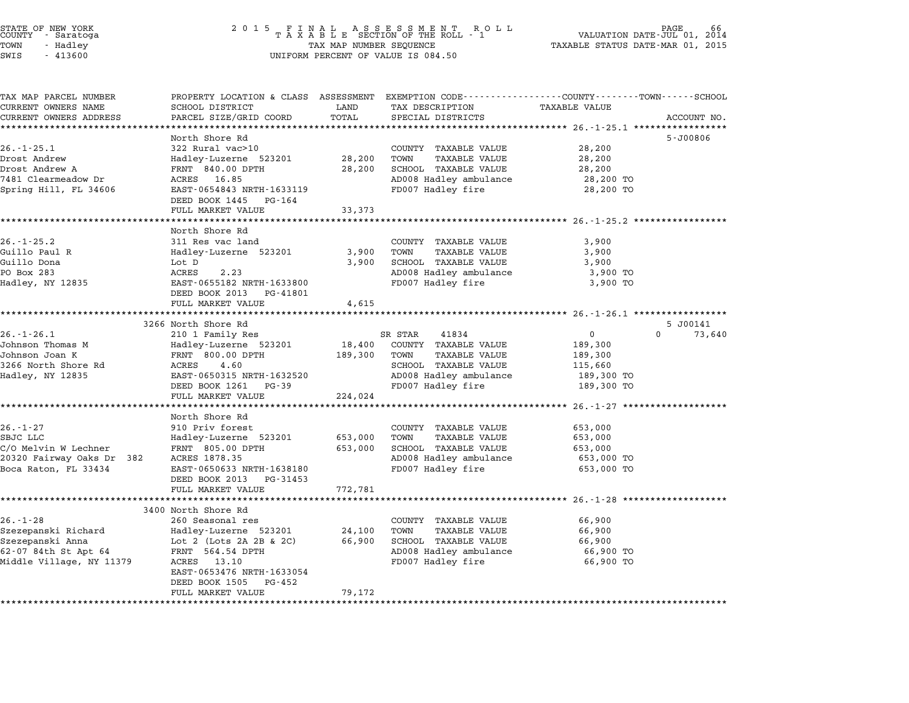| STATE OF NEW YORK<br>COUNTY |  | - Saratoga |  |
|-----------------------------|--|------------|--|
| TOWN                        |  | - Hadley   |  |
| $ATTT$ $\cap$               |  | 11200      |  |

# STATE OF NEW YORK <sup>2</sup> <sup>0</sup> <sup>1</sup> 5 F I N A L A S S E S S M E N T R O L L PAGE <sup>66</sup> COUNTY - Saratoga <sup>T</sup> <sup>A</sup> <sup>X</sup> <sup>A</sup> <sup>B</sup> <sup>L</sup> <sup>E</sup> SECTION OF THE ROLL - <sup>1</sup> VALUATION DATE-JUL 01, <sup>2014</sup> TOWN - Hadley TAX MAP NUMBER SEQUENCE TAXABLE STATUS DATE-MAR 01, <sup>2015</sup> SWIS - <sup>413600</sup> UNIFORM PERCENT OF VALUE IS 084.50

| TAX MAP PARCEL NUMBER             | PROPERTY LOCATION & CLASS ASSESSMENT EXEMPTION CODE---------------COUNTY-------TOWN-----SCHOOL |         |                                                |                      |                    |
|-----------------------------------|------------------------------------------------------------------------------------------------|---------|------------------------------------------------|----------------------|--------------------|
| CURRENT OWNERS NAME               | SCHOOL DISTRICT                                                                                | LAND    | TAX DESCRIPTION                                | <b>TAXABLE VALUE</b> |                    |
| CURRENT OWNERS ADDRESS            | PARCEL SIZE/GRID COORD                                                                         | TOTAL   | SPECIAL DISTRICTS                              |                      | ACCOUNT NO.        |
| ***********************           |                                                                                                |         |                                                |                      |                    |
|                                   | North Shore Rd                                                                                 |         |                                                |                      | $5 - J00806$       |
| $26. - 1 - 25.1$                  | 322 Rural vac>10                                                                               |         | COUNTY TAXABLE VALUE                           | 28,200               |                    |
| Drost Andrew                      | Hadley-Luzerne 523201                                                                          | 28,200  | TOWN<br><b>TAXABLE VALUE</b>                   | 28,200               |                    |
| Drost Andrew A                    | FRNT 840.00 DPTH                                                                               | 28,200  | SCHOOL TAXABLE VALUE                           | 28,200               |                    |
| 7481 Clearmeadow Dr               | ACRES<br>16.85                                                                                 |         | AD008 Hadley ambulance                         | 28,200 TO            |                    |
| Spring Hill, FL 34606             | EAST-0654843 NRTH-1633119                                                                      |         | FD007 Hadley fire                              | 28,200 TO            |                    |
|                                   | DEED BOOK 1445 PG-164                                                                          |         |                                                |                      |                    |
|                                   | FULL MARKET VALUE                                                                              | 33,373  |                                                |                      |                    |
|                                   |                                                                                                |         |                                                |                      |                    |
|                                   | North Shore Rd                                                                                 |         |                                                |                      |                    |
| $26. - 1 - 25.2$<br>Guillo Paul R | 311 Res vac land                                                                               |         | COUNTY TAXABLE VALUE<br>TOWN                   | 3,900                |                    |
|                                   | Hadley-Luzerne 523201                                                                          | 3,900   | TAXABLE VALUE                                  | 3,900                |                    |
| Guillo Dona<br>PO Box 283         | Lot D<br>2.23<br>ACRES                                                                         | 3,900   | SCHOOL TAXABLE VALUE<br>AD008 Hadley ambulance | 3,900<br>3,900 TO    |                    |
|                                   | EAST-0655182 NRTH-1633800                                                                      |         | FD007 Hadley fire                              |                      |                    |
| Hadley, NY 12835                  | DEED BOOK 2013<br>PG-41801                                                                     |         |                                                | 3,900 TO             |                    |
|                                   | FULL MARKET VALUE                                                                              |         |                                                |                      |                    |
|                                   | ************************************                                                           | 4,615   |                                                |                      |                    |
|                                   | 3266 North Shore Rd                                                                            |         |                                                |                      | 5 J00141           |
| $26. - 1 - 26.1$                  | 210 1 Family Res                                                                               |         | SR STAR<br>41834                               | 0                    | $\Omega$<br>73,640 |
| Johnson Thomas M                  | Hadley-Luzerne 523201                                                                          | 18,400  | COUNTY TAXABLE VALUE                           | 189,300              |                    |
| Johnson Joan K                    | FRNT 800.00 DPTH                                                                               | 189,300 | TOWN<br>TAXABLE VALUE                          | 189,300              |                    |
| 3266 North Shore Rd               | ACRES<br>4.60                                                                                  |         | SCHOOL TAXABLE VALUE                           | 115,660              |                    |
| Hadley, NY 12835                  | EAST-0650315 NRTH-1632520                                                                      |         | AD008 Hadley ambulance                         | 189,300 TO           |                    |
|                                   | DEED BOOK 1261<br>PG-39                                                                        |         | FD007 Hadley fire                              | 189,300 TO           |                    |
|                                   | FULL MARKET VALUE                                                                              | 224,024 |                                                |                      |                    |
|                                   |                                                                                                |         |                                                |                      |                    |
|                                   | North Shore Rd                                                                                 |         |                                                |                      |                    |
| $26. - 1 - 27$                    | 910 Priv forest                                                                                |         | COUNTY TAXABLE VALUE                           | 653,000              |                    |
| SBJC LLC                          | Hadley-Luzerne 523201                                                                          | 653,000 | TOWN<br><b>TAXABLE VALUE</b>                   | 653,000              |                    |
| C/O Melvin W Lechner              | FRNT 805.00 DPTH                                                                               | 653,000 | SCHOOL TAXABLE VALUE                           | 653,000              |                    |
| 20320 Fairway Oaks Dr 382         | ACRES 1878.35                                                                                  |         | AD008 Hadley ambulance                         | 653,000 TO           |                    |
| Boca Raton, FL 33434              | EAST-0650633 NRTH-1638180                                                                      |         | FD007 Hadley fire                              | 653,000 TO           |                    |
|                                   | DEED BOOK 2013 PG-31453                                                                        |         |                                                |                      |                    |
|                                   | FULL MARKET VALUE                                                                              | 772,781 |                                                |                      |                    |
|                                   |                                                                                                |         |                                                | ******** 26.-1-28    |                    |
|                                   | 3400 North Shore Rd                                                                            |         |                                                |                      |                    |
| $26. - 1 - 28$                    | 260 Seasonal res                                                                               |         | COUNTY TAXABLE VALUE                           | 66,900               |                    |
| Szezepanski Richard               | Hadley-Luzerne 523201                                                                          | 24,100  | TOWN<br><b>TAXABLE VALUE</b>                   | 66,900               |                    |
| Szezepanski Anna                  | Lot 2 (Lots 2A 2B $\&$ 2C)                                                                     | 66,900  | SCHOOL TAXABLE VALUE                           | 66,900               |                    |
| 62-07 84th St Apt 64              | FRNT 564.54 DPTH                                                                               |         | AD008 Hadley ambulance                         | 66,900 TO            |                    |
| Middle Village, NY 11379          | ACRES<br>13.10                                                                                 |         | FD007 Hadley fire                              | 66,900 TO            |                    |
|                                   | EAST-0653476 NRTH-1633054                                                                      |         |                                                |                      |                    |
|                                   | DEED BOOK 1505<br>PG-452                                                                       |         |                                                |                      |                    |
|                                   | FULL MARKET VALUE                                                                              | 79,172  |                                                |                      |                    |
|                                   |                                                                                                |         |                                                |                      |                    |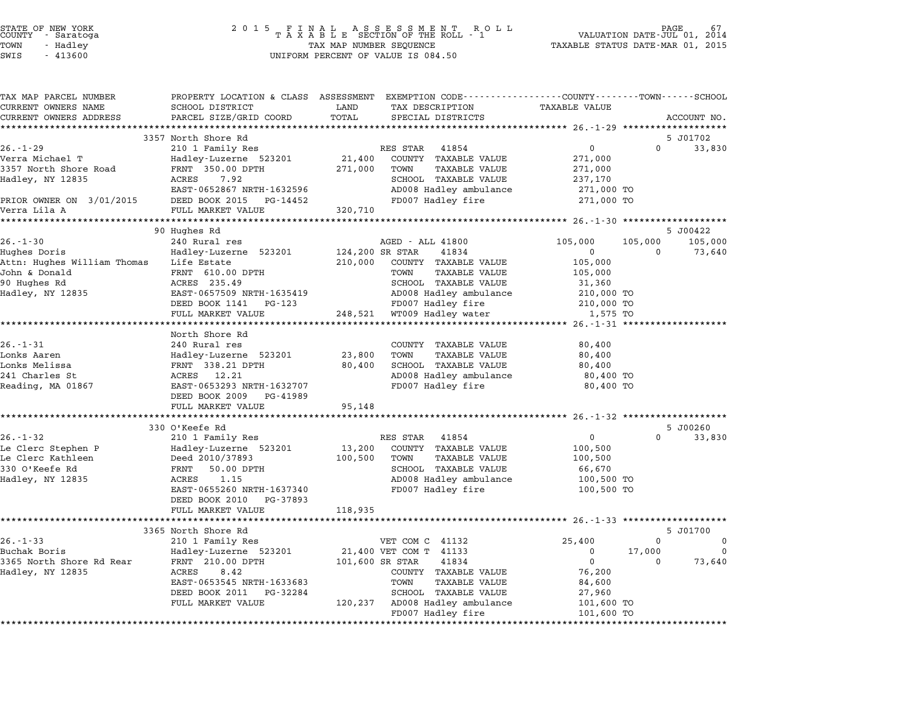| STATE OF NEW YORK |  |            |  |
|-------------------|--|------------|--|
| COUNTY            |  | - Saratoga |  |
| TOWN              |  | - Hadley   |  |
|                   |  |            |  |

| TAX MAP PARCEL NUMBER       |                                                    | PROPERTY LOCATION & CLASS ASSESSMENT EXEMPTION CODE---------------COUNTY-------TOWN------SCHOOL |                                                  |
|-----------------------------|----------------------------------------------------|-------------------------------------------------------------------------------------------------|--------------------------------------------------|
| CURRENT OWNERS NAME         | SCHOOL DISTRICT                                    | LAND<br>TAX DESCRIPTION                                                                         | TAXABLE VALUE                                    |
| CURRENT OWNERS ADDRESS      | PARCEL SIZE/GRID COORD                             | TOTAL<br>SPECIAL DISTRICTS                                                                      | ACCOUNT NO.                                      |
|                             |                                                    |                                                                                                 |                                                  |
| $26. - 1 - 29$              | 3357 North Shore Rd<br>210 1 Family Res            | RES STAR 41854                                                                                  | 5 J01702<br>$\overline{0}$<br>$\Omega$<br>33,830 |
| Verra Michael T             | Hadley-Luzerne 523201                              | 21,400<br>COUNTY TAXABLE VALUE                                                                  | 271,000                                          |
| 3357 North Shore Road       | FRNT 350.00 DPTH                                   | 271,000<br>TOWN<br><b>TAXABLE VALUE</b>                                                         | 271,000                                          |
| Hadley, NY 12835            | ACRES<br>7.92                                      | SCHOOL TAXABLE VALUE                                                                            | 237,170                                          |
|                             | EAST-0652867 NRTH-1632596                          | AD008 Hadley ambulance                                                                          | 271,000 TO                                       |
| PRIOR OWNER ON 3/01/2015    | DEED BOOK 2015 PG-14452                            | FD007 Hadley fire                                                                               | 271,000 TO                                       |
| Verra Lila A                | FULL MARKET VALUE                                  | 320,710                                                                                         |                                                  |
|                             |                                                    |                                                                                                 |                                                  |
|                             | 90 Hughes Rd                                       |                                                                                                 | 5 J00422                                         |
| $26. - 1 - 30$              | 240 Rural res                                      | AGED - ALL 41800                                                                                | 105,000<br>105,000<br>105,000                    |
| Hughes Doris                | Hadley-Luzerne 523201                              | 124,200 SR STAR<br>41834                                                                        | 73,640<br>$\mathbf{0}$<br>0                      |
| Attn: Hughes William Thomas | Life Estate                                        | 210,000<br>COUNTY TAXABLE VALUE                                                                 | 105,000                                          |
| John & Donald               | FRNT 610.00 DPTH                                   | TOWN<br>TAXABLE VALUE                                                                           | 105,000                                          |
| 90 Hughes Rd                | ACRES 235.49                                       | SCHOOL TAXABLE VALUE                                                                            | 31,360                                           |
| Hadley, NY 12835            | EAST-0657509 NRTH-1635419<br>DEED BOOK 1141 PG-123 | AD008 Hadley ambulance<br>FD007 Hadley fire                                                     | 210,000 TO<br>210,000 TO                         |
|                             | FULL MARKET VALUE                                  | 248,521 WT009 Hadley water                                                                      | 1,575 TO                                         |
|                             | **********************                             |                                                                                                 |                                                  |
|                             | North Shore Rd                                     |                                                                                                 |                                                  |
| $26. - 1 - 31$              | 240 Rural res                                      | COUNTY TAXABLE VALUE                                                                            | 80,400                                           |
| Lonks Aaren                 | Hadley-Luzerne 523201                              | 23,800<br>TOWN<br>TAXABLE VALUE                                                                 | 80,400                                           |
| Lonks Melissa               | FRNT 338.21 DPTH                                   | SCHOOL TAXABLE VALUE<br>80,400                                                                  | 80,400                                           |
| 241 Charles St              | ACRES 12.21                                        | AD008 Hadley ambulance                                                                          | 80,400 TO                                        |
| Reading, MA 01867           | EAST-0653293 NRTH-1632707                          | FD007 Hadley fire                                                                               | 80,400 TO                                        |
|                             | DEED BOOK 2009 PG-41989                            |                                                                                                 |                                                  |
|                             | FULL MARKET VALUE                                  | 95,148                                                                                          |                                                  |
|                             |                                                    |                                                                                                 |                                                  |
| $26. - 1 - 32$              | 330 O'Keefe Rd<br>210 1 Family Res                 | RES STAR 41854                                                                                  | 5 J00260<br>$\overline{0}$<br>$\Omega$<br>33,830 |
| Le Clerc Stephen P          | Hadley-Luzerne 523201                              | 13,200<br>COUNTY TAXABLE VALUE                                                                  | 100,500                                          |
| Le Clerc Kathleen           | Deed 2010/37893                                    | 100,500<br>TOWN<br><b>TAXABLE VALUE</b>                                                         | 100,500                                          |
| 330 O'Keefe Rd              | FRNT<br>50.00 DPTH                                 | SCHOOL TAXABLE VALUE                                                                            | 66,670                                           |
| Hadley, NY 12835            | ACRES<br>1.15                                      | AD008 Hadley ambulance                                                                          | 100,500 TO                                       |
|                             | EAST-0655260 NRTH-1637340                          | FD007 Hadley fire                                                                               | 100,500 TO                                       |
|                             | DEED BOOK 2010<br>PG-37893                         |                                                                                                 |                                                  |
|                             | FULL MARKET VALUE                                  | 118,935                                                                                         |                                                  |
|                             |                                                    |                                                                                                 |                                                  |
|                             | 3365 North Shore Rd                                |                                                                                                 | 5 J01700                                         |
| $26. - 1 - 33$              | 210 1 Family Res                                   | VET COM C 41132                                                                                 | 25,400<br>$\mathbf 0$<br>0                       |
| Buchak Boris                | Hadley-Luzerne 523201                              | 21,400 VET COM T 41133                                                                          | $\Omega$<br>17,000<br>$\Omega$                   |
| 3365 North Shore Rd Rear    | FRNT 210.00 DPTH                                   | 101,600 SR STAR<br>41834                                                                        | $\overline{0}$<br>73,640<br>$\Omega$             |
| Hadley, NY 12835            | 8.42<br>ACRES                                      | COUNTY TAXABLE VALUE                                                                            | 76,200                                           |
|                             | EAST-0653545 NRTH-1633683                          | <b>TAXABLE VALUE</b><br>TOWN                                                                    | 84,600                                           |
|                             | DEED BOOK 2011 PG-32284<br>FULL MARKET VALUE       | SCHOOL TAXABLE VALUE<br>120,237 AD008 Hadley ambulance                                          | 27,960<br>101,600 TO                             |
|                             |                                                    | FD007 Hadley fire                                                                               | 101,600 TO                                       |
|                             |                                                    |                                                                                                 |                                                  |
|                             |                                                    |                                                                                                 |                                                  |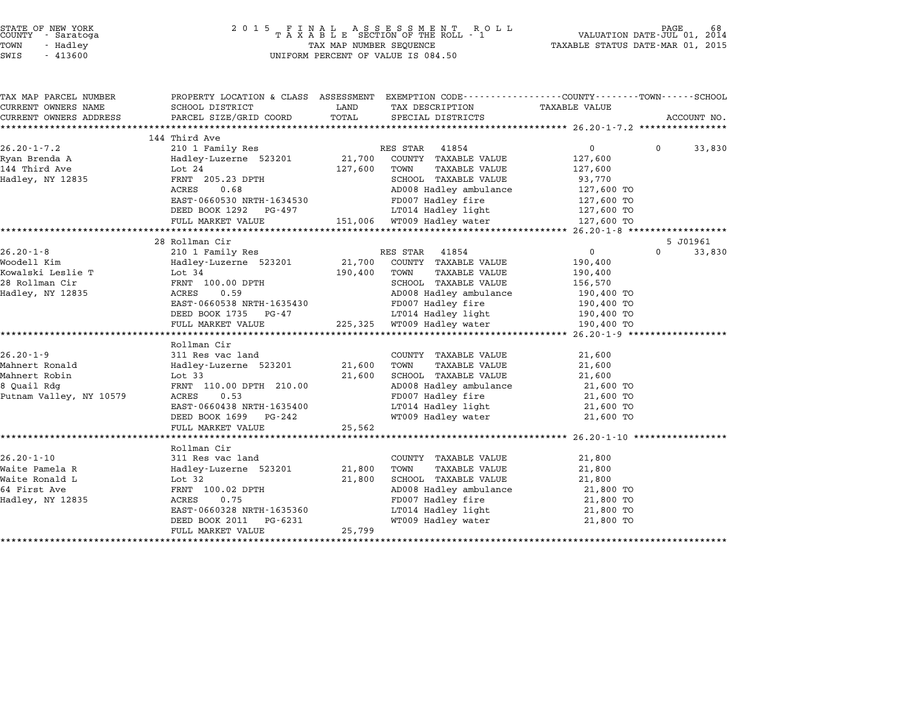| STATE OF NEW YORK |          |            |  |
|-------------------|----------|------------|--|
| COUNTY            |          | - Saratoga |  |
| TOWN              | - Hadley |            |  |

| TAX MAP PARCEL NUMBER   | $\begin{tabular}{lllllllllll} \textsc{rank} & & & & & & & & \textsc{PROPERTIES} & \textsc{PROBERT} & \textsc{OCATION} & \textsc{c} & \textsc{LASS} & & & & & \textsc{SESSESSMENT} & \textsc{EXEMPTION} & & & & & \textsc{CODE---------------COUNTY---------COMN-------SCHOOL} & & & & & & & & & \textsc{GHND} & & & & \textsc{TAXABLE} & \textsc{ValUE} & & & & \\ \textsc{CURRENT} & & & & & & & & & \textsc{NDESS} & & & & \textsc{PARCEL} & \textsc{SIZE/GRID} &$ |        |                                                                                                       |                   |                      |
|-------------------------|----------------------------------------------------------------------------------------------------------------------------------------------------------------------------------------------------------------------------------------------------------------------------------------------------------------------------------------------------------------------------------------------------------------------------------------------------------------------|--------|-------------------------------------------------------------------------------------------------------|-------------------|----------------------|
| CURRENT OWNERS NAME     |                                                                                                                                                                                                                                                                                                                                                                                                                                                                      |        |                                                                                                       |                   |                      |
| CURRENT OWNERS ADDRESS  |                                                                                                                                                                                                                                                                                                                                                                                                                                                                      |        |                                                                                                       |                   |                      |
|                         |                                                                                                                                                                                                                                                                                                                                                                                                                                                                      |        |                                                                                                       |                   |                      |
|                         | 144 Third Ave                                                                                                                                                                                                                                                                                                                                                                                                                                                        |        |                                                                                                       |                   |                      |
| $26.20 - 1 - 7.2$       | 210 1 Family Res                                                                                                                                                                                                                                                                                                                                                                                                                                                     |        | RES STAR 41854                                                                                        | $0 \qquad \qquad$ | $\Omega$<br>33,830   |
|                         |                                                                                                                                                                                                                                                                                                                                                                                                                                                                      |        |                                                                                                       | 127,600           |                      |
|                         | Hadley, NY 12835 FRNT 205.23 DPTH                                                                                                                                                                                                                                                                                                                                                                                                                                    |        |                                                                                                       | 127,600           |                      |
|                         |                                                                                                                                                                                                                                                                                                                                                                                                                                                                      |        | SCHOOL TAXABLE VALUE                                                                                  | 93,770            |                      |
|                         |                                                                                                                                                                                                                                                                                                                                                                                                                                                                      |        |                                                                                                       |                   |                      |
|                         |                                                                                                                                                                                                                                                                                                                                                                                                                                                                      |        |                                                                                                       |                   |                      |
|                         |                                                                                                                                                                                                                                                                                                                                                                                                                                                                      |        |                                                                                                       |                   |                      |
|                         | FULL MARKET VALUE 151,006 WT009 Hadley water 127,600 TO                                                                                                                                                                                                                                                                                                                                                                                                              |        |                                                                                                       |                   |                      |
|                         |                                                                                                                                                                                                                                                                                                                                                                                                                                                                      |        |                                                                                                       |                   |                      |
|                         | 28 Rollman Cir<br>26.20-1-8 2101 Family Res RES STAR 41854 0<br>Woodell Kim Hadley-Luzerne 523201 21,700 COUNTY TAXABLE VALUE 190,400<br>Kowalski Leslie T Lot 34 190,400 TOWN TAXABLE VALUE 190,400<br>28 Rollman Cir FRNT 100.00 DPTH SCHOOL TAXABLE                                                                                                                                                                                                               |        |                                                                                                       |                   | 5 J01961<br>$\Omega$ |
|                         |                                                                                                                                                                                                                                                                                                                                                                                                                                                                      |        |                                                                                                       |                   | 33,830               |
|                         |                                                                                                                                                                                                                                                                                                                                                                                                                                                                      |        |                                                                                                       |                   |                      |
|                         |                                                                                                                                                                                                                                                                                                                                                                                                                                                                      |        |                                                                                                       |                   |                      |
|                         | FRAT 100.00 DPTH SCHOOL TAXABLE VALUE 156,570<br>ACRES 0.59 AD008 Hadley ambulance 190,400 TO<br>EAST-0660538 NRTH-1635430 FD007 Hadley fire 190,400 TO<br>DEED BOOK 1735 PG-47 LT014 Hadley light 190,400 TO<br>FULL MARKET VALUE 225                                                                                                                                                                                                                               |        |                                                                                                       |                   |                      |
|                         |                                                                                                                                                                                                                                                                                                                                                                                                                                                                      |        |                                                                                                       |                   |                      |
|                         |                                                                                                                                                                                                                                                                                                                                                                                                                                                                      |        |                                                                                                       |                   |                      |
|                         |                                                                                                                                                                                                                                                                                                                                                                                                                                                                      |        |                                                                                                       |                   |                      |
|                         |                                                                                                                                                                                                                                                                                                                                                                                                                                                                      |        |                                                                                                       |                   |                      |
|                         |                                                                                                                                                                                                                                                                                                                                                                                                                                                                      |        |                                                                                                       |                   |                      |
|                         | Rollman Cir<br>311 Res vac land                                                                                                                                                                                                                                                                                                                                                                                                                                      |        |                                                                                                       |                   |                      |
| $26.20 - 1 - 9$         |                                                                                                                                                                                                                                                                                                                                                                                                                                                                      |        | COUNTY TAXABLE VALUE                                                                                  | 21,600            |                      |
| Mahnert Ronald          |                                                                                                                                                                                                                                                                                                                                                                                                                                                                      |        | TAXABLE VALUE                                                                                         | 21,600            |                      |
| Mahnert Robin           | Hadley-Luzerne 523201 21,600 TOWN<br>Lot 33 21,600 SCHOO:<br>FRNT 110.00 DPTH 210.00 21,600 AD008                                                                                                                                                                                                                                                                                                                                                                    |        | 21,600 SCHOOL TAXABLE VALUE 21,600<br>AD008 Hadley ambulance 21,600 TO<br>FD007 Hadley fire 21,600 TO |                   |                      |
| 8 Quail Rdg             |                                                                                                                                                                                                                                                                                                                                                                                                                                                                      |        |                                                                                                       |                   |                      |
| Putnam Valley, NY 10579 | ACRES 0.53                                                                                                                                                                                                                                                                                                                                                                                                                                                           |        |                                                                                                       |                   |                      |
|                         |                                                                                                                                                                                                                                                                                                                                                                                                                                                                      |        |                                                                                                       |                   |                      |
|                         |                                                                                                                                                                                                                                                                                                                                                                                                                                                                      |        |                                                                                                       |                   |                      |
|                         | FULL MARKET VALUE                                                                                                                                                                                                                                                                                                                                                                                                                                                    | 25,562 |                                                                                                       |                   |                      |
|                         |                                                                                                                                                                                                                                                                                                                                                                                                                                                                      |        |                                                                                                       |                   |                      |
|                         | Rollman Cir                                                                                                                                                                                                                                                                                                                                                                                                                                                          |        |                                                                                                       |                   |                      |
| $26.20 - 1 - 10$        |                                                                                                                                                                                                                                                                                                                                                                                                                                                                      |        | COUNTY TAXABLE VALUE                                                                                  | 21,800            |                      |
| Waite Pamela R          | 311 Res vac land COUNT<br>R Hadley-Luzerne 523201 21,800 TOWN<br>Lot 32 21,800 SCHOO                                                                                                                                                                                                                                                                                                                                                                                 |        | TAXABLE VALUE                                                                                         | 21,800            |                      |
| Waite Ronald L          |                                                                                                                                                                                                                                                                                                                                                                                                                                                                      |        | SCHOOL TAXABLE VALUE                                                                                  | 21,800            |                      |
| 64 First Ave            | FRNT 100.02 DPTH<br>5 ACRES 0.75                                                                                                                                                                                                                                                                                                                                                                                                                                     |        | AD008 Hadley ambulance<br>FD007 Hadley fire 21,800 TO                                                 |                   |                      |
| Hadley, NY 12835        |                                                                                                                                                                                                                                                                                                                                                                                                                                                                      |        | LT014 Hadley light 21,800 TO                                                                          |                   |                      |
|                         | EAST-0660328 NRTH-1635360                                                                                                                                                                                                                                                                                                                                                                                                                                            |        |                                                                                                       |                   |                      |
|                         | DEED BOOK 2011 PG-6231                                                                                                                                                                                                                                                                                                                                                                                                                                               |        | WT009 Hadley water                                                                                    | 21,800 TO         |                      |
|                         | FULL MARKET VALUE                                                                                                                                                                                                                                                                                                                                                                                                                                                    | 25,799 |                                                                                                       |                   |                      |
|                         |                                                                                                                                                                                                                                                                                                                                                                                                                                                                      |        |                                                                                                       |                   |                      |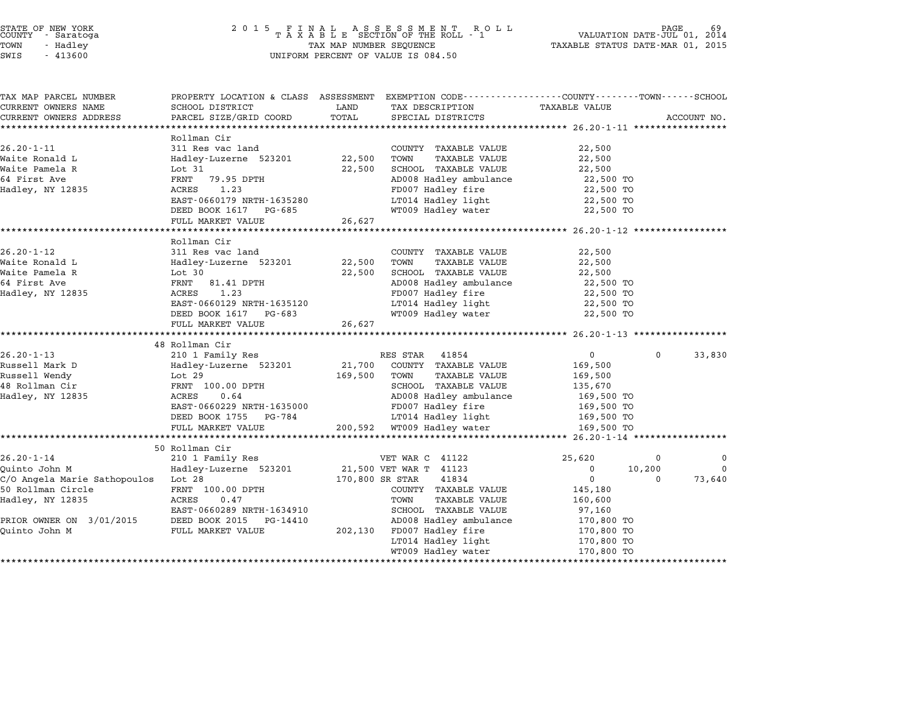| STATE OF NEW YORK |          |            |  |
|-------------------|----------|------------|--|
| COUNTY            |          | - Saratoga |  |
| TOWN              | - Hadley |            |  |

| SWIS | 41360 |
|------|-------|
|      |       |

# STATE OF NEW YORK <sup>2</sup> <sup>0</sup> <sup>1</sup> 5 F I N A L A S S E S S M E N T R O L L PAGE <sup>69</sup> COUNTY - Saratoga <sup>T</sup> <sup>A</sup> <sup>X</sup> <sup>A</sup> <sup>B</sup> <sup>L</sup> <sup>E</sup> SECTION OF THE ROLL - <sup>1</sup> VALUATION DATE-JUL 01, <sup>2014</sup> TOWN - Hadley TAX MAP NUMBER SEQUENCE TAXABLE STATUS DATE-MAR 01, <sup>2015</sup> SAM SERVIENCE THE SERVIE OF VALUE IS A 1360 UNIFORM PERCENT OF VALUE IS 084.50

| TAX MAP PARCEL NUMBER               | PROPERTY LOCATION & CLASS ASSESSMENT |                 | EXEMPTION CODE-----------------COUNTY-------TOWN-----SCHOOL |               |              |             |
|-------------------------------------|--------------------------------------|-----------------|-------------------------------------------------------------|---------------|--------------|-------------|
| CURRENT OWNERS NAME                 | SCHOOL DISTRICT                      | LAND            | TAX DESCRIPTION                                             | TAXABLE VALUE |              |             |
| CURRENT OWNERS ADDRESS              | PARCEL SIZE/GRID COORD               | TOTAL           | SPECIAL DISTRICTS                                           |               |              | ACCOUNT NO. |
|                                     |                                      |                 |                                                             |               |              |             |
|                                     | Rollman Cir                          |                 |                                                             |               |              |             |
| $26.20 - 1 - 11$                    | 311 Res vac land                     |                 | COUNTY TAXABLE VALUE                                        | 22,500        |              |             |
| Waite Ronald L                      | Hadley-Luzerne 523201                | 22,500          | <b>TAXABLE VALUE</b><br>TOWN                                | 22,500        |              |             |
| Waite Pamela R                      | Lot 31                               | 22,500          | SCHOOL TAXABLE VALUE                                        | 22,500        |              |             |
| 64 First Ave                        | FRNT 79.95 DPTH                      |                 | AD008 Hadley ambulance                                      | 22,500 TO     |              |             |
| Hadley, NY 12835                    | ACRES<br>1.23                        |                 | FD007 Hadley fire                                           | 22,500 TO     |              |             |
|                                     | EAST-0660179 NRTH-1635280            |                 | LT014 Hadley light<br>WT009 Hadley water                    | 22,500 TO     |              |             |
|                                     | DEED BOOK 1617<br>PG-685             |                 |                                                             | 22,500 TO     |              |             |
|                                     | FULL MARKET VALUE                    | 26,627          |                                                             |               |              |             |
|                                     |                                      |                 |                                                             |               |              |             |
|                                     | Rollman Cir                          |                 |                                                             |               |              |             |
| $26.20 - 1 - 12$                    | 311 Res vac land                     |                 | COUNTY TAXABLE VALUE                                        | 22,500        |              |             |
| Waite Ronald L                      | Hadley-Luzerne 523201                | 22,500          | <b>TAXABLE VALUE</b><br>TOWN                                | 22,500        |              |             |
| Waite Pamela R                      | Lot $30$                             | 22,500          | SCHOOL TAXABLE VALUE                                        | 22,500        |              |             |
| 64 First Ave                        | FRNT<br>81.41 DPTH                   |                 | AD008 Hadley ambulance                                      | 22,500 TO     |              |             |
| Hadley, NY 12835                    | ACRES<br>1.23                        |                 | FD007 Hadley fire                                           | 22,500 TO     |              |             |
|                                     | EAST-0660129 NRTH-1635120            |                 | LT014 Hadley light<br>WT009 Hadley water                    | 22,500 TO     |              |             |
|                                     | DEED BOOK 1617<br>PG-683             |                 |                                                             | 22,500 TO     |              |             |
|                                     | FULL MARKET VALUE                    | 26,627          |                                                             |               |              |             |
|                                     | 48 Rollman Cir                       |                 |                                                             |               |              |             |
| $26.20 - 1 - 13$                    | 210 1 Family Res                     |                 | RES STAR 41854                                              | $\mathbf 0$   | $\mathbf{0}$ | 33,830      |
| Russell Mark D                      | Hadley-Luzerne 523201                | 21,700          | COUNTY TAXABLE VALUE                                        | 169,500       |              |             |
| Russell Wendy                       | Lot 29                               | 169,500         | <b>TAXABLE VALUE</b><br>TOWN                                | 169,500       |              |             |
| 48 Rollman Cir                      | FRNT 100.00 DPTH                     |                 | SCHOOL TAXABLE VALUE                                        | 135,670       |              |             |
| Hadley, NY 12835                    | 0.64<br>ACRES                        |                 | AD008 Hadley ambulance                                      | 169,500 TO    |              |             |
|                                     | EAST-0660229 NRTH-1635000            |                 | FD007 Hadley fire                                           | 169,500 TO    |              |             |
|                                     | DEED BOOK 1755<br>PG-784             |                 | LT014 Hadley light                                          | 169,500 TO    |              |             |
|                                     | FULL MARKET VALUE                    |                 | 200,592 WT009 Hadley water                                  | 169,500 TO    |              |             |
|                                     |                                      |                 |                                                             |               |              |             |
|                                     | 50 Rollman Cir                       |                 |                                                             |               |              |             |
| $26.20 - 1 - 14$                    | 210 1 Family Res                     |                 | VET WAR C 41122                                             | 25,620        | 0            | 0           |
| Quinto John M                       | Hadley-Luzerne 523201                |                 | 21,500 VET WAR T 41123                                      | 0             | 10,200       |             |
| C/O Angela Marie Sathopoulos Lot 28 |                                      | 170,800 SR STAR | 41834                                                       | $\mathbf 0$   | $\Omega$     | 73,640      |
| 50 Rollman Circle                   | FRNT 100.00 DPTH                     |                 | COUNTY TAXABLE VALUE                                        | 145,180       |              |             |
| Hadley, NY 12835                    | ACRES<br>0.47                        |                 | TAXABLE VALUE<br>TOWN                                       | 160,600       |              |             |
|                                     | EAST-0660289 NRTH-1634910            |                 | SCHOOL TAXABLE VALUE                                        | 97,160        |              |             |
| PRIOR OWNER ON 3/01/2015            | DEED BOOK 2015<br>PG-14410           |                 | AD008 Hadley ambulance                                      | 170,800 TO    |              |             |
| Quinto John M                       | FULL MARKET VALUE                    |                 | 202,130 FD007 Hadley fire                                   | 170,800 TO    |              |             |
|                                     |                                      |                 | LT014 Hadley light                                          | 170,800 TO    |              |             |
|                                     |                                      |                 |                                                             |               |              |             |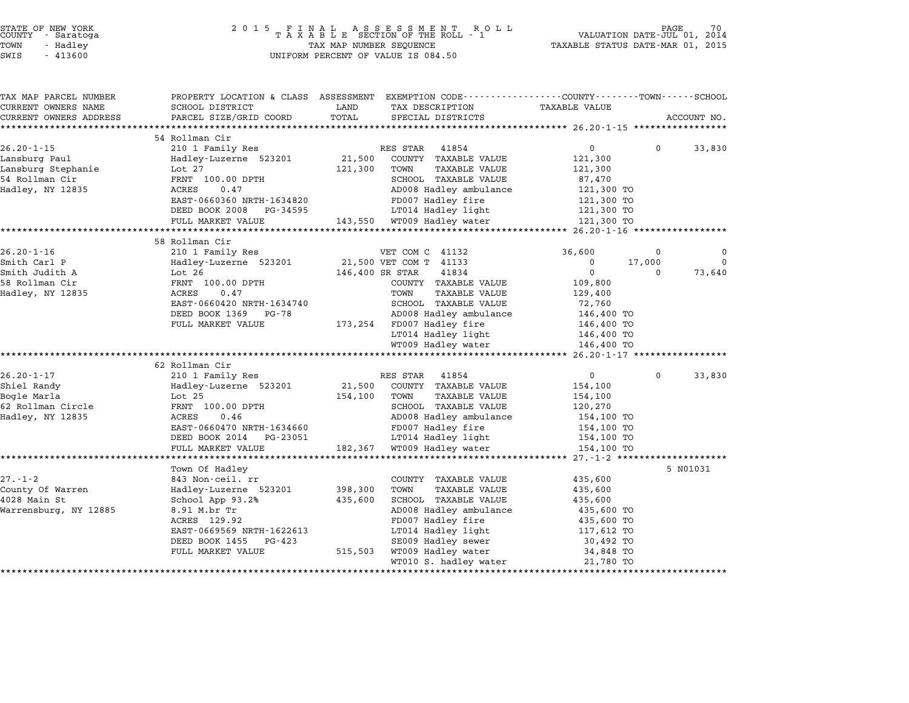| STATE OF NEW YORK<br>COUNTY |          | - Saratoga |  |
|-----------------------------|----------|------------|--|
| TOWN                        | - Hadley |            |  |

| TAX MAP PARCEL NUMBER      | PROPERTY LOCATION & CLASS ASSESSMENT     |                 | EXEMPTION CODE----------------COUNTY-------TOWN------SCHOOL |                         |                    |              |
|----------------------------|------------------------------------------|-----------------|-------------------------------------------------------------|-------------------------|--------------------|--------------|
| CURRENT OWNERS NAME        | SCHOOL DISTRICT                          | LAND            | TAX DESCRIPTION                                             | TAXABLE VALUE           |                    |              |
| CURRENT OWNERS ADDRESS     | PARCEL SIZE/GRID COORD                   | TOTAL           | SPECIAL DISTRICTS                                           |                         |                    | ACCOUNT NO.  |
| ************************** |                                          |                 |                                                             |                         |                    |              |
|                            | 54 Rollman Cir                           |                 |                                                             |                         |                    |              |
| $26.20 - 1 - 15$           | 210 1 Family Res                         |                 | RES STAR<br>41854                                           | $\overline{0}$          | $\mathbf{0}$       | 33,830       |
| Lansburg Paul              | Hadley-Luzerne 523201                    | 21,500          | COUNTY TAXABLE VALUE                                        | 121,300                 |                    |              |
| Lansburg Stephanie         | Lot $27$                                 | 121,300         | TAXABLE VALUE<br>TOWN                                       | 121,300                 |                    |              |
| 54 Rollman Cir             | FRNT 100.00 DPTH                         |                 | SCHOOL TAXABLE VALUE                                        | 87,470                  |                    |              |
| Hadley, NY 12835           | ACRES<br>0.47                            |                 | AD008 Hadley ambulance                                      | 121,300 TO              |                    |              |
|                            | EAST-0660360 NRTH-1634820                |                 | FD007 Hadley fire                                           | 121,300 TO              |                    |              |
|                            | DEED BOOK 2008<br>PG-34595               |                 | LT014 Hadley light                                          | 121,300 TO              |                    |              |
|                            | FULL MARKET VALUE<br>******************* | 143,550         | WT009 Hadley water                                          | 121,300 TO              |                    |              |
|                            |                                          |                 |                                                             | ****** 26.20-1-16 ****  |                    |              |
| $26.20 - 1 - 16$           | 58 Rollman Cir                           |                 |                                                             |                         |                    | <sup>0</sup> |
|                            | 210 1 Family Res                         |                 | VET COM C 41132                                             | 36,600                  | 0                  | $\Omega$     |
| Smith Carl P               | Hadley-Luzerne 523201                    |                 | 21,500 VET COM T 41133                                      | $\Omega$<br>$\mathbf 0$ | 17,000<br>$\Omega$ |              |
| Smith Judith A             | Lot $26$                                 | 146,400 SR STAR | 41834                                                       |                         |                    | 73,640       |
| 58 Rollman Cir             | FRNT 100.00 DPTH                         |                 | COUNTY TAXABLE VALUE                                        | 109,800                 |                    |              |
| Hadley, NY 12835           | ACRES<br>0.47                            |                 | TOWN<br><b>TAXABLE VALUE</b>                                | 129,400                 |                    |              |
|                            | EAST-0660420 NRTH-1634740                |                 | SCHOOL TAXABLE VALUE                                        | 72,760                  |                    |              |
|                            | DEED BOOK 1369<br>PG-78                  |                 | AD008 Hadley ambulance                                      | 146,400 TO              |                    |              |
|                            | FULL MARKET VALUE                        | 173,254         | FD007 Hadley fire                                           | 146,400 TO              |                    |              |
|                            |                                          |                 | LT014 Hadley light                                          | 146,400 TO              |                    |              |
|                            |                                          |                 | WT009 Hadley water                                          | 146,400 TO              |                    |              |
|                            |                                          |                 |                                                             |                         |                    |              |
|                            | 62 Rollman Cir                           |                 |                                                             |                         |                    |              |
| $26.20 - 1 - 17$           | 210 1 Family Res                         |                 | RES STAR<br>41854                                           | $\mathbf 0$             | $\mathbf 0$        | 33,830       |
| Shiel Randy                | Hadley-Luzerne 523201                    | 21,500          | COUNTY TAXABLE VALUE                                        | 154,100                 |                    |              |
| Bogle Marla                | Lot $25$                                 | 154,100         | TOWN<br><b>TAXABLE VALUE</b>                                | 154,100                 |                    |              |
| 62 Rollman Circle          | FRNT 100.00 DPTH                         |                 | SCHOOL TAXABLE VALUE                                        | 120,270                 |                    |              |
| Hadley, NY 12835           | ACRES<br>0.46                            |                 | AD008 Hadley ambulance                                      | 154,100 TO              |                    |              |
|                            | EAST-0660470 NRTH-1634660                |                 | FD007 Hadley fire                                           | 154,100 TO              |                    |              |
|                            | DEED BOOK 2014<br>PG-23051               |                 | LT014 Hadley light                                          | 154,100 TO              |                    |              |
|                            | FULL MARKET VALUE                        | 182,367         | WT009 Hadley water                                          | 154,100 TO              |                    |              |
|                            |                                          |                 |                                                             | $27. - 1 - 2$ *******   |                    |              |
|                            | Town Of Hadley                           |                 |                                                             |                         |                    | 5 N01031     |
| $27. - 1 - 2$              | 843 Non-ceil. rr                         |                 | COUNTY TAXABLE VALUE                                        | 435,600                 |                    |              |
| County Of Warren           | Hadley-Luzerne 523201                    | 398,300         | TOWN<br><b>TAXABLE VALUE</b>                                | 435,600                 |                    |              |
| 4028 Main St               | School App 93.2%                         | 435,600         | SCHOOL TAXABLE VALUE                                        | 435,600                 |                    |              |
| Warrensburg, NY 12885      | 8.91 M.br Tr                             |                 | AD008 Hadley ambulance                                      | 435,600 TO              |                    |              |
|                            | ACRES 129.92                             |                 | FD007 Hadley fire                                           | 435,600 TO              |                    |              |
|                            | EAST-0669569 NRTH-1622613                |                 | LT014 Hadley light                                          | 117,612 TO              |                    |              |
|                            | DEED BOOK 1455<br>PG-423                 |                 | SE009 Hadley sewer                                          | 30,492 TO               |                    |              |
|                            | FULL MARKET VALUE                        | 515,503         | WT009 Hadley water                                          | 34,848 TO               |                    |              |
|                            |                                          |                 | WT010 S. hadley water                                       | 21,780 TO               |                    |              |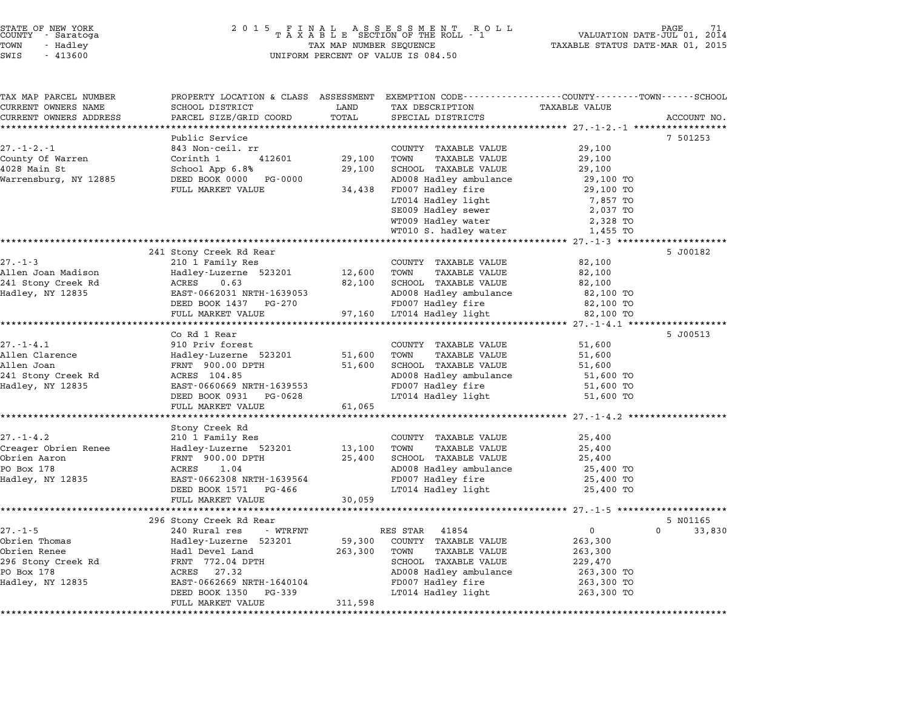# STATE OF NEW YORK <sup>2</sup> <sup>0</sup> <sup>1</sup> 5 F I N A L A S S E S S M E N T R O L L PAGE <sup>71</sup> COUNTY - Saratoga <sup>T</sup> <sup>A</sup> <sup>X</sup> <sup>A</sup> <sup>B</sup> <sup>L</sup> <sup>E</sup> SECTION OF THE ROLL - <sup>1</sup> VALUATION DATE-JUL 01, <sup>2014</sup> TOWN - Hadley TAX MAP NUMBER SEQUENCE TAXABLE STATUS DATE-MAR 01, <sup>2015</sup> STATE OF NEW YORK STATE OF NEW YORK A SOLUME TO A SOLUME TO A SOLUME TO A SOLUME TO A SOLUME TO A SOLUME TO A SOLUME TO A SOLUME TO A SOLUME TO A SOLUME TO A SOLUME TO A SOLUME TO A SOLUME TO A SOLUME TO A SOLUME TO A SOLU

| TAX MAP PARCEL NUMBER        | PROPERTY LOCATION & CLASS ASSESSMENT EXEMPTION CODE----------------COUNTY-------TOWN------SCHOOL |                 |                              |                      |                    |
|------------------------------|--------------------------------------------------------------------------------------------------|-----------------|------------------------------|----------------------|--------------------|
| CURRENT OWNERS NAME          | SCHOOL DISTRICT                                                                                  | LAND            | TAX DESCRIPTION              | <b>TAXABLE VALUE</b> |                    |
| CURRENT OWNERS ADDRESS       | PARCEL SIZE/GRID COORD                                                                           | TOTAL           | SPECIAL DISTRICTS            |                      | ACCOUNT NO.        |
| **************************** |                                                                                                  |                 |                              |                      |                    |
|                              | Public Service                                                                                   |                 |                              |                      | 7 501253           |
| $27. - 1 - 2. - 1$           | 843 Non-ceil. rr                                                                                 |                 | COUNTY TAXABLE VALUE         | 29,100               |                    |
| County Of Warren             | Corinth 1<br>412601                                                                              | 29,100          | TOWN<br>TAXABLE VALUE        | 29,100               |                    |
| 4028 Main St                 | School App 6.8%                                                                                  | 29,100          | SCHOOL TAXABLE VALUE         | 29,100               |                    |
| Warrensburg, NY 12885        | DEED BOOK 0000 PG-0000                                                                           |                 | AD008 Hadley ambulance       | 29,100 TO            |                    |
|                              | FULL MARKET VALUE                                                                                | 34,438          | FD007 Hadley fire            | 29,100 TO            |                    |
|                              |                                                                                                  |                 | LT014 Hadley light           | 7,857 TO             |                    |
|                              |                                                                                                  |                 | SE009 Hadley sewer           | 2,037 TO             |                    |
|                              |                                                                                                  |                 | WT009 Hadley water           | 2,328 TO             |                    |
|                              |                                                                                                  |                 | WT010 S. hadley water        | 1,455 TO             |                    |
|                              | 241 Stony Creek Rd Rear                                                                          |                 |                              |                      | 5 J00182           |
| $27. - 1 - 3$                | 210 1 Family Res                                                                                 |                 | COUNTY TAXABLE VALUE         | 82,100               |                    |
| Allen Joan Madison           | Hadley-Luzerne 523201                                                                            | 12,600          | TOWN<br>TAXABLE VALUE        | 82,100               |                    |
| 241 Stony Creek Rd           | 0.63<br>ACRES                                                                                    | 82,100          | SCHOOL TAXABLE VALUE         | 82,100               |                    |
| Hadley, NY 12835             | EAST-0662031 NRTH-1639053                                                                        |                 | AD008 Hadley ambulance       | 82,100 TO            |                    |
|                              | DEED BOOK 1437 PG-270                                                                            |                 | FD007 Hadley fire            | 82,100 TO            |                    |
|                              | FULL MARKET VALUE                                                                                | 97,160          | LT014 Hadley light           | 82,100 TO            |                    |
|                              |                                                                                                  |                 |                              |                      |                    |
|                              | Co Rd 1 Rear                                                                                     |                 |                              |                      | 5 J00513           |
| $27. - 1 - 4.1$              | 910 Priv forest                                                                                  |                 | COUNTY TAXABLE VALUE         | 51,600               |                    |
| Allen Clarence               | Hadley-Luzerne 523201                                                                            | 51,600          | TOWN<br>TAXABLE VALUE        | 51,600               |                    |
| Allen Joan                   | FRNT 900.00 DPTH                                                                                 | 51,600          | SCHOOL TAXABLE VALUE         | 51,600               |                    |
| 241 Stony Creek Rd           | ACRES 104.85                                                                                     |                 | AD008 Hadley ambulance       | 51,600 TO            |                    |
| Hadley, NY 12835             | EAST-0660669 NRTH-1639553                                                                        |                 | FD007 Hadley fire            | 51,600 TO            |                    |
|                              | DEED BOOK 0931<br>PG-0628                                                                        |                 | LT014 Hadley light           | 51,600 TO            |                    |
|                              | FULL MARKET VALUE                                                                                | 61,065          |                              |                      |                    |
|                              |                                                                                                  |                 |                              |                      |                    |
|                              | Stony Creek Rd                                                                                   |                 |                              |                      |                    |
| $27. - 1 - 4.2$              | 210 1 Family Res                                                                                 |                 | COUNTY TAXABLE VALUE         | 25,400               |                    |
| Creager Obrien Renee         | Hadley-Luzerne 523201                                                                            | 13,100          | TOWN<br><b>TAXABLE VALUE</b> | 25,400               |                    |
| Obrien Aaron                 | FRNT 900.00 DPTH                                                                                 | 25,400          | SCHOOL TAXABLE VALUE         | 25,400               |                    |
| PO Box 178                   | 1.04<br>ACRES                                                                                    |                 | AD008 Hadley ambulance       | 25,400 TO            |                    |
| Hadley, NY 12835             | EAST-0662308 NRTH-1639564                                                                        |                 | FD007 Hadley fire            | 25,400 TO            |                    |
|                              | DEED BOOK 1571<br>PG-466                                                                         |                 | LT014 Hadley light           | 25,400 TO            |                    |
|                              | FULL MARKET VALUE                                                                                | 30,059          |                              |                      |                    |
|                              | 296 Stony Creek Rd Rear                                                                          |                 |                              |                      | 5 N01165           |
| $27. - 1 - 5$                | 240 Rural res<br>- WTRFNT                                                                        |                 | RES STAR<br>41854            | $\overline{0}$       | $\Omega$<br>33,830 |
| Obrien Thomas                | Hadley-Luzerne 523201                                                                            | 59,300          | COUNTY TAXABLE VALUE         | 263,300              |                    |
| Obrien Renee                 | Hadl Devel Land                                                                                  | 263,300         | <b>TAXABLE VALUE</b><br>TOWN | 263,300              |                    |
| 296 Stony Creek Rd           | FRNT 772.04 DPTH                                                                                 |                 | SCHOOL TAXABLE VALUE         | 229,470              |                    |
| PO Box 178                   | ACRES 27.32                                                                                      |                 | AD008 Hadley ambulance       | 263,300 TO           |                    |
| Hadley, NY 12835             | EAST-0662669 NRTH-1640104                                                                        |                 | FD007 Hadley fire            | 263,300 TO           |                    |
|                              | DEED BOOK 1350<br>PG-339                                                                         |                 | LT014 Hadley light           | 263,300 TO           |                    |
|                              | FULL MARKET VALUE                                                                                | 311,598         |                              |                      |                    |
|                              | ********************************                                                                 | *************** |                              |                      |                    |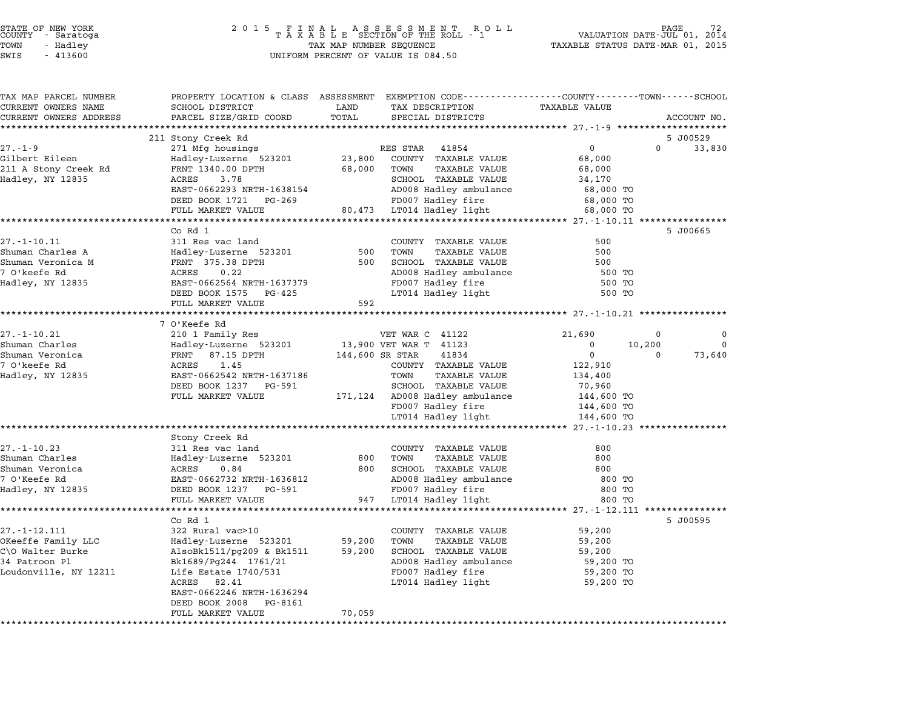| STATE OF NEW YORK<br>COUNTY - Saratoga<br>TOWN<br>- Hadley<br>SWIS<br>$-413600$ | 2 0 1 5<br>FINAL ASSESSMENT RO<br>TAXABLE SECTION OF THE ROLL - 1<br>R O L L<br>TAX MAP NUMBER SEQUENCE<br>UNIFORM PERCENT OF VALUE IS 084.50 |                           |                                                        | PAGE<br>VALUATION DATE-JUL 01, 2014<br>TAXABLE STATUS DATE-MAR 01, 2015 |                          |
|---------------------------------------------------------------------------------|-----------------------------------------------------------------------------------------------------------------------------------------------|---------------------------|--------------------------------------------------------|-------------------------------------------------------------------------|--------------------------|
|                                                                                 |                                                                                                                                               |                           |                                                        |                                                                         |                          |
| TAX MAP PARCEL NUMBER                                                           | PROPERTY LOCATION & CLASS ASSESSMENT EXEMPTION CODE---------------COUNTY-------TOWN------SCHOOL                                               |                           |                                                        |                                                                         |                          |
| CURRENT OWNERS NAME                                                             | SCHOOL DISTRICT                                                                                                                               | LAND                      | TAX DESCRIPTION                                        | TAXABLE VALUE                                                           |                          |
| CURRENT OWNERS ADDRESS                                                          | PARCEL SIZE/GRID COORD                                                                                                                        | TOTAL                     | SPECIAL DISTRICTS                                      |                                                                         | ACCOUNT NO.              |
|                                                                                 |                                                                                                                                               |                           |                                                        | ****************** 27.-1-9 *********************                        | 5 J00529                 |
| $27. - 1 - 9$                                                                   | 211 Stony Creek Rd<br>271 Mfg housings                                                                                                        |                           | RES STAR 41854                                         | $\overline{0}$                                                          | $\Omega$<br>33,830       |
| Gilbert Eileen                                                                  | Hadley-Luzerne 523201                                                                                                                         | 23,800                    | COUNTY TAXABLE VALUE                                   | 68,000                                                                  |                          |
| 211 A Stony Creek Rd                                                            | FRNT 1340.00 DPTH                                                                                                                             | 68,000                    | TAXABLE VALUE<br>TOWN                                  | 68,000                                                                  |                          |
| Hadley, NY 12835                                                                | ACRES 3.78                                                                                                                                    |                           | SCHOOL TAXABLE VALUE                                   | 34,170                                                                  |                          |
|                                                                                 | EAST-0662293 NRTH-1638154                                                                                                                     |                           | AD008 Hadley ambulance                                 | 68,000 TO                                                               |                          |
|                                                                                 | DEED BOOK 1721 PG-269                                                                                                                         |                           | FD007 Hadley fire                                      | 68,000 TO                                                               |                          |
|                                                                                 | FULL MARKET VALUE                                                                                                                             |                           | 80,473 LT014 Hadley light                              | 68,000 TO                                                               |                          |
|                                                                                 |                                                                                                                                               |                           |                                                        | ******************* 27.-1-10.11 *****************                       |                          |
|                                                                                 | Co Rd 1                                                                                                                                       |                           |                                                        |                                                                         | 5 J00665                 |
| $27. - 1 - 10.11$                                                               | 311 Res vac land                                                                                                                              |                           | COUNTY TAXABLE VALUE                                   | 500                                                                     |                          |
| Shuman Charles A                                                                | Hadley-Luzerne 523201                                                                                                                         | 500<br>500                | TOWN<br>TAXABLE VALUE                                  | 500<br>500                                                              |                          |
| Shuman Veronica M<br>7 O'keefe Rd                                               | FRNT 375.38 DPTH<br>ACRES<br>0.22                                                                                                             |                           | SCHOOL TAXABLE VALUE<br>AD008 Hadley ambulance         | 500 TO                                                                  |                          |
| Hadley, NY 12835                                                                | EAST-0662564 NRTH-1637379                                                                                                                     |                           | FD007 Hadley fire                                      | 500 TO                                                                  |                          |
|                                                                                 | DEED BOOK 1575 PG-425                                                                                                                         |                           | LT014 Hadley light                                     | 500 TO                                                                  |                          |
|                                                                                 | FULL MARKET VALUE                                                                                                                             | 592                       |                                                        |                                                                         |                          |
|                                                                                 |                                                                                                                                               |                           |                                                        |                                                                         |                          |
|                                                                                 | 7 O'Keefe Rd                                                                                                                                  |                           |                                                        |                                                                         |                          |
| $27. - 1 - 10.21$                                                               | 210 1 Family Res                                                                                                                              |                           | VET WAR C 41122                                        | 21,690                                                                  | $\Omega$<br>$\mathbf{0}$ |
| Shuman Charles                                                                  | Hadley-Luzerne 523201                                                                                                                         |                           | 13,900 VET WAR T 41123                                 | $\mathbf 0$<br>10,200                                                   | $\mathbf 0$              |
| Shuman Veronica                                                                 | FRNT 87.15 DPTH                                                                                                                               |                           | 144,600 SR STAR<br>41834                               | $\mathbf 0$                                                             | $\Omega$<br>73,640       |
| 7 O'keefe Rd                                                                    | 1.45<br>ACRES                                                                                                                                 |                           | COUNTY TAXABLE VALUE                                   | 122,910                                                                 |                          |
| Hadley, NY 12835                                                                | EAST-0662542 NRTH-1637186<br>DEED BOOK 1237 PG-591                                                                                            |                           | TOWN<br>TAXABLE VALUE                                  | 134,400<br>70,960                                                       |                          |
|                                                                                 | FULL MARKET VALUE                                                                                                                             |                           | SCHOOL TAXABLE VALUE<br>171,124 AD008 Hadley ambulance | 144,600 TO                                                              |                          |
|                                                                                 |                                                                                                                                               |                           | FD007 Hadley fire                                      | 144,600 TO                                                              |                          |
|                                                                                 |                                                                                                                                               |                           | LT014 Hadley light                                     | 144,600 TO                                                              |                          |
|                                                                                 |                                                                                                                                               |                           |                                                        |                                                                         |                          |
|                                                                                 | Stony Creek Rd                                                                                                                                |                           |                                                        |                                                                         |                          |
| $27. - 1 - 10.23$                                                               | 311 Res vac land                                                                                                                              |                           | COUNTY TAXABLE VALUE                                   | 800                                                                     |                          |
| Shuman Charles                                                                  | Hadley-Luzerne 523201                                                                                                                         | 800                       | TOWN<br>TAXABLE VALUE                                  | 800                                                                     |                          |
| Shuman Veronica                                                                 | ACRES<br>0.84                                                                                                                                 | 800                       | SCHOOL TAXABLE VALUE                                   | 800                                                                     |                          |
| 7 O'Keefe Rd                                                                    | EAST-0662732 NRTH-1636812                                                                                                                     |                           | AD008 Hadley ambulance                                 | 800 TO                                                                  |                          |
| Hadley, NY 12835                                                                | DEED BOOK 1237 PG-591                                                                                                                         |                           | FD007 Hadley fire                                      | 800 TO                                                                  |                          |
|                                                                                 | FULL MARKET VALUE<br>********************                                                                                                     | 947<br>****************** | LT014 Hadley light                                     | 800 TO<br>***************** 27.-1-12.111 ***************                |                          |
|                                                                                 | Co Rd 1                                                                                                                                       |                           |                                                        |                                                                         | 5 J00595                 |
| $27. - 1 - 12.111$                                                              | 322 Rural vac>10                                                                                                                              |                           | COUNTY TAXABLE VALUE                                   | 59,200                                                                  |                          |
| OKeeffe Family LLC                                                              | Hadley-Luzerne 523201                                                                                                                         | 59,200                    | TOWN<br>TAXABLE VALUE                                  | 59,200                                                                  |                          |
| C\O Walter Burke                                                                | AlsoBk1511/pg209 & Bk1511                                                                                                                     | 59,200                    | SCHOOL TAXABLE VALUE                                   | 59,200                                                                  |                          |
| 34 Patroon Pl                                                                   | Bk1689/Pg244 1761/21                                                                                                                          |                           | AD008 Hadley ambulance                                 | 59,200 TO                                                               |                          |
| Loudonville, NY 12211                                                           |                                                                                                                                               |                           |                                                        |                                                                         |                          |
|                                                                                 | Life Estate 1740/531                                                                                                                          |                           | FD007 Hadley fire                                      | 59,200 TO                                                               |                          |
|                                                                                 | ACRES 82.41                                                                                                                                   |                           | LT014 Hadley light                                     | 59,200 TO                                                               |                          |
|                                                                                 | EAST-0662246 NRTH-1636294                                                                                                                     |                           |                                                        |                                                                         |                          |
|                                                                                 | DEED BOOK 2008 PG-8161<br>FULL MARKET VALUE                                                                                                   | 70,059                    |                                                        |                                                                         |                          |

STATE OF NEW YORK <sup>2</sup> <sup>0</sup> <sup>1</sup> 5 F I N A L A S S E S S M E N T R O L L PAGE <sup>72</sup> COUNTY - Saratoga <sup>T</sup> <sup>A</sup> <sup>X</sup> <sup>A</sup> <sup>B</sup> <sup>L</sup> <sup>E</sup> SECTION OF THE ROLL - <sup>1</sup> VALUATION DATE-JUL 01, <sup>2014</sup>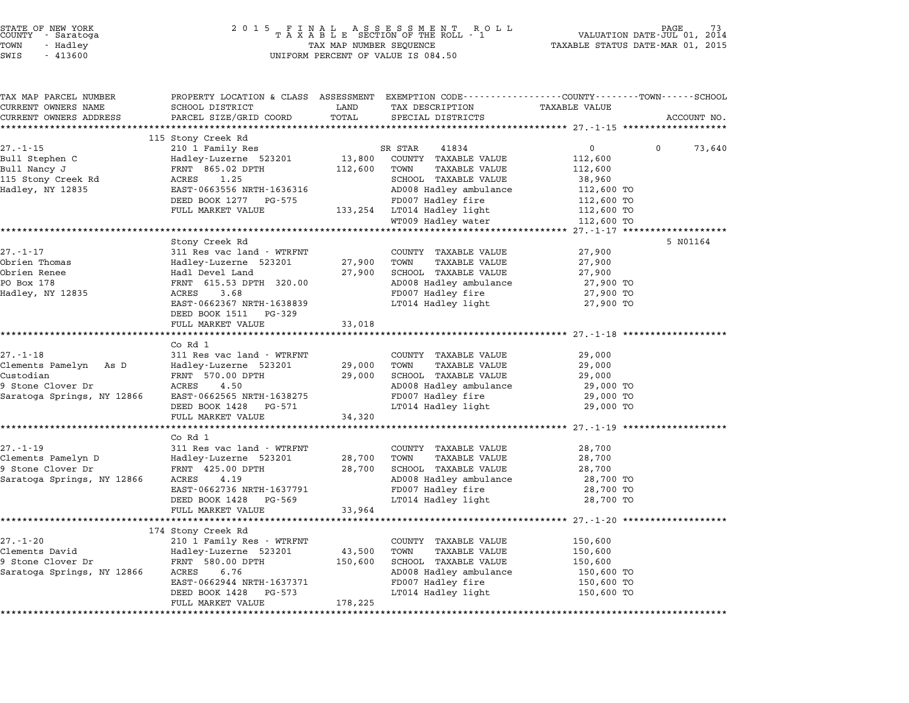| STATE OF NEW YORK<br>COUNTY - Saratoga<br>TOWN<br>- Hadley<br>SWIS<br>$-413600$ |                                                    |                   | UNIFORM PERCENT OF VALUE IS 084.50               |                                                                                                                 |             |
|---------------------------------------------------------------------------------|----------------------------------------------------|-------------------|--------------------------------------------------|-----------------------------------------------------------------------------------------------------------------|-------------|
| TAX MAP PARCEL NUMBER<br>CURRENT OWNERS NAME                                    | SCHOOL DISTRICT                                    | LAND              | TAX DESCRIPTION                                  | PROPERTY LOCATION & CLASS ASSESSMENT EXEMPTION CODE---------------COUNTY-------TOWN-----SCHOOL<br>TAXABLE VALUE |             |
| CURRENT OWNERS ADDRESS                                                          | PARCEL SIZE/GRID COORD                             | TOTAL             | SPECIAL DISTRICTS                                |                                                                                                                 | ACCOUNT NO. |
| ***********************                                                         |                                                    |                   |                                                  |                                                                                                                 |             |
|                                                                                 | 115 Stony Creek Rd                                 |                   |                                                  |                                                                                                                 |             |
| 27.-1-15                                                                        | 210 1 Family Res                                   |                   | SR STAR<br>41834                                 | $\overline{0}$<br>$\mathbf{0}$                                                                                  | 73,640      |
| Bull Stephen C                                                                  | Hadley-Luzerne 523201                              | 13,800            | COUNTY TAXABLE VALUE                             | 112,600                                                                                                         |             |
| Bull Nancy J                                                                    | FRNT 865.02 DPTH                                   | 112,600           | TOWN<br>TAXABLE VALUE                            | 112,600                                                                                                         |             |
| 115 Stony Creek Rd                                                              | ACRES<br>1.25<br>EAST-0663556 NRTH-1636316         |                   | SCHOOL TAXABLE VALUE<br>AD008 Hadley ambulance   | 38,960                                                                                                          |             |
| Hadley, NY 12835                                                                | DEED BOOK 1277 PG-575                              |                   |                                                  | 112,600 TO                                                                                                      |             |
|                                                                                 | FULL MARKET VALUE                                  |                   | FD007 Hadley fire<br>133,254 LT014 Hadley light  | 112,600 TO<br>112,600 TO                                                                                        |             |
|                                                                                 |                                                    |                   | WT009 Hadley water                               | 112,600 TO                                                                                                      |             |
|                                                                                 |                                                    |                   |                                                  | ****************** 27.-1-17 *****                                                                               |             |
|                                                                                 | Stony Creek Rd                                     |                   |                                                  |                                                                                                                 | 5 N01164    |
| $27. - 1 - 17$                                                                  | 311 Res vac land - WTRFNT                          |                   | COUNTY TAXABLE VALUE                             | 27,900                                                                                                          |             |
| Obrien Thomas                                                                   | Hadley-Luzerne 523201                              | 27,900            | TOWN<br>TAXABLE VALUE                            | 27,900                                                                                                          |             |
| Obrien Renee                                                                    | Hadl Devel Land                                    | 27,900            | SCHOOL TAXABLE VALUE                             | 27,900                                                                                                          |             |
| PO Box 178                                                                      | FRNT 615.53 DPTH 320.00                            |                   | AD008 Hadley ambulance                           | 27,900 TO                                                                                                       |             |
| Hadley, NY 12835                                                                | ACRES<br>3.68                                      |                   | FD007 Hadley fire                                | 27,900 TO                                                                                                       |             |
|                                                                                 | EAST-0662367 NRTH-1638839                          |                   | LT014 Hadley light                               | 27,900 TO                                                                                                       |             |
|                                                                                 | DEED BOOK 1511 PG-329                              |                   |                                                  |                                                                                                                 |             |
|                                                                                 | FULL MARKET VALUE                                  | 33,018            |                                                  |                                                                                                                 |             |
|                                                                                 | *********************                              |                   |                                                  | ************************ 27.-1-18 *********                                                                     |             |
| 27.-1-18                                                                        | Co Rd 1<br>311 Res vac land - WTRFNT               |                   | COUNTY TAXABLE VALUE                             | 29,000                                                                                                          |             |
| Clements Pamelyn As D                                                           | Hadley-Luzerne 523201                              | 29,000            | TOWN<br>TAXABLE VALUE                            | 29,000                                                                                                          |             |
| Custodian                                                                       | FRNT 570.00 DPTH                                   | 29,000            | SCHOOL TAXABLE VALUE                             | 29,000                                                                                                          |             |
| 9 Stone Clover Dr                                                               | ACRES 4.50                                         |                   | AD008 Hadley ambulance                           | 29,000 TO                                                                                                       |             |
| Saratoga Springs, NY 12866                                                      | EAST-0662565 NRTH-1638275                          |                   | FD007 Hadley fire                                | 29,000 TO                                                                                                       |             |
|                                                                                 | DEED BOOK 1428 PG-571                              |                   | LT014 Hadley light                               | 29,000 TO                                                                                                       |             |
|                                                                                 | FULL MARKET VALUE                                  | 34,320            |                                                  |                                                                                                                 |             |
|                                                                                 |                                                    |                   |                                                  |                                                                                                                 |             |
|                                                                                 | Co Rd 1                                            |                   |                                                  |                                                                                                                 |             |
| $27. - 1 - 19$                                                                  | 311 Res vac land - WTRFNT                          |                   | COUNTY TAXABLE VALUE                             | 28,700                                                                                                          |             |
| Clements Pamelyn D                                                              | Hadley-Luzerne 523201                              | 28,700            | TOWN<br>TAXABLE VALUE                            | 28,700                                                                                                          |             |
| 9 Stone Clover Dr                                                               | FRNT 425.00 DPTH                                   | 28,700            | SCHOOL TAXABLE VALUE                             | 28,700                                                                                                          |             |
| Saratoga Springs, NY 12866                                                      | ACRES<br>4.19                                      |                   | AD008 Hadley ambulance                           | 28,700 TO                                                                                                       |             |
|                                                                                 | EAST-0662736 NRTH-1637791                          |                   | FD007 Hadley fire                                | 28,700 TO                                                                                                       |             |
|                                                                                 | DEED BOOK 1428<br>PG-569                           |                   | LT014 Hadley light                               | 28,700 TO                                                                                                       |             |
|                                                                                 | FULL MARKET VALUE                                  | 33,964            |                                                  |                                                                                                                 |             |
|                                                                                 |                                                    |                   |                                                  | ******************** 27.-1-20 *****                                                                             |             |
| $27. - 1 - 20$                                                                  | 174 Stony Creek Rd                                 |                   |                                                  |                                                                                                                 |             |
| Clements David                                                                  | 210 1 Family Res - WTRFNT<br>Hadley-Luzerne 523201 |                   | COUNTY<br>TAXABLE VALUE<br>TOWN<br>TAXABLE VALUE | 150,600<br>150,600                                                                                              |             |
| 9 Stone Clover Dr                                                               | FRNT 580.00 DPTH                                   | 43,500<br>150,600 | SCHOOL TAXABLE VALUE                             | 150,600                                                                                                         |             |
| Saratoga Springs, NY 12866                                                      | ACRES<br>6.76                                      |                   | AD008 Hadley ambulance                           | 150,600 TO                                                                                                      |             |
|                                                                                 | EAST-0662944 NRTH-1637371                          |                   | FD007 Hadley fire                                | 150,600 TO                                                                                                      |             |
|                                                                                 | DEED BOOK 1428<br>PG-573                           |                   | LT014 Hadley light                               | 150,600 TO                                                                                                      |             |
|                                                                                 | FULL MARKET VALUE                                  | 178,225           |                                                  |                                                                                                                 |             |
|                                                                                 |                                                    |                   |                                                  |                                                                                                                 |             |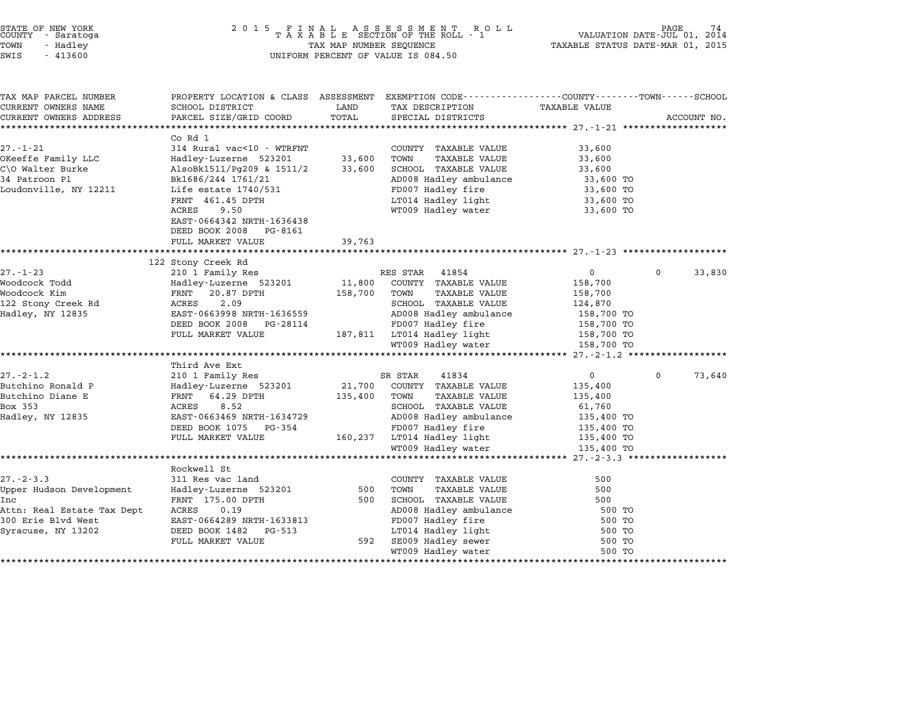| STATE OF NEW YORK<br>COUNTY - Saratoga |          |        |  |
|----------------------------------------|----------|--------|--|
| TOWN                                   | - Hadlev |        |  |
| $\sim$ $\sim$ $\sim$                   |          | 1.1222 |  |

| TAX MAP PARCEL NUMBER      | PROPERTY LOCATION & CLASS ASSESSMENT |         | EXEMPTION CODE-----------------COUNTY-------TOWN-----SCHOOL |                |              |             |
|----------------------------|--------------------------------------|---------|-------------------------------------------------------------|----------------|--------------|-------------|
| CURRENT OWNERS NAME        | SCHOOL DISTRICT                      | LAND    | TAX DESCRIPTION                                             | TAXABLE VALUE  |              |             |
| CURRENT OWNERS ADDRESS     | PARCEL SIZE/GRID COORD               | TOTAL   | SPECIAL DISTRICTS                                           |                |              | ACCOUNT NO. |
|                            |                                      |         |                                                             |                |              |             |
|                            | Co Rd 1                              |         |                                                             |                |              |             |
| 27.-1-21                   | 314 Rural vac<10 - WTRFNT            |         | COUNTY TAXABLE VALUE                                        | 33,600         |              |             |
| OKeeffe Family LLC         | Hadley-Luzerne 523201                | 33,600  | TOWN<br>TAXABLE VALUE                                       | 33,600         |              |             |
| C\O Walter Burke           | AlsoBk1511/Pg209 & 1511/2            | 33,600  | SCHOOL TAXABLE VALUE                                        | 33,600         |              |             |
| 34 Patroon Pl              | Bk1686/244 1761/21                   |         | AD008 Hadley ambulance                                      | 33,600 TO      |              |             |
| Loudonville, NY 12211      | Life estate 1740/531                 |         | FD007 Hadley fire                                           | 33,600 TO      |              |             |
|                            | FRNT 461.45 DPTH                     |         | LT014 Hadley light                                          | 33,600 TO      |              |             |
|                            | 9.50<br>ACRES                        |         | WT009 Hadley water                                          | 33,600 TO      |              |             |
|                            | EAST-0664342 NRTH-1636438            |         |                                                             |                |              |             |
|                            | DEED BOOK 2008 PG-8161               |         |                                                             |                |              |             |
|                            | FULL MARKET VALUE                    | 39,763  |                                                             |                |              |             |
|                            |                                      |         |                                                             |                |              |             |
|                            | 122 Stony Creek Rd                   |         |                                                             |                |              |             |
| $27. - 1 - 23$             | 210 1 Family Res                     |         | RES STAR 41854                                              | $\mathbf{0}$   | $\mathbf{0}$ | 33,830      |
| Woodcock Todd              | Hadley-Luzerne 523201                | 11,800  | COUNTY TAXABLE VALUE                                        | 158,700        |              |             |
| Woodcock Kim               | FRNT 20.87 DPTH                      | 158,700 | TAXABLE VALUE<br>TOWN                                       | 158,700        |              |             |
| 122 Stony Creek Rd         | 2.09<br>ACRES                        |         | SCHOOL TAXABLE VALUE                                        | 124,870        |              |             |
| Hadley, NY 12835           | EAST-0663998 NRTH-1636559            |         | AD008 Hadley ambulance                                      | 158,700 TO     |              |             |
|                            | DEED BOOK 2008<br>PG-28114           |         | FD007 Hadley fire                                           | 158,700 TO     |              |             |
|                            | FULL MARKET VALUE                    |         | 187,811 LT014 Hadley light                                  | 158,700 TO     |              |             |
|                            |                                      |         | WT009 Hadley water                                          | 158,700 TO     |              |             |
|                            |                                      |         |                                                             |                |              |             |
|                            | Third Ave Ext                        |         |                                                             |                |              |             |
| $27. - 2 - 1.2$            | 210 1 Family Res                     |         | SR STAR<br>41834                                            | $\overline{0}$ | $\mathbf 0$  | 73,640      |
| Butchino Ronald P          | Hadley-Luzerne 523201                | 21,700  | COUNTY TAXABLE VALUE                                        | 135,400        |              |             |
| Butchino Diane E           | FRNT 64.29 DPTH                      | 135,400 | TOWN<br>TAXABLE VALUE                                       | 135,400        |              |             |
| Box 353                    | 8.52<br>ACRES                        |         | SCHOOL TAXABLE VALUE                                        | 61,760         |              |             |
| Hadley, NY 12835           | EAST-0663469 NRTH-1634729            |         | AD008 Hadley ambulance                                      | 135,400 TO     |              |             |
|                            | DEED BOOK 1075 PG-354                |         | FD007 Hadley fire                                           | 135,400 TO     |              |             |
|                            | FULL MARKET VALUE                    |         | 160,237 LT014 Hadley light                                  | 135,400 TO     |              |             |
|                            |                                      |         | WT009 Hadley water                                          | 135,400 TO     |              |             |
|                            |                                      |         |                                                             |                |              |             |
|                            | Rockwell St                          |         |                                                             |                |              |             |
| $27. - 2 - 3.3$            | 311 Res vac land                     |         | COUNTY TAXABLE VALUE                                        | 500            |              |             |
| Upper Hudson Development   | Hadley-Luzerne 523201                | 500     | TOWN<br>TAXABLE VALUE                                       | 500            |              |             |
| Inc                        | FRNT 175.00 DPTH                     | 500     | SCHOOL TAXABLE VALUE                                        | 500            |              |             |
| Attn: Real Estate Tax Dept | ACRES<br>0.19                        |         | AD008 Hadley ambulance                                      | 500 TO         |              |             |
| 300 Erie Blvd West         | EAST-0664289 NRTH-1633813            |         | FD007 Hadley fire                                           | 500 TO         |              |             |
| Syracuse, NY 13202         | DEED BOOK 1482<br>PG-513             |         | LT014 Hadley light                                          | 500 TO         |              |             |
|                            | FULL MARKET VALUE                    | 592     | SE009 Hadley sewer                                          | 500 TO         |              |             |
|                            |                                      |         | WT009 Hadley water                                          | 500 TO         |              |             |
|                            |                                      |         |                                                             |                |              |             |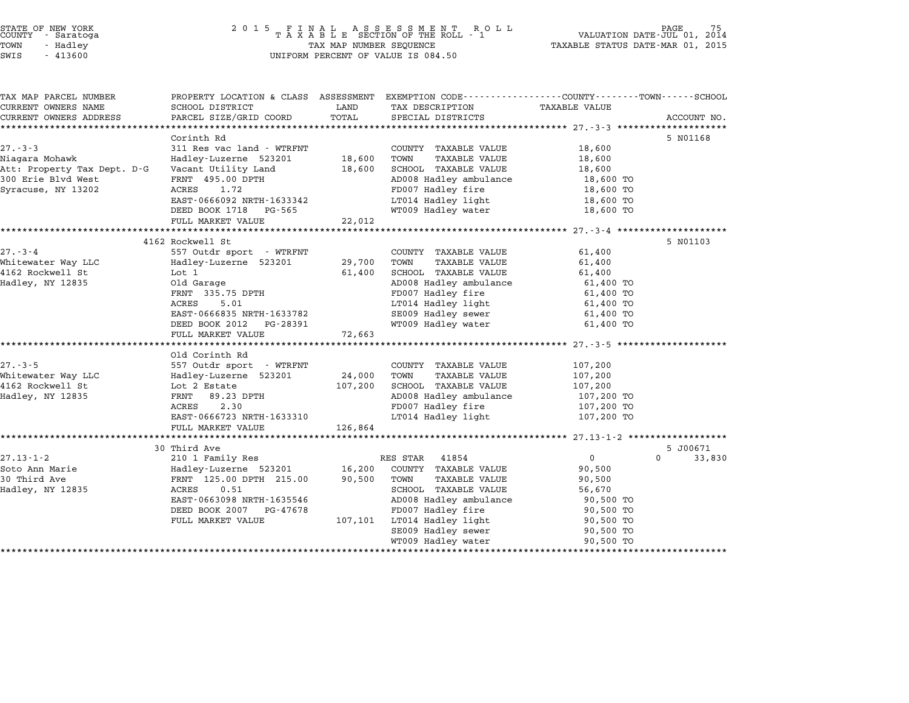| STATE OF NEW YORK<br>COUNTY - Saratoga<br>TOWN<br>- Hadley<br>SWIS<br>$-413600$                           | 2 0 1 5                                                                                                                                                                                                        | FINAL ASSESSMENT ROLTAXABLE SECTION OF THE ROLL - 1<br>R O L L<br>TAX MAP NUMBER SEQUENCE<br>UNIFORM PERCENT OF VALUE IS 084.50 |                                                                                                                                                                                                                    |                                                                                                            |             |  |
|-----------------------------------------------------------------------------------------------------------|----------------------------------------------------------------------------------------------------------------------------------------------------------------------------------------------------------------|---------------------------------------------------------------------------------------------------------------------------------|--------------------------------------------------------------------------------------------------------------------------------------------------------------------------------------------------------------------|------------------------------------------------------------------------------------------------------------|-------------|--|
| TAX MAP PARCEL NUMBER<br>CURRENT OWNERS NAME<br>CURRENT OWNERS ADDRESS                                    | PROPERTY LOCATION & CLASS ASSESSMENT EXEMPTION CODE----------------COUNTY-------TOWN------SCHOOL<br>SCHOOL DISTRICT                                                                                            | LAND<br>TOTAL                                                                                                                   | TAX DESCRIPTION<br>SPECIAL DISTRICTS                                                                                                                                                                               | TAXABLE VALUE                                                                                              |             |  |
|                                                                                                           | PARCEL SIZE/GRID COORD                                                                                                                                                                                         |                                                                                                                                 |                                                                                                                                                                                                                    | *************** 27.-3-3 ************                                                                       | ACCOUNT NO. |  |
| $27 - 3 - 3$<br>Niagara Mohawk<br>Att: Property Tax Dept. D-G<br>300 Erie Blvd West<br>Syracuse, NY 13202 | Corinth Rd<br>311 Res vac land - WTRFNT<br>Hadley-Luzerne 523201<br>Vacant Utility Land<br>FRNT 495.00 DPTH<br>1.72<br>ACRES<br>EAST-0666092 NRTH-1633342<br>DEED BOOK 1718 PG-565<br>FULL MARKET VALUE        | 18,600<br>18,600<br>22,012                                                                                                      | COUNTY TAXABLE VALUE<br>TOWN<br>TAXABLE VALUE<br>SCHOOL TAXABLE VALUE<br>AD008 Hadley ambulance<br>FD007 Hadley fire<br>LT014 Hadley light<br>WT009 Hadley water                                                   | 18,600<br>18,600<br>18,600<br>18,600 TO<br>18,600 TO<br>18,600 TO<br>18,600 TO                             | 5 N01168    |  |
|                                                                                                           |                                                                                                                                                                                                                |                                                                                                                                 |                                                                                                                                                                                                                    |                                                                                                            |             |  |
| $27 - 3 - 4$<br>Whitewater Way LLC<br>4162 Rockwell St<br>Hadley, NY 12835                                | 4162 Rockwell St<br>557 Outdr sport - WTRFNT<br>Hadley-Luzerne 523201<br>Lot 1<br>Old Garage<br>FRNT 335.75 DPTH<br>ACRES<br>5.01<br>EAST-0666835 NRTH-1633782<br>DEED BOOK 2012 PG-28391<br>FULL MARKET VALUE | 29,700<br>61,400<br>72,663                                                                                                      | COUNTY TAXABLE VALUE<br>TOWN<br>TAXABLE VALUE<br>SCHOOL TAXABLE VALUE<br>AD008 Hadley ambulance<br>FD007 Hadley fire<br>LT014 Hadley light<br>SE009 Hadley sewer<br>WT009 Hadley water                             | 61,400<br>61,400<br>61,400<br>61,400 TO<br>61,400 TO<br>61,400 TO<br>61,400 TO<br>61,400 TO                | 5 N01103    |  |
| $27. - 3 - 5$<br>Whitewater Way LLC<br>4162 Rockwell St<br>Hadley, NY 12835                               | Old Corinth Rd<br>557 Outdr sport - WTRFNT<br>Hadley-Luzerne 523201<br>Lot 2 Estate<br>FRNT<br>89.23 DPTH<br>2.30<br>ACRES<br>EAST-0666723 NRTH-1633310<br>FULL MARKET VALUE                                   | 24,000<br>107,200<br>126,864                                                                                                    | COUNTY TAXABLE VALUE<br>TOWN<br>TAXABLE VALUE<br>SCHOOL TAXABLE VALUE<br>AD008 Hadley ambulance<br>FD007 Hadley fire<br>LT014 Hadley light                                                                         | 107,200<br>107,200<br>107,200<br>107,200 TO<br>107,200 TO<br>107,200 TO                                    |             |  |
|                                                                                                           | ***********************************<br>30 Third Ave                                                                                                                                                            |                                                                                                                                 |                                                                                                                                                                                                                    |                                                                                                            | 5 J00671    |  |
| $27.13 - 1 - 2$<br>Soto Ann Marie<br>30 Third Ave<br>Hadley, NY 12835                                     | 210 1 Family Res<br>Hadley-Luzerne 523201<br>FRNT 125.00 DPTH 215.00<br>0.51<br>ACRES<br>EAST-0663098 NRTH-1635546<br>DEED BOOK 2007<br>PG-47678<br>FULL MARKET VALUE                                          | 16,200<br>90,500<br>107,101                                                                                                     | RES STAR<br>41854<br>COUNTY TAXABLE VALUE<br>TOWN<br><b>TAXABLE VALUE</b><br>SCHOOL TAXABLE VALUE<br>AD008 Hadley ambulance<br>FD007 Hadley fire<br>LT014 Hadley light<br>SE009 Hadley sewer<br>WT009 Hadley water | $\mathbf 0$<br>90,500<br>90,500<br>56,670<br>90,500 TO<br>90,500 TO<br>90,500 TO<br>90,500 TO<br>90,500 TO | 33,830<br>0 |  |

\*\*\*\*\*\*\*\*\*\*\*\*\*\*\*\*\*\*\*\*\*\*\*\*\*\*\*\*\*\*\*\*\*\*\*\*\*\*\*\*\*\*\*\*\*\*\*\*\*\*\*\*\*\*\*\*\*\*\*\*\*\*\*\*\*\*\*\*\*\*\*\*\*\*\*\*\*\*\*\*\*\*\*\*\*\*\*\*\*\*\*\*\*\*\*\*\*\*\*\*\*\*\*\*\*\*\*\*\*\*\*\*\*\*\*\*\*\*\*\*\*\*\*\*\*\*\*\*\*\*\*\*

STATE OF NEW YORK <sup>2</sup> <sup>0</sup> <sup>1</sup> 5 F I N A L A S S E S S M E N T R O L L PAGE 75 COUNTY - Saratoga <sup>T</sup> <sup>A</sup> <sup>X</sup> <sup>A</sup> <sup>B</sup> <sup>L</sup> <sup>E</sup> SECTION OF THE ROLL - <sup>1</sup> VALUATION DATE-JUL 01, <sup>2014</sup>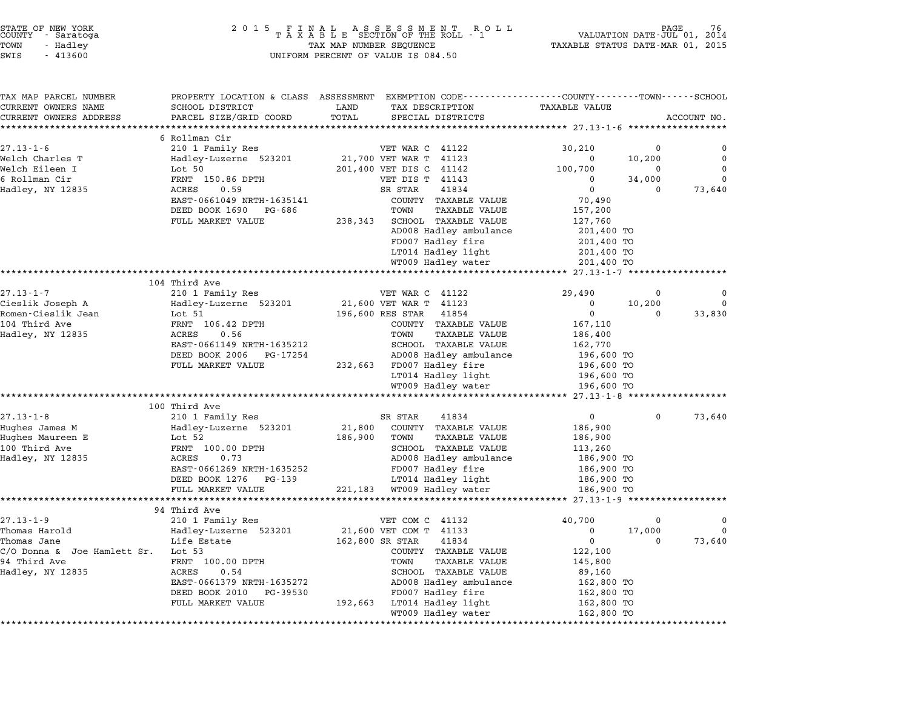| STATE OF NEW YORK |  |            |  |  |  |
|-------------------|--|------------|--|--|--|
| COUNTY            |  | - Saratoga |  |  |  |
| TOWN              |  | - Hadley   |  |  |  |
| ------            |  |            |  |  |  |

# STATE OF NEW YORK <sup>2</sup> <sup>0</sup> <sup>1</sup> 5 F I N A L A S S E S S M E N T R O L L PAGE <sup>76</sup> COUNTY - Saratoga <sup>T</sup> <sup>A</sup> <sup>X</sup> <sup>A</sup> <sup>B</sup> <sup>L</sup> <sup>E</sup> SECTION OF THE ROLL - <sup>1</sup> VALUATION DATE-JUL 01, <sup>2014</sup> TOWN - Hadley TAX MAP NUMBER SEQUENCE TAXABLE STATUS DATE-MAR 01, <sup>2015</sup> SWIS - <sup>413600</sup> UNIFORM PERCENT OF VALUE IS 084.50

| TAX MAP PARCEL NUMBER              | PROPERTY LOCATION & CLASS ASSESSMENT EXEMPTION CODE---------------COUNTY-------TOWN-----SCHOOL |                   |                                                       |                               |          |             |
|------------------------------------|------------------------------------------------------------------------------------------------|-------------------|-------------------------------------------------------|-------------------------------|----------|-------------|
| CURRENT OWNERS NAME                | SCHOOL DISTRICT                                                                                | LAND              | TAX DESCRIPTION                                       | TAXABLE VALUE                 |          |             |
| CURRENT OWNERS ADDRESS             | PARCEL SIZE/GRID COORD                                                                         | TOTAL             | SPECIAL DISTRICTS                                     |                               |          | ACCOUNT NO. |
| ***********************            |                                                                                                |                   |                                                       |                               |          |             |
|                                    | 6 Rollman Cir                                                                                  |                   |                                                       |                               |          |             |
| $27.13 - 1 - 6$                    | 210 1 Family Res                                                                               |                   | VET WAR C 41122                                       | 30,210                        | 0        | 0           |
| Welch Charles T                    | Hadley-Luzerne 523201                                                                          |                   | 21,700 VET WAR T 41123                                | $\mathbf 0$                   | 10,200   | $\mathbf 0$ |
| Welch Eileen I                     | Lot 50                                                                                         |                   | 201,400 VET DIS C 41142                               | 100,700                       | $\Omega$ | $\Omega$    |
| 6 Rollman Cir                      | FRNT 150.86 DPTH                                                                               |                   | VET DIS T 41143                                       | $\Omega$                      | 34,000   | $\Omega$    |
| Hadley, NY 12835                   | ACRES<br>0.59                                                                                  |                   | SR STAR<br>41834                                      | $\overline{0}$                | $\Omega$ | 73,640      |
|                                    | EAST-0661049 NRTH-1635141                                                                      |                   | COUNTY TAXABLE VALUE                                  | 70,490                        |          |             |
|                                    | DEED BOOK 1690 PG-686                                                                          |                   | TOWN<br><b>TAXABLE VALUE</b>                          | 157,200                       |          |             |
|                                    | FULL MARKET VALUE                                                                              | 238,343           | <b>SCHOOL TAXABLE VALUE</b><br>AD008 Hadley ambulance | 127,760                       |          |             |
|                                    |                                                                                                |                   | FD007 Hadley fire                                     | 201,400 TO<br>201,400 TO      |          |             |
|                                    |                                                                                                |                   | LT014 Hadley light                                    | 201,400 TO                    |          |             |
|                                    |                                                                                                |                   | WT009 Hadley water                                    | 201,400 TO                    |          |             |
|                                    |                                                                                                |                   |                                                       | ************ 27.13-1-7 ****** |          |             |
|                                    | 104 Third Ave                                                                                  |                   |                                                       |                               |          |             |
| $27.13 - 1 - 7$                    | 210 1 Family Res                                                                               |                   | VET WAR C 41122                                       | 29,490                        | 0        |             |
| Cieslik Joseph A                   | Hadley-Luzerne 523201                                                                          |                   | 21,600 VET WAR T 41123                                | 0                             | 10,200   | $\mathbf 0$ |
| Romen-Cieslik Jean                 | Lot 51                                                                                         |                   | 196,600 RES STAR<br>41854                             | $\Omega$                      | $\Omega$ | 33,830      |
| 104 Third Ave                      | FRNT 106.42 DPTH                                                                               |                   | COUNTY TAXABLE VALUE                                  | 167,110                       |          |             |
| Hadley, NY 12835                   | ACRES<br>0.56                                                                                  |                   | <b>TAXABLE VALUE</b><br>TOWN                          | 186,400                       |          |             |
|                                    | EAST-0661149 NRTH-1635212                                                                      |                   | SCHOOL TAXABLE VALUE                                  | 162,770                       |          |             |
|                                    | DEED BOOK 2006 PG-17254                                                                        |                   | AD008 Hadley ambulance                                | 196,600 TO                    |          |             |
|                                    | FULL MARKET VALUE                                                                              |                   | 232,663 FD007 Hadley fire                             | 196,600 TO                    |          |             |
|                                    |                                                                                                |                   | LT014 Hadley light                                    | 196,600 TO                    |          |             |
|                                    |                                                                                                |                   | WT009 Hadley water                                    | 196,600 TO                    |          |             |
|                                    | ********************                                                                           |                   |                                                       | *** 27.13-1-8 ******          |          |             |
|                                    | 100 Third Ave                                                                                  |                   |                                                       | $\overline{0}$                | $\Omega$ |             |
| $27.13 - 1 - 8$                    | 210 1 Family Res                                                                               |                   | SR STAR<br>41834                                      |                               |          | 73,640      |
| Hughes James M<br>Hughes Maureen E | Hadley-Luzerne 523201<br>Lot 52                                                                | 21,800<br>186,900 | COUNTY TAXABLE VALUE<br>TOWN<br><b>TAXABLE VALUE</b>  | 186,900<br>186,900            |          |             |
| 100 Third Ave                      | FRNT 100.00 DPTH                                                                               |                   | SCHOOL TAXABLE VALUE                                  | 113,260                       |          |             |
| Hadley, NY 12835                   | ACRES<br>0.73                                                                                  |                   | AD008 Hadley ambulance                                | 186,900 TO                    |          |             |
|                                    | EAST-0661269 NRTH-1635252                                                                      |                   | FD007 Hadley fire                                     | 186,900 TO                    |          |             |
|                                    | DEED BOOK 1276 PG-139                                                                          |                   | LT014 Hadley light                                    | 186,900 TO                    |          |             |
|                                    | FULL MARKET VALUE                                                                              |                   | 221,183 WT009 Hadley water                            | 186,900 TO                    |          |             |
|                                    | ********************                                                                           |                   |                                                       | **** 27.13-1-9 ***            |          |             |
|                                    | 94 Third Ave                                                                                   |                   |                                                       |                               |          |             |
| $27.13 - 1 - 9$                    | 210 1 Family Res                                                                               |                   | VET COM C 41132                                       | 40,700                        | 0        | 0           |
| Thomas Harold                      | Hadley-Luzerne 523201                                                                          |                   | 21,600 VET COM T 41133                                | 0                             | 17,000   | $\mathbf 0$ |
| Thomas Jane                        | Life Estate                                                                                    | 162,800 SR STAR   | 41834                                                 | $\Omega$                      | $\Omega$ | 73,640      |
| C/O Donna & Joe Hamlett Sr. Lot 53 |                                                                                                |                   | COUNTY TAXABLE VALUE                                  | 122,100                       |          |             |
| 94 Third Ave                       | FRNT 100.00 DPTH                                                                               |                   | TOWN<br>TAXABLE VALUE                                 | 145,800                       |          |             |
| Hadley, NY 12835                   | 0.54<br>ACRES                                                                                  |                   | SCHOOL TAXABLE VALUE                                  | 89,160                        |          |             |
|                                    | EAST-0661379 NRTH-1635272                                                                      |                   | AD008 Hadley ambulance                                | 162,800 TO                    |          |             |
|                                    | DEED BOOK 2010<br>PG-39530                                                                     |                   | FD007 Hadley fire                                     | 162,800 TO                    |          |             |
|                                    |                                                                                                |                   |                                                       |                               |          |             |
|                                    | FULL MARKET VALUE                                                                              |                   | 192,663 LT014 Hadley light<br>WT009 Hadley water      | 162,800 TO<br>162,800 TO      |          |             |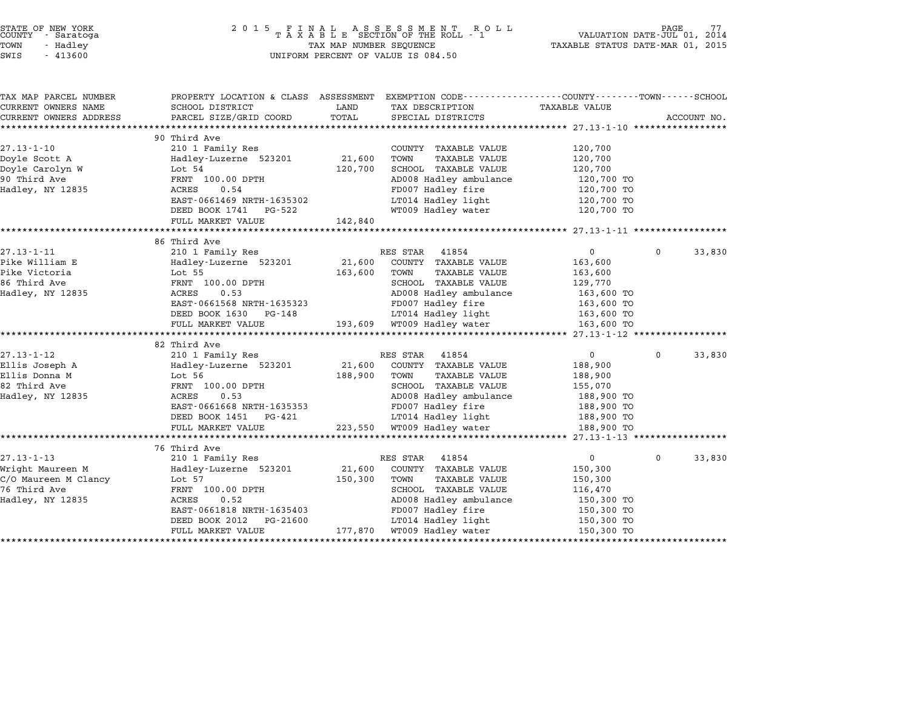| STATE OF NEW YORK<br>COUNTY |          | - Saratoga |  |
|-----------------------------|----------|------------|--|
| TOWN                        | - Hadlev |            |  |
|                             |          |            |  |

# end of NEW YORK<br>2 0 1 5 F I N A L A S S E S S M E N T R O L L PAGE 77<br>COUNTY – Saratoga T A X A B L E SECTION OF THE ROLL - 1 VALUATION DATE-JUL 01, 2014 TOWN - Hadley TAX MAP NUMBER SEQUENCE TAXABLE STATUS DATE-MAR 01, <sup>2015</sup> SWIS - <sup>413600</sup> UNIFORM PERCENT OF VALUE IS 084.50

| TAX MAP PARCEL NUMBER            | PROPERTY LOCATION & CLASS ASSESSMENT EXEMPTION CODE---------------COUNTY-------TOWN------SCHOOL |              |                                                                 |                          |              |             |
|----------------------------------|-------------------------------------------------------------------------------------------------|--------------|-----------------------------------------------------------------|--------------------------|--------------|-------------|
| CURRENT OWNERS NAME              | SCHOOL DISTRICT                                                                                 | LAND         | TAX DESCRIPTION                                                 | TAXABLE VALUE            |              |             |
| CURRENT OWNERS ADDRESS           | PARCEL SIZE/GRID COORD                                                                          | TOTAL        | SPECIAL DISTRICTS                                               |                          |              | ACCOUNT NO. |
|                                  | 90 Third Ave                                                                                    |              |                                                                 |                          |              |             |
| $27.13 - 1 - 10$                 | 210 1 Family Res                                                                                |              | COUNTY TAXABLE VALUE                                            | 120,700                  |              |             |
| Doyle Scott A                    | Hadley-Luzerne 523201 21,600                                                                    |              | TOWN<br>TAXABLE VALUE                                           | 120,700                  |              |             |
| Doyle Carolyn W                  | Lot 54                                                                                          | 120,700      | SCHOOL TAXABLE VALUE                                            | 120,700                  |              |             |
| 90 Third Ave                     | FRNT 100.00 DPTH                                                                                |              | AD008 Hadley ambulance                                          | 120,700 TO               |              |             |
| Hadley, NY 12835                 | ACRES<br>0.54                                                                                   |              | FD007 Hadley fire                                               |                          |              |             |
|                                  | EAST-0661469 NRTH-1635302                                                                       |              | LT014 Hadley light                                              | 120,700 TO<br>120,700 TO |              |             |
|                                  | DEED BOOK 1741 PG-522                                                                           |              | WT009 Hadley water                                              | 120,700 TO               |              |             |
|                                  | FULL MARKET VALUE                                                                               | 142,840      |                                                                 |                          |              |             |
|                                  |                                                                                                 |              |                                                                 |                          |              |             |
|                                  | 86 Third Ave                                                                                    |              |                                                                 |                          |              |             |
| 27.13-1-11                       | 210 1 Family Res                                                                                |              | RES STAR 41854                                                  | $\overline{0}$           | $\mathbf 0$  | 33,830      |
| Pike William E                   | Hadley-Luzerne 523201                                                                           | 21,600       | COUNTY TAXABLE VALUE                                            | 163,600                  |              |             |
| Pike Victoria                    | Lot 55                                                                                          | 163,600      | TOWN<br>TAXABLE VALUE                                           | 163,600                  |              |             |
|                                  | FRNT 100.00 DPTH                                                                                |              | SCHOOL TAXABLE VALUE                                            | 129,770                  |              |             |
| -- Initu Ave<br>Hadley, NY 12835 | 0.53<br>ACRES                                                                                   |              | AD008 Hadley ambulance                                          | $163,600$ TO             |              |             |
|                                  | EAST-0661568 NRTH-1635323                                                                       |              | FD007 Hadley fire                                               | 163,600 TO               |              |             |
|                                  | DEED BOOK 1630 PG-148                                                                           |              |                                                                 |                          |              |             |
|                                  | FULL MARKET VALUE                                                                               |              | LT014 Hadley light<br>193,609 WT009 Hadley water                | 163,600 TO<br>163,600 TO |              |             |
|                                  |                                                                                                 |              |                                                                 |                          |              |             |
|                                  | 82 Third Ave                                                                                    |              |                                                                 |                          |              |             |
| $27.13 - 1 - 12$                 | 210 1 Family Res                                                                                |              | RES STAR 41854                                                  | $\overline{0}$           | $\mathbf{0}$ | 33,830      |
| Ellis Joseph A                   | Hadley-Luzerne 523201 21,600                                                                    |              | COUNTY TAXABLE VALUE                                            | 188,900                  |              |             |
| Ellis Donna M                    | Lot 56                                                                                          | 188,900 TOWN | TAXABLE VALUE                                                   | 188,900                  |              |             |
| 82 Third Ave                     | FRNT 100.00 DPTH                                                                                |              | SCHOOL TAXABLE VALUE                                            | 155,070                  |              |             |
| Hadley, NY 12835                 | ACRES<br>0.53                                                                                   |              | AD008 Hadley ambulance 188,900 TO                               |                          |              |             |
|                                  | EAST-0661668 NRTH-1635353                                                                       |              | FD007 Hadley fire<br>LT014 Hadley light                         | 188,900 TO               |              |             |
|                                  | DEED BOOK 1451 PG-421                                                                           |              |                                                                 | 188,900 TO               |              |             |
|                                  | FULL MARKET VALUE                                                                               |              | 223,550 WT009 Hadley water                                      | 188,900 TO               |              |             |
|                                  |                                                                                                 |              |                                                                 |                          |              |             |
|                                  | 76 Third Ave                                                                                    |              |                                                                 |                          |              |             |
| $27.13 - 1 - 13$                 | 210 1 Family Res                                                                                |              | RES STAR<br>41854                                               | $\overline{0}$           | $\mathbf 0$  | 33,830      |
|                                  | Hadley-Luzerne 523201 21,600                                                                    |              | COUNTY TAXABLE VALUE                                            | 150,300                  |              |             |
|                                  |                                                                                                 | 150,300      | TOWN<br>TAXABLE VALUE                                           | 150,300                  |              |             |
| 76 Third Ave                     | FRNT 100.00 DPTH                                                                                |              | SCHOOL TAXABLE VALUE<br>SCHOOD Induc-<br>AD008 Hadley ambulance | 116,470                  |              |             |
| Hadley, NY 12835                 | ACRES 0.52                                                                                      |              |                                                                 | 150,300 TO               |              |             |
|                                  |                                                                                                 |              |                                                                 |                          |              |             |
|                                  | EAST-0661818 NRTH-1635403                                                                       |              | FD007 Hadley fire                                               | 150,300 TO               |              |             |
|                                  | DEED BOOK 2012<br>PG-21600<br>FULL MARKET VALUE                                                 |              | LT014 Hadley light 150,300 TO<br>177,870 WT009 Hadley water     | 150,300 TO               |              |             |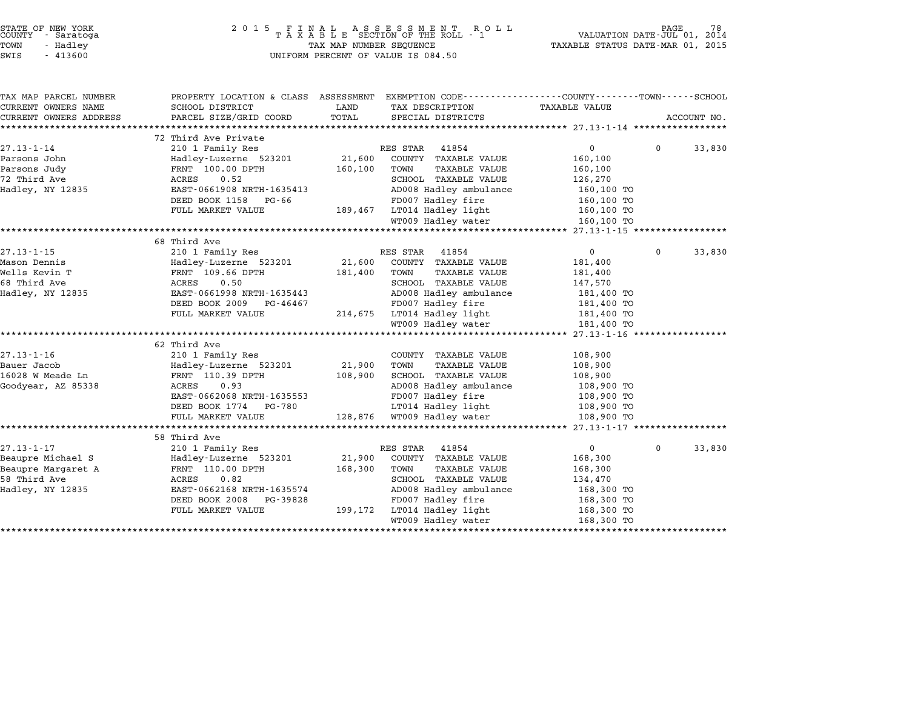| STATE OF NEW YORK<br>COUNTY - Saratoga<br>TOWN<br>- Hadley<br>SWIS<br>$-413600$ | 2 0 1 5                                                                                        | TAX MAP NUMBER SEQUENCE | FINAL ASSESSMENT ROLL<br>TAXABLE SECTION OF THE ROLL - 1<br>UNIFORM PERCENT OF VALUE IS 084.50 | VALUATION DATE-JUL 01,<br>TAXABLE STATUS DATE-MAR 01, 2015 |              | 78<br>2014  |
|---------------------------------------------------------------------------------|------------------------------------------------------------------------------------------------|-------------------------|------------------------------------------------------------------------------------------------|------------------------------------------------------------|--------------|-------------|
|                                                                                 |                                                                                                |                         |                                                                                                |                                                            |              |             |
| TAX MAP PARCEL NUMBER                                                           | PROPERTY LOCATION & CLASS ASSESSMENT EXEMPTION CODE---------------COUNTY-------TOWN-----SCHOOL |                         |                                                                                                |                                                            |              |             |
| CURRENT OWNERS NAME                                                             | SCHOOL DISTRICT                                                                                | LAND                    | TAX DESCRIPTION                                                                                | <b>TAXABLE VALUE</b>                                       |              |             |
| CURRENT OWNERS ADDRESS<br>**********************                                | PARCEL SIZE/GRID COORD<br>***************************                                          | TOTAL                   | SPECIAL DISTRICTS                                                                              |                                                            |              | ACCOUNT NO. |
|                                                                                 | 72 Third Ave Private                                                                           |                         |                                                                                                |                                                            |              |             |
| $27.13 - 1 - 14$                                                                | 210 1 Family Res                                                                               |                         | RES STAR<br>41854                                                                              | 0                                                          | $\Omega$     | 33,830      |
| Parsons John                                                                    | Hadley-Luzerne 523201                                                                          | 21,600                  | COUNTY TAXABLE VALUE                                                                           | 160,100                                                    |              |             |
| Parsons Judy                                                                    | FRNT 100.00 DPTH                                                                               | 160,100                 | TOWN<br><b>TAXABLE VALUE</b>                                                                   | 160,100                                                    |              |             |
| 72 Third Ave                                                                    | 0.52<br>ACRES                                                                                  |                         | SCHOOL TAXABLE VALUE                                                                           | 126,270                                                    |              |             |
| Hadley, NY 12835                                                                | EAST-0661908 NRTH-1635413                                                                      |                         | AD008 Hadley ambulance                                                                         | 160,100 TO                                                 |              |             |
|                                                                                 | DEED BOOK 1158<br>PG-66                                                                        |                         | FD007 Hadley fire                                                                              | 160,100 TO                                                 |              |             |
|                                                                                 | FULL MARKET VALUE                                                                              |                         | 189,467 LT014 Hadley light                                                                     | 160,100 TO                                                 |              |             |
|                                                                                 |                                                                                                |                         | WT009 Hadley water                                                                             | 160,100 TO                                                 |              |             |
|                                                                                 |                                                                                                |                         |                                                                                                |                                                            |              |             |
|                                                                                 | 68 Third Ave                                                                                   |                         |                                                                                                |                                                            |              |             |
| $27.13 - 1 - 15$                                                                | 210 1 Family Res                                                                               |                         | RES STAR 41854                                                                                 | 0                                                          | $\mathbf{0}$ | 33,830      |
| Mason Dennis                                                                    | Hadley-Luzerne 523201                                                                          | 21,600                  | COUNTY TAXABLE VALUE                                                                           | 181,400                                                    |              |             |
| Wells Kevin T                                                                   | FRNT 109.66 DPTH                                                                               | 181,400                 | TOWN<br><b>TAXABLE VALUE</b>                                                                   | 181,400                                                    |              |             |
| 68 Third Ave                                                                    | 0.50<br>ACRES                                                                                  |                         | SCHOOL TAXABLE VALUE                                                                           | 147,570                                                    |              |             |
| Hadley, NY 12835                                                                | EAST-0661998 NRTH-1635443<br>DEED BOOK 2009<br>PG-46467                                        |                         | AD008 Hadley ambulance<br>FD007 Hadley fire                                                    | 181,400 TO                                                 |              |             |
|                                                                                 | FULL MARKET VALUE                                                                              |                         | 214,675 LT014 Hadley light                                                                     | 181,400 TO<br>181,400 TO                                   |              |             |
|                                                                                 |                                                                                                |                         | WT009 Hadley water                                                                             | 181,400 TO                                                 |              |             |
|                                                                                 |                                                                                                |                         |                                                                                                |                                                            |              |             |
|                                                                                 | 62 Third Ave                                                                                   |                         |                                                                                                |                                                            |              |             |
| $27.13 - 1 - 16$                                                                | 210 1 Family Res                                                                               |                         | COUNTY TAXABLE VALUE                                                                           | 108,900                                                    |              |             |
| Bauer Jacob                                                                     | Hadley-Luzerne 523201                                                                          | 21,900                  | TOWN<br><b>TAXABLE VALUE</b>                                                                   | 108,900                                                    |              |             |
| 16028 W Meade Ln                                                                | FRNT 110.39 DPTH                                                                               | 108,900                 | SCHOOL TAXABLE VALUE                                                                           | 108,900                                                    |              |             |
| Goodyear, AZ 85338                                                              | ACRES<br>0.93                                                                                  |                         | AD008 Hadley ambulance                                                                         | 108,900 TO                                                 |              |             |
|                                                                                 | EAST-0662068 NRTH-1635553                                                                      |                         | FD007 Hadley fire                                                                              | 108,900 TO                                                 |              |             |
|                                                                                 | DEED BOOK 1774<br>PG-780                                                                       |                         | LT014 Hadley light                                                                             | 108,900 TO                                                 |              |             |
|                                                                                 | FULL MARKET VALUE                                                                              |                         | 128,876 WT009 Hadley water                                                                     | 108,900 TO                                                 |              |             |
|                                                                                 | ***********************                                                                        |                         | **********************************                                                             | ********** 27.13-1-17 *****************                    |              |             |
|                                                                                 | 58 Third Ave                                                                                   |                         |                                                                                                |                                                            |              |             |
| $27.13 - 1 - 17$<br>Beaupre Michael S                                           | 210 1 Family Res                                                                               | 21,900                  | RES STAR<br>41854<br>COUNTY TAXABLE VALUE                                                      | $\mathsf{O}$<br>168,300                                    | $\Omega$     | 33,830      |
| Beaupre Margaret A                                                              | Hadley-Luzerne 523201<br>FRNT 110.00 DPTH                                                      | 168,300                 | <b>TAXABLE VALUE</b><br>TOWN                                                                   | 168,300                                                    |              |             |
| 58 Third Ave                                                                    | ACRES<br>0.82                                                                                  |                         | SCHOOL TAXABLE VALUE                                                                           | 134,470                                                    |              |             |
| Hadley, NY 12835                                                                | EAST-0662168 NRTH-1635574                                                                      |                         | AD008 Hadley ambulance                                                                         | 168,300 TO                                                 |              |             |
|                                                                                 | DEED BOOK 2008<br>PG-39828                                                                     |                         | FD007 Hadley fire                                                                              | 168,300 TO                                                 |              |             |
|                                                                                 | FULL MARKET VALUE                                                                              | 199,172                 | LT014 Hadley light                                                                             | 168,300 TO                                                 |              |             |
|                                                                                 |                                                                                                |                         | WT009 Hadley water                                                                             | 168,300 TO                                                 |              |             |
|                                                                                 |                                                                                                |                         |                                                                                                |                                                            |              |             |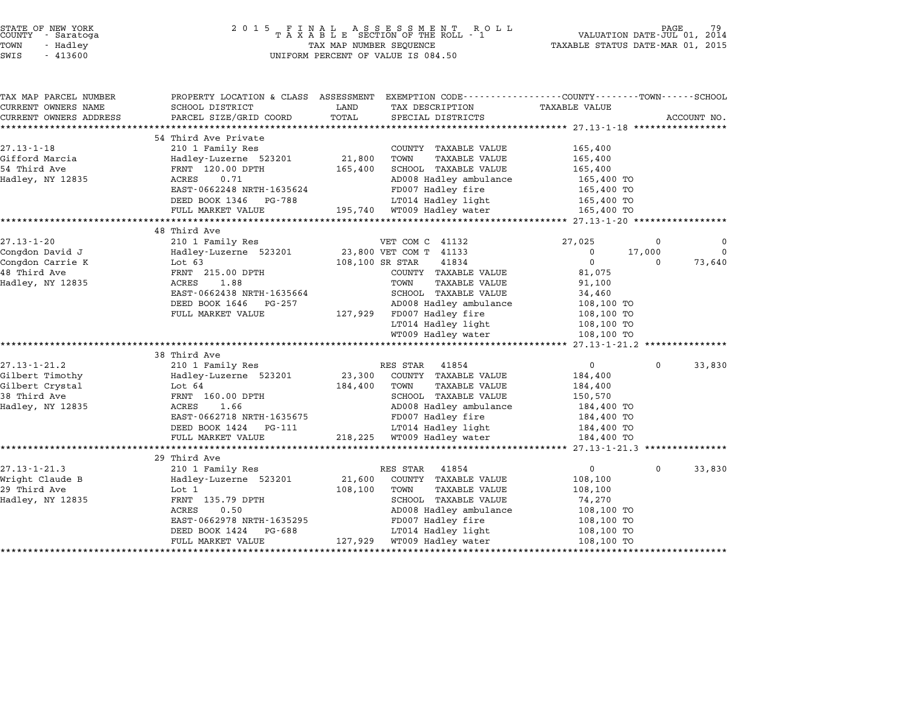| STATE OF NEW YORK<br>COUNTY - Saratoga<br>TOWN<br>- Hadley<br>SWIS<br>$-413600$              | 2 0 1 5                                                                                                                                                                               | TAX MAP NUMBER SEQUENCE<br>UNIFORM PERCENT OF VALUE IS 084.50                                                                                                                                                                    | TAXABLE STATUS DATE-MAR 01, 2015                                                                                                          | PAGE<br>VALUATION DATE-JUL 01, 2014                          |
|----------------------------------------------------------------------------------------------|---------------------------------------------------------------------------------------------------------------------------------------------------------------------------------------|----------------------------------------------------------------------------------------------------------------------------------------------------------------------------------------------------------------------------------|-------------------------------------------------------------------------------------------------------------------------------------------|--------------------------------------------------------------|
| TAX MAP PARCEL NUMBER<br>CURRENT OWNERS NAME<br>CURRENT OWNERS ADDRESS                       | SCHOOL DISTRICT<br>PARCEL SIZE/GRID COORD                                                                                                                                             | LAND<br>TOTAL<br>SPECIAL DISTRICTS                                                                                                                                                                                               | PROPERTY LOCATION & CLASS ASSESSMENT EXEMPTION CODE---------------COUNTY-------TOWN------SCHOOL<br>TAX DESCRIPTION TAXABLE VALUE          | ACCOUNT NO.                                                  |
| $27.13 - 1 - 18$<br>Gifford Marcia<br>54 Third Ave<br>Hadley, NY 12835                       | 54 Third Ave Private<br>210 1 Family Res<br>Hadley-Luzerne 523201<br>FRNT 120.00 DPTH<br>ACRES<br>0.71<br>EAST-0662248 NRTH-1635624<br>DEED BOOK 1346 PG-788<br>FULL MARKET VALUE     | COUNTY TAXABLE VALUE<br>21,800<br>TOWN<br>SCHOOL TAXABLE VALUE<br>165,400<br>AD008 Hadley ambulance<br>FD007 Hadley fire<br>LT014 Hadley light<br>195,740 WT009 Hadley water                                                     | 165,400<br><b>TAXABLE VALUE</b><br>165,400<br>165,400<br>165,400 TO<br>165,400 TO<br>165,400 TO<br>165,400 TO                             |                                                              |
| $27.13 - 1 - 20$<br>Congdon David J<br>Congdon Carrie K<br>48 Third Ave<br>Hadley, NY 12835  | 48 Third Ave<br>210 1 Family Res<br>Hadley-Luzerne 523201<br>Lot $63$<br>FRNT 215.00 DPTH<br>1.88<br>ACRES<br>EAST-0662438 NRTH-1635664<br>DEED BOOK 1646 PG-257<br>FULL MARKET VALUE | VET COM C 41132<br>23,800 VET COM T 41133<br>108,100 SR STAR<br>41834<br>COUNTY TAXABLE VALUE<br>TOWN<br>SCHOOL TAXABLE VALUE<br>AD008 Hadley ambulance<br>127,929 FD007 Hadley fire<br>LT014 Hadley light<br>WT009 Hadley water | 27,025<br>0<br>$\mathsf{O}$<br>81,075<br><b>TAXABLE VALUE</b><br>91,100<br>34,460<br>108,100 TO<br>108,100 TO<br>108,100 TO<br>108,100 TO | $\Omega$<br>0<br>17,000<br>$\mathbf 0$<br>73,640<br>$\Omega$ |
| $27.13 - 1 - 21.2$<br>Gilbert Timothy<br>Gilbert Crystal<br>38 Third Ave<br>Hadley, NY 12835 | 38 Third Ave<br>210 1 Family Res<br>Hadley-Luzerne 523201<br>Lot 64<br>FRNT 160.00 DPTH<br>1.66<br>ACRES<br>EAST-0662718 NRTH-1635675<br>DEED BOOK 1424 PG-111<br>FULL MARKET VALUE   | RES STAR 41854<br>23,300 COUNTY TAXABLE VALUE<br>184,400<br>TOWN<br>SCHOOL TAXABLE VALUE<br>AD008 Hadley ambulance<br>FD007 Hadley fire<br>LT014 Hadley light<br>218,225 WT009 Hadley water                                      | $\overline{0}$<br>184,400<br><b>TAXABLE VALUE</b><br>184,400<br>150,570<br>184,400 TO<br>184,400 TO<br>184,400 TO<br>184,400 TO           | $\Omega$<br>33,830                                           |
| $27.13 - 1 - 21.3$<br>Wright Claude B<br>29 Third Ave<br>Hadley, NY 12835                    | 29 Third Ave<br>210 1 Family Res<br>Hadley-Luzerne 523201<br>Lot 1<br>FRNT 135.79 DPTH<br>ACRES<br>0.50<br>EAST-0662978 NRTH-1635295<br>DEED BOOK 1424<br>PG-688<br>FULL MARKET VALUE | RES STAR<br>41854<br>21,600<br>COUNTY TAXABLE VALUE<br>108,100<br>TOWN<br>SCHOOL TAXABLE VALUE<br>AD008 Hadley ambulance<br>FD007 Hadley fire<br>LT014 Hadley light<br>127,929 WT009 Hadley water                                | $\overline{0}$<br>108,100<br><b>TAXABLE VALUE</b><br>108,100<br>74,270<br>108,100 TO<br>108,100 TO<br>108,100 TO<br>108,100 TO            | 33,830<br>$\Omega$                                           |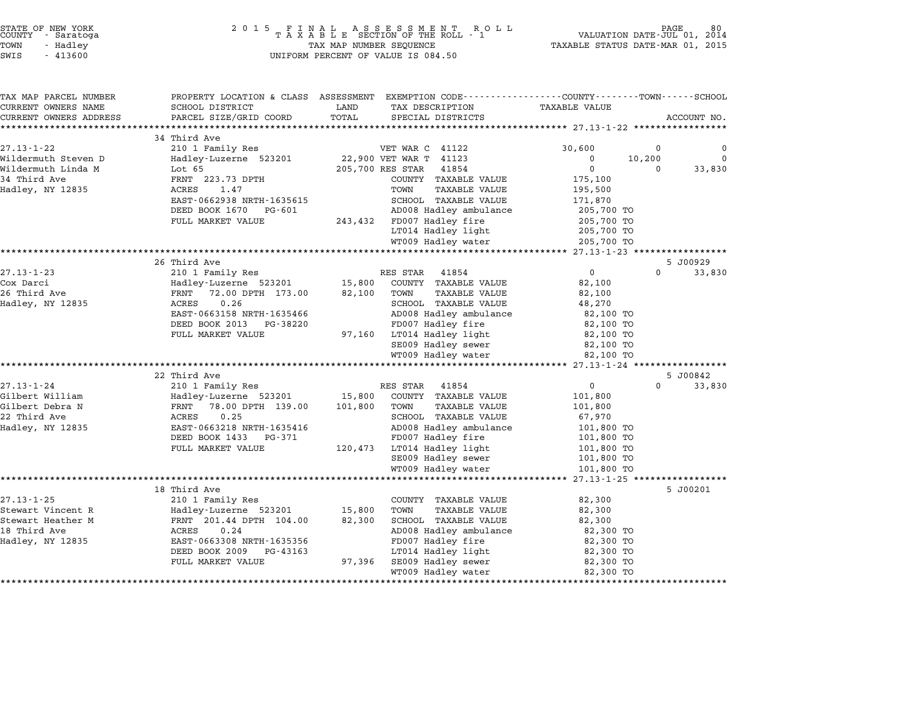| STATE OF NEW YORK |  |            |  |
|-------------------|--|------------|--|
| COUNTY            |  | - Saratoga |  |
| TOWN              |  | - Hadley   |  |

| TAX MAP PARCEL NUMBER<br>CURRENT OWNERS NAME | PROPERTY LOCATION & CLASS ASSESSMENT EXEMPTION CODE----------------COUNTY-------TOWN------SCHOOL<br>SCHOOL DISTRICT | LAND             | TAX DESCRIPTION                                      | <b>TAXABLE VALUE</b>               |          |             |
|----------------------------------------------|---------------------------------------------------------------------------------------------------------------------|------------------|------------------------------------------------------|------------------------------------|----------|-------------|
| CURRENT OWNERS ADDRESS                       | PARCEL SIZE/GRID COORD                                                                                              | TOTAL            | SPECIAL DISTRICTS                                    |                                    |          | ACCOUNT NO. |
|                                              |                                                                                                                     |                  |                                                      |                                    |          |             |
|                                              | 34 Third Ave                                                                                                        |                  |                                                      |                                    |          |             |
| $27.13 - 1 - 22$                             | 210 1 Family Res                                                                                                    |                  | VET WAR C 41122                                      | 30,600                             | 0        | 0           |
| Wildermuth Steven D                          | Hadley-Luzerne 523201                                                                                               |                  | 22,900 VET WAR T 41123                               | 0                                  | 10,200   | $\Omega$    |
| Wildermuth Linda M                           | Lot 65                                                                                                              | 205,700 RES STAR | 41854                                                | $\Omega$                           | 0        | 33,830      |
| 34 Third Ave                                 | FRNT 223.73 DPTH<br>ACRES<br>1.47                                                                                   |                  | COUNTY TAXABLE VALUE<br>TOWN<br><b>TAXABLE VALUE</b> | 175,100                            |          |             |
| Hadley, NY 12835                             | EAST-0662938 NRTH-1635615                                                                                           |                  | SCHOOL TAXABLE VALUE                                 | 195,500<br>171,870                 |          |             |
|                                              | DEED BOOK 1670<br>PG-601                                                                                            |                  | AD008 Hadley ambulance                               | 205,700 TO                         |          |             |
|                                              | FULL MARKET VALUE                                                                                                   | 243,432          | FD007 Hadley fire                                    | 205,700 TO                         |          |             |
|                                              |                                                                                                                     |                  | LT014 Hadley light                                   | 205,700 TO                         |          |             |
|                                              |                                                                                                                     |                  | WT009 Hadley water                                   | 205,700 TO                         |          |             |
|                                              |                                                                                                                     |                  |                                                      |                                    |          |             |
|                                              | 26 Third Ave                                                                                                        |                  |                                                      |                                    |          | 5 J00929    |
| $27.13 - 1 - 23$                             | 210 1 Family Res                                                                                                    |                  | RES STAR 41854                                       | $\overline{0}$                     | $\Omega$ | 33,830      |
| Cox Darci                                    | Hadley-Luzerne 523201                                                                                               | 15,800           | COUNTY TAXABLE VALUE                                 | 82,100                             |          |             |
| 26 Third Ave                                 | 72.00 DPTH 173.00<br>FRNT                                                                                           | 82,100           | TOWN<br><b>TAXABLE VALUE</b>                         | 82,100                             |          |             |
| Hadley, NY 12835                             | 0.26<br>ACRES                                                                                                       |                  | SCHOOL TAXABLE VALUE                                 | 48,270                             |          |             |
|                                              | EAST-0663158 NRTH-1635466                                                                                           |                  | AD008 Hadley ambulance                               | 82,100 TO                          |          |             |
|                                              | DEED BOOK 2013 PG-38220                                                                                             |                  | FD007 Hadley fire                                    | 82,100 TO                          |          |             |
|                                              | FULL MARKET VALUE                                                                                                   | 97,160           | LT014 Hadley light                                   | 82,100 TO                          |          |             |
|                                              |                                                                                                                     |                  | SE009 Hadley sewer                                   | 82,100 TO                          |          |             |
|                                              | ********************************                                                                                    |                  | WT009 Hadley water                                   | 82,100 TO                          |          |             |
|                                              | 22 Third Ave                                                                                                        |                  |                                                      |                                    |          | 5 J00842    |
| $27.13 - 1 - 24$                             | 210 1 Family Res                                                                                                    |                  | RES STAR<br>41854                                    | $\mathbf{0}$                       | $\Omega$ | 33,830      |
| Gilbert William                              | Hadley-Luzerne 523201                                                                                               | 15,800           | COUNTY TAXABLE VALUE                                 | 101,800                            |          |             |
| Gilbert Debra N                              | 78.00 DPTH 139.00<br>FRNT                                                                                           | 101,800          | TOWN<br><b>TAXABLE VALUE</b>                         | 101,800                            |          |             |
| 22 Third Ave                                 | 0.25<br>ACRES                                                                                                       |                  | SCHOOL TAXABLE VALUE                                 | 67,970                             |          |             |
| Hadley, NY 12835                             | EAST-0663218 NRTH-1635416                                                                                           |                  | AD008 Hadley ambulance                               | 101,800 TO                         |          |             |
|                                              | DEED BOOK 1433<br>PG-371                                                                                            |                  | FD007 Hadley fire                                    | 101,800 TO                         |          |             |
|                                              | FULL MARKET VALUE                                                                                                   | 120,473          | LT014 Hadley light                                   | 101,800 TO                         |          |             |
|                                              |                                                                                                                     |                  | SE009 Hadley sewer                                   | 101,800 TO                         |          |             |
|                                              |                                                                                                                     |                  | WT009 Hadley water                                   | 101,800 TO                         |          |             |
|                                              |                                                                                                                     |                  |                                                      | $27.13 - 1 - 25$ ***************** |          |             |
|                                              | 18 Third Ave                                                                                                        |                  |                                                      |                                    |          | 5 J00201    |
| $27.13 - 1 - 25$                             | 210 1 Family Res                                                                                                    |                  | COUNTY TAXABLE VALUE                                 | 82,300                             |          |             |
| Stewart Vincent R                            | Hadley-Luzerne 523201                                                                                               | 15,800           | TOWN<br><b>TAXABLE VALUE</b>                         | 82,300                             |          |             |
| Stewart Heather M                            | FRNT 201.44 DPTH 104.00                                                                                             | 82,300           | SCHOOL TAXABLE VALUE                                 | 82,300                             |          |             |
| 18 Third Ave                                 | ACRES<br>0.24                                                                                                       |                  | AD008 Hadley ambulance                               | 82,300 TO                          |          |             |
| Hadley, NY 12835                             | EAST-0663308 NRTH-1635356                                                                                           |                  | FD007 Hadley fire                                    | 82,300 TO                          |          |             |
|                                              | DEED BOOK 2009<br>PG-43163                                                                                          |                  | LT014 Hadley light                                   | 82,300 TO                          |          |             |
|                                              | FULL MARKET VALUE                                                                                                   | 97,396           | SE009 Hadley sewer                                   | 82,300 TO                          |          |             |
|                                              | *****************                                                                                                   |                  | WT009 Hadley water                                   | 82,300 TO                          |          |             |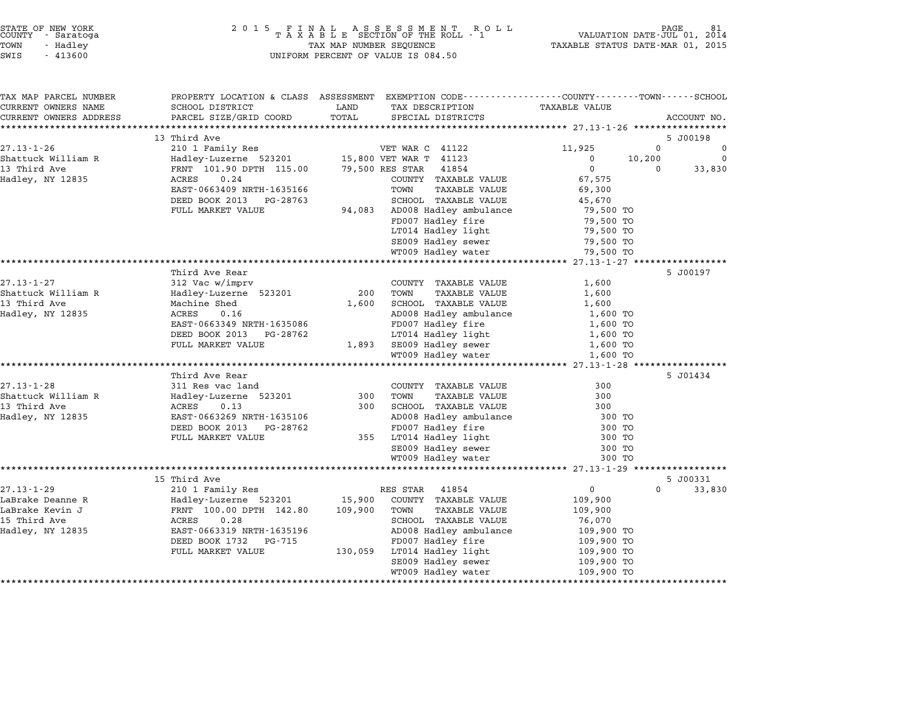| STATE OF NEW YORK<br>COUNTY |  | - Saratoga |  |  |  |
|-----------------------------|--|------------|--|--|--|
| TOWN                        |  | - Hadley   |  |  |  |
| -----                       |  | 1.1020     |  |  |  |

| TAX MAP PARCEL NUMBER<br>CURRENT OWNERS NAME<br>CURRENT OWNERS ADDRESS | PROPERTY LOCATION & CLASS ASSESSMENT EXEMPTION CODE---------------COUNTY-------TOWN------SCHOOL<br>SCHOOL DISTRICT<br>PARCEL SIZE/GRID COORD | LAND<br>TOTAL | TAX DESCRIPTION<br>SPECIAL DISTRICTS               | <b>TAXABLE VALUE</b>              | ACCOUNT NO.        |
|------------------------------------------------------------------------|----------------------------------------------------------------------------------------------------------------------------------------------|---------------|----------------------------------------------------|-----------------------------------|--------------------|
| ***********************                                                |                                                                                                                                              |               |                                                    |                                   |                    |
|                                                                        | 13 Third Ave                                                                                                                                 |               |                                                    |                                   | 5 J00198           |
| $27.13 - 1 - 26$                                                       | 210 1 Family Res                                                                                                                             |               | VET WAR C 41122                                    | 11,925                            | 0<br>0<br>$\Omega$ |
| Shattuck William R<br>13 Third Ave                                     | Hadley-Luzerne 523201<br>FRNT 101.90 DPTH 115.00                                                                                             |               | 15,800 VET WAR T 41123<br>79,500 RES STAR<br>41854 | 10,200<br>$\Omega$<br>$\mathbf 0$ | 33,830<br>$\Omega$ |
| Hadley, NY 12835                                                       | 0.24<br>ACRES                                                                                                                                |               | COUNTY TAXABLE VALUE                               | 67,575                            |                    |
|                                                                        | EAST-0663409 NRTH-1635166                                                                                                                    |               | TOWN<br>TAXABLE VALUE                              | 69,300                            |                    |
|                                                                        | DEED BOOK 2013<br>PG-28763                                                                                                                   |               | SCHOOL TAXABLE VALUE                               | 45,670                            |                    |
|                                                                        | FULL MARKET VALUE                                                                                                                            | 94,083        | AD008 Hadley ambulance                             | 79,500 TO                         |                    |
|                                                                        |                                                                                                                                              |               | FD007 Hadley fire                                  | 79,500 TO                         |                    |
|                                                                        |                                                                                                                                              |               | LT014 Hadley light                                 | 79,500 TO                         |                    |
|                                                                        |                                                                                                                                              |               | SE009 Hadley sewer                                 | 79,500 TO                         |                    |
|                                                                        |                                                                                                                                              |               | WT009 Hadley water                                 | 79,500 TO                         |                    |
|                                                                        |                                                                                                                                              |               |                                                    |                                   |                    |
|                                                                        | Third Ave Rear                                                                                                                               |               |                                                    |                                   | 5 J00197           |
| $27.13 - 1 - 27$                                                       | 312 Vac w/imprv                                                                                                                              | 200           | COUNTY TAXABLE VALUE                               | 1,600                             |                    |
| Shattuck William R<br>13 Third Ave                                     | Hadley-Luzerne 523201                                                                                                                        |               | TOWN<br><b>TAXABLE VALUE</b>                       | 1,600                             |                    |
| Hadley, NY 12835                                                       | Machine Shed<br>ACRES<br>0.16                                                                                                                | 1,600         | SCHOOL TAXABLE VALUE<br>AD008 Hadley ambulance     | 1,600<br>1,600 TO                 |                    |
|                                                                        | EAST-0663349 NRTH-1635086                                                                                                                    |               | FD007 Hadley fire                                  | 1,600 TO                          |                    |
|                                                                        | DEED BOOK 2013 PG-28762                                                                                                                      |               | LT014 Hadley light                                 | 1,600 TO                          |                    |
|                                                                        | FULL MARKET VALUE                                                                                                                            | 1,893         | SE009 Hadley sewer                                 | 1,600 TO                          |                    |
|                                                                        |                                                                                                                                              |               | WT009 Hadley water                                 | 1,600 TO                          |                    |
|                                                                        |                                                                                                                                              |               |                                                    |                                   |                    |
|                                                                        | Third Ave Rear                                                                                                                               |               |                                                    |                                   | 5 J01434           |
| $27.13 - 1 - 28$                                                       | 311 Res vac land                                                                                                                             |               | COUNTY TAXABLE VALUE                               | 300                               |                    |
| Shattuck William R                                                     | Hadley-Luzerne 523201                                                                                                                        | 300           | TOWN<br><b>TAXABLE VALUE</b>                       | 300                               |                    |
| 13 Third Ave                                                           | ACRES<br>0.13                                                                                                                                | 300           | SCHOOL TAXABLE VALUE                               | 300                               |                    |
| Hadley, NY 12835                                                       | EAST-0663269 NRTH-1635106                                                                                                                    |               | AD008 Hadley ambulance                             | 300 TO                            |                    |
|                                                                        | DEED BOOK 2013<br>PG-28762<br>FULL MARKET VALUE                                                                                              | 355           | FD007 Hadley fire                                  | 300 TO                            |                    |
|                                                                        |                                                                                                                                              |               | LT014 Hadley light<br>SE009 Hadley sewer           | 300 TO<br>300 TO                  |                    |
|                                                                        |                                                                                                                                              |               | WT009 Hadley water                                 | 300 TO                            |                    |
|                                                                        |                                                                                                                                              |               |                                                    |                                   |                    |
|                                                                        | 15 Third Ave                                                                                                                                 |               |                                                    |                                   | 5 J00331           |
| $27.13 - 1 - 29$                                                       | 210 1 Family Res                                                                                                                             |               | RES STAR<br>41854                                  | $\mathbf{0}$                      | $\Omega$<br>33,830 |
| LaBrake Deanne R                                                       | Hadley-Luzerne 523201                                                                                                                        | 15,900        | COUNTY TAXABLE VALUE                               | 109,900                           |                    |
| LaBrake Kevin J                                                        | FRNT 100.00 DPTH 142.80                                                                                                                      | 109,900       | TOWN<br><b>TAXABLE VALUE</b>                       | 109,900                           |                    |
| 15 Third Ave                                                           | 0.28<br>ACRES                                                                                                                                |               | SCHOOL TAXABLE VALUE                               | 76,070                            |                    |
| Hadley, NY 12835                                                       | EAST-0663319 NRTH-1635196                                                                                                                    |               | AD008 Hadley ambulance                             | 109,900 TO                        |                    |
|                                                                        | DEED BOOK 1732<br>PG-715                                                                                                                     |               | FD007 Hadley fire                                  | 109,900 TO                        |                    |
|                                                                        | FULL MARKET VALUE                                                                                                                            | 130,059       | LT014 Hadley light                                 | 109,900 TO                        |                    |
|                                                                        |                                                                                                                                              |               | SE009 Hadley sewer                                 | 109,900 TO                        |                    |
|                                                                        |                                                                                                                                              |               | WT009 Hadley water                                 | 109,900 TO                        |                    |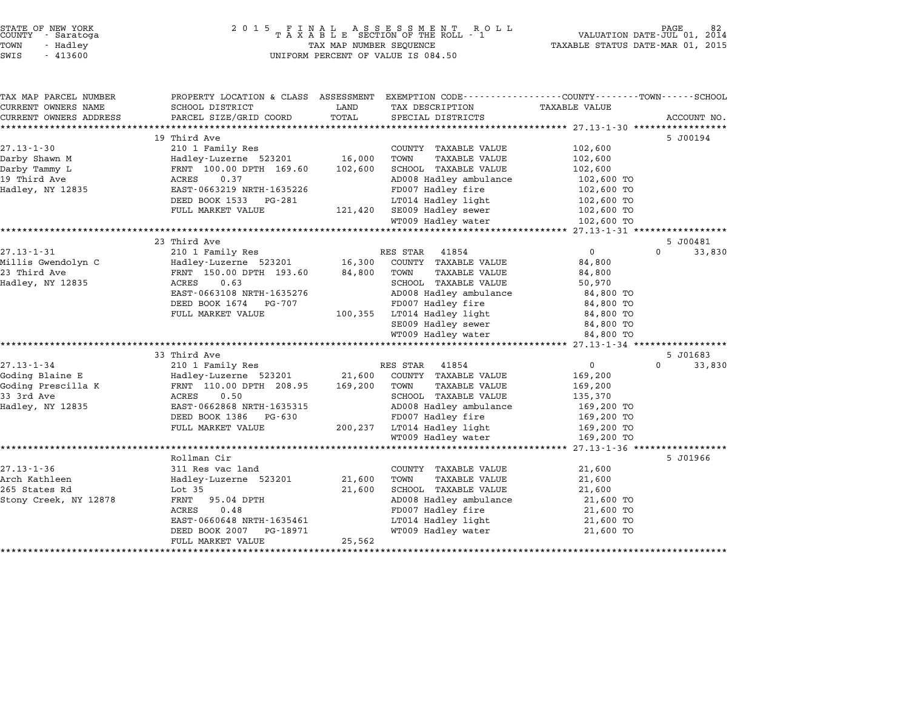| STATE OF NEW YORK<br>COUNTY - Saratoga | 2015 FINAL ASSESSMENT ROLL<br>TAXABLE SECTION OF THE ROLL - 1 | PAGE<br>VALUATION DATE-JUL 01, 2014 |
|----------------------------------------|---------------------------------------------------------------|-------------------------------------|
| TOWN<br>- Hadley                       | TAX MAP NUMBER SEQUENCE                                       | TAXABLE STATUS DATE-MAR 01, 2015    |
| SWIS - 413600                          | UNIFORM PERCENT OF VALUE IS 084.50                            |                                     |

# TOWN - Hadley TAX MAP NUMBER SEQUENCE TAXABLE STATUS DATE-MAR 01, <sup>2015</sup> SUCRIT - SATATUGA<br>TOWN - Hadley - Alley - All Hadley - TAX MAP NUMBER SEQUENCE<br>SWIS - 413600 - WILFORM PERCENT OF VALUE IS 084.50

TAX MAP PARCEL NUMBER PROPERTY LOCATION & CLASS ASSESSMENT EXEMPTION CODE------------------COUNTY--------TOWN------SCHOOL ...<br>-- COUNTY:- TAX MAP PARCEL NUMBER THE OCHOTRY AND THE CURRENT EXEMPTION CODE<br>CURRENT OWNERS NAME SCHOOL DISTRICT LAND TAX DESCRIPTION TAXABLE VALUE CURRENT OWNERS ADDRESS PARCEL SIZE/GRID COORD TOTAL SPECIAL DISTRICTS ACCOUNT NO. \*\*\*\*\*\*\*\*\*\*\*\*\*\*\*\*\*\*\*\*\*\*\*\*\*\*\*\*\*\*\*\*\*\*\*\*\*\*\*\*\*\*\*\*\*\*\*\*\*\*\*\*\*\*\*\*\*\*\*\*\*\*\*\*\*\*\*\*\*\*\*\*\*\*\*\*\*\*\*\*\*\*\*\*\*\*\*\*\*\*\*\*\*\*\*\*\*\*\*\*\*\*\* 27.13-1-30 \*\*\*\*\*\*\*\*\*\*\*\*\*\*\*\*\* <sup>19</sup> Third Ave 5 J00194 27.13-1-30 19 Third Ave 27.13-1-30 19 Thing Res COUNTY TAXABLE VALUE 202,600 Darby Shawn M Hadley-Luzerne <sup>523201</sup> 16,000 TOWN TAXABLE VALUE 102,600 arii in the country the country of the country of the country of the country of the country of the country of<br>Darby Shawn M Tammy Lacence in the Halley-Luzerne 523201 the 16,000 TO TAXABLE VALUE 102,600<br>Darby Tammy Lacence <sup>19</sup> Third Ave ACRES 0.37 AD008 Hadley ambulance 102,600 TO Hadley Tammy Depth 2000 From The Contract of Text of Text of Text of Text of Text of Text of Text of Text of Te<br>102,600 TO ACRES 0.37<br>Hadley fire 102,600 TO TO TO TO TO TO TO THE 102,600 TO EAST-0663219 NRTH-1635226 FD007 Hadley ambutance has to the top of the test of the test of the test of the test of the test of the test of the test of the test of the test of the test of test of the test of test of test of FULL MARKET VALUE 121,420 SE009 Hadley life 102,600 TO<br>DEED BOOK 1533 PG-281 102,600 TO<br>FULL MARKET VALUE 121,420 SE009 Hadley sewer 102,600 TO  $\text{WINR}^{\text{WIMR}}_{\text{FULL}}$   $\text{WINR}^{\text{WIL}}_{\text{HOL}}$   $\text{WTO}^{\text{HOL}}_{\text{HOL}}$   $\text{WTO}^{\text{HOL}}_{\text{HOL}}$   $\text{HOL}^{\text{HOL}}_{\text{HOL}}$   $\text{HOL}^{\text{HOL}}_{\text{HOL}}$   $\text{HOL}^{\text{HOL}}_{\text{HOL}}$   $\text{HOL}^{\text{HOL}}_{\text{HOL}}$   $\text{HOL}^{\text{HOL}}_{\text{HOL}}$   $\text{HOL}^{\text{$ <sup>23</sup> Third Ave 5 J00481 27.13-1-31 23 Third Ave 27.13-1-31 23 Third Ave 5 200481<br>27.13-1-31 210 1 Family Res RES STAR 41854 210 33,830 zy initu Ave and the set of the STAR 41854 of the STAR 11854 of the STAR discussed the STAR of the STAR 210 1<br>Millis Gwendolyn Chadley-Luzerne 523201 of the STAR 11854 of the STAR of the STAR of the STAR of the STAR of t <sup>23</sup> Third Ave FRNT 150.00 DPTH 193.60 84,800 TOWN TAXABLE VALUE 84,800 Hadley, NY <sup>12835</sup> ACRES 0.63 SCHOOL TAXABLE VALUE 50,970 EART 190.00 FIII 199.000 OR SCHOOL TANDLE VALUE OF SCHOOL TAXABLE VALUE OF SCHOOL TAXABLE VALUE OF SOLOOM SCHOO<br>ACRES 0.63<br>EAST-0663108 NRTH-1635276 AD008 Hadley ambulance 84,800 TO EAST-0663108 NRTH-1635276 AD008 Hadley ambulance 500,970<br>DEED BOOK 1674 PG-707 FD007 Hadley fire 84,800 TO FULL MARKET VALUE 100,355 LT014 Hadley discussed book 100 TOBED BOOK 1611 1033270<br>
FULL MARKET VALUE 100,355 LT014 Hadley 1ight 84,800 TO SE009 Hadley sewer 84,800 TO LT014 Hadley light 84,800 TO<br>
SE009 Hadley sewer 84,800 TO<br>
WT009 Hadley water 84,800 TO \*\*\*\*\*\*\*\*\*\*\*\*\*\*\*\*\*\*\*\*\*\*\*\*\*\*\*\*\*\*\*\*\*\*\*\*\*\*\*\*\*\*\*\*\*\*\*\*\*\*\*\*\*\*\*\*\*\*\*\*\*\*\*\*\*\*\*\*\*\*\*\*\*\*\*\*\*\*\*\*\*\*\*\*\*\*\*\*\*\*\*\*\*\*\*\*\*\*\*\*\*\*\* 27.13-1-34 \*\*\*\*\*\*\*\*\*\*\*\*\*\*\*\*\*

|                       |                              |         | WIOUS HAULEY WALEL      | UI, UU U LU    |                    |
|-----------------------|------------------------------|---------|-------------------------|----------------|--------------------|
|                       |                              |         |                         |                |                    |
|                       | 33 Third Ave                 |         |                         |                | 5 J01683           |
| $27.13 - 1 - 34$      | 210 1 Family Res             |         | 41854<br>RES STAR       | $\overline{0}$ | 33,830<br>$\Omega$ |
| Goding Blaine E       | Hadley-Luzerne 523201 21,600 |         | COUNTY<br>TAXABLE VALUE | 169,200        |                    |
| Goding Prescilla K    | FRNT 110.00 DPTH 208.95      | 169,200 | TOWN<br>TAXABLE VALUE   | 169,200        |                    |
| 33 3rd Ave            | 0.50<br>ACRES                |         | SCHOOL TAXABLE VALUE    | 135,370        |                    |
| Hadley, NY 12835      | EAST-0662868 NRTH-1635315    |         | AD008 Hadley ambulance  | 169,200 TO     |                    |
|                       | DEED BOOK 1386 PG-630        |         | FD007 Hadley fire       | 169,200 TO     |                    |
|                       | FULL MARKET VALUE            | 200,237 | LT014 Hadley light      | 169,200 TO     |                    |
|                       |                              |         | WT009 Hadley water      | 169,200 TO     |                    |
|                       |                              |         |                         |                |                    |
|                       | Rollman Cir                  |         |                         |                | 5 J01966           |
| $27.13 - 1 - 36$      | 311 Res vac land             |         | COUNTY TAXABLE VALUE    | 21,600         |                    |
| Arch Kathleen         | Hadley-Luzerne 523201        | 21,600  | TAXABLE VALUE<br>TOWN   | 21,600         |                    |
| 265 States Rd         | Lot 35                       | 21,600  | SCHOOL TAXABLE VALUE    | 21,600         |                    |
| Stony Creek, NY 12878 | FRNT 95.04 DPTH              |         | AD008 Hadley ambulance  | 21,600 TO      |                    |
|                       | 0.48<br>ACRES                |         | FD007 Hadley fire       | 21,600 TO      |                    |
|                       | EAST-0660648 NRTH-1635461    |         | LT014 Hadley light      | 21,600 TO      |                    |
|                       | DEED BOOK 2007 PG-18971      |         | WT009 Hadley water      | 21,600 TO      |                    |
|                       | FULL MARKET VALUE            | 25,562  |                         |                |                    |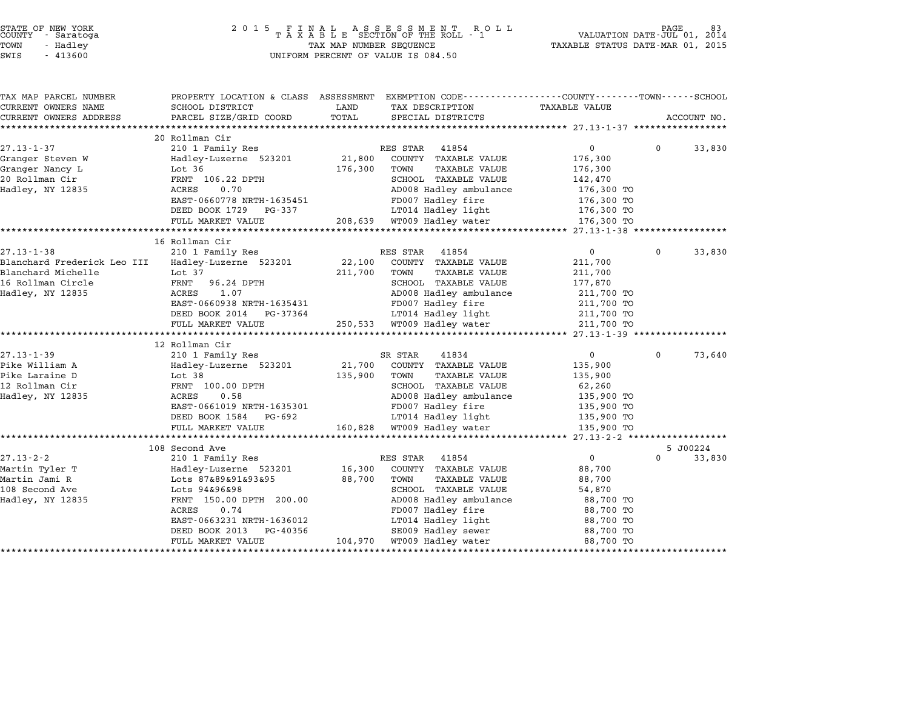| STATE OF NEW YORK |  |            |  |
|-------------------|--|------------|--|
| COUNTY            |  | - Saratoga |  |
| TOWN              |  | - Hadley   |  |

| TAX MAP PARCEL NUMBER                                    | PROPERTY LOCATION & CLASS ASSESSMENT EXEMPTION CODE---------------COUNTY-------TOWN------SCHOOL |         |                                                                        |                   |          |             |
|----------------------------------------------------------|-------------------------------------------------------------------------------------------------|---------|------------------------------------------------------------------------|-------------------|----------|-------------|
| CURRENT OWNERS NAME                                      | SCHOOL DISTRICT                                                                                 | LAND    | TAX DESCRIPTION                                                        | TAXABLE VALUE     |          |             |
| CURRENT OWNERS ADDRESS                                   | PARCEL SIZE/GRID COORD                                                                          | TOTAL   | SPECIAL DISTRICTS                                                      |                   |          | ACCOUNT NO. |
|                                                          |                                                                                                 |         |                                                                        |                   |          |             |
|                                                          | 20 Rollman Cir                                                                                  |         |                                                                        | $0 \qquad \qquad$ |          |             |
| $27.13 - 1 - 37$                                         | 210 1 Family Res                                                                                |         | RES STAR<br>41854                                                      |                   | $\Omega$ | 33,830      |
| Granger Steven W                                         | Hadley-Luzerne 523201 21,800                                                                    | 176,300 | COUNTY TAXABLE VALUE<br>TOWN                                           | 176,300           |          |             |
| Granger Nancy L                                          | Lot 36                                                                                          |         | <b>TAXABLE VALUE</b>                                                   | 176,300           |          |             |
| 20 Rollman Cir                                           | FRNT 106.22 DPTH<br>ACRES<br>0.70                                                               |         | SCHOOL TAXABLE VALUE<br>AD008 Hadley ambulance                         | 142,470           |          |             |
| Hadley, NY 12835                                         |                                                                                                 |         |                                                                        | 176,300 TO        |          |             |
|                                                          | EAST-0660778 NRTH-1635451<br>DEED BOOK 1729 PG-337                                              |         | FD007 Hadley fire                                                      | 176,300 TO        |          |             |
|                                                          |                                                                                                 |         |                                                                        |                   |          |             |
|                                                          | FULL MARKET VALUE                                                                               |         |                                                                        |                   |          |             |
|                                                          | 16 Rollman Cir                                                                                  |         |                                                                        |                   |          |             |
| $27.13 - 1 - 38$                                         | 210 1 Family Res                                                                                |         | RES STAR<br>41854                                                      | $\overline{0}$    | $\Omega$ | 33,830      |
| Blanchard Frederick Leo III Hadley-Luzerne 523201 22,100 |                                                                                                 |         | COUNTY TAXABLE VALUE                                                   | 211,700           |          |             |
| Blanchard Michelle                                       | Lot 37                                                                                          | 211,700 | TOWN<br><b>TAXABLE VALUE</b>                                           | 211,700           |          |             |
| 16 Rollman Circle                                        | FRNT<br>96.24 DPTH                                                                              |         | SCHOOL TAXABLE VALUE                                                   | 177,870           |          |             |
| Hadley, NY 12835                                         | ACRES<br>1.07                                                                                   |         | SCHOOD INALL-<br>AD008 Hadley ambulance                                | 211,700 TO        |          |             |
|                                                          | EAST-0660938 NRTH-1635431                                                                       |         | FD007 Hadley fire                                                      | 211,700 TO        |          |             |
|                                                          | DEED BOOK 2014 PG-37364                                                                         |         |                                                                        | 211,700 TO        |          |             |
|                                                          | FULL MARKET VALUE                                                                               |         | LT014 Hadley light<br>WT009 Hadlev water<br>250,533 WT009 Hadley water | 211,700 TO        |          |             |
|                                                          |                                                                                                 |         |                                                                        |                   |          |             |
|                                                          | 12 Rollman Cir                                                                                  |         |                                                                        |                   |          |             |
| $27.13 - 1 - 39$                                         | 210 1 Family Res                                                                                |         | 41834<br>SR STAR                                                       | $\overline{0}$    | $\Omega$ | 73,640      |
| Pike William A                                           | Hadley-Luzerne 523201 21,700                                                                    |         | COUNTY TAXABLE VALUE                                                   | 135,900           |          |             |
| Pike Laraine D                                           | Lot 38                                                                                          | 135,900 | TOWN<br><b>TAXABLE VALUE</b>                                           | 135,900           |          |             |
| 12 Rollman Cir                                           | FRNT 100.00 DPTH                                                                                |         | SCHOOL TAXABLE VALUE                                                   | 62,260            |          |             |
| Hadley, NY 12835                                         | ACRES<br>0.58                                                                                   |         |                                                                        |                   |          |             |
|                                                          | EAST-0661019 NRTH-1635301                                                                       |         | AD008 Hadley ambulance 135,900 TO<br>FD007 Hadley fire 135,900 TO      |                   |          |             |
|                                                          | DEED BOOK 1584 PG-692                                                                           |         | LT014 Hadley light 135,900 TO                                          |                   |          |             |
|                                                          | FULL MARKET VALUE                                                                               |         | 160,828 WT009 Hadley water                                             | 135,900 TO        |          |             |
|                                                          |                                                                                                 |         |                                                                        |                   |          |             |
|                                                          | 108 Second Ave                                                                                  |         |                                                                        |                   |          | 5 J00224    |
| 27.13-2-2                                                | 210 1 Family Res                                                                                |         | RES STAR<br>41854                                                      | $0 \qquad \qquad$ | $\Omega$ | 33,830      |
| Martin Tyler T                                           | Hadley-Luzerne 523201                                                                           | 16,300  | COUNTY TAXABLE VALUE                                                   | 88,700            |          |             |
| Martin Jami R                                            | Lots 87&89&91&93&95                                                                             | 88,700  | TOWN<br>TAXABLE VALUE                                                  | 88,700            |          |             |
| 108 Second Ave                                           | Lots 94&96&98                                                                                   |         | SCHOOL TAXABLE VALUE                                                   | 54,870            |          |             |
| Hadley, NY 12835                                         | FRNT 150.00 DPTH 200.00                                                                         |         | AD008 Hadley ambulance                                                 | 88,700 TO         |          |             |
|                                                          | ACRES<br>0.74                                                                                   |         | FD007 Hadley fire                                                      | 88,700 TO         |          |             |
|                                                          | EAST-0663231 NRTH-1636012                                                                       |         | LT014 Hadley light                                                     | 88,700 TO         |          |             |
|                                                          | DEED BOOK 2013<br>PG-40356                                                                      |         | SE009 Hadley sewer                                                     | 88,700 TO         |          |             |
|                                                          | FULL MARKET VALUE                                                                               |         | 104,970 WT009 Hadley water                                             | 88,700 TO         |          |             |
|                                                          |                                                                                                 |         |                                                                        |                   |          |             |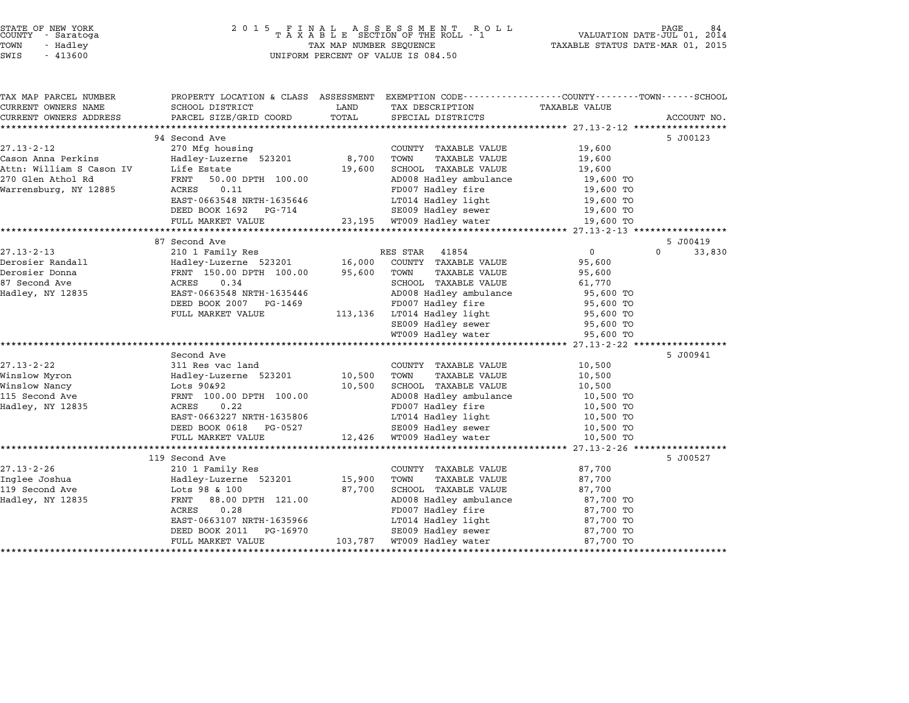|        | STATE OF NEW YORK |  |
|--------|-------------------|--|
| COUNTY | - Saratoga        |  |
| TOWN   | - Hadley          |  |

TAX MAP PARCEL NUMBER PROPERTY LOCATION & CLASS ASSESSMENT EXEMPTION CODE------------------COUNTY--------TOWN------SCHOOL CURRENT OWNERS NAME SCHOOL DISTRICT LAND TAX DESCRIPTION TAXABLE VALUE CURRENT OWNERS ADDRESS PARCEL SIZE/GRID COORD TOTAL SPECIAL DISTRICTS ACCOUNT NO. \*\*\*\*\*\*\*\*\*\*\*\*\*\*\*\*\*\*\*\*\*\*\*\*\*\*\*\*\*\*\*\*\*\*\*\*\*\*\*\*\*\*\*\*\*\*\*\*\*\*\*\*\*\*\*\*\*\*\*\*\*\*\*\*\*\*\*\*\*\*\*\*\*\*\*\*\*\*\*\*\*\*\*\*\*\*\*\*\*\*\*\*\*\*\*\*\*\*\*\*\*\*\* 27.13-2-12 \*\*\*\*\*\*\*\*\*\*\*\*\*\*\*\*\* <sup>94</sup> Second Ave 5 J00123 27.13-2-12 94 Second Ave and Second Ave and Second Ave and Second Ave and Second Ave and Second Ave and Second Ave and Second Ave and Second Ave and Second Ave and Second Ave and Second Ave and Second Ave and Second Ave an Cason Anna Perkins Hadley-Luzerne <sup>523201</sup> 8,700 TOWN TAXABLE VALUE 19,600 Attn: William S Cason IV Life Estate 19,600 SCHOOL TAXABLE VALUE 19,600 <sup>270</sup> Glen Athol Rd FRNT 50.00 DPTH 100.00 AD008 Hadley ambulance 19,600 TO ACCH. WITHER SAND HARDE WARDEN WARDEN WITH SAND TRANSPORTED TRANSPORTED TRANSPORTED TRANSPORTED TRANSPORTED TRANSPORTED TRANSPORTED TRANSPORTED TRANSPORTED TRANSPORTED TRANSPORTED TRANSPORTED TRANSPORTED TRANSPORTED TRANSP EAST-0663548 NRTH-1635646 LT014 Hadley light 19,600 TO POOP 19.11 19.000 POOP 1892 PG-714 POOP 1892 PG-714 SE009 Hadley sewer 19,600 TO<br>
DEED BOOK 1692 PG-714 SE009 Hadley sewer 19,600 TO FULL MARKET VALUE 23,195 WT009 Hadley water 19,600 TO \*\*\*\*\*\*\*\*\*\*\*\*\*\*\*\*\*\*\*\*\*\*\*\*\*\*\*\*\*\*\*\*\*\*\*\*\*\*\*\*\*\*\*\*\*\*\*\*\*\*\*\*\*\*\*\*\*\*\*\*\*\*\*\*\*\*\*\*\*\*\*\*\*\*\*\*\*\*\*\*\*\*\*\*\*\*\*\*\*\*\*\*\*\*\*\*\*\*\*\*\*\*\* 27.13-2-13 \*\*\*\*\*\*\*\*\*\*\*\*\*\*\*\*\* <sup>87</sup> Second Ave 5 J00419 27.13-2-13 87 Second Ave 5 300419<br>21.13-2-13 210 1 Family Res RES STAR 41854 0 0 33,830 Derosier Randall Hadley-Luzerne <sup>523201</sup> 16,000 COUNTY TAXABLE VALUE 95,600 Derosier Donna FRNT 150.00 DPTH 100.00 95,600 TOWN TAXABLE VALUE 95,600 Delosier Kanuari – Hamilty-Buzerne 525201 – 10,000 COONTI IAAABLE VALUE – 95,600<br>Derosier Donna – FRNT 150.00 DPTH 100.00 – 95,600 TOWN TAXABLE VALUE – 95,600<br>87 Second Ave – ACRES 0.34 Had the term of the set of the set of the set of the set of the set of the set of the set of the set of the set of the set of the set of the set of the set of the set of the set of the set of the set of the set of the set EAST-0663548 NRTH-1635446 FROM BOOK 2007 PG-1469 FD007 Hadley ambulance 95,600 TO<br>DEED BOOK 2007 PG-1469 FD007 Hadley fire 95,600 TO FULL MARKET VALUE 113,136 LT014 Hadley fire<br>
FULL MARKET VALUE 113,136 FUOD Hadley fire 95,600 TO SE009 Hadley sewer 95,600 TO WT009 Hadley water 95,600 TO \*\*\*\*\*\*\*\*\*\*\*\*\*\*\*\*\*\*\*\*\*\*\*\*\*\*\*\*\*\*\*\*\*\*\*\*\*\*\*\*\*\*\*\*\*\*\*\*\*\*\*\*\*\*\*\*\*\*\*\*\*\*\*\*\*\*\*\*\*\*\*\*\*\*\*\*\*\*\*\*\*\*\*\*\*\*\*\*\*\*\*\*\*\*\*\*\*\*\*\*\*\*\* 27.13-2-22 \*\*\*\*\*\*\*\*\*\*\*\*\*\*\*\*\* Second Ave 5 J00941 27.13-2-22 311 Res vac land<br>27.13-2-22 311 Res vac land COUNTY TAXABLE VALUE 10,500 Wecomu Ave سماعة المستحدث المستحدث المستحدث المستحدث المستحدث المستحدث المستحدث المستحدث المستحدث المستحدث بن ا<br>Minslow Myron Hadley-Luzerne 523201 10,500 TOWN TAXABLE VALUE 10,500 10,500 Winslow Nancy Lots 90&92 10,500 SCHOOL TAXABLE VALUE 10,500 111510W PAYLON MOVE CONTROLLER HALLER AND MANUEL AND TAXABLE VALUE (10,500 NORM) (1111510W MANUEL VALUE 2009)<br>10,500 SCHOOL TAXABLE VALUE 2009 ADOOB HAARLE VALUE 2009 TOWN MANUEL VALUE 2009 TOWN MANUEL 2009 TOWN 10,500 T<br>1 Hadley, NY <sup>12835</sup> ACRES 0.22 FD007 Hadley fire 10,500 TO EART 100.00 DF111 100.000 AD000 Hadley allowshed to 10,500 TO<br>ACRES 0.022 ACRES 10,500 TO FD007 Hadley fire 10,500 TO 10,500 TO<br>EAST-0663227 NRTH-1635806 LT014 Hadley light 10,500 TO EAST-0663227 NRTH-1635806 FD007 Hadley IIIe<br>
DEED BOOK 0618 PG-0527 SE009 Hadley light 10,500 TO<br>
SECO Hadley sewer 10,500 TO FULL MARKET VALUE 12,426 WT009 Hadley steer and the top of the top of the top of the top of the top of the top of the top of the top of the top of the top of the top of the top of the top of the top of the top of the top o \*\*\*\*\*\*\*\*\*\*\*\*\*\*\*\*\*\*\*\*\*\*\*\*\*\*\*\*\*\*\*\*\*\*\*\*\*\*\*\*\*\*\*\*\*\*\*\*\*\*\*\*\*\*\*\*\*\*\*\*\*\*\*\*\*\*\*\*\*\*\*\*\*\*\*\*\*\*\*\*\*\*\*\*\*\*\*\*\*\*\*\*\*\*\*\*\*\*\*\*\*\*\* 27.13-2-26 \*\*\*\*\*\*\*\*\*\*\*\*\*\*\*\*\* <sup>119</sup> Second Ave 5 J00527  $27.13-2-26$  27.13-2-26 210 1 Family Res COUNTY TAXABLE VALUE 87,700 Inglee Joshua Haman (19 Secolul Ave and The Country TAXABLE VALUE 15,900 Normal COUNTY TO A ST,700<br>Inglee Joshua 15,900 TOWN TAXABLE VALUE 15,900 TOWN TAXABLE VALUE 187,700 11.19-2-20 - 11.19 Aunt 210 I Pallity Research Market Country Avenue VALUE 1997,700<br>109 Inglee Joshua - Hadley-Luzerne 523201 - 15,900 TOWN TAXABLE VALUE 1997,700<br>119 Second Ave - Lots 98 & 100 - 87,700 SCHOOL TAXABLE VALU Hadley Basting (1990) (1990) (1990) (1990) (1990) (1990) (1990) (1990) (1990) (1990) (1990) (1990) (1990) (199<br>19 ST,700 SCHOOL TAXABLE VALUE (1990) (1980) (1980) (1980) (1980) (1980) (1980) (1990) (1990) (1990) (1990) (1<br> ENT 88.00 DPTH 121.00 67,700 SCHOOL IAAABLE VALUE 67,700 67,700 TO<br>FRNT 88.00 DPTH 121.00 AD008 Hadley ambulance 87,700 TO<br>ACRES 0.28 FD007 Hadley fire 87,700 TO EART 00.00 DF111 121.00<br>ACRES 0.28 RTH-1635966 FD007 Hadley fire 87,700 TO<br>EAST-0663107 NRTH-1635966 LT014 Hadley light 87,700 TO EAST-0663107 NRTH-1635966 FD007 Hadley IIIe<br>
DEED BOOK 2011 PG-16970 SE009 Hadley light 87,700 TO<br>
SE009 Hadley sewer 87,700 TO FULL MARKET VALUE 103,787 WILLE HAULEY LIGHT MOTHER AND TRED BOOK 2011 PC-16970<br>
TUEL MARKET VALUE 103,787 WT009 Hadley swer 87,700 TO \*\*\*\*\*\*\*\*\*\*\*\*\*\*\*\*\*\*\*\*\*\*\*\*\*\*\*\*\*\*\*\*\*\*\*\*\*\*\*\*\*\*\*\*\*\*\*\*\*\*\*\*\*\*\*\*\*\*\*\*\*\*\*\*\*\*\*\*\*\*\*\*\*\*\*\*\*\*\*\*\*\*\*\*\*\*\*\*\*\*\*\*\*\*\*\*\*\*\*\*\*\*\*\*\*\*\*\*\*\*\*\*\*\*\*\*\*\*\*\*\*\*\*\*\*\*\*\*\*\*\*\*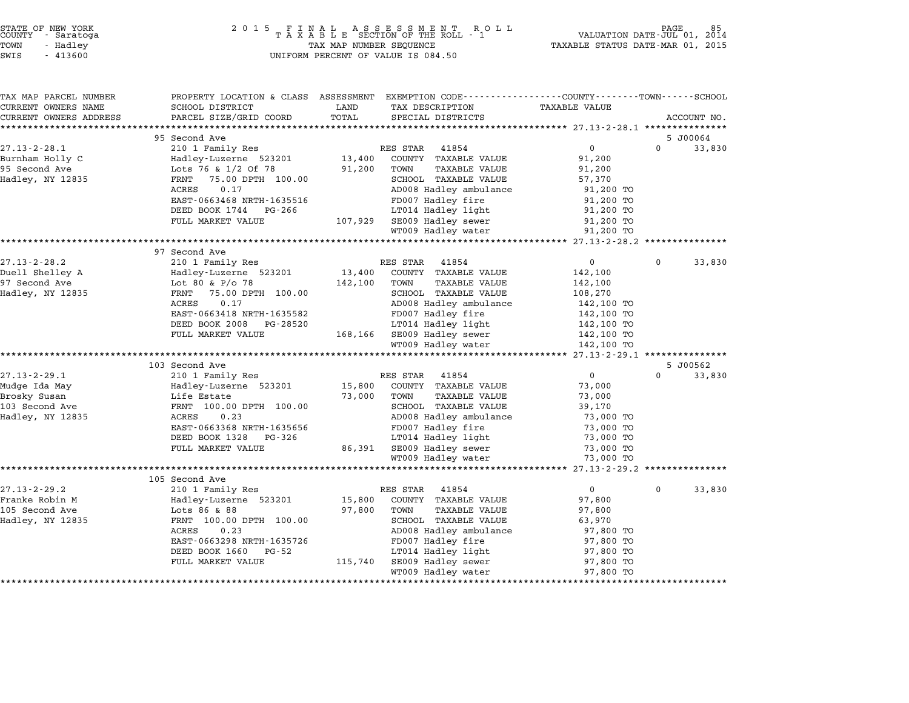| STATE OF NEW YORK |            |
|-------------------|------------|
| COUNTY            | - Saratoga |
| TOWN              | - Hadley   |

|             | <b>TAXABLE VALUE</b>     | PROPERTY LOCATION & CLASS ASSESSMENT EXEMPTION CODE----------------COUNTY-------TOWN------SCHOOL<br>TAX DESCRIPTION | LAND    | SCHOOL DISTRICT                            | TAX MAP PARCEL NUMBER<br>CURRENT OWNERS NAME        |
|-------------|--------------------------|---------------------------------------------------------------------------------------------------------------------|---------|--------------------------------------------|-----------------------------------------------------|
| ACCOUNT NO. |                          | SPECIAL DISTRICTS                                                                                                   | TOTAL   | PARCEL SIZE/GRID COORD                     | CURRENT OWNERS ADDRESS<br>************************* |
| 5 J00064    |                          |                                                                                                                     |         | 95 Second Ave                              |                                                     |
| 33,830      | $\mathbf{0}$             | 41854<br>RES STAR                                                                                                   |         | 210 1 Family Res                           | $27.13 - 2 - 28.1$                                  |
|             | 91,200                   | COUNTY TAXABLE VALUE                                                                                                | 13,400  | Hadley-Luzerne 523201                      | Burnham Holly C                                     |
|             | 91,200                   | TOWN<br>TAXABLE VALUE                                                                                               | 91,200  | Lots 76 & 1/2 Of 78                        | 95 Second Ave                                       |
|             | 57,370                   | SCHOOL TAXABLE VALUE                                                                                                |         | FRNT<br>75.00 DPTH 100.00                  | Hadley, NY 12835                                    |
|             | 91,200 TO                | AD008 Hadley ambulance                                                                                              |         | ACRES<br>0.17                              |                                                     |
|             | 91,200 TO                | FD007 Hadley fire                                                                                                   |         | EAST-0663468 NRTH-1635516                  |                                                     |
|             | 91,200 TO                | LT014 Hadley light                                                                                                  |         | DEED BOOK 1744 PG-266                      |                                                     |
|             | 91,200 TO                | SE009 Hadley sewer                                                                                                  | 107,929 | FULL MARKET VALUE                          |                                                     |
|             | 91,200 TO                | WT009 Hadley water                                                                                                  |         |                                            |                                                     |
|             |                          |                                                                                                                     |         |                                            |                                                     |
|             |                          |                                                                                                                     |         | 97 Second Ave                              |                                                     |
| 33,830      | $\Omega$                 | RES STAR<br>41854                                                                                                   |         | 210 1 Family Res                           | $27.13 - 2 - 28.2$                                  |
|             | 142,100                  | COUNTY TAXABLE VALUE                                                                                                | 13,400  | Hadley-Luzerne 523201                      | Duell Shelley A                                     |
|             | 142,100                  | TOWN<br><b>TAXABLE VALUE</b>                                                                                        | 142,100 | Lot 80 & P/o 78                            | 97 Second Ave                                       |
|             | 108,270                  | SCHOOL TAXABLE VALUE                                                                                                |         | 75.00 DPTH 100.00<br>FRNT                  | Hadley, NY 12835                                    |
|             | 142,100 TO<br>142,100 TO | AD008 Hadley ambulance<br>FD007 Hadley fire                                                                         |         | 0.17<br>ACRES<br>EAST-0663418 NRTH-1635582 |                                                     |
|             | 142,100 TO               | LT014 Hadley light                                                                                                  |         | DEED BOOK 2008 PG-28520                    |                                                     |
|             | 142,100 TO               | 168,166 SE009 Hadley sewer                                                                                          |         | FULL MARKET VALUE                          |                                                     |
|             | 142,100 TO               | WT009 Hadley water                                                                                                  |         |                                            |                                                     |
|             |                          |                                                                                                                     |         |                                            |                                                     |
| 5 J00562    |                          |                                                                                                                     |         | 103 Second Ave                             |                                                     |
| 33,830      | $\overline{0}$           | 41854<br>RES STAR                                                                                                   |         | 210 1 Family Res                           | $27.13 - 2 - 29.1$                                  |
|             | 73,000                   | COUNTY TAXABLE VALUE                                                                                                | 15,800  | Hadley-Luzerne 523201                      | Mudge Ida May                                       |
|             | 73,000                   | TOWN<br>TAXABLE VALUE                                                                                               | 73,000  | Life Estate                                | Brosky Susan                                        |
|             | 39,170                   | SCHOOL TAXABLE VALUE                                                                                                |         | FRNT 100.00 DPTH 100.00                    | 103 Second Ave                                      |
|             | 73,000 TO                | AD008 Hadley ambulance                                                                                              |         | ACRES<br>0.23                              | Hadley, NY 12835                                    |
|             | 73,000 TO                | FD007 Hadley fire                                                                                                   |         | EAST-0663368 NRTH-1635656                  |                                                     |
|             | 73,000 TO                | LT014 Hadley light                                                                                                  |         | DEED BOOK 1328<br>PG-326                   |                                                     |
|             | 73,000 TO                | 86,391 SE009 Hadley sewer                                                                                           |         | FULL MARKET VALUE                          |                                                     |
|             | 73,000 TO                | WT009 Hadley water                                                                                                  |         |                                            |                                                     |
|             |                          |                                                                                                                     |         |                                            |                                                     |
|             | $\Omega$                 | RES STAR<br>41854                                                                                                   |         | 105 Second Ave                             | $27.13 - 2 - 29.2$                                  |
| 33,830      | 97,800                   | COUNTY TAXABLE VALUE                                                                                                | 15,800  | 210 1 Family Res<br>Hadley-Luzerne 523201  | Franke Robin M                                      |
|             | 97,800                   | TOWN<br><b>TAXABLE VALUE</b>                                                                                        | 97,800  | Lots 86 & 88                               | 105 Second Ave                                      |
|             | 63,970                   | SCHOOL TAXABLE VALUE                                                                                                |         | FRNT 100.00 DPTH 100.00                    | Hadley, NY 12835                                    |
|             | 97,800 TO                | AD008 Hadley ambulance                                                                                              |         | ACRES<br>0.23                              |                                                     |
|             | 97,800 TO                | FD007 Hadley fire                                                                                                   |         | EAST-0663298 NRTH-1635726                  |                                                     |
|             | 97,800 TO                | LT014 Hadley light                                                                                                  |         | PG-52<br>DEED BOOK 1660                    |                                                     |
|             | 97,800 TO                | SE009 Hadley sewer                                                                                                  | 115,740 | FULL MARKET VALUE                          |                                                     |
|             |                          |                                                                                                                     |         |                                            |                                                     |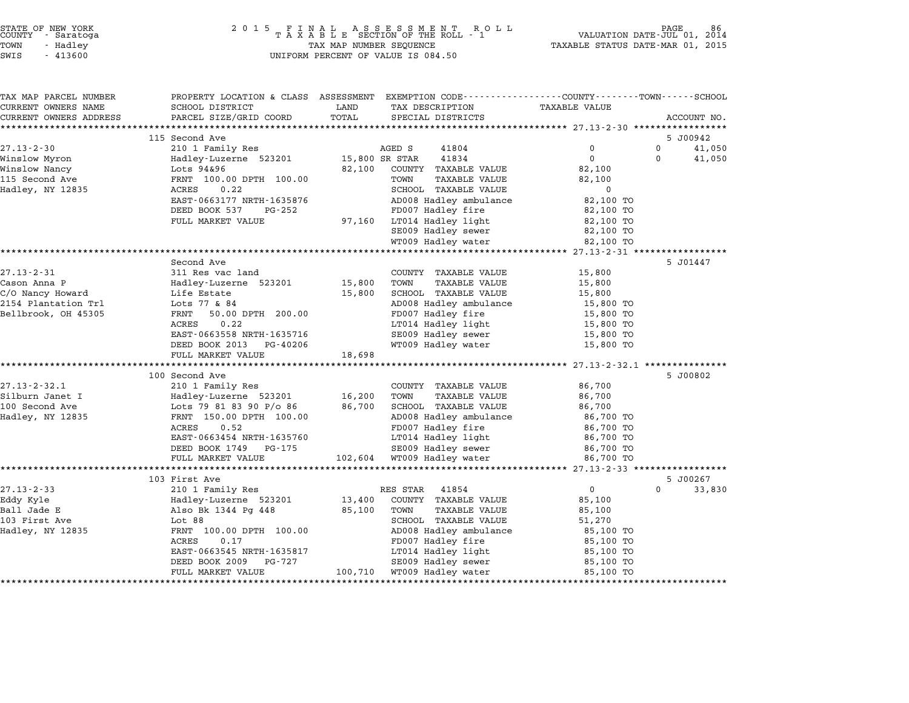# STATE OF NEW YORK <sup>2</sup> <sup>0</sup> <sup>1</sup> 5 F I N A L A S S E S S M E N T R O L L PAGE <sup>86</sup> COUNTY - Saratoga <sup>T</sup> <sup>A</sup> <sup>X</sup> <sup>A</sup> <sup>B</sup> <sup>L</sup> <sup>E</sup> SECTION OF THE ROLL - <sup>1</sup> VALUATION DATE-JUL 01, <sup>2014</sup> TOWN - Hadley TAX MAP NUMBER SEQUENCE TAXABLE STATUS DATE-MAR 01, <sup>2015</sup> STATE OF NEW YORK<br>
COUNTY - Saratoga<br>
TOWN - Hadley TAXABLE SECTION OF THE ROLL<br>
SWIS - 413600 UNIFORM PERCENT OF VALUE IS 084.50

| <b>TAXABLE VALUE</b><br>SCHOOL DISTRICT<br>LAND<br>TAX DESCRIPTION<br>PARCEL SIZE/GRID COORD<br>TOTAL<br>SPECIAL DISTRICTS<br>ACCOUNT NO.<br>115 Second Ave<br>5 J00942<br>210 1 Family Res<br>AGED S<br>41804<br>0<br>$\mathbf 0$<br>41,050<br>Hadley-Luzerne 523201<br>15,800 SR STAR<br>41834<br>$\Omega$<br>41,050<br>$\Omega$<br>Lots 94&96<br>82,100<br>COUNTY TAXABLE VALUE<br>82,100<br>FRNT 100.00 DPTH 100.00<br><b>TAXABLE VALUE</b><br>TOWN<br>82,100<br>Hadley, NY 12835<br>ACRES<br>0.22<br>SCHOOL TAXABLE VALUE<br>0<br>EAST-0663177 NRTH-1635876<br>AD008 Hadley ambulance<br>82,100 TO<br>DEED BOOK 537<br>FD007 Hadley fire<br>PG-252<br>82,100 TO<br>97,160 LT014 Hadley light<br>FULL MARKET VALUE<br>82,100 TO<br>SE009 Hadley sewer<br>82,100 TO<br>WT009 Hadley water<br>82,100 TO<br>Second Ave<br>5 J01447<br>$27.13 - 2 - 31$<br>311 Res vac land<br>COUNTY TAXABLE VALUE<br>15,800<br>15,800<br>TOWN<br><b>TAXABLE VALUE</b><br>15,800<br>Cason Anna P<br>Hadley-Luzerne 523201<br>SCHOOL TAXABLE VALUE<br>C/O Nancy Howard<br>15,800<br>15,800<br>Life Estate<br>AD008 Hadley ambulance<br>2154 Plantation Trl<br>Lots 77 & 84<br>15,800 TO<br>FD007 Hadley fire<br>Bellbrook, OH 45305<br>FRNT<br>50.00 DPTH 200.00<br>15,800 TO<br>0.22<br>LT014 Hadley light<br>ACRES<br>15,800 TO<br>EAST-0663558 NRTH-1635716<br>SE009 Hadley sewer<br>15,800 TO<br>WT009 Hadley water<br>DEED BOOK 2013 PG-40206<br>15,800 TO<br>FULL MARKET VALUE<br>18,698<br>100 Second Ave<br>5 J00802<br>210 1 Family Res<br>86,700<br>COUNTY TAXABLE VALUE<br>Hadley-Luzerne 523201<br>16,200<br>TOWN<br><b>TAXABLE VALUE</b><br>86,700<br>SCHOOL TAXABLE VALUE<br>Lots 79 81 83 90 P/o 86<br>86,700<br>86,700<br>FRNT 150.00 DPTH 100.00<br>AD008 Hadley ambulance<br>86,700 TO<br>FD007 Hadley fire<br>ACRES<br>0.52<br>86,700 TO<br>EAST-0663454 NRTH-1635760<br>LT014 Hadley light<br>86,700 TO<br>DEED BOOK 1749 PG-175<br>SE009 Hadley sewer<br>86,700 TO<br>102,604<br>WT009 Hadley water<br>FULL MARKET VALUE<br>86,700 TO<br>**************************<br>103 First Ave<br>5 J00267<br>$\overline{0}$<br>210 1 Family Res<br>RES STAR 41854<br>$\Omega$<br>33,830<br>13,400<br>COUNTY TAXABLE VALUE<br>85,100<br>Hadley-Luzerne 523201<br>Also Bk 1344 Pg 448<br>85,100<br>TOWN<br><b>TAXABLE VALUE</b><br>85,100<br>SCHOOL TAXABLE VALUE<br>103 First Ave<br>Lot 88<br>51,270<br>Hadley, NY 12835<br>AD008 Hadley ambulance<br>FRNT 100.00 DPTH 100.00<br>85,100 TO<br>FD007 Hadley fire<br>ACRES<br>0.17<br>85,100 TO<br>LT014 Hadley light<br>EAST-0663545 NRTH-1635817<br>85,100 TO<br>DEED BOOK 2009<br>SE009 Hadley sewer<br>PG-727<br>85,100 TO<br>100,710 WT009 Hadley water<br>FULL MARKET VALUE<br>85,100 TO | TAX MAP PARCEL NUMBER  | PROPERTY LOCATION & CLASS ASSESSMENT EXEMPTION CODE----------------COUNTY-------TOWN------SCHOOL |  |  |
|------------------------------------------------------------------------------------------------------------------------------------------------------------------------------------------------------------------------------------------------------------------------------------------------------------------------------------------------------------------------------------------------------------------------------------------------------------------------------------------------------------------------------------------------------------------------------------------------------------------------------------------------------------------------------------------------------------------------------------------------------------------------------------------------------------------------------------------------------------------------------------------------------------------------------------------------------------------------------------------------------------------------------------------------------------------------------------------------------------------------------------------------------------------------------------------------------------------------------------------------------------------------------------------------------------------------------------------------------------------------------------------------------------------------------------------------------------------------------------------------------------------------------------------------------------------------------------------------------------------------------------------------------------------------------------------------------------------------------------------------------------------------------------------------------------------------------------------------------------------------------------------------------------------------------------------------------------------------------------------------------------------------------------------------------------------------------------------------------------------------------------------------------------------------------------------------------------------------------------------------------------------------------------------------------------------------------------------------------------------------------------------------------------------------------------------------------------------------------------------------------------------------------------------------------------------------------------------------------------------------------------------------------------------------------------------------------------------------------------------|------------------------|--------------------------------------------------------------------------------------------------|--|--|
|                                                                                                                                                                                                                                                                                                                                                                                                                                                                                                                                                                                                                                                                                                                                                                                                                                                                                                                                                                                                                                                                                                                                                                                                                                                                                                                                                                                                                                                                                                                                                                                                                                                                                                                                                                                                                                                                                                                                                                                                                                                                                                                                                                                                                                                                                                                                                                                                                                                                                                                                                                                                                                                                                                                                          | CURRENT OWNERS NAME    |                                                                                                  |  |  |
|                                                                                                                                                                                                                                                                                                                                                                                                                                                                                                                                                                                                                                                                                                                                                                                                                                                                                                                                                                                                                                                                                                                                                                                                                                                                                                                                                                                                                                                                                                                                                                                                                                                                                                                                                                                                                                                                                                                                                                                                                                                                                                                                                                                                                                                                                                                                                                                                                                                                                                                                                                                                                                                                                                                                          | CURRENT OWNERS ADDRESS |                                                                                                  |  |  |
|                                                                                                                                                                                                                                                                                                                                                                                                                                                                                                                                                                                                                                                                                                                                                                                                                                                                                                                                                                                                                                                                                                                                                                                                                                                                                                                                                                                                                                                                                                                                                                                                                                                                                                                                                                                                                                                                                                                                                                                                                                                                                                                                                                                                                                                                                                                                                                                                                                                                                                                                                                                                                                                                                                                                          |                        |                                                                                                  |  |  |
|                                                                                                                                                                                                                                                                                                                                                                                                                                                                                                                                                                                                                                                                                                                                                                                                                                                                                                                                                                                                                                                                                                                                                                                                                                                                                                                                                                                                                                                                                                                                                                                                                                                                                                                                                                                                                                                                                                                                                                                                                                                                                                                                                                                                                                                                                                                                                                                                                                                                                                                                                                                                                                                                                                                                          |                        |                                                                                                  |  |  |
|                                                                                                                                                                                                                                                                                                                                                                                                                                                                                                                                                                                                                                                                                                                                                                                                                                                                                                                                                                                                                                                                                                                                                                                                                                                                                                                                                                                                                                                                                                                                                                                                                                                                                                                                                                                                                                                                                                                                                                                                                                                                                                                                                                                                                                                                                                                                                                                                                                                                                                                                                                                                                                                                                                                                          | $27.13 - 2 - 30$       |                                                                                                  |  |  |
|                                                                                                                                                                                                                                                                                                                                                                                                                                                                                                                                                                                                                                                                                                                                                                                                                                                                                                                                                                                                                                                                                                                                                                                                                                                                                                                                                                                                                                                                                                                                                                                                                                                                                                                                                                                                                                                                                                                                                                                                                                                                                                                                                                                                                                                                                                                                                                                                                                                                                                                                                                                                                                                                                                                                          | Winslow Myron          |                                                                                                  |  |  |
|                                                                                                                                                                                                                                                                                                                                                                                                                                                                                                                                                                                                                                                                                                                                                                                                                                                                                                                                                                                                                                                                                                                                                                                                                                                                                                                                                                                                                                                                                                                                                                                                                                                                                                                                                                                                                                                                                                                                                                                                                                                                                                                                                                                                                                                                                                                                                                                                                                                                                                                                                                                                                                                                                                                                          | Winslow Nancy          |                                                                                                  |  |  |
|                                                                                                                                                                                                                                                                                                                                                                                                                                                                                                                                                                                                                                                                                                                                                                                                                                                                                                                                                                                                                                                                                                                                                                                                                                                                                                                                                                                                                                                                                                                                                                                                                                                                                                                                                                                                                                                                                                                                                                                                                                                                                                                                                                                                                                                                                                                                                                                                                                                                                                                                                                                                                                                                                                                                          | 115 Second Ave         |                                                                                                  |  |  |
|                                                                                                                                                                                                                                                                                                                                                                                                                                                                                                                                                                                                                                                                                                                                                                                                                                                                                                                                                                                                                                                                                                                                                                                                                                                                                                                                                                                                                                                                                                                                                                                                                                                                                                                                                                                                                                                                                                                                                                                                                                                                                                                                                                                                                                                                                                                                                                                                                                                                                                                                                                                                                                                                                                                                          |                        |                                                                                                  |  |  |
|                                                                                                                                                                                                                                                                                                                                                                                                                                                                                                                                                                                                                                                                                                                                                                                                                                                                                                                                                                                                                                                                                                                                                                                                                                                                                                                                                                                                                                                                                                                                                                                                                                                                                                                                                                                                                                                                                                                                                                                                                                                                                                                                                                                                                                                                                                                                                                                                                                                                                                                                                                                                                                                                                                                                          |                        |                                                                                                  |  |  |
|                                                                                                                                                                                                                                                                                                                                                                                                                                                                                                                                                                                                                                                                                                                                                                                                                                                                                                                                                                                                                                                                                                                                                                                                                                                                                                                                                                                                                                                                                                                                                                                                                                                                                                                                                                                                                                                                                                                                                                                                                                                                                                                                                                                                                                                                                                                                                                                                                                                                                                                                                                                                                                                                                                                                          |                        |                                                                                                  |  |  |
|                                                                                                                                                                                                                                                                                                                                                                                                                                                                                                                                                                                                                                                                                                                                                                                                                                                                                                                                                                                                                                                                                                                                                                                                                                                                                                                                                                                                                                                                                                                                                                                                                                                                                                                                                                                                                                                                                                                                                                                                                                                                                                                                                                                                                                                                                                                                                                                                                                                                                                                                                                                                                                                                                                                                          |                        |                                                                                                  |  |  |
|                                                                                                                                                                                                                                                                                                                                                                                                                                                                                                                                                                                                                                                                                                                                                                                                                                                                                                                                                                                                                                                                                                                                                                                                                                                                                                                                                                                                                                                                                                                                                                                                                                                                                                                                                                                                                                                                                                                                                                                                                                                                                                                                                                                                                                                                                                                                                                                                                                                                                                                                                                                                                                                                                                                                          |                        |                                                                                                  |  |  |
|                                                                                                                                                                                                                                                                                                                                                                                                                                                                                                                                                                                                                                                                                                                                                                                                                                                                                                                                                                                                                                                                                                                                                                                                                                                                                                                                                                                                                                                                                                                                                                                                                                                                                                                                                                                                                                                                                                                                                                                                                                                                                                                                                                                                                                                                                                                                                                                                                                                                                                                                                                                                                                                                                                                                          |                        |                                                                                                  |  |  |
|                                                                                                                                                                                                                                                                                                                                                                                                                                                                                                                                                                                                                                                                                                                                                                                                                                                                                                                                                                                                                                                                                                                                                                                                                                                                                                                                                                                                                                                                                                                                                                                                                                                                                                                                                                                                                                                                                                                                                                                                                                                                                                                                                                                                                                                                                                                                                                                                                                                                                                                                                                                                                                                                                                                                          |                        |                                                                                                  |  |  |
|                                                                                                                                                                                                                                                                                                                                                                                                                                                                                                                                                                                                                                                                                                                                                                                                                                                                                                                                                                                                                                                                                                                                                                                                                                                                                                                                                                                                                                                                                                                                                                                                                                                                                                                                                                                                                                                                                                                                                                                                                                                                                                                                                                                                                                                                                                                                                                                                                                                                                                                                                                                                                                                                                                                                          |                        |                                                                                                  |  |  |
|                                                                                                                                                                                                                                                                                                                                                                                                                                                                                                                                                                                                                                                                                                                                                                                                                                                                                                                                                                                                                                                                                                                                                                                                                                                                                                                                                                                                                                                                                                                                                                                                                                                                                                                                                                                                                                                                                                                                                                                                                                                                                                                                                                                                                                                                                                                                                                                                                                                                                                                                                                                                                                                                                                                                          |                        |                                                                                                  |  |  |
|                                                                                                                                                                                                                                                                                                                                                                                                                                                                                                                                                                                                                                                                                                                                                                                                                                                                                                                                                                                                                                                                                                                                                                                                                                                                                                                                                                                                                                                                                                                                                                                                                                                                                                                                                                                                                                                                                                                                                                                                                                                                                                                                                                                                                                                                                                                                                                                                                                                                                                                                                                                                                                                                                                                                          |                        |                                                                                                  |  |  |
|                                                                                                                                                                                                                                                                                                                                                                                                                                                                                                                                                                                                                                                                                                                                                                                                                                                                                                                                                                                                                                                                                                                                                                                                                                                                                                                                                                                                                                                                                                                                                                                                                                                                                                                                                                                                                                                                                                                                                                                                                                                                                                                                                                                                                                                                                                                                                                                                                                                                                                                                                                                                                                                                                                                                          |                        |                                                                                                  |  |  |
|                                                                                                                                                                                                                                                                                                                                                                                                                                                                                                                                                                                                                                                                                                                                                                                                                                                                                                                                                                                                                                                                                                                                                                                                                                                                                                                                                                                                                                                                                                                                                                                                                                                                                                                                                                                                                                                                                                                                                                                                                                                                                                                                                                                                                                                                                                                                                                                                                                                                                                                                                                                                                                                                                                                                          |                        |                                                                                                  |  |  |
|                                                                                                                                                                                                                                                                                                                                                                                                                                                                                                                                                                                                                                                                                                                                                                                                                                                                                                                                                                                                                                                                                                                                                                                                                                                                                                                                                                                                                                                                                                                                                                                                                                                                                                                                                                                                                                                                                                                                                                                                                                                                                                                                                                                                                                                                                                                                                                                                                                                                                                                                                                                                                                                                                                                                          |                        |                                                                                                  |  |  |
|                                                                                                                                                                                                                                                                                                                                                                                                                                                                                                                                                                                                                                                                                                                                                                                                                                                                                                                                                                                                                                                                                                                                                                                                                                                                                                                                                                                                                                                                                                                                                                                                                                                                                                                                                                                                                                                                                                                                                                                                                                                                                                                                                                                                                                                                                                                                                                                                                                                                                                                                                                                                                                                                                                                                          |                        |                                                                                                  |  |  |
|                                                                                                                                                                                                                                                                                                                                                                                                                                                                                                                                                                                                                                                                                                                                                                                                                                                                                                                                                                                                                                                                                                                                                                                                                                                                                                                                                                                                                                                                                                                                                                                                                                                                                                                                                                                                                                                                                                                                                                                                                                                                                                                                                                                                                                                                                                                                                                                                                                                                                                                                                                                                                                                                                                                                          |                        |                                                                                                  |  |  |
|                                                                                                                                                                                                                                                                                                                                                                                                                                                                                                                                                                                                                                                                                                                                                                                                                                                                                                                                                                                                                                                                                                                                                                                                                                                                                                                                                                                                                                                                                                                                                                                                                                                                                                                                                                                                                                                                                                                                                                                                                                                                                                                                                                                                                                                                                                                                                                                                                                                                                                                                                                                                                                                                                                                                          |                        |                                                                                                  |  |  |
|                                                                                                                                                                                                                                                                                                                                                                                                                                                                                                                                                                                                                                                                                                                                                                                                                                                                                                                                                                                                                                                                                                                                                                                                                                                                                                                                                                                                                                                                                                                                                                                                                                                                                                                                                                                                                                                                                                                                                                                                                                                                                                                                                                                                                                                                                                                                                                                                                                                                                                                                                                                                                                                                                                                                          |                        |                                                                                                  |  |  |
|                                                                                                                                                                                                                                                                                                                                                                                                                                                                                                                                                                                                                                                                                                                                                                                                                                                                                                                                                                                                                                                                                                                                                                                                                                                                                                                                                                                                                                                                                                                                                                                                                                                                                                                                                                                                                                                                                                                                                                                                                                                                                                                                                                                                                                                                                                                                                                                                                                                                                                                                                                                                                                                                                                                                          |                        |                                                                                                  |  |  |
|                                                                                                                                                                                                                                                                                                                                                                                                                                                                                                                                                                                                                                                                                                                                                                                                                                                                                                                                                                                                                                                                                                                                                                                                                                                                                                                                                                                                                                                                                                                                                                                                                                                                                                                                                                                                                                                                                                                                                                                                                                                                                                                                                                                                                                                                                                                                                                                                                                                                                                                                                                                                                                                                                                                                          | $27.13 - 2 - 32.1$     |                                                                                                  |  |  |
|                                                                                                                                                                                                                                                                                                                                                                                                                                                                                                                                                                                                                                                                                                                                                                                                                                                                                                                                                                                                                                                                                                                                                                                                                                                                                                                                                                                                                                                                                                                                                                                                                                                                                                                                                                                                                                                                                                                                                                                                                                                                                                                                                                                                                                                                                                                                                                                                                                                                                                                                                                                                                                                                                                                                          | Silburn Janet I        |                                                                                                  |  |  |
|                                                                                                                                                                                                                                                                                                                                                                                                                                                                                                                                                                                                                                                                                                                                                                                                                                                                                                                                                                                                                                                                                                                                                                                                                                                                                                                                                                                                                                                                                                                                                                                                                                                                                                                                                                                                                                                                                                                                                                                                                                                                                                                                                                                                                                                                                                                                                                                                                                                                                                                                                                                                                                                                                                                                          | 100 Second Ave         |                                                                                                  |  |  |
|                                                                                                                                                                                                                                                                                                                                                                                                                                                                                                                                                                                                                                                                                                                                                                                                                                                                                                                                                                                                                                                                                                                                                                                                                                                                                                                                                                                                                                                                                                                                                                                                                                                                                                                                                                                                                                                                                                                                                                                                                                                                                                                                                                                                                                                                                                                                                                                                                                                                                                                                                                                                                                                                                                                                          | Hadley, NY 12835       |                                                                                                  |  |  |
|                                                                                                                                                                                                                                                                                                                                                                                                                                                                                                                                                                                                                                                                                                                                                                                                                                                                                                                                                                                                                                                                                                                                                                                                                                                                                                                                                                                                                                                                                                                                                                                                                                                                                                                                                                                                                                                                                                                                                                                                                                                                                                                                                                                                                                                                                                                                                                                                                                                                                                                                                                                                                                                                                                                                          |                        |                                                                                                  |  |  |
|                                                                                                                                                                                                                                                                                                                                                                                                                                                                                                                                                                                                                                                                                                                                                                                                                                                                                                                                                                                                                                                                                                                                                                                                                                                                                                                                                                                                                                                                                                                                                                                                                                                                                                                                                                                                                                                                                                                                                                                                                                                                                                                                                                                                                                                                                                                                                                                                                                                                                                                                                                                                                                                                                                                                          |                        |                                                                                                  |  |  |
|                                                                                                                                                                                                                                                                                                                                                                                                                                                                                                                                                                                                                                                                                                                                                                                                                                                                                                                                                                                                                                                                                                                                                                                                                                                                                                                                                                                                                                                                                                                                                                                                                                                                                                                                                                                                                                                                                                                                                                                                                                                                                                                                                                                                                                                                                                                                                                                                                                                                                                                                                                                                                                                                                                                                          |                        |                                                                                                  |  |  |
|                                                                                                                                                                                                                                                                                                                                                                                                                                                                                                                                                                                                                                                                                                                                                                                                                                                                                                                                                                                                                                                                                                                                                                                                                                                                                                                                                                                                                                                                                                                                                                                                                                                                                                                                                                                                                                                                                                                                                                                                                                                                                                                                                                                                                                                                                                                                                                                                                                                                                                                                                                                                                                                                                                                                          |                        |                                                                                                  |  |  |
|                                                                                                                                                                                                                                                                                                                                                                                                                                                                                                                                                                                                                                                                                                                                                                                                                                                                                                                                                                                                                                                                                                                                                                                                                                                                                                                                                                                                                                                                                                                                                                                                                                                                                                                                                                                                                                                                                                                                                                                                                                                                                                                                                                                                                                                                                                                                                                                                                                                                                                                                                                                                                                                                                                                                          |                        |                                                                                                  |  |  |
|                                                                                                                                                                                                                                                                                                                                                                                                                                                                                                                                                                                                                                                                                                                                                                                                                                                                                                                                                                                                                                                                                                                                                                                                                                                                                                                                                                                                                                                                                                                                                                                                                                                                                                                                                                                                                                                                                                                                                                                                                                                                                                                                                                                                                                                                                                                                                                                                                                                                                                                                                                                                                                                                                                                                          |                        |                                                                                                  |  |  |
|                                                                                                                                                                                                                                                                                                                                                                                                                                                                                                                                                                                                                                                                                                                                                                                                                                                                                                                                                                                                                                                                                                                                                                                                                                                                                                                                                                                                                                                                                                                                                                                                                                                                                                                                                                                                                                                                                                                                                                                                                                                                                                                                                                                                                                                                                                                                                                                                                                                                                                                                                                                                                                                                                                                                          | $27.13 - 2 - 33$       |                                                                                                  |  |  |
|                                                                                                                                                                                                                                                                                                                                                                                                                                                                                                                                                                                                                                                                                                                                                                                                                                                                                                                                                                                                                                                                                                                                                                                                                                                                                                                                                                                                                                                                                                                                                                                                                                                                                                                                                                                                                                                                                                                                                                                                                                                                                                                                                                                                                                                                                                                                                                                                                                                                                                                                                                                                                                                                                                                                          | Eddy Kyle              |                                                                                                  |  |  |
|                                                                                                                                                                                                                                                                                                                                                                                                                                                                                                                                                                                                                                                                                                                                                                                                                                                                                                                                                                                                                                                                                                                                                                                                                                                                                                                                                                                                                                                                                                                                                                                                                                                                                                                                                                                                                                                                                                                                                                                                                                                                                                                                                                                                                                                                                                                                                                                                                                                                                                                                                                                                                                                                                                                                          | Ball Jade E            |                                                                                                  |  |  |
|                                                                                                                                                                                                                                                                                                                                                                                                                                                                                                                                                                                                                                                                                                                                                                                                                                                                                                                                                                                                                                                                                                                                                                                                                                                                                                                                                                                                                                                                                                                                                                                                                                                                                                                                                                                                                                                                                                                                                                                                                                                                                                                                                                                                                                                                                                                                                                                                                                                                                                                                                                                                                                                                                                                                          |                        |                                                                                                  |  |  |
|                                                                                                                                                                                                                                                                                                                                                                                                                                                                                                                                                                                                                                                                                                                                                                                                                                                                                                                                                                                                                                                                                                                                                                                                                                                                                                                                                                                                                                                                                                                                                                                                                                                                                                                                                                                                                                                                                                                                                                                                                                                                                                                                                                                                                                                                                                                                                                                                                                                                                                                                                                                                                                                                                                                                          |                        |                                                                                                  |  |  |
|                                                                                                                                                                                                                                                                                                                                                                                                                                                                                                                                                                                                                                                                                                                                                                                                                                                                                                                                                                                                                                                                                                                                                                                                                                                                                                                                                                                                                                                                                                                                                                                                                                                                                                                                                                                                                                                                                                                                                                                                                                                                                                                                                                                                                                                                                                                                                                                                                                                                                                                                                                                                                                                                                                                                          |                        |                                                                                                  |  |  |
|                                                                                                                                                                                                                                                                                                                                                                                                                                                                                                                                                                                                                                                                                                                                                                                                                                                                                                                                                                                                                                                                                                                                                                                                                                                                                                                                                                                                                                                                                                                                                                                                                                                                                                                                                                                                                                                                                                                                                                                                                                                                                                                                                                                                                                                                                                                                                                                                                                                                                                                                                                                                                                                                                                                                          |                        |                                                                                                  |  |  |
|                                                                                                                                                                                                                                                                                                                                                                                                                                                                                                                                                                                                                                                                                                                                                                                                                                                                                                                                                                                                                                                                                                                                                                                                                                                                                                                                                                                                                                                                                                                                                                                                                                                                                                                                                                                                                                                                                                                                                                                                                                                                                                                                                                                                                                                                                                                                                                                                                                                                                                                                                                                                                                                                                                                                          |                        |                                                                                                  |  |  |
|                                                                                                                                                                                                                                                                                                                                                                                                                                                                                                                                                                                                                                                                                                                                                                                                                                                                                                                                                                                                                                                                                                                                                                                                                                                                                                                                                                                                                                                                                                                                                                                                                                                                                                                                                                                                                                                                                                                                                                                                                                                                                                                                                                                                                                                                                                                                                                                                                                                                                                                                                                                                                                                                                                                                          |                        |                                                                                                  |  |  |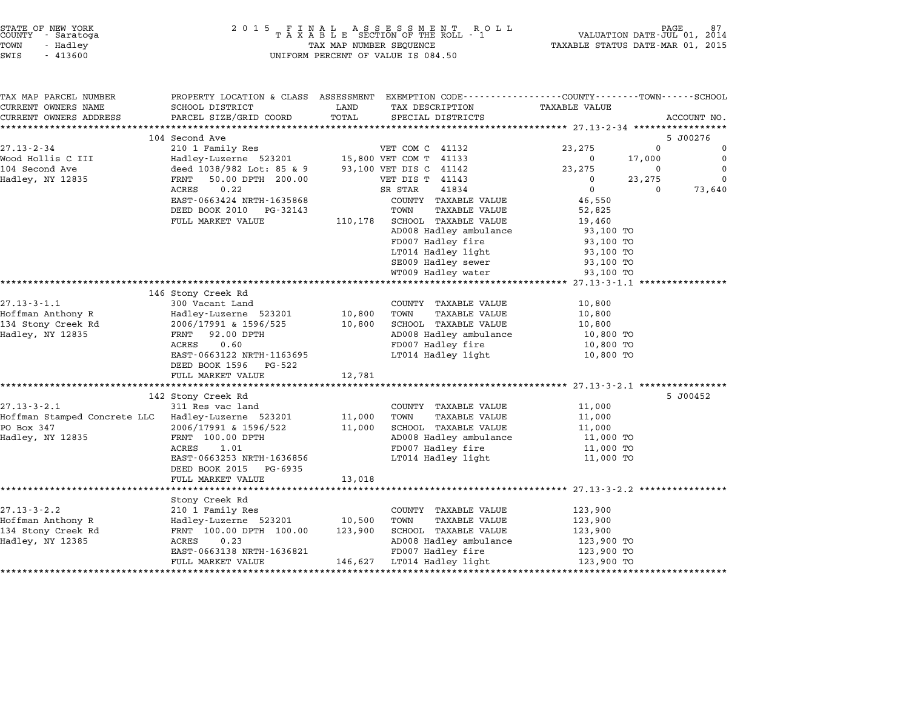| STATE OF NEW YORK<br>COUNTY |  | - Saratoga |  |
|-----------------------------|--|------------|--|
| TOWN                        |  | - Hadley   |  |
| -----                       |  | 1.1020     |  |

| TAX MAP PARCEL NUMBER                              |                            |         | PROPERTY LOCATION & CLASS ASSESSMENT EXEMPTION CODE---------------COUNTY-------TOWN-----SCHOOL |                      |                    |
|----------------------------------------------------|----------------------------|---------|------------------------------------------------------------------------------------------------|----------------------|--------------------|
| CURRENT OWNERS NAME                                | SCHOOL DISTRICT            | LAND    | TAX DESCRIPTION                                                                                | <b>TAXABLE VALUE</b> |                    |
| CURRENT OWNERS ADDRESS                             | PARCEL SIZE/GRID COORD     | TOTAL   | SPECIAL DISTRICTS                                                                              |                      | ACCOUNT NO.        |
|                                                    |                            |         |                                                                                                |                      |                    |
|                                                    | 104 Second Ave             |         |                                                                                                |                      | 5 J00276           |
| $27.13 - 2 - 34$                                   | 210 1 Family Res           |         | VET COM C 41132                                                                                | 23,275               | $\mathbf 0$<br>0   |
| Wood Hollis C III                                  | Hadley-Luzerne 523201      |         | 15,800 VET COM T 41133                                                                         | 0                    | $\Omega$<br>17,000 |
| 104 Second Ave                                     | deed 1038/982 Lot: 85 & 9  |         | 93,100 VET DIS C 41142                                                                         | 23,275               | $\Omega$<br>0      |
| Hadley, NY 12835                                   | 50.00 DPTH 200.00<br>FRNT  |         | VET DIS T 41143                                                                                | $\Omega$             | $\Omega$<br>23,275 |
|                                                    | ACRES<br>0.22              |         | 41834<br>SR STAR                                                                               | $\mathbf{0}$         | $\Omega$<br>73,640 |
|                                                    | EAST-0663424 NRTH-1635868  |         | COUNTY TAXABLE VALUE                                                                           | 46,550               |                    |
|                                                    | DEED BOOK 2010<br>PG-32143 |         | TOWN<br>TAXABLE VALUE                                                                          | 52,825               |                    |
|                                                    | FULL MARKET VALUE          | 110,178 | SCHOOL TAXABLE VALUE                                                                           | 19,460               |                    |
|                                                    |                            |         | AD008 Hadley ambulance                                                                         | 93,100 TO            |                    |
|                                                    |                            |         | FD007 Hadley fire                                                                              | 93,100 TO            |                    |
|                                                    |                            |         | LT014 Hadley light                                                                             | 93,100 TO            |                    |
|                                                    |                            |         | SE009 Hadley sewer                                                                             | 93,100 TO            |                    |
|                                                    |                            |         | WT009 Hadley water                                                                             | 93,100 TO            |                    |
|                                                    |                            |         |                                                                                                |                      |                    |
|                                                    | 146 Stony Creek Rd         |         |                                                                                                |                      |                    |
| $27.13 - 3 - 1.1$                                  | 300 Vacant Land            |         | COUNTY TAXABLE VALUE                                                                           | 10,800               |                    |
| Hoffman Anthony R                                  | Hadley-Luzerne 523201      | 10,800  | TAXABLE VALUE<br>TOWN                                                                          | 10,800               |                    |
| 134 Stony Creek Rd                                 | 2006/17991 & 1596/525      | 10,800  | SCHOOL TAXABLE VALUE                                                                           | 10,800               |                    |
| Hadley, NY 12835                                   | 92.00 DPTH<br>FRNT         |         | AD008 Hadley ambulance                                                                         | 10,800 TO            |                    |
|                                                    | ACRES<br>0.60              |         | FD007 Hadley fire                                                                              | 10,800 TO            |                    |
|                                                    | EAST-0663122 NRTH-1163695  |         | LT014 Hadley light                                                                             | 10,800 TO            |                    |
|                                                    | DEED BOOK 1596 PG-522      |         |                                                                                                |                      |                    |
|                                                    | FULL MARKET VALUE          | 12,781  |                                                                                                |                      |                    |
|                                                    |                            |         |                                                                                                |                      |                    |
|                                                    | 142 Stony Creek Rd         |         |                                                                                                |                      | 5 J00452           |
| $27.13 - 3 - 2.1$                                  | 311 Res vac land           |         | COUNTY TAXABLE VALUE                                                                           | 11,000               |                    |
| Hoffman Stamped Concrete LLC Hadley-Luzerne 523201 |                            | 11,000  | TOWN<br>TAXABLE VALUE                                                                          | 11,000               |                    |
| PO Box 347                                         | 2006/17991 & 1596/522      | 11,000  | SCHOOL TAXABLE VALUE                                                                           | 11,000               |                    |
| Hadley, NY 12835                                   | FRNT 100.00 DPTH           |         | AD008 Hadley ambulance                                                                         | 11,000 TO            |                    |
|                                                    | ACRES<br>1.01              |         | FD007 Hadley fire                                                                              | 11,000 TO            |                    |
|                                                    | EAST-0663253 NRTH-1636856  |         | LT014 Hadley light                                                                             | 11,000 TO            |                    |
|                                                    | DEED BOOK 2015 PG-6935     |         |                                                                                                |                      |                    |
|                                                    |                            |         |                                                                                                |                      |                    |
|                                                    | FULL MARKET VALUE          | 13,018  |                                                                                                |                      |                    |
|                                                    |                            |         |                                                                                                |                      |                    |
|                                                    | Stony Creek Rd             |         |                                                                                                |                      |                    |
| $27.13 - 3 - 2.2$                                  | 210 1 Family Res           |         | COUNTY TAXABLE VALUE                                                                           | 123,900              |                    |
| Hoffman Anthony R                                  | Hadley-Luzerne 523201      | 10,500  | TAXABLE VALUE<br>TOWN                                                                          | 123,900              |                    |
| 134 Stony Creek Rd                                 | FRNT 100.00 DPTH 100.00    | 123,900 | SCHOOL TAXABLE VALUE                                                                           | 123,900              |                    |
| Hadley, NY 12385                                   | ACRES<br>0.23              |         | AD008 Hadley ambulance                                                                         | 123,900 TO           |                    |
|                                                    | EAST-0663138 NRTH-1636821  |         | FD007 Hadley fire                                                                              | 123,900 TO           |                    |
|                                                    | FULL MARKET VALUE          | 146,627 | LT014 Hadley light                                                                             | 123,900 TO           |                    |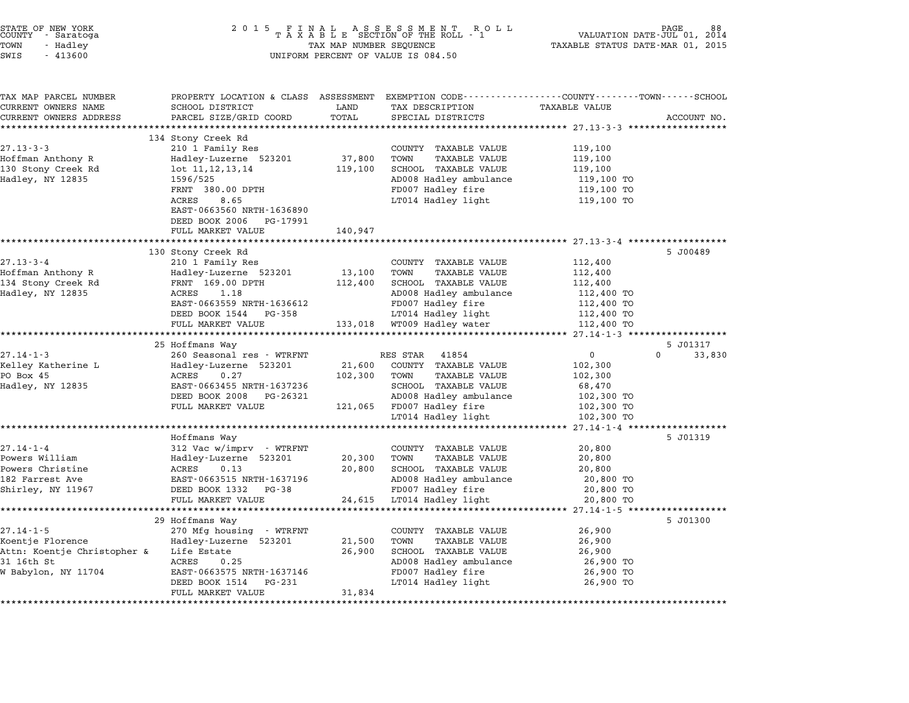| STATE OF NEW YORK<br>COUNTY<br>- Saratoga<br>TOWN<br>- Hadley<br>SWIS<br>$-413600$ | 2 0 1 5<br>FINAL ASSESSMENT ROTAXABLE SECTION OF THE ROLL - 1<br>R O L L<br>TAX MAP NUMBER SEQUENCE<br>UNIFORM PERCENT OF VALUE IS 084.50 |                     |                                                              | PAGE<br>VALUATION DATE-JUL 01,<br>2014<br>TAXABLE STATUS DATE-MAR 01, 2015 |                    |
|------------------------------------------------------------------------------------|-------------------------------------------------------------------------------------------------------------------------------------------|---------------------|--------------------------------------------------------------|----------------------------------------------------------------------------|--------------------|
|                                                                                    |                                                                                                                                           |                     |                                                              |                                                                            |                    |
| TAX MAP PARCEL NUMBER                                                              | PROPERTY LOCATION & CLASS ASSESSMENT                                                                                                      |                     | EXEMPTION CODE-----------------COUNTY-------TOWN------SCHOOL |                                                                            |                    |
| CURRENT OWNERS NAME                                                                | SCHOOL DISTRICT                                                                                                                           | LAND                | TAX DESCRIPTION                                              | <b>TAXABLE VALUE</b>                                                       |                    |
| CURRENT OWNERS ADDRESS                                                             | PARCEL SIZE/GRID COORD                                                                                                                    | TOTAL<br>********** | SPECIAL DISTRICTS                                            | ********* 27.13-3-3 ******************                                     | ACCOUNT NO.        |
|                                                                                    | 134 Stony Creek Rd                                                                                                                        |                     |                                                              |                                                                            |                    |
| $27.13 - 3 - 3$                                                                    | 210 1 Family Res                                                                                                                          |                     | COUNTY TAXABLE VALUE                                         | 119,100                                                                    |                    |
| Hoffman Anthony R                                                                  | Hadley-Luzerne 523201                                                                                                                     | 37,800              | TOWN<br><b>TAXABLE VALUE</b>                                 | 119,100                                                                    |                    |
| 130 Stony Creek Rd                                                                 | lot 11, 12, 13, 14                                                                                                                        | 119,100             | SCHOOL TAXABLE VALUE                                         | 119,100                                                                    |                    |
| Hadley, NY 12835                                                                   | 1596/525                                                                                                                                  |                     | AD008 Hadley ambulance                                       | 119,100 TO                                                                 |                    |
|                                                                                    | FRNT 380.00 DPTH                                                                                                                          |                     | FD007 Hadley fire                                            | 119,100 TO                                                                 |                    |
|                                                                                    | 8.65<br>ACRES                                                                                                                             |                     | LT014 Hadley light                                           | 119,100 TO                                                                 |                    |
|                                                                                    | EAST-0663560 NRTH-1636890                                                                                                                 |                     |                                                              |                                                                            |                    |
|                                                                                    | DEED BOOK 2006 PG-17991                                                                                                                   |                     |                                                              |                                                                            |                    |
|                                                                                    | FULL MARKET VALUE                                                                                                                         | 140,947             |                                                              |                                                                            |                    |
|                                                                                    | *********************                                                                                                                     | **********          |                                                              | ********************* 27.13-3-4 ******                                     |                    |
|                                                                                    | 130 Stony Creek Rd                                                                                                                        |                     |                                                              |                                                                            | 5 J00489           |
| $27.13 - 3 - 4$                                                                    | 210 1 Family Res                                                                                                                          |                     | COUNTY TAXABLE VALUE<br>TOWN                                 | 112,400                                                                    |                    |
| Hoffman Anthony R<br>134 Stony Creek Rd                                            | Hadley-Luzerne 523201<br>FRNT 169.00 DPTH                                                                                                 | 13,100              | TAXABLE VALUE<br>SCHOOL TAXABLE VALUE                        | 112,400<br>112,400                                                         |                    |
| Hadley, NY 12835                                                                   | 1.18<br>ACRES                                                                                                                             | 112,400             | AD008 Hadley ambulance                                       | 112,400 TO                                                                 |                    |
|                                                                                    | EAST-0663559 NRTH-1636612                                                                                                                 |                     | FD007 Hadley fire                                            | 112,400 TO                                                                 |                    |
|                                                                                    | DEED BOOK 1544 PG-358                                                                                                                     |                     | LT014 Hadley light                                           | 112,400 TO                                                                 |                    |
|                                                                                    | FULL MARKET VALUE                                                                                                                         | 133,018             | WT009 Hadley water                                           | 112,400 TO                                                                 |                    |
|                                                                                    | **********************                                                                                                                    |                     |                                                              |                                                                            |                    |
|                                                                                    | 25 Hoffmans Way                                                                                                                           |                     |                                                              |                                                                            | 5 J01317           |
| $27.14 - 1 - 3$                                                                    | 260 Seasonal res - WTRFNT                                                                                                                 |                     | 41854<br>RES STAR                                            | $\mathbf{0}$                                                               | $\Omega$<br>33,830 |
| Kelley Katherine L                                                                 | Hadley-Luzerne 523201                                                                                                                     | 21,600              | COUNTY TAXABLE VALUE                                         | 102,300                                                                    |                    |
| PO Box 45                                                                          | ACRES<br>0.27                                                                                                                             | 102,300             | TOWN<br><b>TAXABLE VALUE</b>                                 | 102,300                                                                    |                    |
| Hadley, NY 12835                                                                   | EAST-0663455 NRTH-1637236                                                                                                                 |                     | SCHOOL TAXABLE VALUE                                         | 68,470                                                                     |                    |
|                                                                                    | DEED BOOK 2008 PG-26321                                                                                                                   |                     | AD008 Hadley ambulance                                       | 102,300 TO                                                                 |                    |
|                                                                                    | FULL MARKET VALUE                                                                                                                         | 121,065             | FD007 Hadley fire                                            | 102,300 TO                                                                 |                    |
|                                                                                    | * * * * * * * * * * * * * * * *                                                                                                           |                     | LT014 Hadley light                                           | 102,300 TO                                                                 | ***********        |
|                                                                                    | Hoffmans Way                                                                                                                              |                     |                                                              | $27.14 - 1 - 4$ ******                                                     | 5 J01319           |
| $27.14 - 1 - 4$                                                                    | 312 Vac w/imprv - WTRFNT                                                                                                                  |                     | COUNTY TAXABLE VALUE                                         | 20,800                                                                     |                    |
| Powers William                                                                     | Hadley-Luzerne 523201                                                                                                                     | 20,300              | TOWN<br><b>TAXABLE VALUE</b>                                 | 20,800                                                                     |                    |
| Powers Christine                                                                   | ACRES<br>0.13                                                                                                                             | 20,800              | SCHOOL TAXABLE VALUE                                         | 20,800                                                                     |                    |
| 182 Farrest Ave                                                                    | EAST-0663515 NRTH-1637196                                                                                                                 |                     | AD008 Hadley ambulance                                       | 20,800 TO                                                                  |                    |
| Shirley, NY 11967                                                                  | DEED BOOK 1332 PG-38                                                                                                                      |                     | FD007 Hadley fire                                            | 20,800 TO                                                                  |                    |
|                                                                                    | FULL MARKET VALUE                                                                                                                         | 24,615              | LT014 Hadley light                                           | 20,800 TO                                                                  |                    |
|                                                                                    | ****************                                                                                                                          | *********           |                                                              | ************************* 27.14-1-5 **                                     |                    |
|                                                                                    | 29 Hoffmans Way                                                                                                                           |                     |                                                              |                                                                            | 5 J01300           |
| $27.14 - 1 - 5$                                                                    | 270 Mfg housing - WTRFNT                                                                                                                  |                     | COUNTY TAXABLE VALUE                                         | 26,900                                                                     |                    |
| Koentje Florence                                                                   | Hadley-Luzerne 523201                                                                                                                     | 21,500              | TOWN<br>TAXABLE VALUE                                        | 26,900                                                                     |                    |
| Attn: Koentje Christopher &                                                        | Life Estate                                                                                                                               | 26,900              | SCHOOL TAXABLE VALUE                                         | 26,900                                                                     |                    |
| 31 16th St                                                                         | ACRES<br>0.25                                                                                                                             |                     | AD008 Hadley ambulance                                       | 26,900 TO                                                                  |                    |
| W Babylon, NY 11704                                                                | EAST-0663575 NRTH-1637146                                                                                                                 |                     | FD007 Hadley fire                                            | 26,900 TO                                                                  |                    |
|                                                                                    | DEED BOOK 1514 PG-231                                                                                                                     |                     | LT014 Hadley light                                           | 26,900 TO                                                                  |                    |
|                                                                                    | FULL MARKET VALUE<br>********************************                                                                                     | 31,834              |                                                              |                                                                            |                    |

STATE OF NEW YORK <sup>2</sup> <sup>0</sup> <sup>1</sup> 5 F I N A L A S S E S S M E N T R O L L PAGE <sup>88</sup> COUNTY - Saratoga <sup>T</sup> <sup>A</sup> <sup>X</sup> <sup>A</sup> <sup>B</sup> <sup>L</sup> <sup>E</sup> SECTION OF THE ROLL - <sup>1</sup> VALUATION DATE-JUL 01, <sup>2014</sup>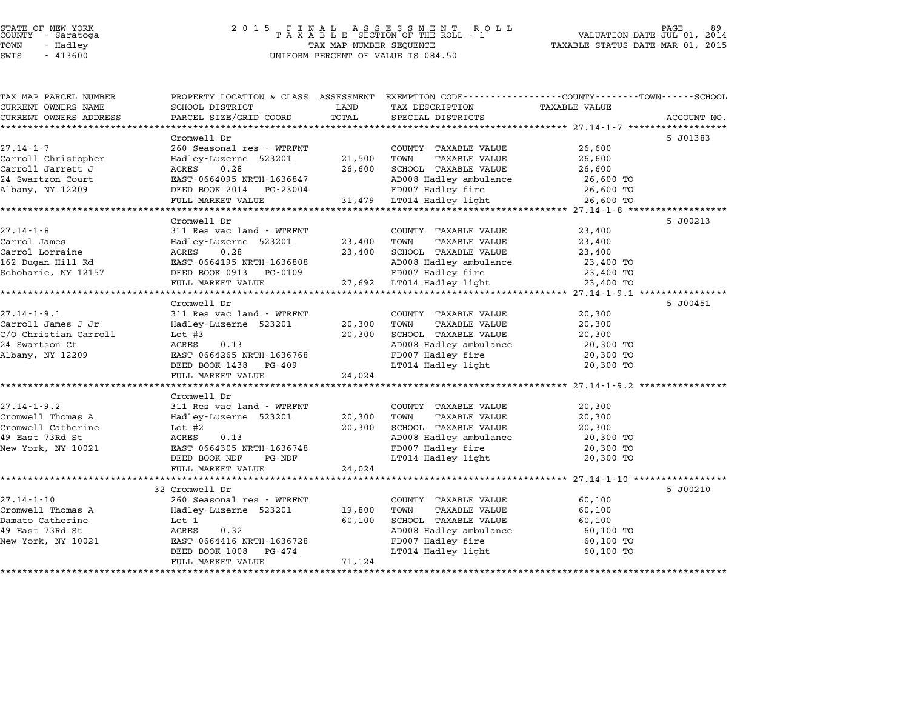# STATE OF NEW YORK <sup>2</sup> <sup>0</sup> <sup>1</sup> 5 F I N A L A S S E S S M E N T R O L L PAGE <sup>89</sup> COUNTY - Saratoga <sup>T</sup> <sup>A</sup> <sup>X</sup> <sup>A</sup> <sup>B</sup> <sup>L</sup> <sup>E</sup> SECTION OF THE ROLL - <sup>1</sup> VALUATION DATE-JUL 01, <sup>2014</sup> TOWN - Hadley TAX MAP NUMBER SEQUENCE TAXABLE STATUS DATE-MAR 01, <sup>2015</sup> STATE OF NEW YORK<br>
COUNTY - Saratoga<br>
TOWN - Hadley TAXABLE SECTION OF THE ROLL<br>
SWIS - 413600 UNIFORM PERCENT OF VALUE IS 084.50

| TAX MAP PARCEL NUMBER  |                           |             | PROPERTY LOCATION & CLASS ASSESSMENT EXEMPTION CODE---------------COUNTY-------TOWN------SCHOOL |                                                   |             |
|------------------------|---------------------------|-------------|-------------------------------------------------------------------------------------------------|---------------------------------------------------|-------------|
| CURRENT OWNERS NAME    | SCHOOL DISTRICT           | LAND        | TAX DESCRIPTION                                                                                 | <b>TAXABLE VALUE</b>                              |             |
| CURRENT OWNERS ADDRESS | PARCEL SIZE/GRID COORD    | TOTAL       | SPECIAL DISTRICTS                                                                               |                                                   | ACCOUNT NO. |
|                        |                           |             |                                                                                                 |                                                   |             |
|                        | Cromwell Dr               |             |                                                                                                 |                                                   | 5 J01383    |
| $27.14 - 1 - 7$        | 260 Seasonal res - WTRFNT |             | COUNTY TAXABLE VALUE                                                                            | 26,600                                            |             |
| Carroll Christopher    | Hadley-Luzerne 523201     | 21,500      | TOWN<br><b>TAXABLE VALUE</b>                                                                    | 26,600                                            |             |
| Carroll Jarrett J      | ACRES<br>0.28             | 26,600      | SCHOOL TAXABLE VALUE                                                                            | 26,600                                            |             |
| 24 Swartzon Court      | EAST-0664095 NRTH-1636847 |             | AD008 Hadley ambulance                                                                          | 26,600 TO                                         |             |
| Albany, NY 12209       | DEED BOOK 2014 PG-23004   |             | FD007 Hadley fire                                                                               | 26,600 TO                                         |             |
|                        | FULL MARKET VALUE         |             | 31,479 LT014 Hadley light                                                                       | 26,600 TO                                         |             |
|                        |                           |             |                                                                                                 |                                                   |             |
|                        | Cromwell Dr               |             |                                                                                                 |                                                   | 5 J00213    |
| $27.14 - 1 - 8$        | 311 Res vac land - WTRFNT |             | COUNTY TAXABLE VALUE                                                                            | 23,400                                            |             |
| Carrol James           | Hadley-Luzerne 523201     | 23,400 TOWN | TAXABLE VALUE                                                                                   | 23,400                                            |             |
| Carrol Lorraine        | ACRES<br>0.28             | 23,400      | SCHOOL TAXABLE VALUE                                                                            | 23,400                                            |             |
| 162 Dugan Hill Rd      | EAST-0664195 NRTH-1636808 |             | AD008 Hadley ambulance                                                                          | 23,400 TO                                         |             |
| Schoharie, NY 12157    | DEED BOOK 0913 PG-0109    |             | FD007 Hadley fire                                                                               | 23,400 TO                                         |             |
|                        | FULL MARKET VALUE         |             | 27,692 LT014 Hadley light                                                                       | 23,400 TO                                         |             |
|                        |                           |             |                                                                                                 | ******************* 27.14-1-9.1 ***************** |             |
|                        | Cromwell Dr               |             |                                                                                                 |                                                   | 5 J00451    |
| $27.14 - 1 - 9.1$      | 311 Res vac land - WTRFNT |             | COUNTY TAXABLE VALUE                                                                            | 20,300                                            |             |
| Carroll James J Jr     | Hadley-Luzerne 523201     | 20,300      | TOWN<br><b>TAXABLE VALUE</b>                                                                    | 20,300                                            |             |
| C/O Christian Carroll  | Lot $#3$                  | 20,300      | SCHOOL TAXABLE VALUE                                                                            | 20,300                                            |             |
| 24 Swartson Ct         | ACRES<br>0.13             |             | AD008 Hadley ambulance                                                                          | 20,300 TO                                         |             |
| Albany, NY 12209       | EAST-0664265 NRTH-1636768 |             | FD007 Hadley fire                                                                               | 20,300 TO                                         |             |
|                        | DEED BOOK 1438 PG-409     |             | LT014 Hadley light                                                                              | 20,300 TO                                         |             |
|                        | FULL MARKET VALUE         | 24,024      |                                                                                                 |                                                   |             |
|                        |                           |             |                                                                                                 |                                                   |             |
|                        | Cromwell Dr               |             |                                                                                                 |                                                   |             |
| $27.14 - 1 - 9.2$      | 311 Res vac land - WTRFNT |             | COUNTY TAXABLE VALUE                                                                            | 20,300                                            |             |
| Cromwell Thomas A      | Hadley-Luzerne 523201     | 20,300      | TOWN<br>TAXABLE VALUE                                                                           | 20,300                                            |             |
| Cromwell Catherine     | Lot $#2$                  | 20,300      | SCHOOL TAXABLE VALUE                                                                            | 20,300                                            |             |
| 49 East 73Rd St        | ACRES<br>0.13             |             | AD008 Hadley ambulance                                                                          | 20,300 TO                                         |             |
| New York, NY 10021     | EAST-0664305 NRTH-1636748 |             | FD007 Hadley fire                                                                               | 20,300 TO                                         |             |
|                        | DEED BOOK NDF<br>PG-NDF   |             | LT014 Hadley light                                                                              | 20,300 TO                                         |             |
|                        | FULL MARKET VALUE         | 24,024      |                                                                                                 |                                                   |             |
|                        |                           |             |                                                                                                 |                                                   |             |
|                        | 32 Cromwell Dr            |             |                                                                                                 |                                                   | 5 J00210    |
| $27.14 - 1 - 10$       | 260 Seasonal res - WTRFNT |             | COUNTY TAXABLE VALUE                                                                            | 60,100                                            |             |
| Cromwell Thomas A      | Hadley-Luzerne 523201     | 19,800      | TOWN<br><b>TAXABLE VALUE</b>                                                                    | 60,100                                            |             |
| Damato Catherine       | Lot 1                     | 60,100      | SCHOOL TAXABLE VALUE                                                                            | 60,100                                            |             |
| 49 East 73Rd St        | ACRES<br>0.32             |             | AD008 Hadley ambulance                                                                          | 60,100 TO                                         |             |
| New York, NY 10021     | EAST-0664416 NRTH-1636728 |             | FD007 Hadley fire                                                                               | 60,100 TO                                         |             |
|                        | DEED BOOK 1008<br>PG-474  |             | LT014 Hadley light                                                                              | 60,100 TO                                         |             |
|                        | FULL MARKET VALUE         | 71,124      |                                                                                                 |                                                   |             |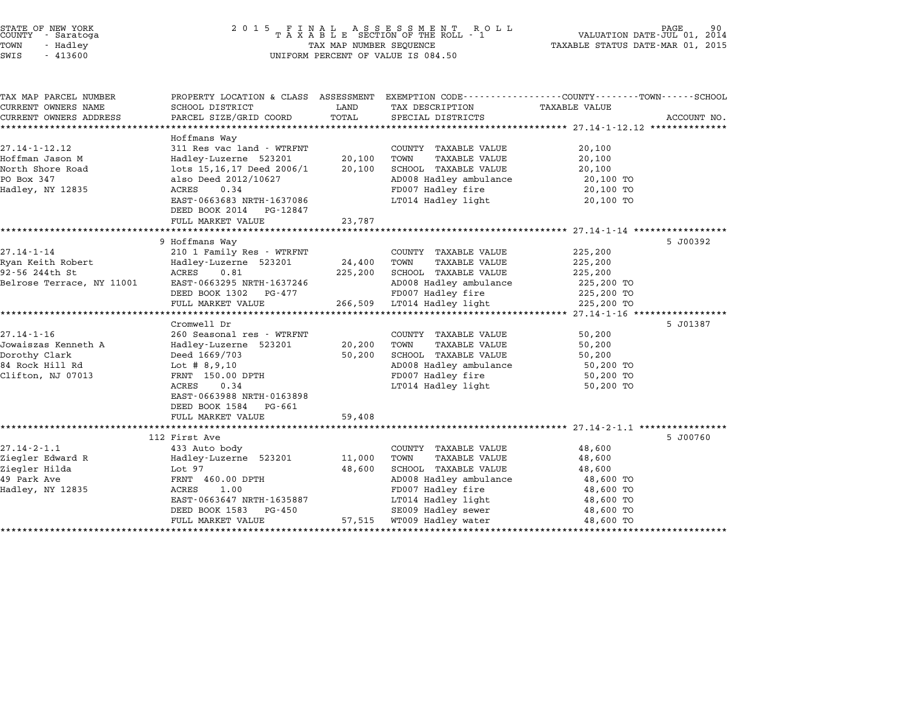| STATE OF NEW YORK<br>COUNTY - Saratoga |          |  |  |
|----------------------------------------|----------|--|--|
| LOMN                                   | - Hadlev |  |  |

# STATE OF NEW YORK <sup>2</sup> <sup>0</sup> <sup>1</sup> 5 F I N A L A S S E S S M E N T R O L L PAGE <sup>90</sup> COUNTY - Saratoga <sup>T</sup> <sup>A</sup> <sup>X</sup> <sup>A</sup> <sup>B</sup> <sup>L</sup> <sup>E</sup> SECTION OF THE ROLL - <sup>1</sup> VALUATION DATE-JUL 01, <sup>2014</sup> TOWN - Hadley TAX MAP NUMBER SEQUENCE TAXABLE STATUS DATE-MAR 01, <sup>2015</sup> SWIS - <sup>413600</sup> UNIFORM PERCENT OF VALUE IS 084.50

| TAX MAP PARCEL NUMBER               | PROPERTY LOCATION & CLASS ASSESSMENT               |                  | EXEMPTION CODE-----------------COUNTY-------TOWN-----SCHOOL |                  |             |
|-------------------------------------|----------------------------------------------------|------------------|-------------------------------------------------------------|------------------|-------------|
| CURRENT OWNERS NAME                 | SCHOOL DISTRICT                                    | LAND             | TAX DESCRIPTION                                             | TAXABLE VALUE    |             |
| CURRENT OWNERS ADDRESS              | PARCEL SIZE/GRID COORD                             | TOTAL            | SPECIAL DISTRICTS                                           |                  | ACCOUNT NO. |
|                                     |                                                    |                  |                                                             |                  |             |
| $27.14 - 1 - 12.12$                 | Hoffmans Way<br>311 Res vac land - WTRFNT          |                  | COUNTY TAXABLE VALUE                                        |                  |             |
|                                     |                                                    |                  | TOWN                                                        | 20,100           |             |
| Hoffman Jason M<br>North Shore Road | Hadley-Luzerne 523201<br>lots 15,16,17 Deed 2006/1 | 20,100<br>20,100 | <b>TAXABLE VALUE</b><br>SCHOOL TAXABLE VALUE                | 20,100<br>20,100 |             |
| PO Box 347                          | also Deed 2012/10627                               |                  | AD008 Hadley ambulance                                      | 20,100 TO        |             |
| Hadley, NY 12835                    | ACRES<br>0.34                                      |                  | FD007 Hadley fire                                           | 20,100 TO        |             |
|                                     | EAST-0663683 NRTH-1637086                          |                  | LT014 Hadley light                                          | 20,100 TO        |             |
|                                     | DEED BOOK 2014 PG-12847                            |                  |                                                             |                  |             |
|                                     | FULL MARKET VALUE                                  | 23,787           |                                                             |                  |             |
|                                     |                                                    |                  |                                                             |                  |             |
|                                     | 9 Hoffmans Way                                     |                  |                                                             |                  | 5 J00392    |
| $27.14 - 1 - 14$                    | 210 1 Family Res - WTRFNT                          |                  | COUNTY TAXABLE VALUE                                        | 225,200          |             |
| Ryan Keith Robert                   | Hadley-Luzerne 523201                              | 24,400           | TOWN<br><b>TAXABLE VALUE</b>                                | 225,200          |             |
| 92-56 244th St                      | ACRES<br>0.81                                      | 225,200          | SCHOOL TAXABLE VALUE                                        | 225,200          |             |
| Belrose Terrace, NY 11001           | EAST-0663295 NRTH-1637246                          |                  | AD008 Hadley ambulance                                      | 225,200 TO       |             |
|                                     | DEED BOOK 1302 PG-477                              |                  | FD007 Hadley fire                                           | 225,200 TO       |             |
|                                     | FULL MARKET VALUE                                  | 266,509          | LT014 Hadley light                                          | 225,200 TO       |             |
|                                     |                                                    |                  |                                                             |                  |             |
|                                     | Cromwell Dr                                        |                  |                                                             |                  | 5 J01387    |
| $27.14 - 1 - 16$                    | 260 Seasonal res - WTRFNT                          |                  | COUNTY TAXABLE VALUE                                        | 50,200           |             |
| Jowaiszas Kenneth A                 | Hadley-Luzerne 523201                              | 20,200           | TOWN<br><b>TAXABLE VALUE</b>                                | 50,200           |             |
| Dorothy Clark                       | Deed 1669/703                                      | 50,200           | SCHOOL TAXABLE VALUE                                        | 50,200           |             |
| 84 Rock Hill Rd                     | Lot # $8,9,10$                                     |                  | AD008 Hadley ambulance                                      | 50,200 TO        |             |
| Clifton, NJ 07013                   | FRNT 150.00 DPTH                                   |                  | FD007 Hadley fire                                           | 50,200 TO        |             |
|                                     | 0.34<br>ACRES                                      |                  | LT014 Hadley light                                          | 50,200 TO        |             |
|                                     | EAST-0663988 NRTH-0163898                          |                  |                                                             |                  |             |
|                                     | DEED BOOK 1584<br>PG-661                           |                  |                                                             |                  |             |
|                                     | FULL MARKET VALUE                                  | 59,408           |                                                             |                  |             |
|                                     | 112 First Ave                                      |                  |                                                             |                  | 5 J00760    |
| $27.14 - 2 - 1.1$                   | 433 Auto body                                      |                  | COUNTY TAXABLE VALUE                                        | 48,600           |             |
| Ziegler Edward R                    | Hadley-Luzerne 523201                              | 11,000           | TOWN<br><b>TAXABLE VALUE</b>                                | 48,600           |             |
| Ziegler Hilda                       | Lot 97                                             | 48,600           | SCHOOL TAXABLE VALUE                                        | 48,600           |             |
| 49 Park Ave                         | FRNT 460.00 DPTH                                   |                  | AD008 Hadley ambulance                                      | 48,600 TO        |             |
| Hadley, NY 12835                    | ACRES<br>1.00                                      |                  | FD007 Hadley fire                                           | 48,600 TO        |             |
|                                     | EAST-0663647 NRTH-1635887                          |                  | LT014 Hadley light                                          | 48,600 TO        |             |
|                                     | DEED BOOK 1583<br>PG-450                           |                  | SE009 Hadley sewer                                          | 48,600 TO        |             |
|                                     | FULL MARKET VALUE                                  | 57,515           | WT009 Hadley water                                          | 48,600 TO        |             |
|                                     |                                                    |                  |                                                             |                  |             |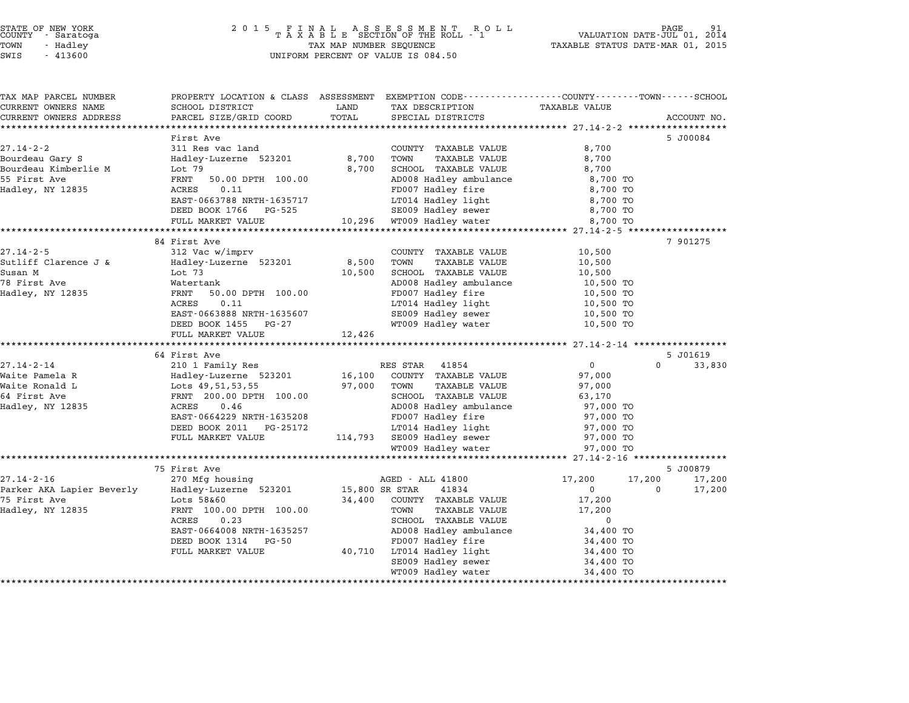# STATE OF NEW YORK <sup>2</sup> <sup>0</sup> <sup>1</sup> 5 F I N A L A S S E S S M E N T R O L L PAGE <sup>91</sup> COUNTY - Saratoga <sup>T</sup> <sup>A</sup> <sup>X</sup> <sup>A</sup> <sup>B</sup> <sup>L</sup> <sup>E</sup> SECTION OF THE ROLL - <sup>1</sup> VALUATION DATE-JUL 01, <sup>2014</sup> TOWN - Hadley TAX MAP NUMBER SEQUENCE TAXABLE STATUS DATE-MAR 01, <sup>2015</sup> STATE OF NEW YORK<br>
COUNTY - Saratoga<br>
TOWN - Hadley TAXABLE SECTION OF THE ROLL<br>
TOWN - 413600 UNIFORM PERCENT OF VALUE IS 084.50

| TAX MAP PARCEL NUMBER                                | PROPERTY LOCATION & CLASS ASSESSMENT EXEMPTION CODE---------------COUNTY-------TOWN------SCHOOL |                |                                                  |                                                  |                    |
|------------------------------------------------------|-------------------------------------------------------------------------------------------------|----------------|--------------------------------------------------|--------------------------------------------------|--------------------|
| CURRENT OWNERS NAME                                  | SCHOOL DISTRICT                                                                                 | LAND           | TAX DESCRIPTION                                  | <b>TAXABLE VALUE</b>                             |                    |
| CURRENT OWNERS ADDRESS<br>************************** | PARCEL SIZE/GRID COORD                                                                          | TOTAL          | SPECIAL DISTRICTS                                |                                                  | ACCOUNT NO.        |
|                                                      | First Ave                                                                                       |                |                                                  |                                                  | 5 J00084           |
| $27.14 - 2 - 2$                                      | 311 Res vac land                                                                                |                | COUNTY TAXABLE VALUE                             | 8,700                                            |                    |
| Bourdeau Gary S                                      | Hadley-Luzerne 523201                                                                           | 8,700          | TOWN<br>TAXABLE VALUE                            | 8,700                                            |                    |
| Bourdeau Kimberlie M                                 | Lot 79                                                                                          | 8,700          | SCHOOL TAXABLE VALUE                             | 8,700                                            |                    |
| 55 First Ave                                         | FRNT<br>50.00 DPTH 100.00                                                                       |                | AD008 Hadley ambulance                           | 8,700 TO                                         |                    |
| Hadley, NY 12835                                     | 0.11<br>ACRES                                                                                   |                | FD007 Hadley fire                                | 8,700 TO                                         |                    |
|                                                      | EAST-0663788 NRTH-1635717                                                                       |                | LT014 Hadley light                               | 8,700 TO                                         |                    |
|                                                      | DEED BOOK 1766 PG-525                                                                           |                | SE009 Hadley sewer                               | 8,700 TO                                         |                    |
|                                                      | FULL MARKET VALUE                                                                               | 10,296         | WT009 Hadley water                               | 8,700 TO                                         |                    |
|                                                      | ***********************                                                                         |                |                                                  |                                                  |                    |
|                                                      | 84 First Ave                                                                                    |                |                                                  |                                                  | 7 901275           |
| $27.14 - 2 - 5$                                      | 312 Vac w/imprv                                                                                 |                | COUNTY TAXABLE VALUE                             | 10,500                                           |                    |
| Sutliff Clarence J &                                 | Hadley-Luzerne 523201                                                                           | 8,500          | TAXABLE VALUE<br>TOWN                            | 10,500                                           |                    |
| Susan M                                              | Lot 73                                                                                          | 10,500         | SCHOOL TAXABLE VALUE                             | 10,500                                           |                    |
| 78 First Ave<br>Hadley, NY 12835                     | Watertank<br>FRNT<br>50.00 DPTH 100.00                                                          |                | AD008 Hadley ambulance<br>FD007 Hadley fire      | 10,500 TO<br>10,500 TO                           |                    |
|                                                      | 0.11<br>ACRES                                                                                   |                | LT014 Hadley light                               | 10,500 TO                                        |                    |
|                                                      | EAST-0663888 NRTH-1635607                                                                       |                | SE009 Hadley sewer                               | 10,500 TO                                        |                    |
|                                                      | DEED BOOK 1455<br>PG-27                                                                         |                | WT009 Hadley water                               | 10,500 TO                                        |                    |
|                                                      | FULL MARKET VALUE                                                                               | 12,426         |                                                  |                                                  |                    |
|                                                      |                                                                                                 |                |                                                  |                                                  |                    |
|                                                      | 64 First Ave                                                                                    |                |                                                  |                                                  | 5 J01619           |
| $27.14 - 2 - 14$                                     | 210 1 Family Res                                                                                |                | RES STAR 41854                                   | $\mathbf{0}$                                     | $\Omega$<br>33,830 |
| Waite Pamela R                                       | Hadley-Luzerne 523201                                                                           | 16,100         | COUNTY TAXABLE VALUE                             | 97,000                                           |                    |
| Waite Ronald L                                       | Lots 49,51,53,55                                                                                | 97,000         | TAXABLE VALUE<br>TOWN                            | 97,000                                           |                    |
| 64 First Ave                                         | FRNT 200.00 DPTH 100.00                                                                         |                | SCHOOL TAXABLE VALUE                             | 63,170                                           |                    |
| Hadley, NY 12835                                     | 0.46<br>ACRES                                                                                   |                | AD008 Hadley ambulance                           | 97,000 TO                                        |                    |
|                                                      | EAST-0664229 NRTH-1635208                                                                       |                | FD007 Hadley fire                                | 97,000 TO                                        |                    |
|                                                      | DEED BOOK 2011<br>PG-25172                                                                      |                | LT014 Hadley light                               | 97,000 TO                                        |                    |
|                                                      | FULL MARKET VALUE                                                                               |                | 114,793 SE009 Hadley sewer<br>WT009 Hadley water | 97,000 TO<br>97,000 TO                           |                    |
|                                                      |                                                                                                 |                |                                                  | ****************** 27.14-2-16 ****************** |                    |
|                                                      | 75 First Ave                                                                                    |                |                                                  |                                                  | 5 J00879           |
| $27.14 - 2 - 16$                                     | 270 Mfg housing                                                                                 |                | AGED - ALL 41800                                 | 17,200<br>17,200                                 | 17,200             |
| Parker AKA Lapier Beverly                            | Hadley-Luzerne 523201                                                                           | 15,800 SR STAR | 41834                                            | $\Omega$                                         | 17,200<br>$\Omega$ |
| 75 First Ave                                         | Lots 58&60                                                                                      | 34,400         | COUNTY TAXABLE VALUE                             | 17,200                                           |                    |
| Hadley, NY 12835                                     | FRNT 100.00 DPTH 100.00                                                                         |                | TOWN<br><b>TAXABLE VALUE</b>                     | 17,200                                           |                    |
|                                                      | ACRES<br>0.23                                                                                   |                | SCHOOL TAXABLE VALUE                             | $\mathbf 0$                                      |                    |
|                                                      | EAST-0664008 NRTH-1635257                                                                       |                | AD008 Hadley ambulance                           | 34,400 TO                                        |                    |
|                                                      | DEED BOOK 1314 PG-50                                                                            |                | FD007 Hadley fire                                | 34,400 TO                                        |                    |
|                                                      | FULL MARKET VALUE                                                                               | 40,710         | LT014 Hadley light                               | 34,400 TO                                        |                    |
|                                                      |                                                                                                 |                | SE009 Hadley sewer                               | 34,400 TO                                        |                    |
|                                                      |                                                                                                 |                | WT009 Hadley water                               | 34,400 TO                                        |                    |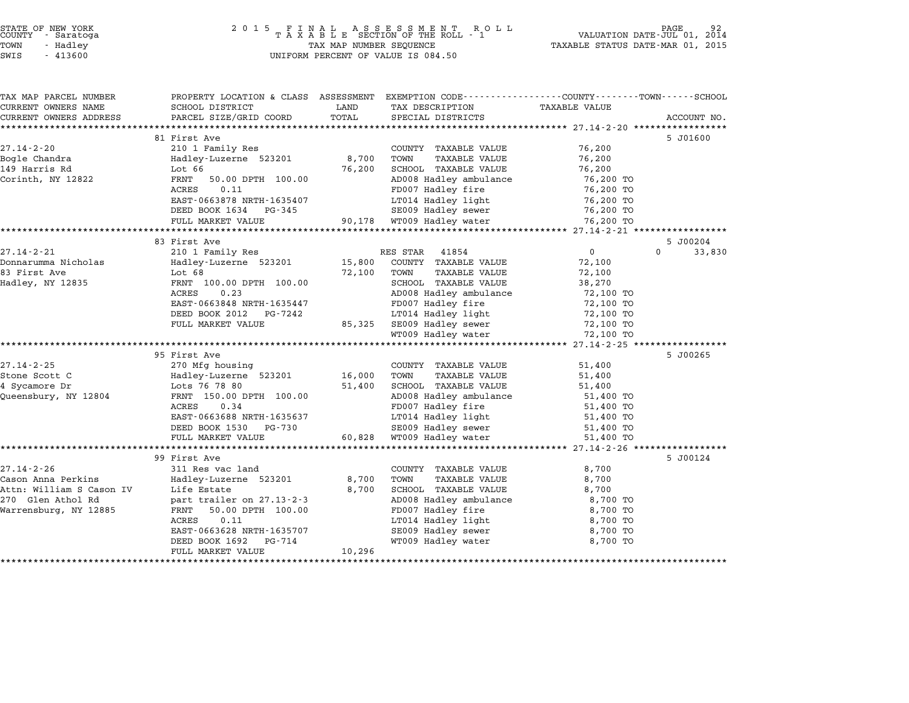| STATE OF NEW YORK |  |            |  |
|-------------------|--|------------|--|
| COUNTY            |  | - Saratoga |  |
| TOWN              |  | - Hadley   |  |

# STATE OF NEW YORK <sup>2</sup> <sup>0</sup> <sup>1</sup> 5 F I N A L A S S E S S M E N T R O L L PAGE <sup>92</sup> COUNTY - Saratoga <sup>T</sup> <sup>A</sup> <sup>X</sup> <sup>A</sup> <sup>B</sup> <sup>L</sup> <sup>E</sup> SECTION OF THE ROLL - <sup>1</sup> VALUATION DATE-JUL 01, <sup>2014</sup> TOWN - Hadley TAX MAP NUMBER SEQUENCE TAXABLE STATUS DATE-MAR 01, <sup>2015</sup> SUCRIT - SATATUGA<br>TOWN - Hadley - Alley - All Hadley - TAX MAP NUMBER SEQUENCE<br>SWIS - 413600 - WILFORM PERCENT OF VALUE IS 084.50

TAX MAP PARCEL NUMBER PROPERTY LOCATION & CLASS ASSESSMENT EXEMPTION CODE------------------COUNTY--------TOWN------SCHOOL CURRENT OWNERS NAME SCHOOL DISTRICT LAND TAX DESCRIPTION TAXABLE VALUE CURRENT OWNERS ADDRESS PARCEL SIZE/GRID COORD TOTAL SPECIAL DISTRICTS ACCOUNT NO. \*\*\*\*\*\*\*\*\*\*\*\*\*\*\*\*\*\*\*\*\*\*\*\*\*\*\*\*\*\*\*\*\*\*\*\*\*\*\*\*\*\*\*\*\*\*\*\*\*\*\*\*\*\*\*\*\*\*\*\*\*\*\*\*\*\*\*\*\*\*\*\*\*\*\*\*\*\*\*\*\*\*\*\*\*\*\*\*\*\*\*\*\*\*\*\*\*\*\*\*\*\*\* 27.14-2-20 \*\*\*\*\*\*\*\*\*\*\*\*\*\*\*\*\* <sup>81</sup> First Ave 5 J01600 27.14-2-20 31 First Ave and Market County TAXABLE VALUE 76,200 Bogle Chandra Hadley-Luzerne <sup>523201</sup> 8,700 TOWN TAXABLE VALUE 76,200 <sup>149</sup> Harris Rd Lot <sup>66</sup> 76,200 SCHOOL TAXABLE VALUE 76,200 Corinth, NY <sup>12822</sup> FRNT 50.00 DPTH 100.00 AD008 Hadley ambulance 76,200 TO EXAMPLE VALUE OF THE RESEARCH CONTROLLED AND THANDS VALUE OF THE PRINT OF THE POST OF THE POST OF THE POST OF T<br>FD007 Hadley fire 76,200 TO AD008 Hadley fire 76,200 TO EAST-0663878 NRTH-1635407 LT014 Hadley light 76,200 TO POOF THE CONSTRUCTED ON THE POOF HALLEY LIFE PLANE TO A 200 TO<br>
DEED BOOK 1634 PG-345 SE009 Hadley sewer 76,200 TO FULL MARKET VALUE 90,178 WT009 Hadley water 76,200 TO \*\*\*\*\*\*\*\*\*\*\*\*\*\*\*\*\*\*\*\*\*\*\*\*\*\*\*\*\*\*\*\*\*\*\*\*\*\*\*\*\*\*\*\*\*\*\*\*\*\*\*\*\*\*\*\*\*\*\*\*\*\*\*\*\*\*\*\*\*\*\*\*\*\*\*\*\*\*\*\*\*\*\*\*\*\*\*\*\*\*\*\*\*\*\*\*\*\*\*\*\*\*\* 27.14-2-21 \*\*\*\*\*\*\*\*\*\*\*\*\*\*\*\*\* <sup>83</sup> First Ave 5 J00204 27.14-2-21 33 First Ave 33 First Ave 32.14-2-21 210 1 Family Res RES STAR 41854 0 33,830 Donnarumma Nicholas Hadley-Luzerne <sup>523201</sup> 15,800 COUNTY TAXABLE VALUE 72,100 erical control of the control of the control of the control of the control of the control of the control of the<br>Bonnarum and the Hadley-Luzerne 523201 the control of the control of the control of the control of the control Hadley, NY <sup>12835</sup> FRNT 100.00 DPTH 100.00 SCHOOL TAXABLE VALUE 38,270 ACC 00 DETH 100.00 CONNICIONAL MANDLE VALUE AND TAXABLE VALUE TRANSPORTED TRANSPORTED AND TO SCHOOL TAXABLE VALUE TRANSPORTED AND TO SCHOOL TAXABLE VALUE TRANSPORTED AND TO SCHOOL TRANSPORTED TRANSPORTED TRANSPORTED TRANSP EAST-0663848 NRTH-1635447 FD007 Hadley fire 72,100 TO POOK 1992 1993 ADVOC HALLEY ARRIVAL TO THE 1994 ADVOCEMENT AND THE 1994 ADVOCEMENT AND TO THE 1994 TO THE 1994<br>
BOOK 2012 PG-7242 LT014 Hadley light 12,100 TO FULL MARKET VALUE 85,325 SE009 Hadley sewer 72,100 TO<br>FULL MARKET VALUE 85,325 SE009 Hadley sewer 72,100 TO 19909 Hadley Ilync (1990)<br>SE009 Hadley water 1990 72,100 TO<br>WT009 Hadley water 1990 72,100 TO \*\*\*\*\*\*\*\*\*\*\*\*\*\*\*\*\*\*\*\*\*\*\*\*\*\*\*\*\*\*\*\*\*\*\*\*\*\*\*\*\*\*\*\*\*\*\*\*\*\*\*\*\*\*\*\*\*\*\*\*\*\*\*\*\*\*\*\*\*\*\*\*\*\*\*\*\*\*\*\*\*\*\*\*\*\*\*\*\*\*\*\*\*\*\*\*\*\*\*\*\*\*\* 27.14-2-25 \*\*\*\*\*\*\*\*\*\*\*\*\*\*\*\*\* <sup>95</sup> First Ave 5 J00265 27.14-2-25 27.14-2-25 27.14-2-25 27.14-2-25 270 Mfg housing 270 Mfg housing 2000 271.14-2-25 270 Mfg housing 2 STONE THE SERVIT COUNTY TAXABLE VALUE 51,400 (27.14-2-25 ) 270 Mg housing the stone store country than the store<br>Stone Scott C (1,400 Town Taxable baddey-Luzerne 523201 ) 16,000 TOWN TAXABLE VALUE 51,400 <sup>4</sup> Sycamore Dr Lots <sup>76</sup> <sup>78</sup> <sup>80</sup> 51,400 SCHOOL TAXABLE VALUE 51,400 Queensbury, NY <sup>12804</sup> FRNT 150.00 DPTH 100.00 AD008 Hadley ambulance 51,400 TO ENT 150.00 DPTH 100.00 51,400 SCHOOL IAAABLE VALUE 1998.<br>FRNT 150.00 DPTH 100.00 AD008 Hadley ambulance 51,400 TO<br>ACRES 0.34 FD007 Hadley fire 51,400 TO EART 190.00 DETIT 100.000 ALONG ADOOT HALLEY AMERICAN TRIVIS ON ST,400 TO ANNUAL SURFER ST,400 TO ANNO TO TO A<br>ACRES 0.34 DETIT 1635637 FD007 Hadley light 51,400 TO 51,400 TO EAST-0663688 NRTH-1635637 FD007 Hadley IIIe<br>
EAST-0663688 NRTH-1635637 LT014 Hadley light 51,400 TO<br>
DEED BOOK 1530 PG-730 SE009 Hadley sewer 51,400 TO FULL MARKET VALUE 60,828 WT009 Hadley water 51,400 TO \*\*\*\*\*\*\*\*\*\*\*\*\*\*\*\*\*\*\*\*\*\*\*\*\*\*\*\*\*\*\*\*\*\*\*\*\*\*\*\*\*\*\*\*\*\*\*\*\*\*\*\*\*\*\*\*\*\*\*\*\*\*\*\*\*\*\*\*\*\*\*\*\*\*\*\*\*\*\*\*\*\*\*\*\*\*\*\*\*\*\*\*\*\*\*\*\*\*\*\*\*\*\* 27.14-2-26 \*\*\*\*\*\*\*\*\*\*\*\*\*\*\*\*\* <sup>99</sup> First Ave 5 J00124 27.14-2-26 311 Res vac land<br>27.14-2-26 311 Res vac land COUNTY TAXABLE VALUE 8,700 Cason Anna Perkins Hadley-Luzerne <sup>523201</sup> 8,700 TOWN TAXABLE VALUE 8,700 Attn: William S Cason IV Life Estate 8,700 SCHOOL TAXABLE VALUE 8,700 Cason Anna Ferkins — Madrey Buzelle 929201 — 6,700 TOMA TAAADDD VADOD (7,700 O,700 TOMA)<br>270 GLEN ROMAN DIE ESTATE DESSERTED AND SCHOOL TAXABLE VALUE (8,700 SCHOOL TAXABLE VALUE (8,700 TOMAN PARTENT ACCH: WITTIAM 3 CASON IV BILE ESCACE AND BONDON TAABLE VALUE VALUE 6,700<br>270 Glen Athol Rd part trailer on 27.13-2-3 AD008 Hadley ambulance 8,700 TO<br>Warrensburg, NY 12885 FRNT 50.00 DPTH 100.00 FD007 Hadley fire 8,700 TO PAIL CHAILET ON 27.15 2 5<br>FROM 50.00 DPTH 100.00 FORM FOOD Hadley fire 8,700 TO<br>ACRES 0.11 8,700 TO EAST-0663628 NRTH-1635707 SE009 Hadley sewer 8,700 TO EXED 0.11 DEED 169628 NRTH-1635707<br>
DEED BOOK 1692 PG-714 SECOO Hadley sewer 8,700 TO<br>
DEED BOOK 1692 PG-714 WT009 Hadley water 8,700 TO EASI-0000026 NAIH-10000777<br>
DEED BOOK 1692 PG-714<br>
FULL MARKET VALUE 10,296 \*\*\*\*\*\*\*\*\*\*\*\*\*\*\*\*\*\*\*\*\*\*\*\*\*\*\*\*\*\*\*\*\*\*\*\*\*\*\*\*\*\*\*\*\*\*\*\*\*\*\*\*\*\*\*\*\*\*\*\*\*\*\*\*\*\*\*\*\*\*\*\*\*\*\*\*\*\*\*\*\*\*\*\*\*\*\*\*\*\*\*\*\*\*\*\*\*\*\*\*\*\*\*\*\*\*\*\*\*\*\*\*\*\*\*\*\*\*\*\*\*\*\*\*\*\*\*\*\*\*\*\*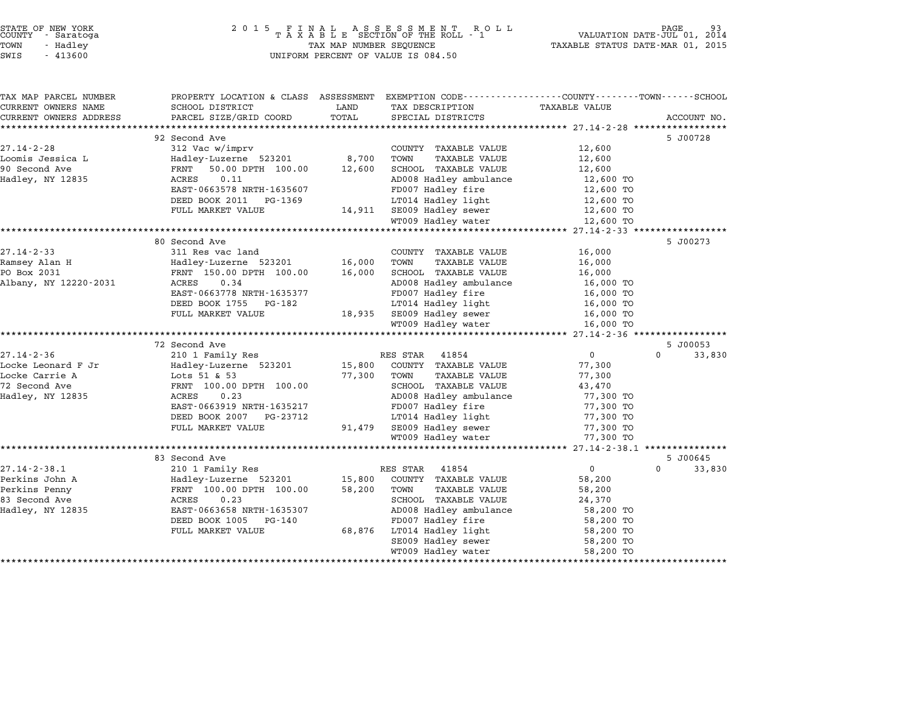| COUNTY     | STATE OF NEW YORK<br>- Saratoga |  |
|------------|---------------------------------|--|
| TOWN       | - Hadley                        |  |
| $ATTT$ $T$ | 11200                           |  |

# STATE OF NEW YORK <sup>2</sup> <sup>0</sup> <sup>1</sup> 5 F I N A L A S S E S S M E N T R O L L PAGE <sup>93</sup> COUNTY - Saratoga <sup>T</sup> <sup>A</sup> <sup>X</sup> <sup>A</sup> <sup>B</sup> <sup>L</sup> <sup>E</sup> SECTION OF THE ROLL - <sup>1</sup> VALUATION DATE-JUL 01, <sup>2014</sup> TOWN - Hadley TAX MAP NUMBER SEQUENCE TAXABLE STATUS DATE-MAR 01, <sup>2015</sup> SWIS - <sup>413600</sup> UNIFORM PERCENT OF VALUE IS 084.50

| TAX MAP PARCEL NUMBER  | PROPERTY LOCATION & CLASS ASSESSMENT |        | EXEMPTION CODE-----------------COUNTY-------TOWN------SCHOOL |                      |                    |
|------------------------|--------------------------------------|--------|--------------------------------------------------------------|----------------------|--------------------|
| CURRENT OWNERS NAME    | SCHOOL DISTRICT                      | LAND   | TAX DESCRIPTION                                              | <b>TAXABLE VALUE</b> |                    |
| CURRENT OWNERS ADDRESS | PARCEL SIZE/GRID COORD               | TOTAL  | SPECIAL DISTRICTS                                            |                      | ACCOUNT NO.        |
|                        |                                      |        |                                                              |                      |                    |
|                        | 92 Second Ave                        |        |                                                              |                      | 5 J00728           |
| $27.14 - 2 - 28$       | 312 Vac w/imprv                      |        | COUNTY TAXABLE VALUE                                         | 12,600               |                    |
| Loomis Jessica L       | Hadley-Luzerne 523201                | 8,700  | TOWN<br>TAXABLE VALUE                                        | 12,600               |                    |
| 90 Second Ave          | 50.00 DPTH 100.00<br>FRNT            | 12,600 | SCHOOL TAXABLE VALUE                                         | 12,600               |                    |
| Hadley, NY 12835       | ACRES<br>0.11                        |        | AD008 Hadley ambulance                                       | 12,600 TO            |                    |
|                        | EAST-0663578 NRTH-1635607            |        | FD007 Hadley fire                                            | 12,600 TO            |                    |
|                        | DEED BOOK 2011<br>PG-1369            |        | LT014 Hadley light                                           | 12,600 TO            |                    |
|                        | FULL MARKET VALUE                    |        | 14,911 SE009 Hadley sewer                                    | 12,600 TO            |                    |
|                        |                                      |        | WT009 Hadley water                                           | 12,600 TO            |                    |
|                        |                                      |        |                                                              |                      |                    |
|                        | 80 Second Ave                        |        |                                                              |                      | 5 J00273           |
| $27.14 - 2 - 33$       | 311 Res vac land                     |        | COUNTY TAXABLE VALUE                                         | 16,000               |                    |
| Ramsey Alan H          | Hadley-Luzerne 523201                | 16,000 | TOWN<br>TAXABLE VALUE                                        | 16,000               |                    |
| PO Box 2031            | FRNT 150.00 DPTH 100.00              | 16,000 | SCHOOL TAXABLE VALUE                                         | 16,000               |                    |
| Albany, NY 12220-2031  | 0.34<br>ACRES                        |        | AD008 Hadley ambulance                                       | 16,000 TO            |                    |
|                        | EAST-0663778 NRTH-1635377            |        | FD007 Hadley fire                                            | 16,000 TO            |                    |
|                        | DEED BOOK 1755 PG-182                |        | LT014 Hadley light                                           | 16,000 TO            |                    |
|                        | FULL MARKET VALUE                    |        | 18,935 SE009 Hadley sewer                                    | 16,000 TO            |                    |
|                        |                                      |        | WT009 Hadley water                                           | 16,000 TO            |                    |
|                        |                                      |        |                                                              |                      |                    |
|                        | 72 Second Ave                        |        |                                                              |                      | 5 J00053           |
| $27.14 - 2 - 36$       | 210 1 Family Res                     |        | RES STAR<br>41854                                            | $\mathbf 0$          | $\Omega$<br>33,830 |
| Locke Leonard F Jr     | Hadley-Luzerne 523201                | 15,800 | COUNTY TAXABLE VALUE                                         | 77,300               |                    |
| Locke Carrie A         | Lots 51 & 53                         | 77,300 | TOWN<br>TAXABLE VALUE                                        | 77,300               |                    |
| 72 Second Ave          | FRNT 100.00 DPTH 100.00              |        | SCHOOL TAXABLE VALUE                                         | 43,470               |                    |
| Hadley, NY 12835       | 0.23<br>ACRES                        |        | AD008 Hadley ambulance                                       | 77,300 TO            |                    |
|                        | EAST-0663919 NRTH-1635217            |        | FD007 Hadley fire                                            | 77,300 TO            |                    |
|                        | DEED BOOK 2007 PG-23712              |        | LT014 Hadley light                                           | 77,300 TO            |                    |
|                        | FULL MARKET VALUE                    | 91,479 | SE009 Hadley sewer                                           | 77,300 TO            |                    |
|                        |                                      |        | WT009 Hadley water                                           | 77,300 TO            |                    |
|                        |                                      |        |                                                              |                      |                    |
|                        | 83 Second Ave                        |        |                                                              |                      | 5 J00645           |
| $27.14 - 2 - 38.1$     | 210 1 Family Res                     |        | RES STAR<br>41854                                            | $\mathbf{0}$         | $\Omega$<br>33,830 |
| Perkins John A         | Hadley-Luzerne 523201                | 15,800 | COUNTY TAXABLE VALUE                                         | 58,200               |                    |
|                        | FRNT 100.00 DPTH 100.00              | 58,200 | TOWN                                                         |                      |                    |
| Perkins Penny          |                                      |        | TAXABLE VALUE                                                | 58,200               |                    |
| 83 Second Ave          | ACRES<br>0.23                        |        | SCHOOL TAXABLE VALUE                                         | 24,370               |                    |
| Hadley, NY 12835       | EAST-0663658 NRTH-1635307            |        | AD008 Hadley ambulance                                       | 58,200 TO            |                    |
|                        | DEED BOOK 1005<br>PG-140             |        | FD007 Hadley fire                                            | 58,200 TO            |                    |
|                        | FULL MARKET VALUE                    | 68,876 | LT014 Hadley light                                           | 58,200 TO            |                    |
|                        |                                      |        | SE009 Hadley sewer                                           | 58,200 TO            |                    |
|                        |                                      |        | WT009 Hadley water                                           | 58,200 TO            |                    |
|                        |                                      |        |                                                              |                      |                    |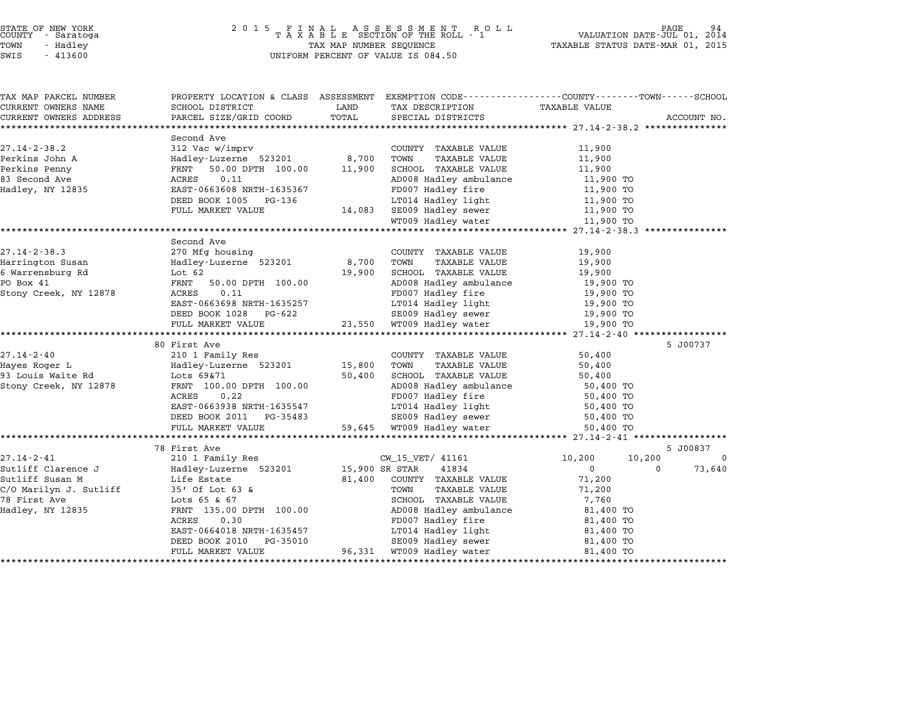| TAX MAP PARCEL NUMBER  |                                                                                                                                                                                                                                              |       | PROPERTY LOCATION & CLASS ASSESSMENT EXEMPTION CODE---------------COUNTY------TOWN------SCHOOL                                   |                            |          |             |
|------------------------|----------------------------------------------------------------------------------------------------------------------------------------------------------------------------------------------------------------------------------------------|-------|----------------------------------------------------------------------------------------------------------------------------------|----------------------------|----------|-------------|
| CURRENT OWNERS NAME    | SCHOOL DISTRICT                                                                                                                                                                                                                              | LAND  | TAX DESCRIPTION                                                                                                                  | <b>TAXABLE VALUE</b>       |          |             |
| CURRENT OWNERS ADDRESS | PARCEL SIZE/GRID COORD                                                                                                                                                                                                                       | TOTAL | SPECIAL DISTRICTS                                                                                                                |                            |          | ACCOUNT NO. |
|                        |                                                                                                                                                                                                                                              |       |                                                                                                                                  |                            |          |             |
| $27.14 - 2 - 38.2$     | Second Ave<br>312 Vac w/imprv                                                                                                                                                                                                                |       | COUNTY TAXABLE VALUE                                                                                                             | 11,900                     |          |             |
|                        |                                                                                                                                                                                                                                              |       | TOWN<br>TAXABLE VALUE                                                                                                            | 11,900                     |          |             |
|                        |                                                                                                                                                                                                                                              |       | SCHOOL TAXABLE VALUE                                                                                                             |                            |          |             |
|                        |                                                                                                                                                                                                                                              |       | AD008 Hadley ambulance 11,900 TO<br>FD007 Hadley fire 11,900 TO                                                                  | 11, $900$ TO<br>11, 900 TO |          |             |
|                        |                                                                                                                                                                                                                                              |       |                                                                                                                                  |                            |          |             |
|                        | DEED BOOK 1005 PG-136                                                                                                                                                                                                                        |       |                                                                                                                                  |                            |          |             |
|                        | FULL MARKET VALUE                                                                                                                                                                                                                            |       | LT014 Hadley light 11,900 TO<br>14,083 SE009 Hadley sewer 11,900 TO<br>WT009 Hadley water 11,900 TO                              |                            |          |             |
|                        |                                                                                                                                                                                                                                              |       |                                                                                                                                  |                            |          |             |
|                        |                                                                                                                                                                                                                                              |       |                                                                                                                                  |                            |          |             |
|                        | Second Ave                                                                                                                                                                                                                                   |       |                                                                                                                                  |                            |          |             |
| $27.14 - 2 - 38.3$     | 270 Mfg housing                                                                                                                                                                                                                              |       | COUNTY TAXABLE VALUE                                                                                                             | 19,900                     |          |             |
| Harrington Susan       |                                                                                                                                                                                                                                              |       | TAXABLE VALUE                                                                                                                    | 19,900                     |          |             |
| 6 Warrensburg Rd       |                                                                                                                                                                                                                                              |       | 19,900 SCHOOL TAXABLE VALUE                                                                                                      | 19,900                     |          |             |
| PO Box 41              | EXECUTE 100.00 EXECUTE 100.00 EXECUTE 2878<br>2878 EXECUTE 100.00 AD008<br>2878 ERNT 50.00 DPTH 100.00 AD008<br>2878 ECRES 0.11 EXECUTE 100.00 AD008<br>2878 ED007                                                                           |       | SCHOOL TAAADAD<br>AD008 Hadley ambulance 19,900 TO<br>FD007 Hadley fire 19,900 TO<br>19,900 TO<br>19,900 TO                      |                            |          |             |
| Stony Creek, NY 12878  |                                                                                                                                                                                                                                              |       |                                                                                                                                  |                            |          |             |
|                        | EAST-0663698 NRTH-1635257                                                                                                                                                                                                                    |       |                                                                                                                                  |                            |          |             |
|                        | DEED BOOK 1028 PG-622                                                                                                                                                                                                                        |       | LT014 Hadley light 19,900 TO<br>SE009 Hadley sewer 19,900 TO                                                                     |                            |          |             |
|                        | FULL MARKET VALUE                                                                                                                                                                                                                            |       | 23,550 WT009 Hadley water                                                                                                        | 19,900 TO                  |          |             |
|                        |                                                                                                                                                                                                                                              |       |                                                                                                                                  |                            |          |             |
|                        | 80 First Ave                                                                                                                                                                                                                                 |       |                                                                                                                                  |                            |          | 5 J00737    |
| $27.14 - 2 - 40$       | 210 1 Family Res                                                                                                                                                                                                                             |       | COUNTY TAXABLE VALUE                                                                                                             | 50,400                     |          |             |
| Hayes Roger L          |                                                                                                                                                                                                                                              |       | TAXABLE VALUE                                                                                                                    | 50,400                     |          |             |
| 93 Louis Waite Rd      |                                                                                                                                                                                                                                              |       |                                                                                                                                  |                            |          |             |
| Stony Creek, NY 12878  | 210 1 Family Res<br>Hadley-Luzerne 523201 15,800 TOWN<br>Rd Lots 69&71 50,400 SCHOC<br>FRNT 100.00 DPTH 100.00 AD008                                                                                                                         |       | 15,800 IOMN INTERENTIE 750,400<br>AD008 Hadley ambulance 50,400 TO<br>FD007 Hadley fire 50,400 TO<br>FD007 Hadley fire 50,400 TO |                            |          |             |
|                        | ACRES<br>0.22                                                                                                                                                                                                                                |       |                                                                                                                                  |                            |          |             |
|                        | EAST-0663938 NRTH-1635547                                                                                                                                                                                                                    |       | LT014 Hadley light                                                                                                               | 50,400 TO<br>50,400 TO     |          |             |
|                        | DEED BOOK 2011 PG-35483 SE009 Hadley sewer 50,400 TO                                                                                                                                                                                         |       |                                                                                                                                  |                            |          |             |
|                        | FULL MARKET VALUE                                                                                                                                                                                                                            |       | 59,645 WT009 Hadley water                                                                                                        | 50,400 TO                  |          |             |
|                        |                                                                                                                                                                                                                                              |       |                                                                                                                                  |                            |          |             |
|                        | 78 First Ave                                                                                                                                                                                                                                 |       |                                                                                                                                  |                            |          | 5 J00837    |
| $27.14 - 2 - 41$       | 210 1 Family Res                                                                                                                                                                                                                             |       | CW_15_VET/ 41161 10,200                                                                                                          |                            | 10,200   | $\mathbf 0$ |
| Sutliff Clarence J     |                                                                                                                                                                                                                                              |       | 41834                                                                                                                            | $\overline{0}$             | $\Omega$ | 73,640      |
|                        | Hadley-Luzerne 523201 15,900 SR STAR<br>Life Estate 181,400 COUNTY                                                                                                                                                                           |       |                                                                                                                                  | 71,200                     |          |             |
|                        |                                                                                                                                                                                                                                              |       |                                                                                                                                  | 71,200                     |          |             |
|                        |                                                                                                                                                                                                                                              |       |                                                                                                                                  | 7,760                      |          |             |
|                        |                                                                                                                                                                                                                                              |       |                                                                                                                                  | 81,400 TO                  |          |             |
|                        |                                                                                                                                                                                                                                              |       |                                                                                                                                  | 81,400 TO                  |          |             |
|                        |                                                                                                                                                                                                                                              |       |                                                                                                                                  | 81,400 TO                  |          |             |
|                        | Sutliff Clarence of Community of Life Estate<br>C/O Marilyn J. Sutliff 35' Of Lot 63 &<br>78 First Ave Lots 65 & 67<br>78 Fast Ave Lots 65 & 67<br>Hadley, NY 12835 FRNT 135.00 DPTH 100.00<br>ACRES 0.30<br>ACRES 0.30<br>FD007 Hadley ligh |       |                                                                                                                                  | 81,400 TO                  |          |             |
|                        | FULL MARKET VALUE                                                                                                                                                                                                                            |       | 96,331 WT009 Hadley water                                                                                                        | 81,400 TO                  |          |             |
|                        |                                                                                                                                                                                                                                              |       |                                                                                                                                  |                            |          |             |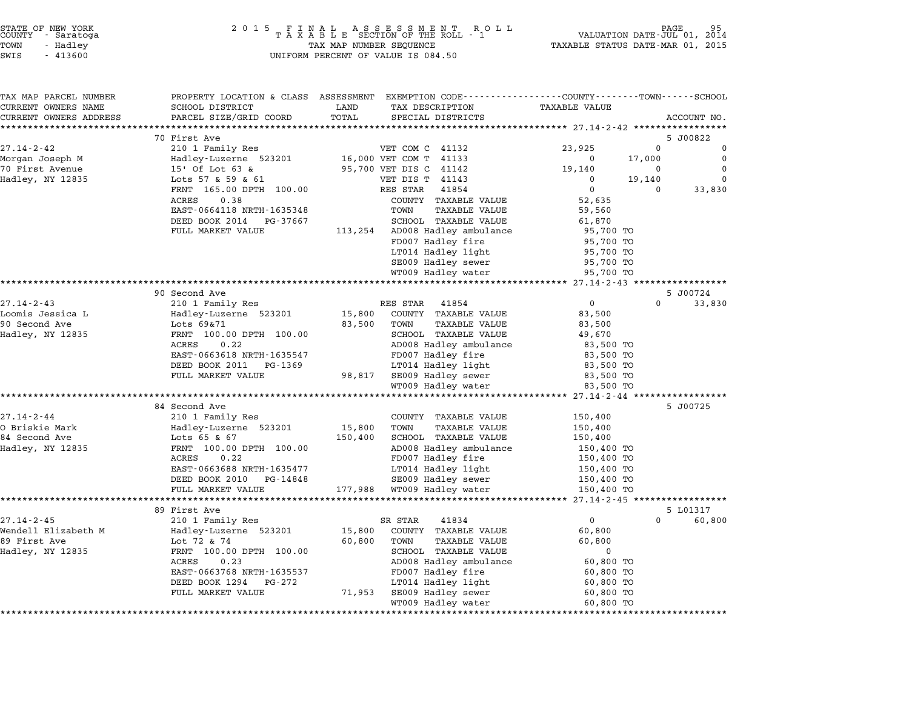| STATE OF NEW YORK |  |            |  |
|-------------------|--|------------|--|
| COUNTY            |  | - Saratoga |  |
| TOWN              |  | - Hadlev   |  |
|                   |  |            |  |

| TAX MAP PARCEL NUMBER  |                            |                                 | PROPERTY LOCATION & CLASS ASSESSMENT EXEMPTION CODE---------------COUNTY-------TOWN-----SCHOOL |                      |
|------------------------|----------------------------|---------------------------------|------------------------------------------------------------------------------------------------|----------------------|
| CURRENT OWNERS NAME    | SCHOOL DISTRICT            | LAND<br>TAX DESCRIPTION         | <b>TAXABLE VALUE</b>                                                                           |                      |
| CURRENT OWNERS ADDRESS | PARCEL SIZE/GRID COORD     | TOTAL<br>SPECIAL DISTRICTS      |                                                                                                | ACCOUNT NO.          |
| ********************** | ************************   |                                 |                                                                                                |                      |
|                        | 70 First Ave               |                                 |                                                                                                | 5 J00822             |
| $27.14 - 2 - 42$       | 210 1 Family Res           | VET COM C 41132                 | 23,925                                                                                         | $\Omega$<br>$\Omega$ |
| Morgan Joseph M        | Hadley-Luzerne 523201      | 16,000 VET COM T 41133          | $\Omega$                                                                                       | $\Omega$<br>17,000   |
| 70 First Avenue        | 15' Of Lot 63 &            | 95,700 VET DIS C 41142          | 19,140                                                                                         | $\Omega$<br>0        |
| Hadley, NY 12835       | Lots 57 & 59 & 61          | VET DIS T 41143                 | $\Omega$                                                                                       | 19,140<br>$\Omega$   |
|                        | FRNT 165.00 DPTH 100.00    | RES STAR<br>41854               | $\Omega$                                                                                       | 33,830<br>$\Omega$   |
|                        | ACRES<br>0.38              | COUNTY TAXABLE VALUE            | 52,635                                                                                         |                      |
|                        | EAST-0664118 NRTH-1635348  | TOWN                            | <b>TAXABLE VALUE</b><br>59,560                                                                 |                      |
|                        | DEED BOOK 2014<br>PG-37667 | SCHOOL TAXABLE VALUE            | 61,870                                                                                         |                      |
|                        | FULL MARKET VALUE          | 113,254 AD008 Hadley ambulance  | 95,700 TO                                                                                      |                      |
|                        |                            | FD007 Hadley fire               | 95,700 TO                                                                                      |                      |
|                        |                            | LT014 Hadley light              | 95,700 TO                                                                                      |                      |
|                        |                            | SE009 Hadley sewer              | 95,700 TO                                                                                      |                      |
|                        |                            | WT009 Hadley water              | 95,700 TO                                                                                      |                      |
|                        |                            |                                 | ************ 27.14-2-43 ***********                                                            |                      |
|                        | 90 Second Ave              |                                 |                                                                                                | 5 J00724             |
| $27.14 - 2 - 43$       | 210 1 Family Res           | 41854<br>RES STAR               | $\mathbf 0$                                                                                    | $\Omega$<br>33,830   |
| Loomis Jessica L       | Hadley-Luzerne 523201      | 15,800<br>COUNTY TAXABLE VALUE  | 83,500                                                                                         |                      |
| 90 Second Ave          | Lots 69&71                 | 83,500<br>TOWN                  | <b>TAXABLE VALUE</b><br>83,500                                                                 |                      |
| Hadley, NY 12835       | FRNT 100.00 DPTH 100.00    | SCHOOL TAXABLE VALUE            | 49,670                                                                                         |                      |
|                        | 0.22<br>ACRES              | AD008 Hadley ambulance          | 83,500 TO                                                                                      |                      |
|                        | EAST-0663618 NRTH-1635547  | FD007 Hadley fire               | 83,500 TO                                                                                      |                      |
|                        | DEED BOOK 2011<br>PG-1369  | LT014 Hadley light              | 83,500 TO                                                                                      |                      |
|                        | FULL MARKET VALUE          | 98,817<br>SE009 Hadley sewer    | 83,500 TO                                                                                      |                      |
|                        |                            | WT009 Hadley water              | 83,500 TO                                                                                      |                      |
|                        | ***********************    |                                 | ********** 27.14-2-44 ****                                                                     |                      |
|                        | 84 Second Ave              |                                 |                                                                                                | 5 J00725             |
| $27.14 - 2 - 44$       | 210 1 Family Res           | COUNTY TAXABLE VALUE            | 150,400                                                                                        |                      |
| O Briskie Mark         | Hadley-Luzerne 523201      | 15,800<br>TOWN                  | <b>TAXABLE VALUE</b><br>150,400                                                                |                      |
| 84 Second Ave          | Lots 65 & 67               | 150,400<br>SCHOOL TAXABLE VALUE | 150,400                                                                                        |                      |
| Hadley, NY 12835       | FRNT 100.00 DPTH 100.00    | AD008 Hadley ambulance          | 150,400 TO                                                                                     |                      |
|                        | ACRES<br>0.22              | FD007 Hadley fire               | 150,400 TO                                                                                     |                      |
|                        | EAST-0663688 NRTH-1635477  | LT014 Hadley light              | 150,400 TO                                                                                     |                      |
|                        | DEED BOOK 2010<br>PG-14848 | SE009 Hadley sewer              | 150,400 TO                                                                                     |                      |
|                        | FULL MARKET VALUE          | 177,988<br>WT009 Hadley water   | 150,400 TO                                                                                     |                      |
|                        |                            |                                 |                                                                                                |                      |
|                        | 89 First Ave               |                                 |                                                                                                | 5 L01317             |
| $27.14 - 2 - 45$       | 210 1 Family Res           | SR STAR<br>41834                | $\mathbf 0$                                                                                    | 60,800<br>$\Omega$   |
| Wendell Elizabeth M    | Hadley-Luzerne 523201      | 15,800<br>COUNTY TAXABLE VALUE  | 60,800                                                                                         |                      |
| 89 First Ave           | Lot 72 & 74                | 60,800<br>TOWN                  | <b>TAXABLE VALUE</b><br>60,800                                                                 |                      |
| Hadley, NY 12835       | FRNT 100.00 DPTH 100.00    | SCHOOL TAXABLE VALUE            | $\mathbf 0$                                                                                    |                      |
|                        | 0.23<br>ACRES              | AD008 Hadley ambulance          | 60,800 TO                                                                                      |                      |
|                        | EAST-0663768 NRTH-1635537  | FD007 Hadley fire               | 60,800 TO                                                                                      |                      |
|                        | DEED BOOK 1294<br>PG-272   | LT014 Hadley light              | 60,800 TO                                                                                      |                      |
|                        |                            |                                 |                                                                                                |                      |
|                        | FULL MARKET VALUE          | 71,953<br>SE009 Hadley sewer    | 60,800 TO                                                                                      |                      |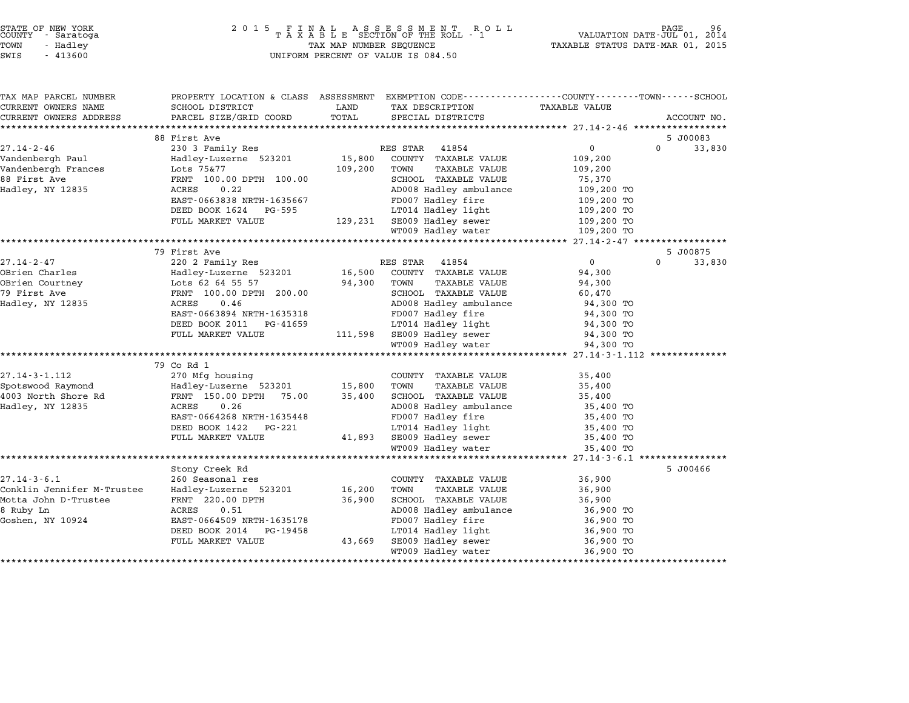| COUNTY | STATE OF NEW YORK<br>- Saratoga |  |
|--------|---------------------------------|--|
| TOWN   | - Hadlev                        |  |
|        |                                 |  |

# STATE OF NEW YORK <sup>2</sup> <sup>0</sup> <sup>1</sup> 5 F I N A L A S S E S S M E N T R O L L PAGE <sup>96</sup> COUNTY - Saratoga <sup>T</sup> <sup>A</sup> <sup>X</sup> <sup>A</sup> <sup>B</sup> <sup>L</sup> <sup>E</sup> SECTION OF THE ROLL - <sup>1</sup> VALUATION DATE-JUL 01, <sup>2014</sup> TOWN - Hadley TAX MAP NUMBER SEQUENCE TAXABLE STATUS DATE-MAR 01, <sup>2015</sup> SWIS - <sup>413600</sup> UNIFORM PERCENT OF VALUE IS 084.50

| TAX MAP PARCEL NUMBER      | PROPERTY LOCATION & CLASS ASSESSMENT EXEMPTION CODE----------------COUNTY-------TOWN-----SCHOOL |         |                              |                      |             |        |
|----------------------------|-------------------------------------------------------------------------------------------------|---------|------------------------------|----------------------|-------------|--------|
| CURRENT OWNERS NAME        | SCHOOL DISTRICT                                                                                 | LAND    | TAX DESCRIPTION              | <b>TAXABLE VALUE</b> |             |        |
| CURRENT OWNERS ADDRESS     | PARCEL SIZE/GRID COORD                                                                          | TOTAL   | SPECIAL DISTRICTS            |                      | ACCOUNT NO. |        |
|                            |                                                                                                 |         |                              |                      |             |        |
|                            | 88 First Ave                                                                                    |         |                              |                      | 5 J00083    |        |
| $27.14 - 2 - 46$           | 230 3 Family Res                                                                                |         | RES STAR 41854               | $0 \qquad \qquad$    | $\Omega$    | 33,830 |
| Vandenbergh Paul           | Hadley-Luzerne 523201                                                                           | 15,800  | COUNTY TAXABLE VALUE         | 109,200              |             |        |
| Vandenbergh Frances        | Lots 75&77                                                                                      | 109,200 | TOWN<br><b>TAXABLE VALUE</b> | 109,200              |             |        |
| 88 First Ave               | FRNT 100.00 DPTH 100.00                                                                         |         | SCHOOL TAXABLE VALUE         | 75,370               |             |        |
| Hadley, NY 12835           | ACRES<br>0.22                                                                                   |         | AD008 Hadley ambulance       | 109,200 TO           |             |        |
|                            | EAST-0663838 NRTH-1635667                                                                       |         | FD007 Hadley fire            | 109,200 TO           |             |        |
|                            | DEED BOOK 1624 PG-595                                                                           |         | LT014 Hadley light           | 109,200 TO           |             |        |
|                            | FULL MARKET VALUE                                                                               |         | 129,231 SE009 Hadley sewer   | 109,200 TO           |             |        |
|                            |                                                                                                 |         | WT009 Hadley water           | 109,200 TO           |             |        |
|                            |                                                                                                 |         |                              |                      |             |        |
|                            | 79 First Ave                                                                                    |         |                              |                      | 5 J00875    |        |
| 27.14-2-47                 | 220 2 Family Res                                                                                |         | 41854<br>RES STAR            | $\overline{0}$       | $\Omega$    | 33,830 |
| OBrien Charles             |                                                                                                 |         | 16,500 COUNTY TAXABLE VALUE  | 94,300               |             |        |
| OBrien Courtney            |                                                                                                 | 94,300  | TOWN<br>TAXABLE VALUE        | 94,300               |             |        |
| 79 First Ave               | Hadley-Luzerne 523201<br>Lots 62 64 55 57<br>FRNT 100.00 DPTH 200.00                            |         | SCHOOL TAXABLE VALUE         | 60,470               |             |        |
| Hadley, NY 12835           | ACRES<br>0.46                                                                                   |         | AD008 Hadley ambulance       | 94,300 TO            |             |        |
|                            | EAST-0663894 NRTH-1635318                                                                       |         | FD007 Hadley fire            | 94,300 TO            |             |        |
|                            | DEED BOOK 2011 PG-41659                                                                         |         | LT014 Hadley light           | 94,300 TO            |             |        |
|                            | FULL MARKET VALUE                                                                               |         | 111,598 SE009 Hadley sewer   | 94,300 TO            |             |        |
|                            |                                                                                                 |         | WT009 Hadley water           | 94,300 TO            |             |        |
|                            |                                                                                                 |         |                              |                      |             |        |
|                            | 79 Co Rd 1                                                                                      |         |                              |                      |             |        |
| $27.14 - 3 - 1.112$        | 270 Mfg housing                                                                                 |         | COUNTY TAXABLE VALUE         | 35,400               |             |        |
| Spotswood Raymond          | Hadley-Luzerne 523201                                                                           | 15,800  | TOWN<br><b>TAXABLE VALUE</b> | 35,400               |             |        |
| 4003 North Shore Rd        | FRNT 150.00 DPTH 75.00                                                                          | 35,400  | SCHOOL TAXABLE VALUE         | 35,400               |             |        |
| Hadley, NY 12835           | 0.26<br>ACRES                                                                                   |         | AD008 Hadley ambulance       | 35,400 TO            |             |        |
|                            | EAST-0664268 NRTH-1635448                                                                       |         | FD007 Hadley fire            | 35,400 TO            |             |        |
|                            | DEED BOOK 1422   PG-221                                                                         |         | LT014 Hadley light           | 35,400 TO            |             |        |
|                            | FULL MARKET VALUE                                                                               | 41,893  | SE009 Hadley sewer           | 35,400 TO            |             |        |
|                            |                                                                                                 |         | WT009 Hadley water           | 35,400 TO            |             |        |
|                            |                                                                                                 |         |                              |                      |             |        |
|                            | Stony Creek Rd                                                                                  |         |                              |                      | 5 J00466    |        |
| $27.14 - 3 - 6.1$          | 260 Seasonal res                                                                                |         | COUNTY TAXABLE VALUE         | 36,900               |             |        |
| Conklin Jennifer M-Trustee | Hadley-Luzerne 523201                                                                           | 16,200  | TOWN<br><b>TAXABLE VALUE</b> | 36,900               |             |        |
| Motta John D-Trustee       | FRNT 220.00 DPTH                                                                                | 36,900  | SCHOOL TAXABLE VALUE         | 36,900               |             |        |
| 8 Ruby Ln                  | ACRES<br>0.51                                                                                   |         | AD008 Hadley ambulance       | 36,900 TO            |             |        |
| Goshen, NY 10924           | EAST-0664509 NRTH-1635178                                                                       |         | FD007 Hadley fire            | 36,900 TO            |             |        |
|                            | DEED BOOK 2014<br>PG-19458                                                                      |         | LT014 Hadley light           | 36,900 TO            |             |        |
|                            | FULL MARKET VALUE                                                                               | 43,669  | SE009 Hadley sewer           | 36,900 TO            |             |        |
|                            |                                                                                                 |         | WT009 Hadley water           | 36,900 TO            |             |        |
|                            |                                                                                                 |         |                              |                      |             |        |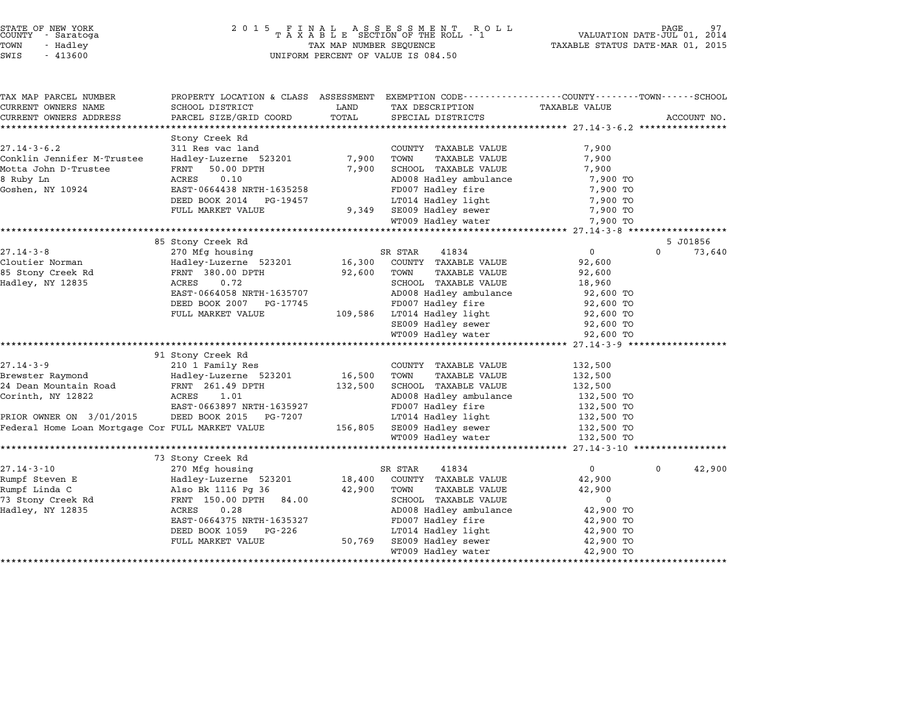| STATE OF NEW YORK<br>COUNTY - Saratoga<br>TOWN<br>- Hadley<br>SWIS<br>$-413600$ | 2 0 1 5<br>FINAL ASSESSMENT ROLL<br>TAXABLE SECTION OF THE ROLL - 1<br>TAX MAP NUMBER SEQUENCE<br>UNIFORM PERCENT OF VALUE IS 084.50 | TAXABLE STATUS DATE-MAR 01, 2015 | PAGE<br>VALUATION DATE-JUL 01, 2014      |                                       |                    |
|---------------------------------------------------------------------------------|--------------------------------------------------------------------------------------------------------------------------------------|----------------------------------|------------------------------------------|---------------------------------------|--------------------|
| TAX MAP PARCEL NUMBER                                                           | PROPERTY LOCATION & CLASS ASSESSMENT EXEMPTION CODE----------------COUNTY-------TOWN-----SCHOOL                                      |                                  |                                          |                                       |                    |
| CURRENT OWNERS NAME                                                             | SCHOOL DISTRICT                                                                                                                      | LAND                             | TAX DESCRIPTION                          | TAXABLE VALUE                         |                    |
| CURRENT OWNERS ADDRESS<br>******************************                        | PARCEL SIZE/GRID COORD                                                                                                               | TOTAL                            | SPECIAL DISTRICTS                        |                                       | ACCOUNT NO.        |
|                                                                                 | Stony Creek Rd                                                                                                                       |                                  |                                          |                                       |                    |
| $27.14 - 3 - 6.2$                                                               | 311 Res vac land                                                                                                                     |                                  | COUNTY TAXABLE VALUE                     | 7,900                                 |                    |
| Conklin Jennifer M-Trustee                                                      | Hadley-Luzerne 523201                                                                                                                | 7,900                            | TOWN<br>TAXABLE VALUE                    | 7,900                                 |                    |
| Motta John D-Trustee                                                            | FRNT<br>50.00 DPTH                                                                                                                   | 7,900                            | SCHOOL TAXABLE VALUE                     | 7,900                                 |                    |
| 8 Ruby Ln                                                                       | ACRES<br>0.10                                                                                                                        |                                  | AD008 Hadley ambulance                   | 7,900 TO                              |                    |
| Goshen, NY 10924                                                                | EAST-0664438 NRTH-1635258                                                                                                            |                                  | FD007 Hadley fire                        | 7,900 TO                              |                    |
|                                                                                 | DEED BOOK 2014<br>PG-19457                                                                                                           |                                  | LT014 Hadley light                       | 7,900 TO                              |                    |
|                                                                                 | FULL MARKET VALUE                                                                                                                    | 9,349                            | SE009 Hadley sewer                       | 7,900 TO                              |                    |
|                                                                                 |                                                                                                                                      |                                  | WT009 Hadley water                       | 7,900 TO                              |                    |
|                                                                                 | ********************************                                                                                                     |                                  |                                          |                                       |                    |
|                                                                                 | 85 Stony Creek Rd                                                                                                                    |                                  |                                          |                                       | 5 J01856           |
| $27.14 - 3 - 8$                                                                 | 270 Mfg housing                                                                                                                      |                                  | SR STAR<br>41834                         | $\mathbf 0$                           | $\Omega$<br>73,640 |
| Cloutier Norman                                                                 | Hadley-Luzerne 523201                                                                                                                | 16,300                           | COUNTY TAXABLE VALUE                     | 92,600                                |                    |
| 85 Stony Creek Rd                                                               | FRNT 380.00 DPTH                                                                                                                     | 92,600                           | TOWN<br>TAXABLE VALUE                    | 92,600                                |                    |
| Hadley, NY 12835                                                                | ACRES<br>0.72                                                                                                                        |                                  | SCHOOL TAXABLE VALUE                     | 18,960                                |                    |
|                                                                                 | EAST-0664058 NRTH-1635707                                                                                                            |                                  | AD008 Hadley ambulance                   | 92,600 TO                             |                    |
|                                                                                 | DEED BOOK 2007<br>PG-17745                                                                                                           |                                  | FD007 Hadley fire                        | 92,600 TO                             |                    |
|                                                                                 | FULL MARKET VALUE                                                                                                                    | 109,586                          | LT014 Hadley light                       | 92,600 TO                             |                    |
|                                                                                 |                                                                                                                                      |                                  | SE009 Hadley sewer<br>WT009 Hadley water | 92,600 TO                             |                    |
|                                                                                 | ***************************                                                                                                          |                                  | **********************                   | 92,600 TO<br>********* 27.14-3-9 ***  |                    |
|                                                                                 | 91 Stony Creek Rd                                                                                                                    |                                  |                                          |                                       |                    |
| $27.14 - 3 - 9$                                                                 | 210 1 Family Res                                                                                                                     |                                  | COUNTY TAXABLE VALUE                     | 132,500                               |                    |
| Brewster Raymond                                                                | Hadley-Luzerne 523201                                                                                                                | 16,500                           | TOWN<br><b>TAXABLE VALUE</b>             | 132,500                               |                    |
| 24 Dean Mountain Road                                                           | FRNT 261.49 DPTH                                                                                                                     | 132,500                          | SCHOOL TAXABLE VALUE                     | 132,500                               |                    |
| Corinth, NY 12822                                                               | 1.01<br>ACRES                                                                                                                        |                                  | AD008 Hadley ambulance                   | 132,500 TO                            |                    |
|                                                                                 | EAST-0663897 NRTH-1635927                                                                                                            |                                  | FD007 Hadley fire                        | 132,500 TO                            |                    |
| PRIOR OWNER ON 3/01/2015                                                        | DEED BOOK 2015 PG-7207                                                                                                               |                                  | LT014 Hadley light                       | 132,500 TO                            |                    |
| Federal Home Loan Mortgage Cor FULL MARKET VALUE                                |                                                                                                                                      | 156,805                          | SE009 Hadley sewer<br>WT009 Hadley water | 132,500 TO<br>132,500 TO              |                    |
|                                                                                 | *******************                                                                                                                  |                                  |                                          | ******** 27.14-3-10 ***************** |                    |
|                                                                                 | 73 Stony Creek Rd                                                                                                                    |                                  |                                          |                                       |                    |
| $27.14 - 3 - 10$                                                                | 270 Mfg housing                                                                                                                      |                                  | SR STAR<br>41834                         | $\mathbf{0}$                          | 42,900<br>$\Omega$ |
| Rumpf Steven E                                                                  | Hadley-Luzerne 523201                                                                                                                | 18,400                           | COUNTY TAXABLE VALUE                     | 42,900                                |                    |
| Rumpf Linda C                                                                   | Also Bk 1116 Pg 36                                                                                                                   | 42,900                           | TOWN<br><b>TAXABLE VALUE</b>             | 42,900                                |                    |
| 73 Stony Creek Rd                                                               | FRNT 150.00 DPTH<br>84.00                                                                                                            |                                  | SCHOOL TAXABLE VALUE                     | $\mathbf 0$                           |                    |
| Hadley, NY 12835                                                                | ACRES<br>0.28                                                                                                                        |                                  | AD008 Hadley ambulance                   | 42,900 TO                             |                    |
|                                                                                 | EAST-0664375 NRTH-1635327                                                                                                            |                                  | FD007 Hadley fire                        | 42,900 TO                             |                    |
|                                                                                 | DEED BOOK 1059<br>PG-226                                                                                                             |                                  | LT014 Hadley light                       | 42,900 TO                             |                    |
|                                                                                 | FULL MARKET VALUE                                                                                                                    | 50,769                           | SE009 Hadley sewer                       | 42,900 TO                             |                    |
|                                                                                 |                                                                                                                                      |                                  | WT009 Hadley water                       | 42,900 TO                             |                    |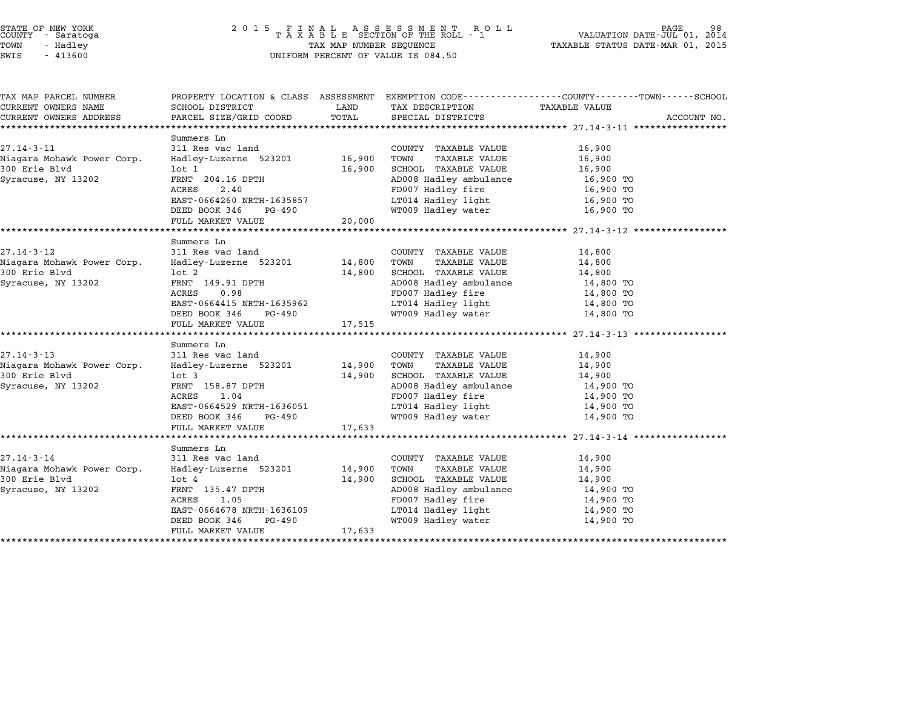## STATE OF NEW YORK <sup>2</sup> <sup>0</sup> <sup>1</sup> 5 F I N A L A S S E S S M E N T R O L L PAGE <sup>98</sup> COUNTY - Saratoga <sup>T</sup> <sup>A</sup> <sup>X</sup> <sup>A</sup> <sup>B</sup> <sup>L</sup> <sup>E</sup> SECTION OF THE ROLL - <sup>1</sup> VALUATION DATE-JUL 01, <sup>2014</sup> TOWN - Hadley TAX MAP NUMBER SEQUENCE TAXABLE STATUS DATE-MAR 01, <sup>2015</sup> STATE OF NEW YORK<br>
COUNTY - Saratoga<br>
TOWN - Hadley TAXABLE SECTION OF THE ROLL<br>
SWIS - 413600 UNIFORM PERCENT OF VALUE IS 084.50

| TAX MAP PARCEL NUMBER      |                                |        |                                                                       | PROPERTY LOCATION & CLASS ASSESSMENT EXEMPTION CODE---------------COUNTY-------TOWN-----SCHOOL |             |
|----------------------------|--------------------------------|--------|-----------------------------------------------------------------------|------------------------------------------------------------------------------------------------|-------------|
| CURRENT OWNERS NAME        | SCHOOL DISTRICT                | LAND   | TAX DESCRIPTION                                                       | TAXABLE VALUE                                                                                  |             |
| CURRENT OWNERS ADDRESS     | PARCEL SIZE/GRID COORD         | TOTAL  | SPECIAL DISTRICTS                                                     |                                                                                                | ACCOUNT NO. |
|                            |                                |        |                                                                       |                                                                                                |             |
|                            | Summers Ln                     |        |                                                                       |                                                                                                |             |
| $27.14 - 3 - 11$           | 311 Res vac land               |        | COUNTY TAXABLE VALUE                                                  | 16,900                                                                                         |             |
| Niagara Mohawk Power Corp. | Hadley-Luzerne 523201 16,900   |        | TOWN<br>TAXABLE VALUE                                                 | 16,900                                                                                         |             |
| 300 Erie Blvd              | $1$ ot $1$                     | 16,900 | SCHOOL TAXABLE VALUE                                                  | 16,900                                                                                         |             |
| Syracuse, NY 13202         | FRNT 204.16 DPTH               |        | AD008 Hadley ambulance                                                | 16,900 TO                                                                                      |             |
|                            | ACRES<br>2.40                  |        | FD007 Hadley fire                                                     | 16,900 TO                                                                                      |             |
|                            | EAST-0664260 NRTH-1635857      |        | LT014 Hadley light                                                    | 16,900 TO                                                                                      |             |
|                            | DEED BOOK 346 PG-490           |        | WT009 Hadley water                                                    | 16,900 TO                                                                                      |             |
|                            | FULL MARKET VALUE 20,000       |        |                                                                       |                                                                                                |             |
|                            |                                |        |                                                                       |                                                                                                |             |
| 27.14-3-12                 | Summers Ln<br>311 Res vac land |        | COUNTY TAXABLE VALUE                                                  | 14,800                                                                                         |             |
| Niagara Mohawk Power Corp. | Hadley-Luzerne 523201 14,800   |        | TAXABLE VALUE<br>TOWN                                                 | 14,800                                                                                         |             |
| 300 Erie Blvd              | lot 2                          | 14,800 | SCHOOL TAXABLE VALUE                                                  | 14,800                                                                                         |             |
| Syracuse, NY 13202         | FRNT 149.91 DPTH               |        |                                                                       |                                                                                                |             |
|                            | ACRES<br>0.98                  |        | AD008 Hadley ambulance<br>AD008 Hadley ambulance<br>FD007 Hadley fire | 14,800 TO<br>14,800 TO                                                                         |             |
|                            | EAST-0664415 NRTH-1635962      |        | LT014 Hadley light                                                    |                                                                                                |             |
|                            | DEED BOOK 346 PG-490           |        | WT009 Hadley water                                                    | 14,800 TO<br>14,800 TO                                                                         |             |
|                            | FULL MARKET VALUE              | 17,515 |                                                                       |                                                                                                |             |
|                            |                                |        |                                                                       |                                                                                                |             |
|                            | Summers Ln                     |        |                                                                       |                                                                                                |             |
| $27.14 - 3 - 13$           | 311 Res vac land               |        | COUNTY TAXABLE VALUE                                                  | 14,900                                                                                         |             |
| Niagara Mohawk Power Corp. | Hadley-Luzerne 523201 14,900   |        | TOWN<br>TAXABLE VALUE                                                 | 14,900                                                                                         |             |
| 300 Erie Blvd              | $1$ ot $3$                     | 14,900 | SCHOOL TAXABLE VALUE                                                  | 14,900                                                                                         |             |
| Syracuse, NY 13202         | FRNT 158.87 DPTH               |        | AD008 Hadley ambulance                                                | 14,900 TO                                                                                      |             |
|                            | ACRES<br>1.04                  |        | FD007 Hadley fire                                                     | 14,900 TO                                                                                      |             |
|                            | EAST-0664529 NRTH-1636051      |        |                                                                       | 14,900 TO                                                                                      |             |
|                            | PG-490<br>DEED BOOK 346        |        | LT014 Hadley light<br>WT009 Hadley water                              | 14,900 TO                                                                                      |             |
|                            | FULL MARKET VALUE              | 17,633 |                                                                       |                                                                                                |             |
|                            |                                |        |                                                                       |                                                                                                |             |
|                            | Summers Ln                     |        |                                                                       |                                                                                                |             |
| $27.14 - 3 - 14$           | 311 Res vac land               |        | COUNTY TAXABLE VALUE                                                  | 14,900                                                                                         |             |
| Niagara Mohawk Power Corp. | Hadley-Luzerne 523201          | 14,900 | TAXABLE VALUE<br>TOWN                                                 | 14,900                                                                                         |             |
| 300 Erie Blvd              | $1$ ot $4$                     | 14,900 | SCHOOL TAXABLE VALUE                                                  | 14,900                                                                                         |             |
| Syracuse, NY 13202         | FRNT 135.47 DPTH               |        | AD008 Hadley ambulance                                                | 14,900 TO                                                                                      |             |
|                            | ACRES<br>1.05                  |        | FD007 Hadley fire                                                     | 14,900 TO                                                                                      |             |
|                            | EAST-0664678 NRTH-1636109      |        | LT014 Hadley light                                                    | 14,900 TO                                                                                      |             |
|                            | DEED BOOK 346<br>PG-490        |        | WT009 Hadley water                                                    | 14,900 TO                                                                                      |             |
|                            | FULL MARKET VALUE              | 17,633 |                                                                       |                                                                                                |             |
|                            |                                |        |                                                                       |                                                                                                |             |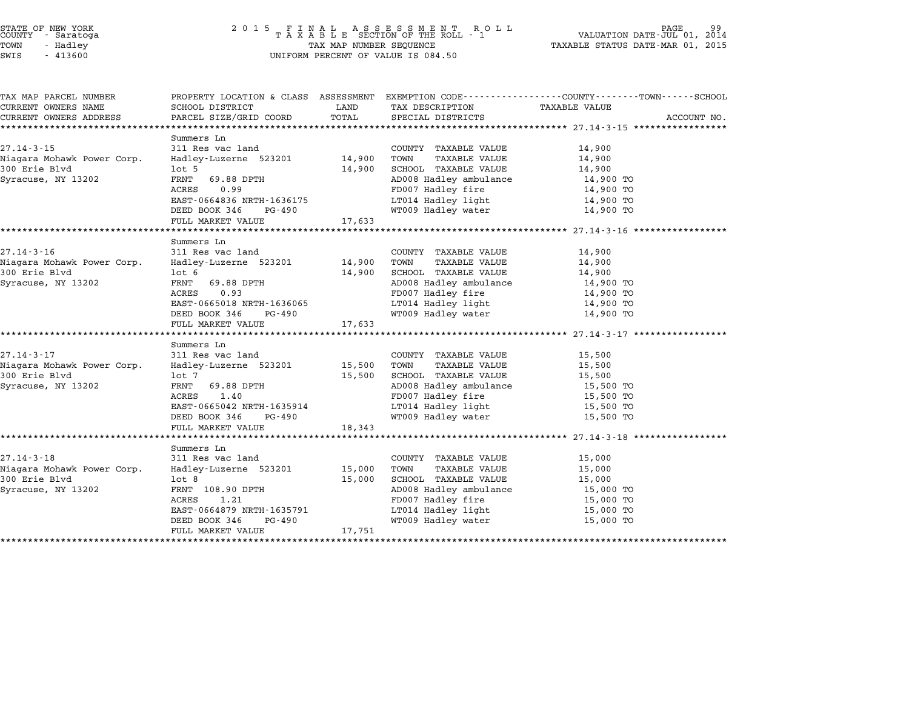# STATE OF NEW YORK <sup>2</sup> <sup>0</sup> <sup>1</sup> 5 F I N A L A S S E S S M E N T R O L L PAGE <sup>99</sup> COUNTY - Saratoga <sup>T</sup> <sup>A</sup> <sup>X</sup> <sup>A</sup> <sup>B</sup> <sup>L</sup> <sup>E</sup> SECTION OF THE ROLL - <sup>1</sup> VALUATION DATE-JUL 01, <sup>2014</sup> TOWN - Hadley TAX MAP NUMBER SEQUENCE TAXABLE STATUS DATE-MAR 01, <sup>2015</sup> STATE OF NEW YORK STATE OF NEW YORK A SOLUME TO A SOLUME TO A SOLUME TO A SOLUME TO A SOLUME TO A SOLUME TO A SOLUME TO A SOLUME TO A SOLUME TO A SOLUME TO A SOLUME TO A SOLUME TO A SOLUME TO A SOLUME TO A SOLUME TO A SOLU

| TAX MAP PARCEL NUMBER                       |                                          |        |                                               | PROPERTY LOCATION & CLASS ASSESSMENT EXEMPTION CODE---------------COUNTY------TOWN------SCHOOL |  |
|---------------------------------------------|------------------------------------------|--------|-----------------------------------------------|------------------------------------------------------------------------------------------------|--|
| CURRENT OWNERS NAME                         | SCHOOL DISTRICT                          | LAND   | TAX DESCRIPTION                               | <b>TAXABLE VALUE</b>                                                                           |  |
| CURRENT OWNERS ADDRESS                      | PARCEL SIZE/GRID COORD                   | TOTAL  | SPECIAL DISTRICTS                             | ACCOUNT NO.                                                                                    |  |
|                                             |                                          |        |                                               |                                                                                                |  |
| $27.14 - 3 - 15$                            | Summers Ln<br>311 Res vac land           |        |                                               |                                                                                                |  |
|                                             |                                          |        | COUNTY TAXABLE VALUE                          | 14,900                                                                                         |  |
| Niagara Mohawk Power Corp.<br>300 Erie Blvd | Hadley-Luzerne 523201 14,900<br>$1$ ot 5 | 14,900 | TOWN<br>TAXABLE VALUE<br>SCHOOL TAXABLE VALUE | 14,900<br>14,900                                                                               |  |
| Syracuse, NY 13202                          | FRNT<br>69.88 DPTH                       |        | AD008 Hadley ambulance                        |                                                                                                |  |
|                                             | ACRES<br>0.99                            |        | FD007 Hadley fire                             | 14,900 TO<br>14,900 TO                                                                         |  |
|                                             | EAST-0664836 NRTH-1636175                |        | LT014 Hadley light                            | 14,900 TO                                                                                      |  |
|                                             | DEED BOOK 346 PG-490                     |        | WT009 Hadley water                            | 14,900 TO                                                                                      |  |
|                                             | FULL MARKET VALUE                        | 17,633 |                                               |                                                                                                |  |
|                                             |                                          |        |                                               |                                                                                                |  |
|                                             | Summers Ln                               |        |                                               |                                                                                                |  |
| $27.14 - 3 - 16$                            | 311 Res vac land                         |        | COUNTY TAXABLE VALUE                          | 14,900                                                                                         |  |
| Niagara Mohawk Power Corp.                  | Hadley-Luzerne 523201 14,900             |        | TOWN<br>TAXABLE VALUE                         | 14,900                                                                                         |  |
| 300 Erie Blvd                               | $1$ ot 6                                 | 14,900 | SCHOOL TAXABLE VALUE                          | 14,900                                                                                         |  |
| Syracuse, NY 13202                          | FRNT<br>69.88 DPTH                       |        | AD008 Hadley ambulance                        | 14,900 TO                                                                                      |  |
|                                             | ACRES<br>0.93                            |        | FD007 Hadley fire                             | 14,900 TO                                                                                      |  |
|                                             | EAST-0665018 NRTH-1636065                |        | LT014 Hadley light                            | 14,900 TO                                                                                      |  |
|                                             | DEED BOOK 346<br>PG-490                  |        | WT009 Hadley water                            | 14,900 TO                                                                                      |  |
|                                             | FULL MARKET VALUE                        | 17,633 |                                               |                                                                                                |  |
|                                             |                                          |        |                                               |                                                                                                |  |
|                                             | Summers Ln                               |        |                                               |                                                                                                |  |
| $27.14 - 3 - 17$                            | 311 Res vac land                         |        | COUNTY TAXABLE VALUE                          | 15,500                                                                                         |  |
| Niagara Mohawk Power Corp.                  | Hadley-Luzerne 523201                    | 15,500 | TAXABLE VALUE<br>TOWN                         | 15,500                                                                                         |  |
| 300 Erie Blyd                               | lot 7                                    | 15,500 | SCHOOL TAXABLE VALUE                          | 15,500                                                                                         |  |
| Syracuse, NY 13202                          | FRNT<br>69.88 DPTH                       |        | AD008 Hadley ambulance<br>mnoor Hadley fire   | 15,500 TO                                                                                      |  |
|                                             | ACRES<br>1.40                            |        | FD007 Hadley fire                             | 15,500 TO                                                                                      |  |
|                                             | EAST-0665042 NRTH-1635914                |        | LT014 Hadley light                            | 15,500 TO                                                                                      |  |
|                                             | DEED BOOK 346 PG-490                     |        | WT009 Hadley water                            | 15,500 TO                                                                                      |  |
|                                             | FULL MARKET VALUE                        | 18,343 |                                               |                                                                                                |  |
|                                             |                                          |        |                                               |                                                                                                |  |
|                                             | Summers Ln                               |        |                                               |                                                                                                |  |
| $27.14 - 3 - 18$                            | 311 Res vac land                         |        | COUNTY TAXABLE VALUE                          | 15,000                                                                                         |  |
| Niagara Mohawk Power Corp.                  | Hadley-Luzerne 523201                    | 15,000 | TOWN<br>TAXABLE VALUE                         | 15,000                                                                                         |  |
| 300 Erie Blvd                               | $1$ ot 8                                 | 15,000 | SCHOOL TAXABLE VALUE                          | 15,000                                                                                         |  |
| Syracuse, NY 13202                          | FRNT 108.90 DPTH                         |        | AD008 Hadley ambulance                        | 15,000 TO                                                                                      |  |
|                                             | ACRES<br>1.21                            |        | FD007 Hadley fire                             | 15,000 TO                                                                                      |  |
|                                             | EAST-0664879 NRTH-1635791                |        | LT014 Hadley light                            | 15,000 TO                                                                                      |  |
|                                             | DEED BOOK 346<br>PG-490                  |        | WT009 Hadley water                            | 15,000 TO                                                                                      |  |
|                                             | FULL MARKET VALUE                        | 17,751 |                                               |                                                                                                |  |
|                                             |                                          |        |                                               |                                                                                                |  |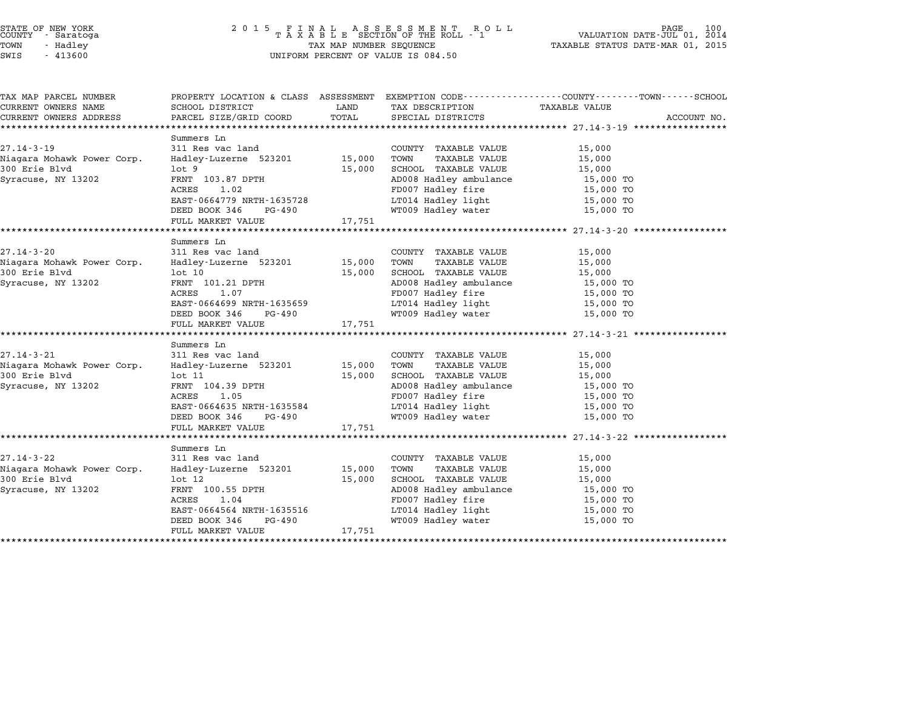| TAX MAP PARCEL NUMBER      |                                                 |        |                                                  | PROPERTY LOCATION & CLASS ASSESSMENT EXEMPTION CODE---------------COUNTY------TOWN------SCHOOL |
|----------------------------|-------------------------------------------------|--------|--------------------------------------------------|------------------------------------------------------------------------------------------------|
| CURRENT OWNERS NAME        | SCHOOL DISTRICT                                 | LAND   | TAX DESCRIPTION                                  | <b>TAXABLE VALUE</b>                                                                           |
| CURRENT OWNERS ADDRESS     | PARCEL SIZE/GRID COORD                          | TOTAL  | SPECIAL DISTRICTS                                | ACCOUNT NO.                                                                                    |
|                            |                                                 |        |                                                  |                                                                                                |
|                            | Summers Ln                                      |        |                                                  |                                                                                                |
| $27.14 - 3 - 19$           | 311 Res vac land                                |        | COUNTY TAXABLE VALUE                             | 15,000                                                                                         |
| Niagara Mohawk Power Corp. | Hadley-Luzerne 523201 15,000                    |        | TOWN<br>TAXABLE VALUE                            | 15,000                                                                                         |
| 300 Erie Blvd              | $1$ ot $9$                                      | 15,000 | SCHOOL TAXABLE VALUE                             | 15,000                                                                                         |
| Syracuse, NY 13202         | FRNT 103.87 DPTH                                |        | AD008 Hadley ambulance                           | 15,000 TO                                                                                      |
|                            | ACRES<br>1.02                                   |        | FD007 Hadley fire                                | 15,000 TO                                                                                      |
|                            | EAST-0664779 NRTH-1635728                       |        | LT014 Hadley light                               | 15,000 TO                                                                                      |
|                            | DEED BOOK 346<br>PG-490                         |        | WT009 Hadley water                               | 15,000 TO                                                                                      |
|                            | FULL MARKET VALUE                               | 17,751 |                                                  |                                                                                                |
|                            |                                                 |        |                                                  |                                                                                                |
| $27.14 - 3 - 20$           | Summers Ln<br>311 Res vac land                  |        |                                                  |                                                                                                |
|                            |                                                 |        | COUNTY TAXABLE VALUE                             | 15,000                                                                                         |
| Niagara Mohawk Power Corp. | Hadley-Luzerne 523201 15,000                    |        | TOWN<br>TAXABLE VALUE                            | 15,000                                                                                         |
| 300 Erie Blvd              | $1$ ot $10$                                     | 15,000 | SCHOOL TAXABLE VALUE                             | 15,000                                                                                         |
| Syracuse, NY 13202         | FRNT 101.21 DPTH                                |        | AD008 Hadley ambulance                           | 15,000 TO                                                                                      |
|                            | ACRES<br>1.07                                   |        | FD007 Hadley fire                                | 15,000 TO                                                                                      |
|                            | EAST-0664699 NRTH-1635659                       |        | LT014 Hadley light                               | 15,000 TO                                                                                      |
|                            | DEED BOOK 346<br>PG-490                         |        | WT009 Hadley water                               | 15,000 TO                                                                                      |
|                            | FULL MARKET VALUE                               | 17,751 |                                                  |                                                                                                |
|                            | Summers Ln                                      |        |                                                  |                                                                                                |
| $27.14 - 3 - 21$           | 311 Res vac land                                |        | COUNTY TAXABLE VALUE                             | 15,000                                                                                         |
| Niagara Mohawk Power Corp. | Hadley-Luzerne 523201                           | 15,000 | TAXABLE VALUE<br>TOWN                            | 15,000                                                                                         |
| 300 Erie Blyd              | lot 11                                          | 15,000 | SCHOOL TAXABLE VALUE                             | 15,000                                                                                         |
| Syracuse, NY 13202         |                                                 |        | AD008 Hadley ambulance<br>AD008 Hadley ambulance | 15,000 TO                                                                                      |
|                            | FRNT 104.39 DPTH<br>ACRES 1.05<br>ACRES<br>1.05 |        | FD007 Hadley fire                                | 15,000 TO                                                                                      |
|                            | EAST-0664635 NRTH-1635584                       |        | LT014 Hadley light                               | 15,000 TO                                                                                      |
|                            | DEED BOOK 346 PG-490                            |        | WT009 Hadley water                               | 15,000 TO                                                                                      |
|                            | FULL MARKET VALUE                               | 17,751 |                                                  |                                                                                                |
|                            |                                                 |        |                                                  |                                                                                                |
|                            | Summers Ln                                      |        |                                                  |                                                                                                |
| 27.14-3-22                 | 311 Res vac land                                |        | COUNTY TAXABLE VALUE                             | 15,000                                                                                         |
| Niagara Mohawk Power Corp. | Hadley-Luzerne 523201                           | 15,000 | TOWN<br>TAXABLE VALUE                            | 15,000                                                                                         |
| 300 Erie Blvd              | $1$ ot $12$                                     | 15,000 | SCHOOL TAXABLE VALUE                             | 15,000                                                                                         |
|                            | FRNT 100.55 DPTH                                |        | AD008 Hadley ambulance                           | 15,000 TO                                                                                      |
| Syracuse, NY 13202         | ACRES<br>1.04                                   |        | FD007 Hadley fire                                | 15,000 TO                                                                                      |
|                            | EAST-0664564 NRTH-1635516                       |        |                                                  |                                                                                                |
|                            | DEED BOOK 346<br>PG-490                         |        | LT014 Hadley light<br>WT009 Hadley water         | 15,000 TO<br>15,000 TO                                                                         |
|                            | FULL MARKET VALUE                               | 17,751 |                                                  |                                                                                                |
|                            |                                                 |        |                                                  |                                                                                                |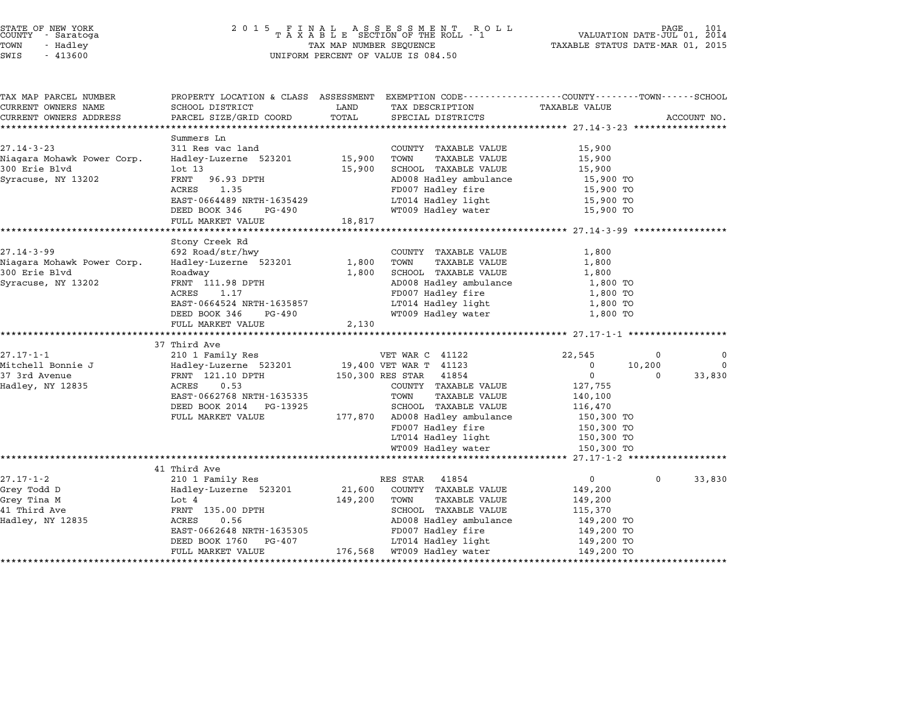| STATE OF NEW YORK |  |            |  |
|-------------------|--|------------|--|
| COUNTY            |  | - Saratoga |  |
| TOWN              |  | - Hadley   |  |

# STATE OF NEW YORK <sup>2</sup> <sup>0</sup> <sup>1</sup> 5 F I N A L A S S E S S M E N T R O L L PAGE <sup>101</sup> COUNTY - Saratoga <sup>T</sup> <sup>A</sup> <sup>X</sup> <sup>A</sup> <sup>B</sup> <sup>L</sup> <sup>E</sup> SECTION OF THE ROLL - <sup>1</sup> VALUATION DATE-JUL 01, <sup>2014</sup> TOWN - Hadley TAX MAP NUMBER SEQUENCE TAXABLE STATUS DATE-MAR 01, <sup>2015</sup> TAX MAP NUMBER SEQUENCE<br>UNIFORM PERCENT OF VALUE IS 084.50

| TAX MAP PARCEL NUMBER                       | PROPERTY LOCATION & CLASS ASSESSMENT |         | EXEMPTION CODE-----------------COUNTY-------TOWN------SCHOOL |                  |          |             |
|---------------------------------------------|--------------------------------------|---------|--------------------------------------------------------------|------------------|----------|-------------|
| CURRENT OWNERS NAME                         | SCHOOL DISTRICT                      | LAND    | TAX DESCRIPTION                                              | TAXABLE VALUE    |          |             |
| CURRENT OWNERS ADDRESS                      | PARCEL SIZE/GRID COORD               | TOTAL   | SPECIAL DISTRICTS                                            |                  |          | ACCOUNT NO. |
|                                             |                                      |         |                                                              |                  |          |             |
| $27.14 - 3 - 23$                            | Summers Ln<br>311 Res vac land       |         |                                                              | 15,900           |          |             |
|                                             |                                      | 15,900  | COUNTY TAXABLE VALUE<br>TOWN                                 |                  |          |             |
| Niagara Mohawk Power Corp.<br>300 Erie Blvd | Hadley-Luzerne 523201<br>$1$ ot $13$ | 15,900  | TAXABLE VALUE<br>SCHOOL TAXABLE VALUE                        | 15,900<br>15,900 |          |             |
| Syracuse, NY 13202                          | FRNT 96.93 DPTH                      |         | AD008 Hadley ambulance                                       | 15,900 TO        |          |             |
|                                             | ACRES<br>1.35                        |         | FD007 Hadley fire                                            | 15,900 TO        |          |             |
|                                             | EAST-0664489 NRTH-1635429            |         | LT014 Hadley light                                           | 15,900 TO        |          |             |
|                                             | DEED BOOK 346<br>PG-490              |         | WT009 Hadley water                                           | 15,900 TO        |          |             |
|                                             | FULL MARKET VALUE                    | 18,817  |                                                              |                  |          |             |
|                                             |                                      |         |                                                              |                  |          |             |
|                                             | Stony Creek Rd                       |         |                                                              |                  |          |             |
| $27.14 - 3 - 99$                            | 692 Road/str/hwy                     |         | COUNTY TAXABLE VALUE                                         | 1,800            |          |             |
| Niagara Mohawk Power Corp.                  | Hadley-Luzerne 523201                | 1,800   | TOWN<br>TAXABLE VALUE                                        | 1,800            |          |             |
| 300 Erie Blvd                               | Roadway                              | 1,800   | SCHOOL TAXABLE VALUE                                         | 1,800            |          |             |
| Syracuse, NY 13202                          | FRNT 111.98 DPTH                     |         | AD008 Hadley ambulance                                       | 1,800 TO         |          |             |
|                                             | ACRES<br>1.17                        |         | FD007 Hadley fire                                            | 1,800 TO         |          |             |
|                                             | EAST-0664524 NRTH-1635857            |         | LT014 Hadley light                                           | 1,800 TO         |          |             |
|                                             | DEED BOOK 346<br>PG-490              |         | WT009 Hadley water                                           | 1,800 TO         |          |             |
|                                             | FULL MARKET VALUE                    | 2,130   |                                                              |                  |          |             |
|                                             |                                      |         |                                                              |                  |          |             |
|                                             | 37 Third Ave                         |         |                                                              |                  |          |             |
| $27.17 - 1 - 1$                             | 210 1 Family Res                     |         | VET WAR C 41122                                              | 22,545           | 0        | $\Omega$    |
| Mitchell Bonnie J                           | Hadley-Luzerne 523201                |         | 19,400 VET WAR T 41123                                       | $\mathbf 0$      | 10,200   | $\Omega$    |
| 37 3rd Avenue                               | FRNT 121.10 DPTH                     |         | 150,300 RES STAR 41854                                       | 0                | $\Omega$ | 33,830      |
| Hadley, NY 12835                            | 0.53<br>ACRES                        |         | COUNTY TAXABLE VALUE                                         | 127,755          |          |             |
|                                             | EAST-0662768 NRTH-1635335            |         | TAXABLE VALUE<br>TOWN                                        | 140,100          |          |             |
|                                             | DEED BOOK 2014 PG-13925              |         | SCHOOL TAXABLE VALUE                                         | 116,470          |          |             |
|                                             | FULL MARKET VALUE                    |         | 177,870 AD008 Hadley ambulance                               | 150,300 TO       |          |             |
|                                             |                                      |         | FD007 Hadley fire                                            | 150,300 TO       |          |             |
|                                             |                                      |         | LT014 Hadley light                                           | 150,300 TO       |          |             |
|                                             |                                      |         | WT009 Hadley water                                           | 150,300 TO       |          |             |
|                                             | 41 Third Ave                         |         |                                                              |                  |          |             |
| $27.17 - 1 - 2$                             | 210 1 Family Res                     |         | RES STAR 41854                                               | 0                | 0        | 33,830      |
| Grey Todd D                                 | Hadley-Luzerne 523201                | 21,600  | COUNTY TAXABLE VALUE                                         | 149,200          |          |             |
| Grey Tina M                                 | Lot 4                                | 149,200 | TOWN<br>TAXABLE VALUE                                        | 149,200          |          |             |
| 41 Third Ave                                | FRNT 135.00 DPTH                     |         | SCHOOL TAXABLE VALUE                                         | 115,370          |          |             |
| Hadley, NY 12835                            | ACRES<br>0.56                        |         | AD008 Hadley ambulance                                       | 149,200 TO       |          |             |
|                                             | EAST-0662648 NRTH-1635305            |         | FD007 Hadley fire                                            | 149,200 TO       |          |             |
|                                             | DEED BOOK 1760<br>PG-407             |         | LT014 Hadley light                                           | 149,200 TO       |          |             |
|                                             | FULL MARKET VALUE                    |         | 176,568 WT009 Hadley water                                   | 149,200 TO       |          |             |
|                                             |                                      |         |                                                              |                  |          |             |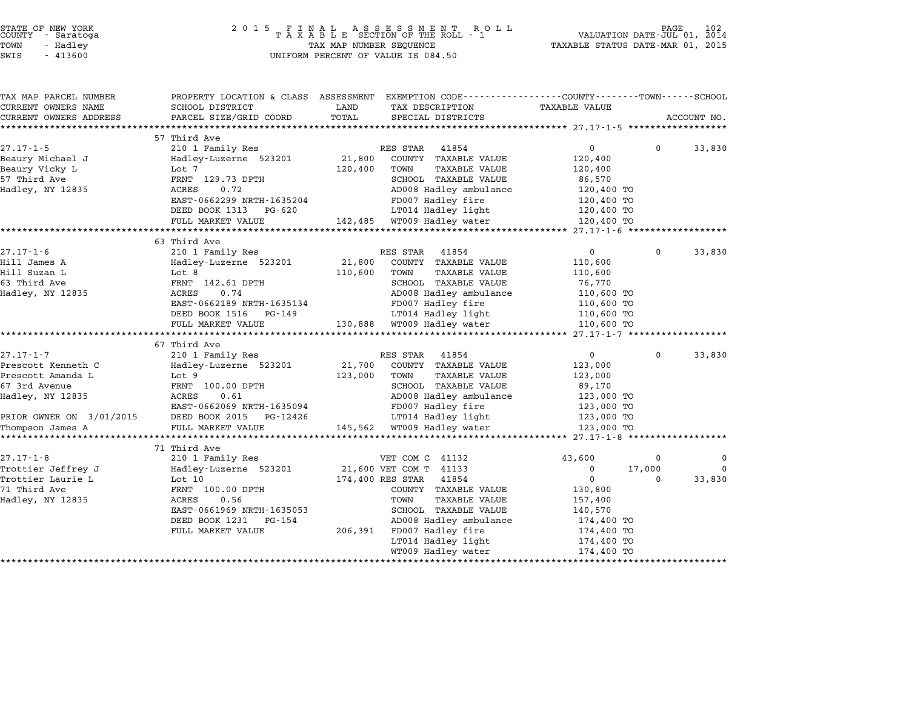| STATE OF NEW YORK |  |            |  |  |  |
|-------------------|--|------------|--|--|--|
| COUNTY            |  | - Saratoga |  |  |  |
| TOWN              |  | - Hadley   |  |  |  |

# STATE OF NEW YORK <sup>2</sup> <sup>0</sup> <sup>1</sup> 5 F I N A L A S S E S S M E N T R O L L PAGE <sup>102</sup> COUNTY - Saratoga <sup>T</sup> <sup>A</sup> <sup>X</sup> <sup>A</sup> <sup>B</sup> <sup>L</sup> <sup>E</sup> SECTION OF THE ROLL - <sup>1</sup> VALUATION DATE-JUL 01, <sup>2014</sup> TOWN - Hadley TAX MAP NUMBER SEQUENCE TAXABLE STATUS DATE-MAR 01, <sup>2015</sup> SWIS - <sup>413600</sup> UNIFORM PERCENT OF VALUE IS 084.50

| TAX MAP PARCEL NUMBER    | PROPERTY LOCATION & CLASS ASSESSMENT | EXEMPTION CODE-----------------COUNTY-------TOWN------SCHOOL |                            |             |
|--------------------------|--------------------------------------|--------------------------------------------------------------|----------------------------|-------------|
| CURRENT OWNERS NAME      | SCHOOL DISTRICT                      | LAND<br>TAX DESCRIPTION                                      | <b>TAXABLE VALUE</b>       |             |
| CURRENT OWNERS ADDRESS   | PARCEL SIZE/GRID COORD               | TOTAL<br>SPECIAL DISTRICTS                                   |                            | ACCOUNT NO. |
|                          |                                      |                                                              |                            |             |
|                          | 57 Third Ave                         |                                                              |                            |             |
| $27.17 - 1 - 5$          | 210 1 Family Res                     | RES STAR<br>41854                                            | $\overline{0}$<br>$\Omega$ | 33,830      |
| Beaury Michael J         | Hadley-Luzerne 523201                | 21,800<br>COUNTY TAXABLE VALUE                               | 120,400                    |             |
| Beaury Vicky L           | Lot 7                                | TAXABLE VALUE<br>120,400<br>TOWN                             | 120,400                    |             |
| 57 Third Ave             | FRNT 129.73 DPTH                     | SCHOOL TAXABLE VALUE                                         | 86,570                     |             |
| Hadley, NY 12835         | ACRES<br>0.72                        | AD008 Hadley ambulance                                       | 120,400 TO                 |             |
|                          | EAST-0662299 NRTH-1635204            | FD007 Hadley fire                                            | 120,400 TO                 |             |
|                          | DEED BOOK 1313<br>PG-620             | LT014 Hadley light                                           | 120,400 TO                 |             |
|                          | FULL MARKET VALUE                    | 142,485<br>WT009 Hadley water                                | 120,400 TO                 |             |
|                          |                                      |                                                              |                            |             |
|                          | 63 Third Ave                         |                                                              |                            |             |
| $27.17 - 1 - 6$          | 210 1 Family Res                     | RES STAR<br>41854                                            | $\overline{0}$<br>$\Omega$ | 33,830      |
| Hill James A             | Hadley-Luzerne 523201                | 21,800<br>COUNTY TAXABLE VALUE                               | 110,600                    |             |
| Hill Suzan L             | Lot 8                                | 110,600<br>TOWN<br><b>TAXABLE VALUE</b>                      | 110,600                    |             |
| 63 Third Ave             | FRNT 142.61 DPTH                     | SCHOOL TAXABLE VALUE                                         | 76,770                     |             |
| Hadley, NY 12835         | ACRES<br>0.74                        | AD008 Hadley ambulance                                       | 110,600 TO                 |             |
|                          | EAST-0662189 NRTH-1635134            | FD007 Hadley fire                                            | 110,600 TO                 |             |
|                          | DEED BOOK 1516<br>PG-149             | LT014 Hadley light                                           | 110,600 TO                 |             |
|                          | FULL MARKET VALUE                    | WT009 Hadley water<br>130,888                                | 110,600 TO                 |             |
|                          | ************************             |                                                              |                            |             |
|                          | 67 Third Ave                         |                                                              |                            |             |
| 27.17-1-7                | 210 1 Family Res                     | RES STAR<br>41854                                            | $\mathbf{0}$<br>$\Omega$   | 33,830      |
| Prescott Kenneth C       | Hadley-Luzerne 523201                | 21,700<br>COUNTY TAXABLE VALUE                               | 123,000                    |             |
| Prescott Amanda L        | Lot 9                                | 123,000<br>TAXABLE VALUE<br>TOWN                             | 123,000                    |             |
| 67 3rd Avenue            | FRNT 100.00 DPTH                     | SCHOOL TAXABLE VALUE                                         | 89,170                     |             |
| Hadley, NY 12835         | 0.61<br>ACRES                        | AD008 Hadley ambulance                                       | 123,000 TO                 |             |
|                          | EAST-0662069 NRTH-1635094            | FD007 Hadley fire                                            | 123,000 TO                 |             |
| PRIOR OWNER ON 3/01/2015 | DEED BOOK 2015<br>PG-12426           | LT014 Hadley light                                           | 123,000 TO                 |             |
| Thompson James A         | FULL MARKET VALUE                    | 145,562<br>WT009 Hadley water                                | 123,000 TO                 |             |
|                          | *************************            |                                                              |                            |             |
|                          | 71 Third Ave                         |                                                              |                            |             |
| $27.17 - 1 - 8$          | 210 1 Family Res                     | VET COM C 41132                                              | 43,600<br>$\mathbf 0$      | 0           |
| Trottier Jeffrey J       | Hadley-Luzerne 523201                | 21,600 VET COM T<br>41133                                    | 0<br>17,000                | $\Omega$    |
| Trottier Laurie L        | Lot 10                               | 174,400 RES STAR<br>41854                                    | $\mathbf 0$<br>$\Omega$    | 33,830      |
| 71 Third Ave             | FRNT 100.00 DPTH                     | COUNTY TAXABLE VALUE                                         | 130,800                    |             |
| Hadley, NY 12835         | ACRES<br>0.56                        | <b>TAXABLE VALUE</b><br>TOWN                                 | 157,400                    |             |
|                          | EAST-0661969 NRTH-1635053            | SCHOOL TAXABLE VALUE                                         | 140,570                    |             |
|                          | DEED BOOK 1231<br>PG-154             | AD008 Hadley ambulance                                       | 174,400 TO                 |             |
|                          | FULL MARKET VALUE                    | FD007 Hadley fire<br>206,391                                 | 174,400 TO                 |             |
|                          |                                      | LT014 Hadley light                                           | 174,400 TO                 |             |
|                          |                                      | WT009 Hadley water                                           | 174,400 TO                 |             |
|                          |                                      |                                                              | *****************          |             |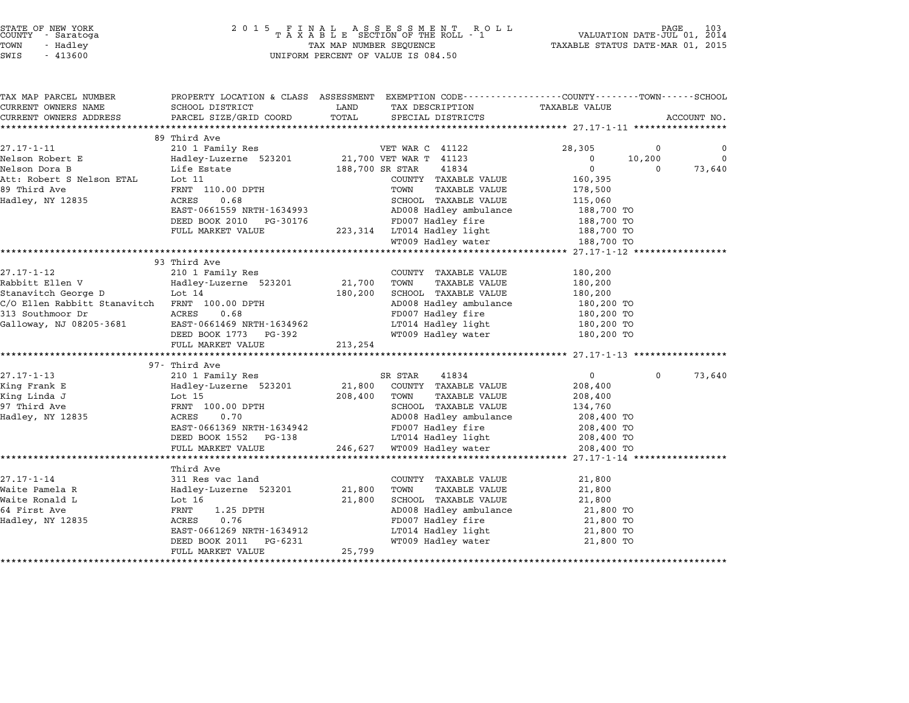TOWN - Hadley TAX MAP NUMBER SEQUENCE TAXABLE STATUS DATE-MAR 01, <sup>2015</sup> STATE OF NEW YORK<br>
COUNTY - Saratoga<br>
TOWN - Hadley TAXABLE SECTION OF THE ROLL<br>
TOWN - 413600 UNIFORM PERCENT OF VALUE IS 084.50

| TAX MAP PARCEL NUMBER                         | PROPERTY LOCATION & CLASS ASSESSMENT EXEMPTION CODE---------------COUNTY-------TOWN------SCHOOL |                 |                                        |                      |             |             |
|-----------------------------------------------|-------------------------------------------------------------------------------------------------|-----------------|----------------------------------------|----------------------|-------------|-------------|
| CURRENT OWNERS NAME                           | SCHOOL DISTRICT                                                                                 | LAND            | TAX DESCRIPTION                        | <b>TAXABLE VALUE</b> |             |             |
| CURRENT OWNERS ADDRESS                        | PARCEL SIZE/GRID COORD                                                                          | TOTAL           | SPECIAL DISTRICTS                      |                      |             | ACCOUNT NO. |
|                                               |                                                                                                 |                 |                                        |                      |             |             |
|                                               | 89 Third Ave                                                                                    |                 |                                        |                      |             |             |
| 27.17-1-11                                    | 210 1 Family Res                                                                                |                 | VET WAR C 41122                        | 28,305               | $\mathbf 0$ | $\mathbf 0$ |
| Nelson Robert E                               | Hadley-Luzerne 523201 21,700 VET WAR T 41123                                                    |                 |                                        | $\mathbf 0$          | 10,200      | $\Omega$    |
| Nelson Dora B                                 | Life Estate                                                                                     | 188,700 SR STAR | 41834                                  | $\mathbf 0$          | 0           | 73,640      |
| Att: Robert S Nelson ETAL                     | Lot 11                                                                                          |                 | COUNTY TAXABLE VALUE                   | 160,395              |             |             |
| 89 Third Ave                                  | FRNT 110.00 DPTH                                                                                |                 | TAXABLE VALUE<br>TOWN                  | 178,500              |             |             |
| Hadley, NY 12835                              | 0.68<br>ACRES                                                                                   |                 | SCHOOL TAXABLE VALUE                   | 115,060              |             |             |
|                                               | EAST-0661559 NRTH-1634993                                                                       |                 | AD008 Hadley ambulance                 | 188,700 TO           |             |             |
|                                               | DEED BOOK 2010 PG-30176                                                                         |                 | FD007 Hadley fire                      | 188,700 TO           |             |             |
|                                               | FULL MARKET VALUE                                                                               |                 | 223,314 LT014 Hadley light             | 188,700 TO           |             |             |
|                                               |                                                                                                 |                 | WT009 Hadley water                     | 188,700 TO           |             |             |
|                                               |                                                                                                 |                 |                                        |                      |             |             |
|                                               | 93 Third Ave                                                                                    |                 |                                        |                      |             |             |
| $27.17 - 1 - 12$                              | 210 1 Family Res                                                                                |                 | COUNTY TAXABLE VALUE                   | 180,200              |             |             |
| Rabbitt Ellen V                               | Hadley-Luzerne 523201                                                                           | 21,700          | TAXABLE VALUE<br>TOWN                  | 180,200              |             |             |
| Stanavitch George D                           | Lot 14                                                                                          | 180,200         | SCHOOL TAXABLE VALUE                   | 180,200              |             |             |
| C/O Ellen Rabbitt Stanavitch FRNT 100.00 DPTH |                                                                                                 |                 | SCHOOD Annes<br>AD008 Hadley ambulance | 180,200 TO           |             |             |
| 313 Southmoor Dr                              | ACRES<br>0.68                                                                                   |                 | FD007 Hadley fire                      | 180,200 TO           |             |             |
| Galloway, NJ 08205-3681                       | EAST-0661469 NRTH-1634962                                                                       |                 | LT014 Hadley light                     | 180,200 TO           |             |             |
|                                               | DEED BOOK 1773 PG-392                                                                           |                 | WT009 Hadley water                     | 180,200 TO           |             |             |
|                                               | FULL MARKET VALUE                                                                               | 213,254         |                                        |                      |             |             |
|                                               |                                                                                                 |                 |                                        |                      |             |             |
|                                               | 97- Third Ave                                                                                   |                 |                                        |                      |             |             |
| $27.17 - 1 - 13$                              | 210 1 Family Res                                                                                |                 | SR STAR<br>41834                       | $\overline{0}$       | $\Omega$    | 73,640      |
| King Frank E                                  | Hadley-Luzerne 523201                                                                           | 21,800          | COUNTY TAXABLE VALUE                   | 208,400              |             |             |
| King Linda J                                  | Lot 15                                                                                          | 208,400         | TOWN<br>TAXABLE VALUE                  | 208,400              |             |             |
| 97 Third Ave                                  | FRNT 100.00 DPTH                                                                                |                 | SCHOOL TAXABLE VALUE                   | 134,760              |             |             |
| Hadley, NY 12835                              | 0.70<br>ACRES                                                                                   |                 | AD008 Hadley ambulance                 | 208,400 TO           |             |             |
|                                               | EAST-0661369 NRTH-1634942                                                                       |                 | FD007 Hadley fire                      | 208,400 TO           |             |             |
|                                               | DEED BOOK 1552 PG-138                                                                           |                 | LT014 Hadley light                     | 208,400 TO           |             |             |
|                                               | FULL MARKET VALUE                                                                               | 246,627         | WT009 Hadley water                     | 208,400 TO           |             |             |
|                                               |                                                                                                 |                 |                                        |                      |             |             |
|                                               | Third Ave                                                                                       |                 |                                        |                      |             |             |
| $27.17 - 1 - 14$                              | 311 Res vac land                                                                                |                 | COUNTY TAXABLE VALUE                   | 21,800               |             |             |
| Waite Pamela R                                | Hadley-Luzerne 523201                                                                           | 21,800          | TAXABLE VALUE<br>TOWN                  | 21,800               |             |             |
| Waite Ronald L                                | Lot 16                                                                                          | 21,800          | SCHOOL TAXABLE VALUE                   | 21,800               |             |             |
| 64 First Ave                                  | FRNT<br>$1.25$ DPTH                                                                             |                 | AD008 Hadley ambulance                 | 21,800 TO            |             |             |
| Hadley, NY 12835                              | ACRES<br>0.76                                                                                   |                 | FD007 Hadley fire                      | 21,800 TO            |             |             |
|                                               | EAST-0661269 NRTH-1634912                                                                       |                 | LT014 Hadley light                     | 21,800 TO            |             |             |
|                                               | DEED BOOK 2011<br>PG-6231                                                                       |                 | WT009 Hadley water                     | 21,800 TO            |             |             |
|                                               | FULL MARKET VALUE                                                                               | 25,799          |                                        |                      |             |             |
|                                               |                                                                                                 |                 |                                        |                      |             |             |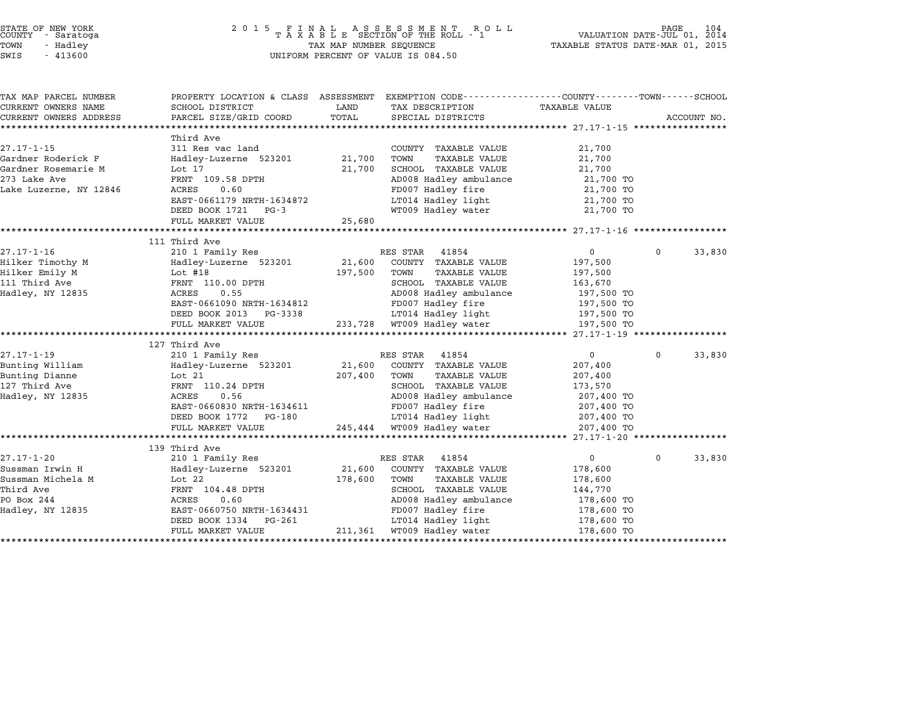| STATE OF NEW YORK |  |            |  |
|-------------------|--|------------|--|
| COUNTY            |  | - Saratoga |  |
| TOWN              |  | - Hadley   |  |

| TAX MAP PARCEL NUMBER  | PROPERTY LOCATION & CLASS ASSESSMENT EXEMPTION CODE---------------COUNTY-------TOWN------SCHOOL |              |                                                |                          |              |             |
|------------------------|-------------------------------------------------------------------------------------------------|--------------|------------------------------------------------|--------------------------|--------------|-------------|
| CURRENT OWNERS NAME    | SCHOOL DISTRICT                                                                                 | LAND         | TAX DESCRIPTION                                | TAXABLE VALUE            |              |             |
| CURRENT OWNERS ADDRESS | PARCEL SIZE/GRID COORD                                                                          | TOTAL        | SPECIAL DISTRICTS                              |                          |              | ACCOUNT NO. |
|                        |                                                                                                 |              |                                                |                          |              |             |
|                        | Third Ave                                                                                       |              |                                                |                          |              |             |
| $27.17 - 1 - 15$       | 311 Res vac land                                                                                |              | COUNTY TAXABLE VALUE                           | 21,700                   |              |             |
| Gardner Roderick F     | Hadley-Luzerne 523201 21,700                                                                    |              | TAXABLE VALUE<br>TOWN                          | 21,700                   |              |             |
| Gardner Rosemarie M    | Lot 17                                                                                          | 21,700       | SCHOOL TAXABLE VALUE                           | 21,700                   |              |             |
| 273 Lake Ave           | FRNT 109.58 DPTH                                                                                |              | AD008 Hadley ambulance                         | 21,700 TO                |              |             |
| Lake Luzerne, NY 12846 | ACRES<br>0.60                                                                                   |              | FD007 Hadley fire                              | 21,700 TO                |              |             |
|                        | EAST-0661179 NRTH-1634872                                                                       |              | LT014 Hadley light                             | 21,700 TO                |              |             |
|                        | DEED BOOK 1721 PG-3                                                                             |              | WT009 Hadley water                             | 21,700 TO                |              |             |
|                        | FULL MARKET VALUE                                                                               | 25,680       |                                                |                          |              |             |
|                        |                                                                                                 |              |                                                |                          |              |             |
| 27.17-1-16             | 111 Third Ave<br>210 1 Family Res                                                               |              | RES STAR 41854                                 | $\overline{0}$           | $\mathbf 0$  | 33,830      |
| Hilker Timothy M       | Hadley-Luzerne 523201                                                                           | 21,600       | COUNTY TAXABLE VALUE                           | 197,500                  |              |             |
| Hilker Emily M         | Lot #18                                                                                         | 197,500      | TOWN<br>TAXABLE VALUE                          | 197,500                  |              |             |
| 111 Third Ave          | FRNT 110.00 DPTH                                                                                |              | SCHOOL TAXABLE VALUE                           |                          |              |             |
|                        | ACRES<br>0.55                                                                                   |              | SCHOOL TAXABLE VALUE<br>AD008 Hadley ambulance | 163,670<br>197,500 TO    |              |             |
| Hadley, NY 12835       |                                                                                                 |              |                                                |                          |              |             |
|                        | EAST-0661090 NRTH-1634812                                                                       |              | FD007 Hadley fire                              | 197,500 TO               |              |             |
|                        | DEED BOOK 2013 PG-3338                                                                          |              | LT014 Hadley light                             | 197,500 TO<br>197,500 TO |              |             |
|                        | FULL MARKET VALUE                                                                               |              | 233,728 WT009 Hadley water                     | 197,500 TO               |              |             |
|                        | 127 Third Ave                                                                                   |              |                                                |                          |              |             |
| $27.17 - 1 - 19$       | 210 1 Family Res                                                                                |              | RES STAR<br>41854                              | 0                        | $\Omega$     | 33,830      |
| Bunting William        | Hadley-Luzerne 523201 21,600                                                                    |              | COUNTY TAXABLE VALUE                           | 207,400                  |              |             |
| Bunting Dianne         | Lot 21                                                                                          | 207,400 TOWN | TAXABLE VALUE                                  | 207,400                  |              |             |
| 127 Third Ave          | FRNT 110.24 DPTH                                                                                |              | SCHOOL TAXABLE VALUE                           | 173,570                  |              |             |
| Hadley, NY 12835       | 0.56<br>ACRES                                                                                   |              | AD008 Hadley ambulance                         | 207,400 TO               |              |             |
|                        | EAST-0660830 NRTH-1634611                                                                       |              | FD007 Hadley fire                              | 207,400 TO               |              |             |
|                        | DEED BOOK 1772 PG-180                                                                           |              | LT014 Hadley light 207,400 TO                  |                          |              |             |
|                        |                                                                                                 |              |                                                |                          |              |             |
|                        | FULL MARKET VALUE                                                                               |              | 245,444 WT009 Hadley water                     | 207,400 TO               |              |             |
|                        | 139 Third Ave                                                                                   |              |                                                |                          |              |             |
| 27.17-1-20             | 210 1 Family Res                                                                                |              | RES STAR 41854                                 | $\overline{0}$           | $\mathbf{0}$ | 33,830      |
| Sussman Irwin H        | Hadley-Luzerne 523201                                                                           | 21,600       | COUNTY TAXABLE VALUE                           | 178,600                  |              |             |
| Sussman Michela M      | Lot 22                                                                                          | 178,600      | TOWN<br>TAXABLE VALUE                          | 178,600                  |              |             |
| Third Ave              | FRNT 104.48 DPTH                                                                                |              | SCHOOL TAXABLE VALUE                           | 144,770                  |              |             |
| PO Box 244             | ACRES<br>0.60                                                                                   |              | AD008 Hadley ambulance                         | 178,600 TO               |              |             |
| Hadley, NY 12835       | EAST-0660750 NRTH-1634431                                                                       |              | FD007 Hadley fire                              | 178,600 TO               |              |             |
|                        | DEED BOOK 1334<br>PG-261                                                                        |              |                                                |                          |              |             |
|                        | FULL MARKET VALUE                                                                               |              | LT014 Hadley light 178,600 TO                  |                          |              |             |
|                        |                                                                                                 |              | 211,361 WT009 Hadley water                     | 178,600 TO               |              |             |
|                        |                                                                                                 |              |                                                |                          |              |             |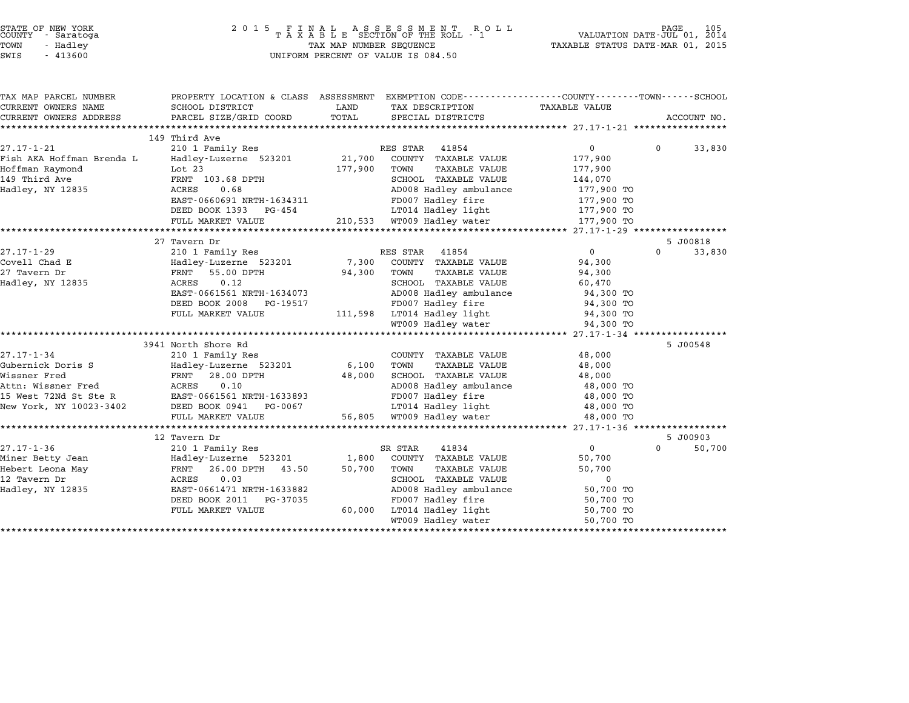| STATE OF NEW YORK |  |            |  |
|-------------------|--|------------|--|
| COUNTY            |  | - Saratoga |  |
| TOWN              |  | - Hadley   |  |

| TAX MAP PARCEL NUMBER     |                                                                  |                                                 | PROPERTY LOCATION & CLASS ASSESSMENT EXEMPTION CODE---------------COUNTY-------TOWN-----SCHOOL |
|---------------------------|------------------------------------------------------------------|-------------------------------------------------|------------------------------------------------------------------------------------------------|
| CURRENT OWNERS NAME       | SCHOOL DISTRICT                                                  | LAND<br>TAX DESCRIPTION                         | TAXABLE VALUE                                                                                  |
| CURRENT OWNERS ADDRESS    | PARCEL SIZE/GRID COORD                                           | TOTAL<br>SPECIAL DISTRICTS                      | ACCOUNT NO.                                                                                    |
|                           |                                                                  |                                                 |                                                                                                |
| $27.17 - 1 - 21$          | 149 Third Ave<br>210 1 Family Res                                | RES STAR<br>41854                               | $\overline{0}$<br>$\Omega$<br>33,830                                                           |
| Fish AKA Hoffman Brenda L | Hadley-Luzerne 523201 21,700                                     | COUNTY TAXABLE VALUE                            | 177,900                                                                                        |
| Hoffman Raymond           | Lot 23                                                           | 177,900<br>TOWN<br><b>TAXABLE VALUE</b>         | 177,900                                                                                        |
| 149 Third Ave             | FRNT 103.68 DPTH                                                 | SCHOOL TAXABLE VALUE                            | 144,070                                                                                        |
| Hadley, NY 12835          | 0.68<br>ACRES                                                    | AD008 Hadley ambulance                          | 177,900 TO                                                                                     |
|                           | EAST-0660691 NRTH-1634311                                        | FD007 Hadley fire                               | 177,900 TO                                                                                     |
|                           | DEED BOOK 1393 PG-454                                            | LT014 Hadley light                              | 177,900 TO                                                                                     |
|                           | FULL MARKET VALUE                                                | 210,533 WT009 Hadley water                      | 177,900 TO                                                                                     |
|                           | *************************                                        |                                                 |                                                                                                |
|                           | 27 Tavern Dr                                                     |                                                 | 5 J00818                                                                                       |
| $27.17 - 1 - 29$          | 210 1 Family Res                                                 | 41854<br>RES STAR                               | 0<br>$\Omega$<br>33,830                                                                        |
| Covell Chad E             | Hadley-Luzerne 523201                                            | 7,300<br>COUNTY TAXABLE VALUE                   | 94,300                                                                                         |
| 27 Tavern Dr              | FRNT 55.00 DPTH                                                  | 94,300<br>TOWN<br><b>TAXABLE VALUE</b>          | 94,300                                                                                         |
| Hadley, NY 12835          | 0.12<br>ACRES                                                    | SCHOOL TAXABLE VALUE                            | 60,470                                                                                         |
|                           | EAST-0661561 NRTH-1634073                                        | AD008 Hadley ambulance                          | 94,300 TO                                                                                      |
|                           | DEED BOOK 2008<br>PG-19517                                       | FD007 Hadley fire                               | 94,300 TO                                                                                      |
|                           | FULL MARKET VALUE                                                | 111,598 LT014 Hadley light                      | 94,300 TO                                                                                      |
|                           |                                                                  | WT009 Hadley water                              | 94,300 TO                                                                                      |
|                           |                                                                  |                                                 |                                                                                                |
|                           | 3941 North Shore Rd                                              |                                                 | 5 J00548                                                                                       |
| $27.17 - 1 - 34$          | 210 1 Family Res                                                 | COUNTY TAXABLE VALUE                            | 48,000                                                                                         |
| Gubernick Doris S         | Hadley-Luzerne 523201                                            | 6,100<br>TOWN<br><b>TAXABLE VALUE</b>           | 48,000                                                                                         |
| Wissner Fred              | FRNT 28.00 DPTH                                                  | 48,000<br>SCHOOL TAXABLE VALUE                  | 48,000                                                                                         |
| Attn: Wissner Fred        | 0.10<br>ACRES<br>15 West 72Nd St Ste R EAST-0661561 NRTH-1633893 | AD008 Hadley ambulance                          | 48,000 TO                                                                                      |
|                           |                                                                  | FD007 Hadley fire                               | 48,000 TO                                                                                      |
| New York, NY 10023-3402   | DEED BOOK 0941<br>PG-0067<br>FULL MARKET VALUE                   | LT014 Hadley light<br>56,805 WT009 Hadley water | 48,000 TO                                                                                      |
|                           |                                                                  |                                                 | 48,000 TO                                                                                      |
|                           | 12 Tavern Dr                                                     |                                                 | 5 J00903                                                                                       |
| $27.17 - 1 - 36$          | 210 1 Family Res                                                 | SR STAR<br>41834                                | 0<br>50,700<br>$\Omega$                                                                        |
| Miner Betty Jean          | Hadley-Luzerne 523201                                            | 1,800<br>COUNTY TAXABLE VALUE                   | 50,700                                                                                         |
| Hebert Leona May          | 43.50<br>FRNT<br>26.00 DPTH                                      | 50,700<br>TOWN<br><b>TAXABLE VALUE</b>          | 50,700                                                                                         |
| 12 Tavern Dr              | 0.03<br>ACRES                                                    | SCHOOL TAXABLE VALUE                            | $\mathbf 0$                                                                                    |
| Hadley, NY 12835          | EAST-0661471 NRTH-1633882                                        | AD008 Hadley ambulance                          | 50,700 TO                                                                                      |
|                           | DEED BOOK 2011 PG-37035                                          | FD007 Hadley fire                               | 50,700 TO                                                                                      |
|                           | FULL MARKET VALUE                                                | 60,000<br>LT014 Hadley light                    | 50,700 TO                                                                                      |
|                           |                                                                  | WT009 Hadley water                              | 50,700 TO                                                                                      |
|                           |                                                                  |                                                 |                                                                                                |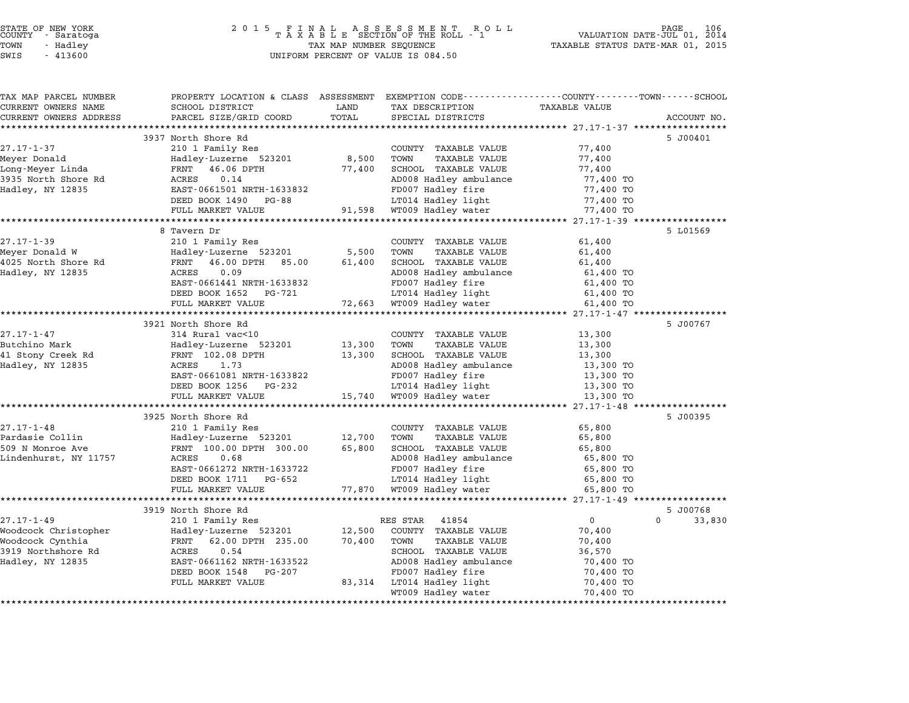|        | STATE OF NEW YORK |  |
|--------|-------------------|--|
| COUNTY | - Saratoga        |  |
| TOWN   | - Hadley          |  |
|        |                   |  |

## STATE OF NEW YORK <sup>2</sup> <sup>0</sup> <sup>1</sup> 5 F I N A L A S S E S S M E N T R O L L PAGE <sup>106</sup> COUNTY - Saratoga <sup>T</sup> <sup>A</sup> <sup>X</sup> <sup>A</sup> <sup>B</sup> <sup>L</sup> <sup>E</sup> SECTION OF THE ROLL - <sup>1</sup> VALUATION DATE-JUL 01, <sup>2014</sup> TOWN - Hadley TAX MAP NUMBER SEQUENCE TAXABLE STATUS DATE-MAR 01, <sup>2015</sup> SWIS - <sup>413600</sup> UNIFORM PERCENT OF VALUE IS 084.50

| TAX MAP PARCEL NUMBER                             | PROPERTY LOCATION & CLASS ASSESSMENT EXEMPTION CODE---------------COUNTY-------TOWN------SCHOOL |        |                              |                      |                    |
|---------------------------------------------------|-------------------------------------------------------------------------------------------------|--------|------------------------------|----------------------|--------------------|
| CURRENT OWNERS NAME                               | SCHOOL DISTRICT                                                                                 | LAND   | TAX DESCRIPTION              | <b>TAXABLE VALUE</b> |                    |
| CURRENT OWNERS ADDRESS<br>*********************** | PARCEL SIZE/GRID COORD                                                                          | TOTAL  | SPECIAL DISTRICTS            |                      | ACCOUNT NO.        |
|                                                   |                                                                                                 |        |                              |                      |                    |
|                                                   | 3937 North Shore Rd                                                                             |        |                              |                      | 5 J00401           |
| $27.17 - 1 - 37$                                  | 210 1 Family Res                                                                                |        | COUNTY TAXABLE VALUE         | 77,400               |                    |
| Meyer Donald                                      | Hadley-Luzerne 523201                                                                           | 8,500  | TOWN<br><b>TAXABLE VALUE</b> | 77,400               |                    |
| Long-Meyer Linda                                  | FRNT<br>46.06 DPTH                                                                              | 77,400 | SCHOOL TAXABLE VALUE         | 77,400               |                    |
| 3935 North Shore Rd                               | 0.14<br>ACRES                                                                                   |        | AD008 Hadley ambulance       | 77,400 TO            |                    |
| Hadley, NY 12835                                  | EAST-0661501 NRTH-1633832                                                                       |        | FD007 Hadley fire            | 77,400 TO            |                    |
|                                                   | DEED BOOK 1490 PG-88                                                                            |        | LT014 Hadley light           | 77,400 TO            |                    |
|                                                   | FULL MARKET VALUE                                                                               |        | 91,598 WT009 Hadley water    | 77,400 TO            |                    |
|                                                   |                                                                                                 |        |                              |                      |                    |
|                                                   | 8 Tavern Dr                                                                                     |        |                              |                      | 5 L01569           |
| $27.17 - 1 - 39$                                  | 210 1 Family Res                                                                                |        | COUNTY TAXABLE VALUE         | 61,400               |                    |
| Meyer Donald W                                    | Hadley-Luzerne 523201                                                                           | 5,500  | TOWN<br><b>TAXABLE VALUE</b> | 61,400               |                    |
| 4025 North Shore Rd                               | 46.00 DPTH 85.00<br>FRNT                                                                        | 61,400 | SCHOOL TAXABLE VALUE         | 61,400               |                    |
| Hadley, NY 12835                                  | 0.09<br>ACRES                                                                                   |        | AD008 Hadley ambulance       | 61,400 TO            |                    |
|                                                   | EAST-0661441 NRTH-1633832                                                                       |        | FD007 Hadley fire            | 61,400 TO            |                    |
|                                                   | DEED BOOK 1652<br>PG-721                                                                        |        | LT014 Hadley light           | 61,400 TO            |                    |
|                                                   | FULL MARKET VALUE                                                                               | 72,663 | WT009 Hadley water           | 61,400 TO            |                    |
|                                                   | *************************************                                                           |        |                              |                      |                    |
|                                                   | 3921 North Shore Rd                                                                             |        |                              |                      | 5 J00767           |
| $27.17 - 1 - 47$                                  | 314 Rural vac<10                                                                                |        | COUNTY TAXABLE VALUE         | 13,300               |                    |
| Butchino Mark                                     | Hadley-Luzerne 523201                                                                           | 13,300 | TOWN<br><b>TAXABLE VALUE</b> | 13,300               |                    |
| 41 Stony Creek Rd                                 | FRNT 102.08 DPTH                                                                                | 13,300 | SCHOOL TAXABLE VALUE         | 13,300               |                    |
| Hadley, NY 12835                                  | 1.73<br>ACRES                                                                                   |        | AD008 Hadley ambulance       | 13,300 TO            |                    |
|                                                   | EAST-0661081 NRTH-1633822                                                                       |        | FD007 Hadley fire            | 13,300 TO            |                    |
|                                                   | DEED BOOK 1256<br>PG-232                                                                        |        | LT014 Hadley light           | 13,300 TO            |                    |
|                                                   | FULL MARKET VALUE                                                                               | 15,740 | WT009 Hadley water           | 13,300 TO            |                    |
|                                                   |                                                                                                 |        |                              |                      |                    |
|                                                   | 3925 North Shore Rd                                                                             |        |                              |                      | 5 J00395           |
| $27.17 - 1 - 48$                                  | 210 1 Family Res                                                                                |        | COUNTY TAXABLE VALUE         | 65,800               |                    |
| Pardasie Collin                                   | Hadley-Luzerne 523201                                                                           | 12,700 | TOWN<br><b>TAXABLE VALUE</b> | 65,800               |                    |
| 509 N Monroe Ave                                  | FRNT 100.00 DPTH 300.00                                                                         | 65,800 | SCHOOL TAXABLE VALUE         | 65,800               |                    |
| Lindenhurst, NY 11757                             | 0.68<br>ACRES                                                                                   |        | AD008 Hadley ambulance       | 65,800 TO            |                    |
|                                                   | EAST-0661272 NRTH-1633722                                                                       |        | FD007 Hadley fire            | 65,800 TO            |                    |
|                                                   | DEED BOOK 1711 PG-652                                                                           |        | LT014 Hadley light           | 65,800 TO            |                    |
|                                                   | FULL MARKET VALUE<br>***********************                                                    |        | 77,870 WT009 Hadley water    | 65,800 TO            |                    |
|                                                   |                                                                                                 |        |                              |                      |                    |
|                                                   | 3919 North Shore Rd                                                                             |        |                              |                      | 5 J00768           |
| $27.17 - 1 - 49$                                  | 210 1 Family Res                                                                                |        | RES STAR 41854               | $\overline{0}$       | $\Omega$<br>33,830 |
| Woodcock Christopher                              | Hadley-Luzerne 523201                                                                           | 12,500 | COUNTY TAXABLE VALUE         | 70,400               |                    |
| Woodcock Cynthia                                  | FRNT 62.00 DPTH 235.00                                                                          | 70,400 | TOWN<br>TAXABLE VALUE        | 70,400               |                    |
| 3919 Northshore Rd                                | 0.54<br>ACRES                                                                                   |        | SCHOOL TAXABLE VALUE         | 36,570               |                    |
| Hadley, NY 12835                                  | EAST-0661162 NRTH-1633522                                                                       |        | AD008 Hadley ambulance       | 70,400 TO            |                    |
|                                                   | DEED BOOK 1548<br>PG-207                                                                        |        | FD007 Hadley fire            | 70,400 TO            |                    |
|                                                   | FULL MARKET VALUE                                                                               |        | 83,314 LT014 Hadley light    | 70,400 TO            |                    |
|                                                   |                                                                                                 |        | WT009 Hadley water           | 70,400 TO            |                    |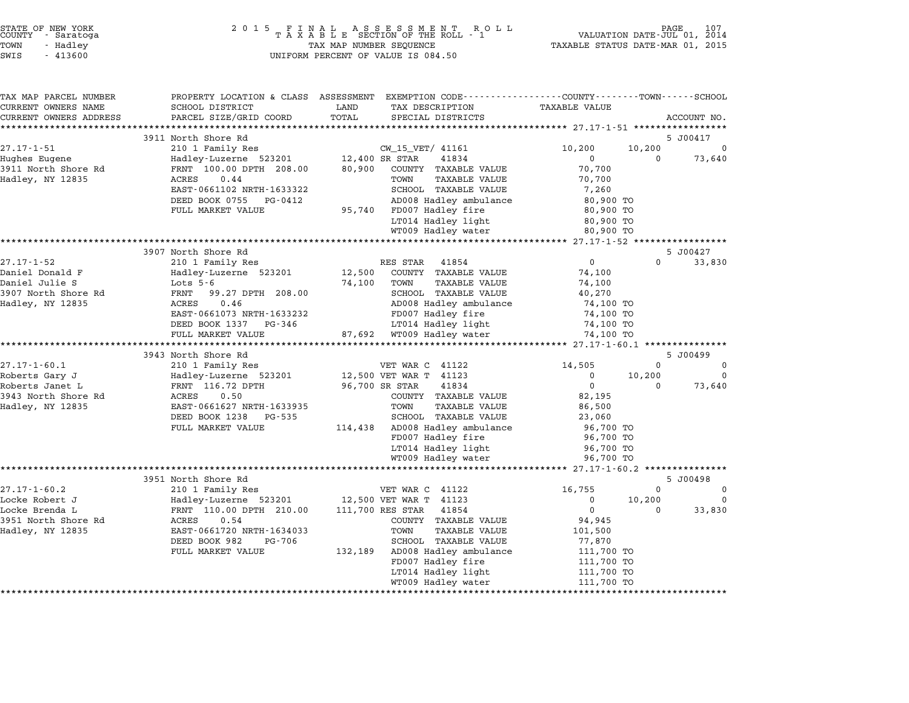| STATE OF NEW YORK<br>COUNTY<br>- Saratoga<br>TOWN<br>- Hadley<br>SWIS<br>$-413600$ | 2 0 1 5<br>FINAL ASSESSMENT ROTAXABLE SECTION OF THE ROLL - 1<br>R O L L<br>TAX MAP NUMBER SEQUENCE<br>UNIFORM PERCENT OF VALUE IS 084.50 |                  |                                                                                                                    | PAGE<br>107<br>VALUATION DATE-JUL 01, 2014<br>TAXABLE STATUS DATE-MAR 01, 2015 |                    |                         |
|------------------------------------------------------------------------------------|-------------------------------------------------------------------------------------------------------------------------------------------|------------------|--------------------------------------------------------------------------------------------------------------------|--------------------------------------------------------------------------------|--------------------|-------------------------|
| TAX MAP PARCEL NUMBER<br>CURRENT OWNERS NAME                                       | SCHOOL DISTRICT                                                                                                                           | LAND             | PROPERTY LOCATION & CLASS ASSESSMENT EXEMPTION CODE---------------COUNTY-------TOWN------SCHOOL<br>TAX DESCRIPTION | <b>TAXABLE VALUE</b>                                                           |                    |                         |
| CURRENT OWNERS ADDRESS                                                             | PARCEL SIZE/GRID COORD                                                                                                                    | TOTAL            | SPECIAL DISTRICTS                                                                                                  |                                                                                |                    | ACCOUNT NO.             |
|                                                                                    |                                                                                                                                           |                  |                                                                                                                    |                                                                                |                    |                         |
|                                                                                    | 3911 North Shore Rd                                                                                                                       |                  |                                                                                                                    |                                                                                |                    | 5 J00417                |
| $27.17 - 1 - 51$                                                                   | 210 1 Family Res                                                                                                                          |                  | CW_15_VET/ 41161                                                                                                   | 10,200                                                                         | 10,200             |                         |
| Hughes Eugene                                                                      | Hadley-Luzerne 523201                                                                                                                     |                  | 41834<br>12,400 SR STAR                                                                                            | $\mathbf 0$                                                                    | $\Omega$           | 73,640                  |
| 3911 North Shore Rd<br>Hadley, NY 12835                                            | FRNT 100.00 DPTH 208.00<br>ACRES<br>0.44                                                                                                  | 80,900           | COUNTY TAXABLE VALUE<br>TOWN<br><b>TAXABLE VALUE</b>                                                               | 70,700<br>70,700                                                               |                    |                         |
|                                                                                    | EAST-0661102 NRTH-1633322                                                                                                                 |                  | SCHOOL TAXABLE VALUE                                                                                               | 7,260                                                                          |                    |                         |
|                                                                                    | DEED BOOK 0755 PG-0412                                                                                                                    |                  | AD008 Hadley ambulance                                                                                             | 80,900 TO                                                                      |                    |                         |
|                                                                                    | FULL MARKET VALUE                                                                                                                         |                  | 95,740 FD007 Hadley fire                                                                                           | 80,900 TO                                                                      |                    |                         |
|                                                                                    |                                                                                                                                           |                  | LT014 Hadley light                                                                                                 | 80,900 TO                                                                      |                    |                         |
|                                                                                    |                                                                                                                                           |                  | WT009 Hadley water                                                                                                 | 80,900 TO                                                                      |                    |                         |
|                                                                                    | ****************************                                                                                                              |                  |                                                                                                                    | ********** 27.17-1-52 ***                                                      |                    |                         |
|                                                                                    | 3907 North Shore Rd                                                                                                                       |                  |                                                                                                                    |                                                                                |                    | 5 J00427                |
| $27.17 - 1 - 52$                                                                   | 210 1 Family Res                                                                                                                          |                  | RES STAR<br>41854                                                                                                  | $\mathsf{O}$                                                                   | $\Omega$           | 33,830                  |
| Daniel Donald F<br>Daniel Julie S                                                  | Hadley-Luzerne 523201<br>Lots $5-6$                                                                                                       | 12,500<br>74,100 | COUNTY TAXABLE VALUE<br>TOWN<br><b>TAXABLE VALUE</b>                                                               | 74,100<br>74,100                                                               |                    |                         |
| 3907 North Shore Rd                                                                | 99.27 DPTH 208.00<br>FRNT                                                                                                                 |                  | SCHOOL TAXABLE VALUE                                                                                               | 40,270                                                                         |                    |                         |
| Hadley, NY 12835                                                                   | 0.46<br>ACRES                                                                                                                             |                  | AD008 Hadley ambulance                                                                                             | 74,100 TO                                                                      |                    |                         |
|                                                                                    | EAST-0661073 NRTH-1633232                                                                                                                 |                  | FD007 Hadley fire                                                                                                  | 74,100 TO                                                                      |                    |                         |
|                                                                                    | DEED BOOK 1337 PG-346                                                                                                                     |                  | LT014 Hadley light                                                                                                 | 74,100 TO                                                                      |                    |                         |
|                                                                                    | FULL MARKET VALUE                                                                                                                         |                  | 87,692 WT009 Hadley water                                                                                          | 74,100 TO                                                                      |                    |                         |
|                                                                                    | ********************                                                                                                                      |                  | ***********************                                                                                            | ********** 27.17-1-60.1 ***************                                        |                    |                         |
|                                                                                    | 3943 North Shore Rd                                                                                                                       |                  |                                                                                                                    |                                                                                |                    | 5 J00499                |
| $27.17 - 1 - 60.1$                                                                 | 210 1 Family Res                                                                                                                          |                  | VET WAR C 41122<br>12,500 VET WAR T 41123                                                                          | 14,505<br>0                                                                    | $\Omega$<br>10,200 | $\Omega$<br>$\mathbf 0$ |
| Roberts Gary J<br>Roberts Janet L                                                  | Hadley-Luzerne 523201<br>FRNT 116.72 DPTH                                                                                                 |                  | 41834<br>96,700 SR STAR                                                                                            | $\mathbf 0$                                                                    | $\Omega$           | 73,640                  |
| 3943 North Shore Rd                                                                | ACRES<br>0.50                                                                                                                             |                  | COUNTY TAXABLE VALUE                                                                                               | 82,195                                                                         |                    |                         |
| Hadley, NY 12835                                                                   | EAST-0661627 NRTH-1633935                                                                                                                 |                  | TOWN<br><b>TAXABLE VALUE</b>                                                                                       | 86,500                                                                         |                    |                         |
|                                                                                    | DEED BOOK 1238<br>PG-535                                                                                                                  |                  | SCHOOL TAXABLE VALUE                                                                                               | 23,060                                                                         |                    |                         |
|                                                                                    | FULL MARKET VALUE                                                                                                                         | 114,438          | AD008 Hadley ambulance                                                                                             | 96,700 TO                                                                      |                    |                         |
|                                                                                    |                                                                                                                                           |                  | FD007 Hadley fire                                                                                                  | 96,700 TO                                                                      |                    |                         |
|                                                                                    |                                                                                                                                           |                  | LT014 Hadley light                                                                                                 | 96,700 TO                                                                      |                    |                         |
|                                                                                    |                                                                                                                                           |                  | WT009 Hadley water                                                                                                 | 96,700 TO                                                                      |                    |                         |
|                                                                                    | 3951 North Shore Rd                                                                                                                       |                  |                                                                                                                    | ********** 27.17-1-60.2 ***************                                        |                    | 5 J00498                |
| $27.17 - 1 - 60.2$                                                                 | 210 1 Family Res                                                                                                                          |                  | VET WAR C 41122                                                                                                    | 16,755                                                                         | $\Omega$           | 0                       |
| Locke Robert J                                                                     | Hadley-Luzerne 523201                                                                                                                     |                  | 12,500 VET WAR T 41123                                                                                             | 0                                                                              | 10,200             | 0                       |
| Locke Brenda L                                                                     | FRNT 110.00 DPTH 210.00                                                                                                                   |                  | 111,700 RES STAR<br>41854                                                                                          | $\overline{0}$                                                                 | $\Omega$           | 33,830                  |
| 3951 North Shore Rd                                                                | ACRES<br>0.54                                                                                                                             |                  | COUNTY TAXABLE VALUE                                                                                               | 94,945                                                                         |                    |                         |
| Hadley, NY 12835                                                                   | EAST-0661720 NRTH-1634033                                                                                                                 |                  | TAXABLE VALUE<br>TOWN                                                                                              | 101,500                                                                        |                    |                         |
|                                                                                    | DEED BOOK 982<br>PG-706                                                                                                                   |                  | SCHOOL TAXABLE VALUE                                                                                               | 77,870                                                                         |                    |                         |
|                                                                                    | FULL MARKET VALUE                                                                                                                         | 132,189          | AD008 Hadley ambulance                                                                                             | 111,700 TO                                                                     |                    |                         |
|                                                                                    |                                                                                                                                           |                  | FD007 Hadley fire                                                                                                  | 111,700 TO                                                                     |                    |                         |
|                                                                                    |                                                                                                                                           |                  | LT014 Hadley light<br>WT009 Hadley water                                                                           | 111,700 TO<br>111,700 TO                                                       |                    |                         |
|                                                                                    |                                                                                                                                           |                  |                                                                                                                    | *********************                                                          |                    |                         |

STATE OF NEW YORK <sup>2</sup> <sup>0</sup> <sup>1</sup> 5 F I N A L A S S E S S M E N T R O L L PAGE <sup>107</sup> COUNTY - Saratoga <sup>T</sup> <sup>A</sup> <sup>X</sup> <sup>A</sup> <sup>B</sup> <sup>L</sup> <sup>E</sup> SECTION OF THE ROLL - <sup>1</sup> VALUATION DATE-JUL 01, <sup>2014</sup>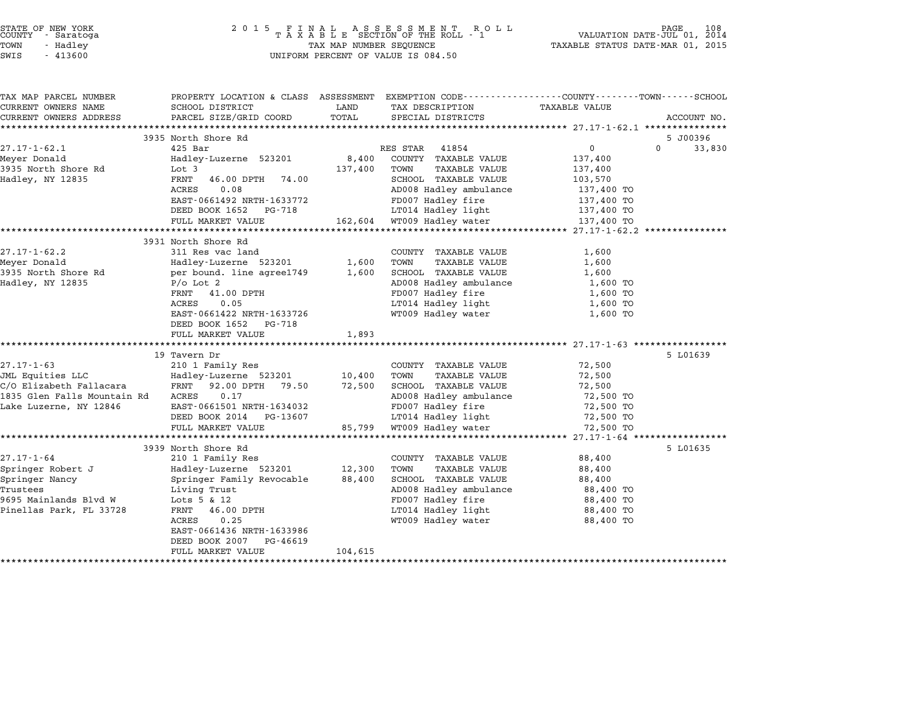| STATE OF NEW YORK<br>COUNTY - Saratoga<br>TOWN<br>- Hadley<br>SWIS<br>$-413600$ | $\begin{array}{cccccccccccccc} 2& 0& 1& 5 & & F& I& N& A& L & & A& S & S & E & S & S & M& E& N& T & & R& O& L& L\\ & & T& A& X& A& B& L& E & SECTION & OF & THE & ROLL & -& 1 \end{array}$<br>TAX MAP NUMBER SEQUENCE<br>UNIFORM PERCENT OF VALUE IS 084.50 |         |                                                | PAGE<br>108<br>VALUATION DATE-JUL 01, 2014<br>TAXABLE STATUS DATE-MAR 01, 2015 |                    |  |
|---------------------------------------------------------------------------------|-------------------------------------------------------------------------------------------------------------------------------------------------------------------------------------------------------------------------------------------------------------|---------|------------------------------------------------|--------------------------------------------------------------------------------|--------------------|--|
| TAX MAP PARCEL NUMBER                                                           | PROPERTY LOCATION & CLASS ASSESSMENT EXEMPTION CODE---------------COUNTY-------TOWN-----SCHOOL                                                                                                                                                              |         |                                                |                                                                                |                    |  |
| CURRENT OWNERS NAME                                                             | SCHOOL DISTRICT                                                                                                                                                                                                                                             | LAND    | TAX DESCRIPTION                                | TAXABLE VALUE                                                                  |                    |  |
| CURRENT OWNERS ADDRESS                                                          | PARCEL SIZE/GRID COORD                                                                                                                                                                                                                                      | TOTAL   | SPECIAL DISTRICTS                              |                                                                                | ACCOUNT NO.        |  |
|                                                                                 | 3935 North Shore Rd                                                                                                                                                                                                                                         |         |                                                |                                                                                | 5 J00396           |  |
| $27.17 - 1 - 62.1$                                                              | $425$ Bar                                                                                                                                                                                                                                                   |         | RES STAR 41854                                 | $\mathsf{O}$                                                                   | $\Omega$<br>33,830 |  |
| Meyer Donald                                                                    | Hadley-Luzerne 523201                                                                                                                                                                                                                                       | 8,400   | COUNTY TAXABLE VALUE                           | 137,400                                                                        |                    |  |
| 3935 North Shore Rd                                                             | Lot 3                                                                                                                                                                                                                                                       | 137,400 | TOWN<br>TAXABLE VALUE                          | 137,400                                                                        |                    |  |
| Hadley, NY 12835                                                                | FRNT<br>46.00 DPTH 74.00                                                                                                                                                                                                                                    |         | SCHOOL TAXABLE VALUE                           | 103,570                                                                        |                    |  |
|                                                                                 | 0.08<br>ACRES                                                                                                                                                                                                                                               |         | AD008 Hadley ambulance                         | 137,400 TO                                                                     |                    |  |
|                                                                                 | EAST-0661492 NRTH-1633772                                                                                                                                                                                                                                   |         | FD007 Hadley fire                              | 137,400 TO                                                                     |                    |  |
|                                                                                 | DEED BOOK 1652 PG-718                                                                                                                                                                                                                                       |         | LT014 Hadley light                             | 137,400 TO                                                                     |                    |  |
|                                                                                 | FULL MARKET VALUE                                                                                                                                                                                                                                           |         | 162,604 WT009 Hadley water                     | 137,400 TO                                                                     |                    |  |
|                                                                                 |                                                                                                                                                                                                                                                             |         |                                                |                                                                                |                    |  |
| $27.17 - 1 - 62.2$                                                              | 3931 North Shore Rd                                                                                                                                                                                                                                         |         |                                                |                                                                                |                    |  |
| Meyer Donald                                                                    | 311 Res vac land<br>Hadley-Luzerne 523201                                                                                                                                                                                                                   | 1,600   | COUNTY TAXABLE VALUE<br>TAXABLE VALUE<br>TOWN  | 1,600<br>1,600                                                                 |                    |  |
| 3935 North Shore Rd                                                             | per bound. line agree1749                                                                                                                                                                                                                                   | 1,600   | SCHOOL TAXABLE VALUE                           | 1,600                                                                          |                    |  |
| Hadley, NY 12835                                                                | $P/O$ Lot 2                                                                                                                                                                                                                                                 |         | AD008 Hadley ambulance                         | 1,600 TO                                                                       |                    |  |
|                                                                                 | 41.00 DPTH<br>FRNT                                                                                                                                                                                                                                          |         | FD007 Hadley fire                              | 1,600 TO                                                                       |                    |  |
|                                                                                 | ACRES<br>0.05                                                                                                                                                                                                                                               |         | LT014 Hadley light                             | 1,600 TO                                                                       |                    |  |
|                                                                                 | EAST-0661422 NRTH-1633726                                                                                                                                                                                                                                   |         | WT009 Hadley water                             | 1,600 TO                                                                       |                    |  |
|                                                                                 | DEED BOOK 1652 PG-718                                                                                                                                                                                                                                       |         |                                                |                                                                                |                    |  |
|                                                                                 | FULL MARKET VALUE                                                                                                                                                                                                                                           | 1,893   |                                                |                                                                                |                    |  |
|                                                                                 | 19 Tavern Dr                                                                                                                                                                                                                                                |         |                                                |                                                                                | 5 L01639           |  |
| $27.17 - 1 - 63$                                                                | 210 1 Family Res                                                                                                                                                                                                                                            |         | COUNTY TAXABLE VALUE                           | 72,500                                                                         |                    |  |
| JML Equities LLC                                                                | Hadley-Luzerne 523201                                                                                                                                                                                                                                       | 10,400  | <b>TAXABLE VALUE</b><br>TOWN                   | 72,500                                                                         |                    |  |
| C/O Elizabeth Fallacara                                                         | 92.00 DPTH 79.50<br>FRNT                                                                                                                                                                                                                                    | 72,500  | SCHOOL TAXABLE VALUE                           | 72,500                                                                         |                    |  |
| 1835 Glen Falls Mountain Rd                                                     | ACRES<br>0.17                                                                                                                                                                                                                                               |         | AD008 Hadley ambulance                         | 72,500 TO                                                                      |                    |  |
| Lake Luzerne, NY 12846                                                          | EAST-0661501 NRTH-1634032                                                                                                                                                                                                                                   |         | FD007 Hadley fire                              | 72,500 TO                                                                      |                    |  |
|                                                                                 | DEED BOOK 2014 PG-13607                                                                                                                                                                                                                                     |         | LT014 Hadley light                             | 72,500 TO                                                                      |                    |  |
|                                                                                 | FULL MARKET VALUE                                                                                                                                                                                                                                           | 85,799  | WT009 Hadley water                             | 72,500 TO                                                                      |                    |  |
|                                                                                 | ***********************                                                                                                                                                                                                                                     |         |                                                |                                                                                |                    |  |
|                                                                                 | 3939 North Shore Rd                                                                                                                                                                                                                                         |         |                                                |                                                                                | 5 L01635           |  |
| $27.17 - 1 - 64$                                                                | 210 1 Family Res                                                                                                                                                                                                                                            |         | COUNTY TAXABLE VALUE                           | 88,400                                                                         |                    |  |
| Springer Robert J                                                               | Hadley-Luzerne 523201                                                                                                                                                                                                                                       | 12,300  | TOWN<br><b>TAXABLE VALUE</b>                   | 88,400                                                                         |                    |  |
| Springer Nancy<br>Trustees                                                      | Springer Family Revocable<br>Living Trust                                                                                                                                                                                                                   | 88,400  | SCHOOL TAXABLE VALUE<br>AD008 Hadley ambulance | 88,400<br>88,400 TO                                                            |                    |  |
| 9695 Mainlands Blvd W                                                           | Lots $5 & 12$                                                                                                                                                                                                                                               |         | FD007 Hadley fire                              | 88,400 TO                                                                      |                    |  |
| Pinellas Park, FL 33728                                                         | FRNT<br>46.00 DPTH                                                                                                                                                                                                                                          |         | LT014 Hadley light                             | 88,400 TO                                                                      |                    |  |
|                                                                                 | ACRES<br>0.25                                                                                                                                                                                                                                               |         | WT009 Hadley water                             | 88,400 TO                                                                      |                    |  |
|                                                                                 | EAST-0661436 NRTH-1633986                                                                                                                                                                                                                                   |         |                                                |                                                                                |                    |  |
|                                                                                 | DEED BOOK 2007<br>PG-46619                                                                                                                                                                                                                                  |         |                                                |                                                                                |                    |  |
|                                                                                 | FULL MARKET VALUE                                                                                                                                                                                                                                           | 104,615 |                                                |                                                                                |                    |  |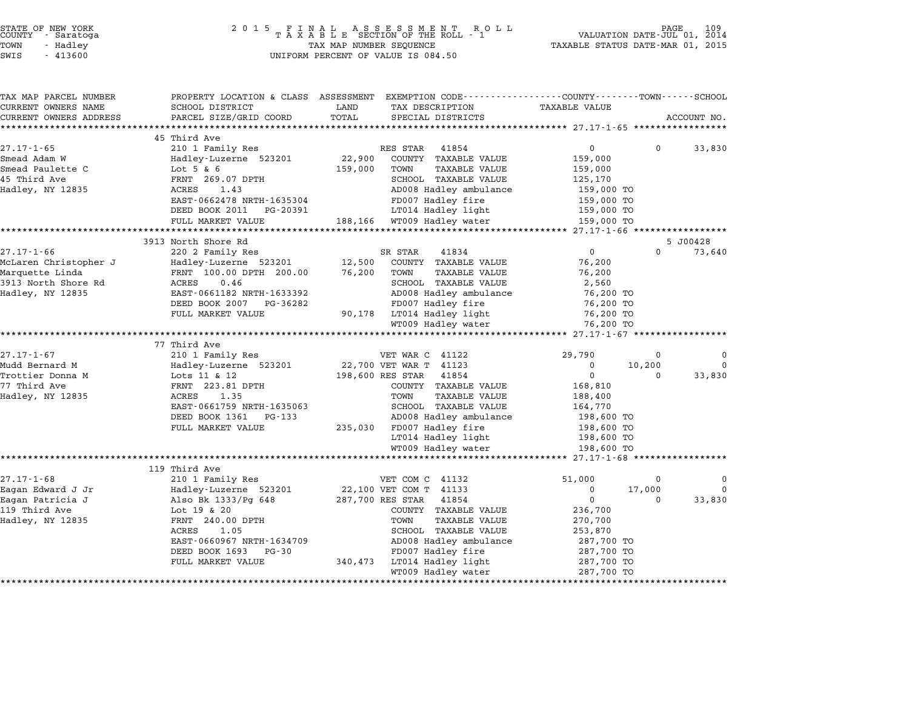| STATE OF NEW YORK |  |            |  |
|-------------------|--|------------|--|
| COUNTY            |  | - Saratoga |  |
| TOWN              |  | - Hadley   |  |

| TAX MAP PARCEL NUMBER                                 |                                         | PROPERTY LOCATION & CLASS ASSESSMENT EXEMPTION CODE---------------COUNTY-------TOWN------SCHOOL |                                                |
|-------------------------------------------------------|-----------------------------------------|-------------------------------------------------------------------------------------------------|------------------------------------------------|
| CURRENT OWNERS NAME                                   | SCHOOL DISTRICT                         | LAND<br>TAX DESCRIPTION                                                                         | <b>TAXABLE VALUE</b>                           |
| CURRENT OWNERS ADDRESS<br>***********************     | PARCEL SIZE/GRID COORD                  | TOTAL<br>SPECIAL DISTRICTS                                                                      | ACCOUNT NO.                                    |
|                                                       | 45 Third Ave                            |                                                                                                 |                                                |
| $27.17 - 1 - 65$                                      | 210 1 Family Res                        | 41854<br>RES STAR                                                                               | $\overline{0}$<br>$\mathbf 0$<br>33,830        |
| Smead Adam W                                          | Hadley-Luzerne 523201                   | 22,900<br>COUNTY TAXABLE VALUE                                                                  | 159,000                                        |
| Smead Paulette C                                      | Lot $5 & 6$                             | 159,000<br>TOWN<br><b>TAXABLE VALUE</b>                                                         | 159,000                                        |
| 45 Third Ave                                          | FRNT 269.07 DPTH                        | SCHOOL TAXABLE VALUE                                                                            | 125,170                                        |
| Hadley, NY 12835                                      | 1.43<br>ACRES                           | AD008 Hadley ambulance                                                                          | 159,000 TO                                     |
|                                                       | EAST-0662478 NRTH-1635304               | FD007 Hadley fire                                                                               | 159,000 TO                                     |
|                                                       | DEED BOOK 2011<br>PG-20391              | LT014 Hadley light                                                                              | 159,000 TO                                     |
|                                                       | FULL MARKET VALUE                       | 188,166 WT009 Hadley water                                                                      | 159,000 TO                                     |
|                                                       |                                         |                                                                                                 | *************** 27.17-1-66 ************        |
| 27.17-1-66                                            | 3913 North Shore Rd<br>220 2 Family Res | SR STAR<br>41834                                                                                | 5 J00428<br>$\mathbf{0}$<br>$\Omega$<br>73,640 |
| McLaren Christopher J                                 | Hadley-Luzerne 523201                   | 12,500<br>COUNTY TAXABLE VALUE                                                                  | 76,200                                         |
| Marquette Linda                                       | FRNT 100.00 DPTH 200.00                 | 76,200<br>TOWN<br><b>TAXABLE VALUE</b>                                                          | 76,200                                         |
| 3913 North Shore Rd                                   | 0.46<br>ACRES                           | SCHOOL TAXABLE VALUE                                                                            | 2,560                                          |
| Hadley, NY 12835                                      | EAST-0661182 NRTH-1633392               | AD008 Hadley ambulance                                                                          | 76,200 TO                                      |
|                                                       | DEED BOOK 2007 PG-36282                 | FD007 Hadley fire                                                                               | 76,200 TO                                      |
|                                                       | FULL MARKET VALUE                       | 90,178 LT014 Hadley light                                                                       | 76,200 TO                                      |
|                                                       |                                         | WT009 Hadley water                                                                              | 76,200 TO                                      |
|                                                       |                                         |                                                                                                 |                                                |
|                                                       | 77 Third Ave                            |                                                                                                 |                                                |
| $27.17 - 1 - 67$                                      | 210 1 Family Res                        | VET WAR C 41122                                                                                 | $\mathbf 0$<br>29,790<br>$\Omega$              |
| Mudd Bernard M                                        | Hadley-Luzerne 523201                   | 22,700 VET WAR T 41123                                                                          | $\mathbf 0$<br>10,200<br>$\Omega$              |
| Trottier Donna M                                      | Lots 11 & 12                            | 198,600 RES STAR<br>41854                                                                       | $\overline{0}$<br>33,830<br>0                  |
| 77 Third Ave                                          | FRNT 223.81 DPTH<br>1.35                | COUNTY TAXABLE VALUE<br><b>TAXABLE VALUE</b><br>TOWN                                            | 168,810                                        |
| Hadley, NY 12835                                      | ACRES<br>EAST-0661759 NRTH-1635063      | SCHOOL TAXABLE VALUE                                                                            | 188,400                                        |
|                                                       | DEED BOOK 1361<br>PG-133                | AD008 Hadley ambulance                                                                          | 164,770<br>198,600 TO                          |
|                                                       | FULL MARKET VALUE                       | 235,030 FD007 Hadley fire                                                                       | 198,600 TO                                     |
|                                                       |                                         | LT014 Hadley light                                                                              | 198,600 TO                                     |
|                                                       |                                         | WT009 Hadley water                                                                              | 198,600 TO                                     |
|                                                       |                                         |                                                                                                 |                                                |
|                                                       |                                         |                                                                                                 | ********* 27.17-1-68 ***                       |
|                                                       | 119 Third Ave                           |                                                                                                 |                                                |
| $27.17 - 1 - 68$                                      | 210 1 Family Res                        | VET COM C 41132                                                                                 | 51,000<br>0<br>0                               |
| Eagan Edward J Jr                                     | Hadley-Luzerne 523201                   | 22,100 VET COM T 41133                                                                          | $\Omega$<br>$\Omega$<br>17,000                 |
|                                                       | Also Bk 1333/Pg 648                     | 287,700 RES STAR<br>41854                                                                       | $\mathbf 0$<br>33,830<br>$\Omega$              |
|                                                       | Lot 19 & 20                             | COUNTY TAXABLE VALUE                                                                            | 236,700                                        |
|                                                       | FRNT 240.00 DPTH                        | TOWN<br><b>TAXABLE VALUE</b>                                                                    | 270,700                                        |
|                                                       | 1.05<br>ACRES                           | SCHOOL TAXABLE VALUE                                                                            | 253,870                                        |
|                                                       | EAST-0660967 NRTH-1634709               | AD008 Hadley ambulance                                                                          | 287,700 TO                                     |
|                                                       | DEED BOOK 1693<br>PG-30                 | FD007 Hadley fire                                                                               | 287,700 TO                                     |
| Eagan Patricia J<br>119 Third Ave<br>Hadley, NY 12835 | FULL MARKET VALUE                       | 340,473<br>LT014 Hadley light<br>WT009 Hadley water                                             | 287,700 TO<br>287,700 TO                       |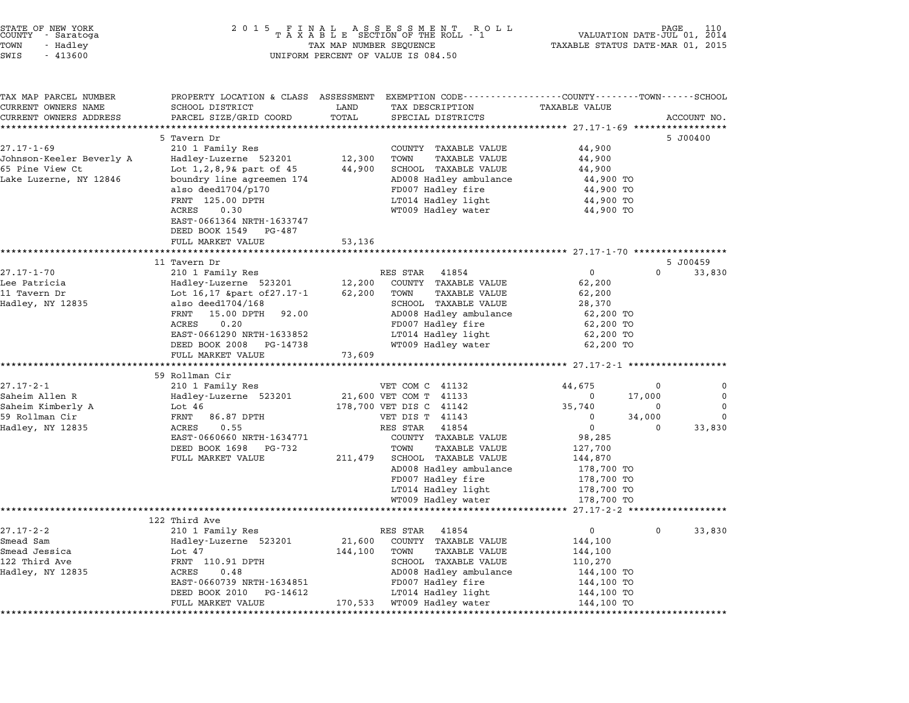| STATE OF NEW YORK |  |            |  |
|-------------------|--|------------|--|
| COUNTY            |  | - Saratoga |  |
| TOWN              |  | - Hadley   |  |

## STATE OF NEW YORK <sup>2</sup> <sup>0</sup> <sup>1</sup> 5 F I N A L A S S E S S M E N T R O L L PAGE <sup>110</sup> COUNTY - Saratoga <sup>T</sup> <sup>A</sup> <sup>X</sup> <sup>A</sup> <sup>B</sup> <sup>L</sup> <sup>E</sup> SECTION OF THE ROLL - <sup>1</sup> VALUATION DATE-JUL 01, <sup>2014</sup> TOWN - Hadley TAX MAP NUMBER SEQUENCE TAXABLE STATUS DATE-MAR 01, <sup>2015</sup> SWIS - <sup>413600</sup> UNIFORM PERCENT OF VALUE IS 084.50

| TAX MAP PARCEL NUMBER    | PROPERTY LOCATION & CLASS ASSESSMENT EXEMPTION CODE---------------COUNTY-------TOWN------SCHOOL |         |                                          |                        |          |             |
|--------------------------|-------------------------------------------------------------------------------------------------|---------|------------------------------------------|------------------------|----------|-------------|
| CURRENT OWNERS NAME      | SCHOOL DISTRICT                                                                                 | LAND    | TAX DESCRIPTION                          | TAXABLE VALUE          |          |             |
| CURRENT OWNERS ADDRESS   | PARCEL SIZE/GRID COORD                                                                          | TOTAL   | SPECIAL DISTRICTS                        |                        |          | ACCOUNT NO. |
|                          |                                                                                                 |         |                                          |                        |          |             |
|                          | 5 Tavern Dr                                                                                     |         |                                          |                        |          | 5 J00400    |
| $27.17 - 1 - 69$         | 210 1 Family Res                                                                                |         | COUNTY TAXABLE VALUE                     | 44,900                 |          |             |
| Johnson-Keeler Beverly A | Hadley-Luzerne 523201                                                                           | 12,300  | TOWN<br><b>TAXABLE VALUE</b>             | 44,900                 |          |             |
| 65 Pine View Ct          | Lot $1, 2, 8, 9$ art of $45$                                                                    | 44,900  | SCHOOL TAXABLE VALUE                     | 44,900                 |          |             |
| Lake Luzerne, NY 12846   | boundry line agreemen 174                                                                       |         | AD008 Hadley ambulance                   | 44,900 TO              |          |             |
|                          | also deed1704/p170                                                                              |         | FD007 Hadley fire                        | 44,900 TO              |          |             |
|                          | FRNT 125.00 DPTH<br><b>ACRES</b><br>0.30                                                        |         | LT014 Hadley light<br>WT009 Hadley water | 44,900 TO<br>44,900 TO |          |             |
|                          | EAST-0661364 NRTH-1633747                                                                       |         |                                          |                        |          |             |
|                          | DEED BOOK 1549 PG-487                                                                           |         |                                          |                        |          |             |
|                          | FULL MARKET VALUE                                                                               | 53,136  |                                          |                        |          |             |
|                          |                                                                                                 |         |                                          |                        |          |             |
|                          | 11 Tavern Dr                                                                                    |         |                                          |                        |          | 5 J00459    |
| $27.17 - 1 - 70$         | 210 1 Family Res                                                                                |         | RES STAR<br>41854                        | $\overline{0}$         | $\Omega$ | 33,830      |
| Lee Patricia             | Hadley-Luzerne 523201                                                                           | 12,200  | COUNTY TAXABLE VALUE                     | 62,200                 |          |             |
| 11 Tavern Dr             | Lot 16,17 ∂ of 27.17-1                                                                          | 62,200  | TOWN<br>TAXABLE VALUE                    | 62,200                 |          |             |
| Hadley, NY 12835         | also deed $1704/168$                                                                            |         | SCHOOL TAXABLE VALUE                     | 28,370                 |          |             |
|                          | FRNT<br>15.00 DPTH<br>92.00                                                                     |         | AD008 Hadley ambulance                   | 62,200 TO              |          |             |
|                          | 0.20<br><b>ACRES</b>                                                                            |         | FD007 Hadley fire                        | 62,200 TO              |          |             |
|                          | EAST-0661290 NRTH-1633852                                                                       |         | LT014 Hadley light                       | 62,200 TO              |          |             |
|                          | DEED BOOK 2008 PG-14738                                                                         |         | WT009 Hadley water                       | 62,200 TO              |          |             |
|                          | FULL MARKET VALUE                                                                               | 73,609  |                                          |                        |          |             |
|                          | 59 Rollman Cir                                                                                  |         |                                          |                        |          |             |
| $27.17 - 2 - 1$          |                                                                                                 |         | VET COM C 41132                          | 44,675                 | 0        | 0           |
| Saheim Allen R           | 210 1 Family Res<br>Hadley-Luzerne 523201                                                       |         | 21,600 VET COM T 41133                   | $\Omega$               | 17,000   | $\Omega$    |
| Saheim Kimberly A        | Lot 46                                                                                          |         | 178,700 VET DIS C 41142                  | 35,740                 | $\Omega$ | $\Omega$    |
| 59 Rollman Cir           | FRNT<br>86.87 DPTH                                                                              |         | VET DIS T 41143                          | 0                      | 34,000   | $\Omega$    |
| Hadley, NY 12835         | 0.55<br>ACRES                                                                                   |         | RES STAR<br>41854                        | $\mathbf 0$            | $\Omega$ | 33,830      |
|                          | EAST-0660660 NRTH-1634771                                                                       |         | COUNTY TAXABLE VALUE                     | 98,285                 |          |             |
|                          | DEED BOOK 1698<br>PG-732                                                                        |         | TOWN<br><b>TAXABLE VALUE</b>             | 127,700                |          |             |
|                          | FULL MARKET VALUE                                                                               | 211,479 | SCHOOL TAXABLE VALUE                     | 144,870                |          |             |
|                          |                                                                                                 |         | AD008 Hadley ambulance                   | 178,700 TO             |          |             |
|                          |                                                                                                 |         | FD007 Hadley fire                        | 178,700 TO             |          |             |
|                          |                                                                                                 |         | LT014 Hadley light                       | 178,700 TO             |          |             |
|                          |                                                                                                 |         | WT009 Hadley water                       | 178,700 TO             |          |             |
|                          |                                                                                                 |         |                                          |                        |          |             |
|                          | 122 Third Ave                                                                                   |         |                                          |                        |          |             |
| $27.17 - 2 - 2$          | 210 1 Family Res                                                                                |         | RES STAR<br>41854                        | $\mathsf{O}$           | $\Omega$ | 33,830      |
| Smead Sam                | Hadley-Luzerne 523201                                                                           | 21,600  | COUNTY TAXABLE VALUE                     | 144,100                |          |             |
| Smead Jessica            | Lot 47                                                                                          | 144,100 | TOWN<br><b>TAXABLE VALUE</b>             | 144,100                |          |             |
| 122 Third Ave            | FRNT 110.91 DPTH                                                                                |         | SCHOOL TAXABLE VALUE                     | 110,270                |          |             |
| Hadley, NY 12835         | 0.48<br>ACRES                                                                                   |         | AD008 Hadley ambulance                   | 144,100 TO             |          |             |
|                          | EAST-0660739 NRTH-1634851                                                                       |         | FD007 Hadley fire                        | 144,100 TO             |          |             |
|                          | DEED BOOK 2010<br>PG-14612                                                                      |         | LT014 Hadley light                       | 144,100 TO             |          |             |
|                          | FULL MARKET VALUE                                                                               |         | 170,533 WT009 Hadley water               | 144,100 TO             |          |             |
|                          | **********************                                                                          |         |                                          |                        |          |             |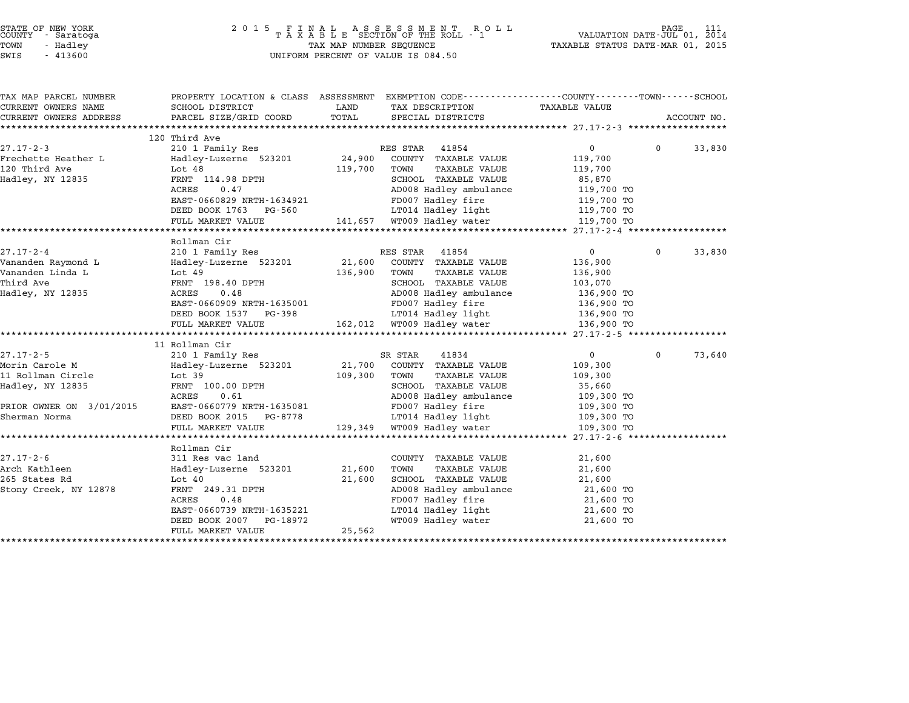| STATE OF NEW YORK |  |            |  |  |
|-------------------|--|------------|--|--|
| COUNTY            |  | - Saratoga |  |  |
| TOWN              |  | - Hadley   |  |  |

| SWIS | 413600 |
|------|--------|
|      |        |

# STATE OF NEW YORK <sup>2</sup> <sup>0</sup> <sup>1</sup> 5 F I N A L A S S E S S M E N T R O L L PAGE <sup>111</sup> COUNTY - Saratoga <sup>T</sup> <sup>A</sup> <sup>X</sup> <sup>A</sup> <sup>B</sup> <sup>L</sup> <sup>E</sup> SECTION OF THE ROLL - <sup>1</sup> VALUATION DATE-JUL 01, <sup>2014</sup> TOWN - Hadley TAX MAP NUMBER SEQUENCE TAXABLE STATUS DATE-MAR 01, <sup>2015</sup> SWIS - 41360 UNIFORM PERCENT OF VALUE IS 084.50<br>SWIFORM PERCENT OF VALUE IS 084.50

| TAX MAP PARCEL NUMBER    | PROPERTY LOCATION & CLASS ASSESSMENT EXEMPTION CODE---------------COUNTY-------TOWN------SCHOOL |         |                            |                |              |             |
|--------------------------|-------------------------------------------------------------------------------------------------|---------|----------------------------|----------------|--------------|-------------|
| CURRENT OWNERS NAME      | SCHOOL DISTRICT                                                                                 | LAND    | TAX DESCRIPTION            | TAXABLE VALUE  |              |             |
| CURRENT OWNERS ADDRESS   | PARCEL SIZE/GRID COORD                                                                          | TOTAL   | SPECIAL DISTRICTS          |                |              | ACCOUNT NO. |
|                          |                                                                                                 |         |                            |                |              |             |
|                          | 120 Third Ave                                                                                   |         |                            |                |              |             |
| $27.17 - 2 - 3$          | 210 1 Family Res                                                                                |         | RES STAR<br>41854          | $\mathbf 0$    | $\Omega$     | 33,830      |
| Frechette Heather L      | Hadley-Luzerne 523201 24,900                                                                    |         | COUNTY TAXABLE VALUE       | 119,700        |              |             |
| 120 Third Ave            | Lot $48$                                                                                        | 119,700 | TOWN<br>TAXABLE VALUE      | 119,700        |              |             |
| Hadley, NY 12835         | FRNT 114.98 DPTH                                                                                |         | SCHOOL TAXABLE VALUE       | 85,870         |              |             |
|                          | ACRES<br>0.47                                                                                   |         | AD008 Hadley ambulance     | 119,700 TO     |              |             |
|                          | EAST-0660829 NRTH-1634921                                                                       |         | FD007 Hadley fire          | 119,700 TO     |              |             |
|                          | DEED BOOK 1763 PG-560                                                                           |         | LT014 Hadley light         | 119,700 TO     |              |             |
|                          | FULL MARKET VALUE                                                                               |         | 141,657 WT009 Hadley water | 119,700 TO     |              |             |
|                          |                                                                                                 |         |                            |                |              |             |
|                          | Rollman Cir                                                                                     |         |                            |                |              |             |
| $27.17 - 2 - 4$          | 210 1 Family Res                                                                                |         | RES STAR<br>41854          | $\mathbf{0}$   | $\mathbf 0$  | 33,830      |
| Vananden Raymond L       | Hadley-Luzerne 523201                                                                           | 21,600  | COUNTY TAXABLE VALUE       | 136,900        |              |             |
| Vananden Linda L         | Lot 49                                                                                          | 136,900 | TOWN<br>TAXABLE VALUE      | 136,900        |              |             |
| Third Ave                | FRNT 198.40 DPTH                                                                                |         | SCHOOL TAXABLE VALUE       | 103,070        |              |             |
| Hadley, NY 12835         | 0.48<br>ACRES                                                                                   |         | AD008 Hadley ambulance     | 136,900 TO     |              |             |
|                          | EAST-0660909 NRTH-1635001                                                                       |         | FD007 Hadley fire          | 136,900 TO     |              |             |
|                          | DEED BOOK 1537 PG-398                                                                           |         | LT014 Hadley light         | $136,900$ TO   |              |             |
|                          | FULL MARKET VALUE                                                                               |         | 162,012 WT009 Hadley water | 136,900 TO     |              |             |
|                          |                                                                                                 |         |                            |                |              |             |
|                          | 11 Rollman Cir                                                                                  |         |                            |                |              |             |
| $27.17 - 2 - 5$          | 210 1 Family Res                                                                                |         | SR STAR<br>41834           | $\overline{0}$ | $\mathbf{0}$ | 73,640      |
| Morin Carole M           | Hadley-Luzerne 523201                                                                           | 21,700  | COUNTY TAXABLE VALUE       | 109,300        |              |             |
| 11 Rollman Circle        | Lot 39                                                                                          | 109,300 | TOWN<br>TAXABLE VALUE      | 109,300        |              |             |
| Hadley, NY 12835         | FRNT 100.00 DPTH                                                                                |         | SCHOOL TAXABLE VALUE       | 35,660         |              |             |
|                          | ACRES<br>0.61                                                                                   |         | AD008 Hadley ambulance     | 109,300 TO     |              |             |
| PRIOR OWNER ON 3/01/2015 | EAST-0660779 NRTH-1635081                                                                       |         | FD007 Hadley fire          | 109,300 TO     |              |             |
| Sherman Norma            | DEED BOOK 2015 PG-8778                                                                          |         | LT014 Hadley light         | 109,300 TO     |              |             |
|                          | FULL MARKET VALUE                                                                               | 129,349 | WT009 Hadley water         | 109,300 TO     |              |             |
|                          |                                                                                                 |         |                            |                |              |             |
|                          | Rollman Cir                                                                                     |         |                            |                |              |             |
| $27.17 - 2 - 6$          | 311 Res vac land                                                                                |         | COUNTY TAXABLE VALUE       | 21,600         |              |             |
| Arch Kathleen            | Hadley-Luzerne 523201                                                                           | 21,600  | TAXABLE VALUE<br>TOWN      | 21,600         |              |             |
| 265 States Rd            | Lot $40$                                                                                        | 21,600  | SCHOOL TAXABLE VALUE       | 21,600         |              |             |
| Stony Creek, NY 12878    | FRNT 249.31 DPTH                                                                                |         | AD008 Hadley ambulance     | 21,600 TO      |              |             |
|                          | ACRES<br>0.48                                                                                   |         | FD007 Hadley fire          | 21,600 TO      |              |             |
|                          | EAST-0660739 NRTH-1635221                                                                       |         | LT014 Hadley light         | 21,600 TO      |              |             |
|                          | DEED BOOK 2007<br>PG-18972                                                                      |         | WT009 Hadley water         | 21,600 TO      |              |             |
|                          | FULL MARKET VALUE                                                                               | 25,562  |                            |                |              |             |
|                          |                                                                                                 |         |                            |                |              |             |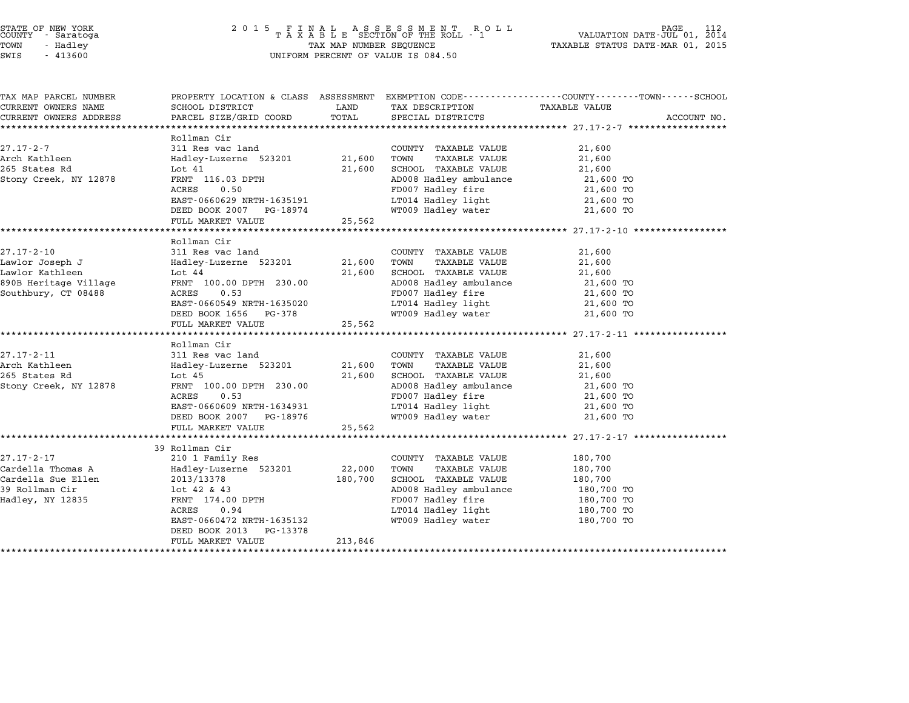# STATE OF NEW YORK <sup>2</sup> <sup>0</sup> <sup>1</sup> 5 F I N A L A S S E S S M E N T R O L L PAGE <sup>112</sup> COUNTY - Saratoga <sup>T</sup> <sup>A</sup> <sup>X</sup> <sup>A</sup> <sup>B</sup> <sup>L</sup> <sup>E</sup> SECTION OF THE ROLL - <sup>1</sup> VALUATION DATE-JUL 01, <sup>2014</sup> TOWN - Hadley TAX MAP NUMBER SEQUENCE TAXABLE STATUS DATE-MAR 01, <sup>2015</sup> STATE OF NEW YORK<br>
COUNTY - Saratoga<br>
TOWN - Hadley TAXABLE SECTION OF THE ROLL<br>
TOWN - 413600 UNIFORM PERCENT OF VALUE IS 084.50

| TAX MAP PARCEL NUMBER      | PROPERTY LOCATION & CLASS ASSESSMENT EXEMPTION CODE---------------COUNTY-------TOWN-----SCHOOL |                  |                                               |                          |             |
|----------------------------|------------------------------------------------------------------------------------------------|------------------|-----------------------------------------------|--------------------------|-------------|
| CURRENT OWNERS NAME        | SCHOOL DISTRICT                                                                                | LAND             | TAX DESCRIPTION                               | TAXABLE VALUE            |             |
| CURRENT OWNERS ADDRESS     | PARCEL SIZE/GRID COORD                                                                         | TOTAL            | SPECIAL DISTRICTS                             |                          | ACCOUNT NO. |
|                            |                                                                                                |                  |                                               |                          |             |
|                            | Rollman Cir                                                                                    |                  |                                               |                          |             |
| 27.17-2-7<br>Arch Kathleen | 311 Res vac land                                                                               |                  | COUNTY TAXABLE VALUE                          | 21,600                   |             |
| 265 States Rd              | Hadley-Luzerne 523201<br>Lot 41                                                                | 21,600<br>21,600 | TAXABLE VALUE<br>TOWN<br>SCHOOL TAXABLE VALUE | 21,600<br>21,600         |             |
| Stony Creek, NY 12878      | FRNT 116.03 DPTH                                                                               |                  | AD008 Hadley ambulance                        |                          |             |
|                            | ACRES<br>0.50                                                                                  |                  | FD007 Hadley fire                             | 21,600 TO<br>21,600 TO   |             |
|                            |                                                                                                |                  | LT014 Hadley light                            | 21,600 TO                |             |
|                            | EAST-0660629 NRTH-1635191<br>DEED BOOK 2007 PG-18974                                           |                  | WT009 Hadley water                            | 21,600 TO                |             |
|                            | FULL MARKET VALUE                                                                              | 25,562           |                                               |                          |             |
|                            |                                                                                                |                  |                                               |                          |             |
|                            | Rollman Cir                                                                                    |                  |                                               |                          |             |
| $27.17 - 2 - 10$           | 311 Res vac land                                                                               |                  | COUNTY TAXABLE VALUE                          | 21,600                   |             |
| Lawlor Joseph J            | Hadley-Luzerne 523201                                                                          | 21,600           | TOWN<br>TAXABLE VALUE                         | 21,600                   |             |
| Lawlor Kathleen            | Lot 44                                                                                         | 21,600           | SCHOOL TAXABLE VALUE                          | 21,600                   |             |
| 890B Heritage Village      | FRNT 100.00 DPTH 230.00                                                                        |                  | AD008 Hadley ambulance                        | 21,600 TO                |             |
| Southbury, CT 08488        | ACRES<br>0.53                                                                                  |                  | FD007 Hadley fire                             | 21,600 TO                |             |
|                            | EAST-0660549 NRTH-1635020                                                                      |                  | LT014 Hadley light                            | 21,600 TO                |             |
|                            | DEED BOOK 1656 PG-378                                                                          |                  | WT009 Hadley water                            | 21,600 TO                |             |
|                            | FULL MARKET VALUE                                                                              | 25,562           |                                               |                          |             |
|                            |                                                                                                |                  |                                               |                          |             |
|                            | Rollman Cir                                                                                    |                  |                                               |                          |             |
| 27.17-2-11                 | 311 Res vac land                                                                               |                  | COUNTY TAXABLE VALUE                          | 21,600                   |             |
| Arch Kathleen              | Hadley-Luzerne 523201                                                                          | 21,600           | TAXABLE VALUE<br>TOWN                         | 21,600                   |             |
| 265 States Rd              | Lot $45$                                                                                       | 21,600           | SCHOOL TAXABLE VALUE                          | 21,600                   |             |
| Stony Creek, NY 12878      | FRNT 100.00 DPTH 230.00                                                                        |                  | AD008 Hadley ambulance                        | 21,600 TO                |             |
|                            | ACRES<br>0.53                                                                                  |                  | FD007 Hadley fire                             | 21,600 TO                |             |
|                            | EAST-0660609 NRTH-1634931                                                                      |                  | LT014 Hadley light                            | 21,600 TO                |             |
|                            | DEED BOOK 2007 PG-18976                                                                        |                  | WT009 Hadley water                            | 21,600 TO                |             |
|                            | FULL MARKET VALUE                                                                              | 25,562           |                                               |                          |             |
|                            |                                                                                                |                  |                                               |                          |             |
|                            | 39 Rollman Cir                                                                                 |                  |                                               |                          |             |
| 27.17-2-17                 | 210 1 Family Res                                                                               |                  | COUNTY TAXABLE VALUE                          | 180,700                  |             |
| Cardella Thomas A          | Hadley-Luzerne 523201                                                                          | 22,000           | TAXABLE VALUE<br>TOWN                         | 180,700                  |             |
| Cardella Sue Ellen         | 2013/13378                                                                                     | 180,700          | SCHOOL TAXABLE VALUE                          | 180,700                  |             |
| 39 Rollman Cir             | $1$ ot 42 & 43                                                                                 |                  | AD008 Hadley ambulance                        | 180,700 TO<br>180,700 TO |             |
| Hadley, NY 12835           | FRNT 174.00 DPTH<br>ACRES 0.94                                                                 |                  | FD007 Hadley fire                             |                          |             |
|                            | 0.94<br>ACRES                                                                                  |                  | LT014 Hadley light                            | 180,700 TO               |             |
|                            | EAST-0660472 NRTH-1635132                                                                      |                  | WT009 Hadley water                            | 180,700 TO               |             |
|                            | DEED BOOK 2013<br>PG-13378<br>FULL MARKET VALUE                                                | 213,846          |                                               |                          |             |
|                            |                                                                                                |                  |                                               |                          |             |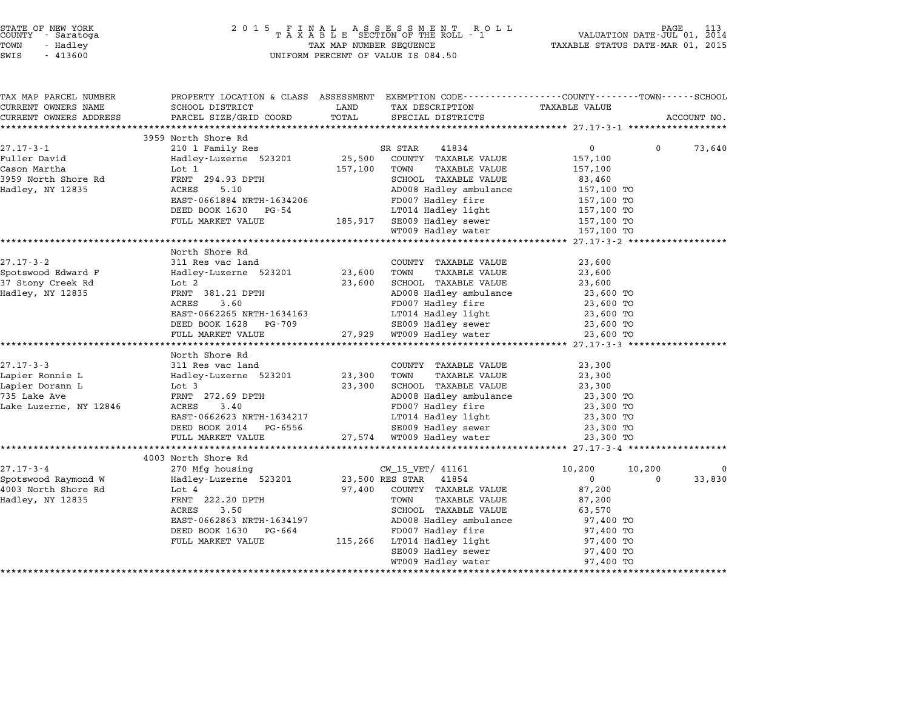| STATE OF NEW YORK |          |            |  |
|-------------------|----------|------------|--|
| COUNTY            |          | - Saratoga |  |
| TOWN              | - Hadley |            |  |
|                   |          |            |  |

| TAX MAP PARCEL NUMBER  | PROPERTY LOCATION & CLASS ASSESSMENT EXEMPTION CODE----------------COUNTY-------TOWN-----SCHOOL |         |                                               |                          |          |             |
|------------------------|-------------------------------------------------------------------------------------------------|---------|-----------------------------------------------|--------------------------|----------|-------------|
| CURRENT OWNERS NAME    | SCHOOL DISTRICT                                                                                 | LAND    | TAX DESCRIPTION                               | <b>TAXABLE VALUE</b>     |          |             |
| CURRENT OWNERS ADDRESS | PARCEL SIZE/GRID COORD                                                                          | TOTAL   | SPECIAL DISTRICTS                             |                          |          | ACCOUNT NO. |
|                        |                                                                                                 |         |                                               |                          |          |             |
| $27.17 - 3 - 1$        | 3959 North Shore Rd                                                                             |         |                                               | 0                        | $\Omega$ |             |
| Fuller David           | 210 1 Family Res                                                                                |         | SR STAR<br>41834                              |                          |          | 73,640      |
| Cason Martha           | Hadley-Luzerne 523201 25,500<br>Lot 1                                                           | 157,100 | COUNTY TAXABLE VALUE<br>TOWN<br>TAXABLE VALUE | 157,100<br>157,100       |          |             |
| 3959 North Shore Rd    | FRNT 294.93 DPTH                                                                                |         | SCHOOL TAXABLE VALUE                          | 83,460                   |          |             |
| Hadley, NY 12835       | 5.10<br>ACRES                                                                                   |         | AD008 Hadley ambulance                        | 157,100 TO               |          |             |
|                        | EAST-0661884 NRTH-1634206                                                                       |         | FD007 Hadley fire                             | 157,100 TO               |          |             |
|                        | DEED BOOK 1630 PG-54                                                                            |         | LT014 Hadley light                            |                          |          |             |
|                        | FULL MARKET VALUE                                                                               |         | 185,917 SE009 Hadley sewer                    | 157,100 TO<br>157,100 TO |          |             |
|                        |                                                                                                 |         | WT009 Hadley water                            | 157,100 TO               |          |             |
|                        |                                                                                                 |         |                                               |                          |          |             |
|                        | North Shore Rd                                                                                  |         |                                               |                          |          |             |
| $27.17 - 3 - 2$        | 311 Res vac land                                                                                |         | COUNTY TAXABLE VALUE                          | 23,600                   |          |             |
| Spotswood Edward F     | Hadley-Luzerne 523201                                                                           | 23,600  | TOWN<br><b>TAXABLE VALUE</b>                  | 23,600                   |          |             |
| 37 Stony Creek Rd      | Lot 2                                                                                           | 23,600  | SCHOOL TAXABLE VALUE                          | 23,600                   |          |             |
| Hadley, NY 12835       | FRNT 381.21 DPTH                                                                                |         | AD008 Hadley ambulance                        | 23,600 TO                |          |             |
|                        | ACRES<br>3.60                                                                                   |         | FD007 Hadley fire                             | 23,600 TO                |          |             |
|                        | EAST-0662265 NRTH-1634163                                                                       |         | LT014 Hadley light                            | 23,600 TO                |          |             |
|                        | DEED BOOK 1628 PG-709                                                                           |         | SE009 Hadley sewer                            | 23,600 TO                |          |             |
|                        | FULL MARKET VALUE                                                                               |         | 27,929 WT009 Hadley water                     | 23,600 TO                |          |             |
|                        |                                                                                                 |         |                                               |                          |          |             |
|                        | North Shore Rd                                                                                  |         |                                               |                          |          |             |
| $27.17 - 3 - 3$        | 311 Res vac land                                                                                |         | COUNTY TAXABLE VALUE                          | 23,300                   |          |             |
| Lapier Ronnie L        | Hadley-Luzerne 523201                                                                           | 23,300  | TOWN<br>TAXABLE VALUE                         | 23,300                   |          |             |
| Lapier Dorann L        | Lot 3                                                                                           | 23,300  | SCHOOL TAXABLE VALUE                          | 23,300                   |          |             |
| 735 Lake Ave           | FRNT 272.69 DPTH                                                                                |         | AD008 Hadley ambulance                        | 23,300 TO                |          |             |
| Lake Luzerne, NY 12846 | 3.40<br>ACRES                                                                                   |         | FD007 Hadley fire                             | 23,300 TO                |          |             |
|                        | EAST-0662623 NRTH-1634217                                                                       |         | LT014 Hadley light                            | 23,300 TO                |          |             |
|                        | DEED BOOK 2014 PG-6556                                                                          |         | SE009 Hadley sewer                            | 23,300 TO                |          |             |
|                        | FULL MARKET VALUE                                                                               |         | 27,574 WT009 Hadley water                     | 23,300 TO                |          |             |
|                        |                                                                                                 |         |                                               |                          |          |             |
|                        | 4003 North Shore Rd                                                                             |         |                                               |                          |          |             |
| $27.17 - 3 - 4$        | 270 Mfg housing                                                                                 |         | CW 15 VET/ 41161                              | 10,200                   | 10,200   | 0           |
| Spotswood Raymond W    | Hadley-Luzerne 523201                                                                           |         | 23,500 RES STAR<br>41854                      | $\overline{0}$           | $\Omega$ | 33,830      |
| 4003 North Shore Rd    | Lot 4                                                                                           | 97,400  | COUNTY TAXABLE VALUE                          | 87,200                   |          |             |
| Hadley, NY 12835       | FRNT 222.20 DPTH                                                                                |         | TOWN<br>TAXABLE VALUE                         | 87,200                   |          |             |
|                        | 3.50<br>ACRES                                                                                   |         | SCHOOL TAXABLE VALUE                          | 63,570                   |          |             |
|                        | EAST-0662863 NRTH-1634197                                                                       |         | AD008 Hadley ambulance                        | 97,400 TO                |          |             |
|                        | DEED BOOK 1630 PG-664                                                                           |         | FD007 Hadley fire                             | 97,400 TO                |          |             |
|                        | FULL MARKET VALUE                                                                               |         | 115,266 LT014 Hadley light                    | 97,400 TO                |          |             |
|                        |                                                                                                 |         | SE009 Hadley sewer                            | 97,400 TO                |          |             |
|                        |                                                                                                 |         | WT009 Hadley water                            | 97,400 TO                |          |             |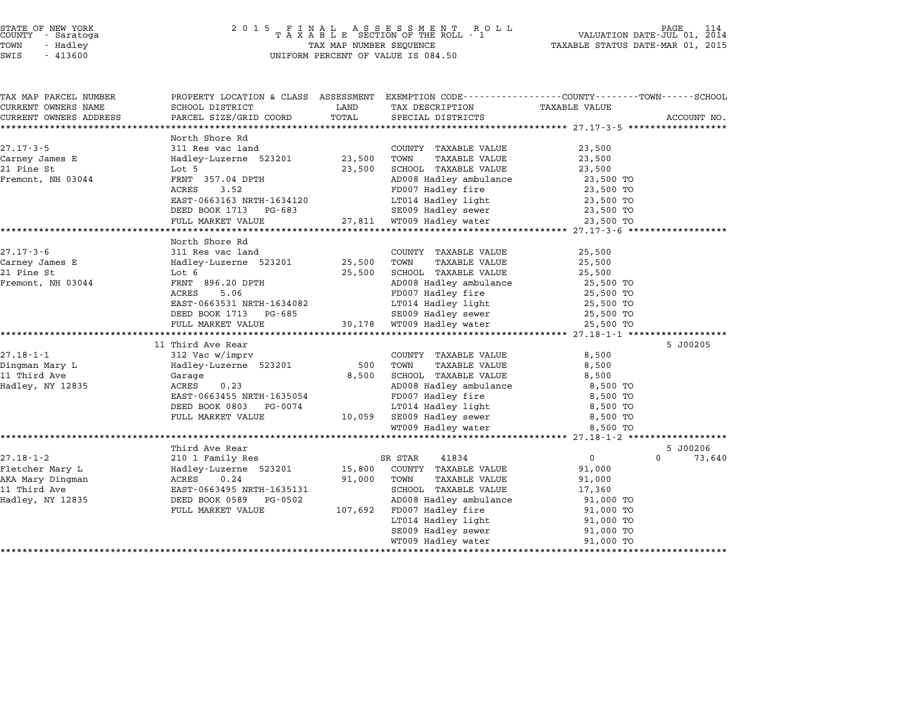| STATE OF NEW YORK |  |            |  |
|-------------------|--|------------|--|
| COUNTY            |  | - Saratoga |  |
| TOWN              |  | - Hadley   |  |

# STATE OF NEW YORK <sup>2</sup> <sup>0</sup> <sup>1</sup> 5 F I N A L A S S E S S M E N T R O L L PAGE <sup>114</sup> COUNTY - Saratoga <sup>T</sup> <sup>A</sup> <sup>X</sup> <sup>A</sup> <sup>B</sup> <sup>L</sup> <sup>E</sup> SECTION OF THE ROLL - <sup>1</sup> VALUATION DATE-JUL 01, <sup>2014</sup> TOWN - Hadley TAX MAP NUMBER SEQUENCE TAXABLE STATUS DATE-MAR 01, <sup>2015</sup> SWIS - <sup>413600</sup> UNIFORM PERCENT OF VALUE IS 084.50

| TAX MAP PARCEL NUMBER        | PROPERTY LOCATION & CLASS ASSESSMENT EXEMPTION CODE---------------COUNTY-------TOWN-----SCHOOL |                  |                                                      |                        |                    |
|------------------------------|------------------------------------------------------------------------------------------------|------------------|------------------------------------------------------|------------------------|--------------------|
| CURRENT OWNERS NAME          | SCHOOL DISTRICT                                                                                | LAND             | TAX DESCRIPTION                                      | TAXABLE VALUE          |                    |
| CURRENT OWNERS ADDRESS       | PARCEL SIZE/GRID COORD                                                                         | TOTAL            | SPECIAL DISTRICTS                                    |                        | ACCOUNT NO.        |
|                              |                                                                                                |                  |                                                      |                        |                    |
|                              | North Shore Rd                                                                                 |                  |                                                      |                        |                    |
| $27.17 - 3 - 5$              | 311 Res vac land                                                                               |                  | COUNTY TAXABLE VALUE                                 | 23,500                 |                    |
| Carney James E<br>21 Pine St | Hadley-Luzerne 523201<br>Lot 5                                                                 | 23,500<br>23,500 | <b>TAXABLE VALUE</b><br>TOWN<br>SCHOOL TAXABLE VALUE | 23,500<br>23,500       |                    |
|                              | FRNT 357.04 DPTH                                                                               |                  |                                                      |                        |                    |
| Fremont, NH 03044            | ACRES<br>3.52                                                                                  |                  | AD008 Hadley ambulance<br>FD007 Hadley fire          | 23,500 TO<br>23,500 TO |                    |
|                              |                                                                                                |                  | LT014 Hadley light                                   |                        |                    |
|                              | EAST-0663163 NRTH-1634120<br>DEED BOOK 1713 PG-683                                             |                  |                                                      | 23,500 TO<br>23,500 TO |                    |
|                              |                                                                                                |                  |                                                      |                        |                    |
|                              | FULL MARKET VALUE                                                                              |                  |                                                      | 23,500 TO              |                    |
|                              | North Shore Rd                                                                                 |                  |                                                      |                        |                    |
| $27.17 - 3 - 6$              | 311 Res vac land                                                                               |                  | COUNTY TAXABLE VALUE                                 | 25,500                 |                    |
| Carney James E               | Hadley-Luzerne 523201 25,500                                                                   |                  | TOWN<br>TAXABLE VALUE                                | 25,500                 |                    |
| 21 Pine St                   | Lot 6                                                                                          | 25,500           | SCHOOL TAXABLE VALUE                                 | 25,500                 |                    |
| Fremont, NH 03044            | FRNT 896.20 DPTH                                                                               |                  | AD008 Hadley ambulance 25,500 TO                     |                        |                    |
|                              | ACRES<br>5.06                                                                                  |                  | FD007 Hadley fire                                    | 25,500 TO              |                    |
|                              | EAST-0663531 NRTH-1634082                                                                      |                  | LT014 Hadley light                                   | 25,500 TO              |                    |
|                              | DEED BOOK 1713 PG-685                                                                          |                  | SE009 Hadley sewer                                   | 25,500 TO              |                    |
|                              | FULL MARKET VALUE                                                                              |                  | 30,178 WT009 Hadley water                            | 25,500 TO              |                    |
|                              |                                                                                                |                  |                                                      |                        |                    |
|                              | 11 Third Ave Rear                                                                              |                  |                                                      |                        | 5 J00205           |
| $27.18 - 1 - 1$              | 312 Vac w/imprv                                                                                |                  | COUNTY TAXABLE VALUE                                 | 8,500                  |                    |
| Dingman Mary L               | Hadley-Luzerne 523201                                                                          | 500              | TOWN<br>TAXABLE VALUE                                | 8,500                  |                    |
| 11 Third Ave                 | Garage                                                                                         | 8,500            | SCHOOL TAXABLE VALUE                                 | 8,500                  |                    |
| Hadley, NY 12835             | 0.23<br>ACRES                                                                                  |                  | AD008 Hadley ambulance                               | 8,500 TO               |                    |
|                              | EAST-0663455 NRTH-1635054                                                                      |                  | FD007 Hadley fire                                    | 8,500 TO               |                    |
|                              | DEED BOOK 0803 PG-0074                                                                         |                  |                                                      | 8,500 TO               |                    |
|                              | FULL MARKET VALUE                                                                              |                  | LT014 Hadley light<br>10,059 SE009 Hadley sewer      | 8,500 TO               |                    |
|                              |                                                                                                |                  | WT009 Hadley water                                   | 8,500 TO               |                    |
|                              |                                                                                                |                  |                                                      |                        |                    |
|                              | Third Ave Rear                                                                                 |                  |                                                      |                        | 5 J00206           |
| 27.18-1-2                    | 210 1 Family Res                                                                               |                  | 41834<br>SR STAR                                     | $\overline{0}$         | $\Omega$<br>73,640 |
| Fletcher Mary L              | Hadley-Luzerne 523201                                                                          | 15,800           | COUNTY TAXABLE VALUE                                 | 91,000                 |                    |
| AKA Mary Dingman             | ACRES<br>0.24                                                                                  | 91,000           | TAXABLE VALUE<br>TOWN                                | 91,000                 |                    |
| 11 Third Ave                 | EAST-0663495 NRTH-1635131                                                                      |                  | SCHOOL TAXABLE VALUE                                 | 17,360                 |                    |
| Hadley, NY 12835             | DEED BOOK 0589 PG-0502                                                                         |                  | AD008 Hadley ambulance                               | 91,000 TO              |                    |
|                              | FULL MARKET VALUE                                                                              |                  | 107,692 FD007 Hadley fire                            | 91,000 TO              |                    |
|                              |                                                                                                |                  | LT014 Hadley light                                   | 91,000 TO              |                    |
|                              |                                                                                                |                  | SE009 Hadley sewer                                   | 91,000 TO              |                    |
|                              |                                                                                                |                  |                                                      |                        |                    |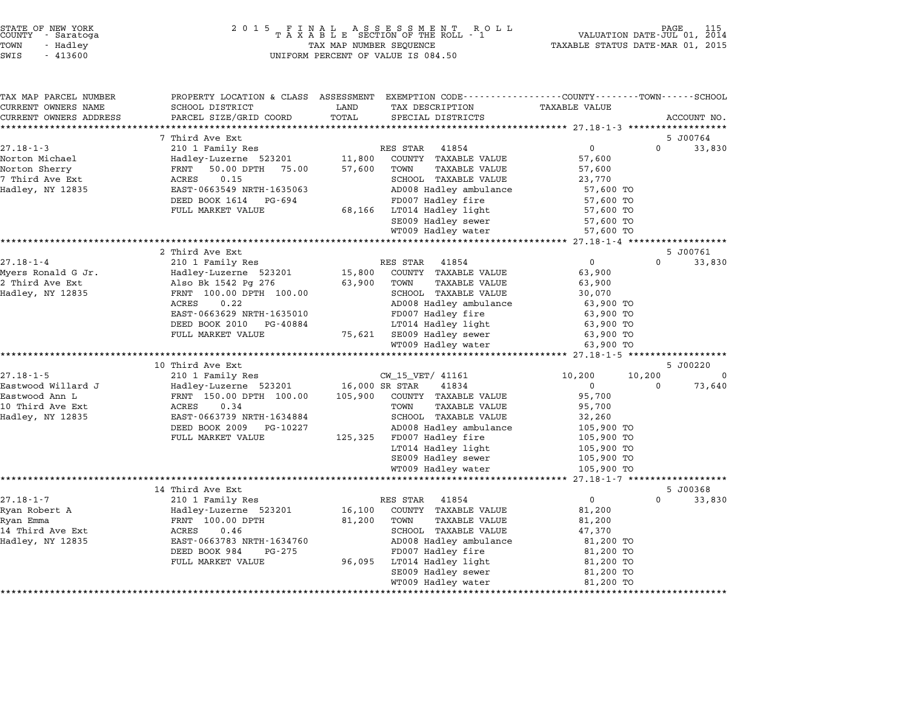|      | STATE OF NEW YORK<br>COUNTY - Saratoga |  |
|------|----------------------------------------|--|
| 'OWN | - Hadlev                               |  |
|      |                                        |  |

|             |          | <b>TAXABLE VALUE</b> | TAX DESCRIPTION           | LAND           | PROPERTY LOCATION & CLASS ASSESSMENT EXEMPTION CODE---------------COUNTY------TOWN------SCHOOL<br>SCHOOL DISTRICT | TAX MAP PARCEL NUMBER<br>CURRENT OWNERS NAME |
|-------------|----------|----------------------|---------------------------|----------------|-------------------------------------------------------------------------------------------------------------------|----------------------------------------------|
| ACCOUNT NO. |          |                      | SPECIAL DISTRICTS         | TOTAL          | PARCEL SIZE/GRID COORD                                                                                            | CURRENT OWNERS ADDRESS                       |
|             |          |                      |                           |                |                                                                                                                   |                                              |
| 5 J00764    |          |                      |                           |                | 7 Third Ave Ext                                                                                                   |                                              |
| 33,830      | $\Omega$ | $\mathsf{O}$         | RES STAR<br>41854         |                | 210 1 Family Res                                                                                                  | $27.18 - 1 - 3$                              |
|             |          | 57,600               | COUNTY TAXABLE VALUE      | 11,800         | Hadley-Luzerne 523201                                                                                             | Norton Michael                               |
|             |          | 57,600               | TOWN<br>TAXABLE VALUE     | 57,600         | 50.00 DPTH 75.00<br>FRNT                                                                                          | Norton Sherry                                |
|             |          | 23,770               | SCHOOL TAXABLE VALUE      |                | ACRES<br>0.15                                                                                                     | 7 Third Ave Ext                              |
|             |          | 57,600 TO            | AD008 Hadley ambulance    |                | EAST-0663549 NRTH-1635063                                                                                         | Hadley, NY 12835                             |
|             |          | 57,600 TO            | FD007 Hadley fire         |                | DEED BOOK 1614 PG-694                                                                                             |                                              |
|             |          | 57,600 TO            | LT014 Hadley light        | 68,166         | FULL MARKET VALUE                                                                                                 |                                              |
|             |          | 57,600 TO            | SE009 Hadley sewer        |                |                                                                                                                   |                                              |
|             |          | 57,600 TO            | WT009 Hadley water        |                |                                                                                                                   |                                              |
|             |          |                      |                           |                |                                                                                                                   |                                              |
| 5 J00761    |          |                      |                           |                | 2 Third Ave Ext                                                                                                   |                                              |
| 33,830      | $\Omega$ | $\mathbf{0}$         | RES STAR 41854            |                | 210 1 Family Res                                                                                                  | $27.18 - 1 - 4$                              |
|             |          | 63,900               | COUNTY TAXABLE VALUE      | 15,800         | Hadley-Luzerne 523201                                                                                             | Myers Ronald G Jr.                           |
|             |          | 63,900               | TOWN<br>TAXABLE VALUE     | 63,900         | Also Bk 1542 Pg 276                                                                                               | 2 Third Ave Ext                              |
|             |          | 30,070               | SCHOOL TAXABLE VALUE      |                | FRNT 100.00 DPTH 100.00                                                                                           | Hadley, NY 12835                             |
|             |          | 63,900 TO            | AD008 Hadley ambulance    |                | 0.22<br>ACRES                                                                                                     |                                              |
|             |          | 63,900 TO            | FD007 Hadley fire         |                | EAST-0663629 NRTH-1635010                                                                                         |                                              |
|             |          | 63,900 TO            | LT014 Hadley light        |                | DEED BOOK 2010<br>PG-40884                                                                                        |                                              |
|             |          | 63,900 TO            | 75,621 SE009 Hadley sewer |                | FULL MARKET VALUE                                                                                                 |                                              |
|             |          | 63,900 TO            | WT009 Hadley water        |                |                                                                                                                   |                                              |
|             |          |                      |                           |                |                                                                                                                   |                                              |
| 5 J00220    |          |                      |                           |                | 10 Third Ave Ext                                                                                                  |                                              |
| $\Omega$    | 10,200   | 10,200               | CW_15_VET/ 41161          |                | 210 1 Family Res                                                                                                  | $27.18 - 1 - 5$                              |
| 73,640      | $\Omega$ | $\Omega$             | 41834                     | 16,000 SR STAR | Hadley-Luzerne 523201                                                                                             | Eastwood Willard J                           |
|             |          | 95,700               | COUNTY TAXABLE VALUE      | 105,900        | FRNT 150.00 DPTH 100.00                                                                                           | Eastwood Ann L                               |
|             |          | 95,700               | TOWN<br>TAXABLE VALUE     |                | 0.34<br>ACRES                                                                                                     | 10 Third Ave Ext                             |
|             |          | 32,260               | SCHOOL TAXABLE VALUE      |                | EAST-0663739 NRTH-1634884                                                                                         | Hadley, NY 12835                             |
|             |          | 105,900 TO           | AD008 Hadley ambulance    |                | DEED BOOK 2009<br>PG-10227                                                                                        |                                              |
|             |          | 105,900 TO           | 125,325 FD007 Hadley fire |                | FULL MARKET VALUE                                                                                                 |                                              |
|             |          | 105,900 TO           | LT014 Hadley light        |                |                                                                                                                   |                                              |
|             |          | 105,900 TO           | SE009 Hadley sewer        |                |                                                                                                                   |                                              |
|             |          | 105,900 TO           | WT009 Hadley water        |                |                                                                                                                   |                                              |
|             |          |                      |                           |                | ************************************                                                                              |                                              |
| 5 J00368    |          |                      |                           |                | 14 Third Ave Ext                                                                                                  |                                              |
| 33,830      | $\Omega$ | $\overline{0}$       | 41854<br>RES STAR         |                | 210 1 Family Res                                                                                                  | $27.18 - 1 - 7$                              |
|             |          | 81,200               | COUNTY TAXABLE VALUE      | 16,100         | Hadley-Luzerne 523201                                                                                             | Ryan Robert A                                |
|             |          | 81,200               | TOWN<br>TAXABLE VALUE     | 81,200         | FRNT 100.00 DPTH                                                                                                  | Ryan Emma                                    |
|             |          | 47,370               | SCHOOL TAXABLE VALUE      |                | 0.46<br>ACRES                                                                                                     | 14 Third Ave Ext                             |
|             |          | 81,200 TO            | AD008 Hadley ambulance    |                | EAST-0663783 NRTH-1634760                                                                                         | Hadley, NY 12835                             |
|             |          | 81,200 TO            | FD007 Hadley fire         |                | DEED BOOK 984<br>PG-275                                                                                           |                                              |
|             |          | 81,200 TO            | LT014 Hadley light        | 96,095         | FULL MARKET VALUE                                                                                                 |                                              |
|             |          | 81,200 TO            | SE009 Hadley sewer        |                |                                                                                                                   |                                              |
|             |          | 81,200 TO            | WT009 Hadley water        |                |                                                                                                                   |                                              |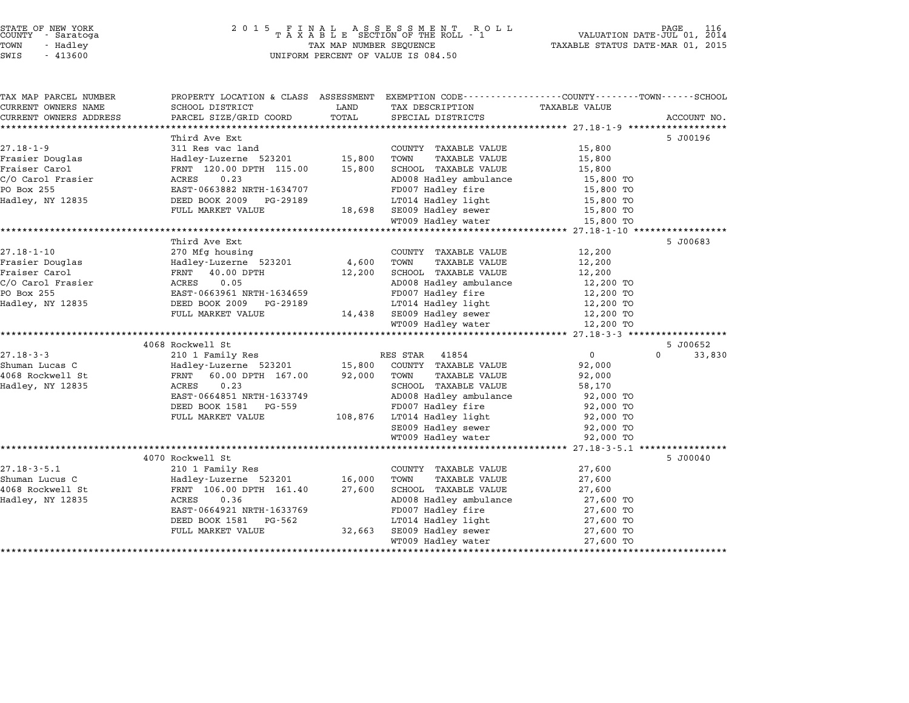| STATE OF NEW YORK |  |            |  |
|-------------------|--|------------|--|
| COUNTY            |  | - Saratoga |  |
| TOWN              |  | - Hadley   |  |

| TAX MAP PARCEL NUMBER              | PROPERTY LOCATION & CLASS ASSESSMENT EXEMPTION CODE---------------COUNTY-------TOWN------SCHOOL |        |                                               |                      |                      |
|------------------------------------|-------------------------------------------------------------------------------------------------|--------|-----------------------------------------------|----------------------|----------------------|
| CURRENT OWNERS NAME                | SCHOOL DISTRICT                                                                                 | LAND   | TAX DESCRIPTION                               | <b>TAXABLE VALUE</b> |                      |
| CURRENT OWNERS ADDRESS             | PARCEL SIZE/GRID COORD                                                                          | TOTAL  | SPECIAL DISTRICTS                             |                      | ACCOUNT NO.          |
|                                    | Third Ave Ext                                                                                   |        |                                               |                      | 5 J00196             |
| $27.18 - 1 - 9$                    | 311 Res vac land                                                                                |        | COUNTY TAXABLE VALUE                          | 15,800               |                      |
| Frasier Douglas                    | Hadley-Luzerne 523201                                                                           | 15,800 | TOWN<br>TAXABLE VALUE                         | 15,800               |                      |
| Fraiser Carol                      | FRNT 120.00 DPTH 115.00                                                                         | 15,800 | SCHOOL TAXABLE VALUE                          | 15,800               |                      |
| C/O Carol Frasier                  | 0.23<br>ACRES                                                                                   |        | AD008 Hadley ambulance                        | 15,800 TO            |                      |
| PO Box 255                         | EAST-0663882 NRTH-1634707                                                                       |        | FD007 Hadley fire                             | 15,800 TO            |                      |
| Hadley, NY 12835                   | DEED BOOK 2009<br>PG-29189                                                                      |        | LT014 Hadley light                            | 15,800 TO            |                      |
|                                    | FULL MARKET VALUE                                                                               | 18,698 | SE009 Hadley sewer                            | 15,800 TO            |                      |
|                                    |                                                                                                 |        | WT009 Hadley water                            | 15,800 TO            |                      |
|                                    |                                                                                                 |        |                                               |                      |                      |
|                                    | Third Ave Ext                                                                                   |        |                                               |                      | 5 J00683             |
| $27.18 - 1 - 10$                   | 270 Mfg housing                                                                                 |        | COUNTY TAXABLE VALUE                          | 12,200               |                      |
| Frasier Douglas                    | Hadley-Luzerne 523201                                                                           | 4,600  | TOWN<br><b>TAXABLE VALUE</b>                  | 12,200               |                      |
| Fraiser Carol                      | FRNT 40.00 DPTH                                                                                 | 12,200 | SCHOOL TAXABLE VALUE                          | 12,200               |                      |
| C/O Carol Frasier                  | 0.05<br>ACRES                                                                                   |        | AD008 Hadley ambulance                        | 12,200 TO            |                      |
| PO Box 255                         | EAST-0663961 NRTH-1634659                                                                       |        | FD007 Hadley fire                             | 12,200 TO            |                      |
| Hadley, NY 12835                   | DEED BOOK 2009 PG-29189                                                                         |        | LT014 Hadley light                            | 12,200 TO            |                      |
|                                    | FULL MARKET VALUE                                                                               | 14,438 | SE009 Hadley sewer                            | 12,200 TO            |                      |
|                                    |                                                                                                 |        | WT009 Hadley water                            | 12,200 TO            |                      |
|                                    |                                                                                                 |        |                                               |                      |                      |
|                                    | 4068 Rockwell St                                                                                |        |                                               |                      | 5 J00652<br>$\Omega$ |
| $27.18 - 3 - 3$                    | 210 1 Family Res                                                                                |        | RES STAR 41854                                | $\overline{0}$       | 33,830               |
| Shuman Lucas C<br>4068 Rockwell St | Hadley-Luzerne 523201<br>FRNT 60.00 DPTH 167.00                                                 | 15,800 | COUNTY TAXABLE VALUE<br>TOWN<br>TAXABLE VALUE | 92,000               |                      |
|                                    | 0.23                                                                                            | 92,000 | SCHOOL TAXABLE VALUE                          | 92,000               |                      |
| Hadley, NY 12835                   | ACRES<br>EAST-0664851 NRTH-1633749                                                              |        | AD008 Hadley ambulance                        | 58,170<br>92,000 TO  |                      |
|                                    | DEED BOOK 1581 PG-559                                                                           |        | FD007 Hadley fire                             | 92,000 TO            |                      |
|                                    | FULL MARKET VALUE                                                                               |        | 108,876 LT014 Hadley light                    | 92,000 TO            |                      |
|                                    |                                                                                                 |        | SE009 Hadley sewer                            | 92,000 TO            |                      |
|                                    |                                                                                                 |        | WT009 Hadley water                            | 92,000 TO            |                      |
|                                    |                                                                                                 |        |                                               |                      |                      |
|                                    | 4070 Rockwell St                                                                                |        |                                               |                      | 5 J00040             |
| $27.18 - 3 - 5.1$                  | 210 1 Family Res                                                                                |        | COUNTY TAXABLE VALUE                          | 27,600               |                      |
| Shuman Lucus C                     | Hadley-Luzerne 523201                                                                           | 16,000 | TOWN<br>TAXABLE VALUE                         | 27,600               |                      |
| 4068 Rockwell St                   | FRNT 106.00 DPTH 161.40                                                                         | 27,600 | SCHOOL TAXABLE VALUE                          | 27,600               |                      |
| Hadley, NY 12835                   | 0.36<br>ACRES                                                                                   |        | AD008 Hadley ambulance                        | 27,600 TO            |                      |
|                                    | EAST-0664921 NRTH-1633769                                                                       |        | FD007 Hadley fire                             | 27,600 TO            |                      |
|                                    |                                                                                                 |        |                                               |                      |                      |
|                                    | DEED BOOK 1581 PG-562                                                                           |        | LT014 Hadley light                            | 27,600 TO            |                      |
|                                    | FULL MARKET VALUE                                                                               | 32,663 | SE009 Hadley sewer<br>WT009 Hadley water      | 27,600 TO            |                      |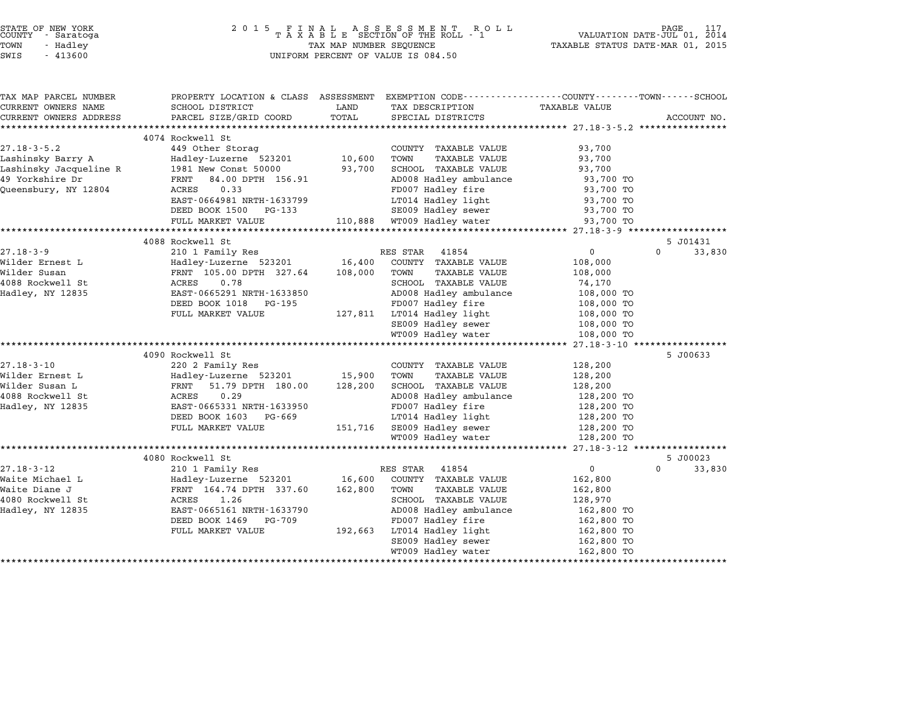| STATE OF NEW YORK<br>COUNTY - Saratoga<br>TOWN<br>- Hadley<br>SWIS<br>$-413600$ | 2 0 1 5                                                                                                           | TAX MAP NUMBER SEQUENCE | FINAL ASSESSMENT ROLL<br>TAXABLE SECTION OF THE ROLL - 1<br>UNIFORM PERCENT OF VALUE IS 084.50 | TAXABLE STATUS DATE-MAR 01, 2015                      | PAGE<br>117<br>VALUATION DATE-JUL 01, 2014 |
|---------------------------------------------------------------------------------|-------------------------------------------------------------------------------------------------------------------|-------------------------|------------------------------------------------------------------------------------------------|-------------------------------------------------------|--------------------------------------------|
| TAX MAP PARCEL NUMBER<br>CURRENT OWNERS NAME                                    | PROPERTY LOCATION & CLASS ASSESSMENT EXEMPTION CODE---------------COUNTY-------TOWN-----SCHOOL<br>SCHOOL DISTRICT | LAND                    | TAX DESCRIPTION                                                                                | TAXABLE VALUE                                         |                                            |
| CURRENT OWNERS ADDRESS                                                          | PARCEL SIZE/GRID COORD                                                                                            | TOTAL                   | SPECIAL DISTRICTS                                                                              |                                                       | ACCOUNT NO.                                |
| ************************                                                        |                                                                                                                   |                         |                                                                                                |                                                       |                                            |
|                                                                                 | 4074 Rockwell St                                                                                                  |                         |                                                                                                |                                                       |                                            |
| $27.18 - 3 - 5.2$                                                               | 449 Other Storag                                                                                                  |                         | COUNTY TAXABLE VALUE                                                                           | 93,700                                                |                                            |
| Lashinsky Barry A<br>Lashinsky Jacqueline R                                     | Hadley-Luzerne 523201                                                                                             | 10,600<br>93,700        | TOWN<br><b>TAXABLE VALUE</b>                                                                   | 93,700                                                |                                            |
| 49 Yorkshire Dr                                                                 | 1981 New Const 50000<br>84.00 DPTH 156.91<br>FRNT                                                                 |                         | SCHOOL TAXABLE VALUE<br>AD008 Hadley ambulance                                                 | 93,700                                                |                                            |
| Queensbury, NY 12804                                                            | ACRES<br>0.33                                                                                                     |                         | FD007 Hadley fire                                                                              | 93,700 TO<br>93,700 TO                                |                                            |
|                                                                                 | EAST-0664981 NRTH-1633799                                                                                         |                         | LT014 Hadley light                                                                             | 93,700 TO                                             |                                            |
|                                                                                 | DEED BOOK 1500 PG-133                                                                                             |                         | SE009 Hadley sewer                                                                             | 93,700 TO                                             |                                            |
|                                                                                 | FULL MARKET VALUE                                                                                                 |                         | 110,888 WT009 Hadley water                                                                     | 93,700 TO                                             |                                            |
|                                                                                 | **********************                                                                                            |                         |                                                                                                |                                                       |                                            |
|                                                                                 | 4088 Rockwell St                                                                                                  |                         |                                                                                                |                                                       | 5 J01431                                   |
| $27.18 - 3 - 9$                                                                 | 210 1 Family Res                                                                                                  |                         | RES STAR 41854                                                                                 | $\overline{0}$                                        | $\Omega$<br>33,830                         |
| Wilder Ernest L                                                                 | Hadley-Luzerne 523201                                                                                             | 16,400                  | COUNTY TAXABLE VALUE                                                                           | 108,000                                               |                                            |
| Wilder Susan                                                                    | FRNT 105.00 DPTH 327.64                                                                                           | 108,000                 | TOWN<br><b>TAXABLE VALUE</b>                                                                   | 108,000                                               |                                            |
| 4088 Rockwell St                                                                | ACRES<br>0.78                                                                                                     |                         | SCHOOL TAXABLE VALUE                                                                           | 74,170                                                |                                            |
| Hadley, NY 12835                                                                | EAST-0665291 NRTH-1633850                                                                                         |                         | AD008 Hadley ambulance                                                                         | 108,000 TO                                            |                                            |
|                                                                                 | DEED BOOK 1018<br>PG-195                                                                                          |                         | FD007 Hadley fire                                                                              | 108,000 TO                                            |                                            |
|                                                                                 | FULL MARKET VALUE                                                                                                 | 127,811                 | LT014 Hadley light                                                                             | 108,000 TO                                            |                                            |
|                                                                                 |                                                                                                                   |                         | SE009 Hadley sewer                                                                             | 108,000 TO                                            |                                            |
|                                                                                 | *********************                                                                                             |                         | WT009 Hadley water<br>********************                                                     | 108,000 TO<br>********** 27.18-3-10 ***************** |                                            |
|                                                                                 | 4090 Rockwell St                                                                                                  |                         |                                                                                                |                                                       | 5 J00633                                   |
| $27.18 - 3 - 10$                                                                | 220 2 Family Res                                                                                                  |                         | COUNTY TAXABLE VALUE                                                                           | 128,200                                               |                                            |
| Wilder Ernest L                                                                 | Hadley-Luzerne 523201                                                                                             | 15,900                  | TOWN<br><b>TAXABLE VALUE</b>                                                                   | 128,200                                               |                                            |
| Wilder Susan L                                                                  | FRNT<br>51.79 DPTH 180.00                                                                                         | 128,200                 | SCHOOL TAXABLE VALUE                                                                           | 128,200                                               |                                            |
| 4088 Rockwell St                                                                | ACRES<br>0.29                                                                                                     |                         | AD008 Hadley ambulance                                                                         | 128,200 TO                                            |                                            |
| Hadley, NY 12835                                                                | EAST-0665331 NRTH-1633950                                                                                         |                         | FD007 Hadley fire                                                                              | 128,200 TO                                            |                                            |
|                                                                                 | DEED BOOK 1603 PG-669                                                                                             |                         | LT014 Hadley light                                                                             | 128,200 TO                                            |                                            |
|                                                                                 | FULL MARKET VALUE                                                                                                 | 151,716                 | SE009 Hadley sewer                                                                             | 128,200 TO                                            |                                            |
|                                                                                 |                                                                                                                   |                         | WT009 Hadley water                                                                             | 128,200 TO                                            |                                            |
|                                                                                 |                                                                                                                   |                         |                                                                                                | ********** 27.18-3-12 *                               |                                            |
|                                                                                 | 4080 Rockwell St                                                                                                  |                         |                                                                                                |                                                       | 5 J00023                                   |
| $27.18 - 3 - 12$                                                                | 210 1 Family Res                                                                                                  |                         | RES STAR<br>41854                                                                              | $\mathbf 0$                                           | $\Omega$<br>33,830                         |
| Waite Michael L<br>Waite Diane J                                                | Hadley-Luzerne 523201<br>FRNT 164.74 DPTH 337.60                                                                  | 16,600<br>162,800       | COUNTY TAXABLE VALUE<br>TAXABLE VALUE<br>TOWN                                                  | 162,800<br>162,800                                    |                                            |
| 4080 Rockwell St                                                                | ACRES<br>1.26                                                                                                     |                         | SCHOOL TAXABLE VALUE                                                                           | 128,970                                               |                                            |
| Hadley, NY 12835                                                                | EAST-0665161 NRTH-1633790                                                                                         |                         | AD008 Hadley ambulance                                                                         | 162,800 TO                                            |                                            |
|                                                                                 | DEED BOOK 1469<br>PG-709                                                                                          |                         | FD007 Hadley fire                                                                              | 162,800 TO                                            |                                            |
|                                                                                 | FULL MARKET VALUE                                                                                                 | 192,663                 | LT014 Hadley light                                                                             | 162,800 TO                                            |                                            |
|                                                                                 |                                                                                                                   |                         |                                                                                                |                                                       |                                            |
|                                                                                 |                                                                                                                   |                         | SE009 Hadley sewer                                                                             | 162,800 TO                                            |                                            |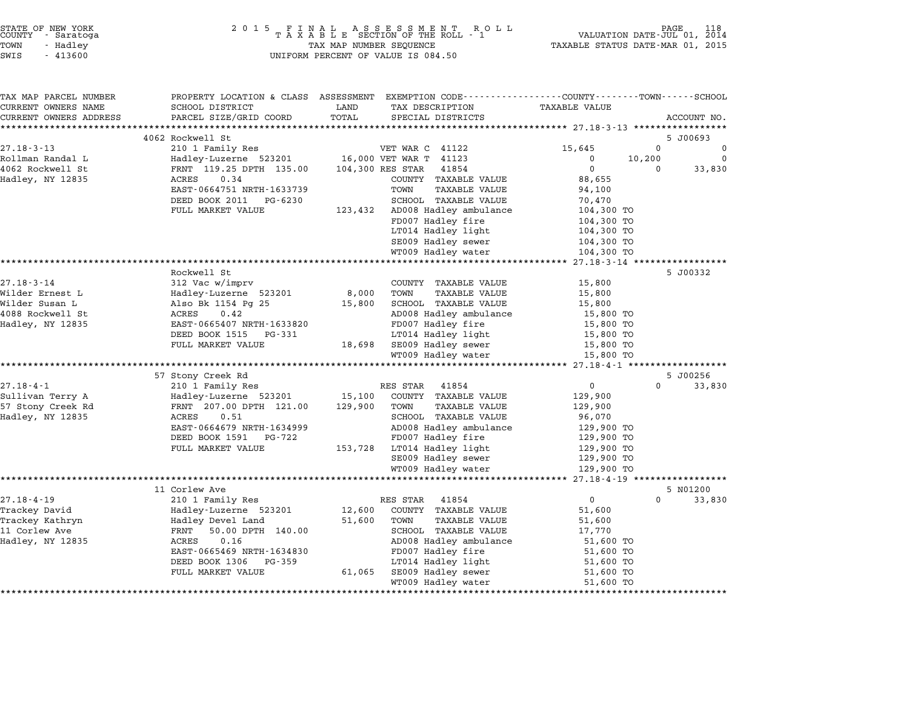| COUNTY | STATE OF NEW YORK<br>- Saratoga |  |
|--------|---------------------------------|--|
| TOWN   | - Hadley                        |  |

| TAX MAP PARCEL NUMBER<br>CURRENT OWNERS NAME | PROPERTY LOCATION & CLASS ASSESSMENT<br>SCHOOL DISTRICT | LAND             | EXEMPTION CODE-----------------COUNTY-------TOWN------SCHOOL<br>TAX DESCRIPTION | <b>TAXABLE VALUE</b>   |          |             |
|----------------------------------------------|---------------------------------------------------------|------------------|---------------------------------------------------------------------------------|------------------------|----------|-------------|
| CURRENT OWNERS ADDRESS                       | PARCEL SIZE/GRID COORD                                  | TOTAL            | SPECIAL DISTRICTS                                                               |                        |          | ACCOUNT NO. |
|                                              |                                                         |                  |                                                                                 |                        |          |             |
|                                              | 4062 Rockwell St                                        |                  |                                                                                 |                        |          | 5 J00693    |
| $27.18 - 3 - 13$                             | 210 1 Family Res                                        |                  | VET WAR C 41122                                                                 | 15,645                 | 0        | $\Omega$    |
| Rollman Randal L                             | Hadley-Luzerne 523201                                   |                  | 16,000 VET WAR T 41123                                                          | $\Omega$               | 10,200   | $\Omega$    |
| 4062 Rockwell St                             | FRNT 119.25 DPTH 135.00                                 | 104,300 RES STAR | 41854                                                                           | 0                      | 0        | 33,830      |
| Hadley, NY 12835                             | ACRES<br>0.34                                           |                  | COUNTY TAXABLE VALUE                                                            | 88,655                 |          |             |
|                                              | EAST-0664751 NRTH-1633739                               |                  | <b>TAXABLE VALUE</b><br>TOWN                                                    | 94,100                 |          |             |
|                                              | DEED BOOK 2011<br>PG-6230                               |                  | SCHOOL TAXABLE VALUE                                                            | 70,470                 |          |             |
|                                              | FULL MARKET VALUE                                       | 123,432          | AD008 Hadley ambulance                                                          | 104,300 TO             |          |             |
|                                              |                                                         |                  | FD007 Hadley fire                                                               | 104,300 TO             |          |             |
|                                              |                                                         |                  | LT014 Hadley light                                                              | 104,300 TO             |          |             |
|                                              |                                                         |                  | SE009 Hadley sewer                                                              | 104,300 TO             |          |             |
|                                              |                                                         |                  | WT009 Hadley water                                                              | 104,300 TO             |          |             |
|                                              | ******************                                      |                  |                                                                                 |                        |          |             |
|                                              | Rockwell St                                             |                  |                                                                                 |                        |          | 5 J00332    |
| $27.18 - 3 - 14$                             | 312 Vac w/imprv                                         |                  | COUNTY TAXABLE VALUE                                                            | 15,800                 |          |             |
| Wilder Ernest L                              | Hadley-Luzerne 523201                                   | 8,000            | TOWN<br>TAXABLE VALUE                                                           | 15,800                 |          |             |
| Wilder Susan L                               | Also Bk 1154 Pg 25                                      | 15,800           | SCHOOL TAXABLE VALUE                                                            | 15,800                 |          |             |
| 4088 Rockwell St                             | 0.42<br>ACRES                                           |                  | AD008 Hadley ambulance                                                          | 15,800 TO              |          |             |
| Hadley, NY 12835                             | EAST-0665407 NRTH-1633820                               |                  | FD007 Hadley fire                                                               | 15,800 TO              |          |             |
|                                              | DEED BOOK 1515<br>PG-331                                |                  | LT014 Hadley light                                                              | 15,800 TO              |          |             |
|                                              | FULL MARKET VALUE                                       | 18,698           | SE009 Hadley sewer                                                              | 15,800 TO              |          |             |
|                                              |                                                         |                  | WT009 Hadley water                                                              | 15,800 TO              |          |             |
|                                              |                                                         |                  |                                                                                 |                        |          |             |
|                                              | 57 Stony Creek Rd                                       |                  |                                                                                 |                        |          | 5 J00256    |
| $27.18 - 4 - 1$                              | 210 1 Family Res                                        |                  | 41854<br>RES STAR                                                               | $\overline{0}$         | $\Omega$ | 33,830      |
| Sullivan Terry A                             | Hadley-Luzerne 523201                                   | 15,100           | COUNTY TAXABLE VALUE                                                            | 129,900                |          |             |
| 57 Stony Creek Rd                            | FRNT 207.00 DPTH 121.00                                 | 129,900          | TOWN<br><b>TAXABLE VALUE</b>                                                    | 129,900                |          |             |
| Hadley, NY 12835                             | 0.51<br>ACRES                                           |                  | SCHOOL TAXABLE VALUE                                                            | 96,070                 |          |             |
|                                              | EAST-0664679 NRTH-1634999                               |                  | AD008 Hadley ambulance                                                          | 129,900 TO             |          |             |
|                                              | DEED BOOK 1591<br>PG-722                                |                  | FD007 Hadley fire                                                               | 129,900 TO             |          |             |
|                                              | FULL MARKET VALUE                                       | 153,728          | LT014 Hadley light                                                              | 129,900 TO             |          |             |
|                                              |                                                         |                  | SE009 Hadley sewer                                                              | 129,900 TO             |          |             |
|                                              |                                                         |                  | WT009 Hadley water                                                              | 129,900 TO             |          |             |
|                                              |                                                         |                  |                                                                                 |                        |          |             |
|                                              | 11 Corlew Ave                                           |                  |                                                                                 |                        |          | 5 N01200    |
| $27.18 - 4 - 19$                             | 210 1 Family Res                                        |                  | RES STAR<br>41854                                                               | $\overline{0}$         | $\Omega$ | 33,830      |
| Trackey David                                | Hadley-Luzerne 523201                                   | 12,600           | COUNTY TAXABLE VALUE                                                            | 51,600                 |          |             |
| Trackey Kathryn                              | Hadley Devel Land                                       | 51,600           | <b>TAXABLE VALUE</b><br>TOWN                                                    | 51,600                 |          |             |
| 11 Corlew Ave                                | 50.00 DPTH 140.00<br>FRNT                               |                  | SCHOOL TAXABLE VALUE                                                            | 17,770                 |          |             |
| Hadley, NY 12835                             | ACRES<br>0.16                                           |                  | AD008 Hadley ambulance                                                          | 51,600 TO              |          |             |
|                                              | EAST-0665469 NRTH-1634830                               |                  | FD007 Hadley fire                                                               | 51,600 TO              |          |             |
|                                              | DEED BOOK 1306<br>PG-359                                |                  | LT014 Hadley light                                                              | 51,600 TO              |          |             |
|                                              | FULL MARKET VALUE                                       | 61,065           | SE009 Hadley sewer<br>WT009 Hadley water                                        | 51,600 TO<br>51,600 TO |          |             |
|                                              |                                                         |                  |                                                                                 |                        |          |             |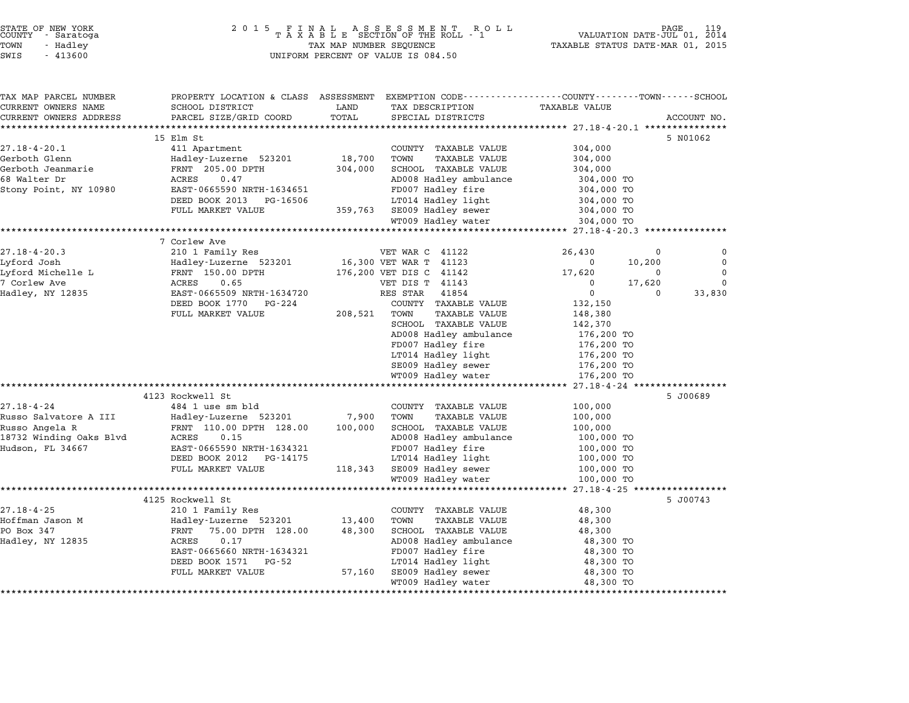|       | STATE OF NEW YORK<br>COUNTY - Saratoga |  |
|-------|----------------------------------------|--|
|       |                                        |  |
| TOWN  | - Hadlev                               |  |
| ----- |                                        |  |

## STATE OF NEW YORK <sup>2</sup> <sup>0</sup> <sup>1</sup> 5 F I N A L A S S E S S M E N T R O L L PAGE <sup>119</sup> COUNTY - Saratoga <sup>T</sup> <sup>A</sup> <sup>X</sup> <sup>A</sup> <sup>B</sup> <sup>L</sup> <sup>E</sup> SECTION OF THE ROLL - <sup>1</sup> VALUATION DATE-JUL 01, <sup>2014</sup> TOWN - Hadley TAX MAP NUMBER SEQUENCE TAXABLE STATUS DATE-MAR 01, <sup>2015</sup> SWIS - <sup>413600</sup> UNIFORM PERCENT OF VALUE IS 084.50

| TAX MAP PARCEL NUMBER<br>CURRENT OWNERS NAME | SCHOOL DISTRICT                                   | LAND    | PROPERTY LOCATION & CLASS ASSESSMENT EXEMPTION CODE---------------COUNTY-------TOWN------SCHOOL<br>TAX DESCRIPTION | <b>TAXABLE VALUE</b>                 |                    |
|----------------------------------------------|---------------------------------------------------|---------|--------------------------------------------------------------------------------------------------------------------|--------------------------------------|--------------------|
| CURRENT OWNERS ADDRESS                       | PARCEL SIZE/GRID COORD                            | TOTAL   | SPECIAL DISTRICTS                                                                                                  |                                      | ACCOUNT NO.        |
|                                              | *******************                               |         |                                                                                                                    |                                      |                    |
|                                              | 15 Elm St                                         |         |                                                                                                                    |                                      | 5 N01062           |
| $27.18 - 4 - 20.1$                           | 411 Apartment                                     |         | COUNTY TAXABLE VALUE                                                                                               | 304,000                              |                    |
| Gerboth Glenn                                | Hadley-Luzerne 523201                             | 18,700  | TOWN<br><b>TAXABLE VALUE</b>                                                                                       | 304,000                              |                    |
| Gerboth Jeanmarie                            | FRNT 205.00 DPTH                                  | 304,000 | SCHOOL TAXABLE VALUE                                                                                               | 304,000                              |                    |
| 68 Walter Dr                                 | ACRES<br>0.47                                     |         | AD008 Hadley ambulance                                                                                             | 304,000 TO                           |                    |
| Stony Point, NY 10980                        | EAST-0665590 NRTH-1634651                         |         | FD007 Hadley fire                                                                                                  | 304,000 TO                           |                    |
|                                              | DEED BOOK 2013<br>PG-16506                        |         | LT014 Hadley light                                                                                                 | 304,000 TO                           |                    |
|                                              | FULL MARKET VALUE                                 |         | 359,763 SE009 Hadley sewer                                                                                         | 304,000 TO                           |                    |
|                                              |                                                   |         | WT009 Hadley water                                                                                                 | 304,000 TO                           |                    |
|                                              |                                                   |         |                                                                                                                    | ****************** 27.18-4-20.3 **** |                    |
|                                              | 7 Corlew Ave                                      |         |                                                                                                                    |                                      |                    |
| $27.18 - 4 - 20.3$                           | 210 1 Family Res                                  |         | VET WAR C 41122                                                                                                    | 26,430                               | $\mathbf 0$<br>0   |
| Lyford Josh                                  | Hadley-Luzerne 523201                             |         | 16,300 VET WAR T 41123                                                                                             | $\overline{\mathbf{0}}$<br>10,200    | $\mathbf 0$        |
| Lyford Michelle L                            | FRNT 150.00 DPTH                                  |         | 176,200 VET DIS C 41142                                                                                            | 17,620                               | $\mathbf 0$<br>0   |
| 7 Corlew Ave                                 | ACRES<br>0.65                                     |         | VET DIS T 41143                                                                                                    | $\Omega$<br>17,620                   | $\mathbf 0$        |
| Hadley, NY 12835                             | EAST-0665509 NRTH-1634720                         |         | RES STAR<br>41854                                                                                                  | $\overline{0}$                       | 33,830<br>$\Omega$ |
|                                              | DEED BOOK 1770 PG-224                             |         | COUNTY TAXABLE VALUE                                                                                               | 132,150                              |                    |
|                                              | FULL MARKET VALUE                                 | 208,521 | TOWN<br>TAXABLE VALUE                                                                                              | 148,380                              |                    |
|                                              |                                                   |         | SCHOOL TAXABLE VALUE                                                                                               | 142,370                              |                    |
|                                              |                                                   |         | AD008 Hadley ambulance                                                                                             | 176,200 TO                           |                    |
|                                              |                                                   |         | FD007 Hadley fire                                                                                                  | 176,200 TO                           |                    |
|                                              |                                                   |         | LT014 Hadley light                                                                                                 | 176,200 TO                           |                    |
|                                              |                                                   |         | SE009 Hadley sewer                                                                                                 | 176,200 TO                           |                    |
|                                              |                                                   |         | WT009 Hadley water                                                                                                 | 176,200 TO                           |                    |
|                                              |                                                   |         |                                                                                                                    |                                      |                    |
|                                              | 4123 Rockwell St                                  |         |                                                                                                                    |                                      | 5 J00689           |
| $27.18 - 4 - 24$                             | 484 1 use sm bld                                  |         | COUNTY TAXABLE VALUE                                                                                               | 100,000                              |                    |
| Russo Salvatore A III                        | Hadley-Luzerne 523201                             | 7,900   | TOWN<br><b>TAXABLE VALUE</b>                                                                                       | 100,000                              |                    |
| Russo Angela R                               | FRNT 110.00 DPTH 128.00                           | 100,000 | SCHOOL TAXABLE VALUE                                                                                               | 100,000                              |                    |
| 18732 Winding Oaks Blvd                      | ACRES<br>0.15                                     |         | AD008 Hadley ambulance                                                                                             | 100,000 TO                           |                    |
| Hudson, FL 34667                             | EAST-0665590 NRTH-1634321                         |         | FD007 Hadley fire                                                                                                  | 100,000 TO                           |                    |
|                                              | DEED BOOK 2012 PG-14175                           |         | LT014 Hadley light                                                                                                 | 100,000 TO                           |                    |
|                                              | FULL MARKET VALUE                                 |         | 118,343 SE009 Hadley sewer                                                                                         | 100,000 TO                           |                    |
|                                              |                                                   |         | WT009 Hadley water                                                                                                 | 100,000 TO                           |                    |
|                                              |                                                   |         |                                                                                                                    |                                      |                    |
|                                              | 4125 Rockwell St                                  |         |                                                                                                                    |                                      | 5 J00743           |
| $27.18 - 4 - 25$                             | 210 1 Family Res                                  |         | COUNTY TAXABLE VALUE                                                                                               | 48,300                               |                    |
| Hoffman Jason M                              | Hadley-Luzerne 523201                             | 13,400  | TOWN<br>TAXABLE VALUE                                                                                              | 48,300                               |                    |
| PO Box 347                                   | $\rm FRNT$<br>75.00 DPTH 128.00                   | 48,300  | SCHOOL TAXABLE VALUE                                                                                               | 48,300                               |                    |
| Hadley, NY 12835                             | ACRES<br>0.17                                     |         | AD008 Hadley ambulance                                                                                             | 48,300 TO                            |                    |
|                                              | EAST-0665660 NRTH-1634321<br>DEED BOOK 1571 PG-52 |         | FD007 Hadley fire<br>LT014 Hadley light                                                                            | 48,300 TO                            |                    |
|                                              | FULL MARKET VALUE                                 | 57,160  | SE009 Hadley sewer                                                                                                 | 48,300 TO<br>48,300 TO               |                    |
|                                              |                                                   |         | WT009 Hadley water                                                                                                 | 48,300 TO                            |                    |
|                                              |                                                   |         |                                                                                                                    |                                      |                    |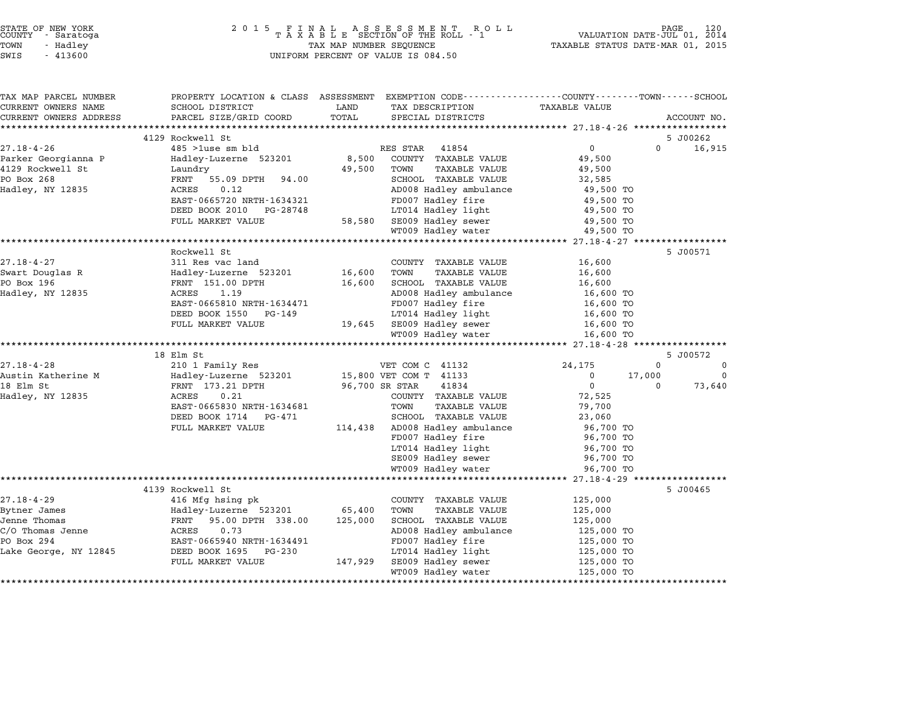|        | STATE OF NEW YORK |  |
|--------|-------------------|--|
| COUNTY | - Saratoga        |  |
| TOWN   | - Hadley          |  |
|        |                   |  |

# STATE OF NEW YORK <sup>2</sup> <sup>0</sup> <sup>1</sup> 5 F I N A L A S S E S S M E N T R O L L PAGE <sup>120</sup> COUNTY - Saratoga <sup>T</sup> <sup>A</sup> <sup>X</sup> <sup>A</sup> <sup>B</sup> <sup>L</sup> <sup>E</sup> SECTION OF THE ROLL - <sup>1</sup> VALUATION DATE-JUL 01, <sup>2014</sup> TOWN - Hadley TAX MAP NUMBER SEQUENCE TAXABLE STATUS DATE-MAR 01, <sup>2015</sup> SWIS - <sup>413600</sup> UNIFORM PERCENT OF VALUE IS 084.50

| TAX MAP PARCEL NUMBER<br>CURRENT OWNERS NAME | SCHOOL DISTRICT                               | LAND<br>TAX DESCRIPTION                             | PROPERTY LOCATION & CLASS ASSESSMENT EXEMPTION CODE---------------COUNTY-------TOWN------SCHOOL<br><b>TAXABLE VALUE</b> |                                                  |
|----------------------------------------------|-----------------------------------------------|-----------------------------------------------------|-------------------------------------------------------------------------------------------------------------------------|--------------------------------------------------|
| CURRENT OWNERS ADDRESS                       | PARCEL SIZE/GRID COORD                        | TOTAL<br>SPECIAL DISTRICTS                          |                                                                                                                         | ACCOUNT NO.                                      |
| *************************                    |                                               |                                                     |                                                                                                                         |                                                  |
|                                              | 4129 Rockwell St                              |                                                     |                                                                                                                         | 5 J00262                                         |
| $27.18 - 4 - 26$                             | $485$ > 1use sm bld                           | RES STAR<br>41854                                   | $\mathbf{0}$                                                                                                            | $\Omega$<br>16,915                               |
| Parker Georgianna P                          | Hadley-Luzerne 523201                         | 8,500<br>COUNTY TAXABLE VALUE                       | 49,500                                                                                                                  |                                                  |
| 4129 Rockwell St                             | Laundry                                       | 49,500<br>TOWN                                      | TAXABLE VALUE<br>49,500                                                                                                 |                                                  |
| PO Box 268                                   | FRNT<br>55.09 DPTH<br>94.00                   | SCHOOL TAXABLE VALUE                                | 32,585                                                                                                                  |                                                  |
| Hadley, NY 12835                             | 0.12<br>ACRES<br>EAST-0665720 NRTH-1634321    | AD008 Hadley ambulance                              | 49,500 TO                                                                                                               |                                                  |
|                                              | DEED BOOK 2010<br>PG-28748                    | FD007 Hadley fire<br>LT014 Hadley light             | 49,500 TO<br>49,500 TO                                                                                                  |                                                  |
|                                              | FULL MARKET VALUE                             | 58,580<br>SE009 Hadley sewer                        | 49,500 TO                                                                                                               |                                                  |
|                                              |                                               | WT009 Hadley water                                  | 49,500 TO                                                                                                               |                                                  |
|                                              |                                               |                                                     |                                                                                                                         |                                                  |
|                                              | Rockwell St                                   |                                                     |                                                                                                                         | 5 J00571                                         |
| $27.18 - 4 - 27$                             | 311 Res vac land                              | COUNTY TAXABLE VALUE                                | 16,600                                                                                                                  |                                                  |
| Swart Douglas R                              | Hadley-Luzerne 523201                         | 16,600<br>TOWN                                      | <b>TAXABLE VALUE</b><br>16,600                                                                                          |                                                  |
| PO Box 196                                   | FRNT 151.00 DPTH                              | 16,600<br>SCHOOL TAXABLE VALUE                      | 16,600                                                                                                                  |                                                  |
| Hadley, NY 12835                             | ACRES<br>1.19                                 | AD008 Hadley ambulance                              | 16,600 TO                                                                                                               |                                                  |
|                                              | EAST-0665810 NRTH-1634471                     | FD007 Hadley fire                                   | 16,600 TO                                                                                                               |                                                  |
|                                              | DEED BOOK 1550<br>PG-149                      | LT014 Hadley light                                  | 16,600 TO                                                                                                               |                                                  |
|                                              | FULL MARKET VALUE                             | 19,645 SE009 Hadley sewer                           | 16,600 TO                                                                                                               |                                                  |
|                                              |                                               | WT009 Hadley water                                  | 16,600 TO                                                                                                               |                                                  |
|                                              |                                               |                                                     |                                                                                                                         |                                                  |
|                                              | 18 Elm St                                     |                                                     |                                                                                                                         | 5 J00572                                         |
| $27.18 - 4 - 28$<br>Austin Katherine M       | 210 1 Family Res<br>Hadley-Luzerne 523201     | VET COM C 41132<br>15,800 VET COM T 41133           | 24,175<br>$\Omega$                                                                                                      | $\mathbf 0$<br>$\mathbf 0$<br>17,000<br>$\Omega$ |
| 18 Elm St                                    | FRNT 173.21 DPTH                              | 96,700 SR STAR<br>41834                             | $\mathbf 0$                                                                                                             | $\Omega$<br>73,640                               |
| Hadley, NY 12835                             | ACRES<br>0.21                                 | COUNTY TAXABLE VALUE                                | 72,525                                                                                                                  |                                                  |
|                                              | EAST-0665830 NRTH-1634681                     | TOWN                                                | <b>TAXABLE VALUE</b><br>79,700                                                                                          |                                                  |
|                                              | DEED BOOK 1714<br>PG-471                      | SCHOOL TAXABLE VALUE                                | 23,060                                                                                                                  |                                                  |
|                                              | FULL MARKET VALUE                             | AD008 Hadley ambulance<br>114,438                   | 96,700 TO                                                                                                               |                                                  |
|                                              |                                               | FD007 Hadley fire                                   | 96,700 TO                                                                                                               |                                                  |
|                                              |                                               | LT014 Hadley light                                  | 96,700 TO                                                                                                               |                                                  |
|                                              |                                               | SE009 Hadley sewer                                  | 96,700 TO                                                                                                               |                                                  |
|                                              |                                               | WT009 Hadley water                                  | 96,700 TO                                                                                                               |                                                  |
|                                              |                                               |                                                     |                                                                                                                         |                                                  |
|                                              | 4139 Rockwell St                              |                                                     |                                                                                                                         | 5 J00465                                         |
| $27.18 - 4 - 29$                             | 416 Mfg hsing pk                              | COUNTY TAXABLE VALUE                                | 125,000                                                                                                                 |                                                  |
| Bytner James                                 | Hadley-Luzerne 523201                         | 65,400<br>TOWN                                      | <b>TAXABLE VALUE</b><br>125,000                                                                                         |                                                  |
| Jenne Thomas                                 | FRNT<br>95.00 DPTH 338.00                     | SCHOOL TAXABLE VALUE<br>125,000                     | 125,000                                                                                                                 |                                                  |
| C/O Thomas Jenne                             | ACRES<br>0.73                                 | AD008 Hadley ambulance                              | 125,000 TO                                                                                                              |                                                  |
| PO Box 294                                   | EAST-0665940 NRTH-1634491                     | FD007 Hadley fire                                   | 125,000 TO                                                                                                              |                                                  |
| Lake George, NY 12845                        | DEED BOOK 1695<br>PG-230<br>FULL MARKET VALUE | LT014 Hadley light<br>147,929<br>SE009 Hadley sewer | 125,000 TO                                                                                                              |                                                  |
|                                              |                                               | WT009 Hadley water                                  | 125,000 TO<br>125,000 TO                                                                                                |                                                  |
|                                              |                                               |                                                     |                                                                                                                         |                                                  |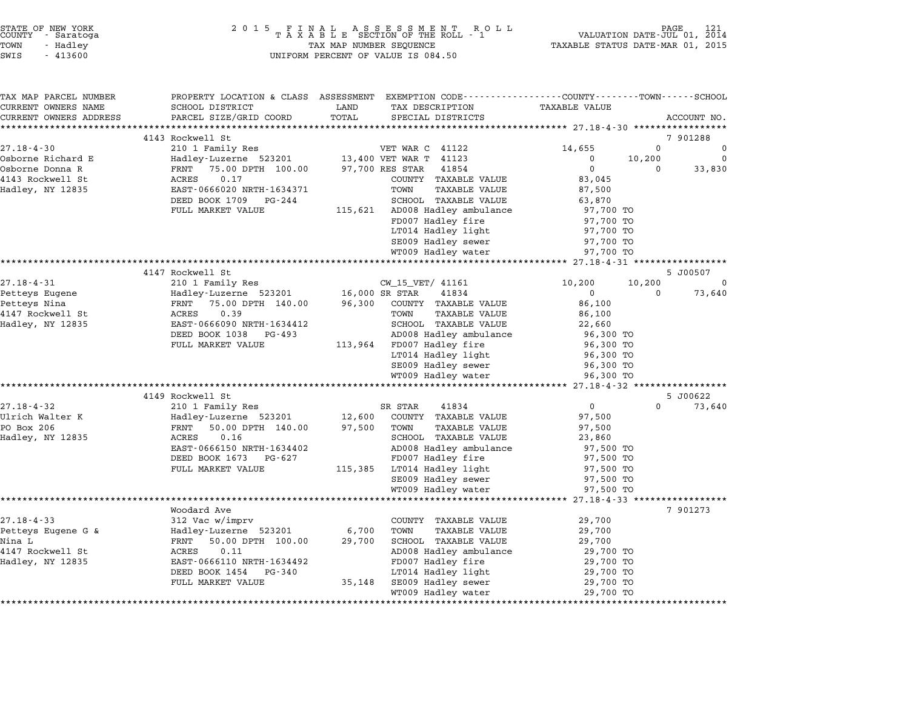|          | STATE OF NEW YORK<br>COUNTY - Saratoga |
|----------|----------------------------------------|
| POWN     | - Hadlev                               |
| ית די די | 112500                                 |

# STATE OF NEW YORK <sup>2</sup> <sup>0</sup> <sup>1</sup> 5 F I N A L A S S E S S M E N T R O L L PAGE <sup>121</sup> COUNTY - Saratoga <sup>T</sup> <sup>A</sup> <sup>X</sup> <sup>A</sup> <sup>B</sup> <sup>L</sup> <sup>E</sup> SECTION OF THE ROLL - <sup>1</sup> VALUATION DATE-JUL 01, <sup>2014</sup> TOWN - Hadley TAX MAP NUMBER SEQUENCE TAXABLE STATUS DATE-MAR 01, <sup>2015</sup> STATE OF NEW YORK STATE OF NEW YORK A SOLUME TO A SOLUME TO A SOLUME TO A SOLUME TO A SOLUME TO A SOLUME TO A S<br>TOWN - Hadley TAX A B L E SECTION OF THE ROLL<br>SWIS - 413600 SWIS - 413600

| TAX MAP PARCEL NUMBER                           | PROPERTY LOCATION & CLASS ASSESSMENT EXEMPTION CODE---------------COUNTY-------TOWN-----SCHOOL |                       |                                |                                               |          |             |
|-------------------------------------------------|------------------------------------------------------------------------------------------------|-----------------------|--------------------------------|-----------------------------------------------|----------|-------------|
| CURRENT OWNERS NAME                             | SCHOOL DISTRICT                                                                                | LAND                  | TAX DESCRIPTION                | <b>TAXABLE VALUE</b>                          |          |             |
| CURRENT OWNERS ADDRESS<br>********************* | PARCEL SIZE/GRID COORD                                                                         | TOTAL                 | SPECIAL DISTRICTS              |                                               |          | ACCOUNT NO. |
|                                                 | 4143 Rockwell St                                                                               |                       |                                |                                               |          | 7 901288    |
| $27.18 - 4 - 30$                                | 210 1 Family Res                                                                               |                       | VET WAR C 41122                | 14,655                                        | $\Omega$ | $\Omega$    |
| Osborne Richard E                               |                                                                                                |                       | 13,400 VET WAR T 41123         | $\mathbf{0}$                                  | 10,200   | $\Omega$    |
| Osborne Donna R                                 | Hadley-Luzerne 523201<br>FRNT 75.00 DPTH 100.00                                                | 97,700 RES STAR       | 41854                          | $\mathbf 0$                                   | $\Omega$ | 33,830      |
| 4143 Rockwell St                                | 0.17<br>ACRES                                                                                  |                       | COUNTY TAXABLE VALUE           | 83,045                                        |          |             |
| Hadley, NY 12835                                | EAST-0666020 NRTH-1634371                                                                      |                       | TOWN<br>TAXABLE VALUE          | 87,500                                        |          |             |
|                                                 | DEED BOOK 1709<br>PG-244                                                                       |                       | SCHOOL TAXABLE VALUE           | 63,870                                        |          |             |
|                                                 | FULL MARKET VALUE                                                                              |                       | 115,621 AD008 Hadley ambulance | 97,700 TO                                     |          |             |
|                                                 |                                                                                                |                       | FD007 Hadley fire              | 97,700 TO                                     |          |             |
|                                                 |                                                                                                |                       | LT014 Hadley light             | 97,700 TO                                     |          |             |
|                                                 |                                                                                                |                       | SE009 Hadley sewer             | 97,700 TO                                     |          |             |
|                                                 |                                                                                                |                       | WT009 Hadley water             | 97,700 TO                                     |          |             |
|                                                 |                                                                                                | ********************* |                                | ***************** 27.18-4-31 **************** |          |             |
|                                                 | 4147 Rockwell St                                                                               |                       |                                |                                               |          | 5 J00507    |
| $27.18 - 4 - 31$                                | 210 1 Family Res                                                                               |                       | CW 15 VET/ 41161               | 10,200                                        | 10,200   | 0           |
| Petteys Eugene                                  | Hadley-Luzerne 523201                                                                          | 16,000 SR STAR        | 41834                          | $\mathbf{0}$                                  | $\Omega$ | 73,640      |
| Petteys Nina                                    | 75.00 DPTH 140.00<br>FRNT                                                                      | 96,300                | COUNTY TAXABLE VALUE           | 86,100                                        |          |             |
| 4147 Rockwell St                                | ACRES<br>0.39                                                                                  |                       | TOWN<br>TAXABLE VALUE          | 86,100                                        |          |             |
| Hadley, NY 12835                                | EAST-0666090 NRTH-1634412                                                                      |                       | SCHOOL TAXABLE VALUE           | 22,660                                        |          |             |
|                                                 | DEED BOOK 1038 PG-493                                                                          |                       | AD008 Hadley ambulance         | 96,300 TO                                     |          |             |
|                                                 | FULL MARKET VALUE                                                                              |                       | 113,964 FD007 Hadley fire      | 96,300 TO                                     |          |             |
|                                                 |                                                                                                |                       | LT014 Hadley light             | 96,300 TO                                     |          |             |
|                                                 |                                                                                                |                       | SE009 Hadley sewer             | 96,300 TO                                     |          |             |
|                                                 |                                                                                                |                       | WT009 Hadley water             | 96,300 TO                                     |          |             |
|                                                 |                                                                                                |                       |                                |                                               |          |             |
|                                                 | 4149 Rockwell St                                                                               |                       |                                |                                               |          | 5 J00622    |
| $27.18 - 4 - 32$                                | 210 1 Family Res                                                                               |                       | SR STAR<br>41834               | $\overline{0}$                                | $\Omega$ | 73,640      |
| Ulrich Walter K                                 | Hadley-Luzerne 523201                                                                          | 12,600                | COUNTY TAXABLE VALUE           | 97,500                                        |          |             |
| PO Box 206                                      | FRNT<br>50.00 DPTH 140.00                                                                      | 97,500                | TOWN<br><b>TAXABLE VALUE</b>   | 97,500                                        |          |             |
| Hadley, NY 12835                                | ACRES<br>0.16                                                                                  |                       | SCHOOL TAXABLE VALUE           | 23,860                                        |          |             |
|                                                 | EAST-0666150 NRTH-1634402                                                                      |                       | AD008 Hadley ambulance         | 97,500 TO                                     |          |             |
|                                                 | DEED BOOK 1673<br>PG-627                                                                       |                       | FD007 Hadley fire              | 97,500 TO                                     |          |             |
|                                                 | FULL MARKET VALUE                                                                              | 115,385               | LT014 Hadley light             | 97,500 TO                                     |          |             |
|                                                 |                                                                                                |                       | SE009 Hadley sewer             | 97,500 TO                                     |          |             |
|                                                 |                                                                                                |                       | WT009 Hadley water             | 97,500 TO                                     |          |             |
|                                                 |                                                                                                |                       |                                |                                               |          |             |
|                                                 | Woodard Ave                                                                                    |                       |                                |                                               |          | 7 901273    |
| $27.18 - 4 - 33$                                | $312$ Vac w/imprv                                                                              |                       | COUNTY TAXABLE VALUE           | 29,700                                        |          |             |
| Petteys Eugene G &                              | Hadley-Luzerne 523201                                                                          | 6,700                 | TOWN<br>TAXABLE VALUE          | 29,700                                        |          |             |
| Nina L                                          | 50.00 DPTH 100.00<br>FRNT                                                                      | 29,700                | SCHOOL TAXABLE VALUE           | 29,700                                        |          |             |
| 4147 Rockwell St                                | 0.11<br>ACRES                                                                                  |                       | AD008 Hadley ambulance         | 29,700 TO                                     |          |             |
| Hadley, NY 12835                                | EAST-0666110 NRTH-1634492                                                                      |                       | FD007 Hadley fire              | 29,700 TO                                     |          |             |
|                                                 | DEED BOOK 1454<br>PG-340                                                                       |                       | LT014 Hadley light             | 29,700 TO                                     |          |             |
|                                                 | FULL MARKET VALUE                                                                              | 35,148                | SE009 Hadley sewer             | 29,700 TO                                     |          |             |
|                                                 |                                                                                                |                       | WT009 Hadley water             | 29,700 TO                                     |          |             |
|                                                 |                                                                                                |                       |                                |                                               |          |             |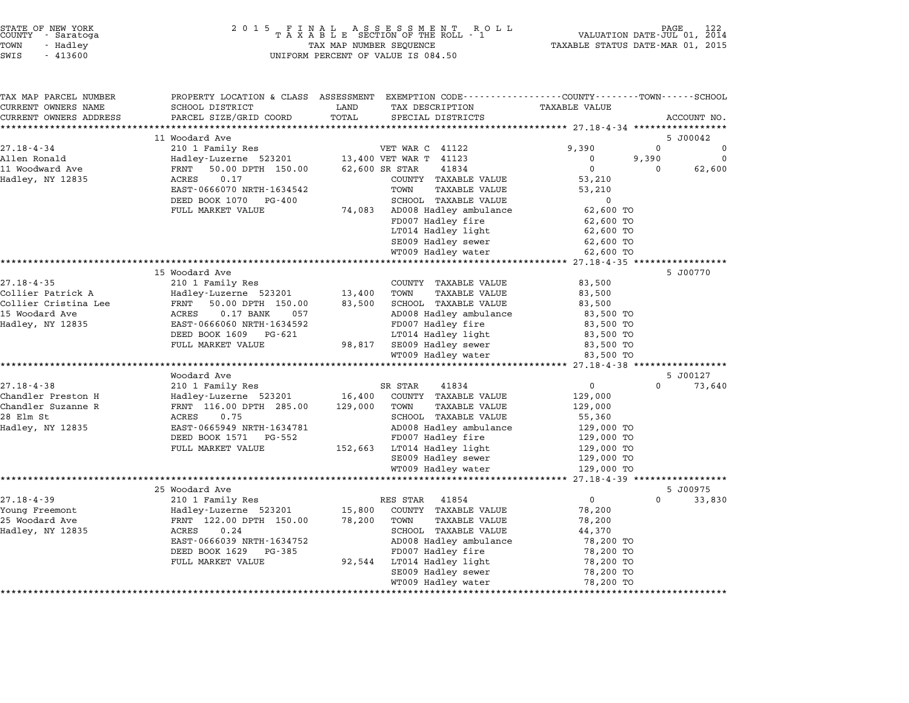| STATE OF NEW YORK<br>COUNTY |  | - Saratoga |  |  |  |
|-----------------------------|--|------------|--|--|--|
|                             |  |            |  |  |  |
| TOWN                        |  | - Hadley   |  |  |  |
|                             |  |            |  |  |  |

| TAX MAP PARCEL NUMBER<br>CURRENT OWNERS NAME | PROPERTY LOCATION & CLASS ASSESSMENT EXEMPTION CODE---------------COUNTY-------TOWN------SCHOOL<br>SCHOOL DISTRICT | LAND    | TAX DESCRIPTION              | TAXABLE VALUE                        |          |             |
|----------------------------------------------|--------------------------------------------------------------------------------------------------------------------|---------|------------------------------|--------------------------------------|----------|-------------|
| CURRENT OWNERS ADDRESS                       | PARCEL SIZE/GRID COORD                                                                                             | TOTAL   | SPECIAL DISTRICTS            |                                      |          | ACCOUNT NO. |
|                                              |                                                                                                                    |         |                              |                                      |          |             |
|                                              | 11 Woodard Ave                                                                                                     |         |                              |                                      |          | 5 J00042    |
| $27.18 - 4 - 34$                             | 210 1 Family Res                                                                                                   |         | VET WAR C 41122              | 9,390                                | 0        | 0           |
| Allen Ronald                                 | Hadley-Luzerne 523201                                                                                              |         | 13,400 VET WAR T 41123       | $\mathbf{0}$                         | 9,390    | 0           |
| 11 Woodward Ave                              | 50.00 DPTH 150.00<br>FRNT                                                                                          |         | 62,600 SR STAR<br>41834      | 0                                    | 0        | 62,600      |
| Hadley, NY 12835                             | 0.17<br>ACRES                                                                                                      |         | COUNTY TAXABLE VALUE         | 53,210                               |          |             |
|                                              | EAST-0666070 NRTH-1634542                                                                                          |         | TOWN<br>TAXABLE VALUE        | 53,210                               |          |             |
|                                              | DEED BOOK 1070<br>PG-400                                                                                           |         | SCHOOL TAXABLE VALUE         | $\mathbf 0$                          |          |             |
|                                              | FULL MARKET VALUE                                                                                                  | 74,083  | AD008 Hadley ambulance       | 62,600 TO                            |          |             |
|                                              |                                                                                                                    |         | FD007 Hadley fire            | 62,600 TO                            |          |             |
|                                              |                                                                                                                    |         | LT014 Hadley light           | 62,600 TO                            |          |             |
|                                              |                                                                                                                    |         | SE009 Hadley sewer           | 62,600 TO                            |          |             |
|                                              |                                                                                                                    |         | WT009 Hadley water           | 62,600 TO                            |          |             |
|                                              |                                                                                                                    |         |                              |                                      |          |             |
|                                              | 15 Woodard Ave                                                                                                     |         |                              |                                      |          | 5 J00770    |
| $27.18 - 4 - 35$                             | 210 1 Family Res                                                                                                   |         | COUNTY TAXABLE VALUE         | 83,500                               |          |             |
| Collier Patrick A                            | Hadley-Luzerne 523201                                                                                              | 13,400  | TOWN<br>TAXABLE VALUE        | 83,500                               |          |             |
| Collier Cristina Lee                         | FRNT 50.00 DPTH 150.00                                                                                             | 83,500  | SCHOOL TAXABLE VALUE         | 83,500                               |          |             |
| 15 Woodard Ave                               | ACRES<br>$0.17$ BANK<br>057                                                                                        |         | AD008 Hadley ambulance       | 83,500 TO                            |          |             |
| Hadley, NY 12835                             | EAST-0666060 NRTH-1634592                                                                                          |         | FD007 Hadley fire            | 83,500 TO                            |          |             |
|                                              | DEED BOOK 1609 PG-621                                                                                              |         | LT014 Hadley light           | 83,500 TO                            |          |             |
|                                              | FULL MARKET VALUE                                                                                                  | 98,817  | SE009 Hadley sewer           | 83,500 TO                            |          |             |
|                                              |                                                                                                                    |         | WT009 Hadley water           | 83,500 TO                            |          |             |
|                                              | Woodard Ave                                                                                                        |         |                              |                                      |          | 5 J00127    |
| $27.18 - 4 - 38$                             | 210 1 Family Res                                                                                                   |         | SR STAR<br>41834             | $\overline{0}$                       | $\Omega$ | 73,640      |
| Chandler Preston H                           | Hadley-Luzerne 523201                                                                                              | 16,400  | COUNTY TAXABLE VALUE         | 129,000                              |          |             |
| Chandler Suzanne R                           | FRNT 116.00 DPTH 285.00                                                                                            | 129,000 | TAXABLE VALUE<br>TOWN        | 129,000                              |          |             |
| 28 Elm St                                    | ACRES<br>0.75                                                                                                      |         | SCHOOL TAXABLE VALUE         | 55,360                               |          |             |
| Hadley, NY 12835                             | EAST-0665949 NRTH-1634781                                                                                          |         | AD008 Hadley ambulance       | 129,000 TO                           |          |             |
|                                              | DEED BOOK 1571 PG-552                                                                                              |         | FD007 Hadley fire            | 129,000 TO                           |          |             |
|                                              | FULL MARKET VALUE                                                                                                  |         | 152,663 LT014 Hadley light   | 129,000 TO                           |          |             |
|                                              |                                                                                                                    |         | SE009 Hadley sewer           | 129,000 TO                           |          |             |
|                                              |                                                                                                                    |         | WT009 Hadley water           | 129,000 TO                           |          |             |
|                                              |                                                                                                                    |         |                              | ****************** 27.18-4-39 ****** |          |             |
|                                              | 25 Woodard Ave                                                                                                     |         |                              |                                      |          | 5 J00975    |
| $27.18 - 4 - 39$                             | 210 1 Family Res                                                                                                   |         | RES STAR<br>41854            | $\overline{0}$                       | $\Omega$ | 33,830      |
| Young Freemont                               | Hadley-Luzerne 523201                                                                                              | 15,800  | COUNTY TAXABLE VALUE         | 78,200                               |          |             |
| 25 Woodard Ave                               | FRNT 122.00 DPTH 150.00                                                                                            | 78,200  | TOWN<br><b>TAXABLE VALUE</b> | 78,200                               |          |             |
| Hadley, NY 12835                             | 0.24<br>ACRES                                                                                                      |         | SCHOOL TAXABLE VALUE         | 44,370                               |          |             |
|                                              | EAST-0666039 NRTH-1634752                                                                                          |         | AD008 Hadley ambulance       | 78,200 TO                            |          |             |
|                                              | DEED BOOK 1629<br>PG-385                                                                                           |         | FD007 Hadley fire            | 78,200 TO                            |          |             |
|                                              | FULL MARKET VALUE                                                                                                  | 92,544  | LT014 Hadley light           | 78,200 TO                            |          |             |
|                                              |                                                                                                                    |         | SE009 Hadley sewer           | 78,200 TO                            |          |             |
|                                              |                                                                                                                    |         | WT009 Hadley water           | 78,200 TO                            |          |             |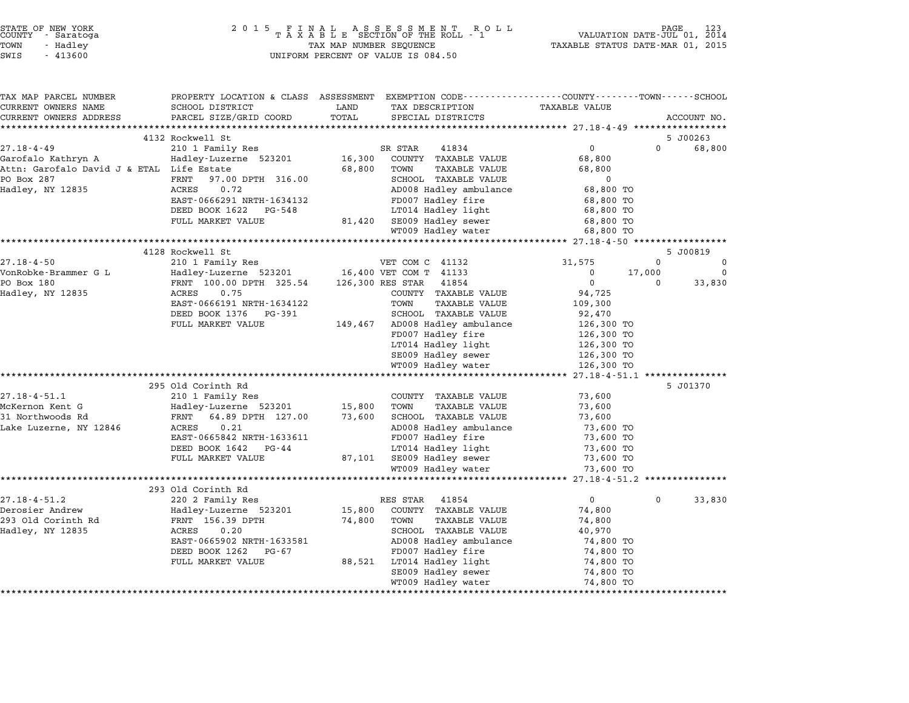| COUNTY | STATE OF NEW YORK<br>- Saratoga |  |
|--------|---------------------------------|--|
| LOMN   | - Hadlev                        |  |
| -----  | $  - - - -$                     |  |

# STATE OF NEW YORK <sup>2</sup> <sup>0</sup> <sup>1</sup> 5 F I N A L A S S E S S M E N T R O L L PAGE <sup>123</sup> COUNTY - Saratoga <sup>T</sup> <sup>A</sup> <sup>X</sup> <sup>A</sup> <sup>B</sup> <sup>L</sup> <sup>E</sup> SECTION OF THE ROLL - <sup>1</sup> VALUATION DATE-JUL 01, <sup>2014</sup> TOWN - Hadley TAX MAP NUMBER SEQUENCE TAXABLE STATUS DATE-MAR 01, <sup>2015</sup> SUCRIT - SATATUGA<br>TOWN - Hadley - Alley - All Hadley - TAX MAP NUMBER SEQUENCE<br>SWIS - 413600 - WILFORM PERCENT OF VALUE IS 084.50

TAX MAP PARCEL NUMBER PROPERTY LOCATION & CLASS ASSESSMENT EXEMPTION CODE------------------COUNTY--------TOWN------SCHOOL ...<br>-- COUNTY:- TAX MAP PARCEL NUMBER THE OCHOTRY AND THE CURRENT EXEMPTION CODE<br>CURRENT OWNERS NAME SCHOOL DISTRICT LAND TAX DESCRIPTION TAXABLE VALUE CURRENT OWNERS ADDRESS FOR SCHOOL DISTRICTS ASSESSEENT EXERT ON TAX MIT POSSESS SAME ON TRANSFORE STATE ON THE TRANSFORE TO TRANSFORE THE TRANSFORE TO TRANSFORE THE TRANSFORE TO TRANSFORE THE TRANSFORE TO TRANSFORE THE TRA 4132 Rockwell St 5 J00263 27.18-4-49 <sup>210</sup> <sup>1</sup> Family Res SR STAR <sup>41834</sup> <sup>0</sup> <sup>0</sup> 68,800 Garofalo Kathryn A Hadley-Luzerne <sup>523201</sup> 16,300 COUNTY TAXABLE VALUE 68,800 Attric Caroline Christmas (Caroline Christmas de Caroline Christmas de Caroline Christmas de Carofalo David J<br>Garofalo David J & ETAL Life Estate 68,800 COWN TAXABLE VALUE 68,800<br>68,800 TOWN TAXABLE VALUE 68,800 COM GALULALU KALIILYII ANIMA MAHALINI HARIBE VALUE (1970) AND MAHALINI HARABLE VALUE (1970) (1987,800 SCHOOL TAXABLE VALUE 067,800 AND MAHALINI ANIMA POSTAGO (1987) (68,800 ANIMA POSTAGO 1987) (68,800 ANIMA POSTAGO 1987) (1987 Hadley, NY <sup>12835</sup> ACRES 0.72 AD008 Hadley ambulance 68,800 TO EAST-0666291 NRTH-1634132 FD007 Hadley fire 68,800 TO POOK 1628 CALLS 1999 POOK 1628 POOK 1628 POOK 1628 POOK 1628 POOK 1628 POOK 1634132<br>
EXED BOOK 1622 PG-548 POOT Hadley light 68,800 TO ERSI-0000251 NKIH-1054152<br>
DEED BOOK 1622 PG-548 LT014 Hadley light 68,800 TO<br>
FULL MARKET VALUE 81,420 SE009 Hadley sewer 68,800 TO WT009 Hadley water 68,800 TO \*\*\*\*\*\*\*\*\*\*\*\*\*\*\*\*\*\*\*\*\*\*\*\*\*\*\*\*\*\*\*\*\*\*\*\*\*\*\*\*\*\*\*\*\*\*\*\*\*\*\*\*\*\*\*\*\*\*\*\*\*\*\*\*\*\*\*\*\*\*\*\*\*\*\*\*\*\*\*\*\*\*\*\*\*\*\*\*\*\*\*\*\*\*\*\*\*\*\*\*\*\*\* 27.18-4-50 \*\*\*\*\*\*\*\*\*\*\*\*\*\*\*\*\* 4128 Rockwell St 5 J00819 27.18-4-50 <sup>210</sup> <sup>1</sup> Family Res VET COM C <sup>41132</sup> 31,575 <sup>0</sup> <sup>0</sup> VonRobke-Brammer G L Hadley-Luzerne <sup>523201</sup> 16,400 VET COM T <sup>41133</sup> <sup>0</sup> 17,000 <sup>0</sup> PO Box <sup>180</sup> FRNT 100.00 DPTH 325.54 126,300 RES STAR <sup>41854</sup> <sup>0</sup> <sup>0</sup> 33,830 Hadley, NY <sup>12835</sup> ACRES 0.75 COUNTY TAXABLE VALUE 94,725 EANT 100.00 DETH 323.54 120,300 RES SIAR THOSE ON TRIVIAL CHARGE ON TRIVIAL CHARGE ON TRIVIAL CHARGE ON TRIVIA<br>ACRES 0.75 COUNT TAXABLE VALUE 109,300<br>EAST-0666191 NRTH-1634122 TOWN TAXABLE VALUE 109,300 POUNT TAXABLE VALUE 1999.<br>
EAST-0666191 NRTH-1634122 TOWN TAXABLE VALUE 109,300<br>
DEED BOOK 1376 PG-391 SCHOOL TAXABLE VALUE 109,300 EASI-0000151 NKIH-1054122<br>
DEED BOOK 1376 PG-391 SCHOOL TAXABLE VALUE 92,470<br>
FULL MARKET VALUE 149,467 AD008 Hadley ambulance 126,300 TO المحدد المسلم المسلم المسلم المسلم المسلم المسلم المسلم المسلم المسلم المسلم المسلم المسلم المسلم ال<br>26,300 To 126,300 To 126,300 TO 126,300 TO ADOOG Hadley ambulance the two fits<br>FD007 Hadley fire the 126,300 TO<br>LT014 Hadley light the 126,300 TO SE009 Hadley sewer 126,300 TO 20,300 TO<br>2009 Hadley sewer 126,300 TO<br>26,300 TO WT009 Hadley water 126,300 TO \*\*\*\*\*\*\*\*\*\*\*\*\*\*\*\*\*\*\*\*\*\*\*\*\*\*\*\*\*\*\*\*\*\*\*\*\*\*\*\*\*\*\*\*\*\*\*\*\*\*\*\*\*\*\*\*\*\*\*\*\*\*\*\*\*\*\*\*\*\*\*\*\*\*\*\*\*\*\*\*\*\*\*\*\*\*\*\*\*\*\*\*\*\*\*\*\*\*\*\*\*\*\* 27.18-4-51.1 \*\*\*\*\*\*\*\*\*\*\*\*\*\*\* 295 Old Corinth Rd 5 J01370 27.18-4-51.1 295 Old Corinth Rd<br>27.18-4-51.1 210 1 Family Res COUNTY TAXABLE VALUE 73,600 McKernon Kent G Hadley-Luzerne <sup>523201</sup> 15,800 TOWN TAXABLE VALUE 73,600 <sup>31</sup> Northwoods Rd FRNT 64.89 DPTH 127.00 73,600 SCHOOL TAXABLE VALUE 73,600 MCREINON RENC G – MAGLEY-LUZETNE J2J201 – 13,000 TOWN TAAABLE VALUE – 13,000<br>31 Northwoods Rd – FRNT – 64.89 DPTH 127.00 – 73,600 SCHOOL TAXABLE VALUE – 73,600<br>Lake Luzerne, NY 12846 – ACRES – 0.21 – AD008 Hadley ambulance EARL 04.00 DETIT 127.000 SCROOD IAAADDB VADOB<br>ADOB Hadley ambulance 13,600 TO<br>EAST-0665842 NRTH-1633611 FD007 Hadley fire 73,600 TO EAST-0665842 NRTH-1633611 ADV00 Hadley ambutance<br>
EAST-0665842 NRTH-1633611 FD007 Hadley fire 73,600 TO<br>
DEED BOOK 1642 PG-44 LT014 Hadley light 73,600 TO FULL MARKET VALUE 87,101 SE009 Hadley sewer 73,600 TO  $\begin{array}{c} \text{WHED} \text{SOCA} \text{IOL4} \text{I.} \text{C3-44} \end{array} \quad \begin{array}{c} \text{S7,101} \text{STO14} \text{AAUley} \text{I.} \text{I.} \text{I.} \text{I.} \text{I.} \text{I.} \end{array} \quad \begin{array}{c} \text{S7,101} \text{SEOI O} \text{I.} \text{I.} \text{I.} \text{I.} \text{I.} \text{I.} \end{array} \quad \begin{array}{c} \text{S7,101} \text{SEOI O} \text$ \*\*\*\*\*\*\*\*\*\*\*\*\*\*\*\*\*\*\*\*\*\*\*<br>293 Old Corinth Rd 27.18-4-51.2 293 Old Corinth Rd<br>220 2 Family Res RES STAR 41854 0 0 33,830 Derosier Andrew Hadley-Luzerne <sup>523201</sup> 15,800 COUNTY TAXABLE VALUE 74,800 <sup>293</sup> Old Corinth Rd FRNT 156.39 DPTH 74,800 TOWN TAXABLE VALUE 74,800 Hadley, NY <sup>12835</sup> ACRES 0.20 SCHOOL TAXABLE VALUE 40,970 EART 1909 DETIT MANUS NEWSTER AND TANDUL VALUE OF THE MANUS VALUE OF THE MANUS VALUE OF THE MANUS SCHOOL TAXABLE VALUE OF THE MANUS OF THE MANUS SCHOOL TAXABLE VALUE OF THE MANUS OF THE MANUS OF THE MANUS OF THE MANUS OF T EAST-0665902 NRTH-1633581 AD008 Hadley ambulance TAABLE VALUE 40,970<br>DEED BOOK 1262 PG-67 FD007 Hadley fire 74,800 TO FULL MARKET VALUE 88,521 LT014 Hadley discussed the matter of the control of the control of the control of the<br>
FULL MARKET VALUE 88,521 LT014 Hadley light 74,800 TO PDOO7 Hadley Tite = 74,800 TO<br>LT014 Hadley light = 74,800 TO<br>SE009 Hadley sewer = 74,800 TO WT009 Hadley water 74,800 TO \*\*\*\*\*\*\*\*\*\*\*\*\*\*\*\*\*\*\*\*\*\*\*\*\*\*\*\*\*\*\*\*\*\*\*\*\*\*\*\*\*\*\*\*\*\*\*\*\*\*\*\*\*\*\*\*\*\*\*\*\*\*\*\*\*\*\*\*\*\*\*\*\*\*\*\*\*\*\*\*\*\*\*\*\*\*\*\*\*\*\*\*\*\*\*\*\*\*\*\*\*\*\*\*\*\*\*\*\*\*\*\*\*\*\*\*\*\*\*\*\*\*\*\*\*\*\*\*\*\*\*\*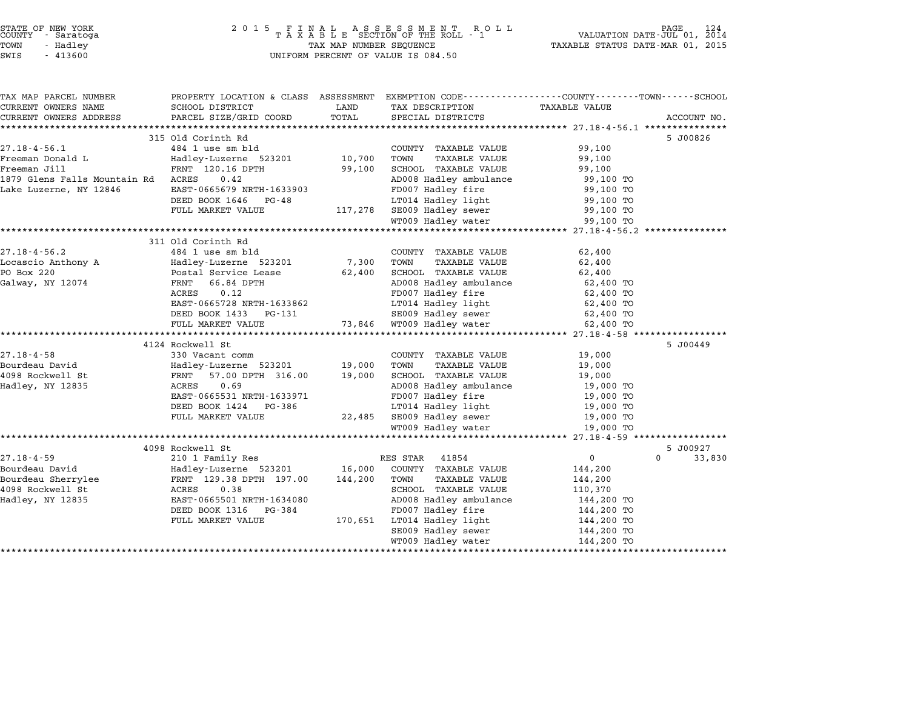|                      | STATE OF NEW YORK<br>COUNTY - Saratoga |  |
|----------------------|----------------------------------------|--|
| TOWN                 | - Hadlev                               |  |
| $\sim$ $\sim$ $\sim$ | 11200                                  |  |

# STATE OF NEW YORK <sup>2</sup> <sup>0</sup> <sup>1</sup> 5 F I N A L A S S E S S M E N T R O L L PAGE <sup>124</sup> COUNTY - Saratoga <sup>T</sup> <sup>A</sup> <sup>X</sup> <sup>A</sup> <sup>B</sup> <sup>L</sup> <sup>E</sup> SECTION OF THE ROLL - <sup>1</sup> VALUATION DATE-JUL 01, <sup>2014</sup> TOWN - Hadley TAX MAP NUMBER SEQUENCE TAXABLE STATUS DATE-MAR 01, <sup>2015</sup> SWIS - <sup>413600</sup> UNIFORM PERCENT OF VALUE IS 084.50

| TAX MAP PARCEL NUMBER                                      | PROPERTY LOCATION & CLASS ASSESSMENT EXEMPTION CODE---------------COUNTY-------TOWN-----SCHOOL |         |                                          |                        |                    |
|------------------------------------------------------------|------------------------------------------------------------------------------------------------|---------|------------------------------------------|------------------------|--------------------|
| CURRENT OWNERS NAME                                        | SCHOOL DISTRICT                                                                                | LAND    | TAX DESCRIPTION                          | <b>TAXABLE VALUE</b>   |                    |
| CURRENT OWNERS ADDRESS                                     | PARCEL SIZE/GRID COORD                                                                         | TOTAL   | SPECIAL DISTRICTS                        |                        | ACCOUNT NO.        |
|                                                            |                                                                                                |         |                                          |                        |                    |
|                                                            | 315 Old Corinth Rd                                                                             |         |                                          |                        | 5 J00826           |
| $27.18 - 4 - 56.1$                                         | 484 1 use sm bld                                                                               |         | COUNTY TAXABLE VALUE                     | 99,100                 |                    |
| Freeman Donald L                                           | Hadley-Luzerne 523201                                                                          | 10,700  | TAXABLE VALUE<br>TOWN                    | 99,100                 |                    |
| Freeman Jill                                               | FRNT 120.16 DPTH                                                                               | 99,100  | SCHOOL TAXABLE VALUE                     | 99,100                 |                    |
| 1879 Glens Falls Mountain Rd ACRES                         | 0.42                                                                                           |         | AD008 Hadley ambulance                   | 99,100 TO              |                    |
| Lake Luzerne, NY 12846                                     | EAST-0665679 NRTH-1633903                                                                      |         | FD007 Hadley fire                        | 99,100 TO              |                    |
|                                                            | DEED BOOK 1646<br>PG-48                                                                        |         | LT014 Hadley light                       | 99,100 TO              |                    |
|                                                            | FULL MARKET VALUE                                                                              |         | 117,278 SE009 Hadley sewer               | 99,100 TO              |                    |
|                                                            |                                                                                                |         | WT009 Hadley water                       | 99,100 TO              |                    |
|                                                            |                                                                                                |         |                                          |                        |                    |
|                                                            | 311 Old Corinth Rd                                                                             |         |                                          |                        |                    |
| $27.18 - 4 - 56.2$                                         | 484 1 use sm bld                                                                               |         | COUNTY TAXABLE VALUE                     | 62,400                 |                    |
| Locascio Anthony A                                         | Hadley-Luzerne 523201<br>Postal Service Lease                                                  | 7,300   | TAXABLE VALUE<br>TOWN                    | 62,400                 |                    |
| PO Box 220                                                 |                                                                                                | 62,400  | SCHOOL TAXABLE VALUE                     | 62,400                 |                    |
| Galway, NY 12074                                           | FRNT 66.84 DPTH                                                                                |         | AD008 Hadley ambulance                   | 62,400 TO              |                    |
|                                                            | 0.12<br>ACRES                                                                                  |         | FD007 Hadley fire                        | 62,400 TO              |                    |
|                                                            | EAST-0665728 NRTH-1633862                                                                      |         | LT014 Hadley light                       | 62,400 TO              |                    |
|                                                            | DEED BOOK 1433 PG-131                                                                          |         | SE009 Hadley sewer                       | 62,400 TO              |                    |
|                                                            | FULL MARKET VALUE                                                                              |         | 73,846 WT009 Hadley water                | 62,400 TO              |                    |
|                                                            |                                                                                                |         |                                          |                        |                    |
| $27.18 - 4 - 58$                                           | 4124 Rockwell St<br>330 Vacant comm                                                            |         | COUNTY TAXABLE VALUE                     | 19,000                 | 5 J00449           |
| Bourdeau David                                             |                                                                                                |         | TOWN<br>TAXABLE VALUE                    |                        |                    |
| 4098 Rockwell St                                           | Hadley-Luzerne 523201 19,000<br>FRNT 57.00 DPTH 316.00 19,000                                  |         | SCHOOL TAXABLE VALUE                     | 19,000                 |                    |
|                                                            | 0.69                                                                                           |         | AD008 Hadley ambulance                   | 19,000<br>19,000 TO    |                    |
| Hadley, NY 12835                                           | ACRES<br>EAST-0665531 NRTH-1633971                                                             |         | FD007 Hadley fire                        |                        |                    |
|                                                            |                                                                                                |         |                                          | 19,000 TO              |                    |
|                                                            | DEED BOOK 1424 PG-386<br>FULL MARKET VALUE                                                     | 22,485  | LT014 Hadley light<br>SE009 Hadley sewer | 19,000 TO<br>19,000 TO |                    |
|                                                            |                                                                                                |         |                                          |                        |                    |
|                                                            |                                                                                                |         | WT009 Hadley water                       | 19,000 TO              |                    |
|                                                            | 4098 Rockwell St                                                                               |         |                                          |                        | 5 J00927           |
| $27.18 - 4 - 59$                                           | 210 1 Family Res                                                                               |         | RES STAR 41854                           | $\overline{0}$         | $\Omega$<br>33,830 |
| Bourdeau David                                             | Hadley-Luzerne 523201 16,000                                                                   |         | COUNTY TAXABLE VALUE                     | 144,200                |                    |
|                                                            | FRNT 129.38 DPTH 197.00                                                                        | 144,200 | <b>TAXABLE VALUE</b><br>TOWN             | 144,200                |                    |
| Bourdeau Sherrylee<br>4098 Rockwell St<br>4098 Rockwell St | 0.38<br>ACRES                                                                                  |         | SCHOOL TAXABLE VALUE                     | 110,370                |                    |
| Hadley, NY 12835                                           | EAST-0665501 NRTH-1634080                                                                      |         | AD008 Hadley ambulance                   | 144,200 TO             |                    |
|                                                            | DEED BOOK 1316<br>PG-384                                                                       |         | FD007 Hadley fire                        | 144,200 TO             |                    |
|                                                            | FULL MARKET VALUE                                                                              |         | 170,651 LT014 Hadley light               | 144,200 TO             |                    |
|                                                            |                                                                                                |         | SE009 Hadley sewer                       | 144,200 TO             |                    |
|                                                            |                                                                                                |         | WT009 Hadley water                       | 144,200 TO             |                    |
|                                                            |                                                                                                |         |                                          |                        |                    |
|                                                            |                                                                                                |         |                                          |                        |                    |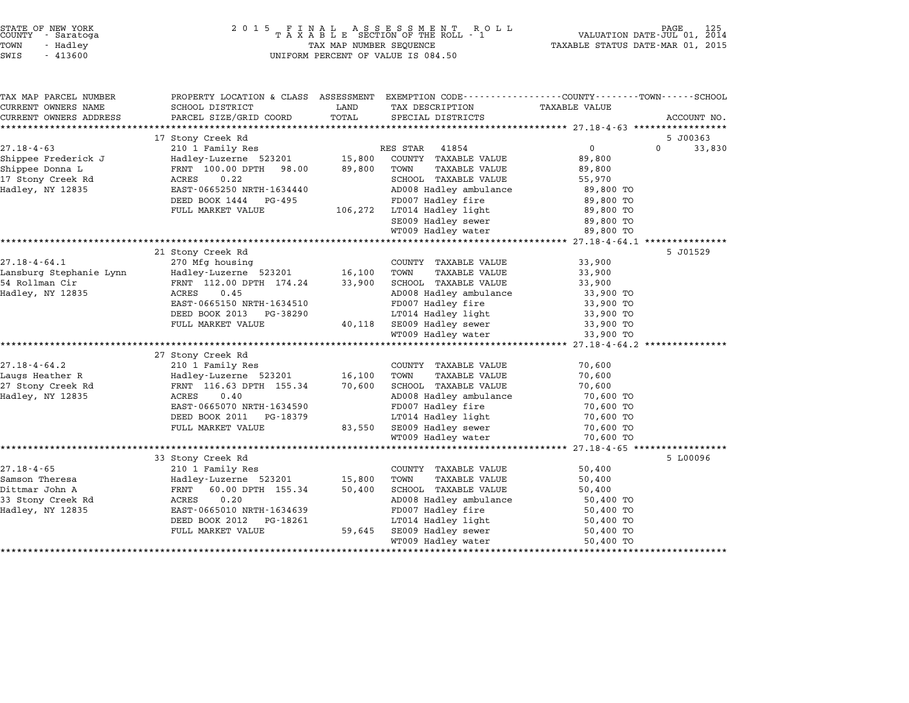| STATE OF NEW YORK<br>COUNTY<br>- Saratoga<br>TOWN<br>- Hadley<br>SWIS<br>$-413600$                  |                                                                                                                                                                                      | TAX MAP NUMBER SEQUENCE     | UNIFORM PERCENT OF VALUE IS 084.50                                                                                                                                                                          | TAXABLE STATUS DATE-MAR 01, 2015                                                                              |                                |
|-----------------------------------------------------------------------------------------------------|--------------------------------------------------------------------------------------------------------------------------------------------------------------------------------------|-----------------------------|-------------------------------------------------------------------------------------------------------------------------------------------------------------------------------------------------------------|---------------------------------------------------------------------------------------------------------------|--------------------------------|
| TAX MAP PARCEL NUMBER<br>CURRENT OWNERS NAME<br>CURRENT OWNERS ADDRESS<br>************************* | PROPERTY LOCATION & CLASS ASSESSMENT<br>SCHOOL DISTRICT<br>PARCEL SIZE/GRID COORD TOTAL                                                                                              | LAND                        | EXEMPTION CODE-----------------COUNTY-------TOWN-----SCHOOL<br>TAX DESCRIPTION<br>SPECIAL DISTRICTS                                                                                                         | TAXABLE VALUE                                                                                                 | ACCOUNT NO.                    |
| $27.18 - 4 - 63$<br>Shippee Frederick J<br>Shippee Donna L<br>17 Stony Creek Rd<br>Hadley, NY 12835 | 17 Stony Creek Rd<br>210 1 Family Res<br>Hadley-Luzerne 523201<br>FRNT 100.00 DPTH 98.00<br>0.22<br>ACRES<br>EAST-0665250 NRTH-1634440<br>DEED BOOK 1444 PG-495<br>FULL MARKET VALUE | 15,800<br>89,800<br>106,272 | 41854<br>RES STAR<br>COUNTY TAXABLE VALUE<br>TAXABLE VALUE<br>TOWN<br>SCHOOL TAXABLE VALUE<br>AD008 Hadley ambulance<br>FD007 Hadley fire<br>LT014 Hadley light<br>SE009 Hadley sewer<br>WT009 Hadley water | $\overline{0}$<br>89,800<br>89,800<br>55,970<br>89,800 TO<br>89,800 TO<br>89,800 TO<br>89,800 TO<br>89,800 TO | 5 J00363<br>$\Omega$<br>33,830 |
| $27.18 - 4 - 64.1$<br>Lansburg Stephanie Lynn                                                       | 21 Stony Creek Rd<br>270 Mfg housing<br>Hadley-Luzerne 523201                                                                                                                        | 16,100                      | COUNTY<br>TAXABLE VALUE<br>TOWN<br><b>TAXABLE VALUE</b>                                                                                                                                                     | 33,900<br>33,900                                                                                              | 5 J01529                       |

57.10-4-04.1 Rollman Circle 270 Rousing 200811 Rollman Country 200811 Rollman Circle 2013,900<br>16.100 TOWN TAXABLE VALUE 33,900 POWN TAXABLE VALUE 33,900 SCHOOL TAXABLE VALUE 33,900 SCHOOL TAXABLE VALUE 33,900 Hadley, NY <sup>12835</sup> ACRES 0.45 AD008 Hadley ambulance 33,900 TO

|                    | EASI-000JIJU NKIH-10J4JIU |        | rboot nauley lile            | <b>JJ,JUU IU</b> |          |
|--------------------|---------------------------|--------|------------------------------|------------------|----------|
|                    | DEED BOOK 2013 PG-38290   |        | LT014 Hadley light           | 33,900 TO        |          |
|                    | FULL MARKET VALUE         | 40,118 | SE009 Hadley sewer           | 33,900 TO        |          |
|                    |                           |        | WT009 Hadley water 33,900 TO |                  |          |
|                    |                           |        |                              |                  |          |
|                    | 27 Stony Creek Rd         |        |                              |                  |          |
| $27.18 - 4 - 64.2$ | 210 1 Family Res          |        | COUNTY TAXABLE VALUE         | 70,600           |          |
| Laugs Heather R    | Hadley-Luzerne 523201     | 16,100 | TAXABLE VALUE<br>TOWN        | 70,600           |          |
| 27 Stony Creek Rd  | FRNT 116.63 DPTH 155.34   | 70,600 | SCHOOL TAXABLE VALUE         | 70,600           |          |
| Hadley, NY 12835   | 0.40<br>ACRES             |        | AD008 Hadley ambulance       | 70,600 TO        |          |
|                    | EAST-0665070 NRTH-1634590 |        | FD007 Hadley fire            | 70,600 TO        |          |
|                    | DEED BOOK 2011 PG-18379   |        | LT014 Hadley light           | 70,600 TO        |          |
|                    | FULL MARKET VALUE         | 83,550 | SE009 Hadley sewer           | 70,600 TO        |          |
|                    |                           |        | WT009 Hadley water 70,600 TO |                  |          |
|                    |                           |        |                              |                  |          |
|                    | 33 Stony Creek Rd         |        |                              |                  | 5 L00096 |
| $27.18 - 4 - 65$   | 210 1 Family Res          |        | COUNTY TAXABLE VALUE         | 50,400           |          |
| Samson Theresa     | Hadley-Luzerne 523201     | 15,800 | TOWN<br>TAXABLE VALUE        | 50,400           |          |
| Dittmar John A     | FRNT 60.00 DPTH 155.34    | 50,400 | SCHOOL TAXABLE VALUE         | 50,400           |          |
| 33 Stony Creek Rd  | 0.20<br>ACRES             |        | AD008 Hadley ambulance       | 50,400 TO        |          |
| Hadley, NY 12835   | EAST-0665010 NRTH-1634639 |        | FD007 Hadley fire            | 50,400 TO        |          |
|                    | DEED BOOK 2012 PG-18261   |        | LT014 Hadley light           | 50,400 TO        |          |
|                    | FULL MARKET VALUE         | 59,645 | SE009 Hadley sewer           | 50,400 TO        |          |
|                    |                           |        | WT009 Hadley water           | 50,400 TO        |          |

EAST-0665150 NRTH-1634510 FD007 Hadley fire 33,900 TO DEED BOOK 2013 PG-38290 LT014 Hadley light 33,900 TO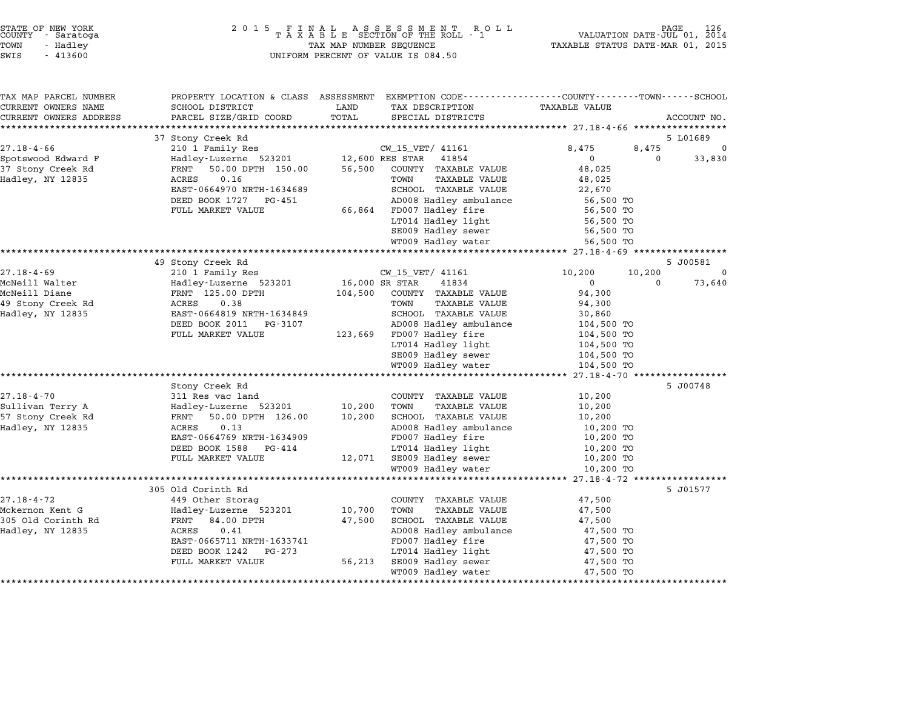| COUNTY       | STATE OF NEW YORK<br>- Saratoga |  |
|--------------|---------------------------------|--|
| rown         | - Hadlev                        |  |
| --- <i>-</i> | 1.1222                          |  |

| TAX MAP PARCEL NUMBER<br>CURRENT OWNERS NAME | PROPERTY LOCATION & CLASS ASSESSMENT EXEMPTION CODE---------------COUNTY-------TOWN------SCHOOL<br>SCHOOL DISTRICT | LAND           | TAX DESCRIPTION                                | <b>TAXABLE VALUE</b>   |          |             |
|----------------------------------------------|--------------------------------------------------------------------------------------------------------------------|----------------|------------------------------------------------|------------------------|----------|-------------|
| CURRENT OWNERS ADDRESS                       | PARCEL SIZE/GRID COORD                                                                                             | TOTAL          | SPECIAL DISTRICTS                              |                        |          | ACCOUNT NO. |
|                                              |                                                                                                                    |                |                                                |                        |          |             |
|                                              | 37 Stony Creek Rd                                                                                                  |                |                                                |                        |          | 5 L01689    |
| $27.18 - 4 - 66$                             | 210 1 Family Res                                                                                                   |                | CW_15_VET/ 41161                               | 8,475                  | 8,475    | $\Omega$    |
| Spotswood Edward F                           | Hadley-Luzerne 523201                                                                                              |                | 12,600 RES STAR<br>41854                       | $\mathbf{0}$           | $\Omega$ | 33,830      |
| 37 Stony Creek Rd                            | 50.00 DPTH 150.00<br>FRNT                                                                                          | 56,500         | COUNTY TAXABLE VALUE                           | 48,025                 |          |             |
| Hadley, NY 12835                             | <b>ACRES</b><br>0.16                                                                                               |                | TOWN<br><b>TAXABLE VALUE</b>                   | 48,025                 |          |             |
|                                              | EAST-0664970 NRTH-1634689                                                                                          |                | SCHOOL TAXABLE VALUE                           | 22,670                 |          |             |
|                                              | DEED BOOK 1727<br>PG-451                                                                                           |                | AD008 Hadley ambulance                         | 56,500 TO              |          |             |
|                                              | FULL MARKET VALUE                                                                                                  | 66,864         | FD007 Hadley fire                              | 56,500 TO              |          |             |
|                                              |                                                                                                                    |                | LT014 Hadley light                             | 56,500 TO              |          |             |
|                                              |                                                                                                                    |                | SE009 Hadley sewer                             | 56,500 TO              |          |             |
|                                              |                                                                                                                    |                | WT009 Hadley water                             | 56,500 TO              |          |             |
|                                              | 49 Stony Creek Rd                                                                                                  |                |                                                |                        |          | 5 J00581    |
| $27.18 - 4 - 69$                             | 210 1 Family Res                                                                                                   |                | CW_15_VET/ 41161                               | 10,200                 | 10,200   | $\Omega$    |
| McNeill Walter                               | Hadley-Luzerne 523201                                                                                              | 16,000 SR STAR | 41834                                          | $\Omega$               | $\Omega$ | 73,640      |
| McNeill Diane                                | FRNT 125.00 DPTH                                                                                                   | 104,500        | COUNTY TAXABLE VALUE                           | 94,300                 |          |             |
| 49 Stony Creek Rd                            | 0.38<br>ACRES                                                                                                      |                | TOWN<br>TAXABLE VALUE                          | 94,300                 |          |             |
| Hadley, NY 12835                             | EAST-0664819 NRTH-1634849                                                                                          |                | SCHOOL TAXABLE VALUE                           | 30,860                 |          |             |
|                                              | DEED BOOK 2011<br>PG-3107                                                                                          |                | AD008 Hadley ambulance                         | 104,500 TO             |          |             |
|                                              | FULL MARKET VALUE                                                                                                  | 123,669        | FD007 Hadley fire                              | 104,500 TO             |          |             |
|                                              |                                                                                                                    |                | LT014 Hadley light                             | 104,500 TO             |          |             |
|                                              |                                                                                                                    |                | SE009 Hadley sewer                             | 104,500 TO             |          |             |
|                                              |                                                                                                                    |                | WT009 Hadley water                             | 104,500 TO             |          |             |
|                                              |                                                                                                                    |                |                                                |                        |          |             |
|                                              | Stony Creek Rd                                                                                                     |                |                                                |                        |          | 5 J00748    |
| $27.18 - 4 - 70$                             | 311 Res vac land                                                                                                   |                | COUNTY TAXABLE VALUE                           | 10,200                 |          |             |
| Sullivan Terry A                             | Hadley-Luzerne 523201                                                                                              | 10,200         | TOWN<br><b>TAXABLE VALUE</b>                   | 10,200                 |          |             |
| 57 Stony Creek Rd                            | 50.00 DPTH 126.00<br>FRNT<br>0.13<br>ACRES                                                                         | 10,200         | SCHOOL TAXABLE VALUE<br>AD008 Hadley ambulance | 10,200                 |          |             |
| Hadley, NY 12835                             | EAST-0664769 NRTH-1634909                                                                                          |                | FD007 Hadley fire                              | 10,200 TO<br>10,200 TO |          |             |
|                                              | DEED BOOK 1588<br>PG-414                                                                                           |                | LT014 Hadley light                             | 10,200 TO              |          |             |
|                                              | FULL MARKET VALUE                                                                                                  | 12,071         | SE009 Hadley sewer                             | 10,200 TO              |          |             |
|                                              |                                                                                                                    |                | WT009 Hadley water                             | 10,200 TO              |          |             |
|                                              | ***********************************                                                                                |                |                                                |                        |          |             |
|                                              | 305 Old Corinth Rd                                                                                                 |                |                                                |                        |          | 5 J01577    |
| $27.18 - 4 - 72$                             | 449 Other Storag                                                                                                   |                | COUNTY TAXABLE VALUE                           | 47,500                 |          |             |
| Mckernon Kent G                              | Hadley-Luzerne 523201                                                                                              | 10,700         | TOWN<br><b>TAXABLE VALUE</b>                   | 47,500                 |          |             |
| 305 Old Corinth Rd                           | FRNT<br>84.00 DPTH                                                                                                 | 47,500         | SCHOOL TAXABLE VALUE                           | 47,500                 |          |             |
| Hadley, NY 12835                             | 0.41<br>ACRES                                                                                                      |                | AD008 Hadley ambulance                         | 47,500 TO              |          |             |
|                                              | EAST-0665711 NRTH-1633741                                                                                          |                | FD007 Hadley fire                              | 47,500 TO              |          |             |
|                                              | DEED BOOK 1242<br>PG-273                                                                                           |                | LT014 Hadley light                             | 47,500 TO              |          |             |
|                                              | FULL MARKET VALUE                                                                                                  | 56,213         | SE009 Hadley sewer                             | 47,500 TO              |          |             |
|                                              |                                                                                                                    |                | WT009 Hadley water                             | 47,500 TO              |          |             |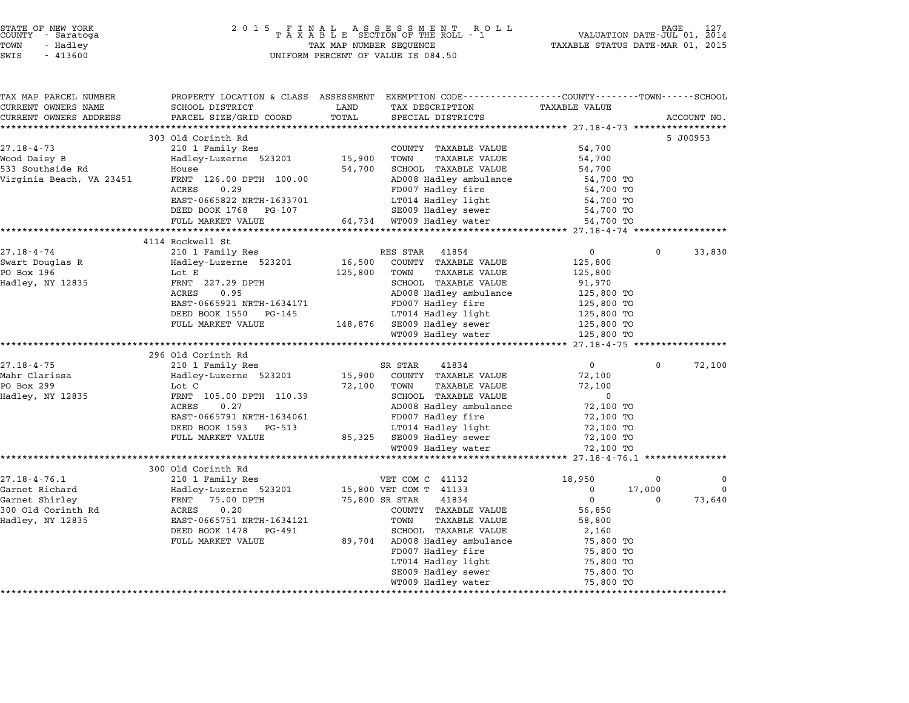| STATE OF NEW YORK<br>COUNTY – Saratoga<br>TOWN<br>- Hadley<br>SWIS<br>$-413600$ |                                                                                                                   | TAX MAP NUMBER SEQUENCE | UNIFORM PERCENT OF VALUE IS 084.50          | TAXABLE STATUS DATE-MAR 01, 2015       | PAGE<br>VALUATION DATE-JUL 01, 2014 |             |
|---------------------------------------------------------------------------------|-------------------------------------------------------------------------------------------------------------------|-------------------------|---------------------------------------------|----------------------------------------|-------------------------------------|-------------|
| TAX MAP PARCEL NUMBER<br>CURRENT OWNERS NAME                                    | PROPERTY LOCATION & CLASS ASSESSMENT EXEMPTION CODE---------------COUNTY-------TOWN-----SCHOOL<br>SCHOOL DISTRICT | LAND                    | TAX DESCRIPTION                             | TAXABLE VALUE                          |                                     |             |
| CURRENT OWNERS ADDRESS                                                          | PARCEL SIZE/GRID COORD                                                                                            | TOTAL                   | SPECIAL DISTRICTS                           |                                        |                                     | ACCOUNT NO. |
|                                                                                 |                                                                                                                   |                         |                                             |                                        |                                     |             |
|                                                                                 | 303 Old Corinth Rd                                                                                                |                         |                                             |                                        |                                     | 5 J00953    |
| $27.18 - 4 - 73$                                                                | 210 1 Family Res                                                                                                  |                         | COUNTY TAXABLE VALUE                        | 54,700                                 |                                     |             |
| Wood Daisy B                                                                    | Hadley-Luzerne 523201                                                                                             | 15,900                  | TOWN<br>TAXABLE VALUE                       | 54,700                                 |                                     |             |
| 533 Southside Rd                                                                | House                                                                                                             | 54,700                  | SCHOOL TAXABLE VALUE                        | 54,700                                 |                                     |             |
| Virginia Beach, VA 23451                                                        | FRNT 126.00 DPTH 100.00                                                                                           |                         | AD008 Hadley ambulance                      | 54,700 TO                              |                                     |             |
|                                                                                 | 0.29<br>ACRES                                                                                                     |                         | FD007 Hadley fire                           | 54,700 TO                              |                                     |             |
|                                                                                 | EAST-0665822 NRTH-1633701<br>DEED BOOK 1768 PG-107                                                                |                         | LT014 Hadley light<br>SE009 Hadley sewer    | 54,700 TO<br>54,700 TO                 |                                     |             |
|                                                                                 | FULL MARKET VALUE                                                                                                 |                         | 64,734 WT009 Hadley water                   | 54,700 TO                              |                                     |             |
|                                                                                 |                                                                                                                   |                         | ***********************                     | ******************** 27.18-4-74 ****** |                                     |             |
|                                                                                 | 4114 Rockwell St                                                                                                  |                         |                                             |                                        |                                     |             |
| $27.18 - 4 - 74$                                                                | 210 1 Family Res                                                                                                  |                         | RES STAR<br>41854                           | 0                                      | $\Omega$                            | 33,830      |
| Swart Douglas R                                                                 | Hadley-Luzerne 523201                                                                                             | 16,500                  | COUNTY TAXABLE VALUE                        | 125,800                                |                                     |             |
| PO Box 196                                                                      | Lot E                                                                                                             | 125,800                 | TOWN<br><b>TAXABLE VALUE</b>                | 125,800                                |                                     |             |
| Hadley, NY 12835                                                                | FRNT 227.29 DPTH                                                                                                  |                         | SCHOOL TAXABLE VALUE                        | 91,970                                 |                                     |             |
|                                                                                 | 0.95<br>ACRES                                                                                                     |                         | AD008 Hadley ambulance                      | 125,800 TO                             |                                     |             |
|                                                                                 | EAST-0665921 NRTH-1634171                                                                                         |                         | FD007 Hadley fire                           | 125,800 TO                             |                                     |             |
|                                                                                 | DEED BOOK 1550<br>PG-145                                                                                          |                         | LT014 Hadley light                          | 125,800 TO                             |                                     |             |
|                                                                                 | FULL MARKET VALUE                                                                                                 | 148,876                 | SE009 Hadley sewer<br>WT009 Hadley water    | 125,800 TO<br>125,800 TO               |                                     |             |
|                                                                                 | ************************                                                                                          |                         |                                             | ********** 27.18-4-75 ***************  |                                     |             |
|                                                                                 | 296 Old Corinth Rd                                                                                                |                         |                                             |                                        |                                     |             |
| $27.18 - 4 - 75$                                                                | 210 1 Family Res                                                                                                  |                         | SR STAR<br>41834                            | 0                                      | $\Omega$                            | 72,100      |
| Mahr Clarissa                                                                   | Hadley-Luzerne 523201                                                                                             | 15,900                  | COUNTY TAXABLE VALUE                        | 72,100                                 |                                     |             |
| PO Box 299                                                                      | Lot C                                                                                                             | 72,100                  | <b>TAXABLE VALUE</b><br>TOWN                | 72,100                                 |                                     |             |
| Hadley, NY 12835                                                                | FRNT 105.00 DPTH 110.39                                                                                           |                         | SCHOOL TAXABLE VALUE                        | $\mathbf 0$                            |                                     |             |
|                                                                                 | ACRES<br>0.27                                                                                                     |                         | AD008 Hadley ambulance                      | 72,100 TO                              |                                     |             |
|                                                                                 | EAST-0665791 NRTH-1634061                                                                                         |                         | FD007 Hadley fire                           | 72,100 TO                              |                                     |             |
|                                                                                 | DEED BOOK 1593<br>PG-513<br>FULL MARKET VALUE                                                                     | 85,325                  | LT014 Hadley light<br>SE009 Hadley sewer    | 72,100 TO<br>72,100 TO                 |                                     |             |
|                                                                                 |                                                                                                                   |                         | WT009 Hadley water                          | 72,100 TO                              |                                     |             |
|                                                                                 |                                                                                                                   |                         |                                             |                                        |                                     |             |
|                                                                                 | 300 Old Corinth Rd                                                                                                |                         |                                             |                                        |                                     |             |
| $27.18 - 4 - 76.1$                                                              | 210 1 Family Res                                                                                                  |                         | VET COM C 41132                             | 18,950                                 | 0                                   | 0           |
| Garnet Richard                                                                  | Hadley-Luzerne 523201                                                                                             |                         | 15,800 VET COM T 41133                      | $\mathbf 0$                            | 17,000                              | $\Omega$    |
| Garnet Shirley                                                                  | FRNT 75.00 DPTH                                                                                                   |                         | 75,800 SR STAR<br>41834                     | 0                                      | 0                                   | 73,640      |
| 300 Old Corinth Rd                                                              | 0.20<br>ACRES                                                                                                     |                         | COUNTY TAXABLE VALUE                        | 56,850                                 |                                     |             |
| Hadley, NY 12835                                                                | EAST-0665751 NRTH-1634121                                                                                         |                         | <b>TAXABLE VALUE</b><br>TOWN                | 58,800                                 |                                     |             |
|                                                                                 | DEED BOOK 1478<br>PG-491                                                                                          |                         | SCHOOL TAXABLE VALUE                        | 2,160                                  |                                     |             |
|                                                                                 | FULL MARKET VALUE                                                                                                 | 89,704                  | AD008 Hadley ambulance<br>FD007 Hadley fire | 75,800 TO                              |                                     |             |
|                                                                                 |                                                                                                                   |                         | LT014 Hadley light                          | 75,800 TO<br>75,800 TO                 |                                     |             |
|                                                                                 |                                                                                                                   |                         | SE009 Hadley sewer                          | 75,800 TO                              |                                     |             |
|                                                                                 |                                                                                                                   |                         | WT009 Hadley water                          | 75,800 TO                              |                                     |             |
|                                                                                 |                                                                                                                   |                         |                                             |                                        |                                     |             |

\*\*\*\*\*\*\*\*\*\*\*\*\*\*\*\*\*\*\*\*\*\*\*\*\*\*\*\*\*\*\*\*\*\*\*\*\*\*\*\*\*\*\*\*\*\*\*\*\*\*\*\*\*\*\*\*\*\*\*\*\*\*\*\*\*\*\*\*\*\*\*\*\*\*\*\*\*\*\*\*\*\*\*\*\*\*\*\*\*\*\*\*\*\*\*\*\*\*\*\*\*\*\*\*\*\*\*\*\*\*\*\*\*\*\*\*\*\*\*\*\*\*\*\*\*\*\*\*\*\*\*\*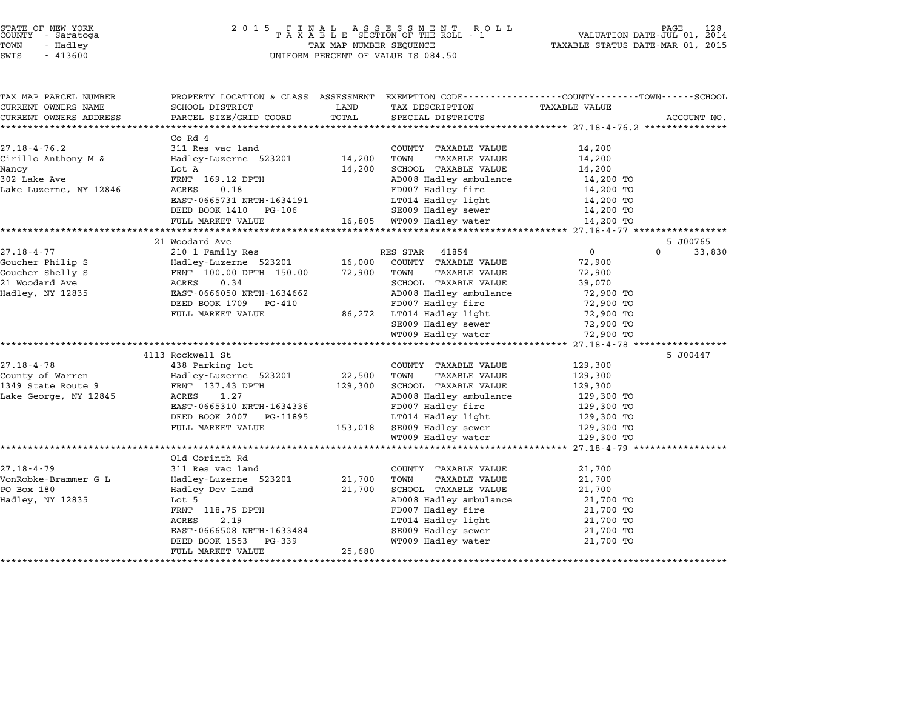| TAX MAP PARCEL NUMBER  | PROPERTY LOCATION & CLASS ASSESSMENT EXEMPTION CODE----------------COUNTY-------TOWN-----SCHOOL |             |                                                  |                |                    |
|------------------------|-------------------------------------------------------------------------------------------------|-------------|--------------------------------------------------|----------------|--------------------|
| CURRENT OWNERS NAME    | SCHOOL DISTRICT                                                                                 | LAND        | TAX DESCRIPTION                                  | TAXABLE VALUE  |                    |
| CURRENT OWNERS ADDRESS | PARCEL SIZE/GRID COORD                                                                          | TOTAL       | SPECIAL DISTRICTS                                |                | ACCOUNT NO.        |
|                        |                                                                                                 |             |                                                  |                |                    |
|                        | Co Rd 4                                                                                         |             |                                                  |                |                    |
| $27.18 - 4 - 76.2$     | 311 Res vac land                                                                                |             | COUNTY TAXABLE VALUE                             | 14,200         |                    |
| Cirillo Anthony M &    | Hadley-Luzerne 523201 14,200 TOWN                                                               |             | TAXABLE VALUE                                    | 14,200         |                    |
| Nancy                  | Lot A                                                                                           |             | 14,200 SCHOOL TAXABLE VALUE                      | 14,200         |                    |
| 302 Lake Ave           | FRNT 169.12 DPTH                                                                                |             | AD008 Hadley ambulance                           | 14,200 TO      |                    |
| Lake Luzerne, NY 12846 | ACRES<br>0.18                                                                                   |             | FD007 Hadley fire                                | 14,200 TO      |                    |
|                        | EAST-0665731 NRTH-1634191                                                                       |             | LT014 Hadley light                               | 14,200 TO      |                    |
|                        | DEED BOOK 1410 PG-106                                                                           |             | SE009 Hadley sewer                               | 14,200 TO      |                    |
|                        | FULL MARKET VALUE                                                                               |             | 16,805 WT009 Hadley water                        | 14,200 TO      |                    |
|                        |                                                                                                 |             |                                                  |                |                    |
|                        | 21 Woodard Ave                                                                                  |             |                                                  |                | 5 J00765           |
| $27.18 - 4 - 77$       | 210 1 Family Res                                                                                |             | RES STAR 41854                                   | $\overline{0}$ | $\Omega$<br>33,830 |
| Goucher Philip S       | Hadley-Luzerne 523201<br>FRNT 100.00 DPTH 150.00<br>ACRES 0.34                                  | 16,000      | COUNTY TAXABLE VALUE                             | 72,900         |                    |
| Goucher Shelly S       |                                                                                                 | 72,900 TOWN | TAXABLE VALUE                                    | 72,900         |                    |
| 21 Woodard Ave         |                                                                                                 |             | SCHOOL TAXABLE VALUE                             | 39,070         |                    |
| Hadley, NY 12835       | EAST-0666050 NRTH-1634662                                                                       |             | AD008 Hadley ambulance                           | 72,900 TO      |                    |
|                        | DEED BOOK 1709 PG-410                                                                           |             | FD007 Hadley fire                                | 72,900 TO      |                    |
|                        | FULL MARKET VALUE                                                                               |             | 86,272 LT014 Hadley light                        | 72,900 TO      |                    |
|                        |                                                                                                 |             | SE009 Hadley sewer                               | 72,900 TO      |                    |
|                        |                                                                                                 |             | WT009 Hadley water                               | 72,900 TO      |                    |
|                        | 4113 Rockwell St                                                                                |             |                                                  |                | 5 J00447           |
|                        |                                                                                                 |             |                                                  |                |                    |
| $27.18 - 4 - 78$       | 438 Parking lot                                                                                 |             | COUNTY TAXABLE VALUE                             | 129,300        |                    |
|                        |                                                                                                 | 22,500 TOWN | TAXABLE VALUE<br>129,300 SCHOOL TAXABLE VALUE    | 129,300        |                    |
|                        | ACRES<br>1.27                                                                                   |             | AD008 Hadley ambulance                           | 129,300        |                    |
| Lake George, NY 12845  |                                                                                                 |             | FD007 Hadley fire                                | 129,300 TO     |                    |
|                        | EAST-0665310 NRTH-1634336                                                                       |             | LT014 Hadley light                               | 129,300 TO     |                    |
|                        | DEED BOOK 2007 PG-11895                                                                         |             |                                                  | 129,300 TO     |                    |
|                        | FULL MARKET VALUE                                                                               |             | 153,018 SE009 Hadley sewer<br>WT009 Hadley water | 129,300 TO     |                    |
|                        |                                                                                                 |             |                                                  | 129,300 TO     |                    |
|                        | Old Corinth Rd                                                                                  |             |                                                  |                |                    |
| $27.18 - 4 - 79$       | 311 Res vac land                                                                                |             | COUNTY TAXABLE VALUE                             | 21,700         |                    |
| VonRobke-Brammer G L   | Hadley-Luzerne 523201                                                                           | 21,700 TOWN | TAXABLE VALUE                                    | 21,700         |                    |
| PO Box 180             | Hadley Dev Land                                                                                 | 21,700      | SCHOOL TAXABLE VALUE                             | 21,700         |                    |
| Hadley, NY 12835       | Lot 5                                                                                           |             | AD008 Hadley ambulance                           | 21,700 TO      |                    |
|                        |                                                                                                 |             | FD007 Hadley fire                                | 21,700 TO      |                    |
|                        | FRNT 118.75 DPTH<br>ACRES 2.19                                                                  |             | LT014 Hadley light                               | 21,700 TO      |                    |
|                        | EAST-0666508 NRTH-1633484                                                                       |             | SE009 Hadley sewer                               | 21,700 TO      |                    |
|                        | DEED BOOK 1553<br>PG-339                                                                        |             | WT009 Hadley water                               | 21,700 TO      |                    |
|                        | FULL MARKET VALUE                                                                               | 25,680      |                                                  |                |                    |
|                        |                                                                                                 |             |                                                  |                |                    |
|                        |                                                                                                 |             |                                                  |                |                    |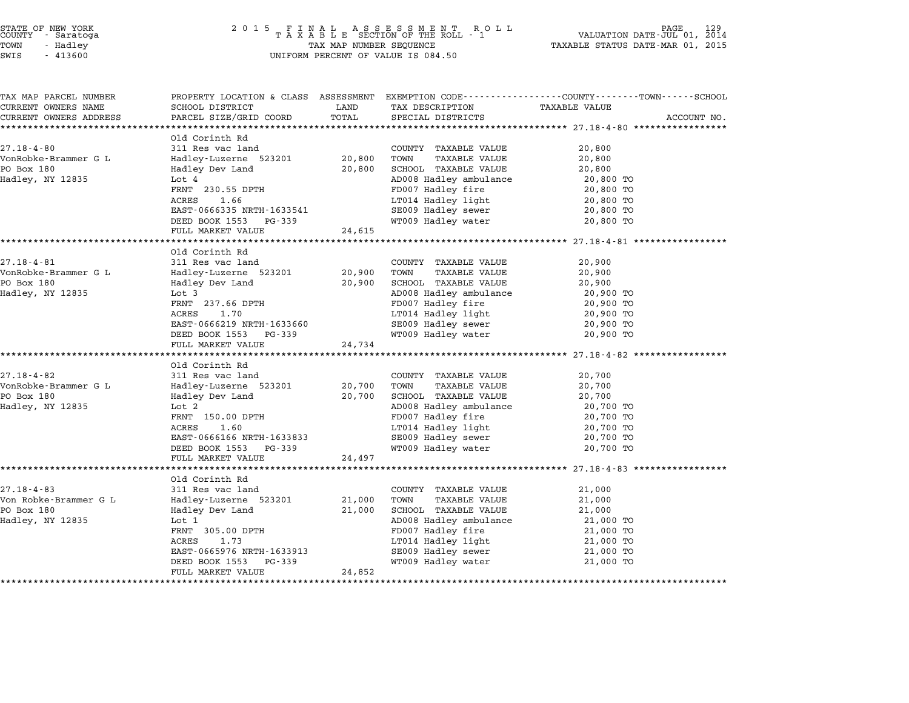| STATE OF NEW YORK |  |            |  |
|-------------------|--|------------|--|
| COUNTY            |  | - Saratoga |  |
| TOWN              |  | - Hadley   |  |

# STATE OF NEW YORK <sup>2</sup> <sup>0</sup> <sup>1</sup> 5 F I N A L A S S E S S M E N T R O L L PAGE <sup>129</sup> COUNTY - Saratoga <sup>T</sup> <sup>A</sup> <sup>X</sup> <sup>A</sup> <sup>B</sup> <sup>L</sup> <sup>E</sup> SECTION OF THE ROLL - <sup>1</sup> VALUATION DATE-JUL 01, <sup>2014</sup> TOWN - Hadley TAX MAP NUMBER SEQUENCE TAXABLE STATUS DATE-MAR 01, <sup>2015</sup> SWIS - <sup>413600</sup> UNIFORM PERCENT OF VALUE IS 084.50

| TAX MAP PARCEL NUMBER                                |                                                       |        |                                          | PROPERTY LOCATION & CLASS ASSESSMENT EXEMPTION CODE---------------COUNTY-------TOWN------SCHOOL |             |
|------------------------------------------------------|-------------------------------------------------------|--------|------------------------------------------|-------------------------------------------------------------------------------------------------|-------------|
| CURRENT OWNERS NAME                                  | SCHOOL DISTRICT                                       | LAND   | TAX DESCRIPTION                          | <b>TAXABLE VALUE</b>                                                                            |             |
| CURRENT OWNERS ADDRESS<br>************************** | PARCEL SIZE/GRID COORD                                | TOTAL  | SPECIAL DISTRICTS                        |                                                                                                 | ACCOUNT NO. |
|                                                      | Old Corinth Rd                                        |        |                                          |                                                                                                 |             |
| $27.18 - 4 - 80$                                     | 311 Res vac land                                      |        | COUNTY TAXABLE VALUE                     | 20,800                                                                                          |             |
| VonRobke-Brammer G L                                 | Hadley-Luzerne 523201                                 | 20,800 | TOWN<br><b>TAXABLE VALUE</b>             | 20,800                                                                                          |             |
| PO Box 180                                           | Hadley Dev Land                                       | 20,800 | SCHOOL TAXABLE VALUE                     | 20,800                                                                                          |             |
| Hadley, NY 12835                                     | Lot 4                                                 |        | AD008 Hadley ambulance                   | 20,800 TO                                                                                       |             |
|                                                      | FRNT 230.55 DPTH                                      |        | FD007 Hadley fire                        | 20,800 TO                                                                                       |             |
|                                                      | ACRES<br>1.66                                         |        | LT014 Hadley light                       | 20,800 TO                                                                                       |             |
|                                                      | EAST-0666335 NRTH-1633541                             |        | SE009 Hadley sewer                       | 20,800 TO                                                                                       |             |
|                                                      | DEED BOOK 1553 PG-339                                 |        | WT009 Hadley water                       | 20,800 TO                                                                                       |             |
|                                                      | FULL MARKET VALUE                                     | 24,615 |                                          |                                                                                                 |             |
|                                                      |                                                       |        |                                          |                                                                                                 |             |
|                                                      | Old Corinth Rd                                        |        |                                          |                                                                                                 |             |
| $27.18 - 4 - 81$                                     | 311 Res vac land                                      |        | COUNTY TAXABLE VALUE                     | 20,900                                                                                          |             |
| VonRobke-Brammer G L                                 | Hadley-Luzerne 523201                                 | 20,900 | TOWN<br><b>TAXABLE VALUE</b>             | 20,900                                                                                          |             |
| PO Box 180                                           | Hadley Dev Land                                       | 20,900 | SCHOOL TAXABLE VALUE                     | 20,900                                                                                          |             |
| Hadley, NY 12835                                     | Lot 3                                                 |        | AD008 Hadley ambulance                   | 20,900 TO                                                                                       |             |
|                                                      | FRNT 237.66 DPTH                                      |        | FD007 Hadley fire                        | 20,900 TO                                                                                       |             |
|                                                      | 1.70<br>ACRES                                         |        | LT014 Hadley light                       | 20,900 TO                                                                                       |             |
|                                                      | EAST-0666219 NRTH-1633660<br>DEED BOOK 1553<br>PG-339 |        | SE009 Hadley sewer<br>WT009 Hadley water | 20,900 TO<br>20,900 TO                                                                          |             |
|                                                      | FULL MARKET VALUE                                     | 24,734 |                                          |                                                                                                 |             |
|                                                      |                                                       |        |                                          |                                                                                                 |             |
|                                                      | Old Corinth Rd                                        |        |                                          |                                                                                                 |             |
| $27.18 - 4 - 82$                                     | 311 Res vac land                                      |        | COUNTY TAXABLE VALUE                     | 20,700                                                                                          |             |
| VonRobke-Brammer G L                                 | Hadley-Luzerne 523201                                 | 20,700 | TOWN<br><b>TAXABLE VALUE</b>             | 20,700                                                                                          |             |
| PO Box 180                                           | Hadley Dev Land                                       | 20,700 | SCHOOL TAXABLE VALUE                     | 20,700                                                                                          |             |
| Hadley, NY 12835                                     | Lot 2                                                 |        | AD008 Hadley ambulance                   | 20,700 TO                                                                                       |             |
|                                                      | FRNT 150.00 DPTH                                      |        | FD007 Hadley fire                        | 20,700 TO                                                                                       |             |
|                                                      | <b>ACRES</b><br>1.60                                  |        | LT014 Hadley light                       | 20,700 TO                                                                                       |             |
|                                                      | EAST-0666166 NRTH-1633833                             |        | SE009 Hadley sewer                       | 20,700 TO                                                                                       |             |
|                                                      | DEED BOOK 1553 PG-339                                 |        | WT009 Hadley water                       | 20,700 TO                                                                                       |             |
|                                                      | FULL MARKET VALUE                                     | 24,497 |                                          |                                                                                                 |             |
|                                                      |                                                       |        |                                          |                                                                                                 |             |
|                                                      | Old Corinth Rd                                        |        |                                          |                                                                                                 |             |
| $27.18 - 4 - 83$                                     | 311 Res vac land                                      |        | COUNTY TAXABLE VALUE                     | 21,000                                                                                          |             |
| Von Robke-Brammer G L                                | Hadley-Luzerne 523201                                 | 21,000 | TOWN<br><b>TAXABLE VALUE</b>             | 21,000                                                                                          |             |
| PO Box 180                                           | Hadley Dev Land                                       | 21,000 | SCHOOL TAXABLE VALUE                     | 21,000                                                                                          |             |
| Hadley, NY 12835                                     | Lot 1                                                 |        | AD008 Hadley ambulance                   | 21,000 TO                                                                                       |             |
|                                                      | FRNT 305.00 DPTH<br>ACRES<br>1.73                     |        | FD007 Hadley fire<br>LT014 Hadley light  | 21,000 TO                                                                                       |             |
|                                                      | EAST-0665976 NRTH-1633913                             |        | SE009 Hadley sewer                       | 21,000 TO                                                                                       |             |
|                                                      | DEED BOOK 1553<br>PG-339                              |        | WT009 Hadley water                       | 21,000 TO<br>21,000 TO                                                                          |             |
|                                                      | FULL MARKET VALUE                                     | 24,852 |                                          |                                                                                                 |             |
|                                                      |                                                       |        |                                          |                                                                                                 |             |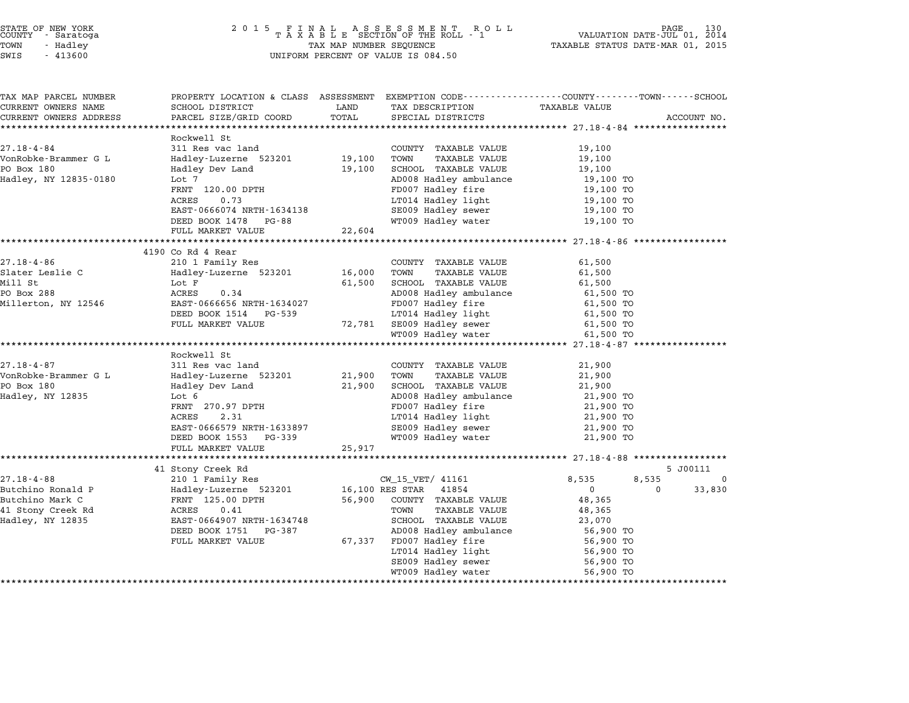| TAX MAP PARCEL NUMBER<br>CURRENT OWNERS NAME | PROPERTY LOCATION & CLASS ASSESSMENT EXEMPTION CODE---------------COUNTY------TOWN------SCHOOL<br>SCHOOL DISTRICT | LAND        | TAX DESCRIPTION                                 | <b>TAXABLE VALUE</b>   |                    |
|----------------------------------------------|-------------------------------------------------------------------------------------------------------------------|-------------|-------------------------------------------------|------------------------|--------------------|
| CURRENT OWNERS ADDRESS                       | PARCEL SIZE/GRID COORD                                                                                            | TOTAL       | SPECIAL DISTRICTS                               |                        | ACCOUNT NO.        |
| ****************************                 |                                                                                                                   |             |                                                 |                        |                    |
|                                              | Rockwell St                                                                                                       |             |                                                 |                        |                    |
| $27.18 - 4 - 84$                             | 311 Res vac land                                                                                                  |             | COUNTY TAXABLE VALUE                            | 19,100                 |                    |
| VonRobke-Brammer G L                         | Hadley-Luzerne 523201                                                                                             | 19,100      | TOWN<br><b>TAXABLE VALUE</b>                    | 19,100                 |                    |
| PO Box 180                                   | Hadley Dev Land                                                                                                   | 19,100      | SCHOOL TAXABLE VALUE                            | 19,100                 |                    |
| Hadley, NY 12835-0180                        | Lot 7                                                                                                             |             | AD008 Hadley ambulance                          | 19,100 TO              |                    |
|                                              | FRNT 120.00 DPTH                                                                                                  |             | FD007 Hadley fire                               | 19,100 TO              |                    |
|                                              | ACRES<br>0.73                                                                                                     |             | LT014 Hadley light                              | 19,100 TO              |                    |
|                                              | EAST-0666074 NRTH-1634138                                                                                         |             | SE009 Hadley sewer                              | 19,100 TO              |                    |
|                                              | DEED BOOK 1478 PG-88                                                                                              |             | WT009 Hadley water                              | 19,100 TO              |                    |
|                                              | FULL MARKET VALUE                                                                                                 | 22,604      |                                                 |                        |                    |
|                                              | 4190 Co Rd 4 Rear                                                                                                 |             |                                                 |                        |                    |
| $27.18 - 4 - 86$                             | 210 1 Family Res                                                                                                  |             | COUNTY TAXABLE VALUE                            | 61,500                 |                    |
| Slater Leslie C                              | Hadley-Luzerne 523201                                                                                             | 16,000 TOWN | TAXABLE VALUE                                   | 61,500                 |                    |
| Mill St                                      | Lot F                                                                                                             | 61,500      | SCHOOL TAXABLE VALUE                            | 61,500                 |                    |
| PO Box 288                                   | ACRES<br>0.34                                                                                                     |             | AD008 Hadley ambulance                          | 61,500 TO              |                    |
| Millerton, NY 12546                          | EAST-0666656 NRTH-1634027                                                                                         |             | FD007 Hadley fire                               | 61,500 TO              |                    |
|                                              | DEED BOOK 1514 PG-539                                                                                             |             |                                                 | 61,500 TO              |                    |
|                                              | FULL MARKET VALUE                                                                                                 |             | LT014 Hadley light<br>72,781 SE009 Hadley sewer | 61,500 TO              |                    |
|                                              |                                                                                                                   |             | WT009 Hadley water                              | 61,500 TO              |                    |
|                                              |                                                                                                                   |             |                                                 |                        |                    |
|                                              | Rockwell St                                                                                                       |             |                                                 |                        |                    |
| $27.18 - 4 - 87$                             | 311 Res vac land                                                                                                  |             | COUNTY TAXABLE VALUE                            | 21,900                 |                    |
| VonRobke-Brammer G L                         | Hadley-Luzerne 523201                                                                                             | 21,900 TOWN | TAXABLE VALUE                                   | 21,900                 |                    |
| PO Box 180                                   | Hadley Dev Land                                                                                                   | 21,900      | SCHOOL TAXABLE VALUE                            | 21,900                 |                    |
| Hadley, NY 12835                             | Lot 6                                                                                                             |             | AD008 Hadley ambulance                          | 21,900 TO              |                    |
|                                              | FRNT 270.97 DPTH<br>ACPES 2.31                                                                                    |             | FD007 Hadley fire                               | 21,900 TO              |                    |
|                                              |                                                                                                                   |             | LT014 Hadley light                              | 21,900 TO              |                    |
|                                              | EAST-0666579 NRTH-1633897<br>DEED BOOK 1553 PG-339                                                                |             | SE009 Hadley sewer<br>WT009 Hadley water        | 21,900 TO<br>21,900 TO |                    |
|                                              | FULL MARKET VALUE                                                                                                 | 25,917      |                                                 |                        |                    |
|                                              |                                                                                                                   |             |                                                 |                        |                    |
|                                              | 41 Stony Creek Rd                                                                                                 |             |                                                 |                        | 5 J00111           |
| $27.18 - 4 - 88$                             | 210 1 Family Res                                                                                                  |             | CW_15_VET/ 41161                                | 8,535                  | 8,535<br>0         |
| Butchino Ronald P                            | Hadley-Luzerne 523201                                                                                             |             | 16,100 RES STAR 41854                           | $\Omega$               | 33,830<br>$\Omega$ |
| Butchino Mark C                              | FRNT 125.00 DPTH                                                                                                  | 56,900      | COUNTY TAXABLE VALUE                            | 48,365                 |                    |
| 41 Stony Creek Rd                            | 0.41<br>ACRES                                                                                                     |             | TAXABLE VALUE<br>TOWN                           | 48,365                 |                    |
| Hadley, NY 12835                             | EAST-0664907 NRTH-1634748                                                                                         |             | SCHOOL TAXABLE VALUE                            | 23,070                 |                    |
|                                              | DEED BOOK 1751 PG-387                                                                                             |             | AD008 Hadley ambulance                          | 56,900 TO              |                    |
|                                              | FULL MARKET VALUE                                                                                                 |             | 67,337 FD007 Hadley fire                        | 56,900 TO              |                    |
|                                              |                                                                                                                   |             | LT014 Hadley light<br>SE009 Hadley sewer        | 56,900 TO              |                    |
|                                              |                                                                                                                   |             |                                                 | 56,900 TO              |                    |
|                                              |                                                                                                                   |             |                                                 |                        |                    |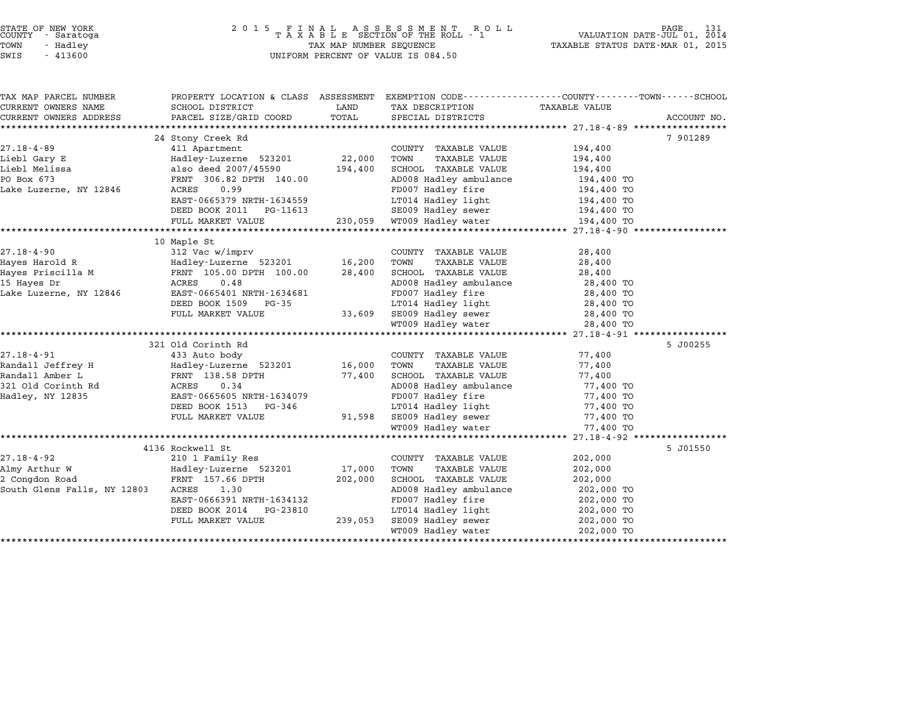| STATE OF NEW YORK |  |            |  |
|-------------------|--|------------|--|
| COUNTY            |  | - Saratoga |  |
| TOWN              |  | - Hadley   |  |

| TAX MAP PARCEL NUMBER       | PROPERTY LOCATION & CLASS ASSESSMENT EXEMPTION CODE----------------COUNTY-------TOWN------SCHOOL                     |               |                                                 |                          |             |
|-----------------------------|----------------------------------------------------------------------------------------------------------------------|---------------|-------------------------------------------------|--------------------------|-------------|
| CURRENT OWNERS NAME         | SCHOOL DISTRICT<br>PARCEL SIZE/GRID COORD                                                                            | LAND<br>TOTAL | TAX DESCRIPTION                                 | TAXABLE VALUE            |             |
| CURRENT OWNERS ADDRESS      |                                                                                                                      |               | SPECIAL DISTRICTS                               |                          | ACCOUNT NO. |
|                             | 24 Stony Creek Rd                                                                                                    |               |                                                 |                          | 7 901289    |
| $27.18 - 4 - 89$            | 411 Apartment                                                                                                        |               | COUNTY TAXABLE VALUE                            | 194,400                  |             |
| Liebl Gary E                | Hadley-Luzerne 523201 22,000                                                                                         |               | TOWN<br>TAXABLE VALUE                           | 194,400                  |             |
| Liebl Melissa               | also deed 2007/45590                                                                                                 | 194,400       | SCHOOL TAXABLE VALUE                            | 194,400                  |             |
| PO Box 673                  | FRNT 306.82 DPTH 140.00                                                                                              |               | AD008 Hadley ambulance 194,400 TO               |                          |             |
| Lake Luzerne, NY 12846      | ACRES<br>0.99                                                                                                        |               | FD007 Hadley fire                               |                          |             |
|                             | EAST-0665379 NRTH-1634559                                                                                            |               | LT014 Hadley light                              | 194,400 TO<br>194,400 TO |             |
|                             | DEED BOOK 2011    PG-11613                                                                                           |               | SE009 Hadley sewer 194,400 TO                   |                          |             |
|                             | FULL MARKET VALUE 230,059 WT009 Hadley water 194,400 TO                                                              |               |                                                 |                          |             |
|                             |                                                                                                                      |               |                                                 |                          |             |
|                             | 10 Maple St                                                                                                          |               |                                                 |                          |             |
| $27.18 - 4 - 90$            | 312 Vac w/imprv                                                                                                      |               | COUNTY TAXABLE VALUE                            | 28,400                   |             |
|                             |                                                                                                                      | 16,200 TOWN   | TAXABLE VALUE                                   | 28,400                   |             |
|                             |                                                                                                                      | 28,400        | SCHOOL TAXABLE VALUE                            | 28,400                   |             |
|                             |                                                                                                                      |               | AD008 Hadley ambulance<br>FD007 Hadley fire     |                          |             |
|                             |                                                                                                                      |               |                                                 | 28,400 TO<br>28,400 TO   |             |
|                             | DEED BOOK 1509 PG-35                                                                                                 |               | LT014 Hadley light 28,400 TO                    |                          |             |
|                             | FULL MARKET VALUE                                                                                                    |               | 33,609 SE009 Hadley sewer<br>WT009 Hadley water | 28,400 TO                |             |
|                             |                                                                                                                      |               |                                                 | 28,400 TO                |             |
|                             |                                                                                                                      |               |                                                 |                          |             |
|                             | 321 Old Corinth Rd                                                                                                   |               |                                                 |                          | 5 J00255    |
| 27.18-4-91                  | 433 Auto body                                                                                                        |               | COUNTY TAXABLE VALUE                            | 77,400                   |             |
|                             | Randall Jeffrey Handley-Luzerne 523201<br>Randall Amber Land Handley-Luzerne 523201<br>321 Old Corinth Rd ACRES 0.34 | 16,000        | TOWN<br>TAXABLE VALUE                           | 77,400                   |             |
|                             |                                                                                                                      | 77,400        | SCHOOL TAXABLE VALUE                            | 77,400                   |             |
|                             |                                                                                                                      |               | AD008 Hadley ambulance                          | 77,400 TO                |             |
| Hadley, NY 12835            | EAST-0665605 NRTH-1634079                                                                                            |               | FD007 Hadley fire                               | 77,400 TO                |             |
|                             | DEED BOOK 1513 PG-346                                                                                                |               | LT014 Hadley light<br>91,598 SE009 Hadley sewer | 77,400 TO<br>77.400 ጥቦ   |             |
|                             | FULL MARKET VALUE                                                                                                    |               |                                                 | 77,400 TO                |             |
|                             |                                                                                                                      |               | WT009 Hadley water                              | 77,400 TO                |             |
|                             |                                                                                                                      |               |                                                 |                          |             |
|                             | 4136 Rockwell St                                                                                                     |               |                                                 |                          | 5 J01550    |
| $27.18 - 4 - 92$            | 210 1 Family Res                                                                                                     |               | COUNTY TAXABLE VALUE                            | 202,000                  |             |
| Almy Arthur W               | Hadley-Luzerne 523201<br>FRNT 157.66 DPTH                                                                            | 17,000        | TOWN<br>TAXABLE VALUE                           | 202,000                  |             |
| 2 Congdon Road              |                                                                                                                      | 202,000       | SCHOOL TAXABLE VALUE                            | 202,000                  |             |
| South Glens Falls, NY 12803 | ACRES<br>1.30                                                                                                        |               | AD008 Hadley ambulance 202,000 TO               |                          |             |
|                             | EAST-0666391 NRTH-1634132                                                                                            |               | FD007 Hadley fire                               | 202,000 TO               |             |
|                             | DEED BOOK 2014 PG-23810                                                                                              |               | $LT014$ Hadley light $202,000$ TO               |                          |             |
|                             | FULL MARKET VALUE                                                                                                    | 239,053       | SE009 Hadley sewer 202,000 TO                   |                          |             |
|                             |                                                                                                                      |               | WT009 Hadley water                              | 202,000 TO               |             |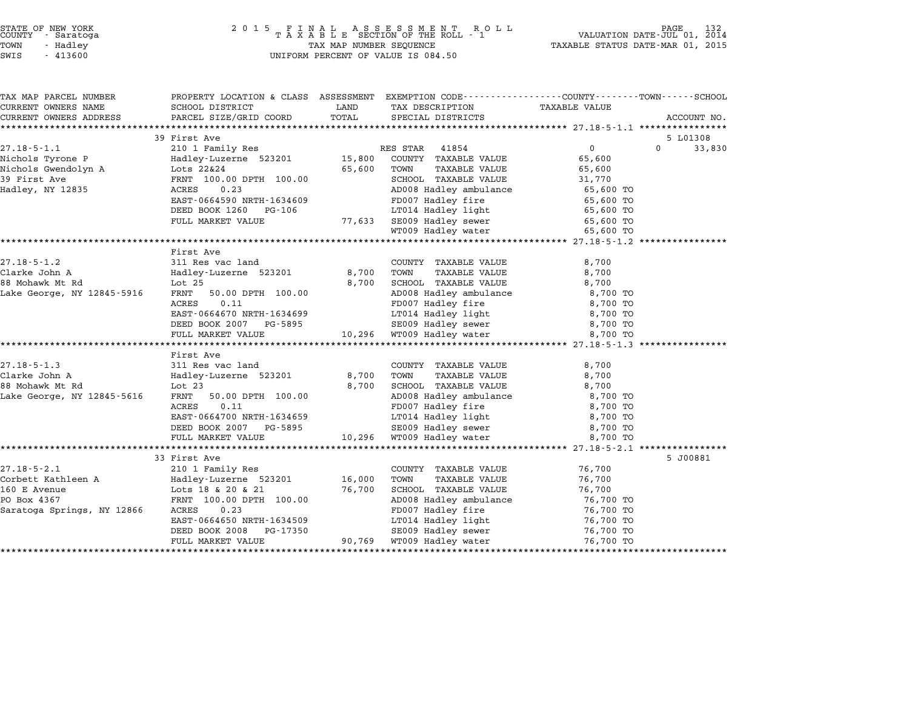| TAX MAP PARCEL NUMBER                                                                                                                                                                         | PROPERTY LOCATION & CLASS ASSESSMENT EXEMPTION CODE----------------COUNTY-------TOWN------SCHOOL |        |                                                                                         |                       |                    |
|-----------------------------------------------------------------------------------------------------------------------------------------------------------------------------------------------|--------------------------------------------------------------------------------------------------|--------|-----------------------------------------------------------------------------------------|-----------------------|--------------------|
| CURRENT OWNERS NAME                                                                                                                                                                           | SCHOOL DISTRICT                                                                                  | LAND   | TAX DESCRIPTION                                                                         | <b>TAXABLE VALUE</b>  |                    |
| CURRENT OWNERS ADDRESS                                                                                                                                                                        | PARCEL SIZE/GRID COORD                                                                           | TOTAL  | SPECIAL DISTRICTS                                                                       |                       | ACCOUNT NO.        |
|                                                                                                                                                                                               |                                                                                                  |        |                                                                                         |                       |                    |
|                                                                                                                                                                                               | 39 First Ave                                                                                     |        |                                                                                         |                       | 5 L01308           |
| $27.18 - 5 - 1.1$                                                                                                                                                                             | 210 1 Family Res                                                                                 |        | RES STAR 41854                                                                          | $0 \qquad \qquad$     | $\Omega$<br>33,830 |
| 27.18-5-1.1 210 1 Family Res<br>Nichols Tyrone P Hadley-Luzerne 523201 15,800<br>Nichols Gwendolyn A Lots 22&24 65,600<br>39 First Ave FRNT 100.00 DPTH 100.00<br>Hadley, NY 12835 ACRES 0.23 |                                                                                                  |        | COUNTY TAXABLE VALUE                                                                    | 65,600                |                    |
|                                                                                                                                                                                               |                                                                                                  |        | TOWN<br>TAXABLE VALUE                                                                   | 65,600                |                    |
|                                                                                                                                                                                               |                                                                                                  |        | SCHOOL TAXABLE VALUE                                                                    | $31,112$<br>65,600 TO |                    |
|                                                                                                                                                                                               |                                                                                                  |        | AD008 Hadley ambulance<br>FD007 Hadley fire                                             |                       |                    |
|                                                                                                                                                                                               | EAST-0664590 NRTH-1634609                                                                        |        |                                                                                         | 65,600 TO             |                    |
|                                                                                                                                                                                               | DEED BOOK 1260 PG-106                                                                            |        |                                                                                         | 65,600 TO             |                    |
|                                                                                                                                                                                               | FULL MARKET VALUE                                                                                |        | LT014 Hadley light<br>77,633 SE009 Hadley sewer<br>WT009 Hadley water                   | 65,600 TO             |                    |
|                                                                                                                                                                                               |                                                                                                  |        |                                                                                         | 65,600 TO             |                    |
|                                                                                                                                                                                               |                                                                                                  |        |                                                                                         |                       |                    |
|                                                                                                                                                                                               | First Ave                                                                                        |        |                                                                                         |                       |                    |
| $27.18 - 5 - 1.2$                                                                                                                                                                             | 311 Res vac land<br>311 Res vac 1and<br>Hadley-Luzerne 523201                                    |        | COUNTY TAXABLE VALUE                                                                    | 8,700                 |                    |
| Clarke John A                                                                                                                                                                                 |                                                                                                  | 8,700  | TOWN<br>TAXABLE VALUE                                                                   | 8,700                 |                    |
| 88 Mohawk Mt Rd                                                                                                                                                                               | Lot 25                                                                                           | 8,700  | SCHOOL TAXABLE VALUE                                                                    | 8,700                 |                    |
| Lake George, NY 12845-5916                                                                                                                                                                    | FRNT 50.00 DPTH 100.00                                                                           |        | AD008 Hadley ambulance<br>FD007 Hadley fire                                             | 8,700 TO              |                    |
|                                                                                                                                                                                               | ACRES<br>0.11                                                                                    |        |                                                                                         | 8,700 TO              |                    |
|                                                                                                                                                                                               | ACRES 0.11<br>EAST-0664670 NRTH-1634699                                                          |        | LT014 Hadley light 8,700 TO                                                             |                       |                    |
|                                                                                                                                                                                               | DEED BOOK 2007 PG-5895                                                                           |        |                                                                                         | 8,700 TO              |                    |
|                                                                                                                                                                                               | FULL MARKET VALUE                                                                                |        |                                                                                         | 8,700 TO              |                    |
|                                                                                                                                                                                               |                                                                                                  |        |                                                                                         |                       |                    |
|                                                                                                                                                                                               | First Ave                                                                                        |        |                                                                                         |                       |                    |
| $27.18 - 5 - 1.3$                                                                                                                                                                             |                                                                                                  |        | COUNTY TAXABLE VALUE                                                                    | 8,700                 |                    |
| Clarke John A                                                                                                                                                                                 |                                                                                                  |        | TOWN      TAXABLE VALUE<br>SCHOOL   TAXABLE VALUE                                       | 8,700                 |                    |
| 88 Mohawk Mt Rd                                                                                                                                                                               |                                                                                                  |        |                                                                                         | 8,700                 |                    |
| Lake George, NY 12845-5616                                                                                                                                                                    | FRNT 50.00 DPTH 100.00                                                                           |        | AD008 Hadley ambulance 8,700 TO                                                         |                       |                    |
|                                                                                                                                                                                               | 0.11<br>ACRES                                                                                    |        | FD007 Hadley fire                                                                       | 8,700 TO              |                    |
|                                                                                                                                                                                               | EAST-0664700 NRTH-1634659                                                                        |        | LT014 Hadley light 8,700 TO                                                             |                       |                    |
|                                                                                                                                                                                               | DEED BOOK 2007 PG-5895                                                                           |        | 8,700 TO SE009 Hadley sewer 8,700 TO 8,700 TO 9 Hadley water 8,700 TO                   |                       |                    |
|                                                                                                                                                                                               | FULL MARKET VALUE                                                                                |        |                                                                                         |                       |                    |
|                                                                                                                                                                                               |                                                                                                  |        |                                                                                         |                       |                    |
|                                                                                                                                                                                               | 33 First Ave                                                                                     |        |                                                                                         |                       | 5 J00881           |
| $27.18 - 5 - 2.1$                                                                                                                                                                             | 210 1 Family Res                                                                                 |        | COUNTY TAXABLE VALUE                                                                    | 76,700                |                    |
| Corbett Kathleen A Tadley-Luzerne 523201 16,000                                                                                                                                               |                                                                                                  |        | TOWN<br>TAXABLE VALUE                                                                   | 76,700                |                    |
| 160 E Avenue                                                                                                                                                                                  | Lots 18 & 20 & 21<br>FRNT 100.00 DPTH 100.00                                                     | 76,700 | SCHOOL TAXABLE VALUE<br>AD008 Hadley ambulance                                          | 76,700                |                    |
| PO Box 4367                                                                                                                                                                                   |                                                                                                  |        |                                                                                         | 76,700 TO             |                    |
| Saratoga Springs, NY 12866                                                                                                                                                                    | ACRES<br>0.23                                                                                    |        | FD007 Hadley fire<br>LT014 Hadley light<br>SE009 Hadley sewer<br>76,700 TO<br>76,700 TO |                       |                    |
|                                                                                                                                                                                               | EAST-0664650 NRTH-1634509                                                                        |        |                                                                                         |                       |                    |
|                                                                                                                                                                                               | DEED BOOK 2008<br>PG-17350                                                                       |        |                                                                                         |                       |                    |
|                                                                                                                                                                                               | FULL MARKET VALUE                                                                                |        | 90,769 WT009 Hadley water                                                               | 76,700 TO             |                    |
|                                                                                                                                                                                               |                                                                                                  |        |                                                                                         |                       |                    |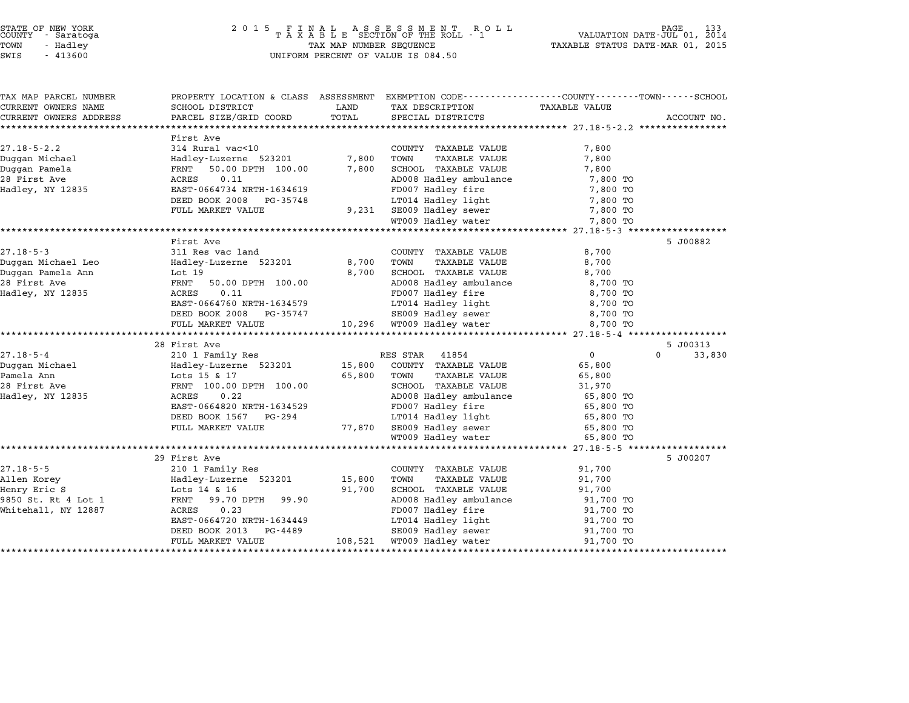| STATE OF NEW YORK |            |  |
|-------------------|------------|--|
| COUNTY            | - Saratoga |  |
| TOWN              | - Hadley   |  |
|                   |            |  |

| TAX MAP PARCEL NUMBER                         | PROPERTY LOCATION & CLASS ASSESSMENT EXEMPTION CODE---------------COUNTY-------TOWN-----SCHOOL |               |                                                                       |                |                                |
|-----------------------------------------------|------------------------------------------------------------------------------------------------|---------------|-----------------------------------------------------------------------|----------------|--------------------------------|
| CURRENT OWNERS NAME<br>CURRENT OWNERS ADDRESS | SCHOOL DISTRICT<br>PARCEL SIZE/GRID COORD                                                      | LAND<br>TOTAL | TAX DESCRIPTION<br>SPECIAL DISTRICTS                                  | TAXABLE VALUE  | ACCOUNT NO.                    |
|                                               |                                                                                                |               |                                                                       |                |                                |
|                                               | First Ave                                                                                      |               |                                                                       |                |                                |
| $27.18 - 5 - 2.2$                             | 314 Rural vac<10                                                                               |               | COUNTY TAXABLE VALUE                                                  | 7,800          |                                |
| Duggan Michael                                | Hadley-Luzerne 523201                                                                          | 7,800         | TOWN<br>TAXABLE VALUE                                                 | 7,800          |                                |
| Duggan Pamela                                 | FRNT 50.00 DPTH 100.00                                                                         | 7,800         | SCHOOL TAXABLE VALUE                                                  | 7,800          |                                |
| Hadley, NY 12835                              | ACRES<br>0.11                                                                                  |               | AD008 Hadley ambulance                                                | 7,800 TO       |                                |
|                                               | EAST-0664734 NRTH-1634619                                                                      |               | FD007 Hadley fire                                                     | 7,800 TO       |                                |
|                                               | DEED BOOK 2008<br>PG-35748                                                                     |               | LT014 Hadley light                                                    | 7,800 TO       |                                |
|                                               | FULL MARKET VALUE                                                                              | 9,231         |                                                                       | 7,800 TO       |                                |
|                                               |                                                                                                |               | SE009 Hadley sewer<br>WT009 Hadley water                              | 7,800 TO       |                                |
|                                               |                                                                                                |               |                                                                       |                |                                |
|                                               | First Ave                                                                                      |               |                                                                       |                | 5 J00882                       |
| $27.18 - 5 - 3$                               | 311 Res vac land                                                                               |               | COUNTY TAXABLE VALUE                                                  | 8,700          |                                |
| Duggan Michael Leo                            | Hadley-Luzerne 523201                                                                          | 8,700         | TOWN<br>TAXABLE VALUE                                                 | 8,700          |                                |
| Duggan Pamela Ann                             | Lot 19                                                                                         | 8,700         | SCHOOL TAXABLE VALUE                                                  | 8,700          |                                |
| 28 First Ave                                  | FRNT<br>50.00 DPTH 100.00                                                                      |               | AD008 Hadley ambulance                                                | 8,700 TO       |                                |
| Hadley, NY 12835                              | ACRES<br>0.11                                                                                  |               | FD007 Hadley fire                                                     | 8,700 TO       |                                |
|                                               | EAST-0664760 NRTH-1634579                                                                      |               | LT014 Hadley light                                                    | 8,700 TO       |                                |
|                                               | DEED BOOK 2008<br>PG-35747                                                                     |               | SE009 Hadley sewer                                                    | 8,700 TO       |                                |
|                                               | FULL MARKET VALUE                                                                              |               |                                                                       | 8,700 TO       |                                |
|                                               |                                                                                                |               |                                                                       |                |                                |
| $27.18 - 5 - 4$                               | 28 First Ave<br>210 1 Family Res                                                               |               | RES STAR 41854                                                        | $\overline{0}$ | 5 J00313<br>$\Omega$<br>33,830 |
| Duggan Michael                                | Hadley-Luzerne 523201 15,800                                                                   |               | COUNTY TAXABLE VALUE                                                  | 65,800         |                                |
| Pamela Ann                                    | Lots 15 & 17                                                                                   | 65,800        | <b>TAXABLE VALUE</b><br>TOWN                                          | 65,800         |                                |
| 28 First Ave                                  | FRNT 100.00 DPTH 100.00                                                                        |               | SCHOOL TAXABLE VALUE                                                  | 31,970         |                                |
| Hadley, NY 12835                              | ACRES<br>0.22                                                                                  |               | AD008 Hadley ambulance                                                | 65,800 TO      |                                |
|                                               | EAST-0664820 NRTH-1634529                                                                      |               | FD007 Hadley fire                                                     | 65,800 TO      |                                |
|                                               | DEED BOOK 1567 PG-294                                                                          |               | LT014 Hadley light                                                    | 65,800 TO      |                                |
|                                               | FULL MARKET VALUE                                                                              |               |                                                                       | 65,800 TO      |                                |
|                                               |                                                                                                |               | 77,870 SE009 Hadley sewer<br>WT009 Hadley water<br>WT009 Hadley water | 65,800 TO      |                                |
|                                               |                                                                                                |               |                                                                       |                |                                |
|                                               | 29 First Ave                                                                                   |               |                                                                       |                | 5 J00207                       |
| $27.18 - 5 - 5$                               | 210 1 Family Res                                                                               |               | COUNTY TAXABLE VALUE                                                  | 91,700         |                                |
| Allen Korey                                   | Hadley-Luzerne 523201                                                                          | 15,800        | TOWN<br>TAXABLE VALUE                                                 | 91,700         |                                |
| Henry Eric S                                  | Lots 14 & 16                                                                                   | 91,700        | SCHOOL TAXABLE VALUE                                                  | 91,700         |                                |
| 9850 St. Rt 4 Lot 1                           | FRNT 99.70 DPTH 99.90                                                                          |               | AD008 Hadley ambulance                                                | 91,700 TO      |                                |
| Whitehall, NY 12887                           | ACRES<br>0.23                                                                                  |               | FD007 Hadley fire                                                     | 91,700 TO      |                                |
|                                               | EAST-0664720 NRTH-1634449                                                                      |               | LT014 Hadley light                                                    | 91,700 TO      |                                |
|                                               | DEED BOOK 2013<br>PG-4489                                                                      |               | SE009 Hadley sewer                                                    | 91,700 TO      |                                |
|                                               | FULL MARKET VALUE                                                                              |               | 108,521 WT009 Hadley water                                            | 91,700 TO      |                                |
|                                               |                                                                                                |               |                                                                       |                |                                |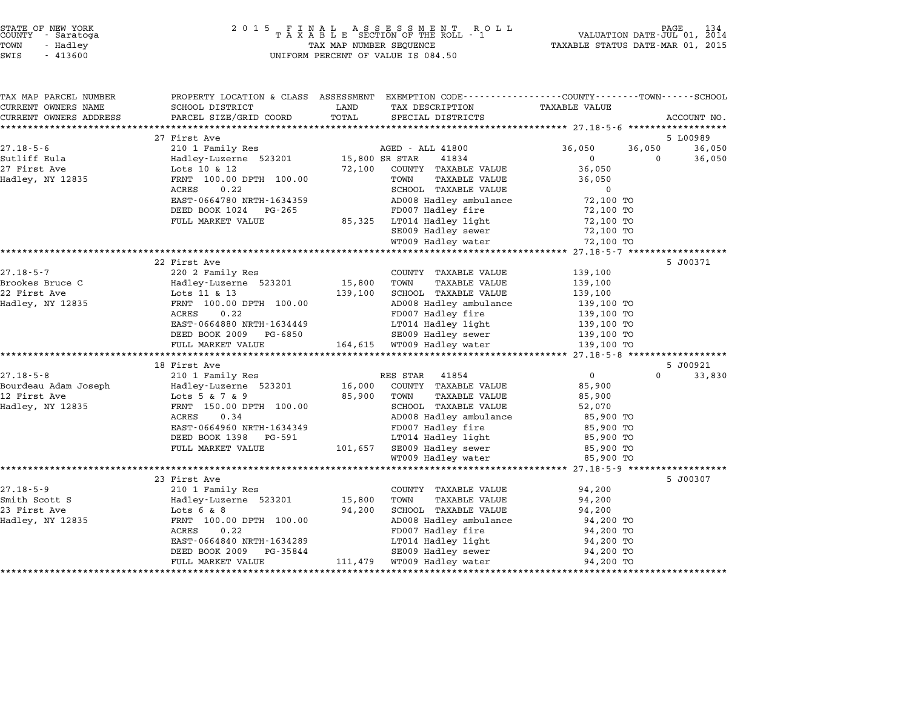| TAX MAP PARCEL NUMBER<br>CURRENT OWNERS NAME | SCHOOL DISTRICT                          | LAND<br>TAX DESCRIPTION                                | PROPERTY LOCATION & CLASS ASSESSMENT EXEMPTION CODE----------------COUNTY-------TOWN------SCHOOL<br>TAXABLE VALUE |
|----------------------------------------------|------------------------------------------|--------------------------------------------------------|-------------------------------------------------------------------------------------------------------------------|
|                                              |                                          | TOTAL                                                  |                                                                                                                   |
| CURRENT OWNERS ADDRESS                       | PARCEL SIZE/GRID COORD                   | SPECIAL DISTRICTS                                      | ACCOUNT NO.                                                                                                       |
|                                              |                                          |                                                        |                                                                                                                   |
| $27.18 - 5 - 6$                              | 27 First Ave<br>210 1 Family Res         | AGED - ALL 41800                                       | 5 L00989<br>36,050<br>36,050<br>36,050                                                                            |
| Sutliff Eula                                 |                                          |                                                        | $\Omega$<br>$\Omega$                                                                                              |
| 27 First Ave                                 | Hadley-Luzerne 523201<br>Lots 10 & 12    | 15,800 SR STAR<br>41834<br>72,100 COUNTY TAXABLE VALUE | 36,050<br>36,050                                                                                                  |
| Hadley, NY 12835                             |                                          |                                                        |                                                                                                                   |
|                                              | FRNT 100.00 DPTH 100.00<br>0.22<br>ACRES | TOWN<br>TAXABLE VALUE<br>SCHOOL TAXABLE VALUE          | 36,050<br>$\mathbf 0$                                                                                             |
|                                              | EAST-0664780 NRTH-1634359                | AD008 Hadley ambulance                                 | 72,100 TO                                                                                                         |
|                                              | DEED BOOK 1024 PG-265                    | FD007 Hadley fire                                      | 72,100 TO                                                                                                         |
|                                              | FULL MARKET VALUE                        | 85,325 LT014 Hadley light                              | 72,100 TO                                                                                                         |
|                                              |                                          | SE009 Hadley sewer                                     | 72,100 TO                                                                                                         |
|                                              |                                          | WT009 Hadley water                                     | 72,100 TO                                                                                                         |
|                                              |                                          |                                                        |                                                                                                                   |
|                                              | 22 First Ave                             |                                                        | 5 J00371                                                                                                          |
| 27.18-5-7                                    | 220 2 Family Res                         | COUNTY TAXABLE VALUE                                   | 139,100                                                                                                           |
| Brookes Bruce C                              | Hadley-Luzerne 523201                    | 15,800<br><b>TAXABLE VALUE</b><br>TOWN                 | 139,100                                                                                                           |
| 22 First Ave                                 | Lots 11 & 13                             | 139,100<br>SCHOOL TAXABLE VALUE                        | 139,100                                                                                                           |
| Hadley, NY 12835                             | FRNT 100.00 DPTH 100.00                  | AD008 Hadley ambulance                                 | 139,100 TO                                                                                                        |
|                                              | ACRES<br>0.22                            | FD007 Hadley fire                                      | 139,100 TO                                                                                                        |
|                                              | EAST-0664880 NRTH-1634449                | LT014 Hadley light                                     | 139,100 TO                                                                                                        |
|                                              | DEED BOOK 2009 PG-6850                   | SE009 Hadley sewer                                     | 139,100 TO                                                                                                        |
|                                              | FULL MARKET VALUE                        | 164,615 WT009 Hadley water                             | 139,100 TO                                                                                                        |
|                                              |                                          |                                                        |                                                                                                                   |
|                                              | 18 First Ave                             |                                                        | 5 J00921                                                                                                          |
| $27.18 - 5 - 8$                              | 210 1 Family Res                         | RES STAR 41854                                         | $\overline{0}$<br>$\Omega$<br>33,830                                                                              |
| Bourdeau Adam Joseph                         | Hadley-Luzerne 523201                    | 16,000 COUNTY TAXABLE VALUE                            | 85,900                                                                                                            |
| 12 First Ave                                 | Lots 5 & 7 & 9                           | 85,900 TOWN<br><b>TAXABLE VALUE</b>                    | 85,900                                                                                                            |
| Hadley, NY 12835                             | FRNT 150.00 DPTH 100.00                  | SCHOOL TAXABLE VALUE                                   | 52,070                                                                                                            |
|                                              | ACRES<br>0.34                            | AD008 Hadley ambulance                                 | 85,900 TO                                                                                                         |
|                                              | EAST-0664960 NRTH-1634349                | FD007 Hadley fire                                      | 85,900 TO                                                                                                         |
|                                              | DEED BOOK 1398 PG-591                    | LT014 Hadley light                                     | 85,900 TO                                                                                                         |
|                                              | FULL MARKET VALUE                        | 101,657 SE009 Hadley sewer                             | 85,900 TO                                                                                                         |
|                                              |                                          | WT009 Hadley water                                     | 85,900 TO                                                                                                         |
|                                              |                                          |                                                        |                                                                                                                   |
|                                              | 23 First Ave                             |                                                        | 5 J00307                                                                                                          |
| $27.18 - 5 - 9$                              | 210 1 Family Res                         | COUNTY TAXABLE VALUE                                   | 94,200                                                                                                            |
| Smith Scott S                                | Hadley-Luzerne 523201                    | 15,800 TOWN<br>TAXABLE VALUE                           | 94,200                                                                                                            |
| 23 First Ave                                 | Lots $6 & 8$                             | 94,200<br>SCHOOL TAXABLE VALUE                         | 94,200                                                                                                            |
|                                              |                                          | AD008 Hadley ambulance                                 | 94,200 TO                                                                                                         |
| Hadley, NY 12835                             | FRNT 100.00 DPTH 100.00                  |                                                        |                                                                                                                   |
|                                              | 0.22<br>ACRES                            | FD007 Hadley fire                                      | 94,200 TO                                                                                                         |
|                                              | EAST-0664840 NRTH-1634289                | LT014 Hadley light                                     | 94,200 TO                                                                                                         |
|                                              | PG-35844<br>DEED BOOK 2009               | SE009 Hadley sewer                                     | 94,200 TO                                                                                                         |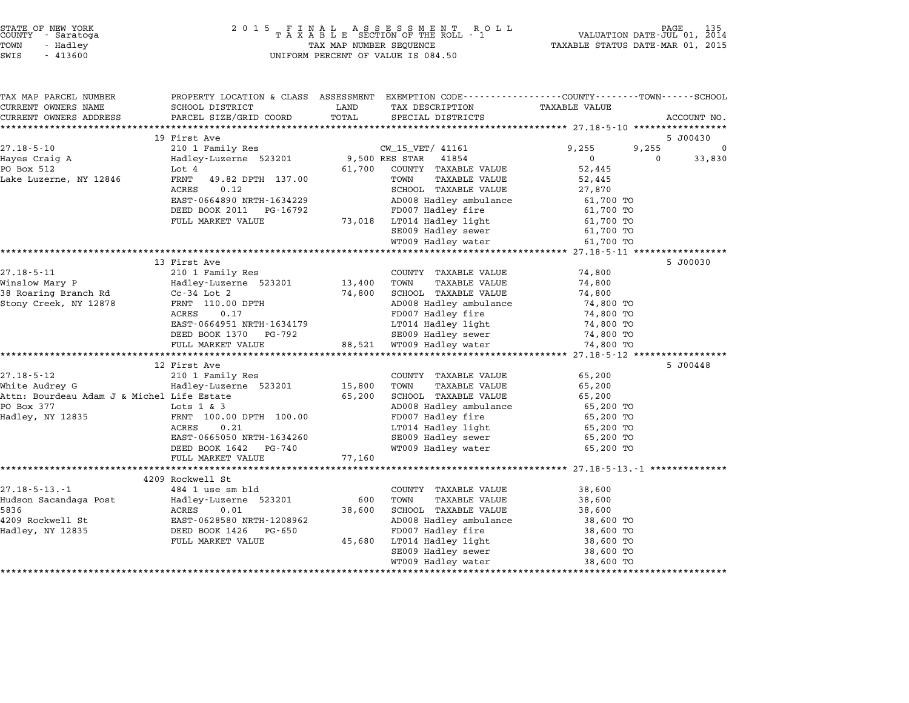| TAX MAP PARCEL NUMBER<br>CURRENT OWNERS NAME | PROPERTY LOCATION & CLASS ASSESSMENT EXEMPTION CODE---------------COUNTY-------TOWN------SCHOOL<br>SCHOOL DISTRICT | LAND           | TAX DESCRIPTION                               | <b>TAXABLE VALUE</b> |                      |
|----------------------------------------------|--------------------------------------------------------------------------------------------------------------------|----------------|-----------------------------------------------|----------------------|----------------------|
| CURRENT OWNERS ADDRESS                       | PARCEL SIZE/GRID COORD                                                                                             | TOTAL          | SPECIAL DISTRICTS                             |                      | ACCOUNT NO.          |
|                                              |                                                                                                                    |                |                                               |                      |                      |
|                                              | 19 First Ave                                                                                                       |                |                                               |                      | 5 J00430             |
| $27.18 - 5 - 10$                             | 210 1 Family Res                                                                                                   |                | CW_15_VET/ 41161                              | 9,255                | 9,255<br>$\mathbf 0$ |
| Hayes Craig A                                | Hadley-Luzerne 523201                                                                                              | 9,500 RES STAR | 41854                                         | $0 \qquad \qquad$    | $\Omega$<br>33,830   |
| PO Box 512                                   | Lot 4                                                                                                              |                | 61,700 COUNTY TAXABLE VALUE                   | 52,445               |                      |
| Lake Luzerne, NY 12846                       | FRNT<br>49.82 DPTH 137.00                                                                                          |                | TAXABLE VALUE<br>TOWN                         | 52,445               |                      |
|                                              | 0.12<br>ACRES                                                                                                      |                | SCHOOL TAXABLE VALUE                          | 27,870               |                      |
|                                              | EAST-0664890 NRTH-1634229                                                                                          |                | AD008 Hadley ambulance                        | 61,700 TO            |                      |
|                                              | DEED BOOK 2011 PG-16792                                                                                            |                | FD007 Hadley fire                             | 61,700 TO            |                      |
|                                              | FULL MARKET VALUE                                                                                                  |                | 73,018 LT014 Hadley light                     | 61,700 TO            |                      |
|                                              |                                                                                                                    |                | SE009 Hadley sewer                            | 61,700 TO            |                      |
|                                              |                                                                                                                    |                | WT009 Hadley water                            | 61,700 TO            |                      |
|                                              |                                                                                                                    |                |                                               |                      |                      |
|                                              | 13 First Ave                                                                                                       |                |                                               |                      | 5 J00030             |
|                                              |                                                                                                                    |                | COUNTY TAXABLE VALUE                          | 74,800               |                      |
|                                              |                                                                                                                    | 13,400         | TOWN<br>TAXABLE VALUE                         | 74,800               |                      |
|                                              |                                                                                                                    | 74,800         | SCHOOL TAXABLE VALUE                          | 74,800               |                      |
| Stony Creek, NY 12878                        | FRNT 110.00 DPTH                                                                                                   |                | AD008 Hadley ambulance                        | 74,800 TO            |                      |
|                                              | 0.17<br>ACRES                                                                                                      |                | FD007 Hadley fire                             | 74,800 TO            |                      |
|                                              | EAST-0664951 NRTH-1634179                                                                                          |                | LT014 Hadley light                            | 74,800 TO            |                      |
|                                              | DEED BOOK 1370 PG-792                                                                                              |                | SE009 Hadley sewer                            | 74,800 TO            |                      |
|                                              | FULL MARKET VALUE                                                                                                  |                | 88,521 WT009 Hadley water                     | 74,800 TO            |                      |
|                                              |                                                                                                                    |                |                                               |                      |                      |
|                                              | 12 First Ave                                                                                                       |                |                                               |                      | 5 J00448             |
| $27.18 - 5 - 12$                             | 210 1 Family Res                                                                                                   |                | COUNTY TAXABLE VALUE                          | 65,200               |                      |
| White Audrey G                               | Hadley-Luzerne 523201                                                                                              | 15,800         | TOWN<br>TAXABLE VALUE                         | 65,200               |                      |
| Attn: Bourdeau Adam J & Michel Life Estate   |                                                                                                                    | 65,200         | SCHOOL TAXABLE VALUE                          | 65,200               |                      |
| PO Box 377                                   | Lots 1 & 3                                                                                                         |                | AD008 Hadley ambulance                        | 65,200 TO            |                      |
| Hadley, NY 12835                             | FRNT 100.00 DPTH 100.00                                                                                            |                | FD007 Hadley fire                             | 65,200 TO            |                      |
|                                              | 0.21<br>ACRES                                                                                                      |                | LT014 Hadley light<br>SE009 Hadley sewer      | 65,200 TO            |                      |
|                                              | EAST-0665050 NRTH-1634260                                                                                          |                |                                               | 65,200 TO            |                      |
|                                              | DEED BOOK 1642 PG-740                                                                                              |                | WT009 Hadley water                            | 65,200 TO            |                      |
|                                              | FULL MARKET VALUE                                                                                                  | 77,160         |                                               |                      |                      |
|                                              | 4209 Rockwell St                                                                                                   |                |                                               |                      |                      |
| $27.18 - 5 - 13 - 1$                         |                                                                                                                    |                |                                               |                      |                      |
| Hudson Sacandaga Post                        | 484 1 use sm bld<br>Hadley-Luzerne 523201                                                                          | 600            | COUNTY TAXABLE VALUE<br>TOWN<br>TAXABLE VALUE | 38,600<br>38,600     |                      |
| 5836                                         | ACRES<br>0.01                                                                                                      | 38,600         | SCHOOL TAXABLE VALUE                          | 38,600               |                      |
| 4209 Rockwell St                             | EAST-0628580 NRTH-1208962                                                                                          |                | AD008 Hadley ambulance                        | 38,600 TO            |                      |
| Hadley, NY 12835                             | DEED BOOK 1426 PG-650                                                                                              |                | FD007 Hadley fire                             | 38,600 TO            |                      |
|                                              | FULL MARKET VALUE                                                                                                  | 45,680         |                                               | 38,600 TO            |                      |
|                                              |                                                                                                                    |                | LT014 Hadley light<br>SE009 Hadley sewer      | 38,600 TO            |                      |
|                                              |                                                                                                                    |                | WT009 Hadley water                            | 38,600 TO            |                      |
|                                              |                                                                                                                    |                |                                               |                      |                      |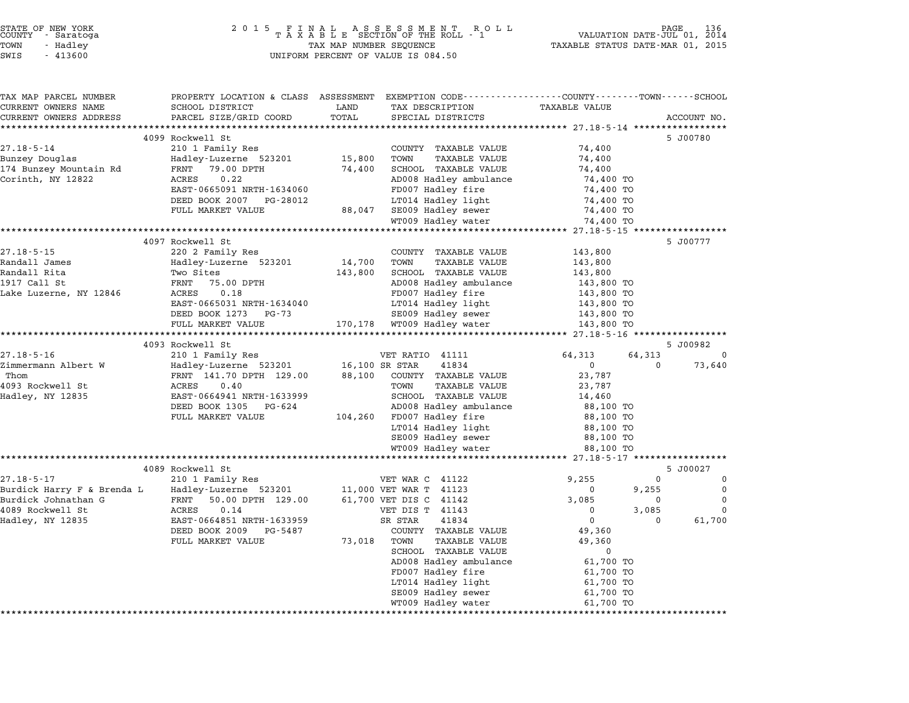| STATE OF NEW YORK<br>COUNTY<br>- Saratoga<br>TOWN<br>- Hadley<br>SWIS<br>$-413600$ | 2 0 1 5                                                                                        | TAX MAP NUMBER SEQUENCE | FINAL ASSESSMENT ROTAXABLE SECTION OF THE ROLL - 1<br>R O L L<br>UNIFORM PERCENT OF VALUE IS 084.50 | TAXABLE STATUS DATE-MAR 01, 2015                 | PAGE<br>136<br>VALUATION DATE-JUL 01, 2014 |
|------------------------------------------------------------------------------------|------------------------------------------------------------------------------------------------|-------------------------|-----------------------------------------------------------------------------------------------------|--------------------------------------------------|--------------------------------------------|
| TAX MAP PARCEL NUMBER                                                              | PROPERTY LOCATION & CLASS ASSESSMENT EXEMPTION CODE---------------COUNTY-------TOWN-----SCHOOL |                         |                                                                                                     |                                                  |                                            |
| CURRENT OWNERS NAME<br>CURRENT OWNERS ADDRESS                                      | SCHOOL DISTRICT<br>PARCEL SIZE/GRID COORD                                                      | LAND<br>TOTAL           | TAX DESCRIPTION<br>SPECIAL DISTRICTS                                                                | TAXABLE VALUE                                    | ACCOUNT NO.                                |
|                                                                                    |                                                                                                |                         |                                                                                                     |                                                  |                                            |
|                                                                                    | 4099 Rockwell St                                                                               |                         |                                                                                                     |                                                  | 5 J00780                                   |
| $27.18 - 5 - 14$                                                                   | 210 1 Family Res                                                                               |                         | COUNTY TAXABLE VALUE                                                                                | 74,400                                           |                                            |
| Bunzey Douglas                                                                     | Hadley-Luzerne 523201                                                                          | 15,800                  | TOWN<br>TAXABLE VALUE                                                                               | 74,400                                           |                                            |
| 174 Bunzey Mountain Rd                                                             | FRNT<br>79.00 DPTH                                                                             | 74,400                  | SCHOOL TAXABLE VALUE                                                                                | 74,400                                           |                                            |
| Corinth, NY 12822                                                                  | 0.22<br>ACRES                                                                                  |                         | AD008 Hadley ambulance                                                                              | 74,400 TO                                        |                                            |
|                                                                                    | EAST-0665091 NRTH-1634060                                                                      |                         | FD007 Hadley fire                                                                                   | 74,400 TO                                        |                                            |
|                                                                                    | DEED BOOK 2007 PG-28012                                                                        |                         | LT014 Hadley light                                                                                  | 74,400 TO                                        |                                            |
|                                                                                    | FULL MARKET VALUE                                                                              | 88,047                  | SE009 Hadley sewer                                                                                  | 74,400 TO                                        |                                            |
|                                                                                    |                                                                                                |                         | WT009 Hadley water                                                                                  | 74,400 TO                                        |                                            |
|                                                                                    | *******************************                                                                |                         |                                                                                                     | ****************** 27.18-5-15 ****************** |                                            |
| $27.18 - 5 - 15$                                                                   | 4097 Rockwell St<br>220 2 Family Res                                                           |                         | COUNTY TAXABLE VALUE                                                                                | 143,800                                          | 5 J00777                                   |
| Randall James                                                                      | Hadley-Luzerne 523201                                                                          | 14,700                  | TOWN<br><b>TAXABLE VALUE</b>                                                                        | 143,800                                          |                                            |
| Randall Rita                                                                       | Two Sites                                                                                      | 143,800                 | SCHOOL TAXABLE VALUE                                                                                | 143,800                                          |                                            |
| 1917 Call St                                                                       | FRNT<br>75.00 DPTH                                                                             |                         | AD008 Hadley ambulance                                                                              | 143,800 TO                                       |                                            |
| Lake Luzerne, NY 12846                                                             | ACRES<br>0.18                                                                                  |                         | FD007 Hadley fire                                                                                   | 143,800 TO                                       |                                            |
|                                                                                    | EAST-0665031 NRTH-1634040                                                                      |                         | LT014 Hadley light                                                                                  | 143,800 TO                                       |                                            |
|                                                                                    | DEED BOOK 1273 PG-73                                                                           |                         | SE009 Hadley sewer                                                                                  | 143,800 TO                                       |                                            |
|                                                                                    | FULL MARKET VALUE                                                                              |                         | 170,178 WT009 Hadley water                                                                          | 143,800 TO                                       |                                            |
|                                                                                    | **************************                                                                     |                         |                                                                                                     |                                                  |                                            |
|                                                                                    | 4093 Rockwell St                                                                               |                         |                                                                                                     |                                                  | 5 J00982                                   |
| $27.18 - 5 - 16$                                                                   | 210 1 Family Res                                                                               |                         | VET RATIO 41111                                                                                     | 64,313                                           | 64,313<br>0                                |
| Zimmermann Albert W<br>Thom                                                        | Hadley-Luzerne 523201                                                                          |                         | 16,100 SR STAR<br>41834                                                                             | $\Omega$                                         | 73,640<br>$\Omega$                         |
| 4093 Rockwell St                                                                   | FRNT 141.70 DPTH 129.00                                                                        | 88,100                  | COUNTY TAXABLE VALUE<br><b>TAXABLE VALUE</b>                                                        | 23,787<br>23,787                                 |                                            |
| Hadley, NY 12835                                                                   | ACRES<br>0.40<br>EAST-0664941 NRTH-1633999                                                     |                         | TOWN<br>SCHOOL TAXABLE VALUE                                                                        | 14,460                                           |                                            |
|                                                                                    | DEED BOOK 1305 PG-624                                                                          |                         | AD008 Hadley ambulance                                                                              | 88,100 TO                                        |                                            |
|                                                                                    | FULL MARKET VALUE                                                                              | 104,260                 | FD007 Hadley fire                                                                                   | 88,100 TO                                        |                                            |
|                                                                                    |                                                                                                |                         | LT014 Hadley light                                                                                  | 88,100 TO                                        |                                            |
|                                                                                    |                                                                                                |                         | SE009 Hadley sewer                                                                                  | 88,100 TO                                        |                                            |
|                                                                                    |                                                                                                |                         | WT009 Hadley water                                                                                  | 88,100 TO                                        |                                            |
|                                                                                    |                                                                                                |                         |                                                                                                     |                                                  |                                            |
|                                                                                    | 4089 Rockwell St                                                                               |                         |                                                                                                     |                                                  | 5 J00027                                   |
| $27.18 - 5 - 17$                                                                   | 210 1 Family Res                                                                               |                         | VET WAR C 41122                                                                                     | 9,255                                            | 0<br>0                                     |
| Burdick Harry F & Brenda L                                                         | Hadley-Luzerne 523201                                                                          |                         | 11,000 VET WAR T 41123                                                                              | 0                                                | $\mathbf 0$<br>9,255                       |
| Burdick Johnathan G                                                                | FRNT<br>50.00 DPTH 129.00                                                                      |                         | 61,700 VET DIS C 41142                                                                              | 3,085                                            | $\mathbf 0$<br>0                           |
| 4089 Rockwell St                                                                   | ACRES<br>0.14                                                                                  |                         | VET DIS T 41143                                                                                     | 0<br>$\mathsf{O}$                                | 3,085<br>0                                 |
| Hadley, NY 12835                                                                   | EAST-0664851 NRTH-1633959<br>DEED BOOK 2009 PG-5487                                            |                         | 41834<br>SR STAR<br>COUNTY TAXABLE VALUE                                                            | 49,360                                           | 61,700<br>0                                |
|                                                                                    | FULL MARKET VALUE                                                                              | 73,018                  | TOWN<br>TAXABLE VALUE                                                                               | 49,360                                           |                                            |
|                                                                                    |                                                                                                |                         | SCHOOL TAXABLE VALUE                                                                                | $\mathbf 0$                                      |                                            |
|                                                                                    |                                                                                                |                         | AD008 Hadley ambulance                                                                              | 61,700 TO                                        |                                            |
|                                                                                    |                                                                                                |                         | FD007 Hadley fire                                                                                   | 61,700 TO                                        |                                            |
|                                                                                    |                                                                                                |                         | LT014 Hadley light                                                                                  | 61,700 TO                                        |                                            |
|                                                                                    |                                                                                                |                         | SE009 Hadley sewer                                                                                  | 61,700 TO                                        |                                            |
|                                                                                    |                                                                                                |                         | WT009 Hadley water                                                                                  | 61,700 TO                                        |                                            |

\*\*\*\*\*\*\*\*\*\*\*\*\*\*\*\*\*\*\*\*\*\*\*\*\*\*\*\*\*\*\*\*\*\*\*\*\*\*\*\*\*\*\*\*\*\*\*\*\*\*\*\*\*\*\*\*\*\*\*\*\*\*\*\*\*\*\*\*\*\*\*\*\*\*\*\*\*\*\*\*\*\*\*\*\*\*\*\*\*\*\*\*\*\*\*\*\*\*\*\*\*\*\*\*\*\*\*\*\*\*\*\*\*\*\*\*\*\*\*\*\*\*\*\*\*\*\*\*\*\*\*\*

STATE OF NEW YORK <sup>2</sup> <sup>0</sup> <sup>1</sup> 5 F I N A L A S S E S S M E N T R O L L PAGE <sup>136</sup> COUNTY - Saratoga <sup>T</sup> <sup>A</sup> <sup>X</sup> <sup>A</sup> <sup>B</sup> <sup>L</sup> <sup>E</sup> SECTION OF THE ROLL - <sup>1</sup> VALUATION DATE-JUL 01, <sup>2014</sup>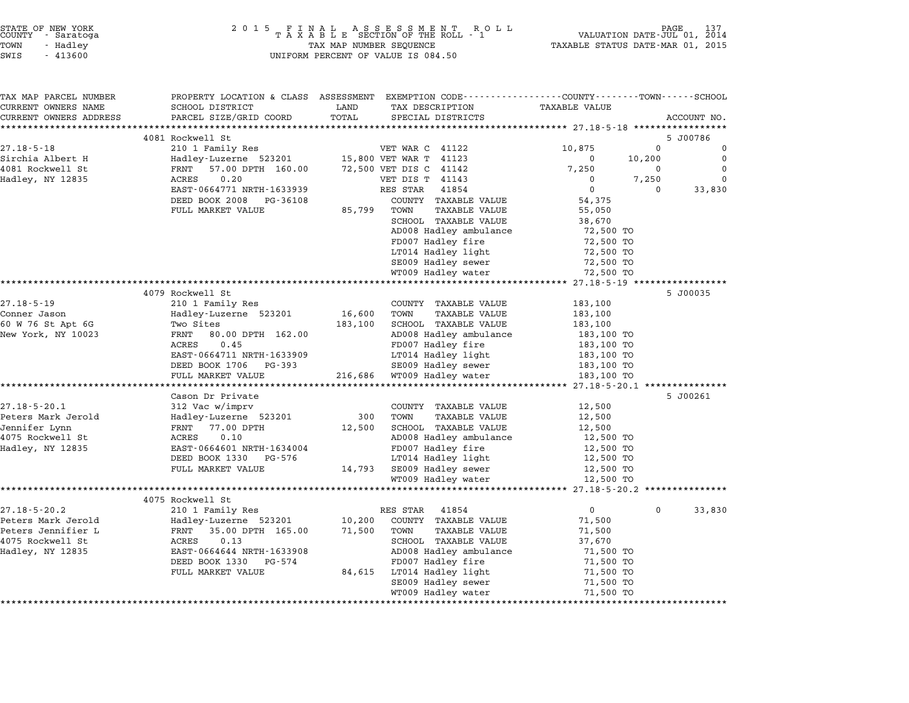|        | STATE OF NEW YORK |  |
|--------|-------------------|--|
| COUNTY | - Saratoga        |  |
| TOWN   | - Hadley          |  |
|        |                   |  |

| TAX MAP PARCEL NUMBER  | PROPERTY LOCATION & CLASS ASSESSMENT             |         | EXEMPTION CODE-----------------COUNTY-------TOWN------SCHOOL |                            |          |             |
|------------------------|--------------------------------------------------|---------|--------------------------------------------------------------|----------------------------|----------|-------------|
| CURRENT OWNERS NAME    | SCHOOL DISTRICT                                  | LAND    | TAX DESCRIPTION                                              | TAXABLE VALUE              |          |             |
| CURRENT OWNERS ADDRESS | PARCEL SIZE/GRID COORD<br>********************** | TOTAL   | SPECIAL DISTRICTS                                            |                            |          | ACCOUNT NO. |
|                        | 4081 Rockwell St                                 |         |                                                              |                            |          | 5 J00786    |
| $27.18 - 5 - 18$       | 210 1 Family Res                                 |         | VET WAR C 41122                                              | 10,875                     | $\Omega$ | $\Omega$    |
| Sirchia Albert H       | Hadley-Luzerne 523201                            |         | 15,800 VET WAR T 41123                                       | 0                          | 10,200   | $\mathbf 0$ |
| 4081 Rockwell St       | 57.00 DPTH 160.00<br>FRNT                        |         | 72,500 VET DIS C 41142                                       | 7,250                      | 0        | $\Omega$    |
| Hadley, NY 12835       | 0.20<br>ACRES                                    |         | VET DIS T 41143                                              | 0                          | 7,250    | 0           |
|                        | EAST-0664771 NRTH-1633939                        |         | RES STAR<br>41854                                            | $\mathbf 0$                | $\Omega$ | 33,830      |
|                        | DEED BOOK 2008<br>PG-36108                       |         | COUNTY TAXABLE VALUE                                         | 54,375                     |          |             |
|                        | FULL MARKET VALUE                                | 85,799  | TAXABLE VALUE<br>TOWN                                        | 55,050                     |          |             |
|                        |                                                  |         | SCHOOL TAXABLE VALUE                                         | 38,670                     |          |             |
|                        |                                                  |         | AD008 Hadley ambulance                                       | 72,500 TO                  |          |             |
|                        |                                                  |         | FD007 Hadley fire                                            | 72,500 TO                  |          |             |
|                        |                                                  |         | LT014 Hadley light                                           | 72,500 TO                  |          |             |
|                        |                                                  |         | SE009 Hadley sewer                                           | 72,500 TO                  |          |             |
|                        |                                                  |         | WT009 Hadley water                                           | 72,500 TO                  |          |             |
|                        |                                                  |         |                                                              | ********* 27.18-5-19 ***** |          |             |
|                        | 4079 Rockwell St                                 |         |                                                              |                            |          | 5 J00035    |
| $27.18 - 5 - 19$       | 210 1 Family Res                                 |         | COUNTY TAXABLE VALUE                                         | 183,100                    |          |             |
| Conner Jason           | Hadley-Luzerne 523201                            | 16,600  | TOWN<br>TAXABLE VALUE                                        | 183,100                    |          |             |
| 60 W 76 St Apt 6G      | Two Sites                                        | 183,100 | SCHOOL TAXABLE VALUE                                         | 183,100                    |          |             |
| New York, NY 10023     | FRNT<br>80.00 DPTH 162.00                        |         | AD008 Hadley ambulance                                       | 183,100 TO                 |          |             |
|                        | ACRES<br>0.45                                    |         | FD007 Hadley fire                                            | 183,100 TO                 |          |             |
|                        | EAST-0664711 NRTH-1633909                        |         | LT014 Hadley light                                           | 183,100 TO                 |          |             |
|                        | DEED BOOK 1706<br>PG-393<br>FULL MARKET VALUE    |         | SE009 Hadley sewer<br>216,686 WT009 Hadley water             | 183,100 TO<br>183,100 TO   |          |             |
|                        | **********************                           |         |                                                              |                            |          |             |
|                        | Cason Dr Private                                 |         |                                                              |                            |          | 5 J00261    |
| $27.18 - 5 - 20.1$     | 312 Vac w/imprv                                  |         | COUNTY TAXABLE VALUE                                         | 12,500                     |          |             |
| Peters Mark Jerold     | Hadley-Luzerne 523201                            | 300     | TOWN<br>TAXABLE VALUE                                        | 12,500                     |          |             |
| Jennifer Lynn          | FRNT<br>77.00 DPTH                               | 12,500  | SCHOOL TAXABLE VALUE                                         | 12,500                     |          |             |
| 4075 Rockwell St       | 0.10<br>ACRES                                    |         | AD008 Hadley ambulance                                       | 12,500 TO                  |          |             |
| Hadley, NY 12835       | EAST-0664601 NRTH-1634004                        |         | FD007 Hadley fire                                            | 12,500 TO                  |          |             |
|                        | DEED BOOK 1330 PG-576                            |         | LT014 Hadley light                                           | 12,500 TO                  |          |             |
|                        | FULL MARKET VALUE                                | 14,793  | SE009 Hadley sewer                                           | 12,500 TO                  |          |             |
|                        |                                                  |         | WT009 Hadley water                                           | 12,500 TO                  |          |             |
|                        |                                                  |         |                                                              |                            |          |             |
|                        | 4075 Rockwell St                                 |         |                                                              |                            |          |             |
| $27.18 - 5 - 20.2$     | 210 1 Family Res                                 |         | 41854<br>RES STAR                                            | $\mathbf{0}$               | $\Omega$ | 33,830      |
| Peters Mark Jerold     | Hadley-Luzerne 523201                            | 10,200  | COUNTY TAXABLE VALUE                                         | 71,500                     |          |             |
| Peters Jennifier L     | 35.00 DPTH 165.00<br>FRNT                        | 71,500  | TOWN<br><b>TAXABLE VALUE</b>                                 | 71,500                     |          |             |
| 4075 Rockwell St       | ACRES<br>0.13                                    |         | SCHOOL TAXABLE VALUE                                         | 37,670                     |          |             |
| Hadley, NY 12835       | EAST-0664644 NRTH-1633908                        |         | AD008 Hadley ambulance                                       | 71,500 TO                  |          |             |
|                        | DEED BOOK 1330<br>PG-574                         |         | FD007 Hadley fire                                            | 71,500 TO                  |          |             |
|                        | FULL MARKET VALUE                                | 84,615  | LT014 Hadley light                                           | 71,500 TO                  |          |             |
|                        |                                                  |         | SE009 Hadley sewer                                           | 71,500 TO                  |          |             |
|                        |                                                  |         | WT009 Hadley water                                           | 71,500 TO                  |          |             |
|                        |                                                  |         |                                                              |                            |          |             |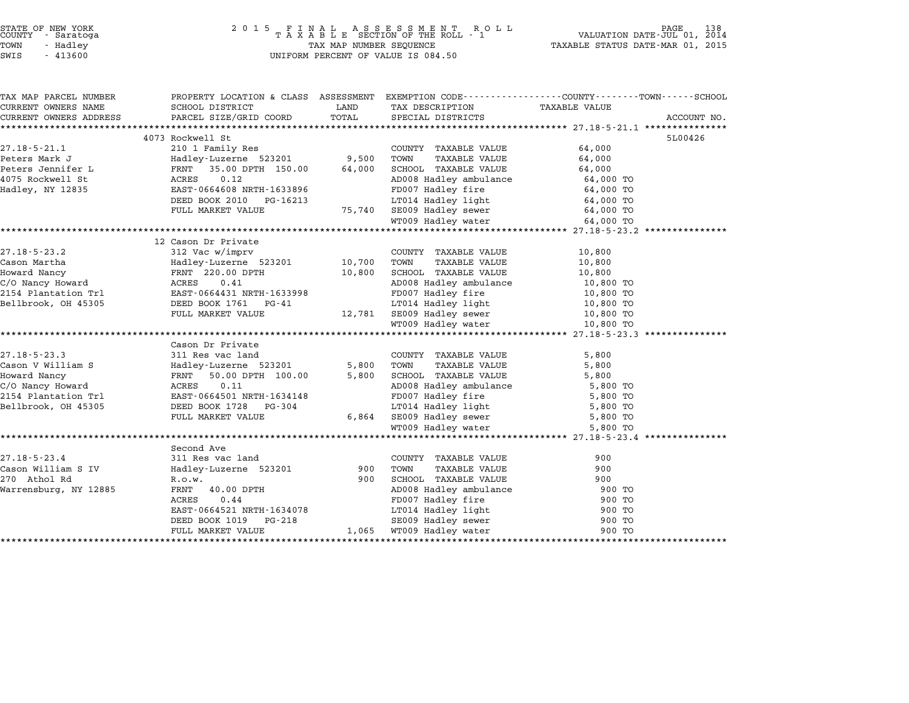|     |  | TATE OF NEW YORK<br>OUNTY - Saratoga |
|-----|--|--------------------------------------|
| OWN |  | - Hadley                             |
| WIS |  | $-413600$                            |

# STATE OF NEW YORK <sup>2</sup> <sup>0</sup> <sup>1</sup> 5 F I N A L A S S E S S M E N T R O L L PAGE <sup>138</sup> COUNTY - Saratoga <sup>T</sup> <sup>A</sup> <sup>X</sup> <sup>A</sup> <sup>B</sup> <sup>L</sup> <sup>E</sup> SECTION OF THE ROLL - <sup>1</sup> VALUATION DATE-JUL 01, <sup>2014</sup> TOWN - Hadley TAX MAP NUMBER SEQUENCE TAXABLE STATUS DATE-MAR 01, <sup>2015</sup> STATE OF NEW YORK STATE OF NEW YORK A SOLUME TO A SOLUME TO A SOLUME TO A SOLUME TO A SOLUME TO A SOLUME TO A S<br>TOWN - Hadley TAX A B L E SECTION OF THE ROLL<br>SWIS - 413600 SWIS - 413600

| TAX MAP PARCEL NUMBER  |                                                               |            |                                                                                              | PROPERTY LOCATION & CLASS ASSESSMENT EXEMPTION CODE---------------COUNTY-------TOWN-----SCHOOL |  |
|------------------------|---------------------------------------------------------------|------------|----------------------------------------------------------------------------------------------|------------------------------------------------------------------------------------------------|--|
| CURRENT OWNERS NAME    | SCHOOL DISTRICT                                               |            |                                                                                              |                                                                                                |  |
| CURRENT OWNERS ADDRESS | PARCEL SIZE/GRID COORD                                        |            | TOTAL SPECIAL DISTRICTS                                                                      | ACCOUNT NO.                                                                                    |  |
|                        |                                                               |            |                                                                                              |                                                                                                |  |
|                        | 4073 Rockwell St                                              |            |                                                                                              | 5L00426                                                                                        |  |
| $27.18 - 5 - 21.1$     | 210 1 Family Res                                              |            | COUNTY TAXABLE VALUE                                                                         | 64,000                                                                                         |  |
| Peters Mark J          | Hadley-Luzerne 523201 9,500<br>FRNT 35.00 DPTH 150.00 64,000  |            | TAXABLE VALUE<br>TOWN                                                                        | 64,000                                                                                         |  |
| Peters Jennifer L      |                                                               |            | SCHOOL TAXABLE VALUE                                                                         | 64,000                                                                                         |  |
| 4075 Rockwell St       | 0.12<br>ACRES                                                 |            | AD008 Hadley ambulance 64,000 TO                                                             |                                                                                                |  |
| Hadley, NY 12835       | EAST-0664608 NRTH-1633896                                     |            |                                                                                              | 64,000 TO<br>64,000 ጥቦ                                                                         |  |
|                        | DEED BOOK 2010 PG-16213                                       |            | 533896<br>16213 17014 Hadley light<br>75,740 SE009 Hadley light<br>75,740 SE009 Hadley sewer |                                                                                                |  |
|                        | FULL MARKET VALUE                                             |            |                                                                                              | 64,000 TO                                                                                      |  |
|                        |                                                               |            | WT009 Hadley water                                                                           | 64,000 TO                                                                                      |  |
|                        |                                                               |            |                                                                                              |                                                                                                |  |
|                        | 12 Cason Dr Private                                           |            |                                                                                              |                                                                                                |  |
|                        |                                                               |            | COUNTY TAXABLE VALUE                                                                         | 10,800                                                                                         |  |
|                        |                                                               |            | TAXABLE VALUE                                                                                | 10,800                                                                                         |  |
|                        |                                                               |            | SCHOOL TAXABLE VALUE                                                                         | 10,800                                                                                         |  |
|                        |                                                               |            | AD008 Hadley ambulance 10,800 TO<br>FD007 Hadley fire 10,800 TO                              |                                                                                                |  |
|                        |                                                               |            |                                                                                              |                                                                                                |  |
| Bellbrook, OH 45305    | DEED BOOK 1761 PG-41                                          |            | LT014 Hadley light 10,800 TO                                                                 |                                                                                                |  |
|                        | FULL MARKET VALUE                                             |            |                                                                                              | 10,800 TO                                                                                      |  |
|                        |                                                               |            | 12,781 SE009 Hadley sewer<br>WT009 Hadley water                                              | 10,800 TO                                                                                      |  |
|                        |                                                               |            |                                                                                              |                                                                                                |  |
|                        | Cason Dr Private                                              |            |                                                                                              |                                                                                                |  |
| $27.18 - 5 - 23.3$     | 311 Res vac land                                              |            | COUNTY TAXABLE VALUE                                                                         | 5,800                                                                                          |  |
| Cason V William S      |                                                               | 5,800 TOWN | TAXABLE VALUE                                                                                | 5,800                                                                                          |  |
| Howard Nancy           | Hadley-Luzerne 523201<br>FRNT 50.00 DPTH 100.00<br>ACRES 0.11 | 5,800      | SCHOOL TAXABLE VALUE<br>AD008 Hadley ambulance<br>FD007 Hadley fire                          | 5,800                                                                                          |  |
| C/O Nancy Howard       |                                                               |            |                                                                                              | 5,800 TO                                                                                       |  |
| 2154 Plantation Trl    | EAST-0664501 NRTH-1634148                                     |            |                                                                                              | 5,800 TO                                                                                       |  |
| Bellbrook, OH 45305    | DEED BOOK 1728 PG-304                                         |            | LT014 Hadley light<br>6,864 SE009 Hadley sewer                                               |                                                                                                |  |
|                        | FULL MARKET VALUE                                             |            |                                                                                              | 5,800 TO<br>5,800 TO                                                                           |  |
|                        |                                                               |            | WT009 Hadley water                                                                           | 5,800 TO                                                                                       |  |
|                        |                                                               |            |                                                                                              |                                                                                                |  |
|                        | Second Ave                                                    |            |                                                                                              |                                                                                                |  |
| $27.18 - 5 - 23.4$     | 311 Res vac land                                              |            | COUNTY TAXABLE VALUE                                                                         | 900                                                                                            |  |
| Cason William S IV     | Hadley-Luzerne 523201                                         | 900        | TAXABLE VALUE<br>TOWN                                                                        | 900                                                                                            |  |
| 270 Athol Rd           | R.O.W.                                                        | 900        | SCHOOL TAXABLE VALUE                                                                         | 900                                                                                            |  |
| Warrensburg, NY 12885  | FRNT 40.00 DPTH                                               |            |                                                                                              | 900 TO                                                                                         |  |
|                        | ACRES<br>0.44                                                 |            |                                                                                              | 900 TO                                                                                         |  |
|                        | EAST-0664521 NRTH-1634078                                     |            | AD008 Hadley ambulance<br>FD007 Hadley fire<br>LT014 Hadley light                            | 900 TO                                                                                         |  |
|                        | DEED BOOK 1019 PG-218                                         |            | SE009 Hadley sewer                                                                           | 900 TO                                                                                         |  |
|                        | FULL MARKET VALUE                                             |            | 1,065 WT009 Hadley water                                                                     | 900 TO                                                                                         |  |
|                        |                                                               |            |                                                                                              |                                                                                                |  |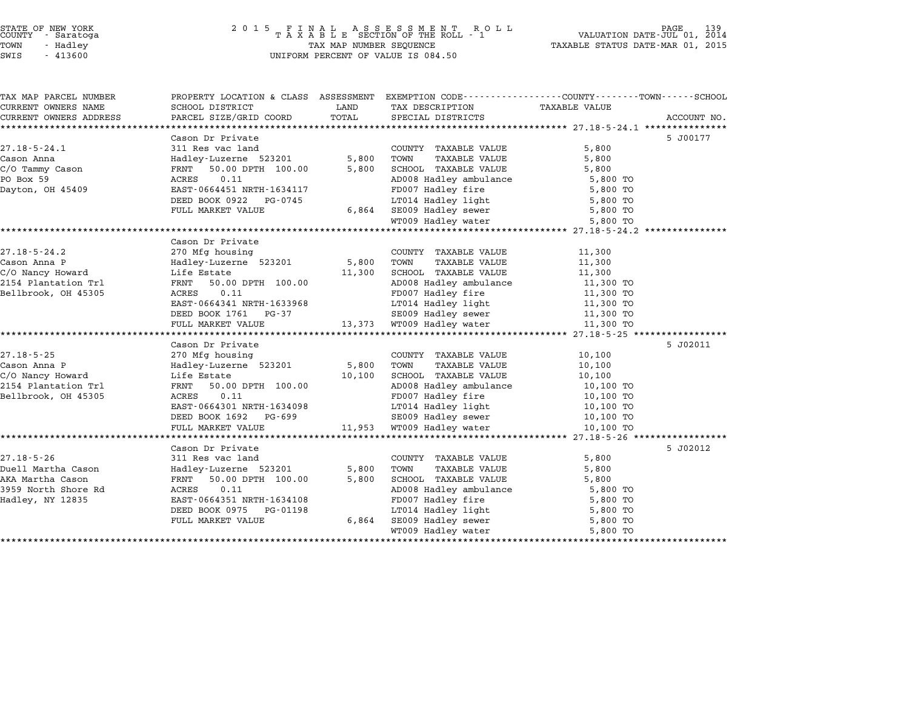### STATE OF NEW YORK <sup>2</sup> <sup>0</sup> <sup>1</sup> 5 F I N A L A S S E S S M E N T R O L L PAGE <sup>139</sup> COUNTY - Saratoga <sup>T</sup> <sup>A</sup> <sup>X</sup> <sup>A</sup> <sup>B</sup> <sup>L</sup> <sup>E</sup> SECTION OF THE ROLL - <sup>1</sup> VALUATION DATE-JUL 01, <sup>2014</sup> TOWN - Hadley TAX MAP NUMBER SEQUENCE TAXABLE STATUS DATE-MAR 01, <sup>2015</sup> STATE OF NEW YORK  $\begin{array}{cccccccccccccccccccccc} \texttt{STATE OF NEW YORK} \end{array} \begin{array}{cccccccccccccc} \texttt{STATE OF NEW YORK} \end{array} \begin{array}{cccccccccccccc} \texttt{SNE N T} \end{array} \begin{array}{cccccccccccccc} \texttt{SNE N T} \end{array} \begin{array}{cccccccccccccc} \texttt{SNE N T} \end{array} \begin{array}{cccccccccccccc} \texttt{COUNTY} \end{array} \begin{array}{cccccccccccccc} \texttt{SNE N T} \end{array} \begin{array}{cccccccccccccc} \texttt{COUNTY} \end{array} \begin{array}{cccccccccccccc$

TAX MAP PARCEL NUMBER PROPERTY LOCATION & CLASS ASSESSMENT EXEMPTION CODE------------------COUNTY--------TOWN------SCHOOL

| TAX MAP PARCEL NUMBER<br>CURRENT OWNERS NAME | PROPERTY LOCATION & CLASS ASSESSMENT EXEMPTION CODE---------------COUNTY-------TOWN------SCHOOL<br>SCHOOL DISTRICT | LAND       | TAX DESCRIPTION TAXABLE VALUE                                                                                                                                                                                                  |           |             |
|----------------------------------------------|--------------------------------------------------------------------------------------------------------------------|------------|--------------------------------------------------------------------------------------------------------------------------------------------------------------------------------------------------------------------------------|-----------|-------------|
| CURRENT OWNERS ADDRESS                       | PARCEL SIZE/GRID COORD TOTAL                                                                                       |            | SPECIAL DISTRICTS                                                                                                                                                                                                              |           | ACCOUNT NO. |
|                                              |                                                                                                                    |            |                                                                                                                                                                                                                                |           |             |
|                                              | Cason Dr Private                                                                                                   |            |                                                                                                                                                                                                                                |           | 5 J00177    |
| $27.18 - 5 - 24.1$                           | 311 Res vac land<br>Hadley-Luzerne 523201                                                                          |            | COUNTY TAXABLE VALUE                                                                                                                                                                                                           | 5,800     |             |
| Cason Anna                                   |                                                                                                                    | 5,800      | TAXABLE VALUE<br>TOWN                                                                                                                                                                                                          | 5,800     |             |
| C/O Tammy Cason                              | FRNT 50.00 DPTH 100.00                                                                                             | 5,800      | SCHOOL TAXABLE VALUE                                                                                                                                                                                                           | 5,800     |             |
| PO Box 59<br>Dayton, OH 45409                | 0.11<br>ACRES                                                                                                      |            | AD008 Hadley ambulance 5,800 TO<br>FD007 Hadley fire 5,800 TO                                                                                                                                                                  |           |             |
|                                              | EAST-0664451 NRTH-1634117                                                                                          |            |                                                                                                                                                                                                                                |           |             |
|                                              | DEED BOOK 0922 PG-0745                                                                                             |            | LT014 Hadley light 5,800 TO                                                                                                                                                                                                    |           |             |
|                                              | FULL MARKET VALUE                                                                                                  |            | 6,864 SE009 Hadley sewer 5,800 TO<br>WT009 Hadley water 5,800 TO                                                                                                                                                               |           |             |
|                                              |                                                                                                                    |            |                                                                                                                                                                                                                                |           |             |
|                                              |                                                                                                                    |            |                                                                                                                                                                                                                                |           |             |
|                                              | Cason Dr Private                                                                                                   |            |                                                                                                                                                                                                                                |           |             |
| $27.18 - 5 - 24.2$                           | 270 Mfg housing                                                                                                    |            | COUNTY TAXABLE VALUE                                                                                                                                                                                                           | 11,300    |             |
| Cason Anna P                                 | Hadley-Luzerne 523201                                                                                              | 5,800 TOWN | TAXABLE VALUE                                                                                                                                                                                                                  | 11,300    |             |
| C/O Nancy Howard                             | Life Estate                                                                                                        | 11,300     | SCHOOL TAXABLE VALUE                                                                                                                                                                                                           | 11,300    |             |
| 2154 Plantation Trl                          | FRNT 50.00 DPTH 100.00                                                                                             |            | SCHOOL Income<br>AD008 Hadley ambulance                                                                                                                                                                                        | 11,300 TO |             |
| Bellbrook, OH 45305                          | 0.11<br>ACRES                                                                                                      |            |                                                                                                                                                                                                                                | 11,300 TO |             |
|                                              | EAST-0664341 NRTH-1633968                                                                                          |            | LT014 Hadley light                                                                                                                                                                                                             | 11,300 TO |             |
|                                              | DEED BOOK 1761 PG-37                                                                                               |            | SE009 Hadley sewer<br>13,373 WT009 Hadley water                                                                                                                                                                                | 11,300 TO |             |
|                                              | FULL MARKET VALUE                                                                                                  |            |                                                                                                                                                                                                                                | 11,300 TO |             |
|                                              |                                                                                                                    |            |                                                                                                                                                                                                                                |           |             |
|                                              | Cason Dr Private                                                                                                   |            |                                                                                                                                                                                                                                |           | 5 J02011    |
| $27.18 - 5 - 25$                             | 270 Mfg housing                                                                                                    |            | COUNTY TAXABLE VALUE                                                                                                                                                                                                           | 10,100    |             |
| Cason Anna P                                 | Hadley-Luzerne 523201 5,800                                                                                        |            | TOWN<br>TAXABLE VALUE                                                                                                                                                                                                          | 10,100    |             |
| C/O Nancy Howard                             | Life Estate                                                                                                        | 10,100     | SCHOOL TAXABLE VALUE                                                                                                                                                                                                           | 10,100    |             |
| 2154 Plantation Trl                          | FRNT 50.00 DPTH 100.00                                                                                             |            | AD008 Hadley ambulance                                                                                                                                                                                                         | 10,100 TO |             |
| Bellbrook, OH 45305                          | 0.11<br>ACRES                                                                                                      |            | FD007 Hadley fire                                                                                                                                                                                                              | 10,100 TO |             |
|                                              | EAST-0664301 NRTH-1634098                                                                                          |            | LT014 Hadley light                                                                                                                                                                                                             | 10,100 TO |             |
|                                              | DEED BOOK 1692 PG-699                                                                                              |            | SE009 Hadley sewer<br>11,953 WT009 Hadley water                                                                                                                                                                                | 10,100 TO |             |
|                                              | FULL MARKET VALUE                                                                                                  |            |                                                                                                                                                                                                                                | 10,100 TO |             |
|                                              |                                                                                                                    |            |                                                                                                                                                                                                                                |           |             |
|                                              | Cason Dr Private                                                                                                   |            |                                                                                                                                                                                                                                |           | 5 J02012    |
| $27.18 - 5 - 26$                             | 311 Res vac land                                                                                                   |            | COUNTY TAXABLE VALUE                                                                                                                                                                                                           | 5,800     |             |
| Duell Martha Cason                           | Hadley-Luzerne 523201                                                                                              | 5,800      | TOWN<br>TAXABLE VALUE                                                                                                                                                                                                          | 5,800     |             |
| AKA Martha Cason                             | FRNT 50.00 DPTH 100.00                                                                                             | 5,800      | SCHOOL TAXABLE VALUE                                                                                                                                                                                                           | 5,800     |             |
| 3959 North Shore Rd                          | 0.11<br>ACRES                                                                                                      |            | AD008 Hadley ambulance<br>FD007 Hadley fire                                                                                                                                                                                    | 5,800 TO  |             |
| Hadley, NY 12835                             | EAST-0664351 NRTH-1634108                                                                                          |            |                                                                                                                                                                                                                                | 5,800 TO  |             |
|                                              | DEED BOOK 0975<br>PG-01198                                                                                         |            |                                                                                                                                                                                                                                |           |             |
|                                              | FULL MARKET VALUE                                                                                                  | 6,864      | Example of the control of the control of the control of the control of the control of the control of the control of the control of the control of the control of the control of the control of the control of the control of t |           |             |
|                                              |                                                                                                                    |            |                                                                                                                                                                                                                                |           |             |
|                                              |                                                                                                                    |            |                                                                                                                                                                                                                                |           |             |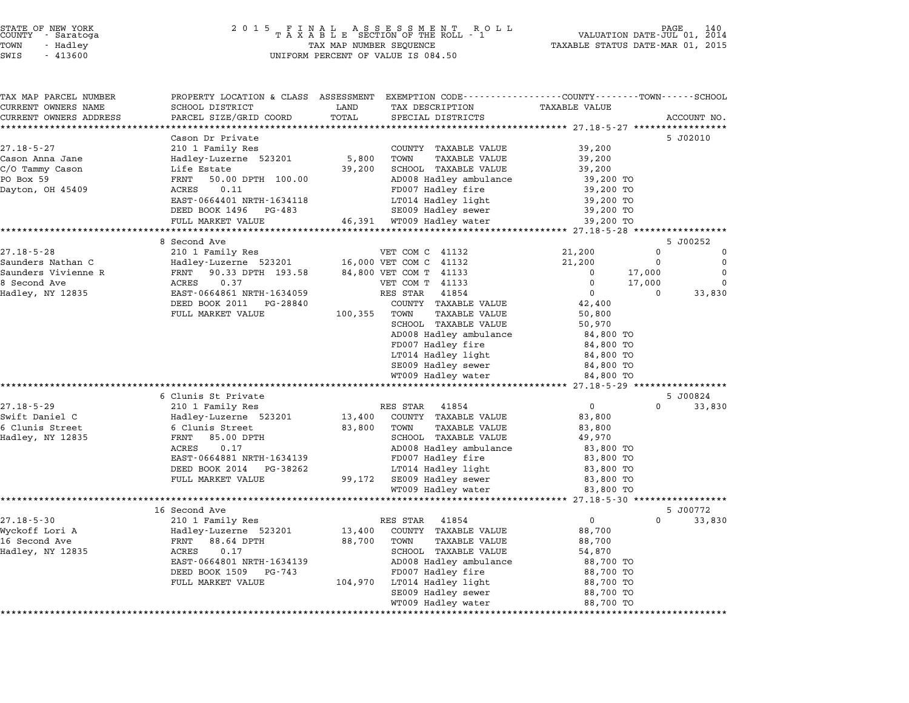| STATE OF NEW YORK |  |            |  |  |  |
|-------------------|--|------------|--|--|--|
| COUNTY            |  | - Saratoga |  |  |  |
| TOWN              |  | - Hadley   |  |  |  |

### STATE OF NEW YORK <sup>2</sup> <sup>0</sup> <sup>1</sup> 5 F I N A L A S S E S S M E N T R O L L PAGE <sup>140</sup> COUNTY - Saratoga <sup>T</sup> <sup>A</sup> <sup>X</sup> <sup>A</sup> <sup>B</sup> <sup>L</sup> <sup>E</sup> SECTION OF THE ROLL - <sup>1</sup> VALUATION DATE-JUL 01, <sup>2014</sup> TOWN - Hadley TAX MAP NUMBER SEQUENCE TAXABLE STATUS DATE-MAR 01, <sup>2015</sup> SWIS - <sup>413600</sup> UNIFORM PERCENT OF VALUE IS 084.50

| TAX MAP PARCEL NUMBER                         |                                                 |               | PROPERTY LOCATION & CLASS ASSESSMENT EXEMPTION CODE---------------COUNTY-------TOWN-----SCHOOL |                                |          |             |
|-----------------------------------------------|-------------------------------------------------|---------------|------------------------------------------------------------------------------------------------|--------------------------------|----------|-------------|
| CURRENT OWNERS NAME<br>CURRENT OWNERS ADDRESS | SCHOOL DISTRICT                                 | LAND<br>TOTAL | TAX DESCRIPTION                                                                                | <b>TAXABLE VALUE</b>           |          |             |
| **********************                        | PARCEL SIZE/GRID COORD<br>********************* |               | SPECIAL DISTRICTS                                                                              |                                |          | ACCOUNT NO. |
|                                               | Cason Dr Private                                |               |                                                                                                |                                |          | 5 J02010    |
| $27.18 - 5 - 27$                              | 210 1 Family Res                                |               | COUNTY TAXABLE VALUE                                                                           | 39,200                         |          |             |
| Cason Anna Jane                               | Hadley-Luzerne 523201                           | 5,800         | TOWN<br><b>TAXABLE VALUE</b>                                                                   | 39,200                         |          |             |
| C/O Tammy Cason                               | Life Estate                                     | 39,200        | SCHOOL TAXABLE VALUE                                                                           | 39,200                         |          |             |
| PO Box 59                                     | FRNT<br>50.00 DPTH 100.00                       |               | AD008 Hadley ambulance                                                                         | 39,200 TO                      |          |             |
| Dayton, OH 45409                              | ACRES<br>0.11                                   |               | FD007 Hadley fire                                                                              | 39,200 TO                      |          |             |
|                                               | EAST-0664401 NRTH-1634118                       |               | LT014 Hadley light                                                                             | 39,200 TO                      |          |             |
|                                               | DEED BOOK 1496<br>PG-483                        |               | SE009 Hadley sewer                                                                             | 39,200 TO                      |          |             |
|                                               | FULL MARKET VALUE                               | 46,391        | WT009 Hadley water                                                                             | 39,200 TO                      |          |             |
|                                               | **********************<br>8 Second Ave          |               |                                                                                                |                                |          | 5 J00252    |
| $27.18 - 5 - 28$                              | 210 1 Family Res                                |               | VET COM C 41132                                                                                | 21,200                         | $\Omega$ | 0           |
| Saunders Nathan C                             | Hadley-Luzerne 523201                           |               | 16,000 VET COM C 41132                                                                         | 21,200                         | $\Omega$ | $\Omega$    |
| Saunders Vivienne R                           | FRNT 90.33 DPTH 193.58                          |               | 84,800 VET COM T 41133                                                                         | $\Omega$                       | 17,000   | $\Omega$    |
| 8 Second Ave                                  | 0.37<br>ACRES                                   |               | VET COM T 41133                                                                                | $\Omega$                       | 17,000   | $\Omega$    |
| Hadley, NY 12835                              | EAST-0664861 NRTH-1634059                       |               | RES STAR<br>41854                                                                              | $\Omega$                       | $\Omega$ | 33,830      |
|                                               | DEED BOOK 2011<br>PG-28840                      |               | COUNTY TAXABLE VALUE                                                                           | 42,400                         |          |             |
|                                               | FULL MARKET VALUE                               | 100,355       | TOWN<br><b>TAXABLE VALUE</b>                                                                   | 50,800                         |          |             |
|                                               |                                                 |               | SCHOOL TAXABLE VALUE                                                                           | 50,970                         |          |             |
|                                               |                                                 |               | AD008 Hadley ambulance                                                                         | 84,800 TO                      |          |             |
|                                               |                                                 |               | FD007 Hadley fire                                                                              | 84,800 TO                      |          |             |
|                                               |                                                 |               | LT014 Hadley light                                                                             | 84,800 TO                      |          |             |
|                                               |                                                 |               | SE009 Hadley sewer                                                                             | 84,800 TO                      |          |             |
|                                               |                                                 |               | WT009 Hadley water                                                                             | 84,800 TO                      |          |             |
|                                               | 6 Clunis St Private                             |               |                                                                                                |                                |          | 5 J00824    |
| $27.18 - 5 - 29$                              | 210 1 Family Res                                |               | RES STAR<br>41854                                                                              | $\mathbf 0$                    | $\Omega$ | 33,830      |
| Swift Daniel C                                | Hadley-Luzerne 523201                           | 13,400        | COUNTY TAXABLE VALUE                                                                           | 83,800                         |          |             |
| 6 Clunis Street                               | 6 Clunis Street                                 | 83,800        | TOWN<br><b>TAXABLE VALUE</b>                                                                   | 83,800                         |          |             |
| Hadley, NY 12835                              | FRNT<br>85.00 DPTH                              |               | SCHOOL TAXABLE VALUE                                                                           | 49,970                         |          |             |
|                                               | 0.17<br>ACRES                                   |               | AD008 Hadley ambulance                                                                         | 83,800 TO                      |          |             |
|                                               | EAST-0664881 NRTH-1634139                       |               | FD007 Hadley fire                                                                              | 83,800 TO                      |          |             |
|                                               | DEED BOOK 2014 PG-38262                         |               | LT014 Hadley light                                                                             | 83,800 TO                      |          |             |
|                                               | FULL MARKET VALUE                               | 99,172        | SE009 Hadley sewer                                                                             | 83,800 TO                      |          |             |
|                                               | ************************                        |               | WT009 Hadley water                                                                             | 83,800 TO                      |          |             |
|                                               | 16 Second Ave                                   |               |                                                                                                | ******** 27.18-5-30 ********** |          | 5 J00772    |
| $27.18 - 5 - 30$                              | 210 1 Family Res                                |               | RES STAR<br>41854                                                                              | $\mathbf{0}$                   | $\Omega$ | 33,830      |
| Wyckoff Lori A                                | Hadley-Luzerne 523201                           | 13,400        | COUNTY TAXABLE VALUE                                                                           | 88,700                         |          |             |
| 16 Second Ave                                 | FRNT<br>88.64 DPTH                              | 88,700        | TOWN<br><b>TAXABLE VALUE</b>                                                                   | 88,700                         |          |             |
| Hadley, NY 12835                              | ACRES<br>0.17                                   |               | SCHOOL TAXABLE VALUE                                                                           | 54,870                         |          |             |
|                                               | EAST-0664801 NRTH-1634139                       |               | AD008 Hadley ambulance                                                                         | 88,700 TO                      |          |             |
|                                               | DEED BOOK 1509 PG-743                           |               | FD007 Hadley fire                                                                              | 88,700 TO                      |          |             |
|                                               | FULL MARKET VALUE                               | 104,970       | LT014 Hadley light                                                                             | 88,700 TO                      |          |             |
|                                               |                                                 |               | SE009 Hadley sewer                                                                             | 88,700 TO                      |          |             |
|                                               |                                                 |               | WT009 Hadley water                                                                             | 88,700 TO                      |          |             |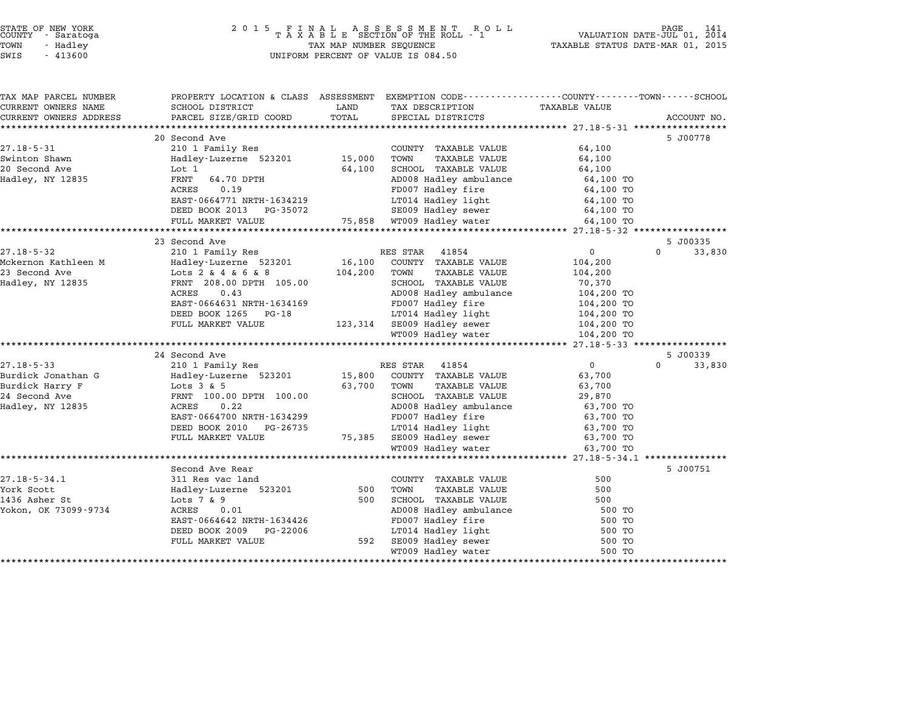# STATE OF NEW YORK <sup>2</sup> <sup>0</sup> <sup>1</sup> 5 F I N A L A S S E S S M E N T R O L L PAGE <sup>141</sup> COUNTY - Saratoga <sup>T</sup> <sup>A</sup> <sup>X</sup> <sup>A</sup> <sup>B</sup> <sup>L</sup> <sup>E</sup> SECTION OF THE ROLL - <sup>1</sup> VALUATION DATE-JUL 01, <sup>2014</sup> TOWN - Hadley TAX MAP NUMBER SEQUENCE TAXABLE STATUS DATE-MAR 01, <sup>2015</sup> STATE OF NEW YORK<br>
COUNTY - Saratoga<br>
TOWN - Hadley TAXABLE SECTION OF THE ROLI<br>
SWIS - 413600 UNIFORM PERCENT OF VALUE IS 084.50

| TAX MAP PARCEL NUMBER  | PROPERTY LOCATION & CLASS ASSESSMENT |         | EXEMPTION CODE-----------------COUNTY-------TOWN-----SCHOOL |                      |                    |
|------------------------|--------------------------------------|---------|-------------------------------------------------------------|----------------------|--------------------|
| CURRENT OWNERS NAME    | SCHOOL DISTRICT                      | LAND    | TAX DESCRIPTION                                             | <b>TAXABLE VALUE</b> |                    |
| CURRENT OWNERS ADDRESS | PARCEL SIZE/GRID COORD               | TOTAL   | SPECIAL DISTRICTS                                           |                      | ACCOUNT NO.        |
|                        |                                      |         |                                                             |                      |                    |
|                        | 20 Second Ave                        |         |                                                             |                      | 5 J00778           |
| $27.18 - 5 - 31$       | 210 1 Family Res                     |         | COUNTY TAXABLE VALUE                                        | 64,100               |                    |
| Swinton Shawn          | Hadley-Luzerne 523201                | 15,000  | TOWN<br><b>TAXABLE VALUE</b>                                | 64,100               |                    |
| 20 Second Ave          | Lot 1                                | 64,100  | SCHOOL TAXABLE VALUE                                        | 64,100               |                    |
| Hadley, NY 12835       | FRNT<br>64.70 DPTH                   |         | AD008 Hadley ambulance                                      | 64,100 TO            |                    |
|                        | 0.19<br>ACRES                        |         | FD007 Hadley fire                                           | 64,100 TO            |                    |
|                        | EAST-0664771 NRTH-1634219            |         | LT014 Hadley light                                          | 64,100 TO            |                    |
|                        | DEED BOOK 2013<br>PG-35072           |         | SE009 Hadley sewer                                          | 64,100 TO            |                    |
|                        | FULL MARKET VALUE                    |         | 75,858 WT009 Hadley water                                   | 64,100 TO            |                    |
|                        |                                      |         |                                                             |                      |                    |
|                        | 23 Second Ave                        |         |                                                             |                      | 5 J00335           |
| $27.18 - 5 - 32$       | 210 1 Family Res                     |         | RES STAR 41854                                              | $\overline{0}$       | $\Omega$<br>33,830 |
| Mckernon Kathleen M    | Hadley-Luzerne 523201                | 16,100  | COUNTY TAXABLE VALUE                                        | 104,200              |                    |
| 23 Second Ave          | Lots 2 & 4 & 6 & 8                   | 104,200 | TAXABLE VALUE<br>TOWN                                       | 104,200              |                    |
| Hadley, NY 12835       | FRNT 208.00 DPTH 105.00              |         | SCHOOL TAXABLE VALUE                                        | 70,370               |                    |
|                        | 0.43<br>ACRES                        |         | AD008 Hadley ambulance                                      | 104,200 TO           |                    |
|                        | EAST-0664631 NRTH-1634169            |         | FD007 Hadley fire                                           | 104,200 TO           |                    |
|                        | DEED BOOK 1265<br>PG-18              |         | LT014 Hadley light                                          | 104,200 TO           |                    |
|                        | FULL MARKET VALUE                    |         | 123,314 SE009 Hadley sewer                                  | 104,200 TO           |                    |
|                        |                                      |         | WT009 Hadley water                                          | 104,200 TO           |                    |
|                        |                                      |         |                                                             |                      |                    |
|                        | 24 Second Ave                        |         |                                                             |                      | 5 J00339           |
| $27.18 - 5 - 33$       | 210 1 Family Res                     |         | 41854<br>RES STAR                                           | $\overline{0}$       | $\Omega$<br>33,830 |
| Burdick Jonathan G     | Hadley-Luzerne 523201                | 15,800  | COUNTY TAXABLE VALUE                                        | 63,700               |                    |
| Burdick Harry F        | Lots $3 & 5$                         | 63,700  | TOWN<br><b>TAXABLE VALUE</b>                                | 63,700               |                    |
| 24 Second Ave          | FRNT 100.00 DPTH 100.00              |         | SCHOOL TAXABLE VALUE                                        | 29,870               |                    |
| Hadley, NY 12835       | 0.22<br>ACRES                        |         | AD008 Hadley ambulance                                      | 63,700 TO            |                    |
|                        | EAST-0664700 NRTH-1634299            |         | FD007 Hadley fire                                           | 63,700 TO            |                    |
|                        | DEED BOOK 2010<br>PG-26735           |         | LT014 Hadley light                                          | 63,700 TO            |                    |
|                        | FULL MARKET VALUE                    | 75,385  | SE009 Hadley sewer                                          | 63,700 TO            |                    |
|                        |                                      |         | WT009 Hadley water                                          | 63,700 TO            |                    |
|                        |                                      |         |                                                             |                      |                    |
|                        | Second Ave Rear                      |         |                                                             |                      | 5 J00751           |
| $27.18 - 5 - 34.1$     | 311 Res vac land                     |         | COUNTY TAXABLE VALUE                                        | 500                  |                    |
| York Scott             | Hadley-Luzerne 523201                | 500     | <b>TAXABLE VALUE</b><br>TOWN                                | 500                  |                    |
| 1436 Asher St          | Lots $7 \& 9$                        | 500     | SCHOOL TAXABLE VALUE                                        | 500                  |                    |
| Yokon, OK 73099-9734   | 0.01<br>ACRES                        |         | AD008 Hadley ambulance                                      | 500 TO               |                    |
|                        | EAST-0664642 NRTH-1634426            |         |                                                             |                      |                    |
|                        |                                      |         | FD007 Hadley fire                                           | 500 TO               |                    |
|                        | PG-22006<br>DEED BOOK 2009           | 592     | LT014 Hadley light<br>SE009 Hadley sewer                    | 500 TO               |                    |
|                        | FULL MARKET VALUE                    |         |                                                             | 500 TO               |                    |
|                        |                                      |         | WT009 Hadley water                                          | 500 TO               |                    |
|                        |                                      |         |                                                             |                      |                    |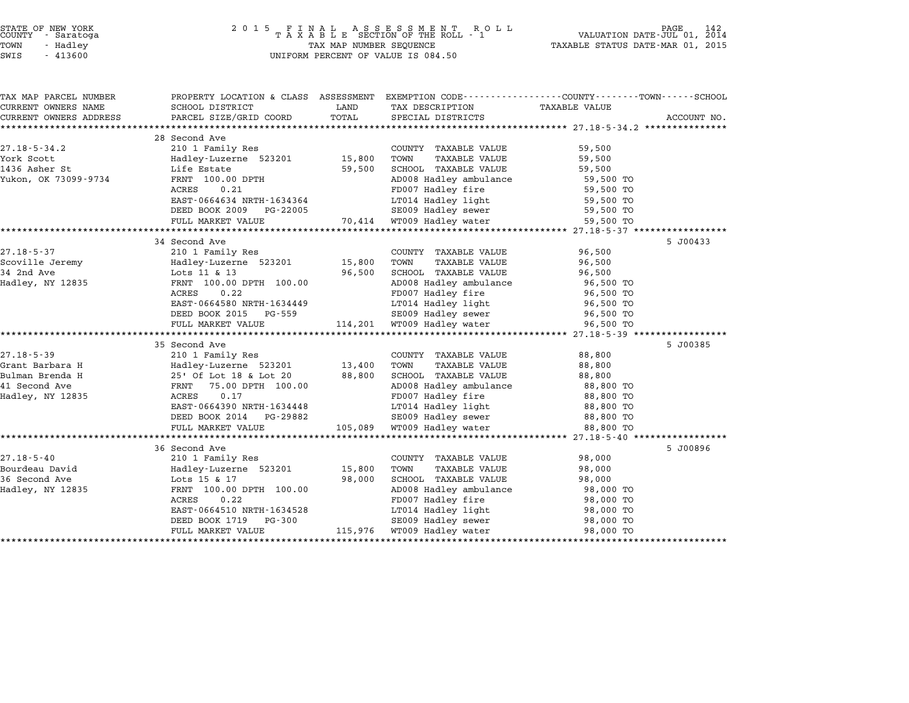| STATE OF NEW YORK |  |            |  |
|-------------------|--|------------|--|
| COUNTY            |  | - Saratoga |  |
| TOWN              |  | - Hadley   |  |

| SWIS | 413600 |
|------|--------|

# STATE OF NEW YORK <sup>2</sup> <sup>0</sup> <sup>1</sup> 5 F I N A L A S S E S S M E N T R O L L PAGE <sup>142</sup> COUNTY - Saratoga <sup>T</sup> <sup>A</sup> <sup>X</sup> <sup>A</sup> <sup>B</sup> <sup>L</sup> <sup>E</sup> SECTION OF THE ROLL - <sup>1</sup> VALUATION DATE-JUL 01, <sup>2014</sup> TOWN - Hadley TAX MAP NUMBER SEQUENCE TAXABLE STATUS DATE-MAR 01, <sup>2015</sup> TAX MAP NUMBER SEQUENCE<br>UNIFORM PERCENT OF VALUE IS 084.50

| TAX MAP PARCEL NUMBER  | PROPERTY LOCATION & CLASS ASSESSMENT EXEMPTION CODE---------------COUNTY-------TOWN-----SCHOOL                                                       |        |                                             |                        |             |
|------------------------|------------------------------------------------------------------------------------------------------------------------------------------------------|--------|---------------------------------------------|------------------------|-------------|
| CURRENT OWNERS NAME    | SCHOOL DISTRICT                                                                                                                                      | LAND   | TAX DESCRIPTION                             | TAXABLE VALUE          |             |
| CURRENT OWNERS ADDRESS | PARCEL SIZE/GRID COORD                                                                                                                               | TOTAL  | SPECIAL DISTRICTS                           |                        | ACCOUNT NO. |
|                        |                                                                                                                                                      |        |                                             |                        |             |
|                        | 28 Second Ave                                                                                                                                        |        |                                             |                        |             |
| $27.18 - 5 - 34.2$     | 210 1 Family Res                                                                                                                                     |        | COUNTY TAXABLE VALUE                        | 59,500                 |             |
| $1436$ Asher St        | Hadley-Luzerne 523201 15,800                                                                                                                         |        | TOWN<br>TAXABLE VALUE                       | 59,500                 |             |
|                        | Life Estate                                                                                                                                          | 59,500 | SCHOOL TAXABLE VALUE                        | 59,500                 |             |
| Yukon, OK 73099-9734   | FRNT 100.00 DPTH                                                                                                                                     |        | AD008 Hadley ambulance 59,500 TO            |                        |             |
|                        | ACRES<br>0.21<br>EAST-0664634 NRTH-1634364                                                                                                           |        | FD007 Hadley fire                           | 59,500 TO              |             |
|                        |                                                                                                                                                      |        | LT014 Hadley light                          | 59,500 TO              |             |
|                        | DEED BOOK 2009 PG-22005                                                                                                                              |        | SE009 Hadley sewer                          | 59,500 TO              |             |
|                        | FULL MARKET VALUE 70,414 WT009 Hadley water                                                                                                          |        |                                             | 59,500 TO              |             |
|                        | 210 1 Family Res<br>Hadley-Luzerne 523201 15,800<br>Lots 11 & 13 13 14 15                                                                            |        |                                             |                        | 5 J00433    |
| 27.18-5-37             |                                                                                                                                                      |        | COUNTY TAXABLE VALUE 96,500                 |                        |             |
| Scoville Jeremy        |                                                                                                                                                      |        | TAXABLE VALUE<br>TOWN                       | 96,500                 |             |
| 34 2nd Ave             |                                                                                                                                                      |        | SCHOOL TAXABLE VALUE                        | 96,500                 |             |
| Hadley, NY 12835       |                                                                                                                                                      |        |                                             |                        |             |
|                        | 0.22<br>ACRES                                                                                                                                        |        | AD008 Hadley ambulance<br>FD007 Hadley fire | 96,500 TO<br>96,500 TO |             |
|                        | EAST-0664580 NRTH-1634449                                                                                                                            |        | LT014 Hadley light 96,500 TO                |                        |             |
|                        | DEED BOOK 2015 PG-559                                                                                                                                |        |                                             | 96,500 TO              |             |
|                        | FULL MARKET VALUE                                                                                                                                    |        |                                             | 96,500 TO              |             |
|                        |                                                                                                                                                      |        |                                             |                        |             |
|                        | 35 Second Ave                                                                                                                                        |        |                                             |                        | 5 J00385    |
| $27.18 - 5 - 39$       | 210 1 Family Res                                                                                                                                     |        | COUNTY TAXABLE VALUE 88,800                 |                        |             |
| Grant Barbara H        |                                                                                                                                                      |        |                                             | 88,800                 |             |
| Bulman Brenda H        | Hadley-Luzerne 523201 13,400 TOWN TAXABLEWALUE<br>25' Of Lot 18 & Lot 20 88,800 SCHOOL TAXABLEWALUE<br>FRNT 75.00 DPTH 100.00 AD008 Hadley ambulance |        |                                             | 88,800                 |             |
| 41 Second Ave          |                                                                                                                                                      |        | AD008 Hadley ambulance                      | 88,800 TO              |             |
| Hadley, NY 12835       | ACRES<br>0.17                                                                                                                                        |        | FD007 Hadley fire                           | 88,800 TO              |             |
|                        | EAST-0664390 NRTH-1634448                                                                                                                            |        | LT014 Hadley light<br>SE009 Hadley sewer    | 88,800 TO              |             |
|                        | DEED BOOK 2014 PG-29882                                                                                                                              |        |                                             | 88,800 TO              |             |
|                        | FULL MARKET VALUE                                                                                                                                    |        | 105,089 WT009 Hadley water                  | 88,800 TO              |             |
|                        |                                                                                                                                                      |        |                                             |                        |             |
|                        | 36 Second Ave                                                                                                                                        |        |                                             |                        | 5 J00896    |
| $27.18 - 5 - 40$       | 210 1 Family Res                                                                                                                                     |        | COUNTY TAXABLE VALUE                        | 98,000                 |             |
| Bourdeau David         | Hadley-Luzerne 523201 15,800                                                                                                                         |        | TAXABLE VALUE<br>TOWN                       | 98,000                 |             |
| 36 Second Ave          | Lots 15 & 17                                                                                                                                         | 98,000 | SCHOOL TAXABLE VALUE                        | 98,000                 |             |
| Hadley, NY 12835       | FRNT 100.00 DPTH 100.00                                                                                                                              |        | AD008 Hadley ambulance<br>ED007 Hadley fire | 98,000 TO              |             |
|                        | ACRES<br>0.22                                                                                                                                        |        | FD007 Hadley fire                           | 98,000 TO              |             |
|                        | EAST-0664510 NRTH-1634528                                                                                                                            |        | LT014 Hadley light 98,000 TO                |                        |             |
|                        | DEED BOOK 1719 PG-300                                                                                                                                |        | SE009 Hadley sewer                          | 98,000 TO              |             |
|                        | FULL MARKET VALUE                                                                                                                                    |        | 115,976 WT009 Hadley water                  | 98,000 TO              |             |
|                        |                                                                                                                                                      |        |                                             |                        |             |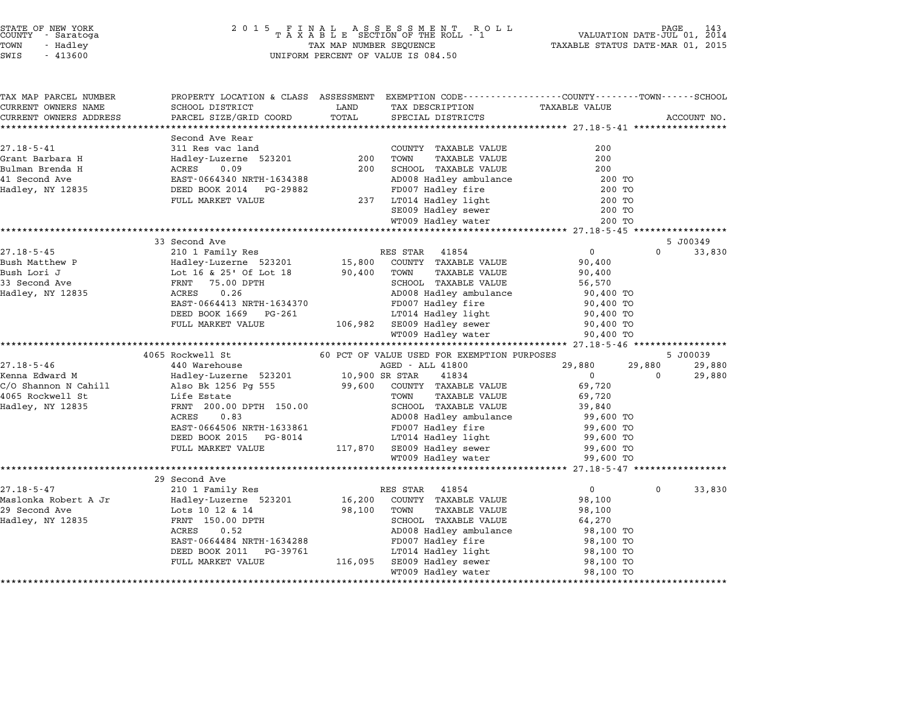| STATE OF NEW YORK<br>COUNTY - Saratoga<br>TOWN<br>- Hadley<br>SWIS<br>$-413600$ | 2 0 1 5<br>TAX MAP NUMBER SEQUENCE<br>UNIFORM PERCENT OF VALUE IS 084.50 | PAGE<br>VALUATION DATE-JUL 01, 2014<br>TAXABLE STATUS DATE-MAR 01, 2015 |                                                             |                            |             |
|---------------------------------------------------------------------------------|--------------------------------------------------------------------------|-------------------------------------------------------------------------|-------------------------------------------------------------|----------------------------|-------------|
| TAX MAP PARCEL NUMBER                                                           | PROPERTY LOCATION & CLASS ASSESSMENT                                     |                                                                         | EXEMPTION CODE-----------------COUNTY-------TOWN-----SCHOOL |                            |             |
| CURRENT OWNERS NAME                                                             | SCHOOL DISTRICT                                                          | LAND                                                                    | TAX DESCRIPTION                                             | <b>TAXABLE VALUE</b>       |             |
| CURRENT OWNERS ADDRESS                                                          | PARCEL SIZE/GRID COORD<br>**********************                         | TOTAL                                                                   | SPECIAL DISTRICTS                                           |                            | ACCOUNT NO. |
|                                                                                 | Second Ave Rear                                                          |                                                                         |                                                             |                            |             |
| $27.18 - 5 - 41$                                                                | 311 Res vac land                                                         |                                                                         | COUNTY TAXABLE VALUE                                        | 200                        |             |
| Grant Barbara H                                                                 | Hadley-Luzerne 523201                                                    | 200                                                                     | TOWN<br><b>TAXABLE VALUE</b>                                | 200                        |             |
| Bulman Brenda H                                                                 | ACRES<br>0.09                                                            | 200                                                                     | SCHOOL TAXABLE VALUE                                        | 200                        |             |
| 41 Second Ave                                                                   | EAST-0664340 NRTH-1634388                                                |                                                                         | AD008 Hadley ambulance                                      | 200 TO                     |             |
| Hadley, NY 12835                                                                | DEED BOOK 2014<br>PG-29882                                               |                                                                         | FD007 Hadley fire                                           | 200 TO                     |             |
|                                                                                 | FULL MARKET VALUE                                                        | 237                                                                     | LT014 Hadley light                                          | 200 TO                     |             |
|                                                                                 |                                                                          |                                                                         | SE009 Hadley sewer                                          | 200 TO                     |             |
|                                                                                 |                                                                          |                                                                         | WT009 Hadley water                                          | 200 TO                     |             |
|                                                                                 | 33 Second Ave                                                            |                                                                         |                                                             |                            | 5 J00349    |
| $27.18 - 5 - 45$                                                                | 210 1 Family Res                                                         |                                                                         | RES STAR<br>41854                                           | $\mathbf 0$<br>$\Omega$    | 33,830      |
| Bush Matthew P                                                                  | Hadley-Luzerne 523201                                                    | 15,800                                                                  | COUNTY TAXABLE VALUE                                        | 90,400                     |             |
| Bush Lori J                                                                     | Lot 16 & 25' Of Lot 18                                                   | 90,400                                                                  | TOWN<br><b>TAXABLE VALUE</b>                                | 90,400                     |             |
| 33 Second Ave                                                                   | 75.00 DPTH<br>FRNT                                                       |                                                                         | SCHOOL TAXABLE VALUE                                        | 56,570                     |             |
| Hadley, NY 12835                                                                | ACRES<br>0.26                                                            |                                                                         | AD008 Hadley ambulance                                      | 90,400 TO                  |             |
|                                                                                 | EAST-0664413 NRTH-1634370                                                |                                                                         | FD007 Hadley fire                                           | 90,400 TO                  |             |
|                                                                                 | DEED BOOK 1669<br>PG-261                                                 |                                                                         | LT014 Hadley light                                          | 90,400 TO                  |             |
|                                                                                 | FULL MARKET VALUE                                                        | 106,982                                                                 | SE009 Hadley sewer                                          | 90,400 TO                  |             |
|                                                                                 |                                                                          |                                                                         | WT009 Hadley water                                          | 90,400 TO                  |             |
|                                                                                 | *************************<br>4065 Rockwell St                            |                                                                         | 60 PCT OF VALUE USED FOR EXEMPTION PURPOSES                 |                            | 5 J00039    |
| $27.18 - 5 - 46$                                                                | 440 Warehouse                                                            |                                                                         | AGED - ALL 41800                                            | 29,880<br>29,880           | 29,880      |
| Kenna Edward M                                                                  | Hadley-Luzerne 523201                                                    |                                                                         | 10,900 SR STAR<br>41834                                     | $\mathbf 0$<br>$\Omega$    | 29,880      |
| C/O Shannon N Cahill                                                            | Also Bk 1256 Pg 555                                                      | 99,600                                                                  | COUNTY TAXABLE VALUE                                        | 69,720                     |             |
| 4065 Rockwell St                                                                | Life Estate                                                              |                                                                         | TAXABLE VALUE<br>TOWN                                       | 69,720                     |             |
| Hadley, NY 12835                                                                | FRNT 200.00 DPTH 150.00                                                  |                                                                         | SCHOOL TAXABLE VALUE                                        | 39,840                     |             |
|                                                                                 | ACRES<br>0.83                                                            |                                                                         | AD008 Hadley ambulance                                      | 99,600 TO                  |             |
|                                                                                 | EAST-0664506 NRTH-1633861                                                |                                                                         | FD007 Hadley fire                                           | 99,600 TO                  |             |
|                                                                                 | DEED BOOK 2015<br>PG-8014                                                |                                                                         | LT014 Hadley light                                          | 99,600 TO                  |             |
|                                                                                 | FULL MARKET VALUE                                                        | 117,870                                                                 | SE009 Hadley sewer                                          | 99,600 TO                  |             |
|                                                                                 |                                                                          |                                                                         | WT009 Hadley water                                          | 99,600 TO                  |             |
|                                                                                 |                                                                          |                                                                         | *************************                                   | ********* 27.18-5-47 *     |             |
| $27.18 - 5 - 47$                                                                | 29 Second Ave<br>210 1 Family Res                                        |                                                                         | RES STAR<br>41854                                           | $\overline{0}$<br>$\Omega$ | 33,830      |
| Maslonka Robert A Jr                                                            | Hadley-Luzerne 523201                                                    | 16,200                                                                  | COUNTY TAXABLE VALUE                                        | 98,100                     |             |
| 29 Second Ave                                                                   | Lots 10 12 & 14                                                          | 98,100                                                                  | TOWN<br><b>TAXABLE VALUE</b>                                | 98,100                     |             |
| Hadley, NY 12835                                                                | FRNT 150.00 DPTH                                                         |                                                                         | SCHOOL TAXABLE VALUE                                        | 64,270                     |             |
|                                                                                 | 0.52<br>ACRES                                                            |                                                                         | AD008 Hadley ambulance                                      | 98,100 TO                  |             |
|                                                                                 | EAST-0664484 NRTH-1634288                                                |                                                                         | FD007 Hadley fire                                           | 98,100 TO                  |             |
|                                                                                 | DEED BOOK 2011<br>PG-39761                                               |                                                                         | LT014 Hadley light                                          | 98,100 TO                  |             |
|                                                                                 | FULL MARKET VALUE                                                        | 116,095                                                                 | SE009 Hadley sewer                                          | 98,100 TO                  |             |
|                                                                                 |                                                                          |                                                                         |                                                             |                            |             |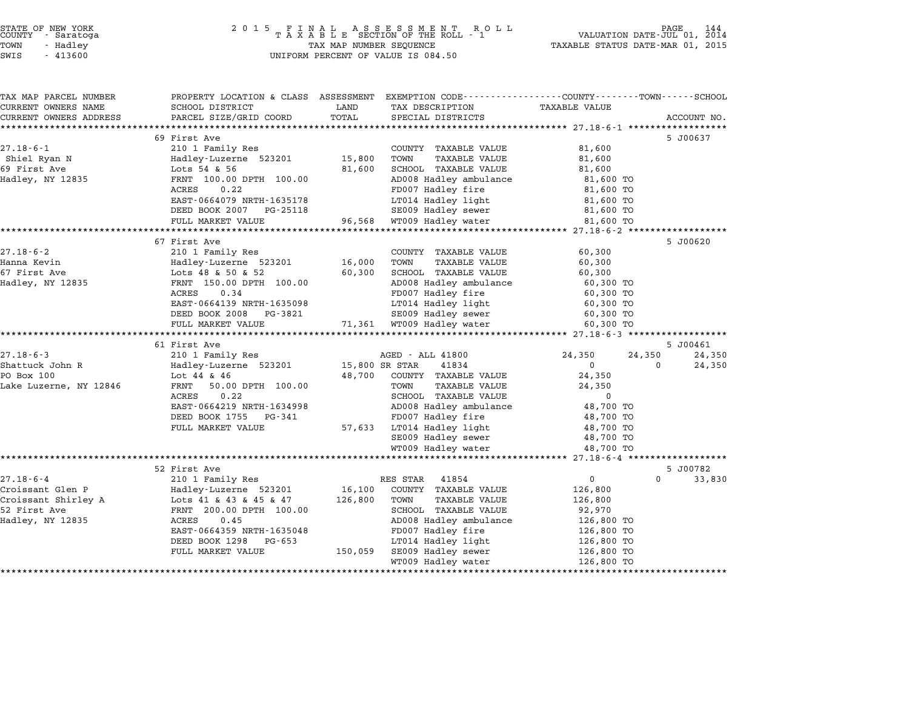| STATE OF NEW YORK |  |            |  |
|-------------------|--|------------|--|
| COUNTY            |  | - Saratoga |  |
| TOWN              |  | - Hadley   |  |

# STATE OF NEW YORK <sup>2</sup> <sup>0</sup> <sup>1</sup> 5 F I N A L A S S E S S M E N T R O L L PAGE <sup>144</sup> COUNTY - Saratoga <sup>T</sup> <sup>A</sup> <sup>X</sup> <sup>A</sup> <sup>B</sup> <sup>L</sup> <sup>E</sup> SECTION OF THE ROLL - <sup>1</sup> VALUATION DATE-JUL 01, <sup>2014</sup> TOWN - Hadley TAX MAP NUMBER SEQUENCE TAXABLE STATUS DATE-MAR 01, <sup>2015</sup> SUCRIT - SATATUGA<br>TOWN - Hadley - Alley - All Hadley - TAX MAP NUMBER SEQUENCE<br>SWIS - 413600 - WILFORM PERCENT OF VALUE IS 084.50

TAX MAP PARCEL NUMBER PROPERTY LOCATION & CLASS ASSESSMENT EXEMPTION CODE------------------COUNTY--------TOWN------SCHOOL ...<br>-- COUNTY:- TAX MAP PARCEL NUMBER THE OCHOTRY AND THE CURRENT EXEMPTION CODE<br>CURRENT OWNERS NAME SCHOOL DISTRICT LAND TAX DESCRIPTION TAXABLE VALUE CURRENT OWNERS ADDEER FOUR DISTRICTS AND ASSESSEENT EXERPTION TRACK THE TRACK CONSULTING SOME SAME SAME ON THE TRACK ON THE TRACK ON THE TRACK COORD TOTAL SPECIAL DISTRICTS ACCOUNT NO.<br>CURRENT OWNERS ADDRESS PARCEL SIZE/GR <sup>69</sup> First Ave 5 J00637 27.18-6-1 69 First Ave 69 First Ave 21.10 0 210 1 Family Res COUNTY TAXABLE VALUE 81,600 os riist Ave and the Shiel Ryan Milles of the Same of the Madley-Luzerne 523201 15,800 COUNTY TAXABLE VALUE 81,600<br>Shiel Ryan Name of Hadley-Luzerne 523201 15,800 TOWN TAXABLE VALUE 81,600 eric Countril and the countril and the countril and the countril and the countril and the countril and the countril and the countril and the countril and the countril and the countril and the countril and the countril and Hadley, NY <sup>12835</sup> FRNT 100.00 DPTH 100.00 AD008 Hadley ambulance 81,600 TO EXAMPLE VALUES AND THE SERVE OF A SURVEY AND TRING A SURVEY OF SURVEY OF A SURVEY OF SURVEY OF A SURVEY OF A SU<br>FROM THE MADD SURVEY AND ADOBE HAD SURVEY AND SURVEY AS SURVEY OF SURVEY OF SURVEY OF SURVEY OF SURVEY OF SURV EAST-0664079 NRTH-1635178 LT014 Hadley light 81,600 TO DEED BOOK <sup>2007</sup> PG-25118 SE009 Hadley sewer 81,600 TO FULL MARKET VALUE 96,568 WT009 Hadley water 81,600 TO \*\*\*\*\*\*\*\*\*\*\*\*\*\*\*\*\*\*\*\*\*\*\*\*\*\*\*\*\*\*\*\*\*\*\*\*\*\*\*\*\*\*\*\*\*\*\*\*\*\*\*\*\*\*\*\*\*\*\*\*\*\*\*\*\*\*\*\*\*\*\*\*\*\*\*\*\*\*\*\*\*\*\*\*\*\*\*\*\*\*\*\*\*\*\*\*\*\*\*\*\*\*\* 27.18-6-2 \*\*\*\*\*\*\*\*\*\*\*\*\*\*\*\*\*\* <sup>67</sup> First Ave 5 J00620 27.18-6-2 210 1 Family Res COUNTY TAXABLE VALUE 60,300 overinst ave the setting the country that the country of the setting the country of the setting the setting to<br>Hanna Kevin the Hadley-Luzerne 523201 the setting the setting the setting the setting the setting the setting <br> 67.10 C در 1 Family Research Market Cooling Addies (1.10 Cool) 210 1 Family Research Cooling Market Cooling Ave<br>Hanna Kevin (1.16 Addies Luzerne 523201 16,000 TOWN TAXABLE VALUE 60,300 SCHOOL TAXABLE VALUE 60,300 Hadley, NY <sup>12835</sup> FRNT 150.00 DPTH 100.00 AD008 Hadley ambulance 60,300 TO LOCS TO R. 2008 DELLOCE TRANSPORTED TRANSPORTED TRANSPORTED TRIPLE OF A CONSUMERED AND TRIPLE OF A CONSUMER CO<br>FROM THE GO.34 FOOD PAD08 Hadley fire 60,300 TO EAST-0664139 NRTH-1635098 LT014 Hadley light 60,300 TO POOK 2008 PG-3821 SE009 Hadley Life South Matter (60,300 TO<br>
DEED BOOK 2008 PG-3821 SE009 Hadley sewer 60,300 TO EASI-0004139 NKIH-1033096<br>
DEED BOOK 2008 PG-3821 SE009 Hadley sewer 60,300 TO<br>
FULL MARKET VALUE 71,361 WT009 Hadley water 60,300 TO \*\*\*\*\*\*\*\*\*\*\*\*\*\*\*\*\*\*\*\*\*\*\*\*\*\*\*\*\*\*\*\*\*\*\*\*\*\*\*\*\*\*\*\*\*\*\*\*\*\*\*\*\*\*\*\*\*\*\*\*\*\*\*\*\*\*\*\*\*\*\*\*\*\*\*\*\*\*\*\*\*\*\*\*\*\*\*\*\*\*\*\*\*\*\*\*\*\*\*\*\*\*\* 27.18-6-3 \*\*\*\*\*\*\*\*\*\*\*\*\*\*\*\*\*\* <sup>61</sup> First Ave 5 J00461 27.18-6-3 <sup>210</sup> <sup>1</sup> Family Res AGED - ALL <sup>41800</sup> 24,350 24,350 24,350 Shattuck John R Hadley-Luzerne <sup>523201</sup> 15,800 SR STAR <sup>41834</sup> <sup>0</sup> <sup>0</sup> 24,350 PO Box <sup>100</sup> Lot <sup>44</sup> & <sup>46</sup> 48,700 COUNTY TAXABLE VALUE 24,350 SHAULOUN OF THE HAULEY-BUZERNE SERVICE IS, SOUTH TAXABLE VALUE THAN A SHARE VALUE 24, 350<br>DO BOX 100 TOWN TAXABLE VALUE 24, 350<br>Lake Luzerne, NY 12846 FRNT 50.00 DPTH 100.00 TOWN TAXABLE VALUE 24, 350 EXAMPLE VALUE 50.00 DPTH 100.00 CONTRAINS AND MAXIMUM PRINT SUPPORT OF A SAMPLE VALUE 24,350 NOTES 24,350 NOTES<br>FRINT 50.00 DPTH 100.00 TOWN TAXABLE VALUE 24,350 NOTES 0 EAST-0664219 NRTH-1634998 AD008 Hadley ambulance 48,700 TO EXED 0.22<br>
EAST-0664219 NRTH-1634998 AD008 Hadley ambulance 48,700 TO<br>
DEED BOOK 1755 PG-341 FD007 Hadley fire 48,700 TO EASI-0004219 NRIH-1034996<br>
DEED BOOK 1755 PG-341 FD007 Hadley fire 48,700 TO<br>
FULL MARKET VALUE 57,633 LT014 Hadley light 48,700 TO SE009 Hadley sewer 48,700 TO WT009 Hadley water 48,700 TO \*\*\*\*\*\*\*\*\*\*\*\*\*\*\*\*\*\*\*\*\*\*\*\*\*\*\*\*\*\*\*\*\*\*\*\*\*\*\*\*\*\*\*\*\*\*\*\*\*\*\*\*\*\*\*\*\*\*\*\*\*\*\*\*\*\*\*\*\*\*\*\*\*\*\*\*\*\*\*\*\*\*\*\*\*\*\*\*\*\*\*\*\*\*\*\*\*\*\*\*\*\*\* 27.18-6-4 \*\*\*\*\*\*\*\*\*\*\*\*\*\*\*\*\*\* <sup>52</sup> First Ave 5 J00782 27.18-6-4 52 52 First Ave 5 210 1 Family Res RES STAR 41854 0 33,830 minutes. Croissant Glen P Hadley-Luzerne <sup>523201</sup> 16,100 COUNTY TAXABLE VALUE 126,800 croissant Glen Physical Articles (2012)<br>Croissant Glen Physicaley-Luzerne 523201 16,100 COUNTY TAXABLE VALUE 126,800<br>Croissant Shirley A Lots 41 & 43 & 45 & 47 126,800 TOWN TAXABLE VALUE 126,800 CLOISSAIL GIEN FACULE HALLE DESIGN TO, IOU COUNT TAABLE VALUE 120,000<br>Croissant Shirley A Lots 41 & 43 & 45 & 47 126,800 TOWN TAXABLE VALUE 126,800<br>52 First Ave 92,970 COLSSAIR SILLEY A COLOR TO A 45 A 47 ADD 120,000 TOMA TAXABLE VALUE AND 120,000<br>52 First Ave Rene Rene 200.00 DPTH 100.00 SCHOOL TAXABLE VALUE 92,970<br>Hadley, NY 12835 ACRES 0.45 AD008 Hadley ambulance 126,800 TO EAST-0664359 NRTH-1635048 FD007 Hadley fire 126,800 TO POOK 1298 PG-653 REPORT EXERCISE SUPER EXERCISE ADVOCATION FOR THE 126,000 TO<br>
BEED BOOK 1298 PG-653 FOOT Hadley light 126,800 TO FULL MARKET VALUE 150,059 SE009 Hadley IIIe<br>FULL MARKET VALUE 150,059 SE009 Hadley light 126,800 TO<br>FULL MARKET VALUE 150,059 SE009 Hadley sewer 126,800 TO 126,800 TO 126,800 TO 126,800 TO 126,800 TO 126,800 TO 126,800 TO 126,800 TO 126,800 TO 126,800 TO 1<br>WT009 Hadley water 126,800 TO \*\*\*\*\*\*\*\*\*\*\*\*\*\*\*\*\*\*\*\*\*\*\*\*\*\*\*\*\*\*\*\*\*\*\*\*\*\*\*\*\*\*\*\*\*\*\*\*\*\*\*\*\*\*\*\*\*\*\*\*\*\*\*\*\*\*\*\*\*\*\*\*\*\*\*\*\*\*\*\*\*\*\*\*\*\*\*\*\*\*\*\*\*\*\*\*\*\*\*\*\*\*\*\*\*\*\*\*\*\*\*\*\*\*\*\*\*\*\*\*\*\*\*\*\*\*\*\*\*\*\*\*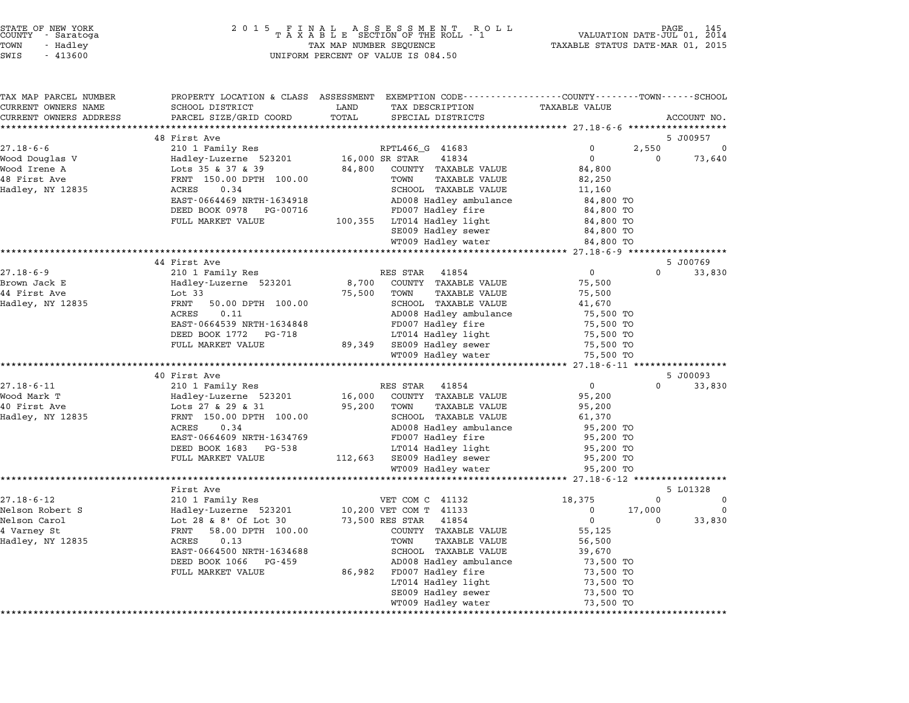| TAX MAP PARCEL NUMBER  |                                                                                | PROPERTY LOCATION & CLASS ASSESSMENT EXEMPTION CODE---------------COUNTY-------TOWN-----SCHOOL |                                                    |
|------------------------|--------------------------------------------------------------------------------|------------------------------------------------------------------------------------------------|----------------------------------------------------|
| CURRENT OWNERS NAME    | SCHOOL DISTRICT                                                                | LAND<br>TAX DESCRIPTION                                                                        | <b>TAXABLE VALUE</b>                               |
| CURRENT OWNERS ADDRESS | PARCEL SIZE/GRID COORD                                                         | TOTAL<br>SPECIAL DISTRICTS                                                                     | ACCOUNT NO.                                        |
|                        |                                                                                |                                                                                                |                                                    |
|                        | 48 First Ave                                                                   |                                                                                                | 5 J00957                                           |
| $27.18 - 6 - 6$        | 210 1 Family Res                                                               | RPTL466_G 41683                                                                                | 2,550<br>$\Omega$<br>$\mathbf 0$                   |
| Wood Douglas V         | Hadley-Luzerne 523201<br>Lots 35 & 37 & 39<br>Hadley-Luzerne 523201            | 16,000 SR STAR<br>41834                                                                        | $\Omega$<br>$\Omega$<br>73,640                     |
| Wood Irene A           |                                                                                | 84,800<br>COUNTY TAXABLE VALUE                                                                 | 84,800                                             |
| 48 First Ave           | FRNT 150.00 DPTH 100.00<br>ACRES 0.34                                          | TOWN<br>TAXABLE VALUE                                                                          | 82,250                                             |
| Hadley, NY 12835       |                                                                                | SCHOOL TAXABLE VALUE                                                                           | 11,160                                             |
|                        | EAST-0664469 NRTH-1634918                                                      | AD008 Hadley ambulance                                                                         | 84,800 TO                                          |
|                        | DEED BOOK 0978 PG-00716                                                        | FD007 Hadley fire                                                                              | 84,800 TO                                          |
|                        | FULL MARKET VALUE                                                              | 100,355 LT014 Hadley light                                                                     | 84,800 TO                                          |
|                        |                                                                                | SE009 Hadley sewer                                                                             | 84,800 TO                                          |
|                        |                                                                                | WT009 Hadley water                                                                             | 84,800 TO<br>******************* 27.18-6-9 ******* |
|                        | 44 First Ave                                                                   |                                                                                                | 5 J00769                                           |
| $27.18 - 6 - 9$        | 210 1 Family Res                                                               | RES STAR 41854                                                                                 | $0 \qquad \qquad$<br>$\Omega$<br>33,830            |
| Brown Jack E           |                                                                                | COUNTY TAXABLE VALUE<br>8,700                                                                  | 75,500                                             |
| 44 First Ave           |                                                                                | 75,500 TOWN<br>TAXABLE VALUE                                                                   | 75,500                                             |
| Hadley, NY 12835       | Hadley-Luzerne 523201<br>Lot 33<br>FRNT 50.00 DPTH 100.00<br>50.00 DPTH 100.00 | SCHOOL TAXABLE VALUE                                                                           | 41,670                                             |
|                        | ACRES<br>0.11                                                                  | AD008 Hadley ambulance                                                                         | 75,500 TO                                          |
|                        | EAST-0664539 NRTH-1634848                                                      | FD007 Hadley fire                                                                              | 75,500 TO                                          |
|                        | DEED BOOK 1772 PG-718                                                          | LT014 Hadley light                                                                             | 75,500 TO                                          |
|                        | FULL MARKET VALUE                                                              |                                                                                                | 75,500 TO                                          |
|                        |                                                                                | 89,349 SE009 Hadley sewer<br>WT009 Hadley water                                                | 75,500 TO                                          |
|                        |                                                                                |                                                                                                |                                                    |
|                        | 40 First Ave                                                                   |                                                                                                | 5 J00093                                           |
| $27.18 - 6 - 11$       | 210 1 Family Res                                                               | RES STAR 41854                                                                                 | $0 \qquad \qquad$<br>$\Omega$<br>33,830            |
| Wood Mark T            | Hadley-Luzerne 523201<br>Lots 27 & 29 & 31                                     | 16,000<br>COUNTY TAXABLE VALUE                                                                 | 95,200                                             |
| 40 First Ave           |                                                                                | 95,200<br>TOWN<br>TAXABLE VALUE                                                                | 95,200                                             |
| Hadley, NY 12835       | FRNT 150.00 DPTH 100.00                                                        | SCHOOL TAXABLE VALUE                                                                           | 61,370                                             |
|                        | 0.34<br>ACRES                                                                  | AD008 Hadley ambulance                                                                         | 95,200 TO                                          |
|                        | EAST-0664609 NRTH-1634769                                                      | FD007 Hadley fire                                                                              | 95,200 TO                                          |
|                        | DEED BOOK 1683 PG-538                                                          | LT014 Hadley light                                                                             | 95,200 TO                                          |
|                        | FULL MARKET VALUE                                                              | 112,663 SE009 Hadley sewer                                                                     | 95,200 TO                                          |
|                        |                                                                                | WT009 Hadley water                                                                             | 95,200 TO                                          |
|                        | ********************                                                           |                                                                                                |                                                    |
|                        | First Ave                                                                      |                                                                                                | 5 L01328                                           |
| $27.18 - 6 - 12$       | 210 1 Family Res                                                               | VET COM C 41132                                                                                | 18,375<br>$\Omega$<br>$\overline{\mathbf{0}}$      |
| Nelson Robert S        | Hadley-Luzerne 523201<br>Lot 28 & 8' Of Lot 30<br>Thur 50 00 part 100 00       | 10,200 VET COM T 41133                                                                         | $\Omega$<br>17,000<br>$\Omega$                     |
| Nelson Carol           |                                                                                | 73,500 RES STAR<br>41854                                                                       | $\overline{0}$<br>33,830<br>$\Omega$               |
| 4 Varney St            | FRNT 58.00 DPTH 100.00                                                         | COUNTY TAXABLE VALUE                                                                           | 55,125                                             |
| Hadley, NY 12835       | 0.13<br>ACRES                                                                  | TOWN<br>TAXABLE VALUE                                                                          | 56,500                                             |
|                        | EAST-0664500 NRTH-1634688                                                      | SCHOOL TAXABLE VALUE                                                                           | 39,670                                             |
|                        | DEED BOOK 1066 PG-459                                                          | AD008 Hadley ambulance                                                                         | 73,500 TO                                          |
|                        | FULL MARKET VALUE                                                              | 86,982 FD007 Hadley fire                                                                       | 73,500 TO                                          |
|                        |                                                                                | LT014 Hadley light                                                                             | 73,500 TO                                          |
|                        |                                                                                | SE009 Hadley sewer                                                                             | 73,500 TO                                          |
|                        |                                                                                | WT009 Hadley water                                                                             | 73,500 TO                                          |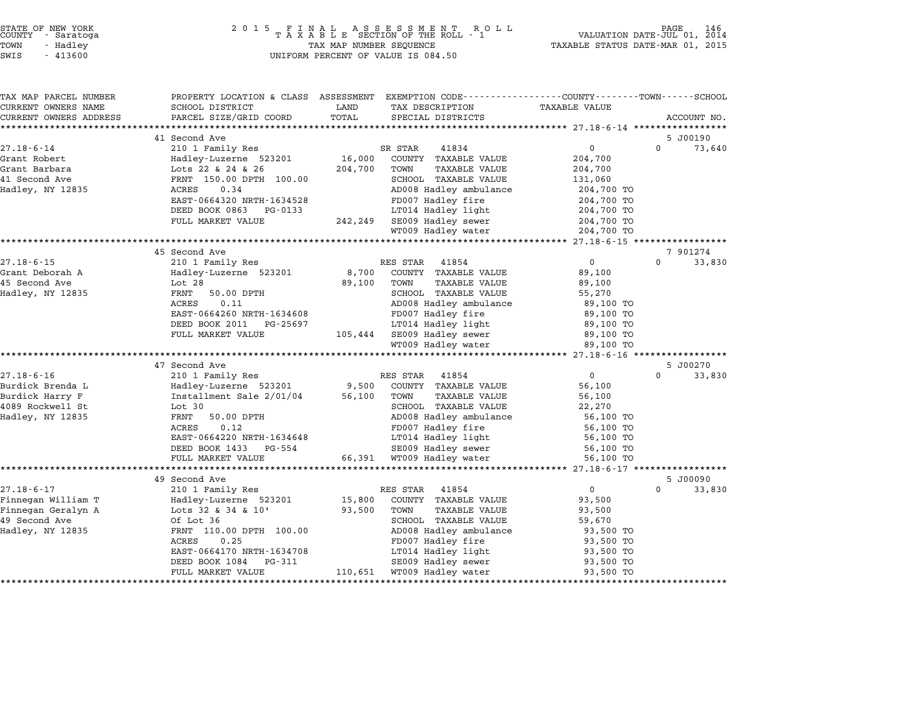| STATE OF NEW YORK |          |            |  |
|-------------------|----------|------------|--|
| COUNTY            |          | - Saratoga |  |
| TOWN              | - Hadley |            |  |
|                   |          |            |  |

| TAX MAP PARCEL NUMBER                                | PROPERTY LOCATION & CLASS ASSESSMENT EXEMPTION CODE---------------COUNTY-------TOWN------SCHOOL |         |                                                |                     |                                |
|------------------------------------------------------|-------------------------------------------------------------------------------------------------|---------|------------------------------------------------|---------------------|--------------------------------|
| CURRENT OWNERS NAME                                  | SCHOOL DISTRICT                                                                                 | LAND    | TAX DESCRIPTION                                | TAXABLE VALUE       |                                |
| CURRENT OWNERS ADDRESS<br>************************** | PARCEL SIZE/GRID COORD                                                                          | TOTAL   | SPECIAL DISTRICTS                              |                     | ACCOUNT NO.                    |
|                                                      | 41 Second Ave                                                                                   |         |                                                |                     |                                |
| 27.18-6-14                                           | 210 1 Family Res                                                                                |         | SR STAR<br>41834                               | 0                   | 5 J00190<br>$\Omega$<br>73,640 |
| Grant Robert                                         | Hadley-Luzerne 523201                                                                           | 16,000  | COUNTY TAXABLE VALUE                           | 204,700             |                                |
| Grant Barbara                                        | Lots 22 & 24 & 26                                                                               | 204,700 | TOWN<br>TAXABLE VALUE                          | 204,700             |                                |
| 41 Second Ave                                        | FRNT 150.00 DPTH 100.00                                                                         |         | SCHOOL TAXABLE VALUE                           | 131,060             |                                |
| Hadley, NY 12835                                     | 0.34<br>ACRES                                                                                   |         | AD008 Hadley ambulance                         | 204,700 TO          |                                |
|                                                      | EAST-0664320 NRTH-1634528                                                                       |         | FD007 Hadley fire                              | 204,700 TO          |                                |
|                                                      | DEED BOOK 0863<br>PG-0133                                                                       |         | LT014 Hadley light                             | 204,700 TO          |                                |
|                                                      | FULL MARKET VALUE                                                                               |         | 242,249 SE009 Hadley sewer                     | 204,700 TO          |                                |
|                                                      |                                                                                                 |         | WT009 Hadley water                             | 204,700 TO          |                                |
|                                                      |                                                                                                 |         |                                                |                     |                                |
|                                                      | 45 Second Ave                                                                                   |         |                                                |                     | 7 901274                       |
| $27.18 - 6 - 15$                                     | 210 1 Family Res                                                                                |         | RES STAR<br>41854                              | $\Omega$            | $\Omega$<br>33,830             |
| Grant Deborah A                                      | Hadley-Luzerne 523201                                                                           | 8,700   | COUNTY TAXABLE VALUE                           | 89,100              |                                |
| 45 Second Ave                                        | Lot 28                                                                                          | 89,100  | TOWN<br><b>TAXABLE VALUE</b>                   | 89,100              |                                |
| Hadley, NY 12835                                     | FRNT<br>50.00 DPTH                                                                              |         | SCHOOL TAXABLE VALUE                           | 55,270              |                                |
|                                                      | 0.11<br>ACRES                                                                                   |         | AD008 Hadley ambulance                         | 89,100 TO           |                                |
|                                                      | EAST-0664260 NRTH-1634608                                                                       |         | FD007 Hadley fire                              | 89,100 TO           |                                |
|                                                      | DEED BOOK 2011 PG-25697                                                                         |         | LT014 Hadley light                             | 89,100 TO           |                                |
|                                                      | FULL MARKET VALUE                                                                               |         | 105,444 SE009 Hadley sewer                     | 89,100 TO           |                                |
|                                                      |                                                                                                 |         | WT009 Hadley water                             | 89,100 TO           |                                |
|                                                      |                                                                                                 |         |                                                |                     |                                |
|                                                      | 47 Second Ave                                                                                   |         |                                                |                     | 5 J00270                       |
| $27.18 - 6 - 16$                                     | 210 1 Family Res                                                                                |         | RES STAR<br>41854                              | $\overline{0}$      | $\Omega$<br>33,830             |
| Burdick Brenda L                                     | Hadley-Luzerne 523201                                                                           | 9,500   | COUNTY TAXABLE VALUE                           | 56,100              |                                |
| Burdick Harry F                                      | Installment Sale 2/01/04<br>Lot 30                                                              | 56,100  | TOWN<br>TAXABLE VALUE                          | 56,100              |                                |
| 4089 Rockwell St<br>Hadley, NY 12835                 | FRNT<br>50.00 DPTH                                                                              |         | SCHOOL TAXABLE VALUE<br>AD008 Hadley ambulance | 22,270<br>56,100 TO |                                |
|                                                      | 0.12<br>ACRES                                                                                   |         | FD007 Hadley fire                              | 56,100 TO           |                                |
|                                                      | EAST-0664220 NRTH-1634648                                                                       |         | LT014 Hadley light                             | 56,100 TO           |                                |
|                                                      | DEED BOOK 1433 PG-554                                                                           |         | SE009 Hadley sewer                             | 56,100 TO           |                                |
|                                                      | FULL MARKET VALUE                                                                               |         | 66,391 WT009 Hadley water                      | 56,100 TO           |                                |
|                                                      |                                                                                                 |         |                                                |                     |                                |
|                                                      | 49 Second Ave                                                                                   |         |                                                |                     | 5 J00090                       |
| $27.18 - 6 - 17$                                     | 210 1 Family Res                                                                                |         | RES STAR<br>41854                              | $\overline{0}$      | $\Omega$<br>33,830             |
| Finnegan William T                                   | Hadley-Luzerne 523201                                                                           | 15,800  | COUNTY TAXABLE VALUE                           | 93,500              |                                |
| Finnegan Geralyn A                                   | Lots 32 & 34 & 10'                                                                              | 93,500  | TOWN<br><b>TAXABLE VALUE</b>                   | 93,500              |                                |
| 49 Second Ave                                        | Of Lot 36                                                                                       |         | SCHOOL TAXABLE VALUE                           | 59,670              |                                |
| Hadley, NY 12835                                     | FRNT 110.00 DPTH 100.00                                                                         |         | AD008 Hadley ambulance                         | 93,500 TO           |                                |
|                                                      | 0.25<br>ACRES                                                                                   |         | FD007 Hadley fire                              | 93,500 TO           |                                |
|                                                      | EAST-0664170 NRTH-1634708                                                                       |         | LT014 Hadley light                             | 93,500 TO           |                                |
|                                                      |                                                                                                 |         |                                                |                     |                                |
|                                                      | DEED BOOK 1084<br>PG-311                                                                        |         | SE009 Hadley sewer                             | 93,500 TO           |                                |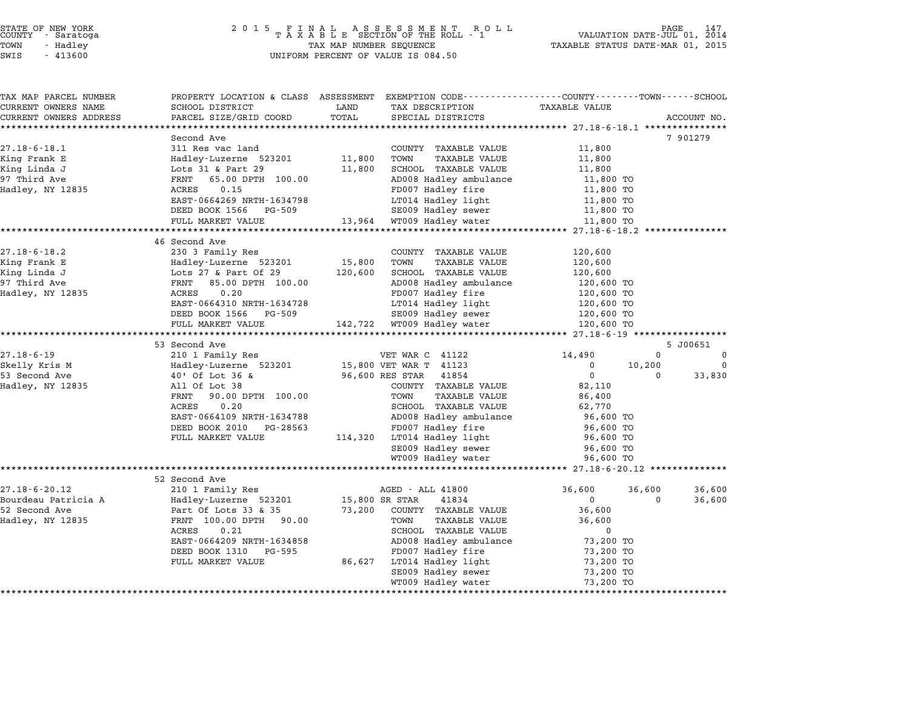# STATE OF NEW YORK <sup>2</sup> <sup>0</sup> <sup>1</sup> 5 F I N A L A S S E S S M E N T R O L L PAGE <sup>147</sup> COUNTY - Saratoga <sup>T</sup> <sup>A</sup> <sup>X</sup> <sup>A</sup> <sup>B</sup> <sup>L</sup> <sup>E</sup> SECTION OF THE ROLL - <sup>1</sup> VALUATION DATE-JUL 01, <sup>2014</sup> TOWN - Hadley TAX MAP NUMBER SEQUENCE TAXABLE STATUS DATE-MAR 01, <sup>2015</sup> STATE OF NEW YORK<br>
COUNTY - Saratoga<br>
TOWN - Hadley TAXABLE SECTION OF THE ROLL<br>
SWIS - 413600 UNIFORM PERCENT OF VALUE IS 084.50

| TAX MAP PARCEL NUMBER  |                                                   |         | PROPERTY LOCATION & CLASS ASSESSMENT EXEMPTION CODE----------------COUNTY-------TOWN-----SCHOOL |                        |             |             |
|------------------------|---------------------------------------------------|---------|-------------------------------------------------------------------------------------------------|------------------------|-------------|-------------|
| CURRENT OWNERS NAME    | SCHOOL DISTRICT                                   | LAND    | TAX DESCRIPTION                                                                                 | <b>TAXABLE VALUE</b>   |             |             |
| CURRENT OWNERS ADDRESS | PARCEL SIZE/GRID COORD<br>***************         | TOTAL   | SPECIAL DISTRICTS                                                                               |                        |             | ACCOUNT NO. |
|                        |                                                   |         |                                                                                                 |                        |             |             |
| $27.18 - 6 - 18.1$     | Second Ave<br>311 Res vac land                    |         | COUNTY TAXABLE VALUE                                                                            | 11,800                 |             | 7 901279    |
|                        |                                                   |         |                                                                                                 |                        |             |             |
| King Frank E           | Hadley-Luzerne 523201                             | 11,800  | TOWN<br><b>TAXABLE VALUE</b>                                                                    | 11,800                 |             |             |
| King Linda J           | Lots 31 & Part 29                                 | 11,800  | SCHOOL TAXABLE VALUE                                                                            | 11,800                 |             |             |
| 97 Third Ave           | FRNT<br>65.00 DPTH 100.00                         |         | AD008 Hadley ambulance                                                                          | 11,800 TO              |             |             |
| Hadley, NY 12835       | ACRES<br>0.15                                     |         | FD007 Hadley fire                                                                               | 11,800 TO              |             |             |
|                        | EAST-0664269 NRTH-1634798                         |         | LT014 Hadley light                                                                              | 11,800 TO              |             |             |
|                        | DEED BOOK 1566 PG-509                             |         | SE009 Hadley sewer                                                                              | 11,800 TO              |             |             |
|                        | FULL MARKET VALUE<br>**************************** |         | 13,964 WT009 Hadley water                                                                       | 11,800 TO              |             |             |
|                        |                                                   |         |                                                                                                 |                        |             |             |
| $27.18 - 6 - 18.2$     | 46 Second Ave<br>230 3 Family Res                 |         | COUNTY TAXABLE VALUE                                                                            | 120,600                |             |             |
|                        |                                                   |         |                                                                                                 |                        |             |             |
| King Frank E           | Hadley-Luzerne 523201                             | 15,800  | TOWN<br><b>TAXABLE VALUE</b>                                                                    | 120,600                |             |             |
| King Linda J           | Lots $27$ & Part Of $29$                          | 120,600 | SCHOOL TAXABLE VALUE                                                                            | 120,600                |             |             |
| 97 Third Ave           | FRNT<br>85.00 DPTH 100.00<br>ACRES                |         | AD008 Hadley ambulance                                                                          | 120,600 TO             |             |             |
| Hadley, NY 12835       | 0.20                                              |         | FD007 Hadley fire                                                                               | 120,600 TO             |             |             |
|                        | EAST-0664310 NRTH-1634728                         |         | LT014 Hadley light                                                                              | 120,600 TO             |             |             |
|                        | DEED BOOK 1566 PG-509                             |         | SE009 Hadley sewer                                                                              | 120,600 TO             |             |             |
|                        | FULL MARKET VALUE                                 |         | 142,722 WT009 Hadley water                                                                      | 120,600 TO             |             |             |
|                        | 53 Second Ave                                     |         |                                                                                                 |                        |             | 5 J00651    |
| $27.18 - 6 - 19$       | 210 1 Family Res                                  |         | VET WAR C 41122                                                                                 | 14,490                 | $\Omega$    | 0           |
| Skelly Kris M          | Hadley-Luzerne 523201                             |         | 15,800 VET WAR T 41123                                                                          | $\Omega$               | 10,200      | $\Omega$    |
| 53 Second Ave          | 40' Of Lot 36 &                                   |         | 96,600 RES STAR<br>41854                                                                        | $\mathbf 0$            | $\mathbf 0$ | 33,830      |
| Hadley, NY 12835       | All Of Lot 38                                     |         | COUNTY TAXABLE VALUE                                                                            | 82,110                 |             |             |
|                        | FRNT 90.00 DPTH 100.00                            |         | <b>TAXABLE VALUE</b><br>TOWN                                                                    | 86,400                 |             |             |
|                        | 0.20<br>ACRES                                     |         | SCHOOL TAXABLE VALUE                                                                            | 62,770                 |             |             |
|                        | EAST-0664109 NRTH-1634788                         |         | AD008 Hadley ambulance                                                                          | 96,600 TO              |             |             |
|                        | DEED BOOK 2010 PG-28563                           |         | FD007 Hadley fire                                                                               |                        |             |             |
|                        | FULL MARKET VALUE                                 |         | 114,320 LT014 Hadley light                                                                      | 96,600 TO<br>96,600 TO |             |             |
|                        |                                                   |         |                                                                                                 |                        |             |             |
|                        |                                                   |         | SE009 Hadley sewer                                                                              | 96,600 TO              |             |             |
|                        |                                                   |         | WT009 Hadley water                                                                              | 96,600 TO              |             |             |
|                        | 52 Second Ave                                     |         |                                                                                                 |                        |             |             |
| $27.18 - 6 - 20.12$    | 210 1 Family Res                                  |         | AGED - ALL 41800                                                                                | 36,600                 | 36,600      | 36,600      |
| Bourdeau Patricia A    | Hadley-Luzerne 523201                             |         | 15,800 SR STAR<br>41834                                                                         | $\mathbf 0$            | $\Omega$    | 36,600      |
| 52 Second Ave          | Part Of Lots 33 & 35                              |         | 73,200 COUNTY TAXABLE VALUE                                                                     | 36,600                 |             |             |
| Hadley, NY 12835       | FRNT 100.00 DPTH 90.00                            |         | TAXABLE VALUE<br>TOWN                                                                           | 36,600                 |             |             |
|                        | 0.21<br>ACRES                                     |         | SCHOOL TAXABLE VALUE                                                                            | 0                      |             |             |
|                        | EAST-0664209 NRTH-1634858                         |         | AD008 Hadley ambulance                                                                          | 73,200 TO              |             |             |
|                        |                                                   |         |                                                                                                 |                        |             |             |
|                        |                                                   |         |                                                                                                 |                        |             |             |
|                        | DEED BOOK 1310 PG-595                             |         | FD007 Hadley fire                                                                               | 73,200 TO              |             |             |
|                        | FULL MARKET VALUE                                 |         | 86,627 LT014 Hadley light                                                                       | 73,200 TO              |             |             |
|                        |                                                   |         | SE009 Hadley sewer<br>WT009 Hadley water                                                        | 73,200 TO<br>73,200 TO |             |             |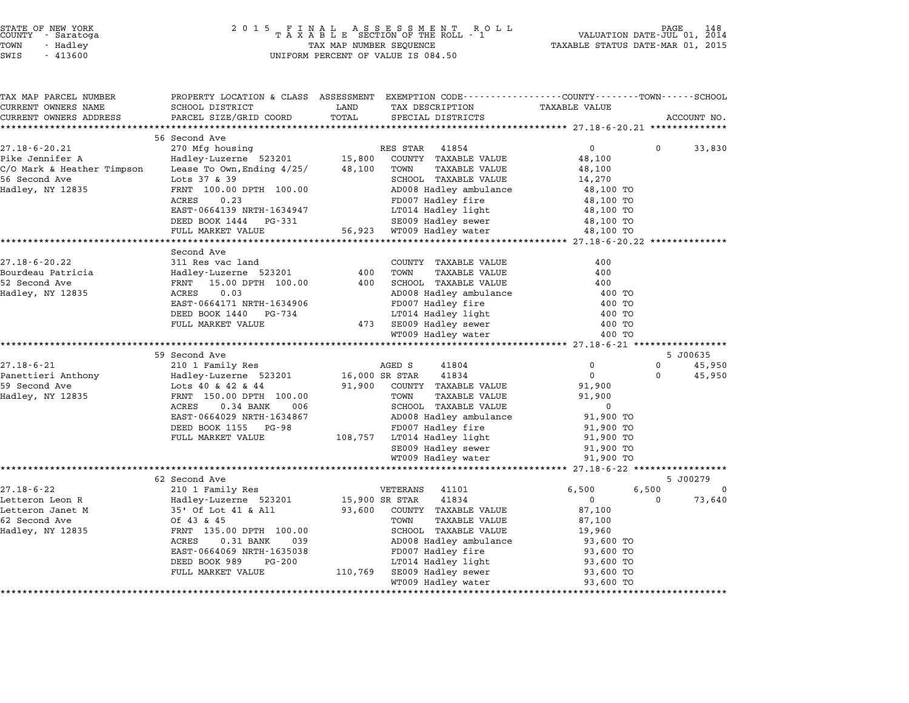| STATE OF NEW YORK |  |            |  |
|-------------------|--|------------|--|
| COUNTY            |  | - Saratoga |  |
| TOWN              |  | - Hadley   |  |

## STATE OF NEW YORK <sup>2</sup> <sup>0</sup> <sup>1</sup> 5 F I N A L A S S E S S M E N T R O L L PAGE <sup>148</sup> COUNTY - Saratoga <sup>T</sup> <sup>A</sup> <sup>X</sup> <sup>A</sup> <sup>B</sup> <sup>L</sup> <sup>E</sup> SECTION OF THE ROLL - <sup>1</sup> VALUATION DATE-JUL 01, <sup>2014</sup> TOWN - Hadley TAX MAP NUMBER SEQUENCE TAXABLE STATUS DATE-MAR 01, <sup>2015</sup> SWIS - <sup>413600</sup> UNIFORM PERCENT OF VALUE IS 084.50

| TAX MAP PARCEL NUMBER<br>CURRENT OWNERS NAME | PROPERTY LOCATION & CLASS ASSESSMENT EXEMPTION CODE---------------COUNTY-------TOWN------SCHOOL<br>SCHOOL DISTRICT | LAND           | TAX DESCRIPTION                       | <b>TAXABLE VALUE</b>   |             |             |
|----------------------------------------------|--------------------------------------------------------------------------------------------------------------------|----------------|---------------------------------------|------------------------|-------------|-------------|
| CURRENT OWNERS ADDRESS                       | PARCEL SIZE/GRID COORD                                                                                             | TOTAL          | SPECIAL DISTRICTS                     |                        |             | ACCOUNT NO. |
| **************************                   |                                                                                                                    |                |                                       |                        |             |             |
|                                              | 56 Second Ave                                                                                                      |                |                                       |                        |             |             |
| $27.18 - 6 - 20.21$                          | 270 Mfg housing RI<br>Hadley-Luzerne 523201 15,800                                                                 |                | 41854<br>RES STAR                     | $\overline{0}$         | $\mathbf 0$ | 33,830      |
| Pike Jennifer A                              |                                                                                                                    |                | COUNTY TAXABLE VALUE                  | 48,100                 |             |             |
| C/O Mark & Heather Timpson                   | Lease To Own, Ending $4/25/$ 48,100                                                                                |                | TOWN<br>TAXABLE VALUE                 | 48,100                 |             |             |
| 56 Second Ave                                | Lots 37 & 39                                                                                                       |                | SCHOOL TAXABLE VALUE                  | 14,270                 |             |             |
| Hadley, NY 12835                             | FRNT 100.00 DPTH 100.00                                                                                            |                | AD008 Hadley ambulance                | 48,100 TO              |             |             |
|                                              | ACRES<br>0.23                                                                                                      |                | FD007 Hadley fire                     | 48,100 TO              |             |             |
|                                              | EAST-0664139 NRTH-1634947                                                                                          |                | LT014 Hadley light                    | 48,100 TO              |             |             |
|                                              | DEED BOOK 1444 PG-331                                                                                              |                | SE009 Hadley sewer                    | 48,100 TO              |             |             |
|                                              | FULL MARKET VALUE                                                                                                  |                | 56,923 WT009 Hadley water             | 48,100 TO              |             |             |
|                                              |                                                                                                                    |                |                                       |                        |             |             |
|                                              | Second Ave                                                                                                         |                |                                       |                        |             |             |
| $27.18 - 6 - 20.22$                          | 311 Res vac land                                                                                                   |                | COUNTY TAXABLE VALUE                  | 400                    |             |             |
| Bourdeau Patricia                            | Hadley-Luzerne 523201                                                                                              | 400            | TOWN<br>TAXABLE VALUE                 | 400                    |             |             |
| 52 Second Ave                                | 15.00 DPTH 100.00<br>FRNT                                                                                          | 400            | SCHOOL TAXABLE VALUE                  | 400                    |             |             |
| Hadley, NY 12835                             | ACRES<br>0.03                                                                                                      |                | AD008 Hadley ambulance                | 400 TO                 |             |             |
|                                              | EAST-0664171 NRTH-1634906                                                                                          |                | FD007 Hadley fire                     | 400 TO                 |             |             |
|                                              | DEED BOOK 1440 PG-734                                                                                              |                | LT014 Hadley light                    | 400 TO                 |             |             |
|                                              | FULL MARKET VALUE                                                                                                  |                | 473 SE009 Hadley sewer                | 400 TO                 |             |             |
|                                              |                                                                                                                    |                | WT009 Hadley water                    | 400 TO                 |             |             |
|                                              |                                                                                                                    |                |                                       |                        |             |             |
|                                              | 59 Second Ave                                                                                                      |                |                                       |                        |             | 5 J00635    |
| $27.18 - 6 - 21$                             | 210 1 Family Res                                                                                                   |                | AGED S<br>41804                       | $\mathbf 0$            | $\Omega$    | 45,950      |
| Panettieri Anthony                           | Hadley-Luzerne 523201                                                                                              | 16,000 SR STAR | 41834                                 | $\overline{0}$         | 0           | 45,950      |
| 59 Second Ave                                | Lots 40 & 42 & 44                                                                                                  | 91,900         | COUNTY TAXABLE VALUE<br>TOWN          | 91,900                 |             |             |
| Hadley, NY 12835                             | FRNT 150.00 DPTH 100.00<br>ACRES<br>$0.34$ BANK<br>006                                                             |                | TAXABLE VALUE<br>SCHOOL TAXABLE VALUE | 91,900<br>0            |             |             |
|                                              | EAST-0664029 NRTH-1634867                                                                                          |                | AD008 Hadley ambulance                | 91,900 TO              |             |             |
|                                              | DEED BOOK 1155 PG-98                                                                                               |                | FD007 Hadley fire                     |                        |             |             |
|                                              | FULL MARKET VALUE                                                                                                  |                | 108,757 LT014 Hadley light            | 91,900 TO<br>91,900 TO |             |             |
|                                              |                                                                                                                    |                | SE009 Hadley sewer                    | 91,900 TO              |             |             |
|                                              |                                                                                                                    |                | WT009 Hadley water                    | 91,900 TO              |             |             |
|                                              |                                                                                                                    |                |                                       |                        |             |             |
|                                              | 62 Second Ave                                                                                                      |                |                                       |                        |             | 5 J00279    |
| $27.18 - 6 - 22$                             | 210 1 Family Res                                                                                                   |                | VETERANS<br>41101                     | 6,500                  | 6,500       | $\mathbf 0$ |
| Letteron Leon R                              | Hadley-Luzerne 523201                                                                                              | 15,900 SR STAR | 41834                                 | $\mathbf 0$            | $\Omega$    | 73,640      |
| Letteron Janet M                             | 35' Of Lot 41 & All                                                                                                | 93,600         | COUNTY TAXABLE VALUE                  | 87,100                 |             |             |
| 62 Second Ave                                | Of 43 & 45                                                                                                         |                | TOWN<br>TAXABLE VALUE                 | 87,100                 |             |             |
| Hadley, NY 12835                             | FRNT 135.00 DPTH 100.00                                                                                            |                | SCHOOL TAXABLE VALUE                  | 19,960                 |             |             |
|                                              | ACRES<br>0.31 BANK<br>039                                                                                          |                | AD008 Hadley ambulance                | 93,600 TO              |             |             |
|                                              | EAST-0664069 NRTH-1635038                                                                                          |                | FD007 Hadley fire                     | 93,600 TO              |             |             |
|                                              | DEED BOOK 989<br>PG-200                                                                                            |                | LT014 Hadley light                    | 93,600 TO              |             |             |
|                                              | FULL MARKET VALUE                                                                                                  | 110,769        | SE009 Hadley sewer                    | 93,600 TO              |             |             |
|                                              |                                                                                                                    |                | WT009 Hadley water                    | 93,600 TO              |             |             |
|                                              |                                                                                                                    |                |                                       |                        |             |             |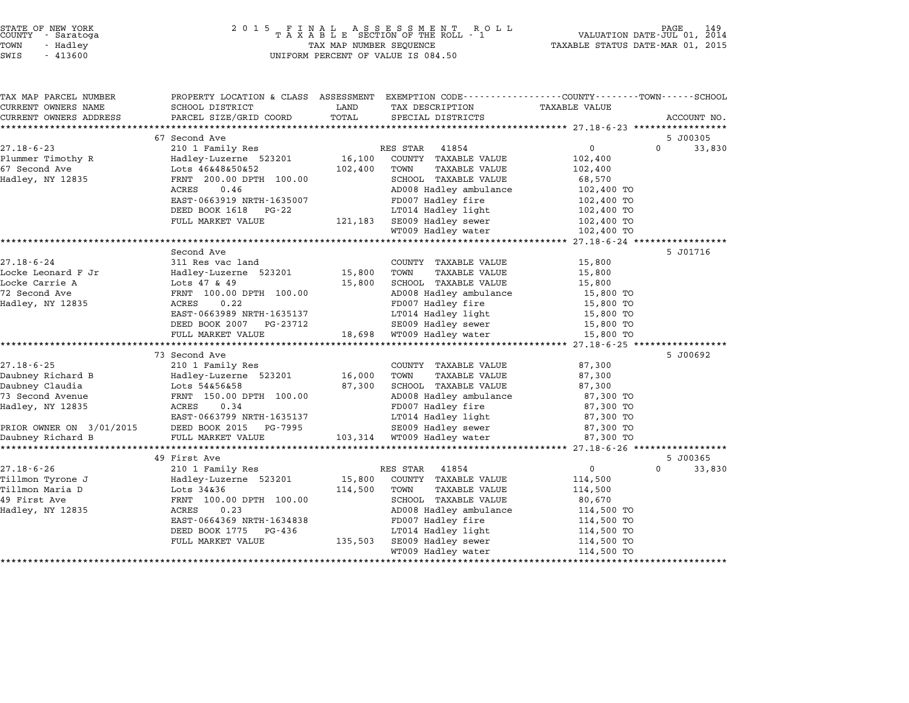| TAX MAP PARCEL NUMBER                             | PROPERTY LOCATION & CLASS ASSESSMENT EXEMPTION CODE---------------COUNTY-------TOWN------SCHOOL |         |                                                                                     |                          |                    |
|---------------------------------------------------|-------------------------------------------------------------------------------------------------|---------|-------------------------------------------------------------------------------------|--------------------------|--------------------|
| CURRENT OWNERS NAME                               | SCHOOL DISTRICT                                                                                 | LAND    | TAX DESCRIPTION                                                                     | TAXABLE VALUE            |                    |
| CURRENT OWNERS ADDRESS                            | PARCEL SIZE/GRID COORD                                                                          | TOTAL   | SPECIAL DISTRICTS                                                                   |                          | ACCOUNT NO.        |
|                                                   |                                                                                                 |         |                                                                                     |                          |                    |
|                                                   | 67 Second Ave                                                                                   |         |                                                                                     |                          | 5 J00305           |
| $27.18 - 6 - 23$                                  | 210 1 Family Res                                                                                |         | RES STAR 41854                                                                      | $\overline{0}$           | $\Omega$<br>33,830 |
| Plummer Timothy R                                 | Hadley-Luzerne 523201                                                                           | 16,100  | COUNTY TAXABLE VALUE                                                                | 102,400                  |                    |
| 67 Second Ave                                     | Lots 46&48&50&52                                                                                | 102,400 | TOWN<br>TAXABLE VALUE                                                               | 102,400                  |                    |
| Hadley, NY 12835                                  | FRNT 200.00 DPTH 100.00                                                                         |         | SCHOOL TAXABLE VALUE                                                                | 68,570                   |                    |
|                                                   | ACRES<br>0.46                                                                                   |         | AD008 Hadley ambulance                                                              | 102,400 TO               |                    |
|                                                   | EAST-0663919 NRTH-1635007                                                                       |         | FD007 Hadley fire                                                                   | 102,400 TO               |                    |
|                                                   | DEED BOOK 1618 PG-22                                                                            |         | LT014 Hadley light                                                                  | 102,400 TO               |                    |
|                                                   | FULL MARKET VALUE                                                                               |         | $121,183$ SE009 Hadley sewer $102,400$ TO<br>$102,400$ To $100,400$ To $100,400$ To |                          |                    |
|                                                   |                                                                                                 |         | WT009 Hadley water                                                                  | 102,400 TO               |                    |
|                                                   |                                                                                                 |         |                                                                                     |                          |                    |
|                                                   | Second Ave                                                                                      |         |                                                                                     |                          | 5 J01716           |
| $27.18 - 6 - 24$                                  | 311 Res vac land                                                                                |         | COUNTY TAXABLE VALUE                                                                | 15,800                   |                    |
| Locke Leonard F Jr                                | Hadley-Luzerne 523201                                                                           | 15,800  | TOWN<br>TAXABLE VALUE                                                               | 15,800                   |                    |
| Locke Carrie A                                    | Lots 47 & 49                                                                                    | 15,800  | SCHOOL TAXABLE VALUE                                                                | 15,800                   |                    |
| 72 Second Ave                                     | FRNT 100.00 DPTH 100.00                                                                         |         | AD008 Hadley ambulance                                                              | 15,800 TO                |                    |
| Hadley, NY 12835                                  | ACRES<br>0.22                                                                                   |         | FD007 Hadley fire                                                                   | 15,800 TO                |                    |
|                                                   | EAST-0663989 NRTH-1635137                                                                       |         | LT014 Hadley light                                                                  | 15,800 TO                |                    |
|                                                   | DEED BOOK 2007 PG-23712                                                                         |         | SE009 Hadley sewer                                                                  | 15,800 TO                |                    |
|                                                   | FULL MARKET VALUE                                                                               |         | 18,698 WT009 Hadley water                                                           | 15,800 TO                |                    |
|                                                   |                                                                                                 |         |                                                                                     |                          |                    |
|                                                   | 73 Second Ave                                                                                   |         |                                                                                     |                          | 5 J00692           |
| $27.18 - 6 - 25$                                  | 210 1 Family Res                                                                                |         | COUNTY TAXABLE VALUE                                                                | 87,300                   |                    |
| Daubney Richard B                                 | Hadley-Luzerne 523201                                                                           | 16,000  | TOWN<br>TAXABLE VALUE                                                               | 87,300                   |                    |
| Daubney Claudia                                   | Lots 54&56&58                                                                                   | 87,300  | SCHOOL TAXABLE VALUE                                                                | 87,300                   |                    |
| 73 Second Avenue                                  | FRNT 150.00 DPTH 100.00                                                                         |         | AD008 Hadley ambulance                                                              | 87,300 TO                |                    |
| Hadley, NY 12835                                  | 0.34<br>ACRES                                                                                   |         | FD007 Hadley fire                                                                   | 87,300 TO                |                    |
|                                                   | EAST-0663799 NRTH-1635137                                                                       |         | LT014 Hadley light                                                                  | 87,300 TO                |                    |
|                                                   |                                                                                                 |         | SE009 Hadley sewer                                                                  | 87,300 TO                |                    |
|                                                   |                                                                                                 |         | 103,314 WT009 Hadley water                                                          | 87,300 TO                |                    |
|                                                   |                                                                                                 |         |                                                                                     |                          |                    |
|                                                   | 49 First Ave                                                                                    |         |                                                                                     |                          | 5 J00365           |
| $27.18 - 6 - 26$                                  | 210 1 Family Res                                                                                |         | RES STAR<br>41854                                                                   | $\overline{0}$           | $\Omega$<br>33,830 |
|                                                   | Hadley-Luzerne 523201                                                                           | 15,800  | COUNTY TAXABLE VALUE                                                                | 114,500                  |                    |
| 27.10 v 20<br>Tillmon Tyrone J<br>millmon Maria D | Lots 34&36                                                                                      | 114,500 | TOWN<br>TAXABLE VALUE                                                               | 114,500                  |                    |
|                                                   | FRNT 100.00 DPTH 100.00                                                                         |         | SCHOOL TAXABLE VALUE                                                                | 80,670                   |                    |
| -- st ave<br>Hadley, NY 12835                     | 0.23<br>ACRES                                                                                   |         | AD008 Hadley ambulance                                                              | 114,500 TO               |                    |
|                                                   | EAST-0664369 NRTH-1634838                                                                       |         | FD007 Hadley fire                                                                   | 114,500 TO<br>114,500 TO |                    |
|                                                   | DEED BOOK 1775<br>PG-436                                                                        |         | LT014 Hadley light                                                                  | 114,500 TO               |                    |
|                                                   | FULL MARKET VALUE                                                                               | 135,503 | SE009 Hadley sewer                                                                  | 114,500 TO               |                    |
|                                                   |                                                                                                 |         | WT009 Hadley water                                                                  | 114,500 TO               |                    |
|                                                   |                                                                                                 |         |                                                                                     |                          |                    |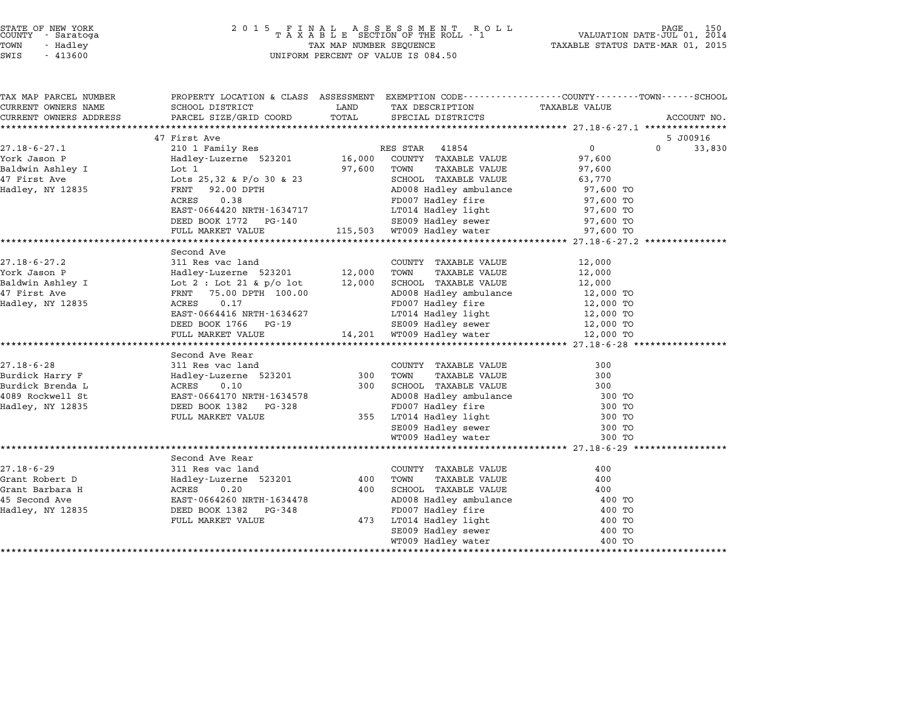## STATE OF NEW YORK <sup>2</sup> <sup>0</sup> <sup>1</sup> 5 F I N A L A S S E S S M E N T R O L L PAGE <sup>150</sup> COUNTY - Saratoga <sup>T</sup> <sup>A</sup> <sup>X</sup> <sup>A</sup> <sup>B</sup> <sup>L</sup> <sup>E</sup> SECTION OF THE ROLL - <sup>1</sup> VALUATION DATE-JUL 01, <sup>2014</sup> TOWN - Hadley TAX MAP NUMBER SEQUENCE TAXABLE STATUS DATE-MAR 01, <sup>2015</sup> STATE OF NEW YORK<br>
COUNTY - Saratoga<br>
TOWN - Hadley TAXABLE SECTION OF THE ROLI<br>
SWIS - 413600 UNIFORM PERCENT OF VALUE IS 084.50

| TAX MAP PARCEL NUMBER  | PROPERTY LOCATION & CLASS ASSESSMENT EXEMPTION CODE---------------COUNTY-------TOWN-----SCHOOL |        |                                          |               |             |
|------------------------|------------------------------------------------------------------------------------------------|--------|------------------------------------------|---------------|-------------|
| CURRENT OWNERS NAME    | SCHOOL DISTRICT                                                                                | LAND   | TAX DESCRIPTION                          | TAXABLE VALUE |             |
| CURRENT OWNERS ADDRESS | PARCEL SIZE/GRID COORD                                                                         | TOTAL  | SPECIAL DISTRICTS                        |               | ACCOUNT NO. |
|                        |                                                                                                |        |                                          |               |             |
|                        | 47 First Ave                                                                                   |        |                                          |               | 5 J00916    |
| $27.18 - 6 - 27.1$     | 210 1 Family Res                                                                               |        | RES STAR 41854                           | 0<br>$\Omega$ | 33,830      |
| York Jason P           | Hadley-Luzerne 523201                                                                          | 16,000 | COUNTY TAXABLE VALUE                     | 97,600        |             |
| Baldwin Ashley I       | Lot 1                                                                                          | 97,600 | TAXABLE VALUE<br>TOWN                    | 97,600        |             |
| 47 First Ave           | Lots $25,32$ & P/o 30 & 23                                                                     |        | SCHOOL TAXABLE VALUE                     | 63,770        |             |
| Hadley, NY 12835       | FRNT 92.00 DPTH                                                                                |        | AD008 Hadley ambulance                   | 97,600 TO     |             |
|                        | ACRES<br>0.38                                                                                  |        | FD007 Hadley fire                        | 97,600 TO     |             |
|                        | EAST-0664420 NRTH-1634717                                                                      |        | LT014 Hadley light<br>SE009 Hadley sewer | 97,600 TO     |             |
|                        | DEED BOOK 1772 PG-140                                                                          |        |                                          | 97,600 TO     |             |
|                        | FULL MARKET VALUE                                                                              |        | 115,503 WT009 Hadley water               | 97,600 TO     |             |
|                        |                                                                                                |        |                                          |               |             |
|                        | Second Ave                                                                                     |        |                                          |               |             |
| $27.18 - 6 - 27.2$     | 311 Res vac land                                                                               |        | COUNTY TAXABLE VALUE                     | 12,000        |             |
| York Jason P           | Hadley-Luzerne 523201                                                                          | 12,000 | TAXABLE VALUE<br>TOWN                    | 12,000        |             |
| Baldwin Ashley I       | Lot $2:$ Lot $21$ & $p/o$ lot                                                                  | 12,000 | SCHOOL TAXABLE VALUE                     | 12,000        |             |
| 47 First Ave           | FRNT 75.00 DPTH 100.00                                                                         |        | AD008 Hadley ambulance                   | 12,000 TO     |             |
| Hadley, NY 12835       | 0.17<br>ACRES                                                                                  |        | FD007 Hadley fire                        | 12,000 TO     |             |
|                        | EAST-0664416 NRTH-1634627                                                                      |        | LT014 Hadley light                       | 12,000 TO     |             |
|                        | DEED BOOK 1766 PG-19                                                                           |        |                                          | 12,000 TO     |             |
|                        | FULL MARKET VALUE                                                                              |        |                                          | 12,000 TO     |             |
|                        |                                                                                                |        |                                          |               |             |
|                        | Second Ave Rear                                                                                |        |                                          |               |             |
| $27.18 - 6 - 28$       | 311 Res vac land                                                                               |        | COUNTY TAXABLE VALUE                     | 300           |             |
| Burdick Harry F        | Hadley-Luzerne 523201                                                                          | 300    | TOWN<br>TAXABLE VALUE                    | 300           |             |
| Burdick Brenda L       | ACRES<br>0.10                                                                                  | 300    | SCHOOL TAXABLE VALUE                     | 300           |             |
| 4089 Rockwell St       | EAST-0664170 NRTH-1634578                                                                      |        | AD008 Hadley ambulance                   | 300 TO        |             |
| Hadley, NY 12835       | DEED BOOK 1382<br>PG-328                                                                       |        | FD007 Hadley fire                        | 300 TO        |             |
|                        | FULL MARKET VALUE                                                                              |        | 355 LT014 Hadley light                   | 300 TO        |             |
|                        |                                                                                                |        | SE009 Hadley sewer                       | 300 TO        |             |
|                        |                                                                                                |        | WT009 Hadley water                       | 300 TO        |             |
|                        |                                                                                                |        |                                          |               |             |
|                        | Second Ave Rear                                                                                |        |                                          |               |             |
| $27.18 - 6 - 29$       | 311 Res vac land                                                                               |        | COUNTY TAXABLE VALUE                     | 400           |             |
| Grant Robert D         | Hadley-Luzerne 523201                                                                          | 400    | <b>TAXABLE VALUE</b><br>TOWN             | 400           |             |
| Grant Barbara H        | ACRES 0.20                                                                                     | 400    | SCHOOL TAXABLE VALUE                     | 400           |             |
| 45 Second Ave          | EAST-0664260 NRTH-1634478                                                                      |        | AD008 Hadley ambulance                   | 400 TO        |             |
| Hadley, NY 12835       | DEED BOOK 1382 PG-348                                                                          |        | FD007 Hadley fire                        | 400 TO        |             |
|                        | FULL MARKET VALUE                                                                              | 473    | LT014 Hadley light                       | 400 TO        |             |
|                        |                                                                                                |        | SE009 Hadley sewer                       | 400 TO        |             |
|                        |                                                                                                |        | WT009 Hadley water                       | 400 TO        |             |
|                        |                                                                                                |        |                                          |               |             |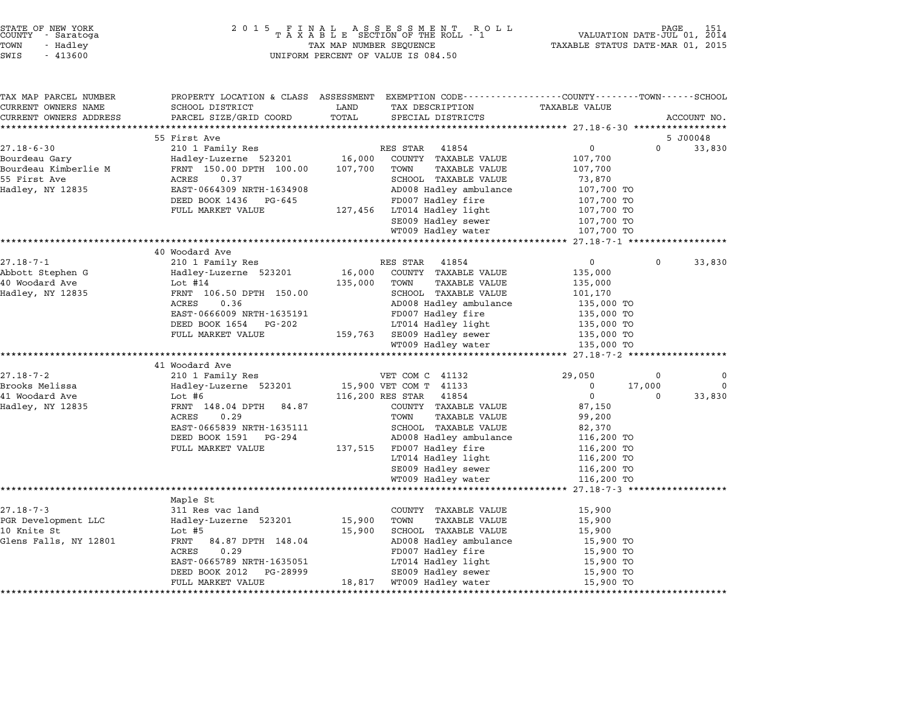|       | STATE OF NEW YORK<br>COUNTY - Saratoga |  |
|-------|----------------------------------------|--|
| !OWN  | - Hadlev                               |  |
| $T-T$ | 11200                                  |  |

# STATE OF NEW YORK <sup>2</sup> <sup>0</sup> <sup>1</sup> 5 F I N A L A S S E S S M E N T R O L L PAGE <sup>151</sup> COUNTY - Saratoga <sup>T</sup> <sup>A</sup> <sup>X</sup> <sup>A</sup> <sup>B</sup> <sup>L</sup> <sup>E</sup> SECTION OF THE ROLL - <sup>1</sup> VALUATION DATE-JUL 01, <sup>2014</sup> TOWN - Hadley TAX MAP NUMBER SEQUENCE TAXABLE STATUS DATE-MAR 01, <sup>2015</sup> STATE OF NEW YORK STATE OF NEW YORK COUNTY - SATATOGRAPH SAMPLINE TO A SAMPLINE ROLL TO A SAMPLINE ROLL TO A SA<br>TOWN - Hadley TAX A B L E SECTION OF THE ROLL TOWN - Hadley TAX MAP NUMBER SEQUENCE<br>SWIS - 413600 SWIS - 41360

| TAX MAP PARCEL NUMBER<br>CURRENT OWNERS NAME | PROPERTY LOCATION & CLASS ASSESSMENT EXEMPTION CODE---------------COUNTY-------TOWN------SCHOOL<br>SCHOOL DISTRICT | LAND    | TAX DESCRIPTION              | <b>TAXABLE VALUE</b>                  |             |             |
|----------------------------------------------|--------------------------------------------------------------------------------------------------------------------|---------|------------------------------|---------------------------------------|-------------|-------------|
| CURRENT OWNERS ADDRESS                       | PARCEL SIZE/GRID COORD                                                                                             | TOTAL   | SPECIAL DISTRICTS            |                                       |             | ACCOUNT NO. |
|                                              |                                                                                                                    |         |                              |                                       |             |             |
|                                              | 55 First Ave                                                                                                       |         |                              |                                       |             | 5 J00048    |
| $27.18 - 6 - 30$                             | 210 1 Family Res                                                                                                   |         | RES STAR<br>41854            | $\mathsf{O}$                          | $\mathbf 0$ | 33,830      |
| Bourdeau Gary                                | Hadley-Luzerne 523201 16,000                                                                                       |         | COUNTY TAXABLE VALUE         | 107,700                               |             |             |
| Bourdeau Kimberlie M                         | FRNT 150.00 DPTH 100.00                                                                                            | 107,700 | TOWN<br>TAXABLE VALUE        | 107,700                               |             |             |
| 55 First Ave                                 | 0.37<br>ACRES                                                                                                      |         | SCHOOL TAXABLE VALUE         | 73,870                                |             |             |
| Hadley, NY 12835                             | EAST-0664309 NRTH-1634908                                                                                          |         | AD008 Hadley ambulance       | 107,700 TO                            |             |             |
|                                              | DEED BOOK 1436<br>PG-645                                                                                           |         | FD007 Hadley fire            | 107,700 TO                            |             |             |
|                                              | FULL MARKET VALUE                                                                                                  |         | 127,456 LT014 Hadley light   | 107,700 TO                            |             |             |
|                                              |                                                                                                                    |         | SE009 Hadley sewer           | 107,700 TO                            |             |             |
|                                              |                                                                                                                    |         | WT009 Hadley water           | 107,700 TO                            |             |             |
|                                              |                                                                                                                    |         |                              |                                       |             |             |
|                                              | 40 Woodard Ave                                                                                                     |         |                              |                                       |             |             |
| $27.18 - 7 - 1$                              | 210 1 Family Res                                                                                                   |         | RES STAR 41854               | $\overline{0}$                        | $\Omega$    | 33,830      |
| Abbott Stephen G                             | Hadley-Luzerne 523201                                                                                              | 16,000  | COUNTY TAXABLE VALUE         | 135,000                               |             |             |
| 40 Woodard Ave                               | Lot #14                                                                                                            | 135,000 | TOWN<br><b>TAXABLE VALUE</b> | 135,000                               |             |             |
| Hadley, NY 12835                             | FRNT 106.50 DPTH 150.00                                                                                            |         | SCHOOL TAXABLE VALUE         | 101,170                               |             |             |
|                                              | ACRES<br>0.36                                                                                                      |         | AD008 Hadley ambulance       | 135,000 TO                            |             |             |
|                                              | EAST-0666009 NRTH-1635191                                                                                          |         | FD007 Hadley fire            | 135,000 TO<br>US,000 TO<br>135,000 TO |             |             |
|                                              | DEED BOOK 1654<br>PG-202                                                                                           |         | LT014 Hadley light           |                                       |             |             |
|                                              | FULL MARKET VALUE                                                                                                  |         | 159,763 SE009 Hadley sewer   | 135,000 TO<br>135.000 TO              |             |             |
|                                              |                                                                                                                    |         | WT009 Hadley water           | 135,000 TO                            |             |             |
|                                              | 41 Woodard Ave                                                                                                     |         |                              |                                       |             |             |
| $27.18 - 7 - 2$                              | 210 1 Family Res                                                                                                   |         | VET COM C 41132              | 29,050                                | 0           | 0           |
| Brooks Melissa                               | Hadley-Luzerne 523201                                                                                              |         | 15,900 VET COM T 41133       | $\mathbf 0$                           | 17,000      | $\mathbf 0$ |
| 41 Woodard Ave                               | Lot #6                                                                                                             |         | 116,200 RES STAR 41854       | $\overline{0}$                        | 0           | 33,830      |
| Hadley, NY 12835                             | FRNT 148.04 DPTH<br>84.87                                                                                          |         | COUNTY TAXABLE VALUE         | 87,150                                |             |             |
|                                              | ACRES<br>0.29                                                                                                      |         | TOWN<br><b>TAXABLE VALUE</b> | 99,200                                |             |             |
|                                              | EAST-0665839 NRTH-1635111                                                                                          |         | SCHOOL TAXABLE VALUE         | 82,370                                |             |             |
|                                              | DEED BOOK 1591 PG-294                                                                                              |         | AD008 Hadley ambulance       | 116,200 TO                            |             |             |
|                                              | FULL MARKET VALUE                                                                                                  |         | 137,515 FD007 Hadley fire    | 116,200 TO                            |             |             |
|                                              |                                                                                                                    |         | LT014 Hadley light           | 116,200 TO                            |             |             |
|                                              |                                                                                                                    |         | SE009 Hadley sewer           | 116,200 TO                            |             |             |
|                                              |                                                                                                                    |         | WT009 Hadley water           | 116,200 TO                            |             |             |
|                                              |                                                                                                                    |         |                              |                                       |             |             |
|                                              | Maple St                                                                                                           |         |                              |                                       |             |             |
| $27.18 - 7 - 3$                              | 311 Res vac land                                                                                                   |         | COUNTY TAXABLE VALUE         | 15,900                                |             |             |
| PGR Development LLC                          | Hadley-Luzerne 523201                                                                                              | 15,900  | TOWN<br><b>TAXABLE VALUE</b> | 15,900                                |             |             |
| 10 Knite St                                  | Lot #5                                                                                                             | 15,900  | SCHOOL TAXABLE VALUE         | 15,900                                |             |             |
| Glens Falls, NY 12801                        | FRNT<br>84.87 DPTH 148.04                                                                                          |         | AD008 Hadley ambulance       | 15,900 TO                             |             |             |
|                                              | 0.29<br>ACRES                                                                                                      |         | FD007 Hadley fire            | 15,900 TO                             |             |             |
|                                              | EAST-0665789 NRTH-1635051                                                                                          |         | LT014 Hadley light           | 15,900 TO                             |             |             |
|                                              | DEED BOOK 2012<br>PG-28999                                                                                         |         | SE009 Hadley sewer           | 15,900 TO                             |             |             |
|                                              | FULL MARKET VALUE                                                                                                  | 18,817  | WT009 Hadley water           | 15,900 TO                             |             |             |
|                                              |                                                                                                                    |         |                              |                                       |             |             |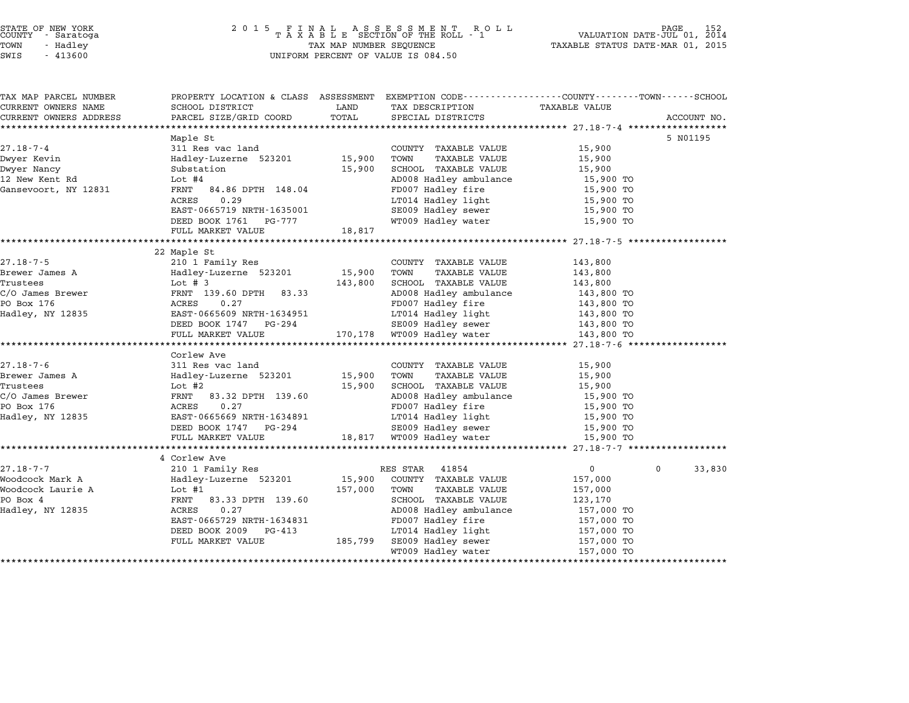# STATE OF NEW YORK <sup>2</sup> <sup>0</sup> <sup>1</sup> 5 F I N A L A S S E S S M E N T R O L L PAGE <sup>152</sup> COUNTY - Saratoga <sup>T</sup> <sup>A</sup> <sup>X</sup> <sup>A</sup> <sup>B</sup> <sup>L</sup> <sup>E</sup> SECTION OF THE ROLL - <sup>1</sup> VALUATION DATE-JUL 01, <sup>2014</sup> TOWN - Hadley TAX MAP NUMBER SEQUENCE TAXABLE STATUS DATE-MAR 01, <sup>2015</sup> STATE OF NEW YORK STATE OF NEW YORK A SOLUME TO A SOLUME TO A SOLUME TO A SOLUME TO A SOLUME TO A SOLUME TO A SOLUME TO A SOLUME TO A SOLUME TO A SOLUME TO A SOLUME TO A SOLUME TO A SOLUME TO A SOLUME TO A SOLUME TO A SOLU

| PROPERTY LOCATION & CLASS ASSESSMENT EXEMPTION CODE----------------COUNTY-------TOWN------SCHOOL<br>TAX MAP PARCEL NUMBER<br>CURRENT OWNERS NAME<br>SCHOOL DISTRICT<br>LAND<br>TAX DESCRIPTION<br>TAXABLE VALUE<br>TOTAL<br>CURRENT OWNERS ADDRESS<br>PARCEL SIZE/GRID COORD<br>SPECIAL DISTRICTS |             |
|---------------------------------------------------------------------------------------------------------------------------------------------------------------------------------------------------------------------------------------------------------------------------------------------------|-------------|
|                                                                                                                                                                                                                                                                                                   |             |
|                                                                                                                                                                                                                                                                                                   |             |
|                                                                                                                                                                                                                                                                                                   | ACCOUNT NO. |
|                                                                                                                                                                                                                                                                                                   |             |
| Maple St                                                                                                                                                                                                                                                                                          | 5 NO1195    |
| 311 Res vac land<br>27.18-7-4<br>COUNTY TAXABLE VALUE<br>15,900                                                                                                                                                                                                                                   |             |
| Hadley-Luzerne 523201 15,900<br>Dwyer Kevin<br>TOWN<br>TAXABLE VALUE<br>15,900                                                                                                                                                                                                                    |             |
| SCHOOL TAXABLE VALUE<br>Dwyer Nancy<br>Substation<br>15,900<br>15,900                                                                                                                                                                                                                             |             |
| AD008 Hadley ambulance<br>12 New Kent Rd<br>Lot #4                                                                                                                                                                                                                                                | 15,900 TO   |
| FRNT 84.86 DPTH 148.04<br>Gansevoort, NY 12831                                                                                                                                                                                                                                                    | 15,900 TO   |
| 0.29<br>LT014 Hadley light<br>SE009 Hadley sewer<br>ACRES                                                                                                                                                                                                                                         | 15,900 TO   |
| EAST-0665719 NRTH-1635001                                                                                                                                                                                                                                                                         | 15,900 TO   |
| WT009 Hadley water<br>DEED BOOK 1761 PG-777                                                                                                                                                                                                                                                       | 15,900 TO   |
| 18,817<br>FULL MARKET VALUE                                                                                                                                                                                                                                                                       |             |
|                                                                                                                                                                                                                                                                                                   |             |
| 22 Maple St                                                                                                                                                                                                                                                                                       |             |
| 210 1 Family Res<br>$27.18 - 7 - 5$<br>COUNTY TAXABLE VALUE<br>143,800                                                                                                                                                                                                                            |             |
| Hadley-Luzerne 523201 15,900<br>Brewer James A<br>TOWN<br>TAXABLE VALUE<br>143,800                                                                                                                                                                                                                |             |
| Trustees<br>Lot # 3<br>143,800<br>SCHOOL TAXABLE VALUE<br>143,800                                                                                                                                                                                                                                 |             |
| C/O James Brewer<br>AD008 Hadley ambulance<br>FRNT 139.60 DPTH 83.33<br>143,800 TO                                                                                                                                                                                                                |             |
| PO Box 176<br>0.27<br>FD007 Hadley fire<br>ACRES<br>143,800 TO                                                                                                                                                                                                                                    |             |
| 143,800 TO<br>LT014 Hadley light<br>Hadley, NY 12835<br>EAST-0665609 NRTH-1634951                                                                                                                                                                                                                 |             |
| $SE009$ Hadley sewer $143,800$ TO<br>DEED BOOK 1747 PG-294                                                                                                                                                                                                                                        |             |
| 170,178 WT009 Hadley water<br>FULL MARKET VALUE<br>143,800 TO                                                                                                                                                                                                                                     |             |
|                                                                                                                                                                                                                                                                                                   |             |
| Corlew Ave                                                                                                                                                                                                                                                                                        |             |
| $27.18 - 7 - 6$<br>311 Res vac land<br>COUNTY TAXABLE VALUE<br>15,900                                                                                                                                                                                                                             |             |
| 15,900 TOWN<br>Brewer James A<br>Hadley-Luzerne 523201<br>TAXABLE VALUE<br>15,900                                                                                                                                                                                                                 |             |
| Trustees<br>Lot #2<br>15,900<br>SCHOOL TAXABLE VALUE<br>15,900                                                                                                                                                                                                                                    |             |
| AD008 Hadley ambulance<br>C/O James Brewer<br>FRNT 83.32 DPTH 139.60<br>15,900 TO                                                                                                                                                                                                                 |             |
| 0.27<br>FD007 Hadley fire<br>PO Box 176<br>ACRES                                                                                                                                                                                                                                                  | 15,900 TO   |
| EAST-0665669 NRTH-1634891<br>LT014 Hadley light<br>Hadley, NY 12835                                                                                                                                                                                                                               | 15,900 TO   |
| SE009 Hadley sewer<br>DEED BOOK 1747 PG-294                                                                                                                                                                                                                                                       | 15,900 TO   |
| 18,817 WT009 Hadley water<br>FULL MARKET VALUE                                                                                                                                                                                                                                                    | 15,900 TO   |
|                                                                                                                                                                                                                                                                                                   |             |
| 4 Corlew Ave                                                                                                                                                                                                                                                                                      |             |
|                                                                                                                                                                                                                                                                                                   | $\Omega$    |
| $\overline{0}$<br>27.18-7-7<br>210 1 Family Res<br>RES STAR<br>41854                                                                                                                                                                                                                              | 33,830      |
| Woodcock Mark A<br>Hadley-Luzerne 523201<br>15,900 COUNTY TAXABLE VALUE<br>157,000                                                                                                                                                                                                                |             |
| Woodcock Laurie A<br>Lot #1<br>157,000<br>TAXABLE VALUE<br>TOWN<br>157,000                                                                                                                                                                                                                        |             |
| PO Box 4<br>FRNT 83.33 DPTH 139.60<br>SCHOOL TAXABLE VALUE<br>123,170                                                                                                                                                                                                                             |             |
| Hadley, NY 12835<br>ACRES<br>0.27<br>AD008 Hadley ambulance<br>157,000 TO                                                                                                                                                                                                                         |             |
| EAST-0665729 NRTH-1634831<br>FD007 Hadley fire<br>157,000 TO                                                                                                                                                                                                                                      |             |
| DEED BOOK 2009<br>PG-413<br>LT014 Hadley light<br>SE009 Hadley sewer<br>157,000 TO                                                                                                                                                                                                                |             |
| 185,799<br>FULL MARKET VALUE<br>157,000 TO                                                                                                                                                                                                                                                        |             |
| WT009 Hadley water                                                                                                                                                                                                                                                                                | 157,000 TO  |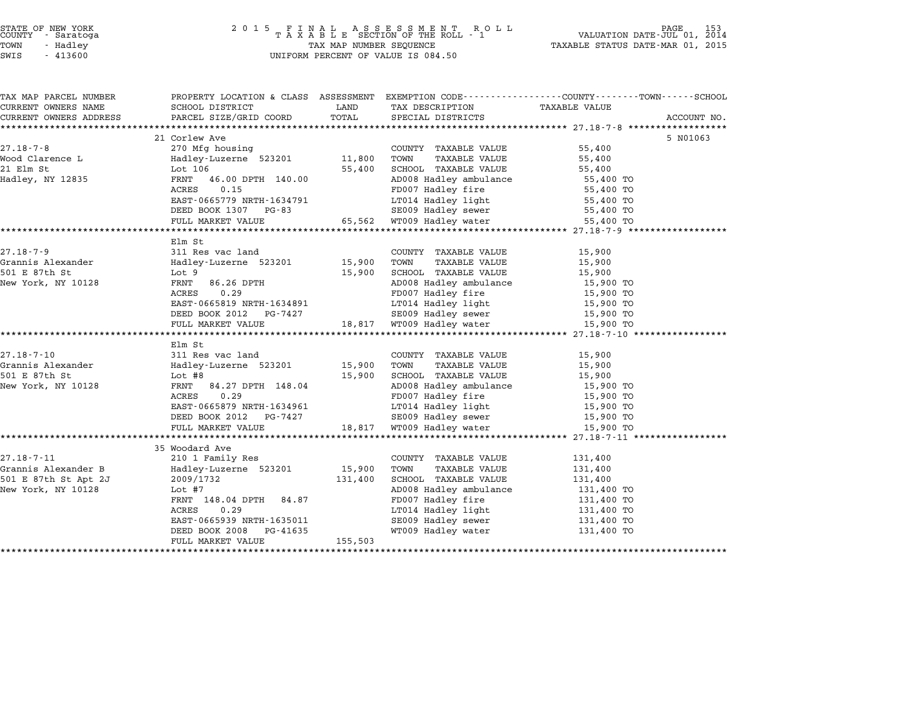## STATE OF NEW YORK <sup>2</sup> <sup>0</sup> <sup>1</sup> 5 F I N A L A S S E S S M E N T R O L L PAGE <sup>153</sup> COUNTY - Saratoga <sup>T</sup> <sup>A</sup> <sup>X</sup> <sup>A</sup> <sup>B</sup> <sup>L</sup> <sup>E</sup> SECTION OF THE ROLL - <sup>1</sup> VALUATION DATE-JUL 01, <sup>2014</sup> TOWN - Hadley TAX MAP NUMBER SEQUENCE TAXABLE STATUS DATE-MAR 01, <sup>2015</sup> STATE OF NEW YORK<br>
COUNTY - Saratoga<br>
TOWN - Hadley TAXABLE SECTION OF THE ROLL<br>
SWIS - 413600 UNIFORM PERCENT OF VALUE IS 084.50

| TAX MAP PARCEL NUMBER             | PROPERTY LOCATION & CLASS ASSESSMENT EXEMPTION CODE----------------COUNTY-------TOWN------SCHOOL                                                                                                                                                                                                                                                                                                                                                                                                                                                       |             |                                                                   |                  |             |
|-----------------------------------|--------------------------------------------------------------------------------------------------------------------------------------------------------------------------------------------------------------------------------------------------------------------------------------------------------------------------------------------------------------------------------------------------------------------------------------------------------------------------------------------------------------------------------------------------------|-------------|-------------------------------------------------------------------|------------------|-------------|
| CURRENT OWNERS NAME               | SCHOOL DISTRICT                                                                                                                                                                                                                                                                                                                                                                                                                                                                                                                                        | <b>LAND</b> | TAX DESCRIPTION                                                   | TAXABLE VALUE    |             |
| CURRENT OWNERS ADDRESS            | PARCEL SIZE/GRID COORD                                                                                                                                                                                                                                                                                                                                                                                                                                                                                                                                 | TOTAL       | SPECIAL DISTRICTS                                                 |                  | ACCOUNT NO. |
|                                   |                                                                                                                                                                                                                                                                                                                                                                                                                                                                                                                                                        |             |                                                                   |                  |             |
|                                   | 21 Corlew Ave<br>270 Mfg housing COUNT<br>Hadley-Luzerne 523201 11,800 TOWN<br>Lot 106 106 EE 100 TOWN                                                                                                                                                                                                                                                                                                                                                                                                                                                 |             |                                                                   |                  | 5 N01063    |
| $27.18 - 7 - 8$                   |                                                                                                                                                                                                                                                                                                                                                                                                                                                                                                                                                        |             | COUNTY TAXABLE VALUE 55,400<br>TOWN TAXABLE VALUE 55,400          |                  |             |
| -<br>Wood Clarence L<br>^^ Flm Ct |                                                                                                                                                                                                                                                                                                                                                                                                                                                                                                                                                        |             | SCHOOL TAXABLE VALUE 55,400                                       |                  |             |
| 21 Elm St                         |                                                                                                                                                                                                                                                                                                                                                                                                                                                                                                                                                        |             |                                                                   |                  |             |
| Hadley, NY 12835                  | FRNT 46.00 DPTH 140.00                                                                                                                                                                                                                                                                                                                                                                                                                                                                                                                                 |             | AD008 Hadley ambulance 55,400 TO<br>FD007 Hadley fire 55,400 TO   |                  |             |
|                                   | ACRES 0.15                                                                                                                                                                                                                                                                                                                                                                                                                                                                                                                                             |             |                                                                   |                  |             |
|                                   |                                                                                                                                                                                                                                                                                                                                                                                                                                                                                                                                                        |             | $LT014$ Hadley light 55,400 TO                                    |                  |             |
|                                   | EAST-0665779 NRTH-1634791 LT014 Hadley light 55,400 TO<br>DEED BOOK 1307 PG-83 SE009 Hadley sewer 55,400 TO<br>FULL MARKET VALUE 65,562 WT009 Hadley water 55,400 TO                                                                                                                                                                                                                                                                                                                                                                                   |             |                                                                   |                  |             |
|                                   |                                                                                                                                                                                                                                                                                                                                                                                                                                                                                                                                                        |             |                                                                   |                  |             |
|                                   |                                                                                                                                                                                                                                                                                                                                                                                                                                                                                                                                                        |             |                                                                   |                  |             |
| $27.18 - 7 - 9$                   | Elm St                                                                                                                                                                                                                                                                                                                                                                                                                                                                                                                                                 |             |                                                                   |                  |             |
|                                   | 311 Res vac land                                                                                                                                                                                                                                                                                                                                                                                                                                                                                                                                       |             | COUNTY TAXABLE VALUE                                              | 15,900           |             |
| Grannis Alexander<br>-21 - 27 : 7 | $Hadley\text{-}{}\text{{}\text{-}}\text{{}\text{-}}\text{{}\text{-}}\text{{}\text{-}}\text{{}\text{-}}\text{{}\text{-}}\text{{}\text{-}}\text{{}\text{-}}\text{{}\text{-}}\text{{}\text{-}}\text{{}\text{-}}\text{{}\text{-}}\text{{}\text{-}}\text{{}\text{-}}\text{{}\text{-}}\text{{}\text{-}}\text{{}\text{-}}\text{{}\text{-}}\text{{}\text{-}}\text{{}\text{-}}\text{{}\text{-}}\text{{}\text{-}}\text{{}\text{-}}\text{{}\text{-}}\text{{}\text{-}}\text{{}\text{-}}\text{{}\text{-}}\text{{}\text{-}}\text{{}\text{-}}\text{{}\text{-}}\text{$ | 15,900      | TAXABLE VALUE                                                     | 15,900<br>15,900 |             |
| 501 E 87th St                     | Lot 9                                                                                                                                                                                                                                                                                                                                                                                                                                                                                                                                                  |             | SCHOOL TAXABLE VALUE                                              |                  |             |
| New York, NY 10128                | 86.26 DPTH<br>FRNT                                                                                                                                                                                                                                                                                                                                                                                                                                                                                                                                     |             | AD008 Hadley ambulance 15,900 TO                                  |                  |             |
|                                   |                                                                                                                                                                                                                                                                                                                                                                                                                                                                                                                                                        |             |                                                                   |                  |             |
|                                   |                                                                                                                                                                                                                                                                                                                                                                                                                                                                                                                                                        |             |                                                                   |                  |             |
|                                   | ACRES 0.29<br>EAST-0665819 NRTH-1634891<br>DEED BOOK 2012 PG-7427<br>FULL MARKET VALUE<br>TULL MARKET VALUE<br>TULL MARKET VALUE<br>TULL MARKET VALUE<br>TULL MARKET VALUE<br>TULL MARKET VALUE<br>TULL MARKET VALUE<br>TULL MARKET VALUE<br>TULL MA                                                                                                                                                                                                                                                                                                   |             |                                                                   |                  |             |
|                                   |                                                                                                                                                                                                                                                                                                                                                                                                                                                                                                                                                        |             |                                                                   |                  |             |
|                                   | Elm St                                                                                                                                                                                                                                                                                                                                                                                                                                                                                                                                                 |             |                                                                   |                  |             |
| $27.18 - 7 - 10$                  | 311 Res vac land                                                                                                                                                                                                                                                                                                                                                                                                                                                                                                                                       |             | COUNTY TAXABLE VALUE                                              | 15,900           |             |
| Grannis Alexander                 | Hadley-Luzerne 523201 15,900 TOWN                                                                                                                                                                                                                                                                                                                                                                                                                                                                                                                      |             |                                                                   |                  |             |
| 501 E 87th St                     |                                                                                                                                                                                                                                                                                                                                                                                                                                                                                                                                                        |             |                                                                   |                  |             |
| New York, NY 10128                |                                                                                                                                                                                                                                                                                                                                                                                                                                                                                                                                                        |             |                                                                   |                  |             |
|                                   | 311 Res vac January<br>Hadley-Luzerne 523201 15,900 TOWN TAXABLE VALUE<br>Lot #8 15,900 SCHOOL TAXABLE VALUE<br>FRNT 84.27 DPTH 148.04 AD008 Hadley ambulance 15,900 TO<br>FRNT 84.27 DPTH 148.04 AD008 Hadley ambulance 15,900 TO<br>FD                                                                                                                                                                                                                                                                                                               |             |                                                                   |                  |             |
|                                   | ACRES 0.29<br>EAST-0665879 NRTH-1634961<br>DEED BOOK 2012 PG-7427 SE009 Hadley sewer 15,900 TO<br>DEED BOOK 2012 PG-7427 SE009 Hadley sewer 15,900 TO                                                                                                                                                                                                                                                                                                                                                                                                  |             |                                                                   |                  |             |
|                                   |                                                                                                                                                                                                                                                                                                                                                                                                                                                                                                                                                        |             |                                                                   |                  |             |
|                                   | FULL MARKET VALUE 18,817 WT009 Hadley water                                                                                                                                                                                                                                                                                                                                                                                                                                                                                                            |             |                                                                   | 15,900 TO        |             |
|                                   |                                                                                                                                                                                                                                                                                                                                                                                                                                                                                                                                                        |             |                                                                   |                  |             |
|                                   | 35 Woodard Ave                                                                                                                                                                                                                                                                                                                                                                                                                                                                                                                                         |             |                                                                   |                  |             |
|                                   |                                                                                                                                                                                                                                                                                                                                                                                                                                                                                                                                                        |             | COUNTY TAXABLE VALUE                                              | 131,400          |             |
|                                   |                                                                                                                                                                                                                                                                                                                                                                                                                                                                                                                                                        |             | TAXABLE VALUE                                                     | 131,400          |             |
|                                   | 27.18-7-11 210 1 Family Res COUNT<br>Grannis Alexander B Hadley-Luzerne 523201 15,900 TOWN<br>501 E 87th St Apt 2J 2009/1732 131,400 SCHOO                                                                                                                                                                                                                                                                                                                                                                                                             |             | SCHOOL TAXABLE VALUE 131,400                                      |                  |             |
| New York, NY 10128                | Lot #7                                                                                                                                                                                                                                                                                                                                                                                                                                                                                                                                                 |             |                                                                   |                  |             |
|                                   | FRNT 148.04 DPTH 84.87                                                                                                                                                                                                                                                                                                                                                                                                                                                                                                                                 |             | AD008 Hadley ambulance 131,400 TO<br>FD007 Hadley fire 131,400 TO |                  |             |
|                                   | ACRES<br>0.29                                                                                                                                                                                                                                                                                                                                                                                                                                                                                                                                          |             |                                                                   |                  |             |
|                                   | EAST-0665939 NRTH-1635011                                                                                                                                                                                                                                                                                                                                                                                                                                                                                                                              |             | LT014 Hadley light 131,400 TO<br>SE009 Hadley sewer 131,400 TO    |                  |             |
|                                   | PG-41635<br>DEED BOOK 2008                                                                                                                                                                                                                                                                                                                                                                                                                                                                                                                             |             | SE009 Hadley sewer 131,400 TO<br>WT009 Hadley water 131,400 TO    |                  |             |
|                                   | FULL MARKET VALUE                                                                                                                                                                                                                                                                                                                                                                                                                                                                                                                                      | 155,503     |                                                                   |                  |             |
|                                   |                                                                                                                                                                                                                                                                                                                                                                                                                                                                                                                                                        |             |                                                                   |                  |             |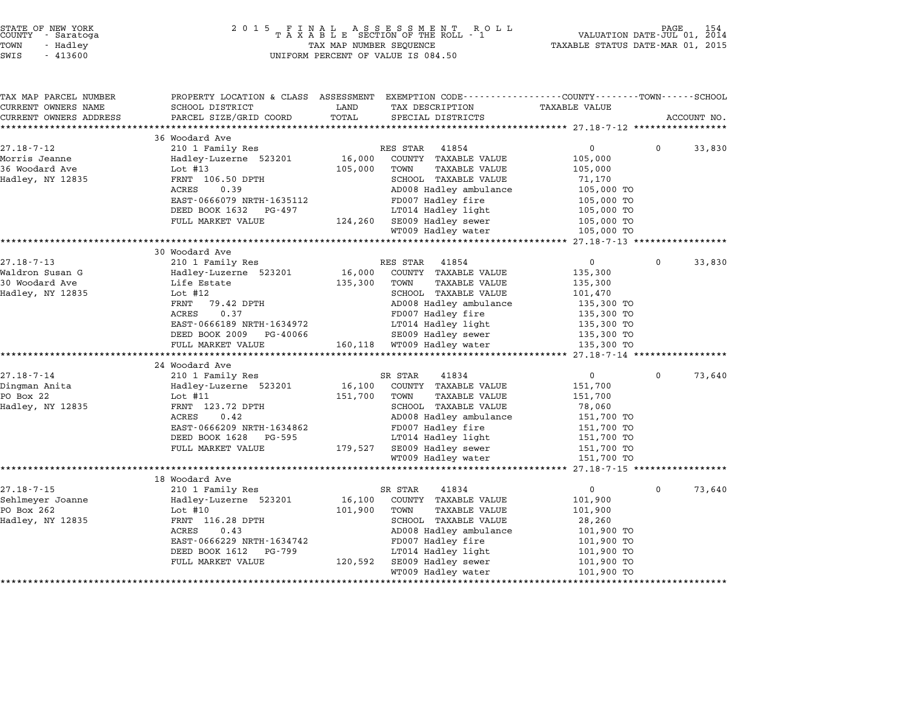| STATE OF NEW YORK |          |            |  |
|-------------------|----------|------------|--|
| COUNTY            |          | - Saratoga |  |
| TOWN              | - Hadley |            |  |
|                   |          |            |  |

| TAX MAP PARCEL NUMBER<br>CURRENT OWNERS NAME | PROPERTY LOCATION & CLASS ASSESSMENT<br>SCHOOL DISTRICT | LAND    | EXEMPTION CODE----------------COUNTY-------TOWN------SCHOOL<br>TAX DESCRIPTION | <b>TAXABLE VALUE</b>  |          |             |
|----------------------------------------------|---------------------------------------------------------|---------|--------------------------------------------------------------------------------|-----------------------|----------|-------------|
| CURRENT OWNERS ADDRESS                       | PARCEL SIZE/GRID COORD                                  | TOTAL   | SPECIAL DISTRICTS                                                              |                       |          | ACCOUNT NO. |
|                                              |                                                         |         |                                                                                |                       |          |             |
|                                              | 36 Woodard Ave                                          |         |                                                                                |                       |          |             |
| $27.18 - 7 - 12$                             | 210 1 Family Res                                        |         | RES STAR<br>41854                                                              | $\mathbf 0$           | $\Omega$ | 33,830      |
| Morris Jeanne                                | Hadley-Luzerne 523201                                   | 16,000  | COUNTY TAXABLE VALUE                                                           | 105,000               |          |             |
| 36 Woodard Ave                               | Lot #13                                                 | 105,000 | TOWN<br>TAXABLE VALUE                                                          | 105,000               |          |             |
| Hadley, NY 12835                             | FRNT 106.50 DPTH                                        |         | <b>SCHOOL TAXABLE VALUE</b>                                                    | 71,170                |          |             |
|                                              | ACRES<br>0.39                                           |         | AD008 Hadley ambulance                                                         | 105,000 TO            |          |             |
|                                              | EAST-0666079 NRTH-1635112                               |         | FD007 Hadley fire                                                              | 105,000 TO            |          |             |
|                                              | DEED BOOK 1632<br>PG-497                                |         | LT014 Hadley light                                                             | 105,000 TO            |          |             |
|                                              | FULL MARKET VALUE                                       | 124,260 | SE009 Hadley sewer                                                             | 105,000 TO            |          |             |
|                                              |                                                         |         | WT009 Hadley water                                                             | 105,000 TO            |          |             |
|                                              | 30 Woodard Ave                                          |         |                                                                                |                       |          |             |
| $27.18 - 7 - 13$                             | 210 1 Family Res                                        |         | RES STAR<br>41854                                                              | $\overline{0}$        | $\Omega$ | 33,830      |
| Waldron Susan G                              | Hadley-Luzerne 523201                                   | 16,000  | COUNTY TAXABLE VALUE                                                           | 135,300               |          |             |
| 30 Woodard Ave                               | Life Estate                                             | 135,300 | TOWN<br><b>TAXABLE VALUE</b>                                                   | 135,300               |          |             |
| Hadley, NY 12835                             | Lot $#12$                                               |         | SCHOOL TAXABLE VALUE                                                           | 101,470               |          |             |
|                                              | FRNT<br>79.42 DPTH                                      |         | AD008 Hadley ambulance                                                         | 135,300 TO            |          |             |
|                                              | ACRES<br>0.37                                           |         | FD007 Hadley fire                                                              | 135,300 TO            |          |             |
|                                              | EAST-0666189 NRTH-1634972                               |         | LT014 Hadley light                                                             | 135,300 TO            |          |             |
|                                              | DEED BOOK 2009<br>PG-40066                              |         | SE009 Hadley sewer                                                             | 135,300 TO            |          |             |
|                                              | FULL MARKET VALUE                                       |         | 160,118 WT009 Hadley water                                                     | 135,300 TO            |          |             |
|                                              |                                                         |         |                                                                                |                       |          |             |
|                                              | 24 Woodard Ave                                          |         |                                                                                |                       |          |             |
| $27.18 - 7 - 14$                             | 210 1 Family Res                                        |         | SR STAR<br>41834                                                               | $\Omega$              | $\Omega$ | 73,640      |
| Dingman Anita                                | Hadley-Luzerne 523201                                   | 16,100  | COUNTY TAXABLE VALUE                                                           | 151,700               |          |             |
| PO Box 22                                    | Lot $#11$                                               | 151,700 | TOWN<br><b>TAXABLE VALUE</b>                                                   | 151,700               |          |             |
| Hadley, NY 12835                             | FRNT 123.72 DPTH                                        |         | SCHOOL TAXABLE VALUE                                                           | 78,060                |          |             |
|                                              | ACRES<br>0.42                                           |         | AD008 Hadley ambulance                                                         | 151,700 TO            |          |             |
|                                              | EAST-0666209 NRTH-1634862                               |         | FD007 Hadley fire                                                              | 151,700 TO            |          |             |
|                                              | DEED BOOK 1628<br>PG-595                                |         | LT014 Hadley light                                                             | 151,700 TO            |          |             |
|                                              | FULL MARKET VALUE                                       | 179,527 | SE009 Hadley sewer                                                             | 151,700 TO            |          |             |
|                                              |                                                         |         | WT009 Hadley water                                                             | 151,700 TO            |          |             |
|                                              |                                                         |         | *******************                                                            | ******* 27.18-7-15 ** |          |             |
|                                              | 18 Woodard Ave                                          |         |                                                                                |                       |          |             |
| $27.18 - 7 - 15$                             | 210 1 Family Res                                        |         | 41834<br>SR STAR                                                               | $\mathbf{0}$          | $\Omega$ | 73,640      |
| Sehlmeyer Joanne                             | Hadley-Luzerne 523201                                   | 16,100  | COUNTY TAXABLE VALUE                                                           | 101,900               |          |             |
| PO Box 262                                   | Lot $#10$                                               | 101,900 | TAXABLE VALUE<br>TOWN                                                          | 101,900               |          |             |
| Hadley, NY 12835                             | FRNT 116.28 DPTH                                        |         | SCHOOL TAXABLE VALUE                                                           | 28,260                |          |             |
|                                              | ACRES<br>0.43                                           |         | AD008 Hadley ambulance                                                         | 101,900 TO            |          |             |
|                                              | EAST-0666229 NRTH-1634742                               |         | FD007 Hadley fire                                                              | 101,900 TO            |          |             |
|                                              | DEED BOOK 1612<br>PG-799                                |         | LT014 Hadley light                                                             | 101,900 TO            |          |             |
|                                              | FULL MARKET VALUE                                       | 120,592 | SE009 Hadley sewer                                                             | 101,900 TO            |          |             |
|                                              |                                                         |         | WT009 Hadley water                                                             | 101,900 TO            |          |             |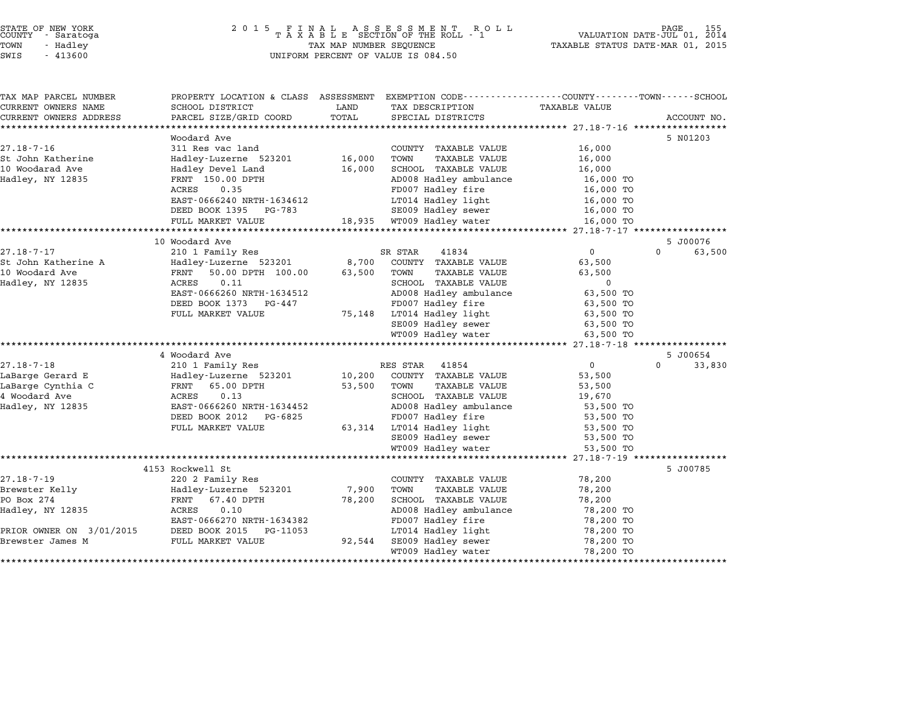| STATE OF NEW YORK |  |            |  |
|-------------------|--|------------|--|
| COUNTY            |  | - Saratoga |  |
| TOWN              |  | - Hadley   |  |

# STATE OF NEW YORK <sup>2</sup> <sup>0</sup> <sup>1</sup> 5 F I N A L A S S E S S M E N T R O L L PAGE <sup>155</sup> COUNTY - Saratoga <sup>T</sup> <sup>A</sup> <sup>X</sup> <sup>A</sup> <sup>B</sup> <sup>L</sup> <sup>E</sup> SECTION OF THE ROLL - <sup>1</sup> VALUATION DATE-JUL 01, <sup>2014</sup> TOWN - Hadley TAX MAP NUMBER SEQUENCE TAXABLE STATUS DATE-MAR 01, <sup>2015</sup> SWIS - <sup>413600</sup> UNIFORM PERCENT OF VALUE IS 084.50

| TAX MAP PARCEL NUMBER          | PROPERTY LOCATION & CLASS ASSESSMENT EXEMPTION CODE---------------COUNTY-------TOWN------SCHOOL |             |                              |                      |          |             |
|--------------------------------|-------------------------------------------------------------------------------------------------|-------------|------------------------------|----------------------|----------|-------------|
| CURRENT OWNERS NAME            | SCHOOL DISTRICT                                                                                 | LAND        | TAX DESCRIPTION              | <b>TAXABLE VALUE</b> |          |             |
| CURRENT OWNERS ADDRESS         | PARCEL SIZE/GRID COORD                                                                          | TOTAL       | SPECIAL DISTRICTS            |                      |          | ACCOUNT NO. |
| ****************************** |                                                                                                 |             |                              |                      |          |             |
|                                | Woodard Ave                                                                                     |             |                              |                      |          | 5 N01203    |
| $27.18 - 7 - 16$               | 311 Res vac land                                                                                |             | COUNTY TAXABLE VALUE         | 16,000               |          |             |
| St John Katherine              | Hadley-Luzerne 523201                                                                           | 16,000      | TOWN<br>TAXABLE VALUE        | 16,000               |          |             |
| 10 Woodarad Ave                | Hadley Devel Land                                                                               | 16,000      | SCHOOL TAXABLE VALUE         | 16,000               |          |             |
| Hadley, NY 12835               | FRNT 150.00 DPTH                                                                                |             | AD008 Hadley ambulance       | 16,000 TO            |          |             |
|                                | ACRES<br>0.35                                                                                   |             | FD007 Hadley fire            | 16,000 TO            |          |             |
|                                | EAST-0666240 NRTH-1634612                                                                       |             | LT014 Hadley light           | 16,000 TO            |          |             |
|                                | DEED BOOK 1395 PG-783                                                                           |             | SE009 Hadley sewer           | 16,000 TO            |          |             |
|                                | FULL MARKET VALUE                                                                               |             | 18,935 WT009 Hadley water    | 16,000 TO            |          |             |
|                                |                                                                                                 |             |                              |                      |          |             |
|                                | 10 Woodard Ave                                                                                  |             |                              |                      |          | 5 J00076    |
| $27.18 - 7 - 17$               | 210 1 Family Res                                                                                |             | 41834<br>SR STAR             | 0                    | $\Omega$ | 63,500      |
| St John Katherine A            | Hadley-Luzerne 523201                                                                           | 8,700       | COUNTY TAXABLE VALUE         | 63,500               |          |             |
| 10 Woodard Ave                 | FRNT 50.00 DPTH 100.00                                                                          | 63,500 TOWN | TAXABLE VALUE                | 63,500               |          |             |
| Hadley, NY 12835               | 0.11<br>ACRES                                                                                   |             | SCHOOL TAXABLE VALUE         | $\Omega$             |          |             |
|                                | EAST-0666260 NRTH-1634512                                                                       |             | AD008 Hadley ambulance       | 63,500 TO            |          |             |
|                                | DEED BOOK 1373 PG-447                                                                           |             | FD007 Hadley fire            | 63,500 TO            |          |             |
|                                | FULL MARKET VALUE                                                                               |             | 75,148 LT014 Hadley light    | 63,500 TO            |          |             |
|                                |                                                                                                 |             | SE009 Hadley sewer           | 63,500 TO            |          |             |
|                                |                                                                                                 |             | WT009 Hadley water           | 63,500 TO            |          |             |
|                                |                                                                                                 |             |                              |                      |          |             |
|                                | 4 Woodard Ave                                                                                   |             |                              |                      |          | 5 J00654    |
| $27.18 - 7 - 18$               | 210 1 Family Res                                                                                |             | RES STAR<br>41854            | $\overline{0}$       | $\Omega$ | 33,830      |
| LaBarge Gerard E               | Hadley-Luzerne 523201                                                                           |             | 10,200 COUNTY TAXABLE VALUE  | 53,500               |          |             |
| LaBarge Cynthia C              | FRNT<br>65.00 DPTH                                                                              | 53,500 TOWN | <b>TAXABLE VALUE</b>         | 53,500               |          |             |
| 4 Woodard Ave                  | ACRES<br>0.13                                                                                   |             | SCHOOL TAXABLE VALUE         | 19,670               |          |             |
| Hadley, NY 12835               | EAST-0666260 NRTH-1634452                                                                       |             | AD008 Hadley ambulance       | 53,500 TO            |          |             |
|                                | DEED BOOK 2012 PG-6825                                                                          |             | FD007 Hadley fire            | 53,500 TO            |          |             |
|                                | FULL MARKET VALUE                                                                               |             | 63,314 LT014 Hadley light    | 53,500 TO            |          |             |
|                                |                                                                                                 |             | SE009 Hadley sewer           | 53,500 TO            |          |             |
|                                |                                                                                                 |             | WT009 Hadley water           | 53,500 TO            |          |             |
|                                |                                                                                                 |             |                              |                      |          |             |
|                                | 4153 Rockwell St                                                                                |             |                              |                      |          | 5 J00785    |
| $27.18 - 7 - 19$               | 220 2 Family Res                                                                                |             | COUNTY TAXABLE VALUE         | 78,200               |          |             |
| Brewster Kelly                 | Hadley-Luzerne 523201                                                                           | 7,900       | TOWN<br><b>TAXABLE VALUE</b> | 78,200               |          |             |
| PO Box 274                     | FRNT 67.40 DPTH                                                                                 | 78,200      | SCHOOL TAXABLE VALUE         | 78,200               |          |             |
| Hadley, NY 12835               | 0.10<br>ACRES                                                                                   |             | AD008 Hadley ambulance       | 78,200 TO            |          |             |
|                                | EAST-0666270 NRTH-1634382                                                                       |             | FD007 Hadley fire            | 78,200 TO            |          |             |
| PRIOR OWNER ON 3/01/2015       | DEED BOOK 2015<br>PG-11053                                                                      |             | LT014 Hadley light           | 78,200 TO            |          |             |
| Brewster James M               | FULL MARKET VALUE                                                                               | 92,544      | SE009 Hadley sewer           | 78,200 TO            |          |             |
|                                |                                                                                                 |             | WT009 Hadley water           | 78,200 TO            |          |             |
|                                |                                                                                                 |             |                              |                      |          |             |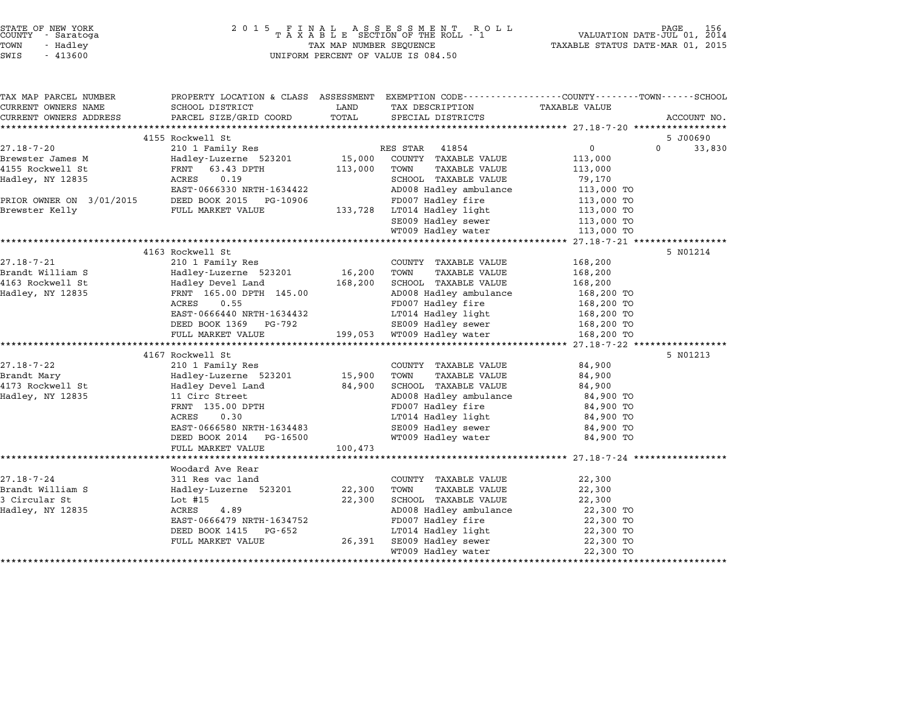| COUNTY               | STATE OF NEW YORK<br>- Saratoga |  |
|----------------------|---------------------------------|--|
| TOWN                 | - Hadlev                        |  |
| $\sim$ $\sim$ $\sim$ | 1.1222                          |  |

# STATE OF NEW YORK <sup>2</sup> <sup>0</sup> <sup>1</sup> 5 F I N A L A S S E S S M E N T R O L L PAGE <sup>156</sup> COUNTY - Saratoga <sup>T</sup> <sup>A</sup> <sup>X</sup> <sup>A</sup> <sup>B</sup> <sup>L</sup> <sup>E</sup> SECTION OF THE ROLL - <sup>1</sup> VALUATION DATE-JUL 01, <sup>2014</sup> TOWN - Hadley TAX MAP NUMBER SEQUENCE TAXABLE STATUS DATE-MAR 01, <sup>2015</sup> SWIS - <sup>413600</sup> UNIFORM PERCENT OF VALUE IS 084.50

|                    |                   |                                                                        |             | PROPERTY LOCATION & CLASS ASSESSMENT EXEMPTION CODE----------------COUNTY-------TOWN-----SCHOOL | TAX MAP PARCEL NUMBER  |
|--------------------|-------------------|------------------------------------------------------------------------|-------------|-------------------------------------------------------------------------------------------------|------------------------|
|                    | TAXABLE VALUE     | TAX DESCRIPTION                                                        | LAND        | SCHOOL DISTRICT                                                                                 | CURRENT OWNERS NAME    |
| ACCOUNT NO.        |                   | SPECIAL DISTRICTS                                                      | TOTAL       | PARCEL SIZE/GRID COORD                                                                          | CURRENT OWNERS ADDRESS |
|                    |                   |                                                                        |             |                                                                                                 |                        |
| 5 J00690           |                   |                                                                        |             | 4155 Rockwell St                                                                                |                        |
| $\Omega$<br>33,830 | $0 \qquad \qquad$ | RES STAR 41854                                                         |             | 210 1 Family Res                                                                                | $27.18 - 7 - 20$       |
|                    | 113,000           |                                                                        |             | Hadley-Luzerne 523201 15,000 COUNTY TAXABLE VALUE                                               | Brewster James M       |
|                    | 113,000           | TOWN<br>TAXABLE VALUE                                                  | 113,000     | FRNT 63.43 DPTH<br>ACRES 0.10                                                                   | 4155 Rockwell St       |
|                    | 79,170            | SCHOOL TAXABLE VALUE                                                   |             | ACRES 0.19                                                                                      | Hadley, NY 12835       |
|                    | 113,000 TO        | AD008 Hadley ambulance                                                 |             | EAST-0666330 NRTH-1634422                                                                       |                        |
|                    | 113,000 TO        | FD007 Hadley fire                                                      |             | PRIOR OWNER ON 3/01/2015 DEED BOOK 2015 PG-10906<br>Brewster Kelly FULL MARKET VALUE            |                        |
|                    | 113,000 TO        | 133,728 LT014 Hadley light                                             |             |                                                                                                 |                        |
|                    |                   | SE009 Hadley sewer 113,000 TO<br>WTO09 Hadley water 113,000 TO         |             |                                                                                                 |                        |
|                    | 113,000 TO        | WT009 Hadley water                                                     |             |                                                                                                 |                        |
|                    |                   |                                                                        |             |                                                                                                 |                        |
| 5 N01214           |                   |                                                                        |             | 4163 Rockwell St                                                                                |                        |
|                    | 168,200           | COUNTY TAXABLE VALUE                                                   |             | 210 1 Family Res                                                                                | $27.18 - 7 - 21$       |
|                    | 168,200           | TAXABLE VALUE                                                          |             | Hadley-Luzerne 523201 16,200 TOWN                                                               | Brandt William S       |
|                    | 168,200           | 168,200 SCHOOL TAXABLE VALUE                                           |             | Hadley-Luzerne 523<br>Hadley Devel Land                                                         | 4163 Rockwell St       |
|                    | 168,200 TO        | AD008 Hadley ambulance                                                 |             | FRNT 165.00 DPTH 145.00                                                                         | Hadley, NY 12835       |
|                    | 168,200 TO        | FD007 Hadley fire                                                      |             | ACRES<br>0.55                                                                                   |                        |
|                    | 168,200 TO        | LT014 Hadley light                                                     |             | EAST-0666440 NRTH-1634432                                                                       |                        |
|                    |                   |                                                                        |             | DEED BOOK 1369 PG-792                                                                           |                        |
|                    |                   | SE009 Hadley sewer 168,200 TO<br>199,053 WT009 Hadley water 168,200 TO |             | FULL MARKET VALUE                                                                               |                        |
|                    |                   |                                                                        |             |                                                                                                 |                        |
| 5 N01213           |                   |                                                                        |             | 4167 Rockwell St                                                                                |                        |
|                    | 84,900            | COUNTY TAXABLE VALUE                                                   |             | 210 1 Family Res                                                                                | $27.18 - 7 - 22$       |
|                    | 84,900            | TAXABLE VALUE                                                          | 15,900 TOWN | Hadley-Luzerne 523201                                                                           | Brandt Mary            |
|                    | 84,900            | SCHOOL TAXABLE VALUE                                                   | 84,900      | Hadley Devel Land                                                                               | 4173 Rockwell St       |
|                    | 84,900 TO         | AD008 Hadley ambulance                                                 |             | 11 Circ Street                                                                                  | Hadley, NY 12835       |
|                    | 84,900 TO         | FD007 Hadley fire                                                      |             |                                                                                                 |                        |
|                    |                   | LT014 Hadley light 84,900 TO                                           |             | FRNT 135.00 DPTH<br>ACRES 0.30<br>ACRES<br>0.30                                                 |                        |
|                    | 84,900 TO         |                                                                        |             | EAST-0666580 NRTH-1634483                                                                       |                        |
|                    | 84,900 TO         | SE009 Hadley sewer<br>WT009 Hadley water                               |             | DEED BOOK 2014 PG-16500                                                                         |                        |
|                    |                   |                                                                        |             | FULL MARKET VALUE 100,473                                                                       |                        |
|                    |                   |                                                                        |             |                                                                                                 |                        |
|                    |                   |                                                                        |             | Woodard Ave Rear                                                                                |                        |
|                    | 22,300            | COUNTY TAXABLE VALUE                                                   |             | 311 Res vac land                                                                                | 27.18-7-24             |
|                    | 22,300            | TOWN<br>TAXABLE VALUE                                                  |             | Hadley-Luzerne 523201 22,300                                                                    | Brandt William S       |
|                    |                   | SCHOOL TAXABLE VALUE                                                   | 22,300      |                                                                                                 | 3 Circular St          |
|                    | 22,300            |                                                                        |             | Lot #15                                                                                         |                        |
|                    | 22,300 TO         | AD008 Hadley ambulance                                                 |             | ACRES<br>4.89                                                                                   | Hadley, NY 12835       |
|                    | 22,300 TO         | FD007 Hadley fire                                                      |             | EAST-0666479 NRTH-1634752                                                                       |                        |
|                    | 22,300 TO         | LT014 Hadley light                                                     |             | DEED BOOK 1415 PG-652                                                                           |                        |
|                    | 22,300 TO         | SE009 Hadley sewer                                                     | 26,391      | FULL MARKET VALUE                                                                               |                        |
|                    | 22,300 TO         | WT009 Hadley water                                                     |             |                                                                                                 |                        |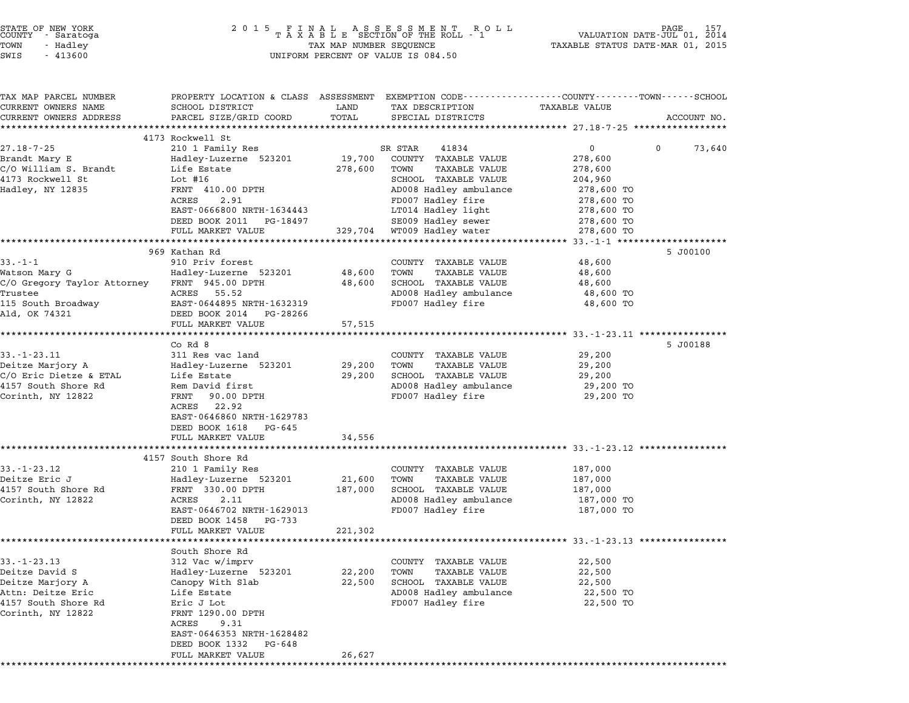| STATE OF NEW YORK |  |            |  |
|-------------------|--|------------|--|
| COUNTY            |  | - Saratoga |  |
| TOWN              |  | - Hadley   |  |

TAX MAP PARCEL NUMBER PROPERTY LOCATION & CLASS ASSESSMENT EXEMPTION CODE------------------COUNTY--------TOWN------SCHOOL ...<br>-- COUNTY:- TAX MAP PARCEL NUMBER THE OCHOTRY AND THE CURRENT EXEMPTION CODE<br>CURRENT OWNERS NAME SCHOOL DISTRICT LAND TAX DESCRIPTION TAXABLE VALUE CURRENT OWNERS ADDEER FOURDER FROM BOURDANT SALEMENT ON SCHOOL DISTRICTS AND TRANS AND TRANS TO TRANS TO TRANS<br>CURRENT OWNERS ADDRESS PARCEL SIZE/GRID COORD TOTAL SPECIAL DISTRICTS ACCOUNT NO.<br>\*\*\*\*\*\*\*\*\*\*\*\*\*\*\*\*\*\*\*\*\*\*\*\*\*\*\*\*\* 4173 Rockwell St 27.18-7-25 4173 Rockwell St<br>27.18-7-25 210 1 Family Res SR STAR 41834 0 0 73,640 Brandt Mary E Hadley-Luzerne <sup>523201</sup> 19,700 COUNTY TAXABLE VALUE 278,600 C/O William S. Brandt Life Estate 278,600 TOWN TAXABLE VALUE 278,600 41 Brandt Mary B. Brandt Maddel Maddel (19,700 COON) I AAABLE VALUE 278,600 2008)<br>C/O William S. Brandt Life Estate 278,600 TOWN TAXABLE VALUE 278,600<br>4173 Rockwell St Lot #16 Lot #16 SCHOOL TAXABLE VALUE 204,960 المسلم السابق المسلم المسلم المسلم المسلم المسلم المسلم المسلم المسلم المسلم المسلم المسلم المسلم المسلم المسل<br>Hadley, NY 12835 178.000 FRNT 410.00 DPTH SCHOOL TAXABLE VALUE 204,960 TO ENT 410.00 DPTH AND SCHOOL INABLE VALUE 204,900<br>FRNT 410.00 DPTH AD008 Hadley ambulance 278,600 TO<br>ACRES 2.91 TD007 Hadley fire 278,600 TO EART TELLOW HALL HOUR ADOUT HALLEY AMERICAN HEADTH 210,000 TO<br>ACRES 2.91 REDOOT Hadley fire 278,600 TO<br>EAST-0666800 NRTH-1634443 LT014 Hadley light 278,600 TO EAST-0666800 NRTH-1634443<br>
EAST-0666800 NRTH-1634443<br>
DEED BOOK 2011 PG-18497 SE009 Hadley sewer 278,600 TO FULL MARKET VALUE 329,704 SE009 Hadley steer 278,600 TO<br>DEED BOOK 2011 PG-18497 SE009 Hadley steer 278,600 TO 278,000 IO DOOK 2011 FO-10437<br>278,600 TO Hadley watch MARKET VALUE 329,704 329,704 17 329.704 329.704 33.-1-1 \*\*\*\*\*\*\*\*\*\*\*\*\*\*\*\*\*\*\*\*\*\*\*\*\*\*\*\*\*\* 969 Kathan Rd 5 J00100 33.-1-1 <sup>910</sup> Priv forest COUNTY TAXABLE VALUE 48,600 905 November 2007 March 2007 March 2012 (2018).<br>Matson Mary G Mary G Hadley-Luzerne 523201 48,600 TOWN TAXABLE VALUE 48,600 Mary G 48,600 C/O Gregory Taylor Attorney FRNT 945.00 DPTH 48,600 SCHOOL TAXABLE VALUE 48,600 MALSON MALY GENERAL MANUE AND HANDER TRANSPORTED AND TRANSPORTED AND TRANSPORTED AND TRANSPORTED AND TRANSPORTED AND TRANSPORTED AND TRANSPORTED AND TRANSPORTED A SUBSTITURE ON A SUBSTITURE ON A SUBSTITURE ON A SUBSTITURE 115 South Broadway EAST-0644895 NRTH-1632319 FD007 Hadley fire 48,600 TO Ald, OK <sup>74321</sup> DEED BOOK <sup>2014</sup> PG-28266 EASI-0044695 NAIR-1032319<br>
DEED BOOK 2014 PG-28266<br>
FULL MARKET VALUE 57,515 \*\*\*\*\*\*\*\*\*\*\*\*\*\*\*\*\*\*\*\*\*\*\*\*\*\*\*\*\*\*\*\*\*\*\*\*\*\*\*\*\*\*\*\*\*\*\*\*\*\*\*\*\*\*\*\*\*\*\*\*\*\*\*\*\*\*\*\*\*\*\*\*\*\*\*\*\*\*\*\*\*\*\*\*\*\*\*\*\*\*\*\*\*\*\*\*\*\*\*\*\*\*\* 33.-1-23.11 \*\*\*\*\*\*\*\*\*\*\*\*\*\*\*\* כבר, ו. ההתא באיז איז א בערי האט איז א בארי האט האט איז א בארי האט האט איז א א היי היי היי היי היי היי היי היי<br>Co Rd 8 5 J00188 33.-1-23.11 311 Res vac land County TAXABLE VALUE 29,200 Deitze Marjory A Hadley-Luzerne <sup>523201</sup> 29,200 TOWN TAXABLE VALUE 29,200 USICAL COUNTRES AND DURING SURFACE AND DURING A SURFACE AND DURING A SURFACE AND DURING A SURFACE AND DURING A<br>Delize Marjory A Balley-Luzerne 523201 29,200 TOWN TAXABLE VALUE 29,200<br>C/O Eric Dietze & ETAL Life Estate 29,2 Defice marjory A maddley-buzefile 525201 29,200 TOMN TAXABLE VALUE 29,200<br>C/O Eric Dietze & ETAL Life Estate 29,200 SCHOOL TAXABLE VALUE 29,200<br>4157 South Shore Rd Rem David first AD008 Hadley ambulance 29,200 TO Corinth Shore a single parameter of the sector and the correct correct term of the correct correct correct cor<br>29,200 TO a Rem David First and the polon and the corinth, NY 12822 FRNT 90.00 DPTH 29,200 TO Rem David III<br>FRNT 90.00<br>ACRES 22.92 FANI - 50.00 DFIH<br>ACRES - 22.92<br>EAST-0646860 NRTH-1629783 EAST-0646860 NRTH-16297<br>DEED BOOK 1618 PG-645 DEED BOOK 1618 PG-645<br>FULL MARKET VALUE 34,556 \*\*\*\*\*\*\*\*\*\*\*\*\*\*\*\*\*\*\*\*\*\*\*\*\*\*\*\*\*\*\*\*\*\*\*\*\*\*\*\*\*\*\*\*\*\*\*\*\*\*\*\*\*\*\*\*\*\*\*\*\*\*\*\*\*\*\*\*\*\*\*\*\*\*\*\*\*\*\*\*\*\*\*\*\*\*\*\*\*\*\*\*\*\*\*\*\*\*\*\*\*\*\* 33.-1-23.12 \*\*\*\*\*\*\*\*\*\*\*\*\*\*\*\* 4157 South Bhore Rd<br>\*\*\*\*\*\*\*\*\*\*\*\*\*\*\*\*\*\*\*\*\*\*\*<br>4157 South Shore Rd 33.-1-23.12 <sup>210</sup> <sup>1</sup> Family Res COUNTY TAXABLE VALUE 187,000 Deitze Eric J Hadley-Luzerne <sup>523201</sup> 21,600 TOWN TAXABLE VALUE 187,000 <sup>4157</sup> South Shore Rd FRNT 330.00 DPTH 187,000 SCHOOL TAXABLE VALUE 187,000 Example of the matter in the served of the matter of the matter of the matter of the served of the served of t<br>Acres 2.11 AD008 Hadley ambulance 187,000 TO 187,000 SCHOOL TAXABLE VALUE 187,000 TO 187,000 TO 187,000 TO 187 EARLY 187,000 SCROOD TRABLE VALUE 187,000 TO<br>
AD008 Hadley ambulance 187,000 TO<br>
EAST-0646702 NRTH-1629013 FD007 Hadley fire 187,000 TO<br>
DEED BOOK 1458 PG-733 DEED BOOK 1458 PG-733<br>FULL MARKET VALUE 221,302 \*\*\*\*\*\*\*\*\*\*\*\*\*\*\*\*\*\*\*\*\*\*\*\*\*\*\*\*\*\*\*\*\*\*\*\*\*\*\*\*\*\*\*\*\*\*\*\*\*\*\*\*\*\*\*\*\*\*\*\*\*\*\*\*\*\*\*\*\*\*\*\*\*\*\*\*\*\*\*\*\*\*\*\*\*\*\*\*\*\*\*\*\*\*\*\*\*\*\*\*\*\*\* 33.-1-23.13 \*\*\*\*\*\*\*\*\*\*\*\*\*\*\*\* roun MARREI VA<br>\*\*\*\*\*\*\*\*\*\*\*\*\*\*<br>South Shore Rd 33.-1-23.13 312 Vac w/imprv country TAXABLE VALUE 22,500 Deitze David S Hadley-Luzerne <sup>523201</sup> 22,200 TOWN TAXABLE VALUE 22,500 USICAL DEITRON COUNTROLLER PRODUCED AND 22,500<br>Deitze David Sanney-Luzerne 523201 22,200 TOWN TAXABLE VALUE 22,500<br>Deitze Marjory A Canopy With Slab 22,500 SCHOOL TAXABLE VALUE 22,500 Attn: Deitze Eric Life Estate AD008 Hadley ambulance 22,500 TO Defice Marjory Heading Compy with Stab and the control of the series of the control of the control of the control<br>Attn: Defice the Estate AD008 Hadley annulance 22,500 TO<br>4157 South Shore Rd Eric J Lot Corinth, NY <sup>12822</sup> FRNT 1290.00 DPTH EIIC 0 HOC<br>FRNT 1290.00<br>ACRES 9.31 FRNI 1290.00 DPIH<br>ACRES 9.31<br>EAST-0646353 NRTH-1628482 ACRES 9.31<br>EAST-0646353 NRTH-1628482<br>DEED BOOK 1332 PG-648 FULL MARKET VALUE 26,627 \*\*\*\*\*\*\*\*\*\*\*\*\*\*\*\*\*\*\*\*\*\*\*\*\*\*\*\*\*\*\*\*\*\*\*\*\*\*\*\*\*\*\*\*\*\*\*\*\*\*\*\*\*\*\*\*\*\*\*\*\*\*\*\*\*\*\*\*\*\*\*\*\*\*\*\*\*\*\*\*\*\*\*\*\*\*\*\*\*\*\*\*\*\*\*\*\*\*\*\*\*\*\*\*\*\*\*\*\*\*\*\*\*\*\*\*\*\*\*\*\*\*\*\*\*\*\*\*\*\*\*\*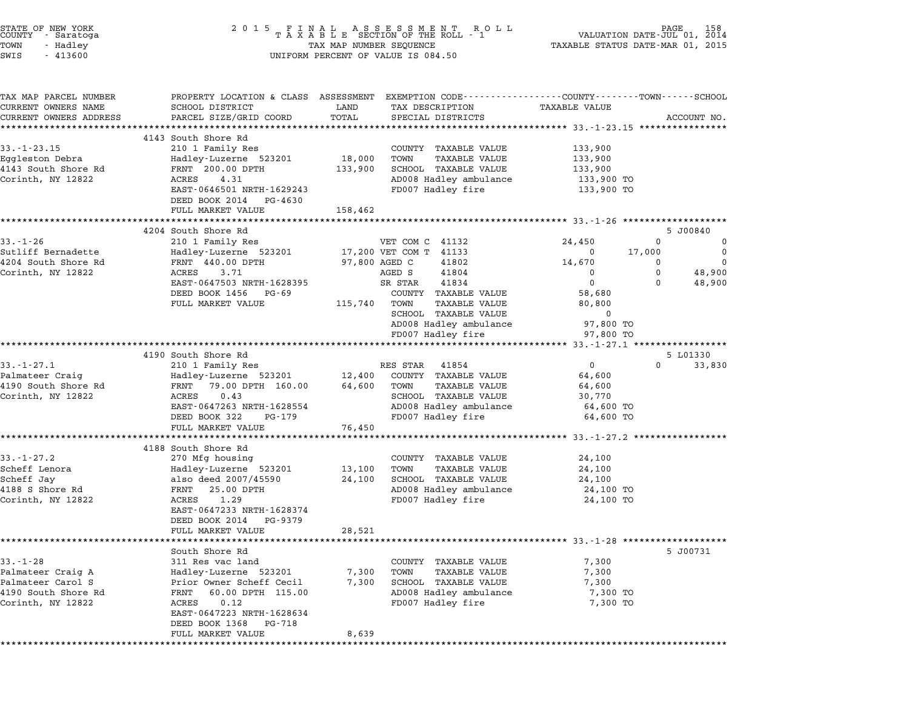| STATE OF NEW YORK<br>COUNTY - Saratoga<br>TOWN<br>- Hadley<br>SWIS<br>$-413600$                      |                                                                                                                                                                                                               |                                                 | 2015 FINAL ASSESSMENT ROLL<br>TAXABLE SECTION OF THE ROLL - 1<br>TAX MAP NUMBER SEQUENCE<br>UNIFORM PERCENT OF VALUE IS 084.50                                                                                | TAXABLE STATUS DATE-MAR 01, 2015                                                           | VALUATION DATE-JUL 01, 2014       | 158<br>AGE                                  |
|------------------------------------------------------------------------------------------------------|---------------------------------------------------------------------------------------------------------------------------------------------------------------------------------------------------------------|-------------------------------------------------|---------------------------------------------------------------------------------------------------------------------------------------------------------------------------------------------------------------|--------------------------------------------------------------------------------------------|-----------------------------------|---------------------------------------------|
| TAX MAP PARCEL NUMBER<br>CURRENT OWNERS NAME<br>CURRENT OWNERS ADDRESS                               | PROPERTY LOCATION & CLASS ASSESSMENT EXEMPTION CODE---------------COUNTY-------TOWN-----SCHOOL<br>SCHOOL DISTRICT<br>PARCEL SIZE/GRID COORD<br>*****************************                                  | LAND<br>TOTAL                                   | TAX DESCRIPTION<br>SPECIAL DISTRICTS                                                                                                                                                                          | TAXABLE VALUE                                                                              |                                   | ACCOUNT NO.                                 |
| $33. - 1 - 23.15$<br>Eggleston Debra<br>4143 South Shore Rd<br>Corinth, NY 12822                     | 4143 South Shore Rd<br>210 1 Family Res<br>Hadley-Luzerne 523201<br>FRNT 200.00 DPTH<br>ACRES<br>4.31<br>EAST-0646501 NRTH-1629243<br>DEED BOOK 2014 PG-4630<br>FULL MARKET VALUE                             | 18,000<br>133,900<br>158,462                    | COUNTY TAXABLE VALUE<br><b>TAXABLE VALUE</b><br>TOWN<br>SCHOOL TAXABLE VALUE<br>AD008 Hadley ambulance<br>FD007 Hadley fire                                                                                   | 133,900<br>133,900<br>133,900<br>133,900 TO<br>133,900 TO                                  |                                   |                                             |
|                                                                                                      |                                                                                                                                                                                                               |                                                 |                                                                                                                                                                                                               |                                                                                            |                                   |                                             |
| $33. - 1 - 26$<br>Sutliff Bernadette<br>4204 South Shore Rd<br>Corinth, NY 12822                     | 4204 South Shore Rd<br>210 1 Family Res<br>Hadley-Luzerne 523201<br>FRNT 440.00 DPTH<br>ACRES<br>3.71<br>EAST-0647503 NRTH-1628395<br>DEED BOOK 1456 PG-69<br>FULL MARKET VALUE                               | 115,740                                         | VET COM C 41132<br>17,200 VET COM T 41133<br>97,800 AGED C<br>41802<br>AGED S<br>41804<br>41834<br>SR STAR<br>COUNTY TAXABLE VALUE<br>TAXABLE VALUE<br>TOWN<br>SCHOOL TAXABLE VALUE<br>AD008 Hadley ambulance | 24,450<br>$\mathbf{0}$<br>14,670<br>$\mathbf 0$<br>0<br>58,680<br>80,800<br>0<br>97,800 TO | 0<br>17,000<br>0<br>0<br>$\Omega$ | 5 J00840<br>0<br>0<br>0<br>48,900<br>48,900 |
|                                                                                                      |                                                                                                                                                                                                               |                                                 | FD007 Hadley fire                                                                                                                                                                                             | 97,800 TO                                                                                  |                                   |                                             |
|                                                                                                      | 4190 South Shore Rd                                                                                                                                                                                           |                                                 |                                                                                                                                                                                                               |                                                                                            |                                   | 5 L01330                                    |
| $33. - 1 - 27.1$<br>Palmateer Craig<br>4190 South Shore Rd<br>Corinth, NY 12822                      | 210 1 Family Res<br>Hadley-Luzerne 523201<br>FRNT<br>79.00 DPTH 160.00<br>ACRES<br>0.43<br>EAST-0647263 NRTH-1628554<br>DEED BOOK 322<br>PG-179                                                               | 12,400<br>64,600                                | RES STAR 41854<br>COUNTY TAXABLE VALUE<br><b>TAXABLE VALUE</b><br>TOWN<br>SCHOOL TAXABLE VALUE<br>AD008 Hadley ambulance<br>FD007 Hadley fire                                                                 | $\mathbf{0}$<br>64,600<br>64,600<br>30,770<br>64,600 TO<br>64,600 TO                       | $\Omega$                          | 33,830                                      |
|                                                                                                      | FULL MARKET VALUE<br>***********************                                                                                                                                                                  | 76,450                                          |                                                                                                                                                                                                               |                                                                                            |                                   |                                             |
| $33. - 1 - 27.2$<br>Scheff Lenora<br>Scheff Jay<br>4188 S Shore Rd<br>Corinth, NY 12822              | 4188 South Shore Rd<br>270 Mfg housing<br>Hadley-Luzerne 523201<br>also deed 2007/45590<br>FRNT<br>25.00 DPTH<br>1.29<br>ACRES<br>EAST-0647233 NRTH-1628374<br>DEED BOOK 2014<br>PG-9379<br>FULL MARKET VALUE | *****************<br>13,100<br>24,100<br>28,521 | COUNTY TAXABLE VALUE<br>TAXABLE VALUE<br>TOWN<br>SCHOOL TAXABLE VALUE<br>AD008 Hadley ambulance<br>FD007 Hadley fire                                                                                          | 24,100<br>24,100<br>24,100<br>24,100 TO<br>24,100 TO                                       |                                   |                                             |
|                                                                                                      |                                                                                                                                                                                                               |                                                 |                                                                                                                                                                                                               | ********************** 33.-1-28 ***************                                            |                                   |                                             |
| $33. - 1 - 28$<br>Palmateer Craig A<br>Palmateer Carol S<br>4190 South Shore Rd<br>Corinth, NY 12822 | South Shore Rd<br>311 Res vac land<br>Hadley-Luzerne 523201<br>Prior Owner Scheff Cecil<br>FRNT<br>60.00 DPTH 115.00<br>ACRES<br>0.12<br>EAST-0647223 NRTH-1628634<br>DEED BOOK 1368<br>PG-718                | 7,300<br>7,300                                  | COUNTY TAXABLE VALUE<br><b>TAXABLE VALUE</b><br>TOWN<br>SCHOOL TAXABLE VALUE<br>AD008 Hadley ambulance<br>FD007 Hadley fire                                                                                   | 7,300<br>7,300<br>7,300<br>7,300 TO<br>7,300 TO                                            |                                   | 5 J00731                                    |
|                                                                                                      | FULL MARKET VALUE                                                                                                                                                                                             | 8,639                                           |                                                                                                                                                                                                               |                                                                                            |                                   |                                             |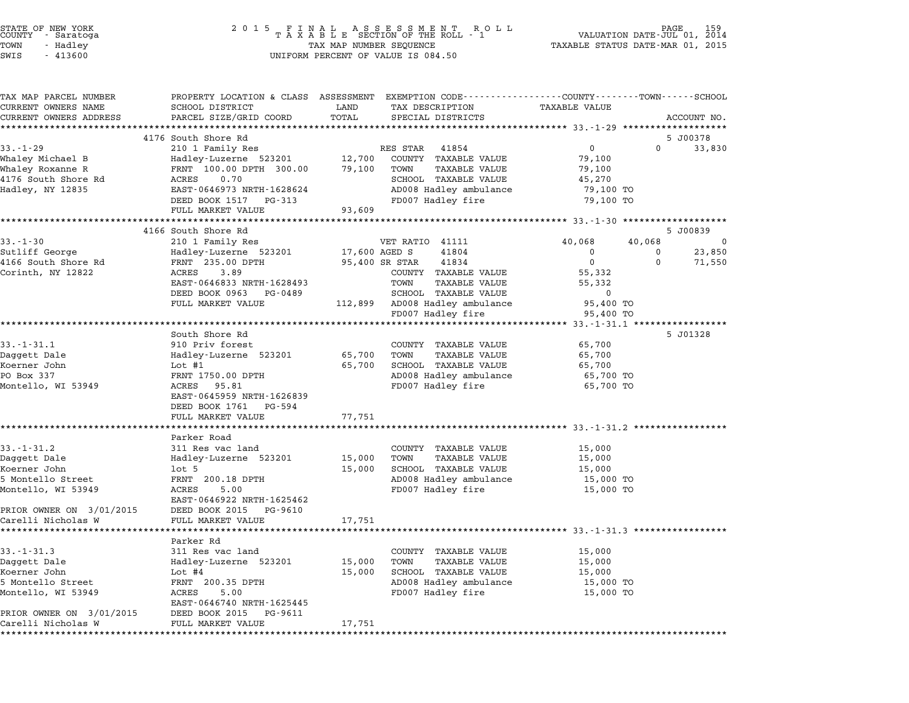| STATE OF NEW YORK<br>COUNTY<br>- Saratoga<br>TOWN<br>- Hadley | 2 0 1 5                                                                                        | TAX MAP NUMBER SEQUENCE | FINAL ASSESSMENT RO<br>TAXABLE SECTION OF THE ROLL - 1<br>ROLL | VALUATION DATE-JUL 01, 2014<br>TAXABLE STATUS DATE-MAR 01, 2015 | PAGE        | 159         |
|---------------------------------------------------------------|------------------------------------------------------------------------------------------------|-------------------------|----------------------------------------------------------------|-----------------------------------------------------------------|-------------|-------------|
| SWIS<br>$-413600$                                             |                                                                                                |                         | UNIFORM PERCENT OF VALUE IS 084.50                             |                                                                 |             |             |
| TAX MAP PARCEL NUMBER                                         | PROPERTY LOCATION & CLASS ASSESSMENT EXEMPTION CODE---------------COUNTY-------TOWN-----SCHOOL |                         |                                                                |                                                                 |             |             |
| CURRENT OWNERS NAME                                           | SCHOOL DISTRICT                                                                                | LAND                    | TAX DESCRIPTION                                                | TAXABLE VALUE                                                   |             |             |
| CURRENT OWNERS ADDRESS                                        | PARCEL SIZE/GRID COORD                                                                         | TOTAL                   | SPECIAL DISTRICTS                                              |                                                                 |             | ACCOUNT NO. |
|                                                               | 4176 South Shore Rd                                                                            |                         |                                                                |                                                                 |             | 5 J00378    |
| $33 - 1 - 29$                                                 | 210 1 Family Res                                                                               |                         | RES STAR 41854                                                 | 0                                                               | $\Omega$    | 33,830      |
| Whaley Michael B                                              | Hadley-Luzerne 523201                                                                          | 12,700                  | COUNTY TAXABLE VALUE                                           | 79,100                                                          |             |             |
| Whaley Roxanne R                                              | FRNT 100.00 DPTH 300.00                                                                        | 79,100                  | TOWN<br>TAXABLE VALUE                                          | 79,100                                                          |             |             |
| 4176 South Shore Rd                                           | 0.70<br>ACRES                                                                                  |                         | SCHOOL TAXABLE VALUE                                           | 45,270                                                          |             |             |
| Hadley, NY 12835                                              | EAST-0646973 NRTH-1628624                                                                      |                         | AD008 Hadley ambulance                                         | 79,100 TO                                                       |             |             |
|                                                               | DEED BOOK 1517 PG-313                                                                          |                         | FD007 Hadley fire                                              | 79,100 TO                                                       |             |             |
|                                                               | FULL MARKET VALUE                                                                              | 93,609                  |                                                                |                                                                 |             |             |
|                                                               |                                                                                                |                         |                                                                |                                                                 |             |             |
|                                                               | 4166 South Shore Rd                                                                            |                         |                                                                |                                                                 |             | 5 J00839    |
| $33. - 1 - 30$<br>Sutliff George                              | 210 1 Family Res<br>Hadley-Luzerne 523201                                                      | 17,600 AGED S           | VET RATIO 41111<br>41804                                       | 40,068<br>0                                                     | 40,068<br>0 | 0<br>23,850 |
| 4166 South Shore Rd                                           | FRNT 235.00 DPTH                                                                               |                         | 41834<br>95,400 SR STAR                                        | $\mathbf 0$                                                     | $\Omega$    | 71,550      |
| Corinth, NY 12822                                             | 3.89<br>ACRES                                                                                  |                         | COUNTY TAXABLE VALUE                                           | 55,332                                                          |             |             |
|                                                               | EAST-0646833 NRTH-1628493                                                                      |                         | TOWN<br>TAXABLE VALUE                                          | 55,332                                                          |             |             |
|                                                               | DEED BOOK 0963 PG-0489                                                                         |                         | SCHOOL TAXABLE VALUE                                           | 0                                                               |             |             |
|                                                               | FULL MARKET VALUE                                                                              | 112,899                 | AD008 Hadley ambulance                                         | 95,400 TO                                                       |             |             |
|                                                               |                                                                                                |                         | FD007 Hadley fire                                              | 95,400 TO                                                       |             |             |
|                                                               | *************************************                                                          |                         |                                                                |                                                                 |             |             |
|                                                               | South Shore Rd                                                                                 |                         |                                                                |                                                                 |             | 5 J01328    |
| $33.-1-31.1$                                                  | 910 Priv forest                                                                                |                         | COUNTY TAXABLE VALUE                                           | 65,700                                                          |             |             |
| Daggett Dale                                                  | Hadley-Luzerne 523201                                                                          | 65,700                  | TOWN<br>TAXABLE VALUE                                          | 65,700                                                          |             |             |
| Koerner John<br>PO Box 337                                    | Lot $#1$<br>FRNT 1750.00 DPTH                                                                  | 65,700                  | SCHOOL TAXABLE VALUE<br>AD008 Hadley ambulance                 | 65,700<br>65,700 TO                                             |             |             |
| Montello, WI 53949                                            | ACRES 95.81                                                                                    |                         | FD007 Hadley fire                                              | 65,700 TO                                                       |             |             |
|                                                               | EAST-0645959 NRTH-1626839                                                                      |                         |                                                                |                                                                 |             |             |
|                                                               | DEED BOOK 1761 PG-594                                                                          |                         |                                                                |                                                                 |             |             |
|                                                               | FULL MARKET VALUE                                                                              | 77,751                  |                                                                |                                                                 |             |             |
|                                                               |                                                                                                |                         |                                                                | ************************** 33.-1-31.2 *****************         |             |             |
|                                                               | Parker Road                                                                                    |                         |                                                                |                                                                 |             |             |
| $33. - 1 - 31.2$                                              | 311 Res vac land                                                                               |                         | COUNTY TAXABLE VALUE                                           | 15,000                                                          |             |             |
| Daggett Dale                                                  | Hadley-Luzerne 523201                                                                          | 15,000                  | TAXABLE VALUE<br>TOWN                                          | 15,000                                                          |             |             |
| Koerner John                                                  | $1$ ot 5                                                                                       | 15,000                  | SCHOOL TAXABLE VALUE                                           | 15,000                                                          |             |             |
| 5 Montello Street                                             | FRNT 200.18 DPTH<br>5.00                                                                       |                         | AD008 Hadley ambulance                                         | 15,000 TO                                                       |             |             |
| Montello, WI 53949                                            | ACRES<br>EAST-0646922 NRTH-1625462                                                             |                         | FD007 Hadley fire                                              | 15,000 TO                                                       |             |             |
| PRIOR OWNER ON 3/01/2015                                      | DEED BOOK 2015<br>PG-9610                                                                      |                         |                                                                |                                                                 |             |             |
| Carelli Nicholas W                                            | FULL MARKET VALUE                                                                              | 17,751                  |                                                                |                                                                 |             |             |
| *********************                                         |                                                                                                |                         |                                                                |                                                                 |             |             |
|                                                               | Parker Rd                                                                                      |                         |                                                                |                                                                 |             |             |
| $33. - 1 - 31.3$                                              | 311 Res vac land                                                                               |                         | COUNTY<br>TAXABLE VALUE                                        | 15,000                                                          |             |             |
| Daggett Dale                                                  | Hadley-Luzerne 523201                                                                          | 15,000                  | TOWN<br>TAXABLE VALUE                                          | 15,000                                                          |             |             |
| Koerner John                                                  | Lot $#4$                                                                                       | 15,000                  | SCHOOL TAXABLE VALUE                                           | 15,000                                                          |             |             |
| 5 Montello Street                                             | FRNT 200.35 DPTH                                                                               |                         | AD008 Hadley ambulance                                         | 15,000 TO                                                       |             |             |
| Montello, WI 53949                                            | ACRES<br>5.00<br>EAST-0646740 NRTH-1625445                                                     |                         | FD007 Hadley fire                                              | 15,000 TO                                                       |             |             |
| PRIOR OWNER ON 3/01/2015                                      | DEED BOOK 2015<br>PG-9611                                                                      |                         |                                                                |                                                                 |             |             |
| Carelli Nicholas W                                            | FULL MARKET VALUE                                                                              | 17,751                  |                                                                |                                                                 |             |             |

\*\*\*\*\*\*\*\*\*\*\*\*\*\*\*\*\*\*\*\*\*\*\*\*\*\*\*\*\*\*\*\*\*\*\*\*\*\*\*\*\*\*\*\*\*\*\*\*\*\*\*\*\*\*\*\*\*\*\*\*\*\*\*\*\*\*\*\*\*\*\*\*\*\*\*\*\*\*\*\*\*\*\*\*\*\*\*\*\*\*\*\*\*\*\*\*\*\*\*\*\*\*\*\*\*\*\*\*\*\*\*\*\*\*\*\*\*\*\*\*\*\*\*\*\*\*\*\*\*\*\*\*

STATE OF NEW YORK <sup>2</sup> <sup>0</sup> <sup>1</sup> 5 F I N A L A S S E S S M E N T R O L L PAGE <sup>159</sup> COUNTY - Saratoga <sup>T</sup> <sup>A</sup> <sup>X</sup> <sup>A</sup> <sup>B</sup> <sup>L</sup> <sup>E</sup> SECTION OF THE ROLL - <sup>1</sup> VALUATION DATE-JUL 01, <sup>2014</sup>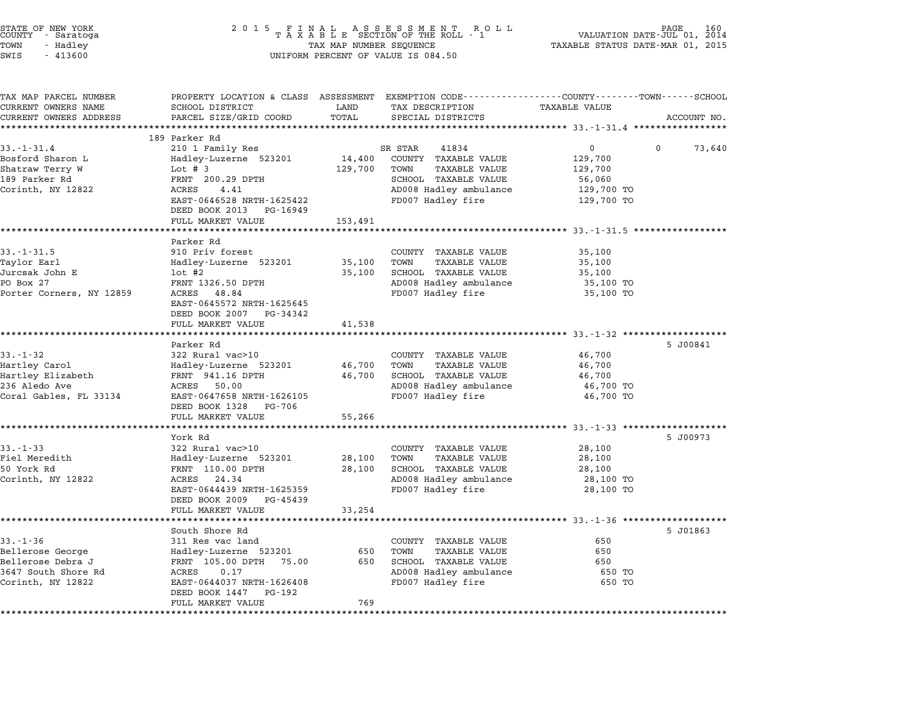| STATE OF NEW YORK<br>COUNTY - Saratoga<br>TOWN<br>- Hadley<br>SWIS<br>$-413600$ | 2 0 1 5                                                                | TAX MAP NUMBER SEQUENCE | UNIFORM PERCENT OF VALUE IS 084.50                                                                                | VALUATION DATE-JUL 01,<br>TAXABLE STATUS DATE-MAR 01, 2015 | 160<br>2014 |
|---------------------------------------------------------------------------------|------------------------------------------------------------------------|-------------------------|-------------------------------------------------------------------------------------------------------------------|------------------------------------------------------------|-------------|
| TAX MAP PARCEL NUMBER<br>CURRENT OWNERS NAME                                    | SCHOOL DISTRICT                                                        | LAND                    | PROPERTY LOCATION & CLASS ASSESSMENT EXEMPTION CODE---------------COUNTY-------TOWN-----SCHOOL<br>TAX DESCRIPTION | TAXABLE VALUE                                              |             |
| CURRENT OWNERS ADDRESS                                                          | PARCEL SIZE/GRID COORD                                                 | TOTAL                   | SPECIAL DISTRICTS                                                                                                 |                                                            | ACCOUNT NO. |
|                                                                                 |                                                                        | ********                |                                                                                                                   | *************************** 33.-1-31.4 *****************   |             |
|                                                                                 | 189 Parker Rd                                                          |                         |                                                                                                                   |                                                            |             |
| $33. - 1 - 31.4$                                                                | 210 1 Family Res                                                       |                         | SR STAR<br>41834                                                                                                  | 0<br>0                                                     | 73,640      |
| Bosford Sharon L                                                                | Hadley-Luzerne 523201                                                  | 14,400                  | COUNTY TAXABLE VALUE                                                                                              | 129,700                                                    |             |
| Shatraw Terry W                                                                 | Lot $# 3$                                                              | 129,700                 | TOWN<br>TAXABLE VALUE                                                                                             | 129,700                                                    |             |
| 189 Parker Rd                                                                   | FRNT 200.29 DPTH                                                       |                         | SCHOOL TAXABLE VALUE                                                                                              | 56,060                                                     |             |
| Corinth, NY 12822                                                               | ACRES<br>4.41<br>EAST-0646528 NRTH-1625422                             |                         | AD008 Hadley ambulance                                                                                            | 129,700 TO                                                 |             |
|                                                                                 | DEED BOOK 2013<br>PG-16949                                             |                         | FD007 Hadley fire                                                                                                 | 129,700 TO                                                 |             |
|                                                                                 | FULL MARKET VALUE                                                      | 153,491                 |                                                                                                                   |                                                            |             |
|                                                                                 |                                                                        |                         |                                                                                                                   | ***************** 33.-1-31.5 *********                     |             |
|                                                                                 | Parker Rd                                                              |                         |                                                                                                                   |                                                            |             |
| $33. - 1 - 31.5$                                                                | 910 Priv forest                                                        |                         | COUNTY TAXABLE VALUE                                                                                              | 35,100                                                     |             |
| Taylor Earl                                                                     | Hadley-Luzerne 523201                                                  | 35,100                  | <b>TAXABLE VALUE</b><br>TOWN                                                                                      | 35,100                                                     |             |
| Jurcsak John E                                                                  | $1$ ot #2                                                              | 35,100                  | SCHOOL TAXABLE VALUE                                                                                              | 35,100                                                     |             |
| PO Box 27                                                                       | FRNT 1326.50 DPTH                                                      |                         | AD008 Hadley ambulance                                                                                            | 35,100 TO                                                  |             |
| Porter Corners, NY 12859                                                        | ACRES<br>48.84<br>EAST-0645572 NRTH-1625645<br>DEED BOOK 2007 PG-34342 |                         | FD007 Hadley fire                                                                                                 | 35,100 TO                                                  |             |
|                                                                                 | FULL MARKET VALUE                                                      | 41,538                  |                                                                                                                   |                                                            |             |
|                                                                                 | Parker Rd                                                              |                         |                                                                                                                   | ************************* 33.-1-32 *******************     | 5 J00841    |
| $33 - 1 - 32$                                                                   | 322 Rural vac>10                                                       |                         | COUNTY TAXABLE VALUE                                                                                              | 46,700                                                     |             |
| Hartley Carol                                                                   | Hadley-Luzerne 523201                                                  | 46,700                  | <b>TAXABLE VALUE</b><br>TOWN                                                                                      | 46,700                                                     |             |
| Hartley Elizabeth                                                               | FRNT 941.16 DPTH                                                       | 46,700                  | SCHOOL TAXABLE VALUE                                                                                              | 46,700                                                     |             |
| 236 Aledo Ave                                                                   | ACRES 50.00                                                            |                         | AD008 Hadley ambulance                                                                                            | 46,700 TO                                                  |             |
| Coral Gables, FL 33134                                                          | EAST-0647658 NRTH-1626105<br>DEED BOOK 1328<br>PG-706                  |                         | FD007 Hadley fire                                                                                                 | 46,700 TO                                                  |             |
|                                                                                 | FULL MARKET VALUE                                                      | 55,266                  |                                                                                                                   |                                                            |             |
|                                                                                 | York Rd                                                                |                         |                                                                                                                   |                                                            | 5 J00973    |
| $33 - 1 - 33$                                                                   | 322 Rural vac>10                                                       |                         | COUNTY TAXABLE VALUE                                                                                              | 28,100                                                     |             |
| Fiel Meredith                                                                   | Hadley-Luzerne 523201                                                  | 28,100                  | <b>TAXABLE VALUE</b><br>TOWN                                                                                      | 28,100                                                     |             |
| 50 York Rd                                                                      | FRNT 110.00 DPTH                                                       | 28,100                  | SCHOOL TAXABLE VALUE                                                                                              | 28,100                                                     |             |
| Corinth, NY 12822                                                               | 24.34<br>ACRES                                                         |                         | AD008 Hadley ambulance                                                                                            | 28,100 TO                                                  |             |
|                                                                                 | EAST-0644439 NRTH-1625359<br>DEED BOOK 2009<br>PG-45439                |                         | FD007 Hadley fire                                                                                                 | 28,100 TO                                                  |             |
|                                                                                 | FULL MARKET VALUE                                                      | 33,254                  |                                                                                                                   |                                                            |             |
|                                                                                 |                                                                        |                         |                                                                                                                   | ********************** 33.-1-36 *********                  |             |
|                                                                                 | South Shore Rd                                                         |                         |                                                                                                                   |                                                            | 5 J01863    |
| $33. - 1 - 36$                                                                  | 311 Res vac land                                                       |                         | TAXABLE VALUE<br>COUNTY                                                                                           | 650                                                        |             |
| Bellerose George<br>Bellerose Debra J                                           | Hadley-Luzerne 523201<br>FRNT 105.00 DPTH<br>75.00                     | 650<br>650              | <b>TAXABLE VALUE</b><br>TOWN<br>SCHOOL TAXABLE VALUE                                                              | 650<br>650                                                 |             |
| 3647 South Shore Rd                                                             | ACRES<br>0.17                                                          |                         | AD008 Hadley ambulance                                                                                            | 650 TO                                                     |             |
| Corinth, NY 12822                                                               | EAST-0644037 NRTH-1626408                                              |                         | FD007 Hadley fire                                                                                                 | 650 TO                                                     |             |
|                                                                                 | DEED BOOK 1447<br>PG-192<br>FULL MARKET VALUE                          | 769                     |                                                                                                                   |                                                            |             |
| *********                                                                       |                                                                        |                         |                                                                                                                   | **********************                                     |             |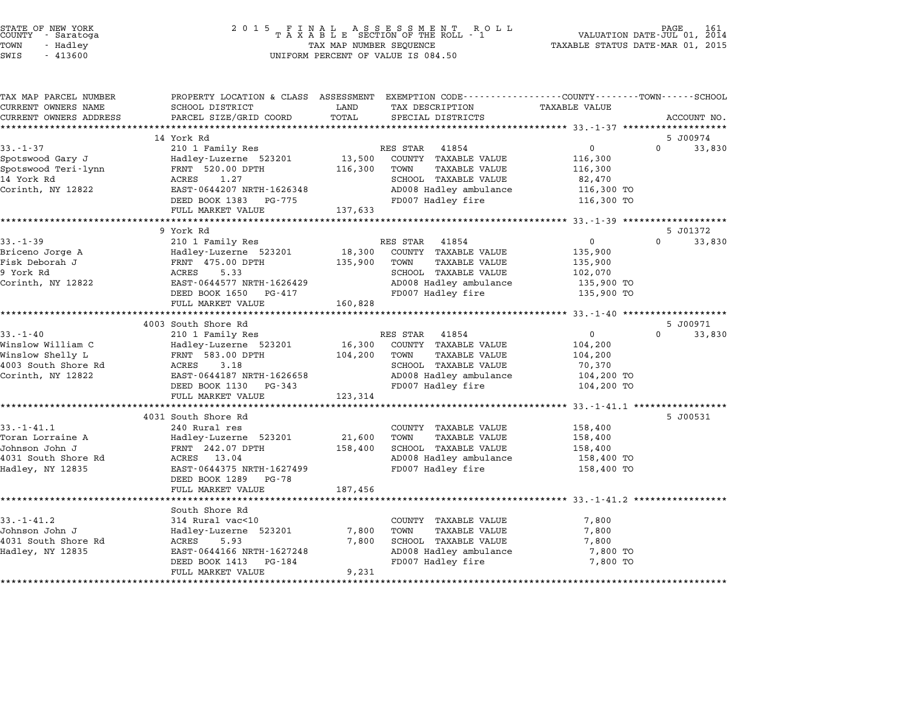| COUNTY | STATE OF NEW YORK<br>- Saratoga |  |
|--------|---------------------------------|--|
| TOWN   | - Hadley                        |  |
|        |                                 |  |

### STATE OF NEW YORK <sup>2</sup> <sup>0</sup> <sup>1</sup> 5 F I N A L A S S E S S M E N T R O L L PAGE <sup>161</sup> COUNTY - Saratoga <sup>T</sup> <sup>A</sup> <sup>X</sup> <sup>A</sup> <sup>B</sup> <sup>L</sup> <sup>E</sup> SECTION OF THE ROLL - <sup>1</sup> VALUATION DATE-JUL 01, <sup>2014</sup> TOWN - Hadley TAX MAP NUMBER SEQUENCE TAXABLE STATUS DATE-MAR 01, <sup>2015</sup> SWIS - <sup>413600</sup> UNIFORM PERCENT OF VALUE IS 084.50

| TAX MAP PARCEL NUMBER<br>CURRENT OWNERS NAME | PROPERTY LOCATION & CLASS ASSESSMENT EXEMPTION CODE---------------COUNTY-------TOWN------SCHOOL<br>SCHOOL DISTRICT | LAND              | TAX DESCRIPTION                             | <b>TAXABLE VALUE</b>                              |                    |
|----------------------------------------------|--------------------------------------------------------------------------------------------------------------------|-------------------|---------------------------------------------|---------------------------------------------------|--------------------|
| CURRENT OWNERS ADDRESS                       | PARCEL SIZE/GRID COORD                                                                                             | TOTAL             | SPECIAL DISTRICTS                           |                                                   | ACCOUNT NO.        |
|                                              |                                                                                                                    |                   |                                             |                                                   |                    |
|                                              | 14 York Rd                                                                                                         |                   |                                             |                                                   | 5 J00974           |
| $33. - 1 - 37$                               | 210 1 Family Res                                                                                                   |                   | 41854<br>RES STAR                           | $\mathbf 0$                                       | $\Omega$<br>33,830 |
| Spotswood Gary J                             | Hadley-Luzerne 523201                                                                                              | 13,500            | COUNTY TAXABLE VALUE                        | 116,300                                           |                    |
| Spotswood Teri-lynn                          | FRNT 520.00 DPTH                                                                                                   | 116,300           | TOWN<br>TAXABLE VALUE                       | 116,300                                           |                    |
| 14 York Rd                                   | ACRES<br>1.27<br>EAST-0644207 NRTH-1626348                                                                         |                   | SCHOOL TAXABLE VALUE                        | 82,470                                            |                    |
| Corinth, NY 12822                            | DEED BOOK 1383 PG-775                                                                                              |                   | AD008 Hadley ambulance<br>FD007 Hadley fire | 116,300 TO<br>116,300 TO                          |                    |
|                                              | FULL MARKET VALUE                                                                                                  | 137,633           |                                             |                                                   |                    |
|                                              | ********************                                                                                               | ***************** |                                             | ******************* 33.-1-39 ******************** |                    |
|                                              | 9 York Rd                                                                                                          |                   |                                             |                                                   | 5 J01372           |
| $33 - 1 - 39$                                | 210 1 Family Res                                                                                                   |                   | RES STAR<br>41854                           | $\overline{0}$                                    | $\Omega$<br>33,830 |
| Briceno Jorge A                              | Hadley-Luzerne 523201                                                                                              |                   | 18,300 COUNTY TAXABLE VALUE                 | 135,900                                           |                    |
| Fisk Deborah J                               | FRNT 475.00 DPTH                                                                                                   | 135,900           | TOWN<br><b>TAXABLE VALUE</b>                | 135,900                                           |                    |
| 9 York Rd                                    | ACRES<br>5.33                                                                                                      |                   | SCHOOL TAXABLE VALUE                        | 102,070                                           |                    |
| Corinth, NY 12822                            | EAST-0644577 NRTH-1626429                                                                                          |                   | AD008 Hadley ambulance                      | 135,900 TO                                        |                    |
|                                              | DEED BOOK 1650 PG-417                                                                                              |                   | FD007 Hadley fire                           | 135,900 TO                                        |                    |
|                                              | FULL MARKET VALUE                                                                                                  | 160,828           |                                             |                                                   |                    |
|                                              | 4003 South Shore Rd                                                                                                |                   |                                             |                                                   | 5 J00971           |
| $33 - 1 - 40$                                | 210 1 Family Res                                                                                                   |                   | RES STAR 41854                              | $\overline{0}$                                    | $\Omega$<br>33,830 |
| Winslow William C                            | Hadley-Luzerne 523201                                                                                              | 16,300            | COUNTY TAXABLE VALUE                        | 104,200                                           |                    |
| Winslow Shelly L                             | FRNT 583.00 DPTH                                                                                                   | 104,200           | TOWN<br><b>TAXABLE VALUE</b>                | 104,200                                           |                    |
| 4003 South Shore Rd                          | ACRES<br>3.18                                                                                                      |                   | SCHOOL TAXABLE VALUE                        | 70,370                                            |                    |
| Corinth, NY 12822                            | EAST-0644187 NRTH-1626658                                                                                          |                   | AD008 Hadley ambulance                      | 104,200 TO                                        |                    |
|                                              | DEED BOOK 1130 PG-343                                                                                              |                   | FD007 Hadley fire                           | 104,200 TO                                        |                    |
|                                              | FULL MARKET VALUE                                                                                                  | 123,314           |                                             |                                                   |                    |
|                                              | 4031 South Shore Rd                                                                                                |                   |                                             |                                                   | 5 J00531           |
| $33. - 1 - 41.1$                             | 240 Rural res                                                                                                      |                   | COUNTY TAXABLE VALUE                        | 158,400                                           |                    |
| Toran Lorraine A                             | Hadley-Luzerne 523201                                                                                              | 21,600            | TOWN<br><b>TAXABLE VALUE</b>                | 158,400                                           |                    |
| Johnson John J                               | FRNT 242.07 DPTH                                                                                                   | 158,400           | SCHOOL TAXABLE VALUE                        | 158,400                                           |                    |
| 4031 South Shore Rd                          | ACRES 13.04                                                                                                        |                   | AD008 Hadley ambulance                      | 158,400 TO                                        |                    |
| Hadley, NY 12835                             | EAST-0644375 NRTH-1627499                                                                                          |                   | FD007 Hadley fire                           | 158,400 TO                                        |                    |
|                                              | DEED BOOK 1289 PG-78                                                                                               |                   |                                             |                                                   |                    |
|                                              | FULL MARKET VALUE                                                                                                  | 187,456           |                                             |                                                   |                    |
|                                              |                                                                                                                    |                   |                                             |                                                   |                    |
|                                              | South Shore Rd                                                                                                     |                   |                                             |                                                   |                    |
|                                              | 314 Rural vac<10                                                                                                   |                   | COUNTY TAXABLE VALUE                        | 7,800                                             |                    |
| $33. - 1 - 41.2$                             |                                                                                                                    |                   |                                             |                                                   |                    |
|                                              | Hadley-Luzerne 523201                                                                                              | 7,800             | TOWN<br>TAXABLE VALUE                       | 7,800                                             |                    |
| Johnson John J<br>4031 South Shore Rd        | ACRES<br>5.93                                                                                                      | 7,800             | SCHOOL TAXABLE VALUE                        | 7,800                                             |                    |
| Hadley, NY 12835                             | EAST-0644166 NRTH-1627248<br>DEED BOOK 1413<br>PG-184                                                              |                   | AD008 Hadley ambulance<br>FD007 Hadley fire | 7,800 TO<br>7,800 TO                              |                    |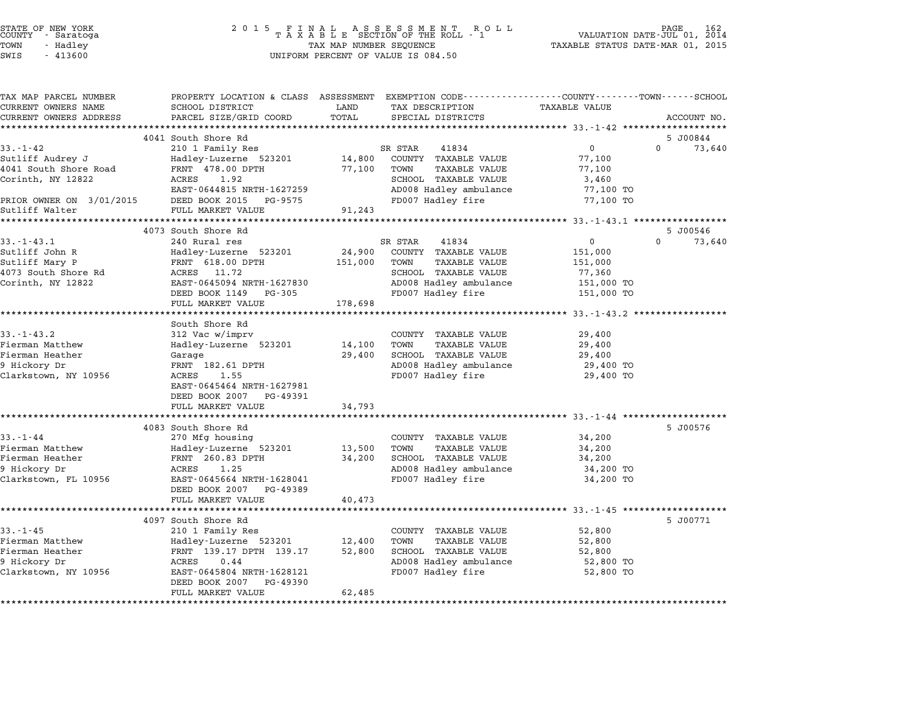| STATE OF NEW YORK |  |            |  |
|-------------------|--|------------|--|
| COUNTY            |  | - Saratoga |  |
| TOWN              |  | - Hadley   |  |

| TAX MAP PARCEL NUMBER<br>CURRENT OWNERS NAME | PROPERTY LOCATION & CLASS ASSESSMENT EXEMPTION CODE----------------COUNTY-------TOWN-----SCHOOL<br>SCHOOL DISTRICT | LAND    | TAX DESCRIPTION        | <b>TAXABLE VALUE</b>                    |                    |
|----------------------------------------------|--------------------------------------------------------------------------------------------------------------------|---------|------------------------|-----------------------------------------|--------------------|
| CURRENT OWNERS ADDRESS                       | PARCEL SIZE/GRID COORD                                                                                             | TOTAL   | SPECIAL DISTRICTS      |                                         | ACCOUNT NO.        |
| *************************                    |                                                                                                                    |         |                        |                                         |                    |
|                                              | 4041 South Shore Rd                                                                                                |         |                        |                                         | 5 J00844           |
| $33 - 1 - 42$                                | 210 1 Family Res                                                                                                   |         | SR STAR<br>41834       | $\Omega$                                | $\Omega$<br>73,640 |
| Sutliff Audrey J                             | Hadley-Luzerne 523201                                                                                              | 14,800  | COUNTY TAXABLE VALUE   | 77,100                                  |                    |
| 4041 South Shore Road                        | FRNT 478.00 DPTH                                                                                                   | 77,100  | TOWN<br>TAXABLE VALUE  | 77,100                                  |                    |
| Corinth, NY 12822                            | 1.92<br>ACRES                                                                                                      |         | SCHOOL TAXABLE VALUE   | 3,460                                   |                    |
|                                              | EAST-0644815 NRTH-1627259                                                                                          |         | AD008 Hadley ambulance | 77,100 TO                               |                    |
| PRIOR OWNER ON 3/01/2015                     | DEED BOOK 2015 PG-9575                                                                                             |         | FD007 Hadley fire      | 77,100 TO                               |                    |
| Sutliff Walter                               | FULL MARKET VALUE                                                                                                  | 91,243  |                        |                                         |                    |
|                                              |                                                                                                                    |         |                        |                                         |                    |
|                                              | 4073 South Shore Rd                                                                                                |         |                        |                                         | 5 J00546           |
| $33. - 1 - 43.1$                             | 240 Rural res                                                                                                      |         | SR STAR<br>41834       | $\overline{0}$                          | $\Omega$<br>73,640 |
| Sutliff John R                               | Hadley-Luzerne 523201                                                                                              | 24,900  | COUNTY TAXABLE VALUE   | 151,000                                 |                    |
| Sutliff Mary P                               | FRNT 618.00 DPTH                                                                                                   | 151,000 | TOWN<br>TAXABLE VALUE  | 151,000                                 |                    |
| 4073 South Shore Rd                          | ACRES 11.72                                                                                                        |         | SCHOOL TAXABLE VALUE   | 77,360                                  |                    |
| Corinth, NY 12822                            | EAST-0645094 NRTH-1627830                                                                                          |         | AD008 Hadley ambulance | 151,000 TO                              |                    |
|                                              | DEED BOOK 1149<br>PG-305                                                                                           |         | FD007 Hadley fire      | 151,000 TO                              |                    |
|                                              | FULL MARKET VALUE                                                                                                  | 178,698 |                        |                                         |                    |
|                                              | ******************************                                                                                     |         |                        |                                         |                    |
|                                              | South Shore Rd                                                                                                     |         |                        |                                         |                    |
| $33 - 1 - 43.2$                              | 312 Vac w/imprv                                                                                                    |         | COUNTY TAXABLE VALUE   | 29,400                                  |                    |
| Fierman Matthew                              | Hadley-Luzerne 523201                                                                                              | 14,100  | TOWN<br>TAXABLE VALUE  | 29,400                                  |                    |
| Fierman Heather                              | Garage                                                                                                             | 29,400  | SCHOOL TAXABLE VALUE   | 29,400                                  |                    |
| 9 Hickory Dr                                 | FRNT 182.61 DPTH                                                                                                   |         | AD008 Hadley ambulance | 29,400 TO                               |                    |
| Clarkstown, NY 10956                         | 1.55<br>ACRES                                                                                                      |         | FD007 Hadley fire      | 29,400 TO                               |                    |
|                                              | EAST-0645464 NRTH-1627981                                                                                          |         |                        |                                         |                    |
|                                              | DEED BOOK 2007 PG-49391                                                                                            |         |                        |                                         |                    |
|                                              | FULL MARKET VALUE                                                                                                  | 34,793  |                        |                                         |                    |
|                                              | *********************                                                                                              |         |                        | ********************* 33.-1-44 ******** |                    |
|                                              | 4083 South Shore Rd                                                                                                |         |                        |                                         | 5 J00576           |
| $33. - 1 - 44$                               | 270 Mfg housing                                                                                                    |         | COUNTY TAXABLE VALUE   | 34,200                                  |                    |
| Fierman Matthew                              | Hadley-Luzerne 523201                                                                                              | 13,500  | TOWN<br>TAXABLE VALUE  | 34,200                                  |                    |
| Fierman Heather                              | FRNT 260.83 DPTH                                                                                                   | 34,200  | SCHOOL TAXABLE VALUE   | 34,200                                  |                    |
| 9 Hickory Dr                                 | 1.25<br>ACRES                                                                                                      |         | AD008 Hadley ambulance | 34,200 TO                               |                    |
| Clarkstown, FL 10956                         | EAST-0645664 NRTH-1628041                                                                                          |         | FD007 Hadley fire      | 34,200 TO                               |                    |
|                                              | DEED BOOK 2007 PG-49389                                                                                            |         |                        |                                         |                    |
|                                              | FULL MARKET VALUE                                                                                                  | 40,473  |                        |                                         |                    |
|                                              | ******************************                                                                                     |         |                        |                                         |                    |
|                                              | 4097 South Shore Rd                                                                                                |         |                        |                                         | 5 J00771           |
| $33. - 1 - 45$                               | 210 1 Family Res                                                                                                   |         | COUNTY TAXABLE VALUE   | 52,800                                  |                    |
| Fierman Matthew                              | Hadley-Luzerne 523201                                                                                              | 12,400  | TOWN<br>TAXABLE VALUE  | 52,800                                  |                    |
| Fierman Heather                              | FRNT 139.17 DPTH 139.17                                                                                            | 52,800  | SCHOOL TAXABLE VALUE   | 52,800                                  |                    |
| 9 Hickory Dr                                 | ACRES<br>0.44                                                                                                      |         | AD008 Hadley ambulance | 52,800 TO                               |                    |
| Clarkstown, NY 10956                         | EAST-0645804 NRTH-1628121                                                                                          |         | FD007 Hadley fire      | 52,800 TO                               |                    |
|                                              | DEED BOOK 2007 PG-49390                                                                                            |         |                        |                                         |                    |
|                                              | FULL MARKET VALUE                                                                                                  | 62,485  |                        |                                         |                    |
|                                              |                                                                                                                    |         |                        |                                         |                    |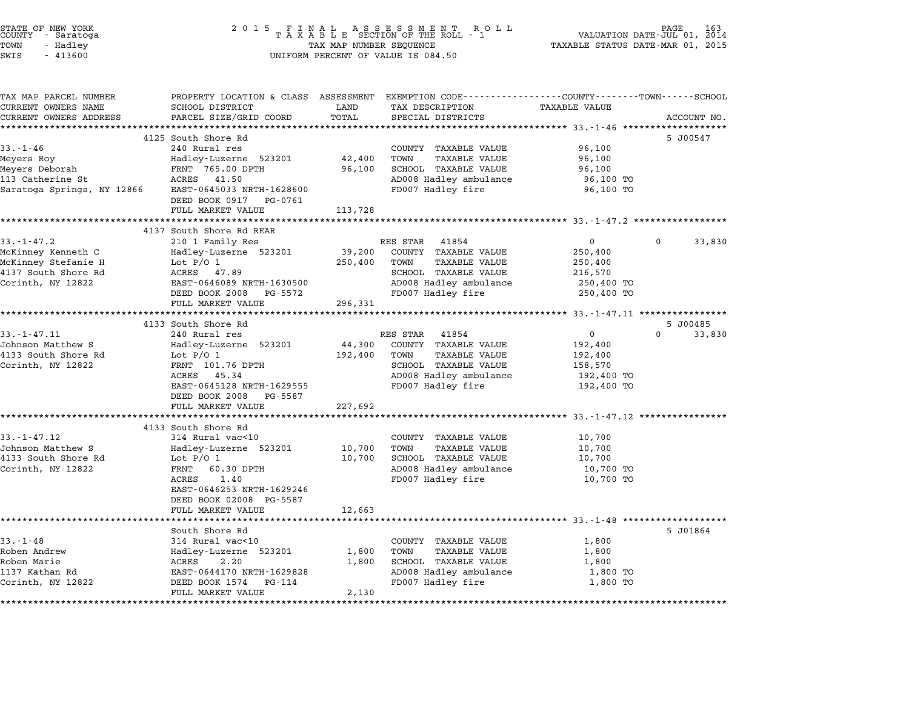| STATE OF NEW YORK<br>COUNTY - Saratoga<br>TOWN<br>- Hadley<br>SWIS<br>$-413600$ | 2 0 1 5<br>FINAL ASSESSMENT RO<br>TAXABLE SECTION OF THE ROLL - 1<br>TAX MAP NUMBER SEQUENCE<br>UNIFORM PERCENT OF VALUE IS 084.50 | TAXABLE STATUS DATE-MAR 01, 2015 | PAGE<br>VALUATION DATE-JUL 01, 2014                                                                               |                                                      |             |
|---------------------------------------------------------------------------------|------------------------------------------------------------------------------------------------------------------------------------|----------------------------------|-------------------------------------------------------------------------------------------------------------------|------------------------------------------------------|-------------|
| TAX MAP PARCEL NUMBER<br>CURRENT OWNERS NAME                                    | SCHOOL DISTRICT                                                                                                                    | LAND                             | PROPERTY LOCATION & CLASS ASSESSMENT EXEMPTION CODE---------------COUNTY-------TOWN-----SCHOOL<br>TAX DESCRIPTION | <b>TAXABLE VALUE</b>                                 |             |
| CURRENT OWNERS ADDRESS                                                          | PARCEL SIZE/GRID COORD                                                                                                             | TOTAL                            | SPECIAL DISTRICTS                                                                                                 |                                                      | ACCOUNT NO. |
|                                                                                 |                                                                                                                                    | ***********                      | ************************************ 33.-1-46 ******                                                              |                                                      |             |
| $33 - 1 - 46$                                                                   | 4125 South Shore Rd<br>240 Rural res                                                                                               |                                  | COUNTY TAXABLE VALUE                                                                                              | 96,100                                               | 5 J00547    |
| Meyers Roy                                                                      | Hadley-Luzerne 523201                                                                                                              | 42,400                           | TOWN<br><b>TAXABLE VALUE</b>                                                                                      | 96,100                                               |             |
| Meyers Deborah                                                                  | FRNT 765.00 DPTH                                                                                                                   | 96,100                           | SCHOOL TAXABLE VALUE                                                                                              | 96,100                                               |             |
| 113 Catherine St                                                                | ACRES 41.50                                                                                                                        |                                  | AD008 Hadley ambulance                                                                                            | 96,100 TO                                            |             |
| Saratoga Springs, NY 12866                                                      | EAST-0645033 NRTH-1628600<br>DEED BOOK 0917 PG-0761                                                                                |                                  | FD007 Hadley fire                                                                                                 | 96,100 TO                                            |             |
|                                                                                 | FULL MARKET VALUE                                                                                                                  | 113,728                          |                                                                                                                   |                                                      |             |
|                                                                                 |                                                                                                                                    | ***********                      |                                                                                                                   | ********************** 33.-1-47.2 ****************** |             |
| $33. - 1 - 47.2$                                                                | 4137 South Shore Rd REAR                                                                                                           |                                  | RES STAR 41854                                                                                                    | $\mathbf 0$                                          | $\Omega$    |
| McKinney Kenneth C                                                              | 210 1 Family Res<br>Hadley-Luzerne 523201                                                                                          | 39,200                           | COUNTY TAXABLE VALUE                                                                                              | 250,400                                              | 33,830      |
| McKinney Stefanie H                                                             | Lot $P/O$ 1                                                                                                                        | 250,400                          | TAXABLE VALUE<br>TOWN                                                                                             | 250,400                                              |             |
| 4137 South Shore Rd                                                             | ACRES 47.89                                                                                                                        |                                  | SCHOOL TAXABLE VALUE                                                                                              | 216,570                                              |             |
| Corinth, NY 12822                                                               | EAST-0646089 NRTH-1630500                                                                                                          |                                  | AD008 Hadley ambulance                                                                                            | 250,400 TO                                           |             |
|                                                                                 | DEED BOOK 2008 PG-5572                                                                                                             |                                  | FD007 Hadley fire                                                                                                 | 250,400 TO                                           |             |
|                                                                                 | FULL MARKET VALUE                                                                                                                  | 296,331<br>***********           |                                                                                                                   | ***************** 33.-1-47.11 *****************      |             |
|                                                                                 | 4133 South Shore Rd                                                                                                                |                                  |                                                                                                                   |                                                      | 5 J00485    |
| $33. - 1 - 47.11$                                                               | 240 Rural res                                                                                                                      |                                  | RES STAR 41854                                                                                                    | 0                                                    | 0<br>33,830 |
| Johnson Matthew S                                                               | Hadley-Luzerne 523201                                                                                                              | 44,300                           | COUNTY TAXABLE VALUE                                                                                              | 192,400                                              |             |
| 4133 South Shore Rd                                                             | Lot $P/O$ 1                                                                                                                        | 192,400                          | TOWN<br>TAXABLE VALUE                                                                                             | 192,400                                              |             |
| Corinth, NY 12822                                                               | FRNT 101.76 DPTH                                                                                                                   |                                  | SCHOOL TAXABLE VALUE                                                                                              | 158,570                                              |             |
|                                                                                 | ACRES 45.34                                                                                                                        |                                  | AD008 Hadley ambulance                                                                                            | 192,400 TO                                           |             |
|                                                                                 | EAST-0645128 NRTH-1629555<br>DEED BOOK 2008 PG-5587                                                                                |                                  | FD007 Hadley fire                                                                                                 | 192,400 TO                                           |             |
|                                                                                 | FULL MARKET VALUE                                                                                                                  | 227,692                          |                                                                                                                   |                                                      |             |
|                                                                                 |                                                                                                                                    |                                  |                                                                                                                   |                                                      |             |
|                                                                                 | 4133 South Shore Rd                                                                                                                |                                  |                                                                                                                   |                                                      |             |
| $33. - 1 - 47.12$                                                               | 314 Rural vac<10                                                                                                                   |                                  | COUNTY TAXABLE VALUE                                                                                              | 10,700                                               |             |
| Johnson Matthew S                                                               | Hadley-Luzerne 523201                                                                                                              | 10,700                           | <b>TAXABLE VALUE</b><br>TOWN                                                                                      | 10,700                                               |             |
| 4133 South Shore Rd<br>Corinth, NY 12822                                        | Lot $P/O$ 1<br>FRNT<br>60.30 DPTH                                                                                                  | 10,700                           | SCHOOL TAXABLE VALUE<br>AD008 Hadley ambulance                                                                    | 10,700                                               |             |
|                                                                                 | ACRES<br>1.40                                                                                                                      |                                  | FD007 Hadley fire                                                                                                 | 10,700 TO<br>10,700 TO                               |             |
|                                                                                 | EAST-0646253 NRTH-1629246                                                                                                          |                                  |                                                                                                                   |                                                      |             |
|                                                                                 | DEED BOOK 02008 PG-5587                                                                                                            |                                  |                                                                                                                   |                                                      |             |
|                                                                                 | FULL MARKET VALUE                                                                                                                  | 12,663                           |                                                                                                                   |                                                      |             |
|                                                                                 |                                                                                                                                    |                                  |                                                                                                                   |                                                      |             |
|                                                                                 | South Shore Rd                                                                                                                     |                                  |                                                                                                                   |                                                      | 5 J01864    |
| $33. - 1 - 48$<br>Roben Andrew                                                  | 314 Rural vac<10<br>Hadley-Luzerne 523201                                                                                          | 1,800                            | COUNTY TAXABLE VALUE<br>TOWN<br>TAXABLE VALUE                                                                     | 1,800<br>1,800                                       |             |
| Roben Marie                                                                     | ACRES<br>2.20                                                                                                                      | 1,800                            | SCHOOL TAXABLE VALUE                                                                                              | 1,800                                                |             |
| 1137 Kathan Rd                                                                  | EAST-0644170 NRTH-1629828                                                                                                          |                                  | AD008 Hadley ambulance                                                                                            | 1,800 TO                                             |             |
| Corinth, NY 12822                                                               | DEED BOOK 1574 PG-114                                                                                                              |                                  | FD007 Hadley fire                                                                                                 | 1,800 TO                                             |             |
|                                                                                 | FULL MARKET VALUE                                                                                                                  | 2,130                            |                                                                                                                   |                                                      |             |
|                                                                                 |                                                                                                                                    |                                  |                                                                                                                   |                                                      |             |

STATE OF NEW YORK <sup>2</sup> <sup>0</sup> <sup>1</sup> 5 F I N A L A S S E S S M E N T R O L L PAGE <sup>163</sup> COUNTY - Saratoga <sup>T</sup> <sup>A</sup> <sup>X</sup> <sup>A</sup> <sup>B</sup> <sup>L</sup> <sup>E</sup> SECTION OF THE ROLL - <sup>1</sup> VALUATION DATE-JUL 01, <sup>2014</sup>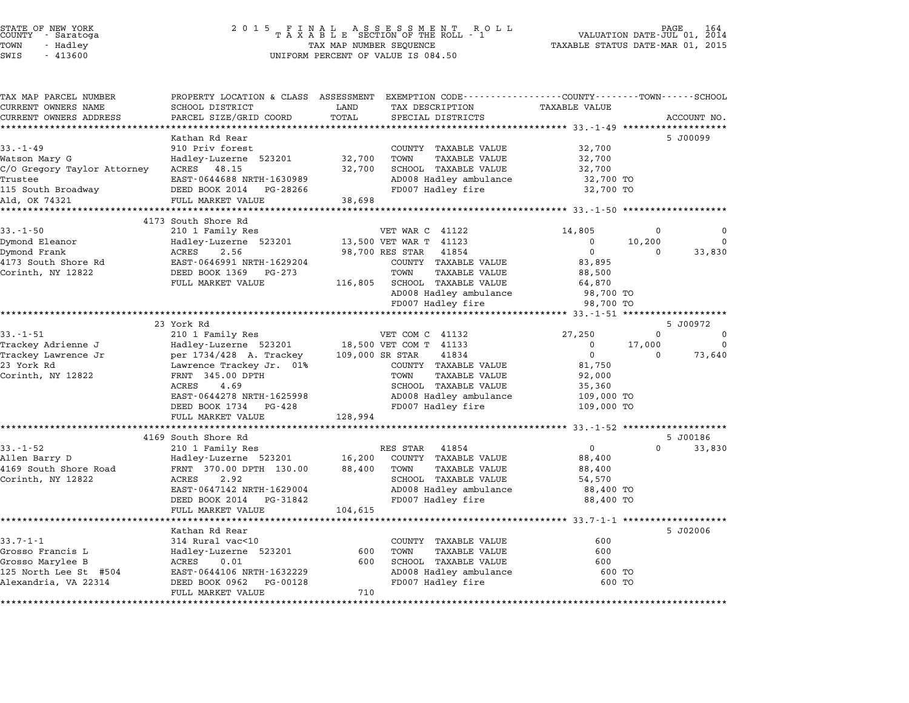# STATE OF NEW YORK <sup>2</sup> <sup>0</sup> <sup>1</sup> 5 F I N A L A S S E S S M E N T R O L L PAGE <sup>164</sup> COUNTY - Saratoga <sup>T</sup> <sup>A</sup> <sup>X</sup> <sup>A</sup> <sup>B</sup> <sup>L</sup> <sup>E</sup> SECTION OF THE ROLL - <sup>1</sup> VALUATION DATE-JUL 01, <sup>2014</sup> TOWN - Hadley TAX MAP NUMBER SEQUENCE TAXABLE STATUS DATE-MAR 01, <sup>2015</sup> STATE OF NEW YORK<br>
COUNTY - Saratoga<br>
TOWN - Hadley TAXABLE SECTION OF THE ROLL<br>
TOWN - 413600 UNIFORM PERCENT OF VALUE IS 084.50

| TAX MAP PARCEL NUMBER                            |                                                 | PROPERTY LOCATION & CLASS ASSESSMENT EXEMPTION CODE---------------COUNTY-------TOWN-----SCHOOL |                                                     |
|--------------------------------------------------|-------------------------------------------------|------------------------------------------------------------------------------------------------|-----------------------------------------------------|
| CURRENT OWNERS NAME                              | SCHOOL DISTRICT                                 | LAND<br>TAX DESCRIPTION                                                                        | <b>TAXABLE VALUE</b>                                |
| CURRENT OWNERS ADDRESS<br>********************** | PARCEL SIZE/GRID COORD<br>********************* | TOTAL<br>SPECIAL DISTRICTS                                                                     | ACCOUNT NO.                                         |
|                                                  |                                                 |                                                                                                |                                                     |
| $33 - 1 - 49$                                    | Kathan Rd Rear<br>910 Priv forest               |                                                                                                | 5 J00099                                            |
|                                                  |                                                 | COUNTY TAXABLE VALUE<br>32,700<br>TOWN<br>TAXABLE VALUE                                        | 32,700                                              |
| Watson Mary G<br>C/O Gregory Taylor Attorney     | Hadley-Luzerne 523201<br>ACRES 48.15            | 32,700<br>SCHOOL TAXABLE VALUE                                                                 | 32,700<br>32,700                                    |
| Trustee                                          | EAST-0644688 NRTH-1630989                       | AD008 Hadley ambulance                                                                         | 32,700 TO                                           |
| 115 South Broadway                               | DEED BOOK 2014<br>PG-28266                      | FD007 Hadley fire                                                                              | 32,700 TO                                           |
| Ald, OK 74321                                    | FULL MARKET VALUE                               | 38,698                                                                                         |                                                     |
| ***************                                  | ********************************                | **********************                                                                         | ********************** 33.-1-50 ******************* |
|                                                  | 4173 South Shore Rd                             |                                                                                                |                                                     |
| $33. - 1 - 50$                                   | 210 1 Family Res                                | VET WAR C 41122                                                                                | 14,805<br>$\Omega$                                  |
| Dymond Eleanor                                   | Hadley-Luzerne 523201                           | 13,500 VET WAR T 41123                                                                         | $\Omega$<br>10,200<br>$\Omega$                      |
| Dymond Frank                                     | ACRES<br>2.56                                   | 98,700 RES STAR<br>41854                                                                       | $\mathbf{0}$<br>33,830<br>$\Omega$                  |
| 4173 South Shore Rd                              | EAST-0646991 NRTH-1629204                       | COUNTY TAXABLE VALUE                                                                           | 83,895                                              |
| Corinth, NY 12822                                | DEED BOOK 1369<br>PG-273                        | TAXABLE VALUE<br>TOWN                                                                          | 88,500                                              |
|                                                  | FULL MARKET VALUE                               | SCHOOL TAXABLE VALUE<br>116,805                                                                | 64,870                                              |
|                                                  |                                                 | AD008 Hadley ambulance                                                                         | 98,700 TO                                           |
|                                                  |                                                 | FD007 Hadley fire                                                                              | 98,700 TO                                           |
|                                                  |                                                 |                                                                                                |                                                     |
|                                                  | 23 York Rd                                      |                                                                                                | 5 J00972                                            |
| $33. - 1 - 51$                                   | 210 1 Family Res                                | VET COM C 41132                                                                                | 27,250<br>$\mathbf 0$<br>0                          |
| Trackey Adrienne J                               | Hadley-Luzerne 523201                           | 18,500 VET COM T 41133                                                                         | 17,000<br>$\Omega$<br>$\mathbf{0}$                  |
| Trackey Lawrence Jr                              | per 1734/428 A. Trackey                         | 41834<br>109,000 SR STAR                                                                       | $\mathbf 0$<br>73,640<br>$\Omega$                   |
| 23 York Rd                                       | Lawrence Trackey Jr. 01%                        | COUNTY TAXABLE VALUE                                                                           | 81,750                                              |
| Corinth, NY 12822                                | FRNT 345.00 DPTH                                | TOWN<br>TAXABLE VALUE                                                                          | 92,000                                              |
|                                                  | ACRES<br>4.69                                   | SCHOOL TAXABLE VALUE                                                                           | 35,360                                              |
|                                                  | EAST-0644278 NRTH-1625998                       | AD008 Hadley ambulance                                                                         | 109,000 TO                                          |
|                                                  | DEED BOOK 1734 PG-428<br>FULL MARKET VALUE      | FD007 Hadley fire<br>128,994                                                                   | 109,000 TO                                          |
|                                                  |                                                 |                                                                                                |                                                     |
|                                                  | 4169 South Shore Rd                             |                                                                                                | 5 J00186                                            |
| $33 - 1 - 52$                                    | 210 1 Family Res                                | RES STAR 41854                                                                                 | $\mathbf{0}$<br>$\Omega$<br>33,830                  |
| Allen Barry D                                    | Hadley-Luzerne 523201                           | 16,200<br>COUNTY TAXABLE VALUE                                                                 | 88,400                                              |
| 4169 South Shore Road                            | FRNT 370.00 DPTH 130.00                         | 88,400<br>TOWN<br><b>TAXABLE VALUE</b>                                                         | 88,400                                              |
| Corinth, NY 12822                                | ACRES<br>2.92                                   | SCHOOL TAXABLE VALUE                                                                           | 54,570                                              |
|                                                  | EAST-0647142 NRTH-1629004                       | AD008 Hadley ambulance                                                                         | 88,400 TO                                           |
|                                                  | DEED BOOK 2014<br>PG-31842                      | FD007 Hadley fire                                                                              | 88,400 TO                                           |
|                                                  | FULL MARKET VALUE                               | 104,615                                                                                        |                                                     |
|                                                  | *********************                           |                                                                                                |                                                     |
|                                                  | Kathan Rd Rear                                  |                                                                                                | 5 J02006                                            |
| $33.7 - 1 - 1$                                   | 314 Rural vac<10                                | COUNTY TAXABLE VALUE                                                                           | 600                                                 |
| Grosso Francis L                                 | Hadley-Luzerne 523201                           | 600<br>TOWN<br><b>TAXABLE VALUE</b>                                                            | 600                                                 |
| Grosso Marylee B                                 | ACRES<br>0.01                                   | 600<br>SCHOOL TAXABLE VALUE                                                                    | 600                                                 |
| 125 North Lee St #504                            | EAST-0644106 NRTH-1632229                       | AD008 Hadley ambulance                                                                         | 600 TO                                              |
| Alexandria, VA 22314                             | DEED BOOK 0962<br>PG-00128                      | FD007 Hadley fire                                                                              | 600 TO                                              |
|                                                  | FULL MARKET VALUE                               | 710                                                                                            |                                                     |
|                                                  |                                                 | *************                                                                                  |                                                     |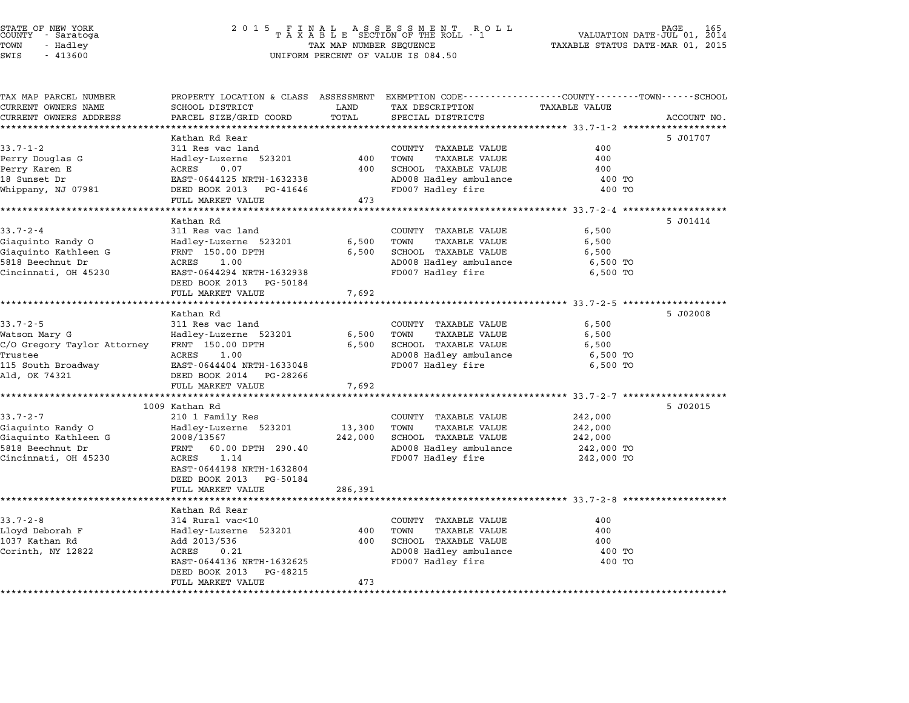| TAX MAP PARCEL NUMBER            | PROPERTY LOCATION & CLASS ASSESSMENT EXEMPTION CODE---------------COUNTY-------TOWN------SCHOOL |                 |                                                      |                                                |             |
|----------------------------------|-------------------------------------------------------------------------------------------------|-----------------|------------------------------------------------------|------------------------------------------------|-------------|
| CURRENT OWNERS NAME              | SCHOOL DISTRICT                                                                                 | LAND            | TAX DESCRIPTION                                      | <b>TAXABLE VALUE</b>                           |             |
| CURRENT OWNERS ADDRESS           | PARCEL SIZE/GRID COORD                                                                          | TOTAL           | SPECIAL DISTRICTS                                    |                                                | ACCOUNT NO. |
|                                  |                                                                                                 |                 |                                                      |                                                |             |
|                                  | Kathan Rd Rear                                                                                  |                 |                                                      |                                                | 5 J01707    |
| $33.7 - 1 - 2$                   | 311 Res vac land                                                                                |                 | COUNTY TAXABLE VALUE                                 | 400                                            |             |
| Perry Douglas G<br>Perry Karen E | Hadley-Luzerne 523201<br>ACRES<br>0.07                                                          | 400<br>400      | TOWN<br><b>TAXABLE VALUE</b><br>SCHOOL TAXABLE VALUE | 400<br>400                                     |             |
| 18 Sunset Dr                     | EAST-0644125 NRTH-1632338                                                                       |                 | AD008 Hadley ambulance                               | 400 TO                                         |             |
| Whippany, NJ 07981               | DEED BOOK 2013 PG-41646                                                                         |                 | FD007 Hadley fire                                    | 400 TO                                         |             |
|                                  | FULL MARKET VALUE                                                                               | 473             |                                                      |                                                |             |
|                                  | *******************                                                                             | *************** |                                                      | ******************** 33.7-2-4 **************** |             |
|                                  | Kathan Rd                                                                                       |                 |                                                      |                                                | 5 J01414    |
| $33.7 - 2 - 4$                   | 311 Res vac land                                                                                |                 | COUNTY TAXABLE VALUE                                 | 6,500                                          |             |
| Giaguinto Randy O                | Hadley-Luzerne 523201                                                                           | 6,500           | TOWN<br>TAXABLE VALUE                                | 6,500                                          |             |
| Giaquinto Kathleen G             | FRNT 150.00 DPTH                                                                                | 6,500           | SCHOOL TAXABLE VALUE                                 | 6,500                                          |             |
| 5818 Beechnut Dr                 | ACRES<br>1.00                                                                                   |                 | AD008 Hadley ambulance                               | 6,500 TO                                       |             |
| Cincinnati, OH 45230             | EAST-0644294 NRTH-1632938                                                                       |                 | FD007 Hadley fire                                    | 6,500 TO                                       |             |
|                                  | DEED BOOK 2013<br>PG-50184                                                                      |                 |                                                      |                                                |             |
|                                  | FULL MARKET VALUE                                                                               | 7,692           |                                                      |                                                |             |
|                                  | Kathan Rd                                                                                       |                 |                                                      |                                                | 5 J02008    |
| $33.7 - 2 - 5$                   | 311 Res vac land                                                                                |                 | COUNTY TAXABLE VALUE                                 | 6,500                                          |             |
| Watson Mary G                    | Hadley-Luzerne 523201                                                                           | 6,500           | TOWN<br><b>TAXABLE VALUE</b>                         | 6,500                                          |             |
| C/O Gregory Taylor Attorney      | FRNT 150.00 DPTH                                                                                | 6,500           | SCHOOL TAXABLE VALUE                                 | 6,500                                          |             |
| Trustee                          | ACRES<br>1.00                                                                                   |                 | AD008 Hadley ambulance                               | 6,500 TO                                       |             |
| 115 South Broadway               | EAST-0644404 NRTH-1633048                                                                       |                 | FD007 Hadley fire                                    | 6,500 TO                                       |             |
| Ald, OK 74321                    | DEED BOOK 2014 PG-28266                                                                         |                 |                                                      |                                                |             |
|                                  | FULL MARKET VALUE                                                                               | 7,692           |                                                      |                                                |             |
|                                  |                                                                                                 |                 |                                                      |                                                |             |
|                                  | 1009 Kathan Rd                                                                                  |                 |                                                      |                                                | 5 J02015    |
| $33.7 - 2 - 7$                   | 210 1 Family Res                                                                                |                 | COUNTY TAXABLE VALUE                                 | 242,000                                        |             |
| Giaquinto Randy O                | Hadley-Luzerne 523201                                                                           | 13,300          | TOWN<br><b>TAXABLE VALUE</b>                         | 242,000                                        |             |
| Giaquinto Kathleen G             | 2008/13567                                                                                      | 242,000         | SCHOOL TAXABLE VALUE                                 | 242,000                                        |             |
| 5818 Beechnut Dr                 | 60.00 DPTH 290.40<br>FRNT<br>ACRES                                                              |                 | AD008 Hadley ambulance                               | 242,000 TO                                     |             |
| Cincinnati, OH 45230             | 1.14<br>EAST-0644198 NRTH-1632804                                                               |                 | FD007 Hadley fire                                    | 242,000 TO                                     |             |
|                                  | DEED BOOK 2013<br>PG-50184                                                                      |                 |                                                      |                                                |             |
|                                  | FULL MARKET VALUE                                                                               | 286,391         |                                                      |                                                |             |
|                                  | ********************                                                                            |                 |                                                      |                                                |             |
|                                  | Kathan Rd Rear                                                                                  |                 |                                                      |                                                |             |
| $33.7 - 2 - 8$                   | 314 Rural vac<10                                                                                |                 | COUNTY TAXABLE VALUE                                 | 400                                            |             |
| Lloyd Deborah F                  | Hadley-Luzerne 523201                                                                           | 400             | TOWN<br>TAXABLE VALUE                                | 400                                            |             |
| 1037 Kathan Rd                   | Add 2013/536                                                                                    | 400             | SCHOOL TAXABLE VALUE                                 | 400                                            |             |
| Corinth, NY 12822                | ACRES<br>0.21                                                                                   |                 | AD008 Hadley ambulance                               | 400 TO                                         |             |
|                                  | EAST-0644136 NRTH-1632625                                                                       |                 | FD007 Hadley fire                                    | 400 TO                                         |             |
|                                  | DEED BOOK 2013<br>PG-48215                                                                      |                 |                                                      |                                                |             |
|                                  | FULL MARKET VALUE                                                                               | 473             |                                                      |                                                |             |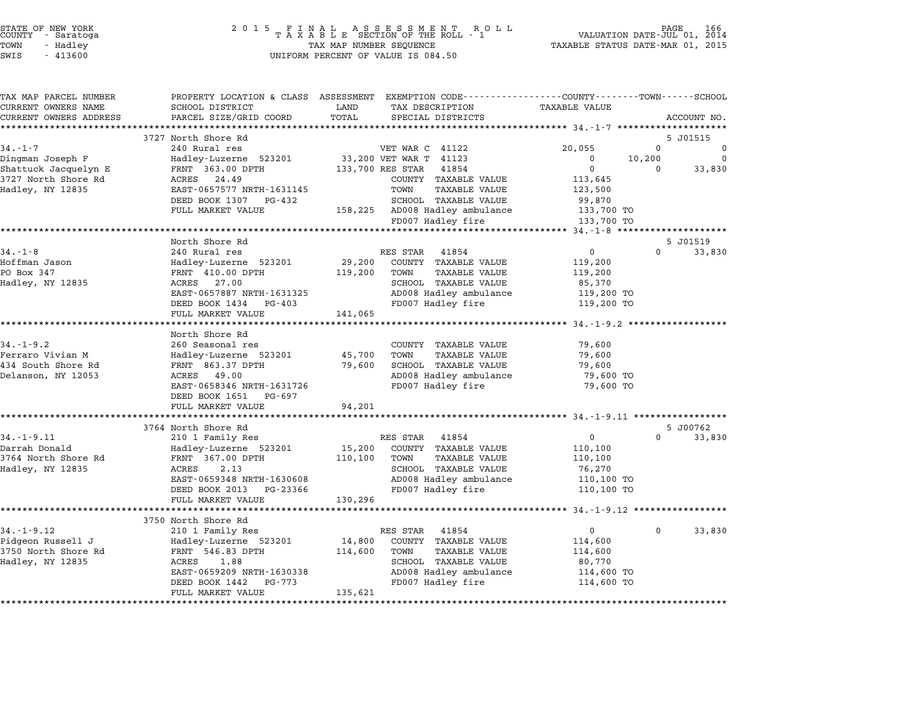| STATE OF NEW YORK<br>COUNTY<br>- Saratoga<br>TOWN<br>- Hadley<br>SWIS<br>$-413600$ | 2 0 1 5<br>FINAL ASSESSMENT ROTAXABLE SECTION OF THE ROLL - 1<br>TAX MAP NUMBER SEQUENCE<br>UNIFORM PERCENT OF VALUE IS 084.50 | PAGE<br>R O L L<br>VALUATION DATE-JUL 01, 2014<br>TAXABLE STATUS DATE-MAR 01, 2015 |                                                                                                |
|------------------------------------------------------------------------------------|--------------------------------------------------------------------------------------------------------------------------------|------------------------------------------------------------------------------------|------------------------------------------------------------------------------------------------|
| TAX MAP PARCEL NUMBER                                                              |                                                                                                                                |                                                                                    | PROPERTY LOCATION & CLASS ASSESSMENT EXEMPTION CODE---------------COUNTY-------TOWN-----SCHOOL |
| CURRENT OWNERS NAME<br>CURRENT OWNERS ADDRESS                                      | SCHOOL DISTRICT<br>PARCEL SIZE/GRID COORD                                                                                      | LAND<br>TAX DESCRIPTION<br>TOTAL<br>SPECIAL DISTRICTS                              | <b>TAXABLE VALUE</b><br>ACCOUNT NO.                                                            |
|                                                                                    |                                                                                                                                |                                                                                    | ************                                                                                   |
|                                                                                    | 3727 North Shore Rd                                                                                                            |                                                                                    | 5 J01515                                                                                       |
| $34. - 1 - 7$                                                                      | 240 Rural res                                                                                                                  | VET WAR C 41122                                                                    | $\mathbf 0$<br>20,055                                                                          |
| Dingman Joseph F                                                                   | Hadley-Luzerne 523201                                                                                                          | 33,200 VET WAR T 41123                                                             | 0<br>10,200<br>$\Omega$                                                                        |
| Shattuck Jacquelyn E                                                               | FRNT 363.00 DPTH                                                                                                               | 133,700 RES STAR<br>41854                                                          | $\mathbf 0$<br>33,830<br>$\Omega$                                                              |
| 3727 North Shore Rd                                                                | 24.49<br>ACRES                                                                                                                 | COUNTY TAXABLE VALUE                                                               | 113,645                                                                                        |
| Hadley, NY 12835                                                                   | EAST-0657577 NRTH-1631145                                                                                                      | TOWN<br><b>TAXABLE VALUE</b>                                                       | 123,500                                                                                        |
|                                                                                    | DEED BOOK 1307<br>PG-432<br>FULL MARKET VALUE                                                                                  | SCHOOL TAXABLE VALUE<br>158,225 AD008 Hadley ambulance                             | 99,870                                                                                         |
|                                                                                    |                                                                                                                                | FD007 Hadley fire                                                                  | 133,700 TO<br>133,700 TO                                                                       |
|                                                                                    | ******************                                                                                                             |                                                                                    | ********** 34.-1-8 *********************                                                       |
|                                                                                    | North Shore Rd                                                                                                                 |                                                                                    | 5 J01519                                                                                       |
| $34. - 1 - 8$                                                                      | 240 Rural res                                                                                                                  | RES STAR<br>41854                                                                  | $\mathbf 0$<br>0<br>33,830                                                                     |
| Hoffman Jason                                                                      | Hadley-Luzerne 523201                                                                                                          | 29,200<br>COUNTY TAXABLE VALUE                                                     | 119,200                                                                                        |
| PO Box 347                                                                         | FRNT 410.00 DPTH                                                                                                               | 119,200<br>TOWN<br>TAXABLE VALUE                                                   | 119,200                                                                                        |
| Hadley, NY 12835                                                                   | ACRES 27.00                                                                                                                    | SCHOOL TAXABLE VALUE                                                               | 85,370                                                                                         |
|                                                                                    | EAST-0657887 NRTH-1631325                                                                                                      | AD008 Hadley ambulance                                                             | 119,200 TO                                                                                     |
|                                                                                    | DEED BOOK 1434 PG-403                                                                                                          | FD007 Hadley fire                                                                  | 119,200 TO                                                                                     |
|                                                                                    | FULL MARKET VALUE                                                                                                              | 141,065                                                                            |                                                                                                |
|                                                                                    | North Shore Rd                                                                                                                 |                                                                                    | *********** 34.-1-9.2 *******************                                                      |
| $34. - 1 - 9.2$                                                                    | 260 Seasonal res                                                                                                               | COUNTY TAXABLE VALUE                                                               | 79,600                                                                                         |
| Ferraro Vivian M                                                                   | Hadley-Luzerne 523201                                                                                                          | 45,700<br>TOWN<br><b>TAXABLE VALUE</b>                                             | 79,600                                                                                         |
| 434 South Shore Rd                                                                 | FRNT 863.37 DPTH                                                                                                               | SCHOOL TAXABLE VALUE<br>79,600                                                     | 79,600                                                                                         |
| Delanson, NY 12053                                                                 | ACRES 49.00                                                                                                                    | AD008 Hadley ambulance                                                             | 79,600 TO                                                                                      |
|                                                                                    | EAST-0658346 NRTH-1631726                                                                                                      | FD007 Hadley fire                                                                  | 79,600 TO                                                                                      |
|                                                                                    | DEED BOOK 1651 PG-697                                                                                                          |                                                                                    |                                                                                                |
|                                                                                    | FULL MARKET VALUE                                                                                                              | 94,201                                                                             |                                                                                                |
|                                                                                    |                                                                                                                                |                                                                                    |                                                                                                |
|                                                                                    | 3764 North Shore Rd                                                                                                            |                                                                                    | 5 J00762                                                                                       |
| $34. - 1 - 9.11$                                                                   | 210 1 Family Res                                                                                                               | RES STAR<br>41854                                                                  | 0<br>0<br>33,830                                                                               |
| Darrah Donald<br>3764 North Shore Rd                                               | Hadley-Luzerne 523201<br>FRNT 367.00 DPTH                                                                                      | 15,200<br>COUNTY TAXABLE VALUE<br>110,100<br>TOWN<br>TAXABLE VALUE                 | 110,100<br>110,100                                                                             |
| Hadley, NY 12835                                                                   | ACRES<br>2.13                                                                                                                  | SCHOOL TAXABLE VALUE                                                               | 76,270                                                                                         |
|                                                                                    | EAST-0659348 NRTH-1630608                                                                                                      | AD008 Hadley ambulance                                                             | 110,100 TO                                                                                     |
|                                                                                    | DEED BOOK 2013 PG-23366                                                                                                        | FD007 Hadley fire                                                                  | 110,100 TO                                                                                     |
|                                                                                    | FULL MARKET VALUE                                                                                                              | 130,296                                                                            |                                                                                                |
|                                                                                    |                                                                                                                                |                                                                                    |                                                                                                |
|                                                                                    | 3750 North Shore Rd                                                                                                            |                                                                                    |                                                                                                |
| $34. - 1 - 9.12$                                                                   | 210 1 Family Res                                                                                                               | RES STAR<br>41854                                                                  | $\mathbf 0$<br>33,830<br>0                                                                     |
| Pidgeon Russell J                                                                  | Hadley-Luzerne 523201                                                                                                          | 14,800<br>COUNTY TAXABLE VALUE                                                     | 114,600                                                                                        |
| 3750 North Shore Rd                                                                | FRNT 546.83 DPTH                                                                                                               | <b>TAXABLE VALUE</b><br>114,600<br>TOWN                                            | 114,600                                                                                        |
| Hadley, NY 12835                                                                   | ACRES<br>1.88                                                                                                                  | SCHOOL TAXABLE VALUE                                                               | 80,770                                                                                         |
|                                                                                    | EAST-0659209 NRTH-1630338<br>DEED BOOK 1442<br>PG-773                                                                          | AD008 Hadley ambulance<br>FD007 Hadley fire                                        | 114,600 TO<br>114,600 TO                                                                       |
|                                                                                    | FULL MARKET VALUE                                                                                                              | 135,621                                                                            |                                                                                                |
|                                                                                    |                                                                                                                                |                                                                                    |                                                                                                |

STATE OF NEW YORK <sup>2</sup> <sup>0</sup> <sup>1</sup> 5 F I N A L A S S E S S M E N T R O L L PAGE <sup>166</sup> COUNTY - Saratoga <sup>T</sup> <sup>A</sup> <sup>X</sup> <sup>A</sup> <sup>B</sup> <sup>L</sup> <sup>E</sup> SECTION OF THE ROLL - <sup>1</sup> VALUATION DATE-JUL 01, <sup>2014</sup>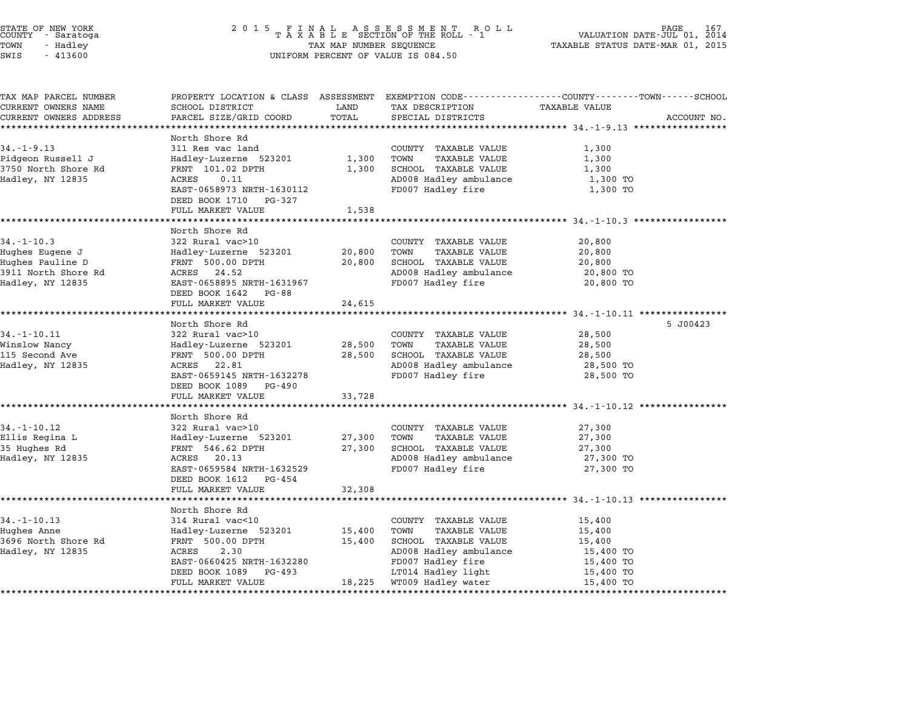| STATE OF NEW YORK<br>COUNTY – Saratoga<br>TOWN<br>- Hadley<br>SWIS<br>$-413600$ | 2 0 1 5                                           | TAX MAP NUMBER SEQUENCE | FINAL ASSESSMENT ROLL<br>TAXABLE SECTION OF THE ROLL - 1<br>UNIFORM PERCENT OF VALUE IS 084.50 | PAGE<br>VALUATION DATE-JUL 01, 2014<br>TAXABLE STATUS DATE-MAR 01, 2015                                         |             |  |
|---------------------------------------------------------------------------------|---------------------------------------------------|-------------------------|------------------------------------------------------------------------------------------------|-----------------------------------------------------------------------------------------------------------------|-------------|--|
| TAX MAP PARCEL NUMBER<br>CURRENT OWNERS NAME                                    | SCHOOL DISTRICT                                   | LAND                    | TAX DESCRIPTION                                                                                | PROPERTY LOCATION & CLASS ASSESSMENT EXEMPTION CODE---------------COUNTY-------TOWN-----SCHOOL<br>TAXABLE VALUE |             |  |
| CURRENT OWNERS ADDRESS                                                          | PARCEL SIZE/GRID COORD                            | TOTAL                   | SPECIAL DISTRICTS                                                                              |                                                                                                                 | ACCOUNT NO. |  |
|                                                                                 | *******************                               |                         |                                                                                                |                                                                                                                 |             |  |
|                                                                                 | North Shore Rd                                    |                         |                                                                                                |                                                                                                                 |             |  |
| $34. - 1 - 9.13$                                                                | 311 Res vac land                                  |                         | COUNTY TAXABLE VALUE                                                                           | 1,300                                                                                                           |             |  |
| Pidgeon Russell J                                                               | Hadley-Luzerne 523201                             | 1,300                   | TOWN<br><b>TAXABLE VALUE</b>                                                                   | 1,300                                                                                                           |             |  |
| 3750 North Shore Rd                                                             | FRNT 101.02 DPTH                                  | 1,300                   | SCHOOL TAXABLE VALUE                                                                           | 1,300                                                                                                           |             |  |
| Hadley, NY 12835                                                                | ACRES<br>0.11                                     |                         | AD008 Hadley ambulance                                                                         | 1,300 TO                                                                                                        |             |  |
|                                                                                 | EAST-0658973 NRTH-1630112                         |                         | FD007 Hadley fire                                                                              | 1,300 TO                                                                                                        |             |  |
|                                                                                 | DEED BOOK 1710<br>PG-327                          |                         |                                                                                                |                                                                                                                 |             |  |
|                                                                                 | FULL MARKET VALUE                                 | 1,538                   |                                                                                                |                                                                                                                 |             |  |
|                                                                                 |                                                   |                         |                                                                                                |                                                                                                                 |             |  |
|                                                                                 | North Shore Rd                                    |                         |                                                                                                |                                                                                                                 |             |  |
| $34. - 1 - 10.3$                                                                | 322 Rural vac>10                                  |                         | COUNTY TAXABLE VALUE                                                                           | 20,800                                                                                                          |             |  |
| Hughes Eugene J                                                                 | Hadley-Luzerne 523201                             | 20,800                  | TOWN<br><b>TAXABLE VALUE</b>                                                                   | 20,800                                                                                                          |             |  |
| Hughes Pauline D                                                                | FRNT 500.00 DPTH                                  | 20,800                  | SCHOOL TAXABLE VALUE                                                                           | 20,800                                                                                                          |             |  |
| 3911 North Shore Rd                                                             | ACRES 24.52                                       |                         | AD008 Hadley ambulance                                                                         | 20,800 TO                                                                                                       |             |  |
| Hadley, NY 12835                                                                | EAST-0658895 NRTH-1631967<br>DEED BOOK 1642 PG-88 |                         | FD007 Hadley fire                                                                              | 20,800 TO                                                                                                       |             |  |
|                                                                                 | FULL MARKET VALUE                                 | 24,615                  |                                                                                                |                                                                                                                 |             |  |
|                                                                                 | *******************                               | *************           |                                                                                                | *************** 34.-1-10.11 *****************                                                                   |             |  |
|                                                                                 | North Shore Rd                                    |                         |                                                                                                |                                                                                                                 | 5 J00423    |  |
| $34. - 1 - 10.11$                                                               | 322 Rural vac>10                                  |                         | COUNTY TAXABLE VALUE                                                                           | 28,500                                                                                                          |             |  |
| Winslow Nancy                                                                   | Hadley-Luzerne 523201                             | 28,500                  | TOWN<br><b>TAXABLE VALUE</b>                                                                   | 28,500                                                                                                          |             |  |
| 115 Second Ave                                                                  | FRNT 500.00 DPTH                                  | 28,500                  | SCHOOL TAXABLE VALUE                                                                           | 28,500                                                                                                          |             |  |
| Hadley, NY 12835                                                                | ACRES 22.81                                       |                         | AD008 Hadley ambulance                                                                         | 28,500 TO                                                                                                       |             |  |
|                                                                                 | EAST-0659145 NRTH-1632278                         |                         | FD007 Hadley fire                                                                              | 28,500 TO                                                                                                       |             |  |
|                                                                                 | DEED BOOK 1089<br>PG-490                          |                         |                                                                                                |                                                                                                                 |             |  |
|                                                                                 | FULL MARKET VALUE                                 | 33,728                  |                                                                                                |                                                                                                                 |             |  |
|                                                                                 |                                                   |                         |                                                                                                |                                                                                                                 |             |  |
|                                                                                 | North Shore Rd                                    |                         |                                                                                                |                                                                                                                 |             |  |
| 34.-1-10.12<br>Ellis Regina L                                                   | 322 Rural vac>10<br>Hadley-Luzerne 523201         | 27,300                  | COUNTY TAXABLE VALUE<br>TOWN<br><b>TAXABLE VALUE</b>                                           | 27,300<br>27,300                                                                                                |             |  |
| 35 Hughes Rd                                                                    | FRNT 546.62 DPTH                                  | 27,300                  | SCHOOL TAXABLE VALUE                                                                           | 27,300                                                                                                          |             |  |
| Hadley, NY 12835                                                                | ACRES 20.13                                       |                         | AD008 Hadley ambulance                                                                         | 27,300 TO                                                                                                       |             |  |
|                                                                                 | EAST-0659584 NRTH-1632529                         |                         | FD007 Hadley fire                                                                              | 27,300 TO                                                                                                       |             |  |
|                                                                                 | DEED BOOK 1612 PG-454                             |                         |                                                                                                |                                                                                                                 |             |  |
|                                                                                 | FULL MARKET VALUE                                 | 32,308                  |                                                                                                |                                                                                                                 |             |  |
|                                                                                 |                                                   |                         |                                                                                                |                                                                                                                 |             |  |
|                                                                                 | North Shore Rd                                    |                         |                                                                                                |                                                                                                                 |             |  |
| $34. - 1 - 10.13$                                                               | 314 Rural vac<10                                  |                         | COUNTY TAXABLE VALUE                                                                           | 15,400                                                                                                          |             |  |
| Hughes Anne                                                                     | Hadley-Luzerne 523201                             | 15,400                  | TOWN<br>TAXABLE VALUE                                                                          | 15,400                                                                                                          |             |  |
| 3696 North Shore Rd                                                             | FRNT 500.00 DPTH                                  | 15,400                  | SCHOOL TAXABLE VALUE                                                                           | 15,400                                                                                                          |             |  |
| Hadley, NY 12835                                                                | ACRES<br>2.30                                     |                         | AD008 Hadley ambulance                                                                         | 15,400 TO                                                                                                       |             |  |
|                                                                                 | EAST-0660425 NRTH-1632280                         |                         | FD007 Hadley fire                                                                              | 15,400 TO                                                                                                       |             |  |
|                                                                                 | DEED BOOK 1089<br>PG-493                          |                         |                                                                                                | 15,400 TO                                                                                                       |             |  |
|                                                                                 |                                                   |                         | LT014 Hadley light<br>18,225 WT009 Hadley water                                                |                                                                                                                 |             |  |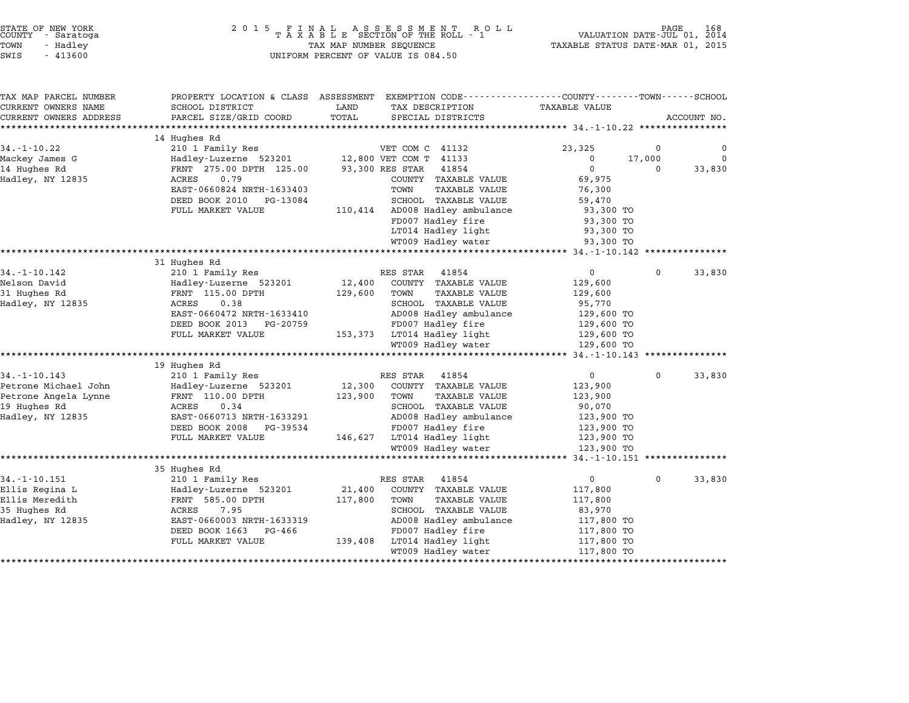| STATE OF NEW YORK |  |            |  |  |  |
|-------------------|--|------------|--|--|--|
| COUNTY            |  | - Saratoga |  |  |  |
| TOWN              |  | - Hadley   |  |  |  |
|                   |  |            |  |  |  |

| TAX MAP PARCEL NUMBER  | PROPERTY LOCATION & CLASS ASSESSMENT |         | EXEMPTION CODE-----------------COUNTY-------TOWN-----SCHOOL |                            |                       |             |
|------------------------|--------------------------------------|---------|-------------------------------------------------------------|----------------------------|-----------------------|-------------|
| CURRENT OWNERS NAME    | SCHOOL DISTRICT                      | LAND    | TAX DESCRIPTION                                             | <b>TAXABLE VALUE</b>       |                       |             |
| CURRENT OWNERS ADDRESS | PARCEL SIZE/GRID COORD               | TOTAL   | SPECIAL DISTRICTS                                           |                            |                       | ACCOUNT NO. |
|                        |                                      |         |                                                             |                            |                       |             |
| $34. - 1 - 10.22$      | 14 Hughes Rd                         |         | VET COM C 41132                                             | 23,325                     | $\Omega$              | 0           |
|                        | 210 1 Family Res                     |         |                                                             |                            |                       |             |
| Mackey James G         | Hadley-Luzerne 523201                |         | 12,800 VET COM T 41133                                      | $\mathbf 0$<br>$\mathbf 0$ | 17,000<br>$\mathbf 0$ | 0           |
| 14 Hughes Rd           | FRNT 275.00 DPTH 125.00              |         | 93,300 RES STAR<br>41854                                    |                            |                       | 33,830      |
| Hadley, NY 12835       | ACRES<br>0.79                        |         | COUNTY TAXABLE VALUE                                        | 69,975                     |                       |             |
|                        | EAST-0660824 NRTH-1633403            |         | TAXABLE VALUE<br>TOWN                                       | 76,300                     |                       |             |
|                        | DEED BOOK 2010<br>PG-13084           |         | SCHOOL TAXABLE VALUE                                        | 59,470                     |                       |             |
|                        | FULL MARKET VALUE                    | 110,414 | AD008 Hadley ambulance                                      | 93,300 TO                  |                       |             |
|                        |                                      |         | FD007 Hadley fire                                           | 93,300 TO                  |                       |             |
|                        |                                      |         | LT014 Hadley light                                          | 93,300 TO                  |                       |             |
|                        |                                      |         | WT009 Hadley water                                          | 93,300 TO                  |                       |             |
|                        | ***************                      |         |                                                             |                            |                       |             |
|                        | 31 Hughes Rd                         |         |                                                             |                            |                       |             |
| $34. - 1 - 10.142$     | 210 1 Family Res                     |         | RES STAR<br>41854                                           | $\mathbf 0$                | $\mathbf 0$           | 33,830      |
| Nelson David           | Hadley-Luzerne 523201                | 12,400  | COUNTY TAXABLE VALUE                                        | 129,600                    |                       |             |
| 31 Hughes Rd           | FRNT 115.00 DPTH                     | 129,600 | TOWN<br>TAXABLE VALUE                                       | 129,600                    |                       |             |
| Hadley, NY 12835       | ACRES<br>0.38                        |         | SCHOOL TAXABLE VALUE                                        | 95,770                     |                       |             |
|                        | EAST-0660472 NRTH-1633410            |         | AD008 Hadley ambulance                                      | 129,600 TO                 |                       |             |
|                        | DEED BOOK 2013<br>PG-20759           |         | FD007 Hadley fire                                           | 129,600 TO                 |                       |             |
|                        | FULL MARKET VALUE                    |         | 153,373 LT014 Hadley light                                  | 129,600 TO                 |                       |             |
|                        |                                      |         | WT009 Hadley water                                          | 129,600 TO                 |                       |             |
|                        |                                      |         |                                                             |                            |                       |             |
|                        | 19 Hughes Rd                         |         |                                                             |                            |                       |             |
| $34. - 1 - 10.143$     | 210 1 Family Res                     |         | RES STAR 41854                                              | $\mathbf 0$                | 0                     | 33,830      |
| Petrone Michael John   | Hadley-Luzerne 523201                | 12,300  | COUNTY TAXABLE VALUE                                        | 123,900                    |                       |             |
| Petrone Angela Lynne   | FRNT 110.00 DPTH                     | 123,900 | TOWN<br><b>TAXABLE VALUE</b>                                | 123,900                    |                       |             |
| 19 Hughes Rd           | 0.34<br>ACRES                        |         | SCHOOL TAXABLE VALUE                                        | 90,070                     |                       |             |
| Hadley, NY 12835       | EAST-0660713 NRTH-1633291            |         | AD008 Hadley ambulance                                      | 123,900 TO                 |                       |             |
|                        | DEED BOOK 2008<br>PG-39534           |         | FD007 Hadley fire                                           | 123,900 TO                 |                       |             |
|                        | FULL MARKET VALUE                    |         | 146,627 LT014 Hadley light                                  | 123,900 TO                 |                       |             |
|                        |                                      |         | WT009 Hadley water                                          | 123,900 TO                 |                       |             |
|                        |                                      |         |                                                             |                            |                       |             |
|                        | 35 Hughes Rd                         |         |                                                             |                            |                       |             |
| $34. - 1 - 10.151$     | 210 1 Family Res                     |         | RES STAR<br>41854                                           | $\mathbf 0$                | 0                     | 33,830      |
| Ellis Regina L         | Hadley-Luzerne 523201                | 21,400  | COUNTY TAXABLE VALUE                                        | 117,800                    |                       |             |
| Ellis Meredith         | FRNT 585.00 DPTH                     | 117,800 | TOWN<br><b>TAXABLE VALUE</b>                                | 117,800                    |                       |             |
| 35 Hughes Rd           | 7.95<br>ACRES                        |         | SCHOOL TAXABLE VALUE                                        | 83,970                     |                       |             |
| Hadley, NY 12835       | EAST-0660003 NRTH-1633319            |         | AD008 Hadley ambulance                                      | 117,800 TO                 |                       |             |
|                        | DEED BOOK 1663<br>PG-466             |         | FD007 Hadley fire                                           | 117,800 TO                 |                       |             |
|                        | FULL MARKET VALUE                    | 139,408 | LT014 Hadley light                                          | 117,800 TO                 |                       |             |
|                        |                                      |         | WT009 Hadley water                                          | 117,800 TO                 |                       |             |
|                        |                                      |         |                                                             |                            |                       |             |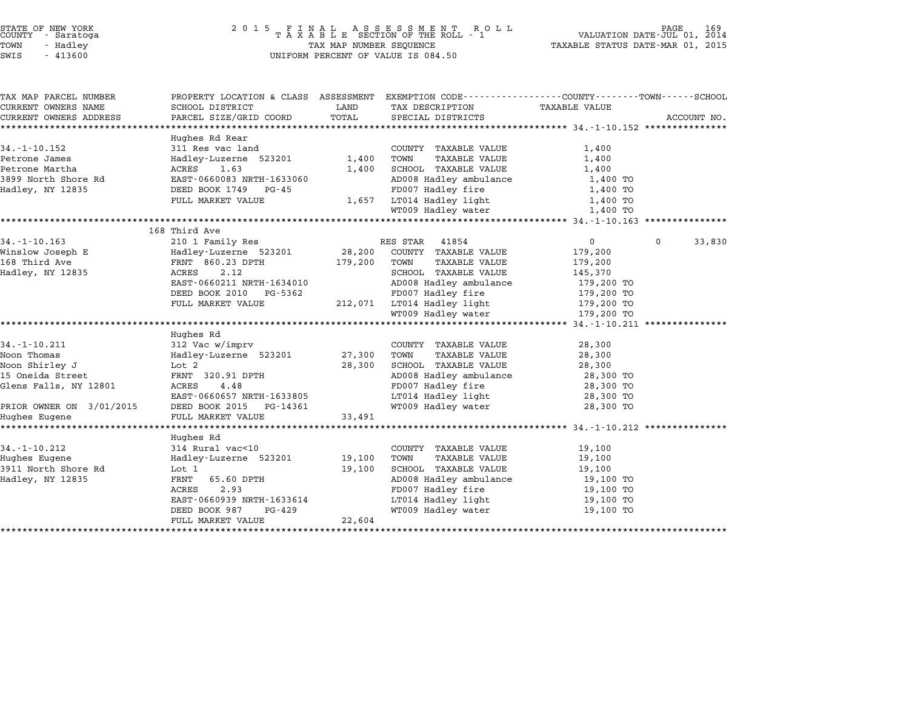| STATE OF NEW YORK<br>COUNTY - Saratoga |           |  |
|----------------------------------------|-----------|--|
| TOWN                                   | - Hadley  |  |
| ר הדי                                  | $-413600$ |  |

# STATE OF NEW YORK <sup>2</sup> <sup>0</sup> <sup>1</sup> 5 F I N A L A S S E S S M E N T R O L L PAGE <sup>169</sup> COUNTY - Saratoga <sup>T</sup> <sup>A</sup> <sup>X</sup> <sup>A</sup> <sup>B</sup> <sup>L</sup> <sup>E</sup> SECTION OF THE ROLL - <sup>1</sup> VALUATION DATE-JUL 01, <sup>2014</sup> TOWN - Hadley TAX MAP NUMBER SEQUENCE TAXABLE STATUS DATE-MAR 01, <sup>2015</sup> SWIS - <sup>413600</sup> UNIFORM PERCENT OF VALUE IS 084.50

| PROPERTY LOCATION & CLASS ASSESSMENT EXEMPTION CODE---------------COUNTY-------TOWN------SCHOOL<br>CURRENT OWNERS NAME<br>SCHOOL DISTRICT<br>LAND<br>TAX DESCRIPTION<br>TAXABLE VALUE<br>TOTAL<br>PARCEL SIZE/GRID COORD<br>CURRENT OWNERS ADDRESS<br>SPECIAL DISTRICTS<br>ACCOUNT NO.<br>Hughes Rd Rear<br>$34. - 1 - 10.152$<br>311 Res vac land<br>COUNTY TAXABLE VALUE<br>1,400<br>Hadley-Luzerne 523201 1,400<br>1,400<br>Petrone James<br>TOWN<br>TAXABLE VALUE<br>Petrone Martha<br>ACRES 1.63<br>1,400<br>SCHOOL TAXABLE VALUE<br>1,400<br>3899 North Shore Rd<br>EAST-0660083 NRTH-1633060<br>AD008 Hadley ambulance<br>1,400 TO<br>FD007 Hadley fire<br>DEED BOOK 1749 PG-45<br>Hadley, NY 12835<br>1,400 TO<br>LT014 Hadley light<br>FULL MARKET VALUE<br>1,657<br>1,400 TO<br>WT009 Hadley water<br>1,400 TO<br>168 Third Ave<br>$34. - 1 - 10.163$<br>210 1 Family Res<br>RES STAR 41854<br>$0 \qquad \qquad$<br>$\mathbf{0}$<br>33,830<br>Hadley-Luzerne 523201 28,200<br>Winslow Joseph E<br>COUNTY TAXABLE VALUE<br>179,200<br>168 Third Ave<br>FRNT 860.23 DPTH<br>179,200<br>TOWN<br>TAXABLE VALUE<br>179,200<br>2.12<br>SCHOOL TAXABLE VALUE<br>Hadley, NY 12835<br>ACRES<br>145,370<br>EAST-0660211 NRTH-1634010<br>AD008 Hadley ambulance<br>ED007 Hadley fire<br>179,200 TO<br>FD007 Hadley fire<br>DEED BOOK 2010 PG-5362<br>179,200 TO<br>212,071 LT014 Hadley light 179,200 TO<br>FULL MARKET VALUE<br>WT009 Hadley water<br>179,200 TO<br>Hughes Rd<br>$34. - 1 - 10.211$<br>312 Vac w/imprv<br>28,300<br>COUNTY TAXABLE VALUE<br>27,300<br>Noon Thomas<br>Hadley-Luzerne 523201<br>TOWN<br>28,300<br>TAXABLE VALUE<br>28,300<br>Noon Shirley J<br>Lot 2<br>SCHOOL TAXABLE VALUE<br>28,300<br>AD008 Hadley ambulance<br>15 Oneida Street<br>FRNT 320.91 DPTH<br>28,300 TO<br>4.48<br>FD007 Hadley fire<br>Glens Falls, NY 12801<br>ACRES<br>28,300 TO<br>LT014 Hadley light<br>EAST-0660657 NRTH-1633805<br>28,300 TO<br>PRIOR OWNER ON 3/01/2015<br>WT009 Hadley water<br>DEED BOOK 2015<br>PG-14361<br>28,300 TO<br>FULL MARKET VALUE<br>33,491<br>Hughes Eugene<br>Hughes Rd<br>314 Rural vac<10<br>$34. - 1 - 10.212$<br>COUNTY TAXABLE VALUE<br>19,100<br>19,100<br>19,100<br>Hughes Eugene<br>Hadley-Luzerne 523201<br>TOWN<br>TAXABLE VALUE<br>3911 North Shore Rd<br>19,100<br>SCHOOL TAXABLE VALUE<br>Lot 1<br>19,100<br>65.60 DPTH<br>AD008 Hadley ambulance<br>19,100 TO<br>Hadley, NY 12835<br>FRNT<br>FD007 Hadley fire<br>ACRES<br>2.93<br>19,100 TO<br>LT014 Hadley light<br>EAST-0660939 NRTH-1633614<br>19,100 TO<br>PG-429<br>WT009 Hadley water<br>DEED BOOK 987<br>19,100 TO<br>22,604<br>FULL MARKET VALUE |                       |  |  |  |
|-----------------------------------------------------------------------------------------------------------------------------------------------------------------------------------------------------------------------------------------------------------------------------------------------------------------------------------------------------------------------------------------------------------------------------------------------------------------------------------------------------------------------------------------------------------------------------------------------------------------------------------------------------------------------------------------------------------------------------------------------------------------------------------------------------------------------------------------------------------------------------------------------------------------------------------------------------------------------------------------------------------------------------------------------------------------------------------------------------------------------------------------------------------------------------------------------------------------------------------------------------------------------------------------------------------------------------------------------------------------------------------------------------------------------------------------------------------------------------------------------------------------------------------------------------------------------------------------------------------------------------------------------------------------------------------------------------------------------------------------------------------------------------------------------------------------------------------------------------------------------------------------------------------------------------------------------------------------------------------------------------------------------------------------------------------------------------------------------------------------------------------------------------------------------------------------------------------------------------------------------------------------------------------------------------------------------------------------------------------------------------------------------------------------------------------------------------------------------------------------------------------------------------------------------------------------------------------------------------------------------------------------------------------|-----------------------|--|--|--|
|                                                                                                                                                                                                                                                                                                                                                                                                                                                                                                                                                                                                                                                                                                                                                                                                                                                                                                                                                                                                                                                                                                                                                                                                                                                                                                                                                                                                                                                                                                                                                                                                                                                                                                                                                                                                                                                                                                                                                                                                                                                                                                                                                                                                                                                                                                                                                                                                                                                                                                                                                                                                                                                           | TAX MAP PARCEL NUMBER |  |  |  |
|                                                                                                                                                                                                                                                                                                                                                                                                                                                                                                                                                                                                                                                                                                                                                                                                                                                                                                                                                                                                                                                                                                                                                                                                                                                                                                                                                                                                                                                                                                                                                                                                                                                                                                                                                                                                                                                                                                                                                                                                                                                                                                                                                                                                                                                                                                                                                                                                                                                                                                                                                                                                                                                           |                       |  |  |  |
|                                                                                                                                                                                                                                                                                                                                                                                                                                                                                                                                                                                                                                                                                                                                                                                                                                                                                                                                                                                                                                                                                                                                                                                                                                                                                                                                                                                                                                                                                                                                                                                                                                                                                                                                                                                                                                                                                                                                                                                                                                                                                                                                                                                                                                                                                                                                                                                                                                                                                                                                                                                                                                                           |                       |  |  |  |
|                                                                                                                                                                                                                                                                                                                                                                                                                                                                                                                                                                                                                                                                                                                                                                                                                                                                                                                                                                                                                                                                                                                                                                                                                                                                                                                                                                                                                                                                                                                                                                                                                                                                                                                                                                                                                                                                                                                                                                                                                                                                                                                                                                                                                                                                                                                                                                                                                                                                                                                                                                                                                                                           |                       |  |  |  |
|                                                                                                                                                                                                                                                                                                                                                                                                                                                                                                                                                                                                                                                                                                                                                                                                                                                                                                                                                                                                                                                                                                                                                                                                                                                                                                                                                                                                                                                                                                                                                                                                                                                                                                                                                                                                                                                                                                                                                                                                                                                                                                                                                                                                                                                                                                                                                                                                                                                                                                                                                                                                                                                           |                       |  |  |  |
|                                                                                                                                                                                                                                                                                                                                                                                                                                                                                                                                                                                                                                                                                                                                                                                                                                                                                                                                                                                                                                                                                                                                                                                                                                                                                                                                                                                                                                                                                                                                                                                                                                                                                                                                                                                                                                                                                                                                                                                                                                                                                                                                                                                                                                                                                                                                                                                                                                                                                                                                                                                                                                                           |                       |  |  |  |
|                                                                                                                                                                                                                                                                                                                                                                                                                                                                                                                                                                                                                                                                                                                                                                                                                                                                                                                                                                                                                                                                                                                                                                                                                                                                                                                                                                                                                                                                                                                                                                                                                                                                                                                                                                                                                                                                                                                                                                                                                                                                                                                                                                                                                                                                                                                                                                                                                                                                                                                                                                                                                                                           |                       |  |  |  |
|                                                                                                                                                                                                                                                                                                                                                                                                                                                                                                                                                                                                                                                                                                                                                                                                                                                                                                                                                                                                                                                                                                                                                                                                                                                                                                                                                                                                                                                                                                                                                                                                                                                                                                                                                                                                                                                                                                                                                                                                                                                                                                                                                                                                                                                                                                                                                                                                                                                                                                                                                                                                                                                           |                       |  |  |  |
|                                                                                                                                                                                                                                                                                                                                                                                                                                                                                                                                                                                                                                                                                                                                                                                                                                                                                                                                                                                                                                                                                                                                                                                                                                                                                                                                                                                                                                                                                                                                                                                                                                                                                                                                                                                                                                                                                                                                                                                                                                                                                                                                                                                                                                                                                                                                                                                                                                                                                                                                                                                                                                                           |                       |  |  |  |
|                                                                                                                                                                                                                                                                                                                                                                                                                                                                                                                                                                                                                                                                                                                                                                                                                                                                                                                                                                                                                                                                                                                                                                                                                                                                                                                                                                                                                                                                                                                                                                                                                                                                                                                                                                                                                                                                                                                                                                                                                                                                                                                                                                                                                                                                                                                                                                                                                                                                                                                                                                                                                                                           |                       |  |  |  |
|                                                                                                                                                                                                                                                                                                                                                                                                                                                                                                                                                                                                                                                                                                                                                                                                                                                                                                                                                                                                                                                                                                                                                                                                                                                                                                                                                                                                                                                                                                                                                                                                                                                                                                                                                                                                                                                                                                                                                                                                                                                                                                                                                                                                                                                                                                                                                                                                                                                                                                                                                                                                                                                           |                       |  |  |  |
|                                                                                                                                                                                                                                                                                                                                                                                                                                                                                                                                                                                                                                                                                                                                                                                                                                                                                                                                                                                                                                                                                                                                                                                                                                                                                                                                                                                                                                                                                                                                                                                                                                                                                                                                                                                                                                                                                                                                                                                                                                                                                                                                                                                                                                                                                                                                                                                                                                                                                                                                                                                                                                                           |                       |  |  |  |
|                                                                                                                                                                                                                                                                                                                                                                                                                                                                                                                                                                                                                                                                                                                                                                                                                                                                                                                                                                                                                                                                                                                                                                                                                                                                                                                                                                                                                                                                                                                                                                                                                                                                                                                                                                                                                                                                                                                                                                                                                                                                                                                                                                                                                                                                                                                                                                                                                                                                                                                                                                                                                                                           |                       |  |  |  |
|                                                                                                                                                                                                                                                                                                                                                                                                                                                                                                                                                                                                                                                                                                                                                                                                                                                                                                                                                                                                                                                                                                                                                                                                                                                                                                                                                                                                                                                                                                                                                                                                                                                                                                                                                                                                                                                                                                                                                                                                                                                                                                                                                                                                                                                                                                                                                                                                                                                                                                                                                                                                                                                           |                       |  |  |  |
|                                                                                                                                                                                                                                                                                                                                                                                                                                                                                                                                                                                                                                                                                                                                                                                                                                                                                                                                                                                                                                                                                                                                                                                                                                                                                                                                                                                                                                                                                                                                                                                                                                                                                                                                                                                                                                                                                                                                                                                                                                                                                                                                                                                                                                                                                                                                                                                                                                                                                                                                                                                                                                                           |                       |  |  |  |
|                                                                                                                                                                                                                                                                                                                                                                                                                                                                                                                                                                                                                                                                                                                                                                                                                                                                                                                                                                                                                                                                                                                                                                                                                                                                                                                                                                                                                                                                                                                                                                                                                                                                                                                                                                                                                                                                                                                                                                                                                                                                                                                                                                                                                                                                                                                                                                                                                                                                                                                                                                                                                                                           |                       |  |  |  |
|                                                                                                                                                                                                                                                                                                                                                                                                                                                                                                                                                                                                                                                                                                                                                                                                                                                                                                                                                                                                                                                                                                                                                                                                                                                                                                                                                                                                                                                                                                                                                                                                                                                                                                                                                                                                                                                                                                                                                                                                                                                                                                                                                                                                                                                                                                                                                                                                                                                                                                                                                                                                                                                           |                       |  |  |  |
|                                                                                                                                                                                                                                                                                                                                                                                                                                                                                                                                                                                                                                                                                                                                                                                                                                                                                                                                                                                                                                                                                                                                                                                                                                                                                                                                                                                                                                                                                                                                                                                                                                                                                                                                                                                                                                                                                                                                                                                                                                                                                                                                                                                                                                                                                                                                                                                                                                                                                                                                                                                                                                                           |                       |  |  |  |
|                                                                                                                                                                                                                                                                                                                                                                                                                                                                                                                                                                                                                                                                                                                                                                                                                                                                                                                                                                                                                                                                                                                                                                                                                                                                                                                                                                                                                                                                                                                                                                                                                                                                                                                                                                                                                                                                                                                                                                                                                                                                                                                                                                                                                                                                                                                                                                                                                                                                                                                                                                                                                                                           |                       |  |  |  |
|                                                                                                                                                                                                                                                                                                                                                                                                                                                                                                                                                                                                                                                                                                                                                                                                                                                                                                                                                                                                                                                                                                                                                                                                                                                                                                                                                                                                                                                                                                                                                                                                                                                                                                                                                                                                                                                                                                                                                                                                                                                                                                                                                                                                                                                                                                                                                                                                                                                                                                                                                                                                                                                           |                       |  |  |  |
|                                                                                                                                                                                                                                                                                                                                                                                                                                                                                                                                                                                                                                                                                                                                                                                                                                                                                                                                                                                                                                                                                                                                                                                                                                                                                                                                                                                                                                                                                                                                                                                                                                                                                                                                                                                                                                                                                                                                                                                                                                                                                                                                                                                                                                                                                                                                                                                                                                                                                                                                                                                                                                                           |                       |  |  |  |
|                                                                                                                                                                                                                                                                                                                                                                                                                                                                                                                                                                                                                                                                                                                                                                                                                                                                                                                                                                                                                                                                                                                                                                                                                                                                                                                                                                                                                                                                                                                                                                                                                                                                                                                                                                                                                                                                                                                                                                                                                                                                                                                                                                                                                                                                                                                                                                                                                                                                                                                                                                                                                                                           |                       |  |  |  |
|                                                                                                                                                                                                                                                                                                                                                                                                                                                                                                                                                                                                                                                                                                                                                                                                                                                                                                                                                                                                                                                                                                                                                                                                                                                                                                                                                                                                                                                                                                                                                                                                                                                                                                                                                                                                                                                                                                                                                                                                                                                                                                                                                                                                                                                                                                                                                                                                                                                                                                                                                                                                                                                           |                       |  |  |  |
|                                                                                                                                                                                                                                                                                                                                                                                                                                                                                                                                                                                                                                                                                                                                                                                                                                                                                                                                                                                                                                                                                                                                                                                                                                                                                                                                                                                                                                                                                                                                                                                                                                                                                                                                                                                                                                                                                                                                                                                                                                                                                                                                                                                                                                                                                                                                                                                                                                                                                                                                                                                                                                                           |                       |  |  |  |
|                                                                                                                                                                                                                                                                                                                                                                                                                                                                                                                                                                                                                                                                                                                                                                                                                                                                                                                                                                                                                                                                                                                                                                                                                                                                                                                                                                                                                                                                                                                                                                                                                                                                                                                                                                                                                                                                                                                                                                                                                                                                                                                                                                                                                                                                                                                                                                                                                                                                                                                                                                                                                                                           |                       |  |  |  |
|                                                                                                                                                                                                                                                                                                                                                                                                                                                                                                                                                                                                                                                                                                                                                                                                                                                                                                                                                                                                                                                                                                                                                                                                                                                                                                                                                                                                                                                                                                                                                                                                                                                                                                                                                                                                                                                                                                                                                                                                                                                                                                                                                                                                                                                                                                                                                                                                                                                                                                                                                                                                                                                           |                       |  |  |  |
|                                                                                                                                                                                                                                                                                                                                                                                                                                                                                                                                                                                                                                                                                                                                                                                                                                                                                                                                                                                                                                                                                                                                                                                                                                                                                                                                                                                                                                                                                                                                                                                                                                                                                                                                                                                                                                                                                                                                                                                                                                                                                                                                                                                                                                                                                                                                                                                                                                                                                                                                                                                                                                                           |                       |  |  |  |
|                                                                                                                                                                                                                                                                                                                                                                                                                                                                                                                                                                                                                                                                                                                                                                                                                                                                                                                                                                                                                                                                                                                                                                                                                                                                                                                                                                                                                                                                                                                                                                                                                                                                                                                                                                                                                                                                                                                                                                                                                                                                                                                                                                                                                                                                                                                                                                                                                                                                                                                                                                                                                                                           |                       |  |  |  |
|                                                                                                                                                                                                                                                                                                                                                                                                                                                                                                                                                                                                                                                                                                                                                                                                                                                                                                                                                                                                                                                                                                                                                                                                                                                                                                                                                                                                                                                                                                                                                                                                                                                                                                                                                                                                                                                                                                                                                                                                                                                                                                                                                                                                                                                                                                                                                                                                                                                                                                                                                                                                                                                           |                       |  |  |  |
|                                                                                                                                                                                                                                                                                                                                                                                                                                                                                                                                                                                                                                                                                                                                                                                                                                                                                                                                                                                                                                                                                                                                                                                                                                                                                                                                                                                                                                                                                                                                                                                                                                                                                                                                                                                                                                                                                                                                                                                                                                                                                                                                                                                                                                                                                                                                                                                                                                                                                                                                                                                                                                                           |                       |  |  |  |
|                                                                                                                                                                                                                                                                                                                                                                                                                                                                                                                                                                                                                                                                                                                                                                                                                                                                                                                                                                                                                                                                                                                                                                                                                                                                                                                                                                                                                                                                                                                                                                                                                                                                                                                                                                                                                                                                                                                                                                                                                                                                                                                                                                                                                                                                                                                                                                                                                                                                                                                                                                                                                                                           |                       |  |  |  |
|                                                                                                                                                                                                                                                                                                                                                                                                                                                                                                                                                                                                                                                                                                                                                                                                                                                                                                                                                                                                                                                                                                                                                                                                                                                                                                                                                                                                                                                                                                                                                                                                                                                                                                                                                                                                                                                                                                                                                                                                                                                                                                                                                                                                                                                                                                                                                                                                                                                                                                                                                                                                                                                           |                       |  |  |  |
|                                                                                                                                                                                                                                                                                                                                                                                                                                                                                                                                                                                                                                                                                                                                                                                                                                                                                                                                                                                                                                                                                                                                                                                                                                                                                                                                                                                                                                                                                                                                                                                                                                                                                                                                                                                                                                                                                                                                                                                                                                                                                                                                                                                                                                                                                                                                                                                                                                                                                                                                                                                                                                                           |                       |  |  |  |
|                                                                                                                                                                                                                                                                                                                                                                                                                                                                                                                                                                                                                                                                                                                                                                                                                                                                                                                                                                                                                                                                                                                                                                                                                                                                                                                                                                                                                                                                                                                                                                                                                                                                                                                                                                                                                                                                                                                                                                                                                                                                                                                                                                                                                                                                                                                                                                                                                                                                                                                                                                                                                                                           |                       |  |  |  |
|                                                                                                                                                                                                                                                                                                                                                                                                                                                                                                                                                                                                                                                                                                                                                                                                                                                                                                                                                                                                                                                                                                                                                                                                                                                                                                                                                                                                                                                                                                                                                                                                                                                                                                                                                                                                                                                                                                                                                                                                                                                                                                                                                                                                                                                                                                                                                                                                                                                                                                                                                                                                                                                           |                       |  |  |  |
|                                                                                                                                                                                                                                                                                                                                                                                                                                                                                                                                                                                                                                                                                                                                                                                                                                                                                                                                                                                                                                                                                                                                                                                                                                                                                                                                                                                                                                                                                                                                                                                                                                                                                                                                                                                                                                                                                                                                                                                                                                                                                                                                                                                                                                                                                                                                                                                                                                                                                                                                                                                                                                                           |                       |  |  |  |
|                                                                                                                                                                                                                                                                                                                                                                                                                                                                                                                                                                                                                                                                                                                                                                                                                                                                                                                                                                                                                                                                                                                                                                                                                                                                                                                                                                                                                                                                                                                                                                                                                                                                                                                                                                                                                                                                                                                                                                                                                                                                                                                                                                                                                                                                                                                                                                                                                                                                                                                                                                                                                                                           |                       |  |  |  |
|                                                                                                                                                                                                                                                                                                                                                                                                                                                                                                                                                                                                                                                                                                                                                                                                                                                                                                                                                                                                                                                                                                                                                                                                                                                                                                                                                                                                                                                                                                                                                                                                                                                                                                                                                                                                                                                                                                                                                                                                                                                                                                                                                                                                                                                                                                                                                                                                                                                                                                                                                                                                                                                           |                       |  |  |  |
|                                                                                                                                                                                                                                                                                                                                                                                                                                                                                                                                                                                                                                                                                                                                                                                                                                                                                                                                                                                                                                                                                                                                                                                                                                                                                                                                                                                                                                                                                                                                                                                                                                                                                                                                                                                                                                                                                                                                                                                                                                                                                                                                                                                                                                                                                                                                                                                                                                                                                                                                                                                                                                                           |                       |  |  |  |
|                                                                                                                                                                                                                                                                                                                                                                                                                                                                                                                                                                                                                                                                                                                                                                                                                                                                                                                                                                                                                                                                                                                                                                                                                                                                                                                                                                                                                                                                                                                                                                                                                                                                                                                                                                                                                                                                                                                                                                                                                                                                                                                                                                                                                                                                                                                                                                                                                                                                                                                                                                                                                                                           |                       |  |  |  |
|                                                                                                                                                                                                                                                                                                                                                                                                                                                                                                                                                                                                                                                                                                                                                                                                                                                                                                                                                                                                                                                                                                                                                                                                                                                                                                                                                                                                                                                                                                                                                                                                                                                                                                                                                                                                                                                                                                                                                                                                                                                                                                                                                                                                                                                                                                                                                                                                                                                                                                                                                                                                                                                           |                       |  |  |  |
|                                                                                                                                                                                                                                                                                                                                                                                                                                                                                                                                                                                                                                                                                                                                                                                                                                                                                                                                                                                                                                                                                                                                                                                                                                                                                                                                                                                                                                                                                                                                                                                                                                                                                                                                                                                                                                                                                                                                                                                                                                                                                                                                                                                                                                                                                                                                                                                                                                                                                                                                                                                                                                                           |                       |  |  |  |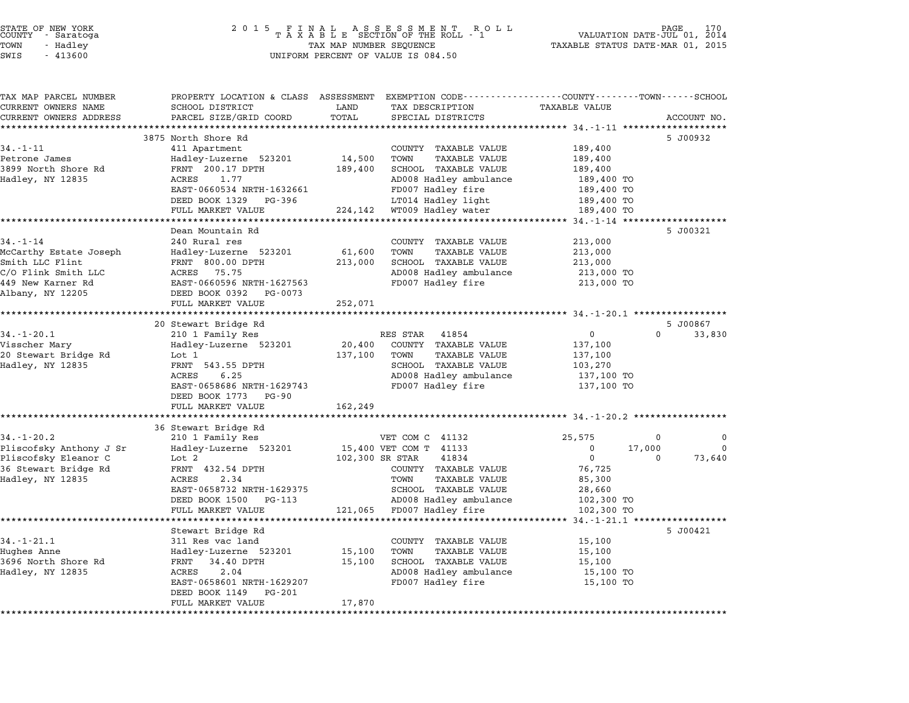| STATE OF NEW YORK |          |            |  |
|-------------------|----------|------------|--|
| COUNTY            |          | - Saratoga |  |
| TOWN              | - Hadley |            |  |
|                   |          |            |  |

### STATE OF NEW YORK <sup>2</sup> <sup>0</sup> <sup>1</sup> 5 F I N A L A S S E S S M E N T R O L L PAGE <sup>170</sup> COUNTY - Saratoga <sup>T</sup> <sup>A</sup> <sup>X</sup> <sup>A</sup> <sup>B</sup> <sup>L</sup> <sup>E</sup> SECTION OF THE ROLL - <sup>1</sup> VALUATION DATE-JUL 01, <sup>2014</sup> TOWN - Hadley TAX MAP NUMBER SEQUENCE TAXABLE STATUS DATE-MAR 01, <sup>2015</sup> SUCRIT - SATATUGA<br>TOWN - Hadley - Alley - All Hadley - TAX MAP NUMBER SEQUENCE<br>SWIS - 413600 - WILFORM PERCENT OF VALUE IS 084.50

TAX MAP PARCEL NUMBER PROPERTY LOCATION & CLASS ASSESSMENT EXEMPTION CODE------------------COUNTY--------TOWN------SCHOOL ...<br>-- COUNTY:- TAX MAP PARCEL NUMBER THE OCHOTRY AND THE CURRENT EXEMPTION CODE<br>CURRENT OWNERS NAME SCHOOL DISTRICT LAND TAX DESCRIPTION TAXABLE VALUE CURRENT OWNERS ADDRESS FOR SCHOOL DISTRICTS ASSESSEENT EXERT ON TAX MIT TO COORD TOTAL THAT THE CONSIDERT ON TAXABLE VALUE<br>CURRENT OWNERS ADDRESS PARCEL SIZE/GRID COORD TOTAL SPECIAL DISTRICTS ACCOUNT NO.<br>\*\*\*\*\*\*\*\*\*\*\*\*\*\*\*\*\* 3875 North Shore Rd 5 J00932 3875 North Shore Rd<br>
3875 North Shore Rd<br>
411 Apartment COUNTY TAXABLE VALUE 189,400 9675 NOTEN SHOTE RG<br>201,9400 11 Apartment 411 Apartment 14,500 TOWN TAXABLE VALUE<br>209,400 14,500 TOWN TAXABLE VALUE 189,400 14,500 POWN TAXABLE VALUE 34. I II Apartment - 12. September 1998. I September 1999.<br>1899 North Shore Rd 189,400 Hadley-Luzerne 523201 14,500 TOWN TAXABLE VALUE 189,400<br>1899 North Shore Rd FRNT 200.17 DPTH 189,400 SCHOOL TAXABLE VALUE 189,400 Petrone James Manney Halley-Luzerne J23201 14,300 TOWN TAXABLE VALUE 189,400<br>1899 North Shore Rd FRNT 200.17 DPTH 189,400 SCHOOL TAXABLE VALUE 189,400<br>Hadley, NY 12835 ACRES 1.77 AD008 Hadley ambulance 189,400 TO EARL 20011 FETH 1632661 FOOT TO BOLD TANDED VALUE 180011 FOOT 19900 TO 19900 HARD 1990 TO 1990 TO 1990 TO 1990<br>ADOOS Hadley fire 189,400 TO 189,400 TO 19900 Hadley fire 189,400 TO EAST-0660534 NRTH-1632661 EDUO Hadley ambutance and the stage of the test of the EAST-0660534 NRTH-1632661 FD007 Hadley fire the 189,400 TO<br>DEED BOOK 1329 PG-396 LT014 Hadley light 189,400 TO FULL MARKET VALUE 224,142 HT019 Hadley Hite<br>
FULL MARKET VALUE 224,142 WT019 Hadley water 189,400 TO \*\*\*\*\*\*\*\*\*\*\*\*\*\*\*\*\*\*\*\*\*\*\*\*\*\*\*\*\*\*\*\*\*\*\*\*\*\*\*\*\*\*\*\*\*\*\*\*\*\*\*\*\*\*\*\*\*\*\*\*\*\*\*\*\*\*\*\*\*\*\*\*\*\*\*\*\*\*\*\*\*\*\*\*\*\*\*\*\*\*\*\*\*\*\*\*\*\*\*\*\*\*\* 34.-1-14 \*\*\*\*\*\*\*\*\*\*\*\*\*\*\*\*\*\*\* Dean Mountain Rd 5 J00321 34.-1-14 <sup>240</sup> Rural res COUNTY TAXABLE VALUE 213,000 سماء سموعة المستوى التي تصدر المستوى التي تصدر التي يسموع التي يسموع التي يصدر التي يصدر التي يصدر التي يصدر ا<br>McCarthy Estate Joseph 1985 (Hadley-Luzerne 523201 61,600 TOWN TAXABLE VALUE 213,000 Smith Later Country Captures (213,000 Demography 213,000 Demography 213,000 DPTH 213,000 DPTH 213,000 DPTH 213,000<br>McCarth LLC Flint 1213,000 DES FRNT 800.00 DPTH 213,000 2000 DROOL TAXABLE VALUE 213,000 213,000 ACCELLITY ISSUES OSECIL MATER MATERIAL SERVICE SERVICE AND MANUEL VALUE AND MANUEL AND SCRIPT SMITH AND SCRIPT SMITH<br>CACRES 75.75 AD008 Hadley and ADN ADDOB Hadley ambulance 213,000 TO 50000 HAABLE VALUE – 213,000 (18AABLE VALUE – 213,000 213,000 (18AABLE VALUE – 213,000 213,000 C/O Flink Smith LLC<br>C/O Flink Smith LLC – ACRES 75.75 – 213,000 AD008 Hadley ambulance – 213,000 TO<br>449 New Karner Rd – EAST-0 Albany, NY <sup>12205</sup> DEED BOOK <sup>0392</sup> PG-0073 EASI-0000590 NAIH-1027505<br>
DEED BOOK 0392 PG-0073<br>
FULL MARKET VALUE 252,071 \*\*\*\*\*\*\*\*\*\*\*\*\*\*\*\*\*\*\*\*\*\*\*\*\*\*\*\*\*\*\*\*\*\*\*\*\*\*\*\*\*\*\*\*\*\*\*\*\*\*\*\*\*\*\*\*\*\*\*\*\*\*\*\*\*\*\*\*\*\*\*\*\*\*\*\*\*\*\*\*\*\*\*\*\*\*\*\*\*\*\*\*\*\*\*\*\*\*\*\*\*\*\* 34.-1-20.1 \*\*\*\*\*\*\*\*\*\*\*\*\*\*\*\*\* 20 Stewart Bridge Rd 5 J00867 1.1.2011 20.1 20.1 20 Stewart Bridge Rd<br>20 Stewart Bridge Rd<br>31.1-20.1 210 1 Family Res RES STAR 41854 0 0 33,830 Visscher Mary Hadley-Luzerne <sup>523201</sup> 20,400 COUNTY TAXABLE VALUE 137,100 <sup>20</sup> Stewart Bridge Rd Lot <sup>1</sup> 137,100 TOWN TAXABLE VALUE 137,100 VISSCHEI MAIY — HAALEY-LUZEINE 323201 — 20,400 COONTI IAABLE VALUE — 137,100<br>20 Stewart Bridge Rd — Lot 1 — 137,100 TOWN TAXABLE VALUE — 137,100<br>Hadley, NY 12835 — FRNT 543.55 DPTH — SCHOOL TAXABLE VALUE — 103,270 ACC TO THE MANUS CONSULTED TRANSFERING AND TRANSFERING TRANSFERING AND TRANSFERING ALL TRANSFERING AND TRANSFERING AND TRANSFERING AND TRANSFERING AND TRANSFERING AND TRANSFERING AND TRANSFERING AND TRANSFERING AND TRANSFE EARLY 1999.35 FERRY 1999.35 ECROSI TAARDE VALUE 1999.270<br>
AD008 Hadley ambulance 137,100 TO<br>
EEED BOOK 1773 PG-90 FD007 Hadley fire 137,100 TO<br>
DEED BOOK 1773 PG-90 DEED BOOK 1773 PG-90<br>FULL MARKET VALUE 162,249 \*\*\*\*\*\*\*\*\*\*\*\*\*\*\*\*\*\*\*\*\*\*\*\*\*\*\*\*\*\*\*\*\*\*\*\*\*\*\*\*\*\*\*\*\*\*\*\*\*\*\*\*\*\*\*\*\*\*\*\*\*\*\*\*\*\*\*\*\*\*\*\*\*\*\*\*\*\*\*\*\*\*\*\*\*\*\*\*\*\*\*\*\*\*\*\*\*\*\*\*\*\*\* 34.-1-20.2 \*\*\*\*\*\*\*\*\*\*\*\*\*\*\*\*\* 36 Stewart Bridge Rd 36 Stewart Bridge Rd<br>34.-1-20.2 210 1 Family Res VET COM C 41132 25,575 0 0 Pliscofsky Anthony J Sr Hadley-Luzerne <sup>523201</sup> 15,400 VET COM T <sup>41133</sup> <sup>0</sup> 17,000 <sup>0</sup> Pliscofsky Eleanor C Lot <sup>2</sup> 102,300 SR STAR <sup>41834</sup> <sup>0</sup> <sup>0</sup> 73,640 <sup>36</sup> Stewart Bridge Rd FRNT 432.54 DPTH COUNTY TAXABLE VALUE 76,725 Hadley, Heador Correspondent and the set of the set of the set of the set of the set of the set of the set of t<br>Hadley, NY 12835 ACRES 2.34 TOWN TAXABLE VALUE 85,300<br>Hadley, NY 12835 85,300 EANI 1922.34 DETH COMMIT TAXABLE VALUE 1922.34 PENT 192.30<br>ACRES 2.34 DET TOWN TAXABLE VALUE 28,660<br>EAST-0658732 NRTH-1629375 SCHOOL TAXABLE VALUE 28,660 PORT 1.08732 NRTH-1629375<br>
DEED BOOK 1500 PG-113 SCHOOL TAXABLE VALUE<br>
DEED BOOK 1500 PG-113 AD008 Hadley ambulance 102,300 TO FULL MARKET VALUE 121,065 FD007 Hadley fire 102,300 TO \*\*\*\*\*\*\*\*\*\*\*\*\*\*\*\*\*\*\*\*\*\*\*\*\*\*\*\*\*\*\*\*\*\*\*\*\*\*\*\*\*\*\*\*\*\*\*\*\*\*\*\*\*\*\*\*\*\*\*\*\*\*\*\*\*\*\*\*\*\*\*\*\*\*\*\*\*\*\*\*\*\*\*\*\*\*\*\*\*\*\*\*\*\*\*\*\*\*\*\*\*\*\* 34.-1-21.1 \*\*\*\*\*\*\*\*\*\*\*\*\*\*\*\*\* Stewart Bridge Rd 5 J00421 34.-1-21.1 Stewart Bridge Rd<br>
311 Res vac land COUNTY TAXABLE VALUE 15,100 Hughes Anne Hadley-Luzerne <sup>523201</sup> 15,100 TOWN TAXABLE VALUE 15,100 34. I 21.1<br>Hughes Anne 13.11 Ness vac I and<br>3696 North Shore Rd FRNT 34.40 DPTH 15,100 TOWN TAXABLE VALUE 15,100 15,100 Hadley, NY <sup>12835</sup> ACRES 2.04 AD008 Hadley ambulance 15,100 TO EARL 194.40 DETIT 194.40 EXAMPLE VALUE 194.40 EXAMPLE VALUE 194.40 EXAMPLE VALUE 194.40 EXAMPLE VALUE 15,100 TO<br>ADOOB Hadley fire 15,100 TO 15,100 TO 15,100 TO 15,100 TO 17,100 TO 17,100 TO 17,100 TO 17,100 TO EAST-0658601 NRTH-16292<br>DEED BOOK 1149 PG-201 EAST 0050001 MAIN 1025207<br>
DEED BOOK 1149 PG-201<br>
FULL MARKET VALUE 17,870 \*\*\*\*\*\*\*\*\*\*\*\*\*\*\*\*\*\*\*\*\*\*\*\*\*\*\*\*\*\*\*\*\*\*\*\*\*\*\*\*\*\*\*\*\*\*\*\*\*\*\*\*\*\*\*\*\*\*\*\*\*\*\*\*\*\*\*\*\*\*\*\*\*\*\*\*\*\*\*\*\*\*\*\*\*\*\*\*\*\*\*\*\*\*\*\*\*\*\*\*\*\*\*\*\*\*\*\*\*\*\*\*\*\*\*\*\*\*\*\*\*\*\*\*\*\*\*\*\*\*\*\*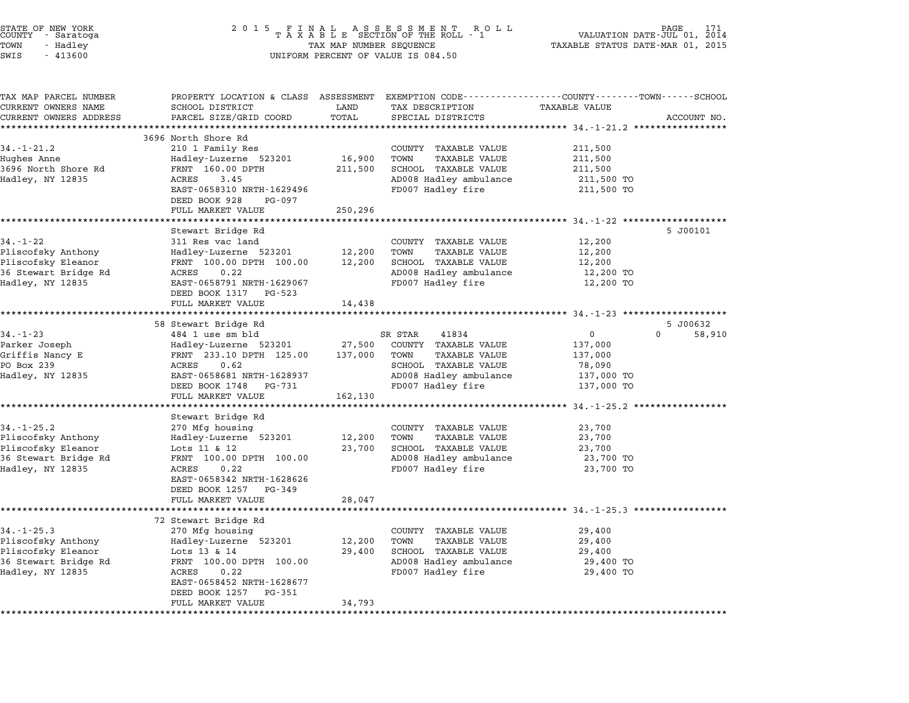| STATE OF NEW YORK<br>COUNTY - Saratoga<br>TOWN<br>- Hadley<br>SWIS<br>$-413600$                          | 2 0 1 5<br>FINAL ASSESSMENT ROLL<br>TAXABLE SECTION OF THE ROLL - 1<br>TAX MAP NUMBER SEQUENCE<br>UNIFORM PERCENT OF VALUE IS 084.50                                                  |                            |                                                                                                                                   | 2014<br>VALUATION DATE-JUL 01,<br>TAXABLE STATUS DATE-MAR 01, 2015 |             |
|----------------------------------------------------------------------------------------------------------|---------------------------------------------------------------------------------------------------------------------------------------------------------------------------------------|----------------------------|-----------------------------------------------------------------------------------------------------------------------------------|--------------------------------------------------------------------|-------------|
| TAX MAP PARCEL NUMBER<br>CURRENT OWNERS NAME                                                             | SCHOOL DISTRICT                                                                                                                                                                       | LAND                       | PROPERTY LOCATION & CLASS ASSESSMENT EXEMPTION CODE----------------COUNTY-------TOWN------SCHOOL<br>TAX DESCRIPTION               | <b>TAXABLE VALUE</b>                                               |             |
| CURRENT OWNERS ADDRESS                                                                                   | PARCEL SIZE/GRID COORD                                                                                                                                                                | TOTAL                      | SPECIAL DISTRICTS                                                                                                                 |                                                                    | ACCOUNT NO. |
|                                                                                                          | **********************                                                                                                                                                                | ***********                |                                                                                                                                   |                                                                    |             |
| $34. - 1 - 21.2$<br>Hughes Anne<br>3696 North Shore Rd<br>Hadley, NY 12835                               | 3696 North Shore Rd<br>210 1 Family Res<br>Hadley-Luzerne 523201<br>FRNT 160.00 DPTH<br>3.45<br>ACRES<br>EAST-0658310 NRTH-1629496                                                    | 16,900<br>211,500          | COUNTY TAXABLE VALUE<br><b>TAXABLE VALUE</b><br>TOWN<br>SCHOOL TAXABLE VALUE<br>AD008 Hadley ambulance<br>FD007 Hadley fire       | 211,500<br>211,500<br>211,500<br>211,500 TO<br>211,500 TO          |             |
|                                                                                                          | DEED BOOK 928<br>PG-097                                                                                                                                                               |                            |                                                                                                                                   |                                                                    |             |
|                                                                                                          | FULL MARKET VALUE                                                                                                                                                                     | 250,296                    |                                                                                                                                   |                                                                    |             |
| $34. - 1 - 22$<br>Pliscofsky Anthony<br>Pliscofsky Eleanor<br>36 Stewart Bridge Rd<br>Hadley, NY 12835   | Stewart Bridge Rd<br>311 Res vac land<br>Hadley-Luzerne 523201<br>FRNT 100.00 DPTH 100.00<br>ACRES<br>0.22<br>EAST-0658791 NRTH-1629067<br>DEED BOOK 1317 PG-523                      | 12,200<br>12,200           | COUNTY TAXABLE VALUE<br>TOWN<br>TAXABLE VALUE<br>SCHOOL TAXABLE VALUE<br>AD008 Hadley ambulance<br>FD007 Hadley fire              | 12,200<br>12,200<br>12,200<br>12,200 TO<br>12,200 TO               | 5 J00101    |
|                                                                                                          | FULL MARKET VALUE                                                                                                                                                                     | 14,438                     |                                                                                                                                   |                                                                    |             |
|                                                                                                          |                                                                                                                                                                                       |                            | ******************************** 34.-1-23 *******************                                                                     |                                                                    |             |
|                                                                                                          | 58 Stewart Bridge Rd                                                                                                                                                                  |                            |                                                                                                                                   |                                                                    | 5 J00632    |
| $34. - 1 - 23$                                                                                           | 484 1 use sm bld                                                                                                                                                                      |                            | SR STAR<br>41834                                                                                                                  | $\overline{0}$                                                     | 0<br>58,910 |
| Parker Joseph<br>Griffis Nancy E                                                                         | Hadley-Luzerne 523201<br>FRNT 233.10 DPTH 125.00                                                                                                                                      | 27,500<br>137,000          | COUNTY TAXABLE VALUE<br>TOWN<br>TAXABLE VALUE                                                                                     | 137,000<br>137,000                                                 |             |
| PO Box 239<br>Hadley, NY 12835                                                                           | ACRES<br>0.62<br>EAST-0658681 NRTH-1628937<br>DEED BOOK 1748 PG-731                                                                                                                   |                            | SCHOOL TAXABLE VALUE<br>AD008 Hadley ambulance<br>FD007 Hadley fire                                                               | 78,090<br>137,000 TO<br>137,000 TO                                 |             |
|                                                                                                          | FULL MARKET VALUE                                                                                                                                                                     | 162,130                    |                                                                                                                                   |                                                                    |             |
|                                                                                                          | Stewart Bridge Rd                                                                                                                                                                     |                            |                                                                                                                                   |                                                                    |             |
| $34. - 1 - 25.2$<br>Pliscofsky Anthony<br>Pliscofsky Eleanor<br>36 Stewart Bridge Rd<br>Hadley, NY 12835 | 270 Mfg housing<br>Hadley-Luzerne 523201<br>Lots 11 & 12<br>FRNT 100.00 DPTH 100.00<br>0.22<br>ACRES<br>EAST-0658342 NRTH-1628626<br>DEED BOOK 1257<br>PG-349<br>FULL MARKET VALUE    | 12,200<br>23,700<br>28,047 | COUNTY TAXABLE VALUE<br>TOWN<br>TAXABLE VALUE<br>SCHOOL TAXABLE VALUE<br>AD008 Hadley ambulance<br>FD007 Hadley fire              | 23,700<br>23,700<br>23,700<br>23,700 TO<br>23,700 TO               |             |
|                                                                                                          |                                                                                                                                                                                       |                            |                                                                                                                                   |                                                                    |             |
| $34. - 1 - 25.3$<br>Pliscofsky Anthony<br>Pliscofsky Eleanor<br>36 Stewart Bridge Rd<br>Hadley, NY 12835 | 72 Stewart Bridge Rd<br>270 Mfg housing<br>Hadley-Luzerne 523201<br>Lots 13 & 14<br>FRNT 100.00 DPTH 100.00<br>ACRES<br>0.22<br>EAST-0658452 NRTH-1628677<br>DEED BOOK 1257<br>PG-351 | 12,200<br>29,400           | TAXABLE VALUE<br>COUNTY<br>TOWN<br>TAXABLE VALUE<br><b>TAXABLE VALUE</b><br>SCHOOL<br>AD008 Hadley ambulance<br>FD007 Hadley fire | 29,400<br>29,400<br>29,400<br>29,400 TO<br>29,400 TO               |             |
|                                                                                                          | FULL MARKET VALUE                                                                                                                                                                     | 34,793                     |                                                                                                                                   |                                                                    |             |
|                                                                                                          |                                                                                                                                                                                       |                            |                                                                                                                                   |                                                                    |             |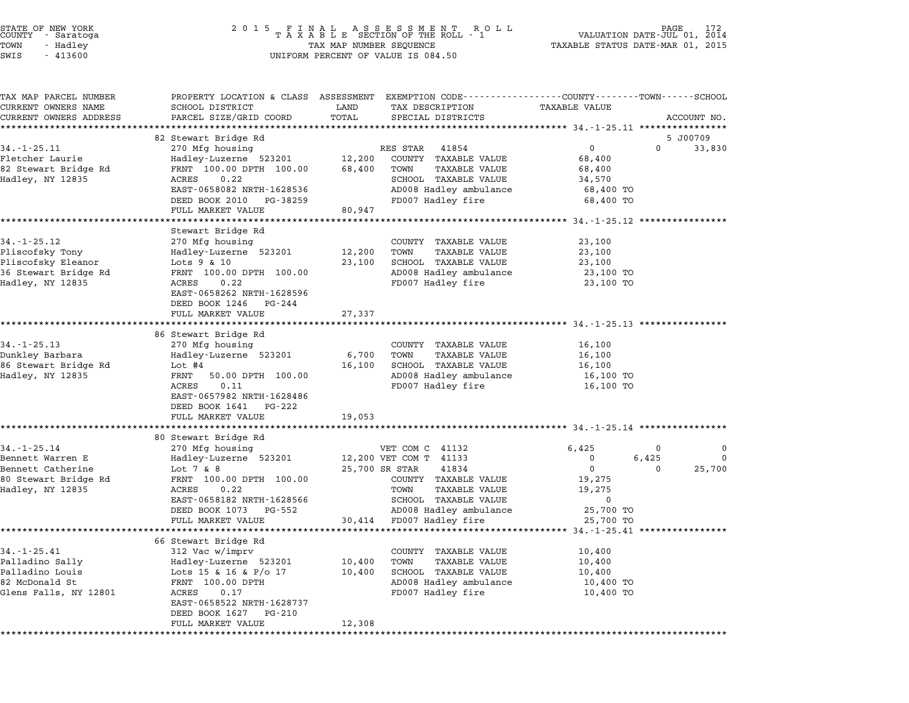| STATE OF NEW YORK<br>COUNTY - Saratoga<br>TOWN<br>- Hadley<br>SWIS<br>$-413600$                        | 2 0 1 5                                                                                                                                                                                                                       | TAX MAP NUMBER SEQUENCE             | FINAL ASSESSMENT ROLL<br>TAXABLE SECTION OF THE ROLL - 1<br>UNIFORM PERCENT OF VALUE IS 084.50                                                                                                      | TAXABLE STATUS DATE-MAR 01, 2015                                   | VALUATION DATE-JUL 01, 2014 | 172                     |
|--------------------------------------------------------------------------------------------------------|-------------------------------------------------------------------------------------------------------------------------------------------------------------------------------------------------------------------------------|-------------------------------------|-----------------------------------------------------------------------------------------------------------------------------------------------------------------------------------------------------|--------------------------------------------------------------------|-----------------------------|-------------------------|
| TAX MAP PARCEL NUMBER<br>CURRENT OWNERS NAME<br>CURRENT OWNERS ADDRESS                                 | PROPERTY LOCATION & CLASS ASSESSMENT EXEMPTION CODE----------------COUNTY-------TOWN------SCHOOL<br>SCHOOL DISTRICT<br>PARCEL SIZE/GRID COORD                                                                                 | LAND<br>TOTAL                       | TAX DESCRIPTION<br>SPECIAL DISTRICTS                                                                                                                                                                | TAXABLE VALUE                                                      |                             | ACCOUNT NO.             |
| $34. - 1 - 25.11$<br>Fletcher Laurie<br>82 Stewart Bridge Rd<br>Hadley, NY 12835                       | 82 Stewart Bridge Rd<br>270 Mfg housing<br>Hadley-Luzerne 523201<br>FRNT 100.00 DPTH 100.00<br>ACRES<br>0.22<br>EAST-0658082 NRTH-1628536<br>DEED BOOK 2010<br>PG-38259                                                       | 12,200<br>68,400                    | RES STAR<br>41854<br>COUNTY TAXABLE VALUE<br>TOWN<br>TAXABLE VALUE<br>SCHOOL TAXABLE VALUE<br>AD008 Hadley ambulance<br>FD007 Hadley fire                                                           | 0<br>68,400<br>68,400<br>34,570<br>68,400 TO<br>68,400 TO          | $\Omega$                    | 5 J00709<br>33,830      |
| $34. - 1 - 25.12$<br>Pliscofsky Tony<br>Pliscofsky Eleanor<br>36 Stewart Bridge Rd<br>Hadley, NY 12835 | FULL MARKET VALUE<br>Stewart Bridge Rd<br>270 Mfg housing<br>Hadley-Luzerne 523201<br>Lots $9 & 10$<br>FRNT 100.00 DPTH 100.00<br>ACRES<br>0.22<br>EAST-0658262 NRTH-1628596<br>DEED BOOK 1246<br>PG-244                      | 80,947<br>12,200<br>23,100          | COUNTY TAXABLE VALUE<br>TOWN<br>TAXABLE VALUE<br>SCHOOL TAXABLE VALUE<br>AD008 Hadley ambulance<br>FD007 Hadley fire                                                                                | 23,100<br>23,100<br>23,100<br>23,100 TO<br>23,100 TO               |                             |                         |
| $34. -1 - 25.13$<br>Dunkley Barbara<br>86 Stewart Bridge Rd<br>Hadley, NY 12835                        | FULL MARKET VALUE<br>86 Stewart Bridge Rd<br>270 Mfg housing<br>Hadley-Luzerne 523201<br>Lot $#4$<br>FRNT<br>50.00 DPTH 100.00<br>0.11<br>ACRES<br>EAST-0657982 NRTH-1628486<br>DEED BOOK 1641<br>PG-222<br>FULL MARKET VALUE | 27,337<br>6,700<br>16,100<br>19,053 | COUNTY TAXABLE VALUE<br>TOWN<br>TAXABLE VALUE<br>SCHOOL TAXABLE VALUE<br>AD008 Hadley ambulance<br>FD007 Hadley fire                                                                                | 16,100<br>16,100<br>16,100<br>16,100 TO<br>16,100 TO               |                             |                         |
| $34. - 1 - 25.14$<br>Bennett Warren E<br>Bennett Catherine<br>80 Stewart Bridge Rd<br>Hadley, NY 12835 | 80 Stewart Bridge Rd<br>270 Mfg housing<br>Hadley-Luzerne 523201<br>Lot $7 & 8$<br>FRNT 100.00 DPTH 100.00<br>0.22<br>ACRES<br>EAST-0658182 NRTH-1628566<br>DEED BOOK 1073<br>PG-552<br>FULL MARKET VALUE                     | 30,414                              | VET COM C 41132<br>12,200 VET COM T 41133<br>25,700 SR STAR<br>41834<br>COUNTY TAXABLE VALUE<br><b>TAXABLE VALUE</b><br>TOWN<br>SCHOOL TAXABLE VALUE<br>AD008 Hadley ambulance<br>FD007 Hadley fire | 6,425<br>0<br>0<br>19,275<br>19,275<br>0<br>25,700 TO<br>25,700 TO | 0<br>6,425<br>$\Omega$      | 0<br>$\Omega$<br>25,700 |
| $34. - 1 - 25.41$<br>Palladino Sally<br>Palladino Louis<br>82 McDonald St<br>Glens Falls, NY 12801     | 66 Stewart Bridge Rd<br>312 Vac w/imprv<br>Hadley-Luzerne 523201<br>Lots 15 & 16 & P/o 17<br>FRNT 100.00 DPTH<br>ACRES<br>0.17<br>EAST-0658522 NRTH-1628737<br>DEED BOOK 1627<br>PG-210<br>FULL MARKET VALUE                  | 10,400<br>10,400<br>12,308          | COUNTY TAXABLE VALUE<br>TOWN<br>TAXABLE VALUE<br>SCHOOL TAXABLE VALUE<br>AD008 Hadley ambulance<br>FD007 Hadley fire                                                                                | 10,400<br>10,400<br>10,400<br>10,400 TO<br>10,400 TO               |                             |                         |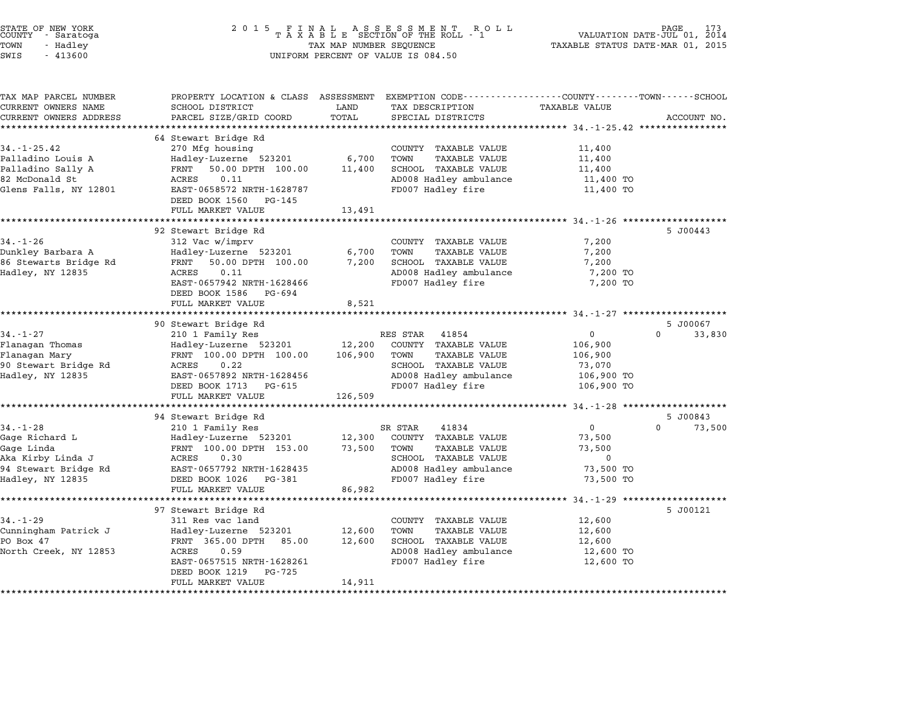| STATE OF NEW YORK<br>COUNTY – Saratoga<br>TOWN<br>- Hadley<br>SWIS<br>$-413600$ | 2 0 1 5<br>TAX MAP NUMBER SEQUENCE<br>UNIFORM PERCENT OF VALUE IS 084.50                                            | PAGE 173<br>VALUATION DATE-JUL 01, 2014<br>TAXABLE STATUS DATE-MAR 01, 2015 |                                                |                                                                 |                    |
|---------------------------------------------------------------------------------|---------------------------------------------------------------------------------------------------------------------|-----------------------------------------------------------------------------|------------------------------------------------|-----------------------------------------------------------------|--------------------|
| TAX MAP PARCEL NUMBER<br>CURRENT OWNERS NAME                                    | PROPERTY LOCATION & CLASS ASSESSMENT EXEMPTION CODE----------------COUNTY-------TOWN------SCHOOL<br>SCHOOL DISTRICT | LAND                                                                        | TAX DESCRIPTION                                | TAXABLE VALUE                                                   |                    |
| CURRENT OWNERS ADDRESS                                                          | PARCEL SIZE/GRID COORD                                                                                              | TOTAL                                                                       | SPECIAL DISTRICTS                              |                                                                 | ACCOUNT NO.        |
| *********************                                                           | *************************                                                                                           |                                                                             |                                                |                                                                 |                    |
|                                                                                 | 64 Stewart Bridge Rd                                                                                                |                                                                             |                                                |                                                                 |                    |
| $34. -1 - 25.42$                                                                | 270 Mfg housing                                                                                                     |                                                                             | COUNTY TAXABLE VALUE                           | 11,400                                                          |                    |
| Palladino Louis A                                                               | Hadley-Luzerne 523201                                                                                               | 6,700                                                                       | TOWN<br><b>TAXABLE VALUE</b>                   | 11,400                                                          |                    |
| Palladino Sally A                                                               | FRNT<br>50.00 DPTH 100.00                                                                                           | 11,400                                                                      | SCHOOL TAXABLE VALUE                           | 11,400                                                          |                    |
| 82 McDonald St                                                                  | ACRES<br>0.11                                                                                                       |                                                                             | AD008 Hadley ambulance                         | 11,400 TO                                                       |                    |
| Glens Falls, NY 12801                                                           | EAST-0658572 NRTH-1628787                                                                                           |                                                                             | FD007 Hadley fire                              | 11,400 TO                                                       |                    |
|                                                                                 | DEED BOOK 1560<br>PG-145<br>FULL MARKET VALUE                                                                       | 13,491                                                                      |                                                |                                                                 |                    |
|                                                                                 |                                                                                                                     |                                                                             |                                                |                                                                 |                    |
|                                                                                 | 92 Stewart Bridge Rd                                                                                                |                                                                             |                                                |                                                                 | 5 J00443           |
| $34. - 1 - 26$                                                                  | 312 Vac w/imprv                                                                                                     |                                                                             | COUNTY TAXABLE VALUE                           | 7,200                                                           |                    |
| Dunkley Barbara A                                                               | Hadley-Luzerne 523201                                                                                               | 6,700                                                                       | TOWN<br>TAXABLE VALUE                          | 7,200                                                           |                    |
| 86 Stewarts Bridge Rd                                                           | 50.00 DPTH 100.00<br>FRNT                                                                                           | 7,200                                                                       | SCHOOL TAXABLE VALUE                           | 7,200                                                           |                    |
| Hadley, NY 12835                                                                | 0.11<br>ACRES                                                                                                       |                                                                             | AD008 Hadley ambulance                         | 7,200 TO                                                        |                    |
|                                                                                 | EAST-0657942 NRTH-1628466<br>DEED BOOK 1586 PG-694                                                                  |                                                                             | FD007 Hadley fire                              | 7,200 TO                                                        |                    |
|                                                                                 | FULL MARKET VALUE                                                                                                   | 8,521                                                                       |                                                |                                                                 |                    |
|                                                                                 |                                                                                                                     |                                                                             |                                                |                                                                 |                    |
|                                                                                 | 90 Stewart Bridge Rd                                                                                                |                                                                             |                                                |                                                                 | 5 J00067           |
| $34. - 1 - 27$                                                                  | 210 1 Family Res                                                                                                    |                                                                             | 41854<br>RES STAR                              | 0                                                               | $\Omega$<br>33,830 |
| Flanagan Thomas                                                                 | Hadley-Luzerne 523201                                                                                               | 12,200                                                                      | COUNTY TAXABLE VALUE                           | 106,900                                                         |                    |
| Flanagan Mary                                                                   | FRNT 100.00 DPTH 100.00<br>0.22                                                                                     | 106,900                                                                     | TOWN<br>TAXABLE VALUE<br>SCHOOL TAXABLE VALUE  | 106,900                                                         |                    |
| 90 Stewart Bridge Rd<br>Hadley, NY 12835                                        | ACRES<br>EAST-0657892 NRTH-1628456                                                                                  |                                                                             | AD008 Hadley ambulance                         | 73,070<br>106,900 TO                                            |                    |
|                                                                                 | DEED BOOK 1713 PG-615                                                                                               |                                                                             | FD007 Hadley fire                              | 106,900 TO                                                      |                    |
|                                                                                 | FULL MARKET VALUE                                                                                                   | 126,509                                                                     |                                                |                                                                 |                    |
|                                                                                 |                                                                                                                     |                                                                             |                                                | .******************* 34 <sub>.</sub> -1-28 ******************** |                    |
|                                                                                 | 94 Stewart Bridge Rd                                                                                                |                                                                             |                                                |                                                                 | 5 J00843           |
| $34. - 1 - 28$                                                                  | 210 1 Family Res                                                                                                    |                                                                             | 41834<br>SR STAR                               | $\overline{0}$                                                  | $\Omega$<br>73,500 |
| Gage Richard L                                                                  | Hadley-Luzerne 523201                                                                                               | 12,300                                                                      | COUNTY TAXABLE VALUE                           | 73,500                                                          |                    |
| Gage Linda                                                                      | FRNT 100.00 DPTH 153.00                                                                                             | 73,500                                                                      | TAXABLE VALUE<br>TOWN                          | 73,500<br>0                                                     |                    |
| Aka Kirby Linda J<br>94 Stewart Bridge Rd                                       | ACRES<br>0.30<br>EAST-0657792 NRTH-1628435                                                                          |                                                                             | SCHOOL TAXABLE VALUE<br>AD008 Hadley ambulance | 73,500 TO                                                       |                    |
| Hadley, NY 12835                                                                | DEED BOOK 1026 PG-381                                                                                               |                                                                             | FD007 Hadley fire                              | 73,500 TO                                                       |                    |
|                                                                                 | FULL MARKET VALUE                                                                                                   | 86,982                                                                      |                                                |                                                                 |                    |
|                                                                                 |                                                                                                                     |                                                                             |                                                |                                                                 |                    |
|                                                                                 | 97 Stewart Bridge Rd                                                                                                |                                                                             |                                                |                                                                 | 5 J00121           |
| $34. - 1 - 29$                                                                  | 311 Res vac land                                                                                                    |                                                                             | COUNTY TAXABLE VALUE                           | 12,600                                                          |                    |
| Cunningham Patrick J                                                            | Hadley-Luzerne 523201                                                                                               | 12,600                                                                      | <b>TAXABLE VALUE</b><br>TOWN                   | 12,600                                                          |                    |
| PO Box 47                                                                       | FRNT 365.00 DPTH 85.00                                                                                              | 12,600                                                                      | SCHOOL TAXABLE VALUE                           | 12,600                                                          |                    |
| North Creek, NY 12853                                                           | ACRES<br>0.59<br>EAST-0657515 NRTH-1628261                                                                          |                                                                             | AD008 Hadley ambulance<br>FD007 Hadley fire    | 12,600 TO<br>12,600 TO                                          |                    |
|                                                                                 | PG-725<br>DEED BOOK 1219                                                                                            |                                                                             |                                                |                                                                 |                    |
|                                                                                 | FULL MARKET VALUE                                                                                                   | 14,911                                                                      |                                                |                                                                 |                    |
|                                                                                 |                                                                                                                     |                                                                             |                                                |                                                                 |                    |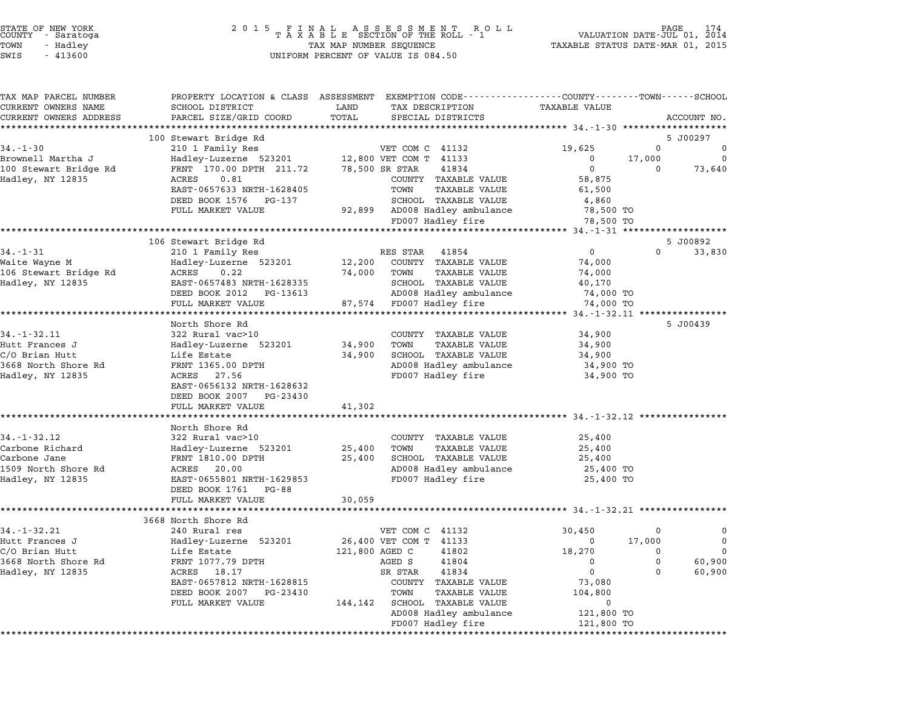| COUNTY | STATE OF NEW YORK<br>- Saratoga |  |
|--------|---------------------------------|--|
| TOWN   | - Hadlev                        |  |
|        |                                 |  |

| TAX MAP PARCEL NUMBER           |                                       |                                             | PROPERTY LOCATION & CLASS ASSESSMENT EXEMPTION CODE----------------COUNTY-------TOWN------SCHOOL |
|---------------------------------|---------------------------------------|---------------------------------------------|--------------------------------------------------------------------------------------------------|
| CURRENT OWNERS NAME             | SCHOOL DISTRICT                       | LAND<br>TAX DESCRIPTION                     | <b>TAXABLE VALUE</b>                                                                             |
| CURRENT OWNERS ADDRESS          | PARCEL SIZE/GRID COORD                | TOTAL<br>SPECIAL DISTRICTS                  | ACCOUNT NO.                                                                                      |
|                                 |                                       |                                             |                                                                                                  |
|                                 | 100 Stewart Bridge Rd                 |                                             | 5 J00297                                                                                         |
| $34. - 1 - 30$                  | 210 1 Family Res                      | VET COM C 41132                             | 19,625<br>$\Omega$<br>$\Omega$                                                                   |
| Brownell Martha J               | Hadley-Luzerne 523201                 | 12,800 VET COM T 41133                      | 17,000<br>$\mathbf 0$<br>$\Omega$                                                                |
| 100 Stewart Bridge Rd           | FRNT 170.00 DPTH 211.72               | 78,500 SR STAR<br>41834                     | $\mathbf 0$<br>73,640<br>0                                                                       |
| Hadley, NY 12835                | ACRES<br>0.81                         | COUNTY TAXABLE VALUE                        | 58,875                                                                                           |
|                                 | EAST-0657633 NRTH-1628405             | TOWN<br>TAXABLE VALUE                       | 61,500                                                                                           |
|                                 | DEED BOOK 1576<br>PG-137              | SCHOOL TAXABLE VALUE                        | 4,860                                                                                            |
|                                 | FULL MARKET VALUE                     | 92,899 AD008 Hadley ambulance               | 78,500 TO                                                                                        |
|                                 |                                       | FD007 Hadley fire                           | 78,500 TO                                                                                        |
|                                 | ************************************* |                                             | ***************************** 34.-1-31 ********************                                      |
|                                 | 106 Stewart Bridge Rd                 |                                             | 5 J00892                                                                                         |
| $34. - 1 - 31$                  | 210 1 Family Res                      | RES STAR 41854                              | $\overline{0}$<br>$\Omega$<br>33,830                                                             |
| Waite Wayne M                   | Hadley-Luzerne 523201                 | COUNTY TAXABLE VALUE<br>12,200              | 74,000                                                                                           |
| 106 Stewart Bridge Rd           | ACRES<br>0.22                         | 74,000<br>TOWN<br><b>TAXABLE VALUE</b>      | 74,000                                                                                           |
| Hadley, NY 12835                | EAST-0657483 NRTH-1628335             | SCHOOL TAXABLE VALUE                        | 40,170                                                                                           |
|                                 | DEED BOOK 2012 PG-13613               | AD008 Hadley ambulance                      | 74,000 TO                                                                                        |
|                                 | FULL MARKET VALUE                     | 87,574<br>FD007 Hadley fire                 | 74,000 TO                                                                                        |
|                                 | *******************                   |                                             | ****************** 34.-1-32.11 *****************                                                 |
|                                 | North Shore Rd                        |                                             | 5 J00439                                                                                         |
| $34. - 1 - 32.11$               | 322 Rural vac>10                      | COUNTY TAXABLE VALUE                        | 34,900                                                                                           |
| Hutt Frances J                  | Hadley-Luzerne 523201                 | 34,900<br>TOWN<br>TAXABLE VALUE             | 34,900                                                                                           |
| C/O Brian Hutt                  | Life Estate                           | SCHOOL TAXABLE VALUE<br>34,900              | 34,900                                                                                           |
| 3668 North Shore Rd             | FRNT 1365.00 DPTH                     | AD008 Hadley ambulance                      | 34,900 TO                                                                                        |
| Hadley, NY 12835                | ACRES 27.56                           | FD007 Hadley fire                           | 34,900 TO                                                                                        |
|                                 | EAST-0656132 NRTH-1628632             |                                             |                                                                                                  |
|                                 | DEED BOOK 2007 PG-23430               |                                             |                                                                                                  |
|                                 | FULL MARKET VALUE                     | 41,302                                      |                                                                                                  |
|                                 |                                       |                                             |                                                                                                  |
|                                 | North Shore Rd                        |                                             |                                                                                                  |
| 34. - 1 - 32. 12                | 322 Rural vac>10                      | COUNTY TAXABLE VALUE                        | 25,400                                                                                           |
| Carbone Richard<br>Carbone Jane | Hadley-Luzerne 523201                 | TOWN<br>TAXABLE VALUE<br>25,400             | 25,400                                                                                           |
|                                 | FRNT 1810.00 DPTH                     | SCHOOL TAXABLE VALUE<br>25,400              | 25,400                                                                                           |
| 1509 North Shore Rd             | ACRES 20.00                           | AD008 Hadley ambulance                      | 25,400 TO                                                                                        |
| Hadley, NY 12835                | EAST-0655801 NRTH-1629853             | FD007 Hadley fire                           | 25,400 TO                                                                                        |
|                                 | DEED BOOK 1761 PG-88                  |                                             |                                                                                                  |
|                                 | FULL MARKET VALUE                     | 30,059                                      |                                                                                                  |
|                                 |                                       |                                             |                                                                                                  |
|                                 | 3668 North Shore Rd                   |                                             |                                                                                                  |
| $34. - 1 - 32.21$               | 240 Rural res                         | VET COM C 41132                             | 30,450<br>0<br>$\Omega$<br>$\mathbf 0$                                                           |
| Hutt Frances J                  | Hadley-Luzerne 523201                 | 26,400 VET COM T 41133                      | 17,000<br>$\mathbf 0$                                                                            |
| C/O Brian Hutt                  | Life Estate                           | 121,800 AGED C<br>41802                     | 18,270<br>0<br>0                                                                                 |
| 3668 North Shore Rd             | FRNT 1077.79 DPTH                     | AGED S<br>41804                             | 60,900<br>$\mathbf 0$<br>0                                                                       |
| Hadley, NY 12835                | ACRES<br>18.17                        | 41834<br>SR STAR                            | $\mathbf 0$<br>60,900<br>$\Omega$                                                                |
|                                 | EAST-0657812 NRTH-1628815             | COUNTY TAXABLE VALUE                        | 73,080                                                                                           |
|                                 | DEED BOOK 2007 PG-23430               | TOWN<br><b>TAXABLE VALUE</b>                | 104,800                                                                                          |
|                                 |                                       |                                             |                                                                                                  |
|                                 | FULL MARKET VALUE                     | 144,142<br>SCHOOL TAXABLE VALUE             | $\mathbf 0$                                                                                      |
|                                 |                                       | AD008 Hadley ambulance<br>FD007 Hadley fire | 121,800 TO<br>121,800 TO                                                                         |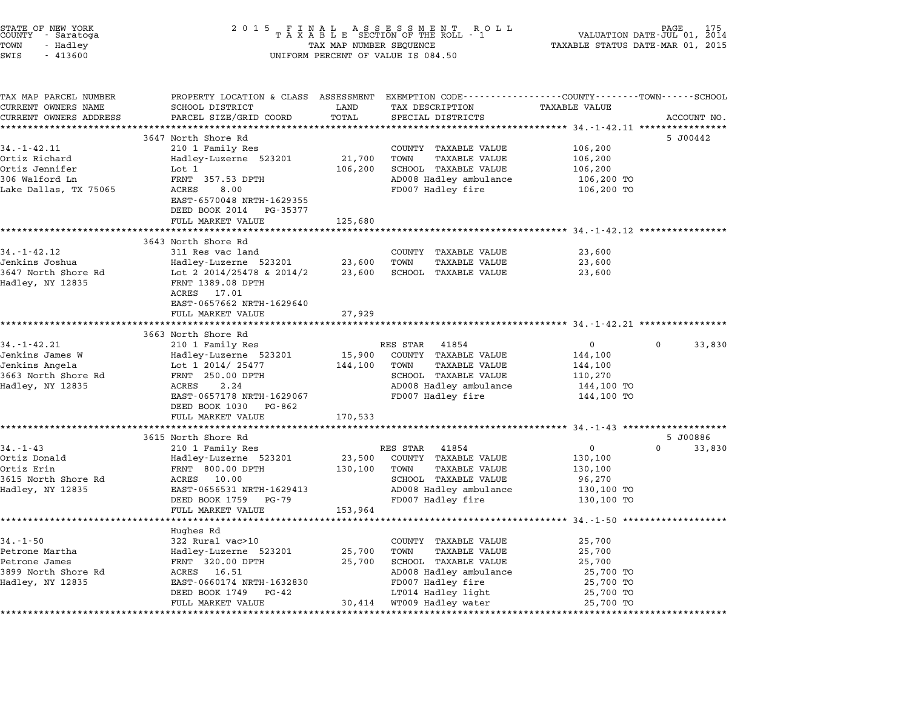| STATE OF NEW YORK<br>COUNTY - Saratoga<br>TOWN<br>- Hadley<br>$-413600$<br>SWIS |                                                                       | TAX MAP NUMBER SEQUENCE | 2015 FINAL ASSESSMENT ROLL<br>TAXABLE SECTION OF THE ROLL - 1<br>UNIFORM PERCENT OF VALUE IS 084.50 | AGE<br>175<br>VALUATION DATE-JUL 01, 2014<br>TAXABLE STATUS DATE-MAR 01, 2015                                                          |  |  |
|---------------------------------------------------------------------------------|-----------------------------------------------------------------------|-------------------------|-----------------------------------------------------------------------------------------------------|----------------------------------------------------------------------------------------------------------------------------------------|--|--|
| TAX MAP PARCEL NUMBER<br>CURRENT OWNERS NAME<br>CURRENT OWNERS ADDRESS          | SCHOOL DISTRICT<br>PARCEL SIZE/GRID COORD                             | LAND<br>TOTAL           | TAX DESCRIPTION<br>SPECIAL DISTRICTS                                                                | PROPERTY LOCATION & CLASS ASSESSMENT EXEMPTION CODE---------------COUNTY-------TOWN------SCHOOL<br><b>TAXABLE VALUE</b><br>ACCOUNT NO. |  |  |
|                                                                                 | ********************                                                  |                         |                                                                                                     |                                                                                                                                        |  |  |
|                                                                                 | 3647 North Shore Rd                                                   |                         |                                                                                                     | 5 J00442                                                                                                                               |  |  |
| $34. - 1 - 42.11$                                                               | 210 1 Family Res                                                      |                         | COUNTY TAXABLE VALUE                                                                                | 106,200                                                                                                                                |  |  |
| Ortiz Richard                                                                   | Hadley-Luzerne 523201                                                 | 21,700                  | <b>TAXABLE VALUE</b><br>TOWN                                                                        | 106,200                                                                                                                                |  |  |
| Ortiz Jennifer                                                                  | Lot 1                                                                 | 106,200                 | SCHOOL TAXABLE VALUE                                                                                | 106,200                                                                                                                                |  |  |
| 306 Walford Ln                                                                  | FRNT 357.53 DPTH                                                      |                         | AD008 Hadley ambulance                                                                              | 106,200 TO                                                                                                                             |  |  |
| Lake Dallas, TX 75065                                                           | ACRES<br>8.00<br>EAST-6570048 NRTH-1629355<br>DEED BOOK 2014 PG-35377 |                         | FD007 Hadley fire                                                                                   | 106,200 TO                                                                                                                             |  |  |
|                                                                                 | FULL MARKET VALUE                                                     | 125,680                 |                                                                                                     |                                                                                                                                        |  |  |
|                                                                                 | **********************                                                |                         |                                                                                                     | ******************************* 34.-1-42.12 ************                                                                               |  |  |
|                                                                                 | 3643 North Shore Rd                                                   |                         |                                                                                                     |                                                                                                                                        |  |  |
| $34. - 1 - 42.12$                                                               | 311 Res vac land                                                      |                         | COUNTY TAXABLE VALUE                                                                                | 23,600                                                                                                                                 |  |  |
| Jenkins Joshua                                                                  | Hadley-Luzerne 523201                                                 | 23,600                  | <b>TAXABLE VALUE</b><br>TOWN                                                                        | 23,600                                                                                                                                 |  |  |
| 3647 North Shore Rd                                                             | Lot 2 2014/25478 & 2014/2                                             | 23,600                  | SCHOOL TAXABLE VALUE                                                                                | 23,600                                                                                                                                 |  |  |
| Hadley, NY 12835                                                                | FRNT 1389.08 DPTH<br>ACRES 17.01                                      |                         |                                                                                                     |                                                                                                                                        |  |  |
|                                                                                 | EAST-0657662 NRTH-1629640                                             |                         |                                                                                                     |                                                                                                                                        |  |  |
|                                                                                 | FULL MARKET VALUE                                                     | 27,929                  |                                                                                                     |                                                                                                                                        |  |  |
|                                                                                 |                                                                       |                         |                                                                                                     |                                                                                                                                        |  |  |
|                                                                                 | 3663 North Shore Rd                                                   |                         |                                                                                                     |                                                                                                                                        |  |  |
| $34. - 1 - 42.21$                                                               | 210 1 Family Res                                                      |                         | RES STAR 41854                                                                                      | $\overline{0}$<br>$\mathbf{0}$<br>33,830                                                                                               |  |  |
| Jenkins James W                                                                 | Hadley-Luzerne 523201                                                 | 15,900                  | COUNTY TAXABLE VALUE                                                                                | 144,100                                                                                                                                |  |  |
| Jenkins Angela<br>3663 North Shore Rd                                           | Lot 1 2014/ 25477<br>FRNT 250.00 DPTH                                 | 144,100                 | TAXABLE VALUE<br>TOWN<br>SCHOOL TAXABLE VALUE                                                       | 144,100<br>110,270                                                                                                                     |  |  |
| Hadley, NY 12835                                                                | ACRES<br>2.24                                                         |                         | AD008 Hadley ambulance                                                                              | 144,100 TO                                                                                                                             |  |  |
|                                                                                 | EAST-0657178 NRTH-1629067                                             |                         | FD007 Hadley fire                                                                                   | 144,100 TO                                                                                                                             |  |  |
|                                                                                 | DEED BOOK 1030<br>PG-862                                              |                         |                                                                                                     |                                                                                                                                        |  |  |
|                                                                                 | FULL MARKET VALUE                                                     | 170,533                 |                                                                                                     |                                                                                                                                        |  |  |
|                                                                                 |                                                                       |                         |                                                                                                     |                                                                                                                                        |  |  |
|                                                                                 | 3615 North Shore Rd                                                   |                         |                                                                                                     | 5 J00886                                                                                                                               |  |  |
| $34. - 1 - 43$<br>Ortiz Donald                                                  | 210 1 Family Res                                                      | 23,500                  | RES STAR 41854<br>COUNTY TAXABLE VALUE                                                              | 0<br>$\Omega$<br>33,830<br>130,100                                                                                                     |  |  |
| Ortiz Erin                                                                      | Hadley-Luzerne 523201<br>FRNT 800.00 DPTH                             | 130,100                 | <b>TAXABLE VALUE</b><br>TOWN                                                                        | 130,100                                                                                                                                |  |  |
| 3615 North Shore Rd                                                             | ACRES<br>10.00                                                        |                         | SCHOOL TAXABLE VALUE                                                                                | 96,270                                                                                                                                 |  |  |
| Hadley, NY 12835                                                                | EAST-0656531 NRTH-1629413                                             |                         | AD008 Hadley ambulance                                                                              | 130,100 TO                                                                                                                             |  |  |
|                                                                                 | DEED BOOK 1759 PG-79                                                  |                         | FD007 Hadley fire                                                                                   | 130,100 TO                                                                                                                             |  |  |
|                                                                                 | FULL MARKET VALUE                                                     | 153,964                 |                                                                                                     |                                                                                                                                        |  |  |
|                                                                                 |                                                                       |                         |                                                                                                     |                                                                                                                                        |  |  |
| $34. - 1 - 50$                                                                  | Hughes Rd                                                             |                         |                                                                                                     |                                                                                                                                        |  |  |
| Petrone Martha                                                                  | 322 Rural vac>10<br>Hadley-Luzerne 523201                             | 25,700                  | COUNTY TAXABLE VALUE<br><b>TAXABLE VALUE</b><br>TOWN                                                | 25,700<br>25,700                                                                                                                       |  |  |
| Petrone James                                                                   | FRNT 320.00 DPTH                                                      | 25,700                  | SCHOOL TAXABLE VALUE                                                                                | 25,700                                                                                                                                 |  |  |
| 3899 North Shore Rd                                                             | ACRES<br>16.51                                                        |                         | AD008 Hadley ambulance                                                                              | 25,700 TO                                                                                                                              |  |  |
| Hadley, NY 12835                                                                | EAST-0660174 NRTH-1632830                                             |                         | FD007 Hadley fire                                                                                   | 25,700 TO                                                                                                                              |  |  |
|                                                                                 | DEED BOOK 1749<br>PG-42                                               |                         | LT014 Hadley light                                                                                  | 25,700 TO                                                                                                                              |  |  |
|                                                                                 | FULL MARKET VALUE                                                     | 30,414                  | WT009 Hadley water                                                                                  | 25,700 TO                                                                                                                              |  |  |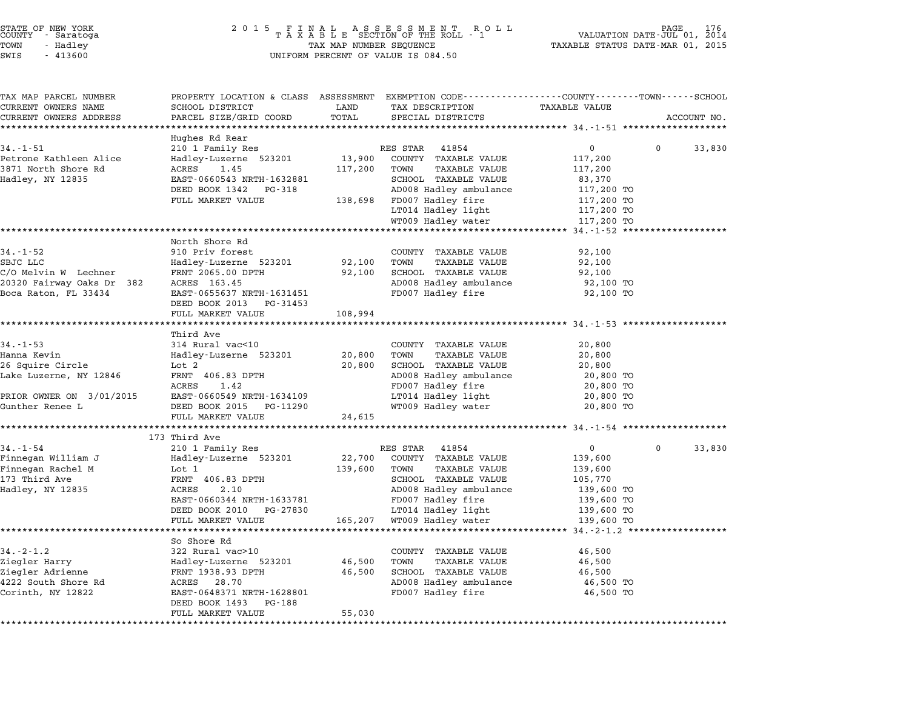| STATE OF NEW YORK<br>COUNTY - Saratoga |          |       |  |
|----------------------------------------|----------|-------|--|
| TOWN                                   | - Hadley |       |  |
| T1.7T                                  |          | 11200 |  |

# STATE OF NEW YORK <sup>2</sup> <sup>0</sup> <sup>1</sup> 5 F I N A L A S S E S S M E N T R O L L PAGE <sup>176</sup> COUNTY - Saratoga <sup>T</sup> <sup>A</sup> <sup>X</sup> <sup>A</sup> <sup>B</sup> <sup>L</sup> <sup>E</sup> SECTION OF THE ROLL - <sup>1</sup> VALUATION DATE-JUL 01, <sup>2014</sup> TOWN - Hadley TAX MAP NUMBER SEQUENCE TAXABLE STATUS DATE-MAR 01, <sup>2015</sup> SWIS - <sup>413600</sup> UNIFORM PERCENT OF VALUE IS 084.50

| TAX MAP PARCEL NUMBER                                | PROPERTY LOCATION & CLASS ASSESSMENT EXEMPTION CODE---------------COUNTY-------TOWN-----SCHOOL |                  |                                                      |                  |          |             |
|------------------------------------------------------|------------------------------------------------------------------------------------------------|------------------|------------------------------------------------------|------------------|----------|-------------|
| CURRENT OWNERS NAME                                  | SCHOOL DISTRICT                                                                                | LAND             | TAX DESCRIPTION                                      | TAXABLE VALUE    |          |             |
| CURRENT OWNERS ADDRESS<br>************************** | PARCEL SIZE/GRID COORD                                                                         | TOTAL            | SPECIAL DISTRICTS                                    |                  |          | ACCOUNT NO. |
|                                                      | Hughes Rd Rear                                                                                 |                  |                                                      |                  |          |             |
| $34. - 1 - 51$                                       | 210 1 Family Res                                                                               |                  | RES STAR 41854                                       | $\mathbf 0$      | $\Omega$ | 33,830      |
| Petrone Kathleen Alice                               | Hadley-Luzerne 523201                                                                          | 13,900           | COUNTY TAXABLE VALUE                                 | 117,200          |          |             |
| 3871 North Shore Rd                                  | ACRES<br>1.45                                                                                  | 117,200          | TOWN<br>TAXABLE VALUE                                | 117,200          |          |             |
| Hadley, NY 12835                                     | EAST-0660543 NRTH-1632881                                                                      |                  | SCHOOL TAXABLE VALUE                                 | 83,370           |          |             |
|                                                      | DEED BOOK 1342<br>PG-318                                                                       |                  | AD008 Hadley ambulance                               | 117,200 TO       |          |             |
|                                                      | FULL MARKET VALUE                                                                              |                  | 138,698 FD007 Hadley fire                            | 117,200 TO       |          |             |
|                                                      |                                                                                                |                  | LT014 Hadley light                                   | 117,200 TO       |          |             |
|                                                      |                                                                                                |                  | WT009 Hadley water                                   | 117,200 TO       |          |             |
| *****************************                        |                                                                                                |                  |                                                      |                  |          |             |
|                                                      | North Shore Rd                                                                                 |                  |                                                      |                  |          |             |
| $34. - 1 - 52$                                       | 910 Priv forest                                                                                |                  | COUNTY TAXABLE VALUE                                 | 92,100           |          |             |
| SBJC LLC<br>C/O Melvin W Lechner                     | Hadley-Luzerne 523201<br>FRNT 2065.00 DPTH                                                     | 92,100<br>92,100 | TOWN<br><b>TAXABLE VALUE</b><br>SCHOOL TAXABLE VALUE | 92,100<br>92,100 |          |             |
| 20320 Fairway Oaks Dr 382                            | ACRES 163.45                                                                                   |                  | AD008 Hadley ambulance                               | 92,100 TO        |          |             |
| Boca Raton, FL 33434                                 | EAST-0655637 NRTH-1631451                                                                      |                  | FD007 Hadley fire                                    | 92,100 TO        |          |             |
|                                                      | DEED BOOK 2013 PG-31453                                                                        |                  |                                                      |                  |          |             |
|                                                      | FULL MARKET VALUE                                                                              | 108,994          |                                                      |                  |          |             |
|                                                      | **************************                                                                     |                  |                                                      |                  |          |             |
|                                                      | Third Ave                                                                                      |                  |                                                      |                  |          |             |
| $34. - 1 - 53$                                       | 314 Rural vac<10                                                                               |                  | COUNTY TAXABLE VALUE                                 | 20,800           |          |             |
| Hanna Kevin                                          | Hadley-Luzerne 523201                                                                          | 20,800           | TOWN<br><b>TAXABLE VALUE</b>                         | 20,800           |          |             |
| 26 Squire Circle                                     | Lot 2                                                                                          | 20,800           | SCHOOL TAXABLE VALUE                                 | 20,800           |          |             |
| Lake Luzerne, NY 12846                               | FRNT 406.83 DPTH                                                                               |                  | AD008 Hadley ambulance                               | 20,800 TO        |          |             |
|                                                      | ACRES<br>1.42                                                                                  |                  | FD007 Hadley fire                                    | 20,800 TO        |          |             |
| PRIOR OWNER ON 3/01/2015                             | EAST-0660549 NRTH-1634109                                                                      |                  | LT014 Hadley light                                   | 20,800 TO        |          |             |
| Gunther Renee L                                      | DEED BOOK 2015 PG-11290<br>FULL MARKET VALUE                                                   | 24,615           | WT009 Hadley water                                   | 20,800 TO        |          |             |
|                                                      | **********                                                                                     |                  |                                                      |                  |          |             |
|                                                      | 173 Third Ave                                                                                  |                  |                                                      |                  |          |             |
| $34. - 1 - 54$                                       | 210 1 Family Res                                                                               |                  | 41854<br>RES STAR                                    | $\mathbf{0}$     | $\Omega$ | 33,830      |
| Finnegan William J                                   | Hadley-Luzerne 523201                                                                          | 22,700           | COUNTY TAXABLE VALUE                                 | 139,600          |          |             |
| Finnegan Rachel M                                    | Lot 1                                                                                          | 139,600          | <b>TAXABLE VALUE</b><br>TOWN                         | 139,600          |          |             |
| 173 Third Ave                                        | FRNT 406.83 DPTH                                                                               |                  | SCHOOL TAXABLE VALUE                                 | 105,770          |          |             |
| Hadley, NY 12835                                     | ACRES<br>2.10                                                                                  |                  | AD008 Hadley ambulance                               | 139,600 TO       |          |             |
|                                                      | EAST-0660344 NRTH-1633781                                                                      |                  | FD007 Hadley fire                                    | 139,600 TO       |          |             |
|                                                      | DEED BOOK 2010 PG-27830                                                                        |                  | LT014 Hadley light                                   | 139,600 TO       |          |             |
|                                                      | FULL MARKET VALUE<br>************************                                                  | 165,207          | WT009 Hadley water                                   | 139,600 TO       |          |             |
|                                                      | So Shore Rd                                                                                    |                  |                                                      |                  |          |             |
| $34. - 2 - 1.2$                                      | 322 Rural vac>10                                                                               |                  | COUNTY TAXABLE VALUE                                 | 46,500           |          |             |
| Ziegler Harry                                        | Hadley-Luzerne 523201                                                                          | 46,500           | TOWN<br>TAXABLE VALUE                                | 46,500           |          |             |
| Ziegler Adrienne                                     | FRNT 1938.93 DPTH                                                                              | 46,500           | SCHOOL TAXABLE VALUE                                 | 46,500           |          |             |
| 4222 South Shore Rd                                  | ACRES 28.70                                                                                    |                  | AD008 Hadley ambulance                               | 46,500 TO        |          |             |
| Corinth, NY 12822                                    | EAST-0648371 NRTH-1628801                                                                      |                  | FD007 Hadley fire                                    | 46,500 TO        |          |             |
|                                                      | DEED BOOK 1493<br>PG-188                                                                       |                  |                                                      |                  |          |             |
|                                                      | FULL MARKET VALUE                                                                              | 55,030           |                                                      |                  |          |             |
|                                                      |                                                                                                |                  |                                                      |                  |          |             |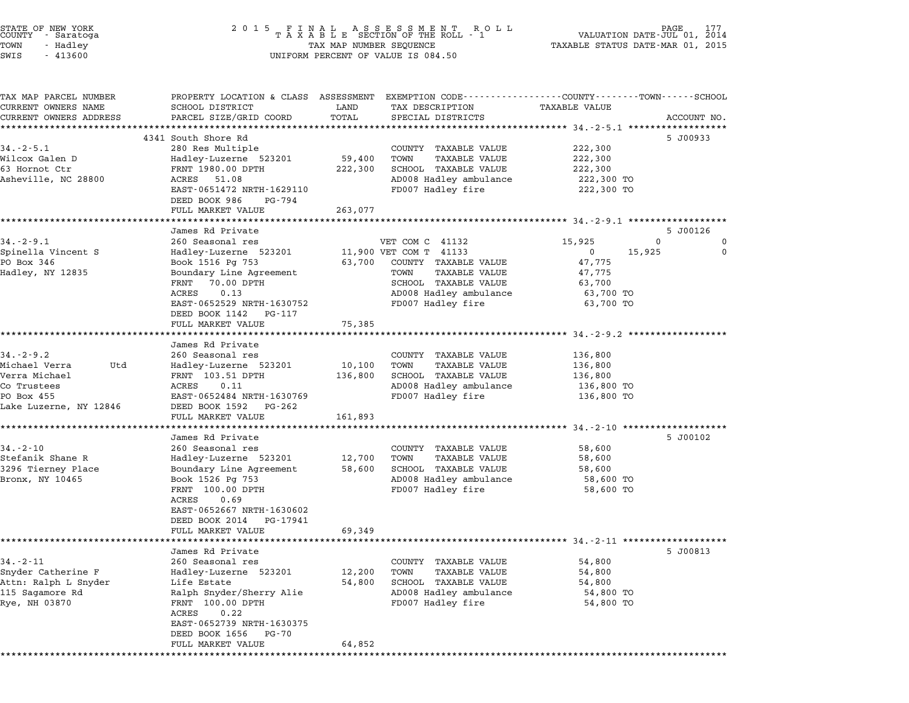| STATE OF NEW YORK<br>COUNTY - Saratoga<br>TOWN<br>- Hadley<br>SWIS<br>$-413600$                                 | 2 0 1 5                                                                                                                                                                                                                           | FINAL ASSESSMENT ROLL<br>TAXABLE SECTION OF THE ROLL - 1<br>TAX MAP NUMBER SEQUENCE<br>UNIFORM PERCENT OF VALUE IS 084.50 |                                                                                                                                                                   |                                                                                               |                    |
|-----------------------------------------------------------------------------------------------------------------|-----------------------------------------------------------------------------------------------------------------------------------------------------------------------------------------------------------------------------------|---------------------------------------------------------------------------------------------------------------------------|-------------------------------------------------------------------------------------------------------------------------------------------------------------------|-----------------------------------------------------------------------------------------------|--------------------|
| TAX MAP PARCEL NUMBER<br>CURRENT OWNERS NAME<br>CURRENT OWNERS ADDRESS                                          | PROPERTY LOCATION & CLASS ASSESSMENT EXEMPTION CODE---------------COUNTY-------TOWN------SCHOOL<br>SCHOOL DISTRICT<br>PARCEL SIZE/GRID COORD<br>*************************                                                         | LAND<br>TOTAL                                                                                                             | TAX DESCRIPTION<br>SPECIAL DISTRICTS                                                                                                                              | <b>TAXABLE VALUE</b>                                                                          | ACCOUNT NO.        |
| $34. - 2 - 5.1$<br>Wilcox Galen D<br>63 Hornot Ctr<br>Asheville, NC 28800                                       | 4341 South Shore Rd<br>280 Res Multiple<br>Hadley-Luzerne 523201<br>FRNT 1980.00 DPTH<br>ACRES 51.08<br>EAST-0651472 NRTH-1629110<br>DEED BOOK 986<br>PG-794<br>FULL MARKET VALUE                                                 | 59,400<br>222,300<br>263,077                                                                                              | COUNTY TAXABLE VALUE<br>TAXABLE VALUE<br>TOWN<br>SCHOOL TAXABLE VALUE<br>AD008 Hadley ambulance<br>FD007 Hadley fire                                              | 222,300<br>222,300<br>222,300<br>222,300 TO<br>222,300 TO                                     | 5 J00933           |
|                                                                                                                 |                                                                                                                                                                                                                                   |                                                                                                                           |                                                                                                                                                                   |                                                                                               |                    |
| $34. - 2 - 9.1$<br>Spinella Vincent S<br>PO Box 346<br>Hadley, NY 12835                                         | James Rd Private<br>260 Seasonal res<br>Hadley-Luzerne 523201<br>Book 1516 Pg 753<br>Boundary Line Agreement<br>70.00 DPTH<br>FRNT<br>ACRES<br>0.13<br>EAST-0652529 NRTH-1630752                                                  | 63,700                                                                                                                    | VET COM C 41132<br>11,900 VET COM T 41133<br>COUNTY TAXABLE VALUE<br>TOWN<br>TAXABLE VALUE<br>SCHOOL TAXABLE VALUE<br>AD008 Hadley ambulance<br>FD007 Hadley fire | 15,925<br>0<br>15,925<br>$\mathbf{0}$<br>47,775<br>47,775<br>63,700<br>63,700 TO<br>63,700 TO | 5 J00126<br>0<br>0 |
|                                                                                                                 | DEED BOOK 1142<br>PG-117<br>FULL MARKET VALUE<br>*****************                                                                                                                                                                | 75,385                                                                                                                    |                                                                                                                                                                   | ********************* 34.-2-9.2 *********                                                     |                    |
| $34. - 2 - 9.2$<br>Michael Verra<br>Utd<br>Verra Michael<br>Co Trustees<br>PO Box 455<br>Lake Luzerne, NY 12846 | James Rd Private<br>260 Seasonal res<br>Hadley-Luzerne 523201<br>FRNT 103.51 DPTH<br>ACRES<br>0.11<br>EAST-0652484 NRTH-1630769<br>DEED BOOK 1592<br>PG-262<br>FULL MARKET VALUE                                                  | 10,100<br>136,800<br>161,893                                                                                              | COUNTY TAXABLE VALUE<br>TOWN<br><b>TAXABLE VALUE</b><br>SCHOOL TAXABLE VALUE<br>AD008 Hadley ambulance<br>FD007 Hadley fire                                       | 136,800<br>136,800<br>136,800<br>136,800 TO<br>136,800 TO                                     |                    |
|                                                                                                                 |                                                                                                                                                                                                                                   |                                                                                                                           |                                                                                                                                                                   |                                                                                               |                    |
| $34. - 2 - 10$<br>Stefanik Shane R<br>3296 Tierney Place<br>Bronx, NY 10465                                     | James Rd Private<br>260 Seasonal res<br>Hadley-Luzerne 523201<br>Boundary Line Agreement<br>Book 1526 Pg 753<br>FRNT 100.00 DPTH<br>ACRES<br>0.69<br>EAST-0652667 NRTH-1630602<br>DEED BOOK 2014<br>PG-17941                      | 12,700<br>58,600                                                                                                          | COUNTY TAXABLE VALUE<br>TOWN<br>TAXABLE VALUE<br>SCHOOL TAXABLE VALUE<br>AD008 Hadley ambulance<br>FD007 Hadley fire                                              | 58,600<br>58,600<br>58,600<br>58,600 TO<br>58,600 TO                                          | 5 J00102           |
|                                                                                                                 | FULL MARKET VALUE                                                                                                                                                                                                                 | 69,349                                                                                                                    |                                                                                                                                                                   | *********************** 34.-2-11 ********                                                     |                    |
| $34. - 2 - 11$<br>Snyder Catherine F<br>Attn: Ralph L Snyder<br>115 Sagamore Rd<br>Rye, NH 03870                | James Rd Private<br>260 Seasonal res<br>Hadley-Luzerne 523201<br>Life Estate<br>Ralph Snyder/Sherry Alie<br>FRNT 100.00 DPTH<br><b>ACRES</b><br>0.22<br>EAST-0652739 NRTH-1630375<br>DEED BOOK 1656<br>PG-70<br>FULL MARKET VALUE | 12,200<br>54,800<br>64,852                                                                                                | COUNTY TAXABLE VALUE<br><b>TAXABLE VALUE</b><br>TOWN<br>SCHOOL TAXABLE VALUE<br>AD008 Hadley ambulance<br>FD007 Hadley fire                                       | 54,800<br>54,800<br>54,800<br>54,800 TO<br>54,800 TO                                          | 5 J00813           |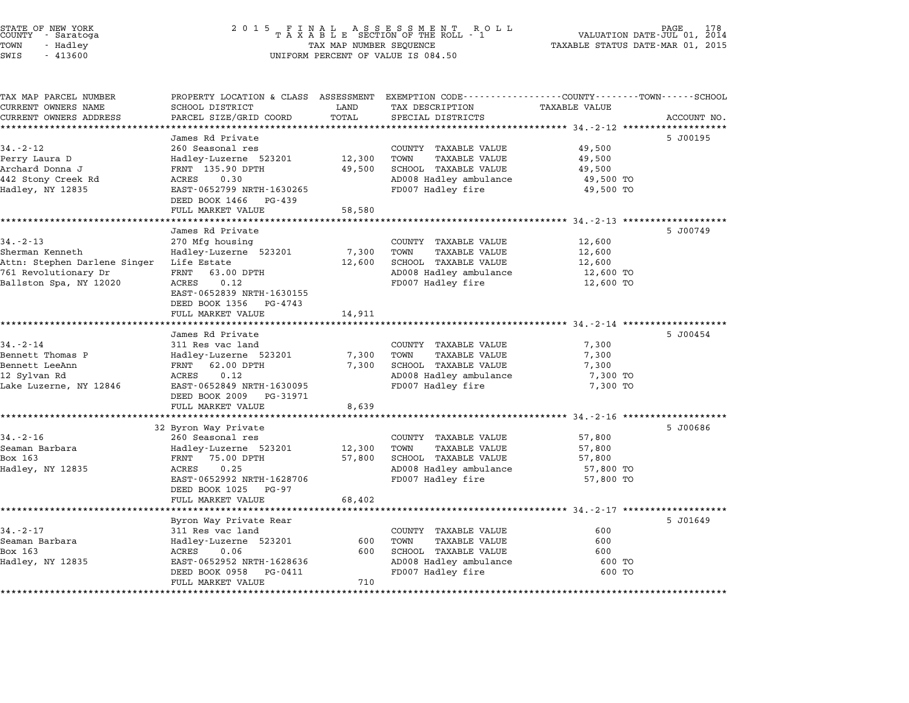| STATE OF NEW YORK<br>COUNTY – Saratoga<br>TOWN<br>- Hadley<br>SWIS<br>$-413600$ | 2 0 1 5<br>FINAL ASSESSMENT ROLL<br>TAXABLE SECTION OF THE ROLL - 1<br>VALUATION DATE-JUL 01, 2014<br>TAXABLE STATUS DATE-MAR 01, 2015<br>TAX MAP NUMBER SEQUENCE<br>UNIFORM PERCENT OF VALUE IS 084.50 |            |                                                                                                                   |                        | PAGE<br>178 |
|---------------------------------------------------------------------------------|---------------------------------------------------------------------------------------------------------------------------------------------------------------------------------------------------------|------------|-------------------------------------------------------------------------------------------------------------------|------------------------|-------------|
| TAX MAP PARCEL NUMBER<br>CURRENT OWNERS NAME                                    | SCHOOL DISTRICT                                                                                                                                                                                         | LAND       | PROPERTY LOCATION & CLASS ASSESSMENT EXEMPTION CODE---------------COUNTY-------TOWN-----SCHOOL<br>TAX DESCRIPTION | TAXABLE VALUE          |             |
| CURRENT OWNERS ADDRESS                                                          | PARCEL SIZE/GRID COORD                                                                                                                                                                                  | TOTAL      | SPECIAL DISTRICTS                                                                                                 |                        | ACCOUNT NO. |
| *********************                                                           |                                                                                                                                                                                                         |            |                                                                                                                   |                        |             |
| $34. - 2 - 12$                                                                  | James Rd Private<br>260 Seasonal res                                                                                                                                                                    |            | COUNTY TAXABLE VALUE                                                                                              | 49,500                 | 5 J00195    |
| Perry Laura D                                                                   | Hadley-Luzerne 523201                                                                                                                                                                                   | 12,300     | TOWN<br><b>TAXABLE VALUE</b>                                                                                      | 49,500                 |             |
| Archard Donna J                                                                 | FRNT 135.90 DPTH                                                                                                                                                                                        | 49,500     | SCHOOL TAXABLE VALUE                                                                                              | 49,500                 |             |
| 442 Stony Creek Rd                                                              | ACRES<br>0.30                                                                                                                                                                                           |            | AD008 Hadley ambulance                                                                                            | 49,500 TO              |             |
| Hadley, NY 12835                                                                | EAST-0652799 NRTH-1630265                                                                                                                                                                               |            | FD007 Hadley fire                                                                                                 | 49,500 TO              |             |
|                                                                                 | DEED BOOK 1466<br>PG-439                                                                                                                                                                                |            |                                                                                                                   |                        |             |
|                                                                                 | FULL MARKET VALUE                                                                                                                                                                                       | 58,580     |                                                                                                                   |                        |             |
|                                                                                 | James Rd Private                                                                                                                                                                                        |            |                                                                                                                   |                        | 5 J00749    |
| $34 - 2 - 13$                                                                   | 270 Mfg housing                                                                                                                                                                                         |            | COUNTY TAXABLE VALUE                                                                                              | 12,600                 |             |
| Sherman Kenneth                                                                 | Hadley-Luzerne 523201                                                                                                                                                                                   | 7,300      | TOWN<br><b>TAXABLE VALUE</b>                                                                                      | 12,600                 |             |
| Attn: Stephen Darlene Singer                                                    | Life Estate                                                                                                                                                                                             | 12,600     | SCHOOL TAXABLE VALUE                                                                                              | 12,600                 |             |
| 761 Revolutionary Dr                                                            | FRNT<br>63.00 DPTH                                                                                                                                                                                      |            | AD008 Hadley ambulance                                                                                            | 12,600 TO              |             |
| Ballston Spa, NY 12020                                                          | 0.12<br>ACRES                                                                                                                                                                                           |            | FD007 Hadley fire                                                                                                 | 12,600 TO              |             |
|                                                                                 | EAST-0652839 NRTH-1630155                                                                                                                                                                               |            |                                                                                                                   |                        |             |
|                                                                                 | DEED BOOK 1356<br>PG-4743<br>FULL MARKET VALUE                                                                                                                                                          | 14,911     |                                                                                                                   |                        |             |
|                                                                                 |                                                                                                                                                                                                         |            |                                                                                                                   | **** 34.-2-14 ******** |             |
|                                                                                 | James Rd Private                                                                                                                                                                                        |            |                                                                                                                   |                        | 5 J00454    |
| $34. - 2 - 14$                                                                  | 311 Res vac land                                                                                                                                                                                        |            | COUNTY TAXABLE VALUE                                                                                              | 7,300                  |             |
| Bennett Thomas P                                                                | Hadley-Luzerne 523201                                                                                                                                                                                   | 7,300      | TOWN<br><b>TAXABLE VALUE</b>                                                                                      | 7,300                  |             |
| Bennett LeeAnn                                                                  | FRNT<br>62.00 DPTH                                                                                                                                                                                      | 7,300      | SCHOOL TAXABLE VALUE                                                                                              | 7,300                  |             |
| 12 Sylvan Rd<br>Lake Luzerne, NY 12846                                          | ACRES<br>0.12<br>EAST-0652849 NRTH-1630095                                                                                                                                                              |            | AD008 Hadley ambulance<br>FD007 Hadley fire                                                                       | 7,300 TO<br>7,300 TO   |             |
|                                                                                 | DEED BOOK 2009<br>PG-31971                                                                                                                                                                              |            |                                                                                                                   |                        |             |
|                                                                                 | FULL MARKET VALUE                                                                                                                                                                                       | 8,639      |                                                                                                                   |                        |             |
|                                                                                 | *****************                                                                                                                                                                                       | ********   |                                                                                                                   |                        |             |
|                                                                                 | 32 Byron Way Private                                                                                                                                                                                    |            |                                                                                                                   |                        | 5 J00686    |
| $34. - 2 - 16$                                                                  | 260 Seasonal res                                                                                                                                                                                        |            | COUNTY TAXABLE VALUE                                                                                              | 57,800                 |             |
| Seaman Barbara                                                                  | Hadley-Luzerne 523201                                                                                                                                                                                   | 12,300     | TOWN<br><b>TAXABLE VALUE</b>                                                                                      | 57,800                 |             |
| Box 163<br>Hadley, NY 12835                                                     | FRNT 75.00 DPTH<br>0.25<br>ACRES                                                                                                                                                                        | 57,800     | SCHOOL TAXABLE VALUE<br>AD008 Hadley ambulance                                                                    | 57,800<br>57,800 TO    |             |
|                                                                                 | EAST-0652992 NRTH-1628706                                                                                                                                                                               |            | FD007 Hadley fire                                                                                                 | 57,800 TO              |             |
|                                                                                 | DEED BOOK 1025<br>PG-97                                                                                                                                                                                 |            |                                                                                                                   |                        |             |
|                                                                                 | FULL MARKET VALUE                                                                                                                                                                                       | 68,402     |                                                                                                                   |                        |             |
|                                                                                 | *********************                                                                                                                                                                                   |            |                                                                                                                   |                        |             |
|                                                                                 | Byron Way Private Rear                                                                                                                                                                                  |            |                                                                                                                   |                        | 5 J01649    |
| $34. - 2 - 17$                                                                  | 311 Res vac land                                                                                                                                                                                        |            | COUNTY TAXABLE VALUE                                                                                              | 600                    |             |
| Seaman Barbara<br>Box 163                                                       | Hadley-Luzerne 523201<br>ACRES<br>0.06                                                                                                                                                                  | 600<br>600 | TOWN<br>TAXABLE VALUE<br>SCHOOL TAXABLE VALUE                                                                     | 600<br>600             |             |
| Hadley, NY 12835                                                                | EAST-0652952 NRTH-1628636                                                                                                                                                                               |            | AD008 Hadley ambulance                                                                                            | 600 TO                 |             |
|                                                                                 | DEED BOOK 0958<br>PG-0411                                                                                                                                                                               |            | FD007 Hadley fire                                                                                                 | 600 TO                 |             |
|                                                                                 | FULL MARKET VALUE                                                                                                                                                                                       | 710        |                                                                                                                   |                        |             |
|                                                                                 |                                                                                                                                                                                                         |            |                                                                                                                   |                        |             |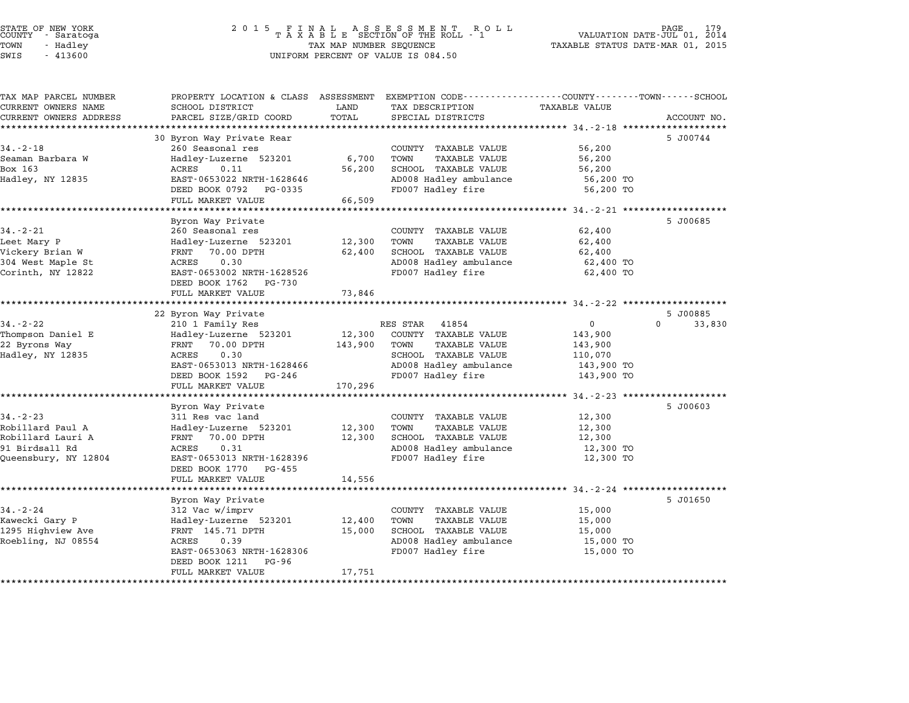| STATE OF NEW YORK |        |            |  |
|-------------------|--------|------------|--|
| COUNTY            |        | - Saratoga |  |
| TOWN              | $\sim$ | Hadley     |  |
| $\alpha$          |        | 11200      |  |

# STATE OF NEW YORK <sup>2</sup> <sup>0</sup> <sup>1</sup> 5 F I N A L A S S E S S M E N T R O L L PAGE <sup>179</sup> COUNTY - Saratoga <sup>T</sup> <sup>A</sup> <sup>X</sup> <sup>A</sup> <sup>B</sup> <sup>L</sup> <sup>E</sup> SECTION OF THE ROLL - <sup>1</sup> VALUATION DATE-JUL 01, <sup>2014</sup> TOWN - Hadley TAX MAP NUMBER SEQUENCE TAXABLE STATUS DATE-MAR 01, <sup>2015</sup> SWIS - <sup>413600</sup> UNIFORM PERCENT OF VALUE IS 084.50

| TAX MAP PARCEL NUMBER<br>CURRENT OWNERS NAME | PROPERTY LOCATION & CLASS ASSESSMENT<br>SCHOOL DISTRICT | LAND    | EXEMPTION CODE------------------COUNTY-------TOWN------SCHOOL<br>TAX DESCRIPTION | <b>TAXABLE VALUE</b> |                    |
|----------------------------------------------|---------------------------------------------------------|---------|----------------------------------------------------------------------------------|----------------------|--------------------|
| CURRENT OWNERS ADDRESS                       | PARCEL SIZE/GRID COORD                                  | TOTAL   | SPECIAL DISTRICTS                                                                |                      | ACCOUNT NO.        |
| **********************                       |                                                         |         |                                                                                  |                      |                    |
|                                              | 30 Byron Way Private Rear                               |         |                                                                                  |                      | 5 J00744           |
| $34. - 2 - 18$                               | 260 Seasonal res                                        |         | COUNTY TAXABLE VALUE                                                             | 56,200               |                    |
| Seaman Barbara W                             | Hadley-Luzerne 523201                                   | 6,700   | TOWN<br><b>TAXABLE VALUE</b>                                                     | 56,200               |                    |
| Box 163                                      | ACRES<br>0.11                                           | 56,200  | SCHOOL TAXABLE VALUE                                                             | 56,200               |                    |
| Hadley, NY 12835                             | EAST-0653022 NRTH-1628646                               |         | AD008 Hadley ambulance                                                           | 56,200 TO            |                    |
|                                              | DEED BOOK 0792<br>PG-0335                               |         | FD007 Hadley fire                                                                | 56,200 TO            |                    |
|                                              | FULL MARKET VALUE                                       | 66,509  |                                                                                  |                      |                    |
|                                              | Byron Way Private                                       |         |                                                                                  |                      | 5 J00685           |
| $34. - 2 - 21$                               | 260 Seasonal res                                        |         | COUNTY TAXABLE VALUE                                                             | 62,400               |                    |
| Leet Mary P                                  | Hadley-Luzerne 523201                                   | 12,300  | TOWN<br><b>TAXABLE VALUE</b>                                                     | 62,400               |                    |
| Vickery Brian W                              | 70.00 DPTH<br>FRNT                                      | 62,400  | SCHOOL TAXABLE VALUE                                                             | 62,400               |                    |
| 304 West Maple St                            | <b>ACRES</b><br>0.30                                    |         | AD008 Hadley ambulance                                                           | 62,400 TO            |                    |
| Corinth, NY 12822                            | EAST-0653002 NRTH-1628526                               |         | FD007 Hadley fire                                                                | 62,400 TO            |                    |
|                                              | PG-730<br>DEED BOOK 1762                                |         |                                                                                  |                      |                    |
|                                              | FULL MARKET VALUE                                       | 73,846  |                                                                                  |                      |                    |
|                                              |                                                         |         |                                                                                  |                      |                    |
|                                              | 22 Byron Way Private                                    |         |                                                                                  |                      | 5 J00885           |
| $34. - 2 - 22$                               | 210 1 Family Res                                        |         | 41854<br>RES STAR                                                                | $\mathbf{0}$         | $\Omega$<br>33,830 |
| Thompson Daniel E                            | Hadley-Luzerne 523201                                   | 12,300  | COUNTY TAXABLE VALUE                                                             | 143,900              |                    |
| 22 Byrons Way                                | FRNT<br>70.00 DPTH                                      | 143,900 | TOWN<br>TAXABLE VALUE                                                            | 143,900              |                    |
| Hadley, NY 12835                             | 0.30<br>ACRES                                           |         | SCHOOL TAXABLE VALUE                                                             | 110,070              |                    |
|                                              | EAST-0653013 NRTH-1628466                               |         | AD008 Hadley ambulance                                                           | 143,900 TO           |                    |
|                                              | DEED BOOK 1592<br>PG-246                                |         | FD007 Hadley fire                                                                | 143,900 TO           |                    |
|                                              | FULL MARKET VALUE                                       | 170,296 |                                                                                  |                      |                    |
|                                              | Byron Way Private                                       |         |                                                                                  |                      | 5 J00603           |
| $34. - 2 - 23$                               | 311 Res vac land                                        |         | COUNTY TAXABLE VALUE                                                             | 12,300               |                    |
| Robillard Paul A                             | Hadley-Luzerne 523201                                   | 12,300  | TOWN<br>TAXABLE VALUE                                                            | 12,300               |                    |
| Robillard Lauri A                            | FRNT<br>70.00 DPTH                                      | 12,300  | SCHOOL TAXABLE VALUE                                                             | 12,300               |                    |
| 91 Birdsall Rd                               | 0.31<br>ACRES                                           |         | AD008 Hadley ambulance                                                           | 12,300 TO            |                    |
| Queensbury, NY 12804                         | EAST-0653013 NRTH-1628396                               |         | FD007 Hadley fire                                                                | 12,300 TO            |                    |
|                                              | DEED BOOK 1770<br>PG-455                                |         |                                                                                  |                      |                    |
|                                              | FULL MARKET VALUE                                       | 14,556  |                                                                                  |                      |                    |
|                                              |                                                         |         |                                                                                  |                      |                    |
|                                              | Byron Way Private                                       |         |                                                                                  |                      | 5 J01650           |
| $34 - 2 - 24$                                | 312 Vac w/imprv                                         |         | COUNTY TAXABLE VALUE                                                             | 15,000               |                    |
| Kawecki Gary P                               | Hadley-Luzerne 523201                                   | 12,400  | TOWN<br><b>TAXABLE VALUE</b>                                                     | 15,000               |                    |
| 1295 Highview Ave                            | FRNT 145.71 DPTH                                        | 15,000  | SCHOOL TAXABLE VALUE                                                             | 15,000               |                    |
| Roebling, NJ 08554                           | 0.39<br>ACRES                                           |         | AD008 Hadley ambulance                                                           | 15,000 TO            |                    |
|                                              | EAST-0653063 NRTH-1628306                               |         | FD007 Hadley fire                                                                | 15,000 TO            |                    |
|                                              | DEED BOOK 1211<br>PG-96                                 |         |                                                                                  |                      |                    |
|                                              | FULL MARKET VALUE<br>*********                          | 17,751  |                                                                                  |                      |                    |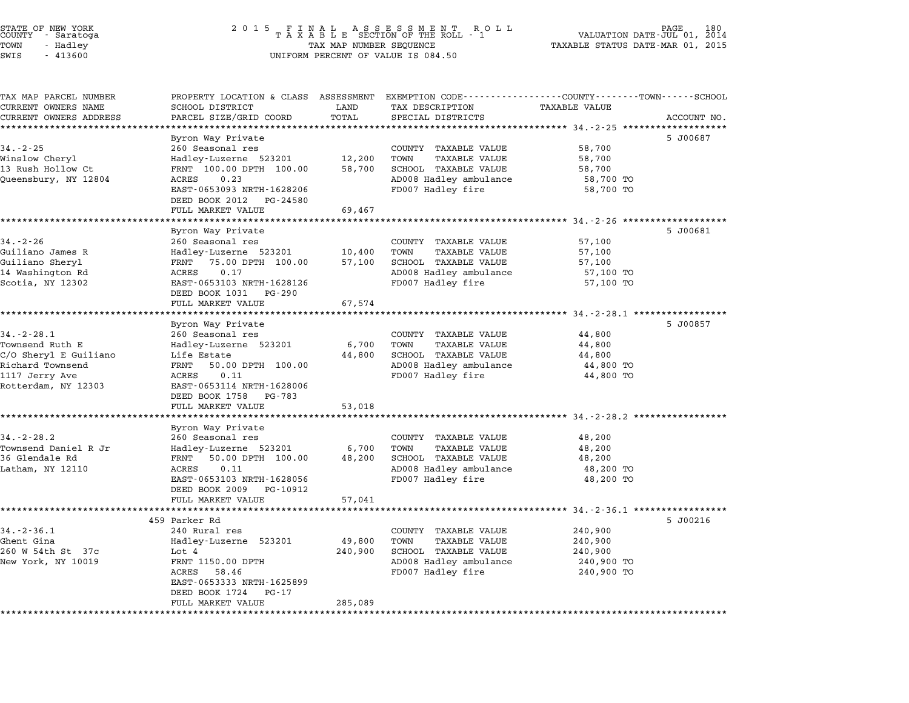| 2 0 1 5<br>FINAL ASSESSMENT RO<br>TAXABLE SECTION OF THE ROLL - 1<br>R O L L<br>TAX MAP NUMBER SEQUENCE<br>UNIFORM PERCENT OF VALUE IS 084.50                                                |                                                                              |                                                                                                                             | 180<br>2014<br>VALUATION DATE-JUL 01,<br>TAXABLE STATUS DATE-MAR 01, 2015 |                                                                                                                                                                                                           |
|----------------------------------------------------------------------------------------------------------------------------------------------------------------------------------------------|------------------------------------------------------------------------------|-----------------------------------------------------------------------------------------------------------------------------|---------------------------------------------------------------------------|-----------------------------------------------------------------------------------------------------------------------------------------------------------------------------------------------------------|
| SCHOOL DISTRICT<br>PARCEL SIZE/GRID COORD                                                                                                                                                    | LAND<br>TOTAL                                                                | TAX DESCRIPTION<br>SPECIAL DISTRICTS                                                                                        | <b>TAXABLE VALUE</b>                                                      | ACCOUNT NO.                                                                                                                                                                                               |
| Byron Way Private<br>260 Seasonal res<br>Hadley-Luzerne 523201<br>FRNT 100.00 DPTH 100.00<br>ACRES<br>0.23<br>EAST-0653093 NRTH-1628206<br>DEED BOOK 2012<br>PG-24580<br>FULL MARKET VALUE   | 12,200<br>58,700<br>69,467                                                   | COUNTY TAXABLE VALUE<br>TAXABLE VALUE<br>TOWN<br>SCHOOL TAXABLE VALUE<br>AD008 Hadley ambulance<br>FD007 Hadley fire        | 58,700<br>58,700<br>58,700<br>58,700 TO<br>58,700 TO                      | 5 J00687                                                                                                                                                                                                  |
|                                                                                                                                                                                              |                                                                              |                                                                                                                             |                                                                           |                                                                                                                                                                                                           |
| Byron Way Private<br>260 Seasonal res<br>Hadley-Luzerne 523201<br>75.00 DPTH 100.00<br>FRNT<br>ACRES<br>0.17<br>EAST-0653103 NRTH-1628126<br>DEED BOOK 1031<br>PG-290                        | 10,400<br>57,100                                                             | COUNTY TAXABLE VALUE<br>TOWN<br>TAXABLE VALUE<br>SCHOOL TAXABLE VALUE<br>AD008 Hadley ambulance<br>FD007 Hadley fire        | 57,100<br>57,100<br>57,100<br>57,100 TO<br>57,100 TO                      | 5 J00681                                                                                                                                                                                                  |
| FULL MARKET VALUE                                                                                                                                                                            | 67,574                                                                       |                                                                                                                             |                                                                           |                                                                                                                                                                                                           |
|                                                                                                                                                                                              |                                                                              |                                                                                                                             |                                                                           | 5 J00857                                                                                                                                                                                                  |
| 260 Seasonal res<br>Hadley-Luzerne 523201<br>Life Estate<br>FRNT<br>50.00 DPTH 100.00<br>ACRES<br>0.11<br>EAST-0653114 NRTH-1628006<br>DEED BOOK 1758<br>PG-783                              | 6,700<br>44,800                                                              | COUNTY TAXABLE VALUE<br><b>TAXABLE VALUE</b><br>TOWN<br>SCHOOL TAXABLE VALUE<br>AD008 Hadley ambulance<br>FD007 Hadley fire | 44,800<br>44,800<br>44,800<br>44,800 TO<br>44,800 TO                      |                                                                                                                                                                                                           |
| FULL MARKET VALUE                                                                                                                                                                            | 53,018                                                                       |                                                                                                                             |                                                                           |                                                                                                                                                                                                           |
| Byron Way Private<br>260 Seasonal res<br>Hadley-Luzerne 523201<br>FRNT<br>50.00 DPTH 100.00<br>0.11<br>ACRES<br>EAST-0653103 NRTH-1628056<br>DEED BOOK 2009<br>PG-10912<br>FULL MARKET VALUE | 6,700<br>48,200<br>57,041                                                    | COUNTY TAXABLE VALUE<br><b>TAXABLE VALUE</b><br>TOWN<br>SCHOOL TAXABLE VALUE<br>AD008 Hadley ambulance<br>FD007 Hadley fire | 48,200<br>48,200<br>48,200<br>48,200 TO<br>48,200 TO                      |                                                                                                                                                                                                           |
|                                                                                                                                                                                              |                                                                              |                                                                                                                             |                                                                           |                                                                                                                                                                                                           |
| 240 Rural res<br>Hadley-Luzerne 523201<br>Lot 4<br>FRNT 1150.00 DPTH<br>58.46<br>ACRES<br>EAST-0653333 NRTH-1625899<br>DEED BOOK 1724<br>PG-17                                               | 49,800<br>240,900<br>285,089                                                 | COUNTY TAXABLE VALUE<br>TOWN<br><b>TAXABLE VALUE</b><br>SCHOOL TAXABLE VALUE<br>AD008 Hadley ambulance<br>FD007 Hadley fire | 240,900<br>240,900<br>240,900<br>240,900 TO<br>240,900 TO                 | 5 J00216                                                                                                                                                                                                  |
|                                                                                                                                                                                              | *****************<br>Byron Way Private<br>459 Parker Rd<br>FULL MARKET VALUE | ********                                                                                                                    | PROPERTY LOCATION & CLASS ASSESSMENT                                      | EXEMPTION CODE-----------------COUNTY-------TOWN-----SCHOOL<br>********************************* 34.-2-25 *******<br>**************** 34.-2-28.1 ***********<br>********************* 34.-2-28.2 ******** |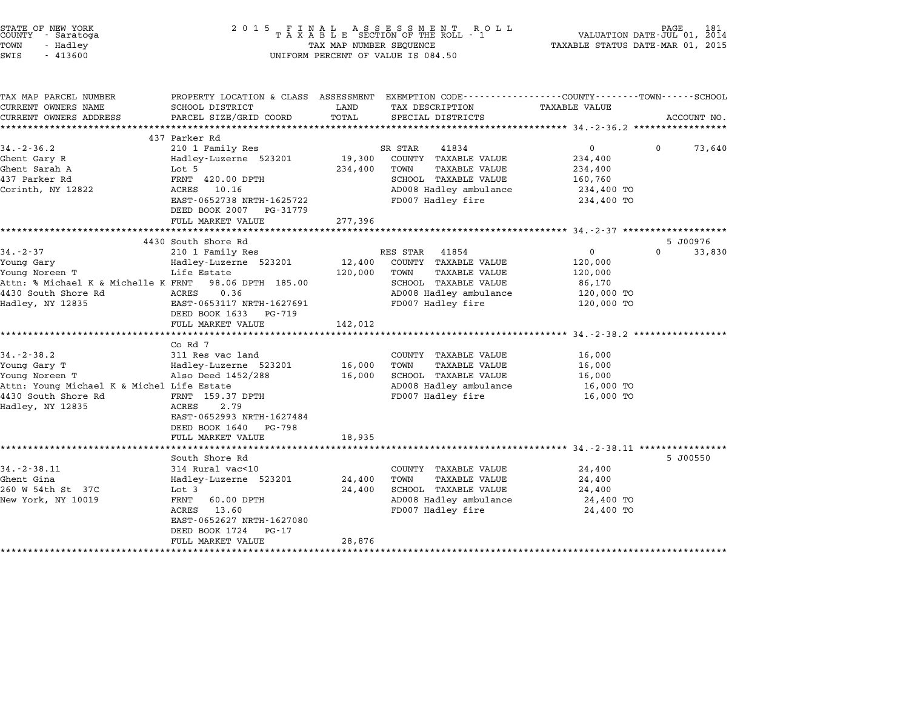| STATE OF NEW YORK<br>COUNTY - Saratoga<br>TOWN<br>- Hadley<br>SWIS<br>$-413600$                                                             | 2015 FINAL ASSESSMENT ROLL<br>TAXABLE SECTION OF THE ROLL - 1<br>TAX MAP NUMBER SEQUENCE<br>UNIFORM PERCENT OF VALUE IS 084.50                                                             |                            |                                                                                                                                        | VALUATION DATE-JUL 01, 2014<br>TAXABLE STATUS DATE-MAR 01, 2015 | PAGE     | 181         |
|---------------------------------------------------------------------------------------------------------------------------------------------|--------------------------------------------------------------------------------------------------------------------------------------------------------------------------------------------|----------------------------|----------------------------------------------------------------------------------------------------------------------------------------|-----------------------------------------------------------------|----------|-------------|
| TAX MAP PARCEL NUMBER<br>CURRENT OWNERS NAME                                                                                                | PROPERTY LOCATION & CLASS ASSESSMENT EXEMPTION CODE---------------COUNTY-------TOWN-----SCHOOL<br>SCHOOL DISTRICT                                                                          | LAND                       | TAX DESCRIPTION                                                                                                                        | TAXABLE VALUE                                                   |          |             |
| CURRENT OWNERS ADDRESS                                                                                                                      | PARCEL SIZE/GRID COORD                                                                                                                                                                     | TOTAL                      | SPECIAL DISTRICTS                                                                                                                      |                                                                 |          | ACCOUNT NO. |
|                                                                                                                                             | 437 Parker Rd                                                                                                                                                                              |                            |                                                                                                                                        |                                                                 |          |             |
| $34. - 2 - 36.2$                                                                                                                            | 210 1 Family Res                                                                                                                                                                           |                            | SR STAR<br>41834                                                                                                                       | $\overline{0}$                                                  | $\Omega$ | 73,640      |
| Ghent Gary R<br>Ghent Sarah A<br>437 Parker Rd<br>Corinth, NY 12822                                                                         | Hadley-Luzerne 523201<br>Lot 5<br>FRNT 420.00 DPTH<br>ACRES 10.16<br>EAST-0652738 NRTH-1625722<br>DEED BOOK 2007 PG-31779                                                                  | 19,300<br>234,400          | COUNTY TAXABLE VALUE<br>TOWN<br><b>TAXABLE VALUE</b><br>SCHOOL TAXABLE VALUE<br>AD008 Hadley ambulance<br>FD007 Hadley fire            | 234,400<br>234,400<br>160,760<br>234,400 TO<br>234,400 TO       |          |             |
|                                                                                                                                             | FULL MARKET VALUE                                                                                                                                                                          | 277,396                    |                                                                                                                                        |                                                                 |          |             |
|                                                                                                                                             |                                                                                                                                                                                            |                            |                                                                                                                                        |                                                                 |          |             |
|                                                                                                                                             | 4430 South Shore Rd                                                                                                                                                                        |                            |                                                                                                                                        |                                                                 |          | 5 J00976    |
| $34 - 2 - 37$<br>Young Gary<br>Young Noreen T<br>Attn: % Michael K & Michelle K FRNT<br>4430 South Shore Rd<br>Hadley, NY 12835             | 210 1 Family Res<br>Hadley-Luzerne 523201<br>Life Estate<br>98.06 DPTH 185.00<br>ACRES<br>0.36<br>EAST-0653117 NRTH-1627691<br>DEED BOOK 1633 PG-719                                       | 12,400<br>120,000          | RES STAR 41854<br>COUNTY TAXABLE VALUE<br>TOWN<br>TAXABLE VALUE<br>SCHOOL TAXABLE VALUE<br>AD008 Hadley ambulance<br>FD007 Hadley fire | 0<br>120,000<br>120,000<br>86,170<br>120,000 TO<br>120,000 TO   | $\Omega$ | 33,830      |
|                                                                                                                                             | FULL MARKET VALUE                                                                                                                                                                          | 142,012                    |                                                                                                                                        |                                                                 |          |             |
| $34. - 2 - 38.2$<br>Young Gary T<br>Young Noreen T<br>Attn: Young Michael K & Michel Life Estate<br>4430 South Shore Rd<br>Hadley, NY 12835 | Co Rd 7<br>311 Res vac land<br>Hadley-Luzerne 523201<br>Also Deed 1452/288<br>FRNT 159.37 DPTH<br>ACRES<br>2.79<br>EAST-0652993 NRTH-1627484<br>DEED BOOK 1640 PG-798<br>FULL MARKET VALUE | 16,000<br>16,000<br>18,935 | COUNTY TAXABLE VALUE<br>TOWN<br><b>TAXABLE VALUE</b><br>SCHOOL TAXABLE VALUE<br>AD008 Hadley ambulance<br>FD007 Hadley fire            | 16,000<br>16,000<br>16,000<br>16,000 TO<br>16,000 TO            |          |             |
|                                                                                                                                             |                                                                                                                                                                                            |                            |                                                                                                                                        |                                                                 |          |             |
| $34. - 2 - 38.11$<br>Ghent Gina<br>260 W 54th St 37C<br>New York, NY 10019                                                                  | South Shore Rd<br>314 Rural vac<10<br>Hadley-Luzerne 523201<br>Lot 3<br>FRNT<br>60.00 DPTH<br>ACRES<br>13.60<br>EAST-0652627 NRTH-1627080<br>DEED BOOK 1724<br>PG-17<br>FULL MARKET VALUE  | 24,400<br>24,400<br>28,876 | COUNTY TAXABLE VALUE<br>TOWN<br>TAXABLE VALUE<br>SCHOOL TAXABLE VALUE<br>AD008 Hadley ambulance<br>FD007 Hadley fire                   | 24,400<br>24,400<br>24,400<br>24,400 TO<br>24,400 TO            |          | 5 J00550    |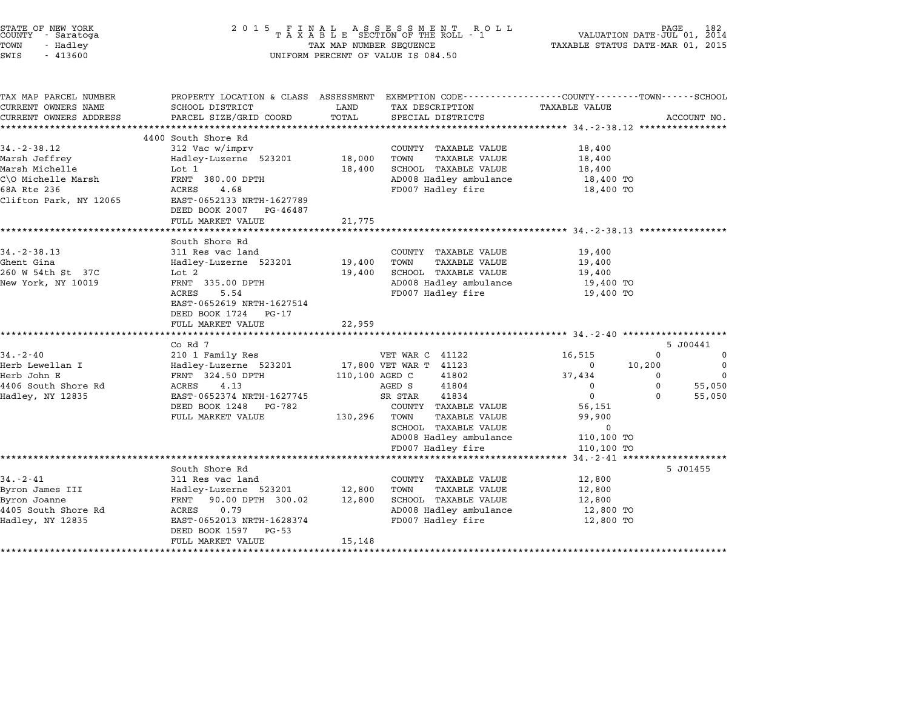| STATE OF NEW YORK<br>COUNTY - Saratoga<br>TOWN<br>- Hadley<br>SWIS<br>$-413600$                                     | 2015 FINAL ASSESSMENT ROLL<br>TAXABLE SECTION OF THE ROLL - 1<br>TAX MAP NUMBER SEQUENCE<br>UNIFORM PERCENT OF VALUE IS 084.50                                                      | VALUATION DATE-JUL 01, 2014<br>TAXABLE STATUS DATE-MAR 01, 2015 | PAGE                                                                                                                                                                                                                     | 182                                                                                                              |                                          |                                                    |
|---------------------------------------------------------------------------------------------------------------------|-------------------------------------------------------------------------------------------------------------------------------------------------------------------------------------|-----------------------------------------------------------------|--------------------------------------------------------------------------------------------------------------------------------------------------------------------------------------------------------------------------|------------------------------------------------------------------------------------------------------------------|------------------------------------------|----------------------------------------------------|
| TAX MAP PARCEL NUMBER<br>CURRENT OWNERS NAME                                                                        | SCHOOL DISTRICT                                                                                                                                                                     | LAND                                                            | PROPERTY LOCATION & CLASS ASSESSMENT EXEMPTION CODE---------------COUNTY-------TOWN-----SCHOOL<br>TAX DESCRIPTION                                                                                                        | <b>TAXABLE VALUE</b>                                                                                             |                                          |                                                    |
| CURRENT OWNERS ADDRESS                                                                                              | PARCEL SIZE/GRID COORD                                                                                                                                                              | TOTAL                                                           | SPECIAL DISTRICTS                                                                                                                                                                                                        |                                                                                                                  |                                          | ACCOUNT NO.                                        |
|                                                                                                                     | 4400 South Shore Rd                                                                                                                                                                 |                                                                 |                                                                                                                                                                                                                          |                                                                                                                  |                                          |                                                    |
| $34. - 2 - 38.12$<br>Marsh Jeffrey<br>Marsh Michelle<br>C\O Michelle Marsh<br>68A Rte 236<br>Clifton Park, NY 12065 | 312 Vac w/imprv<br>Hadley-Luzerne 523201<br>Lot 1<br>FRNT 380.00 DPTH<br>ACRES<br>4.68<br>EAST-0652133 NRTH-1627789<br>DEED BOOK 2007 PG-46487                                      | 18,000<br>18,400                                                | COUNTY TAXABLE VALUE<br><b>TAXABLE VALUE</b><br>TOWN<br>SCHOOL TAXABLE VALUE<br>AD008 Hadley ambulance<br>FD007 Hadley fire                                                                                              | 18,400<br>18,400<br>18,400<br>18,400 TO<br>18,400 TO                                                             |                                          |                                                    |
|                                                                                                                     | FULL MARKET VALUE                                                                                                                                                                   | 21,775                                                          |                                                                                                                                                                                                                          |                                                                                                                  |                                          |                                                    |
|                                                                                                                     | **********************                                                                                                                                                              |                                                                 |                                                                                                                                                                                                                          |                                                                                                                  |                                          |                                                    |
| $34. - 2 - 38.13$<br>Ghent Gina<br>260 W 54th St 37C<br>New York, NY 10019                                          | South Shore Rd<br>311 Res vac land<br>Hadley-Luzerne 523201<br>Lot 2<br>FRNT 335.00 DPTH<br>ACRES<br>5.54<br>EAST-0652619 NRTH-1627514<br>DEED BOOK 1724 PG-17<br>FULL MARKET VALUE | 19,400<br>19,400<br>22,959                                      | COUNTY TAXABLE VALUE<br><b>TAXABLE VALUE</b><br>TOWN<br>SCHOOL TAXABLE VALUE<br>AD008 Hadley ambulance<br>FD007 Hadley fire                                                                                              | 19,400<br>19,400<br>19,400<br>19,400 TO<br>19,400 TO                                                             |                                          |                                                    |
|                                                                                                                     |                                                                                                                                                                                     |                                                                 |                                                                                                                                                                                                                          |                                                                                                                  |                                          |                                                    |
| $34 - 2 - 40$<br>Herb Lewellan I<br>Herb John E<br>4406 South Shore Rd<br>Hadley, NY 12835                          | Co Rd 7<br>210 1 Family Res<br>Hadley-Luzerne 523201<br>FRNT 324.50 DPTH<br>ACRES<br>4.13<br>EAST-0652374 NRTH-1627745<br>DEED BOOK 1248 PG-782<br>FULL MARKET VALUE                | 110,100 AGED C<br>130,296                                       | VET WAR C 41122<br>17,800 VET WAR T 41123<br>41802<br>41804<br>AGED S<br>41834<br>SR STAR<br>COUNTY TAXABLE VALUE<br>TOWN<br><b>TAXABLE VALUE</b><br>SCHOOL TAXABLE VALUE<br>AD008 Hadley ambulance<br>FD007 Hadley fire | 16,515<br>0<br>37,434<br>$\Omega$<br>$\mathbf{0}$<br>56,151<br>99,900<br>$\mathbf 0$<br>110,100 TO<br>110,100 TO | 0<br>10,200<br>$\Omega$<br>$\Omega$<br>0 | 5 J00441<br>0<br>0<br>$\Omega$<br>55,050<br>55,050 |
|                                                                                                                     | *****************************                                                                                                                                                       |                                                                 | ************************************                                                                                                                                                                                     | $34 - 2 - 41$ ********************                                                                               |                                          |                                                    |
| $34. - 2 - 41$<br>Byron James III<br>Byron Joanne<br>4405 South Shore Rd<br>Hadley, NY 12835                        | South Shore Rd<br>311 Res vac land<br>Hadley-Luzerne 523201<br>FRNT 90.00 DPTH 300.02<br>ACRES<br>0.79<br>EAST-0652013 NRTH-1628374<br>DEED BOOK 1597 PG-53                         | 12,800<br>12,800                                                | COUNTY TAXABLE VALUE<br>TOWN<br><b>TAXABLE VALUE</b><br>SCHOOL TAXABLE VALUE<br>AD008 Hadley ambulance<br>FD007 Hadley fire                                                                                              | 12,800<br>12,800<br>12,800<br>12,800 TO<br>12,800 TO                                                             |                                          | 5 J01455                                           |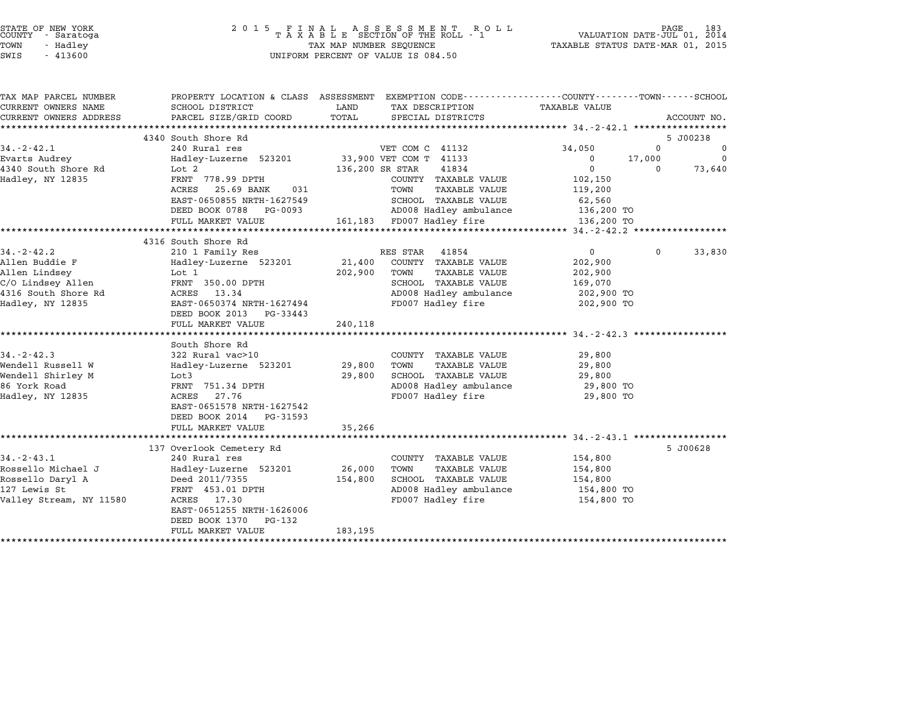| STATE OF NEW YORK<br>COUNTY<br>- Saratoga<br>TOWN<br>- Hadley<br>SWIS<br>$-413600$ |                                                                                                 | TAX MAP NUMBER SEQUENCE | UNIFORM PERCENT OF VALUE IS 084.50 | TAXABLE STATUS DATE-MAR 01, 2015 |          |                |
|------------------------------------------------------------------------------------|-------------------------------------------------------------------------------------------------|-------------------------|------------------------------------|----------------------------------|----------|----------------|
| TAX MAP PARCEL NUMBER<br>CURRENT OWNERS NAME THE SCHOOL DISTRICT                   | PROPERTY LOCATION & CLASS ASSESSMENT EXEMPTION CODE----------------COUNTY-------TOWN-----SCHOOL |                         | LAND TAX DESCRIPTION               | TAXABLE VALUE                    |          |                |
|                                                                                    | CURRENT OWNERS ADDRESS             PARCEL SIZE/GRID COORD         TOTAL       SPECIAL DISTRICTS |                         |                                    |                                  |          | ACCOUNT NO.    |
|                                                                                    | 4340 South Shore Rd                                                                             |                         |                                    |                                  |          | 5 J00238       |
| $34. -2 - 42.1$                                                                    | 240 Rural res                                                                                   |                         | VET COM C 41132                    | 34,050                           |          | $\mathbf 0$    |
| Evarts Audrey                                                                      | Hadley-Luzerne 523201 33,900 VET COM T                                                          |                         | 41133                              | $\Omega$                         | 17,000   | $\overline{0}$ |
|                                                                                    | 4340 South Shore Rd Lot 2                                                                       |                         | 136,200 SR STAR<br>41834           |                                  | $\Omega$ | 73,640         |
| Hadley, NY 12835                                                                   | FRNT 778.99 DPTH                                                                                |                         | COUNTY<br>TAXABLE VALUE            | 102,150                          |          |                |
|                                                                                    | ACRES 25.69 BANK<br>031                                                                         |                         | TOWN<br>TAXABLE VALUE              | 119,200                          |          |                |
|                                                                                    | EAST-0650855 NRTH-1627549                                                                       |                         | SCHOOL<br>TAXABLE VALUE            | 62,560                           |          |                |
|                                                                                    | DEED BOOK 0788 PG-0093                                                                          |                         | AD008 Hadley ambulance 3136,200 TO |                                  |          |                |
|                                                                                    | FULL MARKET VALUE 161,183 FD007 Hadley fire                                                     |                         |                                    | 136,200 TO                       |          |                |
|                                                                                    |                                                                                                 |                         |                                    |                                  |          |                |
|                                                                                    | 4316 South Shore Rd                                                                             |                         |                                    |                                  |          |                |

|                                 |                                           |              |                                                   | JT. 4 T4.4     |                          |
|---------------------------------|-------------------------------------------|--------------|---------------------------------------------------|----------------|--------------------------|
|                                 | 4316 South Shore Rd                       |              |                                                   |                |                          |
| $34. - 2 - 42.2$                | 210 1 Family Res                          |              | RES STAR 41854                                    | $\overline{0}$ | $\overline{0}$<br>33,830 |
| Allen Buddie F                  |                                           |              | Hadley-Luzerne 523201 21,400 COUNTY TAXABLE VALUE | 202,900        |                          |
| Allen Lindsey                   | Lot 1                                     | 202,900 TOWN | TAXABLE VALUE                                     | 202,900        |                          |
| C/O Lindsey Allen               | <b>FRNT</b> 350.00 DPTH                   |              | SCHOOL TAXABLE VALUE                              | 169,070        |                          |
| 4316 South Shore Rd ACRES 13.34 |                                           |              | AD008 Hadley ambulance                            | 202,900 TO     |                          |
| Hadley, NY 12835                | EAST-0650374 NRTH-1627494                 |              | FD007 Hadley fire                                 | 202,900 TO     |                          |
|                                 | DEED BOOK 2013 PG-33443                   |              |                                                   |                |                          |
|                                 | FULL MARKET VALUE                         | 240,118      |                                                   |                |                          |
|                                 |                                           |              |                                                   |                |                          |
|                                 | South Shore Rd                            |              |                                                   |                |                          |
| $34. - 2 - 42.3$                | 322 Rural vac>10                          |              | COUNTY TAXABLE VALUE                              | 29,800         |                          |
| Wendell Russell W               | Hadley-Luzerne 523201                     | 29,800       | TAXABLE VALUE<br>TOWN                             | 29,800         |                          |
| Wendell Shirley M               | Lot3                                      |              | 29,800 SCHOOL TAXABLE VALUE                       | 29,800         |                          |
| 86 York Road                    | FRNT 751.34 DPTH                          |              | AD008 Hadley ambulance 39,800 TO                  |                |                          |
| Hadley, NY 12835                | ACRES 27.76                               |              | FD007 Hadley fire                                 | 29,800 TO      |                          |
|                                 | EAST-0651578 NRTH-1627542                 |              |                                                   |                |                          |
|                                 | DEED BOOK 2014 PG-31593                   |              |                                                   |                |                          |
|                                 | FULL MARKET VALUE                         | 35,266       |                                                   |                |                          |
|                                 |                                           |              |                                                   |                | 5 J00628                 |
| $34. - 2 - 43.1$                | 137 Overlook Cemetery Rd<br>240 Rural res |              | COUNTY TAXABLE VALUE                              | 154,800        |                          |
| Rossello Michael J              | Hadley-Luzerne 523201                     | 26,000       | TOWN<br>TAXABLE VALUE                             | 154,800        |                          |
| Rossello Daryl A                | Deed 2011/7355                            | 154,800      | SCHOOL TAXABLE VALUE                              | 154,800        |                          |
| 127 Lewis St                    | FRNT 453.01 DPTH                          |              | AD008 Hadley ambulance                            | 154,800 TO     |                          |
| Valley Stream, NY 11580         | ACRES 17.30                               |              | FD007 Hadley fire                                 | 154,800 TO     |                          |
|                                 | EAST-0651255 NRTH-1626006                 |              |                                                   |                |                          |
|                                 | DEED BOOK 1370<br>PG-132                  |              |                                                   |                |                          |
|                                 | FULL MARKET VALUE                         | 183,195      |                                                   |                |                          |
|                                 |                                           |              |                                                   |                |                          |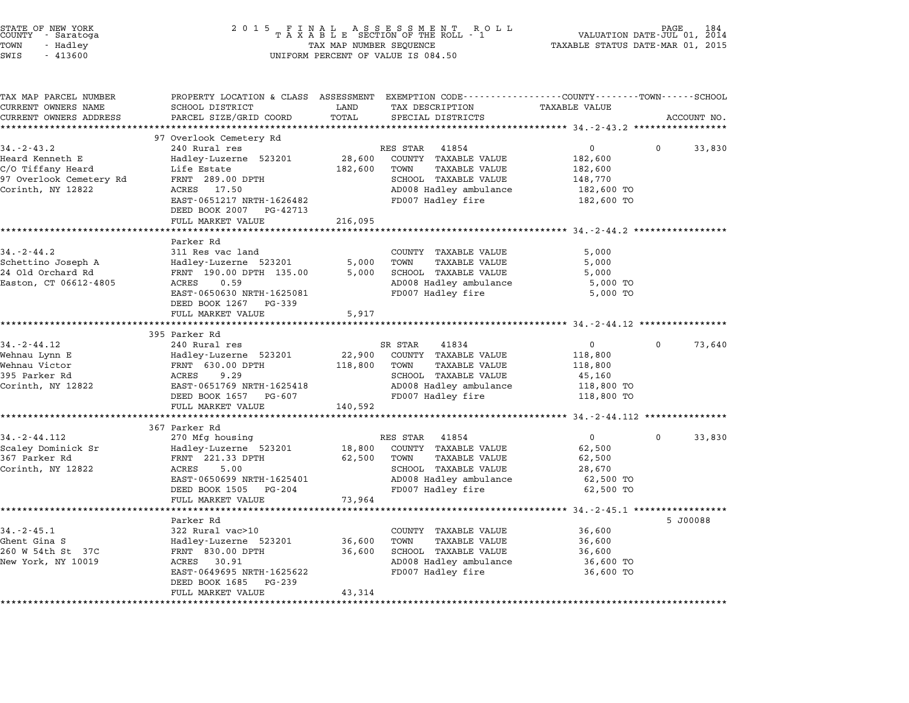| 2 0 1 5                                     | PAGE 184<br>VALUATION DATE-JUL 01, 2014<br>TAXABLE STATUS DATE-MAR 01, 2015                                                                                                                                                                                                                                                                                                                                                                                                         |                                                                                       |                                                                                                                                                                                                                                                                                                                                                                                                                                                                                       |                                                                                                                                                |                                                                                                                                                                          |
|---------------------------------------------|-------------------------------------------------------------------------------------------------------------------------------------------------------------------------------------------------------------------------------------------------------------------------------------------------------------------------------------------------------------------------------------------------------------------------------------------------------------------------------------|---------------------------------------------------------------------------------------|---------------------------------------------------------------------------------------------------------------------------------------------------------------------------------------------------------------------------------------------------------------------------------------------------------------------------------------------------------------------------------------------------------------------------------------------------------------------------------------|------------------------------------------------------------------------------------------------------------------------------------------------|--------------------------------------------------------------------------------------------------------------------------------------------------------------------------|
| SCHOOL DISTRICT<br>PARCEL SIZE/GRID COORD   | LAND<br>TOTAL                                                                                                                                                                                                                                                                                                                                                                                                                                                                       | TAX DESCRIPTION<br>SPECIAL DISTRICTS                                                  | TAXABLE VALUE                                                                                                                                                                                                                                                                                                                                                                                                                                                                         |                                                                                                                                                | ACCOUNT NO.                                                                                                                                                              |
|                                             |                                                                                                                                                                                                                                                                                                                                                                                                                                                                                     |                                                                                       |                                                                                                                                                                                                                                                                                                                                                                                                                                                                                       |                                                                                                                                                |                                                                                                                                                                          |
|                                             |                                                                                                                                                                                                                                                                                                                                                                                                                                                                                     |                                                                                       |                                                                                                                                                                                                                                                                                                                                                                                                                                                                                       |                                                                                                                                                | 33,830                                                                                                                                                                   |
| Hadley-Luzerne 523201<br>Life Estate        | 28,600<br>182,600                                                                                                                                                                                                                                                                                                                                                                                                                                                                   | COUNTY TAXABLE VALUE<br>TOWN<br>TAXABLE VALUE                                         | 182,600<br>182,600                                                                                                                                                                                                                                                                                                                                                                                                                                                                    |                                                                                                                                                |                                                                                                                                                                          |
| 17.50<br>ACRES<br>EAST-0651217 NRTH-1626482 |                                                                                                                                                                                                                                                                                                                                                                                                                                                                                     | AD008 Hadley ambulance<br>FD007 Hadley fire                                           | 182,600 TO<br>182,600 TO                                                                                                                                                                                                                                                                                                                                                                                                                                                              |                                                                                                                                                |                                                                                                                                                                          |
| DEED BOOK 2007 PG-42713                     |                                                                                                                                                                                                                                                                                                                                                                                                                                                                                     |                                                                                       |                                                                                                                                                                                                                                                                                                                                                                                                                                                                                       |                                                                                                                                                |                                                                                                                                                                          |
| FULL MARKET VALUE                           | 216,095                                                                                                                                                                                                                                                                                                                                                                                                                                                                             |                                                                                       |                                                                                                                                                                                                                                                                                                                                                                                                                                                                                       |                                                                                                                                                |                                                                                                                                                                          |
|                                             |                                                                                                                                                                                                                                                                                                                                                                                                                                                                                     |                                                                                       |                                                                                                                                                                                                                                                                                                                                                                                                                                                                                       |                                                                                                                                                |                                                                                                                                                                          |
| 311 Res vac land                            |                                                                                                                                                                                                                                                                                                                                                                                                                                                                                     | COUNTY TAXABLE VALUE                                                                  | 5,000                                                                                                                                                                                                                                                                                                                                                                                                                                                                                 |                                                                                                                                                |                                                                                                                                                                          |
| Hadley-Luzerne 523201                       | 5,000                                                                                                                                                                                                                                                                                                                                                                                                                                                                               | TOWN<br>TAXABLE VALUE                                                                 | 5,000                                                                                                                                                                                                                                                                                                                                                                                                                                                                                 |                                                                                                                                                |                                                                                                                                                                          |
| FRNT 190.00 DPTH 135.00                     | 5,000                                                                                                                                                                                                                                                                                                                                                                                                                                                                               | SCHOOL TAXABLE VALUE                                                                  | 5,000                                                                                                                                                                                                                                                                                                                                                                                                                                                                                 |                                                                                                                                                |                                                                                                                                                                          |
|                                             |                                                                                                                                                                                                                                                                                                                                                                                                                                                                                     |                                                                                       |                                                                                                                                                                                                                                                                                                                                                                                                                                                                                       |                                                                                                                                                |                                                                                                                                                                          |
|                                             |                                                                                                                                                                                                                                                                                                                                                                                                                                                                                     |                                                                                       |                                                                                                                                                                                                                                                                                                                                                                                                                                                                                       |                                                                                                                                                |                                                                                                                                                                          |
| FULL MARKET VALUE                           | 5,917                                                                                                                                                                                                                                                                                                                                                                                                                                                                               |                                                                                       |                                                                                                                                                                                                                                                                                                                                                                                                                                                                                       |                                                                                                                                                |                                                                                                                                                                          |
|                                             |                                                                                                                                                                                                                                                                                                                                                                                                                                                                                     |                                                                                       |                                                                                                                                                                                                                                                                                                                                                                                                                                                                                       |                                                                                                                                                |                                                                                                                                                                          |
|                                             |                                                                                                                                                                                                                                                                                                                                                                                                                                                                                     |                                                                                       |                                                                                                                                                                                                                                                                                                                                                                                                                                                                                       |                                                                                                                                                |                                                                                                                                                                          |
|                                             |                                                                                                                                                                                                                                                                                                                                                                                                                                                                                     |                                                                                       |                                                                                                                                                                                                                                                                                                                                                                                                                                                                                       |                                                                                                                                                | 73,640                                                                                                                                                                   |
|                                             |                                                                                                                                                                                                                                                                                                                                                                                                                                                                                     |                                                                                       |                                                                                                                                                                                                                                                                                                                                                                                                                                                                                       |                                                                                                                                                |                                                                                                                                                                          |
| ACRES<br>9.29                               |                                                                                                                                                                                                                                                                                                                                                                                                                                                                                     | SCHOOL TAXABLE VALUE                                                                  | 45,160                                                                                                                                                                                                                                                                                                                                                                                                                                                                                |                                                                                                                                                |                                                                                                                                                                          |
| EAST-0651769 NRTH-1625418                   |                                                                                                                                                                                                                                                                                                                                                                                                                                                                                     | AD008 Hadley ambulance                                                                | 118,800 TO                                                                                                                                                                                                                                                                                                                                                                                                                                                                            |                                                                                                                                                |                                                                                                                                                                          |
| DEED BOOK 1657<br>PG-607                    |                                                                                                                                                                                                                                                                                                                                                                                                                                                                                     | FD007 Hadley fire                                                                     | 118,800 TO                                                                                                                                                                                                                                                                                                                                                                                                                                                                            |                                                                                                                                                |                                                                                                                                                                          |
|                                             |                                                                                                                                                                                                                                                                                                                                                                                                                                                                                     |                                                                                       |                                                                                                                                                                                                                                                                                                                                                                                                                                                                                       |                                                                                                                                                |                                                                                                                                                                          |
|                                             |                                                                                                                                                                                                                                                                                                                                                                                                                                                                                     |                                                                                       |                                                                                                                                                                                                                                                                                                                                                                                                                                                                                       |                                                                                                                                                |                                                                                                                                                                          |
| 270 Mfg housing                             |                                                                                                                                                                                                                                                                                                                                                                                                                                                                                     | 41854                                                                                 | 0                                                                                                                                                                                                                                                                                                                                                                                                                                                                                     | 0                                                                                                                                              | 33,830                                                                                                                                                                   |
| Hadley-Luzerne 523201                       | 18,800                                                                                                                                                                                                                                                                                                                                                                                                                                                                              | COUNTY TAXABLE VALUE                                                                  | 62,500                                                                                                                                                                                                                                                                                                                                                                                                                                                                                |                                                                                                                                                |                                                                                                                                                                          |
| FRNT 221.33 DPTH                            | 62,500                                                                                                                                                                                                                                                                                                                                                                                                                                                                              | TOWN<br><b>TAXABLE VALUE</b>                                                          | 62,500                                                                                                                                                                                                                                                                                                                                                                                                                                                                                |                                                                                                                                                |                                                                                                                                                                          |
| ACRES                                       |                                                                                                                                                                                                                                                                                                                                                                                                                                                                                     |                                                                                       |                                                                                                                                                                                                                                                                                                                                                                                                                                                                                       |                                                                                                                                                |                                                                                                                                                                          |
|                                             |                                                                                                                                                                                                                                                                                                                                                                                                                                                                                     |                                                                                       |                                                                                                                                                                                                                                                                                                                                                                                                                                                                                       |                                                                                                                                                |                                                                                                                                                                          |
|                                             |                                                                                                                                                                                                                                                                                                                                                                                                                                                                                     |                                                                                       |                                                                                                                                                                                                                                                                                                                                                                                                                                                                                       |                                                                                                                                                |                                                                                                                                                                          |
| ******************                          |                                                                                                                                                                                                                                                                                                                                                                                                                                                                                     |                                                                                       |                                                                                                                                                                                                                                                                                                                                                                                                                                                                                       |                                                                                                                                                |                                                                                                                                                                          |
| Parker Rd                                   |                                                                                                                                                                                                                                                                                                                                                                                                                                                                                     |                                                                                       |                                                                                                                                                                                                                                                                                                                                                                                                                                                                                       |                                                                                                                                                | 5 J00088                                                                                                                                                                 |
| 322 Rural vac>10                            |                                                                                                                                                                                                                                                                                                                                                                                                                                                                                     | COUNTY TAXABLE VALUE                                                                  | 36,600                                                                                                                                                                                                                                                                                                                                                                                                                                                                                |                                                                                                                                                |                                                                                                                                                                          |
|                                             |                                                                                                                                                                                                                                                                                                                                                                                                                                                                                     |                                                                                       |                                                                                                                                                                                                                                                                                                                                                                                                                                                                                       |                                                                                                                                                |                                                                                                                                                                          |
|                                             |                                                                                                                                                                                                                                                                                                                                                                                                                                                                                     |                                                                                       |                                                                                                                                                                                                                                                                                                                                                                                                                                                                                       |                                                                                                                                                |                                                                                                                                                                          |
| EAST-0649695 NRTH-1625622                   |                                                                                                                                                                                                                                                                                                                                                                                                                                                                                     | FD007 Hadley fire                                                                     | 36,600 TO                                                                                                                                                                                                                                                                                                                                                                                                                                                                             |                                                                                                                                                |                                                                                                                                                                          |
|                                             |                                                                                                                                                                                                                                                                                                                                                                                                                                                                                     |                                                                                       |                                                                                                                                                                                                                                                                                                                                                                                                                                                                                       |                                                                                                                                                |                                                                                                                                                                          |
| DEED BOOK 1685<br>PG-239                    |                                                                                                                                                                                                                                                                                                                                                                                                                                                                                     |                                                                                       |                                                                                                                                                                                                                                                                                                                                                                                                                                                                                       |                                                                                                                                                |                                                                                                                                                                          |
|                                             | *************************<br>97 Overlook Cemetery Rd<br>240 Rural res<br>FRNT 289.00 DPTH<br>*********************<br>Parker Rd<br>ACRES<br>0.59<br>EAST-0650630 NRTH-1625081<br>DEED BOOK 1267<br>PG-339<br>395 Parker Rd<br>240 Rural res<br>Hadley-Luzerne 523201<br>FRNT 630.00 DPTH<br>FULL MARKET VALUE<br>367 Parker Rd<br>5.00<br>EAST-0650699 NRTH-1625401<br>DEED BOOK 1505<br>PG-204<br>FULL MARKET VALUE<br>Hadley-Luzerne 523201<br>FRNT 830.00 DPTH<br>ACRES<br>30.91 | * * * * * * * * * * * *<br>22,900<br>118,800<br>140,592<br>73,964<br>36,600<br>36,600 | FINAL ASSESSMENT ROLL<br>TAXABLE SECTION OF THE ROLL - 1<br>TAX MAP NUMBER SEQUENCE<br>UNIFORM PERCENT OF VALUE IS 084.50<br>41854<br>RES STAR<br>SCHOOL TAXABLE VALUE<br>AD008 Hadley ambulance<br>FD007 Hadley fire<br>SR STAR<br>41834<br>COUNTY TAXABLE VALUE<br>TOWN<br><b>TAXABLE VALUE</b><br>RES STAR<br>SCHOOL TAXABLE VALUE<br>AD008 Hadley ambulance<br>FD007 Hadley fire<br>***********<br>TOWN<br><b>TAXABLE VALUE</b><br>SCHOOL TAXABLE VALUE<br>AD008 Hadley ambulance | 0<br>148,770<br>5,000 TO<br>5,000 TO<br>$\mathbf 0$<br>118,800<br>118,800<br>28,670<br>62,500 TO<br>62,500 TO<br>36,600<br>36,600<br>36,600 TO | PROPERTY LOCATION & CLASS ASSESSMENT EXEMPTION CODE---------------COUNTY-------TOWN-----SCHOOL<br>0<br>** 34.-2-44.112 ********<br>********** 34.-2-45.1 *************** |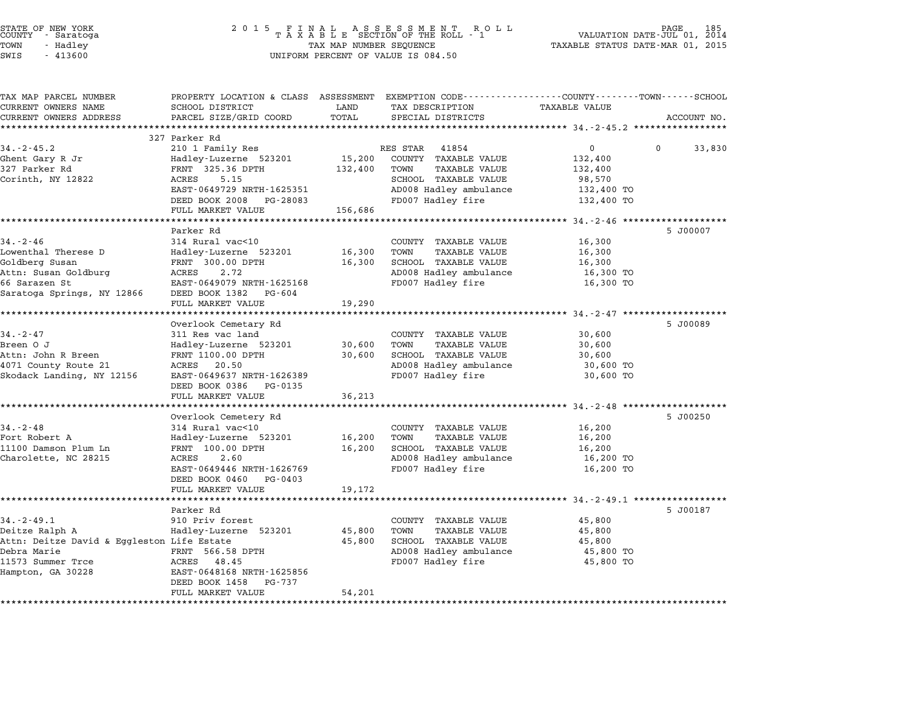| COUNTY               | STATE OF NEW YORK<br>- Saratoga |  |
|----------------------|---------------------------------|--|
| TOWN                 | - Hadley                        |  |
| $\sim$ $\sim$ $\sim$ | 11222                           |  |

### STATE OF NEW YORK <sup>2</sup> <sup>0</sup> <sup>1</sup> 5 F I N A L A S S E S S M E N T R O L L PAGE <sup>185</sup> COUNTY - Saratoga <sup>T</sup> <sup>A</sup> <sup>X</sup> <sup>A</sup> <sup>B</sup> <sup>L</sup> <sup>E</sup> SECTION OF THE ROLL - <sup>1</sup> VALUATION DATE-JUL 01, <sup>2014</sup> TOWN - Hadley TAX MAP NUMBER SEQUENCE TAXABLE STATUS DATE-MAR 01, <sup>2015</sup> SWIS - <sup>413600</sup> UNIFORM PERCENT OF VALUE IS 084.50

| TAX MAP PARCEL NUMBER<br>CURRENT OWNERS NAME | PROPERTY LOCATION & CLASS ASSESSMENT EXEMPTION CODE---------------COUNTY-------TOWN-----SCHOOL<br>SCHOOL DISTRICT | LAND    | TAX DESCRIPTION                             | <b>TAXABLE VALUE</b>                    |                    |
|----------------------------------------------|-------------------------------------------------------------------------------------------------------------------|---------|---------------------------------------------|-----------------------------------------|--------------------|
| CURRENT OWNERS ADDRESS                       | PARCEL SIZE/GRID COORD                                                                                            | TOTAL   | SPECIAL DISTRICTS                           |                                         | ACCOUNT NO.        |
| ************************                     |                                                                                                                   |         |                                             |                                         |                    |
|                                              | 327 Parker Rd                                                                                                     |         |                                             |                                         |                    |
| $34. - 2 - 45.2$                             | 210 1 Family Res                                                                                                  |         | RES STAR<br>41854                           | $\Omega$                                | $\Omega$<br>33,830 |
| Ghent Gary R Jr                              | Hadley-Luzerne 523201                                                                                             | 15,200  | COUNTY TAXABLE VALUE                        | 132,400                                 |                    |
| 327 Parker Rd                                | FRNT 325.36 DPTH                                                                                                  | 132,400 | TOWN<br><b>TAXABLE VALUE</b>                | 132,400                                 |                    |
| Corinth, NY 12822                            | 5.15<br>ACRES                                                                                                     |         | SCHOOL TAXABLE VALUE                        | 98,570                                  |                    |
|                                              | EAST-0649729 NRTH-1625351                                                                                         |         | AD008 Hadley ambulance                      | 132,400 TO                              |                    |
|                                              | DEED BOOK 2008<br>PG-28083                                                                                        |         | FD007 Hadley fire                           | 132,400 TO                              |                    |
|                                              | FULL MARKET VALUE                                                                                                 | 156,686 |                                             |                                         |                    |
|                                              |                                                                                                                   |         |                                             |                                         |                    |
|                                              | Parker Rd                                                                                                         |         |                                             |                                         | 5 J00007           |
| $34 - 2 - 46$                                | 314 Rural vac<10                                                                                                  |         | COUNTY TAXABLE VALUE                        | 16,300                                  |                    |
| Lowenthal Therese D                          | Hadley-Luzerne 523201                                                                                             | 16,300  | <b>TAXABLE VALUE</b><br>TOWN                | 16,300                                  |                    |
| Goldberg Susan                               | FRNT 300.00 DPTH                                                                                                  | 16,300  | SCHOOL TAXABLE VALUE                        | 16,300                                  |                    |
| Attn: Susan Goldburg                         | 2.72<br>ACRES                                                                                                     |         | AD008 Hadley ambulance                      | 16,300 TO                               |                    |
| 66 Sarazen St                                | EAST-0649079 NRTH-1625168                                                                                         |         | FD007 Hadley fire                           | 16,300 TO                               |                    |
| Saratoga Springs, NY 12866                   | DEED BOOK 1382<br>PG-604                                                                                          |         |                                             |                                         |                    |
|                                              | FULL MARKET VALUE                                                                                                 | 19,290  |                                             |                                         |                    |
|                                              |                                                                                                                   |         |                                             |                                         |                    |
|                                              | Overlook Cemetary Rd                                                                                              |         |                                             |                                         | 5 J00089           |
| $34. - 2 - 47$                               | 311 Res vac land                                                                                                  |         | COUNTY TAXABLE VALUE                        | 30,600                                  |                    |
| Breen O J                                    | Hadley-Luzerne 523201                                                                                             | 30,600  | TOWN<br><b>TAXABLE VALUE</b>                | 30,600                                  |                    |
| Attn: John R Breen                           | FRNT 1100.00 DPTH                                                                                                 | 30,600  | SCHOOL TAXABLE VALUE                        | 30,600                                  |                    |
| 4071 County Route 21                         | ACRES 20.50                                                                                                       |         | AD008 Hadley ambulance<br>FD007 Hadley fire | 30,600 TO                               |                    |
| Skodack Landing, NY 12156                    | EAST-0649637 NRTH-1626389                                                                                         |         |                                             | 30,600 TO                               |                    |
|                                              | DEED BOOK 0386<br>PG-0135<br>FULL MARKET VALUE                                                                    |         |                                             |                                         |                    |
|                                              |                                                                                                                   | 36,213  |                                             |                                         |                    |
|                                              | Overlook Cemetery Rd                                                                                              |         |                                             |                                         | 5 J00250           |
| $34. - 2 - 48$                               | 314 Rural vac<10                                                                                                  |         | COUNTY TAXABLE VALUE                        | 16,200                                  |                    |
| Fort Robert A                                | Hadley-Luzerne 523201                                                                                             | 16,200  | TOWN<br>TAXABLE VALUE                       | 16,200                                  |                    |
| 11100 Damson Plum Ln                         | FRNT 100.00 DPTH                                                                                                  | 16,200  | SCHOOL TAXABLE VALUE                        | 16,200                                  |                    |
| Charolette, NC 28215                         | 2.60<br>ACRES                                                                                                     |         | AD008 Hadley ambulance                      | 16,200 TO                               |                    |
|                                              | EAST-0649446 NRTH-1626769                                                                                         |         | FD007 Hadley fire                           | 16,200 TO                               |                    |
|                                              | DEED BOOK 0460<br>PG-0403                                                                                         |         |                                             |                                         |                    |
|                                              | FULL MARKET VALUE                                                                                                 | 19,172  |                                             |                                         |                    |
|                                              |                                                                                                                   |         |                                             | ********** 34.-2-49.1 ***************** |                    |
|                                              | Parker Rd                                                                                                         |         |                                             |                                         | 5 J00187           |
| $34. - 2 - 49.1$                             | 910 Priv forest                                                                                                   |         | COUNTY TAXABLE VALUE                        | 45,800                                  |                    |
| Deitze Ralph A                               | Hadley-Luzerne 523201                                                                                             | 45,800  | <b>TAXABLE VALUE</b><br>TOWN                | 45,800                                  |                    |
| Attn: Deitze David & Eggleston Life Estate   |                                                                                                                   | 45,800  | SCHOOL TAXABLE VALUE                        | 45,800                                  |                    |
| Debra Marie                                  | FRNT 566.58 DPTH                                                                                                  |         | AD008 Hadley ambulance                      | 45,800 TO                               |                    |
| 11573 Summer Trce                            | ACRES<br>48.45                                                                                                    |         | FD007 Hadley fire                           | 45,800 TO                               |                    |
| Hampton, GA 30228                            | EAST-0648168 NRTH-1625856                                                                                         |         |                                             |                                         |                    |
|                                              | DEED BOOK 1458<br>PG-737                                                                                          |         |                                             |                                         |                    |
|                                              | FULL MARKET VALUE                                                                                                 | 54,201  |                                             |                                         |                    |
|                                              |                                                                                                                   |         |                                             |                                         |                    |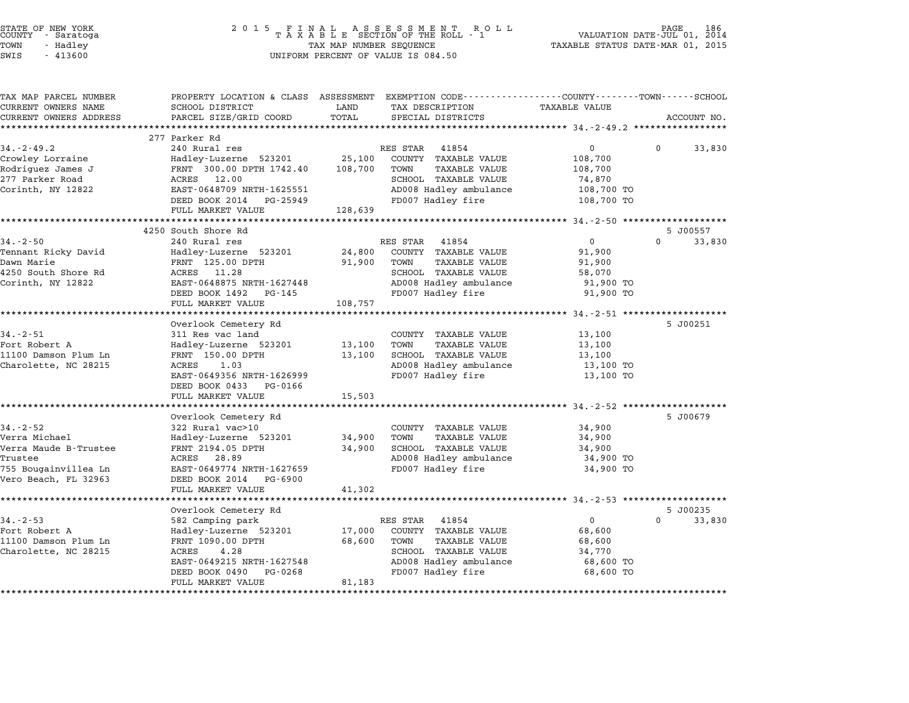|        | STATE OF NEW YORK |  |
|--------|-------------------|--|
| COUNTY | - Saratoga        |  |
| TOWN   | - Hadley          |  |

| TAX MAP PARCEL NUMBER<br>CURRENT OWNERS NAME | SCHOOL DISTRICT                                | TAX DESCRIPTION<br>LAND                                 | PROPERTY LOCATION & CLASS ASSESSMENT EXEMPTION CODE----------------COUNTY-------TOWN-----SCHOOL<br><b>TAXABLE VALUE</b> |
|----------------------------------------------|------------------------------------------------|---------------------------------------------------------|-------------------------------------------------------------------------------------------------------------------------|
| CURRENT OWNERS ADDRESS                       | PARCEL SIZE/GRID COORD                         | TOTAL<br>SPECIAL DISTRICTS                              | ACCOUNT NO.                                                                                                             |
|                                              | ***********************                        |                                                         |                                                                                                                         |
|                                              | 277 Parker Rd                                  |                                                         |                                                                                                                         |
| $34. - 2 - 49.2$                             | 240 Rural res                                  | RES STAR 41854                                          | $\overline{0}$<br>$\mathbf 0$<br>33,830                                                                                 |
| Crowley Lorraine                             | Hadley-Luzerne 523201                          | 25,100<br>COUNTY TAXABLE VALUE                          | 108,700                                                                                                                 |
| Rodriguez James J                            | FRNT 300.00 DPTH 1742.40                       | 108,700<br>TOWN<br>TAXABLE VALUE                        | 108,700                                                                                                                 |
| 277 Parker Road                              | ACRES 12.00                                    | SCHOOL TAXABLE VALUE                                    | 74,870                                                                                                                  |
| Corinth, NY 12822                            | EAST-0648709 NRTH-1625551                      | AD008 Hadley ambulance                                  | 108,700 TO                                                                                                              |
|                                              | DEED BOOK 2014 PG-25949                        | FD007 Hadley fire                                       | 108,700 TO                                                                                                              |
|                                              | FULL MARKET VALUE                              | 128,639                                                 |                                                                                                                         |
|                                              |                                                |                                                         |                                                                                                                         |
|                                              | 4250 South Shore Rd                            |                                                         | 5 J00557                                                                                                                |
| $34 - 2 - 50$                                | 240 Rural res                                  | RES STAR 41854                                          | $\Omega$<br>$\overline{0}$<br>33,830                                                                                    |
| Tennant Ricky David                          | Hadley-Luzerne 523201                          | 24,800<br>COUNTY TAXABLE VALUE                          | 91,900                                                                                                                  |
| Dawn Marie                                   | FRNT 125.00 DPTH                               | TAXABLE VALUE<br>91,900<br>TOWN                         | 91,900                                                                                                                  |
| 4250 South Shore Rd                          | ACRES 11.28                                    | SCHOOL TAXABLE VALUE                                    | 58,070                                                                                                                  |
| Corinth, NY 12822                            | EAST-0648875 NRTH-1627448                      | AD008 Hadley ambulance                                  | 91,900 TO                                                                                                               |
|                                              | DEED BOOK 1492 PG-145                          | FD007 Hadley fire                                       | 91,900 TO                                                                                                               |
|                                              | FULL MARKET VALUE                              | 108,757                                                 |                                                                                                                         |
|                                              | Overlook Cemetery Rd                           |                                                         | 5 J00251                                                                                                                |
| $34. - 2 - 51$                               | 311 Res vac land                               | COUNTY TAXABLE VALUE                                    | 13,100                                                                                                                  |
| Fort Robert A                                | Hadley-Luzerne 523201                          | TAXABLE VALUE<br>13,100<br>TOWN                         | 13,100                                                                                                                  |
| 11100 Damson Plum Ln                         | FRNT 150.00 DPTH                               | SCHOOL TAXABLE VALUE<br>13,100                          | 13,100                                                                                                                  |
| Charolette, NC 28215                         | ACRES<br>1.03                                  | AD008 Hadley ambulance                                  | 13,100 TO                                                                                                               |
|                                              | EAST-0649356 NRTH-1626999                      | FD007 Hadley fire                                       | 13,100 TO                                                                                                               |
|                                              | DEED BOOK 0433 PG-0166                         |                                                         |                                                                                                                         |
|                                              | FULL MARKET VALUE                              | 15,503                                                  |                                                                                                                         |
|                                              |                                                |                                                         |                                                                                                                         |
|                                              | Overlook Cemetery Rd                           |                                                         | 5 J00679                                                                                                                |
| $34. - 2 - 52$                               | 322 Rural vac>10                               | COUNTY TAXABLE VALUE                                    | 34,900                                                                                                                  |
| Verra Michael                                | Hadley-Luzerne 523201                          | 34,900<br>TOWN<br>TAXABLE VALUE                         | 34,900                                                                                                                  |
| Verra Maude B-Trustee                        | FRNT 2194.05 DPTH                              | 34,900<br>SCHOOL TAXABLE VALUE                          | 34,900                                                                                                                  |
| Trustee                                      | ACRES 28.89                                    | AD008 Hadley ambulance                                  | 34,900 TO                                                                                                               |
| 755 Bougainvillea Ln                         | EAST-0649774 NRTH-1627659                      | FD007 Hadley fire                                       | 34,900 TO                                                                                                               |
| Vero Beach, FL 32963                         | DEED BOOK 2014 PG-6900                         |                                                         |                                                                                                                         |
|                                              | FULL MARKET VALUE                              | 41,302                                                  |                                                                                                                         |
|                                              |                                                |                                                         |                                                                                                                         |
|                                              | Overlook Cemetery Rd                           |                                                         | 5 J00235                                                                                                                |
| $34 - 2 - 53$                                | 582 Camping park                               | RES STAR 41854                                          | $\overline{0}$<br>$\Omega$<br>33,830                                                                                    |
| Fort Robert A                                | Hadley-Luzerne 523201                          | 17,000<br>COUNTY TAXABLE VALUE                          | 68,600                                                                                                                  |
| 11100 Damson Plum Ln                         | FRNT 1090.00 DPTH<br>4.28<br>ACRES             | 68,600<br>TOWN<br>TAXABLE VALUE<br>SCHOOL TAXABLE VALUE | 68,600                                                                                                                  |
|                                              |                                                |                                                         | 34,770                                                                                                                  |
|                                              |                                                |                                                         |                                                                                                                         |
| Charolette, NC 28215                         | EAST-0649215 NRTH-1627548                      | AD008 Hadley ambulance                                  | 68,600 TO                                                                                                               |
|                                              | PG-0268<br>DEED BOOK 0490<br>FULL MARKET VALUE | FD007 Hadley fire<br>81,183                             | 68,600 TO                                                                                                               |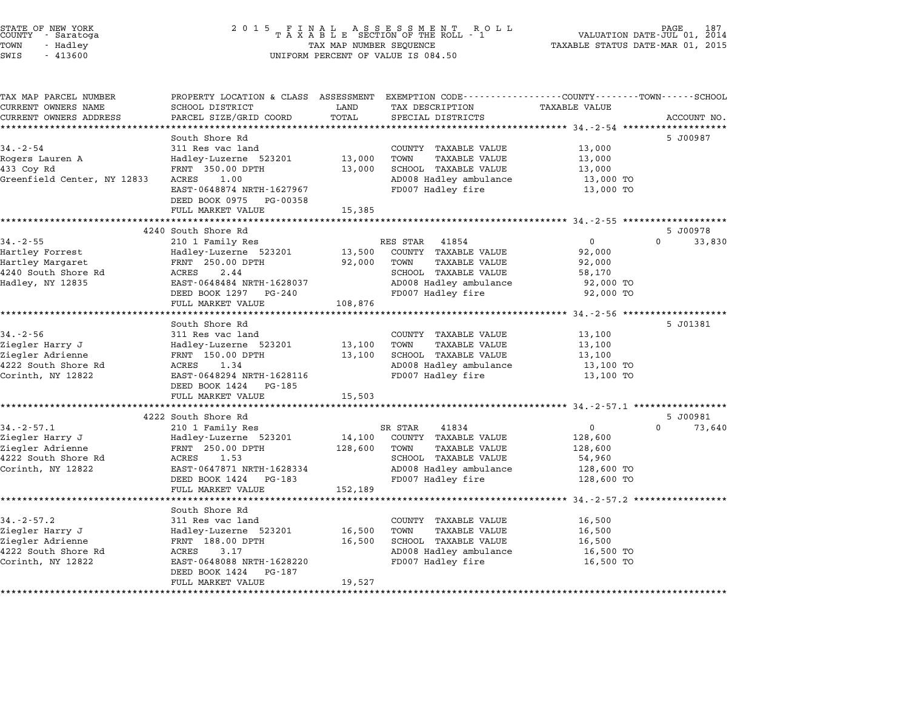| STATE OF NEW YORK |  |            |  |
|-------------------|--|------------|--|
| COUNTY            |  | - Saratoga |  |
| TOWN              |  | - Hadley   |  |
| $\alpha$          |  | 11200      |  |

| TAX MAP PARCEL NUMBER<br>CURRENT OWNERS NAME | PROPERTY LOCATION & CLASS ASSESSMENT EXEMPTION CODE---------------COUNTY-------TOWN------SCHOOL<br>SCHOOL DISTRICT | LAND         | TAX DESCRIPTION                                                | <b>TAXABLE VALUE</b>                              |                    |
|----------------------------------------------|--------------------------------------------------------------------------------------------------------------------|--------------|----------------------------------------------------------------|---------------------------------------------------|--------------------|
| CURRENT OWNERS ADDRESS                       | PARCEL SIZE/GRID COORD                                                                                             | TOTAL        | SPECIAL DISTRICTS                                              |                                                   | ACCOUNT NO.        |
|                                              |                                                                                                                    |              |                                                                |                                                   |                    |
|                                              | South Shore Rd                                                                                                     |              |                                                                |                                                   | 5 J00987           |
| $34. - 2 - 54$                               | 311 Res vac land                                                                                                   |              | COUNTY TAXABLE VALUE                                           | 13,000                                            |                    |
| Rogers Lauren A                              | Hadley-Luzerne 523201                                                                                              | 13,000       | TOWN<br><b>TAXABLE VALUE</b>                                   | 13,000                                            |                    |
| 433 Coy Rd                                   | FRNT 350.00 DPTH                                                                                                   | 13,000       | SCHOOL TAXABLE VALUE                                           | 13,000                                            |                    |
| Greenfield Center, NY 12833                  | ACRES<br>1.00                                                                                                      |              | AD008 Hadley ambulance                                         | 13,000 TO                                         |                    |
|                                              | EAST-0648874 NRTH-1627967                                                                                          |              | FD007 Hadley fire                                              | 13,000 TO                                         |                    |
|                                              | DEED BOOK 0975 PG-00358                                                                                            |              |                                                                |                                                   |                    |
|                                              | FULL MARKET VALUE                                                                                                  | 15,385       |                                                                |                                                   |                    |
|                                              |                                                                                                                    |              |                                                                |                                                   |                    |
|                                              | 4240 South Shore Rd                                                                                                |              |                                                                |                                                   | 5 J00978           |
| $34. - 2 - 55$                               | 210 1 Family Res                                                                                                   |              | RES STAR 41854                                                 | $\overline{0}$                                    | $\Omega$<br>33,830 |
| Hartley Forrest                              | Hadley-Luzerne 523201                                                                                              | 13,500       | COUNTY TAXABLE VALUE                                           | 92,000                                            |                    |
| Hartley Margaret                             | FRNT 250.00 DPTH                                                                                                   | 92,000       | TAXABLE VALUE<br>TOWN                                          | 92,000                                            |                    |
| 4240 South Shore Rd                          | ACRES<br>2.44                                                                                                      |              | SCHOOL TAXABLE VALUE                                           | 58,170                                            |                    |
| Hadley, NY 12835                             | EAST-0648484 NRTH-1628037                                                                                          |              | AD008 Hadley ambulance                                         | 92,000 TO                                         |                    |
|                                              | DEED BOOK 1297 PG-240                                                                                              |              | FD007 Hadley fire                                              | 92,000 TO                                         |                    |
|                                              | FULL MARKET VALUE                                                                                                  | 108,876      |                                                                |                                                   |                    |
|                                              |                                                                                                                    |              | ********************************* 34.-2-56 ******************* |                                                   |                    |
|                                              | South Shore Rd                                                                                                     |              |                                                                |                                                   | 5 J01381           |
| $34. - 2 - 56$                               | 311 Res vac land                                                                                                   |              | COUNTY TAXABLE VALUE                                           | 13,100                                            |                    |
| Ziegler Harry J                              | Hadley-Luzerne 523201                                                                                              | 13,100       | <b>TAXABLE VALUE</b><br>TOWN                                   | 13,100                                            |                    |
| Ziegler Adrienne                             | FRNT 150.00 DPTH                                                                                                   | 13,100       | SCHOOL TAXABLE VALUE                                           | 13,100                                            |                    |
| 4222 South Shore Rd                          | 1.34<br>ACRES                                                                                                      |              | AD008 Hadley ambulance                                         | 13,100 TO                                         |                    |
| Corinth, NY 12822                            | EAST-0648294 NRTH-1628116                                                                                          |              | FD007 Hadley fire                                              | 13,100 TO                                         |                    |
|                                              | DEED BOOK 1424 PG-185                                                                                              |              |                                                                |                                                   |                    |
|                                              | FULL MARKET VALUE                                                                                                  | 15,503       |                                                                |                                                   |                    |
|                                              |                                                                                                                    |              |                                                                |                                                   |                    |
|                                              | 4222 South Shore Rd                                                                                                |              |                                                                |                                                   | 5 J00981           |
| $34. - 2 - 57.1$                             | 210 1 Family Res                                                                                                   |              | 41834<br>SR STAR                                               | $\overline{0}$                                    | $\Omega$<br>73,640 |
| Ziegler Harry J                              | Hadley-Luzerne 523201                                                                                              | 14,100       | COUNTY TAXABLE VALUE                                           | 128,600                                           |                    |
| Ziegler Adrienne                             | FRNT 250.00 DPTH                                                                                                   | 128,600 TOWN | <b>TAXABLE VALUE</b>                                           | 128,600                                           |                    |
| 4222 South Shore Rd                          | ACRES<br>1.53                                                                                                      |              | SCHOOL TAXABLE VALUE                                           | 54,960                                            |                    |
| Corinth, NY 12822                            | EAST-0647871 NRTH-1628334                                                                                          |              | AD008 Hadley ambulance                                         | 128,600 TO                                        |                    |
|                                              | DEED BOOK 1424 PG-183                                                                                              |              | FD007 Hadley fire                                              | 128,600 TO                                        |                    |
|                                              | FULL MARKET VALUE                                                                                                  | 152,189      |                                                                |                                                   |                    |
|                                              | **********************                                                                                             |              |                                                                | ********************** 34.-2-57.2 *************** |                    |
|                                              | South Shore Rd                                                                                                     |              |                                                                |                                                   |                    |
| $34. - 2 - 57.2$                             | 311 Res vac land                                                                                                   |              | COUNTY TAXABLE VALUE                                           | 16,500                                            |                    |
| Ziegler Harry J                              | Hadley-Luzerne 523201                                                                                              | 16,500       | <b>TAXABLE VALUE</b><br>TOWN                                   | 16,500                                            |                    |
| Ziegler Adrienne                             | FRNT 188.00 DPTH                                                                                                   | 16,500       | SCHOOL TAXABLE VALUE                                           | 16,500                                            |                    |
| 4222 South Shore Rd                          | ACRES<br>3.17                                                                                                      |              | AD008 Hadley ambulance                                         | 16,500 TO                                         |                    |
| Corinth, NY 12822                            | EAST-0648088 NRTH-1628220                                                                                          |              | FD007 Hadley fire                                              | 16,500 TO                                         |                    |
|                                              | DEED BOOK 1424<br>PG-187                                                                                           |              |                                                                |                                                   |                    |
|                                              | FULL MARKET VALUE                                                                                                  | 19,527       |                                                                |                                                   |                    |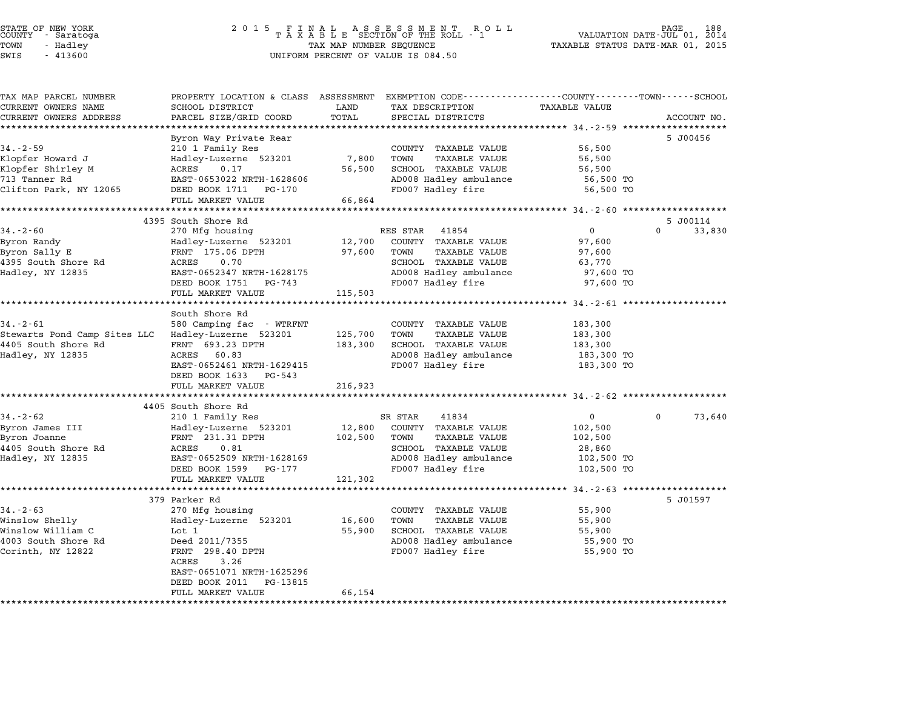| TAX MAP PARCEL NUMBER                 | PROPERTY LOCATION & CLASS ASSESSMENT EXEMPTION CODE----------------COUNTY-------TOWN-----SCHOOL |                 |                                              |                      |                        |
|---------------------------------------|-------------------------------------------------------------------------------------------------|-----------------|----------------------------------------------|----------------------|------------------------|
| CURRENT OWNERS NAME                   | <b>SCHOOL DISTRICT</b>                                                                          | LAND            | TAX DESCRIPTION                              | <b>TAXABLE VALUE</b> |                        |
| CURRENT OWNERS ADDRESS                | PARCEL SIZE/GRID COORD                                                                          | TOTAL           | SPECIAL DISTRICTS                            |                      | ACCOUNT NO.            |
|                                       |                                                                                                 |                 |                                              |                      |                        |
| $34. - 2 - 59$                        | Byron Way Private Rear                                                                          |                 |                                              |                      | 5 J00456               |
|                                       | 210 1 Family Res                                                                                |                 | COUNTY TAXABLE VALUE<br>TOWN                 | 56,500               |                        |
| Klopfer Howard J<br>Klopfer Shirley M | Hadley-Luzerne 523201<br>ACRES<br>0.17                                                          | 7,800<br>56,500 | <b>TAXABLE VALUE</b><br>SCHOOL TAXABLE VALUE | 56,500<br>56,500     |                        |
| 713 Tanner Rd                         | EAST-0653022 NRTH-1628606                                                                       |                 | AD008 Hadley ambulance                       | 56,500 TO            |                        |
| Clifton Park, NY 12065                | DEED BOOK 1711 PG-170                                                                           |                 | FD007 Hadley fire                            | 56,500 TO            |                        |
|                                       | FULL MARKET VALUE                                                                               | 66,864          |                                              |                      |                        |
|                                       |                                                                                                 |                 |                                              |                      |                        |
|                                       | 4395 South Shore Rd                                                                             |                 |                                              |                      | 5 J00114               |
| $34. - 2 - 60$                        | 270 Mfg housing                                                                                 |                 | RES STAR 41854                               | $\mathbf 0$          | $\mathbf{0}$<br>33,830 |
| Byron Randy                           | Hadley-Luzerne 523201                                                                           | 12,700          | COUNTY TAXABLE VALUE                         | 97,600               |                        |
| Byron Sally E                         | FRNT 175.06 DPTH                                                                                | 97,600          | TOWN<br><b>TAXABLE VALUE</b>                 | 97,600               |                        |
| 4395 South Shore Rd                   | ACRES<br>0.70                                                                                   |                 | SCHOOL TAXABLE VALUE                         | 63,770               |                        |
| Hadley, NY 12835                      | EAST-0652347 NRTH-1628175                                                                       |                 | AD008 Hadley ambulance                       | 97,600 TO            |                        |
|                                       | DEED BOOK 1751 PG-743                                                                           |                 | FD007 Hadley fire                            | 97,600 TO            |                        |
|                                       | FULL MARKET VALUE                                                                               | 115,503         |                                              |                      |                        |
|                                       |                                                                                                 |                 |                                              |                      |                        |
|                                       | South Shore Rd                                                                                  |                 |                                              |                      |                        |
| $34 - 2 - 61$                         | 580 Camping fac - WTRFNT                                                                        |                 | COUNTY TAXABLE VALUE                         | 183,300              |                        |
| Stewarts Pond Camp Sites LLC          | Hadley-Luzerne 523201                                                                           | 125,700         | <b>TAXABLE VALUE</b><br>TOWN                 | 183,300              |                        |
| 4405 South Shore Rd                   | FRNT 693.23 DPTH                                                                                | 183,300         | SCHOOL TAXABLE VALUE                         | 183,300              |                        |
| Hadley, NY 12835                      | ACRES 60.83                                                                                     |                 | AD008 Hadley ambulance                       | 183,300 TO           |                        |
|                                       | EAST-0652461 NRTH-1629415                                                                       |                 | FD007 Hadley fire                            | 183,300 TO           |                        |
|                                       | DEED BOOK 1633 PG-543                                                                           |                 |                                              |                      |                        |
|                                       | FULL MARKET VALUE                                                                               | 216,923         |                                              |                      |                        |
|                                       |                                                                                                 |                 |                                              |                      |                        |
| $34. - 2 - 62$                        | 4405 South Shore Rd<br>210 1 Family Res                                                         |                 | SR STAR<br>41834                             | $\overline{0}$       | 73,640<br>0            |
| Byron James III                       | Hadley-Luzerne 523201                                                                           | 12,800          | COUNTY TAXABLE VALUE                         | 102,500              |                        |
| Byron Joanne                          | FRNT 231.31 DPTH                                                                                | 102,500         | <b>TAXABLE VALUE</b><br>TOWN                 | 102,500              |                        |
| 4405 South Shore Rd                   | ACRES<br>0.81                                                                                   |                 | SCHOOL TAXABLE VALUE                         | 28,860               |                        |
| Hadley, NY 12835                      | EAST-0652509 NRTH-1628169                                                                       |                 | AD008 Hadley ambulance                       | 102,500 TO           |                        |
|                                       | DEED BOOK 1599 PG-177                                                                           |                 | FD007 Hadley fire                            | 102,500 TO           |                        |
|                                       | FULL MARKET VALUE                                                                               | 121,302         |                                              |                      |                        |
|                                       |                                                                                                 |                 |                                              |                      |                        |
|                                       | 379 Parker Rd                                                                                   |                 |                                              |                      | 5 J01597               |
| $34. - 2 - 63$                        | 270 Mfg housing                                                                                 |                 | COUNTY TAXABLE VALUE                         | 55,900               |                        |
| Winslow Shelly                        | Hadley-Luzerne 523201                                                                           | 16,600          | TOWN<br><b>TAXABLE VALUE</b>                 | 55,900               |                        |
| Winslow William C                     | Lot 1                                                                                           | 55,900          | SCHOOL TAXABLE VALUE                         | 55,900               |                        |
| 4003 South Shore Rd                   | Deed 2011/7355                                                                                  |                 | AD008 Hadley ambulance                       | 55,900 TO            |                        |
| Corinth, NY 12822                     | FRNT 298.40 DPTH                                                                                |                 | FD007 Hadley fire                            | 55,900 TO            |                        |
|                                       | ACRES<br>3.26                                                                                   |                 |                                              |                      |                        |
|                                       | EAST-0651071 NRTH-1625296                                                                       |                 |                                              |                      |                        |
|                                       | DEED BOOK 2011<br>PG-13815                                                                      |                 |                                              |                      |                        |
|                                       | FULL MARKET VALUE                                                                               | 66,154          |                                              |                      |                        |
|                                       |                                                                                                 |                 |                                              |                      |                        |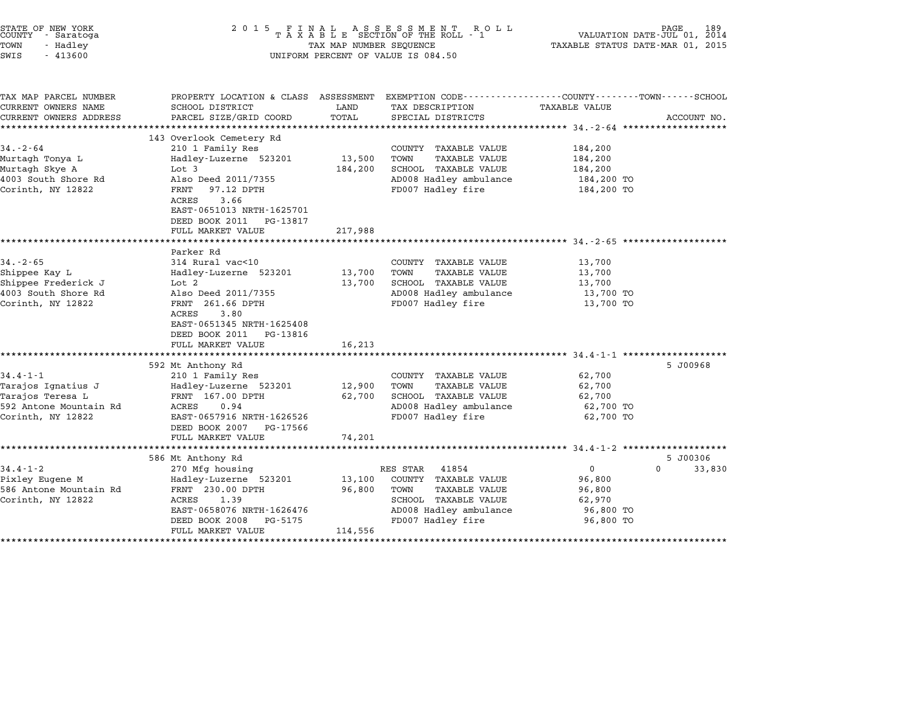| STATE OF NEW YORK<br>COUNTY - Saratoga<br>TOWN<br>- Hadley<br>$-413600$<br>SWIS                         | 2015 FINAL                                                                                                                                                                                                                      | TAX MAP NUMBER SEQUENCE              | FINAL ASSESSMENT ROLL<br>TAXABLE SECTION OF THE ROLL - 1<br>UNIFORM PERCENT OF VALUE IS 084.50                                                   | 189<br>PAGE.<br>VALUATION DATE-JUL 01, 2014<br>TAXABLE STATUS DATE-MAR 01, 2015                                                |
|---------------------------------------------------------------------------------------------------------|---------------------------------------------------------------------------------------------------------------------------------------------------------------------------------------------------------------------------------|--------------------------------------|--------------------------------------------------------------------------------------------------------------------------------------------------|--------------------------------------------------------------------------------------------------------------------------------|
| TAX MAP PARCEL NUMBER<br>CURRENT OWNERS NAME<br>CURRENT OWNERS ADDRESS                                  | SCHOOL DISTRICT<br>PARCEL SIZE/GRID COORD                                                                                                                                                                                       | LAND<br>TOTAL                        | TAX DESCRIPTION<br>SPECIAL DISTRICTS                                                                                                             | PROPERTY LOCATION & CLASS ASSESSMENT EXEMPTION CODE---------------COUNTY-------TOWN-----SCHOOL<br>TAXABLE VALUE<br>ACCOUNT NO. |
| $34. - 2 - 64$<br>Murtagh Tonya L<br>Murtagh Skye A<br>4003 South Shore Rd<br>Corinth, NY 12822         | 143 Overlook Cemetery Rd<br>210 1 Family Res<br>Hadley-Luzerne 523201<br>Lot 3<br>Also Deed 2011/7355<br>FRNT<br>97.12 DPTH<br>ACRES<br>3.66<br>EAST-0651013 NRTH-1625701<br>DEED BOOK 2011 PG-13817<br>FULL MARKET VALUE       | 13,500<br>184,200<br>217,988         | COUNTY TAXABLE VALUE<br><b>TAXABLE VALUE</b><br>TOWN<br>SCHOOL TAXABLE VALUE<br>AD008 Hadley ambulance<br>FD007 Hadley fire                      | 184,200<br>184,200<br>184,200<br>184,200 TO<br>184,200 TO                                                                      |
| $34. - 2 - 65$<br>Shippee Kay L<br>Shippee Frederick J<br>4003 South Shore Rd<br>Corinth, NY 12822      | Parker Rd<br>314 Rural vac<10<br>Hadley-Luzerne 523201<br>Lot 2<br>Also Deed 2011/7355<br>FRNT 261.66 DPTH<br>3.80<br>ACRES<br>EAST-0651345 NRTH-1625408<br>DEED BOOK 2011 PG-13816                                             | 13,700<br>13,700                     | COUNTY TAXABLE VALUE<br>TOWN<br>TAXABLE VALUE<br>SCHOOL TAXABLE VALUE<br>AD008 Hadley ambulance<br>FD007 Hadley fire                             | 13,700<br>13,700<br>13,700<br>13,700 TO<br>13,700 TO                                                                           |
| $34.4 - 1 - 1$<br>Tarajos Ignatius J<br>Tarajos Teresa L<br>592 Antone Mountain Rd<br>Corinth, NY 12822 | FULL MARKET VALUE<br>**********************<br>592 Mt Anthony Rd<br>210 1 Family Res<br>Hadley-Luzerne 523201<br>FRNT 167.00 DPTH<br>ACRES<br>0.94<br>EAST-0657916 NRTH-1626526<br>DEED BOOK 2007 PG-17566<br>FULL MARKET VALUE | 16,213<br>12,900<br>62,700<br>74,201 | COUNTY TAXABLE VALUE<br><b>TAXABLE VALUE</b><br>TOWN<br>SCHOOL TAXABLE VALUE<br>AD008 Hadley ambulance<br>FD007 Hadley fire                      | ******************************* 34.4-1-1 **************<br>5 J00968<br>62,700<br>62,700<br>62,700<br>62,700 TO<br>62,700 TO    |
| $34.4 - 1 - 2$<br>Pixley Eugene M<br>586 Antone Mountain Rd<br>Corinth, NY 12822                        | 586 Mt Anthony Rd<br>270 Mfg housing<br>Hadley-Luzerne 523201<br>FRNT 230.00 DPTH<br>ACRES<br>1.39<br>EAST-0658076 NRTH-1626476<br>DEED BOOK 2008<br>PG-5175<br>FULL MARKET VALUE                                               | 13,100<br>96,800<br>114,556          | RES STAR<br>41854<br>COUNTY TAXABLE VALUE<br><b>TAXABLE VALUE</b><br>TOWN<br>SCHOOL TAXABLE VALUE<br>AD008 Hadley ambulance<br>FD007 Hadley fire | 5 J00306<br>$\Omega$<br>33,830<br>$\Omega$<br>96,800<br>96,800<br>62,970<br>96,800 TO<br>96,800 TO                             |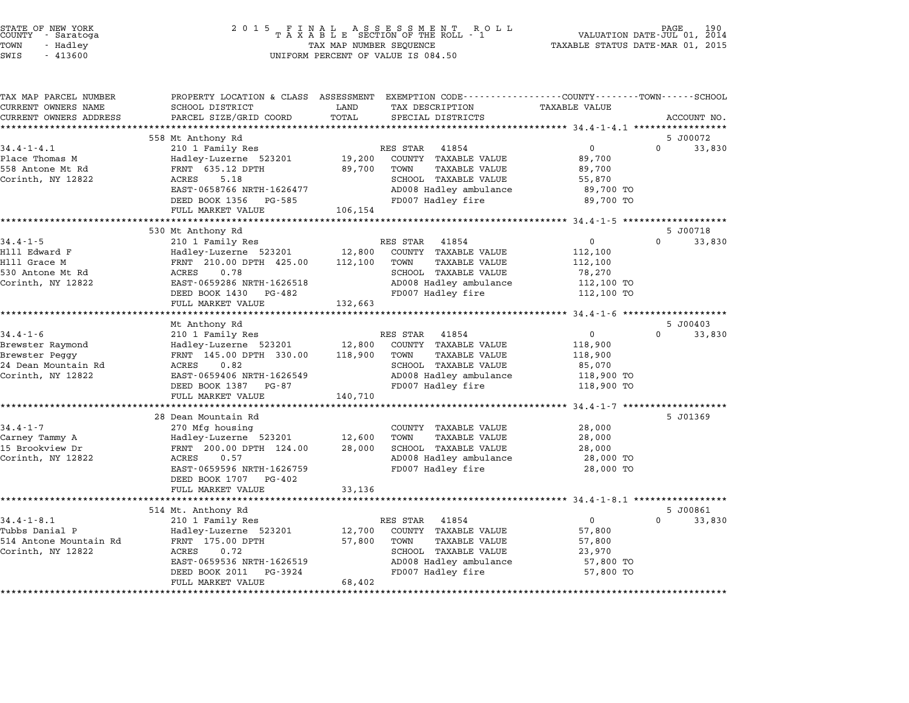| STATE OF NEW YORK<br>COUNTY<br>- Saratoga<br>TOWN<br>- Hadley<br>SWIS<br>$-413600$ | 2 0 1 5<br>FINAL ASSESSMENT ROTAXABLE SECTION OF THE ROLL - 1<br>TAX MAP NUMBER SEQUENCE<br>UNIFORM PERCENT OF VALUE IS 084.50 | PAGE<br>VALUATION DATE-JUL 01, 2014<br>TAXABLE STATUS DATE-MAR 01, 2015                                                    |                                                    |
|------------------------------------------------------------------------------------|--------------------------------------------------------------------------------------------------------------------------------|----------------------------------------------------------------------------------------------------------------------------|----------------------------------------------------|
| TAX MAP PARCEL NUMBER<br>CURRENT OWNERS NAME                                       | SCHOOL DISTRICT                                                                                                                | PROPERTY LOCATION & CLASS ASSESSMENT EXEMPTION CODE---------------COUNTY-------TOWN------SCHOOL<br>LAND<br>TAX DESCRIPTION | <b>TAXABLE VALUE</b>                               |
| CURRENT OWNERS ADDRESS                                                             | PARCEL SIZE/GRID COORD                                                                                                         | TOTAL<br>SPECIAL DISTRICTS                                                                                                 | ACCOUNT NO.                                        |
|                                                                                    | 558 Mt Anthony Rd                                                                                                              |                                                                                                                            | 5 J00072                                           |
| $34.4 - 1 - 4.1$                                                                   | 210 1 Family Res                                                                                                               | RES STAR<br>41854                                                                                                          | $\mathbf 0$<br>$\Omega$<br>33,830                  |
| Place Thomas M                                                                     | Hadley-Luzerne 523201                                                                                                          | 19,200<br>COUNTY TAXABLE VALUE                                                                                             | 89,700                                             |
| 558 Antone Mt Rd                                                                   | FRNT 635.12 DPTH                                                                                                               | 89,700<br>TOWN<br>TAXABLE VALUE                                                                                            | 89,700                                             |
| Corinth, NY 12822                                                                  | ACRES<br>5.18                                                                                                                  | SCHOOL TAXABLE VALUE                                                                                                       | 55,870                                             |
|                                                                                    | EAST-0658766 NRTH-1626477                                                                                                      | AD008 Hadley ambulance                                                                                                     | 89,700 TO                                          |
|                                                                                    | DEED BOOK 1356<br>PG-585<br>FULL MARKET VALUE                                                                                  | FD007 Hadley fire<br>106,154                                                                                               | 89,700 TO                                          |
|                                                                                    |                                                                                                                                | *********************                                                                                                      | *************** 34.4-1-5 ********************      |
|                                                                                    | 530 Mt Anthony Rd                                                                                                              |                                                                                                                            | 5 J00718                                           |
| $34.4 - 1 - 5$                                                                     | 210 1 Family Res                                                                                                               | RES STAR<br>41854                                                                                                          | $\Omega$<br>33,830<br>$\mathbf 0$                  |
| Hlll Edward F                                                                      | Hadley-Luzerne 523201                                                                                                          | 12,800<br>COUNTY TAXABLE VALUE                                                                                             | 112,100                                            |
| Hlll Grace M                                                                       | FRNT 210.00 DPTH 425.00                                                                                                        | 112,100<br><b>TAXABLE VALUE</b><br>TOWN                                                                                    | 112,100                                            |
| 530 Antone Mt Rd<br>Corinth, NY 12822                                              | ACRES<br>0.78<br>EAST-0659286 NRTH-1626518                                                                                     | SCHOOL TAXABLE VALUE<br>AD008 Hadley ambulance                                                                             | 78,270<br>112,100 TO                               |
|                                                                                    | DEED BOOK 1430<br>PG-482                                                                                                       | FD007 Hadley fire                                                                                                          | 112,100 TO                                         |
|                                                                                    | FULL MARKET VALUE                                                                                                              | 132,663                                                                                                                    |                                                    |
|                                                                                    | ***********************                                                                                                        |                                                                                                                            |                                                    |
|                                                                                    | Mt Anthony Rd                                                                                                                  |                                                                                                                            | 5 J00403                                           |
| $34.4 - 1 - 6$                                                                     | 210 1 Family Res                                                                                                               | RES STAR<br>41854                                                                                                          | $\mathbf 0$<br>$\Omega$<br>33,830                  |
| Brewster Raymond                                                                   | Hadley-Luzerne 523201                                                                                                          | 12,800<br>COUNTY TAXABLE VALUE<br>118,900<br><b>TAXABLE VALUE</b>                                                          | 118,900                                            |
| Brewster Peggy<br>24 Dean Mountain Rd                                              | FRNT 145.00 DPTH 330.00<br>ACRES<br>0.82                                                                                       | TOWN<br>SCHOOL TAXABLE VALUE                                                                                               | 118,900<br>85,070                                  |
| Corinth, NY 12822                                                                  | EAST-0659406 NRTH-1626549                                                                                                      | AD008 Hadley ambulance                                                                                                     | 118,900 TO                                         |
|                                                                                    | DEED BOOK 1387 PG-87                                                                                                           | FD007 Hadley fire                                                                                                          | 118,900 TO                                         |
|                                                                                    | FULL MARKET VALUE                                                                                                              | 140,710                                                                                                                    |                                                    |
|                                                                                    | *********************                                                                                                          |                                                                                                                            | ******** 34.4-1-7 ********************             |
|                                                                                    | 28 Dean Mountain Rd                                                                                                            |                                                                                                                            | 5 J01369                                           |
| $34.4 - 1 - 7$                                                                     | 270 Mfg housing                                                                                                                | COUNTY TAXABLE VALUE                                                                                                       | 28,000                                             |
| Carney Tammy A                                                                     | Hadley-Luzerne 523201                                                                                                          | 12,600<br>TOWN<br><b>TAXABLE VALUE</b>                                                                                     | 28,000                                             |
| 15 Brookview Dr<br>Corinth, NY 12822                                               | FRNT 200.00 DPTH 124.00<br>ACRES<br>0.57                                                                                       | 28,000<br>SCHOOL TAXABLE VALUE<br>AD008 Hadley ambulance                                                                   | 28,000<br>28,000 TO                                |
|                                                                                    | EAST-0659596 NRTH-1626759                                                                                                      | FD007 Hadley fire                                                                                                          | 28,000 TO                                          |
|                                                                                    | DEED BOOK 1707<br>PG-402                                                                                                       |                                                                                                                            |                                                    |
|                                                                                    | FULL MARKET VALUE                                                                                                              | 33,136                                                                                                                     |                                                    |
|                                                                                    |                                                                                                                                |                                                                                                                            | ******************** 34.4-1-8.1 ****************** |
|                                                                                    | 514 Mt. Anthony Rd                                                                                                             |                                                                                                                            | 5 J00861                                           |
| $34.4 - 1 - 8.1$                                                                   | 210 1 Family Res                                                                                                               | RES STAR<br>41854                                                                                                          | $\mathbf 0$<br>$\Omega$<br>33,830                  |
| Tubbs Danial P<br>514 Antone Mountain Rd                                           | Hadley-Luzerne 523201<br>FRNT 175.00 DPTH                                                                                      | COUNTY TAXABLE VALUE<br>12,700<br>57,800<br>TOWN<br>TAXABLE VALUE                                                          | 57,800<br>57,800                                   |
| Corinth, NY 12822                                                                  | ACRES<br>0.72                                                                                                                  | SCHOOL TAXABLE VALUE                                                                                                       | 23,970                                             |
|                                                                                    |                                                                                                                                |                                                                                                                            |                                                    |
|                                                                                    |                                                                                                                                |                                                                                                                            |                                                    |
|                                                                                    | EAST-0659536 NRTH-1626519<br>DEED BOOK 2011<br>PG-3924                                                                         | AD008 Hadley ambulance<br>FD007 Hadley fire                                                                                | 57,800 TO<br>57,800 TO                             |

STATE OF NEW YORK <sup>2</sup> <sup>0</sup> <sup>1</sup> 5 F I N A L A S S E S S M E N T R O L L PAGE <sup>190</sup> COUNTY - Saratoga <sup>T</sup> <sup>A</sup> <sup>X</sup> <sup>A</sup> <sup>B</sup> <sup>L</sup> <sup>E</sup> SECTION OF THE ROLL - <sup>1</sup> VALUATION DATE-JUL 01, <sup>2014</sup>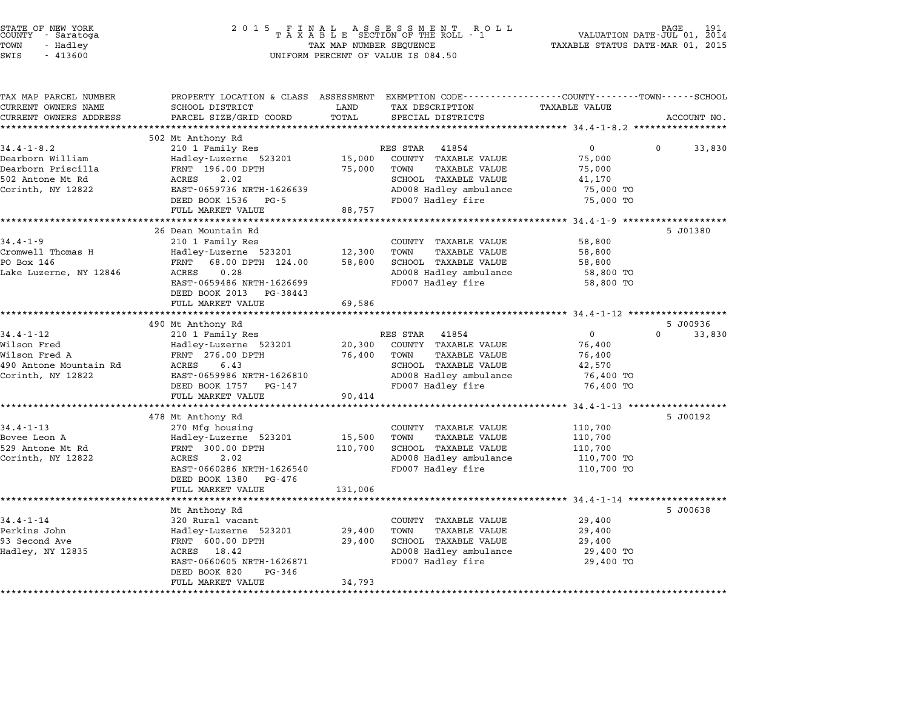| STATE OF NEW YORK<br>COUNTY<br>- Saratoga<br>TOWN<br>- Hadley<br>SWIS<br>$-413600$ | 2 0 1 5<br>TAXABLE SECTION OF THE ROLL - 1<br>TAX MAP NUMBER SEQUENCE<br>UNIFORM PERCENT OF VALUE IS 084.50 | VALUATION DATE-JUL 01, 2014<br>TAXABLE STATUS DATE-MAR 01, 2015 | PAGE<br>191                                                                    |                                                                    |                    |
|------------------------------------------------------------------------------------|-------------------------------------------------------------------------------------------------------------|-----------------------------------------------------------------|--------------------------------------------------------------------------------|--------------------------------------------------------------------|--------------------|
| TAX MAP PARCEL NUMBER<br>CURRENT OWNERS NAME                                       | PROPERTY LOCATION & CLASS ASSESSMENT<br>SCHOOL DISTRICT                                                     | LAND                                                            | EXEMPTION CODE-----------------COUNTY-------TOWN-----SCHOOL<br>TAX DESCRIPTION | <b>TAXABLE VALUE</b>                                               |                    |
| CURRENT OWNERS ADDRESS                                                             | PARCEL SIZE/GRID COORD                                                                                      | TOTAL                                                           | SPECIAL DISTRICTS                                                              |                                                                    | ACCOUNT NO.        |
|                                                                                    |                                                                                                             |                                                                 |                                                                                |                                                                    |                    |
|                                                                                    | 502 Mt Anthony Rd                                                                                           |                                                                 |                                                                                |                                                                    |                    |
| $34.4 - 1 - 8.2$                                                                   | 210 1 Family Res                                                                                            |                                                                 | RES STAR<br>41854                                                              | 0                                                                  | 0<br>33,830        |
| Dearborn William<br>Dearborn Priscilla                                             | Hadley-Luzerne 523201<br>FRNT 196.00 DPTH                                                                   | 15,000<br>75,000                                                | COUNTY TAXABLE VALUE<br>TOWN<br>TAXABLE VALUE                                  | 75,000<br>75,000                                                   |                    |
| 502 Antone Mt Rd                                                                   | ACRES<br>2.02                                                                                               |                                                                 | SCHOOL TAXABLE VALUE                                                           | 41,170                                                             |                    |
| Corinth, NY 12822                                                                  | EAST-0659736 NRTH-1626639                                                                                   |                                                                 | AD008 Hadley ambulance                                                         | 75,000 TO                                                          |                    |
|                                                                                    | DEED BOOK 1536<br>PG-5                                                                                      |                                                                 | FD007 Hadley fire                                                              | 75,000 TO                                                          |                    |
|                                                                                    | FULL MARKET VALUE                                                                                           | 88,757                                                          |                                                                                |                                                                    |                    |
|                                                                                    | ******************                                                                                          |                                                                 |                                                                                | $34.4 - 1 - 9$                                                     |                    |
|                                                                                    | 26 Dean Mountain Rd                                                                                         |                                                                 |                                                                                |                                                                    | 5 J01380           |
| $34.4 - 1 - 9$                                                                     | 210 1 Family Res                                                                                            |                                                                 | COUNTY TAXABLE VALUE                                                           | 58,800                                                             |                    |
| Cromwell Thomas H<br>PO Box 146                                                    | Hadley-Luzerne 523201                                                                                       | 12,300                                                          | TOWN<br><b>TAXABLE VALUE</b>                                                   | 58,800                                                             |                    |
| Lake Luzerne, NY 12846                                                             | FRNT<br>68.00 DPTH 124.00<br>0.28<br>ACRES                                                                  | 58,800                                                          | SCHOOL TAXABLE VALUE<br>AD008 Hadley ambulance                                 | 58,800<br>58,800 TO                                                |                    |
|                                                                                    | EAST-0659486 NRTH-1626699                                                                                   |                                                                 | FD007 Hadley fire                                                              | 58,800 TO                                                          |                    |
|                                                                                    | DEED BOOK 2013<br>PG-38443                                                                                  |                                                                 |                                                                                |                                                                    |                    |
|                                                                                    | FULL MARKET VALUE                                                                                           | 69,586                                                          |                                                                                |                                                                    |                    |
|                                                                                    | ********************                                                                                        | **********                                                      |                                                                                | ************************************ 34.4-1-12 ******************* |                    |
|                                                                                    | 490 Mt Anthony Rd                                                                                           |                                                                 |                                                                                |                                                                    | 5 J00936           |
| $34.4 - 1 - 12$                                                                    | 210 1 Family Res                                                                                            |                                                                 | RES STAR<br>41854                                                              | $\mathbf{0}$                                                       | $\Omega$<br>33,830 |
| Wilson Fred                                                                        | Hadley-Luzerne 523201                                                                                       | 20,300                                                          | COUNTY TAXABLE VALUE                                                           | 76,400                                                             |                    |
| Wilson Fred A<br>490 Antone Mountain Rd                                            | FRNT 276.00 DPTH<br>ACRES<br>6.43                                                                           | 76,400                                                          | TOWN<br>TAXABLE VALUE<br>SCHOOL TAXABLE VALUE                                  | 76,400<br>42,570                                                   |                    |
| Corinth, NY 12822                                                                  | EAST-0659986 NRTH-1626810                                                                                   |                                                                 | AD008 Hadley ambulance                                                         | 76,400 TO                                                          |                    |
|                                                                                    | DEED BOOK 1757<br>PG-147                                                                                    |                                                                 | FD007 Hadley fire                                                              | 76,400 TO                                                          |                    |
|                                                                                    | FULL MARKET VALUE                                                                                           | 90,414                                                          |                                                                                |                                                                    |                    |
|                                                                                    |                                                                                                             |                                                                 |                                                                                | $34.4 - 1 - 13$ *****                                              |                    |
|                                                                                    | 478 Mt Anthony Rd                                                                                           |                                                                 |                                                                                |                                                                    | 5 J00192           |
| $34.4 - 1 - 13$                                                                    | 270 Mfg housing                                                                                             |                                                                 | COUNTY TAXABLE VALUE                                                           | 110,700                                                            |                    |
| Bovee Leon A                                                                       | Hadley-Luzerne 523201                                                                                       | 15,500                                                          | <b>TAXABLE VALUE</b><br>TOWN                                                   | 110,700                                                            |                    |
| 529 Antone Mt Rd                                                                   | FRNT 300.00 DPTH                                                                                            | 110,700                                                         | SCHOOL TAXABLE VALUE                                                           | 110,700                                                            |                    |
| Corinth, NY 12822                                                                  | ACRES<br>2.02                                                                                               |                                                                 | AD008 Hadley ambulance                                                         | 110,700 TO                                                         |                    |
|                                                                                    | EAST-0660286 NRTH-1626540<br>PG-476                                                                         |                                                                 | FD007 Hadley fire                                                              | 110,700 TO                                                         |                    |
|                                                                                    | DEED BOOK 1380<br>FULL MARKET VALUE                                                                         | 131,006                                                         |                                                                                |                                                                    |                    |
|                                                                                    |                                                                                                             |                                                                 |                                                                                | ************************ 34.4-1-14 **************                  |                    |
|                                                                                    | Mt Anthony Rd                                                                                               |                                                                 |                                                                                |                                                                    | 5 J00638           |
| $34.4 - 1 - 14$                                                                    | 320 Rural vacant                                                                                            |                                                                 | COUNTY TAXABLE VALUE                                                           | 29,400                                                             |                    |
| Perkins John                                                                       | Hadley-Luzerne 523201                                                                                       | 29,400                                                          | TOWN<br><b>TAXABLE VALUE</b>                                                   | 29,400                                                             |                    |
| 93 Second Ave                                                                      | FRNT 600.00 DPTH                                                                                            | 29,400                                                          | SCHOOL TAXABLE VALUE                                                           | 29,400                                                             |                    |
| Hadley, NY 12835                                                                   | ACRES 18.42                                                                                                 |                                                                 | AD008 Hadley ambulance                                                         | 29,400 TO                                                          |                    |
|                                                                                    | EAST-0660605 NRTH-1626871                                                                                   |                                                                 | FD007 Hadley fire                                                              | 29,400 TO                                                          |                    |
|                                                                                    | DEED BOOK 820<br>PG-346<br>FULL MARKET VALUE                                                                | 34,793                                                          |                                                                                |                                                                    |                    |
|                                                                                    |                                                                                                             |                                                                 |                                                                                |                                                                    |                    |
|                                                                                    | *********************                                                                                       | *******                                                         |                                                                                |                                                                    |                    |

STATE OF NEW YORK <sup>2</sup> <sup>0</sup> <sup>1</sup> 5 F I N A L A S S E S S M E N T R O L L PAGE <sup>191</sup> COUNTY - Saratoga <sup>T</sup> <sup>A</sup> <sup>X</sup> <sup>A</sup> <sup>B</sup> <sup>L</sup> <sup>E</sup> SECTION OF THE ROLL - <sup>1</sup> VALUATION DATE-JUL 01, <sup>2014</sup>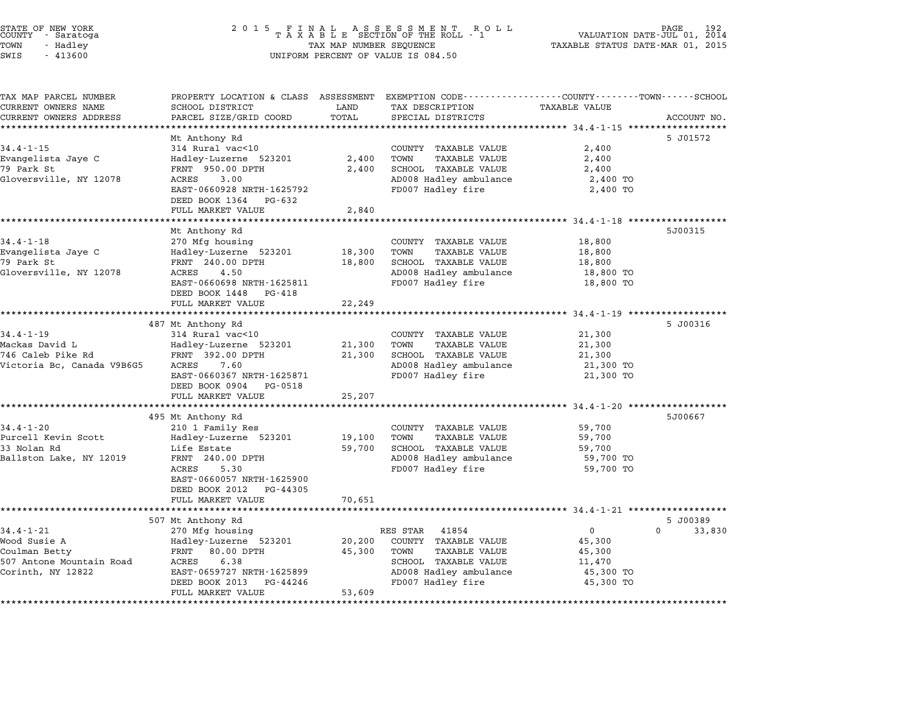| STATE OF NEW YORK<br>COUNTY |  | - Saratoga |  |
|-----------------------------|--|------------|--|
| TOWN                        |  | - Hadley   |  |
| <b>STMP</b>                 |  | $-413600$  |  |

# STATE OF NEW YORK <sup>2</sup> <sup>0</sup> <sup>1</sup> 5 F I N A L A S S E S S M E N T R O L L PAGE <sup>192</sup> COUNTY - Saratoga <sup>T</sup> <sup>A</sup> <sup>X</sup> <sup>A</sup> <sup>B</sup> <sup>L</sup> <sup>E</sup> SECTION OF THE ROLL - <sup>1</sup> VALUATION DATE-JUL 01, <sup>2014</sup> TOWN - Hadley TAX MAP NUMBER SEQUENCE TAXABLE STATUS DATE-MAR 01, <sup>2015</sup> SWIS - <sup>413600</sup> UNIFORM PERCENT OF VALUE IS 084.50

| TAX MAP PARCEL NUMBER                           | PROPERTY LOCATION & CLASS ASSESSMENT            |                | EXEMPTION CODE-----------------COUNTY-------TOWN------SCHOOL |                      |                    |
|-------------------------------------------------|-------------------------------------------------|----------------|--------------------------------------------------------------|----------------------|--------------------|
| CURRENT OWNERS NAME                             | SCHOOL DISTRICT                                 | LAND           | TAX DESCRIPTION                                              | <b>TAXABLE VALUE</b> |                    |
| CURRENT OWNERS ADDRESS<br>********************* | PARCEL SIZE/GRID COORD<br>********************  | TOTAL          | SPECIAL DISTRICTS                                            |                      | ACCOUNT NO.        |
|                                                 |                                                 |                |                                                              |                      |                    |
| $34.4 - 1 - 15$                                 | Mt Anthony Rd<br>314 Rural vac<10               |                | COUNTY TAXABLE VALUE                                         | 2,400                | 5 J01572           |
|                                                 |                                                 |                |                                                              |                      |                    |
| Evangelista Jaye C<br>79 Park St                | Hadley-Luzerne 523201<br>FRNT 950.00 DPTH       | 2,400<br>2,400 | TOWN<br><b>TAXABLE VALUE</b><br>SCHOOL TAXABLE VALUE         | 2,400                |                    |
|                                                 | 3.00<br><b>ACRES</b>                            |                | AD008 Hadley ambulance                                       | 2,400                |                    |
| Gloversville, NY 12078                          | EAST-0660928 NRTH-1625792                       |                | FD007 Hadley fire                                            | 2,400 TO<br>2,400 TO |                    |
|                                                 | DEED BOOK 1364<br>PG-632                        |                |                                                              |                      |                    |
|                                                 | FULL MARKET VALUE                               | 2,840          |                                                              |                      |                    |
|                                                 |                                                 |                |                                                              |                      |                    |
|                                                 | Mt Anthony Rd                                   |                |                                                              |                      | 5J00315            |
| $34.4 - 1 - 18$                                 | 270 Mfg housing                                 |                | COUNTY TAXABLE VALUE                                         | 18,800               |                    |
| Evangelista Jaye C                              | Hadley-Luzerne 523201                           | 18,300         | TAXABLE VALUE<br>TOWN                                        | 18,800               |                    |
| 79 Park St                                      | FRNT 240.00 DPTH                                | 18,800         | SCHOOL TAXABLE VALUE                                         | 18,800               |                    |
| Gloversville, NY 12078                          | 4.50<br>ACRES                                   |                | AD008 Hadley ambulance                                       | 18,800 TO            |                    |
|                                                 | EAST-0660698 NRTH-1625811                       |                | FD007 Hadley fire                                            | 18,800 TO            |                    |
|                                                 | DEED BOOK 1448<br>PG-418                        |                |                                                              |                      |                    |
|                                                 | FULL MARKET VALUE                               | 22,249         |                                                              |                      |                    |
|                                                 |                                                 |                |                                                              |                      |                    |
|                                                 | 487 Mt Anthony Rd                               |                |                                                              |                      | 5 J00316           |
| $34.4 - 1 - 19$                                 | 314 Rural vac<10                                |                | COUNTY TAXABLE VALUE                                         | 21,300               |                    |
| Mackas David L                                  | Hadley-Luzerne 523201                           | 21,300         | TOWN<br>TAXABLE VALUE                                        | 21,300               |                    |
| 746 Caleb Pike Rd                               | FRNT 392.00 DPTH                                | 21,300         | SCHOOL TAXABLE VALUE                                         | 21,300               |                    |
| Victoria Bc, Canada V9B6G5                      | 7.60<br>ACRES                                   |                | AD008 Hadley ambulance                                       | 21,300 TO            |                    |
|                                                 | EAST-0660367 NRTH-1625871                       |                | FD007 Hadley fire                                            | 21,300 TO            |                    |
|                                                 | DEED BOOK 0904<br>PG-0518                       |                |                                                              |                      |                    |
|                                                 | FULL MARKET VALUE                               | 25,207         |                                                              |                      |                    |
|                                                 |                                                 |                |                                                              |                      |                    |
|                                                 | 495 Mt Anthony Rd                               |                |                                                              |                      | 5J00667            |
| $34.4 - 1 - 20$                                 | 210 1 Family Res                                |                | COUNTY TAXABLE VALUE                                         | 59,700               |                    |
| Purcell Kevin Scott                             | Hadley-Luzerne 523201                           | 19,100         | TOWN<br><b>TAXABLE VALUE</b>                                 | 59,700               |                    |
| 33 Nolan Rd                                     | Life Estate                                     | 59,700         | SCHOOL TAXABLE VALUE                                         | 59,700               |                    |
| Ballston Lake, NY 12019                         | FRNT 240.00 DPTH                                |                | AD008 Hadley ambulance                                       | 59,700 TO            |                    |
|                                                 | 5.30<br>ACRES                                   |                | FD007 Hadley fire                                            | 59,700 TO            |                    |
|                                                 | EAST-0660057 NRTH-1625900                       |                |                                                              |                      |                    |
|                                                 | DEED BOOK 2012<br>PG-44305                      |                |                                                              |                      |                    |
|                                                 | FULL MARKET VALUE                               | 70,651         |                                                              |                      |                    |
|                                                 |                                                 |                |                                                              |                      |                    |
|                                                 | 507 Mt Anthony Rd                               |                |                                                              |                      | 5 J00389           |
| $34.4 - 1 - 21$                                 | 270 Mfg housing                                 |                | RES STAR<br>41854                                            | $\overline{0}$       | $\Omega$<br>33,830 |
| Wood Susie A                                    | Hadley-Luzerne 523201                           | 20,200         | COUNTY TAXABLE VALUE                                         | 45,300               |                    |
| Coulman Betty                                   | 80.00 DPTH<br>FRNT                              | 45,300         | <b>TAXABLE VALUE</b><br>TOWN                                 | 45,300               |                    |
| 507 Antone Mountain Road                        | 6.38<br>ACRES                                   |                | SCHOOL TAXABLE VALUE                                         | 11,470               |                    |
|                                                 |                                                 |                | AD008 Hadley ambulance                                       | 45,300 TO            |                    |
|                                                 | EAST-0659727 NRTH-1625899                       |                |                                                              |                      |                    |
| Corinth, NY 12822                               | DEED BOOK 2013<br>PG-44246<br>FULL MARKET VALUE | 53,609         | FD007 Hadley fire                                            | 45,300 TO            |                    |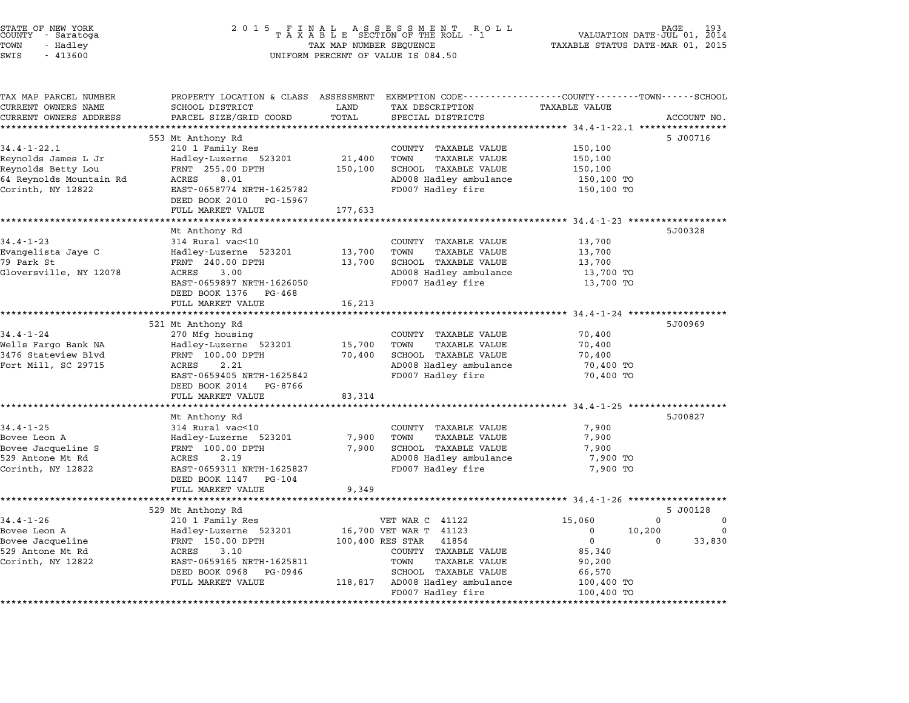| STATE OF NEW YORK<br>COUNTY<br>- Saratoga<br>TOWN<br>- Hadley<br>SWIS<br>$-413600$ | 2 0 1 5<br>A S S E S S M E N T<br>F<br>L<br>A<br>R O L L<br>TAXABLE SECTION OF THE ROLL - 1<br>VALUATION DATE-JUL 01, 2014<br>TAXABLE STATUS DATE-MAR 01, 2015<br>TAX MAP NUMBER SEQUENCE<br>UNIFORM PERCENT OF VALUE IS 084.50 |                   |                                                                                                                    |                          |                                              |
|------------------------------------------------------------------------------------|---------------------------------------------------------------------------------------------------------------------------------------------------------------------------------------------------------------------------------|-------------------|--------------------------------------------------------------------------------------------------------------------|--------------------------|----------------------------------------------|
| TAX MAP PARCEL NUMBER<br>CURRENT OWNERS NAME                                       | SCHOOL DISTRICT                                                                                                                                                                                                                 | LAND              | PROPERTY LOCATION & CLASS ASSESSMENT EXEMPTION CODE---------------COUNTY-------TOWN------SCHOOL<br>TAX DESCRIPTION | <b>TAXABLE VALUE</b>     |                                              |
| CURRENT OWNERS ADDRESS                                                             | PARCEL SIZE/GRID COORD                                                                                                                                                                                                          | TOTAL             | SPECIAL DISTRICTS                                                                                                  |                          | ACCOUNT NO.                                  |
|                                                                                    |                                                                                                                                                                                                                                 | ******            |                                                                                                                    | ****** 34.4-1-22.1 ***   |                                              |
|                                                                                    | 553 Mt Anthony Rd                                                                                                                                                                                                               |                   |                                                                                                                    |                          | 5 J00716                                     |
| $34.4 - 1 - 22.1$                                                                  | 210 1 Family Res                                                                                                                                                                                                                |                   | COUNTY<br>TAXABLE VALUE                                                                                            | 150,100                  |                                              |
| Reynolds James L Jr<br>Reynolds Betty Lou                                          | Hadley-Luzerne 523201<br>FRNT 255.00 DPTH                                                                                                                                                                                       | 21,400<br>150,100 | TOWN<br><b>TAXABLE VALUE</b><br>SCHOOL TAXABLE VALUE                                                               | 150,100<br>150,100       |                                              |
| 64 Reynolds Mountain Rd                                                            | ACRES<br>8.01                                                                                                                                                                                                                   |                   | AD008 Hadley ambulance                                                                                             | 150,100 TO               |                                              |
| Corinth, NY 12822                                                                  | EAST-0658774 NRTH-1625782                                                                                                                                                                                                       |                   | FD007 Hadley fire                                                                                                  | 150,100 TO               |                                              |
|                                                                                    | DEED BOOK 2010<br>PG-15967                                                                                                                                                                                                      |                   |                                                                                                                    |                          |                                              |
|                                                                                    | FULL MARKET VALUE                                                                                                                                                                                                               | 177,633           |                                                                                                                    |                          |                                              |
|                                                                                    |                                                                                                                                                                                                                                 |                   |                                                                                                                    | $34.4 - 1 - 23$          |                                              |
| 34.4-1-23                                                                          | Mt Anthony Rd<br>314 Rural vac<10                                                                                                                                                                                               |                   | COUNTY TAXABLE VALUE                                                                                               | 13,700                   | 5J00328                                      |
| Evangelista Jaye C                                                                 | Hadley-Luzerne 523201                                                                                                                                                                                                           | 13,700            | <b>TAXABLE VALUE</b><br>TOWN                                                                                       | 13,700                   |                                              |
| 79 Park St                                                                         | FRNT 240.00 DPTH                                                                                                                                                                                                                | 13,700            | SCHOOL TAXABLE VALUE                                                                                               | 13,700                   |                                              |
| Gloversville, NY 12078                                                             | 3.00<br>ACRES                                                                                                                                                                                                                   |                   | AD008 Hadley ambulance                                                                                             | 13,700 TO                |                                              |
|                                                                                    | EAST-0659897 NRTH-1626050                                                                                                                                                                                                       |                   | FD007 Hadley fire                                                                                                  | 13,700 TO                |                                              |
|                                                                                    | DEED BOOK 1376<br>PG-468                                                                                                                                                                                                        |                   |                                                                                                                    |                          |                                              |
|                                                                                    | FULL MARKET VALUE                                                                                                                                                                                                               | 16,213            |                                                                                                                    | $34.4 - 1 - 24$ ******** |                                              |
|                                                                                    | 521 Mt Anthony Rd                                                                                                                                                                                                               |                   |                                                                                                                    |                          | 5J00969                                      |
| $34.4 - 1 - 24$                                                                    | 270 Mfg housing                                                                                                                                                                                                                 |                   | COUNTY TAXABLE VALUE                                                                                               | 70,400                   |                                              |
| Wells Fargo Bank NA                                                                | Hadley-Luzerne 523201                                                                                                                                                                                                           | 15,700            | TOWN<br><b>TAXABLE VALUE</b>                                                                                       | 70,400                   |                                              |
| 3476 Stateview Blvd                                                                | FRNT 100.00 DPTH                                                                                                                                                                                                                | 70,400            | SCHOOL TAXABLE VALUE                                                                                               | 70,400                   |                                              |
| Fort Mill, SC 29715                                                                | ACRES<br>2.21                                                                                                                                                                                                                   |                   | AD008 Hadley ambulance                                                                                             | 70,400 TO                |                                              |
|                                                                                    | EAST-0659405 NRTH-1625842<br>PG-8766                                                                                                                                                                                            |                   | FD007 Hadley fire                                                                                                  | 70,400 TO                |                                              |
|                                                                                    | DEED BOOK 2014<br>FULL MARKET VALUE                                                                                                                                                                                             | 83,314            |                                                                                                                    |                          |                                              |
|                                                                                    |                                                                                                                                                                                                                                 |                   |                                                                                                                    | $34.4 - 1 - 25$ ****     |                                              |
|                                                                                    | Mt Anthony Rd                                                                                                                                                                                                                   |                   |                                                                                                                    |                          | 5J00827                                      |
| $34.4 - 1 - 25$                                                                    | 314 Rural vac<10                                                                                                                                                                                                                |                   | COUNTY TAXABLE VALUE                                                                                               | 7,900                    |                                              |
| Bovee Leon A                                                                       | Hadley-Luzerne 523201                                                                                                                                                                                                           | 7,900             | <b>TAXABLE VALUE</b><br>TOWN                                                                                       | 7,900                    |                                              |
| Bovee Jacqueline S                                                                 | FRNT 100.00 DPTH                                                                                                                                                                                                                | 7,900             | SCHOOL TAXABLE VALUE                                                                                               | 7,900                    |                                              |
| 529 Antone Mt Rd<br>Corinth, NY 12822                                              | ACRES<br>2.19<br>EAST-0659311 NRTH-1625827                                                                                                                                                                                      |                   | AD008 Hadley ambulance<br>FD007 Hadley fire                                                                        | 7,900 TO<br>7,900 TO     |                                              |
|                                                                                    | DEED BOOK 1147<br>PG-104                                                                                                                                                                                                        |                   |                                                                                                                    |                          |                                              |
|                                                                                    | FULL MARKET VALUE                                                                                                                                                                                                               | 9,349             |                                                                                                                    |                          |                                              |
|                                                                                    |                                                                                                                                                                                                                                 |                   |                                                                                                                    | $**$ 34.4-1-26           |                                              |
|                                                                                    | 529 Mt Anthony Rd                                                                                                                                                                                                               |                   |                                                                                                                    |                          | 5 J00128                                     |
| $34.4 - 1 - 26$                                                                    | 210 1 Family Res                                                                                                                                                                                                                |                   | VET WAR C 41122                                                                                                    | 15,060                   | $\Omega$<br>$\Omega$                         |
| Bovee Leon A<br>Bovee Jacqueline                                                   | Hadley-Luzerne 523201<br>FRNT 150.00 DPTH                                                                                                                                                                                       |                   | 16,700 VET WAR T<br>41123<br>100,400 RES STAR<br>41854                                                             | 0<br>$\mathbf 0$         | 10,200<br>$\Omega$<br>33,830<br><sup>0</sup> |
| 529 Antone Mt Rd                                                                   | ACRES<br>3.10                                                                                                                                                                                                                   |                   | COUNTY TAXABLE VALUE                                                                                               | 85,340                   |                                              |
| Corinth, NY 12822                                                                  | EAST-0659165 NRTH-1625811                                                                                                                                                                                                       |                   | TOWN<br><b>TAXABLE VALUE</b>                                                                                       | 90,200                   |                                              |
|                                                                                    | DEED BOOK 0968<br>PG-0946                                                                                                                                                                                                       |                   | SCHOOL TAXABLE VALUE                                                                                               | 66,570                   |                                              |
|                                                                                    | FULL MARKET VALUE                                                                                                                                                                                                               | 118,817           | AD008 Hadley ambulance                                                                                             | 100,400 TO               |                                              |
|                                                                                    |                                                                                                                                                                                                                                 |                   | FD007 Hadley fire                                                                                                  | 100,400 TO               |                                              |

STATE OF NEW YORK <sup>2</sup> <sup>0</sup> <sup>1</sup> 5 F I N A L A S S E S S M E N T R O L L PAGE <sup>193</sup> COUNTY - Saratoga <sup>T</sup> <sup>A</sup> <sup>X</sup> <sup>A</sup> <sup>B</sup> <sup>L</sup> <sup>E</sup> SECTION OF THE ROLL - <sup>1</sup> VALUATION DATE-JUL 01, <sup>2014</sup>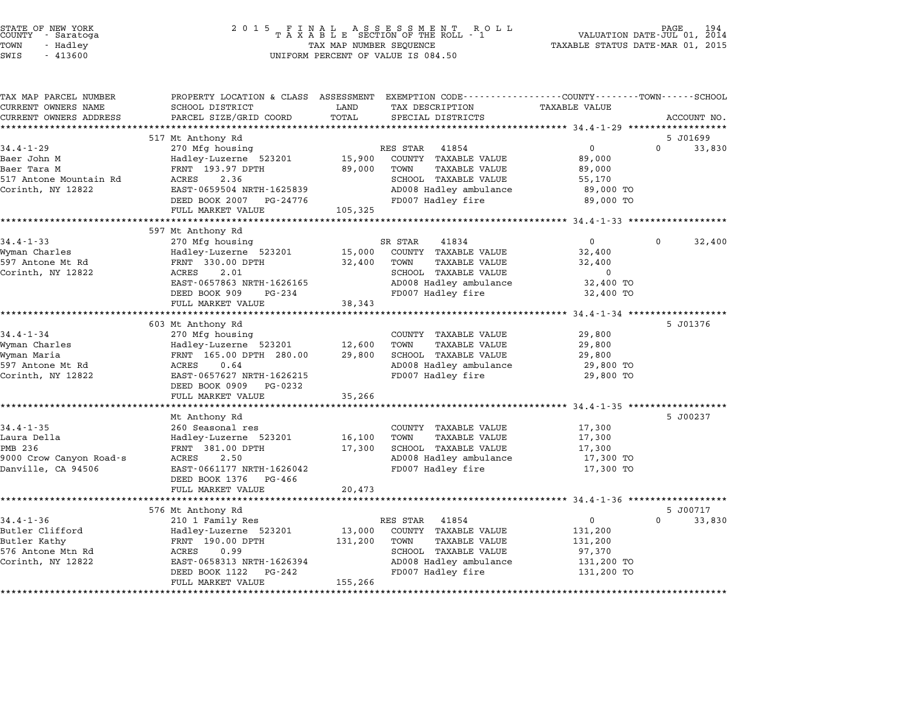| COUNTY | STATE OF NEW YORK<br>- Saratoga |  |
|--------|---------------------------------|--|
| TOWN   | - Hadlev                        |  |
| -----  |                                 |  |

| TAX MAP PARCEL NUMBER                         |                                           |                                                                           | PROPERTY LOCATION & CLASS ASSESSMENT EXEMPTION CODE----------------COUNTY-------TOWN-----SCHOOL |
|-----------------------------------------------|-------------------------------------------|---------------------------------------------------------------------------|-------------------------------------------------------------------------------------------------|
| CURRENT OWNERS NAME<br>CURRENT OWNERS ADDRESS | SCHOOL DISTRICT<br>PARCEL SIZE/GRID COORD | TAX DESCRIPTION<br>LAND<br>TOTAL<br>SPECIAL DISTRICTS                     | <b>TAXABLE VALUE</b><br>ACCOUNT NO.                                                             |
|                                               |                                           |                                                                           |                                                                                                 |
|                                               | 517 Mt Anthony Rd                         |                                                                           | 5 J01699                                                                                        |
| $34.4 - 1 - 29$                               | 270 Mfg housing                           | RES STAR<br>41854                                                         | $\overline{0}$<br>$\Omega$<br>33,830                                                            |
| Baer John M                                   | Hadley-Luzerne 523201                     | 15,900<br>COUNTY TAXABLE VALUE                                            | 89,000                                                                                          |
| Baer Tara M                                   | FRNT 193.97 DPTH                          | TAXABLE VALUE<br>89,000<br>TOWN                                           | 89,000                                                                                          |
| 517 Antone Mountain Rd                        | ACRES<br>2.36                             | SCHOOL TAXABLE VALUE                                                      | 55,170                                                                                          |
| Corinth, NY 12822                             | EAST-0659504 NRTH-1625839                 | AD008 Hadley ambulance                                                    | 89,000 TO                                                                                       |
|                                               | DEED BOOK 2007 PG-24776                   | FD007 Hadley fire                                                         | 89,000 TO                                                                                       |
|                                               | FULL MARKET VALUE                         | 105,325                                                                   |                                                                                                 |
|                                               |                                           |                                                                           |                                                                                                 |
|                                               | 597 Mt Anthony Rd                         |                                                                           |                                                                                                 |
| $34.4 - 1 - 33$                               | 270 Mfg housing                           | SR STAR<br>41834                                                          | $\overline{0}$<br>$\Omega$<br>32,400                                                            |
| Wyman Charles                                 | Hadley-Luzerne 523201                     | 15,000<br>COUNTY TAXABLE VALUE                                            | 32,400                                                                                          |
| 597 Antone Mt Rd                              | FRNT 330.00 DPTH                          | 32,400<br>TAXABLE VALUE<br>TOWN                                           | 32,400                                                                                          |
| Corinth, NY 12822                             | ACRES<br>2.01                             | SCHOOL TAXABLE VALUE                                                      | 0                                                                                               |
|                                               | EAST-0657863 NRTH-1626165                 | AD008 Hadley ambulance                                                    | 32,400 TO                                                                                       |
|                                               | DEED BOOK 909<br>PG-234                   | FD007 Hadley fire                                                         | 32,400 TO                                                                                       |
|                                               | FULL MARKET VALUE                         | 38,343                                                                    |                                                                                                 |
|                                               |                                           |                                                                           |                                                                                                 |
|                                               | 603 Mt Anthony Rd                         |                                                                           | 5 J01376                                                                                        |
| $34.4 - 1 - 34$                               | 270 Mfg housing                           | COUNTY TAXABLE VALUE                                                      | 29,800                                                                                          |
| Wyman Charles                                 | Hadley-Luzerne 523201                     | 12,600<br>TAXABLE VALUE<br>TOWN                                           | 29,800                                                                                          |
| Wyman Maria                                   | FRNT 165.00 DPTH 280.00                   | 29,800<br>SCHOOL TAXABLE VALUE                                            | 29,800                                                                                          |
| 597 Antone Mt Rd                              | 0.64<br>ACRES                             | AD008 Hadley ambulance                                                    | 29,800 TO                                                                                       |
| Corinth, NY 12822                             | EAST-0657627 NRTH-1626215                 | FD007 Hadley fire                                                         | 29,800 TO                                                                                       |
|                                               | DEED BOOK 0909 PG-0232                    |                                                                           |                                                                                                 |
|                                               | FULL MARKET VALUE                         | 35,266                                                                    |                                                                                                 |
|                                               |                                           |                                                                           |                                                                                                 |
|                                               | Mt Anthony Rd                             |                                                                           | 5 J00237                                                                                        |
| $34.4 - 1 - 35$                               | 260 Seasonal res                          | COUNTY TAXABLE VALUE                                                      | 17,300                                                                                          |
| Laura Della                                   | Hadley-Luzerne 523201                     | 16,100<br>TOWN<br>TAXABLE VALUE                                           | 17,300                                                                                          |
| PMB 236                                       | FRNT 381.00 DPTH                          | SCHOOL TAXABLE VALUE<br>17,300                                            | 17,300                                                                                          |
| 9000 Crow Canyon Road-s                       | ACRES<br>2.50                             | AD008 Hadley ambulance                                                    | 17,300 TO                                                                                       |
| Danville, CA 94506                            | EAST-0661177 NRTH-1626042                 | FD007 Hadley fire                                                         | 17,300 TO                                                                                       |
|                                               | DEED BOOK 1376 PG-466                     |                                                                           |                                                                                                 |
|                                               | FULL MARKET VALUE                         | 20,473                                                                    |                                                                                                 |
|                                               |                                           |                                                                           | 5 J00717                                                                                        |
| $34.4 - 1 - 36$                               | 576 Mt Anthony Rd                         |                                                                           | $\mathbf{0}$<br>$\Omega$                                                                        |
|                                               | 210 1 Family Res                          | RES STAR<br>41854                                                         | 33,830                                                                                          |
| Butler Clifford<br>Butler Kathy               | Hadley-Luzerne 523201<br>FRNT 190.00 DPTH | 13,000<br>COUNTY TAXABLE VALUE<br><b>TAXABLE VALUE</b><br>131,200<br>TOWN | 131,200<br>131,200                                                                              |
| 576 Antone Mtn Rd                             | 0.99<br>ACRES                             | SCHOOL TAXABLE VALUE                                                      | 97,370                                                                                          |
| Corinth, NY 12822                             | EAST-0658313 NRTH-1626394                 | AD008 Hadley ambulance                                                    | 131,200 TO                                                                                      |
|                                               | DEED BOOK 1122<br>PG-242                  | FD007 Hadley fire                                                         | 131,200 TO                                                                                      |
|                                               | FULL MARKET VALUE                         | 155,266                                                                   |                                                                                                 |
|                                               |                                           |                                                                           |                                                                                                 |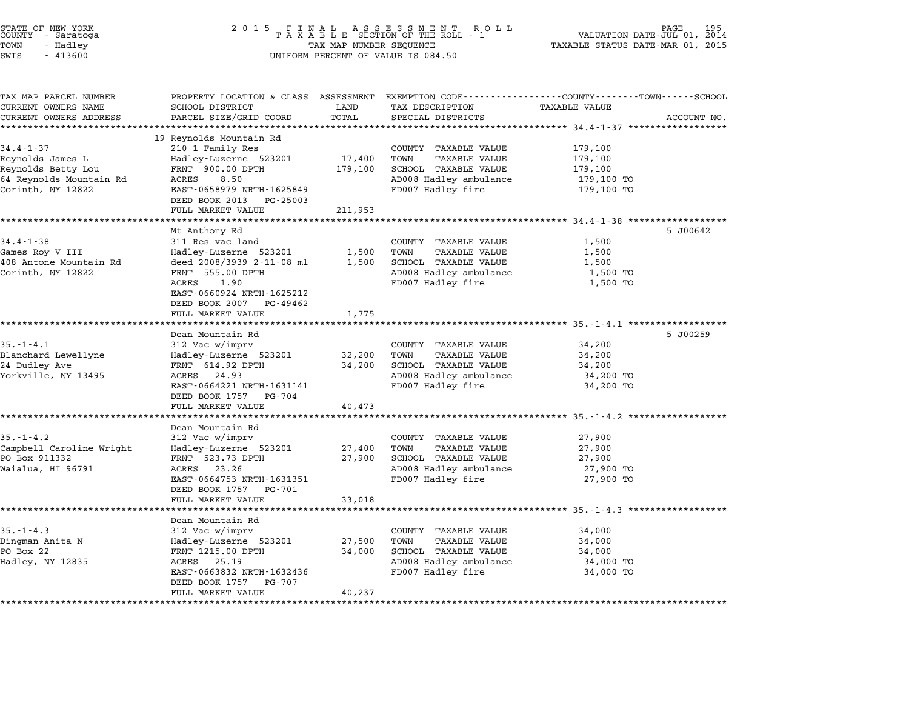| STATE OF NEW YORK<br>COUNTY – Saratoga<br>TOWN<br>- Hadley<br>SWIS<br>$-413600$ | 2 0 1 5                                                 | TAX MAP NUMBER SEQUENCE | FINAL ASSESSMENT ROLL<br>TAXABLE SECTION OF THE ROLL - 1<br>UNIFORM PERCENT OF VALUE IS 084.50                    | PAGE 195<br>VALUATION DATE-JUL 01, 2014<br>TAXABLE STATUS DATE-MAR 01, 2015 |             |
|---------------------------------------------------------------------------------|---------------------------------------------------------|-------------------------|-------------------------------------------------------------------------------------------------------------------|-----------------------------------------------------------------------------|-------------|
| TAX MAP PARCEL NUMBER<br>CURRENT OWNERS NAME                                    | SCHOOL DISTRICT                                         | LAND                    | PROPERTY LOCATION & CLASS ASSESSMENT EXEMPTION CODE---------------COUNTY-------TOWN-----SCHOOL<br>TAX DESCRIPTION | TAXABLE VALUE                                                               |             |
| CURRENT OWNERS ADDRESS<br>**********************                                | PARCEL SIZE/GRID COORD                                  | TOTAL                   | SPECIAL DISTRICTS                                                                                                 |                                                                             | ACCOUNT NO. |
|                                                                                 | 19 Reynolds Mountain Rd                                 |                         |                                                                                                                   |                                                                             |             |
| $34.4 - 1 - 37$                                                                 | 210 1 Family Res                                        |                         | COUNTY TAXABLE VALUE                                                                                              | 179,100                                                                     |             |
| Reynolds James L                                                                | Hadley-Luzerne 523201                                   | 17,400                  | <b>TAXABLE VALUE</b><br>TOWN                                                                                      | 179,100                                                                     |             |
| Reynolds Betty Lou                                                              | FRNT 900.00 DPTH                                        | 179,100                 | SCHOOL TAXABLE VALUE                                                                                              | 179,100                                                                     |             |
| 64 Reynolds Mountain Rd                                                         | ACRES<br>8.50                                           |                         | AD008 Hadley ambulance                                                                                            | 179,100 TO                                                                  |             |
| Corinth, NY 12822                                                               | EAST-0658979 NRTH-1625849<br>DEED BOOK 2013<br>PG-25003 |                         | FD007 Hadley fire                                                                                                 | 179,100 TO                                                                  |             |
|                                                                                 | FULL MARKET VALUE                                       | 211,953                 |                                                                                                                   |                                                                             |             |
|                                                                                 | Mt Anthony Rd                                           |                         |                                                                                                                   |                                                                             | 5 J00642    |
| $34.4 - 1 - 38$                                                                 | 311 Res vac land                                        |                         | COUNTY TAXABLE VALUE                                                                                              | 1,500                                                                       |             |
| Games Roy V III                                                                 | Hadley-Luzerne 523201                                   | 1,500                   | TOWN<br>TAXABLE VALUE                                                                                             | 1,500                                                                       |             |
| 408 Antone Mountain Rd                                                          | deed 2008/3939 2-11-08 ml                               | 1,500                   | SCHOOL TAXABLE VALUE                                                                                              | 1,500                                                                       |             |
| Corinth, NY 12822                                                               | FRNT 555.00 DPTH                                        |                         | AD008 Hadley ambulance                                                                                            | 1,500 TO                                                                    |             |
|                                                                                 | ACRES<br>1.90                                           |                         | FD007 Hadley fire                                                                                                 | 1,500 TO                                                                    |             |
|                                                                                 | EAST-0660924 NRTH-1625212                               |                         |                                                                                                                   |                                                                             |             |
|                                                                                 | DEED BOOK 2007<br>PG-49462                              |                         |                                                                                                                   |                                                                             |             |
|                                                                                 | FULL MARKET VALUE                                       | 1,775<br>********       |                                                                                                                   | ********************* 35.-1-4.1 ******************                          |             |
|                                                                                 | Dean Mountain Rd                                        |                         |                                                                                                                   |                                                                             | 5 J00259    |
| $35. - 1 - 4.1$                                                                 | 312 Vac w/imprv                                         |                         | COUNTY TAXABLE VALUE                                                                                              | 34,200                                                                      |             |
| Blanchard Lewellyne                                                             | Hadley-Luzerne 523201                                   | 32,200                  | TOWN<br><b>TAXABLE VALUE</b>                                                                                      | 34,200                                                                      |             |
| 24 Dudley Ave                                                                   | FRNT 614.92 DPTH                                        | 34,200                  | SCHOOL TAXABLE VALUE                                                                                              | 34,200                                                                      |             |
| Yorkville, NY 13495                                                             | ACRES 24.93                                             |                         | AD008 Hadley ambulance                                                                                            | 34,200 TO                                                                   |             |
|                                                                                 | EAST-0664221 NRTH-1631141                               |                         | FD007 Hadley fire                                                                                                 | 34,200 TO                                                                   |             |
|                                                                                 | DEED BOOK 1757<br>PG-704<br>FULL MARKET VALUE           |                         |                                                                                                                   |                                                                             |             |
|                                                                                 | *****************                                       | 40,473<br>**********    |                                                                                                                   | *************** 35.-1-4.2 ****************                                  |             |
|                                                                                 | Dean Mountain Rd                                        |                         |                                                                                                                   |                                                                             |             |
| $35. - 1 - 4.2$                                                                 | 312 Vac w/imprv                                         |                         | COUNTY TAXABLE VALUE                                                                                              | 27,900                                                                      |             |
| Campbell Caroline Wright                                                        | Hadley-Luzerne 523201                                   | 27,400                  | TOWN<br><b>TAXABLE VALUE</b>                                                                                      | 27,900                                                                      |             |
| PO Box 911332                                                                   | FRNT 523.73 DPTH                                        | 27,900                  | SCHOOL TAXABLE VALUE                                                                                              | 27,900                                                                      |             |
| Waialua, HI 96791                                                               | ACRES<br>23.26                                          |                         | AD008 Hadley ambulance                                                                                            | 27,900 TO                                                                   |             |
|                                                                                 | EAST-0664753 NRTH-1631351<br>DEED BOOK 1757<br>PG-701   |                         | FD007 Hadley fire                                                                                                 | 27,900 TO                                                                   |             |
|                                                                                 | FULL MARKET VALUE                                       | 33,018                  |                                                                                                                   |                                                                             |             |
|                                                                                 |                                                         |                         |                                                                                                                   | ******************************** 35.-1-4.3 *********                        |             |
|                                                                                 | Dean Mountain Rd                                        |                         |                                                                                                                   |                                                                             |             |
| $35. - 1 - 4.3$                                                                 | 312 Vac w/imprv                                         |                         | COUNTY TAXABLE VALUE                                                                                              | 34,000                                                                      |             |
| Dingman Anita N                                                                 | Hadley-Luzerne 523201                                   | 27,500                  | TOWN<br>TAXABLE VALUE                                                                                             | 34,000                                                                      |             |
| PO Box 22                                                                       | FRNT 1215.00 DPTH                                       | 34,000                  | SCHOOL TAXABLE VALUE                                                                                              | 34,000                                                                      |             |
| Hadley, NY 12835                                                                | ACRES<br>25.19<br>EAST-0663832 NRTH-1632436             |                         | AD008 Hadley ambulance<br>FD007 Hadley fire                                                                       | 34,000 TO<br>34,000 TO                                                      |             |
|                                                                                 | DEED BOOK 1757<br>PG-707                                |                         |                                                                                                                   |                                                                             |             |
|                                                                                 | FULL MARKET VALUE                                       | 40,237                  |                                                                                                                   |                                                                             |             |
|                                                                                 |                                                         |                         |                                                                                                                   |                                                                             |             |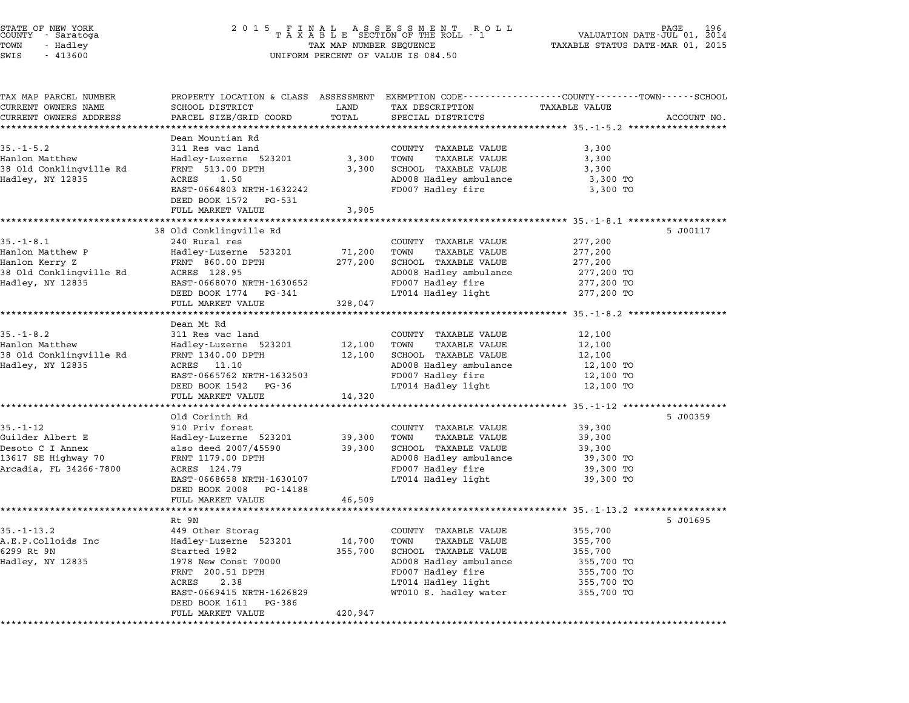| STATE OF NEW YORK<br>COUNTY - Saratoga<br>TOWN<br>- Hadley<br>SWIS<br>$-413600$                         | 2 0 1 5                                                                                                                                                                                                       | TAX MAP NUMBER SEQUENCE      | FINAL ASSESSMENT ROLL<br>TAXABLE SECTION OF THE ROLL - 1<br>UNIFORM PERCENT OF VALUE IS 084.50                                                                             | VALUATION DATE-JUL 01, 2014<br>TAXABLE STATUS DATE-MAR 01, 2015                                                         | 196         |
|---------------------------------------------------------------------------------------------------------|---------------------------------------------------------------------------------------------------------------------------------------------------------------------------------------------------------------|------------------------------|----------------------------------------------------------------------------------------------------------------------------------------------------------------------------|-------------------------------------------------------------------------------------------------------------------------|-------------|
| TAX MAP PARCEL NUMBER<br>CURRENT OWNERS NAME<br>CURRENT OWNERS ADDRESS                                  | PROPERTY LOCATION & CLASS ASSESSMENT EXEMPTION CODE---------------COUNTY-------TOWN------SCHOOL<br>SCHOOL DISTRICT<br>PARCEL SIZE/GRID COORD                                                                  | LAND<br>TOTAL                | TAX DESCRIPTION<br>SPECIAL DISTRICTS                                                                                                                                       | TAXABLE VALUE                                                                                                           | ACCOUNT NO. |
| $35. - 1 - 5.2$<br>Hanlon Matthew<br>38 Old Conklingville Rd<br>Hadley, NY 12835                        | Dean Mountian Rd<br>311 Res vac land<br>Hadley-Luzerne 523201<br>FRNT 513.00 DPTH<br>ACRES<br>1.50<br>EAST-0664803 NRTH-1632242<br>DEED BOOK 1572<br>PG-531<br>FULL MARKET VALUE                              | 3,300<br>3,300<br>3,905      | COUNTY TAXABLE VALUE<br>TAXABLE VALUE<br>TOWN<br>SCHOOL TAXABLE VALUE<br>AD008 Hadley ambulance<br>FD007 Hadley fire                                                       | 3,300<br>3,300<br>3,300<br>3,300 TO<br>3,300 TO                                                                         |             |
| $35. - 1 - 8.1$<br>Hanlon Matthew P<br>Hanlon Kerry Z<br>38 Old Conklingville Rd<br>Hadley, NY 12835    | 38 Old Conklingville Rd<br>240 Rural res<br>Hadley-Luzerne 523201<br>FRNT 860.00 DPTH<br>ACRES 128.95<br>EAST-0668070 NRTH-1630652<br>DEED BOOK 1774 PG-341<br>FULL MARKET VALUE                              | 71,200<br>277,200<br>328,047 | COUNTY TAXABLE VALUE<br>TOWN<br><b>TAXABLE VALUE</b><br>SCHOOL TAXABLE VALUE<br>AD008 Hadley ambulance<br>FD007 Hadley fire<br>LT014 Hadley light                          | 277,200<br>277,200<br>277,200<br>277,200 TO<br>277,200 TO<br>277,200 TO                                                 | 5 J00117    |
| $35. - 1 - 8.2$<br>Hanlon Matthew<br>38 Old Conklingville Rd<br>Hadley, NY 12835                        | Dean Mt Rd<br>311 Res vac land<br>Hadley-Luzerne 523201<br>FRNT 1340.00 DPTH<br>ACRES 11.10<br>EAST-0665762 NRTH-1632503<br>DEED BOOK 1542<br>PG-36<br>FULL MARKET VALUE                                      | 12,100<br>12,100<br>14,320   | COUNTY TAXABLE VALUE<br><b>TAXABLE VALUE</b><br>TOWN<br>SCHOOL TAXABLE VALUE<br>AD008 Hadley ambulance<br>FD007 Hadley fire<br>LT014 Hadley light                          | ***************************** 35.-1-8.2 **********<br>12,100<br>12,100<br>12,100<br>12,100 TO<br>12,100 TO<br>12,100 TO |             |
| $35. - 1 - 12$<br>Guilder Albert E<br>Desoto C I Annex<br>13617 SE Highway 70<br>Arcadia, FL 34266-7800 | Old Corinth Rd<br>910 Priv forest<br>Hadley-Luzerne 523201<br>also deed 2007/45590<br>FRNT 1179.00 DPTH<br>ACRES 124.79<br>EAST-0668658 NRTH-1630107<br>DEED BOOK 2008<br>PG-14188<br>FULL MARKET VALUE       | 39,300<br>39,300<br>46,509   | COUNTY TAXABLE VALUE<br>TOWN<br>TAXABLE VALUE<br>SCHOOL TAXABLE VALUE<br>AD008 Hadley ambulance<br>FD007 Hadley fire<br>LT014 Hadley light                                 | 39,300<br>39,300<br>39,300<br>39,300 TO<br>39,300 TO<br>39,300 TO                                                       | 5 J00359    |
| $35. - 1 - 13.2$<br>A.E.P.Colloids Inc<br>6299 Rt 9N<br>Hadley, NY 12835                                | Rt 9N<br>449 Other Storag<br>Hadley-Luzerne 523201<br>Started 1982<br>1978 New Const 70000<br>FRNT 200.51 DPTH<br>ACRES<br>2.38<br>EAST-0669415 NRTH-1626829<br>DEED BOOK 1611<br>PG-386<br>FULL MARKET VALUE | 14,700<br>355,700<br>420,947 | COUNTY TAXABLE VALUE<br>TOWN<br><b>TAXABLE VALUE</b><br>SCHOOL TAXABLE VALUE<br>AD008 Hadley ambulance<br>FD007 Hadley fire<br>LT014 Hadley light<br>WT010 S. hadley water | 355,700<br>355,700<br>355,700<br>355,700 TO<br>355,700 TO<br>355,700 TO<br>355,700 TO                                   | 5 J01695    |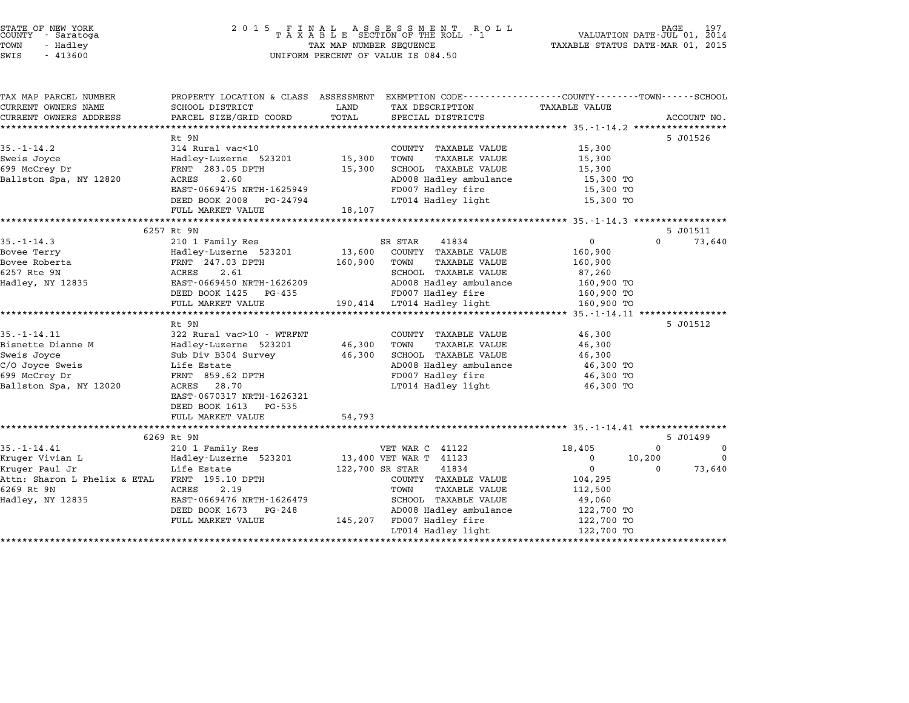| STATE OF NEW YORK |  |            |  |
|-------------------|--|------------|--|
| COUNTY            |  | - Saratoga |  |
| TOWN              |  | - Hadlev   |  |
| $\sim - - \sim$   |  | 11222      |  |

## STATE OF NEW YORK <sup>2</sup> <sup>0</sup> <sup>1</sup> 5 F I N A L A S S E S S M E N T R O L L PAGE <sup>197</sup> COUNTY - Saratoga <sup>T</sup> <sup>A</sup> <sup>X</sup> <sup>A</sup> <sup>B</sup> <sup>L</sup> <sup>E</sup> SECTION OF THE ROLL - <sup>1</sup> VALUATION DATE-JUL 01, <sup>2014</sup> TOWN - Hadley TAX MAP NUMBER SEQUENCE TAXABLE STATUS DATE-MAR 01, <sup>2015</sup> SWIS - <sup>413600</sup> UNIFORM PERCENT OF VALUE IS 084.50

| PROPERTY LOCATION & CLASS ASSESSMENT EXEMPTION CODE---------------COUNTY-------TOWN------SCHOOL<br>TAX MAP PARCEL NUMBER<br>CURRENT OWNERS NAME<br>SCHOOL DISTRICT<br>LAND<br>TAX DESCRIPTION<br>TAXABLE VALUE<br>TOTAL<br>PARCEL SIZE/GRID COORD<br>CURRENT OWNERS ADDRESS<br>SPECIAL DISTRICTS<br>5 J01526<br>Rt 9N<br>$35. - 1 - 14.2$<br>314 Rural vac<10<br>COUNTY TAXABLE VALUE<br>15,300<br>TAXABLE VALUE<br>Hadley-Luzerne 523201 15,300<br>TOWN<br>15,300<br>699 McCrey Dr<br>FRNT 283.05 DPTH<br>15,300<br>SCHOOL TAXABLE VALUE<br>15,300<br>2.60<br>AD008 Hadley ambulance<br>15,300 TO<br>ACRES<br>FD007 Hadley fire<br>EAST-0669475 NRTH-1625949<br>15,300 TO<br>LT014 Hadley light<br>DEED BOOK 2008 PG-24794<br>15,300 TO | ACCOUNT NO. |
|------------------------------------------------------------------------------------------------------------------------------------------------------------------------------------------------------------------------------------------------------------------------------------------------------------------------------------------------------------------------------------------------------------------------------------------------------------------------------------------------------------------------------------------------------------------------------------------------------------------------------------------------------------------------------------------------------------------------------------------|-------------|
|                                                                                                                                                                                                                                                                                                                                                                                                                                                                                                                                                                                                                                                                                                                                          |             |
|                                                                                                                                                                                                                                                                                                                                                                                                                                                                                                                                                                                                                                                                                                                                          |             |
| Sweis Joyce<br>Ballston Spa, NY 12820                                                                                                                                                                                                                                                                                                                                                                                                                                                                                                                                                                                                                                                                                                    |             |
|                                                                                                                                                                                                                                                                                                                                                                                                                                                                                                                                                                                                                                                                                                                                          |             |
|                                                                                                                                                                                                                                                                                                                                                                                                                                                                                                                                                                                                                                                                                                                                          |             |
|                                                                                                                                                                                                                                                                                                                                                                                                                                                                                                                                                                                                                                                                                                                                          |             |
|                                                                                                                                                                                                                                                                                                                                                                                                                                                                                                                                                                                                                                                                                                                                          |             |
|                                                                                                                                                                                                                                                                                                                                                                                                                                                                                                                                                                                                                                                                                                                                          |             |
|                                                                                                                                                                                                                                                                                                                                                                                                                                                                                                                                                                                                                                                                                                                                          |             |
|                                                                                                                                                                                                                                                                                                                                                                                                                                                                                                                                                                                                                                                                                                                                          |             |
|                                                                                                                                                                                                                                                                                                                                                                                                                                                                                                                                                                                                                                                                                                                                          |             |
| 18,107<br>FULL MARKET VALUE                                                                                                                                                                                                                                                                                                                                                                                                                                                                                                                                                                                                                                                                                                              |             |
| 6257 Rt 9N<br>5 J01511                                                                                                                                                                                                                                                                                                                                                                                                                                                                                                                                                                                                                                                                                                                   |             |
| $\Omega$                                                                                                                                                                                                                                                                                                                                                                                                                                                                                                                                                                                                                                                                                                                                 |             |
| $35. - 1 - 14.3$<br>210 1 Family Res<br>SR STAR<br>41834<br>$\overline{0}$                                                                                                                                                                                                                                                                                                                                                                                                                                                                                                                                                                                                                                                               | 73,640      |
| Hadley-Luzerne 523201<br>13,600 COUNTY TAXABLE VALUE<br>Bovee Terry<br>160,900                                                                                                                                                                                                                                                                                                                                                                                                                                                                                                                                                                                                                                                           |             |
| Bovee Roberta<br>FRNT 247.03 DPTH<br>160,900<br>TOWN<br>TAXABLE VALUE<br>160,900                                                                                                                                                                                                                                                                                                                                                                                                                                                                                                                                                                                                                                                         |             |
| 6257 Rte 9N<br>2.61<br>SCHOOL TAXABLE VALUE<br>ACRES<br>87,260                                                                                                                                                                                                                                                                                                                                                                                                                                                                                                                                                                                                                                                                           |             |
| AD008 Hadley ambulance<br>Hadley, NY 12835<br>EAST-0669450 NRTH-1626209<br>160,900 TO                                                                                                                                                                                                                                                                                                                                                                                                                                                                                                                                                                                                                                                    |             |
| FD007 Hadley fire<br>DEED BOOK 1425 PG-435<br>160,900 TO                                                                                                                                                                                                                                                                                                                                                                                                                                                                                                                                                                                                                                                                                 |             |
| 190,414 LT014 Hadley light<br>FULL MARKET VALUE<br>160,900 TO                                                                                                                                                                                                                                                                                                                                                                                                                                                                                                                                                                                                                                                                            |             |
| Rt 9N<br>5 J01512                                                                                                                                                                                                                                                                                                                                                                                                                                                                                                                                                                                                                                                                                                                        |             |
| 322 Rural vac>10 - WTRFNT<br>$35. - 1 - 14.11$<br>COUNTY TAXABLE VALUE<br>46,300                                                                                                                                                                                                                                                                                                                                                                                                                                                                                                                                                                                                                                                         |             |
| Bisnette Dianne M<br>Hadley-Luzerne 523201<br>46,300<br>TAXABLE VALUE<br>TOWN<br>46,300                                                                                                                                                                                                                                                                                                                                                                                                                                                                                                                                                                                                                                                  |             |
| Sweis Joyce<br>46,300<br>SCHOOL TAXABLE VALUE<br>46,300<br>Sub Div B304 Survey                                                                                                                                                                                                                                                                                                                                                                                                                                                                                                                                                                                                                                                           |             |
| Life Estate                                                                                                                                                                                                                                                                                                                                                                                                                                                                                                                                                                                                                                                                                                                              |             |
| C/O Joyce Sweis<br>AD008 Hadley ambulance<br>46,300 TO<br>699 McCrey Dr<br>FD007 Hadley fire<br>46,300 TO                                                                                                                                                                                                                                                                                                                                                                                                                                                                                                                                                                                                                                |             |
| FRNT 859.62 DPTH<br>acres 28.70<br>ACRES 28.70<br>LT014 Hadley light                                                                                                                                                                                                                                                                                                                                                                                                                                                                                                                                                                                                                                                                     |             |
| Ballston Spa, NY 12020<br>46,300 TO<br>EAST-0670317 NRTH-1626321                                                                                                                                                                                                                                                                                                                                                                                                                                                                                                                                                                                                                                                                         |             |
|                                                                                                                                                                                                                                                                                                                                                                                                                                                                                                                                                                                                                                                                                                                                          |             |
| DEED BOOK 1613 PG-535<br>54,793<br>FULL MARKET VALUE                                                                                                                                                                                                                                                                                                                                                                                                                                                                                                                                                                                                                                                                                     |             |
|                                                                                                                                                                                                                                                                                                                                                                                                                                                                                                                                                                                                                                                                                                                                          |             |
| 5 J01499<br>6269 Rt 9N                                                                                                                                                                                                                                                                                                                                                                                                                                                                                                                                                                                                                                                                                                                   |             |
| $35. - 1 - 14.41$<br>210 1 Family Res<br>18,405<br>$\Omega$<br>VET WAR C 41122                                                                                                                                                                                                                                                                                                                                                                                                                                                                                                                                                                                                                                                           | $\mathbf 0$ |
|                                                                                                                                                                                                                                                                                                                                                                                                                                                                                                                                                                                                                                                                                                                                          | $\mathbf 0$ |
|                                                                                                                                                                                                                                                                                                                                                                                                                                                                                                                                                                                                                                                                                                                                          |             |
| Kruger Vivian L<br>Hadley-Luzerne 523201 13,400 VET WAR T 41123<br>10,200<br>$\mathbf{0}$                                                                                                                                                                                                                                                                                                                                                                                                                                                                                                                                                                                                                                                |             |
| Kruger Paul Jr<br>Life Estate<br>122,700 SR STAR<br>41834<br>$\mathbf{0}$<br>$\Omega$                                                                                                                                                                                                                                                                                                                                                                                                                                                                                                                                                                                                                                                    | 73,640      |
| COUNTY TAXABLE VALUE<br>104,295                                                                                                                                                                                                                                                                                                                                                                                                                                                                                                                                                                                                                                                                                                          |             |
| 6269 Rt 9N<br>ACRES<br>2.19<br><b>TAXABLE VALUE</b><br>TOWN<br>112,500                                                                                                                                                                                                                                                                                                                                                                                                                                                                                                                                                                                                                                                                   |             |
| SCHOOL TAXABLE VALUE<br>EAST-0669476 NRTH-1626479<br>49,060                                                                                                                                                                                                                                                                                                                                                                                                                                                                                                                                                                                                                                                                              |             |
| AD008 Hadley ambulance<br>DEED BOOK 1673 PG-248<br>122,700 TO                                                                                                                                                                                                                                                                                                                                                                                                                                                                                                                                                                                                                                                                            |             |
| Attn: Sharon L Phelix & ETAL FRNT 195.10 DPTH<br>Hadley, NY 12835<br>145,207 FD007 Hadley fire<br>FULL MARKET VALUE<br>122,700 TO<br>LT014 Hadley light<br>122,700 TO                                                                                                                                                                                                                                                                                                                                                                                                                                                                                                                                                                    |             |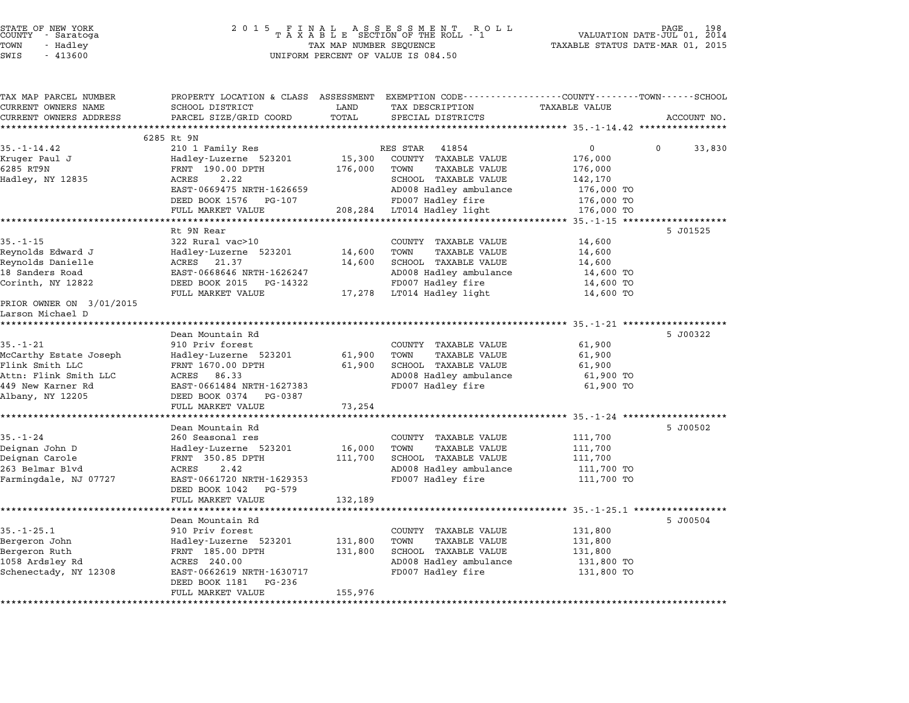|                      | STATE OF NEW YORK<br>COUNTY - Saratoga |  |
|----------------------|----------------------------------------|--|
| TOWN                 | - Hadley                               |  |
| $\sim$ $\sim$ $\sim$ | 1.1222                                 |  |

# STATE OF NEW YORK <sup>2</sup> <sup>0</sup> <sup>1</sup> 5 F I N A L A S S E S S M E N T R O L L PAGE <sup>198</sup> COUNTY - Saratoga <sup>T</sup> <sup>A</sup> <sup>X</sup> <sup>A</sup> <sup>B</sup> <sup>L</sup> <sup>E</sup> SECTION OF THE ROLL - <sup>1</sup> VALUATION DATE-JUL 01, <sup>2014</sup> TOWN - Hadley TAX MAP NUMBER SEQUENCE TAXABLE STATUS DATE-MAR 01, <sup>2015</sup> SWIS - <sup>413600</sup> UNIFORM PERCENT OF VALUE IS 084.50

| TAX MAP PARCEL NUMBER                        | PROPERTY LOCATION & CLASS ASSESSMENT EXEMPTION CODE---------------COUNTY-------TOWN------SCHOOL |         |                              |                                        |                    |
|----------------------------------------------|-------------------------------------------------------------------------------------------------|---------|------------------------------|----------------------------------------|--------------------|
| CURRENT OWNERS NAME                          | SCHOOL DISTRICT                                                                                 | LAND    | TAX DESCRIPTION              | <b>TAXABLE VALUE</b>                   |                    |
| CURRENT OWNERS ADDRESS                       | PARCEL SIZE/GRID COORD                                                                          | TOTAL   | SPECIAL DISTRICTS            |                                        | ACCOUNT NO.        |
|                                              | 6285 Rt 9N                                                                                      |         |                              |                                        |                    |
| $35. - 1 - 14.42$                            | 210 1 Family Res                                                                                |         | RES STAR<br>41854            | $\mathbf{0}$                           | 33,830<br>$\Omega$ |
| Kruger Paul J                                | Hadley-Luzerne 523201                                                                           | 15,300  | COUNTY TAXABLE VALUE         | 176,000                                |                    |
| 6285 RT9N                                    | FRNT 190.00 DPTH                                                                                | 176,000 | TOWN<br><b>TAXABLE VALUE</b> | 176,000                                |                    |
| Hadley, NY 12835                             | 2.22<br>ACRES                                                                                   |         | SCHOOL TAXABLE VALUE         | 142,170                                |                    |
|                                              | EAST-0669475 NRTH-1626659                                                                       |         | AD008 Hadley ambulance       | 176,000 TO                             |                    |
|                                              | DEED BOOK 1576 PG-107                                                                           |         | FD007 Hadley fire            | 176,000 TO                             |                    |
|                                              | FULL MARKET VALUE                                                                               |         | 208,284 LT014 Hadley light   | 176,000 TO                             |                    |
|                                              |                                                                                                 |         |                              |                                        |                    |
|                                              | Rt 9N Rear                                                                                      |         |                              |                                        | 5 J01525           |
| $35. - 1 - 15$                               | 322 Rural vac>10                                                                                |         | COUNTY TAXABLE VALUE         | 14,600                                 |                    |
| Reynolds Edward J                            | Hadley-Luzerne 523201                                                                           | 14,600  | TOWN<br>TAXABLE VALUE        | 14,600                                 |                    |
| Reynolds Danielle                            | ACRES 21.37                                                                                     | 14,600  | SCHOOL TAXABLE VALUE         | 14,600                                 |                    |
| 18 Sanders Road                              | EAST-0668646 NRTH-1626247                                                                       |         | AD008 Hadley ambulance       | 14,600 TO                              |                    |
| Corinth, NY 12822                            | DEED BOOK 2015<br>PG-14322                                                                      |         | FD007 Hadley fire            | 14,600 TO                              |                    |
|                                              | FULL MARKET VALUE                                                                               |         | 17,278 LT014 Hadley light    | 14,600 TO                              |                    |
| PRIOR OWNER ON 3/01/2015<br>Larson Michael D |                                                                                                 |         |                              |                                        |                    |
| *********************                        |                                                                                                 |         |                              |                                        |                    |
|                                              | Dean Mountain Rd                                                                                |         |                              |                                        | 5 J00322           |
| $35. - 1 - 21$                               | 910 Priv forest                                                                                 |         | COUNTY TAXABLE VALUE         | 61,900                                 |                    |
| McCarthy Estate Joseph                       | Hadley-Luzerne 523201                                                                           | 61,900  | TOWN<br><b>TAXABLE VALUE</b> | 61,900                                 |                    |
| Flink Smith LLC                              | FRNT 1670.00 DPTH                                                                               | 61,900  | SCHOOL TAXABLE VALUE         | 61,900                                 |                    |
| Attn: Flink Smith LLC                        | ACRES 86.33                                                                                     |         | AD008 Hadley ambulance       | 61,900 TO                              |                    |
| 449 New Karner Rd                            | EAST-0661484 NRTH-1627383                                                                       |         | FD007 Hadley fire            | 61,900 TO                              |                    |
| Albany, NY 12205                             | DEED BOOK 0374 PG-0387                                                                          |         |                              |                                        |                    |
|                                              | FULL MARKET VALUE                                                                               | 73,254  |                              |                                        |                    |
|                                              | Dean Mountain Rd                                                                                |         |                              |                                        | 5 J00502           |
| $35. - 1 - 24$                               | 260 Seasonal res                                                                                |         | COUNTY TAXABLE VALUE         | 111,700                                |                    |
| Deignan John D                               | Hadley-Luzerne 523201                                                                           | 16,000  | TOWN<br><b>TAXABLE VALUE</b> | 111,700                                |                    |
| Deignan Carole                               | FRNT 350.85 DPTH                                                                                | 111,700 | SCHOOL TAXABLE VALUE         | 111,700                                |                    |
| 263 Belmar Blvd                              | 2.42<br>ACRES                                                                                   |         | AD008 Hadley ambulance       | 111,700 TO                             |                    |
| Farmingdale, NJ 07727                        | EAST-0661720 NRTH-1629353                                                                       |         | FD007 Hadley fire            | 111,700 TO                             |                    |
|                                              | DEED BOOK 1042<br>PG-579                                                                        |         |                              |                                        |                    |
|                                              | FULL MARKET VALUE                                                                               | 132,189 |                              |                                        |                    |
|                                              | ******************                                                                              |         |                              | ********** 35.-1-25.1 **************** |                    |
|                                              | Dean Mountain Rd                                                                                |         |                              |                                        | 5 J00504           |
| $35. - 1 - 25.1$                             | 910 Priv forest                                                                                 |         | COUNTY TAXABLE VALUE         | 131,800                                |                    |
| Bergeron John                                | Hadley-Luzerne 523201                                                                           | 131,800 | TOWN<br><b>TAXABLE VALUE</b> | 131,800                                |                    |
| Bergeron Ruth                                | FRNT 185.00 DPTH                                                                                | 131,800 | SCHOOL TAXABLE VALUE         | 131,800                                |                    |
| 1058 Ardsley Rd                              | ACRES 240.00                                                                                    |         | AD008 Hadley ambulance       | 131,800 TO                             |                    |
| Schenectady, NY 12308                        | EAST-0662619 NRTH-1630717                                                                       |         | FD007 Hadley fire            | 131,800 TO                             |                    |
|                                              | DEED BOOK 1181<br>PG-236                                                                        |         |                              |                                        |                    |
|                                              | FULL MARKET VALUE                                                                               | 155,976 |                              |                                        |                    |
|                                              |                                                                                                 |         |                              |                                        |                    |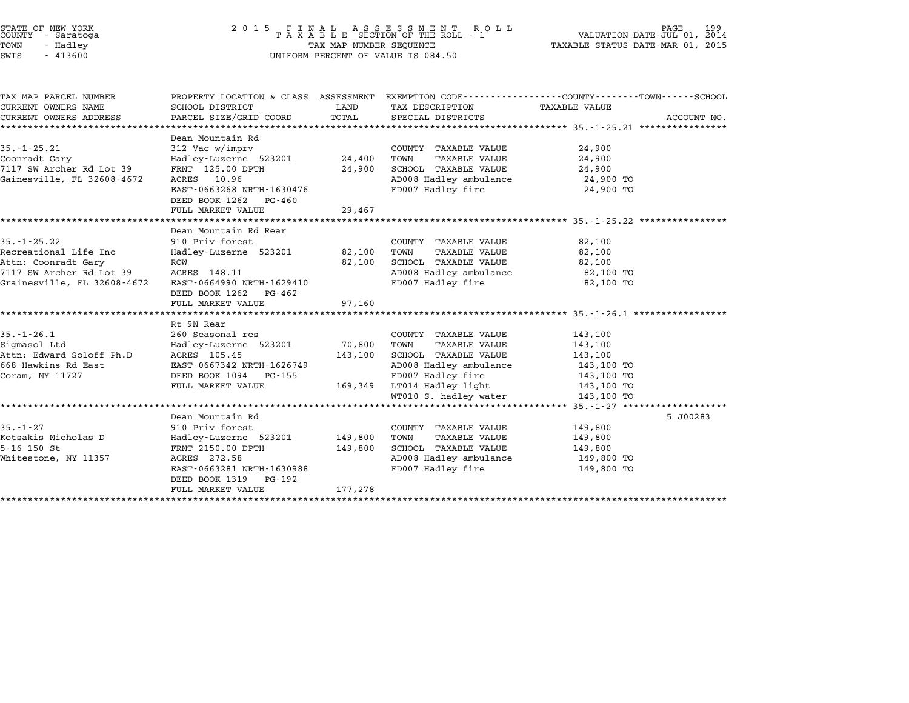| STATE OF NEW YORK<br>COUNTY - Saratoga<br>TOWN<br>- Hadley<br>SWIS<br>$-413600$                                              |                                                                                                                                                                              | TAX MAP NUMBER SEQUENCE       | 2015 FINAL ASSESSMENT ROLL<br>TAXABLE SECTION OF THE ROLL - 1<br>UNIFORM PERCENT OF VALUE IS 084.50                                                                 | 199<br>PAGE<br>VALUATION DATE-JUL 01, 2014<br>TAXABLE STATUS DATE-MAR 01, 2015                                                  |
|------------------------------------------------------------------------------------------------------------------------------|------------------------------------------------------------------------------------------------------------------------------------------------------------------------------|-------------------------------|---------------------------------------------------------------------------------------------------------------------------------------------------------------------|---------------------------------------------------------------------------------------------------------------------------------|
| TAX MAP PARCEL NUMBER<br>CURRENT OWNERS NAME<br>CURRENT OWNERS ADDRESS                                                       | SCHOOL DISTRICT<br>PARCEL SIZE/GRID COORD                                                                                                                                    | LAND<br>TOTAL                 | TAX DESCRIPTION<br>SPECIAL DISTRICTS                                                                                                                                | PROPERTY LOCATION & CLASS ASSESSMENT EXEMPTION CODE---------------COUNTY-------TOWN------SCHOOL<br>TAXABLE VALUE<br>ACCOUNT NO. |
| $35. - 1 - 25.21$<br>Coonradt Gary<br>7117 SW Archer Rd Lot 39<br>Gainesville, FL 32608-4672                                 | Dean Mountain Rd<br>312 Vac w/imprv<br>Hadley-Luzerne 523201<br>FRNT 125.00 DPTH<br>ACRES 10.96<br>EAST-0663268 NRTH-1630476<br>DEED BOOK 1262 PG-460<br>FULL MARKET VALUE   | 24,400<br>24,900<br>29,467    | COUNTY TAXABLE VALUE<br>TAXABLE VALUE<br>TOWN<br>SCHOOL TAXABLE VALUE<br>AD008 Hadley ambulance<br>FD007 Hadley fire                                                | 24,900<br>24,900<br>24,900<br>24,900 TO<br>24,900 TO                                                                            |
| $35. - 1 - 25.22$<br>Recreational Life Inc<br>Attn: Coonradt Gary<br>7117 SW Archer Rd Lot 39<br>Grainesville, FL 32608-4672 | Dean Mountain Rd Rear<br>910 Priv forest<br>Hadley-Luzerne 523201<br>ROW<br>ACRES 148.11<br>EAST-0664990 NRTH-1629410<br>DEED BOOK 1262 PG-462<br>FULL MARKET VALUE          | 82,100<br>82,100<br>97,160    | COUNTY TAXABLE VALUE<br>TAXABLE VALUE<br>TOWN<br>SCHOOL TAXABLE VALUE<br>AD008 Hadley ambulance<br>FD007 Hadley fire                                                | 82,100<br>82,100<br>82,100<br>82,100 TO<br>82,100 TO                                                                            |
| $35. - 1 - 26.1$<br>Sigmasol Ltd<br>Attn: Edward Soloff Ph.D<br>668 Hawkins Rd East<br>Coram, NY 11727                       | Rt 9N Rear<br>260 Seasonal res<br>Hadley-Luzerne 523201<br>ACRES 105.45<br>EAST-0667342 NRTH-1626749<br>DEED BOOK 1094 PG-155<br>FULL MARKET VALUE                           | 70,800<br>143,100<br>169,349  | COUNTY TAXABLE VALUE<br>TAXABLE VALUE<br>TOWN<br>SCHOOL TAXABLE VALUE<br>AD008 Hadley ambulance<br>FD007 Hadley fire<br>LT014 Hadley light<br>WT010 S. hadley water | 143,100<br>143,100<br>143,100<br>143,100 TO<br>143,100 TO<br>143,100 TO<br>143,100 TO                                           |
| $35. - 1 - 27$<br>Kotsakis Nicholas D<br>$5 - 16$ 150 St<br>Whitestone, NY 11357                                             | Dean Mountain Rd<br>910 Priv forest<br>Hadley-Luzerne 523201<br>FRNT 2150.00 DPTH<br>ACRES 272.58<br>EAST-0663281 NRTH-1630988<br>DEED BOOK 1319 PG-192<br>FULL MARKET VALUE | 149,800<br>149,800<br>177,278 | COUNTY TAXABLE VALUE<br>TAXABLE VALUE<br>TOWN<br>SCHOOL TAXABLE VALUE<br>AD008 Hadley ambulance<br>FD007 Hadley fire                                                | 5 J00283<br>149,800<br>149,800<br>149,800<br>149,800 TO<br>149,800 TO                                                           |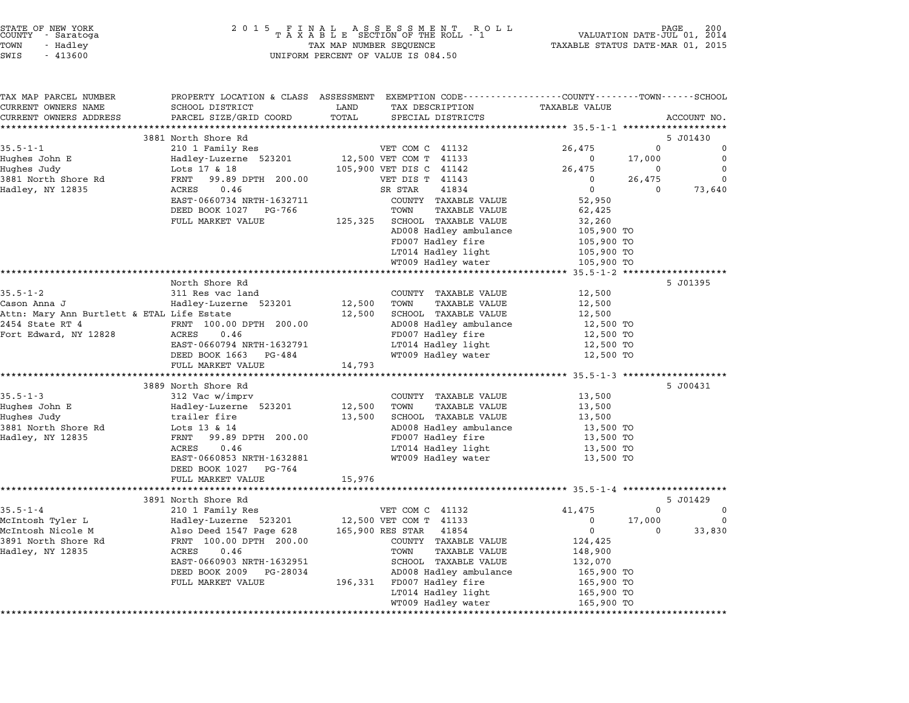| COUNTY | STATE OF NEW YORK<br>- Saratoga |  |
|--------|---------------------------------|--|
| TOWN   | - Hadley                        |  |
|        |                                 |  |

| TAX MAP PARCEL NUMBER                      | PROPERTY LOCATION & CLASS ASSESSMENT EXEMPTION CODE---------------COUNTY-------TOWN-----SCHOOL |         |                                          |                          |              |             |
|--------------------------------------------|------------------------------------------------------------------------------------------------|---------|------------------------------------------|--------------------------|--------------|-------------|
| CURRENT OWNERS NAME                        | SCHOOL DISTRICT                                                                                | LAND    | TAX DESCRIPTION                          | <b>TAXABLE VALUE</b>     |              |             |
| CURRENT OWNERS ADDRESS                     | PARCEL SIZE/GRID COORD                                                                         | TOTAL   | SPECIAL DISTRICTS                        |                          |              | ACCOUNT NO. |
|                                            | 3881 North Shore Rd                                                                            |         |                                          |                          |              | 5 J01430    |
| $35.5 - 1 - 1$                             | 210 1 Family Res                                                                               |         | VET COM C 41132                          | 26,475                   | $\mathbf{0}$ | $\Omega$    |
| Hughes John E                              | Hadley-Luzerne 523201                                                                          |         | 12,500 VET COM T 41133                   | $\Omega$                 | 17,000       | $\Omega$    |
| Hughes Judy                                | Lots 17 & 18                                                                                   |         | 105,900 VET DIS C 41142                  | 26,475                   | 0            | $\mathbf 0$ |
| 3881 North Shore Rd                        | 99.89 DPTH 200.00<br>FRNT                                                                      |         | VET DIS T 41143                          | $^{\circ}$               | 26,475       | $\Omega$    |
| Hadley, NY 12835                           | 0.46<br>ACRES                                                                                  |         | 41834<br>SR STAR                         | $\mathbf 0$              | $\Omega$     | 73,640      |
|                                            | EAST-0660734 NRTH-1632711                                                                      |         | COUNTY TAXABLE VALUE                     | 52,950                   |              |             |
|                                            | DEED BOOK 1027 PG-766                                                                          |         | TOWN<br>TAXABLE VALUE                    | 62,425                   |              |             |
|                                            | FULL MARKET VALUE                                                                              | 125,325 | <b>SCHOOL TAXABLE VALUE</b>              | 32,260                   |              |             |
|                                            |                                                                                                |         | AD008 Hadley ambulance                   | 105,900 TO               |              |             |
|                                            |                                                                                                |         | FD007 Hadley fire                        | 105,900 TO               |              |             |
|                                            |                                                                                                |         | LT014 Hadley light                       | 105,900 TO               |              |             |
|                                            |                                                                                                |         | WT009 Hadley water                       | 105,900 TO               |              |             |
|                                            |                                                                                                |         |                                          |                          |              |             |
|                                            | North Shore Rd                                                                                 |         |                                          |                          |              | 5 J01395    |
| $35.5 - 1 - 2$                             | 311 Res vac land                                                                               |         | COUNTY TAXABLE VALUE                     | 12,500                   |              |             |
| Cason Anna J                               | Hadley-Luzerne 523201                                                                          | 12,500  | <b>TAXABLE VALUE</b><br>TOWN             | 12,500                   |              |             |
| Attn: Mary Ann Burtlett & ETAL Life Estate |                                                                                                | 12,500  | SCHOOL TAXABLE VALUE                     | 12,500                   |              |             |
| 2454 State RT 4                            | FRNT 100.00 DPTH 200.00                                                                        |         | AD008 Hadley ambulance                   | 12,500 TO                |              |             |
| Fort Edward, NY 12828                      | ACRES<br>0.46                                                                                  |         | FD007 Hadley fire                        | 12,500 TO                |              |             |
|                                            | EAST-0660794 NRTH-1632791                                                                      |         | LT014 Hadley light                       | 12,500 TO                |              |             |
|                                            | DEED BOOK 1663 PG-484                                                                          |         | WT009 Hadley water                       | 12,500 TO                |              |             |
|                                            | FULL MARKET VALUE                                                                              | 14,793  |                                          |                          |              |             |
|                                            |                                                                                                |         |                                          |                          |              |             |
|                                            | 3889 North Shore Rd                                                                            |         |                                          |                          |              | 5 J00431    |
| $35.5 - 1 - 3$                             | 312 Vac w/imprv                                                                                |         | COUNTY TAXABLE VALUE                     | 13,500                   |              |             |
| Hughes John E                              | Hadley-Luzerne 523201                                                                          | 12,500  | TOWN<br><b>TAXABLE VALUE</b>             | 13,500                   |              |             |
| Hughes Judy                                | trailer fire                                                                                   | 13,500  | SCHOOL TAXABLE VALUE                     | 13,500                   |              |             |
| 3881 North Shore Rd                        | Lots 13 & 14                                                                                   |         | AD008 Hadley ambulance                   | 13,500 TO                |              |             |
| Hadley, NY 12835                           | FRNT 99.89 DPTH 200.00                                                                         |         | FD007 Hadley fire                        | 13,500 TO                |              |             |
|                                            | ACRES<br>0.46<br>EAST-0660853 NRTH-1632881                                                     |         | LT014 Hadley light<br>WT009 Hadley water | 13,500 TO<br>13,500 TO   |              |             |
|                                            | DEED BOOK 1027<br>PG-764                                                                       |         |                                          |                          |              |             |
|                                            | FULL MARKET VALUE                                                                              | 15,976  |                                          |                          |              |             |
|                                            |                                                                                                |         |                                          |                          |              |             |
|                                            | 3891 North Shore Rd                                                                            |         |                                          |                          |              | 5 J01429    |
| $35.5 - 1 - 4$                             | 210 1 Family Res                                                                               |         | VET COM C 41132                          | 41,475                   | $\Omega$     | 0           |
| McIntosh Tyler L                           | Hadley-Luzerne 523201                                                                          |         | 12,500 VET COM T 41133                   | 0                        | 17,000       | $\mathbf 0$ |
| McIntosh Nicole M                          | Also Deed 1547 Page 628                                                                        |         | 165,900 RES STAR<br>41854                | $\mathbf 0$              | $\Omega$     | 33,830      |
| 3891 North Shore Rd                        | FRNT 100.00 DPTH 200.00                                                                        |         | COUNTY TAXABLE VALUE                     | 124,425                  |              |             |
| Hadley, NY 12835                           | 0.46<br>ACRES                                                                                  |         | <b>TAXABLE VALUE</b><br>TOWN             | 148,900                  |              |             |
|                                            | EAST-0660903 NRTH-1632951                                                                      |         | SCHOOL TAXABLE VALUE                     | 132,070                  |              |             |
|                                            | DEED BOOK 2009<br>PG-28034                                                                     |         | AD008 Hadley ambulance                   | 165,900 TO               |              |             |
|                                            |                                                                                                |         |                                          |                          |              |             |
|                                            | FULL MARKET VALUE                                                                              |         | 196,331 FD007 Hadley fire                |                          |              |             |
|                                            |                                                                                                |         | LT014 Hadley light                       | 165,900 TO<br>165,900 TO |              |             |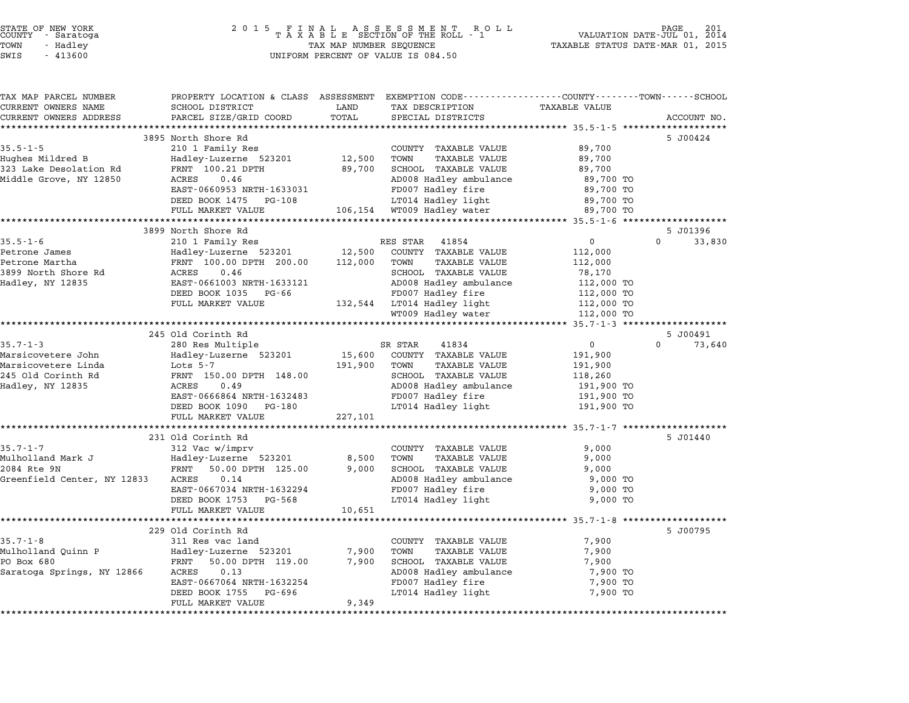| STATE OF NEW YORK<br>COUNTY – Saratoga |                                                                                                 |                         | 2015 FINAL ASSESSMENT ROLL<br>TAXABLE SECTION OF THE ROLL - 1<br>TAXA MAP NITMERE SECITENCE |                      | PAGE 201<br>VALUATION DATE-JUL 01, 2014 |
|----------------------------------------|-------------------------------------------------------------------------------------------------|-------------------------|---------------------------------------------------------------------------------------------|----------------------|-----------------------------------------|
| TOWN<br>- Hadley                       |                                                                                                 | TAX MAP NUMBER SEQUENCE |                                                                                             |                      | TAXABLE STATUS DATE-MAR 01, 2015        |
| SWIS<br>$-413600$                      |                                                                                                 |                         | UNIFORM PERCENT OF VALUE IS 084.50                                                          |                      |                                         |
|                                        |                                                                                                 |                         |                                                                                             |                      |                                         |
| TAX MAP PARCEL NUMBER                  | PROPERTY LOCATION & CLASS ASSESSMENT EXEMPTION CODE---------------COUNTY-------TOWN------SCHOOL |                         |                                                                                             |                      |                                         |
| CURRENT OWNERS NAME                    | SCHOOL DISTRICT                                                                                 | LAND                    | TAX DESCRIPTION                                                                             | <b>TAXABLE VALUE</b> |                                         |
| CURRENT OWNERS ADDRESS                 | PARCEL SIZE/GRID COORD                                                                          | TOTAL                   | SPECIAL DISTRICTS                                                                           |                      | ACCOUNT NO.                             |
|                                        |                                                                                                 |                         |                                                                                             |                      |                                         |
|                                        | 3895 North Shore Rd                                                                             |                         |                                                                                             |                      | 5 J00424                                |
| $35.5 - 1 - 5$                         | 210 1 Family Res                                                                                |                         | COUNTY TAXABLE VALUE                                                                        | 89,700               |                                         |
| Hughes Mildred B                       | Hadley-Luzerne 523201                                                                           | 12,500                  | TOWN<br>TAXABLE VALUE                                                                       | 89,700               |                                         |
| 323 Lake Desolation Rd                 | FRNT 100.21 DPTH                                                                                | 89,700                  | SCHOOL TAXABLE VALUE                                                                        | 89,700               |                                         |
| Middle Grove, NY 12850                 | ACRES<br>0.46                                                                                   |                         | AD008 Hadley ambulance                                                                      | 89,700 TO            |                                         |
|                                        | EAST-0660953 NRTH-1633031                                                                       |                         | FD007 Hadley fire                                                                           | 89,700 TO            |                                         |
|                                        | DEED BOOK 1475 PG-108                                                                           |                         | LT014 Hadley light                                                                          | 89,700 TO            |                                         |
|                                        | FULL MARKET VALUE                                                                               |                         | 106,154 WT009 Hadley water                                                                  | 89,700 TO            |                                         |
|                                        | 3899 North Shore Rd                                                                             |                         |                                                                                             |                      | 5 J01396                                |
| $35.5 - 1 - 6$                         | 210 1 Family Res                                                                                |                         | RES STAR<br>41854                                                                           | 0                    | 33,830<br>$\Omega$                      |
| Petrone James                          | Hadley-Luzerne 523201 12,500                                                                    |                         | COUNTY TAXABLE VALUE                                                                        | 112,000              |                                         |
| Petrone Martha                         | FRNT 100.00 DPTH 200.00                                                                         | 112,000                 | TOWN<br>TAXABLE VALUE                                                                       | 112,000              |                                         |
| 3899 North Shore Rd                    | ACRES<br>0.46                                                                                   |                         | SCHOOL TAXABLE VALUE                                                                        | 78,170               |                                         |
| Hadley, NY 12835                       | EAST-0661003 NRTH-1633121                                                                       |                         | AD008 Hadley ambulance                                                                      | 112,000 TO           |                                         |
|                                        | DEED BOOK 1035 PG-66                                                                            |                         | FD007 Hadley fire                                                                           | 112,000 TO           |                                         |
|                                        | FULL MARKET VALUE                                                                               |                         | 132,544 LT014 Hadley light                                                                  | 112,000 TO           |                                         |
|                                        |                                                                                                 |                         | WT009 Hadley water                                                                          | 112,000 TO           |                                         |
|                                        |                                                                                                 |                         |                                                                                             |                      |                                         |
|                                        | 245 Old Corinth Rd                                                                              |                         |                                                                                             |                      | 5 J00491                                |
| $35.7 - 1 - 3$                         | 280 Res Multiple                                                                                |                         | SR STAR<br>41834                                                                            | $\overline{0}$       | 0<br>73,640                             |
| Marsicovetere John                     | Hadley-Luzerne 523201                                                                           | 15,600                  | COUNTY TAXABLE VALUE                                                                        | 191,900              |                                         |
| Marsicovetere Linda                    | Lots 5-7                                                                                        | 191,900                 | TOWN<br>TAXABLE VALUE                                                                       | 191,900              |                                         |
| 245 Old Corinth Rd                     | FRNT 150.00 DPTH 148.00                                                                         |                         | SCHOOL TAXABLE VALUE                                                                        | 118,260              |                                         |
| Hadley, NY 12835                       | ACRES<br>0.49                                                                                   |                         | AD008 Hadley ambulance                                                                      | 191,900 TO           |                                         |
|                                        | EAST-0666864 NRTH-1632483                                                                       |                         | FD007 Hadley fire                                                                           | 191,900 TO           |                                         |
|                                        | DEED BOOK 1090 PG-180                                                                           |                         | LT014 Hadley light                                                                          | 191,900 TO           |                                         |
|                                        | FULL MARKET VALUE                                                                               | 227,101                 |                                                                                             |                      |                                         |
|                                        |                                                                                                 |                         |                                                                                             |                      |                                         |
|                                        | 231 Old Corinth Rd                                                                              |                         |                                                                                             |                      | 5 J01440                                |
| $35.7 - 1 - 7$                         | 312 Vac w/imprv                                                                                 |                         | COUNTY TAXABLE VALUE                                                                        | 9,000                |                                         |
| Mulholland Mark J                      | Hadley-Luzerne 523201                                                                           | 8,500                   | TOWN<br>TAXABLE VALUE                                                                       | 9,000                |                                         |
| 2084 Rte 9N                            | 50.00 DPTH 125.00<br>FRNT                                                                       | 9,000                   | SCHOOL TAXABLE VALUE                                                                        | 9,000                |                                         |
| Greenfield Center, NY 12833            | ACRES<br>0.14                                                                                   |                         | AD008 Hadley ambulance                                                                      | 9,000 TO             |                                         |
|                                        | EAST-0667034 NRTH-1632294                                                                       |                         | FD007 Hadley fire                                                                           | 9,000 TO             |                                         |
|                                        | DEED BOOK 1753 PG-568                                                                           |                         | LT014 Hadley light                                                                          | 9,000 TO             |                                         |
|                                        | FULL MARKET VALUE                                                                               | 10,651                  |                                                                                             |                      |                                         |
|                                        |                                                                                                 |                         |                                                                                             |                      |                                         |
|                                        | 229 Old Corinth Rd                                                                              |                         |                                                                                             |                      | 5 J00795                                |
| $35.7 - 1 - 8$                         | 311 Res vac land                                                                                |                         | COUNTY TAXABLE VALUE                                                                        | 7,900                |                                         |
| Mulholland Quinn P                     | Hadley-Luzerne 523201                                                                           | 7,900                   | TOWN<br>TAXABLE VALUE                                                                       | 7,900                |                                         |
| PO Box 680                             | FRNT 50.00 DPTH 119.00                                                                          | 7,900                   | SCHOOL TAXABLE VALUE                                                                        | 7,900                |                                         |
| Saratoga Springs, NY 12866             | 0.13<br>ACRES                                                                                   |                         | AD008 Hadley ambulance                                                                      | 7,900 TO             |                                         |
|                                        | EAST-0667064 NRTH-1632254                                                                       |                         | FD007 Hadley fire                                                                           | 7,900 TO             |                                         |
|                                        | DEED BOOK 1755<br>PG-696                                                                        |                         | LT014 Hadley light                                                                          | 7,900 TO             |                                         |
|                                        | FULL MARKET VALUE                                                                               | 9,349                   |                                                                                             |                      |                                         |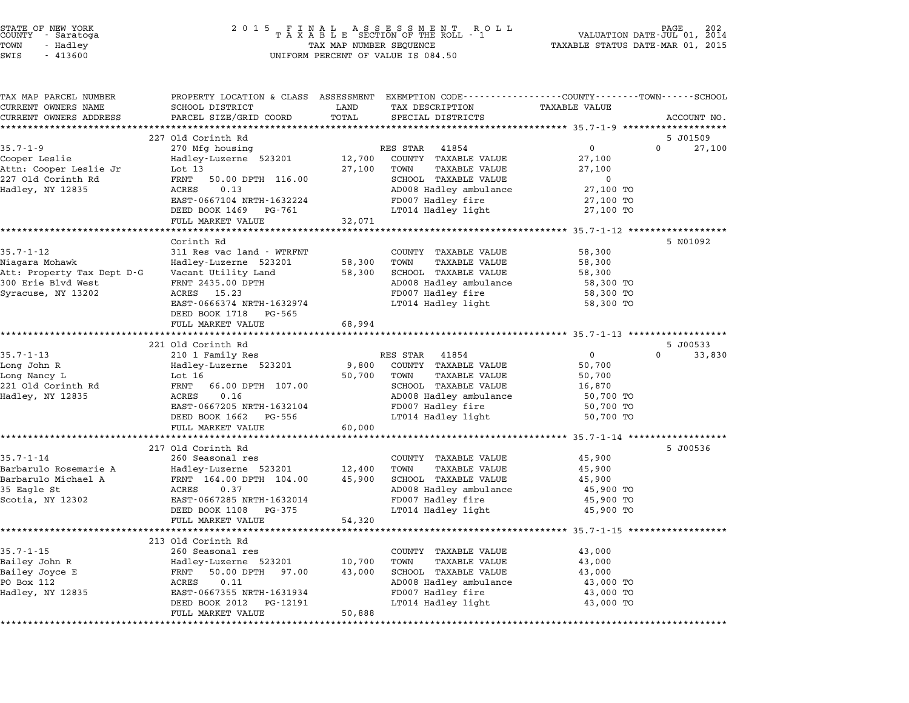| STATE OF NEW YORK<br>COUNTY<br>- Saratoga<br>TOWN<br>- Hadley<br>SWIS<br>$-413600$                                                                                                                      | 2 0 1 5                                                                                                                                                                                                                                                                                                                                                                                          | TAX MAP NUMBER SEQUENCE                       | FINAL ASSESSMENT RO<br>TAXABLE SECTION OF THE ROLL - 1<br>R O L L<br>UNIFORM PERCENT OF VALUE IS 084.50                                                                                                                                                                                                                                                                   | TAXABLE STATUS DATE-MAR 01, 2015                                                                                                                       | 202<br>PAGE<br>VALUATION DATE-JUL 01, 2014 |
|---------------------------------------------------------------------------------------------------------------------------------------------------------------------------------------------------------|--------------------------------------------------------------------------------------------------------------------------------------------------------------------------------------------------------------------------------------------------------------------------------------------------------------------------------------------------------------------------------------------------|-----------------------------------------------|---------------------------------------------------------------------------------------------------------------------------------------------------------------------------------------------------------------------------------------------------------------------------------------------------------------------------------------------------------------------------|--------------------------------------------------------------------------------------------------------------------------------------------------------|--------------------------------------------|
| TAX MAP PARCEL NUMBER<br>CURRENT OWNERS NAME<br>CURRENT OWNERS ADDRESS                                                                                                                                  | PROPERTY LOCATION & CLASS ASSESSMENT EXEMPTION CODE---------------COUNTY-------TOWN------SCHOOL<br>SCHOOL DISTRICT<br>PARCEL SIZE/GRID COORD                                                                                                                                                                                                                                                     | LAND<br>TOTAL                                 | TAX DESCRIPTION<br>SPECIAL DISTRICTS                                                                                                                                                                                                                                                                                                                                      | <b>TAXABLE VALUE</b>                                                                                                                                   | ACCOUNT NO.                                |
|                                                                                                                                                                                                         | 227 Old Corinth Rd                                                                                                                                                                                                                                                                                                                                                                               |                                               |                                                                                                                                                                                                                                                                                                                                                                           |                                                                                                                                                        | 5 J01509                                   |
| $35.7 - 1 - 9$<br>Cooper Leslie<br>Attn: Cooper Leslie Jr<br>227 Old Corinth Rd<br>Hadley, NY 12835                                                                                                     | 270 Mfg housing<br>Hadley-Luzerne 523201<br>Lot $13$<br>FRNT<br>50.00 DPTH 116.00<br>0.13<br>ACRES<br>EAST-0667104 NRTH-1632224<br>DEED BOOK 1469<br>PG-761<br>FULL MARKET VALUE                                                                                                                                                                                                                 | 12,700<br>27,100<br>32,071                    | 41854<br>RES STAR<br>COUNTY TAXABLE VALUE<br><b>TAXABLE VALUE</b><br>TOWN<br>SCHOOL TAXABLE VALUE<br>AD008 Hadley ambulance<br>FD007 Hadley fire<br>LT014 Hadley light                                                                                                                                                                                                    | 0<br>27,100<br>27,100<br>0<br>27,100 TO<br>27,100 TO<br>27,100 TO                                                                                      | 27,100<br>$\Omega$                         |
|                                                                                                                                                                                                         | **************************                                                                                                                                                                                                                                                                                                                                                                       | ***********                                   |                                                                                                                                                                                                                                                                                                                                                                           | ********************* 35.7-1-12 ****************                                                                                                       |                                            |
| $35.7 - 1 - 12$<br>Niagara Mohawk<br>Att: Property Tax Dept D-G<br>300 Erie Blvd West<br>Syracuse, NY 13202<br>$35.7 - 1 - 13$<br>Long John R<br>Long Nancy L<br>221 Old Corinth Rd<br>Hadley, NY 12835 | Corinth Rd<br>311 Res vac land - WTRFNT<br>Hadley-Luzerne 523201<br>Vacant Utility Land<br>FRNT 2435.00 DPTH<br>ACRES<br>15.23<br>EAST-0666374 NRTH-1632974<br>DEED BOOK 1718<br>PG-565<br>FULL MARKET VALUE<br>221 Old Corinth Rd<br>210 1 Family Res<br>Hadley-Luzerne 523201<br>Lot 16<br>FRNT<br>66.00 DPTH 107.00<br>0.16<br>ACRES<br>EAST-0667205 NRTH-1632104<br>DEED BOOK 1662<br>PG-556 | 58,300<br>58,300<br>68,994<br>9,800<br>50,700 | COUNTY TAXABLE VALUE<br>TOWN<br><b>TAXABLE VALUE</b><br>SCHOOL TAXABLE VALUE<br>AD008 Hadley ambulance<br>FD007 Hadley fire<br>LT014 Hadley light<br>******************************** 35.7-1-13 ******<br>RES STAR<br>41854<br>COUNTY TAXABLE VALUE<br>TOWN<br>TAXABLE VALUE<br>SCHOOL TAXABLE VALUE<br>AD008 Hadley ambulance<br>FD007 Hadley fire<br>LT014 Hadley light | 58,300<br>58,300<br>58,300<br>58,300 TO<br>58,300 TO<br>58,300 TO<br>$\mathbf{0}$<br>50,700<br>50,700<br>16,870<br>50,700 TO<br>50,700 TO<br>50,700 TO | 5 N01092<br>5 J00533<br>33,830<br>$\Omega$ |
|                                                                                                                                                                                                         | FULL MARKET VALUE                                                                                                                                                                                                                                                                                                                                                                                | 60,000                                        |                                                                                                                                                                                                                                                                                                                                                                           |                                                                                                                                                        |                                            |
| $35.7 - 1 - 14$<br>Barbarulo Rosemarie A<br>Barbarulo Michael A<br>35 Eagle St<br>Scotia, NY 12302                                                                                                      | *********************<br>217 Old Corinth Rd<br>260 Seasonal res<br>Hadley-Luzerne 523201<br>FRNT 164.00 DPTH 104.00<br>0.37<br>ACRES<br>EAST-0667285 NRTH-1632014<br>DEED BOOK 1108<br>PG-375<br>FULL MARKET VALUE                                                                                                                                                                               | 12,400<br>45,900<br>54,320                    | COUNTY TAXABLE VALUE<br>TOWN<br><b>TAXABLE VALUE</b><br>SCHOOL TAXABLE VALUE<br>AD008 Hadley ambulance<br>FD007 Hadley fire<br>LT014 Hadley light                                                                                                                                                                                                                         | ************ 35.7-1-14 ***************<br>45,900<br>45,900<br>45,900<br>45,900 TO<br>45,900 TO<br>45,900 TO                                            | 5 J00536                                   |
|                                                                                                                                                                                                         | 213 Old Corinth Rd                                                                                                                                                                                                                                                                                                                                                                               |                                               |                                                                                                                                                                                                                                                                                                                                                                           | ************************ 35.7-1-15 *******                                                                                                             |                                            |
|                                                                                                                                                                                                         |                                                                                                                                                                                                                                                                                                                                                                                                  |                                               |                                                                                                                                                                                                                                                                                                                                                                           |                                                                                                                                                        |                                            |

STATE OF NEW YORK <sup>2</sup> <sup>0</sup> <sup>1</sup> 5 F I N A L A S S E S S M E N T R O L L PAGE <sup>202</sup> COUNTY - Saratoga <sup>T</sup> <sup>A</sup> <sup>X</sup> <sup>A</sup> <sup>B</sup> <sup>L</sup> <sup>E</sup> SECTION OF THE ROLL - <sup>1</sup> VALUATION DATE-JUL 01, <sup>2014</sup>

|                  | 213 Old Corinth Rd          |        |                         |           |
|------------------|-----------------------------|--------|-------------------------|-----------|
| $35.7 - 1 - 15$  | 260 Seasonal res            |        | TAXABLE VALUE<br>COUNTY | 43,000    |
| Bailey John R    | Hadley-Luzerne 523201       | 10,700 | TOWN<br>TAXABLE VALUE   | 43,000    |
| Bailey Joyce E   | 50.00 DPTH<br>97.00<br>FRNT | 43,000 | TAXABLE VALUE<br>SCHOOL | 43,000    |
| PO Box 112       | 0.11<br>ACRES               |        | AD008 Hadley ambulance  | 43,000 TO |
| Hadley, NY 12835 | EAST-0667355 NRTH-1631934   |        | FD007 Hadley fire       | 43,000 TO |
|                  | DEED BOOK 2012 PG-12191     |        | LT014 Hadley light      | 43,000 TO |
|                  | FULL MARKET VALUE           | 50,888 |                         |           |
|                  |                             |        |                         |           |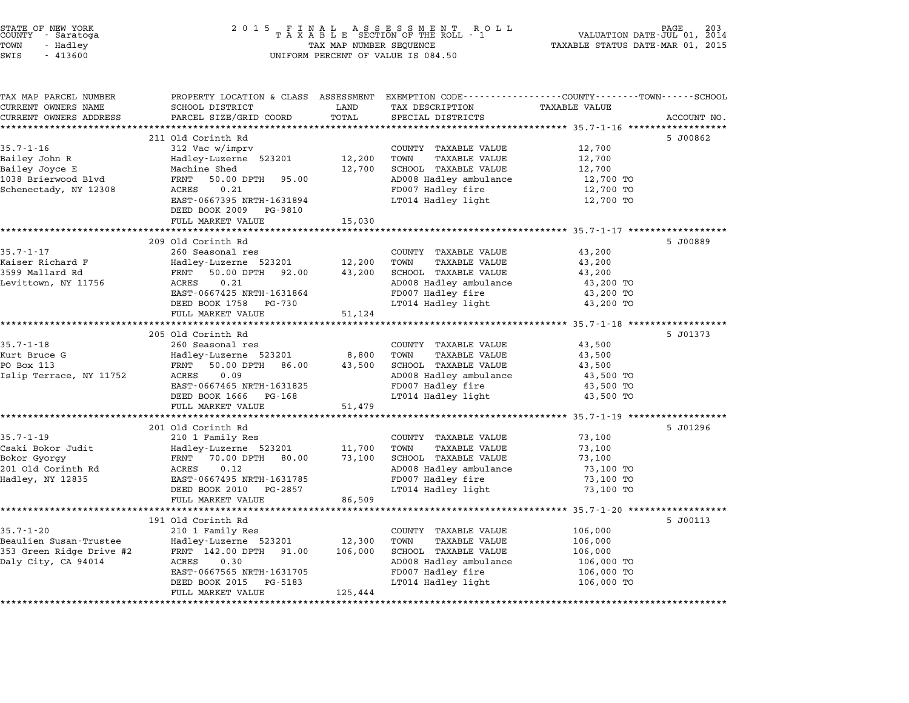| STATE OF NEW YORK<br>COUNTY – Saratoga<br>TOWN<br>- Hadley<br>SWIS<br>$-413600$                    | 2 0 1 5                                                                                                                                                                                                                                      | TAX MAP NUMBER SEQUENCE      | FINAL ASSESSMENT RO<br>TAXABLE SECTION OF THE ROLL - 1<br>R O L L<br>UNIFORM PERCENT OF VALUE IS 084.50                                                                                                             | PAGE 203<br>VALUATION DATE-JUL 01, 2014<br>TAXABLE STATUS DATE-MAR 01, 2015                                      |             |
|----------------------------------------------------------------------------------------------------|----------------------------------------------------------------------------------------------------------------------------------------------------------------------------------------------------------------------------------------------|------------------------------|---------------------------------------------------------------------------------------------------------------------------------------------------------------------------------------------------------------------|------------------------------------------------------------------------------------------------------------------|-------------|
| TAX MAP PARCEL NUMBER<br>CURRENT OWNERS NAME                                                       | PROPERTY LOCATION & CLASS ASSESSMENT EXEMPTION CODE---------------COUNTY-------TOWN-----SCHOOL<br>SCHOOL DISTRICT                                                                                                                            | LAND                         | TAX DESCRIPTION                                                                                                                                                                                                     | <b>TAXABLE VALUE</b>                                                                                             |             |
| CURRENT OWNERS ADDRESS<br>*******************                                                      | PARCEL SIZE/GRID COORD                                                                                                                                                                                                                       | TOTAL<br>************        | SPECIAL DISTRICTS                                                                                                                                                                                                   |                                                                                                                  | ACCOUNT NO. |
| $35.7 - 1 - 16$<br>Bailey John R<br>Bailey Joyce E<br>1038 Brierwood Blvd<br>Schenectady, NY 12308 | 211 Old Corinth Rd<br>312 Vac w/imprv<br>Hadley-Luzerne 523201<br>Machine Shed<br>FRNT<br>50.00 DPTH<br>95.00<br>0.21<br>ACRES<br>EAST-0667395 NRTH-1631894<br>DEED BOOK 2009<br>PG-9810                                                     | 12,200<br>12,700             | ********************************* 35.7-1-16 ******************<br>COUNTY TAXABLE VALUE<br>TOWN<br><b>TAXABLE VALUE</b><br>SCHOOL TAXABLE VALUE<br>AD008 Hadley ambulance<br>FD007 Hadley fire<br>LT014 Hadley light | 12,700<br>12,700<br>12,700<br>12,700 TO<br>12,700 TO<br>12,700 TO                                                | 5 J00862    |
|                                                                                                    | FULL MARKET VALUE                                                                                                                                                                                                                            | 15,030                       |                                                                                                                                                                                                                     |                                                                                                                  |             |
| $35.7 - 1 - 17$<br>Kaiser Richard F<br>3599 Mallard Rd<br>Levittown, NY 11756                      | *********************<br>209 Old Corinth Rd<br>260 Seasonal res<br>Hadley-Luzerne 523201<br>FRNT<br>50.00 DPTH 92.00<br>ACRES<br>0.21<br>EAST-0667425 NRTH-1631864<br>DEED BOOK 1758<br>PG-730<br>FULL MARKET VALUE<br>********************* | 12,200<br>43,200<br>51,124   | COUNTY TAXABLE VALUE<br>TOWN<br><b>TAXABLE VALUE</b><br>SCHOOL TAXABLE VALUE<br>AD008 Hadley ambulance<br>FD007 Hadley fire<br>LT014 Hadley light                                                                   | 43,200<br>43,200<br>43,200<br>43,200 TO<br>43,200 TO<br>43,200 TO<br>************** 35.7-1-18 ****************** | 5 J00889    |
| $35.7 - 1 - 18$<br>Kurt Bruce G<br>PO Box 113<br>Islip Terrace, NY 11752                           | 205 Old Corinth Rd<br>260 Seasonal res<br>Hadley-Luzerne 523201<br>FRNT<br>50.00 DPTH 86.00<br>0.09<br>ACRES<br>EAST-0667465 NRTH-1631825<br>DEED BOOK 1666<br>PG-168<br>FULL MARKET VALUE                                                   | 8,800<br>43,500<br>51,479    | COUNTY TAXABLE VALUE<br>TOWN<br><b>TAXABLE VALUE</b><br>SCHOOL TAXABLE VALUE<br>AD008 Hadley ambulance<br>FD007 Hadley fire<br>LT014 Hadley light                                                                   | 43,500<br>43,500<br>43,500<br>43,500 TO<br>43,500 TO<br>43,500 TO                                                | 5 J01373    |
|                                                                                                    | ************************<br>201 Old Corinth Rd                                                                                                                                                                                               | **********                   |                                                                                                                                                                                                                     | ********************* 35.7-1-19 *******************                                                              | 5 J01296    |
| $35.7 - 1 - 19$<br>Csaki Bokor Judit<br>Bokor Gyorgy<br>201 Old Corinth Rd<br>Hadley, NY 12835     | 210 1 Family Res<br>Hadley-Luzerne 523201<br>FRNT<br>70.00 DPTH 80.00<br>0.12<br>ACRES<br>EAST-0667495 NRTH-1631785<br>DEED BOOK 2010<br>PG-2857<br>FULL MARKET VALUE                                                                        | 11,700<br>73,100             | COUNTY TAXABLE VALUE<br><b>TAXABLE VALUE</b><br>TOWN<br>SCHOOL TAXABLE VALUE<br>AD008 Hadley ambulance<br>FD007 Hadley fire<br>LT014 Hadley light                                                                   | 73,100<br>73,100<br>73,100<br>73,100 TO<br>73,100 TO<br>73,100 TO                                                |             |
|                                                                                                    |                                                                                                                                                                                                                                              | 86,509                       |                                                                                                                                                                                                                     |                                                                                                                  |             |
| $35.7 - 1 - 20$<br>Beaulien Susan-Trustee<br>353 Green Ridge Drive #2<br>Daly City, CA 94014       | 191 Old Corinth Rd<br>210 1 Family Res<br>Hadley-Luzerne 523201<br>FRNT 142.00 DPTH 91.00<br>0.30<br>ACRES<br>EAST-0667565 NRTH-1631705<br>DEED BOOK 2015<br>PG-5183<br>FULL MARKET VALUE                                                    | 12,300<br>106,000<br>125,444 | COUNTY TAXABLE VALUE<br>TOWN<br>TAXABLE VALUE<br>SCHOOL TAXABLE VALUE<br>AD008 Hadley ambulance<br>FD007 Hadley fire<br>LT014 Hadley light                                                                          | 106,000<br>106,000<br>106,000<br>106,000 TO<br>106,000 TO<br>106,000 TO                                          | 5 J00113    |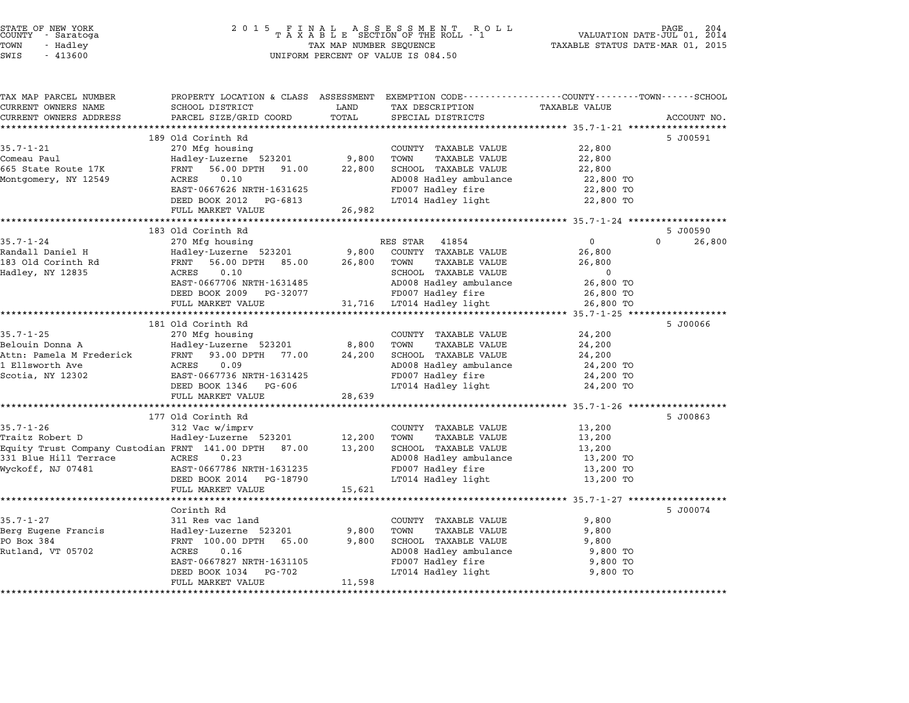| STATE OF NEW YORK<br>COUNTY - Saratoga | 2015 FINAL ASSESSMENT ROLL<br>TAXABLE SECTION OF THE ROLL - 1 | 204<br>PAGE<br>VALUATION DATE-JUL 01, 2014 |
|----------------------------------------|---------------------------------------------------------------|--------------------------------------------|
| TOWN<br>- Hadlev                       | TAX MAP NUMBER SEQUENCE                                       | TAXABLE STATUS DATE-MAR 01, 2015           |
| <b>CMTC - 113600</b>                   | INITEORM PERCENT OF VALUE TO 084 50                           |                                            |

# TOWN - Hadley TAX MAP NUMBER SEQUENCE TAXABLE STATUS DATE-MAR 01, <sup>2015</sup> STATE OF NEW YORK STATE OF NEW YORK COUNTY - SATATOGRAPH SAMPLINE TO A SAMPLINE TO A SAMPLINE ROLL TO A SAMPLINE SECTION OF THE ROLL TO A SAMPLINE SECTION OF THE ROLL TO A SAMPLINE SECTION OF THE ROLL TO A SAMPLINE SECTION

| TAX MAP PARCEL NUMBER<br>CURRENT OWNERS NAME          | PROPERTY LOCATION & CLASS ASSESSMENT EXEMPTION CODE---------------COUNTY-------TOWN-----SCHOOL<br>SCHOOL DISTRICT | LAND        | TAX DESCRIPTION                                         | <b>TAXABLE VALUE</b> |                    |
|-------------------------------------------------------|-------------------------------------------------------------------------------------------------------------------|-------------|---------------------------------------------------------|----------------------|--------------------|
| CURRENT OWNERS ADDRESS                                | PARCEL SIZE/GRID COORD                                                                                            | TOTAL       | SPECIAL DISTRICTS                                       |                      | ACCOUNT NO.        |
|                                                       | ********************                                                                                              | *********** | ********************************* 35.7-1-21 *********** |                      |                    |
|                                                       | 189 Old Corinth Rd                                                                                                |             |                                                         |                      | 5 J00591           |
| $35.7 - 1 - 21$                                       | 270 Mfg housing                                                                                                   |             | COUNTY TAXABLE VALUE                                    | 22,800               |                    |
| Comeau Paul                                           | Hadley-Luzerne 523201                                                                                             | 9,800       | TOWN<br><b>TAXABLE VALUE</b>                            | 22,800               |                    |
| 665 State Route 17K                                   | FRNT<br>56.00 DPTH 91.00                                                                                          | 22,800      | SCHOOL TAXABLE VALUE                                    | 22,800               |                    |
| Montgomery, NY 12549                                  | ACRES<br>0.10                                                                                                     |             | AD008 Hadley ambulance                                  | 22,800 TO            |                    |
|                                                       | EAST-0667626 NRTH-1631625                                                                                         |             | FD007 Hadley fire                                       | 22,800 TO            |                    |
|                                                       | DEED BOOK 2012 PG-6813                                                                                            |             | LT014 Hadley light                                      | 22,800 TO            |                    |
|                                                       | FULL MARKET VALUE                                                                                                 | 26,982      |                                                         |                      |                    |
|                                                       |                                                                                                                   |             |                                                         |                      |                    |
|                                                       | 183 Old Corinth Rd                                                                                                |             |                                                         |                      | 5 J00590           |
| $35.7 - 1 - 24$                                       | 270 Mfg housing                                                                                                   |             | RES STAR<br>41854                                       | $\Omega$             | 26,800<br>$\Omega$ |
| Randall Daniel H                                      | Hadley-Luzerne 523201                                                                                             | 9,800       | COUNTY TAXABLE VALUE                                    | 26,800               |                    |
| 183 Old Corinth Rd                                    | FRNT<br>56.00 DPTH 85.00                                                                                          | 26,800      | TOWN<br>TAXABLE VALUE                                   | 26,800               |                    |
| Hadley, NY 12835                                      | ACRES<br>0.10                                                                                                     |             | SCHOOL TAXABLE VALUE                                    | $\mathbf 0$          |                    |
|                                                       | EAST-0667706 NRTH-1631485                                                                                         |             | AD008 Hadley ambulance                                  | 26,800 TO            |                    |
|                                                       | DEED BOOK 2009 PG-32077                                                                                           |             | FD007 Hadley fire                                       | 26,800 TO            |                    |
|                                                       | FULL MARKET VALUE                                                                                                 |             | 31,716 LT014 Hadley light                               | 26,800 TO            |                    |
|                                                       |                                                                                                                   |             |                                                         |                      |                    |
|                                                       | 181 Old Corinth Rd                                                                                                |             |                                                         |                      | 5 J00066           |
| $35.7 - 1 - 25$                                       | 270 Mfg housing                                                                                                   |             | COUNTY TAXABLE VALUE                                    | 24,200               |                    |
| Belouin Donna A                                       | Hadley-Luzerne 523201                                                                                             | 8,800       | TOWN<br><b>TAXABLE VALUE</b>                            | 24,200               |                    |
| Attn: Pamela M Frederick FRNT 93.00 DPTH 77.00        |                                                                                                                   | 24,200      | SCHOOL TAXABLE VALUE                                    | 24,200               |                    |
| 1 Ellsworth Ave                                       | 0.09<br>ACRES                                                                                                     |             | AD008 Hadley ambulance                                  | 24,200 TO            |                    |
| Scotia, NY 12302                                      | EAST-0667736 NRTH-1631425                                                                                         |             | FD007 Hadley fire                                       | 24,200 TO            |                    |
|                                                       | DEED BOOK 1346 PG-606                                                                                             |             | LT014 Hadley light                                      | 24,200 TO            |                    |
|                                                       | FULL MARKET VALUE                                                                                                 | 28,639      |                                                         |                      |                    |
|                                                       |                                                                                                                   |             |                                                         |                      |                    |
|                                                       | 177 Old Corinth Rd                                                                                                |             |                                                         |                      | 5 J00863           |
| $35.7 - 1 - 26$                                       | 312 Vac w/imprv                                                                                                   |             | COUNTY TAXABLE VALUE                                    | 13,200               |                    |
| Traitz Robert D                                       | Hadley-Luzerne 523201                                                                                             | 12,200      | TOWN<br>TAXABLE VALUE                                   | 13,200               |                    |
| Equity Trust Company Custodian FRNT 141.00 DPTH 87.00 |                                                                                                                   | 13,200      | SCHOOL TAXABLE VALUE                                    | 13,200               |                    |
| 331 Blue Hill Terrace                                 | ACRES<br>0.23                                                                                                     |             | AD008 Hadley ambulance                                  | 13,200 TO            |                    |
| Wyckoff, NJ 07481                                     | EAST-0667786 NRTH-1631235                                                                                         |             | FD007 Hadley fire                                       | 13,200 TO            |                    |
|                                                       | DEED BOOK 2014 PG-18790                                                                                           |             | LT014 Hadley light                                      | 13,200 TO            |                    |
|                                                       | FULL MARKET VALUE                                                                                                 | 15,621      |                                                         |                      |                    |
|                                                       |                                                                                                                   |             |                                                         |                      |                    |
|                                                       | Corinth Rd                                                                                                        |             |                                                         |                      | 5 J00074           |
| $35.7 - 1 - 27$                                       | 311 Res vac land                                                                                                  |             | COUNTY TAXABLE VALUE                                    | 9,800                |                    |
| Berg Eugene Francis                                   | Hadley-Luzerne 523201                                                                                             | 9,800       | <b>TOWN</b><br>TAXABLE VALUE                            | 9,800                |                    |
| PO Box 384                                            | FRNT 100.00 DPTH 65.00                                                                                            | 9,800       | SCHOOL TAXABLE VALUE                                    | 9,800                |                    |
| Rutland, VT 05702                                     | ACRES<br>0.16                                                                                                     |             | AD008 Hadley ambulance                                  | 9,800 TO             |                    |
|                                                       | EAST-0667827 NRTH-1631105                                                                                         |             | FD007 Hadley fire                                       | 9,800 TO             |                    |
|                                                       | DEED BOOK 1034<br>PG-702                                                                                          |             | LT014 Hadley light                                      | 9,800 TO             |                    |
|                                                       | FULL MARKET VALUE                                                                                                 | 11,598      |                                                         |                      |                    |
|                                                       |                                                                                                                   |             |                                                         |                      |                    |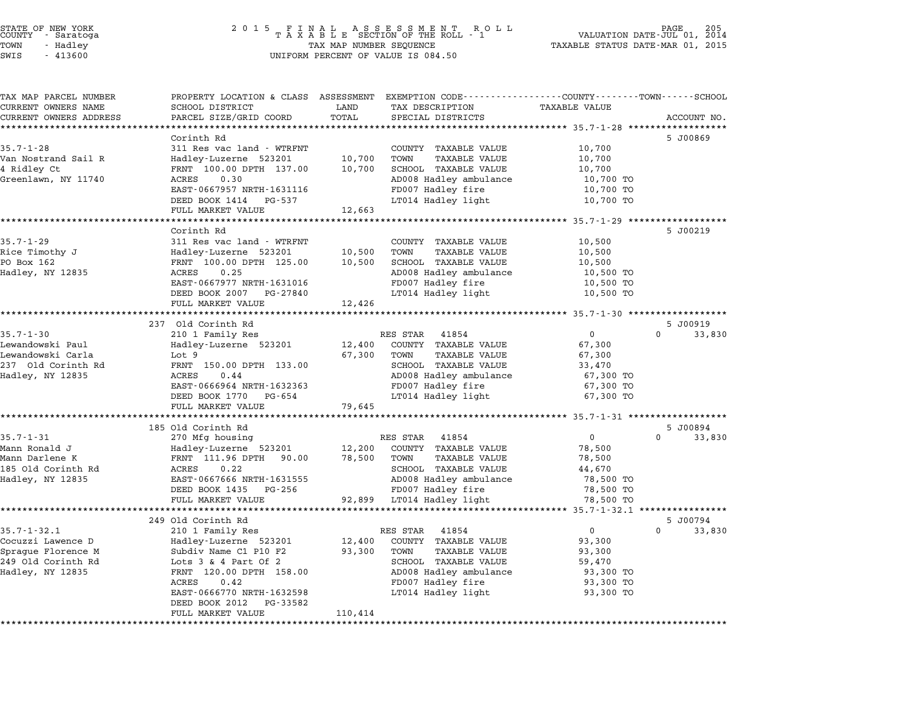# STATE OF NEW YORK <sup>2</sup> <sup>0</sup> <sup>1</sup> 5 F I N A L A S S E S S M E N T R O L L PAGE <sup>205</sup> COUNTY - Saratoga <sup>T</sup> <sup>A</sup> <sup>X</sup> <sup>A</sup> <sup>B</sup> <sup>L</sup> <sup>E</sup> SECTION OF THE ROLL - <sup>1</sup> VALUATION DATE-JUL 01, <sup>2014</sup> TOWN - Hadley TAX MAP NUMBER SEQUENCE TAXABLE STATUS DATE-MAR 01, <sup>2015</sup> STATE OF NEW YORK STATE OF NEW YORK A SOLUME TO A SOLUME TO A SOLUME TO A SOLUME TO A SOLUME TO A SOLUME TO A SOLUME TO A SOLUME TO A SOLUME TO A SOLUME TO A SOLUME TO A SOLUME TO A SOLUME TO A SOLUME TO A SOLUME TO A SOLU

| TAX MAP PARCEL NUMBER<br>CURRENT OWNERS NAME | PROPERTY LOCATION & CLASS ASSESSMENT EXEMPTION CODE---------------COUNTY------TOWN------SCHOOL<br>SCHOOL DISTRICT | LAND                    | TAX DESCRIPTION                                             | TAXABLE VALUE                                            |                    |
|----------------------------------------------|-------------------------------------------------------------------------------------------------------------------|-------------------------|-------------------------------------------------------------|----------------------------------------------------------|--------------------|
| CURRENT OWNERS ADDRESS                       | PARCEL SIZE/GRID COORD                                                                                            | TOTAL                   | SPECIAL DISTRICTS                                           |                                                          | ACCOUNT NO.        |
|                                              |                                                                                                                   |                         |                                                             |                                                          |                    |
|                                              | Corinth Rd                                                                                                        |                         |                                                             |                                                          | 5 J00869           |
| $35.7 - 1 - 28$                              | 311 Res vac land - WTRFNT                                                                                         |                         | COUNTY TAXABLE VALUE                                        | 10,700                                                   |                    |
| Van Nostrand Sail R                          | Hadley-Luzerne 523201                                                                                             | 10,700                  | TOWN<br>TAXABLE VALUE                                       | 10,700                                                   |                    |
| 4 Ridley Ct                                  | FRNT 100.00 DPTH 137.00                                                                                           | 10,700                  | SCHOOL TAXABLE VALUE                                        | 10,700                                                   |                    |
| Greenlawn, NY 11740                          | 0.30<br>ACRES                                                                                                     |                         | AD008 Hadley ambulance                                      | 10,700 TO                                                |                    |
|                                              | EAST-0667957 NRTH-1631116                                                                                         |                         | FD007 Hadley fire                                           | 10,700 TO                                                |                    |
|                                              | DEED BOOK 1414 PG-537                                                                                             |                         | LT014 Hadley light                                          | 10,700 TO                                                |                    |
|                                              | FULL MARKET VALUE                                                                                                 | 12,663                  |                                                             |                                                          |                    |
|                                              |                                                                                                                   |                         |                                                             |                                                          |                    |
|                                              | Corinth Rd                                                                                                        |                         |                                                             |                                                          | 5 J00219           |
| $35.7 - 1 - 29$                              | 311 Res vac land - WTRFNT                                                                                         |                         | COUNTY TAXABLE VALUE                                        | 10,500                                                   |                    |
| Rice Timothy J                               | Hadley–Luzerne 523201<br>FRNT 100.00 DPTH 125.00                                                                  | 10,500                  | TOWN<br>TAXABLE VALUE                                       | 10,500                                                   |                    |
| PO Box 162                                   |                                                                                                                   | 10,500                  | SCHOOL TAXABLE VALUE                                        | 10,500                                                   |                    |
| Hadley, NY 12835                             | ACRES<br>0.25                                                                                                     |                         | AD008 Hadley ambulance                                      | 10,500 TO                                                |                    |
|                                              | EAST-0667977 NRTH-1631016<br>DEED BOOK 2007 PG-27840                                                              |                         | FD007 Hadley fire<br>LT014 Hadley light                     | 10,500 TO<br>10,500 TO                                   |                    |
|                                              | FULL MARKET VALUE                                                                                                 | 12,426                  |                                                             |                                                          |                    |
|                                              |                                                                                                                   | * * * * * * * * * * * * |                                                             | **************************35.7-1-30 ******************** |                    |
|                                              | 237 Old Corinth Rd                                                                                                |                         |                                                             |                                                          | 5 J00919           |
| $35.7 - 1 - 30$                              | 210 1 Family Res                                                                                                  |                         | RES STAR 41854                                              | $\overline{0}$                                           | $\Omega$<br>33,830 |
| Lewandowski Paul                             | Hadley-Luzerne 523201                                                                                             |                         | 12,400 COUNTY TAXABLE VALUE                                 | 67,300                                                   |                    |
| Lewandowski Carla                            | Lot 9                                                                                                             |                         | 67,300 TOWN<br>TAXABLE VALUE                                | 67,300                                                   |                    |
| 237 Old Corinth Rd                           | FRNT 150.00 DPTH 133.00                                                                                           |                         | SCHOOL TAXABLE VALUE                                        | 33,470                                                   |                    |
| Hadley, NY 12835                             | ACRES<br>0.44                                                                                                     |                         | AD008 Hadley ambulance                                      | 67,300 TO                                                |                    |
|                                              | EAST-0666964 NRTH-1632363                                                                                         |                         | FD007 Hadley fire                                           | 67,300 TO                                                |                    |
|                                              | DEED BOOK 1770 PG-654                                                                                             |                         | LT014 Hadley light                                          | 67,300 TO                                                |                    |
|                                              | FULL MARKET VALUE                                                                                                 | 79,645                  |                                                             |                                                          |                    |
|                                              |                                                                                                                   |                         |                                                             |                                                          |                    |
|                                              | 185 Old Corinth Rd                                                                                                |                         |                                                             |                                                          | 5 J00894           |
| $35.7 - 1 - 31$                              | 270 Mfg housing                                                                                                   |                         | RES STAR 41854                                              | $\overline{0}$                                           | $\Omega$<br>33,830 |
| Mann Ronald J<br>Mann Darlene K              |                                                                                                                   |                         | 12,200 COUNTY TAXABLE VALUE<br>78,500 TOWN<br>TAXABLE VALUE | 78,500                                                   |                    |
| 185 Old Corinth Rd                           | Hadley-Luzerne 523201<br>FRNT 111.96 DPTH 90.00<br>ACRES 0.22                                                     |                         | SCHOOL TAXABLE VALUE                                        | 78,500<br>44,670                                         |                    |
| Hadley, NY 12835                             | EAST-0667666 NRTH-1631555                                                                                         |                         | AD008 Hadley ambulance                                      | 78,500 TO                                                |                    |
|                                              | DEED BOOK 1435 PG-256                                                                                             |                         | FD007 Hadley fire                                           | 78,500 TO                                                |                    |
|                                              | FULL MARKET VALUE                                                                                                 |                         | 92,899 LT014 Hadley light                                   | 78,500 TO                                                |                    |
|                                              |                                                                                                                   |                         |                                                             |                                                          |                    |
|                                              | 249 Old Corinth Rd                                                                                                |                         |                                                             |                                                          | 5 J00794           |
| $35.7 - 1 - 32.1$                            | 210 1 Family Res                                                                                                  |                         | RES STAR<br>41854                                           | $\overline{0}$                                           | $\Omega$<br>33,830 |
| Cocuzzi Lawence D                            | Hadley-Luzerne 523201                                                                                             | 12,400                  | COUNTY TAXABLE VALUE                                        | 93,300                                                   |                    |
| Sprague Florence M                           | Subdiv Name C1 P10 F2                                                                                             | 93,300                  | TOWN<br>TAXABLE VALUE                                       | 93,300                                                   |                    |
| 249 Old Corinth Rd                           | Lots $3 \& 4$ Part Of $2$                                                                                         |                         | SCHOOL TAXABLE VALUE                                        | 59,470                                                   |                    |
| Hadley, NY 12835                             | FRNT 120.00 DPTH 158.00                                                                                           |                         | AD008 Hadley ambulance                                      | 93,300 TO                                                |                    |
|                                              | ACRES<br>0.42                                                                                                     |                         | FD007 Hadley fire                                           | 93,300 TO                                                |                    |
|                                              | EAST-0666770 NRTH-1632598                                                                                         |                         | LT014 Hadley light                                          | 93,300 TO                                                |                    |
|                                              | DEED BOOK 2012 PG-33582                                                                                           |                         |                                                             |                                                          |                    |
|                                              | FULL MARKET VALUE                                                                                                 | 110,414                 |                                                             |                                                          |                    |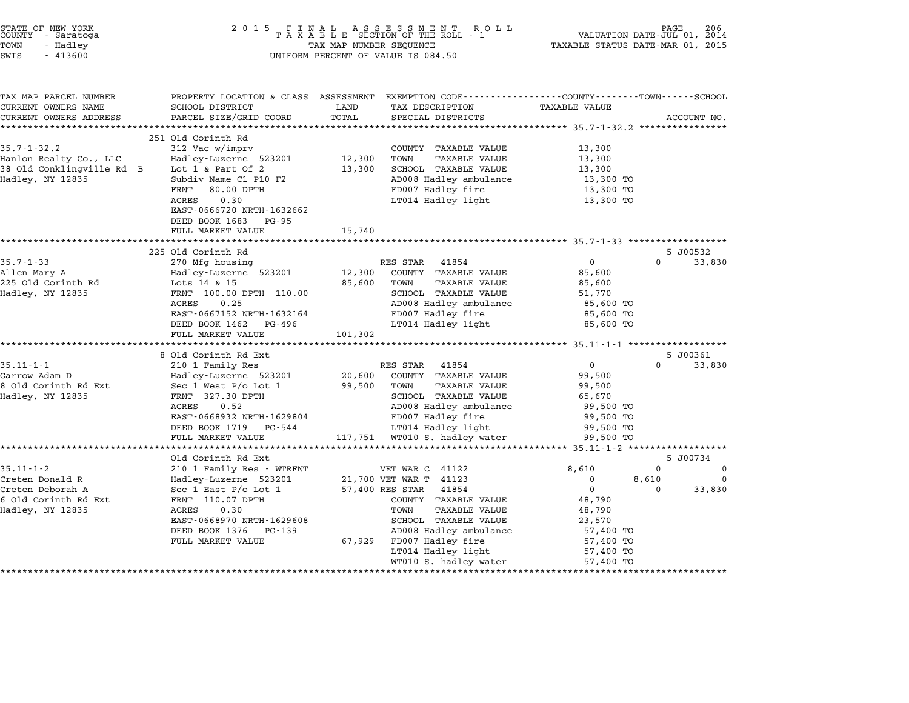| STATE OF NEW YORK<br>COUNTY<br>- Saratoga<br>TOWN<br>- Hadley<br>SWIS<br>$-413600$                                                                        | 2 0 1 5<br>FINAL ASSESSMENT ROTAXABLE SECTION OF THE ROLL - 1<br>TAX MAP NUMBER SEQUENCE<br>UNIFORM PERCENT OF VALUE IS 084.50                                                                                                                                                                                                                                                                             | VALUATION DATE-JUL 01, 2014<br>TAXABLE STATUS DATE-MAR 01, 2015 | PAGE                                                                                                                                                                                                                                                                                                                                                                 | 206                                                                                                                                                                                                                |                        |                              |
|-----------------------------------------------------------------------------------------------------------------------------------------------------------|------------------------------------------------------------------------------------------------------------------------------------------------------------------------------------------------------------------------------------------------------------------------------------------------------------------------------------------------------------------------------------------------------------|-----------------------------------------------------------------|----------------------------------------------------------------------------------------------------------------------------------------------------------------------------------------------------------------------------------------------------------------------------------------------------------------------------------------------------------------------|--------------------------------------------------------------------------------------------------------------------------------------------------------------------------------------------------------------------|------------------------|------------------------------|
| TAX MAP PARCEL NUMBER<br>CURRENT OWNERS NAME<br>CURRENT OWNERS ADDRESS                                                                                    | PROPERTY LOCATION & CLASS ASSESSMENT<br>SCHOOL DISTRICT<br>PARCEL SIZE/GRID COORD                                                                                                                                                                                                                                                                                                                          | LAND<br>TOTAL                                                   | EXEMPTION CODE-----------------COUNTY-------TOWN-----SCHOOL<br>TAX DESCRIPTION<br>SPECIAL DISTRICTS                                                                                                                                                                                                                                                                  | TAXABLE VALUE                                                                                                                                                                                                      |                        | ACCOUNT NO.                  |
|                                                                                                                                                           | *********************                                                                                                                                                                                                                                                                                                                                                                                      | ************                                                    | ************************************* 35.7-1-32.2 ****************                                                                                                                                                                                                                                                                                                   |                                                                                                                                                                                                                    |                        |                              |
| $35.7 - 1 - 32.2$<br>Hanlon Realty Co., LLC<br>38 Old Conklingville Rd B<br>Hadley, NY 12835                                                              | 251 Old Corinth Rd<br>312 Vac w/imprv<br>Hadley-Luzerne 523201<br>Lot $1$ & Part Of $2$<br>Subdiv Name C1 P10 F2                                                                                                                                                                                                                                                                                           | 12,300<br>13,300                                                | COUNTY TAXABLE VALUE<br>TOWN<br><b>TAXABLE VALUE</b><br>SCHOOL TAXABLE VALUE<br>AD008 Hadley ambulance                                                                                                                                                                                                                                                               | 13,300<br>13,300<br>13,300<br>13,300 TO                                                                                                                                                                            |                        |                              |
|                                                                                                                                                           | FRNT<br>80.00 DPTH<br>ACRES<br>0.30<br>EAST-0666720 NRTH-1632662<br>DEED BOOK 1683<br>PG-95                                                                                                                                                                                                                                                                                                                |                                                                 | FD007 Hadley fire<br>LT014 Hadley light                                                                                                                                                                                                                                                                                                                              | 13,300 TO<br>13,300 TO                                                                                                                                                                                             |                        |                              |
|                                                                                                                                                           | FULL MARKET VALUE                                                                                                                                                                                                                                                                                                                                                                                          | 15,740                                                          |                                                                                                                                                                                                                                                                                                                                                                      |                                                                                                                                                                                                                    |                        |                              |
|                                                                                                                                                           | 225 Old Corinth Rd                                                                                                                                                                                                                                                                                                                                                                                         |                                                                 |                                                                                                                                                                                                                                                                                                                                                                      | ·****************** 35.7-1-33 *******************                                                                                                                                                                  |                        | 5 J00532                     |
| $35.7 - 1 - 33$<br>Allen Mary A<br>225 Old Corinth Rd<br>Hadley, NY 12835<br>$35.11 - 1 - 1$<br>Garrow Adam D<br>8 Old Corinth Rd Ext<br>Hadley, NY 12835 | 270 Mfg housing<br>Hadley-Luzerne 523201<br>Lots 14 & 15<br>FRNT 100.00 DPTH 110.00<br>0.25<br>ACRES<br>EAST-0667152 NRTH-1632164<br>DEED BOOK 1462<br>PG-496<br>FULL MARKET VALUE<br>***********************<br>8 Old Corinth Rd Ext<br>210 1 Family Res<br>Hadley-Luzerne 523201<br>Sec 1 West $P/O$ Lot 1<br>FRNT 327.30 DPTH<br>ACRES<br>0.52<br>EAST-0668932 NRTH-1629804<br>DEED BOOK 1719<br>PG-544 | 12,300<br>85,600<br>101,302<br>20,600<br>99,500                 | RES STAR<br>41854<br>COUNTY TAXABLE VALUE<br><b>TAXABLE VALUE</b><br>TOWN<br>SCHOOL TAXABLE VALUE<br>AD008 Hadley ambulance<br>FD007 Hadley fire<br>LT014 Hadley light<br>****************<br>RES STAR<br>41854<br>COUNTY TAXABLE VALUE<br>TOWN<br><b>TAXABLE VALUE</b><br>SCHOOL TAXABLE VALUE<br>AD008 Hadley ambulance<br>FD007 Hadley fire<br>LT014 Hadley light | 0<br>85,600<br>85,600<br>51,770<br>85,600 TO<br>85,600 TO<br>85,600 TO<br>********************* 35.11-1-1 *******************<br>$\mathbf{0}$<br>99,500<br>99,500<br>65,670<br>99,500 TO<br>99,500 TO<br>99,500 TO | 0<br>0                 | 33,830<br>5 J00361<br>33,830 |
|                                                                                                                                                           | FULL MARKET VALUE<br>************************                                                                                                                                                                                                                                                                                                                                                              | 117,751                                                         | WT010 S. hadley water                                                                                                                                                                                                                                                                                                                                                | 99,500 TO<br>*************** 35.11-1-2 *******************                                                                                                                                                         |                        |                              |
|                                                                                                                                                           | Old Corinth Rd Ext                                                                                                                                                                                                                                                                                                                                                                                         |                                                                 |                                                                                                                                                                                                                                                                                                                                                                      |                                                                                                                                                                                                                    |                        | 5 J00734                     |
| $35.11 - 1 - 2$<br>Creten Donald R<br>Creten Deborah A<br>6 Old Corinth Rd Ext<br>Hadley, NY 12835                                                        | 210 1 Family Res - WTRFNT<br>Hadley-Luzerne 523201<br>Sec 1 East $P/O$ Lot 1<br>FRNT 110.07 DPTH<br>0.30<br>ACRES<br>EAST-0668970 NRTH-1629608<br>DEED BOOK 1376 PG-139<br>FULL MARKET VALUE                                                                                                                                                                                                               | 67,929                                                          | VET WAR C 41122<br>21,700 VET WAR T 41123<br>57,400 RES STAR<br>41854<br>COUNTY TAXABLE VALUE<br>TOWN<br><b>TAXABLE VALUE</b><br>SCHOOL TAXABLE VALUE<br>AD008 Hadley ambulance<br>FD007 Hadley fire<br>LT014 Hadley light<br>WT010 S. hadley water                                                                                                                  | 8,610<br>$\mathbf 0$<br>$\mathbf 0$<br>48,790<br>48,790<br>23,570<br>57,400 TO<br>57,400 TO<br>57,400 TO<br>57,400 TO                                                                                              | $\Omega$<br>8,610<br>0 | 0<br>0<br>33,830             |

STATE OF NEW YORK <sup>2</sup> <sup>0</sup> <sup>1</sup> 5 F I N A L A S S E S S M E N T R O L L PAGE <sup>206</sup> COUNTY - Saratoga <sup>T</sup> <sup>A</sup> <sup>X</sup> <sup>A</sup> <sup>B</sup> <sup>L</sup> <sup>E</sup> SECTION OF THE ROLL - <sup>1</sup> VALUATION DATE-JUL 01, <sup>2014</sup>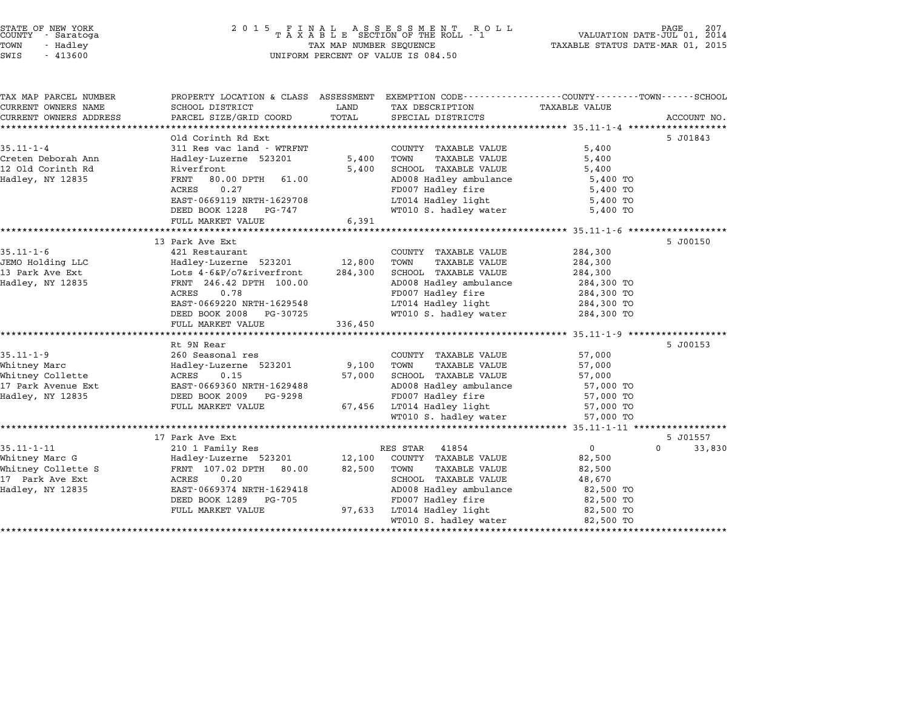| STATE OF NEW YORK                    | 2 0 1 5                                            |                                  | FINAL ASSESSMENT RO<br>TAXABLE SECTION OF THE ROLL - 1<br>R O L L                               |                                            | 207                |
|--------------------------------------|----------------------------------------------------|----------------------------------|-------------------------------------------------------------------------------------------------|--------------------------------------------|--------------------|
| COUNTY - Saratoga                    |                                                    | VALUATION DATE-JUL 01,           | 2014                                                                                            |                                            |                    |
| TOWN<br>- Hadley                     | TAX MAP NUMBER SEQUENCE                            | TAXABLE STATUS DATE-MAR 01, 2015 |                                                                                                 |                                            |                    |
| SWIS<br>$-413600$                    |                                                    |                                  | UNIFORM PERCENT OF VALUE IS 084.50                                                              |                                            |                    |
| TAX MAP PARCEL NUMBER                |                                                    |                                  | PROPERTY LOCATION & CLASS ASSESSMENT EXEMPTION CODE---------------COUNTY-------TOWN------SCHOOL |                                            |                    |
| CURRENT OWNERS NAME                  | SCHOOL DISTRICT                                    | LAND                             | TAX DESCRIPTION                                                                                 | TAXABLE VALUE                              |                    |
| CURRENT OWNERS ADDRESS               | PARCEL SIZE/GRID COORD                             | TOTAL                            | SPECIAL DISTRICTS                                                                               |                                            | ACCOUNT NO.        |
| ***********************              |                                                    |                                  |                                                                                                 |                                            |                    |
|                                      | Old Corinth Rd Ext                                 |                                  |                                                                                                 |                                            | 5 J01843           |
| $35.11 - 1 - 4$                      | 311 Res vac land - WTRFNT                          |                                  | COUNTY TAXABLE VALUE                                                                            | 5,400                                      |                    |
| Creten Deborah Ann                   | Hadley-Luzerne 523201                              | 5,400                            | TOWN<br><b>TAXABLE VALUE</b>                                                                    | 5,400                                      |                    |
| 12 Old Corinth Rd                    | Riverfront                                         | 5,400                            | SCHOOL TAXABLE VALUE                                                                            | 5,400                                      |                    |
| Hadley, NY 12835                     | FRNT<br>80.00 DPTH<br>61.00                        |                                  | AD008 Hadley ambulance                                                                          | 5,400 TO                                   |                    |
|                                      | ACRES<br>0.27                                      |                                  | FD007 Hadley fire                                                                               | 5,400 TO                                   |                    |
|                                      | EAST-0669119 NRTH-1629708                          |                                  | LT014 Hadley light                                                                              | 5,400 TO                                   |                    |
|                                      | DEED BOOK 1228<br>PG-747                           |                                  | WT010 S. hadley water                                                                           | 5,400 TO                                   |                    |
|                                      | FULL MARKET VALUE                                  | 6,391                            |                                                                                                 | ************************* 35.11-1-6 ****** |                    |
|                                      | 13 Park Ave Ext                                    |                                  |                                                                                                 |                                            | 5 J00150           |
| $35.11 - 1 - 6$                      | 421 Restaurant                                     |                                  | COUNTY TAXABLE VALUE                                                                            | 284,300                                    |                    |
| JEMO Holding LLC                     | Hadley-Luzerne 523201                              | 12,800                           | TOWN<br><b>TAXABLE VALUE</b>                                                                    | 284,300                                    |                    |
| 13 Park Ave Ext                      | Lots 4-6&P/o7&riverfront                           | 284,300                          | SCHOOL TAXABLE VALUE                                                                            | 284,300                                    |                    |
| Hadley, NY 12835                     | FRNT 246.42 DPTH 100.00                            |                                  | AD008 Hadley ambulance                                                                          | 284,300 TO                                 |                    |
|                                      | 0.78<br>ACRES                                      |                                  | FD007 Hadley fire                                                                               | 284,300 TO                                 |                    |
|                                      | EAST-0669220 NRTH-1629548                          |                                  | LT014 Hadley light                                                                              | 284,300 TO                                 |                    |
|                                      | DEED BOOK 2008<br>PG-30725                         |                                  | WT010 S. hadley water                                                                           | 284,300 TO                                 |                    |
|                                      | FULL MARKET VALUE                                  | 336,450                          |                                                                                                 |                                            |                    |
|                                      |                                                    |                                  |                                                                                                 |                                            |                    |
|                                      | Rt 9N Rear                                         |                                  |                                                                                                 |                                            | 5 J00153           |
| $35.11 - 1 - 9$                      | 260 Seasonal res                                   |                                  | COUNTY TAXABLE VALUE                                                                            | 57,000                                     |                    |
| Whitney Marc                         | Hadley-Luzerne 523201                              | 9,100                            | <b>TAXABLE VALUE</b><br>TOWN                                                                    | 57,000                                     |                    |
| Whitney Collette                     | 0.15<br>ACRES                                      | 57,000                           | SCHOOL TAXABLE VALUE                                                                            | 57,000                                     |                    |
| 17 Park Avenue Ext                   | EAST-0669360 NRTH-1629488                          |                                  | AD008 Hadley ambulance                                                                          | 57,000 TO                                  |                    |
| Hadley, NY 12835                     | DEED BOOK 2009<br>PG-9298                          |                                  | FD007 Hadley fire                                                                               | 57,000 TO                                  |                    |
|                                      | FULL MARKET VALUE                                  | 67,456                           | LT014 Hadley light                                                                              | 57,000 TO                                  |                    |
|                                      |                                                    |                                  | WT010 S. hadley water                                                                           | 57,000 TO                                  |                    |
|                                      | *******************************                    |                                  |                                                                                                 |                                            |                    |
|                                      | 17 Park Ave Ext                                    |                                  |                                                                                                 |                                            | 5 J01557           |
| $35.11 - 1 - 11$                     | 210 1 Family Res                                   |                                  | RES STAR<br>41854                                                                               | $\mathbf 0$                                | $\Omega$<br>33,830 |
| Whitney Marc G<br>Whitney Collette S | Hadley-Luzerne 523201<br>FRNT 107.02 DPTH<br>80.00 | 12,100<br>82,500                 | COUNTY TAXABLE VALUE<br>TOWN<br><b>TAXABLE VALUE</b>                                            | 82,500<br>82,500                           |                    |
| 17 Park Ave Ext                      | ACRES<br>0.20                                      |                                  | SCHOOL TAXABLE VALUE                                                                            | 48,670                                     |                    |
| Hadley, NY 12835                     | EAST-0669374 NRTH-1629418                          |                                  | AD008 Hadley ambulance                                                                          | 82,500 TO                                  |                    |
|                                      | DEED BOOK 1289<br>PG-705                           |                                  | FD007 Hadley fire                                                                               | 82,500 TO                                  |                    |
|                                      | FULL MARKET VALUE                                  | 97,633                           | LT014 Hadley light                                                                              | 82,500 TO                                  |                    |
|                                      |                                                    |                                  | WT010 S. hadley water                                                                           | 82,500 TO                                  |                    |
|                                      |                                                    |                                  |                                                                                                 |                                            |                    |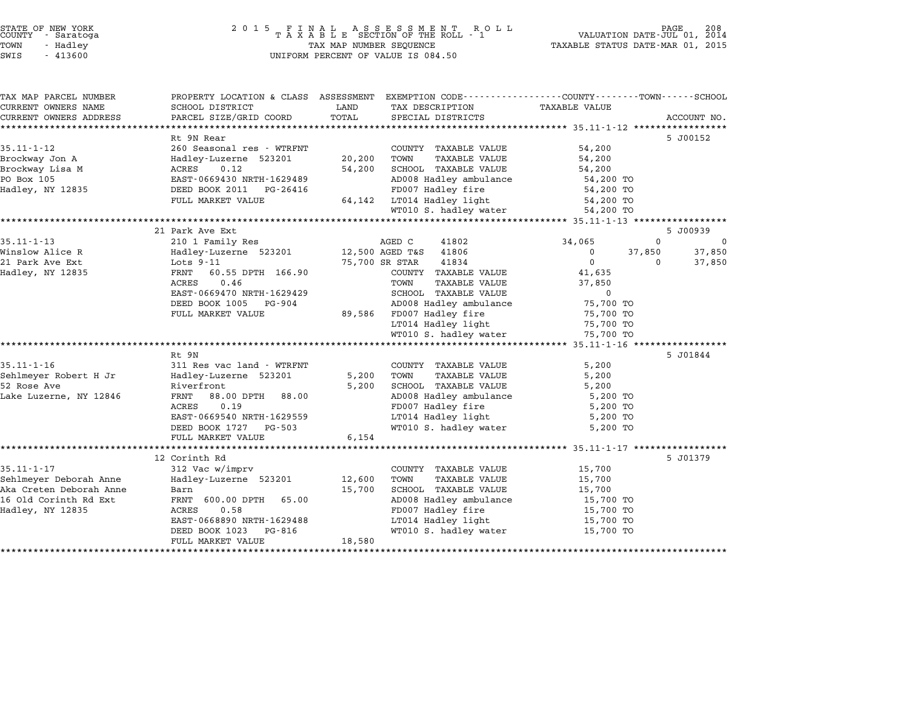| COUNTY          | STATE OF NEW YORK<br>- Saratoga |  |
|-----------------|---------------------------------|--|
| TOWN            | - Hadley                        |  |
| $ATJT$ $\alpha$ | 11200                           |  |

## STATE OF NEW YORK <sup>2</sup> <sup>0</sup> <sup>1</sup> 5 F I N A L A S S E S S M E N T R O L L PAGE <sup>208</sup> COUNTY - Saratoga <sup>T</sup> <sup>A</sup> <sup>X</sup> <sup>A</sup> <sup>B</sup> <sup>L</sup> <sup>E</sup> SECTION OF THE ROLL - <sup>1</sup> VALUATION DATE-JUL 01, <sup>2014</sup> TOWN - Hadley TAX MAP NUMBER SEQUENCE TAXABLE STATUS DATE-MAR 01, <sup>2015</sup> SWIS - <sup>413600</sup> UNIFORM PERCENT OF VALUE IS 084.50

| TAX MAP PARCEL NUMBER   | PROPERTY LOCATION & CLASS ASSESSMENT |        | EXEMPTION CODE-----------------COUNTY-------TOWN-----SCHOOL |                      |              |             |
|-------------------------|--------------------------------------|--------|-------------------------------------------------------------|----------------------|--------------|-------------|
| CURRENT OWNERS NAME     | SCHOOL DISTRICT                      | LAND   | TAX DESCRIPTION                                             | <b>TAXABLE VALUE</b> |              |             |
| CURRENT OWNERS ADDRESS  | PARCEL SIZE/GRID COORD               | TOTAL  | SPECIAL DISTRICTS                                           |                      |              | ACCOUNT NO. |
|                         |                                      |        |                                                             |                      |              |             |
|                         | Rt 9N Rear                           |        |                                                             |                      |              | 5 J00152    |
| $35.11 - 1 - 12$        | 260 Seasonal res - WTRFNT            |        | COUNTY TAXABLE VALUE                                        | 54,200               |              |             |
| Brockway Jon A          | Hadley-Luzerne 523201                | 20,200 | TOWN<br><b>TAXABLE VALUE</b>                                | 54,200               |              |             |
| Brockway Lisa M         | 0.12<br>ACRES                        | 54,200 | SCHOOL TAXABLE VALUE                                        | 54,200               |              |             |
| PO Box 105              | EAST-0669430 NRTH-1629489            |        | AD008 Hadley ambulance                                      | 54,200 TO            |              |             |
| Hadley, NY 12835        | DEED BOOK 2011<br>PG-26416           |        | FD007 Hadley fire                                           | 54,200 TO            |              |             |
|                         | FULL MARKET VALUE                    | 64,142 | LT014 Hadley light                                          | 54,200 TO            |              |             |
|                         |                                      |        | WT010 S. hadley water                                       | 54,200 TO            |              |             |
|                         | 21 Park Ave Ext                      |        |                                                             |                      |              | 5 J00939    |
| $35.11 - 1 - 13$        | 210 1 Family Res                     |        | AGED C<br>41802                                             | 34,065               | $\mathbf{0}$ | $\Omega$    |
| Winslow Alice R         | Hadley-Luzerne 523201                |        | 12,500 AGED T&S<br>41806                                    | 0                    | 37,850       | 37,850      |
| 21 Park Ave Ext         | Lots $9-11$                          |        | 75,700 SR STAR<br>41834                                     | $\Omega$             | $\Omega$     | 37,850      |
| Hadley, NY 12835        | 60.55 DPTH 166.90<br>FRNT            |        | COUNTY TAXABLE VALUE                                        | 41,635               |              |             |
|                         | <b>ACRES</b><br>0.46                 |        | TOWN<br><b>TAXABLE VALUE</b>                                | 37,850               |              |             |
|                         | EAST-0669470 NRTH-1629429            |        | SCHOOL TAXABLE VALUE                                        | $\mathbf 0$          |              |             |
|                         | DEED BOOK 1005<br>PG-904             |        | AD008 Hadley ambulance                                      | 75,700 TO            |              |             |
|                         | FULL MARKET VALUE                    | 89,586 | FD007 Hadley fire                                           | 75,700 TO            |              |             |
|                         |                                      |        | LT014 Hadley light                                          | 75,700 TO            |              |             |
|                         |                                      |        | WT010 S. hadley water                                       | 75,700 TO            |              |             |
|                         |                                      |        |                                                             |                      |              |             |
|                         | Rt 9N                                |        |                                                             |                      |              | 5 J01844    |
| $35.11 - 1 - 16$        | 311 Res vac land - WTRFNT            |        | COUNTY TAXABLE VALUE                                        | 5,200                |              |             |
| Sehlmeyer Robert H Jr   | Hadley-Luzerne 523201                | 5,200  | <b>TAXABLE VALUE</b><br>TOWN                                | 5,200                |              |             |
| 52 Rose Ave             | Riverfront                           | 5,200  | SCHOOL TAXABLE VALUE                                        | 5,200                |              |             |
| Lake Luzerne, NY 12846  | FRNT<br>88.00 DPTH<br>88.00          |        | AD008 Hadley ambulance                                      | 5,200 TO             |              |             |
|                         | ACRES<br>0.19                        |        | FD007 Hadley fire                                           | 5,200 TO             |              |             |
|                         | EAST-0669540 NRTH-1629559            |        | LT014 Hadley light                                          | 5,200 TO             |              |             |
|                         | DEED BOOK 1727 PG-503                |        | WT010 S. hadley water                                       | 5,200 TO             |              |             |
|                         | FULL MARKET VALUE                    | 6,154  |                                                             |                      |              |             |
|                         |                                      |        |                                                             |                      |              |             |
|                         | 12 Corinth Rd                        |        |                                                             |                      |              | 5 J01379    |
| $35.11 - 1 - 17$        | 312 Vac w/imprv                      |        | COUNTY TAXABLE VALUE                                        | 15,700               |              |             |
| Sehlmeyer Deborah Anne  | Hadley-Luzerne 523201                | 12,600 | TOWN<br><b>TAXABLE VALUE</b>                                | 15,700               |              |             |
| Aka Creten Deborah Anne | Barn                                 | 15,700 | SCHOOL TAXABLE VALUE                                        | 15,700               |              |             |
| 16 Old Corinth Rd Ext   | 65.00<br>FRNT 600.00 DPTH            |        | AD008 Hadley ambulance                                      | 15,700 TO            |              |             |
| Hadley, NY 12835        | <b>ACRES</b><br>0.58                 |        | FD007 Hadley fire                                           | 15,700 TO            |              |             |
|                         | EAST-0668890 NRTH-1629488            |        | LT014 Hadley light                                          | 15,700 TO            |              |             |
|                         | DEED BOOK 1023<br>PG-816             |        | WT010 S. hadley water                                       | 15,700 TO            |              |             |
|                         | FULL MARKET VALUE                    | 18,580 |                                                             |                      |              |             |
|                         |                                      |        |                                                             |                      |              |             |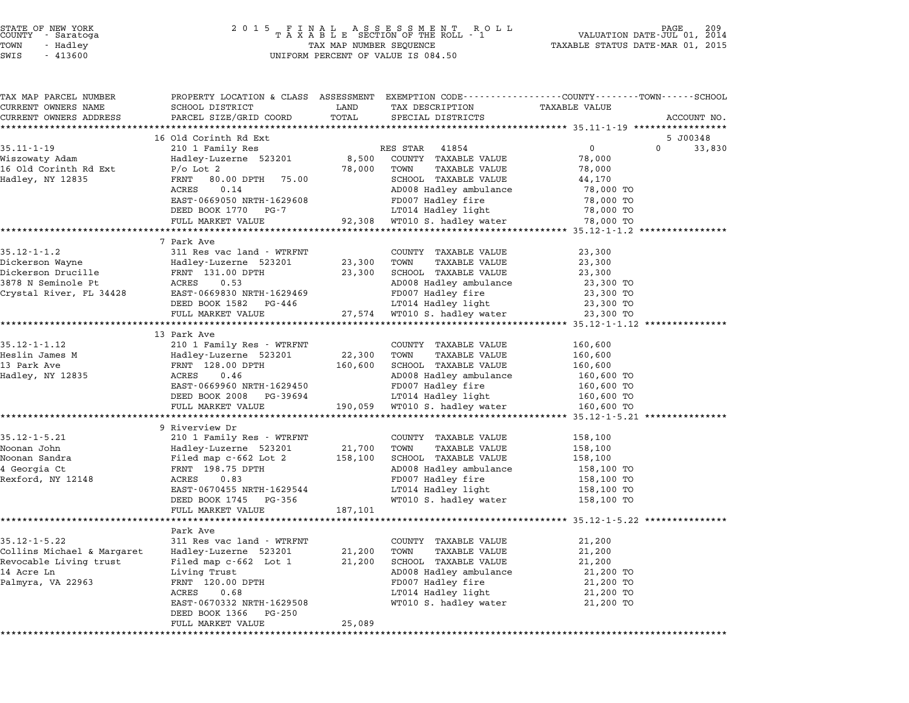|        | STATE OF NEW YORK |  |
|--------|-------------------|--|
| COUNTY | - Saratoga        |  |
| TOWN   | - Hadley          |  |

# STATE OF NEW YORK <sup>2</sup> <sup>0</sup> <sup>1</sup> 5 F I N A L A S S E S S M E N T R O L L PAGE <sup>209</sup> COUNTY - Saratoga <sup>T</sup> <sup>A</sup> <sup>X</sup> <sup>A</sup> <sup>B</sup> <sup>L</sup> <sup>E</sup> SECTION OF THE ROLL - <sup>1</sup> VALUATION DATE-JUL 01, <sup>2014</sup> TOWN - Hadley TAX MAP NUMBER SEQUENCE TAXABLE STATUS DATE-MAR 01, <sup>2015</sup> SWIS - <sup>413600</sup> UNIFORM PERCENT OF VALUE IS 084.50

| TAX MAP PARCEL NUMBER             | PROPERTY LOCATION & CLASS ASSESSMENT EXEMPTION CODE---------------COUNTY-------TOWN-----SCHOOL |         |                              |                                                  |                    |
|-----------------------------------|------------------------------------------------------------------------------------------------|---------|------------------------------|--------------------------------------------------|--------------------|
| CURRENT OWNERS NAME               | SCHOOL DISTRICT                                                                                | LAND    | TAX DESCRIPTION              | TAXABLE VALUE                                    |                    |
| CURRENT OWNERS ADDRESS            | PARCEL SIZE/GRID COORD                                                                         | TOTAL   | SPECIAL DISTRICTS            |                                                  | ACCOUNT NO.        |
|                                   |                                                                                                |         |                              | ******************* 35.11-1-19 ***************** |                    |
|                                   | 16 Old Corinth Rd Ext                                                                          |         |                              |                                                  | 5 J00348           |
| $35.11 - 1 - 19$                  | 210 1 Family Res                                                                               |         | RES STAR 41854               | $\overline{0}$                                   | $\Omega$<br>33,830 |
| Wiszowaty Adam                    | Hadley-Luzerne 523201                                                                          |         | 8,500 COUNTY TAXABLE VALUE   | 78,000                                           |                    |
| 16 Old Corinth Rd Ext             | $P/O$ Lot $2$                                                                                  | 78,000  | TOWN<br>TAXABLE VALUE        | 78,000                                           |                    |
| Hadley, NY 12835                  | FRNT 80.00 DPTH<br>75.00                                                                       |         | SCHOOL TAXABLE VALUE         | 44,170                                           |                    |
|                                   | ACRES<br>0.14                                                                                  |         | AD008 Hadley ambulance       | 78,000 TO                                        |                    |
|                                   | EAST-0669050 NRTH-1629608                                                                      |         | FD007 Hadley fire            | 78,000 TO                                        |                    |
|                                   | DEED BOOK 1770 PG-7                                                                            |         | LT014 Hadley light           | 78,000 TO                                        |                    |
|                                   | FULL MARKET VALUE                                                                              |         | 92,308 WT010 S. hadley water | 78,000 TO                                        |                    |
|                                   |                                                                                                |         |                              | *************** 35.12-1-1.2 ****************     |                    |
|                                   | 7 Park Ave                                                                                     |         |                              |                                                  |                    |
| $35.12 - 1 - 1.2$                 | 311 Res vac land - WTRFNT                                                                      |         | COUNTY TAXABLE VALUE         | 23,300                                           |                    |
| Dickerson Wayne                   | Familiev-Luzerne 523201<br>FRNT 131.00 DPTH<br>ACRES 0.53<br>EAST-0669830 NRTH-1629469         | 23,300  | TOWN<br>TAXABLE VALUE        | 23,300                                           |                    |
| Dickerson Drucille                |                                                                                                | 23,300  | SCHOOL TAXABLE VALUE         | 23,300                                           |                    |
| 3878 N Seminole Pt                |                                                                                                |         | AD008 Hadley ambulance       | 23,300 TO                                        |                    |
| Crystal River, FL 34428           |                                                                                                |         | FD007 Hadley fire            | 23,300 TO                                        |                    |
|                                   | DEED BOOK 1582 PG-446                                                                          |         | LT014 Hadley light           | 23,300 TO                                        |                    |
|                                   | FULL MARKET VALUE                                                                              |         | 27,574 WT010 S. hadley water | 23,300 TO                                        |                    |
|                                   | 13 Park Ave                                                                                    |         |                              |                                                  |                    |
| 35.12-1-1.12                      | 210 1 Family Res - WTRFNT                                                                      |         | COUNTY TAXABLE VALUE         | 160,600                                          |                    |
| Heslin James M                    |                                                                                                | 22,300  | TOWN<br>TAXABLE VALUE        | 160,600                                          |                    |
| 13 Park Ave                       | 210 1 Family Res - WTRFNT<br>Hadley-Luzerne 523201<br>FRNT 128.00 DPTH<br>ACRES 0.46           | 160,600 | SCHOOL TAXABLE VALUE         | 160,600                                          |                    |
| Hadley, NY 12835                  |                                                                                                |         | AD008 Hadley ambulance       | 160,600 TO                                       |                    |
|                                   | EAST-0669960 NRTH-1629450                                                                      |         | FD007 Hadley fire            | 160,600 TO                                       |                    |
|                                   | DEED BOOK 2008 PG-39694                                                                        |         | LT014 Hadley light           | 160,600 TO                                       |                    |
|                                   | FULL MARKET VALUE                                                                              | 190,059 | WT010 S. hadley water        | 160,600 TO                                       |                    |
|                                   | **************************                                                                     |         |                              |                                                  |                    |
|                                   | 9 Riverview Dr                                                                                 |         |                              |                                                  |                    |
| $35.12 - 1 - 5.21$                | 210 1 Family Res – WTRFNT                                                                      |         | COUNTY TAXABLE VALUE         | 158,100                                          |                    |
| Noonan John                       |                                                                                                | 21,700  | TOWN<br><b>TAXABLE VALUE</b> | 158,100                                          |                    |
| Noonan Sandra                     | Hadley-Luzerne 523201<br>Filed map c-662 Lot 2<br>FRNT 198.75 DPTH<br>ACRES 0.83               | 158,100 | SCHOOL TAXABLE VALUE         | 158,100                                          |                    |
|                                   |                                                                                                |         | AD008 Hadley ambulance       | 158,100 TO                                       |                    |
| 4 Georgia Ct<br>Rexford, NY 12148 |                                                                                                |         | FD007 Hadley fire            | 158,100 TO                                       |                    |
|                                   | EAST-0670455 NRTH-1629544                                                                      |         | LT014 Hadley light           | 158,100 TO                                       |                    |
|                                   | DEED BOOK 1745 PG-356                                                                          |         | WT010 S. hadley water        | 158,100 TO                                       |                    |
|                                   | FULL MARKET VALUE                                                                              | 187,101 |                              |                                                  |                    |
|                                   |                                                                                                |         |                              |                                                  |                    |
|                                   | Park Ave                                                                                       |         |                              |                                                  |                    |
| $35.12 - 1 - 5.22$                | 311 Res vac land - WTRFNT                                                                      |         | COUNTY TAXABLE VALUE         | 21,200                                           |                    |
| Collins Michael & Margaret        | Hadley-Luzerne 523201                                                                          | 21,200  | TOWN<br>TAXABLE VALUE        | 21,200                                           |                    |
| Revocable Living trust            | Filed map c-662 Lot 1                                                                          | 21,200  | SCHOOL TAXABLE VALUE         | 21,200                                           |                    |
| 14 Acre Ln                        | Living Trust                                                                                   |         | AD008 Hadley ambulance       | 21,200 TO                                        |                    |
| Palmyra, VA 22963                 | FRNT 120.00 DPTH<br>ACRES 0.68                                                                 |         | FD007 Hadley fire            | 21,200 TO                                        |                    |
|                                   |                                                                                                |         | LT014 Hadley light           | 21,200 TO                                        |                    |
|                                   | EAST-0670332 NRTH-1629508                                                                      |         | WT010 S. hadley water        | 21,200 TO                                        |                    |
|                                   | DEED BOOK 1366 PG-250                                                                          |         |                              |                                                  |                    |
|                                   | FULL MARKET VALUE                                                                              | 25,089  |                              |                                                  |                    |
|                                   |                                                                                                |         |                              |                                                  |                    |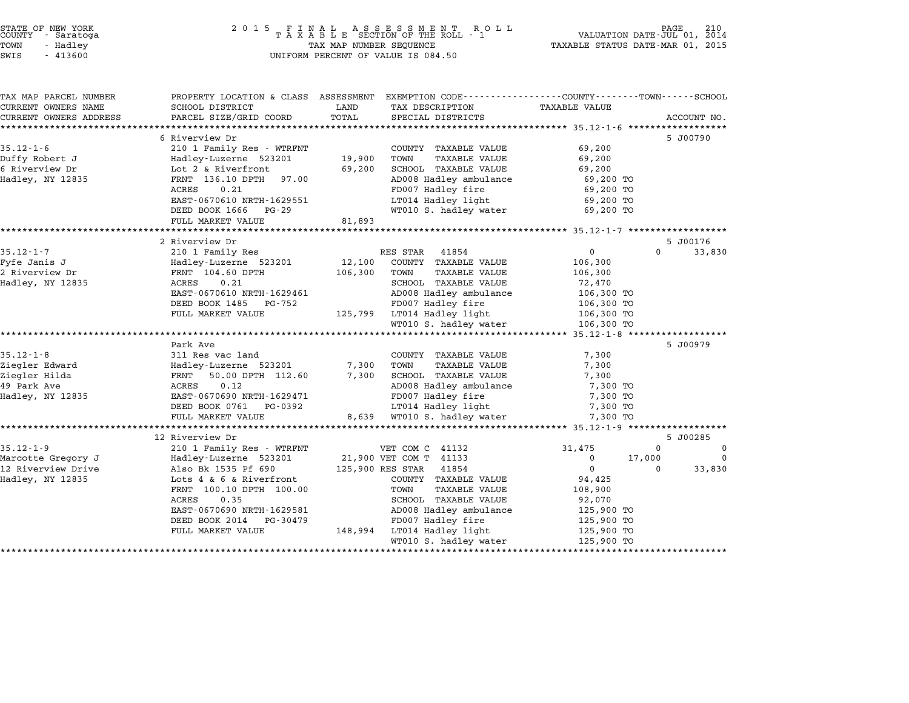| STATE OF NEW YORK<br>COUNTY – Saratoga<br>- Saratoga<br>TOWN<br>- Hadley<br>SWIS<br>$-413600$ | 2 0 1 5<br>FINAL ASSESSMENT RO<br>TAXABLE SECTION OF THE ROLL - 1<br>TAX MAP NUMBER SEQUENCE<br>UNIFORM PERCENT OF VALUE IS 084.50 | PAGE<br>210<br>VALUATION DATE-JUL 01, 2014<br>TAXABLE STATUS DATE-MAR 01, 2015 |                                              |                                           |                    |
|-----------------------------------------------------------------------------------------------|------------------------------------------------------------------------------------------------------------------------------------|--------------------------------------------------------------------------------|----------------------------------------------|-------------------------------------------|--------------------|
| TAX MAP PARCEL NUMBER<br>CURRENT OWNERS NAME                                                  | PROPERTY LOCATION & CLASS ASSESSMENT EXEMPTION CODE---------------COUNTY-------TOWN-----SCHOOL<br>SCHOOL DISTRICT                  | LAND                                                                           | TAX DESCRIPTION                              | <b>TAXABLE VALUE</b>                      |                    |
| CURRENT OWNERS ADDRESS                                                                        | PARCEL SIZE/GRID COORD                                                                                                             | TOTAL                                                                          | SPECIAL DISTRICTS                            |                                           | ACCOUNT NO.        |
|                                                                                               |                                                                                                                                    | ******************                                                             |                                              | *********** 35.12-1-6 ***********         |                    |
|                                                                                               | 6 Riverview Dr                                                                                                                     |                                                                                |                                              |                                           | 5 J00790           |
| $35.12 - 1 - 6$                                                                               | 210 1 Family Res - WTRFNT                                                                                                          |                                                                                | COUNTY TAXABLE VALUE<br>TOWN                 | 69,200                                    |                    |
| Duffy Robert J<br>6 Riverview Dr                                                              | Hadley-Luzerne 523201<br>Lot 2 & Riverfront                                                                                        | 19,900<br>69,200                                                               | <b>TAXABLE VALUE</b><br>SCHOOL TAXABLE VALUE | 69,200<br>69,200                          |                    |
| Hadley, NY 12835                                                                              | FRNT 136.10 DPTH<br>97.00                                                                                                          |                                                                                | AD008 Hadley ambulance                       | 69,200 TO                                 |                    |
|                                                                                               | 0.21<br>ACRES                                                                                                                      |                                                                                | FD007 Hadley fire                            | 69,200 TO                                 |                    |
|                                                                                               | EAST-0670610 NRTH-1629551                                                                                                          |                                                                                | LT014 Hadley light                           | 69,200 TO                                 |                    |
|                                                                                               | DEED BOOK 1666<br>PG-29                                                                                                            |                                                                                | WT010 S. hadley water                        | 69,200 TO                                 |                    |
|                                                                                               | FULL MARKET VALUE                                                                                                                  | 81,893                                                                         |                                              |                                           |                    |
|                                                                                               |                                                                                                                                    |                                                                                |                                              |                                           |                    |
|                                                                                               | 2 Riverview Dr                                                                                                                     |                                                                                |                                              |                                           | 5 J00176           |
| $35.12 - 1 - 7$                                                                               | 210 1 Family Res                                                                                                                   |                                                                                | 41854<br>RES STAR                            | $\mathbf 0$                               | 33,830<br>$\Omega$ |
| Fyfe Janis J                                                                                  | Hadley-Luzerne 523201                                                                                                              | 12,100                                                                         | COUNTY TAXABLE VALUE                         | 106,300                                   |                    |
| 2 Riverview Dr                                                                                | FRNT 104.60 DPTH                                                                                                                   | 106,300                                                                        | TAXABLE VALUE<br>TOWN                        | 106,300                                   |                    |
| Hadley, NY 12835                                                                              | ACRES<br>0.21                                                                                                                      |                                                                                | SCHOOL TAXABLE VALUE                         | 72,470                                    |                    |
|                                                                                               | EAST-0670610 NRTH-1629461                                                                                                          |                                                                                | AD008 Hadley ambulance                       | 106,300 TO                                |                    |
|                                                                                               | DEED BOOK 1485<br>PG-752                                                                                                           |                                                                                | FD007 Hadley fire                            | 106,300 TO                                |                    |
|                                                                                               | FULL MARKET VALUE                                                                                                                  | 125,799                                                                        | LT014 Hadley light                           | 106,300 TO                                |                    |
|                                                                                               | *****************                                                                                                                  |                                                                                | WT010 S. hadley water                        | 106,300 TO<br>*********** 35.12-1-8 ***** |                    |
|                                                                                               | Park Ave                                                                                                                           |                                                                                |                                              |                                           | 5 J00979           |
| $35.12 - 1 - 8$                                                                               | 311 Res vac land                                                                                                                   |                                                                                | COUNTY TAXABLE VALUE                         | 7,300                                     |                    |
| Ziegler Edward                                                                                | Hadley-Luzerne 523201                                                                                                              | 7,300                                                                          | <b>TAXABLE VALUE</b><br>TOWN                 | 7,300                                     |                    |
| Ziegler Hilda                                                                                 | FRNT<br>50.00 DPTH 112.60                                                                                                          | 7,300                                                                          | SCHOOL TAXABLE VALUE                         | 7,300                                     |                    |
| 49 Park Ave                                                                                   | ACRES<br>0.12                                                                                                                      |                                                                                | AD008 Hadley ambulance                       | 7,300 TO                                  |                    |
| Hadley, NY 12835                                                                              | EAST-0670690 NRTH-1629471                                                                                                          |                                                                                | FD007 Hadley fire                            | 7,300 TO                                  |                    |
|                                                                                               | DEED BOOK 0761<br>PG-0392                                                                                                          |                                                                                | LT014 Hadley light                           | 7,300 TO                                  |                    |
|                                                                                               | FULL MARKET VALUE                                                                                                                  | 8,639                                                                          | WT010 S. hadley water                        | 7,300 TO                                  |                    |
|                                                                                               | ************************                                                                                                           |                                                                                |                                              |                                           |                    |
|                                                                                               | 12 Riverview Dr                                                                                                                    |                                                                                |                                              |                                           | 5 J00285           |
| $35.12 - 1 - 9$                                                                               | 210 1 Family Res - WTRFNT                                                                                                          |                                                                                | VET COM C 41132                              | 31,475                                    | $\Omega$<br>0      |
| Marcotte Gregory J                                                                            | Hadley-Luzerne 523201                                                                                                              |                                                                                | 21,900 VET COM T 41133                       | 0<br>17,000                               | 0                  |
| 12 Riverview Drive                                                                            | Also Bk 1535 Pf 690                                                                                                                |                                                                                | 125,900 RES STAR<br>41854                    | $\Omega$                                  | $\Omega$<br>33,830 |
| Hadley, NY 12835                                                                              | Lots 4 & 6 & Riverfront                                                                                                            |                                                                                | COUNTY TAXABLE VALUE                         | 94,425                                    |                    |
|                                                                                               | FRNT 100.10 DPTH 100.00                                                                                                            |                                                                                | TAXABLE VALUE<br>TOWN                        | 108,900                                   |                    |
|                                                                                               | ACRES<br>0.35                                                                                                                      |                                                                                | SCHOOL TAXABLE VALUE                         | 92,070                                    |                    |
|                                                                                               | EAST-0670690 NRTH-1629581<br>DEED BOOK 2014<br>PG-30479                                                                            |                                                                                | AD008 Hadley ambulance<br>FD007 Hadley fire  | 125,900 TO                                |                    |
|                                                                                               | FULL MARKET VALUE                                                                                                                  | 148,994                                                                        | LT014 Hadley light                           | 125,900 TO<br>125,900 TO                  |                    |
|                                                                                               |                                                                                                                                    |                                                                                |                                              |                                           |                    |
|                                                                                               |                                                                                                                                    |                                                                                | WT010 S. hadley water                        | 125,900 TO                                |                    |

STATE OF NEW YORK <sup>2</sup> <sup>0</sup> <sup>1</sup> 5 F I N A L A S S E S S M E N T R O L L PAGE <sup>210</sup> COUNTY - Saratoga <sup>T</sup> <sup>A</sup> <sup>X</sup> <sup>A</sup> <sup>B</sup> <sup>L</sup> <sup>E</sup> SECTION OF THE ROLL - <sup>1</sup> VALUATION DATE-JUL 01, <sup>2014</sup>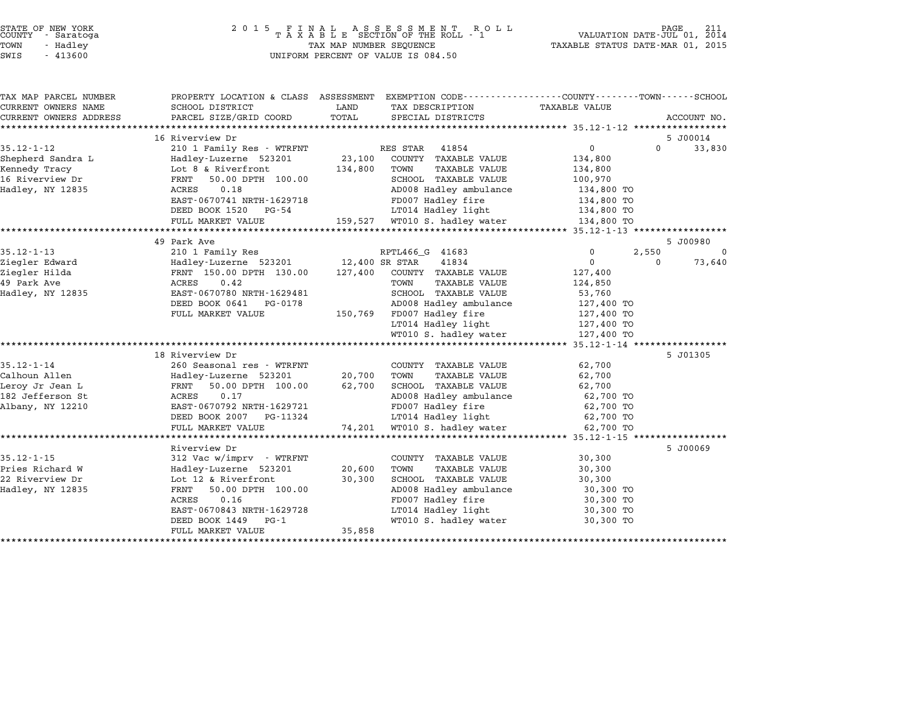| STATE OF NEW YORK<br>COUNTY - Saratoga |  |          |  |
|----------------------------------------|--|----------|--|
| POWN                                   |  | - Hadlev |  |
| -----                                  |  |          |  |

| TAX MAP PARCEL NUMBER            | PROPERTY LOCATION & CLASS ASSESSMENT        |                                                   | EXEMPTION CODE-----------------COUNTY-------TOWN------SCHOOL |
|----------------------------------|---------------------------------------------|---------------------------------------------------|--------------------------------------------------------------|
| CURRENT OWNERS NAME              | SCHOOL DISTRICT                             | LAND<br>TAX DESCRIPTION                           | TAXABLE VALUE                                                |
| CURRENT OWNERS ADDRESS           | PARCEL SIZE/GRID COORD                      | TOTAL<br>SPECIAL DISTRICTS                        | ACCOUNT NO.                                                  |
|                                  |                                             |                                                   |                                                              |
|                                  | 16 Riverview Dr                             |                                                   | 5 J00014<br>$\Omega$                                         |
| $35.12 - 1 - 12$                 | 210 1 Family Res - WTRFNT                   | RES STAR<br>41854                                 | $\mathbf{0}$<br>33,830                                       |
| Shepherd Sandra L                | Hadley-Luzerne 523201<br>Lot 8 & Riverfront | 23,100<br>COUNTY TAXABLE VALUE<br>134,800<br>TOWN | 134,800                                                      |
| Kennedy Tracy<br>16 Riverview Dr | 50.00 DPTH 100.00<br>FRNT                   | TAXABLE VALUE<br>SCHOOL TAXABLE VALUE             | 134,800<br>100,970                                           |
| Hadley, NY 12835                 | 0.18<br>ACRES                               | AD008 Hadley ambulance                            | 134,800 TO                                                   |
|                                  | EAST-0670741 NRTH-1629718                   | FD007 Hadley fire                                 | 134,800 TO                                                   |
|                                  | DEED BOOK 1520 PG-54                        | LT014 Hadley light                                | 134,800 TO                                                   |
|                                  | FULL MARKET VALUE                           | 159,527 WT010 S. hadley water                     | 134,800 TO                                                   |
|                                  |                                             |                                                   |                                                              |
|                                  | 49 Park Ave                                 |                                                   | 5 J00980                                                     |
| $35.12 - 1 - 13$                 | 210 1 Family Res                            | RPTL466_G 41683                                   | 0<br>2,550<br>0                                              |
| Ziegler Edward                   | Hadley-Luzerne 523201 12,400 SR STAR        | 41834                                             | $\mathbf{0}$<br>73,640<br>$\Omega$                           |
| Ziegler Hilda                    | FRNT 150.00 DPTH 130.00                     | 127,400<br>COUNTY TAXABLE VALUE                   | 127,400                                                      |
| 49 Park Ave                      | 0.42<br>ACRES                               | TOWN<br><b>TAXABLE VALUE</b>                      | 124,850                                                      |
| Hadley, NY 12835                 | EAST-0670780 NRTH-1629481                   | SCHOOL TAXABLE VALUE                              | 53,760                                                       |
|                                  | DEED BOOK 0641 PG-0178                      | AD008 Hadley ambulance                            | 127,400 TO                                                   |
|                                  | FULL MARKET VALUE                           | FD007 Hadley fire<br>150,769                      | 127,400 TO                                                   |
|                                  |                                             | LT014 Hadley light                                | 127,400 TO                                                   |
|                                  |                                             | WT010 S. hadley water                             | 127,400 TO                                                   |
|                                  |                                             |                                                   |                                                              |
|                                  | 18 Riverview Dr                             |                                                   | 5 J01305                                                     |
| $35.12 - 1 - 14$                 | 260 Seasonal res - WTRFNT                   | COUNTY TAXABLE VALUE                              | 62,700                                                       |
| Calhoun Allen                    | Hadley-Luzerne 523201                       | 20,700<br><b>TAXABLE VALUE</b><br>TOWN            | 62,700                                                       |
| Leroy Jr Jean L                  | 50.00 DPTH 100.00<br>FRNT                   | 62,700<br>SCHOOL TAXABLE VALUE                    | 62,700                                                       |
| 182 Jefferson St                 | 0.17<br>ACRES                               | AD008 Hadley ambulance                            | 62,700 TO                                                    |
| Albany, NY 12210                 | EAST-0670792 NRTH-1629721                   | FD007 Hadley fire                                 | 62,700 TO                                                    |
|                                  | DEED BOOK 2007 PG-11324                     | LT014 Hadley light                                | 62,700 TO                                                    |
|                                  | FULL MARKET VALUE                           | WT010 S. hadley water<br>74,201                   | 62,700 TO                                                    |
|                                  |                                             |                                                   |                                                              |
|                                  | Riverview Dr                                |                                                   | 5 J00069                                                     |
| $35.12 - 1 - 15$                 | 312 Vac w/imprv - WTRFNT                    | COUNTY TAXABLE VALUE                              | 30,300                                                       |
| Pries Richard W                  | Hadley-Luzerne 523201                       | 20,600<br><b>TAXABLE VALUE</b><br>TOWN            | 30,300                                                       |
| 22 Riverview Dr                  | Lot 12 & Riverfront                         | 30,300<br>SCHOOL TAXABLE VALUE                    | 30,300                                                       |
| Hadley, NY 12835                 | 50.00 DPTH 100.00<br>FRNT                   | AD008 Hadley ambulance                            | 30,300 TO                                                    |
|                                  | 0.16<br>ACRES                               | FD007 Hadley fire                                 | 30,300 TO                                                    |
|                                  | EAST-0670843 NRTH-1629728                   | LT014 Hadley light                                | 30,300 TO                                                    |
|                                  | DEED BOOK 1449<br>PG-1                      | WT010 S. hadley water                             | 30,300 TO                                                    |
|                                  | FULL MARKET VALUE                           | 35,858                                            |                                                              |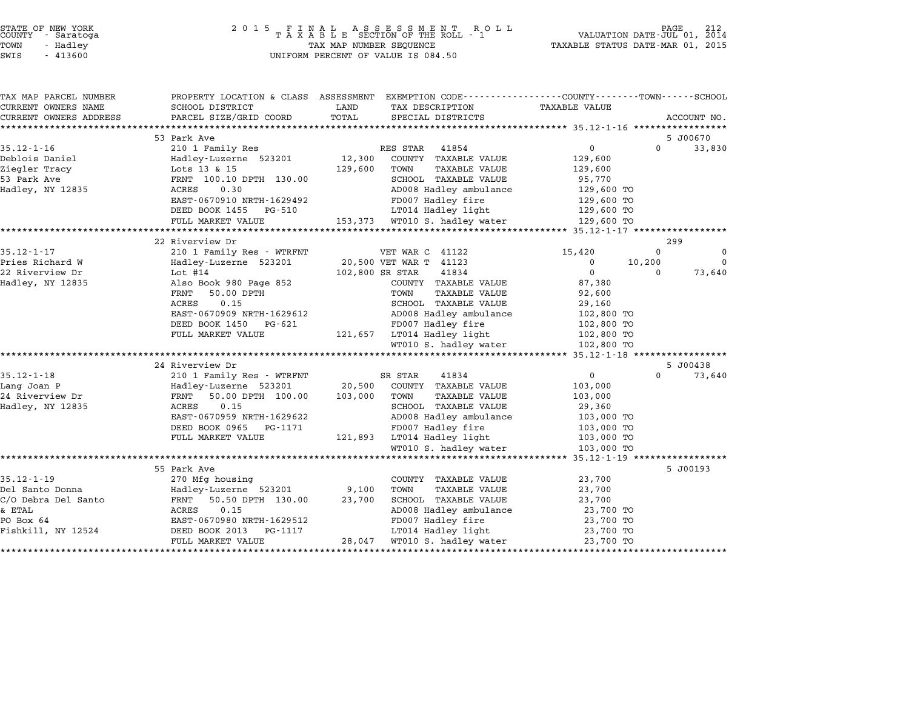| STATE OF NEW YORK |  |            |  |
|-------------------|--|------------|--|
| COUNTY            |  | - Saratoga |  |
| TOWN              |  | - Hadley   |  |

# STATE OF NEW YORK <sup>2</sup> <sup>0</sup> <sup>1</sup> 5 F I N A L A S S E S S M E N T R O L L PAGE <sup>212</sup> COUNTY - Saratoga <sup>T</sup> <sup>A</sup> <sup>X</sup> <sup>A</sup> <sup>B</sup> <sup>L</sup> <sup>E</sup> SECTION OF THE ROLL - <sup>1</sup> VALUATION DATE-JUL 01, <sup>2014</sup> TOWN - Hadley TAX MAP NUMBER SEQUENCE TAXABLE STATUS DATE-MAR 01, <sup>2015</sup> SWIS - <sup>413600</sup> UNIFORM PERCENT OF VALUE IS 084.50

| TAX MAP PARCEL NUMBER           |                                                     | PROPERTY LOCATION & CLASS ASSESSMENT EXEMPTION CODE---------------COUNTY-------TOWN-----SCHOOL |                          |             |
|---------------------------------|-----------------------------------------------------|------------------------------------------------------------------------------------------------|--------------------------|-------------|
| CURRENT OWNERS NAME             | SCHOOL DISTRICT                                     | LAND<br>TAX DESCRIPTION                                                                        | <b>TAXABLE VALUE</b>     |             |
| CURRENT OWNERS ADDRESS          | PARCEL SIZE/GRID COORD                              | TOTAL<br>SPECIAL DISTRICTS                                                                     |                          | ACCOUNT NO. |
|                                 |                                                     |                                                                                                |                          |             |
|                                 | 53 Park Ave                                         |                                                                                                | $\Omega$                 | 5 J00670    |
| $35.12 - 1 - 16$                | 210 1 Family Res                                    | 41854<br>RES STAR                                                                              | $0 \qquad \qquad$        | 33,830      |
| Deblois Daniel<br>Ziegler Tracy | Hadley-Luzerne 523201<br>Lots 13 & 15               | COUNTY TAXABLE VALUE<br>12,300<br>129,600<br>TOWN<br>TAXABLE VALUE                             | 129,600                  |             |
| 53 Park Ave                     |                                                     | SCHOOL TAXABLE VALUE                                                                           | 129,600                  |             |
| Hadley, NY 12835                | FRNT 100.10 DPTH 130.00<br>0.30<br>ACRES            | AD008 Hadley ambulance                                                                         | 95,770<br>129,600 TO     |             |
|                                 | EAST-0670910 NRTH-1629492                           | FD007 Hadley fire                                                                              |                          |             |
|                                 | DEED BOOK 1455 PG-510                               | LT014 Hadley light                                                                             | 129,600 TO<br>129,600 TO |             |
|                                 | FULL MARKET VALUE                                   | 153,373 WT010 S. hadley water                                                                  | 129,600 TO               |             |
|                                 |                                                     |                                                                                                |                          |             |
|                                 | 22 Riverview Dr                                     |                                                                                                |                          | 299         |
| $35.12 - 1 - 17$                | 210 1 Family Res - WTRFNT                           | VET WAR C 41122                                                                                | $\Omega$<br>15,420       | $\Omega$    |
| Pries Richard W                 | Hadley-Luzerne 523201                               | 20,500 VET WAR T 41123                                                                         | 10,200<br>$\mathbf 0$    | $\Omega$    |
| 22 Riverview Dr                 | Lot $#14$                                           | 41834<br>102,800 SR STAR                                                                       | $\Omega$<br>$\Omega$     | 73,640      |
| Hadley, NY 12835                | Also Book 980 Page 852                              | COUNTY TAXABLE VALUE                                                                           | 87,380                   |             |
|                                 | 50.00 DPTH<br>FRNT                                  | TOWN<br>TAXABLE VALUE                                                                          | 92,600                   |             |
|                                 | 0.15<br>ACRES                                       | SCHOOL TAXABLE VALUE                                                                           | 29,160                   |             |
|                                 | EAST-0670909 NRTH-1629612                           | AD008 Hadley ambulance                                                                         | 102,800 TO               |             |
|                                 | DEED BOOK 1450 PG-621                               | FD007 Hadley fire                                                                              | 102,800 TO               |             |
|                                 | FULL MARKET VALUE                                   | 121,657 LT014 Hadley light                                                                     | 102,800 TO               |             |
|                                 |                                                     | WT010 S. hadley water                                                                          | 102,800 TO               |             |
|                                 |                                                     |                                                                                                |                          |             |
|                                 | 24 Riverview Dr                                     |                                                                                                |                          | 5 J00438    |
| $35.12 - 1 - 18$                | 210 1 Family Res - WTRFNT                           | SR STAR<br>41834                                                                               | $\Omega$<br>$\Omega$     | 73,640      |
| Lang Joan P                     | Hadley-Luzerne 523201                               | 20,500<br>COUNTY TAXABLE VALUE                                                                 | 103,000                  |             |
| 24 Riverview Dr                 | 50.00 DPTH 100.00<br>FRNT                           | 103,000<br>TOWN<br><b>TAXABLE VALUE</b>                                                        | 103,000                  |             |
| Hadley, NY 12835                | ACRES<br>0.15                                       | SCHOOL TAXABLE VALUE                                                                           | 29,360                   |             |
|                                 | EAST-0670959 NRTH-1629622                           | AD008 Hadley ambulance                                                                         | 103,000 TO               |             |
|                                 | DEED BOOK 0965 PG-1171                              | FD007 Hadley fire                                                                              | 103,000 TO               |             |
|                                 | FULL MARKET VALUE                                   | 121,893 LT014 Hadley light                                                                     | 103,000 TO               |             |
|                                 |                                                     | WT010 S. hadley water                                                                          | 103,000 TO               |             |
|                                 |                                                     |                                                                                                |                          |             |
|                                 | 55 Park Ave                                         |                                                                                                |                          | 5 J00193    |
| $35.12 - 1 - 19$                | 270 Mfg housing                                     | COUNTY TAXABLE VALUE                                                                           | 23,700                   |             |
| Del Santo Donna                 | 270 mig<br>Hadley-Luzerne 523201<br>- 130 monu 130. | 9,100<br>TOWN<br><b>TAXABLE VALUE</b>                                                          | 23,700                   |             |
| C/O Debra Del Santo             | FRNT<br>50.50 DPTH 130.00                           | 23,700<br>SCHOOL TAXABLE VALUE                                                                 | 23,700                   |             |
| & ETAL                          | ACRES<br>0.15                                       | AD008 Hadley ambulance                                                                         | 23,700 TO                |             |
| PO Box 64                       | EAST-0670980 NRTH-1629512                           | FD007 Hadley fire                                                                              | 23,700 TO                |             |
| Fishkill, NY 12524              | DEED BOOK 2013<br>PG-1117                           | LT014 Hadley light                                                                             | 23,700 TO                |             |
|                                 | FULL MARKET VALUE                                   | 28,047<br>WT010 S. hadley water                                                                | 23,700 TO                |             |
|                                 |                                                     |                                                                                                |                          |             |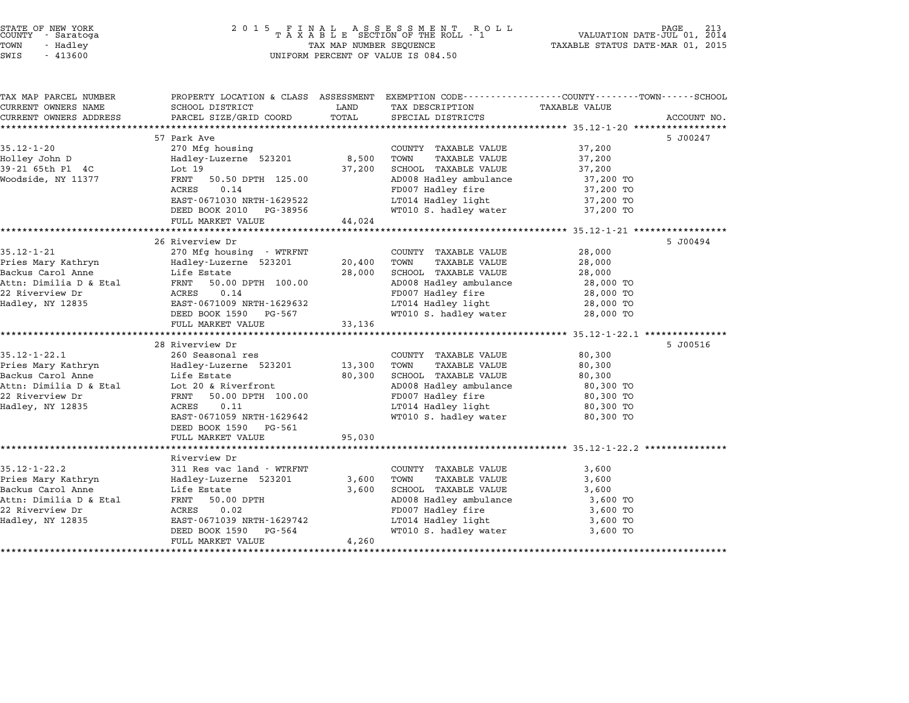| STATE OF NEW YORK |  |            |  |
|-------------------|--|------------|--|
| COUNTY            |  | - Saratoga |  |
| TOWN              |  | - Hadley   |  |

| TAX MAP PARCEL NUMBER                     | PROPERTY LOCATION & CLASS ASSESSMENT EXEMPTION CODE---------------COUNTY-------TOWN-----SCHOOL |                 |                                               |                        |             |
|-------------------------------------------|------------------------------------------------------------------------------------------------|-----------------|-----------------------------------------------|------------------------|-------------|
| CURRENT OWNERS NAME                       | SCHOOL DISTRICT                                                                                | LAND            | TAX DESCRIPTION                               | <b>TAXABLE VALUE</b>   |             |
| CURRENT OWNERS ADDRESS                    | PARCEL SIZE/GRID COORD                                                                         | TOTAL           | SPECIAL DISTRICTS                             |                        | ACCOUNT NO. |
|                                           |                                                                                                |                 |                                               |                        |             |
|                                           | 57 Park Ave                                                                                    |                 |                                               |                        | 5 J00247    |
| $35.12 - 1 - 20$                          | 270 Mfg housing                                                                                |                 | COUNTY TAXABLE VALUE                          | 37,200                 |             |
| Holley John D<br>39-21 65th Pl 4C         | Hadley-Luzerne 523201<br>Lot $19$                                                              | 8,500<br>37,200 | TOWN<br>TAXABLE VALUE<br>SCHOOL TAXABLE VALUE | 37,200<br>37,200       |             |
| Woodside, NY 11377                        | 50.50 DPTH 125.00<br>FRNT                                                                      |                 | AD008 Hadley ambulance                        | 37,200 TO              |             |
|                                           | 0.14<br>ACRES                                                                                  |                 | FD007 Hadley fire                             | 37,200 TO              |             |
|                                           | EAST-0671030 NRTH-1629522                                                                      |                 | LT014 Hadley light                            | 37,200 TO              |             |
|                                           | DEED BOOK 2010 PG-38956                                                                        |                 | WT010 S. hadley water                         | 37,200 TO              |             |
|                                           | FULL MARKET VALUE                                                                              | 44,024          |                                               |                        |             |
|                                           |                                                                                                |                 |                                               |                        |             |
|                                           | 26 Riverview Dr                                                                                |                 |                                               |                        | 5 J00494    |
| $35.12 - 1 - 21$                          | 270 Mfg housing - WTRFNT                                                                       |                 | COUNTY TAXABLE VALUE                          | 28,000                 |             |
| Pries Mary Kathryn                        | Hadley-Luzerne 523201                                                                          | 20,400          | TOWN<br>TAXABLE VALUE                         | 28,000                 |             |
| Backus Carol Anne                         | Life Estate                                                                                    | 28,000          | SCHOOL TAXABLE VALUE                          | 28,000                 |             |
| Attn: Dimilia D & Etal                    | 50.00 DPTH 100.00<br>FRNT                                                                      |                 | AD008 Hadley ambulance                        | 28,000 TO              |             |
| 22 Riverview Dr                           | 0.14<br>ACRES                                                                                  |                 | FD007 Hadley fire                             | 28,000 TO              |             |
| Hadley, NY 12835                          | EAST-0671009 NRTH-1629632                                                                      |                 | LT014 Hadley light                            | 28,000 TO              |             |
|                                           | DEED BOOK 1590<br>PG-567                                                                       |                 | WT010 S. hadley water                         | 28,000 TO              |             |
|                                           | FULL MARKET VALUE                                                                              | 33,136          |                                               |                        |             |
|                                           |                                                                                                |                 |                                               |                        |             |
|                                           | 28 Riverview Dr                                                                                |                 |                                               |                        | 5 J00516    |
| $35.12 - 1 - 22.1$                        | 260 Seasonal res                                                                               |                 | COUNTY TAXABLE VALUE                          | 80,300                 |             |
| Pries Mary Kathryn                        | Hadley-Luzerne 523201                                                                          | 13,300          | TOWN<br><b>TAXABLE VALUE</b>                  | 80,300                 |             |
| Backus Carol Anne                         | Life Estate                                                                                    | 80,300          | SCHOOL TAXABLE VALUE                          | 80,300                 |             |
| Attn: Dimilia D & Etal<br>22 Riverview Dr | Lot 20 & Riverfront<br>50.00 DPTH 100.00<br>FRNT                                               |                 | AD008 Hadley ambulance<br>FD007 Hadley fire   | 80,300 TO              |             |
| Hadley, NY 12835                          | <b>ACRES</b><br>0.11                                                                           |                 | LT014 Hadley light                            | 80,300 TO<br>80,300 TO |             |
|                                           | EAST-0671059 NRTH-1629642                                                                      |                 | WT010 S. hadley water                         | 80,300 TO              |             |
|                                           | DEED BOOK 1590 PG-561                                                                          |                 |                                               |                        |             |
|                                           | FULL MARKET VALUE                                                                              | 95,030          |                                               |                        |             |
|                                           |                                                                                                |                 |                                               |                        |             |
|                                           | Riverview Dr                                                                                   |                 |                                               |                        |             |
| $35.12 - 1 - 22.2$                        | 311 Res vac land - WTRFNT                                                                      |                 | COUNTY TAXABLE VALUE                          | 3,600                  |             |
| Pries Mary Kathryn                        | Hadley-Luzerne 523201                                                                          | 3,600           | TOWN<br>TAXABLE VALUE                         | 3,600                  |             |
| Backus Carol Anne                         | Life Estate                                                                                    | 3,600           | SCHOOL TAXABLE VALUE                          | 3,600                  |             |
| Attn: Dimilia D & Etal                    | FRNT<br>50.00 DPTH                                                                             |                 | AD008 Hadley ambulance                        | 3,600 TO               |             |
| 22 Riverview Dr                           | <b>ACRES</b><br>0.02                                                                           |                 | FD007 Hadley fire                             | 3,600 TO               |             |
| Hadley, NY 12835                          | EAST-0671039 NRTH-1629742                                                                      |                 | LT014 Hadley light                            | 3,600 TO               |             |
|                                           | DEED BOOK 1590<br>PG-564                                                                       |                 | WT010 S. hadley water                         | 3,600 TO               |             |
|                                           | FULL MARKET VALUE                                                                              | 4,260           |                                               |                        |             |
|                                           |                                                                                                |                 |                                               |                        |             |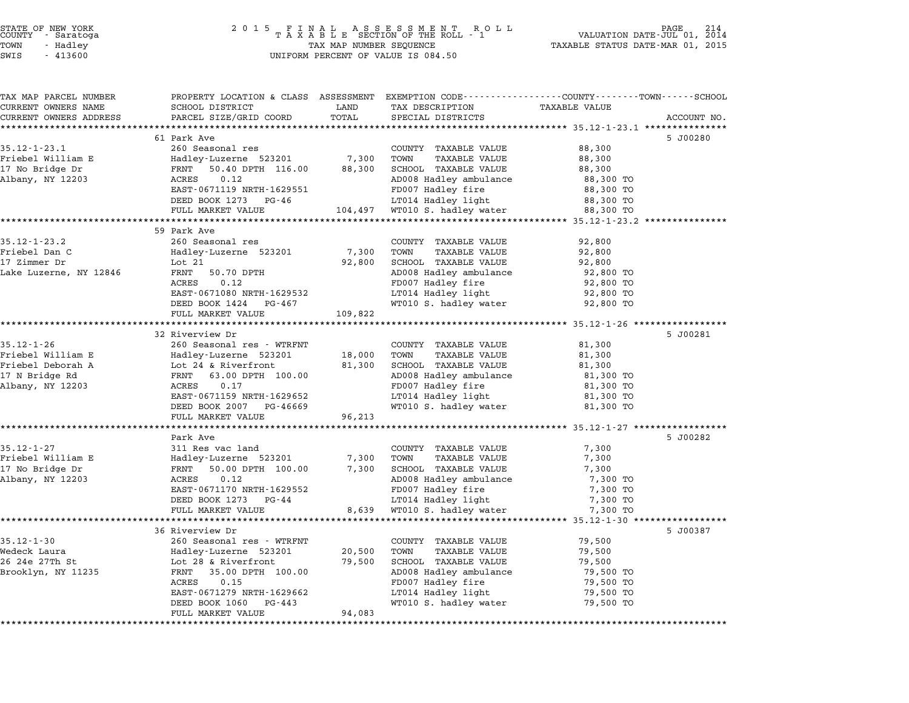| COUNTY               | STATE OF NEW YORK<br>- Saratoga |  |
|----------------------|---------------------------------|--|
| TOWN                 | - Hadley                        |  |
| $\sim$ $\sim$ $\sim$ | 1.1222                          |  |

# STATE OF NEW YORK <sup>2</sup> <sup>0</sup> <sup>1</sup> 5 F I N A L A S S E S S M E N T R O L L PAGE <sup>214</sup> COUNTY - Saratoga <sup>T</sup> <sup>A</sup> <sup>X</sup> <sup>A</sup> <sup>B</sup> <sup>L</sup> <sup>E</sup> SECTION OF THE ROLL - <sup>1</sup> VALUATION DATE-JUL 01, <sup>2014</sup> TOWN - Hadley TAX MAP NUMBER SEQUENCE TAXABLE STATUS DATE-MAR 01, <sup>2015</sup> SWIS - <sup>413600</sup> UNIFORM PERCENT OF VALUE IS 084.50

| TAX MAP PARCEL NUMBER                | PROPERTY LOCATION & CLASS ASSESSMENT EXEMPTION CODE---------------COUNTY-------TOWN------SCHOOL |                 |                                                |                                       |             |
|--------------------------------------|-------------------------------------------------------------------------------------------------|-----------------|------------------------------------------------|---------------------------------------|-------------|
| CURRENT OWNERS NAME                  | SCHOOL DISTRICT                                                                                 | LAND            | TAX DESCRIPTION                                | <b>TAXABLE VALUE</b>                  |             |
| CURRENT OWNERS ADDRESS               | PARCEL SIZE/GRID COORD                                                                          | TOTAL           | SPECIAL DISTRICTS                              |                                       | ACCOUNT NO. |
|                                      |                                                                                                 |                 |                                                |                                       |             |
| $35.12 - 1 - 23.1$                   | 61 Park Ave                                                                                     |                 |                                                |                                       | 5 J00280    |
|                                      | 260 Seasonal res                                                                                |                 | COUNTY TAXABLE VALUE                           | 88,300                                |             |
| Friebel William E<br>17 No Bridge Dr | Hadley-Luzerne 523201<br>FRNT<br>50.40 DPTH 116.00                                              | 7,300<br>88,300 | TOWN<br>TAXABLE VALUE<br>SCHOOL TAXABLE VALUE  | 88,300<br>88,300                      |             |
| Albany, NY 12203                     | 0.12<br>ACRES                                                                                   |                 | AD008 Hadley ambulance                         | 88,300 TO                             |             |
|                                      | EAST-0671119 NRTH-1629551                                                                       |                 | FD007 Hadley fire                              | 88,300 TO                             |             |
|                                      | DEED BOOK 1273 PG-46                                                                            |                 | LT014 Hadley light                             | 88,300 TO                             |             |
|                                      | FULL MARKET VALUE                                                                               | 104,497         | WT010 S. hadley water                          | 88,300 TO                             |             |
|                                      |                                                                                                 |                 |                                                |                                       |             |
|                                      | 59 Park Ave                                                                                     |                 |                                                |                                       |             |
| $35.12 - 1 - 23.2$                   | 260 Seasonal res                                                                                |                 | COUNTY TAXABLE VALUE                           | 92,800                                |             |
| Friebel Dan C                        | Hadley-Luzerne 523201                                                                           | 7,300           | TOWN<br>TAXABLE VALUE                          | 92,800                                |             |
| 17 Zimmer Dr                         | Lot 21                                                                                          | 92,800          | SCHOOL TAXABLE VALUE                           | 92,800                                |             |
| Lake Luzerne, NY 12846               | 50.70 DPTH<br>FRNT                                                                              |                 | AD008 Hadley ambulance                         | 92,800 TO                             |             |
|                                      | 0.12<br>ACRES                                                                                   |                 | FD007 Hadley fire                              | 92,800 TO                             |             |
|                                      | EAST-0671080 NRTH-1629532                                                                       |                 | LT014 Hadley light                             | 92,800 TO                             |             |
|                                      | DEED BOOK 1424 PG-467                                                                           |                 | WT010 S. hadley water                          | 92,800 TO                             |             |
|                                      | FULL MARKET VALUE                                                                               | 109,822         |                                                |                                       |             |
|                                      |                                                                                                 |                 |                                                |                                       |             |
|                                      | 32 Riverview Dr                                                                                 |                 |                                                |                                       | 5 J00281    |
| $35.12 - 1 - 26$                     | 260 Seasonal res - WTRFNT                                                                       |                 | COUNTY TAXABLE VALUE                           | 81,300                                |             |
| Friebel William E                    | Hadley-Luzerne 523201                                                                           | 18,000          | TOWN<br>TAXABLE VALUE                          | 81,300                                |             |
| Friebel Deborah A<br>17 N Bridge Rd  | Lot 24 & Riverfront<br>FRNT 63.00 DPTH 100.00                                                   | 81,300          | SCHOOL TAXABLE VALUE<br>AD008 Hadley ambulance | 81,300<br>81,300 TO                   |             |
| Albany, NY 12203                     | 0.17<br>ACRES                                                                                   |                 | FD007 Hadley fire                              | 81,300 TO                             |             |
|                                      | EAST-0671159 NRTH-1629652                                                                       |                 | LT014 Hadley light                             | 81,300 TO                             |             |
|                                      | DEED BOOK 2007 PG-46669                                                                         |                 | WT010 S. hadley water                          | 81,300 TO                             |             |
|                                      | FULL MARKET VALUE                                                                               | 96,213          |                                                |                                       |             |
|                                      |                                                                                                 |                 |                                                |                                       |             |
|                                      | Park Ave                                                                                        |                 |                                                |                                       | 5 J00282    |
| $35.12 - 1 - 27$                     | 311 Res vac land                                                                                |                 | COUNTY TAXABLE VALUE                           | 7,300                                 |             |
| Friebel William E                    | Hadley-Luzerne 523201                                                                           | 7,300           | TOWN<br>TAXABLE VALUE                          | 7,300                                 |             |
| 17 No Bridge Dr                      | 50.00 DPTH 100.00<br>FRNT                                                                       | 7,300           | SCHOOL TAXABLE VALUE                           | 7,300                                 |             |
| Albany, NY 12203                     | 0.12<br>ACRES                                                                                   |                 | AD008 Hadley ambulance                         | 7,300 TO                              |             |
|                                      | EAST-0671170 NRTH-1629552                                                                       |                 | FD007 Hadley fire                              | 7,300 TO                              |             |
|                                      | DEED BOOK 1273 PG-44                                                                            |                 | LT014 Hadley light                             | 7,300 TO                              |             |
|                                      | FULL MARKET VALUE                                                                               | 8,639           | WT010 S. hadley water                          | 7,300 TO                              |             |
|                                      | **********************                                                                          |                 | *****************************                  | *************** 35.12-1-30 ********** |             |
|                                      | 36 Riverview Dr                                                                                 |                 |                                                |                                       | 5 J00387    |
| $35.12 - 1 - 30$                     | 260 Seasonal res - WTRFNT                                                                       |                 | COUNTY TAXABLE VALUE                           | 79,500                                |             |
| Wedeck Laura                         | Hadley-Luzerne 523201                                                                           | 20,500          | TOWN<br><b>TAXABLE VALUE</b>                   | 79,500                                |             |
| 26 24e 27Th St                       | Lot 28 & Riverfront                                                                             | 79,500          | SCHOOL TAXABLE VALUE                           | 79,500                                |             |
| Brooklyn, NY 11235                   | FRNT 35.00 DPTH 100.00<br>ACRES<br>0.15                                                         |                 | AD008 Hadley ambulance<br>FD007 Hadley fire    | 79,500 TO                             |             |
|                                      | EAST-0671279 NRTH-1629662                                                                       |                 | LT014 Hadley light                             | 79,500 TO                             |             |
|                                      | DEED BOOK 1060<br>PG-443                                                                        |                 | WT010 S. hadley water                          | 79,500 TO<br>79,500 TO                |             |
|                                      | FULL MARKET VALUE                                                                               | 94,083          |                                                |                                       |             |
|                                      |                                                                                                 |                 |                                                |                                       |             |
|                                      |                                                                                                 |                 |                                                |                                       |             |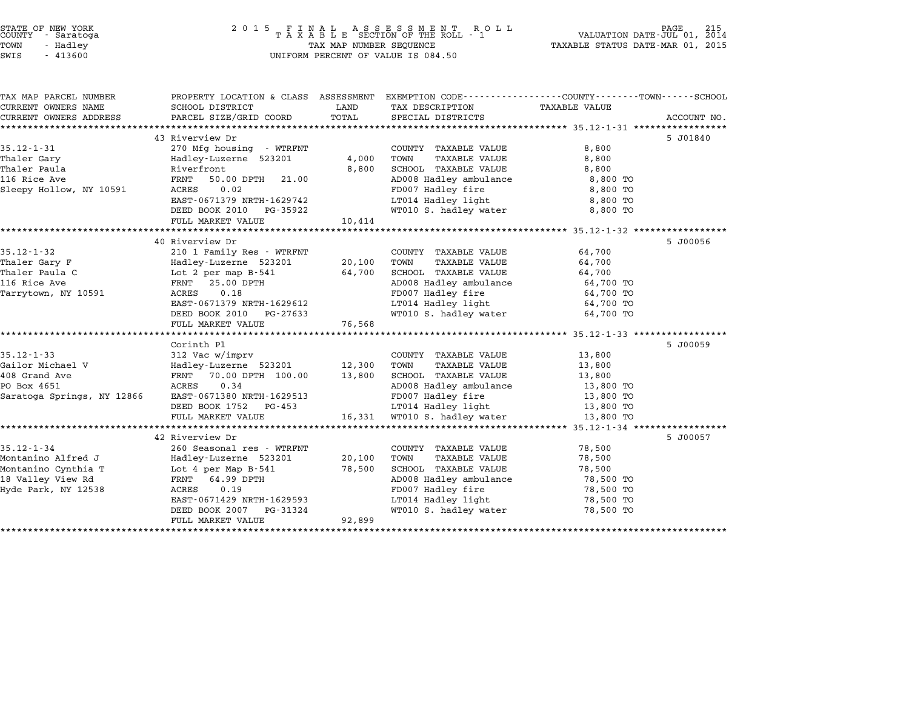| STATE OF NEW YORK<br>COUNTY - Saratoga |  | 2015 FINAL ASSESSMENT ROLL<br>TAXABLE SECTION OF THE ROLL - 1 | VALUATION DATE-JUL 01, 2014      | PAGE | 215 |
|----------------------------------------|--|---------------------------------------------------------------|----------------------------------|------|-----|
| TOWN<br>- Hadlev                       |  | TAX MAP NUMBER SEQUENCE                                       | TAXABLE STATUS DATE-MAR 01, 2015 |      |     |
| SWIS<br>- 413600                       |  | UNIFORM PERCENT OF VALUE IS 084.50                            |                                  |      |     |

| TAX MAP PARCEL NUMBER             | PROPERTY LOCATION & CLASS ASSESSMENT               |                  | EXEMPTION CODE-----------------COUNTY-------TOWN-----SCHOOL |                     |             |
|-----------------------------------|----------------------------------------------------|------------------|-------------------------------------------------------------|---------------------|-------------|
| CURRENT OWNERS NAME               | SCHOOL DISTRICT                                    | LAND             | TAX DESCRIPTION                                             | TAXABLE VALUE       |             |
| CURRENT OWNERS ADDRESS            | PARCEL SIZE/GRID COORD                             | TOTAL            | SPECIAL DISTRICTS                                           |                     | ACCOUNT NO. |
|                                   | 43 Riverview Dr                                    |                  |                                                             |                     | 5 J01840    |
| $35.12 - 1 - 31$                  | 270 Mfg housing - WTRFNT                           |                  | COUNTY TAXABLE VALUE                                        | 8,800               |             |
| Thaler Gary                       | Hadley-Luzerne 523201                              | 4,000            | TOWN<br><b>TAXABLE VALUE</b>                                | 8,800               |             |
| Thaler Paula                      | Riverfront                                         | 8,800            | SCHOOL TAXABLE VALUE                                        | 8,800               |             |
| 116 Rice Ave                      | 50.00 DPTH<br>FRNT<br>21.00                        |                  | AD008 Hadley ambulance                                      | 8,800 TO            |             |
| Sleepy Hollow, NY 10591           | 0.02<br>ACRES                                      |                  | FD007 Hadley fire                                           | 8,800 TO            |             |
|                                   | EAST-0671379 NRTH-1629742                          |                  | LT014 Hadley light                                          | 8,800 TO            |             |
|                                   | DEED BOOK 2010 PG-35922                            |                  | WT010 S. hadley water                                       | 8,800 TO            |             |
|                                   | FULL MARKET VALUE                                  | 10,414           |                                                             |                     |             |
|                                   |                                                    |                  |                                                             |                     |             |
|                                   | 40 Riverview Dr                                    |                  |                                                             |                     | 5 J00056    |
| $35.12 - 1 - 32$                  | 210 1 Family Res - WTRFNT                          |                  | COUNTY TAXABLE VALUE                                        | 64,700              |             |
| Thaler Gary F                     | Hadley-Luzerne 523201                              | 20,100           | TOWN<br><b>TAXABLE VALUE</b>                                | 64,700              |             |
| Thaler Paula C                    | Lot 2 per map B-541                                | 64,700           | SCHOOL TAXABLE VALUE                                        | 64,700              |             |
| 116 Rice Ave                      | FRNT<br>25.00 DPTH                                 |                  | AD008 Hadley ambulance                                      | 64,700 TO           |             |
| Tarrytown, NY 10591               | 0.18<br>ACRES                                      |                  | FD007 Hadley fire                                           | 64,700 TO           |             |
|                                   | EAST-0671379 NRTH-1629612                          |                  | LT014 Hadley light                                          | 64,700 TO           |             |
|                                   | DEED BOOK 2010 PG-27633                            |                  | WT010 S. hadley water                                       | 64,700 TO           |             |
|                                   | FULL MARKET VALUE                                  | 76,568           |                                                             |                     |             |
|                                   |                                                    |                  |                                                             |                     |             |
|                                   | Corinth Pl                                         |                  |                                                             |                     | 5 J00059    |
| $35.12 - 1 - 33$                  | 312 Vac w/imprv                                    |                  | COUNTY TAXABLE VALUE                                        | 13,800              |             |
| Gailor Michael V<br>408 Grand Ave | Hadley-Luzerne 523201<br>70.00 DPTH 100.00<br>FRNT | 12,300<br>13,800 | TOWN<br><b>TAXABLE VALUE</b><br>SCHOOL TAXABLE VALUE        | 13,800              |             |
| PO Box 4651                       | ACRES<br>0.34                                      |                  | AD008 Hadley ambulance                                      | 13,800<br>13,800 TO |             |
| Saratoga Springs, NY 12866        | EAST-0671380 NRTH-1629513                          |                  | FD007 Hadley fire                                           | 13,800 TO           |             |
|                                   | DEED BOOK 1752<br>PG-453                           |                  | LT014 Hadley light                                          | 13,800 TO           |             |
|                                   | FULL MARKET VALUE                                  |                  | 16,331 WT010 S. hadley water                                | 13,800 TO           |             |
|                                   |                                                    |                  |                                                             |                     |             |
|                                   | 42 Riverview Dr                                    |                  |                                                             |                     | 5 J00057    |
| $35.12 - 1 - 34$                  | 260 Seasonal res - WTRFNT                          |                  | COUNTY TAXABLE VALUE                                        | 78,500              |             |
| Montanino Alfred J                | Hadley-Luzerne 523201                              | 20,100           | TOWN<br>TAXABLE VALUE                                       | 78,500              |             |
| Montanino Cynthia T               | Lot 4 per Map B-541                                | 78,500           | SCHOOL TAXABLE VALUE                                        | 78,500              |             |
| 18 Valley View Rd                 | 64.99 DPTH<br>FRNT                                 |                  | AD008 Hadley ambulance                                      | 78,500 TO           |             |
| Hyde Park, NY 12538               | 0.19<br>ACRES                                      |                  | FD007 Hadley fire                                           | 78,500 TO           |             |
|                                   | EAST-0671429 NRTH-1629593                          |                  | LT014 Hadley light                                          | 78,500 TO           |             |
|                                   | DEED BOOK 2007<br>PG-31324                         |                  | WT010 S. hadley water                                       | 78,500 TO           |             |
|                                   | FULL MARKET VALUE                                  | 92,899           |                                                             |                     |             |
|                                   |                                                    |                  |                                                             |                     |             |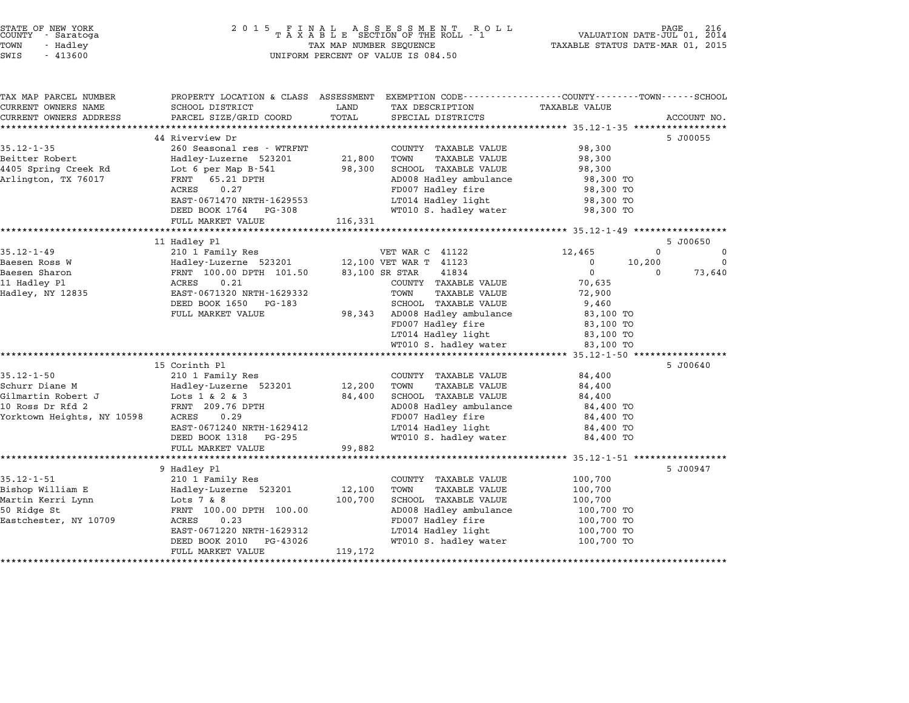| COUNTY<br>TOWN<br>SWIS | STATE OF NEW YORK<br>- Saratoga<br>- Hadley<br>$-413600$ | 2015 FINAL ASSESSMENT ROLL<br>TAXABLE SECTION OF THE ROLL - 1<br>TAX MAP NUMBER SEQUENCE<br>UNIFORM PERCENT OF VALUE IS 084.50 | TAXABLE STATUS DATE-MAR 01, 2015 | PAGE<br>VALUATION DATE-JUL 01, 2014 | 216 |
|------------------------|----------------------------------------------------------|--------------------------------------------------------------------------------------------------------------------------------|----------------------------------|-------------------------------------|-----|
|                        | TAX MAP PARCEL NUMBER                                    | ASSESSMENT<br>EXEMPTION CODE-----------------COUNTY-------TOWN------SCHOOL<br>PROPERTY LOCATION & CLASS                        |                                  |                                     |     |

| TAX MAP PARCEL NUMBER                          | PROPERTY LOCATION & CLASS ASSESSMENT EXEMPTION CODE----------------COUNTY-------TOWN-----SCHOOL |         |                                                       |                   |              |             |
|------------------------------------------------|-------------------------------------------------------------------------------------------------|---------|-------------------------------------------------------|-------------------|--------------|-------------|
| CURRENT OWNERS NAME                            | SCHOOL DISTRICT                                                                                 | LAND    | TAX DESCRIPTION TAXABLE VALUE                         |                   |              |             |
| CURRENT OWNERS ADDRESS                         | PARCEL SIZE/GRID COORD                                                                          | TOTAL   | SPECIAL DISTRICTS                                     |                   |              | ACCOUNT NO. |
|                                                | 44 Riverview Dr                                                                                 |         |                                                       |                   |              | 5 J00055    |
| $35.12 - 1 - 35$                               | 260 Seasonal res - WTRFNT                                                                       |         | COUNTY TAXABLE VALUE                                  | 98,300            |              |             |
| Beitter Robert                                 | Hadley-Luzerne 523201                                                                           | 21,800  | TAXABLE VALUE<br>TOWN                                 | 98,300            |              |             |
| 4405 Spring Creek Rd                           | Lot 6 per Map B-541                                                                             | 98,300  | SCHOOL TAXABLE VALUE                                  | 98,300            |              |             |
| Arlington, TX 76017                            | FRNT 65.21 DPTH                                                                                 |         | AD008 Hadley ambulance 98,300 TO                      |                   |              |             |
|                                                | ACRES<br>0.27                                                                                   |         |                                                       | 98,300 TO         |              |             |
|                                                | EAST-0671470 NRTH-1629553                                                                       |         | FD007 Hadley fire<br>LT014 Hadley light               | 98,300 TO         |              |             |
|                                                | DEED BOOK 1764 PG-308                                                                           |         | WT010 S. hadley water                                 | 98,300 TO         |              |             |
|                                                | FULL MARKET VALUE                                                                               | 116,331 |                                                       |                   |              |             |
|                                                |                                                                                                 |         |                                                       |                   |              |             |
|                                                | 11 Hadley Pl                                                                                    |         |                                                       |                   |              | 5 J00650    |
| $35.12 - 1 - 49$                               | 210 1 Family Res                                                                                |         | VET WAR C 41122                                       | 12,465            | $\mathbf{0}$ | $\mathbf 0$ |
|                                                | Hadley-Luzerne 523201 12,100 VET WAR T 41123                                                    |         |                                                       | $\mathbf{0}$      | 10,200       | $\Omega$    |
|                                                | FRNT 100.00 DPTH 101.50 83,100 SR STAR                                                          |         | 41834                                                 | $0 \qquad \qquad$ | $\Omega$     | 73,640      |
| Baesen Ross W<br>Baesen Sharon<br>11 Hadley Pl | 0.21<br>ACRES                                                                                   |         | COUNTY TAXABLE VALUE                                  | 70,635            |              |             |
| $Hadley, \overline{N}Y$ 12835                  | EAST-0671320 NRTH-1629332                                                                       |         | TOWN<br>TAXABLE VALUE                                 | 72,900            |              |             |
|                                                | DEED BOOK 1650 PG-183                                                                           |         |                                                       | 9,460             |              |             |
|                                                | FULL MARKET VALUE                                                                               |         | SCHOOL TAXABLE VALUE<br>98,343 AD008 Hadley ambulance | 83,100 TO         |              |             |
|                                                |                                                                                                 |         | FD007 Hadley fire                                     | 83,100 TO         |              |             |
|                                                |                                                                                                 |         | LT014 Hadley light                                    | 83,100 TO         |              |             |
|                                                |                                                                                                 |         | WT010 S. hadley water                                 | 83,100 TO         |              |             |
|                                                |                                                                                                 |         |                                                       |                   |              |             |
|                                                | 15 Corinth Pl                                                                                   |         |                                                       |                   |              | 5 J00640    |
| $35.12 - 1 - 50$                               | 210 1 Family Res                                                                                |         | COUNTY TAXABLE VALUE 84,400                           |                   |              |             |
|                                                |                                                                                                 |         | TAXABLE VALUE<br>TOWN                                 | 84,400            |              |             |
|                                                |                                                                                                 |         | SCHOOL TAXABLE VALUE                                  | 84,400            |              |             |
| 10 Ross Dr Rfd 2                               | FRNT 209.76 DPTH                                                                                |         | AD008 Hadley ambulance 84,400 TO                      |                   |              |             |
| Yorktown Heights, NY 10598                     | ACRES 0.29                                                                                      |         | FD007 Hadley fire                                     | 84,400 TO         |              |             |
|                                                | EAST-0671240 NRTH-1629412                                                                       |         | LT014 Hadley light                                    | 84,400 TO         |              |             |
|                                                | DEED BOOK 1318 PG-295                                                                           |         | WT010 S. hadley water                                 | 84,400 TO         |              |             |
|                                                | FULL MARKET VALUE                                                                               | 99,882  |                                                       |                   |              |             |
|                                                |                                                                                                 |         |                                                       |                   |              |             |
|                                                | 9 Hadley Pl                                                                                     |         |                                                       |                   |              | 5 J00947    |
| $35.12 - 1 - 51$                               | 210 1 Family Res                                                                                |         | COUNTY TAXABLE VALUE                                  | 100,700           |              |             |
| Bishop William E                               | Hadley-Luzerne 523201 12,100                                                                    |         | TAXABLE VALUE<br>TOWN                                 | 100,700           |              |             |
| Martin Kerri Lynn                              | Lots 7 & 8                                                                                      | 100,700 | SCHOOL TAXABLE VALUE                                  | 100,700           |              |             |
| 50 Ridge St                                    | FRNT 100.00 DPTH 100.00                                                                         |         | AD008 Hadley ambulance 100,700 TO                     |                   |              |             |
| Eastchester, NY 10709                          | ACRES<br>0.23                                                                                   |         | FD007 Hadley fire<br>LT014 Hadley light               | 100,700 TO        |              |             |
|                                                | EAST-0671220 NRTH-1629312                                                                       |         |                                                       | 100,700 TO        |              |             |
|                                                | DEED BOOK 2010<br>PG-43026                                                                      |         | WT010 S. hadley water                                 | 100,700 TO        |              |             |
|                                                | FULL MARKET VALUE                                                                               | 119,172 |                                                       |                   |              |             |
|                                                |                                                                                                 |         |                                                       |                   |              |             |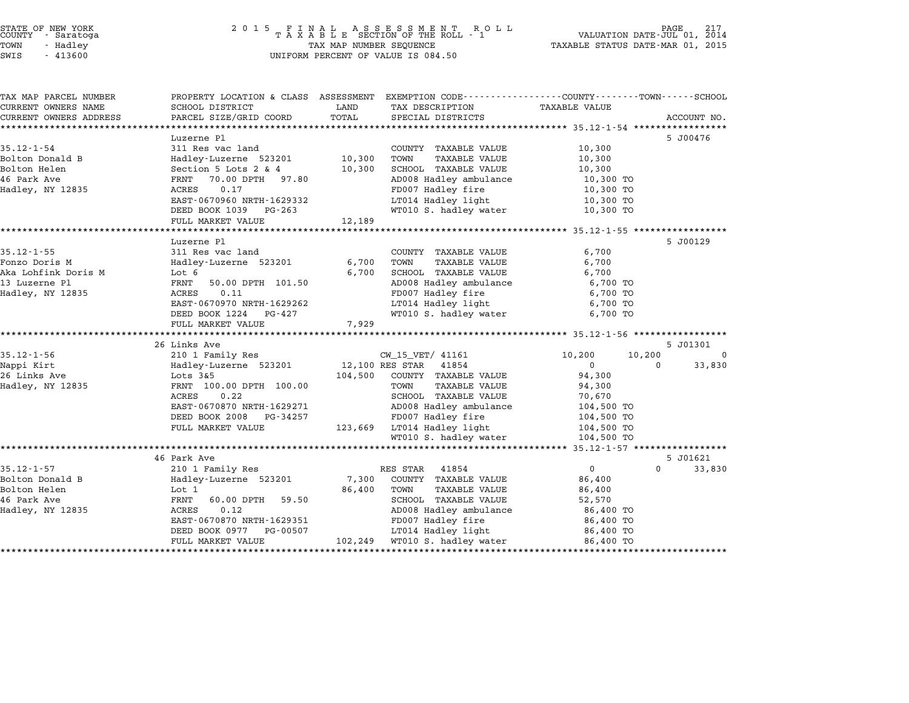| TAX MAP PARCEL NUMBER           | PROPERTY LOCATION & CLASS ASSESSMENT EXEMPTION CODE---------------COUNTY-------TOWN-----SCHOOL |                  |                                               |                        |                    |
|---------------------------------|------------------------------------------------------------------------------------------------|------------------|-----------------------------------------------|------------------------|--------------------|
| CURRENT OWNERS NAME             | SCHOOL DISTRICT                                                                                | LAND             | TAX DESCRIPTION                               | <b>TAXABLE VALUE</b>   |                    |
| CURRENT OWNERS ADDRESS          | PARCEL SIZE/GRID COORD                                                                         | TOTAL            | SPECIAL DISTRICTS                             |                        | ACCOUNT NO.        |
|                                 |                                                                                                |                  |                                               |                        |                    |
|                                 | Luzerne Pl                                                                                     |                  |                                               |                        | 5 J00476           |
| $35.12 - 1 - 54$                | 311 Res vac land                                                                               |                  | COUNTY TAXABLE VALUE                          | 10,300                 |                    |
| Bolton Donald B<br>Bolton Helen | Hadley-Luzerne 523201<br>Section 5 Lots 2 & 4                                                  | 10,300<br>10,300 | TOWN<br>TAXABLE VALUE<br>SCHOOL TAXABLE VALUE | 10,300                 |                    |
| 46 Park Ave                     | 70.00 DPTH 97.80                                                                               |                  |                                               | 10,300                 |                    |
| Hadley, NY 12835                | FRNT<br>ACRES<br>0.17                                                                          |                  | AD008 Hadley ambulance<br>FD007 Hadley fire   | 10,300 TO              |                    |
|                                 |                                                                                                |                  | LT014 Hadley light                            | 10,300 TO              |                    |
|                                 | EAST-0670960 NRTH-1629332<br>DEED BOOK 1039 PG-263                                             |                  | WT010 S. hadley water                         | 10,300 TO<br>10,300 TO |                    |
|                                 | FULL MARKET VALUE                                                                              | 12,189           |                                               |                        |                    |
|                                 |                                                                                                |                  |                                               |                        |                    |
|                                 | Luzerne Pl                                                                                     |                  |                                               |                        | 5 J00129           |
| $35.12 - 1 - 55$                | 311 Res vac land                                                                               |                  | COUNTY TAXABLE VALUE                          | 6,700                  |                    |
| Fonzo Doris M                   | Hadley-Luzerne 523201                                                                          | 6,700            | TOWN<br><b>TAXABLE VALUE</b>                  | 6,700                  |                    |
| Aka Lohfink Doris M             | Lot 6                                                                                          | 6,700            | SCHOOL TAXABLE VALUE                          | 6,700                  |                    |
| 13 Luzerne Pl                   | FRNT<br>50.00 DPTH 101.50                                                                      |                  | AD008 Hadley ambulance                        | 6,700 TO               |                    |
| Hadley, NY 12835                | 0.11<br>ACRES                                                                                  |                  | FD007 Hadley fire                             | 6,700 TO               |                    |
|                                 | EAST-0670970 NRTH-1629262                                                                      |                  | LT014 Hadley light                            | 6,700 TO               |                    |
|                                 | DEED BOOK 1224 PG-427                                                                          |                  | WT010 S. hadley water                         | 6,700 TO               |                    |
|                                 | FULL MARKET VALUE                                                                              | 7,929            |                                               |                        |                    |
|                                 |                                                                                                |                  |                                               |                        |                    |
|                                 | 26 Links Ave                                                                                   |                  |                                               |                        | 5 J01301           |
| $35.12 - 1 - 56$                | 210 1 Family Res                                                                               |                  | CW_15_VET/ 41161                              | 10,200<br>10,200       | $\mathbf 0$        |
| Nappi Kirt                      | Hadley-Luzerne 523201                                                                          | 12,100 RES STAR  | 41854                                         | $\Omega$               | 33,830<br>$\Omega$ |
| 26 Links Ave                    | Lots $3&5$                                                                                     |                  | 104,500 COUNTY TAXABLE VALUE                  | 94,300                 |                    |
| Hadley, NY 12835                | FRNT 100.00 DPTH 100.00                                                                        |                  | TOWN<br><b>TAXABLE VALUE</b>                  | 94,300                 |                    |
|                                 | ACRES<br>0.22                                                                                  |                  | SCHOOL TAXABLE VALUE                          | 70,670                 |                    |
|                                 | EAST-0670870 NRTH-1629271                                                                      |                  | AD008 Hadley ambulance                        | 104,500 TO             |                    |
|                                 | DEED BOOK 2008<br>PG-34257                                                                     |                  | FD007 Hadley fire                             | 104,500 TO             |                    |
|                                 | FULL MARKET VALUE                                                                              |                  | 123,669 LT014 Hadley light                    | 104,500 TO             |                    |
|                                 |                                                                                                |                  | WT010 S. hadley water                         | 104,500 TO             |                    |
|                                 |                                                                                                |                  |                                               |                        |                    |
|                                 | 46 Park Ave                                                                                    |                  |                                               |                        | 5 J01621           |
| $35.12 - 1 - 57$                | 210 1 Family Res                                                                               |                  | RES STAR<br>41854                             | $\overline{0}$         | $\Omega$<br>33,830 |
| Bolton Donald B                 | Hadley-Luzerne 523201                                                                          | 7,300            | COUNTY TAXABLE VALUE                          | 86,400                 |                    |
| Bolton Helen                    | Lot 1                                                                                          | 86,400           | TOWN<br><b>TAXABLE VALUE</b>                  | 86,400                 |                    |
| 46 Park Ave                     | FRNT<br>60.00 DPTH<br>59.50                                                                    |                  | SCHOOL TAXABLE VALUE                          | 52,570                 |                    |
| Hadley, NY 12835                | <b>ACRES</b><br>0.12                                                                           |                  | AD008 Hadley ambulance                        | 86,400 TO              |                    |
|                                 | EAST-0670870 NRTH-1629351                                                                      |                  | FD007 Hadley fire                             | 86,400 TO              |                    |
|                                 | DEED BOOK 0977<br>PG-00507                                                                     |                  | LT014 Hadley light                            | 86,400 TO              |                    |
|                                 | FULL MARKET VALUE                                                                              |                  | 102,249 WT010 S. hadley water                 | 86,400 TO              |                    |
|                                 |                                                                                                |                  |                                               |                        |                    |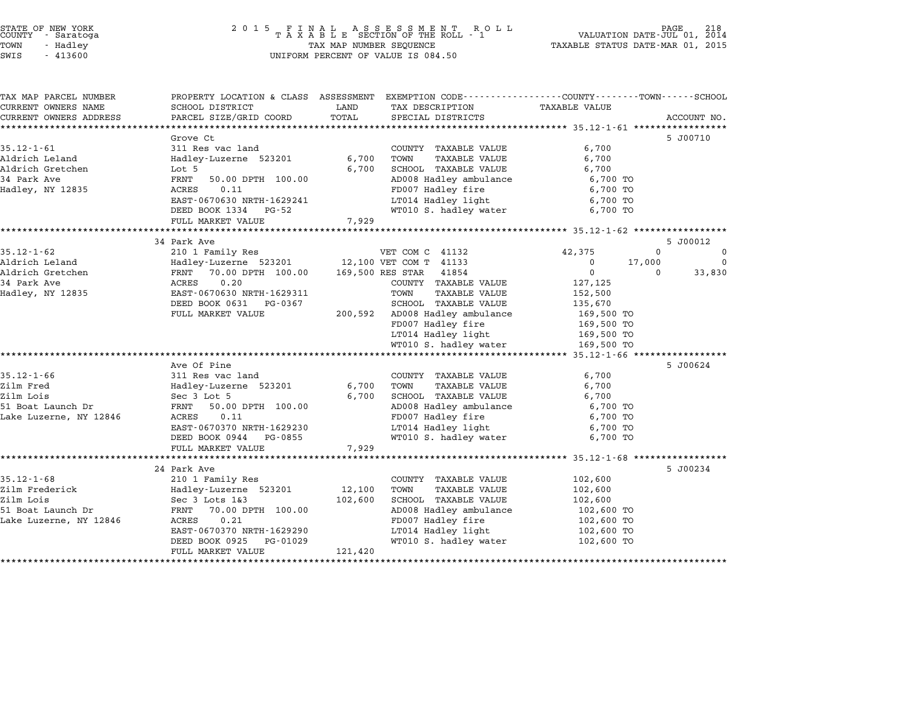| TAX MAP PARCEL NUMBER  | PROPERTY LOCATION & CLASS ASSESSMENT |         | EXEMPTION CODE-----------------COUNTY-------TOWN-----SCHOOL |                      |        |             |
|------------------------|--------------------------------------|---------|-------------------------------------------------------------|----------------------|--------|-------------|
| CURRENT OWNERS NAME    | SCHOOL DISTRICT                      | LAND    | TAX DESCRIPTION                                             | <b>TAXABLE VALUE</b> |        |             |
| CURRENT OWNERS ADDRESS | PARCEL SIZE/GRID COORD               | TOTAL   | SPECIAL DISTRICTS                                           |                      |        | ACCOUNT NO. |
|                        |                                      |         |                                                             |                      |        |             |
|                        | Grove Ct                             |         |                                                             |                      |        | 5 J00710    |
| $35.12 - 1 - 61$       | 311 Res vac land                     |         | COUNTY TAXABLE VALUE                                        | 6,700                |        |             |
| Aldrich Leland         | Hadley-Luzerne 523201                | 6,700   | TOWN<br><b>TAXABLE VALUE</b>                                | 6,700                |        |             |
| Aldrich Gretchen       | Lot 5                                | 6,700   | SCHOOL TAXABLE VALUE                                        | 6,700                |        |             |
| 34 Park Ave            | FRNT<br>50.00 DPTH 100.00            |         | AD008 Hadley ambulance                                      | 6,700 TO             |        |             |
| Hadley, NY 12835       | ACRES<br>0.11                        |         | FD007 Hadley fire                                           | 6,700 TO             |        |             |
|                        | EAST-0670630 NRTH-1629241            |         | LT014 Hadley light                                          | 6,700 TO             |        |             |
|                        | DEED BOOK 1334<br>PG-52              |         | WT010 S. hadley water                                       | 6,700 TO             |        |             |
|                        | FULL MARKET VALUE                    | 7,929   |                                                             |                      |        |             |
|                        |                                      |         |                                                             |                      |        |             |
|                        | 34 Park Ave                          |         |                                                             |                      |        | 5 J00012    |
| $35.12 - 1 - 62$       | 210 1 Family Res                     |         | VET COM C 41132                                             | 42,375               | 0      | $\mathbf 0$ |
| Aldrich Leland         | Hadley-Luzerne 523201                |         | 12,100 VET COM T 41133                                      | $^{\circ}$           | 17,000 | $\Omega$    |
| Aldrich Gretchen       | FRNT 70.00 DPTH 100.00               |         | 169,500 RES STAR<br>41854                                   | $\mathbf 0$          | 0      | 33,830      |
| 34 Park Ave            | 0.20<br>ACRES                        |         | COUNTY TAXABLE VALUE                                        | 127,125              |        |             |
| Hadley, NY 12835       | EAST-0670630 NRTH-1629311            |         | TOWN<br>TAXABLE VALUE                                       | 152,500              |        |             |
|                        | DEED BOOK 0631<br>PG-0367            |         | SCHOOL TAXABLE VALUE                                        | 135,670              |        |             |
|                        | FULL MARKET VALUE                    | 200,592 | AD008 Hadley ambulance                                      | 169,500 TO           |        |             |
|                        |                                      |         | FD007 Hadley fire                                           | 169,500 TO           |        |             |
|                        |                                      |         | LT014 Hadley light                                          | 169,500 TO           |        |             |
|                        |                                      |         | WT010 S. hadley water                                       | 169,500 TO           |        |             |
|                        |                                      |         |                                                             |                      |        |             |
|                        | Ave Of Pine                          |         |                                                             |                      |        | 5 J00624    |
| $35.12 - 1 - 66$       | 311 Res vac land                     |         | COUNTY TAXABLE VALUE                                        | 6,700                |        |             |
| Zilm Fred              | Hadley-Luzerne 523201                | 6,700   | TOWN<br><b>TAXABLE VALUE</b>                                | 6,700                |        |             |
| Zilm Lois              | Sec 3 Lot 5                          | 6,700   | SCHOOL TAXABLE VALUE                                        | 6,700                |        |             |
| 51 Boat Launch Dr      | FRNT<br>50.00 DPTH 100.00            |         | AD008 Hadley ambulance                                      | 6,700 TO             |        |             |
| Lake Luzerne, NY 12846 | ACRES<br>0.11                        |         | FD007 Hadley fire                                           | 6,700 TO             |        |             |
|                        | EAST-0670370 NRTH-1629230            |         | LT014 Hadley light                                          | 6,700 TO             |        |             |
|                        | DEED BOOK 0944<br>PG-0855            |         | WT010 S. hadley water                                       | 6,700 TO             |        |             |
|                        | FULL MARKET VALUE                    | 7,929   |                                                             |                      |        |             |
|                        |                                      |         |                                                             |                      |        |             |
|                        | 24 Park Ave                          |         |                                                             |                      |        | 5 J00234    |
| $35.12 - 1 - 68$       | 210 1 Family Res                     |         | COUNTY TAXABLE VALUE                                        | 102,600              |        |             |
| Zilm Frederick         |                                      | 12,100  | TOWN                                                        |                      |        |             |
| Zilm Lois              | Hadley-Luzerne 523201                |         | TAXABLE VALUE                                               | 102,600              |        |             |
|                        | Sec 3 Lots 1&3                       | 102,600 | SCHOOL TAXABLE VALUE                                        | 102,600              |        |             |
| 51 Boat Launch Dr      | 70.00 DPTH 100.00<br>FRNT            |         | AD008 Hadley ambulance                                      | 102,600 TO           |        |             |
| Lake Luzerne, NY 12846 | ACRES<br>0.21                        |         | FD007 Hadley fire                                           | 102,600 TO           |        |             |
|                        | EAST-0670370 NRTH-1629290            |         | LT014 Hadley light                                          | 102,600 TO           |        |             |
|                        | DEED BOOK 0925<br>PG-01029           |         | WT010 S. hadley water                                       | 102,600 TO           |        |             |
|                        | FULL MARKET VALUE                    | 121,420 |                                                             |                      |        |             |
|                        |                                      |         |                                                             |                      |        |             |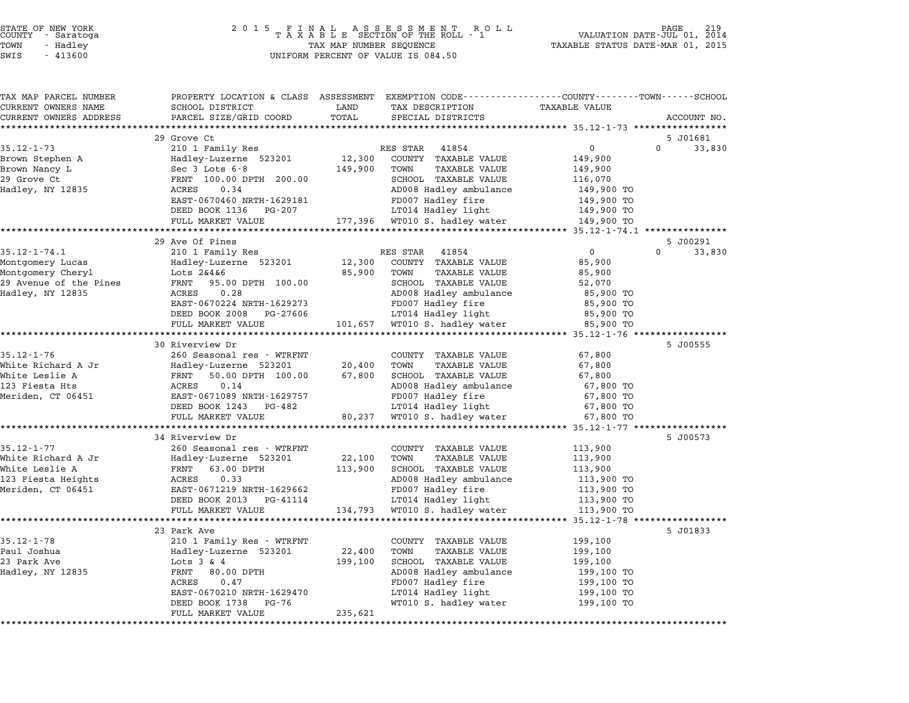| TAX MAP PARCEL NUMBER                |                                                      |                                                   | PROPERTY LOCATION & CLASS ASSESSMENT EXEMPTION CODE---------------COUNTY-------TOWN------SCHOOL |                      |
|--------------------------------------|------------------------------------------------------|---------------------------------------------------|-------------------------------------------------------------------------------------------------|----------------------|
| CURRENT OWNERS NAME                  | SCHOOL DISTRICT                                      | LAND<br>TAX DESCRIPTION                           | <b>TAXABLE VALUE</b>                                                                            |                      |
| CURRENT OWNERS ADDRESS               | PARCEL SIZE/GRID COORD                               | TOTAL<br>SPECIAL DISTRICTS                        |                                                                                                 | ACCOUNT NO.          |
|                                      |                                                      |                                                   |                                                                                                 |                      |
|                                      | 29 Grove Ct                                          |                                                   |                                                                                                 | 5 J01681<br>$\Omega$ |
| $35.12 - 1 - 73$                     | 210 1 Family Res                                     | RES STAR 41854                                    | 0                                                                                               | 33,830               |
| Brown Stephen A<br>Brown Nancy L     | Hadley-Luzerne 523201<br>Sec 3 Lots 6-8              | 12,300<br>COUNTY TAXABLE VALUE<br>149,900<br>TOWN | 149,900<br><b>TAXABLE VALUE</b><br>149,900                                                      |                      |
| 29 Grove Ct                          | FRNT 100.00 DPTH 200.00                              | SCHOOL TAXABLE VALUE                              | 116,070                                                                                         |                      |
| Hadley, NY 12835                     | 0.34<br>ACRES                                        | AD008 Hadley ambulance                            | 149,900 TO                                                                                      |                      |
|                                      | EAST-0670460 NRTH-1629181                            | FD007 Hadley fire                                 | 149,900 TO                                                                                      |                      |
|                                      | DEED BOOK 1136 PG-207                                | LT014 Hadley light                                | 149,900 TO                                                                                      |                      |
|                                      | FULL MARKET VALUE                                    | 177,396 WT010 S. hadley water                     | 149,900 TO                                                                                      |                      |
|                                      |                                                      |                                                   |                                                                                                 |                      |
|                                      | 29 Ave Of Pines                                      |                                                   |                                                                                                 | 5 J00291             |
| $35.12 - 1 - 74.1$                   | 210 1 Family Res                                     | RES STAR 41854                                    | $\mathbf 0$                                                                                     | $\Omega$<br>33,830   |
| Montgomery Lucas                     | Hadley-Luzerne 523201                                | 12,300<br>COUNTY TAXABLE VALUE                    | 85,900                                                                                          |                      |
| Montgomery Cheryl                    | Lots 2&4&6                                           | 85,900<br>TOWN                                    | TAXABLE VALUE<br>85,900                                                                         |                      |
| 29 Avenue of the Pines               | FRNT<br>95.00 DPTH 100.00                            | SCHOOL TAXABLE VALUE                              | 52,070                                                                                          |                      |
| Hadley, NY 12835                     | 0.28<br>ACRES                                        | AD008 Hadley ambulance                            | 85,900 TO                                                                                       |                      |
|                                      | EAST-0670224 NRTH-1629273                            | FD007 Hadley fire                                 | 85,900 TO                                                                                       |                      |
|                                      | DEED BOOK 2008<br>PG-27606                           | LT014 Hadley light                                | 85,900 TO                                                                                       |                      |
|                                      | FULL MARKET VALUE                                    | 101,657<br>WT010 S. hadley water                  | 85,900 TO                                                                                       |                      |
|                                      |                                                      |                                                   |                                                                                                 |                      |
|                                      | 30 Riverview Dr                                      |                                                   |                                                                                                 | 5 J00555             |
| $35.12 - 1 - 76$                     | 260 Seasonal res - WTRFNT                            | COUNTY TAXABLE VALUE                              | 67,800                                                                                          |                      |
| White Richard A Jr<br>White Leslie A | Hadley-Luzerne 523201<br>FRNT<br>50.00 DPTH 100.00   | 20,400<br>TOWN<br>67,800<br>SCHOOL TAXABLE VALUE  | <b>TAXABLE VALUE</b><br>67,800<br>67,800                                                        |                      |
| 123 Fiesta Hts                       | ACRES<br>0.14                                        | AD008 Hadley ambulance                            | 67,800 TO                                                                                       |                      |
| Meriden, CT 06451                    | EAST-0671089 NRTH-1629757                            | FD007 Hadley fire                                 | 67,800 TO                                                                                       |                      |
|                                      | DEED BOOK 1243 PG-482                                | LT014 Hadley light                                | 67,800 TO                                                                                       |                      |
|                                      | FULL MARKET VALUE                                    | 80,237 WT010 S. hadley water                      | 67,800 TO                                                                                       |                      |
|                                      |                                                      |                                                   |                                                                                                 |                      |
|                                      | 34 Riverview Dr                                      |                                                   |                                                                                                 | 5 J00573             |
| $35.12 - 1 - 77$                     | 260 Seasonal res - WTRFNT                            | COUNTY TAXABLE VALUE                              | 113,900                                                                                         |                      |
| White Richard A Jr                   | Hadley-Luzerne 523201                                | 22,100<br>TOWN                                    | TAXABLE VALUE<br>113,900                                                                        |                      |
| White Leslie A                       | FRNT<br>63.00 DPTH                                   | 113,900<br>SCHOOL TAXABLE VALUE                   | 113,900                                                                                         |                      |
| 123 Fiesta Heights                   | ACRES<br>0.33                                        | AD008 Hadley ambulance                            | 113,900 TO                                                                                      |                      |
| Meriden, CT 06451                    | EAST-0671219 NRTH-1629662                            | FD007 Hadley fire                                 | 113,900 TO                                                                                      |                      |
|                                      | DEED BOOK 2013 PG-41114                              | LT014 Hadley light                                | 113,900 TO                                                                                      |                      |
|                                      | FULL MARKET VALUE                                    | 134,793 WT010 S. hadley water                     | 113,900 TO                                                                                      |                      |
|                                      |                                                      |                                                   |                                                                                                 |                      |
|                                      | 23 Park Ave                                          |                                                   |                                                                                                 | 5 J01833             |
| $35.12 - 1 - 78$                     | 210 1 Family Res - WTRFNT                            | COUNTY TAXABLE VALUE                              | 199,100                                                                                         |                      |
| Paul Joshua                          | Hadley-Luzerne 523201                                | 22,400<br>TOWN                                    | <b>TAXABLE VALUE</b><br>199,100                                                                 |                      |
| 23 Park Ave                          | Lots $3 \& 4$                                        | 199,100<br>SCHOOL TAXABLE VALUE                   | 199,100                                                                                         |                      |
| Hadley, NY 12835                     | FRNT<br>80.00 DPTH                                   | AD008 Hadley ambulance                            | 199,100 TO                                                                                      |                      |
|                                      | ACRES<br>0.47                                        | FD007 Hadley fire                                 | 199,100 TO                                                                                      |                      |
|                                      | EAST-0670210 NRTH-1629470<br>DEED BOOK 1738<br>PG-76 | LT014 Hadley light<br>WT010 S. hadley water       | 199,100 TO                                                                                      |                      |
|                                      |                                                      |                                                   | 199,100 TO                                                                                      |                      |
|                                      | FULL MARKET VALUE                                    | 235,621                                           |                                                                                                 |                      |
|                                      |                                                      |                                                   |                                                                                                 |                      |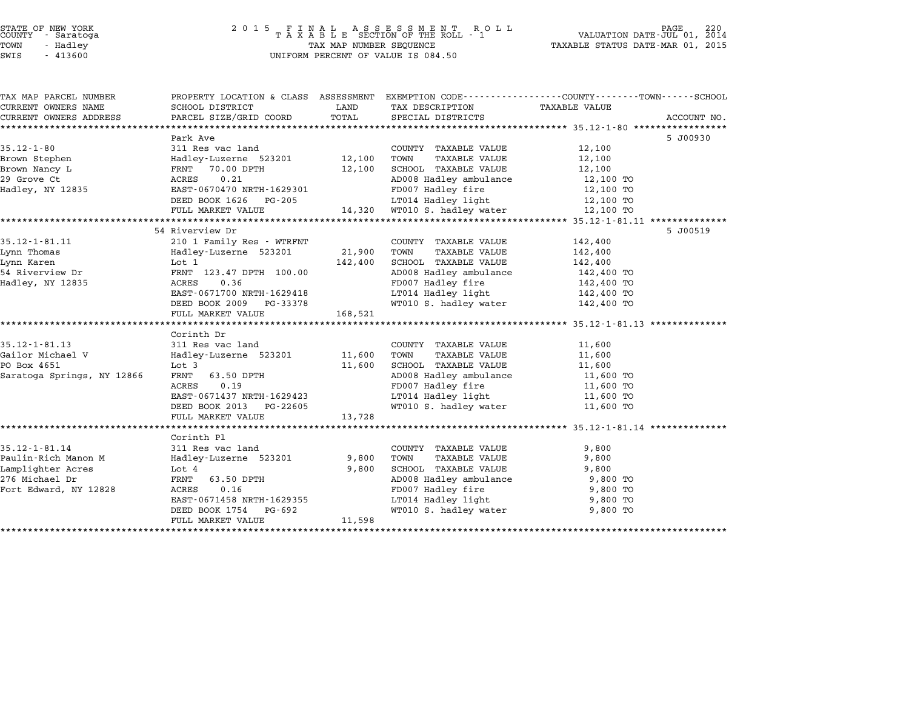| COUNTY | STATE OF NEW YORK<br>- Saratoga |  |
|--------|---------------------------------|--|
| TOWN   | Hadley<br>۰.                    |  |
|        |                                 |  |

| PROPERTY LOCATION & CLASS ASSESSMENT EXEMPTION CODE---------------COUNTY-------TOWN------SCHOOL<br>CURRENT OWNERS NAME<br>SCHOOL DISTRICT<br>LAND<br><b>TAXABLE VALUE</b><br>TAX DESCRIPTION<br>TOTAL<br>PARCEL SIZE/GRID COORD<br>CURRENT OWNERS ADDRESS<br>SPECIAL DISTRICTS<br>ACCOUNT NO.<br>Park Ave<br>5 J00930<br>$35.12 - 1 - 80$<br>311 Res vac land<br>12,100<br>COUNTY TAXABLE VALUE<br>Brown Stephen<br>Hadley-Luzerne 523201<br>12,100<br>TOWN<br>12,100<br>TAXABLE VALUE<br>70.00 DPTH<br>12,100<br>SCHOOL TAXABLE VALUE<br>Brown Nancy L<br>FRNT<br>12,100<br>0.21<br>29 Grove Ct<br>ACRES<br>AD008 Hadley ambulance<br>12,100 TO<br>FD007 Hadley fire<br>Hadley, NY 12835<br>EAST-0670470 NRTH-1629301<br>12,100 TO<br>LT014 Hadley light<br>DEED BOOK 1626<br>PG-205<br>12,100 TO<br>14,320 WT010 S. hadley water<br>12,100 TO<br>FULL MARKET VALUE<br>54 Riverview Dr<br>5 J00519<br>210 1 Family Res - WTRFNT<br>142,400<br>COUNTY TAXABLE VALUE<br>21,900<br>Hadley-Luzerne 523201<br>TOWN<br>TAXABLE VALUE<br>142,400<br>142,400<br>SCHOOL TAXABLE VALUE<br>142,400<br>Lot 1<br>FRNT 123.47 DPTH 100.00<br>AD008 Hadley ambulance<br>142,400 TO<br>0.36<br>FD007 Hadley fire<br>ACRES<br>142,400 TO<br>LT014 Hadley light<br>EAST-0671700 NRTH-1629418<br>142,400 TO<br>WT010 S. hadley water<br>DEED BOOK 2009<br>PG-33378<br>142,400 TO<br>168,521<br>FULL MARKET VALUE<br>Corinth Dr<br>311 Res vac land<br>11,600<br>COUNTY TAXABLE VALUE<br>Hadley-Luzerne 523201<br>11,600<br>TOWN<br>TAXABLE VALUE<br>11,600<br>Lot 3<br>11,600<br>SCHOOL TAXABLE VALUE<br>11,600<br>AD008 Hadley ambulance<br>Saratoga Springs, NY 12866<br>FRNT<br>63.50 DPTH<br>11,600 TO<br><b>ACRES</b><br>0.19<br>FD007 Hadley fire<br>11,600 TO<br>LT014 Hadley light<br>EAST-0671437 NRTH-1629423<br>11,600 TO<br>WT010 S. hadley water<br>DEED BOOK 2013<br>PG-22605<br>11,600 TO<br>FULL MARKET VALUE<br>13,728<br>Corinth Pl<br>$35.12 - 1 - 81.14$<br>311 Res vac land<br>9,800<br>COUNTY TAXABLE VALUE<br>Paulin-Rich Manon M<br>Hadley-Luzerne 523201<br>9,800<br>TOWN<br>TAXABLE VALUE<br>9,800<br>Lamplighter Acres<br>SCHOOL TAXABLE VALUE<br>Lot 4<br>9,800<br>9,800<br>276 Michael Dr<br>FRNT<br>63.50 DPTH<br>AD008 Hadley ambulance<br>9,800 TO<br>FD007 Hadley fire<br>Fort Edward, NY 12828<br>ACRES<br>0.16<br>9,800 TO<br>EAST-0671458 NRTH-1629355<br>LT014 Hadley light<br>9,800 TO<br>WT010 S. hadley water<br>DEED BOOK 1754<br>PG-692<br>9,800 TO<br>11,598<br>FULL MARKET VALUE |                       |  |  |  |
|------------------------------------------------------------------------------------------------------------------------------------------------------------------------------------------------------------------------------------------------------------------------------------------------------------------------------------------------------------------------------------------------------------------------------------------------------------------------------------------------------------------------------------------------------------------------------------------------------------------------------------------------------------------------------------------------------------------------------------------------------------------------------------------------------------------------------------------------------------------------------------------------------------------------------------------------------------------------------------------------------------------------------------------------------------------------------------------------------------------------------------------------------------------------------------------------------------------------------------------------------------------------------------------------------------------------------------------------------------------------------------------------------------------------------------------------------------------------------------------------------------------------------------------------------------------------------------------------------------------------------------------------------------------------------------------------------------------------------------------------------------------------------------------------------------------------------------------------------------------------------------------------------------------------------------------------------------------------------------------------------------------------------------------------------------------------------------------------------------------------------------------------------------------------------------------------------------------------------------------------------------------------------------------------------------------------------------------------------------------------------------------------------------------------------------------------------------------------------------------------------------|-----------------------|--|--|--|
|                                                                                                                                                                                                                                                                                                                                                                                                                                                                                                                                                                                                                                                                                                                                                                                                                                                                                                                                                                                                                                                                                                                                                                                                                                                                                                                                                                                                                                                                                                                                                                                                                                                                                                                                                                                                                                                                                                                                                                                                                                                                                                                                                                                                                                                                                                                                                                                                                                                                                                            | TAX MAP PARCEL NUMBER |  |  |  |
|                                                                                                                                                                                                                                                                                                                                                                                                                                                                                                                                                                                                                                                                                                                                                                                                                                                                                                                                                                                                                                                                                                                                                                                                                                                                                                                                                                                                                                                                                                                                                                                                                                                                                                                                                                                                                                                                                                                                                                                                                                                                                                                                                                                                                                                                                                                                                                                                                                                                                                            |                       |  |  |  |
|                                                                                                                                                                                                                                                                                                                                                                                                                                                                                                                                                                                                                                                                                                                                                                                                                                                                                                                                                                                                                                                                                                                                                                                                                                                                                                                                                                                                                                                                                                                                                                                                                                                                                                                                                                                                                                                                                                                                                                                                                                                                                                                                                                                                                                                                                                                                                                                                                                                                                                            |                       |  |  |  |
|                                                                                                                                                                                                                                                                                                                                                                                                                                                                                                                                                                                                                                                                                                                                                                                                                                                                                                                                                                                                                                                                                                                                                                                                                                                                                                                                                                                                                                                                                                                                                                                                                                                                                                                                                                                                                                                                                                                                                                                                                                                                                                                                                                                                                                                                                                                                                                                                                                                                                                            |                       |  |  |  |
|                                                                                                                                                                                                                                                                                                                                                                                                                                                                                                                                                                                                                                                                                                                                                                                                                                                                                                                                                                                                                                                                                                                                                                                                                                                                                                                                                                                                                                                                                                                                                                                                                                                                                                                                                                                                                                                                                                                                                                                                                                                                                                                                                                                                                                                                                                                                                                                                                                                                                                            |                       |  |  |  |
|                                                                                                                                                                                                                                                                                                                                                                                                                                                                                                                                                                                                                                                                                                                                                                                                                                                                                                                                                                                                                                                                                                                                                                                                                                                                                                                                                                                                                                                                                                                                                                                                                                                                                                                                                                                                                                                                                                                                                                                                                                                                                                                                                                                                                                                                                                                                                                                                                                                                                                            |                       |  |  |  |
|                                                                                                                                                                                                                                                                                                                                                                                                                                                                                                                                                                                                                                                                                                                                                                                                                                                                                                                                                                                                                                                                                                                                                                                                                                                                                                                                                                                                                                                                                                                                                                                                                                                                                                                                                                                                                                                                                                                                                                                                                                                                                                                                                                                                                                                                                                                                                                                                                                                                                                            |                       |  |  |  |
|                                                                                                                                                                                                                                                                                                                                                                                                                                                                                                                                                                                                                                                                                                                                                                                                                                                                                                                                                                                                                                                                                                                                                                                                                                                                                                                                                                                                                                                                                                                                                                                                                                                                                                                                                                                                                                                                                                                                                                                                                                                                                                                                                                                                                                                                                                                                                                                                                                                                                                            |                       |  |  |  |
|                                                                                                                                                                                                                                                                                                                                                                                                                                                                                                                                                                                                                                                                                                                                                                                                                                                                                                                                                                                                                                                                                                                                                                                                                                                                                                                                                                                                                                                                                                                                                                                                                                                                                                                                                                                                                                                                                                                                                                                                                                                                                                                                                                                                                                                                                                                                                                                                                                                                                                            |                       |  |  |  |
|                                                                                                                                                                                                                                                                                                                                                                                                                                                                                                                                                                                                                                                                                                                                                                                                                                                                                                                                                                                                                                                                                                                                                                                                                                                                                                                                                                                                                                                                                                                                                                                                                                                                                                                                                                                                                                                                                                                                                                                                                                                                                                                                                                                                                                                                                                                                                                                                                                                                                                            |                       |  |  |  |
|                                                                                                                                                                                                                                                                                                                                                                                                                                                                                                                                                                                                                                                                                                                                                                                                                                                                                                                                                                                                                                                                                                                                                                                                                                                                                                                                                                                                                                                                                                                                                                                                                                                                                                                                                                                                                                                                                                                                                                                                                                                                                                                                                                                                                                                                                                                                                                                                                                                                                                            |                       |  |  |  |
|                                                                                                                                                                                                                                                                                                                                                                                                                                                                                                                                                                                                                                                                                                                                                                                                                                                                                                                                                                                                                                                                                                                                                                                                                                                                                                                                                                                                                                                                                                                                                                                                                                                                                                                                                                                                                                                                                                                                                                                                                                                                                                                                                                                                                                                                                                                                                                                                                                                                                                            |                       |  |  |  |
|                                                                                                                                                                                                                                                                                                                                                                                                                                                                                                                                                                                                                                                                                                                                                                                                                                                                                                                                                                                                                                                                                                                                                                                                                                                                                                                                                                                                                                                                                                                                                                                                                                                                                                                                                                                                                                                                                                                                                                                                                                                                                                                                                                                                                                                                                                                                                                                                                                                                                                            |                       |  |  |  |
|                                                                                                                                                                                                                                                                                                                                                                                                                                                                                                                                                                                                                                                                                                                                                                                                                                                                                                                                                                                                                                                                                                                                                                                                                                                                                                                                                                                                                                                                                                                                                                                                                                                                                                                                                                                                                                                                                                                                                                                                                                                                                                                                                                                                                                                                                                                                                                                                                                                                                                            | $35.12 - 1 - 81.11$   |  |  |  |
|                                                                                                                                                                                                                                                                                                                                                                                                                                                                                                                                                                                                                                                                                                                                                                                                                                                                                                                                                                                                                                                                                                                                                                                                                                                                                                                                                                                                                                                                                                                                                                                                                                                                                                                                                                                                                                                                                                                                                                                                                                                                                                                                                                                                                                                                                                                                                                                                                                                                                                            | Lynn Thomas           |  |  |  |
|                                                                                                                                                                                                                                                                                                                                                                                                                                                                                                                                                                                                                                                                                                                                                                                                                                                                                                                                                                                                                                                                                                                                                                                                                                                                                                                                                                                                                                                                                                                                                                                                                                                                                                                                                                                                                                                                                                                                                                                                                                                                                                                                                                                                                                                                                                                                                                                                                                                                                                            | Lynn Karen            |  |  |  |
|                                                                                                                                                                                                                                                                                                                                                                                                                                                                                                                                                                                                                                                                                                                                                                                                                                                                                                                                                                                                                                                                                                                                                                                                                                                                                                                                                                                                                                                                                                                                                                                                                                                                                                                                                                                                                                                                                                                                                                                                                                                                                                                                                                                                                                                                                                                                                                                                                                                                                                            | 54 Riverview Dr       |  |  |  |
|                                                                                                                                                                                                                                                                                                                                                                                                                                                                                                                                                                                                                                                                                                                                                                                                                                                                                                                                                                                                                                                                                                                                                                                                                                                                                                                                                                                                                                                                                                                                                                                                                                                                                                                                                                                                                                                                                                                                                                                                                                                                                                                                                                                                                                                                                                                                                                                                                                                                                                            | Hadley, NY 12835      |  |  |  |
|                                                                                                                                                                                                                                                                                                                                                                                                                                                                                                                                                                                                                                                                                                                                                                                                                                                                                                                                                                                                                                                                                                                                                                                                                                                                                                                                                                                                                                                                                                                                                                                                                                                                                                                                                                                                                                                                                                                                                                                                                                                                                                                                                                                                                                                                                                                                                                                                                                                                                                            |                       |  |  |  |
|                                                                                                                                                                                                                                                                                                                                                                                                                                                                                                                                                                                                                                                                                                                                                                                                                                                                                                                                                                                                                                                                                                                                                                                                                                                                                                                                                                                                                                                                                                                                                                                                                                                                                                                                                                                                                                                                                                                                                                                                                                                                                                                                                                                                                                                                                                                                                                                                                                                                                                            |                       |  |  |  |
|                                                                                                                                                                                                                                                                                                                                                                                                                                                                                                                                                                                                                                                                                                                                                                                                                                                                                                                                                                                                                                                                                                                                                                                                                                                                                                                                                                                                                                                                                                                                                                                                                                                                                                                                                                                                                                                                                                                                                                                                                                                                                                                                                                                                                                                                                                                                                                                                                                                                                                            |                       |  |  |  |
|                                                                                                                                                                                                                                                                                                                                                                                                                                                                                                                                                                                                                                                                                                                                                                                                                                                                                                                                                                                                                                                                                                                                                                                                                                                                                                                                                                                                                                                                                                                                                                                                                                                                                                                                                                                                                                                                                                                                                                                                                                                                                                                                                                                                                                                                                                                                                                                                                                                                                                            |                       |  |  |  |
|                                                                                                                                                                                                                                                                                                                                                                                                                                                                                                                                                                                                                                                                                                                                                                                                                                                                                                                                                                                                                                                                                                                                                                                                                                                                                                                                                                                                                                                                                                                                                                                                                                                                                                                                                                                                                                                                                                                                                                                                                                                                                                                                                                                                                                                                                                                                                                                                                                                                                                            |                       |  |  |  |
|                                                                                                                                                                                                                                                                                                                                                                                                                                                                                                                                                                                                                                                                                                                                                                                                                                                                                                                                                                                                                                                                                                                                                                                                                                                                                                                                                                                                                                                                                                                                                                                                                                                                                                                                                                                                                                                                                                                                                                                                                                                                                                                                                                                                                                                                                                                                                                                                                                                                                                            | $35.12 - 1 - 81.13$   |  |  |  |
|                                                                                                                                                                                                                                                                                                                                                                                                                                                                                                                                                                                                                                                                                                                                                                                                                                                                                                                                                                                                                                                                                                                                                                                                                                                                                                                                                                                                                                                                                                                                                                                                                                                                                                                                                                                                                                                                                                                                                                                                                                                                                                                                                                                                                                                                                                                                                                                                                                                                                                            | Gailor Michael V      |  |  |  |
|                                                                                                                                                                                                                                                                                                                                                                                                                                                                                                                                                                                                                                                                                                                                                                                                                                                                                                                                                                                                                                                                                                                                                                                                                                                                                                                                                                                                                                                                                                                                                                                                                                                                                                                                                                                                                                                                                                                                                                                                                                                                                                                                                                                                                                                                                                                                                                                                                                                                                                            | PO Box 4651           |  |  |  |
|                                                                                                                                                                                                                                                                                                                                                                                                                                                                                                                                                                                                                                                                                                                                                                                                                                                                                                                                                                                                                                                                                                                                                                                                                                                                                                                                                                                                                                                                                                                                                                                                                                                                                                                                                                                                                                                                                                                                                                                                                                                                                                                                                                                                                                                                                                                                                                                                                                                                                                            |                       |  |  |  |
|                                                                                                                                                                                                                                                                                                                                                                                                                                                                                                                                                                                                                                                                                                                                                                                                                                                                                                                                                                                                                                                                                                                                                                                                                                                                                                                                                                                                                                                                                                                                                                                                                                                                                                                                                                                                                                                                                                                                                                                                                                                                                                                                                                                                                                                                                                                                                                                                                                                                                                            |                       |  |  |  |
|                                                                                                                                                                                                                                                                                                                                                                                                                                                                                                                                                                                                                                                                                                                                                                                                                                                                                                                                                                                                                                                                                                                                                                                                                                                                                                                                                                                                                                                                                                                                                                                                                                                                                                                                                                                                                                                                                                                                                                                                                                                                                                                                                                                                                                                                                                                                                                                                                                                                                                            |                       |  |  |  |
|                                                                                                                                                                                                                                                                                                                                                                                                                                                                                                                                                                                                                                                                                                                                                                                                                                                                                                                                                                                                                                                                                                                                                                                                                                                                                                                                                                                                                                                                                                                                                                                                                                                                                                                                                                                                                                                                                                                                                                                                                                                                                                                                                                                                                                                                                                                                                                                                                                                                                                            |                       |  |  |  |
|                                                                                                                                                                                                                                                                                                                                                                                                                                                                                                                                                                                                                                                                                                                                                                                                                                                                                                                                                                                                                                                                                                                                                                                                                                                                                                                                                                                                                                                                                                                                                                                                                                                                                                                                                                                                                                                                                                                                                                                                                                                                                                                                                                                                                                                                                                                                                                                                                                                                                                            |                       |  |  |  |
|                                                                                                                                                                                                                                                                                                                                                                                                                                                                                                                                                                                                                                                                                                                                                                                                                                                                                                                                                                                                                                                                                                                                                                                                                                                                                                                                                                                                                                                                                                                                                                                                                                                                                                                                                                                                                                                                                                                                                                                                                                                                                                                                                                                                                                                                                                                                                                                                                                                                                                            |                       |  |  |  |
|                                                                                                                                                                                                                                                                                                                                                                                                                                                                                                                                                                                                                                                                                                                                                                                                                                                                                                                                                                                                                                                                                                                                                                                                                                                                                                                                                                                                                                                                                                                                                                                                                                                                                                                                                                                                                                                                                                                                                                                                                                                                                                                                                                                                                                                                                                                                                                                                                                                                                                            |                       |  |  |  |
|                                                                                                                                                                                                                                                                                                                                                                                                                                                                                                                                                                                                                                                                                                                                                                                                                                                                                                                                                                                                                                                                                                                                                                                                                                                                                                                                                                                                                                                                                                                                                                                                                                                                                                                                                                                                                                                                                                                                                                                                                                                                                                                                                                                                                                                                                                                                                                                                                                                                                                            |                       |  |  |  |
|                                                                                                                                                                                                                                                                                                                                                                                                                                                                                                                                                                                                                                                                                                                                                                                                                                                                                                                                                                                                                                                                                                                                                                                                                                                                                                                                                                                                                                                                                                                                                                                                                                                                                                                                                                                                                                                                                                                                                                                                                                                                                                                                                                                                                                                                                                                                                                                                                                                                                                            |                       |  |  |  |
|                                                                                                                                                                                                                                                                                                                                                                                                                                                                                                                                                                                                                                                                                                                                                                                                                                                                                                                                                                                                                                                                                                                                                                                                                                                                                                                                                                                                                                                                                                                                                                                                                                                                                                                                                                                                                                                                                                                                                                                                                                                                                                                                                                                                                                                                                                                                                                                                                                                                                                            |                       |  |  |  |
|                                                                                                                                                                                                                                                                                                                                                                                                                                                                                                                                                                                                                                                                                                                                                                                                                                                                                                                                                                                                                                                                                                                                                                                                                                                                                                                                                                                                                                                                                                                                                                                                                                                                                                                                                                                                                                                                                                                                                                                                                                                                                                                                                                                                                                                                                                                                                                                                                                                                                                            |                       |  |  |  |
|                                                                                                                                                                                                                                                                                                                                                                                                                                                                                                                                                                                                                                                                                                                                                                                                                                                                                                                                                                                                                                                                                                                                                                                                                                                                                                                                                                                                                                                                                                                                                                                                                                                                                                                                                                                                                                                                                                                                                                                                                                                                                                                                                                                                                                                                                                                                                                                                                                                                                                            |                       |  |  |  |
|                                                                                                                                                                                                                                                                                                                                                                                                                                                                                                                                                                                                                                                                                                                                                                                                                                                                                                                                                                                                                                                                                                                                                                                                                                                                                                                                                                                                                                                                                                                                                                                                                                                                                                                                                                                                                                                                                                                                                                                                                                                                                                                                                                                                                                                                                                                                                                                                                                                                                                            |                       |  |  |  |
|                                                                                                                                                                                                                                                                                                                                                                                                                                                                                                                                                                                                                                                                                                                                                                                                                                                                                                                                                                                                                                                                                                                                                                                                                                                                                                                                                                                                                                                                                                                                                                                                                                                                                                                                                                                                                                                                                                                                                                                                                                                                                                                                                                                                                                                                                                                                                                                                                                                                                                            |                       |  |  |  |
|                                                                                                                                                                                                                                                                                                                                                                                                                                                                                                                                                                                                                                                                                                                                                                                                                                                                                                                                                                                                                                                                                                                                                                                                                                                                                                                                                                                                                                                                                                                                                                                                                                                                                                                                                                                                                                                                                                                                                                                                                                                                                                                                                                                                                                                                                                                                                                                                                                                                                                            |                       |  |  |  |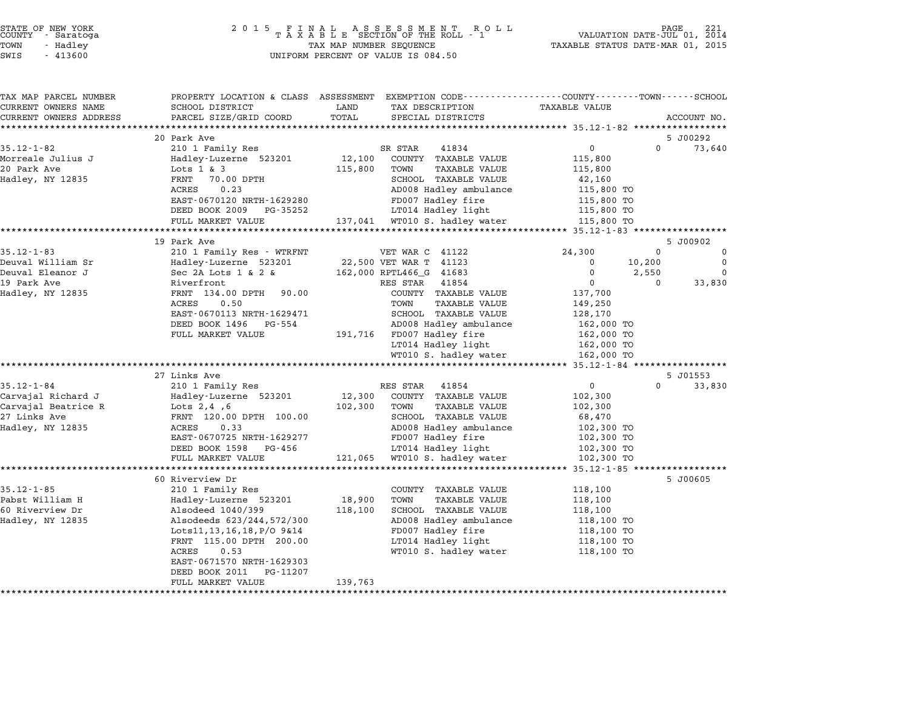| STATE OF NEW YORK |  |            |  |
|-------------------|--|------------|--|
| COUNTY            |  | - Saratoga |  |
| TOWN              |  | - Hadley   |  |

# STATE OF NEW YORK <sup>2</sup> <sup>0</sup> <sup>1</sup> 5 F I N A L A S S E S S M E N T R O L L PAGE <sup>221</sup> COUNTY - Saratoga <sup>T</sup> <sup>A</sup> <sup>X</sup> <sup>A</sup> <sup>B</sup> <sup>L</sup> <sup>E</sup> SECTION OF THE ROLL - <sup>1</sup> VALUATION DATE-JUL 01, <sup>2014</sup> TOWN - Hadley TAX MAP NUMBER SEQUENCE TAXABLE STATUS DATE-MAR 01, <sup>2015</sup> SWIS - <sup>413600</sup> UNIFORM PERCENT OF VALUE IS 084.50

| TAX MAP PARCEL NUMBER<br>CURRENT OWNERS NAME | SCHOOL DISTRICT                            | LAND<br>TAX DESCRIPTION                              | PROPERTY LOCATION & CLASS ASSESSMENT EXEMPTION CODE---------------COUNTY-------TOWN------SCHOOL<br>TAXABLE VALUE |
|----------------------------------------------|--------------------------------------------|------------------------------------------------------|------------------------------------------------------------------------------------------------------------------|
| CURRENT OWNERS ADDRESS                       | PARCEL SIZE/GRID COORD                     | TOTAL<br>SPECIAL DISTRICTS                           | ACCOUNT NO.                                                                                                      |
|                                              | *************************                  |                                                      |                                                                                                                  |
|                                              | 20 Park Ave                                |                                                      | 5 J00292                                                                                                         |
| $35.12 - 1 - 82$                             | 210 1 Family Res                           | SR STAR<br>41834                                     | $\mathsf{O}$<br>$\Omega$<br>73,640                                                                               |
| Morreale Julius J                            | Hadley-Luzerne 523201                      | 12,100<br>COUNTY TAXABLE VALUE                       | 115,800                                                                                                          |
| 20 Park Ave                                  | Lots $1 \& 3$                              | 115,800<br>TOWN<br>TAXABLE VALUE                     | 115,800                                                                                                          |
| Hadley, NY 12835                             | 70.00 DPTH<br>FRNT                         | SCHOOL TAXABLE VALUE                                 | 42,160                                                                                                           |
|                                              | ACRES<br>0.23                              | AD008 Hadley ambulance                               | 115,800 TO                                                                                                       |
|                                              | EAST-0670120 NRTH-1629280                  | FD007 Hadley fire                                    | 115,800 TO                                                                                                       |
|                                              | DEED BOOK 2009<br>PG-35252                 | LT014 Hadley light                                   | 115,800 TO                                                                                                       |
|                                              | FULL MARKET VALUE                          | 137,041 WT010 S. hadley water                        | 115,800 TO                                                                                                       |
|                                              |                                            |                                                      | ********** 35.12-1-83 **********                                                                                 |
|                                              | 19 Park Ave                                |                                                      | 5 J00902                                                                                                         |
| $35.12 - 1 - 83$                             | 210 1 Family Res - WTRFNT                  | VET WAR C 41122                                      | 24,300<br>0<br>0                                                                                                 |
| Deuval William Sr                            | Hadley-Luzerne 523201                      | 22,500 VET WAR T 41123                               | $\mathbf 0$<br>$\mathbf 0$<br>10,200                                                                             |
| Deuval Eleanor J                             | Sec 2A Lots $1 \& 2 \& 1$                  | 162,000 RPTL466_G 41683                              | 0<br>2,550<br>0                                                                                                  |
| 19 Park Ave                                  | Riverfront                                 | RES STAR<br>41854                                    | $\mathbf{0}$<br>$\Omega$<br>33,830                                                                               |
| Hadley, NY 12835                             | FRNT 134.00 DPTH 90.00                     | COUNTY TAXABLE VALUE                                 | 137,700                                                                                                          |
|                                              | ACRES<br>0.50<br>EAST-0670113 NRTH-1629471 | <b>TAXABLE VALUE</b><br>TOWN<br>SCHOOL TAXABLE VALUE | 149,250<br>128,170                                                                                               |
|                                              | DEED BOOK 1496<br>PG-554                   | AD008 Hadley ambulance                               | 162,000 TO                                                                                                       |
|                                              | FULL MARKET VALUE                          | 191,716 FD007 Hadley fire                            | 162,000 TO                                                                                                       |
|                                              |                                            | LT014 Hadley light                                   | 162,000 TO                                                                                                       |
|                                              |                                            | WT010 S. hadley water                                | 162,000 TO                                                                                                       |
|                                              |                                            |                                                      |                                                                                                                  |
|                                              | 27 Links Ave                               |                                                      | 5 J01553                                                                                                         |
| $35.12 - 1 - 84$                             | 210 1 Family Res                           | RES STAR 41854                                       | $\overline{0}$<br>$\Omega$<br>33,830                                                                             |
| Carvajal Richard J                           | Hadley-Luzerne 523201                      | 12,300<br>COUNTY TAXABLE VALUE                       | 102,300                                                                                                          |
| Carvajal Beatrice R                          | Lots $2,4$ , 6                             | 102,300<br>TOWN<br>TAXABLE VALUE                     | 102,300                                                                                                          |
| 27 Links Ave                                 | FRNT 120.00 DPTH 100.00                    | SCHOOL TAXABLE VALUE                                 | 68,470                                                                                                           |
| Hadley, NY 12835                             | 0.33<br>ACRES                              | AD008 Hadley ambulance                               | 102,300 TO                                                                                                       |
|                                              | EAST-0670725 NRTH-1629277                  | FD007 Hadley fire                                    | 102,300 TO                                                                                                       |
|                                              | PG-456<br>DEED BOOK 1598                   | LT014 Hadley light                                   | 102,300 TO                                                                                                       |
|                                              | FULL MARKET VALUE                          | 121,065<br>WT010 S. hadley water                     | 102,300 TO                                                                                                       |
|                                              | *************************                  | **************************************               | ************** 35.12-1-85 *****************                                                                      |
|                                              | 60 Riverview Dr                            |                                                      | 5 J00605                                                                                                         |
| $35.12 - 1 - 85$                             | 210 1 Family Res                           | COUNTY TAXABLE VALUE                                 | 118,100                                                                                                          |
| Pabst William H                              | Hadley-Luzerne 523201                      | 18,900<br><b>TAXABLE VALUE</b><br>TOWN               | 118,100                                                                                                          |
| 60 Riverview Dr                              | Alsodeed 1040/399                          | 118,100<br>SCHOOL TAXABLE VALUE                      | 118,100                                                                                                          |
| Hadley, NY 12835                             | Alsodeeds 623/244,572/300                  | AD008 Hadley ambulance                               | 118,100 TO                                                                                                       |
|                                              | Lots11, 13, 16, 18, P/O 9&14               | FD007 Hadley fire                                    | 118,100 TO                                                                                                       |
|                                              | FRNT 115.00 DPTH 200.00                    | LT014 Hadley light                                   | 118,100 TO                                                                                                       |
|                                              | 0.53<br>ACRES                              | WT010 S. hadley water                                | 118,100 TO                                                                                                       |
|                                              | EAST-0671570 NRTH-1629303                  |                                                      |                                                                                                                  |
|                                              | DEED BOOK 2011<br>PG-11207                 |                                                      |                                                                                                                  |
|                                              | FULL MARKET VALUE                          | 139,763                                              |                                                                                                                  |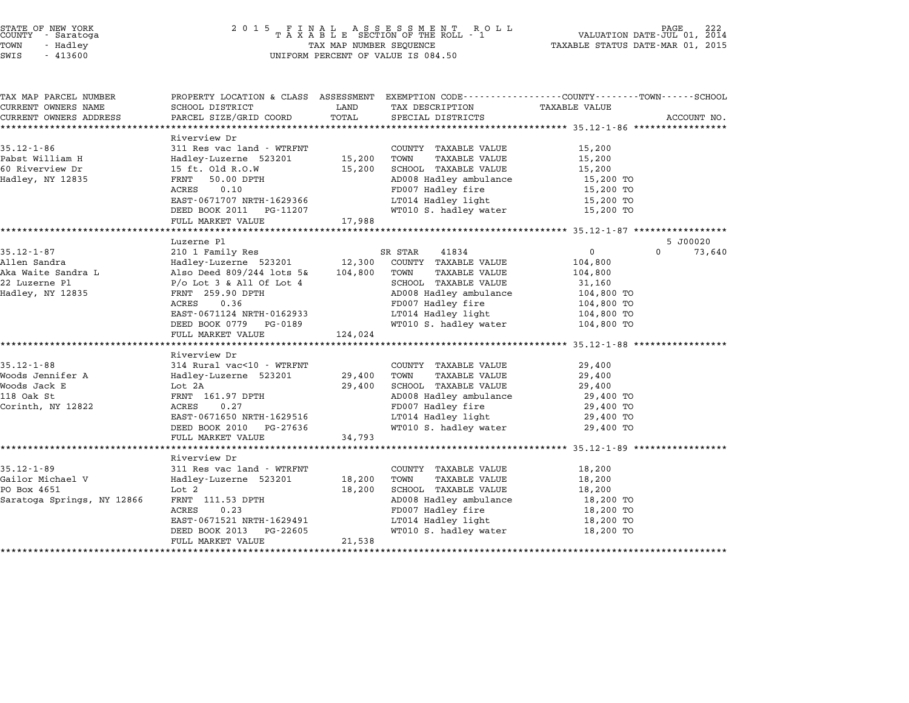| STATE OF NEW YORK<br>COUNTY - Saratoga |          |  |
|----------------------------------------|----------|--|
| TOWN                                   | - Hadlev |  |
|                                        |          |  |

## STATE OF NEW YORK <sup>2</sup> <sup>0</sup> <sup>1</sup> 5 F I N A L A S S E S S M E N T R O L L PAGE <sup>222</sup> COUNTY - Saratoga <sup>T</sup> <sup>A</sup> <sup>X</sup> <sup>A</sup> <sup>B</sup> <sup>L</sup> <sup>E</sup> SECTION OF THE ROLL - <sup>1</sup> VALUATION DATE-JUL 01, <sup>2014</sup> TOWN - Hadley TAX MAP NUMBER SEQUENCE TAXABLE STATUS DATE-MAR 01, <sup>2015</sup> SWIS - <sup>413600</sup> UNIFORM PERCENT OF VALUE IS 084.50

| PROPERTY LOCATION & CLASS ASSESSMENT EXEMPTION CODE----------------COUNTY-------TOWN-----SCHOOL<br>SCHOOL DISTRICT |                                                                                                                                                                                                                                                                                                                                                                                                                                                                           |                                                                                                                                                                                                                                           |                                                                                                                                                                                                                                                                                                              |                                                                                                                                                                                                                                                                                                                                                                                                                                                                                                                                                          |             |
|--------------------------------------------------------------------------------------------------------------------|---------------------------------------------------------------------------------------------------------------------------------------------------------------------------------------------------------------------------------------------------------------------------------------------------------------------------------------------------------------------------------------------------------------------------------------------------------------------------|-------------------------------------------------------------------------------------------------------------------------------------------------------------------------------------------------------------------------------------------|--------------------------------------------------------------------------------------------------------------------------------------------------------------------------------------------------------------------------------------------------------------------------------------------------------------|----------------------------------------------------------------------------------------------------------------------------------------------------------------------------------------------------------------------------------------------------------------------------------------------------------------------------------------------------------------------------------------------------------------------------------------------------------------------------------------------------------------------------------------------------------|-------------|
|                                                                                                                    |                                                                                                                                                                                                                                                                                                                                                                                                                                                                           |                                                                                                                                                                                                                                           |                                                                                                                                                                                                                                                                                                              |                                                                                                                                                                                                                                                                                                                                                                                                                                                                                                                                                          |             |
|                                                                                                                    | LAND                                                                                                                                                                                                                                                                                                                                                                                                                                                                      | TAX DESCRIPTION                                                                                                                                                                                                                           | <b>TAXABLE VALUE</b>                                                                                                                                                                                                                                                                                         |                                                                                                                                                                                                                                                                                                                                                                                                                                                                                                                                                          |             |
| PARCEL SIZE/GRID COORD                                                                                             | TOTAL                                                                                                                                                                                                                                                                                                                                                                                                                                                                     | SPECIAL DISTRICTS                                                                                                                                                                                                                         |                                                                                                                                                                                                                                                                                                              |                                                                                                                                                                                                                                                                                                                                                                                                                                                                                                                                                          | ACCOUNT NO. |
|                                                                                                                    |                                                                                                                                                                                                                                                                                                                                                                                                                                                                           |                                                                                                                                                                                                                                           |                                                                                                                                                                                                                                                                                                              |                                                                                                                                                                                                                                                                                                                                                                                                                                                                                                                                                          |             |
|                                                                                                                    |                                                                                                                                                                                                                                                                                                                                                                                                                                                                           |                                                                                                                                                                                                                                           |                                                                                                                                                                                                                                                                                                              |                                                                                                                                                                                                                                                                                                                                                                                                                                                                                                                                                          |             |
|                                                                                                                    |                                                                                                                                                                                                                                                                                                                                                                                                                                                                           |                                                                                                                                                                                                                                           |                                                                                                                                                                                                                                                                                                              |                                                                                                                                                                                                                                                                                                                                                                                                                                                                                                                                                          |             |
|                                                                                                                    |                                                                                                                                                                                                                                                                                                                                                                                                                                                                           |                                                                                                                                                                                                                                           |                                                                                                                                                                                                                                                                                                              |                                                                                                                                                                                                                                                                                                                                                                                                                                                                                                                                                          |             |
|                                                                                                                    |                                                                                                                                                                                                                                                                                                                                                                                                                                                                           |                                                                                                                                                                                                                                           |                                                                                                                                                                                                                                                                                                              |                                                                                                                                                                                                                                                                                                                                                                                                                                                                                                                                                          |             |
|                                                                                                                    |                                                                                                                                                                                                                                                                                                                                                                                                                                                                           |                                                                                                                                                                                                                                           |                                                                                                                                                                                                                                                                                                              |                                                                                                                                                                                                                                                                                                                                                                                                                                                                                                                                                          |             |
|                                                                                                                    |                                                                                                                                                                                                                                                                                                                                                                                                                                                                           |                                                                                                                                                                                                                                           |                                                                                                                                                                                                                                                                                                              |                                                                                                                                                                                                                                                                                                                                                                                                                                                                                                                                                          |             |
|                                                                                                                    |                                                                                                                                                                                                                                                                                                                                                                                                                                                                           |                                                                                                                                                                                                                                           |                                                                                                                                                                                                                                                                                                              |                                                                                                                                                                                                                                                                                                                                                                                                                                                                                                                                                          |             |
|                                                                                                                    |                                                                                                                                                                                                                                                                                                                                                                                                                                                                           |                                                                                                                                                                                                                                           |                                                                                                                                                                                                                                                                                                              |                                                                                                                                                                                                                                                                                                                                                                                                                                                                                                                                                          |             |
|                                                                                                                    |                                                                                                                                                                                                                                                                                                                                                                                                                                                                           |                                                                                                                                                                                                                                           |                                                                                                                                                                                                                                                                                                              |                                                                                                                                                                                                                                                                                                                                                                                                                                                                                                                                                          |             |
|                                                                                                                    |                                                                                                                                                                                                                                                                                                                                                                                                                                                                           |                                                                                                                                                                                                                                           |                                                                                                                                                                                                                                                                                                              |                                                                                                                                                                                                                                                                                                                                                                                                                                                                                                                                                          | 5 J00020    |
|                                                                                                                    |                                                                                                                                                                                                                                                                                                                                                                                                                                                                           |                                                                                                                                                                                                                                           |                                                                                                                                                                                                                                                                                                              | $\Omega$                                                                                                                                                                                                                                                                                                                                                                                                                                                                                                                                                 | 73,640      |
|                                                                                                                    |                                                                                                                                                                                                                                                                                                                                                                                                                                                                           |                                                                                                                                                                                                                                           |                                                                                                                                                                                                                                                                                                              |                                                                                                                                                                                                                                                                                                                                                                                                                                                                                                                                                          |             |
|                                                                                                                    |                                                                                                                                                                                                                                                                                                                                                                                                                                                                           |                                                                                                                                                                                                                                           |                                                                                                                                                                                                                                                                                                              |                                                                                                                                                                                                                                                                                                                                                                                                                                                                                                                                                          |             |
|                                                                                                                    |                                                                                                                                                                                                                                                                                                                                                                                                                                                                           |                                                                                                                                                                                                                                           |                                                                                                                                                                                                                                                                                                              |                                                                                                                                                                                                                                                                                                                                                                                                                                                                                                                                                          |             |
|                                                                                                                    |                                                                                                                                                                                                                                                                                                                                                                                                                                                                           |                                                                                                                                                                                                                                           |                                                                                                                                                                                                                                                                                                              |                                                                                                                                                                                                                                                                                                                                                                                                                                                                                                                                                          |             |
|                                                                                                                    |                                                                                                                                                                                                                                                                                                                                                                                                                                                                           |                                                                                                                                                                                                                                           |                                                                                                                                                                                                                                                                                                              |                                                                                                                                                                                                                                                                                                                                                                                                                                                                                                                                                          |             |
|                                                                                                                    |                                                                                                                                                                                                                                                                                                                                                                                                                                                                           |                                                                                                                                                                                                                                           |                                                                                                                                                                                                                                                                                                              |                                                                                                                                                                                                                                                                                                                                                                                                                                                                                                                                                          |             |
|                                                                                                                    |                                                                                                                                                                                                                                                                                                                                                                                                                                                                           |                                                                                                                                                                                                                                           |                                                                                                                                                                                                                                                                                                              |                                                                                                                                                                                                                                                                                                                                                                                                                                                                                                                                                          |             |
|                                                                                                                    |                                                                                                                                                                                                                                                                                                                                                                                                                                                                           |                                                                                                                                                                                                                                           |                                                                                                                                                                                                                                                                                                              |                                                                                                                                                                                                                                                                                                                                                                                                                                                                                                                                                          |             |
|                                                                                                                    |                                                                                                                                                                                                                                                                                                                                                                                                                                                                           |                                                                                                                                                                                                                                           |                                                                                                                                                                                                                                                                                                              |                                                                                                                                                                                                                                                                                                                                                                                                                                                                                                                                                          |             |
| Riverview Dr                                                                                                       |                                                                                                                                                                                                                                                                                                                                                                                                                                                                           |                                                                                                                                                                                                                                           |                                                                                                                                                                                                                                                                                                              |                                                                                                                                                                                                                                                                                                                                                                                                                                                                                                                                                          |             |
|                                                                                                                    |                                                                                                                                                                                                                                                                                                                                                                                                                                                                           |                                                                                                                                                                                                                                           |                                                                                                                                                                                                                                                                                                              |                                                                                                                                                                                                                                                                                                                                                                                                                                                                                                                                                          |             |
|                                                                                                                    |                                                                                                                                                                                                                                                                                                                                                                                                                                                                           | TOWN                                                                                                                                                                                                                                      |                                                                                                                                                                                                                                                                                                              |                                                                                                                                                                                                                                                                                                                                                                                                                                                                                                                                                          |             |
|                                                                                                                    |                                                                                                                                                                                                                                                                                                                                                                                                                                                                           |                                                                                                                                                                                                                                           |                                                                                                                                                                                                                                                                                                              |                                                                                                                                                                                                                                                                                                                                                                                                                                                                                                                                                          |             |
|                                                                                                                    |                                                                                                                                                                                                                                                                                                                                                                                                                                                                           |                                                                                                                                                                                                                                           |                                                                                                                                                                                                                                                                                                              |                                                                                                                                                                                                                                                                                                                                                                                                                                                                                                                                                          |             |
|                                                                                                                    |                                                                                                                                                                                                                                                                                                                                                                                                                                                                           |                                                                                                                                                                                                                                           |                                                                                                                                                                                                                                                                                                              |                                                                                                                                                                                                                                                                                                                                                                                                                                                                                                                                                          |             |
|                                                                                                                    |                                                                                                                                                                                                                                                                                                                                                                                                                                                                           |                                                                                                                                                                                                                                           |                                                                                                                                                                                                                                                                                                              |                                                                                                                                                                                                                                                                                                                                                                                                                                                                                                                                                          |             |
|                                                                                                                    |                                                                                                                                                                                                                                                                                                                                                                                                                                                                           |                                                                                                                                                                                                                                           |                                                                                                                                                                                                                                                                                                              |                                                                                                                                                                                                                                                                                                                                                                                                                                                                                                                                                          |             |
| FULL MARKET VALUE                                                                                                  | 34,793                                                                                                                                                                                                                                                                                                                                                                                                                                                                    |                                                                                                                                                                                                                                           |                                                                                                                                                                                                                                                                                                              |                                                                                                                                                                                                                                                                                                                                                                                                                                                                                                                                                          |             |
|                                                                                                                    |                                                                                                                                                                                                                                                                                                                                                                                                                                                                           |                                                                                                                                                                                                                                           |                                                                                                                                                                                                                                                                                                              |                                                                                                                                                                                                                                                                                                                                                                                                                                                                                                                                                          |             |
| Riverview Dr                                                                                                       |                                                                                                                                                                                                                                                                                                                                                                                                                                                                           |                                                                                                                                                                                                                                           |                                                                                                                                                                                                                                                                                                              |                                                                                                                                                                                                                                                                                                                                                                                                                                                                                                                                                          |             |
| 311 Res vac land - WTRFNT                                                                                          |                                                                                                                                                                                                                                                                                                                                                                                                                                                                           | COUNTY TAXABLE VALUE                                                                                                                                                                                                                      | 18,200                                                                                                                                                                                                                                                                                                       |                                                                                                                                                                                                                                                                                                                                                                                                                                                                                                                                                          |             |
| Hadley-Luzerne 523201                                                                                              | 18,200                                                                                                                                                                                                                                                                                                                                                                                                                                                                    | TAXABLE VALUE<br>TOWN                                                                                                                                                                                                                     | 18,200                                                                                                                                                                                                                                                                                                       |                                                                                                                                                                                                                                                                                                                                                                                                                                                                                                                                                          |             |
| Lot 2                                                                                                              | 18,200                                                                                                                                                                                                                                                                                                                                                                                                                                                                    | SCHOOL TAXABLE VALUE                                                                                                                                                                                                                      | 18,200                                                                                                                                                                                                                                                                                                       |                                                                                                                                                                                                                                                                                                                                                                                                                                                                                                                                                          |             |
| FRNT 111.53 DPTH                                                                                                   |                                                                                                                                                                                                                                                                                                                                                                                                                                                                           |                                                                                                                                                                                                                                           | 18,200 TO                                                                                                                                                                                                                                                                                                    |                                                                                                                                                                                                                                                                                                                                                                                                                                                                                                                                                          |             |
| 0.23<br>ACRES                                                                                                      |                                                                                                                                                                                                                                                                                                                                                                                                                                                                           | FD007 Hadley fire                                                                                                                                                                                                                         | 18,200 TO                                                                                                                                                                                                                                                                                                    |                                                                                                                                                                                                                                                                                                                                                                                                                                                                                                                                                          |             |
|                                                                                                                    |                                                                                                                                                                                                                                                                                                                                                                                                                                                                           | LT014 Hadley light                                                                                                                                                                                                                        | 18,200 TO                                                                                                                                                                                                                                                                                                    |                                                                                                                                                                                                                                                                                                                                                                                                                                                                                                                                                          |             |
| PG-22605<br>DEED BOOK 2013                                                                                         |                                                                                                                                                                                                                                                                                                                                                                                                                                                                           |                                                                                                                                                                                                                                           | 18,200 TO                                                                                                                                                                                                                                                                                                    |                                                                                                                                                                                                                                                                                                                                                                                                                                                                                                                                                          |             |
| FULL MARKET VALUE                                                                                                  | 21,538                                                                                                                                                                                                                                                                                                                                                                                                                                                                    |                                                                                                                                                                                                                                           |                                                                                                                                                                                                                                                                                                              |                                                                                                                                                                                                                                                                                                                                                                                                                                                                                                                                                          |             |
|                                                                                                                    | Riverview Dr<br>311 Res vac land - WTRFNT<br>Hadley-Luzerne 523201<br>15 ft. Old R.O.W<br>FRNT 50.00 DPTH<br>0.10<br>ACRES<br>FULL MARKET VALUE<br>Luzerne Pl<br>210 1 Family Res<br>Also Deed $809/244$ lots $5\alpha$<br>$P/O$ Lot 3 & All Of Lot 4<br>FRNT 259.90 DPTH<br>ACRES<br>0.36<br>DEED BOOK 0779 PG-0189<br>FULL MARKET VALUE<br>314 Rural vac<10 - WTRFNT<br>Hadley-Luzerne 523201<br>Lot 2A<br>FRNT 161.97 DPTH<br>ACRES<br>0.27<br>DEED BOOK 2010 PG-27636 | 15,200<br>EAST-0671707 NRTH-1629366<br>DEED BOOK 2011 PG-11207<br>17,988<br>Hadley-Luzerne 523201 12,300<br>104,800<br>EAST-0671124 NRTH-0162933<br>124,024<br>29,400<br>29,400<br>EAST-0671650 NRTH-1629516<br>EAST-0671521 NRTH-1629491 | COUNTY TAXABLE VALUE<br>15,200<br>TAXABLE VALUE<br>TOWN<br>SCHOOL TAXABLE VALUE<br>FD007 Hadley fire<br>41834<br>SR STAR<br>COUNTY TAXABLE VALUE<br>TOWN<br>TAXABLE VALUE<br>SCHOOL TAXABLE VALUE<br>FD007 Hadley fire<br>COUNTY TAXABLE VALUE<br>TAXABLE VALUE<br>SCHOOL TAXABLE VALUE<br>FD007 Hadley fire | 15,200<br>15,200<br>15,200<br>AD008 Hadley ambulance<br>15,200 TO<br>15,200 TO<br>LT014 Hadley light<br>15,200 TO<br>WT010 S. hadley water<br>15,200 TO<br>$\overline{0}$<br>104,800<br>104,800<br>31,160<br>AD008 Hadley ambulance<br>104,800 TO<br>104,800 TO<br>LT014 Hadley light<br>104,800 TO<br>WT010 S. hadley water<br>104,800 TO<br>29,400<br>29,400<br>29,400<br>AD008 Hadley ambulance<br>29,400 TO<br>29,400 TO<br>LT014 Hadley light<br>29,400 TO<br>WT010 S. hadley water<br>29,400 TO<br>AD008 Hadley ambulance<br>WT010 S. hadley water |             |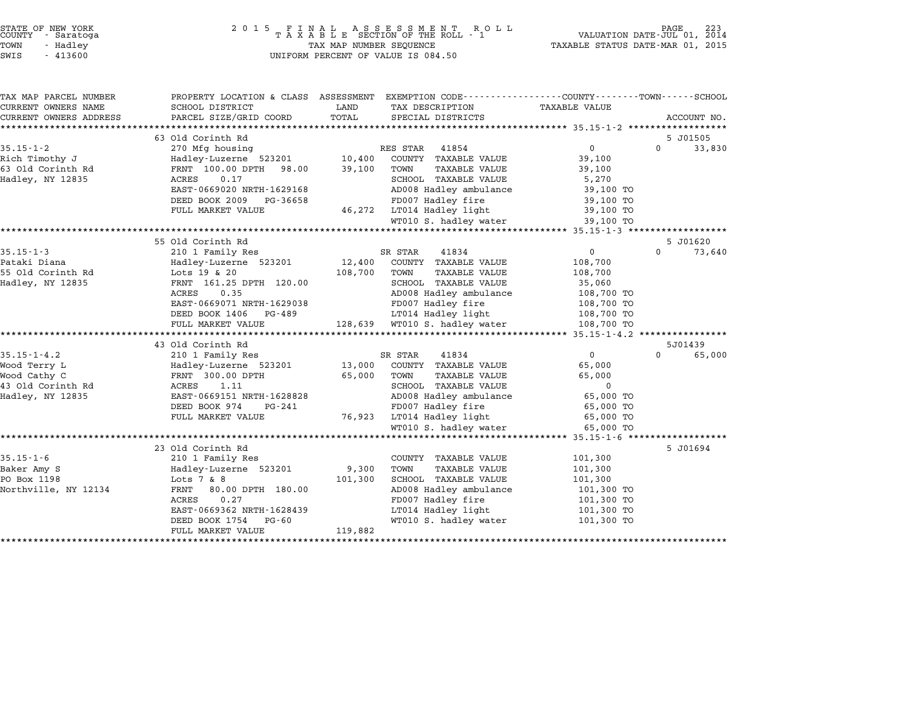| STATE OF NEW YORK<br>COUNTY - Saratoga<br>TOWN<br>- Hadley<br>SWIS<br>$-413600$ | 2 0 1 5                                                                                         | TAX MAP NUMBER SEQUENCE | FINAL ASSESSMENT ROLL<br>TAXABLE SECTION OF THE ROLL - 1<br>UNIFORM PERCENT OF VALUE IS 084.50 | TAXABLE STATUS DATE-MAR 01, 2015 | VALUATION DATE-JUL 01, 2014 |
|---------------------------------------------------------------------------------|-------------------------------------------------------------------------------------------------|-------------------------|------------------------------------------------------------------------------------------------|----------------------------------|-----------------------------|
|                                                                                 |                                                                                                 |                         |                                                                                                |                                  |                             |
| TAX MAP PARCEL NUMBER                                                           | PROPERTY LOCATION & CLASS ASSESSMENT EXEMPTION CODE---------------COUNTY-------TOWN------SCHOOL |                         |                                                                                                |                                  |                             |
| CURRENT OWNERS NAME                                                             | SCHOOL DISTRICT                                                                                 | LAND                    | TAX DESCRIPTION                                                                                | TAXABLE VALUE                    |                             |
| CURRENT OWNERS ADDRESS                                                          | PARCEL SIZE/GRID COORD                                                                          | TOTAL                   | SPECIAL DISTRICTS                                                                              |                                  | ACCOUNT NO.                 |
|                                                                                 | 63 Old Corinth Rd                                                                               |                         |                                                                                                |                                  | 5 J01505                    |
| $35.15 - 1 - 2$                                                                 | 270 Mfg housing                                                                                 |                         | RES STAR 41854                                                                                 | 0                                | $\Omega$<br>33,830          |
| Rich Timothy J                                                                  | Hadley-Luzerne 523201                                                                           | 10,400                  | COUNTY TAXABLE VALUE                                                                           | 39,100                           |                             |
| 63 Old Corinth Rd                                                               | FRNT 100.00 DPTH 98.00                                                                          | 39,100                  | TOWN<br>TAXABLE VALUE                                                                          | 39,100                           |                             |
| Hadley, NY 12835                                                                | ACRES<br>0.17                                                                                   |                         | SCHOOL TAXABLE VALUE                                                                           | 5,270                            |                             |
|                                                                                 | EAST-0669020 NRTH-1629168                                                                       |                         | AD008 Hadley ambulance                                                                         | 39,100 TO                        |                             |
|                                                                                 | DEED BOOK 2009<br>PG-36658                                                                      |                         | FD007 Hadley fire                                                                              | 39,100 TO                        |                             |
|                                                                                 | FULL MARKET VALUE                                                                               |                         | 46,272 LT014 Hadley light                                                                      | 39,100 TO                        |                             |
|                                                                                 |                                                                                                 |                         | WT010 S. hadley water                                                                          | 39,100 TO                        |                             |
|                                                                                 | *******************                                                                             |                         |                                                                                                |                                  |                             |
|                                                                                 | 55 Old Corinth Rd                                                                               |                         |                                                                                                |                                  | 5 J01620                    |
| $35.15 - 1 - 3$                                                                 | 210 1 Family Res                                                                                |                         | SR STAR<br>41834                                                                               | 0                                | 0<br>73,640                 |
| Pataki Diana                                                                    | Hadley-Luzerne 523201                                                                           | 12,400                  | COUNTY TAXABLE VALUE                                                                           | 108,700                          |                             |
| 55 Old Corinth Rd                                                               | Lots 19 & 20                                                                                    | 108,700                 | <b>TAXABLE VALUE</b><br>TOWN                                                                   | 108,700                          |                             |
| Hadley, NY 12835                                                                | FRNT 161.25 DPTH 120.00                                                                         |                         | SCHOOL TAXABLE VALUE                                                                           | 35,060                           |                             |
|                                                                                 | ACRES<br>0.35                                                                                   |                         | AD008 Hadley ambulance                                                                         | 108,700 TO                       |                             |
|                                                                                 | EAST-0669071 NRTH-1629038                                                                       |                         | FD007 Hadley fire                                                                              | 108,700 TO                       |                             |
|                                                                                 | DEED BOOK 1406<br>PG-489<br>FULL MARKET VALUE                                                   |                         | LT014 Hadley light<br>128,639 WT010 S. hadley water                                            | 108,700 TO<br>108,700 TO         |                             |
|                                                                                 | ***************************                                                                     |                         |                                                                                                |                                  |                             |
|                                                                                 | 43 Old Corinth Rd                                                                               |                         |                                                                                                |                                  | 5J01439                     |
| $35.15 - 1 - 4.2$                                                               | 210 1 Family Res                                                                                |                         | 41834<br>SR STAR                                                                               | $\overline{0}$                   | $\Omega$<br>65,000          |
| Wood Terry L                                                                    | Hadley-Luzerne 523201                                                                           | 13,000                  | COUNTY TAXABLE VALUE                                                                           | 65,000                           |                             |
| Wood Cathy C                                                                    | FRNT 300.00 DPTH                                                                                | 65,000                  | <b>TAXABLE VALUE</b><br>TOWN                                                                   | 65,000                           |                             |
| 43 Old Corinth Rd                                                               | 1.11<br>ACRES                                                                                   |                         | SCHOOL TAXABLE VALUE                                                                           | $\mathbf 0$                      |                             |
| Hadley, NY 12835                                                                | EAST-0669151 NRTH-1628828                                                                       |                         | AD008 Hadley ambulance                                                                         | 65,000 TO                        |                             |
|                                                                                 | DEED BOOK 974<br>PG-241                                                                         |                         | FD007 Hadley fire                                                                              | 65,000 TO                        |                             |
|                                                                                 | FULL MARKET VALUE                                                                               | 76,923                  | LT014 Hadley light                                                                             | 65,000 TO                        |                             |
|                                                                                 |                                                                                                 |                         | WT010 S. hadley water                                                                          | 65,000 TO                        |                             |
|                                                                                 | **************************                                                                      |                         |                                                                                                | ************* 35.15-1-6          |                             |
|                                                                                 | 23 Old Corinth Rd                                                                               |                         |                                                                                                |                                  | 5 J01694                    |
| $35.15 - 1 - 6$                                                                 | 210 1 Family Res                                                                                |                         | COUNTY TAXABLE VALUE                                                                           | 101,300                          |                             |
| Baker Amy S<br>PO Box 1198                                                      | Hadley-Luzerne 523201<br>Lots $7 & 8$                                                           | 9,300<br>101,300        | TOWN<br><b>TAXABLE VALUE</b><br>SCHOOL TAXABLE VALUE                                           | 101,300<br>101,300               |                             |
| Northville, NY 12134                                                            | FRNT<br>80.00 DPTH 180.00                                                                       |                         | AD008 Hadley ambulance                                                                         | 101,300 TO                       |                             |
|                                                                                 | ACRES<br>0.27                                                                                   |                         | FD007 Hadley fire                                                                              | 101,300 TO                       |                             |
|                                                                                 | EAST-0669362 NRTH-1628439                                                                       |                         | LT014 Hadley light                                                                             | 101,300 TO                       |                             |
|                                                                                 | DEED BOOK 1754<br>PG-60                                                                         |                         | WT010 S. hadley water                                                                          | 101,300 TO                       |                             |
|                                                                                 | FULL MARKET VALUE                                                                               | 119,882                 |                                                                                                |                                  |                             |

\*\*\*\*\*\*\*\*\*\*\*\*\*\*\*\*\*\*\*\*\*\*\*\*\*\*\*\*\*\*\*\*\*\*\*\*\*\*\*\*\*\*\*\*\*\*\*\*\*\*\*\*\*\*\*\*\*\*\*\*\*\*\*\*\*\*\*\*\*\*\*\*\*\*\*\*\*\*\*\*\*\*\*\*\*\*\*\*\*\*\*\*\*\*\*\*\*\*\*\*\*\*\*\*\*\*\*\*\*\*\*\*\*\*\*\*\*\*\*\*\*\*\*\*\*\*\*\*\*\*\*\*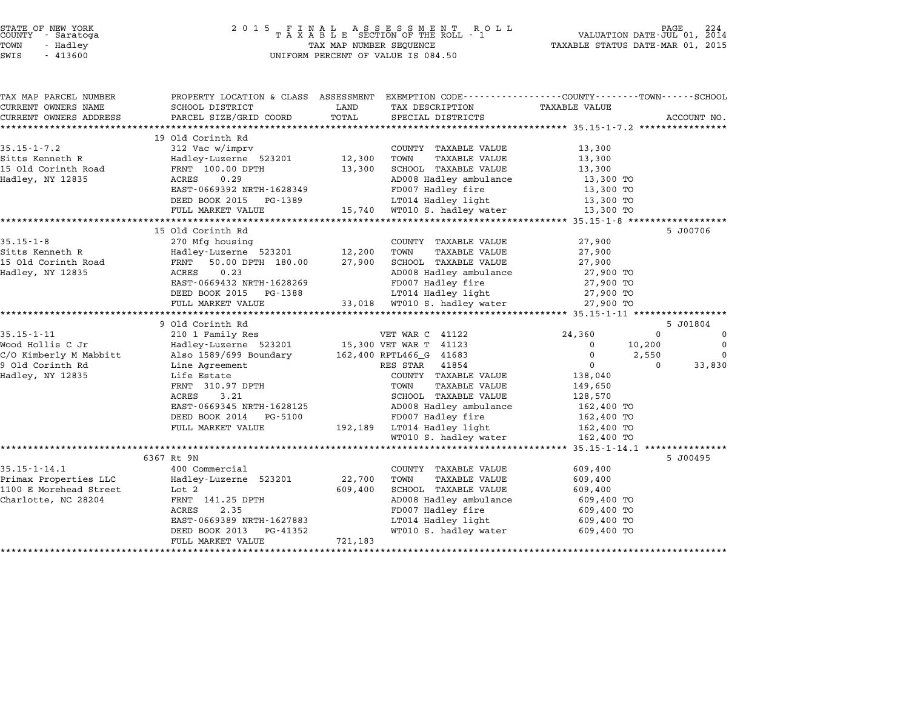| STATE OF NEW YORK<br>COUNTY – Saratoga<br>- Saratoga<br>TOWN<br>- Hadley<br>SWIS<br>$-413600$ | 2 0 1 5<br>FINAL ASSESSMENT RO<br>TAXABLE SECTION OF THE ROLL - 1<br>R O L L<br>TAX MAP NUMBER SEQUENCE<br>UNIFORM PERCENT OF VALUE IS 084.50 |         |                                             | VALUATION DATE-JUL 01, 2014<br>TAXABLE STATUS DATE-MAR 01, 2015 | PAGE                 |
|-----------------------------------------------------------------------------------------------|-----------------------------------------------------------------------------------------------------------------------------------------------|---------|---------------------------------------------|-----------------------------------------------------------------|----------------------|
| TAX MAP PARCEL NUMBER<br>CURRENT OWNERS NAME                                                  | PROPERTY LOCATION & CLASS ASSESSMENT EXEMPTION CODE--------------COUNTY-------TOWN-----SCHOOL<br>SCHOOL DISTRICT                              | LAND    | TAX DESCRIPTION                             | TAXABLE VALUE                                                   |                      |
| CURRENT OWNERS ADDRESS                                                                        | PARCEL SIZE/GRID COORD                                                                                                                        | TOTAL   | SPECIAL DISTRICTS                           |                                                                 | ACCOUNT NO.          |
|                                                                                               |                                                                                                                                               |         |                                             | ****************** 35.15-1-7.2 ****************                 |                      |
|                                                                                               | 19 Old Corinth Rd                                                                                                                             |         |                                             |                                                                 |                      |
| $35.15 - 1 - 7.2$                                                                             | 312 Vac w/imprv                                                                                                                               |         | COUNTY TAXABLE VALUE                        | 13,300                                                          |                      |
| Sitts Kenneth R                                                                               | Hadley-Luzerne 523201                                                                                                                         | 12,300  | <b>TAXABLE VALUE</b><br>TOWN                | 13,300                                                          |                      |
| 15 Old Corinth Road                                                                           | FRNT 100.00 DPTH                                                                                                                              | 13,300  | SCHOOL TAXABLE VALUE                        | 13,300                                                          |                      |
| Hadley, NY 12835                                                                              | ACRES<br>0.29                                                                                                                                 |         | AD008 Hadley ambulance                      | 13,300 TO                                                       |                      |
|                                                                                               | EAST-0669392 NRTH-1628349                                                                                                                     |         | FD007 Hadley fire                           | 13,300 TO                                                       |                      |
|                                                                                               | DEED BOOK 2015 PG-1389                                                                                                                        |         | LT014 Hadley light                          | 13,300 TO                                                       |                      |
|                                                                                               | FULL MARKET VALUE                                                                                                                             | 15,740  | WT010 S. hadley water                       | 13,300 TO                                                       |                      |
|                                                                                               | ********************<br>15 Old Corinth Rd                                                                                                     |         |                                             | *************** 35.15-1-8 ****                                  | 5 J00706             |
| $35.15 - 1 - 8$                                                                               | 270 Mfg housing                                                                                                                               |         | COUNTY TAXABLE VALUE                        | 27,900                                                          |                      |
| Sitts Kenneth R                                                                               | Hadley-Luzerne 523201                                                                                                                         | 12,200  | TOWN<br><b>TAXABLE VALUE</b>                | 27,900                                                          |                      |
| 15 Old Corinth Road                                                                           | FRNT<br>50.00 DPTH 180.00                                                                                                                     | 27,900  | SCHOOL TAXABLE VALUE                        | 27,900                                                          |                      |
| Hadley, NY 12835                                                                              | ACRES<br>0.23                                                                                                                                 |         | AD008 Hadley ambulance                      | 27,900 TO                                                       |                      |
|                                                                                               | EAST-0669432 NRTH-1628269                                                                                                                     |         | FD007 Hadley fire                           | 27,900 TO                                                       |                      |
|                                                                                               | DEED BOOK 2015 PG-1388                                                                                                                        |         | LT014 Hadley light                          | 27,900 TO                                                       |                      |
|                                                                                               | FULL MARKET VALUE                                                                                                                             | 33,018  | WT010 S. hadley water                       | 27,900 TO                                                       |                      |
|                                                                                               |                                                                                                                                               |         |                                             |                                                                 |                      |
|                                                                                               | 9 Old Corinth Rd                                                                                                                              |         |                                             |                                                                 | 5 J01804             |
| $35.15 - 1 - 11$                                                                              | 210 1 Family Res                                                                                                                              |         | VET WAR C 41122                             | 24,360                                                          | $\Omega$<br>$\Omega$ |
| Wood Hollis C Jr                                                                              | Hadley-Luzerne 523201                                                                                                                         |         | 15,300 VET WAR T 41123                      | 0<br>10,200                                                     | $\mathbf 0$          |
| C/O Kimberly M Mabbitt                                                                        | Also 1589/699 Boundary                                                                                                                        |         | 162,400 RPTL466_G 41683                     | 0<br>2,550                                                      | $\Omega$             |
| 9 Old Corinth Rd                                                                              | Line Agreement                                                                                                                                |         | RES STAR<br>41854                           | $\mathbf 0$                                                     | $\Omega$<br>33,830   |
| Hadley, NY 12835                                                                              | Life Estate                                                                                                                                   |         | COUNTY TAXABLE VALUE                        | 138,040                                                         |                      |
|                                                                                               | FRNT 310.97 DPTH                                                                                                                              |         | TOWN<br>TAXABLE VALUE                       | 149,650                                                         |                      |
|                                                                                               | ACRES<br>3.21                                                                                                                                 |         | SCHOOL TAXABLE VALUE                        | 128,570                                                         |                      |
|                                                                                               | EAST-0669345 NRTH-1628125<br>DEED BOOK 2014<br>PG-5100                                                                                        |         | AD008 Hadley ambulance<br>FD007 Hadley fire | 162,400 TO<br>162,400 TO                                        |                      |
|                                                                                               | FULL MARKET VALUE                                                                                                                             | 192,189 | LT014 Hadley light                          | 162,400 TO                                                      |                      |
|                                                                                               |                                                                                                                                               |         | WT010 S. hadley water                       | 162,400 TO                                                      |                      |
|                                                                                               |                                                                                                                                               |         |                                             | $35.15 - 1 - 14.1$ ***************                              |                      |
|                                                                                               | 6367 Rt 9N                                                                                                                                    |         |                                             |                                                                 | 5 J00495             |
| $35.15 - 1 - 14.1$                                                                            | 400 Commercial                                                                                                                                |         | COUNTY TAXABLE VALUE                        | 609,400                                                         |                      |
| Primax Properties LLC                                                                         | Hadley-Luzerne 523201                                                                                                                         | 22,700  | TOWN<br><b>TAXABLE VALUE</b>                | 609,400                                                         |                      |
| 1100 E Morehead Street                                                                        | Lot <sub>2</sub>                                                                                                                              | 609,400 | SCHOOL TAXABLE VALUE                        | 609,400                                                         |                      |
| Charlotte, NC 28204                                                                           | FRNT 141.25 DPTH                                                                                                                              |         | AD008 Hadley ambulance                      | 609,400 TO                                                      |                      |
|                                                                                               | 2.35<br>ACRES                                                                                                                                 |         | FD007 Hadley fire                           | 609,400 TO                                                      |                      |
|                                                                                               | EAST-0669389 NRTH-1627883                                                                                                                     |         | LT014 Hadley light                          | 609,400 TO                                                      |                      |
|                                                                                               |                                                                                                                                               |         |                                             |                                                                 |                      |
|                                                                                               | DEED BOOK 2013<br>PG-41352<br>FULL MARKET VALUE                                                                                               | 721,183 | WT010 S. hadley water                       | 609,400 TO                                                      |                      |

STATE OF NEW YORK <sup>2</sup> <sup>0</sup> <sup>1</sup> 5 F I N A L A S S E S S M E N T R O L L PAGE <sup>224</sup> COUNTY - Saratoga <sup>T</sup> <sup>A</sup> <sup>X</sup> <sup>A</sup> <sup>B</sup> <sup>L</sup> <sup>E</sup> SECTION OF THE ROLL - <sup>1</sup> VALUATION DATE-JUL 01, <sup>2014</sup>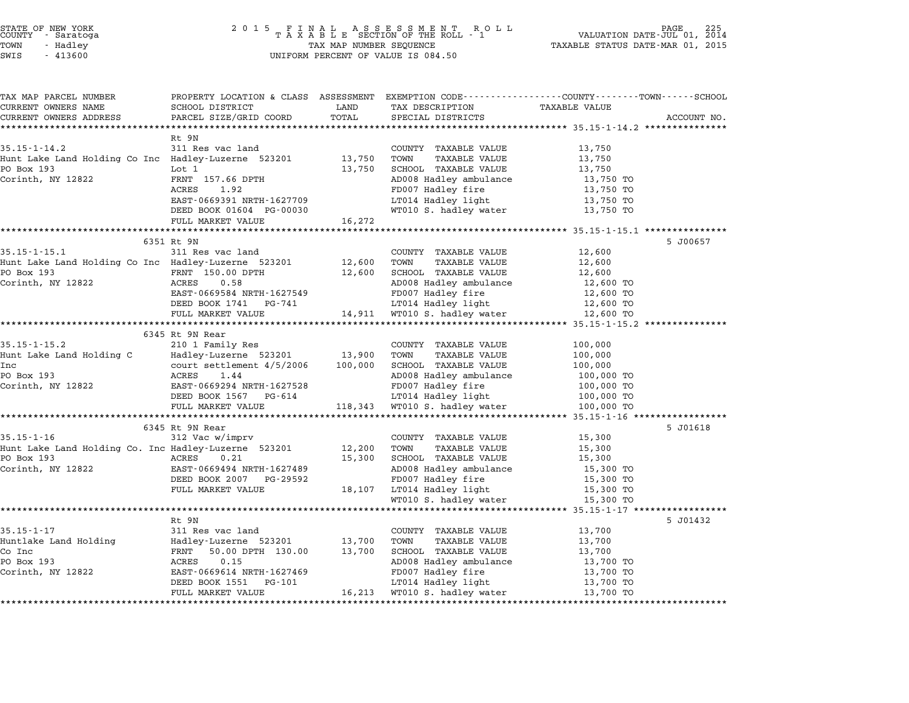| STATE OF NEW YORK |  |            |  |
|-------------------|--|------------|--|
| COUNTY            |  | - Saratoga |  |
| TOWN              |  | - Hadley   |  |

| TAX MAP PARCEL NUMBER                                |                                                                      |                  |                                                      | PROPERTY LOCATION & CLASS ASSESSMENT EXEMPTION CODE---------------COUNTY-------TOWN------SCHOOL |             |
|------------------------------------------------------|----------------------------------------------------------------------|------------------|------------------------------------------------------|-------------------------------------------------------------------------------------------------|-------------|
| CURRENT OWNERS NAME                                  | SCHOOL DISTRICT                                                      | LAND             | TAX DESCRIPTION                                      | <b>TAXABLE VALUE</b>                                                                            |             |
| CURRENT OWNERS ADDRESS                               | PARCEL SIZE/GRID COORD                                               | TOTAL            | SPECIAL DISTRICTS                                    |                                                                                                 | ACCOUNT NO. |
|                                                      |                                                                      |                  |                                                      |                                                                                                 |             |
| $35.15 - 1 - 14.2$                                   | Rt 9N<br>311 Res vac land                                            |                  | COUNTY TAXABLE VALUE                                 | 13,750                                                                                          |             |
| Hunt Lake Land Holding Co Inc Hadley-Luzerne 523201  |                                                                      | 13,750           | TAXABLE VALUE<br>TOWN                                | 13,750                                                                                          |             |
| PO Box 193                                           | Lot 1                                                                | 13,750           | SCHOOL TAXABLE VALUE                                 | 13,750                                                                                          |             |
| Corinth, NY 12822                                    | FRNT 157.66 DPTH                                                     |                  | AD008 Hadley ambulance                               | 13,750 TO                                                                                       |             |
|                                                      | ACRES<br>1.92                                                        |                  | FD007 Hadley fire                                    | 13,750 TO                                                                                       |             |
|                                                      | EAST-0669391 NRTH-1627709                                            |                  | LT014 Hadley light                                   | 13,750 TO                                                                                       |             |
|                                                      | DEED BOOK 01604 PG-00030                                             |                  | WT010 S. hadley water                                | 13,750 TO                                                                                       |             |
|                                                      | FULL MARKET VALUE                                                    | 16,272           |                                                      |                                                                                                 |             |
|                                                      |                                                                      |                  |                                                      |                                                                                                 |             |
|                                                      | 6351 Rt 9N                                                           |                  |                                                      |                                                                                                 | 5 J00657    |
| $35.15 - 1 - 15.1$                                   | 311 Res vac land                                                     |                  | COUNTY TAXABLE VALUE                                 | 12,600                                                                                          |             |
| Hunt Lake Land Holding Co Inc Hadley-Luzerne 523201  |                                                                      | 12,600           | TOWN<br>TAXABLE VALUE                                | 12,600                                                                                          |             |
| PO Box 193                                           | FRNT 150.00 DPTH                                                     |                  | 12,600 SCHOOL TAXABLE VALUE                          | 12,600                                                                                          |             |
| Corinth, NY 12822                                    | ACRES<br>0.58                                                        |                  | AD008 Hadley ambulance                               | 12,600 TO                                                                                       |             |
|                                                      | EAST-0669584 NRTH-1627549                                            |                  | FD007 Hadley fire                                    | 12,600 TO                                                                                       |             |
|                                                      | DEED BOOK 1741 PG-741                                                |                  | LT014 Hadley light                                   | 12,600 TO                                                                                       |             |
|                                                      | FULL MARKET VALUE                                                    |                  | 14,911 WT010 S. hadley water                         | 12,600 TO                                                                                       |             |
|                                                      |                                                                      |                  |                                                      |                                                                                                 |             |
|                                                      | 6345 Rt 9N Rear                                                      |                  |                                                      |                                                                                                 |             |
| $35.15 - 1 - 15.2$                                   | 210 1 Family Res<br>Hadley-Luzerne 523201 13,900                     |                  | COUNTY TAXABLE VALUE<br>TOWN<br><b>TAXABLE VALUE</b> | 100,000                                                                                         |             |
| Hunt Lake Land Holding C<br>Inc                      |                                                                      | 100,000          | SCHOOL TAXABLE VALUE                                 | 100,000<br>100,000                                                                              |             |
| PO Box 193                                           | court settlement 4/5/2006<br>ACRES 1.44<br>EAST-0669294 NRTH-1627528 |                  | AD008 Hadley ambulance                               | 100,000 TO                                                                                      |             |
| Corinth, NY 12822                                    |                                                                      |                  | FD007 Hadley fire                                    | 100,000 TO                                                                                      |             |
|                                                      | DEED BOOK 1567 PG-614                                                |                  | LT014 Hadley light                                   | 100,000 TO                                                                                      |             |
|                                                      | FULL MARKET VALUE                                                    |                  | 118,343 WT010 S. hadley water                        | 100,000 TO                                                                                      |             |
|                                                      | ************************                                             |                  |                                                      | ******************* 35.15-1-16 ****************                                                 |             |
|                                                      | 6345 Rt 9N Rear                                                      |                  |                                                      |                                                                                                 | 5 J01618    |
| $35.15 - 1 - 16$                                     | 312 Vac w/imprv                                                      |                  | COUNTY TAXABLE VALUE                                 | 15,300                                                                                          |             |
| Hunt Lake Land Holding Co. Inc Hadley-Luzerne 523201 |                                                                      | 12,200           | TOWN<br>TAXABLE VALUE                                | 15,300                                                                                          |             |
| PO Box 193<br><b>Example 2018</b> ACRES              | 0.21                                                                 | 15,300           | SCHOOL TAXABLE VALUE                                 | 15,300                                                                                          |             |
| Corinth, NY 12822                                    | EAST-0669494 NRTH-1627489                                            |                  | AD008 Hadley ambulance                               | 15,300 TO                                                                                       |             |
|                                                      | DEED BOOK 2007 PG-29592                                              |                  | FD007 Hadley fire                                    | 15,300 TO                                                                                       |             |
|                                                      | FULL MARKET VALUE                                                    |                  | 18,107 LT014 Hadley light                            | 15,300 TO                                                                                       |             |
|                                                      |                                                                      |                  | WT010 S. hadley water                                | 15,300 TO                                                                                       |             |
|                                                      |                                                                      |                  |                                                      |                                                                                                 |             |
|                                                      | Rt 9N                                                                |                  |                                                      |                                                                                                 | 5 J01432    |
| $35.15 - 1 - 17$                                     | 311 Res vac land                                                     |                  | COUNTY TAXABLE VALUE                                 | 13,700                                                                                          |             |
| Huntlake Land Holding<br>Co Inc                      | Hadley-Luzerne 523201                                                | 13,700<br>13,700 | TOWN<br>TAXABLE VALUE                                | 13,700                                                                                          |             |
| PO Box 193                                           | FRNT 50.00 DPTH 130.00<br>0.15<br>ACRES                              |                  | SCHOOL TAXABLE VALUE<br>AD008 Hadley ambulance       | 13,700<br>13,700 TO                                                                             |             |
| Corinth, NY 12822                                    | EAST-0669614 NRTH-1627469                                            |                  | FD007 Hadley fire                                    | 13,700 TO                                                                                       |             |
|                                                      | DEED BOOK 1551 PG-101                                                |                  | LT014 Hadley light                                   | 13,700 TO                                                                                       |             |
|                                                      | FULL MARKET VALUE                                                    |                  | 16,213 WT010 S. hadley water                         | 13,700 TO                                                                                       |             |
|                                                      |                                                                      |                  |                                                      |                                                                                                 |             |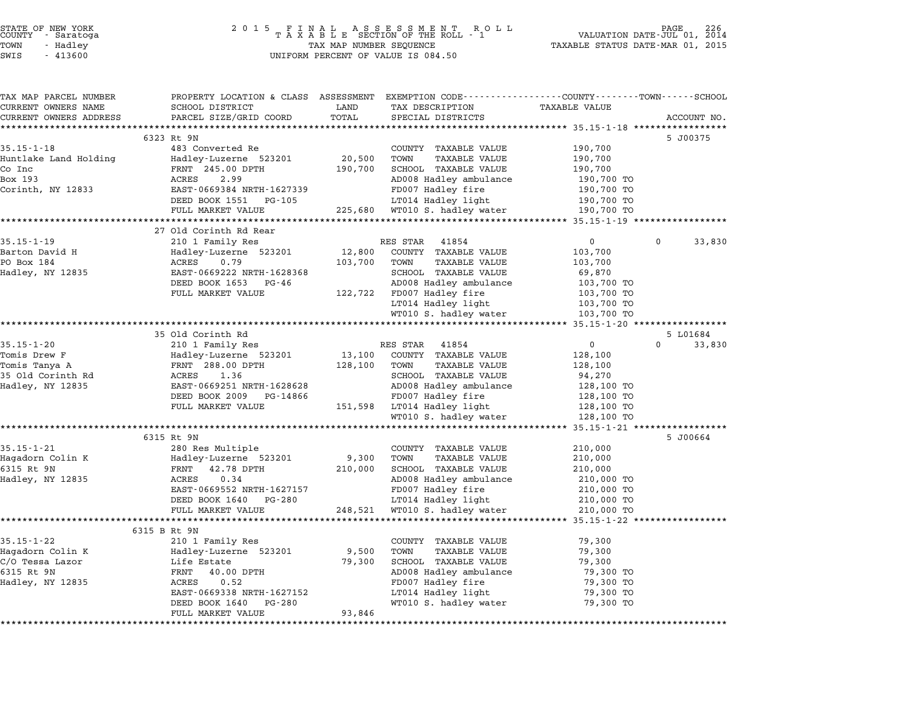| STATE OF NEW YORK |  |            |  |
|-------------------|--|------------|--|
| COUNTY            |  | - Saratoga |  |
| TOWN              |  | - Hadley   |  |

### STATE OF NEW YORK <sup>2</sup> <sup>0</sup> <sup>1</sup> 5 F I N A L A S S E S S M E N T R O L L PAGE <sup>226</sup> COUNTY - Saratoga <sup>T</sup> <sup>A</sup> <sup>X</sup> <sup>A</sup> <sup>B</sup> <sup>L</sup> <sup>E</sup> SECTION OF THE ROLL - <sup>1</sup> VALUATION DATE-JUL 01, <sup>2014</sup> TOWN - Hadley TAX MAP NUMBER SEQUENCE TAXABLE STATUS DATE-MAR 01, <sup>2015</sup> SWIS - <sup>413600</sup> UNIFORM PERCENT OF VALUE IS 084.50

| TAX MAP PARCEL NUMBER  | PROPERTY LOCATION & CLASS ASSESSMENT EXEMPTION CODE---------------COUNTY-------TOWN-----SCHOOL |                                       |                               |                               |                    |
|------------------------|------------------------------------------------------------------------------------------------|---------------------------------------|-------------------------------|-------------------------------|--------------------|
| CURRENT OWNERS NAME    | SCHOOL DISTRICT                                                                                | LAND                                  | TAX DESCRIPTION               | <b>TAXABLE VALUE</b>          |                    |
| CURRENT OWNERS ADDRESS | PARCEL SIZE/GRID COORD                                                                         | TOTAL                                 | SPECIAL DISTRICTS             |                               | ACCOUNT NO.        |
|                        |                                                                                                |                                       |                               |                               |                    |
| $35.15 - 1 - 18$       | 6323 Rt 9N<br>483 Converted Re                                                                 |                                       | COUNTY TAXABLE VALUE          | 190,700                       | 5 J00375           |
| Huntlake Land Holding  | Hadley-Luzerne 523201                                                                          | 20,500                                | TOWN<br><b>TAXABLE VALUE</b>  | 190,700                       |                    |
| Co Inc                 | FRNT 245.00 DPTH                                                                               | 190,700                               | SCHOOL TAXABLE VALUE          | 190,700                       |                    |
| Box 193                | 2.99<br>ACRES                                                                                  |                                       | AD008 Hadley ambulance        | 190,700 TO                    |                    |
| Corinth, NY 12833      | EAST-0669384 NRTH-1627339                                                                      |                                       | FD007 Hadley fire             | 190,700 TO                    |                    |
|                        | DEED BOOK 1551 PG-105                                                                          |                                       | LT014 Hadley light            | 190,700 TO                    |                    |
|                        | FULL MARKET VALUE                                                                              |                                       | 225,680 WT010 S. hadley water | 190,700 TO                    |                    |
|                        |                                                                                                |                                       |                               |                               |                    |
|                        | 27 Old Corinth Rd Rear                                                                         |                                       |                               |                               |                    |
| $35.15 - 1 - 19$       | 210 1 Family Res                                                                               |                                       | RES STAR<br>41854             | $\mathbf{0}$                  | $\Omega$<br>33,830 |
| Barton David H         | Hadley-Luzerne 523201                                                                          | 12,800                                | COUNTY TAXABLE VALUE          | 103,700                       |                    |
| PO Box 184             | ACRES<br>0.79                                                                                  | 103,700                               | TOWN<br><b>TAXABLE VALUE</b>  | 103,700                       |                    |
| Hadley, NY 12835       | EAST-0669222 NRTH-1628368                                                                      |                                       | SCHOOL TAXABLE VALUE          | 69,870                        |                    |
|                        | DEED BOOK 1653<br>PG-46                                                                        |                                       | AD008 Hadley ambulance        | 103,700 TO                    |                    |
|                        | FULL MARKET VALUE                                                                              |                                       | 122,722 FD007 Hadley fire     | 103,700 TO                    |                    |
|                        |                                                                                                |                                       | LT014 Hadley light            | 103,700 TO                    |                    |
|                        | ******************************                                                                 |                                       | WT010 S. hadley water         | 103,700 TO                    |                    |
|                        | 35 Old Corinth Rd                                                                              |                                       |                               |                               | 5 L01684           |
| $35.15 - 1 - 20$       | 210 1 Family Res                                                                               |                                       | 41854<br>RES STAR             | $\overline{0}$                | 33,830<br>$\Omega$ |
| Tomis Drew F           | Hadley-Luzerne 523201                                                                          | 13,100                                | COUNTY TAXABLE VALUE          | 128,100                       |                    |
| Tomis Tanya A          | FRNT 288.00 DPTH                                                                               | 128,100                               | TOWN<br><b>TAXABLE VALUE</b>  | 128,100                       |                    |
| 35 Old Corinth Rd      | 1.36<br>ACRES                                                                                  |                                       | SCHOOL TAXABLE VALUE          | 94,270                        |                    |
| Hadley, NY 12835       | EAST-0669251 NRTH-1628628                                                                      |                                       | AD008 Hadley ambulance        | 128,100 TO                    |                    |
|                        | DEED BOOK 2009<br>PG-14866                                                                     |                                       | FD007 Hadley fire             | 128,100 TO                    |                    |
|                        | FULL MARKET VALUE                                                                              |                                       | 151,598 LT014 Hadley light    | 128,100 TO                    |                    |
|                        |                                                                                                |                                       | WT010 S. hadley water         | 128,100 TO                    |                    |
|                        |                                                                                                |                                       |                               |                               |                    |
|                        | 6315 Rt 9N                                                                                     |                                       |                               |                               | 5 J00664           |
| $35.15 - 1 - 21$       | 280 Res Multiple                                                                               |                                       | COUNTY TAXABLE VALUE          | 210,000                       |                    |
| Hagadorn Colin K       | Hadley-Luzerne 523201                                                                          | 9,300                                 | TOWN<br><b>TAXABLE VALUE</b>  | 210,000                       |                    |
| 6315 Rt 9N             | 42.78 DPTH<br>FRNT                                                                             | 210,000                               | SCHOOL TAXABLE VALUE          | 210,000                       |                    |
| Hadley, NY 12835       | ACRES<br>0.34                                                                                  |                                       | AD008 Hadley ambulance        | 210,000 TO                    |                    |
|                        | EAST-0669552 NRTH-1627157                                                                      |                                       | FD007 Hadley fire             | 210,000 TO                    |                    |
|                        | DEED BOOK 1640 PG-280                                                                          |                                       | LT014 Hadley light            | 210,000 TO                    |                    |
|                        | FULL MARKET VALUE                                                                              | 248,521<br>************************** | WT010 S. hadley water         | 210,000 TO                    |                    |
|                        | 6315 B Rt 9N                                                                                   |                                       |                               | ************** 35.15-1-22 *** |                    |
| $35.15 - 1 - 22$       | 210 1 Family Res                                                                               |                                       | COUNTY TAXABLE VALUE          | 79,300                        |                    |
| Hagadorn Colin K       | Hadley-Luzerne 523201                                                                          | 9,500                                 | TOWN<br><b>TAXABLE VALUE</b>  | 79,300                        |                    |
| C/O Tessa Lazor        | Life Estate                                                                                    | 79,300                                | SCHOOL TAXABLE VALUE          | 79,300                        |                    |
| 6315 Rt 9N             | 40.00 DPTH<br>FRNT                                                                             |                                       | AD008 Hadley ambulance        | 79,300 TO                     |                    |
| Hadley, NY 12835       | ACRES<br>0.52                                                                                  |                                       | FD007 Hadley fire             | 79,300 TO                     |                    |
|                        | EAST-0669338 NRTH-1627152                                                                      |                                       | LT014 Hadley light            | 79,300 TO                     |                    |
|                        | DEED BOOK 1640<br>PG-280                                                                       |                                       | WT010 S. hadley water         | 79,300 TO                     |                    |
|                        | FULL MARKET VALUE                                                                              | 93,846                                |                               |                               |                    |
|                        |                                                                                                |                                       |                               |                               |                    |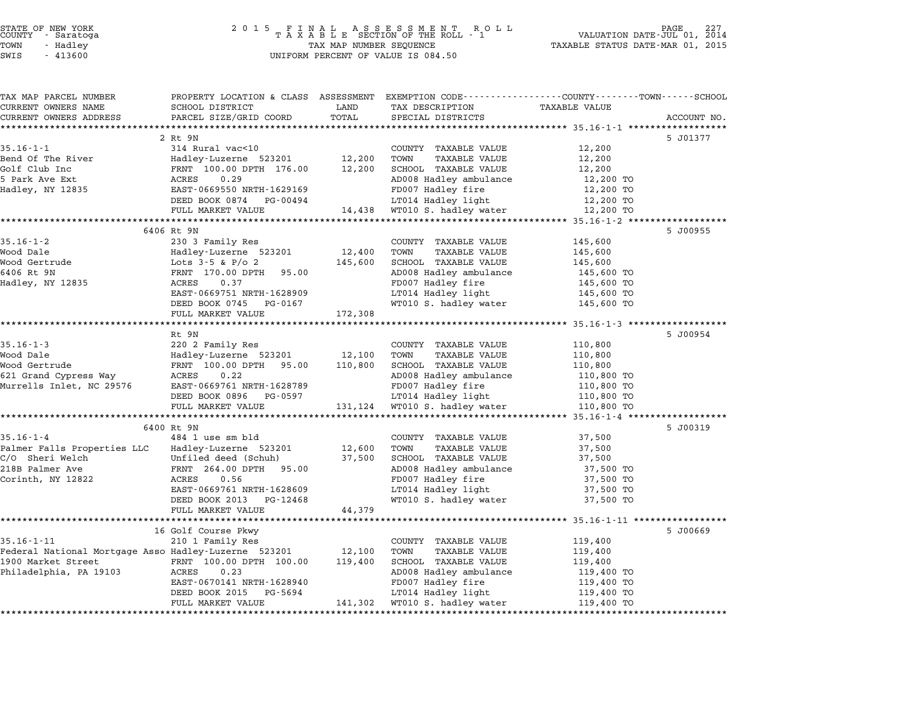| STATE OF NEW YORK |  |            |  |
|-------------------|--|------------|--|
| COUNTY            |  | - Saratoga |  |
| TOWN              |  | - Hadley   |  |
|                   |  |            |  |

| TAX MAP PARCEL NUMBER                                                      | PROPERTY LOCATION & CLASS ASSESSMENT EXEMPTION CODE---------------COUNTY-------TOWN-----SCHOOL |         |                                                   |                       |             |
|----------------------------------------------------------------------------|------------------------------------------------------------------------------------------------|---------|---------------------------------------------------|-----------------------|-------------|
| CURRENT OWNERS NAME                                                        | SCHOOL DISTRICT                                                                                | LAND    | TAX DESCRIPTION                                   | <b>TAXABLE VALUE</b>  |             |
| CURRENT OWNERS ADDRESS                                                     | PARCEL SIZE/GRID COORD                                                                         | TOTAL   | SPECIAL DISTRICTS                                 |                       | ACCOUNT NO. |
|                                                                            | 2 Rt 9N                                                                                        |         |                                                   |                       |             |
| $35.16 - 1 - 1$                                                            | 314 Rural vac<10                                                                               |         | COUNTY TAXABLE VALUE                              | 12,200                | 5 J01377    |
| Bend Of The River                                                          | Hadley-Luzerne 523201                                                                          | 12,200  | TOWN<br>TAXABLE VALUE                             | 12,200                |             |
| Golf Club Inc                                                              | FRNT 100.00 DPTH 176.00                                                                        | 12,200  | SCHOOL TAXABLE VALUE                              | 12,200                |             |
| 5 Park Ave Ext                                                             | ACRES<br>0.29                                                                                  |         | AD008 Hadley ambulance                            | 12,200 TO             |             |
| Hadley, NY 12835                                                           | EAST-0669550 NRTH-1629169                                                                      |         | FD007 Hadley fire                                 | 12,200 TO             |             |
|                                                                            | DEED BOOK 0874 PG-00494                                                                        |         | LT014 Hadley light                                | 12,200 TO             |             |
|                                                                            | FULL MARKET VALUE                                                                              |         | 14,438 WT010 S. hadley water                      | 12,200 TO             |             |
|                                                                            |                                                                                                |         |                                                   |                       |             |
|                                                                            | 6406 Rt 9N                                                                                     |         |                                                   |                       | 5 J00955    |
| $35.16 - 1 - 2$                                                            | 230 3 Family Res                                                                               |         | COUNTY TAXABLE VALUE                              | 145,600               |             |
| Wood Dale                                                                  | Hadley-Luzerne 523201                                                                          | 12,400  | TOWN<br>TAXABLE VALUE                             | 145,600               |             |
| Wood Gertrude                                                              | Lots $3-5$ & P/o 2                                                                             | 145,600 | SCHOOL TAXABLE VALUE                              | 145,600               |             |
| 6406 Rt 9N                                                                 | FRNT 170.00 DPTH 95.00                                                                         |         | AD008 Hadley ambulance                            | 145,600 TO            |             |
| Hadley, NY 12835                                                           | 0.37<br>ACRES                                                                                  |         | FD007 Hadley fire                                 | 145,600 TO            |             |
|                                                                            | EAST-0669751 NRTH-1628909                                                                      |         | LT014 Hadley light                                | 145,600 TO            |             |
|                                                                            | DEED BOOK 0745 PG-0167                                                                         |         | WT010 S. hadley water                             | 145,600 TO            |             |
|                                                                            | FULL MARKET VALUE                                                                              | 172,308 |                                                   |                       |             |
|                                                                            |                                                                                                |         |                                                   |                       |             |
|                                                                            | Rt 9N                                                                                          |         |                                                   |                       | 5 J00954    |
| $35.16 - 1 - 3$                                                            | 220 2 Family Res                                                                               |         | COUNTY TAXABLE VALUE                              | 110,800               |             |
| Wood Dale                                                                  | Hadley-Luzerne 523201                                                                          | 12,100  | TAXABLE VALUE<br>TOWN                             | 110,800               |             |
| Wood Gertrude                                                              | FRNT 100.00 DPTH 95.00                                                                         | 110,800 | SCHOOL TAXABLE VALUE                              | 110,800               |             |
| 621 Grand Cypress Way                                                      | ACRES<br>0.22                                                                                  |         | AD008 Hadley ambulance                            | 110,800 TO            |             |
| Murrells Inlet, NC 29576                                                   | EAST-0669761 NRTH-1628789                                                                      |         | FD007 Hadley fire                                 | 110,800 TO            |             |
|                                                                            | DEED BOOK 0896 PG-0597                                                                         |         | LT014 Hadley light                                | 110,800 TO            |             |
|                                                                            | FULL MARKET VALUE                                                                              |         | 131,124 WT010 S. hadley water                     | 110,800 TO            |             |
|                                                                            |                                                                                                |         | *********************************** 35.16-1-4 *** |                       |             |
|                                                                            | 6400 Rt 9N                                                                                     |         |                                                   |                       | 5 J00319    |
| $35.16 - 1 - 4$                                                            | 484 1 use sm bld                                                                               |         | COUNTY TAXABLE VALUE                              | 37,500                |             |
| Palmer Falls Properties LLC Hadley-Luzerne 523201                          |                                                                                                | 12,600  | TOWN<br>TAXABLE VALUE                             | 37,500                |             |
| C/O Sheri Welch                                                            | Unfiled deed (Schuh)                                                                           | 37,500  | SCHOOL TAXABLE VALUE                              | 37,500                |             |
| 218B Palmer Ave                                                            | FRNT 264.00 DPTH 95.00                                                                         |         | AD008 Hadley ambulance                            | 37,500 TO             |             |
| Corinth, NY 12822                                                          | ACRES<br>0.56                                                                                  |         | FD007 Hadley fire                                 | 37,500 TO             |             |
|                                                                            | EAST-0669761 NRTH-1628609                                                                      |         | LT014 Hadley light                                | 37,500 TO             |             |
|                                                                            | DEED BOOK 2013 PG-12468                                                                        |         | WT010 S. hadley water                             | 37,500 TO             |             |
|                                                                            | FULL MARKET VALUE                                                                              | 44,379  |                                                   |                       |             |
|                                                                            |                                                                                                |         |                                                   |                       |             |
|                                                                            | 16 Golf Course Pkwy                                                                            |         |                                                   |                       | 5 J00669    |
| $35.16 - 1 - 11$                                                           | 210 1 Family Res                                                                               | 12,100  | COUNTY TAXABLE VALUE<br>TOWN<br>TAXABLE VALUE     | 119,400<br>119,400    |             |
| Federal National Mortgage Asso Hadley-Luzerne 523201<br>1900 Market Street | FRNT 100.00 DPTH 100.00                                                                        | 119,400 | SCHOOL TAXABLE VALUE                              |                       |             |
| Philadelphia, PA 19103                                                     | 0.23<br>ACRES                                                                                  |         | AD008 Hadley ambulance                            | 119,400<br>119,400 TO |             |
|                                                                            | EAST-0670141 NRTH-1628940                                                                      |         | FD007 Hadley fire                                 | 119,400 TO            |             |
|                                                                            | DEED BOOK 2015<br>PG-5694                                                                      |         | LT014 Hadley light                                | 119,400 TO            |             |
|                                                                            | FULL MARKET VALUE                                                                              |         | 141,302 WT010 S. hadley water                     | 119,400 TO            |             |
|                                                                            |                                                                                                |         |                                                   |                       |             |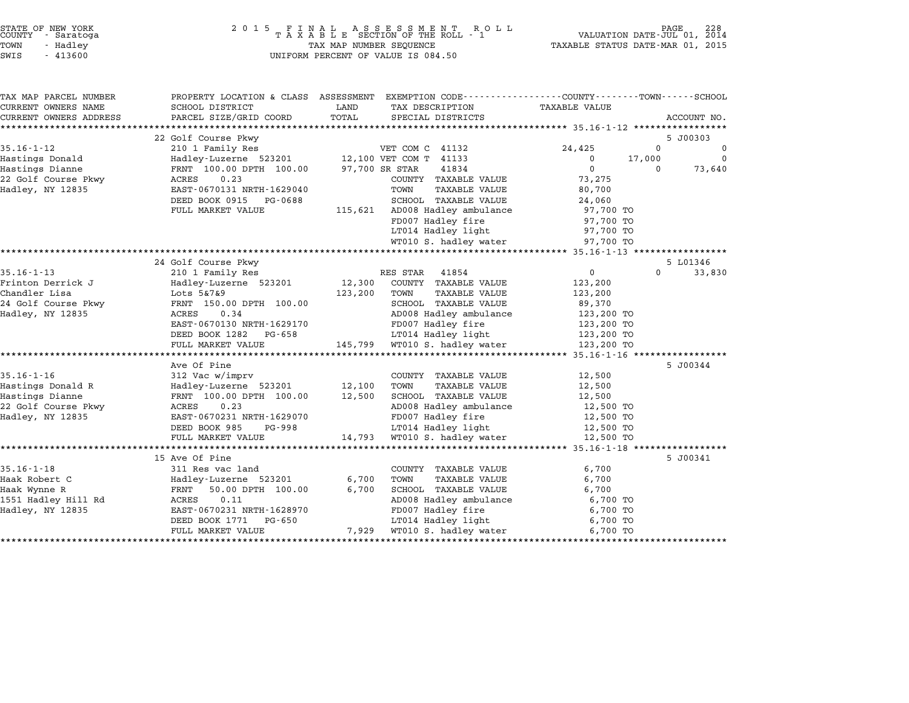| TAX MAP PARCEL NUMBER  |                           | PROPERTY LOCATION & CLASS ASSESSMENT EXEMPTION CODE---------------COUNTY-------TOWN-----SCHOOL |                                        |          |
|------------------------|---------------------------|------------------------------------------------------------------------------------------------|----------------------------------------|----------|
| CURRENT OWNERS NAME    | SCHOOL DISTRICT           | LAND<br>TAX DESCRIPTION                                                                        | TAXABLE VALUE                          |          |
| CURRENT OWNERS ADDRESS | PARCEL SIZE/GRID COORD    | TOTAL<br>SPECIAL DISTRICTS                                                                     | ACCOUNT NO.                            |          |
|                        |                           |                                                                                                |                                        |          |
|                        | 22 Golf Course Pkwy       |                                                                                                | 5 J00303                               |          |
| $35.16 - 1 - 12$       | 210 1 Family Res          | VET COM C 41132                                                                                | 0<br>24,425                            | 0        |
| Hastings Donald        |                           | Hadley-Luzerne 523201 12,100 VET COM T 41133                                                   | 17,000<br>0<br>$\mathbf 0$             | $\Omega$ |
| Hastings Dianne        | FRNT 100.00 DPTH 100.00   | 97,700 SR STAR<br>41834                                                                        | $\Omega$                               | 73,640   |
| 22 Golf Course Pkwy    | 0.23<br>ACRES             | COUNTY TAXABLE VALUE                                                                           | 73,275                                 |          |
| Hadley, NY 12835       | EAST-0670131 NRTH-1629040 | TAXABLE VALUE<br>TOWN                                                                          | 80,700                                 |          |
|                        | DEED BOOK 0915<br>PG-0688 | SCHOOL TAXABLE VALUE                                                                           | 24,060                                 |          |
|                        | FULL MARKET VALUE         | 115,621 AD008 Hadley ambulance                                                                 | 97,700 TO                              |          |
|                        |                           | FD007 Hadley fire                                                                              | 97,700 TO                              |          |
|                        |                           | LT014 Hadley light                                                                             | 97,700 TO                              |          |
|                        |                           | WT010 S. hadley water                                                                          | 97,700 TO                              |          |
|                        | 24 Golf Course Pkwy       |                                                                                                |                                        |          |
| $35.16 - 1 - 13$       | 210 1 Family Res          | RES STAR<br>41854                                                                              | 5 L01346<br>$\overline{0}$<br>$\Omega$ | 33,830   |
| Frinton Derrick J      | Hadley-Luzerne 523201     | COUNTY TAXABLE VALUE<br>12,300                                                                 | 123,200                                |          |
| Chandler Lisa          | Lots 5&7&9                | 123,200<br>TOWN<br>TAXABLE VALUE                                                               | 123,200                                |          |
| 24 Golf Course Pkwy    | FRNT 150.00 DPTH 100.00   | SCHOOL TAXABLE VALUE                                                                           | 89,370                                 |          |
| Hadley, NY 12835       | ACRES<br>0.34             | AD008 Hadley ambulance                                                                         | 123,200 TO                             |          |
|                        | EAST-0670130 NRTH-1629170 | FD007 Hadley fire                                                                              | 123,200 TO                             |          |
|                        | DEED BOOK 1282<br>PG-658  | LT014 Hadley light                                                                             | 123,200 TO                             |          |
|                        | FULL MARKET VALUE         | 145,799 WT010 S. hadley water                                                                  | 123,200 TO                             |          |
|                        |                           |                                                                                                |                                        |          |
|                        | Ave Of Pine               |                                                                                                | 5 J00344                               |          |
| $35.16 - 1 - 16$       | 312 Vac w/imprv           | COUNTY TAXABLE VALUE                                                                           | 12,500                                 |          |
| Hastings Donald R      | Hadley-Luzerne 523201     | 12,100<br>TOWN<br>TAXABLE VALUE                                                                | 12,500                                 |          |
| Hastings Dianne        | FRNT 100.00 DPTH 100.00   | 12,500<br>SCHOOL TAXABLE VALUE                                                                 | 12,500                                 |          |
| 22 Golf Course Pkwy    | 0.23<br>ACRES             | AD008 Hadley ambulance                                                                         | 12,500 TO                              |          |
| Hadley, NY 12835       | EAST-0670231 NRTH-1629070 | FD007 Hadley fire                                                                              | 12,500 TO                              |          |
|                        | DEED BOOK 985<br>PG-998   | LT014 Hadley light                                                                             | 12,500 TO                              |          |
|                        | FULL MARKET VALUE         | 14,793 WT010 S. hadley water                                                                   | 12,500 TO                              |          |
|                        |                           |                                                                                                |                                        |          |
|                        | 15 Ave Of Pine            |                                                                                                | 5 J00341                               |          |
| $35.16 - 1 - 18$       | 311 Res vac land          | COUNTY TAXABLE VALUE                                                                           | 6,700                                  |          |
| Haak Robert C          | Hadley-Luzerne 523201     | 6,700<br>TOWN<br>TAXABLE VALUE                                                                 | 6,700                                  |          |
| Haak Wynne R           | FRNT<br>50.00 DPTH 100.00 | 6,700<br>SCHOOL TAXABLE VALUE                                                                  | 6,700                                  |          |
| 1551 Hadley Hill Rd    | 0.11<br>ACRES             | AD008 Hadley ambulance                                                                         | 6,700 TO                               |          |
| Hadley, NY 12835       | EAST-0670231 NRTH-1628970 | FD007 Hadley fire                                                                              | 6,700 TO                               |          |
|                        | DEED BOOK 1771<br>PG-650  | LT014 Hadley light                                                                             | 6,700 TO                               |          |
|                        | FULL MARKET VALUE         | WT010 S. hadley water<br>7,929                                                                 | 6,700 TO                               |          |
|                        |                           |                                                                                                |                                        |          |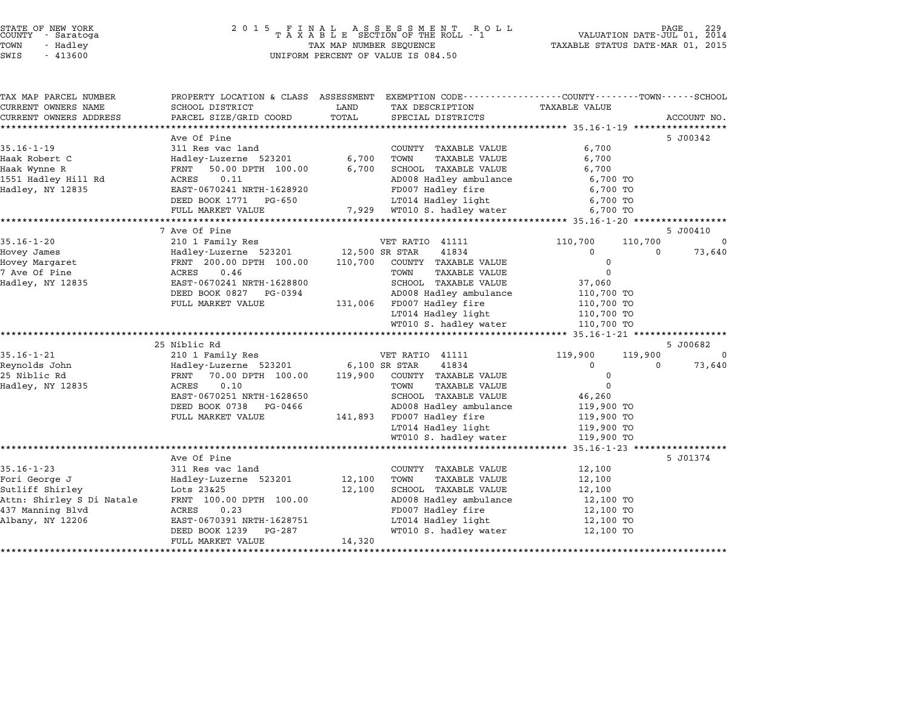#### STATE OF NEW YORK <sup>2</sup> <sup>0</sup> <sup>1</sup> 5 F I N A L A S S E S S M E N T R O L L PAGE <sup>229</sup> COUNTY - Saratoga <sup>T</sup> <sup>A</sup> <sup>X</sup> <sup>A</sup> <sup>B</sup> <sup>L</sup> <sup>E</sup> SECTION OF THE ROLL - <sup>1</sup> VALUATION DATE-JUL 01, <sup>2014</sup> TOWN - Hadley TAX MAP NUMBER SEQUENCE TAXABLE STATUS DATE-MAR 01, <sup>2015</sup> STATE OF NEW YORK<br>
COUNTY - Saratoga<br>
TOWN - Hadley TAXABLE SECTION OF THE ROLI<br>
SWIS - 413600 UNIFORM PERCENT OF VALUE IS 084.50

| TAX MAP PARCEL NUMBER     |                                           |         | PROPERTY LOCATION & CLASS ASSESSMENT EXEMPTION CODE---------------COUNTY-------TOWN------SCHOOL |                      |          |             |
|---------------------------|-------------------------------------------|---------|-------------------------------------------------------------------------------------------------|----------------------|----------|-------------|
| CURRENT OWNERS NAME       | SCHOOL DISTRICT                           | LAND    | TAX DESCRIPTION                                                                                 | <b>TAXABLE VALUE</b> |          |             |
| CURRENT OWNERS ADDRESS    | PARCEL SIZE/GRID COORD                    | TOTAL   | SPECIAL DISTRICTS                                                                               |                      |          | ACCOUNT NO. |
|                           |                                           |         |                                                                                                 |                      |          |             |
| $35.16 - 1 - 19$          | Ave Of Pine                               |         |                                                                                                 | 6,700                |          | 5 J00342    |
| Haak Robert C             | 311 Res vac land<br>Hadley-Luzerne 523201 | 6,700   | COUNTY TAXABLE VALUE<br>TOWN<br>TAXABLE VALUE                                                   | 6,700                |          |             |
| Haak Wynne R              | 50.00 DPTH 100.00<br>FRNT                 | 6,700   | SCHOOL TAXABLE VALUE                                                                            | 6,700                |          |             |
| 1551 Hadley Hill Rd       | ACRES<br>0.11                             |         | AD008 Hadley ambulance                                                                          | 6,700 TO             |          |             |
| Hadley, NY 12835          | EAST-0670241 NRTH-1628920                 |         | FD007 Hadley fire                                                                               | 6,700 TO             |          |             |
|                           | DEED BOOK 1771<br>PG-650                  |         | LT014 Hadley light                                                                              | 6,700 TO             |          |             |
|                           | FULL MARKET VALUE                         |         | 7,929 WT010 S. hadley water                                                                     | 6,700 TO             |          |             |
|                           |                                           |         |                                                                                                 |                      |          |             |
|                           | 7 Ave Of Pine                             |         |                                                                                                 |                      |          | 5 J00410    |
| $35.16 - 1 - 20$          | 210 1 Family Res                          |         | VET RATIO 41111                                                                                 | 110,700              | 110,700  | $\Omega$    |
| Hovey James               | Hadley-Luzerne 523201                     |         | 41834<br>12,500 SR STAR                                                                         | $\Omega$             | $\Omega$ | 73,640      |
| Hovey Margaret            | FRNT 200.00 DPTH 100.00                   | 110,700 | COUNTY TAXABLE VALUE                                                                            | $\mathbf 0$          |          |             |
| 7 Ave Of Pine             | ACRES<br>0.46                             |         | TOWN<br>TAXABLE VALUE                                                                           | $\Omega$             |          |             |
| Hadley, NY 12835          | EAST-0670241 NRTH-1628800                 |         | SCHOOL TAXABLE VALUE                                                                            | 37,060               |          |             |
|                           | DEED BOOK 0827 PG-0394                    |         | AD008 Hadley ambulance                                                                          | 110,700 TO           |          |             |
|                           | FULL MARKET VALUE                         | 131,006 | FD007 Hadley fire                                                                               | 110,700 TO           |          |             |
|                           |                                           |         | LT014 Hadley light                                                                              | 110,700 TO           |          |             |
|                           |                                           |         | WT010 S. hadley water                                                                           | 110,700 TO           |          |             |
|                           |                                           |         |                                                                                                 |                      |          |             |
|                           | 25 Niblic Rd                              |         |                                                                                                 |                      |          | 5 J00682    |
| $35.16 - 1 - 21$          | 210 1 Family Res                          |         | VET RATIO 41111                                                                                 | 119,900              | 119,900  | $\Omega$    |
| Reynolds John             | Hadley-Luzerne 523201                     |         | 41834<br>6,100 SR STAR                                                                          | $\Omega$             | $\Omega$ | 73,640      |
| 25 Niblic Rd              | 70.00 DPTH 100.00<br>FRNT                 | 119,900 | COUNTY TAXABLE VALUE                                                                            | 0                    |          |             |
| Hadley, NY 12835          | 0.10<br>ACRES                             |         | TOWN<br><b>TAXABLE VALUE</b>                                                                    | $\Omega$             |          |             |
|                           | EAST-0670251 NRTH-1628650                 |         | SCHOOL TAXABLE VALUE                                                                            | 46,260               |          |             |
|                           | DEED BOOK 0738<br>PG-0466                 |         | AD008 Hadley ambulance                                                                          | 119,900 TO           |          |             |
|                           | FULL MARKET VALUE                         | 141,893 | FD007 Hadley fire                                                                               | 119,900 TO           |          |             |
|                           |                                           |         | LT014 Hadley light                                                                              | 119,900 TO           |          |             |
|                           |                                           |         | WT010 S. hadley water                                                                           | 119,900 TO           |          |             |
|                           |                                           |         |                                                                                                 |                      |          |             |
|                           | Ave Of Pine                               |         |                                                                                                 |                      |          | 5 J01374    |
| $35.16 - 1 - 23$          | 311 Res vac land                          |         | COUNTY TAXABLE VALUE                                                                            | 12,100               |          |             |
| Fori George J             | Hadley-Luzerne 523201                     | 12,100  | TOWN<br>TAXABLE VALUE                                                                           | 12,100               |          |             |
| Sutliff Shirley           | Lots 23&25                                | 12,100  | SCHOOL TAXABLE VALUE                                                                            | 12,100               |          |             |
| Attn: Shirley S Di Natale | FRNT 100.00 DPTH 100.00                   |         | AD008 Hadley ambulance                                                                          | 12,100 TO            |          |             |
| 437 Manning Blvd          | ACRES<br>0.23                             |         | FD007 Hadley fire                                                                               | 12,100 TO            |          |             |
| Albany, NY 12206          | EAST-0670391 NRTH-1628751                 |         | LT014 Hadley light                                                                              | 12,100 TO            |          |             |
|                           | DEED BOOK 1239<br>PG-287                  |         | WT010 S. hadley water                                                                           | 12,100 TO            |          |             |
|                           | FULL MARKET VALUE                         | 14,320  |                                                                                                 |                      |          |             |
|                           |                                           |         |                                                                                                 |                      |          |             |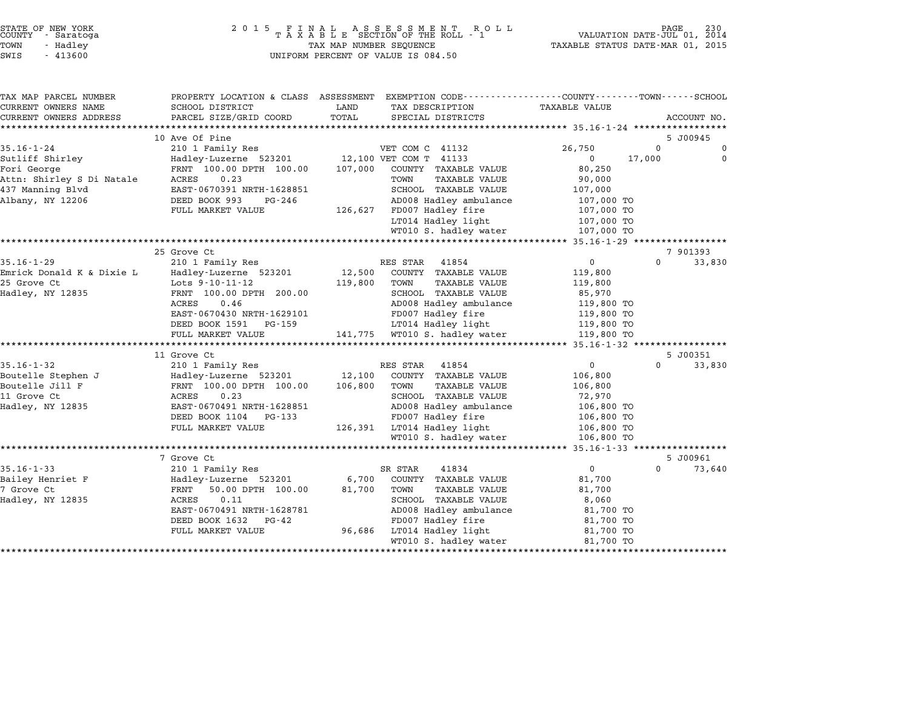| STATE OF NEW YORK<br>COUNTY |          | - Saratoga |  |
|-----------------------------|----------|------------|--|
| TOWN                        | - Hadlev |            |  |
| $\sim$ - - $\sim$           |          | 1.1222     |  |

# STATE OF NEW YORK <sup>2</sup> <sup>0</sup> <sup>1</sup> 5 F I N A L A S S E S S M E N T R O L L PAGE <sup>230</sup> COUNTY - Saratoga <sup>T</sup> <sup>A</sup> <sup>X</sup> <sup>A</sup> <sup>B</sup> <sup>L</sup> <sup>E</sup> SECTION OF THE ROLL - <sup>1</sup> VALUATION DATE-JUL 01, <sup>2014</sup> TOWN - Hadley TAX MAP NUMBER SEQUENCE TAXABLE STATUS DATE-MAR 01, <sup>2015</sup> SWIS - <sup>413600</sup> UNIFORM PERCENT OF VALUE IS 084.50

| TAX MAP PARCEL NUMBER     | PROPERTY LOCATION & CLASS ASSESSMENT EXEMPTION CODE---------------COUNTY------TOWN------SCHOOL |         |                               |                      |          |             |
|---------------------------|------------------------------------------------------------------------------------------------|---------|-------------------------------|----------------------|----------|-------------|
| CURRENT OWNERS NAME       | SCHOOL DISTRICT                                                                                | LAND    | TAX DESCRIPTION               | <b>TAXABLE VALUE</b> |          |             |
| CURRENT OWNERS ADDRESS    | PARCEL SIZE/GRID COORD                                                                         | TOTAL   | SPECIAL DISTRICTS             |                      |          | ACCOUNT NO. |
|                           |                                                                                                |         |                               |                      |          |             |
|                           | 10 Ave Of Pine                                                                                 |         |                               |                      |          | 5 J00945    |
| $35.16 - 1 - 24$          | 210 1 Family Res                                                                               |         | VET COM C 41132               | 26,750               | $\Omega$ | 0           |
| Sutliff Shirley           | Hadley-Luzerne 523201                                                                          |         | 12,100 VET COM T 41133        | $\Omega$             | 17,000   | $\Omega$    |
| Fori George               | FRNT 100.00 DPTH 100.00                                                                        | 107,000 | COUNTY TAXABLE VALUE          | 80,250               |          |             |
| Attn: Shirley S Di Natale | ACRES<br>0.23                                                                                  |         | TOWN<br>TAXABLE VALUE         | 90,000               |          |             |
| 437 Manning Blvd          | EAST-0670391 NRTH-1628851                                                                      |         | SCHOOL TAXABLE VALUE          | 107,000              |          |             |
| Albany, NY 12206          | DEED BOOK 993<br>PG-246                                                                        |         | AD008 Hadley ambulance        | 107,000 TO           |          |             |
|                           | FULL MARKET VALUE                                                                              | 126,627 | FD007 Hadley fire             | 107,000 TO           |          |             |
|                           |                                                                                                |         | LT014 Hadley light            | 107,000 TO           |          |             |
|                           |                                                                                                |         | WT010 S. hadley water         | 107,000 TO           |          |             |
|                           |                                                                                                |         |                               |                      |          |             |
|                           | 25 Grove Ct                                                                                    |         |                               |                      |          | 7 901393    |
| $35.16 - 1 - 29$          | 210 1 Family Res                                                                               |         | 41854<br>RES STAR             | 0                    | $\Omega$ | 33,830      |
| Emrick Donald K & Dixie L | Hadley-Luzerne 523201                                                                          | 12,500  | COUNTY TAXABLE VALUE          | 119,800              |          |             |
| 25 Grove Ct               | Lots 9-10-11-12                                                                                | 119,800 | TAXABLE VALUE<br>TOWN         | 119,800              |          |             |
| Hadley, NY 12835          | FRNT 100.00 DPTH 200.00                                                                        |         | SCHOOL TAXABLE VALUE          | 85,970               |          |             |
|                           | 0.46<br>ACRES                                                                                  |         | AD008 Hadley ambulance        | 119,800 TO           |          |             |
|                           | EAST-0670430 NRTH-1629101                                                                      |         | FD007 Hadley fire             | 119,800 TO           |          |             |
|                           | DEED BOOK 1591 PG-159                                                                          |         | LT014 Hadley light            | 119,800 TO           |          |             |
|                           | FULL MARKET VALUE                                                                              |         | 141,775 WT010 S. hadley water | 119,800 TO           |          |             |
|                           |                                                                                                |         |                               |                      |          |             |
|                           | 11 Grove Ct                                                                                    |         |                               |                      |          | 5 J00351    |
| $35.16 - 1 - 32$          | 210 1 Family Res                                                                               |         | RES STAR<br>41854             | $\overline{0}$       | $\Omega$ | 33,830      |
| Boutelle Stephen J        | Hadley-Luzerne 523201                                                                          | 12,100  | COUNTY TAXABLE VALUE          | 106,800              |          |             |
| Boutelle Jill F           | FRNT 100.00 DPTH 100.00                                                                        | 106,800 | TOWN<br>TAXABLE VALUE         | 106,800              |          |             |
| 11 Grove Ct               | ACRES<br>0.23                                                                                  |         | SCHOOL TAXABLE VALUE          | 72,970               |          |             |
| Hadley, NY 12835          | EAST-0670491 NRTH-1628851                                                                      |         | AD008 Hadley ambulance        | 106,800 TO           |          |             |
|                           | DEED BOOK 1104 PG-133                                                                          |         | FD007 Hadley fire             | 106,800 TO           |          |             |
|                           | FULL MARKET VALUE                                                                              |         | 126,391 LT014 Hadley light    | 106,800 TO           |          |             |
|                           |                                                                                                |         | WT010 S. hadley water         | 106,800 TO           |          |             |
|                           |                                                                                                |         |                               |                      |          |             |
|                           | 7 Grove Ct                                                                                     |         |                               |                      |          | 5 J00961    |
| $35.16 - 1 - 33$          | 210 1 Family Res                                                                               |         | SR STAR<br>41834              | $\Omega$             | $\Omega$ | 73,640      |
| Bailey Henriet F          | Hadley-Luzerne 523201                                                                          | 6,700   | COUNTY TAXABLE VALUE          | 81,700               |          |             |
| 7 Grove Ct                | 50.00 DPTH 100.00<br>FRNT                                                                      | 81,700  | TOWN<br>TAXABLE VALUE         | 81,700               |          |             |
| Hadley, NY 12835          | 0.11<br>ACRES                                                                                  |         | SCHOOL TAXABLE VALUE          | 8,060                |          |             |
|                           | EAST-0670491 NRTH-1628781                                                                      |         | AD008 Hadley ambulance        | 81,700 TO            |          |             |
|                           | DEED BOOK 1632 PG-42                                                                           |         | FD007 Hadley fire             | 81,700 TO            |          |             |
|                           | FULL MARKET VALUE                                                                              | 96,686  | LT014 Hadley light            | 81,700 TO            |          |             |
|                           |                                                                                                |         | WT010 S. hadley water         | 81,700 TO            |          |             |
|                           |                                                                                                |         |                               |                      |          |             |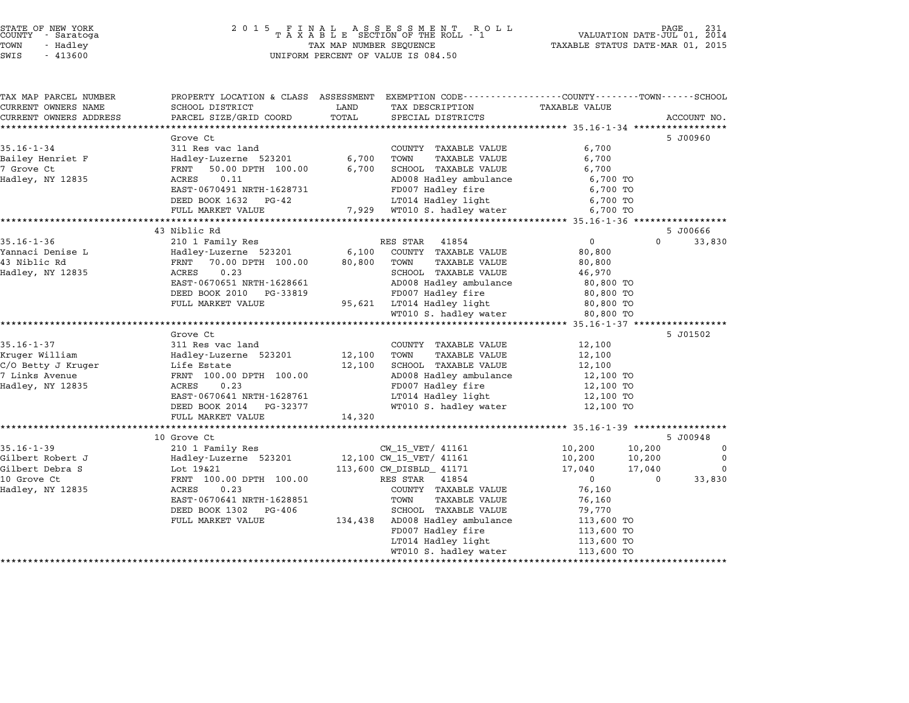| TAX MAP PARCEL NUMBER          |                                               |        | PROPERTY LOCATION & CLASS ASSESSMENT EXEMPTION CODE---------------COUNTY-------TOWN------SCHOOL |                |          |             |
|--------------------------------|-----------------------------------------------|--------|-------------------------------------------------------------------------------------------------|----------------|----------|-------------|
| CURRENT OWNERS NAME            | SCHOOL DISTRICT                               | LAND   | TAX DESCRIPTION                                                                                 | TAXABLE VALUE  |          |             |
| CURRENT OWNERS ADDRESS         | PARCEL SIZE/GRID COORD                        | TOTAL  | SPECIAL DISTRICTS                                                                               |                |          | ACCOUNT NO. |
|                                |                                               |        |                                                                                                 |                |          |             |
|                                | Grove Ct                                      |        |                                                                                                 |                |          | 5 J00960    |
| $35.16 - 1 - 34$               | 311 Res vac land                              |        | COUNTY TAXABLE VALUE                                                                            | 6,700          |          |             |
| Bailey Henriet F               | Hadley-Luzerne 523201 6,700                   |        | TOWN<br>TAXABLE VALUE                                                                           | 6,700          |          |             |
| 7 Grove Ct                     | FRNT 50.00 DPTH 100.00                        | 6,700  | SCHOOL TAXABLE VALUE                                                                            | 6,700          |          |             |
| Hadley, NY 12835               | ACRES<br>0.11                                 |        | AD008 Hadley ambulance                                                                          | 6,700 TO       |          |             |
|                                | EAST-0670491 NRTH-1628731                     |        | FD007 Hadley fire                                                                               | 6,700 TO       |          |             |
|                                | DEED BOOK 1632 PG-42                          |        | LT014 Hadley light                                                                              | 6,700 TO       |          |             |
|                                | FULL MARKET VALUE                             |        | 7,929 WT010 S. hadley water                                                                     | 6,700 TO       |          |             |
|                                |                                               |        |                                                                                                 |                |          |             |
|                                | 43 Niblic Rd                                  |        |                                                                                                 |                |          | 5 J00666    |
| $35.16 - 1 - 36$               | 210 1 Family Res                              |        | RES STAR 41854                                                                                  | $\overline{0}$ | $\Omega$ | 33,830      |
| Yannaci Denise L               | Hadley-Luzerne 523201                         |        | 6,100 COUNTY TAXABLE VALUE                                                                      | 80,800         |          |             |
| 43 Niblic Rd                   | FRNT 70.00 DPTH 100.00                        | 80,800 | TOWN<br>TAXABLE VALUE                                                                           | 80,800         |          |             |
| Hadley, NY 12835               | 0.23<br>ACRES                                 |        | SCHOOL TAXABLE VALUE                                                                            | 46,970         |          |             |
|                                | EAST-0670651 NRTH-1628661                     |        | AD008 Hadley ambulance                                                                          | 80,800 TO      |          |             |
|                                | DEED BOOK 2010 PG-33819                       |        | FD007 Hadley fire                                                                               | 80,800 TO      |          |             |
|                                | FULL MARKET VALUE                             |        | 95,621 LT014 Hadley light                                                                       | 80,800 TO      |          |             |
|                                |                                               |        | WT010 S. hadley water                                                                           | 80,800 TO      |          |             |
|                                |                                               |        |                                                                                                 |                |          |             |
|                                | Grove Ct                                      |        |                                                                                                 |                |          | 5 J01502    |
| $35.16 - 1 - 37$               | 311 Res vac land                              |        | COUNTY TAXABLE VALUE                                                                            | 12,100         |          |             |
| Kruger William                 | Hadley-Luzerne 523201                         | 12,100 | TOWN<br>TAXABLE VALUE                                                                           | 12,100         |          |             |
| C/O Betty J Kruger Life Estate |                                               | 12,100 | SCHOOL TAXABLE VALUE                                                                            | 12,100         |          |             |
| 7 Links Avenue                 | FRNT 100.00 DPTH 100.00                       |        | AD008 Hadley ambulance                                                                          | 12,100 TO      |          |             |
| Hadley, NY 12835               | 0.23<br>ACRES                                 |        | FD007 Hadley fire                                                                               | 12,100 TO      |          |             |
|                                | EAST-0670641 NRTH-1628761                     |        | LT014 Hadley light                                                                              | 12,100 TO      |          |             |
|                                | DEED BOOK 2014 PG-32377                       |        | WT010 S. hadley water                                                                           | 12,100 TO      |          |             |
|                                | FULL MARKET VALUE                             | 14,320 |                                                                                                 |                |          |             |
|                                |                                               |        |                                                                                                 |                |          |             |
|                                | 10 Grove Ct                                   |        |                                                                                                 |                |          | 5 J00948    |
| $35.16 - 1 - 39$               | 210 1 Family Res                              |        | CW 15 VET/ 41161                                                                                | 10,200         | 10,200   | $\mathbf 0$ |
| Gilbert Robert J               | Hadley-Luzerne 523201 12,100 CW_15_VET/ 41161 |        |                                                                                                 | 10,200         | 10,200   | $\mathbf 0$ |
| Gilbert Debra S                | Lot 19&21                                     |        | 113,600 CW_DISBLD_ 41171                                                                        | 17,040         | 17,040   | $\Omega$    |
| 10 Grove Ct                    | FRNT 100.00 DPTH 100.00                       |        | RES STAR 41854                                                                                  | $\overline{0}$ | $\Omega$ | 33,830      |
| Hadley, NY 12835               | 0.23<br>ACRES                                 |        | COUNTY TAXABLE VALUE                                                                            | 76,160         |          |             |
|                                | EAST-0670641 NRTH-1628851                     |        | TOWN<br><b>TAXABLE VALUE</b>                                                                    | 76,160         |          |             |
|                                | DEED BOOK 1302 PG-406                         |        | SCHOOL TAXABLE VALUE                                                                            | 79,770         |          |             |
|                                | FULL MARKET VALUE                             |        | 134,438 AD008 Hadley ambulance                                                                  | 113,600 TO     |          |             |
|                                |                                               |        | FD007 Hadley fire                                                                               | 113,600 TO     |          |             |
|                                |                                               |        | LT014 Hadley light                                                                              | 113,600 TO     |          |             |
|                                |                                               |        | WT010 S. hadley water                                                                           | 113,600 TO     |          |             |
|                                |                                               |        |                                                                                                 |                |          |             |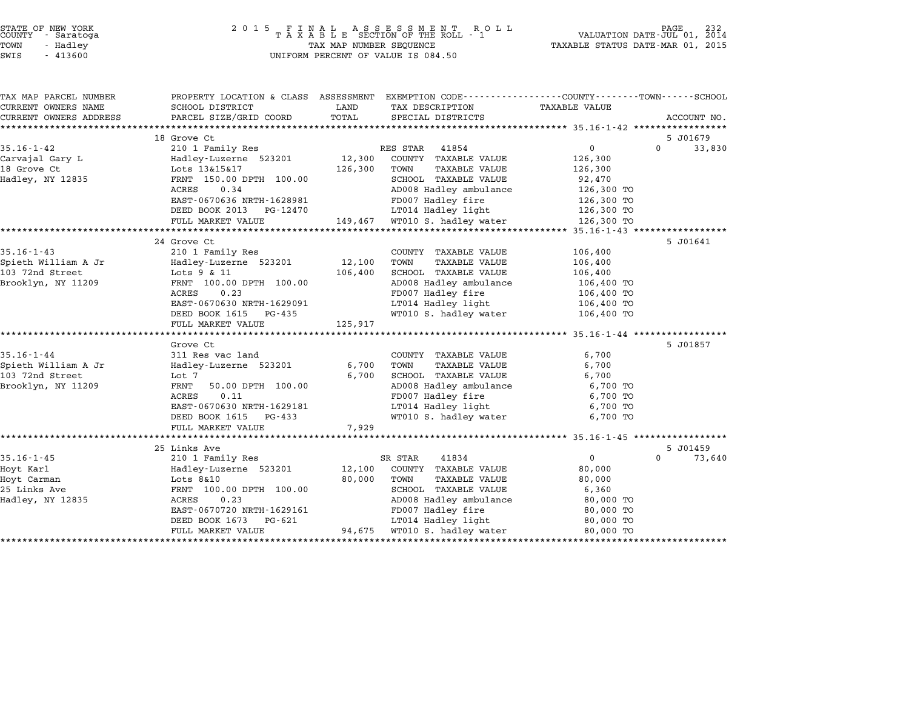| STATE OF NEW YORK |          |            |  |
|-------------------|----------|------------|--|
| COUNTY            |          | - Saratoga |  |
| TOWN              | - Hadley |            |  |

| TAX MAP PARCEL NUMBER  | PROPERTY LOCATION & CLASS ASSESSMENT EXEMPTION CODE---------------COUNTY-------TOWN------SCHOOL |         |                               |                |                    |
|------------------------|-------------------------------------------------------------------------------------------------|---------|-------------------------------|----------------|--------------------|
| CURRENT OWNERS NAME    | SCHOOL DISTRICT                                                                                 | LAND    | TAX DESCRIPTION               | TAXABLE VALUE  |                    |
| CURRENT OWNERS ADDRESS | PARCEL SIZE/GRID COORD                                                                          | TOTAL   | SPECIAL DISTRICTS             |                | ACCOUNT NO.        |
|                        | 18 Grove Ct                                                                                     |         |                               |                | 5 J01679           |
| $35.16 - 1 - 42$       | 210 1 Family Res                                                                                |         | RES STAR<br>41854             | $\overline{0}$ | $\Omega$<br>33,830 |
| Carvajal Gary L        | Hadley-Luzerne 523201 12,300                                                                    |         | COUNTY TAXABLE VALUE          | 126,300        |                    |
| 18 Grove Ct            | Lots 13&15&17                                                                                   | 126,300 | TOWN<br>TAXABLE VALUE         | 126,300        |                    |
| Hadley, NY 12835       | FRNT 150.00 DPTH 100.00                                                                         |         | SCHOOL TAXABLE VALUE          | 92,470         |                    |
|                        | ACRES<br>0.34                                                                                   |         | AD008 Hadley ambulance        | 126,300 TO     |                    |
|                        | EAST-0670636 NRTH-1628981                                                                       |         | FD007 Hadley fire             | 126,300 TO     |                    |
|                        | DEED BOOK 2013 PG-12470                                                                         |         | LT014 Hadley light 126,300 TO |                |                    |
|                        | FULL MARKET VALUE                                                                               |         | 149,467 WT010 S. hadley water | 126,300 TO     |                    |
|                        |                                                                                                 |         |                               |                |                    |
|                        | 24 Grove Ct                                                                                     |         |                               |                | 5 J01641           |
| $35.16 - 1 - 43$       | 210 1 Family Res                                                                                |         | COUNTY TAXABLE VALUE          | 106,400        |                    |
| Spieth William A Jr    | Hadley-Luzerne 523201                                                                           | 12,100  | TOWN<br>TAXABLE VALUE         | 106,400        |                    |
| 103 72nd Street        | Lots 9 & 11                                                                                     | 106,400 | SCHOOL TAXABLE VALUE          | 106,400        |                    |
| Brooklyn, NY 11209     | FRNT 100.00 DPTH 100.00                                                                         |         | AD008 Hadley ambulance        | 106,400 TO     |                    |
|                        | 0.23<br>ACRES                                                                                   |         | FD007 Hadley fire             | 106,400 TO     |                    |
|                        | EAST-0670630 NRTH-1629091                                                                       |         | LT014 Hadley light 106,400 TO |                |                    |
|                        | DEED BOOK 1615 PG-435                                                                           |         | WT010 S. hadley water         | 106,400 TO     |                    |
|                        | FULL MARKET VALUE                                                                               | 125,917 |                               |                |                    |
|                        |                                                                                                 |         |                               |                |                    |
|                        | Grove Ct                                                                                        |         |                               |                | 5 J01857           |
| $35.16 - 1 - 44$       | 311 Res vac land                                                                                |         | COUNTY TAXABLE VALUE          | 6,700          |                    |
| Spieth William A Jr    | Hadley-Luzerne 523201                                                                           | 6,700   | TOWN<br>TAXABLE VALUE         | 6,700          |                    |
| 103 72nd Street        | Lot 7                                                                                           | 6,700   | SCHOOL TAXABLE VALUE          | 6,700          |                    |
| Brooklyn, NY 11209     | FRNT<br>50.00 DPTH 100.00                                                                       |         | AD008 Hadley ambulance        | 6,700 TO       |                    |
|                        | ACRES<br>0.11                                                                                   |         | FD007 Hadley fire             | 6,700 TO       |                    |
|                        | EAST-0670630 NRTH-1629181                                                                       |         | LT014 Hadley light            | 6,700 TO       |                    |
|                        | DEED BOOK 1615 PG-433                                                                           |         | WT010 S. hadley water         | 6,700 TO       |                    |
|                        | FULL MARKET VALUE                                                                               | 7,929   |                               |                |                    |
|                        |                                                                                                 |         |                               |                |                    |
|                        | 25 Links Ave                                                                                    |         |                               |                | 5 J01459           |
| $35.16 - 1 - 45$       | 210 1 Family Res                                                                                |         | SR STAR<br>41834              | $\overline{0}$ | $\Omega$<br>73,640 |
| Hoyt Karl              | Hadley-Luzerne 523201                                                                           | 12,100  | COUNTY TAXABLE VALUE          | 80,000         |                    |
| Hoyt Carman            | $Lots$ $8&10$                                                                                   | 80,000  | TOWN<br>TAXABLE VALUE         | 80,000         |                    |
| 25 Links Ave           | FRNT 100.00 DPTH 100.00                                                                         |         | SCHOOL TAXABLE VALUE          | 6,360          |                    |
| Hadley, NY 12835       | ACRES<br>0.23                                                                                   |         | AD008 Hadley ambulance        | 80,000 TO      |                    |
|                        | EAST-0670720 NRTH-1629161                                                                       |         | FD007 Hadley fire             | 80,000 TO      |                    |
|                        | DEED BOOK 1673<br>PG-621                                                                        |         | LT014 Hadley light            | 80,000 TO      |                    |
|                        | FULL MARKET VALUE                                                                               |         | 94,675 WT010 S. hadley water  | 80,000 TO      |                    |
|                        |                                                                                                 |         |                               |                |                    |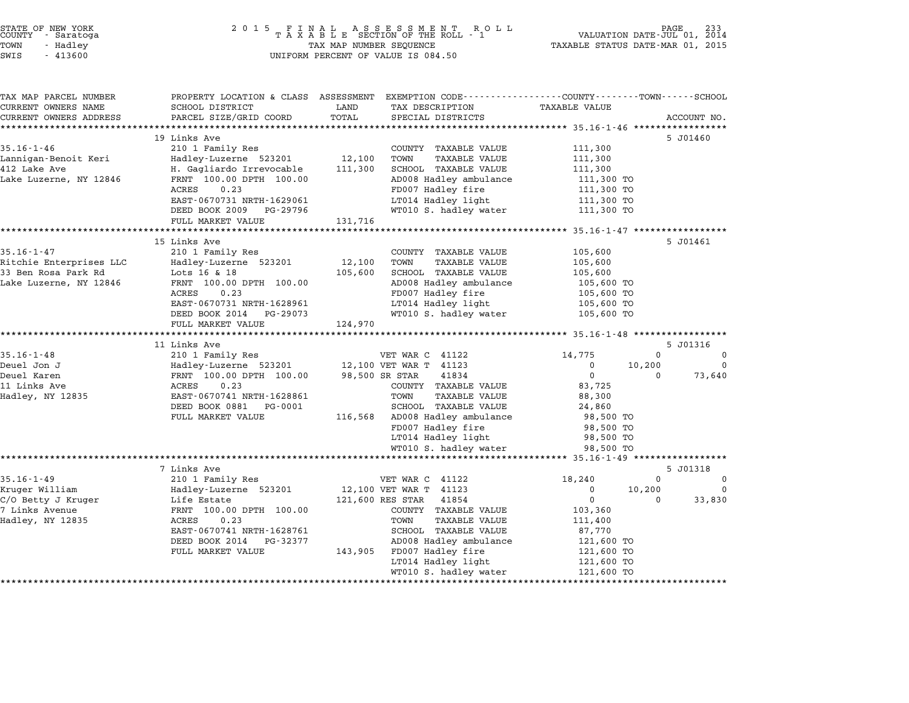| STATE OF NEW YORK<br>COUNTY - Saratoga | 2015 FINAL ASSESSMENT ROLL<br>TAXABLE SECTION OF THE ROLL - 1 | 233<br>PAGE<br>VALUATION DATE-JUL 01, 2014 |
|----------------------------------------|---------------------------------------------------------------|--------------------------------------------|
| TOWN<br>- Hadley                       | TAX MAP NUMBER SEQUENCE                                       | TAXABLE STATUS DATE-MAR 01, 2015           |
| $\alpha$<br>11200                      | INITEODM DEDGEME OF USITIE TO COALED                          |                                            |

# TOWN - Hadley TAX MAP NUMBER SEQUENCE TAXABLE STATUS DATE-MAR 01, <sup>2015</sup> STATE OF NEW YORK<br>
COUNTY - Saratoga<br>
TOWN - Hadley TAXABLE SECTION OF THE ROLL<br>
SWIS - 413600 UNIFORM PERCENT OF VALUE IS 084.50

|                                        |                          | PROPERTY LOCATION & CLASS ASSESSMENT EXEMPTION CODE---------------COUNTY-------TOWN------SCHOOL |         |                                                      | TAX MAP PARCEL NUMBER                                                              |
|----------------------------------------|--------------------------|-------------------------------------------------------------------------------------------------|---------|------------------------------------------------------|------------------------------------------------------------------------------------|
|                                        | <b>TAXABLE VALUE</b>     | TAX DESCRIPTION                                                                                 | LAND    | SCHOOL DISTRICT                                      | CURRENT OWNERS NAME                                                                |
| ACCOUNT NO.                            |                          | SPECIAL DISTRICTS                                                                               | TOTAL   | PARCEL SIZE/GRID COORD                               | CURRENT OWNERS ADDRESS                                                             |
|                                        |                          |                                                                                                 |         | 19 Links Ave                                         |                                                                                    |
| 5 J01460                               | 111,300                  | COUNTY TAXABLE VALUE                                                                            |         | 210 1 Family Res                                     | $35.16 - 1 - 46$                                                                   |
|                                        | 111,300                  | TOWN<br><b>TAXABLE VALUE</b>                                                                    | 12,100  | Hadley-Luzerne 523201                                | Lannigan-Benoit Keri                                                               |
|                                        | 111,300                  | SCHOOL TAXABLE VALUE                                                                            | 111,300 | H. Gagliardo Irrevocable                             | 412 Lake Ave                                                                       |
|                                        | 111,300 TO               | AD008 Hadley ambulance                                                                          |         | FRNT 100.00 DPTH 100.00                              | Lake Luzerne, NY 12846                                                             |
|                                        | 111,300 TO               | FD007 Hadley fire                                                                               |         | 0.23<br>ACRES                                        |                                                                                    |
|                                        | 111,300 TO               | LT014 Hadley light                                                                              |         | EAST-0670731 NRTH-1629061                            |                                                                                    |
|                                        | 111,300 TO               | WT010 S. hadley water                                                                           |         | DEED BOOK 2009 PG-29796                              |                                                                                    |
|                                        |                          |                                                                                                 | 131,716 | FULL MARKET VALUE                                    |                                                                                    |
|                                        |                          |                                                                                                 |         |                                                      |                                                                                    |
| 5 J01461                               |                          |                                                                                                 |         | 15 Links Ave                                         |                                                                                    |
|                                        | 105,600                  | COUNTY TAXABLE VALUE                                                                            |         | 210 1 Family Res                                     | $35.16 - 1 - 47$                                                                   |
|                                        | 105,600                  | TOWN<br><b>TAXABLE VALUE</b>                                                                    | 12,100  | Hadley-Luzerne 523201                                | Ritchie Enterprises LLC                                                            |
|                                        | 105,600                  | SCHOOL TAXABLE VALUE                                                                            | 105,600 | Lots 16 & 18                                         | 33 Ben Rosa Park Rd                                                                |
|                                        | 105,600 TO               | AD008 Hadley ambulance                                                                          |         | FRNT 100.00 DPTH 100.00                              | Lake Luzerne, NY 12846                                                             |
|                                        | 105,600 TO               | FD007 Hadley fire                                                                               |         | 0.23<br>ACRES                                        |                                                                                    |
|                                        | 105,600 TO               | LT014 Hadley light                                                                              |         | EAST-0670731 NRTH-1628961                            |                                                                                    |
|                                        | 105,600 TO               | WT010 S. hadley water                                                                           |         | DEED BOOK 2014 PG-29073                              |                                                                                    |
|                                        |                          |                                                                                                 |         |                                                      |                                                                                    |
|                                        |                          |                                                                                                 | 124,970 | FULL MARKET VALUE                                    |                                                                                    |
|                                        |                          |                                                                                                 |         |                                                      |                                                                                    |
| 5 J01316<br>$\Omega$<br>$\overline{0}$ |                          |                                                                                                 |         | 11 Links Ave                                         |                                                                                    |
| $\overline{\mathbf{0}}$                | 14,775<br>$\overline{0}$ | VET WAR C 41122<br>12,100 VET WAR T 41123                                                       |         | 210 1 Family Res                                     |                                                                                    |
| 10,200<br>73,640<br>$\Omega$           | $\Omega$                 | 98,500 SR STAR<br>41834                                                                         |         | Hadley-Luzerne 523201                                |                                                                                    |
|                                        | 83,725                   | COUNTY TAXABLE VALUE                                                                            |         | FRNT 100.00 DPTH 100.00<br>0.23<br>ACRES             |                                                                                    |
|                                        | 88,300                   | TOWN<br>TAXABLE VALUE                                                                           |         | EAST-0670741 NRTH-1628861                            | $35.16 - 1 - 48$<br>Deuel Jon J<br>Deuel Karen<br>11 Links Ave<br>Hadley, NY 12835 |
|                                        | 24,860                   | SCHOOL TAXABLE VALUE                                                                            |         | DEED BOOK 0881    PG-0001                            |                                                                                    |
|                                        | 98,500 TO                | 116,568 AD008 Hadley ambulance                                                                  |         | FULL MARKET VALUE                                    |                                                                                    |
|                                        | 98,500 TO                | FD007 Hadley fire                                                                               |         |                                                      |                                                                                    |
|                                        | 98,500 TO                | LT014 Hadley light                                                                              |         |                                                      |                                                                                    |
|                                        | 98,500 TO                | WT010 S. hadley water                                                                           |         |                                                      |                                                                                    |
|                                        |                          |                                                                                                 |         |                                                      |                                                                                    |
| 5 J01318                               |                          |                                                                                                 |         | 7 Links Ave                                          |                                                                                    |
| $\Omega$<br>$\mathbf 0$                | 18,240                   | VET WAR C 41122                                                                                 |         | 210 1 Family Res                                     | $35.16 - 1 - 49$                                                                   |
| $\Omega$<br>10,200                     | $\Omega$                 | 12,100 VET WAR T 41123                                                                          |         | Hadley-Luzerne 523201                                | Kruger William                                                                     |
| $\Omega$<br>33,830                     | $\mathbf 0$              | 121,600 RES STAR<br>41854                                                                       |         | Life Estate                                          | C/O Betty J Kruger                                                                 |
|                                        | 103,360                  | COUNTY TAXABLE VALUE                                                                            |         | FRNT 100.00 DPTH 100.00                              |                                                                                    |
|                                        | 111,400                  | TOWN<br>TAXABLE VALUE                                                                           |         | ACRES<br>0.23                                        |                                                                                    |
|                                        | 87,770                   | SCHOOL TAXABLE VALUE                                                                            |         | EAST-0670741 NRTH-1628761<br>DEED BOOK 2014 PG-32377 |                                                                                    |
|                                        | 121,600 TO<br>121,600 TO | AD008 Hadley ambulance<br>143,905 FD007 Hadley fire                                             |         | FULL MARKET VALUE                                    |                                                                                    |
|                                        | 121,600 TO               | LT014 Hadley light                                                                              |         |                                                      | 7 Links Avenue<br>Hadley, NY 12835                                                 |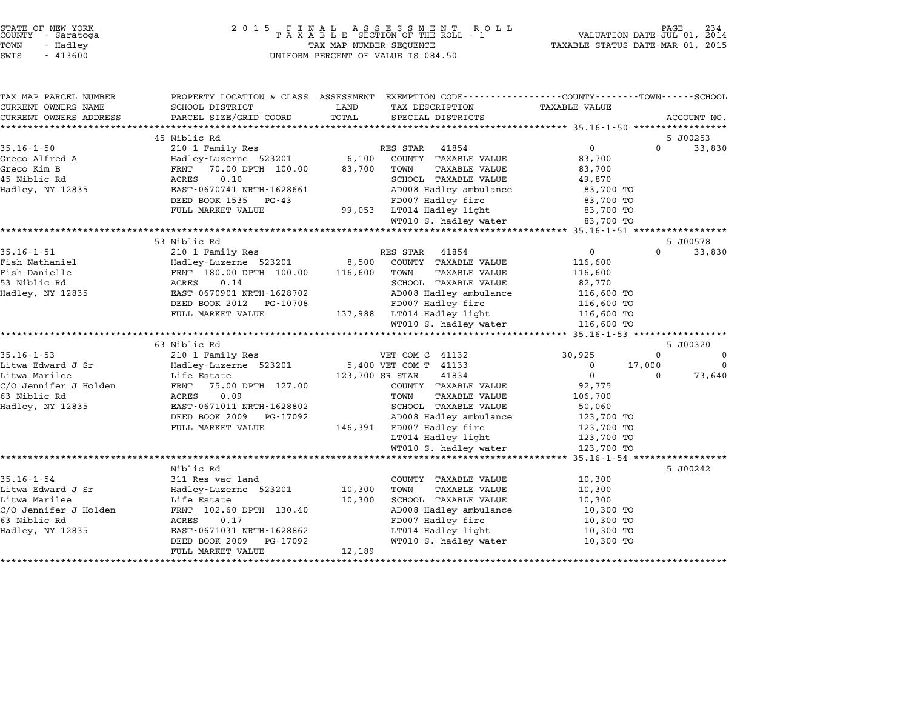|                   | STATE OF NEW YORK<br>COUNTY - Saratoga |  |
|-------------------|----------------------------------------|--|
| TOWN              | - Hadlev                               |  |
| $\sim$ - - $\sim$ | 11222                                  |  |

| TAX MAP PARCEL NUMBER  | PROPERTY LOCATION & CLASS ASSESSMENT |                            |                        | EXEMPTION CODE----------------COUNTY-------TOWN-----SCHOOL |          |             |
|------------------------|--------------------------------------|----------------------------|------------------------|------------------------------------------------------------|----------|-------------|
| CURRENT OWNERS NAME    | SCHOOL DISTRICT                      | LAND<br>TAX DESCRIPTION    |                        | TAXABLE VALUE                                              |          |             |
| CURRENT OWNERS ADDRESS | PARCEL SIZE/GRID COORD               | TOTAL                      | SPECIAL DISTRICTS      |                                                            |          | ACCOUNT NO. |
|                        |                                      |                            |                        |                                                            |          |             |
|                        | 45 Niblic Rd                         |                            |                        |                                                            |          | 5 J00253    |
| $35.16 - 1 - 50$       | 210 1 Family Res                     | RES STAR                   | 41854                  | $\overline{0}$                                             | $\Omega$ | 33,830      |
| Greco Alfred A         | Hadley-Luzerne 523201                | 6,100                      | COUNTY TAXABLE VALUE   | 83,700                                                     |          |             |
| Greco Kim B            | 70.00 DPTH 100.00<br>FRNT            | 83,700<br>TOWN             | <b>TAXABLE VALUE</b>   | 83,700                                                     |          |             |
| 45 Niblic Rd           | 0.10<br>ACRES                        |                            | SCHOOL TAXABLE VALUE   | 49,870                                                     |          |             |
| Hadley, NY 12835       | EAST-0670741 NRTH-1628661            |                            | AD008 Hadley ambulance | 83,700 TO                                                  |          |             |
|                        | DEED BOOK 1535<br>$PG-43$            |                            | FD007 Hadley fire      | 83,700 TO                                                  |          |             |
|                        | FULL MARKET VALUE                    | 99,053                     | LT014 Hadley light     | 83,700 TO                                                  |          |             |
|                        |                                      |                            | WT010 S. hadley water  | 83,700 TO                                                  |          |             |
|                        |                                      |                            |                        |                                                            |          |             |
|                        | 53 Niblic Rd                         |                            |                        |                                                            |          | 5 J00578    |
| $35.16 - 1 - 51$       | 210 1 Family Res                     | RES STAR                   | 41854                  | $\overline{0}$                                             | $\Omega$ | 33,830      |
| Fish Nathaniel         | Hadley-Luzerne 523201                | 8,500                      | COUNTY TAXABLE VALUE   | 116,600                                                    |          |             |
| Fish Danielle          | FRNT 180.00 DPTH 100.00              | 116,600<br>TOWN            | <b>TAXABLE VALUE</b>   | 116,600                                                    |          |             |
| 53 Niblic Rd           | 0.14<br>ACRES                        |                            | SCHOOL TAXABLE VALUE   | 82,770                                                     |          |             |
| Hadley, NY 12835       | EAST-0670901 NRTH-1628702            |                            | AD008 Hadley ambulance | 116,600 TO                                                 |          |             |
|                        | DEED BOOK 2012<br>PG-10708           |                            | FD007 Hadley fire      | 116,600 TO                                                 |          |             |
|                        | FULL MARKET VALUE                    | 137,988 LT014 Hadley light |                        | 116,600 TO                                                 |          |             |
|                        |                                      |                            | WT010 S. hadley water  | 116,600 TO                                                 |          |             |
|                        | 63 Niblic Rd                         |                            |                        |                                                            |          | 5 J00320    |
| $35.16 - 1 - 53$       | 210 1 Family Res                     | VET COM C 41132            |                        | 30,925                                                     | $\Omega$ | $\Omega$    |
| Litwa Edward J Sr      | Hadley-Luzerne 523201                | 5,400 VET COM T 41133      |                        | 0                                                          | 17,000   | $\Omega$    |
| Litwa Marilee          | Life Estate                          | 123,700 SR STAR            | 41834                  | $\mathbf 0$                                                | $\Omega$ | 73,640      |
| C/O Jennifer J Holden  | FRNT<br>75.00 DPTH 127.00            |                            | COUNTY TAXABLE VALUE   | 92,775                                                     |          |             |
| 63 Niblic Rd           | <b>ACRES</b><br>0.09                 | TOWN                       | <b>TAXABLE VALUE</b>   | 106,700                                                    |          |             |
| Hadley, NY 12835       | EAST-0671011 NRTH-1628802            |                            | SCHOOL TAXABLE VALUE   | 50,060                                                     |          |             |
|                        | DEED BOOK 2009<br>PG-17092           |                            | AD008 Hadley ambulance | 123,700 TO                                                 |          |             |
|                        | FULL MARKET VALUE                    | 146,391 FD007 Hadley fire  |                        | 123,700 TO                                                 |          |             |
|                        |                                      |                            | LT014 Hadley light     | 123,700 TO                                                 |          |             |
|                        |                                      |                            | WT010 S. hadley water  | 123,700 TO                                                 |          |             |
|                        |                                      |                            |                        | ********************* 35.16-1-54 ******************        |          |             |
|                        | Niblic Rd                            |                            |                        |                                                            |          | 5 J00242    |
| $35.16 - 1 - 54$       | 311 Res vac land                     |                            | COUNTY TAXABLE VALUE   | 10,300                                                     |          |             |
| Litwa Edward J Sr      | Hadley-Luzerne 523201                | 10,300<br>TOWN             | <b>TAXABLE VALUE</b>   | 10,300                                                     |          |             |
| Litwa Marilee          | Life Estate                          | 10,300                     | SCHOOL TAXABLE VALUE   | 10,300                                                     |          |             |
| C/O Jennifer J Holden  | FRNT 102.60 DPTH 130.40              |                            | AD008 Hadley ambulance | 10,300 TO                                                  |          |             |
| 63 Niblic Rd           | ACRES<br>0.17                        |                            | FD007 Hadley fire      | 10,300 TO                                                  |          |             |
| Hadley, NY 12835       | EAST-0671031 NRTH-1628862            |                            | LT014 Hadley light     | 10,300 TO                                                  |          |             |
|                        | DEED BOOK 2009<br>PG-17092           |                            | WT010 S. hadley water  | 10,300 TO                                                  |          |             |
|                        | FULL MARKET VALUE                    | 12,189                     |                        |                                                            |          |             |
|                        |                                      |                            |                        |                                                            |          |             |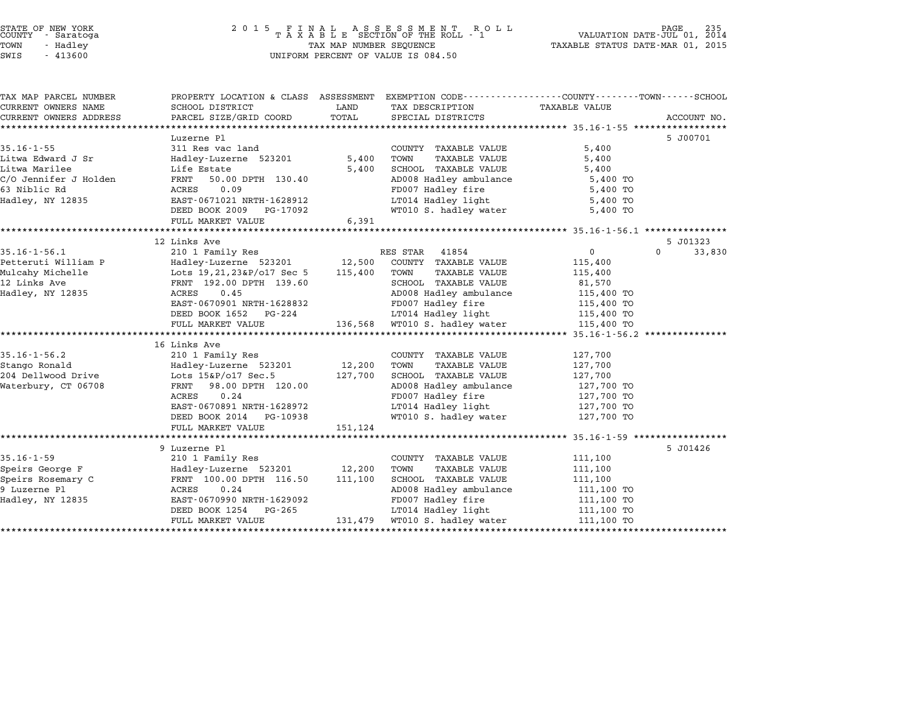#### STATE OF NEW YORK <sup>2</sup> <sup>0</sup> <sup>1</sup> 5 F I N A L A S S E S S M E N T R O L L PAGE <sup>235</sup> COUNTY - Saratoga <sup>T</sup> <sup>A</sup> <sup>X</sup> <sup>A</sup> <sup>B</sup> <sup>L</sup> <sup>E</sup> SECTION OF THE ROLL - <sup>1</sup> VALUATION DATE-JUL 01, <sup>2014</sup> TOWN - Hadley TAX MAP NUMBER SEQUENCE TAXABLE STATUS DATE-MAR 01, <sup>2015</sup> STATE OF NEW YORK<br>
COUNTY - Saratoga<br>
TOWN - Hadley TAXABLE SECTION OF THE ROLI<br>
SWIS - 413600 UNIFORM PERCENT OF VALUE IS 084.50

| TAX MAP PARCEL NUMBER                  | PROPERTY LOCATION & CLASS ASSESSMENT EXEMPTION CODE---------------COUNTY-------TOWN-----SCHOOL                                                           |         |                                                                  |                   |                    |
|----------------------------------------|----------------------------------------------------------------------------------------------------------------------------------------------------------|---------|------------------------------------------------------------------|-------------------|--------------------|
| CURRENT OWNERS NAME                    | SCHOOL DISTRICT                                                                                                                                          | LAND    | TAX DESCRIPTION                                                  | TAXABLE VALUE     |                    |
| CURRENT OWNERS ADDRESS                 | PARCEL SIZE/GRID COORD                                                                                                                                   | TOTAL   | SPECIAL DISTRICTS                                                |                   | ACCOUNT NO.        |
|                                        |                                                                                                                                                          |         |                                                                  |                   |                    |
|                                        | Luzerne Pl                                                                                                                                               |         |                                                                  |                   | 5 J00701           |
| $35.16 - 1 - 55$<br>Litwa Edward J Sr  | 511 Res vac land<br>Hadley-Luzerne 523201 5,400                                                                                                          |         | COUNTY TAXABLE VALUE                                             | 5,400             |                    |
|                                        |                                                                                                                                                          |         | TOWN<br>TAXABLE VALUE                                            | 5,400             |                    |
| Litwa Marilee<br>C/O Jennifer J Holden | Life Estate                                                                                                                                              | 5,400   | SCHOOL TAXABLE VALUE                                             | 5,400             |                    |
| 63 Niblic Rd                           | FRNT 50.00 DPTH 130.40<br>0.09<br>ACRES                                                                                                                  |         | AD008 Hadley ambulance 5,400 TO<br>FD007 Hadley fire 5,400 TO    |                   |                    |
|                                        |                                                                                                                                                          |         |                                                                  |                   |                    |
| Hadley, NY 12835                       | EAST-0671021 NRTH-1628912<br>DEED BOOK 2009 PG-17092                                                                                                     |         | LT014 Hadley light 5,400 TO<br>WT010 S. hadley water             | 5,400 TO          |                    |
|                                        | FULL MARKET VALUE                                                                                                                                        | 6,391   |                                                                  |                   |                    |
|                                        |                                                                                                                                                          |         |                                                                  |                   |                    |
|                                        | 12 Links Ave                                                                                                                                             |         |                                                                  |                   | 5 J01323           |
| $35.16 - 1 - 56.1$                     | 210 1 Family Res                                                                                                                                         |         | RES STAR 41854                                                   | $0 \qquad \qquad$ | $\Omega$<br>33,830 |
|                                        | Petteruti William P                 Hadley-Luzerne 523201         12,500 COUNTY TAXABLE VALUE                                                            |         |                                                                  | 115,400           |                    |
| Mulcahy Michelle                       | Lots 19, 21, 23&P/o17 Sec 5 115, 400                                                                                                                     |         | TOWN<br>TAXABLE VALUE                                            | 115,400           |                    |
| 12 Links Ave                           | FRNT 192.00 DPTH 139.60                                                                                                                                  |         |                                                                  |                   |                    |
| Hadley, NY 12835                       | ACRES<br>0.45                                                                                                                                            |         | SCHOOL TAXABLE VALUE 81,570<br>AD008 Hadley ambulance 115,400 TO |                   |                    |
|                                        |                                                                                                                                                          |         |                                                                  |                   |                    |
|                                        |                                                                                                                                                          |         |                                                                  |                   |                    |
|                                        |                                                                                                                                                          |         |                                                                  |                   |                    |
|                                        | DEED BOOK 1652 PG-224 LT014 Hadley fire 115,400 TO<br>FULL MARKET VALUE 136,568 WT010 S. hadley water 115,400 TO<br>ARRES 115,400 TO<br>ARRES 115,400 TO |         |                                                                  |                   |                    |
|                                        | 16 Links Ave                                                                                                                                             |         |                                                                  |                   |                    |
| $35.16 - 1 - 56.2$                     | 210 1 Family Res                                                                                                                                         |         | COUNTY TAXABLE VALUE                                             | 127,700           |                    |
|                                        |                                                                                                                                                          |         | TAXABLE VALUE                                                    | 127,700           |                    |
|                                        |                                                                                                                                                          |         | SCHOOL TAXABLE VALUE                                             | 127,700           |                    |
| Waterbury, CT 06708                    | FRNT 98.00 DPTH 120.00                                                                                                                                   |         |                                                                  | 127,700 TO        |                    |
|                                        | 0.24<br>ACRES                                                                                                                                            |         | AD008 Hadley ambulance<br>FD007 Hadley fire                      | 127,700 TO        |                    |
|                                        | EAST-0670891 NRTH-1628972                                                                                                                                |         | LT014 Hadley light 127,700 TO                                    |                   |                    |
|                                        | DEED BOOK 2014 PG-10938                                                                                                                                  |         | WT010 S. hadley water                                            | 127,700 TO        |                    |
|                                        | FULL MARKET VALUE                                                                                                                                        | 151,124 |                                                                  |                   |                    |
|                                        |                                                                                                                                                          |         |                                                                  |                   |                    |
|                                        | 9 Luzerne Pl                                                                                                                                             |         |                                                                  |                   | 5 J01426           |
| $35.16 - 1 - 59$                       | 210 1 Family Res                                                                                                                                         |         | COUNTY TAXABLE VALUE                                             | 111,100           |                    |
| Speirs George F                        | Hadley-Luzerne 523201 12,200                                                                                                                             |         | TOWN<br>TAXABLE VALUE                                            | 111,100           |                    |
|                                        | Speirs Rosemary C FRNT 100.00 DPTH 116.50 111,100                                                                                                        |         | SCHOOL TAXABLE VALUE                                             | 111,100           |                    |
| 9 Luzerne Pl                           | 0.24<br>ACRES                                                                                                                                            |         | AD008 Hadley ambulance                                           | 111,100 TO        |                    |
| Hadley, NY 12835                       | EAST-0670990 NRTH-1629092                                                                                                                                |         | FD007 Hadley fire                                                | 111,100 TO        |                    |
|                                        |                                                                                                                                                          |         |                                                                  |                   |                    |
|                                        | DEED BOOK 1254 PG-265                                                                                                                                    |         | LT014 Hadley light<br>131,479 WT010 S. hadley water              | 111,100 TO        |                    |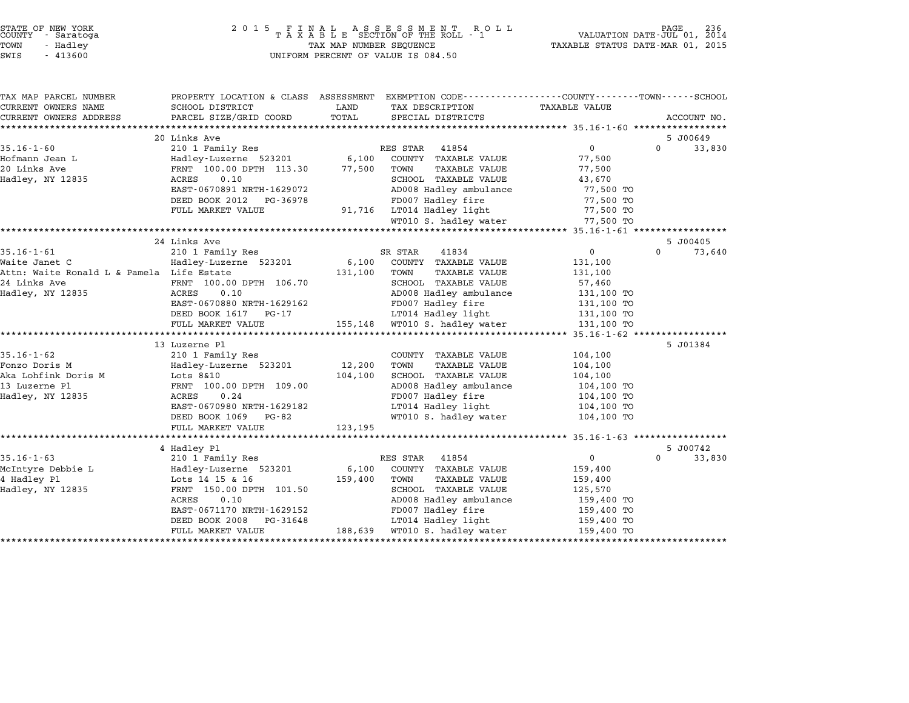| STATE OF NEW YORK |  |            |  |
|-------------------|--|------------|--|
| COUNTY            |  | - Saratoga |  |
| TOWN              |  | - Hadley   |  |
|                   |  |            |  |

| TAX MAP PARCEL NUMBER                     | PROPERTY LOCATION & CLASS ASSESSMENT EXEMPTION CODE----------------COUNTY-------TOWN------SCHOOL |         |                               |                          |                      |
|-------------------------------------------|--------------------------------------------------------------------------------------------------|---------|-------------------------------|--------------------------|----------------------|
| CURRENT OWNERS NAME                       | SCHOOL DISTRICT                                                                                  | LAND    | TAX DESCRIPTION               | TAXABLE VALUE            |                      |
| CURRENT OWNERS ADDRESS                    | PARCEL SIZE/GRID COORD                                                                           | TOTAL   | SPECIAL DISTRICTS             |                          | ACCOUNT NO.          |
|                                           |                                                                                                  |         |                               |                          |                      |
| $35.16 - 1 - 60$                          | 20 Links Ave                                                                                     |         | 41854<br>RES STAR             | $\overline{0}$           | 5 J00649<br>$\Omega$ |
| Hofmann Jean L                            | 210 1 Family Res                                                                                 |         | COUNTY TAXABLE VALUE          | 77,500                   | 33,830               |
| 20 Links Ave                              | Hadley-Luzerne 523201 6,100<br>Hadley-Luzerne Second PRNT 100.00 DPTH 113.30                     | 77,500  | TOWN<br>TAXABLE VALUE         | 77,500                   |                      |
| Hadley, NY 12835                          | 0.10<br>ACRES                                                                                    |         | SCHOOL TAXABLE VALUE          | 43,670                   |                      |
|                                           | EAST-0670891 NRTH-1629072                                                                        |         | AD008 Hadley ambulance        | 77,500 TO                |                      |
|                                           | DEED BOOK 2012 PG-36978                                                                          |         | FD007 Hadley fire             | 77,500 TO                |                      |
|                                           | FULL MARKET VALUE                                                                                |         | 91,716 LT014 Hadley light     | 77,500 TO                |                      |
|                                           |                                                                                                  |         | WT010 S. hadley water         | 77,500 TO                |                      |
|                                           |                                                                                                  |         |                               |                          |                      |
|                                           | 24 Links Ave                                                                                     |         |                               |                          | 5 J00405             |
| $35.16 - 1 - 61$                          | 210 1 Family Res                                                                                 |         | SR STAR<br>41834              | $\overline{0}$           | $\Omega$<br>73,640   |
| Waite Janet C                             | Hadley-Luzerne 523201                                                                            |         | 6,100 COUNTY TAXABLE VALUE    | 131,100                  |                      |
| Attn: Waite Ronald L & Pamela Life Estate |                                                                                                  | 131,100 | TOWN<br>TAXABLE VALUE         | 131,100                  |                      |
| 24 Links Ave                              | FRNT 100.00 DPTH 106.70                                                                          |         | SCHOOL TAXABLE VALUE          | 57,460                   |                      |
| Hadley, NY 12835                          | <b>ACRES</b><br>0.10                                                                             |         | AD008 Hadley ambulance        | 131,100 TO               |                      |
|                                           | EAST-0670880 NRTH-1629162                                                                        |         | FD007 Hadley fire             | 131,100 TO               |                      |
|                                           | DEED BOOK 1617 PG-17                                                                             |         | LT014 Hadley light            | 131,100 TO<br>131,100 TO |                      |
|                                           | FULL MARKET VALUE                                                                                |         | 155,148 WT010 S. hadley water | 131,100 TO               |                      |
|                                           |                                                                                                  |         |                               |                          |                      |
|                                           | 13 Luzerne Pl                                                                                    |         |                               |                          | 5 J01384             |
| $35.16 - 1 - 62$                          | 210 1 Family Res                                                                                 |         | COUNTY TAXABLE VALUE          | 104,100                  |                      |
| Fonzo Doris M                             | Hadley-Luzerne 523201 12,200<br>Lots 8&10 104,100<br>FRNT 100.00 DPTH 109.00                     |         | TOWN<br>TAXABLE VALUE         | 104,100                  |                      |
| Aka Lohfink Doris M<br>13 Iugarno Pl      |                                                                                                  |         | SCHOOL TAXABLE VALUE          | 104,100                  |                      |
| 13 Luzerne Pl                             |                                                                                                  |         | AD008 Hadley ambulance        | 104,100 TO               |                      |
| Hadley, NY 12835                          | ACRES<br>0.24                                                                                    |         | FD007 Hadley fire             | 104,100 TO               |                      |
|                                           | EAST-0670980 NRTH-1629182                                                                        |         | LT014 Hadley light            | 104,100 TO               |                      |
|                                           | DEED BOOK 1069 PG-82                                                                             |         | WT010 S. hadley water         | 104,100 TO               |                      |
|                                           | FULL MARKET VALUE                                                                                | 123,195 |                               |                          |                      |
|                                           |                                                                                                  |         |                               |                          |                      |
|                                           | 4 Hadley Pl                                                                                      |         |                               |                          | 5 J00742             |
| $35.16 - 1 - 63$                          | 210 1 Family Res                                                                                 |         | 41854<br>RES STAR             | $\overline{0}$           | $\Omega$<br>33,830   |
| McIntyre Debbie L                         | Hadley-Luzerne 523201<br>Lots 14 15 & 16                                                         |         | 6,100 COUNTY TAXABLE VALUE    | 159,400                  |                      |
| 4 Hadley Pl                               |                                                                                                  | 159,400 | TOWN<br>TAXABLE VALUE         | 159,400                  |                      |
| Hadley, NY 12835                          | FRNT 150.00 DPTH 101.50                                                                          |         | SCHOOL TAXABLE VALUE          | 125,570                  |                      |
|                                           | ACRES<br>0.10                                                                                    |         | AD008 Hadley ambulance        | 159,400 TO               |                      |
|                                           | EAST-0671170 NRTH-1629152                                                                        |         | FD007 Hadley fire             | 159,400 TO               |                      |
|                                           | DEED BOOK 2008<br>PG-31648                                                                       |         | LT014 Hadley light            | 159,400 TO               |                      |
|                                           | FULL MARKET VALUE                                                                                |         | 188,639 WT010 S. hadley water | 159,400 TO               |                      |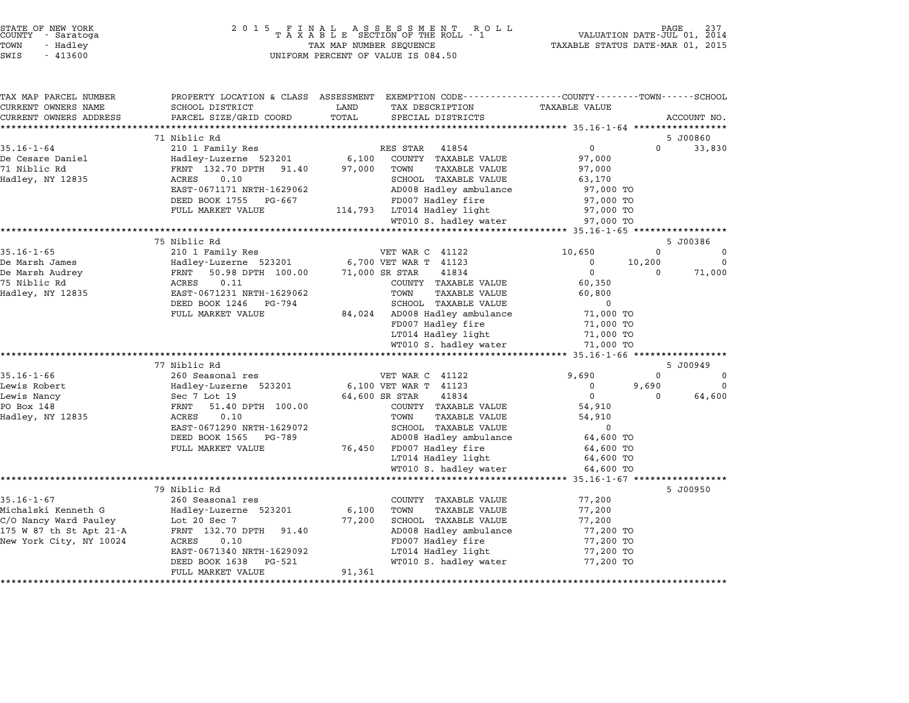|                    | STATE OF NEW YORK<br>COUNTY - Saratoga |  |
|--------------------|----------------------------------------|--|
| POWN               | - Hadlev                               |  |
| 77.77 <sub>m</sub> | 11200                                  |  |

# STATE OF NEW YORK <sup>2</sup> <sup>0</sup> <sup>1</sup> 5 F I N A L A S S E S S M E N T R O L L PAGE <sup>237</sup> COUNTY - Saratoga <sup>T</sup> <sup>A</sup> <sup>X</sup> <sup>A</sup> <sup>B</sup> <sup>L</sup> <sup>E</sup> SECTION OF THE ROLL - <sup>1</sup> VALUATION DATE-JUL 01, <sup>2014</sup> TOWN - Hadley TAX MAP NUMBER SEQUENCE TAXABLE STATUS DATE-MAR 01, <sup>2015</sup> SWIS - <sup>413600</sup> UNIFORM PERCENT OF VALUE IS 084.50

| TAX MAP PARCEL NUMBER                        | PROPERTY LOCATION & CLASS ASSESSMENT  | EXEMPTION CODE-----------------COUNTY-------TOWN-----SCHOOL             |                                               |                    |
|----------------------------------------------|---------------------------------------|-------------------------------------------------------------------------|-----------------------------------------------|--------------------|
| CURRENT OWNERS NAME                          | SCHOOL DISTRICT                       | LAND<br>TAX DESCRIPTION                                                 | TAXABLE VALUE                                 |                    |
| CURRENT OWNERS ADDRESS                       | PARCEL SIZE/GRID COORD                | TOTAL<br>SPECIAL DISTRICTS                                              |                                               | ACCOUNT NO.        |
|                                              |                                       |                                                                         |                                               |                    |
| $35.16 - 1 - 64$                             | 71 Niblic Rd<br>210 1 Family Res      | RES STAR<br>41854                                                       | $\mathbf 0$<br>$\Omega$                       | 5 J00860<br>33,830 |
| De Cesare Daniel                             | Hadley-Luzerne 523201                 | 6,100<br>COUNTY TAXABLE VALUE                                           | 97,000                                        |                    |
| 71 Niblic Rd                                 | FRNT 132.70 DPTH<br>91.40             | 97,000<br>TOWN<br><b>TAXABLE VALUE</b>                                  | 97,000                                        |                    |
| Hadley, NY 12835                             | ACRES<br>0.10                         | SCHOOL TAXABLE VALUE                                                    | 63,170                                        |                    |
|                                              | EAST-0671171 NRTH-1629062             | AD008 Hadley ambulance                                                  | 97,000 TO                                     |                    |
|                                              | DEED BOOK 1755<br>PG-667              | FD007 Hadley fire                                                       | 97,000 TO                                     |                    |
|                                              | FULL MARKET VALUE                     | LT014 Hadley light<br>114,793                                           | 97,000 TO                                     |                    |
|                                              |                                       | WT010 S. hadley water                                                   | 97,000 TO                                     |                    |
|                                              |                                       |                                                                         | ·************** 35.16-1-65 ****************** |                    |
|                                              | 75 Niblic Rd                          |                                                                         |                                               | 5 J00386           |
| $35.16 - 1 - 65$                             | 210 1 Family Res                      | VET WAR C 41122                                                         | 10,650<br>$\Omega$                            | $\Omega$           |
| De Marsh James                               | Hadley-Luzerne 523201                 | 6,700 VET WAR T 41123                                                   | 10,200<br>$\Omega$                            | $\Omega$           |
| De Marsh Audrey                              | FRNT<br>50.98 DPTH 100.00             | 71,000 SR STAR<br>41834                                                 | $\Omega$<br>$\Omega$                          | 71,000             |
| 75 Niblic Rd                                 | 0.11<br>ACRES                         | COUNTY TAXABLE VALUE                                                    | 60,350                                        |                    |
| Hadley, NY 12835                             | EAST-0671231 NRTH-1629062             | <b>TAXABLE VALUE</b><br>TOWN                                            | 60,800                                        |                    |
|                                              | DEED BOOK 1246<br>PG-794              | SCHOOL TAXABLE VALUE                                                    | $\Omega$                                      |                    |
|                                              | FULL MARKET VALUE                     | 84,024<br>AD008 Hadley ambulance<br>FD007 Hadley fire                   | 71,000 TO                                     |                    |
|                                              |                                       | LT014 Hadley light                                                      | 71,000 TO<br>71,000 TO                        |                    |
|                                              |                                       | WT010 S. hadley water                                                   | 71,000 TO                                     |                    |
|                                              |                                       |                                                                         |                                               |                    |
|                                              | 77 Niblic Rd                          |                                                                         |                                               | 5 J00949           |
| $35.16 - 1 - 66$                             | 260 Seasonal res                      | VET WAR C 41122                                                         | 9,690<br>$\Omega$                             | 0                  |
| Lewis Robert                                 | Hadley-Luzerne 523201                 | 6,100 VET WAR T 41123                                                   | 0<br>9,690                                    | $\Omega$           |
| Lewis Nancy                                  | Sec 7 Lot 19                          | 64,600 SR STAR<br>41834                                                 | $\mathbf 0$<br>$\Omega$                       | 64,600             |
| PO Box 148                                   | 51.40 DPTH 100.00<br>FRNT             | COUNTY TAXABLE VALUE                                                    | 54,910                                        |                    |
| Hadley, NY 12835                             | ACRES<br>0.10                         | TOWN<br><b>TAXABLE VALUE</b>                                            | 54,910                                        |                    |
|                                              | EAST-0671290 NRTH-1629072             | SCHOOL TAXABLE VALUE                                                    | $\Omega$                                      |                    |
|                                              | DEED BOOK 1565<br>PG-789              | AD008 Hadley ambulance                                                  | 64,600 TO                                     |                    |
|                                              | FULL MARKET VALUE                     | FD007 Hadley fire<br>76,450                                             | 64,600 TO                                     |                    |
|                                              |                                       | LT014 Hadley light                                                      | 64,600 TO                                     |                    |
|                                              |                                       | WT010 S. hadley water                                                   | 64,600 TO                                     |                    |
|                                              | ****************************          | *********************************                                       | $35.16 - 1 - 67$ *****************            |                    |
| $35.16 - 1 - 67$                             | 79 Niblic Rd                          |                                                                         |                                               | 5 J00950           |
|                                              | 260 Seasonal res                      | COUNTY TAXABLE VALUE                                                    | 77,200                                        |                    |
| Michalski Kenneth G<br>C/O Nancy Ward Pauley | Hadley-Luzerne 523201<br>Lot 20 Sec 7 | 6,100<br>TOWN<br><b>TAXABLE VALUE</b><br>77,200<br>SCHOOL TAXABLE VALUE | 77,200<br>77,200                              |                    |
| 175 W 87 th St Apt 21-A                      | FRNT 132.70 DPTH<br>91.40             | AD008 Hadley ambulance                                                  | 77,200 TO                                     |                    |
| New York City, NY 10024                      | ACRES<br>0.10                         | FD007 Hadley fire                                                       | 77,200 TO                                     |                    |
|                                              | EAST-0671340 NRTH-1629092             | LT014 Hadley light                                                      | 77,200 TO                                     |                    |
|                                              | DEED BOOK 1638<br>PG-521              | WT010 S. hadley water                                                   | 77,200 TO                                     |                    |
|                                              | FULL MARKET VALUE                     | 91,361                                                                  |                                               |                    |
|                                              | ************************              | *******************                                                     |                                               |                    |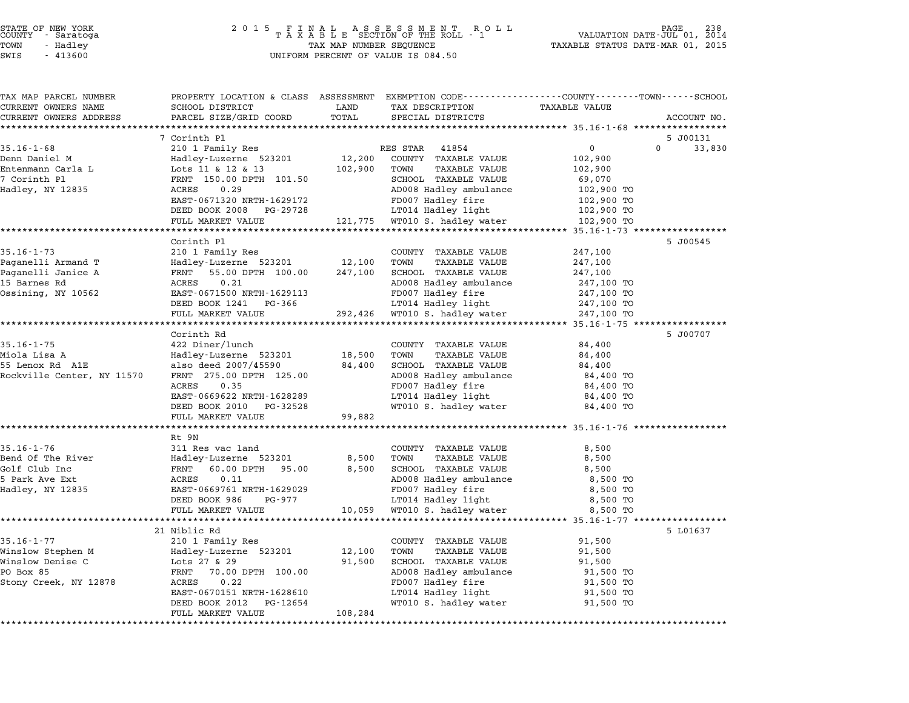| TAX MAP PARCEL NUMBER<br>CURRENT OWNERS NAME | PROPERTY LOCATION & CLASS ASSESSMENT EXEMPTION CODE---------------COUNTY-------TOWN-----SCHOOL<br>SCHOOL DISTRICT | LAND    | TAX DESCRIPTION                                                           | <b>TAXABLE VALUE</b> |                    |
|----------------------------------------------|-------------------------------------------------------------------------------------------------------------------|---------|---------------------------------------------------------------------------|----------------------|--------------------|
| CURRENT OWNERS ADDRESS                       | PARCEL SIZE/GRID COORD                                                                                            | TOTAL   | SPECIAL DISTRICTS                                                         |                      | ACCOUNT NO.        |
|                                              |                                                                                                                   |         |                                                                           |                      |                    |
|                                              | 7 Corinth Pl                                                                                                      |         |                                                                           |                      | 5 J00131           |
| $35.16 - 1 - 68$                             | 210 1 Family Res                                                                                                  |         | RES STAR 41854                                                            | $\overline{0}$       | $\Omega$<br>33,830 |
| Denn Daniel M                                | Hadley-Luzerne 523201                                                                                             | 12,200  | COUNTY TAXABLE VALUE                                                      | 102,900              |                    |
| Entenmann Carla L                            | Lots 11 & 12 & 13                                                                                                 | 102,900 | TOWN<br>TAXABLE VALUE                                                     | 102,900              |                    |
| 7 Corinth Pl                                 | FRNT 150.00 DPTH 101.50                                                                                           |         | SCHOOL TAXABLE VALUE                                                      | 69,070               |                    |
| Hadley, NY 12835                             | 0.29<br>ACRES                                                                                                     |         | AD008 Hadley ambulance                                                    | 102,900 TO           |                    |
|                                              | EAST-0671320 NRTH-1629172                                                                                         |         | FD007 Hadley fire                                                         | 102,900 TO           |                    |
|                                              | DEED BOOK 2008 PG-29728                                                                                           |         | LT014 Hadley light<br>121,775 WT010 S. hadley water<br>LT014 Hadley light | 102,900 TO           |                    |
|                                              | FULL MARKET VALUE                                                                                                 |         |                                                                           | 102,900 TO           |                    |
|                                              |                                                                                                                   |         |                                                                           |                      |                    |
|                                              | Corinth Pl                                                                                                        |         |                                                                           |                      | 5 J00545           |
| $35.16 - 1 - 73$                             | 210 1 Family Res                                                                                                  |         | COUNTY TAXABLE VALUE                                                      | 247,100              |                    |
| Paganelli Armand T                           | Hadley-Luzerne 523201 12,100                                                                                      |         | TOWN<br><b>TAXABLE VALUE</b>                                              | 247,100              |                    |
| Paganelli Janice A                           | FRNT 55.00 DPTH 100.00                                                                                            | 247,100 | SCHOOL TAXABLE VALUE                                                      | 247,100              |                    |
| 15 Barnes Rd                                 | ACRES<br>0.21                                                                                                     |         | AD008 Hadley ambulance                                                    | 247,100 TO           |                    |
| Ossining, NY 10562                           | EAST-0671500 NRTH-1629113                                                                                         |         | FD007 Hadley fire                                                         | 247,100 TO           |                    |
|                                              | DEED BOOK 1241 PG-366<br>FULL MARKET VALUE                                                                        |         | LT014 Hadley light                                                        | 247,100 TO           |                    |
|                                              |                                                                                                                   |         | 292,426 WT010 S. hadley water                                             | 247,100 TO           |                    |
|                                              | Corinth Rd                                                                                                        |         |                                                                           |                      | 5 J00707           |
| $35.16 - 1 - 75$                             | 422 Diner/lunch                                                                                                   |         | COUNTY TAXABLE VALUE                                                      | 84,400               |                    |
| Miola Lisa A                                 | Hadley-Luzerne 523201                                                                                             | 18,500  | TOWN<br>TAXABLE VALUE                                                     | 84,400               |                    |
| 55 Lenox Rd A1E                              | also deed 2007/45590                                                                                              | 84,400  | SCHOOL TAXABLE VALUE                                                      | 84,400               |                    |
| Rockville Center, NY 11570                   | FRNT 275.00 DPTH 125.00                                                                                           |         | AD008 Hadley ambulance                                                    | 84,400 TO            |                    |
|                                              | ACRES<br>0.35                                                                                                     |         | FD007 Hadley fire                                                         | 84,400 TO            |                    |
|                                              | EAST-0669622 NRTH-1628289                                                                                         |         | LT014 Hadley light                                                        | 84,400 TO            |                    |
|                                              | DEED BOOK 2010 PG-32528                                                                                           |         | WT010 S. hadley water                                                     | 84,400 TO            |                    |
|                                              | FULL MARKET VALUE                                                                                                 | 99,882  |                                                                           |                      |                    |
|                                              |                                                                                                                   |         |                                                                           |                      |                    |
|                                              | Rt 9N                                                                                                             |         |                                                                           |                      |                    |
| $35.16 - 1 - 76$                             | 311 Res vac land                                                                                                  |         | COUNTY TAXABLE VALUE                                                      | 8,500                |                    |
| Bend Of The River                            | Hadley-Luzerne 523201                                                                                             | 8,500   | TOWN<br>TAXABLE VALUE                                                     | 8,500                |                    |
| Golf Club Inc                                | FRNT 60.00 DPTH 95.00                                                                                             | 8,500   | SCHOOL TAXABLE VALUE                                                      | 8,500                |                    |
| 5 Park Ave Ext                               | ACRES<br>0.11                                                                                                     |         | AD008 Hadley ambulance                                                    | 8,500 TO             |                    |
| Hadley, NY 12835                             | EAST-0669761 NRTH-1629029                                                                                         |         | FD007 Hadley fire                                                         | 8,500 TO             |                    |
|                                              | DEED BOOK 986<br>PG-977                                                                                           |         | LT014 Hadley light                                                        | 8,500 TO             |                    |
|                                              | FULL MARKET VALUE                                                                                                 | 10,059  | WT010 S. hadley water                                                     | 8,500 TO             |                    |
|                                              | 21 Niblic Rd                                                                                                      |         |                                                                           |                      | 5 L01637           |
| $35.16 - 1 - 77$                             | 210 1 Family Res                                                                                                  |         | COUNTY TAXABLE VALUE                                                      | 91,500               |                    |
| Winslow Stephen M                            | Hadley-Luzerne 523201                                                                                             | 12,100  | TOWN<br>TAXABLE VALUE                                                     | 91,500               |                    |
| Winslow Denise C                             | Lots $27$ & 29                                                                                                    | 91,500  | SCHOOL TAXABLE VALUE                                                      | 91,500               |                    |
| PO Box 85                                    | FRNT 70.00 DPTH 100.00                                                                                            |         | AD008 Hadley ambulance                                                    | 91,500 TO            |                    |
| Stony Creek, NY 12878                        | ACRES<br>0.22                                                                                                     |         | FD007 Hadley fire                                                         | 91,500 TO            |                    |
|                                              | EAST-0670151 NRTH-1628610                                                                                         |         | LT014 Hadley light                                                        | 91,500 TO            |                    |
|                                              | DEED BOOK 2012 PG-12654                                                                                           |         | WT010 S. hadley water                                                     | 91,500 TO            |                    |
|                                              | FULL MARKET VALUE                                                                                                 | 108,284 |                                                                           |                      |                    |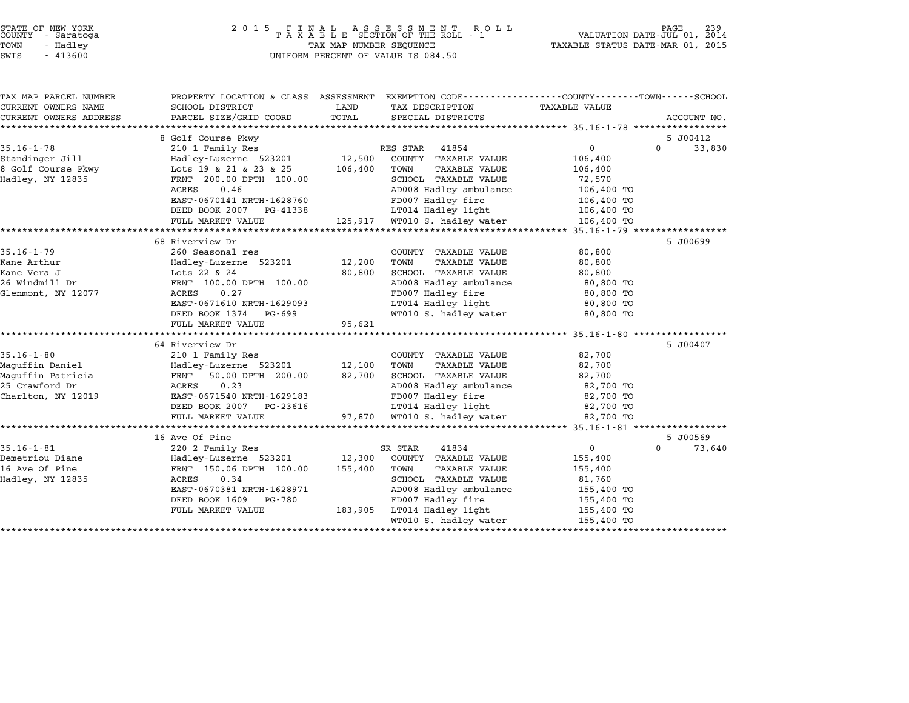| Hadley, NY 12835<br>26 Windmill Dr<br>Glenmont, NY 12077<br>Maguffin Daniel<br>Maguffin Patricia<br>25 Crawford Dr<br>Charlton, NY 12019 | ACRES<br>0.46<br>EAST-0670141 NRTH-1628760<br>DEED BOOK 2007 PG-41338<br>FULL MARKET VALUE<br>68 Riverview Dr<br>260 Seasonal res<br>Hadley-Luzerne 523201<br>Lots 22 & 24<br>FRNT 100.00 DPTH 100.00<br>0.27<br>ACRES<br>EAST-0671610 NRTH-1629093<br>DEED BOOK 1374 PG-699<br>FULL MARKET VALUE<br>64 Riverview Dr<br>210 1 Family Res<br>Hadley-Luzerne 523201<br>50.00 DPTH 200.00<br>FRNT<br>0.23<br>ACRES<br>EAST-0671540 NRTH-1629183<br>DEED BOOK 2007 PG-23616<br>FULL MARKET VALUE | 12,200<br>80,800<br>95,621<br>12,100<br>82,700<br>97,870                                                            | AD008 Hadley ambulance<br>FD007 Hadley fire<br>LT014 Hadley light<br>125,917 WT010 S. hadley water<br>COUNTY TAXABLE VALUE<br>TOWN<br>TAXABLE VALUE<br>SCHOOL TAXABLE VALUE<br>AD008 Hadley ambulance<br>FD007 Hadley fire<br>LT014 Hadley light<br>WT010 S. hadley water<br>COUNTY TAXABLE VALUE<br>TOWN<br>TAXABLE VALUE<br>SCHOOL TAXABLE VALUE<br>AD008 Hadley ambulance<br>FD007 Hadley fire<br>LT014 Hadley light<br>WT010 S. hadley water | 106,400 TO<br>106,400 TO<br>106,400 TO<br>106,400 TO<br>80,800<br>80,800<br>80,800<br>80,800 TO<br>80,800 TO<br>80,800 TO<br>80,800 TO<br>82,700<br>82,700<br>82,700<br>82,700 TO<br>82,700 TO<br>82,700 TO<br>82,700 TO         | 5 J00699<br>5 J00407                                                                                                                                                                       |
|------------------------------------------------------------------------------------------------------------------------------------------|----------------------------------------------------------------------------------------------------------------------------------------------------------------------------------------------------------------------------------------------------------------------------------------------------------------------------------------------------------------------------------------------------------------------------------------------------------------------------------------------|---------------------------------------------------------------------------------------------------------------------|--------------------------------------------------------------------------------------------------------------------------------------------------------------------------------------------------------------------------------------------------------------------------------------------------------------------------------------------------------------------------------------------------------------------------------------------------|----------------------------------------------------------------------------------------------------------------------------------------------------------------------------------------------------------------------------------|--------------------------------------------------------------------------------------------------------------------------------------------------------------------------------------------|
|                                                                                                                                          |                                                                                                                                                                                                                                                                                                                                                                                                                                                                                              |                                                                                                                     |                                                                                                                                                                                                                                                                                                                                                                                                                                                  |                                                                                                                                                                                                                                  |                                                                                                                                                                                            |
|                                                                                                                                          |                                                                                                                                                                                                                                                                                                                                                                                                                                                                                              |                                                                                                                     |                                                                                                                                                                                                                                                                                                                                                                                                                                                  |                                                                                                                                                                                                                                  |                                                                                                                                                                                            |
|                                                                                                                                          |                                                                                                                                                                                                                                                                                                                                                                                                                                                                                              |                                                                                                                     |                                                                                                                                                                                                                                                                                                                                                                                                                                                  |                                                                                                                                                                                                                                  |                                                                                                                                                                                            |
|                                                                                                                                          |                                                                                                                                                                                                                                                                                                                                                                                                                                                                                              |                                                                                                                     |                                                                                                                                                                                                                                                                                                                                                                                                                                                  |                                                                                                                                                                                                                                  |                                                                                                                                                                                            |
|                                                                                                                                          |                                                                                                                                                                                                                                                                                                                                                                                                                                                                                              |                                                                                                                     |                                                                                                                                                                                                                                                                                                                                                                                                                                                  |                                                                                                                                                                                                                                  |                                                                                                                                                                                            |
|                                                                                                                                          |                                                                                                                                                                                                                                                                                                                                                                                                                                                                                              |                                                                                                                     |                                                                                                                                                                                                                                                                                                                                                                                                                                                  |                                                                                                                                                                                                                                  |                                                                                                                                                                                            |
|                                                                                                                                          |                                                                                                                                                                                                                                                                                                                                                                                                                                                                                              |                                                                                                                     |                                                                                                                                                                                                                                                                                                                                                                                                                                                  |                                                                                                                                                                                                                                  |                                                                                                                                                                                            |
|                                                                                                                                          |                                                                                                                                                                                                                                                                                                                                                                                                                                                                                              |                                                                                                                     |                                                                                                                                                                                                                                                                                                                                                                                                                                                  |                                                                                                                                                                                                                                  |                                                                                                                                                                                            |
|                                                                                                                                          |                                                                                                                                                                                                                                                                                                                                                                                                                                                                                              |                                                                                                                     |                                                                                                                                                                                                                                                                                                                                                                                                                                                  |                                                                                                                                                                                                                                  |                                                                                                                                                                                            |
|                                                                                                                                          |                                                                                                                                                                                                                                                                                                                                                                                                                                                                                              |                                                                                                                     |                                                                                                                                                                                                                                                                                                                                                                                                                                                  |                                                                                                                                                                                                                                  |                                                                                                                                                                                            |
|                                                                                                                                          |                                                                                                                                                                                                                                                                                                                                                                                                                                                                                              |                                                                                                                     |                                                                                                                                                                                                                                                                                                                                                                                                                                                  |                                                                                                                                                                                                                                  |                                                                                                                                                                                            |
|                                                                                                                                          |                                                                                                                                                                                                                                                                                                                                                                                                                                                                                              |                                                                                                                     |                                                                                                                                                                                                                                                                                                                                                                                                                                                  |                                                                                                                                                                                                                                  |                                                                                                                                                                                            |
|                                                                                                                                          |                                                                                                                                                                                                                                                                                                                                                                                                                                                                                              |                                                                                                                     |                                                                                                                                                                                                                                                                                                                                                                                                                                                  |                                                                                                                                                                                                                                  |                                                                                                                                                                                            |
|                                                                                                                                          |                                                                                                                                                                                                                                                                                                                                                                                                                                                                                              |                                                                                                                     |                                                                                                                                                                                                                                                                                                                                                                                                                                                  |                                                                                                                                                                                                                                  |                                                                                                                                                                                            |
|                                                                                                                                          |                                                                                                                                                                                                                                                                                                                                                                                                                                                                                              |                                                                                                                     |                                                                                                                                                                                                                                                                                                                                                                                                                                                  |                                                                                                                                                                                                                                  |                                                                                                                                                                                            |
|                                                                                                                                          |                                                                                                                                                                                                                                                                                                                                                                                                                                                                                              |                                                                                                                     |                                                                                                                                                                                                                                                                                                                                                                                                                                                  |                                                                                                                                                                                                                                  |                                                                                                                                                                                            |
|                                                                                                                                          |                                                                                                                                                                                                                                                                                                                                                                                                                                                                                              |                                                                                                                     |                                                                                                                                                                                                                                                                                                                                                                                                                                                  |                                                                                                                                                                                                                                  |                                                                                                                                                                                            |
|                                                                                                                                          |                                                                                                                                                                                                                                                                                                                                                                                                                                                                                              |                                                                                                                     |                                                                                                                                                                                                                                                                                                                                                                                                                                                  |                                                                                                                                                                                                                                  |                                                                                                                                                                                            |
|                                                                                                                                          |                                                                                                                                                                                                                                                                                                                                                                                                                                                                                              |                                                                                                                     |                                                                                                                                                                                                                                                                                                                                                                                                                                                  |                                                                                                                                                                                                                                  |                                                                                                                                                                                            |
|                                                                                                                                          |                                                                                                                                                                                                                                                                                                                                                                                                                                                                                              |                                                                                                                     |                                                                                                                                                                                                                                                                                                                                                                                                                                                  |                                                                                                                                                                                                                                  |                                                                                                                                                                                            |
|                                                                                                                                          |                                                                                                                                                                                                                                                                                                                                                                                                                                                                                              |                                                                                                                     |                                                                                                                                                                                                                                                                                                                                                                                                                                                  |                                                                                                                                                                                                                                  |                                                                                                                                                                                            |
|                                                                                                                                          |                                                                                                                                                                                                                                                                                                                                                                                                                                                                                              |                                                                                                                     |                                                                                                                                                                                                                                                                                                                                                                                                                                                  |                                                                                                                                                                                                                                  |                                                                                                                                                                                            |
|                                                                                                                                          | FRNT 200.00 DPTH 100.00                                                                                                                                                                                                                                                                                                                                                                                                                                                                      |                                                                                                                     | SCHOOL TAXABLE VALUE                                                                                                                                                                                                                                                                                                                                                                                                                             | 72,570                                                                                                                                                                                                                           |                                                                                                                                                                                            |
|                                                                                                                                          |                                                                                                                                                                                                                                                                                                                                                                                                                                                                                              |                                                                                                                     |                                                                                                                                                                                                                                                                                                                                                                                                                                                  |                                                                                                                                                                                                                                  |                                                                                                                                                                                            |
| Standinger Jill                                                                                                                          |                                                                                                                                                                                                                                                                                                                                                                                                                                                                                              |                                                                                                                     |                                                                                                                                                                                                                                                                                                                                                                                                                                                  | 106,400                                                                                                                                                                                                                          |                                                                                                                                                                                            |
|                                                                                                                                          |                                                                                                                                                                                                                                                                                                                                                                                                                                                                                              |                                                                                                                     |                                                                                                                                                                                                                                                                                                                                                                                                                                                  | $\mathbf{0}$                                                                                                                                                                                                                     | $\Omega$<br>33,830                                                                                                                                                                         |
|                                                                                                                                          |                                                                                                                                                                                                                                                                                                                                                                                                                                                                                              |                                                                                                                     |                                                                                                                                                                                                                                                                                                                                                                                                                                                  |                                                                                                                                                                                                                                  | 5 J00412                                                                                                                                                                                   |
|                                                                                                                                          |                                                                                                                                                                                                                                                                                                                                                                                                                                                                                              |                                                                                                                     |                                                                                                                                                                                                                                                                                                                                                                                                                                                  |                                                                                                                                                                                                                                  |                                                                                                                                                                                            |
| CURRENT OWNERS ADDRESS                                                                                                                   |                                                                                                                                                                                                                                                                                                                                                                                                                                                                                              | TOTAL                                                                                                               | SPECIAL DISTRICTS                                                                                                                                                                                                                                                                                                                                                                                                                                |                                                                                                                                                                                                                                  | ACCOUNT NO.                                                                                                                                                                                |
| CURRENT OWNERS NAME                                                                                                                      | SCHOOL DISTRICT                                                                                                                                                                                                                                                                                                                                                                                                                                                                              | LAND                                                                                                                | TAX DESCRIPTION                                                                                                                                                                                                                                                                                                                                                                                                                                  | TAXABLE VALUE                                                                                                                                                                                                                    |                                                                                                                                                                                            |
| TAX MAP PARCEL NUMBER                                                                                                                    |                                                                                                                                                                                                                                                                                                                                                                                                                                                                                              |                                                                                                                     |                                                                                                                                                                                                                                                                                                                                                                                                                                                  |                                                                                                                                                                                                                                  |                                                                                                                                                                                            |
|                                                                                                                                          |                                                                                                                                                                                                                                                                                                                                                                                                                                                                                              |                                                                                                                     |                                                                                                                                                                                                                                                                                                                                                                                                                                                  |                                                                                                                                                                                                                                  |                                                                                                                                                                                            |
|                                                                                                                                          |                                                                                                                                                                                                                                                                                                                                                                                                                                                                                              |                                                                                                                     |                                                                                                                                                                                                                                                                                                                                                                                                                                                  |                                                                                                                                                                                                                                  |                                                                                                                                                                                            |
|                                                                                                                                          |                                                                                                                                                                                                                                                                                                                                                                                                                                                                                              |                                                                                                                     |                                                                                                                                                                                                                                                                                                                                                                                                                                                  |                                                                                                                                                                                                                                  |                                                                                                                                                                                            |
| STATE OF NEW YORK                                                                                                                        |                                                                                                                                                                                                                                                                                                                                                                                                                                                                                              |                                                                                                                     |                                                                                                                                                                                                                                                                                                                                                                                                                                                  |                                                                                                                                                                                                                                  |                                                                                                                                                                                            |
|                                                                                                                                          | - Saratoga<br>- Hadley<br>$-413600$<br>8 Golf Course Pkwy                                                                                                                                                                                                                                                                                                                                                                                                                                    | PARCEL SIZE/GRID COORD<br>8 Golf Course Pkwy<br>210 1 Family Res<br>Hadley-Luzerne 523201<br>Lots 19 & 21 & 23 & 25 |                                                                                                                                                                                                                                                                                                                                                                                                                                                  | 2015 FINAL ASSESSMENT ROLL<br>TAXABLE SECTION OF THE ROLL - 1<br>TAX MAP NUMBER SEOUENCE<br>UNIFORM PERCENT OF VALUE IS 084.50<br>RES STAR<br>41854<br>12,500<br>COUNTY TAXABLE VALUE<br>106,400<br>TOWN<br><b>TAXABLE VALUE</b> | PAGE 239<br>VALUATION DATE-JUL 01, 2014<br>TAXABLE STATUS DATE-MAR 01, 2015<br>PROPERTY LOCATION & CLASS ASSESSMENT EXEMPTION CODE----------------COUNTY-------TOWN------SCHOOL<br>106,400 |

|                  | 16 Ave Of Pine            |         |         |                        |            |   | 5 J00569 |
|------------------|---------------------------|---------|---------|------------------------|------------|---|----------|
| $35.16 - 1 - 81$ | 220 2 Family Res          |         | SR STAR | 41834                  |            | 0 | 73,640   |
| Demetriou Diane  | Hadley-Luzerne 523201     | 12,300  | COUNTY  | TAXABLE VALUE          | 155,400    |   |          |
| 16 Ave Of Pine   | FRNT 150.06 DPTH 100.00   | 155,400 | TOWN    | TAXABLE VALUE          | 155,400    |   |          |
| Hadley, NY 12835 | 0.34<br>ACRES             |         | SCHOOL  | TAXABLE VALUE          | 81,760     |   |          |
|                  | EAST-0670381 NRTH-1628971 |         |         | AD008 Hadley ambulance | 155,400 TO |   |          |
|                  | DEED BOOK 1609<br>PG-780  |         |         | FD007 Hadley fire      | 155,400 TO |   |          |
|                  | FULL MARKET VALUE         | 183,905 |         | LT014 Hadley light     | 155,400 TO |   |          |
|                  |                           |         |         | WT010 S. hadley water  | 155,400 TO |   |          |
|                  |                           |         |         |                        |            |   |          |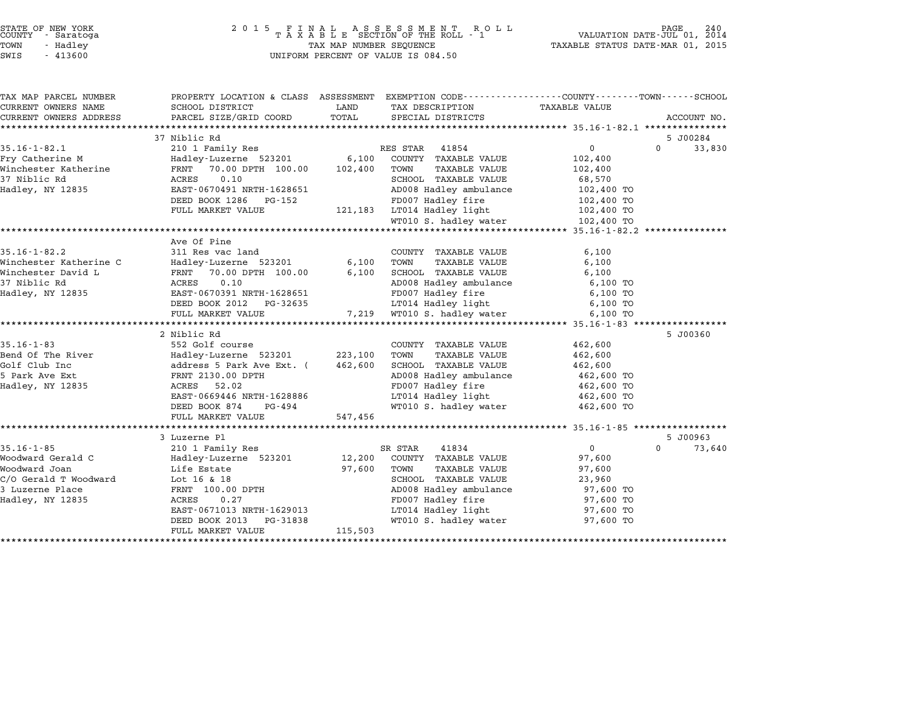|        | STATE OF NEW YORK |  |
|--------|-------------------|--|
| COUNTY | - Saratoga        |  |
| TOWN   | - Hadlev          |  |
|        |                   |  |

# STATE OF NEW YORK <sup>2</sup> <sup>0</sup> <sup>1</sup> 5 F I N A L A S S E S S M E N T R O L L PAGE <sup>240</sup> COUNTY - Saratoga <sup>T</sup> <sup>A</sup> <sup>X</sup> <sup>A</sup> <sup>B</sup> <sup>L</sup> <sup>E</sup> SECTION OF THE ROLL - <sup>1</sup> VALUATION DATE-JUL 01, <sup>2014</sup> TOWN - Hadley TAX MAP NUMBER SEQUENCE TAXABLE STATUS DATE-MAR 01, <sup>2015</sup> SWIS - <sup>413600</sup> UNIFORM PERCENT OF VALUE IS 084.50

| TAX MAP PARCEL NUMBER<br>CURRENT OWNERS NAME | PROPERTY LOCATION & CLASS ASSESSMENT EXEMPTION CODE----------------COUNTY--------TOWN------SCHOOL<br>SCHOOL DISTRICT                                                                                                                                 | LAND        | TAX DESCRIPTION                                                       | TAXABLE VALUE     |                             |
|----------------------------------------------|------------------------------------------------------------------------------------------------------------------------------------------------------------------------------------------------------------------------------------------------------|-------------|-----------------------------------------------------------------------|-------------------|-----------------------------|
| CURRENT OWNERS ADDRESS                       | PARCEL SIZE/GRID COORD                                                                                                                                                                                                                               | TOTAL       | SPECIAL DISTRICTS                                                     |                   | ACCOUNT NO.                 |
|                                              |                                                                                                                                                                                                                                                      |             |                                                                       |                   |                             |
|                                              | 37 Niblic Rd                                                                                                                                                                                                                                         |             |                                                                       |                   | 5 J00284                    |
| $35.16 - 1 - 82.1$                           | 210 1 Family Res                                                                                                                                                                                                                                     |             | RES STAR 41854                                                        | $0 \qquad \qquad$ | $\Omega$<br>33,830          |
|                                              |                                                                                                                                                                                                                                                      |             |                                                                       | 102,400           |                             |
|                                              |                                                                                                                                                                                                                                                      |             |                                                                       | 102,400           |                             |
|                                              |                                                                                                                                                                                                                                                      |             |                                                                       | 68,570            |                             |
| Hadley, NY 12835                             | EAST-0670491 NRTH-1628651                                                                                                                                                                                                                            |             |                                                                       |                   |                             |
|                                              | DEED BOOK 1286 PG-152                                                                                                                                                                                                                                |             | AD008 Hadley ambulance $102,400$ TO<br>FD007 Hadley fire $102,400$ TO |                   |                             |
|                                              | FULL MARKET VALUE                                                                                                                                                                                                                                    |             | 121,183 LT014 Hadley light                                            | 102,400 TO        |                             |
|                                              |                                                                                                                                                                                                                                                      |             | WT010 S. hadley water 102,400 TO                                      |                   |                             |
|                                              |                                                                                                                                                                                                                                                      |             |                                                                       |                   |                             |
|                                              | Ave Of Pine                                                                                                                                                                                                                                          |             |                                                                       |                   |                             |
|                                              |                                                                                                                                                                                                                                                      |             |                                                                       | 6,100             |                             |
|                                              |                                                                                                                                                                                                                                                      |             | TAXABLE VALUE                                                         | 6,100             |                             |
|                                              |                                                                                                                                                                                                                                                      |             |                                                                       | 6,100             |                             |
|                                              | 35.16-1-82.2<br>Winchester Katherine C<br>Winchester David L<br>Winchester David L<br>Winchester David L<br>Minchester David L<br>Minchester David L<br>Minchester David L<br>Minchester David L<br>Minchester David L<br>Minchester David L<br>Minc |             |                                                                       |                   |                             |
|                                              |                                                                                                                                                                                                                                                      |             | AD008 Hadley ambulance 6,100 TO<br>FD007 Hadley fire 6,100 TO         |                   |                             |
|                                              | DEED BOOK 2012    PG-32635                                                                                                                                                                                                                           |             | LT014 Hadley light 6,100 TO                                           |                   |                             |
|                                              | FULL MARKET VALUE                                                                                                                                                                                                                                    |             | 7,219 WT010 S. hadley water                                           | 6,100 TO          |                             |
|                                              |                                                                                                                                                                                                                                                      |             |                                                                       |                   |                             |
|                                              | 2 Niblic Rd                                                                                                                                                                                                                                          |             |                                                                       |                   | 5 J00360                    |
| $35.16 - 1 - 83$                             | 552 Golf course                                                                                                                                                                                                                                      |             | COUNTY TAXABLE VALUE                                                  | 462,600           |                             |
|                                              | Bend Of The River <b>Bend Of The River Community Community</b> Bend Of The River Readily Hadley-Luzerne 523201 223,100 TOWN                                                                                                                          |             | TAXABLE VALUE                                                         | 462,600           |                             |
| Golf Club Inc                                | address 5 Park Ave Ext. (462,600<br>FRNT 2130.00 DPTH<br>ACRES 52.02                                                                                                                                                                                 |             | SCHOOL TAXABLE VALUE 462,600                                          |                   |                             |
| 5 Park Ave Ext                               |                                                                                                                                                                                                                                                      |             | AD008 Hadley ambulance $462,600$ TO<br>FD007 Hadley fire $462,600$ TO |                   |                             |
| Hadley, NY 12835                             |                                                                                                                                                                                                                                                      |             |                                                                       |                   |                             |
|                                              | EAST-0669446 NRTH-1628886                                                                                                                                                                                                                            |             | LT014 Hadley light 462,600 TO                                         |                   |                             |
|                                              | DEED BOOK 874 PG-494                                                                                                                                                                                                                                 |             | WT010 S. hadley water 462,600 TO                                      |                   |                             |
|                                              | FULL MARKET VALUE                                                                                                                                                                                                                                    | 547,456     |                                                                       |                   |                             |
|                                              |                                                                                                                                                                                                                                                      |             |                                                                       |                   |                             |
|                                              | 3 Luzerne Pl                                                                                                                                                                                                                                         |             |                                                                       |                   | 5 J00963                    |
| $35.16 - 1 - 85$                             | 210 1 Family Res                                                                                                                                                                                                                                     |             | SR STAR<br>41834                                                      | $\Omega$          | $0 \qquad \qquad$<br>73,640 |
| Woodward Gerald C                            | Hadley-Luzerne 523201 12,200 COUNTY TAXABLE VALUE                                                                                                                                                                                                    |             |                                                                       | 97,600            |                             |
| Woodward Joan                                | Life Estate                                                                                                                                                                                                                                          | 97,600 TOWN | TAXABLE VALUE                                                         | 97,600            |                             |
| c/O Gerald T Woodward Life Bource            |                                                                                                                                                                                                                                                      |             | SCHOOL TAXABLE VALUE                                                  | 23,960            |                             |
| 3 Luzerne Place                              | FRNT 100.00 DPTH<br>ACRES 0.27                                                                                                                                                                                                                       |             | AD008 Hadley ambulance 97,600 TO                                      |                   |                             |
| Hadley, NY 12835                             |                                                                                                                                                                                                                                                      |             | FD007 Hadley fire                                                     | 97,600 TO         |                             |
|                                              | EAST-0671013 NRTH-1629013 LT014 Hadley light                                                                                                                                                                                                         |             |                                                                       | 97,600 TO         |                             |
|                                              | DEED BOOK 2013 PG-31838                                                                                                                                                                                                                              |             | WT010 S. hadley water                                                 | 97,600 TO         |                             |
|                                              | FULL MARKET VALUE                                                                                                                                                                                                                                    | 115,503     |                                                                       |                   |                             |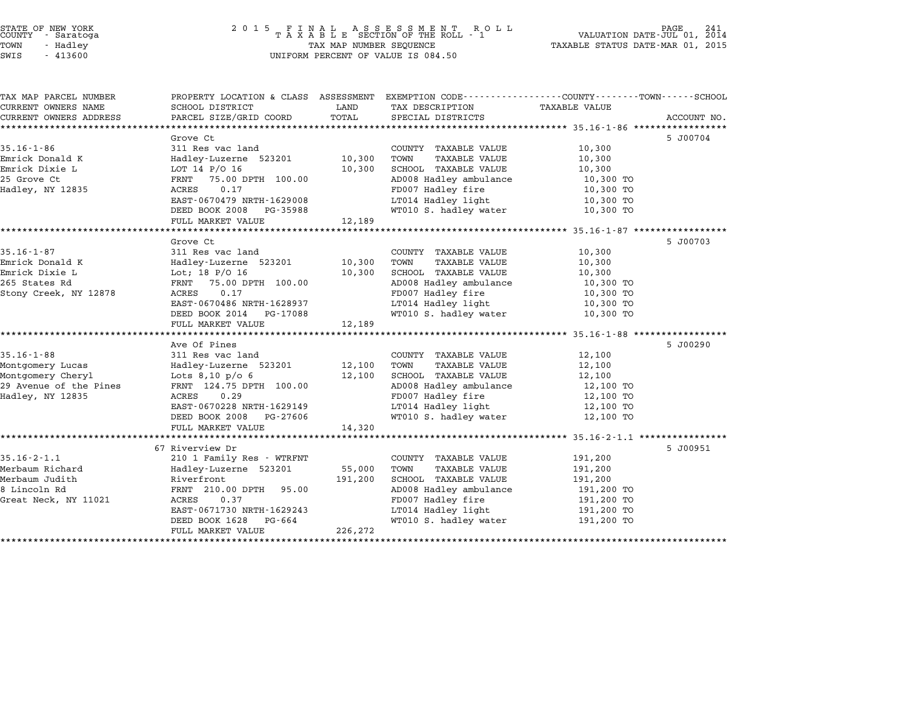### STATE OF NEW YORK <sup>2</sup> <sup>0</sup> <sup>1</sup> 5 F I N A L A S S E S S M E N T R O L L PAGE <sup>241</sup> COUNTY - Saratoga <sup>T</sup> <sup>A</sup> <sup>X</sup> <sup>A</sup> <sup>B</sup> <sup>L</sup> <sup>E</sup> SECTION OF THE ROLL - <sup>1</sup> VALUATION DATE-JUL 01, <sup>2014</sup> TOWN - Hadley TAX MAP NUMBER SEQUENCE TAXABLE STATUS DATE-MAR 01, <sup>2015</sup> STATE OF NEW YORK<br>
COUNTY - Saratoga<br>
TOWN - Hadley TAXABLE SECTION OF THE ROLL<br>
SWIS - 413600 UNIFORM PERCENT OF VALUE IS 084.50

| TAX MAP PARCEL NUMBER  | PROPERTY LOCATION & CLASS ASSESSMENT EXEMPTION CODE---------------COUNTY-------TOWN-----SCHOOL |         |                        |               |             |
|------------------------|------------------------------------------------------------------------------------------------|---------|------------------------|---------------|-------------|
| CURRENT OWNERS NAME    | SCHOOL DISTRICT                                                                                | LAND    | TAX DESCRIPTION        | TAXABLE VALUE |             |
| CURRENT OWNERS ADDRESS | PARCEL SIZE/GRID COORD                                                                         | TOTAL   | SPECIAL DISTRICTS      |               | ACCOUNT NO. |
|                        | Grove Ct                                                                                       |         |                        |               | 5 J00704    |
| $35.16 - 1 - 86$       | 311 Res vac land                                                                               |         | COUNTY TAXABLE VALUE   | 10,300        |             |
| Emrick Donald K        | Hadley-Luzerne 523201                                                                          | 10,300  | TOWN<br>TAXABLE VALUE  | 10,300        |             |
| Emrick Dixie L         | LOT 14 P/O 16                                                                                  | 10,300  | SCHOOL TAXABLE VALUE   | 10,300        |             |
| 25 Grove Ct            | 75.00 DPTH 100.00<br>FRNT                                                                      |         | AD008 Hadley ambulance | 10,300 TO     |             |
| Hadley, NY 12835       | ACRES<br>0.17                                                                                  |         | FD007 Hadley fire      | 10,300 TO     |             |
|                        | EAST-0670479 NRTH-1629008                                                                      |         | LT014 Hadley light     | 10,300 TO     |             |
|                        | DEED BOOK 2008<br>PG-35988                                                                     |         | WT010 S. hadley water  | 10,300 TO     |             |
|                        | FULL MARKET VALUE                                                                              | 12,189  |                        |               |             |
|                        |                                                                                                |         |                        |               |             |
|                        | Grove Ct                                                                                       |         |                        |               | 5 J00703    |
| 35.16-1-87             | 311 Res vac land                                                                               |         | COUNTY TAXABLE VALUE   | 10,300        |             |
| Emrick Donald K        | Hadley-Luzerne 523201                                                                          | 10,300  | TOWN<br>TAXABLE VALUE  | 10,300        |             |
| Emrick Dixie L         | Lot; 18 $P/O$ 16                                                                               | 10,300  | SCHOOL TAXABLE VALUE   | 10,300        |             |
| 265 States Rd          | FRNT 75.00 DPTH 100.00                                                                         |         | AD008 Hadley ambulance | 10,300 TO     |             |
| Stony Creek, NY 12878  | ACRES<br>0.17                                                                                  |         | FD007 Hadley fire      | 10,300 TO     |             |
|                        | EAST-0670486 NRTH-1628937                                                                      |         | LT014 Hadley light     | 10,300 TO     |             |
|                        | DEED BOOK 2014 PG-17088                                                                        |         | WT010 S. hadley water  | 10,300 TO     |             |
|                        | FULL MARKET VALUE                                                                              | 12,189  |                        |               |             |
|                        | *****************************                                                                  |         |                        |               |             |
|                        | Ave Of Pines                                                                                   |         |                        |               | 5 J00290    |
| $35.16 - 1 - 88$       | 311 Res vac land                                                                               |         | COUNTY TAXABLE VALUE   | 12,100        |             |
| Montgomery Lucas       | Hadley-Luzerne 523201                                                                          | 12,100  | TOWN<br>TAXABLE VALUE  | 12,100        |             |
| Montgomery Cheryl      | Lots 8,10 p/o 6                                                                                | 12,100  | SCHOOL TAXABLE VALUE   | 12,100        |             |
| 29 Avenue of the Pines | FRNT 124.75 DPTH 100.00                                                                        |         | AD008 Hadley ambulance | 12,100 TO     |             |
| Hadley, NY 12835       | ACRES<br>0.29                                                                                  |         | FD007 Hadley fire      | 12,100 TO     |             |
|                        | EAST-0670228 NRTH-1629149                                                                      |         | LT014 Hadley light     | 12,100 TO     |             |
|                        | DEED BOOK 2008<br>PG-27606                                                                     |         | WT010 S. hadley water  | 12,100 TO     |             |
|                        | FULL MARKET VALUE                                                                              | 14,320  |                        |               |             |
|                        |                                                                                                |         |                        |               |             |
|                        | 67 Riverview Dr                                                                                |         |                        |               | 5 J00951    |
| $35.16 - 2 - 1.1$      | 210 1 Family Res - WTRFNT                                                                      |         | COUNTY TAXABLE VALUE   | 191,200       |             |
| Merbaum Richard        | Hadley-Luzerne 523201                                                                          | 55,000  | TOWN<br>TAXABLE VALUE  | 191,200       |             |
| Merbaum Judith         | Riverfront                                                                                     | 191,200 | SCHOOL TAXABLE VALUE   | 191,200       |             |
| 8 Lincoln Rd           | 95.00<br>FRNT 210.00 DPTH                                                                      |         | AD008 Hadley ambulance | 191,200 TO    |             |
| Great Neck, NY 11021   | ACRES<br>0.37                                                                                  |         | FD007 Hadley fire      | 191,200 TO    |             |
|                        | EAST-0671730 NRTH-1629243                                                                      |         | LT014 Hadley light     | 191,200 TO    |             |
|                        | DEED BOOK 1628 PG-664                                                                          |         | WT010 S. hadley water  | 191,200 TO    |             |
|                        | FULL MARKET VALUE                                                                              | 226,272 |                        |               |             |
|                        |                                                                                                |         |                        |               |             |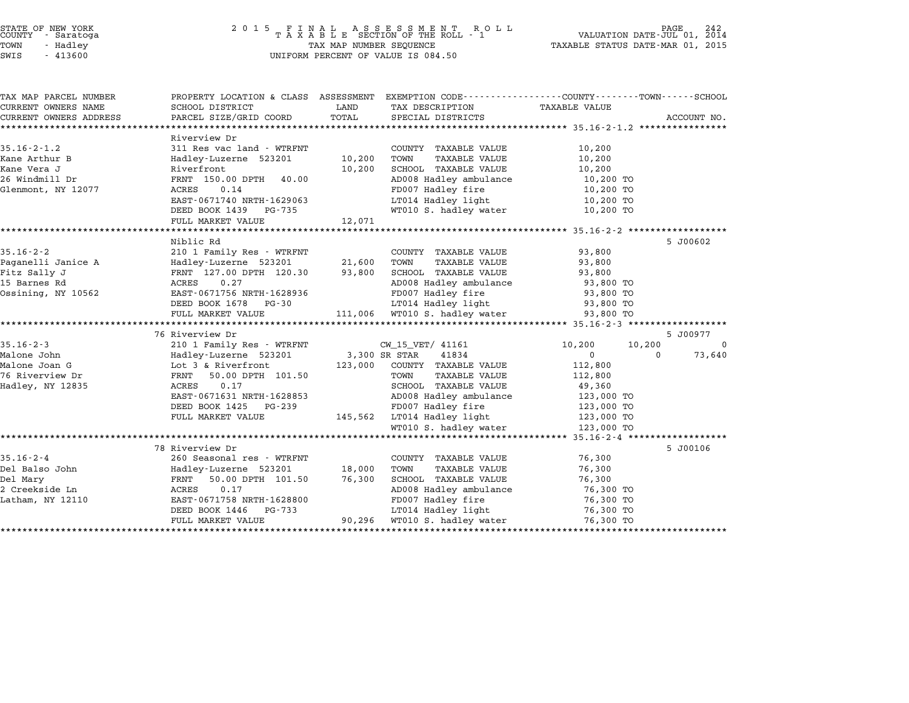| STATE OF NEW YORK |  |            |  |  |  |
|-------------------|--|------------|--|--|--|
| COUNTY            |  | - Saratoga |  |  |  |
| TOWN              |  | - Hadley   |  |  |  |
|                   |  |            |  |  |  |

| TAX MAP PARCEL NUMBER        | PROPERTY LOCATION & CLASS ASSESSMENT EXEMPTION CODE----------------COUNTY-------TOWN------SCHOOL |                           |                                                     |                            |             |
|------------------------------|--------------------------------------------------------------------------------------------------|---------------------------|-----------------------------------------------------|----------------------------|-------------|
| CURRENT OWNERS NAME          | SCHOOL DISTRICT                                                                                  | LAND                      | TAX DESCRIPTION                                     | TAXABLE VALUE              |             |
| CURRENT OWNERS ADDRESS       | PARCEL SIZE/GRID COORD                                                                           | TOTAL                     | SPECIAL DISTRICTS                                   |                            | ACCOUNT NO. |
|                              | Riverview Dr                                                                                     |                           |                                                     |                            |             |
| $35.16 - 2 - 1.2$            | 311 Res vac land - WTRFNT                                                                        |                           | COUNTY TAXABLE VALUE                                | 10,200                     |             |
| Kane Arthur B                | Hadley-Luzerne 523201                                                                            | 10,200                    | TOWN<br>TAXABLE VALUE                               | 10,200                     |             |
| Kane Vera J                  | Riverfront                                                                                       | 10,200                    | SCHOOL TAXABLE VALUE                                | 10,200                     |             |
| 26 Windmill Dr               | FRNT 150.00 DPTH 40.00                                                                           |                           | AD008 Hadley ambulance                              | 10,200 TO                  |             |
| Glenmont, NY 12077           | 0.14<br>ACRES                                                                                    |                           | FD007 Hadley fire                                   | 10,200 TO                  |             |
|                              | EAST-0671740 NRTH-1629063                                                                        |                           | LT014 Hadley light                                  | 10,200 TO                  |             |
|                              | DEED BOOK 1439 PG-735                                                                            |                           | WT010 S. hadley water                               | 10,200 TO                  |             |
|                              | FULL MARKET VALUE                                                                                | 12,071                    |                                                     |                            |             |
|                              |                                                                                                  |                           |                                                     |                            |             |
|                              | Niblic Rd                                                                                        |                           |                                                     |                            | 5 J00602    |
| $35.16 - 2 - 2$              | 210 1 Family Res - WTRFNT                                                                        |                           | COUNTY TAXABLE VALUE                                | 93,800                     |             |
| Paganelli Janice A           | Hadley-Luzerne 523201                                                                            | 21,600                    | TOWN<br>TAXABLE VALUE                               | 93,800                     |             |
| Fitz Sally J<br>15 Barnes Rd | FRNT 127.00 DPTH 120.30<br>0.27                                                                  | 93,800                    | SCHOOL TAXABLE VALUE                                | 93,800<br>93,800 TO        |             |
| Ossining, NY 10562           | ACRES<br>EAST-0671756 NRTH-1628936                                                               |                           | AD008 Hadley ambulance<br>ED007 Hadley fire         | 93,800 TO                  |             |
|                              | DEED BOOK 1678 PG-30                                                                             |                           | LT014 Hadley light                                  | 93,800 TO                  |             |
|                              | FULL MARKET VALUE                                                                                |                           | 111,006 WT010 S. hadley water                       | 93,800 TO                  |             |
|                              |                                                                                                  |                           |                                                     |                            |             |
|                              | 76 Riverview Dr                                                                                  |                           |                                                     |                            | 5 J00977    |
| $35.16 - 2 - 3$              | 210 1 Family Res - WTRFNT                                                                        |                           | CW_15_VET/ 41161                                    | 10,200<br>10,200           | $\mathbf 0$ |
| Malone John                  | Hadley-Luzerne 523201                                                                            | CW_15_VE<br>3,300 SR STAR | 41834                                               | $\overline{0}$<br>$\Omega$ | 73,640      |
| Malone Joan G                | Lot 3 & Riverfront                                                                               | 123,000                   | COUNTY TAXABLE VALUE                                | 112,800                    |             |
| 76 Riverview Dr              | FRNT<br>50.00 DPTH 101.50                                                                        |                           | TOWN<br>TAXABLE VALUE                               | 112,800                    |             |
| Hadley, NY 12835             | ACRES<br>0.17                                                                                    |                           | SCHOOL TAXABLE VALUE                                | 49,360                     |             |
|                              | EAST-0671631 NRTH-1628853                                                                        |                           | AD008 Hadley ambulance                              | 123,000 TO                 |             |
|                              | DEED BOOK 1425 PG-239                                                                            |                           | FD007 Hadley fire                                   | 123,000 TO                 |             |
|                              | FULL MARKET VALUE                                                                                |                           | 145,562 LT014 Hadley light<br>WT010 S. hadley water | 123,000 TO<br>123,000 TO   |             |
|                              |                                                                                                  |                           |                                                     | 123,000 TO                 |             |
|                              |                                                                                                  |                           |                                                     |                            |             |
| $35.16 - 2 - 4$              | 78 Riverview Dr<br>260 Seasonal res - WTRFNT                                                     |                           | COUNTY TAXABLE VALUE                                | 76,300                     | 5 J00106    |
| Del Balso John               | Hadley-Luzerne 523201                                                                            | 18,000                    | <b>TAXABLE VALUE</b><br>TOWN                        | 76,300                     |             |
| Del Mary                     | 50.00 DPTH 101.50<br>FRNT                                                                        | 76,300                    | SCHOOL TAXABLE VALUE                                | 76,300                     |             |
| 2 Creekside Ln               | ACRES<br>0.17                                                                                    |                           | AD008 Hadley ambulance                              | 76,300 TO                  |             |
| Latham, NY 12110             | EAST-0671758 NRTH-1628800                                                                        |                           | FD007 Hadley fire                                   | 76,300 TO                  |             |
|                              | DEED BOOK 1446<br>$PG - 733$                                                                     |                           | LT014 Hadley light                                  | 76,300 TO                  |             |
|                              | FULL MARKET VALUE                                                                                | 90,296                    | WT010 S. hadley water                               | 76,300 TO                  |             |
|                              |                                                                                                  |                           |                                                     |                            |             |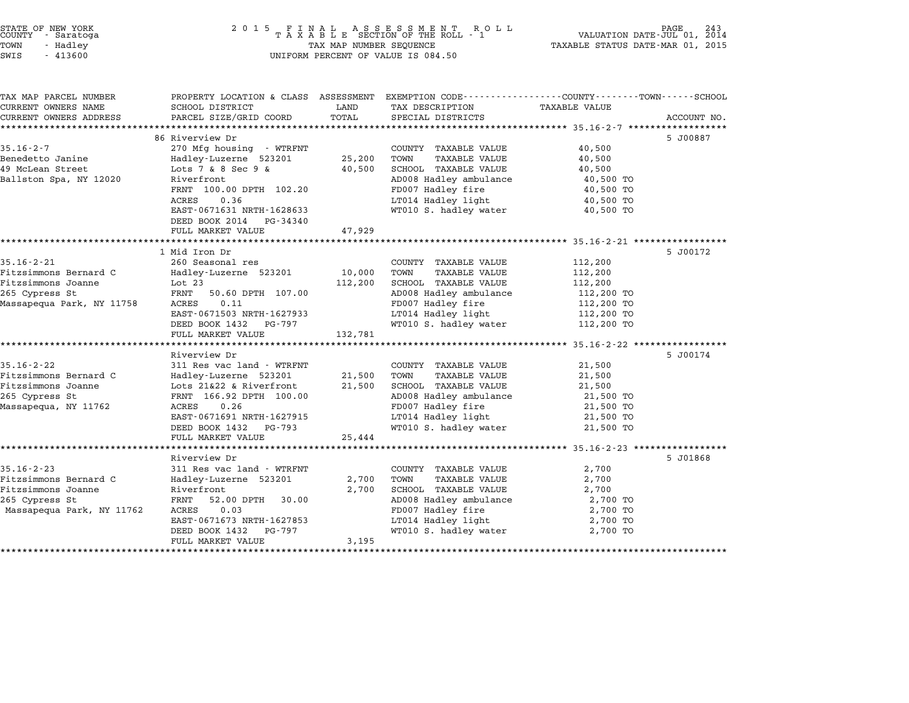| TAX MAP PARCEL NUMBER     |                                                       |         | PROPERTY LOCATION & CLASS ASSESSMENT EXEMPTION CODE---------------COUNTY-------TOWN-----SCHOOL |                        |             |
|---------------------------|-------------------------------------------------------|---------|------------------------------------------------------------------------------------------------|------------------------|-------------|
| CURRENT OWNERS NAME       | SCHOOL DISTRICT                                       | LAND    | TAX DESCRIPTION                                                                                | TAXABLE VALUE          |             |
| CURRENT OWNERS ADDRESS    | PARCEL SIZE/GRID COORD                                | TOTAL   | SPECIAL DISTRICTS                                                                              |                        | ACCOUNT NO. |
|                           | 86 Riverview Dr                                       |         |                                                                                                |                        | 5 J00887    |
| $35.16 - 2 - 7$           | 270 Mfg housing - WTRFNT                              |         | COUNTY TAXABLE VALUE                                                                           | 40,500                 |             |
| Benedetto Janine          |                                                       | 25,200  | TOWN<br><b>TAXABLE VALUE</b>                                                                   | 40,500                 |             |
| 49 McLean Street          | Hadley-Luzerne 523201<br>Lots $7 & 8 & 8 & 5 & 9 & 8$ | 40,500  | SCHOOL TAXABLE VALUE                                                                           | 40,500                 |             |
| Ballston Spa, NY 12020    | Riverfront                                            |         | AD008 Hadley ambulance                                                                         | 40,500 TO              |             |
|                           | FRNT 100.00 DPTH 102.20                               |         | FD007 Hadley fire                                                                              | 40,500 TO              |             |
|                           | 0.36<br><b>ACRES</b>                                  |         | LT014 Hadley light                                                                             |                        |             |
|                           | EAST-0671631 NRTH-1628633                             |         | WT010 S. hadley water                                                                          | 40,500 TO<br>40,500 TO |             |
|                           | DEED BOOK 2014 PG-34340                               |         |                                                                                                |                        |             |
|                           | FULL MARKET VALUE                                     | 47,929  |                                                                                                |                        |             |
|                           |                                                       |         |                                                                                                |                        |             |
|                           | 1 Mid Iron Dr                                         |         |                                                                                                |                        | 5 J00172    |
| $35.16 - 2 - 21$          | 260 Seasonal res                                      |         | COUNTY TAXABLE VALUE                                                                           | 112,200                |             |
| Fitzsimmons Bernard C     | Hadley-Luzerne 523201                                 | 10,000  | TOWN<br>TAXABLE VALUE                                                                          | 112,200                |             |
| Fitzsimmons Joanne        | Lot 23                                                | 112,200 | <b>SCHOOL TAXABLE VALUE</b>                                                                    | 112,200                |             |
| 265 Cypress St            | FRNT<br>50.60 DPTH 107.00                             |         | AD008 Hadley ambulance                                                                         | 112,200 TO             |             |
| Massapequa Park, NY 11758 | 0.11<br>ACRES                                         |         | FD007 Hadley fire                                                                              | 112,200 TO             |             |
|                           | EAST-0671503 NRTH-1627933                             |         | LT014 Hadley light                                                                             | 112,200 TO             |             |
|                           | DEED BOOK 1432<br>PG-797                              |         | WT010 S. hadley water                                                                          | 112,200 TO             |             |
|                           | FULL MARKET VALUE                                     | 132,781 |                                                                                                |                        |             |
|                           |                                                       |         |                                                                                                |                        |             |
|                           | Riverview Dr                                          |         |                                                                                                |                        | 5 J00174    |
| $35.16 - 2 - 22$          | 311 Res vac land - WTRFNT                             |         | COUNTY TAXABLE VALUE                                                                           | 21,500                 |             |
| Fitzsimmons Bernard C     | Hadley-Luzerne 523201                                 | 21,500  | TOWN<br>TAXABLE VALUE                                                                          | 21,500                 |             |
| Fitzsimmons Joanne        | Lots 21&22 & Riverfront                               | 21,500  | <b>SCHOOL TAXABLE VALUE</b>                                                                    | 21,500                 |             |
| 265 Cypress St            | FRNT 166.92 DPTH 100.00                               |         | AD008 Hadley ambulance                                                                         | 21,500 TO              |             |
| Massapegua, NY 11762      | ACRES<br>0.26                                         |         | FD007 Hadley fire                                                                              | 21,500 TO              |             |
|                           | EAST-0671691 NRTH-1627915                             |         | LT014 Hadley light                                                                             | 21,500 TO              |             |
|                           | DEED BOOK 1432 PG-793                                 |         | WT010 S. hadley water                                                                          | 21,500 TO              |             |
|                           | FULL MARKET VALUE                                     | 25,444  |                                                                                                |                        |             |
|                           |                                                       |         |                                                                                                |                        |             |
|                           | Riverview Dr                                          |         |                                                                                                |                        | 5 J01868    |
| $35.16 - 2 - 23$          | 311 Res vac land - WTRFNT                             |         | COUNTY TAXABLE VALUE                                                                           | 2,700                  |             |
| Fitzsimmons Bernard C     | Hadley-Luzerne 523201                                 | 2,700   | TOWN<br><b>TAXABLE VALUE</b>                                                                   | 2,700                  |             |
| Fitzsimmons Joanne        | Riverfront                                            | 2,700   | <b>SCHOOL TAXABLE VALUE</b>                                                                    | 2,700                  |             |
| 265 Cypress St            | 52.00 DPTH<br>FRNT<br>30.00                           |         | AD008 Hadley ambulance                                                                         | 2,700 TO               |             |
| Massapequa Park, NY 11762 | 0.03<br>ACRES                                         |         | FD007 Hadley fire                                                                              | 2,700 TO               |             |
|                           | EAST-0671673 NRTH-1627853                             |         | LT014 Hadley light                                                                             | 2,700 TO               |             |
|                           | DEED BOOK 1432<br>PG-797                              |         | WT010 S. hadley water                                                                          | 2,700 TO               |             |
|                           | FULL MARKET VALUE                                     | 3,195   |                                                                                                |                        |             |
|                           |                                                       |         |                                                                                                |                        |             |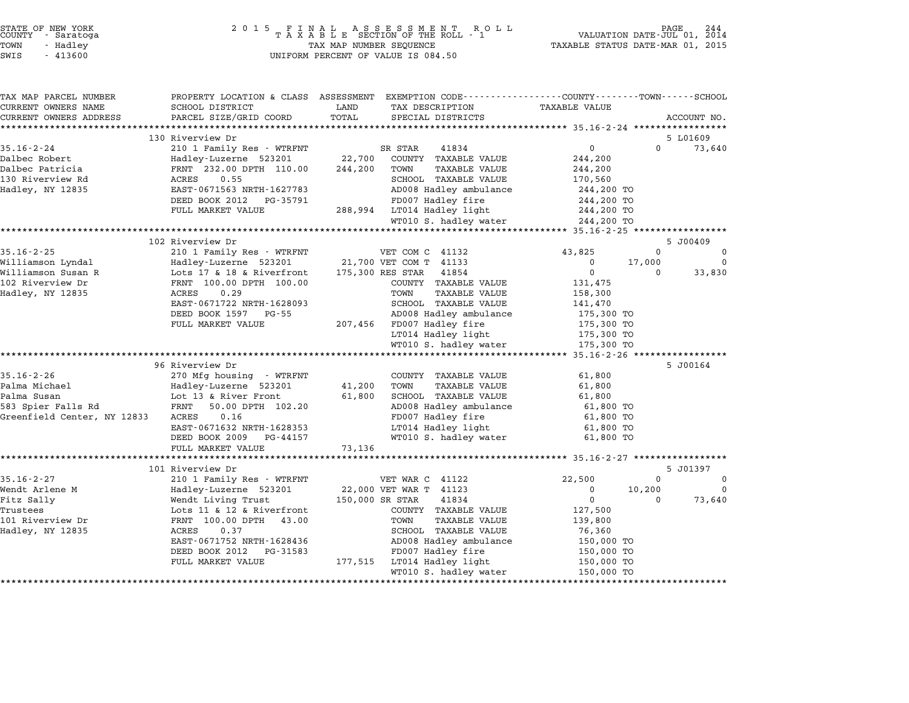| STATE OF NEW YORK<br>COUNTY<br>- Saratoga<br>TOWN<br>- Hadley<br>SWIS<br>$-413600$ | 2 0 1 5<br>FINAL ASSESSMENT RO<br>TAXABLE SECTION OF THE ROLL - 1<br>TAX MAP NUMBER SEQUENCE<br>UNIFORM PERCENT OF VALUE IS 084.50 | PAGE<br>244<br>VALUATION DATE-JUL 01, 2014<br>TAXABLE STATUS DATE-MAR 01, 2015 |                                                                                                 |                                              |          |             |
|------------------------------------------------------------------------------------|------------------------------------------------------------------------------------------------------------------------------------|--------------------------------------------------------------------------------|-------------------------------------------------------------------------------------------------|----------------------------------------------|----------|-------------|
|                                                                                    |                                                                                                                                    |                                                                                |                                                                                                 |                                              |          |             |
| TAX MAP PARCEL NUMBER                                                              |                                                                                                                                    |                                                                                | PROPERTY LOCATION & CLASS ASSESSMENT EXEMPTION CODE----------------COUNTY-------TOWN-----SCHOOL |                                              |          |             |
| CURRENT OWNERS NAME                                                                | SCHOOL DISTRICT                                                                                                                    | LAND                                                                           | TAX DESCRIPTION                                                                                 | <b>TAXABLE VALUE</b>                         |          |             |
| CURRENT OWNERS ADDRESS                                                             | PARCEL SIZE/GRID COORD                                                                                                             | TOTAL                                                                          | SPECIAL DISTRICTS                                                                               | ****************** 35.16-2-24 ***********    |          | ACCOUNT NO. |
|                                                                                    | 130 Riverview Dr                                                                                                                   |                                                                                |                                                                                                 |                                              |          | 5 L01609    |
| $35.16 - 2 - 24$                                                                   | 210 1 Family Res - WTRFNT                                                                                                          |                                                                                | SR STAR<br>41834                                                                                | 0                                            | $\Omega$ | 73,640      |
| Dalbec Robert                                                                      | Hadley-Luzerne 523201                                                                                                              | 22,700                                                                         | COUNTY TAXABLE VALUE                                                                            | 244,200                                      |          |             |
| Dalbec Patricia                                                                    | FRNT 232.00 DPTH 110.00                                                                                                            | 244,200                                                                        | TOWN<br><b>TAXABLE VALUE</b>                                                                    | 244,200                                      |          |             |
| 130 Riverview Rd                                                                   | ACRES<br>0.55                                                                                                                      |                                                                                | SCHOOL TAXABLE VALUE                                                                            | 170,560                                      |          |             |
| Hadley, NY 12835                                                                   | EAST-0671563 NRTH-1627783                                                                                                          |                                                                                | AD008 Hadley ambulance                                                                          | 244,200 TO                                   |          |             |
|                                                                                    | DEED BOOK 2012<br>PG-35791                                                                                                         |                                                                                | FD007 Hadley fire                                                                               | 244,200 TO                                   |          |             |
|                                                                                    | FULL MARKET VALUE                                                                                                                  |                                                                                | 288,994 LT014 Hadley light                                                                      | 244,200 TO                                   |          |             |
|                                                                                    | *************************                                                                                                          |                                                                                | WT010 S. hadley water                                                                           | 244,200 TO                                   |          |             |
|                                                                                    | 102 Riverview Dr                                                                                                                   |                                                                                |                                                                                                 |                                              |          | 5 J00409    |
| $35.16 - 2 - 25$                                                                   | 210 1 Family Res - WTRFNT                                                                                                          |                                                                                | VET COM C 41132                                                                                 | 43,825                                       | $\Omega$ | 0           |
| Williamson Lyndal                                                                  | Hadley-Luzerne 523201                                                                                                              |                                                                                | 21,700 VET COM T 41133                                                                          | $\Omega$                                     | 17,000   | $\Omega$    |
| Williamson Susan R                                                                 | Lots 17 & 18 & Riverfront                                                                                                          |                                                                                | 175,300 RES STAR<br>41854                                                                       | 0                                            | 0        | 33,830      |
| 102 Riverview Dr                                                                   | FRNT 100.00 DPTH 100.00                                                                                                            |                                                                                | COUNTY TAXABLE VALUE                                                                            | 131,475                                      |          |             |
| Hadley, NY 12835                                                                   | ACRES<br>0.29                                                                                                                      |                                                                                | <b>TAXABLE VALUE</b><br>TOWN                                                                    | 158,300                                      |          |             |
|                                                                                    | EAST-0671722 NRTH-1628093                                                                                                          |                                                                                | SCHOOL TAXABLE VALUE                                                                            | 141,470                                      |          |             |
|                                                                                    | DEED BOOK 1597 PG-55                                                                                                               |                                                                                | AD008 Hadley ambulance                                                                          | 175,300 TO                                   |          |             |
|                                                                                    | FULL MARKET VALUE                                                                                                                  |                                                                                | 207,456 FD007 Hadley fire                                                                       | 175,300 TO                                   |          |             |
|                                                                                    |                                                                                                                                    |                                                                                | LT014 Hadley light                                                                              | 175,300 TO                                   |          |             |
|                                                                                    |                                                                                                                                    |                                                                                | WT010 S. hadley water                                                                           | 175,300 TO                                   |          |             |
|                                                                                    | **********************                                                                                                             |                                                                                |                                                                                                 | ************* 35.16-2-26 *****               |          |             |
| $35.16 - 2 - 26$                                                                   | 96 Riverview Dr                                                                                                                    |                                                                                |                                                                                                 |                                              |          | 5 J00164    |
| Palma Michael                                                                      | 270 Mfg housing - WTRFNT                                                                                                           |                                                                                | COUNTY TAXABLE VALUE<br>TOWN<br><b>TAXABLE VALUE</b>                                            | 61,800<br>61,800                             |          |             |
| Palma Susan                                                                        | Hadley-Luzerne 523201<br>Lot 13 & River Front                                                                                      | 41,200<br>61,800                                                               | SCHOOL TAXABLE VALUE                                                                            | 61,800                                       |          |             |
| 583 Spier Falls Rd                                                                 | FRNT<br>50.00 DPTH 102.20                                                                                                          |                                                                                | AD008 Hadley ambulance                                                                          | 61,800 TO                                    |          |             |
| Greenfield Center, NY 12833                                                        | ACRES<br>0.16                                                                                                                      |                                                                                | FD007 Hadley fire                                                                               | 61,800 TO                                    |          |             |
|                                                                                    | EAST-0671632 NRTH-1628353                                                                                                          |                                                                                | LT014 Hadley light                                                                              | 61,800 TO                                    |          |             |
|                                                                                    | DEED BOOK 2009 PG-44157                                                                                                            |                                                                                | WT010 S. hadley water                                                                           | 61,800 TO                                    |          |             |
|                                                                                    | FULL MARKET VALUE                                                                                                                  | 73,136                                                                         |                                                                                                 |                                              |          |             |
|                                                                                    | ***************************                                                                                                        |                                                                                | *************************                                                                       | ************** 35.16-2-27 ****************** |          |             |
|                                                                                    | 101 Riverview Dr                                                                                                                   |                                                                                |                                                                                                 |                                              |          | 5 J01397    |
| $35.16 - 2 - 27$                                                                   | 210 1 Family Res - WTRFNT                                                                                                          |                                                                                | VET WAR C 41122                                                                                 | 22,500                                       | 0        | 0           |
| Wendt Arlene M                                                                     | Hadley-Luzerne 523201                                                                                                              |                                                                                | 22,000 VET WAR T 41123                                                                          | 0                                            | 10,200   | 0           |
| Fitz Sally                                                                         | Wendt Living Trust                                                                                                                 |                                                                                | 150,000 SR STAR<br>41834                                                                        | 0                                            | 0        | 73,640      |
| Trustees<br>101 Riverview Dr                                                       | Lots 11 & 12 & Riverfront<br>FRNT 100.00 DPTH<br>43.00                                                                             |                                                                                | COUNTY TAXABLE VALUE<br>TAXABLE VALUE                                                           | 127,500                                      |          |             |
| Hadley, NY 12835                                                                   | 0.37<br>ACRES                                                                                                                      |                                                                                | TOWN<br>SCHOOL TAXABLE VALUE                                                                    | 139,800<br>76,360                            |          |             |
|                                                                                    | EAST-0671752 NRTH-1628436                                                                                                          |                                                                                | AD008 Hadley ambulance                                                                          | 150,000 TO                                   |          |             |
|                                                                                    | DEED BOOK 2012<br>PG-31583                                                                                                         |                                                                                | FD007 Hadley fire                                                                               | 150,000 TO                                   |          |             |
|                                                                                    |                                                                                                                                    |                                                                                |                                                                                                 |                                              |          |             |

FULL MARKET VALUE 177,515 LT014 Hadley fire 150,000 TO<br>
FULL MARKET VALUE 150,000 TO Hadley fire 150,000 TO

\*\*\*\*\*\*\*\*\*\*\*\*\*\*\*\*\*\*\*\*\*\*\*\*\*\*\*\*\*\*\*\*\*\*\*\*\*\*\*\*\*\*\*\*\*\*\*\*\*\*\*\*\*\*\*\*\*\*\*\*\*\*\*\*\*\*\*\*\*\*\*\*\*\*\*\*\*\*\*\*\*\*\*\*\*\*\*\*\*\*\*\*\*\*\*\*\*\*\*\*\*\*\*\*\*\*\*\*\*\*\*\*\*\*\*\*\*\*\*\*\*\*\*\*\*\*\*\*\*\*\*\*

% FD007 Hadley Tite = 150,000 TO<br>LT014 Hadley light = 150,000 TO<br>WT010 S. hadley water = 150,000 TO

STATE OF NEW YORK <sup>2</sup> <sup>0</sup> <sup>1</sup> 5 F I N A L A S S E S S M E N T R O L L PAGE <sup>244</sup> COUNTY - Saratoga <sup>T</sup> <sup>A</sup> <sup>X</sup> <sup>A</sup> <sup>B</sup> <sup>L</sup> <sup>E</sup> SECTION OF THE ROLL - <sup>1</sup> VALUATION DATE-JUL 01, <sup>2014</sup>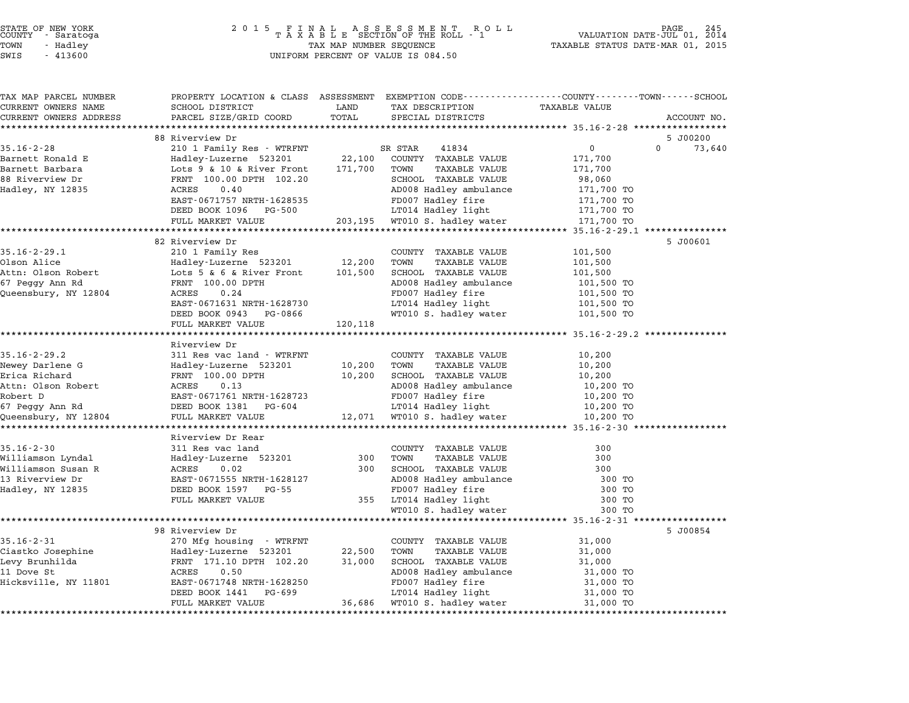# STATE OF NEW YORK <sup>2</sup> <sup>0</sup> <sup>1</sup> 5 F I N A L A S S E S S M E N T R O L L PAGE <sup>245</sup> COUNTY - Saratoga <sup>T</sup> <sup>A</sup> <sup>X</sup> <sup>A</sup> <sup>B</sup> <sup>L</sup> <sup>E</sup> SECTION OF THE ROLL - <sup>1</sup> VALUATION DATE-JUL 01, <sup>2014</sup> TOWN - Hadley TAX MAP NUMBER SEQUENCE TAXABLE STATUS DATE-MAR 01, <sup>2015</sup> STATE OF NEW YORK<br>
COUNTY - Saratoga<br>
TOWN - Hadley TAXABLE SECTION OF THE ROLL<br>
SWIS - 413600 UNIFORM PERCENT OF VALUE IS 084.50

| TAX MAP PARCEL NUMBER                 |                                    |         | PROPERTY LOCATION & CLASS ASSESSMENT EXEMPTION CODE---------------COUNTY-------TOWN-----SCHOOL |                      |                    |
|---------------------------------------|------------------------------------|---------|------------------------------------------------------------------------------------------------|----------------------|--------------------|
| CURRENT OWNERS NAME                   | SCHOOL DISTRICT                    | LAND    | TAX DESCRIPTION                                                                                | <b>TAXABLE VALUE</b> |                    |
| CURRENT OWNERS ADDRESS                | PARCEL SIZE/GRID COORD             | TOTAL   | SPECIAL DISTRICTS                                                                              |                      | ACCOUNT NO.        |
| *********************                 |                                    |         |                                                                                                |                      |                    |
|                                       | 88 Riverview Dr                    |         |                                                                                                |                      | 5 J00200           |
| $35.16 - 2 - 28$                      | 210 1 Family Res - WTRFNT          |         | 41834<br>SR STAR                                                                               | $\mathbf 0$          | $\Omega$<br>73,640 |
| Barnett Ronald E                      | Hadley-Luzerne 523201              | 22,100  | COUNTY TAXABLE VALUE                                                                           | 171,700              |                    |
| Barnett Barbara                       | Lots 9 & 10 & River Front          | 171,700 | TOWN<br>TAXABLE VALUE                                                                          | 171,700              |                    |
| 88 Riverview Dr                       | FRNT 100.00 DPTH 102.20            |         | SCHOOL TAXABLE VALUE                                                                           | 98,060               |                    |
| Hadley, NY 12835                      | 0.40<br>ACRES                      |         | AD008 Hadley ambulance                                                                         | 171,700 TO           |                    |
|                                       | EAST-0671757 NRTH-1628535          |         | FD007 Hadley fire                                                                              | 171,700 TO           |                    |
|                                       | DEED BOOK 1096<br>PG-500           |         | LT014 Hadley light                                                                             | 171,700 TO           |                    |
|                                       | FULL MARKET VALUE                  | 203,195 | WT010 S. hadley water                                                                          | 171,700 TO           |                    |
|                                       |                                    |         |                                                                                                |                      |                    |
|                                       | 82 Riverview Dr                    |         |                                                                                                |                      | 5 J00601           |
| $35.16 - 2 - 29.1$                    | 210 1 Family Res                   |         | COUNTY TAXABLE VALUE                                                                           | 101,500              |                    |
| Olson Alice                           | Hadley-Luzerne 523201              | 12,200  | TOWN<br><b>TAXABLE VALUE</b>                                                                   | 101,500              |                    |
| Attn: Olson Robert                    | Lots 5 & 6 & River Front           | 101,500 | SCHOOL TAXABLE VALUE                                                                           | 101,500              |                    |
| 67 Peggy Ann Rd                       | FRNT 100.00 DPTH                   |         | AD008 Hadley ambulance                                                                         | 101,500 TO           |                    |
| Queensbury, NY 12804                  | ACRES<br>0.24                      |         | FD007 Hadley fire                                                                              | 101,500 TO           |                    |
|                                       | EAST-0671631 NRTH-1628730          |         | LT014 Hadley light                                                                             | 101,500 TO           |                    |
|                                       | DEED BOOK 0943 PG-0866             |         | WT010 S. hadley water                                                                          | 101,500 TO           |                    |
|                                       | FULL MARKET VALUE                  | 120,118 |                                                                                                |                      |                    |
|                                       |                                    |         | ************************************ 35.16-2-29.2 **************                               |                      |                    |
|                                       | Riverview Dr                       |         |                                                                                                |                      |                    |
| $35.16 - 2 - 29.2$                    | 311 Res vac land - WTRFNT          |         | COUNTY TAXABLE VALUE                                                                           | 10,200               |                    |
| Newey Darlene G                       | Hadley-Luzerne 523201              | 10,200  | <b>TAXABLE VALUE</b><br>TOWN                                                                   | 10,200               |                    |
| Erica Richard                         | FRNT 100.00 DPTH                   | 10,200  | SCHOOL TAXABLE VALUE                                                                           | 10,200               |                    |
| Attn: Olson Robert                    | 0.13<br>ACRES                      |         | AD008 Hadley ambulance                                                                         | 10,200 TO            |                    |
| Robert D                              | EAST-0671761 NRTH-1628723          |         | FD007 Hadley fire                                                                              | 10,200 TO            |                    |
| 67 Peggy Ann Rd                       | DEED BOOK 1381 PG-604              |         | LT014 Hadley light                                                                             | 10,200 TO            |                    |
| Queensbury, NY 12804                  | FULL MARKET VALUE                  |         | 12,071 WT010 S. hadley water                                                                   | 10,200 TO            |                    |
|                                       | Riverview Dr Rear                  |         |                                                                                                |                      |                    |
|                                       |                                    |         |                                                                                                |                      |                    |
| $35.16 - 2 - 30$                      | 311 Res vac land                   | 300     | COUNTY TAXABLE VALUE<br>TOWN<br>TAXABLE VALUE                                                  | 300<br>300           |                    |
| Williamson Lyndal                     | Hadley-Luzerne 523201<br>0.02      |         |                                                                                                |                      |                    |
| Williamson Susan R<br>13 Riverview Dr | ACRES<br>EAST-0671555 NRTH-1628127 | 300     | SCHOOL TAXABLE VALUE<br>AD008 Hadley ambulance                                                 | 300<br>300 TO        |                    |
|                                       |                                    |         |                                                                                                |                      |                    |
| Hadley, NY 12835                      | DEED BOOK 1597 PG-55               |         | FD007 Hadley fire                                                                              | 300 TO               |                    |
|                                       | FULL MARKET VALUE                  |         | 355 LT014 Hadley light                                                                         | 300 TO               |                    |
|                                       |                                    |         | WT010 S. hadley water                                                                          | 300 TO               |                    |
|                                       |                                    |         |                                                                                                |                      |                    |
| $35.16 - 2 - 31$                      | 98 Riverview Dr                    |         |                                                                                                |                      | 5 J00854           |
|                                       | 270 Mfg housing - WTRFNT           |         | COUNTY TAXABLE VALUE                                                                           | 31,000               |                    |
| Ciastko Josephine                     | Hadley-Luzerne 523201              | 22,500  | TOWN<br><b>TAXABLE VALUE</b>                                                                   | 31,000               |                    |
| Levy Brunhilda                        | FRNT 171.10 DPTH 102.20            | 31,000  | SCHOOL TAXABLE VALUE                                                                           | 31,000               |                    |
| 11 Dove St                            | ACRES<br>0.50                      |         | AD008 Hadley ambulance                                                                         | 31,000 TO            |                    |
| Hicksville, NY 11801                  | EAST-0671748 NRTH-1628250          |         | FD007 Hadley fire                                                                              | 31,000 TO            |                    |
|                                       | DEED BOOK 1441<br>PG-699           |         | LT014 Hadley light                                                                             | 31,000 TO            |                    |
|                                       | FULL MARKET VALUE                  | 36,686  | WT010 S. hadley water                                                                          | 31,000 TO            |                    |
|                                       |                                    |         |                                                                                                |                      |                    |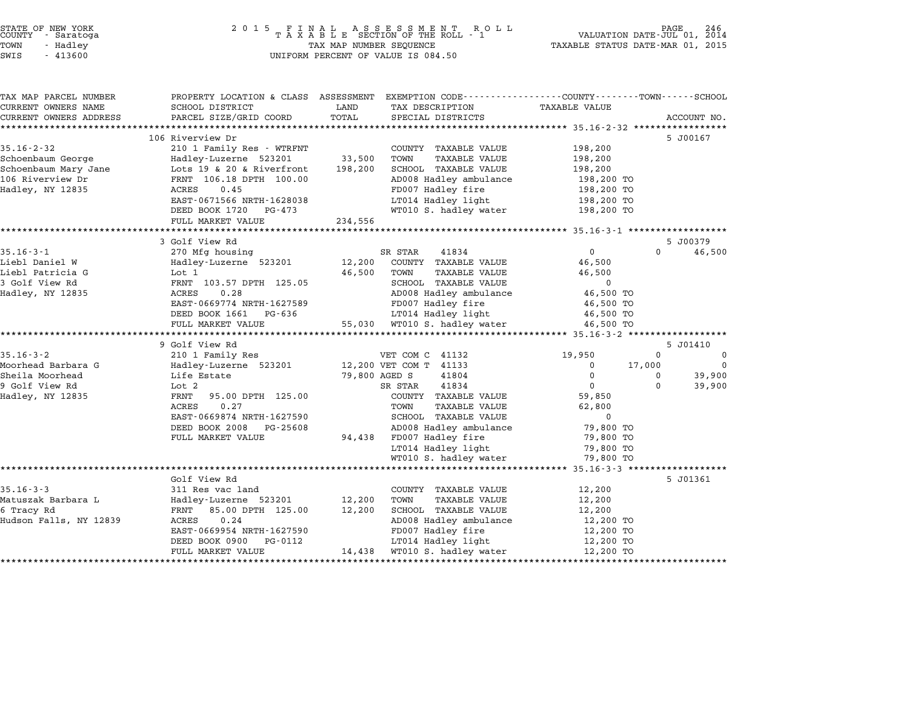| STATE OF NEW YORK<br>COUNTY - Saratoga<br>TOWN<br>- Hadley<br>SWIS<br>$-413600$                       | 2 0 1 5<br>FINAL<br>TAXABLE                                                                                                                                                                                                                                  | TAX MAP NUMBER SEQUENCE      | A S S E S S M E N T R (<br>SECTION OF THE ROLL - 1<br>R O L L<br>UNIFORM PERCENT OF VALUE IS 084.50                                                                                                                                           | VALUATION DATE-JUL 01,<br>TAXABLE STATUS DATE-MAR 01, 2015                                                                 |                                            | 246<br>?AGE<br>2014                    |
|-------------------------------------------------------------------------------------------------------|--------------------------------------------------------------------------------------------------------------------------------------------------------------------------------------------------------------------------------------------------------------|------------------------------|-----------------------------------------------------------------------------------------------------------------------------------------------------------------------------------------------------------------------------------------------|----------------------------------------------------------------------------------------------------------------------------|--------------------------------------------|----------------------------------------|
| TAX MAP PARCEL NUMBER<br>CURRENT OWNERS NAME<br>CURRENT OWNERS ADDRESS                                | SCHOOL DISTRICT<br>PARCEL SIZE/GRID COORD                                                                                                                                                                                                                    | LAND<br>TOTAL                | PROPERTY LOCATION & CLASS ASSESSMENT EXEMPTION CODE----------------COUNTY-------TOWN-----SCHOOL<br>TAX DESCRIPTION<br>SPECIAL DISTRICTS                                                                                                       | <b>TAXABLE VALUE</b>                                                                                                       |                                            | ACCOUNT NO.                            |
| ***********************                                                                               |                                                                                                                                                                                                                                                              |                              |                                                                                                                                                                                                                                               |                                                                                                                            |                                            |                                        |
| $35.16 - 2 - 32$<br>Schoenbaum George<br>Schoenbaum Mary Jane<br>106 Riverview Dr<br>Hadley, NY 12835 | 106 Riverview Dr<br>210 1 Family Res - WTRFNT<br>Hadley-Luzerne 523201<br>Lots 19 & 20 & Riverfront<br>FRNT 106.18 DPTH 100.00<br>ACRES<br>0.45<br>EAST-0671566 NRTH-1628038<br>DEED BOOK 1720<br>PG-473<br>FULL MARKET VALUE<br>*************************** | 33,500<br>198,200<br>234,556 | COUNTY TAXABLE VALUE<br>TOWN<br>TAXABLE VALUE<br>SCHOOL TAXABLE VALUE<br>AD008 Hadley ambulance<br>FD007 Hadley fire<br>LT014 Hadley light<br>WT010 S. hadley water                                                                           | 198,200<br>198,200<br>198,200<br>198,200 TO<br>198,200 TO<br>198,200 TO<br>198,200 TO                                      |                                            | 5 J00167                               |
|                                                                                                       | 3 Golf View Rd                                                                                                                                                                                                                                               |                              |                                                                                                                                                                                                                                               |                                                                                                                            |                                            | 5 J00379                               |
| $35.16 - 3 - 1$<br>Liebl Daniel W<br>Liebl Patricia G<br>3 Golf View Rd<br>Hadley, NY 12835           | 270 Mfg housing<br>Hadley-Luzerne 523201<br>Lot 1<br>FRNT 103.57 DPTH 125.05<br>0.28<br>ACRES<br>EAST-0669774 NRTH-1627589<br>DEED BOOK 1661<br>PG-636<br>FULL MARKET VALUE                                                                                  | 12,200<br>46,500<br>55,030   | 41834<br>SR STAR<br>COUNTY TAXABLE VALUE<br>TOWN<br><b>TAXABLE VALUE</b><br>SCHOOL TAXABLE VALUE<br>AD008 Hadley ambulance<br>FD007 Hadley fire<br>LT014 Hadley light<br>WT010 S. hadley water                                                | $\mathbf 0$<br>46,500<br>46,500<br>$\Omega$<br>46,500 TO<br>46,500 TO<br>46,500 TO<br>46,500 TO                            | $\Omega$                                   | 46,500                                 |
|                                                                                                       | ********************                                                                                                                                                                                                                                         |                              |                                                                                                                                                                                                                                               | ************ 35.16-3-2 *****                                                                                               |                                            |                                        |
| $35.16 - 3 - 2$<br>Moorhead Barbara G<br>Sheila Moorhead<br>9 Golf View Rd<br>Hadley, NY 12835        | 9 Golf View Rd<br>210 1 Family Res<br>Hadley-Luzerne 523201<br>Life Estate<br>Lot 2<br>FRNT<br>95.00 DPTH 125.00<br>0.27<br>ACRES<br>EAST-0669874 NRTH-1627590<br>DEED BOOK 2008<br>PG-25608<br>FULL MARKET VALUE                                            | 79,800 AGED S<br>94,438      | VET COM C 41132<br>12,200 VET COM T 41133<br>41804<br>41834<br>SR STAR<br>COUNTY TAXABLE VALUE<br>TOWN<br>TAXABLE VALUE<br>SCHOOL TAXABLE VALUE<br>AD008 Hadley ambulance<br>FD007 Hadley fire<br>LT014 Hadley light<br>WT010 S. hadley water | 19,950<br>0<br>$\Omega$<br>$\mathbf 0$<br>59,850<br>62,800<br>$\Omega$<br>79,800 TO<br>79,800 TO<br>79,800 TO<br>79,800 TO | $\Omega$<br>17,000<br>$\Omega$<br>$\Omega$ | 5 J01410<br>0<br>0<br>39,900<br>39,900 |
|                                                                                                       | ***********************                                                                                                                                                                                                                                      |                              |                                                                                                                                                                                                                                               | $35.16 - 3 - 3$ *******************                                                                                        |                                            |                                        |
| $35.16 - 3 - 3$<br>Matuszak Barbara L<br>6 Tracy Rd<br>Hudson Falls, NY 12839                         | Golf View Rd<br>311 Res vac land<br>Hadley-Luzerne 523201<br>FRNT<br>85.00 DPTH 125.00<br>ACRES<br>0.24<br>EAST-0669954 NRTH-1627590                                                                                                                         | 12,200<br>12,200             | COUNTY TAXABLE VALUE<br>TOWN<br>TAXABLE VALUE<br>SCHOOL TAXABLE VALUE<br>AD008 Hadley ambulance<br>FD007 Hadley fire                                                                                                                          | 12,200<br>12,200<br>12,200<br>12,200 TO<br>12,200 TO                                                                       |                                            | 5 J01361                               |

ADOO Hadley directly and the matter and the mediator of the set of the set of the set of the set of the set of the set of the set of the set of the set of the set of the set of the set of the set of the set of the set of t ENDOT HALLEY IIIE 12,200 IONES ENGLES DOOK 0900 PG-0112 LT014 Hadley light 12,200 TO<br>FULL MARKET VALUE 14,438 WT010 S. hadley water 12,200 TO

\*\*\*\*\*\*\*\*\*\*\*\*\*\*\*\*\*\*\*\*\*\*\*\*\*\*\*\*\*\*\*\*\*\*\*\*\*\*\*\*\*\*\*\*\*\*\*\*\*\*\*\*\*\*\*\*\*\*\*\*\*\*\*\*\*\*\*\*\*\*\*\*\*\*\*\*\*\*\*\*\*\*\*\*\*\*\*\*\*\*\*\*\*\*\*\*\*\*\*\*\*\*\*\*\*\*\*\*\*\*\*\*\*\*\*\*\*\*\*\*\*\*\*\*\*\*\*\*\*\*\*\*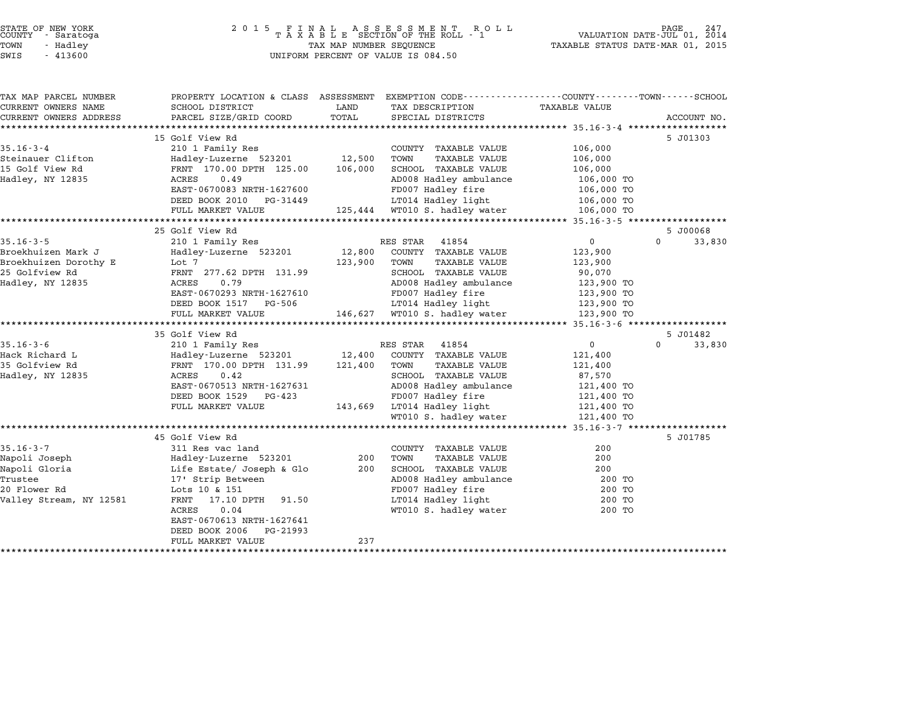| STATE OF NEW YORK |  |            |  |
|-------------------|--|------------|--|
| COUNTY            |  | - Saratoga |  |
| TOWN              |  | - Hadlev   |  |
|                   |  |            |  |

## STATE OF NEW YORK <sup>2</sup> <sup>0</sup> <sup>1</sup> 5 F I N A L A S S E S S M E N T R O L L PAGE <sup>247</sup> COUNTY - Saratoga <sup>T</sup> <sup>A</sup> <sup>X</sup> <sup>A</sup> <sup>B</sup> <sup>L</sup> <sup>E</sup> SECTION OF THE ROLL - <sup>1</sup> VALUATION DATE-JUL 01, <sup>2014</sup> TOWN - Hadley TAX MAP NUMBER SEQUENCE TAXABLE STATUS DATE-MAR 01, <sup>2015</sup> SWIS - <sup>413600</sup> UNIFORM PERCENT OF VALUE IS 084.50

| EXEMPTION CODE-----------------COUNTY-------TOWN-----SCHOOL<br>PROPERTY LOCATION & CLASS ASSESSMENT<br>CURRENT OWNERS NAME<br>SCHOOL DISTRICT<br>LAND<br>TAX DESCRIPTION<br><b>TAXABLE VALUE</b><br>TOTAL<br>PARCEL SIZE/GRID COORD<br>SPECIAL DISTRICTS<br>15 Golf View Rd<br>5 J01303<br>210 1 Family Res<br>106,000<br>COUNTY TAXABLE VALUE<br>12,500<br>TOWN<br><b>TAXABLE VALUE</b><br>106,000<br>Hadley-Luzerne 523201<br>FRNT 170.00 DPTH 125.00<br>106,000<br>SCHOOL TAXABLE VALUE<br>106,000<br>AD008 Hadley ambulance<br>ACRES<br>0.49<br>106,000 TO<br>EAST-0670083 NRTH-1627600<br>FD007 Hadley fire<br>106,000 TO<br>LT014 Hadley light<br>DEED BOOK 2010<br>PG-31449<br>106,000 TO<br>125,444 WT010 S. hadley water<br>106,000 TO<br>FULL MARKET VALUE<br>25 Golf View Rd<br>5 J00068<br>210 1 Family Res<br>$\Omega$<br>$\Omega$<br>RES STAR<br>41854<br>Hadley-Luzerne 523201<br>12,800<br>COUNTY TAXABLE VALUE<br>123,900<br>Lot 7<br>TOWN<br>123,900<br><b>TAXABLE VALUE</b><br>123,900<br>FRNT 277.62 DPTH 131.99<br>SCHOOL TAXABLE VALUE<br>90,070<br><b>ACRES</b><br>0.79<br>AD008 Hadley ambulance<br>123,900 TO<br>EAST-0670293 NRTH-1627610<br>FD007 Hadley fire<br>123,900 TO<br>LT014 Hadley light<br>123,900 TO<br>DEED BOOK 1517<br>PG-506<br>146,627 WT010 S. hadley water<br>FULL MARKET VALUE<br>123,900 TO<br>35 Golf View Rd<br>5 J01482<br>210 1 Family Res<br>$\mathbf 0$<br>$\Omega$<br>RES STAR<br>41854<br>12,400<br>Hadley-Luzerne 523201<br>COUNTY TAXABLE VALUE<br>121,400<br>FRNT 170.00 DPTH 131.99<br>121,400<br>TOWN<br><b>TAXABLE VALUE</b><br>121,400<br>0.42<br>SCHOOL TAXABLE VALUE<br>ACRES<br>87,570<br>EAST-0670513 NRTH-1627631<br>AD008 Hadley ambulance<br>121,400 TO<br>FD007 Hadley fire<br>DEED BOOK 1529<br>PG-423<br>121,400 TO<br>LT014 Hadley light<br>FULL MARKET VALUE<br>121,400 TO<br>143,669<br>WT010 S. hadley water<br>121,400 TO<br>45 Golf View Rd<br>5 J01785<br>311 Res vac land<br>200<br>COUNTY TAXABLE VALUE<br>200<br>TOWN<br>200<br>Hadley-Luzerne 523201<br><b>TAXABLE VALUE</b><br>Life Estate/ Joseph & Glo<br>200<br>SCHOOL TAXABLE VALUE<br>200<br>AD008 Hadley ambulance<br>17' Strip Between<br>200 TO<br>FD007 Hadley fire<br>Lots 10 & 151<br>200 TO<br>LT014 Hadley light<br>17.10 DPTH<br>91.50<br>200 TO<br>FRNT<br><b>ACRES</b><br>0.04<br>WT010 S. hadley water<br>200 TO<br>EAST-0670613 NRTH-1627641<br>DEED BOOK 2006<br>PG-21993 |                       |                   |     |  |             |
|----------------------------------------------------------------------------------------------------------------------------------------------------------------------------------------------------------------------------------------------------------------------------------------------------------------------------------------------------------------------------------------------------------------------------------------------------------------------------------------------------------------------------------------------------------------------------------------------------------------------------------------------------------------------------------------------------------------------------------------------------------------------------------------------------------------------------------------------------------------------------------------------------------------------------------------------------------------------------------------------------------------------------------------------------------------------------------------------------------------------------------------------------------------------------------------------------------------------------------------------------------------------------------------------------------------------------------------------------------------------------------------------------------------------------------------------------------------------------------------------------------------------------------------------------------------------------------------------------------------------------------------------------------------------------------------------------------------------------------------------------------------------------------------------------------------------------------------------------------------------------------------------------------------------------------------------------------------------------------------------------------------------------------------------------------------------------------------------------------------------------------------------------------------------------------------------------------------------------------------------------------------------------------------------------------------------------------------------------------------------------------------------------------------------------------|-----------------------|-------------------|-----|--|-------------|
| CURRENT OWNERS ADDRESS                                                                                                                                                                                                                                                                                                                                                                                                                                                                                                                                                                                                                                                                                                                                                                                                                                                                                                                                                                                                                                                                                                                                                                                                                                                                                                                                                                                                                                                                                                                                                                                                                                                                                                                                                                                                                                                                                                                                                                                                                                                                                                                                                                                                                                                                                                                                                                                                           | TAX MAP PARCEL NUMBER |                   |     |  |             |
|                                                                                                                                                                                                                                                                                                                                                                                                                                                                                                                                                                                                                                                                                                                                                                                                                                                                                                                                                                                                                                                                                                                                                                                                                                                                                                                                                                                                                                                                                                                                                                                                                                                                                                                                                                                                                                                                                                                                                                                                                                                                                                                                                                                                                                                                                                                                                                                                                                  |                       |                   |     |  |             |
| $35.16 - 3 - 4$<br>Steinauer Clifton<br>15 Golf View Rd<br>Hadley, NY 12835<br>$35.16 - 3 - 5$<br>Broekhuizen Mark J<br>Broekhuizen Dorothy E<br>25 Golfview Rd<br>Hadley, NY 12835<br>$35.16 - 3 - 6$<br>Hack Richard L<br>35 Golfview Rd<br>Hadley, NY 12835<br>$35.16 - 3 - 7$<br>Napoli Joseph<br>Napoli Gloria<br>Trustee<br>20 Flower Rd<br>Valley Stream, NY 12581                                                                                                                                                                                                                                                                                                                                                                                                                                                                                                                                                                                                                                                                                                                                                                                                                                                                                                                                                                                                                                                                                                                                                                                                                                                                                                                                                                                                                                                                                                                                                                                                                                                                                                                                                                                                                                                                                                                                                                                                                                                        |                       |                   |     |  | ACCOUNT NO. |
|                                                                                                                                                                                                                                                                                                                                                                                                                                                                                                                                                                                                                                                                                                                                                                                                                                                                                                                                                                                                                                                                                                                                                                                                                                                                                                                                                                                                                                                                                                                                                                                                                                                                                                                                                                                                                                                                                                                                                                                                                                                                                                                                                                                                                                                                                                                                                                                                                                  |                       |                   |     |  |             |
|                                                                                                                                                                                                                                                                                                                                                                                                                                                                                                                                                                                                                                                                                                                                                                                                                                                                                                                                                                                                                                                                                                                                                                                                                                                                                                                                                                                                                                                                                                                                                                                                                                                                                                                                                                                                                                                                                                                                                                                                                                                                                                                                                                                                                                                                                                                                                                                                                                  |                       |                   |     |  |             |
|                                                                                                                                                                                                                                                                                                                                                                                                                                                                                                                                                                                                                                                                                                                                                                                                                                                                                                                                                                                                                                                                                                                                                                                                                                                                                                                                                                                                                                                                                                                                                                                                                                                                                                                                                                                                                                                                                                                                                                                                                                                                                                                                                                                                                                                                                                                                                                                                                                  |                       |                   |     |  |             |
|                                                                                                                                                                                                                                                                                                                                                                                                                                                                                                                                                                                                                                                                                                                                                                                                                                                                                                                                                                                                                                                                                                                                                                                                                                                                                                                                                                                                                                                                                                                                                                                                                                                                                                                                                                                                                                                                                                                                                                                                                                                                                                                                                                                                                                                                                                                                                                                                                                  |                       |                   |     |  |             |
|                                                                                                                                                                                                                                                                                                                                                                                                                                                                                                                                                                                                                                                                                                                                                                                                                                                                                                                                                                                                                                                                                                                                                                                                                                                                                                                                                                                                                                                                                                                                                                                                                                                                                                                                                                                                                                                                                                                                                                                                                                                                                                                                                                                                                                                                                                                                                                                                                                  |                       |                   |     |  |             |
|                                                                                                                                                                                                                                                                                                                                                                                                                                                                                                                                                                                                                                                                                                                                                                                                                                                                                                                                                                                                                                                                                                                                                                                                                                                                                                                                                                                                                                                                                                                                                                                                                                                                                                                                                                                                                                                                                                                                                                                                                                                                                                                                                                                                                                                                                                                                                                                                                                  |                       |                   |     |  |             |
|                                                                                                                                                                                                                                                                                                                                                                                                                                                                                                                                                                                                                                                                                                                                                                                                                                                                                                                                                                                                                                                                                                                                                                                                                                                                                                                                                                                                                                                                                                                                                                                                                                                                                                                                                                                                                                                                                                                                                                                                                                                                                                                                                                                                                                                                                                                                                                                                                                  |                       |                   |     |  |             |
|                                                                                                                                                                                                                                                                                                                                                                                                                                                                                                                                                                                                                                                                                                                                                                                                                                                                                                                                                                                                                                                                                                                                                                                                                                                                                                                                                                                                                                                                                                                                                                                                                                                                                                                                                                                                                                                                                                                                                                                                                                                                                                                                                                                                                                                                                                                                                                                                                                  |                       |                   |     |  |             |
|                                                                                                                                                                                                                                                                                                                                                                                                                                                                                                                                                                                                                                                                                                                                                                                                                                                                                                                                                                                                                                                                                                                                                                                                                                                                                                                                                                                                                                                                                                                                                                                                                                                                                                                                                                                                                                                                                                                                                                                                                                                                                                                                                                                                                                                                                                                                                                                                                                  |                       |                   |     |  |             |
|                                                                                                                                                                                                                                                                                                                                                                                                                                                                                                                                                                                                                                                                                                                                                                                                                                                                                                                                                                                                                                                                                                                                                                                                                                                                                                                                                                                                                                                                                                                                                                                                                                                                                                                                                                                                                                                                                                                                                                                                                                                                                                                                                                                                                                                                                                                                                                                                                                  |                       |                   |     |  |             |
|                                                                                                                                                                                                                                                                                                                                                                                                                                                                                                                                                                                                                                                                                                                                                                                                                                                                                                                                                                                                                                                                                                                                                                                                                                                                                                                                                                                                                                                                                                                                                                                                                                                                                                                                                                                                                                                                                                                                                                                                                                                                                                                                                                                                                                                                                                                                                                                                                                  |                       |                   |     |  | 33,830      |
|                                                                                                                                                                                                                                                                                                                                                                                                                                                                                                                                                                                                                                                                                                                                                                                                                                                                                                                                                                                                                                                                                                                                                                                                                                                                                                                                                                                                                                                                                                                                                                                                                                                                                                                                                                                                                                                                                                                                                                                                                                                                                                                                                                                                                                                                                                                                                                                                                                  |                       |                   |     |  |             |
|                                                                                                                                                                                                                                                                                                                                                                                                                                                                                                                                                                                                                                                                                                                                                                                                                                                                                                                                                                                                                                                                                                                                                                                                                                                                                                                                                                                                                                                                                                                                                                                                                                                                                                                                                                                                                                                                                                                                                                                                                                                                                                                                                                                                                                                                                                                                                                                                                                  |                       |                   |     |  |             |
|                                                                                                                                                                                                                                                                                                                                                                                                                                                                                                                                                                                                                                                                                                                                                                                                                                                                                                                                                                                                                                                                                                                                                                                                                                                                                                                                                                                                                                                                                                                                                                                                                                                                                                                                                                                                                                                                                                                                                                                                                                                                                                                                                                                                                                                                                                                                                                                                                                  |                       |                   |     |  |             |
|                                                                                                                                                                                                                                                                                                                                                                                                                                                                                                                                                                                                                                                                                                                                                                                                                                                                                                                                                                                                                                                                                                                                                                                                                                                                                                                                                                                                                                                                                                                                                                                                                                                                                                                                                                                                                                                                                                                                                                                                                                                                                                                                                                                                                                                                                                                                                                                                                                  |                       |                   |     |  |             |
|                                                                                                                                                                                                                                                                                                                                                                                                                                                                                                                                                                                                                                                                                                                                                                                                                                                                                                                                                                                                                                                                                                                                                                                                                                                                                                                                                                                                                                                                                                                                                                                                                                                                                                                                                                                                                                                                                                                                                                                                                                                                                                                                                                                                                                                                                                                                                                                                                                  |                       |                   |     |  |             |
|                                                                                                                                                                                                                                                                                                                                                                                                                                                                                                                                                                                                                                                                                                                                                                                                                                                                                                                                                                                                                                                                                                                                                                                                                                                                                                                                                                                                                                                                                                                                                                                                                                                                                                                                                                                                                                                                                                                                                                                                                                                                                                                                                                                                                                                                                                                                                                                                                                  |                       |                   |     |  |             |
|                                                                                                                                                                                                                                                                                                                                                                                                                                                                                                                                                                                                                                                                                                                                                                                                                                                                                                                                                                                                                                                                                                                                                                                                                                                                                                                                                                                                                                                                                                                                                                                                                                                                                                                                                                                                                                                                                                                                                                                                                                                                                                                                                                                                                                                                                                                                                                                                                                  |                       |                   |     |  |             |
|                                                                                                                                                                                                                                                                                                                                                                                                                                                                                                                                                                                                                                                                                                                                                                                                                                                                                                                                                                                                                                                                                                                                                                                                                                                                                                                                                                                                                                                                                                                                                                                                                                                                                                                                                                                                                                                                                                                                                                                                                                                                                                                                                                                                                                                                                                                                                                                                                                  |                       |                   |     |  |             |
|                                                                                                                                                                                                                                                                                                                                                                                                                                                                                                                                                                                                                                                                                                                                                                                                                                                                                                                                                                                                                                                                                                                                                                                                                                                                                                                                                                                                                                                                                                                                                                                                                                                                                                                                                                                                                                                                                                                                                                                                                                                                                                                                                                                                                                                                                                                                                                                                                                  |                       |                   |     |  |             |
|                                                                                                                                                                                                                                                                                                                                                                                                                                                                                                                                                                                                                                                                                                                                                                                                                                                                                                                                                                                                                                                                                                                                                                                                                                                                                                                                                                                                                                                                                                                                                                                                                                                                                                                                                                                                                                                                                                                                                                                                                                                                                                                                                                                                                                                                                                                                                                                                                                  |                       |                   |     |  | 33,830      |
|                                                                                                                                                                                                                                                                                                                                                                                                                                                                                                                                                                                                                                                                                                                                                                                                                                                                                                                                                                                                                                                                                                                                                                                                                                                                                                                                                                                                                                                                                                                                                                                                                                                                                                                                                                                                                                                                                                                                                                                                                                                                                                                                                                                                                                                                                                                                                                                                                                  |                       |                   |     |  |             |
|                                                                                                                                                                                                                                                                                                                                                                                                                                                                                                                                                                                                                                                                                                                                                                                                                                                                                                                                                                                                                                                                                                                                                                                                                                                                                                                                                                                                                                                                                                                                                                                                                                                                                                                                                                                                                                                                                                                                                                                                                                                                                                                                                                                                                                                                                                                                                                                                                                  |                       |                   |     |  |             |
|                                                                                                                                                                                                                                                                                                                                                                                                                                                                                                                                                                                                                                                                                                                                                                                                                                                                                                                                                                                                                                                                                                                                                                                                                                                                                                                                                                                                                                                                                                                                                                                                                                                                                                                                                                                                                                                                                                                                                                                                                                                                                                                                                                                                                                                                                                                                                                                                                                  |                       |                   |     |  |             |
|                                                                                                                                                                                                                                                                                                                                                                                                                                                                                                                                                                                                                                                                                                                                                                                                                                                                                                                                                                                                                                                                                                                                                                                                                                                                                                                                                                                                                                                                                                                                                                                                                                                                                                                                                                                                                                                                                                                                                                                                                                                                                                                                                                                                                                                                                                                                                                                                                                  |                       |                   |     |  |             |
|                                                                                                                                                                                                                                                                                                                                                                                                                                                                                                                                                                                                                                                                                                                                                                                                                                                                                                                                                                                                                                                                                                                                                                                                                                                                                                                                                                                                                                                                                                                                                                                                                                                                                                                                                                                                                                                                                                                                                                                                                                                                                                                                                                                                                                                                                                                                                                                                                                  |                       |                   |     |  |             |
|                                                                                                                                                                                                                                                                                                                                                                                                                                                                                                                                                                                                                                                                                                                                                                                                                                                                                                                                                                                                                                                                                                                                                                                                                                                                                                                                                                                                                                                                                                                                                                                                                                                                                                                                                                                                                                                                                                                                                                                                                                                                                                                                                                                                                                                                                                                                                                                                                                  |                       |                   |     |  |             |
|                                                                                                                                                                                                                                                                                                                                                                                                                                                                                                                                                                                                                                                                                                                                                                                                                                                                                                                                                                                                                                                                                                                                                                                                                                                                                                                                                                                                                                                                                                                                                                                                                                                                                                                                                                                                                                                                                                                                                                                                                                                                                                                                                                                                                                                                                                                                                                                                                                  |                       |                   |     |  |             |
|                                                                                                                                                                                                                                                                                                                                                                                                                                                                                                                                                                                                                                                                                                                                                                                                                                                                                                                                                                                                                                                                                                                                                                                                                                                                                                                                                                                                                                                                                                                                                                                                                                                                                                                                                                                                                                                                                                                                                                                                                                                                                                                                                                                                                                                                                                                                                                                                                                  |                       |                   |     |  |             |
|                                                                                                                                                                                                                                                                                                                                                                                                                                                                                                                                                                                                                                                                                                                                                                                                                                                                                                                                                                                                                                                                                                                                                                                                                                                                                                                                                                                                                                                                                                                                                                                                                                                                                                                                                                                                                                                                                                                                                                                                                                                                                                                                                                                                                                                                                                                                                                                                                                  |                       |                   |     |  |             |
|                                                                                                                                                                                                                                                                                                                                                                                                                                                                                                                                                                                                                                                                                                                                                                                                                                                                                                                                                                                                                                                                                                                                                                                                                                                                                                                                                                                                                                                                                                                                                                                                                                                                                                                                                                                                                                                                                                                                                                                                                                                                                                                                                                                                                                                                                                                                                                                                                                  |                       |                   |     |  |             |
|                                                                                                                                                                                                                                                                                                                                                                                                                                                                                                                                                                                                                                                                                                                                                                                                                                                                                                                                                                                                                                                                                                                                                                                                                                                                                                                                                                                                                                                                                                                                                                                                                                                                                                                                                                                                                                                                                                                                                                                                                                                                                                                                                                                                                                                                                                                                                                                                                                  |                       |                   |     |  |             |
|                                                                                                                                                                                                                                                                                                                                                                                                                                                                                                                                                                                                                                                                                                                                                                                                                                                                                                                                                                                                                                                                                                                                                                                                                                                                                                                                                                                                                                                                                                                                                                                                                                                                                                                                                                                                                                                                                                                                                                                                                                                                                                                                                                                                                                                                                                                                                                                                                                  |                       |                   |     |  |             |
|                                                                                                                                                                                                                                                                                                                                                                                                                                                                                                                                                                                                                                                                                                                                                                                                                                                                                                                                                                                                                                                                                                                                                                                                                                                                                                                                                                                                                                                                                                                                                                                                                                                                                                                                                                                                                                                                                                                                                                                                                                                                                                                                                                                                                                                                                                                                                                                                                                  |                       |                   |     |  |             |
|                                                                                                                                                                                                                                                                                                                                                                                                                                                                                                                                                                                                                                                                                                                                                                                                                                                                                                                                                                                                                                                                                                                                                                                                                                                                                                                                                                                                                                                                                                                                                                                                                                                                                                                                                                                                                                                                                                                                                                                                                                                                                                                                                                                                                                                                                                                                                                                                                                  |                       |                   |     |  |             |
|                                                                                                                                                                                                                                                                                                                                                                                                                                                                                                                                                                                                                                                                                                                                                                                                                                                                                                                                                                                                                                                                                                                                                                                                                                                                                                                                                                                                                                                                                                                                                                                                                                                                                                                                                                                                                                                                                                                                                                                                                                                                                                                                                                                                                                                                                                                                                                                                                                  |                       |                   |     |  |             |
|                                                                                                                                                                                                                                                                                                                                                                                                                                                                                                                                                                                                                                                                                                                                                                                                                                                                                                                                                                                                                                                                                                                                                                                                                                                                                                                                                                                                                                                                                                                                                                                                                                                                                                                                                                                                                                                                                                                                                                                                                                                                                                                                                                                                                                                                                                                                                                                                                                  |                       |                   |     |  |             |
|                                                                                                                                                                                                                                                                                                                                                                                                                                                                                                                                                                                                                                                                                                                                                                                                                                                                                                                                                                                                                                                                                                                                                                                                                                                                                                                                                                                                                                                                                                                                                                                                                                                                                                                                                                                                                                                                                                                                                                                                                                                                                                                                                                                                                                                                                                                                                                                                                                  |                       |                   |     |  |             |
|                                                                                                                                                                                                                                                                                                                                                                                                                                                                                                                                                                                                                                                                                                                                                                                                                                                                                                                                                                                                                                                                                                                                                                                                                                                                                                                                                                                                                                                                                                                                                                                                                                                                                                                                                                                                                                                                                                                                                                                                                                                                                                                                                                                                                                                                                                                                                                                                                                  |                       |                   |     |  |             |
|                                                                                                                                                                                                                                                                                                                                                                                                                                                                                                                                                                                                                                                                                                                                                                                                                                                                                                                                                                                                                                                                                                                                                                                                                                                                                                                                                                                                                                                                                                                                                                                                                                                                                                                                                                                                                                                                                                                                                                                                                                                                                                                                                                                                                                                                                                                                                                                                                                  |                       | FULL MARKET VALUE | 237 |  |             |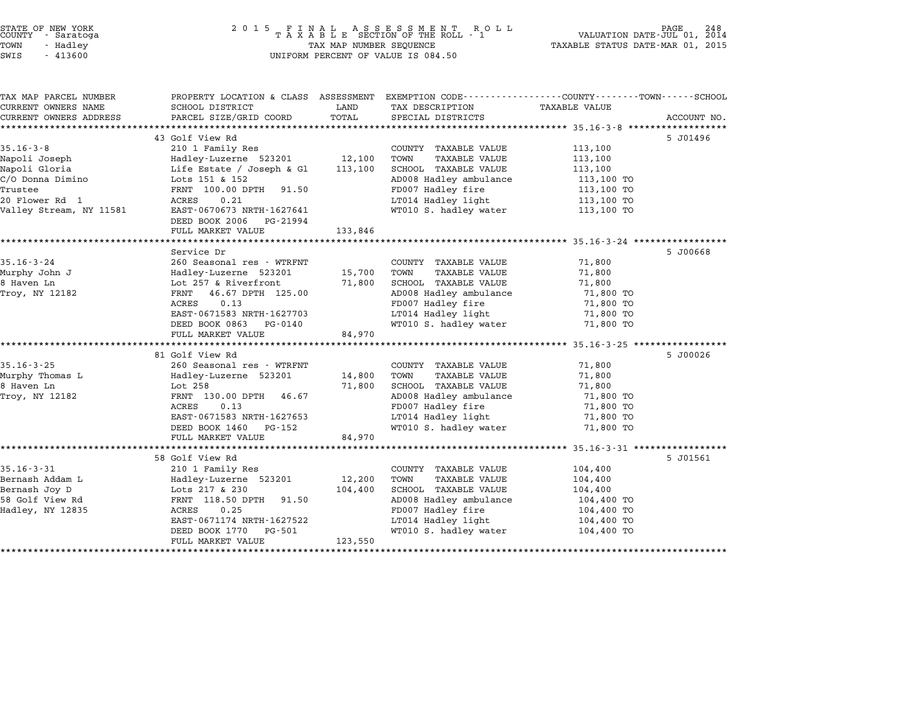## STATE OF NEW YORK <sup>2</sup> <sup>0</sup> <sup>1</sup> 5 F I N A L A S S E S S M E N T R O L L PAGE <sup>248</sup> COUNTY - Saratoga <sup>T</sup> <sup>A</sup> <sup>X</sup> <sup>A</sup> <sup>B</sup> <sup>L</sup> <sup>E</sup> SECTION OF THE ROLL - <sup>1</sup> VALUATION DATE-JUL 01, <sup>2014</sup> TOWN - Hadley TAX MAP NUMBER SEQUENCE TAXABLE STATUS DATE-MAR 01, <sup>2015</sup> STATE OF NEW YORK<br>
COUNTY - Saratoga<br>
TOWN - Hadley TAXABLE SECTION OF THE ROLI<br>
TOWN - 413600 UNIFORM PERCENT OF VALUE IS 084.50

| TAX MAP PARCEL NUMBER                     | PROPERTY LOCATION & CLASS ASSESSMENT EXEMPTION CODE----------------COUNTY-------TOWN-----SCHOOL |         |                                             |                      |             |
|-------------------------------------------|-------------------------------------------------------------------------------------------------|---------|---------------------------------------------|----------------------|-------------|
| CURRENT OWNERS NAME                       | SCHOOL DISTRICT                                                                                 | LAND    | TAX DESCRIPTION                             | <b>TAXABLE VALUE</b> |             |
| CURRENT OWNERS ADDRESS                    | PARCEL SIZE/GRID COORD                                                                          | TOTAL   | SPECIAL DISTRICTS                           |                      | ACCOUNT NO. |
|                                           |                                                                                                 |         |                                             |                      |             |
|                                           | 43 Golf View Rd                                                                                 |         |                                             |                      | 5 J01496    |
| $35.16 - 3 - 8$                           | 210 1 Family Res                                                                                |         | COUNTY TAXABLE VALUE                        | 113,100              |             |
| Napoli Joseph                             | Hadley-Luzerne 523201                                                                           | 12,100  | TOWN<br><b>TAXABLE VALUE</b>                | 113,100              |             |
| Napoli Gloria                             | Life Estate / Joseph & Gl                                                                       | 113,100 | SCHOOL TAXABLE VALUE                        | 113,100              |             |
| C/O Donna Dimino<br>Trustee               | Lots 151 & 152<br>FRNT 100.00 DPTH<br>91.50                                                     |         | AD008 Hadley ambulance                      | 113,100 TO           |             |
|                                           |                                                                                                 |         | FD007 Hadley fire                           | 113,100 TO           |             |
| 20 Flower Rd 1<br>Valley Stream, NY 11581 | ACRES<br>0.21<br>EAST-0670673 NRTH-1627641                                                      |         | LT014 Hadley light<br>WT010 S. hadley water | 113,100 TO           |             |
|                                           |                                                                                                 |         |                                             | 113,100 TO           |             |
|                                           | DEED BOOK 2006 PG-21994                                                                         | 133,846 |                                             |                      |             |
|                                           | FULL MARKET VALUE                                                                               |         |                                             |                      |             |
|                                           | Service Dr                                                                                      |         |                                             |                      | 5 J00668    |
| $35.16 - 3 - 24$                          | 260 Seasonal res - WTRFNT                                                                       |         | COUNTY TAXABLE VALUE                        | 71,800               |             |
| Murphy John J                             | Hadley-Luzerne 523201                                                                           | 15,700  | TOWN<br>TAXABLE VALUE                       | 71,800               |             |
| 8 Haven Ln                                | Lot 257 & Riverfront                                                                            | 71,800  | <b>SCHOOL TAXABLE VALUE</b>                 | 71,800               |             |
| Troy, NY 12182                            | FRNT 46.67 DPTH 125.00                                                                          |         | AD008 Hadley ambulance                      | 71,800 TO            |             |
|                                           | 0.13<br>ACRES                                                                                   |         | FD007 Hadley fire                           | 71,800 TO            |             |
|                                           | EAST-0671583 NRTH-1627703                                                                       |         | LT014 Hadley light                          | 71,800 TO            |             |
|                                           | DEED BOOK 0863 PG-0140                                                                          |         | WT010 S. hadley water                       | 71,800 TO            |             |
|                                           | FULL MARKET VALUE                                                                               | 84,970  |                                             |                      |             |
|                                           |                                                                                                 |         |                                             |                      |             |
|                                           | 81 Golf View Rd                                                                                 |         |                                             |                      | 5 J00026    |
| $35.16 - 3 - 25$                          | 260 Seasonal res - WTRFNT                                                                       |         | COUNTY TAXABLE VALUE                        | 71,800               |             |
| Murphy Thomas L                           | Hadley-Luzerne 523201                                                                           | 14,800  | TOWN<br>TAXABLE VALUE                       | 71,800               |             |
| 8 Haven Ln                                | Lot 258                                                                                         | 71,800  | SCHOOL TAXABLE VALUE                        | 71,800               |             |
| Troy, NY 12182                            | FRNT 130.00 DPTH<br>46.67                                                                       |         | AD008 Hadley ambulance                      | 71,800 TO            |             |
|                                           | ACRES<br>0.13                                                                                   |         | FD007 Hadley fire                           | 71,800 TO            |             |
|                                           | EAST-0671583 NRTH-1627653                                                                       |         | LT014 Hadley light                          | 71,800 TO            |             |
|                                           | DEED BOOK 1460 PG-152                                                                           |         | WT010 S. hadley water                       | 71,800 TO            |             |
|                                           | FULL MARKET VALUE                                                                               | 84,970  |                                             |                      |             |
|                                           |                                                                                                 |         |                                             |                      |             |
|                                           | 58 Golf View Rd                                                                                 |         |                                             |                      | 5 J01561    |
| $35.16 - 3 - 31$                          | 210 1 Family Res                                                                                |         | COUNTY TAXABLE VALUE                        | 104,400              |             |
| Bernash Addam L                           | Hadley-Luzerne 523201                                                                           | 12,200  | TOWN<br><b>TAXABLE VALUE</b>                | 104,400              |             |
| Bernash Joy D                             | Lots 217 & 230                                                                                  | 104,400 | <b>SCHOOL TAXABLE VALUE</b>                 | 104,400              |             |
| 58 Golf View Rd                           | FRNT 118.50 DPTH<br>91.50                                                                       |         | AD008 Hadley ambulance                      | 104,400 TO           |             |
| Hadley, NY 12835                          | ACRES<br>0.25                                                                                   |         | FD007 Hadley fire                           | 104,400 TO           |             |
|                                           | EAST-0671174 NRTH-1627522                                                                       |         | LT014 Hadley light                          | 104,400 TO           |             |
|                                           | DEED BOOK 1770<br>PG-501                                                                        |         | WT010 S. hadley water                       | 104,400 TO           |             |
|                                           | FULL MARKET VALUE                                                                               | 123,550 |                                             |                      |             |
|                                           |                                                                                                 |         |                                             |                      |             |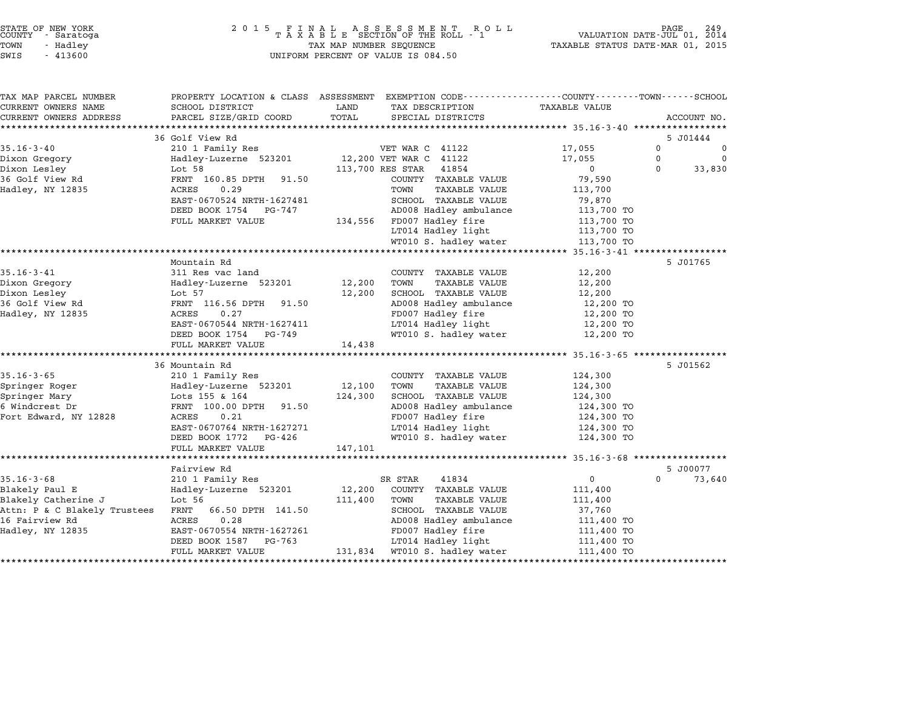| STATE OF NEW YORK |  |            |  |
|-------------------|--|------------|--|
| COUNTY            |  | - Saratoga |  |
| TOWN              |  | - Hadley   |  |

| TAX MAP PARCEL NUMBER                               | PROPERTY LOCATION & CLASS ASSESSMENT EXEMPTION CODE----------------COUNTY-------TOWN-----SCHOOL                                                                                          |              |                                                                                                                                                                      |                              |             |                          |
|-----------------------------------------------------|------------------------------------------------------------------------------------------------------------------------------------------------------------------------------------------|--------------|----------------------------------------------------------------------------------------------------------------------------------------------------------------------|------------------------------|-------------|--------------------------|
| CURRENT OWNERS NAME                                 | SCHOOL DISTRICT                                                                                                                                                                          | LAND         | TAX DESCRIPTION                                                                                                                                                      | <b>TAXABLE VALUE</b>         |             |                          |
| CURRENT OWNERS ADDRESS                              | PARCEL SIZE/GRID COORD                                                                                                                                                                   | TOTAL        | SPECIAL DISTRICTS                                                                                                                                                    |                              |             | ACCOUNT NO.              |
|                                                     |                                                                                                                                                                                          |              |                                                                                                                                                                      |                              |             |                          |
|                                                     | 36 Golf View Rd                                                                                                                                                                          |              |                                                                                                                                                                      |                              |             | 5 J01444                 |
| $35.16 - 3 - 40$                                    | 210 1 Family Res                                                                                                                                                                         |              | VET WAR C 41122                                                                                                                                                      | 17,055<br>17,055             | $\Omega$    | $\overline{0}$           |
| Dixon Gregory                                       |                                                                                                                                                                                          |              |                                                                                                                                                                      |                              | $\mathbf 0$ | $\overline{\phantom{0}}$ |
|                                                     |                                                                                                                                                                                          |              |                                                                                                                                                                      | $\overline{0}$               | $\Omega$    | 33,830                   |
|                                                     |                                                                                                                                                                                          |              | COUNTY TAXABLE VALUE                                                                                                                                                 | 79,590                       |             |                          |
| Hadley, NY 12835 ACRES                              | 0.29                                                                                                                                                                                     |              | TOWN<br>TAXABLE VALUE                                                                                                                                                | 113,700                      |             |                          |
|                                                     | EAST-0670524 NRTH-1627481                                                                                                                                                                |              |                                                                                                                                                                      |                              |             |                          |
|                                                     | DEED BOOK 1754 PG-747                                                                                                                                                                    |              |                                                                                                                                                                      |                              |             |                          |
|                                                     | FULL MARKET VALUE 134,556 FD007 Hadley fire<br>LT014 Hadley light                                                                                                                        |              |                                                                                                                                                                      | 113,700 TO<br>113,700 TO     |             |                          |
|                                                     |                                                                                                                                                                                          |              |                                                                                                                                                                      |                              |             |                          |
|                                                     |                                                                                                                                                                                          |              | WT010 S. hadley water 113,700 TO                                                                                                                                     |                              |             |                          |
|                                                     |                                                                                                                                                                                          |              |                                                                                                                                                                      |                              |             |                          |
|                                                     | Mountain Rd                                                                                                                                                                              |              |                                                                                                                                                                      |                              |             | 5 J01765                 |
| $35.16 - 3 - 41$                                    | 311 Res vac land                                                                                                                                                                         |              | COUNTY TAXABLE VALUE                                                                                                                                                 | 12,200                       |             |                          |
|                                                     |                                                                                                                                                                                          | 12,200 TOWN  | TAXABLE VALUE                                                                                                                                                        | 12,200                       |             |                          |
|                                                     |                                                                                                                                                                                          |              | 12,200 SCHOOL TAXABLE VALUE                                                                                                                                          |                              |             |                          |
|                                                     |                                                                                                                                                                                          |              | AD008 Hadley ambulance 12,200 TO<br>FD007 Hadley fire 12,200 TO                                                                                                      | $12, 200$ TO<br>$12, 200$ TO |             |                          |
|                                                     |                                                                                                                                                                                          |              |                                                                                                                                                                      |                              |             |                          |
|                                                     | EAST-0670544 NRTH-1627411                                                                                                                                                                |              | LT014 Hadley light<br>WT010 S. hadley water                                                                                                                          | 12,200 TO<br>12,200 TO       |             |                          |
|                                                     | DEED BOOK 1754 PG-749                                                                                                                                                                    |              |                                                                                                                                                                      |                              |             |                          |
|                                                     | FULL MARKET VALUE                                                                                                                                                                        | 14,438       |                                                                                                                                                                      |                              |             |                          |
|                                                     | 36 Mountain Rd                                                                                                                                                                           |              |                                                                                                                                                                      |                              |             | 5 J01562                 |
| $35.16 - 3 - 65$                                    |                                                                                                                                                                                          |              | COUNTY TAXABLE VALUE                                                                                                                                                 | 124,300                      |             |                          |
| Springer Roger                                      | 210 1 Family Res<br>Hadley-Luzerne 523201 12,100 TOWN TAXABLE VALUE<br>Lots 155 & 164 124,300 SCHOOL TAXABLE VALUE<br>FRNT 100.00 DPTH 91.50 AD008 Hadley ambulance<br>FD007 Hadley fire |              |                                                                                                                                                                      | 124,300                      |             |                          |
| Springer Mary                                       |                                                                                                                                                                                          |              |                                                                                                                                                                      |                              |             |                          |
| 6 Windcrest Dr                                      |                                                                                                                                                                                          |              |                                                                                                                                                                      | 124,300<br>124,300 TO        |             |                          |
| Fort Edward, NY 12828                               |                                                                                                                                                                                          |              |                                                                                                                                                                      |                              |             |                          |
|                                                     | EAST-0670764 NRTH-1627271                                                                                                                                                                |              | AD008 Hadley ambulance $124,300$ TO<br>FD007 Hadley fire $124,300$ TO<br>LT014 Hadley light $124,300$ TO<br>WT010 S. hadley water $124,300$ TO<br>LT014 Hadley light |                              |             |                          |
|                                                     | DEED BOOK 1772 PG-426                                                                                                                                                                    |              |                                                                                                                                                                      |                              |             |                          |
|                                                     | FULL MARKET VALUE                                                                                                                                                                        | 147,101      |                                                                                                                                                                      |                              |             |                          |
|                                                     |                                                                                                                                                                                          |              |                                                                                                                                                                      |                              |             |                          |
|                                                     | Fairview Rd                                                                                                                                                                              |              |                                                                                                                                                                      |                              |             | 5 J00077                 |
| $35.16 - 3 - 68$                                    | 210 1 Family Res                                                                                                                                                                         |              | SR STAR<br>41834                                                                                                                                                     | $\overline{0}$               | $\Omega$    | 73,640                   |
| Blakely Paul E                                      | Hadley-Luzerne 523201 12,200 COUNTY TAXABLE VALUE                                                                                                                                        |              |                                                                                                                                                                      | 111,400                      |             |                          |
| Blakely Catherine J                                 | Lot 56                                                                                                                                                                                   | 111,400 TOWN | TAXABLE VALUE                                                                                                                                                        | 111,400                      |             |                          |
| Attn: P & C Blakely Trustees FRNT 66.50 DPTH 141.50 |                                                                                                                                                                                          |              | SCHOOL TAXABLE VALUE                                                                                                                                                 | 37,760                       |             |                          |
| 16 Fairview Rd                                      |                                                                                                                                                                                          |              |                                                                                                                                                                      |                              |             |                          |
| Hadley, NY 12835                                    |                                                                                                                                                                                          |              | FD007 Hadley fire                                                                                                                                                    |                              |             |                          |
|                                                     | ACRES 0.20<br>EAST-0670554 NRTH-1627261<br>EAST-067054 NRTH-1627261                                                                                                                      |              | AD008 Hadley ambulance $111,400$ TO<br>FD007 Hadley fire $111,400$ TO<br>LT014 Hadley light $111,400$ TO                                                             |                              |             |                          |
|                                                     | FULL MARKET VALUE                                                                                                                                                                        |              | 131,834 WT010 S. hadley water 111,400 TO                                                                                                                             |                              |             |                          |
|                                                     |                                                                                                                                                                                          |              |                                                                                                                                                                      |                              |             |                          |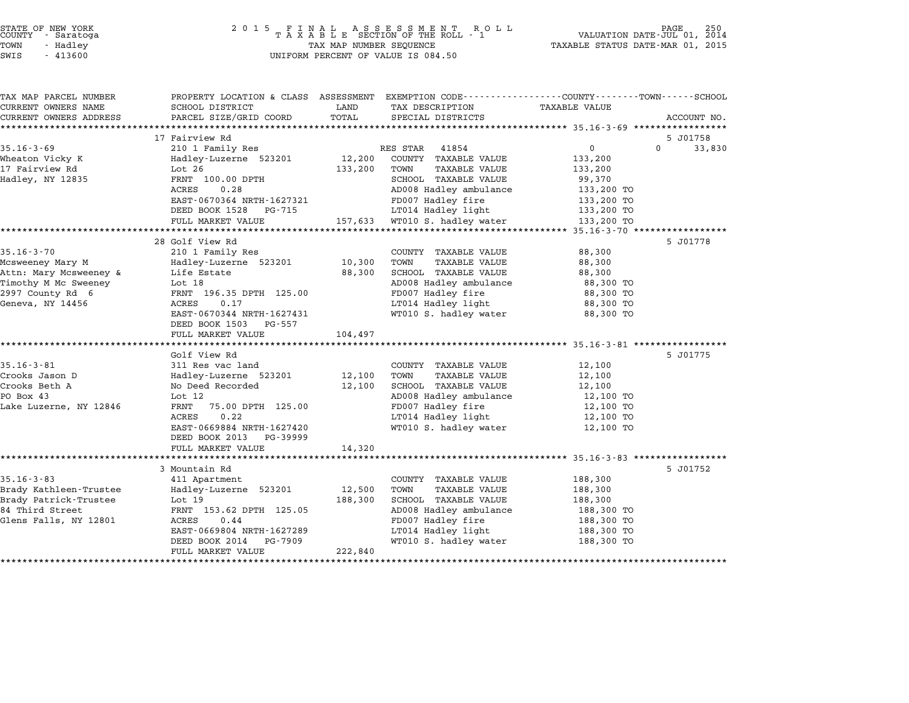| STATE OF NEW YORK |          |            |  |
|-------------------|----------|------------|--|
| COUNTY            |          | - Saratoga |  |
| TOWN              | - Hadley |            |  |
|                   |          |            |  |

| TAX MAP PARCEL NUMBER  | PROPERTY LOCATION & CLASS ASSESSMENT |         | EXEMPTION CODE-----------------COUNTY-------TOWN-----SCHOOL |                |                    |
|------------------------|--------------------------------------|---------|-------------------------------------------------------------|----------------|--------------------|
| CURRENT OWNERS NAME    | SCHOOL DISTRICT                      | LAND    | TAX DESCRIPTION                                             | TAXABLE VALUE  |                    |
| CURRENT OWNERS ADDRESS | PARCEL SIZE/GRID COORD               | TOTAL   | SPECIAL DISTRICTS                                           |                | ACCOUNT NO.        |
|                        |                                      |         |                                                             |                |                    |
|                        | 17 Fairview Rd                       |         |                                                             |                | 5 J01758           |
| $35.16 - 3 - 69$       | 210 1 Family Res                     |         | RES STAR<br>41854                                           | $\overline{0}$ | $\Omega$<br>33,830 |
| Wheaton Vicky K        | Hadley-Luzerne 523201                | 12,200  | COUNTY TAXABLE VALUE                                        | 133,200        |                    |
| 17 Fairview Rd         | Lot $26$                             | 133,200 | TAXABLE VALUE<br>TOWN                                       | 133,200        |                    |
| Hadley, NY 12835       | FRNT 100.00 DPTH                     |         | SCHOOL TAXABLE VALUE                                        | 99,370         |                    |
|                        | ACRES<br>0.28                        |         | AD008 Hadley ambulance                                      | 133,200 TO     |                    |
|                        | EAST-0670364 NRTH-1627321            |         | FD007 Hadley fire                                           | 133,200 TO     |                    |
|                        | DEED BOOK 1528<br>PG-715             |         | LT014 Hadley light                                          | 133,200 TO     |                    |
|                        | FULL MARKET VALUE                    | 157,633 | WT010 S. hadley water                                       | 133,200 TO     |                    |
|                        |                                      |         |                                                             |                |                    |
|                        | 28 Golf View Rd                      |         |                                                             |                | 5 J01778           |
| $35.16 - 3 - 70$       | 210 1 Family Res                     |         | COUNTY TAXABLE VALUE                                        | 88,300         |                    |
| Mcsweeney Mary M       | Hadley-Luzerne 523201                | 10,300  | TOWN<br>TAXABLE VALUE                                       | 88,300         |                    |
| Attn: Mary Mcsweeney & | Life Estate                          | 88,300  | SCHOOL TAXABLE VALUE                                        | 88,300         |                    |
| Timothy M Mc Sweeney   | Lot 18                               |         | AD008 Hadley ambulance                                      | 88,300 TO      |                    |
| 2997 County Rd 6       | FRNT 196.35 DPTH 125.00              |         | FD007 Hadley fire                                           | 88,300 TO      |                    |
| Geneva, NY 14456       | <b>ACRES</b><br>0.17                 |         | LT014 Hadley light                                          | 88,300 TO      |                    |
|                        | EAST-0670344 NRTH-1627431            |         | WT010 S. hadley water                                       | 88,300 TO      |                    |
|                        | DEED BOOK 1503<br>PG-557             |         |                                                             |                |                    |
|                        | FULL MARKET VALUE                    | 104,497 |                                                             |                |                    |
|                        |                                      |         |                                                             |                |                    |
|                        | Golf View Rd                         |         |                                                             |                | 5 J01775           |
| $35.16 - 3 - 81$       | 311 Res vac land                     |         | COUNTY TAXABLE VALUE                                        | 12,100         |                    |
| Crooks Jason D         | Hadley-Luzerne 523201                | 12,100  | TOWN<br>TAXABLE VALUE                                       | 12,100         |                    |
| Crooks Beth A          | No Deed Recorded                     | 12,100  | SCHOOL TAXABLE VALUE                                        | 12,100         |                    |
| PO Box 43              | Lot 12                               |         | AD008 Hadley ambulance                                      | 12,100 TO      |                    |
| Lake Luzerne, NY 12846 | 75.00 DPTH 125.00<br>FRNT            |         | FD007 Hadley fire                                           | 12,100 TO      |                    |
|                        | 0.22<br>ACRES                        |         | LT014 Hadley light                                          | 12,100 TO      |                    |
|                        | EAST-0669884 NRTH-1627420            |         | WT010 S. hadley water                                       | 12,100 TO      |                    |
|                        | DEED BOOK 2013<br>PG-39999           |         |                                                             |                |                    |
|                        | FULL MARKET VALUE                    | 14,320  |                                                             |                |                    |
|                        |                                      |         |                                                             |                |                    |
|                        | 3 Mountain Rd                        |         |                                                             |                | 5 J01752           |
| $35.16 - 3 - 83$       | 411 Apartment                        |         | COUNTY TAXABLE VALUE                                        | 188,300        |                    |
| Brady Kathleen-Trustee | Hadley-Luzerne 523201                | 12,500  | <b>TAXABLE VALUE</b><br>TOWN                                | 188,300        |                    |
| Brady Patrick-Trustee  | Lot $19$                             | 188,300 | SCHOOL TAXABLE VALUE                                        | 188,300        |                    |
| 84 Third Street        | FRNT 153.62 DPTH 125.05              |         | AD008 Hadley ambulance                                      | 188,300 TO     |                    |
| Glens Falls, NY 12801  | ACRES<br>0.44                        |         | FD007 Hadley fire                                           | 188,300 TO     |                    |
|                        | EAST-0669804 NRTH-1627289            |         | LT014 Hadley light                                          | 188,300 TO     |                    |
|                        | DEED BOOK 2014<br>PG-7909            |         | WT010 S. hadley water                                       | 188,300 TO     |                    |
|                        | FULL MARKET VALUE                    | 222,840 |                                                             |                |                    |
|                        |                                      |         |                                                             |                |                    |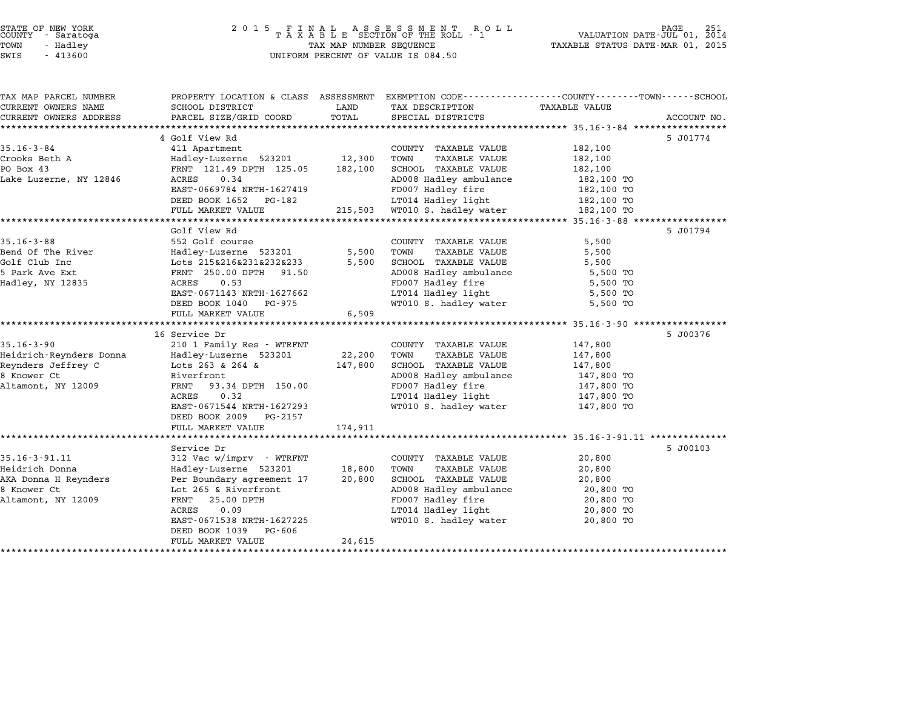| STATE OF NEW YORK<br>COUNTY |  | - Saratoga |  |
|-----------------------------|--|------------|--|
| TOWN                        |  | - Hadley   |  |
| $\alpha$                    |  | 11200      |  |

# STATE OF NEW YORK <sup>2</sup> <sup>0</sup> <sup>1</sup> 5 F I N A L A S S E S S M E N T R O L L PAGE <sup>251</sup> COUNTY - Saratoga <sup>T</sup> <sup>A</sup> <sup>X</sup> <sup>A</sup> <sup>B</sup> <sup>L</sup> <sup>E</sup> SECTION OF THE ROLL - <sup>1</sup> VALUATION DATE-JUL 01, <sup>2014</sup> TOWN - Hadley TAX MAP NUMBER SEQUENCE TAXABLE STATUS DATE-MAR 01, <sup>2015</sup> SWIS - <sup>413600</sup> UNIFORM PERCENT OF VALUE IS 084.50

| TAX MAP PARCEL NUMBER   | PROPERTY LOCATION & CLASS ASSESSMENT EXEMPTION CODE---------------COUNTY-------TOWN------SCHOOL |         |                                                      |                      |             |
|-------------------------|-------------------------------------------------------------------------------------------------|---------|------------------------------------------------------|----------------------|-------------|
| CURRENT OWNERS NAME     | SCHOOL DISTRICT                                                                                 | LAND    | TAX DESCRIPTION                                      | <b>TAXABLE VALUE</b> |             |
| CURRENT OWNERS ADDRESS  | PARCEL SIZE/GRID COORD                                                                          | TOTAL   | SPECIAL DISTRICTS                                    |                      | ACCOUNT NO. |
|                         |                                                                                                 |         |                                                      |                      |             |
| $35.16 - 3 - 84$        | 4 Golf View Rd                                                                                  |         |                                                      | 182,100              | 5 J01774    |
| Crooks Beth A           | 411 Apartment                                                                                   | 12,300  | COUNTY TAXABLE VALUE<br>TOWN<br><b>TAXABLE VALUE</b> | 182,100              |             |
| PO Box 43               | Hadley-Luzerne 523201<br>FRNT 121.49 DPTH 125.05                                                | 182,100 | SCHOOL TAXABLE VALUE                                 | 182,100              |             |
| Lake Luzerne, NY 12846  | ACRES<br>0.34                                                                                   |         | AD008 Hadley ambulance                               | 182,100 TO           |             |
|                         | EAST-0669784 NRTH-1627419                                                                       |         | FD007 Hadley fire                                    | 182,100 TO           |             |
|                         | DEED BOOK 1652 PG-182                                                                           |         | LT014 Hadley light                                   | 182,100 TO           |             |
|                         | FULL MARKET VALUE                                                                               |         | 215,503 WT010 S. hadley water                        | 182,100 TO           |             |
|                         |                                                                                                 |         |                                                      |                      |             |
|                         | Golf View Rd                                                                                    |         |                                                      |                      | 5 J01794    |
| $35.16 - 3 - 88$        | 552 Golf course                                                                                 |         | COUNTY TAXABLE VALUE                                 | 5,500                |             |
| Bend Of The River       | Hadley-Luzerne 523201                                                                           | 5,500   | TAXABLE VALUE<br>TOWN                                | 5,500                |             |
| Golf Club Inc           | Lots 215&216&231&232&233                                                                        | 5,500   | SCHOOL TAXABLE VALUE                                 | 5,500                |             |
| 5 Park Ave Ext          | FRNT 250.00 DPTH 91.50                                                                          |         | AD008 Hadley ambulance                               | 5,500 TO             |             |
| Hadley, NY 12835        | 0.53<br>ACRES                                                                                   |         | FD007 Hadley fire                                    | 5,500 TO             |             |
|                         | EAST-0671143 NRTH-1627662                                                                       |         | LT014 Hadley light                                   | 5,500 TO             |             |
|                         | DEED BOOK 1040 PG-975                                                                           |         | WT010 S. hadley water                                | 5,500 TO             |             |
|                         | FULL MARKET VALUE                                                                               | 6,509   |                                                      |                      |             |
|                         |                                                                                                 |         |                                                      |                      |             |
|                         | 16 Service Dr                                                                                   |         |                                                      |                      | 5 J00376    |
| $35.16 - 3 - 90$        | 210 1 Family Res - WTRFNT                                                                       |         | COUNTY TAXABLE VALUE                                 | 147,800              |             |
| Heidrich-Reynders Donna | Hadley-Luzerne 523201                                                                           | 22,200  | TOWN<br>TAXABLE VALUE                                | 147,800              |             |
| Reynders Jeffrey C      | Lots 263 & 264 &                                                                                | 147,800 | SCHOOL TAXABLE VALUE                                 | 147,800              |             |
| 8 Knower Ct             | Riverfront                                                                                      |         | AD008 Hadley ambulance                               | 147,800 TO           |             |
| Altamont, NY 12009      | FRNT 93.34 DPTH 150.00                                                                          |         | FD007 Hadley fire                                    | 147,800 TO           |             |
|                         | ACRES<br>0.32                                                                                   |         | LT014 Hadley light                                   | 147,800 TO           |             |
|                         | EAST-0671544 NRTH-1627293                                                                       |         | WT010 S. hadley water                                | 147,800 TO           |             |
|                         | DEED BOOK 2009 PG-2157                                                                          |         |                                                      |                      |             |
|                         | FULL MARKET VALUE                                                                               | 174,911 |                                                      |                      |             |
|                         |                                                                                                 |         |                                                      |                      |             |
| $35.16 - 3 - 91.11$     | Service Dr<br>312 Vac w/imprv - WTRFNT                                                          |         | COUNTY TAXABLE VALUE                                 | 20,800               | 5 J00103    |
| Heidrich Donna          | Hadley-Luzerne 523201                                                                           | 18,800  | TOWN<br>TAXABLE VALUE                                | 20,800               |             |
| AKA Donna H Reynders    | Per Boundary agreement 17                                                                       | 20,800  | SCHOOL TAXABLE VALUE                                 | 20,800               |             |
| 8 Knower Ct             | Lot 265 & Riverfront                                                                            |         | AD008 Hadley ambulance                               | 20,800 TO            |             |
| Altamont, NY 12009      | 25.00 DPTH<br>FRNT                                                                              |         | FD007 Hadley fire                                    | 20,800 TO            |             |
|                         | 0.09<br>ACRES                                                                                   |         | LT014 Hadley light                                   | 20,800 TO            |             |
|                         | EAST-0671538 NRTH-1627225                                                                       |         | WT010 S. hadley water                                | 20,800 TO            |             |
|                         | DEED BOOK 1039<br>PG-606                                                                        |         |                                                      |                      |             |
|                         | FULL MARKET VALUE                                                                               | 24,615  |                                                      |                      |             |
|                         |                                                                                                 |         |                                                      |                      |             |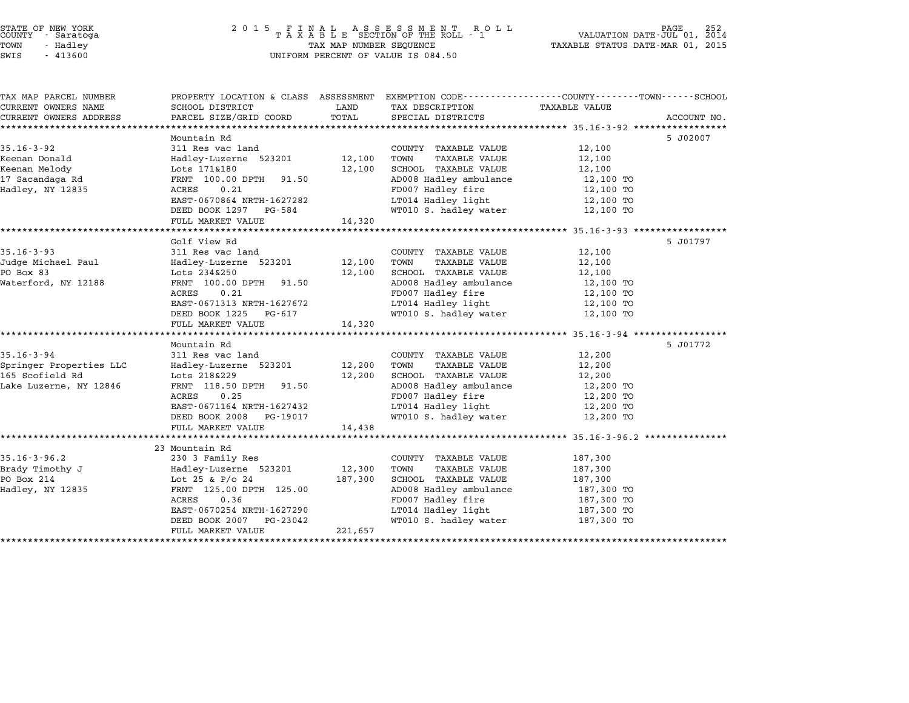# STATE OF NEW YORK <sup>2</sup> <sup>0</sup> <sup>1</sup> 5 F I N A L A S S E S S M E N T R O L L PAGE <sup>252</sup> COUNTY - Saratoga <sup>T</sup> <sup>A</sup> <sup>X</sup> <sup>A</sup> <sup>B</sup> <sup>L</sup> <sup>E</sup> SECTION OF THE ROLL - <sup>1</sup> VALUATION DATE-JUL 01, <sup>2014</sup> TOWN - Hadley TAX MAP NUMBER SEQUENCE TAXABLE STATUS DATE-MAR 01, <sup>2015</sup> STATE OF NEW YORK<br>
COUNTY - Saratoga<br>
TOWN - Hadley TAXABLE SECTION OF THE ROLL<br>
TOWN - 413600 UNIFORM PERCENT OF VALUE IS 084.50

| TAX MAP PARCEL NUMBER   | PROPERTY LOCATION & CLASS ASSESSMENT EXEMPTION CODE---------------COUNTY-------TOWN-----SCHOOL |         |                              |               |             |
|-------------------------|------------------------------------------------------------------------------------------------|---------|------------------------------|---------------|-------------|
| CURRENT OWNERS NAME     | SCHOOL DISTRICT                                                                                | LAND    | TAX DESCRIPTION              | TAXABLE VALUE |             |
| CURRENT OWNERS ADDRESS  | PARCEL SIZE/GRID COORD                                                                         | TOTAL   | SPECIAL DISTRICTS            |               | ACCOUNT NO. |
|                         | Mountain Rd                                                                                    |         |                              |               | 5 J02007    |
| $35.16 - 3 - 92$        | 311 Res vac land                                                                               |         | COUNTY TAXABLE VALUE         | 12,100        |             |
| Keenan Donald           | Hadley-Luzerne 523201                                                                          | 12,100  | TOWN<br>TAXABLE VALUE        | 12,100        |             |
| Keenan Melody           | Lots 171&180                                                                                   | 12,100  | SCHOOL TAXABLE VALUE         | 12,100        |             |
| 17 Sacandaga Rd         | FRNT 100.00 DPTH 91.50                                                                         |         | AD008 Hadley ambulance       | 12,100 TO     |             |
| Hadley, NY 12835        | ACRES<br>0.21                                                                                  |         | FD007 Hadley fire            | 12,100 TO     |             |
|                         | EAST-0670864 NRTH-1627282                                                                      |         | LT014 Hadley light           | 12,100 TO     |             |
|                         | DEED BOOK 1297 PG-584                                                                          |         | WT010 S. hadley water        | 12,100 TO     |             |
|                         | FULL MARKET VALUE                                                                              | 14,320  |                              |               |             |
|                         |                                                                                                |         |                              |               |             |
|                         | Golf View Rd                                                                                   |         |                              |               | 5 J01797    |
| $35.16 - 3 - 93$        | 311 Res vac land                                                                               |         | COUNTY TAXABLE VALUE         | 12,100        |             |
| Judge Michael Paul      | Hadley-Luzerne 523201                                                                          | 12,100  | TAXABLE VALUE<br>TOWN        | 12,100        |             |
| PO Box 83               | Lots 234&250                                                                                   | 12,100  | SCHOOL TAXABLE VALUE         | 12,100        |             |
| Waterford, NY 12188     | FRNT 100.00 DPTH<br>91.50                                                                      |         | AD008 Hadley ambulance       | 12,100 TO     |             |
|                         | ACRES<br>0.21                                                                                  |         | FD007 Hadley fire            | 12,100 TO     |             |
|                         | EAST-0671313 NRTH-1627672                                                                      |         | LT014 Hadley light           | 12,100 TO     |             |
|                         | DEED BOOK 1225<br>PG-617                                                                       |         | WT010 S. hadley water        | 12,100 TO     |             |
|                         | FULL MARKET VALUE                                                                              | 14,320  |                              |               |             |
|                         | Mountain Rd                                                                                    |         |                              |               | 5 J01772    |
| $35.16 - 3 - 94$        | 311 Res vac land                                                                               |         | COUNTY TAXABLE VALUE         | 12,200        |             |
| Springer Properties LLC | Hadley-Luzerne 523201                                                                          | 12,200  | TAXABLE VALUE<br>TOWN        | 12,200        |             |
| 165 Scofield Rd         | Lots 218&229                                                                                   | 12,200  | SCHOOL TAXABLE VALUE         | 12,200        |             |
| Lake Luzerne, NY 12846  | FRNT 118.50 DPTH 91.50                                                                         |         | AD008 Hadley ambulance       | 12,200 TO     |             |
|                         | 0.25<br>ACRES                                                                                  |         | FD007 Hadley fire            | 12,200 TO     |             |
|                         | EAST-0671164 NRTH-1627432                                                                      |         | LT014 Hadley light           | 12,200 TO     |             |
|                         | DEED BOOK 2008<br>PG-19017                                                                     |         | WT010 S. hadley water        | 12,200 TO     |             |
|                         | FULL MARKET VALUE                                                                              | 14,438  |                              |               |             |
|                         |                                                                                                |         |                              |               |             |
|                         | 23 Mountain Rd                                                                                 |         |                              |               |             |
| $35.16 - 3 - 96.2$      | 230 3 Family Res                                                                               |         | COUNTY TAXABLE VALUE         | 187,300       |             |
| Brady Timothy J         | Hadley-Luzerne 523201                                                                          | 12,300  | TOWN<br><b>TAXABLE VALUE</b> | 187,300       |             |
| PO Box 214              | Lot 25 & P/o 24                                                                                | 187,300 | SCHOOL TAXABLE VALUE         | 187,300       |             |
| Hadley, NY 12835        | FRNT 125.00 DPTH 125.00                                                                        |         | AD008 Hadley ambulance       | 187,300 TO    |             |
|                         | ACRES<br>0.36                                                                                  |         | FD007 Hadley fire            | 187,300 TO    |             |
|                         | EAST-0670254 NRTH-1627290                                                                      |         | LT014 Hadley light           | 187,300 TO    |             |
|                         | DEED BOOK 2007<br>PG-23042                                                                     |         | WT010 S. hadley water        | 187,300 TO    |             |
|                         | FULL MARKET VALUE                                                                              | 221,657 |                              |               |             |
|                         |                                                                                                |         |                              |               |             |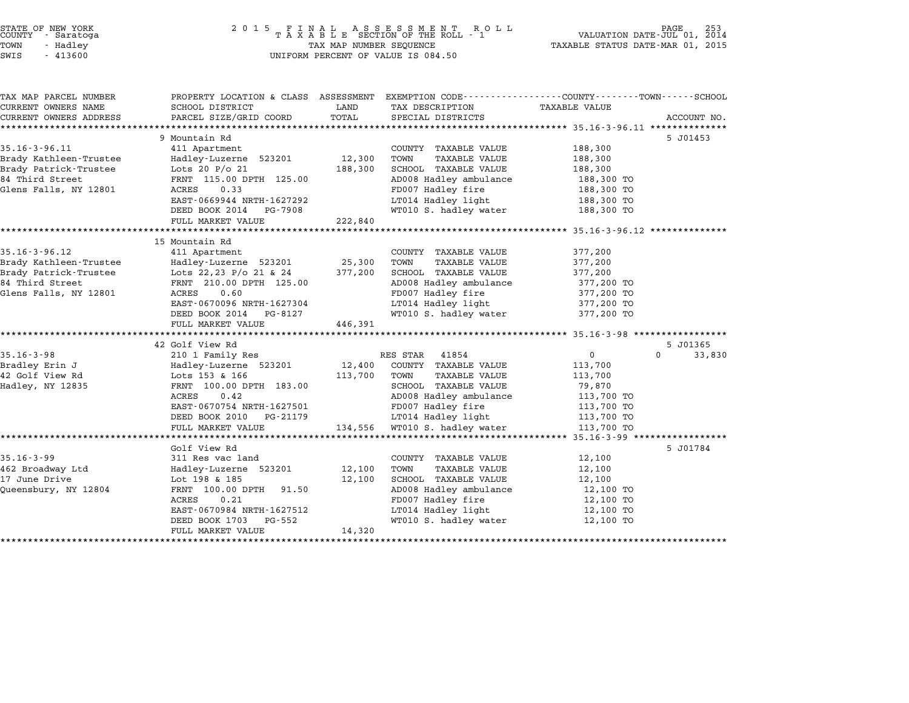| STATE OF NEW YORK |  |            |  |
|-------------------|--|------------|--|
| COUNTY            |  | - Saratoga |  |
| TOWN              |  | - Hadley   |  |
|                   |  |            |  |

# STATE OF NEW YORK <sup>2</sup> <sup>0</sup> <sup>1</sup> 5 F I N A L A S S E S S M E N T R O L L PAGE <sup>253</sup> COUNTY - Saratoga <sup>T</sup> <sup>A</sup> <sup>X</sup> <sup>A</sup> <sup>B</sup> <sup>L</sup> <sup>E</sup> SECTION OF THE ROLL - <sup>1</sup> VALUATION DATE-JUL 01, <sup>2014</sup> TOWN - Hadley TAX MAP NUMBER SEQUENCE TAXABLE STATUS DATE-MAR 01, <sup>2015</sup> SWIS - <sup>413600</sup> UNIFORM PERCENT OF VALUE IS 084.50

| TAX MAP PARCEL NUMBER  | PROPERTY LOCATION & CLASS ASSESSMENT EXEMPTION CODE---------------COUNTY-------TOWN-----SCHOOL |               |                              |                      |                    |
|------------------------|------------------------------------------------------------------------------------------------|---------------|------------------------------|----------------------|--------------------|
| CURRENT OWNERS NAME    | SCHOOL DISTRICT<br>PARCEL SIZE/GRID COORD                                                      | LAND<br>TOTAL | TAX DESCRIPTION              | <b>TAXABLE VALUE</b> |                    |
| CURRENT OWNERS ADDRESS |                                                                                                |               | SPECIAL DISTRICTS            |                      | ACCOUNT NO.        |
|                        | 9 Mountain Rd                                                                                  |               |                              |                      | 5 J01453           |
| $35.16 - 3 - 96.11$    | 411 Apartment                                                                                  |               | COUNTY TAXABLE VALUE         | 188,300              |                    |
| Brady Kathleen-Trustee | Hadley-Luzerne 523201                                                                          | 12,300        | TOWN<br><b>TAXABLE VALUE</b> | 188,300              |                    |
| Brady Patrick-Trustee  | Lots 20 $P/O$ 21                                                                               | 188,300       | SCHOOL TAXABLE VALUE         | 188,300              |                    |
| 84 Third Street        | FRNT 115.00 DPTH 125.00                                                                        |               | AD008 Hadley ambulance       | 188,300 TO           |                    |
| Glens Falls, NY 12801  | ACRES<br>0.33                                                                                  |               | FD007 Hadley fire            | 188,300 TO           |                    |
|                        | EAST-0669944 NRTH-1627292                                                                      |               | LT014 Hadley light           | 188,300 TO           |                    |
|                        | DEED BOOK 2014<br>PG-7908                                                                      |               | WT010 S. hadley water        | 188,300 TO           |                    |
|                        | FULL MARKET VALUE                                                                              | 222,840       |                              |                      |                    |
|                        |                                                                                                |               |                              |                      |                    |
|                        | 15 Mountain Rd                                                                                 |               |                              |                      |                    |
| $35.16 - 3 - 96.12$    | 411 Apartment                                                                                  |               | COUNTY TAXABLE VALUE         | 377,200              |                    |
| Brady Kathleen-Trustee | Hadley-Luzerne 523201                                                                          | 25,300        | TOWN<br>TAXABLE VALUE        | 377,200              |                    |
| Brady Patrick-Trustee  | Lots 22,23 P/o 21 & 24                                                                         | 377,200       | SCHOOL TAXABLE VALUE         | 377,200              |                    |
| 84 Third Street        | FRNT 210.00 DPTH 125.00                                                                        |               | AD008 Hadley ambulance       | 377,200 TO           |                    |
| Glens Falls, NY 12801  | 0.60<br>ACRES                                                                                  |               | FD007 Hadley fire            | 377,200 TO           |                    |
|                        | EAST-0670096 NRTH-1627304                                                                      |               | LT014 Hadley light           | 377,200 TO           |                    |
|                        | DEED BOOK 2014 PG-8127                                                                         |               | WT010 S. hadley water        | 377,200 TO           |                    |
|                        | FULL MARKET VALUE                                                                              | 446,391       |                              |                      |                    |
|                        |                                                                                                |               |                              |                      |                    |
|                        | 42 Golf View Rd                                                                                |               |                              |                      | 5 J01365           |
| $35.16 - 3 - 98$       | 210 1 Family Res                                                                               |               | RES STAR<br>41854            | $\mathsf{O}$         | $\Omega$<br>33,830 |
| Bradley Erin J         | Hadley-Luzerne 523201                                                                          | 12,400        | COUNTY TAXABLE VALUE         | 113,700              |                    |
| 42 Golf View Rd        | Lots 153 & 166                                                                                 | 113,700       | TOWN<br>TAXABLE VALUE        | 113,700              |                    |
| Hadley, NY 12835       | FRNT 100.00 DPTH 183.00                                                                        |               | SCHOOL TAXABLE VALUE         | 79,870               |                    |
|                        | ACRES<br>0.42                                                                                  |               | AD008 Hadley ambulance       | 113,700 TO           |                    |
|                        | EAST-0670754 NRTH-1627501                                                                      |               | FD007 Hadley fire            | 113,700 TO           |                    |
|                        | DEED BOOK 2010<br>PG-21179                                                                     |               | LT014 Hadley light           | 113,700 TO           |                    |
|                        | FULL MARKET VALUE                                                                              | 134,556       | WT010 S. hadley water        | 113,700 TO           |                    |
|                        |                                                                                                |               |                              |                      |                    |
|                        | Golf View Rd                                                                                   |               |                              |                      | 5 J01784           |
| $35.16 - 3 - 99$       | 311 Res vac land                                                                               |               | COUNTY TAXABLE VALUE         | 12,100               |                    |
| 462 Broadway Ltd       | Hadley-Luzerne 523201                                                                          | 12,100        | <b>TAXABLE VALUE</b><br>TOWN | 12,100               |                    |
| 17 June Drive          | Lot 198 & 185                                                                                  | 12,100        | SCHOOL TAXABLE VALUE         | 12,100               |                    |
| Queensbury, NY 12804   | FRNT 100.00 DPTH<br>91.50                                                                      |               | AD008 Hadley ambulance       | 12,100 TO            |                    |
|                        | ACRES<br>0.21                                                                                  |               | FD007 Hadley fire            | 12,100 TO            |                    |
|                        | EAST-0670984 NRTH-1627512                                                                      |               | LT014 Hadley light           | 12,100 TO            |                    |
|                        | DEED BOOK 1703<br>PG-552                                                                       |               | WT010 S. hadley water        | 12,100 TO            |                    |
|                        | FULL MARKET VALUE                                                                              | 14,320        |                              |                      |                    |
|                        |                                                                                                |               |                              |                      |                    |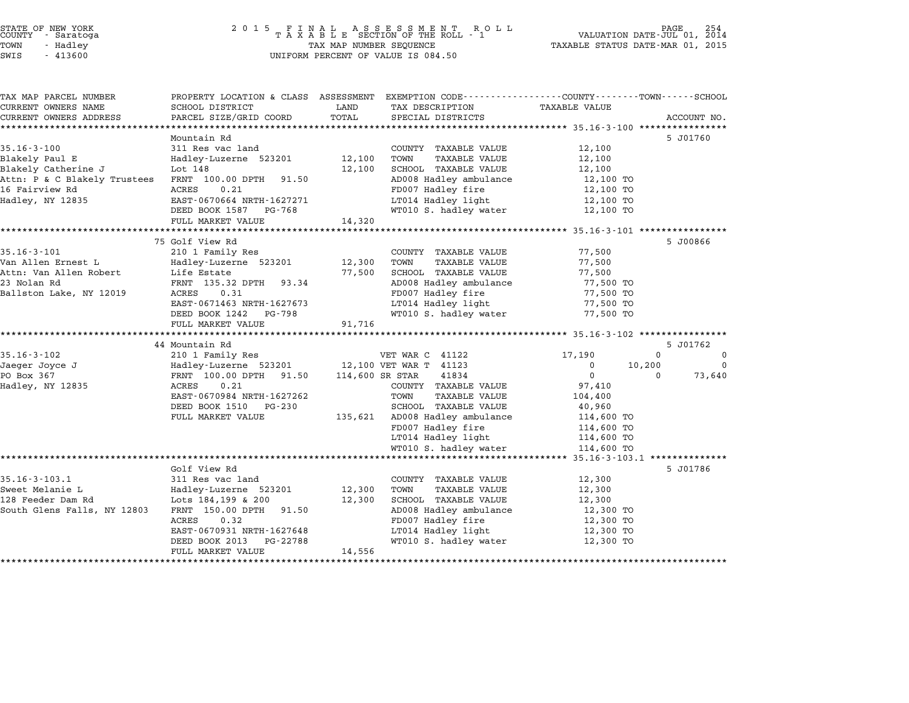#### STATE OF NEW YORK <sup>2</sup> <sup>0</sup> <sup>1</sup> 5 F I N A L A S S E S S M E N T R O L L PAGE <sup>254</sup> COUNTY - Saratoga <sup>T</sup> <sup>A</sup> <sup>X</sup> <sup>A</sup> <sup>B</sup> <sup>L</sup> <sup>E</sup> SECTION OF THE ROLL - <sup>1</sup> VALUATION DATE-JUL 01, <sup>2014</sup> TOWN - Hadley TAX MAP NUMBER SEQUENCE TAXABLE STATUS DATE-MAR 01, <sup>2015</sup> STATE OF NEW YORK<br>
COUNTY - Saratoga<br>
TOWN - Hadley TAXABLE SECTION OF THE ROLI<br>
SWIS - 413600 UNIFORM PERCENT OF VALUE IS 084.50

| TAX MAP PARCEL NUMBER<br>CURRENT OWNERS NAME | PROPERTY LOCATION & CLASS ASSESSMENT<br>SCHOOL DISTRICT | LAND             | EXEMPTION CODE-----------------COUNTY-------TOWN-----SCHOOL<br>TAX DESCRIPTION | <b>TAXABLE VALUE</b>   |             |             |
|----------------------------------------------|---------------------------------------------------------|------------------|--------------------------------------------------------------------------------|------------------------|-------------|-------------|
| CURRENT OWNERS ADDRESS                       | PARCEL SIZE/GRID COORD                                  | TOTAL            | SPECIAL DISTRICTS                                                              |                        |             | ACCOUNT NO. |
|                                              |                                                         |                  |                                                                                |                        |             |             |
| $35.16 - 3 - 100$                            | Mountain Rd<br>311 Res vac land                         |                  | COUNTY TAXABLE VALUE                                                           | 12,100                 |             | 5 J01760    |
| Blakely Paul E                               | Hadley-Luzerne 523201                                   | 12,100           | TOWN<br>TAXABLE VALUE                                                          | 12,100                 |             |             |
| Blakely Catherine J                          | Lot 148                                                 | 12,100           | SCHOOL TAXABLE VALUE                                                           | 12,100                 |             |             |
| Attn: P & C Blakely Trustees                 | FRNT 100.00 DPTH<br>91.50                               |                  | AD008 Hadley ambulance                                                         | 12,100 TO              |             |             |
| 16 Fairview Rd                               | 0.21<br>ACRES                                           |                  | FD007 Hadley fire                                                              | 12,100 TO              |             |             |
| Hadley, NY 12835                             | EAST-0670664 NRTH-1627271                               |                  | LT014 Hadley light                                                             | 12,100 TO              |             |             |
|                                              | DEED BOOK 1587<br>PG-768                                |                  | WT010 S. hadley water                                                          | 12,100 TO              |             |             |
|                                              | FULL MARKET VALUE                                       | 14,320           |                                                                                |                        |             |             |
|                                              |                                                         |                  |                                                                                |                        |             |             |
|                                              | 75 Golf View Rd                                         |                  |                                                                                |                        |             | 5 J00866    |
| $35.16 - 3 - 101$                            | 210 1 Family Res                                        |                  | COUNTY TAXABLE VALUE                                                           | 77,500                 |             |             |
| Van Allen Ernest L                           | Hadley-Luzerne 523201                                   | 12,300           | <b>TAXABLE VALUE</b><br>TOWN                                                   | 77,500                 |             |             |
| Attn: Van Allen Robert                       | Life Estate                                             | 77,500           | SCHOOL TAXABLE VALUE                                                           | 77,500                 |             |             |
| 23 Nolan Rd                                  | FRNT 135.32 DPTH<br>93.34                               |                  | AD008 Hadley ambulance                                                         | 77,500 TO              |             |             |
| Ballston Lake, NY 12019                      | ACRES<br>0.31                                           |                  | FD007 Hadley fire                                                              | 77,500 TO              |             |             |
|                                              | EAST-0671463 NRTH-1627673<br>DEED BOOK 1242<br>PG-798   |                  | LT014 Hadley light<br>WT010 S. hadley water                                    | 77,500 TO<br>77,500 TO |             |             |
|                                              | FULL MARKET VALUE                                       | 91,716           |                                                                                |                        |             |             |
|                                              |                                                         |                  |                                                                                |                        |             |             |
|                                              | 44 Mountain Rd                                          |                  |                                                                                |                        |             | 5 J01762    |
| $35.16 - 3 - 102$                            | 210 1 Family Res                                        |                  | VET WAR C 41122                                                                | 17,190                 | $\mathbf 0$ | $\mathbf 0$ |
| Jaeger Joyce J                               | Hadley-Luzerne 523201 12,100 VET WAR T 41123            |                  |                                                                                | $\mathbf 0$            | 10,200      | $\mathbf 0$ |
| PO Box 367                                   | FRNT 100.00 DPTH 91.50                                  |                  | 114,600 SR STAR<br>41834                                                       | $\mathbf{0}$           | 0           | 73,640      |
| Hadley, NY 12835                             | 0.21<br>ACRES                                           |                  | COUNTY TAXABLE VALUE                                                           | 97,410                 |             |             |
|                                              | EAST-0670984 NRTH-1627262                               |                  | TOWN<br>TAXABLE VALUE                                                          | 104,400                |             |             |
|                                              | DEED BOOK 1510<br>PG-230                                |                  | SCHOOL TAXABLE VALUE                                                           | 40,960                 |             |             |
|                                              | FULL MARKET VALUE                                       | 135,621          | AD008 Hadley ambulance                                                         | 114,600 TO             |             |             |
|                                              |                                                         |                  | FD007 Hadley fire                                                              | 114,600 TO             |             |             |
|                                              |                                                         |                  | LT014 Hadley light                                                             | 114,600 TO             |             |             |
|                                              | ********************************                        |                  | WT010 S. hadley water                                                          | 114,600 TO             |             |             |
|                                              |                                                         |                  |                                                                                |                        |             |             |
|                                              | Golf View Rd                                            |                  |                                                                                |                        |             | 5 J01786    |
| $35.16 - 3 - 103.1$<br>Sweet Melanie L       | 311 Res vac land                                        |                  | COUNTY TAXABLE VALUE<br>TOWN                                                   | 12,300                 |             |             |
| 128 Feeder Dam Rd                            | Hadley-Luzerne 523201<br>Lots 184,199 & 200             | 12,300<br>12,300 | <b>TAXABLE VALUE</b><br>SCHOOL TAXABLE VALUE                                   | 12,300<br>12,300       |             |             |
| South Glens Falls, NY 12803                  | FRNT 150.00 DPTH<br>91.50                               |                  | AD008 Hadley ambulance                                                         | 12,300 TO              |             |             |
|                                              | ACRES<br>0.32                                           |                  | FD007 Hadley fire                                                              | 12,300 TO              |             |             |
|                                              | EAST-0670931 NRTH-1627648                               |                  | LT014 Hadley light                                                             | 12,300 TO              |             |             |
|                                              | DEED BOOK 2013<br>PG-22788                              |                  | WT010 S. hadley water                                                          | 12,300 TO              |             |             |
|                                              | FULL MARKET VALUE                                       | 14,556           |                                                                                |                        |             |             |
|                                              |                                                         |                  |                                                                                |                        |             |             |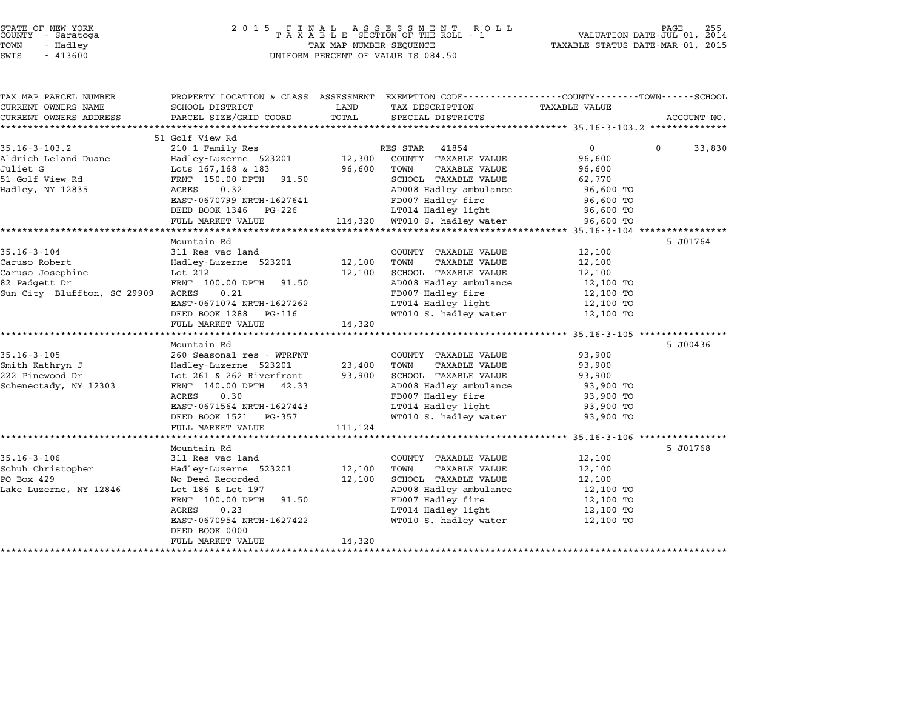| STATE OF NEW YORK |  |            |  |  |  |
|-------------------|--|------------|--|--|--|
| COUNTY            |  | - Saratoga |  |  |  |
| TOWN              |  | - Hadley   |  |  |  |

# STATE OF NEW YORK <sup>2</sup> <sup>0</sup> <sup>1</sup> 5 F I N A L A S S E S S M E N T R O L L PAGE <sup>255</sup> COUNTY - Saratoga <sup>T</sup> <sup>A</sup> <sup>X</sup> <sup>A</sup> <sup>B</sup> <sup>L</sup> <sup>E</sup> SECTION OF THE ROLL - <sup>1</sup> VALUATION DATE-JUL 01, <sup>2014</sup> TOWN - Hadley TAX MAP NUMBER SEQUENCE TAXABLE STATUS DATE-MAR 01, <sup>2015</sup> SWIS - <sup>413600</sup> UNIFORM PERCENT OF VALUE IS 084.50

| TAX MAP PARCEL NUMBER       |                                             |         | PROPERTY LOCATION & CLASS ASSESSMENT EXEMPTION CODE---------------COUNTY-------TOWN------SCHOOL |                   |                    |
|-----------------------------|---------------------------------------------|---------|-------------------------------------------------------------------------------------------------|-------------------|--------------------|
| CURRENT OWNERS NAME         | SCHOOL DISTRICT                             | LAND    | TAX DESCRIPTION                                                                                 | TAXABLE VALUE     |                    |
| CURRENT OWNERS ADDRESS      | PARCEL SIZE/GRID COORD                      | TOTAL   | SPECIAL DISTRICTS                                                                               |                   | ACCOUNT NO.        |
|                             |                                             |         |                                                                                                 |                   |                    |
| $35.16 - 3 - 103.2$         | 51 Golf View Rd                             |         | RES STAR<br>41854                                                                               | $0 \qquad \qquad$ | $\Omega$<br>33,830 |
| Aldrich Leland Duane        | 210 1 Family Res                            | 12,300  | COUNTY TAXABLE VALUE                                                                            |                   |                    |
| Juliet G                    | Hadley-Luzerne 523201<br>Lots 167,168 & 183 | 96,600  | TOWN<br>TAXABLE VALUE                                                                           | 96,600<br>96,600  |                    |
| 51 Golf View Rd             | FRNT 150.00 DPTH 91.50                      |         | SCHOOL TAXABLE VALUE                                                                            | 62,770            |                    |
| Hadley, NY 12835            | 0.32<br>ACRES                               |         | AD008 Hadley ambulance                                                                          | 96,600 TO         |                    |
|                             | EAST-0670799 NRTH-1627641                   |         | FD007 Hadley fire                                                                               | 96,600 TO         |                    |
|                             | DEED BOOK 1346<br>PG-226                    |         | LT014 Hadley light                                                                              | 96,600 TO         |                    |
|                             | FULL MARKET VALUE                           |         | 114,320 WT010 S. hadley water                                                                   | 96,600 TO         |                    |
|                             |                                             |         |                                                                                                 |                   |                    |
|                             | Mountain Rd                                 |         |                                                                                                 |                   | 5 J01764           |
| $35.16 - 3 - 104$           | 311 Res vac land                            |         | COUNTY TAXABLE VALUE                                                                            | 12,100            |                    |
| Caruso Robert               | Hadley-Luzerne 523201 12,100                |         | TAXABLE VALUE<br>TOWN                                                                           | 12,100            |                    |
| Caruso Josephine            | Lot 212                                     | 12,100  | SCHOOL TAXABLE VALUE                                                                            | 12,100            |                    |
| 82 Padgett Dr               | FRNT 100.00 DPTH 91.50                      |         | AD008 Hadley ambulance                                                                          | 12,100 TO         |                    |
| Sun City Bluffton, SC 29909 | ACRES<br>0.21                               |         | FD007 Hadley fire                                                                               | 12,100 TO         |                    |
|                             | EAST-0671074 NRTH-1627262                   |         | LT014 Hadley light                                                                              | 12,100 TO         |                    |
|                             | DEED BOOK 1288<br>PG-116                    |         | WT010 S. hadley water                                                                           | 12,100 TO         |                    |
|                             | FULL MARKET VALUE                           | 14,320  |                                                                                                 |                   |                    |
|                             |                                             |         |                                                                                                 |                   |                    |
|                             | Mountain Rd                                 |         |                                                                                                 |                   | 5 J00436           |
| $35.16 - 3 - 105$           | 260 Seasonal res - WTRFNT                   |         | COUNTY TAXABLE VALUE                                                                            | 93,900            |                    |
| Smith Kathryn J             | Hadley-Luzerne 523201                       | 23,400  | TOWN<br>TAXABLE VALUE                                                                           | 93,900            |                    |
| 222 Pinewood Dr             | Lot 261 & 262 Riverfront                    | 93,900  | SCHOOL TAXABLE VALUE                                                                            | 93,900            |                    |
| Schenectady, NY 12303       | FRNT 140.00 DPTH 42.33                      |         | AD008 Hadley ambulance                                                                          | 93,900 TO         |                    |
|                             | ACRES<br>0.30                               |         | FD007 Hadley fire                                                                               | 93,900 TO         |                    |
|                             | EAST-0671564 NRTH-1627443                   |         | LT014 Hadley light                                                                              | 93,900 TO         |                    |
|                             | DEED BOOK 1521 PG-357                       |         | WT010 S. hadley water                                                                           | 93,900 TO         |                    |
|                             | FULL MARKET VALUE                           | 111,124 |                                                                                                 |                   |                    |
|                             |                                             |         |                                                                                                 |                   |                    |
|                             | Mountain Rd                                 |         |                                                                                                 |                   | 5 J01768           |
| $35.16 - 3 - 106$           | 311 Res vac land                            |         | COUNTY TAXABLE VALUE                                                                            | 12,100            |                    |
| Schuh Christopher           | Hadley-Luzerne 523201                       | 12,100  | TAXABLE VALUE<br>TOWN                                                                           | 12,100            |                    |
| PO Box 429                  | No Deed Recorded                            | 12,100  | SCHOOL TAXABLE VALUE                                                                            | 12,100            |                    |
| Lake Luzerne, NY 12846      | Lot 186 & Lot 197                           |         | AD008 Hadley ambulance                                                                          | 12,100 TO         |                    |
|                             | FRNT 100.00 DPTH 91.50                      |         | FD007 Hadley fire                                                                               | 12,100 TO         |                    |
|                             | 0.23<br>ACRES                               |         | LT014 Hadley light                                                                              | 12,100 TO         |                    |
|                             | EAST-0670954 NRTH-1627422                   |         | WT010 S. hadley water                                                                           | 12,100 TO         |                    |
|                             | DEED BOOK 0000                              |         |                                                                                                 |                   |                    |
|                             | FULL MARKET VALUE<br>********************** | 14,320  |                                                                                                 |                   |                    |
|                             |                                             |         |                                                                                                 |                   |                    |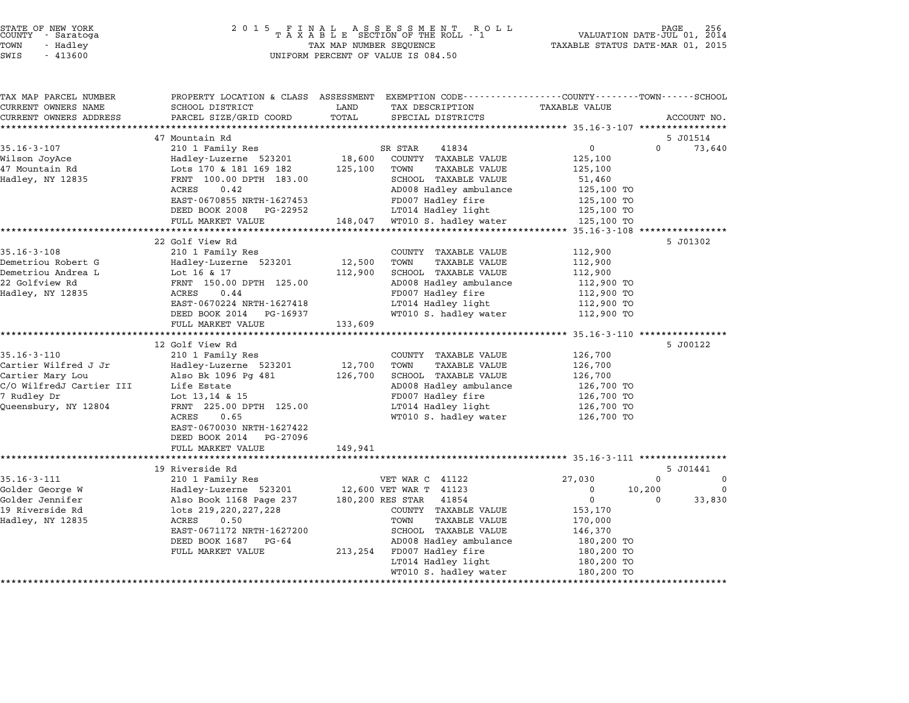| STATE OF NEW YORK |  |            |  |
|-------------------|--|------------|--|
| COUNTY            |  | - Saratoga |  |
| TOWN              |  | - Hadley   |  |

| TAX MAP PARCEL NUMBER<br>CURRENT OWNERS NAME | SCHOOL DISTRICT                           | LAND    | PROPERTY LOCATION & CLASS ASSESSMENT EXEMPTION CODE---------------COUNTY-------TOWN------SCHOOL<br>TAX DESCRIPTION | <b>TAXABLE VALUE</b>         |                         |
|----------------------------------------------|-------------------------------------------|---------|--------------------------------------------------------------------------------------------------------------------|------------------------------|-------------------------|
| CURRENT OWNERS ADDRESS                       | PARCEL SIZE/GRID COORD                    | TOTAL   | SPECIAL DISTRICTS                                                                                                  |                              | ACCOUNT NO.             |
| ******************                           |                                           |         |                                                                                                                    |                              |                         |
|                                              | 47 Mountain Rd                            |         |                                                                                                                    |                              | 5 J01514                |
| $35.16 - 3 - 107$                            | 210 1 Family Res                          |         | SR STAR<br>41834                                                                                                   | $\mathbf 0$                  | $\Omega$<br>73,640      |
| Wilson JoyAce                                | Hadley-Luzerne 523201                     | 18,600  | COUNTY TAXABLE VALUE                                                                                               | 125,100                      |                         |
| 47 Mountain Rd                               | Lots 170 & 181 169 182                    | 125,100 | TOWN<br><b>TAXABLE VALUE</b>                                                                                       | 125,100                      |                         |
| Hadley, NY 12835                             | FRNT 100.00 DPTH 183.00                   |         | SCHOOL TAXABLE VALUE                                                                                               | 51,460                       |                         |
|                                              | ACRES<br>0.42                             |         | AD008 Hadley ambulance                                                                                             | 125,100 TO                   |                         |
|                                              | EAST-0670855 NRTH-1627453                 |         | FD007 Hadley fire                                                                                                  | 125,100 TO                   |                         |
|                                              | DEED BOOK 2008 PG-22952                   |         | LT014 Hadley light                                                                                                 | 125,100 TO                   |                         |
|                                              | FULL MARKET VALUE                         | 148,047 | WT010 S. hadley water<br>*******************************                                                           | 125,100 TO                   |                         |
|                                              |                                           |         |                                                                                                                    | **** 35.16-3-108 *********** |                         |
| $35.16 - 3 - 108$                            | 22 Golf View Rd<br>210 1 Family Res       |         | COUNTY TAXABLE VALUE                                                                                               | 112,900                      | 5 J01302                |
| Demetriou Robert G                           | Hadley-Luzerne 523201                     | 12,500  | TOWN<br><b>TAXABLE VALUE</b>                                                                                       | 112,900                      |                         |
| Demetriou Andrea L                           | Lot 16 & 17                               | 112,900 | SCHOOL TAXABLE VALUE                                                                                               | 112,900                      |                         |
| 22 Golfview Rd                               | FRNT 150.00 DPTH 125.00                   |         | AD008 Hadley ambulance                                                                                             | 112,900 TO                   |                         |
| Hadley, NY 12835                             | 0.44<br>ACRES                             |         | FD007 Hadley fire                                                                                                  | 112,900 TO                   |                         |
|                                              | EAST-0670224 NRTH-1627418                 |         | LT014 Hadley light                                                                                                 | 112,900 TO                   |                         |
|                                              | DEED BOOK 2014<br>PG-16937                |         | WT010 S. hadley water                                                                                              | 112,900 TO                   |                         |
|                                              | FULL MARKET VALUE                         | 133,609 |                                                                                                                    |                              |                         |
|                                              |                                           |         |                                                                                                                    |                              |                         |
|                                              | 12 Golf View Rd                           |         |                                                                                                                    |                              | 5 J00122                |
| $35.16 - 3 - 110$                            | 210 1 Family Res                          |         | COUNTY TAXABLE VALUE                                                                                               | 126,700                      |                         |
| Cartier Wilfred J Jr                         | Hadley-Luzerne 523201                     | 12,700  | TOWN<br>TAXABLE VALUE                                                                                              | 126,700                      |                         |
| Cartier Mary Lou                             | Also Bk 1096 Pg 481                       | 126,700 | SCHOOL TAXABLE VALUE                                                                                               | 126,700                      |                         |
| C/O WilfredJ Cartier III                     | Life Estate                               |         | AD008 Hadley ambulance                                                                                             | 126,700 TO                   |                         |
| 7 Rudley Dr                                  | Lot 13,14 & 15<br>FRNT 225.00 DPTH 125.00 |         | FD007 Hadley fire<br>LT014 Hadley light                                                                            | 126,700 TO<br>126,700 TO     |                         |
| Queensbury, NY 12804                         | ACRES<br>0.65                             |         | WT010 S. hadley water                                                                                              | 126,700 TO                   |                         |
|                                              | EAST-0670030 NRTH-1627422                 |         |                                                                                                                    |                              |                         |
|                                              | DEED BOOK 2014<br>PG-27096                |         |                                                                                                                    |                              |                         |
|                                              | FULL MARKET VALUE                         | 149,941 |                                                                                                                    |                              |                         |
|                                              |                                           |         |                                                                                                                    |                              |                         |
|                                              | 19 Riverside Rd                           |         |                                                                                                                    |                              | 5 J01441                |
| $35.16 - 3 - 111$                            | 210 1 Family Res                          |         | VET WAR C 41122                                                                                                    | 27,030                       | $\mathbf 0$<br>$\Omega$ |
| Golder George W                              | Hadley-Luzerne 523201                     |         | 12,600 VET WAR T 41123                                                                                             | $\mathbf 0$                  | 10,200<br>$\Omega$      |
| Golder Jennifer                              | Also Book 1168 Page 237                   |         | 180,200 RES STAR<br>41854                                                                                          | $\mathbf 0$                  | 33,830<br>$\Omega$      |
| 19 Riverside Rd                              | lots 219, 220, 227, 228                   |         | COUNTY TAXABLE VALUE                                                                                               | 153,170                      |                         |
| Hadley, NY 12835                             | ACRES<br>0.50                             |         | TOWN<br><b>TAXABLE VALUE</b>                                                                                       | 170,000                      |                         |
|                                              | EAST-0671172 NRTH-1627200                 |         | SCHOOL TAXABLE VALUE                                                                                               | 146,370                      |                         |
|                                              | DEED BOOK 1687<br>PG-64                   |         | AD008 Hadley ambulance                                                                                             | 180,200 TO                   |                         |
|                                              | FULL MARKET VALUE                         |         | 213,254 FD007 Hadley fire                                                                                          | 180,200 TO                   |                         |
|                                              |                                           |         | LT014 Hadley light                                                                                                 | 180,200 TO                   |                         |
|                                              |                                           |         | WT010 S. hadley water                                                                                              | 180,200 TO                   |                         |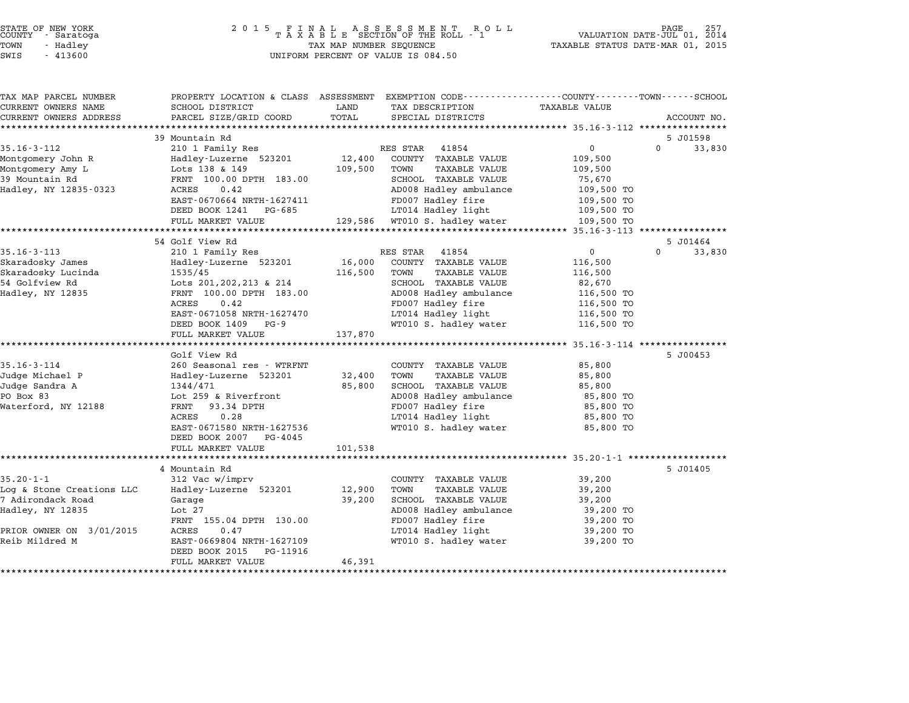|        | STATE OF NEW YORK |  |
|--------|-------------------|--|
| COUNTY | - Saratoga        |  |
| TOWN   | - Hadley          |  |

| TAX MAP PARCEL NUMBER                          | PROPERTY LOCATION & CLASS ASSESSMENT EXEMPTION CODE---------------COUNTY-------TOWN------SCHOOL |                  |                                                      |                                |                    |
|------------------------------------------------|-------------------------------------------------------------------------------------------------|------------------|------------------------------------------------------|--------------------------------|--------------------|
| CURRENT OWNERS NAME                            | SCHOOL DISTRICT                                                                                 | LAND             | TAX DESCRIPTION                                      | <b>TAXABLE VALUE</b>           |                    |
| CURRENT OWNERS ADDRESS                         | PARCEL SIZE/GRID COORD                                                                          | TOTAL            | SPECIAL DISTRICTS                                    |                                | ACCOUNT NO.        |
| **************************                     |                                                                                                 |                  |                                                      |                                |                    |
|                                                | 39 Mountain Rd                                                                                  |                  |                                                      |                                | 5 J01598           |
| $35.16 - 3 - 112$                              | 210 1 Family Res                                                                                |                  | RES STAR<br>41854                                    | $\mathbf{0}$                   | $\Omega$<br>33,830 |
| Montgomery John R                              | Hadley-Luzerne 523201                                                                           | 12,400           | COUNTY TAXABLE VALUE                                 | 109,500                        |                    |
| Montgomery Amy L                               | Lots 138 & 149                                                                                  | 109,500          | TOWN<br><b>TAXABLE VALUE</b>                         | 109,500                        |                    |
| 39 Mountain Rd                                 | FRNT 100.00 DPTH 183.00                                                                         |                  | SCHOOL TAXABLE VALUE                                 | 75,670                         |                    |
| Hadley, NY 12835-0323                          | ACRES<br>0.42                                                                                   |                  | AD008 Hadley ambulance                               | 109,500 TO                     |                    |
|                                                | EAST-0670664 NRTH-1627411                                                                       |                  | FD007 Hadley fire                                    | 109,500 TO                     |                    |
|                                                | DEED BOOK 1241<br>PG-685                                                                        |                  | LT014 Hadley light                                   | 109,500 TO                     |                    |
|                                                | FULL MARKET VALUE                                                                               | 129,586          | WT010 S. hadley water                                | 109,500 TO                     |                    |
|                                                |                                                                                                 |                  |                                                      | ******* 35.16-3-113 ********** |                    |
|                                                | 54 Golf View Rd                                                                                 |                  |                                                      |                                | 5 J01464           |
| $35.16 - 3 - 113$                              | 210 1 Family Res                                                                                |                  | RES STAR<br>41854                                    | $\mathsf{O}$                   | $\Omega$<br>33,830 |
| Skaradosky James                               | Hadley-Luzerne 523201                                                                           | 16,000           | COUNTY TAXABLE VALUE                                 | 116,500                        |                    |
| Skaradosky Lucinda                             | 1535/45                                                                                         | 116,500          | TOWN<br><b>TAXABLE VALUE</b>                         | 116,500                        |                    |
| 54 Golfview Rd                                 | Lots 201, 202, 213 & 214                                                                        |                  | SCHOOL TAXABLE VALUE                                 | 82,670                         |                    |
| Hadley, NY 12835                               | FRNT 100.00 DPTH 183.00                                                                         |                  | AD008 Hadley ambulance                               | 116,500 TO                     |                    |
|                                                | ACRES<br>0.42                                                                                   |                  | FD007 Hadley fire                                    | 116,500 TO                     |                    |
|                                                | EAST-0671058 NRTH-1627470                                                                       |                  | LT014 Hadley light                                   | 116,500 TO                     |                    |
|                                                | DEED BOOK 1409<br>$PG - 9$                                                                      |                  | WT010 S. hadley water                                | 116,500 TO                     |                    |
|                                                | FULL MARKET VALUE                                                                               | 137,870          |                                                      |                                |                    |
|                                                | *********************                                                                           | **************   |                                                      | *********** 35.16-3-114 *****  |                    |
|                                                | Golf View Rd                                                                                    |                  |                                                      |                                | 5 J00453           |
| $35.16 - 3 - 114$                              | 260 Seasonal res - WTRFNT                                                                       |                  | COUNTY TAXABLE VALUE                                 | 85,800                         |                    |
| Judge Michael P                                | Hadley-Luzerne 523201                                                                           | 32,400           | TOWN<br><b>TAXABLE VALUE</b>                         | 85,800                         |                    |
| Judge Sandra A                                 | 1344/471                                                                                        | 85,800           | SCHOOL TAXABLE VALUE                                 | 85,800                         |                    |
| PO Box 83                                      | Lot 259 & Riverfront                                                                            |                  | AD008 Hadley ambulance                               | 85,800 TO                      |                    |
| Waterford, NY 12188                            | FRNT<br>93.34 DPTH                                                                              |                  | FD007 Hadley fire                                    | 85,800 TO                      |                    |
|                                                | ACRES<br>0.28                                                                                   |                  | LT014 Hadley light                                   | 85,800 TO                      |                    |
|                                                | EAST-0671580 NRTH-1627536                                                                       |                  | WT010 S. hadley water                                | 85,800 TO                      |                    |
|                                                | DEED BOOK 2007<br>PG-4045                                                                       |                  |                                                      |                                |                    |
|                                                | FULL MARKET VALUE                                                                               | 101,538          |                                                      |                                |                    |
|                                                |                                                                                                 |                  |                                                      |                                |                    |
|                                                | 4 Mountain Rd                                                                                   |                  |                                                      |                                | 5 J01405           |
| $35.20 - 1 - 1$                                | 312 Vac w/imprv                                                                                 |                  | COUNTY TAXABLE VALUE                                 | 39,200                         |                    |
| Log & Stone Creations LLC<br>7 Adirondack Road | Hadley-Luzerne 523201                                                                           | 12,900<br>39,200 | TOWN<br><b>TAXABLE VALUE</b><br>SCHOOL TAXABLE VALUE | 39,200                         |                    |
|                                                | Garage                                                                                          |                  |                                                      | 39,200                         |                    |
| Hadley, NY 12835                               | Lot $27$                                                                                        |                  | AD008 Hadley ambulance                               | 39,200 TO                      |                    |
|                                                | FRNT 155.04 DPTH 130.00<br>0.47                                                                 |                  | FD007 Hadley fire                                    | 39,200 TO                      |                    |
| PRIOR OWNER ON 3/01/2015<br>Reib Mildred M     | ACRES<br>EAST-0669804 NRTH-1627109                                                              |                  | LT014 Hadley light                                   | 39,200 TO                      |                    |
|                                                |                                                                                                 |                  | WT010 S. hadley water                                | 39,200 TO                      |                    |
|                                                | DEED BOOK 2015<br>PG-11916                                                                      | 46,391           |                                                      |                                |                    |
|                                                | FULL MARKET VALUE                                                                               |                  |                                                      |                                |                    |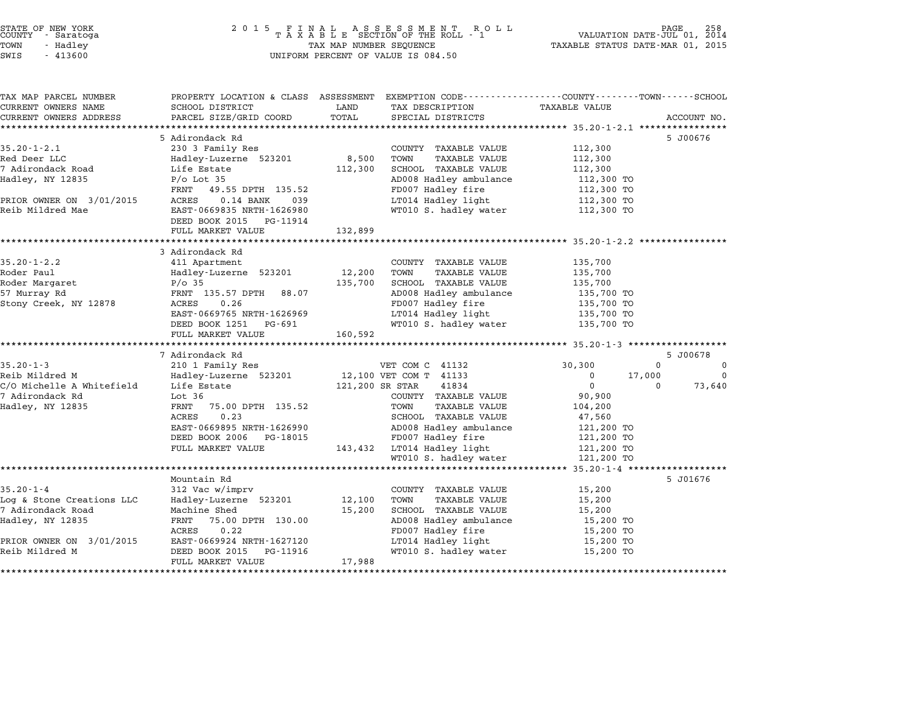TAX MAP PARCEL NUMBER PROPERTY LOCATION & CLASS ASSESSMENT EXEMPTION CODE------------------COUNTY--------TOWN------SCHOOL

...<br>-- COUNTY:- TAX MAP PARCEL NUMBER THE OCHOTRY AND THE CURRENT EXEMPTION CODE<br>CURRENT OWNERS NAME SCHOOL DISTRICT LAND TAX DESCRIPTION TAXABLE VALUE CURRENT OWNERS ADDRESS FOR SCHOOL DISTRICTS ASSESSEENT EXERT ON TAX MISS TOTAL THE TRANSFORE STAND TO TALL THAT THE TRANSFORE TO TALL THAT THE TRANSFORE TO TAXABLE VALUE ACCOUNT NO.<br>CURRENT OWNERS ADDRESS PARCEL SIZE/GRID 5 Adirondack Rd 5 J00676 35.20-1-2.1 5 Adirondack Rd<br>35.20-1-2.1 230 3 Family Res COUNTY TAXABLE VALUE 112,300 Red Deer LLC Hadley-Luzerne <sup>523201</sup> 8,500 TOWN TAXABLE VALUE 112,300 7 Adirondack Road Life Estate 112,300 SCHOOL TAXABLE VALUE 112,300 Ned Deer LID Correct Mateur of Mateu Handley Adics and the Mateus of South Adics and the Mateus of the Mateus<br>2 Adirondack Road ( Life Estate 112,300 SCHOOL TAXABLE VALUE 112,300 TO<br>4 AD008 Hadley ambulance 112,300 TO ance as care and the search of the search the search of the search of the search of the search of the 112,300 TO<br>PRNT 49.55 DPTH 135.52 AD008 Hadley fire 112,300 TO 112,300 TO madiey, NT 12833 FO BOU 33<br>FRNT 49.55 DPTH 135.52 FD007 Hadley fire 112,300 TO<br>PRIOR OWNER ON 3/01/2015 ACRES 0.14 BANK 039 LT014 Hadley light 112,300 TO 11,000 MMER ON 3/01/2015 AND 1990.000 MANUS AND 1990.000 MANUS PERIOR OWNER ON 3/01/2015 ACRES 0.14 MANUS (12,<br>Reib Mildred Mae 112,300 TO EAST-0669835 NRTH-1626980 MT010 S. hadley uater 112,300 TO EAST-0669835 NRTH-1626980<br>DEED BOOK 2015 PG-11914 EAST 0009033 MAIN 1020900<br>DEED BOOK 2015 PG-11914<br>FULL MARKET VALUE 132,899 \*\*\*\*\*\*\*\*\*\*\*\*\*\*\*\*\*\*\*\*\*\*\*\*\*\*\*\*\*\*\*\*\*\*\*\*\*\*\*\*\*\*\*\*\*\*\*\*\*\*\*\*\*\*\*\*\*\*\*\*\*\*\*\*\*\*\*\*\*\*\*\*\*\*\*\*\*\*\*\*\*\*\*\*\*\*\*\*\*\*\*\*\*\*\*\*\*\*\*\*\*\*\* 35.20-1-2.2 \*\*\*\*\*\*\*\*\*\*\*\*\*\*\*\* 0 TODD MARKET<br>\*\*\*\*\*\*\*\*\*\*\*\*\*\*\*\*\*\*\*\*\*\*<br>3 Adirondack Rd 35.20-1-2.2 411 Apartment COUNTY TAXABLE VALUE 35.20-1-2.2 411 Apartment Roder Paul Hadley-Luzerne <sup>523201</sup> 12,200 TOWN TAXABLE VALUE 135,700 Roder Margaret P/o <sup>35</sup> 135,700 SCHOOL TAXABLE VALUE 135,700 NOWEL FAUL TRANSPORTER THE PRODUCED TRANSPORTER TRANSPORTER TRANSPORTER TRANSPORTER TRANSPORTER TRANSPORTER TRA<br>135,700 SCHOOL TRANSPORTER TRANSPORTER TRANSPORTER TRANSPORTER TRANSPORTER TRANSPORTER TRANSPORTER TRANSPORTER Stony Creek, NY <sup>12878</sup> ACRES 0.26 FD007 Hadley fire 135,700 TO EAN' 1996, DETIT 00.07<br>ACRES 0.26 (135,700 TO 1860) FD007 Hadley fire 135,700 TO<br>EAST-0669765 NRTH-1626969 LT014 Hadley light 135,700 TO EAST-0669765 NRTH-1626969 FD007 Hauley IIIe 135,700 IO<br>EAST-0669765 NRTH-1626969 LT014 Hadley light 135,700 TO<br>DEED BOOK 1251 PG-691 WT010 S. hadley water 135,700 TO EAST 0009709 MAIN 1020909<br>
DEED BOOK 1251 PG-691<br>
FULL MARKET VALUE 160,592 \*\*\*\*\*\*\*\*\*\*\*\*\*\*\*\*\*\*\*\*\*\*\*\*\*\*\*\*\*\*\*\*\*\*\*\*\*\*\*\*\*\*\*\*\*\*\*\*\*\*\*\*\*\*\*\*\*\*\*\*\*\*\*\*\*\*\*\*\*\*\*\*\*\*\*\*\*\*\*\*\*\*\*\*\*\*\*\*\*\*\*\*\*\*\*\*\*\*\*\*\*\*\* 35.20-1-3 \*\*\*\*\*\*\*\*\*\*\*\*\*\*\*\*\*\* 7 Adirondack Rd 5 J00678 35.20-1-3 <sup>210</sup> <sup>1</sup> Family Res VET COM C <sup>41132</sup> 30,300 <sup>0</sup> <sup>0</sup> Reib Mildred M Hadley-Luzerne <sup>523201</sup> 12,100 VET COM T <sup>41133</sup> <sup>0</sup> 17,000 <sup>0</sup> C/O Michelle A Whitefield Life Estate 121,200 SR STAR <sup>41834</sup> <sup>0</sup> <sup>0</sup> 73,640 12,100 VER COM THAT HIS MANUS AND MANUS MANUS DESIGNATION OF SAMILY AND MELOW THAT A DUMINUM OCOUNTY TAXABLE VALUE<br>200 Michelle A Whitefield Life Estate 121,200 SR STAR 41834<br>7 Adirondack Rd 90,900 VOUNTY TAXABLE VALUE 90 Hadley, NY <sup>12835</sup> FRNT 75.00 DPTH 135.52 TOWN TAXABLE VALUE 104,200 1990 - 1990 - 1990 - 1990 - 1990 - 1990 - 1990 - 1990 - 1990 - 1990 - 1990 - 1990 - 1990 - 1990 - 1990 - 1990<br>FRANCE 1990 - 1990 - 1990 - 1990 - 1990 - 1990 - 1990 - 1990 - 1990 - 1990 - 1990 - 1990 - 1990 - 1990 - 1990<br>AC EANI 75.00 DEIN 153.52 TOWN TAAADLE VALUE 1947,200<br>ACRES 0.23 SCHOOL TAXABLE VALUE 47,560<br>EAST-0669895 NRTH-1626990 AD008 Hadley ambulance 121,200 TO EXED 0.2.25<br>
EXED 0.0995 NRTH-1626990 AD008 Hadley ambulance 121,200 TO<br>
DEED BOOK 2006 PG-18015 FD007 Hadley fire 121,200 TO EASI-0009099 MKIN-1020990<br>DEED BOOK 2006 PG-18015 FD007 Hadley fire 121,200 TO<br>FULL MARKET VALUE 143,432 LT014 Hadley light 121,200 TO MONTHER HERE 21,200 TO 121,200 TO 121,200 TO 121,200 TO 121,200 TO 121,200 TO 121,200 TO 121,200 TO 121,200 TO \*\*\*\*\*\*\*\*\*\*\*\*\*\*\*\*\*\*\*\*\*\*\*\*\*\*\*\*\*\*\*\*\*\*\*\*\*\*\*\*\*\*\*\*\*\*\*\*\*\*\*\*\*\*\*\*\*\*\*\*\*\*\*\*\*\*\*\*\*\*\*\*\*\*\*\*\*\*\*\*\*\*\*\*\*\*\*\*\*\*\*\*\*\*\*\*\*\*\*\*\*\*\* 35.20-1-4 \*\*\*\*\*\*\*\*\*\*\*\*\*\*\*\*\*\* Mountain Rd 5 J01676 35.20-1-4 312 Vac w/imprv COUNTY TAXABLE VALUE 15,200<br>Mountain Rd<br>33.20-1-4 312 Vac w/imprv COUNTY TAXABLE VALUE Log & Stone Creations LLC Hadley-Luzerne <sup>523201</sup> 12,100 TOWN TAXABLE VALUE 15,200 33.20°1-4<br>Log & Stone Creations LLC Hadley-Luzerne 523201 12,100 TOWN TAXABLE VALUE 15,200<br>7 Adirondack Road Machine Shed 15,200 15,200 SCHOOL TAXABLE VALUE 15,200 How the creations the theory hadrey have the server of the transfer team of the server of the server of the server of the server of the server of the server of the server of the server of the server of the server of the se MACHINE SHEU 130.00 11,200 SCHOOL IAAABLE VALUE 15,200 15,200<br>FRNT 75.00 DPTH 130.00 10008 Hadley ambulance 15,200 TO<br>ACRES 0.22 FD007 Hadley fire 15,200 TO 112099, AT 12099 PANT 1988 22<br>ACOO Hadley direct the secret of the secret of the secret of the secret of the secret of the secret of the secret<br>PRIOR OWNER ON 3/01/2015 EAST-0669924 NRTH-1627120 LT014 Hadley light 15,200 T Reib Mildred M DEED BOOK <sup>2015</sup> PG-11916 WT010 S. hadley water 15,200 TO EAST 0009924 MAIN 1027120<br>
DEED BOOK 2015 PG-11916<br>
FULL MARKET VALUE 17,988 \*\*\*\*\*\*\*\*\*\*\*\*\*\*\*\*\*\*\*\*\*\*\*\*\*\*\*\*\*\*\*\*\*\*\*\*\*\*\*\*\*\*\*\*\*\*\*\*\*\*\*\*\*\*\*\*\*\*\*\*\*\*\*\*\*\*\*\*\*\*\*\*\*\*\*\*\*\*\*\*\*\*\*\*\*\*\*\*\*\*\*\*\*\*\*\*\*\*\*\*\*\*\*\*\*\*\*\*\*\*\*\*\*\*\*\*\*\*\*\*\*\*\*\*\*\*\*\*\*\*\*\*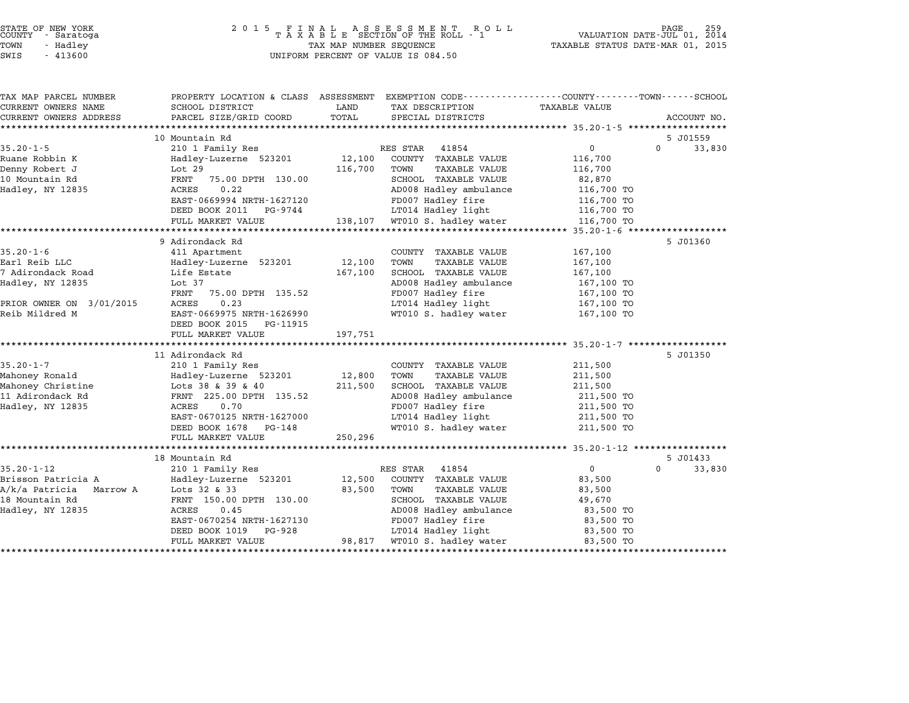| STATE OF NEW YORK |  |            |  |
|-------------------|--|------------|--|
| COUNTY            |  | - Saratoga |  |
| TOWN              |  | - Hadley   |  |

| TAX MAP PARCEL NUMBER    | PROPERTY LOCATION & CLASS ASSESSMENT EXEMPTION CODE----------------COUNTY-------TOWN-----SCHOOL |         |                               |                      |          |             |
|--------------------------|-------------------------------------------------------------------------------------------------|---------|-------------------------------|----------------------|----------|-------------|
| CURRENT OWNERS NAME      | SCHOOL DISTRICT                                                                                 | LAND    | TAX DESCRIPTION               | <b>TAXABLE VALUE</b> |          |             |
| CURRENT OWNERS ADDRESS   | PARCEL SIZE/GRID COORD                                                                          | TOTAL   | SPECIAL DISTRICTS             |                      |          | ACCOUNT NO. |
|                          |                                                                                                 |         |                               |                      |          |             |
|                          | 10 Mountain Rd                                                                                  |         |                               |                      | 5 J01559 |             |
| $35.20 - 1 - 5$          | 210 1 Family Res                                                                                |         | RES STAR<br>41854             | 0                    | $\Omega$ | 33,830      |
| Ruane Robbin K           | Hadley-Luzerne 523201                                                                           | 12,100  | COUNTY TAXABLE VALUE          | 116,700              |          |             |
| Denny Robert J           | Lot 29                                                                                          | 116,700 | TOWN<br><b>TAXABLE VALUE</b>  | 116,700              |          |             |
| 10 Mountain Rd           | 75.00 DPTH 130.00<br>FRNT                                                                       |         | SCHOOL TAXABLE VALUE          | 82,870               |          |             |
| Hadley, NY 12835         | 0.22<br>ACRES                                                                                   |         | AD008 Hadley ambulance        | 116,700 TO           |          |             |
|                          | EAST-0669994 NRTH-1627120                                                                       |         | FD007 Hadley fire             | 116,700 TO           |          |             |
|                          | DEED BOOK 2011 PG-9744                                                                          |         | LT014 Hadley light            | 116,700 TO           |          |             |
|                          | FULL MARKET VALUE                                                                               |         | 138,107 WT010 S. hadley water | 116,700 TO           |          |             |
|                          |                                                                                                 |         |                               |                      |          |             |
|                          | 9 Adirondack Rd                                                                                 |         |                               |                      | 5 J01360 |             |
| $35.20 - 1 - 6$          | 411 Apartment                                                                                   |         | COUNTY TAXABLE VALUE          | 167,100              |          |             |
| Earl Reib LLC            | Hadley-Luzerne 523201                                                                           | 12,100  | TOWN<br><b>TAXABLE VALUE</b>  | 167,100              |          |             |
| 7 Adirondack Road        | Life Estate                                                                                     | 167,100 | SCHOOL TAXABLE VALUE          | 167,100              |          |             |
| Hadley, NY 12835         | Lot $37$                                                                                        |         | AD008 Hadley ambulance        | 167,100 TO           |          |             |
|                          | FRNT<br>75.00 DPTH 135.52                                                                       |         | FD007 Hadley fire             | 167,100 TO           |          |             |
| PRIOR OWNER ON 3/01/2015 | 0.23<br>ACRES                                                                                   |         | LT014 Hadley light            | 167,100 TO           |          |             |
| Reib Mildred M           | EAST-0669975 NRTH-1626990                                                                       |         | WT010 S. hadley water         | 167,100 TO           |          |             |
|                          | DEED BOOK 2015 PG-11915                                                                         |         |                               |                      |          |             |
|                          | FULL MARKET VALUE                                                                               | 197,751 |                               |                      |          |             |
|                          |                                                                                                 |         |                               |                      |          |             |
|                          | 11 Adirondack Rd                                                                                |         |                               |                      | 5 J01350 |             |
| $35.20 - 1 - 7$          | 210 1 Family Res                                                                                |         | COUNTY TAXABLE VALUE          | 211,500              |          |             |
| Mahoney Ronald           | Hadley-Luzerne 523201                                                                           | 12,800  | TOWN<br>TAXABLE VALUE         | 211,500              |          |             |
| Mahoney Christine        | Hadley-<br>Lots 38 & 39 & 40<br>COF 00 DPTH                                                     | 211,500 | SCHOOL TAXABLE VALUE          | 211,500              |          |             |
| 11 Adirondack Rd         | FRNT 225.00 DPTH 135.52                                                                         |         | AD008 Hadley ambulance        | 211,500 TO           |          |             |
| Hadley, NY 12835         | 0.70<br>ACRES                                                                                   |         | FD007 Hadley fire             | 211,500 TO           |          |             |
|                          | EAST-0670125 NRTH-1627000                                                                       |         | LT014 Hadley light 211,500 TO |                      |          |             |
|                          | DEED BOOK 1678 PG-148                                                                           |         | WT010 S. hadley water         | 211,500 TO           |          |             |
|                          | FULL MARKET VALUE                                                                               | 250,296 |                               |                      |          |             |
|                          |                                                                                                 |         |                               |                      |          |             |
|                          | 18 Mountain Rd                                                                                  |         |                               |                      | 5 J01433 |             |
| $35.20 - 1 - 12$         | 210 1 Family Res                                                                                |         | RES STAR<br>41854             | $\overline{0}$       | $\Omega$ | 33,830      |
| Brisson Patricia A       | Hadley-Luzerne 523201                                                                           | 12,500  | COUNTY TAXABLE VALUE          | 83,500               |          |             |
| A/k/a Patricia Marrow A  | Lots 32 & 33                                                                                    | 83,500  | TOWN<br>TAXABLE VALUE         | 83,500               |          |             |
| 18 Mountain Rd           | FRNT 150.00 DPTH 130.00                                                                         |         | SCHOOL TAXABLE VALUE          | 49,670               |          |             |
| Hadley, NY 12835         | 0.45<br>ACRES                                                                                   |         | AD008 Hadley ambulance        | 83,500 TO            |          |             |
|                          | EAST-0670254 NRTH-1627130                                                                       |         | FD007 Hadley fire             | 83,500 TO            |          |             |
|                          | DEED BOOK 1019<br>PG-928                                                                        |         | LT014 Hadley light            | 83,500 TO            |          |             |
|                          | FULL MARKET VALUE                                                                               | 98,817  | WT010 S. hadley water         | 83,500 TO            |          |             |
|                          |                                                                                                 |         |                               |                      |          |             |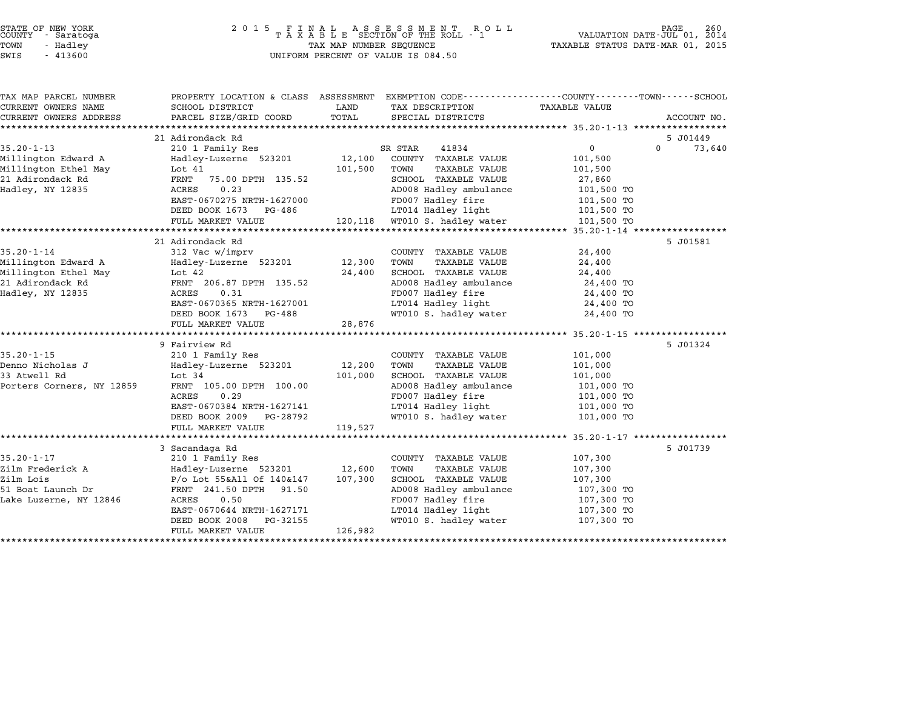| STATE OF NEW YORK |  |            |  |
|-------------------|--|------------|--|
| COUNTY            |  | - Saratoga |  |
| TOWN              |  | - Hadley   |  |

### STATE OF NEW YORK <sup>2</sup> <sup>0</sup> <sup>1</sup> 5 F I N A L A S S E S S M E N T R O L L PAGE <sup>260</sup> COUNTY - Saratoga <sup>T</sup> <sup>A</sup> <sup>X</sup> <sup>A</sup> <sup>B</sup> <sup>L</sup> <sup>E</sup> SECTION OF THE ROLL - <sup>1</sup> VALUATION DATE-JUL 01, <sup>2014</sup> TOWN - Hadley TAX MAP NUMBER SEQUENCE TAXABLE STATUS DATE-MAR 01, <sup>2015</sup> SUCRIT - SATATUGA<br>TOWN - Hadley - Alley - All Hadley - TAX MAP NUMBER SEQUENCE<br>SWIS - 413600 - WILFORM PERCENT OF VALUE IS 084.50

TAX MAP PARCEL NUMBER PROPERTY LOCATION & CLASS ASSESSMENT EXEMPTION CODE------------------COUNTY--------TOWN------SCHOOL ...<br>-- COUNTY:- TAX MAP PARCEL NUMBER THE OCHOTRY AND THE CURRENT EXEMPTION CODE<br>CURRENT OWNERS NAME SCHOOL DISTRICT LAND TAX DESCRIPTION TAXABLE VALUE CURRENT OWNERS ADDEER FOURDER FROM BOURDANT SALEMENT ON SCHOOL DISTRICTS AND TRANS AND TRANS TO TRANS TO TRANS<br>CURRENT OWNERS ADDRESS PARCEL SIZE/GRID COORD TOTAL SPECIAL DISTRICTS ACCOUNT NO.<br>\*\*\*\*\*\*\*\*\*\*\*\*\*\*\*\*\*\*\*\*\*\*\*\*\*\*\*\*\* 21 Adirondack Rd 5 J01449 35.20-1-13 21 Adirondack Rd<br>20 1 Family Res 35.20-1-13 210 1 Family Res 3R STAR 41834 210 0 73,640 Millington Edward A Hadley-Luzerne <sup>523201</sup> 12,100 COUNTY TAXABLE VALUE 101,500 UNISIAN TRANSPORTER MARK THE MANAGEMENT ON STAR THAT TRUSH ON STAR THAT AND TRANSPORTER MARK THAT ON DESCRIPTIO<br>Millington Ethel May 101,500 TOWN TAXABLE VALUE 101,500<br>Millington Ethel May 101,500 TOWN TAXABLE VALUE 101,50 millington Edward A Martia (12,100 Cool) | IAABLE VALUE | 101,500<br>Millington Ethel May | Lot 41 | 101,500 PMN | TAXABLE VALUE | 101,500<br>21 Adirondack Rd | FRNT 75.00 DPTH 135.52 | SCHOOL TAXABLE VALUE | 27,860 minimy.com scher hay and the successure of the set of the set of the manufacture of the set of the set of the<br>Hadley, NY 12835 ACRES 0.23 SCRES 0.23 AD008 Hadley ambulance 101,500 TO EANI 75.00 DFIN 153.52 SCROOD IAAABLE VALUE 27,800<br>ACRES 0.23 AD008 Hadley ambulance 101,500 TO<br>EAST-0670275 NRTH-1627000 FD007 Hadley fire 101,500 TO EXEN'S U.S. U.S. THE RESERVE HAD ADVOCATED HAD THE HAND HAD TO THE TO THE 101,500 TO TO THE RESERVED ON THE RESERVED ON THE RESERVED ON THE RESERVED ON THE RESERVED ON THE RESERVED ON THE RESERVED ON THE RESERVED ON THE RE FULL MARKET VALUE 120,118 WT010 S. hadley water 101,500 TO \*\*\*\*\*\*\*\*\*\*\*\*\*\*\*\*\*\*\*\*\*\*\*\*\*\*\*\*\*\*\*\*\*\*\*\*\*\*\*\*\*\*\*\*\*\*\*\*\*\*\*\*\*\*\*\*\*\*\*\*\*\*\*\*\*\*\*\*\*\*\*\*\*\*\*\*\*\*\*\*\*\*\*\*\*\*\*\*\*\*\*\*\*\*\*\*\*\*\*\*\*\*\* 35.20-1-14 \*\*\*\*\*\*\*\*\*\*\*\*\*\*\*\*\* 21 Adirondack Rd 5 J01581 35.20-1-14 <sup>312</sup> Vac w/imprv COUNTY TAXABLE VALUE 24,400 Millington Edward A Hadley-Luzerne <sup>523201</sup> 12,300 TOWN TAXABLE VALUE 24,400 Millington Edward A and Haley-Luzerne 523201 12,300 TOWN TAXABLE VALUE 24,400<br>Millington Edward A Hadley-Luzerne 523201 12,300 TOWN TAXABLE VALUE 24,400<br>24,400 24,400 SCHOOL TAXABLE VALUE millington Edward A Madiey-Luzeine 323201 12,300 TOWN TAXABLE VALUE 24,400<br>Millington Ethel May Lot 42 24,400 SCHOOL TAXABLE VALUE 24,400<br>21 Adirondack Rd FRNT 206.87 DPTH 135.52 AD008 Hadley ambulance 24,400 TO minimy.com scher hay and the most value of the service of the control of the control of the control of the contr<br>Hadley and the service of the control of the control of the 24,400 TO<br>Hadley, NY 12835 24,400 TO EANI 200.07 DFIN 153.52 AD000 Hadley ambulance 24,400 TO<br>ACRES 0.31 FD007 Hadley fire 24,400 TO<br>EAST-0670365 NRTH-1627001 LT014 Hadley light 24,400 TO POOF THE CONSTRUCTED ON THE POOF THAT HAS A SAFE AND TO A 24,400 TO<br>BEED BOOK 1673 PG-488 MT010 S. hadley uater 24,400 TO EASI-0070505 NAIH-1027001<br>
DEED BOOK 1673 PG-488<br>
FULL MARKET VALUE 28,876 \*\*\*\*\*\*\*\*\*\*\*\*\*\*\*\*\*\*\*\*\*\*\*\*\*\*\*\*\*\*\*\*\*\*\*\*\*\*\*\*\*\*\*\*\*\*\*\*\*\*\*\*\*\*\*\*\*\*\*\*\*\*\*\*\*\*\*\*\*\*\*\*\*\*\*\*\*\*\*\*\*\*\*\*\*\*\*\*\*\*\*\*\*\*\*\*\*\*\*\*\*\*\* 35.20-1-15 \*\*\*\*\*\*\*\*\*\*\*\*\*\*\*\*\* 9 Fairview Rd 5 J01324 35.20-1-15 35.20-1-15 210 1 Family Res COUNTY TAXABLE VALUE 200-1-15 Denno Nicholas J Hadley-Luzerne <sup>523201</sup> 12,200 TOWN TAXABLE VALUE 101,000 كان المسلم المسلم المسلم المسلم المسلم المسلم المسلم المسلم المسلم المسلم المسلم المسلم المسلم المسلم المسلم ا<br>101,000 SCHOOL TAXABLE VALUE 101,000<br>101,000 SCHOOL TAXABLE VALUE 101,000 Porters Corners, NY <sup>12859</sup> FRNT 105.00 DPTH 100.00 AD008 Hadley ambulance 101,000 TO EXAMPLE VALUE 24 100.00 FOILOUS CONSUMER AND MANUE VALUE 21 101,000 TO AND 101,000 TO ADDE RATER 105.000 TO ADDE<br>FD007 Hadley fire 101,000 TO ADD08 Hadley fire 101,000 TO EAST-0670384 NRTH-1627141 LT014 Hadley light 101,000 TO 1990 PG-2009 PG-28792 PD-001 Bandley Life 2009 PG-28792 PD-001 BEED BOOK 2009 PG-28792 PD-001 BEED BOOK 2009 TO EASI-0070564 NAIH-1027141<br>
DEED BOOK 2009 PG-28792<br>
FULL MARKET VALUE 119,527 \*\*\*\*\*\*\*\*\*\*\*\*\*\*\*\*\*\*\*\*\*\*\*\*\*\*\*\*\*\*\*\*\*\*\*\*\*\*\*\*\*\*\*\*\*\*\*\*\*\*\*\*\*\*\*\*\*\*\*\*\*\*\*\*\*\*\*\*\*\*\*\*\*\*\*\*\*\*\*\*\*\*\*\*\*\*\*\*\*\*\*\*\*\*\*\*\*\*\*\*\*\*\* 35.20-1-17 \*\*\*\*\*\*\*\*\*\*\*\*\*\*\*\*\* 3 Sacandaga Rd 5 J01739 35.20-1-17 35.20-1-17 35 Sacandaga Rd<br>210 1 Family Res COUNTY TAXABLE VALUE 107,300 J Sacanuaya Ku (12,600 MHz) (2000 MHz) 2000-2558 (2000-210 17)<br>210 Tramily Res (21,600 TOWN TAXABLE VALUE 107,300 MHz) 107,300<br>211m Frederick A (207,300 Madley-Luzerne 523201 / 12,600 TOWN TAXABLE VALUE Zilm Lois P/o Lot 55&All Of 140&147 107,300 SCHOOL TAXABLE VALUE 107,300 51Im Frequency And Transport of the Hambur Clinical Hambur (107,300 P/o Lot 55&All Of 140&147 107,300 SCHOOL TAXABLE VALUE 107,300 107,300 TO<br>51 Boat Launch Dr FRNT 241.50 DPTH 91.50 AD008 Hadley ambulance 107,300 TO 211 DOIS (200 DOID DESCRIPTION OF THE PROTOCOL PROPERTY OF THE PROTOCOL PARADEM VALUE VALUE AT A LOT, JUDITION<br>107, 300 TO PENT 241.50 PPTH 91.50 ACRES 0.50 ADDIS Hadley annulance 107,300 TO EAST-0670644 NRTH-1627171 LT014 Hadley light 107,300 TO ACALS 0.500 TOO HAULEY THE TOT HE TOO HAVE THE TOO HAVE THE TOO TO THE TOO TO THE TOO TO THE TOO TO THE TOO TO<br>DEED BOOK 2008 PG-32155 WT010 S. hadley water 107,300 TO EASI-0070044 NAIH-1027171<br>
DEED BOOK 2008 PG-32155<br>
FULL MARKET VALUE 126,982 \*\*\*\*\*\*\*\*\*\*\*\*\*\*\*\*\*\*\*\*\*\*\*\*\*\*\*\*\*\*\*\*\*\*\*\*\*\*\*\*\*\*\*\*\*\*\*\*\*\*\*\*\*\*\*\*\*\*\*\*\*\*\*\*\*\*\*\*\*\*\*\*\*\*\*\*\*\*\*\*\*\*\*\*\*\*\*\*\*\*\*\*\*\*\*\*\*\*\*\*\*\*\*\*\*\*\*\*\*\*\*\*\*\*\*\*\*\*\*\*\*\*\*\*\*\*\*\*\*\*\*\*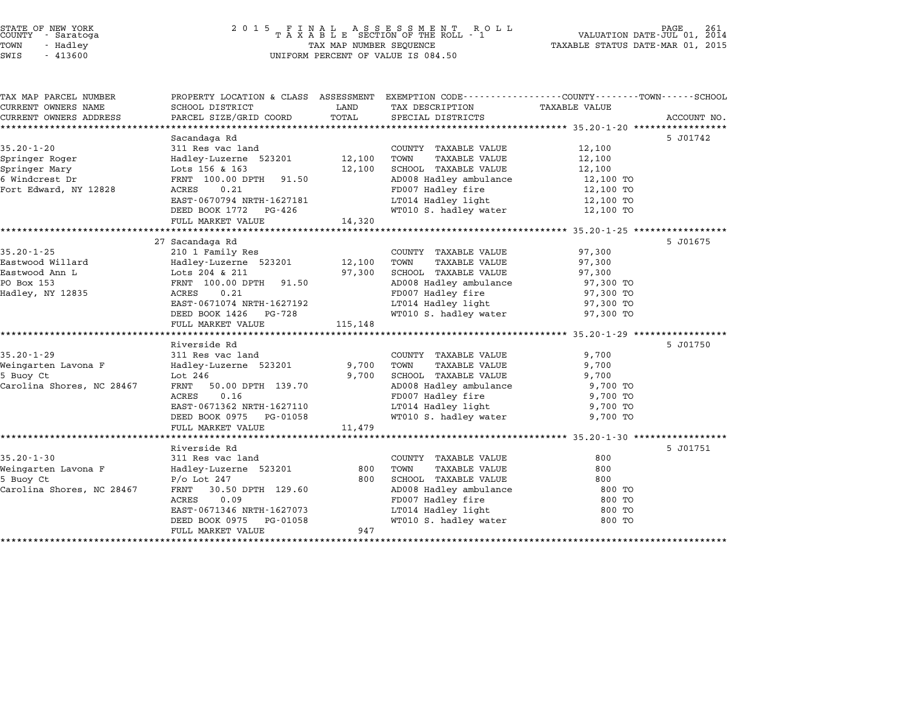| STATE OF NEW YORK |  |            |  |
|-------------------|--|------------|--|
| COUNTY            |  | - Saratoga |  |
| TOWN              |  | - Hadley   |  |

# STATE OF NEW YORK <sup>2</sup> <sup>0</sup> <sup>1</sup> 5 F I N A L A S S E S S M E N T R O L L PAGE <sup>261</sup> COUNTY - Saratoga <sup>T</sup> <sup>A</sup> <sup>X</sup> <sup>A</sup> <sup>B</sup> <sup>L</sup> <sup>E</sup> SECTION OF THE ROLL - <sup>1</sup> VALUATION DATE-JUL 01, <sup>2014</sup> TOWN - Hadley TAX MAP NUMBER SEQUENCE TAXABLE STATUS DATE-MAR 01, <sup>2015</sup> SWIS - <sup>413600</sup> UNIFORM PERCENT OF VALUE IS 084.50

| TAX MAP PARCEL NUMBER     | PROPERTY LOCATION & CLASS ASSESSMENT EXEMPTION CODE---------------COUNTY-------TOWN-----SCHOOL |               |                                             |                      |             |
|---------------------------|------------------------------------------------------------------------------------------------|---------------|---------------------------------------------|----------------------|-------------|
| CURRENT OWNERS NAME       | SCHOOL DISTRICT<br>PARCEL SIZE/GRID COORD                                                      | LAND<br>TOTAL | TAX DESCRIPTION                             | <b>TAXABLE VALUE</b> |             |
| CURRENT OWNERS ADDRESS    |                                                                                                |               | SPECIAL DISTRICTS                           |                      | ACCOUNT NO. |
|                           | Sacandaga Rd                                                                                   |               |                                             |                      | 5 J01742    |
| $35.20 - 1 - 20$          | 311 Res vac land                                                                               |               | COUNTY TAXABLE VALUE                        | 12,100               |             |
| Springer Roger            | Hadley-Luzerne 523201                                                                          | 12,100        | TOWN<br>TAXABLE VALUE                       | 12,100               |             |
| Springer Mary             | Lots 156 & 163                                                                                 | 12,100        | SCHOOL TAXABLE VALUE                        | 12,100               |             |
| 6 Windcrest Dr            | FRNT 100.00 DPTH 91.50                                                                         |               | AD008 Hadley ambulance                      | 12,100 TO            |             |
| Fort Edward, NY 12828     | 0.21<br>ACRES                                                                                  |               | FD007 Hadley fire                           | 12,100 TO            |             |
|                           | EAST-0670794 NRTH-1627181                                                                      |               | LT014 Hadley light                          | 12,100 TO            |             |
|                           | DEED BOOK 1772 PG-426                                                                          |               | WT010 S. hadley water                       | 12,100 TO            |             |
|                           | FULL MARKET VALUE                                                                              | 14,320        |                                             |                      |             |
|                           |                                                                                                |               |                                             |                      |             |
|                           | 27 Sacandaga Rd                                                                                |               |                                             |                      | 5 J01675    |
| $35.20 - 1 - 25$          | 210 1 Family Res                                                                               |               | COUNTY TAXABLE VALUE                        | 97,300               |             |
| Eastwood Willard          | Hadley-Luzerne 523201                                                                          | 12,100        | TOWN<br>TAXABLE VALUE                       | 97,300               |             |
| Eastwood Ann L            | Lots 204 & 211                                                                                 | 97,300        | SCHOOL TAXABLE VALUE                        | 97,300               |             |
| PO Box 153                | FRNT 100.00 DPTH<br>91.50                                                                      |               | AD008 Hadley ambulance                      | 97,300 TO            |             |
| Hadley, NY 12835          | ACRES<br>0.21                                                                                  |               | FD007 Hadley fire                           | 97,300 TO            |             |
|                           | EAST-0671074 NRTH-1627192                                                                      |               | LT014 Hadley light                          | 97,300 TO            |             |
|                           | DEED BOOK 1426 PG-728                                                                          |               | WT010 S. hadley water                       | 97,300 TO            |             |
|                           | FULL MARKET VALUE                                                                              | 115,148       |                                             |                      |             |
|                           |                                                                                                |               |                                             |                      |             |
|                           | Riverside Rd                                                                                   |               |                                             |                      | 5 J01750    |
| $35.20 - 1 - 29$          | 311 Res vac land                                                                               |               | COUNTY TAXABLE VALUE                        | 9,700                |             |
| Weingarten Lavona F       | Hadley-Luzerne 523201                                                                          | 9,700         | TOWN<br><b>TAXABLE VALUE</b>                | 9,700                |             |
| 5 Buoy Ct                 | Lot 246                                                                                        | 9,700         | SCHOOL TAXABLE VALUE                        | 9,700                |             |
| Carolina Shores, NC 28467 | $\mathtt{FRNT}$<br>50.00 DPTH 139.70                                                           |               | AD008 Hadley ambulance                      | 9,700 TO             |             |
|                           | ACRES<br>0.16                                                                                  |               | FD007 Hadley fire                           | 9,700 TO             |             |
|                           | EAST-0671362 NRTH-1627110                                                                      |               | LT014 Hadley light<br>WT010 S. hadley water | 9,700 TO             |             |
|                           | DEED BOOK 0975 PG-01058                                                                        |               |                                             | 9,700 TO             |             |
|                           | FULL MARKET VALUE                                                                              | 11,479        |                                             |                      |             |
|                           | Riverside Rd                                                                                   |               |                                             |                      | 5 J01751    |
| $35.20 - 1 - 30$          | 311 Res vac land                                                                               |               | COUNTY TAXABLE VALUE                        | 800                  |             |
| Weingarten Lavona F       | Hadley-Luzerne 523201                                                                          | 800           | TOWN<br>TAXABLE VALUE                       | 800                  |             |
| 5 Buoy Ct                 | $P/O$ Lot 247                                                                                  | 800           | SCHOOL TAXABLE VALUE                        | 800                  |             |
| Carolina Shores, NC 28467 | FRNT<br>30.50 DPTH 129.60                                                                      |               | AD008 Hadley ambulance                      | 800 TO               |             |
|                           | ACRES<br>0.09                                                                                  |               | FD007 Hadley fire                           | 800 TO               |             |
|                           | EAST-0671346 NRTH-1627073                                                                      |               | LT014 Hadley light                          | 800 TO               |             |
|                           | DEED BOOK 0975<br>PG-01058                                                                     |               | WT010 S. hadley water                       | 800 TO               |             |
|                           | FULL MARKET VALUE                                                                              | 947           |                                             |                      |             |
|                           |                                                                                                |               |                                             |                      |             |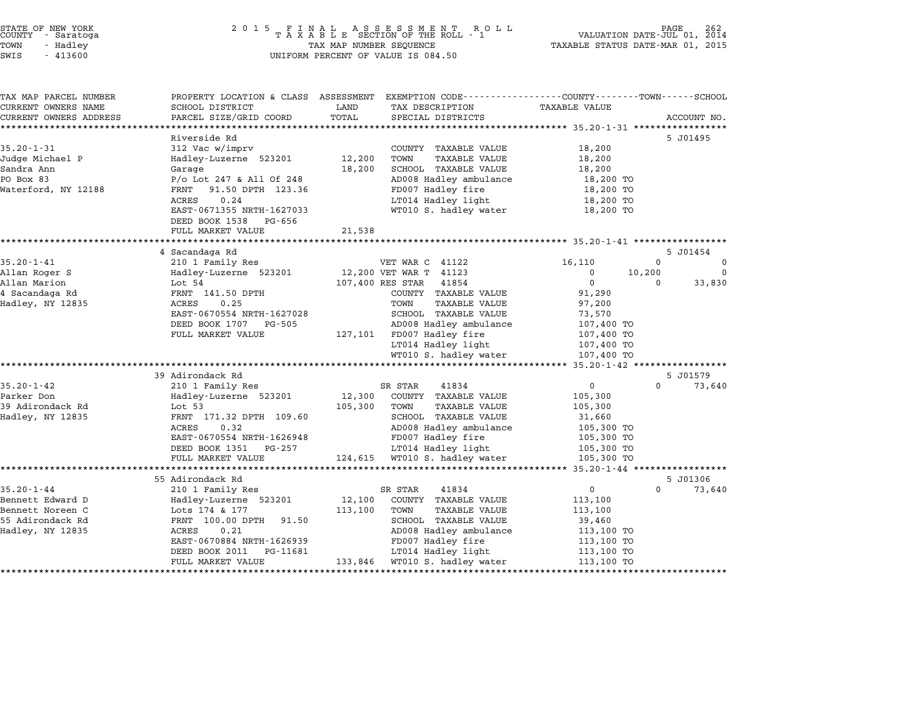| STATE OF NEW YORK |  |            |  |
|-------------------|--|------------|--|
| COUNTY            |  | - Saratoga |  |
| TOWN              |  | - Hadley   |  |

|  | 413600 |
|--|--------|

# STATE OF NEW YORK <sup>2</sup> <sup>0</sup> <sup>1</sup> 5 F I N A L A S S E S S M E N T R O L L PAGE <sup>262</sup> COUNTY - Saratoga <sup>T</sup> <sup>A</sup> <sup>X</sup> <sup>A</sup> <sup>B</sup> <sup>L</sup> <sup>E</sup> SECTION OF THE ROLL - <sup>1</sup> VALUATION DATE-JUL 01, <sup>2014</sup> TOWN - Hadley TAX MAP NUMBER SEQUENCE TAXABLE STATUS DATE-MAR 01, <sup>2015</sup> TAX MAP NUMBER SEQUENCE<br>UNIFORM PERCENT OF VALUE IS 084.50

|                                      | PROPERTY LOCATION & CLASS ASSESSMENT          |         | EXEMPTION CODE-----------------COUNTY-------TOWN-----SCHOOL |                          |          |             |
|--------------------------------------|-----------------------------------------------|---------|-------------------------------------------------------------|--------------------------|----------|-------------|
| CURRENT OWNERS NAME                  | SCHOOL DISTRICT                               | LAND    | TAX DESCRIPTION                                             | <b>TAXABLE VALUE</b>     |          |             |
| CURRENT OWNERS ADDRESS               | PARCEL SIZE/GRID COORD                        | TOTAL   | SPECIAL DISTRICTS                                           |                          |          | ACCOUNT NO. |
|                                      |                                               |         |                                                             |                          |          |             |
|                                      | Riverside Rd                                  |         |                                                             |                          |          | 5 J01495    |
| $35.20 - 1 - 31$                     | 312 Vac w/imprv                               |         | COUNTY TAXABLE VALUE                                        | 18,200                   |          |             |
| Judge Michael P                      | Hadley-Luzerne 523201                         | 12,200  | TOWN<br><b>TAXABLE VALUE</b>                                | 18,200                   |          |             |
| Sandra Ann                           | Garage                                        | 18,200  | SCHOOL TAXABLE VALUE                                        | 18,200                   |          |             |
| PO Box 83                            | $P/O$ Lot 247 & All Of 248                    |         | AD008 Hadley ambulance                                      | 18,200 TO                |          |             |
| Waterford, NY 12188                  | FRNT<br>91.50 DPTH 123.36<br>0.24<br>ACRES    |         | FD007 Hadley fire<br>LT014 Hadley light                     | 18,200 TO                |          |             |
|                                      | EAST-0671355 NRTH-1627033                     |         | WT010 S. hadley water                                       | 18,200 TO<br>18,200 TO   |          |             |
|                                      |                                               |         |                                                             |                          |          |             |
|                                      | DEED BOOK 1538<br>PG-656<br>FULL MARKET VALUE | 21,538  |                                                             |                          |          |             |
|                                      |                                               |         |                                                             |                          |          |             |
|                                      | 4 Sacandaga Rd                                |         |                                                             |                          |          | 5 J01454    |
| $35.20 - 1 - 41$                     | 210 1 Family Res                              |         | VET WAR C 41122                                             | 16,110                   | $\Omega$ | $\mathbf 0$ |
| Allan Roger S                        | Hadley-Luzerne 523201                         |         | 12,200 VET WAR T 41123                                      | $\Omega$                 | 10,200   | $\Omega$    |
| Allan Marion                         | Lot 54                                        |         | 107,400 RES STAR<br>41854                                   | $\mathbf 0$              | $\Omega$ | 33,830      |
| 4 Sacandaga Rd                       | FRNT 141.50 DPTH                              |         | COUNTY TAXABLE VALUE                                        | 91,290                   |          |             |
| Hadley, NY 12835                     | ACRES<br>0.25                                 |         | TOWN<br>TAXABLE VALUE                                       | 97,200                   |          |             |
|                                      | EAST-0670554 NRTH-1627028                     |         | SCHOOL TAXABLE VALUE                                        | 73,570                   |          |             |
|                                      | DEED BOOK 1707<br>PG-505                      |         | AD008 Hadley ambulance                                      | 107,400 TO               |          |             |
|                                      | FULL MARKET VALUE                             |         | 127,101 FD007 Hadley fire                                   | 107,400 TO               |          |             |
|                                      |                                               |         | LT014 Hadley light                                          | 107,400 TO               |          |             |
|                                      |                                               |         | WT010 S. hadley water                                       | 107,400 TO               |          |             |
|                                      |                                               |         |                                                             |                          |          |             |
|                                      |                                               |         |                                                             |                          |          |             |
|                                      |                                               |         |                                                             |                          |          |             |
|                                      | 39 Adirondack Rd                              |         |                                                             |                          |          | 5 J01579    |
| $35.20 - 1 - 42$<br>Parker Don       | 210 1 Family Res                              |         | SR STAR<br>41834                                            | $\mathbf 0$              | $\Omega$ | 73,640      |
|                                      | Hadley-Luzerne 523201                         | 12,300  | COUNTY TAXABLE VALUE                                        | 105,300                  |          |             |
| 39 Adirondack Rd                     | Lot 53<br>FRNT 171.32 DPTH 109.60             | 105,300 | TOWN<br>TAXABLE VALUE                                       | 105,300                  |          |             |
| Hadley, NY 12835                     | ACRES<br>0.32                                 |         | SCHOOL TAXABLE VALUE                                        | 31,660                   |          |             |
|                                      | EAST-0670554 NRTH-1626948                     |         | AD008 Hadley ambulance                                      | 105,300 TO               |          |             |
|                                      | DEED BOOK 1351<br>PG-257                      |         | FD007 Hadley fire<br>LT014 Hadley light                     | 105,300 TO<br>105,300 TO |          |             |
|                                      | FULL MARKET VALUE                             | 124,615 | WT010 S. hadley water                                       | 105,300 TO               |          |             |
|                                      |                                               |         |                                                             |                          |          |             |
|                                      | 55 Adirondack Rd                              |         |                                                             |                          |          | 5 J01306    |
| $35.20 - 1 - 44$                     | 210 1 Family Res                              |         | SR STAR<br>41834                                            | $\mathbf 0$              | $\Omega$ | 73,640      |
|                                      | Hadley-Luzerne 523201                         | 12,100  | COUNTY TAXABLE VALUE                                        | 113,100                  |          |             |
| Bennett Edward D<br>Bennett Noreen C | Lots 174 & 177                                | 113,100 | TOWN<br>TAXABLE VALUE                                       | 113,100                  |          |             |
|                                      | FRNT 100.00 DPTH<br>91.50                     |         | SCHOOL TAXABLE VALUE                                        | 39,460                   |          |             |
| 55 Adirondack Rd<br>Hadley, NY 12835 | 0.21<br>ACRES                                 |         | AD008 Hadley ambulance                                      | 113,100 TO               |          |             |
|                                      | EAST-0670884 NRTH-1626939                     |         | FD007 Hadley fire                                           | 113,100 TO               |          |             |
|                                      | DEED BOOK 2011<br>PG-11681                    |         | LT014 Hadley light                                          | 113,100 TO               |          |             |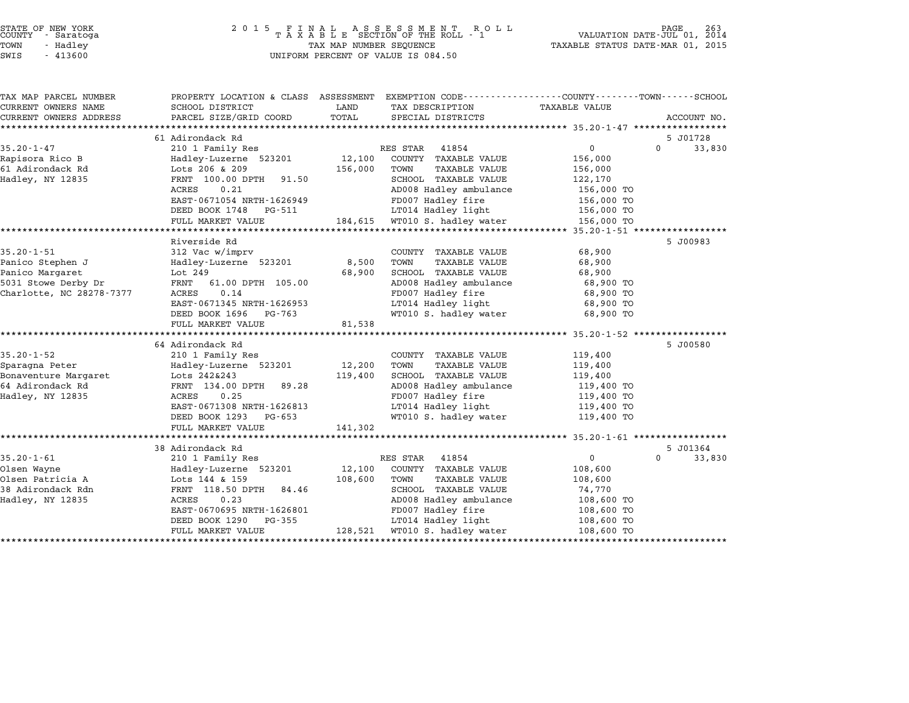| STATE OF NEW YORK |  |            |  |  |  |
|-------------------|--|------------|--|--|--|
| COUNTY            |  | - Saratoga |  |  |  |
| TOWN              |  | - Hadley   |  |  |  |

| TAX MAP PARCEL NUMBER    | PROPERTY LOCATION & CLASS ASSESSMENT EXEMPTION CODE---------------COUNTY-------TOWN------SCHOOL |         |                               |               |                    |
|--------------------------|-------------------------------------------------------------------------------------------------|---------|-------------------------------|---------------|--------------------|
| CURRENT OWNERS NAME      | SCHOOL DISTRICT                                                                                 | LAND    | TAX DESCRIPTION               | TAXABLE VALUE |                    |
| CURRENT OWNERS ADDRESS   | PARCEL SIZE/GRID COORD                                                                          | TOTAL   | SPECIAL DISTRICTS             |               | ACCOUNT NO.        |
|                          |                                                                                                 |         |                               |               |                    |
|                          | 61 Adirondack Rd                                                                                |         |                               |               | 5 J01728           |
| $35.20 - 1 - 47$         | 210 1 Family Res                                                                                |         | RES STAR<br>41854             | $\mathbf 0$   | $\Omega$<br>33,830 |
| Rapisora Rico B          | Hadley-Luzerne 523201                                                                           | 12,100  | COUNTY TAXABLE VALUE          | 156,000       |                    |
| 61 Adirondack Rd         | Lots 206 & 209                                                                                  | 156,000 | TOWN<br>TAXABLE VALUE         | 156,000       |                    |
| Hadley, NY 12835         | FRNT 100.00 DPTH<br>91.50                                                                       |         | SCHOOL TAXABLE VALUE          | 122,170       |                    |
|                          | ACRES<br>0.21                                                                                   |         | AD008 Hadley ambulance        | 156,000 TO    |                    |
|                          | EAST-0671054 NRTH-1626949                                                                       |         | FD007 Hadley fire             | 156,000 TO    |                    |
|                          | DEED BOOK 1748 PG-511                                                                           |         | LT014 Hadley light            | 156,000 TO    |                    |
|                          | FULL MARKET VALUE                                                                               |         | 184,615 WTO10 S. hadley water | 156,000 TO    |                    |
|                          |                                                                                                 |         |                               |               |                    |
|                          | Riverside Rd                                                                                    |         |                               |               | 5 J00983           |
| $35.20 - 1 - 51$         | 312 Vac w/imprv                                                                                 |         | COUNTY TAXABLE VALUE          | 68,900        |                    |
| Panico Stephen J         | Hadley-Luzerne 523201                                                                           | 8,500   | TOWN<br><b>TAXABLE VALUE</b>  | 68,900        |                    |
| Panico Margaret          | Lot 249                                                                                         | 68,900  | SCHOOL TAXABLE VALUE          | 68,900        |                    |
| 5031 Stowe Derby Dr      | FRNT<br>61.00 DPTH 105.00                                                                       |         | AD008 Hadley ambulance        | 68,900 TO     |                    |
| Charlotte, NC 28278-7377 | 0.14<br>ACRES                                                                                   |         | FD007 Hadley fire             | 68,900 TO     |                    |
|                          | EAST-0671345 NRTH-1626953                                                                       |         | LT014 Hadley light            | 68,900 TO     |                    |
|                          | DEED BOOK 1696<br>PG-763                                                                        |         | WT010 S. hadley water         | 68,900 TO     |                    |
|                          | FULL MARKET VALUE                                                                               | 81,538  |                               |               |                    |
|                          |                                                                                                 |         |                               |               |                    |
|                          | 64 Adirondack Rd                                                                                |         |                               |               | 5 J00580           |
| $35.20 - 1 - 52$         | 210 1 Family Res                                                                                |         | COUNTY TAXABLE VALUE          | 119,400       |                    |
| Sparagna Peter           | Hadley-Luzerne 523201                                                                           | 12,200  | TOWN<br><b>TAXABLE VALUE</b>  | 119,400       |                    |
| Bonaventure Margaret     | Lots 242&243                                                                                    | 119,400 | SCHOOL TAXABLE VALUE          | 119,400       |                    |
| 64 Adirondack Rd         | FRNT 134.00 DPTH<br>89.28                                                                       |         | AD008 Hadley ambulance        | 119,400 TO    |                    |
| Hadley, NY 12835         | 0.25<br>ACRES                                                                                   |         | FD007 Hadley fire             | 119,400 TO    |                    |
|                          | EAST-0671308 NRTH-1626813                                                                       |         | LT014 Hadley light            | 119,400 TO    |                    |
|                          | DEED BOOK 1293<br>PG-653                                                                        |         | WT010 S. hadley water         | 119,400 TO    |                    |
|                          | FULL MARKET VALUE                                                                               | 141,302 |                               |               |                    |
|                          |                                                                                                 |         |                               |               |                    |
|                          | 38 Adirondack Rd                                                                                |         |                               |               | 5 J01364           |
| $35.20 - 1 - 61$         | 210 1 Family Res                                                                                |         | RES STAR<br>41854             | $\mathsf{O}$  | $\Omega$<br>33,830 |
| Olsen Wayne              | Hadley-Luzerne 523201                                                                           | 12,100  | COUNTY TAXABLE VALUE          | 108,600       |                    |
| Olsen Patricia A         | Lots 144 & 159                                                                                  | 108,600 | TOWN<br><b>TAXABLE VALUE</b>  | 108,600       |                    |
| 38 Adirondack Rdn        | FRNT 118.50 DPTH<br>84.46                                                                       |         | SCHOOL TAXABLE VALUE          | 74,770        |                    |
| Hadley, NY 12835         | ACRES 0.23                                                                                      |         | AD008 Hadley ambulance        | 108,600 TO    |                    |
|                          | EAST-0670695 NRTH-1626801                                                                       |         | FD007 Hadley fire             | 108,600 TO    |                    |
|                          | DEED BOOK 1290<br>PG-355                                                                        |         | LT014 Hadley light            | 108,600 TO    |                    |
|                          | FULL MARKET VALUE                                                                               |         | 128,521 WT010 S. hadley water | 108,600 TO    |                    |
|                          |                                                                                                 |         |                               |               |                    |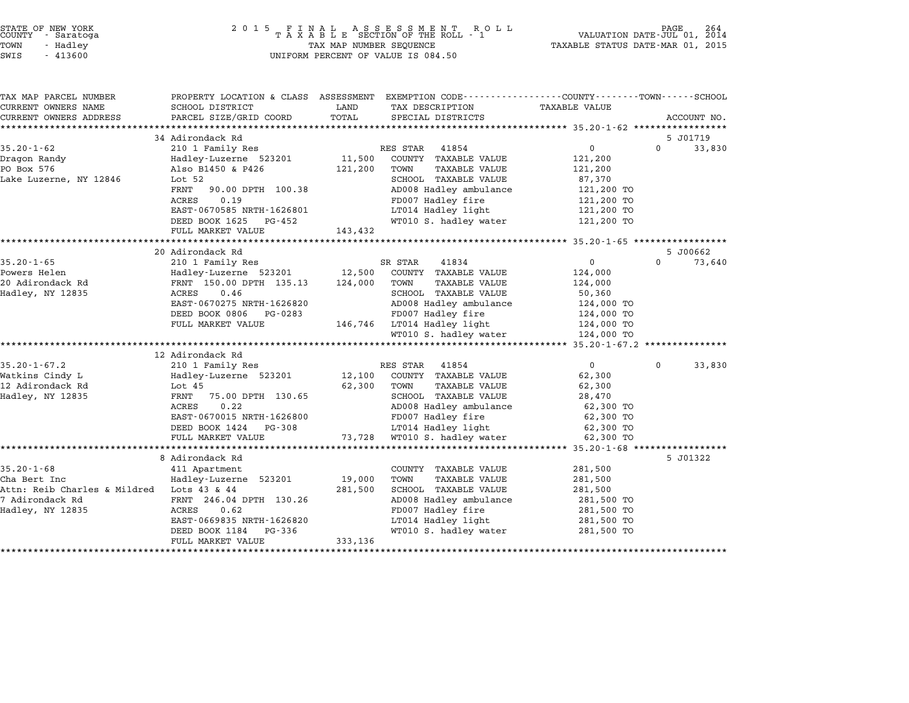| STATE OF NEW YORK |          |            |  |
|-------------------|----------|------------|--|
| COUNTY            |          | - Saratoga |  |
| LOMN              | - Hadlev |            |  |
|                   |          |            |  |

| TAX MAP PARCEL NUMBER                     | PROPERTY LOCATION & CLASS ASSESSMENT EXEMPTION CODE---------------COUNTY-------TOWN-----SCHOOL |         |                                         |                      |          |             |
|-------------------------------------------|------------------------------------------------------------------------------------------------|---------|-----------------------------------------|----------------------|----------|-------------|
| CURRENT OWNERS NAME                       | SCHOOL DISTRICT                                                                                | LAND    | TAX DESCRIPTION                         | <b>TAXABLE VALUE</b> |          |             |
| CURRENT OWNERS ADDRESS                    | PARCEL SIZE/GRID COORD                                                                         | TOTAL   | SPECIAL DISTRICTS                       |                      |          | ACCOUNT NO. |
|                                           |                                                                                                |         |                                         |                      |          |             |
|                                           | 34 Adirondack Rd                                                                               |         |                                         |                      |          | 5 J01719    |
| $35.20 - 1 - 62$                          | 210 1 Family Res                                                                               |         | RES STAR<br>41854                       | 0                    | $\Omega$ | 33,830      |
| Dragon Randy                              | Hadley-Luzerne 523201                                                                          | 11,500  | COUNTY TAXABLE VALUE                    | 121,200              |          |             |
| PO Box 576                                | Also B1450 & P426                                                                              | 121,200 | TOWN<br>TAXABLE VALUE                   | 121,200              |          |             |
| Lake Luzerne, NY 12846                    | Lot 52                                                                                         |         | SCHOOL TAXABLE VALUE                    | 87,370               |          |             |
|                                           | FRNT 90.00 DPTH 100.38                                                                         |         | AD008 Hadley ambulance                  | 121,200 TO           |          |             |
|                                           | 0.19<br>ACRES                                                                                  |         | FD007 Hadley fire<br>LT014 Hadley light | 121,200 TO           |          |             |
|                                           | EAST-0670585 NRTH-1626801                                                                      |         |                                         | 121,200 TO           |          |             |
|                                           | DEED BOOK 1625 PG-452                                                                          |         | WT010 S. hadley water                   | 121,200 TO           |          |             |
|                                           | FULL MARKET VALUE                                                                              | 143,432 |                                         |                      |          |             |
|                                           | 20 Adirondack Rd                                                                               |         |                                         |                      |          | 5 J00662    |
| $35.20 - 1 - 65$                          | 210 1 Family Res                                                                               |         | SR STAR<br>41834                        | 0                    | $\Omega$ | 73,640      |
| Powers Helen                              | Hadley-Luzerne 523201 12,500                                                                   |         | COUNTY TAXABLE VALUE                    | 124,000              |          |             |
| 20 Adirondack Rd                          | FRNT 150.00 DPTH 135.13                                                                        | 124,000 | TOWN<br>TAXABLE VALUE                   | 124,000              |          |             |
| Hadley, NY 12835                          | 0.46<br>ACRES                                                                                  |         | SCHOOL TAXABLE VALUE                    | 50,360               |          |             |
|                                           | EAST-0670275 NRTH-1626820                                                                      |         | AD008 Hadley ambulance                  | 124,000 TO           |          |             |
|                                           | DEED BOOK 0806 PG-0283                                                                         |         | FD007 Hadley fire                       | 124,000 TO           |          |             |
|                                           | FULL MARKET VALUE                                                                              |         | 146,746 LT014 Hadley light              | 124,000 TO           |          |             |
|                                           |                                                                                                |         | WT010 S. hadley water                   | 124,000 TO           |          |             |
|                                           |                                                                                                |         |                                         |                      |          |             |
|                                           | 12 Adirondack Rd                                                                               |         |                                         |                      |          |             |
| $35.20 - 1 - 67.2$                        | 210 1 Family Res                                                                               |         | RES STAR<br>41854                       | $\Omega$             | $\Omega$ | 33,830      |
| Watkins Cindy L                           | Hadley-Luzerne 523201                                                                          |         | 12,100 COUNTY TAXABLE VALUE             | 62,300               |          |             |
| 12 Adirondack Rd                          | Lot 45                                                                                         | 62,300  | TOWN<br>TAXABLE VALUE                   | 62,300               |          |             |
| Hadley, NY 12835                          | FRNT<br>75.00 DPTH 130.65                                                                      |         | SCHOOL TAXABLE VALUE                    | 28,470               |          |             |
|                                           | 0.22<br>ACRES                                                                                  |         | AD008 Hadley ambulance                  | 62,300 TO            |          |             |
|                                           | EAST-0670015 NRTH-1626800                                                                      |         | FD007 Hadley fire                       | 62,300 TO            |          |             |
|                                           | DEED BOOK 1424 PG-308                                                                          |         | LT014 Hadley light                      | 62,300 TO            |          |             |
|                                           | FULL MARKET VALUE                                                                              |         | 73,728 WT010 S. hadley water            | 62,300 TO            |          |             |
|                                           |                                                                                                |         |                                         |                      |          |             |
|                                           | 8 Adirondack Rd                                                                                |         |                                         |                      |          | 5 J01322    |
| $35.20 - 1 - 68$                          | 411 Apartment                                                                                  |         | COUNTY TAXABLE VALUE                    | 281,500              |          |             |
| Cha Bert Inc                              | Hadley-Luzerne 523201                                                                          | 19,000  | TOWN<br>TAXABLE VALUE                   | 281,500              |          |             |
| Attn: Reib Charles & Mildred Lots 43 & 44 |                                                                                                | 281,500 | SCHOOL TAXABLE VALUE                    | 281,500              |          |             |
| 7 Adirondack Rd                           | FRNT 246.04 DPTH 130.26                                                                        |         | AD008 Hadley ambulance                  | 281,500 TO           |          |             |
| Hadley, NY 12835                          | ACRES<br>0.62                                                                                  |         | FD007 Hadley fire                       | 281,500 TO           |          |             |
|                                           | EAST-0669835 NRTH-1626820                                                                      |         | LT014 Hadley light                      | 281,500 TO           |          |             |
|                                           | DEED BOOK 1184<br>PG-336                                                                       |         | WT010 S. hadley water                   | 281,500 TO           |          |             |
|                                           | FULL MARKET VALUE                                                                              | 333,136 |                                         |                      |          |             |
|                                           |                                                                                                |         |                                         |                      |          |             |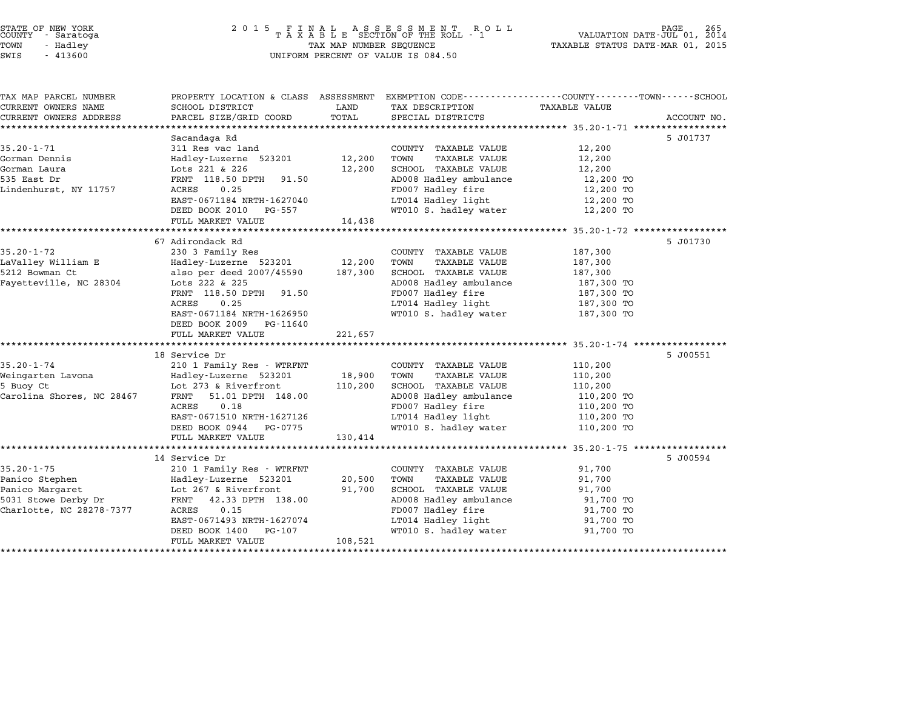| STATE OF NEW YORK |  |            |  |
|-------------------|--|------------|--|
| COUNTY            |  | - Saratoga |  |
| TOWN              |  | - Hadley   |  |

TAX MAP PARCEL NUMBER PROPERTY LOCATION & CLASS ASSESSMENT EXEMPTION CODE------------------COUNTY--------TOWN------SCHOOL

| TAX MAP PARCEL NUMBER<br>CURRENT OWNERS NAME | PROPERTY LOCATION & CLASS ASSESSMENT EXEMPTION CODE----------------COUNTY-------TOWN-----SCHOOL<br>SCHOOL DISTRICT | LAND    | TAX DESCRIPTION                             | <b>TAXABLE VALUE</b>     |             |
|----------------------------------------------|--------------------------------------------------------------------------------------------------------------------|---------|---------------------------------------------|--------------------------|-------------|
| CURRENT OWNERS ADDRESS                       | PARCEL SIZE/GRID COORD                                                                                             | TOTAL   | SPECIAL DISTRICTS                           |                          | ACCOUNT NO. |
|                                              |                                                                                                                    |         |                                             |                          |             |
|                                              | Sacandaga Rd                                                                                                       |         |                                             |                          | 5 J01737    |
| $35.20 - 1 - 71$                             | 311 Res vac land                                                                                                   |         | COUNTY TAXABLE VALUE                        | 12,200                   |             |
| Gorman Dennis                                | Hadley-Luzerne 523201                                                                                              | 12,200  | TOWN<br>TAXABLE VALUE                       | 12,200                   |             |
| Gorman Laura                                 | Lots 221 & 226                                                                                                     | 12,200  | SCHOOL TAXABLE VALUE                        | 12,200                   |             |
| 535 East Dr                                  | FRNT 118.50 DPTH<br>91.50                                                                                          |         | AD008 Hadley ambulance                      | 12,200 TO                |             |
| Lindenhurst, NY 11757                        | 0.25<br>ACRES                                                                                                      |         | FD007 Hadley fire                           | 12,200 TO                |             |
|                                              | EAST-0671184 NRTH-1627040                                                                                          |         | LT014 Hadley light                          | 12,200 TO                |             |
|                                              | DEED BOOK 2010 PG-557                                                                                              |         | WT010 S. hadley water                       | 12,200 TO                |             |
|                                              | FULL MARKET VALUE                                                                                                  | 14,438  |                                             |                          |             |
|                                              |                                                                                                                    |         |                                             |                          |             |
|                                              | 67 Adirondack Rd                                                                                                   |         |                                             |                          | 5 J01730    |
| $35.20 - 1 - 72$                             | 230 3 Family Res                                                                                                   |         | COUNTY TAXABLE VALUE                        | 187,300                  |             |
| LaValley William E                           | Hadley-Luzerne 523201 12,200<br>also per deed 2007/45590 187,300                                                   |         | TOWN<br>TAXABLE VALUE                       | 187,300                  |             |
| 5212 Bowman Ct                               |                                                                                                                    |         | SCHOOL TAXABLE VALUE                        | 187,300                  |             |
| Fayetteville, NC 28304                       | Lots 222 & 225<br>91.50                                                                                            |         | AD008 Hadley ambulance<br>FD007 Hadley fire | 187,300 TO               |             |
|                                              | FRNT 118.50 DPTH<br>0.25<br>ACRES                                                                                  |         |                                             | 187,300 TO               |             |
|                                              | EAST-0671184 NRTH-1626950                                                                                          |         | LT014 Hadley light<br>WT010 S. hadley water | 187,300 TO<br>187,300 TO |             |
|                                              | DEED BOOK 2009 PG-11640                                                                                            |         |                                             |                          |             |
|                                              | FULL MARKET VALUE                                                                                                  | 221,657 |                                             |                          |             |
|                                              |                                                                                                                    |         |                                             |                          |             |
|                                              | 18 Service Dr                                                                                                      |         |                                             |                          | 5 J00551    |
| $35.20 - 1 - 74$                             | 210 1 Family Res - WTRFNT                                                                                          |         | COUNTY TAXABLE VALUE                        | 110,200                  |             |
| Weingarten Lavona                            | Hadley-Luzerne 523201                                                                                              | 18,900  | TAXABLE VALUE<br>TOWN                       | 110,200                  |             |
| 5 Buoy Ct                                    | Lot 273 & Riverfront                                                                                               | 110,200 | SCHOOL TAXABLE VALUE                        | 110,200                  |             |
| Carolina Shores, NC 28467                    | 51.01 DPTH 148.00<br>FRNT                                                                                          |         | AD008 Hadley ambulance                      | 110,200 TO               |             |
|                                              | 0.18<br>ACRES                                                                                                      |         | FD007 Hadley fire                           | 110,200 TO               |             |
|                                              | EAST-0671510 NRTH-1627126                                                                                          |         | LT014 Hadley light                          | 110,200 TO               |             |
|                                              | DEED BOOK 0944 PG-0775                                                                                             |         | WT010 S. hadley water                       | 110,200 TO               |             |
|                                              | FULL MARKET VALUE                                                                                                  | 130,414 |                                             |                          |             |
|                                              |                                                                                                                    |         |                                             |                          |             |
|                                              | 14 Service Dr                                                                                                      |         |                                             |                          | 5 J00594    |
| $35.20 - 1 - 75$                             | 210 1 Family Res - WTRFNT                                                                                          |         | COUNTY TAXABLE VALUE                        | 91,700                   |             |
| Panico Stephen                               | Hadley-Luzerne 523201                                                                                              | 20,500  | TOWN<br>TAXABLE VALUE                       | 91,700                   |             |
| Panico Margaret                              | Lot 267 & Riverfront                                                                                               | 91,700  | SCHOOL TAXABLE VALUE                        | 91,700                   |             |
| 5031 Stowe Derby Dr                          | FRNT 42.33 DPTH 138.00                                                                                             |         | AD008 Hadley ambulance                      | 91,700 TO                |             |
| Charlotte, NC 28278-7377                     | 0.15<br>ACRES                                                                                                      |         | FD007 Hadley fire<br>LT014 Hadley light     | 91,700 TO                |             |
|                                              | EAST-0671493 NRTH-1627074                                                                                          |         |                                             | 91,700 TO                |             |
|                                              | DEED BOOK 1400<br>PG-107                                                                                           |         | WT010 S. hadley water                       | 91,700 TO                |             |
|                                              | FULL MARKET VALUE                                                                                                  | 108,521 |                                             |                          |             |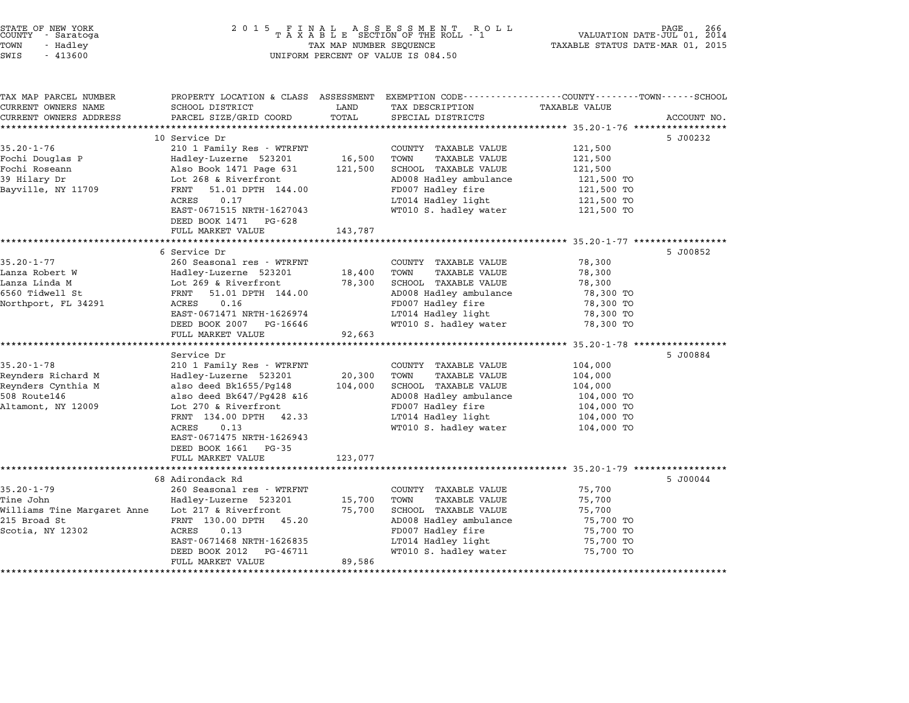| COUNTY | STATE OF NEW YORK<br>- Saratoga |  |
|--------|---------------------------------|--|
| TOWN   | - Hadley                        |  |

| TAX MAP PARCEL NUMBER<br>CURRENT OWNERS NAME | SCHOOL DISTRICT                | LAND    | PROPERTY LOCATION & CLASS ASSESSMENT EXEMPTION CODE---------------COUNTY-------TOWN------SCHOOL<br>TAX DESCRIPTION | <b>TAXABLE VALUE</b> |             |
|----------------------------------------------|--------------------------------|---------|--------------------------------------------------------------------------------------------------------------------|----------------------|-------------|
| CURRENT OWNERS ADDRESS                       |                                | TOTAL   |                                                                                                                    |                      |             |
|                                              | PARCEL SIZE/GRID COORD         |         | SPECIAL DISTRICTS                                                                                                  |                      | ACCOUNT NO. |
|                                              | 10 Service Dr                  |         |                                                                                                                    |                      |             |
| $35.20 - 1 - 76$                             | 210 1 Family Res - WTRFNT      |         | COUNTY TAXABLE VALUE                                                                                               | 121,500              | 5 J00232    |
|                                              | Hadley-Luzerne 523201          | 16,500  | TOWN<br><b>TAXABLE VALUE</b>                                                                                       | 121,500              |             |
| Fochi Douglas P<br>Fochi Roseann             | Also Book 1471 Page 631        | 121,500 | SCHOOL TAXABLE VALUE                                                                                               | 121,500              |             |
|                                              |                                |         |                                                                                                                    |                      |             |
| 39 Hilary Dr                                 | Lot 268 & Riverfront<br>FRNT   |         | AD008 Hadley ambulance                                                                                             | 121,500 TO           |             |
| Bayville, NY 11709                           | 51.01 DPTH 144.00              |         | FD007 Hadley fire                                                                                                  | 121,500 TO           |             |
|                                              | 0.17<br>ACRES                  |         | LT014 Hadley light<br>WT010 S. hadley water                                                                        | 121,500 TO           |             |
|                                              | EAST-0671515 NRTH-1627043      |         |                                                                                                                    | 121,500 TO           |             |
|                                              | DEED BOOK 1471<br>PG-628       |         |                                                                                                                    |                      |             |
|                                              | FULL MARKET VALUE              | 143,787 |                                                                                                                    |                      |             |
|                                              |                                |         |                                                                                                                    |                      |             |
|                                              | 6 Service Dr                   |         |                                                                                                                    |                      | 5 J00852    |
| $35.20 - 1 - 77$                             | 260 Seasonal res - WTRFNT      |         | COUNTY TAXABLE VALUE                                                                                               | 78,300               |             |
| Lanza Robert W                               | Hadley-Luzerne 523201          | 18,400  | TOWN<br>TAXABLE VALUE                                                                                              | 78,300               |             |
| Lanza Linda M                                | Lot 269 & Riverfront           | 78,300  | SCHOOL TAXABLE VALUE                                                                                               | 78,300               |             |
| 6560 Tidwell St                              | 51.01 DPTH 144.00<br>FRNT      |         | AD008 Hadley ambulance                                                                                             | 78,300 TO            |             |
| Northport, FL 34291                          | ACRES<br>0.16                  |         | FD007 Hadley fire                                                                                                  | 78,300 TO            |             |
|                                              | EAST-0671471 NRTH-1626974      |         | LT014 Hadley light                                                                                                 | 78,300 TO            |             |
|                                              | DEED BOOK 2007 PG-16646        |         | WT010 S. hadley water                                                                                              | 78,300 TO            |             |
|                                              | FULL MARKET VALUE              | 92,663  |                                                                                                                    |                      |             |
|                                              |                                |         |                                                                                                                    |                      |             |
|                                              | Service Dr                     |         |                                                                                                                    |                      | 5 J00884    |
| $35.20 - 1 - 78$                             | 210 1 Family Res - WTRFNT      |         | COUNTY TAXABLE VALUE                                                                                               | 104,000              |             |
| Reynders Richard M                           | Hadley-Luzerne 523201          | 20,300  | <b>TAXABLE VALUE</b><br>TOWN                                                                                       | 104,000              |             |
| Reynders Cynthia M                           | also deed Bk1655/Pq148         | 104,000 | SCHOOL TAXABLE VALUE                                                                                               | 104,000              |             |
| 508 Route146                                 | also deed $Bk647/Pq428$ $\&16$ |         | AD008 Hadley ambulance                                                                                             | 104,000 TO           |             |
| Altamont, NY 12009                           | Lot 270 & Riverfront           |         | FD007 Hadley fire                                                                                                  | 104,000 TO           |             |
|                                              | FRNT 134.00 DPTH 42.33         |         | LT014 Hadley light                                                                                                 | 104,000 TO           |             |
|                                              | ACRES<br>0.13                  |         | WT010 S. hadley water                                                                                              | 104,000 TO           |             |
|                                              | EAST-0671475 NRTH-1626943      |         |                                                                                                                    |                      |             |
|                                              | DEED BOOK 1661<br>PG-35        |         |                                                                                                                    |                      |             |
|                                              | FULL MARKET VALUE              | 123,077 |                                                                                                                    |                      |             |
|                                              |                                |         |                                                                                                                    |                      |             |
|                                              | 68 Adirondack Rd               |         |                                                                                                                    |                      | 5 J00044    |
| $35.20 - 1 - 79$                             | 260 Seasonal res - WTRFNT      |         | COUNTY TAXABLE VALUE                                                                                               | 75,700               |             |
| Tine John                                    | Hadley-Luzerne 523201          | 15,700  | TOWN<br>TAXABLE VALUE                                                                                              | 75,700               |             |
| Williams Tine Margaret Anne                  | Lot 217 & Riverfront           | 75,700  | SCHOOL TAXABLE VALUE                                                                                               | 75,700               |             |
| 215 Broad St                                 | FRNT 130.00 DPTH 45.20         |         | AD008 Hadley ambulance                                                                                             | 75,700 TO            |             |
| Scotia, NY 12302                             | ACRES<br>0.13                  |         | FD007 Hadley fire                                                                                                  | 75,700 TO            |             |
|                                              |                                |         | LT014 Hadley light                                                                                                 | 75,700 TO            |             |
|                                              | EAST-0671468 NRTH-1626835      |         |                                                                                                                    |                      |             |
|                                              | DEED BOOK 2012<br>PG-46711     |         | WT010 S. hadley water                                                                                              | 75,700 TO            |             |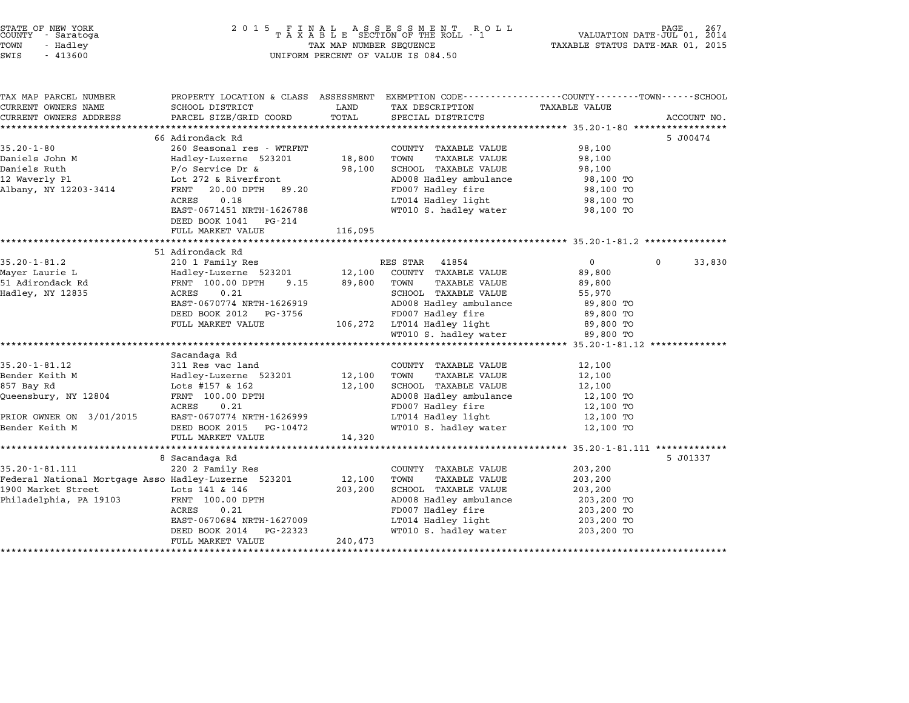| STATE OF NEW YORK |  |            |  |  |  |
|-------------------|--|------------|--|--|--|
| COUNTY            |  | - Saratoga |  |  |  |
| TOWN              |  | - Hadlev   |  |  |  |
|                   |  |            |  |  |  |

# STATE OF NEW YORK <sup>2</sup> <sup>0</sup> <sup>1</sup> 5 F I N A L A S S E S S M E N T R O L L PAGE <sup>267</sup> COUNTY - Saratoga <sup>T</sup> <sup>A</sup> <sup>X</sup> <sup>A</sup> <sup>B</sup> <sup>L</sup> <sup>E</sup> SECTION OF THE ROLL - <sup>1</sup> VALUATION DATE-JUL 01, <sup>2014</sup> TOWN - Hadley TAX MAP NUMBER SEQUENCE TAXABLE STATUS DATE-MAR 01, <sup>2015</sup> SWIS - <sup>413600</sup> UNIFORM PERCENT OF VALUE IS 084.50

| TAX MAP PARCEL NUMBER                                | PROPERTY LOCATION & CLASS ASSESSMENT |         | EXEMPTION CODE-----------------COUNTY-------TOWN-----SCHOOL |                   |                    |
|------------------------------------------------------|--------------------------------------|---------|-------------------------------------------------------------|-------------------|--------------------|
| CURRENT OWNERS NAME                                  | SCHOOL DISTRICT                      | LAND    | TAX DESCRIPTION                                             | TAXABLE VALUE     |                    |
| CURRENT OWNERS ADDRESS                               | PARCEL SIZE/GRID COORD               | TOTAL   | SPECIAL DISTRICTS                                           |                   | ACCOUNT NO.        |
|                                                      |                                      |         |                                                             |                   |                    |
|                                                      | 66 Adirondack Rd                     |         |                                                             |                   | 5 J00474           |
| $35.20 - 1 - 80$                                     | 260 Seasonal res - WTRFNT            |         | COUNTY TAXABLE VALUE                                        | 98,100            |                    |
| Daniels John M                                       | Hadley-Luzerne 523201                | 18,800  | TAXABLE VALUE<br>TOWN                                       | 98,100            |                    |
| Daniels Ruth                                         | $P/O$ Service Dr &                   | 98,100  | SCHOOL TAXABLE VALUE                                        | 98,100            |                    |
| 12 Waverly Pl                                        | Lot 272 & Riverfront                 |         | AD008 Hadley ambulance                                      | 98,100 TO         |                    |
| Albany, NY 12203-3414                                | 20.00 DPTH<br>FRNT<br>89.20          |         | FD007 Hadley fire                                           | 98,100 TO         |                    |
|                                                      | 0.18<br>ACRES                        |         | LT014 Hadley light                                          | 98,100 TO         |                    |
|                                                      | EAST-0671451 NRTH-1626788            |         | WT010 S. hadley water                                       | 98,100 TO         |                    |
|                                                      | DEED BOOK 1041 PG-214                |         |                                                             |                   |                    |
|                                                      | FULL MARKET VALUE                    | 116,095 |                                                             |                   |                    |
|                                                      |                                      |         |                                                             |                   |                    |
|                                                      | 51 Adirondack Rd                     |         |                                                             |                   |                    |
| $35.20 - 1 - 81.2$                                   | 210 1 Family Res                     |         | RES STAR<br>41854                                           | $0 \qquad \qquad$ | 33,830<br>$\Omega$ |
| Mayer Laurie L                                       | Hadley-Luzerne 523201                | 12,100  | COUNTY TAXABLE VALUE                                        | 89,800            |                    |
| 51 Adirondack Rd                                     | FRNT 100.00 DPTH<br>9.15             | 89,800  | TOWN<br><b>TAXABLE VALUE</b>                                | 89,800            |                    |
| Hadley, NY 12835                                     | ACRES<br>0.21                        |         | SCHOOL TAXABLE VALUE                                        | 55,970            |                    |
|                                                      | EAST-0670774 NRTH-1626919            |         | AD008 Hadley ambulance                                      | 89,800 TO         |                    |
|                                                      | DEED BOOK 2012<br>PG-3756            |         | FD007 Hadley fire                                           | 89,800 TO         |                    |
|                                                      | FULL MARKET VALUE                    |         | 106,272 LT014 Hadley light                                  | 89,800 TO         |                    |
|                                                      |                                      |         | WT010 S. hadley water                                       | 89,800 TO         |                    |
|                                                      | Sacandaga Rd                         |         |                                                             |                   |                    |
| $35.20 - 1 - 81.12$                                  | 311 Res vac land                     |         | COUNTY TAXABLE VALUE                                        | 12,100            |                    |
| Bender Keith M                                       | Hadley-Luzerne 523201                | 12,100  | TOWN<br><b>TAXABLE VALUE</b>                                | 12,100            |                    |
| 857 Bay Rd                                           | Lots #157 & 162                      | 12,100  | SCHOOL TAXABLE VALUE                                        | 12,100            |                    |
| Queensbury, NY 12804                                 | FRNT 100.00 DPTH                     |         | AD008 Hadley ambulance                                      | 12,100 TO         |                    |
|                                                      | ACRES<br>0.21                        |         | FD007 Hadley fire                                           | 12,100 TO         |                    |
| PRIOR OWNER ON 3/01/2015                             | EAST-0670774 NRTH-1626999            |         | LT014 Hadley light                                          | 12,100 TO         |                    |
| Bender Keith M                                       | DEED BOOK 2015<br>PG-10472           |         | WT010 S. hadley water                                       | 12,100 TO         |                    |
|                                                      | FULL MARKET VALUE                    | 14,320  |                                                             |                   |                    |
|                                                      |                                      |         |                                                             |                   |                    |
|                                                      | 8 Sacandaga Rd                       |         |                                                             |                   | 5 J01337           |
| 35.20-1-81.111                                       | 220 2 Family Res                     |         | COUNTY TAXABLE VALUE                                        | 203,200           |                    |
| Federal National Mortgage Asso Hadley-Luzerne 523201 |                                      | 12,100  | TOWN<br>TAXABLE VALUE                                       | 203,200           |                    |
| 1900 Market Street                                   | Lots 141 & 146                       | 203,200 | SCHOOL TAXABLE VALUE                                        | 203,200           |                    |
| Philadelphia, PA 19103                               | FRNT 100.00 DPTH                     |         | AD008 Hadley ambulance                                      | 203,200 TO        |                    |
|                                                      | ACRES<br>0.21                        |         | FD007 Hadley fire                                           | 203,200 TO        |                    |
|                                                      | EAST-0670684 NRTH-1627009            |         | LT014 Hadley light                                          | 203,200 TO        |                    |
|                                                      | DEED BOOK 2014<br>PG-22323           |         | WT010 S. hadley water                                       | 203,200 TO        |                    |
|                                                      | FULL MARKET VALUE                    | 240,473 |                                                             |                   |                    |
|                                                      |                                      |         |                                                             |                   |                    |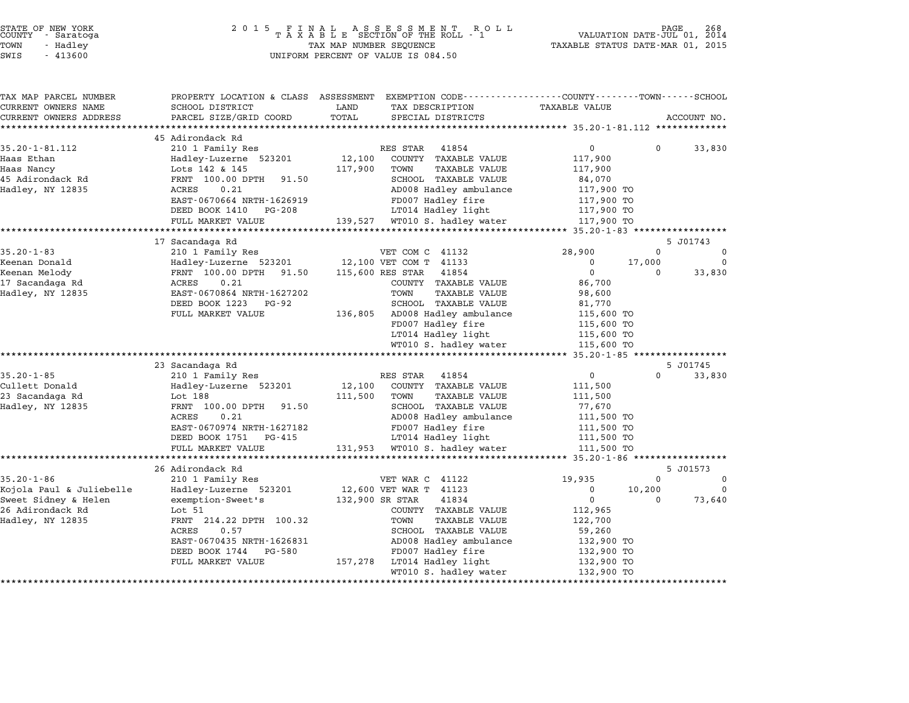|      | STATE OF NEW YORK<br>COUNTY - Saratoga |  |
|------|----------------------------------------|--|
| POWN | - Hadley                               |  |
|      |                                        |  |

# STATE OF NEW YORK <sup>2</sup> <sup>0</sup> <sup>1</sup> 5 F I N A L A S S E S S M E N T R O L L PAGE <sup>268</sup> COUNTY - Saratoga <sup>T</sup> <sup>A</sup> <sup>X</sup> <sup>A</sup> <sup>B</sup> <sup>L</sup> <sup>E</sup> SECTION OF THE ROLL - <sup>1</sup> VALUATION DATE-JUL 01, <sup>2014</sup> TOWN - Hadley TAX MAP NUMBER SEQUENCE TAXABLE STATUS DATE-MAR 01, <sup>2015</sup> STATE OF NEW YORK STATE OF NEW YORK A SOLUME TO A SOLUME TO A SOLUME TO A SOLUME TO A SOLUME TO A SOLUME TO A S<br>TOWN - Hadley TAX A B L E SECTION OF THE ROLL<br>SWIS - 413600 SWIS - 413600

| TAX MAP PARCEL NUMBER    | PROPERTY LOCATION & CLASS                  | EXEMPTION CODE----------------COUNTY-------TOWN------SCHOOL<br>ASSESSMENT |                                     |                                  |
|--------------------------|--------------------------------------------|---------------------------------------------------------------------------|-------------------------------------|----------------------------------|
| CURRENT OWNERS NAME      | SCHOOL DISTRICT                            | LAND<br>TAX DESCRIPTION                                                   | TAXABLE VALUE                       |                                  |
| CURRENT OWNERS ADDRESS   | PARCEL SIZE/GRID COORD                     | TOTAL<br>SPECIAL DISTRICTS                                                |                                     | ACCOUNT NO.                      |
|                          | 45 Adirondack Rd                           |                                                                           |                                     |                                  |
| 35.20-1-81.112           | 210 1 Family Res                           | RES STAR<br>41854                                                         | $\mathsf{O}$                        | $\Omega$<br>33,830               |
| Haas Ethan               | Hadley-Luzerne 523201                      | 12,100<br>COUNTY TAXABLE VALUE                                            | 117,900                             |                                  |
| Haas Nancy               | Lots 142 & 145                             | 117,900<br>TOWN<br><b>TAXABLE VALUE</b>                                   | 117,900                             |                                  |
| 45 Adirondack Rd         | FRNT 100.00 DPTH<br>91.50                  | SCHOOL TAXABLE VALUE                                                      | 84,070                              |                                  |
| Hadley, NY 12835         | 0.21<br>ACRES                              | AD008 Hadley ambulance                                                    | 117,900 TO                          |                                  |
|                          | EAST-0670664 NRTH-1626919                  | FD007 Hadley fire                                                         | 117,900 TO                          |                                  |
|                          | DEED BOOK 1410<br>PG-208                   | LT014 Hadley light                                                        | 117,900 TO                          |                                  |
|                          | FULL MARKET VALUE                          | 139,527<br>WT010 S. hadley water                                          | 117,900 TO                          |                                  |
|                          |                                            |                                                                           | ********* 35.20-1-83 *****          |                                  |
| $35.20 - 1 - 83$         | 17 Sacandaga Rd<br>210 1 Family Res        | VET COM C 41132                                                           | 28,900                              | 5 J01743<br>$\Omega$<br>$\Omega$ |
| Keenan Donald            | Hadley-Luzerne 523201                      | 12,100 VET COM T 41133                                                    | $\Omega$<br>17,000                  | $\Omega$                         |
| Keenan Melody            | FRNT 100.00 DPTH<br>91.50                  | 115,600 RES STAR<br>41854                                                 | $\Omega$                            | 33,830<br>0                      |
| 17 Sacandaga Rd          | 0.21<br>ACRES                              | COUNTY TAXABLE VALUE                                                      | 86,700                              |                                  |
| Hadley, NY 12835         | EAST-0670864 NRTH-1627202                  | TOWN<br><b>TAXABLE VALUE</b>                                              | 98,600                              |                                  |
|                          | DEED BOOK 1223<br>PG-92                    | SCHOOL TAXABLE VALUE                                                      | 81,770                              |                                  |
|                          | FULL MARKET VALUE                          | AD008 Hadley ambulance<br>136,805                                         | 115,600 TO                          |                                  |
|                          |                                            | FD007 Hadley fire                                                         | 115,600 TO                          |                                  |
|                          |                                            | LT014 Hadley light                                                        | 115,600 TO                          |                                  |
|                          |                                            | WT010 S. hadley water                                                     | 115,600 TO                          |                                  |
|                          |                                            |                                                                           |                                     |                                  |
|                          | 23 Sacandaga Rd                            |                                                                           |                                     | 5 J01745                         |
| $35.20 - 1 - 85$         | 210 1 Family Res                           | RES STAR<br>41854                                                         | 0                                   | 0<br>33,830                      |
| Cullett Donald           | Hadley-Luzerne 523201                      | 12,100<br>COUNTY TAXABLE VALUE                                            | 111,500                             |                                  |
| 23 Sacandaga Rd          | Lot 188                                    | 111,500<br>TOWN<br><b>TAXABLE VALUE</b>                                   | 111,500                             |                                  |
| Hadley, NY 12835         | FRNT 100.00 DPTH<br>91.50<br>ACRES<br>0.21 | SCHOOL TAXABLE VALUE<br>AD008 Hadley ambulance                            | 77,670<br>111,500 TO                |                                  |
|                          | EAST-0670974 NRTH-1627182                  | FD007 Hadley fire                                                         | 111,500 TO                          |                                  |
|                          | DEED BOOK 1751<br>PG-415                   | LT014 Hadley light                                                        | 111,500 TO                          |                                  |
|                          | FULL MARKET VALUE                          | 131,953<br>WT010 S. hadley water                                          | 111,500 TO                          |                                  |
|                          |                                            |                                                                           | ************* 35.20-1-86 ********** |                                  |
|                          | 26 Adirondack Rd                           |                                                                           |                                     | 5 J01573                         |
| $35.20 - 1 - 86$         | 210 1 Family Res                           | VET WAR C 41122                                                           | 19,935                              | $\Omega$<br>$\Omega$             |
| Kojola Paul & Juliebelle | Hadley-Luzerne 523201                      | 12,600 VET WAR T 41123                                                    | 10,200<br>0                         | $\Omega$                         |
| Sweet Sidney & Helen     | exemption-Sweet's                          | 132,900 SR STAR<br>41834                                                  | $\mathbf 0$                         | 73,640<br>$\Omega$               |
| 26 Adirondack Rd         | Lot $51$                                   | COUNTY TAXABLE VALUE                                                      | 112,965                             |                                  |
| Hadley, NY 12835         | FRNT 214.22 DPTH 100.32                    | TOWN<br><b>TAXABLE VALUE</b>                                              | 122,700                             |                                  |
|                          | 0.57<br>ACRES                              | SCHOOL TAXABLE VALUE                                                      | 59,260                              |                                  |
|                          | EAST-0670435 NRTH-1626831                  | AD008 Hadley ambulance                                                    | 132,900 TO                          |                                  |
|                          | DEED BOOK 1744<br>PG-580                   | FD007 Hadley fire                                                         | 132,900 TO                          |                                  |
|                          | FULL MARKET VALUE                          | 157,278<br>LT014 Hadley light                                             | 132,900 TO                          |                                  |
|                          | **************                             | WT010 S. hadley water                                                     | 132,900 TO                          |                                  |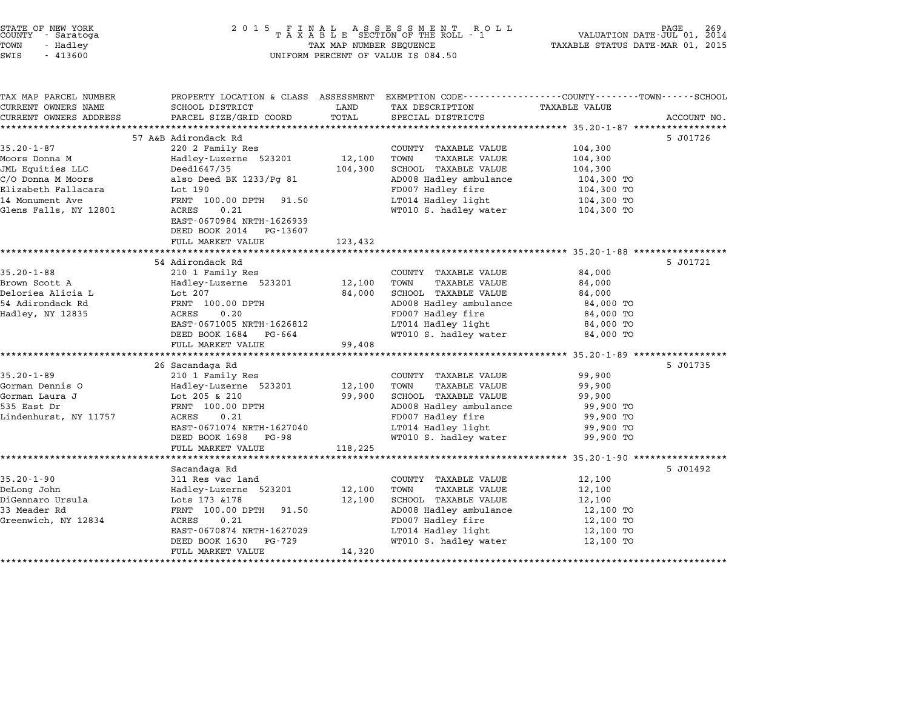| STATE OF NEW YORK |  |            |  |
|-------------------|--|------------|--|
| COUNTY            |  | - Saratoga |  |
| TOWN              |  | - Hadley   |  |

# STATE OF NEW YORK <sup>2</sup> <sup>0</sup> <sup>1</sup> 5 F I N A L A S S E S S M E N T R O L L PAGE <sup>269</sup> COUNTY - Saratoga <sup>T</sup> <sup>A</sup> <sup>X</sup> <sup>A</sup> <sup>B</sup> <sup>L</sup> <sup>E</sup> SECTION OF THE ROLL - <sup>1</sup> VALUATION DATE-JUL 01, <sup>2014</sup> TOWN - Hadley TAX MAP NUMBER SEQUENCE TAXABLE STATUS DATE-MAR 01, <sup>2015</sup> SWIS - <sup>413600</sup> UNIFORM PERCENT OF VALUE IS 084.50

| EXEMPTION CODE-----------------COUNTY-------TOWN------SCHOOL<br>PROPERTY LOCATION & CLASS ASSESSMENT<br>LAND<br>SCHOOL DISTRICT<br>TAX DESCRIPTION<br>TAXABLE VALUE<br>PARCEL SIZE/GRID COORD<br>TOTAL<br>SPECIAL DISTRICTS<br>57 A&B Adirondack Rd<br>5 J01726<br>220 2 Family Res<br>104,300<br>COUNTY TAXABLE VALUE<br>Hadley-Luzerne 523201<br>12,100<br>TOWN<br><b>TAXABLE VALUE</b><br>104,300<br>JML Equities LLC<br>104,300<br>SCHOOL TAXABLE VALUE<br>Deed1647/35<br>104,300<br>also Deed BK 1233/Pg 81<br>AD008 Hadley ambulance<br>104,300 TO<br>FD007 Hadley fire<br>Lot 190<br>104,300 TO<br>LT014 Hadley light<br>FRNT 100.00 DPTH 91.50<br>104,300 TO<br>0.21<br>WT010 S. hadley water<br>ACRES<br>104,300 TO<br>EAST-0670984 NRTH-1626939<br>DEED BOOK 2014<br>PG-13607<br>FULL MARKET VALUE<br>123,432<br>54 Adirondack Rd<br>5 J01721<br>210 1 Family Res<br>84,000<br>COUNTY TAXABLE VALUE<br>Hadley-Luzerne 523201<br>12,100<br>TOWN<br><b>TAXABLE VALUE</b><br>84,000<br>Lot 207<br>84,000<br>SCHOOL TAXABLE VALUE<br>84,000<br>AD008 Hadley ambulance<br>FRNT 100.00 DPTH<br>84,000 TO<br>FD007 Hadley fire<br>ACRES<br>0.20<br>84,000 TO<br>EAST-0671005 NRTH-1626812<br>LT014 Hadley light<br>84,000 TO<br>WT010 S. hadley water<br>DEED BOOK 1684<br>PG-664<br>84,000 TO<br>FULL MARKET VALUE<br>99,408<br>26 Sacandaga Rd<br>5 J01735<br>210 1 Family Res<br>99,900<br>COUNTY TAXABLE VALUE<br>Hadley-Luzerne 523201<br>12,100<br>TOWN<br><b>TAXABLE VALUE</b><br>99,900<br>Lot 205 & 210<br>99,900<br>SCHOOL TAXABLE VALUE<br>99,900<br>AD008 Hadley ambulance<br>FRNT 100.00 DPTH<br>99,900 TO<br>FD007 Hadley fire<br>ACRES<br>0.21<br>99,900 TO<br>EAST-0671074 NRTH-1627040<br>LT014 Hadley light<br>99,900 TO<br>WT010 S. hadley water<br>DEED BOOK 1698<br>PG-98<br>99,900 TO<br>FULL MARKET VALUE<br>118,225<br>Sacandaga Rd<br>5 J01492<br>311 Res vac land<br>COUNTY TAXABLE VALUE<br>12,100<br>DeLong John<br>Hadley-Luzerne 523201<br>12,100<br>TOWN<br><b>TAXABLE VALUE</b><br>12,100<br>Lots 173 & 178<br>12,100<br>SCHOOL TAXABLE VALUE<br>12,100<br>FRNT 100.00 DPTH<br>AD008 Hadley ambulance<br>91.50<br>12,100 TO<br>FD007 Hadley fire<br>Greenwich, NY 12834<br>ACRES<br>0.21<br>12,100 TO<br>EAST-0670874 NRTH-1627029<br>LT014 Hadley light<br>12,100 TO<br>DEED BOOK 1630<br>PG-729<br>WT010 S. hadley water<br>12,100 TO<br>14,320<br>FULL MARKET VALUE |                        |  |  |             |
|-----------------------------------------------------------------------------------------------------------------------------------------------------------------------------------------------------------------------------------------------------------------------------------------------------------------------------------------------------------------------------------------------------------------------------------------------------------------------------------------------------------------------------------------------------------------------------------------------------------------------------------------------------------------------------------------------------------------------------------------------------------------------------------------------------------------------------------------------------------------------------------------------------------------------------------------------------------------------------------------------------------------------------------------------------------------------------------------------------------------------------------------------------------------------------------------------------------------------------------------------------------------------------------------------------------------------------------------------------------------------------------------------------------------------------------------------------------------------------------------------------------------------------------------------------------------------------------------------------------------------------------------------------------------------------------------------------------------------------------------------------------------------------------------------------------------------------------------------------------------------------------------------------------------------------------------------------------------------------------------------------------------------------------------------------------------------------------------------------------------------------------------------------------------------------------------------------------------------------------------------------------------------------------------------------------------------------------------------------------------------------------------------------------|------------------------|--|--|-------------|
|                                                                                                                                                                                                                                                                                                                                                                                                                                                                                                                                                                                                                                                                                                                                                                                                                                                                                                                                                                                                                                                                                                                                                                                                                                                                                                                                                                                                                                                                                                                                                                                                                                                                                                                                                                                                                                                                                                                                                                                                                                                                                                                                                                                                                                                                                                                                                                                                           | TAX MAP PARCEL NUMBER  |  |  |             |
|                                                                                                                                                                                                                                                                                                                                                                                                                                                                                                                                                                                                                                                                                                                                                                                                                                                                                                                                                                                                                                                                                                                                                                                                                                                                                                                                                                                                                                                                                                                                                                                                                                                                                                                                                                                                                                                                                                                                                                                                                                                                                                                                                                                                                                                                                                                                                                                                           | CURRENT OWNERS NAME    |  |  |             |
|                                                                                                                                                                                                                                                                                                                                                                                                                                                                                                                                                                                                                                                                                                                                                                                                                                                                                                                                                                                                                                                                                                                                                                                                                                                                                                                                                                                                                                                                                                                                                                                                                                                                                                                                                                                                                                                                                                                                                                                                                                                                                                                                                                                                                                                                                                                                                                                                           | CURRENT OWNERS ADDRESS |  |  | ACCOUNT NO. |
|                                                                                                                                                                                                                                                                                                                                                                                                                                                                                                                                                                                                                                                                                                                                                                                                                                                                                                                                                                                                                                                                                                                                                                                                                                                                                                                                                                                                                                                                                                                                                                                                                                                                                                                                                                                                                                                                                                                                                                                                                                                                                                                                                                                                                                                                                                                                                                                                           |                        |  |  |             |
|                                                                                                                                                                                                                                                                                                                                                                                                                                                                                                                                                                                                                                                                                                                                                                                                                                                                                                                                                                                                                                                                                                                                                                                                                                                                                                                                                                                                                                                                                                                                                                                                                                                                                                                                                                                                                                                                                                                                                                                                                                                                                                                                                                                                                                                                                                                                                                                                           |                        |  |  |             |
|                                                                                                                                                                                                                                                                                                                                                                                                                                                                                                                                                                                                                                                                                                                                                                                                                                                                                                                                                                                                                                                                                                                                                                                                                                                                                                                                                                                                                                                                                                                                                                                                                                                                                                                                                                                                                                                                                                                                                                                                                                                                                                                                                                                                                                                                                                                                                                                                           | $35.20 - 1 - 87$       |  |  |             |
|                                                                                                                                                                                                                                                                                                                                                                                                                                                                                                                                                                                                                                                                                                                                                                                                                                                                                                                                                                                                                                                                                                                                                                                                                                                                                                                                                                                                                                                                                                                                                                                                                                                                                                                                                                                                                                                                                                                                                                                                                                                                                                                                                                                                                                                                                                                                                                                                           | Moors Donna M          |  |  |             |
|                                                                                                                                                                                                                                                                                                                                                                                                                                                                                                                                                                                                                                                                                                                                                                                                                                                                                                                                                                                                                                                                                                                                                                                                                                                                                                                                                                                                                                                                                                                                                                                                                                                                                                                                                                                                                                                                                                                                                                                                                                                                                                                                                                                                                                                                                                                                                                                                           |                        |  |  |             |
|                                                                                                                                                                                                                                                                                                                                                                                                                                                                                                                                                                                                                                                                                                                                                                                                                                                                                                                                                                                                                                                                                                                                                                                                                                                                                                                                                                                                                                                                                                                                                                                                                                                                                                                                                                                                                                                                                                                                                                                                                                                                                                                                                                                                                                                                                                                                                                                                           | C/O Donna M Moors      |  |  |             |
|                                                                                                                                                                                                                                                                                                                                                                                                                                                                                                                                                                                                                                                                                                                                                                                                                                                                                                                                                                                                                                                                                                                                                                                                                                                                                                                                                                                                                                                                                                                                                                                                                                                                                                                                                                                                                                                                                                                                                                                                                                                                                                                                                                                                                                                                                                                                                                                                           | Elizabeth Fallacara    |  |  |             |
|                                                                                                                                                                                                                                                                                                                                                                                                                                                                                                                                                                                                                                                                                                                                                                                                                                                                                                                                                                                                                                                                                                                                                                                                                                                                                                                                                                                                                                                                                                                                                                                                                                                                                                                                                                                                                                                                                                                                                                                                                                                                                                                                                                                                                                                                                                                                                                                                           | 14 Monument Ave        |  |  |             |
|                                                                                                                                                                                                                                                                                                                                                                                                                                                                                                                                                                                                                                                                                                                                                                                                                                                                                                                                                                                                                                                                                                                                                                                                                                                                                                                                                                                                                                                                                                                                                                                                                                                                                                                                                                                                                                                                                                                                                                                                                                                                                                                                                                                                                                                                                                                                                                                                           | Glens Falls, NY 12801  |  |  |             |
|                                                                                                                                                                                                                                                                                                                                                                                                                                                                                                                                                                                                                                                                                                                                                                                                                                                                                                                                                                                                                                                                                                                                                                                                                                                                                                                                                                                                                                                                                                                                                                                                                                                                                                                                                                                                                                                                                                                                                                                                                                                                                                                                                                                                                                                                                                                                                                                                           |                        |  |  |             |
|                                                                                                                                                                                                                                                                                                                                                                                                                                                                                                                                                                                                                                                                                                                                                                                                                                                                                                                                                                                                                                                                                                                                                                                                                                                                                                                                                                                                                                                                                                                                                                                                                                                                                                                                                                                                                                                                                                                                                                                                                                                                                                                                                                                                                                                                                                                                                                                                           |                        |  |  |             |
|                                                                                                                                                                                                                                                                                                                                                                                                                                                                                                                                                                                                                                                                                                                                                                                                                                                                                                                                                                                                                                                                                                                                                                                                                                                                                                                                                                                                                                                                                                                                                                                                                                                                                                                                                                                                                                                                                                                                                                                                                                                                                                                                                                                                                                                                                                                                                                                                           |                        |  |  |             |
|                                                                                                                                                                                                                                                                                                                                                                                                                                                                                                                                                                                                                                                                                                                                                                                                                                                                                                                                                                                                                                                                                                                                                                                                                                                                                                                                                                                                                                                                                                                                                                                                                                                                                                                                                                                                                                                                                                                                                                                                                                                                                                                                                                                                                                                                                                                                                                                                           |                        |  |  |             |
|                                                                                                                                                                                                                                                                                                                                                                                                                                                                                                                                                                                                                                                                                                                                                                                                                                                                                                                                                                                                                                                                                                                                                                                                                                                                                                                                                                                                                                                                                                                                                                                                                                                                                                                                                                                                                                                                                                                                                                                                                                                                                                                                                                                                                                                                                                                                                                                                           |                        |  |  |             |
|                                                                                                                                                                                                                                                                                                                                                                                                                                                                                                                                                                                                                                                                                                                                                                                                                                                                                                                                                                                                                                                                                                                                                                                                                                                                                                                                                                                                                                                                                                                                                                                                                                                                                                                                                                                                                                                                                                                                                                                                                                                                                                                                                                                                                                                                                                                                                                                                           | $35.20 - 1 - 88$       |  |  |             |
|                                                                                                                                                                                                                                                                                                                                                                                                                                                                                                                                                                                                                                                                                                                                                                                                                                                                                                                                                                                                                                                                                                                                                                                                                                                                                                                                                                                                                                                                                                                                                                                                                                                                                                                                                                                                                                                                                                                                                                                                                                                                                                                                                                                                                                                                                                                                                                                                           | Brown Scott A          |  |  |             |
|                                                                                                                                                                                                                                                                                                                                                                                                                                                                                                                                                                                                                                                                                                                                                                                                                                                                                                                                                                                                                                                                                                                                                                                                                                                                                                                                                                                                                                                                                                                                                                                                                                                                                                                                                                                                                                                                                                                                                                                                                                                                                                                                                                                                                                                                                                                                                                                                           | Deloriea Alicia L      |  |  |             |
|                                                                                                                                                                                                                                                                                                                                                                                                                                                                                                                                                                                                                                                                                                                                                                                                                                                                                                                                                                                                                                                                                                                                                                                                                                                                                                                                                                                                                                                                                                                                                                                                                                                                                                                                                                                                                                                                                                                                                                                                                                                                                                                                                                                                                                                                                                                                                                                                           | 54 Adirondack Rd       |  |  |             |
|                                                                                                                                                                                                                                                                                                                                                                                                                                                                                                                                                                                                                                                                                                                                                                                                                                                                                                                                                                                                                                                                                                                                                                                                                                                                                                                                                                                                                                                                                                                                                                                                                                                                                                                                                                                                                                                                                                                                                                                                                                                                                                                                                                                                                                                                                                                                                                                                           | Hadley, NY 12835       |  |  |             |
|                                                                                                                                                                                                                                                                                                                                                                                                                                                                                                                                                                                                                                                                                                                                                                                                                                                                                                                                                                                                                                                                                                                                                                                                                                                                                                                                                                                                                                                                                                                                                                                                                                                                                                                                                                                                                                                                                                                                                                                                                                                                                                                                                                                                                                                                                                                                                                                                           |                        |  |  |             |
|                                                                                                                                                                                                                                                                                                                                                                                                                                                                                                                                                                                                                                                                                                                                                                                                                                                                                                                                                                                                                                                                                                                                                                                                                                                                                                                                                                                                                                                                                                                                                                                                                                                                                                                                                                                                                                                                                                                                                                                                                                                                                                                                                                                                                                                                                                                                                                                                           |                        |  |  |             |
|                                                                                                                                                                                                                                                                                                                                                                                                                                                                                                                                                                                                                                                                                                                                                                                                                                                                                                                                                                                                                                                                                                                                                                                                                                                                                                                                                                                                                                                                                                                                                                                                                                                                                                                                                                                                                                                                                                                                                                                                                                                                                                                                                                                                                                                                                                                                                                                                           |                        |  |  |             |
|                                                                                                                                                                                                                                                                                                                                                                                                                                                                                                                                                                                                                                                                                                                                                                                                                                                                                                                                                                                                                                                                                                                                                                                                                                                                                                                                                                                                                                                                                                                                                                                                                                                                                                                                                                                                                                                                                                                                                                                                                                                                                                                                                                                                                                                                                                                                                                                                           |                        |  |  |             |
|                                                                                                                                                                                                                                                                                                                                                                                                                                                                                                                                                                                                                                                                                                                                                                                                                                                                                                                                                                                                                                                                                                                                                                                                                                                                                                                                                                                                                                                                                                                                                                                                                                                                                                                                                                                                                                                                                                                                                                                                                                                                                                                                                                                                                                                                                                                                                                                                           |                        |  |  |             |
|                                                                                                                                                                                                                                                                                                                                                                                                                                                                                                                                                                                                                                                                                                                                                                                                                                                                                                                                                                                                                                                                                                                                                                                                                                                                                                                                                                                                                                                                                                                                                                                                                                                                                                                                                                                                                                                                                                                                                                                                                                                                                                                                                                                                                                                                                                                                                                                                           | $35.20 - 1 - 89$       |  |  |             |
|                                                                                                                                                                                                                                                                                                                                                                                                                                                                                                                                                                                                                                                                                                                                                                                                                                                                                                                                                                                                                                                                                                                                                                                                                                                                                                                                                                                                                                                                                                                                                                                                                                                                                                                                                                                                                                                                                                                                                                                                                                                                                                                                                                                                                                                                                                                                                                                                           | Gorman Dennis O        |  |  |             |
|                                                                                                                                                                                                                                                                                                                                                                                                                                                                                                                                                                                                                                                                                                                                                                                                                                                                                                                                                                                                                                                                                                                                                                                                                                                                                                                                                                                                                                                                                                                                                                                                                                                                                                                                                                                                                                                                                                                                                                                                                                                                                                                                                                                                                                                                                                                                                                                                           | Gorman Laura J         |  |  |             |
|                                                                                                                                                                                                                                                                                                                                                                                                                                                                                                                                                                                                                                                                                                                                                                                                                                                                                                                                                                                                                                                                                                                                                                                                                                                                                                                                                                                                                                                                                                                                                                                                                                                                                                                                                                                                                                                                                                                                                                                                                                                                                                                                                                                                                                                                                                                                                                                                           | 535 East Dr            |  |  |             |
|                                                                                                                                                                                                                                                                                                                                                                                                                                                                                                                                                                                                                                                                                                                                                                                                                                                                                                                                                                                                                                                                                                                                                                                                                                                                                                                                                                                                                                                                                                                                                                                                                                                                                                                                                                                                                                                                                                                                                                                                                                                                                                                                                                                                                                                                                                                                                                                                           | Lindenhurst, NY 11757  |  |  |             |
|                                                                                                                                                                                                                                                                                                                                                                                                                                                                                                                                                                                                                                                                                                                                                                                                                                                                                                                                                                                                                                                                                                                                                                                                                                                                                                                                                                                                                                                                                                                                                                                                                                                                                                                                                                                                                                                                                                                                                                                                                                                                                                                                                                                                                                                                                                                                                                                                           |                        |  |  |             |
|                                                                                                                                                                                                                                                                                                                                                                                                                                                                                                                                                                                                                                                                                                                                                                                                                                                                                                                                                                                                                                                                                                                                                                                                                                                                                                                                                                                                                                                                                                                                                                                                                                                                                                                                                                                                                                                                                                                                                                                                                                                                                                                                                                                                                                                                                                                                                                                                           |                        |  |  |             |
|                                                                                                                                                                                                                                                                                                                                                                                                                                                                                                                                                                                                                                                                                                                                                                                                                                                                                                                                                                                                                                                                                                                                                                                                                                                                                                                                                                                                                                                                                                                                                                                                                                                                                                                                                                                                                                                                                                                                                                                                                                                                                                                                                                                                                                                                                                                                                                                                           |                        |  |  |             |
|                                                                                                                                                                                                                                                                                                                                                                                                                                                                                                                                                                                                                                                                                                                                                                                                                                                                                                                                                                                                                                                                                                                                                                                                                                                                                                                                                                                                                                                                                                                                                                                                                                                                                                                                                                                                                                                                                                                                                                                                                                                                                                                                                                                                                                                                                                                                                                                                           |                        |  |  |             |
|                                                                                                                                                                                                                                                                                                                                                                                                                                                                                                                                                                                                                                                                                                                                                                                                                                                                                                                                                                                                                                                                                                                                                                                                                                                                                                                                                                                                                                                                                                                                                                                                                                                                                                                                                                                                                                                                                                                                                                                                                                                                                                                                                                                                                                                                                                                                                                                                           |                        |  |  |             |
|                                                                                                                                                                                                                                                                                                                                                                                                                                                                                                                                                                                                                                                                                                                                                                                                                                                                                                                                                                                                                                                                                                                                                                                                                                                                                                                                                                                                                                                                                                                                                                                                                                                                                                                                                                                                                                                                                                                                                                                                                                                                                                                                                                                                                                                                                                                                                                                                           | $35.20 - 1 - 90$       |  |  |             |
|                                                                                                                                                                                                                                                                                                                                                                                                                                                                                                                                                                                                                                                                                                                                                                                                                                                                                                                                                                                                                                                                                                                                                                                                                                                                                                                                                                                                                                                                                                                                                                                                                                                                                                                                                                                                                                                                                                                                                                                                                                                                                                                                                                                                                                                                                                                                                                                                           |                        |  |  |             |
|                                                                                                                                                                                                                                                                                                                                                                                                                                                                                                                                                                                                                                                                                                                                                                                                                                                                                                                                                                                                                                                                                                                                                                                                                                                                                                                                                                                                                                                                                                                                                                                                                                                                                                                                                                                                                                                                                                                                                                                                                                                                                                                                                                                                                                                                                                                                                                                                           | DiGennaro Ursula       |  |  |             |
|                                                                                                                                                                                                                                                                                                                                                                                                                                                                                                                                                                                                                                                                                                                                                                                                                                                                                                                                                                                                                                                                                                                                                                                                                                                                                                                                                                                                                                                                                                                                                                                                                                                                                                                                                                                                                                                                                                                                                                                                                                                                                                                                                                                                                                                                                                                                                                                                           | 33 Meader Rd           |  |  |             |
|                                                                                                                                                                                                                                                                                                                                                                                                                                                                                                                                                                                                                                                                                                                                                                                                                                                                                                                                                                                                                                                                                                                                                                                                                                                                                                                                                                                                                                                                                                                                                                                                                                                                                                                                                                                                                                                                                                                                                                                                                                                                                                                                                                                                                                                                                                                                                                                                           |                        |  |  |             |
|                                                                                                                                                                                                                                                                                                                                                                                                                                                                                                                                                                                                                                                                                                                                                                                                                                                                                                                                                                                                                                                                                                                                                                                                                                                                                                                                                                                                                                                                                                                                                                                                                                                                                                                                                                                                                                                                                                                                                                                                                                                                                                                                                                                                                                                                                                                                                                                                           |                        |  |  |             |
|                                                                                                                                                                                                                                                                                                                                                                                                                                                                                                                                                                                                                                                                                                                                                                                                                                                                                                                                                                                                                                                                                                                                                                                                                                                                                                                                                                                                                                                                                                                                                                                                                                                                                                                                                                                                                                                                                                                                                                                                                                                                                                                                                                                                                                                                                                                                                                                                           |                        |  |  |             |
|                                                                                                                                                                                                                                                                                                                                                                                                                                                                                                                                                                                                                                                                                                                                                                                                                                                                                                                                                                                                                                                                                                                                                                                                                                                                                                                                                                                                                                                                                                                                                                                                                                                                                                                                                                                                                                                                                                                                                                                                                                                                                                                                                                                                                                                                                                                                                                                                           |                        |  |  |             |
|                                                                                                                                                                                                                                                                                                                                                                                                                                                                                                                                                                                                                                                                                                                                                                                                                                                                                                                                                                                                                                                                                                                                                                                                                                                                                                                                                                                                                                                                                                                                                                                                                                                                                                                                                                                                                                                                                                                                                                                                                                                                                                                                                                                                                                                                                                                                                                                                           |                        |  |  |             |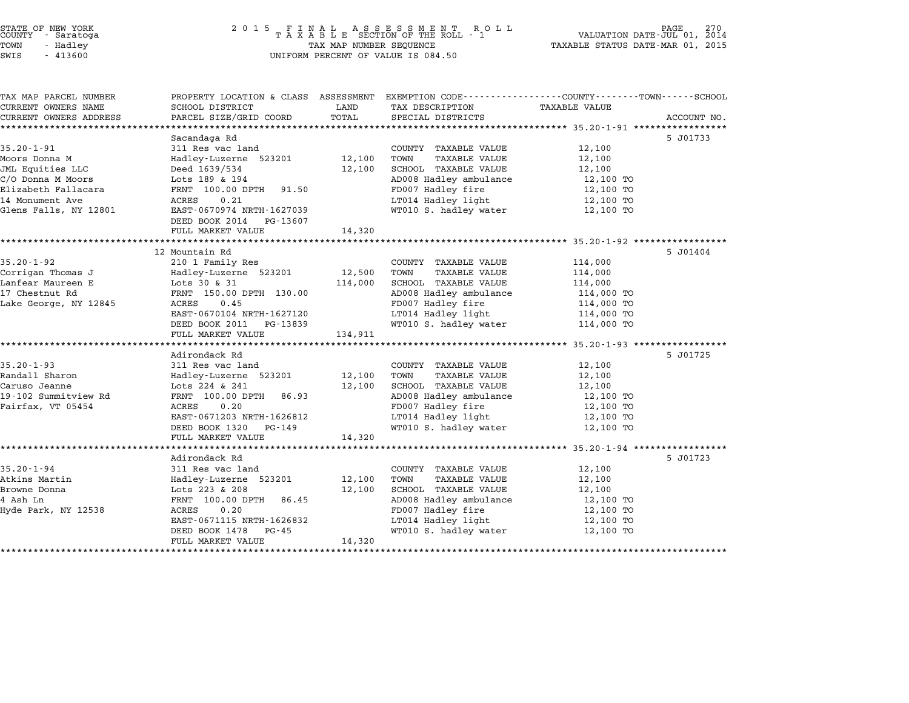# STATE OF NEW YORK <sup>2</sup> <sup>0</sup> <sup>1</sup> 5 F I N A L A S S E S S M E N T R O L L PAGE <sup>270</sup> COUNTY - Saratoga <sup>T</sup> <sup>A</sup> <sup>X</sup> <sup>A</sup> <sup>B</sup> <sup>L</sup> <sup>E</sup> SECTION OF THE ROLL - <sup>1</sup> VALUATION DATE-JUL 01, <sup>2014</sup> TOWN - Hadley TAX MAP NUMBER SEQUENCE TAXABLE STATUS DATE-MAR 01, <sup>2015</sup> STATE OF NEW YORK<br>
COUNTY - Saratoga<br>
TOWN - Hadley TAXABLE SECTION OF THE ROLL<br>
SWIS - 413600 UNIFORM PERCENT OF VALUE IS 084.50

| TAX MAP PARCEL NUMBER  | PROPERTY LOCATION & CLASS ASSESSMENT EXEMPTION CODE----------------COUNTY-------TOWN-----SCHOOL |         |                              |                      |             |
|------------------------|-------------------------------------------------------------------------------------------------|---------|------------------------------|----------------------|-------------|
| CURRENT OWNERS NAME    | SCHOOL DISTRICT                                                                                 | LAND    | TAX DESCRIPTION              | <b>TAXABLE VALUE</b> |             |
| CURRENT OWNERS ADDRESS | PARCEL SIZE/GRID COORD                                                                          | TOTAL   | SPECIAL DISTRICTS            |                      | ACCOUNT NO. |
|                        |                                                                                                 |         |                              |                      |             |
|                        | Sacandaga Rd                                                                                    |         |                              |                      | 5 J01733    |
| $35.20 - 1 - 91$       | 311 Res vac land                                                                                |         | COUNTY TAXABLE VALUE         | 12,100               |             |
| Moors Donna M          | Hadley-Luzerne 523201                                                                           | 12,100  | TOWN<br>TAXABLE VALUE        | 12,100               |             |
| JML Equities LLC       | Deed 1639/534                                                                                   | 12,100  | SCHOOL TAXABLE VALUE         | 12,100               |             |
| C/O Donna M Moors      | Lots 189 & 194                                                                                  |         | AD008 Hadley ambulance       | 12,100 TO            |             |
| Elizabeth Fallacara    | FRNT 100.00 DPTH 91.50                                                                          |         | FD007 Hadley fire            | 12,100 TO            |             |
| 14 Monument Ave        | 0.21<br>ACRES                                                                                   |         | LT014 Hadley light           | 12,100 TO            |             |
| Glens Falls, NY 12801  | EAST-0670974 NRTH-1627039                                                                       |         | WT010 S. hadley water        | 12,100 TO            |             |
|                        | DEED BOOK 2014 PG-13607                                                                         |         |                              |                      |             |
|                        | FULL MARKET VALUE                                                                               | 14,320  |                              |                      |             |
|                        |                                                                                                 |         |                              |                      |             |
|                        | 12 Mountain Rd                                                                                  |         |                              |                      | 5 J01404    |
| $35.20 - 1 - 92$       | 210 1 Family Res                                                                                |         | COUNTY TAXABLE VALUE         | 114,000              |             |
| Corrigan Thomas J      | ---<br>Hadley-Luzerne 523201                                                                    | 12,500  | TOWN<br>TAXABLE VALUE        | 114,000              |             |
| Lanfear Maureen E      | Lots 30 & 31                                                                                    | 114,000 | SCHOOL TAXABLE VALUE         | 114,000              |             |
| 17 Chestnut Rd         | FRNT 150.00 DPTH 130.00                                                                         |         | AD008 Hadley ambulance       | 114,000 TO           |             |
| Lake George, NY 12845  | 0.45<br>ACRES                                                                                   |         | FD007 Hadley fire            | 114,000 TO           |             |
|                        | EAST-0670104 NRTH-1627120                                                                       |         | LT014 Hadley light           | 114,000 TO           |             |
|                        | DEED BOOK 2011 PG-13839                                                                         |         | WT010 S. hadley water        | 114,000 TO           |             |
|                        | FULL MARKET VALUE                                                                               | 134,911 |                              |                      |             |
|                        |                                                                                                 |         |                              |                      |             |
|                        | Adirondack Rd                                                                                   |         |                              |                      | 5 J01725    |
| $35.20 - 1 - 93$       | 311 Res vac land                                                                                |         | COUNTY TAXABLE VALUE         | 12,100               |             |
| Randall Sharon         | Hadley-Luzerne 523201                                                                           | 12,100  | TOWN<br><b>TAXABLE VALUE</b> | 12,100               |             |
| Caruso Jeanne          | Lots 224 & 241                                                                                  | 12,100  | SCHOOL TAXABLE VALUE         | 12,100               |             |
| 19-102 Summitview Rd   | FRNT 100.00 DPTH<br>86.93                                                                       |         | AD008 Hadley ambulance       | 12,100 TO            |             |
| Fairfax, VT 05454      | 0.20<br>ACRES                                                                                   |         | FD007 Hadley fire            | 12,100 TO            |             |
|                        | EAST-0671203 NRTH-1626812                                                                       |         | LT014 Hadley light           | 12,100 TO            |             |
|                        | DEED BOOK 1320 PG-149                                                                           |         | WT010 S. hadley water        | 12,100 TO            |             |
|                        | FULL MARKET VALUE                                                                               | 14,320  |                              |                      |             |
|                        |                                                                                                 |         |                              |                      |             |
|                        | Adirondack Rd                                                                                   |         |                              |                      | 5 J01723    |
| $35.20 - 1 - 94$       | 311 Res vac land                                                                                |         | COUNTY TAXABLE VALUE         | 12,100               |             |
| Atkins Martin          | Hadley-Luzerne 523201                                                                           | 12,100  | TOWN<br><b>TAXABLE VALUE</b> | 12,100               |             |
| Browne Donna           | Lots 223 & 208                                                                                  | 12,100  | SCHOOL TAXABLE VALUE         | 12,100               |             |
| 4 Ash Ln               | FRNT 100.00 DPTH<br>86.45                                                                       |         | AD008 Hadley ambulance       | 12,100 TO            |             |
| Hyde Park, NY 12538    | 0.20<br>ACRES                                                                                   |         | FD007 Hadley fire            | 12,100 TO            |             |
|                        | EAST-0671115 NRTH-1626832                                                                       |         | LT014 Hadley light           | 12,100 TO            |             |
|                        |                                                                                                 |         |                              |                      |             |
|                        | DEED BOOK 1478<br>$PG - 45$                                                                     | 14,320  | WT010 S. hadley water        | 12,100 TO            |             |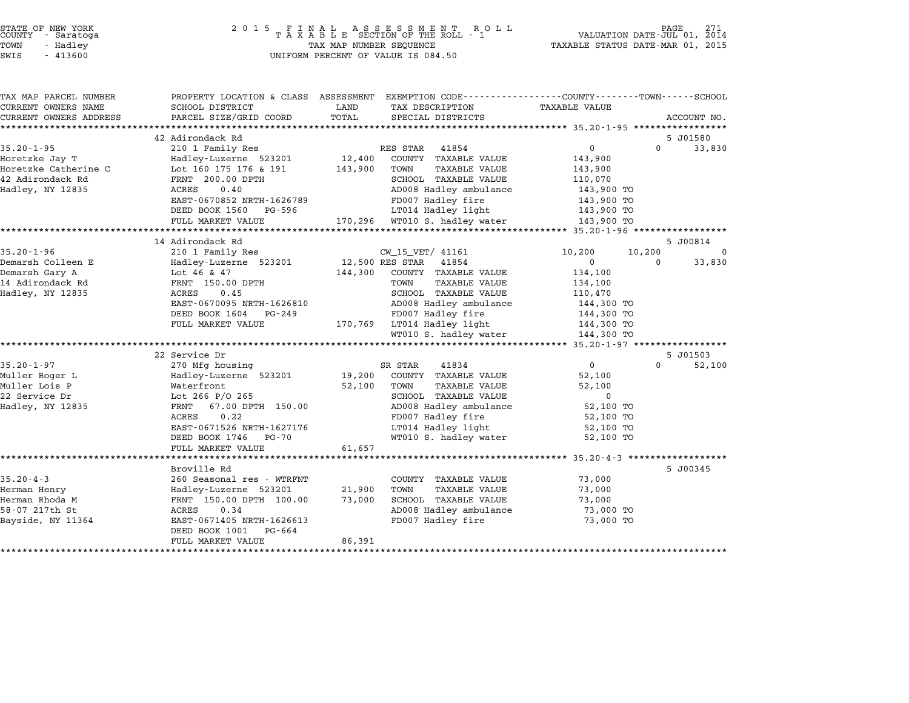| STATE OF NEW YORK |          |            |  |
|-------------------|----------|------------|--|
| COUNTY            |          | - Saratoga |  |
| TOWN              | - Hadlev |            |  |

| TAX MAP PARCEL NUMBER              |                           | PROPERTY LOCATION & CLASS ASSESSMENT EXEMPTION CODE---------------COUNTY-------TOWN-----SCHOOL |                            |                      |
|------------------------------------|---------------------------|------------------------------------------------------------------------------------------------|----------------------------|----------------------|
| CURRENT OWNERS NAME                | SCHOOL DISTRICT           | LAND<br>TAX DESCRIPTION                                                                        | <b>TAXABLE VALUE</b>       |                      |
| CURRENT OWNERS ADDRESS             | PARCEL SIZE/GRID COORD    | TOTAL<br>SPECIAL DISTRICTS                                                                     |                            | ACCOUNT NO.          |
|                                    |                           |                                                                                                |                            |                      |
|                                    | 42 Adirondack Rd          |                                                                                                |                            | 5 J01580             |
| $35.20 - 1 - 95$                   | 210 1 Family Res          | RES STAR 41854                                                                                 | $\mathbf 0$<br>$\Omega$    | 33,830               |
| Horetzke Jay T                     | Hadley-Luzerne 523201     | 12,400<br>COUNTY TAXABLE VALUE                                                                 | 143,900                    |                      |
| Horetzke Catherine C               | Lot 160 175 176 & 191     | 143,900<br>TOWN<br><b>TAXABLE VALUE</b>                                                        | 143,900                    |                      |
| 42 Adirondack Rd                   | FRNT 200.00 DPTH          | SCHOOL TAXABLE VALUE                                                                           | 110,070                    |                      |
| Hadley, NY 12835                   | 0.40<br>ACRES             | AD008 Hadley ambulance                                                                         | 143,900 TO                 |                      |
|                                    | EAST-0670852 NRTH-1626789 | FD007 Hadley fire                                                                              | 143,900 TO                 |                      |
|                                    | DEED BOOK 1560 PG-596     | LT014 Hadley light                                                                             | 143,900 TO                 |                      |
|                                    | FULL MARKET VALUE         | 170,296 WT010 S. hadley water                                                                  | 143,900 TO                 |                      |
|                                    | 14 Adirondack Rd          |                                                                                                |                            |                      |
| $35.20 - 1 - 96$                   |                           |                                                                                                | 10,200<br>10,200           | 5 J00814<br>$\Omega$ |
| Demarsh Colleen E                  | 210 1 Family Res          | CW_15_VET/ 41161                                                                               | $\Omega$<br>$\Omega$       | 33,830               |
|                                    | Lot 46 & 47               | Hadley-Luzerne 523201 12,500 RES STAR 41854<br>144,300<br>COUNTY TAXABLE VALUE                 |                            |                      |
| Demarsh Gary A<br>14 Adirondack Rd | FRNT 150.00 DPTH          | TOWN<br><b>TAXABLE VALUE</b>                                                                   | 134,100                    |                      |
| Hadley, NY 12835                   | 0.45<br>ACRES             | SCHOOL TAXABLE VALUE                                                                           | 134,100<br>110,470         |                      |
|                                    | EAST-0670095 NRTH-1626810 | AD008 Hadley ambulance                                                                         | 144,300 TO                 |                      |
|                                    | DEED BOOK 1604<br>PG-249  | FD007 Hadley fire                                                                              | 144,300 TO                 |                      |
|                                    | FULL MARKET VALUE         | 170,769 LT014 Hadley light                                                                     | 144,300 TO                 |                      |
|                                    |                           | WT010 S. hadley water                                                                          | 144,300 TO                 |                      |
|                                    |                           |                                                                                                |                            |                      |
|                                    | 22 Service Dr             |                                                                                                |                            | 5 J01503             |
| $35.20 - 1 - 97$                   | 270 Mfg housing           | SR STAR<br>41834                                                                               | $\overline{0}$<br>$\Omega$ | 52,100               |
| Muller Roger L                     | Hadley-Luzerne 523201     | 19,200<br>COUNTY TAXABLE VALUE                                                                 | 52,100                     |                      |
| Muller Lois P                      | Waterfront                | 52,100<br>TOWN<br><b>TAXABLE VALUE</b>                                                         | 52,100                     |                      |
| 22 Service Dr                      | Lot 266 P/O 265           | SCHOOL TAXABLE VALUE                                                                           | $\mathbf 0$                |                      |
| Hadley, NY 12835                   | 67.00 DPTH 150.00<br>FRNT | AD008 Hadley ambulance                                                                         | 52,100 TO                  |                      |
|                                    | ACRES<br>0.22             | FD007 Hadley fire                                                                              | 52,100 TO                  |                      |
|                                    | EAST-0671526 NRTH-1627176 | LT014 Hadley light                                                                             | 52,100 TO                  |                      |
|                                    | DEED BOOK 1746<br>PG-70   | WT010 S. hadley water                                                                          | 52,100 TO                  |                      |
|                                    | FULL MARKET VALUE         | 61,657                                                                                         |                            |                      |
|                                    |                           |                                                                                                |                            |                      |
|                                    | Broville Rd               |                                                                                                |                            | 5 J00345             |
| $35.20 - 4 - 3$                    | 260 Seasonal res - WTRFNT | COUNTY TAXABLE VALUE                                                                           | 73,000                     |                      |
| Herman Henry                       | Hadley-Luzerne 523201     | <b>TAXABLE VALUE</b><br>21,900<br>TOWN                                                         | 73,000                     |                      |
| Herman Rhoda M                     | FRNT 150.00 DPTH 100.00   | 73,000<br>SCHOOL TAXABLE VALUE                                                                 | 73,000                     |                      |
| 58-07 217th St                     | ACRES<br>0.34             | AD008 Hadley ambulance                                                                         | 73,000 TO                  |                      |
| Bayside, NY 11364                  | EAST-0671405 NRTH-1626613 | FD007 Hadley fire                                                                              | 73,000 TO                  |                      |
|                                    | DEED BOOK 1001<br>PG-664  |                                                                                                |                            |                      |
|                                    | FULL MARKET VALUE         | 86,391                                                                                         |                            |                      |
|                                    |                           |                                                                                                |                            |                      |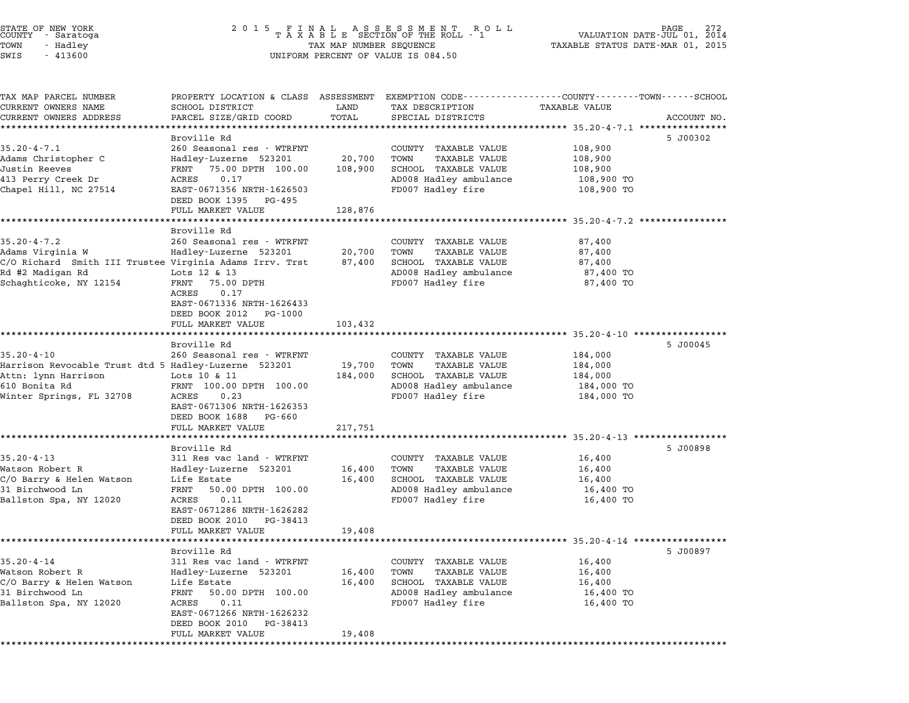| STATE OF NEW YORK<br>COUNTY - Saratoga |  |          |  |
|----------------------------------------|--|----------|--|
| TOWN                                   |  | - Hadley |  |
| SWTS                                   |  | - 413600 |  |

# STATE OF NEW YORK <sup>2</sup> <sup>0</sup> <sup>1</sup> 5 F I N A L A S S E S S M E N T R O L L PAGE <sup>272</sup> COUNTY - Saratoga <sup>T</sup> <sup>A</sup> <sup>X</sup> <sup>A</sup> <sup>B</sup> <sup>L</sup> <sup>E</sup> SECTION OF THE ROLL - <sup>1</sup> VALUATION DATE-JUL 01, <sup>2014</sup> TOWN - Hadley TAX MAP NUMBER SEQUENCE TAXABLE STATUS DATE-MAR 01, <sup>2015</sup> SWIS - <sup>413600</sup> UNIFORM PERCENT OF VALUE IS 084.50

| TAX MAP PARCEL NUMBER                                                       | PROPERTY LOCATION & CLASS ASSESSMENT EXEMPTION CODE---------------COUNTY-------TOWN------SCHOOL |                   |                                                |                          |             |
|-----------------------------------------------------------------------------|-------------------------------------------------------------------------------------------------|-------------------|------------------------------------------------|--------------------------|-------------|
| CURRENT OWNERS NAME                                                         | SCHOOL DISTRICT                                                                                 | LAND              | TAX DESCRIPTION                                | TAXABLE VALUE            |             |
| CURRENT OWNERS ADDRESS                                                      | PARCEL SIZE/GRID COORD                                                                          | TOTAL             | SPECIAL DISTRICTS                              |                          | ACCOUNT NO. |
| ************************                                                    |                                                                                                 |                   |                                                |                          |             |
| $35.20 - 4 - 7.1$                                                           | Broville Rd<br>260 Seasonal res - WTRFNT                                                        |                   |                                                | 108,900                  | 5 J00302    |
| Adams Christopher C                                                         | Hadley-Luzerne 523201                                                                           | 20,700            | COUNTY TAXABLE VALUE<br>TOWN                   |                          |             |
| Justin Reeves                                                               | FRNT 75.00 DPTH 100.00                                                                          | 108,900           | TAXABLE VALUE<br>SCHOOL TAXABLE VALUE          | 108,900<br>108,900       |             |
| 413 Perry Creek Dr                                                          | 0.17<br>ACRES                                                                                   |                   | AD008 Hadley ambulance                         | 108,900 TO               |             |
| Chapel Hill, NC 27514                                                       | EAST-0671356 NRTH-1626503                                                                       |                   | FD007 Hadley fire                              | 108,900 TO               |             |
|                                                                             | DEED BOOK 1395<br>PG-495                                                                        |                   |                                                |                          |             |
|                                                                             | FULL MARKET VALUE                                                                               | 128,876           |                                                |                          |             |
|                                                                             |                                                                                                 |                   |                                                | *********** 35.20-4-7.2  |             |
|                                                                             | Broville Rd                                                                                     |                   |                                                |                          |             |
| $35.20 - 4 - 7.2$                                                           | 260 Seasonal res - WTRFNT                                                                       |                   | COUNTY TAXABLE VALUE                           | 87,400                   |             |
| Adams Virginia W                                                            | Hadley-Luzerne 523201                                                                           | 20,700            | TOWN<br>TAXABLE VALUE                          | 87,400                   |             |
| C/O Richard Smith III Trustee Virginia Adams Irrv. Trst                     |                                                                                                 | 87,400            | SCHOOL TAXABLE VALUE                           | 87,400                   |             |
| Rd #2 Madigan Rd                                                            | Lots 12 & 13                                                                                    |                   | AD008 Hadley ambulance                         | 87,400 TO                |             |
| Schaghticoke, NY 12154                                                      | 75.00 DPTH<br>FRNT                                                                              |                   | FD007 Hadley fire                              | 87,400 TO                |             |
|                                                                             | ACRES<br>0.17                                                                                   |                   |                                                |                          |             |
|                                                                             | EAST-0671336 NRTH-1626433                                                                       |                   |                                                |                          |             |
|                                                                             | DEED BOOK 2012<br>PG-1000                                                                       |                   |                                                |                          |             |
|                                                                             | FULL MARKET VALUE                                                                               | 103,432           |                                                |                          |             |
|                                                                             | *******************                                                                             |                   |                                                |                          |             |
|                                                                             | Broville Rd                                                                                     |                   |                                                |                          | 5 J00045    |
| $35.20 - 4 - 10$                                                            | 260 Seasonal res - WTRFNT                                                                       |                   | COUNTY TAXABLE VALUE                           | 184,000                  |             |
| Harrison Revocable Trust dtd 5 Hadley-Luzerne 523201<br>Attn: lynn Harrison |                                                                                                 | 19,700<br>184,000 | TOWN<br>TAXABLE VALUE                          | 184,000                  |             |
| 610 Bonita Rd                                                               | Lots 10 & 11<br>FRNT 100.00 DPTH 100.00                                                         |                   | SCHOOL TAXABLE VALUE<br>AD008 Hadley ambulance | 184,000                  |             |
| Winter Springs, FL 32708                                                    | ACRES<br>0.23                                                                                   |                   | FD007 Hadley fire                              | 184,000 TO<br>184,000 TO |             |
|                                                                             | EAST-0671306 NRTH-1626353                                                                       |                   |                                                |                          |             |
|                                                                             | DEED BOOK 1688<br>PG-660                                                                        |                   |                                                |                          |             |
|                                                                             | FULL MARKET VALUE                                                                               | 217,751           |                                                |                          |             |
|                                                                             | *************************                                                                       |                   |                                                |                          |             |
|                                                                             | Broville Rd                                                                                     |                   |                                                |                          | 5 J00898    |
| $35.20 - 4 - 13$                                                            | 311 Res vac land - WTRFNT                                                                       |                   | COUNTY TAXABLE VALUE                           | 16,400                   |             |
| Watson Robert R                                                             | Hadley-Luzerne 523201                                                                           | 16,400            | TOWN<br><b>TAXABLE VALUE</b>                   | 16,400                   |             |
| C/O Barry & Helen Watson                                                    | Life Estate                                                                                     | 16,400            | SCHOOL TAXABLE VALUE                           | 16,400                   |             |
| 31 Birchwood Ln                                                             | 50.00 DPTH 100.00<br>FRNT                                                                       |                   | AD008 Hadley ambulance                         | 16,400 TO                |             |
| Ballston Spa, NY 12020                                                      | ACRES<br>0.11                                                                                   |                   | FD007 Hadley fire                              | 16,400 TO                |             |
|                                                                             | EAST-0671286 NRTH-1626282                                                                       |                   |                                                |                          |             |
|                                                                             | DEED BOOK 2010 PG-38413                                                                         |                   |                                                |                          |             |
|                                                                             | FULL MARKET VALUE                                                                               | 19,408            |                                                |                          |             |
|                                                                             |                                                                                                 |                   |                                                |                          |             |
|                                                                             | Broville Rd                                                                                     |                   |                                                |                          | 5 J00897    |
| $35.20 - 4 - 14$                                                            | 311 Res vac land - WTRFNT                                                                       |                   | COUNTY TAXABLE VALUE                           | 16,400                   |             |
| Watson Robert R                                                             | Hadley-Luzerne 523201                                                                           | 16,400            | TOWN<br><b>TAXABLE VALUE</b>                   | 16,400                   |             |
| C/O Barry & Helen Watson                                                    | Life Estate                                                                                     | 16,400            | SCHOOL TAXABLE VALUE                           | 16,400                   |             |
| 31 Birchwood Ln                                                             | FRNT<br>50.00 DPTH 100.00                                                                       |                   | AD008 Hadley ambulance                         | 16,400 TO                |             |
|                                                                             |                                                                                                 |                   |                                                |                          |             |
|                                                                             | 0.11<br>ACRES                                                                                   |                   | FD007 Hadley fire                              | 16,400 TO                |             |
|                                                                             | EAST-0671266 NRTH-1626232                                                                       |                   |                                                |                          |             |
| Ballston Spa, NY 12020                                                      | DEED BOOK 2010<br>PG-38413<br>FULL MARKET VALUE                                                 | 19,408            |                                                |                          |             |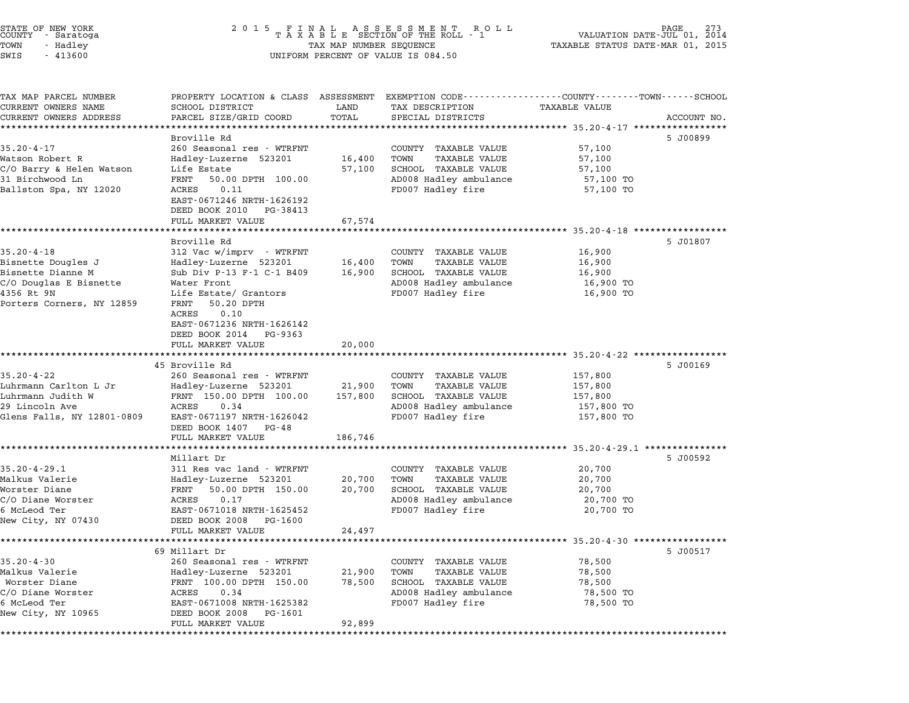| STATE OF NEW YORK<br>COUNTY - Saratoga<br>TOWN<br>- Hadley<br>SWIS<br>$-413600$ | 2 0 1 5                                                               | TAX MAP NUMBER SEQUENCE | FINAL ASSESSMENT RO<br>TAXABLE SECTION OF THE ROLL - 1<br>R O L L<br>UNIFORM PERCENT OF VALUE IS 084.50 | VALUATION DATE-JUL 01,<br>TAXABLE STATUS DATE-MAR 01, 2015 | 273<br>2014 |
|---------------------------------------------------------------------------------|-----------------------------------------------------------------------|-------------------------|---------------------------------------------------------------------------------------------------------|------------------------------------------------------------|-------------|
|                                                                                 |                                                                       |                         |                                                                                                         |                                                            |             |
| TAX MAP PARCEL NUMBER                                                           | PROPERTY LOCATION & CLASS ASSESSMENT                                  |                         | EXEMPTION CODE-----------------COUNTY-------TOWN-----SCHOOL                                             |                                                            |             |
| CURRENT OWNERS NAME                                                             | SCHOOL DISTRICT                                                       | LAND                    | TAX DESCRIPTION                                                                                         | TAXABLE VALUE                                              |             |
| CURRENT OWNERS ADDRESS                                                          | PARCEL SIZE/GRID COORD                                                | TOTAL                   | SPECIAL DISTRICTS                                                                                       | ******************************** 35.20-4-17 ***********    | ACCOUNT NO. |
|                                                                                 | Broville Rd                                                           |                         |                                                                                                         |                                                            | 5 J00899    |
| $35.20 - 4 - 17$                                                                | 260 Seasonal res - WTRFNT                                             |                         | COUNTY TAXABLE VALUE                                                                                    | 57,100                                                     |             |
| Watson Robert R                                                                 | Hadley-Luzerne 523201                                                 | 16,400                  | TOWN<br><b>TAXABLE VALUE</b>                                                                            | 57,100                                                     |             |
| C/O Barry & Helen Watson                                                        | Life Estate                                                           | 57,100                  | SCHOOL TAXABLE VALUE                                                                                    | 57,100                                                     |             |
| 31 Birchwood Ln                                                                 | FRNT<br>50.00 DPTH 100.00                                             |                         | AD008 Hadley ambulance                                                                                  | 57,100 TO                                                  |             |
| Ballston Spa, NY 12020                                                          | ACRES<br>0.11<br>EAST-0671246 NRTH-1626192<br>DEED BOOK 2010 PG-38413 |                         | FD007 Hadley fire                                                                                       | 57,100 TO                                                  |             |
|                                                                                 | FULL MARKET VALUE                                                     | 67,574                  |                                                                                                         |                                                            |             |
|                                                                                 |                                                                       |                         |                                                                                                         | ************ 35.20-4-18 ******                             |             |
|                                                                                 | Broville Rd                                                           |                         |                                                                                                         |                                                            | 5 J01807    |
| $35.20 - 4 - 18$                                                                | 312 Vac w/imprv - WTRFNT                                              |                         | COUNTY TAXABLE VALUE                                                                                    | 16,900                                                     |             |
| Bisnette Dougles J                                                              | Hadley-Luzerne 523201                                                 | 16,400                  | TOWN<br><b>TAXABLE VALUE</b>                                                                            | 16,900                                                     |             |
| Bisnette Dianne M                                                               | Sub Div P-13 F-1 C-1 B409                                             | 16,900                  | SCHOOL TAXABLE VALUE                                                                                    | 16,900                                                     |             |
| C/O Douglas E Bisnette<br>4356 Rt 9N                                            | Water Front<br>Life Estate/ Grantors                                  |                         | AD008 Hadley ambulance<br>FD007 Hadley fire                                                             | 16,900 TO<br>16,900 TO                                     |             |
| Porters Corners, NY 12859                                                       | FRNT<br>50.20 DPTH                                                    |                         |                                                                                                         |                                                            |             |
|                                                                                 | ACRES<br>0.10                                                         |                         |                                                                                                         |                                                            |             |
|                                                                                 | EAST-0671236 NRTH-1626142                                             |                         |                                                                                                         |                                                            |             |
|                                                                                 | DEED BOOK 2014<br>PG-9363                                             |                         |                                                                                                         |                                                            |             |
|                                                                                 | FULL MARKET VALUE                                                     | 20,000                  |                                                                                                         |                                                            |             |
|                                                                                 | 45 Broville Rd                                                        |                         |                                                                                                         | ******************* 35.20-4-22 ******                      |             |
| $35.20 - 4 - 22$                                                                | 260 Seasonal res - WTRFNT                                             |                         | COUNTY TAXABLE VALUE                                                                                    | 157,800                                                    | 5 J00169    |
| Luhrmann Carlton L Jr                                                           | Hadley-Luzerne 523201                                                 | 21,900                  | TOWN<br><b>TAXABLE VALUE</b>                                                                            | 157,800                                                    |             |
| Luhrmann Judith W                                                               | FRNT 150.00 DPTH 100.00                                               | 157,800                 | SCHOOL TAXABLE VALUE                                                                                    | 157,800                                                    |             |
| 29 Lincoln Ave                                                                  | ACRES<br>0.34                                                         |                         | AD008 Hadley ambulance                                                                                  | 157,800 TO                                                 |             |
| Glens Falls, NY 12801-0809                                                      | EAST-0671197 NRTH-1626042                                             |                         | FD007 Hadley fire                                                                                       | 157,800 TO                                                 |             |
|                                                                                 | DEED BOOK 1407 PG-48                                                  |                         |                                                                                                         |                                                            |             |
|                                                                                 | FULL MARKET VALUE                                                     | 186,746                 |                                                                                                         |                                                            |             |
|                                                                                 | Millart Dr                                                            |                         |                                                                                                         | ********************** 35.20-4-29.1 ***************        | 5 J00592    |
| $35.20 - 4 - 29.1$                                                              | 311 Res vac land - WTRFNT                                             |                         | COUNTY TAXABLE VALUE                                                                                    | 20,700                                                     |             |
| Malkus Valerie                                                                  | Hadley-Luzerne 523201                                                 | 20,700                  | TOWN<br><b>TAXABLE VALUE</b>                                                                            | 20,700                                                     |             |
| Worster Diane                                                                   | FRNT<br>50.00 DPTH 150.00                                             | 20,700                  | SCHOOL TAXABLE VALUE                                                                                    | 20,700                                                     |             |
| C/O Diane Worster                                                               | ACRES<br>0.17                                                         |                         | AD008 Hadley ambulance                                                                                  | 20,700 TO                                                  |             |
| 6 McLeod Ter                                                                    | EAST-0671018 NRTH-1625452                                             |                         | FD007 Hadley fire                                                                                       | 20,700 TO                                                  |             |
| New City, NY 07430                                                              | DEED BOOK 2008<br>PG-1600                                             |                         |                                                                                                         |                                                            |             |
|                                                                                 | FULL MARKET VALUE                                                     | 24,497                  |                                                                                                         |                                                            |             |
|                                                                                 | 69 Millart Dr                                                         |                         |                                                                                                         | *********** 35.20-4-30 ******                              | 5 J00517    |
| $35.20 - 4 - 30$                                                                | 260 Seasonal res - WTRFNT                                             |                         | COUNTY TAXABLE VALUE                                                                                    | 78,500                                                     |             |
| Malkus Valerie                                                                  | Hadley-Luzerne 523201                                                 | 21,900                  | TOWN<br><b>TAXABLE VALUE</b>                                                                            | 78,500                                                     |             |
| Worster Diane                                                                   | FRNT 100.00 DPTH 150.00                                               | 78,500                  | SCHOOL TAXABLE VALUE                                                                                    | 78,500                                                     |             |
| C/O Diane Worster                                                               | ACRES<br>0.34                                                         |                         | AD008 Hadley ambulance                                                                                  | 78,500 TO                                                  |             |
| 6 McLeod Ter                                                                    | EAST-0671008 NRTH-1625382                                             |                         | FD007 Hadley fire                                                                                       | 78,500 TO                                                  |             |
| New City, NY 10965                                                              | DEED BOOK 2008<br>PG-1601                                             |                         |                                                                                                         |                                                            |             |
|                                                                                 | FULL MARKET VALUE                                                     | 92,899                  |                                                                                                         |                                                            |             |

\*\*\*\*\*\*\*\*\*\*\*\*\*\*\*\*\*\*\*\*\*\*\*\*\*\*\*\*\*\*\*\*\*\*\*\*\*\*\*\*\*\*\*\*\*\*\*\*\*\*\*\*\*\*\*\*\*\*\*\*\*\*\*\*\*\*\*\*\*\*\*\*\*\*\*\*\*\*\*\*\*\*\*\*\*\*\*\*\*\*\*\*\*\*\*\*\*\*\*\*\*\*\*\*\*\*\*\*\*\*\*\*\*\*\*\*\*\*\*\*\*\*\*\*\*\*\*\*\*\*\*\*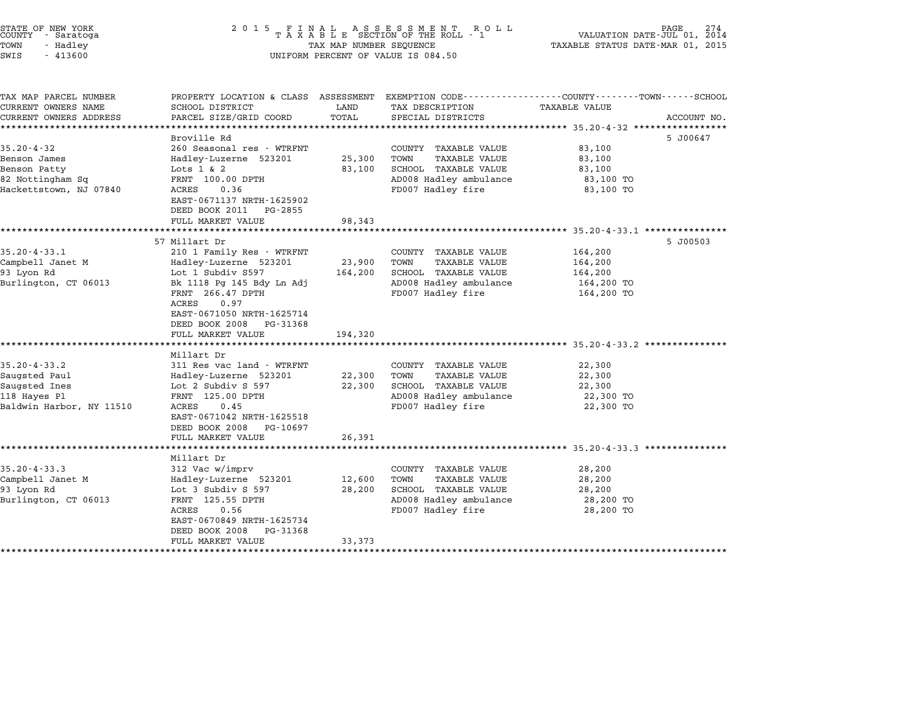| STATE OF NEW YORK<br>COUNTY<br>- Saratoga<br>TOWN<br>- Hadley<br>SWIS<br>$-413600$ | 2 0 1 5                                                                      | TAX MAP NUMBER SEQUENCE | FINAL ASSESSMENT ROTAXABLE SECTION OF THE ROLL - 1<br>R O L L<br>UNIFORM PERCENT OF VALUE IS 084.50 | PAGE<br>VALUATION DATE-JUL 01, 2014<br>TAXABLE STATUS DATE-MAR 01, 2015             |             |
|------------------------------------------------------------------------------------|------------------------------------------------------------------------------|-------------------------|-----------------------------------------------------------------------------------------------------|-------------------------------------------------------------------------------------|-------------|
| TAX MAP PARCEL NUMBER<br>CURRENT OWNERS NAME                                       | PROPERTY LOCATION & CLASS ASSESSMENT<br>SCHOOL DISTRICT                      | LAND                    | TAX DESCRIPTION                                                                                     | EXEMPTION CODE-----------------COUNTY-------TOWN-----SCHOOL<br><b>TAXABLE VALUE</b> |             |
| CURRENT OWNERS ADDRESS                                                             | PARCEL SIZE/GRID COORD                                                       | TOTAL                   | SPECIAL DISTRICTS                                                                                   |                                                                                     | ACCOUNT NO. |
|                                                                                    |                                                                              |                         |                                                                                                     | **************** 35.20-4-32 **********                                              |             |
|                                                                                    | Broville Rd                                                                  |                         |                                                                                                     | 5 J00647                                                                            |             |
| $35.20 - 4 - 32$                                                                   | 260 Seasonal res - WTRFNT                                                    |                         | COUNTY TAXABLE VALUE                                                                                | 83,100                                                                              |             |
| Benson James                                                                       | Hadley-Luzerne 523201                                                        | 25,300                  | <b>TAXABLE VALUE</b><br>TOWN                                                                        | 83,100                                                                              |             |
| Benson Patty<br>82 Nottingham Sq                                                   | Lots $1 \& 2$<br>FRNT 100.00 DPTH                                            | 83,100                  | SCHOOL TAXABLE VALUE<br>AD008 Hadley ambulance                                                      | 83,100<br>83,100 TO                                                                 |             |
| Hackettstown, NJ 07840                                                             | ACRES<br>0.36                                                                |                         | FD007 Hadley fire                                                                                   | 83,100 TO                                                                           |             |
|                                                                                    | EAST-0671137 NRTH-1625902                                                    |                         |                                                                                                     |                                                                                     |             |
|                                                                                    | DEED BOOK 2011<br>PG-2855                                                    |                         |                                                                                                     |                                                                                     |             |
|                                                                                    | FULL MARKET VALUE                                                            | 98,343                  |                                                                                                     |                                                                                     |             |
|                                                                                    | *********************                                                        | **********              |                                                                                                     | ****************** 35.20-4-33.1 ****************                                    |             |
| $35.20 - 4 - 33.1$                                                                 | 57 Millart Dr                                                                |                         |                                                                                                     | 5 J00503<br>164,200                                                                 |             |
| Campbell Janet M                                                                   | 210 1 Family Res - WTRFNT<br>Hadley-Luzerne 523201                           | 23,900                  | COUNTY TAXABLE VALUE<br>TAXABLE VALUE<br>TOWN                                                       | 164,200                                                                             |             |
| 93 Lyon Rd                                                                         | Lot 1 Subdiv S597                                                            | 164,200                 | SCHOOL TAXABLE VALUE                                                                                | 164,200                                                                             |             |
| Burlington, CT 06013                                                               | Bk 1118 Pg 145 Bdy Ln Adj                                                    |                         | AD008 Hadley ambulance                                                                              | 164,200 TO                                                                          |             |
|                                                                                    | FRNT 266.47 DPTH<br>ACRES<br>0.97                                            |                         | FD007 Hadley fire                                                                                   | 164,200 TO                                                                          |             |
|                                                                                    | EAST-0671050 NRTH-1625714<br>DEED BOOK 2008<br>PG-31368<br>FULL MARKET VALUE | 194,320                 |                                                                                                     |                                                                                     |             |
|                                                                                    | *******************                                                          |                         |                                                                                                     | *********************** 35.20-4-33.2 ***************                                |             |
|                                                                                    | Millart Dr                                                                   |                         |                                                                                                     |                                                                                     |             |
| $35.20 - 4 - 33.2$                                                                 | 311 Res vac land - WTRFNT                                                    |                         | COUNTY TAXABLE VALUE                                                                                | 22,300                                                                              |             |
| Saugsted Paul                                                                      | Hadley-Luzerne 523201                                                        | 22,300                  | TOWN<br>TAXABLE VALUE                                                                               | 22,300                                                                              |             |
| Saugsted Ines<br>118 Hayes Pl                                                      | Lot 2 Subdiv S 597<br>FRNT 125.00 DPTH                                       | 22,300                  | SCHOOL TAXABLE VALUE<br>AD008 Hadley ambulance                                                      | 22,300<br>22,300 TO                                                                 |             |
| Baldwin Harbor, NY 11510                                                           | ACRES<br>0.45                                                                |                         | FD007 Hadley fire                                                                                   | 22,300 TO                                                                           |             |
|                                                                                    | EAST-0671042 NRTH-1625518                                                    |                         |                                                                                                     |                                                                                     |             |
|                                                                                    | DEED BOOK 2008<br>PG-10697                                                   |                         |                                                                                                     |                                                                                     |             |
|                                                                                    | FULL MARKET VALUE                                                            | 26,391                  |                                                                                                     |                                                                                     |             |
|                                                                                    | ****************                                                             |                         |                                                                                                     | *********************** 35.20-4-33.3 **********                                     |             |
|                                                                                    | Millart Dr                                                                   |                         |                                                                                                     |                                                                                     |             |
| $35.20 - 4 - 33.3$                                                                 | 312 Vac w/imprv                                                              |                         | COUNTY TAXABLE VALUE                                                                                | 28,200                                                                              |             |
| Campbell Janet M<br>93 Lyon Rd                                                     | Hadley-Luzerne 523201<br>Lot 3 Subdiv S 597                                  | 12,600<br>28,200        | TOWN<br><b>TAXABLE VALUE</b><br><b>SCHOOL TAXABLE VALUE</b>                                         | 28,200<br>28,200                                                                    |             |
| Burlington, CT 06013                                                               | FRNT 125.55 DPTH                                                             |                         | AD008 Hadley ambulance                                                                              | 28,200 TO                                                                           |             |
|                                                                                    | ACRES<br>0.56                                                                |                         | FD007 Hadley fire                                                                                   | 28,200 TO                                                                           |             |
|                                                                                    | EAST-0670849 NRTH-1625734                                                    |                         |                                                                                                     |                                                                                     |             |
|                                                                                    | DEED BOOK 2008<br>PG-31368                                                   |                         |                                                                                                     |                                                                                     |             |
|                                                                                    | FULL MARKET VALUE                                                            | 33,373                  |                                                                                                     |                                                                                     |             |
| *********************                                                              |                                                                              |                         |                                                                                                     |                                                                                     |             |

STATE OF NEW YORK <sup>2</sup> <sup>0</sup> <sup>1</sup> 5 F I N A L A S S E S S M E N T R O L L PAGE <sup>274</sup> COUNTY - Saratoga <sup>T</sup> <sup>A</sup> <sup>X</sup> <sup>A</sup> <sup>B</sup> <sup>L</sup> <sup>E</sup> SECTION OF THE ROLL - <sup>1</sup> VALUATION DATE-JUL 01, <sup>2014</sup>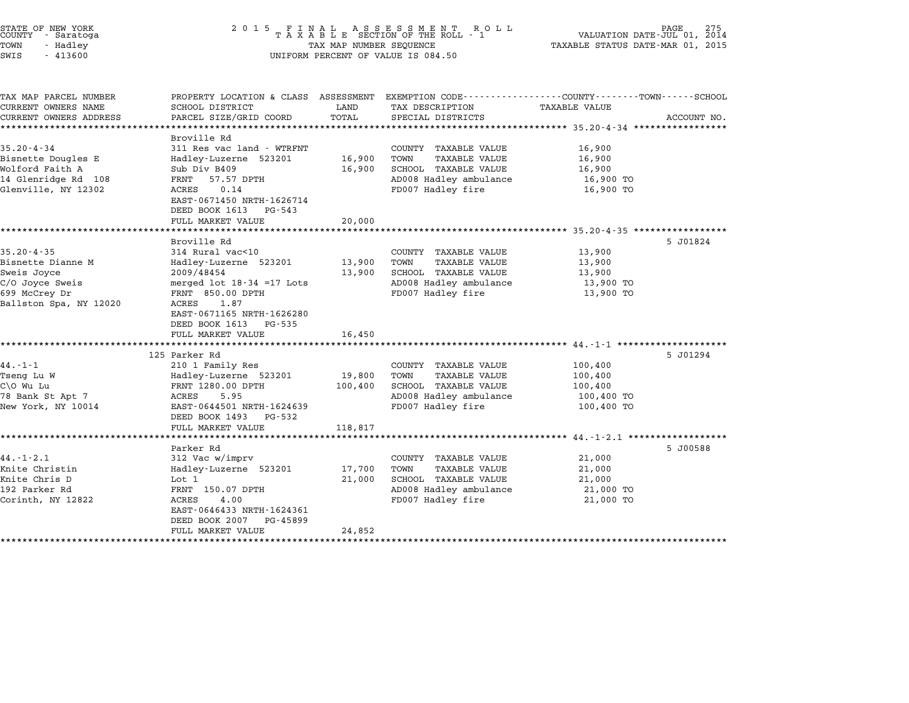| STATE OF NEW YORK<br>COUNTY - Saratoga<br>TOWN<br>- Hadley<br>SWIS<br>$-413600$                                    | 2 0 1 5<br>FINAL ASSESSMENT RO<br>TAXABLE SECTION OF THE ROLL - 1<br>R O L L<br>PAGE<br>275<br>VALUATION DATE-JUL 01, 2014<br>TAXABLE STATUS DATE-MAR 01, 2015<br>TAX MAP NUMBER SEQUENCE<br>UNIFORM PERCENT OF VALUE IS 084.50 |                                           |                                                                                                                                        |                                                                                            |             |
|--------------------------------------------------------------------------------------------------------------------|---------------------------------------------------------------------------------------------------------------------------------------------------------------------------------------------------------------------------------|-------------------------------------------|----------------------------------------------------------------------------------------------------------------------------------------|--------------------------------------------------------------------------------------------|-------------|
| TAX MAP PARCEL NUMBER<br>CURRENT OWNERS NAME<br>CURRENT OWNERS ADDRESS                                             | SCHOOL DISTRICT<br>PARCEL SIZE/GRID COORD                                                                                                                                                                                       | LAND<br>TOTAL                             | PROPERTY LOCATION & CLASS ASSESSMENT EXEMPTION CODE---------------COUNTY-------TOWN-----SCHOOL<br>TAX DESCRIPTION<br>SPECIAL DISTRICTS | <b>TAXABLE VALUE</b><br>************ 35.20-4-34 *****************                          | ACCOUNT NO. |
| $35.20 - 4 - 34$<br>Bisnette Dougles E<br>Wolford Faith A<br>14 Glenridge Rd 108<br>Glenville, NY 12302            | Broville Rd<br>311 Res vac land - WTRFNT<br>Hadley-Luzerne 523201<br>Sub Div B409<br>57.57 DPTH<br>FRNT<br>0.14<br>ACRES<br>EAST-0671450 NRTH-1626714<br>DEED BOOK 1613<br>PG-543<br>FULL MARKET VALUE                          | 16,900<br>16,900<br>20,000                | COUNTY TAXABLE VALUE<br>TOWN<br>TAXABLE VALUE<br>SCHOOL TAXABLE VALUE<br>AD008 Hadley ambulance<br>FD007 Hadley fire                   | 16,900<br>16,900<br>16,900<br>16,900 TO<br>16,900 TO<br>********** 35.20-4-35 ************ |             |
| $35.20 - 4 - 35$<br>Bisnette Dianne M<br>Sweis Joyce<br>C/O Joyce Sweis<br>699 McCrey Dr<br>Ballston Spa, NY 12020 | Broville Rd<br>314 Rural vac<10<br>Hadley-Luzerne 523201<br>2009/48454<br>merged $1$ ot $18-34$ =17 Lots<br>FRNT 850.00 DPTH<br>1.87<br>ACRES<br>EAST-0671165 NRTH-1626280<br>DEED BOOK 1613<br>PG-535<br>FULL MARKET VALUE     | 13,900<br>13,900<br>16,450                | COUNTY TAXABLE VALUE<br><b>TAXABLE VALUE</b><br>TOWN<br>SCHOOL TAXABLE VALUE<br>AD008 Hadley ambulance<br>FD007 Hadley fire            | 13,900<br>13,900<br>13,900<br>13,900 TO<br>13,900 TO                                       | 5 J01824    |
| $44. - 1 - 1$<br>Tseng Lu W<br>C\O Wu Lu<br>78 Bank St Apt 7<br>New York, NY 10014                                 | 125 Parker Rd<br>210 1 Family Res<br>Hadley-Luzerne 523201<br>FRNT 1280.00 DPTH<br>ACRES<br>5.95<br>EAST-0644501 NRTH-1624639<br>DEED BOOK 1493<br>PG-532<br>FULL MARKET VALUE                                                  | 19,800<br>100,400<br>118,817              | COUNTY TAXABLE VALUE<br>TOWN<br><b>TAXABLE VALUE</b><br>SCHOOL TAXABLE VALUE<br>AD008 Hadley ambulance<br>FD007 Hadley fire            | $44. -1 - 1$ *********<br>100,400<br>100,400<br>100,400<br>100,400 TO<br>100,400 TO        | 5 J01294    |
| $44. - 1 - 2.1$<br>Knite Christin<br>Knite Chris D<br>192 Parker Rd<br>Corinth, NY 12822<br>********************   | Parker Rd<br>312 Vac w/imprv<br>Hadley-Luzerne 523201<br>Lot 1<br>FRNT 150.07 DPTH<br>ACRES<br>4.00<br>EAST-0646433 NRTH-1624361<br>DEED BOOK 2007<br>PG-45899<br>FULL MARKET VALUE<br>*************************                | 17,700<br>21,000<br>24,852<br>*********** | COUNTY TAXABLE VALUE<br><b>TAXABLE VALUE</b><br>TOWN<br>SCHOOL TAXABLE VALUE<br>AD008 Hadley ambulance<br>FD007 Hadley fire            | ******** 44.-1-2.1 ***********<br>21,000<br>21,000<br>21,000<br>21,000 TO<br>21,000 TO     | 5 J00588    |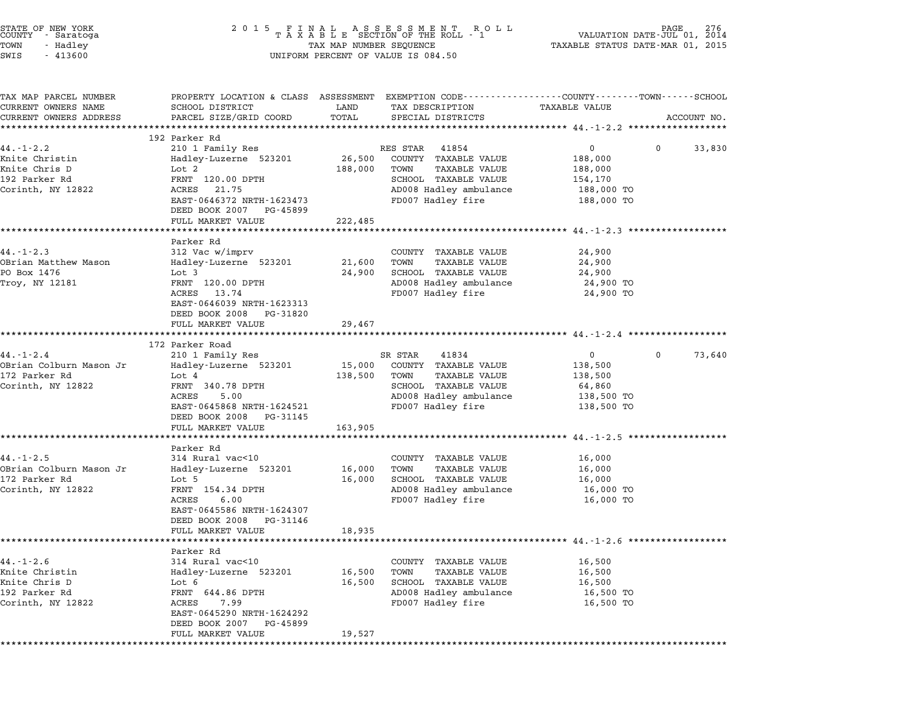| STATE OF NEW YORK<br>COUNTY - Saratoga<br>TOWN<br>- Hadley<br>SWIS<br>$-413600$          | 2 0 1 5                                                                                                                                                         | TAX MAP NUMBER SEQUENCE | FINAL ASSESSMENT ROLL<br>TAXABLE SECTION OF THE ROLL - 1<br>UNIFORM PERCENT OF VALUE IS 084.50                                           | VALUATION DATE-JUL 01,<br>TAXABLE STATUS DATE-MAR 01, 2015                                         | 276<br>2014 |
|------------------------------------------------------------------------------------------|-----------------------------------------------------------------------------------------------------------------------------------------------------------------|-------------------------|------------------------------------------------------------------------------------------------------------------------------------------|----------------------------------------------------------------------------------------------------|-------------|
| TAX MAP PARCEL NUMBER<br>CURRENT OWNERS NAME<br>CURRENT OWNERS ADDRESS                   | PROPERTY LOCATION & CLASS ASSESSMENT EXEMPTION CODE---------------COUNTY-------TOWN-----SCHOOL<br>SCHOOL DISTRICT<br>PARCEL SIZE/GRID COORD                     | LAND<br>TOTAL           | TAX DESCRIPTION<br>SPECIAL DISTRICTS                                                                                                     | TAXABLE VALUE                                                                                      | ACCOUNT NO. |
|                                                                                          | ***********************<br>192 Parker Rd                                                                                                                        |                         |                                                                                                                                          |                                                                                                    |             |
| $44. - 1 - 2.2$                                                                          | 210 1 Family Res                                                                                                                                                |                         | RES STAR<br>41854                                                                                                                        | 0                                                                                                  | 0<br>33,830 |
| Knite Christin<br>Knite Chris D<br>192 Parker Rd<br>Corinth, NY 12822                    | Hadley-Luzerne 523201<br>Lot 2<br>FRNT 120.00 DPTH<br>ACRES<br>21.75<br>EAST-0646372 NRTH-1623473<br>DEED BOOK 2007 PG-45899                                    | 26,500<br>188,000       | COUNTY TAXABLE VALUE<br>TOWN<br>TAXABLE VALUE<br>SCHOOL TAXABLE VALUE<br>AD008 Hadley ambulance<br>FD007 Hadley fire                     | 188,000<br>188,000<br>154,170<br>188,000 TO<br>188,000 TO                                          |             |
|                                                                                          | FULL MARKET VALUE                                                                                                                                               | 222,485                 |                                                                                                                                          |                                                                                                    |             |
| $44. -1 - 2.3$<br>OBrian Matthew Mason<br>PO Box 1476<br>Troy, NY 12181                  | Parker Rd<br>312 Vac w/imprv<br>Hadley-Luzerne 523201<br>Lot 3<br>FRNT 120.00 DPTH<br>ACRES<br>13.74<br>EAST-0646039 NRTH-1623313<br>DEED BOOK 2008<br>PG-31820 | 21,600<br>24,900        | COUNTY TAXABLE VALUE<br><b>TAXABLE VALUE</b><br>TOWN<br>SCHOOL TAXABLE VALUE<br>AD008 Hadley ambulance<br>FD007 Hadley fire              | ******************** 44.-1-2.3 ***********<br>24,900<br>24,900<br>24,900<br>24,900 TO<br>24,900 TO |             |
|                                                                                          | FULL MARKET VALUE                                                                                                                                               | 29,467                  |                                                                                                                                          |                                                                                                    |             |
|                                                                                          |                                                                                                                                                                 | ********                |                                                                                                                                          |                                                                                                    |             |
| $44. - 1 - 2.4$                                                                          | 172 Parker Road                                                                                                                                                 |                         |                                                                                                                                          |                                                                                                    | 0           |
| OBrian Colburn Mason Jr<br>172 Parker Rd<br>Corinth, NY 12822                            | 210 1 Family Res<br>Hadley-Luzerne 523201<br>Lot 4<br>FRNT 340.78 DPTH<br>ACRES<br>5.00<br>EAST-0645868 NRTH-1624521<br>DEED BOOK 2008<br>PG-31145              | 15,000<br>138,500       | SR STAR<br>41834<br>COUNTY TAXABLE VALUE<br>TAXABLE VALUE<br>TOWN<br>SCHOOL TAXABLE VALUE<br>AD008 Hadley ambulance<br>FD007 Hadley fire | $\mathbf{0}$<br>138,500<br>138,500<br>64,860<br>138,500 TO<br>138,500 TO                           | 73,640      |
|                                                                                          | FULL MARKET VALUE                                                                                                                                               | 163,905                 |                                                                                                                                          |                                                                                                    |             |
|                                                                                          |                                                                                                                                                                 |                         |                                                                                                                                          | *************** 44.-1-2.5 **********                                                               |             |
| $44. -1 - 2.5$<br>OBrian Colburn Mason Jr<br>172 Parker Rd<br>Corinth, NY 12822          | Parker Rd<br>314 Rural vac<10<br>Hadley-Luzerne 523201<br>Lot 5<br>FRNT 154.34 DPTH<br>ACRES<br>6.00<br>EAST-0645586 NRTH-1624307<br>DEED BOOK 2008<br>PG-31146 | 16,000<br>16,000        | COUNTY TAXABLE VALUE<br><b>TAXABLE VALUE</b><br>TOWN<br>SCHOOL TAXABLE VALUE<br>AD008 Hadley ambulance<br>FD007 Hadley fire              | 16,000<br>16,000<br>16,000<br>16,000 TO<br>16,000 TO                                               |             |
|                                                                                          | FULL MARKET VALUE                                                                                                                                               | 18,935                  |                                                                                                                                          | **************************** 44.-1-2.6 *******************                                         |             |
|                                                                                          | Parker Rd                                                                                                                                                       |                         |                                                                                                                                          |                                                                                                    |             |
| $44. - 1 - 2.6$<br>Knite Christin<br>Knite Chris D<br>192 Parker Rd<br>Corinth, NY 12822 | 314 Rural vac<10<br>Hadley-Luzerne 523201<br>Lot 6<br>FRNT 644.86 DPTH<br>ACRES<br>7.99<br>EAST-0645290 NRTH-1624292<br>DEED BOOK 2007<br>PG-45899              | 16,500<br>16,500        | COUNTY TAXABLE VALUE<br><b>TAXABLE VALUE</b><br>TOWN<br>SCHOOL TAXABLE VALUE<br>AD008 Hadley ambulance<br>FD007 Hadley fire              | 16,500<br>16,500<br>16,500<br>16,500 TO<br>16,500 TO                                               |             |
|                                                                                          | FULL MARKET VALUE                                                                                                                                               | 19,527                  |                                                                                                                                          |                                                                                                    |             |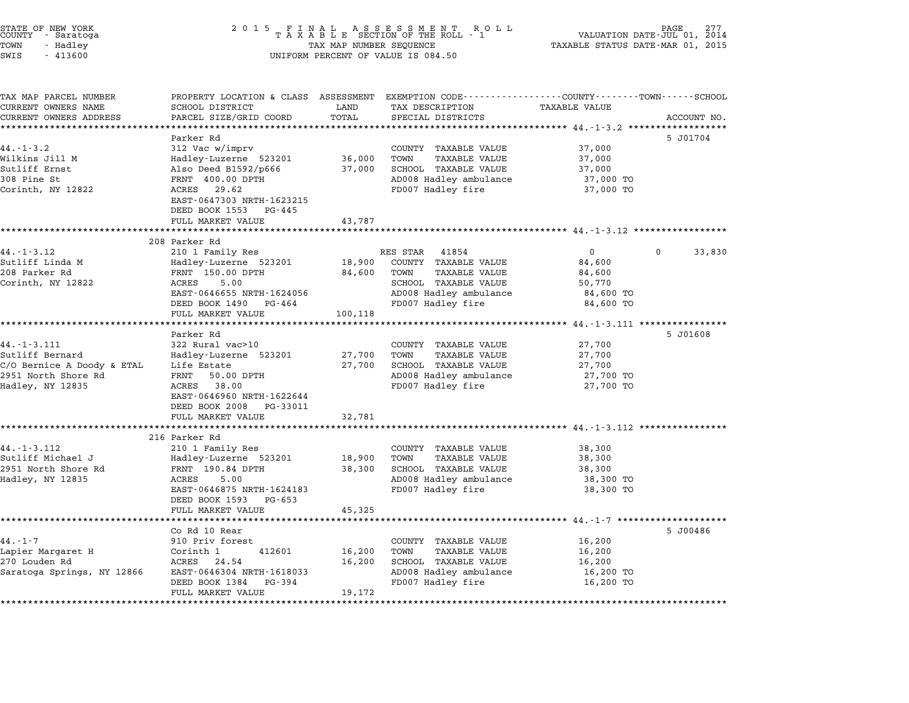|        | STATE OF NEW YORK |  |
|--------|-------------------|--|
| COUNTY | - Saratoga        |  |
| TOWN   | - Hadley          |  |
|        |                   |  |

# STATE OF NEW YORK <sup>2</sup> <sup>0</sup> <sup>1</sup> 5 F I N A L A S S E S S M E N T R O L L PAGE <sup>277</sup> COUNTY - Saratoga <sup>T</sup> <sup>A</sup> <sup>X</sup> <sup>A</sup> <sup>B</sup> <sup>L</sup> <sup>E</sup> SECTION OF THE ROLL - <sup>1</sup> VALUATION DATE-JUL 01, <sup>2014</sup> TOWN - Hadley TAX MAP NUMBER SEQUENCE TAXABLE STATUS DATE-MAR 01, <sup>2015</sup> SWIS - <sup>413600</sup> UNIFORM PERCENT OF VALUE IS 084.50

| TAX MAP PARCEL NUMBER      |                                          |         | PROPERTY LOCATION & CLASS ASSESSMENT EXEMPTION CODE----------------COUNTY-------TOWN-----SCHOOL |                      |                        |
|----------------------------|------------------------------------------|---------|-------------------------------------------------------------------------------------------------|----------------------|------------------------|
| CURRENT OWNERS NAME        | SCHOOL DISTRICT                          | LAND    | TAX DESCRIPTION                                                                                 | <b>TAXABLE VALUE</b> |                        |
| CURRENT OWNERS ADDRESS     | PARCEL SIZE/GRID COORD                   | TOTAL   | SPECIAL DISTRICTS                                                                               |                      | ACCOUNT NO.            |
|                            |                                          |         |                                                                                                 |                      |                        |
| $44. - 1 - 3.2$            | Parker Rd                                |         | COUNTY TAXABLE VALUE                                                                            | 37,000               | 5 J01704               |
| Wilkins Jill M             | 312 Vac w/imprv<br>Hadley-Luzerne 523201 | 36,000  | TAXABLE VALUE<br>TOWN                                                                           | 37,000               |                        |
| Sutliff Ernst              | Also Deed B1592/p666                     | 37,000  | SCHOOL TAXABLE VALUE                                                                            | 37,000               |                        |
| 308 Pine St                | FRNT 400.00 DPTH                         |         | AD008 Hadley ambulance                                                                          | 37,000 TO            |                        |
| Corinth, NY 12822          | ACRES 29.62                              |         | FD007 Hadley fire                                                                               | 37,000 TO            |                        |
|                            | EAST-0647303 NRTH-1623215                |         |                                                                                                 |                      |                        |
|                            | DEED BOOK 1553 PG-445                    |         |                                                                                                 |                      |                        |
|                            | FULL MARKET VALUE                        | 43,787  |                                                                                                 |                      |                        |
|                            |                                          |         |                                                                                                 |                      |                        |
|                            | 208 Parker Rd                            |         |                                                                                                 |                      |                        |
| 44. - 1 - 3.12             | 210 1 Family Res                         |         | RES STAR 41854                                                                                  | $\overline{0}$       | $\mathbf{0}$<br>33,830 |
| Sutliff Linda M            | Hadley-Luzerne 523201                    |         | 18,900 COUNTY TAXABLE VALUE                                                                     | 84,600               |                        |
| 208 Parker Rd              | FRNT 150.00 DPTH                         |         | TAXABLE VALUE<br>84,600 TOWN                                                                    | 84,600               |                        |
| Corinth, NY 12822          | ACRES<br>5.00                            |         | SCHOOL TAXABLE VALUE                                                                            | 50,770               |                        |
|                            | EAST-0646655 NRTH-1624056                |         | AD008 Hadley ambulance                                                                          | 84,600 TO            |                        |
|                            | DEED BOOK 1490 PG-464                    |         | FD007 Hadley fire                                                                               | 84,600 TO            |                        |
|                            | FULL MARKET VALUE                        | 100,118 |                                                                                                 |                      |                        |
|                            |                                          |         |                                                                                                 |                      |                        |
|                            | Parker Rd                                |         |                                                                                                 |                      | 5 J01608               |
| $44. - 1 - 3.111$          | 322 Rural vac>10                         |         | COUNTY TAXABLE VALUE                                                                            | 27,700               |                        |
| Sutliff Bernard            | Hadley-Luzerne 523201                    | 27,700  | TOWN<br>TAXABLE VALUE                                                                           | 27,700               |                        |
| C/O Bernice A Doody & ETAL | Life Estate                              | 27,700  | SCHOOL TAXABLE VALUE                                                                            | 27,700               |                        |
| 2951 North Shore Rd        | FRNT<br>50.00 DPTH                       |         | AD008 Hadley ambulance                                                                          | 27,700 TO            |                        |
| Hadley, NY 12835           | ACRES 38.00                              |         | FD007 Hadley fire                                                                               | 27,700 TO            |                        |
|                            | EAST-0646960 NRTH-1622644                |         |                                                                                                 |                      |                        |
|                            | DEED BOOK 2008 PG-33011                  |         |                                                                                                 |                      |                        |
|                            | FULL MARKET VALUE                        | 32,781  |                                                                                                 |                      |                        |
|                            | 216 Parker Rd                            |         |                                                                                                 |                      |                        |
| 44. -1 -3.112              | 210 1 Family Res                         |         | COUNTY TAXABLE VALUE                                                                            | 38,300               |                        |
| Sutliff Michael J          | Hadley-Luzerne 523201                    | 18,900  | TAXABLE VALUE<br>TOWN                                                                           | 38,300               |                        |
| 2951 North Shore Rd        | FRNT 190.84 DPTH                         | 38,300  | SCHOOL TAXABLE VALUE                                                                            | 38,300               |                        |
| Hadley, NY 12835           | ACRES<br>5.00                            |         | AD008 Hadley ambulance                                                                          | 38,300 TO            |                        |
|                            | EAST-0646875 NRTH-1624183                |         | FD007 Hadley fire                                                                               | 38,300 TO            |                        |
|                            | DEED BOOK 1593 PG-653                    |         |                                                                                                 |                      |                        |
|                            | FULL MARKET VALUE                        | 45,325  |                                                                                                 |                      |                        |
|                            |                                          |         |                                                                                                 |                      |                        |
|                            | Co Rd 10 Rear                            |         |                                                                                                 |                      | 5 J00486               |
| $44. - 1 - 7$              | 910 Priv forest                          |         | COUNTY TAXABLE VALUE                                                                            | 16,200               |                        |
| Lapier Margaret H          | 412601<br>Corinth 1                      | 16,200  | <b>TAXABLE VALUE</b><br>TOWN                                                                    | 16,200               |                        |
| 270 Louden Rd              | ACRES 24.54                              | 16,200  | SCHOOL TAXABLE VALUE                                                                            | 16,200               |                        |
| Saratoga Springs, NY 12866 | EAST-0646304 NRTH-1618033                |         | AD008 Hadley ambulance                                                                          | 16,200 TO            |                        |
|                            | DEED BOOK 1384 PG-394                    |         | FD007 Hadley fire                                                                               | 16,200 TO            |                        |
|                            | FULL MARKET VALUE                        | 19,172  |                                                                                                 |                      |                        |
|                            |                                          |         |                                                                                                 |                      |                        |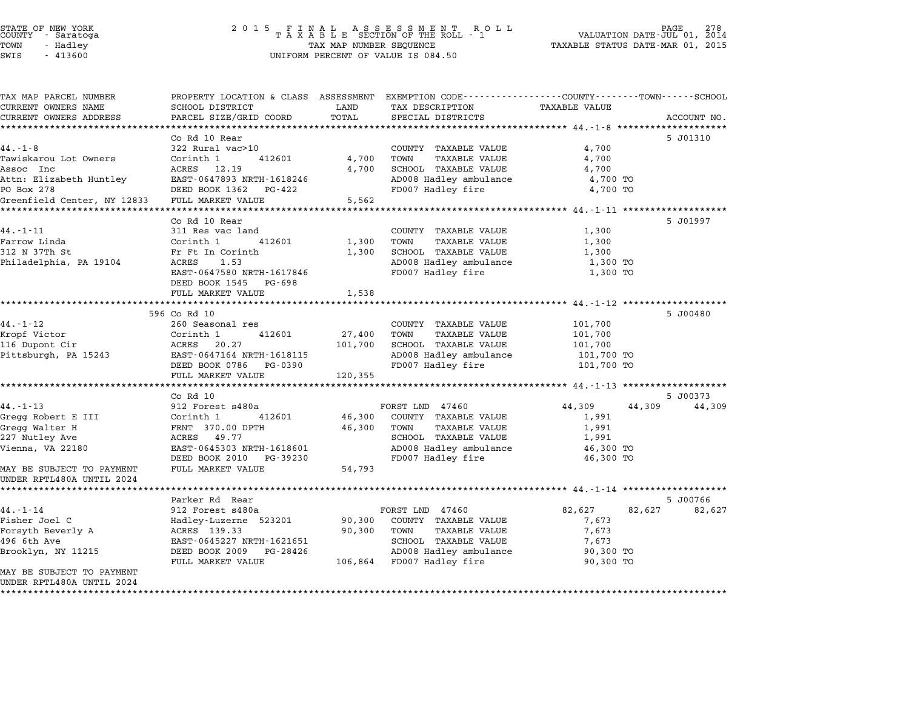| TAX MAP PARCEL NUMBER<br>CURRENT OWNERS NAME | PROPERTY LOCATION & CLASS ASSESSMENT EXEMPTION CODE---------------COUNTY-------TOWN------SCHOOL<br>SCHOOL DISTRICT | LAND    | TAX DESCRIPTION                              | <b>TAXABLE VALUE</b>                            |             |
|----------------------------------------------|--------------------------------------------------------------------------------------------------------------------|---------|----------------------------------------------|-------------------------------------------------|-------------|
| CURRENT OWNERS ADDRESS                       | PARCEL SIZE/GRID COORD                                                                                             | TOTAL   | SPECIAL DISTRICTS                            |                                                 | ACCOUNT NO. |
|                                              | *****************                                                                                                  |         |                                              |                                                 |             |
|                                              | Co Rd 10 Rear                                                                                                      |         |                                              |                                                 | 5 J01310    |
| $44. -1 - 8$                                 | 322 Rural vac>10                                                                                                   | 4,700   | COUNTY TAXABLE VALUE<br>TOWN                 | 4,700                                           |             |
| Tawiskarou Lot Owners<br>Assoc Inc           | Corinth 1<br>412601<br>ACRES 12.19                                                                                 | 4,700   | <b>TAXABLE VALUE</b><br>SCHOOL TAXABLE VALUE | 4,700<br>4,700                                  |             |
| Attn: Elizabeth Huntley                      | EAST-0647893 NRTH-1618246                                                                                          |         | AD008 Hadley ambulance                       | 4,700 TO                                        |             |
| PO Box 278                                   | DEED BOOK 1362<br>PG-422                                                                                           |         | FD007 Hadley fire                            | 4,700 TO                                        |             |
| Greenfield Center, NY 12833                  | FULL MARKET VALUE                                                                                                  | 5,562   |                                              |                                                 |             |
|                                              | *************************                                                                                          |         | *********************                        | ********************* 44.-1-11 **************** |             |
|                                              | Co Rd 10 Rear                                                                                                      |         |                                              |                                                 | 5 J01997    |
| $44. - 1 - 11$                               | 311 Res vac land                                                                                                   |         | COUNTY TAXABLE VALUE                         | 1,300                                           |             |
| Farrow Linda                                 | Corinth 1<br>412601                                                                                                | 1,300   | TOWN<br><b>TAXABLE VALUE</b>                 | 1,300                                           |             |
| 312 N 37Th St                                | Fr Ft In Corinth                                                                                                   | 1,300   | SCHOOL TAXABLE VALUE                         | 1,300                                           |             |
| Philadelphia, PA 19104                       | 1.53<br>ACRES                                                                                                      |         | AD008 Hadley ambulance                       | 1,300 TO                                        |             |
|                                              | EAST-0647580 NRTH-1617846                                                                                          |         | FD007 Hadley fire                            | 1,300 TO                                        |             |
|                                              | DEED BOOK 1545<br>PG-698                                                                                           |         |                                              |                                                 |             |
|                                              | FULL MARKET VALUE                                                                                                  | 1,538   |                                              |                                                 |             |
|                                              |                                                                                                                    |         |                                              |                                                 |             |
|                                              | 596 Co Rd 10                                                                                                       |         |                                              |                                                 | 5 J00480    |
| $44. - 1 - 12$                               | 260 Seasonal res                                                                                                   |         | COUNTY TAXABLE VALUE                         | 101,700                                         |             |
| Kropf Victor                                 | Corinth 1<br>412601                                                                                                | 27,400  | <b>TAXABLE VALUE</b><br>TOWN                 | 101,700                                         |             |
| 116 Dupont Cir                               | 20.27<br>ACRES                                                                                                     | 101,700 | SCHOOL TAXABLE VALUE                         | 101,700                                         |             |
| Pittsburgh, PA 15243                         | EAST-0647164 NRTH-1618115                                                                                          |         | AD008 Hadley ambulance                       | 101,700 TO                                      |             |
|                                              | DEED BOOK 0786<br>PG-0390                                                                                          |         | FD007 Hadley fire                            | 101,700 TO                                      |             |
|                                              | FULL MARKET VALUE                                                                                                  | 120,355 |                                              |                                                 |             |
|                                              | $Co$ $Rd$ $10$                                                                                                     |         |                                              |                                                 | 5 J00373    |
| $44. - 1 - 13$                               | 912 Forest s480a                                                                                                   |         | FORST LND 47460                              | 44,309<br>44,309                                | 44,309      |
| Gregg Robert E III                           | Corinth 1<br>412601                                                                                                | 46,300  | COUNTY TAXABLE VALUE                         | 1,991                                           |             |
| Gregg Walter H                               | FRNT 370.00 DPTH                                                                                                   | 46,300  | <b>TAXABLE VALUE</b><br>TOWN                 | 1,991                                           |             |
| 227 Nutley Ave                               | ACRES 49.77                                                                                                        |         | SCHOOL TAXABLE VALUE                         | 1,991                                           |             |
| Vienna, VA 22180                             | EAST-0645303 NRTH-1618601                                                                                          |         | AD008 Hadley ambulance                       | 46,300 TO                                       |             |
|                                              | DEED BOOK 2010 PG-39230                                                                                            |         | FD007 Hadley fire                            | 46,300 TO                                       |             |
| MAY BE SUBJECT TO PAYMENT                    | FULL MARKET VALUE                                                                                                  | 54,793  |                                              |                                                 |             |
| UNDER RPTL480A UNTIL 2024                    |                                                                                                                    |         |                                              |                                                 |             |
|                                              |                                                                                                                    |         |                                              |                                                 |             |
|                                              | Parker Rd Rear                                                                                                     |         |                                              |                                                 | 5 J00766    |
| $44. - 1 - 14$                               | 912 Forest s480a                                                                                                   |         | FORST LND 47460                              | 82,627<br>82,627                                | 82,627      |
| Fisher Joel C                                | Hadley-Luzerne 523201                                                                                              | 90,300  | COUNTY TAXABLE VALUE                         | 7,673                                           |             |
| Forsyth Beverly A                            | ACRES 139.33                                                                                                       | 90,300  | TOWN<br><b>TAXABLE VALUE</b>                 | 7,673                                           |             |
| 496 6th Ave                                  | EAST-0645227 NRTH-1621651                                                                                          |         | SCHOOL TAXABLE VALUE                         | 7,673                                           |             |
| Brooklyn, NY 11215                           | DEED BOOK 2009<br>PG-28426                                                                                         |         | AD008 Hadley ambulance                       | 90,300 TO                                       |             |
|                                              | FULL MARKET VALUE                                                                                                  |         | 106,864 FD007 Hadley fire                    | 90,300 TO                                       |             |
| MAY BE SUBJECT TO PAYMENT                    |                                                                                                                    |         |                                              |                                                 |             |
| UNDER RPTL480A UNTIL 2024                    |                                                                                                                    |         |                                              |                                                 |             |
|                                              |                                                                                                                    |         |                                              |                                                 |             |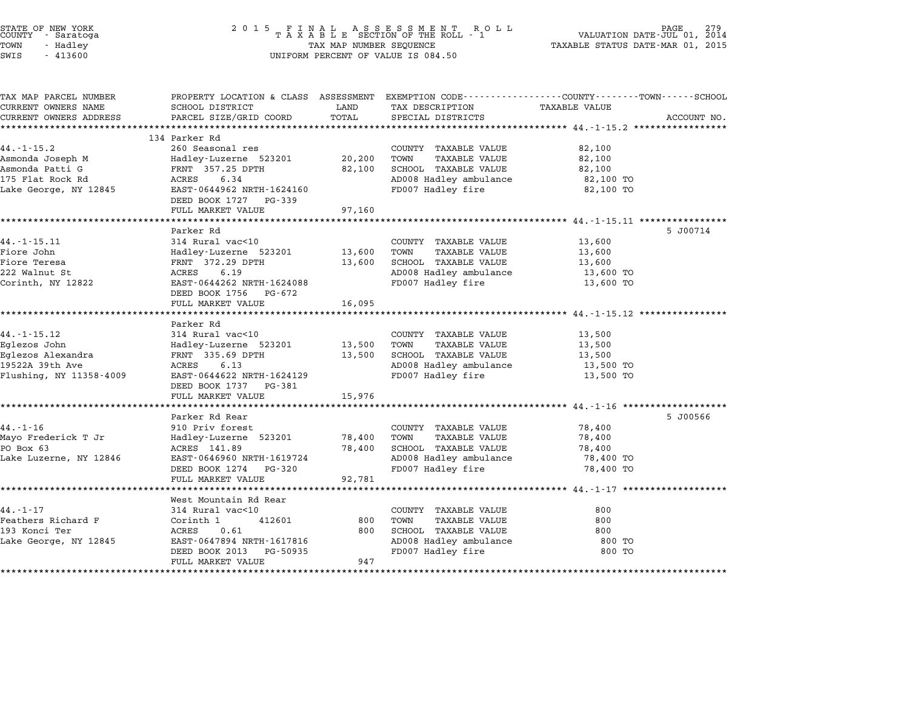| STATE OF NEW YORK<br>COUNTY - Saratoga<br>TOWN<br>- Hadley<br>SWIS<br>$-413600$                     | 2 0 1 5<br>FINAL ASSESSMENT RO<br>TAXABLE SECTION OF THE ROLL - 1<br>R O L L<br>TAX MAP NUMBER SEQUENCE<br>UNIFORM PERCENT OF VALUE IS 084.50                          |                            |                                                                                                                             | PAGE<br>VALUATION DATE-JUL 01, 2014<br>TAXABLE STATUS DATE-MAR 01, 2015                                          |             |  |
|-----------------------------------------------------------------------------------------------------|------------------------------------------------------------------------------------------------------------------------------------------------------------------------|----------------------------|-----------------------------------------------------------------------------------------------------------------------------|------------------------------------------------------------------------------------------------------------------|-------------|--|
| TAX MAP PARCEL NUMBER<br>CURRENT OWNERS NAME<br>CURRENT OWNERS ADDRESS                              | SCHOOL DISTRICT<br>PARCEL SIZE/GRID COORD                                                                                                                              | LAND<br>TOTAL              | TAX DESCRIPTION<br>SPECIAL DISTRICTS                                                                                        | PROPERTY LOCATION & CLASS ASSESSMENT EXEMPTION CODE----------------COUNTY-------TOWN-----SCHOOL<br>TAXABLE VALUE | ACCOUNT NO. |  |
| **********************                                                                              |                                                                                                                                                                        |                            |                                                                                                                             |                                                                                                                  |             |  |
| $44. - 1 - 15.2$<br>Asmonda Joseph M                                                                | 134 Parker Rd<br>260 Seasonal res<br>Hadley-Luzerne 523201                                                                                                             | 20,200                     | COUNTY TAXABLE VALUE<br>TOWN<br><b>TAXABLE VALUE</b>                                                                        | 82,100<br>82,100                                                                                                 |             |  |
| Asmonda Patti G<br>175 Flat Rock Rd<br>Lake George, NY 12845                                        | FRNT 357.25 DPTH<br>ACRES<br>6.34<br>EAST-0644962 NRTH-1624160                                                                                                         | 82,100                     | SCHOOL TAXABLE VALUE<br>AD008 Hadley ambulance<br>FD007 Hadley fire                                                         | 82,100<br>82,100 TO<br>82,100 TO                                                                                 |             |  |
|                                                                                                     | DEED BOOK 1727 PG-339<br>FULL MARKET VALUE                                                                                                                             | 97,160                     |                                                                                                                             |                                                                                                                  |             |  |
|                                                                                                     | Parker Rd                                                                                                                                                              |                            |                                                                                                                             | ********* 44.-1-15.11 *********                                                                                  | 5 J00714    |  |
| $44. -1 - 15.11$<br>Fiore John<br>Fiore Teresa<br>222 Walnut St<br>Corinth, NY 12822                | 314 Rural vac<10<br>Hadley-Luzerne 523201<br>FRNT 372.29 DPTH<br>ACRES<br>6.19<br>EAST-0644262 NRTH-1624088<br>DEED BOOK 1756<br>PG-672                                | 13,600<br>13,600           | COUNTY TAXABLE VALUE<br>TOWN<br>TAXABLE VALUE<br>SCHOOL TAXABLE VALUE<br>AD008 Hadley ambulance<br>FD007 Hadley fire        | 13,600<br>13,600<br>13,600<br>13,600 TO<br>13,600 TO                                                             |             |  |
|                                                                                                     | FULL MARKET VALUE<br>******************                                                                                                                                | 16,095                     |                                                                                                                             | ******************** 44.-1-15.12 *****************                                                               |             |  |
| $44. -1 - 15.12$<br>Eglezos John<br>Eglezos Alexandra<br>19522A 39th Ave<br>Flushing, NY 11358-4009 | Parker Rd<br>314 Rural vac<10<br>Hadley-Luzerne 523201<br>FRNT 335.69 DPTH<br>6.13<br>ACRES<br>EAST-0644622 NRTH-1624129<br>DEED BOOK 1737 PG-381<br>FULL MARKET VALUE | 13,500<br>13,500<br>15,976 | COUNTY TAXABLE VALUE<br>TOWN<br><b>TAXABLE VALUE</b><br>SCHOOL TAXABLE VALUE<br>AD008 Hadley ambulance<br>FD007 Hadley fire | 13,500<br>13,500<br>13,500<br>13,500 TO<br>13,500 TO                                                             |             |  |
|                                                                                                     | Parker Rd Rear                                                                                                                                                         |                            |                                                                                                                             | ****************************** 44.-1-16 *******                                                                  | 5 J00566    |  |
| $44. - 1 - 16$<br>Mayo Frederick T Jr<br>PO Box 63<br>Lake Luzerne, NY 12846                        | 910 Priv forest<br>Hadley-Luzerne 523201<br>ACRES 141.89<br>EAST-0646960 NRTH-1619724<br>DEED BOOK 1274<br>PG-320                                                      | 78,400<br>78,400           | COUNTY TAXABLE VALUE<br>TAXABLE VALUE<br>TOWN<br>SCHOOL TAXABLE VALUE<br>AD008 Hadley ambulance<br>FD007 Hadley fire        | 78,400<br>78,400<br>78,400<br>78,400 TO<br>78,400 TO                                                             |             |  |
|                                                                                                     | FULL MARKET VALUE                                                                                                                                                      | 92,781                     |                                                                                                                             |                                                                                                                  |             |  |
|                                                                                                     | ********************<br>West Mountain Rd Rear                                                                                                                          |                            |                                                                                                                             | ********************* 44.-1-17 ************                                                                      |             |  |
| 44.-1-17<br>Feathers Richard F<br>193 Konci Ter<br>Lake George, NY 12845                            | 314 Rural vac<10<br>Corinth 1<br>412601<br>ACRES<br>0.61<br>EAST-0647894 NRTH-1617816<br>DEED BOOK 2013<br>PG-50935<br>FULL MARKET VALUE                               | 800<br>800<br>947          | COUNTY TAXABLE VALUE<br>TOWN<br>TAXABLE VALUE<br>SCHOOL TAXABLE VALUE<br>AD008 Hadley ambulance<br>FD007 Hadley fire        | 800<br>800<br>800<br>800 TO<br>800 TO                                                                            |             |  |
| ******************                                                                                  | ******************************                                                                                                                                         | *********                  |                                                                                                                             |                                                                                                                  |             |  |

STATE OF NEW YORK <sup>2</sup> <sup>0</sup> <sup>1</sup> 5 F I N A L A S S E S S M E N T R O L L PAGE <sup>279</sup> COUNTY - Saratoga <sup>T</sup> <sup>A</sup> <sup>X</sup> <sup>A</sup> <sup>B</sup> <sup>L</sup> <sup>E</sup> SECTION OF THE ROLL - <sup>1</sup> VALUATION DATE-JUL 01, <sup>2014</sup>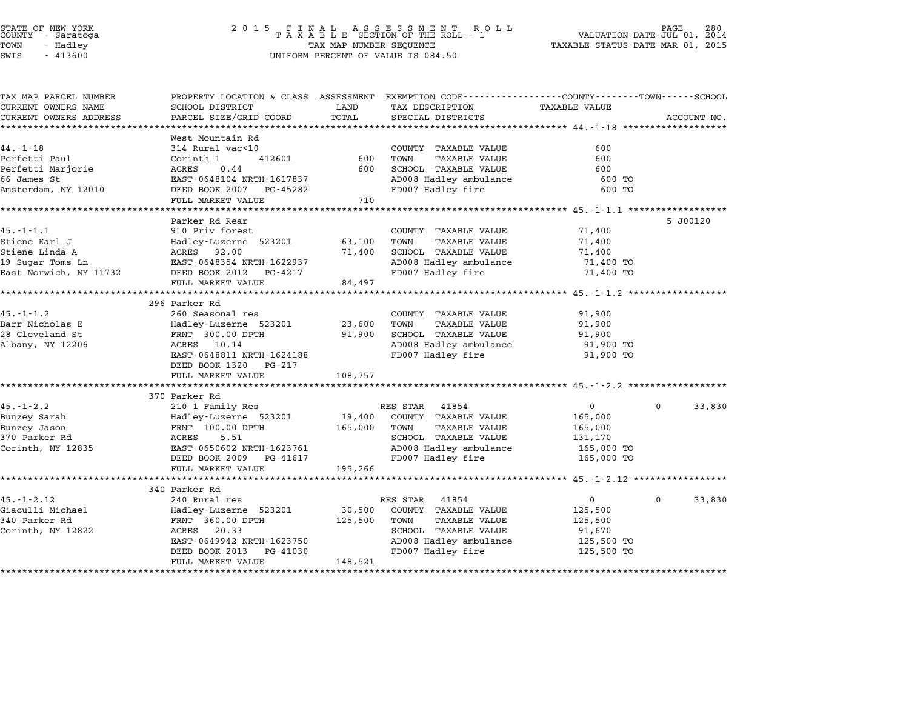|                      | STATE OF NEW YORK<br>COUNTY - Saratoga |  |
|----------------------|----------------------------------------|--|
| TOWN                 | - Hadley                               |  |
| $\sim$ $\sim$ $\sim$ | 1.1222                                 |  |

# STATE OF NEW YORK <sup>2</sup> <sup>0</sup> <sup>1</sup> 5 F I N A L A S S E S S M E N T R O L L PAGE <sup>280</sup> COUNTY - Saratoga <sup>T</sup> <sup>A</sup> <sup>X</sup> <sup>A</sup> <sup>B</sup> <sup>L</sup> <sup>E</sup> SECTION OF THE ROLL - <sup>1</sup> VALUATION DATE-JUL 01, <sup>2014</sup> TOWN - Hadley TAX MAP NUMBER SEQUENCE TAXABLE STATUS DATE-MAR 01, <sup>2015</sup> SWIS - <sup>413600</sup> UNIFORM PERCENT OF VALUE IS 084.50

|                                                         |                                                                                                                                                                                                                                                                                                                                                                                                                                                                                                                             | PROPERTY LOCATION & CLASS ASSESSMENT EXEMPTION CODE---------------COUNTY-------TOWN------SCHOOL |                                                                                                                                                                                                                                                                                                                                  |                                                                                                                                                                                                                                     |
|---------------------------------------------------------|-----------------------------------------------------------------------------------------------------------------------------------------------------------------------------------------------------------------------------------------------------------------------------------------------------------------------------------------------------------------------------------------------------------------------------------------------------------------------------------------------------------------------------|-------------------------------------------------------------------------------------------------|----------------------------------------------------------------------------------------------------------------------------------------------------------------------------------------------------------------------------------------------------------------------------------------------------------------------------------|-------------------------------------------------------------------------------------------------------------------------------------------------------------------------------------------------------------------------------------|
| SCHOOL DISTRICT                                         | LAND                                                                                                                                                                                                                                                                                                                                                                                                                                                                                                                        | TAX DESCRIPTION                                                                                 | <b>TAXABLE VALUE</b>                                                                                                                                                                                                                                                                                                             |                                                                                                                                                                                                                                     |
|                                                         |                                                                                                                                                                                                                                                                                                                                                                                                                                                                                                                             |                                                                                                 |                                                                                                                                                                                                                                                                                                                                  | ACCOUNT NO.                                                                                                                                                                                                                         |
|                                                         |                                                                                                                                                                                                                                                                                                                                                                                                                                                                                                                             |                                                                                                 |                                                                                                                                                                                                                                                                                                                                  |                                                                                                                                                                                                                                     |
|                                                         |                                                                                                                                                                                                                                                                                                                                                                                                                                                                                                                             |                                                                                                 |                                                                                                                                                                                                                                                                                                                                  |                                                                                                                                                                                                                                     |
|                                                         |                                                                                                                                                                                                                                                                                                                                                                                                                                                                                                                             |                                                                                                 |                                                                                                                                                                                                                                                                                                                                  |                                                                                                                                                                                                                                     |
|                                                         |                                                                                                                                                                                                                                                                                                                                                                                                                                                                                                                             |                                                                                                 |                                                                                                                                                                                                                                                                                                                                  |                                                                                                                                                                                                                                     |
|                                                         |                                                                                                                                                                                                                                                                                                                                                                                                                                                                                                                             |                                                                                                 |                                                                                                                                                                                                                                                                                                                                  |                                                                                                                                                                                                                                     |
|                                                         |                                                                                                                                                                                                                                                                                                                                                                                                                                                                                                                             |                                                                                                 |                                                                                                                                                                                                                                                                                                                                  |                                                                                                                                                                                                                                     |
|                                                         |                                                                                                                                                                                                                                                                                                                                                                                                                                                                                                                             |                                                                                                 |                                                                                                                                                                                                                                                                                                                                  |                                                                                                                                                                                                                                     |
|                                                         |                                                                                                                                                                                                                                                                                                                                                                                                                                                                                                                             |                                                                                                 |                                                                                                                                                                                                                                                                                                                                  |                                                                                                                                                                                                                                     |
|                                                         |                                                                                                                                                                                                                                                                                                                                                                                                                                                                                                                             |                                                                                                 |                                                                                                                                                                                                                                                                                                                                  | 5 J00120                                                                                                                                                                                                                            |
|                                                         |                                                                                                                                                                                                                                                                                                                                                                                                                                                                                                                             |                                                                                                 |                                                                                                                                                                                                                                                                                                                                  |                                                                                                                                                                                                                                     |
|                                                         |                                                                                                                                                                                                                                                                                                                                                                                                                                                                                                                             |                                                                                                 |                                                                                                                                                                                                                                                                                                                                  |                                                                                                                                                                                                                                     |
|                                                         |                                                                                                                                                                                                                                                                                                                                                                                                                                                                                                                             |                                                                                                 |                                                                                                                                                                                                                                                                                                                                  |                                                                                                                                                                                                                                     |
|                                                         |                                                                                                                                                                                                                                                                                                                                                                                                                                                                                                                             |                                                                                                 |                                                                                                                                                                                                                                                                                                                                  |                                                                                                                                                                                                                                     |
|                                                         |                                                                                                                                                                                                                                                                                                                                                                                                                                                                                                                             |                                                                                                 |                                                                                                                                                                                                                                                                                                                                  |                                                                                                                                                                                                                                     |
|                                                         |                                                                                                                                                                                                                                                                                                                                                                                                                                                                                                                             |                                                                                                 |                                                                                                                                                                                                                                                                                                                                  |                                                                                                                                                                                                                                     |
|                                                         |                                                                                                                                                                                                                                                                                                                                                                                                                                                                                                                             |                                                                                                 |                                                                                                                                                                                                                                                                                                                                  |                                                                                                                                                                                                                                     |
|                                                         |                                                                                                                                                                                                                                                                                                                                                                                                                                                                                                                             |                                                                                                 |                                                                                                                                                                                                                                                                                                                                  |                                                                                                                                                                                                                                     |
|                                                         |                                                                                                                                                                                                                                                                                                                                                                                                                                                                                                                             |                                                                                                 |                                                                                                                                                                                                                                                                                                                                  |                                                                                                                                                                                                                                     |
|                                                         |                                                                                                                                                                                                                                                                                                                                                                                                                                                                                                                             |                                                                                                 |                                                                                                                                                                                                                                                                                                                                  |                                                                                                                                                                                                                                     |
|                                                         |                                                                                                                                                                                                                                                                                                                                                                                                                                                                                                                             |                                                                                                 |                                                                                                                                                                                                                                                                                                                                  |                                                                                                                                                                                                                                     |
|                                                         |                                                                                                                                                                                                                                                                                                                                                                                                                                                                                                                             |                                                                                                 |                                                                                                                                                                                                                                                                                                                                  |                                                                                                                                                                                                                                     |
|                                                         |                                                                                                                                                                                                                                                                                                                                                                                                                                                                                                                             |                                                                                                 |                                                                                                                                                                                                                                                                                                                                  |                                                                                                                                                                                                                                     |
|                                                         |                                                                                                                                                                                                                                                                                                                                                                                                                                                                                                                             |                                                                                                 |                                                                                                                                                                                                                                                                                                                                  |                                                                                                                                                                                                                                     |
|                                                         |                                                                                                                                                                                                                                                                                                                                                                                                                                                                                                                             |                                                                                                 |                                                                                                                                                                                                                                                                                                                                  |                                                                                                                                                                                                                                     |
|                                                         |                                                                                                                                                                                                                                                                                                                                                                                                                                                                                                                             |                                                                                                 |                                                                                                                                                                                                                                                                                                                                  |                                                                                                                                                                                                                                     |
|                                                         |                                                                                                                                                                                                                                                                                                                                                                                                                                                                                                                             |                                                                                                 |                                                                                                                                                                                                                                                                                                                                  |                                                                                                                                                                                                                                     |
| 370 Parker Rd                                           |                                                                                                                                                                                                                                                                                                                                                                                                                                                                                                                             |                                                                                                 |                                                                                                                                                                                                                                                                                                                                  |                                                                                                                                                                                                                                     |
|                                                         |                                                                                                                                                                                                                                                                                                                                                                                                                                                                                                                             | RES STAR<br>41854                                                                               | $\mathbf{0}$                                                                                                                                                                                                                                                                                                                     | $\mathbf 0$<br>33,830                                                                                                                                                                                                               |
| 210 1 Family Res<br>Hadley-Luzerne 523201               | 19,400                                                                                                                                                                                                                                                                                                                                                                                                                                                                                                                      | COUNTY TAXABLE VALUE                                                                            | 165,000                                                                                                                                                                                                                                                                                                                          |                                                                                                                                                                                                                                     |
| FRNT 100.00 DPTH                                        |                                                                                                                                                                                                                                                                                                                                                                                                                                                                                                                             | <b>TAXABLE VALUE</b><br>TOWN                                                                    |                                                                                                                                                                                                                                                                                                                                  |                                                                                                                                                                                                                                     |
| ACRES<br>5.51                                           | 165,000                                                                                                                                                                                                                                                                                                                                                                                                                                                                                                                     | SCHOOL TAXABLE VALUE                                                                            | 165,000                                                                                                                                                                                                                                                                                                                          |                                                                                                                                                                                                                                     |
|                                                         |                                                                                                                                                                                                                                                                                                                                                                                                                                                                                                                             |                                                                                                 | 131,170                                                                                                                                                                                                                                                                                                                          |                                                                                                                                                                                                                                     |
| EAST-0650602 NRTH-1623761<br>PG-41617                   |                                                                                                                                                                                                                                                                                                                                                                                                                                                                                                                             | AD008 Hadley ambulance                                                                          | 165,000 TO                                                                                                                                                                                                                                                                                                                       |                                                                                                                                                                                                                                     |
| DEED BOOK 2009                                          |                                                                                                                                                                                                                                                                                                                                                                                                                                                                                                                             | FD007 Hadley fire                                                                               | 165,000 TO                                                                                                                                                                                                                                                                                                                       |                                                                                                                                                                                                                                     |
| FULL MARKET VALUE                                       | 195,266                                                                                                                                                                                                                                                                                                                                                                                                                                                                                                                     |                                                                                                 |                                                                                                                                                                                                                                                                                                                                  |                                                                                                                                                                                                                                     |
|                                                         |                                                                                                                                                                                                                                                                                                                                                                                                                                                                                                                             |                                                                                                 |                                                                                                                                                                                                                                                                                                                                  |                                                                                                                                                                                                                                     |
| 340 Parker Rd<br>240 Rural res                          |                                                                                                                                                                                                                                                                                                                                                                                                                                                                                                                             | RES STAR 41854                                                                                  | $\overline{0}$                                                                                                                                                                                                                                                                                                                   | $\mathbf 0$<br>33,830                                                                                                                                                                                                               |
|                                                         |                                                                                                                                                                                                                                                                                                                                                                                                                                                                                                                             |                                                                                                 |                                                                                                                                                                                                                                                                                                                                  |                                                                                                                                                                                                                                     |
| Hadley-Luzerne 523201                                   | 30,500                                                                                                                                                                                                                                                                                                                                                                                                                                                                                                                      | COUNTY TAXABLE VALUE<br>TOWN<br>TAXABLE VALUE                                                   | 125,500                                                                                                                                                                                                                                                                                                                          |                                                                                                                                                                                                                                     |
| FRNT 360.00 DPTH<br>20.33<br>ACRES                      | 125,500                                                                                                                                                                                                                                                                                                                                                                                                                                                                                                                     | SCHOOL TAXABLE VALUE                                                                            | 125,500<br>91,670                                                                                                                                                                                                                                                                                                                |                                                                                                                                                                                                                                     |
|                                                         |                                                                                                                                                                                                                                                                                                                                                                                                                                                                                                                             |                                                                                                 |                                                                                                                                                                                                                                                                                                                                  |                                                                                                                                                                                                                                     |
| EAST-0649942 NRTH-1623750<br>DEED BOOK 2013<br>PG-41030 |                                                                                                                                                                                                                                                                                                                                                                                                                                                                                                                             | AD008 Hadley ambulance<br>FD007 Hadley fire                                                     | 125,500 TO<br>125,500 TO                                                                                                                                                                                                                                                                                                         |                                                                                                                                                                                                                                     |
|                                                         | PARCEL SIZE/GRID COORD<br>West Mountain Rd<br>314 Rural vac<10<br>412601<br>Corinth 1<br>ACRES<br>0.44<br>EAST-0648104 NRTH-1617837<br>DEED BOOK 2007 PG-45282<br>FULL MARKET VALUE<br>Parker Rd Rear<br>910 Priv forest<br>Hadley-Luzerne 523201<br>ACRES 92.00<br>EAST-0648354 NRTH-1622937<br>DEED BOOK 2012 PG-4217<br>FULL MARKET VALUE<br>296 Parker Rd<br>260 Seasonal res<br>Hadley-Luzerne 523201<br>FRNT 300.00 DPTH<br>ACRES<br>10.14<br>EAST-0648811 NRTH-1624188<br>DEED BOOK 1320 PG-217<br>FULL MARKET VALUE | TOTAL<br>600<br>600<br>710<br>63,100<br>71,400<br>84,497<br>23,600<br>91,900<br>108,757         | SPECIAL DISTRICTS<br>COUNTY TAXABLE VALUE<br>TOWN<br><b>TAXABLE VALUE</b><br>SCHOOL TAXABLE VALUE<br>FD007 Hadley fire<br>COUNTY TAXABLE VALUE<br><b>TAXABLE VALUE</b><br>TOWN<br>SCHOOL TAXABLE VALUE<br>FD007 Hadley fire<br>COUNTY TAXABLE VALUE<br>TOWN<br><b>TAXABLE VALUE</b><br>SCHOOL TAXABLE VALUE<br>FD007 Hadley fire | 600<br>600<br>600<br>AD008 Hadley ambulance<br>600 TO<br>600 TO<br>71,400<br>71,400<br>71,400<br>AD008 Hadley ambulance<br>71,400 TO<br>71,400 TO<br>91,900<br>91,900<br>91,900<br>AD008 Hadley ambulance<br>91,900 TO<br>91,900 TO |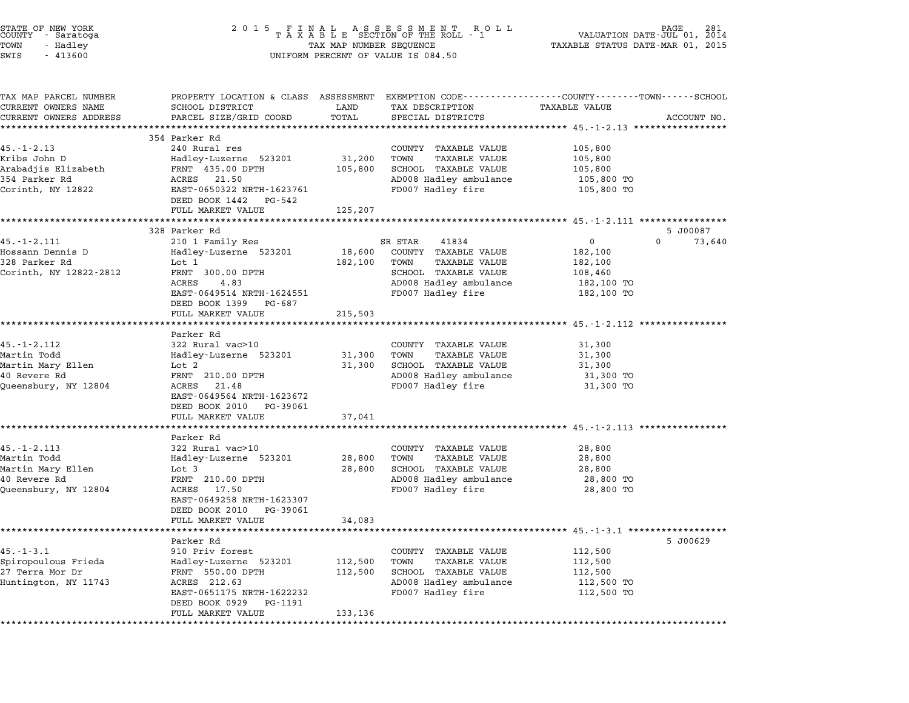| STATE OF NEW YORK<br>COUNTY - Saratoga<br>TOWN<br>- Hadley<br>SWIS<br>$-413600$               | 2 0 1 5                                                                                                                                                                               | TAX MAP NUMBER SEQUENCE       | FINAL ASSESSMENT ROLL<br>TAXABLE SECTION OF THE ROLL - 1<br>UNIFORM PERCENT OF VALUE IS 084.50                                           | TAXABLE STATUS DATE-MAR 01, 2015                               | 281<br>VALUATION DATE-JUL 01, 2014 |
|-----------------------------------------------------------------------------------------------|---------------------------------------------------------------------------------------------------------------------------------------------------------------------------------------|-------------------------------|------------------------------------------------------------------------------------------------------------------------------------------|----------------------------------------------------------------|------------------------------------|
| TAX MAP PARCEL NUMBER<br>CURRENT OWNERS NAME<br>CURRENT OWNERS ADDRESS                        | PROPERTY LOCATION & CLASS ASSESSMENT EXEMPTION CODE---------------COUNTY-------TOWN------SCHOOL<br>SCHOOL DISTRICT<br>PARCEL SIZE/GRID COORD<br>***************************           | LAND<br>TOTAL                 | TAX DESCRIPTION<br>SPECIAL DISTRICTS                                                                                                     | TAXABLE VALUE                                                  | ACCOUNT NO.                        |
| 45. - 1 - 2.13<br>Kribs John D<br>Arabadjis Elizabeth<br>354 Parker Rd<br>Corinth, NY 12822   | 354 Parker Rd<br>240 Rural res<br>Hadley-Luzerne 523201<br>FRNT 435.00 DPTH<br>ACRES 21.50<br>EAST-0650322 NRTH-1623761<br>DEED BOOK 1442<br>PG-542<br>FULL MARKET VALUE              | 31,200<br>105,800<br>125,207  | COUNTY TAXABLE VALUE<br>TAXABLE VALUE<br>TOWN<br>SCHOOL TAXABLE VALUE<br>AD008 Hadley ambulance<br>FD007 Hadley fire                     | 105,800<br>105,800<br>105,800<br>105,800 TO<br>105,800 TO      |                                    |
| $45. - 1 - 2.111$<br>Hossann Dennis D<br>328 Parker Rd<br>Corinth, NY 12822-2812              | 328 Parker Rd<br>210 1 Family Res<br>Hadley-Luzerne 523201<br>Lot 1<br>FRNT 300.00 DPTH<br>4.83<br>ACRES<br>EAST-0649514 NRTH-1624551<br>DEED BOOK 1399 PG-687<br>FULL MARKET VALUE   | 18,600<br>182,100<br>215,503  | 41834<br>SR STAR<br>COUNTY TAXABLE VALUE<br>TAXABLE VALUE<br>TOWN<br>SCHOOL TAXABLE VALUE<br>AD008 Hadley ambulance<br>FD007 Hadley fire | 0<br>182,100<br>182,100<br>108,460<br>182,100 TO<br>182,100 TO | 5 J00087<br>$\Omega$<br>73,640     |
| $45. - 1 - 2.112$<br>Martin Todd<br>Martin Mary Ellen<br>40 Revere Rd<br>Queensbury, NY 12804 | Parker Rd<br>322 Rural vac>10<br>Hadley-Luzerne 523201<br>Lot 2<br>FRNT 210.00 DPTH<br>ACRES<br>21.48<br>EAST-0649564 NRTH-1623672<br>DEED BOOK 2010<br>PG-39061<br>FULL MARKET VALUE | 31,300<br>31,300<br>37,041    | COUNTY TAXABLE VALUE<br>TOWN<br>TAXABLE VALUE<br>SCHOOL TAXABLE VALUE<br>AD008 Hadley ambulance<br>FD007 Hadley fire                     | 31,300<br>31,300<br>31,300<br>31,300 TO<br>31,300 TO           |                                    |
| $45. - 1 - 2.113$<br>Martin Todd<br>Martin Mary Ellen<br>40 Revere Rd<br>Queensbury, NY 12804 | Parker Rd<br>322 Rural vac>10<br>Hadley-Luzerne 523201<br>Lot 3<br>FRNT 210.00 DPTH<br>ACRES<br>17.50<br>EAST-0649258 NRTH-1623307<br>DEED BOOK 2010<br>PG-39061<br>FULL MARKET VALUE | 28,800<br>28,800<br>34,083    | COUNTY TAXABLE VALUE<br>TOWN<br>TAXABLE VALUE<br>SCHOOL TAXABLE VALUE<br>AD008 Hadley ambulance<br>FD007 Hadley fire                     | 28,800<br>28,800<br>28,800<br>28,800 TO<br>28,800 TO           |                                    |
| $45. - 1 - 3.1$<br>Spiropoulous Frieda<br>27 Terra Mor Dr<br>Huntington, NY 11743             | Parker Rd<br>910 Priv forest<br>Hadley-Luzerne 523201<br>FRNT 550.00 DPTH<br>ACRES 212.63<br>EAST-0651175 NRTH-1622232<br>DEED BOOK 0929<br>PG-1191<br>FULL MARKET VALUE              | 112,500<br>112,500<br>133,136 | COUNTY TAXABLE VALUE<br>TOWN<br><b>TAXABLE VALUE</b><br>SCHOOL TAXABLE VALUE<br>AD008 Hadley ambulance<br>FD007 Hadley fire              | 112,500<br>112,500<br>112,500<br>112,500 TO<br>112,500 TO      | 5 J00629                           |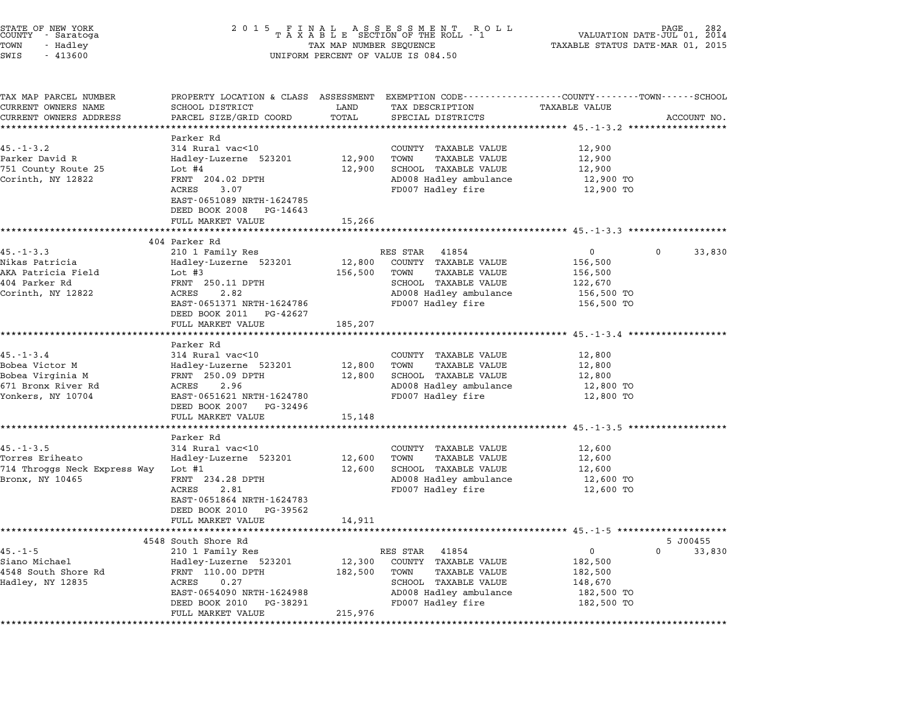| STATE OF NEW YORK<br>COUNTY – Saratoga<br>TOWN<br>- Hadley<br>$-413600$<br>SWIS | 2015 FINAL ASSESSMENT ROLL<br>TAXABLE SECTION OF THE ROLL - 1<br>TAX MAP NUMBER SEQUENCE<br>VALUATION DATE-JUL 01, 2014<br>TAXABLE STATUS DATE-MAR 01, 2015<br>UNIFORM PERCENT OF VALUE IS 084.50 |                  |                                                                                                                     |                         |             | 282         |
|---------------------------------------------------------------------------------|---------------------------------------------------------------------------------------------------------------------------------------------------------------------------------------------------|------------------|---------------------------------------------------------------------------------------------------------------------|-------------------------|-------------|-------------|
| TAX MAP PARCEL NUMBER<br>CURRENT OWNERS NAME                                    | SCHOOL DISTRICT                                                                                                                                                                                   | LAND             | PROPERTY LOCATION & CLASS ASSESSMENT EXEMPTION CODE----------------COUNTY-------TOWN------SCHOOL<br>TAX DESCRIPTION | TAXABLE VALUE           |             |             |
| CURRENT OWNERS ADDRESS                                                          | PARCEL SIZE/GRID COORD<br>*****************                                                                                                                                                       | TOTAL            | SPECIAL DISTRICTS                                                                                                   |                         |             | ACCOUNT NO. |
|                                                                                 | Parker Rd                                                                                                                                                                                         |                  |                                                                                                                     |                         |             |             |
| $45. - 1 - 3.2$                                                                 | 314 Rural vac<10                                                                                                                                                                                  |                  | COUNTY TAXABLE VALUE                                                                                                | 12,900                  |             |             |
| Parker David R                                                                  | Hadley-Luzerne 523201                                                                                                                                                                             | 12,900           | TAXABLE VALUE<br>TOWN                                                                                               | 12,900                  |             |             |
| 751 County Route 25                                                             | Lot #4                                                                                                                                                                                            | 12,900           | SCHOOL TAXABLE VALUE                                                                                                | 12,900                  |             |             |
| Corinth, NY 12822                                                               | FRNT 204.02 DPTH<br>ACRES<br>3.07<br>EAST-0651089 NRTH-1624785                                                                                                                                    |                  | AD008 Hadley ambulance<br>FD007 Hadley fire                                                                         | 12,900 TO<br>12,900 TO  |             |             |
|                                                                                 | DEED BOOK 2008 PG-14643                                                                                                                                                                           |                  |                                                                                                                     |                         |             |             |
|                                                                                 | FULL MARKET VALUE                                                                                                                                                                                 | 15,266           |                                                                                                                     |                         |             |             |
|                                                                                 | ************************                                                                                                                                                                          |                  |                                                                                                                     |                         |             |             |
|                                                                                 | 404 Parker Rd                                                                                                                                                                                     |                  |                                                                                                                     |                         |             |             |
| $45. - 1 - 3.3$                                                                 | 210 1 Family Res                                                                                                                                                                                  |                  | RES STAR 41854                                                                                                      | $\overline{0}$          | $\mathbf 0$ | 33,830      |
| Nikas Patricia                                                                  | Hadley-Luzerne 523201                                                                                                                                                                             | 12,800           | COUNTY TAXABLE VALUE                                                                                                | 156,500                 |             |             |
| AKA Patricia Field<br>404 Parker Rd                                             | Lot #3                                                                                                                                                                                            | 156,500          | TOWN<br>TAXABLE VALUE                                                                                               | 156,500                 |             |             |
| Corinth, NY 12822                                                               | FRNT 250.11 DPTH<br>ACRES<br>2.82                                                                                                                                                                 |                  | SCHOOL TAXABLE VALUE<br>AD008 Hadley ambulance                                                                      | 122,670<br>156,500 TO   |             |             |
|                                                                                 | EAST-0651371 NRTH-1624786                                                                                                                                                                         |                  | FD007 Hadley fire                                                                                                   | 156,500 TO              |             |             |
|                                                                                 | DEED BOOK 2011 PG-42627                                                                                                                                                                           |                  |                                                                                                                     |                         |             |             |
|                                                                                 | FULL MARKET VALUE                                                                                                                                                                                 | 185,207          |                                                                                                                     |                         |             |             |
|                                                                                 | *******************                                                                                                                                                                               | ************     | ************************************* 45.-1-3.4 *******************                                                 |                         |             |             |
|                                                                                 | Parker Rd                                                                                                                                                                                         |                  |                                                                                                                     |                         |             |             |
| $45. - 1 - 3.4$                                                                 | 314 Rural vac<10                                                                                                                                                                                  |                  | COUNTY TAXABLE VALUE                                                                                                | 12,800                  |             |             |
| Bobea Victor M<br>Bobea Virginia M                                              | Hadley-Luzerne 523201<br>FRNT 250.09 DPTH                                                                                                                                                         | 12,800<br>12,800 | TAXABLE VALUE<br>TOWN<br>SCHOOL TAXABLE VALUE                                                                       | 12,800<br>12,800        |             |             |
| 671 Bronx River Rd                                                              | 2.96<br>ACRES                                                                                                                                                                                     |                  | AD008 Hadley ambulance                                                                                              | 12,800 TO               |             |             |
| Yonkers, NY 10704                                                               | EAST-0651621 NRTH-1624780                                                                                                                                                                         |                  | FD007 Hadley fire                                                                                                   | 12,800 TO               |             |             |
|                                                                                 | DEED BOOK 2007 PG-32496                                                                                                                                                                           |                  |                                                                                                                     |                         |             |             |
|                                                                                 | FULL MARKET VALUE                                                                                                                                                                                 | 15,148           |                                                                                                                     |                         |             |             |
|                                                                                 |                                                                                                                                                                                                   |                  |                                                                                                                     |                         |             |             |
|                                                                                 | Parker Rd                                                                                                                                                                                         |                  |                                                                                                                     |                         |             |             |
| $45. - 1 - 3.5$                                                                 | 314 Rural vac<10                                                                                                                                                                                  |                  | COUNTY TAXABLE VALUE                                                                                                | 12,600                  |             |             |
| Torres Eriheato<br>714 Throggs Neck Express Way                                 | Hadley-Luzerne 523201<br>Lot #1                                                                                                                                                                   | 12,600<br>12,600 | TOWN<br>TAXABLE VALUE<br>SCHOOL TAXABLE VALUE                                                                       | 12,600<br>12,600        |             |             |
| Bronx, NY 10465                                                                 | FRNT 234.28 DPTH                                                                                                                                                                                  |                  | AD008 Hadley ambulance                                                                                              | 12,600 TO               |             |             |
|                                                                                 | ACRES<br>2.81                                                                                                                                                                                     |                  | FD007 Hadley fire                                                                                                   | 12,600 TO               |             |             |
|                                                                                 | EAST-0651864 NRTH-1624783                                                                                                                                                                         |                  |                                                                                                                     |                         |             |             |
|                                                                                 | DEED BOOK 2010 PG-39562                                                                                                                                                                           |                  |                                                                                                                     |                         |             |             |
|                                                                                 | FULL MARKET VALUE                                                                                                                                                                                 | 14,911           |                                                                                                                     |                         |             |             |
|                                                                                 |                                                                                                                                                                                                   |                  |                                                                                                                     |                         |             |             |
|                                                                                 | 4548 South Shore Rd                                                                                                                                                                               |                  |                                                                                                                     |                         |             | 5 J00455    |
| $45. - 1 - 5$<br>Siano Michael                                                  | 210 1 Family Res<br>Hadley-Luzerne 523201                                                                                                                                                         | 12,300           | RES STAR<br>41854<br>COUNTY TAXABLE VALUE                                                                           | $\mathsf{O}$<br>182,500 | $\Omega$    | 33,830      |
| 4548 South Shore Rd                                                             | FRNT 110.00 DPTH                                                                                                                                                                                  | 182,500          | TOWN<br><b>TAXABLE VALUE</b>                                                                                        | 182,500                 |             |             |
| Hadley, NY 12835                                                                | ACRES<br>0.27                                                                                                                                                                                     |                  | SCHOOL TAXABLE VALUE                                                                                                | 148,670                 |             |             |
|                                                                                 | EAST-0654090 NRTH-1624988                                                                                                                                                                         |                  | AD008 Hadley ambulance                                                                                              | 182,500 TO              |             |             |
|                                                                                 | DEED BOOK 2010<br>PG-38291                                                                                                                                                                        |                  | FD007 Hadley fire                                                                                                   | 182,500 TO              |             |             |
|                                                                                 |                                                                                                                                                                                                   |                  |                                                                                                                     |                         |             |             |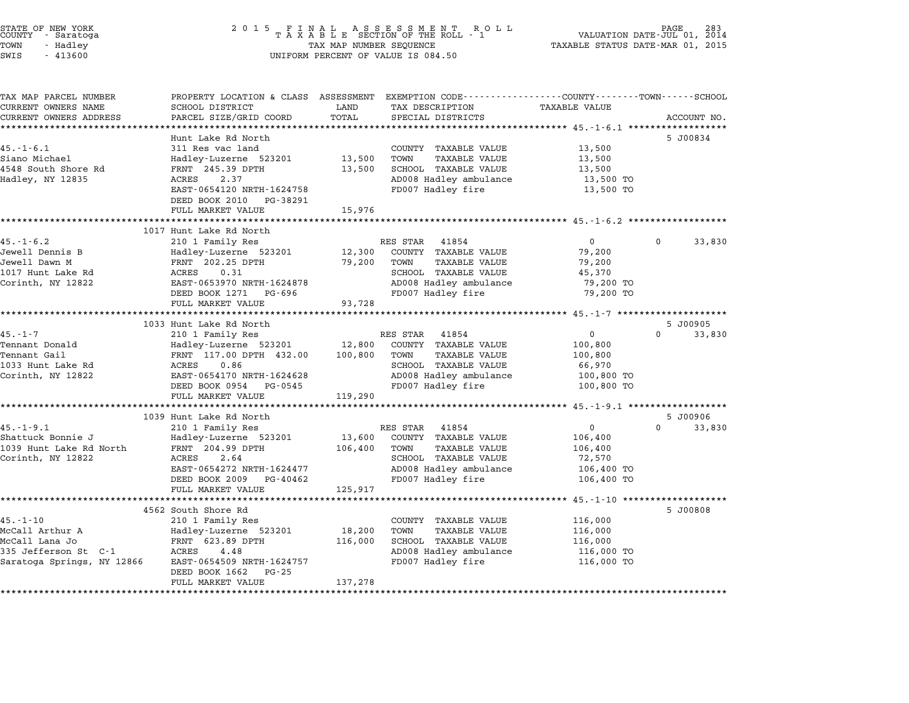| STATE OF NEW YORK<br>COUNTY – Saratoga<br>TOWN<br>- Hadley<br>$-413600$<br>SWIS | $\begin{array}{cccccccccccccccccc} 2& 0& 1& 5 & & F & I & N & A & L & & A & S & S & E & S & S & M & E & N & T & & R & O & L & L\\ & & & & & & & & & T & A & X & A & B & L & E & SECTION & OF & THE & ROLL & - & 1 \end{array}$<br>TAX MAP NUMBER SEQUENCE<br>UNIFORM PERCENT OF VALUE IS 084.50 |               |                                               | PAGE<br>VALUATION DATE-JUL 01, 2014<br>TAXABLE STATUS DATE-MAR 01, 2015 |          |             |
|---------------------------------------------------------------------------------|-------------------------------------------------------------------------------------------------------------------------------------------------------------------------------------------------------------------------------------------------------------------------------------------------|---------------|-----------------------------------------------|-------------------------------------------------------------------------|----------|-------------|
| TAX MAP PARCEL NUMBER                                                           | PROPERTY LOCATION & CLASS ASSESSMENT EXEMPTION CODE---------------COUNTY-------TOWN------SCHOOL                                                                                                                                                                                                 |               |                                               |                                                                         |          |             |
| CURRENT OWNERS NAME<br>CURRENT OWNERS ADDRESS                                   | SCHOOL DISTRICT<br>PARCEL SIZE/GRID COORD                                                                                                                                                                                                                                                       | LAND<br>TOTAL | TAX DESCRIPTION                               | TAXABLE VALUE                                                           |          |             |
|                                                                                 |                                                                                                                                                                                                                                                                                                 |               | SPECIAL DISTRICTS                             |                                                                         |          | ACCOUNT NO. |
|                                                                                 | Hunt Lake Rd North                                                                                                                                                                                                                                                                              |               |                                               |                                                                         |          | 5 J00834    |
| $45. - 1 - 6.1$                                                                 | 311 Res vac land                                                                                                                                                                                                                                                                                |               | COUNTY TAXABLE VALUE                          | 13,500                                                                  |          |             |
| Siano Michael                                                                   | Hadley-Luzerne 523201                                                                                                                                                                                                                                                                           | 13,500        | TOWN<br>TAXABLE VALUE                         | 13,500                                                                  |          |             |
| 4548 South Shore Rd                                                             | FRNT 245.39 DPTH                                                                                                                                                                                                                                                                                | 13,500        | SCHOOL TAXABLE VALUE                          | 13,500                                                                  |          |             |
| Hadley, NY 12835                                                                | ACRES<br>2.37                                                                                                                                                                                                                                                                                   |               | AD008 Hadley ambulance                        | 13,500 TO                                                               |          |             |
|                                                                                 | EAST-0654120 NRTH-1624758                                                                                                                                                                                                                                                                       |               | FD007 Hadley fire                             | 13,500 TO                                                               |          |             |
|                                                                                 | DEED BOOK 2010 PG-38291                                                                                                                                                                                                                                                                         |               |                                               |                                                                         |          |             |
|                                                                                 | FULL MARKET VALUE                                                                                                                                                                                                                                                                               | 15,976        |                                               |                                                                         |          |             |
|                                                                                 |                                                                                                                                                                                                                                                                                                 |               |                                               |                                                                         |          |             |
|                                                                                 | 1017 Hunt Lake Rd North                                                                                                                                                                                                                                                                         |               |                                               |                                                                         |          |             |
| $45. - 1 - 6.2$                                                                 | 210 1 Family Res                                                                                                                                                                                                                                                                                |               | RES STAR 41854                                | $\overline{0}$                                                          | 0        | 33,830      |
| Jewell Dennis B                                                                 | Hadley-Luzerne 523201<br>FRNT 202.25 DPTH                                                                                                                                                                                                                                                       | 12,300        | COUNTY TAXABLE VALUE                          | 79,200                                                                  |          |             |
| Jewell Dawn M<br>1017 Hunt Lake Rd                                              | ACRES<br>0.31                                                                                                                                                                                                                                                                                   | 79,200        | TOWN<br>TAXABLE VALUE<br>SCHOOL TAXABLE VALUE | 79,200<br>45,370                                                        |          |             |
| Corinth, NY 12822                                                               | EAST-0653970 NRTH-1624878                                                                                                                                                                                                                                                                       |               | AD008 Hadley ambulance                        | 79,200 TO                                                               |          |             |
|                                                                                 | DEED BOOK 1271 PG-696                                                                                                                                                                                                                                                                           |               | FD007 Hadley fire                             | 79,200 TO                                                               |          |             |
|                                                                                 | FULL MARKET VALUE                                                                                                                                                                                                                                                                               | 93,728        |                                               |                                                                         |          |             |
|                                                                                 |                                                                                                                                                                                                                                                                                                 |               |                                               | ********************* 45.-1-7 *********************                     |          |             |
|                                                                                 | 1033 Hunt Lake Rd North                                                                                                                                                                                                                                                                         |               |                                               |                                                                         |          | 5 J00905    |
| 45.-1-7                                                                         | 210 1 Family Res                                                                                                                                                                                                                                                                                |               | RES STAR 41854                                | $\mathsf{O}$                                                            | $\Omega$ | 33,830      |
| Tennant Donald                                                                  | Hadley-Luzerne 523201                                                                                                                                                                                                                                                                           | 12,800        | COUNTY TAXABLE VALUE                          | 100,800                                                                 |          |             |
| Tennant Gail                                                                    | FRNT 117.00 DPTH 432.00                                                                                                                                                                                                                                                                         | 100,800       | TOWN<br>TAXABLE VALUE                         | 100,800                                                                 |          |             |
| 1033 Hunt Lake Rd                                                               | ACRES<br>0.86                                                                                                                                                                                                                                                                                   |               | SCHOOL TAXABLE VALUE                          | 66,970                                                                  |          |             |
| Corinth, NY 12822                                                               | EAST-0654170 NRTH-1624628                                                                                                                                                                                                                                                                       |               | AD008 Hadley ambulance                        | 100,800 TO                                                              |          |             |
|                                                                                 | DEED BOOK 0954 PG-0545                                                                                                                                                                                                                                                                          |               | FD007 Hadley fire                             | 100,800 TO                                                              |          |             |
|                                                                                 | FULL MARKET VALUE                                                                                                                                                                                                                                                                               | 119,290       |                                               |                                                                         |          |             |
|                                                                                 | 1039 Hunt Lake Rd North                                                                                                                                                                                                                                                                         |               |                                               |                                                                         |          | 5 J00906    |
| $45. - 1 - 9.1$                                                                 | 210 1 Family Res                                                                                                                                                                                                                                                                                |               | RES STAR 41854                                | $\overline{0}$                                                          | $\Omega$ | 33,830      |
| Shattuck Bonnie J                                                               | Hadley-Luzerne 523201                                                                                                                                                                                                                                                                           | 13,600        | COUNTY TAXABLE VALUE                          | 106,400                                                                 |          |             |
| 1039 Hunt Lake Rd North                                                         | FRNT 204.99 DPTH                                                                                                                                                                                                                                                                                | 106,400       | TOWN<br><b>TAXABLE VALUE</b>                  | 106,400                                                                 |          |             |
| Corinth, NY 12822                                                               | ACRES<br>2.64                                                                                                                                                                                                                                                                                   |               | SCHOOL TAXABLE VALUE                          | 72,570                                                                  |          |             |
|                                                                                 | EAST-0654272 NRTH-1624477                                                                                                                                                                                                                                                                       |               | AD008 Hadley ambulance                        | 106,400 TO                                                              |          |             |
|                                                                                 | DEED BOOK 2009 PG-40462                                                                                                                                                                                                                                                                         |               | FD007 Hadley fire                             | 106,400 TO                                                              |          |             |
|                                                                                 | FULL MARKET VALUE                                                                                                                                                                                                                                                                               | 125,917       |                                               |                                                                         |          |             |
|                                                                                 |                                                                                                                                                                                                                                                                                                 |               |                                               |                                                                         |          |             |
|                                                                                 | 4562 South Shore Rd                                                                                                                                                                                                                                                                             |               |                                               |                                                                         |          | 5 J00808    |
| $45. - 1 - 10$                                                                  | 210 1 Family Res                                                                                                                                                                                                                                                                                |               | COUNTY TAXABLE VALUE                          | 116,000                                                                 |          |             |
| McCall Arthur A                                                                 | Hadley-Luzerne 523201                                                                                                                                                                                                                                                                           | 18,200        | <b>TAXABLE VALUE</b><br>TOWN                  | 116,000                                                                 |          |             |
| McCall Lana Jo                                                                  | FRNT 623.89 DPTH                                                                                                                                                                                                                                                                                | 116,000       | SCHOOL TAXABLE VALUE                          | 116,000                                                                 |          |             |
| 335 Jefferson St C-1                                                            | ACRES<br>4.48                                                                                                                                                                                                                                                                                   |               | AD008 Hadley ambulance                        | 116,000 TO                                                              |          |             |
| Saratoga Springs, NY 12866                                                      | EAST-0654509 NRTH-1624757                                                                                                                                                                                                                                                                       |               | FD007 Hadley fire                             | 116,000 TO                                                              |          |             |
|                                                                                 | DEED BOOK 1662 PG-25                                                                                                                                                                                                                                                                            |               |                                               |                                                                         |          |             |
|                                                                                 | FULL MARKET VALUE                                                                                                                                                                                                                                                                               | 137,278       |                                               |                                                                         |          |             |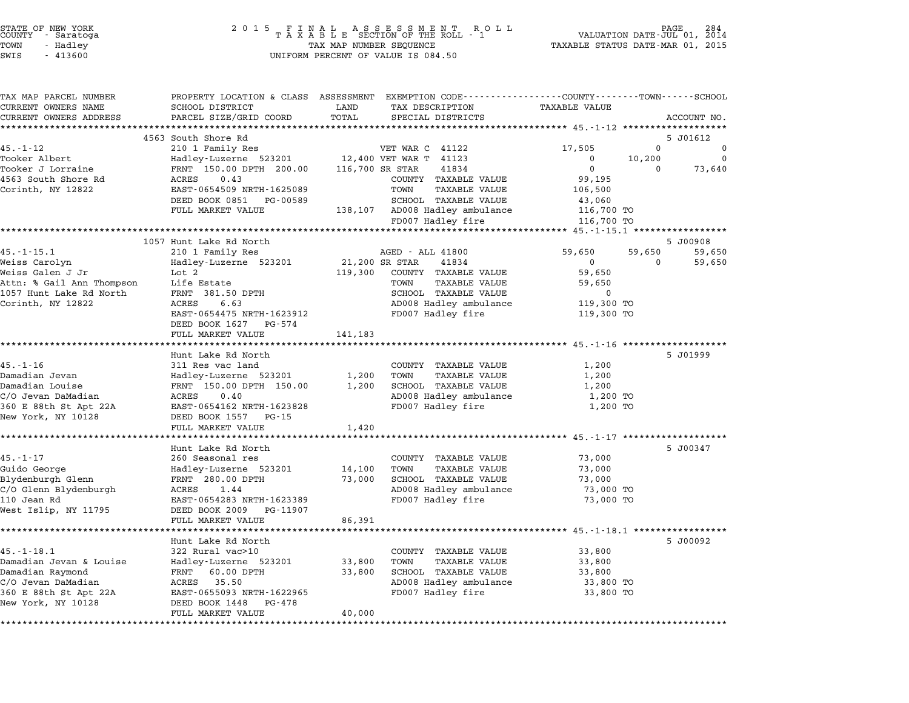| STATE OF NEW YORK<br>COUNTY - Saratoga |          |  |
|----------------------------------------|----------|--|
| TOWN                                   | - Hadley |  |
| -----                                  |          |  |

| TAX MAP PARCEL NUMBER     |                                                |                                              | PROPERTY LOCATION & CLASS ASSESSMENT EXEMPTION CODE---------------COUNTY-------TOWN-----SCHOOL |
|---------------------------|------------------------------------------------|----------------------------------------------|------------------------------------------------------------------------------------------------|
| CURRENT OWNERS NAME       | SCHOOL DISTRICT                                | TAX DESCRIPTION<br>LAND                      | TAXABLE VALUE                                                                                  |
| CURRENT OWNERS ADDRESS    | PARCEL SIZE/GRID COORD                         | TOTAL<br>SPECIAL DISTRICTS                   | ACCOUNT NO.                                                                                    |
|                           | 4563 South Shore Rd                            |                                              | 5 J01612                                                                                       |
| 45.-1-12                  | 210 1 Family Res                               | VET WAR C 41122                              | 17,505<br>$\mathbf{0}$<br>0                                                                    |
| Tooker Albert             |                                                | Hadley-Luzerne 523201 12,400 VET WAR T 41123 | $\Omega$<br>10,200<br>$\mathbf 0$                                                              |
| Tooker J Lorraine         | FRNT 150.00 DPTH 200.00                        | 116,700 SR STAR<br>41834                     | $\overline{0}$<br>73,640<br>$\Omega$                                                           |
| 4563 South Shore Rd       | ACRES<br>0.43                                  | COUNTY TAXABLE VALUE                         | 99,195                                                                                         |
| Corinth, NY 12822         | EAST-0654509 NRTH-1625089                      | TAXABLE VALUE<br>TOWN                        | 106,500                                                                                        |
|                           | DEED BOOK 0851 PG-00589                        | SCHOOL TAXABLE VALUE                         | 43,060                                                                                         |
|                           | FULL MARKET VALUE                              | 138,107 AD008 Hadley ambulance               | 116,700 TO                                                                                     |
|                           |                                                | FD007 Hadley fire                            | 116,700 TO                                                                                     |
|                           | 1057 Hunt Lake Rd North                        |                                              | 5 J00908                                                                                       |
| $45. - 1 - 15.1$          | 210 1 Family Res                               | AGED - ALL 41800                             | 59,650<br>59,650<br>59,650                                                                     |
| Weiss Carolyn             | Hadley-Luzerne 523201                          | 21,200 SR STAR<br>41834                      | 59,650<br>$\mathbf 0$<br>$\mathbf{0}$                                                          |
| Weiss Galen J Jr          | Lot 2                                          | 119,300<br>COUNTY TAXABLE VALUE              | 59,650                                                                                         |
| Attn: % Gail Ann Thompson | Life Estate                                    | TOWN<br>TAXABLE VALUE                        | 59,650                                                                                         |
| 1057 Hunt Lake Rd North   | FRNT 381.50 DPTH                               | SCHOOL TAXABLE VALUE                         | 0                                                                                              |
| Corinth, NY 12822         | ACRES<br>6.63                                  | AD008 Hadley ambulance                       | 119,300 TO                                                                                     |
|                           | EAST-0654475 NRTH-1623912                      | FD007 Hadley fire                            | 119,300 TO                                                                                     |
|                           | DEED BOOK 1627 PG-574                          |                                              |                                                                                                |
|                           | FULL MARKET VALUE                              | 141,183                                      |                                                                                                |
|                           | Hunt Lake Rd North                             |                                              | 5 J01999                                                                                       |
| $45. - 1 - 16$            | 311 Res vac land                               | COUNTY TAXABLE VALUE                         | 1,200                                                                                          |
| Damadian Jevan            | Hadley-Luzerne 523201                          | <b>TAXABLE VALUE</b><br>1,200<br>TOWN        | 1,200                                                                                          |
| Damadian Louise           | FRNT 150.00 DPTH 150.00                        | SCHOOL TAXABLE VALUE<br>1,200                | 1,200                                                                                          |
| C/O Jevan DaMadian        | ACRES<br>0.40                                  | AD008 Hadley ambulance                       | 1,200 TO                                                                                       |
| 360 E 88th St Apt 22A     | EAST-0654162 NRTH-1623828                      | FD007 Hadley fire                            | 1,200 TO                                                                                       |
| New York, NY 10128        | DEED BOOK 1557 PG-15                           |                                              |                                                                                                |
|                           | FULL MARKET VALUE<br>************************* | 1,420                                        | ******************************* 45.-1-17 *******************                                   |
|                           | Hunt Lake Rd North                             |                                              | 5 J00347                                                                                       |
| 45.-1-17                  | 260 Seasonal res                               | COUNTY TAXABLE VALUE                         | 73,000                                                                                         |
| Guido George              | Hadley-Luzerne 523201                          | <b>TAXABLE VALUE</b><br>14,100<br>TOWN       | 73,000                                                                                         |
| Blydenburgh Glenn         | FRNT 280.00 DPTH                               | SCHOOL TAXABLE VALUE<br>73,000               | 73,000                                                                                         |
| C/O Glenn Blydenburgh     | ACRES<br>1.44                                  | AD008 Hadley ambulance                       | 73,000 TO                                                                                      |
| 110 Jean Rd               | EAST-0654283 NRTH-1623389                      | FD007 Hadley fire                            | 73,000 TO                                                                                      |
| West Islip, NY 11795      | DEED BOOK 2009 PG-11907                        |                                              |                                                                                                |
|                           | FULL MARKET VALUE                              | 86,391                                       |                                                                                                |
|                           |                                                |                                              |                                                                                                |
| $45. - 1 - 18.1$          | Hunt Lake Rd North<br>322 Rural vac>10         | COUNTY TAXABLE VALUE                         | 5 J00092<br>33,800                                                                             |
| Damadian Jevan & Louise   | Hadley-Luzerne 523201                          | 33,800<br><b>TAXABLE VALUE</b><br>TOWN       | 33,800                                                                                         |
| Damadian Raymond          | FRNT<br>60.00 DPTH                             | SCHOOL TAXABLE VALUE<br>33,800               | 33,800                                                                                         |
| C/O Jevan DaMadian        | ACRES 35.50                                    | AD008 Hadley ambulance                       | 33,800 TO                                                                                      |
| 360 E 88th St Apt 22A     | EAST-0655093 NRTH-1622965                      | FD007 Hadley fire                            | 33,800 TO                                                                                      |
| New York, NY 10128        | DEED BOOK 1448 PG-478                          |                                              |                                                                                                |
|                           | FULL MARKET VALUE                              | 40,000                                       |                                                                                                |
|                           |                                                |                                              |                                                                                                |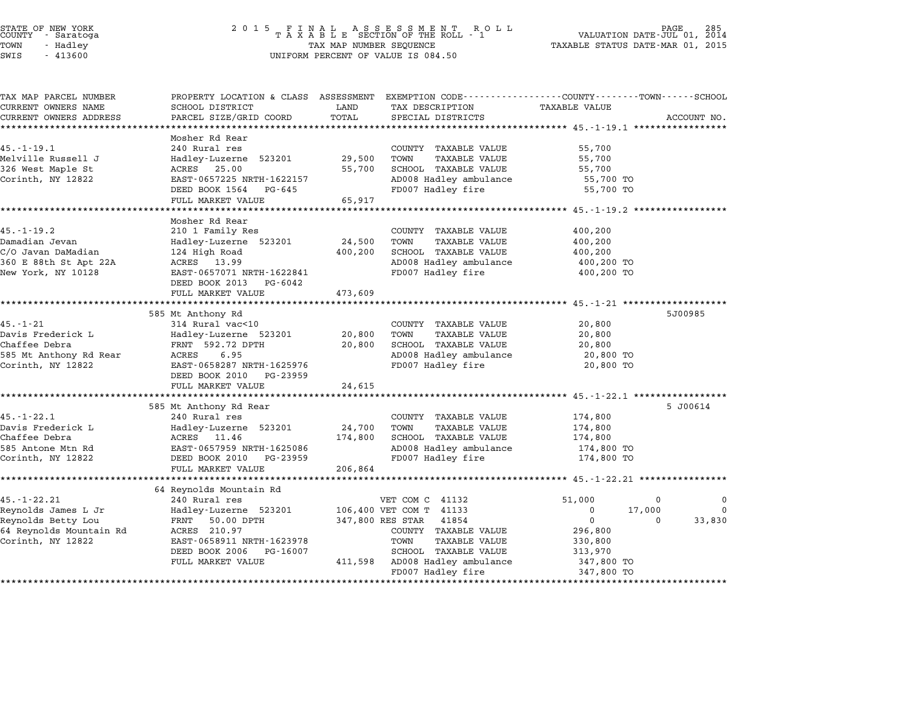| STATE OF NEW YORK |          |            |  |
|-------------------|----------|------------|--|
| COUNTY            |          | - Saratoga |  |
| TOWN              | - Hadley |            |  |
|                   |          |            |  |

# STATE OF NEW YORK <sup>2</sup> <sup>0</sup> <sup>1</sup> 5 F I N A L A S S E S S M E N T R O L L PAGE <sup>285</sup> COUNTY - Saratoga <sup>T</sup> <sup>A</sup> <sup>X</sup> <sup>A</sup> <sup>B</sup> <sup>L</sup> <sup>E</sup> SECTION OF THE ROLL - <sup>1</sup> VALUATION DATE-JUL 01, <sup>2014</sup> TOWN - Hadley TAX MAP NUMBER SEQUENCE TAXABLE STATUS DATE-MAR 01, <sup>2015</sup> SWIS - <sup>413600</sup> UNIFORM PERCENT OF VALUE IS 084.50

| TAX MAP PARCEL NUMBER<br>CURRENT OWNERS NAME | PROPERTY LOCATION & CLASS ASSESSMENT<br>SCHOOL DISTRICT | LAND    | EXEMPTION CODE-----------------COUNTY-------TOWN-----SCHOOL<br>TAX DESCRIPTION | <b>TAXABLE VALUE</b>                                        |             |
|----------------------------------------------|---------------------------------------------------------|---------|--------------------------------------------------------------------------------|-------------------------------------------------------------|-------------|
| CURRENT OWNERS ADDRESS                       | PARCEL SIZE/GRID COORD                                  | TOTAL   | SPECIAL DISTRICTS                                                              |                                                             | ACCOUNT NO. |
| *************************                    |                                                         |         |                                                                                |                                                             |             |
|                                              | Mosher Rd Rear                                          |         |                                                                                |                                                             |             |
| $45. - 1 - 19.1$                             | 240 Rural res                                           |         | COUNTY TAXABLE VALUE                                                           | 55,700                                                      |             |
| Melville Russell J                           | Hadley-Luzerne 523201                                   | 29,500  | TOWN<br><b>TAXABLE VALUE</b>                                                   | 55,700                                                      |             |
| 326 West Maple St<br>Corinth, NY 12822       | 25.00<br>ACRES<br>EAST-0657225 NRTH-1622157             | 55,700  | SCHOOL TAXABLE VALUE<br>AD008 Hadley ambulance                                 | 55,700<br>55,700 TO                                         |             |
|                                              | DEED BOOK 1564<br>PG-645                                |         | FD007 Hadley fire                                                              | 55,700 TO                                                   |             |
|                                              | FULL MARKET VALUE                                       | 65,917  |                                                                                |                                                             |             |
|                                              |                                                         |         |                                                                                |                                                             |             |
|                                              | Mosher Rd Rear                                          |         |                                                                                |                                                             |             |
| $45. - 1 - 19.2$                             | 210 1 Family Res                                        |         | COUNTY TAXABLE VALUE                                                           | 400,200                                                     |             |
| Damadian Jevan                               | Hadley-Luzerne 523201                                   | 24,500  | TOWN<br><b>TAXABLE VALUE</b>                                                   | 400,200                                                     |             |
| C/O Javan DaMadian                           | 124 High Road                                           | 400,200 | SCHOOL TAXABLE VALUE                                                           | 400,200                                                     |             |
| 360 E 88th St Apt 22A                        | ACRES 13.99                                             |         | AD008 Hadley ambulance                                                         | 400,200 TO                                                  |             |
| New York, NY 10128                           | EAST-0657071 NRTH-1622841<br>DEED BOOK 2013<br>PG-6042  |         | FD007 Hadley fire                                                              | 400,200 TO                                                  |             |
|                                              | FULL MARKET VALUE                                       | 473,609 |                                                                                |                                                             |             |
|                                              |                                                         |         |                                                                                |                                                             |             |
|                                              | 585 Mt Anthony Rd                                       |         |                                                                                |                                                             | 5J00985     |
| $45. - 1 - 21$                               | 314 Rural vac<10                                        |         | COUNTY TAXABLE VALUE                                                           | 20,800                                                      |             |
| Davis Frederick L                            | Hadley-Luzerne 523201                                   | 20,800  | TOWN<br><b>TAXABLE VALUE</b>                                                   | 20,800                                                      |             |
| Chaffee Debra                                | FRNT 592.72 DPTH                                        | 20,800  | SCHOOL TAXABLE VALUE                                                           | 20,800                                                      |             |
| 585 Mt Anthony Rd Rear                       | ACRES<br>6.95                                           |         | AD008 Hadley ambulance                                                         | 20,800 TO                                                   |             |
| Corinth, NY 12822                            | EAST-0658287 NRTH-1625976                               |         | FD007 Hadley fire                                                              | 20,800 TO                                                   |             |
|                                              | DEED BOOK 2010<br>PG-23959<br>FULL MARKET VALUE         | 24,615  |                                                                                |                                                             |             |
|                                              |                                                         |         |                                                                                | ***************************** 45.-1-22.1 ****************** |             |
|                                              | 585 Mt Anthony Rd Rear                                  |         |                                                                                |                                                             | 5 J00614    |
| $45. - 1 - 22.1$                             | 240 Rural res                                           |         | COUNTY TAXABLE VALUE                                                           | 174,800                                                     |             |
| Davis Frederick L                            | Hadley-Luzerne 523201                                   | 24,700  | TOWN<br><b>TAXABLE VALUE</b>                                                   | 174,800                                                     |             |
| Chaffee Debra                                | ACRES 11.46                                             | 174,800 | SCHOOL TAXABLE VALUE                                                           | 174,800                                                     |             |
| 585 Antone Mtn Rd                            | EAST-0657959 NRTH-1625086                               |         | AD008 Hadley ambulance                                                         | 174,800 TO                                                  |             |
| Corinth, NY 12822                            | DEED BOOK 2010<br>PG-23959                              |         | FD007 Hadley fire                                                              | 174,800 TO                                                  |             |
|                                              | FULL MARKET VALUE                                       | 206,864 |                                                                                |                                                             |             |
|                                              | 64 Reynolds Mountain Rd                                 |         |                                                                                |                                                             |             |
| $45. - 1 - 22.21$                            | 240 Rural res                                           |         | VET COM C 41132                                                                | 51,000<br>0                                                 | 0           |
| Reynolds James L Jr                          | Hadley-Luzerne 523201                                   |         | 106,400 VET COM T 41133                                                        | 0<br>17,000                                                 | $\Omega$    |
| Reynolds Betty Lou                           | FRNT 50.00 DPTH                                         |         | 347,800 RES STAR<br>41854                                                      | $\mathbf{0}$<br>$\Omega$                                    | 33,830      |
| 64 Reynolds Mountain Rd                      | ACRES 210.97                                            |         | COUNTY TAXABLE VALUE                                                           | 296,800                                                     |             |
| Corinth, NY 12822                            | EAST-0658911 NRTH-1623978                               |         | TOWN<br><b>TAXABLE VALUE</b>                                                   | 330,800                                                     |             |
|                                              | DEED BOOK 2006<br>PG-16007                              |         | SCHOOL TAXABLE VALUE                                                           | 313,970                                                     |             |
|                                              | FULL MARKET VALUE                                       |         | 411,598 AD008 Hadley ambulance                                                 | 347,800 TO                                                  |             |
|                                              |                                                         |         | FD007 Hadley fire                                                              | 347,800 TO                                                  |             |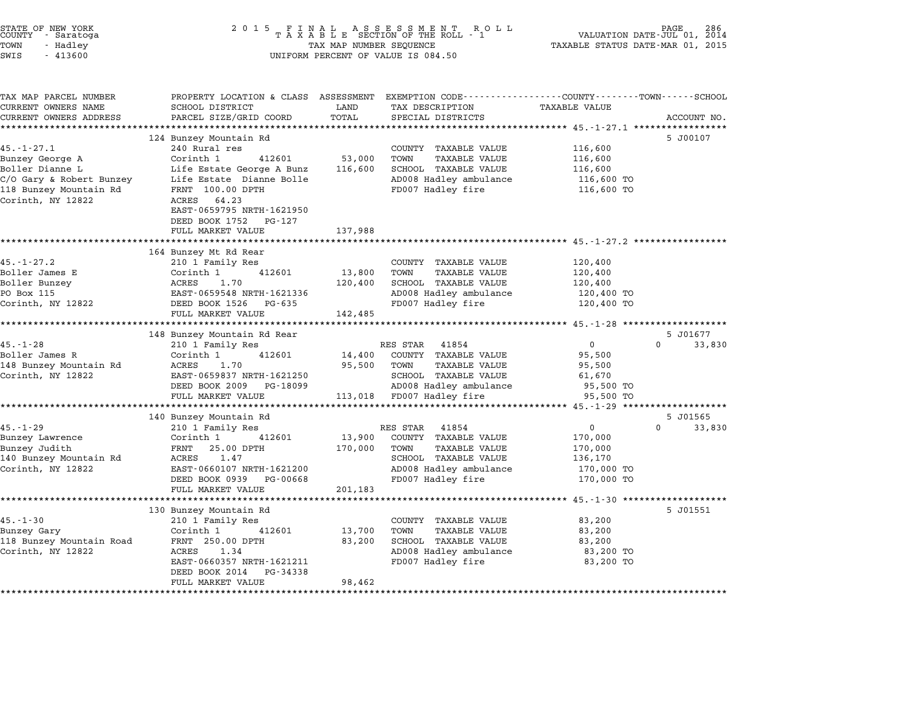| STATE OF NEW YORK<br>COUNTY - Saratoga<br>TOWN<br>- Hadley<br>SWIS<br>$-413600$                                                   | TAX MAP NUMBER SEQUENCE<br>UNIFORM PERCENT OF VALUE IS 084.50                                                                                                                              |                              |                                                                                                                                                  | PAGE 286<br>VALUATION DATE-JUL 01, 2014<br>TAXABLE STATUS DATE-MAR 01, 2015 |                                |  |
|-----------------------------------------------------------------------------------------------------------------------------------|--------------------------------------------------------------------------------------------------------------------------------------------------------------------------------------------|------------------------------|--------------------------------------------------------------------------------------------------------------------------------------------------|-----------------------------------------------------------------------------|--------------------------------|--|
| TAX MAP PARCEL NUMBER<br>CURRENT OWNERS NAME<br>CURRENT OWNERS ADDRESS                                                            | PROPERTY LOCATION & CLASS ASSESSMENT EXEMPTION CODE---------------COUNTY-------TOWN------SCHOOL<br>SCHOOL DISTRICT<br>PARCEL SIZE/GRID COORD                                               | LAND<br>TOTAL                | TAX DESCRIPTION<br>SPECIAL DISTRICTS                                                                                                             | TAXABLE VALUE                                                               | ACCOUNT NO.                    |  |
|                                                                                                                                   |                                                                                                                                                                                            |                              |                                                                                                                                                  |                                                                             |                                |  |
| $45. - 1 - 27.1$<br>Bunzey George A<br>Boller Dianne L<br>C/O Gary & Robert Bunzey<br>118 Bunzey Mountain Rd<br>Corinth, NY 12822 | 124 Bunzey Mountain Rd<br>240 Rural res<br>Corinth 1<br>412601<br>Life Estate George A Bunz<br>Life Estate Dianne Bolle<br>FRNT 100.00 DPTH<br>64.23<br>ACRES<br>EAST-0659795 NRTH-1621950 | 53,000<br>116,600            | COUNTY TAXABLE VALUE<br>TOWN<br><b>TAXABLE VALUE</b><br>SCHOOL TAXABLE VALUE<br>AD008 Hadley ambulance<br>FD007 Hadley fire                      | 116,600<br>116,600<br>116,600<br>116,600 TO<br>116,600 TO                   | 5 J00107                       |  |
|                                                                                                                                   | DEED BOOK 1752<br>PG-127<br>FULL MARKET VALUE                                                                                                                                              | 137,988                      |                                                                                                                                                  |                                                                             |                                |  |
| $45. - 1 - 27.2$<br>Boller James E<br>Boller Bunzey<br>PO Box 115<br>Corinth, NY 12822                                            | 164 Bunzey Mt Rd Rear<br>210 1 Family Res<br>Corinth 1<br>412601<br>ACRES<br>1.70<br>EAST-0659548 NRTH-1621336<br>DEED BOOK 1526 PG-635<br>FULL MARKET VALUE                               | 13,800<br>120,400<br>142,485 | COUNTY TAXABLE VALUE<br>TOWN<br><b>TAXABLE VALUE</b><br>SCHOOL TAXABLE VALUE<br>AD008 Hadley ambulance<br>FD007 Hadley fire                      | 120,400<br>120,400<br>120,400<br>120,400 TO<br>120,400 TO                   |                                |  |
|                                                                                                                                   | 148 Bunzey Mountain Rd Rear                                                                                                                                                                |                              |                                                                                                                                                  |                                                                             | 5 J01677                       |  |
| $45. - 1 - 28$<br>Boller James R<br>148 Bunzey Mountain Rd<br>Corinth, NY 12822                                                   | 210 1 Family Res<br>Corinth 1<br>412601<br>1.70<br>ACRES<br>EAST-0659837 NRTH-1621250<br>DEED BOOK 2009<br>PG-18099<br>FULL MARKET VALUE                                                   | 14,400<br>95,500<br>113,018  | RES STAR<br>41854<br>COUNTY TAXABLE VALUE<br>TOWN<br><b>TAXABLE VALUE</b><br>SCHOOL TAXABLE VALUE<br>AD008 Hadley ambulance<br>FD007 Hadley fire | $\mathbf 0$<br>95,500<br>95,500<br>61,670<br>95,500 TO<br>95,500 TO         | $\Omega$<br>33,830             |  |
|                                                                                                                                   |                                                                                                                                                                                            |                              |                                                                                                                                                  |                                                                             |                                |  |
| $45. - 1 - 29$<br>Bunzey Lawrence<br>Bunzey Judith<br>140 Bunzey Mountain Rd<br>Corinth, NY 12822                                 | 140 Bunzey Mountain Rd<br>210 1 Family Res<br>Corinth 1<br>412601<br>25.00 DPTH<br>FRNT<br>ACRES<br>1.47<br>EAST-0660107 NRTH-1621200<br>DEED BOOK 0939<br>PG-00668<br>FULL MARKET VALUE   | 13,900<br>170,000<br>201,183 | RES STAR<br>41854<br>COUNTY TAXABLE VALUE<br>TOWN<br><b>TAXABLE VALUE</b><br>SCHOOL TAXABLE VALUE<br>AD008 Hadley ambulance<br>FD007 Hadley fire | $\overline{0}$<br>170,000<br>170,000<br>136,170<br>170,000 TO<br>170,000 TO | 5 J01565<br>$\Omega$<br>33,830 |  |
|                                                                                                                                   |                                                                                                                                                                                            |                              |                                                                                                                                                  | ******** $45. -1 -30$                                                       |                                |  |
| $45. - 1 - 30$<br>Bunzey Gary<br>118 Bunzey Mountain Road<br>Corinth, NY 12822                                                    | 130 Bunzey Mountain Rd<br>210 1 Family Res<br>Corinth 1<br>412601<br>FRNT 250.00 DPTH<br>ACRES<br>1.34<br>EAST-0660357 NRTH-1621211<br>DEED BOOK 2014<br>PG-34338                          | 13,700<br>83,200             | COUNTY TAXABLE VALUE<br>TOWN<br><b>TAXABLE VALUE</b><br>SCHOOL TAXABLE VALUE<br>AD008 Hadley ambulance<br>FD007 Hadley fire                      | 83,200<br>83,200<br>83,200<br>83,200 TO<br>83,200 TO                        | 5 J01551                       |  |

\*\*\*\*\*\*\*\*\*\*\*\*\*\*\*\*\*\*\*\*\*\*\*\*\*\*\*\*\*\*\*\*\*\*\*\*\*\*\*\*\*\*\*\*\*\*\*\*\*\*\*\*\*\*\*\*\*\*\*\*\*\*\*\*\*\*\*\*\*\*\*\*\*\*\*\*\*\*\*\*\*\*\*\*\*\*\*\*\*\*\*\*\*\*\*\*\*\*\*\*\*\*\*\*\*\*\*\*\*\*\*\*\*\*\*\*\*\*\*\*\*\*\*\*\*\*\*\*\*\*\*\*

FULL MARKET VALUE 98,462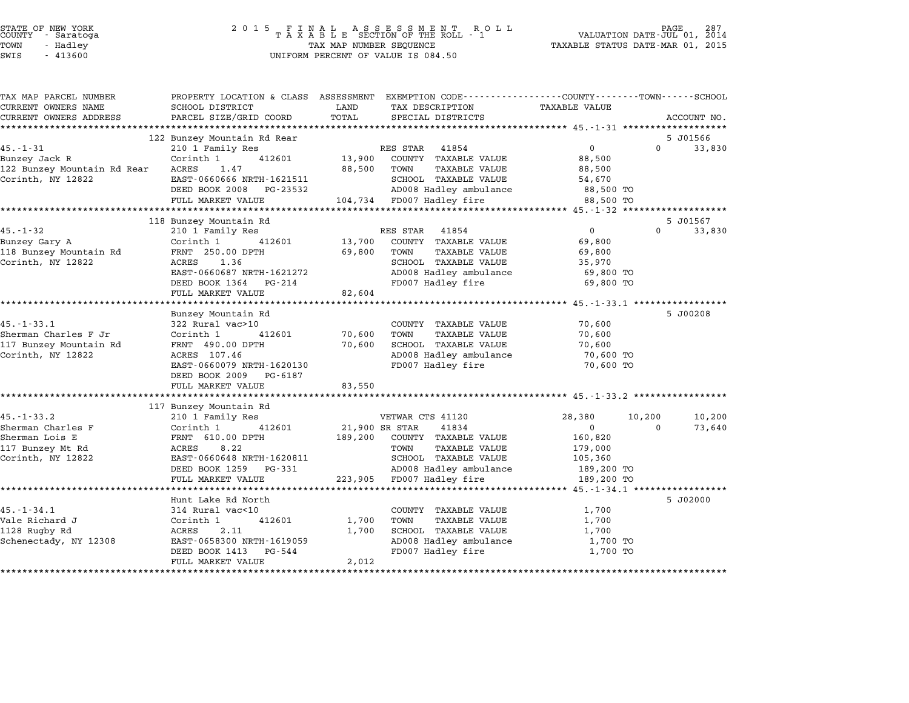| ACCOUNT NO.<br>5 J01566<br>$\Omega$<br>33,830<br>5 J01567<br>$\Omega$<br>33,830 |
|---------------------------------------------------------------------------------|
|                                                                                 |
|                                                                                 |
|                                                                                 |
|                                                                                 |
|                                                                                 |
|                                                                                 |
|                                                                                 |
|                                                                                 |
|                                                                                 |
|                                                                                 |
|                                                                                 |
|                                                                                 |
|                                                                                 |
|                                                                                 |
|                                                                                 |
|                                                                                 |
|                                                                                 |
|                                                                                 |
|                                                                                 |
|                                                                                 |
| 5 J00208                                                                        |
|                                                                                 |
|                                                                                 |
|                                                                                 |
|                                                                                 |
|                                                                                 |
|                                                                                 |
|                                                                                 |
|                                                                                 |
|                                                                                 |
| 10,200<br>10,200                                                                |
| 73,640<br>$\Omega$                                                              |
|                                                                                 |
|                                                                                 |
|                                                                                 |
|                                                                                 |
|                                                                                 |
|                                                                                 |
| 5 J02000                                                                        |
|                                                                                 |
|                                                                                 |
|                                                                                 |
|                                                                                 |
|                                                                                 |
|                                                                                 |
|                                                                                 |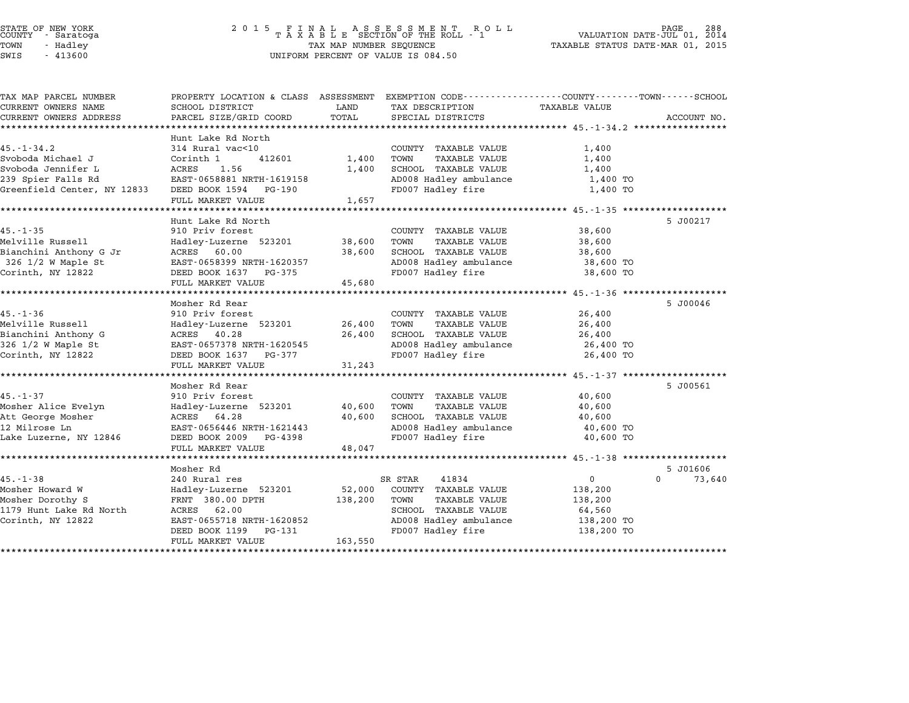| STATE OF NEW YORK |  |            |  |
|-------------------|--|------------|--|
| COUNTY            |  | - Saratoga |  |
| TOWN              |  | - Hadley   |  |

# STATE OF NEW YORK <sup>2</sup> <sup>0</sup> <sup>1</sup> 5 F I N A L A S S E S S M E N T R O L L PAGE <sup>288</sup> COUNTY - Saratoga <sup>T</sup> <sup>A</sup> <sup>X</sup> <sup>A</sup> <sup>B</sup> <sup>L</sup> <sup>E</sup> SECTION OF THE ROLL - <sup>1</sup> VALUATION DATE-JUL 01, <sup>2014</sup> TOWN - Hadley TAX MAP NUMBER SEQUENCE TAXABLE STATUS DATE-MAR 01, <sup>2015</sup> SWIS - <sup>413600</sup> UNIFORM PERCENT OF VALUE IS 084.50

| TAX MAP PARCEL NUMBER                   | PROPERTY LOCATION & CLASS ASSESSMENT EXEMPTION CODE----------------COUNTY-------TOWN-----SCHOOL |                  |                                                |                          |                        |
|-----------------------------------------|-------------------------------------------------------------------------------------------------|------------------|------------------------------------------------|--------------------------|------------------------|
| CURRENT OWNERS NAME                     | SCHOOL DISTRICT                                                                                 | LAND             | TAX DESCRIPTION                                | TAXABLE VALUE            |                        |
| CURRENT OWNERS ADDRESS                  | PARCEL SIZE/GRID COORD                                                                          | TOTAL            | SPECIAL DISTRICTS                              |                          | ACCOUNT NO.            |
|                                         |                                                                                                 |                  |                                                |                          |                        |
|                                         | Hunt Lake Rd North                                                                              |                  |                                                |                          |                        |
| $45. - 1 - 34.2$                        | 314 Rural vac<10                                                                                |                  | COUNTY TAXABLE VALUE                           | 1,400                    |                        |
| Svoboda Michael J<br>Svoboda Jennifer L | Corinth 1<br>412601<br>ACRES<br>1.56                                                            | 1,400<br>1,400   | TAXABLE VALUE<br>TOWN<br>SCHOOL TAXABLE VALUE  | 1,400<br>1,400           |                        |
| 239 Spier Falls Rd                      | EAST-0658881 NRTH-1619158                                                                       |                  | AD008 Hadley ambulance                         | 1,400 TO                 |                        |
| Greenfield Center, NY 12833             | DEED BOOK 1594 PG-190                                                                           |                  | FD007 Hadley fire                              | 1,400 TO                 |                        |
|                                         | FULL MARKET VALUE                                                                               | 1,657            |                                                |                          |                        |
|                                         |                                                                                                 |                  |                                                |                          |                        |
|                                         | Hunt Lake Rd North                                                                              |                  |                                                |                          | 5 J00217               |
| $45. - 1 - 35$                          | 910 Priv forest                                                                                 |                  | COUNTY TAXABLE VALUE                           | 38,600                   |                        |
| Melville Russell                        | Hadley-Luzerne 523201                                                                           | 38,600           | TOWN<br>TAXABLE VALUE                          | 38,600                   |                        |
| Bianchini Anthony G Jr                  | 60.00<br>ACRES                                                                                  | 38,600           | SCHOOL TAXABLE VALUE                           | 38,600                   |                        |
| $326$ $1/2$ W Maple St                  | EAST-0658399 NRTH-1620357                                                                       |                  | AD008 Hadley ambulance                         | 38,600 TO                |                        |
| Corinth, NY 12822                       | DEED BOOK 1637 PG-375                                                                           |                  | FD007 Hadley fire                              | 38,600 TO                |                        |
|                                         | FULL MARKET VALUE                                                                               | 45,680           |                                                |                          |                        |
|                                         |                                                                                                 |                  |                                                |                          |                        |
|                                         | Mosher Rd Rear                                                                                  |                  |                                                |                          | 5 J00046               |
| $45. - 1 - 36$<br>Melville Russell      | 910 Priv forest                                                                                 |                  | COUNTY TAXABLE VALUE                           | 26,400                   |                        |
| Bianchini Anthony G                     | Hadley-Luzerne 523201<br>ACRES 40.28                                                            | 26,400<br>26,400 | TAXABLE VALUE<br>TOWN<br>SCHOOL TAXABLE VALUE  | 26,400<br>26,400         |                        |
| 326 1/2 W Maple St                      | EAST-0657378 NRTH-1620545                                                                       |                  | AD008 Hadley ambulance                         | 26,400 TO                |                        |
| Corinth, NY 12822                       | DEED BOOK 1637 PG-377                                                                           |                  | FD007 Hadley fire                              | 26,400 TO                |                        |
|                                         | FULL MARKET VALUE                                                                               | 31,243           |                                                |                          |                        |
|                                         |                                                                                                 |                  |                                                |                          |                        |
|                                         | Mosher Rd Rear                                                                                  |                  |                                                |                          | 5 J00561               |
| $45. - 1 - 37$                          | 910 Priv forest                                                                                 |                  | COUNTY TAXABLE VALUE                           | 40,600                   |                        |
| Mosher Alice Evelyn                     | Hadley-Luzerne 523201                                                                           | 40,600           | TAXABLE VALUE<br>TOWN                          | 40,600                   |                        |
| Att George Mosher                       | ACRES 64.28                                                                                     | 40,600           | SCHOOL TAXABLE VALUE                           | 40,600                   |                        |
| 12 Milrose Ln                           | EAST-0656446 NRTH-1621443                                                                       |                  | AD008 Hadley ambulance                         | 40,600 TO                |                        |
| Lake Luzerne, NY 12846                  | DEED BOOK 2009<br>PG-4398                                                                       |                  | FD007 Hadley fire                              | 40,600 TO                |                        |
|                                         | FULL MARKET VALUE                                                                               | 48,047           |                                                |                          |                        |
|                                         |                                                                                                 |                  |                                                |                          |                        |
|                                         | Mosher Rd                                                                                       |                  |                                                |                          | 5 J01606               |
| $45. - 1 - 38$                          | 240 Rural res                                                                                   |                  | SR STAR<br>41834                               | $\mathbf{0}$             | $\mathbf{0}$<br>73,640 |
| Mosher Howard W                         | Hadley-Luzerne 523201                                                                           | 52,000           | COUNTY TAXABLE VALUE                           | 138,200                  |                        |
| Mosher Dorothy S                        | FRNT 380.00 DPTH                                                                                | 138,200          | TAXABLE VALUE<br>TOWN                          | 138,200                  |                        |
| 1179 Hunt Lake Rd North                 | ACRES 62.00<br>EAST-0655718 NRTH-1620852                                                        |                  | SCHOOL TAXABLE VALUE<br>AD008 Hadley ambulance | 64,560                   |                        |
| Corinth, NY 12822                       | DEED BOOK 1199<br>PG-131                                                                        |                  | FD007 Hadley fire                              | 138,200 TO<br>138,200 TO |                        |
|                                         | FULL MARKET VALUE                                                                               | 163,550          |                                                |                          |                        |
|                                         |                                                                                                 |                  |                                                |                          |                        |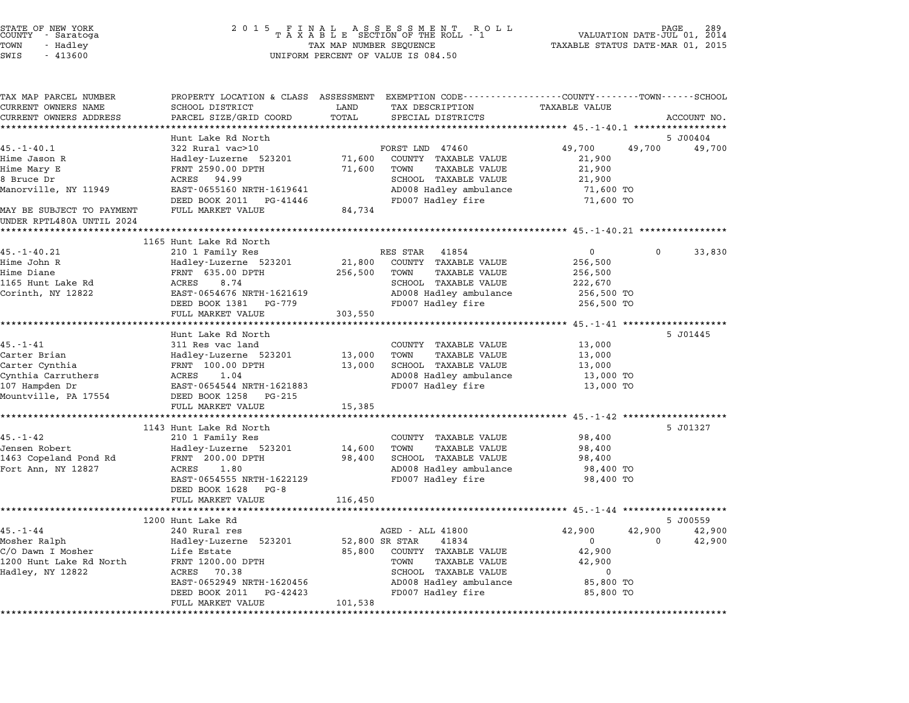STATE OF NEW YORK <sup>2</sup> <sup>0</sup> <sup>1</sup> 5 F I N A L A S S E S S M E N T R O L L PAGE <sup>289</sup> COUNTY - Saratoga <sup>T</sup> <sup>A</sup> <sup>X</sup> <sup>A</sup> <sup>B</sup> <sup>L</sup> <sup>E</sup> SECTION OF THE ROLL - <sup>1</sup> VALUATION DATE-JUL 01, <sup>2014</sup> TOWN - Hadley TAX MAP NUMBER SEQUENCE TAXABLE STATUS DATE-MAR 01, <sup>2015</sup> SUCRIT - SATATUGA<br>TOWN - Hadley - Alley - All Hadley - TAX MAP NUMBER SEQUENCE<br>SWIS - 413600 - WILFORM PERCENT OF VALUE IS 084.50 TAX MAP PARCEL NUMBER PROPERTY LOCATION & CLASS ASSESSMENT EXEMPTION CODE------------------COUNTY--------TOWN------SCHOOL CURRENT OWNERS NAME SCHOOL DISTRICT LAND TAX DESCRIPTION TAXABLE VALUE CURRENT OWNERS ADDRESS FOR SCHOOL DISTRICTS ASSESSEENT EXERT ON TAX MIT POSSESS SAME ON TRANSFORE STATE ON THE TRANSFORE TO TRANSFORE THE TRANSFORE TO TRANSFORE THE TRANSFORE TO TRANSFORE THE TRANSFORE TO TRANSFORE THE TRA Hunt Lake Rd North 5 J00404 45.-1-40.1 <sup>322</sup> Rural vac>10 FORST LND <sup>47460</sup> 49,700 49,700 49,700 Hime Jason R Hadley-Luzerne <sup>523201</sup> 71,600 COUNTY TAXABLE VALUE 21,900 Hime Mary E FRNT 2590.00 DPTH 71,600 TOWN TAXABLE VALUE 21,900 ALINE UASUR KALUE AND HALLE HOLD HALLE SERVICES AND MANUE AND ALLE AND A SALUE AND A SALUE AND A SALUE AND A SA<br>Bruce Dr ACRES 94.99 SCHOOL TAXABLE VALUE 21,900<br>BRUCE DR ACRES 94.99 MAND MANOR AND PANT PARTICULAR SUCCESSION OF THE MANUS AND TAKABLE VALUE AND TAKABLE VALUE AND MANUS AND MANUS<br>19.900 ACRES 94.99 AD008 Hadley ambulance 71,600 TO MANUS (21,900 TO SCHOOL TAXABLE VALUE 21,900 TO MANUS (21,<br> EAST-0655160 NRTH-1619641 **EAST-0655160 NRTH-1619641** AD008 Hadley ambulance 71,600 TO<br>DEED BOOK 2011 PG-41446 FD007 Hadley fire 71,600 TO MANOTVIILE, NI IIJAS ARRAIT USISTI OSSISTO NKIN ISISORI<br>DEED BOOK 2011 PG-41446<br>MAY BE SUBJECT TO PAYMENT FULL MARKET VALUE 84,734 MAY BE SUBJECT TO PAYMENT<br>UNDER RPTL480A UNTIL 2024 \*\*\*\*\*\*\*\*\*\*\*\*\*\*\*\*\*\*\*\*\*\*\*\*\*\*\*\*\*\*\*\*\*\*\*\*\*\*\*\*\*\*\*\*\*\*\*\*\*\*\*\*\*\*\*\*\*\*\*\*\*\*\*\*\*\*\*\*\*\*\*\*\*\*\*\*\*\*\*\*\*\*\*\*\*\*\*\*\*\*\*\*\*\*\*\*\*\*\*\*\*\*\* 45.-1-40.21 \*\*\*\*\*\*\*\*\*\*\*\*\*\*\*\* <sup>1165</sup> Hunt Lake Rd North 1165 Hunt Lake Rd North (1888) RES STAR 41854 0 0 33,830 0 0 33,830 Hime John R Hadley-Luzerne <sup>523201</sup> 21,800 COUNTY TAXABLE VALUE 256,500 Hime Diane FRNT 635.00 DPTH 256,500 TOWN TAXABLE VALUE 256,500 <sup>1165</sup> Hunt Lake Rd ACRES 8.74 SCHOOL TAXABLE VALUE 222,670 Corinth, NY <sup>12822</sup> EAST-0654676 NRTH-1621619 AD008 Hadley ambulance 256,500 TO EAST-0654676 NRTH-1621619<br>
EAST-0654676 NRTH-1621619 AD008 Hadley ambulance 256,500 TO<br>
DEED BOOK 1381 PG-779 FD007 Hadley fire 256,500 TO EAST 0094070 MAIN 1021019<br>
DEED BOOK 1381 PG-779<br>
FULL MARKET VALUE 303,550 \*\*\*\*\*\*\*\*\*\*\*\*\*\*\*\*\*\*\*\*\*\*\*\*\*\*\*\*\*\*\*\*\*\*\*\*\*\*\*\*\*\*\*\*\*\*\*\*\*\*\*\*\*\*\*\*\*\*\*\*\*\*\*\*\*\*\*\*\*\*\*\*\*\*\*\*\*\*\*\*\*\*\*\*\*\*\*\*\*\*\*\*\*\*\*\*\*\*\*\*\*\*\* 45.-1-41 \*\*\*\*\*\*\*\*\*\*\*\*\*\*\*\*\*\*\* Hunt Lake Rd North 5 J01445 45.1-1-41 Alternative School Hunt Lake Rd North<br>Hunt Lake Rd North<br>311 Res vac land COUNTY TAXABLE VALUE 13,000 mint have no rottii<br>311 Res vac land to a county taxable value to 13,000<br>Carter Brian (13,000 Hadley-Luzerne 523201 13,000 TOWN TAXABLE VALUE 13,000 TOWN) Carter Cynthia FRNT 100.00 DPTH 13,000 SCHOOL TAXABLE VALUE 13,000 Carrel Drian (Carrel Matter of the Carrel of the Carrel of the Carrel of the Carrel of the Carrel of the Carre<br>Cynthia Carruthers (RENT 100.00 DPTH 13,000 SCHOOL TAXABLE VALUE 13,000 1000<br>Cynthia Carruthers ACRES 1.04 (CAR Carter Cynthia (107.00 Drin 100.00 Drin 110,000 SCROOL TAAABLE VALUE 13,000 ISO.<br>2008 Hadley ambulance 13,000 TO 13,000 TO 13,000 BLACKES 1.04 AD008 Hadley ambulance 13,000 TO 13,000 TO سماء المسلم المسلم المسلم بين المسلم بين المسلم بين المسلم بين المسلم بين المسلم بين المسلم بين المسلم بين ال<br>107 Hampden Dr BA 17554 DEED BOOK 1258 PG-215 EASI-0094944 NAIH-1021063<br>
DEED BOOK 1258 PG-215<br>
FULL MARKET VALUE 15,385 \*\*\*\*\*\*\*\*\*\*\*\*\*\*\*\*\*\*\*\*\*\*\*\*\*\*\*\*\*\*\*\*\*\*\*\*\*\*\*\*\*\*\*\*\*\*\*\*\*\*\*\*\*\*\*\*\*\*\*\*\*\*\*\*\*\*\*\*\*\*\*\*\*\*\*\*\*\*\*\*\*\*\*\*\*\*\*\*\*\*\*\*\*\*\*\*\*\*\*\*\*\*\* 45.-1-42 \*\*\*\*\*\*\*\*\*\*\*\*\*\*\*\*\*\*\* <sup>1143</sup> Hunt Lake Rd North 5 J01327 1143 Hunt Lake Rd North 2000 and COUNTY TAXABLE VALUE 31.1-42 Jensen Robert Hadley-Luzerne <sup>523201</sup> 14,600 TOWN TAXABLE VALUE 98,400 1998. I Research Market Market (1980) 210 I Painting Research Market (1980) 2006. I AAADDE VALUE (1980) 98,400<br>1463 Copeland Pond Rd FRNT 200.00 DPTH 98,400 SCHOOL TAXABLE VALUE 98,400 98,400 Vensen Robert – Handrey-Luzerne 525201 – 14,000 TOWN TAXABLE VALUE – 98,400<br>1463 Copeland Pond Rd – FRNT 200.00 DPTH – 98,400 SCHOOL TAXABLE VALUE – 98,400<br>Fort Ann, NY 12827 – ACRES 1.80 – AD008 Hadley ambulance – 98,400 EARL 200.00 FETH FROM THANDS VALUE ON SURVEYOR TANDAMENT PROTECTS AND TO A SURVEY OF THE SURVEY OF THE SURVEY A<br>ADOB Hadley fire 98,400 TO ADOB Hadley fire 98,400 TO BO 400 TO FEDOR Hadley fire 98,400 TO EAST-0654555 NRTH-162<br>DEED BOOK 1628 PG-8 EAST 0094999 MAIN 1022129<br>
DEED BOOK 1628 PG-8<br>
FULL MARKET VALUE 116,450 \*\*\*\*\*\*\*\*\*\*\*\*\*\*\*\*\*\*\*\*\*\*\*\*\*\*\*\*\*\*\*\*\*\*\*\*\*\*\*\*\*\*\*\*\*\*\*\*\*\*\*\*\*\*\*\*\*\*\*\*\*\*\*\*\*\*\*\*\*\*\*\*\*\*\*\*\*\*\*\*\*\*\*\*\*\*\*\*\*\*\*\*\*\*\*\*\*\*\*\*\*\*\* 45.-1-44 \*\*\*\*\*\*\*\*\*\*\*\*\*\*\*\*\*\*\* <sup>1200</sup> Hunt Lake Rd 5 J00559 45.-1-44 <sup>240</sup> Rural res AGED - ALL <sup>41800</sup> 42,900 42,900 42,900 1200 March March (1993) من المستوى بين المستوى المستوى بين المستوى المستوى بين المستوى المستوى المستوى بين الم<br>Mosher Ralph (1990 Madley-Luzerne 523201 52,800 SR STAR 41834 0 0 12,900 42,900 C/O Dawn I Mosher Life Estate 85,800 COUNTY TAXABLE VALUE 42,900 nosher Karpii – Hunt Hunter Hunter Sessor – Sessor State Party (O DR SHAK – POSHE VALUE – 1209)<br>1200 Hunt Lake Rd North – Eife Estate – 1200.00 DPTH – 1200 – 2000 – 2000 – 2000 – 2000 – 2000 – 42,900<br>1200 Hunt Lake Rd Nort C/O DAWN I MOSHEI AND HITE ESCACE<br>1200 Hunt Lake Rd North FRNT 1200.00 DPTH TOWN TAXABLE VALUE 42,900<br>Hadley, NY 12822 ACRES 70.38 SCHOOL TAXABLE VALUE 0 EANT 1200.00 DF111 (AND 1000) TOMA TAARDED VALUE (ALTES) (ALTES) (ALTES) (ALTES) (ALTES) (ALTES) (ALTES) (ALTE<br>ACRES 70.38 (ACRES 10) SCHOOL TAXABLE VALUE (ALTES) (ALTES) (ALTES) (ALTES) (ALTES) (ALTES) (ALTES) (ACRES 10 DEED BOOK <sup>2011</sup> PG-42423 FD007 Hadley fire 85,800 TO EAST 0032343 MAIN 1020430<br>
DEED BOOK 2011 PG-42423<br>
FULL MARKET VALUE 101,538

\*\*\*\*\*\*\*\*\*\*\*\*\*\*\*\*\*\*\*\*\*\*\*\*\*\*\*\*\*\*\*\*\*\*\*\*\*\*\*\*\*\*\*\*\*\*\*\*\*\*\*\*\*\*\*\*\*\*\*\*\*\*\*\*\*\*\*\*\*\*\*\*\*\*\*\*\*\*\*\*\*\*\*\*\*\*\*\*\*\*\*\*\*\*\*\*\*\*\*\*\*\*\*\*\*\*\*\*\*\*\*\*\*\*\*\*\*\*\*\*\*\*\*\*\*\*\*\*\*\*\*\*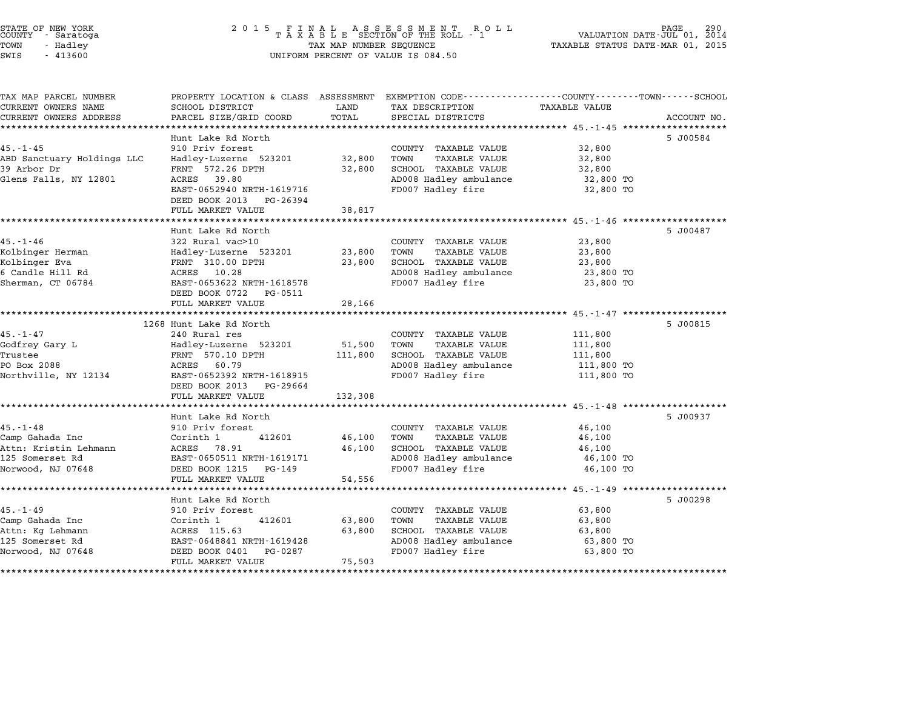| TOWN<br>SWIS | STATE OF NEW YORK<br>COUNTY - Saratoga<br>- Hadley<br>$-413600$ | 2015 FINAL ASSESSMENT ROLL<br>TAXABLE SECTION OF THE ROLL - 1<br>TAX MAP NUMBER SEQUENCE<br>UNIFORM PERCENT OF VALUE IS 084.50 | 290 PAGE 290<br>VALUATION DATE-JUL 01, 2014<br>TAXABLE STATUS DATE-MAR 01, 2015 |
|--------------|-----------------------------------------------------------------|--------------------------------------------------------------------------------------------------------------------------------|---------------------------------------------------------------------------------|
|              | TAX MAP PARCEL NUMBER                                           | PROPERTY LOCATION & CLASS ASSESSMENT EXEMPTION CODE----------------COUNTY------TOWN------SCHOOL                                |                                                                                 |

CURRENT OWNERS NAME SCHOOL DISTRICT LAND TAX DESCRIPTION TAXABLE VALUE CURRENT OWNERS ADDRESS PARCEL SIZE/GRID COORD TOTAL SPECIAL DISTRICTS ACCOUNT NO. \*\*\*\*\*\*\*\*\*\*\*\*\*\*\*\*\*\*\*\*\*\*\*\*\*\*\*\*\*\*\*\*\*\*\*\*\*\*\*\*\*\*\*\*\*\*\*\*\*\*\*\*\*\*\*\*\*\*\*\*\*\*\*\*\*\*\*\*\*\*\*\*\*\*\*\*\*\*\*\*\*\*\*\*\*\*\*\*\*\*\*\*\*\*\*\*\*\*\*\*\*\*\* 45.-1-45 \*\*\*\*\*\*\*\*\*\*\*\*\*\*\*\*\*\*\*

|                                                                                                        | Hunt Lake Rd North                                  |         |                                             |            | 5 J00584 |
|--------------------------------------------------------------------------------------------------------|-----------------------------------------------------|---------|---------------------------------------------|------------|----------|
| $45. - 1 - 45$                                                                                         | 910 Priv forest                                     |         | COUNTY TAXABLE VALUE                        | 32,800     |          |
| ABD Sanctuary Holdings LLC                                                                             | Hadley-Luzerne 523201                               | 32,800  | TOWN<br>TAXABLE VALUE                       | 32,800     |          |
| 39 Arbor Dr                                                                                            | FRNT 572.26 DPTH                                    | 32,800  | SCHOOL TAXABLE VALUE                        | 32,800     |          |
| Glens Falls, NY 12801                                                                                  | ACRES 39.80                                         |         | AD008 Hadley ambulance                      | 32,800 TO  |          |
|                                                                                                        | EAST-0652940 NRTH-1619716                           |         | FD007 Hadley fire                           | 32,800 TO  |          |
|                                                                                                        | DEED BOOK 2013 PG-26394                             |         |                                             |            |          |
|                                                                                                        | FULL MARKET VALUE                                   | 38,817  |                                             |            |          |
|                                                                                                        |                                                     |         |                                             |            |          |
|                                                                                                        | Hunt Lake Rd North                                  |         |                                             |            | 5 J00487 |
| $45. - 1 - 46$                                                                                         | 322 Rural vac>10                                    |         | COUNTY TAXABLE VALUE                        | 23,800     |          |
| Kolbinger Herman                                                                                       | Hadley-Luzerne 523201 23,800                        |         | TOWN<br>TAXABLE VALUE                       | 23,800     |          |
| Kolbinger Eva                                                                                          | FRNT 310.00 DPTH                                    | 23,800  | SCHOOL TAXABLE VALUE                        | 23,800     |          |
| 6 Candle Hill Rd                                                                                       | ACRES 10.28                                         |         | AD008 Hadley ambulance                      | 23,800 TO  |          |
| Sherman, CT 06784                                                                                      | EAST-0653622 NRTH-1618578                           |         | FD007 Hadley fire                           | 23,800 TO  |          |
|                                                                                                        | DEED BOOK 0722 PG-0511                              |         |                                             |            |          |
|                                                                                                        | FULL MARKET VALUE                                   | 28,166  |                                             |            |          |
|                                                                                                        | 1268 Hunt Lake Rd North                             |         |                                             |            | 5 J00815 |
| $45. - 1 - 47$                                                                                         | 240 Rural res                                       |         | COUNTY TAXABLE VALUE                        | 111,800    |          |
| Godfrey Gary L                                                                                         | Hadley-Luzerne 523201 51,500                        |         | TOWN<br>TAXABLE VALUE                       | 111,800    |          |
| Trustee                                                                                                | FRNT 570.10 DPTH                                    | 111,800 | SCHOOL TAXABLE VALUE                        | 111,800    |          |
| PO Box 2088                                                                                            | ACRES 60.79                                         |         | AD008 Hadley ambulance                      | 111,800 TO |          |
|                                                                                                        |                                                     |         | FD007 Hadley fire                           | 111,800 TO |          |
|                                                                                                        | DEED BOOK 2013 PG-29664                             |         |                                             |            |          |
|                                                                                                        | FULL MARKET VALUE                                   | 132,308 |                                             |            |          |
|                                                                                                        |                                                     |         |                                             |            |          |
|                                                                                                        | Hunt Lake Rd North                                  |         |                                             |            | 5 J00937 |
| $45. - 1 - 48$                                                                                         | 910 Priv forest                                     |         | COUNTY TAXABLE VALUE                        | 46,100     |          |
| Camp Gahada Inc                                                                                        | 412601<br>Corinth 1                                 | 46,100  | TOWN<br>TAXABLE VALUE                       | 46,100     |          |
|                                                                                                        |                                                     | 46,100  | SCHOOL TAXABLE VALUE                        | 46,100     |          |
|                                                                                                        |                                                     |         |                                             | 46,100 TO  |          |
| Camp Gahada Inc<br>Attn: Kristin Lehmann MCRES 78.91<br>EAST-0650511 NRTH-1619171<br>Norwood, NJ 07648 | DEED BOOK 1215 PG-149                               |         | AD008 Hadley ambulance<br>FD007 Hadley fire | 46,100 TO  |          |
|                                                                                                        | FULL MARKET VALUE                                   | 54,556  |                                             |            |          |
|                                                                                                        |                                                     |         |                                             |            |          |
|                                                                                                        | Hunt Lake Rd North                                  |         |                                             |            | 5 J00298 |
| $45. - 1 - 49$                                                                                         | 910 Priv forest                                     |         | COUNTY TAXABLE VALUE                        | 63,800     |          |
| Camp Gahada Inc                                                                                        | Corinth 1<br>412601                                 | 63,800  | TOWN<br>TAXABLE VALUE                       | 63,800     |          |
| Attn: Kg Lehmann                                                                                       | COTTHEI -<br>ACRES 115.63                           | 63,800  | SCHOOL TAXABLE VALUE                        | 63,800     |          |
|                                                                                                        |                                                     |         |                                             |            |          |
| 125 Somerset Rd                                                                                        |                                                     |         | AD008 Hadley ambulance 63,800 TO            |            |          |
| Norwood, NJ 07648                                                                                      | EAST-0648841 NRTH-1619428<br>DEED BOOK 0401 PG-0287 |         | FD007 Hadley fire                           | 63,800 TO  |          |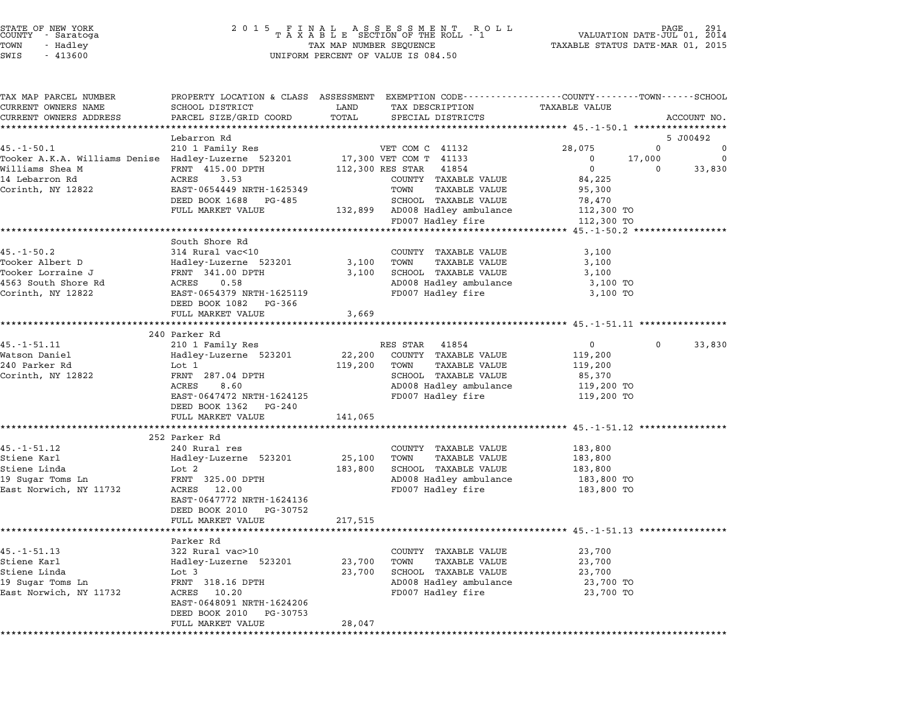| STATE OF NEW YORK |          |            |  |
|-------------------|----------|------------|--|
| COUNTY            |          | - Saratoga |  |
| TOWN              | - Hadley |            |  |
|                   |          |            |  |

| TAX MAP PARCEL NUMBER                               | PROPERTY LOCATION & CLASS ASSESSMENT EXEMPTION CODE----------------COUNTY-------TOWN------SCHOOL |              |                                |                                                |              |             |
|-----------------------------------------------------|--------------------------------------------------------------------------------------------------|--------------|--------------------------------|------------------------------------------------|--------------|-------------|
| CURRENT OWNERS NAME                                 | SCHOOL DISTRICT                                                                                  | LAND         | TAX DESCRIPTION                | TAXABLE VALUE                                  |              |             |
| CURRENT OWNERS ADDRESS                              | PARCEL SIZE/GRID COORD                                                                           | TOTAL        | SPECIAL DISTRICTS              |                                                |              | ACCOUNT NO. |
|                                                     |                                                                                                  |              |                                | **************** 45.-1-50.1 ****************** |              |             |
|                                                     | Lebarron Rd                                                                                      |              |                                |                                                |              | 5 J00492    |
| $45. - 1 - 50.1$                                    | 210 1 Family Res                                                                                 |              | VET COM C 41132                | 28,075                                         | $\Omega$     | $\Omega$    |
| Tooker A.K.A. Williams Denise Hadley-Luzerne 523201 |                                                                                                  |              | 17,300 VET COM T 41133         | $\mathbf 0$                                    | 17,000       | $\Omega$    |
| Williams Shea M                                     | FRNT 415.00 DPTH                                                                                 |              | 112,300 RES STAR 41854         | $\overline{0}$                                 | $\mathbf 0$  | 33,830      |
| 14 Lebarron Rd                                      | ACRES 3.53                                                                                       |              | COUNTY TAXABLE VALUE           | 84,225                                         |              |             |
| Corinth, NY 12822                                   | EAST-0654449 NRTH-1625349                                                                        |              | TOWN<br><b>TAXABLE VALUE</b>   | 95,300                                         |              |             |
|                                                     | DEED BOOK 1688 PG-485<br>FULL MARKET VALUE                                                       |              | SCHOOL TAXABLE VALUE           | 78,470<br>112,300 TO                           |              |             |
|                                                     |                                                                                                  |              | 132,899 AD008 Hadley ambulance |                                                |              |             |
|                                                     |                                                                                                  |              | FD007 Hadley fire              | 112,300 TO                                     |              |             |
|                                                     |                                                                                                  |              |                                |                                                |              |             |
| $45. -1 - 50.2$                                     | South Shore Rd<br>314 Rural vac<10                                                               |              | COUNTY TAXABLE VALUE           | 3,100                                          |              |             |
| Tooker Albert D                                     |                                                                                                  |              | <b>TAXABLE VALUE</b>           |                                                |              |             |
| Tooker Lorraine J                                   | Hadley-Luzerne 523201<br>FRNT 341.00 DPTH                                                        | 3,100 TOWN   | 3,100 SCHOOL TAXABLE VALUE     | 3,100<br>3,100                                 |              |             |
| 4563 South Shore Rd                                 | 0.58<br>ACRES                                                                                    |              | AD008 Hadley ambulance         | 3,100 TO                                       |              |             |
| Corinth, NY 12822                                   | EAST-0654379 NRTH-1625119                                                                        |              | FD007 Hadley fire              | 3,100 TO                                       |              |             |
|                                                     | DEED BOOK 1082 PG-366                                                                            |              |                                |                                                |              |             |
|                                                     | FULL MARKET VALUE                                                                                | 3,669        |                                |                                                |              |             |
|                                                     |                                                                                                  |              |                                |                                                |              |             |
|                                                     | 240 Parker Rd                                                                                    |              |                                |                                                |              |             |
| $45. - 1 - 51.11$                                   | 210 1 Family Res                                                                                 |              | RES STAR 41854                 | $\overline{0}$                                 | $\mathbf{0}$ | 33,830      |
| Watson Daniel                                       | Hadley-Luzerne 523201                                                                            | 22,200       | COUNTY TAXABLE VALUE           | 119,200                                        |              |             |
| 240 Parker Rd                                       | Lot 1                                                                                            | 119,200 TOWN | <b>TAXABLE VALUE</b>           | 119,200                                        |              |             |
| Corinth, NY 12822                                   | FRNT 287.04 DPTH                                                                                 |              | SCHOOL TAXABLE VALUE           | 85,370                                         |              |             |
|                                                     | ACRES<br>8.60                                                                                    |              | AD008 Hadley ambulance         | 119,200 TO                                     |              |             |
|                                                     | EAST-0647472 NRTH-1624125                                                                        |              | FD007 Hadley fire              | 119,200 TO                                     |              |             |
|                                                     | DEED BOOK 1362 PG-240                                                                            |              |                                |                                                |              |             |
|                                                     | FULL MARKET VALUE                                                                                | 141,065      |                                |                                                |              |             |
|                                                     |                                                                                                  |              |                                |                                                |              |             |
|                                                     | 252 Parker Rd                                                                                    |              |                                |                                                |              |             |
| $45. - 1 - 51.12$                                   | 240 Rural res                                                                                    |              | COUNTY TAXABLE VALUE           | 183,800                                        |              |             |
| Stiene Karl                                         | Hadley-Luzerne 523201                                                                            | 25,100       | TOWN<br>TAXABLE VALUE          | 183,800                                        |              |             |
| Stiene Linda                                        | Lot 2                                                                                            | 183,800      | SCHOOL TAXABLE VALUE           | 183,800                                        |              |             |
| 19 Sugar Toms Ln                                    | FRNT 325.00 DPTH                                                                                 |              | AD008 Hadley ambulance         | 183,800 TO                                     |              |             |
| East Norwich, NY 11732                              | ACRES 12.00                                                                                      |              | FD007 Hadley fire              | 183,800 TO                                     |              |             |
|                                                     | EAST-0647772 NRTH-1624136                                                                        |              |                                |                                                |              |             |
|                                                     | DEED BOOK 2010 PG-30752                                                                          |              |                                |                                                |              |             |
|                                                     | FULL MARKET VALUE                                                                                | 217,515      |                                |                                                |              |             |
|                                                     |                                                                                                  |              |                                |                                                |              |             |
|                                                     | Parker Rd                                                                                        |              |                                |                                                |              |             |
| $45. - 1 - 51.13$                                   | 322 Rural vac>10                                                                                 |              | COUNTY TAXABLE VALUE           | 23,700                                         |              |             |
| Stiene Karl                                         | Hadley-Luzerne 523201                                                                            | 23,700       | TAXABLE VALUE<br>TOWN          | 23,700                                         |              |             |
| Stiene Linda                                        | Lot 3                                                                                            | 23,700       | SCHOOL TAXABLE VALUE           | 23,700                                         |              |             |
| 19 Sugar Toms Ln                                    | FRNT 318.16 DPTH                                                                                 |              | AD008 Hadley ambulance         | 23,700 TO                                      |              |             |
| East Norwich, NY 11732                              | ACRES 10.20                                                                                      |              | FD007 Hadley fire              | 23,700 TO                                      |              |             |
|                                                     | EAST-0648091 NRTH-1624206                                                                        |              |                                |                                                |              |             |
|                                                     | DEED BOOK 2010<br>PG-30753                                                                       |              |                                |                                                |              |             |
|                                                     | FULL MARKET VALUE                                                                                | 28,047       |                                |                                                |              |             |
|                                                     |                                                                                                  |              |                                |                                                |              |             |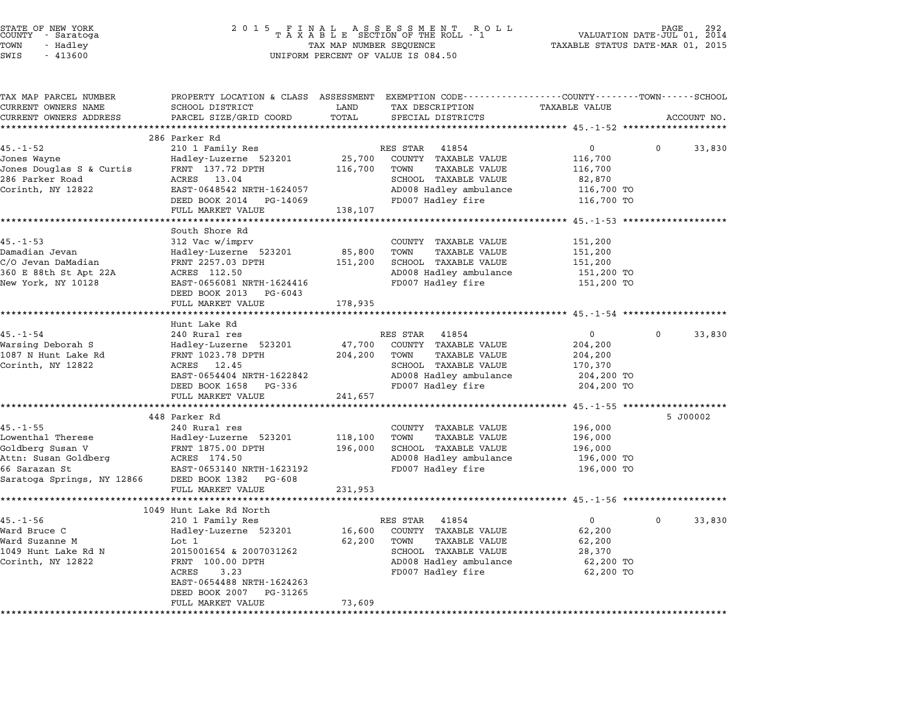| STATE OF NEW YORK |          |            |  |
|-------------------|----------|------------|--|
| COUNTY            |          | - Saratoga |  |
| TOWN              | - Hadley |            |  |
|                   |          |            |  |

## STATE OF NEW YORK <sup>2</sup> <sup>0</sup> <sup>1</sup> 5 F I N A L A S S E S S M E N T R O L L PAGE <sup>292</sup> COUNTY - Saratoga <sup>T</sup> <sup>A</sup> <sup>X</sup> <sup>A</sup> <sup>B</sup> <sup>L</sup> <sup>E</sup> SECTION OF THE ROLL - <sup>1</sup> VALUATION DATE-JUL 01, <sup>2014</sup> TOWN - Hadley TAX MAP NUMBER SEQUENCE TAXABLE STATUS DATE-MAR 01, <sup>2015</sup> SWIS - <sup>413600</sup> UNIFORM PERCENT OF VALUE IS 084.50

| TAX MAP PARCEL NUMBER    | PROPERTY LOCATION & CLASS ASSESSMENT EXEMPTION CODE---------------COUNTY-------TOWN-----SCHOOL |         |                              |                |          |             |
|--------------------------|------------------------------------------------------------------------------------------------|---------|------------------------------|----------------|----------|-------------|
| CURRENT OWNERS NAME      | SCHOOL DISTRICT                                                                                | LAND    | TAX DESCRIPTION              | TAXABLE VALUE  |          |             |
| CURRENT OWNERS ADDRESS   | PARCEL SIZE/GRID COORD                                                                         | TOTAL   | SPECIAL DISTRICTS            |                |          | ACCOUNT NO. |
|                          |                                                                                                |         |                              |                |          |             |
|                          | 286 Parker Rd                                                                                  |         |                              |                |          |             |
| $45. - 1 - 52$           | 210 1 Family Res                                                                               |         | RES STAR 41854               | $\mathbf 0$    | $\Omega$ | 33,830      |
| Jones Wayne              | Hadley-Luzerne 523201 25,700                                                                   |         | COUNTY TAXABLE VALUE         | 116,700        |          |             |
| Jones Douglas S & Curtis | FRNT 137.72 DPTH                                                                               | 116,700 | TOWN<br>TAXABLE VALUE        | 116,700        |          |             |
| 286 Parker Road          | ACRES 13.04                                                                                    |         | SCHOOL TAXABLE VALUE         | 82,870         |          |             |
| Corinth, NY 12822        | EAST-0648542 NRTH-1624057                                                                      |         | AD008 Hadley ambulance       | 116,700 TO     |          |             |
|                          | DEED BOOK 2014 PG-14069                                                                        | 138,107 | FD007 Hadley fire            | 116,700 TO     |          |             |
|                          | FULL MARKET VALUE                                                                              |         |                              |                |          |             |
|                          | South Shore Rd                                                                                 |         |                              |                |          |             |
| $45. - 1 - 53$           | 312 Vac w/imprv                                                                                |         | COUNTY TAXABLE VALUE         | 151,200        |          |             |
| Damadian Jevan           | Hadley-Luzerne 523201 85,800                                                                   |         | TOWN<br>TAXABLE VALUE        | 151,200        |          |             |
| C/O Jevan DaMadian       | FRNT 2257.03 DPTH                                                                              |         | 151,200 SCHOOL TAXABLE VALUE | 151,200        |          |             |
| 360 E 88th St Apt 22A    | ACRES 112.50                                                                                   |         | AD008 Hadley ambulance       | 151,200 TO     |          |             |
| New York, NY 10128       | EAST-0656081 NRTH-1624416                                                                      |         | FD007 Hadley fire            | 151,200 TO     |          |             |
|                          | DEED BOOK 2013 PG-6043                                                                         |         |                              |                |          |             |
|                          | FULL MARKET VALUE                                                                              | 178,935 |                              |                |          |             |
|                          |                                                                                                |         |                              |                |          |             |
|                          | Hunt Lake Rd                                                                                   |         |                              |                |          |             |
| $45. - 1 - 54$           | 240 Rural res                                                                                  |         | RES STAR 41854               | $\mathbf{0}$   | $\Omega$ | 33,830      |
| Warsing Deborah S        | Hadley-Luzerne 523201                                                                          | 47,700  | COUNTY TAXABLE VALUE         | 204,200        |          |             |
| 1087 N Hunt Lake Rd      | FRNT 1023.78 DPTH                                                                              | 204,200 | TAXABLE VALUE<br>TOWN        | 204,200        |          |             |
| Corinth, NY 12822        | ACRES 12.45                                                                                    |         | SCHOOL TAXABLE VALUE         | 170,370        |          |             |
|                          | EAST-0654404 NRTH-1622842                                                                      |         | AD008 Hadley ambulance       | 204,200 TO     |          |             |
|                          | DEED BOOK 1658 PG-336                                                                          |         | FD007 Hadley fire            | 204,200 TO     |          |             |
|                          | FULL MARKET VALUE                                                                              | 241,657 |                              |                |          |             |
|                          |                                                                                                |         |                              |                |          |             |
|                          | 448 Parker Rd                                                                                  |         |                              |                |          | 5 J00002    |
| $45. - 1 - 55$           | 240 Rural res                                                                                  |         | COUNTY TAXABLE VALUE         | 196,000        |          |             |
| Lowenthal Therese        | Hadley-Luzerne 523201                                                                          | 118,100 | TOWN<br>TAXABLE VALUE        | 196,000        |          |             |
| Goldberg Susan V         | FRNT 1875.00 DPTH                                                                              |         | 196,000 SCHOOL TAXABLE VALUE | 196,000        |          |             |
|                          |                                                                                                |         | AD008 Hadley ambulance       | 196,000 TO     |          |             |
|                          |                                                                                                |         | FD007 Hadley fire            | 196,000 TO     |          |             |
|                          |                                                                                                |         |                              |                |          |             |
|                          | FULL MARKET VALUE                                                                              | 231,953 |                              |                |          |             |
|                          |                                                                                                |         |                              |                |          |             |
|                          | 1049 Hunt Lake Rd North                                                                        |         |                              |                |          |             |
| $45. - 1 - 56$           | 210 1 Family Res                                                                               |         | RES STAR 41854               | $\overline{0}$ | $\Omega$ | 33,830      |
| Ward Bruce C             | Hadley-Luzerne 523201                                                                          | 16,600  | COUNTY TAXABLE VALUE         | 62,200         |          |             |
| Ward Suzanne M           | Lot 1                                                                                          | 62,200  | TOWN<br>TAXABLE VALUE        | 62,200         |          |             |
| 1049 Hunt Lake Rd N      | 2015001654 & 2007031262                                                                        |         | SCHOOL TAXABLE VALUE         | 28,370         |          |             |
| Corinth, NY 12822        | FRNT 100.00 DPTH                                                                               |         | AD008 Hadley ambulance       | 62,200 TO      |          |             |
|                          | ACRES<br>3.23                                                                                  |         | FD007 Hadley fire            | 62,200 TO      |          |             |
|                          | EAST-0654488 NRTH-1624263                                                                      |         |                              |                |          |             |
|                          | DEED BOOK 2007<br>PG-31265                                                                     |         |                              |                |          |             |
|                          | FULL MARKET VALUE                                                                              | 73,609  |                              |                |          |             |
|                          |                                                                                                |         |                              |                |          |             |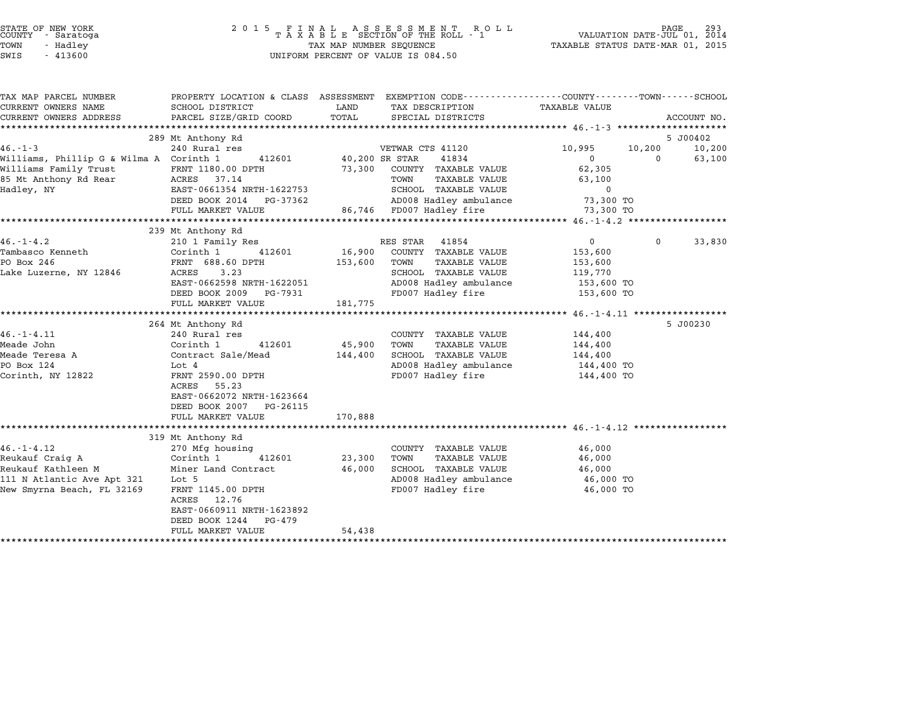| STATE OF NEW YORK<br>COUNTY<br>- Saratoga<br>TOWN<br>- Hadley<br>SWIS<br>$-413600$ | 2 0 1 5<br>FINAL ASSESSMENT RO<br>TAXABLE SECTION OF THE ROLL - 1<br>R O L L<br>TAX MAP NUMBER SEQUENCE<br>UNIFORM PERCENT OF VALUE IS 084.50 |         |                                                                                                                   | 293<br>PAGE<br>VALUATION DATE-JUL 01, 2014<br>TAXABLE STATUS DATE-MAR 01, 2015 |        |             |  |
|------------------------------------------------------------------------------------|-----------------------------------------------------------------------------------------------------------------------------------------------|---------|-------------------------------------------------------------------------------------------------------------------|--------------------------------------------------------------------------------|--------|-------------|--|
| TAX MAP PARCEL NUMBER<br>CURRENT OWNERS NAME                                       | SCHOOL DISTRICT                                                                                                                               | LAND    | PROPERTY LOCATION & CLASS ASSESSMENT EXEMPTION CODE---------------COUNTY-------TOWN-----SCHOOL<br>TAX DESCRIPTION | <b>TAXABLE VALUE</b>                                                           |        |             |  |
| CURRENT OWNERS ADDRESS                                                             | PARCEL SIZE/GRID COORD                                                                                                                        | TOTAL   | SPECIAL DISTRICTS                                                                                                 |                                                                                |        | ACCOUNT NO. |  |
|                                                                                    |                                                                                                                                               |         |                                                                                                                   |                                                                                |        |             |  |
|                                                                                    | 289 Mt Anthony Rd                                                                                                                             |         |                                                                                                                   |                                                                                |        | 5 J00402    |  |
| $46. - 1 - 3$                                                                      | 240 Rural res                                                                                                                                 |         | VETWAR CTS 41120                                                                                                  | 10,995                                                                         | 10,200 | 10,200      |  |
| Williams, Phillip G & Wilma A Corinth 1                                            | 412601                                                                                                                                        |         | 40,200 SR STAR<br>41834                                                                                           | $\mathbf{0}$                                                                   | 0      | 63,100      |  |
| Williams Family Trust<br>85 Mt Anthony Rd Rear                                     | FRNT 1180.00 DPTH<br>37.14<br>ACRES                                                                                                           | 73,300  | COUNTY TAXABLE VALUE<br>TAXABLE VALUE<br>TOWN                                                                     | 62,305<br>63,100                                                               |        |             |  |
| Hadley, NY                                                                         | EAST-0661354 NRTH-1622753                                                                                                                     |         | SCHOOL TAXABLE VALUE                                                                                              | 0                                                                              |        |             |  |
|                                                                                    | DEED BOOK 2014<br>PG-37362                                                                                                                    |         | AD008 Hadley ambulance                                                                                            | 73,300 TO                                                                      |        |             |  |
|                                                                                    | FULL MARKET VALUE                                                                                                                             |         | 86,746 FD007 Hadley fire                                                                                          | 73,300 TO                                                                      |        |             |  |
|                                                                                    |                                                                                                                                               |         |                                                                                                                   |                                                                                |        |             |  |
|                                                                                    | 239 Mt Anthony Rd                                                                                                                             |         |                                                                                                                   |                                                                                |        |             |  |
| $46. - 1 - 4.2$                                                                    | 210 1 Family Res                                                                                                                              |         | RES STAR<br>41854                                                                                                 | $\mathbf{0}$                                                                   | 0      | 33,830      |  |
| Tambasco Kenneth                                                                   | Corinth 1<br>412601                                                                                                                           | 16,900  | COUNTY TAXABLE VALUE                                                                                              | 153,600                                                                        |        |             |  |
| PO Box 246                                                                         | FRNT 688.60 DPTH<br>ACRES<br>3.23                                                                                                             | 153,600 | TOWN<br><b>TAXABLE VALUE</b><br>SCHOOL TAXABLE VALUE                                                              | 153,600                                                                        |        |             |  |
| Lake Luzerne, NY 12846                                                             | EAST-0662598 NRTH-1622051                                                                                                                     |         | AD008 Hadley ambulance                                                                                            | 119,770<br>153,600 TO                                                          |        |             |  |
|                                                                                    | DEED BOOK 2009<br>PG-7931                                                                                                                     |         | FD007 Hadley fire                                                                                                 | 153,600 TO                                                                     |        |             |  |
|                                                                                    | FULL MARKET VALUE                                                                                                                             | 181,775 |                                                                                                                   |                                                                                |        |             |  |
|                                                                                    |                                                                                                                                               |         |                                                                                                                   |                                                                                |        |             |  |
|                                                                                    | 264 Mt Anthony Rd                                                                                                                             |         |                                                                                                                   |                                                                                |        | 5 J00230    |  |
| $46. - 1 - 4.11$                                                                   | 240 Rural res                                                                                                                                 |         | COUNTY TAXABLE VALUE                                                                                              | 144,400                                                                        |        |             |  |
| Meade John                                                                         | Corinth 1<br>412601                                                                                                                           | 45,900  | TOWN<br><b>TAXABLE VALUE</b>                                                                                      | 144,400                                                                        |        |             |  |
| Meade Teresa A                                                                     | Contract Sale/Mead                                                                                                                            | 144,400 | SCHOOL TAXABLE VALUE                                                                                              | 144,400                                                                        |        |             |  |
| PO Box 124<br>Corinth, NY 12822                                                    | Lot 4<br>FRNT 2590.00 DPTH                                                                                                                    |         | AD008 Hadley ambulance<br>FD007 Hadley fire                                                                       | 144,400 TO<br>144,400 TO                                                       |        |             |  |
|                                                                                    | ACRES<br>55.23<br>EAST-0662072 NRTH-1623664<br>DEED BOOK 2007<br>PG-26115                                                                     |         |                                                                                                                   |                                                                                |        |             |  |
|                                                                                    | FULL MARKET VALUE                                                                                                                             | 170,888 |                                                                                                                   |                                                                                |        |             |  |
|                                                                                    | 319 Mt Anthony Rd                                                                                                                             |         |                                                                                                                   |                                                                                |        |             |  |
| $46. - 1 - 4.12$                                                                   | 270 Mfg housing                                                                                                                               |         | COUNTY TAXABLE VALUE                                                                                              | 46,000                                                                         |        |             |  |
| Reukauf Craig A                                                                    | Corinth 1<br>412601                                                                                                                           | 23,300  | TOWN<br>TAXABLE VALUE                                                                                             | 46,000                                                                         |        |             |  |
| Reukauf Kathleen M                                                                 | Miner Land Contract                                                                                                                           | 46,000  | SCHOOL TAXABLE VALUE                                                                                              | 46,000                                                                         |        |             |  |
| 111 N Atlantic Ave Apt 321                                                         | Lot 5                                                                                                                                         |         | AD008 Hadley ambulance                                                                                            | 46,000 TO                                                                      |        |             |  |
| New Smyrna Beach, FL 32169                                                         | FRNT 1145.00 DPTH<br>ACRES<br>12.76                                                                                                           |         | FD007 Hadley fire                                                                                                 | 46,000 TO                                                                      |        |             |  |
|                                                                                    | EAST-0660911 NRTH-1623892<br>DEED BOOK 1244<br>PG-479                                                                                         |         |                                                                                                                   |                                                                                |        |             |  |
|                                                                                    | FULL MARKET VALUE                                                                                                                             | 54,438  |                                                                                                                   |                                                                                |        |             |  |
|                                                                                    |                                                                                                                                               |         |                                                                                                                   |                                                                                |        |             |  |

STATE OF NEW YORK <sup>2</sup> <sup>0</sup> <sup>1</sup> 5 F I N A L A S S E S S M E N T R O L L PAGE <sup>293</sup> COUNTY - Saratoga <sup>T</sup> <sup>A</sup> <sup>X</sup> <sup>A</sup> <sup>B</sup> <sup>L</sup> <sup>E</sup> SECTION OF THE ROLL - <sup>1</sup> VALUATION DATE-JUL 01, <sup>2014</sup>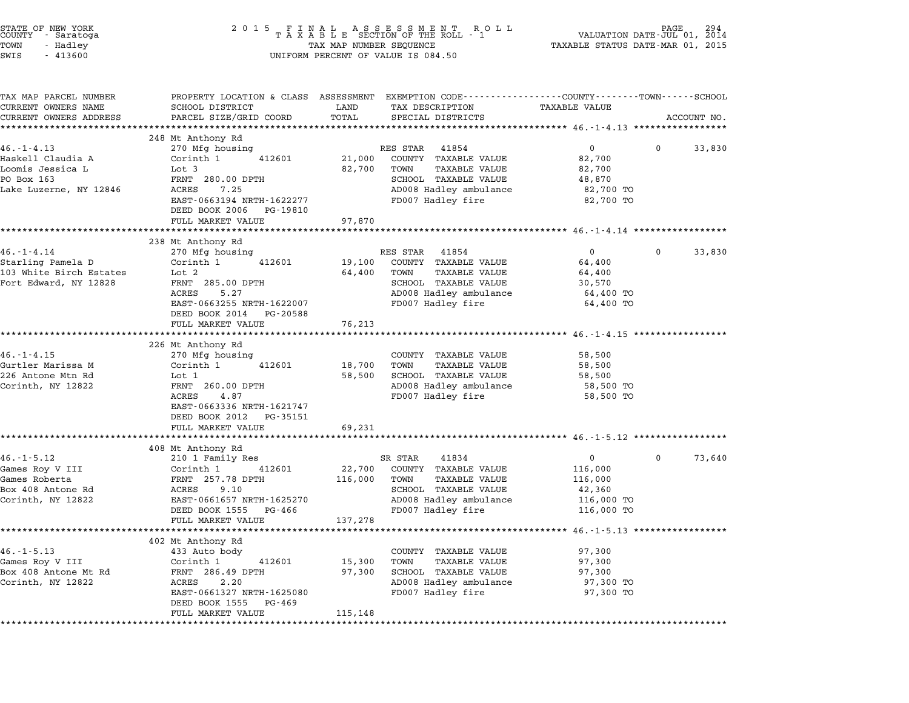| STATE OF NEW YORK<br>COUNTY - Saratoga<br>TOWN<br>- Hadley<br>SWIS<br>$-413600$ | 2 0 1 5                                                                                                            |                  | FINAL ASSESSMENT ROLL<br>TAXABLE SECTION OF THE ROLL - 1<br>TAX MAP NUMBER SEQUENCE<br>UNIFORM PERCENT OF VALUE IS 084.50 | VALUATION DATE- $JU\tilde{L}$ 01,<br>TAXABLE STATUS DATE-MAR 01, 2015 |   | 294<br>2014 |
|---------------------------------------------------------------------------------|--------------------------------------------------------------------------------------------------------------------|------------------|---------------------------------------------------------------------------------------------------------------------------|-----------------------------------------------------------------------|---|-------------|
| TAX MAP PARCEL NUMBER<br>CURRENT OWNERS NAME                                    | PROPERTY LOCATION & CLASS ASSESSMENT EXEMPTION CODE---------------COUNTY-------TOWN------SCHOOL<br>SCHOOL DISTRICT | LAND             | TAX DESCRIPTION                                                                                                           | TAXABLE VALUE                                                         |   |             |
| CURRENT OWNERS ADDRESS                                                          | PARCEL SIZE/GRID COORD                                                                                             | TOTAL            | SPECIAL DISTRICTS                                                                                                         |                                                                       |   | ACCOUNT NO. |
|                                                                                 |                                                                                                                    |                  |                                                                                                                           |                                                                       |   |             |
| $46. - 1 - 4.13$                                                                | 248 Mt Anthony Rd<br>270 Mfg housing                                                                               |                  | RES STAR<br>41854                                                                                                         | $\overline{0}$                                                        | 0 | 33,830      |
| Haskell Claudia A                                                               | Corinth 1<br>412601                                                                                                | 21,000           | COUNTY TAXABLE VALUE                                                                                                      | 82,700                                                                |   |             |
| Loomis Jessica L                                                                | Lot 3                                                                                                              | 82,700           | TOWN<br>TAXABLE VALUE                                                                                                     | 82,700                                                                |   |             |
| PO Box 163                                                                      | FRNT 280.00 DPTH                                                                                                   |                  | SCHOOL TAXABLE VALUE                                                                                                      | 48,870                                                                |   |             |
| Lake Luzerne, NY 12846                                                          | ACRES<br>7.25                                                                                                      |                  | AD008 Hadley ambulance                                                                                                    | 82,700 TO                                                             |   |             |
|                                                                                 | EAST-0663194 NRTH-1622277<br>DEED BOOK 2006<br>PG-19810                                                            |                  | FD007 Hadley fire                                                                                                         | 82,700 TO                                                             |   |             |
|                                                                                 | FULL MARKET VALUE                                                                                                  | 97,870           |                                                                                                                           |                                                                       |   |             |
|                                                                                 |                                                                                                                    | *************    | ************************************ 46.-1-4.14 ****************                                                          |                                                                       |   |             |
|                                                                                 | 238 Mt Anthony Rd                                                                                                  |                  | RES STAR                                                                                                                  | $\overline{0}$                                                        | 0 |             |
| 46.-1-4.14<br>Starling Pamela D                                                 | 270 Mfg housing<br>Corinth 1<br>412601                                                                             | 19,100           | 41854<br>COUNTY TAXABLE VALUE                                                                                             | 64,400                                                                |   | 33,830      |
| 103 White Birch Estates                                                         | Lot 2                                                                                                              | 64,400           | <b>TAXABLE VALUE</b><br>TOWN                                                                                              | 64,400                                                                |   |             |
| Fort Edward, NY 12828                                                           | FRNT 285.00 DPTH                                                                                                   |                  | SCHOOL TAXABLE VALUE                                                                                                      | 30,570                                                                |   |             |
|                                                                                 | ACRES<br>5.27                                                                                                      |                  | AD008 Hadley ambulance                                                                                                    | 64,400 TO                                                             |   |             |
|                                                                                 | EAST-0663255 NRTH-1622007<br>DEED BOOK 2014<br>PG-20588                                                            |                  | FD007 Hadley fire                                                                                                         | 64,400 TO                                                             |   |             |
|                                                                                 | FULL MARKET VALUE                                                                                                  | 76,213           |                                                                                                                           |                                                                       |   |             |
|                                                                                 |                                                                                                                    |                  |                                                                                                                           | ******************** 46.-1-4.15 **********                            |   |             |
|                                                                                 | 226 Mt Anthony Rd                                                                                                  |                  |                                                                                                                           |                                                                       |   |             |
| $46. - 1 - 4.15$                                                                | 270 Mfg housing                                                                                                    |                  | COUNTY TAXABLE VALUE                                                                                                      | 58,500                                                                |   |             |
| Gurtler Marissa M<br>226 Antone Mtn Rd                                          | Corinth 1<br>412601<br>Lot 1                                                                                       | 18,700<br>58,500 | <b>TAXABLE VALUE</b><br>TOWN<br>SCHOOL TAXABLE VALUE                                                                      | 58,500<br>58,500                                                      |   |             |
| Corinth, NY 12822                                                               | FRNT 260.00 DPTH                                                                                                   |                  | AD008 Hadley ambulance                                                                                                    | 58,500 TO                                                             |   |             |
|                                                                                 | ACRES<br>4.87                                                                                                      |                  | FD007 Hadley fire                                                                                                         | 58,500 TO                                                             |   |             |
|                                                                                 | EAST-0663336 NRTH-1621747                                                                                          |                  |                                                                                                                           |                                                                       |   |             |
|                                                                                 | DEED BOOK 2012<br>PG-35151                                                                                         |                  |                                                                                                                           |                                                                       |   |             |
|                                                                                 | FULL MARKET VALUE                                                                                                  | 69,231           |                                                                                                                           |                                                                       |   |             |
|                                                                                 |                                                                                                                    |                  | ************************************ 46.-1-5.12 ***************                                                           |                                                                       |   |             |
|                                                                                 | 408 Mt Anthony Rd                                                                                                  |                  |                                                                                                                           |                                                                       |   |             |
| $46. - 1 - 5.12$                                                                | 210 1 Family Res                                                                                                   |                  | SR STAR<br>41834                                                                                                          | 0                                                                     | 0 | 73,640      |
| Games Roy V III                                                                 | Corinth 1<br>412601                                                                                                | 22,700           | COUNTY TAXABLE VALUE                                                                                                      | 116,000                                                               |   |             |
| Games Roberta                                                                   | FRNT 257.78 DPTH                                                                                                   | 116,000          | TOWN<br><b>TAXABLE VALUE</b>                                                                                              | 116,000                                                               |   |             |
| Box 408 Antone Rd                                                               | ACRES<br>9.10                                                                                                      |                  | SCHOOL TAXABLE VALUE                                                                                                      | 42,360                                                                |   |             |
| Corinth, NY 12822                                                               | EAST-0661657 NRTH-1625270                                                                                          |                  | AD008 Hadley ambulance                                                                                                    | 116,000 TO                                                            |   |             |
|                                                                                 | DEED BOOK 1555<br>PG-466<br>FULL MARKET VALUE                                                                      | 137,278          | FD007 Hadley fire                                                                                                         | 116,000 TO                                                            |   |             |
|                                                                                 |                                                                                                                    |                  |                                                                                                                           |                                                                       |   |             |
|                                                                                 | 402 Mt Anthony Rd                                                                                                  |                  |                                                                                                                           |                                                                       |   |             |
| $46. -1 - 5.13$                                                                 | 433 Auto body                                                                                                      |                  | COUNTY TAXABLE VALUE                                                                                                      | 97,300                                                                |   |             |
| Games Roy V III                                                                 | Corinth 1<br>412601                                                                                                | 15,300           | TOWN<br>TAXABLE VALUE                                                                                                     | 97,300                                                                |   |             |
| Box 408 Antone Mt Rd                                                            | FRNT 286.49 DPTH                                                                                                   | 97,300           | SCHOOL TAXABLE VALUE                                                                                                      | 97,300                                                                |   |             |
| Corinth, NY 12822                                                               | ACRES<br>2.20                                                                                                      |                  | AD008 Hadley ambulance                                                                                                    | 97,300 TO                                                             |   |             |
|                                                                                 | EAST-0661327 NRTH-1625080<br>DEED BOOK 1555<br>PG-469                                                              |                  | FD007 Hadley fire                                                                                                         | 97,300 TO                                                             |   |             |
|                                                                                 | FULL MARKET VALUE                                                                                                  | 115,148          |                                                                                                                           |                                                                       |   |             |
|                                                                                 |                                                                                                                    |                  |                                                                                                                           |                                                                       |   |             |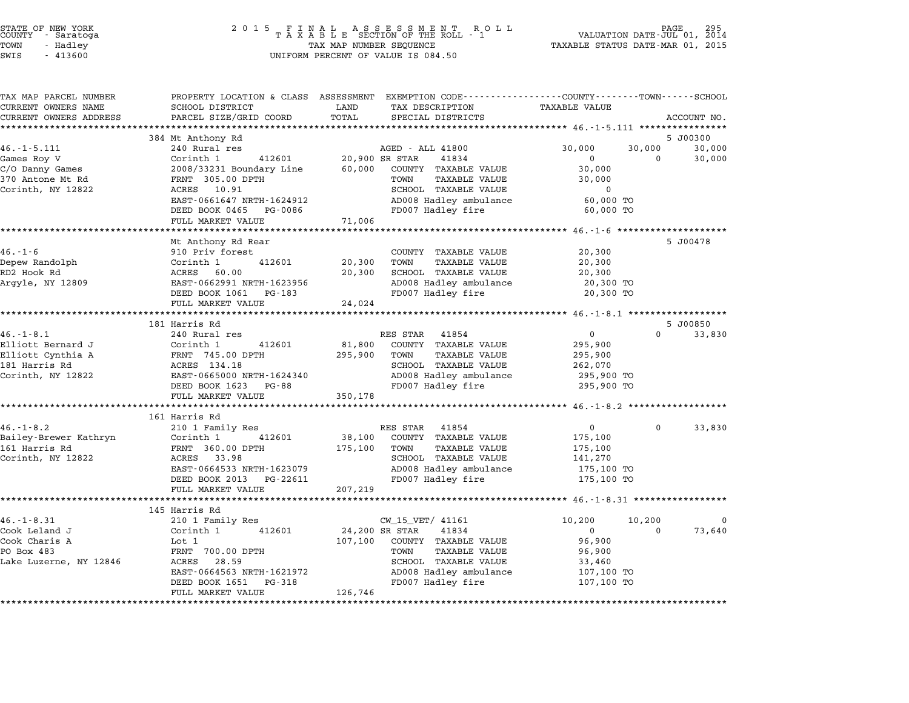| STATE OF NEW YORK<br>COUNTY |          | - Saratoga |  |
|-----------------------------|----------|------------|--|
| TOWN                        | - Hadlev |            |  |

| TAX MAP PARCEL NUMBER                             |                                                        | PROPERTY LOCATION & CLASS ASSESSMENT EXEMPTION CODE---------------COUNTY-------TOWN------SCHOOL |                                      |
|---------------------------------------------------|--------------------------------------------------------|-------------------------------------------------------------------------------------------------|--------------------------------------|
| CURRENT OWNERS NAME                               | SCHOOL DISTRICT                                        | LAND<br>TAX DESCRIPTION                                                                         | <b>TAXABLE VALUE</b>                 |
| CURRENT OWNERS ADDRESS<br>*********************** | PARCEL SIZE/GRID COORD<br>**************************** | TOTAL<br>SPECIAL DISTRICTS                                                                      | ACCOUNT NO.                          |
|                                                   |                                                        |                                                                                                 | 5 J00300                             |
| $46. - 1 - 5.111$                                 | 384 Mt Anthony Rd<br>240 Rural res                     | AGED - ALL 41800                                                                                | 30,000<br>30,000<br>30,000           |
| Games Roy V                                       | Corinth 1<br>412601                                    | 20,900 SR STAR<br>41834                                                                         | $\mathbf{0}$<br>$\Omega$<br>30,000   |
| C/O Danny Games                                   | 2008/33231 Boundary Line                               | 60,000<br>COUNTY TAXABLE VALUE                                                                  | 30,000                               |
| 370 Antone Mt Rd                                  | FRNT 305.00 DPTH                                       | TOWN<br><b>TAXABLE VALUE</b>                                                                    | 30,000                               |
| Corinth, NY 12822                                 | ACRES 10.91                                            | SCHOOL TAXABLE VALUE                                                                            | $\mathbf 0$                          |
|                                                   | EAST-0661647 NRTH-1624912                              | AD008 Hadley ambulance                                                                          | 60,000 TO                            |
|                                                   | DEED BOOK 0465 PG-0086                                 | FD007 Hadley fire                                                                               | 60,000 TO                            |
|                                                   | FULL MARKET VALUE                                      | 71,006                                                                                          |                                      |
|                                                   |                                                        |                                                                                                 |                                      |
|                                                   | Mt Anthony Rd Rear                                     |                                                                                                 | 5 J00478                             |
| $46. - 1 - 6$                                     | 910 Priv forest                                        | COUNTY TAXABLE VALUE                                                                            | 20,300                               |
| Depew Randolph                                    | 412601<br>Corinth 1                                    | 20,300<br>TOWN<br><b>TAXABLE VALUE</b>                                                          | 20,300                               |
| RD2 Hook Rd                                       | ACRES 60.00                                            | 20,300<br>SCHOOL TAXABLE VALUE                                                                  | 20,300                               |
| Argyle, NY 12809                                  | EAST-0662991 NRTH-1623956                              | AD008 Hadley ambulance                                                                          | 20,300 TO                            |
|                                                   | DEED BOOK 1061 PG-183                                  | FD007 Hadley fire                                                                               | 20,300 TO                            |
|                                                   | FULL MARKET VALUE                                      | 24,024                                                                                          |                                      |
|                                                   | ********************************                       |                                                                                                 |                                      |
|                                                   | 181 Harris Rd                                          |                                                                                                 | 5 J00850                             |
| $46. - 1 - 8.1$                                   | 240 Rural res                                          | RES STAR<br>41854                                                                               | $\overline{0}$<br>$\Omega$<br>33,830 |
| Elliott Bernard J                                 | Corinth 1<br>412601                                    | 81,800<br>COUNTY TAXABLE VALUE                                                                  | 295,900                              |
| Elliott Cynthia A                                 | FRNT 745.00 DPTH                                       | 295,900<br>TOWN<br>TAXABLE VALUE                                                                | 295,900                              |
| 181 Harris Rd                                     | ACRES 134.18                                           | SCHOOL TAXABLE VALUE                                                                            | 262,070                              |
| Corinth, NY 12822                                 | EAST-0665000 NRTH-1624340                              | AD008 Hadley ambulance                                                                          | 295,900 TO                           |
|                                                   | DEED BOOK 1623 PG-88                                   | FD007 Hadley fire                                                                               | 295,900 TO                           |
|                                                   | FULL MARKET VALUE                                      | 350,178                                                                                         |                                      |
|                                                   |                                                        |                                                                                                 |                                      |
|                                                   | 161 Harris Rd                                          |                                                                                                 |                                      |
| $46. - 1 - 8.2$                                   | 210 1 Family Res                                       | RES STAR 41854                                                                                  | $\mathbf{0}$<br>$\Omega$<br>33,830   |
| Bailey-Brewer Kathryn                             | 412601<br>Corinth 1                                    | 38,100<br>COUNTY TAXABLE VALUE                                                                  | 175,100                              |
| 161 Harris Rd                                     | FRNT 360.00 DPTH                                       | 175,100<br>TOWN<br><b>TAXABLE VALUE</b>                                                         | 175,100                              |
| Corinth, NY 12822                                 | ACRES 33.98                                            | SCHOOL TAXABLE VALUE                                                                            | 141,270                              |
|                                                   | EAST-0664533 NRTH-1623079                              | AD008 Hadley ambulance                                                                          | 175,100 TO                           |
|                                                   | DEED BOOK 2013 PG-22611                                | FD007 Hadley fire                                                                               | 175,100 TO                           |
|                                                   | FULL MARKET VALUE                                      | 207,219                                                                                         |                                      |
|                                                   | *********************                                  |                                                                                                 |                                      |
|                                                   | 145 Harris Rd                                          |                                                                                                 |                                      |
| $46. - 1 - 8.31$                                  | 210 1 Family Res                                       | CW_15_VET/ 41161                                                                                | 10,200<br>10,200<br>0                |
| Cook Leland J                                     | Corinth 1<br>412601                                    | 24,200 SR STAR<br>41834                                                                         | 73,640<br>$\overline{0}$<br>$\Omega$ |
| Cook Charis A                                     | Lot 1                                                  | 107,100 COUNTY TAXABLE VALUE                                                                    | 96,900                               |
| PO Box 483                                        | FRNT 700.00 DPTH                                       | TOWN<br><b>TAXABLE VALUE</b>                                                                    | 96,900                               |
| Lake Luzerne, NY 12846                            | ACRES<br>28.59                                         | SCHOOL TAXABLE VALUE                                                                            | 33,460                               |
|                                                   | EAST-0664563 NRTH-1621972<br>DEED BOOK 1651<br>PG-318  | AD008 Hadley ambulance<br>FD007 Hadley fire                                                     | 107,100 TO<br>107,100 TO             |
|                                                   | FULL MARKET VALUE                                      | 126,746                                                                                         |                                      |
|                                                   |                                                        |                                                                                                 |                                      |
|                                                   |                                                        |                                                                                                 |                                      |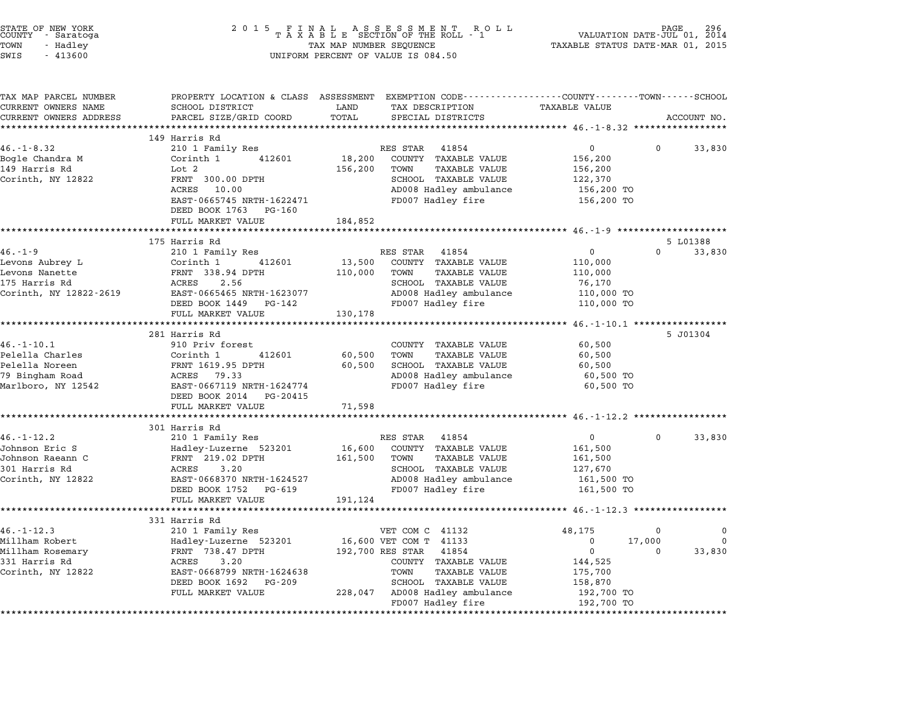| STATE OF NEW YORK<br>COUNTY - Saratoga<br>TOWN<br>- Hadley<br>SWIS<br>$-413600$                | 2 0 1 5                                                                                                                                                                                                 | FINAL ASSESSMENT ROLL<br>TAXABLE SECTION OF THE ROLL - 1<br>TAX MAP NUMBER SEQUENCE<br>UNIFORM PERCENT OF VALUE IS 084.50                                                                                                 | 296<br>VALUATION DATE-JUL 01,<br>2014<br>TAXABLE STATUS DATE-MAR 01, 2015                                                          |
|------------------------------------------------------------------------------------------------|---------------------------------------------------------------------------------------------------------------------------------------------------------------------------------------------------------|---------------------------------------------------------------------------------------------------------------------------------------------------------------------------------------------------------------------------|------------------------------------------------------------------------------------------------------------------------------------|
| TAX MAP PARCEL NUMBER<br>CURRENT OWNERS NAME<br>CURRENT OWNERS ADDRESS                         | SCHOOL DISTRICT<br>PARCEL SIZE/GRID COORD                                                                                                                                                               | PROPERTY LOCATION & CLASS ASSESSMENT EXEMPTION CODE----------------COUNTY-------TOWN-----SCHOOL<br>LAND<br>TAX DESCRIPTION<br>TOTAL<br>SPECIAL DISTRICTS                                                                  | TAXABLE VALUE<br>ACCOUNT NO.                                                                                                       |
|                                                                                                |                                                                                                                                                                                                         |                                                                                                                                                                                                                           |                                                                                                                                    |
| $46. - 1 - 8.32$<br>Bogle Chandra M<br>149 Harris Rd<br>Corinth, NY 12822                      | 149 Harris Rd<br>210 1 Family Res<br>Corinth 1<br>412601<br>Lot 2<br>FRNT 300.00 DPTH<br>ACRES<br>10.00<br>EAST-0665745 NRTH-1622471<br>DEED BOOK 1763 PG-160                                           | RES STAR<br>41854<br>18,200<br>COUNTY TAXABLE VALUE<br>156,200<br>TOWN<br>TAXABLE VALUE<br>SCHOOL TAXABLE VALUE<br>AD008 Hadley ambulance<br>FD007 Hadley fire                                                            | $\overline{0}$<br>33,830<br>0<br>156,200<br>156,200<br>122,370<br>156,200 TO<br>156,200 TO                                         |
|                                                                                                | FULL MARKET VALUE                                                                                                                                                                                       | 184,852                                                                                                                                                                                                                   |                                                                                                                                    |
|                                                                                                | 175 Harris Rd                                                                                                                                                                                           |                                                                                                                                                                                                                           | 5 L01388                                                                                                                           |
| $46. - 1 - 9$<br>Levons Aubrey L<br>Levons Nanette<br>175 Harris Rd<br>Corinth, NY 12822-2619  | 210 1 Family Res<br>Corinth 1<br>412601<br>FRNT 338.94 DPTH<br>ACRES<br>2.56<br>EAST-0665465 NRTH-1623077<br>DEED BOOK 1449 PG-142<br>FULL MARKET VALUE                                                 | RES STAR<br>41854<br>13,500<br>COUNTY TAXABLE VALUE<br><b>TAXABLE VALUE</b><br>110,000<br>TOWN<br>SCHOOL TAXABLE VALUE<br>AD008 Hadley ambulance<br>FD007 Hadley fire<br>130,178                                          | 0<br>$\Omega$<br>33,830<br>110,000<br>110,000<br>76,170<br>110,000 TO<br>110,000 TO                                                |
|                                                                                                |                                                                                                                                                                                                         |                                                                                                                                                                                                                           |                                                                                                                                    |
| $46. - 1 - 10.1$<br>Pelella Charles<br>Pelella Noreen<br>79 Bingham Road<br>Marlboro, NY 12542 | 281 Harris Rd<br>910 Priv forest<br>Corinth 1<br>412601<br>FRNT 1619.95 DPTH<br>ACRES 79.33<br>EAST-0667119 NRTH-1624774<br>DEED BOOK 2014<br>PG-20415                                                  | COUNTY TAXABLE VALUE<br>60,500<br>TOWN<br>TAXABLE VALUE<br>60,500<br>SCHOOL TAXABLE VALUE<br>AD008 Hadley ambulance<br>FD007 Hadley fire                                                                                  | 5 J01304<br>60,500<br>60,500<br>60,500<br>60,500 TO<br>60,500 TO                                                                   |
|                                                                                                | FULL MARKET VALUE                                                                                                                                                                                       | 71,598                                                                                                                                                                                                                    |                                                                                                                                    |
| $46. - 1 - 12.2$<br>Johnson Eric S<br>Johnson Raeann C<br>301 Harris Rd<br>Corinth, NY 12822   | **********************<br>301 Harris Rd<br>210 1 Family Res<br>Hadley-Luzerne 523201<br>FRNT 219.02 DPTH<br>3.20<br>ACRES<br>EAST-0668370 NRTH-1624527<br>DEED BOOK 1752<br>PG-619<br>FULL MARKET VALUE | RES STAR<br>41854<br>16,600<br>COUNTY TAXABLE VALUE<br><b>TAXABLE VALUE</b><br>161,500<br>TOWN<br>SCHOOL TAXABLE VALUE<br>AD008 Hadley ambulance<br>FD007 Hadley fire<br>191,124                                          | ******************** 46.-1-12.2 *****************<br>0<br>0<br>33,830<br>161,500<br>161,500<br>127,670<br>161,500 TO<br>161,500 TO |
|                                                                                                | 331 Harris Rd                                                                                                                                                                                           |                                                                                                                                                                                                                           |                                                                                                                                    |
| $46. - 1 - 12.3$<br>Millham Robert<br>Millham Rosemary<br>331 Harris Rd<br>Corinth, NY 12822   | 210 1 Family Res<br>Hadley-Luzerne 523201<br>FRNT 738.47 DPTH<br>ACRES<br>3.20<br>EAST-0668799 NRTH-1624638<br>DEED BOOK 1692<br>PG-209<br>FULL MARKET VALUE                                            | VET COM C<br>41132<br>16,600 VET COM T<br>41133<br>192,700 RES STAR<br>41854<br>COUNTY<br>TAXABLE VALUE<br><b>TAXABLE VALUE</b><br>TOWN<br>SCHOOL TAXABLE VALUE<br>AD008 Hadley ambulance<br>228,047<br>FD007 Hadley fire | 0<br>48,175<br>0<br>17,000<br>0<br>0<br>0<br>33,830<br>0<br>144,525<br>175,700<br>158,870<br>192,700 TO<br>192,700 TO              |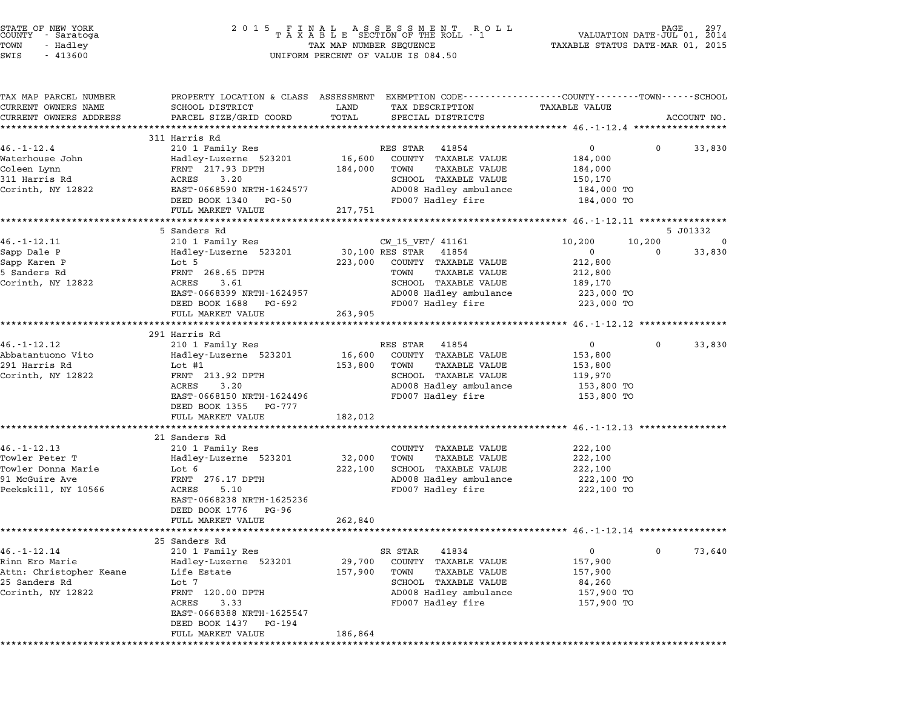| STATE OF NEW YORK<br>COUNTY – Saratoga<br>- Saratoga<br>TOWN<br>- Hadley                             | 2 0 1 5                                                                                                                                                             | TAX MAP NUMBER SEQUENCE      | FINAL ASSESSMENT ROI<br>TAXABLE SECTION OF THE ROLL - 1<br>ROLL                                                                                                      | VALUATION DATE-JUL 01, 2014<br>TAXABLE STATUS DATE-MAR 01, 2015                     | PAGE         |             |
|------------------------------------------------------------------------------------------------------|---------------------------------------------------------------------------------------------------------------------------------------------------------------------|------------------------------|----------------------------------------------------------------------------------------------------------------------------------------------------------------------|-------------------------------------------------------------------------------------|--------------|-------------|
| SWIS<br>$-413600$                                                                                    |                                                                                                                                                                     |                              | UNIFORM PERCENT OF VALUE IS 084.50                                                                                                                                   |                                                                                     |              |             |
| TAX MAP PARCEL NUMBER<br>CURRENT OWNERS NAME<br>CURRENT OWNERS ADDRESS                               | PROPERTY LOCATION & CLASS ASSESSMENT EXEMPTION CODE---------------COUNTY-------TOWN------SCHOOL<br>SCHOOL DISTRICT<br>PARCEL SIZE/GRID COORD                        | LAND<br>TOTAL                | TAX DESCRIPTION<br>SPECIAL DISTRICTS                                                                                                                                 | TAXABLE VALUE                                                                       |              | ACCOUNT NO. |
|                                                                                                      |                                                                                                                                                                     |                              |                                                                                                                                                                      |                                                                                     |              |             |
|                                                                                                      | 311 Harris Rd                                                                                                                                                       |                              |                                                                                                                                                                      |                                                                                     |              |             |
| $46. - 1 - 12.4$<br>Waterhouse John<br>Coleen Lynn<br>311 Harris Rd<br>Corinth, NY 12822             | 210 1 Family Res<br>Hadley-Luzerne 523201<br>FRNT 217.93 DPTH<br>3.20<br>ACRES<br>EAST-0668590 NRTH-1624577<br>DEED BOOK 1340 PG-50<br>FULL MARKET VALUE            | 16,600<br>184,000<br>217,751 | RES STAR 41854<br>COUNTY TAXABLE VALUE<br>TOWN<br>TAXABLE VALUE<br>SCHOOL TAXABLE VALUE<br>AD008 Hadley ambulance<br>FD007 Hadley fire                               | $\mathbf{0}$<br>184,000<br>184,000<br>150,170<br>184,000 TO<br>184,000 TO           | $\mathbf{0}$ | 33,830      |
|                                                                                                      |                                                                                                                                                                     |                              |                                                                                                                                                                      |                                                                                     |              |             |
|                                                                                                      | 5 Sanders Rd                                                                                                                                                        |                              |                                                                                                                                                                      |                                                                                     |              | 5 J01332    |
| $46. - 1 - 12.11$<br>Sapp Dale P<br>Sapp Karen P<br>5 Sanders Rd<br>Corinth, NY 12822                | 210 1 Family Res<br>Hadley-Luzerne 523201<br>Lot 5<br>FRNT 268.65 DPTH<br>ACRES<br>3.61<br>EAST-0668399 NRTH-1624957<br>DEED BOOK 1688 PG-692<br>FULL MARKET VALUE  | 223,000<br>263,905           | CW_15_VET/ 41161<br>30,100 RES STAR<br>41854<br>COUNTY TAXABLE VALUE<br>TOWN<br>TAXABLE VALUE<br>SCHOOL TAXABLE VALUE<br>AD008 Hadley ambulance<br>FD007 Hadley fire | 10,200<br>$\mathbf{0}$<br>212,800<br>212,800<br>189,170<br>223,000 TO<br>223,000 TO | 10,200<br>0  | 0<br>33,830 |
|                                                                                                      |                                                                                                                                                                     |                              |                                                                                                                                                                      |                                                                                     |              |             |
|                                                                                                      | 291 Harris Rd                                                                                                                                                       |                              |                                                                                                                                                                      |                                                                                     |              |             |
| $46. - 1 - 12.12$<br>Abbatantuono Vito<br>291 Harris Rd<br>Corinth, NY 12822                         | 210 1 Family Res<br>Hadley-Luzerne 523201<br>Lot #1<br>FRNT 213.92 DPTH<br>3.20<br>ACRES<br>EAST-0668150 NRTH-1624496<br>DEED BOOK 1355 PG-777<br>FULL MARKET VALUE | 16,600<br>153,800<br>182,012 | 41854<br>RES STAR<br>COUNTY TAXABLE VALUE<br>TAXABLE VALUE<br>TOWN<br>SCHOOL TAXABLE VALUE<br>AD008 Hadley ambulance<br>FD007 Hadley fire                            | $\overline{0}$<br>153,800<br>153,800<br>119,970<br>153,800 TO<br>153,800 TO         | 0            | 33,830      |
|                                                                                                      |                                                                                                                                                                     |                              |                                                                                                                                                                      | ************************* 46.-1-12.13 *****************                             |              |             |
| $46. - 1 - 12.13$<br>Towler Peter T<br>Towler Donna Marie<br>91 McGuire Ave<br>Peekskill, NY 10566   | 21 Sanders Rd<br>210 1 Family Res<br>Hadley-Luzerne 523201<br>Lot 6<br>FRNT 276.17 DPTH<br>ACRES<br>5.10<br>EAST-0668238 NRTH-1625236<br>DEED BOOK 1776 PG-96       | 32,000<br>222,100            | COUNTY TAXABLE VALUE<br><b>TAXABLE VALUE</b><br>TOWN<br>SCHOOL TAXABLE VALUE<br>AD008 Hadley ambulance<br>FD007 Hadley fire                                          | 222,100<br>222,100<br>222,100<br>222,100 TO<br>222,100 TO                           |              |             |
|                                                                                                      | FULL MARKET VALUE                                                                                                                                                   | 262,840                      |                                                                                                                                                                      |                                                                                     |              |             |
|                                                                                                      |                                                                                                                                                                     |                              |                                                                                                                                                                      |                                                                                     |              |             |
| $46. - 1 - 12.14$<br>Rinn Ero Marie<br>Attn: Christopher Keane<br>25 Sanders Rd<br>Corinth, NY 12822 | 25 Sanders Rd<br>210 1 Family Res<br>Hadley-Luzerne 523201<br>Life Estate<br>Lot 7<br>FRNT 120.00 DPTH<br>ACRES<br>3.33<br>EAST-0668388 NRTH-1625547                | 29,700<br>157,900            | 41834<br>SR STAR<br><b>COUNTY</b><br>TAXABLE VALUE<br>TOWN<br>TAXABLE VALUE<br>SCHOOL TAXABLE VALUE<br>AD008 Hadley ambulance<br>FD007 Hadley fire                   | 0<br>157,900<br>157,900<br>84,260<br>157,900 TO<br>157,900 TO                       | 0            | 73,640      |
|                                                                                                      | DEED BOOK 1437<br>PG-194<br>FULL MARKET VALUE                                                                                                                       | 186,864                      |                                                                                                                                                                      |                                                                                     |              |             |

STATE OF NEW YORK <sup>2</sup> <sup>0</sup> <sup>1</sup> 5 F I N A L A S S E S S M E N T R O L L PAGE <sup>297</sup> COUNTY - Saratoga <sup>T</sup> <sup>A</sup> <sup>X</sup> <sup>A</sup> <sup>B</sup> <sup>L</sup> <sup>E</sup> SECTION OF THE ROLL - <sup>1</sup> VALUATION DATE-JUL 01, <sup>2014</sup>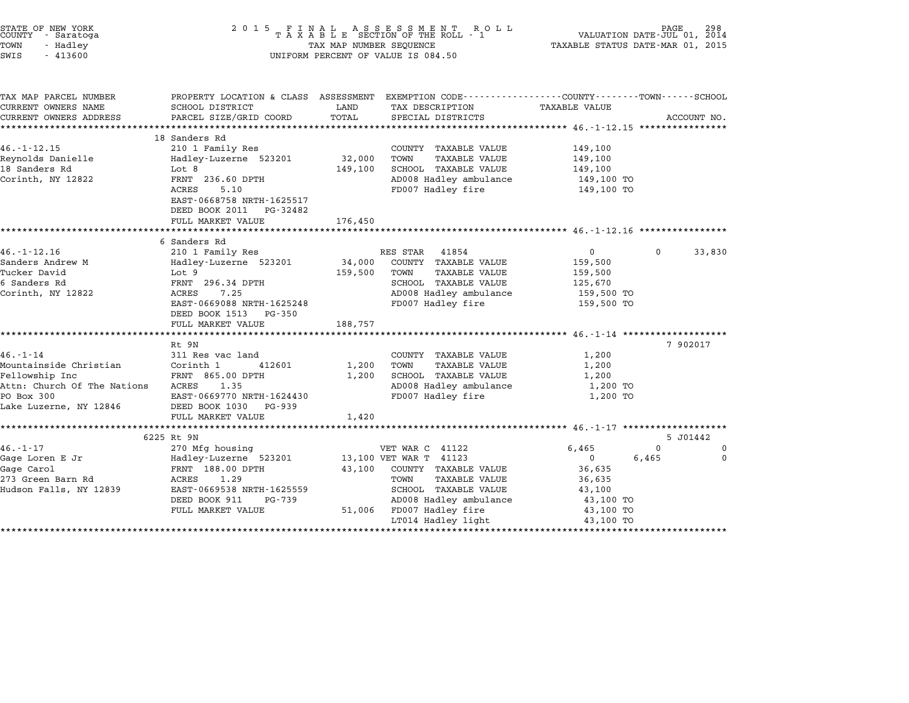| STATE OF NEW YORK<br>COUNTY - Saratoga<br>TOWN<br>- Hadley<br>SWIS<br>$-413600$                                                   | 2 0 1 5                                                                                                                                                                               | TAX MAP NUMBER SEQUENCE      | FINAL ASSESSMENT ROLL<br>TAXABLE SECTION OF THE ROLL - 1<br>UNIFORM PERCENT OF VALUE IS 084.50                                                                                                 | VALUATION DATE-JUL 01, 2014<br>TAXABLE STATUS DATE-MAR 01, 2015                                                         | 298                              |
|-----------------------------------------------------------------------------------------------------------------------------------|---------------------------------------------------------------------------------------------------------------------------------------------------------------------------------------|------------------------------|------------------------------------------------------------------------------------------------------------------------------------------------------------------------------------------------|-------------------------------------------------------------------------------------------------------------------------|----------------------------------|
| TAX MAP PARCEL NUMBER<br>CURRENT OWNERS NAME<br>CURRENT OWNERS ADDRESS<br>***********************                                 | SCHOOL DISTRICT<br>PARCEL SIZE/GRID COORD<br>*************************                                                                                                                | LAND<br>TOTAL                | PROPERTY LOCATION & CLASS ASSESSMENT EXEMPTION CODE---------------COUNTY-------TOWN-----SCHOOL<br>TAX DESCRIPTION<br>SPECIAL DISTRICTS                                                         | <b>TAXABLE VALUE</b>                                                                                                    | ACCOUNT NO.                      |
| $46. - 1 - 12.15$<br>Reynolds Danielle<br>18 Sanders Rd<br>Corinth, NY 12822                                                      | 18 Sanders Rd<br>210 1 Family Res<br>Hadley-Luzerne 523201<br>Lot 8<br>FRNT 236.60 DPTH<br>ACRES<br>5.10<br>EAST-0668758 NRTH-1625517<br>DEED BOOK 2011 PG-32482<br>FULL MARKET VALUE | 32,000<br>149,100<br>176,450 | COUNTY TAXABLE VALUE<br>TOWN<br><b>TAXABLE VALUE</b><br>SCHOOL TAXABLE VALUE<br>AD008 Hadley ambulance<br>FD007 Hadley fire                                                                    | 149,100<br>149,100<br>149,100<br>149,100 TO<br>149,100 TO                                                               |                                  |
|                                                                                                                                   | 6 Sanders Rd                                                                                                                                                                          |                              |                                                                                                                                                                                                |                                                                                                                         |                                  |
| $46. - 1 - 12.16$<br>Sanders Andrew M<br>Tucker David<br>6 Sanders Rd<br>Corinth, NY 12822                                        | 210 1 Family Res<br>Hadley-Luzerne 523201<br>Lot 9<br>FRNT 296.34 DPTH<br>7.25<br>ACRES<br>EAST-0669088 NRTH-1625248<br>DEED BOOK 1513<br>PG-350<br>FULL MARKET VALUE                 | 34,000<br>159,500<br>188,757 | RES STAR<br>41854<br>COUNTY TAXABLE VALUE<br>TOWN<br><b>TAXABLE VALUE</b><br>SCHOOL TAXABLE VALUE<br>AD008 Hadley ambulance<br>FD007 Hadley fire                                               | $\overline{0}$<br>159,500<br>159,500<br>125,670<br>159,500 TO<br>159,500 TO                                             | $\Omega$<br>33,830               |
|                                                                                                                                   | Rt 9N                                                                                                                                                                                 |                              |                                                                                                                                                                                                | ************************* 46.-1-14 **********                                                                           | 7 902017                         |
| $46. - 1 - 14$<br>Mountainside Christian<br>Fellowship Inc<br>Attn: Church Of The Nations<br>PO Box 300<br>Lake Luzerne, NY 12846 | 311 Res vac land<br>Corinth 1<br>412601<br>FRNT 865.00 DPTH<br>ACRES<br>1.35<br>EAST-0669770 NRTH-1624430<br>DEED BOOK 1030 PG-939                                                    | 1,200<br>1,200               | COUNTY TAXABLE VALUE<br>TOWN<br><b>TAXABLE VALUE</b><br>SCHOOL TAXABLE VALUE<br>AD008 Hadley ambulance<br>FD007 Hadley fire                                                                    | 1,200<br>1,200<br>1,200<br>1,200 TO<br>1,200 TO                                                                         |                                  |
|                                                                                                                                   | FULL MARKET VALUE                                                                                                                                                                     | 1,420                        |                                                                                                                                                                                                | *************** 46. -1-17 ********************                                                                          |                                  |
|                                                                                                                                   | 6225 Rt 9N                                                                                                                                                                            |                              |                                                                                                                                                                                                |                                                                                                                         | 5 J01442                         |
| $46. - 1 - 17$<br>Gage Loren E Jr<br>Gage Carol<br>273 Green Barn Rd<br>Hudson Falls, NY 12839                                    | 270 Mfg housing<br>Hadley-Luzerne 523201<br>FRNT 188.00 DPTH<br>ACRES<br>1.29<br>EAST-0669538 NRTH-1625559<br>DEED BOOK 911<br>PG-739<br>FULL MARKET VALUE                            | 43,100<br>51,006             | VET WAR C 41122<br>13,100 VET WAR T 41123<br>COUNTY TAXABLE VALUE<br><b>TAXABLE VALUE</b><br>TOWN<br>SCHOOL TAXABLE VALUE<br>AD008 Hadley ambulance<br>FD007 Hadley fire<br>LT014 Hadley light | 6,465<br>6,465<br>$\mathbf{0}$<br>36,635<br>36,635<br>43,100<br>43,100 TO<br>43,100 TO<br>43,100 TO<br>**************** | $\Omega$<br>$\Omega$<br>$\Omega$ |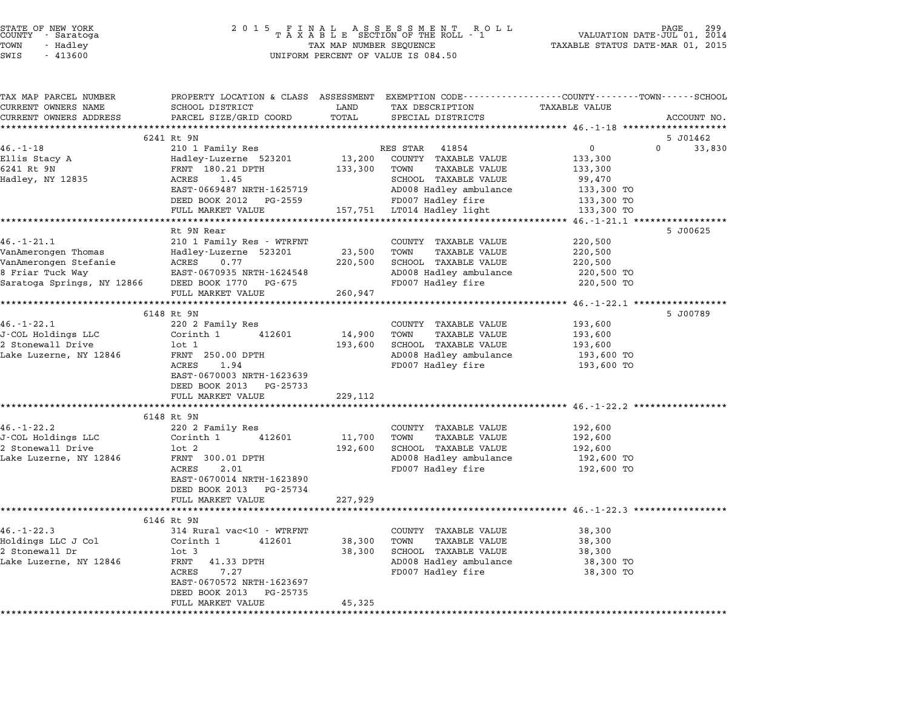| COUNTY               | STATE OF NEW YORK<br>- Saratoga |  |
|----------------------|---------------------------------|--|
| TOWN                 | - Hadley                        |  |
| $\sim$ $\sim$ $\sim$ | 1.1222                          |  |

| TAX MAP PARCEL NUMBER                            | PROPERTY LOCATION & CLASS ASSESSMENT EXEMPTION CODE---------------COUNTY------TOWN------SCHOOL | LAND       |                                      | TAXABLE VALUE                                         |                    |
|--------------------------------------------------|------------------------------------------------------------------------------------------------|------------|--------------------------------------|-------------------------------------------------------|--------------------|
| CURRENT OWNERS NAME<br>CURRENT OWNERS ADDRESS    | SCHOOL DISTRICT<br>PARCEL SIZE/GRID COORD                                                      | TOTAL      | TAX DESCRIPTION<br>SPECIAL DISTRICTS |                                                       | ACCOUNT NO.        |
|                                                  |                                                                                                |            |                                      |                                                       |                    |
|                                                  | 6241 Rt 9N                                                                                     |            |                                      |                                                       | 5 J01462           |
| $46. - 1 - 18$                                   | 210 1 Family Res                                                                               |            | RES STAR<br>41854                    | $\mathbf{0}$                                          | $\Omega$<br>33,830 |
| Ellis Stacy A                                    | Hadley-Luzerne 523201                                                                          | 13,200     | COUNTY TAXABLE VALUE                 | 133,300                                               |                    |
| 6241 Rt 9N                                       | FRNT 180.21 DPTH                                                                               | 133,300    | TOWN<br>TAXABLE VALUE                | 133,300                                               |                    |
| Hadley, NY 12835                                 | 1.45<br>ACRES                                                                                  |            | SCHOOL TAXABLE VALUE                 | 99,470                                                |                    |
|                                                  | EAST-0669487 NRTH-1625719                                                                      |            | AD008 Hadley ambulance               | 133,300 TO                                            |                    |
|                                                  | DEED BOOK 2012 PG-2559                                                                         |            | FD007 Hadley fire                    | 133,300 TO                                            |                    |
|                                                  | FULL MARKET VALUE                                                                              |            | 157,751 LT014 Hadley light           | 133,300 TO                                            |                    |
|                                                  |                                                                                                |            |                                      |                                                       |                    |
|                                                  | Rt 9N Rear                                                                                     |            |                                      |                                                       | 5 J00625           |
| $46. - 1 - 21.1$                                 | 210 1 Family Res - WTRFNT                                                                      |            | COUNTY TAXABLE VALUE                 | 220,500                                               |                    |
| VanAmerongen Thomas                              | Hadley-Luzerne 523201                                                                          | 23,500     | TOWN<br>TAXABLE VALUE                | 220,500                                               |                    |
| VanAmerongen Stefanie                            | 0.77<br>ACRES                                                                                  | 220,500    | SCHOOL TAXABLE VALUE                 | 220,500                                               |                    |
| 8 Friar Tuck Way                                 | EAST-0670935 NRTH-1624548                                                                      |            | AD008 Hadley ambulance               | 220,500 TO                                            |                    |
| Saratoga Springs, NY 12866 DEED BOOK 1770 PG-675 |                                                                                                |            | FD007 Hadley fire                    | 220,500 TO                                            |                    |
|                                                  | FULL MARKET VALUE                                                                              | 260,947    |                                      |                                                       |                    |
|                                                  | **********************                                                                         | ********** |                                      | ********* 46.-1-22.1 ******                           |                    |
|                                                  | 6148 Rt 9N                                                                                     |            |                                      |                                                       | 5 J00789           |
| $46. - 1 - 22.1$                                 | 220 2 Family Res                                                                               |            | COUNTY TAXABLE VALUE                 | 193,600                                               |                    |
| J-COL Holdings LLC                               | Corinth 1<br>412601                                                                            | 14,900     | TAXABLE VALUE<br>TOWN                | 193,600                                               |                    |
| 2 Stonewall Drive                                | lot 1                                                                                          | 193,600    | SCHOOL TAXABLE VALUE                 | 193,600                                               |                    |
| Lake Luzerne, NY 12846                           | FRNT 250.00 DPTH                                                                               |            | AD008 Hadley ambulance               | 193,600 TO                                            |                    |
|                                                  | ACRES<br>1.94                                                                                  |            | FD007 Hadley fire                    | 193,600 TO                                            |                    |
|                                                  | EAST-0670003 NRTH-1623639                                                                      |            |                                      |                                                       |                    |
|                                                  | DEED BOOK 2013 PG-25733                                                                        |            |                                      |                                                       |                    |
|                                                  | FULL MARKET VALUE                                                                              | 229,112    |                                      |                                                       |                    |
|                                                  | *************************                                                                      |            |                                      | ************************** 46.-1-22.2 *************** |                    |
|                                                  | 6148 Rt 9N                                                                                     |            |                                      |                                                       |                    |
| $46. - 1 - 22.2$                                 | 220 2 Family Res                                                                               |            | COUNTY TAXABLE VALUE                 | 192,600                                               |                    |
| J-COL Holdings LLC                               | Corinth 1<br>412601                                                                            | 11,700     | TOWN<br>TAXABLE VALUE                | 192,600                                               |                    |
| 2 Stonewall Drive                                | lot 2                                                                                          | 192,600    | SCHOOL TAXABLE VALUE                 | 192,600                                               |                    |
| Lake Luzerne, NY 12846                           | FRNT 300.01 DPTH                                                                               |            | AD008 Hadley ambulance               | 192,600 TO                                            |                    |
|                                                  | ACRES<br>2.01                                                                                  |            | FD007 Hadley fire                    | 192,600 TO                                            |                    |
|                                                  | EAST-0670014 NRTH-1623890                                                                      |            |                                      |                                                       |                    |
|                                                  | DEED BOOK 2013 PG-25734                                                                        |            |                                      |                                                       |                    |
|                                                  | FULL MARKET VALUE                                                                              | 227,929    |                                      |                                                       |                    |
|                                                  | **************************                                                                     |            |                                      | ****************** 46.-1-22.3 ***                     |                    |
|                                                  | 6146 Rt 9N                                                                                     |            |                                      |                                                       |                    |
| $46. - 1 - 22.3$                                 | 314 Rural vac<10 - WTRFNT                                                                      |            | COUNTY TAXABLE VALUE                 | 38,300                                                |                    |
| Holdings LLC J Col                               | Corinth 1<br>412601                                                                            | 38,300     | TOWN<br>TAXABLE VALUE                | 38,300                                                |                    |
| 2 Stonewall Dr                                   | $1$ ot $3$                                                                                     | 38,300     | SCHOOL TAXABLE VALUE                 | 38,300                                                |                    |
| Lake Luzerne, NY 12846                           | FRNT 41.33 DPTH                                                                                |            | AD008 Hadley ambulance               | 38,300 TO                                             |                    |
|                                                  | ACRES<br>7.27                                                                                  |            | FD007 Hadley fire                    | 38,300 TO                                             |                    |
|                                                  | EAST-0670572 NRTH-1623697                                                                      |            |                                      |                                                       |                    |
|                                                  | DEED BOOK 2013 PG-25735                                                                        |            |                                      |                                                       |                    |
|                                                  | FULL MARKET VALUE                                                                              | 45,325     |                                      |                                                       |                    |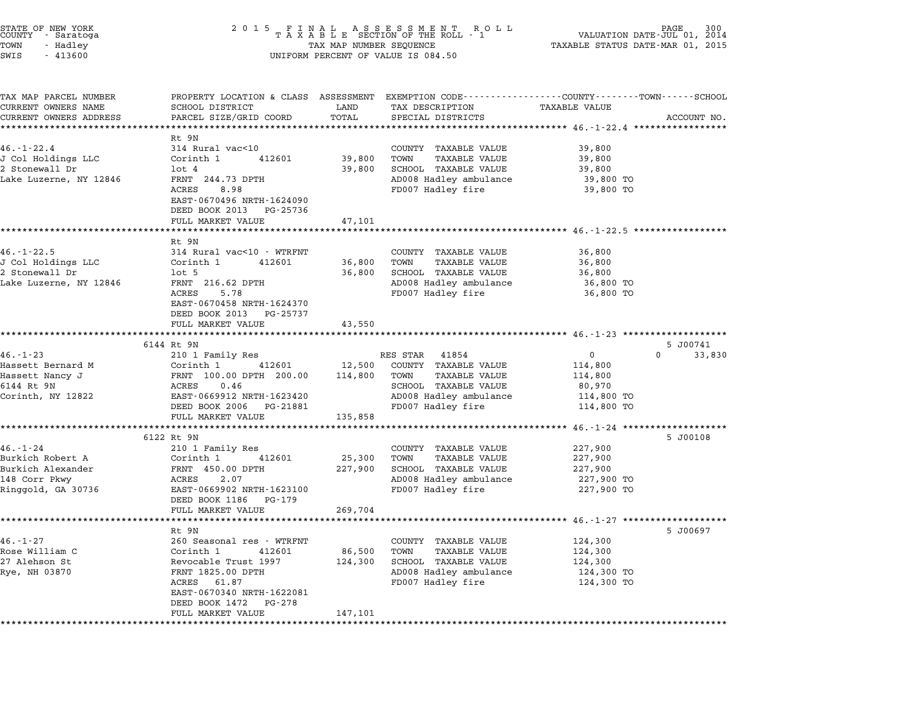| STATE OF NEW YORK<br>COUNTY - Saratoga |  |           |  |
|----------------------------------------|--|-----------|--|
| TOWN                                   |  | - Hadley  |  |
| <b>STMP</b>                            |  | $-413600$ |  |

# STATE OF NEW YORK <sup>2</sup> <sup>0</sup> <sup>1</sup> 5 F I N A L A S S E S S M E N T R O L L PAGE <sup>300</sup> COUNTY - Saratoga <sup>T</sup> <sup>A</sup> <sup>X</sup> <sup>A</sup> <sup>B</sup> <sup>L</sup> <sup>E</sup> SECTION OF THE ROLL - <sup>1</sup> VALUATION DATE-JUL 01, <sup>2014</sup> TOWN - Hadley TAX MAP NUMBER SEQUENCE TAXABLE STATUS DATE-MAR 01, <sup>2015</sup> SWIS - <sup>413600</sup> UNIFORM PERCENT OF VALUE IS 084.50

| TAX MAP PARCEL NUMBER              |                                                      |         |                                                      | PROPERTY LOCATION & CLASS ASSESSMENT EXEMPTION CODE----------------COUNTY-------TOWN-----SCHOOL |  |
|------------------------------------|------------------------------------------------------|---------|------------------------------------------------------|-------------------------------------------------------------------------------------------------|--|
| CURRENT OWNERS NAME                | SCHOOL DISTRICT                                      | LAND    | TAX DESCRIPTION                                      | TAXABLE VALUE                                                                                   |  |
| CURRENT OWNERS ADDRESS             | PARCEL SIZE/GRID COORD                               | TOTAL   | SPECIAL DISTRICTS                                    | ACCOUNT NO.                                                                                     |  |
|                                    |                                                      |         |                                                      |                                                                                                 |  |
| $46. - 1 - 22.4$                   | Rt 9N<br>314 Rural vac<10                            |         |                                                      | 39,800                                                                                          |  |
| J Col Holdings LLC                 | Corinth 1<br>412601                                  | 39,800  | COUNTY TAXABLE VALUE<br>TOWN<br><b>TAXABLE VALUE</b> | 39,800                                                                                          |  |
| 2 Stonewall Dr                     | $1$ ot $4$                                           | 39,800  | SCHOOL TAXABLE VALUE                                 | 39,800                                                                                          |  |
| Lake Luzerne, NY 12846             | FRNT 244.73 DPTH                                     |         | AD008 Hadley ambulance                               | 39,800 TO                                                                                       |  |
|                                    | ACRES<br>8.98                                        |         | FD007 Hadley fire                                    | 39,800 TO                                                                                       |  |
|                                    | EAST-0670496 NRTH-1624090                            |         |                                                      |                                                                                                 |  |
|                                    | DEED BOOK 2013 PG-25736                              |         |                                                      |                                                                                                 |  |
|                                    | FULL MARKET VALUE                                    | 47,101  |                                                      |                                                                                                 |  |
|                                    |                                                      |         |                                                      |                                                                                                 |  |
|                                    | Rt 9N                                                |         |                                                      |                                                                                                 |  |
| $46. - 1 - 22.5$                   | 314 Rural vac<10 - WTRFNT                            |         | COUNTY TAXABLE VALUE                                 | 36,800                                                                                          |  |
| J Col Holdings LLC                 | Corinth 1<br>412601                                  | 36,800  | <b>TAXABLE VALUE</b><br>TOWN                         | 36,800                                                                                          |  |
| 2 Stonewall Dr                     | $1$ ot 5                                             | 36,800  | SCHOOL TAXABLE VALUE                                 | 36,800                                                                                          |  |
| Lake Luzerne, NY 12846             | FRNT 216.62 DPTH                                     |         | AD008 Hadley ambulance                               | 36,800 TO                                                                                       |  |
|                                    | ACRES<br>5.78                                        |         | FD007 Hadley fire                                    | 36,800 TO                                                                                       |  |
|                                    | EAST-0670458 NRTH-1624370<br>DEED BOOK 2013 PG-25737 |         |                                                      |                                                                                                 |  |
|                                    | FULL MARKET VALUE                                    | 43,550  |                                                      |                                                                                                 |  |
|                                    |                                                      |         |                                                      |                                                                                                 |  |
|                                    | 6144 Rt 9N                                           |         |                                                      | 5 J00741                                                                                        |  |
| $46. - 1 - 23$                     | 210 1 Family Res                                     |         | RES STAR<br>41854                                    | $\overline{0}$<br>$0 \qquad \qquad$<br>33,830                                                   |  |
| Hassett Bernard M                  | Corinth 1<br>412601                                  | 12,500  | COUNTY TAXABLE VALUE                                 | 114,800                                                                                         |  |
| Hassett Nancy J                    | FRNT 100.00 DPTH 200.00                              | 114,800 | <b>TAXABLE VALUE</b><br>TOWN                         | 114,800                                                                                         |  |
| 6144 Rt 9N                         | ACRES<br>0.46                                        |         | SCHOOL TAXABLE VALUE                                 | 80,970                                                                                          |  |
| Corinth, NY 12822                  | EAST-0669912 NRTH-1623420                            |         | AD008 Hadley ambulance                               | 114,800 TO                                                                                      |  |
|                                    | DEED BOOK 2006 PG-21881                              |         | FD007 Hadley fire                                    | 114,800 TO                                                                                      |  |
|                                    | FULL MARKET VALUE                                    | 135,858 |                                                      |                                                                                                 |  |
|                                    | *******************************                      |         |                                                      |                                                                                                 |  |
|                                    | 6122 Rt 9N                                           |         |                                                      | 5 J00108                                                                                        |  |
| $46. - 1 - 24$                     | 210 1 Family Res                                     |         | COUNTY TAXABLE VALUE                                 | 227,900                                                                                         |  |
| Burkich Robert A                   | 412601<br>Corinth 1                                  | 25,300  | TOWN<br><b>TAXABLE VALUE</b>                         | 227,900                                                                                         |  |
| Burkich Alexander<br>148 Corr Pkwy | FRNT 450.00 DPTH<br>2.07<br>ACRES                    | 227,900 | SCHOOL TAXABLE VALUE<br>AD008 Hadley ambulance       | 227,900<br>227,900 TO                                                                           |  |
|                                    |                                                      |         |                                                      |                                                                                                 |  |
|                                    |                                                      |         |                                                      |                                                                                                 |  |
| Ringgold, GA 30736                 | EAST-0669902 NRTH-1623100                            |         | FD007 Hadley fire                                    | 227,900 TO                                                                                      |  |
|                                    | DEED BOOK 1186 PG-179                                |         |                                                      |                                                                                                 |  |
|                                    | FULL MARKET VALUE<br>*************************       | 269,704 |                                                      | *********** 46.-1-27 ********************                                                       |  |
|                                    | Rt 9N                                                |         |                                                      | 5 J00697                                                                                        |  |
| $46. - 1 - 27$                     | 260 Seasonal res - WTRFNT                            |         | COUNTY TAXABLE VALUE                                 | 124,300                                                                                         |  |
|                                    | Corinth 1<br>412601                                  | 86,500  | TOWN<br><b>TAXABLE VALUE</b>                         | 124,300                                                                                         |  |
| Rose William C<br>27 Alehson St    | Revocable Trust 1997                                 | 124,300 | SCHOOL TAXABLE VALUE                                 | 124,300                                                                                         |  |
| Rye, NH 03870                      | FRNT 1825.00 DPTH                                    |         | AD008 Hadley ambulance                               | 124,300 TO                                                                                      |  |
|                                    | ACRES<br>61.87                                       |         | FD007 Hadley fire                                    | 124,300 TO                                                                                      |  |
|                                    | EAST-0670340 NRTH-1622081                            |         |                                                      |                                                                                                 |  |
|                                    | DEED BOOK 1472 PG-278<br>FULL MARKET VALUE           | 147,101 |                                                      |                                                                                                 |  |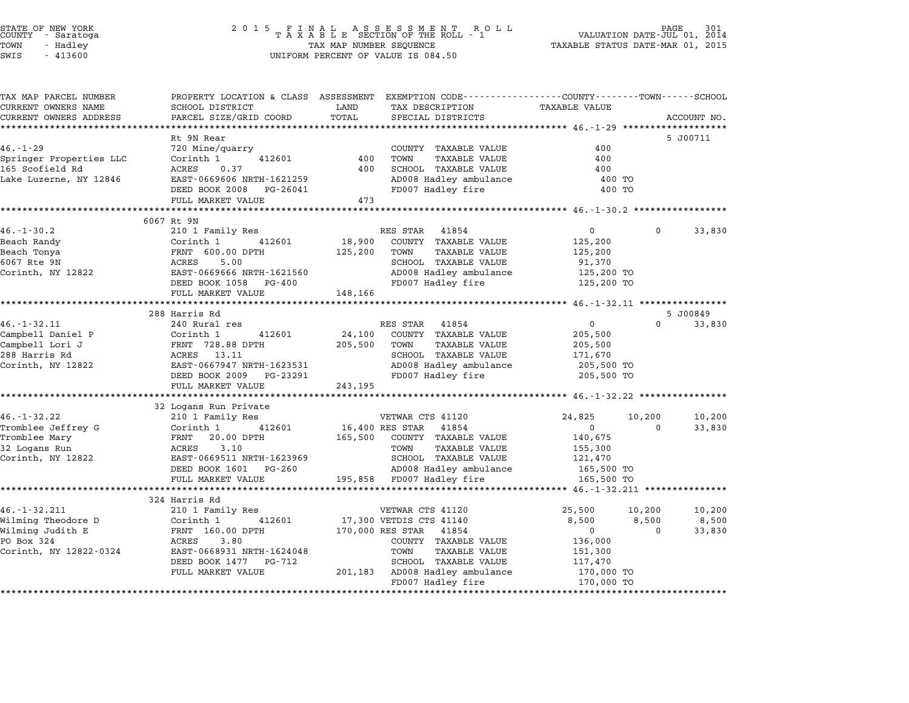# STATE OF NEW YORK <sup>2</sup> <sup>0</sup> <sup>1</sup> 5 F I N A L A S S E S S M E N T R O L L PAGE <sup>301</sup> COUNTY - Saratoga <sup>T</sup> <sup>A</sup> <sup>X</sup> <sup>A</sup> <sup>B</sup> <sup>L</sup> <sup>E</sup> SECTION OF THE ROLL - <sup>1</sup> VALUATION DATE-JUL 01, <sup>2014</sup> TOWN - Hadley TAX MAP NUMBER SEQUENCE TAXABLE STATUS DATE-MAR 01, <sup>2015</sup> STATE OF NEW YORK<br>
COUNTY - Saratoga<br>
TOWN - Hadley TAXABLE SECTION OF THE ROLI<br>
SWIS - 413600 UNIFORM PERCENT OF VALUE IS 084.50

| TAX MAP PARCEL NUMBER<br>CURRENT OWNERS NAME | SCHOOL DISTRICT                                        | PROPERTY LOCATION & CLASS ASSESSMENT EXEMPTION CODE---------------COUNTY-------TOWN------SCHOOL<br>LAND<br>TAX DESCRIPTION | <b>TAXABLE VALUE</b>                      |  |
|----------------------------------------------|--------------------------------------------------------|----------------------------------------------------------------------------------------------------------------------------|-------------------------------------------|--|
| CURRENT OWNERS ADDRESS                       | PARCEL SIZE/GRID COORD                                 | TOTAL<br>SPECIAL DISTRICTS                                                                                                 | ACCOUNT NO.                               |  |
|                                              |                                                        |                                                                                                                            |                                           |  |
|                                              | Rt 9N Rear                                             |                                                                                                                            | 5 J00711                                  |  |
| $46. - 1 - 29$                               | 720 Mine/quarry                                        | COUNTY TAXABLE VALUE                                                                                                       | 400                                       |  |
| Springer Properties LLC                      | Corinth 1<br>412601                                    | 400<br>TOWN<br>TAXABLE VALUE                                                                                               | 400                                       |  |
| 165 Scofield Rd                              | ACRES<br>0.37                                          | SCHOOL TAXABLE VALUE<br>400                                                                                                | 400                                       |  |
| Lake Luzerne, NY 12846                       | EAST-0669606 NRTH-1621259                              | AD008 Hadley ambulance                                                                                                     | 400 TO                                    |  |
|                                              | DEED BOOK 2008 PG-26041                                | FD007 Hadley fire                                                                                                          | 400 TO                                    |  |
|                                              | FULL MARKET VALUE                                      | 473                                                                                                                        |                                           |  |
|                                              |                                                        |                                                                                                                            |                                           |  |
|                                              | 6067 Rt 9N                                             |                                                                                                                            |                                           |  |
| $46. - 1 - 30.2$                             | 210 1 Family Res                                       | RES STAR<br>41854                                                                                                          | 33,830<br>$\overline{0}$<br>0             |  |
| Beach Randy                                  | 412601<br>Corinth 1                                    | 18,900<br>COUNTY TAXABLE VALUE                                                                                             | 125,200                                   |  |
| Beach Tonya                                  | FRNT 600.00 DPTH                                       | 125, 200<br>TAXABLE VALUE<br>TOWN                                                                                          | 125,200                                   |  |
| 6067 Rte 9N                                  | ACRES<br>5.00                                          | SCHOOL TAXABLE VALUE                                                                                                       | 91,370                                    |  |
| Corinth, NY 12822                            | EAST-0669666 NRTH-1621560                              | AD008 Hadley ambulance 125,200 TO                                                                                          |                                           |  |
|                                              | DEED BOOK 1058 PG-400                                  | FD007 Hadley fire                                                                                                          | 125,200 TO                                |  |
|                                              | FULL MARKET VALUE                                      | 148,166                                                                                                                    |                                           |  |
|                                              |                                                        |                                                                                                                            |                                           |  |
|                                              | 288 Harris Rd                                          |                                                                                                                            | 5 J00849                                  |  |
| $46. - 1 - 32.11$                            | 240 Rural res                                          | RES STAR<br>41854                                                                                                          | $\overline{0}$<br>$\Omega$<br>33,830      |  |
| Campbell Daniel P                            | Corinth 1<br>412601                                    | 24,100<br>COUNTY TAXABLE VALUE                                                                                             | 205,500                                   |  |
| Campbell Lori J                              | FRNT 728.88 DPTH                                       | TAXABLE VALUE<br>205,500<br>TOWN                                                                                           | 205,500                                   |  |
| 288 Harris Rd                                | ACRES 13.11                                            | SCHOOL TAXABLE VALUE                                                                                                       | 171,670                                   |  |
| Corinth, NY 12822                            | EAST-0667947 NRTH-1623531<br>DEED BOOK 2008 - 2008     | AD008 Hadley ambulance                                                                                                     | 205,500 TO                                |  |
|                                              | DEED BOOK 2009 PG-23291                                | FD007 Hadley fire                                                                                                          | 205,500 TO                                |  |
|                                              | FULL MARKET VALUE                                      | 243,195                                                                                                                    |                                           |  |
|                                              |                                                        |                                                                                                                            |                                           |  |
| $46. -1 - 32.22$                             | 32 Logans Run Private<br>210 1 Family Res              | VETWAR CTS 41120                                                                                                           | 24,825<br>10,200<br>10,200                |  |
| Tromblee Jeffrey G                           | Corinth 1<br>412601                                    | 16,400 RES STAR 41854                                                                                                      | $\overline{0}$<br>33,830<br>$\Omega$      |  |
| Tromblee Mary                                | FRNT 20.00 DPTH                                        | 165,500 COUNTY TAXABLE VALUE                                                                                               | 140,675                                   |  |
| 32 Logans Run                                | ACRES<br>3.10                                          | TOWN<br><b>TAXABLE VALUE</b>                                                                                               | 155,300                                   |  |
| Corinth, NY 12822                            | EAST-0669511 NRTH-1623969                              | SCHOOL TAXABLE VALUE                                                                                                       | 121,470                                   |  |
|                                              |                                                        |                                                                                                                            |                                           |  |
|                                              |                                                        |                                                                                                                            |                                           |  |
|                                              | DEED BOOK 1601 PG-260                                  | AD008 Hadley ambulance                                                                                                     | 165,500 TO                                |  |
|                                              | FULL MARKET VALUE<br>********************************* | 195,858 FD007 Hadley fire                                                                                                  | 165,500 TO                                |  |
|                                              |                                                        |                                                                                                                            |                                           |  |
|                                              | 324 Harris Rd                                          |                                                                                                                            |                                           |  |
|                                              | 210 1 Family Res                                       | VETWAR CTS 41120                                                                                                           | 25,500<br>10,200<br>10,200                |  |
| $46. -1 - 32.211$<br>Wilming Theodore D      | 412601<br>Corinth 1                                    | 17,300 VETDIS CTS 41140                                                                                                    | 8,500<br>8,500<br>8,500<br>$\overline{0}$ |  |
| Wilming Judith E<br>PO Box 324               | FRNT 160.00 DPTH<br>ACRES<br>3.80                      | 170,000 RES STAR 41854<br>COUNTY TAXABLE VALUE                                                                             | $\overline{0}$<br>33,830                  |  |
| Corinth, NY 12822-0324                       | EAST-0668931 NRTH-1624048                              | TOWN<br>TAXABLE VALUE                                                                                                      | 136,000<br>151,300                        |  |
|                                              | DEED BOOK 1477 PG-712                                  | SCHOOL TAXABLE VALUE                                                                                                       | 117,470                                   |  |
|                                              | FULL MARKET VALUE                                      | 201,183 AD008 Hadley ambulance                                                                                             | 170,000 TO                                |  |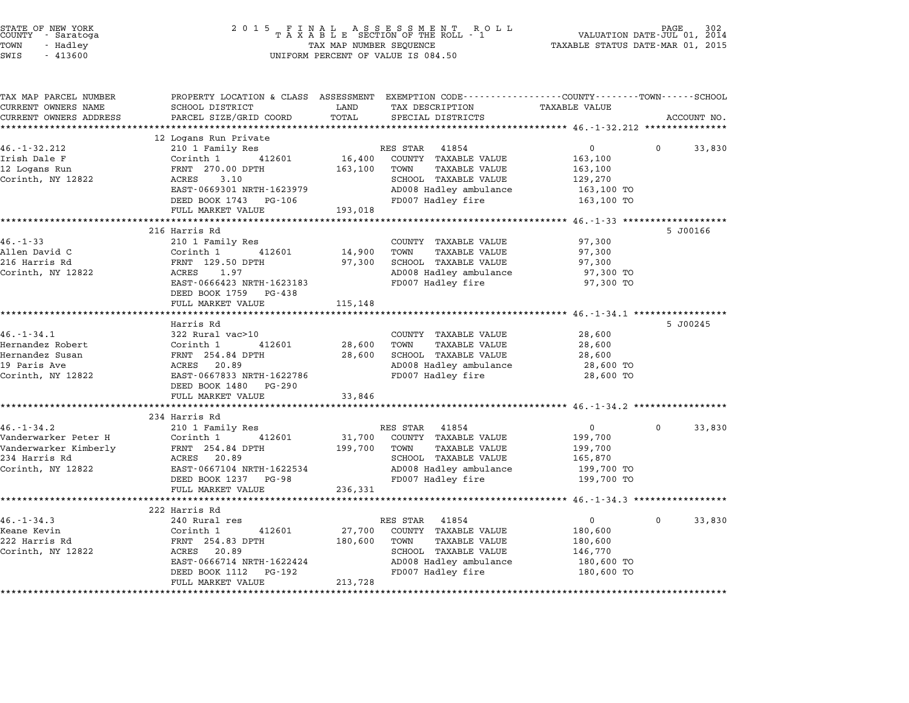| 2 0 1 5                   | VALUATION DATE-JUL 01, 2014<br>TAXABLE STATUS DATE-MAR 01, 2015                                                                                                                                                                                                                                                                                                                                                                                                                                                                                                       |                                                                                                 |                                                                                                                                                                                                                                                                                                                                                                                                                                                                                                                                                                                                 |                                                                                                                                                                                                                                                                                    |                                                                                                                                                                                                                                                                                                                                                                          |
|---------------------------|-----------------------------------------------------------------------------------------------------------------------------------------------------------------------------------------------------------------------------------------------------------------------------------------------------------------------------------------------------------------------------------------------------------------------------------------------------------------------------------------------------------------------------------------------------------------------|-------------------------------------------------------------------------------------------------|-------------------------------------------------------------------------------------------------------------------------------------------------------------------------------------------------------------------------------------------------------------------------------------------------------------------------------------------------------------------------------------------------------------------------------------------------------------------------------------------------------------------------------------------------------------------------------------------------|------------------------------------------------------------------------------------------------------------------------------------------------------------------------------------------------------------------------------------------------------------------------------------|--------------------------------------------------------------------------------------------------------------------------------------------------------------------------------------------------------------------------------------------------------------------------------------------------------------------------------------------------------------------------|
|                           |                                                                                                                                                                                                                                                                                                                                                                                                                                                                                                                                                                       |                                                                                                 |                                                                                                                                                                                                                                                                                                                                                                                                                                                                                                                                                                                                 |                                                                                                                                                                                                                                                                                    |                                                                                                                                                                                                                                                                                                                                                                          |
|                           |                                                                                                                                                                                                                                                                                                                                                                                                                                                                                                                                                                       |                                                                                                 |                                                                                                                                                                                                                                                                                                                                                                                                                                                                                                                                                                                                 |                                                                                                                                                                                                                                                                                    | ACCOUNT NO.                                                                                                                                                                                                                                                                                                                                                              |
|                           |                                                                                                                                                                                                                                                                                                                                                                                                                                                                                                                                                                       |                                                                                                 |                                                                                                                                                                                                                                                                                                                                                                                                                                                                                                                                                                                                 |                                                                                                                                                                                                                                                                                    |                                                                                                                                                                                                                                                                                                                                                                          |
| 12 Logans Run Private     |                                                                                                                                                                                                                                                                                                                                                                                                                                                                                                                                                                       |                                                                                                 |                                                                                                                                                                                                                                                                                                                                                                                                                                                                                                                                                                                                 |                                                                                                                                                                                                                                                                                    |                                                                                                                                                                                                                                                                                                                                                                          |
|                           |                                                                                                                                                                                                                                                                                                                                                                                                                                                                                                                                                                       |                                                                                                 |                                                                                                                                                                                                                                                                                                                                                                                                                                                                                                                                                                                                 |                                                                                                                                                                                                                                                                                    | 33,830                                                                                                                                                                                                                                                                                                                                                                   |
|                           |                                                                                                                                                                                                                                                                                                                                                                                                                                                                                                                                                                       |                                                                                                 |                                                                                                                                                                                                                                                                                                                                                                                                                                                                                                                                                                                                 |                                                                                                                                                                                                                                                                                    |                                                                                                                                                                                                                                                                                                                                                                          |
|                           |                                                                                                                                                                                                                                                                                                                                                                                                                                                                                                                                                                       |                                                                                                 |                                                                                                                                                                                                                                                                                                                                                                                                                                                                                                                                                                                                 |                                                                                                                                                                                                                                                                                    |                                                                                                                                                                                                                                                                                                                                                                          |
|                           |                                                                                                                                                                                                                                                                                                                                                                                                                                                                                                                                                                       |                                                                                                 |                                                                                                                                                                                                                                                                                                                                                                                                                                                                                                                                                                                                 |                                                                                                                                                                                                                                                                                    |                                                                                                                                                                                                                                                                                                                                                                          |
| DEED BOOK 1743 PG-106     |                                                                                                                                                                                                                                                                                                                                                                                                                                                                                                                                                                       |                                                                                                 |                                                                                                                                                                                                                                                                                                                                                                                                                                                                                                                                                                                                 |                                                                                                                                                                                                                                                                                    |                                                                                                                                                                                                                                                                                                                                                                          |
| FULL MARKET VALUE         | 193,018                                                                                                                                                                                                                                                                                                                                                                                                                                                                                                                                                               |                                                                                                 |                                                                                                                                                                                                                                                                                                                                                                                                                                                                                                                                                                                                 |                                                                                                                                                                                                                                                                                    |                                                                                                                                                                                                                                                                                                                                                                          |
| **********************    |                                                                                                                                                                                                                                                                                                                                                                                                                                                                                                                                                                       |                                                                                                 | ****** 46.-1-33 **                                                                                                                                                                                                                                                                                                                                                                                                                                                                                                                                                                              |                                                                                                                                                                                                                                                                                    |                                                                                                                                                                                                                                                                                                                                                                          |
|                           |                                                                                                                                                                                                                                                                                                                                                                                                                                                                                                                                                                       |                                                                                                 |                                                                                                                                                                                                                                                                                                                                                                                                                                                                                                                                                                                                 |                                                                                                                                                                                                                                                                                    |                                                                                                                                                                                                                                                                                                                                                                          |
|                           |                                                                                                                                                                                                                                                                                                                                                                                                                                                                                                                                                                       |                                                                                                 |                                                                                                                                                                                                                                                                                                                                                                                                                                                                                                                                                                                                 |                                                                                                                                                                                                                                                                                    |                                                                                                                                                                                                                                                                                                                                                                          |
|                           |                                                                                                                                                                                                                                                                                                                                                                                                                                                                                                                                                                       |                                                                                                 |                                                                                                                                                                                                                                                                                                                                                                                                                                                                                                                                                                                                 |                                                                                                                                                                                                                                                                                    |                                                                                                                                                                                                                                                                                                                                                                          |
|                           |                                                                                                                                                                                                                                                                                                                                                                                                                                                                                                                                                                       |                                                                                                 |                                                                                                                                                                                                                                                                                                                                                                                                                                                                                                                                                                                                 |                                                                                                                                                                                                                                                                                    |                                                                                                                                                                                                                                                                                                                                                                          |
| EAST-0666423 NRTH-1623183 |                                                                                                                                                                                                                                                                                                                                                                                                                                                                                                                                                                       |                                                                                                 | 97,300 TO                                                                                                                                                                                                                                                                                                                                                                                                                                                                                                                                                                                       |                                                                                                                                                                                                                                                                                    |                                                                                                                                                                                                                                                                                                                                                                          |
| DEED BOOK 1759 PG-438     |                                                                                                                                                                                                                                                                                                                                                                                                                                                                                                                                                                       |                                                                                                 |                                                                                                                                                                                                                                                                                                                                                                                                                                                                                                                                                                                                 |                                                                                                                                                                                                                                                                                    |                                                                                                                                                                                                                                                                                                                                                                          |
| FULL MARKET VALUE         | 115,148                                                                                                                                                                                                                                                                                                                                                                                                                                                                                                                                                               |                                                                                                 |                                                                                                                                                                                                                                                                                                                                                                                                                                                                                                                                                                                                 |                                                                                                                                                                                                                                                                                    |                                                                                                                                                                                                                                                                                                                                                                          |
|                           |                                                                                                                                                                                                                                                                                                                                                                                                                                                                                                                                                                       |                                                                                                 |                                                                                                                                                                                                                                                                                                                                                                                                                                                                                                                                                                                                 |                                                                                                                                                                                                                                                                                    |                                                                                                                                                                                                                                                                                                                                                                          |
|                           |                                                                                                                                                                                                                                                                                                                                                                                                                                                                                                                                                                       |                                                                                                 |                                                                                                                                                                                                                                                                                                                                                                                                                                                                                                                                                                                                 |                                                                                                                                                                                                                                                                                    |                                                                                                                                                                                                                                                                                                                                                                          |
|                           |                                                                                                                                                                                                                                                                                                                                                                                                                                                                                                                                                                       |                                                                                                 |                                                                                                                                                                                                                                                                                                                                                                                                                                                                                                                                                                                                 |                                                                                                                                                                                                                                                                                    |                                                                                                                                                                                                                                                                                                                                                                          |
|                           |                                                                                                                                                                                                                                                                                                                                                                                                                                                                                                                                                                       |                                                                                                 |                                                                                                                                                                                                                                                                                                                                                                                                                                                                                                                                                                                                 |                                                                                                                                                                                                                                                                                    |                                                                                                                                                                                                                                                                                                                                                                          |
| ACRES 20.89               |                                                                                                                                                                                                                                                                                                                                                                                                                                                                                                                                                                       | AD008 Hadley ambulance                                                                          | 28,600 TO                                                                                                                                                                                                                                                                                                                                                                                                                                                                                                                                                                                       |                                                                                                                                                                                                                                                                                    |                                                                                                                                                                                                                                                                                                                                                                          |
| EAST-0667833 NRTH-1622786 |                                                                                                                                                                                                                                                                                                                                                                                                                                                                                                                                                                       | FD007 Hadley fire                                                                               | 28,600 TO                                                                                                                                                                                                                                                                                                                                                                                                                                                                                                                                                                                       |                                                                                                                                                                                                                                                                                    |                                                                                                                                                                                                                                                                                                                                                                          |
| DEED BOOK 1480 PG-290     |                                                                                                                                                                                                                                                                                                                                                                                                                                                                                                                                                                       |                                                                                                 |                                                                                                                                                                                                                                                                                                                                                                                                                                                                                                                                                                                                 |                                                                                                                                                                                                                                                                                    |                                                                                                                                                                                                                                                                                                                                                                          |
|                           |                                                                                                                                                                                                                                                                                                                                                                                                                                                                                                                                                                       |                                                                                                 |                                                                                                                                                                                                                                                                                                                                                                                                                                                                                                                                                                                                 |                                                                                                                                                                                                                                                                                    |                                                                                                                                                                                                                                                                                                                                                                          |
|                           |                                                                                                                                                                                                                                                                                                                                                                                                                                                                                                                                                                       |                                                                                                 |                                                                                                                                                                                                                                                                                                                                                                                                                                                                                                                                                                                                 |                                                                                                                                                                                                                                                                                    |                                                                                                                                                                                                                                                                                                                                                                          |
|                           |                                                                                                                                                                                                                                                                                                                                                                                                                                                                                                                                                                       |                                                                                                 |                                                                                                                                                                                                                                                                                                                                                                                                                                                                                                                                                                                                 | $\Omega$                                                                                                                                                                                                                                                                           | 33,830                                                                                                                                                                                                                                                                                                                                                                   |
| Corinth 1<br>412601       | 31,700                                                                                                                                                                                                                                                                                                                                                                                                                                                                                                                                                                | COUNTY TAXABLE VALUE                                                                            | 199,700                                                                                                                                                                                                                                                                                                                                                                                                                                                                                                                                                                                         |                                                                                                                                                                                                                                                                                    |                                                                                                                                                                                                                                                                                                                                                                          |
| FRNT 254.84 DPTH          | 199,700                                                                                                                                                                                                                                                                                                                                                                                                                                                                                                                                                               | <b>TAXABLE VALUE</b><br>TOWN                                                                    | 199,700                                                                                                                                                                                                                                                                                                                                                                                                                                                                                                                                                                                         |                                                                                                                                                                                                                                                                                    |                                                                                                                                                                                                                                                                                                                                                                          |
| 20.89<br>ACRES            |                                                                                                                                                                                                                                                                                                                                                                                                                                                                                                                                                                       | SCHOOL TAXABLE VALUE                                                                            | 165,870                                                                                                                                                                                                                                                                                                                                                                                                                                                                                                                                                                                         |                                                                                                                                                                                                                                                                                    |                                                                                                                                                                                                                                                                                                                                                                          |
| EAST-0667104 NRTH-1622534 |                                                                                                                                                                                                                                                                                                                                                                                                                                                                                                                                                                       | AD008 Hadley ambulance                                                                          | 199,700 TO                                                                                                                                                                                                                                                                                                                                                                                                                                                                                                                                                                                      |                                                                                                                                                                                                                                                                                    |                                                                                                                                                                                                                                                                                                                                                                          |
|                           |                                                                                                                                                                                                                                                                                                                                                                                                                                                                                                                                                                       |                                                                                                 |                                                                                                                                                                                                                                                                                                                                                                                                                                                                                                                                                                                                 |                                                                                                                                                                                                                                                                                    |                                                                                                                                                                                                                                                                                                                                                                          |
| *********************     |                                                                                                                                                                                                                                                                                                                                                                                                                                                                                                                                                                       |                                                                                                 |                                                                                                                                                                                                                                                                                                                                                                                                                                                                                                                                                                                                 |                                                                                                                                                                                                                                                                                    |                                                                                                                                                                                                                                                                                                                                                                          |
|                           |                                                                                                                                                                                                                                                                                                                                                                                                                                                                                                                                                                       |                                                                                                 |                                                                                                                                                                                                                                                                                                                                                                                                                                                                                                                                                                                                 |                                                                                                                                                                                                                                                                                    |                                                                                                                                                                                                                                                                                                                                                                          |
| 240 Rural res             |                                                                                                                                                                                                                                                                                                                                                                                                                                                                                                                                                                       | 41854                                                                                           | $\overline{0}$                                                                                                                                                                                                                                                                                                                                                                                                                                                                                                                                                                                  | $\Omega$                                                                                                                                                                                                                                                                           | 33,830                                                                                                                                                                                                                                                                                                                                                                   |
| Corinth 1<br>412601       | 27,700                                                                                                                                                                                                                                                                                                                                                                                                                                                                                                                                                                | COUNTY TAXABLE VALUE                                                                            | 180,600                                                                                                                                                                                                                                                                                                                                                                                                                                                                                                                                                                                         |                                                                                                                                                                                                                                                                                    |                                                                                                                                                                                                                                                                                                                                                                          |
| FRNT 254.83 DPTH          | 180,600                                                                                                                                                                                                                                                                                                                                                                                                                                                                                                                                                               | TOWN<br><b>TAXABLE VALUE</b>                                                                    | 180,600                                                                                                                                                                                                                                                                                                                                                                                                                                                                                                                                                                                         |                                                                                                                                                                                                                                                                                    |                                                                                                                                                                                                                                                                                                                                                                          |
| ACRES 20.89               |                                                                                                                                                                                                                                                                                                                                                                                                                                                                                                                                                                       | SCHOOL TAXABLE VALUE                                                                            | 146,770                                                                                                                                                                                                                                                                                                                                                                                                                                                                                                                                                                                         |                                                                                                                                                                                                                                                                                    |                                                                                                                                                                                                                                                                                                                                                                          |
|                           |                                                                                                                                                                                                                                                                                                                                                                                                                                                                                                                                                                       |                                                                                                 |                                                                                                                                                                                                                                                                                                                                                                                                                                                                                                                                                                                                 |                                                                                                                                                                                                                                                                                    |                                                                                                                                                                                                                                                                                                                                                                          |
|                           |                                                                                                                                                                                                                                                                                                                                                                                                                                                                                                                                                                       |                                                                                                 |                                                                                                                                                                                                                                                                                                                                                                                                                                                                                                                                                                                                 |                                                                                                                                                                                                                                                                                    |                                                                                                                                                                                                                                                                                                                                                                          |
|                           |                                                                                                                                                                                                                                                                                                                                                                                                                                                                                                                                                                       |                                                                                                 |                                                                                                                                                                                                                                                                                                                                                                                                                                                                                                                                                                                                 |                                                                                                                                                                                                                                                                                    |                                                                                                                                                                                                                                                                                                                                                                          |
|                           | SCHOOL DISTRICT<br>PARCEL SIZE/GRID COORD<br>210 1 Family Res<br>Corinth 1<br>412601<br>FRNT 270.00 DPTH<br>ACRES<br>3.10<br>EAST-0669301 NRTH-1623979<br>216 Harris Rd<br>210 1 Family Res<br>Corinth 1<br>412601<br>FRNT 129.50 DPTH<br>ACRES<br>1.97<br>*********************<br>Harris Rd<br>322 Rural vac>10<br>Corinth 1<br>412601<br>FRNT 254.84 DPTH<br>FULL MARKET VALUE<br>********************<br>234 Harris Rd<br>210 1 Family Res<br>DEED BOOK 1237 PG-98<br>FULL MARKET VALUE<br>222 Harris Rd<br>EAST-0666714 NRTH-1622424<br>PG-192<br>DEED BOOK 1112 | LAND<br>TOTAL<br>16,400<br>163,100<br>14,900<br>97,300<br>28,600<br>28,600<br>33,846<br>236,331 | R O L L<br>TAX MAP NUMBER SEQUENCE<br>UNIFORM PERCENT OF VALUE IS 084.50<br>TAX DESCRIPTION<br>SPECIAL DISTRICTS<br>RES STAR<br>41854<br>COUNTY TAXABLE VALUE<br>TOWN<br>TAXABLE VALUE<br>SCHOOL TAXABLE VALUE<br>AD008 Hadley ambulance<br>FD007 Hadley fire<br>COUNTY TAXABLE VALUE<br>TOWN<br><b>TAXABLE VALUE</b><br>SCHOOL TAXABLE VALUE<br>AD008 Hadley ambulance<br>FD007 Hadley fire<br>*************<br>COUNTY TAXABLE VALUE<br><b>TAXABLE VALUE</b><br>TOWN<br>SCHOOL TAXABLE VALUE<br>RES STAR 41854<br>FD007 Hadley fire<br>RES STAR<br>AD008 Hadley ambulance<br>FD007 Hadley fire | FINAL ASSESSMENT RO<br>TAXABLE SECTION OF THE ROLL - 1<br><b>TAXABLE VALUE</b><br>0<br>163,100<br>163,100<br>129,270<br>163,100 TO<br>163,100 TO<br>97,300<br>97,300<br>97,300<br>97,300 TO<br>28,600<br>28,600<br>28,600<br>$\mathbf 0$<br>199,700 TO<br>180,600 TO<br>180,600 TO | PAGE<br>PROPERTY LOCATION & CLASS ASSESSMENT EXEMPTION CODE--------------COUNTY-------TOWN-----SCHOOL<br>$\Omega$<br>5 J00166<br>******************************** 46.-1-34.1 ******************<br>5 J00245<br>************************************* 46.-1-34.2 ******<br>******************************** 46.-1-34.3 ******************<br>213,728<br>FULL MARKET VALUE |

STATE OF NEW YORK <sup>2</sup> <sup>0</sup> <sup>1</sup> 5 F I N A L A S S E S S M E N T R O L L PAGE <sup>302</sup> COUNTY - Saratoga <sup>T</sup> <sup>A</sup> <sup>X</sup> <sup>A</sup> <sup>B</sup> <sup>L</sup> <sup>E</sup> SECTION OF THE ROLL - <sup>1</sup> VALUATION DATE-JUL 01, <sup>2014</sup>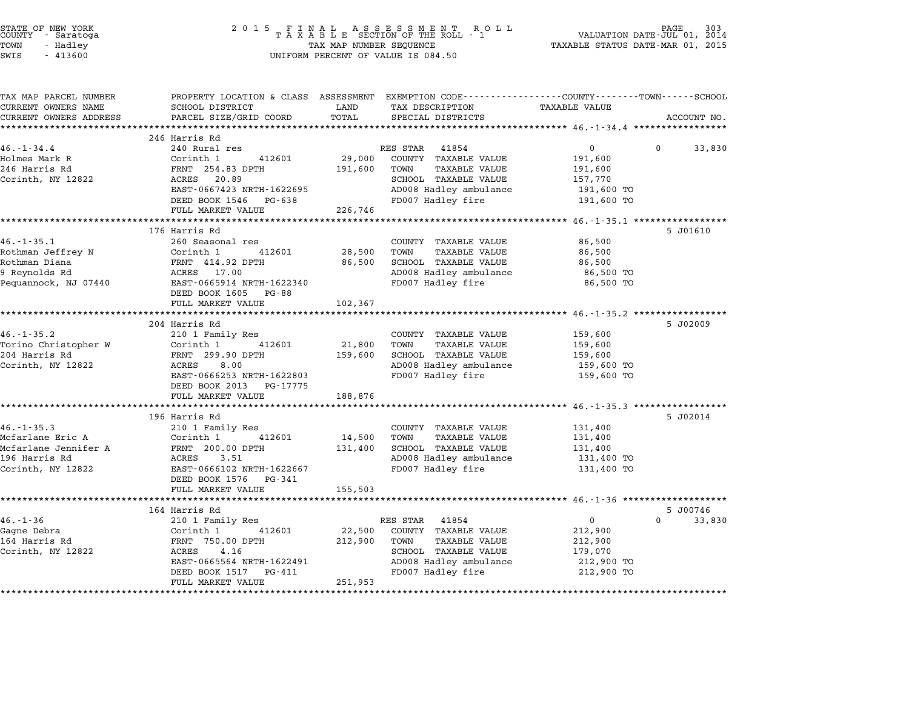| STATE OF NEW YORK<br>COUNTY<br>- Saratoga<br>TOWN<br>- Hadley<br>SWIS<br>$-413600$ | 2 0 1 5<br>FINAL ASSESSMENT RO<br>TAXABLE SECTION OF THE ROLL - 1<br>R O L L<br>TAX MAP NUMBER SEQUENCE<br>UNIFORM PERCENT OF VALUE IS 084.50 |                       |                                                                                                                    | 303<br>PAGE<br>VALUATION DATE-JUL 01, 2014<br>TAXABLE STATUS DATE-MAR 01, 2015 |                      |  |
|------------------------------------------------------------------------------------|-----------------------------------------------------------------------------------------------------------------------------------------------|-----------------------|--------------------------------------------------------------------------------------------------------------------|--------------------------------------------------------------------------------|----------------------|--|
| TAX MAP PARCEL NUMBER<br>CURRENT OWNERS NAME                                       | SCHOOL DISTRICT                                                                                                                               | LAND                  | PROPERTY LOCATION & CLASS ASSESSMENT EXEMPTION CODE---------------COUNTY-------TOWN------SCHOOL<br>TAX DESCRIPTION | TAXABLE VALUE                                                                  |                      |  |
| CURRENT OWNERS ADDRESS                                                             | PARCEL SIZE/GRID COORD                                                                                                                        | TOTAL<br>***********  | SPECIAL DISTRICTS                                                                                                  | ********** 46.-1-34.4 ******************                                       | ACCOUNT NO.          |  |
|                                                                                    | 246 Harris Rd                                                                                                                                 |                       |                                                                                                                    |                                                                                |                      |  |
| $46. - 1 - 34.4$                                                                   | 240 Rural res                                                                                                                                 |                       | RES STAR<br>41854                                                                                                  | 0                                                                              | $\Omega$<br>33,830   |  |
| Holmes Mark R                                                                      | Corinth 1<br>412601                                                                                                                           | 29,000                | COUNTY TAXABLE VALUE                                                                                               | 191,600                                                                        |                      |  |
| 246 Harris Rd                                                                      | FRNT 254.83 DPTH                                                                                                                              | 191,600               | TOWN<br><b>TAXABLE VALUE</b>                                                                                       | 191,600                                                                        |                      |  |
| Corinth, NY 12822                                                                  | ACRES<br>20.89<br>EAST-0667423 NRTH-1622695                                                                                                   |                       | SCHOOL TAXABLE VALUE<br>AD008 Hadley ambulance                                                                     | 157,770<br>191,600 TO                                                          |                      |  |
|                                                                                    | DEED BOOK 1546 PG-638                                                                                                                         |                       | FD007 Hadley fire                                                                                                  | 191,600 TO                                                                     |                      |  |
|                                                                                    | FULL MARKET VALUE                                                                                                                             | 226,746               |                                                                                                                    |                                                                                |                      |  |
|                                                                                    | **********************                                                                                                                        |                       |                                                                                                                    | **** 46.-1-35.1                                                                |                      |  |
|                                                                                    | 176 Harris Rd                                                                                                                                 |                       |                                                                                                                    |                                                                                | 5 J01610             |  |
| $46. -1 - 35.1$<br>Rothman Jeffrey N                                               | 260 Seasonal res<br>Corinth 1<br>412601                                                                                                       | 28,500                | COUNTY TAXABLE VALUE<br>TOWN<br><b>TAXABLE VALUE</b>                                                               | 86,500<br>86,500                                                               |                      |  |
| Rothman Diana                                                                      | FRNT 414.92 DPTH                                                                                                                              | 86,500                | SCHOOL TAXABLE VALUE                                                                                               | 86,500                                                                         |                      |  |
| 9 Reynolds Rd                                                                      | ACRES 17.00                                                                                                                                   |                       | AD008 Hadley ambulance                                                                                             | 86,500 TO                                                                      |                      |  |
| Pequannock, NJ 07440                                                               | EAST-0665914 NRTH-1622340                                                                                                                     |                       | FD007 Hadley fire                                                                                                  | 86,500 TO                                                                      |                      |  |
|                                                                                    | DEED BOOK 1605 PG-88                                                                                                                          |                       |                                                                                                                    |                                                                                |                      |  |
|                                                                                    | FULL MARKET VALUE<br>**************************                                                                                               | 102,367<br>********** |                                                                                                                    |                                                                                |                      |  |
|                                                                                    | 204 Harris Rd                                                                                                                                 |                       |                                                                                                                    | ************************* 46.-1-35.2 ******************                        | 5 J02009             |  |
| $46. - 1 - 35.2$                                                                   | 210 1 Family Res                                                                                                                              |                       | COUNTY TAXABLE VALUE                                                                                               | 159,600                                                                        |                      |  |
| Torino Christopher W                                                               | Corinth 1<br>412601                                                                                                                           | 21,800                | TOWN<br><b>TAXABLE VALUE</b>                                                                                       | 159,600                                                                        |                      |  |
| 204 Harris Rd                                                                      | FRNT 299.90 DPTH                                                                                                                              | 159,600               | SCHOOL TAXABLE VALUE                                                                                               | 159,600                                                                        |                      |  |
| Corinth, NY 12822                                                                  | 8.00<br>ACRES                                                                                                                                 |                       | AD008 Hadley ambulance                                                                                             | 159,600 TO                                                                     |                      |  |
|                                                                                    | EAST-0666253 NRTH-1622803                                                                                                                     |                       | FD007 Hadley fire                                                                                                  | 159,600 TO                                                                     |                      |  |
|                                                                                    | DEED BOOK 2013 PG-17775<br>FULL MARKET VALUE                                                                                                  | 188,876               |                                                                                                                    |                                                                                |                      |  |
|                                                                                    | ************************                                                                                                                      |                       |                                                                                                                    | **************** 46. -1-35.3 ******************                                |                      |  |
|                                                                                    | 196 Harris Rd                                                                                                                                 |                       |                                                                                                                    |                                                                                | 5 J02014             |  |
| $46. - 1 - 35.3$                                                                   | 210 1 Family Res                                                                                                                              |                       | COUNTY TAXABLE VALUE                                                                                               | 131,400                                                                        |                      |  |
| Mcfarlane Eric A                                                                   | Corinth 1<br>412601                                                                                                                           | 14,500                | TOWN<br>TAXABLE VALUE                                                                                              | 131,400                                                                        |                      |  |
| Mcfarlane Jennifer A<br>196 Harris Rd                                              | FRNT 200.00 DPTH<br>ACRES<br>3.51                                                                                                             | 131,400               | SCHOOL TAXABLE VALUE<br>AD008 Hadley ambulance                                                                     | 131,400<br>131,400 TO                                                          |                      |  |
| Corinth, NY 12822                                                                  | EAST-0666102 NRTH-1622667                                                                                                                     |                       | FD007 Hadley fire                                                                                                  | 131,400 TO                                                                     |                      |  |
|                                                                                    | DEED BOOK 1576<br>PG-341                                                                                                                      |                       |                                                                                                                    |                                                                                |                      |  |
|                                                                                    | FULL MARKET VALUE                                                                                                                             | 155,503               |                                                                                                                    |                                                                                |                      |  |
|                                                                                    |                                                                                                                                               |                       |                                                                                                                    | ******** 46.-1-36 ********                                                     |                      |  |
| $46. - 1 - 36$                                                                     | 164 Harris Rd                                                                                                                                 |                       | RES STAR<br>41854                                                                                                  | $\Omega$                                                                       | 5 J00746<br>$\Omega$ |  |
| Gagne Debra                                                                        | 210 1 Family Res<br>Corinth 1<br>412601                                                                                                       | 22,500                | COUNTY TAXABLE VALUE                                                                                               | 212,900                                                                        | 33,830               |  |
| 164 Harris Rd                                                                      | FRNT 750.00 DPTH                                                                                                                              | 212,900               | TOWN<br><b>TAXABLE VALUE</b>                                                                                       | 212,900                                                                        |                      |  |
| Corinth, NY 12822                                                                  | ACRES<br>4.16                                                                                                                                 |                       | SCHOOL TAXABLE VALUE                                                                                               | 179,070                                                                        |                      |  |
|                                                                                    | EAST-0665564 NRTH-1622491                                                                                                                     |                       | AD008 Hadley ambulance                                                                                             | 212,900 TO                                                                     |                      |  |
|                                                                                    | DEED BOOK 1517<br>PG-411                                                                                                                      |                       | FD007 Hadley fire                                                                                                  | 212,900 TO                                                                     |                      |  |
|                                                                                    | FULL MARKET VALUE                                                                                                                             | 251,953               |                                                                                                                    |                                                                                |                      |  |

STATE OF NEW YORK <sup>2</sup> <sup>0</sup> <sup>1</sup> 5 F I N A L A S S E S S M E N T R O L L PAGE <sup>303</sup> COUNTY - Saratoga <sup>T</sup> <sup>A</sup> <sup>X</sup> <sup>A</sup> <sup>B</sup> <sup>L</sup> <sup>E</sup> SECTION OF THE ROLL - <sup>1</sup> VALUATION DATE-JUL 01, <sup>2014</sup>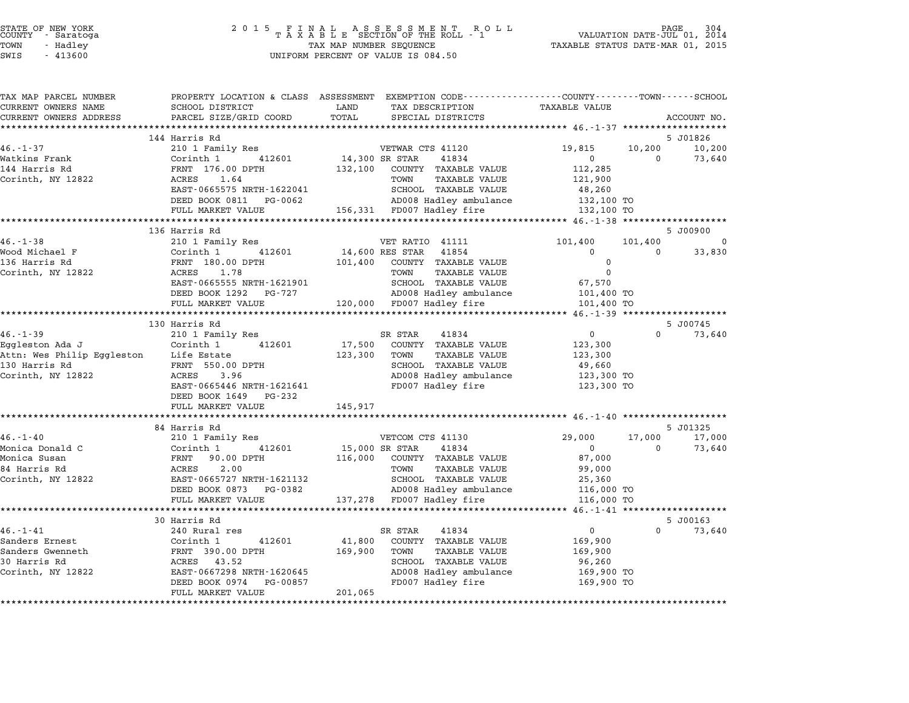|        | STATE OF NEW YORK |  |
|--------|-------------------|--|
| COUNTY | - Saratoga        |  |
| TOWN   | - Hadley          |  |

| TAX MAP PARCEL NUMBER                             |                                                  | PROPERTY LOCATION & CLASS ASSESSMENT EXEMPTION CODE---------------COUNTY-------TOWN------SCHOOL |                      |          |                    |
|---------------------------------------------------|--------------------------------------------------|-------------------------------------------------------------------------------------------------|----------------------|----------|--------------------|
| CURRENT OWNERS NAME                               | SCHOOL DISTRICT                                  | TAX DESCRIPTION<br>LAND                                                                         | <b>TAXABLE VALUE</b> |          |                    |
| CURRENT OWNERS ADDRESS<br>*********************** | PARCEL SIZE/GRID COORD                           | TOTAL<br>SPECIAL DISTRICTS                                                                      |                      |          | ACCOUNT NO.        |
|                                                   |                                                  |                                                                                                 |                      |          |                    |
| $46. - 1 - 37$                                    | 144 Harris Rd                                    |                                                                                                 | 19,815               | 10,200   | 5 J01826<br>10,200 |
| Watkins Frank                                     | 210 1 Family Res<br>412601                       | VETWAR CTS 41120<br>14,300 SR STAR<br>41834                                                     | $\overline{0}$       | $\Omega$ |                    |
| 144 Harris Rd                                     | Corinth 1<br>FRNT 176.00 DPTH                    | 132,100<br>COUNTY TAXABLE VALUE                                                                 | 112,285              |          | 73,640             |
| Corinth, NY 12822                                 | 1.64<br>ACRES                                    | TOWN<br>TAXABLE VALUE                                                                           | 121,900              |          |                    |
|                                                   | EAST-0665575 NRTH-1622041                        | SCHOOL TAXABLE VALUE                                                                            | 48,260               |          |                    |
|                                                   | DEED BOOK 0811 PG-0062                           | AD008 Hadley ambulance                                                                          | 132,100 TO           |          |                    |
|                                                   | FULL MARKET VALUE                                | 156,331 FD007 Hadley fire                                                                       | 132,100 TO           |          |                    |
|                                                   |                                                  |                                                                                                 |                      |          |                    |
|                                                   | 136 Harris Rd                                    |                                                                                                 |                      |          | 5 J00900           |
| $46. - 1 - 38$                                    | 210 1 Family Res                                 | VET RATIO 41111                                                                                 | 101,400              | 101,400  | $\Omega$           |
| Wood Michael F                                    | Corinth 1<br>412601                              | 14,600 RES STAR<br>41854                                                                        | $\overline{0}$       | $\Omega$ | 33,830             |
| 136 Harris Rd                                     | FRNT 180.00 DPTH                                 | 101,400 COUNTY TAXABLE VALUE                                                                    | 0                    |          |                    |
| Corinth, NY 12822                                 | 1.78<br>ACRES                                    | TOWN<br>TAXABLE VALUE                                                                           | $\Omega$             |          |                    |
|                                                   | EAST-0665555 NRTH-1621901                        | SCHOOL TAXABLE VALUE                                                                            | 67,570               |          |                    |
|                                                   | DEED BOOK 1292 PG-727                            | AD008 Hadley ambulance                                                                          | 101,400 TO           |          |                    |
|                                                   | FULL MARKET VALUE                                | 120,000 FD007 Hadley fire                                                                       | 101,400 TO           |          |                    |
|                                                   | **************************                       |                                                                                                 |                      |          |                    |
|                                                   | 130 Harris Rd                                    |                                                                                                 |                      |          | 5 J00745           |
| $46. - 1 - 39$                                    | 210 1 Family Res                                 | SR STAR<br>41834                                                                                | $\overline{0}$       | $\Omega$ | 73,640             |
| Eggleston Ada J                                   | Corinth 1<br>412601                              | 17,500<br>COUNTY TAXABLE VALUE                                                                  | 123,300              |          |                    |
| Attn: Wes Philip Eggleston Life Estate            |                                                  | 123,300<br>TOWN<br>TAXABLE VALUE                                                                | 123,300              |          |                    |
| 130 Harris Rd                                     | FRNT 550.00 DPTH                                 | SCHOOL TAXABLE VALUE                                                                            | 49,660               |          |                    |
| Corinth, NY 12822                                 | ACRES<br>3.96                                    | AD008 Hadley ambulance                                                                          | 123,300 TO           |          |                    |
|                                                   | EAST-0665446 NRTH-1621641                        | FD007 Hadley fire                                                                               | 123,300 TO           |          |                    |
|                                                   | DEED BOOK 1649 PG-232                            |                                                                                                 |                      |          |                    |
|                                                   | FULL MARKET VALUE                                | 145,917                                                                                         |                      |          |                    |
|                                                   |                                                  |                                                                                                 |                      |          |                    |
|                                                   | 84 Harris Rd                                     |                                                                                                 |                      |          | 5 J01325           |
| $46. - 1 - 40$                                    | 210 1 Family Res                                 | VETCOM CTS 41130                                                                                | 29,000               | 17,000   | 17,000             |
| Monica Donald C                                   | Corinth 1<br>412601                              | 41834<br>15,000 SR STAR                                                                         | $\Omega$             | $\Omega$ | 73,640             |
| Monica Susan                                      | FRNT 90.00 DPTH                                  | 116,000 COUNTY TAXABLE VALUE                                                                    | 87,000               |          |                    |
| 84 Harris Rd                                      | <b>ACRES</b><br>2.00                             | TOWN<br><b>TAXABLE VALUE</b>                                                                    | 99,000               |          |                    |
| Corinth, NY 12822                                 | EAST-0665727 NRTH-1621132                        | SCHOOL TAXABLE VALUE                                                                            | 25,360               |          |                    |
|                                                   | DEED BOOK 0873 PG-0382                           | AD008 Hadley ambulance                                                                          | 116,000 TO           |          |                    |
|                                                   | FULL MARKET VALUE<br>*************************** | 137,278 FD007 Hadley fire                                                                       | 116,000 TO           |          |                    |
|                                                   | 30 Harris Rd                                     |                                                                                                 |                      |          | 5 J00163           |
| $46. - 1 - 41$                                    | 240 Rural res                                    | SR STAR<br>41834                                                                                | $\overline{0}$       | $\Omega$ | 73,640             |
| Sanders Ernest                                    | Corinth 1<br>412601                              | 41,800 COUNTY TAXABLE VALUE                                                                     | 169,900              |          |                    |
| Sanders Gwenneth                                  | FRNT 390.00 DPTH                                 | 169,900<br>TOWN<br>TAXABLE VALUE                                                                | 169,900              |          |                    |
| 30 Harris Rd                                      | ACRES 43.52                                      | SCHOOL TAXABLE VALUE                                                                            | 96,260               |          |                    |
| Corinth, NY 12822                                 | EAST-0667298 NRTH-1620645                        | AD008 Hadley ambulance                                                                          | 169,900 TO           |          |                    |
|                                                   | DEED BOOK 0974<br>PG-00857                       | FD007 Hadley fire                                                                               | 169,900 TO           |          |                    |
|                                                   | FULL MARKET VALUE                                | 201,065                                                                                         |                      |          |                    |
|                                                   |                                                  |                                                                                                 |                      |          |                    |
|                                                   |                                                  |                                                                                                 |                      |          |                    |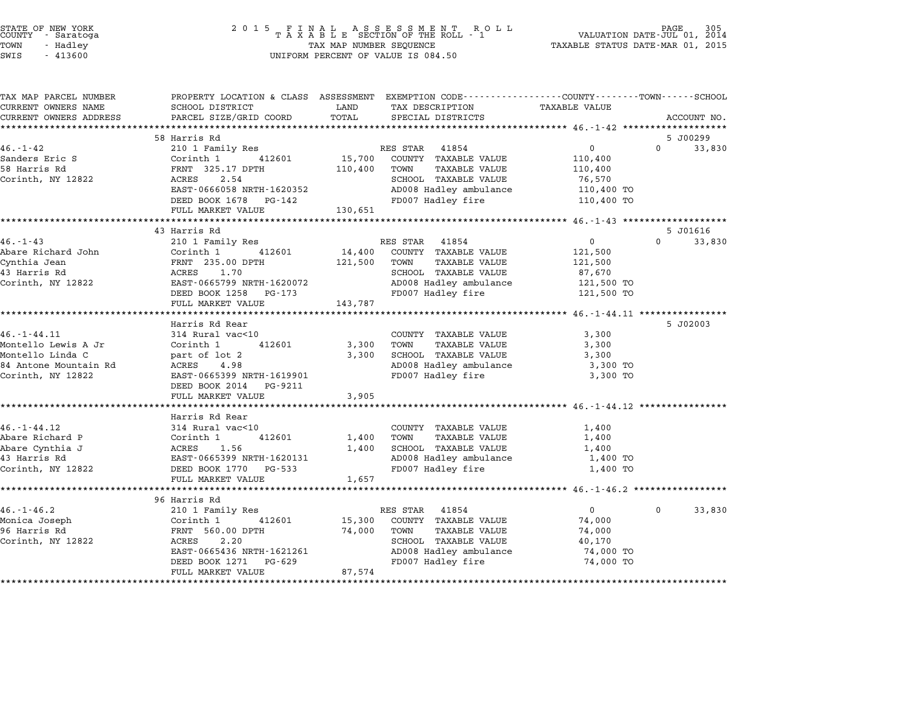| STATE OF NEW YORK<br>COUNTY |  | - Saratoga |  |
|-----------------------------|--|------------|--|
| TOWN                        |  | - Hadlev   |  |
| -----                       |  |            |  |

TAX MAP PARCEL NUMBER PROPERTY LOCATION & CLASS ASSESSMENT EXEMPTION CODE------------------COUNTY--------TOWN------SCHOOL CURRENT OWNERS NAME SCHOOL DISTRICT LAND TAX DESCRIPTION TAXABLE VALUE CURRENT OWNERS ADDRESS FOR SCHOOL DISTRICTS ASSESSEENT EXERT ON TAX MIT TO COORD TOTAL THAT THE CONSIDERT ON TAXABLE VALUE<br>CURRENT OWNERS ADDRESS PARCEL SIZE/GRID COORD TOTAL SPECIAL DISTRICTS ACCOUNT NO.<br>\*\*\*\*\*\*\*\*\*\*\*\*\*\*\*\*\* 58 Harris Rd 5 J00299 46.-1-42 <sup>210</sup> <sup>1</sup> Family Res RES STAR <sup>41854</sup> <sup>0</sup> <sup>0</sup> 33,830 Sanders Eric S Corinth <sup>1</sup> <sup>412601</sup> 15,700 COUNTY TAXABLE VALUE 110,400 <sup>58</sup> Harris Rd FRNT 325.17 DPTH 110,400 TOWN TAXABLE VALUE 110,400 SANCEL'S ELIC SANCEL'S COLLINUITY (COLLINUITY AND MANUAL SELLE SURFACE SELLE SURFACE SURFACE SURFACE SURFACE S<br>10,400 TOWN 110,400 TOWN TAXABLE VALUE 110,400<br>Corinth, NY 12822 3.54 SCHOOL TAXABLE VALUE 76,570 EARL 223.17 DETIT 110,400 TORN TARDLE VALUE 110,400 TORN 110,400 TORN TAXABLE VALUE 110,400 TO<br>ACRES 2.54 AD008 Hadley ambulance 110,400 TO EAST-0666058 NRTH-1620352<br>
DEED BOOK 1678 PG-142 FD007 Hadley ambulance 110,400 TO<br>
FD007 Hadley fire 110,400 TO EAST 0000000 MAIN 1020002<br>
DEED BOOK 1678 PG-142<br>
FULL MARKET VALUE 130,651 \*\*\*\*\*\*\*\*\*\*\*\*\*\*\*\*\*\*\*\*\*\*\*\*\*\*\*\*\*\*\*\*\*\*\*\*\*\*\*\*\*\*\*\*\*\*\*\*\*\*\*\*\*\*\*\*\*\*\*\*\*\*\*\*\*\*\*\*\*\*\*\*\*\*\*\*\*\*\*\*\*\*\*\*\*\*\*\*\*\*\*\*\*\*\*\*\*\*\*\*\*\*\* 46.-1-43 \*\*\*\*\*\*\*\*\*\*\*\*\*\*\*\*\*\*\* 43 Harris Rd 5 J01616 46.-1-43 <sup>210</sup> <sup>1</sup> Family Res RES STAR <sup>41854</sup> <sup>0</sup> <sup>0</sup> 33,830 Abare Richard John Corinth <sup>1</sup> <sup>412601</sup> 14,400 COUNTY TAXABLE VALUE 121,500 Cynthia Jean FRNT 235.00 DPTH 121,500 TOWN TAXABLE VALUE 121,500 ADALE NICHARD OOH NIJSOOD OOH NIJSOOD IN 14,400 COONIT IAAADDD VADOD ALI,500 I21,500<br>Cynthia Jean Rent 235.00 DPTH 121,500 TOWN TAXABLE VALUE 121,500<br>43 Harris Rd 87,670 Corinth, NY <sup>12822</sup> EAST-0665799 NRTH-1620072 AD008 Hadley ambulance 121,500 TO DEED BOOK <sup>1258</sup> PG-173 FD007 Hadley fire 121,500 TO EASI-0000799 NAIH-1020072<br>
DEED BOOK 1258 PG-173<br>
FULL MARKET VALUE 143,787 \*\*\*\*\*\*\*\*\*\*\*\*\*\*\*\*\*\*\*\*\*\*\*\*\*\*\*\*\*\*\*\*\*\*\*\*\*\*\*\*\*\*\*\*\*\*\*\*\*\*\*\*\*\*\*\*\*\*\*\*\*\*\*\*\*\*\*\*\*\*\*\*\*\*\*\*\*\*\*\*\*\*\*\*\*\*\*\*\*\*\*\*\*\*\*\*\*\*\*\*\*\*\* 46.-1-44.11 \*\*\*\*\*\*\*\*\*\*\*\*\*\*\*\* Harris Rd Rear 5 J02003 16.11 Harris Rd Rear<br>
3,300 Harris Rd Rear<br>
3,300 COUNTY TAXABLE VALUE 3,300 Montello Lewis A Jr Corinth <sup>1</sup> <sup>412601</sup> 3,300 TOWN TAXABLE VALUE 3,300 10. I 11.11 (Society of Second Marine Country Country Marine Country Country (Second Marine States of Second M<br>Montello Linda C (Second Lot 2 3,300 TOWN TAXABLE VALUE 3,300 (SCHOOL TAXABLE VALUE 3,300 (SCHOOL TAXABLE VALUE Montello Lewis A UI and Collincial Acres (Collincial Acres 1, 2001)<br>Montello Linda C (1986) and CRES 2,300 AD008 Hadley ambulance 3,300 TO<br>84 Antone Mountain Rd (1986) ACRES 2,98 Corinth Dinas ( Mart of Deal of Deal of Deal of Deal of Deal of Deal of Deal of Deal of Deal of Deal of Deal o<br>Strand Mountain Rd ( ACRES 1998 NRTH-1619901 ADO08 Hadley ambulance 3,300 TO<br>Corinth, NY 12822 200 TO BAST-066 EAST-0665399 NRTH-161990<br>DEED BOOK 2014 PG-9211 EAST 0003333 MAIN 1013301<br>DEED BOOK 2014 PG-9211<br>FULL MARKET VALUE 3,905 \*\*\*\*\*\*\*\*\*\*\*\*\*\*\*\*\*\*\*\*\*\*\*\*\*\*\*\*\*\*\*\*\*\*\*\*\*\*\*\*\*\*\*\*\*\*\*\*\*\*\*\*\*\*\*\*\*\*\*\*\*\*\*\*\*\*\*\*\*\*\*\*\*\*\*\*\*\*\*\*\*\*\*\*\*\*\*\*\*\*\*\*\*\*\*\*\*\*\*\*\*\*\* 46.-1-44.12 \*\*\*\*\*\*\*\*\*\*\*\*\*\*\*\* ronn mannni va<br>\*\*\*\*\*\*\*\*\*\*\*\*\*\*<br>Harris Rd Rear 46.-1-44.12 <sup>314</sup> Rural vac<10 COUNTY TAXABLE VALUE 1,400 Abare Richard P Corinth <sup>1</sup> <sup>412601</sup> 1,400 TOWN TAXABLE VALUE 1,400 Abare Cynthia J ACRES 1.56 1,400 SCHOOL TAXABLE VALUE 1,400 ADALE NICHAIN POOLS AND TRANSPORTED THE COLLINUM PROVIDENT PROPERTY AND TRANSPORTED THAN THE RESERVE THAN THE<br>Abare Cynthia J ACRES 1.56 1,400 SCHOOL TAXABLE VALUE 1,400 TO<br>43 Harris Rd 1,400 TO Corinth, NY <sup>12822</sup> DEED BOOK <sup>1770</sup> PG-533 FD007 Hadley fire 1,400 TO EAST 0003333 MAIN 1020131<br>DEED BOOK 1770 PG-533<br>FULL MARKET VALUE 1,657 \*\*\*\*\*\*\*\*\*\*\*\*\*\*\*\*\*\*\*\*\*\*\*\*\*\*\*\*\*\*\*\*\*\*\*\*\*\*\*\*\*\*\*\*\*\*\*\*\*\*\*\*\*\*\*\*\*\*\*\*\*\*\*\*\*\*\*\*\*\*\*\*\*\*\*\*\*\*\*\*\*\*\*\*\*\*\*\*\*\*\*\*\*\*\*\*\*\*\*\*\*\*\* 46.-1-46.2 \*\*\*\*\*\*\*\*\*\*\*\*\*\*\*\*\* <sub>1968</sub> Hann<br>\*\*\*\*\*\*\*\*\*\*\*\*\*\*\*\*\*\*<br>96 Harris Rd 46.-1-46.2 <sup>210</sup> <sup>1</sup> Family Res RES STAR <sup>41854</sup> <sup>0</sup> <sup>0</sup> 33,830 Monica Joseph Corinth <sup>1</sup> <sup>412601</sup> 15,300 COUNTY TAXABLE VALUE 74,000 <sup>96</sup> Harris Rd FRNT 560.00 DPTH 74,000 TOWN TAXABLE VALUE 74,000 NOTICE OUSERN COLLINEITY AND TRINING CORRESS ON THE RESERVE AND TRINING AND TRINING ON TRINING AND TRINING OUT<br>1960 Harris Rd – TRINING 1960.00 DPTH 74,000 TOWN TAXABLE VALUE 194,000 TOWN 194,000 TRINING 194,000 TRINING T EANI 500.00 DFIH 74,000 TOWN TAAABLE VALUE 74,000<br>ACRES 2.20 SCHOOL TAXABLE VALUE 40,170<br>EAST-0665436 NRTH-1621261 AD008 Hadley ambulance 74,000 TO DEED 2.2.0 2.2.0 EXET-066436 NRTH-1621261 AND BOOK 1270 HAMPLE VALUE TRANSFORM ADDEN TRANSFORM TRANSFORM TRANSFORM TRANSFORM TRANSFORM TRANSFORM TRANSFORM TRANSFORM TRANSFORM TRANSFORM TRANSFORM TRANSFORM TRANSFORM TRANSFO EASI-0000450 NAIH-1021201<br>
DEED BOOK 1271 PG-629<br>
FULL MARKET VALUE 87,574 \*\*\*\*\*\*\*\*\*\*\*\*\*\*\*\*\*\*\*\*\*\*\*\*\*\*\*\*\*\*\*\*\*\*\*\*\*\*\*\*\*\*\*\*\*\*\*\*\*\*\*\*\*\*\*\*\*\*\*\*\*\*\*\*\*\*\*\*\*\*\*\*\*\*\*\*\*\*\*\*\*\*\*\*\*\*\*\*\*\*\*\*\*\*\*\*\*\*\*\*\*\*\*\*\*\*\*\*\*\*\*\*\*\*\*\*\*\*\*\*\*\*\*\*\*\*\*\*\*\*\*\*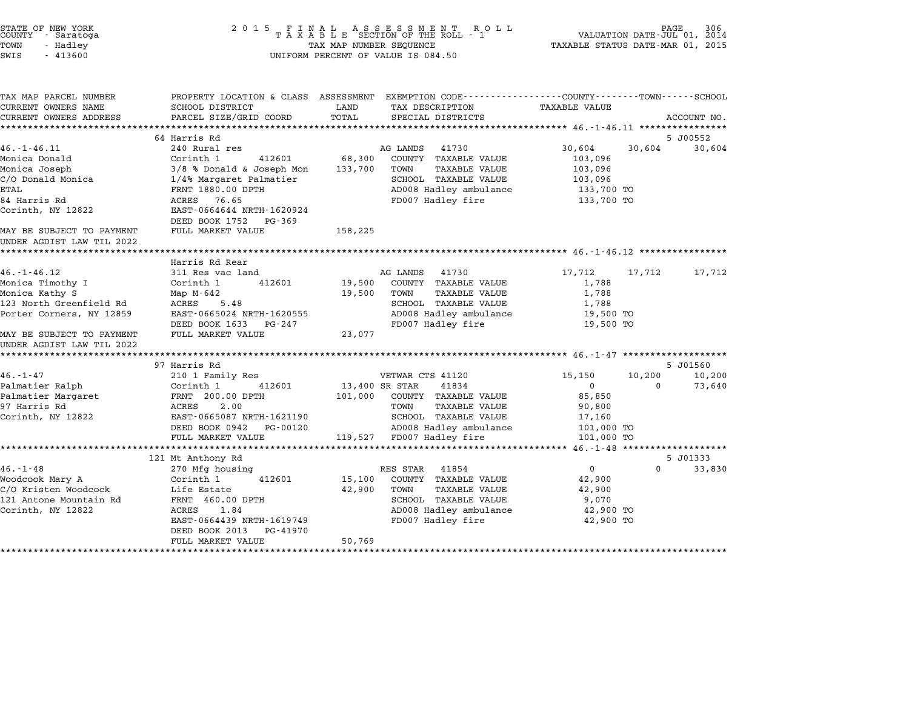# STATE OF NEW YORK <sup>2</sup> <sup>0</sup> <sup>1</sup> 5 F I N A L A S S E S S M E N T R O L L PAGE <sup>306</sup> COUNTY - Saratoga <sup>T</sup> <sup>A</sup> <sup>X</sup> <sup>A</sup> <sup>B</sup> <sup>L</sup> <sup>E</sup> SECTION OF THE ROLL - <sup>1</sup> VALUATION DATE-JUL 01, <sup>2014</sup> TOWN - Hadley TAX MAP NUMBER SEQUENCE TAXABLE STATUS DATE-MAR 01, <sup>2015</sup> STATE OF NEW YORK STATE OF NEW YORK COUNTY - SATATOGRAPH SAMPLINE TO A SAMPLINE TO A SAMPLINE ROLL TO A SAMPLINE SECTION OF THE ROLL TO A SAMPLINE SECTION OF THE ROLL TO A SAMPLINE SECTION OF THE ROLL TO A SAMPLINE SECTION

| TAX MAP PARCEL NUMBER     |                              | PROPERTY LOCATION & CLASS ASSESSMENT EXEMPTION CODE----------------COUNTY-------TOWN-----SCHOOL |                            |             |
|---------------------------|------------------------------|-------------------------------------------------------------------------------------------------|----------------------------|-------------|
| CURRENT OWNERS NAME       | SCHOOL DISTRICT              | LAND<br>TAX DESCRIPTION                                                                         | <b>TAXABLE VALUE</b>       |             |
| CURRENT OWNERS ADDRESS    | PARCEL SIZE/GRID COORD       | TOTAL<br>SPECIAL DISTRICTS                                                                      |                            | ACCOUNT NO. |
|                           |                              |                                                                                                 |                            |             |
|                           | 64 Harris Rd                 |                                                                                                 |                            | 5 J00552    |
| $46. - 1 - 46.11$         | 240 Rural res                | AG LANDS<br>41730                                                                               | 30,604<br>30,604           | 30,604      |
| Monica Donald             | 412601<br>Corinth 1          | 68,300<br>COUNTY TAXABLE VALUE                                                                  | 103,096                    |             |
| Monica Joseph             | $3/8$ % Donald & Joseph Mon  | 133,700<br>TOWN<br>TAXABLE VALUE                                                                | 103,096                    |             |
| C/O Donald Monica         | 1/4% Margaret Palmatier      | SCHOOL TAXABLE VALUE                                                                            | 103,096                    |             |
| <b>ETAL</b>               | FRNT 1880.00 DPTH            | AD008 Hadley ambulance                                                                          | 133,700 TO                 |             |
| 84 Harris Rd              | 76.65<br>ACRES               | FD007 Hadley fire                                                                               | 133,700 TO                 |             |
| Corinth, NY 12822         | EAST-0664644 NRTH-1620924    |                                                                                                 |                            |             |
|                           | DEED BOOK 1752<br>$PG - 369$ |                                                                                                 |                            |             |
| MAY BE SUBJECT TO PAYMENT | FULL MARKET VALUE            | 158,225                                                                                         |                            |             |
| UNDER AGDIST LAW TIL 2022 |                              |                                                                                                 |                            |             |
|                           |                              |                                                                                                 |                            |             |
|                           | Harris Rd Rear               |                                                                                                 |                            |             |
| $46. - 1 - 46.12$         | 311 Res vac land             | AG LANDS<br>41730                                                                               | 17,712<br>17,712           | 17,712      |
| Monica Timothy I          | Corinth 1<br>412601          | 19,500<br>COUNTY TAXABLE VALUE                                                                  | 1,788                      |             |
| Monica Kathy S            | Map $M-642$                  | 19,500<br>TOWN<br>TAXABLE VALUE                                                                 | 1,788                      |             |
| 123 North Greenfield Rd   | 5.48<br>ACRES                | SCHOOL TAXABLE VALUE                                                                            | 1,788                      |             |
| Porter Corners, NY 12859  | EAST-0665024 NRTH-1620555    | AD008 Hadley ambulance                                                                          | 19,500 TO                  |             |
|                           | DEED BOOK 1633<br>PG-247     | FD007 Hadley fire                                                                               | 19,500 TO                  |             |
| MAY BE SUBJECT TO PAYMENT | FULL MARKET VALUE            | 23,077                                                                                          |                            |             |
| UNDER AGDIST LAW TIL 2022 |                              |                                                                                                 |                            |             |
|                           |                              |                                                                                                 |                            |             |
|                           | 97 Harris Rd                 |                                                                                                 |                            | 5 J01560    |
| $46. - 1 - 47$            | 210 1 Family Res             | VETWAR CTS 41120                                                                                | 10,200<br>15,150           | 10,200      |
| Palmatier Ralph           | Corinth 1<br>412601          | 13,400 SR STAR<br>41834                                                                         | $\overline{0}$<br>$\Omega$ | 73,640      |
| Palmatier Margaret        | FRNT 200.00 DPTH             | 101,000<br>COUNTY TAXABLE VALUE                                                                 | 85,850                     |             |
| 97 Harris Rd              | ACRES<br>2.00                | TOWN<br>TAXABLE VALUE                                                                           | 90,800                     |             |
| Corinth, NY 12822         | EAST-0665087 NRTH-1621190    | SCHOOL TAXABLE VALUE                                                                            | 17,160                     |             |
|                           | DEED BOOK 0942<br>PG-00120   | AD008 Hadley ambulance                                                                          | 101,000 TO                 |             |
|                           | FULL MARKET VALUE            | 119,527 FD007 Hadley fire                                                                       | 101,000 TO                 |             |
|                           |                              |                                                                                                 |                            |             |
|                           | 121 Mt Anthony Rd            |                                                                                                 |                            | 5 J01333    |
| $46. - 1 - 48$            | 270 Mfg housing              | 41854<br>RES STAR                                                                               | $\overline{0}$<br>$\Omega$ | 33,830      |
| Woodcook Mary A           | Corinth 1<br>412601          | 15,100<br>COUNTY TAXABLE VALUE                                                                  | 42,900                     |             |
| C/O Kristen Woodcock      | Life Estate                  | 42,900<br><b>TAXABLE VALUE</b><br>TOWN                                                          | 42,900                     |             |
| 121 Antone Mountain Rd    | FRNT 460.00 DPTH             | SCHOOL TAXABLE VALUE                                                                            | 9,070                      |             |
| Corinth, NY 12822         | ACRES<br>1.84                | AD008 Hadley ambulance                                                                          | 42,900 TO                  |             |
|                           | EAST-0664439 NRTH-1619749    | FD007 Hadley fire                                                                               | 42,900 TO                  |             |
|                           | DEED BOOK 2013<br>PG-41970   |                                                                                                 |                            |             |
|                           | FULL MARKET VALUE            | 50,769                                                                                          |                            |             |
|                           |                              |                                                                                                 |                            |             |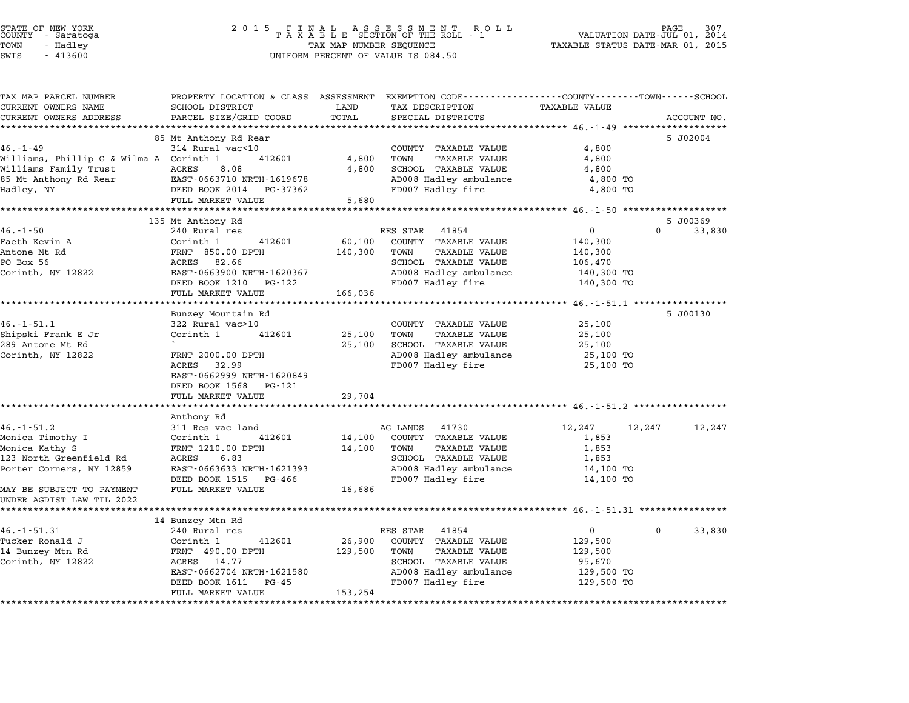|        | STATE OF NEW YORK |  |
|--------|-------------------|--|
| COUNTY | - Saratoga        |  |
| TOWN   | - Hadley          |  |
|        |                   |  |

# STATE OF NEW YORK <sup>2</sup> <sup>0</sup> <sup>1</sup> 5 F I N A L A S S E S S M E N T R O L L PAGE <sup>307</sup> COUNTY - Saratoga <sup>T</sup> <sup>A</sup> <sup>X</sup> <sup>A</sup> <sup>B</sup> <sup>L</sup> <sup>E</sup> SECTION OF THE ROLL - <sup>1</sup> VALUATION DATE-JUL 01, <sup>2014</sup> TOWN - Hadley TAX MAP NUMBER SEQUENCE TAXABLE STATUS DATE-MAR 01, <sup>2015</sup> SWIS - <sup>413600</sup> UNIFORM PERCENT OF VALUE IS 084.50

| TAX MAP PARCEL NUMBER                   | PROPERTY LOCATION & CLASS ASSESSMENT EXEMPTION CODE---------------COUNTY-------TOWN------SCHOOL |         |                                           |                      |                                |
|-----------------------------------------|-------------------------------------------------------------------------------------------------|---------|-------------------------------------------|----------------------|--------------------------------|
| CURRENT OWNERS NAME                     | SCHOOL DISTRICT                                                                                 | LAND    | TAX DESCRIPTION                           | <b>TAXABLE VALUE</b> |                                |
| CURRENT OWNERS ADDRESS                  | PARCEL SIZE/GRID COORD                                                                          | TOTAL   | SPECIAL DISTRICTS                         |                      | ACCOUNT NO.                    |
|                                         |                                                                                                 |         |                                           |                      |                                |
|                                         | 85 Mt Anthony Rd Rear                                                                           |         |                                           |                      | 5 J02004                       |
| $46. - 1 - 49$                          | 314 Rural vac<10                                                                                |         | COUNTY TAXABLE VALUE                      | 4,800                |                                |
| Williams, Phillip G & Wilma A Corinth 1 | 412601                                                                                          | 4,800   | TOWN<br>TAXABLE VALUE                     | 4,800                |                                |
| Williams Family Trust                   | ACRES<br>8.08                                                                                   | 4,800   | SCHOOL TAXABLE VALUE                      | 4,800                |                                |
| 85 Mt Anthony Rd Rear                   | EAST-0663710 NRTH-1619678                                                                       |         | AD008 Hadley ambulance                    | 4,800 TO             |                                |
| Hadley, NY                              | DEED BOOK 2014 PG-37362                                                                         |         | FD007 Hadley fire                         | 4,800 TO             |                                |
|                                         | FULL MARKET VALUE                                                                               | 5,680   |                                           |                      |                                |
|                                         |                                                                                                 |         |                                           |                      |                                |
| $46. - 1 - 50$                          | 135 Mt Anthony Rd<br>240 Rural res                                                              |         | RES STAR 41854                            | $\mathbf 0$          | 5 J00369<br>$\Omega$<br>33,830 |
| Faeth Kevin A                           | Corinth 1<br>412601                                                                             | 60,100  | COUNTY TAXABLE VALUE                      | 140,300              |                                |
| Antone Mt Rd                            | FRNT 850.00 DPTH                                                                                | 140,300 | TOWN<br>TAXABLE VALUE                     | 140,300              |                                |
| PO Box 56                               | ACRES<br>82.66                                                                                  |         | SCHOOL TAXABLE VALUE                      | 106,470              |                                |
| Corinth, NY 12822                       | EAST-0663900 NRTH-1620367                                                                       |         | AD008 Hadley ambulance                    | 140,300 TO           |                                |
|                                         | DEED BOOK 1210 PG-122                                                                           |         | FD007 Hadley fire                         | 140,300 TO           |                                |
|                                         | FULL MARKET VALUE                                                                               | 166,036 |                                           |                      |                                |
|                                         |                                                                                                 |         |                                           |                      |                                |
|                                         | Bunzey Mountain Rd                                                                              |         |                                           |                      | 5 J00130                       |
| $46. - 1 - 51.1$                        | 322 Rural vac>10                                                                                |         | COUNTY TAXABLE VALUE                      | 25,100               |                                |
| Shipski Frank E Jr                      | Corinth 1<br>412601                                                                             | 25,100  | TOWN<br>TAXABLE VALUE                     | 25,100               |                                |
| 289 Antone Mt Rd                        |                                                                                                 | 25,100  | SCHOOL TAXABLE VALUE                      | 25,100               |                                |
| Corinth, NY 12822                       | FRNT 2000.00 DPTH                                                                               |         | AD008 Hadley ambulance                    | 25,100 TO            |                                |
|                                         | ACRES<br>32.99                                                                                  |         | FD007 Hadley fire                         | 25,100 TO            |                                |
|                                         | EAST-0662999 NRTH-1620849                                                                       |         |                                           |                      |                                |
|                                         | DEED BOOK 1568<br>PG-121                                                                        |         |                                           |                      |                                |
|                                         | FULL MARKET VALUE                                                                               | 29,704  |                                           |                      |                                |
|                                         |                                                                                                 |         |                                           |                      |                                |
|                                         | Anthony Rd                                                                                      |         |                                           |                      |                                |
| $46. - 1 - 51.2$                        | 311 Res vac land                                                                                |         | AG LANDS 41730                            | 12,247               | 12,247<br>12,247               |
| Monica Timothy I                        | Corinth 1<br>412601                                                                             | 14,100  | COUNTY TAXABLE VALUE                      | 1,853                |                                |
| Monica Kathy S                          | FRNT 1210.00 DPTH                                                                               | 14,100  | TOWN<br>TAXABLE VALUE                     | 1,853                |                                |
| 123 North Greenfield Rd                 | ACRES<br>6.83                                                                                   |         | SCHOOL TAXABLE VALUE                      | 1,853                |                                |
| Porter Corners, NY 12859                | EAST-0663633 NRTH-1621393                                                                       |         | AD008 Hadley ambulance                    | 14,100 TO            |                                |
|                                         | DEED BOOK 1515 PG-466                                                                           |         | FD007 Hadley fire                         | 14,100 TO            |                                |
| MAY BE SUBJECT TO PAYMENT               | FULL MARKET VALUE                                                                               | 16,686  |                                           |                      |                                |
| UNDER AGDIST LAW TIL 2022               |                                                                                                 |         |                                           |                      |                                |
|                                         | 14 Bunzey Mtn Rd                                                                                |         |                                           |                      |                                |
|                                         |                                                                                                 |         |                                           | $\overline{0}$       | $\Omega$                       |
| $46. - 1 - 51.31$<br>Tucker Ronald J    | 240 Rural res<br>Corinth 1<br>412601                                                            | 26,900  | 41854<br>RES STAR<br>COUNTY TAXABLE VALUE | 129,500              | 33,830                         |
| 14 Bunzey Mtn Rd                        | FRNT 490.00 DPTH                                                                                | 129,500 | TOWN<br>TAXABLE VALUE                     | 129,500              |                                |
| Corinth, NY 12822                       | 14.77<br>ACRES                                                                                  |         | SCHOOL TAXABLE VALUE                      | 95,670               |                                |
|                                         | EAST-0662704 NRTH-1621580                                                                       |         | AD008 Hadley ambulance                    | 129,500 TO           |                                |
|                                         | DEED BOOK 1611<br>PG-45                                                                         |         | FD007 Hadley fire                         | 129,500 TO           |                                |
|                                         | FULL MARKET VALUE                                                                               | 153,254 |                                           |                      |                                |
|                                         |                                                                                                 |         |                                           |                      |                                |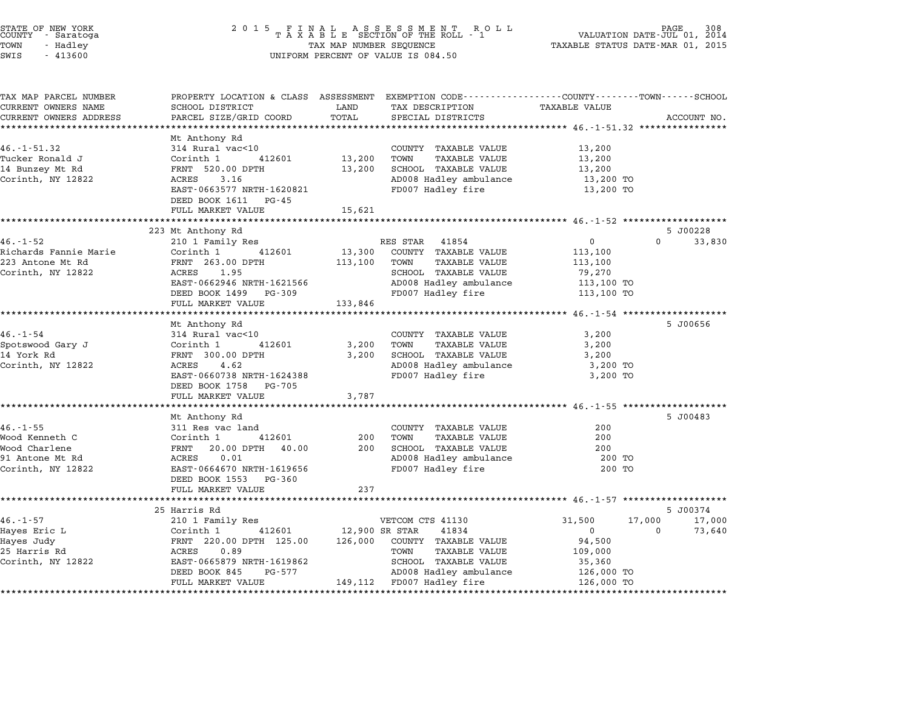| STATE OF NEW YORK<br>COUNTY – Saratoga<br>TOWN<br>- Hadley<br>SWIS<br>$-413600$ | 2 0 1 5<br>$\begin{array}{cccccccccccccc} & F & I & N & A & L & & A & S & S & E & S & S & M & E & N & T & R & O & L & L \\ T & A & X & A & B & L & E & SECTION OF THE ROLL & - & 1 & & & \\ \end{array}$<br>TAX MAP NUMBER SEQUENCE<br>UNIFORM PERCENT OF VALUE IS 084.50 | PAGE 308<br>VALUATION DATE-JUL 01, 2014<br>TAXABLE STATUS DATE-MAR 01, 2015 |                                                     |                                           |                    |
|---------------------------------------------------------------------------------|---------------------------------------------------------------------------------------------------------------------------------------------------------------------------------------------------------------------------------------------------------------------------|-----------------------------------------------------------------------------|-----------------------------------------------------|-------------------------------------------|--------------------|
| TAX MAP PARCEL NUMBER                                                           | PROPERTY LOCATION & CLASS ASSESSMENT EXEMPTION CODE---------------COUNTY-------TOWN-----SCHOOL                                                                                                                                                                            |                                                                             |                                                     |                                           |                    |
| CURRENT OWNERS NAME                                                             | SCHOOL DISTRICT                                                                                                                                                                                                                                                           | LAND                                                                        | TAX DESCRIPTION                                     | TAXABLE VALUE                             |                    |
| CURRENT OWNERS ADDRESS                                                          | PARCEL SIZE/GRID COORD                                                                                                                                                                                                                                                    | TOTAL                                                                       | SPECIAL DISTRICTS                                   |                                           | ACCOUNT NO.        |
| **********************                                                          | *******************                                                                                                                                                                                                                                                       |                                                                             |                                                     |                                           |                    |
|                                                                                 | Mt Anthony Rd                                                                                                                                                                                                                                                             |                                                                             |                                                     |                                           |                    |
| $46. - 1 - 51.32$                                                               | 314 Rural vac<10                                                                                                                                                                                                                                                          |                                                                             | COUNTY TAXABLE VALUE                                | 13,200                                    |                    |
| Tucker Ronald J                                                                 | Corinth 1<br>412601<br>FRNT 520.00 DPTH                                                                                                                                                                                                                                   | 13,200                                                                      | TOWN<br>TAXABLE VALUE<br>SCHOOL TAXABLE VALUE       | 13,200                                    |                    |
| 14 Bunzey Mt Rd                                                                 |                                                                                                                                                                                                                                                                           | 13,200                                                                      |                                                     | 13,200                                    |                    |
| Corinth, NY 12822                                                               | 3.16<br>ACRES<br>EAST-0663577 NRTH-1620821                                                                                                                                                                                                                                |                                                                             | AD008 Hadley ambulance<br>FD007 Hadley fire         | 13,200 TO<br>13,200 TO                    |                    |
|                                                                                 | DEED BOOK 1611<br>PG-45                                                                                                                                                                                                                                                   |                                                                             |                                                     |                                           |                    |
|                                                                                 | FULL MARKET VALUE                                                                                                                                                                                                                                                         | 15,621                                                                      |                                                     |                                           |                    |
|                                                                                 |                                                                                                                                                                                                                                                                           |                                                                             |                                                     |                                           |                    |
|                                                                                 | 223 Mt Anthony Rd                                                                                                                                                                                                                                                         |                                                                             |                                                     |                                           | 5 J00228           |
| $46. - 1 - 52$                                                                  | 210 1 Family Res                                                                                                                                                                                                                                                          |                                                                             | RES STAR 41854                                      | 0                                         | $\Omega$<br>33,830 |
| Richards Fannie Marie                                                           | 412601<br>Corinth 1                                                                                                                                                                                                                                                       | 13,300                                                                      | COUNTY TAXABLE VALUE                                | 113,100                                   |                    |
| 223 Antone Mt Rd                                                                | FRNT 263.00 DPTH                                                                                                                                                                                                                                                          | 113,100                                                                     | <b>TAXABLE VALUE</b><br>TOWN                        | 113,100                                   |                    |
| Corinth, NY 12822                                                               | ACRES 1.95                                                                                                                                                                                                                                                                |                                                                             | SCHOOL TAXABLE VALUE                                | 79,270                                    |                    |
|                                                                                 | EAST-0662946 NRTH-1621566                                                                                                                                                                                                                                                 |                                                                             | AD008 Hadley ambulance                              | 113,100 TO                                |                    |
|                                                                                 | DEED BOOK 1499 PG-309                                                                                                                                                                                                                                                     |                                                                             | FD007 Hadley fire                                   | 113,100 TO                                |                    |
|                                                                                 | FULL MARKET VALUE                                                                                                                                                                                                                                                         | 133,846                                                                     |                                                     |                                           |                    |
|                                                                                 | ********************                                                                                                                                                                                                                                                      |                                                                             | ***********************************                 | ************ 46.-1-54 ******************* |                    |
|                                                                                 | Mt Anthony Rd                                                                                                                                                                                                                                                             |                                                                             |                                                     |                                           | 5 J00656           |
| $46. - 1 - 54$                                                                  | 314 Rural vac<10                                                                                                                                                                                                                                                          |                                                                             | COUNTY TAXABLE VALUE                                | 3,200                                     |                    |
| Spotswood Gary J                                                                | Corinth 1<br>412601                                                                                                                                                                                                                                                       | 3,200                                                                       | TAXABLE VALUE<br>TOWN                               | 3,200                                     |                    |
| 14 York Rd                                                                      | FRNT 300.00 DPTH                                                                                                                                                                                                                                                          | 3,200                                                                       | SCHOOL TAXABLE VALUE                                | 3,200                                     |                    |
| Corinth, NY 12822                                                               | 4.62<br>ACRES                                                                                                                                                                                                                                                             |                                                                             | AD008 Hadley ambulance                              | 3,200 TO                                  |                    |
|                                                                                 | EAST-0660738 NRTH-1624388                                                                                                                                                                                                                                                 |                                                                             | FD007 Hadley fire                                   | 3,200 TO                                  |                    |
|                                                                                 | DEED BOOK 1758<br>PG-705<br>FULL MARKET VALUE                                                                                                                                                                                                                             |                                                                             |                                                     |                                           |                    |
|                                                                                 |                                                                                                                                                                                                                                                                           | 3,787                                                                       |                                                     |                                           |                    |
|                                                                                 | Mt Anthony Rd                                                                                                                                                                                                                                                             |                                                                             |                                                     |                                           | 5 J00483           |
| $46. -1 - 55$                                                                   | 311 Res vac land                                                                                                                                                                                                                                                          |                                                                             | COUNTY TAXABLE VALUE                                | 200                                       |                    |
| Wood Kenneth C                                                                  | Corinth 1<br>412601                                                                                                                                                                                                                                                       | 200                                                                         | <b>TAXABLE VALUE</b><br>TOWN                        | 200                                       |                    |
| Wood Charlene                                                                   | FRNT<br>20.00 DPTH 40.00                                                                                                                                                                                                                                                  | 200                                                                         | SCHOOL TAXABLE VALUE                                | 200                                       |                    |
| 91 Antone Mt Rd                                                                 | ACRES<br>0.01                                                                                                                                                                                                                                                             |                                                                             | AD008 Hadley ambulance                              | 200 TO                                    |                    |
| Corinth, NY 12822                                                               | EAST-0664670 NRTH-1619656                                                                                                                                                                                                                                                 |                                                                             | FD007 Hadley fire                                   | 200 TO                                    |                    |
|                                                                                 | DEED BOOK 1553 PG-360                                                                                                                                                                                                                                                     |                                                                             |                                                     |                                           |                    |
|                                                                                 | FULL MARKET VALUE                                                                                                                                                                                                                                                         | 237                                                                         |                                                     |                                           |                    |
|                                                                                 | ************                                                                                                                                                                                                                                                              |                                                                             |                                                     |                                           |                    |
|                                                                                 | 25 Harris Rd                                                                                                                                                                                                                                                              |                                                                             |                                                     |                                           | 5 J00374           |
| $46. - 1 - 57$                                                                  | 210 1 Family Res                                                                                                                                                                                                                                                          |                                                                             | VETCOM CTS 41130                                    | 17,000<br>31,500                          | 17,000             |
| Hayes Eric L                                                                    | Corinth 1<br>412601                                                                                                                                                                                                                                                       | 12,900 SR STAR                                                              | 41834                                               | $\mathbf{0}$                              | 73,640<br>$\Omega$ |
| Hayes Judy                                                                      | FRNT 220.00 DPTH 125.00                                                                                                                                                                                                                                                   | 126,000                                                                     | COUNTY TAXABLE VALUE                                | 94,500                                    |                    |
| 25 Harris Rd                                                                    | ACRES<br>0.89                                                                                                                                                                                                                                                             |                                                                             | TOWN<br>TAXABLE VALUE                               | 109,000                                   |                    |
|                                                                                 |                                                                                                                                                                                                                                                                           |                                                                             |                                                     |                                           |                    |
| Corinth, NY 12822                                                               | EAST-0665879 NRTH-1619862                                                                                                                                                                                                                                                 |                                                                             | SCHOOL TAXABLE VALUE                                | 35,360                                    |                    |
|                                                                                 | DEED BOOK 845<br>PG-577<br>FULL MARKET VALUE                                                                                                                                                                                                                              |                                                                             | AD008 Hadley ambulance<br>149,112 FD007 Hadley fire | 126,000 TO<br>126,000 TO                  |                    |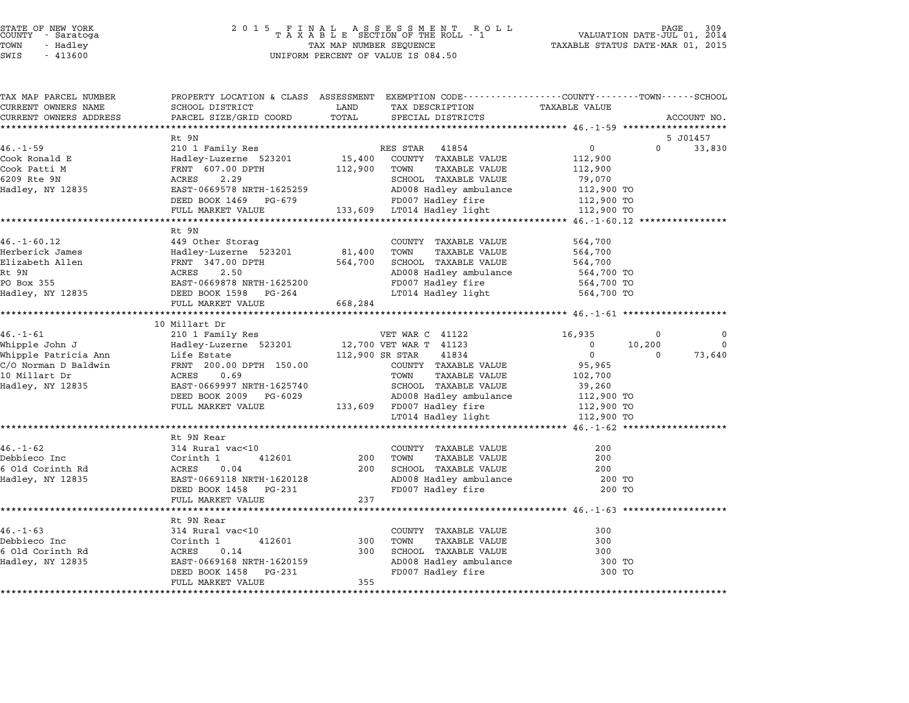| TAX MAP PARCEL NUMBER  | PROPERTY LOCATION & CLASS ASSESSMENT EXEMPTION CODE---------------COUNTY-------TOWN-----SCHOOL                                                                                                                                         |                 |                                   |                |                                      |
|------------------------|----------------------------------------------------------------------------------------------------------------------------------------------------------------------------------------------------------------------------------------|-----------------|-----------------------------------|----------------|--------------------------------------|
| CURRENT OWNERS NAME    | SCHOOL DISTRICT                                                                                                                                                                                                                        | LAND<br>TOTAL   | TAX DESCRIPTION                   | TAXABLE VALUE  |                                      |
| CURRENT OWNERS ADDRESS | PARCEL SIZE/GRID COORD                                                                                                                                                                                                                 |                 | SPECIAL DISTRICTS                 |                | ACCOUNT NO.                          |
|                        | Rt 9N                                                                                                                                                                                                                                  |                 |                                   |                |                                      |
| 46.-1-59               |                                                                                                                                                                                                                                        |                 |                                   | $\overline{0}$ | 5 JO1457<br>$\overline{0}$<br>33,830 |
| Cook Ronald E          | 210 1 Family Res<br>Hadley-Luzerne 523201 15,400 COUNTY TAXABLE VALUE                                                                                                                                                                  |                 |                                   | 112,900        |                                      |
| Cook Patti M           |                                                                                                                                                                                                                                        |                 | TAXABLE VALUE                     | 112,900        |                                      |
| 6209 Rte 9N            |                                                                                                                                                                                                                                        |                 | SCHOOL TAXABLE VALUE              | 79,070         |                                      |
|                        |                                                                                                                                                                                                                                        |                 | AD008 Hadley ambulance 112,900 TO |                |                                      |
|                        | DEED BOOK 1469 PG-679                                                                                                                                                                                                                  |                 | FD007 Hadley fire                 | 112,900 TO     |                                      |
|                        | FULL MARKET VALUE                                                                                                                                                                                                                      |                 | 133,609 LT014 Hadley light        | 112,900 TO     |                                      |
|                        |                                                                                                                                                                                                                                        |                 |                                   |                |                                      |
|                        | Rt 9N                                                                                                                                                                                                                                  |                 |                                   |                |                                      |
| $46. - 1 - 60.12$      | 449 Other Storag                                                                                                                                                                                                                       |                 | COUNTY TAXABLE VALUE              | 564,700        |                                      |
| Herberick James        | Hadley-Luzerne 523201 81,400                                                                                                                                                                                                           |                 | TOWN<br>TAXABLE VALUE             | 564,700        |                                      |
|                        |                                                                                                                                                                                                                                        |                 | 564,700 SCHOOL TAXABLE VALUE      | 564,700        |                                      |
|                        | Elizabeth Allen<br>Rt 9N<br>PO Box 355<br>Hadley, NY 12835<br>Hadley, NY 12835<br>Hadley, NY 12835<br>REED BOOK 1598<br>PC-264                                                                                                         |                 | AD008 Hadley ambulance 564,700 TO |                |                                      |
|                        |                                                                                                                                                                                                                                        |                 | FD007 Hadley fire                 | 564,700 TO     |                                      |
|                        |                                                                                                                                                                                                                                        |                 | LT014 Hadley light 564,700 TO     |                |                                      |
|                        | FULL MARKET VALUE                                                                                                                                                                                                                      | 668,284         |                                   |                |                                      |
|                        |                                                                                                                                                                                                                                        |                 |                                   |                |                                      |
|                        | 10 Millart Dr                                                                                                                                                                                                                          |                 |                                   |                |                                      |
|                        | 46.-1-61 210 1 Family Res<br>Whipple John J Hadley-Luzerne 523201 12,700 VET WAR T 41123<br>Whipple Patricia Ann Life Estate 112,900 SR STAR 41834<br>C/O Norman D Baldwin FRNT 200.00 DPTH 150.00 COUNTY TAXABLE<br>10 Millart Dr ACR |                 |                                   | 16,935         | $\mathbf 0$<br>0                     |
|                        |                                                                                                                                                                                                                                        |                 |                                   | $\overline{0}$ | 10,200<br>$\overline{0}$             |
|                        |                                                                                                                                                                                                                                        |                 |                                   | $\overline{0}$ | 73,640<br>$\Omega$                   |
|                        |                                                                                                                                                                                                                                        |                 | COUNTY TAXABLE VALUE              | 95,965         |                                      |
|                        |                                                                                                                                                                                                                                        |                 | TAXABLE VALUE                     | 102,700        |                                      |
|                        |                                                                                                                                                                                                                                        |                 | SCHOOL TAXABLE VALUE              | 39,260         |                                      |
|                        | DEED BOOK 2009 PG-6029                                                                                                                                                                                                                 |                 | AD008 Hadley ambulance 112,900 TO |                |                                      |
|                        | FULL MARKET VALUE 133,609 FD007 Hadley fire                                                                                                                                                                                            |                 |                                   |                |                                      |
|                        |                                                                                                                                                                                                                                        |                 |                                   |                |                                      |
|                        |                                                                                                                                                                                                                                        |                 |                                   |                |                                      |
|                        | Rt 9N Rear                                                                                                                                                                                                                             |                 |                                   |                |                                      |
| $46. - 1 - 62$         |                                                                                                                                                                                                                                        |                 | COUNTY TAXABLE VALUE              | 200            |                                      |
| Debbieco Inc           |                                                                                                                                                                                                                                        | 412601 200 TOWN | TAXABLE VALUE                     | 200            |                                      |
| 6 Old Corinth Rd       | 314 Rural vac<10<br>Corinth 1 41<br>ACRES 0.04                                                                                                                                                                                         |                 | 200 SCHOOL TAXABLE VALUE          | 200            |                                      |
| Hadley, NY 12835       | EAST-0669118 NRTH-1620128                                                                                                                                                                                                              |                 | AD008 Hadley ambulance            | 200 TO         |                                      |
|                        | DEED BOOK 1458 PG-231                                                                                                                                                                                                                  |                 | FD007 Hadley fire                 | 200 TO         |                                      |
|                        | FULL MARKET VALUE                                                                                                                                                                                                                      | 237             |                                   |                |                                      |
|                        |                                                                                                                                                                                                                                        |                 |                                   |                |                                      |
|                        | Rt 9N Rear                                                                                                                                                                                                                             |                 |                                   |                |                                      |
| $46. - 1 - 63$         | 314 Rural vac<10                                                                                                                                                                                                                       |                 | COUNTY TAXABLE VALUE              | 300            |                                      |
| Debbieco Inc           | Corinth 1<br>ACRES 0.14<br>412601                                                                                                                                                                                                      | 300 TOWN        | TAXABLE VALUE                     | 300            |                                      |
| 6 Old Corinth Rd       |                                                                                                                                                                                                                                        |                 | 300 SCHOOL TAXABLE VALUE          | 300            |                                      |
| Hadley, NY 12835       | EAST-0669168 NRTH-1620159                                                                                                                                                                                                              |                 | AD008 Hadley ambulance            | 300 TO         |                                      |
|                        | DEED BOOK 1458 PG-231                                                                                                                                                                                                                  |                 | FD007 Hadley fire                 | 300 TO         |                                      |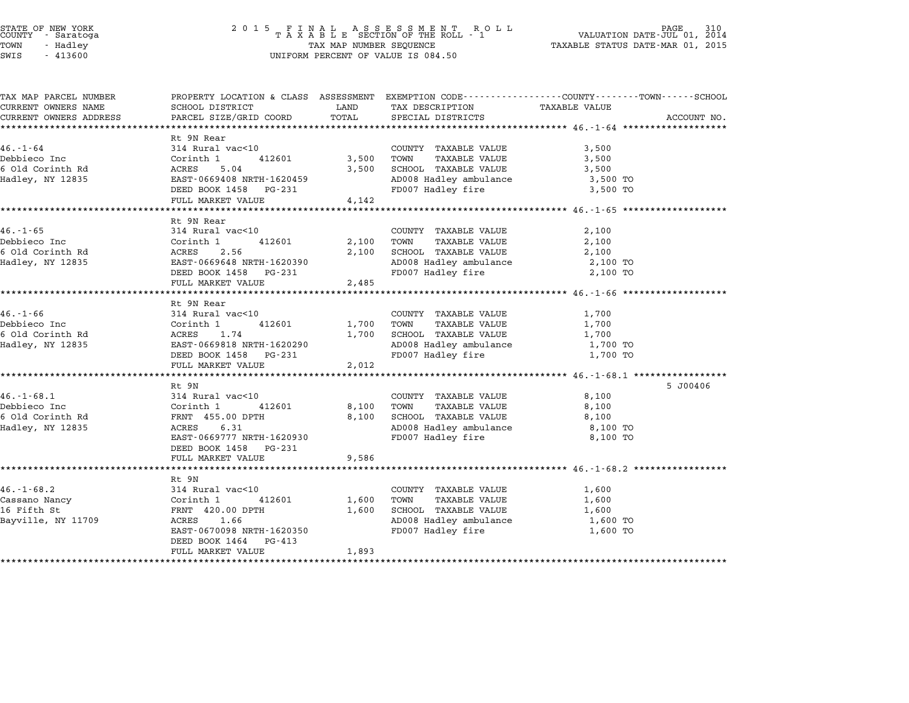## STATE OF NEW YORK <sup>2</sup> <sup>0</sup> <sup>1</sup> 5 F I N A L A S S E S S M E N T R O L L PAGE <sup>310</sup> COUNTY - Saratoga <sup>T</sup> <sup>A</sup> <sup>X</sup> <sup>A</sup> <sup>B</sup> <sup>L</sup> <sup>E</sup> SECTION OF THE ROLL - <sup>1</sup> VALUATION DATE-JUL 01, <sup>2014</sup> TOWN - Hadley TAX MAP NUMBER SEQUENCE TAXABLE STATUS DATE-MAR 01, <sup>2015</sup> STATE OF NEW YORK<br>
COUNTY - Saratoga<br>
TOWN - Hadley TAXABLE SECTION OF THE ROLL<br>
SWIS - 413600 UNIFORM PERCENT OF VALUE IS 084.50

| TAX MAP PARCEL NUMBER  |                                               |              | PROPERTY LOCATION & CLASS ASSESSMENT EXEMPTION CODE----------------COUNTY-------TOWN-----SCHOOL |                |             |
|------------------------|-----------------------------------------------|--------------|-------------------------------------------------------------------------------------------------|----------------|-------------|
| CURRENT OWNERS NAME    | SCHOOL DISTRICT                               | LAND         | TAX DESCRIPTION                                                                                 | TAXABLE VALUE  |             |
| CURRENT OWNERS ADDRESS | PARCEL SIZE/GRID COORD                        | TOTAL        | SPECIAL DISTRICTS                                                                               |                | ACCOUNT NO. |
|                        |                                               |              |                                                                                                 |                |             |
|                        | Rt 9N Rear                                    |              |                                                                                                 |                |             |
| $46. - 1 - 64$         | 314 Rural vac<10                              |              | COUNTY TAXABLE VALUE                                                                            | 3,500          |             |
| Debbieco Inc           | Corinth 1<br>412601                           | 3,500 TOWN   | TAXABLE VALUE                                                                                   | 3,500          |             |
| 6 Old Corinth Rd       | ACRES       5.04<br>EAST-0669408 NRTH-1620459 | 3,500        | SCHOOL TAXABLE VALUE                                                                            | 3,500          |             |
| Hadley, NY 12835       |                                               |              | AD008 Hadley ambulance                                                                          | 3,500 TO       |             |
|                        | DEED BOOK 1458 PG-231                         |              | FD007 Hadley fire                                                                               | 3,500 TO       |             |
|                        | FULL MARKET VALUE                             | 4,142        |                                                                                                 |                |             |
|                        |                                               |              |                                                                                                 |                |             |
|                        | Rt 9N Rear                                    |              |                                                                                                 |                |             |
| $46. - 1 - 65$         | 314 Rural vac<10                              |              | COUNTY TAXABLE VALUE                                                                            | 2,100          |             |
| Debbieco Inc           |                                               | 412601 2,100 | TOWN<br>TAXABLE VALUE                                                                           | 2,100          |             |
| 6 Old Corinth Rd       | 2.56                                          |              | 2,100 SCHOOL TAXABLE VALUE                                                                      | 2,100          |             |
| Hadley, NY 12835       | EAST-0669648 NRTH-1620390                     |              | AD008 Hadley ambulance                                                                          | 2,100 TO       |             |
|                        | DEED BOOK 1458 PG-231                         |              | FD007 Hadley fire                                                                               | 2,100 TO       |             |
|                        | FULL MARKET VALUE                             | 2,485        |                                                                                                 |                |             |
|                        |                                               |              |                                                                                                 |                |             |
|                        | Rt 9N Rear                                    |              |                                                                                                 |                |             |
| $46. - 1 - 66$         | 314 Rural vac<10                              |              | COUNTY TAXABLE VALUE                                                                            | 1,700          |             |
| Debbieco Inc           | Corinth 1<br>ACRES 1.74<br>412601             | 1,700 TOWN   | TAXABLE VALUE                                                                                   | 1,700          |             |
| 6 Old Corinth Rd       |                                               |              | 1,700 SCHOOL TAXABLE VALUE                                                                      | 1,700          |             |
| Hadley, NY 12835       | EAST-0669818 NRTH-1620290                     |              | AD008 Hadley ambulance                                                                          | 1,700 TO       |             |
|                        | DEED BOOK 1458 PG-231                         |              | FD007 Hadley fire                                                                               | 1,700 TO       |             |
|                        | FULL MARKET VALUE                             | 2,012        |                                                                                                 |                |             |
|                        |                                               |              |                                                                                                 |                |             |
| $46. - 1 - 68.1$       | Rt 9N<br>314 Rural vac<10                     |              | COUNTY TAXABLE VALUE                                                                            | 8,100          | 5 J00406    |
| Debbieco Inc           | th Ruid.<br>Corinth 1<br>412601               | 8,100 TOWN   |                                                                                                 |                |             |
| 6 Old Corinth Rd       |                                               |              | TAXABLE VALUE<br>8,100 SCHOOL TAXABLE VALUE                                                     | 8,100<br>8,100 |             |
| Hadley, NY 12835       | FRNT 455.00 DPTH<br>ACRES<br>6.31             |              |                                                                                                 | 8,100 TO       |             |
|                        | EAST-0669777 NRTH-1620930                     |              | AD008 Hadley ambulance<br>FD007 Hadley fire                                                     | 8,100 TO       |             |
|                        | DEED BOOK 1458 PG-231                         |              |                                                                                                 |                |             |
|                        | FULL MARKET VALUE                             | 9,586        |                                                                                                 |                |             |
|                        |                                               |              |                                                                                                 |                |             |
|                        | Rt 9N                                         |              |                                                                                                 |                |             |
| $46. - 1 - 68.2$       | 314 Rural vac<10                              |              | COUNTY TAXABLE VALUE                                                                            | 1,600          |             |
| Cassano Nancy          | Corinth 1<br>412601                           | 1,600        | TOWN<br>TAXABLE VALUE                                                                           | 1,600          |             |
| 16 Fifth St            | FRNT 420.00 DPTH                              | 1,600        | SCHOOL TAXABLE VALUE                                                                            | 1,600          |             |
| Bayville, NY 11709     | ACRES 1.66                                    |              | AD008 Hadley ambulance                                                                          | 1,600 TO       |             |
|                        | EAST-0670098 NRTH-1620350                     |              | FD007 Hadley fire                                                                               | 1,600 TO       |             |
|                        | DEED BOOK 1464 PG-413                         |              |                                                                                                 |                |             |
|                        | FULL MARKET VALUE                             | 1,893        |                                                                                                 |                |             |
|                        |                                               |              |                                                                                                 |                |             |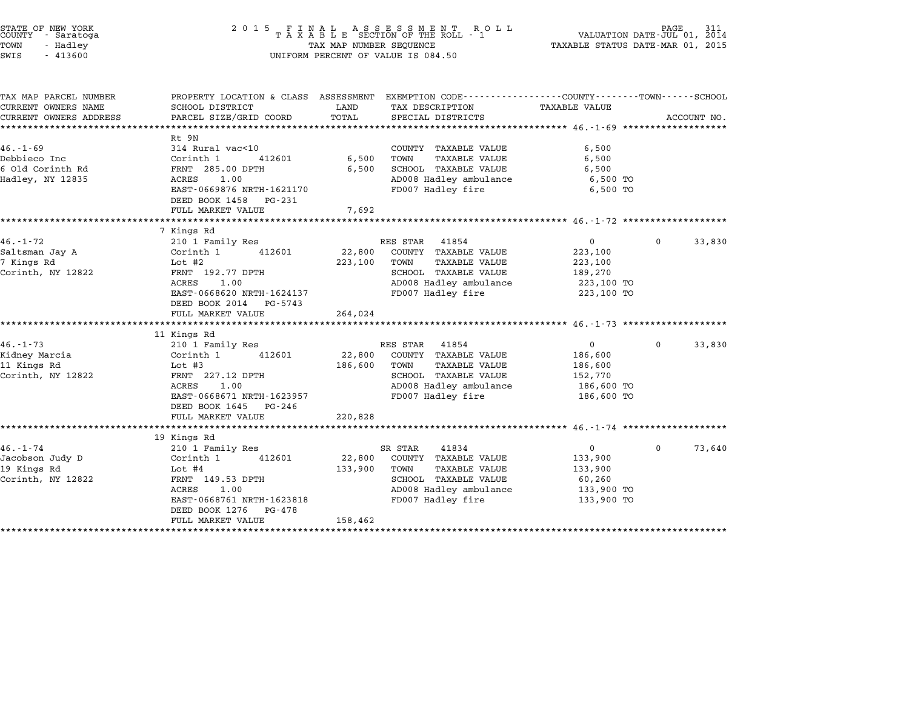| STATE OF NEW YORK<br>COUNTY - Saratoga<br>TOWN<br>- Hadley<br>SWIS<br>$-413600$                  | $\begin{array}{cccccccccccccc} 2&0&1&5& &F&I&N&A&L&A&S&S&E&S&S&M&E&N&T&R&O&L&L\\ &T&A&X&A&B&L&E&SECTION&OF&THE&ROLL&-1&\\ \end{array}$<br>TAX MAP NUMBER SEQUENCE<br>UNIFORM PERCENT OF VALUE IS 084.50 | VALUATION DATE-JUL 01, 2014<br>TAXABLE STATUS DATE-MAR 01, 2015 |                                                                                                                                                  |                                                                             |             |             |
|--------------------------------------------------------------------------------------------------|---------------------------------------------------------------------------------------------------------------------------------------------------------------------------------------------------------|-----------------------------------------------------------------|--------------------------------------------------------------------------------------------------------------------------------------------------|-----------------------------------------------------------------------------|-------------|-------------|
| TAX MAP PARCEL NUMBER<br>CURRENT OWNERS NAME<br>CURRENT OWNERS ADDRESS<br>********************** | SCHOOL DISTRICT<br>PARCEL SIZE/GRID COORD<br>**********************                                                                                                                                     | LAND<br>TOTAL                                                   | PROPERTY LOCATION & CLASS ASSESSMENT EXEMPTION CODE---------------COUNTY-------TOWN------SCHOOL<br>TAX DESCRIPTION<br>SPECIAL DISTRICTS          | TAXABLE VALUE                                                               |             | ACCOUNT NO. |
| $46. - 1 - 69$<br>Debbieco Inc<br>6 Old Corinth Rd<br>Hadley, NY 12835                           | Rt 9N<br>314 Rural vac<10<br>Corinth 1<br>412601<br>FRNT 285.00 DPTH<br>1.00<br>ACRES<br>EAST-0669876 NRTH-1621170<br>DEED BOOK 1458<br>PG-231<br>FULL MARKET VALUE                                     | 6,500<br>6,500<br>7,692                                         | COUNTY TAXABLE VALUE<br>TOWN<br><b>TAXABLE VALUE</b><br>SCHOOL TAXABLE VALUE<br>AD008 Hadley ambulance<br>FD007 Hadley fire                      | 6,500<br>6,500<br>6,500<br>6,500 TO<br>6,500 TO                             |             |             |
| $46. - 1 - 72$<br>Saltsman Jay A<br>7 Kings Rd<br>Corinth, NY 12822                              | 7 Kings Rd<br>210 1 Family Res<br>Corinth 1<br>412601<br>Lot #2<br>FRNT 192.77 DPTH<br>ACRES<br>1.00<br>EAST-0668620 NRTH-1624137<br>DEED BOOK 2014<br>PG-5743<br>FULL MARKET VALUE                     | 22,800<br>223,100<br>264,024                                    | RES STAR<br>41854<br>COUNTY TAXABLE VALUE<br>TOWN<br><b>TAXABLE VALUE</b><br>SCHOOL TAXABLE VALUE<br>AD008 Hadley ambulance<br>FD007 Hadley fire | $\mathbf{0}$<br>223,100<br>223,100<br>189,270<br>223,100 TO<br>223,100 TO   | 0           | 33,830      |
| $46. - 1 - 73$<br>Kidney Marcia<br>11 Kings Rd<br>Corinth, NY 12822                              | 11 Kings Rd<br>210 1 Family Res<br>Corinth 1<br>412601<br>Lot $#3$<br>FRNT 227.12 DPTH<br>ACRES<br>1.00<br>EAST-0668671 NRTH-1623957<br>DEED BOOK 1645 PG-246<br>FULL MARKET VALUE                      | 22,800<br>186,600<br>220,828                                    | RES STAR<br>41854<br>COUNTY TAXABLE VALUE<br><b>TAXABLE VALUE</b><br>TOWN<br>SCHOOL TAXABLE VALUE<br>AD008 Hadley ambulance<br>FD007 Hadley fire | $\overline{0}$<br>186,600<br>186,600<br>152,770<br>186,600 TO<br>186,600 TO | $\Omega$    | 33,830      |
| $46. - 1 - 74$<br>Jacobson Judy D<br>19 Kings Rd<br>Corinth, NY 12822                            | 19 Kings Rd<br>210 1 Family Res<br>Corinth 1<br>412601<br>Lot #4<br>FRNT 149.53 DPTH<br>ACRES<br>1.00<br>EAST-0668761 NRTH-1623818<br>DEED BOOK 1276<br>PG-478<br>FULL MARKET VALUE                     | 22,800<br>133,900<br>158,462                                    | SR STAR<br>41834<br>COUNTY TAXABLE VALUE<br>TOWN<br><b>TAXABLE VALUE</b><br>SCHOOL TAXABLE VALUE<br>AD008 Hadley ambulance<br>FD007 Hadley fire  | $\overline{0}$<br>133,900<br>133,900<br>60,260<br>133,900 TO<br>133,900 TO  | $\mathbf 0$ | 73,640      |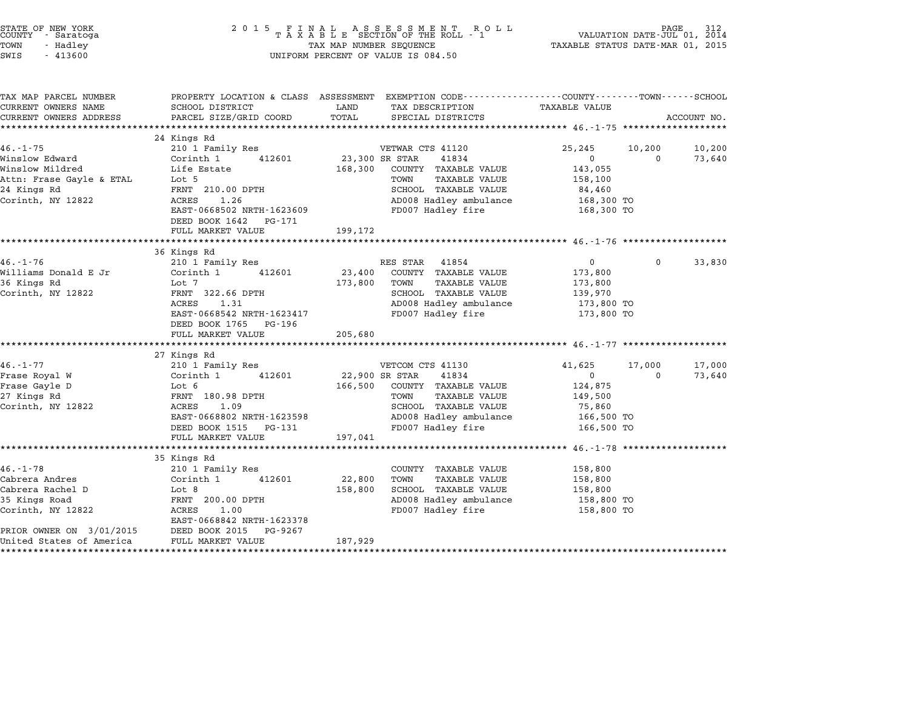| COUNTY | STATE OF NEW YORK<br>- Saratoga |  |
|--------|---------------------------------|--|
| TOWN   | - Hadley                        |  |
| -----  |                                 |  |

| TAX MAP PARCEL NUMBER<br>CURRENT OWNERS NAME | SCHOOL DISTRICT                                        | PROPERTY LOCATION & CLASS ASSESSMENT EXEMPTION CODE---------------COUNTY-------TOWN------SCHOOL<br>LAND<br>TAX DESCRIPTION | TAXABLE VALUE                     |             |
|----------------------------------------------|--------------------------------------------------------|----------------------------------------------------------------------------------------------------------------------------|-----------------------------------|-------------|
| CURRENT OWNERS ADDRESS                       | PARCEL SIZE/GRID COORD                                 | TOTAL<br>SPECIAL DISTRICTS                                                                                                 |                                   | ACCOUNT NO. |
|                                              |                                                        |                                                                                                                            |                                   |             |
|                                              | 24 Kings Rd                                            |                                                                                                                            |                                   |             |
| $46. -1 - 75$                                | 210 1 Family Res                                       | VETWAR CTS 41120                                                                                                           | 25,245<br>10,200                  | 10,200      |
| Winslow Edward                               | 412601<br>Corinth 1                                    | 23,300 SR STAR<br>41834                                                                                                    | $\overline{0}$<br>$\Omega$        | 73,640      |
| Winslow Mildred                              | Life Estate                                            | 168,300<br>COUNTY TAXABLE VALUE                                                                                            | 143,055                           |             |
| Attn: Frase Gayle & ETAL                     | Lot 5                                                  | TOWN<br><b>TAXABLE VALUE</b>                                                                                               | 158,100                           |             |
| 24 Kings Rd                                  | FRNT 210.00 DPTH                                       | SCHOOL TAXABLE VALUE                                                                                                       | 84,460                            |             |
| Corinth, NY 12822                            | ACRES<br>1.26                                          | AD008 Hadley ambulance                                                                                                     | 168,300 TO                        |             |
|                                              | EAST-0668502 NRTH-1623609                              | FD007 Hadley fire                                                                                                          | 168,300 TO                        |             |
|                                              | DEED BOOK 1642 PG-171                                  |                                                                                                                            |                                   |             |
|                                              | FULL MARKET VALUE                                      | 199,172                                                                                                                    |                                   |             |
|                                              |                                                        |                                                                                                                            |                                   |             |
|                                              | 36 Kings Rd                                            |                                                                                                                            |                                   |             |
| $46. - 1 - 76$                               | 210 1 Family Res<br>412601                             | RES STAR 41854<br>23,400 COUNTY TAXABLE VALUE                                                                              | $0 \qquad \qquad$<br>$\mathbf{0}$ | 33,830      |
| Williams Donald E Jr                         | Corinth 1                                              |                                                                                                                            | 173,800                           |             |
| 36 Kings Rd                                  | Lot 7                                                  | 173,800 TOWN<br><b>TAXABLE VALUE</b>                                                                                       | 173,800                           |             |
| Corinth, NY 12822                            | FRNT 322.66 DPTH                                       | SCHOOL TAXABLE VALUE                                                                                                       | 139,970                           |             |
|                                              | ACRES<br>1.31                                          | AD008 Hadley ambulance                                                                                                     | 173,800 TO                        |             |
|                                              | EAST-0668542 NRTH-1623417                              | FD007 Hadley fire                                                                                                          | 173,800 TO                        |             |
|                                              | DEED BOOK 1765 PG-196<br>FULL MARKET VALUE             | 205,680                                                                                                                    |                                   |             |
|                                              |                                                        |                                                                                                                            |                                   |             |
|                                              | 27 Kings Rd                                            |                                                                                                                            |                                   |             |
| $46. - 1 - 77$                               | 210 1 Family Res                                       | VETCOM CTS 41130                                                                                                           | 41,625<br>17,000                  | 17,000      |
| Frase Royal W                                | Corinth 1 412601                                       | 22,900 SR STAR<br>41834                                                                                                    | $\overline{0}$<br>$\Omega$        | 73,640      |
| Frase Gayle D                                | Lot 6                                                  | 166,500 COUNTY TAXABLE VALUE                                                                                               | 124,875                           |             |
| 27 Kings Rd                                  | FRNT 180.98 DPTH                                       | <b>TAXABLE VALUE</b><br>TOWN                                                                                               | 149,500                           |             |
| Corinth, NY 12822                            | ACRES<br>1.09                                          | SCHOOL TAXABLE VALUE                                                                                                       | 75,860                            |             |
|                                              | EAST-0668802 NRTH-1623598                              | AD008 Hadley ambulance                                                                                                     | 166,500 TO                        |             |
|                                              | DEED BOOK 1515 PG-131                                  | FD007 Hadley fire                                                                                                          | 166,500 TO                        |             |
|                                              | FULL MARKET VALUE                                      | 197,041                                                                                                                    |                                   |             |
|                                              |                                                        |                                                                                                                            |                                   |             |
|                                              | 35 Kings Rd                                            |                                                                                                                            |                                   |             |
| $46. - 1 - 78$                               | 210 1 Family Res                                       | COUNTY TAXABLE VALUE                                                                                                       | 158,800                           |             |
| Cabrera Andres                               | Corinth 1<br>412601                                    | 22,800<br>TOWN<br><b>TAXABLE VALUE</b>                                                                                     | 158,800                           |             |
| Cabrera Rachel D                             | Lot 8                                                  | SCHOOL TAXABLE VALUE<br>158,800                                                                                            | 158,800                           |             |
| 35 Kings Road                                | FRNT 200.00 DPTH                                       | AD008 Hadley ambulance 158,800 TO                                                                                          |                                   |             |
| Corinth, NY 12822                            | ACRES<br>1.00                                          | FD007 Hadley fire                                                                                                          | 158,800 TO                        |             |
|                                              | EAST-0668842 NRTH-1623378                              |                                                                                                                            |                                   |             |
| PRIOR OWNER ON 3/01/2015                     | PG-9267                                                |                                                                                                                            |                                   |             |
| United States of America                     | DEED BOOK 2015<br>FULL MARKET VAI<br>FULL MARKET VALUE | 187,929                                                                                                                    |                                   |             |
|                                              |                                                        |                                                                                                                            |                                   |             |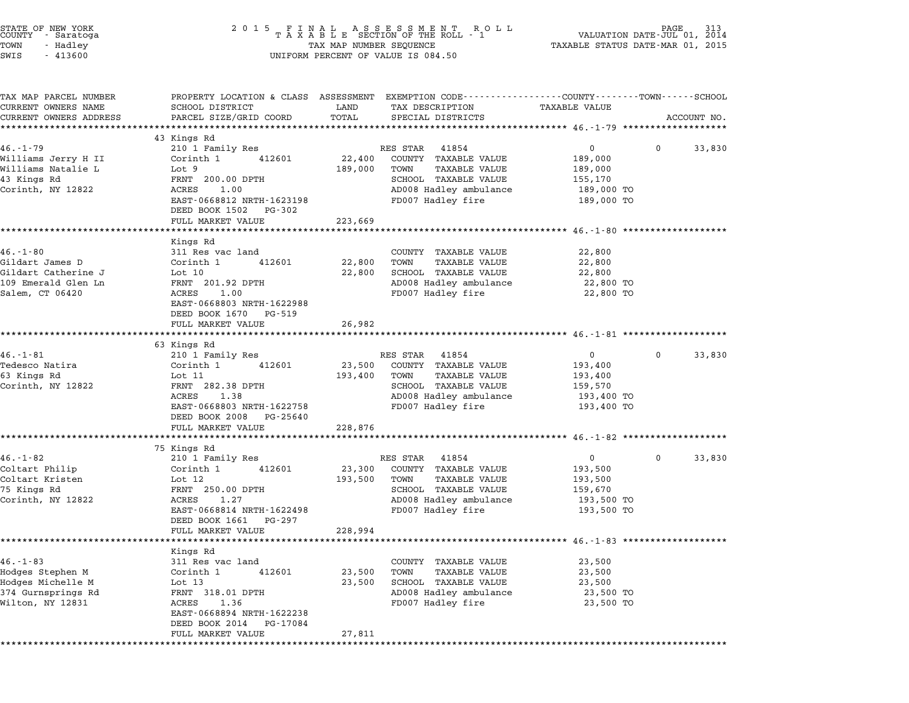| STATE OF NEW YORK<br>COUNTY - Saratoga<br>TOWN<br>- Hadley<br>SWIS<br>$-413600$                    | FINAL ASSESSMENT ROLL<br>TAXABLE SECTION OF THE ROLL - 1<br>TAX MAP NUMBER SEQUENCE TAXAE<br>2 0 1 5<br>UNIFORM PERCENT OF VALUE IS 084.50                                          |                                                  |                                                                                                                              |                                                                                | VALUATION DATE-JUL 01, 2014<br>TAXABLE STATUS DATE-MAR 01, 2015 |             |  |
|----------------------------------------------------------------------------------------------------|-------------------------------------------------------------------------------------------------------------------------------------------------------------------------------------|--------------------------------------------------|------------------------------------------------------------------------------------------------------------------------------|--------------------------------------------------------------------------------|-----------------------------------------------------------------|-------------|--|
| TAX MAP PARCEL NUMBER<br>CURRENT OWNERS NAME<br>CURRENT OWNERS ADDRESS                             | PROPERTY LOCATION & CLASS ASSESSMENT EXEMPTION CODE---------------COUNTY-------TOWN-----SCHOOL<br>SCHOOL DISTRICT<br>PARCEL SIZE/GRID COORD<br>*************************            | LAND<br>TOTAL                                    | TAX DESCRIPTION<br>SPECIAL DISTRICTS                                                                                         | TAXABLE VALUE                                                                  |                                                                 | ACCOUNT NO. |  |
|                                                                                                    | 43 Kings Rd                                                                                                                                                                         |                                                  |                                                                                                                              |                                                                                |                                                                 |             |  |
| $46. - 1 - 79$                                                                                     | 210 1 Family Res                                                                                                                                                                    | RES STAR                                         | 41854                                                                                                                        | $\overline{0}$                                                                 | $\mathbf 0$                                                     | 33,830      |  |
| Williams Jerry H II<br>Williams Natalie L<br>43 Kings Rd<br>Corinth, NY 12822                      | Corinth 1<br>412601<br>Lot 9<br>FRNT 200.00 DPTH<br>ACRES<br>1.00<br>EAST-0668812 NRTH-1623198<br>DEED BOOK 1502 PG-302                                                             | 22,400<br>189,000<br>TOWN                        | COUNTY TAXABLE VALUE<br>TAXABLE VALUE<br>SCHOOL TAXABLE VALUE<br>AD008 Hadley ambulance<br>FD007 Hadley fire                 | 189,000<br>189,000<br>155,170<br>189,000 TO<br>189,000 TO                      |                                                                 |             |  |
|                                                                                                    | FULL MARKET VALUE                                                                                                                                                                   | 223,669                                          |                                                                                                                              | ************************* $46. -1 -80$ ***********                             |                                                                 |             |  |
| $46. - 1 - 80$<br>Gildart James D<br>Gildart Catherine J<br>109 Emerald Glen Ln<br>Salem, CT 06420 | Kings Rd<br>311 Res vac land<br>412601<br>Corinth 1<br>Lot $10$<br>FRNT 201.92 DPTH<br>ACRES<br>1.00<br>EAST-0668803 NRTH-1622988<br>DEED BOOK 1670 PG-519                          | 22,800<br>TOWN<br>22,800                         | COUNTY TAXABLE VALUE<br><b>TAXABLE VALUE</b><br>SCHOOL TAXABLE VALUE<br>AD008 Hadley ambulance<br>FD007 Hadley fire          | 22,800<br>22,800<br>22,800<br>22,800 TO<br>22,800 TO                           |                                                                 |             |  |
|                                                                                                    | FULL MARKET VALUE                                                                                                                                                                   | 26,982                                           |                                                                                                                              |                                                                                |                                                                 |             |  |
|                                                                                                    |                                                                                                                                                                                     | ***********                                      |                                                                                                                              | *********************************** 46.-1-81 ********************              |                                                                 |             |  |
| $46. - 1 - 81$<br>Tedesco Natira<br>63 Kings Rd<br>Corinth, NY 12822                               | 63 Kings Rd<br>210 1 Family Res<br>412601<br>Corinth 1<br>Lot 11<br>FRNT 282.38 DPTH<br>1.38<br>ACRES<br>EAST-0668803 NRTH-1622758<br>DEED BOOK 2008 PG-25640                       | RES STAR<br>23,500<br>193,400<br>TOWN            | 41854<br>COUNTY TAXABLE VALUE<br>TAXABLE VALUE<br>SCHOOL TAXABLE VALUE<br>AD008 Hadley ambulance<br>FD007 Hadley fire        | $0 \qquad \qquad$<br>193,400<br>193,400<br>159,570<br>193,400 TO<br>193,400 TO | 0                                                               | 33,830      |  |
|                                                                                                    | FULL MARKET VALUE                                                                                                                                                                   | 228,876                                          |                                                                                                                              |                                                                                |                                                                 |             |  |
|                                                                                                    |                                                                                                                                                                                     |                                                  |                                                                                                                              | ************************************ 46.-1-82 *************                    |                                                                 |             |  |
| $46. - 1 - 82$<br>Coltart Philip<br>Coltart Kristen<br>75 Kings Rd<br>Corinth, NY 12822            | 75 Kings Rd<br>210 1 Family Res<br>Corinth 1<br>412601<br>Lot 12<br>FRNT 250.00 DPTH<br>ACRES<br>1.27<br>EAST-0668814 NRTH-1622498<br>DEED BOOK 1661<br>PG-297<br>FULL MARKET VALUE | RES STAR<br>23,300<br>193,500<br>TOWN<br>228,994 | 41854<br>COUNTY TAXABLE VALUE<br><b>TAXABLE VALUE</b><br>SCHOOL TAXABLE VALUE<br>AD008 Hadley ambulance<br>FD007 Hadley fire | $\overline{0}$<br>193,500<br>193,500<br>159,670<br>193,500 TO<br>193,500 TO    | 0                                                               | 33,830      |  |
|                                                                                                    |                                                                                                                                                                                     |                                                  |                                                                                                                              | ******************** 46.-1-83 ********************                             |                                                                 |             |  |
| $46. - 1 - 83$<br>Hodges Stephen M<br>Hodges Michelle M<br>374 Gurnsprings Rd<br>Wilton, NY 12831  | Kings Rd<br>311 Res vac land<br>Corinth 1<br>412601<br>Lot 13<br>FRNT 318.01 DPTH<br>ACRES<br>1.36<br>EAST-0668894 NRTH-1622238<br>DEED BOOK 2014<br>PG-17084<br>FULL MARKET VALUE  | COUNTY<br>23,500<br>TOWN<br>23,500<br>27,811     | TAXABLE VALUE<br><b>TAXABLE VALUE</b><br>SCHOOL TAXABLE VALUE<br>AD008 Hadley ambulance<br>FD007 Hadley fire                 | 23,500<br>23,500<br>23,500<br>23,500 TO<br>23,500 TO                           |                                                                 |             |  |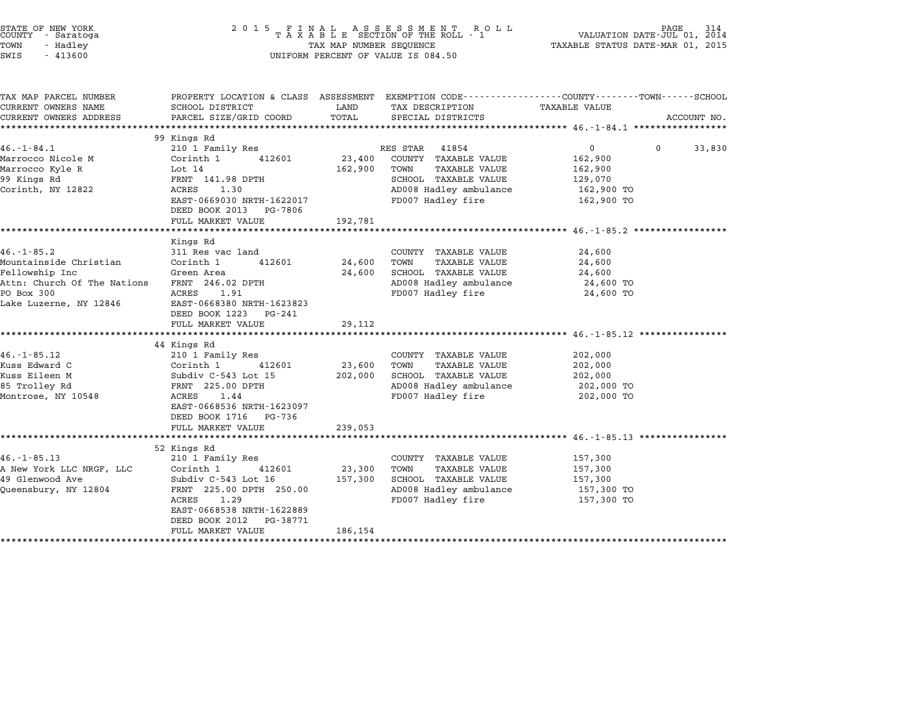|        | STATE OF NEW YORK |  |
|--------|-------------------|--|
| COUNTY | - Saratoga        |  |
| TOWN   | - Hadley          |  |
|        |                   |  |

## STATE OF NEW YORK <sup>2</sup> <sup>0</sup> <sup>1</sup> 5 F I N A L A S S E S S M E N T R O L L PAGE <sup>314</sup> COUNTY - Saratoga <sup>T</sup> <sup>A</sup> <sup>X</sup> <sup>A</sup> <sup>B</sup> <sup>L</sup> <sup>E</sup> SECTION OF THE ROLL - <sup>1</sup> VALUATION DATE-JUL 01, <sup>2014</sup> TOWN - Hadley TAX MAP NUMBER SEQUENCE TAXABLE STATUS DATE-MAR 01, <sup>2015</sup> SWIS - <sup>413600</sup> UNIFORM PERCENT OF VALUE IS 084.50

|                                                          |                                                                                                                                                                                                                                                                                                                                                                                                                                                                                     |                                                                           |                                                                                                                                                                                                                                                                                   | ACCOUNT NO.                                                                                                                                                                                                                                                                                                            |
|----------------------------------------------------------|-------------------------------------------------------------------------------------------------------------------------------------------------------------------------------------------------------------------------------------------------------------------------------------------------------------------------------------------------------------------------------------------------------------------------------------------------------------------------------------|---------------------------------------------------------------------------|-----------------------------------------------------------------------------------------------------------------------------------------------------------------------------------------------------------------------------------------------------------------------------------|------------------------------------------------------------------------------------------------------------------------------------------------------------------------------------------------------------------------------------------------------------------------------------------------------------------------|
|                                                          |                                                                                                                                                                                                                                                                                                                                                                                                                                                                                     |                                                                           |                                                                                                                                                                                                                                                                                   |                                                                                                                                                                                                                                                                                                                        |
|                                                          |                                                                                                                                                                                                                                                                                                                                                                                                                                                                                     |                                                                           |                                                                                                                                                                                                                                                                                   | 33,830                                                                                                                                                                                                                                                                                                                 |
|                                                          |                                                                                                                                                                                                                                                                                                                                                                                                                                                                                     |                                                                           |                                                                                                                                                                                                                                                                                   |                                                                                                                                                                                                                                                                                                                        |
|                                                          |                                                                                                                                                                                                                                                                                                                                                                                                                                                                                     |                                                                           |                                                                                                                                                                                                                                                                                   |                                                                                                                                                                                                                                                                                                                        |
|                                                          |                                                                                                                                                                                                                                                                                                                                                                                                                                                                                     |                                                                           |                                                                                                                                                                                                                                                                                   |                                                                                                                                                                                                                                                                                                                        |
|                                                          |                                                                                                                                                                                                                                                                                                                                                                                                                                                                                     |                                                                           |                                                                                                                                                                                                                                                                                   |                                                                                                                                                                                                                                                                                                                        |
|                                                          |                                                                                                                                                                                                                                                                                                                                                                                                                                                                                     |                                                                           |                                                                                                                                                                                                                                                                                   |                                                                                                                                                                                                                                                                                                                        |
|                                                          |                                                                                                                                                                                                                                                                                                                                                                                                                                                                                     |                                                                           |                                                                                                                                                                                                                                                                                   |                                                                                                                                                                                                                                                                                                                        |
|                                                          |                                                                                                                                                                                                                                                                                                                                                                                                                                                                                     |                                                                           |                                                                                                                                                                                                                                                                                   |                                                                                                                                                                                                                                                                                                                        |
|                                                          |                                                                                                                                                                                                                                                                                                                                                                                                                                                                                     |                                                                           |                                                                                                                                                                                                                                                                                   |                                                                                                                                                                                                                                                                                                                        |
|                                                          |                                                                                                                                                                                                                                                                                                                                                                                                                                                                                     |                                                                           |                                                                                                                                                                                                                                                                                   |                                                                                                                                                                                                                                                                                                                        |
|                                                          |                                                                                                                                                                                                                                                                                                                                                                                                                                                                                     |                                                                           |                                                                                                                                                                                                                                                                                   |                                                                                                                                                                                                                                                                                                                        |
|                                                          |                                                                                                                                                                                                                                                                                                                                                                                                                                                                                     |                                                                           |                                                                                                                                                                                                                                                                                   |                                                                                                                                                                                                                                                                                                                        |
|                                                          |                                                                                                                                                                                                                                                                                                                                                                                                                                                                                     |                                                                           |                                                                                                                                                                                                                                                                                   |                                                                                                                                                                                                                                                                                                                        |
|                                                          |                                                                                                                                                                                                                                                                                                                                                                                                                                                                                     |                                                                           |                                                                                                                                                                                                                                                                                   |                                                                                                                                                                                                                                                                                                                        |
|                                                          |                                                                                                                                                                                                                                                                                                                                                                                                                                                                                     |                                                                           |                                                                                                                                                                                                                                                                                   |                                                                                                                                                                                                                                                                                                                        |
|                                                          |                                                                                                                                                                                                                                                                                                                                                                                                                                                                                     |                                                                           |                                                                                                                                                                                                                                                                                   |                                                                                                                                                                                                                                                                                                                        |
|                                                          |                                                                                                                                                                                                                                                                                                                                                                                                                                                                                     |                                                                           |                                                                                                                                                                                                                                                                                   |                                                                                                                                                                                                                                                                                                                        |
|                                                          |                                                                                                                                                                                                                                                                                                                                                                                                                                                                                     |                                                                           |                                                                                                                                                                                                                                                                                   |                                                                                                                                                                                                                                                                                                                        |
|                                                          |                                                                                                                                                                                                                                                                                                                                                                                                                                                                                     |                                                                           |                                                                                                                                                                                                                                                                                   |                                                                                                                                                                                                                                                                                                                        |
|                                                          |                                                                                                                                                                                                                                                                                                                                                                                                                                                                                     |                                                                           |                                                                                                                                                                                                                                                                                   |                                                                                                                                                                                                                                                                                                                        |
| 210 1 Family Res                                         |                                                                                                                                                                                                                                                                                                                                                                                                                                                                                     | COUNTY TAXABLE VALUE                                                      | 202,000                                                                                                                                                                                                                                                                           |                                                                                                                                                                                                                                                                                                                        |
|                                                          |                                                                                                                                                                                                                                                                                                                                                                                                                                                                                     |                                                                           |                                                                                                                                                                                                                                                                                   |                                                                                                                                                                                                                                                                                                                        |
|                                                          |                                                                                                                                                                                                                                                                                                                                                                                                                                                                                     |                                                                           |                                                                                                                                                                                                                                                                                   |                                                                                                                                                                                                                                                                                                                        |
| Corinth 1<br>412601                                      | 23,600                                                                                                                                                                                                                                                                                                                                                                                                                                                                              | TOWN<br><b>TAXABLE VALUE</b>                                              | 202,000                                                                                                                                                                                                                                                                           |                                                                                                                                                                                                                                                                                                                        |
|                                                          |                                                                                                                                                                                                                                                                                                                                                                                                                                                                                     | 202,000 SCHOOL TAXABLE VALUE                                              | 202,000                                                                                                                                                                                                                                                                           |                                                                                                                                                                                                                                                                                                                        |
| Subdiv C-543 Lot 15<br>FRNT 225.00 DPTH<br>ACRES<br>1.44 |                                                                                                                                                                                                                                                                                                                                                                                                                                                                                     | AD008 Hadley ambulance                                                    | 202,000 TO                                                                                                                                                                                                                                                                        |                                                                                                                                                                                                                                                                                                                        |
|                                                          |                                                                                                                                                                                                                                                                                                                                                                                                                                                                                     | FD007 Hadley fire                                                         | 202,000 TO                                                                                                                                                                                                                                                                        |                                                                                                                                                                                                                                                                                                                        |
| EAST-0668536 NRTH-1623097                                |                                                                                                                                                                                                                                                                                                                                                                                                                                                                                     |                                                                           |                                                                                                                                                                                                                                                                                   |                                                                                                                                                                                                                                                                                                                        |
| DEED BOOK 1716 PG-736                                    |                                                                                                                                                                                                                                                                                                                                                                                                                                                                                     |                                                                           |                                                                                                                                                                                                                                                                                   |                                                                                                                                                                                                                                                                                                                        |
| FULL MARKET VALUE                                        | 239,053                                                                                                                                                                                                                                                                                                                                                                                                                                                                             |                                                                           |                                                                                                                                                                                                                                                                                   |                                                                                                                                                                                                                                                                                                                        |
|                                                          |                                                                                                                                                                                                                                                                                                                                                                                                                                                                                     |                                                                           |                                                                                                                                                                                                                                                                                   |                                                                                                                                                                                                                                                                                                                        |
| 52 Kings Rd<br>210 1 Family Res                          |                                                                                                                                                                                                                                                                                                                                                                                                                                                                                     | COUNTY TAXABLE VALUE                                                      | 157,300                                                                                                                                                                                                                                                                           |                                                                                                                                                                                                                                                                                                                        |
| Corinth 1<br>412601                                      | 23,300                                                                                                                                                                                                                                                                                                                                                                                                                                                                              | TOWN<br><b>TAXABLE VALUE</b>                                              | 157,300                                                                                                                                                                                                                                                                           |                                                                                                                                                                                                                                                                                                                        |
| Subdiv C-543 Lot 16                                      | 157,300                                                                                                                                                                                                                                                                                                                                                                                                                                                                             | SCHOOL TAXABLE VALUE                                                      | 157,300                                                                                                                                                                                                                                                                           |                                                                                                                                                                                                                                                                                                                        |
| FRNT 225.00 DPTH 250.00<br>Queensbury, NY 12804          |                                                                                                                                                                                                                                                                                                                                                                                                                                                                                     | AD008 Hadley ambulance                                                    | 157,300 TO                                                                                                                                                                                                                                                                        |                                                                                                                                                                                                                                                                                                                        |
| ACRES 1.29                                               |                                                                                                                                                                                                                                                                                                                                                                                                                                                                                     | FD007 Hadley fire                                                         | 157,300 TO                                                                                                                                                                                                                                                                        |                                                                                                                                                                                                                                                                                                                        |
| EAST-0668538 NRTH-1622889                                |                                                                                                                                                                                                                                                                                                                                                                                                                                                                                     |                                                                           |                                                                                                                                                                                                                                                                                   |                                                                                                                                                                                                                                                                                                                        |
| DEED BOOK 2012<br>PG-38771                               |                                                                                                                                                                                                                                                                                                                                                                                                                                                                                     |                                                                           |                                                                                                                                                                                                                                                                                   |                                                                                                                                                                                                                                                                                                                        |
|                                                          | SCHOOL DISTRICT<br>PARCEL SIZE/GRID COORD<br>99 Kings Rd<br>210 1 Family Res<br>Corinth 1<br>Lot 14<br>412601<br>FRNT 141.98 DPTH<br>ACRES<br>1.30<br>DEED BOOK 2013 PG-7806<br>FULL MARKET VALUE<br>Kings Rd<br>311 Res vac land<br>Nountainside Christian and Corinth 1<br>412601<br>Green Area<br>Attn: Church Of The Nations FRNT 246.02 DPTH<br>ACRES 1.91<br>Lake Luzerne, NY 12846<br>EAST-0668380 NRTH-1623823<br>DEED BOOK 1223 PG-241<br>FULL MARKET VALUE<br>44 Kings Rd | LAND<br>TOTAL<br>23,400<br>EAST-0669030 NRTH-1622017<br>192,781<br>29,112 | TAX DESCRIPTION<br>SPECIAL DISTRICTS<br>RES STAR 41854<br>COUNTY TAXABLE VALUE<br>162,900<br>TOWN<br>TAXABLE VALUE<br>SCHOOL TAXABLE VALUE<br>FD007 Hadley fire<br>COUNTY TAXABLE VALUE<br>24,600<br>TOWN<br>TAXABLE VALUE<br>24,600<br>SCHOOL TAXABLE VALUE<br>FD007 Hadley fire | PROPERTY LOCATION & CLASS ASSESSMENT EXEMPTION CODE---------------COUNTY-------TOWN-----SCHOOL<br>TAXABLE VALUE<br>$\overline{0}$<br>$\Omega$<br>162,900<br>162,900<br>129,070<br>AD008 Hadley ambulance<br>162,900 TO<br>162,900 TO<br>24,600<br>24,600<br>24,600<br>AD008 Hadley ambulance<br>24,600 TO<br>24,600 TO |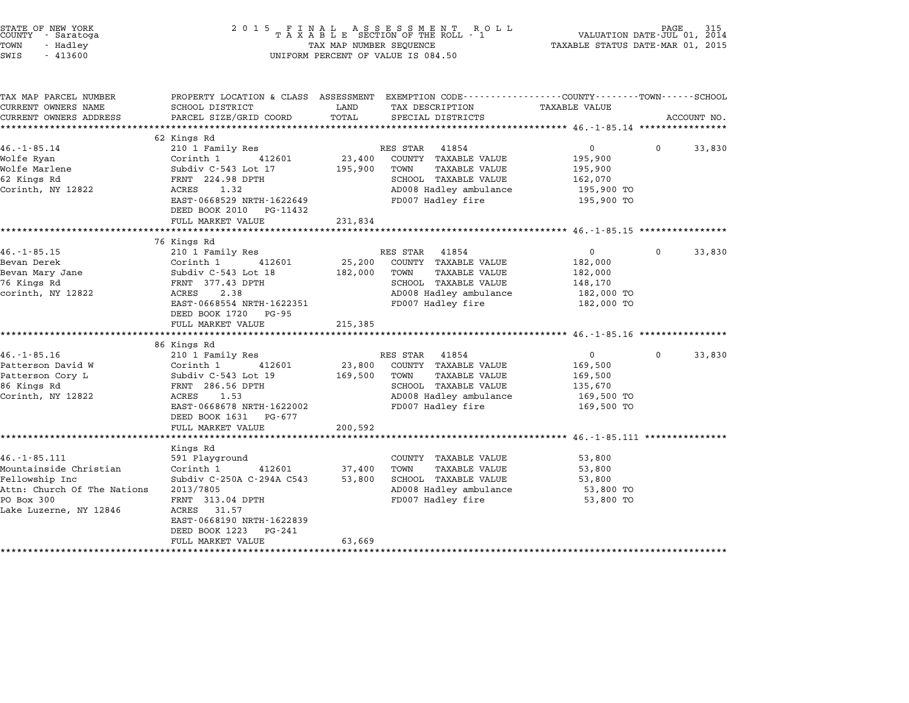| STATE OF NEW YORK<br>COUNTY - Saratoga<br>TOWN<br>- Hadley<br>SWIS<br>$-413600$                                                      | $\begin{array}{cccccccccccccc} 2& 0& 1& 5 & & F& I& N& A& L & & A& S& E& S& S& M& E& N& T & & R& O& L\\ & & T& A& X& A& B& L& E & & \text{SECTION } OF & THE & \text{ROL}L & -& 1 \end{array}$<br>TAX MAP NUMBER SEQUENCE<br>UNIFORM PERCENT OF VALUE IS 084.50 | VALUATION DATE-JUL 01, 2014<br>TAXABLE STATUS DATE-MAR 01, 2015 | PAGE                                                                                                                                          |                                                                             |          |             |
|--------------------------------------------------------------------------------------------------------------------------------------|-----------------------------------------------------------------------------------------------------------------------------------------------------------------------------------------------------------------------------------------------------------------|-----------------------------------------------------------------|-----------------------------------------------------------------------------------------------------------------------------------------------|-----------------------------------------------------------------------------|----------|-------------|
| TAX MAP PARCEL NUMBER<br>CURRENT OWNERS NAME<br>CURRENT OWNERS ADDRESS                                                               | PROPERTY LOCATION & CLASS ASSESSMENT EXEMPTION CODE---------------COUNTY-------TOWN-----SCHOOL<br>SCHOOL DISTRICT<br>PARCEL SIZE/GRID COORD                                                                                                                     | LAND<br>TOTAL                                                   | TAX DESCRIPTION<br>SPECIAL DISTRICTS                                                                                                          | TAXABLE VALUE                                                               |          | ACCOUNT NO. |
| $46. -1 - 85.14$<br>Wolfe Ryan<br>Wolfe Marlene<br>62 Kings Rd<br>Corinth, NY 12822                                                  | 62 Kings Rd<br>210 1 Family Res<br>Corinth 1<br>412601<br>Subdiv C-543 Lot 17<br>FRNT 224.98 DPTH<br>ACRES<br>1.32<br>EAST-0668529 NRTH-1622649<br>DEED BOOK 2010 PG-11432<br>FULL MARKET VALUE                                                                 | 23,400<br>195,900<br>231,834                                    | RES STAR 41854<br>COUNTY TAXABLE VALUE<br>TOWN<br><b>TAXABLE VALUE</b><br>SCHOOL TAXABLE VALUE<br>AD008 Hadley ambulance<br>FD007 Hadley fire | $\mathbf{0}$<br>195,900<br>195,900<br>162,070<br>195,900 TO<br>195,900 TO   | $\Omega$ | 33,830      |
|                                                                                                                                      | *******************                                                                                                                                                                                                                                             |                                                                 |                                                                                                                                               |                                                                             |          |             |
| $46. -1 - 85.15$<br>Bevan Derek<br>Bevan Mary Jane<br>76 Kings Rd<br>corinth, NY 12822                                               | 76 Kings Rd<br>210 1 Family Res<br>Corinth 1<br>412601<br>Subdiv C-543 Lot 18<br>FRNT 377.43 DPTH<br>2.38<br>ACRES<br>EAST-0668554 NRTH-1622351<br>DEED BOOK 1720 PG-95<br>FULL MARKET VALUE<br>*************************                                       | 25,200<br>182,000<br>215,385                                    | RES STAR 41854<br>COUNTY TAXABLE VALUE<br>TOWN<br>TAXABLE VALUE<br>SCHOOL TAXABLE VALUE<br>AD008 Hadley ambulance<br>FD007 Hadley fire        | $\overline{0}$<br>182,000<br>182,000<br>148,170<br>182,000 TO<br>182,000 TO | 0        | 33,830      |
| $46. - 1 - 85.16$<br>Patterson David W<br>Patterson Cory L<br>86 Kings Rd<br>Corinth, NY 12822                                       | 86 Kings Rd<br>210 1 Family Res<br>412601<br>Corinth 1<br>Subdiv C-543 Lot 19<br>FRNT 286.56 DPTH<br>ACRES<br>1.53<br>EAST-0668678 NRTH-1622002<br>DEED BOOK 1631 PG-677<br>FULL MARKET VALUE                                                                   | 23,800<br>169,500<br>200,592                                    | RES STAR 41854<br>COUNTY TAXABLE VALUE<br>TOWN<br><b>TAXABLE VALUE</b><br>SCHOOL TAXABLE VALUE<br>AD008 Hadley ambulance<br>FD007 Hadley fire | $\mathbf{0}$<br>169,500<br>169,500<br>135,670<br>169,500 TO<br>169,500 TO   | 0        | 33,830      |
| $46. -1 - 85.111$<br>Mountainside Christian<br>Fellowship Inc<br>Attn: Church Of The Nations<br>PO Box 300<br>Lake Luzerne, NY 12846 | *********************<br>Kings Rd<br>591 Playground<br>Corinth 1<br>412601<br>Subdiv C-250A C-294A C543<br>2013/7805<br>FRNT 313.04 DPTH<br>ACRES<br>31.57<br>EAST-0668190 NRTH-1622839<br>DEED BOOK 1223<br>PG-241<br>FULL MARKET VALUE                        | 37,400<br>53,800<br>63,669                                      | COUNTY TAXABLE VALUE<br>TOWN<br><b>TAXABLE VALUE</b><br>SCHOOL TAXABLE VALUE<br>AD008 Hadley ambulance<br>FD007 Hadley fire                   | 53,800<br>53,800<br>53,800<br>53,800 TO<br>53,800 TO                        |          |             |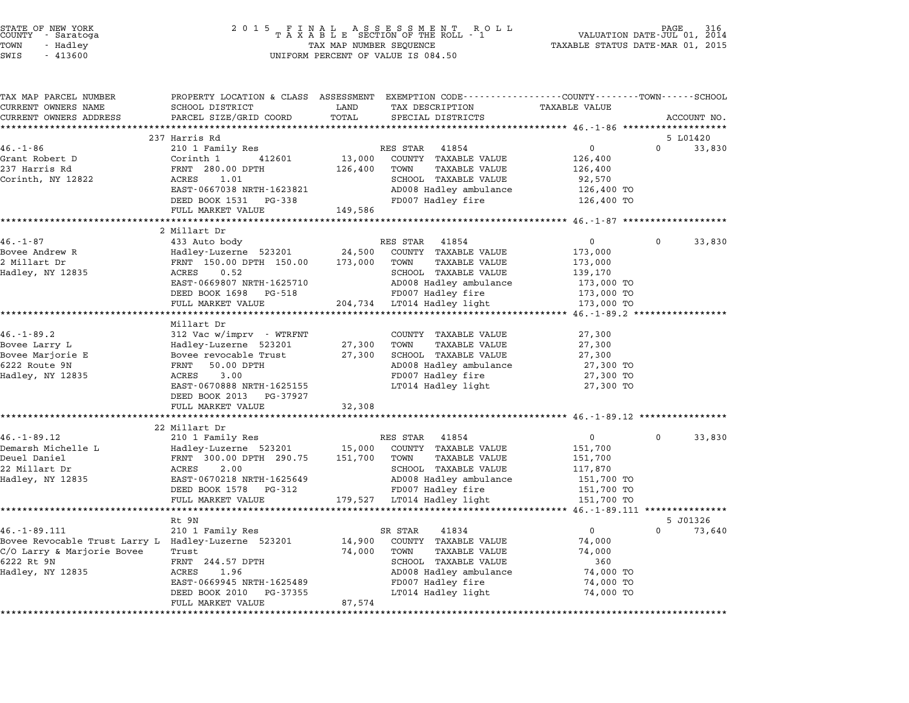| COUNTY | STATE OF NEW YORK<br>- Saratoga |  |
|--------|---------------------------------|--|
| TOWN   | - Hadlev                        |  |
|        |                                 |  |

# STATE OF NEW YORK <sup>2</sup> <sup>0</sup> <sup>1</sup> 5 F I N A L A S S E S S M E N T R O L L PAGE <sup>316</sup> COUNTY - Saratoga <sup>T</sup> <sup>A</sup> <sup>X</sup> <sup>A</sup> <sup>B</sup> <sup>L</sup> <sup>E</sup> SECTION OF THE ROLL - <sup>1</sup> VALUATION DATE-JUL 01, <sup>2014</sup> TOWN - Hadley TAX MAP NUMBER SEQUENCE TAXABLE STATUS DATE-MAR 01, <sup>2015</sup> SWIS - <sup>413600</sup> UNIFORM PERCENT OF VALUE IS 084.50

| TAX MAP PARCEL NUMBER                               | PROPERTY LOCATION & CLASS ASSESSMENT EXEMPTION CODE---------------COUNTY-------TOWN-----SCHOOL |            |                              |                                                   |             |        |
|-----------------------------------------------------|------------------------------------------------------------------------------------------------|------------|------------------------------|---------------------------------------------------|-------------|--------|
| CURRENT OWNERS NAME                                 | SCHOOL DISTRICT                                                                                | LAND       | TAX DESCRIPTION              | <b>TAXABLE VALUE</b>                              |             |        |
| CURRENT OWNERS ADDRESS                              | PARCEL SIZE/GRID COORD                                                                         | TOTAL      | SPECIAL DISTRICTS            |                                                   | ACCOUNT NO. |        |
| ***********************                             | **************************                                                                     |            |                              |                                                   |             |        |
|                                                     | 237 Harris Rd                                                                                  |            |                              |                                                   | 5 L01420    |        |
| $46. - 1 - 86$                                      | 210 1 Family Res                                                                               |            | RES STAR 41854               | $\mathbf 0$                                       | $\Omega$    | 33,830 |
| Grant Robert D                                      | Corinth 1<br>412601                                                                            | 13,000     | COUNTY TAXABLE VALUE         | 126,400                                           |             |        |
| 237 Harris Rd                                       | FRNT 280.00 DPTH                                                                               | 126,400    | TOWN<br><b>TAXABLE VALUE</b> | 126,400                                           |             |        |
| Corinth, NY 12822                                   | ACRES<br>1.01                                                                                  |            | SCHOOL TAXABLE VALUE         | 92,570                                            |             |        |
|                                                     | EAST-0667038 NRTH-1623821                                                                      |            | AD008 Hadley ambulance       | 126,400 TO                                        |             |        |
|                                                     | DEED BOOK 1531<br>PG-338                                                                       |            | FD007 Hadley fire            | 126,400 TO                                        |             |        |
|                                                     | FULL MARKET VALUE                                                                              | 149,586    |                              |                                                   |             |        |
|                                                     | ****************************                                                                   |            |                              |                                                   |             |        |
|                                                     | 2 Millart Dr                                                                                   |            |                              |                                                   |             |        |
| $46. - 1 - 87$                                      | 433 Auto body                                                                                  |            | RES STAR 41854               | $\mathbf{0}$                                      | $\Omega$    | 33,830 |
| Bovee Andrew R                                      | Hadley-Luzerne 523201                                                                          | 24,500     | COUNTY TAXABLE VALUE         | 173,000                                           |             |        |
| 2 Millart Dr                                        | FRNT 150.00 DPTH 150.00                                                                        | 173,000    | TOWN<br><b>TAXABLE VALUE</b> | 173,000                                           |             |        |
| Hadley, NY 12835                                    | ACRES<br>0.52                                                                                  |            | SCHOOL TAXABLE VALUE         | 139,170                                           |             |        |
|                                                     | EAST-0669807 NRTH-1625710                                                                      |            | AD008 Hadley ambulance       | 173,000 TO                                        |             |        |
|                                                     | DEED BOOK 1698 PG-518                                                                          |            | FD007 Hadley fire            | 173,000 TO                                        |             |        |
|                                                     | FULL MARKET VALUE                                                                              |            | 204,734 LT014 Hadley light   | 173,000 TO                                        |             |        |
|                                                     |                                                                                                |            |                              |                                                   |             |        |
|                                                     | Millart Dr                                                                                     |            |                              |                                                   |             |        |
| $46. - 1 - 89.2$                                    | 312 Vac w/imprv - WTRFNT                                                                       |            | COUNTY TAXABLE VALUE         | 27,300                                            |             |        |
| Bovee Larry L                                       | Hadley-Luzerne 523201                                                                          | 27,300     | TOWN<br><b>TAXABLE VALUE</b> | 27,300                                            |             |        |
| Bovee Marjorie E                                    | Bovee revocable Trust                                                                          | 27,300     | SCHOOL TAXABLE VALUE         | 27,300                                            |             |        |
| 6222 Route 9N                                       | FRNT<br>50.00 DPTH                                                                             |            | AD008 Hadley ambulance       | 27,300 TO                                         |             |        |
| Hadley, NY 12835                                    | 3.00<br>ACRES                                                                                  |            | FD007 Hadley fire            | 27,300 TO                                         |             |        |
|                                                     | EAST-0670888 NRTH-1625155<br>DEED BOOK 2013 PG-37927                                           |            | LT014 Hadley light           | 27,300 TO                                         |             |        |
|                                                     | FULL MARKET VALUE                                                                              | 32,308     |                              |                                                   |             |        |
|                                                     |                                                                                                | ********** |                              | ********************** 46.-1-89.12 ************** |             |        |
|                                                     | 22 Millart Dr                                                                                  |            |                              |                                                   |             |        |
| $46. -1 - 89.12$                                    | 210 1 Family Res                                                                               |            | RES STAR<br>41854            | $\overline{0}$                                    | 0           | 33,830 |
| Demarsh Michelle L                                  | Hadley-Luzerne 523201                                                                          | 15,000     | COUNTY TAXABLE VALUE         | 151,700                                           |             |        |
| Deuel Daniel                                        | FRNT 300.00 DPTH 290.75                                                                        | 151,700    | TOWN<br><b>TAXABLE VALUE</b> | 151,700                                           |             |        |
| 22 Millart Dr                                       | 2.00<br>ACRES                                                                                  |            | SCHOOL TAXABLE VALUE         | 117,870                                           |             |        |
| Hadley, NY 12835                                    | EAST-0670218 NRTH-1625649                                                                      |            | AD008 Hadley ambulance       | 151,700 TO                                        |             |        |
|                                                     | DEED BOOK 1578 PG-312                                                                          |            | FD007 Hadley fire            | 151,700 TO                                        |             |        |
|                                                     | FULL MARKET VALUE                                                                              |            | 179,527 LT014 Hadley light   | 151,700 TO                                        |             |        |
|                                                     | ******************                                                                             |            |                              | ******* 46.-1-89.111 ****                         |             |        |
|                                                     | Rt 9N                                                                                          |            |                              |                                                   | 5 J01326    |        |
| $46. - 1 - 89.111$                                  | 210 1 Family Res                                                                               |            | SR STAR<br>41834             | $\Omega$                                          | $\Omega$    | 73,640 |
| Bovee Revocable Trust Larry L Hadley-Luzerne 523201 |                                                                                                | 14,900     | COUNTY TAXABLE VALUE         | 74,000                                            |             |        |
| C/O Larry & Marjorie Bovee                          | Trust                                                                                          | 74,000     | TOWN<br>TAXABLE VALUE        | 74,000                                            |             |        |
| 6222 Rt 9N                                          | FRNT 244.57 DPTH                                                                               |            | SCHOOL TAXABLE VALUE         | 360                                               |             |        |
| Hadley, NY 12835                                    | 1.96<br>ACRES                                                                                  |            | AD008 Hadley ambulance       | 74,000 TO                                         |             |        |
|                                                     | EAST-0669945 NRTH-1625489                                                                      |            | FD007 Hadley fire            | 74,000 TO                                         |             |        |
|                                                     | DEED BOOK 2010<br>PG-37355                                                                     |            | LT014 Hadley light           | 74,000 TO                                         |             |        |
|                                                     | FULL MARKET VALUE                                                                              | 87,574     |                              |                                                   |             |        |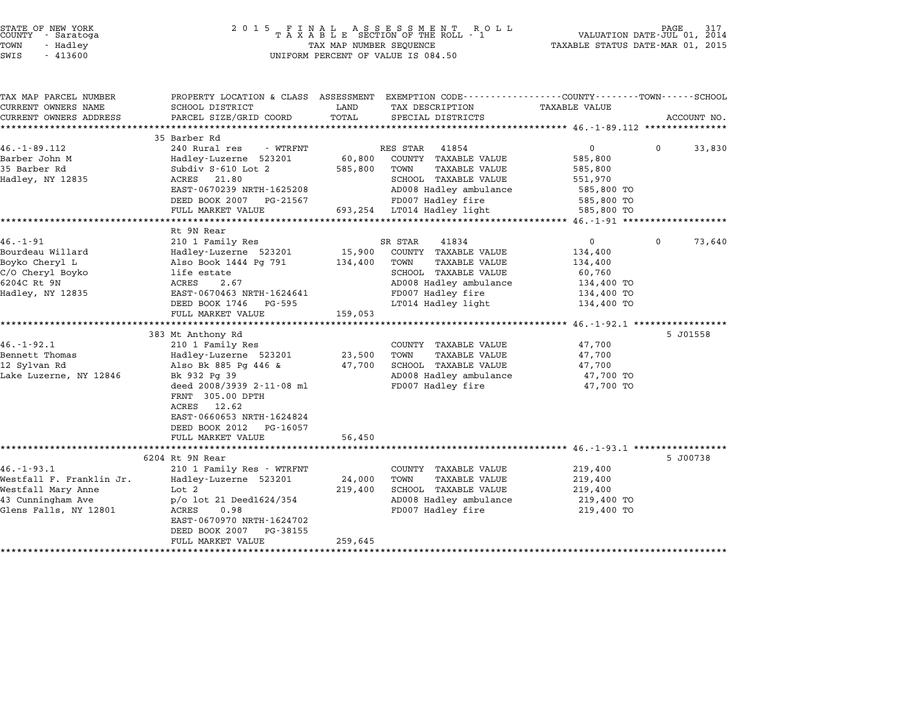| STATE OF NEW YORK<br>COUNTY<br>- Saratoga<br>TOWN<br>- Hadley<br>SWIS<br>$-413600$                               | 2 0 1 5<br>FINAL ASSESSMENT ROTAXABLE SECTION OF THE ROLL - 1<br>TAX MAP NUMBER SEQUENCE<br>UNIFORM PERCENT OF VALUE IS 084.50                                                                                  | 317<br>PAGE<br>VALUATION DATE-JUL 01, 2014<br>TAXABLE STATUS DATE-MAR 01, 2015 |                                                                                                                                                                       |                                                                                        |                    |
|------------------------------------------------------------------------------------------------------------------|-----------------------------------------------------------------------------------------------------------------------------------------------------------------------------------------------------------------|--------------------------------------------------------------------------------|-----------------------------------------------------------------------------------------------------------------------------------------------------------------------|----------------------------------------------------------------------------------------|--------------------|
| TAX MAP PARCEL NUMBER<br>CURRENT OWNERS NAME<br>CURRENT OWNERS ADDRESS                                           | PROPERTY LOCATION & CLASS ASSESSMENT<br>SCHOOL DISTRICT<br>PARCEL SIZE/GRID COORD                                                                                                                               | LAND<br>TOTAL                                                                  | EXEMPTION CODE-----------------COUNTY-------TOWN------SCHOOL<br>TAX DESCRIPTION<br>SPECIAL DISTRICTS                                                                  | TAXABLE VALUE                                                                          | ACCOUNT NO.        |
|                                                                                                                  |                                                                                                                                                                                                                 |                                                                                |                                                                                                                                                                       | ************** 46.-1-89.112 ****************                                           |                    |
| $46. -1 - 89.112$<br>Barber John M<br>35 Barber Rd<br>Hadley, NY 12835                                           | 35 Barber Rd<br>240 Rural res<br>- WTRFNT<br>Hadley-Luzerne 523201<br>Subdiv S-610 Lot 2<br>ACRES<br>21.80<br>EAST-0670239 NRTH-1625208<br>DEED BOOK 2007<br>PG-21567<br>FULL MARKET VALUE                      | 60,800<br>585,800<br>693,254                                                   | RES STAR<br>41854<br>COUNTY TAXABLE VALUE<br>TOWN<br>TAXABLE VALUE<br>SCHOOL TAXABLE VALUE<br>AD008 Hadley ambulance<br>FD007 Hadley fire<br>LT014 Hadley light       | 0<br>585,800<br>585,800<br>551,970<br>585,800 TO<br>585,800 TO<br>585,800 TO           | $\Omega$<br>33,830 |
|                                                                                                                  | ******************                                                                                                                                                                                              |                                                                                |                                                                                                                                                                       | ********** 46.-1-91 *************                                                      |                    |
| $46. - 1 - 91$<br>Bourdeau Willard<br>Boyko Cheryl L<br>C/O Cheryl Boyko<br>6204C Rt 9N<br>Hadley, NY 12835      | Rt 9N Rear<br>210 1 Family Res<br>Hadley-Luzerne 523201<br>Also Book 1444 Pg 791<br>life estate<br>ACRES<br>2.67<br>EAST-0670463 NRTH-1624641<br>DEED BOOK 1746<br>PG-595<br>FULL MARKET VALUE                  | 15,900<br>134,400<br>159,053                                                   | SR STAR<br>41834<br>COUNTY TAXABLE VALUE<br><b>TAXABLE VALUE</b><br>TOWN<br>SCHOOL TAXABLE VALUE<br>AD008 Hadley ambulance<br>FD007 Hadley fire<br>LT014 Hadley light | $\mathbf{0}$<br>134,400<br>134,400<br>60,760<br>134,400 TO<br>134,400 TO<br>134,400 TO | 0<br>73,640        |
|                                                                                                                  | 383 Mt Anthony Rd                                                                                                                                                                                               |                                                                                |                                                                                                                                                                       |                                                                                        | 5 J01558           |
| $46. - 1 - 92.1$<br>Bennett Thomas<br>12 Sylvan Rd<br>Lake Luzerne, NY 12846                                     | 210 1 Family Res<br>Hadley-Luzerne 523201<br>Also Bk 885 Pg 446 &<br>Bk 932 Pg 39<br>deed 2008/3939 2-11-08 ml<br>FRNT 305.00 DPTH<br>ACRES<br>12.62<br>EAST-0660653 NRTH-1624824<br>DEED BOOK 2012<br>PG-16057 | 23,500<br>47,700                                                               | COUNTY TAXABLE VALUE<br>TOWN<br>TAXABLE VALUE<br>SCHOOL TAXABLE VALUE<br>AD008 Hadley ambulance<br>FD007 Hadley fire                                                  | 47,700<br>47,700<br>47,700<br>47,700 TO<br>47,700 TO                                   |                    |
|                                                                                                                  | FULL MARKET VALUE<br>**************************                                                                                                                                                                 | 56,450                                                                         |                                                                                                                                                                       |                                                                                        |                    |
| $46. - 1 - 93.1$<br>Westfall F. Franklin Jr.<br>Westfall Mary Anne<br>43 Cunningham Ave<br>Glens Falls, NY 12801 | 6204 Rt 9N Rear<br>210 1 Family Res - WTRFNT<br>Hadley-Luzerne 523201<br>Lot 2<br>p/o lot 21 Deed1624/354<br>ACRES<br>0.98<br>EAST-0670970 NRTH-1624702<br>DEED BOOK 2007<br>PG-38155<br>FULL MARKET VALUE      | 24,000<br>219,400<br>259,645                                                   | COUNTY TAXABLE VALUE<br>TOWN<br>TAXABLE VALUE<br>SCHOOL TAXABLE VALUE<br>AD008 Hadley ambulance<br>FD007 Hadley fire                                                  | 219,400<br>219,400<br>219,400<br>219,400 TO<br>219,400 TO                              | 5 J00738           |

\*\*\*\*\*\*\*\*\*\*\*\*\*\*\*\*\*\*\*\*\*\*\*\*\*\*\*\*\*\*\*\*\*\*\*\*\*\*\*\*\*\*\*\*\*\*\*\*\*\*\*\*\*\*\*\*\*\*\*\*\*\*\*\*\*\*\*\*\*\*\*\*\*\*\*\*\*\*\*\*\*\*\*\*\*\*\*\*\*\*\*\*\*\*\*\*\*\*\*\*\*\*\*\*\*\*\*\*\*\*\*\*\*\*\*\*\*\*\*\*\*\*\*\*\*\*\*\*\*\*\*\*

STATE OF NEW YORK <sup>2</sup> <sup>0</sup> <sup>1</sup> 5 F I N A L A S S E S S M E N T R O L L PAGE <sup>317</sup> COUNTY - Saratoga <sup>T</sup> <sup>A</sup> <sup>X</sup> <sup>A</sup> <sup>B</sup> <sup>L</sup> <sup>E</sup> SECTION OF THE ROLL - <sup>1</sup> VALUATION DATE-JUL 01, <sup>2014</sup>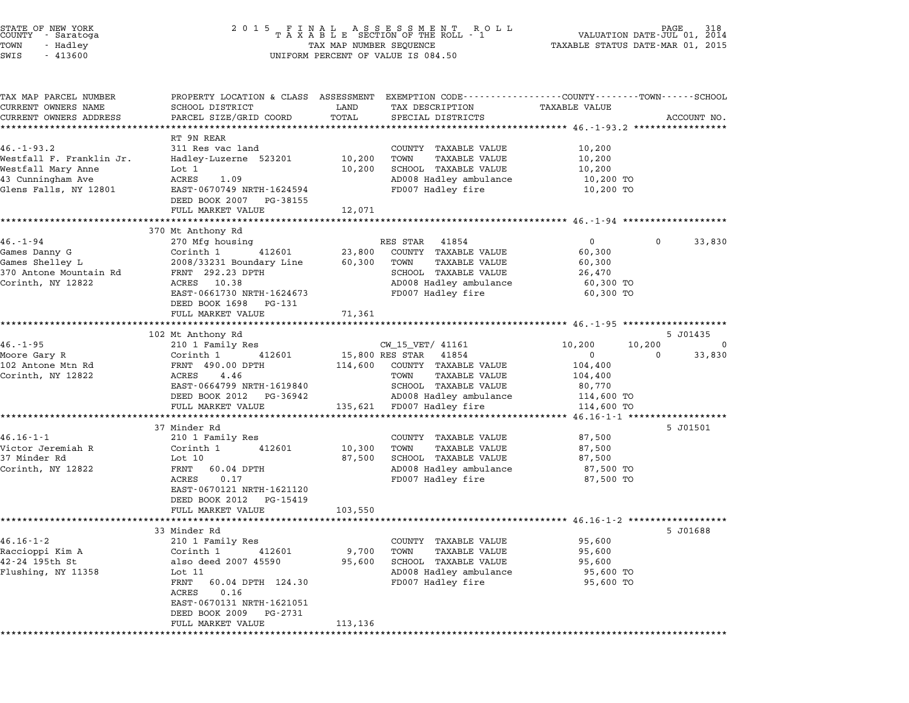| STATE OF NEW YORK<br>COUNTY |  | - Saratoga |  |
|-----------------------------|--|------------|--|
| TOWN                        |  | - Hadley   |  |
| CITITC                      |  | 112500     |  |

# STATE OF NEW YORK <sup>2</sup> <sup>0</sup> <sup>1</sup> 5 F I N A L A S S E S S M E N T R O L L PAGE <sup>318</sup> COUNTY - Saratoga <sup>T</sup> <sup>A</sup> <sup>X</sup> <sup>A</sup> <sup>B</sup> <sup>L</sup> <sup>E</sup> SECTION OF THE ROLL - <sup>1</sup> VALUATION DATE-JUL 01, <sup>2014</sup> TOWN - Hadley TAX MAP NUMBER SEQUENCE TAXABLE STATUS DATE-MAR 01, <sup>2015</sup> SWIS - <sup>413600</sup> UNIFORM PERCENT OF VALUE IS 084.50

| TAX MAP PARCEL NUMBER    | PROPERTY LOCATION & CLASS ASSESSMENT EXEMPTION CODE---------------COUNTY-------TOWN------SCHOOL |         |                                           |                                                   |                    |
|--------------------------|-------------------------------------------------------------------------------------------------|---------|-------------------------------------------|---------------------------------------------------|--------------------|
| CURRENT OWNERS NAME      | SCHOOL DISTRICT                                                                                 | LAND    | TAX DESCRIPTION                           | <b>TAXABLE VALUE</b>                              |                    |
| CURRENT OWNERS ADDRESS   | PARCEL SIZE/GRID COORD                                                                          | TOTAL   | SPECIAL DISTRICTS                         |                                                   | ACCOUNT NO.        |
|                          |                                                                                                 |         |                                           | **************** 46.-1-93.2 ***********           |                    |
|                          | RT 9N REAR                                                                                      |         |                                           |                                                   |                    |
| $46. - 1 - 93.2$         | 311 Res vac land                                                                                |         | COUNTY TAXABLE VALUE                      | 10,200                                            |                    |
| Westfall F. Franklin Jr. | Hadley-Luzerne 523201                                                                           | 10,200  | <b>TAXABLE VALUE</b><br>TOWN              | 10,200                                            |                    |
| Westfall Mary Anne       | Lot 1                                                                                           | 10,200  | SCHOOL TAXABLE VALUE                      | 10,200                                            |                    |
| 43 Cunningham Ave        | ACRES<br>1.09                                                                                   |         | AD008 Hadley ambulance                    | 10,200 TO                                         |                    |
| Glens Falls, NY 12801    | EAST-0670749 NRTH-1624594                                                                       |         | FD007 Hadley fire                         | 10,200 TO                                         |                    |
|                          | DEED BOOK 2007 PG-38155                                                                         |         |                                           |                                                   |                    |
|                          | FULL MARKET VALUE                                                                               | 12,071  |                                           |                                                   |                    |
|                          |                                                                                                 |         |                                           |                                                   |                    |
| $46. - 1 - 94$           | 370 Mt Anthony Rd<br>270 Mfg housing                                                            |         | RES STAR 41854                            | $\mathbf{0}$                                      | $\Omega$<br>33,830 |
| Games Danny G            | Corinth 1<br>412601                                                                             | 23,800  | COUNTY TAXABLE VALUE                      | 60,300                                            |                    |
| Games Shelley L          |                                                                                                 |         | <b>TAXABLE VALUE</b><br>TOWN              |                                                   |                    |
|                          | 2008/33231 Boundary Line                                                                        | 60,300  |                                           | 60,300                                            |                    |
| 370 Antone Mountain Rd   | FRNT 292.23 DPTH                                                                                |         | SCHOOL TAXABLE VALUE                      | 26,470                                            |                    |
| Corinth, NY 12822        | ACRES 10.38                                                                                     |         | AD008 Hadley ambulance                    | 60,300 TO                                         |                    |
|                          | EAST-0661730 NRTH-1624673                                                                       |         | FD007 Hadley fire                         | 60,300 TO                                         |                    |
|                          | DEED BOOK 1698<br>PG-131                                                                        |         |                                           |                                                   |                    |
|                          | FULL MARKET VALUE                                                                               | 71,361  |                                           |                                                   |                    |
|                          |                                                                                                 |         |                                           |                                                   | 5 J01435           |
| $46. - 1 - 95$           | 102 Mt Anthony Rd                                                                               |         |                                           |                                                   | $\Omega$           |
|                          | 210 1 Family Res<br>Corinth 1<br>412601                                                         |         | CW_15_VET/ 41161<br>15,800 RES STAR 41854 | 10,200<br>10,200<br>$\Omega$                      | 33,830<br>$\Omega$ |
| Moore Gary R             | FRNT 490.00 DPTH                                                                                |         | COUNTY TAXABLE VALUE                      |                                                   |                    |
| 102 Antone Mtn Rd        | ACRES<br>4.46                                                                                   | 114,600 | TOWN                                      | 104,400                                           |                    |
| Corinth, NY 12822        |                                                                                                 |         | TAXABLE VALUE                             | 104,400                                           |                    |
|                          | EAST-0664799 NRTH-1619840<br>DEED BOOK 2012 PG-36942                                            |         | SCHOOL TAXABLE VALUE                      | 80,770                                            |                    |
|                          |                                                                                                 |         | AD008 Hadley ambulance                    | 114,600 TO                                        |                    |
|                          | FULL MARKET VALUE<br>**********************                                                     |         | 135,621 FD007 Hadley fire                 | 114,600 TO<br>****** 46.16-1-1 ****************** |                    |
|                          | 37 Minder Rd                                                                                    |         |                                           |                                                   | 5 J01501           |
| $46.16 - 1 - 1$          | 210 1 Family Res                                                                                |         | COUNTY TAXABLE VALUE                      | 87,500                                            |                    |
| Victor Jeremiah R        | Corinth 1<br>412601                                                                             | 10,300  | <b>TAXABLE VALUE</b><br>TOWN              | 87,500                                            |                    |
| 37 Minder Rd             | Lot 10                                                                                          | 87,500  | SCHOOL TAXABLE VALUE                      | 87,500                                            |                    |
|                          | 60.04 DPTH                                                                                      |         |                                           |                                                   |                    |
| Corinth, NY 12822        | FRNT<br>0.17<br>ACRES                                                                           |         | AD008 Hadley ambulance                    | 87,500 TO                                         |                    |
|                          | EAST-0670121 NRTH-1621120                                                                       |         | FD007 Hadley fire                         | 87,500 TO                                         |                    |
|                          |                                                                                                 |         |                                           |                                                   |                    |
|                          | DEED BOOK 2012 PG-15419<br>FULL MARKET VALUE                                                    |         |                                           |                                                   |                    |
|                          | **********************                                                                          | 103,550 |                                           |                                                   |                    |
|                          | 33 Minder Rd                                                                                    |         |                                           |                                                   | 5 J01688           |
| $46.16 - 1 - 2$          | 210 1 Family Res                                                                                |         | COUNTY TAXABLE VALUE                      | 95,600                                            |                    |
| Raccioppi Kim A          | Corinth 1<br>412601                                                                             | 9,700   | <b>TAXABLE VALUE</b><br>TOWN              | 95,600                                            |                    |
| 42-24 195th St           | also deed 2007 45590                                                                            | 95,600  | SCHOOL TAXABLE VALUE                      | 95,600                                            |                    |
| Flushing, NY 11358       | Lot 11                                                                                          |         | AD008 Hadley ambulance                    | 95,600 TO                                         |                    |
|                          | FRNT<br>60.04 DPTH 124.30                                                                       |         | FD007 Hadley fire                         | 95,600 TO                                         |                    |
|                          | 0.16<br>ACRES                                                                                   |         |                                           |                                                   |                    |
|                          | EAST-0670131 NRTH-1621051                                                                       |         |                                           |                                                   |                    |
|                          |                                                                                                 |         |                                           |                                                   |                    |
|                          | DEED BOOK 2009<br>PG-2731<br>FULL MARKET VALUE                                                  | 113,136 |                                           |                                                   |                    |
|                          |                                                                                                 |         |                                           |                                                   |                    |
|                          |                                                                                                 |         |                                           |                                                   |                    |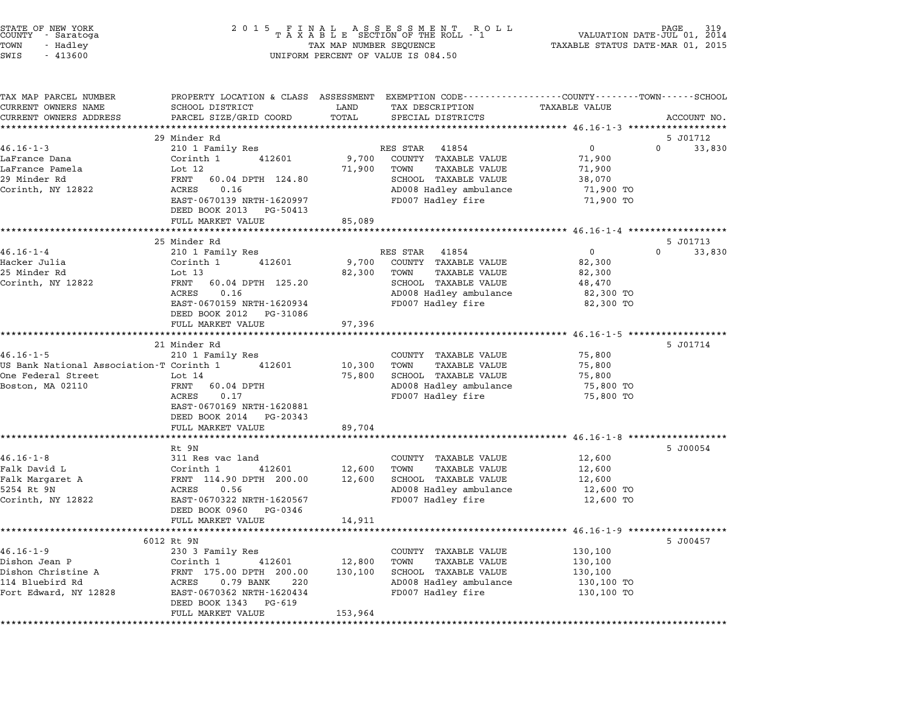| STATE OF NEW YORK<br>COUNTY - Saratoga |  |          |  |
|----------------------------------------|--|----------|--|
| TOWN                                   |  | - Hadley |  |
| $\alpha$                               |  | 11200    |  |

# STATE OF NEW YORK <sup>2</sup> <sup>0</sup> <sup>1</sup> 5 F I N A L A S S E S S M E N T R O L L PAGE <sup>319</sup> COUNTY - Saratoga <sup>T</sup> <sup>A</sup> <sup>X</sup> <sup>A</sup> <sup>B</sup> <sup>L</sup> <sup>E</sup> SECTION OF THE ROLL - <sup>1</sup> VALUATION DATE-JUL 01, <sup>2014</sup> TOWN - Hadley TAX MAP NUMBER SEQUENCE TAXABLE STATUS DATE-MAR 01, <sup>2015</sup> SWIS - <sup>413600</sup> UNIFORM PERCENT OF VALUE IS 084.50

| TAX MAP PARCEL NUMBER                    | PROPERTY LOCATION & CLASS ASSESSMENT EXEMPTION CODE---------------COUNTY-------TOWN------SCHOOL |         |                                                |                     |                                |
|------------------------------------------|-------------------------------------------------------------------------------------------------|---------|------------------------------------------------|---------------------|--------------------------------|
| CURRENT OWNERS NAME                      | SCHOOL DISTRICT                                                                                 | LAND    | TAX DESCRIPTION                                | TAXABLE VALUE       |                                |
| CURRENT OWNERS ADDRESS                   | PARCEL SIZE/GRID COORD                                                                          | TOTAL   | SPECIAL DISTRICTS                              |                     | ACCOUNT NO.                    |
|                                          |                                                                                                 |         |                                                |                     |                                |
| $46.16 - 1 - 3$                          | 29 Minder Rd<br>210 1 Family Res                                                                |         | RES STAR 41854                                 | $\overline{0}$      | 5 J01712<br>$\Omega$<br>33,830 |
| LaFrance Dana                            | Corinth 1<br>412601                                                                             | 9,700   | COUNTY TAXABLE VALUE                           | 71,900              |                                |
| LaFrance Pamela                          | Lot $12$                                                                                        | 71,900  | TOWN<br><b>TAXABLE VALUE</b>                   | 71,900              |                                |
| 29 Minder Rd                             | FRNT<br>60.04 DPTH 124.80                                                                       |         | SCHOOL TAXABLE VALUE                           | 38,070              |                                |
| Corinth, NY 12822                        | 0.16<br>ACRES                                                                                   |         | AD008 Hadley ambulance                         | 71,900 TO           |                                |
|                                          | EAST-0670139 NRTH-1620997                                                                       |         | FD007 Hadley fire                              | 71,900 TO           |                                |
|                                          | DEED BOOK 2013<br>PG-50413                                                                      |         |                                                |                     |                                |
|                                          | FULL MARKET VALUE                                                                               | 85,089  |                                                |                     |                                |
|                                          | ***********************                                                                         |         |                                                |                     |                                |
|                                          | 25 Minder Rd                                                                                    |         |                                                |                     | 5 J01713                       |
| $46.16 - 1 - 4$                          | 210 1 Family Res                                                                                |         | RES STAR 41854                                 | $\overline{0}$      | $\Omega$<br>33,830             |
| Hacker Julia                             | Corinth 1<br>412601                                                                             | 9,700   | COUNTY TAXABLE VALUE                           | 82,300              |                                |
| 25 Minder Rd                             | Lot $13$                                                                                        | 82,300  | TOWN<br><b>TAXABLE VALUE</b>                   | 82,300              |                                |
| Corinth, NY 12822                        | FRNT<br>60.04 DPTH 125.20                                                                       |         | SCHOOL TAXABLE VALUE                           | 48,470              |                                |
|                                          | ACRES<br>0.16                                                                                   |         | AD008 Hadley ambulance                         | 82,300 TO           |                                |
|                                          | EAST-0670159 NRTH-1620934<br>DEED BOOK 2012<br>PG-31086                                         |         | FD007 Hadley fire                              | 82,300 TO           |                                |
|                                          | FULL MARKET VALUE                                                                               | 97,396  |                                                |                     |                                |
|                                          |                                                                                                 |         |                                                |                     |                                |
|                                          | 21 Minder Rd                                                                                    |         |                                                |                     | 5 J01714                       |
| $46.16 - 1 - 5$                          | 210 1 Family Res                                                                                |         | COUNTY TAXABLE VALUE                           | 75,800              |                                |
| US Bank National Association-T Corinth 1 | 412601                                                                                          | 10,300  | TOWN<br><b>TAXABLE VALUE</b>                   | 75,800              |                                |
| One Federal Street                       | Lot 14                                                                                          | 75,800  | SCHOOL TAXABLE VALUE                           | 75,800              |                                |
| Boston, MA 02110                         | FRNT<br>60.04 DPTH                                                                              |         | AD008 Hadley ambulance                         | 75,800 TO           |                                |
|                                          | 0.17<br>ACRES                                                                                   |         | FD007 Hadley fire                              | 75,800 TO           |                                |
|                                          | EAST-0670169 NRTH-1620881                                                                       |         |                                                |                     |                                |
|                                          | DEED BOOK 2014<br>PG-20343                                                                      |         |                                                |                     |                                |
|                                          | FULL MARKET VALUE                                                                               | 89,704  |                                                |                     |                                |
|                                          |                                                                                                 |         |                                                |                     |                                |
|                                          | Rt 9N                                                                                           |         |                                                |                     | 5 J00054                       |
| $46.16 - 1 - 8$                          | 311 Res vac land                                                                                |         | COUNTY TAXABLE VALUE                           | 12,600              |                                |
| Falk David L                             | 412601<br>Corinth 1                                                                             | 12,600  | TOWN<br><b>TAXABLE VALUE</b>                   | 12,600              |                                |
| Falk Margaret A<br>5254 Rt 9N            | FRNT 114.90 DPTH 200.00<br>ACRES<br>0.56                                                        | 12,600  | SCHOOL TAXABLE VALUE<br>AD008 Hadley ambulance | 12,600<br>12,600 TO |                                |
| Corinth, NY 12822                        | EAST-0670322 NRTH-1620567                                                                       |         | FD007 Hadley fire                              | 12,600 TO           |                                |
|                                          | DEED BOOK 0960 PG-0346                                                                          |         |                                                |                     |                                |
|                                          | FULL MARKET VALUE                                                                               | 14,911  |                                                |                     |                                |
|                                          | ****************************                                                                    |         |                                                |                     |                                |
|                                          | 6012 Rt 9N                                                                                      |         |                                                |                     | 5 J00457                       |
| $46.16 - 1 - 9$                          | 230 3 Family Res                                                                                |         | COUNTY TAXABLE VALUE                           | 130,100             |                                |
| Dishon Jean P                            | 412601<br>Corinth 1                                                                             | 12,800  | TOWN<br><b>TAXABLE VALUE</b>                   | 130,100             |                                |
| Dishon Christine A                       | FRNT 175.00 DPTH 200.00                                                                         | 130,100 | SCHOOL TAXABLE VALUE                           | 130,100             |                                |
| 114 Bluebird Rd                          | ACRES<br>$0.79$ BANK<br>220                                                                     |         | AD008 Hadley ambulance                         | 130,100 TO          |                                |
| Fort Edward, NY 12828                    | EAST-0670362 NRTH-1620434                                                                       |         | FD007 Hadley fire                              | 130,100 TO          |                                |
|                                          | DEED BOOK 1343 PG-619                                                                           |         |                                                |                     |                                |
|                                          | FULL MARKET VALUE                                                                               | 153,964 |                                                |                     |                                |
|                                          |                                                                                                 |         |                                                |                     |                                |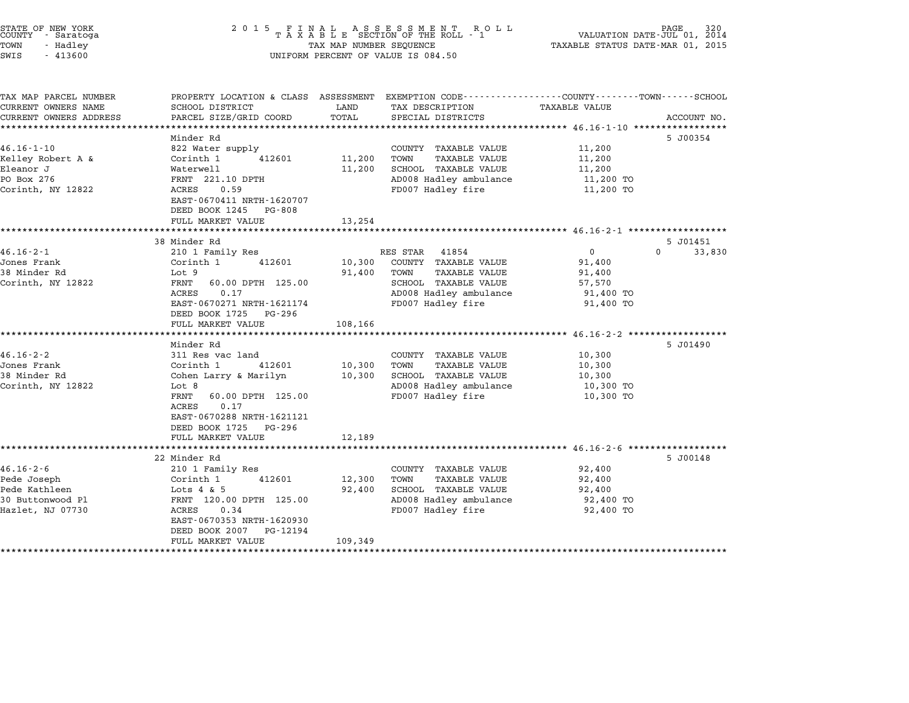| COUNTY             | STATE OF NEW YORK<br>- Saratoga |  |
|--------------------|---------------------------------|--|
| TOWN               | - Hadley                        |  |
| CTATT <sub>C</sub> | $-113600$                       |  |

# STATE OF NEW YORK <sup>2</sup> <sup>0</sup> <sup>1</sup> 5 F I N A L A S S E S S M E N T R O L L PAGE <sup>320</sup> COUNTY - Saratoga <sup>T</sup> <sup>A</sup> <sup>X</sup> <sup>A</sup> <sup>B</sup> <sup>L</sup> <sup>E</sup> SECTION OF THE ROLL - <sup>1</sup> VALUATION DATE-JUL 01, <sup>2014</sup> TOWN - Hadley TAX MAP NUMBER SEQUENCE TAXABLE STATUS DATE-MAR 01, <sup>2015</sup> SWIS - <sup>413600</sup> UNIFORM PERCENT OF VALUE IS 084.50

| TAX MAP PARCEL NUMBER  |                                              |         | PROPERTY LOCATION & CLASS ASSESSMENT EXEMPTION CODE---------------COUNTY-------TOWN-----SCHOOL |                        |                    |
|------------------------|----------------------------------------------|---------|------------------------------------------------------------------------------------------------|------------------------|--------------------|
| CURRENT OWNERS NAME    | SCHOOL DISTRICT                              | LAND    | TAX DESCRIPTION                                                                                | TAXABLE VALUE          |                    |
| CURRENT OWNERS ADDRESS | PARCEL SIZE/GRID COORD                       | TOTAL   | SPECIAL DISTRICTS                                                                              |                        | ACCOUNT NO.        |
|                        |                                              |         |                                                                                                |                        |                    |
| $46.16 - 1 - 10$       | Minder Rd<br>822 Water supply                |         | COUNTY TAXABLE VALUE                                                                           | 11,200                 | 5 J00354           |
| Kelley Robert A &      | Corinth 1<br>412601                          | 11,200  | <b>TAXABLE VALUE</b><br>TOWN                                                                   | 11,200                 |                    |
| Eleanor J              | Waterwell                                    | 11,200  | SCHOOL TAXABLE VALUE                                                                           | 11,200                 |                    |
| PO Box 276             | FRNT 221.10 DPTH                             |         | AD008 Hadley ambulance                                                                         | 11,200 TO              |                    |
| Corinth, NY 12822      | ACRES<br>0.59                                |         | FD007 Hadley fire                                                                              | 11,200 TO              |                    |
|                        | EAST-0670411 NRTH-1620707                    |         |                                                                                                |                        |                    |
|                        | DEED BOOK 1245<br>PG-808                     |         |                                                                                                |                        |                    |
|                        | FULL MARKET VALUE                            | 13,254  |                                                                                                |                        |                    |
|                        |                                              |         |                                                                                                |                        |                    |
|                        | 38 Minder Rd                                 |         |                                                                                                |                        | 5 J01451           |
| $46.16 - 2 - 1$        | 210 1 Family Res                             |         | RES STAR<br>41854                                                                              | $\mathbf{0}$           | $\Omega$<br>33,830 |
| Jones Frank            | 412601<br>Corinth 1                          | 10,300  | COUNTY TAXABLE VALUE                                                                           | 91,400                 |                    |
| 38 Minder Rd           | Lot 9                                        | 91,400  | TOWN<br>TAXABLE VALUE                                                                          | 91,400                 |                    |
| Corinth, NY 12822      | 60.00 DPTH 125.00<br>FRNT                    |         | SCHOOL TAXABLE VALUE                                                                           | 57,570                 |                    |
|                        | ACRES<br>0.17                                |         | AD008 Hadley ambulance                                                                         | 91,400 TO              |                    |
|                        | EAST-0670271 NRTH-1621174                    |         | FD007 Hadley fire                                                                              | 91,400 TO              |                    |
|                        | DEED BOOK 1725<br>PG-296                     |         |                                                                                                |                        |                    |
|                        | FULL MARKET VALUE                            | 108,166 |                                                                                                |                        |                    |
|                        | Minder Rd                                    |         |                                                                                                |                        | 5 J01490           |
| $46.16 - 2 - 2$        | 311 Res vac land                             |         | COUNTY TAXABLE VALUE                                                                           | 10,300                 |                    |
| Jones Frank            |                                              | 10,300  | TOWN                                                                                           |                        |                    |
| 38 Minder Rd           | Corinth 1<br>412601<br>Cohen Larry & Marilyn | 10,300  | <b>TAXABLE VALUE</b><br>SCHOOL TAXABLE VALUE                                                   | 10,300                 |                    |
|                        | Lot 8                                        |         |                                                                                                | 10,300                 |                    |
| Corinth, NY 12822      | FRNT<br>60.00 DPTH 125.00                    |         | AD008 Hadley ambulance<br>FD007 Hadley fire                                                    | 10,300 TO<br>10,300 TO |                    |
|                        | ACRES<br>0.17                                |         |                                                                                                |                        |                    |
|                        | EAST-0670288 NRTH-1621121                    |         |                                                                                                |                        |                    |
|                        | DEED BOOK 1725<br>PG-296                     |         |                                                                                                |                        |                    |
|                        | FULL MARKET VALUE                            | 12,189  |                                                                                                |                        |                    |
|                        |                                              |         |                                                                                                |                        |                    |
|                        | 22 Minder Rd                                 |         |                                                                                                |                        | 5 J00148           |
| $46.16 - 2 - 6$        | 210 1 Family Res                             |         | COUNTY TAXABLE VALUE                                                                           | 92,400                 |                    |
| Pede Joseph            | 412601<br>Corinth 1                          | 12,300  | TOWN<br>TAXABLE VALUE                                                                          | 92,400                 |                    |
| Pede Kathleen          | Lots $4 \& 5$                                | 92,400  | SCHOOL TAXABLE VALUE                                                                           | 92,400                 |                    |
| 30 Buttonwood Pl       | FRNT 120.00 DPTH 125.00                      |         | AD008 Hadley ambulance                                                                         | 92,400 TO              |                    |
| Hazlet, NJ 07730       | ACRES<br>0.34                                |         | FD007 Hadley fire                                                                              | 92,400 TO              |                    |
|                        | EAST-0670353 NRTH-1620930                    |         |                                                                                                |                        |                    |
|                        | DEED BOOK 2007<br>PG-12194                   |         |                                                                                                |                        |                    |
|                        | FULL MARKET VALUE                            | 109,349 |                                                                                                |                        |                    |
| ******************     |                                              |         |                                                                                                |                        |                    |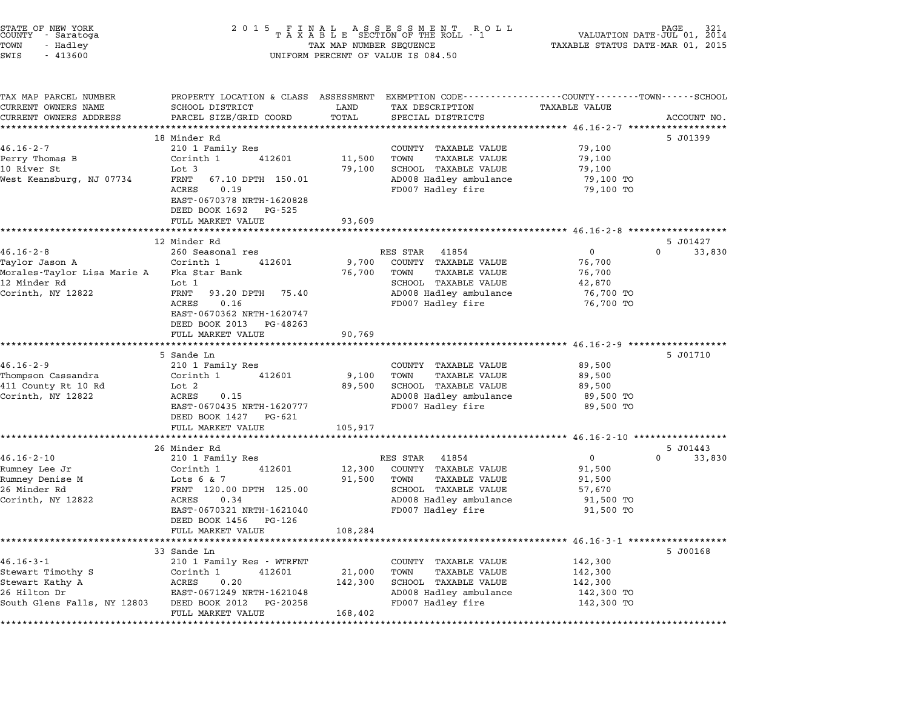| STATE OF NEW YORK<br>COUNTY - Saratoga       | 2 0 1 5                                                                                                                                                                                 |            |                                                                                                                    |                                                       | 2014                  |  |
|----------------------------------------------|-----------------------------------------------------------------------------------------------------------------------------------------------------------------------------------------|------------|--------------------------------------------------------------------------------------------------------------------|-------------------------------------------------------|-----------------------|--|
| TOWN<br>- Hadley<br>SWIS<br>$-413600$        | FINAL ASSESSMENT ROLL<br>TAXABLE SECTION OF THE ROLL - 1<br>VALUATION DATE-JUL 01,<br>TAX MAP NUMBER SEQUENCE<br>TAXABLE STATUS DATE-MAR 01, 2015<br>UNIFORM PERCENT OF VALUE IS 084.50 |            |                                                                                                                    |                                                       |                       |  |
|                                              |                                                                                                                                                                                         |            |                                                                                                                    |                                                       |                       |  |
| TAX MAP PARCEL NUMBER<br>CURRENT OWNERS NAME | SCHOOL DISTRICT                                                                                                                                                                         | LAND       | PROPERTY LOCATION & CLASS ASSESSMENT EXEMPTION CODE---------------COUNTY-------TOWN------SCHOOL<br>TAX DESCRIPTION | <b>TAXABLE VALUE</b>                                  |                       |  |
| CURRENT OWNERS ADDRESS                       | PARCEL SIZE/GRID COORD                                                                                                                                                                  | TOTAL      | SPECIAL DISTRICTS                                                                                                  |                                                       | ACCOUNT NO.           |  |
|                                              | **********************                                                                                                                                                                  | ********** |                                                                                                                    | ******************************* 46.16-2-7 *********** |                       |  |
|                                              | 18 Minder Rd                                                                                                                                                                            |            |                                                                                                                    |                                                       | 5 J01399              |  |
| $46.16 - 2 - 7$                              | 210 1 Family Res                                                                                                                                                                        |            | COUNTY TAXABLE VALUE                                                                                               | 79,100                                                |                       |  |
| Perry Thomas B                               | Corinth 1<br>412601                                                                                                                                                                     | 11,500     | TOWN<br><b>TAXABLE VALUE</b>                                                                                       | 79,100                                                |                       |  |
| 10 River St                                  | Lot 3                                                                                                                                                                                   | 79,100     | SCHOOL TAXABLE VALUE                                                                                               | 79,100                                                |                       |  |
| West Keansburg, NJ 07734                     | FRNT<br>67.10 DPTH 150.01                                                                                                                                                               |            | AD008 Hadley ambulance                                                                                             | 79,100 TO                                             |                       |  |
|                                              | ACRES<br>0.19                                                                                                                                                                           |            | FD007 Hadley fire                                                                                                  | 79,100 TO                                             |                       |  |
|                                              | EAST-0670378 NRTH-1620828                                                                                                                                                               |            |                                                                                                                    |                                                       |                       |  |
|                                              | DEED BOOK 1692<br>PG-525                                                                                                                                                                |            |                                                                                                                    |                                                       |                       |  |
|                                              | FULL MARKET VALUE                                                                                                                                                                       | 93,609     | *********************************** 46.16-2-8 **************                                                       |                                                       |                       |  |
|                                              | 12 Minder Rd                                                                                                                                                                            |            |                                                                                                                    |                                                       | 5 J01427              |  |
| $46.16 - 2 - 8$                              | 260 Seasonal res                                                                                                                                                                        |            | RES STAR<br>41854                                                                                                  | $\overline{0}$                                        | $\mathbf 0$<br>33,830 |  |
| Taylor Jason A                               | Corinth 1<br>412601                                                                                                                                                                     | 9,700      | COUNTY TAXABLE VALUE                                                                                               | 76,700                                                |                       |  |
| Morales-Taylor Lisa Marie A                  | Fka Star Bank                                                                                                                                                                           | 76,700     | <b>TAXABLE VALUE</b><br>TOWN                                                                                       | 76,700                                                |                       |  |
| 12 Minder Rd                                 | Lot 1                                                                                                                                                                                   |            | SCHOOL TAXABLE VALUE                                                                                               | 42,870                                                |                       |  |
| Corinth, NY 12822                            | FRNT<br>93.20 DPTH 75.40                                                                                                                                                                |            | AD008 Hadley ambulance                                                                                             | 76,700 TO                                             |                       |  |
|                                              | 0.16<br>ACRES                                                                                                                                                                           |            | FD007 Hadley fire                                                                                                  | 76,700 TO                                             |                       |  |
|                                              | EAST-0670362 NRTH-1620747                                                                                                                                                               |            |                                                                                                                    |                                                       |                       |  |
|                                              | DEED BOOK 2013<br>PG-48263                                                                                                                                                              |            |                                                                                                                    |                                                       |                       |  |
|                                              | FULL MARKET VALUE                                                                                                                                                                       | 90,769     |                                                                                                                    |                                                       |                       |  |
|                                              |                                                                                                                                                                                         |            |                                                                                                                    |                                                       |                       |  |
|                                              | 5 Sande Ln                                                                                                                                                                              |            |                                                                                                                    |                                                       | 5 J01710              |  |
| $46.16 - 2 - 9$<br>Thompson Cassandra        | 210 1 Family Res<br>Corinth 1<br>412601                                                                                                                                                 | 9,100      | COUNTY TAXABLE VALUE<br><b>TAXABLE VALUE</b><br>TOWN                                                               | 89,500<br>89,500                                      |                       |  |
| 411 County Rt 10 Rd                          | Lot 2                                                                                                                                                                                   | 89,500     | SCHOOL TAXABLE VALUE                                                                                               | 89,500                                                |                       |  |
| Corinth, NY 12822                            | ACRES<br>0.15                                                                                                                                                                           |            | AD008 Hadley ambulance                                                                                             | 89,500 TO                                             |                       |  |
|                                              | EAST-0670435 NRTH-1620777                                                                                                                                                               |            | FD007 Hadley fire                                                                                                  | 89,500 TO                                             |                       |  |
|                                              | DEED BOOK 1427 PG-621                                                                                                                                                                   |            |                                                                                                                    |                                                       |                       |  |
|                                              | FULL MARKET VALUE                                                                                                                                                                       | 105,917    |                                                                                                                    |                                                       |                       |  |
|                                              |                                                                                                                                                                                         |            |                                                                                                                    |                                                       |                       |  |
|                                              | 26 Minder Rd                                                                                                                                                                            |            |                                                                                                                    |                                                       | 5 J01443              |  |
| $46.16 - 2 - 10$                             | 210 1 Family Res                                                                                                                                                                        |            | RES STAR<br>41854                                                                                                  | $\overline{0}$                                        | 0<br>33,830           |  |
| Rumney Lee Jr                                | Corinth 1<br>412601                                                                                                                                                                     | 12,300     | COUNTY TAXABLE VALUE                                                                                               | 91,500                                                |                       |  |
| Rumney Denise M                              | Lots $6 & 7$                                                                                                                                                                            | 91,500     | TOWN<br><b>TAXABLE VALUE</b>                                                                                       | 91,500                                                |                       |  |
| 26 Minder Rd                                 | FRNT 120.00 DPTH 125.00                                                                                                                                                                 |            | SCHOOL TAXABLE VALUE                                                                                               | 57,670                                                |                       |  |
| Corinth, NY 12822                            | ACRES<br>0.34                                                                                                                                                                           |            | AD008 Hadley ambulance                                                                                             | 91,500 TO                                             |                       |  |
|                                              | EAST-0670321 NRTH-1621040                                                                                                                                                               |            | FD007 Hadley fire                                                                                                  | 91,500 TO                                             |                       |  |
|                                              | DEED BOOK 1456<br>PG-126                                                                                                                                                                |            |                                                                                                                    |                                                       |                       |  |
|                                              | FULL MARKET VALUE                                                                                                                                                                       | 108,284    |                                                                                                                    | ********************** 46.16-3-1 *******************  |                       |  |
|                                              | 33 Sande Ln                                                                                                                                                                             |            |                                                                                                                    |                                                       | 5 J00168              |  |
| $46.16 - 3 - 1$                              | 210 1 Family Res - WTRFNT                                                                                                                                                               |            | COUNTY TAXABLE VALUE                                                                                               | 142,300                                               |                       |  |
| Stewart Timothy S                            | Corinth 1<br>412601                                                                                                                                                                     | 21,000     | TOWN<br><b>TAXABLE VALUE</b>                                                                                       | 142,300                                               |                       |  |
| Stewart Kathy A                              | ACRES<br>0.20                                                                                                                                                                           | 142,300    | SCHOOL TAXABLE VALUE                                                                                               | 142,300                                               |                       |  |
| 26 Hilton Dr                                 | EAST-0671249 NRTH-1621048                                                                                                                                                               |            | AD008 Hadley ambulance                                                                                             | 142,300 TO                                            |                       |  |
| South Glens Falls, NY 12803                  | DEED BOOK 2012<br>PG-20258                                                                                                                                                              |            | FD007 Hadley fire                                                                                                  | 142,300 TO                                            |                       |  |
|                                              | FULL MARKET VALUE                                                                                                                                                                       | 168,402    |                                                                                                                    |                                                       |                       |  |

\*\*\*\*\*\*\*\*\*\*\*\*\*\*\*\*\*\*\*\*\*\*\*\*\*\*\*\*\*\*\*\*\*\*\*\*\*\*\*\*\*\*\*\*\*\*\*\*\*\*\*\*\*\*\*\*\*\*\*\*\*\*\*\*\*\*\*\*\*\*\*\*\*\*\*\*\*\*\*\*\*\*\*\*\*\*\*\*\*\*\*\*\*\*\*\*\*\*\*\*\*\*\*\*\*\*\*\*\*\*\*\*\*\*\*\*\*\*\*\*\*\*\*\*\*\*\*\*\*\*\*\*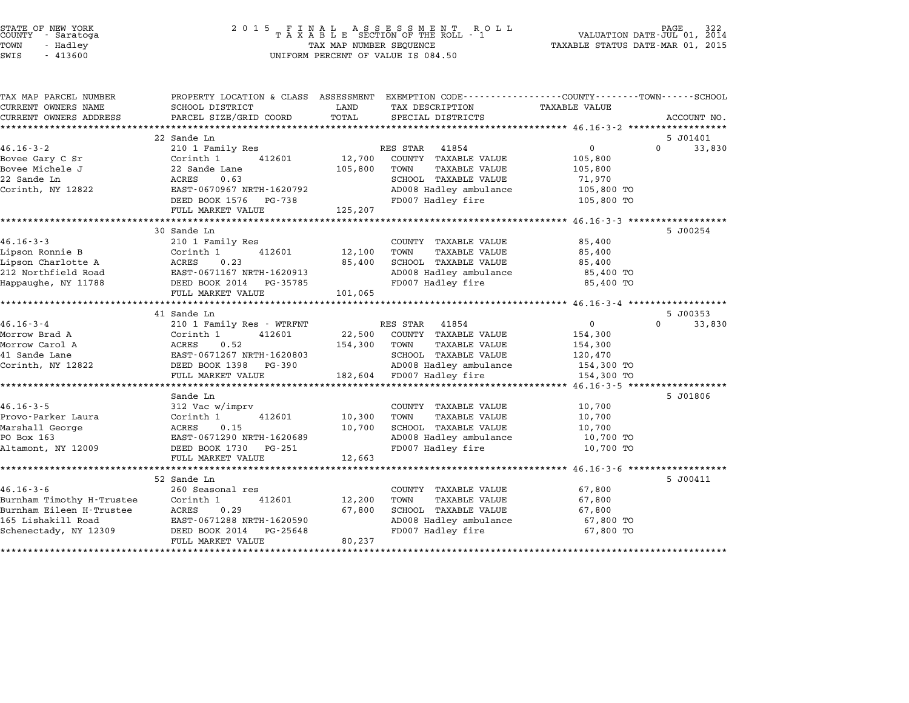| STATE OF NEW YORK |            |  |
|-------------------|------------|--|
| COUNTY            | - Saratoga |  |
| TOWN              | - Hadley   |  |
|                   |            |  |

| TAX MAP PARCEL NUMBER               | PROPERTY LOCATION & CLASS ASSESSMENT EXEMPTION CODE---------------COUNTY-------TOWN-----SCHOOL |              |                             |                |                    |
|-------------------------------------|------------------------------------------------------------------------------------------------|--------------|-----------------------------|----------------|--------------------|
| CURRENT OWNERS NAME                 | SCHOOL DISTRICT                                                                                | LAND         | TAX DESCRIPTION             | TAXABLE VALUE  |                    |
| CURRENT OWNERS ADDRESS              | PARCEL SIZE/GRID COORD                                                                         | TOTAL        | SPECIAL DISTRICTS           |                | ACCOUNT NO.        |
|                                     |                                                                                                |              |                             |                |                    |
|                                     | 22 Sande Ln                                                                                    |              |                             |                | 5 J01401           |
| $46.16 - 3 - 2$                     | 210 1 Family Res                                                                               |              | RES STAR<br>41854           | $\mathsf{O}$   | $\Omega$<br>33,830 |
| Bovee Gary C Sr                     | Corinth 1<br>412601                                                                            | 12,700       | COUNTY TAXABLE VALUE        | 105,800        |                    |
| Bovee Michele J                     | 22 Sande Lane                                                                                  | 105,800      | TOWN<br>TAXABLE VALUE       | 105,800        |                    |
| 22 Sande Ln                         | ACRES<br>0.63                                                                                  |              | SCHOOL TAXABLE VALUE        | 71,970         |                    |
| Corinth, NY 12822                   | EAST-0670967 NRTH-1620792                                                                      |              | AD008 Hadley ambulance      | 105,800 TO     |                    |
|                                     | DEED BOOK 1576 PG-738                                                                          |              | FD007 Hadley fire           | 105,800 TO     |                    |
|                                     | FULL MARKET VALUE                                                                              | 125,207      |                             |                |                    |
|                                     | 30 Sande Ln                                                                                    |              |                             |                | 5 J00254           |
| $46.16 - 3 - 3$                     | 210 1 Family Res                                                                               |              | COUNTY TAXABLE VALUE        | 85,400         |                    |
| Lipson Ronnie B                     | Corinth 1<br>412601                                                                            | 12,100 TOWN  | TAXABLE VALUE               | 85,400         |                    |
| Lipson Charlotte A ACRES            | 0.23                                                                                           | 85,400       | SCHOOL TAXABLE VALUE        | 85,400         |                    |
|                                     | 212 Northfield Road EAST-0671167 NRTH-1620913                                                  |              | AD008 Hadley ambulance      | 85,400 TO      |                    |
| Happaughe, NY 11788                 | DEED BOOK 2014 PG-35785                                                                        |              | FD007 Hadley fire           | 85,400 TO      |                    |
|                                     | FULL MARKET VALUE                                                                              | 101,065      |                             |                |                    |
|                                     |                                                                                                |              |                             |                |                    |
|                                     | 41 Sande Ln                                                                                    |              |                             |                | 5 J00353           |
| $46.16 - 3 - 4$                     | 210 1 Family Res - WTRFNT                                                                      |              | RES STAR<br>41854           | $\overline{0}$ | $\Omega$<br>33,830 |
| Morrow Brad A                       | Corinth 1<br>412601                                                                            |              | 22,500 COUNTY TAXABLE VALUE | 154,300        |                    |
| Morrow Carol A                      | ACRES<br>0.52                                                                                  | 154,300 TOWN | TAXABLE VALUE               | 154,300        |                    |
| 41 Sande Lane                       | EAST-0671267 NRTH-1620803                                                                      |              | SCHOOL TAXABLE VALUE        | 120,470        |                    |
| Corinth, NY 12822                   | DEED BOOK 1398 PG-390                                                                          |              | AD008 Hadley ambulance      | 154,300 TO     |                    |
|                                     | FULL MARKET VALUE                                                                              |              | 182,604 FD007 Hadley fire   | 154,300 TO     |                    |
|                                     |                                                                                                |              |                             |                |                    |
|                                     | Sande Ln                                                                                       |              |                             |                | 5 J01806           |
| $46.16 - 3 - 5$                     | 312 Vac w/imprv                                                                                |              | COUNTY TAXABLE VALUE        | 10,700         |                    |
| Provo-Parker Laura                  | 412601<br>Corinth 1                                                                            | 10,300       | TOWN<br>TAXABLE VALUE       | 10,700         |                    |
| Marshall George                     | 0.15<br>ACRES                                                                                  | 10,700       | SCHOOL TAXABLE VALUE        | 10,700         |                    |
| PO Box 163                          | EAST-0671290 NRTH-1620689                                                                      |              | AD008 Hadley ambulance      | 10,700 TO      |                    |
| Altamont, NY 12009                  | PG-251<br>DEED BOOK 1730                                                                       |              | FD007 Hadley fire           | 10,700 TO      |                    |
|                                     | FULL MARKET VALUE                                                                              | 12,663       |                             |                |                    |
|                                     |                                                                                                |              |                             |                |                    |
|                                     | 52 Sande Ln                                                                                    |              |                             |                | 5 J00411           |
| $46.16 - 3 - 6$                     | 260 Seasonal res                                                                               |              | COUNTY TAXABLE VALUE        | 67,800         |                    |
| Burnham Timothy H-Trustee Corinth 1 | 412601                                                                                         | 12,200       | TOWN<br>TAXABLE VALUE       | 67,800         |                    |
| Burnham Eileen H-Trustee            | ACRES<br>0.29                                                                                  | 67,800       | SCHOOL TAXABLE VALUE        | 67,800         |                    |
| 165 Lishakill Road                  | EAST-0671288 NRTH-1620590                                                                      |              | AD008 Hadley ambulance      | 67,800 TO      |                    |
| Schenectady, NY 12309               | DEED BOOK 2014 PG-25648                                                                        |              | FD007 Hadley fire           | 67,800 TO      |                    |
|                                     | FULL MARKET VALUE                                                                              | 80,237       |                             |                |                    |

\*\*\*\*\*\*\*\*\*\*\*\*\*\*\*\*\*\*\*\*\*\*\*\*\*\*\*\*\*\*\*\*\*\*\*\*\*\*\*\*\*\*\*\*\*\*\*\*\*\*\*\*\*\*\*\*\*\*\*\*\*\*\*\*\*\*\*\*\*\*\*\*\*\*\*\*\*\*\*\*\*\*\*\*\*\*\*\*\*\*\*\*\*\*\*\*\*\*\*\*\*\*\*\*\*\*\*\*\*\*\*\*\*\*\*\*\*\*\*\*\*\*\*\*\*\*\*\*\*\*\*\*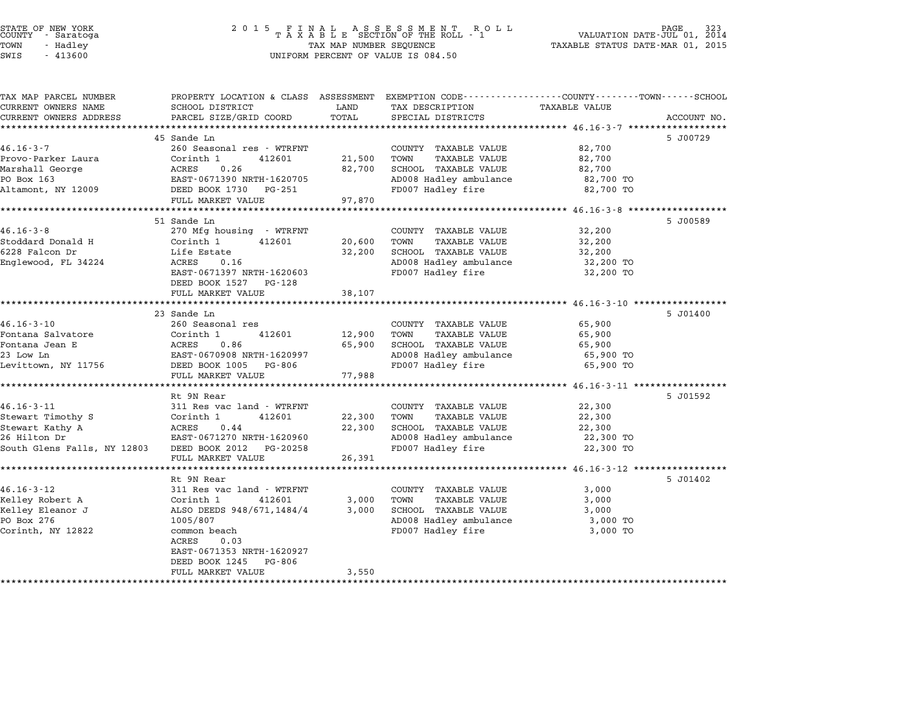# STATE OF NEW YORK <sup>2</sup> <sup>0</sup> <sup>1</sup> 5 F I N A L A S S E S S M E N T R O L L PAGE <sup>323</sup> COUNTY - Saratoga <sup>T</sup> <sup>A</sup> <sup>X</sup> <sup>A</sup> <sup>B</sup> <sup>L</sup> <sup>E</sup> SECTION OF THE ROLL - <sup>1</sup> VALUATION DATE-JUL 01, <sup>2014</sup> TOWN - Hadley TAX MAP NUMBER SEQUENCE TAXABLE STATUS DATE-MAR 01, <sup>2015</sup> STATE OF NEW YORK<br>
COUNTY - Saratoga<br>
TOWN - Hadley TAXABLE SECTION OF THE ROLI<br>
SWIS - 413600 UNIFORM PERCENT OF VALUE IS 084.50

| PROPERTY LOCATION & CLASS ASSESSMENT EXEMPTION CODE---------------COUNTY-------TOWN------SCHOOL<br>TAX MAP PARCEL NUMBER<br>CURRENT OWNERS NAME<br>SCHOOL DISTRICT<br>LAND<br>TAX DESCRIPTION<br>TOTAL<br>CURRENT OWNERS ADDRESS<br>PARCEL SIZE/GRID COORD<br>SPECIAL DISTRICTS<br>45 Sande Ln<br>260 Seasonal res - WTRFNT<br>COUNTY TAXABLE VALUE<br>Corinth 1<br>21,500<br>TOWN<br>TAXABLE VALUE<br>412601<br>ACRES<br>0.26<br>82,700<br>SCHOOL TAXABLE VALUE | <b>TAXABLE VALUE</b><br>ACCOUNT NO.<br>5 J00729<br>82,700<br>82,700<br>82,700<br>82,700 TO<br>82,700 TO |
|------------------------------------------------------------------------------------------------------------------------------------------------------------------------------------------------------------------------------------------------------------------------------------------------------------------------------------------------------------------------------------------------------------------------------------------------------------------|---------------------------------------------------------------------------------------------------------|
|                                                                                                                                                                                                                                                                                                                                                                                                                                                                  |                                                                                                         |
| $46.16 - 3 - 7$<br>Provo-Parker Laura<br>Marshall George                                                                                                                                                                                                                                                                                                                                                                                                         |                                                                                                         |
|                                                                                                                                                                                                                                                                                                                                                                                                                                                                  |                                                                                                         |
|                                                                                                                                                                                                                                                                                                                                                                                                                                                                  |                                                                                                         |
|                                                                                                                                                                                                                                                                                                                                                                                                                                                                  |                                                                                                         |
|                                                                                                                                                                                                                                                                                                                                                                                                                                                                  |                                                                                                         |
| PO Box 163<br>AD008 Hadley ambulance<br>EAST-0671390 NRTH-1620705                                                                                                                                                                                                                                                                                                                                                                                                |                                                                                                         |
| Altamont, NY 12009<br>DEED BOOK 1730<br>FD007 Hadley fire<br>PG-251                                                                                                                                                                                                                                                                                                                                                                                              |                                                                                                         |
| 97,870<br>FULL MARKET VALUE                                                                                                                                                                                                                                                                                                                                                                                                                                      |                                                                                                         |
| 51 Sande Ln                                                                                                                                                                                                                                                                                                                                                                                                                                                      | 5 J00589                                                                                                |
| $46.16 - 3 - 8$<br>270 Mfg housing - WTRFNT<br>COUNTY TAXABLE VALUE                                                                                                                                                                                                                                                                                                                                                                                              | 32,200                                                                                                  |
| Stoddard Donald H<br>Corinth 1<br>412601<br>20,600<br>TOWN<br><b>TAXABLE VALUE</b>                                                                                                                                                                                                                                                                                                                                                                               | 32,200                                                                                                  |
| 6228 Falcon Dr<br>Life Estate<br>32,200<br>SCHOOL TAXABLE VALUE                                                                                                                                                                                                                                                                                                                                                                                                  | 32,200                                                                                                  |
| AD008 Hadley ambulance<br>Englewood, FL 34224<br>ACRES<br>0.16                                                                                                                                                                                                                                                                                                                                                                                                   | 32,200 TO                                                                                               |
| EAST-0671397 NRTH-1620603<br>FD007 Hadley fire                                                                                                                                                                                                                                                                                                                                                                                                                   | 32,200 TO                                                                                               |
| DEED BOOK 1527<br>PG-128                                                                                                                                                                                                                                                                                                                                                                                                                                         |                                                                                                         |
| FULL MARKET VALUE<br>38,107                                                                                                                                                                                                                                                                                                                                                                                                                                      |                                                                                                         |
| ***********************************                                                                                                                                                                                                                                                                                                                                                                                                                              |                                                                                                         |
| 23 Sande Ln                                                                                                                                                                                                                                                                                                                                                                                                                                                      | 5 J01400                                                                                                |
| $46.16 - 3 - 10$<br>260 Seasonal res<br>COUNTY TAXABLE VALUE                                                                                                                                                                                                                                                                                                                                                                                                     | 65,900                                                                                                  |
| 412601<br>12,900<br>Fontana Salvatore<br>Corinth 1<br>TOWN<br><b>TAXABLE VALUE</b>                                                                                                                                                                                                                                                                                                                                                                               | 65,900                                                                                                  |
| 0.86<br>65,900<br>Fontana Jean E<br>ACRES<br>SCHOOL TAXABLE VALUE                                                                                                                                                                                                                                                                                                                                                                                                | 65,900                                                                                                  |
| EAST-0670908 NRTH-1620997<br>AD008 Hadley ambulance<br>23 Low Ln                                                                                                                                                                                                                                                                                                                                                                                                 | 65,900 TO                                                                                               |
| FD007 Hadley fire<br>Levittown, NY 11756<br>DEED BOOK 1005<br>PG-806<br>77,988<br>FULL MARKET VALUE                                                                                                                                                                                                                                                                                                                                                              | 65,900 TO                                                                                               |
| **************************                                                                                                                                                                                                                                                                                                                                                                                                                                       | ******************* 46.16-3-11 *****                                                                    |
| Rt 9N Rear                                                                                                                                                                                                                                                                                                                                                                                                                                                       | 5 J01592                                                                                                |
| $46.16 - 3 - 11$<br>311 Res vac land - WTRFNT<br>COUNTY TAXABLE VALUE                                                                                                                                                                                                                                                                                                                                                                                            | 22,300                                                                                                  |
| Stewart Timothy S<br>412601<br>22,300<br>TOWN<br>Corinth 1<br>TAXABLE VALUE                                                                                                                                                                                                                                                                                                                                                                                      | 22,300                                                                                                  |
| Stewart Kathy A<br>ACRES<br>0.44<br>22,300<br>SCHOOL TAXABLE VALUE                                                                                                                                                                                                                                                                                                                                                                                               | 22,300                                                                                                  |
| 26 Hilton Dr<br>EAST-0671270 NRTH-1620960<br>AD008 Hadley ambulance                                                                                                                                                                                                                                                                                                                                                                                              | 22,300 TO                                                                                               |
| DEED BOOK 2012<br>FD007 Hadley fire<br>South Glens Falls, NY 12803<br>PG-20258                                                                                                                                                                                                                                                                                                                                                                                   | 22,300 TO                                                                                               |
| 26,391<br>FULL MARKET VALUE                                                                                                                                                                                                                                                                                                                                                                                                                                      |                                                                                                         |
| **************************                                                                                                                                                                                                                                                                                                                                                                                                                                       |                                                                                                         |
| Rt 9N Rear                                                                                                                                                                                                                                                                                                                                                                                                                                                       | 5 J01402                                                                                                |
| $46.16 - 3 - 12$<br>311 Res vac land - WTRFNT<br>COUNTY TAXABLE VALUE                                                                                                                                                                                                                                                                                                                                                                                            | 3,000                                                                                                   |
| Kelley Robert A<br>Corinth 1<br>412601<br>3,000<br>TOWN<br><b>TAXABLE VALUE</b>                                                                                                                                                                                                                                                                                                                                                                                  | 3,000                                                                                                   |
| Kelley Eleanor J<br>SCHOOL TAXABLE VALUE<br>ALSO DEEDS 948/671, 1484/4<br>3,000<br>PO Box 276                                                                                                                                                                                                                                                                                                                                                                    | 3,000                                                                                                   |
| AD008 Hadley ambulance<br>1005/807                                                                                                                                                                                                                                                                                                                                                                                                                               | 3,000 TO                                                                                                |
| FD007 Hadley fire<br>Corinth, NY 12822<br>common beach<br>ACRES<br>0.03                                                                                                                                                                                                                                                                                                                                                                                          | 3,000 TO                                                                                                |
| EAST-0671353 NRTH-1620927<br>DEED BOOK 1245<br>PG-806                                                                                                                                                                                                                                                                                                                                                                                                            |                                                                                                         |
| FULL MARKET VALUE<br>3,550                                                                                                                                                                                                                                                                                                                                                                                                                                       |                                                                                                         |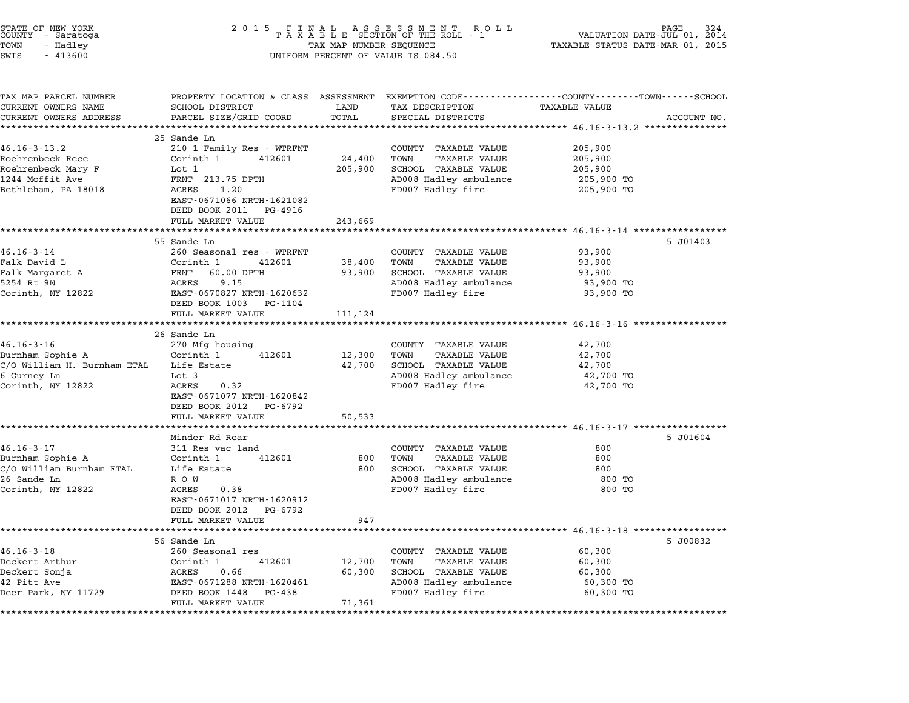| STATE OF NEW YORK<br>COUNTY - Saratoga<br>TOWN<br>- Hadley<br>SWIS<br>$-413600$                                                              | 2 0 1 5<br>FINAL ASSESSMENT ROLL<br>TAXABLE SECTION OF THE ROLL - 1<br>TAX MAP NUMBER SEQUENCE<br>VALUATION DATE- $JU\tilde{L}$ 01,<br>TAX MAP NUMBER SEQUENCE<br>TAXABLE STATUS DATE-MAR 01, 2015<br>UNIFORM PERCENT OF VALUE IS 084.50 |               |                                             |                                                                                                                  | 2014        |
|----------------------------------------------------------------------------------------------------------------------------------------------|------------------------------------------------------------------------------------------------------------------------------------------------------------------------------------------------------------------------------------------|---------------|---------------------------------------------|------------------------------------------------------------------------------------------------------------------|-------------|
| TAX MAP PARCEL NUMBER<br>CURRENT OWNERS NAME<br>CURRENT OWNERS ADDRESS                                                                       | SCHOOL DISTRICT<br>PARCEL SIZE/GRID COORD                                                                                                                                                                                                | LAND<br>TOTAL | TAX DESCRIPTION<br>SPECIAL DISTRICTS        | PROPERTY LOCATION & CLASS ASSESSMENT EXEMPTION CODE---------------COUNTY-------TOWN------SCHOOL<br>TAXABLE VALUE | ACCOUNT NO. |
| ***********************                                                                                                                      |                                                                                                                                                                                                                                          |               |                                             |                                                                                                                  |             |
|                                                                                                                                              | 25 Sande Ln                                                                                                                                                                                                                              |               |                                             |                                                                                                                  |             |
| $46.16 - 3 - 13.2$                                                                                                                           | 210 1 Family Res - WTRFNT                                                                                                                                                                                                                |               | COUNTY TAXABLE VALUE                        | 205,900                                                                                                          |             |
| Roehrenbeck Rece                                                                                                                             | Corinth 1<br>412601                                                                                                                                                                                                                      | 24,400        | TOWN<br>TAXABLE VALUE                       | 205,900                                                                                                          |             |
| Roehrenbeck Mary F                                                                                                                           | Lot 1                                                                                                                                                                                                                                    | 205,900       | SCHOOL TAXABLE VALUE                        | 205,900                                                                                                          |             |
| 1244 Moffit Ave                                                                                                                              | FRNT 213.75 DPTH                                                                                                                                                                                                                         |               | AD008 Hadley ambulance                      | 205,900 TO                                                                                                       |             |
| Bethleham, PA 18018                                                                                                                          | ACRES<br>1.20<br>EAST-0671066 NRTH-1621082                                                                                                                                                                                               |               | FD007 Hadley fire                           | 205,900 TO                                                                                                       |             |
|                                                                                                                                              | DEED BOOK 2011 PG-4916                                                                                                                                                                                                                   |               |                                             |                                                                                                                  |             |
|                                                                                                                                              | FULL MARKET VALUE                                                                                                                                                                                                                        | 243,669       |                                             | ************************* 46.16-3-14 **************                                                              |             |
|                                                                                                                                              | 55 Sande Ln                                                                                                                                                                                                                              |               |                                             |                                                                                                                  | 5 J01403    |
| $46.16 - 3 - 14$                                                                                                                             | 260 Seasonal res - WTRFNT                                                                                                                                                                                                                |               | COUNTY TAXABLE VALUE                        | 93,900                                                                                                           |             |
| Falk David L                                                                                                                                 | Corinth 1<br>412601                                                                                                                                                                                                                      | 38,400        | TOWN<br><b>TAXABLE VALUE</b>                | 93,900                                                                                                           |             |
| Falk Margaret A                                                                                                                              | FRNT 60.00 DPTH                                                                                                                                                                                                                          | 93,900        | SCHOOL TAXABLE VALUE                        | 93,900                                                                                                           |             |
| 5254 Rt 9N                                                                                                                                   | ACRES<br>9.15                                                                                                                                                                                                                            |               | AD008 Hadley ambulance                      | 93,900 TO                                                                                                        |             |
| Corinth, NY 12822                                                                                                                            | EAST-0670827 NRTH-1620632                                                                                                                                                                                                                |               | FD007 Hadley fire                           | 93,900 TO                                                                                                        |             |
|                                                                                                                                              | DEED BOOK 1003 PG-1104                                                                                                                                                                                                                   |               |                                             |                                                                                                                  |             |
|                                                                                                                                              | FULL MARKET VALUE                                                                                                                                                                                                                        | 111,124       |                                             |                                                                                                                  |             |
|                                                                                                                                              |                                                                                                                                                                                                                                          |               |                                             |                                                                                                                  |             |
| $46.16 - 3 - 16$                                                                                                                             | 26 Sande Ln<br>270 Mfg housing                                                                                                                                                                                                           |               | COUNTY TAXABLE VALUE                        | 42,700                                                                                                           |             |
| Burnham Sophie A                                                                                                                             | Corinth 1<br>412601                                                                                                                                                                                                                      | 12,300        | TOWN<br>TAXABLE VALUE                       | 42,700                                                                                                           |             |
| C/O William H. Burnham ETAL Life Estate                                                                                                      |                                                                                                                                                                                                                                          | 42,700        | SCHOOL TAXABLE VALUE                        | 42,700                                                                                                           |             |
|                                                                                                                                              |                                                                                                                                                                                                                                          |               |                                             |                                                                                                                  |             |
|                                                                                                                                              |                                                                                                                                                                                                                                          |               |                                             |                                                                                                                  |             |
|                                                                                                                                              | Lot 3                                                                                                                                                                                                                                    |               | AD008 Hadley ambulance                      | 42,700 TO                                                                                                        |             |
| 6 Gurney Ln<br>Corinth, NY 12822                                                                                                             | ACRES<br>0.32<br>EAST-0671077 NRTH-1620842<br>DEED BOOK 2012<br>PG-6792                                                                                                                                                                  |               | FD007 Hadley fire                           | 42,700 TO                                                                                                        |             |
|                                                                                                                                              | FULL MARKET VALUE                                                                                                                                                                                                                        | 50,533        |                                             |                                                                                                                  |             |
|                                                                                                                                              |                                                                                                                                                                                                                                          |               |                                             |                                                                                                                  |             |
|                                                                                                                                              | Minder Rd Rear                                                                                                                                                                                                                           |               |                                             |                                                                                                                  | 5 J01604    |
|                                                                                                                                              | 311 Res vac land                                                                                                                                                                                                                         |               | COUNTY TAXABLE VALUE                        | 800                                                                                                              |             |
|                                                                                                                                              | Corinth 1<br>412601                                                                                                                                                                                                                      | 800           | TOWN<br>TAXABLE VALUE                       | 800                                                                                                              |             |
|                                                                                                                                              | Life Estate                                                                                                                                                                                                                              | 800           | SCHOOL TAXABLE VALUE                        | 800                                                                                                              |             |
|                                                                                                                                              | R O W                                                                                                                                                                                                                                    |               | AD008 Hadley ambulance                      | 800 TO                                                                                                           |             |
|                                                                                                                                              | ACRES<br>0.38                                                                                                                                                                                                                            |               | FD007 Hadley fire                           | 800 TO                                                                                                           |             |
|                                                                                                                                              | EAST-0671017 NRTH-1620912                                                                                                                                                                                                                |               |                                             |                                                                                                                  |             |
|                                                                                                                                              | DEED BOOK 2012<br>PG-6792                                                                                                                                                                                                                |               |                                             |                                                                                                                  |             |
|                                                                                                                                              | FULL MARKET VALUE                                                                                                                                                                                                                        | 947           |                                             |                                                                                                                  |             |
|                                                                                                                                              |                                                                                                                                                                                                                                          |               |                                             |                                                                                                                  |             |
|                                                                                                                                              | 56 Sande Ln                                                                                                                                                                                                                              |               |                                             |                                                                                                                  | 5 J00832    |
|                                                                                                                                              | 260 Seasonal res                                                                                                                                                                                                                         |               | COUNTY TAXABLE VALUE                        | 60,300                                                                                                           |             |
| 26 Sande Ln                                                                                                                                  | Corinth 1<br>412601                                                                                                                                                                                                                      | 12,700        | TOWN<br>TAXABLE VALUE                       | 60,300                                                                                                           |             |
| $46.16 - 3 - 17$<br>Burnham Sophie A<br>C/O William Burnham ETAL<br>Corinth, NY 12822<br>$46.16 - 3 - 18$<br>Deckert Arthur<br>Deckert Sonja | ACRES<br>0.66                                                                                                                                                                                                                            | 60,300        | SCHOOL TAXABLE VALUE                        | 60,300                                                                                                           |             |
| 42 Pitt Ave<br>Deer Park, NY 11729                                                                                                           | EAST-0671288 NRTH-1620461<br>DEED BOOK 1448 PG-438                                                                                                                                                                                       |               | AD008 Hadley ambulance<br>FD007 Hadley fire | 60,300 TO<br>60,300 TO                                                                                           |             |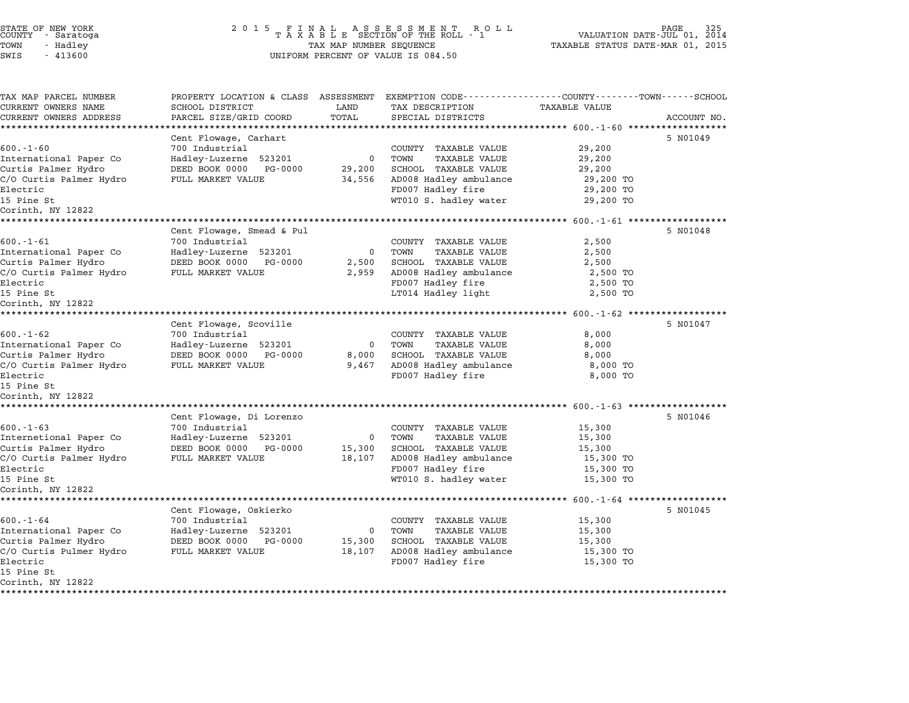| STATE OF NEW YORK<br>COUNTY |           | - Saratoga |  |
|-----------------------------|-----------|------------|--|
| TOWN                        | - Hadley  |            |  |
| C'MT C'                     | $-113600$ |            |  |

## STATE OF NEW YORK <sup>2</sup> <sup>0</sup> <sup>1</sup> 5 F I N A L A S S E S S M E N T R O L L PAGE <sup>325</sup> COUNTY - Saratoga <sup>T</sup> <sup>A</sup> <sup>X</sup> <sup>A</sup> <sup>B</sup> <sup>L</sup> <sup>E</sup> SECTION OF THE ROLL - <sup>1</sup> VALUATION DATE-JUL 01, <sup>2014</sup> TOWN - Hadley TAX MAP NUMBER SEQUENCE TAXABLE STATUS DATE-MAR 01, <sup>2015</sup> SUGNII - SALACUJA<br>TOWN - HAAR MAR NA MAR NO TAK A B LI DECLIN OF IRE NOT<br>SWIS - 413600 UNIFORM PERCENT OF VALUE IS 084.50

TAX MAP PARCEL NUMBER PROPERTY LOCATION & CLASS ASSESSMENT EXEMPTION CODE------------------COUNTY--------TOWN------SCHOOL ...<br>-- COUNTY:- TAX MAP PARCEL NUMBER THE OCHOTRY AND THE CURRENT EXEMPTION CODE<br>CURRENT OWNERS NAME SCHOOL DISTRICT LAND TAX DESCRIPTION TAXABLE VALUE CURRENT OWNERS ADDRESS PARCEL SIZE/GRID COORD TOTAL SPECIAL DISTRICTS ACCOUNT NO. \*\*\*\*\*\*\*\*\*\*\*\*\*\*\*\*\*\*\*\*\*\*\*\*\*\*\*\*\*\*\*\*\*\*\*\*\*\*\*\*\*\*\*\*\*\*\*\*\*\*\*\*\*\*\*\*\*\*\*\*\*\*\*\*\*\*\*\*\*\*\*\*\*\*\*\*\*\*\*\*\*\*\*\*\*\*\*\*\*\*\*\*\*\*\*\*\*\*\*\*\*\*\* 600.-1-60 \*\*\*\*\*\*\*\*\*\*\*\*\*\*\*\*\*\* Cent Flowage, Carhart 5 N01049 ERRETAIN AND RESERVE TO COUNTY TAXABLE VALUE 29,200<br>
FOO.-1-60 700 Industrial COUNTY TAXABLE VALUE 29,200 International Paper Co Hadley-Luzerne <sup>523201</sup> <sup>0</sup> TOWN TAXABLE VALUE 29,200 USICAL SURFACE OF THE MANUE ON THE CURRENT ON THAND AND 2012,200<br>International Paper Co and Hotel Huzerne 523201 0 TOWN TAXABLE VALUE 29,200<br>Curtis Palmer Hydro DEED BOOK 0000 PG-0000 29,200 SCHOOL TAXABLE VALUE 29,200 C/O Curtis Palmer Hydro FULL MARKET VALUE 34,556 AD008 Hadley ambulance 29,200 TO CULLIS FAIMEL HYULO COLLEGY OF THE COLLEGY OF A SUITE OF THANDLE VALUE AND TRANSPORTED TO A LOTE OF THE COLLEG<br>C/O Curtis Palmer Hydro FULL MARKET VALUE 34,556 AD008 Hadley anbulance 29,200 TO Curtis Palmer 29,200 TO C/O Curris Faimer Hydro (29,200 TO Backet VADOE) Strategy ADOOS Hadley amburance (29,200 TO Bectric (29,200 TO<br>Electric (29,200 TO Bectric (29,200 TO Bectric (29,200 TO Bectric (29,200 TO Electric<br>15 Pine St<br>Corinth, NY 12822 \*\*\*\*\*\*\*\*\*\*\*\*\*\*\*\*\*\*\*\*\*\*\*\*\*\*\*\*\*\*\*\*\*\*\*\*\*\*\*\*\*\*\*\*\*\*\*\*\*\*\*\*\*\*\*\*\*\*\*\*\*\*\*\*\*\*\*\*\*\*\*\*\*\*\*\*\*\*\*\*\*\*\*\*\*\*\*\*\*\*\*\*\*\*\*\*\*\*\*\*\*\*\* 600.-1-61 \*\*\*\*\*\*\*\*\*\*\*\*\*\*\*\*\*\* Cent Flowage, Smead & Pul <sup>5</sup> N01048 600.-1-61 <sup>700</sup> Industrial COUNTY TAXABLE VALUE 2,500 International Paper Co Hadley-Luzerne <sup>523201</sup> <sup>0</sup> TOWN TAXABLE VALUE 2,500 Curtis Palmer Hydro DEED BOOK <sup>0000</sup> PG-0000 2,500 SCHOOL TAXABLE VALUE 2,500 CHRITCHE COMPONE TRANSPORT OF THE CONTROL OF THE CONTROL TRANSPORT AND LARABLE VALUE 2,500<br>Curtis Palmer Hydro BULD MARKET VALUE 2,959 AD008 Hadley ambulance 2,500 TO Cultis Faimer Hydro (DEED BOOK 0000 FG-0000 2,500 SCHOOL TAXABLE VALUE 2,500 2,500<br>C/O Curtis Palmer Hydro (PULL MARKET VALUE 2,959 AD008 Hadley ambulance 2,500 TO<br>Electric (FD007 Hadley fire 2,500 TO 070 ULLES FAIMER INVITO A POINT PARKER VANGE OF A 2,555 ADOOD HAILEY AND HAVEN 2,500 TO<br>15 Pine St 2,500 TO<br>15 Pine St 2,500 TO Electric<br>15 Pine St<br>Corinth, NY 12822 \*\*\*\*\*\*\*\*\*\*\*\*\*\*\*\*\*\*\*\*\*\*\*\*\*\*\*\*\*\*\*\*\*\*\*\*\*\*\*\*\*\*\*\*\*\*\*\*\*\*\*\*\*\*\*\*\*\*\*\*\*\*\*\*\*\*\*\*\*\*\*\*\*\*\*\*\*\*\*\*\*\*\*\*\*\*\*\*\*\*\*\*\*\*\*\*\*\*\*\*\*\*\* 600.-1-62 \*\*\*\*\*\*\*\*\*\*\*\*\*\*\*\*\*\* Cent Flowage, Scoville 5 N01047 ERRETA ENTERTAINMENT ANNO 1999. SCOULLE CONTROLLED AND TO COUNTY TAXABLE VALUE RANGE ON A SALEMA SUBMISSION OF<br>
SOOR-1-62 700 Industrial COUNTY TAXABLE VALUE 8,000 International Paper Co Hadley-Luzerne <sup>523201</sup> <sup>0</sup> TOWN TAXABLE VALUE 8,000 USICAL CURTIS OF THE CURRENT OF CURRENT OUTLES AND USING A SUCHOL CONTROLL OF SUCHOL SUPER SUPER SUPER SUPER SU<br>The DEED BOOK 0000 PG-0000 8,000 SCHOOL TAXABLE VALUE 8,000 8,000 8,000 SCHOOL TAXABLE VALUE 8,000 C/O Curtis Palmer Hydro FULL MARKET VALUE 9,467 AD008 Hadley ambulance 8,000 TO CULLIS FAIMEL HYULO BELLE DOOK 0000 TO 0000 0,000 DONOO HAADLE VALUE OF 0,000 NOTED 0,000 TO 0,000 TO 0,000 TO<br>C/O Curtis Palmer Hydro FULL MARKET VALUE 9,467 AD00 Hadley ambulance 8,000 TO 9,467 AD00 TO 8,000 TO c/o curcis<br>Electric<br>15 Pine St Electric<br>15 Pine St<br>Corinth, NY 12822 \*\*\*\*\*\*\*\*\*\*\*\*\*\*\*\*\*\*\*\*\*\*\*\*\*\*\*\*\*\*\*\*\*\*\*\*\*\*\*\*\*\*\*\*\*\*\*\*\*\*\*\*\*\*\*\*\*\*\*\*\*\*\*\*\*\*\*\*\*\*\*\*\*\*\*\*\*\*\*\*\*\*\*\*\*\*\*\*\*\*\*\*\*\*\*\*\*\*\*\*\*\*\* 600.-1-63 \*\*\*\*\*\*\*\*\*\*\*\*\*\*\*\*\*\* Cent Flowage, Di Lorenzo 5 N01046 600.-1-63 <sup>700</sup> Industrial COUNTY TAXABLE VALUE 15,300 USIL PROVIDED ON MARKET COUNTY TAXABLE VALUE 15,300<br>TOO Industrial Paper Co Madley-Luzerne 523201 0 TOWN TAXABLE VALUE 15,300<br>Internetional Paper Co Hadley-Luzerne 523201 0 TOWN TAXABLE VALUE 15,300 Curtis Palmer Hydro DEED BOOK <sup>0000</sup> PG-0000 15,300 SCHOOL TAXABLE VALUE 15,300 CHRETT COMMUNIST AND DESIGN OF THE CONSULTER AND TRANSFORMATION OF TRANSFORMATION OF TRANSFORMATION OF TRANSFOR<br>Curtis Palmer Hydro BEED BORKET VALUE 18,107 AD008 Hadley ambulance 15,300 TO 15,300 TO Cultis Faimer Hydro (DEED BOOK 0000 FG-0000 13,300 SCHOOL TAXABLE VALUE 15,300 13,500<br>C/O Curtis Palmer Hydro (TULL MARKET VALUE 18,107 AD008 Hadley ambulance 15,300 TO<br>Electric (FD007 Hadley fire 15,300 TO 070 ULLES FAIMER INVITO A POLITIFICATION CONTROL TO, IO, ADVOCTINATE ABOUT ADVISIONALLES (SO TO TO THANKING IN<br>15,300 TO TOOD HANKING THE POOP HARD FOR SURFAIR (SO TO TO THE PAIR OF THE SURFAIR OF THE SO TO TO TO TO TO TO Electric<br>15 Pine St<br>Corinth, NY 12822 \*\*\*\*\*\*\*\*\*\*\*\*\*\*\*\*\*\*\*\*\*\*\*\*\*\*\*\*\*\*\*\*\*\*\*\*\*\*\*\*\*\*\*\*\*\*\*\*\*\*\*\*\*\*\*\*\*\*\*\*\*\*\*\*\*\*\*\*\*\*\*\*\*\*\*\*\*\*\*\*\*\*\*\*\*\*\*\*\*\*\*\*\*\*\*\*\*\*\*\*\*\*\* 600.-1-64 \*\*\*\*\*\*\*\*\*\*\*\*\*\*\*\*\*\* Cent Flowage, Oskierko 5 N01045 ERRANGALA ANG PARAMALANAN ANG PARAMALANAN ANG PARAMALANAN ANG PARAMALANAN ANG PARAMALANAN ANG POSITY PATABLE VALUE 15,300<br>
FOOL.1-64 700 Industrial COUNTY TAXABLE VALUE 15,300 International Paper Co Hadley-Luzerne <sup>523201</sup> <sup>0</sup> TOWN TAXABLE VALUE 15,300 USICAL USICAL DEED TRANSPORT (NO INGLESS ISSUE 2000) TO DEED AND TRANSPORT ON THE PRODUCER AND TRANSPORT ON TH<br>The DEED BOOK 0000 PG-0000 15,300 SCHOOL TAXABLE VALUE 15,300 SCHOOL TAXABLE VALUE 15,300 C/O Curtis Pulmer Hydro FULL MARKET VALUE 18,107 AD008 Hadley ambulance 15,300 TO Curris Farmer hydro (Electric Foundation of the US Providence of the Haddel Haddel and the US,300 TO (Ourtric<br>C/O Curris Pulmer Hydro (Electric FULL MARKET VALUE 18,107 AD008 Hadley fire 15,300 TO 15,300 TO Electric<br>15 Pine St Corinth, NY <sup>12822</sup> \*\*\*\*\*\*\*\*\*\*\*\*\*\*\*\*\*\*\*\*\*\*\*\*\*\*\*\*\*\*\*\*\*\*\*\*\*\*\*\*\*\*\*\*\*\*\*\*\*\*\*\*\*\*\*\*\*\*\*\*\*\*\*\*\*\*\*\*\*\*\*\*\*\*\*\*\*\*\*\*\*\*\*\*\*\*\*\*\*\*\*\*\*\*\*\*\*\*\*\*\*\*\*\*\*\*\*\*\*\*\*\*\*\*\*\*\*\*\*\*\*\*\*\*\*\*\*\*\*\*\*\*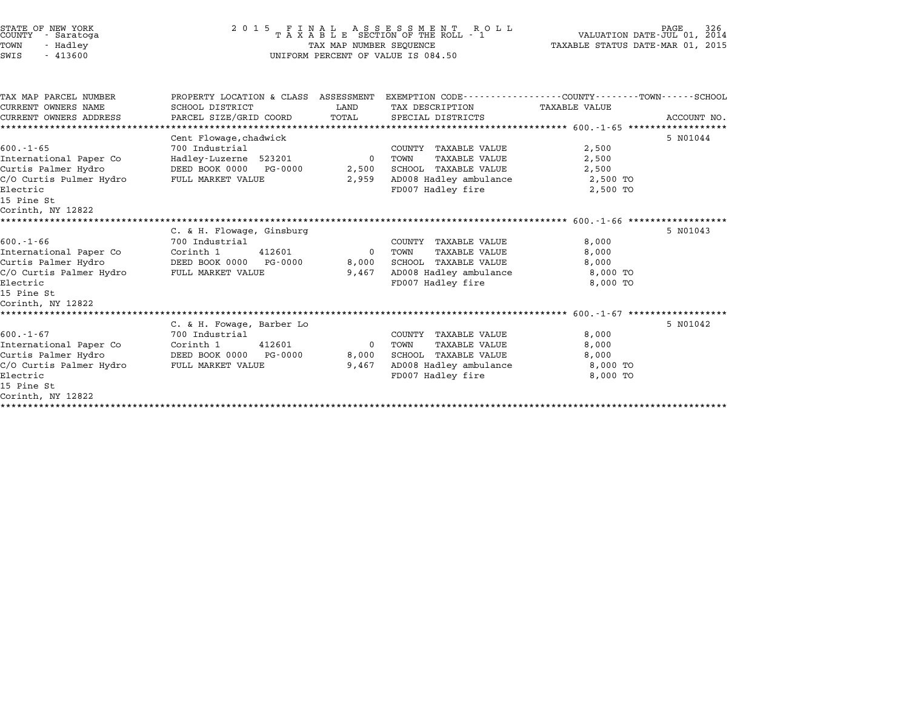| STATE OF NEW YORK<br><b>COUNTY</b><br>- Saratoga<br>TOWN<br>- Hadley<br>$-413600$<br>SWIS                                                                  | 2 0 1 5<br>FINAL<br>TAXABLE<br>A S S E S S M E N T R (<br>SECTION OF THE ROLL - 1<br>R O L L<br>TAX MAP NUMBER SEQUENCE<br>UNIFORM PERCENT OF VALUE IS 084.50 |                               |                                                                                                                                    | 326<br>PAGE<br>VALUATION DATE-JUL 01, 2014<br>TAXABLE STATUS DATE-MAR 01, 2015 |             |  |
|------------------------------------------------------------------------------------------------------------------------------------------------------------|---------------------------------------------------------------------------------------------------------------------------------------------------------------|-------------------------------|------------------------------------------------------------------------------------------------------------------------------------|--------------------------------------------------------------------------------|-------------|--|
| TAX MAP PARCEL NUMBER<br>CURRENT OWNERS NAME<br>CURRENT OWNERS ADDRESS                                                                                     | PROPERTY LOCATION & CLASS ASSESSMENT<br>SCHOOL DISTRICT<br>PARCEL SIZE/GRID COORD                                                                             | LAND<br>TOTAL                 | EXEMPTION CODE-----------------COUNTY-------TOWN------SCHOOL<br>TAX DESCRIPTION<br>SPECIAL DISTRICTS                               | <b>TAXABLE VALUE</b>                                                           | ACCOUNT NO. |  |
| $600. - 1 - 65$<br>International Paper Co<br>Curtis Palmer Hydro<br>C/O Curtis Pulmer Hydro<br>Electric<br>15 Pine St<br>Corinth, NY 12822                 | Cent Flowage, chadwick<br>700 Industrial<br>Hadley-Luzerne 523201<br>DEED BOOK 0000<br>PG-0000<br>FULL MARKET VALUE                                           | $\mathbf 0$<br>2,500<br>2,959 | COUNTY TAXABLE VALUE<br><b>TAXABLE VALUE</b><br>TOWN<br><b>SCHOOL TAXABLE VALUE</b><br>AD008 Hadley ambulance<br>FD007 Hadley fire | 2,500<br>2,500<br>2,500<br>2,500 TO<br>2,500 TO                                | 5 N01044    |  |
| $600. -1 - 66$<br>International Paper Co<br>Curtis Palmer Hydro<br>C/O Curtis Palmer Hydro<br>Electric<br>15 Pine St<br>Corinth, NY 12822                  | C. & H. Flowage, Ginsburg<br>700 Industrial<br>Corinth 1<br>412601<br>DEED BOOK 0000<br>PG-0000<br>FULL MARKET VALUE                                          | 0<br>8,000<br>9,467           | COUNTY TAXABLE VALUE<br>TOWN<br><b>TAXABLE VALUE</b><br><b>SCHOOL TAXABLE VALUE</b><br>AD008 Hadley ambulance<br>FD007 Hadley fire | 8,000<br>8,000<br>8,000<br>8,000 TO<br>8,000 TO                                | 5 N01043    |  |
| $600. - 1 - 67$<br>International Paper Co<br>Curtis Palmer Hydro<br>C/O Curtis Palmer Hydro<br>Electric<br>15 Pine St<br>Corinth, NY 12822<br>************ | C. & H. Fowage, Barber Lo<br>700 Industrial<br>Corinth 1<br>412601<br>DEED BOOK 0000<br>PG-0000<br>FULL MARKET VALUE                                          | 0<br>8,000<br>9,467           | COUNTY TAXABLE VALUE<br>TOWN<br><b>TAXABLE VALUE</b><br>SCHOOL TAXABLE VALUE<br>AD008 Hadley ambulance<br>FD007 Hadley fire        | 8,000<br>8,000<br>8,000<br>8,000 TO<br>8,000 TO                                | 5 N01042    |  |

STATE OF NEW YORK <sup>2</sup> <sup>0</sup> <sup>1</sup> 5 F I N A L A S S E S S M E N T R O L L PAGE <sup>326</sup> COUNTY - Saratoga <sup>T</sup> <sup>A</sup> <sup>X</sup> <sup>A</sup> <sup>B</sup> <sup>L</sup> <sup>E</sup> SECTION OF THE ROLL - <sup>1</sup> VALUATION DATE-JUL 01, <sup>2014</sup>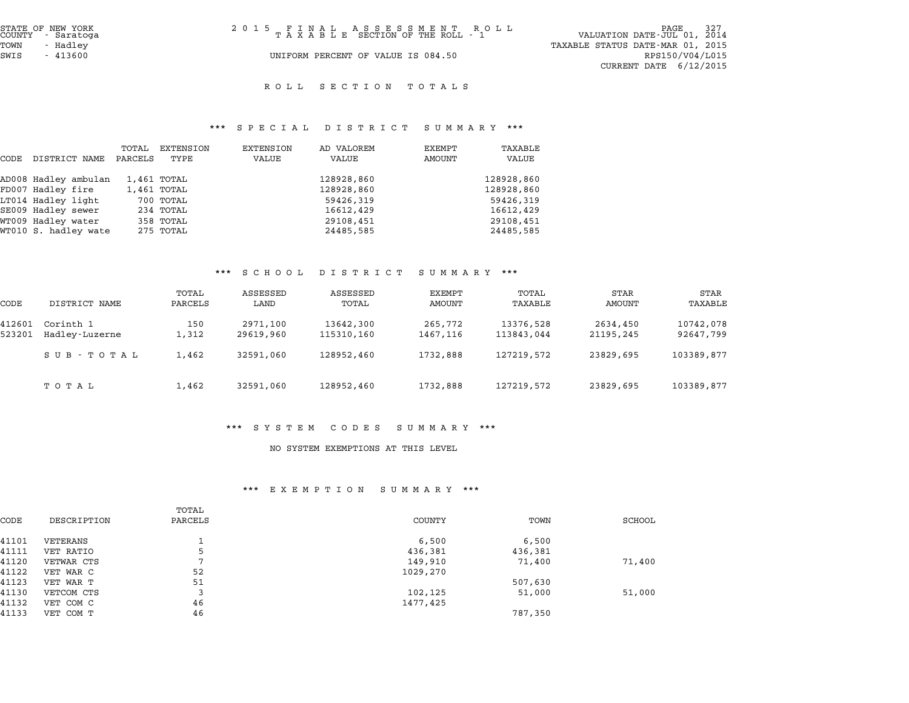| STATE OF NEW YORK<br>COUNTY - Saratoga | 2015 FINAL ASSESSMENT ROLL<br>TAXABLE SECTION OF THE ROLL - 1 | 327<br>PAGE<br>VALUATION DATE-JUL 01, 2014 |
|----------------------------------------|---------------------------------------------------------------|--------------------------------------------|
| TOWN<br>- Hadlev                       |                                                               | TAXABLE STATUS DATE-MAR 01, 2015           |
| SWIS<br>- 413600                       | UNIFORM PERCENT OF VALUE IS 084.50                            | RPS150/V04/L015                            |
|                                        |                                                               | CURRENT DATE $6/12/2015$                   |

ROLL SECTION TOTALS

# \*\*\* S P E C I A L D I S T R I C T S U M M A R Y \*\*\*

|                      | TOTAL   | EXTENSION | EXTENSION                                                                      | AD VALOREM                                                              | EXEMPT | TAXABLE                                          |
|----------------------|---------|-----------|--------------------------------------------------------------------------------|-------------------------------------------------------------------------|--------|--------------------------------------------------|
| DISTRICT NAME        | PARCELS | TYPE      | VALUE                                                                          | VALUE                                                                   | AMOUNT | VALUE                                            |
| AD008 Hadley ambulan |         |           |                                                                                | 128928,860                                                              |        | 128928,860                                       |
| FD007 Hadley fire    |         |           |                                                                                | 128928,860                                                              |        | 128928,860                                       |
| LT014 Hadley light   |         |           |                                                                                | 59426,319                                                               |        | 59426,319                                        |
| SE009 Hadley sewer   |         |           |                                                                                | 16612,429                                                               |        | 16612,429                                        |
| WT009 Hadley water   |         |           |                                                                                | 29108,451                                                               |        | 29108,451                                        |
| WT010 S. hadley wate |         |           |                                                                                | 24485,585                                                               |        | 24485,585                                        |
|                      |         |           | 1,461 TOTAL<br>1,461 TOTAL<br>700 TOTAL<br>234 TOTAL<br>358 TOTAL<br>275 TOTAL | $P_{1}$ $P_{2}$ $P_{3}$ $P_{4}$ $P_{5}$ $P_{6}$ $P_{7}$ $P_{8}$ $P_{9}$ | .      | $\cup$ $\cup$ $\cup$ $\cup$ $\cup$ $\cup$ $\cup$ |

#### \*\*\* S C H O O L D I S T R I C T S U M M A R Y \*\*\*

|                  |                             |                  | <u>30 11 12 12 12</u> | $\mathbf{D}$ $\mathbf{L}$ $\mathbf{D}$ $\mathbf{L}$ $\mathbf{R}$ $\mathbf{L}$ $\mathbf{L}$ $\mathbf{L}$ | $\cup$ 0 $\cup$ 1 $\cup$ $\cup$ 1 |                         |                       |                        |
|------------------|-----------------------------|------------------|-----------------------|---------------------------------------------------------------------------------------------------------|-----------------------------------|-------------------------|-----------------------|------------------------|
| CODE             | DISTRICT NAME               | TOTAL<br>PARCELS | ASSESSED<br>LAND      | ASSESSED<br>TOTAL                                                                                       | EXEMPT<br>AMOUNT                  | TOTAL<br>TAXABLE        | STAR<br>AMOUNT        | <b>STAR</b><br>TAXABLE |
| 412601<br>523201 | Corinth 1<br>Hadley-Luzerne | 150<br>1,312     | 2971,100<br>29619,960 | 13642,300<br>115310,160                                                                                 | 265,772<br>1467,116               | 13376,528<br>113843,044 | 2634,450<br>21195,245 | 10742,078<br>92647,799 |
|                  | SUB - TOTAL                 | 1,462            | 32591,060             | 128952,460                                                                                              | 1732,888                          | 127219,572              | 23829,695             | 103389,877             |
|                  | тотаь                       | 1,462            | 32591,060             | 128952,460                                                                                              | 1732,888                          | 127219,572              | 23829,695             | 103389,877             |

#### \*\*\* S Y S T E M C O D E S S U M M A R Y \*\*\*

NO SYSTEM EXEMPTIONS AT THIS LEVEL

#### \*\*\* E X E M P T I O N S U M M A R Y \*\*\*

|       |             | <br>EA EMFII ON<br>נת מישימים כ<br>. |          |         |        |  |  |  |
|-------|-------------|--------------------------------------|----------|---------|--------|--|--|--|
| CODE  | DESCRIPTION | TOTAL<br>PARCELS                     | COUNTY   | TOWN    | SCHOOL |  |  |  |
| 41101 | VETERANS    |                                      | 6,500    | 6,500   |        |  |  |  |
| 41111 | VET RATIO   | 5                                    | 436,381  | 436,381 |        |  |  |  |
| 41120 | VETWAR CTS  | $\mathbf{r}$                         | 149,910  | 71,400  | 71,400 |  |  |  |
| 41122 | VET WAR C   | 52                                   | 1029,270 |         |        |  |  |  |
| 41123 | VET WAR T   | 51                                   |          | 507,630 |        |  |  |  |
| 41130 | VETCOM CTS  | 3                                    | 102,125  | 51,000  | 51,000 |  |  |  |
| 41132 | VET COM C   | 46                                   | 1477,425 |         |        |  |  |  |
| 41133 | VET COM T   | 46                                   |          | 787,350 |        |  |  |  |
|       |             |                                      |          |         |        |  |  |  |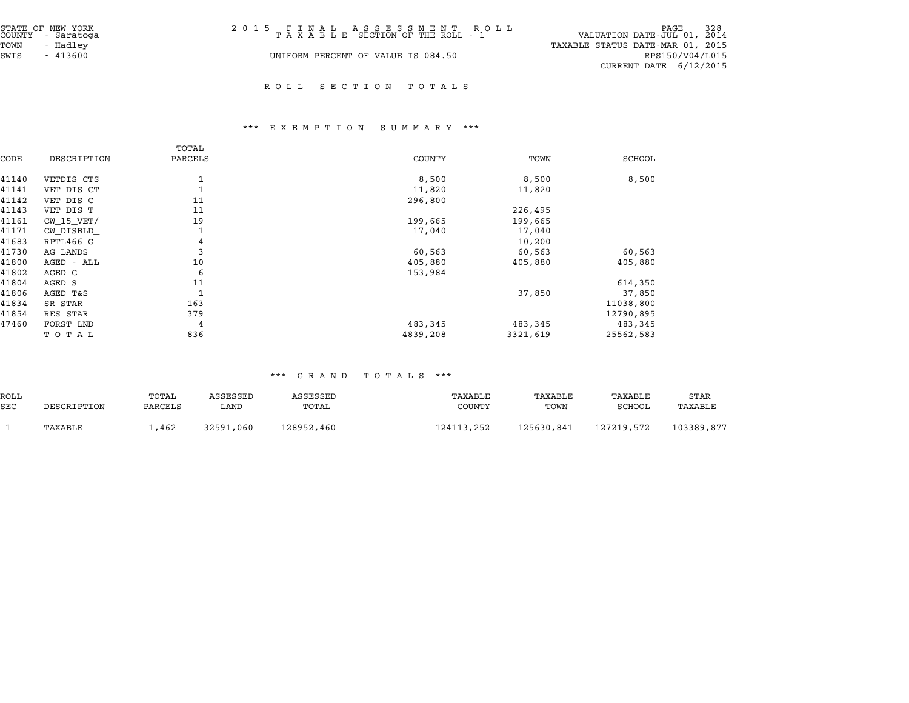| STATE OF NEW YORK<br>COUNTY - Saratoga | 2015 FINAL ASSESSMENT ROLL<br>TAXABLE SECTION OF THE ROLL - 1 | 928 PAGE<br>VALUATION DATE-JUL 01, 2014 |
|----------------------------------------|---------------------------------------------------------------|-----------------------------------------|
| TOWN<br>- Hadlev                       |                                                               | TAXABLE STATUS DATE-MAR 01, 2015        |
| SWIS<br>$-413600$                      | UNIFORM PERCENT OF VALUE IS 084.50                            | RPS150/V04/L015                         |
|                                        |                                                               | CURRENT DATE 6/12/2015                  |

#### R O L L S E C T I O N T O T A L S

#### \*\*\* E X E M P T I O N S U M M A R Y \*\*\*

|       |                | TOTAL   |               |          |           |
|-------|----------------|---------|---------------|----------|-----------|
| CODE  | DESCRIPTION    | PARCELS | <b>COUNTY</b> | TOWN     | SCHOOL    |
| 41140 | VETDIS CTS     |         | 8,500         | 8,500    | 8,500     |
| 41141 | VET DIS CT     |         | 11,820        | 11,820   |           |
| 41142 | VET DIS C      | 11      | 296,800       |          |           |
| 41143 | VET DIS T      | 11      |               | 226,495  |           |
| 41161 | $CW$ 15 $VET/$ | 19      | 199,665       | 199,665  |           |
| 41171 | CW DISBLD      |         | 17,040        | 17,040   |           |
| 41683 | RPTL466 G      | 4       |               | 10,200   |           |
| 41730 | AG LANDS       | 3       | 60,563        | 60,563   | 60,563    |
| 41800 | AGED - ALL     | 10      | 405,880       | 405,880  | 405,880   |
| 41802 | AGED C         | 6       | 153,984       |          |           |
| 41804 | AGED S         | 11      |               |          | 614,350   |
| 41806 | AGED T&S       | 1       |               | 37,850   | 37,850    |
| 41834 | SR STAR        | 163     |               |          | 11038,800 |
| 41854 | RES STAR       | 379     |               |          | 12790,895 |
| 47460 | FORST LND      | 4       | 483,345       | 483,345  | 483,345   |
|       | TOTAL          | 836     | 4839,208      | 3321,619 | 25562,583 |

#### \*\*\* G R A N D T O T A L S \*\*\*

|            | .<br>.      |         |           |            |            |            |            |            |  |  |
|------------|-------------|---------|-----------|------------|------------|------------|------------|------------|--|--|
| ROLL       |             | TOTAL   | ASSESSED  | ASSESSED   | TAXABLE    | TAXABLE    | TAXABLE    | STAR       |  |  |
| <b>SEC</b> | DESCRIPTION | PARCELS | LAND      | TOTAL      | COUNTY     | TOWN       | SCHOOL     | TAXABLE    |  |  |
|            | TAXABLE     | 1,462   | 32591,060 | 128952,460 | 124113,252 | 125630,841 | 127219.572 | 103389,877 |  |  |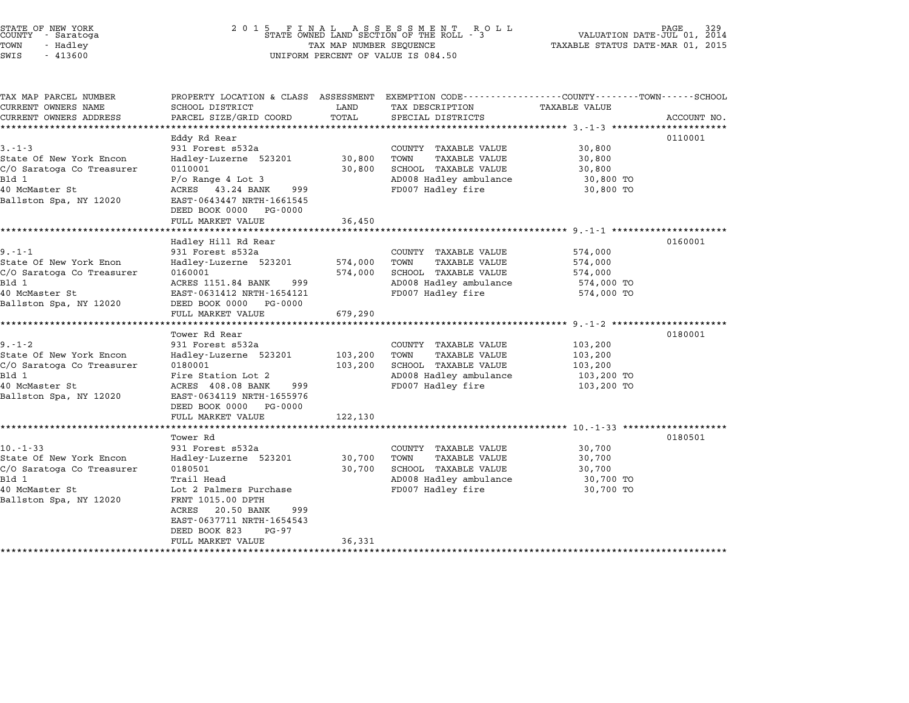| STATE OF NEW YORK |  |            |  |
|-------------------|--|------------|--|
| COUNTY            |  | - Saratoga |  |
| TOWN              |  | - Hadley   |  |
|                   |  |            |  |

## end the New York (2001 5 F I N A L A S S E S S M E N T R O L L R A L RAGE 329 (2015)<br>COUNTY - Saratoga (2014 STATE OWNED LAND SECTION OF THE ROLL - 3 (VALUATION DATE-JUL 01, 2014 TOWN - Hadley TAX MAP NUMBER SEQUENCE TAXABLE STATUS DATE-MAR 01, <sup>2015</sup> SWIS - <sup>413600</sup> UNIFORM PERCENT OF VALUE IS 084.50

| TAX MAP PARCEL NUMBER                                                                       |                                                                          |                  |                                                                      |                                  |             |
|---------------------------------------------------------------------------------------------|--------------------------------------------------------------------------|------------------|----------------------------------------------------------------------|----------------------------------|-------------|
|                                                                                             | PROPERTY LOCATION & CLASS ASSESSMENT                                     |                  | EXEMPTION CODE-----------------COUNTY-------TOWN-----SCHOOL          |                                  |             |
| CURRENT OWNERS NAME                                                                         | SCHOOL DISTRICT                                                          | LAND             | TAX DESCRIPTION                                                      | <b>TAXABLE VALUE</b>             |             |
| CURRENT OWNERS ADDRESS                                                                      | PARCEL SIZE/GRID COORD                                                   | TOTAL            | SPECIAL DISTRICTS                                                    |                                  | ACCOUNT NO. |
|                                                                                             |                                                                          |                  |                                                                      |                                  |             |
| $3 - 1 - 3$                                                                                 | Eddy Rd Rear                                                             |                  |                                                                      |                                  | 0110001     |
| State Of New York Encon                                                                     | 931 Forest s532a                                                         | 30,800           | COUNTY TAXABLE VALUE<br>TOWN<br>TAXABLE VALUE                        | 30,800<br>30,800                 |             |
| C/O Saratoga Co Treasurer                                                                   | Hadley-Luzerne 523201<br>0110001                                         | 30,800           | SCHOOL TAXABLE VALUE                                                 | 30,800                           |             |
| Bld 1                                                                                       | $P$ /o Range 4 Lot 3                                                     |                  | AD008 Hadley ambulance                                               | 30,800 TO                        |             |
| 40 McMaster St                                                                              | ACRES 43.24 BANK<br>999                                                  |                  | FD007 Hadley fire                                                    | 30,800 TO                        |             |
| Ballston Spa, NY 12020                                                                      | EAST-0643447 NRTH-1661545                                                |                  |                                                                      |                                  |             |
|                                                                                             | DEED BOOK 0000 PG-0000                                                   |                  |                                                                      |                                  |             |
|                                                                                             | FULL MARKET VALUE                                                        | 36,450           |                                                                      |                                  |             |
|                                                                                             |                                                                          |                  |                                                                      |                                  |             |
|                                                                                             | Hadley Hill Rd Rear                                                      |                  |                                                                      |                                  | 0160001     |
| $9. - 1 - 1$                                                                                | 931 Forest s532a                                                         |                  | COUNTY TAXABLE VALUE                                                 | 574,000                          |             |
| State Of New York Enon                                                                      | Hadley-Luzerne 523201                                                    | 574,000          | TOWN<br><b>TAXABLE VALUE</b>                                         | 574,000                          |             |
| C/O Saratoga Co Treasurer                                                                   | 0160001                                                                  | 574,000          | SCHOOL TAXABLE VALUE                                                 | 574,000                          |             |
| Bld 1                                                                                       | ACRES 1151.84 BANK<br>999                                                |                  | AD008 Hadley ambulance                                               | 574,000 TO                       |             |
| 40 McMaster St                                                                              | EAST-0631412 NRTH-1654121                                                |                  | FD007 Hadley fire                                                    | 574,000 TO                       |             |
| Ballston Spa, NY 12020                                                                      | DEED BOOK 0000<br>PG-0000<br>FULL MARKET VALUE                           |                  |                                                                      |                                  |             |
|                                                                                             |                                                                          | 679,290          |                                                                      |                                  |             |
|                                                                                             | Tower Rd Rear                                                            |                  |                                                                      |                                  | 0180001     |
| $9. - 1 - 2$                                                                                | 931 Forest s532a                                                         |                  | COUNTY TAXABLE VALUE                                                 | 103,200                          |             |
| State Of New York Encon                                                                     | Hadley-Luzerne 523201                                                    | 103,200          | TOWN<br>TAXABLE VALUE                                                | 103,200                          |             |
| C/O Saratoga Co Treasurer                                                                   | 0180001                                                                  | 103,200          | SCHOOL TAXABLE VALUE                                                 | 103,200                          |             |
| Bld 1                                                                                       | Fire Station Lot 2                                                       |                  | AD008 Hadley ambulance                                               | 103,200 TO                       |             |
| 40 McMaster St                                                                              | ACRES 408.08 BANK<br>999                                                 |                  | FD007 Hadley fire                                                    | 103,200 TO                       |             |
| Ballston Spa, NY 12020                                                                      | EAST-0634119 NRTH-1655976                                                |                  |                                                                      |                                  |             |
|                                                                                             | DEED BOOK 0000<br>PG-0000                                                |                  |                                                                      |                                  |             |
|                                                                                             | FULL MARKET VALUE                                                        | 122,130          |                                                                      |                                  |             |
|                                                                                             |                                                                          |                  |                                                                      |                                  |             |
|                                                                                             | Tower Rd                                                                 |                  |                                                                      |                                  | 0180501     |
|                                                                                             | 931 Forest s532a                                                         |                  | COUNTY TAXABLE VALUE                                                 | 30,700                           |             |
|                                                                                             |                                                                          |                  |                                                                      |                                  |             |
|                                                                                             |                                                                          |                  | SCHOOL TAXABLE VALUE                                                 | 30,700                           |             |
|                                                                                             |                                                                          |                  |                                                                      |                                  |             |
|                                                                                             |                                                                          |                  |                                                                      |                                  |             |
| Ballston Spa, NY 12020                                                                      | FRNT 1015.00 DPTH                                                        |                  |                                                                      |                                  |             |
|                                                                                             | ACRES<br>20.50 BANK<br>999                                               |                  |                                                                      |                                  |             |
|                                                                                             | EAST-0637711 NRTH-1654543                                                |                  |                                                                      |                                  |             |
|                                                                                             | DEED BOOK 823<br>PG-97                                                   |                  |                                                                      |                                  |             |
|                                                                                             | FULL MARKET VALUE                                                        | 36,331           |                                                                      |                                  |             |
| 10.-1-33<br>State Of New York Encon<br>C/O Saratoga Co Treasurer<br>Bld 1<br>40 McMaster St | Hadley-Luzerne 523201<br>0180501<br>Trail Head<br>Lot 2 Palmers Purchase | 30,700<br>30,700 | TOWN<br>TAXABLE VALUE<br>AD008 Hadley ambulance<br>FD007 Hadley fire | 30,700<br>30,700 TO<br>30,700 TO |             |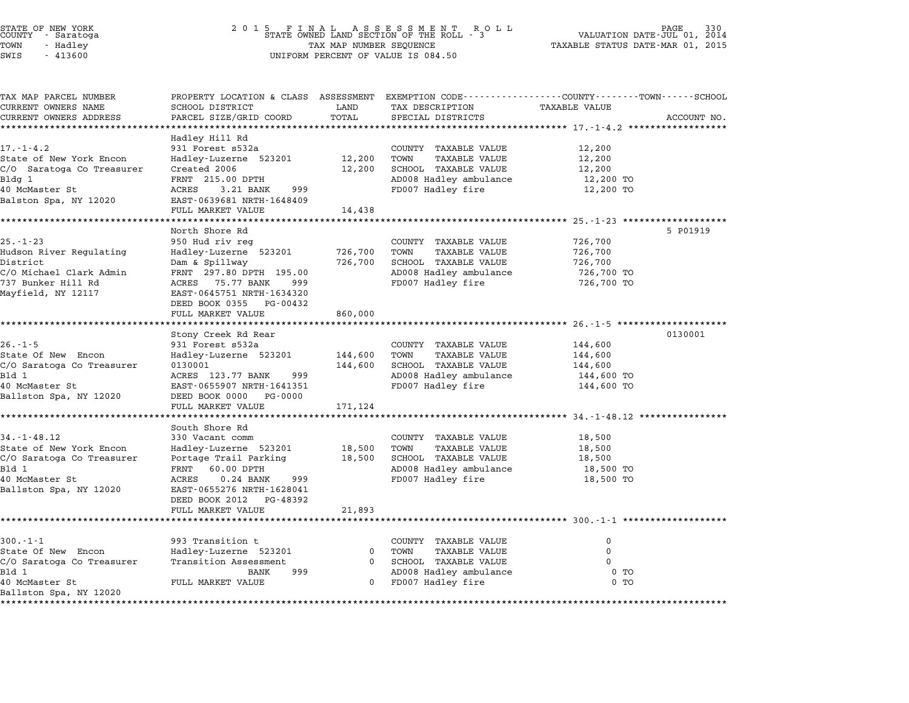| STATE OF NEW YORK<br>COUNTY - Saratoga<br>TOWN<br>- Hadley<br>SWIS<br>$-413600$                                              |                                                                                                                                                                                                                 | TAX MAP NUMBER SEQUENCE       | UNIFORM PERCENT OF VALUE IS 084.50                                                                                                       | 930 PAGE<br>VALUATION DATE-JUL 01, 2014<br>TAXABLE STATUS DATE-MAR 01, 2015 |             |
|------------------------------------------------------------------------------------------------------------------------------|-----------------------------------------------------------------------------------------------------------------------------------------------------------------------------------------------------------------|-------------------------------|------------------------------------------------------------------------------------------------------------------------------------------|-----------------------------------------------------------------------------|-------------|
| TAX MAP PARCEL NUMBER<br>CURRENT OWNERS NAME<br>CURRENT OWNERS ADDRESS                                                       | SCHOOL DISTRICT<br>PARCEL SIZE/GRID COORD                                                                                                                                                                       | LAND<br>TOTAL                 | PROPERTY LOCATION & CLASS ASSESSMENT EXEMPTION CODE----------------COUNTY-------TOWN------SCHOOL<br>TAX DESCRIPTION<br>SPECIAL DISTRICTS | TAXABLE VALUE                                                               | ACCOUNT NO. |
| $17. - 1 - 4.2$<br>State of New York Encon<br>C/O Saratoga Co Treasurer<br>Bldg 1<br>40 McMaster St<br>Balston Spa, NY 12020 | Hadley Hill Rd<br>931 Forest s532a<br>Hadley-Luzerne 523201<br>Created 2006<br>FRNT 215.00 DPTH<br>ACRES<br>3.21 BANK<br>999<br>EAST-0639681 NRTH-1648409<br>FULL MARKET VALUE                                  | 12,200<br>12,200<br>14,438    | COUNTY TAXABLE VALUE<br>TOWN<br>TAXABLE VALUE<br>SCHOOL TAXABLE VALUE<br>AD008 Hadley ambulance<br>FD007 Hadley fire                     | 12,200<br>12,200<br>12,200<br>12,200 TO<br>12,200 TO                        |             |
| $25. - 1 - 23$<br>Hudson River Regulating<br>District<br>C/O Michael Clark Admin<br>737 Bunker Hill Rd<br>Mayfield, NY 12117 | North Shore Rd<br>950 Hud riv reg<br>Hadley-Luzerne 523201<br>Dam & Spillway<br>FRNT 297.80 DPTH 195.00<br>ACRES 75.77 BANK<br>999<br>EAST-0645751 NRTH-1634320<br>DEED BOOK 0355 PG-00432<br>FULL MARKET VALUE | 726,700<br>726,700<br>860,000 | COUNTY TAXABLE VALUE<br>TOWN<br>TAXABLE VALUE<br>SCHOOL TAXABLE VALUE<br>AD008 Hadley ambulance<br>FD007 Hadley fire                     | 726,700<br>726,700<br>726,700<br>726,700 TO<br>726,700 TO                   | 5 P01919    |
| $26. - 1 - 5$<br>State Of New Encon<br>C/O Saratoga Co Treasurer<br>Bld 1<br>40 McMaster St<br>Ballston Spa, NY 12020        | Stony Creek Rd Rear<br>931 Forest s532a<br>Hadley-Luzerne 523201<br>0130001<br>ACRES 123.77 BANK<br>999<br>EAST-0655907 NRTH-1641351<br>DEED BOOK 0000 PG-0000<br>FULL MARKET VALUE                             | 144,600<br>144,600<br>171,124 | COUNTY TAXABLE VALUE<br>TOWN<br>TAXABLE VALUE<br>SCHOOL TAXABLE VALUE<br>AD008 Hadley ambulance<br>FD007 Hadley fire                     | 144,600<br>144,600<br>144,600<br>144,600 TO<br>144,600 TO                   | 0130001     |
| $34. - 1 - 48.12$<br>State of New York Encon<br>C/O Saratoga Co Treasurer<br>Bld 1<br>40 McMaster St                         | South Shore Rd<br>330 Vacant comm<br>Hadley-Luzerne 523201<br>Portage Trail Parking<br>60.00 DPTH<br>FRNT<br>ACRES<br>$0.24$ BANK<br>999                                                                        | 18,500<br>18,500              | COUNTY TAXABLE VALUE<br>TAXABLE VALUE<br>TOWN<br>SCHOOL TAXABLE VALUE<br>AD008 Hadley ambulance<br>FD007 Hadley fire                     | 18,500<br>18,500<br>18,500<br>18,500 TO<br>18,500 TO                        |             |

BALL I DUIT PANT 100.000 DFAN<br>10 McMaster St 12020 12 ACRES 10.24 BANK 1999<br>Ballston Spa, NY 12020 12 DEED BOOK 2012 PG-48392 DEED BOOK 2012 PG-48392<br>FULL MARKET VALUE 21,893 \*\*\*\*\*\*\*\*\*\*\*\*\*\*\*\*\*\*\*\*\*\*\*\*\*\*\*\*\*\*\*\*\*\*\*\*\*\*\*\*\*\*\*\*\*\*\*\*\*\*\*\*\*\*\*\*\*\*\*\*\*\*\*\*\*\*\*\*\*\*\*\*\*\*\*\*\*\*\*\*\*\*\*\*\*\*\*\*\*\*\*\*\*\*\*\*\*\*\*\*\*\*\* 300.-1-1 \*\*\*\*\*\*\*\*\*\*\*\*\*\*\*\*\*\*\* 300.-1-1 <sup>993</sup> Transition t COUNTY TAXABLE VALUE <sup>0</sup> State Of New Encon Hadley-Luzerne <sup>523201</sup> <sup>0</sup> TOWN TAXABLE VALUE <sup>0</sup> USICAL IN ANDE VALUE ON TRANSITION OF THE CONTRATOR ONLY TRANSITION OF THE OUTLOOK OF THE OUTLOOK OF OUTLOOKS<br>State Of New Encon Fransition Assessment 0 SCHOOL TAXABLE VALUE 0 1999 0 1999 0 1999 0 1999 0 1999 0 1999 0 19 State of New Enconnel of the Handley-Buzerne 323201 of the TAXABLE VALUE of the Magnetic CO of the Magnetic CO<br>C/O Saratoga Co Treasurer Transition Assessment 0 10 SCHOOL TAXABLE VALUE 0 10<br>BANK 999 AD008 Hadley ambulance لاس المسلم السلم المسلم المسلم المسلم المسلم المسلم المسلم المسلم المسلم المسلم المسلم المسلم المسلم المسلم ال<br>1000 Hadley and land the most most most of the contract of the 0 TO<br>40 McMaster St 0 TO TO TO TO TO TO TO TO T віч і<br>40 McMaster St<br>Ballston Spa, NY 12020 \*\*\*\*\*\*\*\*\*\*\*\*\*\*\*\*\*\*\*\*\*\*\*\*\*\*\*\*\*\*\*\*\*\*\*\*\*\*\*\*\*\*\*\*\*\*\*\*\*\*\*\*\*\*\*\*\*\*\*\*\*\*\*\*\*\*\*\*\*\*\*\*\*\*\*\*\*\*\*\*\*\*\*\*\*\*\*\*\*\*\*\*\*\*\*\*\*\*\*\*\*\*\*\*\*\*\*\*\*\*\*\*\*\*\*\*\*\*\*\*\*\*\*\*\*\*\*\*\*\*\*\*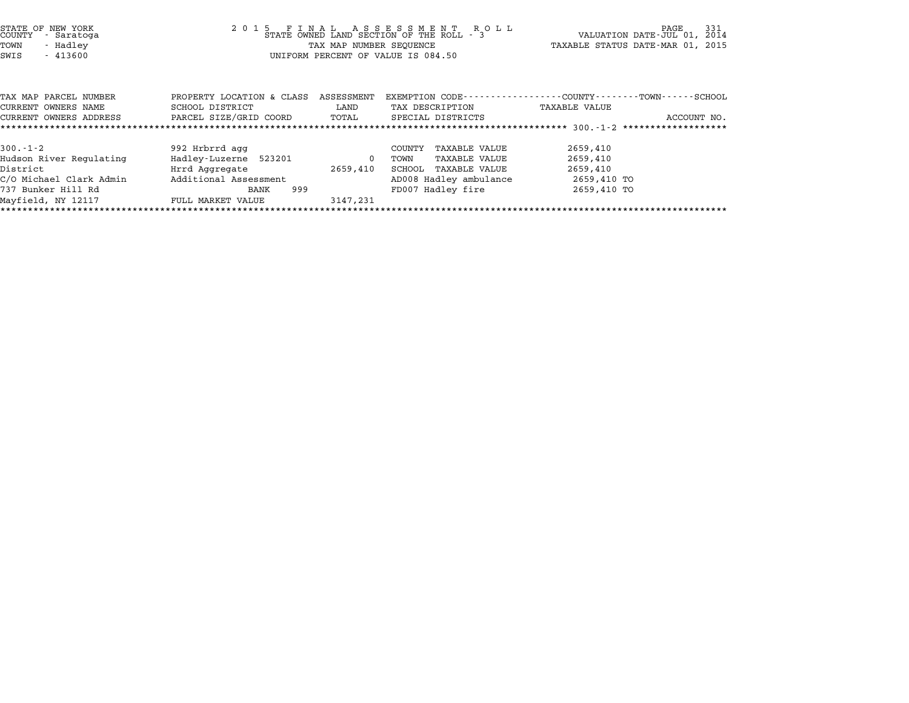| STATE OF NEW YORK<br>COUNTY<br>- Saratoga<br>TOWN<br>- Hadley<br>SWIS<br>$-413600$ |                                                                        |          | 2015 FINAL ASSESSMENT ROLL<br>STATE OWNED LAND SECTION OF THE ROLL - 3<br>TAX MAP NUMBER SEQUENCE<br>UNIFORM PERCENT OF VALUE IS 084.50 | 331<br>L L PAGE 331<br>VALUATION DATE-JUL 01, 2014<br>TAXABLE STATUS DATE-MAR 01, 2015 |
|------------------------------------------------------------------------------------|------------------------------------------------------------------------|----------|-----------------------------------------------------------------------------------------------------------------------------------------|----------------------------------------------------------------------------------------|
| TAX MAP PARCEL NUMBER                                                              | PROPERTY LOCATION & CLASS ASSESSMENT                                   |          |                                                                                                                                         | EXEMPTION CODE----------------COUNTY-------TOWN-----SCHOOL                             |
| CURRENT OWNERS NAME                                                                | SCHOOL DISTRICT<br>CURRENT OWNERS ADDRESS FARCEL SIZE/GRID COORD TOTAL | LAND     | TAX DESCRIPTION<br>SPECIAL DISTRICTS                                                                                                    | TAXABLE VALUE<br>ACCOUNT NO.                                                           |
|                                                                                    |                                                                        |          |                                                                                                                                         |                                                                                        |
|                                                                                    |                                                                        |          |                                                                                                                                         |                                                                                        |
| $300.-1-2$                                                                         | 992 Hrbrrd agg                                                         |          | TAXABLE VALUE<br>COUNTY                                                                                                                 | 2659,410                                                                               |
| Hudson River Regulating                                                            | Hadley-Luzerne 523201 0                                                |          | TAXABLE VALUE<br>TOWN                                                                                                                   | 2659,410                                                                               |
| District                                                                           | Hrrd Aggregate                                                         | 2659,410 | TAXABLE VALUE<br>SCHOOL                                                                                                                 | 2659,410                                                                               |
|                                                                                    | C/O Michael Clark Admin          Additional Assessment                 |          | AD008 Hadley ambulance                                                                                                                  | 2659,410 TO                                                                            |
| 737 Bunker Hill Rd                                                                 | 999<br>BANK                                                            |          | FD007 Hadley fire                                                                                                                       | 2659,410 TO                                                                            |
| Mayfield, NY 12117                                                                 | FULL MARKET VALUE                                                      | 3147,231 |                                                                                                                                         |                                                                                        |

\*\*\*\*\*\*\*\*\*\*\*\*\*\*\*\*\*\*\*\*\*\*\*\*\*\*\*\*\*\*\*\*\*\*\*\*\*\*\*\*\*\*\*\*\*\*\*\*\*\*\*\*\*\*\*\*\*\*\*\*\*\*\*\*\*\*\*\*\*\*\*\*\*\*\*\*\*\*\*\*\*\*\*\*\*\*\*\*\*\*\*\*\*\*\*\*\*\*\*\*\*\*\*\*\*\*\*\*\*\*\*\*\*\*\*\*\*\*\*\*\*\*\*\*\*\*\*\*\*\*\*\*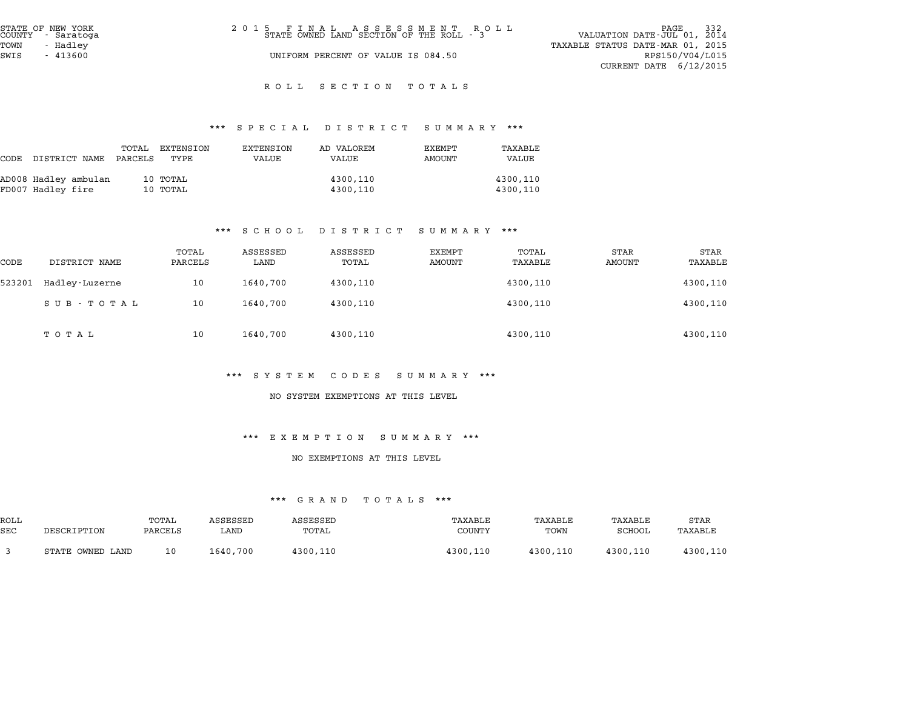| STATE OF NEW YORK<br>COUNTY - Saratoga | 2015 FINAL ASSESSMENT ROLL<br>STATE OWNED LAND SECTION OF THE ROLL - 3 | 332<br>PAGE<br>VALUATION DATE-JUL 01, 2014 |
|----------------------------------------|------------------------------------------------------------------------|--------------------------------------------|
| TOWN<br>- Hadlev                       |                                                                        | TAXABLE STATUS DATE-MAR 01, 2015           |
| SWIS<br>$-413600$                      | UNIFORM PERCENT OF VALUE IS 084.50                                     | RPS150/V04/L015                            |
|                                        |                                                                        | CURRENT DATE $6/12/2015$                   |

#### R O L L S E C T I O N T O T A L S

# \*\*\* S P E C I A L D I S T R I C T S U M M A R Y \*\*\*

|                      |                  |                   |                    | protan plotatol pohhaat |                  |                  |
|----------------------|------------------|-------------------|--------------------|-------------------------|------------------|------------------|
| CODE DISTRICT NAME   | TOTAL<br>PARCELS | EXTENSION<br>TYPE | EXTENSION<br>VALUE | AD VALOREM<br>VALUE     | EXEMPT<br>AMOUNT | TAXABLE<br>VALUE |
| AD008 Hadley ambulan |                  | 10 TOTAL          |                    | 4300,110                |                  | 4300,110         |
| FD007 Hadley fire    |                  | 10 TOTAL          |                    | 4300,110                |                  | 4300,110         |

#### \*\*\* S C H O O L D I S T R I C T S U M M A R Y \*\*\*

|        |                |                  |                  | $\mathbf{D}$ $\mathbf{L}$ $\mathbf{D}$ $\mathbf{L}$ $\mathbf{R}$ $\mathbf{L}$ $\mathbf{L}$ $\mathbf{L}$ | ם תבתנות טיט            |                  |                |                 |
|--------|----------------|------------------|------------------|---------------------------------------------------------------------------------------------------------|-------------------------|------------------|----------------|-----------------|
| CODE   | DISTRICT NAME  | TOTAL<br>PARCELS | ASSESSED<br>LAND | ASSESSED<br>TOTAL                                                                                       | EXEMPT<br><b>AMOUNT</b> | TOTAL<br>TAXABLE | STAR<br>AMOUNT | STAR<br>TAXABLE |
| 523201 | Hadley-Luzerne | 10               | 1640,700         | 4300,110                                                                                                |                         | 4300,110         |                | 4300,110        |
|        | SUB - TOTAL    | 10               | 1640,700         | 4300,110                                                                                                |                         | 4300,110         |                | 4300,110        |
|        | тотаь          | 10               | 1640,700         | 4300,110                                                                                                |                         | 4300,110         |                | 4300,110        |

#### \*\*\* S Y S T E M C O D E S S U M M A R Y \*\*\*

#### NO SYSTEM EXEMPTIONS AT THIS LEVEL

#### \*\*\* E X E M P T I O N S U M M A R Y \*\*\*

#### NO EXEMPTIONS AT THIS LEVEL

#### \*\*\* G R A N D T O T A L S \*\*\*

|            | .<br>.<br>       |         |          |          |          |          |          |          |  |
|------------|------------------|---------|----------|----------|----------|----------|----------|----------|--|
| ROLL       |                  | TOTAL   | ASSESSED | ASSESSED | TAXABLE  | TAXABLE  | TAXABLE  | STAR     |  |
| <b>SEC</b> | DESCRIPTION      | PARCELS | LAND     | TOTAL    | COUNTY   | TOWN     | SCHOOL   | TAXABLE  |  |
|            | STATE OWNED LAND | 10      | 1640,700 | 4300,110 | 4300,110 | 4300,110 | 4300,110 | 4300,110 |  |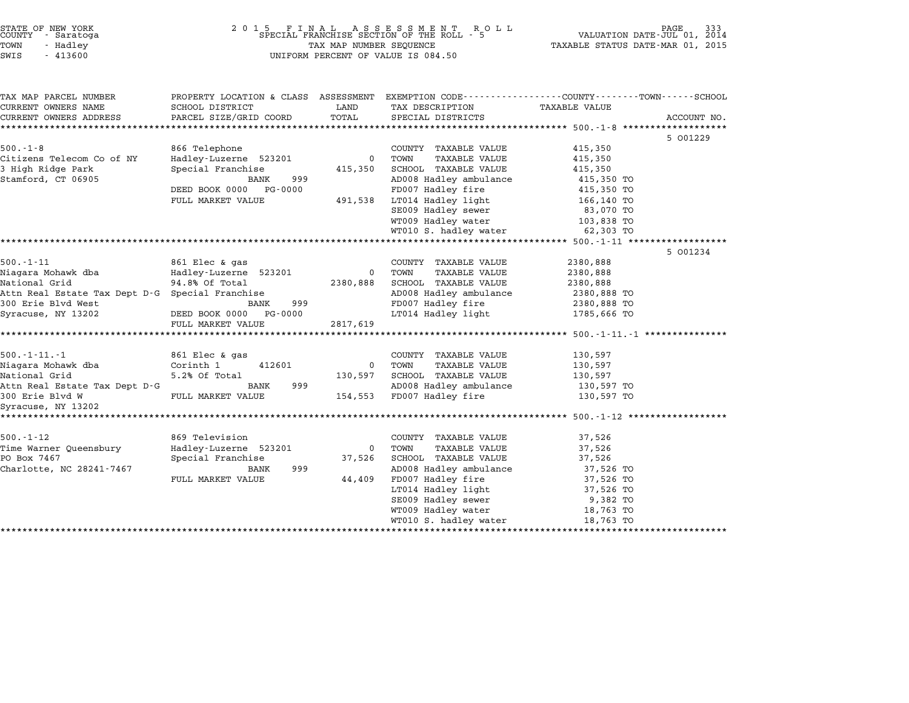| STATE OF NEW YORK<br>COUNTY<br>- Saratoga<br>TOWN<br>- Hadley<br>SWIS<br>$-413600$                                                                    | 2 0 1 5<br>5 FINAL ASSESSMENT ROSPECIAL FRANCHISE SECTION OF THE ROLL - 5<br>TAX MAP NUMBER SEQUENCE<br>UNIFORM PERCENT OF VALUE IS 084.50   | PAGE<br>333<br>VALUATION DATE-JUL 01, 2014<br>TAXABLE STATUS DATE-MAR 01, 2015 |                                                                                                                                                                                                                        |                                                                                                                 |             |
|-------------------------------------------------------------------------------------------------------------------------------------------------------|----------------------------------------------------------------------------------------------------------------------------------------------|--------------------------------------------------------------------------------|------------------------------------------------------------------------------------------------------------------------------------------------------------------------------------------------------------------------|-----------------------------------------------------------------------------------------------------------------|-------------|
| TAX MAP PARCEL NUMBER<br>CURRENT OWNERS NAME<br>CURRENT OWNERS ADDRESS                                                                                | PROPERTY LOCATION & CLASS ASSESSMENT EXEMPTION CODE---------------COUNTY-------TOWN------SCHOOL<br>SCHOOL DISTRICT<br>PARCEL SIZE/GRID COORD | LAND<br>TOTAL                                                                  | TAX DESCRIPTION<br>SPECIAL DISTRICTS                                                                                                                                                                                   | TAXABLE VALUE                                                                                                   | ACCOUNT NO. |
|                                                                                                                                                       |                                                                                                                                              |                                                                                |                                                                                                                                                                                                                        |                                                                                                                 | 5 001229    |
| $500.-1-8$<br>Citizens Telecom Co of NY<br>3 High Ridge Park<br>Stamford, CT 06905                                                                    | 866 Telephone<br>Hadley-Luzerne 523201<br>Special Franchise<br>BANK<br>999<br>DEED BOOK 0000 PG-0000<br>FULL MARKET VALUE                    | $\mathbf 0$<br>415,350<br>491,538                                              | COUNTY TAXABLE VALUE<br>TOWN<br><b>TAXABLE VALUE</b><br>SCHOOL TAXABLE VALUE<br>AD008 Hadley ambulance<br>FD007 Hadley fire<br>LT014 Hadley light<br>SE009 Hadley sewer<br>WT009 Hadley water<br>WT010 S. hadley water | 415,350<br>415,350<br>415,350<br>415,350 TO<br>415,350 TO<br>166,140 TO<br>83,070 TO<br>103,838 TO<br>62,303 TO |             |
|                                                                                                                                                       |                                                                                                                                              |                                                                                |                                                                                                                                                                                                                        |                                                                                                                 | 5 001234    |
| $500. - 1 - 11$<br>Niagara Mohawk dba<br>National Grid<br>Attn Real Estate Tax Dept D-G Special Franchise<br>300 Erie Blvd West<br>Syracuse, NY 13202 | 861 Elec & gas<br>Hadley-Luzerne 523201<br>94.8% Of Total<br>999<br>BANK<br>DEED BOOK 0000<br>PG-0000<br>FULL MARKET VALUE                   | 0<br>2380,888<br>2817,619                                                      | COUNTY TAXABLE VALUE<br>TOWN<br>TAXABLE VALUE<br>SCHOOL TAXABLE VALUE<br>AD008 Hadley ambulance<br>FD007 Hadley fire<br>LT014 Hadley light                                                                             | 2380,888<br>2380,888<br>2380,888<br>2380,888 TO<br>2380,888 TO<br>1785,666 TO                                   |             |
|                                                                                                                                                       |                                                                                                                                              |                                                                                |                                                                                                                                                                                                                        | **************** 500.-1-11.-1 ***************                                                                   |             |
| $500.-1-11.-1$<br>Niagara Mohawk dba<br>National Grid<br>Attn Real Estate Tax Dept D-G<br>300 Erie Blvd W<br>Syracuse, NY 13202                       | 861 Elec & gas<br>Corinth 1<br>412601<br>5.2% Of Total<br>999<br>BANK<br>FULL MARKET VALUE                                                   | 0<br>130,597<br>154,553                                                        | COUNTY TAXABLE VALUE<br>TOWN<br>TAXABLE VALUE<br>SCHOOL TAXABLE VALUE<br>AD008 Hadley ambulance<br>FD007 Hadley fire                                                                                                   | 130,597<br>130,597<br>130,597<br>130,597 TO<br>130,597 TO                                                       |             |
|                                                                                                                                                       |                                                                                                                                              |                                                                                |                                                                                                                                                                                                                        | **************** 500.-1-12 *******************                                                                  |             |
| $500.-1-12$<br>Time Warner Oueensbury<br>PO Box 7467<br>Charlotte, NC 28241-7467                                                                      | 869 Television<br>Hadley-Luzerne 523201<br>Special Franchise<br>999<br>BANK<br>FULL MARKET VALUE                                             | $\Omega$<br>37,526<br>44,409                                                   | COUNTY TAXABLE VALUE<br>TOWN<br><b>TAXABLE VALUE</b><br>SCHOOL TAXABLE VALUE<br>AD008 Hadley ambulance<br>FD007 Hadley fire<br>LT014 Hadley light<br>SE009 Hadley sewer<br>WT009 Hadley water<br>WT010 S. hadley water | 37,526<br>37,526<br>37,526<br>37,526 TO<br>37,526 TO<br>37,526 TO<br>9,382 TO<br>18,763 TO<br>18,763 TO         |             |

STATE OF NEW YORK <sup>2</sup> <sup>0</sup> <sup>1</sup> 5 F I N A L A S S E S S M E N T R O L L PAGE <sup>333</sup> COUNTY - Saratoga SPECIAL FRANCHISE SECTION OF THE ROLL - <sup>5</sup> VALUATION DATE-JUL 01, <sup>2014</sup>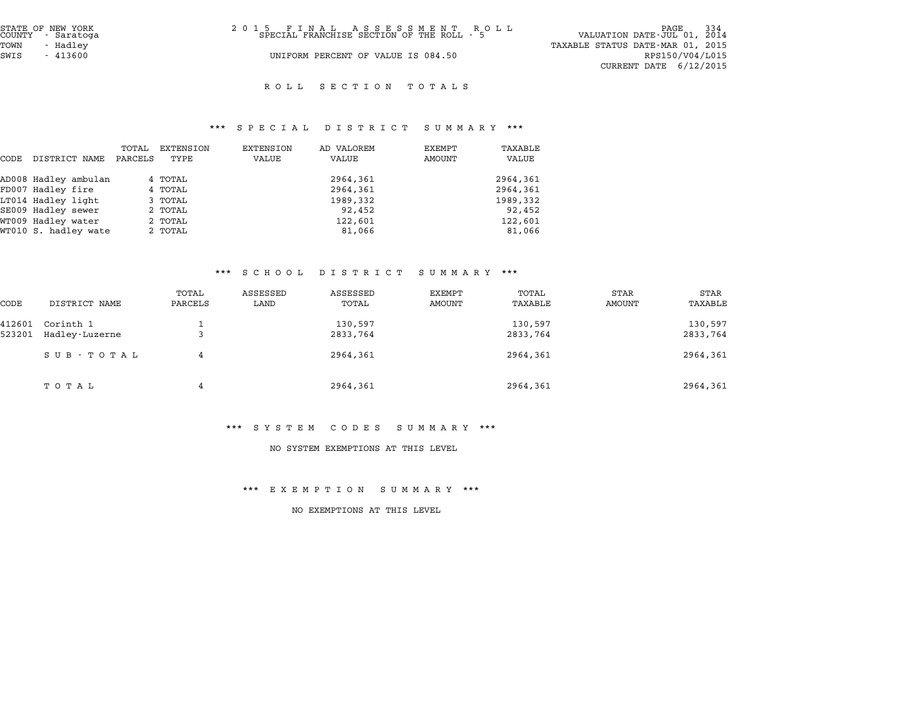| STATE OF NEW YORK<br>COUNTY - Saratoga | 2015 FINAL ASSESSMENT ROLL<br>SPECIAL FRANCHISE SECTION OF THE ROLL - 5 | PAGE 334<br>VALUATION DATE-JUL 01, 2014 |
|----------------------------------------|-------------------------------------------------------------------------|-----------------------------------------|
| TOWN<br>- Hadlev                       |                                                                         | TAXABLE STATUS DATE-MAR 01, 2015        |
| SWIS<br>$-413600$                      | UNIFORM PERCENT OF VALUE IS 084.50                                      | RPS150/V04/L015                         |
|                                        |                                                                         | CURRENT DATE $6/12/2015$                |
|                                        |                                                                         |                                         |

#### R O L L S E C T I O N T O T A L S

# \*\*\* S P E C I A L D I S T R I C T S U M M A R Y \*\*\*

|      |                      |         |           | $P_{1}$ $P_{2}$ $P_{3}$ $P_{4}$ $P_{5}$ $P_{6}$ $P_{7}$ $P_{8}$ $P_{9}$ | $\mathbf{D}$ $\mathbf{L}$ $\mathbf{D}$ $\mathbf{L}$ $\mathbf{R}$ $\mathbf{L}$ $\mathbf{L}$ $\mathbf{L}$ | $\mathbf{u}$ when $\mathbf{v}$ |          |
|------|----------------------|---------|-----------|-------------------------------------------------------------------------|---------------------------------------------------------------------------------------------------------|--------------------------------|----------|
|      |                      | TOTAL   | EXTENSION | EXTENSION                                                               | AD VALOREM                                                                                              | EXEMPT                         | TAXABLE  |
| CODE | DISTRICT NAME        | PARCELS | TYPE      | VALUE                                                                   | VALUE                                                                                                   | AMOUNT                         | VALUE    |
|      | AD008 Hadley ambulan |         | 4 TOTAL   |                                                                         | 2964,361                                                                                                |                                | 2964,361 |
|      | FD007 Hadley fire    |         | 4 TOTAL   |                                                                         | 2964,361                                                                                                |                                | 2964,361 |
|      | LT014 Hadley light   |         | 3 TOTAL   |                                                                         | 1989,332                                                                                                |                                | 1989,332 |
|      | SE009 Hadley sewer   |         | 2 TOTAL   |                                                                         | 92,452                                                                                                  |                                | 92,452   |
|      | WT009 Hadley water   |         | 2 TOTAL   |                                                                         | 122,601                                                                                                 |                                | 122,601  |
|      | WT010 S. hadley wate |         | 2 TOTAL   |                                                                         | 81,066                                                                                                  |                                | 81,066   |

# \*\*\* S C H O O L D I S T R I C T S U M M A R Y \*\*\*

|                  |                             |                  | . <u>.</u>       | $\overline{u}$ $\overline{u}$ $\overline{u}$ $\overline{u}$ $\overline{u}$ $\overline{u}$ | ב את היות שט     |                     |                       |                        |
|------------------|-----------------------------|------------------|------------------|-------------------------------------------------------------------------------------------|------------------|---------------------|-----------------------|------------------------|
| CODE             | DISTRICT NAME               | TOTAL<br>PARCELS | ASSESSED<br>LAND | ASSESSED<br>TOTAL                                                                         | EXEMPT<br>AMOUNT | TOTAL<br>TAXABLE    | <b>STAR</b><br>AMOUNT | <b>STAR</b><br>TAXABLE |
| 412601<br>523201 | Corinth 1<br>Hadley-Luzerne | د                |                  | 130,597<br>2833,764                                                                       |                  | 130,597<br>2833,764 |                       | 130,597<br>2833,764    |
|                  | SUB - TOTAL                 | 4                |                  | 2964,361                                                                                  |                  | 2964,361            |                       | 2964,361               |
|                  | ТОТАЬ                       | 4                |                  | 2964,361                                                                                  |                  | 2964,361            |                       | 2964,361               |

#### \*\*\* S Y S T E M C O D E S S U M M A R Y \*\*\*

#### NO SYSTEM EXEMPTIONS AT THIS LEVEL

#### \*\*\* E X E M P T I O N S U M M A R Y \*\*\*

NO EXEMPTIONS AT THIS LEVEL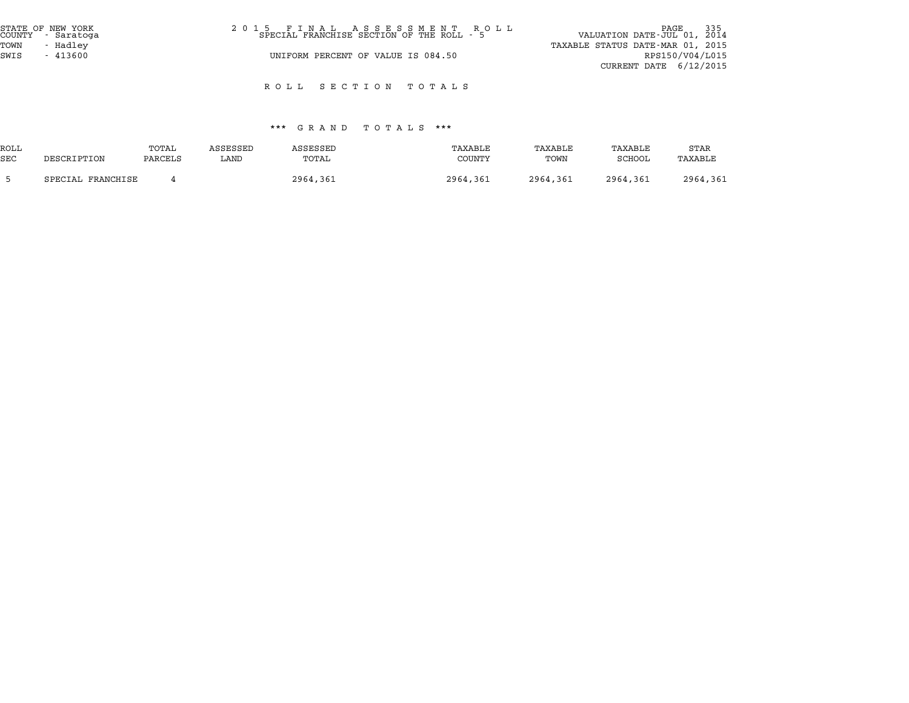| STATE OF NEW YORK<br>COUNTY - Saratoga | 2015 FINAL ASSESSMENT ROLL<br>SPECIAL FRANCHISE SECTION OF THE ROLL - 5 | PAGE 335<br>VALUATION DATE-JUL 01, 2014 |
|----------------------------------------|-------------------------------------------------------------------------|-----------------------------------------|
| TOWN<br>- Hadlev                       |                                                                         | TAXABLE STATUS DATE-MAR 01, 2015        |
| SWIS<br>$-413600$                      | UNIFORM PERCENT OF VALUE IS 084.50                                      | RPS150/V04/L015                         |
|                                        |                                                                         | CURRENT DATE $6/12/2015$                |

R O L L S E C T I O N T O T A L S

#### \*\*\* G R A N D T O T A L S \*\*\*

|            |                   |         |          | ש א <b>ב</b> א ש | .<br>.   |          |          |          |
|------------|-------------------|---------|----------|------------------|----------|----------|----------|----------|
| ROLL       |                   | TOTAL   | ASSESSED | ASSESSED         | TAXABLE  | TAXABLE  | TAXABLE  | STAR     |
| <b>SEC</b> | DESCRIPTION       | PARCELS | LAND     | TOTAL            | COUNTY   | TOWN     | SCHOOL   | TAXABLE  |
|            | SPECIAL FRANCHISE |         |          | 2964,361         | 2964,361 | 2964,361 | 2964,361 | 2964,361 |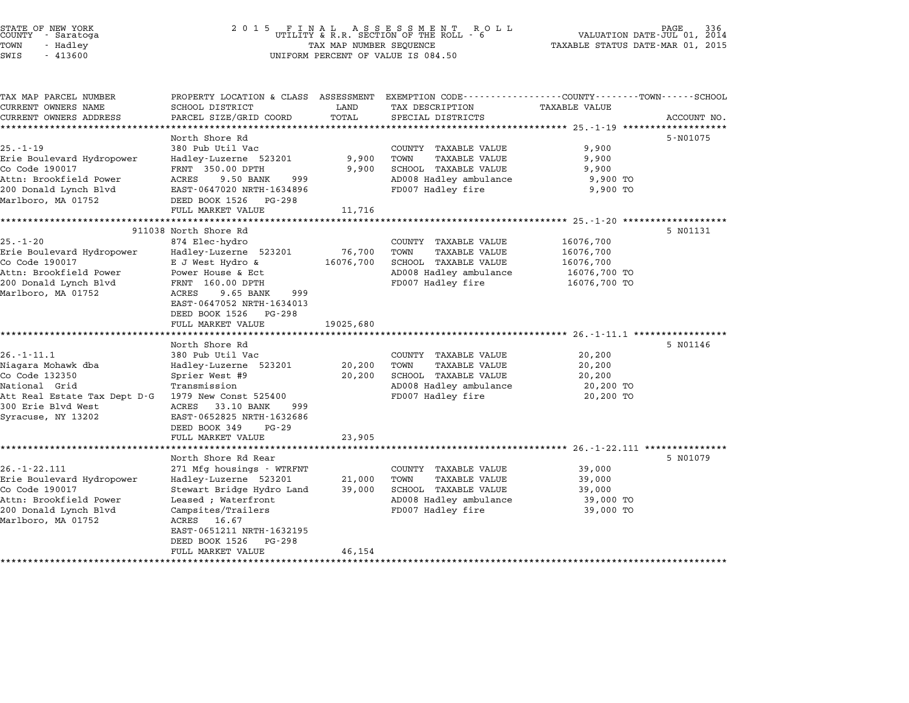| STATE OF NEW YORK<br>COUNTY - Saratoga<br>TOWN<br>- Hadley<br>SWIS<br>$-413600$                                                                       | 2 0 1 5<br>FINAL ASSESSMENT ROUTILITY & R.R. SECTION OF THE ROLL - 6<br>TAX MAP NUMBER SEQUENCE<br>UNIFORM PERCENT OF VALUE IS 084.50                                                                                                                               | PAGE<br>336<br>VALUATION DATE-JUL 01, 2014<br>TAXABLE STATUS DATE-MAR 01, 2015 |                                                                                                                             |                                                                     |             |
|-------------------------------------------------------------------------------------------------------------------------------------------------------|---------------------------------------------------------------------------------------------------------------------------------------------------------------------------------------------------------------------------------------------------------------------|--------------------------------------------------------------------------------|-----------------------------------------------------------------------------------------------------------------------------|---------------------------------------------------------------------|-------------|
| TAX MAP PARCEL NUMBER<br>CURRENT OWNERS NAME<br>CURRENT OWNERS ADDRESS                                                                                | PROPERTY LOCATION & CLASS ASSESSMENT EXEMPTION CODE----------------COUNTY-------TOWN------SCHOOL<br>SCHOOL DISTRICT<br>PARCEL SIZE/GRID COORD                                                                                                                       | LAND<br>TOTAL                                                                  | TAX DESCRIPTION<br>SPECIAL DISTRICTS                                                                                        | <b>TAXABLE VALUE</b>                                                | ACCOUNT NO. |
| $25. - 1 - 19$<br>Erie Boulevard Hydropower<br>Co Code 190017<br>Attn: Brookfield Power<br>200 Donald Lynch Blvd<br>Marlboro, MA 01752                | North Shore Rd<br>380 Pub Util Vac<br>Hadley-Luzerne 523201<br>FRNT 350.00 DPTH<br>ACRES<br>9.50 BANK<br>999<br>EAST-0647020 NRTH-1634896<br>DEED BOOK 1526<br>PG-298<br>FULL MARKET VALUE                                                                          | 9,900<br>9,900<br>11,716                                                       | COUNTY TAXABLE VALUE<br>TOWN<br>TAXABLE VALUE<br>SCHOOL TAXABLE VALUE<br>AD008 Hadley ambulance<br>FD007 Hadley fire        | 9,900<br>9,900<br>9,900<br>9,900 TO<br>9,900 TO                     | 5-N01075    |
| $25. - 1 - 20$<br>Erie Boulevard Hydropower<br>Co Code 190017<br>Attn: Brookfield Power<br>200 Donald Lynch Blvd<br>Marlboro, MA 01752                | ***********************<br>911038 North Shore Rd<br>874 Elec-hydro<br>Hadley-Luzerne 523201<br>E J West Hydro &<br>Power House & Ect<br>FRNT 160.00 DPTH<br>9.65 BANK<br>999<br>ACRES<br>EAST-0647052 NRTH-1634013<br>DEED BOOK 1526<br>PG-298<br>FULL MARKET VALUE | *************<br>76,700<br>16076,700<br>19025,680                              | COUNTY TAXABLE VALUE<br>TOWN<br>TAXABLE VALUE<br>SCHOOL TAXABLE VALUE<br>AD008 Hadley ambulance<br>FD007 Hadley fire        | 16076,700<br>16076,700<br>16076,700<br>16076,700 TO<br>16076,700 TO | 5 N01131    |
| $26. - 1 - 11.1$<br>Niagara Mohawk dba<br>Co Code 132350<br>National Grid<br>Att Real Estate Tax Dept D-G<br>300 Erie Blvd West<br>Syracuse, NY 13202 | North Shore Rd<br>380 Pub Util Vac<br>Hadley-Luzerne 523201<br>Sprier West #9<br>Transmission<br>1979 New Const 525400<br>ACRES 33.10 BANK<br>999<br>EAST-0652825 NRTH-1632686<br>DEED BOOK 349<br>$PG - 29$<br>FULL MARKET VALUE                                   | 20,200<br>20,200<br>23,905                                                     | COUNTY TAXABLE VALUE<br>TOWN<br><b>TAXABLE VALUE</b><br>SCHOOL TAXABLE VALUE<br>AD008 Hadley ambulance<br>FD007 Hadley fire | 20,200<br>20,200<br>20,200<br>20,200 TO<br>20,200 TO                | 5 N01146    |
| $26. - 1 - 22.111$<br>Erie Boulevard Hydropower<br>Co Code 190017<br>Attn: Brookfield Power<br>200 Donald Lynch Blvd<br>Marlboro, MA 01752            | North Shore Rd Rear<br>271 Mfg housings - WTRFNT<br>Hadley-Luzerne 523201<br>Stewart Bridge Hydro Land<br>Leased ; Waterfront<br>Campsites/Trailers<br>ACRES<br>16.67<br>EAST-0651211 NRTH-1632195<br>DEED BOOK 1526 PG-298                                         | 21,000<br>39,000                                                               | COUNTY TAXABLE VALUE<br>TOWN<br>TAXABLE VALUE<br>SCHOOL TAXABLE VALUE<br>AD008 Hadley ambulance<br>FD007 Hadley fire        | 39,000<br>39,000<br>39,000<br>39,000 TO<br>39,000 TO                | 5 N01079    |

STATE OF NEW YORK <sup>2</sup> <sup>0</sup> <sup>1</sup> 5 F I N A L A S S E S S M E N T R O L L PAGE <sup>336</sup> COUNTY - Saratoga UTILITY & R.R. SECTION OF THE ROLL - <sup>6</sup> VALUATION DATE-JUL 01, <sup>2014</sup>

DEED BOOK 1526 PG-298<br>FULL MARKET VALUE 46,154

\*\*\*\*\*\*\*\*\*\*\*\*\*\*\*\*\*\*\*\*\*\*\*\*\*\*\*\*\*\*\*\*\*\*\*\*\*\*\*\*\*\*\*\*\*\*\*\*\*\*\*\*\*\*\*\*\*\*\*\*\*\*\*\*\*\*\*\*\*\*\*\*\*\*\*\*\*\*\*\*\*\*\*\*\*\*\*\*\*\*\*\*\*\*\*\*\*\*\*\*\*\*\*\*\*\*\*\*\*\*\*\*\*\*\*\*\*\*\*\*\*\*\*\*\*\*\*\*\*\*\*\*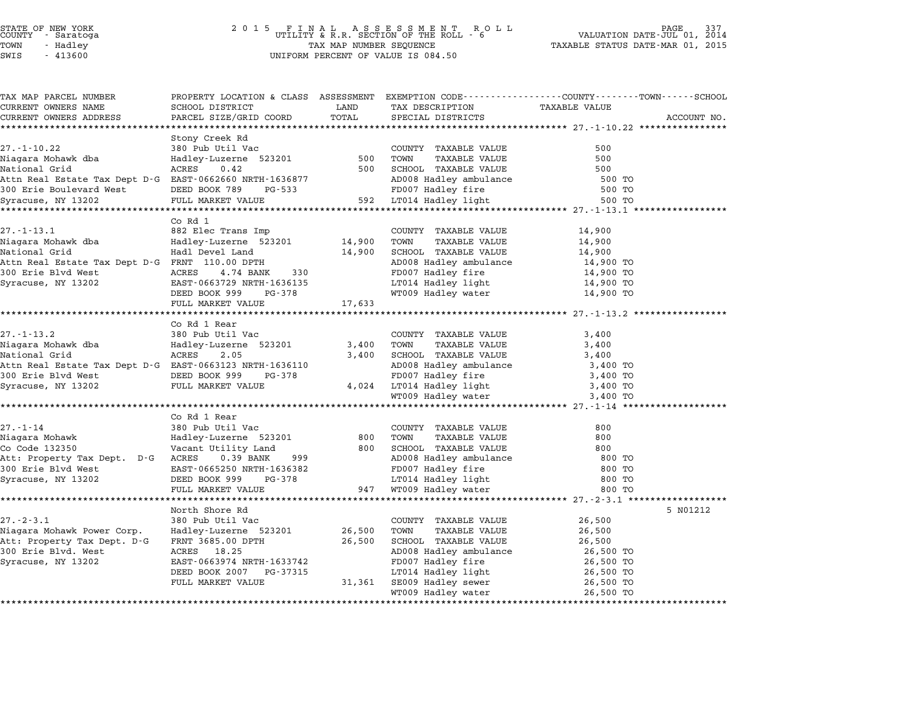## STATE OF NEW YORK <sup>2</sup> <sup>0</sup> <sup>1</sup> 5 F I N A L A S S E S S M E N T R O L L PAGE <sup>337</sup> COUNTY - Saratoga UTILITY & R.R. SECTION OF THE ROLL - <sup>6</sup> VALUATION DATE-JUL 01, <sup>2014</sup> TOWN - Hadley TAX MAP NUMBER SEQUENCE TAXABLE STATUS DATE-MAR 01, <sup>2015</sup> SWIS - <sup>413600</sup> UNIFORM PERCENT OF VALUE IS 084.50

| TAX MAP PARCEL NUMBER                                   |                                                                                               |        |                                                 | PROPERTY LOCATION & CLASS ASSESSMENT EXEMPTION CODE----------------COUNTY-------TOWN-----SCHOOL |             |
|---------------------------------------------------------|-----------------------------------------------------------------------------------------------|--------|-------------------------------------------------|-------------------------------------------------------------------------------------------------|-------------|
| CURRENT OWNERS NAME                                     | SCHOOL DISTRICT                                                                               | LAND   | TAX DESCRIPTION                                 | <b>TAXABLE VALUE</b>                                                                            |             |
| CURRENT OWNERS ADDRESS                                  | PARCEL SIZE/GRID COORD                                                                        | TOTAL  | SPECIAL DISTRICTS                               |                                                                                                 | ACCOUNT NO. |
|                                                         |                                                                                               |        |                                                 |                                                                                                 |             |
|                                                         | Stony Creek Rd                                                                                |        |                                                 |                                                                                                 |             |
| $27. - 1 - 10.22$                                       | 380 Pub Util Vac<br>Hadley-Luzerne 523201 500                                                 |        | COUNTY TAXABLE VALUE                            | 500                                                                                             |             |
| Niagara Mohawk dba                                      |                                                                                               |        | TOWN<br>TAXABLE VALUE                           | 500                                                                                             |             |
| National Grid                                           | ACRES 0.42                                                                                    | 500    | SCHOOL TAXABLE VALUE<br>AD008 Hadley ambulance  | 500                                                                                             |             |
|                                                         |                                                                                               |        |                                                 | 500 TO                                                                                          |             |
|                                                         |                                                                                               |        | FD007 Hadley fire                               | 500 TO                                                                                          |             |
|                                                         |                                                                                               |        |                                                 | 500 TO                                                                                          |             |
|                                                         | $Co$ Rd $1$                                                                                   |        |                                                 |                                                                                                 |             |
|                                                         |                                                                                               |        | COUNTY TAXABLE VALUE                            | 14,900                                                                                          |             |
|                                                         | Hadley-Luzerne 523201 14,900                                                                  |        | TAXABLE VALUE<br>TOWN                           | 14,900                                                                                          |             |
|                                                         |                                                                                               | 14,900 | SCHOOL TAXABLE VALUE                            | 14,900                                                                                          |             |
| Attn Real Estate Tax Dept D-G FRNT 110.00 DPTH          |                                                                                               |        | AD008 Hadley ambulance                          | 14,900 TO                                                                                       |             |
| 300 Erie Blvd West <sup>-</sup> ACRES 4.74 BANK         | 330                                                                                           |        | FD007 Hadley fire                               | 14,900 TO                                                                                       |             |
| Syracuse, NY 13202                                      | EAST-0663729 NRTH-1636135                                                                     |        |                                                 |                                                                                                 |             |
|                                                         | DEED BOOK 999<br>PG-378                                                                       |        | LT014 Hadley light<br>WT009 Hadley water        | 14,900 TO<br>14,900 TO                                                                          |             |
|                                                         | FULL MARKET VALUE                                                                             | 17,633 |                                                 |                                                                                                 |             |
|                                                         |                                                                                               |        |                                                 |                                                                                                 |             |
|                                                         | Co Rd 1 Rear                                                                                  |        |                                                 |                                                                                                 |             |
| $27. - 1 - 13.2$                                        | 380 Pub Util Vac                                                                              |        | COUNTY TAXABLE VALUE                            | 3,400                                                                                           |             |
|                                                         |                                                                                               | 3,400  | TOWN<br>TAXABLE VALUE                           | 3,400                                                                                           |             |
| National Grid                                           | ACRES<br>2.05                                                                                 | 3,400  | SCHOOL TAXABLE VALUE                            | 3,400                                                                                           |             |
| Attn Real Estate Tax Dept D-G EAST-0663123 NRTH-1636110 |                                                                                               |        | AD008 Hadley ambulance<br>FD007 Hadley fire     | 3,400 TO                                                                                        |             |
| 300 Erie Blvd West                                      |                                                                                               |        |                                                 | 3,400 TO                                                                                        |             |
| Syracuse, NY 13202                                      | DEED BOOK 999 PG-378<br>FULL MARKET VALUE                                                     |        | 4,024 LT014 Hadley light<br>WT009 Hadley water  | 3,400 TO                                                                                        |             |
|                                                         |                                                                                               |        |                                                 | 3,400 TO                                                                                        |             |
|                                                         |                                                                                               |        |                                                 |                                                                                                 |             |
|                                                         | Co Rd 1 Rear                                                                                  |        |                                                 |                                                                                                 |             |
| $27. - 1 - 14$                                          | 380 Pub Util Vac                                                                              |        | COUNTY TAXABLE VALUE                            | 800                                                                                             |             |
| Niagara Mohawk                                          | Hadley-Luzerne 5232<br>Vacant Utility Land<br>Hadley-Luzerne 523201                           | 800    | TOWN<br>TAXABLE VALUE                           | 800                                                                                             |             |
| Co Code 132350                                          |                                                                                               | 800    | SCHOOL TAXABLE VALUE                            | 800                                                                                             |             |
| Att: Property Tax Dept. D-G ACRES 0.39 BANK             | 999                                                                                           |        | AD008 Hadley ambulance<br>FD007 Hadley fire     | 800 TO                                                                                          |             |
| 300 Erie Blvd West                                      |                                                                                               |        |                                                 | 800 TO                                                                                          |             |
| Syracuse, NY 13202                                      | RURES 0.39 BANA 999<br>EAST-0665250 NRTH-1636382<br>DEED BOOK 999 PG-378<br>FULL MARKET VALUE |        | LT014 Hadley light<br>947   WT009 Hadley water  | 800 TO                                                                                          |             |
|                                                         |                                                                                               |        |                                                 | 800 TO                                                                                          |             |
|                                                         |                                                                                               |        |                                                 |                                                                                                 |             |
|                                                         | North Shore Rd                                                                                |        |                                                 |                                                                                                 | 5 N01212    |
| $27. - 2 - 3.1$                                         | 380 Pub Util Vac                                                                              |        | COUNTY TAXABLE VALUE                            | 26,500                                                                                          |             |
| Niagara Mohawk Power Corp.                              | Hadley-Luzerne 523201                                                                         | 26,500 | TOWN<br>TAXABLE VALUE                           | 26,500                                                                                          |             |
| Att: Property Tax Dept. D-G                             | FRNT 3685.00 DPTH                                                                             | 26,500 | SCHOOL TAXABLE VALUE                            | 26,500                                                                                          |             |
| 300 Erie Blvd. West                                     | ACRES 18.25                                                                                   |        | AD008 Hadley ambulance                          | 26,500 TO                                                                                       |             |
| Syracuse, NY 13202                                      | EAST-0663974 NRTH-1633742                                                                     |        | FD007 Hadley fire                               | 26,500 TO                                                                                       |             |
|                                                         | DEED BOOK 2007 PG-37315<br>FULL MARKET VALUE                                                  |        | LT014 Hadley light<br>31,361 SE009 Hadley sewer | 26,500 TO                                                                                       |             |
|                                                         |                                                                                               |        | WT009 Hadley water                              | 26,500 TO<br>26,500 TO                                                                          |             |
|                                                         |                                                                                               |        |                                                 |                                                                                                 |             |
|                                                         |                                                                                               |        |                                                 |                                                                                                 |             |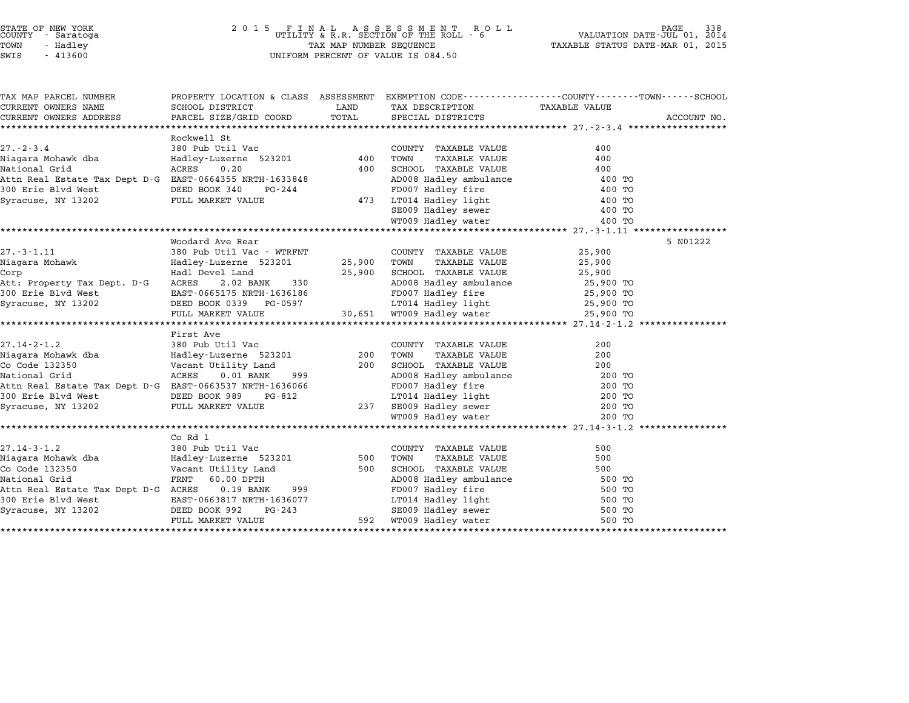## STATE OF NEW YORK <sup>2</sup> <sup>0</sup> <sup>1</sup> 5 F I N A L A S S E S S M E N T R O L L PAGE <sup>338</sup> COUNTY - Saratoga UTILITY & R.R. SECTION OF THE ROLL - <sup>6</sup> VALUATION DATE-JUL 01, <sup>2014</sup> TOWN - Hadley TAX MAP NUMBER SEQUENCE TAXABLE STATUS DATE-MAR 01, <sup>2015</sup> STATE OF NEW YORK  $\begin{array}{cccccccccccccccccccccc} \text{STATE OF NEW YORK} \end{array} \begin{array}{cccccccccccccc} \text{STATE OF NEW YORK} \end{array} \begin{array}{cccccccccccccc} \text{SUS B S S M E N T} \end{array} \begin{array}{cccccccccc} \text{COUNTY} \end{array} \begin{array}{cccccccccc} \text{SUS B S S M E N T} \end{array} \begin{array}{cccccccccc} \text{CUNIFY A R. R. SECTION OF THE ROLL} \end{array} \begin{array}{cccccccccc} \text{SUS B S S M E N T} \end{array} \end{array} \begin{array}{cccccccccc} \text{S$

| TAX MAP PARCEL NUMBER                                            |                                                                                                              |             |                                                                                                                           | PROPERTY LOCATION & CLASS ASSESSMENT EXEMPTION CODE----------------COUNTY-------TOWN-----SCHOOL |             |
|------------------------------------------------------------------|--------------------------------------------------------------------------------------------------------------|-------------|---------------------------------------------------------------------------------------------------------------------------|-------------------------------------------------------------------------------------------------|-------------|
| CURRENT OWNERS NAME                                              | SCHOOL DISTRICT                                                                                              | LAND        | TAX DESCRIPTION TAXABLE VALUE SPECIAL DISTRICTS                                                                           |                                                                                                 |             |
| CURRENT OWNERS ADDRESS                                           | PARCEL SIZE/GRID COORD                                                                                       | TOTAL       |                                                                                                                           |                                                                                                 | ACCOUNT NO. |
|                                                                  |                                                                                                              |             |                                                                                                                           |                                                                                                 |             |
|                                                                  | Rockwell St                                                                                                  |             |                                                                                                                           |                                                                                                 |             |
| $27. - 2 - 3.4$                                                  |                                                                                                              |             | COUNTY TAXABLE VALUE                                                                                                      | 400                                                                                             |             |
|                                                                  |                                                                                                              |             | TAXABLE VALUE<br>TOWN                                                                                                     | 400                                                                                             |             |
| National Grid                                                    | ACRES 0.20                                                                                                   | 400         |                                                                                                                           | 400                                                                                             |             |
|                                                                  |                                                                                                              |             | SCHOOL TAXABLE VALUE<br>AD008 Hadley ambulance<br>FD007 Hadley fire                                                       | 400 TO                                                                                          |             |
|                                                                  | DEED BOOK 340<br>FULL MARKET VALUE                                                                           |             |                                                                                                                           | 400 TO                                                                                          |             |
| Syracuse, NY 13202                                               |                                                                                                              | 473         | LT014 Hadley light                                                                                                        | 400 TO<br>400 ጥቦ<br>400 TO                                                                      |             |
|                                                                  |                                                                                                              |             | SE009 Hadley sewer<br>WT009 Hadley water                                                                                  | 400 TO                                                                                          |             |
|                                                                  |                                                                                                              |             |                                                                                                                           |                                                                                                 |             |
|                                                                  | Woodard Ave Rear                                                                                             |             |                                                                                                                           |                                                                                                 | 5 N01222    |
| $27. - 3 - 1.11$                                                 | 380 Pub Util Vac - WTRFNT                                                                                    |             | COUNTY TAXABLE VALUE                                                                                                      | 25,900                                                                                          |             |
|                                                                  |                                                                                                              | 25,900 TOWN | TAXABLE VALUE                                                                                                             | 25,900                                                                                          |             |
|                                                                  |                                                                                                              |             | 25,900 SCHOOL TAXABLE VALUE                                                                                               | 25,900                                                                                          |             |
| 1990 Erie Blvd West<br>1990 Erie Blvd West<br>Syracuse, NY 13202 |                                                                                                              |             |                                                                                                                           |                                                                                                 |             |
|                                                                  |                                                                                                              |             |                                                                                                                           |                                                                                                 |             |
| Syracuse, NY 13202                                               |                                                                                                              |             |                                                                                                                           |                                                                                                 |             |
|                                                                  | DEED BOOK 0339 PG-0597 11014 Hadley light 25,900 TO<br>FULL MARKET VALUE 30,651 WT009 Hadley water 25,900 TO |             |                                                                                                                           |                                                                                                 |             |
|                                                                  |                                                                                                              |             |                                                                                                                           |                                                                                                 |             |
|                                                                  | First Ave                                                                                                    |             |                                                                                                                           |                                                                                                 |             |
|                                                                  |                                                                                                              | 200         | COUNTY TAXABLE VALUE<br>TAXABLE VALUE<br>TAXABLE VALUE                                                                    | 200                                                                                             |             |
|                                                                  |                                                                                                              |             | TOWN                                                                                                                      | 200                                                                                             |             |
|                                                                  |                                                                                                              | 200         | SCHOOL TAXABLE VALUE<br>AD008 Hadley ambulance<br>FD007 Hadley fire<br>LT014 Hadley light<br>TD014 Hadley light<br>200 TO |                                                                                                 |             |
|                                                                  | 999                                                                                                          |             |                                                                                                                           |                                                                                                 |             |
| Attn Real Estate Tax Dept D-G EAST-0663537 NRTH-1636066          |                                                                                                              |             |                                                                                                                           |                                                                                                 |             |
| 300 Erie Blvd West                                               | DEED BOOK 989 E<br>FULL MARKET VALUE<br>PG-812                                                               |             |                                                                                                                           |                                                                                                 |             |
| Syracuse, NY 13202                                               |                                                                                                              |             | 237 SE009 Hadley sewer<br>WT009 Hadley water                                                                              | 200 TO                                                                                          |             |
|                                                                  |                                                                                                              |             |                                                                                                                           | 200 TO                                                                                          |             |
|                                                                  |                                                                                                              |             |                                                                                                                           |                                                                                                 |             |
|                                                                  | Co Rd 1                                                                                                      |             |                                                                                                                           |                                                                                                 |             |
| $27.14 - 3 - 1.2$                                                | 380 Pub Util Vac<br>380 Pub Util Vac<br>Hadley-Luzerne 523201                                                | $500$       | COUNTY TAXABLE VALUE                                                                                                      | 500                                                                                             |             |
| Niagara Mohawk dba                                               |                                                                                                              |             | TOWN<br>TAXABLE VALUE                                                                                                     | 500                                                                                             |             |
| Co Code 132350                                                   | Vacant Utility Land<br>FRNT 60.00 DPTH                                                                       | 500         | SCHOOL TAXABLE VALUE                                                                                                      | 500                                                                                             |             |
| National Grid                                                    |                                                                                                              |             | AD008 Hadley ambulance 500 TO<br>FD007 Hadley fire 500 TO<br>LT014 Hadley light 500 TO                                    |                                                                                                 |             |
| Attn Real Estate Tax Dept D-G ACRES 0.19 BANK                    | 999                                                                                                          |             |                                                                                                                           |                                                                                                 |             |
| 300 Erie Blvd West                                               | EAST-0663817 NRTH-1636077                                                                                    |             |                                                                                                                           |                                                                                                 |             |
| Syracuse, NY 13202                                               | PG-243<br>DEED BOOK 992                                                                                      |             | SE009 Hadley sewer                                                                                                        | 500 TO                                                                                          |             |
|                                                                  | FULL MARKET VALUE                                                                                            |             | 592 WT009 Hadley water                                                                                                    | 500 TO                                                                                          |             |
|                                                                  |                                                                                                              |             |                                                                                                                           |                                                                                                 |             |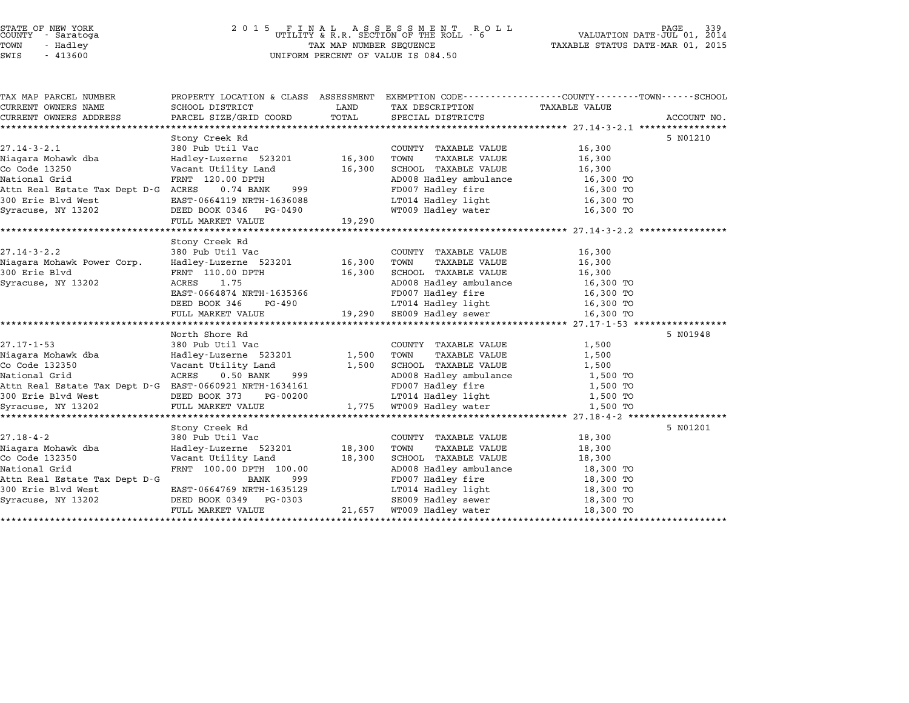## STATE OF NEW YORK <sup>2</sup> <sup>0</sup> <sup>1</sup> 5 F I N A L A S S E S S M E N T R O L L PAGE <sup>339</sup> COUNTY - Saratoga UTILITY & R.R. SECTION OF THE ROLL - <sup>6</sup> VALUATION DATE-JUL 01, <sup>2014</sup> TOWN - Hadley TAX MAP NUMBER SEQUENCE TAXABLE STATUS DATE-MAR 01, <sup>2015</sup> SWIS - <sup>413600</sup> UNIFORM PERCENT OF VALUE IS 084.50

| TAX MAP PARCEL NUMBER                                                             | PROPERTY LOCATION & CLASS ASSESSMENT EXEMPTION CODE---------------COUNTY-------TOWN------SCHOOL |        |                                                  |                        |             |
|-----------------------------------------------------------------------------------|-------------------------------------------------------------------------------------------------|--------|--------------------------------------------------|------------------------|-------------|
| CURRENT OWNERS NAME                                                               | SCHOOL DISTRICT                                                                                 | LAND   | TAX DESCRIPTION TAXABLE VALUE                    |                        |             |
| CURRENT OWNERS ADDRESS                                                            | PARCEL SIZE/GRID COORD                                                                          | TOTAL  | SPECIAL DISTRICTS                                |                        | ACCOUNT NO. |
|                                                                                   |                                                                                                 |        |                                                  |                        |             |
|                                                                                   | Stony Creek Rd                                                                                  |        |                                                  |                        | 5 N01210    |
| $27.14 - 3 - 2.1$                                                                 | 380 Pub Util Vac<br>Hadley-Luzerne 523201 16,300                                                |        | COUNTY TAXABLE VALUE                             | 16,300                 |             |
| nii 5 2:1<br>Niagara Mohawk dba<br>Co Code 13250                                  |                                                                                                 |        | TAXABLE VALUE<br>TOWN                            | 16,300                 |             |
| Co Code 13250                                                                     | Vacant Utility Land                                                                             | 16,300 | SCHOOL TAXABLE VALUE                             | 16,300                 |             |
| National Grid                                                                     | FRNT 120.00 DPTH<br>$0.74$ BANK<br>999                                                          |        | AD008 Hadley ambulance                           | 16,300 TO<br>16,300 TO |             |
| Attn Real Estate Tax Dept D-G ACRES                                               |                                                                                                 |        | FD007 Hadley fire<br>LT014 Hadley light          |                        |             |
| 300 Erie Blvd West                                                                | EAST-0664119 NRTH-1636088                                                                       |        | WT009 Hadley water                               | 16,300 TO<br>16,300 TO |             |
| Syracuse, NY 13202                                                                | DEED BOOK 0346 PG-0490                                                                          |        |                                                  |                        |             |
|                                                                                   | FULL MARKET VALUE                                                                               | 19,290 |                                                  |                        |             |
|                                                                                   | Stony Creek Rd                                                                                  |        |                                                  |                        |             |
| $27.14 - 3 - 2.2$                                                                 | 380 Pub Util Vac                                                                                |        | COUNTY TAXABLE VALUE                             | 16,300                 |             |
| Niagara Mohawk Power Corp.                                                        | Hadley-Luzerne 523201 16,300                                                                    |        | TOWN<br>TAXABLE VALUE                            | 16,300                 |             |
| 300 Erie Blvd                                                                     | FRNT 110.00 DPTH                                                                                | 16,300 | SCHOOL TAXABLE VALUE                             | 16,300                 |             |
| Syracuse, NY 13202                                                                | 1.75<br>ACRES                                                                                   |        | AD008 Hadley ambulance                           | 16,300 TO              |             |
|                                                                                   | EAST-0664874 NRTH-1635366                                                                       |        | FD007 Hadley fire                                | 16,300 TO              |             |
|                                                                                   | PG-490<br>DEED BOOK 346                                                                         |        | LT014 Hadley light                               | 16,300 TO              |             |
|                                                                                   | FULL MARKET VALUE                                                                               |        | 19,290 SE009 Hadley sewer                        | 16,300 TO              |             |
|                                                                                   |                                                                                                 |        |                                                  |                        |             |
|                                                                                   | North Shore Rd                                                                                  |        |                                                  |                        | 5 N01948    |
| $27.17 - 1 - 53$                                                                  | 380 Pub Util Vac                                                                                |        | COUNTY TAXABLE VALUE                             | 1,500                  |             |
| Niagara Mohawk dba                                                                | Hadley-Luzerne 523201                                                                           | 1,500  | TAXABLE VALUE<br>TOWN                            | 1,500                  |             |
| Co Code 132350                                                                    | Vacant Utility Land                                                                             | 1,500  | SCHOOL TAXABLE VALUE                             | 1,500                  |             |
| National Grid                                                                     | ACRES<br>$0.50$ BANK<br>999                                                                     |        | AD008 Hadley ambulance 1,500 TO                  |                        |             |
| Attn Real Estate Tax Dept D-G EAST-0660921 NRTH-1634161                           |                                                                                                 |        | FD007 Hadley fire                                | 1,500 TO               |             |
|                                                                                   |                                                                                                 |        |                                                  | 1,500 TO               |             |
| 300 Erie Blvd West DEED BOOK 373 PG-00200<br>Syracuse, NY 13202 FULL MARKET VALUE |                                                                                                 | 1,775  | LT014 Hadley light<br>WT009 Hadley water         | 1,500 TO               |             |
|                                                                                   |                                                                                                 |        |                                                  |                        |             |
|                                                                                   | Stony Creek Rd                                                                                  |        |                                                  |                        | 5 N01201    |
| 27.18-4-2                                                                         | 380 Pub Util Vac                                                                                |        | COUNTY TAXABLE VALUE                             | 18,300                 |             |
| Niagara Mohawk dba                                                                | Hadley-Luzerne 523201                                                                           | 18,300 | TOWN<br>TAXABLE VALUE                            | 18,300                 |             |
| Co Code 132350                                                                    | Vacant Utility Land                                                                             | 18,300 | SCHOOL TAXABLE VALUE                             | 18,300                 |             |
| National Grid                                                                     | FRNT 100.00 DPTH 100.00                                                                         |        | SCHOOD INDER ambulance<br>AD008 Hadley ambulance | 18,300 TO              |             |
| Attn Real Estate Tax Dept D-G                                                     | 999<br>BANK                                                                                     |        | FD007 Hadley fire                                | 18,300 TO              |             |
| 300 Erie Blvd West                                                                | EAST-0664769 NRTH-1635129                                                                       |        | LT014 Hadley light                               | 18,300 TO              |             |
| Syracuse, NY 13202                                                                | DEED BOOK 0349 PG-0303                                                                          |        | SE009 Hadley sewer                               | 18,300 TO              |             |
|                                                                                   | FULL MARKET VALUE                                                                               |        | 21,657 WT009 Hadley water                        | 18,300 TO              |             |
|                                                                                   |                                                                                                 |        |                                                  |                        |             |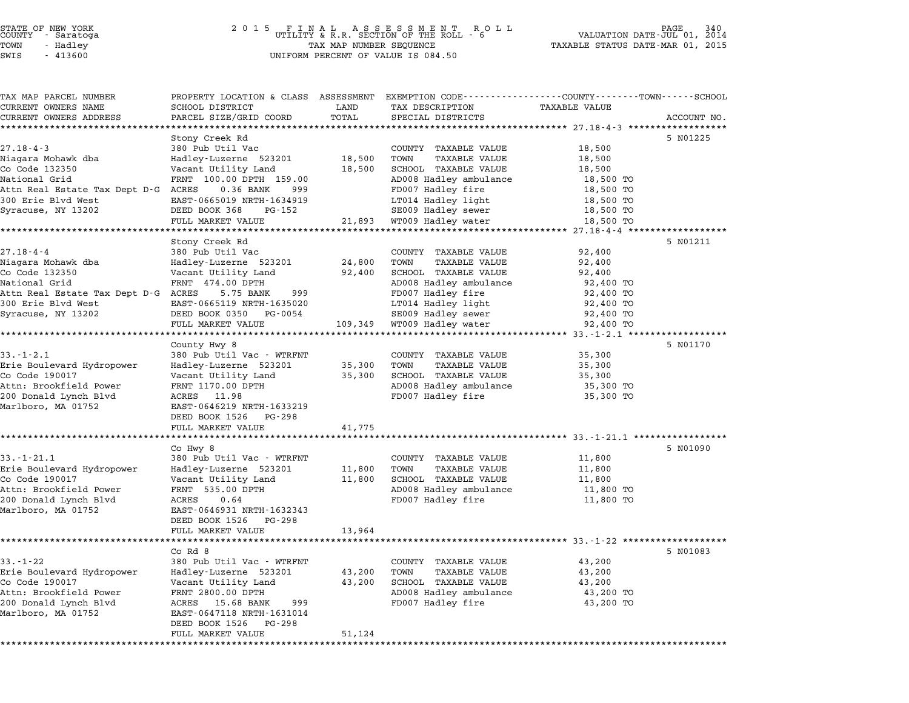## STATE OF NEW YORK <sup>2</sup> <sup>0</sup> <sup>1</sup> 5 F I N A L A S S E S S M E N T R O L L PAGE <sup>340</sup> COUNTY - Saratoga UTILITY & R.R. SECTION OF THE ROLL - <sup>6</sup> VALUATION DATE-JUL 01, <sup>2014</sup> TOWN - Hadley TAX MAP NUMBER SEQUENCE TAXABLE STATUS DATE-MAR 01, <sup>2015</sup> SUCTIVE SALACUSA (UNIFORM PRINCIPLY A SECTION OF THE NUMBER OF SALACUSE OF SALACUSE OF THE SUBSEMICLY OF SALACU<br>TOWN TO HAST OF SALACUSE OF A SUBSEMING OF VALUE IS 084.50<br>SWIS - 413600

TAX MAP PARCEL NUMBER PROPERTY LOCATION & CLASS ASSESSMENT EXEMPTION CODE------------------COUNTY--------TOWN------SCHOOL ...<br>-- COUNTY:- TAX MAP PARCEL NUMBER THE OCHOTRY AND THE CURRENT EXEMPTION CODE<br>CURRENT OWNERS NAME SCHOOL DISTRICT LAND TAX DESCRIPTION TAXABLE VALUE CURRENT OWNERS ADDEER FOUR DISTRICTS AND ASSESSEENT EXERPTION TRACK THE TRACKE SERVER OWNERS ADDRESS SANGEL SIZE/GRID COORD TOTAL SERVET ON TRANSFERS ADDRESS PARCEL SIZE/GRID COORD TOTAL SPECIAL DISTRICTS ACCOUNT NO. Stony Creek Rd 5 N01225 27.18-4-3 380 Pub Util Vac CoUNTY TAXABLE VALUE 18,500 Stony tieek ku hadda are country traxable value to the 18,500 to 18,500<br>18,500 18,500 COUNTY TAXABLE VALUE 18,500 TOWN TAXABLE VALUE 18,500 TOWN TAXABLE VALUE COUNTRY THE SUPPORT OF THE SERVICE OF THE CONTROL OF THE SERVICE OF THE SUPPORT OF THE SUPPORT OF THE SUPPORT<br>Code 132350 Vacant Utility Land 18,500 SCHOOL TAXABLE VALUE 18,500 SCHOOL TAXABLE VALUE 18,500 National Grid FRNT 100.00 DPTH 159.00 AD008 Hadley ambulance 18,500 TO ATTLE TRIM THE MUSLIM CONTROL IS AN TRANSPORTED TRANSPORTED TRANSPORTED TRANSPORTED TRANSPORTED TRANSPORTED TRANSPORTED TRANSPORTED TRIMBLE VALUE OF TRIMBLE VALUE ON THE SET OF TRIMBLE VALUE OF TRIMBLE VALUE ON THE SUPPORT National Grid — FRNI 100.00 DFIN 159.00<br>300 Erie Blvd West — EAST-0665019 NRTH-1634919 LT014 Hadley light 18,500 TO<br>300 Erie Blvd West — EAST-0665019 NRTH-1634919 LT014 Hadley light 18,500 TO Signal State (and Dept D. G. Acken 18,500 DAMA 1999)<br>Syracuse, NY 13202 BASS DEED BOOK 368 PG-152 SE009 Hadley sewer 18,500 TO 18,500 TO FULL MARKET VALUE 21,893 WALL-249 MALL-249 MALL-249 MALL-249 MALL-249 MALL-249 MALL-249 MALL-249 MALL-249 MARKET VALUE 21,893 WT009 Hadley sewer 18,500 TO<br>FULL MARKET VALUE 21,893 WT009 Hadley water 18,500 TO<br>\*\*\*\*\*\*\*\*\*\*\*\*\* Stony Creek Rd 5 N01211 27.18-4-4 380 Pub Util Vac CoUNTY TAXABLE VALUE 92,400 Niagara Mohawk dba Hadley-Luzerne <sup>523201</sup> 24,800 TOWN TAXABLE VALUE 92,400 Co Code <sup>132350</sup> Vacant Utility Land 92,400 SCHOOL TAXABLE VALUE 92,400 National Grid FRNT 474.00 DPTH AD008 Hadley ambulance 92,400 TO ATTLE PART OF THE MUSLIM CONTROLL AND DESCRIPTION OF TRANSPORT OF DETAILS AND A SALE OF THE PART AND A SALE OF<br>Attn Real Estate Tax Dept D-G ACRES 5.75 BANK 999 AD008 Hadley annulance 92,400 TO National Grid — FRNI 474.00 DFIH<br>300 Erie Blvd West — Backers — 5.75 BANK — 999 – FD007 Hadley fire – 92,400 TO<br>300 Erie Blvd West — EAST-0665119 NRTH-1635020 – LT014 Hadley light – 92,400 TO Signal State (and Dept D. G. Acken of State 19, 2002)<br>Syracuse, NY 13202 BASS BOOK 0350 PG-0054 DEED BOOK DEED BOOK 0350 PG-0054 SE009 Hadley sewer 92,400 TO FULL MARKET VALUE 109,349 WT009 Hadley water 92,400 TO \*\*\*\*\*\*\*\*\*\*\*\*\*\*\*\*\*\*\*\*\*\*\*\*\*\*\*\*\*\*\*\*\*\*\*\*\*\*\*\*\*\*\*\*\*\*\*\*\*\*\*\*\*\*\*\*\*\*\*\*\*\*\*\*\*\*\*\*\*\*\*\*\*\*\*\*\*\*\*\*\*\*\*\*\*\*\*\*\*\*\*\*\*\*\*\*\*\*\*\*\*\*\* 33.-1-2.1 \*\*\*\*\*\*\*\*\*\*\*\*\*\*\*\*\*\* County Hwy 8 5 N01170 33.-1-2.1 380 Pub Util Vac - WTRFNT COUNTY TAXABLE VALUE 35,300 Erie Boulevard Hydropower Hadley-Luzerne <sup>523201</sup> 35,300 TOWN TAXABLE VALUE 35,300 Co Code <sup>190017</sup> Vacant Utility Land 35,300 SCHOOL TAXABLE VALUE 35,300 Attn: Brookfield Power FRNT 1170.00 DPTH AD008 Hadley ambulance 35,300 TO كت المسلم المسلم المسلم المسلم المسلم المسلم المسلم المسلم المسلم المسلم المسلم المسلم المسلم المسلم المسلم ال<br>200 Badley annulance ACRES 11.98 ACRES 11.98 AD008 Hadley fire 35,300 TO ACUI: BIOOKIIEIU FOWEI – FRAI 1170.000 DPIR<br>200 Donald Lynch Blvd – ACRES – 11.98<br>Marlboro, MA 01752 – EAST-0646219 NRTH-1633219 EAST-0646219 NRTH-16332<br>DEED BOOK 1526 PG-298 FULL MARKET VALUE 41,775 \*\*\*\*\*\*\*\*\*\*\*\*\*\*\*\*\*\*\*\*\*\*\*\*\*\*\*\*\*\*\*\*\*\*\*\*\*\*\*\*\*\*\*\*\*\*\*\*\*\*\*\*\*\*\*\*\*\*\*\*\*\*\*\*\*\*\*\*\*\*\*\*\*\*\*\*\*\*\*\*\*\*\*\*\*\*\*\*\*\*\*\*\*\*\*\*\*\*\*\*\*\*\* 33.-1-21.1 \*\*\*\*\*\*\*\*\*\*\*\*\*\*\*\*\* Co Hwy 8 5 N01090 33.-1-21.1 380 Pub Util Vac - WTRFNT COUNTY TAXABLE VALUE 11,800 CO Hwy o من التاكر التاكر التاكر بين التاكر بين التاكر بين التاكر بين التاكر بين التاكر بين التاكر بين التاكر<br>Erie Boulevard Hydropower Hadley-Luzerne 523201 11,800 TOWN TAXABLE VALUE USICAL LANDER AND SUPPORT ON THE SERVICE SERVICE ON THANDER AND TRUSH AND TRUSH AND TRUSH AND TRUSH AND TRUSH<br>Erie Boulevard Hydropower Badley-Luzerne 523201 11,800 TOWN TAXABLE VALUE 11,800<br>Co Code 190017 11,800 SCHOOL TA EITE BOUTEVALU HYUTOPOWEL MAUTEY-LUZETHE 323201 11,800 TOWN TAXABLE VALUE 11,800 IT,800<br>Co Code 190017 11,800 Vacant Utility Land 11,800 SCHOOL TAXABLE VALUE 11,800 IT,800<br>Attn: Brookfield Power FRNT 535.00 DPTH AD008 Hadl 20 COLE 1901, 200 MILL VACANT 535.00 DEL 11,000 DENOTE TAAADLE VADE IT 11,000 IT 11,000 NOTE 11,000 TO 2011 IT<br>Attn: Brookfield Power FROM TO ACRES 0.64 ACRES 0.64 PD008 Hadley fire 11,800 TO ACUI: BIOOKIIEIU FOWEI – FRNI - 333.000 DFIN<br>200 Donald Lynch Blvd – ACRES – 0.64<br>Marlboro, MA 01752 – EAST-0646931 NRTH-1632343 EAST-0646931 NRTH-16323<br>DEED BOOK 1526 PG-298 DEED BOOK 1526 PG-298<br>FULL MARKET VALUE 13,964 \*\*\*\*\*\*\*\*\*\*\*\*\*\*\*\*\*\*\*\*\*\*\*\*\*\*\*\*\*\*\*\*\*\*\*\*\*\*\*\*\*\*\*\*\*\*\*\*\*\*\*\*\*\*\*\*\*\*\*\*\*\*\*\*\*\*\*\*\*\*\*\*\*\*\*\*\*\*\*\*\*\*\*\*\*\*\*\*\*\*\*\*\*\*\*\*\*\*\*\*\*\*\* 33.-1-22 \*\*\*\*\*\*\*\*\*\*\*\*\*\*\*\*\*\*\* Co Rd 8 5 N01083 33.-1-22 <sup>380</sup> Pub Util Vac - WTRFNT COUNTY TAXABLE VALUE 43,200 ات التي تابع التي تابع التي تابع التي تابع التي ين التي ين التي ين التي ين التي ين التي ين التي ين بين التي ين<br>Erie Boulevard Hydropower Hadley-Luzerne 523201 43,200 TOWN TAXABLE VALUE USICAL LAND COUNTROLLY COUNTROLLY AND VALUE AND VALUE AND VALUE AND VALUE AND VALUE AND VALUE AND VALUE AND VA<br>Corporate Boulevard Hydropower Hadley-Luzerne 523201 43,200 TOWN TAXABLE VALUE 43,200<br>Corporate And Vacant Util EITE BOUTEVALU HYLOPOWEL MAULEY-LUZETHE 323201 (43,200 TOWN TAXABLE VALUE 43,200 (43,200)<br>Co Code 190017 (Vacant Utility Land 43,200 SCHOOL TAXABLE VALUE 43,200 (43,200 TOWN) (43,200 TOWN) 200 Donald Lynch Macamo Control Control Accepts of the Control Actor (1990) And the Control of the Control of<br>200 Donald Lynch Blvd ACRES 15.68 BANK 999 AD008 Hadley fire 43,200 TO 43,200 TO ACUI: BIOOKITEIN FOWEL FRAT 2000.000 DFIN<br>200 Donald Lynch Blvd – ACRES 15.68 BANK – 999<br>Marlboro, MA 01752 – EAST-0647118 NRTH-1631014 EAST-0647118 NRTH-16310<br>DEED BOOK 1526 PG-298 FULL MARKET VALUE 51,124 \*\*\*\*\*\*\*\*\*\*\*\*\*\*\*\*\*\*\*\*\*\*\*\*\*\*\*\*\*\*\*\*\*\*\*\*\*\*\*\*\*\*\*\*\*\*\*\*\*\*\*\*\*\*\*\*\*\*\*\*\*\*\*\*\*\*\*\*\*\*\*\*\*\*\*\*\*\*\*\*\*\*\*\*\*\*\*\*\*\*\*\*\*\*\*\*\*\*\*\*\*\*\*\*\*\*\*\*\*\*\*\*\*\*\*\*\*\*\*\*\*\*\*\*\*\*\*\*\*\*\*\*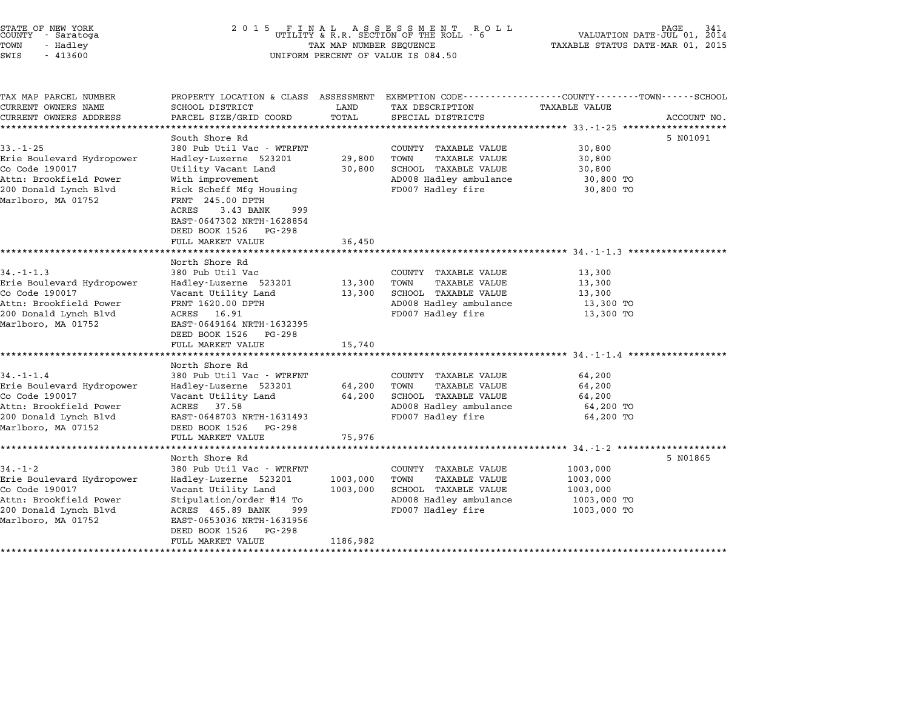| STATE OF NEW YORK |  |            |  |  |
|-------------------|--|------------|--|--|
| COUNTY            |  | - Saratoga |  |  |
| TOWN              |  | - Hadley   |  |  |
|                   |  |            |  |  |

## STATE OF NEW YORK <sup>2</sup> <sup>0</sup> <sup>1</sup> 5 F I N A L A S S E S S M E N T R O L L PAGE <sup>341</sup> COUNTY - Saratoga UTILITY & R.R. SECTION OF THE ROLL - <sup>6</sup> VALUATION DATE-JUL 01, <sup>2014</sup> TOWN - Hadley TAX MAP NUMBER SEQUENCE TAXABLE STATUS DATE-MAR 01, <sup>2015</sup> SWIS - <sup>413600</sup> UNIFORM PERCENT OF VALUE IS 084.50

| TAX MAP PARCEL NUMBER                       |                                              |                      | PROPERTY LOCATION & CLASS ASSESSMENT EXEMPTION CODE---------------COUNTY-------TOWN------SCHOOL |                      |             |
|---------------------------------------------|----------------------------------------------|----------------------|-------------------------------------------------------------------------------------------------|----------------------|-------------|
| CURRENT OWNERS NAME                         | SCHOOL DISTRICT                              | LAND                 | TAX DESCRIPTION                                                                                 | TAXABLE VALUE        |             |
| CURRENT OWNERS ADDRESS                      | PARCEL SIZE/GRID COORD                       | TOTAL                | SPECIAL DISTRICTS                                                                               |                      | ACCOUNT NO. |
|                                             | South Shore Rd                               |                      |                                                                                                 |                      | 5 N01091    |
| $33 - 1 - 25$                               | 380 Pub Util Vac - WTRFNT                    |                      | COUNTY TAXABLE VALUE                                                                            | 30,800               |             |
| Erie Boulevard Hydropower                   | Hadley-Luzerne 523201                        | 29,800               | <b>TAXABLE VALUE</b><br>TOWN                                                                    | 30,800               |             |
| Co Code 190017                              | Utility Vacant Land                          | 30,800               | SCHOOL TAXABLE VALUE                                                                            | 30,800               |             |
| Attn: Brookfield Power                      | With improvement                             |                      | AD008 Hadley ambulance                                                                          | 30,800 TO            |             |
| 200 Donald Lynch Blvd<br>Marlboro, MA 01752 | Rick Scheff Mfg Housing<br>FRNT 245.00 DPTH  |                      | FD007 Hadley fire                                                                               | 30,800 TO            |             |
|                                             | ACRES<br>3.43 BANK<br>999                    |                      |                                                                                                 |                      |             |
|                                             | EAST-0647302 NRTH-1628854                    |                      |                                                                                                 |                      |             |
|                                             | DEED BOOK 1526<br>PG-298                     |                      |                                                                                                 |                      |             |
|                                             | FULL MARKET VALUE                            | 36,450               |                                                                                                 |                      |             |
|                                             |                                              |                      |                                                                                                 |                      |             |
|                                             | North Shore Rd                               |                      |                                                                                                 |                      |             |
| $34. - 1 - 1.3$                             | 380 Pub Util Vac                             |                      | COUNTY TAXABLE VALUE                                                                            | 13,300               |             |
| Erie Boulevard Hydropower                   | Hadley-Luzerne 523201                        | 13,300               | TAXABLE VALUE<br>TOWN                                                                           | 13,300               |             |
| Co Code 190017                              | Vacant Utility Land                          | 13,300               | SCHOOL TAXABLE VALUE                                                                            | 13,300               |             |
| Attn: Brookfield Power                      | FRNT 1620.00 DPTH                            |                      | AD008 Hadley ambulance                                                                          | 13,300 TO            |             |
| 200 Donald Lynch Blvd<br>Marlboro, MA 01752 | ACRES 16.91<br>EAST-0649164 NRTH-1632395     |                      | FD007 Hadley fire                                                                               | 13,300 TO            |             |
|                                             | DEED BOOK 1526<br>PG-298                     |                      |                                                                                                 |                      |             |
|                                             | FULL MARKET VALUE                            | 15,740               |                                                                                                 |                      |             |
|                                             |                                              |                      |                                                                                                 |                      |             |
|                                             | North Shore Rd                               |                      |                                                                                                 |                      |             |
| $34. - 1 - 1.4$                             | 380 Pub Util Vac - WTRFNT                    |                      | COUNTY TAXABLE VALUE                                                                            | 64,200               |             |
| Erie Boulevard Hydropower                   | Hadley-Luzerne 523201                        | 64,200               | TOWN<br><b>TAXABLE VALUE</b>                                                                    | 64,200               |             |
| Co Code 190017                              | Vacant Utility Land                          | 64,200               | SCHOOL TAXABLE VALUE                                                                            | 64,200               |             |
| Attn: Brookfield Power                      | 37.58<br>ACRES                               |                      | AD008 Hadley ambulance                                                                          | 64,200 TO            |             |
| 200 Donald Lynch Blvd                       | EAST-0648703 NRTH-1631493                    |                      | FD007 Hadley fire                                                                               | 64,200 TO            |             |
| Marlboro, MA 07152                          | DEED BOOK 1526<br>PG-298                     |                      |                                                                                                 |                      |             |
|                                             | FULL MARKET VALUE                            | 75,976               |                                                                                                 |                      |             |
|                                             |                                              |                      |                                                                                                 |                      |             |
|                                             | North Shore Rd<br>380 Pub Util Vac - WTRFNT  |                      | COUNTY TAXABLE VALUE                                                                            |                      | 5 NO1865    |
| $34. - 1 - 2$                               |                                              |                      | TOWN                                                                                            | 1003,000             |             |
| Erie Boulevard Hydropower<br>Co Code 190017 | Hadley-Luzerne 523201<br>Vacant Utility Land | 1003,000<br>1003,000 | <b>TAXABLE VALUE</b><br>SCHOOL TAXABLE VALUE                                                    | 1003,000<br>1003,000 |             |
| Attn: Brookfield Power                      | Stipulation/order #14 To                     |                      | AD008 Hadley ambulance                                                                          | 1003,000 TO          |             |
| 200 Donald Lynch Blvd                       | ACRES 465.89 BANK<br>999                     |                      | FD007 Hadley fire                                                                               | 1003,000 TO          |             |
| Marlboro, MA 01752                          | EAST-0653036 NRTH-1631956                    |                      |                                                                                                 |                      |             |
|                                             | PG-298<br>DEED BOOK 1526                     |                      |                                                                                                 |                      |             |
|                                             | FULL MARKET VALUE                            | 1186,982             |                                                                                                 |                      |             |
|                                             |                                              |                      |                                                                                                 |                      |             |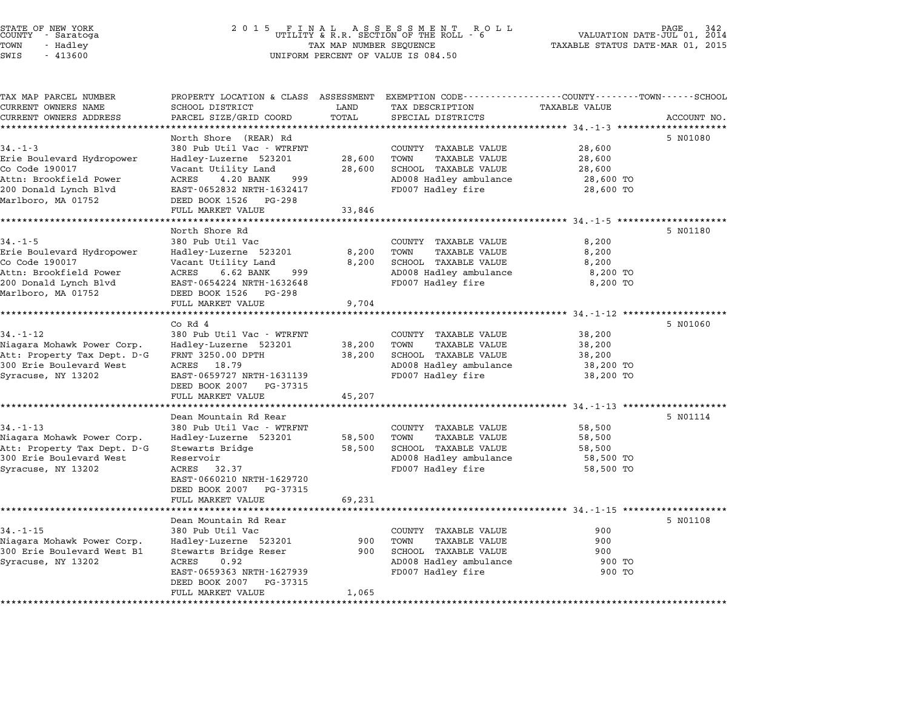| STATE OF NEW YORK<br>COUNTY – Saratoga<br>TOWN<br>- Hadley |                                                         | TAX MAP NUMBER SEQUENCE |                                                                                 | TAXABLE STATUS DATE-MAR 01, 2015 | PAGE<br>PAGE 342<br>VALUATION DATE-JUL 01, 2014 |
|------------------------------------------------------------|---------------------------------------------------------|-------------------------|---------------------------------------------------------------------------------|----------------------------------|-------------------------------------------------|
| SWIS<br>$-413600$                                          |                                                         |                         | UNIFORM PERCENT OF VALUE IS 084.50                                              |                                  |                                                 |
|                                                            |                                                         |                         |                                                                                 |                                  |                                                 |
| TAX MAP PARCEL NUMBER<br>CURRENT OWNERS NAME               | PROPERTY LOCATION & CLASS ASSESSMENT<br>SCHOOL DISTRICT | LAND                    | EXEMPTION CODE-----------------COUNTY-------TOWN------SCHOOL<br>TAX DESCRIPTION | <b>TAXABLE VALUE</b>             |                                                 |
| CURRENT OWNERS ADDRESS<br>**************************       | PARCEL SIZE/GRID COORD                                  | TOTAL                   | SPECIAL DISTRICTS                                                               |                                  | ACCOUNT NO.                                     |
|                                                            | North Shore (REAR) Rd                                   |                         |                                                                                 |                                  | 5 N01080                                        |
| $34. - 1 - 3$                                              | 380 Pub Util Vac - WTRFNT                               |                         | COUNTY TAXABLE VALUE                                                            | 28,600                           |                                                 |
| Erie Boulevard Hydropower                                  | Hadley-Luzerne 523201                                   | 28,600                  | TOWN<br>TAXABLE VALUE                                                           | 28,600                           |                                                 |
| Co Code 190017                                             | Vacant Utility Land                                     | 28,600                  | SCHOOL TAXABLE VALUE                                                            | 28,600                           |                                                 |
| Attn: Brookfield Power                                     | 4.20 BANK<br>999<br>ACRES                               |                         | AD008 Hadley ambulance                                                          | 28,600 TO                        |                                                 |
| 200 Donald Lynch Blvd                                      | EAST-0652832 NRTH-1632417                               |                         | FD007 Hadley fire                                                               | 28,600 TO                        |                                                 |
| Marlboro, MA 01752                                         | DEED BOOK 1526 PG-298                                   |                         |                                                                                 |                                  |                                                 |
|                                                            | FULL MARKET VALUE                                       | 33,846                  |                                                                                 |                                  |                                                 |
|                                                            | North Shore Rd                                          |                         |                                                                                 |                                  | 5 NO1180                                        |
| 34.-1-5                                                    | 380 Pub Util Vac                                        |                         | COUNTY TAXABLE VALUE                                                            | 8,200                            |                                                 |
| Erie Boulevard Hydropower                                  | Hadley-Luzerne 523201                                   | 8,200                   | TOWN<br>TAXABLE VALUE                                                           | 8,200                            |                                                 |
| Co Code 190017                                             | Vacant Utility Land                                     | 8,200                   | SCHOOL TAXABLE VALUE                                                            | 8,200                            |                                                 |
| Attn: Brookfield Power                                     | ACRES<br>999<br>6.62 BANK                               |                         | AD008 Hadley ambulance                                                          | 8,200 TO                         |                                                 |
| 200 Donald Lynch Blvd                                      | EAST-0654224 NRTH-1632648                               |                         | FD007 Hadley fire                                                               | 8,200 TO                         |                                                 |
| Marlboro, MA 01752                                         | DEED BOOK 1526 PG-298                                   |                         |                                                                                 |                                  |                                                 |
|                                                            | FULL MARKET VALUE                                       | 9,704                   |                                                                                 |                                  |                                                 |
|                                                            | *************************                               |                         |                                                                                 |                                  |                                                 |
| $34. - 1 - 12$                                             | Co Rd 4                                                 |                         |                                                                                 |                                  | 5 N01060                                        |
|                                                            | 380 Pub Util Vac - WTRFNT                               |                         | COUNTY TAXABLE VALUE<br>TOWN<br>TAXABLE VALUE                                   | 38,200<br>38,200                 |                                                 |
| Niagara Mohawk Power Corp.<br>Att: Property Tax Dept. D-G  | Hadley-Luzerne 523201<br>FRNT 3250.00 DPTH              | 38,200<br>38,200        | SCHOOL TAXABLE VALUE                                                            | 38,200                           |                                                 |
| 300 Erie Boulevard West                                    | ACRES<br>18.79                                          |                         | AD008 Hadley ambulance                                                          | 38,200 TO                        |                                                 |
| Syracuse, NY 13202                                         | EAST-0659727 NRTH-1631139                               |                         | FD007 Hadley fire                                                               | 38,200 TO                        |                                                 |
|                                                            | DEED BOOK 2007 PG-37315                                 |                         |                                                                                 |                                  |                                                 |
|                                                            | FULL MARKET VALUE                                       | 45,207                  |                                                                                 |                                  |                                                 |
|                                                            |                                                         |                         |                                                                                 |                                  |                                                 |
|                                                            | Dean Mountain Rd Rear                                   |                         |                                                                                 |                                  | 5 N01114                                        |
| $34. - 1 - 13$                                             | 380 Pub Util Vac - WTRFNT                               |                         | COUNTY TAXABLE VALUE                                                            | 58,500                           |                                                 |
| Niagara Mohawk Power Corp.                                 | Hadley-Luzerne 523201                                   | 58,500                  | TOWN<br>TAXABLE VALUE                                                           | 58,500                           |                                                 |
| Att: Property Tax Dept. D-G                                | Stewarts Bridge                                         | 58,500                  | SCHOOL TAXABLE VALUE                                                            | 58,500                           |                                                 |
| 300 Erie Boulevard West                                    | Reservoir                                               |                         | AD008 Hadley ambulance                                                          | 58,500 TO                        |                                                 |
| Syracuse, NY 13202                                         | 32.37<br>ACRES                                          |                         | FD007 Hadley fire                                                               | 58,500 TO                        |                                                 |
|                                                            | EAST-0660210 NRTH-1629720                               |                         |                                                                                 |                                  |                                                 |
|                                                            | DEED BOOK 2007 PG-37315<br>FULL MARKET VALUE            | 69,231                  |                                                                                 |                                  |                                                 |
|                                                            |                                                         |                         |                                                                                 |                                  |                                                 |
|                                                            | Dean Mountain Rd Rear                                   |                         |                                                                                 |                                  | 5 NO1108                                        |
| $34. - 1 - 15$                                             | 380 Pub Util Vac                                        |                         | COUNTY TAXABLE VALUE                                                            | 900                              |                                                 |
| Niagara Mohawk Power Corp.                                 | Hadley-Luzerne 523201                                   | 900                     | TOWN<br><b>TAXABLE VALUE</b>                                                    | 900                              |                                                 |
| 300 Erie Boulevard West B1                                 | Stewarts Bridge Reser                                   | 900                     | SCHOOL TAXABLE VALUE                                                            | 900                              |                                                 |
| Syracuse, NY 13202                                         | ACRES<br>0.92                                           |                         | AD008 Hadley ambulance                                                          | 900 TO                           |                                                 |
|                                                            | EAST-0659363 NRTH-1627939                               |                         | FD007 Hadley fire                                                               | 900 TO                           |                                                 |
|                                                            | DEED BOOK 2007 PG-37315                                 |                         |                                                                                 |                                  |                                                 |
|                                                            | FULL MARKET VALUE                                       | 1,065                   |                                                                                 |                                  |                                                 |

\*\*\*\*\*\*\*\*\*\*\*\*\*\*\*\*\*\*\*\*\*\*\*\*\*\*\*\*\*\*\*\*\*\*\*\*\*\*\*\*\*\*\*\*\*\*\*\*\*\*\*\*\*\*\*\*\*\*\*\*\*\*\*\*\*\*\*\*\*\*\*\*\*\*\*\*\*\*\*\*\*\*\*\*\*\*\*\*\*\*\*\*\*\*\*\*\*\*\*\*\*\*\*\*\*\*\*\*\*\*\*\*\*\*\*\*\*\*\*\*\*\*\*\*\*\*\*\*\*\*\*\*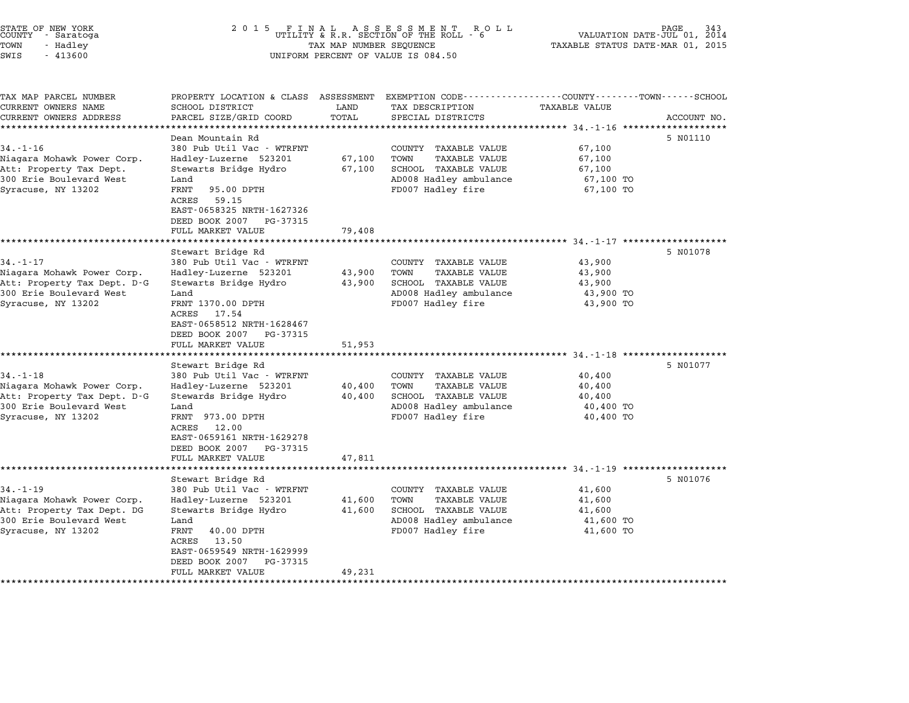| STATE OF NEW YORK<br>COUNTY - Saratoga<br>TOWN<br>- Hadley<br>SWIS<br>$-413600$ | 2 0 1 5<br>FINAL ASSESSMENT F<br>UTILITY & R.R. SECTION OF THE ROLL -<br>PAGE<br>R O L L<br>VALUATION DATE-JUL 01, 2014<br>6<br>TAXABLE STATUS DATE-MAR 01, 2015<br>TAX MAP NUMBER SEQUENCE<br>UNIFORM PERCENT OF VALUE IS 084.50 |               |                                                                                                    |                                                    |             |  |
|---------------------------------------------------------------------------------|-----------------------------------------------------------------------------------------------------------------------------------------------------------------------------------------------------------------------------------|---------------|----------------------------------------------------------------------------------------------------|----------------------------------------------------|-------------|--|
| TAX MAP PARCEL NUMBER<br>CURRENT OWNERS NAME<br>CURRENT OWNERS ADDRESS          | PROPERTY LOCATION & CLASS ASSESSMENT<br>SCHOOL DISTRICT<br>PARCEL SIZE/GRID COORD                                                                                                                                                 | LAND<br>TOTAL | EXEMPTION CODE----------------COUNTY-------TOWN-----SCHOOL<br>TAX DESCRIPTION<br>SPECIAL DISTRICTS | <b>TAXABLE VALUE</b>                               | ACCOUNT NO. |  |
|                                                                                 | Dean Mountain Rd                                                                                                                                                                                                                  |               |                                                                                                    |                                                    | 5 N01110    |  |
| $34. - 1 - 16$                                                                  | 380 Pub Util Vac - WTRFNT                                                                                                                                                                                                         |               | COUNTY TAXABLE VALUE                                                                               | 67,100                                             |             |  |
| Niagara Mohawk Power Corp.                                                      | Hadley-Luzerne 523201                                                                                                                                                                                                             | 67,100        | TOWN<br>TAXABLE VALUE                                                                              | 67,100                                             |             |  |
| Att: Property Tax Dept.                                                         | Stewarts Bridge Hydro                                                                                                                                                                                                             | 67,100        | SCHOOL TAXABLE VALUE                                                                               | 67,100                                             |             |  |
| 300 Erie Boulevard West<br>Syracuse, NY 13202                                   | Land<br>FRNT<br>95.00 DPTH<br>ACRES<br>59.15<br>EAST-0658325 NRTH-1627326<br>DEED BOOK 2007 PG-37315                                                                                                                              |               | AD008 Hadley ambulance<br>FD007 Hadley fire                                                        | 67,100 TO<br>67,100 TO                             |             |  |
|                                                                                 | FULL MARKET VALUE                                                                                                                                                                                                                 | 79,408        |                                                                                                    |                                                    |             |  |
|                                                                                 | *****************<br>Stewart Bridge Rd                                                                                                                                                                                            | ********      |                                                                                                    | ********************* 34.-1-17 ******************* | 5 N01078    |  |
| $34. - 1 - 17$                                                                  | 380 Pub Util Vac - WTRFNT                                                                                                                                                                                                         |               | COUNTY TAXABLE VALUE                                                                               | 43,900                                             |             |  |
| Niagara Mohawk Power Corp.                                                      | Hadley-Luzerne 523201                                                                                                                                                                                                             | 43,900        | TOWN<br>TAXABLE VALUE                                                                              | 43,900                                             |             |  |
| Att: Property Tax Dept. D-G                                                     | Stewarts Bridge Hydro                                                                                                                                                                                                             | 43,900        | SCHOOL TAXABLE VALUE                                                                               | 43,900                                             |             |  |
| 300 Erie Boulevard West                                                         | Land                                                                                                                                                                                                                              |               | AD008 Hadley ambulance                                                                             | 43,900 TO                                          |             |  |
| Syracuse, NY 13202                                                              | FRNT 1370.00 DPTH<br>ACRES<br>17.54<br>EAST-0658512 NRTH-1628467<br>DEED BOOK 2007 PG-37315                                                                                                                                       |               | FD007 Hadley fire                                                                                  | 43,900 TO                                          |             |  |
|                                                                                 | FULL MARKET VALUE                                                                                                                                                                                                                 | 51,953        |                                                                                                    | ************************* 34.-1-18 ************    |             |  |
|                                                                                 | Stewart Bridge Rd                                                                                                                                                                                                                 |               |                                                                                                    |                                                    | 5 N01077    |  |
| $34. - 1 - 18$                                                                  | 380 Pub Util Vac - WTRFNT                                                                                                                                                                                                         |               | COUNTY TAXABLE VALUE                                                                               | 40,400                                             |             |  |
| Niagara Mohawk Power Corp.                                                      | Hadley-Luzerne 523201                                                                                                                                                                                                             | 40,400        | TOWN<br><b>TAXABLE VALUE</b>                                                                       | 40,400                                             |             |  |
| Att: Property Tax Dept. D-G                                                     | Stewards Bridge Hydro                                                                                                                                                                                                             | 40,400        | SCHOOL TAXABLE VALUE                                                                               | 40,400                                             |             |  |
| 300 Erie Boulevard West                                                         | Land                                                                                                                                                                                                                              |               | AD008 Hadley ambulance                                                                             | 40,400 TO                                          |             |  |
| Syracuse, NY 13202                                                              | FRNT 973.00 DPTH<br>ACRES<br>12.00<br>EAST-0659161 NRTH-1629278<br>DEED BOOK 2007 PG-37315                                                                                                                                        |               | FD007 Hadley fire                                                                                  | 40,400 TO                                          |             |  |
|                                                                                 | FULL MARKET VALUE                                                                                                                                                                                                                 | 47,811        |                                                                                                    |                                                    |             |  |
|                                                                                 |                                                                                                                                                                                                                                   |               |                                                                                                    | $34 - 1 - 19$ *******                              |             |  |
|                                                                                 | Stewart Bridge Rd                                                                                                                                                                                                                 |               |                                                                                                    |                                                    | 5 N01076    |  |
| $34. - 1 - 19$<br>Niagara Mohawk Power Corp.                                    | 380 Pub Util Vac - WTRFNT<br>Hadley-Luzerne 523201                                                                                                                                                                                | 41,600        | COUNTY TAXABLE VALUE<br>TOWN<br>TAXABLE VALUE                                                      | 41,600<br>41,600                                   |             |  |
| Att: Property Tax Dept. DG                                                      | Stewarts Bridge Hydro                                                                                                                                                                                                             | 41,600        | SCHOOL TAXABLE VALUE                                                                               | 41,600                                             |             |  |
| 300 Erie Boulevard West                                                         | Land                                                                                                                                                                                                                              |               | AD008 Hadley ambulance                                                                             | 41,600 TO                                          |             |  |
| Syracuse, NY 13202                                                              | FRNT<br>40.00 DPTH<br>ACRES<br>13.50<br>EAST-0659549 NRTH-1629999<br>DEED BOOK 2007<br>PG-37315                                                                                                                                   |               | FD007 Hadley fire                                                                                  | 41,600 TO                                          |             |  |
|                                                                                 | FULL MARKET VALUE                                                                                                                                                                                                                 | 49,231        |                                                                                                    |                                                    |             |  |

\*\*\*\*\*\*\*\*\*\*\*\*\*\*\*\*\*\*\*\*\*\*\*\*\*\*\*\*\*\*\*\*\*\*\*\*\*\*\*\*\*\*\*\*\*\*\*\*\*\*\*\*\*\*\*\*\*\*\*\*\*\*\*\*\*\*\*\*\*\*\*\*\*\*\*\*\*\*\*\*\*\*\*\*\*\*\*\*\*\*\*\*\*\*\*\*\*\*\*\*\*\*\*\*\*\*\*\*\*\*\*\*\*\*\*\*\*\*\*\*\*\*\*\*\*\*\*\*\*\*\*\*

# STATE OF NEW YORK <sup>2</sup> <sup>0</sup> <sup>1</sup> 5 F I N A L A S S E S S M E N T R O L L PAGE <sup>343</sup> COUNTY - Saratoga UTILITY & R.R. SECTION OF THE ROLL - <sup>6</sup> VALUATION DATE-JUL 01, <sup>2014</sup>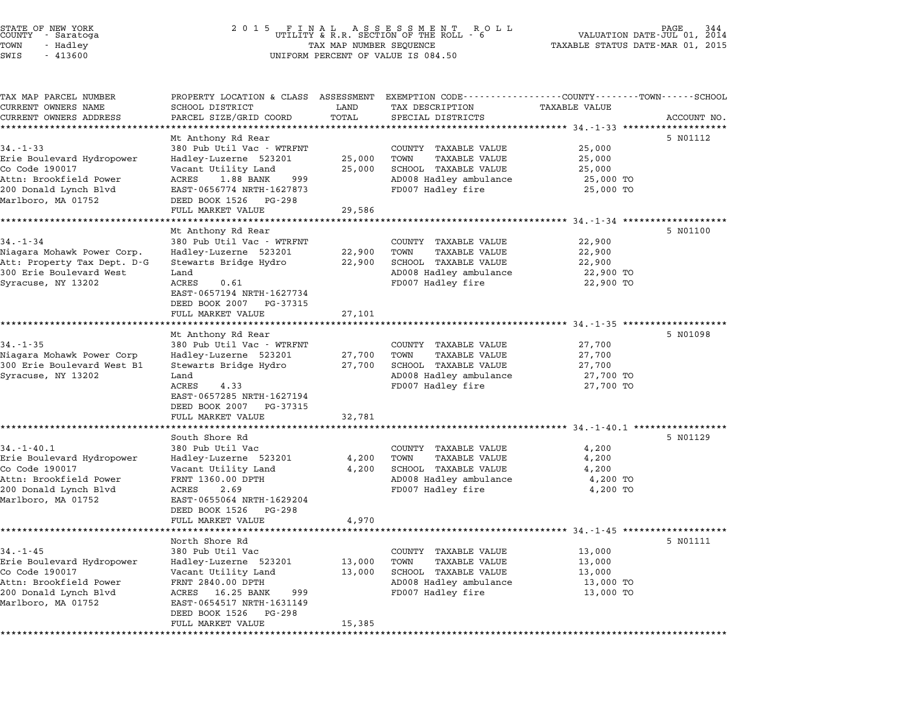| STATE OF NEW YORK<br>COUNTY - Saratoga<br>TOWN<br>- Hadley<br>SWIS<br>$-413600$                                                          | 2 0 1 5<br>FINAL ASSESSMENT ROLL<br>UTILITY & R.R. SECTION OF THE ROLL - 6<br>344<br>2014<br>VALUATION DATE-JUL 01,<br>TAX MAP NUMBER SEQUENCE<br>TAXABLE STATUS DATE-MAR 01, 2015<br>UNIFORM PERCENT OF VALUE IS 084.50    |                                   |                                                                                                                             |                                                      |             |  |
|------------------------------------------------------------------------------------------------------------------------------------------|-----------------------------------------------------------------------------------------------------------------------------------------------------------------------------------------------------------------------------|-----------------------------------|-----------------------------------------------------------------------------------------------------------------------------|------------------------------------------------------|-------------|--|
| TAX MAP PARCEL NUMBER<br>CURRENT OWNERS NAME<br>CURRENT OWNERS ADDRESS                                                                   | PROPERTY LOCATION & CLASS ASSESSMENT EXEMPTION CODE---------------COUNTY-------TOWN-----SCHOOL<br>SCHOOL DISTRICT<br>PARCEL SIZE/GRID COORD                                                                                 | LAND<br>TOTAL                     | TAX DESCRIPTION<br>SPECIAL DISTRICTS                                                                                        | TAXABLE VALUE                                        | ACCOUNT NO. |  |
| $34. - 1 - 33$<br>Erie Boulevard Hydropower<br>Co Code 190017<br>Attn: Brookfield Power<br>200 Donald Lynch Blvd<br>Marlboro, MA 01752   | Mt Anthony Rd Rear<br>380 Pub Util Vac - WTRFNT<br>Hadley-Luzerne 523201<br>Vacant Utility Land<br>ACRES<br>1.88 BANK<br>999<br>EAST-0656774 NRTH-1627873<br>DEED BOOK 1526<br>PG-298<br>FULL MARKET VALUE                  | 25,000<br>25,000<br>29,586        | COUNTY TAXABLE VALUE<br><b>TAXABLE VALUE</b><br>TOWN<br>SCHOOL TAXABLE VALUE<br>AD008 Hadley ambulance<br>FD007 Hadley fire | 25,000<br>25,000<br>25,000<br>25,000 TO<br>25,000 TO | 5 N01112    |  |
| $34. - 1 - 34$<br>Niagara Mohawk Power Corp.<br>Att: Property Tax Dept. D-G<br>300 Erie Boulevard West<br>Syracuse, NY 13202             | Mt Anthony Rd Rear<br>380 Pub Util Vac - WTRFNT<br>Hadley-Luzerne 523201<br>Stewarts Bridge Hydro<br>Land<br>ACRES<br>0.61<br>EAST-0657194 NRTH-1627734<br>DEED BOOK 2007 PG-37315<br>FULL MARKET VALUE                     | 22,900<br>22,900<br>27,101        | COUNTY TAXABLE VALUE<br>TOWN<br>TAXABLE VALUE<br>SCHOOL TAXABLE VALUE<br>AD008 Hadley ambulance<br>FD007 Hadley fire        | 22,900<br>22,900<br>22,900<br>22,900 TO<br>22,900 TO | 5 NO1100    |  |
| $34. - 1 - 35$<br>Niagara Mohawk Power Corp<br>300 Erie Boulevard West B1<br>Syracuse, NY 13202                                          | Mt Anthony Rd Rear<br>380 Pub Util Vac - WTRFNT<br>Hadley-Luzerne 523201<br>Stewarts Bridge Hydro<br>Land<br>4.33<br>ACRES<br>EAST-0657285 NRTH-1627194<br>DEED BOOK 2007<br>PG-37315                                       | 27,700<br>27,700                  | COUNTY TAXABLE VALUE<br>TOWN<br>TAXABLE VALUE<br>SCHOOL TAXABLE VALUE<br>AD008 Hadley ambulance<br>FD007 Hadley fire        | 27,700<br>27,700<br>27,700<br>27,700 TO<br>27,700 TO | 5 NO1098    |  |
| $34. - 1 - 40.1$<br>Erie Boulevard Hydropower<br>Co Code 190017<br>Attn: Brookfield Power<br>200 Donald Lynch Blvd<br>Marlboro, MA 01752 | FULL MARKET VALUE<br>South Shore Rd<br>380 Pub Util Vac<br>Hadley-Luzerne 523201<br>Vacant Utility Land<br>FRNT 1360.00 DPTH<br>ACRES<br>2.69<br>EAST-0655064 NRTH-1629204<br>DEED BOOK 1526<br>PG-298<br>FULL MARKET VALUE | 32,781<br>4,200<br>4,200<br>4,970 | COUNTY TAXABLE VALUE<br>TOWN<br>TAXABLE VALUE<br>SCHOOL TAXABLE VALUE<br>AD008 Hadley ambulance<br>FD007 Hadley fire        | 4,200<br>4,200<br>4,200<br>4,200 TO<br>4,200 TO      | 5 NO1129    |  |
| $34. - 1 - 45$<br>Erie Boulevard Hydropower<br>Co Code 190017<br>Attn: Brookfield Power<br>200 Donald Lynch Blvd<br>Marlboro, MA 01752   | North Shore Rd<br>380 Pub Util Vac<br>Hadley-Luzerne 523201<br>Vacant Utility Land<br>FRNT 2840.00 DPTH<br>ACRES<br>16.25 BANK<br>999<br>EAST-0654517 NRTH-1631149<br>DEED BOOK 1526<br>PG-298<br>FULL MARKET VALUE         | 13,000<br>13,000<br>15,385        | COUNTY TAXABLE VALUE<br>TOWN<br>TAXABLE VALUE<br>SCHOOL TAXABLE VALUE<br>AD008 Hadley ambulance<br>FD007 Hadley fire        | 13,000<br>13,000<br>13,000<br>13,000 TO<br>13,000 TO | 5 N01111    |  |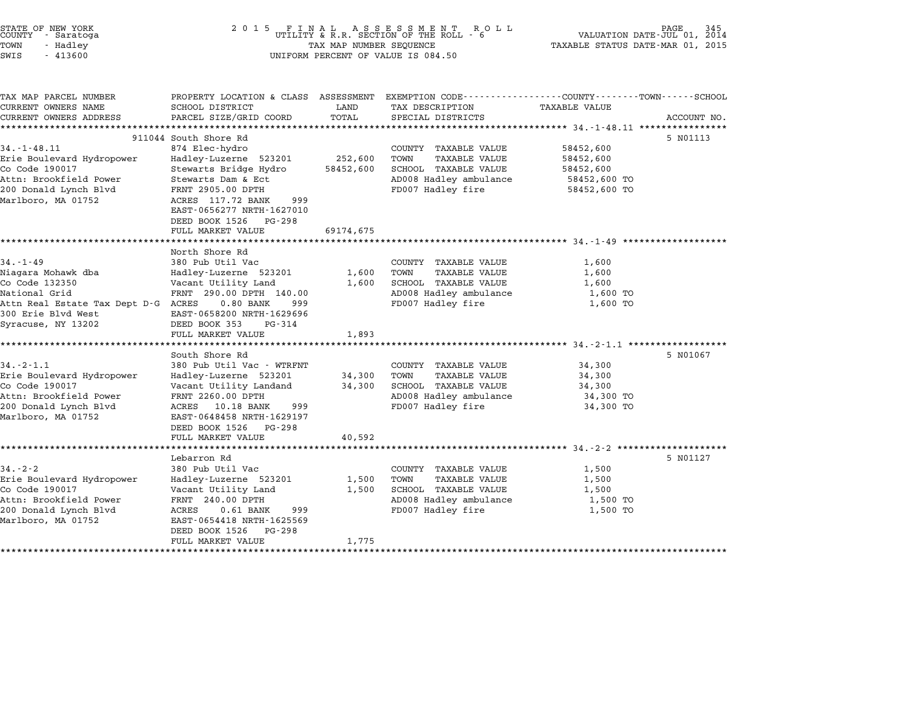| STATE OF NEW YORK<br>COUNTY - Saratoga<br>TOWN<br>- Hadley<br>SWIS<br>$-413600$                                                                            | 2 0 1 5                                                                                                                                                                                                                                     | TAX MAP NUMBER SEQUENCE           | FINAL ASSESSMENT ROLL<br>UTILITY & R.R. SECTION OF THE ROLL - 6<br>UNIFORM PERCENT OF VALUE IS 084.50                       | TAXABLE STATUS DATE-MAR 01, 2015                                    | 345<br>PAGE<br>VALUATION DATE-JUL 01, 2014 |
|------------------------------------------------------------------------------------------------------------------------------------------------------------|---------------------------------------------------------------------------------------------------------------------------------------------------------------------------------------------------------------------------------------------|-----------------------------------|-----------------------------------------------------------------------------------------------------------------------------|---------------------------------------------------------------------|--------------------------------------------|
| TAX MAP PARCEL NUMBER<br>CURRENT OWNERS NAME<br>CURRENT OWNERS ADDRESS                                                                                     | PROPERTY LOCATION & CLASS ASSESSMENT EXEMPTION CODE---------------COUNTY-------TOWN-----SCHOOL<br>SCHOOL DISTRICT<br>PARCEL SIZE/GRID COORD                                                                                                 | LAND<br>TOTAL                     | TAX DESCRIPTION<br>SPECIAL DISTRICTS                                                                                        | TAXABLE VALUE                                                       | ACCOUNT NO.                                |
| $34. - 1 - 48.11$<br>Erie Boulevard Hydropower<br>Co Code 190017<br>Attn: Brookfield Power<br>200 Donald Lynch Blvd<br>Marlboro, MA 01752                  | 911044 South Shore Rd<br>874 Elec-hydro<br>Hadley-Luzerne 523201<br>Stewarts Bridge Hydro<br>Stewarts Dam & Ect<br>FRNT 2905.00 DPTH<br>ACRES 117.72 BANK<br>999<br>EAST-0656277 NRTH-1627010<br>DEED BOOK 1526 PG-298<br>FULL MARKET VALUE | 252,600<br>58452,600<br>69174,675 | COUNTY TAXABLE VALUE<br>TOWN<br><b>TAXABLE VALUE</b><br>SCHOOL TAXABLE VALUE<br>AD008 Hadley ambulance<br>FD007 Hadley fire | 58452,600<br>58452,600<br>58452,600<br>58452,600 TO<br>58452,600 TO | 5 N01113                                   |
| $34. - 1 - 49$<br>Niagara Mohawk dba<br>Co Code 132350<br>National Grid<br>Attn Real Estate Tax Dept D-G ACRES<br>300 Erie Blvd West<br>Syracuse, NY 13202 | North Shore Rd<br>380 Pub Util Vac<br>Hadley-Luzerne 523201<br>Vacant Utility Land<br>FRNT 290.00 DPTH 140.00<br>$0.80$ BANK<br>999<br>EAST-0658200 NRTH-1629696<br>DEED BOOK 353<br>PG-314<br>FULL MARKET VALUE                            | 1,600<br>1,600<br>1,893           | COUNTY TAXABLE VALUE<br>TAXABLE VALUE<br>TOWN<br>SCHOOL TAXABLE VALUE<br>AD008 Hadley ambulance<br>FD007 Hadley fire        | 1,600<br>1,600<br>1,600<br>1,600 TO<br>1,600 TO                     |                                            |
| $34. - 2 - 1.1$<br>Erie Boulevard Hydropower<br>Co Code 190017<br>Attn: Brookfield Power<br>200 Donald Lynch Blvd<br>Marlboro, MA 01752                    | South Shore Rd<br>380 Pub Util Vac - WTRFNT<br>Hadley-Luzerne 523201<br>Vacant Utility Landand<br>FRNT 2260.00 DPTH<br>ACRES 10.18 BANK<br>999<br>EAST-0648458 NRTH-1629197<br>DEED BOOK 1526<br>PG-298<br>FULL MARKET VALUE                | 34,300<br>34,300<br>40,592        | COUNTY TAXABLE VALUE<br>TOWN<br><b>TAXABLE VALUE</b><br>SCHOOL TAXABLE VALUE<br>AD008 Hadley ambulance<br>FD007 Hadley fire | 34,300<br>34,300<br>34,300<br>34,300 TO<br>34,300 TO                | 5 N01067                                   |
| $34. - 2 - 2$<br>Erie Boulevard Hydropower<br>Co Code 190017<br>Attn: Brookfield Power<br>200 Donald Lynch Blvd<br>Marlboro, MA 01752                      | Lebarron Rd<br>380 Pub Util Vac<br>Hadley-Luzerne 523201<br>Vacant Utility Land<br>FRNT 240.00 DPTH<br>999<br>ACRES<br>$0.61$ BANK<br>EAST-0654418 NRTH-1625569<br>DEED BOOK 1526<br>PG-298<br>FULL MARKET VALUE                            | 1,500<br>1,500<br>1,775           | COUNTY TAXABLE VALUE<br>TOWN<br><b>TAXABLE VALUE</b><br>SCHOOL TAXABLE VALUE<br>AD008 Hadley ambulance<br>FD007 Hadley fire | 1,500<br>1,500<br>1,500<br>1,500 TO<br>1,500 TO                     | 5 N01127                                   |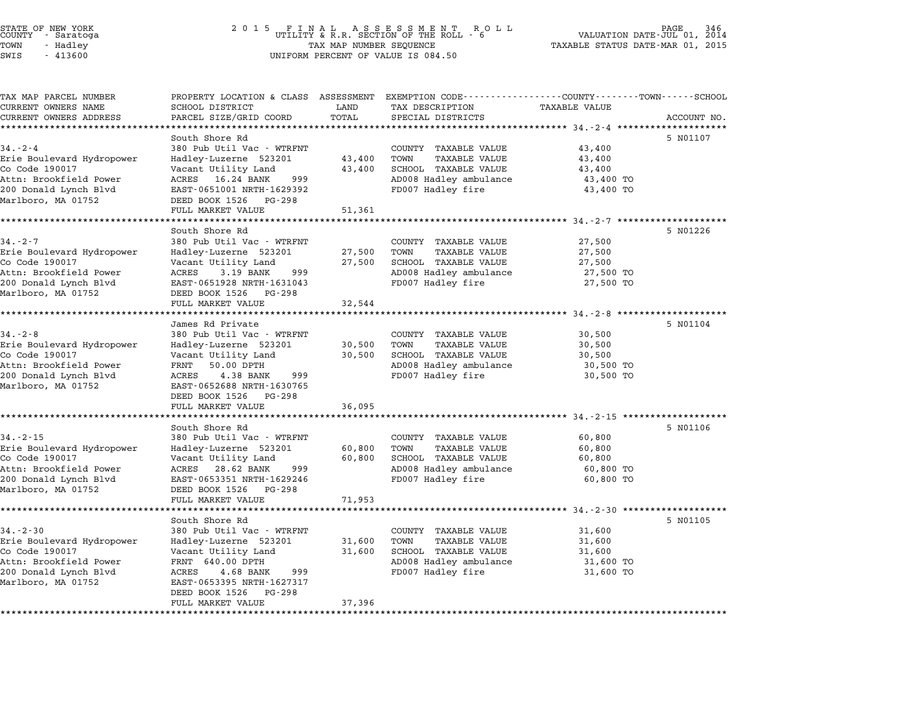|          | STATE OF NEW YORK<br>COUNTY - Saratoga |  |
|----------|----------------------------------------|--|
| TOWN     | - Hadley                               |  |
| $\alpha$ | 11200                                  |  |

## STATE OF NEW YORK <sup>2</sup> <sup>0</sup> <sup>1</sup> 5 F I N A L A S S E S S M E N T R O L L PAGE <sup>346</sup> COUNTY - Saratoga UTILITY & R.R. SECTION OF THE ROLL - <sup>6</sup> VALUATION DATE-JUL 01, <sup>2014</sup> TOWN - Hadley TAX MAP NUMBER SEQUENCE TAXABLE STATUS DATE-MAR 01, <sup>2015</sup> SWIS - <sup>413600</sup> UNIFORM PERCENT OF VALUE IS 084.50

| TAX MAP PARCEL NUMBER     | PROPERTY LOCATION & CLASS ASSESSMENT EXEMPTION CODE---------------COUNTY-------TOWN------SCHOOL |              |                              |                      |             |
|---------------------------|-------------------------------------------------------------------------------------------------|--------------|------------------------------|----------------------|-------------|
| CURRENT OWNERS NAME       | SCHOOL DISTRICT<br>LAND                                                                         |              | TAX DESCRIPTION              | <b>TAXABLE VALUE</b> |             |
| CURRENT OWNERS ADDRESS    | PARCEL SIZE/GRID COORD                                                                          | TOTAL        | SPECIAL DISTRICTS            |                      | ACCOUNT NO. |
| ************************  |                                                                                                 |              |                              |                      |             |
|                           | South Shore Rd                                                                                  |              |                              |                      | 5 N01107    |
| $34. - 2 - 4$             | 380 Pub Util Vac - WTRFNT                                                                       |              | COUNTY TAXABLE VALUE         | 43,400               |             |
| Erie Boulevard Hydropower | Hadley-Luzerne 523201                                                                           | 43,400       | TOWN<br>TAXABLE VALUE        | 43,400               |             |
| Co Code 190017            | Vacant Utility Land                                                                             | 43,400       | SCHOOL TAXABLE VALUE         | 43,400               |             |
| Attn: Brookfield Power    | ACRES 16.24 BANK<br>999                                                                         |              | AD008 Hadley ambulance       | 43,400 TO            |             |
| 200 Donald Lynch Blvd     | EAST-0651001 NRTH-1629392                                                                       |              | FD007 Hadley fire            | 43,400 TO            |             |
| Marlboro, MA 01752        | DEED BOOK 1526 PG-298                                                                           |              |                              |                      |             |
|                           | FULL MARKET VALUE                                                                               | 51,361       |                              |                      |             |
|                           |                                                                                                 |              |                              |                      |             |
|                           | South Shore Rd                                                                                  |              |                              |                      | 5 NO1226    |
| $34. - 2 - 7$             | 380 Pub Util Vac - WTRFNT                                                                       |              | COUNTY TAXABLE VALUE         | 27,500               |             |
| Erie Boulevard Hydropower | Hadley-Luzerne 523201                                                                           | 27,500       | TOWN<br>TAXABLE VALUE        | 27,500               |             |
| Co Code 190017            | Vacant Utility Land<br>ACRES<br>3.19 BANK                                                       | 27,500       | SCHOOL TAXABLE VALUE         | 27,500               |             |
| Attn: Brookfield Power    | 999                                                                                             |              | AD008 Hadley ambulance       | 27,500 TO            |             |
| 200 Donald Lynch Blvd     | EAST-0651928 NRTH-1631043                                                                       |              | FD007 Hadley fire            | 27,500 TO            |             |
| Marlboro, MA 01752        | DEED BOOK 1526 PG-298                                                                           |              |                              |                      |             |
|                           | FULL MARKET VALUE                                                                               | 32,544       |                              |                      |             |
|                           | James Rd Private                                                                                |              |                              |                      | 5 N01104    |
| $34 - 2 - 8$              | 380 Pub Util Vac - WTRFNT                                                                       |              | COUNTY TAXABLE VALUE         | 30,500               |             |
| Erie Boulevard Hydropower | Hadley-Luzerne 523201                                                                           | 30,500       | TOWN<br>TAXABLE VALUE        | 30,500               |             |
| Co Code 190017            | Vacant Utility Land                                                                             | 30,500       | SCHOOL TAXABLE VALUE         | 30,500               |             |
| Attn: Brookfield Power    | 50.00 DPTH<br>FRNT                                                                              |              | AD008 Hadley ambulance       | 30,500 TO            |             |
| 200 Donald Lynch Blvd     | 4.38 BANK<br>999<br>ACRES                                                                       |              | FD007 Hadley fire            | 30,500 TO            |             |
| Marlboro, MA 01752        | EAST-0652688 NRTH-1630765                                                                       |              |                              |                      |             |
|                           | DEED BOOK 1526 PG-298                                                                           |              |                              |                      |             |
|                           | FULL MARKET VALUE                                                                               | 36,095       |                              |                      |             |
|                           | ************************                                                                        | ************ |                              |                      |             |
|                           | South Shore Rd                                                                                  |              |                              |                      | 5 N01106    |
| $34. - 2 - 15$            | 380 Pub Util Vac - WTRFNT                                                                       |              | COUNTY TAXABLE VALUE         | 60,800               |             |
| Erie Boulevard Hydropower | Hadley-Luzerne 523201                                                                           | 60,800       | TOWN<br><b>TAXABLE VALUE</b> | 60,800               |             |
| Co Code 190017            | Vacant Utility Land                                                                             | 60,800       | SCHOOL TAXABLE VALUE         | 60,800               |             |
| Attn: Brookfield Power    | 28.62 BANK<br>ACRES<br>999                                                                      |              | AD008 Hadley ambulance       | 60,800 TO            |             |
| 200 Donald Lynch Blvd     | EAST-0653351 NRTH-1629246                                                                       |              | FD007 Hadley fire            | 60,800 TO            |             |
| Marlboro, MA 01752        | DEED BOOK 1526 PG-298                                                                           |              |                              |                      |             |
|                           | FULL MARKET VALUE                                                                               | 71,953       |                              |                      |             |
|                           |                                                                                                 |              |                              |                      |             |
|                           | South Shore Rd                                                                                  |              |                              |                      | 5 N01105    |
| $34 - 2 - 30$             | 380 Pub Util Vac - WTRFNT                                                                       |              | COUNTY TAXABLE VALUE         | 31,600               |             |
| Erie Boulevard Hydropower | Hadley-Luzerne 523201                                                                           | 31,600       | TOWN<br>TAXABLE VALUE        | 31,600               |             |
| Co Code 190017            | Vacant Utility Land                                                                             | 31,600       | SCHOOL TAXABLE VALUE         | 31,600               |             |
| Attn: Brookfield Power    | FRNT 640.00 DPTH                                                                                |              | AD008 Hadley ambulance       | 31,600 TO            |             |
| 200 Donald Lynch Blvd     | ACRES<br>4.68 BANK<br>999                                                                       |              | FD007 Hadley fire            | 31,600 TO            |             |
| Marlboro, MA 01752        | EAST-0653395 NRTH-1627317                                                                       |              |                              |                      |             |
|                           | DEED BOOK 1526<br>PG-298                                                                        |              |                              |                      |             |
|                           | FULL MARKET VALUE                                                                               | 37,396       |                              |                      |             |
|                           |                                                                                                 |              |                              |                      |             |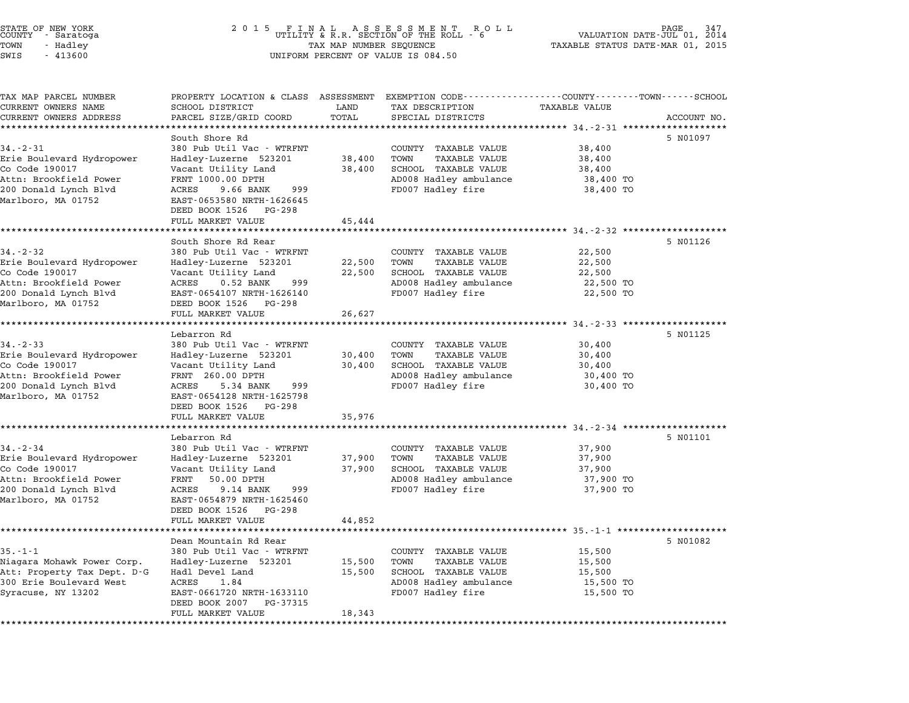STATE OF NEW YORK <sup>2</sup> <sup>0</sup> <sup>1</sup> 5 F I N A L A S S E S S M E N T R O L L PAGE <sup>347</sup> COUNTY - Saratoga UTILITY & R.R. SECTION OF THE ROLL - <sup>6</sup> VALUATION DATE-JUL 01, <sup>2014</sup> TOWN - Hadley TAX MAP NUMBER SEQUENCE TAXABLE STATUS DATE-MAR 01, <sup>2015</sup> SUCTIVE SALACUSA (UNIFORM PRINCIPLY A SECTION OF THE NUMBER OF SALACUSE OF SALACUSE OF THE SUBSEMICLY OF SALACU<br>TOWN TO HAST OF SALACUSE OF A SUBSEMING OF VALUE IS 084.50<br>SWIS - 413600 TAX MAP PARCEL NUMBER PROPERTY LOCATION & CLASS ASSESSMENT EXEMPTION CODE------------------COUNTY--------TOWN------SCHOOL ...<br>-- COUNTY:- TAX MAP PARCEL NUMBER THE OCHOTRY AND THE CURRENT EXEMPTION CODE<br>CURRENT OWNERS NAME SCHOOL DISTRICT LAND TAX DESCRIPTION TAXABLE VALUE CURRENT OWNERS ADDRESS PARCEL SIZE/GRID COORD TOTAL SPECIAL DISTRICTS ACCOUNT NO. \*\*\*\*\*\*\*\*\*\*\*\*\*\*\*\*\*\*\*\*\*\*\*\*\*\*\*\*\*\*\*\*\*\*\*\*\*\*\*\*\*\*\*\*\*\*\*\*\*\*\*\*\*\*\*\*\*\*\*\*\*\*\*\*\*\*\*\*\*\*\*\*\*\*\*\*\*\*\*\*\*\*\*\*\*\*\*\*\*\*\*\*\*\*\*\*\*\*\*\*\*\*\* 34.-2-31 \*\*\*\*\*\*\*\*\*\*\*\*\*\*\*\*\*\*\* South Shore Rd 5 N01097 34.-2-31 380 Pub Util Vac - WTRFNT COUNTY TAXABLE VALUE 38,400 Erie Boulevard Hydropower Hadley-Luzerne <sup>523201</sup> 38,400 TOWN TAXABLE VALUE 38,400 USING THE COUNTROLL ON THE CONSIDERATION COUNTRY AND VALUE OF THE SUPPORT OF THE SET ON THE SUPPORT OF SUPPORT<br>Corporation Booth Consider the Macedon State of State Sample Section of the Support of the State of SS,400 SCHO Attn: Brookfield Power FRNT 1000.00 DPTH AD008 Hadley ambulance 38,400 TO كت عليه المسلم المسلم المسلم المسلم المسلم المسلم المسلم المسلم المسلم المسلم المسلم المسلم المسلم المسلم المس<br>200 Donald Lynch Blvd ACRES 9.66 BANK 999 AD008 Hadley fire 38,400 TO Marlboro, MA <sup>01752</sup> EAST-0653580 NRTH-1626645 EAST-0653580 NRTH-16266<br>DEED BOOK 1526 PG-298

EASI-0055560 MAIR-1020045<br>
DEED BOOK 1526 PG-298<br>
FULL MARKET VALUE 45,444 \*\*\*\*\*\*\*\*\*\*\*\*\*\*\*\*\*\*\*\*\*\*\*\*\*\*\*\*\*\*\*\*\*\*\*\*\*\*\*\*\*\*\*\*\*\*\*\*\*\*\*\*\*\*\*\*\*\*\*\*\*\*\*\*\*\*\*\*\*\*\*\*\*\*\*\*\*\*\*\*\*\*\*\*\*\*\*\*\*\*\*\*\*\*\*\*\*\*\*\*\*\*\* 34.-2-32 \*\*\*\*\*\*\*\*\*\*\*\*\*\*\*\*\*\*\* South Shore Rd Rear 5 N01126 34.-2-32 380 Pub Util Vac - WTRFNT COUNTY TAXABLE VALUE 22,500 Erie Boulevard Hydropower Hadley-Luzerne <sup>523201</sup> 22,500 TOWN TAXABLE VALUE 22,500 Co Code <sup>190017</sup> Vacant Utility Land 22,500 SCHOOL TAXABLE VALUE 22,500 EITE BOUTEVALU HYUTOPOWEL MAUTEY-LUZETHE 323201 122,300 TOWN TAXABLE VALUE 190017 22,500<br>Co Code 190017 122,500 Vacant Utility Land 22,500 SCHOOL TAXABLE VALUE 22,500 10<br>Attn: Brookfield Power ACRES 0.52 BANK 999 12008 Had 200 Donald Lynch Blvd EAST-0654107 NRTH-1626140 FD007 Hadley fire 22,500 TO ACALI: BIOOKITEIN FOWEL ACALS 0.32 BANK 9.<br>200 Donald Lynch Blvd BAST-0654107 NRTH-16261<br>Marlboro, MA 01752 DEED BOOK 1526 PG-298 FULL MARKET VALUE 26,627 \*\*\*\*\*\*\*\*\*\*\*\*\*\*\*\*\*\*\*\*\*\*\*\*\*\*\*\*\*\*\*\*\*\*\*\*\*\*\*\*\*\*\*\*\*\*\*\*\*\*\*\*\*\*\*\*\*\*\*\*\*\*\*\*\*\*\*\*\*\*\*\*\*\*\*\*\*\*\*\*\*\*\*\*\*\*\*\*\*\*\*\*\*\*\*\*\*\*\*\*\*\*\* 34.-2-33 \*\*\*\*\*\*\*\*\*\*\*\*\*\*\*\*\*\*\* Lebarron Rd 5 N01125 34.-2-33 380 Pub Util Vac - WTRFNT COUNTY TAXABLE VALUE 30,400<br>380 Pub Util Vac - WTRFNT COUNTY TAXABLE VALUE 30,400 Erie Boulevard Hydropower Hadley-Luzerne <sup>523201</sup> 30,400 TOWN TAXABLE VALUE 30,400 COONIT IAABLE VALUE VALUE SULLEVID ON THE DOOR SUPPOND OUT A CONSIDERT SUPPOND COONIT IAABLE VALUE SUPPOND ON<br>Erie Boulevard Hydropower Badley-Luzerne 523201 30,400 TOWN TAXABLE VALUE 30,400<br>Co Code 190017 30,400 Vacant Ut arie bourevard may be maddel and their team of the manufacture of the manufacture of the state of the state of<br>Co Code 19017 - Vacant Utility Land - 30,400 SCHOOL TAXABLE VALUE - 30,400<br>Attn: Brookfield Power - FRNT 260.00 <sup>200</sup> Donald Lynch Blvd ACRES 5.34 BANK <sup>999</sup> FD007 Hadley fire 30,400 TO ACCH. DIOORTIEIQ FOWEL – FRAT 200.00 DFIN<br>200 Donald Lynch Blvd – ACRES – 5.34 BANK – 999<br>Marlboro, MA 01752 – EAST-0654128 NRTH-1625798 EAST-0654128 NRTH-16257<br>DEED BOOK 1526 PG-298 DEED BOOK 1526 PG-298<br>FULL MARKET VALUE 35,976 \*\*\*\*\*\*\*\*\*\*\*\*\*\*\*\*\*\*\*\*\*\*\*\*\*\*\*\*\*\*\*\*\*\*\*\*\*\*\*\*\*\*\*\*\*\*\*\*\*\*\*\*\*\*\*\*\*\*\*\*\*\*\*\*\*\*\*\*\*\*\*\*\*\*\*\*\*\*\*\*\*\*\*\*\*\*\*\*\*\*\*\*\*\*\*\*\*\*\*\*\*\*\* 34.-2-34 \*\*\*\*\*\*\*\*\*\*\*\*\*\*\*\*\*\*\* Lebarron Rd 5 N01101 34.-2-34 580 Pub Util Vac - WTRFNT COUNTY TAXABLE VALUE 37,900 Erie Boulevard Hydropower Hadley-Luzerne <sup>523201</sup> 37,900 TOWN TAXABLE VALUE 37,900 COONIT IAABLE VALUE VALUE SINGLO VALUE SINGLO VALUE SINGLO VALUE SINGLO SINGLO SINGLO SINGLO SINGLO SINGLO STR<br>Erie Boulevard Hydropower Hadley-Luzerne 523201 37,900 atte boutevalu hydropower – hadrey buzefie - 923201 – 97,900 TOMN – TAAABLE VALUE – 97,900<br>Co Code 19011 – Vacant Utility Land – 37,900 SCHOOL TAXABLE VALUE – 37,900<br>Attn: Brookfield Power – FRNT – 50.00 DPTH – – – – – – – 200 Donald Lynch Power (ACRES 9.14 BANK 999 FORD BUDGE) And Blvd Blvd Bookfield Power (FRNT 50.00 DPTH (AD008 Hadley ambulance 37,900 TO<br>200 Donald Lynch Blvd (ACRES 9.14 BANK 999 (FD007 Hadley fire 37,900 TO ACCH. DIOORTIEIQ FOWEL – FRAT - 50.00 DFIN<br>200 Donald Lynch Blvd – ACRES – 9.14 BANK – 999<br>Marlboro, MA 01752 – EAST-0654879 NRTH-1625460 EAST-0654879 NRTH-16254<br>DEED BOOK 1526 PG-298 EAST-0654879 NRTH-1625460<br>DEED BOOK 1526 PG-298<br>FULL MARKET VALUE 44,852 \*\*\*\*\*\*\*\*\*\*\*\*\*\*\*\*\*\*\*\*\*\*\*\*\*\*\*\*\*\*\*\*\*\*\*\*\*\*\*\*\*\*\*\*\*\*\*\*\*\*\*\*\*\*\*\*\*\*\*\*\*\*\*\*\*\*\*\*\*\*\*\*\*\*\*\*\*\*\*\*\*\*\*\*\*\*\*\*\*\*\*\*\*\*\*\*\*\*\*\*\*\*\* 35.-1-1 \*\*\*\*\*\*\*\*\*\*\*\*\*\*\*\*\*\*\*\* Dean Mountain Rd Rear 5 N01082 35.-1-1 380 Pub Util Vac - WTRFNT COUNTY TAXABLE VALUE 15,500<br>380 Pub Util Vac - WTRFNT COUNTY TAXABLE VALUE 15,500 Niagara Mohawk Power Corp. Hadley-Luzerne <sup>523201</sup> 15,500 TOWN TAXABLE VALUE 15,500 داد المسلم التي تصوير المسلم التي المسلم التي ين المسلم التي ين المسلم التي التي التي التي تصوير التي التي الت<br>Niagara Mohawk Power Corp. Hadley-Luzerne 523201 15,500 TOWN TAXABLE VALUE Niagara Monaws Fower Corp. Madrey Buzeine 929201 19,900 TOMN TASABLE VALUE (1990) 1990<br>Att: Property Tax Dept. D-G Hadl Devel Land 15,500 SCHOOL TAXABLE VALUE (1990) 1990<br>300 Erie Boulevard West ACRES 1.84 AD008 Hadley amb ALL: FIODELLY IAX DEPL. D-G MAUI DEVEI DANU<br>300 Erie Boulevard West ACRES 1.84 AD008 Hadley ambulance 15,500 TO<br>Syracuse, NY 13202 EAST-0661720 NRTH-1633110 FD007 Hadley fire 15,500 TO EAST-0661720 NRTH-1633110<br>DEED BOOK 2007 PG-37315 FULL MARKET VALUE 18,343 \*\*\*\*\*\*\*\*\*\*\*\*\*\*\*\*\*\*\*\*\*\*\*\*\*\*\*\*\*\*\*\*\*\*\*\*\*\*\*\*\*\*\*\*\*\*\*\*\*\*\*\*\*\*\*\*\*\*\*\*\*\*\*\*\*\*\*\*\*\*\*\*\*\*\*\*\*\*\*\*\*\*\*\*\*\*\*\*\*\*\*\*\*\*\*\*\*\*\*\*\*\*\*\*\*\*\*\*\*\*\*\*\*\*\*\*\*\*\*\*\*\*\*\*\*\*\*\*\*\*\*\*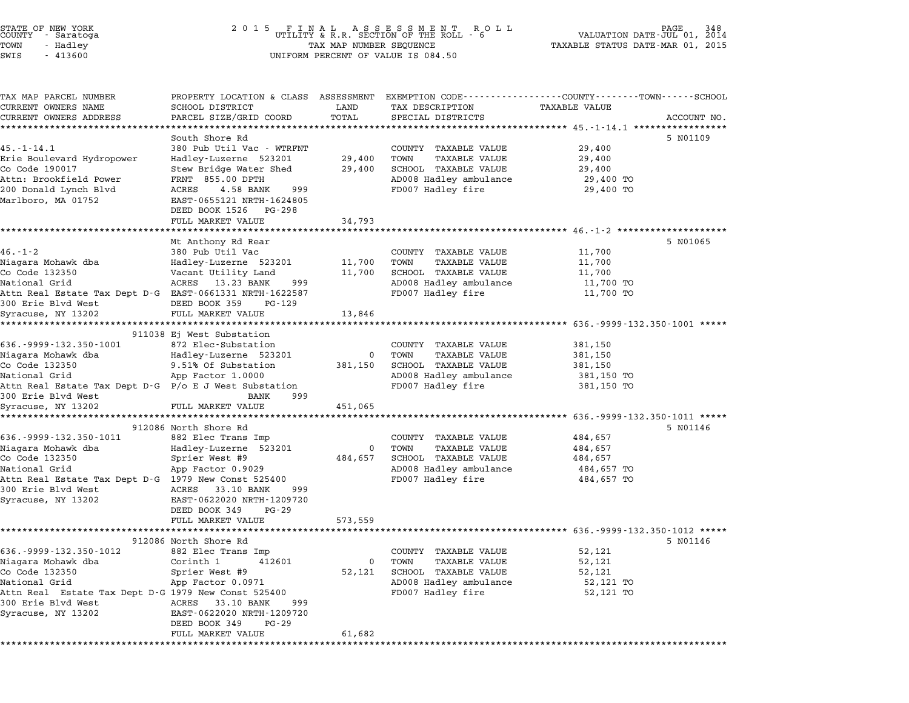TOWN - Hadley TAX MAP NUMBER SEQUENCE TAXABLE STATUS DATE-MAR 01, <sup>2015</sup> SUCTIVE SALACUSA (UNIFORM PRINCIPLY A SECTION OF THE NUMBER OF SALACUSE OF SALACUSE OF THE SUBSEMICLY OF SALACU<br>TOWN TO HAST OF SALACUSE OF A SUBSEMING OF VALUE IS 084.50<br>SWIS - 413600 TAX MAP PARCEL NUMBER PROPERTY LOCATION & CLASS ASSESSMENT EXEMPTION CODE------------------COUNTY--------TOWN------SCHOOL CURRENT OWNERS NAME SCHOOL DISTRICT LAND TAX DESCRIPTION TAXABLE VALUE CURRENT OWNERS ADDRESS PARCEL SIZE/GRID COORD TOTAL SPECIAL DISTRICTS ACCOUNT NO. \*\*\*\*\*\*\*\*\*\*\*\*\*\*\*\*\*\*\*\*\*\*\*\*\*\*\*\*\*\*\*\*\*\*\*\*\*\*\*\*\*\*\*\*\*\*\*\*\*\*\*\*\*\*\*\*\*\*\*\*\*\*\*\*\*\*\*\*\*\*\*\*\*\*\*\*\*\*\*\*\*\*\*\*\*\*\*\*\*\*\*\*\*\*\*\*\*\*\*\*\*\*\* 45.-1-14.1 \*\*\*\*\*\*\*\*\*\*\*\*\*\*\*\*\* South Shore Rd 5 N01109 45.-1-14.1 <sup>380</sup> Pub Util Vac - WTRFNT COUNTY TAXABLE VALUE 29,400 Erie Boulevard Hydropower Hadley-Luzerne <sup>523201</sup> 29,400 TOWN TAXABLE VALUE 29,400 1982. ISLA HARDER MARRIE SUPPORT ON THE SERVICE SERVICE IN TRANSFORMATION OF THE SAME AND A SUPPORT OF STRAUGH<br>Enje Boulevard Hydropower Bridge Water Shed 29,400 SCHOOL TAXABLE VALUE 29,400<br>Co Code 190017 29,400 SCHOOL TAX EITE BOUTEVALU HYUTOPOWEL ARABEL HALDE HANDE VALUE 29,400<br>Co Code 190017 Stew Bridge Water Shed 29,400 SCHOOL TAXABLE VALUE 29,400<br>Attn: Brookfield Power FRNT 855.00 DPTH AD008 Hadley ambulance 29,400 TO <sup>200</sup> Donald Lynch Blvd ACRES 4.58 BANK <sup>999</sup> FD007 Hadley fire 29,400 TO Marlboro, MA <sup>01752</sup> EAST-0655121 NRTH-1624805 EAST-0655121 NRTH-16248<br>DEED BOOK 1526 PG-298 EASI-0055121 NAIH-1024605<br>
DEED BOOK 1526 PG-298<br>
FULL MARKET VALUE 34,793 \*\*\*\*\*\*\*\*\*\*\*\*\*\*\*\*\*\*\*\*\*\*\*\*\*\*\*\*\*\*\*\*\*\*\*\*\*\*\*\*\*\*\*\*\*\*\*\*\*\*\*\*\*\*\*\*\*\*\*\*\*\*\*\*\*\*\*\*\*\*\*\*\*\*\*\*\*\*\*\*\*\*\*\*\*\*\*\*\*\*\*\*\*\*\*\*\*\*\*\*\*\*\* 46.-1-2 \*\*\*\*\*\*\*\*\*\*\*\*\*\*\*\*\*\*\*\* Mt Anthony Rd Rear 5 N01065 ME Anthony Rd Rear and Music County TAXABLE VALUE 11,700 Niagara Mohawk dba Hadley-Luzerne <sup>523201</sup> 11,700 TOWN TAXABLE VALUE 11,700 No. 1 2<br>Note that the Countries of the Countries of the Countries of the Countries of the Countries of the the<br>Co Code 132350 Vacant Utility Land 11,700 SCHOOL TAXABLE VALUE 11,700 11,700 National Grid ACRES 13.23 BANK <sup>999</sup> AD008 Hadley ambulance 11,700 TO ATTLE TAT MUSES AND DESCRIPTION OF TAXABLE VALUE OF TAXABLE VALUE OF TAXABLE VALUE OF THE PROOF TAXABLE VALUE<br>National Grid dialey fire the same of the 11,700 TO applementational dialect the 11,700 TO 100 TO 100 TO 11,700 NACIONAI GIIQ<br>Attn Real Estate Tax Dept D-G EAST-0661331 NRTH-16225<br>300 Erie Blvd West - DEED BOOK 359 PG-129 Syracuse, NY <sup>13202</sup> FULL MARKET VALUE 13,846 \*\*\*\*\*\*\*\*\*\*\*\*\*\*\*\*\*\*\*\*\*\*\*\*\*\*\*\*\*\*\*\*\*\*\*\*\*\*\*\*\*\*\*\*\*\*\*\*\*\*\*\*\*\*\*\*\*\*\*\*\*\*\*\*\*\*\*\*\*\*\*\*\*\*\*\*\*\*\*\*\*\*\*\*\*\*\*\*\*\*\*\*\*\*\*\*\*\*\*\*\*\*\* 636.-9999-132.350-1001 \*\*\*\*\* \*\*\*\*\*\*\*\*\*\*\*\*\*\*\*\*\*\*\*\*\*\*\*\*\*<br>911038 Ej West Substation 636.-9999-132.350-1001 <sup>872</sup> Elec-Substation COUNTY TAXABLE VALUE 381,150 Niagara Mohawk dba Hadley-Luzerne <sup>523201</sup> <sup>0</sup> TOWN TAXABLE VALUE 381,150 Co Code <sup>132350</sup> 9.51% Of Substation 381,150 SCHOOL TAXABLE VALUE 381,150 National Grid App Factor 1.0000 AD008 Hadley ambulance 381,150 TO Colour IAAADLE VALUE 1999<br>Attn Real Estate Tax Dept D-G P/o E J West Substation and Grid and Grid AD008 Hadley ambulance 381,150 TO<br>300 Erie Blvd West Substation BANK 999 Syracuse, NY <sup>13202</sup> FULL MARKET VALUE 451,065 \*\*\*\*\*\*\*\*\*\*\*\*\*\*\*\*\*\*\*\*\*\*\*\*\*\*\*\*\*\*\*\*\*\*\*\*\*\*\*\*\*\*\*\*\*\*\*\*\*\*\*\*\*\*\*\*\*\*\*\*\*\*\*\*\*\*\*\*\*\*\*\*\*\*\*\*\*\*\*\*\*\*\*\*\*\*\*\*\*\*\*\*\*\*\*\*\*\*\*\*\*\*\* 636.-9999-132.350-1011 \*\*\*\*\* 912086 North Shore Rd 5 N01146 636.-9999-132.350-1011 <sup>882</sup> Elec Trans Imp COUNTY TAXABLE VALUE 484,657 Niagara Mohawk dba Hadley-Luzerne <sup>523201</sup> <sup>0</sup> TOWN TAXABLE VALUE 484,657 COOL 222330 Spring the USU of the Cool of the Cool of the Cool of the Cool of the Cool of the Cool of the Cool<br>Niagara Mohawk dba Hadley-Luzerne 523201 0 TOWN TAXABLE VALUE 484,657<br>Coole 132350 484,657 SCHOOL TAXABLE VALUE National Grid App Factor 0.9029 AD008 Hadley ambulance 484,657 TO Attional Grid Constanting Constanting Constanting Constanting Constanting Constitutional Constitutional Const<br>National Grid Association of App Factor 0.9029 And AD008 Hadley fire 484,657 TO<br>FD007 Hadley fire 484,657 TO <sup>300</sup> Erie Blvd West ACRES 33.10 BANK <sup>999</sup> ACCH REAL ESCALE TAN DEPT D G 1979 NEW CONSTRUCT AND SAME DAMN ON SALL PART OF SAME PART OF SAME PART OF SAME P<br>Syracuse, NY 13202 ACRES EAST-0622020 NRTH-1209720 EAST-0622020 NRTH-1209<br>DEED BOOK 349 PG-29 DEED BOOK 349 PG-29<br>FULL MARKET VALUE 573,559 \*\*\*\*\*\*\*\*\*\*\*\*\*\*\*\*\*\*\*\*\*\*\*\*\*\*\*\*\*\*\*\*\*\*\*\*\*\*\*\*\*\*\*\*\*\*\*\*\*\*\*\*\*\*\*\*\*\*\*\*\*\*\*\*\*\*\*\*\*\*\*\*\*\*\*\*\*\*\*\*\*\*\*\*\*\*\*\*\*\*\*\*\*\*\*\*\*\*\*\*\*\*\* 636.-9999-132.350-1012 \*\*\*\*\* 912086 North Shore Rd 5 N01146 636.-9999-132.350-1012 <sup>882</sup> Elec Trans Imp COUNTY TAXABLE VALUE 52,121 Niagara Mohawk dba Corinth <sup>1</sup> <sup>412601</sup> <sup>0</sup> TOWN TAXABLE VALUE 52,121 Co Code <sup>132350</sup> Sprier West #9 52,121 SCHOOL TAXABLE VALUE 52,121 National Grid Apple Collineir 1 (12001)<br>Communication of the Spring School Taxable Value 52,121<br>National Grid 52,121 TO App Factor 0.0971 AD008 Hadley ambulance 52,121 TO CO CODE 132330<br>
Attn Real Grid App Factor 0.0971 AD008 Hadley ambulance 52,121 TO<br>
Attn Real Estate Tax Dept D-G 1979 New Const 525400 FD007 Hadley fire 52,121 TO<br>
300 Erie Blvd West ACRES 33.10 BANK 999 Syracuse, NY <sup>13202</sup> EAST-0622020 NRTH-1209720 DEED BOOK <sup>349</sup> PG-29 FULL MARKET VALUE 61,682 \*\*\*\*\*\*\*\*\*\*\*\*\*\*\*\*\*\*\*\*\*\*\*\*\*\*\*\*\*\*\*\*\*\*\*\*\*\*\*\*\*\*\*\*\*\*\*\*\*\*\*\*\*\*\*\*\*\*\*\*\*\*\*\*\*\*\*\*\*\*\*\*\*\*\*\*\*\*\*\*\*\*\*\*\*\*\*\*\*\*\*\*\*\*\*\*\*\*\*\*\*\*\*\*\*\*\*\*\*\*\*\*\*\*\*\*\*\*\*\*\*\*\*\*\*\*\*\*\*\*\*\*

STATE OF NEW YORK <sup>2</sup> <sup>0</sup> <sup>1</sup> 5 F I N A L A S S E S S M E N T R O L L PAGE <sup>348</sup> COUNTY - Saratoga UTILITY & R.R. SECTION OF THE ROLL - <sup>6</sup> VALUATION DATE-JUL 01, <sup>2014</sup>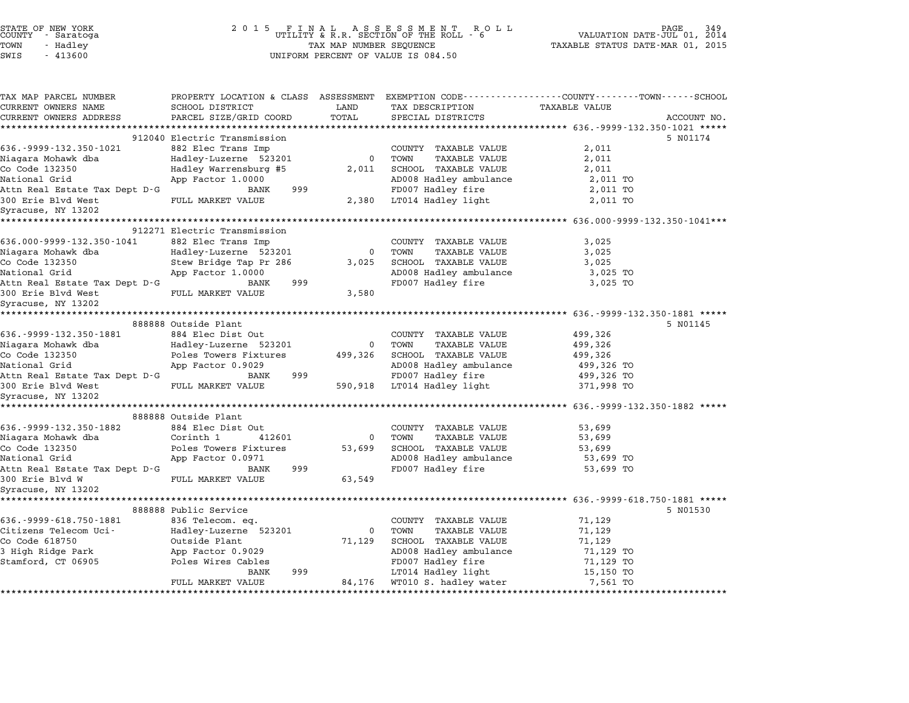| STATE OF NEW YORK<br>COUNTY - Saratoga |  |           |  |
|----------------------------------------|--|-----------|--|
| LOMN                                   |  | - Hadley  |  |
| ר הזיב                                 |  | $-113600$ |  |

| TAX MAP PARCEL NUMBER                            | PROPERTY LOCATION & CLASS ASSESSMENT EXEMPTION CODE---------------COUNTY-------TOWN------SCHOOL |                |                            |               |             |
|--------------------------------------------------|-------------------------------------------------------------------------------------------------|----------------|----------------------------|---------------|-------------|
| CURRENT OWNERS NAME                              | SCHOOL DISTRICT                                                                                 | LAND           | TAX DESCRIPTION            | TAXABLE VALUE |             |
| CURRENT OWNERS ADDRESS                           | PARCEL SIZE/GRID COORD                                                                          | TOTAL          | SPECIAL DISTRICTS          |               | ACCOUNT NO. |
|                                                  |                                                                                                 |                |                            |               |             |
|                                                  | 912040 Electric Transmission                                                                    |                |                            |               | 5 N01174    |
| 636.-9999-132.350-1021                           | 882 Elec Trans Imp                                                                              |                | COUNTY TAXABLE VALUE       | 2,011         |             |
| Niagara Mohawk dba                               | Hadley-Luzerne 523201                                                                           | 0 TOWN         | TAXABLE VALUE              | 2,011         |             |
| Co Code 132350                                   | Hadley Warrensburg #5                                                                           |                | 2,011 SCHOOL TAXABLE VALUE | 2,011         |             |
| National Grid                                    | App Factor 1.0000                                                                               |                | AD008 Hadley ambulance     | 2,011 TO      |             |
| Attn Real Estate Tax Dept D-G                    | BANK<br>999                                                                                     |                | FD007 Hadley fire          | 2,011 TO      |             |
| 300 Erie Blvd West<br>Syracuse, NY 13202         | FULL MARKET VALUE                                                                               |                | 2,380 LT014 Hadley light   | 2,011 TO      |             |
|                                                  |                                                                                                 |                |                            |               |             |
|                                                  | 912271 Electric Transmission                                                                    |                |                            |               |             |
| 636.000-9999-132.350-1041                        | 882 Elec Trans Imp                                                                              |                | COUNTY TAXABLE VALUE       | 3.025         |             |
| Niagara Mohawk dba                               | Hadley-Luzerne 523201                                                                           | $\overline{0}$ | TOWN<br>TAXABLE VALUE      | 3,025         |             |
| Co Code 132350                                   | Stew Bridge Tap Pr 286                                                                          | 3,025          | SCHOOL TAXABLE VALUE       | 3,025         |             |
| National Grid                                    | App Factor 1.0000                                                                               |                | AD008 Hadley ambulance     | 3,025 TO      |             |
| Attn Real Estate Tax Dept D-G                    | 999<br>BANK                                                                                     |                | FD007 Hadley fire          | 3,025 TO      |             |
| 300 Erie Blvd West                               | FULL MARKET VALUE                                                                               | 3,580          |                            |               |             |
| Syracuse, NY 13202                               |                                                                                                 |                |                            |               |             |
|                                                  |                                                                                                 |                |                            |               |             |
|                                                  | 888888 Outside Plant                                                                            |                |                            |               | 5 N01145    |
| 636.-9999-132.350-1881                           | 884 Elec Dist Out                                                                               |                | COUNTY TAXABLE VALUE       | 499,326       |             |
| Niagara Mohawk dba                               | Hadley-Luzerne 523201                                                                           |                | 0 TOWN<br>TAXABLE VALUE    | 499,326       |             |
| Co Code 132350                                   | Poles Towers Fixtures                                                                           | 499,326        | SCHOOL TAXABLE VALUE       | 499,326       |             |
| National Grid                                    | App Factor 0.9029                                                                               |                | AD008 Hadley ambulance     | 499,326 TO    |             |
| Attn Real Estate Tax Dept D-G                    | 999<br>BANK                                                                                     |                | FD007 Hadley fire          | 499,326 TO    |             |
|                                                  |                                                                                                 |                | 590,918 LT014 Hadley light | 371,998 TO    |             |
| Syracuse, NY 13202                               |                                                                                                 |                |                            |               |             |
|                                                  |                                                                                                 |                |                            |               |             |
|                                                  | 888888 Outside Plant                                                                            |                |                            |               |             |
| 636.-9999-132.350-1882                           | 884 Elec Dist Out                                                                               |                | COUNTY TAXABLE VALUE       | 53,699        |             |
| Niagara Mohawk dba                               | Corinth 1<br>412601                                                                             | $\overline{0}$ | TOWN<br>TAXABLE VALUE      | 53,699        |             |
| Co Code 132350                                   | Poles Towers Fixtures                                                                           | 53,699         | SCHOOL TAXABLE VALUE       | 53,699        |             |
| National Grid                                    | App Factor 0.0971                                                                               |                | AD008 Hadley ambulance     | 53,699 TO     |             |
| Attn Real Estate Tax Dept D-G<br>300 Erie Blvd W | BANK<br>999                                                                                     | 63,549         | FD007 Hadley fire          | 53,699 TO     |             |
|                                                  | FULL MARKET VALUE                                                                               |                |                            |               |             |
| Syracuse, NY 13202                               |                                                                                                 |                |                            |               |             |
|                                                  | 888888 Public Service                                                                           |                |                            |               | 5 N01530    |
| 636.-9999-618.750-1881 836 Telecom. eq.          |                                                                                                 |                | COUNTY TAXABLE VALUE       | 71,129        |             |
| Citizens Telecom Uci-                            | Hadley-Luzerne 523201                                                                           | $\overline{0}$ | TOWN<br>TAXABLE VALUE      | 71,129        |             |
| Co Code 618750                                   | Outside Plant                                                                                   | 71,129         | SCHOOL TAXABLE VALUE       | 71,129        |             |
| 3 High Ridge Park                                | App Factor 0.9029                                                                               |                | AD008 Hadley ambulance     | 71,129 TO     |             |
| Stamford, CT 06905 Poles Wires Cables            |                                                                                                 |                | FD007 Hadley fire          | 71,129 TO     |             |
|                                                  | BANK<br>999                                                                                     |                | LT014 Hadley light         | 15,150 TO     |             |
|                                                  | FULL MARKET VALUE                                                                               | 84,176         | WT010 S. hadley water      | 7,561 TO      |             |
|                                                  |                                                                                                 |                |                            |               |             |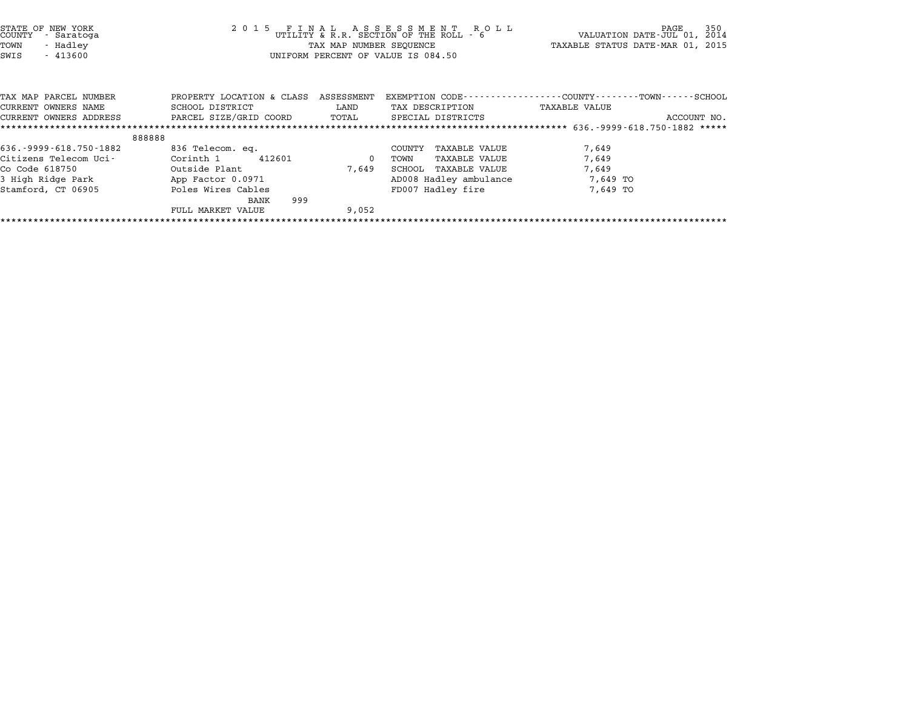| PROPERTY LOCATION & CLASS<br>ASSESSMENT<br>TAX MAP PARCEL NUMBER<br>CURRENT OWNERS NAME<br>SCHOOL DISTRICT<br>LAND<br>TAX DESCRIPTION<br>PARCEL SIZE/GRID COORD<br>TOTAL<br>SPECIAL DISTRICTS<br>CURRENT OWNERS ADDRESS<br>**********************<br>888888<br>636. - 9999 - 618. 750 - 1882<br>836 Telecom. eq.<br>TAXABLE VALUE<br>COUNTY<br>Citizens Telecom Uci-<br>Corinth 1<br>412601<br>TAXABLE VALUE<br>0<br>TOWN<br>Outside Plant<br>Co Code 618750<br>7,649<br>SCHOOL<br>TAXABLE VALUE<br>3 High Ridge Park<br>App Factor 0.0971<br>AD008 Hadley ambulance | 350<br>R O L L<br>PAGE<br>- 6<br>VALUATION DATE-JUL 01,<br>2014<br>TAXABLE STATUS DATE-MAR 01, 2015 |
|----------------------------------------------------------------------------------------------------------------------------------------------------------------------------------------------------------------------------------------------------------------------------------------------------------------------------------------------------------------------------------------------------------------------------------------------------------------------------------------------------------------------------------------------------------------------|-----------------------------------------------------------------------------------------------------|
|                                                                                                                                                                                                                                                                                                                                                                                                                                                                                                                                                                      | EXEMPTION CODE----------------COUNTY-------TOWN-----SCHOOL<br>TAXABLE VALUE<br>ACCOUNT NO.          |
|                                                                                                                                                                                                                                                                                                                                                                                                                                                                                                                                                                      |                                                                                                     |
| FD007 Hadley fire<br>Poles Wires Cables<br>Stamford, CT 06905<br>999<br>BANK<br>FULL MARKET VALUE<br>9,052                                                                                                                                                                                                                                                                                                                                                                                                                                                           | 7,649<br>7,649<br>7,649<br>7,649 TO<br>7,649 TO                                                     |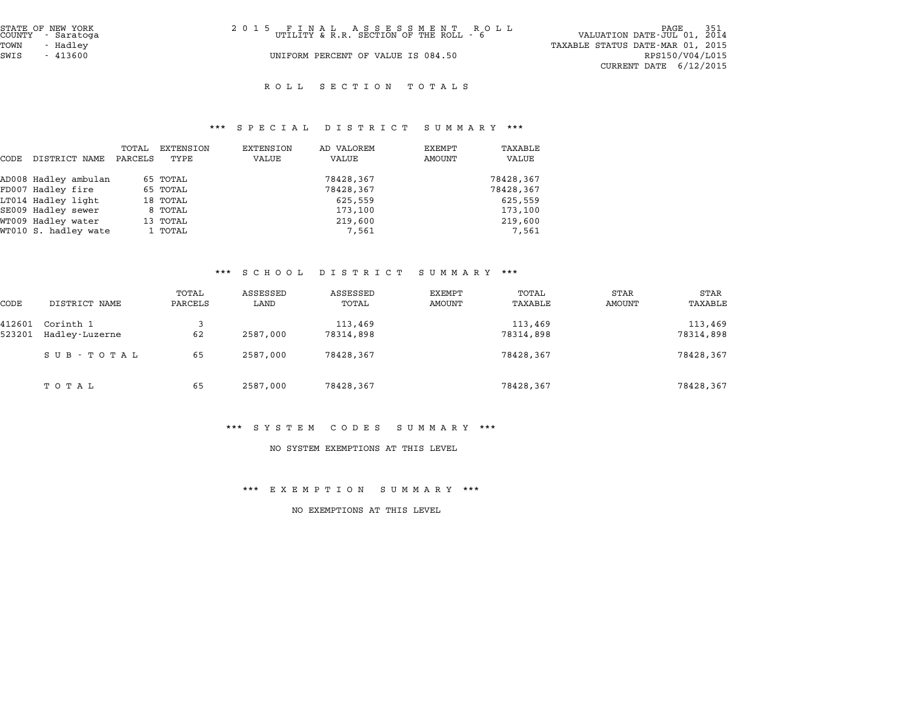| STATE OF NEW YORK<br>COUNTY - Saratoga | 2015 FINAL ASSESSMENT ROLL<br>UTILITY & R.R. SECTION OF THE ROLL - 6 | PAGE 351<br>VALUATION DATE-JUL 01, 2014 |
|----------------------------------------|----------------------------------------------------------------------|-----------------------------------------|
| TOWN<br>- Hadlev                       |                                                                      | TAXABLE STATUS DATE-MAR 01, 2015        |
| SWIS<br>- 413600                       | UNIFORM PERCENT OF VALUE IS 084.50                                   | RPS150/V04/L015                         |
|                                        |                                                                      | CURRENT DATE $6/12/2015$                |

#### ROLL SECTION TOTALS

# \*\*\* S P E C I A L D I S T R I C T S U M M A R Y \*\*\*

|      |                      |         |           | $P_{1}$ $P_{2}$ $P_{3}$ $P_{4}$ $P_{5}$ $P_{6}$ $P_{7}$ $P_{8}$ $P_{9}$ $P_{10}$ $P_{11}$ $P_{12}$ $P_{13}$ $P_{14}$ $P_{15}$ $P_{16}$ $P_{17}$ | 22 T D T T T T T | $\mathbf{u}$ and $\mathbf{u}$ and $\mathbf{u}$ |           |
|------|----------------------|---------|-----------|-------------------------------------------------------------------------------------------------------------------------------------------------|------------------|------------------------------------------------|-----------|
|      |                      | TOTAL   | EXTENSION | EXTENSION                                                                                                                                       | AD VALOREM       | EXEMPT                                         | TAXABLE   |
| CODE | DISTRICT NAME        | PARCELS | TYPE      | VALUE                                                                                                                                           | VALUE            | AMOUNT                                         | VALUE     |
|      | AD008 Hadley ambulan |         | 65 TOTAL  |                                                                                                                                                 | 78428,367        |                                                | 78428,367 |
|      | FD007 Hadley fire    |         | 65 TOTAL  |                                                                                                                                                 | 78428,367        |                                                | 78428,367 |
|      | LT014 Hadley light   |         | 18 TOTAL  |                                                                                                                                                 | 625,559          |                                                | 625,559   |
|      | SE009 Hadley sewer   |         | 8 TOTAL   |                                                                                                                                                 | 173,100          |                                                | 173,100   |
|      | WT009 Hadley water   |         | 13 TOTAL  |                                                                                                                                                 | 219,600          |                                                | 219,600   |
|      | WT010 S. hadley wate |         | 1 TOTAL   |                                                                                                                                                 | 7,561            |                                                | 7,561     |

# \*\*\* S C H O O L D I S T R I C T S U M M A R Y \*\*\*

|        |                |         | . <u>.</u> | $\mathbf{D}$ $\mathbf{L}$ $\mathbf{D}$ $\mathbf{L}$ $\mathbf{R}$ $\mathbf{L}$ $\mathbf{L}$ $\mathbf{L}$ | $\cup$ 0 11 11 $\cap$ 10 1 |           |        |             |
|--------|----------------|---------|------------|---------------------------------------------------------------------------------------------------------|----------------------------|-----------|--------|-------------|
|        |                | TOTAL   | ASSESSED   | ASSESSED                                                                                                | EXEMPT                     | TOTAL     | STAR   | <b>STAR</b> |
| CODE   | DISTRICT NAME  | PARCELS | LAND       | TOTAL                                                                                                   | AMOUNT                     | TAXABLE   | AMOUNT | TAXABLE     |
| 412601 | Corinth 1      | 3       |            | 113,469                                                                                                 |                            | 113,469   |        | 113,469     |
| 523201 | Hadley-Luzerne | 62      | 2587,000   | 78314,898                                                                                               |                            | 78314,898 |        | 78314,898   |
|        | SUB - TOTAL    | 65      | 2587,000   | 78428,367                                                                                               |                            | 78428,367 |        | 78428,367   |
|        | тотаь          | 65      | 2587,000   | 78428,367                                                                                               |                            | 78428,367 |        | 78428,367   |

#### \*\*\* S Y S T E M C O D E S S U M M A R Y \*\*\*

#### NO SYSTEM EXEMPTIONS AT THIS LEVEL

#### \*\*\* E X E M P T I O N S U M M A R Y \*\*\*

#### NO EXEMPTIONS AT THIS LEVEL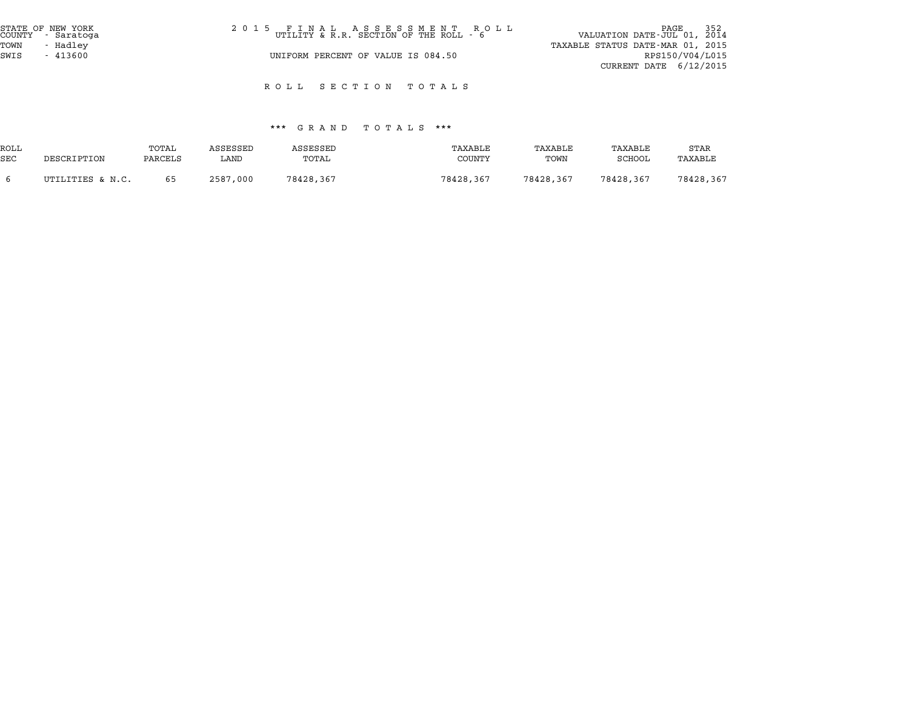| STATE OF NEW YORK<br>COUNTY - Saratoga | 2015 FINAL ASSESSMENT ROLL<br>UTILITY & R.R. SECTION OF THE ROLL - 6 | 352<br>PAGE<br>VALUATION DATE-JUL 01, 2014 |
|----------------------------------------|----------------------------------------------------------------------|--------------------------------------------|
| TOWN<br>- Hadley                       |                                                                      | TAXABLE STATUS DATE-MAR 01, 2015           |
| SWIS<br>$-413600$                      | UNIFORM PERCENT OF VALUE IS 084.50                                   | RPS150/V04/L015                            |
|                                        |                                                                      | CURRENT DATE $6/12/2015$                   |

R O L L S E C T I O N T O T A L S

#### \*\*\* G R A N D T O T A L S \*\*\*

|            |                  |         |          | .<br><b>GUAND</b> | 1 U 1 A 11 U<br>. |           |           |           |
|------------|------------------|---------|----------|-------------------|-------------------|-----------|-----------|-----------|
| ROLL       |                  | TOTAL   | ASSESSED | <b>ASSESSED</b>   | TAXABLE           | TAXABLE   | TAXABLE   | STAR      |
| <b>SEC</b> | DESCRIPTION      | PARCELS | LAND     | TOTAL             | COUNTY            | TOWN      | SCHOOL    | TAXABLE   |
|            | UTILITIES & N.C. | 65      | 2587,000 | 78428,367         | 78428,367         | 78428,367 | 78428,367 | 78428,367 |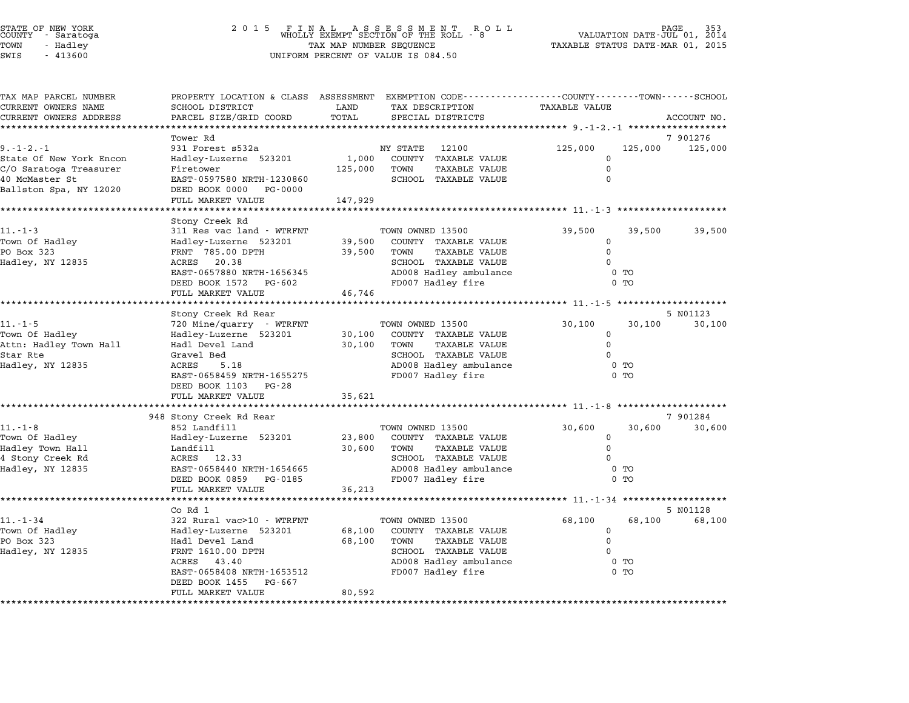## STATE OF NEW YORK <sup>2</sup> <sup>0</sup> <sup>1</sup> 5 F I N A L A S S E S S M E N T R O L L PAGE <sup>353</sup> COUNTY - Saratoga WHOLLY EXEMPT SECTION OF THE ROLL - <sup>8</sup> VALUATION DATE-JUL 01, <sup>2014</sup> TOWN - Hadley TAX MAP NUMBER SEQUENCE TAXABLE STATUS DATE-MAR 01, <sup>2015</sup> STATE OF NEW YORK STATE OF NEW YORK A SOLUME TO UNITY - SATALOGY AND LOUNTY - SATALOGY AND MELOURITY - AND MELOUR<br>TOWN - Hadley TAX MAP NUMBER SEQUENCE<br>SWIS - 413600 UNIFORM PERCENT OF VALUE IS 084.50

| TAX MAP PARCEL NUMBER                            | PROPERTY LOCATION & CLASS ASSESSMENT EXEMPTION CODE---------------COUNTY-------TOWN------SCHOOL |               |                                                      |                                  |         |             |
|--------------------------------------------------|-------------------------------------------------------------------------------------------------|---------------|------------------------------------------------------|----------------------------------|---------|-------------|
| CURRENT OWNERS NAME                              | SCHOOL DISTRICT                                                                                 | LAND<br>TOTAL | TAX DESCRIPTION                                      | <b>TAXABLE VALUE</b>             |         |             |
| CURRENT OWNERS ADDRESS<br>********************** | PARCEL SIZE/GRID COORD<br>********************                                                  |               | SPECIAL DISTRICTS                                    |                                  |         | ACCOUNT NO. |
|                                                  | Tower Rd                                                                                        |               |                                                      |                                  |         | 7 901276    |
| $9. -1 - 2. - 1$                                 | 931 Forest s532a                                                                                |               | NY STATE<br>12100                                    | 125,000                          | 125,000 | 125,000     |
| State Of New York Encon                          | Hadley-Luzerne 523201                                                                           | 1,000         | COUNTY TAXABLE VALUE                                 | $\Omega$                         |         |             |
| C/O Saratoga Treasurer                           | Firetower                                                                                       | 125,000       | TOWN<br>TAXABLE VALUE                                | 0                                |         |             |
| 40 McMaster St                                   | EAST-0597580 NRTH-1230860                                                                       |               | SCHOOL TAXABLE VALUE                                 | $\Omega$                         |         |             |
| Ballston Spa, NY 12020                           | DEED BOOK 0000 PG-0000                                                                          |               |                                                      |                                  |         |             |
|                                                  | FULL MARKET VALUE                                                                               | 147,929       |                                                      |                                  |         |             |
|                                                  |                                                                                                 |               |                                                      |                                  |         |             |
| $11. - 1 - 3$                                    | Stony Creek Rd<br>311 Res vac land - WTRFNT                                                     |               | TOWN OWNED 13500                                     | 39,500                           | 39,500  | 39,500      |
| Town Of Hadley                                   | Hadley-Luzerne 523201                                                                           | 39,500        | COUNTY TAXABLE VALUE                                 | $\mathbf 0$                      |         |             |
| PO Box 323                                       | FRNT 785.00 DPTH                                                                                | 39,500        | TOWN<br>TAXABLE VALUE                                | $\mathbf 0$                      |         |             |
| Hadley, NY 12835                                 | ACRES 20.38                                                                                     |               | SCHOOL TAXABLE VALUE                                 | $\Omega$                         |         |             |
|                                                  | EAST-0657880 NRTH-1656345                                                                       |               | AD008 Hadley ambulance                               | 0 <sub>T</sub>                   |         |             |
|                                                  | DEED BOOK 1572<br>PG-602                                                                        |               | FD007 Hadley fire                                    | $0$ TO                           |         |             |
|                                                  | FULL MARKET VALUE                                                                               | 46,746        |                                                      |                                  |         |             |
|                                                  |                                                                                                 |               |                                                      |                                  |         |             |
|                                                  | Stony Creek Rd Rear                                                                             |               |                                                      |                                  |         | 5 N01123    |
| $11. - 1 - 5$                                    | 720 Mine/quarry - WTRFNT                                                                        |               | TOWN OWNED 13500                                     | 30,100                           | 30,100  | 30,100      |
| Town Of Hadley                                   | Hadley-Luzerne 523201                                                                           | 30,100        | COUNTY TAXABLE VALUE                                 | $\mathbf 0$                      |         |             |
| Attn: Hadley Town Hall<br>Star Rte               | Hadl Devel Land<br>Gravel Bed                                                                   | 30,100        | TOWN<br><b>TAXABLE VALUE</b><br>SCHOOL TAXABLE VALUE | $\Omega$<br>$\Omega$             |         |             |
| Hadley, NY 12835                                 | ACRES<br>5.18                                                                                   |               | AD008 Hadley ambulance                               | $0$ TO                           |         |             |
|                                                  | EAST-0658459 NRTH-1655275                                                                       |               | FD007 Hadley fire                                    | 0 <sub>T</sub>                   |         |             |
|                                                  | DEED BOOK 1103 PG-28                                                                            |               |                                                      |                                  |         |             |
|                                                  | FULL MARKET VALUE                                                                               | 35,621        |                                                      |                                  |         |             |
|                                                  |                                                                                                 |               |                                                      |                                  |         |             |
|                                                  | 948 Stony Creek Rd Rear                                                                         |               |                                                      |                                  |         | 7 901284    |
| $11.-1-8$                                        | 852 Landfill                                                                                    |               | TOWN OWNED 13500                                     | 30,600                           | 30,600  | 30,600      |
| Town Of Hadley                                   | Hadley-Luzerne 523201                                                                           | 23,800        | COUNTY TAXABLE VALUE                                 | 0                                |         |             |
| Hadley Town Hall                                 | Landfill                                                                                        | 30,600        | TOWN<br><b>TAXABLE VALUE</b>                         | $\Omega$                         |         |             |
| 4 Stony Creek Rd                                 | ACRES 12.33                                                                                     |               | SCHOOL TAXABLE VALUE                                 | $\Omega$                         |         |             |
| Hadley, NY 12835                                 | EAST-0658440 NRTH-1654665<br>DEED BOOK 0859 PG-0185                                             |               | AD008 Hadley ambulance                               | 0 <sub>T</sub><br>0 <sub>T</sub> |         |             |
|                                                  | FULL MARKET VALUE                                                                               | 36,213        | FD007 Hadley fire                                    |                                  |         |             |
|                                                  |                                                                                                 |               |                                                      |                                  |         |             |
|                                                  | Co Rd 1                                                                                         |               |                                                      |                                  |         | 5 N01128    |
| $11. - 1 - 34$                                   | 322 Rural vac>10 - WTRFNT                                                                       |               | TOWN OWNED 13500                                     | 68,100                           | 68,100  | 68,100      |
| Town Of Hadley                                   | Hadley-Luzerne 523201                                                                           | 68,100        | COUNTY TAXABLE VALUE                                 | $\mathbf 0$                      |         |             |
| PO Box 323                                       | Hadl Devel Land                                                                                 | 68,100        | TOWN<br><b>TAXABLE VALUE</b>                         | $\mathbf 0$                      |         |             |
| Hadley, NY 12835                                 | FRNT 1610.00 DPTH                                                                               |               | SCHOOL TAXABLE VALUE                                 | $\Omega$                         |         |             |
|                                                  | ACRES 43.40                                                                                     |               | AD008 Hadley ambulance                               | 0 <sub>T</sub>                   |         |             |
|                                                  | EAST-0658408 NRTH-1653512                                                                       |               | FD007 Hadley fire                                    | 0 <sub>T</sub>                   |         |             |
|                                                  | DEED BOOK 1455<br>PG-667                                                                        |               |                                                      |                                  |         |             |
|                                                  | FULL MARKET VALUE                                                                               | 80,592        |                                                      |                                  |         |             |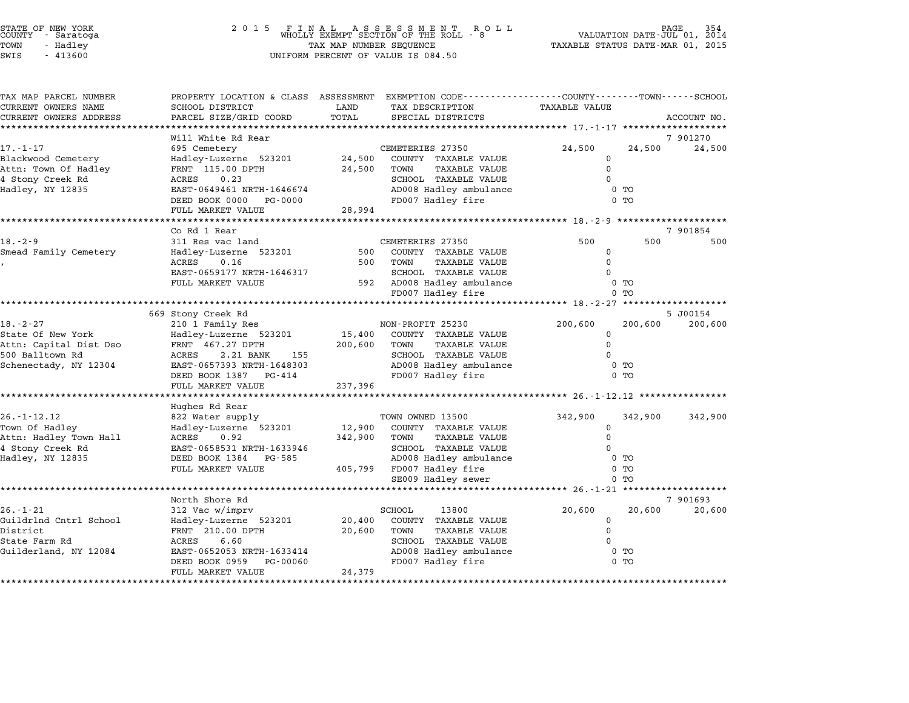| STATE OF NEW YORK<br>COUNTY - Saratoga |  |          |  |
|----------------------------------------|--|----------|--|
| TOWN                                   |  | - Hadley |  |
| $CTT$ $T1$ $T2$                        |  | 112500   |  |

## STATE OF NEW YORK <sup>2</sup> <sup>0</sup> <sup>1</sup> 5 F I N A L A S S E S S M E N T R O L L PAGE <sup>354</sup> COUNTY - Saratoga WHOLLY EXEMPT SECTION OF THE ROLL - <sup>8</sup> VALUATION DATE-JUL 01, <sup>2014</sup> TOWN - Hadley TAX MAP NUMBER SEQUENCE TAXABLE STATUS DATE-MAR 01, <sup>2015</sup> SWIS - <sup>413600</sup> UNIFORM PERCENT OF VALUE IS 084.50

| TAX MAP PARCEL NUMBER<br>CURRENT OWNERS NAME<br>CURRENT OWNERS ADDRESS                                    | PROPERTY LOCATION & CLASS<br>SCHOOL DISTRICT<br>PARCEL SIZE/GRID COORD                                                                                                                                                   | LAND<br>TOTAL                | ASSESSMENT EXEMPTION CODE----------------COUNTY-------TOWN-----SCHOOL<br>TAX DESCRIPTION<br>SPECIAL DISTRICTS                                       | <b>TAXABLE VALUE</b>                          |                                            | ACCOUNT NO.                    |
|-----------------------------------------------------------------------------------------------------------|--------------------------------------------------------------------------------------------------------------------------------------------------------------------------------------------------------------------------|------------------------------|-----------------------------------------------------------------------------------------------------------------------------------------------------|-----------------------------------------------|--------------------------------------------|--------------------------------|
| $17. - 1 - 17$<br>Blackwood Cemetery<br>Attn: Town Of Hadley<br>4 Stony Creek Rd<br>Hadley, NY 12835      | Will White Rd Rear<br>695 Cemetery<br>Hadley-Luzerne 523201<br>FRNT 115.00 DPTH<br>ACRES<br>0.23<br>EAST-0649461 NRTH-1646674<br>DEED BOOK 0000<br>PG-0000<br>FULL MARKET VALUE<br>. * * * * * * * * * * * * * * * * * * | 24,500<br>24,500<br>28,994   | CEMETERIES 27350<br>COUNTY TAXABLE VALUE<br>TOWN<br>TAXABLE VALUE<br>SCHOOL TAXABLE VALUE<br>AD008 Hadley ambulance<br>FD007 Hadley fire            | 24,500<br>0<br>$\Omega$<br>$\Omega$           | 24,500<br>0 <sub>T</sub><br>0 <sub>T</sub> | 7 901270<br>24,500             |
|                                                                                                           | Co Rd 1 Rear                                                                                                                                                                                                             |                              |                                                                                                                                                     | *********** 18.-2-9 **                        |                                            | 7 901854                       |
| $18. - 2 - 9$<br>Smead Family Cemetery                                                                    | 311 Res vac land<br>Hadley-Luzerne 523201<br><b>ACRES</b><br>0.16<br>EAST-0659177 NRTH-1646317<br>FULL MARKET VALUE                                                                                                      | 500<br>500                   | CEMETERIES 27350<br>COUNTY TAXABLE VALUE<br>TOWN<br><b>TAXABLE VALUE</b><br>SCHOOL TAXABLE VALUE<br>592 AD008 Hadley ambulance<br>FD007 Hadley fire | 500<br>$\Omega$<br>$\Omega$<br>$\Omega$       | 500<br>0 <sub>T</sub><br>0 <sub>T</sub>    | 500                            |
|                                                                                                           | 669 Stony Creek Rd                                                                                                                                                                                                       |                              |                                                                                                                                                     |                                               |                                            | ******************<br>5 J00154 |
| $18. - 2 - 27$<br>State Of New York<br>Attn: Capital Dist Dso<br>500 Balltown Rd<br>Schenectady, NY 12304 | 210 1 Family Res<br>Hadley-Luzerne 523201<br>FRNT 467.27 DPTH<br>ACRES<br>2.21 BANK<br>155<br>EAST-0657393 NRTH-1648303<br>DEED BOOK 1387<br>PG-414<br>FULL MARKET VALUE                                                 | 15,400<br>200,600<br>237,396 | NON-PROFIT 25230<br>COUNTY TAXABLE VALUE<br>TOWN<br>TAXABLE VALUE<br>SCHOOL TAXABLE VALUE<br>AD008 Hadley ambulance<br>FD007 Hadley fire            | 200,600<br>$\Omega$<br>$\Omega$<br>$\Omega$   | 200,600<br>0 <sub>T</sub><br>$0$ TO        | 200,600                        |
|                                                                                                           |                                                                                                                                                                                                                          |                              |                                                                                                                                                     |                                               |                                            |                                |
| $26. - 1 - 12.12$<br>Town Of Hadley<br>Attn: Hadley Town Hall<br>4 Stony Creek Rd<br>Hadley, NY 12835     | Hughes Rd Rear<br>822 Water supply<br>Hadley-Luzerne 523201<br>ACRES<br>0.92<br>EAST-0658531 NRTH-1633946<br>DEED BOOK 1384 PG-585<br>FULL MARKET VALUE                                                                  | 12,900<br>342,900<br>405,799 | TOWN OWNED 13500<br>COUNTY TAXABLE VALUE<br>TOWN<br>TAXABLE VALUE<br>SCHOOL TAXABLE VALUE<br>AD008 Hadley ambulance<br>FD007 Hadley fire            | 342,900<br>$\Omega$<br>$\Omega$<br>$\Omega$   | 342,900<br>$0$ TO<br>0 <sub>T</sub>        | 342,900                        |
|                                                                                                           |                                                                                                                                                                                                                          |                              | SE009 Hadley sewer                                                                                                                                  |                                               | 0 TO                                       |                                |
| $26. - 1 - 21$<br>Guildrlnd Cntrl School<br>District<br>State Farm Rd<br>Guilderland, NY 12084            | North Shore Rd<br>312 Vac w/imprv<br>Hadley-Luzerne 523201<br>FRNT 210.00 DPTH<br>6.60<br>ACRES<br>EAST-0652053 NRTH-1633414<br>DEED BOOK 0959<br>PG-00060<br>FULL MARKET VALUE                                          | 20,400<br>20,600<br>24,379   | SCHOOL<br>13800<br>COUNTY TAXABLE VALUE<br>TOWN<br><b>TAXABLE VALUE</b><br>SCHOOL TAXABLE VALUE<br>AD008 Hadley ambulance<br>FD007 Hadley fire      | 20,600<br>$\Omega$<br>$\mathbf 0$<br>$\Omega$ | 20,600<br>0 <sub>T</sub><br>0 <sub>T</sub> | 7 901693<br>20,600             |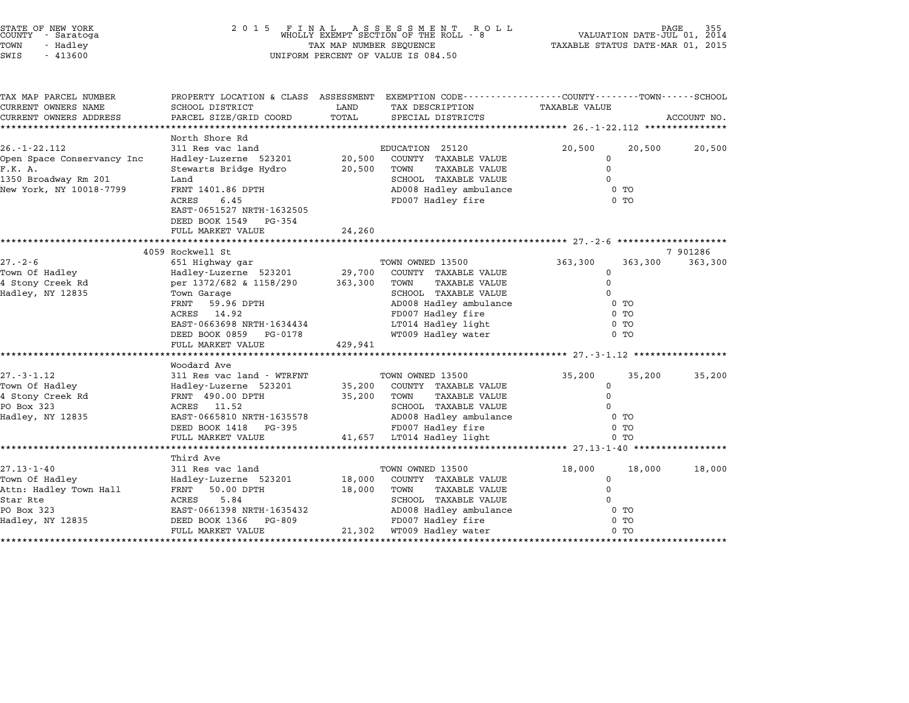| STATE OF NEW YORK |  |            |  |
|-------------------|--|------------|--|
| COUNTY            |  | - Saratoga |  |
| TOWN              |  | - Hadley   |  |
|                   |  |            |  |

## STATE OF NEW YORK <sup>2</sup> <sup>0</sup> <sup>1</sup> 5 F I N A L A S S E S S M E N T R O L L PAGE <sup>355</sup> COUNTY - Saratoga WHOLLY EXEMPT SECTION OF THE ROLL - <sup>8</sup> VALUATION DATE-JUL 01, <sup>2014</sup> TOWN - Hadley TAX MAP NUMBER SEQUENCE TAXABLE STATUS DATE-MAR 01, <sup>2015</sup> SWIS - <sup>413600</sup> UNIFORM PERCENT OF VALUE IS 084.50

| TAX MAP PARCEL NUMBER      | PROPERTY LOCATION & CLASS ASSESSMENT EXEMPTION CODE---------------COUNTY-------TOWN-----SCHOOL |         |                              |                |         |             |
|----------------------------|------------------------------------------------------------------------------------------------|---------|------------------------------|----------------|---------|-------------|
| CURRENT OWNERS NAME        | SCHOOL DISTRICT                                                                                | LAND    | TAX DESCRIPTION              | TAXABLE VALUE  |         |             |
| CURRENT OWNERS ADDRESS     | PARCEL SIZE/GRID COORD                                                                         | TOTAL   | SPECIAL DISTRICTS            |                |         | ACCOUNT NO. |
|                            |                                                                                                |         |                              |                |         |             |
|                            | North Shore Rd                                                                                 |         |                              |                |         |             |
| $26. - 1 - 22.112$         | 311 Res vac land                                                                               |         | EDUCATION 25120              | 20,500         | 20,500  | 20,500      |
| Open Space Conservancy Inc | Hadley-Luzerne 523201 20,500                                                                   |         | COUNTY TAXABLE VALUE         | 0              |         |             |
| F.K. A.                    | Stewarts Bridge Hydro                                                                          | 20,500  | TOWN<br>TAXABLE VALUE        | $\Omega$       |         |             |
| 1350 Broadway Rm 201       | Land                                                                                           |         | SCHOOL TAXABLE VALUE         | $\Omega$       |         |             |
| New York, NY 10018-7799    | FRNT 1401.86 DPTH                                                                              |         | AD008 Hadley ambulance       | $0$ TO         |         |             |
|                            | ACRES<br>6.45                                                                                  |         | FD007 Hadley fire            | 0 TO           |         |             |
|                            | EAST-0651527 NRTH-1632505                                                                      |         |                              |                |         |             |
|                            | DEED BOOK 1549 PG-354                                                                          |         |                              |                |         |             |
|                            | FULL MARKET VALUE                                                                              | 24,260  |                              |                |         |             |
|                            |                                                                                                |         |                              |                |         |             |
|                            | 4059 Rockwell St                                                                               |         |                              |                |         | 7 901286    |
| $27. - 2 - 6$              | 651 Highway gar                                                                                |         | TOWN OWNED 13500             | 363,300        | 363,300 | 363,300     |
| Town Of Hadley             | Hadley-Luzerne 523201 29,700                                                                   |         | COUNTY TAXABLE VALUE         | 0              |         |             |
| 4 Stony Creek Rd           | per 1372/682 & 1158/290 363,300 TOWN                                                           |         | <b>TAXABLE VALUE</b>         | $\Omega$       |         |             |
| Hadley, NY 12835           | Town Garage                                                                                    |         | SCHOOL TAXABLE VALUE         | $\Omega$       |         |             |
|                            | FRNT<br>59.96 DPTH                                                                             |         | AD008 Hadley ambulance       | 0 <sub>T</sub> |         |             |
|                            | ACRES 14.92                                                                                    |         | FD007 Hadley fire            | 0 TO           |         |             |
|                            | EAST-0663698 NRTH-1634434                                                                      |         | LT014 Hadley light           | $0$ TO         |         |             |
|                            | DEED BOOK 0859 PG-0178                                                                         |         | WT009 Hadley water           | $0$ TO         |         |             |
|                            | FULL MARKET VALUE                                                                              | 429,941 |                              |                |         |             |
|                            |                                                                                                |         |                              |                |         |             |
|                            | Woodard Ave                                                                                    |         |                              |                |         |             |
| $27. - 3 - 1.12$           | 311 Res vac land - WTRFNT                                                                      |         | TOWN OWNED 13500             | 35,200         | 35,200  | 35,200      |
| Town Of Hadley             | Hadley-Luzerne 523201                                                                          | 35,200  | COUNTY TAXABLE VALUE         | $\mathbf 0$    |         |             |
| 4 Stony Creek Rd           | FRNT 490.00 DPTH                                                                               | 35,200  | TOWN<br>TAXABLE VALUE        | 0              |         |             |
| PO Box 323                 | ACRES 11.52                                                                                    |         | SCHOOL TAXABLE VALUE         |                |         |             |
| Hadley, NY 12835           | EAST-0665810 NRTH-1635578                                                                      |         | AD008 Hadley ambulance       | $0$ TO         |         |             |
|                            | DEED BOOK 1418 PG-395                                                                          |         | FD007 Hadley fire            | $0$ TO         |         |             |
|                            | FULL MARKET VALUE                                                                              |         | 41,657 LT014 Hadley light    | 0 <sub>T</sub> |         |             |
|                            |                                                                                                |         |                              |                |         |             |
|                            | Third Ave                                                                                      |         |                              |                |         |             |
| $27.13 - 1 - 40$           | 311 Res vac land                                                                               |         | TOWN OWNED 13500             | 18,000         | 18,000  | 18,000      |
| Town Of Hadley             | Hadley-Luzerne 523201                                                                          | 18,000  | COUNTY TAXABLE VALUE         | $\mathbf 0$    |         |             |
| Attn: Hadley Town Hall     | FRNT 50.00 DPTH                                                                                | 18,000  | TOWN<br><b>TAXABLE VALUE</b> | $\Omega$       |         |             |
| Star Rte                   | ACRES<br>5.84                                                                                  |         | SCHOOL TAXABLE VALUE         |                |         |             |
| PO Box 323                 | EAST-0661398 NRTH-1635432                                                                      |         | AD008 Hadley ambulance       | $0$ TO         |         |             |
| Hadley, NY 12835           | DEED BOOK 1366 PG-809                                                                          |         | FD007 Hadley fire            | $0$ TO         |         |             |
|                            | FULL MARKET VALUE                                                                              |         | 21,302 WT009 Hadley water    | $0$ TO         |         |             |
|                            |                                                                                                |         |                              |                |         |             |
|                            |                                                                                                |         |                              |                |         |             |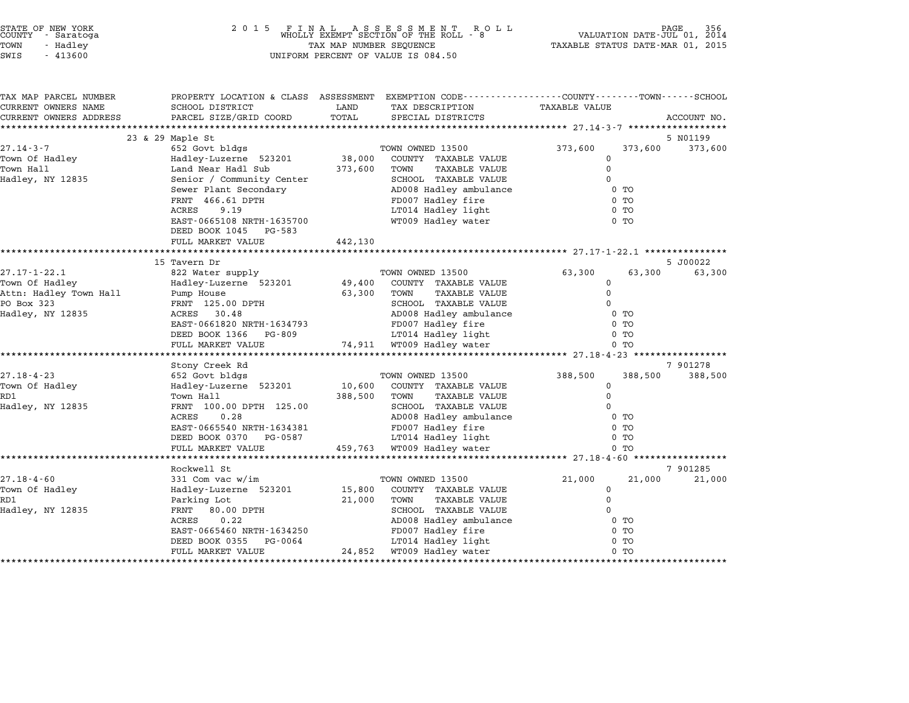| STATE OF NEW YORK |          |  |
|-------------------|----------|--|
| COUNTY - Saratoga |          |  |
| TOWN              | - Hadley |  |
|                   |          |  |

| TAX MAP PARCEL NUMBER             | PROPERTY LOCATION & CLASS ASSESSMENT |         | EXEMPTION CODE-----------------COUNTY-------TOWN-----SCHOOL |                                                  |                |             |
|-----------------------------------|--------------------------------------|---------|-------------------------------------------------------------|--------------------------------------------------|----------------|-------------|
| CURRENT OWNERS NAME               | SCHOOL DISTRICT                      | LAND    | TAX DESCRIPTION                                             | TAXABLE VALUE                                    |                |             |
| CURRENT OWNERS ADDRESS            | PARCEL SIZE/GRID COORD               | TOTAL   | SPECIAL DISTRICTS                                           |                                                  |                | ACCOUNT NO. |
|                                   |                                      |         |                                                             |                                                  |                |             |
|                                   | 23 & 29 Maple St                     |         |                                                             |                                                  |                | 5 NO1199    |
| $27.14 - 3 - 7$                   | 652 Govt bldgs                       |         | TOWN OWNED 13500                                            | 373,600                                          | 373,600        | 373,600     |
| Town Of Hadley                    | Hadley-Luzerne 523201 38,000         |         | COUNTY TAXABLE VALUE                                        | 0                                                |                |             |
| Town Hall                         | Land Near Hadl Sub                   | 373,600 | TOWN<br>TAXABLE VALUE                                       | 0                                                |                |             |
| Hadley, NY 12835                  | Senior / Community Center            |         | SCHOOL TAXABLE VALUE                                        | $\Omega$                                         |                |             |
|                                   | Sewer Plant Secondary                |         | AD008 Hadley ambulance                                      |                                                  | $0$ TO         |             |
|                                   | FRNT 466.61 DPTH                     |         | FD007 Hadley fire                                           |                                                  | $0$ TO         |             |
|                                   | 9.19<br>ACRES                        |         | LT014 Hadley light                                          |                                                  | $0$ TO         |             |
|                                   | EAST-0665108 NRTH-1635700            |         | WT009 Hadley water                                          |                                                  | $0$ TO         |             |
|                                   | DEED BOOK 1045 PG-583                |         |                                                             |                                                  |                |             |
|                                   | FULL MARKET VALUE                    | 442,130 |                                                             |                                                  |                |             |
|                                   |                                      |         |                                                             |                                                  |                |             |
|                                   | 15 Tavern Dr                         |         |                                                             |                                                  |                | 5 J00022    |
| $27.17 - 1 - 22.1$                | 822 Water supply                     |         | TOWN OWNED 13500                                            | 63,300                                           | 63,300         | 63,300      |
| Town Of Hadley                    | Hadley-Luzerne 523201                | 49,400  | COUNTY TAXABLE VALUE                                        | 0                                                |                |             |
| Attn: Hadley Town Hall Pump House |                                      | 63,300  | TOWN<br>TAXABLE VALUE                                       | 0                                                |                |             |
| PO Box 323                        | FRNT 125.00 DPTH                     |         | SCHOOL TAXABLE VALUE                                        | $\Omega$                                         |                |             |
| Hadley, NY 12835                  | 30.48<br>ACRES                       |         | AD008 Hadley ambulance                                      |                                                  | 0 TO           |             |
|                                   | EAST-0661820 NRTH-1634793            |         | FD007 Hadley fire                                           |                                                  | $0$ TO         |             |
|                                   | DEED BOOK 1366<br>PG-809             |         | LT014 Hadley light                                          |                                                  | $0$ TO         |             |
|                                   | FULL MARKET VALUE                    |         | 74,911 WT009 Hadley water                                   | ****************** 27.18-4-23 ****************** | $0$ TO         |             |
|                                   | Stony Creek Rd                       |         |                                                             |                                                  |                | 7 901278    |
| $27.18 - 4 - 23$                  | 652 Govt bldgs                       |         | TOWN OWNED 13500                                            | 388,500                                          | 388,500        | 388,500     |
| Town Of Hadley                    | Hadley-Luzerne 523201                | 10,600  | COUNTY TAXABLE VALUE                                        | 0                                                |                |             |
| RD1                               | Town Hall                            | 388,500 | <b>TAXABLE VALUE</b><br>TOWN                                | 0                                                |                |             |
| Hadley, NY 12835                  | FRNT 100.00 DPTH 125.00              |         | SCHOOL TAXABLE VALUE                                        | $\Omega$                                         |                |             |
|                                   | ACRES<br>0.28                        |         | AD008 Hadley ambulance                                      |                                                  | $0$ TO         |             |
|                                   | EAST-0665540 NRTH-1634381            |         | FD007 Hadley fire                                           |                                                  | 0 <sub>T</sub> |             |
|                                   | DEED BOOK 0370 PG-0587               |         | LT014 Hadley light                                          |                                                  | 0 TO           |             |
|                                   | FULL MARKET VALUE                    |         | 459,763 WT009 Hadley water                                  |                                                  | $0$ TO         |             |
|                                   |                                      |         |                                                             |                                                  |                |             |
|                                   | Rockwell St                          |         |                                                             |                                                  |                | 7 901285    |
| $27.18 - 4 - 60$                  | 331 Com vac w/im                     |         | TOWN OWNED 13500                                            | 21,000                                           | 21,000         | 21,000      |
| Town Of Hadley                    | Hadley-Luzerne 523201                | 15,800  | COUNTY TAXABLE VALUE                                        | 0                                                |                |             |
| RD1                               | Parking Lot                          | 21,000  | TOWN<br><b>TAXABLE VALUE</b>                                | 0                                                |                |             |
| Hadley, NY 12835                  | 80.00 DPTH<br>FRNT                   |         | SCHOOL TAXABLE VALUE                                        | $\Omega$                                         |                |             |
|                                   | ACRES<br>0.22                        |         | AD008 Hadley ambulance                                      |                                                  | 0 TO           |             |
|                                   | EAST-0665460 NRTH-1634250            |         | FD007 Hadley fire                                           |                                                  | $0$ TO         |             |
|                                   | DEED BOOK 0355<br>PG-0064            |         | LT014 Hadley light                                          |                                                  | 0 TO           |             |
|                                   | FULL MARKET VALUE                    |         | 24,852 WT009 Hadley water                                   |                                                  | $0$ TO         |             |
|                                   |                                      |         |                                                             |                                                  |                |             |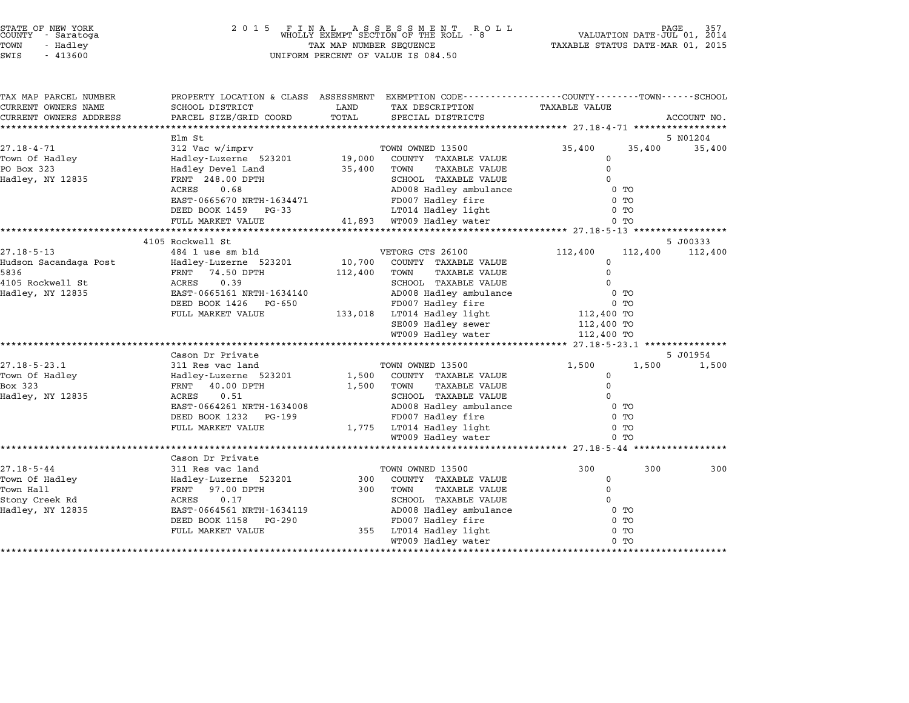| STATE OF NEW YORK |  |            |  |  |  |
|-------------------|--|------------|--|--|--|
| COUNTY            |  | - Saratoga |  |  |  |
| TOWN              |  | - Hadley   |  |  |  |
|                   |  |            |  |  |  |

## STATE OF NEW YORK <sup>2</sup> <sup>0</sup> <sup>1</sup> 5 F I N A L A S S E S S M E N T R O L L PAGE <sup>357</sup> COUNTY - Saratoga WHOLLY EXEMPT SECTION OF THE ROLL - <sup>8</sup> VALUATION DATE-JUL 01, <sup>2014</sup> TOWN - Hadley TAX MAP NUMBER SEQUENCE TAXABLE STATUS DATE-MAR 01, <sup>2015</sup> SWIS - <sup>413600</sup> UNIFORM PERCENT OF VALUE IS 084.50

| TAX MAP PARCEL NUMBER  | PROPERTY LOCATION & CLASS ASSESSMENT EXEMPTION CODE---------------COUNTY-------TOWN-----SCHOOL |         |                                                                                         |                                      |         |             |
|------------------------|------------------------------------------------------------------------------------------------|---------|-----------------------------------------------------------------------------------------|--------------------------------------|---------|-------------|
| CURRENT OWNERS NAME    | SCHOOL DISTRICT                                                                                | LAND    | TAX DESCRIPTION                                                                         | <b>TAXABLE VALUE</b>                 |         |             |
| CURRENT OWNERS ADDRESS | PARCEL SIZE/GRID COORD                                                                         | TOTAL   | SPECIAL DISTRICTS                                                                       |                                      |         | ACCOUNT NO. |
|                        |                                                                                                |         |                                                                                         |                                      |         |             |
|                        | Elm St                                                                                         |         |                                                                                         |                                      |         | 5 N01204    |
| $27.18 - 4 - 71$       | 312 Vac w/imprv                                                                                |         | TOWN OWNED 13500                                                                        | 35,400                               | 35,400  | 35,400      |
| Town Of Hadley         | Hadley-Luzerne 523201                                                                          | 19,000  | COUNTY TAXABLE VALUE                                                                    | 0<br>$\Omega$                        |         |             |
| PO Box 323             | Hadley Devel Land                                                                              | 35,400  | TOWN<br>TAXABLE VALUE                                                                   |                                      |         |             |
| Hadley, NY 12835       | FRNT 248.00 DPTH<br>0.68                                                                       |         | SCHOOL TAXABLE VALUE<br>AD008 Hadley ambulance                                          | 0<br>$0$ TO                          |         |             |
|                        | ACRES                                                                                          |         |                                                                                         |                                      |         |             |
|                        | EAST-0665670 NRTH-1634471                                                                      |         | FD007 Hadley fire<br>LT014 Hadley light                                                 | $0$ TO<br>$0$ TO                     |         |             |
|                        | DEED BOOK 1459 PG-33                                                                           |         |                                                                                         |                                      |         |             |
|                        | FULL MARKET VALUE                                                                              |         | 41,893 WT009 Hadley water                                                               | $0$ TO                               |         |             |
|                        | 4105 Rockwell St                                                                               |         |                                                                                         |                                      |         | 5 J00333    |
| $27.18 - 5 - 13$       | 484 1 use sm bld                                                                               |         | VETORG CTS 26100                                                                        | 112,400                              | 112,400 | 112,400     |
| Hudson Sacandaga Post  | Hadley-Luzerne 523201                                                                          | 10,700  | COUNTY TAXABLE VALUE                                                                    | 0                                    |         |             |
| 5836                   | FRNT 74.50 DPTH                                                                                | 112,400 | TOWN<br>TAXABLE VALUE                                                                   | $\Omega$                             |         |             |
| 4105 Rockwell St       | 0.39<br>ACRES                                                                                  |         | SCHOOL TAXABLE VALUE                                                                    | $\Omega$                             |         |             |
| Hadley, NY 12835       | EAST-0665161 NRTH-1634140                                                                      |         | AD008 Hadley ambulance                                                                  | 0 TO                                 |         |             |
|                        | DEED BOOK 1426<br>PG-650                                                                       |         | FD007 Hadley fire                                                                       | 0 TO                                 |         |             |
|                        | FULL MARKET VALUE                                                                              |         | 133,018 LT014 Hadley light                                                              | 112,400 TO                           |         |             |
|                        |                                                                                                |         | SE009 Hadley sewer                                                                      | 112,400 TO                           |         |             |
|                        |                                                                                                |         | WT009 Hadley water                                                                      | 112,400 TO                           |         |             |
|                        |                                                                                                |         |                                                                                         |                                      |         |             |
|                        | Cason Dr Private                                                                               |         |                                                                                         |                                      |         | 5 J01954    |
| $27.18 - 5 - 23.1$     | 311 Res vac land                                                                               |         | TOWN OWNED 13500                                                                        | 1,500                                | 1,500   | 1,500       |
| Town Of Hadley         | Hadley-Luzerne 523201                                                                          |         | 1,500 COUNTY TAXABLE VALUE                                                              | 0                                    |         |             |
| Box 323                | 40.00 DPTH<br>FRNT                                                                             | 1,500   | TOWN<br><b>TAXABLE VALUE</b>                                                            | $\mathbf 0$                          |         |             |
| Hadley, NY 12835       | 0.51<br>ACRES                                                                                  |         | SCHOOL TAXABLE VALUE                                                                    | 0                                    |         |             |
|                        | EAST-0664261 NRTH-1634008                                                                      |         | AD008 Hadley ambulance                                                                  | $0$ TO                               |         |             |
|                        | DEED BOOK 1232<br>PG-199                                                                       |         | FD007 Hadley fire                                                                       | $0$ TO                               |         |             |
|                        | FULL MARKET VALUE                                                                              |         | 1,775 LT014 Hadley light                                                                | $0$ TO                               |         |             |
|                        |                                                                                                |         | WT009 Hadley water                                                                      | $0$ TO                               |         |             |
|                        |                                                                                                |         |                                                                                         |                                      |         |             |
|                        | Cason Dr Private                                                                               |         |                                                                                         |                                      |         |             |
| $27.18 - 5 - 44$       | 311 Res vac land                                                                               |         | TOWN OWNED 13500                                                                        | 300                                  | 300     | 300         |
| Town Of Hadley         | Hadley-Luzerne 523201                                                                          | 300     | COUNTY TAXABLE VALUE                                                                    | 0                                    |         |             |
| Town Hall              | FRNT 97.00 DPTH                                                                                | 300     | <b>TAXABLE VALUE</b><br>TOWN                                                            | $\mathbf 0$                          |         |             |
| Stony Creek Rd         | 0.17<br>ACRES                                                                                  |         | SCHOOL TAXABLE VALUE                                                                    | $\Omega$                             |         |             |
|                        |                                                                                                |         |                                                                                         |                                      |         |             |
|                        |                                                                                                |         |                                                                                         |                                      |         |             |
|                        |                                                                                                |         |                                                                                         |                                      |         |             |
|                        |                                                                                                |         |                                                                                         |                                      |         |             |
| Hadley, NY 12835       | EAST-0664561 NRTH-1634119<br>DEED BOOK 1158<br>PG-290<br>FULL MARKET VALUE                     | 355     | AD008 Hadley ambulance<br>FD007 Hadley fire<br>LT014 Hadley light<br>WT009 Hadley water | $0$ TO<br>$0$ TO<br>$0$ TO<br>$0$ TO |         |             |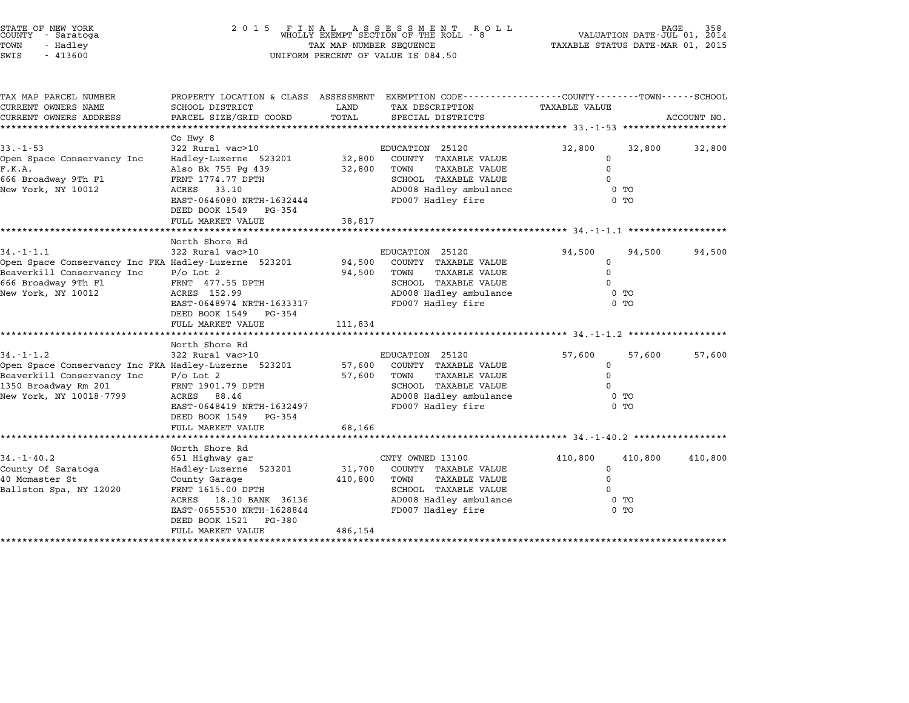| STATE OF NEW YORK |          |            |  |
|-------------------|----------|------------|--|
| COUNTY            |          | - Saratoga |  |
| TOWN              | - Hadley |            |  |
|                   |          |            |  |

STATE OF NEW YORK <sup>2</sup> <sup>0</sup> <sup>1</sup> 5 F I N A L A S S E S S M E N T R O L L PAGE <sup>358</sup> COUNTY - Saratoga WHOLLY EXEMPT SECTION OF THE ROLL - <sup>8</sup> VALUATION DATE-JUL 01, <sup>2014</sup> TOWN - Hadley TAX MAP NUMBER SEQUENCE TAXABLE STATUS DATE-MAR 01, <sup>2015</sup> SWIS - <sup>413600</sup> UNIFORM PERCENT OF VALUE IS 084.50

| TAX MAP PARCEL NUMBER<br>CURRENT OWNERS NAME         | PROPERTY LOCATION & CLASS ASSESSMENT<br>SCHOOL DISTRICT | LAND    | EXEMPTION CODE-----------------COUNTY-------TOWN------SCHOOL | TAXABLE VALUE |                |             |
|------------------------------------------------------|---------------------------------------------------------|---------|--------------------------------------------------------------|---------------|----------------|-------------|
|                                                      | PARCEL SIZE/GRID COORD                                  | TOTAL   | TAX DESCRIPTION                                              |               |                |             |
| CURRENT OWNERS ADDRESS                               |                                                         |         | SPECIAL DISTRICTS                                            |               |                | ACCOUNT NO. |
|                                                      | Co Hwy 8                                                |         |                                                              |               |                |             |
| $33 - 1 - 53$                                        | 322 Rural vac>10                                        |         | EDUCATION 25120                                              | 32,800        | 32,800         | 32,800      |
| Open Space Conservancy Inc                           | Hadley-Luzerne 523201                                   | 32,800  | COUNTY TAXABLE VALUE                                         | 0             |                |             |
| F.K.A.                                               | Also Bk 755 Pg 439                                      | 32,800  | TOWN<br><b>TAXABLE VALUE</b>                                 | $\Omega$      |                |             |
| 666 Broadway 9Th Fl                                  | FRNT 1774.77 DPTH                                       |         | SCHOOL TAXABLE VALUE                                         |               |                |             |
| New York, NY 10012                                   | ACRES<br>33.10                                          |         | AD008 Hadley ambulance                                       |               | 0 TO           |             |
|                                                      | EAST-0646080 NRTH-1632444                               |         | FD007 Hadley fire                                            |               | 0 <sub>T</sub> |             |
|                                                      | DEED BOOK 1549<br>PG-354                                |         |                                                              |               |                |             |
|                                                      | FULL MARKET VALUE                                       | 38,817  |                                                              |               |                |             |
|                                                      |                                                         |         |                                                              |               |                |             |
|                                                      | North Shore Rd                                          |         |                                                              |               |                |             |
| $34. - 1 - 1.1$                                      | 322 Rural vac>10                                        |         | EDUCATION 25120                                              | 94,500        | 94,500         | 94,500      |
| Open Space Conservancy Inc FKA Hadley-Luzerne 523201 |                                                         | 94,500  | COUNTY TAXABLE VALUE                                         | 0             |                |             |
| Beaverkill Conservancy Inc                           | $P/O$ Lot 2                                             | 94,500  | TOWN<br><b>TAXABLE VALUE</b>                                 | $\Omega$      |                |             |
| 666 Broadway 9Th Fl                                  | FRNT 477.55 DPTH                                        |         | SCHOOL TAXABLE VALUE                                         | $\Omega$      |                |             |
| New York, NY 10012                                   | ACRES 152.99                                            |         | AD008 Hadley ambulance                                       |               | $0$ TO         |             |
|                                                      | EAST-0648974 NRTH-1633317                               |         | FD007 Hadley fire                                            |               | $0$ TO         |             |
|                                                      | DEED BOOK 1549<br>PG-354                                |         |                                                              |               |                |             |
|                                                      | FULL MARKET VALUE                                       | 111,834 |                                                              |               |                |             |
|                                                      |                                                         |         |                                                              |               |                |             |
|                                                      | North Shore Rd                                          |         |                                                              |               |                |             |
| $34. - 1 - 1.2$                                      | 322 Rural vac>10                                        |         | EDUCATION 25120                                              | 57,600        | 57,600         | 57,600      |
| Open Space Conservancy Inc FKA Hadley-Luzerne 523201 |                                                         | 57,600  | COUNTY TAXABLE VALUE                                         | 0             |                |             |
| Beaverkill Conservancy Inc                           | $P/O$ Lot 2                                             | 57,600  | TOWN<br><b>TAXABLE VALUE</b>                                 | $\Omega$      |                |             |
| 1350 Broadway Rm 201                                 | FRNT 1901.79 DPTH                                       |         | SCHOOL TAXABLE VALUE                                         |               |                |             |
| New York, NY 10018-7799                              | ACRES<br>88.46                                          |         | AD008 Hadley ambulance                                       |               | 0 <sub>T</sub> |             |
|                                                      | EAST-0648419 NRTH-1632497                               |         | FD007 Hadley fire                                            |               | 0 <sub>T</sub> |             |
|                                                      | DEED BOOK 1549<br>PG-354                                |         |                                                              |               |                |             |
|                                                      | FULL MARKET VALUE                                       | 68,166  |                                                              |               |                |             |
|                                                      | North Shore Rd                                          |         |                                                              |               |                |             |
| $34. - 1 - 40.2$                                     | 651 Highway gar                                         |         | CNTY OWNED 13100                                             | 410,800       | 410,800        | 410,800     |
| County Of Saratoga                                   | Hadley-Luzerne 523201                                   | 31,700  | COUNTY TAXABLE VALUE                                         | $\Omega$      |                |             |
| 40 Mcmaster St                                       | County Garage                                           | 410,800 | TOWN<br><b>TAXABLE VALUE</b>                                 | $\Omega$      |                |             |
| Ballston Spa, NY 12020                               | FRNT 1615.00 DPTH                                       |         | SCHOOL TAXABLE VALUE                                         | $\Omega$      |                |             |
|                                                      | ACRES<br>18.10 BANK 36136                               |         | AD008 Hadley ambulance                                       |               | $0$ TO         |             |
|                                                      | EAST-0655530 NRTH-1628844                               |         | FD007 Hadley fire                                            |               | 0 <sub>T</sub> |             |
|                                                      | DEED BOOK 1521<br>PG-380                                |         |                                                              |               |                |             |
|                                                      | FULL MARKET VALUE                                       | 486,154 |                                                              |               |                |             |
|                                                      |                                                         |         |                                                              |               |                |             |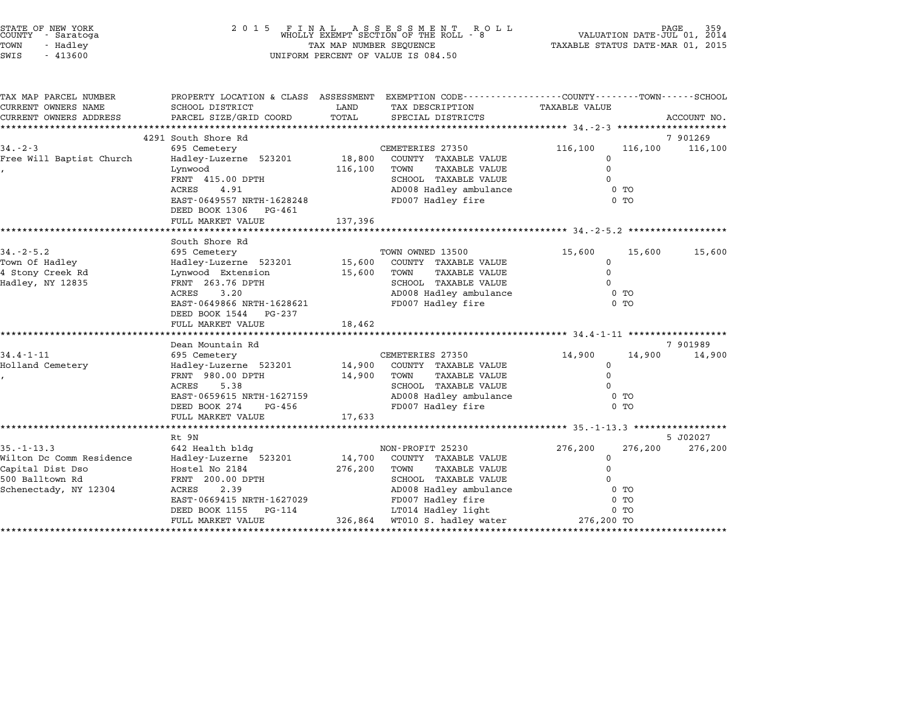| STATE OF NEW YORK<br>COUNTY - Saratoga<br>TOWN<br>- Hadley<br>SWIS<br>$-413600$                              | 2 0 1 5                                                                                                                                                                                      | TAX MAP NUMBER SEQUENCE      | FINAL ASSESSMENT ROWHOLLY EXEMPT SECTION OF THE ROLL - 8<br>R O L L<br>UNIFORM PERCENT OF VALUE IS 084.50                                                                                      | TAXABLE STATUS DATE-MAR 01, 2015                                                            | VALUATION DATE-JUL 01, 2014           |                     |
|--------------------------------------------------------------------------------------------------------------|----------------------------------------------------------------------------------------------------------------------------------------------------------------------------------------------|------------------------------|------------------------------------------------------------------------------------------------------------------------------------------------------------------------------------------------|---------------------------------------------------------------------------------------------|---------------------------------------|---------------------|
| TAX MAP PARCEL NUMBER<br>CURRENT OWNERS NAME<br>CURRENT OWNERS ADDRESS<br>**********************             | PROPERTY LOCATION & CLASS ASSESSMENT EXEMPTION CODE---------------COUNTY------TOWN------SCHOOL<br>SCHOOL DISTRICT<br>PARCEL SIZE/GRID COORD<br>*************************                     | LAND<br>TOTAL                | TAX DESCRIPTION<br>SPECIAL DISTRICTS                                                                                                                                                           | TAXABLE VALUE                                                                               |                                       | ACCOUNT NO.         |
| $34. - 2 - 3$<br>Free Will Baptist Church                                                                    | 4291 South Shore Rd<br>695 Cemetery<br>Hadley-Luzerne 523201<br>Lynwood<br>FRNT 415.00 DPTH<br>4.91<br>ACRES<br>EAST-0649557 NRTH-1628248<br>DEED BOOK 1306 PG-461<br>FULL MARKET VALUE      | 18,800<br>116,100<br>137,396 | CEMETERIES 27350<br>COUNTY TAXABLE VALUE<br>TOWN<br><b>TAXABLE VALUE</b><br>SCHOOL TAXABLE VALUE<br>AD008 Hadley ambulance<br>FD007 Hadley fire                                                | 116,100<br>$\Omega$<br>$\mathbf 0$<br>********************* $34 - 2 - 5 - 2$ **             | 116,100<br>$0$ TO<br>$0$ TO           | 7 901269<br>116,100 |
| $34. - 2 - 5.2$<br>Town Of Hadley<br>4 Stony Creek Rd<br>Hadley, NY 12835                                    | South Shore Rd<br>695 Cemetery<br>Hadley-Luzerne 523201<br>Lynwood Extension<br>FRNT 263.76 DPTH<br>3.20<br>ACRES<br>EAST-0649866 NRTH-1628621<br>DEED BOOK 1544 PG-237<br>FULL MARKET VALUE | 15,600<br>15,600<br>18,462   | TOWN OWNED 13500<br>COUNTY TAXABLE VALUE<br>TOWN<br><b>TAXABLE VALUE</b><br>SCHOOL TAXABLE VALUE<br>AD008 Hadley ambulance<br>FD007 Hadley fire                                                | 15,600<br>$\mathbf 0$<br>$\mathsf{O}$<br>$\Omega$                                           | 15,600<br>$0$ TO<br>$0$ TO            | 15,600              |
| $34.4 - 1 - 11$<br>Holland Cemetery                                                                          | Dean Mountain Rd<br>695 Cemetery<br>Hadley-Luzerne 523201<br>FRNT 980.00 DPTH<br>ACRES<br>5.38<br>EAST-0659615 NRTH-1627159<br>DEED BOOK 274<br>PG-456<br>FULL MARKET VALUE                  | 14,900<br>14,900<br>17,633   | CEMETERIES 27350<br>COUNTY TAXABLE VALUE<br><b>TAXABLE VALUE</b><br>TOWN<br>SCHOOL TAXABLE VALUE<br>AD008 Hadley ambulance<br>FD007 Hadley fire                                                | ************************ 34.4-1-11 *******************<br>14,900<br>$\Omega$<br>$\mathbf 0$ | 14,900<br>$0$ TO<br>$0$ TO            | 7 901989<br>14,900  |
| $35. - 1 - 13.3$<br>Wilton Dc Comm Residence<br>Capital Dist Dso<br>500 Balltown Rd<br>Schenectady, NY 12304 | Rt 9N<br>642 Health bldg<br>Hadley-Luzerne 523201<br>Hostel No 2184<br>FRNT 200.00 DPTH<br>2.39<br>ACRES<br>EAST-0669415 NRTH-1627029<br>DEED BOOK 1155<br>PG-114<br>FULL MARKET VALUE       | 14,700<br>276,200<br>326,864 | NON-PROFIT 25230<br>COUNTY TAXABLE VALUE<br>TOWN<br><b>TAXABLE VALUE</b><br>SCHOOL TAXABLE VALUE<br>AD008 Hadley ambulance<br>FD007 Hadley fire<br>LT014 Hadley light<br>WT010 S. hadley water | 276,200<br>0<br>$\Omega$<br>$\Omega$<br>276,200 TO                                          | 276,200<br>$0$ TO<br>$0$ TO<br>$0$ TO | 5 J02027<br>276,200 |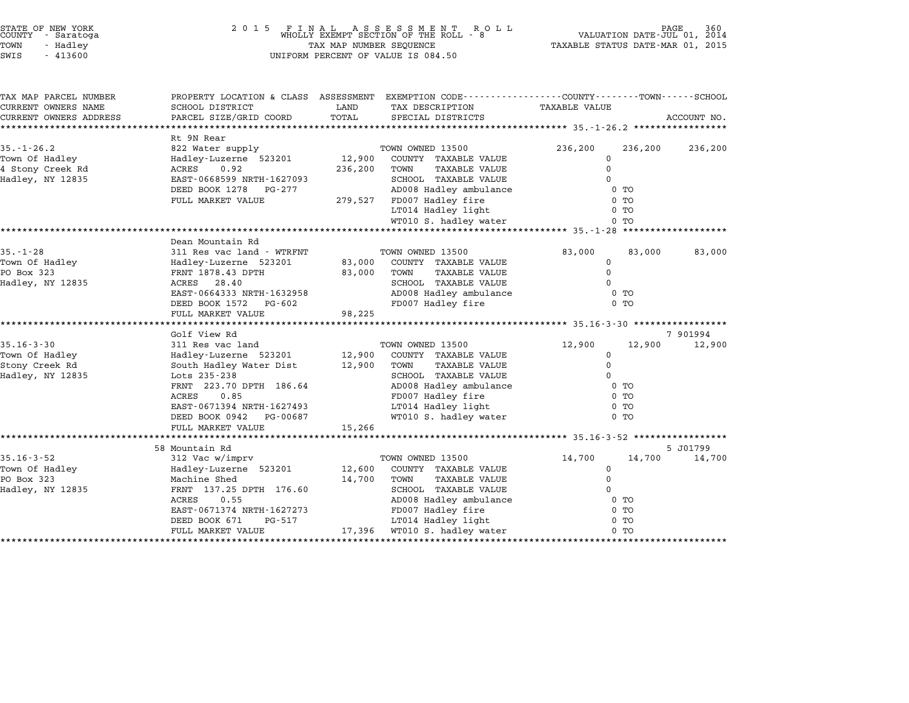| STATE OF NEW YORK<br>COUNTY<br>- Saratoga<br>TOWN<br>- Hadley<br>SWIS<br>$-413600$ | 2 0 1 5<br>FINAL ASSESSMENT R<br>WHOLLY EXEMPT SECTION OF THE ROLL -<br>TAX MAP NUMBER SEQUENCE<br>UNIFORM PERCENT OF VALUE IS 084.50 | PAGE<br>360<br>VALUATION DATE-JUL 01, 2014<br>TAXABLE STATUS DATE-MAR 01, 2015 |                                                                                                                    |               |                |             |
|------------------------------------------------------------------------------------|---------------------------------------------------------------------------------------------------------------------------------------|--------------------------------------------------------------------------------|--------------------------------------------------------------------------------------------------------------------|---------------|----------------|-------------|
| TAX MAP PARCEL NUMBER<br>CURRENT OWNERS NAME                                       | SCHOOL DISTRICT                                                                                                                       | LAND                                                                           | PROPERTY LOCATION & CLASS ASSESSMENT EXEMPTION CODE---------------COUNTY-------TOWN------SCHOOL<br>TAX DESCRIPTION | TAXABLE VALUE |                |             |
| CURRENT OWNERS ADDRESS<br>***********************                                  | PARCEL SIZE/GRID COORD<br>********************                                                                                        | TOTAL                                                                          | SPECIAL DISTRICTS                                                                                                  |               |                | ACCOUNT NO. |
|                                                                                    | Rt 9N Rear                                                                                                                            |                                                                                |                                                                                                                    |               |                |             |
| $35. - 1 - 26.2$                                                                   | 822 Water supply                                                                                                                      |                                                                                | TOWN OWNED 13500                                                                                                   | 236,200       | 236,200        | 236,200     |
| Town Of Hadley                                                                     | Hadley-Luzerne 523201                                                                                                                 | 12,900                                                                         | COUNTY TAXABLE VALUE                                                                                               | $\mathbf 0$   |                |             |
| 4 Stony Creek Rd                                                                   | ACRES<br>0.92                                                                                                                         | 236,200                                                                        | TOWN<br><b>TAXABLE VALUE</b>                                                                                       | $\mathbf 0$   |                |             |
| Hadley, NY 12835                                                                   | EAST-0668599 NRTH-1627093                                                                                                             |                                                                                | SCHOOL TAXABLE VALUE                                                                                               | $\Omega$      |                |             |
|                                                                                    | DEED BOOK 1278 PG-277                                                                                                                 |                                                                                | AD008 Hadley ambulance                                                                                             |               | $0$ TO         |             |
|                                                                                    | FULL MARKET VALUE                                                                                                                     | 279,527                                                                        | FD007 Hadley fire                                                                                                  |               | 0 <sub>T</sub> |             |
|                                                                                    |                                                                                                                                       |                                                                                | LT014 Hadley light                                                                                                 |               | 0 <sub>T</sub> |             |
|                                                                                    |                                                                                                                                       |                                                                                | WT010 S. hadley water                                                                                              |               | $0$ TO         |             |
|                                                                                    | Dean Mountain Rd                                                                                                                      |                                                                                |                                                                                                                    |               |                |             |
| $35. - 1 - 28$                                                                     | 311 Res vac land - WTRFNT                                                                                                             |                                                                                | TOWN OWNED 13500                                                                                                   | 83,000        | 83,000         | 83,000      |
| Town Of Hadley                                                                     | Hadley-Luzerne 523201                                                                                                                 | 83,000                                                                         | COUNTY TAXABLE VALUE                                                                                               | 0             |                |             |
| PO Box 323                                                                         | FRNT 1878.43 DPTH                                                                                                                     | 83,000                                                                         | TOWN<br>TAXABLE VALUE                                                                                              | $\mathbf 0$   |                |             |
| Hadley, NY 12835                                                                   | ACRES 28.40                                                                                                                           |                                                                                | SCHOOL TAXABLE VALUE                                                                                               | $\Omega$      |                |             |
|                                                                                    | EAST-0664333 NRTH-1632958                                                                                                             |                                                                                | AD008 Hadley ambulance                                                                                             |               | 0 <sub>T</sub> |             |
|                                                                                    | DEED BOOK 1572 PG-602                                                                                                                 |                                                                                | FD007 Hadley fire                                                                                                  |               | 0 <sub>T</sub> |             |
|                                                                                    | FULL MARKET VALUE                                                                                                                     | 98,225                                                                         |                                                                                                                    |               |                |             |
|                                                                                    |                                                                                                                                       |                                                                                |                                                                                                                    |               |                |             |
|                                                                                    | Golf View Rd                                                                                                                          |                                                                                |                                                                                                                    |               |                | 7 901994    |
| $35.16 - 3 - 30$<br>Town Of Hadley                                                 | 311 Res vac land                                                                                                                      | 12,900                                                                         | TOWN OWNED 13500<br>COUNTY TAXABLE VALUE                                                                           | 12,900<br>0   | 12,900         | 12,900      |
| Stony Creek Rd                                                                     | Hadley-Luzerne 523201<br>South Hadley Water Dist                                                                                      | 12,900                                                                         | TOWN<br>TAXABLE VALUE                                                                                              | $\Omega$      |                |             |
| Hadley, NY 12835                                                                   | Lots 235-238                                                                                                                          |                                                                                | SCHOOL TAXABLE VALUE                                                                                               | $\Omega$      |                |             |
|                                                                                    | FRNT 223.70 DPTH 186.64                                                                                                               |                                                                                | AD008 Hadley ambulance                                                                                             |               | 0 <sub>T</sub> |             |
|                                                                                    | 0.85<br>ACRES                                                                                                                         |                                                                                | FD007 Hadley fire                                                                                                  |               | 0 <sub>T</sub> |             |
|                                                                                    | EAST-0671394 NRTH-1627493                                                                                                             |                                                                                | LT014 Hadley light                                                                                                 |               | $0$ TO         |             |
|                                                                                    | DEED BOOK 0942<br>PG-00687                                                                                                            |                                                                                | WT010 S. hadley water                                                                                              |               | 0 <sub>T</sub> |             |
|                                                                                    | FULL MARKET VALUE                                                                                                                     | 15,266                                                                         |                                                                                                                    |               |                |             |
|                                                                                    | ************************                                                                                                              |                                                                                | ******************************** 35.16-3-52 *****************                                                      |               |                |             |
|                                                                                    | 58 Mountain Rd                                                                                                                        |                                                                                |                                                                                                                    |               |                | 5 J01799    |
| $35.16 - 3 - 52$                                                                   | 312 Vac w/imprv                                                                                                                       |                                                                                | TOWN OWNED 13500                                                                                                   | 14,700        | 14,700         | 14,700      |
| Town Of Hadley                                                                     | Hadley-Luzerne 523201                                                                                                                 | 12,600                                                                         | COUNTY TAXABLE VALUE                                                                                               | 0             |                |             |
| PO Box 323                                                                         | Machine Shed                                                                                                                          | 14,700                                                                         | <b>TAXABLE VALUE</b><br>TOWN                                                                                       | $\mathbf 0$   |                |             |
| Hadley, NY 12835                                                                   | FRNT 137.25 DPTH 176.60<br>0.55<br>ACRES                                                                                              |                                                                                | SCHOOL TAXABLE VALUE<br>AD008 Hadley ambulance                                                                     | 0             | 0 <sub>T</sub> |             |
|                                                                                    | EAST-0671374 NRTH-1627273                                                                                                             |                                                                                | FD007 Hadley fire                                                                                                  |               | 0 <sub>T</sub> |             |
|                                                                                    | DEED BOOK 671<br>PG-517                                                                                                               |                                                                                | LT014 Hadley light                                                                                                 |               | $0$ TO         |             |
|                                                                                    | FULL MARKET VALUE                                                                                                                     | 17,396                                                                         | WT010 S. hadley water                                                                                              |               | 0 <sub>T</sub> |             |
|                                                                                    |                                                                                                                                       |                                                                                |                                                                                                                    |               |                |             |

\*\*\*\*\*\*\*\*\*\*\*\*\*\*\*\*\*\*\*\*\*\*\*\*\*\*\*\*\*\*\*\*\*\*\*\*\*\*\*\*\*\*\*\*\*\*\*\*\*\*\*\*\*\*\*\*\*\*\*\*\*\*\*\*\*\*\*\*\*\*\*\*\*\*\*\*\*\*\*\*\*\*\*\*\*\*\*\*\*\*\*\*\*\*\*\*\*\*\*\*\*\*\*\*\*\*\*\*\*\*\*\*\*\*\*\*\*\*\*\*\*\*\*\*\*\*\*\*\*\*\*\*

STATE OF NEW YORK <sup>2</sup> <sup>0</sup> <sup>1</sup> 5 F I N A L A S S E S S M E N T R O L L PAGE <sup>360</sup> COUNTY - Saratoga WHOLLY EXEMPT SECTION OF THE ROLL - <sup>8</sup> VALUATION DATE-JUL 01, <sup>2014</sup>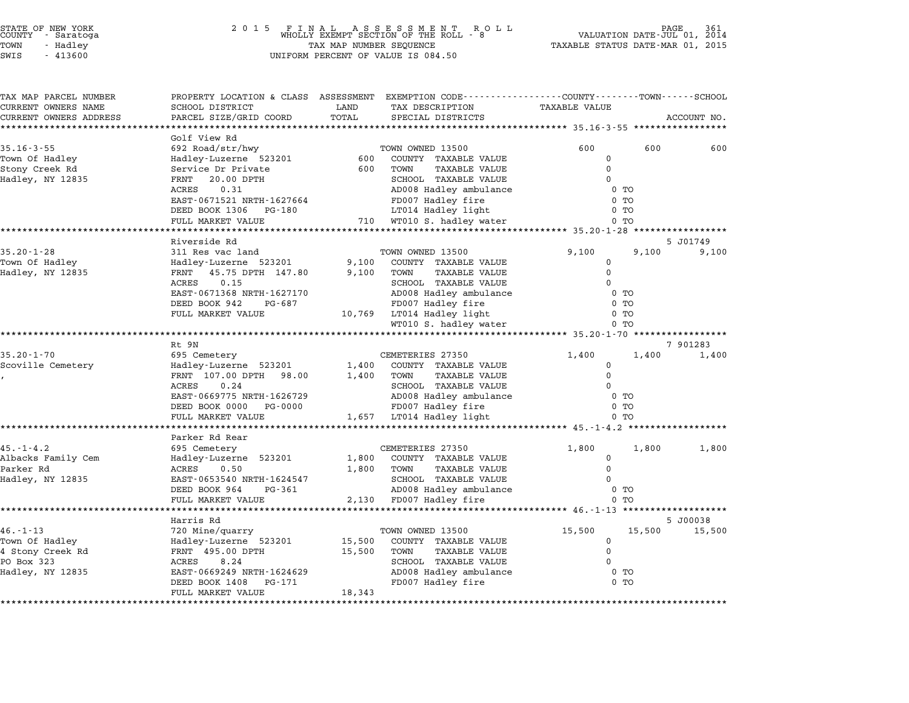| STATE OF NEW YORK |  |            |  |
|-------------------|--|------------|--|
| COUNTY            |  | - Saratoga |  |
| TOWN              |  | - Hadley   |  |

### STATE OF NEW YORK <sup>2</sup> <sup>0</sup> <sup>1</sup> 5 F I N A L A S S E S S M E N T R O L L PAGE <sup>361</sup> COUNTY - Saratoga WHOLLY EXEMPT SECTION OF THE ROLL - <sup>8</sup> VALUATION DATE-JUL 01, <sup>2014</sup> TOWN - Hadley TAX MAP NUMBER SEQUENCE TAXABLE STATUS DATE-MAR 01, <sup>2015</sup> SWIS - <sup>413600</sup> UNIFORM PERCENT OF VALUE IS 084.50

| TAX MAP PARCEL NUMBER  |                                                     |               | PROPERTY LOCATION & CLASS ASSESSMENT EXEMPTION CODE----------------COUNTY-------TOWN-----SCHOOL |                      |        |             |
|------------------------|-----------------------------------------------------|---------------|-------------------------------------------------------------------------------------------------|----------------------|--------|-------------|
| CURRENT OWNERS NAME    | SCHOOL DISTRICT<br>PARCEL SIZE/GRID COORD           | LAND<br>TOTAL | TAX DESCRIPTION<br>SPECIAL DISTRICTS                                                            | <b>TAXABLE VALUE</b> |        |             |
| CURRENT OWNERS ADDRESS |                                                     |               |                                                                                                 |                      |        | ACCOUNT NO. |
|                        | Golf View Rd                                        |               |                                                                                                 |                      |        |             |
| $35.16 - 3 - 55$       | 692 Road/str/hwy                                    |               | TOWN OWNED 13500                                                                                | 600                  | 600    | 600         |
| Town Of Hadley         | Hadley-Luzerne 523201                               | 600           | COUNTY TAXABLE VALUE                                                                            | $\mathbf 0$          |        |             |
| Stony Creek Rd         | Service Dr Private                                  | 600           | TOWN<br><b>TAXABLE VALUE</b>                                                                    | $\mathbf 0$          |        |             |
| Hadley, NY 12835       | 20.00 DPTH<br>FRNT                                  |               | SCHOOL TAXABLE VALUE                                                                            | 0                    |        |             |
|                        | ACRES<br>0.31                                       |               | AD008 Hadley ambulance                                                                          | $0$ TO               |        |             |
|                        | EAST-0671521 NRTH-1627664                           |               | FD007 Hadley fire                                                                               | $0$ TO               |        |             |
|                        | DEED BOOK 1306 PG-180                               |               | LT014 Hadley light                                                                              | 0 <sub>T</sub>       |        |             |
|                        | FULL MARKET VALUE                                   |               | 710 WT010 S. hadley water                                                                       | 0 <sub>T</sub>       |        |             |
|                        | Riverside Rd                                        |               |                                                                                                 |                      |        | 5 J01749    |
| $35.20 - 1 - 28$       | 311 Res vac land                                    |               | TOWN OWNED 13500                                                                                | 9,100                | 9,100  | 9,100       |
| Town Of Hadley         | Hadley-Luzerne 523201                               | 9,100         | COUNTY TAXABLE VALUE                                                                            | $\mathsf{O}$         |        |             |
| Hadley, NY 12835       | FRNT 45.75 DPTH 147.80                              | 9,100         | TOWN<br><b>TAXABLE VALUE</b>                                                                    | $\Omega$             |        |             |
|                        | ACRES<br>0.15                                       |               | SCHOOL TAXABLE VALUE                                                                            | $\Omega$             |        |             |
|                        | EAST-0671368 NRTH-1627170                           |               | AD008 Hadley ambulance                                                                          | 0 <sub>T</sub>       |        |             |
|                        | DEED BOOK 942<br>PG-687                             |               | FD007 Hadley fire                                                                               | 0 <sub>T</sub>       |        |             |
|                        | FULL MARKET VALUE                                   |               | 10,769 LT014 Hadley light                                                                       | 0 <sub>T</sub>       |        |             |
|                        |                                                     |               | WT010 S. hadley water                                                                           | 0 <sub>T</sub>       |        |             |
|                        |                                                     |               |                                                                                                 |                      |        |             |
|                        | Rt 9N                                               |               |                                                                                                 |                      |        | 7 901283    |
| $35.20 - 1 - 70$       | 695 Cemetery                                        |               | CEMETERIES 27350                                                                                | 1,400                | 1,400  | 1,400       |
| Scoville Cemetery      | Hadley-Luzerne 523201                               | 1,400         | COUNTY TAXABLE VALUE                                                                            | 0<br>$\Omega$        |        |             |
|                        | FRNT 107.00 DPTH 98.00<br>0.24                      | 1,400         | TOWN<br>TAXABLE VALUE                                                                           | $\Omega$             |        |             |
|                        | ACRES<br>EAST-0669775 NRTH-1626729                  |               | SCHOOL TAXABLE VALUE<br>AD008 Hadley ambulance                                                  | 0 <sub>T</sub>       |        |             |
|                        | DEED BOOK 0000 PG-0000                              |               | FD007 Hadley fire                                                                               | $0$ TO               |        |             |
|                        | FULL MARKET VALUE                                   |               | 1,657 LT014 Hadley light                                                                        | $0$ TO               |        |             |
|                        |                                                     |               |                                                                                                 |                      |        |             |
|                        | Parker Rd Rear                                      |               |                                                                                                 |                      |        |             |
| $45. - 1 - 4.2$        | 695 Cemetery                                        |               | CEMETERIES 27350                                                                                | 1,800                | 1,800  | 1,800       |
| Albacks Family Cem     | Hadley-Luzerne 523201                               |               | 1,800 COUNTY TAXABLE VALUE                                                                      | $\mathbf 0$          |        |             |
| Parker Rd              | ACRES<br>0.50                                       | 1,800         | TOWN<br>TAXABLE VALUE                                                                           | $\Omega$             |        |             |
| Hadley, NY 12835       | EAST-0653540 NRTH-1624547                           |               | SCHOOL TAXABLE VALUE                                                                            | $\Omega$             |        |             |
|                        | DEED BOOK 964<br>PG-361                             |               | AD008 Hadley ambulance                                                                          | 0 <sub>T</sub>       |        |             |
|                        | FULL MARKET VALUE<br>****************************** |               | 2,130 FD007 Hadley fire                                                                         | $0$ TO               |        |             |
|                        | Harris Rd                                           |               |                                                                                                 |                      |        | 5 J00038    |
| $46. - 1 - 13$         | 720 Mine/quarry                                     |               | TOWN OWNED 13500                                                                                | 15,500               | 15,500 | 15,500      |
| Town Of Hadley         | Hadley-Luzerne 523201                               |               | 15,500 COUNTY TAXABLE VALUE                                                                     | $\mathbf 0$          |        |             |
| 4 Stony Creek Rd       | FRNT 495.00 DPTH                                    | 15,500        | TOWN<br><b>TAXABLE VALUE</b>                                                                    | $\Omega$             |        |             |
| PO Box 323             | ACRES<br>8.24                                       |               | SCHOOL TAXABLE VALUE                                                                            | $\mathbf 0$          |        |             |
| Hadley, NY 12835       | EAST-0669249 NRTH-1624629                           |               | AD008 Hadley ambulance                                                                          | $0$ TO               |        |             |
|                        | DEED BOOK 1408<br>PG-171                            |               | FD007 Hadley fire                                                                               | $0$ TO               |        |             |
|                        | FULL MARKET VALUE                                   | 18,343        |                                                                                                 |                      |        |             |
|                        |                                                     |               |                                                                                                 |                      |        |             |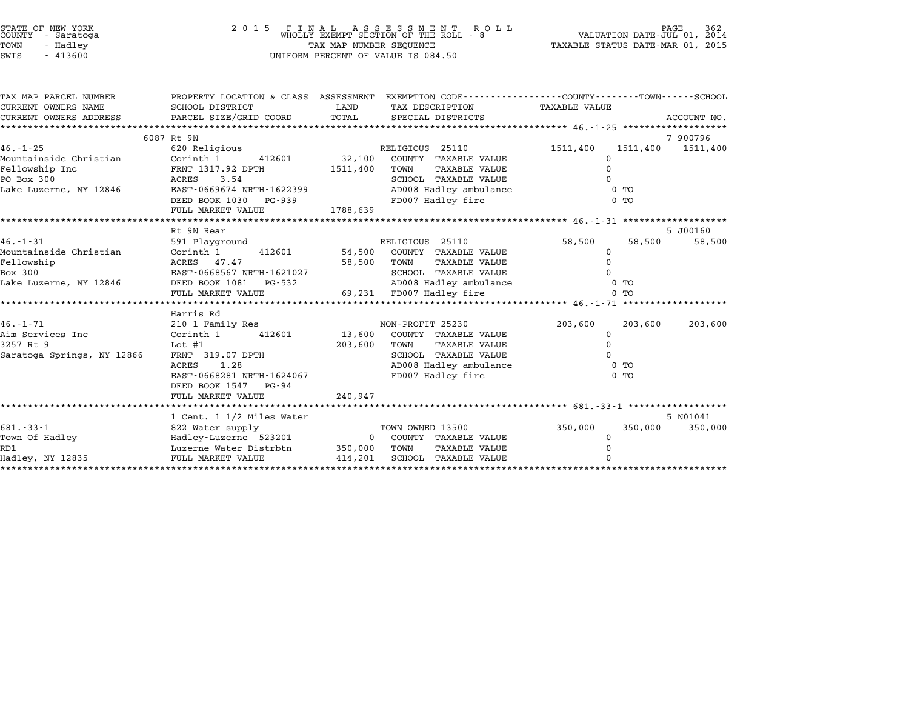| STATE OF NEW YORK<br>COUNTY - Saratoga |           |  |
|----------------------------------------|-----------|--|
| TOWN                                   | - Hadley  |  |
| CTATT <sub>C</sub>                     | $-113600$ |  |

### STATE OF NEW YORK <sup>2</sup> <sup>0</sup> <sup>1</sup> 5 F I N A L A S S E S S M E N T R O L L PAGE <sup>362</sup> COUNTY - Saratoga WHOLLY EXEMPT SECTION OF THE ROLL - <sup>8</sup> VALUATION DATE-JUL 01, <sup>2014</sup> TOWN - Hadley TAX MAP NUMBER SEQUENCE TAXABLE STATUS DATE-MAR 01, <sup>2015</sup> SWIS - <sup>413600</sup> UNIFORM PERCENT OF VALUE IS 084.50

| TAX MAP PARCEL NUMBER      |                                                 | PROPERTY LOCATION & CLASS ASSESSMENT EXEMPTION CODE----------------COUNTY-------TOWN------SCHOOL |                               |             |
|----------------------------|-------------------------------------------------|--------------------------------------------------------------------------------------------------|-------------------------------|-------------|
| CURRENT OWNERS NAME        | SCHOOL DISTRICT                                 | LAND<br>TAX DESCRIPTION TAXABLE VALUE                                                            |                               |             |
| CURRENT OWNERS ADDRESS     | PARCEL SIZE/GRID COORD TOTAL                    | SPECIAL DISTRICTS                                                                                |                               | ACCOUNT NO. |
|                            |                                                 |                                                                                                  |                               |             |
|                            | 6087 Rt 9N                                      |                                                                                                  |                               | 7900796     |
| 46.-1-25                   | 620 Religious                                   | RELIGIOUS 25110                                                                                  | 1511,400<br>1511,400 1511,400 |             |
| Mountainside Christian     | 412601 32,100<br>Corinth 1                      | COUNTY TAXABLE VALUE                                                                             |                               |             |
| Fellowship Inc             | FRNT 1317.92 DPTH                               | 1511,400<br>TOWN<br>TAXABLE VALUE                                                                |                               |             |
| PO Box 300                 | 3.54<br>ACRES                                   | SCHOOL TAXABLE VALUE                                                                             |                               |             |
| Lake Luzerne, NY 12846     | EAST-0669674 NRTH-1622399                       | AD008 Hadley ambulance                                                                           | $0$ TO                        |             |
|                            | DEED BOOK 1030<br>PG-939                        | FD007 Hadley fire                                                                                | 0 <sub>T</sub>                |             |
|                            | FULL MARKET VALUE                               | 1788,639                                                                                         |                               |             |
|                            |                                                 |                                                                                                  |                               |             |
|                            | Rt 9N Rear                                      |                                                                                                  |                               | 5 J00160    |
| $46. - 1 - 31$             | 591 Playground                                  | RELIGIOUS 25110                                                                                  | 58,500<br>58,500              | 58,500      |
| Mountainside Christian     | Corinth 1<br>412601 54,500                      | COUNTY TAXABLE VALUE                                                                             | 0                             |             |
| Fellowship                 | ACRES 47.47                                     | 58,500<br>TOWN<br>TAXABLE VALUE                                                                  |                               |             |
|                            | EAST-0668567 NRTH-1621027                       |                                                                                                  |                               |             |
|                            |                                                 |                                                                                                  | $0$ TO                        |             |
|                            | FULL MARKET VALUE                               |                                                                                                  | 0 <sub>T</sub>                |             |
|                            | Harris Rd                                       |                                                                                                  |                               |             |
| $46. - 1 - 71$             | 210 1 Family Res                                | NON-PROFIT 25230                                                                                 | 203,600<br>203,600            | 203,600     |
| Aim Services Inc           |                                                 | Corinth 1 412601 13,600 COUNTY TAXABLE VALUE                                                     | 0                             |             |
| 3257 Rt 9                  | Lot #1                                          | 203,600<br>TOWN<br>TAXABLE VALUE                                                                 |                               |             |
| Saratoga Springs, NY 12866 |                                                 | SCHOOL TAXABLE VALUE                                                                             |                               |             |
|                            | FRNT 319.07 DPTH<br>ACRES 1 28<br>1.28<br>ACRES | AD008 Hadley ambulance                                                                           | 0 <sub>T</sub>                |             |
|                            | EAST-0668281 NRTH-1624067                       | FD007 Hadley fire                                                                                | $0$ TO                        |             |
|                            | DEED BOOK 1547 PG-94                            |                                                                                                  |                               |             |
|                            | FULL MARKET VALUE                               | 240,947                                                                                          |                               |             |
|                            |                                                 |                                                                                                  |                               |             |
|                            | 1 Cent. 1 1/2 Miles Water                       |                                                                                                  |                               | 5 N01041    |
| $681 - 33 - 1$             | 822 Water supply                                | TOWN OWNED 13500                                                                                 | 350,000<br>350,000            | 350,000     |
| Town Of Hadley             |                                                 | Hadley-Luzerne 523201 0 COUNTY TAXABLE VALUE                                                     | $\Omega$                      |             |
| RD1                        | Luzerne Water Distrbtn                          | 350,000 TOWN<br>TAXABLE VALUE                                                                    |                               |             |
| Hadley, NY 12835           | FULL MARKET VALUE                               | 414,201<br>SCHOOL TAXABLE VALUE                                                                  |                               |             |
| *****************          |                                                 |                                                                                                  |                               |             |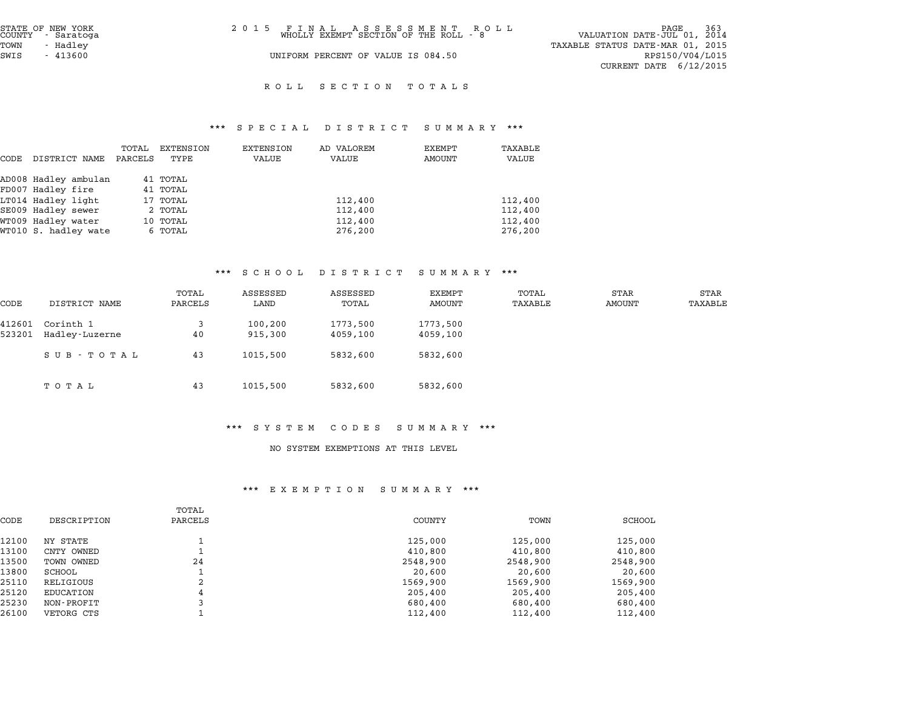| STATE OF NEW YORK<br>COUNTY - Saratoga | 2015 FINAL ASSESSMENT ROLL<br>WHOLLY EXEMPT SECTION OF THE ROLL - 8 | -363<br>PAGE<br>VALUATION DATE-JUL 01, 2014 |
|----------------------------------------|---------------------------------------------------------------------|---------------------------------------------|
| TOWN<br>- Hadley                       |                                                                     | TAXABLE STATUS DATE-MAR 01, 2015            |
| SWIS<br>$-413600$                      | UNIFORM PERCENT OF VALUE IS 084.50                                  | RPS150/V04/L015                             |
|                                        |                                                                     | CURRENT DATE $6/12/2015$                    |
|                                        |                                                                     |                                             |

#### R O L L S E C T I O N T O T A L S

# \*\*\* S P E C I A L D I S T R I C T S U M M A R Y \*\*\*

|      |                      |         |           | $P_{1}$ $P_{2}$ $P_{3}$ $P_{4}$ $P_{5}$ $P_{6}$ $P_{7}$ $P_{8}$ $P_{9}$ | 12 T T T T T T T | $\cup$ 0 11 11 $\cap$ 12 1 |         |
|------|----------------------|---------|-----------|-------------------------------------------------------------------------|------------------|----------------------------|---------|
|      |                      | TOTAL   | EXTENSION | EXTENSION                                                               | AD VALOREM       | EXEMPT                     | TAXABLE |
| CODE | DISTRICT NAME        | PARCELS | TYPE      | VALUE                                                                   | VALUE            | AMOUNT                     | VALUE   |
|      | AD008 Hadley ambulan |         | 41 TOTAL  |                                                                         |                  |                            |         |
|      | FD007 Hadley fire    |         | 41 TOTAL  |                                                                         |                  |                            |         |
|      | LT014 Hadley light   |         | 17 TOTAL  |                                                                         | 112,400          |                            | 112,400 |
|      | SE009 Hadley sewer   |         | 2 TOTAL   |                                                                         | 112,400          |                            | 112,400 |
|      | WT009 Hadley water   |         | 10 TOTAL  |                                                                         | 112,400          |                            | 112,400 |
|      | WT010 S. hadley wate |         | 6 TOTAL   |                                                                         | 276,200          |                            | 276,200 |

### \*\*\* S C H O O L D I S T R I C T S U M M A R Y \*\*\*

|                  |                             |                  | . <u>.</u>         | $\mathbf{D}$ $\mathbf{L}$ $\mathbf{D}$ $\mathbf{L}$ $\mathbf{R}$ $\mathbf{L}$ $\mathbf{L}$ $\mathbf{L}$ |                      |                  |                       |                 |
|------------------|-----------------------------|------------------|--------------------|---------------------------------------------------------------------------------------------------------|----------------------|------------------|-----------------------|-----------------|
| CODE             | DISTRICT NAME               | TOTAL<br>PARCELS | ASSESSED<br>LAND   | ASSESSED<br>TOTAL                                                                                       | EXEMPT<br>AMOUNT     | TOTAL<br>TAXABLE | STAR<br><b>AMOUNT</b> | STAR<br>TAXABLE |
| 412601<br>523201 | Corinth 1<br>Hadley-Luzerne | 3<br>40          | 100,200<br>915,300 | 1773,500<br>4059,100                                                                                    | 1773,500<br>4059,100 |                  |                       |                 |
|                  | SUB - TOTAL                 | 43               | 1015,500           | 5832,600                                                                                                | 5832,600             |                  |                       |                 |
|                  | ТОТАЬ                       | 43               | 1015,500           | 5832,600                                                                                                | 5832,600             |                  |                       |                 |

#### \*\*\* S Y S T E M C O D E S S U M M A R Y \*\*\*

#### NO SYSTEM EXEMPTIONS AT THIS LEVEL

#### \*\*\* E X E M P T I O N S U M M A R Y \*\*\*

| EA EMFII V N<br>נת משני שכ |                  |          |          |          |  |  |  |  |  |
|----------------------------|------------------|----------|----------|----------|--|--|--|--|--|
| DESCRIPTION                | TOTAL<br>PARCELS | COUNTY   | TOWN     | SCHOOL   |  |  |  |  |  |
| NY STATE                   |                  | 125,000  | 125,000  | 125,000  |  |  |  |  |  |
| CNTY OWNED                 |                  | 410,800  | 410,800  | 410,800  |  |  |  |  |  |
| TOWN OWNED                 | 24               | 2548,900 | 2548,900 | 2548,900 |  |  |  |  |  |
| SCHOOL                     |                  | 20,600   | 20,600   | 20,600   |  |  |  |  |  |
| RELIGIOUS                  | 2                | 1569,900 | 1569,900 | 1569,900 |  |  |  |  |  |
| EDUCATION                  | 4                | 205,400  | 205,400  | 205,400  |  |  |  |  |  |
| NON-PROFIT                 |                  | 680,400  | 680,400  | 680,400  |  |  |  |  |  |
| VETORG CTS                 |                  | 112,400  | 112,400  | 112,400  |  |  |  |  |  |
|                            |                  |          |          |          |  |  |  |  |  |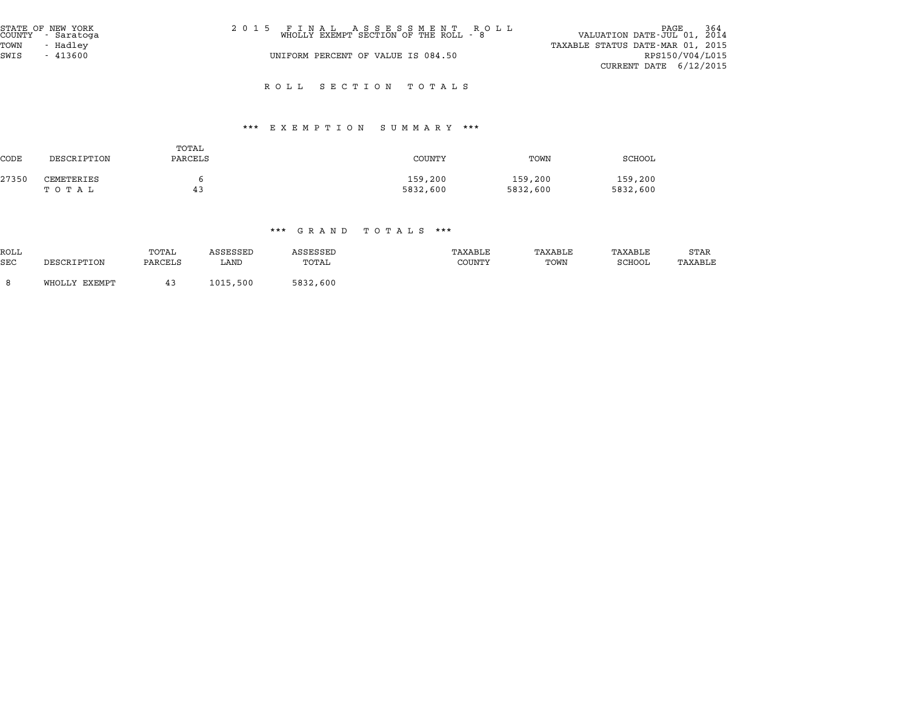| STATE OF NEW YORK<br>COUNTY - Saratoga | 2015 FINAL ASSESSMENT ROLL<br>WHOLLY EXEMPT SECTION OF THE ROLL - 8 | <sup>264</sup> PAGE<br>VALUATION DATE-JUL 01, 2014 |
|----------------------------------------|---------------------------------------------------------------------|----------------------------------------------------|
| TOWN<br>- Hadlev                       |                                                                     | TAXABLE STATUS DATE-MAR 01, 2015                   |
| SWIS<br>- 413600                       | UNIFORM PERCENT OF VALUE IS 084.50                                  | RPS150/V04/L015                                    |
|                                        |                                                                     | CURRENT DATE $6/12/2015$                           |

R O L L S E C T I O N T O T A L S

#### \*\*\* E X E M P T I O N S U M M A R Y \*\*\*

| <b>CODE</b> | DESCRIPTION         | TOTAL<br>PARCELS | <b>COUNTY</b>       | TOWN                | SCHOOL              |
|-------------|---------------------|------------------|---------------------|---------------------|---------------------|
| 27350       | CEMETERIES<br>тотаь | 43               | 159,200<br>5832,600 | 159,200<br>5832,600 | 159,200<br>5832,600 |

|                    |               |                  |                  | .<br><b>UITTIM</b> | $\sqrt{1}$ $\sqrt{1}$ $\sqrt{1}$ $\sqrt{1}$ $\sqrt{1}$<br>. |                 |                   |                 |
|--------------------|---------------|------------------|------------------|--------------------|-------------------------------------------------------------|-----------------|-------------------|-----------------|
| ROLL<br><b>SEC</b> | DESCRIPTION   | TOTAL<br>PARCELS | ASSESSED<br>LAND | ASSESSED<br>TOTAL  | TAXABLE<br>COUNTY                                           | TAXABLE<br>TOWN | TAXABLE<br>SCHOOL | STAR<br>TAXABLE |
|                    |               |                  |                  |                    |                                                             |                 |                   |                 |
|                    | WHOLLY EXEMPT |                  | 1015,500         | 5832,600           |                                                             |                 |                   |                 |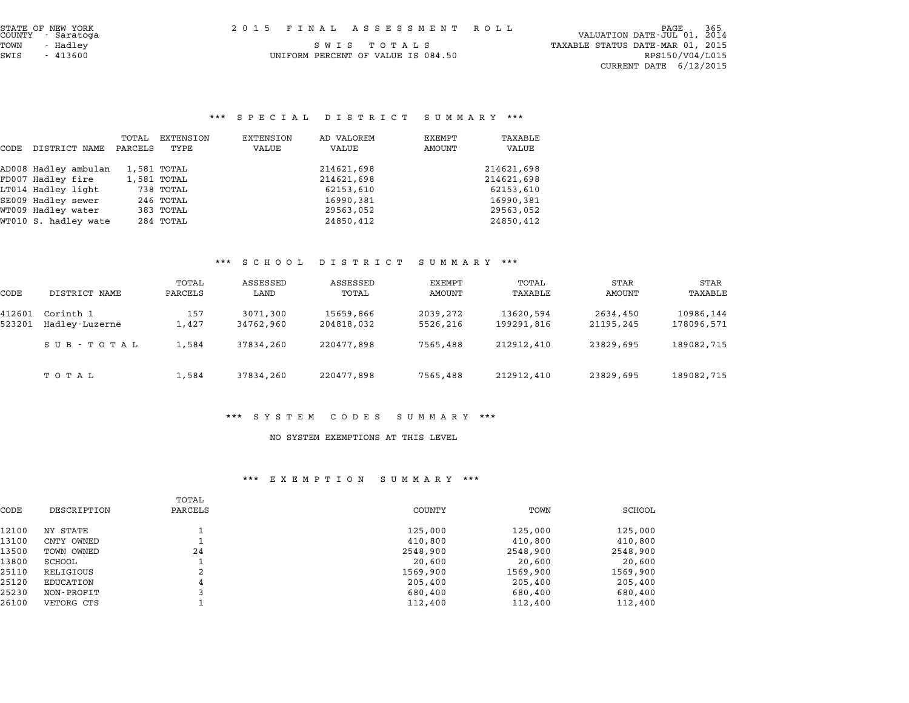end of NEW YORK<br>2015 FINAL ASSESSMENT ROLL (PALUATION DATE-JUL 01, 2014)<br>COUNTY – Saratoga TOWN - Hadley <sup>S</sup> <sup>W</sup> <sup>I</sup> <sup>S</sup> <sup>T</sup> <sup>O</sup> <sup>T</sup> <sup>A</sup> <sup>L</sup> <sup>S</sup> TAXABLE STATUS DATE-MAR 01, <sup>2015</sup> CURRENT DATE 6/12/2015

UNIFORM PERCENT OF VALUE IS  $084.50$  RPS150/V04/L015

# \*\*\* S P E C I A L D I S T R I C T S U M M A R Y \*\*\*

|      |                      |                  |                   |                    | arnu in ministri    | ourrani          |                  |
|------|----------------------|------------------|-------------------|--------------------|---------------------|------------------|------------------|
| CODE | DISTRICT NAME        | TOTAL<br>PARCELS | EXTENSION<br>TYPE | EXTENSION<br>VALUE | AD VALOREM<br>VALUE | EXEMPT<br>AMOUNT | TAXABLE<br>VALUE |
|      | AD008 Hadley ambulan |                  | 1,581 TOTAL       |                    | 214621,698          |                  | 214621,698       |
|      | FD007 Hadley fire    |                  | 1,581 TOTAL       |                    | 214621,698          |                  | 214621,698       |
|      | LT014 Hadley light   |                  | 738 TOTAL         |                    | 62153,610           |                  | 62153,610        |
|      | SE009 Hadley sewer   |                  | 246 TOTAL         |                    | 16990,381           |                  | 16990,381        |
|      | WT009 Hadley water   |                  | 383 TOTAL         |                    | 29563,052           |                  | 29563,052        |
|      | WT010 S. hadley wate |                  | 284 TOTAL         |                    | 24850,412           |                  | 24850,412        |

#### \*\*\* S C H O O L D I S T R I C T S U M M A R Y \*\*\*

|                  |                             |                  | ם ט ט ת ט פ           | $L$ $\sim$ $L$ $\sim$ $L$ $\sim$ $L$ | oummani              |                         |                       |                         |
|------------------|-----------------------------|------------------|-----------------------|--------------------------------------|----------------------|-------------------------|-----------------------|-------------------------|
| CODE             | DISTRICT NAME               | TOTAL<br>PARCELS | ASSESSED<br>LAND      | ASSESSED<br>TOTAL                    | EXEMPT<br>AMOUNT     | TOTAL<br>TAXABLE        | STAR<br>AMOUNT        | STAR<br>TAXABLE         |
| 412601<br>523201 | Corinth 1<br>Hadley-Luzerne | 157<br>1,427     | 3071,300<br>34762,960 | 15659,866<br>204818,032              | 2039,272<br>5526,216 | 13620,594<br>199291,816 | 2634,450<br>21195,245 | 10986,144<br>178096,571 |
|                  | SUB - TOTAL                 | 1,584            | 37834,260             | 220477,898                           | 7565,488             | 212912,410              | 23829,695             | 189082,715              |
|                  | тотаь                       | 1,584            | 37834,260             | 220477,898                           | 7565,488             | 212912,410              | 23829,695             | 189082,715              |

#### \*\*\* S Y S T E M C O D E S S U M M A R Y \*\*\*

#### NO SYSTEM EXEMPTIONS AT THIS LEVEL

#### \*\*\* E X E M P T I O N S U M M A R Y \*\*\*

|       |             | TOTAL   |          |          |          |
|-------|-------------|---------|----------|----------|----------|
| CODE  | DESCRIPTION | PARCELS | COUNTY   | TOWN     | SCHOOL   |
| 12100 | NY STATE    |         | 125,000  | 125,000  | 125,000  |
| 13100 | CNTY OWNED  |         | 410,800  | 410,800  | 410,800  |
| 13500 | TOWN OWNED  | 24      | 2548,900 | 2548,900 | 2548,900 |
| 13800 | SCHOOL      |         | 20,600   | 20,600   | 20,600   |
| 25110 | RELIGIOUS   | 2       | 1569,900 | 1569,900 | 1569,900 |
| 25120 | EDUCATION   | 4       | 205,400  | 205,400  | 205,400  |
| 25230 | NON-PROFIT  |         | 680,400  | 680,400  | 680,400  |
| 26100 | VETORG CTS  |         | 112,400  | 112,400  | 112,400  |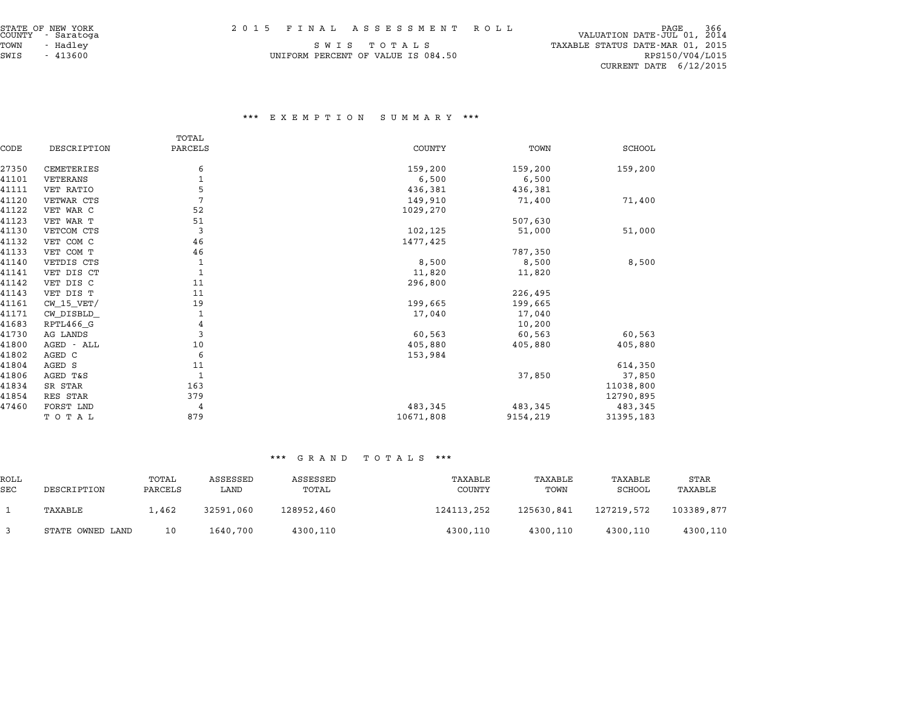| STATE OF NEW YORK<br>COUNTY - Saratoga |  | 2015 FINAL ASSESSMENT ROLL | PAGE<br>VALUATION DATE-JUL 01, 2014 | 366 |
|----------------------------------------|--|----------------------------|-------------------------------------|-----|

|              | STATE OF NEW YORK<br>COUNTY - Saratoga | 2015 FINAL ASSESSMENT ROLL         | 366<br>PAGE<br>VALUATION DATE-JUL 01, 2014 |
|--------------|----------------------------------------|------------------------------------|--------------------------------------------|
| TOWN         | - Hadlev                               | SWIS TOTALS                        | TAXABLE STATUS DATE-MAR 01, 2015           |
| <b>ISWTS</b> | - 413600                               | INIFORM PERCENT OF VALUE IS 084.50 | RPS150/V04/L015                            |

SWIS - <sup>413600</sup> UNIFORM PERCENT OF VALUE IS 084.50 RPS150/V04/L015

CURRENT DATE 6/12/2015

#### \*\*\* E X E M P T I O N S U M M A R Y \*\*\*

|       |                | TOTAL          |               |          |               |
|-------|----------------|----------------|---------------|----------|---------------|
| CODE  | DESCRIPTION    | PARCELS        | <b>COUNTY</b> | TOWN     | <b>SCHOOL</b> |
| 27350 | CEMETERIES     | 6              | 159,200       | 159,200  | 159,200       |
| 41101 | VETERANS       | $\mathbf{1}$   | 6,500         | 6,500    |               |
| 41111 | VET RATIO      | 5              | 436,381       | 436,381  |               |
| 41120 | VETWAR CTS     | $\overline{7}$ | 149,910       | 71,400   | 71,400        |
| 41122 | VET WAR C      | 52             | 1029,270      |          |               |
| 41123 | VET WAR T      | 51             |               | 507,630  |               |
| 41130 | VETCOM CTS     | 3              | 102,125       | 51,000   | 51,000        |
| 41132 | VET COM C      | 46             | 1477,425      |          |               |
| 41133 | VET COM T      | 46             |               | 787,350  |               |
| 41140 | VETDIS CTS     | 1              | 8,500         | 8,500    | 8,500         |
| 41141 | VET DIS CT     | $\mathbf{1}$   | 11,820        | 11,820   |               |
| 41142 | VET DIS C      | 11             | 296,800       |          |               |
| 41143 | VET DIS T      | 11             |               | 226,495  |               |
| 41161 | $CW$ 15 $VET/$ | 19             | 199,665       | 199,665  |               |
| 41171 | CW_DISBLD_     | 1              | 17,040        | 17,040   |               |
| 41683 | RPTL466 G      | 4              |               | 10,200   |               |
| 41730 | AG LANDS       | 3              | 60,563        | 60,563   | 60,563        |
| 41800 | AGED - ALL     | 10             | 405,880       | 405,880  | 405,880       |
| 41802 | AGED C         | 6              | 153,984       |          |               |
| 41804 | AGED S         | 11             |               |          | 614,350       |
| 41806 | AGED T&S       | $\mathbf{1}$   |               | 37,850   | 37,850        |
| 41834 | SR STAR        | 163            |               |          | 11038,800     |
| 41854 | RES STAR       | 379            |               |          | 12790,895     |
| 47460 | FORST LND      | 4              | 483,345       | 483,345  | 483,345       |
|       | TOTAL          | 879            | 10671,808     | 9154,219 | 31395,183     |

|             | <br><b>UINAND</b><br>. |                  |                  |                   |                   |                 |                   |                        |
|-------------|------------------------|------------------|------------------|-------------------|-------------------|-----------------|-------------------|------------------------|
| ROLL<br>SEC | DESCRIPTION            | TOTAL<br>PARCELS | ASSESSED<br>LAND | ASSESSED<br>TOTAL | TAXABLE<br>COUNTY | TAXABLE<br>TOWN | TAXABLE<br>SCHOOL | <b>STAR</b><br>TAXABLE |
|             | TAXABLE                | 1,462            | 32591,060        | 128952,460        | 124113,252        | 125630,841      | 127219,572        | 103389,877             |
|             | STATE OWNED LAND       | 10               | 1640,700         | 4300,110          | 4300,110          | 4300,110        | 4300,110          | 4300,110               |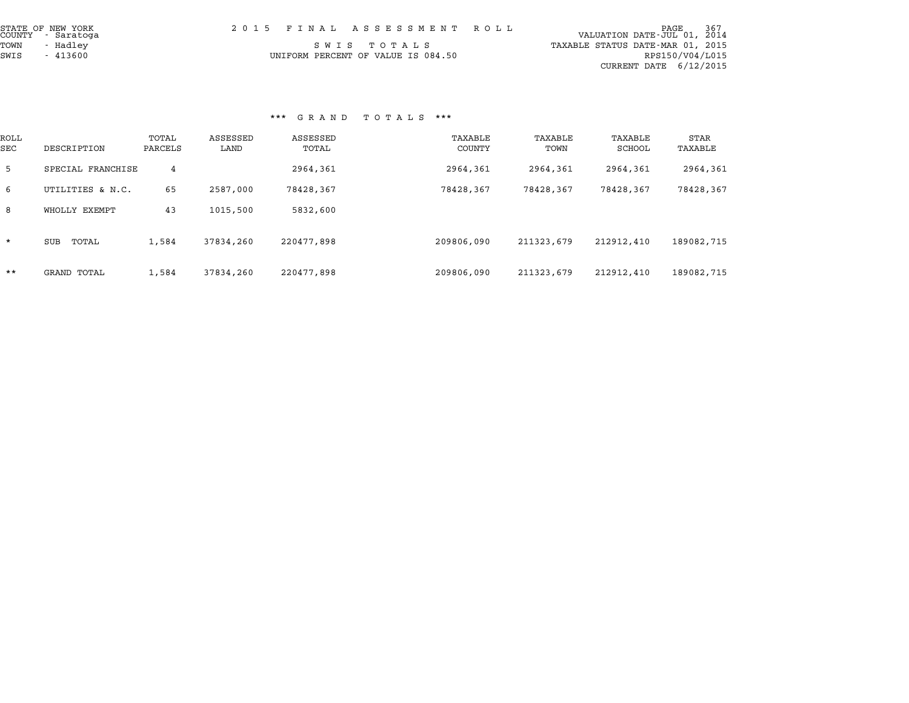| STATE OF NEW YORK<br>COUNTY - Saratoga | 2015 FINAL ASSESSMENT ROLL         | PAGE 367<br>VALUATION DATE-JUL 01, 2014 |
|----------------------------------------|------------------------------------|-----------------------------------------|
| TOWN<br>- Hadlev                       | SWIS TOTALS                        | TAXABLE STATUS DATE-MAR 01, 2015        |
| SWIS<br>$-413600$                      | UNIFORM PERCENT OF VALUE IS 084.50 | RPS150/V04/L015                         |
|                                        |                                    | CURRENT DATE 6/12/2015                  |

|             |                    |                  |                  | G A A N D         | 1 U 1 A 11 B      |                 |                   |                 |
|-------------|--------------------|------------------|------------------|-------------------|-------------------|-----------------|-------------------|-----------------|
| ROLL<br>SEC | DESCRIPTION        | TOTAL<br>PARCELS | ASSESSED<br>LAND | ASSESSED<br>TOTAL | TAXABLE<br>COUNTY | TAXABLE<br>TOWN | TAXABLE<br>SCHOOL | STAR<br>TAXABLE |
| 5           | SPECIAL FRANCHISE  | 4                |                  | 2964,361          | 2964,361          | 2964,361        | 2964,361          | 2964,361        |
| 6           | UTILITIES & N.C.   | 65               | 2587,000         | 78428,367         | 78428,367         | 78428,367       | 78428,367         | 78428,367       |
| 8           | WHOLLY EXEMPT      | 43               | 1015,500         | 5832,600          |                   |                 |                   |                 |
| $\star$     | TOTAL<br>SUB       | 1,584            | 37834,260        | 220477,898        | 209806,090        | 211323,679      | 212912,410        | 189082,715      |
| $***$       | <b>GRAND TOTAL</b> | 1,584            | 37834,260        | 220477,898        | 209806,090        | 211323,679      | 212912,410        | 189082,715      |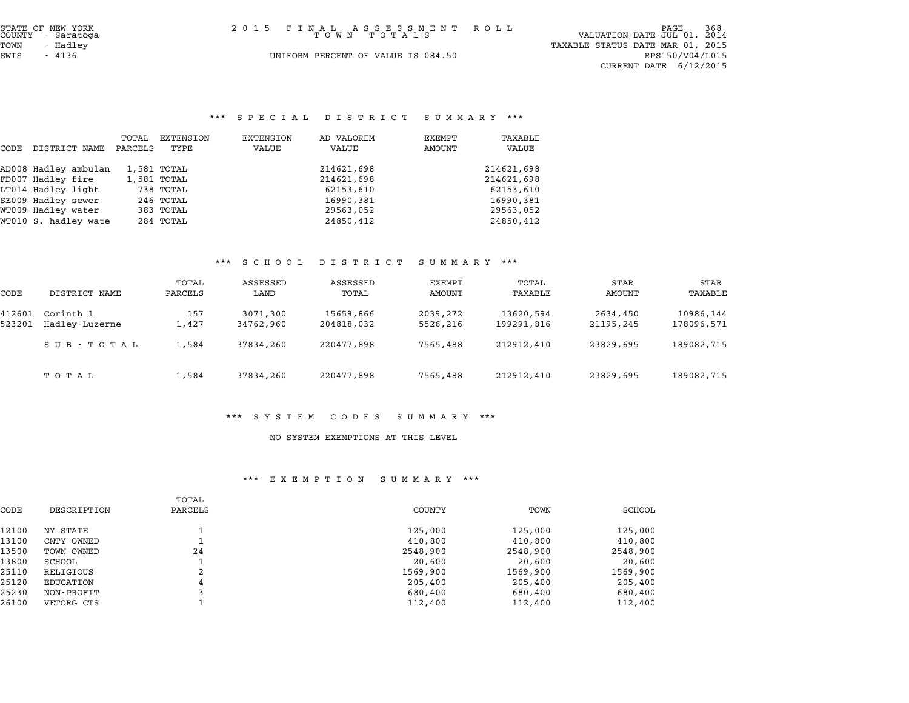## \*\*\* S P E C I A L D I S T R I C T S U M M A R Y \*\*\*

|      |                      |                  |                   |                    | SFECIAL DISIRICI    | .                |                  |
|------|----------------------|------------------|-------------------|--------------------|---------------------|------------------|------------------|
| CODE | DISTRICT NAME        | TOTAL<br>PARCELS | EXTENSION<br>TYPE | EXTENSION<br>VALUE | AD VALOREM<br>VALUE | EXEMPT<br>AMOUNT | TAXABLE<br>VALUE |
|      | AD008 Hadley ambulan |                  | 1,581 TOTAL       |                    | 214621,698          |                  | 214621,698       |
|      | FD007 Hadley fire    |                  | 1,581 TOTAL       |                    | 214621,698          |                  | 214621,698       |
|      | LT014 Hadley light   |                  | 738 TOTAL         |                    | 62153,610           |                  | 62153,610        |
|      | SE009 Hadley sewer   |                  | 246 TOTAL         |                    | 16990,381           |                  | 16990.381        |
|      | WT009 Hadley water   |                  | 383 TOTAL         |                    | 29563,052           |                  | 29563,052        |
|      | WT010 S. hadley wate |                  | 284 TOTAL         |                    | 24850,412           |                  | 24850,412        |

#### \*\*\* S C H O O L D I S T R I C T S U M M A R Y \*\*\*

|                  |                             |                  | ם ט ט ת ט פ           | $L$ $\rightarrow$ $L$ $\rightarrow$ $L$ $\rightarrow$ $L$ | oummani              |                         |                       |                         |
|------------------|-----------------------------|------------------|-----------------------|-----------------------------------------------------------|----------------------|-------------------------|-----------------------|-------------------------|
| CODE             | DISTRICT NAME               | TOTAL<br>PARCELS | ASSESSED<br>LAND      | ASSESSED<br>TOTAL                                         | EXEMPT<br>AMOUNT     | TOTAL<br>TAXABLE        | <b>STAR</b><br>AMOUNT | <b>STAR</b><br>TAXABLE  |
| 412601<br>523201 | Corinth 1<br>Hadley-Luzerne | 157<br>1,427     | 3071,300<br>34762,960 | 15659,866<br>204818,032                                   | 2039,272<br>5526,216 | 13620,594<br>199291,816 | 2634,450<br>21195,245 | 10986,144<br>178096,571 |
|                  | SUB - TOTAL                 | 1,584            | 37834,260             | 220477,898                                                | 7565,488             | 212912,410              | 23829,695             | 189082,715              |
|                  | ТОТАЬ                       | 1,584            | 37834,260             | 220477,898                                                | 7565,488             | 212912,410              | 23829,695             | 189082,715              |

#### \*\*\* S Y S T E M C O D E S S U M M A R Y \*\*\*

#### NO SYSTEM EXEMPTIONS AT THIS LEVEL

#### \*\*\* E X E M P T I O N S U M M A R Y \*\*\*

|       |             | TOTAL   |          |          |          |
|-------|-------------|---------|----------|----------|----------|
| CODE  | DESCRIPTION | PARCELS | COUNTY   | TOWN     | SCHOOL   |
| 12100 | NY STATE    |         | 125,000  | 125,000  | 125,000  |
| 13100 | CNTY OWNED  |         | 410,800  | 410,800  | 410,800  |
| 13500 | TOWN OWNED  | 24      | 2548,900 | 2548,900 | 2548,900 |
| 13800 | SCHOOL      |         | 20,600   | 20,600   | 20,600   |
| 25110 | RELIGIOUS   | 2       | 1569,900 | 1569,900 | 1569,900 |
| 25120 | EDUCATION   | 4       | 205,400  | 205,400  | 205,400  |
| 25230 | NON-PROFIT  |         | 680,400  | 680,400  | 680,400  |
| 26100 | VETORG CTS  |         | 112,400  | 112,400  | 112,400  |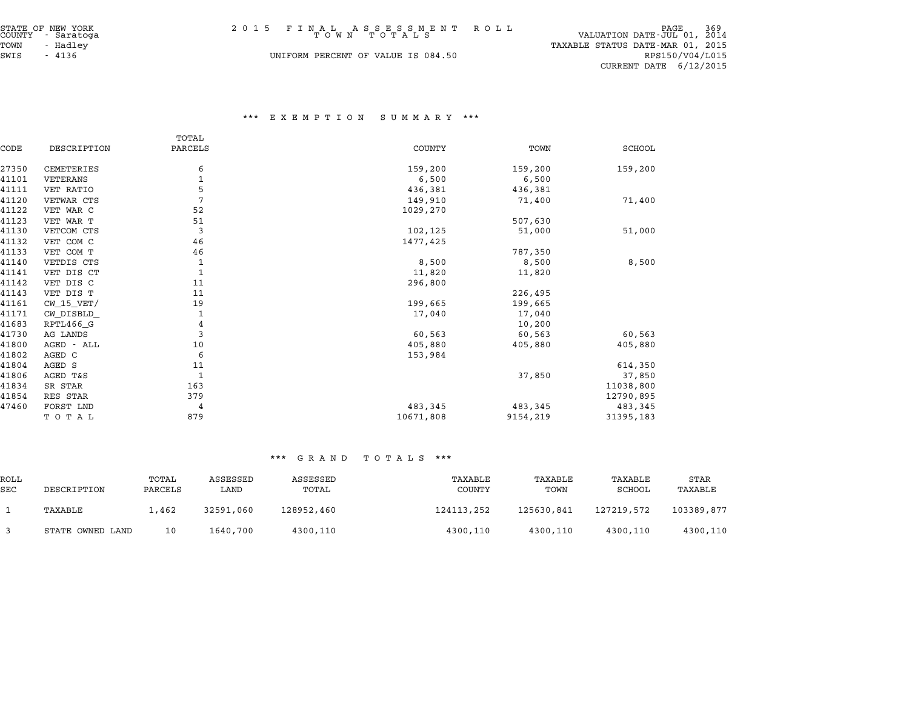| STATE OF NEW YORK<br>COUNTY - Saratoga<br>TOWN<br>- Hadley | 2015 FINAL ASSESSMENT ROLL<br>TOWN TOTALS | PAGE 369<br>VALUATION DATE-JUL 01, 2014<br>TAXABLE STATUS DATE-MAR 01, 2015 |
|------------------------------------------------------------|-------------------------------------------|-----------------------------------------------------------------------------|
| SWIS<br>- 4136                                             | UNIFORM PERCENT OF VALUE IS 084.50        | RPS150/V04/L015<br>CURRENT DATE $6/12/2015$                                 |

#### \*\*\* E X E M P T I O N S U M M A R Y \*\*\*

|       |                | TOTAL        |               |          |               |
|-------|----------------|--------------|---------------|----------|---------------|
| CODE  | DESCRIPTION    | PARCELS      | <b>COUNTY</b> | TOWN     | <b>SCHOOL</b> |
| 27350 | CEMETERIES     | 6            | 159,200       | 159,200  | 159,200       |
| 41101 | VETERANS       | $1\,$        | 6,500         | 6,500    |               |
| 41111 | VET RATIO      | 5            | 436,381       | 436,381  |               |
| 41120 | VETWAR CTS     | 7            | 149,910       | 71,400   | 71,400        |
| 41122 | VET WAR C      | 52           | 1029,270      |          |               |
| 41123 | VET WAR T      | 51           |               | 507,630  |               |
| 41130 | VETCOM CTS     | 3            | 102,125       | 51,000   | 51,000        |
| 41132 | VET COM C      | 46           | 1477,425      |          |               |
| 41133 | VET COM T      | 46           |               | 787,350  |               |
| 41140 | VETDIS CTS     | 1            | 8,500         | 8,500    | 8,500         |
| 41141 | VET DIS CT     | $\mathbf{1}$ | 11,820        | 11,820   |               |
| 41142 | VET DIS C      | 11           | 296,800       |          |               |
| 41143 | VET DIS T      | 11           |               | 226,495  |               |
| 41161 | $CW$ 15 $VET/$ | 19           | 199,665       | 199,665  |               |
| 41171 | CW_DISBLD_     | 1            | 17,040        | 17,040   |               |
| 41683 | RPTL466_G      | 4            |               | 10,200   |               |
| 41730 | AG LANDS       | 3            | 60,563        | 60,563   | 60,563        |
| 41800 | AGED - ALL     | 10           | 405,880       | 405,880  | 405,880       |
| 41802 | AGED C         | 6            | 153,984       |          |               |
| 41804 | AGED S         | 11           |               |          | 614,350       |
| 41806 | AGED T&S       | $\mathbf{1}$ |               | 37,850   | 37,850        |
| 41834 | SR STAR        | 163          |               |          | 11038,800     |
| 41854 | RES STAR       | 379          |               |          | 12790,895     |
| 47460 | FORST LND      | 4            | 483,345       | 483,345  | 483,345       |
|       | TOTAL          | 879          | 10671,808     | 9154,219 | 31395,183     |

|                    | .                |                  |                  |                   |                   |                 |                   |                 |
|--------------------|------------------|------------------|------------------|-------------------|-------------------|-----------------|-------------------|-----------------|
| ROLL<br><b>SEC</b> | DESCRIPTION      | TOTAL<br>PARCELS | ASSESSED<br>LAND | ASSESSED<br>TOTAL | TAXABLE<br>COUNTY | TAXABLE<br>TOWN | TAXABLE<br>SCHOOL | STAR<br>TAXABLE |
|                    | TAXABLE          | 1,462            | 32591,060        | 128952,460        | 124113,252        | 125630,841      | 127219,572        | 103389,877      |
|                    | STATE OWNED LAND | 10               | 1640,700         | 4300,110          | 4300,110          | 4300,110        | 4300,110          | 4300,110        |